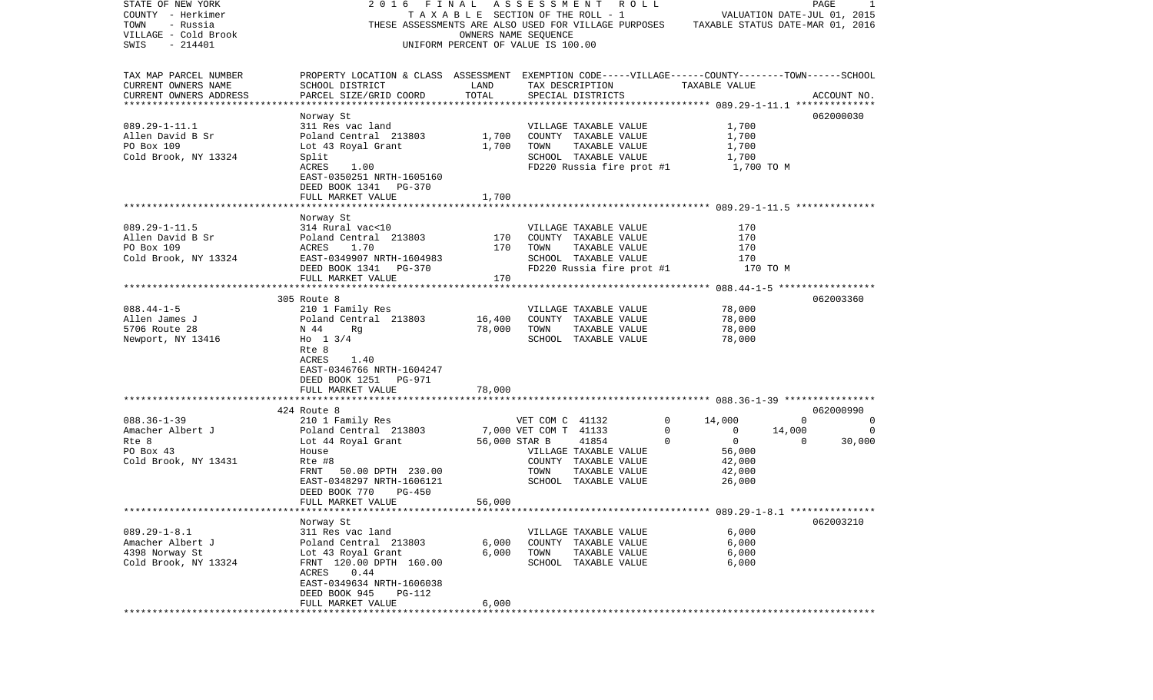| STATE OF NEW YORK      | 2016                                                                                               |                                    |                       | FINAL ASSESSMENT ROLL                                    |              |                                  |             | PAGE<br>1    |
|------------------------|----------------------------------------------------------------------------------------------------|------------------------------------|-----------------------|----------------------------------------------------------|--------------|----------------------------------|-------------|--------------|
| COUNTY - Herkimer      |                                                                                                    |                                    |                       | TAXABLE SECTION OF THE ROLL - 1                          |              | VALUATION DATE-JUL 01, 2015      |             |              |
| TOWN<br>- Russia       |                                                                                                    |                                    |                       | THESE ASSESSMENTS ARE ALSO USED FOR VILLAGE PURPOSES     |              | TAXABLE STATUS DATE-MAR 01, 2016 |             |              |
| VILLAGE - Cold Brook   |                                                                                                    |                                    | OWNERS NAME SEOUENCE  |                                                          |              |                                  |             |              |
| SWIS<br>$-214401$      |                                                                                                    | UNIFORM PERCENT OF VALUE IS 100.00 |                       |                                                          |              |                                  |             |              |
|                        |                                                                                                    |                                    |                       |                                                          |              |                                  |             |              |
|                        |                                                                                                    |                                    |                       |                                                          |              |                                  |             |              |
| TAX MAP PARCEL NUMBER  | PROPERTY LOCATION & CLASS ASSESSMENT EXEMPTION CODE-----VILLAGE------COUNTY-------TOWN------SCHOOL |                                    |                       |                                                          |              |                                  |             |              |
| CURRENT OWNERS NAME    | SCHOOL DISTRICT                                                                                    | LAND                               |                       | TAX DESCRIPTION                                          |              | TAXABLE VALUE                    |             |              |
| CURRENT OWNERS ADDRESS | PARCEL SIZE/GRID COORD                                                                             | TOTAL                              |                       | SPECIAL DISTRICTS                                        |              |                                  |             | ACCOUNT NO.  |
|                        |                                                                                                    |                                    |                       |                                                          |              |                                  |             |              |
|                        | Norway St                                                                                          |                                    |                       |                                                          |              |                                  |             | 062000030    |
| $089.29 - 1 - 11.1$    | 311 Res vac land                                                                                   |                                    |                       | VILLAGE TAXABLE VALUE                                    |              | 1,700                            |             |              |
| Allen David B Sr       | Poland Central 213803                                                                              |                                    |                       | VILLAGE TAXABLE VALUE<br>1,700    COUNTY   TAXABLE VALUE |              | 1,700                            |             |              |
| PO Box 109             | Lot 43 Royal Grant 1,700                                                                           |                                    | TOWN                  | TAXABLE VALUE                                            |              | 1,700                            |             |              |
|                        |                                                                                                    |                                    |                       | SCHOOL TAXABLE VALUE                                     |              | 1,700                            |             |              |
| Cold Brook, NY 13324   | Split                                                                                              |                                    |                       |                                                          |              |                                  |             |              |
|                        | 1.00<br>ACRES                                                                                      |                                    |                       | $FD220$ Russia fire prot #1 $1,700$ TO M                 |              |                                  |             |              |
|                        | EAST-0350251 NRTH-1605160                                                                          |                                    |                       |                                                          |              |                                  |             |              |
|                        | DEED BOOK 1341 PG-370                                                                              |                                    |                       |                                                          |              |                                  |             |              |
|                        | FULL MARKET VALUE                                                                                  | 1,700                              |                       |                                                          |              |                                  |             |              |
|                        |                                                                                                    |                                    |                       |                                                          |              |                                  |             |              |
|                        | Norway St                                                                                          |                                    |                       |                                                          |              |                                  |             |              |
| $089.29 - 1 - 11.5$    | 314 Rural vac<10                                                                                   |                                    |                       | VILLAGE TAXABLE VALUE                                    |              | 170                              |             |              |
| Allen David B Sr       | Poland Central 213803                                                                              | 170                                |                       | COUNTY TAXABLE VALUE                                     |              | 170                              |             |              |
| PO Box 109             | ACRES<br>1.70                                                                                      | 170                                | TOWN                  | TAXABLE VALUE                                            |              | 170                              |             |              |
| Cold Brook, NY 13324   | EAST-0349907 NRTH-1604983                                                                          |                                    |                       | SCHOOL TAXABLE VALUE                                     |              | 170                              |             |              |
|                        | DEED BOOK 1341 PG-370                                                                              |                                    |                       | FD220 Russia fire prot #1                                |              | 170 TO M                         |             |              |
|                        | FULL MARKET VALUE                                                                                  | 170                                |                       |                                                          |              |                                  |             |              |
|                        |                                                                                                    |                                    |                       |                                                          |              |                                  |             |              |
|                        |                                                                                                    |                                    |                       |                                                          |              |                                  |             |              |
|                        | 305 Route 8                                                                                        |                                    |                       |                                                          |              |                                  |             | 062003360    |
| $088.44 - 1 - 5$       | 210 1 Family Res                                                                                   |                                    |                       | VILLAGE TAXABLE VALUE                                    |              | 78,000                           |             |              |
| Allen James J          | Poland Central 213803                                                                              | 16,400                             |                       | COUNTY TAXABLE VALUE                                     |              | 78,000                           |             |              |
| 5706 Route 28          | N 44<br>Rq                                                                                         | 78,000                             | TOWN                  | TAXABLE VALUE                                            |              | 78,000                           |             |              |
| Newport, NY 13416      | Ho $1 \frac{3}{4}$                                                                                 |                                    |                       | SCHOOL TAXABLE VALUE                                     |              | 78,000                           |             |              |
|                        | Rte 8                                                                                              |                                    |                       |                                                          |              |                                  |             |              |
|                        | ACRES<br>1.40                                                                                      |                                    |                       |                                                          |              |                                  |             |              |
|                        | EAST-0346766 NRTH-1604247                                                                          |                                    |                       |                                                          |              |                                  |             |              |
|                        | DEED BOOK 1251 PG-971                                                                              |                                    |                       |                                                          |              |                                  |             |              |
|                        | FULL MARKET VALUE                                                                                  | 78,000                             |                       |                                                          |              |                                  |             |              |
|                        |                                                                                                    |                                    |                       |                                                          |              |                                  |             |              |
|                        | 424 Route 8                                                                                        |                                    |                       |                                                          |              |                                  |             | 062000990    |
| $088.36 - 1 - 39$      | 210 1 Family Res                                                                                   |                                    | VET COM C 41132       |                                                          | $\mathbf{0}$ | 14,000                           | $\mathbf 0$ | $\mathbf{0}$ |
| Amacher Albert J       | Poland Central 213803                                                                              |                                    | 7,000 VET COM T 41133 |                                                          | $\mathbf{0}$ | $\overline{\phantom{0}}$         | 14,000      | $\circ$      |
| Rte 8                  | Lot 44 Royal Grant                                                                                 |                                    | 56,000 STAR B         | 41854                                                    | $\Omega$     | $\overline{0}$                   | $\Omega$    | 30,000       |
| PO Box 43              | House                                                                                              |                                    |                       | VILLAGE TAXABLE VALUE                                    |              | 56,000                           |             |              |
| Cold Brook, NY 13431   | Rte #8                                                                                             |                                    |                       | COUNTY TAXABLE VALUE                                     |              | 42,000                           |             |              |
|                        |                                                                                                    |                                    |                       |                                                          |              |                                  |             |              |
|                        | 50.00 DPTH 230.00<br>FRNT                                                                          |                                    | TOWN                  | TAXABLE VALUE                                            |              | 42,000                           |             |              |
|                        | EAST-0348297 NRTH-1606121                                                                          |                                    |                       | SCHOOL TAXABLE VALUE                                     |              | 26,000                           |             |              |
|                        | PG-450<br>DEED BOOK 770                                                                            |                                    |                       |                                                          |              |                                  |             |              |
|                        | FULL MARKET VALUE                                                                                  | 56,000                             |                       |                                                          |              |                                  |             |              |
|                        |                                                                                                    |                                    |                       |                                                          |              |                                  |             |              |
|                        | Norway St                                                                                          |                                    |                       |                                                          |              |                                  |             | 062003210    |
| $089.29 - 1 - 8.1$     | 311 Res vac land                                                                                   |                                    |                       | VILLAGE TAXABLE VALUE                                    |              | 6,000                            |             |              |
| Amacher Albert J       | Poland Central 213803                                                                              | 6,000                              |                       | COUNTY TAXABLE VALUE                                     |              | 6,000                            |             |              |
| 4398 Norway St         | Lot 43 Royal Grant                                                                                 | 6,000                              | TOWN                  | TAXABLE VALUE                                            |              | 6,000                            |             |              |
| Cold Brook, NY 13324   | FRNT 120.00 DPTH 160.00                                                                            |                                    |                       | SCHOOL TAXABLE VALUE                                     |              | 6,000                            |             |              |
|                        | 0.44<br>ACRES                                                                                      |                                    |                       |                                                          |              |                                  |             |              |
|                        | EAST-0349634 NRTH-1606038                                                                          |                                    |                       |                                                          |              |                                  |             |              |
|                        | DEED BOOK 945<br><b>PG-112</b>                                                                     |                                    |                       |                                                          |              |                                  |             |              |
|                        | FULL MARKET VALUE                                                                                  | 6,000                              |                       |                                                          |              |                                  |             |              |
| *********              |                                                                                                    |                                    |                       |                                                          |              |                                  |             |              |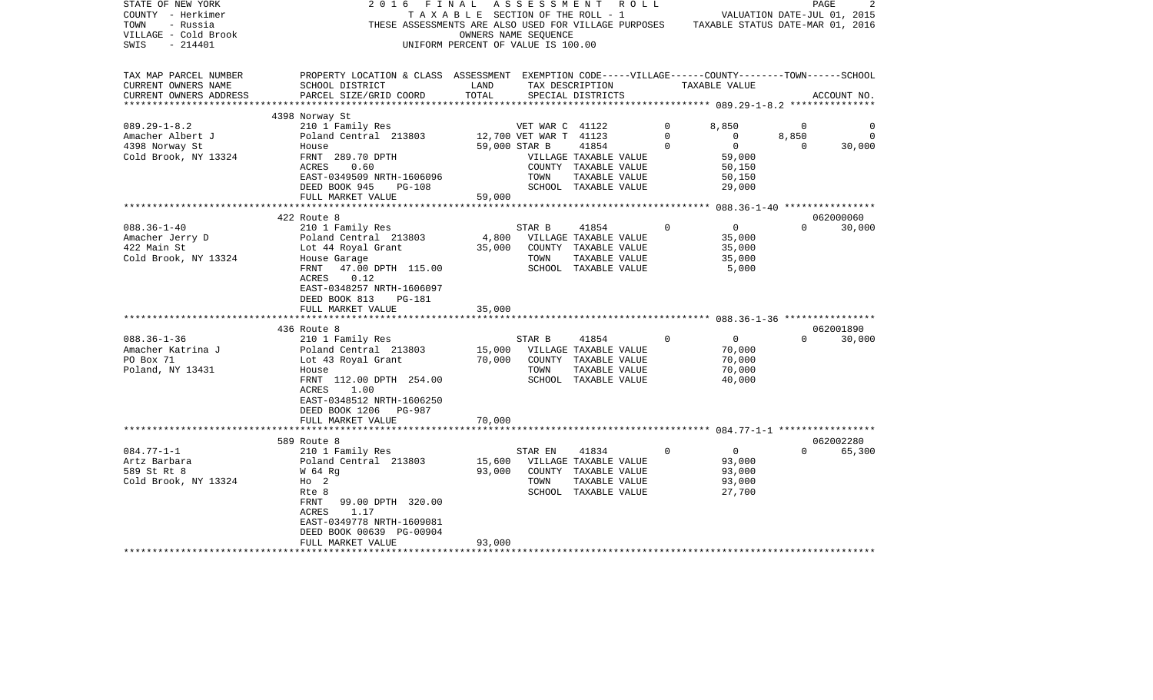| STATE OF NEW YORK<br>COUNTY - Herkimer<br>TOWN<br>- Russia<br>VILLAGE - Cold Brook<br>$-214401$<br>SWIS | 2016<br>FINAL                                                                                                                                                                                      | TAXABLE SECTION OF THE ROLL - 1<br>OWNERS NAME SEQUENCE<br>UNIFORM PERCENT OF VALUE IS 100.00 | ASSESSMENT<br>R O L L<br>THESE ASSESSMENTS ARE ALSO USED FOR VILLAGE PURPOSES TAXABLE STATUS DATE-MAR 01, 2016 |              | VALUATION DATE-JUL 01, 2015                            |                         | PAGE        |
|---------------------------------------------------------------------------------------------------------|----------------------------------------------------------------------------------------------------------------------------------------------------------------------------------------------------|-----------------------------------------------------------------------------------------------|----------------------------------------------------------------------------------------------------------------|--------------|--------------------------------------------------------|-------------------------|-------------|
| TAX MAP PARCEL NUMBER<br>CURRENT OWNERS NAME<br>CURRENT OWNERS ADDRESS                                  | PROPERTY LOCATION & CLASS ASSESSMENT EXEMPTION CODE-----VILLAGE------COUNTY-------TOWN------SCHOOL<br>SCHOOL DISTRICT<br>PARCEL SIZE/GRID COORD                                                    | LAND<br>TOTAL                                                                                 | TAX DESCRIPTION<br>SPECIAL DISTRICTS                                                                           |              | TAXABLE VALUE                                          |                         | ACCOUNT NO. |
| ***********************                                                                                 |                                                                                                                                                                                                    |                                                                                               |                                                                                                                |              |                                                        |                         |             |
| $089.29 - 1 - 8.2$<br>Amacher Albert J                                                                  | 4398 Norway St<br>210 1 Family Res<br>Poland Central 213803                                                                                                                                        | 12,700 VET WAR T 41123                                                                        | VET WAR C 41122                                                                                                | $\circ$<br>0 | 8,850<br>$\circ$                                       | $\overline{0}$<br>8,850 | 0<br>0      |
| 4398 Norway St<br>Cold Brook, NY 13324                                                                  | House<br>FRNT 289.70 DPTH<br>ACRES<br>0.60<br>EAST-0349509 NRTH-1606096<br>DEED BOOK 945<br><b>PG-108</b><br>FULL MARKET VALUE                                                                     | 59,000 STAR B<br>TOWN<br>59,000                                                               | 41854<br>VILLAGE TAXABLE VALUE<br>COUNTY TAXABLE VALUE<br>TAXABLE VALUE<br>SCHOOL TAXABLE VALUE                | $\Omega$     | $\overline{0}$<br>59,000<br>50,150<br>50,150<br>29,000 | $\Omega$                | 30,000      |
|                                                                                                         |                                                                                                                                                                                                    |                                                                                               |                                                                                                                |              |                                                        |                         |             |
|                                                                                                         | 422 Route 8                                                                                                                                                                                        |                                                                                               |                                                                                                                |              |                                                        |                         | 062000060   |
| $088.36 - 1 - 40$<br>Amacher Jerry D<br>422 Main St<br>Cold Brook, NY 13324                             | 210 1 Family Res<br>Poland Central 213803<br>Lot 44 Royal Grant<br>House Garage<br>47.00 DPTH 115.00<br>FRNT<br>0.12<br>ACRES<br>EAST-0348257 NRTH-1606097                                         | STAR B<br>35,000<br>TOWN                                                                      | 41854<br>4,800 VILLAGE TAXABLE VALUE<br>COUNTY TAXABLE VALUE<br>TAXABLE VALUE<br>SCHOOL TAXABLE VALUE          | $\mathbf 0$  | $\overline{0}$<br>35,000<br>35,000<br>35,000<br>5,000  | $\Omega$                | 30,000      |
|                                                                                                         | DEED BOOK 813<br>PG-181<br>FULL MARKET VALUE                                                                                                                                                       | 35,000                                                                                        |                                                                                                                |              |                                                        |                         |             |
|                                                                                                         |                                                                                                                                                                                                    |                                                                                               |                                                                                                                |              |                                                        |                         |             |
|                                                                                                         | 436 Route 8                                                                                                                                                                                        |                                                                                               |                                                                                                                |              |                                                        |                         | 062001890   |
| $088.36 - 1 - 36$<br>Amacher Katrina J<br>PO Box 71<br>Poland, NY 13431                                 | 210 1 Family Res<br>Poland Central 213803<br>Lot 43 Royal Grant<br>House<br>FRNT 112.00 DPTH 254.00<br>ACRES<br>1.00<br>EAST-0348512 NRTH-1606250<br>DEED BOOK 1206<br>PG-987<br>FULL MARKET VALUE | STAR B<br>15,000<br>70,000<br>TOWN<br>70,000                                                  | 41854<br>VILLAGE TAXABLE VALUE<br>COUNTY TAXABLE VALUE<br>TAXABLE VALUE<br>SCHOOL TAXABLE VALUE                | $\mathbf 0$  | $\overline{0}$<br>70,000<br>70,000<br>70,000<br>40,000 | $\Omega$                | 30,000      |
|                                                                                                         |                                                                                                                                                                                                    |                                                                                               |                                                                                                                |              |                                                        |                         |             |
|                                                                                                         | 589 Route 8                                                                                                                                                                                        |                                                                                               |                                                                                                                | $\Omega$     |                                                        | $\Omega$                | 062002280   |
| $084.77 - 1 - 1$<br>Artz Barbara<br>589 St Rt 8<br>Cold Brook, NY 13324                                 | 210 1 Family Res<br>Poland Central 213803<br>W 64 Rg<br>$HO$ 2<br>Rte 8<br>FRNT<br>99.00 DPTH 320.00<br>ACRES<br>1.17<br>EAST-0349778 NRTH-1609081                                                 | STAR EN<br>15,600<br>93,000<br>TOWN                                                           | 41834<br>VILLAGE TAXABLE VALUE<br>COUNTY TAXABLE VALUE<br>TAXABLE VALUE<br>SCHOOL TAXABLE VALUE                |              | $\overline{0}$<br>93,000<br>93,000<br>93,000<br>27,700 |                         | 65,300      |
|                                                                                                         | DEED BOOK 00639 PG-00904<br>FULL MARKET VALUE                                                                                                                                                      | 93,000                                                                                        |                                                                                                                |              |                                                        |                         |             |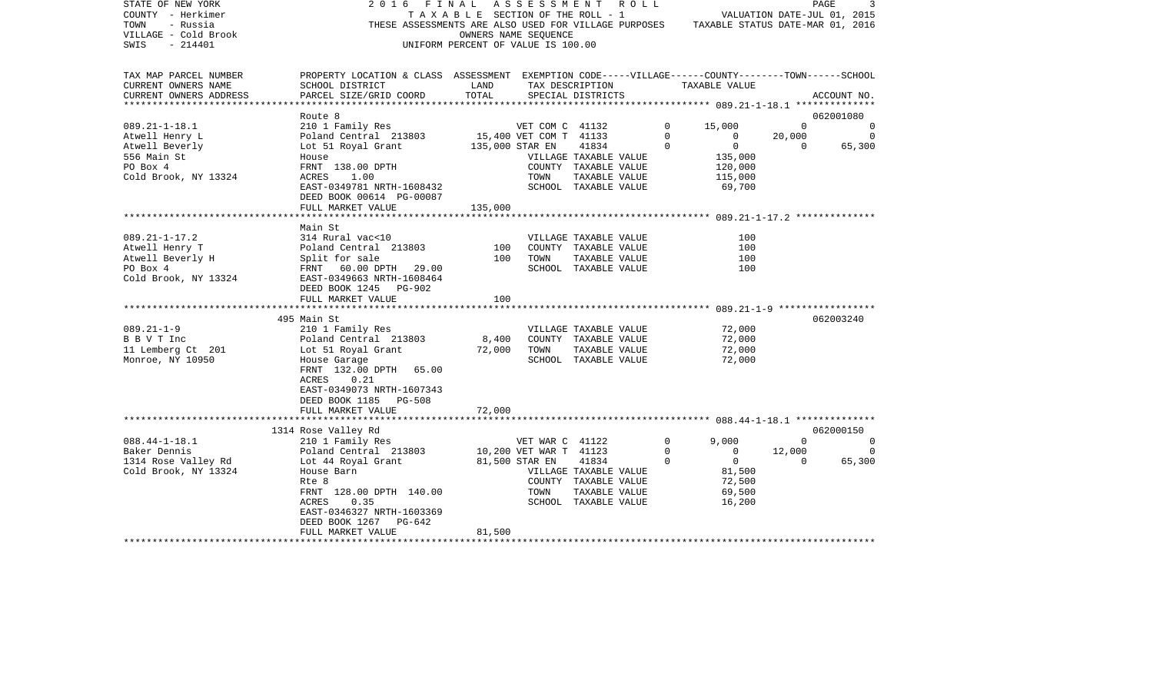| STATE OF NEW YORK<br>COUNTY - Herkimer<br>TOWN<br>- Russia<br>VILLAGE - Cold Brook<br>SWIS<br>- 214401 | 2016 FINAL                                                                                                                                                                               | TAXABLE SECTION OF THE ROLL - 1<br>UNIFORM PERCENT OF VALUE IS 100.00 | A S S E S S M E N T R O L L<br>OWNERS NAME SEQUENCE |                                               |                | VALUATION DATE-JUL 01, 2015<br>THESE ASSESSMENTS ARE ALSO USED FOR VILLAGE PURPOSES TAXABLE STATUS DATE-MAR 01, 2016 |                | PAGE<br>3      |
|--------------------------------------------------------------------------------------------------------|------------------------------------------------------------------------------------------------------------------------------------------------------------------------------------------|-----------------------------------------------------------------------|-----------------------------------------------------|-----------------------------------------------|----------------|----------------------------------------------------------------------------------------------------------------------|----------------|----------------|
| TAX MAP PARCEL NUMBER<br>CURRENT OWNERS NAME<br>CURRENT OWNERS ADDRESS                                 | PROPERTY LOCATION & CLASS ASSESSMENT EXEMPTION CODE-----VILLAGE------COUNTY-------TOWN------SCHOOL<br>SCHOOL DISTRICT<br>PARCEL SIZE/GRID COORD                                          | LAND<br>TOTAL                                                         |                                                     | SPECIAL DISTRICTS                             |                | TAX DESCRIPTION TAXABLE VALUE                                                                                        |                | ACCOUNT NO.    |
|                                                                                                        | Route 8                                                                                                                                                                                  |                                                                       |                                                     |                                               |                |                                                                                                                      |                | 062001080      |
| $089.21 - 1 - 18.1$                                                                                    | 210 1 Family Res                                                                                                                                                                         |                                                                       | VET COM C 41132                                     |                                               |                | $\mathbf{0}$<br>15,000                                                                                               | $\overline{0}$ | $\overline{0}$ |
| Atwell Henry L                                                                                         | 210 1 Family Res VET COM C 41132<br>Poland Central 213803 15,400 VET COM T 41133<br>Lot 51 Royal Grant 135,000 STAR EN 41834<br>House VILLAGE TAXABLE<br>FRNT 138.00 DPTH COUNTY TAXABLE |                                                                       |                                                     |                                               |                | $\overline{0}$<br>$\overline{0}$                                                                                     | 20,000         | $\overline{0}$ |
| Atwell Beverly                                                                                         |                                                                                                                                                                                          |                                                                       |                                                     |                                               | $\circ$        | $\overline{0}$                                                                                                       | $\overline{0}$ | 65,300         |
| 556 Main St                                                                                            |                                                                                                                                                                                          |                                                                       |                                                     | VILLAGE TAXABLE VALUE                         |                | 135,000                                                                                                              |                |                |
| PO Box 4                                                                                               | FRNT 138.00 DPTH<br>ACRES 1.00                                                                                                                                                           |                                                                       |                                                     | COUNTY TAXABLE VALUE                          |                | 120,000                                                                                                              |                |                |
| Cold Brook, NY 13324                                                                                   |                                                                                                                                                                                          |                                                                       | TOWN                                                | TAXABLE VALUE                                 |                | 115,000                                                                                                              |                |                |
|                                                                                                        | EAST-0349781 NRTH-1608432<br>DEED BOOK 00614 PG-00087                                                                                                                                    |                                                                       |                                                     | SCHOOL TAXABLE VALUE                          |                | 69,700                                                                                                               |                |                |
|                                                                                                        | FULL MARKET VALUE                                                                                                                                                                        | 135,000                                                               |                                                     |                                               |                |                                                                                                                      |                |                |
|                                                                                                        |                                                                                                                                                                                          |                                                                       |                                                     |                                               |                |                                                                                                                      |                |                |
| $089.21 - 1 - 17.2$                                                                                    | Main St<br>314 Rural vac<10                                                                                                                                                              |                                                                       |                                                     |                                               |                | 100                                                                                                                  |                |                |
| Atwell Henry T                                                                                         |                                                                                                                                                                                          | 100                                                                   |                                                     | VILLAGE TAXABLE VALUE<br>COUNTY TAXABLE VALUE |                | 100                                                                                                                  |                |                |
| Atwell Beverly H                                                                                       |                                                                                                                                                                                          | 100                                                                   | TOWN                                                | TAXABLE VALUE                                 |                | 100                                                                                                                  |                |                |
| PO Box 4                                                                                               | Poland Central 213803<br>Split for sale<br>FRNT 60.00 DPTH 29.00                                                                                                                         |                                                                       |                                                     | SCHOOL TAXABLE VALUE                          |                | 100                                                                                                                  |                |                |
| Cold Brook, NY 13324 EAST-0349663 NRTH-1608464                                                         | DEED BOOK 1245 PG-902                                                                                                                                                                    |                                                                       |                                                     |                                               |                |                                                                                                                      |                |                |
|                                                                                                        | FULL MARKET VALUE                                                                                                                                                                        | 100                                                                   |                                                     |                                               |                |                                                                                                                      |                |                |
|                                                                                                        |                                                                                                                                                                                          |                                                                       |                                                     |                                               |                |                                                                                                                      |                |                |
|                                                                                                        | 495 Main St                                                                                                                                                                              |                                                                       |                                                     |                                               |                |                                                                                                                      |                | 062003240      |
| $089.21 - 1 - 9$                                                                                       | 210 1 Family Res                                                                                                                                                                         |                                                                       |                                                     | VILLAGE TAXABLE VALUE                         |                | 72,000<br>72,000                                                                                                     |                |                |
| B B V T Inc                                                                                            |                                                                                                                                                                                          | 8,400                                                                 |                                                     | COUNTY TAXABLE VALUE                          |                |                                                                                                                      |                |                |
| 11 Lemberg Ct 201                                                                                      | 210 1 Family Res<br>Poland Central 213803<br>Lot 51 Royal Grant<br>House Garage                                                                                                          | 72,000                                                                | TOWN                                                | TAXABLE VALUE                                 |                | 72,000                                                                                                               |                |                |
| Monroe, NY 10950                                                                                       | FRNT 132.00 DPTH 65.00<br>ACRES<br>0.21<br>EAST-0349073 NRTH-1607343                                                                                                                     |                                                                       |                                                     | SCHOOL TAXABLE VALUE                          |                | 72,000                                                                                                               |                |                |
|                                                                                                        | DEED BOOK 1185 PG-508                                                                                                                                                                    |                                                                       |                                                     |                                               |                |                                                                                                                      |                |                |
|                                                                                                        | FULL MARKET VALUE                                                                                                                                                                        | 72,000                                                                |                                                     |                                               |                |                                                                                                                      |                |                |
|                                                                                                        | 1314 Rose Valley Rd                                                                                                                                                                      |                                                                       |                                                     |                                               |                |                                                                                                                      |                | 062000150      |
| $088.44 - 1 - 18.1$                                                                                    | 210 1 Family Res                                                                                                                                                                         |                                                                       | VET WAR C 41122                                     |                                               |                | $\overline{0}$<br>9,000                                                                                              | $\mathbf{0}$   | $\overline{0}$ |
|                                                                                                        | Poland Central 213803 10,200 VET WAR T 41123                                                                                                                                             |                                                                       |                                                     |                                               | $\mathbf 0$    | $\Omega$                                                                                                             | 12,000         | $\Omega$       |
|                                                                                                        |                                                                                                                                                                                          |                                                                       |                                                     | 41834                                         | $\overline{0}$ | $\overline{0}$                                                                                                       | $\overline{0}$ | 65,300         |
| Cold Brook, NY 13324                                                                                   | House Barn                                                                                                                                                                               |                                                                       |                                                     | VILLAGE TAXABLE VALUE                         |                | 81,500                                                                                                               |                |                |
|                                                                                                        | Rte 8                                                                                                                                                                                    |                                                                       |                                                     | COUNTY TAXABLE VALUE                          |                | 72,500<br>69,500                                                                                                     |                |                |
|                                                                                                        | FRNT 128.00 DPTH 140.00                                                                                                                                                                  |                                                                       | TOWN                                                | TAXABLE VALUE                                 |                |                                                                                                                      |                |                |
|                                                                                                        | 0.35<br>ACRES                                                                                                                                                                            |                                                                       |                                                     | SCHOOL TAXABLE VALUE                          |                | 16,200                                                                                                               |                |                |
|                                                                                                        | EAST-0346327 NRTH-1603369<br>DEED BOOK 1267 PG-642                                                                                                                                       |                                                                       |                                                     |                                               |                |                                                                                                                      |                |                |
|                                                                                                        | FULL MARKET VALUE                                                                                                                                                                        | 81,500                                                                |                                                     |                                               |                |                                                                                                                      |                |                |
|                                                                                                        |                                                                                                                                                                                          |                                                                       |                                                     |                                               |                |                                                                                                                      |                |                |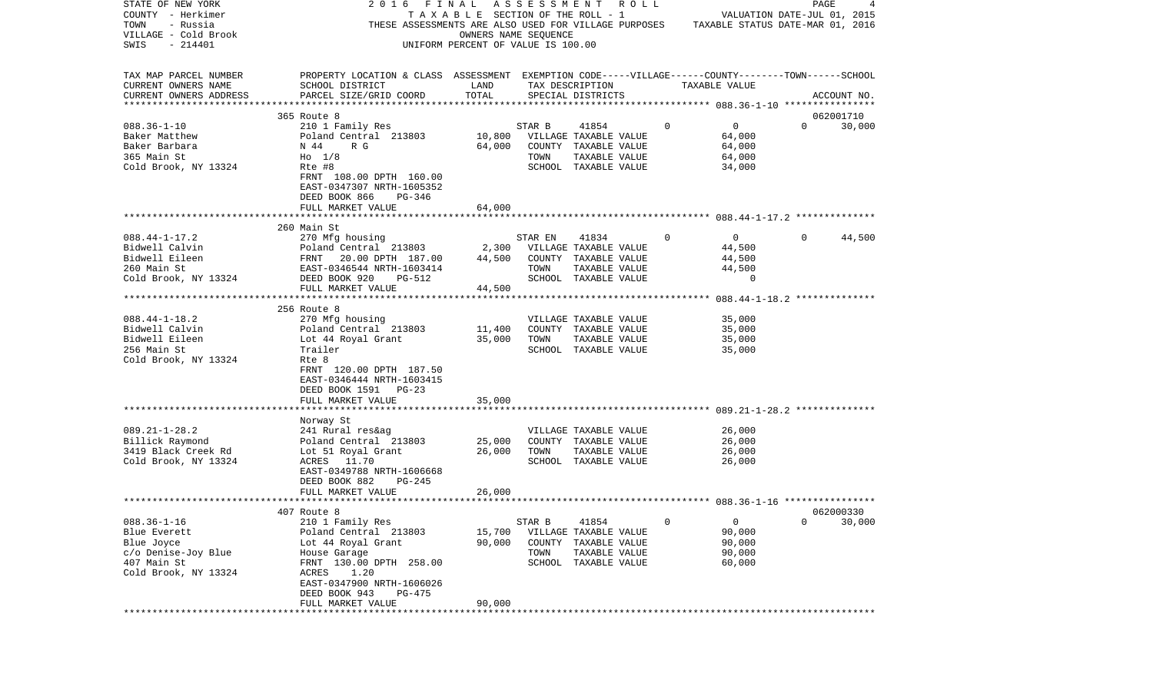| STATE OF NEW YORK        | 2016                                                                                               | FINAL                                 | A S S E S S M E N T | R O L L               |          |                                  |          | PAGE<br>4   |
|--------------------------|----------------------------------------------------------------------------------------------------|---------------------------------------|---------------------|-----------------------|----------|----------------------------------|----------|-------------|
| COUNTY - Herkimer        |                                                                                                    | T A X A B L E SECTION OF THE ROLL - 1 |                     |                       |          | VALUATION DATE-JUL 01, 2015      |          |             |
| TOWN<br>- Russia         | THESE ASSESSMENTS ARE ALSO USED FOR VILLAGE PURPOSES                                               |                                       |                     |                       |          | TAXABLE STATUS DATE-MAR 01, 2016 |          |             |
| VILLAGE - Cold Brook     |                                                                                                    | OWNERS NAME SEQUENCE                  |                     |                       |          |                                  |          |             |
| $-214401$<br>SWIS        |                                                                                                    | UNIFORM PERCENT OF VALUE IS 100.00    |                     |                       |          |                                  |          |             |
|                          |                                                                                                    |                                       |                     |                       |          |                                  |          |             |
|                          |                                                                                                    |                                       |                     |                       |          |                                  |          |             |
| TAX MAP PARCEL NUMBER    | PROPERTY LOCATION & CLASS ASSESSMENT EXEMPTION CODE-----VILLAGE------COUNTY-------TOWN------SCHOOL |                                       |                     |                       |          |                                  |          |             |
| CURRENT OWNERS NAME      | SCHOOL DISTRICT                                                                                    | LAND                                  |                     | TAX DESCRIPTION       |          | TAXABLE VALUE                    |          |             |
| CURRENT OWNERS ADDRESS   | PARCEL SIZE/GRID COORD                                                                             | TOTAL                                 |                     | SPECIAL DISTRICTS     |          |                                  |          | ACCOUNT NO. |
| ************************ |                                                                                                    |                                       |                     |                       |          |                                  |          |             |
|                          | 365 Route 8                                                                                        |                                       |                     |                       |          |                                  |          | 062001710   |
| $088.36 - 1 - 10$        | 210 1 Family Res                                                                                   |                                       | STAR B              | 41854                 | 0        | $\mathbf{0}$                     | $\Omega$ | 30,000      |
| Baker Matthew            | Poland Central 213803                                                                              | 10,800                                |                     | VILLAGE TAXABLE VALUE |          | 64,000                           |          |             |
| Baker Barbara            |                                                                                                    |                                       |                     | COUNTY TAXABLE VALUE  |          |                                  |          |             |
|                          | N 44<br>R G                                                                                        | 64,000                                |                     |                       |          | 64,000                           |          |             |
| 365 Main St              | $H0$ 1/8                                                                                           |                                       | TOWN                | TAXABLE VALUE         |          | 64,000                           |          |             |
| Cold Brook, NY 13324     | Rte #8                                                                                             |                                       |                     | SCHOOL TAXABLE VALUE  |          | 34,000                           |          |             |
|                          | FRNT 108.00 DPTH 160.00                                                                            |                                       |                     |                       |          |                                  |          |             |
|                          | EAST-0347307 NRTH-1605352                                                                          |                                       |                     |                       |          |                                  |          |             |
|                          | DEED BOOK 866<br>PG-346                                                                            |                                       |                     |                       |          |                                  |          |             |
|                          | FULL MARKET VALUE                                                                                  | 64,000                                |                     |                       |          |                                  |          |             |
|                          |                                                                                                    |                                       |                     |                       |          |                                  |          |             |
|                          | 260 Main St                                                                                        |                                       |                     |                       |          |                                  |          |             |
| $088.44 - 1 - 17.2$      | 270 Mfg housing                                                                                    |                                       | STAR EN             | 41834                 | $\Omega$ | $\mathbf{0}$                     | $\Omega$ | 44,500      |
| Bidwell Calvin           | Poland Central 213803                                                                              | 2,300                                 |                     | VILLAGE TAXABLE VALUE |          | 44,500                           |          |             |
| Bidwell Eileen           | 20.00 DPTH 187.00<br>FRNT                                                                          | 44,500                                |                     | COUNTY TAXABLE VALUE  |          | 44,500                           |          |             |
| 260 Main St              | EAST-0346544 NRTH-1603414                                                                          |                                       | TOWN                | TAXABLE VALUE         |          | 44,500                           |          |             |
| Cold Brook, NY 13324     | DEED BOOK 920<br>PG-512                                                                            |                                       |                     | SCHOOL TAXABLE VALUE  |          | 0                                |          |             |
|                          | FULL MARKET VALUE                                                                                  | 44,500                                |                     |                       |          |                                  |          |             |
|                          |                                                                                                    |                                       |                     |                       |          |                                  |          |             |
|                          | 256 Route 8                                                                                        |                                       |                     |                       |          |                                  |          |             |
| $088.44 - 1 - 18.2$      | 270 Mfg housing                                                                                    |                                       |                     | VILLAGE TAXABLE VALUE |          | 35,000                           |          |             |
| Bidwell Calvin           | Poland Central 213803                                                                              | 11,400                                |                     | COUNTY TAXABLE VALUE  |          | 35,000                           |          |             |
| Bidwell Eileen           | Lot 44 Royal Grant                                                                                 | 35,000                                | TOWN                | TAXABLE VALUE         |          | 35,000                           |          |             |
| 256 Main St              | Trailer                                                                                            |                                       |                     | SCHOOL TAXABLE VALUE  |          | 35,000                           |          |             |
| Cold Brook, NY 13324     | Rte 8                                                                                              |                                       |                     |                       |          |                                  |          |             |
|                          |                                                                                                    |                                       |                     |                       |          |                                  |          |             |
|                          | FRNT 120.00 DPTH 187.50                                                                            |                                       |                     |                       |          |                                  |          |             |
|                          | EAST-0346444 NRTH-1603415                                                                          |                                       |                     |                       |          |                                  |          |             |
|                          | DEED BOOK 1591 PG-23                                                                               |                                       |                     |                       |          |                                  |          |             |
|                          | FULL MARKET VALUE                                                                                  | 35,000                                |                     |                       |          |                                  |          |             |
|                          | **************************                                                                         |                                       |                     |                       |          |                                  |          |             |
|                          | Norway St                                                                                          |                                       |                     |                       |          |                                  |          |             |
| $089.21 - 1 - 28.2$      | 241 Rural res&ag                                                                                   |                                       |                     | VILLAGE TAXABLE VALUE |          | 26,000                           |          |             |
| Billick Raymond          | Poland Central 213803                                                                              | 25,000                                |                     | COUNTY TAXABLE VALUE  |          | 26,000                           |          |             |
| 3419 Black Creek Rd      | Lot 51 Royal Grant                                                                                 | 26,000                                | TOWN                | TAXABLE VALUE         |          | 26,000                           |          |             |
| Cold Brook, NY 13324     | ACRES 11.70                                                                                        |                                       |                     | SCHOOL TAXABLE VALUE  |          | 26,000                           |          |             |
|                          | EAST-0349788 NRTH-1606668                                                                          |                                       |                     |                       |          |                                  |          |             |
|                          | DEED BOOK 882<br>PG-245                                                                            |                                       |                     |                       |          |                                  |          |             |
|                          | FULL MARKET VALUE                                                                                  | 26,000                                |                     |                       |          |                                  |          |             |
|                          |                                                                                                    |                                       |                     |                       |          |                                  |          |             |
|                          | 407 Route 8                                                                                        |                                       |                     |                       |          |                                  |          | 062000330   |
| $088.36 - 1 - 16$        | 210 1 Family Res                                                                                   |                                       | STAR B              | 41854                 | 0        | 0                                | 0        | 30,000      |
| Blue Everett             | Poland Central 213803                                                                              | 15,700                                |                     | VILLAGE TAXABLE VALUE |          | 90,000                           |          |             |
| Blue Joyce               | Lot 44 Royal Grant                                                                                 | 90,000                                | COUNTY              | TAXABLE VALUE         |          | 90,000                           |          |             |
| c/o Denise-Joy Blue      | House Garage                                                                                       |                                       | TOWN                | TAXABLE VALUE         |          | 90,000                           |          |             |
| 407 Main St              | FRNT 130.00 DPTH 258.00                                                                            |                                       |                     | SCHOOL TAXABLE VALUE  |          | 60,000                           |          |             |
|                          |                                                                                                    |                                       |                     |                       |          |                                  |          |             |
| Cold Brook, NY 13324     | 1.20<br>ACRES<br>EAST-0347900 NRTH-1606026                                                         |                                       |                     |                       |          |                                  |          |             |
|                          |                                                                                                    |                                       |                     |                       |          |                                  |          |             |
|                          | DEED BOOK 943<br>PG-475                                                                            |                                       |                     |                       |          |                                  |          |             |
|                          | FULL MARKET VALUE                                                                                  | 90,000                                |                     |                       |          |                                  |          |             |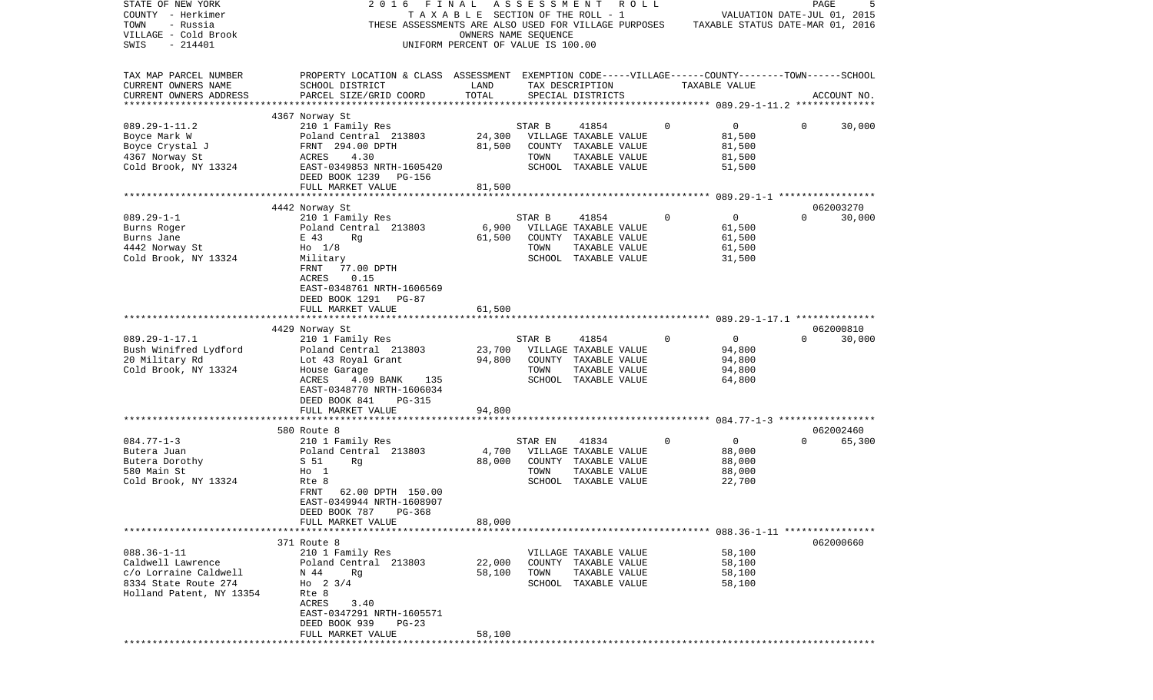| STATE OF NEW YORK<br>COUNTY - Herkimer<br>- Russia<br>TOWN<br>VILLAGE - Cold Brook<br>$-214401$<br>SWIS             | 2 0 1 6<br>THESE ASSESSMENTS ARE ALSO USED FOR VILLAGE PURPOSES                                                                                                                                             | FINAL ASSESSMENT<br>TAXABLE SECTION OF THE ROLL - 1<br>UNIFORM PERCENT OF VALUE IS 100.00 | OWNERS NAME SEQUENCE | R O L L                                                                                         |             | TAXABLE STATUS DATE-MAR 01, 2016                       | PAGE<br>VALUATION DATE-JUL 01, 2015 |                     |
|---------------------------------------------------------------------------------------------------------------------|-------------------------------------------------------------------------------------------------------------------------------------------------------------------------------------------------------------|-------------------------------------------------------------------------------------------|----------------------|-------------------------------------------------------------------------------------------------|-------------|--------------------------------------------------------|-------------------------------------|---------------------|
| TAX MAP PARCEL NUMBER<br>CURRENT OWNERS NAME<br>CURRENT OWNERS ADDRESS<br>************************                  | PROPERTY LOCATION & CLASS ASSESSMENT EXEMPTION CODE-----VILLAGE------COUNTY-------TOWN------SCHOOL<br>SCHOOL DISTRICT<br>PARCEL SIZE/GRID COORD                                                             | LAND<br>TOTAL                                                                             |                      | TAX DESCRIPTION<br>SPECIAL DISTRICTS                                                            |             | TAXABLE VALUE                                          |                                     | ACCOUNT NO.         |
| $089.29 - 1 - 11.2$<br>Boyce Mark W<br>Boyce Crystal J<br>4367 Norway St<br>Cold Brook, NY 13324                    | 4367 Norway St<br>210 1 Family Res<br>Poland Central 213803<br>FRNT 294.00 DPTH<br>4.30<br>ACRES<br>EAST-0349853 NRTH-1605420<br>DEED BOOK 1239 PG-156<br>FULL MARKET VALUE                                 | 24,300<br>81,500<br>81,500                                                                | STAR B<br>TOWN       | 41854<br>VILLAGE TAXABLE VALUE<br>COUNTY TAXABLE VALUE<br>TAXABLE VALUE<br>SCHOOL TAXABLE VALUE | 0           | $\overline{0}$<br>81,500<br>81,500<br>81,500<br>51,500 | 0                                   | 30,000              |
|                                                                                                                     |                                                                                                                                                                                                             |                                                                                           |                      |                                                                                                 |             |                                                        |                                     |                     |
| $089.29 - 1 - 1$<br>Burns Roger<br>Burns Jane<br>4442 Norway St<br>Cold Brook, NY 13324                             | 4442 Norway St<br>210 1 Family Res<br>Poland Central 213803<br>E 43<br>Rg<br>$H_0$ 1/8<br>Military<br>FRNT<br>77.00 DPTH<br>0.15<br>ACRES<br>EAST-0348761 NRTH-1606569<br>DEED BOOK 1291 PG-87              | 6,900<br>61,500                                                                           | STAR B<br>TOWN       | 41854<br>VILLAGE TAXABLE VALUE<br>COUNTY TAXABLE VALUE<br>TAXABLE VALUE<br>SCHOOL TAXABLE VALUE | $\Omega$    | $\mathbf{0}$<br>61,500<br>61,500<br>61,500<br>31,500   | $\Omega$                            | 062003270<br>30,000 |
|                                                                                                                     | FULL MARKET VALUE                                                                                                                                                                                           | 61,500                                                                                    |                      |                                                                                                 |             |                                                        |                                     |                     |
|                                                                                                                     |                                                                                                                                                                                                             |                                                                                           |                      |                                                                                                 |             |                                                        |                                     |                     |
| $089.29 - 1 - 17.1$<br>Bush Winifred Lydford<br>20 Military Rd<br>Cold Brook, NY 13324                              | 4429 Norway St<br>210 1 Family Res<br>Poland Central 213803<br>Lot 43 Royal Grant<br>House Garage<br>ACRES<br>4.09 BANK<br>135<br>EAST-0348770 NRTH-1606034<br>DEED BOOK 841<br>PG-315<br>FULL MARKET VALUE | 23,700<br>94,800<br>94,800                                                                | STAR B<br>TOWN       | 41854<br>VILLAGE TAXABLE VALUE<br>COUNTY TAXABLE VALUE<br>TAXABLE VALUE<br>SCHOOL TAXABLE VALUE | $\Omega$    | $\mathbf{0}$<br>94,800<br>94,800<br>94,800<br>64,800   | $\Omega$                            | 062000810<br>30,000 |
|                                                                                                                     | ************************                                                                                                                                                                                    | ***********                                                                               |                      |                                                                                                 |             |                                                        |                                     |                     |
| $084.77 - 1 - 3$<br>Butera Juan<br>Butera Dorothy<br>580 Main St<br>Cold Brook, NY 13324                            | 580 Route 8<br>210 1 Family Res<br>Poland Central 213803<br>S 51<br>Rg<br>Ho 1<br>Rte 8<br>62.00 DPTH 150.00<br>FRNT<br>EAST-0349944 NRTH-1608907<br>DEED BOOK 787 PG-368                                   | 4,700<br>88,000                                                                           | STAR EN<br>TOWN      | 41834<br>VILLAGE TAXABLE VALUE<br>COUNTY TAXABLE VALUE<br>TAXABLE VALUE<br>SCHOOL TAXABLE VALUE | $\mathbf 0$ | $\overline{0}$<br>88,000<br>88,000<br>88,000<br>22,700 | $\Omega$                            | 062002460<br>65,300 |
|                                                                                                                     | FULL MARKET VALUE                                                                                                                                                                                           | 88,000                                                                                    |                      |                                                                                                 |             |                                                        |                                     |                     |
| $088.36 - 1 - 11$<br>Caldwell Lawrence<br>c/o Lorraine Caldwell<br>8334 State Route 274<br>Holland Patent, NY 13354 | 371 Route 8<br>210 1 Family Res<br>Poland Central 213803<br>N 44<br>Rq<br>Ho $2 \frac{3}{4}$<br>Rte 8<br>ACRES<br>3.40<br>EAST-0347291 NRTH-1605571<br>DEED BOOK 939<br>$PG-23$                             | 22,000<br>58,100                                                                          | TOWN                 | VILLAGE TAXABLE VALUE<br>COUNTY TAXABLE VALUE<br>TAXABLE VALUE<br>SCHOOL TAXABLE VALUE          |             | 58,100<br>58,100<br>58,100<br>58,100                   |                                     | 062000660           |
|                                                                                                                     | FULL MARKET VALUE                                                                                                                                                                                           | 58,100                                                                                    |                      |                                                                                                 |             |                                                        |                                     |                     |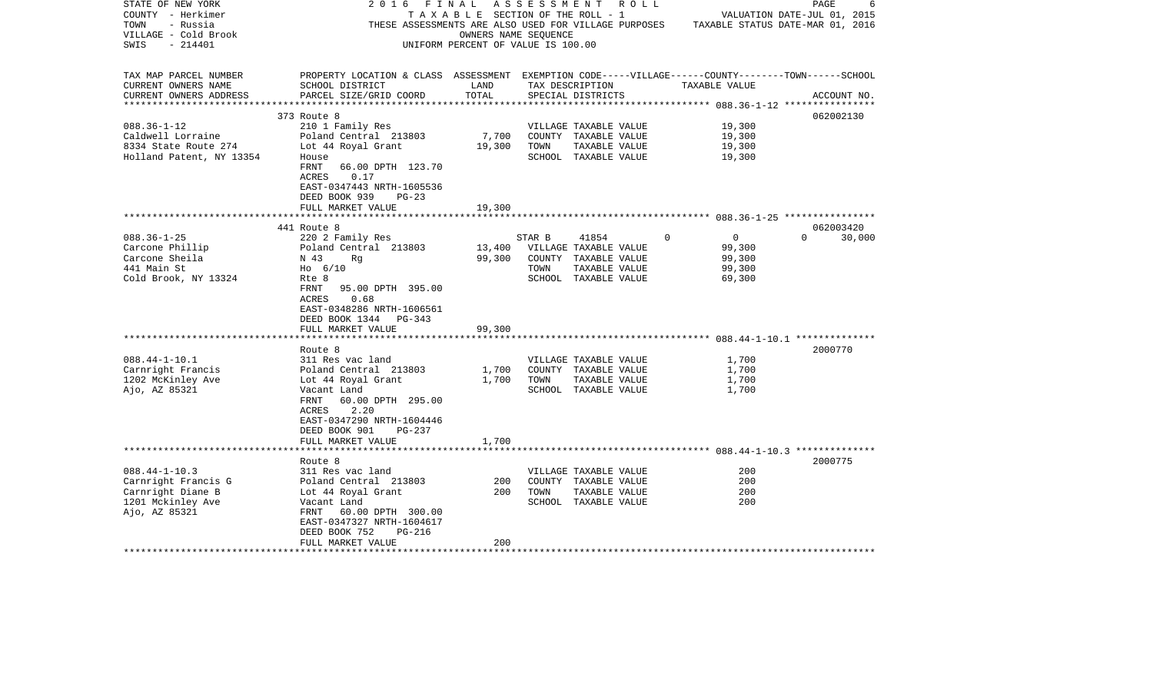| STATE OF NEW YORK<br>COUNTY - Herkimer<br>TOWN<br>- Russia<br>VILLAGE - Cold Brook<br>$-214401$<br>SWIS                                                                         | 2016<br>FINAL                                                                                                                                                                                                                                                                                                                                                                               | TAXABLE SECTION OF THE ROLL - 1<br>OWNERS NAME SEQUENCE<br>UNIFORM PERCENT OF VALUE IS 100.00 | ASSESSMENT             | R O L L<br>THESE ASSESSMENTS ARE ALSO USED FOR VILLAGE PURPOSES                                                                                                                           |                                                                                                        | PAGE<br>-6<br>VALUATION DATE-JUL 01, 2015<br>TAXABLE STATUS DATE-MAR 01, 2016 |
|---------------------------------------------------------------------------------------------------------------------------------------------------------------------------------|---------------------------------------------------------------------------------------------------------------------------------------------------------------------------------------------------------------------------------------------------------------------------------------------------------------------------------------------------------------------------------------------|-----------------------------------------------------------------------------------------------|------------------------|-------------------------------------------------------------------------------------------------------------------------------------------------------------------------------------------|--------------------------------------------------------------------------------------------------------|-------------------------------------------------------------------------------|
| TAX MAP PARCEL NUMBER<br>CURRENT OWNERS NAME<br>CURRENT OWNERS ADDRESS                                                                                                          | PROPERTY LOCATION & CLASS ASSESSMENT EXEMPTION CODE-----VILLAGE------COUNTY-------TOWN------SCHOOL<br>SCHOOL DISTRICT<br>PARCEL SIZE/GRID COORD                                                                                                                                                                                                                                             | LAND<br>TOTAL                                                                                 |                        | TAX DESCRIPTION<br>SPECIAL DISTRICTS                                                                                                                                                      | TAXABLE VALUE                                                                                          | ACCOUNT NO.                                                                   |
| ***********************                                                                                                                                                         |                                                                                                                                                                                                                                                                                                                                                                                             |                                                                                               |                        |                                                                                                                                                                                           |                                                                                                        |                                                                               |
|                                                                                                                                                                                 | 373 Route 8                                                                                                                                                                                                                                                                                                                                                                                 |                                                                                               |                        |                                                                                                                                                                                           |                                                                                                        | 062002130                                                                     |
| $088.36 - 1 - 12$<br>Caldwell Lorraine<br>8334 State Route 274<br>Holland Patent, NY 13354                                                                                      | 210 1 Family Res<br>Poland Central 213803<br>Lot 44 Royal Grant<br>House<br>FRNT<br>66.00 DPTH 123.70<br>0.17<br>ACRES                                                                                                                                                                                                                                                                      | 7,700<br>19,300                                                                               | TOWN                   | VILLAGE TAXABLE VALUE<br>COUNTY TAXABLE VALUE<br>TAXABLE VALUE<br>SCHOOL TAXABLE VALUE                                                                                                    | 19,300<br>19,300<br>19,300<br>19,300                                                                   |                                                                               |
|                                                                                                                                                                                 | EAST-0347443 NRTH-1605536<br>DEED BOOK 939<br>$PG-23$<br>FULL MARKET VALUE                                                                                                                                                                                                                                                                                                                  | 19,300                                                                                        |                        |                                                                                                                                                                                           |                                                                                                        |                                                                               |
|                                                                                                                                                                                 |                                                                                                                                                                                                                                                                                                                                                                                             |                                                                                               |                        |                                                                                                                                                                                           |                                                                                                        |                                                                               |
| $088.36 - 1 - 25$<br>Carcone Phillip<br>Carcone Sheila<br>441 Main St<br>Cold Brook, NY 13324<br>$088.44 - 1 - 10.1$<br>Carnright Francis<br>1202 McKinley Ave<br>Ajo, AZ 85321 | 441 Route 8<br>220 2 Family Res<br>Poland Central 213803<br>N 43<br>Rq<br>$H_0$ 6/10<br>Rte 8<br>FRNT 95.00 DPTH 395.00<br>ACRES<br>0.68<br>EAST-0348286 NRTH-1606561<br>DEED BOOK 1344 PG-343<br>FULL MARKET VALUE<br>Route 8<br>311 Res vac land<br>Poland Central 213803<br>Lot 44 Royal Grant<br>Vacant Land<br>60.00 DPTH 295.00<br>FRNT<br>2.20<br>ACRES<br>EAST-0347290 NRTH-1604446 | 13,400<br>99,300<br>99,300<br>1,700<br>1,700                                                  | STAR B<br>TOWN<br>TOWN | 41854<br>VILLAGE TAXABLE VALUE<br>COUNTY TAXABLE VALUE<br>TAXABLE VALUE<br>SCHOOL TAXABLE VALUE<br>VILLAGE TAXABLE VALUE<br>COUNTY TAXABLE VALUE<br>TAXABLE VALUE<br>SCHOOL TAXABLE VALUE | $\overline{0}$<br>$\Omega$<br>99,300<br>99,300<br>99,300<br>69,300<br>1,700<br>1,700<br>1,700<br>1,700 | 062003420<br>$\Omega$<br>30,000<br>2000770                                    |
|                                                                                                                                                                                 | DEED BOOK 901<br>$PG-237$<br>FULL MARKET VALUE                                                                                                                                                                                                                                                                                                                                              | 1,700                                                                                         |                        |                                                                                                                                                                                           |                                                                                                        |                                                                               |
|                                                                                                                                                                                 | Route 8                                                                                                                                                                                                                                                                                                                                                                                     |                                                                                               |                        |                                                                                                                                                                                           |                                                                                                        | 2000775                                                                       |
| $088.44 - 1 - 10.3$<br>Carnright Francis G<br>Carnright Diane B<br>1201 Mckinley Ave<br>Ajo, AZ 85321                                                                           | 311 Res vac land<br>Poland Central 213803<br>Lot 44 Royal Grant<br>Vacant Land<br>FRNT<br>60.00 DPTH 300.00<br>EAST-0347327 NRTH-1604617<br>DEED BOOK 752<br>PG-216                                                                                                                                                                                                                         | 200<br>200                                                                                    | TOWN                   | VILLAGE TAXABLE VALUE<br>COUNTY TAXABLE VALUE<br>TAXABLE VALUE<br>SCHOOL TAXABLE VALUE                                                                                                    | 200<br>200<br>200<br>200                                                                               |                                                                               |
| *********************                                                                                                                                                           | FULL MARKET VALUE                                                                                                                                                                                                                                                                                                                                                                           | 200                                                                                           |                        |                                                                                                                                                                                           |                                                                                                        |                                                                               |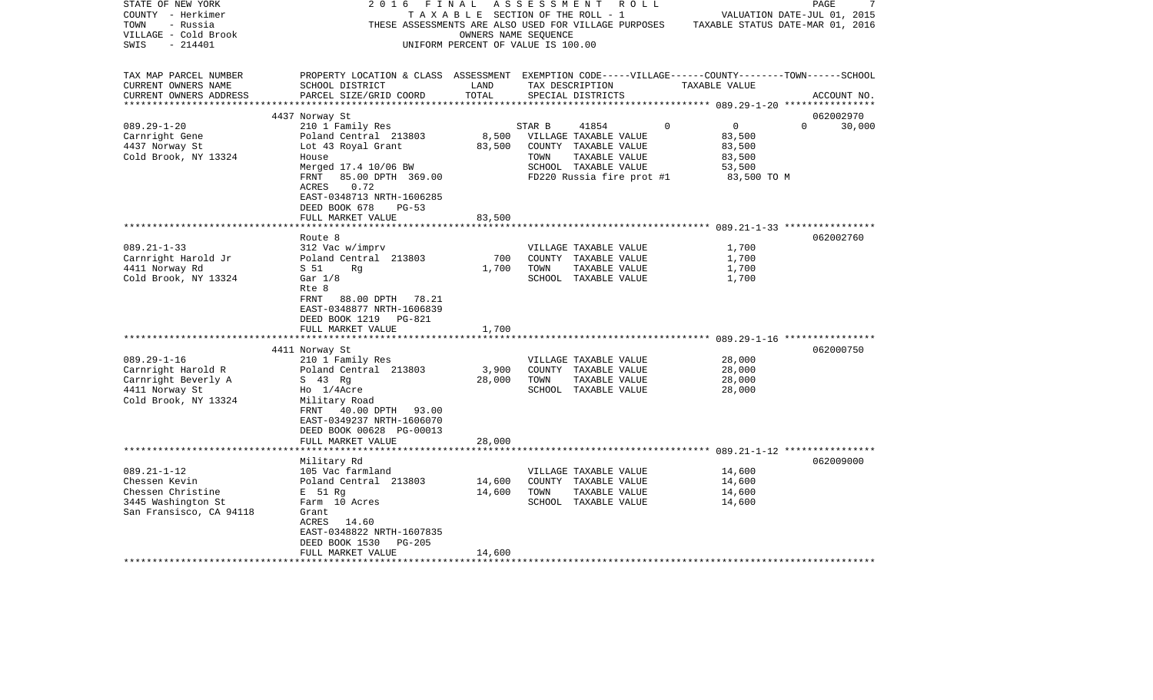| STATE OF NEW YORK       | 2016                                                                                               | FINAL                |                                    | A S S E S S M E N T R O L L |                                                                                       |                             | PAGE        |
|-------------------------|----------------------------------------------------------------------------------------------------|----------------------|------------------------------------|-----------------------------|---------------------------------------------------------------------------------------|-----------------------------|-------------|
| COUNTY - Herkimer       |                                                                                                    |                      | TAXABLE SECTION OF THE ROLL - 1    |                             |                                                                                       | VALUATION DATE-JUL 01, 2015 |             |
| TOWN<br>- Russia        |                                                                                                    |                      |                                    |                             | THESE ASSESSMENTS ARE ALSO USED FOR VILLAGE PURPOSES TAXABLE STATUS DATE-MAR 01, 2016 |                             |             |
| VILLAGE - Cold Brook    |                                                                                                    | OWNERS NAME SEOUENCE |                                    |                             |                                                                                       |                             |             |
| SWIS<br>- 214401        |                                                                                                    |                      | UNIFORM PERCENT OF VALUE IS 100.00 |                             |                                                                                       |                             |             |
|                         |                                                                                                    |                      |                                    |                             |                                                                                       |                             |             |
| TAX MAP PARCEL NUMBER   | PROPERTY LOCATION & CLASS ASSESSMENT EXEMPTION CODE-----VILLAGE------COUNTY-------TOWN------SCHOOL |                      |                                    |                             |                                                                                       |                             |             |
|                         | SCHOOL DISTRICT                                                                                    | LAND                 |                                    |                             | TAXABLE VALUE                                                                         |                             |             |
| CURRENT OWNERS NAME     |                                                                                                    | TOTAL                | TAX DESCRIPTION                    |                             |                                                                                       |                             |             |
| CURRENT OWNERS ADDRESS  | PARCEL SIZE/GRID COORD                                                                             |                      | SPECIAL DISTRICTS                  |                             |                                                                                       |                             | ACCOUNT NO. |
|                         |                                                                                                    |                      |                                    |                             |                                                                                       |                             |             |
|                         | 4437 Norway St                                                                                     |                      |                                    |                             |                                                                                       |                             | 062002970   |
| $089.29 - 1 - 20$       | 210 1 Family Res                                                                                   |                      | STAR B                             | 41854                       | $\Omega$<br>$\overline{0}$                                                            | $\Omega$                    | 30,000      |
| Carnright Gene          | Poland Central 213803                                                                              | 8,500                | VILLAGE TAXABLE VALUE              |                             | 83,500                                                                                |                             |             |
| 4437 Norway St          | Lot 43 Royal Grant                                                                                 | 83,500               |                                    | COUNTY TAXABLE VALUE        | 83,500                                                                                |                             |             |
| Cold Brook, NY 13324    | House                                                                                              |                      | TOWN                               | TAXABLE VALUE               | 83,500                                                                                |                             |             |
|                         | Merged 17.4 10/06 BW                                                                               |                      |                                    | SCHOOL TAXABLE VALUE        | 53,500                                                                                |                             |             |
|                         | 85.00 DPTH 369.00<br>FRNT                                                                          |                      |                                    | FD220 Russia fire prot #1   |                                                                                       | 83,500 TO M                 |             |
|                         | 0.72<br>ACRES                                                                                      |                      |                                    |                             |                                                                                       |                             |             |
|                         | EAST-0348713 NRTH-1606285                                                                          |                      |                                    |                             |                                                                                       |                             |             |
|                         | DEED BOOK 678<br>$PG-53$                                                                           |                      |                                    |                             |                                                                                       |                             |             |
|                         | FULL MARKET VALUE                                                                                  | 83,500               |                                    |                             |                                                                                       |                             |             |
|                         |                                                                                                    |                      |                                    |                             |                                                                                       |                             |             |
|                         | Route 8                                                                                            |                      |                                    |                             |                                                                                       |                             | 062002760   |
| $089.21 - 1 - 33$       | 312 Vac w/imprv                                                                                    |                      |                                    | VILLAGE TAXABLE VALUE       | 1,700                                                                                 |                             |             |
| Carnright Harold Jr     | Poland Central 213803                                                                              | 700                  |                                    | COUNTY TAXABLE VALUE        | 1,700                                                                                 |                             |             |
| 4411 Norway Rd          | S 51<br>Rg                                                                                         | 1,700                | TOWN                               | TAXABLE VALUE               | 1,700                                                                                 |                             |             |
|                         |                                                                                                    |                      |                                    |                             | 1,700                                                                                 |                             |             |
| Cold Brook, NY 13324    | Gar $1/8$                                                                                          |                      |                                    | SCHOOL TAXABLE VALUE        |                                                                                       |                             |             |
|                         | Rte 8                                                                                              |                      |                                    |                             |                                                                                       |                             |             |
|                         | FRNT 88.00 DPTH 78.21                                                                              |                      |                                    |                             |                                                                                       |                             |             |
|                         | EAST-0348877 NRTH-1606839                                                                          |                      |                                    |                             |                                                                                       |                             |             |
|                         | DEED BOOK 1219<br>PG-821                                                                           |                      |                                    |                             |                                                                                       |                             |             |
|                         | FULL MARKET VALUE                                                                                  | 1,700                |                                    |                             |                                                                                       |                             |             |
|                         | ************************                                                                           |                      |                                    |                             |                                                                                       |                             |             |
|                         | 4411 Norway St                                                                                     |                      |                                    |                             |                                                                                       |                             | 062000750   |
| $089.29 - 1 - 16$       | 210 1 Family Res                                                                                   |                      |                                    | VILLAGE TAXABLE VALUE       | 28,000                                                                                |                             |             |
| Carnright Harold R      | Poland Central 213803                                                                              | 3,900                |                                    | COUNTY TAXABLE VALUE        | 28,000                                                                                |                             |             |
| Carnright Beverly A     | S 43 Rg                                                                                            | 28,000               | TOWN                               | TAXABLE VALUE               | 28,000                                                                                |                             |             |
| 4411 Norway St          | Ho 1/4Acre                                                                                         |                      |                                    | SCHOOL TAXABLE VALUE        | 28,000                                                                                |                             |             |
| Cold Brook, NY 13324    | Military Road                                                                                      |                      |                                    |                             |                                                                                       |                             |             |
|                         | FRNT 40.00 DPTH 93.00                                                                              |                      |                                    |                             |                                                                                       |                             |             |
|                         | EAST-0349237 NRTH-1606070                                                                          |                      |                                    |                             |                                                                                       |                             |             |
|                         | DEED BOOK 00628 PG-00013                                                                           |                      |                                    |                             |                                                                                       |                             |             |
|                         | FULL MARKET VALUE                                                                                  | 28,000               |                                    |                             |                                                                                       |                             |             |
|                         |                                                                                                    |                      |                                    |                             |                                                                                       |                             |             |
|                         | Military Rd                                                                                        |                      |                                    |                             |                                                                                       |                             | 062009000   |
| $089.21 - 1 - 12$       | 105 Vac farmland                                                                                   |                      |                                    | VILLAGE TAXABLE VALUE       | 14,600                                                                                |                             |             |
| Chessen Kevin           | Poland Central 213803                                                                              | 14,600               |                                    | COUNTY TAXABLE VALUE        | 14,600                                                                                |                             |             |
| Chessen Christine       | E 51 Rg                                                                                            | 14,600               | TOWN                               | TAXABLE VALUE               | 14,600                                                                                |                             |             |
| 3445 Washington St      | Farm 10 Acres                                                                                      |                      |                                    | SCHOOL TAXABLE VALUE        | 14,600                                                                                |                             |             |
|                         |                                                                                                    |                      |                                    |                             |                                                                                       |                             |             |
| San Fransisco, CA 94118 | Grant                                                                                              |                      |                                    |                             |                                                                                       |                             |             |
|                         | 14.60<br>ACRES                                                                                     |                      |                                    |                             |                                                                                       |                             |             |
|                         | EAST-0348822 NRTH-1607835                                                                          |                      |                                    |                             |                                                                                       |                             |             |
|                         | DEED BOOK 1530<br>$PG-205$                                                                         |                      |                                    |                             |                                                                                       |                             |             |
|                         | FULL MARKET VALUE                                                                                  | 14,600               |                                    |                             |                                                                                       |                             |             |
| *********************   |                                                                                                    |                      |                                    |                             |                                                                                       |                             |             |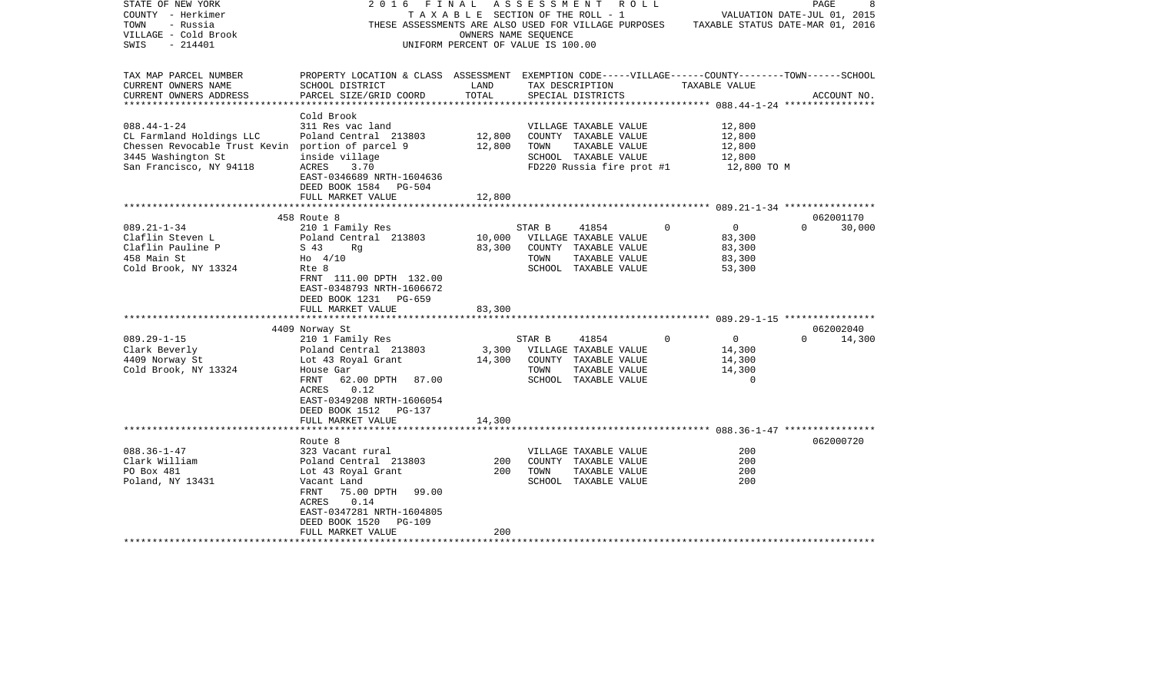| STATE OF NEW YORK                                 | 2 0 1 6<br>FINAL                                                                                   |                                    |        | A S S E S S M E N T A O L L                                                           |             |                             | PAGE     | 8           |  |
|---------------------------------------------------|----------------------------------------------------------------------------------------------------|------------------------------------|--------|---------------------------------------------------------------------------------------|-------------|-----------------------------|----------|-------------|--|
| COUNTY - Herkimer                                 |                                                                                                    |                                    |        | T A X A B L E SECTION OF THE ROLL - 1                                                 |             | VALUATION DATE-JUL 01, 2015 |          |             |  |
| TOWN<br>- Russia                                  |                                                                                                    |                                    |        | THESE ASSESSMENTS ARE ALSO USED FOR VILLAGE PURPOSES TAXABLE STATUS DATE-MAR 01, 2016 |             |                             |          |             |  |
| VILLAGE - Cold Brook                              |                                                                                                    | OWNERS NAME SEOUENCE               |        |                                                                                       |             |                             |          |             |  |
| SWIS<br>- 214401                                  |                                                                                                    | UNIFORM PERCENT OF VALUE IS 100.00 |        |                                                                                       |             |                             |          |             |  |
|                                                   |                                                                                                    |                                    |        |                                                                                       |             |                             |          |             |  |
|                                                   |                                                                                                    |                                    |        |                                                                                       |             |                             |          |             |  |
| TAX MAP PARCEL NUMBER                             | PROPERTY LOCATION & CLASS ASSESSMENT EXEMPTION CODE-----VILLAGE------COUNTY-------TOWN------SCHOOL |                                    |        |                                                                                       |             |                             |          |             |  |
| CURRENT OWNERS NAME                               | SCHOOL DISTRICT                                                                                    | LAND                               |        | TAX DESCRIPTION                                                                       |             | TAXABLE VALUE               |          |             |  |
| CURRENT OWNERS ADDRESS                            | PARCEL SIZE/GRID COORD                                                                             | TOTAL                              |        | SPECIAL DISTRICTS                                                                     |             |                             |          | ACCOUNT NO. |  |
| ******************                                |                                                                                                    |                                    |        |                                                                                       |             |                             |          |             |  |
|                                                   | Cold Brook                                                                                         |                                    |        |                                                                                       |             |                             |          |             |  |
| $088.44 - 1 - 24$                                 | 311 Res vac land                                                                                   |                                    |        | VILLAGE TAXABLE VALUE                                                                 |             | 12,800                      |          |             |  |
| CL Farmland Holdings LLC                          | Poland Central 213803                                                                              | 12,800                             |        | COUNTY TAXABLE VALUE                                                                  |             | 12,800                      |          |             |  |
| Chessen Revocable Trust Kevin portion of parcel 9 |                                                                                                    | 12,800                             | TOWN   | TAXABLE VALUE                                                                         |             | 12,800                      |          |             |  |
|                                                   |                                                                                                    |                                    |        |                                                                                       |             |                             |          |             |  |
| 3445 Washington St                                | inside village                                                                                     |                                    |        | SCHOOL TAXABLE VALUE                                                                  |             | 12,800                      |          |             |  |
| San Francisco, NY 94118                           | ACRES 3.70                                                                                         |                                    |        | FD220 Russia fire prot #1                                                             |             | 12,800 TO M                 |          |             |  |
|                                                   | EAST-0346689 NRTH-1604636                                                                          |                                    |        |                                                                                       |             |                             |          |             |  |
|                                                   | DEED BOOK 1584 PG-504                                                                              |                                    |        |                                                                                       |             |                             |          |             |  |
|                                                   | FULL MARKET VALUE                                                                                  | 12,800                             |        |                                                                                       |             |                             |          |             |  |
|                                                   |                                                                                                    |                                    |        |                                                                                       |             |                             |          |             |  |
|                                                   | 458 Route 8                                                                                        |                                    |        |                                                                                       |             |                             |          | 062001170   |  |
| $089.21 - 1 - 34$                                 | 210 1 Family Res                                                                                   |                                    | STAR B | 41854                                                                                 | $\mathbf 0$ | $\overline{0}$              | $\Omega$ | 30,000      |  |
| Claflin Steven L                                  | Poland Central 213803                                                                              | 10,000                             |        | VILLAGE TAXABLE VALUE                                                                 |             | 83,300                      |          |             |  |
| Claflin Pauline P                                 | S 43<br>Rq                                                                                         | 83,300                             |        | COUNTY TAXABLE VALUE                                                                  |             | 83,300                      |          |             |  |
| 458 Main St                                       | $HO$ 4/10                                                                                          |                                    | TOWN   | TAXABLE VALUE                                                                         |             | 83,300                      |          |             |  |
| Cold Brook, NY 13324                              | Rte 8                                                                                              |                                    |        | SCHOOL TAXABLE VALUE                                                                  |             | 53,300                      |          |             |  |
|                                                   | FRNT 111.00 DPTH 132.00                                                                            |                                    |        |                                                                                       |             |                             |          |             |  |
|                                                   | EAST-0348793 NRTH-1606672                                                                          |                                    |        |                                                                                       |             |                             |          |             |  |
|                                                   |                                                                                                    |                                    |        |                                                                                       |             |                             |          |             |  |
|                                                   | DEED BOOK 1231 PG-659                                                                              |                                    |        |                                                                                       |             |                             |          |             |  |
|                                                   | FULL MARKET VALUE                                                                                  | 83,300                             |        |                                                                                       |             |                             |          |             |  |
|                                                   |                                                                                                    |                                    |        |                                                                                       |             |                             |          |             |  |
|                                                   | 4409 Norway St                                                                                     |                                    |        |                                                                                       |             |                             |          | 062002040   |  |
| $089.29 - 1 - 15$                                 | 210 1 Family Res                                                                                   |                                    | STAR B | 41854                                                                                 | $\mathbf 0$ | $\overline{0}$              | $\Omega$ | 14,300      |  |
| Clark Beverly                                     | Poland Central 213803                                                                              |                                    |        | 3,300 VILLAGE TAXABLE VALUE                                                           |             | 14,300                      |          |             |  |
| 4409 Norway St                                    | Lot 43 Royal Grant                                                                                 | 14,300                             |        | COUNTY TAXABLE VALUE                                                                  |             | 14,300                      |          |             |  |
| Cold Brook, NY 13324                              | House Gar                                                                                          |                                    | TOWN   | TAXABLE VALUE                                                                         |             | 14,300                      |          |             |  |
|                                                   | FRNT<br>62.00 DPTH 87.00                                                                           |                                    |        | SCHOOL TAXABLE VALUE                                                                  |             | $\Omega$                    |          |             |  |
|                                                   | 0.12<br>ACRES                                                                                      |                                    |        |                                                                                       |             |                             |          |             |  |
|                                                   | EAST-0349208 NRTH-1606054                                                                          |                                    |        |                                                                                       |             |                             |          |             |  |
|                                                   | DEED BOOK 1512<br>PG-137                                                                           |                                    |        |                                                                                       |             |                             |          |             |  |
|                                                   | FULL MARKET VALUE                                                                                  | 14,300                             |        |                                                                                       |             |                             |          |             |  |
|                                                   |                                                                                                    |                                    |        |                                                                                       |             |                             |          |             |  |
|                                                   | Route 8                                                                                            |                                    |        |                                                                                       |             |                             |          | 062000720   |  |
| $088.36 - 1 - 47$                                 | 323 Vacant rural                                                                                   |                                    |        | VILLAGE TAXABLE VALUE                                                                 |             | 200                         |          |             |  |
| Clark William                                     |                                                                                                    | 200                                |        |                                                                                       |             | 200                         |          |             |  |
|                                                   | Poland Central 213803                                                                              |                                    |        | COUNTY TAXABLE VALUE                                                                  |             |                             |          |             |  |
| PO Box 481                                        | Lot 43 Royal Grant                                                                                 | 200                                | TOWN   | TAXABLE VALUE                                                                         |             | 200                         |          |             |  |
| Poland, NY 13431                                  | Vacant Land                                                                                        |                                    |        | SCHOOL TAXABLE VALUE                                                                  |             | 200                         |          |             |  |
|                                                   | 75.00 DPTH<br>99.00<br>FRNT                                                                        |                                    |        |                                                                                       |             |                             |          |             |  |
|                                                   | ACRES<br>0.14                                                                                      |                                    |        |                                                                                       |             |                             |          |             |  |
|                                                   | EAST-0347281 NRTH-1604805                                                                          |                                    |        |                                                                                       |             |                             |          |             |  |
|                                                   | DEED BOOK 1520<br>PG-109                                                                           |                                    |        |                                                                                       |             |                             |          |             |  |
|                                                   | FULL MARKET VALUE                                                                                  | 200                                |        |                                                                                       |             |                             |          |             |  |
|                                                   |                                                                                                    |                                    |        |                                                                                       |             |                             |          |             |  |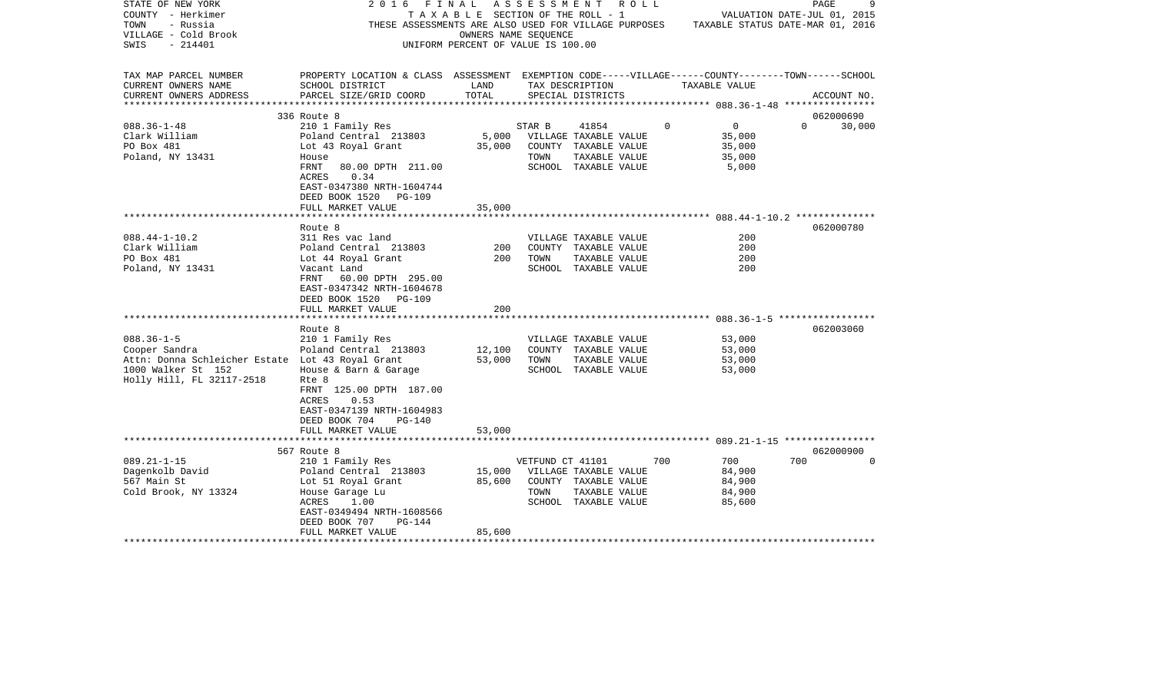| STATE OF NEW YORK<br>COUNTY - Herkimer<br>TOWN<br>- Russia<br>VILLAGE - Cold Brook<br>- 214401<br>SWIS                                                                                                                    | 2016<br>THESE ASSESSMENTS ARE ALSO USED FOR VILLAGE PURPOSES TAXABLE STATUS DATE-MAR 01, 2016                                                                                                                                                                                            | OWNERS NAME SEOUENCE<br>UNIFORM PERCENT OF VALUE IS 100.00 |                  | FINAL ASSESSMENT ROLL<br>T A X A B L E SECTION OF THE ROLL - 1                                                                                                                   |             | VALUATION DATE-JUL 01, 2015                                      | PAGE                   | 9        |
|---------------------------------------------------------------------------------------------------------------------------------------------------------------------------------------------------------------------------|------------------------------------------------------------------------------------------------------------------------------------------------------------------------------------------------------------------------------------------------------------------------------------------|------------------------------------------------------------|------------------|----------------------------------------------------------------------------------------------------------------------------------------------------------------------------------|-------------|------------------------------------------------------------------|------------------------|----------|
| TAX MAP PARCEL NUMBER<br>CURRENT OWNERS NAME<br>CURRENT OWNERS ADDRESS                                                                                                                                                    | PROPERTY LOCATION & CLASS ASSESSMENT EXEMPTION CODE-----VILLAGE------COUNTY-------TOWN------SCHOOL<br>SCHOOL DISTRICT<br>PARCEL SIZE/GRID COORD                                                                                                                                          | LAND<br>TOTAL                                              |                  | TAX DESCRIPTION<br>SPECIAL DISTRICTS                                                                                                                                             |             | TAXABLE VALUE                                                    | ACCOUNT NO.            |          |
|                                                                                                                                                                                                                           |                                                                                                                                                                                                                                                                                          |                                                            |                  |                                                                                                                                                                                  |             |                                                                  | 062000690              |          |
| $088.36 - 1 - 48$                                                                                                                                                                                                         | 336 Route 8<br>210 1 Family Res                                                                                                                                                                                                                                                          |                                                            | STAR B           | 41854                                                                                                                                                                            | $\mathbf 0$ | $\overline{0}$                                                   | $0 \t 30,000$          |          |
| Clark William<br>PO Box 481<br>Poland, NY 13431                                                                                                                                                                           | Poland Central 213803 5,000 VILLAGE TAXABLE VALUE<br>Lot 43 Royal Grant<br>House<br>FRNT 80.00 DPTH 211.00                                                                                                                                                                               |                                                            | TOWN             | 35,000 COUNTY TAXABLE VALUE<br>TAXABLE VALUE<br>SCHOOL TAXABLE VALUE                                                                                                             |             | 35,000<br>35,000<br>35,000<br>5,000                              |                        |          |
|                                                                                                                                                                                                                           | ACRES<br>0.34<br>EAST-0347380 NRTH-1604744<br>DEED BOOK 1520 PG-109<br>FULL MARKET VALUE                                                                                                                                                                                                 | 35,000                                                     |                  |                                                                                                                                                                                  |             |                                                                  |                        |          |
|                                                                                                                                                                                                                           |                                                                                                                                                                                                                                                                                          |                                                            |                  |                                                                                                                                                                                  |             |                                                                  |                        |          |
| $088.44 - 1 - 10.2$<br>Clark William<br>PO Box 481<br>Poland, NY 13431<br>$088.36 - 1 - 5$<br>Cooper Sandra<br>Attn: Donna Schleicher Estate Lot 43 Royal Grant 53,000<br>1000 Walker St 152<br>Holly Hill, FL 32117-2518 | Route 8<br>311 Res vac land<br>Poland Central 213803<br>Lot 44 Royal Grant<br>Vacant Land<br>FRNT 60.00 DPTH 295.00<br>EAST-0347342 NRTH-1604678<br>DEED BOOK 1520 PG-109<br>FULL MARKET VALUE<br>Route 8<br>210 1 Family Res<br>Poland Central 213803<br>House & Barn & Garage<br>Rte 8 | 200<br>200<br>200<br>12,100                                | TOWN<br>TOWN     | VILLAGE TAXABLE VALUE<br>COUNTY TAXABLE VALUE<br>TAXABLE VALUE<br>SCHOOL TAXABLE VALUE<br>VILLAGE TAXABLE VALUE<br>COUNTY TAXABLE VALUE<br>TAXABLE VALUE<br>SCHOOL TAXABLE VALUE |             | 200<br>200<br>200<br>200<br>53,000<br>53,000<br>53,000<br>53,000 | 062000780<br>062003060 |          |
|                                                                                                                                                                                                                           | FRNT 125.00 DPTH 187.00<br>ACRES<br>0.53<br>EAST-0347139 NRTH-1604983<br>DEED BOOK 704<br>PG-140<br>FULL MARKET VALUE                                                                                                                                                                    | 53,000                                                     |                  |                                                                                                                                                                                  |             |                                                                  |                        |          |
| $089.21 - 1 - 15$                                                                                                                                                                                                         | 567 Route 8<br>210 1 Family Res                                                                                                                                                                                                                                                          |                                                            | VETFUND CT 41101 |                                                                                                                                                                                  | 700         | 700                                                              | 062000900<br>700       | $\Omega$ |
| Dagenkolb David<br>567 Main St<br>Cold Brook, NY 13324                                                                                                                                                                    | Poland Central 213803<br>Lot 51 Royal Grant 65,600<br>House Garage Lu<br>ACRES<br>1.00<br>EAST-0349494 NRTH-1608566<br>DEED BOOK 707<br>PG-144<br>FULL MARKET VALUE                                                                                                                      | 85,600                                                     | TOWN             | 15,000 VILLAGE TAXABLE VALUE<br>COUNTY TAXABLE VALUE<br>TAXABLE VALUE<br>SCHOOL TAXABLE VALUE                                                                                    |             | 84,900<br>84,900<br>84,900<br>85,600                             |                        |          |
|                                                                                                                                                                                                                           |                                                                                                                                                                                                                                                                                          |                                                            |                  |                                                                                                                                                                                  |             |                                                                  |                        |          |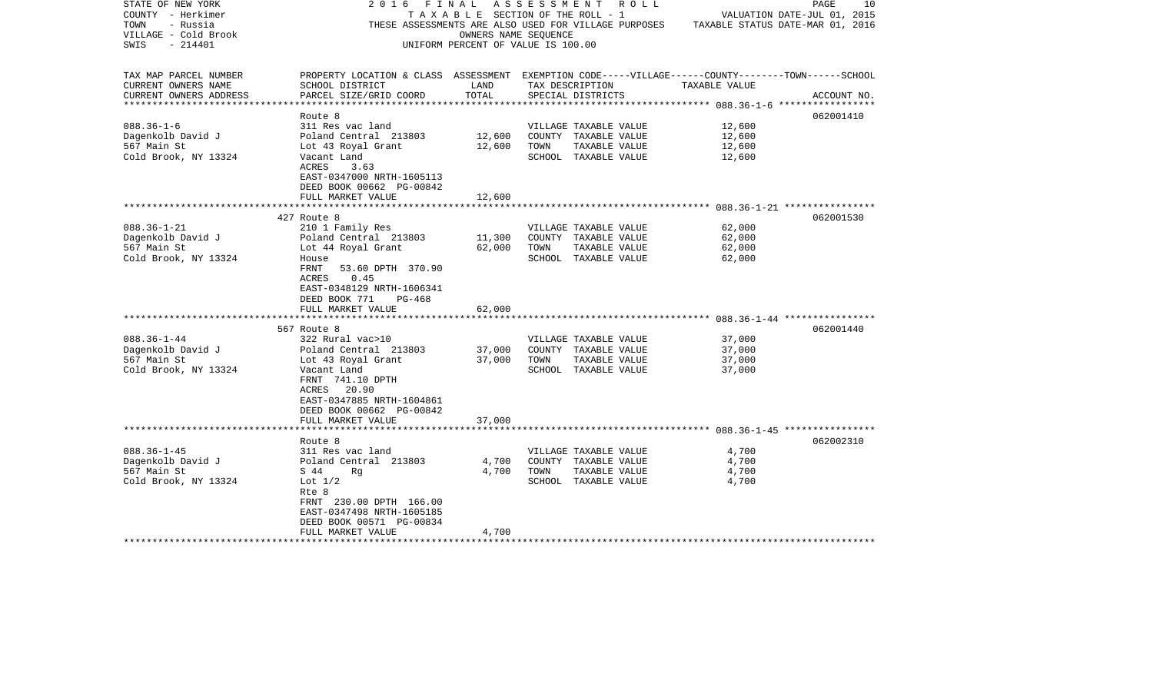| STATE OF NEW YORK<br>COUNTY - Herkimer<br>- Russia<br>TOWN<br>VILLAGE - Cold Brook<br>$-214401$<br>SWIS | 2016 FINAL ASSESSMENT ROLL                                                                                                                                                                    | TAXABLE SECTION OF THE ROLL - 1<br>OWNERS NAME SEQUENCE<br>UNIFORM PERCENT OF VALUE IS 100.00 |                                      | THESE ASSESSMENTS ARE ALSO USED FOR VILLAGE PURPOSES                                   | TAXABLE STATUS DATE-MAR 01, 2016     | 10<br>PAGE<br>VALUATION DATE-JUL 01, 2015 |
|---------------------------------------------------------------------------------------------------------|-----------------------------------------------------------------------------------------------------------------------------------------------------------------------------------------------|-----------------------------------------------------------------------------------------------|--------------------------------------|----------------------------------------------------------------------------------------|--------------------------------------|-------------------------------------------|
| TAX MAP PARCEL NUMBER<br>CURRENT OWNERS NAME<br>CURRENT OWNERS ADDRESS<br>***********************       | PROPERTY LOCATION & CLASS ASSESSMENT EXEMPTION CODE-----VILLAGE------COUNTY-------TOWN------SCHOOL<br>SCHOOL DISTRICT<br>PARCEL SIZE/GRID COORD                                               | LAND<br>TOTAL                                                                                 | TAX DESCRIPTION<br>SPECIAL DISTRICTS |                                                                                        | TAXABLE VALUE                        | ACCOUNT NO.                               |
| $088.36 - 1 - 6$<br>Dagenkolb David J<br>567 Main St<br>Cold Brook, NY 13324                            | Route 8<br>311 Res vac land<br>Poland Central 213803<br>Lot 43 Royal Grant<br>Vacant Land<br>ACRES<br>3.63<br>EAST-0347000 NRTH-1605113<br>DEED BOOK 00662 PG-00842<br>FULL MARKET VALUE      | 12,600<br>12,600<br>12,600                                                                    | TOWN                                 | VILLAGE TAXABLE VALUE<br>COUNTY TAXABLE VALUE<br>TAXABLE VALUE<br>SCHOOL TAXABLE VALUE | 12,600<br>12,600<br>12,600<br>12,600 | 062001410                                 |
| $088.36 - 1 - 21$<br>Dagenkolb David J<br>567 Main St<br>Cold Brook, NY 13324                           | 427 Route 8<br>210 1 Family Res<br>Poland Central 213803<br>Lot 44 Royal Grant<br>House<br>FRNT<br>53.60 DPTH 370.90<br>ACRES<br>0.45<br>EAST-0348129 NRTH-1606341<br>DEED BOOK 771<br>PG-468 | 11,300<br>62,000                                                                              | TOWN                                 | VILLAGE TAXABLE VALUE<br>COUNTY TAXABLE VALUE<br>TAXABLE VALUE<br>SCHOOL TAXABLE VALUE | 62,000<br>62,000<br>62,000<br>62,000 | 062001530                                 |
|                                                                                                         | FULL MARKET VALUE                                                                                                                                                                             | 62,000                                                                                        |                                      |                                                                                        |                                      |                                           |
| $088.36 - 1 - 44$<br>Dagenkolb David J<br>567 Main St<br>Cold Brook, NY 13324                           | 567 Route 8<br>322 Rural vac>10<br>Poland Central 213803<br>Lot 43 Royal Grant<br>Vacant Land<br>FRNT 741.10 DPTH<br>ACRES 20.90<br>EAST-0347885 NRTH-1604861<br>DEED BOOK 00662 PG-00842     | 37,000<br>37,000                                                                              | TOWN                                 | VILLAGE TAXABLE VALUE<br>COUNTY TAXABLE VALUE<br>TAXABLE VALUE<br>SCHOOL TAXABLE VALUE | 37,000<br>37,000<br>37,000<br>37,000 | 062001440                                 |
|                                                                                                         | FULL MARKET VALUE                                                                                                                                                                             | 37,000                                                                                        |                                      |                                                                                        |                                      |                                           |
| $088.36 - 1 - 45$<br>Dagenkolb David J<br>567 Main St<br>Cold Brook, NY 13324                           | Route 8<br>311 Res vac land<br>Poland Central 213803<br>S 44<br>Rq<br>Lot $1/2$<br>Rte 8<br>FRNT 230.00 DPTH 166.00<br>EAST-0347498 NRTH-1605185<br>DEED BOOK 00571 PG-00834                  | 4,700<br>4,700                                                                                | TOWN                                 | VILLAGE TAXABLE VALUE<br>COUNTY TAXABLE VALUE<br>TAXABLE VALUE<br>SCHOOL TAXABLE VALUE | 4,700<br>4,700<br>4,700<br>4,700     | 062002310                                 |
| *******************                                                                                     | FULL MARKET VALUE<br>*******************                                                                                                                                                      | 4,700                                                                                         |                                      |                                                                                        |                                      |                                           |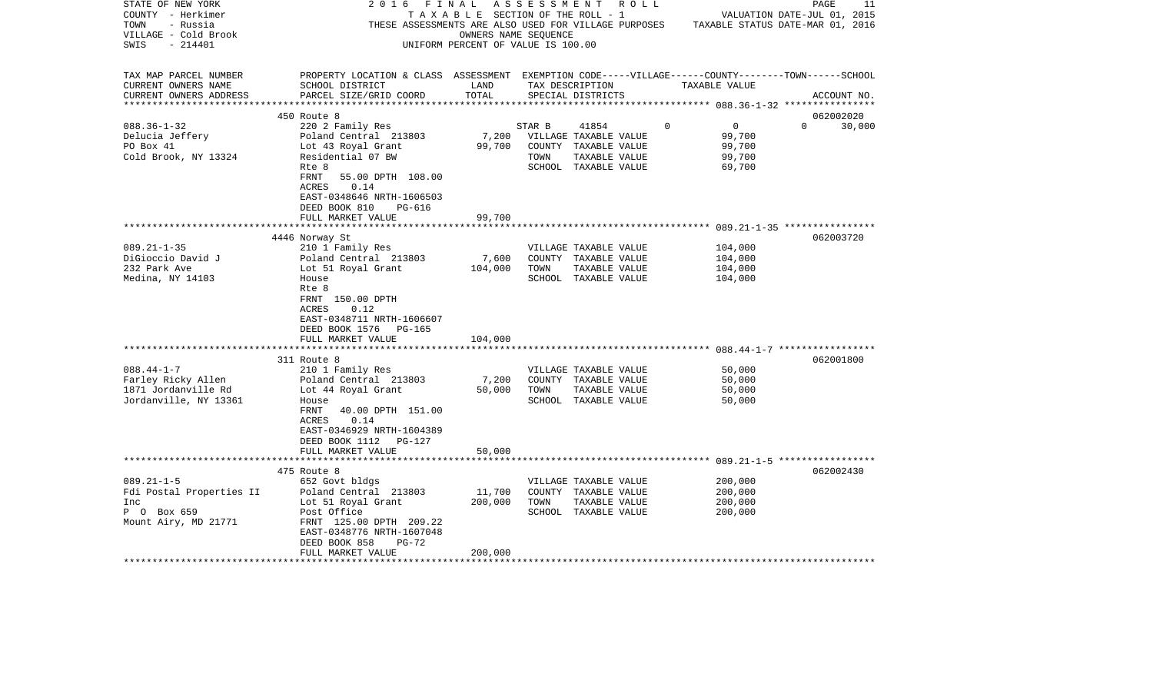| TAX MAP PARCEL NUMBER<br>PROPERTY LOCATION & CLASS ASSESSMENT EXEMPTION CODE-----VILLAGE------COUNTY-------TOWN------SCHOOL<br>CURRENT OWNERS NAME<br>SCHOOL DISTRICT<br>LAND<br>TAX DESCRIPTION<br>TAXABLE VALUE<br>TOTAL<br>CURRENT OWNERS ADDRESS<br>PARCEL SIZE/GRID COORD<br>SPECIAL DISTRICTS<br>450 Route 8<br>$088.36 - 1 - 32$<br>220 2 Family Res<br>STAR B<br>41854<br>$\Omega$<br>$\overline{0}$<br>$\Omega$<br>7,200<br>99,700<br>VILLAGE TAXABLE VALUE<br>Delucia Jeffery<br>Poland Central 213803<br>PO Box 41<br>Lot 43 Royal Grant<br>99,700<br>COUNTY TAXABLE VALUE<br>99,700<br>Cold Brook, NY 13324<br>99,700<br>Residential 07 BW<br>TOWN<br>TAXABLE VALUE<br>SCHOOL TAXABLE VALUE<br>69,700<br>Rte 8<br>FRNT<br>55.00 DPTH 108.00<br>0.14<br>ACRES<br>EAST-0348646 NRTH-1606503<br>DEED BOOK 810<br>PG-616<br>99,700<br>FULL MARKET VALUE<br>4446 Norway St<br>$089.21 - 1 - 35$<br>210 1 Family Res<br>104,000<br>VILLAGE TAXABLE VALUE<br>7,600<br>DiGioccio David J<br>Poland Central 213803<br>COUNTY TAXABLE VALUE<br>104,000<br>232 Park Ave<br>Lot 51 Royal Grant<br>104,000<br>TOWN<br>TAXABLE VALUE<br>104,000<br>Medina, NY 14103<br>SCHOOL TAXABLE VALUE<br>104,000<br>House<br>Rte 8<br>FRNT 150.00 DPTH<br>0.12<br>ACRES<br>EAST-0348711 NRTH-1606607<br>DEED BOOK 1576<br>PG-165<br>FULL MARKET VALUE<br>104,000 | 11<br>PAGE<br>VALUATION DATE-JUL 01, 2015<br>TAXABLE STATUS DATE-MAR 01, 2016 |
|------------------------------------------------------------------------------------------------------------------------------------------------------------------------------------------------------------------------------------------------------------------------------------------------------------------------------------------------------------------------------------------------------------------------------------------------------------------------------------------------------------------------------------------------------------------------------------------------------------------------------------------------------------------------------------------------------------------------------------------------------------------------------------------------------------------------------------------------------------------------------------------------------------------------------------------------------------------------------------------------------------------------------------------------------------------------------------------------------------------------------------------------------------------------------------------------------------------------------------------------------------------------------------------------------------------------------------------------------|-------------------------------------------------------------------------------|
|                                                                                                                                                                                                                                                                                                                                                                                                                                                                                                                                                                                                                                                                                                                                                                                                                                                                                                                                                                                                                                                                                                                                                                                                                                                                                                                                                      | ACCOUNT NO.                                                                   |
|                                                                                                                                                                                                                                                                                                                                                                                                                                                                                                                                                                                                                                                                                                                                                                                                                                                                                                                                                                                                                                                                                                                                                                                                                                                                                                                                                      | 062002020                                                                     |
|                                                                                                                                                                                                                                                                                                                                                                                                                                                                                                                                                                                                                                                                                                                                                                                                                                                                                                                                                                                                                                                                                                                                                                                                                                                                                                                                                      | 30,000                                                                        |
|                                                                                                                                                                                                                                                                                                                                                                                                                                                                                                                                                                                                                                                                                                                                                                                                                                                                                                                                                                                                                                                                                                                                                                                                                                                                                                                                                      |                                                                               |
| 311 Route 8<br>$088.44 - 1 - 7$<br>210 1 Family Res<br>50,000<br>VILLAGE TAXABLE VALUE<br>Farley Ricky Allen<br>Poland Central 213803<br>7,200<br>50,000<br>COUNTY TAXABLE VALUE<br>1871 Jordanville Rd<br>Lot 44 Royal Grant<br>50,000<br>TOWN<br>TAXABLE VALUE<br>50,000                                                                                                                                                                                                                                                                                                                                                                                                                                                                                                                                                                                                                                                                                                                                                                                                                                                                                                                                                                                                                                                                           | 062003720<br>062001800                                                        |
| Jordanville, NY 13361<br>SCHOOL TAXABLE VALUE<br>50,000<br>House<br>FRNT<br>40.00 DPTH 151.00<br>0.14<br>ACRES<br>EAST-0346929 NRTH-1604389<br>DEED BOOK 1112<br>PG-127<br>FULL MARKET VALUE<br>50,000<br>475 Route 8<br>$089.21 - 1 - 5$<br>200,000<br>652 Govt bldgs<br>VILLAGE TAXABLE VALUE                                                                                                                                                                                                                                                                                                                                                                                                                                                                                                                                                                                                                                                                                                                                                                                                                                                                                                                                                                                                                                                      | 062002430                                                                     |
| 11,700<br>Fdi Postal Properties II<br>Poland Central 213803<br>COUNTY TAXABLE VALUE<br>200,000<br>Lot 51 Royal Grant<br>200,000<br>TOWN<br>TAXABLE VALUE<br>200,000<br>Inc<br>P O Box 659<br>Post Office<br>SCHOOL TAXABLE VALUE<br>200,000<br>Mount Airy, MD 21771<br>FRNT 125.00 DPTH 209.22<br>EAST-0348776 NRTH-1607048<br>DEED BOOK 858<br>$PG-72$<br>FULL MARKET VALUE<br>200,000<br>*********************                                                                                                                                                                                                                                                                                                                                                                                                                                                                                                                                                                                                                                                                                                                                                                                                                                                                                                                                     |                                                                               |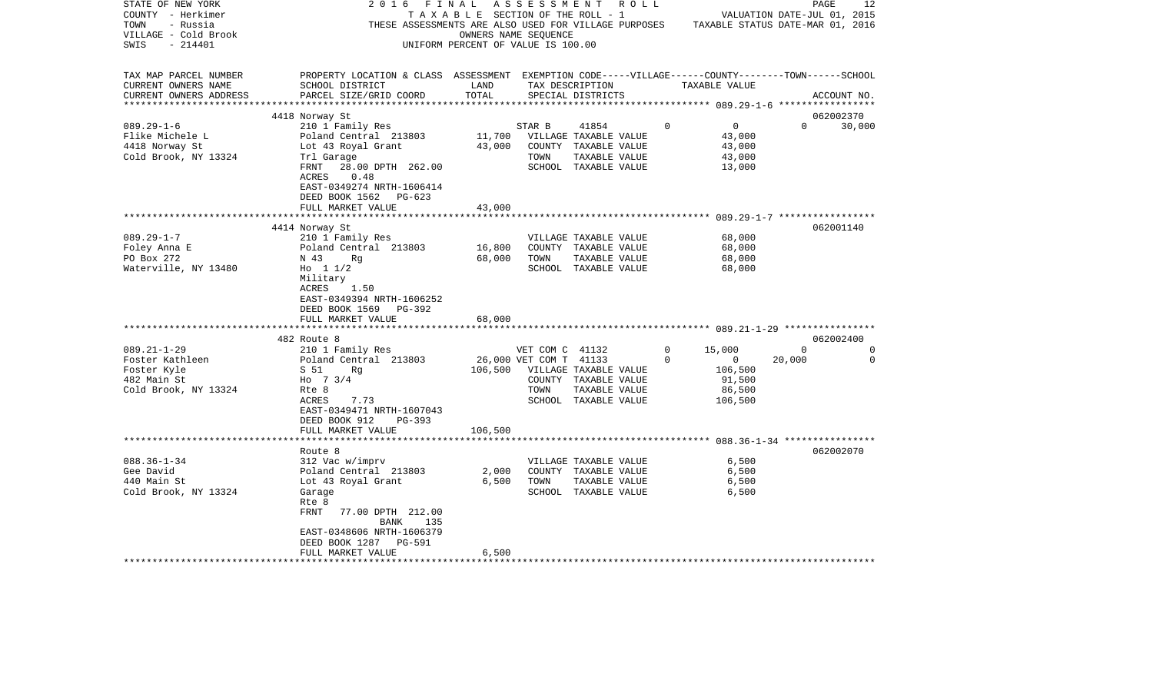| STATE OF NEW YORK<br>COUNTY - Herkimer<br>TOWN<br>- Russia<br>VILLAGE - Cold Brook<br>- 214401<br>SWIS | 2 0 1 6<br>FINAL                                                                                                                                | OWNERS NAME SEQUENCE<br>UNIFORM PERCENT OF VALUE IS 100.00 |                        | A S S E S S M E N T R O L L<br>TAXABLE SECTION OF THE ROLL - 1<br>THESE ASSESSMENTS ARE ALSO USED FOR VILLAGE PURPOSES TAXABLE STATUS DATE-MAR 01, 2016 |          |                          | PAGE<br>VALUATION DATE-JUL 01, 2015 | 12          |
|--------------------------------------------------------------------------------------------------------|-------------------------------------------------------------------------------------------------------------------------------------------------|------------------------------------------------------------|------------------------|---------------------------------------------------------------------------------------------------------------------------------------------------------|----------|--------------------------|-------------------------------------|-------------|
| TAX MAP PARCEL NUMBER<br>CURRENT OWNERS NAME<br>CURRENT OWNERS ADDRESS                                 | PROPERTY LOCATION & CLASS ASSESSMENT EXEMPTION CODE-----VILLAGE------COUNTY-------TOWN------SCHOOL<br>SCHOOL DISTRICT<br>PARCEL SIZE/GRID COORD | LAND<br>TOTAL                                              |                        | TAX DESCRIPTION<br>SPECIAL DISTRICTS                                                                                                                    |          | TAXABLE VALUE            |                                     | ACCOUNT NO. |
|                                                                                                        |                                                                                                                                                 |                                                            |                        |                                                                                                                                                         |          |                          |                                     |             |
|                                                                                                        | 4418 Norway St                                                                                                                                  |                                                            |                        |                                                                                                                                                         |          |                          | 062002370<br>$\Omega$               |             |
| $089.29 - 1 - 6$<br>Flike Michele L                                                                    | 210 1 Family Res<br>Poland Central 213803                                                                                                       |                                                            | STAR B                 | 41854<br>11,700 VILLAGE TAXABLE VALUE                                                                                                                   | $\Omega$ | $\overline{0}$<br>43,000 |                                     | 30,000      |
| 4418 Norway St                                                                                         | Lot 43 Royal Grant                                                                                                                              | 43,000                                                     |                        | COUNTY TAXABLE VALUE                                                                                                                                    |          | 43,000                   |                                     |             |
| Cold Brook, NY 13324                                                                                   | Trl Garage                                                                                                                                      |                                                            | TOWN                   | TAXABLE VALUE                                                                                                                                           |          | 43,000                   |                                     |             |
|                                                                                                        | FRNT<br>28.00 DPTH 262.00                                                                                                                       |                                                            |                        | SCHOOL TAXABLE VALUE                                                                                                                                    |          | 13,000                   |                                     |             |
|                                                                                                        | 0.48<br>ACRES                                                                                                                                   |                                                            |                        |                                                                                                                                                         |          |                          |                                     |             |
|                                                                                                        | EAST-0349274 NRTH-1606414                                                                                                                       |                                                            |                        |                                                                                                                                                         |          |                          |                                     |             |
|                                                                                                        | DEED BOOK 1562<br>PG-623                                                                                                                        |                                                            |                        |                                                                                                                                                         |          |                          |                                     |             |
|                                                                                                        | FULL MARKET VALUE                                                                                                                               | 43,000                                                     |                        |                                                                                                                                                         |          |                          |                                     |             |
|                                                                                                        |                                                                                                                                                 |                                                            |                        |                                                                                                                                                         |          |                          | 062001140                           |             |
| $089.29 - 1 - 7$                                                                                       | 4414 Norway St<br>210 1 Family Res                                                                                                              |                                                            |                        | VILLAGE TAXABLE VALUE                                                                                                                                   |          | 68,000                   |                                     |             |
| Foley Anna E                                                                                           | Poland Central 213803                                                                                                                           | 16,800                                                     |                        | COUNTY TAXABLE VALUE                                                                                                                                    |          | 68,000                   |                                     |             |
| PO Box 272                                                                                             | N 43<br>Rq                                                                                                                                      | 68,000                                                     | TOWN                   | TAXABLE VALUE                                                                                                                                           |          | 68,000                   |                                     |             |
| Waterville, NY 13480                                                                                   | Ho $11/2$                                                                                                                                       |                                                            |                        | SCHOOL TAXABLE VALUE                                                                                                                                    |          | 68,000                   |                                     |             |
|                                                                                                        | Military<br>ACRES<br>1.50<br>EAST-0349394 NRTH-1606252                                                                                          |                                                            |                        |                                                                                                                                                         |          |                          |                                     |             |
|                                                                                                        | DEED BOOK 1569 PG-392                                                                                                                           |                                                            |                        |                                                                                                                                                         |          |                          |                                     |             |
|                                                                                                        | FULL MARKET VALUE                                                                                                                               | 68,000                                                     |                        |                                                                                                                                                         |          |                          |                                     |             |
|                                                                                                        | 482 Route 8                                                                                                                                     |                                                            |                        |                                                                                                                                                         |          |                          | 062002400                           |             |
| $089.21 - 1 - 29$                                                                                      | 210 1 Family Res                                                                                                                                |                                                            | VET COM C 41132        |                                                                                                                                                         | 0        | 15,000                   | $\Omega$                            | $\Omega$    |
| Foster Kathleen                                                                                        | Poland Central 213803                                                                                                                           |                                                            | 26,000 VET COM T 41133 |                                                                                                                                                         | $\Omega$ | $\overline{0}$           | 20,000                              | $\Omega$    |
| Foster Kyle                                                                                            | S 51<br>Rg                                                                                                                                      | 106,500                                                    |                        | VILLAGE TAXABLE VALUE                                                                                                                                   |          | 106,500                  |                                     |             |
| 482 Main St                                                                                            | Ho $7 \frac{3}{4}$                                                                                                                              |                                                            |                        | COUNTY TAXABLE VALUE                                                                                                                                    |          | 91,500                   |                                     |             |
| Cold Brook, NY 13324                                                                                   | Rte 8                                                                                                                                           |                                                            | TOWN                   | TAXABLE VALUE                                                                                                                                           |          | 86,500                   |                                     |             |
|                                                                                                        | ACRES<br>7.73                                                                                                                                   |                                                            |                        | SCHOOL TAXABLE VALUE                                                                                                                                    |          | 106,500                  |                                     |             |
|                                                                                                        | EAST-0349471 NRTH-1607043                                                                                                                       |                                                            |                        |                                                                                                                                                         |          |                          |                                     |             |
|                                                                                                        | DEED BOOK 912<br>$PG-393$                                                                                                                       |                                                            |                        |                                                                                                                                                         |          |                          |                                     |             |
|                                                                                                        | FULL MARKET VALUE                                                                                                                               | 106,500                                                    |                        |                                                                                                                                                         |          |                          |                                     |             |
|                                                                                                        | Route 8                                                                                                                                         |                                                            |                        |                                                                                                                                                         |          |                          | 062002070                           |             |
| $088.36 - 1 - 34$                                                                                      | 312 Vac w/imprv                                                                                                                                 |                                                            |                        | VILLAGE TAXABLE VALUE                                                                                                                                   |          | 6,500                    |                                     |             |
| Gee David                                                                                              | Poland Central 213803                                                                                                                           | 2,000                                                      |                        | COUNTY TAXABLE VALUE                                                                                                                                    |          | 6,500                    |                                     |             |
| 440 Main St                                                                                            | Lot 43 Royal Grant                                                                                                                              | 6,500                                                      | TOWN                   | TAXABLE VALUE                                                                                                                                           |          | 6,500                    |                                     |             |
| Cold Brook, NY 13324                                                                                   | Garage                                                                                                                                          |                                                            |                        | SCHOOL TAXABLE VALUE                                                                                                                                    |          | 6,500                    |                                     |             |
|                                                                                                        | Rte 8                                                                                                                                           |                                                            |                        |                                                                                                                                                         |          |                          |                                     |             |
|                                                                                                        | FRNT 77.00 DPTH 212.00<br>BANK<br>135                                                                                                           |                                                            |                        |                                                                                                                                                         |          |                          |                                     |             |
|                                                                                                        | EAST-0348606 NRTH-1606379                                                                                                                       |                                                            |                        |                                                                                                                                                         |          |                          |                                     |             |
|                                                                                                        | DEED BOOK 1287<br>PG-591                                                                                                                        |                                                            |                        |                                                                                                                                                         |          |                          |                                     |             |
|                                                                                                        | FULL MARKET VALUE<br>**********************                                                                                                     | 6,500                                                      |                        |                                                                                                                                                         |          |                          |                                     |             |
|                                                                                                        |                                                                                                                                                 |                                                            |                        |                                                                                                                                                         |          |                          |                                     |             |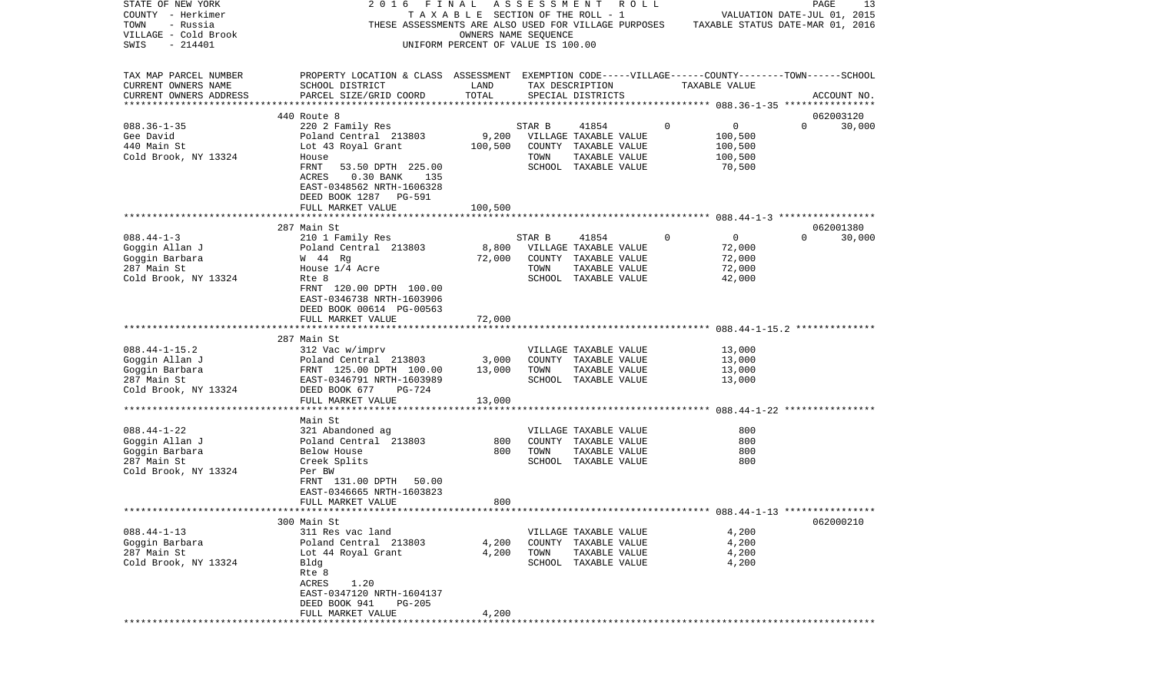| STATE OF NEW YORK       | 2016<br>FINAL                                                                                      |                                    | ASSESSMENT |                             | R O L L |          |                                  | PAGE     | 13          |
|-------------------------|----------------------------------------------------------------------------------------------------|------------------------------------|------------|-----------------------------|---------|----------|----------------------------------|----------|-------------|
| COUNTY - Herkimer       |                                                                                                    | TAXABLE SECTION OF THE ROLL - 1    |            |                             |         |          | VALUATION DATE-JUL 01, 2015      |          |             |
| - Russia<br>TOWN        | THESE ASSESSMENTS ARE ALSO USED FOR VILLAGE PURPOSES                                               |                                    |            |                             |         |          | TAXABLE STATUS DATE-MAR 01, 2016 |          |             |
| VILLAGE - Cold Brook    |                                                                                                    | OWNERS NAME SEOUENCE               |            |                             |         |          |                                  |          |             |
| SWIS<br>$-214401$       |                                                                                                    | UNIFORM PERCENT OF VALUE IS 100.00 |            |                             |         |          |                                  |          |             |
|                         |                                                                                                    |                                    |            |                             |         |          |                                  |          |             |
|                         |                                                                                                    |                                    |            |                             |         |          |                                  |          |             |
| TAX MAP PARCEL NUMBER   | PROPERTY LOCATION & CLASS ASSESSMENT EXEMPTION CODE-----VILLAGE------COUNTY-------TOWN------SCHOOL |                                    |            |                             |         |          |                                  |          |             |
| CURRENT OWNERS NAME     | SCHOOL DISTRICT                                                                                    | LAND                               |            | TAX DESCRIPTION             |         |          | TAXABLE VALUE                    |          |             |
| CURRENT OWNERS ADDRESS  | PARCEL SIZE/GRID COORD                                                                             | TOTAL                              |            | SPECIAL DISTRICTS           |         |          |                                  |          | ACCOUNT NO. |
| *********************** |                                                                                                    |                                    |            |                             |         |          |                                  |          |             |
|                         | 440 Route 8                                                                                        |                                    |            |                             |         |          |                                  |          | 062003120   |
| $088.36 - 1 - 35$       | 220 2 Family Res                                                                                   |                                    | STAR B     | 41854                       |         | 0        | 0                                | $\Omega$ | 30,000      |
| Gee David               | Poland Central 213803                                                                              | 9,200                              |            | VILLAGE TAXABLE VALUE       |         |          | 100,500                          |          |             |
| 440 Main St             | Lot 43 Royal Grant                                                                                 | 100,500                            |            | COUNTY TAXABLE VALUE        |         |          | 100,500                          |          |             |
| Cold Brook, NY 13324    | House                                                                                              |                                    | TOWN       | TAXABLE VALUE               |         |          | 100,500                          |          |             |
|                         | FRNT<br>53.50 DPTH 225.00                                                                          |                                    |            | SCHOOL TAXABLE VALUE        |         |          | 70,500                           |          |             |
|                         | $0.30$ BANK<br>ACRES<br>135                                                                        |                                    |            |                             |         |          |                                  |          |             |
|                         | EAST-0348562 NRTH-1606328                                                                          |                                    |            |                             |         |          |                                  |          |             |
|                         | DEED BOOK 1287 PG-591                                                                              |                                    |            |                             |         |          |                                  |          |             |
|                         | FULL MARKET VALUE                                                                                  | 100,500                            |            |                             |         |          |                                  |          |             |
|                         |                                                                                                    |                                    |            |                             |         |          |                                  |          |             |
|                         | 287 Main St                                                                                        |                                    |            |                             |         |          |                                  |          | 062001380   |
| $088.44 - 1 - 3$        | 210 1 Family Res                                                                                   |                                    | STAR B     | 41854                       |         | $\Omega$ | $\mathbf{0}$                     | $\Omega$ | 30,000      |
| Goggin Allan J          | Poland Central 213803                                                                              | 8,800                              |            | VILLAGE TAXABLE VALUE       |         |          | 72,000                           |          |             |
| Goggin Barbara          | W 44 Rg                                                                                            | 72,000                             |            | COUNTY TAXABLE VALUE        |         |          | 72,000                           |          |             |
| 287 Main St             | House 1/4 Acre                                                                                     |                                    | TOWN       | TAXABLE VALUE               |         |          | 72,000                           |          |             |
| Cold Brook, NY 13324    | Rte 8                                                                                              |                                    |            | SCHOOL TAXABLE VALUE        |         |          | 42,000                           |          |             |
|                         | FRNT 120.00 DPTH 100.00                                                                            |                                    |            |                             |         |          |                                  |          |             |
|                         | EAST-0346738 NRTH-1603906                                                                          |                                    |            |                             |         |          |                                  |          |             |
|                         | DEED BOOK 00614 PG-00563                                                                           |                                    |            |                             |         |          |                                  |          |             |
|                         | FULL MARKET VALUE                                                                                  | 72,000                             |            |                             |         |          |                                  |          |             |
|                         |                                                                                                    |                                    |            |                             |         |          |                                  |          |             |
|                         | 287 Main St                                                                                        |                                    |            |                             |         |          |                                  |          |             |
| $088.44 - 1 - 15.2$     | 312 Vac w/imprv                                                                                    |                                    |            | VILLAGE TAXABLE VALUE       |         |          | 13,000                           |          |             |
| Goggin Allan J          | Poland Central 213803                                                                              | 3,000                              |            | COUNTY TAXABLE VALUE        |         |          | 13,000                           |          |             |
| Goggin Barbara          | FRNT 125.00 DPTH 100.00                                                                            | 13,000                             | TOWN       | TAXABLE VALUE               |         |          | 13,000                           |          |             |
| 287 Main St             | EAST-0346791 NRTH-1603989                                                                          |                                    |            | SCHOOL TAXABLE VALUE        |         |          | 13,000                           |          |             |
| Cold Brook, NY 13324    | DEED BOOK 677<br>PG-724                                                                            |                                    |            |                             |         |          |                                  |          |             |
|                         | FULL MARKET VALUE                                                                                  | 13,000                             |            |                             |         |          |                                  |          |             |
|                         | *********************                                                                              |                                    |            |                             |         |          |                                  |          |             |
|                         | Main St                                                                                            |                                    |            |                             |         |          |                                  |          |             |
| $088.44 - 1 - 22$       | 321 Abandoned ag                                                                                   |                                    |            | VILLAGE TAXABLE VALUE       |         |          | 800                              |          |             |
| Goggin Allan J          | Poland Central 213803                                                                              | 800                                |            | COUNTY TAXABLE VALUE        |         |          | 800                              |          |             |
| Goggin Barbara          | Below House                                                                                        | 800                                | TOWN       | TAXABLE VALUE               |         |          | 800                              |          |             |
| 287 Main St             | Creek Splits                                                                                       |                                    |            | SCHOOL TAXABLE VALUE        |         |          | 800                              |          |             |
| Cold Brook, NY 13324    | Per BW                                                                                             |                                    |            |                             |         |          |                                  |          |             |
|                         | FRNT 131.00 DPTH<br>50.00                                                                          |                                    |            |                             |         |          |                                  |          |             |
|                         | EAST-0346665 NRTH-1603823                                                                          |                                    |            |                             |         |          |                                  |          |             |
|                         | FULL MARKET VALUE                                                                                  | 800                                |            |                             |         |          |                                  |          |             |
|                         |                                                                                                    |                                    |            |                             |         |          |                                  |          |             |
|                         | 300 Main St                                                                                        |                                    |            |                             |         |          |                                  |          | 062000210   |
| $088.44 - 1 - 13$       | 311 Res vac land                                                                                   |                                    |            | VILLAGE TAXABLE VALUE       |         |          | 4,200                            |          |             |
| Goggin Barbara          | Poland Central 213803                                                                              | 4,200                              |            | COUNTY TAXABLE VALUE        |         |          | 4,200                            |          |             |
| 287 Main St             | Lot 44 Royal Grant                                                                                 | 4,200                              | TOWN       | TAXABLE VALUE               |         |          | 4,200                            |          |             |
| Cold Brook, NY 13324    | Bldg                                                                                               |                                    |            | <b>SCHOOL TAXABLE VALUE</b> |         |          | 4,200                            |          |             |
|                         | Rte 8                                                                                              |                                    |            |                             |         |          |                                  |          |             |
|                         | ACRES<br>1.20                                                                                      |                                    |            |                             |         |          |                                  |          |             |
|                         | EAST-0347120 NRTH-1604137                                                                          |                                    |            |                             |         |          |                                  |          |             |
|                         | DEED BOOK 941<br>$PG-205$                                                                          |                                    |            |                             |         |          |                                  |          |             |
|                         | FULL MARKET VALUE                                                                                  | 4,200                              |            |                             |         |          |                                  |          |             |
|                         |                                                                                                    |                                    |            |                             |         |          |                                  |          |             |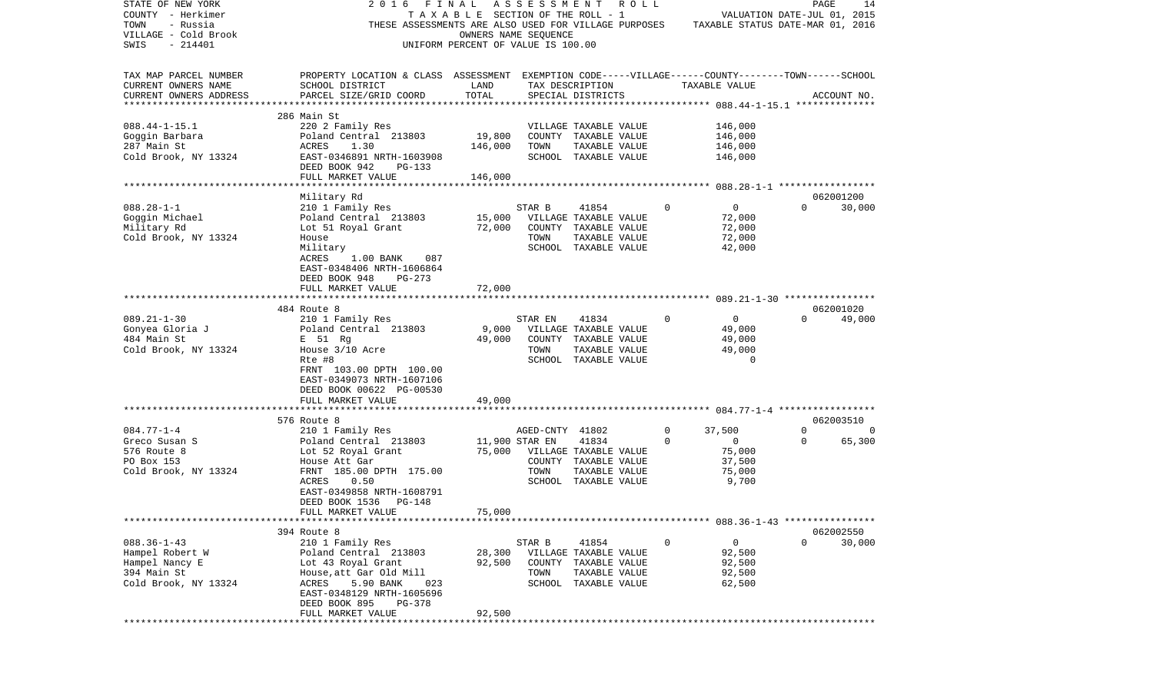| STATE OF NEW YORK<br>COUNTY - Herkimer             | 2016<br>FINAL                                                                                      | TAXABLE SECTION OF THE ROLL - 1    |                 | ASSESSMENT ROLL                       |             |                                  | PAGE<br>VALUATION DATE-JUL 01, 2015 | 14      |
|----------------------------------------------------|----------------------------------------------------------------------------------------------------|------------------------------------|-----------------|---------------------------------------|-------------|----------------------------------|-------------------------------------|---------|
| TOWN<br>- Russia                                   | THESE ASSESSMENTS ARE ALSO USED FOR VILLAGE PURPOSES                                               |                                    |                 |                                       |             | TAXABLE STATUS DATE-MAR 01, 2016 |                                     |         |
| VILLAGE - Cold Brook                               |                                                                                                    | OWNERS NAME SEOUENCE               |                 |                                       |             |                                  |                                     |         |
| SWIS<br>$-214401$                                  |                                                                                                    | UNIFORM PERCENT OF VALUE IS 100.00 |                 |                                       |             |                                  |                                     |         |
| TAX MAP PARCEL NUMBER                              | PROPERTY LOCATION & CLASS ASSESSMENT EXEMPTION CODE-----VILLAGE------COUNTY-------TOWN------SCHOOL |                                    |                 |                                       |             |                                  |                                     |         |
| CURRENT OWNERS NAME                                | SCHOOL DISTRICT                                                                                    | LAND                               |                 | TAX DESCRIPTION                       |             | TAXABLE VALUE                    |                                     |         |
| CURRENT OWNERS ADDRESS<br>************************ | PARCEL SIZE/GRID COORD                                                                             | TOTAL                              |                 | SPECIAL DISTRICTS                     |             |                                  | ACCOUNT NO.                         |         |
|                                                    | 286 Main St                                                                                        |                                    |                 |                                       |             |                                  |                                     |         |
| $088.44 - 1 - 15.1$                                | 220 2 Family Res                                                                                   |                                    |                 | VILLAGE TAXABLE VALUE                 |             | 146,000                          |                                     |         |
| Goggin Barbara                                     | Poland Central 213803                                                                              | 19,800                             |                 | COUNTY TAXABLE VALUE                  |             | 146,000                          |                                     |         |
| 287 Main St                                        | ACRES<br>1.30                                                                                      | 146,000                            | TOWN            | TAXABLE VALUE                         |             | 146,000                          |                                     |         |
| Cold Brook, NY 13324                               | EAST-0346891 NRTH-1603908                                                                          |                                    |                 | SCHOOL TAXABLE VALUE                  |             | 146,000                          |                                     |         |
|                                                    | DEED BOOK 942<br>PG-133                                                                            |                                    |                 |                                       |             |                                  |                                     |         |
|                                                    | FULL MARKET VALUE                                                                                  | 146,000                            |                 |                                       |             |                                  |                                     |         |
|                                                    |                                                                                                    |                                    |                 |                                       |             |                                  |                                     |         |
|                                                    | Military Rd                                                                                        |                                    |                 |                                       |             |                                  | 062001200                           |         |
| $088.28 - 1 - 1$                                   | 210 1 Family Res                                                                                   |                                    | STAR B          | 41854                                 | 0           | 0                                | $\Omega$                            | 30,000  |
| Goggin Michael                                     | Poland Central 213803                                                                              | 15,000                             |                 | VILLAGE TAXABLE VALUE                 |             | 72,000                           |                                     |         |
| Military Rd<br>Cold Brook, NY 13324                | Lot 51 Royal Grant<br>House                                                                        | 72,000                             | TOWN            | COUNTY TAXABLE VALUE<br>TAXABLE VALUE |             | 72,000<br>72,000                 |                                     |         |
|                                                    | Military                                                                                           |                                    |                 | SCHOOL TAXABLE VALUE                  |             | 42,000                           |                                     |         |
|                                                    | ACRES<br>1.00 BANK<br>087                                                                          |                                    |                 |                                       |             |                                  |                                     |         |
|                                                    | EAST-0348406 NRTH-1606864                                                                          |                                    |                 |                                       |             |                                  |                                     |         |
|                                                    | DEED BOOK 948<br>$PG-273$                                                                          |                                    |                 |                                       |             |                                  |                                     |         |
|                                                    | FULL MARKET VALUE                                                                                  | 72,000                             |                 |                                       |             |                                  |                                     |         |
|                                                    |                                                                                                    |                                    |                 |                                       |             |                                  |                                     |         |
|                                                    | 484 Route 8                                                                                        |                                    |                 |                                       |             |                                  | 062001020                           |         |
| $089.21 - 1 - 30$                                  | 210 1 Family Res                                                                                   |                                    | STAR EN         | 41834                                 | $\Omega$    | 0                                | $\Omega$                            | 49,000  |
| Gonyea Gloria J                                    | Poland Central 213803                                                                              | 9,000                              |                 | VILLAGE TAXABLE VALUE                 |             | 49,000                           |                                     |         |
| 484 Main St                                        | E 51 Rg                                                                                            | 49,000                             |                 | COUNTY TAXABLE VALUE                  |             | 49,000                           |                                     |         |
| Cold Brook, NY 13324                               | House 3/10 Acre<br>Rte #8                                                                          |                                    | TOWN            | TAXABLE VALUE<br>SCHOOL TAXABLE VALUE |             | 49,000<br>$\Omega$               |                                     |         |
|                                                    | FRNT 103.00 DPTH 100.00                                                                            |                                    |                 |                                       |             |                                  |                                     |         |
|                                                    | EAST-0349073 NRTH-1607106                                                                          |                                    |                 |                                       |             |                                  |                                     |         |
|                                                    | DEED BOOK 00622 PG-00530                                                                           |                                    |                 |                                       |             |                                  |                                     |         |
|                                                    | FULL MARKET VALUE                                                                                  | 49,000                             |                 |                                       |             |                                  |                                     |         |
|                                                    | *************************                                                                          |                                    |                 |                                       |             |                                  |                                     |         |
|                                                    | 576 Route 8                                                                                        |                                    |                 |                                       |             |                                  | 062003510                           |         |
| $084.77 - 1 - 4$                                   | 210 1 Family Res                                                                                   |                                    | AGED-CNTY 41802 |                                       | 0           | 37,500                           | $\Omega$                            | $\circ$ |
| Greco Susan S                                      | Poland Central 213803                                                                              |                                    | 11,900 STAR EN  | 41834                                 | 0           | 0                                | 0                                   | 65,300  |
| 576 Route 8                                        | Lot 52 Royal Grant                                                                                 | 75,000                             |                 | VILLAGE TAXABLE VALUE                 |             | 75,000                           |                                     |         |
| PO Box 153                                         | House Att Gar                                                                                      |                                    |                 | COUNTY TAXABLE VALUE                  |             | 37,500                           |                                     |         |
| Cold Brook, NY 13324                               | FRNT 185.00 DPTH 175.00                                                                            |                                    | TOWN            | TAXABLE VALUE                         |             | 75,000                           |                                     |         |
|                                                    | 0.50<br>ACRES<br>EAST-0349858 NRTH-1608791                                                         |                                    |                 | SCHOOL TAXABLE VALUE                  |             | 9,700                            |                                     |         |
|                                                    | DEED BOOK 1536<br>PG-148                                                                           |                                    |                 |                                       |             |                                  |                                     |         |
|                                                    | FULL MARKET VALUE                                                                                  | 75,000                             |                 |                                       |             |                                  |                                     |         |
|                                                    |                                                                                                    |                                    |                 |                                       |             |                                  |                                     |         |
|                                                    | 394 Route 8                                                                                        |                                    |                 |                                       |             |                                  | 062002550                           |         |
| $088.36 - 1 - 43$                                  | 210 1 Family Res                                                                                   |                                    | STAR B          | 41854                                 | $\mathbf 0$ | $\mathsf{O}$                     | $\Omega$                            | 30,000  |
| Hampel Robert W                                    | Poland Central 213803                                                                              | 28,300                             |                 | VILLAGE TAXABLE VALUE                 |             | 92,500                           |                                     |         |
| Hampel Nancy E                                     | Lot 43 Royal Grant                                                                                 | 92,500                             |                 | COUNTY TAXABLE VALUE                  |             | 92,500                           |                                     |         |
| 394 Main St                                        | House, att Gar Old Mill                                                                            |                                    | TOWN            | TAXABLE VALUE                         |             | 92,500                           |                                     |         |
| Cold Brook, NY 13324                               | ACRES 5.90 BANK<br>023                                                                             |                                    |                 | SCHOOL TAXABLE VALUE                  |             | 62,500                           |                                     |         |
|                                                    | EAST-0348129 NRTH-1605696<br>DEED BOOK 895                                                         |                                    |                 |                                       |             |                                  |                                     |         |
|                                                    | PG-378<br>FULL MARKET VALUE                                                                        | 92,500                             |                 |                                       |             |                                  |                                     |         |
|                                                    |                                                                                                    |                                    |                 |                                       |             |                                  |                                     |         |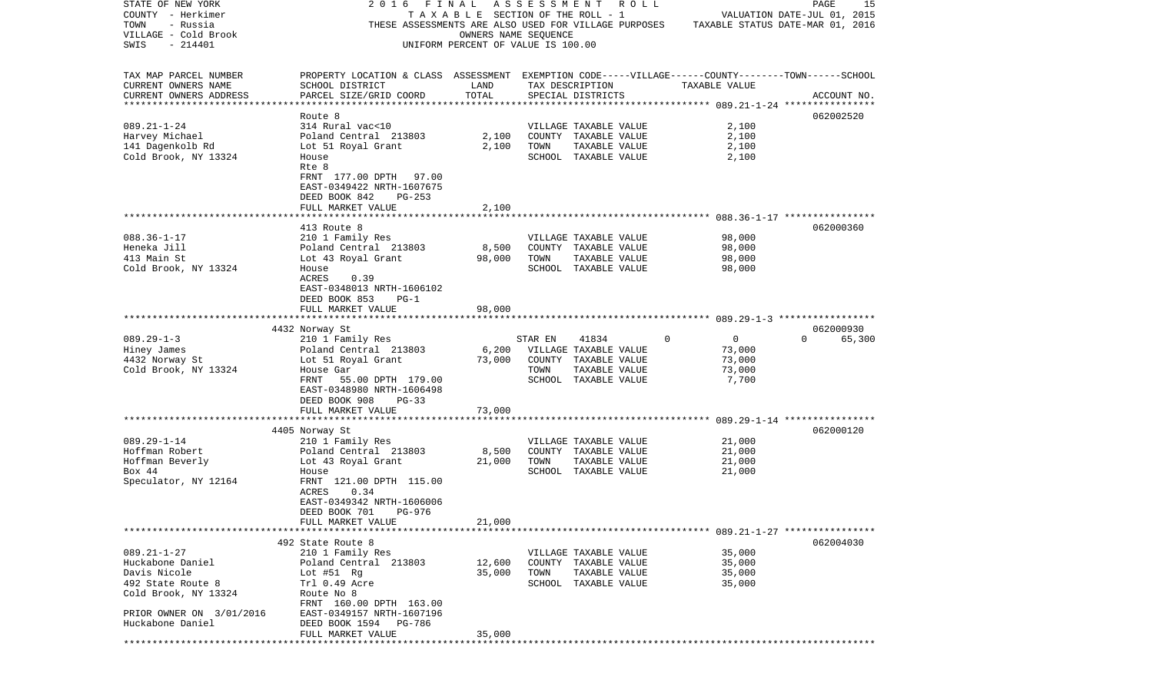| STATE OF NEW YORK<br>COUNTY - Herkimer<br>TOWN<br>- Russia<br>VILLAGE - Cold Brook<br>SWIS<br>$-214401$ | FINAL<br>2016<br>THESE ASSESSMENTS ARE ALSO USED FOR VILLAGE PURPOSES                                                                           | TAXABLE SECTION OF THE ROLL - 1<br>OWNERS NAME SEOUENCE<br>UNIFORM PERCENT OF VALUE IS 100.00 |         | ASSESSMENT ROLL                       |          |                                                    | PAGE<br>15<br>VALUATION DATE-JUL 01, 2015<br>TAXABLE STATUS DATE-MAR 01, 2016 |
|---------------------------------------------------------------------------------------------------------|-------------------------------------------------------------------------------------------------------------------------------------------------|-----------------------------------------------------------------------------------------------|---------|---------------------------------------|----------|----------------------------------------------------|-------------------------------------------------------------------------------|
|                                                                                                         |                                                                                                                                                 |                                                                                               |         |                                       |          |                                                    |                                                                               |
| TAX MAP PARCEL NUMBER<br>CURRENT OWNERS NAME<br>CURRENT OWNERS ADDRESS<br>************************      | PROPERTY LOCATION & CLASS ASSESSMENT EXEMPTION CODE-----VILLAGE------COUNTY-------TOWN------SCHOOL<br>SCHOOL DISTRICT<br>PARCEL SIZE/GRID COORD | LAND<br>TOTAL                                                                                 |         | TAX DESCRIPTION<br>SPECIAL DISTRICTS  |          | TAXABLE VALUE                                      | ACCOUNT NO.                                                                   |
|                                                                                                         | Route 8                                                                                                                                         |                                                                                               |         |                                       |          |                                                    | 062002520                                                                     |
| $089.21 - 1 - 24$                                                                                       | 314 Rural vac<10                                                                                                                                |                                                                                               |         | VILLAGE TAXABLE VALUE                 |          | 2,100                                              |                                                                               |
| Harvey Michael                                                                                          | Poland Central 213803                                                                                                                           | 2,100                                                                                         |         | COUNTY TAXABLE VALUE                  |          | 2,100                                              |                                                                               |
| 141 Dagenkolb Rd                                                                                        | Lot 51 Royal Grant                                                                                                                              | 2,100                                                                                         | TOWN    | TAXABLE VALUE                         |          | 2,100                                              |                                                                               |
| Cold Brook, NY 13324                                                                                    | House                                                                                                                                           |                                                                                               |         | SCHOOL TAXABLE VALUE                  |          | 2,100                                              |                                                                               |
|                                                                                                         | Rte 8<br>FRNT 177.00 DPTH 97.00                                                                                                                 |                                                                                               |         |                                       |          |                                                    |                                                                               |
|                                                                                                         | EAST-0349422 NRTH-1607675                                                                                                                       |                                                                                               |         |                                       |          |                                                    |                                                                               |
|                                                                                                         | DEED BOOK 842<br>$PG-253$                                                                                                                       |                                                                                               |         |                                       |          |                                                    |                                                                               |
|                                                                                                         | FULL MARKET VALUE                                                                                                                               | 2,100                                                                                         |         |                                       |          |                                                    |                                                                               |
|                                                                                                         |                                                                                                                                                 |                                                                                               |         |                                       |          |                                                    |                                                                               |
|                                                                                                         | 413 Route 8                                                                                                                                     |                                                                                               |         |                                       |          |                                                    | 062000360                                                                     |
| $088.36 - 1 - 17$                                                                                       | 210 1 Family Res                                                                                                                                |                                                                                               |         | VILLAGE TAXABLE VALUE                 |          | 98,000                                             |                                                                               |
| Heneka Jill<br>413 Main St                                                                              | Poland Central 213803                                                                                                                           | 8,500<br>98,000                                                                               | TOWN    | COUNTY TAXABLE VALUE<br>TAXABLE VALUE |          | 98,000<br>98,000                                   |                                                                               |
| Cold Brook, NY 13324                                                                                    | Lot 43 Royal Grant<br>House                                                                                                                     |                                                                                               |         | SCHOOL TAXABLE VALUE                  |          | 98,000                                             |                                                                               |
|                                                                                                         | ACRES<br>0.39                                                                                                                                   |                                                                                               |         |                                       |          |                                                    |                                                                               |
|                                                                                                         | EAST-0348013 NRTH-1606102                                                                                                                       |                                                                                               |         |                                       |          |                                                    |                                                                               |
|                                                                                                         | DEED BOOK 853<br>$PG-1$                                                                                                                         |                                                                                               |         |                                       |          |                                                    |                                                                               |
|                                                                                                         | FULL MARKET VALUE                                                                                                                               | 98,000                                                                                        |         |                                       |          |                                                    |                                                                               |
|                                                                                                         |                                                                                                                                                 |                                                                                               |         |                                       |          |                                                    |                                                                               |
| $089.29 - 1 - 3$                                                                                        | 4432 Norway St                                                                                                                                  |                                                                                               |         |                                       | $\Omega$ | 0                                                  | 062000930<br>$\Omega$                                                         |
| Hiney James                                                                                             | 210 1 Family Res<br>Poland Central 213803                                                                                                       | 6,200                                                                                         | STAR EN | 41834<br>VILLAGE TAXABLE VALUE        |          | 73,000                                             | 65,300                                                                        |
| 4432 Norway St                                                                                          | Lot 51 Royal Grant                                                                                                                              | 73,000                                                                                        |         | COUNTY TAXABLE VALUE                  |          | 73,000                                             |                                                                               |
| Cold Brook, NY 13324                                                                                    | House Gar                                                                                                                                       |                                                                                               | TOWN    | TAXABLE VALUE                         |          | 73,000                                             |                                                                               |
|                                                                                                         | FRNT<br>55.00 DPTH 179.00                                                                                                                       |                                                                                               |         | SCHOOL TAXABLE VALUE                  |          | 7,700                                              |                                                                               |
|                                                                                                         | EAST-0348980 NRTH-1606498                                                                                                                       |                                                                                               |         |                                       |          |                                                    |                                                                               |
|                                                                                                         | DEED BOOK 908<br>$PG-33$                                                                                                                        |                                                                                               |         |                                       |          |                                                    |                                                                               |
|                                                                                                         | FULL MARKET VALUE<br>*******************                                                                                                        | 73,000<br>*******                                                                             |         |                                       |          | ********************* 089.29-1-14 **************** |                                                                               |
|                                                                                                         | 4405 Norway St                                                                                                                                  |                                                                                               |         |                                       |          |                                                    | 062000120                                                                     |
| $089.29 - 1 - 14$                                                                                       | 210 1 Family Res                                                                                                                                |                                                                                               |         | VILLAGE TAXABLE VALUE                 |          | 21,000                                             |                                                                               |
| Hoffman Robert                                                                                          | Poland Central 213803                                                                                                                           | 8,500                                                                                         |         | COUNTY TAXABLE VALUE                  |          | 21,000                                             |                                                                               |
| Hoffman Beverly                                                                                         | Lot 43 Royal Grant                                                                                                                              | 21,000                                                                                        | TOWN    | TAXABLE VALUE                         |          | 21,000                                             |                                                                               |
| Box 44                                                                                                  | House                                                                                                                                           |                                                                                               |         | SCHOOL TAXABLE VALUE                  |          | 21,000                                             |                                                                               |
| Speculator, NY 12164                                                                                    | FRNT 121.00 DPTH 115.00                                                                                                                         |                                                                                               |         |                                       |          |                                                    |                                                                               |
|                                                                                                         | 0.34<br>ACRES<br>EAST-0349342 NRTH-1606006                                                                                                      |                                                                                               |         |                                       |          |                                                    |                                                                               |
|                                                                                                         | DEED BOOK 701 PG-976                                                                                                                            |                                                                                               |         |                                       |          |                                                    |                                                                               |
|                                                                                                         | FULL MARKET VALUE                                                                                                                               | 21,000                                                                                        |         |                                       |          |                                                    |                                                                               |
|                                                                                                         |                                                                                                                                                 |                                                                                               |         |                                       |          |                                                    |                                                                               |
|                                                                                                         | 492 State Route 8                                                                                                                               |                                                                                               |         |                                       |          |                                                    | 062004030                                                                     |
| $089.21 - 1 - 27$                                                                                       | 210 1 Family Res                                                                                                                                |                                                                                               |         | VILLAGE TAXABLE VALUE                 |          | 35,000                                             |                                                                               |
| Huckabone Daniel                                                                                        | Poland Central 213803                                                                                                                           | 12,600                                                                                        |         | COUNTY TAXABLE VALUE                  |          | 35,000                                             |                                                                               |
| Davis Nicole<br>492 State Route 8                                                                       | Lot $#51$ Rg<br>Trl 0.49 Acre                                                                                                                   | 35,000                                                                                        | TOWN    | TAXABLE VALUE<br>SCHOOL TAXABLE VALUE |          | 35,000<br>35,000                                   |                                                                               |
| Cold Brook, NY 13324                                                                                    | Route No 8                                                                                                                                      |                                                                                               |         |                                       |          |                                                    |                                                                               |
|                                                                                                         | FRNT 160.00 DPTH 163.00                                                                                                                         |                                                                                               |         |                                       |          |                                                    |                                                                               |
| PRIOR OWNER ON 3/01/2016                                                                                | EAST-0349157 NRTH-1607196                                                                                                                       |                                                                                               |         |                                       |          |                                                    |                                                                               |
| Huckabone Daniel                                                                                        | DEED BOOK 1594<br>PG-786                                                                                                                        |                                                                                               |         |                                       |          |                                                    |                                                                               |
|                                                                                                         | FULL MARKET VALUE                                                                                                                               | 35,000                                                                                        |         |                                       |          |                                                    |                                                                               |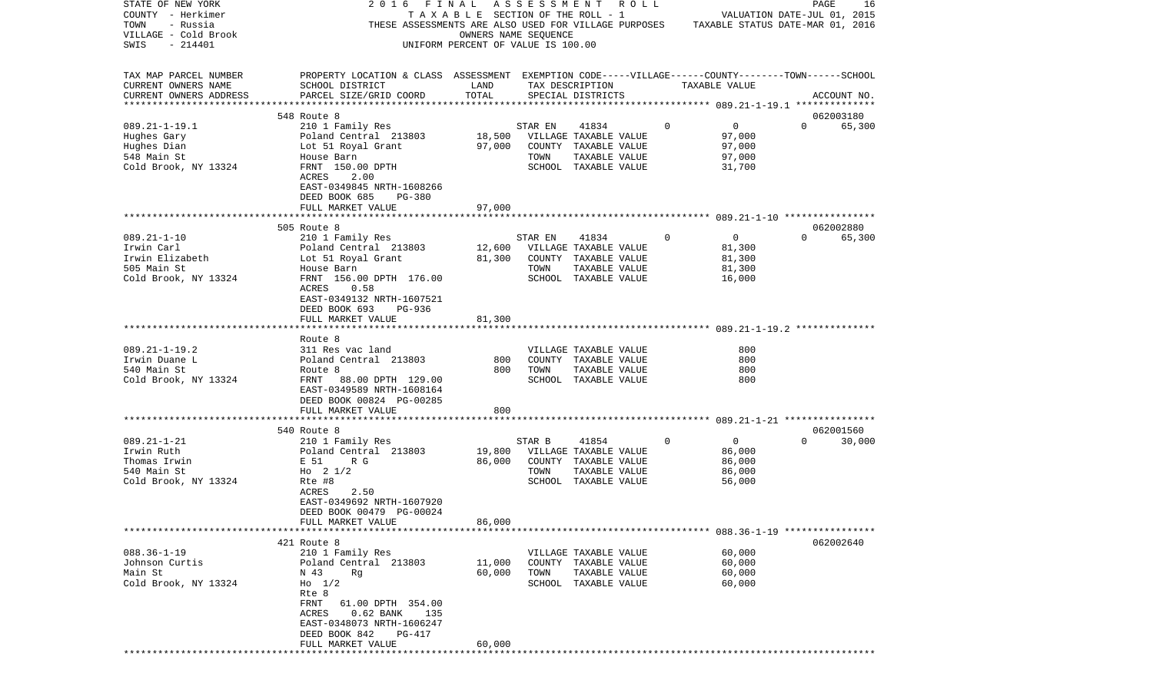| OWNERS NAME SEQUENCE<br>SWIS<br>$-214401$<br>UNIFORM PERCENT OF VALUE IS 100.00<br>TAX MAP PARCEL NUMBER<br>PROPERTY LOCATION & CLASS ASSESSMENT EXEMPTION CODE-----VILLAGE------COUNTY-------TOWN------SCHOOL<br>CURRENT OWNERS NAME<br>SCHOOL DISTRICT<br>LAND<br>TAX DESCRIPTION<br>TAXABLE VALUE<br>TOTAL<br>CURRENT OWNERS ADDRESS<br>PARCEL SIZE/GRID COORD<br>SPECIAL DISTRICTS<br>ACCOUNT NO.<br>************************<br>062003180<br>548 Route 8<br>$089.21 - 1 - 19.1$<br>$\mathbf 0$<br>$\mathbf 0$<br>210 1 Family Res<br>41834<br>STAR EN<br>$\Omega$<br>65,300<br>18,500<br>Poland Central 213803<br>VILLAGE TAXABLE VALUE<br>97,000<br>Hughes Gary<br>Hughes Dian<br>Lot 51 Royal Grant<br>97,000<br>COUNTY TAXABLE VALUE<br>97,000<br>548 Main St<br>House Barn<br>TOWN<br>TAXABLE VALUE<br>97,000<br>Cold Brook, NY 13324<br>FRNT 150.00 DPTH<br>SCHOOL TAXABLE VALUE<br>31,700<br>ACRES<br>2.00<br>EAST-0349845 NRTH-1608266<br>DEED BOOK 685<br><b>PG-380</b><br>FULL MARKET VALUE<br>97,000<br>505 Route 8<br>062002880<br>$089.21 - 1 - 10$<br>41834<br>$\mathbf 0$<br>65,300<br>210 1 Family Res<br>$\overline{0}$<br>$\Omega$<br>STAR EN<br>Irwin Carl<br>Poland Central 213803<br>12,600<br>VILLAGE TAXABLE VALUE<br>81,300<br>Irwin Elizabeth<br>Lot 51 Royal Grant<br>81,300<br>COUNTY TAXABLE VALUE<br>81,300<br>505 Main St<br>TOWN<br>TAXABLE VALUE<br>81,300<br>House Barn<br>Cold Brook, NY 13324<br>FRNT 156.00 DPTH 176.00<br>SCHOOL TAXABLE VALUE<br>16,000<br>ACRES<br>0.58<br>EAST-0349132 NRTH-1607521<br>DEED BOOK 693<br>PG-936<br>FULL MARKET VALUE<br>81,300<br>Route 8<br>$089.21 - 1 - 19.2$<br>311 Res vac land<br>VILLAGE TAXABLE VALUE<br>800<br>800<br>Irwin Duane L<br>Poland Central 213803<br>800<br>COUNTY TAXABLE VALUE<br>540 Main St<br>TAXABLE VALUE<br>800<br>Route 8<br>800<br>TOWN<br>SCHOOL TAXABLE VALUE<br>800<br>Cold Brook, NY 13324<br>FRNT<br>88.00 DPTH 129.00<br>EAST-0349589 NRTH-1608164<br>DEED BOOK 00824 PG-00285<br>FULL MARKET VALUE<br>800<br>******************** 089.21-1-21 *****************<br>***********************<br>********<br>540 Route 8<br>062001560<br>$089.21 - 1 - 21$<br>210 1 Family Res<br>STAR B<br>41854<br>0<br>0<br>30,000<br>$\Omega$<br>Irwin Ruth<br>Poland Central 213803<br>19,800<br>VILLAGE TAXABLE VALUE<br>86,000<br>Thomas Irwin<br>86,000<br>86,000<br>E 51<br>R G<br>COUNTY TAXABLE VALUE<br>540 Main St<br>Ho $2 \frac{1}{2}$<br>86,000<br>TOWN<br>TAXABLE VALUE<br>Cold Brook, NY 13324<br>56,000<br>Rte #8<br>SCHOOL TAXABLE VALUE<br>2.50<br>ACRES<br>EAST-0349692 NRTH-1607920<br>DEED BOOK 00479 PG-00024<br>86,000<br>FULL MARKET VALUE<br>421 Route 8<br>062002640<br>$088.36 - 1 - 19$<br>210 1 Family Res<br>VILLAGE TAXABLE VALUE<br>60,000<br>60,000<br>Johnson Curtis<br>Poland Central 213803<br>11,000<br>COUNTY TAXABLE VALUE<br>Main St<br>60,000<br>N 43<br>Rq<br>60,000<br>TOWN<br>TAXABLE VALUE<br>Cold Brook, NY 13324<br>SCHOOL TAXABLE VALUE<br>60,000<br>$H_0$ 1/2<br>Rte 8<br>FRNT<br>61.00 DPTH 354.00<br>ACRES<br>$0.62$ BANK<br>135<br>EAST-0348073 NRTH-1606247<br>DEED BOOK 842<br>PG-417<br>60,000<br>FULL MARKET VALUE | STATE OF NEW YORK<br>COUNTY - Herkimer<br>- Russia<br>TOWN | 2016<br>FINAL<br>THESE ASSESSMENTS ARE ALSO USED FOR VILLAGE PURPOSES | TAXABLE SECTION OF THE ROLL - 1 | ASSESSMENT ROLL | TAXABLE STATUS DATE-MAR 01, 2016 | VALUATION DATE-JUL 01, 2015 | PAGE<br>16 |
|----------------------------------------------------------------------------------------------------------------------------------------------------------------------------------------------------------------------------------------------------------------------------------------------------------------------------------------------------------------------------------------------------------------------------------------------------------------------------------------------------------------------------------------------------------------------------------------------------------------------------------------------------------------------------------------------------------------------------------------------------------------------------------------------------------------------------------------------------------------------------------------------------------------------------------------------------------------------------------------------------------------------------------------------------------------------------------------------------------------------------------------------------------------------------------------------------------------------------------------------------------------------------------------------------------------------------------------------------------------------------------------------------------------------------------------------------------------------------------------------------------------------------------------------------------------------------------------------------------------------------------------------------------------------------------------------------------------------------------------------------------------------------------------------------------------------------------------------------------------------------------------------------------------------------------------------------------------------------------------------------------------------------------------------------------------------------------------------------------------------------------------------------------------------------------------------------------------------------------------------------------------------------------------------------------------------------------------------------------------------------------------------------------------------------------------------------------------------------------------------------------------------------------------------------------------------------------------------------------------------------------------------------------------------------------------------------------------------------------------------------------------------------------------------------------------------------------------------------------------------------------------------------------------------------------------------------------------------------------------------------------------------------------------------------------------------------------------------------------------------------------------------------------------------------|------------------------------------------------------------|-----------------------------------------------------------------------|---------------------------------|-----------------|----------------------------------|-----------------------------|------------|
|                                                                                                                                                                                                                                                                                                                                                                                                                                                                                                                                                                                                                                                                                                                                                                                                                                                                                                                                                                                                                                                                                                                                                                                                                                                                                                                                                                                                                                                                                                                                                                                                                                                                                                                                                                                                                                                                                                                                                                                                                                                                                                                                                                                                                                                                                                                                                                                                                                                                                                                                                                                                                                                                                                                                                                                                                                                                                                                                                                                                                                                                                                                                                                            | VILLAGE - Cold Brook                                       |                                                                       |                                 |                 |                                  |                             |            |
|                                                                                                                                                                                                                                                                                                                                                                                                                                                                                                                                                                                                                                                                                                                                                                                                                                                                                                                                                                                                                                                                                                                                                                                                                                                                                                                                                                                                                                                                                                                                                                                                                                                                                                                                                                                                                                                                                                                                                                                                                                                                                                                                                                                                                                                                                                                                                                                                                                                                                                                                                                                                                                                                                                                                                                                                                                                                                                                                                                                                                                                                                                                                                                            |                                                            |                                                                       |                                 |                 |                                  |                             |            |
|                                                                                                                                                                                                                                                                                                                                                                                                                                                                                                                                                                                                                                                                                                                                                                                                                                                                                                                                                                                                                                                                                                                                                                                                                                                                                                                                                                                                                                                                                                                                                                                                                                                                                                                                                                                                                                                                                                                                                                                                                                                                                                                                                                                                                                                                                                                                                                                                                                                                                                                                                                                                                                                                                                                                                                                                                                                                                                                                                                                                                                                                                                                                                                            |                                                            |                                                                       |                                 |                 |                                  |                             |            |
|                                                                                                                                                                                                                                                                                                                                                                                                                                                                                                                                                                                                                                                                                                                                                                                                                                                                                                                                                                                                                                                                                                                                                                                                                                                                                                                                                                                                                                                                                                                                                                                                                                                                                                                                                                                                                                                                                                                                                                                                                                                                                                                                                                                                                                                                                                                                                                                                                                                                                                                                                                                                                                                                                                                                                                                                                                                                                                                                                                                                                                                                                                                                                                            |                                                            |                                                                       |                                 |                 |                                  |                             |            |
|                                                                                                                                                                                                                                                                                                                                                                                                                                                                                                                                                                                                                                                                                                                                                                                                                                                                                                                                                                                                                                                                                                                                                                                                                                                                                                                                                                                                                                                                                                                                                                                                                                                                                                                                                                                                                                                                                                                                                                                                                                                                                                                                                                                                                                                                                                                                                                                                                                                                                                                                                                                                                                                                                                                                                                                                                                                                                                                                                                                                                                                                                                                                                                            |                                                            |                                                                       |                                 |                 |                                  |                             |            |
|                                                                                                                                                                                                                                                                                                                                                                                                                                                                                                                                                                                                                                                                                                                                                                                                                                                                                                                                                                                                                                                                                                                                                                                                                                                                                                                                                                                                                                                                                                                                                                                                                                                                                                                                                                                                                                                                                                                                                                                                                                                                                                                                                                                                                                                                                                                                                                                                                                                                                                                                                                                                                                                                                                                                                                                                                                                                                                                                                                                                                                                                                                                                                                            |                                                            |                                                                       |                                 |                 |                                  |                             |            |
|                                                                                                                                                                                                                                                                                                                                                                                                                                                                                                                                                                                                                                                                                                                                                                                                                                                                                                                                                                                                                                                                                                                                                                                                                                                                                                                                                                                                                                                                                                                                                                                                                                                                                                                                                                                                                                                                                                                                                                                                                                                                                                                                                                                                                                                                                                                                                                                                                                                                                                                                                                                                                                                                                                                                                                                                                                                                                                                                                                                                                                                                                                                                                                            |                                                            |                                                                       |                                 |                 |                                  |                             |            |
|                                                                                                                                                                                                                                                                                                                                                                                                                                                                                                                                                                                                                                                                                                                                                                                                                                                                                                                                                                                                                                                                                                                                                                                                                                                                                                                                                                                                                                                                                                                                                                                                                                                                                                                                                                                                                                                                                                                                                                                                                                                                                                                                                                                                                                                                                                                                                                                                                                                                                                                                                                                                                                                                                                                                                                                                                                                                                                                                                                                                                                                                                                                                                                            |                                                            |                                                                       |                                 |                 |                                  |                             |            |
|                                                                                                                                                                                                                                                                                                                                                                                                                                                                                                                                                                                                                                                                                                                                                                                                                                                                                                                                                                                                                                                                                                                                                                                                                                                                                                                                                                                                                                                                                                                                                                                                                                                                                                                                                                                                                                                                                                                                                                                                                                                                                                                                                                                                                                                                                                                                                                                                                                                                                                                                                                                                                                                                                                                                                                                                                                                                                                                                                                                                                                                                                                                                                                            |                                                            |                                                                       |                                 |                 |                                  |                             |            |
|                                                                                                                                                                                                                                                                                                                                                                                                                                                                                                                                                                                                                                                                                                                                                                                                                                                                                                                                                                                                                                                                                                                                                                                                                                                                                                                                                                                                                                                                                                                                                                                                                                                                                                                                                                                                                                                                                                                                                                                                                                                                                                                                                                                                                                                                                                                                                                                                                                                                                                                                                                                                                                                                                                                                                                                                                                                                                                                                                                                                                                                                                                                                                                            |                                                            |                                                                       |                                 |                 |                                  |                             |            |
|                                                                                                                                                                                                                                                                                                                                                                                                                                                                                                                                                                                                                                                                                                                                                                                                                                                                                                                                                                                                                                                                                                                                                                                                                                                                                                                                                                                                                                                                                                                                                                                                                                                                                                                                                                                                                                                                                                                                                                                                                                                                                                                                                                                                                                                                                                                                                                                                                                                                                                                                                                                                                                                                                                                                                                                                                                                                                                                                                                                                                                                                                                                                                                            |                                                            |                                                                       |                                 |                 |                                  |                             |            |
|                                                                                                                                                                                                                                                                                                                                                                                                                                                                                                                                                                                                                                                                                                                                                                                                                                                                                                                                                                                                                                                                                                                                                                                                                                                                                                                                                                                                                                                                                                                                                                                                                                                                                                                                                                                                                                                                                                                                                                                                                                                                                                                                                                                                                                                                                                                                                                                                                                                                                                                                                                                                                                                                                                                                                                                                                                                                                                                                                                                                                                                                                                                                                                            |                                                            |                                                                       |                                 |                 |                                  |                             |            |
|                                                                                                                                                                                                                                                                                                                                                                                                                                                                                                                                                                                                                                                                                                                                                                                                                                                                                                                                                                                                                                                                                                                                                                                                                                                                                                                                                                                                                                                                                                                                                                                                                                                                                                                                                                                                                                                                                                                                                                                                                                                                                                                                                                                                                                                                                                                                                                                                                                                                                                                                                                                                                                                                                                                                                                                                                                                                                                                                                                                                                                                                                                                                                                            |                                                            |                                                                       |                                 |                 |                                  |                             |            |
|                                                                                                                                                                                                                                                                                                                                                                                                                                                                                                                                                                                                                                                                                                                                                                                                                                                                                                                                                                                                                                                                                                                                                                                                                                                                                                                                                                                                                                                                                                                                                                                                                                                                                                                                                                                                                                                                                                                                                                                                                                                                                                                                                                                                                                                                                                                                                                                                                                                                                                                                                                                                                                                                                                                                                                                                                                                                                                                                                                                                                                                                                                                                                                            |                                                            |                                                                       |                                 |                 |                                  |                             |            |
|                                                                                                                                                                                                                                                                                                                                                                                                                                                                                                                                                                                                                                                                                                                                                                                                                                                                                                                                                                                                                                                                                                                                                                                                                                                                                                                                                                                                                                                                                                                                                                                                                                                                                                                                                                                                                                                                                                                                                                                                                                                                                                                                                                                                                                                                                                                                                                                                                                                                                                                                                                                                                                                                                                                                                                                                                                                                                                                                                                                                                                                                                                                                                                            |                                                            |                                                                       |                                 |                 |                                  |                             |            |
|                                                                                                                                                                                                                                                                                                                                                                                                                                                                                                                                                                                                                                                                                                                                                                                                                                                                                                                                                                                                                                                                                                                                                                                                                                                                                                                                                                                                                                                                                                                                                                                                                                                                                                                                                                                                                                                                                                                                                                                                                                                                                                                                                                                                                                                                                                                                                                                                                                                                                                                                                                                                                                                                                                                                                                                                                                                                                                                                                                                                                                                                                                                                                                            |                                                            |                                                                       |                                 |                 |                                  |                             |            |
|                                                                                                                                                                                                                                                                                                                                                                                                                                                                                                                                                                                                                                                                                                                                                                                                                                                                                                                                                                                                                                                                                                                                                                                                                                                                                                                                                                                                                                                                                                                                                                                                                                                                                                                                                                                                                                                                                                                                                                                                                                                                                                                                                                                                                                                                                                                                                                                                                                                                                                                                                                                                                                                                                                                                                                                                                                                                                                                                                                                                                                                                                                                                                                            |                                                            |                                                                       |                                 |                 |                                  |                             |            |
|                                                                                                                                                                                                                                                                                                                                                                                                                                                                                                                                                                                                                                                                                                                                                                                                                                                                                                                                                                                                                                                                                                                                                                                                                                                                                                                                                                                                                                                                                                                                                                                                                                                                                                                                                                                                                                                                                                                                                                                                                                                                                                                                                                                                                                                                                                                                                                                                                                                                                                                                                                                                                                                                                                                                                                                                                                                                                                                                                                                                                                                                                                                                                                            |                                                            |                                                                       |                                 |                 |                                  |                             |            |
|                                                                                                                                                                                                                                                                                                                                                                                                                                                                                                                                                                                                                                                                                                                                                                                                                                                                                                                                                                                                                                                                                                                                                                                                                                                                                                                                                                                                                                                                                                                                                                                                                                                                                                                                                                                                                                                                                                                                                                                                                                                                                                                                                                                                                                                                                                                                                                                                                                                                                                                                                                                                                                                                                                                                                                                                                                                                                                                                                                                                                                                                                                                                                                            |                                                            |                                                                       |                                 |                 |                                  |                             |            |
|                                                                                                                                                                                                                                                                                                                                                                                                                                                                                                                                                                                                                                                                                                                                                                                                                                                                                                                                                                                                                                                                                                                                                                                                                                                                                                                                                                                                                                                                                                                                                                                                                                                                                                                                                                                                                                                                                                                                                                                                                                                                                                                                                                                                                                                                                                                                                                                                                                                                                                                                                                                                                                                                                                                                                                                                                                                                                                                                                                                                                                                                                                                                                                            |                                                            |                                                                       |                                 |                 |                                  |                             |            |
|                                                                                                                                                                                                                                                                                                                                                                                                                                                                                                                                                                                                                                                                                                                                                                                                                                                                                                                                                                                                                                                                                                                                                                                                                                                                                                                                                                                                                                                                                                                                                                                                                                                                                                                                                                                                                                                                                                                                                                                                                                                                                                                                                                                                                                                                                                                                                                                                                                                                                                                                                                                                                                                                                                                                                                                                                                                                                                                                                                                                                                                                                                                                                                            |                                                            |                                                                       |                                 |                 |                                  |                             |            |
|                                                                                                                                                                                                                                                                                                                                                                                                                                                                                                                                                                                                                                                                                                                                                                                                                                                                                                                                                                                                                                                                                                                                                                                                                                                                                                                                                                                                                                                                                                                                                                                                                                                                                                                                                                                                                                                                                                                                                                                                                                                                                                                                                                                                                                                                                                                                                                                                                                                                                                                                                                                                                                                                                                                                                                                                                                                                                                                                                                                                                                                                                                                                                                            |                                                            |                                                                       |                                 |                 |                                  |                             |            |
|                                                                                                                                                                                                                                                                                                                                                                                                                                                                                                                                                                                                                                                                                                                                                                                                                                                                                                                                                                                                                                                                                                                                                                                                                                                                                                                                                                                                                                                                                                                                                                                                                                                                                                                                                                                                                                                                                                                                                                                                                                                                                                                                                                                                                                                                                                                                                                                                                                                                                                                                                                                                                                                                                                                                                                                                                                                                                                                                                                                                                                                                                                                                                                            |                                                            |                                                                       |                                 |                 |                                  |                             |            |
|                                                                                                                                                                                                                                                                                                                                                                                                                                                                                                                                                                                                                                                                                                                                                                                                                                                                                                                                                                                                                                                                                                                                                                                                                                                                                                                                                                                                                                                                                                                                                                                                                                                                                                                                                                                                                                                                                                                                                                                                                                                                                                                                                                                                                                                                                                                                                                                                                                                                                                                                                                                                                                                                                                                                                                                                                                                                                                                                                                                                                                                                                                                                                                            |                                                            |                                                                       |                                 |                 |                                  |                             |            |
|                                                                                                                                                                                                                                                                                                                                                                                                                                                                                                                                                                                                                                                                                                                                                                                                                                                                                                                                                                                                                                                                                                                                                                                                                                                                                                                                                                                                                                                                                                                                                                                                                                                                                                                                                                                                                                                                                                                                                                                                                                                                                                                                                                                                                                                                                                                                                                                                                                                                                                                                                                                                                                                                                                                                                                                                                                                                                                                                                                                                                                                                                                                                                                            |                                                            |                                                                       |                                 |                 |                                  |                             |            |
|                                                                                                                                                                                                                                                                                                                                                                                                                                                                                                                                                                                                                                                                                                                                                                                                                                                                                                                                                                                                                                                                                                                                                                                                                                                                                                                                                                                                                                                                                                                                                                                                                                                                                                                                                                                                                                                                                                                                                                                                                                                                                                                                                                                                                                                                                                                                                                                                                                                                                                                                                                                                                                                                                                                                                                                                                                                                                                                                                                                                                                                                                                                                                                            |                                                            |                                                                       |                                 |                 |                                  |                             |            |
|                                                                                                                                                                                                                                                                                                                                                                                                                                                                                                                                                                                                                                                                                                                                                                                                                                                                                                                                                                                                                                                                                                                                                                                                                                                                                                                                                                                                                                                                                                                                                                                                                                                                                                                                                                                                                                                                                                                                                                                                                                                                                                                                                                                                                                                                                                                                                                                                                                                                                                                                                                                                                                                                                                                                                                                                                                                                                                                                                                                                                                                                                                                                                                            |                                                            |                                                                       |                                 |                 |                                  |                             |            |
|                                                                                                                                                                                                                                                                                                                                                                                                                                                                                                                                                                                                                                                                                                                                                                                                                                                                                                                                                                                                                                                                                                                                                                                                                                                                                                                                                                                                                                                                                                                                                                                                                                                                                                                                                                                                                                                                                                                                                                                                                                                                                                                                                                                                                                                                                                                                                                                                                                                                                                                                                                                                                                                                                                                                                                                                                                                                                                                                                                                                                                                                                                                                                                            |                                                            |                                                                       |                                 |                 |                                  |                             |            |
|                                                                                                                                                                                                                                                                                                                                                                                                                                                                                                                                                                                                                                                                                                                                                                                                                                                                                                                                                                                                                                                                                                                                                                                                                                                                                                                                                                                                                                                                                                                                                                                                                                                                                                                                                                                                                                                                                                                                                                                                                                                                                                                                                                                                                                                                                                                                                                                                                                                                                                                                                                                                                                                                                                                                                                                                                                                                                                                                                                                                                                                                                                                                                                            |                                                            |                                                                       |                                 |                 |                                  |                             |            |
|                                                                                                                                                                                                                                                                                                                                                                                                                                                                                                                                                                                                                                                                                                                                                                                                                                                                                                                                                                                                                                                                                                                                                                                                                                                                                                                                                                                                                                                                                                                                                                                                                                                                                                                                                                                                                                                                                                                                                                                                                                                                                                                                                                                                                                                                                                                                                                                                                                                                                                                                                                                                                                                                                                                                                                                                                                                                                                                                                                                                                                                                                                                                                                            |                                                            |                                                                       |                                 |                 |                                  |                             |            |
|                                                                                                                                                                                                                                                                                                                                                                                                                                                                                                                                                                                                                                                                                                                                                                                                                                                                                                                                                                                                                                                                                                                                                                                                                                                                                                                                                                                                                                                                                                                                                                                                                                                                                                                                                                                                                                                                                                                                                                                                                                                                                                                                                                                                                                                                                                                                                                                                                                                                                                                                                                                                                                                                                                                                                                                                                                                                                                                                                                                                                                                                                                                                                                            |                                                            |                                                                       |                                 |                 |                                  |                             |            |
|                                                                                                                                                                                                                                                                                                                                                                                                                                                                                                                                                                                                                                                                                                                                                                                                                                                                                                                                                                                                                                                                                                                                                                                                                                                                                                                                                                                                                                                                                                                                                                                                                                                                                                                                                                                                                                                                                                                                                                                                                                                                                                                                                                                                                                                                                                                                                                                                                                                                                                                                                                                                                                                                                                                                                                                                                                                                                                                                                                                                                                                                                                                                                                            |                                                            |                                                                       |                                 |                 |                                  |                             |            |
|                                                                                                                                                                                                                                                                                                                                                                                                                                                                                                                                                                                                                                                                                                                                                                                                                                                                                                                                                                                                                                                                                                                                                                                                                                                                                                                                                                                                                                                                                                                                                                                                                                                                                                                                                                                                                                                                                                                                                                                                                                                                                                                                                                                                                                                                                                                                                                                                                                                                                                                                                                                                                                                                                                                                                                                                                                                                                                                                                                                                                                                                                                                                                                            |                                                            |                                                                       |                                 |                 |                                  |                             |            |
|                                                                                                                                                                                                                                                                                                                                                                                                                                                                                                                                                                                                                                                                                                                                                                                                                                                                                                                                                                                                                                                                                                                                                                                                                                                                                                                                                                                                                                                                                                                                                                                                                                                                                                                                                                                                                                                                                                                                                                                                                                                                                                                                                                                                                                                                                                                                                                                                                                                                                                                                                                                                                                                                                                                                                                                                                                                                                                                                                                                                                                                                                                                                                                            |                                                            |                                                                       |                                 |                 |                                  |                             |            |
|                                                                                                                                                                                                                                                                                                                                                                                                                                                                                                                                                                                                                                                                                                                                                                                                                                                                                                                                                                                                                                                                                                                                                                                                                                                                                                                                                                                                                                                                                                                                                                                                                                                                                                                                                                                                                                                                                                                                                                                                                                                                                                                                                                                                                                                                                                                                                                                                                                                                                                                                                                                                                                                                                                                                                                                                                                                                                                                                                                                                                                                                                                                                                                            |                                                            |                                                                       |                                 |                 |                                  |                             |            |
|                                                                                                                                                                                                                                                                                                                                                                                                                                                                                                                                                                                                                                                                                                                                                                                                                                                                                                                                                                                                                                                                                                                                                                                                                                                                                                                                                                                                                                                                                                                                                                                                                                                                                                                                                                                                                                                                                                                                                                                                                                                                                                                                                                                                                                                                                                                                                                                                                                                                                                                                                                                                                                                                                                                                                                                                                                                                                                                                                                                                                                                                                                                                                                            |                                                            |                                                                       |                                 |                 |                                  |                             |            |
|                                                                                                                                                                                                                                                                                                                                                                                                                                                                                                                                                                                                                                                                                                                                                                                                                                                                                                                                                                                                                                                                                                                                                                                                                                                                                                                                                                                                                                                                                                                                                                                                                                                                                                                                                                                                                                                                                                                                                                                                                                                                                                                                                                                                                                                                                                                                                                                                                                                                                                                                                                                                                                                                                                                                                                                                                                                                                                                                                                                                                                                                                                                                                                            |                                                            |                                                                       |                                 |                 |                                  |                             |            |
|                                                                                                                                                                                                                                                                                                                                                                                                                                                                                                                                                                                                                                                                                                                                                                                                                                                                                                                                                                                                                                                                                                                                                                                                                                                                                                                                                                                                                                                                                                                                                                                                                                                                                                                                                                                                                                                                                                                                                                                                                                                                                                                                                                                                                                                                                                                                                                                                                                                                                                                                                                                                                                                                                                                                                                                                                                                                                                                                                                                                                                                                                                                                                                            |                                                            |                                                                       |                                 |                 |                                  |                             |            |
|                                                                                                                                                                                                                                                                                                                                                                                                                                                                                                                                                                                                                                                                                                                                                                                                                                                                                                                                                                                                                                                                                                                                                                                                                                                                                                                                                                                                                                                                                                                                                                                                                                                                                                                                                                                                                                                                                                                                                                                                                                                                                                                                                                                                                                                                                                                                                                                                                                                                                                                                                                                                                                                                                                                                                                                                                                                                                                                                                                                                                                                                                                                                                                            |                                                            |                                                                       |                                 |                 |                                  |                             |            |
|                                                                                                                                                                                                                                                                                                                                                                                                                                                                                                                                                                                                                                                                                                                                                                                                                                                                                                                                                                                                                                                                                                                                                                                                                                                                                                                                                                                                                                                                                                                                                                                                                                                                                                                                                                                                                                                                                                                                                                                                                                                                                                                                                                                                                                                                                                                                                                                                                                                                                                                                                                                                                                                                                                                                                                                                                                                                                                                                                                                                                                                                                                                                                                            |                                                            |                                                                       |                                 |                 |                                  |                             |            |
|                                                                                                                                                                                                                                                                                                                                                                                                                                                                                                                                                                                                                                                                                                                                                                                                                                                                                                                                                                                                                                                                                                                                                                                                                                                                                                                                                                                                                                                                                                                                                                                                                                                                                                                                                                                                                                                                                                                                                                                                                                                                                                                                                                                                                                                                                                                                                                                                                                                                                                                                                                                                                                                                                                                                                                                                                                                                                                                                                                                                                                                                                                                                                                            |                                                            |                                                                       |                                 |                 |                                  |                             |            |
|                                                                                                                                                                                                                                                                                                                                                                                                                                                                                                                                                                                                                                                                                                                                                                                                                                                                                                                                                                                                                                                                                                                                                                                                                                                                                                                                                                                                                                                                                                                                                                                                                                                                                                                                                                                                                                                                                                                                                                                                                                                                                                                                                                                                                                                                                                                                                                                                                                                                                                                                                                                                                                                                                                                                                                                                                                                                                                                                                                                                                                                                                                                                                                            |                                                            |                                                                       |                                 |                 |                                  |                             |            |
|                                                                                                                                                                                                                                                                                                                                                                                                                                                                                                                                                                                                                                                                                                                                                                                                                                                                                                                                                                                                                                                                                                                                                                                                                                                                                                                                                                                                                                                                                                                                                                                                                                                                                                                                                                                                                                                                                                                                                                                                                                                                                                                                                                                                                                                                                                                                                                                                                                                                                                                                                                                                                                                                                                                                                                                                                                                                                                                                                                                                                                                                                                                                                                            |                                                            |                                                                       |                                 |                 |                                  |                             |            |
|                                                                                                                                                                                                                                                                                                                                                                                                                                                                                                                                                                                                                                                                                                                                                                                                                                                                                                                                                                                                                                                                                                                                                                                                                                                                                                                                                                                                                                                                                                                                                                                                                                                                                                                                                                                                                                                                                                                                                                                                                                                                                                                                                                                                                                                                                                                                                                                                                                                                                                                                                                                                                                                                                                                                                                                                                                                                                                                                                                                                                                                                                                                                                                            |                                                            |                                                                       |                                 |                 |                                  |                             |            |
|                                                                                                                                                                                                                                                                                                                                                                                                                                                                                                                                                                                                                                                                                                                                                                                                                                                                                                                                                                                                                                                                                                                                                                                                                                                                                                                                                                                                                                                                                                                                                                                                                                                                                                                                                                                                                                                                                                                                                                                                                                                                                                                                                                                                                                                                                                                                                                                                                                                                                                                                                                                                                                                                                                                                                                                                                                                                                                                                                                                                                                                                                                                                                                            |                                                            |                                                                       |                                 |                 |                                  |                             |            |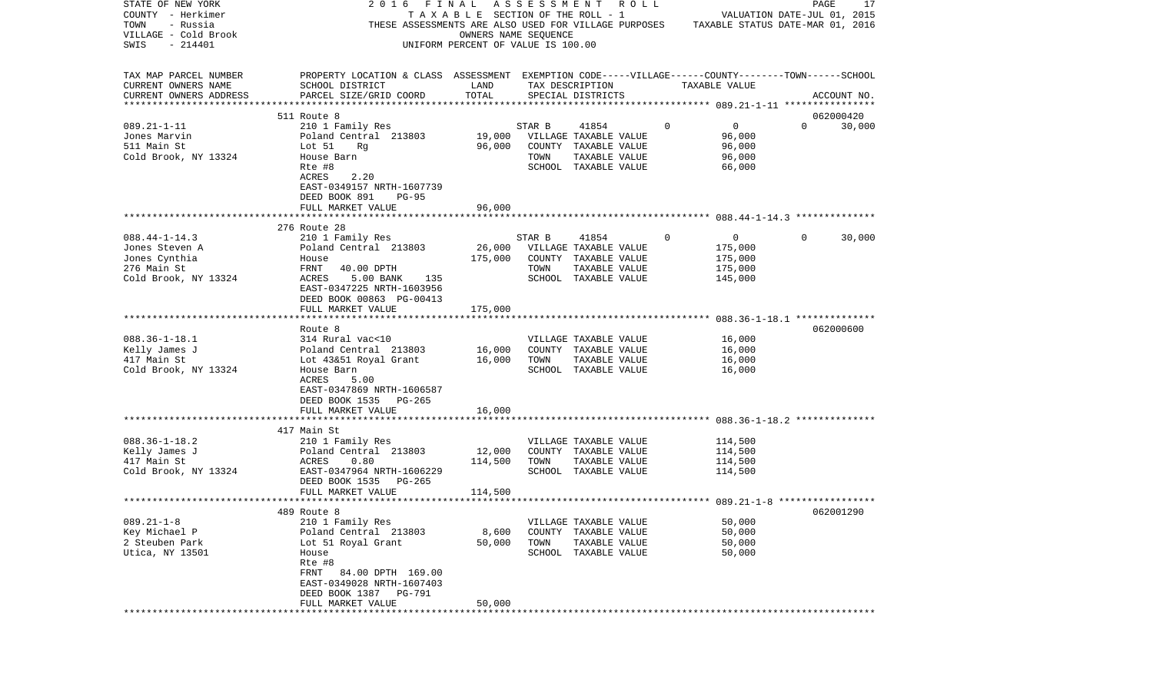| STATE OF NEW YORK         | 2016<br>FINAL                                                                                      |                                    |        | ASSESSMENT ROLL       |             |                                  |          | PAGE        | 17     |
|---------------------------|----------------------------------------------------------------------------------------------------|------------------------------------|--------|-----------------------|-------------|----------------------------------|----------|-------------|--------|
| COUNTY - Herkimer         |                                                                                                    | TAXABLE SECTION OF THE ROLL - 1    |        |                       |             | VALUATION DATE-JUL 01, 2015      |          |             |        |
| TOWN<br>- Russia          | THESE ASSESSMENTS ARE ALSO USED FOR VILLAGE PURPOSES                                               |                                    |        |                       |             | TAXABLE STATUS DATE-MAR 01, 2016 |          |             |        |
| VILLAGE - Cold Brook      |                                                                                                    | OWNERS NAME SEQUENCE               |        |                       |             |                                  |          |             |        |
| SWIS<br>$-214401$         |                                                                                                    | UNIFORM PERCENT OF VALUE IS 100.00 |        |                       |             |                                  |          |             |        |
|                           |                                                                                                    |                                    |        |                       |             |                                  |          |             |        |
|                           |                                                                                                    |                                    |        |                       |             |                                  |          |             |        |
| TAX MAP PARCEL NUMBER     | PROPERTY LOCATION & CLASS ASSESSMENT EXEMPTION CODE-----VILLAGE------COUNTY-------TOWN------SCHOOL |                                    |        |                       |             |                                  |          |             |        |
| CURRENT OWNERS NAME       | SCHOOL DISTRICT                                                                                    | LAND                               |        | TAX DESCRIPTION       |             | TAXABLE VALUE                    |          |             |        |
| CURRENT OWNERS ADDRESS    | PARCEL SIZE/GRID COORD                                                                             | TOTAL                              |        | SPECIAL DISTRICTS     |             |                                  |          | ACCOUNT NO. |        |
| ************************* |                                                                                                    |                                    |        |                       |             |                                  |          |             |        |
|                           | 511 Route 8                                                                                        |                                    |        |                       |             |                                  |          | 062000420   |        |
| $089.21 - 1 - 11$         | 210 1 Family Res                                                                                   |                                    | STAR B | 41854                 | $\mathbf 0$ | $\mathbf 0$                      | $\Omega$ |             | 30,000 |
| Jones Marvin              | Poland Central 213803                                                                              | 19,000                             |        | VILLAGE TAXABLE VALUE |             | 96,000                           |          |             |        |
| 511 Main St               | Lot 51<br>Rq                                                                                       | 96,000                             |        | COUNTY TAXABLE VALUE  |             | 96,000                           |          |             |        |
| Cold Brook, NY 13324      | House Barn                                                                                         |                                    | TOWN   | TAXABLE VALUE         |             | 96,000                           |          |             |        |
|                           | Rte #8                                                                                             |                                    |        | SCHOOL TAXABLE VALUE  |             | 66,000                           |          |             |        |
|                           | ACRES<br>2.20                                                                                      |                                    |        |                       |             |                                  |          |             |        |
|                           | EAST-0349157 NRTH-1607739                                                                          |                                    |        |                       |             |                                  |          |             |        |
|                           | DEED BOOK 891<br><b>PG-95</b>                                                                      |                                    |        |                       |             |                                  |          |             |        |
|                           | FULL MARKET VALUE                                                                                  | 96,000                             |        |                       |             |                                  |          |             |        |
|                           |                                                                                                    |                                    |        |                       |             |                                  |          |             |        |
|                           | 276 Route 28                                                                                       |                                    |        |                       |             |                                  |          |             |        |
| $088.44 - 1 - 14.3$       | 210 1 Family Res                                                                                   |                                    | STAR B | 41854                 | 0           | $\overline{0}$                   | $\Omega$ |             | 30,000 |
| Jones Steven A            | Poland Central 213803                                                                              | 26,000                             |        | VILLAGE TAXABLE VALUE |             | 175,000                          |          |             |        |
| Jones Cynthia             | House                                                                                              | 175,000                            |        | COUNTY TAXABLE VALUE  |             | 175,000                          |          |             |        |
| 276 Main St               | FRNT<br>40.00 DPTH                                                                                 |                                    | TOWN   | TAXABLE VALUE         |             | 175,000                          |          |             |        |
| Cold Brook, NY 13324      | <b>ACRES</b><br>5.00 BANK<br>135                                                                   |                                    |        | SCHOOL TAXABLE VALUE  |             | 145,000                          |          |             |        |
|                           | EAST-0347225 NRTH-1603956                                                                          |                                    |        |                       |             |                                  |          |             |        |
|                           | DEED BOOK 00863 PG-00413                                                                           |                                    |        |                       |             |                                  |          |             |        |
|                           | FULL MARKET VALUE                                                                                  | 175,000                            |        |                       |             |                                  |          |             |        |
|                           |                                                                                                    |                                    |        |                       |             |                                  |          |             |        |
|                           | Route 8                                                                                            |                                    |        |                       |             |                                  |          | 062000600   |        |
| $088.36 - 1 - 18.1$       | 314 Rural vac<10                                                                                   |                                    |        | VILLAGE TAXABLE VALUE |             | 16,000                           |          |             |        |
| Kelly James J             | Poland Central 213803                                                                              | 16,000                             |        | COUNTY TAXABLE VALUE  |             | 16,000                           |          |             |        |
| 417 Main St               | Lot 43&51 Royal Grant                                                                              | 16,000                             | TOWN   | TAXABLE VALUE         |             | 16,000                           |          |             |        |
| Cold Brook, NY 13324      | House Barn                                                                                         |                                    |        | SCHOOL TAXABLE VALUE  |             | 16,000                           |          |             |        |
|                           | <b>ACRES</b><br>5.00                                                                               |                                    |        |                       |             |                                  |          |             |        |
|                           | EAST-0347869 NRTH-1606587                                                                          |                                    |        |                       |             |                                  |          |             |        |
|                           | DEED BOOK 1535<br>PG-265                                                                           |                                    |        |                       |             |                                  |          |             |        |
|                           | FULL MARKET VALUE                                                                                  | 16,000                             |        |                       |             |                                  |          |             |        |
|                           | ***********************                                                                            | ********                           |        |                       |             |                                  |          |             |        |
|                           | 417 Main St                                                                                        |                                    |        |                       |             |                                  |          |             |        |
| $088.36 - 1 - 18.2$       | 210 1 Family Res                                                                                   |                                    |        | VILLAGE TAXABLE VALUE |             | 114,500                          |          |             |        |
| Kelly James J             | Poland Central 213803                                                                              | 12,000                             |        | COUNTY TAXABLE VALUE  |             | 114,500                          |          |             |        |
| 417 Main St               | ACRES<br>0.80                                                                                      | 114,500                            | TOWN   | TAXABLE VALUE         |             | 114,500                          |          |             |        |
| Cold Brook, NY 13324      | EAST-0347964 NRTH-1606229                                                                          |                                    |        | SCHOOL TAXABLE VALUE  |             | 114,500                          |          |             |        |
|                           | DEED BOOK 1535<br>PG-265                                                                           |                                    |        |                       |             |                                  |          |             |        |
|                           | FULL MARKET VALUE                                                                                  | 114,500                            |        |                       |             |                                  |          |             |        |
|                           |                                                                                                    |                                    |        |                       |             |                                  |          |             |        |
|                           | 489 Route 8                                                                                        |                                    |        |                       |             |                                  |          | 062001290   |        |
| $089.21 - 1 - 8$          | 210 1 Family Res                                                                                   |                                    |        | VILLAGE TAXABLE VALUE |             | 50,000                           |          |             |        |
| Key Michael P             | Poland Central 213803                                                                              | 8,600                              |        | COUNTY TAXABLE VALUE  |             | 50,000                           |          |             |        |
| 2 Steuben Park            | Lot 51 Royal Grant                                                                                 | 50,000                             | TOWN   | TAXABLE VALUE         |             | 50,000                           |          |             |        |
| Utica, NY 13501           | House                                                                                              |                                    |        | SCHOOL TAXABLE VALUE  |             | 50,000                           |          |             |        |
|                           | Rte #8                                                                                             |                                    |        |                       |             |                                  |          |             |        |
|                           | 84.00 DPTH 169.00<br>FRNT                                                                          |                                    |        |                       |             |                                  |          |             |        |
|                           | EAST-0349028 NRTH-1607403                                                                          |                                    |        |                       |             |                                  |          |             |        |
|                           | DEED BOOK 1387 PG-791                                                                              |                                    |        |                       |             |                                  |          |             |        |
|                           | FULL MARKET VALUE                                                                                  | 50,000                             |        |                       |             |                                  |          |             |        |
|                           |                                                                                                    |                                    |        |                       |             |                                  |          |             |        |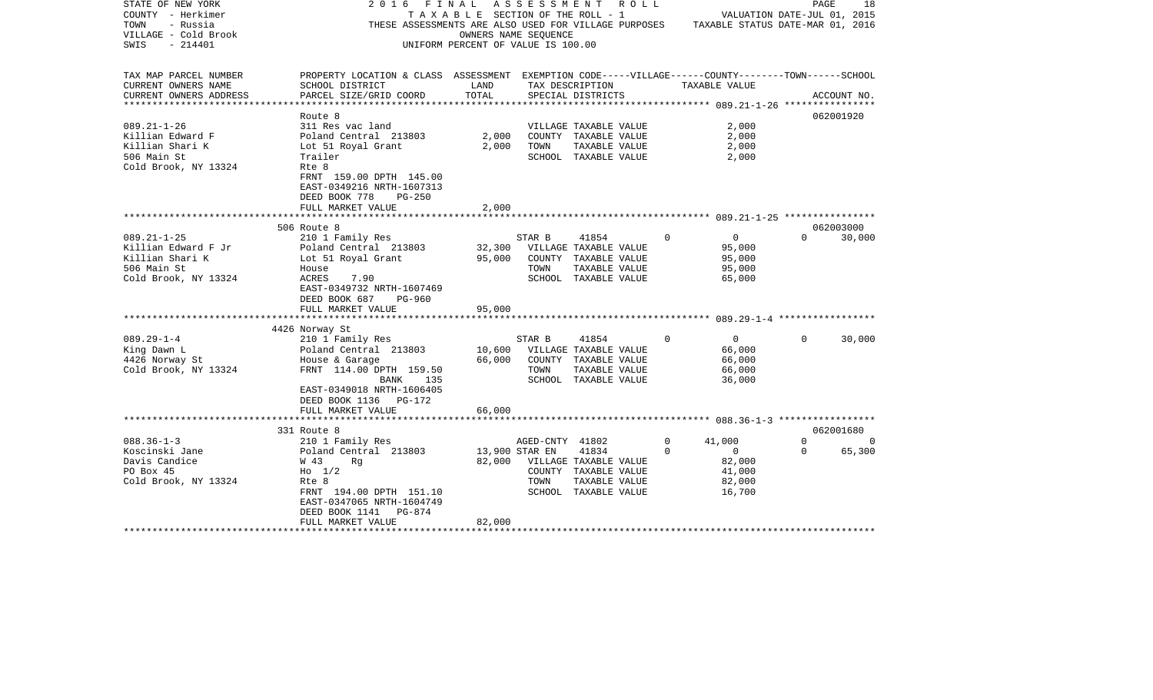| STATE OF NEW YORK      | 2016<br>F I N A L                                                                                  |                                    |                 | A S S E S S M E N T A O L L                                                           |             |                             |          | 18<br>PAGE    |
|------------------------|----------------------------------------------------------------------------------------------------|------------------------------------|-----------------|---------------------------------------------------------------------------------------|-------------|-----------------------------|----------|---------------|
| COUNTY - Herkimer      |                                                                                                    |                                    |                 | TAXABLE SECTION OF THE ROLL - 1                                                       |             | VALUATION DATE-JUL 01, 2015 |          |               |
| - Russia<br>TOWN       |                                                                                                    |                                    |                 | THESE ASSESSMENTS ARE ALSO USED FOR VILLAGE PURPOSES TAXABLE STATUS DATE-MAR 01, 2016 |             |                             |          |               |
| VILLAGE - Cold Brook   |                                                                                                    | OWNERS NAME SEQUENCE               |                 |                                                                                       |             |                             |          |               |
| $-214401$<br>SWIS      |                                                                                                    | UNIFORM PERCENT OF VALUE IS 100.00 |                 |                                                                                       |             |                             |          |               |
|                        |                                                                                                    |                                    |                 |                                                                                       |             |                             |          |               |
| TAX MAP PARCEL NUMBER  | PROPERTY LOCATION & CLASS ASSESSMENT EXEMPTION CODE-----VILLAGE------COUNTY-------TOWN------SCHOOL |                                    |                 |                                                                                       |             |                             |          |               |
| CURRENT OWNERS NAME    | SCHOOL DISTRICT                                                                                    | LAND                               |                 | TAX DESCRIPTION                                                                       |             | TAXABLE VALUE               |          |               |
| CURRENT OWNERS ADDRESS | PARCEL SIZE/GRID COORD                                                                             | TOTAL                              |                 | SPECIAL DISTRICTS                                                                     |             |                             |          | ACCOUNT NO.   |
|                        |                                                                                                    |                                    |                 |                                                                                       |             |                             |          |               |
|                        | Route 8                                                                                            |                                    |                 |                                                                                       |             |                             |          | 062001920     |
| $089.21 - 1 - 26$      | 311 Res vac land                                                                                   |                                    |                 | VILLAGE TAXABLE VALUE                                                                 |             | 2,000                       |          |               |
| Killian Edward F       | Poland Central 213803                                                                              | 2,000                              |                 | COUNTY TAXABLE VALUE                                                                  |             | 2,000                       |          |               |
| Killian Shari K        | Lot 51 Royal Grant 2,000                                                                           |                                    | TOWN            | TAXABLE VALUE                                                                         |             | 2,000                       |          |               |
| 506 Main St            | Trailer                                                                                            |                                    |                 | SCHOOL TAXABLE VALUE                                                                  |             | 2,000                       |          |               |
| Cold Brook, NY 13324   | Rte 8                                                                                              |                                    |                 |                                                                                       |             |                             |          |               |
|                        |                                                                                                    |                                    |                 |                                                                                       |             |                             |          |               |
|                        | FRNT 159.00 DPTH 145.00                                                                            |                                    |                 |                                                                                       |             |                             |          |               |
|                        | EAST-0349216 NRTH-1607313                                                                          |                                    |                 |                                                                                       |             |                             |          |               |
|                        | DEED BOOK 778<br>$PG-250$                                                                          |                                    |                 |                                                                                       |             |                             |          |               |
|                        | FULL MARKET VALUE                                                                                  | 2,000                              |                 |                                                                                       |             |                             |          |               |
|                        |                                                                                                    |                                    |                 |                                                                                       |             |                             |          |               |
|                        | 506 Route 8                                                                                        |                                    |                 |                                                                                       |             |                             |          | 062003000     |
| $089.21 - 1 - 25$      | 210 1 Family Res                                                                                   |                                    | STAR B          | 41854                                                                                 | $\mathbf 0$ | $\overline{0}$              |          | $0 \t 30,000$ |
| Killian Edward F Jr    | Poland Central 213803                                                                              |                                    |                 | 32,300 VILLAGE TAXABLE VALUE                                                          |             | 95,000                      |          |               |
| Killian Shari K        | Lot 51 Royal Grant                                                                                 | 95,000                             |                 | COUNTY TAXABLE VALUE                                                                  |             | 95,000                      |          |               |
| 506 Main St            | House                                                                                              |                                    | TOWN            | TAXABLE VALUE                                                                         |             | 95,000                      |          |               |
| Cold Brook, NY 13324   | ACRES<br>7.90                                                                                      |                                    |                 | SCHOOL TAXABLE VALUE                                                                  |             | 65,000                      |          |               |
|                        | EAST-0349732 NRTH-1607469                                                                          |                                    |                 |                                                                                       |             |                             |          |               |
|                        | DEED BOOK 687 PG-960                                                                               |                                    |                 |                                                                                       |             |                             |          |               |
|                        | FULL MARKET VALUE                                                                                  | 95,000                             |                 |                                                                                       |             |                             |          |               |
|                        |                                                                                                    |                                    |                 |                                                                                       |             |                             |          |               |
|                        | 4426 Norway St                                                                                     |                                    |                 |                                                                                       |             |                             |          |               |
| $089.29 - 1 - 4$       | 210 1 Family Res                                                                                   |                                    | STAR B          | 41854                                                                                 | $\Omega$    | $\overline{0}$              | $\Omega$ | 30,000        |
| King Dawn L            | 210 I Family Res<br>Poland Central 213803                                                          |                                    |                 | 10,600 VILLAGE TAXABLE VALUE                                                          |             | 66,000                      |          |               |
| 4426 Norway St         |                                                                                                    | 66,000                             |                 | COUNTY TAXABLE VALUE                                                                  |             | 66,000                      |          |               |
| Cold Brook, NY 13324   | House & Garage<br>FRNT  114.00 DPTH  159.50                                                        |                                    | TOWN            | TAXABLE VALUE                                                                         |             | 66,000                      |          |               |
|                        | 135<br>BANK                                                                                        |                                    |                 | SCHOOL TAXABLE VALUE                                                                  |             | 36,000                      |          |               |
|                        | EAST-0349018 NRTH-1606405                                                                          |                                    |                 |                                                                                       |             |                             |          |               |
|                        | DEED BOOK 1136 PG-172                                                                              |                                    |                 |                                                                                       |             |                             |          |               |
|                        | FULL MARKET VALUE                                                                                  | 66,000                             |                 |                                                                                       |             |                             |          |               |
|                        |                                                                                                    |                                    |                 |                                                                                       |             |                             |          |               |
|                        | 331 Route 8                                                                                        |                                    |                 |                                                                                       |             |                             |          | 062001680     |
| $088.36 - 1 - 3$       | 210 1 Family Res                                                                                   |                                    | AGED-CNTY 41802 |                                                                                       | $\Omega$    | 41,000                      | $\Omega$ | $\sim$ 0      |
| Koscinski Jane         | Poland Central 213803                                                                              | 13,900 STAR EN                     |                 | 41834                                                                                 | $\Omega$    | $\overline{0}$              | $\Omega$ | 65,300        |
| Davis Candice          | W 43<br>Rq                                                                                         |                                    |                 | 82,000 VILLAGE TAXABLE VALUE                                                          |             | 82,000                      |          |               |
| PO Box 45              | $H_0$ 1/2                                                                                          |                                    |                 | COUNTY TAXABLE VALUE                                                                  |             | 41,000                      |          |               |
| Cold Brook, NY 13324   | Rte 8                                                                                              |                                    | TOWN            | TAXABLE VALUE                                                                         |             | 82,000                      |          |               |
|                        | FRNT 194.00 DPTH 151.10                                                                            |                                    |                 | SCHOOL TAXABLE VALUE                                                                  |             | 16,700                      |          |               |
|                        | EAST-0347065 NRTH-1604749                                                                          |                                    |                 |                                                                                       |             |                             |          |               |
|                        | DEED BOOK 1141 PG-874                                                                              |                                    |                 |                                                                                       |             |                             |          |               |
|                        | FULL MARKET VALUE                                                                                  | 82,000                             |                 |                                                                                       |             |                             |          |               |
|                        |                                                                                                    |                                    |                 |                                                                                       |             |                             |          |               |
|                        |                                                                                                    |                                    |                 |                                                                                       |             |                             |          |               |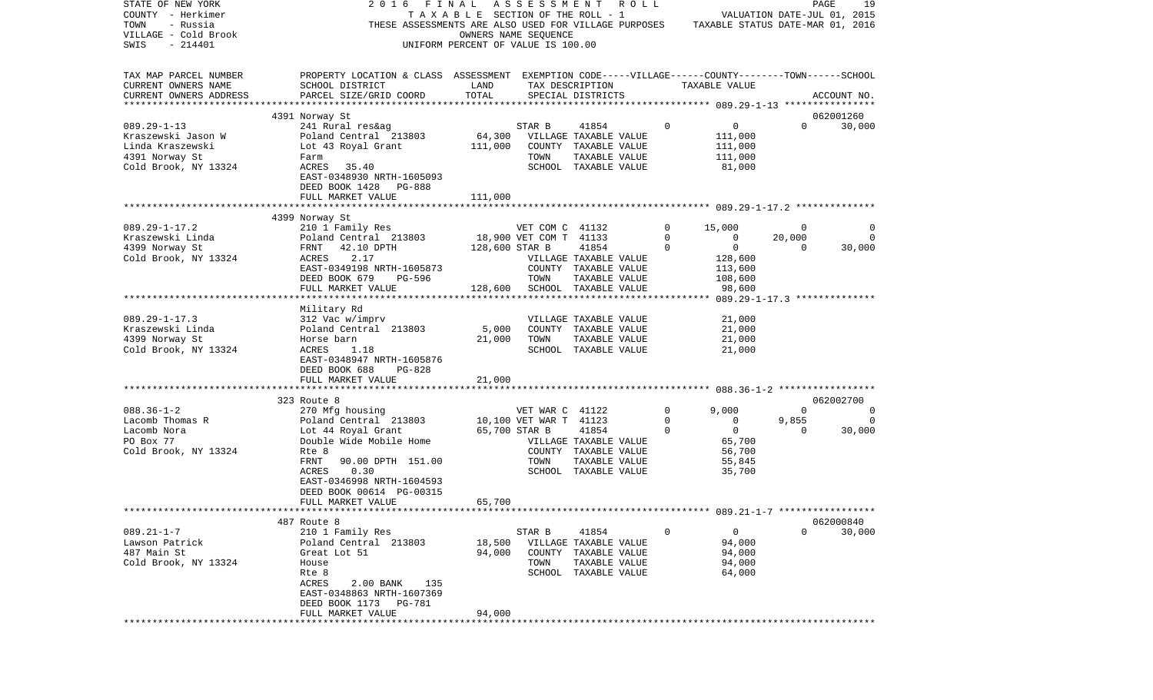| STATE OF NEW YORK                       | 2016<br>FINAL                                                                                      |                                       | ASSESSMENT             | R O L L                                       |              |                                  |                | PAGE<br>19     |  |
|-----------------------------------------|----------------------------------------------------------------------------------------------------|---------------------------------------|------------------------|-----------------------------------------------|--------------|----------------------------------|----------------|----------------|--|
| COUNTY - Herkimer                       |                                                                                                    | T A X A B L E SECTION OF THE ROLL - 1 |                        |                                               |              | VALUATION DATE-JUL 01, 2015      |                |                |  |
| TOWN<br>- Russia                        | THESE ASSESSMENTS ARE ALSO USED FOR VILLAGE PURPOSES                                               |                                       |                        |                                               |              | TAXABLE STATUS DATE-MAR 01, 2016 |                |                |  |
| VILLAGE - Cold Brook                    |                                                                                                    | OWNERS NAME SEQUENCE                  |                        |                                               |              |                                  |                |                |  |
| SWIS<br>$-214401$                       |                                                                                                    | UNIFORM PERCENT OF VALUE IS 100.00    |                        |                                               |              |                                  |                |                |  |
|                                         |                                                                                                    |                                       |                        |                                               |              |                                  |                |                |  |
| TAX MAP PARCEL NUMBER                   | PROPERTY LOCATION & CLASS ASSESSMENT EXEMPTION CODE-----VILLAGE------COUNTY-------TOWN------SCHOOL |                                       |                        |                                               |              |                                  |                |                |  |
| CURRENT OWNERS NAME                     | SCHOOL DISTRICT                                                                                    | LAND                                  |                        | TAX DESCRIPTION                               |              | TAXABLE VALUE                    |                |                |  |
| CURRENT OWNERS ADDRESS                  | PARCEL SIZE/GRID COORD                                                                             | TOTAL                                 |                        | SPECIAL DISTRICTS                             |              |                                  |                | ACCOUNT NO.    |  |
| ************************                |                                                                                                    |                                       |                        |                                               |              |                                  |                |                |  |
|                                         | 4391 Norway St                                                                                     |                                       |                        |                                               |              |                                  |                | 062001260      |  |
| $089.29 - 1 - 13$                       | 241 Rural res&ag                                                                                   |                                       | STAR B                 | 41854                                         | $\mathbf 0$  | 0                                | $\Omega$       | 30,000         |  |
| Kraszewski Jason W                      | Poland Central 213803                                                                              | 64,300                                |                        | VILLAGE TAXABLE VALUE                         |              | 111,000                          |                |                |  |
| Linda Kraszewski                        | Lot 43 Royal Grant                                                                                 | 111,000                               |                        | COUNTY TAXABLE VALUE                          |              | 111,000                          |                |                |  |
| 4391 Norway St                          | Farm                                                                                               |                                       | TOWN                   | TAXABLE VALUE                                 |              | 111,000                          |                |                |  |
| Cold Brook, NY 13324                    | 35.40<br>ACRES                                                                                     |                                       |                        | SCHOOL TAXABLE VALUE                          |              | 81,000                           |                |                |  |
|                                         | EAST-0348930 NRTH-1605093                                                                          |                                       |                        |                                               |              |                                  |                |                |  |
|                                         | DEED BOOK 1428<br>PG-888                                                                           |                                       |                        |                                               |              |                                  |                |                |  |
|                                         | FULL MARKET VALUE                                                                                  | 111,000                               |                        |                                               |              |                                  |                |                |  |
|                                         |                                                                                                    |                                       |                        |                                               |              |                                  |                |                |  |
|                                         | 4399 Norway St                                                                                     |                                       |                        |                                               |              |                                  |                |                |  |
| $089.29 - 1 - 17.2$                     | 210 1 Family Res                                                                                   |                                       | VET COM C 41132        |                                               | $\mathbf{0}$ | 15,000                           | $\overline{0}$ | 0              |  |
| Kraszewski Linda                        | Poland Central 213803                                                                              |                                       | 18,900 VET COM T 41133 |                                               | $\mathbf 0$  | $\mathbf 0$                      | 20,000         | 0              |  |
| 4399 Norway St                          | 42.10 DPTH<br>FRNT                                                                                 | 128,600 STAR B                        |                        | 41854                                         | 0            | $\mathbf 0$                      | $\overline{0}$ | 30,000         |  |
| Cold Brook, NY 13324                    | 2.17<br>ACRES                                                                                      |                                       |                        | VILLAGE TAXABLE VALUE                         |              | 128,600                          |                |                |  |
|                                         | EAST-0349198 NRTH-1605873                                                                          |                                       |                        | COUNTY TAXABLE VALUE                          |              | 113,600                          |                |                |  |
|                                         | DEED BOOK 679<br>PG-596                                                                            |                                       | TOWN                   | TAXABLE VALUE                                 |              | 108,600                          |                |                |  |
|                                         | FULL MARKET VALUE<br>***************************                                                   | 128,600                               |                        | SCHOOL TAXABLE VALUE                          |              | 98,600                           |                |                |  |
|                                         |                                                                                                    |                                       |                        |                                               |              |                                  |                |                |  |
|                                         | Military Rd                                                                                        |                                       |                        |                                               |              |                                  |                |                |  |
| $089.29 - 1 - 17.3$<br>Kraszewski Linda | 312 Vac w/imprv<br>Poland Central 213803                                                           | 5,000                                 |                        | VILLAGE TAXABLE VALUE<br>COUNTY TAXABLE VALUE |              | 21,000<br>21,000                 |                |                |  |
| 4399 Norway St                          | Horse barn                                                                                         | 21,000                                | TOWN                   | TAXABLE VALUE                                 |              | 21,000                           |                |                |  |
| Cold Brook, NY 13324                    | ACRES<br>1.18                                                                                      |                                       |                        | SCHOOL TAXABLE VALUE                          |              | 21,000                           |                |                |  |
|                                         | EAST-0348947 NRTH-1605876                                                                          |                                       |                        |                                               |              |                                  |                |                |  |
|                                         | DEED BOOK 688<br>PG-828                                                                            |                                       |                        |                                               |              |                                  |                |                |  |
|                                         | FULL MARKET VALUE                                                                                  | 21,000                                |                        |                                               |              |                                  |                |                |  |
|                                         | *************************                                                                          |                                       |                        |                                               |              |                                  |                |                |  |
|                                         | 323 Route 8                                                                                        |                                       |                        |                                               |              |                                  |                | 062002700      |  |
| $088.36 - 1 - 2$                        | 270 Mfg housing                                                                                    |                                       | VET WAR C 41122        |                                               | $\mathbf{0}$ | 9,000                            | $\overline{0}$ | $\overline{0}$ |  |
| Lacomb Thomas R                         | Poland Central 213803                                                                              |                                       | 10,100 VET WAR T 41123 |                                               | 0            | 0                                | 9,855          | 0              |  |
| Lacomb Nora                             | Lot 44 Royal Grant                                                                                 | 65,700 STAR B                         |                        | 41854                                         | 0            | $\mathbf 0$                      | $\mathbf 0$    | 30,000         |  |
| PO Box 77                               | Double Wide Mobile Home                                                                            |                                       |                        | VILLAGE TAXABLE VALUE                         |              | 65,700                           |                |                |  |
| Cold Brook, NY 13324                    | Rte 8                                                                                              |                                       |                        | COUNTY TAXABLE VALUE                          |              | 56,700                           |                |                |  |
|                                         | FRNT<br>90.00 DPTH 151.00                                                                          |                                       | TOWN                   | TAXABLE VALUE                                 |              | 55,845                           |                |                |  |
|                                         | 0.30<br>ACRES                                                                                      |                                       |                        | SCHOOL TAXABLE VALUE                          |              | 35,700                           |                |                |  |
|                                         | EAST-0346998 NRTH-1604593                                                                          |                                       |                        |                                               |              |                                  |                |                |  |
|                                         | DEED BOOK 00614 PG-00315                                                                           |                                       |                        |                                               |              |                                  |                |                |  |
|                                         | FULL MARKET VALUE                                                                                  | 65,700                                |                        |                                               |              |                                  |                |                |  |
|                                         |                                                                                                    |                                       |                        |                                               |              |                                  |                |                |  |
|                                         | 487 Route 8                                                                                        |                                       |                        |                                               |              |                                  |                | 062000840      |  |
| $089.21 - 1 - 7$                        | 210 1 Family Res                                                                                   |                                       | STAR B                 | 41854                                         | 0            | 0                                | 0              | 30,000         |  |
| Lawson Patrick                          | Poland Central 213803                                                                              | 18,500                                |                        | VILLAGE TAXABLE VALUE                         |              | 94,000                           |                |                |  |
| 487 Main St                             | Great Lot 51                                                                                       | 94,000                                | COUNTY                 | TAXABLE VALUE                                 |              | 94,000                           |                |                |  |
| Cold Brook, NY 13324                    | House                                                                                              |                                       | TOWN                   | TAXABLE VALUE                                 |              | 94,000                           |                |                |  |
|                                         | Rte 8                                                                                              |                                       | SCHOOL                 | TAXABLE VALUE                                 |              | 64,000                           |                |                |  |
|                                         | ACRES<br>2.00 BANK<br>135                                                                          |                                       |                        |                                               |              |                                  |                |                |  |
|                                         | EAST-0348863 NRTH-1607369                                                                          |                                       |                        |                                               |              |                                  |                |                |  |
|                                         | DEED BOOK 1173<br>PG-781                                                                           |                                       |                        |                                               |              |                                  |                |                |  |
|                                         | FULL MARKET VALUE                                                                                  | 94,000                                |                        |                                               |              |                                  |                |                |  |
|                                         | *************************                                                                          | *********************                 |                        |                                               |              |                                  |                |                |  |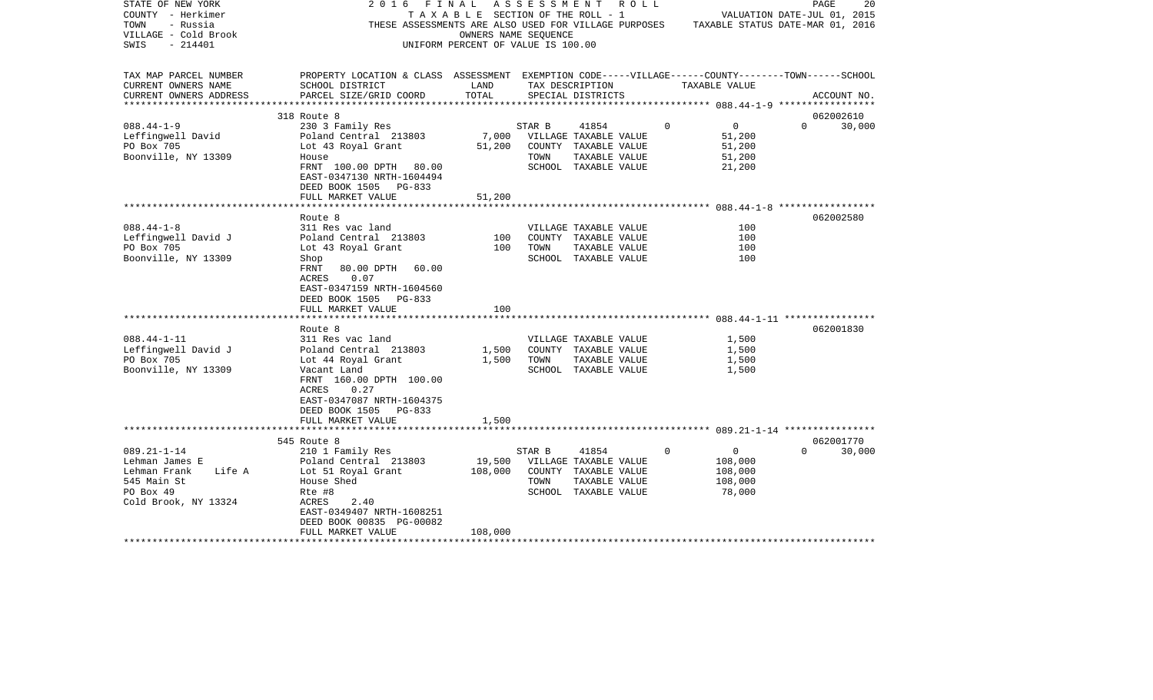| STATE OF NEW YORK<br>COUNTY - Herkimer<br>TOWN<br>- Russia<br>VILLAGE - Cold Brook<br>- 214401<br>SWIS            | 2016<br>F I N A L<br>THESE ASSESSMENTS ARE ALSO USED FOR VILLAGE PURPOSES TAXABLE STATUS DATE-MAR 01, 2016                                                        | OWNERS NAME SEQUENCE<br>UNIFORM PERCENT OF VALUE IS 100.00 |                | A S S E S S M E N T A O L L<br>TAXABLE SECTION OF THE ROLL - 1                                  |             |                                                           | PAGE<br>VALUATION DATE-JUL 01, 2015 | 20     |
|-------------------------------------------------------------------------------------------------------------------|-------------------------------------------------------------------------------------------------------------------------------------------------------------------|------------------------------------------------------------|----------------|-------------------------------------------------------------------------------------------------|-------------|-----------------------------------------------------------|-------------------------------------|--------|
| TAX MAP PARCEL NUMBER<br>CURRENT OWNERS NAME<br>CURRENT OWNERS ADDRESS<br>**********************                  | PROPERTY LOCATION & CLASS ASSESSMENT EXEMPTION CODE-----VILLAGE------COUNTY-------TOWN------SCHOOL<br>SCHOOL DISTRICT<br>PARCEL SIZE/GRID COORD                   | LAND<br>TOTAL                                              |                | TAX DESCRIPTION<br>SPECIAL DISTRICTS                                                            |             | TAXABLE VALUE                                             | ACCOUNT NO.                         |        |
|                                                                                                                   | 318 Route 8                                                                                                                                                       |                                                            |                |                                                                                                 |             |                                                           | 062002610                           |        |
| $088.44 - 1 - 9$                                                                                                  | 230 3 Family Res                                                                                                                                                  |                                                            | STAR B         | 41854                                                                                           | $\mathbf 0$ | $\overline{0}$                                            | $\Omega$                            | 30,000 |
| Leffingwell David<br>PO Box 705                                                                                   | Poland Central 213803<br>Lot 43 Royal Grant                                                                                                                       | 7,000<br>51,200                                            |                | VILLAGE TAXABLE VALUE<br>COUNTY TAXABLE VALUE                                                   |             | 51,200<br>51,200                                          |                                     |        |
| Boonville, NY 13309                                                                                               | House<br>FRNT 100.00 DPTH 80.00<br>EAST-0347130 NRTH-1604494<br>DEED BOOK 1505 PG-833                                                                             |                                                            | TOWN           | TAXABLE VALUE<br>SCHOOL TAXABLE VALUE                                                           |             | 51,200<br>21,200                                          |                                     |        |
|                                                                                                                   | FULL MARKET VALUE                                                                                                                                                 | 51,200                                                     |                |                                                                                                 |             |                                                           |                                     |        |
|                                                                                                                   |                                                                                                                                                                   |                                                            |                |                                                                                                 |             |                                                           |                                     |        |
| $088.44 - 1 - 8$                                                                                                  | Route 8<br>311 Res vac land                                                                                                                                       |                                                            |                | VILLAGE TAXABLE VALUE                                                                           |             | 100                                                       | 062002580                           |        |
| Leffingwell David J                                                                                               | Poland Central 213803                                                                                                                                             | 100                                                        |                | COUNTY TAXABLE VALUE                                                                            |             | 100                                                       |                                     |        |
| PO Box 705                                                                                                        | Lot 43 Royal Grant                                                                                                                                                | 100                                                        | TOWN           | TAXABLE VALUE                                                                                   |             | 100                                                       |                                     |        |
| Boonville, NY 13309                                                                                               | Shop                                                                                                                                                              |                                                            |                | SCHOOL TAXABLE VALUE                                                                            |             | 100                                                       |                                     |        |
|                                                                                                                   | FRNT<br>80.00 DPTH 60.00<br>ACRES 0.07<br>EAST-0347159 NRTH-1604560<br>DEED BOOK 1505 PG-833                                                                      |                                                            |                |                                                                                                 |             |                                                           |                                     |        |
|                                                                                                                   | FULL MARKET VALUE                                                                                                                                                 | 100                                                        |                |                                                                                                 |             |                                                           |                                     |        |
|                                                                                                                   | Route 8                                                                                                                                                           |                                                            |                |                                                                                                 |             |                                                           | 062001830                           |        |
| $088.44 - 1 - 11$                                                                                                 | 311 Res vac land                                                                                                                                                  |                                                            |                | VILLAGE TAXABLE VALUE                                                                           |             | 1,500                                                     |                                     |        |
| Leffingwell David J                                                                                               | Poland Central 213803                                                                                                                                             | 1,500                                                      |                | COUNTY TAXABLE VALUE                                                                            |             | 1,500                                                     |                                     |        |
| PO Box 705                                                                                                        | Lot 44 Royal Grant                                                                                                                                                | 1,500                                                      | TOWN           | TAXABLE VALUE                                                                                   |             | 1,500                                                     |                                     |        |
| Boonville, NY 13309                                                                                               | Vacant Land<br>FRNT 160.00 DPTH 100.00<br>0.27<br>ACRES<br>EAST-0347087 NRTH-1604375<br>DEED BOOK 1505 PG-833<br>FULL MARKET VALUE                                | 1,500                                                      |                | SCHOOL TAXABLE VALUE                                                                            |             | 1,500                                                     |                                     |        |
|                                                                                                                   |                                                                                                                                                                   |                                                            |                |                                                                                                 |             |                                                           |                                     |        |
|                                                                                                                   | 545 Route 8                                                                                                                                                       |                                                            |                |                                                                                                 |             |                                                           | 062001770                           |        |
| $089.21 - 1 - 14$<br>Lehman James E<br>Lehman Frank<br>Life A<br>545 Main St<br>PO Box 49<br>Cold Brook, NY 13324 | 210 1 Family Res<br>Poland Central 213803<br>Lot 51 Royal Grant<br>House Shed<br>Rte #8<br>ACRES<br>2.40<br>EAST-0349407 NRTH-1608251<br>DEED BOOK 00835 PG-00082 | 19,500<br>108,000                                          | STAR B<br>TOWN | 41854<br>VILLAGE TAXABLE VALUE<br>COUNTY TAXABLE VALUE<br>TAXABLE VALUE<br>SCHOOL TAXABLE VALUE | $\Omega$    | $\overline{0}$<br>108,000<br>108,000<br>108,000<br>78,000 | $\Omega$                            | 30,000 |
|                                                                                                                   | FULL MARKET VALUE                                                                                                                                                 | 108,000                                                    |                |                                                                                                 |             |                                                           |                                     |        |
|                                                                                                                   |                                                                                                                                                                   |                                                            |                |                                                                                                 |             |                                                           |                                     |        |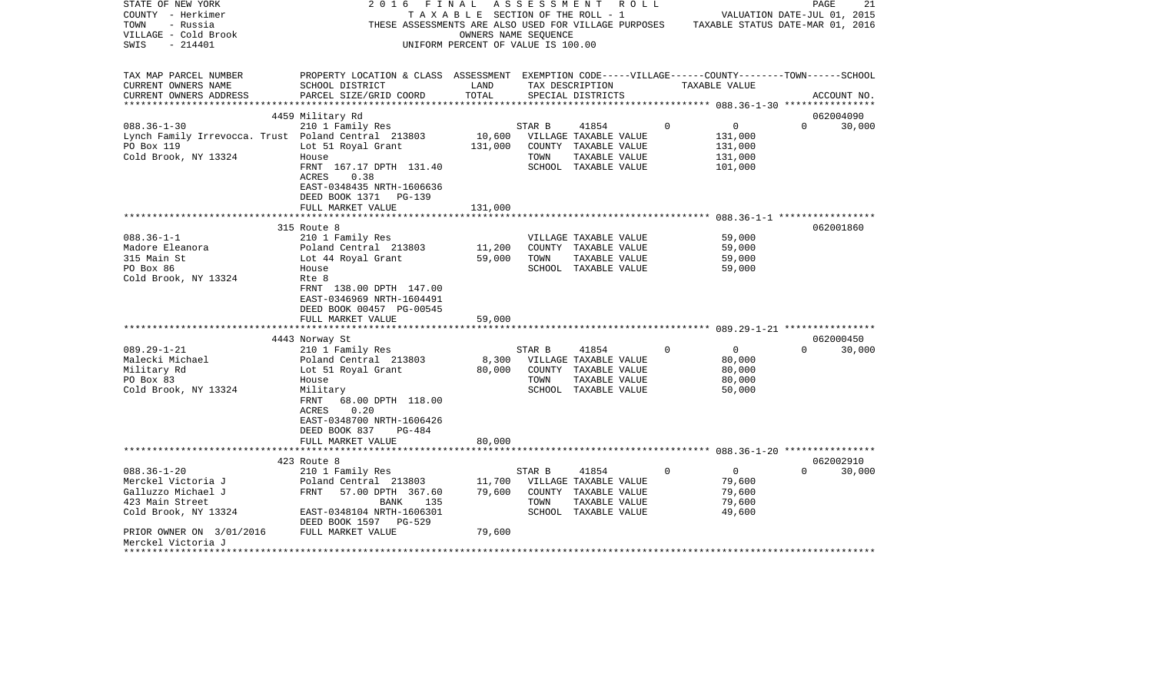| STATE OF NEW YORK<br>COUNTY - Herkimer<br>TOWN<br>- Russia<br>VILLAGE - Cold Brook<br>$-214401$<br>SWIS                                                                             | 2016<br>FINAL<br>THESE ASSESSMENTS ARE ALSO USED FOR VILLAGE PURPOSES                                                                                                                                                                                                                                                                                                                          | TAXABLE SECTION OF THE ROLL - 1<br>OWNERS NAME SEQUENCE<br>UNIFORM PERCENT OF VALUE IS 100.00 |                        | ASSESSMENT ROLL                                                                                                                                                                           |          | VALUATION DATE-JUL 01, 2015<br>TAXABLE STATUS DATE-MAR 01, 2016                                | PAGE     | 21                               |
|-------------------------------------------------------------------------------------------------------------------------------------------------------------------------------------|------------------------------------------------------------------------------------------------------------------------------------------------------------------------------------------------------------------------------------------------------------------------------------------------------------------------------------------------------------------------------------------------|-----------------------------------------------------------------------------------------------|------------------------|-------------------------------------------------------------------------------------------------------------------------------------------------------------------------------------------|----------|------------------------------------------------------------------------------------------------|----------|----------------------------------|
| TAX MAP PARCEL NUMBER<br>CURRENT OWNERS NAME<br>CURRENT OWNERS ADDRESS<br>**********************                                                                                    | PROPERTY LOCATION & CLASS ASSESSMENT EXEMPTION CODE-----VILLAGE------COUNTY-------TOWN------SCHOOL<br>SCHOOL DISTRICT<br>PARCEL SIZE/GRID COORD                                                                                                                                                                                                                                                | LAND<br>TOTAL                                                                                 |                        | TAX DESCRIPTION<br>SPECIAL DISTRICTS                                                                                                                                                      |          | TAXABLE VALUE                                                                                  |          | ACCOUNT NO.                      |
|                                                                                                                                                                                     | 4459 Military Rd                                                                                                                                                                                                                                                                                                                                                                               |                                                                                               |                        |                                                                                                                                                                                           |          |                                                                                                |          | 062004090                        |
| $088.36 - 1 - 30$<br>Lynch Family Irrevocca. Trust Poland Central 213803<br>PO Box 119<br>Cold Brook, NY 13324                                                                      | 210 1 Family Res<br>Lot 51 Royal Grant<br>House<br>FRNT 167.17 DPTH 131.40<br>ACRES<br>0.38<br>EAST-0348435 NRTH-1606636<br>DEED BOOK 1371<br>PG-139                                                                                                                                                                                                                                           | 10,600<br>131,000                                                                             | STAR B<br>TOWN         | 41854<br>VILLAGE TAXABLE VALUE<br>COUNTY TAXABLE VALUE<br>TAXABLE VALUE<br>SCHOOL TAXABLE VALUE                                                                                           | $\Omega$ | $\overline{0}$<br>131,000<br>131,000<br>131,000<br>101,000                                     | $\Omega$ | 30,000                           |
|                                                                                                                                                                                     | FULL MARKET VALUE                                                                                                                                                                                                                                                                                                                                                                              | 131,000                                                                                       |                        |                                                                                                                                                                                           |          |                                                                                                |          |                                  |
|                                                                                                                                                                                     |                                                                                                                                                                                                                                                                                                                                                                                                |                                                                                               |                        |                                                                                                                                                                                           |          |                                                                                                |          |                                  |
| $088.36 - 1 - 1$<br>Madore Eleanora<br>315 Main St<br>PO Box 86<br>Cold Brook, NY 13324<br>$089.29 - 1 - 21$<br>Malecki Michael<br>Military Rd<br>PO Box 83<br>Cold Brook, NY 13324 | 315 Route 8<br>210 1 Family Res<br>Poland Central 213803<br>Lot 44 Royal Grant<br>House<br>Rte 8<br>FRNT 138.00 DPTH 147.00<br>EAST-0346969 NRTH-1604491<br>DEED BOOK 00457 PG-00545<br>FULL MARKET VALUE<br>4443 Norway St<br>210 1 Family Res<br>Poland Central 213803<br>Lot 51 Royal Grant<br>House<br>Military<br>FRNT<br>68.00 DPTH 118.00<br>0.20<br>ACRES<br>EAST-0348700 NRTH-1606426 | 11,200<br>59,000<br>59,000<br>8,300<br>80,000                                                 | TOWN<br>STAR B<br>TOWN | VILLAGE TAXABLE VALUE<br>COUNTY TAXABLE VALUE<br>TAXABLE VALUE<br>SCHOOL TAXABLE VALUE<br>41854<br>VILLAGE TAXABLE VALUE<br>COUNTY TAXABLE VALUE<br>TAXABLE VALUE<br>SCHOOL TAXABLE VALUE | $\Omega$ | 59,000<br>59,000<br>59,000<br>59,000<br>$\overline{0}$<br>80,000<br>80,000<br>80,000<br>50,000 | $\Omega$ | 062001860<br>062000450<br>30,000 |
|                                                                                                                                                                                     | DEED BOOK 837<br>PG-484<br>FULL MARKET VALUE                                                                                                                                                                                                                                                                                                                                                   | 80,000                                                                                        |                        |                                                                                                                                                                                           |          |                                                                                                |          |                                  |
|                                                                                                                                                                                     |                                                                                                                                                                                                                                                                                                                                                                                                |                                                                                               |                        |                                                                                                                                                                                           |          |                                                                                                |          |                                  |
| $088.36 - 1 - 20$<br>Merckel Victoria J<br>Galluzzo Michael J<br>423 Main Street<br>Cold Brook, NY 13324<br>PRIOR OWNER ON 3/01/2016 FULL MARKET VALUE                              | 423 Route 8<br>210 1 Family Res<br>Poland Central 213803<br>FRNT<br>57.00 DPTH 367.60<br>BANK<br>135<br>EAST-0348104 NRTH-1606301<br>DEED BOOK 1597 PG-529                                                                                                                                                                                                                                     | 11,700<br>79,600<br>79,600                                                                    | STAR B<br>TOWN         | 41854<br>VILLAGE TAXABLE VALUE<br>COUNTY TAXABLE VALUE<br>TAXABLE VALUE<br>SCHOOL TAXABLE VALUE                                                                                           | $\Omega$ | $\overline{0}$<br>79,600<br>79,600<br>79,600<br>49,600                                         | $\Omega$ | 062002910<br>30,000              |
| Merckel Victoria J<br>*******************                                                                                                                                           |                                                                                                                                                                                                                                                                                                                                                                                                |                                                                                               |                        |                                                                                                                                                                                           |          |                                                                                                |          |                                  |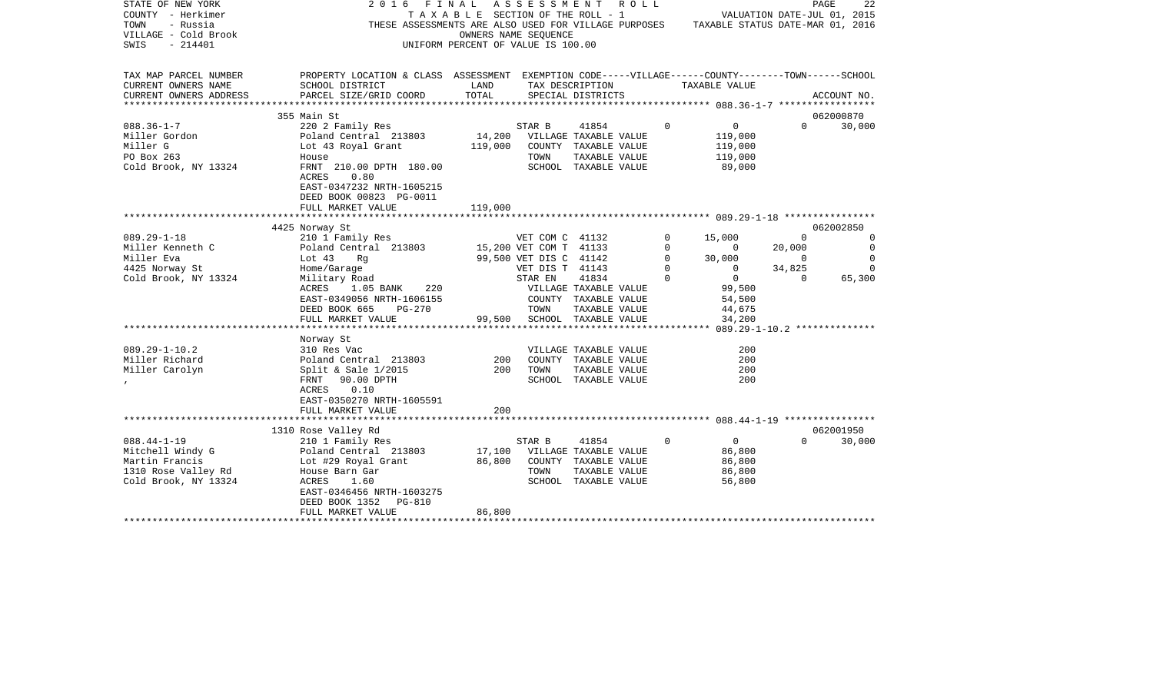| STATE OF NEW YORK<br>COUNTY - Herkimer<br>TOWN<br>- Russia<br>VILLAGE - Cold Brook<br>$-214401$<br>SWIS | 2016<br>FINAL                                                                                                                | T A X A B L E SECTION OF THE ROLL - 1<br>UNIFORM PERCENT OF VALUE IS 100.00 | A S S E S S M E N T<br>OWNERS NAME SEQUENCE | R O L L<br>THESE ASSESSMENTS ARE ALSO USED FOR VILLAGE PURPOSES TAXABLE STATUS DATE-MAR 01, 2016 |             | VALUATION DATE-JUL 01, 2015 |                | 22<br>PAGE          |
|---------------------------------------------------------------------------------------------------------|------------------------------------------------------------------------------------------------------------------------------|-----------------------------------------------------------------------------|---------------------------------------------|--------------------------------------------------------------------------------------------------|-------------|-----------------------------|----------------|---------------------|
| TAX MAP PARCEL NUMBER<br>CURRENT OWNERS NAME                                                            | PROPERTY LOCATION & CLASS ASSESSMENT EXEMPTION CODE-----VILLAGE------COUNTY-------TOWN------SCHOOL<br>SCHOOL DISTRICT        | LAND                                                                        |                                             | TAX DESCRIPTION                                                                                  |             | TAXABLE VALUE               |                |                     |
| CURRENT OWNERS ADDRESS                                                                                  | PARCEL SIZE/GRID COORD                                                                                                       | TOTAL                                                                       |                                             | SPECIAL DISTRICTS                                                                                |             |                             |                | ACCOUNT NO.         |
|                                                                                                         |                                                                                                                              |                                                                             |                                             |                                                                                                  |             |                             |                |                     |
| $088.36 - 1 - 7$                                                                                        | 355 Main St<br>220 2 Family Res                                                                                              |                                                                             | STAR B                                      | 41854                                                                                            | $\Omega$    | $\overline{0}$              | $\Omega$       | 062000870<br>30,000 |
| Miller Gordon                                                                                           | Poland Central 213803                                                                                                        | 14,200                                                                      |                                             | VILLAGE TAXABLE VALUE                                                                            |             | 119,000                     |                |                     |
| Miller G                                                                                                | Lot 43 Royal Grant                                                                                                           | 119,000                                                                     |                                             | COUNTY TAXABLE VALUE                                                                             |             | 119,000                     |                |                     |
| PO Box 263                                                                                              | House                                                                                                                        |                                                                             | TOWN                                        | TAXABLE VALUE                                                                                    |             | 119,000                     |                |                     |
| Cold Brook, NY 13324                                                                                    | FRNT 210.00 DPTH 180.00<br><b>ACRES</b><br>0.80<br>EAST-0347232 NRTH-1605215<br>DEED BOOK 00823 PG-0011<br>FULL MARKET VALUE | 119,000                                                                     |                                             | SCHOOL TAXABLE VALUE                                                                             |             | 89,000                      |                |                     |
|                                                                                                         |                                                                                                                              |                                                                             |                                             |                                                                                                  |             |                             |                |                     |
|                                                                                                         | 4425 Norway St                                                                                                               |                                                                             |                                             |                                                                                                  |             |                             |                | 062002850           |
| $089.29 - 1 - 18$                                                                                       | 210 1 Family Res                                                                                                             |                                                                             | VET COM C 41132                             |                                                                                                  | $\mathbf 0$ | 15,000                      | $\mathbf 0$    | $\mathbf 0$         |
| Miller Kenneth C                                                                                        | Poland Central 213803                                                                                                        | 15,200 VET COM T 41133                                                      |                                             |                                                                                                  | 0           | $\mathbf{0}$                | 20,000         | $\circ$             |
| Miller Eva                                                                                              | Lot $43$<br>Rq                                                                                                               |                                                                             | 99,500 VET DIS C 41142                      |                                                                                                  | $\mathbf 0$ | 30,000                      | $\overline{0}$ | $\mathbf 0$         |
| 4425 Norway St                                                                                          | Home/Garage                                                                                                                  |                                                                             | VET DIS T 41143                             |                                                                                                  | 0           | $\overline{0}$              | 34,825         | $\Omega$            |
| Cold Brook, NY 13324                                                                                    | Military Road                                                                                                                |                                                                             | STAR EN                                     | 41834                                                                                            | $\Omega$    | $\overline{0}$              | $\Omega$       | 65,300              |
|                                                                                                         | 1.05 BANK 220<br>ACRES                                                                                                       |                                                                             |                                             | VILLAGE TAXABLE VALUE                                                                            |             | 99,500                      |                |                     |
|                                                                                                         | EAST-0349056 NRTH-1606155<br>DEED BOOK 665<br>PG-270                                                                         |                                                                             | TOWN                                        | COUNTY TAXABLE VALUE<br>TAXABLE VALUE                                                            |             | 54,500<br>44,675            |                |                     |
|                                                                                                         | FULL MARKET VALUE                                                                                                            |                                                                             |                                             | 99,500 SCHOOL TAXABLE VALUE                                                                      |             | 34,200                      |                |                     |
|                                                                                                         |                                                                                                                              |                                                                             |                                             |                                                                                                  |             |                             |                |                     |
|                                                                                                         | Norway St                                                                                                                    |                                                                             |                                             |                                                                                                  |             |                             |                |                     |
| $089.29 - 1 - 10.2$                                                                                     | 310 Res Vac                                                                                                                  |                                                                             |                                             | VILLAGE TAXABLE VALUE                                                                            |             | 200                         |                |                     |
| Miller Richard                                                                                          | Poland Central 213803                                                                                                        | 200                                                                         |                                             | COUNTY TAXABLE VALUE                                                                             |             | 200                         |                |                     |
| Miller Carolyn                                                                                          | Split & Sale $1/2015$                                                                                                        | 200                                                                         | TOWN                                        | TAXABLE VALUE                                                                                    |             | 200                         |                |                     |
|                                                                                                         | FRNT<br>90.00 DPTH                                                                                                           |                                                                             |                                             | SCHOOL TAXABLE VALUE                                                                             |             | 200                         |                |                     |
|                                                                                                         | 0.10<br>ACRES                                                                                                                |                                                                             |                                             |                                                                                                  |             |                             |                |                     |
|                                                                                                         | EAST-0350270 NRTH-1605591                                                                                                    | 200                                                                         |                                             |                                                                                                  |             |                             |                |                     |
|                                                                                                         | FULL MARKET VALUE                                                                                                            |                                                                             |                                             |                                                                                                  |             |                             |                |                     |
|                                                                                                         | 1310 Rose Valley Rd                                                                                                          |                                                                             |                                             |                                                                                                  |             |                             |                | 062001950           |
| $088.44 - 1 - 19$                                                                                       | 210 1 Family Res                                                                                                             |                                                                             | STAR B                                      | 41854                                                                                            | $\Omega$    | $\overline{0}$              | $\Omega$       | 30,000              |
| Mitchell Windy G                                                                                        | Poland Central 213803                                                                                                        | 17,100                                                                      |                                             | VILLAGE TAXABLE VALUE                                                                            |             | 86,800                      |                |                     |
| Martin Francis                                                                                          | Lot #29 Royal Grant                                                                                                          | 86,800                                                                      |                                             | COUNTY TAXABLE VALUE                                                                             |             | 86,800                      |                |                     |
| 1310 Rose Valley Rd                                                                                     | House Barn Gar                                                                                                               |                                                                             | TOWN                                        | TAXABLE VALUE                                                                                    |             | 86,800                      |                |                     |
| Cold Brook, NY 13324                                                                                    | ACRES<br>1.60                                                                                                                |                                                                             |                                             | SCHOOL TAXABLE VALUE                                                                             |             | 56,800                      |                |                     |
|                                                                                                         | EAST-0346456 NRTH-1603275                                                                                                    |                                                                             |                                             |                                                                                                  |             |                             |                |                     |
|                                                                                                         | DEED BOOK 1352<br>PG-810                                                                                                     |                                                                             |                                             |                                                                                                  |             |                             |                |                     |
|                                                                                                         | FULL MARKET VALUE                                                                                                            | 86,800                                                                      |                                             |                                                                                                  |             |                             |                |                     |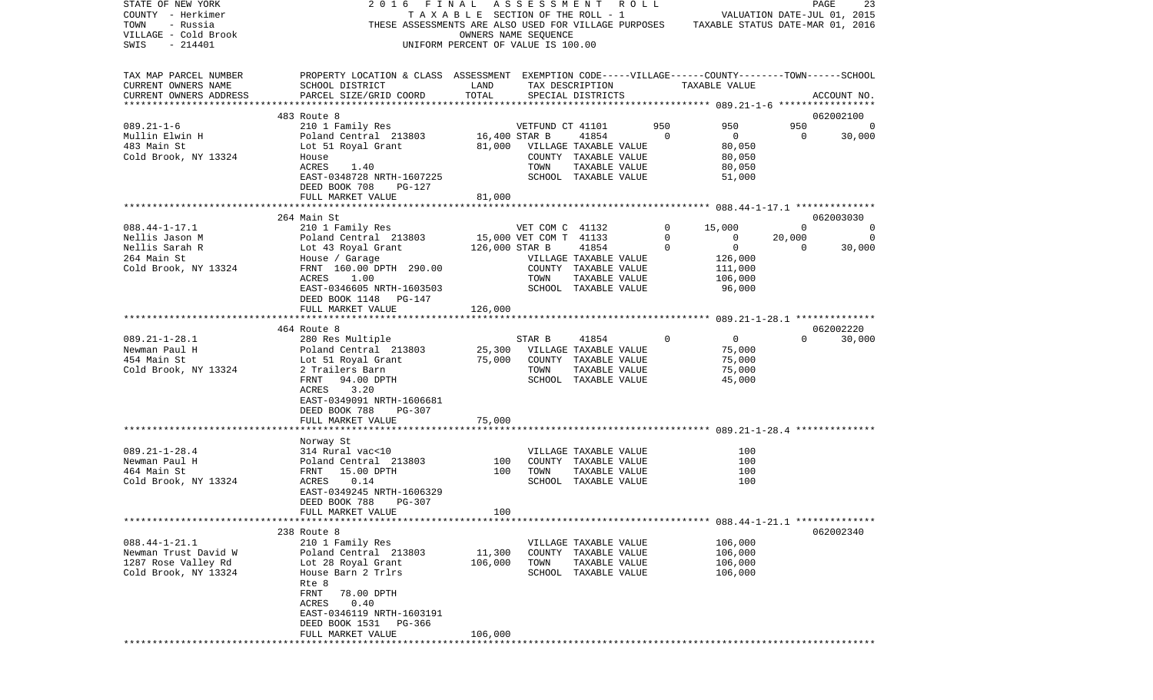| STATE OF NEW YORK<br>COUNTY - Herkimer<br>TOWN<br>- Russia<br>VILLAGE - Cold Brook<br>$-214401$<br>SWIS | 2016                                                                                                                                                                                                          | FINAL ASSESSMENT ROLL<br>TAXABLE SECTION OF THE ROLL - 1<br>UNIFORM PERCENT OF VALUE IS 100.00 | OWNERS NAME SEQUENCE                              |                                                                                                 |     | VALUATION DATE-JUL 01, 2015<br>THESE ASSESSMENTS ARE ALSO USED FOR VILLAGE PURPOSES TAXABLE STATUS DATE-MAR 01, 2016     |                                      | PAGE<br>23       |
|---------------------------------------------------------------------------------------------------------|---------------------------------------------------------------------------------------------------------------------------------------------------------------------------------------------------------------|------------------------------------------------------------------------------------------------|---------------------------------------------------|-------------------------------------------------------------------------------------------------|-----|--------------------------------------------------------------------------------------------------------------------------|--------------------------------------|------------------|
| TAX MAP PARCEL NUMBER<br>CURRENT OWNERS NAME<br>CURRENT OWNERS ADDRESS                                  | PROPERTY LOCATION & CLASS ASSESSMENT EXEMPTION CODE-----VILLAGE------COUNTY-------TOWN------SCHOOL<br>SCHOOL DISTRICT<br>PARCEL SIZE/GRID COORD                                                               | LAND<br>TOTAL                                                                                  |                                                   | TAX DESCRIPTION<br>SPECIAL DISTRICTS                                                            |     | TAXABLE VALUE                                                                                                            |                                      | ACCOUNT NO.      |
|                                                                                                         | 483 Route 8                                                                                                                                                                                                   |                                                                                                |                                                   |                                                                                                 |     |                                                                                                                          |                                      | 062002100        |
| $089.21 - 1 - 6$<br>Mullin Elwin H<br>483 Main St<br>Cold Brook, NY 13324                               | 210 1 Family Res<br>Poland Central 213803<br>Lot 51 Royal Grant 61,000 VILLAGE TAXABLE VALUE<br>House<br>ACRES<br>1.40<br>EAST-0348728 NRTH-1607225<br>DEED BOOK 708<br>PG-127<br>FULL MARKET VALUE           | 16,400 STAR B<br>81,000                                                                        | VETFUND CT 41101<br>TOWN                          | 41854<br>COUNTY TAXABLE VALUE<br>TAXABLE VALUE<br>SCHOOL TAXABLE VALUE                          | 950 | 950<br>$\circ$<br>$\overline{0}$<br>80,050<br>80,050<br>80,050<br>51,000                                                 | 950<br>$\overline{0}$                | 30,000           |
|                                                                                                         |                                                                                                                                                                                                               |                                                                                                |                                                   |                                                                                                 |     |                                                                                                                          |                                      |                  |
|                                                                                                         | 264 Main St                                                                                                                                                                                                   |                                                                                                |                                                   |                                                                                                 |     |                                                                                                                          |                                      | 062003030        |
| $088.44 - 1 - 17.1$<br>Nellis Jason M<br>Nellis Sarah R<br>264 Main St<br>Cold Brook, NY 13324          | 210 1 Family Res<br>Poland Central 213803<br>Lot 43 Royal Grant<br>House / Garage<br>FRNT 160.00 DPTH 290.00<br>ACRES<br>1.00<br>EAST-0346605 NRTH-1603503<br>DEED BOOK 1148 PG-147                           | 126,000 STAR B                                                                                 | VET COM C 41132<br>15,000 VET COM T 41133<br>TOWN | 41854<br>VILLAGE TAXABLE VALUE<br>COUNTY TAXABLE VALUE<br>TAXABLE VALUE<br>SCHOOL TAXABLE VALUE |     | 0<br>15,000<br>$\mathbf 0$<br>$\overline{0}$<br>$\mathbf 0$<br>$\overline{0}$<br>126,000<br>111,000<br>106,000<br>96,000 | $\Omega$<br>20,000<br>$\overline{0}$ | 0<br>0<br>30,000 |
|                                                                                                         | FULL MARKET VALUE                                                                                                                                                                                             | 126,000                                                                                        |                                                   |                                                                                                 |     |                                                                                                                          |                                      |                  |
|                                                                                                         |                                                                                                                                                                                                               |                                                                                                |                                                   |                                                                                                 |     |                                                                                                                          |                                      |                  |
|                                                                                                         | 464 Route 8                                                                                                                                                                                                   |                                                                                                |                                                   |                                                                                                 |     |                                                                                                                          |                                      | 062002220        |
| $089.21 - 1 - 28.1$<br>Newman Paul H<br>454 Main St<br>Cold Brook, NY 13324                             | 280 Res Multiple<br>Poland Central 213803<br>Lot 51 Royal Grant 75,000<br>2 Trailers Barn<br>FRNT<br>94.00 DPTH<br>ACRES<br>3.20<br>EAST-0349091 NRTH-1606681<br>DEED BOOK 788<br>PG-307                      | 25,300                                                                                         | STAR B<br>VILLAGE TAXABLE VALUE<br>TOWN           | 41854<br>COUNTY TAXABLE VALUE<br>TAXABLE VALUE<br>SCHOOL TAXABLE VALUE                          |     | $\Omega$<br>$\overline{0}$<br>75,000<br>75,000<br>75,000<br>45,000                                                       | $\Omega$                             | 30,000           |
|                                                                                                         | FULL MARKET VALUE                                                                                                                                                                                             | 75,000                                                                                         |                                                   |                                                                                                 |     |                                                                                                                          |                                      |                  |
|                                                                                                         |                                                                                                                                                                                                               |                                                                                                |                                                   |                                                                                                 |     |                                                                                                                          |                                      |                  |
| $089.21 - 1 - 28.4$<br>Newman Paul H<br>464 Main St<br>Cold Brook, NY 13324                             | Norway St<br>314 Rural vac<10<br>Poland Central 213803<br>FRNT 15.00 DPTH<br>0.14<br>ACRES<br>EAST-0349245 NRTH-1606329<br>DEED BOOK 788<br>PG-307<br>FULL MARKET VALUE                                       | 100<br>100<br>100                                                                              | TOWN                                              | VILLAGE TAXABLE VALUE<br>COUNTY TAXABLE VALUE<br>TAXABLE VALUE<br>SCHOOL TAXABLE VALUE          |     | 100<br>100<br>100<br>100                                                                                                 |                                      |                  |
|                                                                                                         |                                                                                                                                                                                                               |                                                                                                |                                                   |                                                                                                 |     |                                                                                                                          |                                      |                  |
| $088.44 - 1 - 21.1$<br>Newman Trust David W<br>1287 Rose Valley Rd<br>Cold Brook, NY 13324              | 238 Route 8<br>210 1 Family Res<br>Poland Central 213803<br>Lot 28 Royal Grant<br>House Barn 2 Trlrs<br>Rte 8<br>FRNT<br>78.00 DPTH<br>0.40<br>ACRES<br>EAST-0346119 NRTH-1603191<br>DEED BOOK 1531<br>PG-366 | 11,300<br>106,000                                                                              | TOWN                                              | VILLAGE TAXABLE VALUE<br>COUNTY TAXABLE VALUE<br>TAXABLE VALUE<br>SCHOOL TAXABLE VALUE          |     | 106,000<br>106,000<br>106,000<br>106,000                                                                                 |                                      | 062002340        |
|                                                                                                         | FULL MARKET VALUE                                                                                                                                                                                             | 106,000                                                                                        |                                                   |                                                                                                 |     |                                                                                                                          |                                      |                  |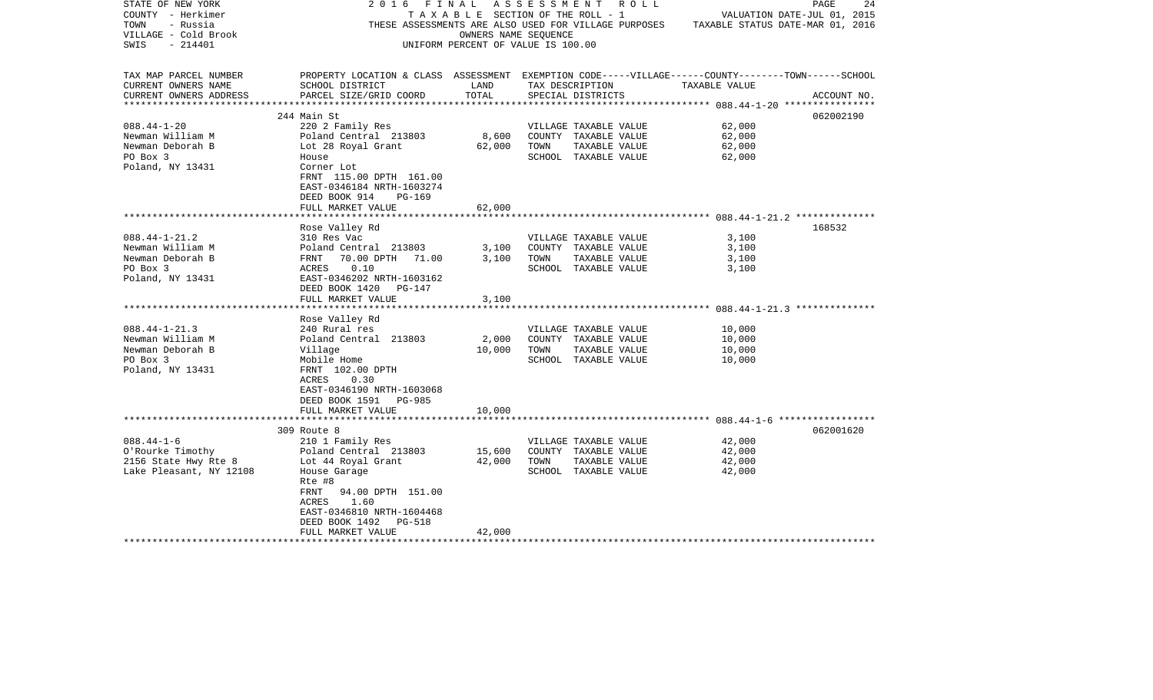| STATE OF NEW YORK       | 2016                                                                                               | FINAL                                 | ASSESSMENT | R O L L               |                                                                                       | PAGE<br>24                  |
|-------------------------|----------------------------------------------------------------------------------------------------|---------------------------------------|------------|-----------------------|---------------------------------------------------------------------------------------|-----------------------------|
| COUNTY - Herkimer       |                                                                                                    | T A X A B L E SECTION OF THE ROLL - 1 |            |                       |                                                                                       | VALUATION DATE-JUL 01, 2015 |
| TOWN<br>- Russia        |                                                                                                    |                                       |            |                       | THESE ASSESSMENTS ARE ALSO USED FOR VILLAGE PURPOSES TAXABLE STATUS DATE-MAR 01, 2016 |                             |
| VILLAGE - Cold Brook    |                                                                                                    | OWNERS NAME SEOUENCE                  |            |                       |                                                                                       |                             |
| - 214401<br>SWIS        |                                                                                                    | UNIFORM PERCENT OF VALUE IS 100.00    |            |                       |                                                                                       |                             |
|                         |                                                                                                    |                                       |            |                       |                                                                                       |                             |
|                         |                                                                                                    |                                       |            |                       |                                                                                       |                             |
| TAX MAP PARCEL NUMBER   | PROPERTY LOCATION & CLASS ASSESSMENT EXEMPTION CODE-----VILLAGE------COUNTY-------TOWN------SCHOOL |                                       |            |                       |                                                                                       |                             |
| CURRENT OWNERS NAME     | SCHOOL DISTRICT                                                                                    | LAND                                  |            | TAX DESCRIPTION       | TAXABLE VALUE                                                                         |                             |
| CURRENT OWNERS ADDRESS  | PARCEL SIZE/GRID COORD                                                                             | TOTAL                                 |            | SPECIAL DISTRICTS     |                                                                                       | ACCOUNT NO.                 |
| **********************  |                                                                                                    |                                       |            |                       |                                                                                       |                             |
|                         | 244 Main St                                                                                        |                                       |            |                       |                                                                                       | 062002190                   |
| $088.44 - 1 - 20$       | 220 2 Family Res                                                                                   |                                       |            | VILLAGE TAXABLE VALUE | 62,000                                                                                |                             |
| Newman William M        | Poland Central 213803                                                                              | 8,600                                 |            | COUNTY TAXABLE VALUE  | 62,000                                                                                |                             |
| Newman Deborah B        | Lot 28 Royal Grant                                                                                 | 62,000                                | TOWN       | TAXABLE VALUE         | 62,000                                                                                |                             |
| PO Box 3                | House                                                                                              |                                       |            | SCHOOL TAXABLE VALUE  | 62,000                                                                                |                             |
| Poland, NY 13431        | Corner Lot                                                                                         |                                       |            |                       |                                                                                       |                             |
|                         | FRNT 115.00 DPTH 161.00                                                                            |                                       |            |                       |                                                                                       |                             |
|                         | EAST-0346184 NRTH-1603274                                                                          |                                       |            |                       |                                                                                       |                             |
|                         | DEED BOOK 914<br>PG-169                                                                            |                                       |            |                       |                                                                                       |                             |
|                         | FULL MARKET VALUE                                                                                  | 62,000                                |            |                       |                                                                                       |                             |
|                         |                                                                                                    |                                       |            |                       |                                                                                       |                             |
|                         | Rose Valley Rd                                                                                     |                                       |            |                       |                                                                                       | 168532                      |
| $088.44 - 1 - 21.2$     | 310 Res Vac                                                                                        |                                       |            | VILLAGE TAXABLE VALUE | 3,100                                                                                 |                             |
| Newman William M        | Poland Central 213803                                                                              | 3,100                                 |            | COUNTY TAXABLE VALUE  | 3,100                                                                                 |                             |
| Newman Deborah B        | 70.00 DPTH 71.00<br>FRNT                                                                           | 3,100                                 | TOWN       | TAXABLE VALUE         | 3,100                                                                                 |                             |
| PO Box 3                | 0.10<br>ACRES                                                                                      |                                       |            | SCHOOL TAXABLE VALUE  | 3,100                                                                                 |                             |
| Poland, NY 13431        | EAST-0346202 NRTH-1603162                                                                          |                                       |            |                       |                                                                                       |                             |
|                         | DEED BOOK 1420<br>PG-147                                                                           |                                       |            |                       |                                                                                       |                             |
|                         | FULL MARKET VALUE                                                                                  | 3,100                                 |            |                       |                                                                                       |                             |
|                         |                                                                                                    |                                       |            |                       |                                                                                       |                             |
|                         | Rose Valley Rd                                                                                     |                                       |            |                       |                                                                                       |                             |
| $088.44 - 1 - 21.3$     | 240 Rural res                                                                                      |                                       |            | VILLAGE TAXABLE VALUE | 10,000                                                                                |                             |
| Newman William M        | Poland Central 213803                                                                              | 2,000                                 |            | COUNTY TAXABLE VALUE  | 10,000                                                                                |                             |
| Newman Deborah B        | Village                                                                                            | 10,000                                | TOWN       | TAXABLE VALUE         | 10,000                                                                                |                             |
| PO Box 3                | Mobile Home                                                                                        |                                       |            | SCHOOL TAXABLE VALUE  | 10,000                                                                                |                             |
| Poland, NY 13431        | FRNT 102.00 DPTH                                                                                   |                                       |            |                       |                                                                                       |                             |
|                         | ACRES                                                                                              |                                       |            |                       |                                                                                       |                             |
|                         | 0.30                                                                                               |                                       |            |                       |                                                                                       |                             |
|                         | EAST-0346190 NRTH-1603068                                                                          |                                       |            |                       |                                                                                       |                             |
|                         | DEED BOOK 1591 PG-985                                                                              |                                       |            |                       |                                                                                       |                             |
|                         | FULL MARKET VALUE                                                                                  | 10,000                                |            |                       |                                                                                       |                             |
|                         |                                                                                                    |                                       |            |                       |                                                                                       |                             |
|                         | 309 Route 8                                                                                        |                                       |            |                       |                                                                                       | 062001620                   |
| $088.44 - 1 - 6$        | 210 1 Family Res                                                                                   |                                       |            | VILLAGE TAXABLE VALUE | 42,000                                                                                |                             |
| O'Rourke Timothy        | Poland Central 213803                                                                              | 15,600                                |            | COUNTY TAXABLE VALUE  | 42,000                                                                                |                             |
| 2156 State Hwy Rte 8    | Lot 44 Royal Grant                                                                                 | 42,000                                | TOWN       | TAXABLE VALUE         | 42,000                                                                                |                             |
| Lake Pleasant, NY 12108 | House Garage                                                                                       |                                       |            | SCHOOL TAXABLE VALUE  | 42,000                                                                                |                             |
|                         | Rte #8                                                                                             |                                       |            |                       |                                                                                       |                             |
|                         | FRNT<br>94.00 DPTH 151.00                                                                          |                                       |            |                       |                                                                                       |                             |
|                         | 1.60<br>ACRES                                                                                      |                                       |            |                       |                                                                                       |                             |
|                         | EAST-0346810 NRTH-1604468                                                                          |                                       |            |                       |                                                                                       |                             |
|                         | DEED BOOK 1492<br>PG-518                                                                           |                                       |            |                       |                                                                                       |                             |
|                         | FULL MARKET VALUE                                                                                  | 42,000                                |            |                       |                                                                                       |                             |
|                         |                                                                                                    |                                       |            |                       |                                                                                       |                             |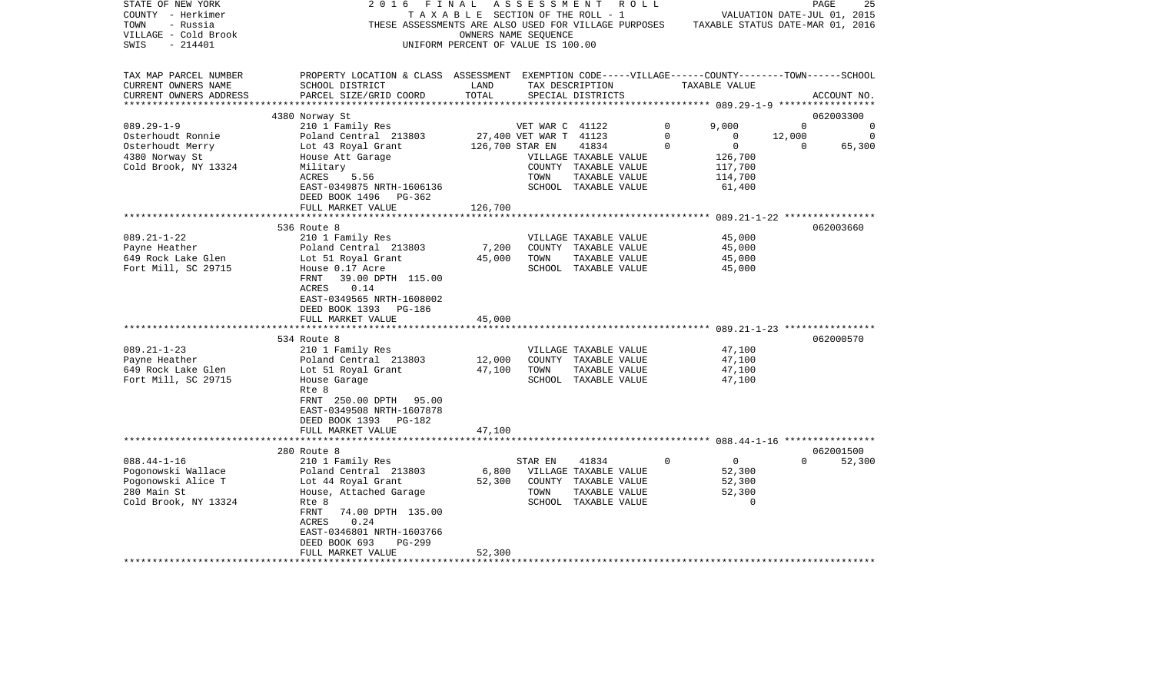| STATE OF NEW YORK<br>COUNTY - Herkimer<br>TOWN<br>- Russia<br>VILLAGE - Cold Brook<br>$-214401$<br>SWIS | 2016<br>THESE ASSESSMENTS ARE ALSO USED FOR VILLAGE PURPOSES                                       | FINAL<br>TAXABLE SECTION OF THE ROLL - 1<br>UNIFORM PERCENT OF VALUE IS 100.00 | A S S E S S M E N T<br>OWNERS NAME SEQUENCE | R O L L               |             | TAXABLE STATUS DATE-MAR 01, 2016 |          | 25<br>PAGE<br>VALUATION DATE-JUL 01, 2015 |
|---------------------------------------------------------------------------------------------------------|----------------------------------------------------------------------------------------------------|--------------------------------------------------------------------------------|---------------------------------------------|-----------------------|-------------|----------------------------------|----------|-------------------------------------------|
| TAX MAP PARCEL NUMBER                                                                                   | PROPERTY LOCATION & CLASS ASSESSMENT EXEMPTION CODE-----VILLAGE------COUNTY-------TOWN------SCHOOL |                                                                                |                                             |                       |             |                                  |          |                                           |
| CURRENT OWNERS NAME<br>CURRENT OWNERS ADDRESS                                                           | SCHOOL DISTRICT<br>PARCEL SIZE/GRID COORD                                                          | LAND<br>TOTAL                                                                  | TAX DESCRIPTION                             | SPECIAL DISTRICTS     |             | TAXABLE VALUE                    |          | ACCOUNT NO.                               |
|                                                                                                         | 4380 Norway St                                                                                     |                                                                                |                                             |                       |             |                                  |          | 062003300                                 |
| $089.29 - 1 - 9$                                                                                        | 210 1 Family Res                                                                                   |                                                                                | VET WAR C 41122                             |                       | 0           | 9,000                            | $\Omega$ | $\Omega$                                  |
| Osterhoudt Ronnie                                                                                       | Poland Central 213803                                                                              |                                                                                | 27,400 VET WAR T 41123                      |                       | $\mathbf 0$ | $\mathbf 0$                      | 12,000   | 0                                         |
| Osterhoudt Merry                                                                                        | Lot 43 Royal Grant                                                                                 |                                                                                | 126,700 STAR EN                             | 41834                 | $\Omega$    | $\mathbf 0$                      | $\Omega$ | 65,300                                    |
| 4380 Norway St                                                                                          | House Att Garage                                                                                   |                                                                                |                                             | VILLAGE TAXABLE VALUE |             | 126,700                          |          |                                           |
| Cold Brook, NY 13324                                                                                    | Military                                                                                           |                                                                                |                                             | COUNTY TAXABLE VALUE  |             | 117,700                          |          |                                           |
|                                                                                                         | ACRES<br>5.56                                                                                      |                                                                                | TOWN                                        | TAXABLE VALUE         |             | 114,700                          |          |                                           |
|                                                                                                         | EAST-0349875 NRTH-1606136<br>DEED BOOK 1496                                                        |                                                                                |                                             | SCHOOL TAXABLE VALUE  |             | 61,400                           |          |                                           |
|                                                                                                         | PG-362<br>FULL MARKET VALUE                                                                        | 126,700                                                                        |                                             |                       |             |                                  |          |                                           |
|                                                                                                         |                                                                                                    |                                                                                |                                             |                       |             |                                  |          |                                           |
|                                                                                                         | 536 Route 8                                                                                        |                                                                                |                                             |                       |             |                                  |          | 062003660                                 |
| $089.21 - 1 - 22$                                                                                       | 210 1 Family Res                                                                                   |                                                                                |                                             | VILLAGE TAXABLE VALUE |             | 45,000                           |          |                                           |
| Payne Heather                                                                                           | Poland Central 213803                                                                              | 7,200                                                                          |                                             | COUNTY TAXABLE VALUE  |             | 45,000                           |          |                                           |
| 649 Rock Lake Glen                                                                                      | Lot 51 Royal Grant                                                                                 | 45,000                                                                         | TOWN                                        | TAXABLE VALUE         |             | 45,000                           |          |                                           |
| Fort Mill, SC 29715                                                                                     | House 0.17 Acre                                                                                    |                                                                                |                                             | SCHOOL TAXABLE VALUE  |             | 45,000                           |          |                                           |
|                                                                                                         | 39.00 DPTH 115.00<br>FRNT                                                                          |                                                                                |                                             |                       |             |                                  |          |                                           |
|                                                                                                         | ACRES<br>0.14                                                                                      |                                                                                |                                             |                       |             |                                  |          |                                           |
|                                                                                                         | EAST-0349565 NRTH-1608002<br>DEED BOOK 1393 PG-186                                                 |                                                                                |                                             |                       |             |                                  |          |                                           |
|                                                                                                         | FULL MARKET VALUE                                                                                  | 45,000                                                                         |                                             |                       |             |                                  |          |                                           |
|                                                                                                         | **********<br>**************                                                                       | *************                                                                  |                                             |                       |             |                                  |          |                                           |
|                                                                                                         | 534 Route 8                                                                                        |                                                                                |                                             |                       |             |                                  |          | 062000570                                 |
| $089.21 - 1 - 23$                                                                                       | 210 1 Family Res                                                                                   |                                                                                |                                             | VILLAGE TAXABLE VALUE |             | 47,100                           |          |                                           |
| Payne Heather                                                                                           | Poland Central 213803                                                                              | 12,000                                                                         |                                             | COUNTY TAXABLE VALUE  |             | 47,100                           |          |                                           |
| 649 Rock Lake Glen                                                                                      | Lot 51 Royal Grant                                                                                 | 47,100                                                                         | TOWN                                        | TAXABLE VALUE         |             | 47,100                           |          |                                           |
| Fort Mill, SC 29715                                                                                     | House Garage                                                                                       |                                                                                |                                             | SCHOOL TAXABLE VALUE  |             | 47,100                           |          |                                           |
|                                                                                                         | Rte 8                                                                                              |                                                                                |                                             |                       |             |                                  |          |                                           |
|                                                                                                         | FRNT 250.00 DPTH 95.00<br>EAST-0349508 NRTH-1607878                                                |                                                                                |                                             |                       |             |                                  |          |                                           |
|                                                                                                         | DEED BOOK 1393 PG-182                                                                              |                                                                                |                                             |                       |             |                                  |          |                                           |
|                                                                                                         | FULL MARKET VALUE                                                                                  | 47,100                                                                         |                                             |                       |             |                                  |          |                                           |
|                                                                                                         |                                                                                                    |                                                                                |                                             |                       |             |                                  |          |                                           |
|                                                                                                         | 280 Route 8                                                                                        |                                                                                |                                             |                       |             |                                  |          | 062001500                                 |
| $088.44 - 1 - 16$                                                                                       | 210 1 Family Res                                                                                   |                                                                                | STAR EN                                     | 41834                 | $\Omega$    | $\overline{0}$                   | $\Omega$ | 52,300                                    |
| Pogonowski Wallace                                                                                      | Poland Central 213803                                                                              | 6,800                                                                          |                                             | VILLAGE TAXABLE VALUE |             | 52,300                           |          |                                           |
| Pogonowski Alice T                                                                                      | Lot 44 Royal Grant                                                                                 | 52,300                                                                         |                                             | COUNTY TAXABLE VALUE  |             | 52,300                           |          |                                           |
| 280 Main St                                                                                             | House, Attached Garage                                                                             |                                                                                | TOWN                                        | TAXABLE VALUE         |             | 52,300                           |          |                                           |
| Cold Brook, NY 13324                                                                                    | Rte 8                                                                                              |                                                                                |                                             | SCHOOL TAXABLE VALUE  |             | 0                                |          |                                           |
|                                                                                                         | FRNT<br>74.00 DPTH 135.00<br>0.24<br>ACRES                                                         |                                                                                |                                             |                       |             |                                  |          |                                           |
|                                                                                                         | EAST-0346801 NRTH-1603766                                                                          |                                                                                |                                             |                       |             |                                  |          |                                           |
|                                                                                                         | DEED BOOK 693<br>$PG-299$                                                                          |                                                                                |                                             |                       |             |                                  |          |                                           |
|                                                                                                         | FULL MARKET VALUE                                                                                  | 52,300                                                                         |                                             |                       |             |                                  |          |                                           |
|                                                                                                         |                                                                                                    |                                                                                |                                             |                       |             |                                  |          |                                           |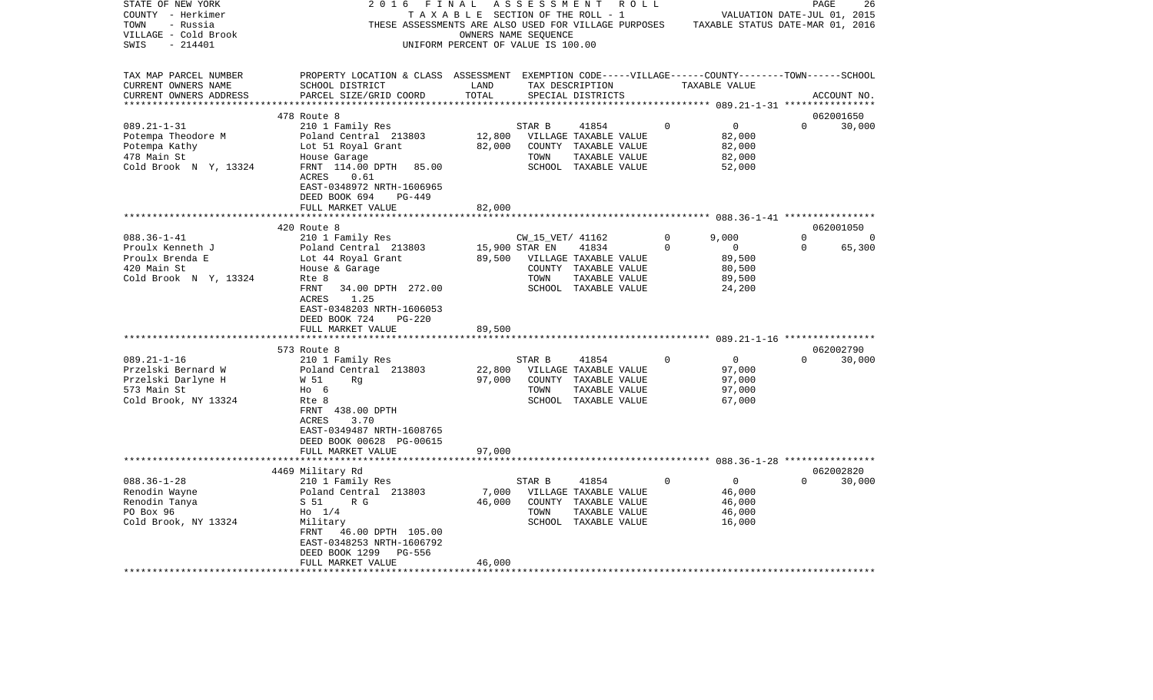| TAXABLE SECTION OF THE ROLL - 1<br>COUNTY - Herkimer<br>VALUATION DATE-JUL 01, 2015<br>TOWN<br>- Russia<br>THESE ASSESSMENTS ARE ALSO USED FOR VILLAGE PURPOSES<br>TAXABLE STATUS DATE-MAR 01, 2016<br>VILLAGE - Cold Brook<br>OWNERS NAME SEQUENCE<br>$-214401$<br>UNIFORM PERCENT OF VALUE IS 100.00<br>SWIS<br>ASSESSMENT EXEMPTION CODE-----VILLAGE------COUNTY-------TOWN------SCHOOL<br>TAX MAP PARCEL NUMBER<br>PROPERTY LOCATION & CLASS<br>CURRENT OWNERS NAME<br>SCHOOL DISTRICT<br>LAND<br>TAX DESCRIPTION<br>TAXABLE VALUE<br>TOTAL<br>CURRENT OWNERS ADDRESS<br>PARCEL SIZE/GRID COORD<br>SPECIAL DISTRICTS<br>ACCOUNT NO.<br>**********************<br>062001650<br>478 Route 8<br>$089.21 - 1 - 31$<br>210 1 Family Res<br>$\mathbf 0$<br>$\Omega$<br>STAR B<br>41854<br>0<br>30,000<br>Potempa Theodore M<br>Poland Central 213803<br>12,800<br>VILLAGE TAXABLE VALUE<br>82,000<br>82,000<br>82,000<br>Potempa Kathy<br>Lot 51 Royal Grant<br>COUNTY TAXABLE VALUE<br>478 Main St<br>House Garage<br>TOWN<br>TAXABLE VALUE<br>82,000<br>FRNT 114.00 DPTH<br>Cold Brook N Y, 13324<br>85.00<br>SCHOOL TAXABLE VALUE<br>52,000<br>ACRES<br>0.61<br>EAST-0348972 NRTH-1606965<br>DEED BOOK 694<br>PG-449<br>FULL MARKET VALUE<br>82,000<br>420 Route 8<br>062001050<br>$088.36 - 1 - 41$<br>210 1 Family Res<br>$\mathbf 0$<br>9,000<br>$\Omega$<br>CW_15_VET/ 41162<br>$\overline{0}$<br>15,900 STAR EN<br>$\Omega$<br>0<br>Proulx Kenneth J<br>Poland Central 213803<br>41834<br>$\Omega$<br>65,300<br>Proulx Brenda E<br>89,500<br>89,500<br>Lot 44 Royal Grant<br>VILLAGE TAXABLE VALUE<br>420 Main St<br>COUNTY TAXABLE VALUE<br>80,500<br>House & Garage<br>Cold Brook N Y, 13324<br>TOWN<br>TAXABLE VALUE<br>89,500<br>Rte 8<br>FRNT<br>34.00 DPTH 272.00<br>SCHOOL TAXABLE VALUE<br>24,200<br>1.25<br>ACRES<br>EAST-0348203 NRTH-1606053<br>DEED BOOK 724<br>$PG-220$<br>89,500<br>FULL MARKET VALUE<br>****************************<br>062002790<br>573 Route 8<br>$089.21 - 1 - 16$<br>210 1 Family Res<br>STAR B<br>41854<br>$\Omega$<br>0<br>$\Omega$<br>30,000<br>Przelski Bernard W<br>Poland Central 213803<br>22,800<br>VILLAGE TAXABLE VALUE<br>97,000<br>97,000<br>97,000<br>Przelski Darlyne H<br>W 51<br>Rq<br>COUNTY<br>TAXABLE VALUE<br>573 Main St<br>$HO$ 6<br>TOWN<br>TAXABLE VALUE<br>97,000<br>Cold Brook, NY 13324<br>Rte 8<br>SCHOOL TAXABLE VALUE<br>67,000<br>FRNT 438.00 DPTH<br>ACRES<br>3.70<br>EAST-0349487 NRTH-1608765<br>DEED BOOK 00628 PG-00615<br>97,000<br>FULL MARKET VALUE<br>062002820<br>4469 Military Rd<br>$088.36 - 1 - 28$<br>$\Omega$<br>STAR B<br>41854<br>0<br>$\Omega$<br>30,000<br>210 1 Family Res<br>7,000<br>46,000<br>Renodin Wayne<br>Poland Central 213803<br>VILLAGE TAXABLE VALUE<br>Renodin Tanya<br>S 51<br>R G<br>46,000<br>COUNTY<br>TAXABLE VALUE<br>46,000<br>PO Box 96<br>$H_0$ 1/4<br>TOWN<br>TAXABLE VALUE<br>46,000<br>SCHOOL TAXABLE VALUE<br>Cold Brook, NY 13324<br>Military<br>16,000<br>FRNT<br>46.00 DPTH 105.00<br>EAST-0348253 NRTH-1606792<br>DEED BOOK 1299<br>PG-556<br>FULL MARKET VALUE<br>46,000 | STATE OF NEW YORK | 2016 | FINAL | A S S E S S M E N T | R O L L |  | PAGE | 26 |
|------------------------------------------------------------------------------------------------------------------------------------------------------------------------------------------------------------------------------------------------------------------------------------------------------------------------------------------------------------------------------------------------------------------------------------------------------------------------------------------------------------------------------------------------------------------------------------------------------------------------------------------------------------------------------------------------------------------------------------------------------------------------------------------------------------------------------------------------------------------------------------------------------------------------------------------------------------------------------------------------------------------------------------------------------------------------------------------------------------------------------------------------------------------------------------------------------------------------------------------------------------------------------------------------------------------------------------------------------------------------------------------------------------------------------------------------------------------------------------------------------------------------------------------------------------------------------------------------------------------------------------------------------------------------------------------------------------------------------------------------------------------------------------------------------------------------------------------------------------------------------------------------------------------------------------------------------------------------------------------------------------------------------------------------------------------------------------------------------------------------------------------------------------------------------------------------------------------------------------------------------------------------------------------------------------------------------------------------------------------------------------------------------------------------------------------------------------------------------------------------------------------------------------------------------------------------------------------------------------------------------------------------------------------------------------------------------------------------------------------------------------------------------------------------------------------------------------------------------------------------------------------------------------------------------------------------------------------------------------------------------------------------------------------------------------------------------------------------------|-------------------|------|-------|---------------------|---------|--|------|----|
|                                                                                                                                                                                                                                                                                                                                                                                                                                                                                                                                                                                                                                                                                                                                                                                                                                                                                                                                                                                                                                                                                                                                                                                                                                                                                                                                                                                                                                                                                                                                                                                                                                                                                                                                                                                                                                                                                                                                                                                                                                                                                                                                                                                                                                                                                                                                                                                                                                                                                                                                                                                                                                                                                                                                                                                                                                                                                                                                                                                                                                                                                                      |                   |      |       |                     |         |  |      |    |
|                                                                                                                                                                                                                                                                                                                                                                                                                                                                                                                                                                                                                                                                                                                                                                                                                                                                                                                                                                                                                                                                                                                                                                                                                                                                                                                                                                                                                                                                                                                                                                                                                                                                                                                                                                                                                                                                                                                                                                                                                                                                                                                                                                                                                                                                                                                                                                                                                                                                                                                                                                                                                                                                                                                                                                                                                                                                                                                                                                                                                                                                                                      |                   |      |       |                     |         |  |      |    |
|                                                                                                                                                                                                                                                                                                                                                                                                                                                                                                                                                                                                                                                                                                                                                                                                                                                                                                                                                                                                                                                                                                                                                                                                                                                                                                                                                                                                                                                                                                                                                                                                                                                                                                                                                                                                                                                                                                                                                                                                                                                                                                                                                                                                                                                                                                                                                                                                                                                                                                                                                                                                                                                                                                                                                                                                                                                                                                                                                                                                                                                                                                      |                   |      |       |                     |         |  |      |    |
|                                                                                                                                                                                                                                                                                                                                                                                                                                                                                                                                                                                                                                                                                                                                                                                                                                                                                                                                                                                                                                                                                                                                                                                                                                                                                                                                                                                                                                                                                                                                                                                                                                                                                                                                                                                                                                                                                                                                                                                                                                                                                                                                                                                                                                                                                                                                                                                                                                                                                                                                                                                                                                                                                                                                                                                                                                                                                                                                                                                                                                                                                                      |                   |      |       |                     |         |  |      |    |
|                                                                                                                                                                                                                                                                                                                                                                                                                                                                                                                                                                                                                                                                                                                                                                                                                                                                                                                                                                                                                                                                                                                                                                                                                                                                                                                                                                                                                                                                                                                                                                                                                                                                                                                                                                                                                                                                                                                                                                                                                                                                                                                                                                                                                                                                                                                                                                                                                                                                                                                                                                                                                                                                                                                                                                                                                                                                                                                                                                                                                                                                                                      |                   |      |       |                     |         |  |      |    |
|                                                                                                                                                                                                                                                                                                                                                                                                                                                                                                                                                                                                                                                                                                                                                                                                                                                                                                                                                                                                                                                                                                                                                                                                                                                                                                                                                                                                                                                                                                                                                                                                                                                                                                                                                                                                                                                                                                                                                                                                                                                                                                                                                                                                                                                                                                                                                                                                                                                                                                                                                                                                                                                                                                                                                                                                                                                                                                                                                                                                                                                                                                      |                   |      |       |                     |         |  |      |    |
|                                                                                                                                                                                                                                                                                                                                                                                                                                                                                                                                                                                                                                                                                                                                                                                                                                                                                                                                                                                                                                                                                                                                                                                                                                                                                                                                                                                                                                                                                                                                                                                                                                                                                                                                                                                                                                                                                                                                                                                                                                                                                                                                                                                                                                                                                                                                                                                                                                                                                                                                                                                                                                                                                                                                                                                                                                                                                                                                                                                                                                                                                                      |                   |      |       |                     |         |  |      |    |
|                                                                                                                                                                                                                                                                                                                                                                                                                                                                                                                                                                                                                                                                                                                                                                                                                                                                                                                                                                                                                                                                                                                                                                                                                                                                                                                                                                                                                                                                                                                                                                                                                                                                                                                                                                                                                                                                                                                                                                                                                                                                                                                                                                                                                                                                                                                                                                                                                                                                                                                                                                                                                                                                                                                                                                                                                                                                                                                                                                                                                                                                                                      |                   |      |       |                     |         |  |      |    |
|                                                                                                                                                                                                                                                                                                                                                                                                                                                                                                                                                                                                                                                                                                                                                                                                                                                                                                                                                                                                                                                                                                                                                                                                                                                                                                                                                                                                                                                                                                                                                                                                                                                                                                                                                                                                                                                                                                                                                                                                                                                                                                                                                                                                                                                                                                                                                                                                                                                                                                                                                                                                                                                                                                                                                                                                                                                                                                                                                                                                                                                                                                      |                   |      |       |                     |         |  |      |    |
|                                                                                                                                                                                                                                                                                                                                                                                                                                                                                                                                                                                                                                                                                                                                                                                                                                                                                                                                                                                                                                                                                                                                                                                                                                                                                                                                                                                                                                                                                                                                                                                                                                                                                                                                                                                                                                                                                                                                                                                                                                                                                                                                                                                                                                                                                                                                                                                                                                                                                                                                                                                                                                                                                                                                                                                                                                                                                                                                                                                                                                                                                                      |                   |      |       |                     |         |  |      |    |
|                                                                                                                                                                                                                                                                                                                                                                                                                                                                                                                                                                                                                                                                                                                                                                                                                                                                                                                                                                                                                                                                                                                                                                                                                                                                                                                                                                                                                                                                                                                                                                                                                                                                                                                                                                                                                                                                                                                                                                                                                                                                                                                                                                                                                                                                                                                                                                                                                                                                                                                                                                                                                                                                                                                                                                                                                                                                                                                                                                                                                                                                                                      |                   |      |       |                     |         |  |      |    |
|                                                                                                                                                                                                                                                                                                                                                                                                                                                                                                                                                                                                                                                                                                                                                                                                                                                                                                                                                                                                                                                                                                                                                                                                                                                                                                                                                                                                                                                                                                                                                                                                                                                                                                                                                                                                                                                                                                                                                                                                                                                                                                                                                                                                                                                                                                                                                                                                                                                                                                                                                                                                                                                                                                                                                                                                                                                                                                                                                                                                                                                                                                      |                   |      |       |                     |         |  |      |    |
|                                                                                                                                                                                                                                                                                                                                                                                                                                                                                                                                                                                                                                                                                                                                                                                                                                                                                                                                                                                                                                                                                                                                                                                                                                                                                                                                                                                                                                                                                                                                                                                                                                                                                                                                                                                                                                                                                                                                                                                                                                                                                                                                                                                                                                                                                                                                                                                                                                                                                                                                                                                                                                                                                                                                                                                                                                                                                                                                                                                                                                                                                                      |                   |      |       |                     |         |  |      |    |
|                                                                                                                                                                                                                                                                                                                                                                                                                                                                                                                                                                                                                                                                                                                                                                                                                                                                                                                                                                                                                                                                                                                                                                                                                                                                                                                                                                                                                                                                                                                                                                                                                                                                                                                                                                                                                                                                                                                                                                                                                                                                                                                                                                                                                                                                                                                                                                                                                                                                                                                                                                                                                                                                                                                                                                                                                                                                                                                                                                                                                                                                                                      |                   |      |       |                     |         |  |      |    |
|                                                                                                                                                                                                                                                                                                                                                                                                                                                                                                                                                                                                                                                                                                                                                                                                                                                                                                                                                                                                                                                                                                                                                                                                                                                                                                                                                                                                                                                                                                                                                                                                                                                                                                                                                                                                                                                                                                                                                                                                                                                                                                                                                                                                                                                                                                                                                                                                                                                                                                                                                                                                                                                                                                                                                                                                                                                                                                                                                                                                                                                                                                      |                   |      |       |                     |         |  |      |    |
|                                                                                                                                                                                                                                                                                                                                                                                                                                                                                                                                                                                                                                                                                                                                                                                                                                                                                                                                                                                                                                                                                                                                                                                                                                                                                                                                                                                                                                                                                                                                                                                                                                                                                                                                                                                                                                                                                                                                                                                                                                                                                                                                                                                                                                                                                                                                                                                                                                                                                                                                                                                                                                                                                                                                                                                                                                                                                                                                                                                                                                                                                                      |                   |      |       |                     |         |  |      |    |
|                                                                                                                                                                                                                                                                                                                                                                                                                                                                                                                                                                                                                                                                                                                                                                                                                                                                                                                                                                                                                                                                                                                                                                                                                                                                                                                                                                                                                                                                                                                                                                                                                                                                                                                                                                                                                                                                                                                                                                                                                                                                                                                                                                                                                                                                                                                                                                                                                                                                                                                                                                                                                                                                                                                                                                                                                                                                                                                                                                                                                                                                                                      |                   |      |       |                     |         |  |      |    |
|                                                                                                                                                                                                                                                                                                                                                                                                                                                                                                                                                                                                                                                                                                                                                                                                                                                                                                                                                                                                                                                                                                                                                                                                                                                                                                                                                                                                                                                                                                                                                                                                                                                                                                                                                                                                                                                                                                                                                                                                                                                                                                                                                                                                                                                                                                                                                                                                                                                                                                                                                                                                                                                                                                                                                                                                                                                                                                                                                                                                                                                                                                      |                   |      |       |                     |         |  |      |    |
|                                                                                                                                                                                                                                                                                                                                                                                                                                                                                                                                                                                                                                                                                                                                                                                                                                                                                                                                                                                                                                                                                                                                                                                                                                                                                                                                                                                                                                                                                                                                                                                                                                                                                                                                                                                                                                                                                                                                                                                                                                                                                                                                                                                                                                                                                                                                                                                                                                                                                                                                                                                                                                                                                                                                                                                                                                                                                                                                                                                                                                                                                                      |                   |      |       |                     |         |  |      |    |
|                                                                                                                                                                                                                                                                                                                                                                                                                                                                                                                                                                                                                                                                                                                                                                                                                                                                                                                                                                                                                                                                                                                                                                                                                                                                                                                                                                                                                                                                                                                                                                                                                                                                                                                                                                                                                                                                                                                                                                                                                                                                                                                                                                                                                                                                                                                                                                                                                                                                                                                                                                                                                                                                                                                                                                                                                                                                                                                                                                                                                                                                                                      |                   |      |       |                     |         |  |      |    |
|                                                                                                                                                                                                                                                                                                                                                                                                                                                                                                                                                                                                                                                                                                                                                                                                                                                                                                                                                                                                                                                                                                                                                                                                                                                                                                                                                                                                                                                                                                                                                                                                                                                                                                                                                                                                                                                                                                                                                                                                                                                                                                                                                                                                                                                                                                                                                                                                                                                                                                                                                                                                                                                                                                                                                                                                                                                                                                                                                                                                                                                                                                      |                   |      |       |                     |         |  |      |    |
|                                                                                                                                                                                                                                                                                                                                                                                                                                                                                                                                                                                                                                                                                                                                                                                                                                                                                                                                                                                                                                                                                                                                                                                                                                                                                                                                                                                                                                                                                                                                                                                                                                                                                                                                                                                                                                                                                                                                                                                                                                                                                                                                                                                                                                                                                                                                                                                                                                                                                                                                                                                                                                                                                                                                                                                                                                                                                                                                                                                                                                                                                                      |                   |      |       |                     |         |  |      |    |
|                                                                                                                                                                                                                                                                                                                                                                                                                                                                                                                                                                                                                                                                                                                                                                                                                                                                                                                                                                                                                                                                                                                                                                                                                                                                                                                                                                                                                                                                                                                                                                                                                                                                                                                                                                                                                                                                                                                                                                                                                                                                                                                                                                                                                                                                                                                                                                                                                                                                                                                                                                                                                                                                                                                                                                                                                                                                                                                                                                                                                                                                                                      |                   |      |       |                     |         |  |      |    |
|                                                                                                                                                                                                                                                                                                                                                                                                                                                                                                                                                                                                                                                                                                                                                                                                                                                                                                                                                                                                                                                                                                                                                                                                                                                                                                                                                                                                                                                                                                                                                                                                                                                                                                                                                                                                                                                                                                                                                                                                                                                                                                                                                                                                                                                                                                                                                                                                                                                                                                                                                                                                                                                                                                                                                                                                                                                                                                                                                                                                                                                                                                      |                   |      |       |                     |         |  |      |    |
|                                                                                                                                                                                                                                                                                                                                                                                                                                                                                                                                                                                                                                                                                                                                                                                                                                                                                                                                                                                                                                                                                                                                                                                                                                                                                                                                                                                                                                                                                                                                                                                                                                                                                                                                                                                                                                                                                                                                                                                                                                                                                                                                                                                                                                                                                                                                                                                                                                                                                                                                                                                                                                                                                                                                                                                                                                                                                                                                                                                                                                                                                                      |                   |      |       |                     |         |  |      |    |
|                                                                                                                                                                                                                                                                                                                                                                                                                                                                                                                                                                                                                                                                                                                                                                                                                                                                                                                                                                                                                                                                                                                                                                                                                                                                                                                                                                                                                                                                                                                                                                                                                                                                                                                                                                                                                                                                                                                                                                                                                                                                                                                                                                                                                                                                                                                                                                                                                                                                                                                                                                                                                                                                                                                                                                                                                                                                                                                                                                                                                                                                                                      |                   |      |       |                     |         |  |      |    |
|                                                                                                                                                                                                                                                                                                                                                                                                                                                                                                                                                                                                                                                                                                                                                                                                                                                                                                                                                                                                                                                                                                                                                                                                                                                                                                                                                                                                                                                                                                                                                                                                                                                                                                                                                                                                                                                                                                                                                                                                                                                                                                                                                                                                                                                                                                                                                                                                                                                                                                                                                                                                                                                                                                                                                                                                                                                                                                                                                                                                                                                                                                      |                   |      |       |                     |         |  |      |    |
|                                                                                                                                                                                                                                                                                                                                                                                                                                                                                                                                                                                                                                                                                                                                                                                                                                                                                                                                                                                                                                                                                                                                                                                                                                                                                                                                                                                                                                                                                                                                                                                                                                                                                                                                                                                                                                                                                                                                                                                                                                                                                                                                                                                                                                                                                                                                                                                                                                                                                                                                                                                                                                                                                                                                                                                                                                                                                                                                                                                                                                                                                                      |                   |      |       |                     |         |  |      |    |
|                                                                                                                                                                                                                                                                                                                                                                                                                                                                                                                                                                                                                                                                                                                                                                                                                                                                                                                                                                                                                                                                                                                                                                                                                                                                                                                                                                                                                                                                                                                                                                                                                                                                                                                                                                                                                                                                                                                                                                                                                                                                                                                                                                                                                                                                                                                                                                                                                                                                                                                                                                                                                                                                                                                                                                                                                                                                                                                                                                                                                                                                                                      |                   |      |       |                     |         |  |      |    |
|                                                                                                                                                                                                                                                                                                                                                                                                                                                                                                                                                                                                                                                                                                                                                                                                                                                                                                                                                                                                                                                                                                                                                                                                                                                                                                                                                                                                                                                                                                                                                                                                                                                                                                                                                                                                                                                                                                                                                                                                                                                                                                                                                                                                                                                                                                                                                                                                                                                                                                                                                                                                                                                                                                                                                                                                                                                                                                                                                                                                                                                                                                      |                   |      |       |                     |         |  |      |    |
|                                                                                                                                                                                                                                                                                                                                                                                                                                                                                                                                                                                                                                                                                                                                                                                                                                                                                                                                                                                                                                                                                                                                                                                                                                                                                                                                                                                                                                                                                                                                                                                                                                                                                                                                                                                                                                                                                                                                                                                                                                                                                                                                                                                                                                                                                                                                                                                                                                                                                                                                                                                                                                                                                                                                                                                                                                                                                                                                                                                                                                                                                                      |                   |      |       |                     |         |  |      |    |
|                                                                                                                                                                                                                                                                                                                                                                                                                                                                                                                                                                                                                                                                                                                                                                                                                                                                                                                                                                                                                                                                                                                                                                                                                                                                                                                                                                                                                                                                                                                                                                                                                                                                                                                                                                                                                                                                                                                                                                                                                                                                                                                                                                                                                                                                                                                                                                                                                                                                                                                                                                                                                                                                                                                                                                                                                                                                                                                                                                                                                                                                                                      |                   |      |       |                     |         |  |      |    |
|                                                                                                                                                                                                                                                                                                                                                                                                                                                                                                                                                                                                                                                                                                                                                                                                                                                                                                                                                                                                                                                                                                                                                                                                                                                                                                                                                                                                                                                                                                                                                                                                                                                                                                                                                                                                                                                                                                                                                                                                                                                                                                                                                                                                                                                                                                                                                                                                                                                                                                                                                                                                                                                                                                                                                                                                                                                                                                                                                                                                                                                                                                      |                   |      |       |                     |         |  |      |    |
|                                                                                                                                                                                                                                                                                                                                                                                                                                                                                                                                                                                                                                                                                                                                                                                                                                                                                                                                                                                                                                                                                                                                                                                                                                                                                                                                                                                                                                                                                                                                                                                                                                                                                                                                                                                                                                                                                                                                                                                                                                                                                                                                                                                                                                                                                                                                                                                                                                                                                                                                                                                                                                                                                                                                                                                                                                                                                                                                                                                                                                                                                                      |                   |      |       |                     |         |  |      |    |
|                                                                                                                                                                                                                                                                                                                                                                                                                                                                                                                                                                                                                                                                                                                                                                                                                                                                                                                                                                                                                                                                                                                                                                                                                                                                                                                                                                                                                                                                                                                                                                                                                                                                                                                                                                                                                                                                                                                                                                                                                                                                                                                                                                                                                                                                                                                                                                                                                                                                                                                                                                                                                                                                                                                                                                                                                                                                                                                                                                                                                                                                                                      |                   |      |       |                     |         |  |      |    |
|                                                                                                                                                                                                                                                                                                                                                                                                                                                                                                                                                                                                                                                                                                                                                                                                                                                                                                                                                                                                                                                                                                                                                                                                                                                                                                                                                                                                                                                                                                                                                                                                                                                                                                                                                                                                                                                                                                                                                                                                                                                                                                                                                                                                                                                                                                                                                                                                                                                                                                                                                                                                                                                                                                                                                                                                                                                                                                                                                                                                                                                                                                      |                   |      |       |                     |         |  |      |    |
|                                                                                                                                                                                                                                                                                                                                                                                                                                                                                                                                                                                                                                                                                                                                                                                                                                                                                                                                                                                                                                                                                                                                                                                                                                                                                                                                                                                                                                                                                                                                                                                                                                                                                                                                                                                                                                                                                                                                                                                                                                                                                                                                                                                                                                                                                                                                                                                                                                                                                                                                                                                                                                                                                                                                                                                                                                                                                                                                                                                                                                                                                                      |                   |      |       |                     |         |  |      |    |
|                                                                                                                                                                                                                                                                                                                                                                                                                                                                                                                                                                                                                                                                                                                                                                                                                                                                                                                                                                                                                                                                                                                                                                                                                                                                                                                                                                                                                                                                                                                                                                                                                                                                                                                                                                                                                                                                                                                                                                                                                                                                                                                                                                                                                                                                                                                                                                                                                                                                                                                                                                                                                                                                                                                                                                                                                                                                                                                                                                                                                                                                                                      |                   |      |       |                     |         |  |      |    |
|                                                                                                                                                                                                                                                                                                                                                                                                                                                                                                                                                                                                                                                                                                                                                                                                                                                                                                                                                                                                                                                                                                                                                                                                                                                                                                                                                                                                                                                                                                                                                                                                                                                                                                                                                                                                                                                                                                                                                                                                                                                                                                                                                                                                                                                                                                                                                                                                                                                                                                                                                                                                                                                                                                                                                                                                                                                                                                                                                                                                                                                                                                      |                   |      |       |                     |         |  |      |    |
|                                                                                                                                                                                                                                                                                                                                                                                                                                                                                                                                                                                                                                                                                                                                                                                                                                                                                                                                                                                                                                                                                                                                                                                                                                                                                                                                                                                                                                                                                                                                                                                                                                                                                                                                                                                                                                                                                                                                                                                                                                                                                                                                                                                                                                                                                                                                                                                                                                                                                                                                                                                                                                                                                                                                                                                                                                                                                                                                                                                                                                                                                                      |                   |      |       |                     |         |  |      |    |
|                                                                                                                                                                                                                                                                                                                                                                                                                                                                                                                                                                                                                                                                                                                                                                                                                                                                                                                                                                                                                                                                                                                                                                                                                                                                                                                                                                                                                                                                                                                                                                                                                                                                                                                                                                                                                                                                                                                                                                                                                                                                                                                                                                                                                                                                                                                                                                                                                                                                                                                                                                                                                                                                                                                                                                                                                                                                                                                                                                                                                                                                                                      |                   |      |       |                     |         |  |      |    |
|                                                                                                                                                                                                                                                                                                                                                                                                                                                                                                                                                                                                                                                                                                                                                                                                                                                                                                                                                                                                                                                                                                                                                                                                                                                                                                                                                                                                                                                                                                                                                                                                                                                                                                                                                                                                                                                                                                                                                                                                                                                                                                                                                                                                                                                                                                                                                                                                                                                                                                                                                                                                                                                                                                                                                                                                                                                                                                                                                                                                                                                                                                      |                   |      |       |                     |         |  |      |    |
|                                                                                                                                                                                                                                                                                                                                                                                                                                                                                                                                                                                                                                                                                                                                                                                                                                                                                                                                                                                                                                                                                                                                                                                                                                                                                                                                                                                                                                                                                                                                                                                                                                                                                                                                                                                                                                                                                                                                                                                                                                                                                                                                                                                                                                                                                                                                                                                                                                                                                                                                                                                                                                                                                                                                                                                                                                                                                                                                                                                                                                                                                                      |                   |      |       |                     |         |  |      |    |
|                                                                                                                                                                                                                                                                                                                                                                                                                                                                                                                                                                                                                                                                                                                                                                                                                                                                                                                                                                                                                                                                                                                                                                                                                                                                                                                                                                                                                                                                                                                                                                                                                                                                                                                                                                                                                                                                                                                                                                                                                                                                                                                                                                                                                                                                                                                                                                                                                                                                                                                                                                                                                                                                                                                                                                                                                                                                                                                                                                                                                                                                                                      |                   |      |       |                     |         |  |      |    |
|                                                                                                                                                                                                                                                                                                                                                                                                                                                                                                                                                                                                                                                                                                                                                                                                                                                                                                                                                                                                                                                                                                                                                                                                                                                                                                                                                                                                                                                                                                                                                                                                                                                                                                                                                                                                                                                                                                                                                                                                                                                                                                                                                                                                                                                                                                                                                                                                                                                                                                                                                                                                                                                                                                                                                                                                                                                                                                                                                                                                                                                                                                      |                   |      |       |                     |         |  |      |    |
|                                                                                                                                                                                                                                                                                                                                                                                                                                                                                                                                                                                                                                                                                                                                                                                                                                                                                                                                                                                                                                                                                                                                                                                                                                                                                                                                                                                                                                                                                                                                                                                                                                                                                                                                                                                                                                                                                                                                                                                                                                                                                                                                                                                                                                                                                                                                                                                                                                                                                                                                                                                                                                                                                                                                                                                                                                                                                                                                                                                                                                                                                                      |                   |      |       |                     |         |  |      |    |
|                                                                                                                                                                                                                                                                                                                                                                                                                                                                                                                                                                                                                                                                                                                                                                                                                                                                                                                                                                                                                                                                                                                                                                                                                                                                                                                                                                                                                                                                                                                                                                                                                                                                                                                                                                                                                                                                                                                                                                                                                                                                                                                                                                                                                                                                                                                                                                                                                                                                                                                                                                                                                                                                                                                                                                                                                                                                                                                                                                                                                                                                                                      |                   |      |       |                     |         |  |      |    |
|                                                                                                                                                                                                                                                                                                                                                                                                                                                                                                                                                                                                                                                                                                                                                                                                                                                                                                                                                                                                                                                                                                                                                                                                                                                                                                                                                                                                                                                                                                                                                                                                                                                                                                                                                                                                                                                                                                                                                                                                                                                                                                                                                                                                                                                                                                                                                                                                                                                                                                                                                                                                                                                                                                                                                                                                                                                                                                                                                                                                                                                                                                      |                   |      |       |                     |         |  |      |    |
|                                                                                                                                                                                                                                                                                                                                                                                                                                                                                                                                                                                                                                                                                                                                                                                                                                                                                                                                                                                                                                                                                                                                                                                                                                                                                                                                                                                                                                                                                                                                                                                                                                                                                                                                                                                                                                                                                                                                                                                                                                                                                                                                                                                                                                                                                                                                                                                                                                                                                                                                                                                                                                                                                                                                                                                                                                                                                                                                                                                                                                                                                                      |                   |      |       |                     |         |  |      |    |
|                                                                                                                                                                                                                                                                                                                                                                                                                                                                                                                                                                                                                                                                                                                                                                                                                                                                                                                                                                                                                                                                                                                                                                                                                                                                                                                                                                                                                                                                                                                                                                                                                                                                                                                                                                                                                                                                                                                                                                                                                                                                                                                                                                                                                                                                                                                                                                                                                                                                                                                                                                                                                                                                                                                                                                                                                                                                                                                                                                                                                                                                                                      |                   |      |       |                     |         |  |      |    |
|                                                                                                                                                                                                                                                                                                                                                                                                                                                                                                                                                                                                                                                                                                                                                                                                                                                                                                                                                                                                                                                                                                                                                                                                                                                                                                                                                                                                                                                                                                                                                                                                                                                                                                                                                                                                                                                                                                                                                                                                                                                                                                                                                                                                                                                                                                                                                                                                                                                                                                                                                                                                                                                                                                                                                                                                                                                                                                                                                                                                                                                                                                      |                   |      |       |                     |         |  |      |    |
|                                                                                                                                                                                                                                                                                                                                                                                                                                                                                                                                                                                                                                                                                                                                                                                                                                                                                                                                                                                                                                                                                                                                                                                                                                                                                                                                                                                                                                                                                                                                                                                                                                                                                                                                                                                                                                                                                                                                                                                                                                                                                                                                                                                                                                                                                                                                                                                                                                                                                                                                                                                                                                                                                                                                                                                                                                                                                                                                                                                                                                                                                                      |                   |      |       |                     |         |  |      |    |
|                                                                                                                                                                                                                                                                                                                                                                                                                                                                                                                                                                                                                                                                                                                                                                                                                                                                                                                                                                                                                                                                                                                                                                                                                                                                                                                                                                                                                                                                                                                                                                                                                                                                                                                                                                                                                                                                                                                                                                                                                                                                                                                                                                                                                                                                                                                                                                                                                                                                                                                                                                                                                                                                                                                                                                                                                                                                                                                                                                                                                                                                                                      |                   |      |       |                     |         |  |      |    |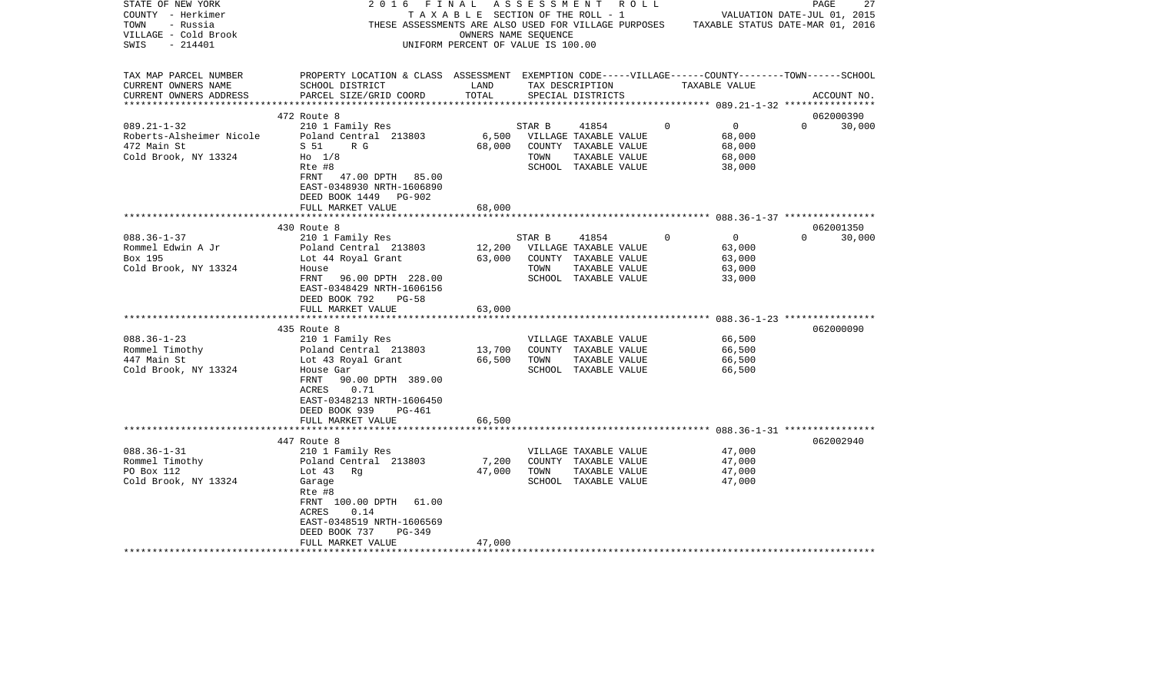| STATE OF NEW YORK<br>COUNTY - Herkimer<br>TOWN<br>- Russia<br>VILLAGE - Cold Brook<br>$-214401$<br>SWIS | 2016<br>FINAL                                                                                                                                                                                                          | TAXABLE SECTION OF THE ROLL - 1<br>OWNERS NAME SEQUENCE<br>UNIFORM PERCENT OF VALUE IS 100.00 | ASSESSMENT     | R O L L<br>THESE ASSESSMENTS ARE ALSO USED FOR VILLAGE PURPOSES TAXABLE STATUS DATE-MAR 01, 2016 |             |                                                        | PAGE<br>VALUATION DATE-JUL 01, 2015 | 27          |
|---------------------------------------------------------------------------------------------------------|------------------------------------------------------------------------------------------------------------------------------------------------------------------------------------------------------------------------|-----------------------------------------------------------------------------------------------|----------------|--------------------------------------------------------------------------------------------------|-------------|--------------------------------------------------------|-------------------------------------|-------------|
| TAX MAP PARCEL NUMBER<br>CURRENT OWNERS NAME<br>CURRENT OWNERS ADDRESS                                  | PROPERTY LOCATION & CLASS ASSESSMENT EXEMPTION CODE-----VILLAGE------COUNTY-------TOWN------SCHOOL<br>SCHOOL DISTRICT<br>PARCEL SIZE/GRID COORD                                                                        | LAND<br>TOTAL                                                                                 |                | TAX DESCRIPTION<br>SPECIAL DISTRICTS                                                             |             | TAXABLE VALUE                                          |                                     | ACCOUNT NO. |
|                                                                                                         |                                                                                                                                                                                                                        |                                                                                               |                |                                                                                                  |             |                                                        |                                     |             |
|                                                                                                         | 472 Route 8                                                                                                                                                                                                            |                                                                                               |                |                                                                                                  |             |                                                        |                                     | 062000390   |
| $089.21 - 1 - 32$<br>Roberts-Alsheimer Nicole<br>472 Main St<br>Cold Brook, NY 13324                    | 210 1 Family Res<br>Poland Central 213803<br>S 51<br>R G<br>$H0$ 1/8<br>Rte #8                                                                                                                                         | 6,500<br>68,000                                                                               | STAR B<br>TOWN | 41854<br>VILLAGE TAXABLE VALUE<br>COUNTY TAXABLE VALUE<br>TAXABLE VALUE<br>SCHOOL TAXABLE VALUE  | $\mathbf 0$ | $\overline{0}$<br>68,000<br>68,000<br>68,000<br>38,000 | $\Omega$                            | 30,000      |
|                                                                                                         | FRNT 47.00 DPTH 85.00<br>EAST-0348930 NRTH-1606890<br>DEED BOOK 1449<br>PG-902<br>FULL MARKET VALUE                                                                                                                    | 68,000                                                                                        |                |                                                                                                  |             |                                                        |                                     |             |
|                                                                                                         | 430 Route 8                                                                                                                                                                                                            |                                                                                               |                |                                                                                                  |             |                                                        |                                     | 062001350   |
| $088.36 - 1 - 37$<br>Rommel Edwin A Jr<br>Box 195<br>Cold Brook, NY 13324                               | 210 1 Family Res<br>Poland Central 213803<br>Lot 44 Royal Grant<br>House<br>FRNT<br>96.00 DPTH 228.00<br>EAST-0348429 NRTH-1606156<br>DEED BOOK 792<br>PG-58<br>FULL MARKET VALUE                                      | 12,200<br>63,000<br>63,000                                                                    | STAR B<br>TOWN | 41854<br>VILLAGE TAXABLE VALUE<br>COUNTY TAXABLE VALUE<br>TAXABLE VALUE<br>SCHOOL TAXABLE VALUE  | $\Omega$    | $\overline{0}$<br>63,000<br>63,000<br>63,000<br>33,000 | $\Omega$                            | 30,000      |
|                                                                                                         |                                                                                                                                                                                                                        |                                                                                               |                |                                                                                                  |             |                                                        |                                     |             |
| $088.36 - 1 - 23$<br>Rommel Timothy<br>447 Main St<br>Cold Brook, NY 13324                              | 435 Route 8<br>210 1 Family Res<br>Poland Central 213803<br>Lot 43 Royal Grant<br>House Gar<br>90.00 DPTH 389.00<br>FRNT<br>0.71<br>ACRES<br>EAST-0348213 NRTH-1606450<br>DEED BOOK 939<br>PG-461<br>FULL MARKET VALUE | 13,700<br>66,500<br>66,500                                                                    | TOWN           | VILLAGE TAXABLE VALUE<br>COUNTY TAXABLE VALUE<br>TAXABLE VALUE<br>SCHOOL TAXABLE VALUE           |             | 66,500<br>66,500<br>66,500<br>66,500                   |                                     | 062000090   |
|                                                                                                         |                                                                                                                                                                                                                        |                                                                                               |                |                                                                                                  |             |                                                        |                                     |             |
| $088.36 - 1 - 31$<br>Rommel Timothy<br>PO Box 112<br>Cold Brook, NY 13324                               | 447 Route 8<br>210 1 Family Res<br>Poland Central 213803<br>Lot $43$<br>Rg<br>Garage<br>Rte #8<br>FRNT 100.00 DPTH<br>61.00<br>ACRES<br>0.14<br>EAST-0348519 NRTH-1606569                                              | 7,200<br>47,000                                                                               | TOWN           | VILLAGE TAXABLE VALUE<br>COUNTY TAXABLE VALUE<br>TAXABLE VALUE<br>SCHOOL TAXABLE VALUE           |             | 47,000<br>47,000<br>47,000<br>47,000                   |                                     | 062002940   |
|                                                                                                         | DEED BOOK 737<br>$PG-349$<br>FULL MARKET VALUE                                                                                                                                                                         | 47,000                                                                                        |                |                                                                                                  |             |                                                        |                                     |             |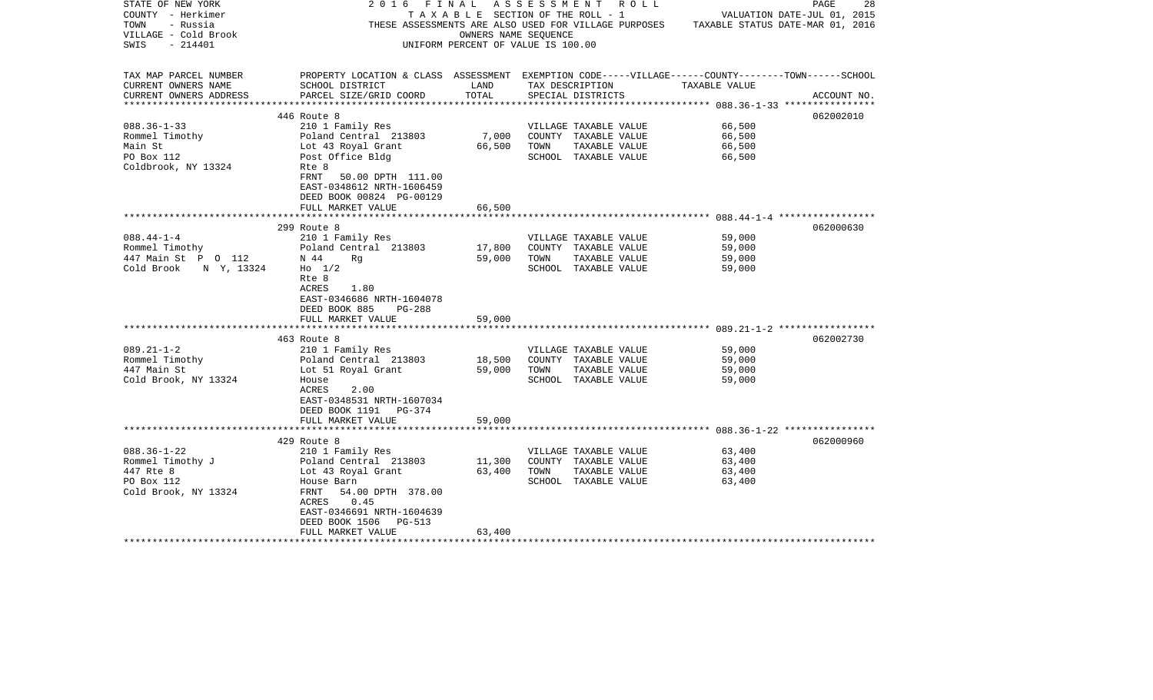| STATE OF NEW YORK<br>COUNTY - Herkimer<br>TOWN<br>- Russia<br>VILLAGE - Cold Brook | 2016                                                                                               | OWNERS NAME SEOUENCE | FINAL ASSESSMENT ROLL<br>T A X A B L E SECTION OF THE ROLL - 1 | THESE ASSESSMENTS ARE ALSO USED FOR VILLAGE PURPOSES TAXABLE STATUS DATE-MAR 01, 2016 | 28<br>PAGE<br>VALUATION DATE-JUL 01, 2015 |
|------------------------------------------------------------------------------------|----------------------------------------------------------------------------------------------------|----------------------|----------------------------------------------------------------|---------------------------------------------------------------------------------------|-------------------------------------------|
| - 214401<br>SWIS                                                                   |                                                                                                    |                      | UNIFORM PERCENT OF VALUE IS 100.00                             |                                                                                       |                                           |
|                                                                                    |                                                                                                    |                      |                                                                |                                                                                       |                                           |
| TAX MAP PARCEL NUMBER                                                              | PROPERTY LOCATION & CLASS ASSESSMENT EXEMPTION CODE-----VILLAGE------COUNTY-------TOWN------SCHOOL |                      |                                                                |                                                                                       |                                           |
| CURRENT OWNERS NAME<br>CURRENT OWNERS ADDRESS                                      | SCHOOL DISTRICT<br>PARCEL SIZE/GRID COORD                                                          | LAND<br>TOTAL        | TAX DESCRIPTION<br>SPECIAL DISTRICTS                           | TAXABLE VALUE                                                                         | ACCOUNT NO.                               |
| **********************                                                             |                                                                                                    |                      |                                                                |                                                                                       |                                           |
|                                                                                    | 446 Route 8                                                                                        |                      |                                                                |                                                                                       | 062002010                                 |
| $088.36 - 1 - 33$                                                                  | 210 1 Family Res                                                                                   |                      | VILLAGE TAXABLE VALUE                                          | 66,500                                                                                |                                           |
| Rommel Timothy                                                                     | Poland Central 213803                                                                              | 7,000                | COUNTY TAXABLE VALUE                                           | 66,500                                                                                |                                           |
| Main St                                                                            | Lot 43 Royal Grant                                                                                 | 66,500               | TOWN<br>TAXABLE VALUE                                          | 66,500                                                                                |                                           |
| PO Box 112                                                                         | Post Office Bldg                                                                                   |                      | SCHOOL TAXABLE VALUE                                           | 66,500                                                                                |                                           |
| Coldbrook, NY 13324                                                                | Rte 8                                                                                              |                      |                                                                |                                                                                       |                                           |
|                                                                                    | FRNT<br>50.00 DPTH 111.00                                                                          |                      |                                                                |                                                                                       |                                           |
|                                                                                    | EAST-0348612 NRTH-1606459                                                                          |                      |                                                                |                                                                                       |                                           |
|                                                                                    | DEED BOOK 00824 PG-00129                                                                           |                      |                                                                |                                                                                       |                                           |
|                                                                                    | FULL MARKET VALUE                                                                                  | 66,500               |                                                                |                                                                                       |                                           |
|                                                                                    |                                                                                                    |                      |                                                                |                                                                                       | 062000630                                 |
| $088.44 - 1 - 4$                                                                   | 299 Route 8<br>210 1 Family Res                                                                    |                      | VILLAGE TAXABLE VALUE                                          | 59,000                                                                                |                                           |
| Rommel Timothy                                                                     | Poland Central 213803                                                                              | 17,800               | COUNTY TAXABLE VALUE                                           | 59,000                                                                                |                                           |
| 447 Main St P 0 112                                                                | N 44<br>Rq                                                                                         | 59,000               | TOWN<br>TAXABLE VALUE                                          | 59,000                                                                                |                                           |
| Cold Brook N Y, 13324                                                              | $HO$ 1/2                                                                                           |                      | SCHOOL TAXABLE VALUE                                           | 59,000                                                                                |                                           |
|                                                                                    | Rte 8                                                                                              |                      |                                                                |                                                                                       |                                           |
|                                                                                    | ACRES<br>1.80                                                                                      |                      |                                                                |                                                                                       |                                           |
|                                                                                    | EAST-0346686 NRTH-1604078                                                                          |                      |                                                                |                                                                                       |                                           |
|                                                                                    | DEED BOOK 885<br>PG-288                                                                            |                      |                                                                |                                                                                       |                                           |
|                                                                                    | FULL MARKET VALUE                                                                                  | 59,000               |                                                                |                                                                                       |                                           |
|                                                                                    |                                                                                                    |                      |                                                                |                                                                                       |                                           |
|                                                                                    | 463 Route 8                                                                                        |                      |                                                                |                                                                                       | 062002730                                 |
| $089.21 - 1 - 2$                                                                   | 210 1 Family Res                                                                                   |                      | VILLAGE TAXABLE VALUE                                          | 59,000                                                                                |                                           |
| Rommel Timothy                                                                     | Poland Central 213803                                                                              | 18,500               | COUNTY TAXABLE VALUE                                           | 59,000                                                                                |                                           |
| 447 Main St                                                                        | Lot 51 Royal Grant                                                                                 | 59,000               | TOWN<br>TAXABLE VALUE                                          | 59,000                                                                                |                                           |
| Cold Brook, NY 13324                                                               | House                                                                                              |                      | SCHOOL TAXABLE VALUE                                           | 59,000                                                                                |                                           |
|                                                                                    | ACRES<br>2.00                                                                                      |                      |                                                                |                                                                                       |                                           |
|                                                                                    | EAST-0348531 NRTH-1607034<br>DEED BOOK 1191 PG-374                                                 |                      |                                                                |                                                                                       |                                           |
|                                                                                    | FULL MARKET VALUE                                                                                  | 59,000               |                                                                |                                                                                       |                                           |
|                                                                                    |                                                                                                    |                      |                                                                |                                                                                       |                                           |
|                                                                                    | 429 Route 8                                                                                        |                      |                                                                |                                                                                       | 062000960                                 |
| $088.36 - 1 - 22$                                                                  | 210 1 Family Res                                                                                   |                      | VILLAGE TAXABLE VALUE                                          | 63,400                                                                                |                                           |
| Rommel Timothy J                                                                   |                                                                                                    | 11,300               | COUNTY TAXABLE VALUE                                           | 63,400                                                                                |                                           |
| 447 Rte 8                                                                          | Poland Central 213803<br>Lot 43 Royal Grant                                                        | 63,400               | TOWN<br>TAXABLE VALUE                                          | 63,400                                                                                |                                           |
| PO Box 112                                                                         | House Barn                                                                                         |                      | SCHOOL TAXABLE VALUE                                           | 63,400                                                                                |                                           |
| Cold Brook, NY 13324                                                               | FRNT<br>54.00 DPTH 378.00                                                                          |                      |                                                                |                                                                                       |                                           |
|                                                                                    | ACRES<br>0.45                                                                                      |                      |                                                                |                                                                                       |                                           |
|                                                                                    | EAST-0346691 NRTH-1604639                                                                          |                      |                                                                |                                                                                       |                                           |
|                                                                                    | DEED BOOK 1506<br>PG-513                                                                           |                      |                                                                |                                                                                       |                                           |
|                                                                                    | FULL MARKET VALUE                                                                                  | 63,400               |                                                                |                                                                                       |                                           |
|                                                                                    |                                                                                                    |                      |                                                                |                                                                                       |                                           |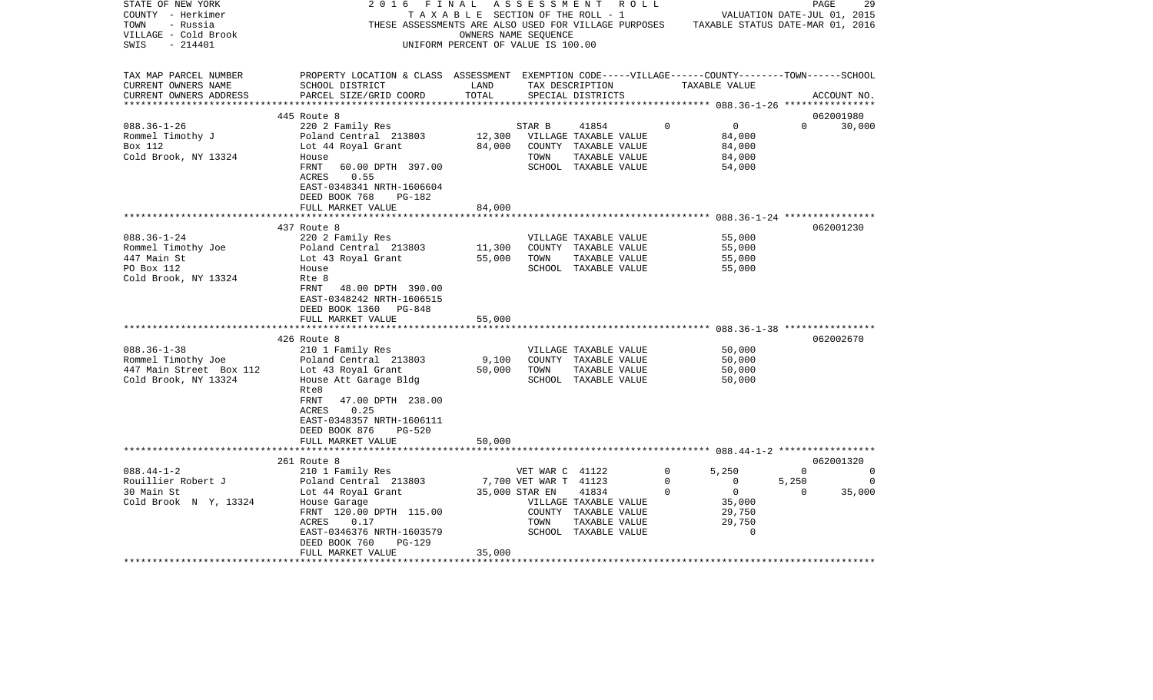| STATE OF NEW YORK<br>COUNTY - Herkimer<br>- Russia<br>TOWN<br>VILLAGE - Cold Brook<br>$-214401$<br>SWIS | 2016<br>FINAL                                                                                                                                   | TAXABLE SECTION OF THE ROLL - 1<br>OWNERS NAME SEQUENCE<br>UNIFORM PERCENT OF VALUE IS 100.00 |                       | ASSESSMENT ROLL                               |                         | VALUATION DATE-JUL 01, 2015<br>THESE ASSESSMENTS ARE ALSO USED FOR VILLAGE PURPOSES TAXABLE STATUS DATE-MAR 01, 2016 | PAGE              | 29          |
|---------------------------------------------------------------------------------------------------------|-------------------------------------------------------------------------------------------------------------------------------------------------|-----------------------------------------------------------------------------------------------|-----------------------|-----------------------------------------------|-------------------------|----------------------------------------------------------------------------------------------------------------------|-------------------|-------------|
| TAX MAP PARCEL NUMBER<br>CURRENT OWNERS NAME<br>CURRENT OWNERS ADDRESS                                  | PROPERTY LOCATION & CLASS ASSESSMENT EXEMPTION CODE-----VILLAGE------COUNTY-------TOWN------SCHOOL<br>SCHOOL DISTRICT<br>PARCEL SIZE/GRID COORD | LAND<br>TOTAL                                                                                 |                       | TAX DESCRIPTION<br>SPECIAL DISTRICTS          |                         | TAXABLE VALUE                                                                                                        | ACCOUNT NO.       |             |
|                                                                                                         |                                                                                                                                                 |                                                                                               |                       |                                               |                         |                                                                                                                      |                   |             |
|                                                                                                         | 445 Route 8                                                                                                                                     |                                                                                               |                       |                                               |                         |                                                                                                                      | 062001980         |             |
| $088.36 - 1 - 26$<br>Rommel Timothy J                                                                   | 220 2 Family Res<br>Poland Central 213803                                                                                                       | 12,300                                                                                        | STAR B                | 41854<br>VILLAGE TAXABLE VALUE                | $\circ$                 | $\overline{0}$<br>84,000                                                                                             | $\Omega$          | 30,000      |
| Box 112                                                                                                 | Lot 44 Royal Grant                                                                                                                              | 84,000                                                                                        |                       | COUNTY TAXABLE VALUE                          |                         | 84,000                                                                                                               |                   |             |
| Cold Brook, NY 13324                                                                                    | House                                                                                                                                           |                                                                                               | TOWN                  | TAXABLE VALUE                                 |                         | 84,000                                                                                                               |                   |             |
|                                                                                                         | 60.00 DPTH 397.00<br>FRNT                                                                                                                       |                                                                                               |                       | SCHOOL TAXABLE VALUE                          |                         | 54,000                                                                                                               |                   |             |
|                                                                                                         | ACRES<br>0.55                                                                                                                                   |                                                                                               |                       |                                               |                         |                                                                                                                      |                   |             |
|                                                                                                         | EAST-0348341 NRTH-1606604                                                                                                                       |                                                                                               |                       |                                               |                         |                                                                                                                      |                   |             |
|                                                                                                         | DEED BOOK 768<br>PG-182                                                                                                                         |                                                                                               |                       |                                               |                         |                                                                                                                      |                   |             |
|                                                                                                         | FULL MARKET VALUE<br>************************                                                                                                   | 84,000                                                                                        |                       |                                               |                         |                                                                                                                      |                   |             |
|                                                                                                         | 437 Route 8                                                                                                                                     |                                                                                               |                       |                                               |                         |                                                                                                                      | 062001230         |             |
| $088.36 - 1 - 24$                                                                                       | 220 2 Family Res                                                                                                                                |                                                                                               |                       | VILLAGE TAXABLE VALUE                         |                         | 55,000                                                                                                               |                   |             |
| Rommel Timothy Joe                                                                                      | Poland Central 213803                                                                                                                           | 11,300                                                                                        |                       | COUNTY TAXABLE VALUE                          |                         | 55,000                                                                                                               |                   |             |
| 447 Main St                                                                                             | Lot 43 Royal Grant                                                                                                                              | 55,000                                                                                        | TOWN                  | TAXABLE VALUE                                 |                         | 55,000                                                                                                               |                   |             |
| PO Box 112                                                                                              | House                                                                                                                                           |                                                                                               |                       | SCHOOL TAXABLE VALUE                          |                         | 55,000                                                                                                               |                   |             |
| Cold Brook, NY 13324                                                                                    | Rte 8<br>FRNT<br>48.00 DPTH 390.00<br>EAST-0348242 NRTH-1606515<br>DEED BOOK 1360 PG-848                                                        |                                                                                               |                       |                                               |                         |                                                                                                                      |                   |             |
|                                                                                                         | FULL MARKET VALUE                                                                                                                               | 55,000                                                                                        |                       |                                               |                         |                                                                                                                      |                   |             |
|                                                                                                         | ********************************                                                                                                                |                                                                                               |                       |                                               |                         |                                                                                                                      |                   |             |
|                                                                                                         | 426 Route 8                                                                                                                                     |                                                                                               |                       |                                               |                         |                                                                                                                      | 062002670         |             |
| $088.36 - 1 - 38$<br>Rommel Timothy Joe                                                                 | 210 1 Family Res<br>Poland Central 213803                                                                                                       | 9,100                                                                                         |                       | VILLAGE TAXABLE VALUE<br>COUNTY TAXABLE VALUE |                         | 50,000<br>50,000                                                                                                     |                   |             |
| 447 Main Street Box 112                                                                                 | Lot 43 Royal Grant                                                                                                                              | 50,000                                                                                        | TOWN                  | TAXABLE VALUE                                 |                         | 50,000                                                                                                               |                   |             |
| Cold Brook, NY 13324                                                                                    | House Att Garage Bldg                                                                                                                           |                                                                                               |                       | SCHOOL TAXABLE VALUE                          |                         | 50,000                                                                                                               |                   |             |
|                                                                                                         | Rte8<br>FRNT<br>47.00 DPTH 238.00<br>ACRES<br>0.25<br>EAST-0348357 NRTH-1606111<br>DEED BOOK 876<br><b>PG-520</b>                               |                                                                                               |                       |                                               |                         |                                                                                                                      |                   |             |
|                                                                                                         | FULL MARKET VALUE                                                                                                                               | 50,000                                                                                        |                       |                                               |                         |                                                                                                                      |                   |             |
|                                                                                                         |                                                                                                                                                 |                                                                                               |                       |                                               |                         |                                                                                                                      |                   |             |
|                                                                                                         | 261 Route 8                                                                                                                                     |                                                                                               |                       |                                               |                         |                                                                                                                      | 062001320         |             |
| $088.44 - 1 - 2$                                                                                        | 210 1 Family Res                                                                                                                                |                                                                                               | VET WAR C 41122       |                                               | $\mathbf 0$             | 5,250                                                                                                                | $\Omega$          | $\Omega$    |
| Rouillier Robert J<br>30 Main St                                                                        | Poland Central 213803<br>Lot 44 Royal Grant                                                                                                     | 35,000 STAR EN                                                                                | 7,700 VET WAR T 41123 | 41834                                         | $\mathbf 0$<br>$\Omega$ | $\overline{0}$<br>$\overline{0}$                                                                                     | 5,250<br>$\Omega$ | 0<br>35,000 |
| Cold Brook N Y, 13324                                                                                   | House Garage                                                                                                                                    |                                                                                               |                       | VILLAGE TAXABLE VALUE                         |                         | 35,000                                                                                                               |                   |             |
|                                                                                                         | FRNT 120.00 DPTH 115.00                                                                                                                         |                                                                                               |                       | COUNTY TAXABLE VALUE                          |                         | 29,750                                                                                                               |                   |             |
|                                                                                                         | ACRES<br>0.17                                                                                                                                   |                                                                                               | TOWN                  | TAXABLE VALUE                                 |                         | 29,750                                                                                                               |                   |             |
|                                                                                                         | EAST-0346376 NRTH-1603579                                                                                                                       |                                                                                               |                       | SCHOOL TAXABLE VALUE                          |                         | $\Omega$                                                                                                             |                   |             |
|                                                                                                         | DEED BOOK 760<br>$PG-129$                                                                                                                       |                                                                                               |                       |                                               |                         |                                                                                                                      |                   |             |
|                                                                                                         | FULL MARKET VALUE<br>*************************************                                                                                      | 35,000                                                                                        |                       |                                               |                         |                                                                                                                      |                   |             |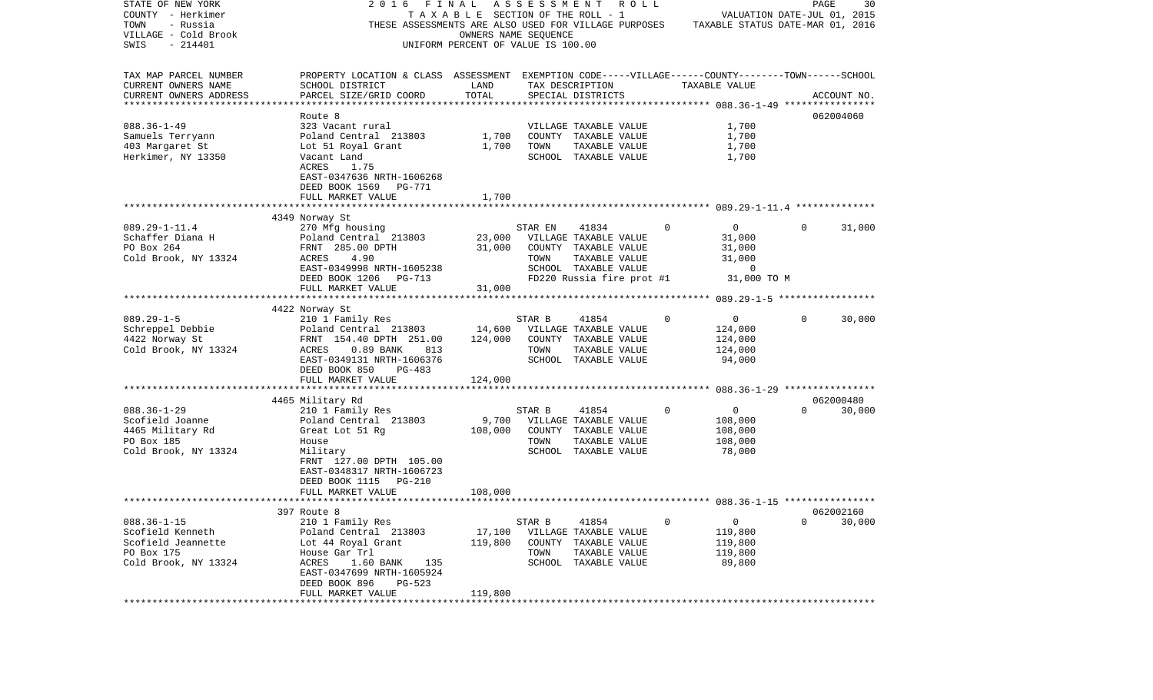| STATE OF NEW YORK<br>COUNTY - Herkimer              | 2016                                                                                               | FINAL<br>TAXABLE SECTION OF THE ROLL - 1 |         | A S S E S S M E N T R O L L                          |              | VALUATION DATE-JUL 01, 2015      | PAGE     | 30          |
|-----------------------------------------------------|----------------------------------------------------------------------------------------------------|------------------------------------------|---------|------------------------------------------------------|--------------|----------------------------------|----------|-------------|
| TOWN<br>- Russia                                    |                                                                                                    |                                          |         | THESE ASSESSMENTS ARE ALSO USED FOR VILLAGE PURPOSES |              | TAXABLE STATUS DATE-MAR 01, 2016 |          |             |
| VILLAGE - Cold Brook                                |                                                                                                    | OWNERS NAME SEQUENCE                     |         |                                                      |              |                                  |          |             |
| $-214401$<br>SWIS                                   |                                                                                                    | UNIFORM PERCENT OF VALUE IS 100.00       |         |                                                      |              |                                  |          |             |
|                                                     |                                                                                                    |                                          |         |                                                      |              |                                  |          |             |
|                                                     |                                                                                                    |                                          |         |                                                      |              |                                  |          |             |
| TAX MAP PARCEL NUMBER                               | PROPERTY LOCATION & CLASS ASSESSMENT EXEMPTION CODE-----VILLAGE------COUNTY-------TOWN------SCHOOL |                                          |         |                                                      |              |                                  |          |             |
| CURRENT OWNERS NAME                                 | SCHOOL DISTRICT                                                                                    | LAND<br>TOTAL                            |         | TAX DESCRIPTION                                      |              | TAXABLE VALUE                    |          |             |
| CURRENT OWNERS ADDRESS<br>************************* | PARCEL SIZE/GRID COORD                                                                             |                                          |         | SPECIAL DISTRICTS                                    |              |                                  |          | ACCOUNT NO. |
|                                                     | Route 8                                                                                            |                                          |         |                                                      |              |                                  |          | 062004060   |
| $088.36 - 1 - 49$                                   | 323 Vacant rural                                                                                   |                                          |         | VILLAGE TAXABLE VALUE                                |              | 1,700                            |          |             |
| Samuels Terryann                                    | Poland Central 213803                                                                              | 1,700                                    |         | COUNTY TAXABLE VALUE                                 |              | 1,700                            |          |             |
| 403 Margaret St                                     | Lot 51 Royal Grant                                                                                 | 1,700                                    | TOWN    | TAXABLE VALUE                                        |              | 1,700                            |          |             |
| Herkimer, NY 13350                                  | Vacant Land                                                                                        |                                          |         | SCHOOL TAXABLE VALUE                                 |              | 1,700                            |          |             |
|                                                     | ACRES<br>1.75                                                                                      |                                          |         |                                                      |              |                                  |          |             |
|                                                     | EAST-0347636 NRTH-1606268                                                                          |                                          |         |                                                      |              |                                  |          |             |
|                                                     | DEED BOOK 1569<br>PG-771                                                                           |                                          |         |                                                      |              |                                  |          |             |
|                                                     | FULL MARKET VALUE                                                                                  | 1,700                                    |         |                                                      |              |                                  |          |             |
|                                                     |                                                                                                    |                                          |         |                                                      |              |                                  |          |             |
|                                                     | 4349 Norway St                                                                                     |                                          |         |                                                      |              |                                  |          |             |
| $089.29 - 1 - 11.4$                                 | 270 Mfg housing                                                                                    |                                          | STAR EN | 41834                                                | $\Omega$     | $\overline{0}$                   | $\Omega$ | 31,000      |
| Schaffer Diana H                                    | Poland Central 213803                                                                              | 23,000                                   |         | VILLAGE TAXABLE VALUE                                |              | 31,000                           |          |             |
| PO Box 264                                          | FRNT 285.00 DPTH                                                                                   | 31,000                                   |         | COUNTY TAXABLE VALUE                                 |              | 31,000                           |          |             |
| Cold Brook, NY 13324                                | 4.90<br>ACRES                                                                                      |                                          | TOWN    | TAXABLE VALUE                                        |              | 31,000                           |          |             |
|                                                     | EAST-0349998 NRTH-1605238                                                                          |                                          |         | SCHOOL TAXABLE VALUE                                 |              | $\mathbf 0$                      |          |             |
|                                                     | DEED BOOK 1206<br>PG-713                                                                           |                                          |         | FD220 Russia fire prot #1                            |              | 31,000 TO M                      |          |             |
|                                                     | FULL MARKET VALUE                                                                                  | 31,000                                   |         |                                                      |              |                                  |          |             |
|                                                     |                                                                                                    |                                          |         |                                                      |              |                                  |          |             |
|                                                     | 4422 Norway St                                                                                     |                                          |         |                                                      |              |                                  |          |             |
| $089.29 - 1 - 5$                                    | 210 1 Family Res                                                                                   |                                          | STAR B  | 41854                                                | $\Omega$     | $\overline{0}$                   | $\Omega$ | 30,000      |
| Schreppel Debbie                                    | Poland Central 213803                                                                              |                                          |         | 14,600 VILLAGE TAXABLE VALUE                         |              | 124,000                          |          |             |
| 4422 Norway St                                      | FRNT 154.40 DPTH 251.00                                                                            | 124,000                                  |         | COUNTY TAXABLE VALUE                                 |              | 124,000                          |          |             |
| Cold Brook, NY 13324                                | 813<br>ACRES<br>$0.89$ BANK                                                                        |                                          | TOWN    | TAXABLE VALUE                                        |              | 124,000                          |          |             |
|                                                     | EAST-0349131 NRTH-1606376                                                                          |                                          |         | SCHOOL TAXABLE VALUE                                 |              | 94,000                           |          |             |
|                                                     | DEED BOOK 850<br>PG-483                                                                            |                                          |         |                                                      |              |                                  |          |             |
|                                                     | FULL MARKET VALUE                                                                                  | 124,000                                  |         |                                                      |              |                                  |          |             |
|                                                     |                                                                                                    |                                          |         |                                                      |              |                                  |          |             |
|                                                     | 4465 Military Rd                                                                                   |                                          |         |                                                      |              |                                  |          | 062000480   |
| $088.36 - 1 - 29$                                   | 210 1 Family Res                                                                                   |                                          | STAR B  | 41854                                                | $\mathbf{0}$ | $\circ$                          | $\Omega$ | 30,000      |
| Scofield Joanne                                     | Poland Central 213803                                                                              | 9,700                                    |         | VILLAGE TAXABLE VALUE                                |              | 108,000                          |          |             |
| 4465 Military Rd                                    | Great Lot 51 Rg                                                                                    | 108,000                                  |         | COUNTY TAXABLE VALUE                                 |              | 108,000                          |          |             |
| PO Box 185                                          | House                                                                                              |                                          | TOWN    | TAXABLE VALUE                                        |              | 108,000                          |          |             |
| Cold Brook, NY 13324                                | Military                                                                                           |                                          |         | SCHOOL TAXABLE VALUE                                 |              | 78,000                           |          |             |
|                                                     | FRNT 127.00 DPTH 105.00                                                                            |                                          |         |                                                      |              |                                  |          |             |
|                                                     | EAST-0348317 NRTH-1606723                                                                          |                                          |         |                                                      |              |                                  |          |             |
|                                                     | DEED BOOK 1115<br>PG-210                                                                           |                                          |         |                                                      |              |                                  |          |             |
|                                                     | FULL MARKET VALUE                                                                                  | 108,000                                  |         |                                                      |              |                                  |          |             |
|                                                     |                                                                                                    |                                          |         |                                                      |              |                                  |          |             |
|                                                     | 397 Route 8                                                                                        |                                          |         |                                                      |              |                                  |          | 062002160   |
| $088.36 - 1 - 15$                                   | 210 1 Family Res                                                                                   |                                          | STAR B  | 41854                                                | 0            | $\mathsf{O}$                     | 0        | 30,000      |
| Scofield Kenneth                                    | Poland Central 213803                                                                              | 17,100                                   |         | VILLAGE TAXABLE VALUE                                |              | 119,800                          |          |             |
| Scofield Jeannette                                  | Lot 44 Royal Grant                                                                                 | 119,800                                  | COUNTY  | TAXABLE VALUE                                        |              | 119,800                          |          |             |
| PO Box 175                                          | House Gar Trl<br>ACRES                                                                             |                                          | TOWN    | TAXABLE VALUE                                        |              | 119,800                          |          |             |
| Cold Brook, NY 13324                                | 1.60 BANK<br>135<br>EAST-0347699 NRTH-1605924                                                      |                                          |         | SCHOOL TAXABLE VALUE                                 |              | 89,800                           |          |             |
|                                                     | DEED BOOK 896<br>PG-523                                                                            |                                          |         |                                                      |              |                                  |          |             |
|                                                     | FULL MARKET VALUE                                                                                  | 119,800                                  |         |                                                      |              |                                  |          |             |
|                                                     | **********************                                                                             | **********                               |         |                                                      |              |                                  |          |             |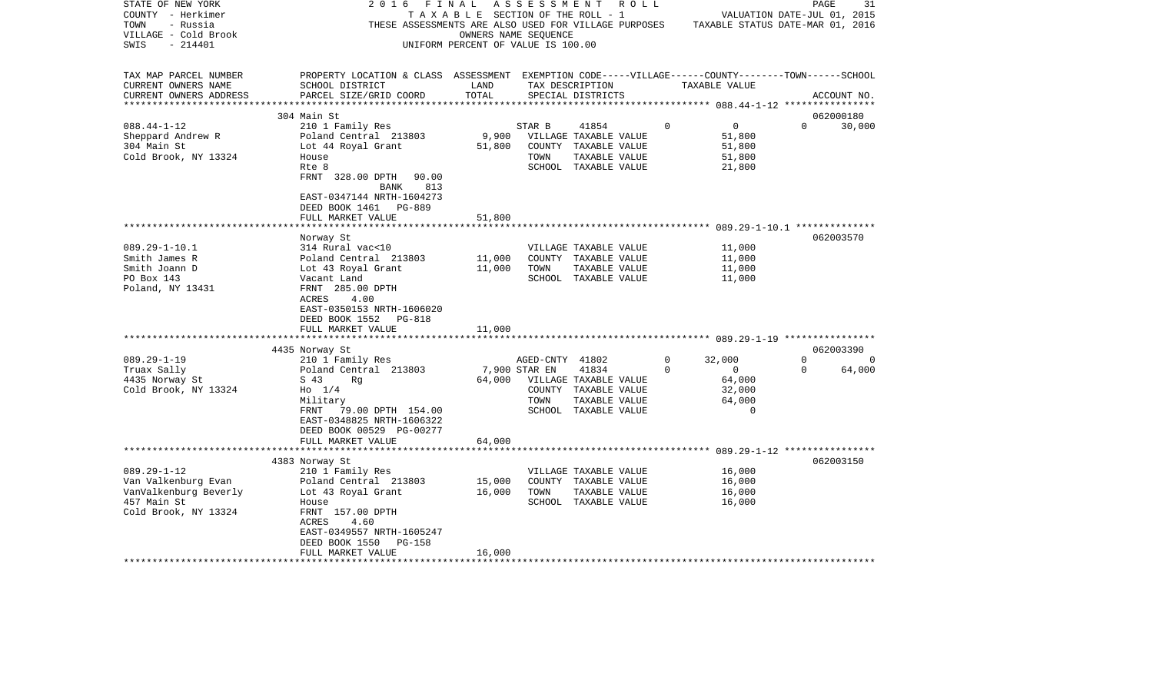| STATE OF NEW YORK<br>COUNTY - Herkimer<br>TOWN<br>- Russia<br>VILLAGE - Cold Brook<br>SWIS<br>- 214401                                                                | 2016                                                                                                                                                                                                                                                                                                                                                                                                                            | FINAL<br>UNIFORM PERCENT OF VALUE IS 100.00    | A S S E S S M E N T<br>OWNERS NAME SEQUENCE      | R O L L<br>TAXABLE SECTION OF THE ROLL - 1                                                                                                                                                |                            | VALUATION DATE-JUL 01, 2015<br>THESE ASSESSMENTS ARE ALSO USED FOR VILLAGE PURPOSES TAXABLE STATUS DATE-MAR 01, 2016 |                      | 31<br>PAGE                                   |
|-----------------------------------------------------------------------------------------------------------------------------------------------------------------------|---------------------------------------------------------------------------------------------------------------------------------------------------------------------------------------------------------------------------------------------------------------------------------------------------------------------------------------------------------------------------------------------------------------------------------|------------------------------------------------|--------------------------------------------------|-------------------------------------------------------------------------------------------------------------------------------------------------------------------------------------------|----------------------------|----------------------------------------------------------------------------------------------------------------------|----------------------|----------------------------------------------|
| TAX MAP PARCEL NUMBER<br>CURRENT OWNERS NAME<br>CURRENT OWNERS ADDRESS                                                                                                | PROPERTY LOCATION & CLASS ASSESSMENT EXEMPTION CODE-----VILLAGE------COUNTY-------TOWN------SCHOOL<br>SCHOOL DISTRICT<br>PARCEL SIZE/GRID COORD                                                                                                                                                                                                                                                                                 | LAND<br>TOTAL                                  |                                                  | TAX DESCRIPTION<br>SPECIAL DISTRICTS                                                                                                                                                      |                            | TAXABLE VALUE                                                                                                        |                      | ACCOUNT NO.                                  |
|                                                                                                                                                                       | 304 Main St                                                                                                                                                                                                                                                                                                                                                                                                                     |                                                |                                                  |                                                                                                                                                                                           |                            |                                                                                                                      |                      | 062000180                                    |
| $088.44 - 1 - 12$<br>Sheppard Andrew R<br>304 Main St<br>Cold Brook, NY 13324                                                                                         | 210 1 Family Res<br>Poland Central 213803<br>Lot 44 Royal Grant<br>House<br>Rte 8<br>FRNT 328.00 DPTH<br>90.00<br>813<br>BANK<br>EAST-0347144 NRTH-1604273<br>DEED BOOK 1461 PG-889                                                                                                                                                                                                                                             | 9,900<br>51,800                                | STAR B<br>TOWN                                   | 41854<br>VILLAGE TAXABLE VALUE<br>COUNTY TAXABLE VALUE<br>TAXABLE VALUE<br>SCHOOL TAXABLE VALUE                                                                                           | $\Omega$                   | $\overline{0}$<br>51,800<br>51,800<br>51,800<br>21,800                                                               | $\Omega$             | 30,000                                       |
|                                                                                                                                                                       | FULL MARKET VALUE                                                                                                                                                                                                                                                                                                                                                                                                               | 51,800                                         |                                                  |                                                                                                                                                                                           |                            |                                                                                                                      |                      |                                              |
| $089.29 - 1 - 10.1$<br>Smith James R<br>Smith Joann D<br>PO Box 143<br>Poland, NY 13431<br>$089.29 - 1 - 19$<br>Truax Sally<br>4435 Norway St<br>Cold Brook, NY 13324 | Norway St<br>314 Rural vac<10<br>Poland Central 213803<br>Lot 43 Royal Grant<br>Vacant Land<br>FRNT 285.00 DPTH<br>ACRES<br>4.00<br>EAST-0350153 NRTH-1606020<br>DEED BOOK 1552<br>PG-818<br>FULL MARKET VALUE<br>4435 Norway St<br>210 1 Family Res<br>Poland Central 213803<br>S 43<br>Rq<br>$H_0$ 1/4<br>Military<br>FRNT<br>79.00 DPTH 154.00<br>EAST-0348825 NRTH-1606322<br>DEED BOOK 00529 PG-00277<br>FULL MARKET VALUE | 11,000<br>11,000<br>11,000<br>64,000<br>64,000 | TOWN<br>AGED-CNTY 41802<br>7,900 STAR EN<br>TOWN | VILLAGE TAXABLE VALUE<br>COUNTY TAXABLE VALUE<br>TAXABLE VALUE<br>SCHOOL TAXABLE VALUE<br>41834<br>VILLAGE TAXABLE VALUE<br>COUNTY TAXABLE VALUE<br>TAXABLE VALUE<br>SCHOOL TAXABLE VALUE | $\mathbf 0$<br>$\mathbf 0$ | 11,000<br>11,000<br>11,000<br>11,000<br>32,000<br>$\circ$<br>64,000<br>32,000<br>64,000<br>$\Omega$                  | $\Omega$<br>$\Omega$ | 062003570<br>062003390<br>$\Omega$<br>64,000 |
|                                                                                                                                                                       |                                                                                                                                                                                                                                                                                                                                                                                                                                 |                                                |                                                  |                                                                                                                                                                                           |                            |                                                                                                                      |                      |                                              |
| $089.29 - 1 - 12$<br>Van Valkenburg Evan<br>VanValkenburg Beverly<br>457 Main St<br>Cold Brook, NY 13324                                                              | 4383 Norway St<br>210 1 Family Res<br>Poland Central 213803<br>Lot 43 Royal Grant<br>House<br>FRNT 157.00 DPTH<br>ACRES<br>4.60<br>EAST-0349557 NRTH-1605247<br>DEED BOOK 1550<br>PG-158<br>FULL MARKET VALUE                                                                                                                                                                                                                   | 15,000<br>16,000<br>16,000                     | TOWN                                             | VILLAGE TAXABLE VALUE<br>COUNTY TAXABLE VALUE<br>TAXABLE VALUE<br>SCHOOL TAXABLE VALUE                                                                                                    |                            | 16,000<br>16,000<br>16,000<br>16,000                                                                                 |                      | 062003150                                    |
| ********************                                                                                                                                                  | ************************************                                                                                                                                                                                                                                                                                                                                                                                            |                                                |                                                  |                                                                                                                                                                                           |                            |                                                                                                                      |                      |                                              |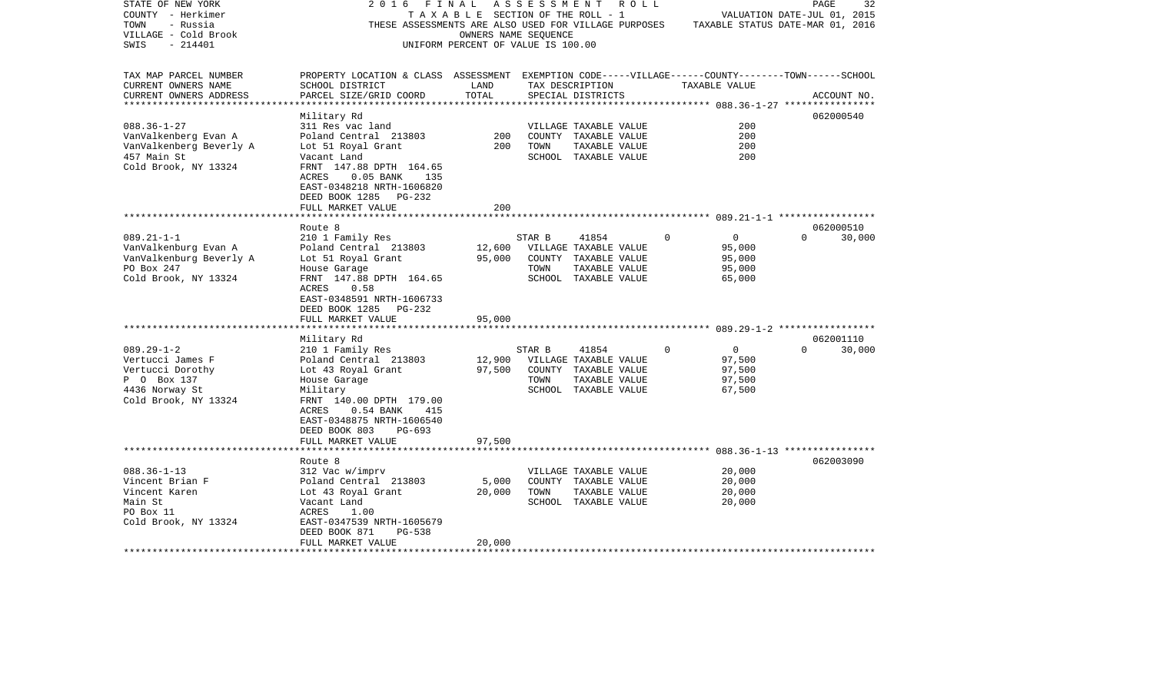| STATE OF NEW YORK<br>COUNTY - Herkimer<br>TOWN<br>- Russia<br>VILLAGE - Cold Brook<br>$-214401$<br>SWIS           | 2016<br>FINAL<br>THESE ASSESSMENTS ARE ALSO USED FOR VILLAGE PURPOSES                                                                                                                                            | TAXABLE SECTION OF THE ROLL - 1<br>OWNERS NAME SEQUENCE<br>UNIFORM PERCENT OF VALUE IS 100.00 | A S S E S S M E N T |                                                                                                 | R O L L  | VALUATION DATE-JUL 01, 2015<br>TAXABLE STATUS DATE-MAR 01, 2016 | PAGE     | 32          |
|-------------------------------------------------------------------------------------------------------------------|------------------------------------------------------------------------------------------------------------------------------------------------------------------------------------------------------------------|-----------------------------------------------------------------------------------------------|---------------------|-------------------------------------------------------------------------------------------------|----------|-----------------------------------------------------------------|----------|-------------|
| TAX MAP PARCEL NUMBER<br>CURRENT OWNERS NAME<br>CURRENT OWNERS ADDRESS                                            | PROPERTY LOCATION & CLASS ASSESSMENT EXEMPTION CODE-----VILLAGE------COUNTY-------TOWN------SCHOOL<br>SCHOOL DISTRICT<br>PARCEL SIZE/GRID COORD                                                                  | LAND<br>TOTAL                                                                                 |                     | TAX DESCRIPTION<br>SPECIAL DISTRICTS                                                            |          | TAXABLE VALUE                                                   |          | ACCOUNT NO. |
|                                                                                                                   |                                                                                                                                                                                                                  |                                                                                               |                     |                                                                                                 |          |                                                                 |          |             |
| $088.36 - 1 - 27$<br>VanValkenberg Evan A<br>VanValkenberg Beverly A<br>457 Main St<br>Cold Brook, NY 13324       | Military Rd<br>311 Res vac land<br>Poland Central 213803<br>Lot 51 Royal Grant<br>Vacant Land<br>FRNT 147.88 DPTH 164.65<br>$0.05$ BANK<br>ACRES<br>135<br>EAST-0348218 NRTH-1606820<br>DEED BOOK 1285<br>PG-232 | 200<br>200                                                                                    | TOWN                | VILLAGE TAXABLE VALUE<br>COUNTY TAXABLE VALUE<br>TAXABLE VALUE<br>SCHOOL TAXABLE VALUE          |          | 200<br>200<br>200<br>200                                        |          | 062000540   |
|                                                                                                                   | FULL MARKET VALUE                                                                                                                                                                                                | 200                                                                                           |                     |                                                                                                 |          |                                                                 |          |             |
|                                                                                                                   | Route 8                                                                                                                                                                                                          |                                                                                               |                     |                                                                                                 |          |                                                                 | $\Omega$ | 062000510   |
| $089.21 - 1 - 1$<br>VanValkenburg Evan A<br>VanValkenburg Beverly A<br>PO Box 247<br>Cold Brook, NY 13324         | 210 1 Family Res<br>Poland Central 213803<br>Lot 51 Royal Grant<br>House Garage<br>FRNT 147.88 DPTH 164.65<br>ACRES<br>0.58<br>EAST-0348591 NRTH-1606733<br>DEED BOOK 1285<br>PG-232                             | 12,600<br>95,000                                                                              | STAR B<br>TOWN      | 41854<br>VILLAGE TAXABLE VALUE<br>COUNTY TAXABLE VALUE<br>TAXABLE VALUE<br>SCHOOL TAXABLE VALUE | $\Omega$ | $\overline{0}$<br>95,000<br>95,000<br>95,000<br>65,000          |          | 30,000      |
|                                                                                                                   | FULL MARKET VALUE                                                                                                                                                                                                | 95,000                                                                                        |                     |                                                                                                 |          |                                                                 |          |             |
|                                                                                                                   | Military Rd                                                                                                                                                                                                      |                                                                                               |                     |                                                                                                 |          |                                                                 |          | 062001110   |
| $089.29 - 1 - 2$<br>Vertucci James F<br>Vertucci Dorothy<br>P 0 Box 137<br>4436 Norway St<br>Cold Brook, NY 13324 | 210 1 Family Res<br>Poland Central 213803<br>Lot 43 Royal Grant<br>House Garage<br>Military<br>FRNT 140.00 DPTH 179.00<br>ACRES<br>$0.54$ BANK<br>415<br>EAST-0348875 NRTH-1606540<br>DEED BOOK 803<br>PG-693    | 12,900<br>97,500                                                                              | STAR B<br>TOWN      | 41854<br>VILLAGE TAXABLE VALUE<br>COUNTY TAXABLE VALUE<br>TAXABLE VALUE<br>SCHOOL TAXABLE VALUE | $\Omega$ | $\overline{0}$<br>97,500<br>97,500<br>97,500<br>67,500          | $\Omega$ | 30,000      |
|                                                                                                                   | FULL MARKET VALUE                                                                                                                                                                                                | 97,500                                                                                        |                     |                                                                                                 |          |                                                                 |          |             |
|                                                                                                                   | Route 8                                                                                                                                                                                                          |                                                                                               |                     |                                                                                                 |          |                                                                 |          | 062003090   |
| $088.36 - 1 - 13$<br>Vincent Brian F<br>Vincent Karen<br>Main St<br>PO Box 11<br>Cold Brook, NY 13324             | 312 Vac w/imprv<br>Poland Central 213803<br>Lot 43 Royal Grant<br>Vacant Land<br>ACRES<br>1.00<br>EAST-0347539 NRTH-1605679<br>DEED BOOK 871<br>$PG-538$                                                         | 5,000<br>20,000                                                                               | TOWN                | VILLAGE TAXABLE VALUE<br>COUNTY TAXABLE VALUE<br>TAXABLE VALUE<br>SCHOOL TAXABLE VALUE          |          | 20,000<br>20,000<br>20,000<br>20,000                            |          |             |
| **********************                                                                                            | FULL MARKET VALUE<br>********************************                                                                                                                                                            | 20,000                                                                                        |                     |                                                                                                 |          |                                                                 |          |             |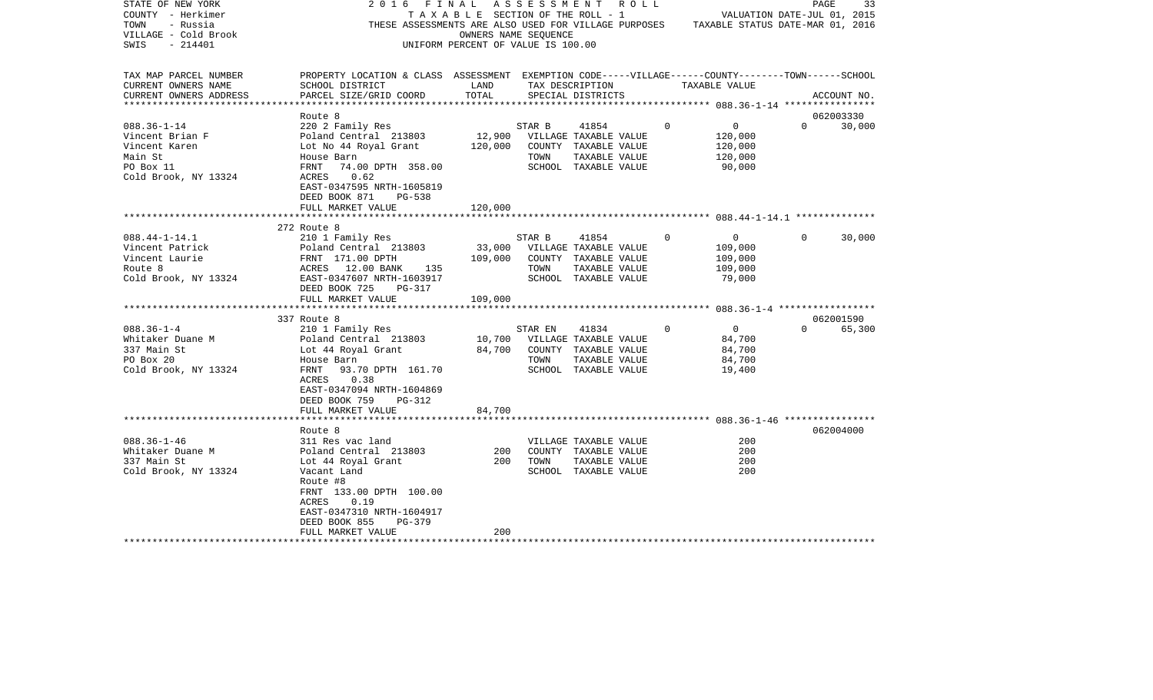| STATE OF NEW YORK      | 2016                                                                                                              | FINAL                              |                      | A S S E S S M E N T A O L L                                                           |             |                             | PAGE           | 33          |
|------------------------|-------------------------------------------------------------------------------------------------------------------|------------------------------------|----------------------|---------------------------------------------------------------------------------------|-------------|-----------------------------|----------------|-------------|
| COUNTY - Herkimer      |                                                                                                                   |                                    |                      | T A X A B L E SECTION OF THE ROLL - 1                                                 |             | VALUATION DATE-JUL 01, 2015 |                |             |
| TOWN<br>- Russia       |                                                                                                                   |                                    |                      | THESE ASSESSMENTS ARE ALSO USED FOR VILLAGE PURPOSES TAXABLE STATUS DATE-MAR 01, 2016 |             |                             |                |             |
| VILLAGE - Cold Brook   |                                                                                                                   |                                    | OWNERS NAME SEQUENCE |                                                                                       |             |                             |                |             |
| - 214401<br>SWIS       |                                                                                                                   | UNIFORM PERCENT OF VALUE IS 100.00 |                      |                                                                                       |             |                             |                |             |
|                        |                                                                                                                   |                                    |                      |                                                                                       |             |                             |                |             |
|                        |                                                                                                                   |                                    |                      |                                                                                       |             |                             |                |             |
| TAX MAP PARCEL NUMBER  | PROPERTY LOCATION & CLASS ASSESSMENT EXEMPTION CODE-----VILLAGE------COUNTY-------TOWN------SCHOOL                |                                    |                      |                                                                                       |             |                             |                |             |
| CURRENT OWNERS NAME    | SCHOOL DISTRICT                                                                                                   | <b>EXAMPLE THE STATE OF STATE</b>  |                      | TAX DESCRIPTION TAXABLE VALUE                                                         |             |                             |                |             |
| CURRENT OWNERS ADDRESS | PARCEL SIZE/GRID COORD                                                                                            | TOTAL                              |                      | SPECIAL DISTRICTS                                                                     |             |                             |                | ACCOUNT NO. |
|                        |                                                                                                                   |                                    |                      |                                                                                       |             |                             |                |             |
|                        | Route 8                                                                                                           |                                    |                      |                                                                                       |             |                             |                | 062003330   |
| $088.36 - 1 - 14$      | 220 2 Family Res                                                                                                  |                                    | STAR B               | 41854                                                                                 | $\mathbf 0$ | $\overline{0}$              | $\Omega$       | 30,000      |
| Vincent Brian F        | Poland Central 213803 12,900                                                                                      |                                    |                      | VILLAGE TAXABLE VALUE                                                                 |             | 120,000                     |                |             |
| Vincent Karen          |                                                                                                                   |                                    |                      |                                                                                       |             | 120,000                     |                |             |
| Main St                |                                                                                                                   |                                    |                      | TAXABLE VALUE                                                                         |             | 120,000                     |                |             |
| PO Box 11              | FRNT 74.00 DPTH 358.00                                                                                            |                                    |                      | SCHOOL TAXABLE VALUE                                                                  |             | 90,000                      |                |             |
| Cold Brook, NY 13324   | ACRES 0.62                                                                                                        |                                    |                      |                                                                                       |             |                             |                |             |
|                        | EAST-0347595 NRTH-1605819                                                                                         |                                    |                      |                                                                                       |             |                             |                |             |
|                        | DEED BOOK 871<br><b>PG-538</b>                                                                                    |                                    |                      |                                                                                       |             |                             |                |             |
|                        |                                                                                                                   |                                    |                      |                                                                                       |             |                             |                |             |
|                        | FULL MARKET VALUE                                                                                                 | 120,000                            |                      |                                                                                       |             |                             |                |             |
|                        |                                                                                                                   |                                    |                      |                                                                                       |             |                             |                |             |
|                        | 272 Route 8                                                                                                       |                                    |                      |                                                                                       |             |                             |                |             |
| $088.44 - 1 - 14.1$    | 210 1 Family Res                                                                                                  |                                    | STAR B               | 41854                                                                                 | $\mathbf 0$ | $\overline{0}$              | $\overline{0}$ | 30,000      |
| Vincent Patrick        |                                                                                                                   |                                    |                      |                                                                                       |             | 109,000                     |                |             |
| Vincent Laurie         |                                                                                                                   |                                    |                      |                                                                                       |             | 109,000                     |                |             |
| Route 8                | Poland Central 213803<br>FRNT 171.00 DPTH 109,000 COUNTY TAXABLE VALUE<br>ACRES 12.00 BANK 135 TOWN TAXABLE VALUE |                                    |                      |                                                                                       |             | 109,000                     |                |             |
| Cold Brook, NY 13324   | EAST-0347607 NRTH-1603917                                                                                         |                                    |                      | SCHOOL TAXABLE VALUE                                                                  |             | 79,000                      |                |             |
|                        | DEED BOOK 725<br>PG-317                                                                                           |                                    |                      |                                                                                       |             |                             |                |             |
|                        | FULL MARKET VALUE                                                                                                 | 109,000                            |                      |                                                                                       |             |                             |                |             |
|                        |                                                                                                                   |                                    |                      |                                                                                       |             |                             |                |             |
|                        | 337 Route 8                                                                                                       |                                    |                      |                                                                                       |             |                             |                | 062001590   |
| $088.36 - 1 - 4$       | 210 1 Family Res                                                                                                  |                                    | STAR EN              | 41834                                                                                 | $\mathbf 0$ | $\overline{0}$              | $\Omega$       | 65,300      |
| Whitaker Duane M       | Poland Central 213803 10,700 VILLAGE TAXABLE VALUE                                                                |                                    |                      |                                                                                       |             | 84,700                      |                |             |
| 337 Main St            | Lot 44 Royal Grant 64,700 COUNTY TAXABLE VALUE                                                                    |                                    |                      |                                                                                       |             | 84,700                      |                |             |
| PO Box 20              | House Barn                                                                                                        |                                    | TOWN                 | TAXABLE VALUE                                                                         |             | 84,700                      |                |             |
| Cold Brook, NY 13324   | FRNT 93.70 DPTH 161.70                                                                                            |                                    |                      | SCHOOL TAXABLE VALUE                                                                  |             | 19,400                      |                |             |
|                        | ACRES<br>0.38                                                                                                     |                                    |                      |                                                                                       |             |                             |                |             |
|                        | EAST-0347094 NRTH-1604869                                                                                         |                                    |                      |                                                                                       |             |                             |                |             |
|                        | DEED BOOK 759<br>PG-312                                                                                           |                                    |                      |                                                                                       |             |                             |                |             |
|                        | FULL MARKET VALUE                                                                                                 | 84,700                             |                      |                                                                                       |             |                             |                |             |
|                        |                                                                                                                   |                                    |                      |                                                                                       |             |                             |                |             |
|                        | Route 8                                                                                                           |                                    |                      |                                                                                       |             |                             |                | 062004000   |
| $088.36 - 1 - 46$      |                                                                                                                   |                                    |                      |                                                                                       |             | 200                         |                |             |
|                        | 311 Res vac land                                                                                                  |                                    |                      | VILLAGE TAXABLE VALUE                                                                 |             |                             |                |             |
| Whitaker Duane M       | Poland Central 213803                                                                                             | 200<br>200                         |                      | COUNTY TAXABLE VALUE                                                                  |             | 200                         |                |             |
| 337 Main St            | Lot 44 Royal Grant                                                                                                | 200                                | TOWN                 | TAXABLE VALUE                                                                         |             | 200                         |                |             |
| Cold Brook, NY 13324   | Vacant Land                                                                                                       |                                    |                      | SCHOOL TAXABLE VALUE                                                                  |             | 200                         |                |             |
|                        | Route #8                                                                                                          |                                    |                      |                                                                                       |             |                             |                |             |
|                        | FRNT 133.00 DPTH 100.00                                                                                           |                                    |                      |                                                                                       |             |                             |                |             |
|                        | ACRES<br>0.19                                                                                                     |                                    |                      |                                                                                       |             |                             |                |             |
|                        | EAST-0347310 NRTH-1604917                                                                                         |                                    |                      |                                                                                       |             |                             |                |             |
|                        | DEED BOOK 855<br>PG-379                                                                                           |                                    |                      |                                                                                       |             |                             |                |             |
|                        | FULL MARKET VALUE                                                                                                 | 200                                |                      |                                                                                       |             |                             |                |             |
|                        |                                                                                                                   |                                    |                      |                                                                                       |             |                             |                |             |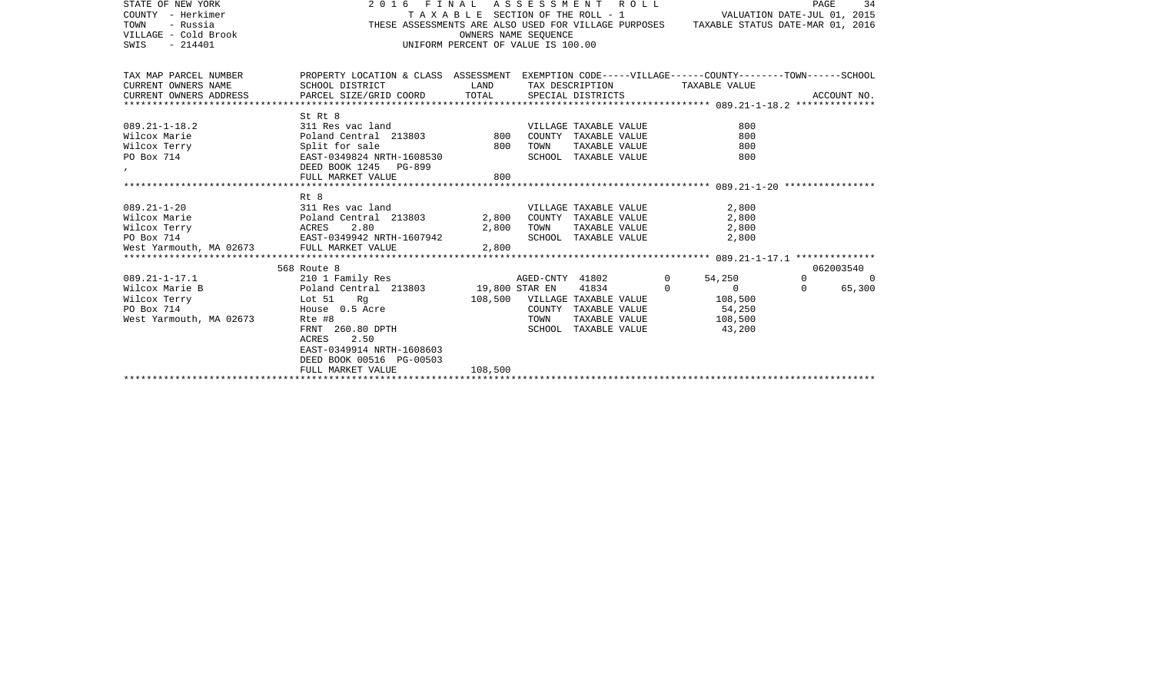| STATE OF NEW YORK       | 2016 FINAL                                                                                         |                                    | ASSESSMENT                    |                       | R O L L  |                                                                                       | PAGE     | 34          |
|-------------------------|----------------------------------------------------------------------------------------------------|------------------------------------|-------------------------------|-----------------------|----------|---------------------------------------------------------------------------------------|----------|-------------|
| COUNTY - Herkimer       | VALUATION DATE-JUL 01, 2015<br>T A X A B L E SECTION OF THE ROLL - 1                               |                                    |                               |                       |          |                                                                                       |          |             |
| TOWN<br>- Russia        |                                                                                                    |                                    |                               |                       |          | THESE ASSESSMENTS ARE ALSO USED FOR VILLAGE PURPOSES TAXABLE STATUS DATE-MAR 01, 2016 |          |             |
| VILLAGE - Cold Brook    |                                                                                                    | OWNERS NAME SEQUENCE               |                               |                       |          |                                                                                       |          |             |
| $-214401$<br>SWIS       |                                                                                                    | UNIFORM PERCENT OF VALUE IS 100.00 |                               |                       |          |                                                                                       |          |             |
|                         |                                                                                                    |                                    |                               |                       |          |                                                                                       |          |             |
|                         |                                                                                                    |                                    |                               |                       |          |                                                                                       |          |             |
| TAX MAP PARCEL NUMBER   | PROPERTY LOCATION & CLASS ASSESSMENT EXEMPTION CODE-----VILLAGE------COUNTY-------TOWN------SCHOOL |                                    |                               |                       |          |                                                                                       |          |             |
| CURRENT OWNERS NAME     | SCHOOL DISTRICT                                                                                    | LAND                               |                               | TAX DESCRIPTION       |          | TAXABLE VALUE                                                                         |          |             |
| CURRENT OWNERS ADDRESS  | PARCEL SIZE/GRID COORD                                                                             | TOTAL                              |                               | SPECIAL DISTRICTS     |          |                                                                                       |          | ACCOUNT NO. |
|                         |                                                                                                    |                                    |                               |                       |          |                                                                                       |          |             |
|                         | St Rt 8                                                                                            |                                    |                               |                       |          |                                                                                       |          |             |
| $089.21 - 1 - 18.2$     | 311 Res vac land                                                                                   |                                    |                               | VILLAGE TAXABLE VALUE |          | 800                                                                                   |          |             |
| Wilcox Marie            | Poland Central 213803                                                                              |                                    | 800 COUNTY                    | TAXABLE VALUE         |          | 800                                                                                   |          |             |
| Wilcox Terry            | Split for sale                                                                                     | 800                                | TOWN                          | TAXABLE VALUE         |          | 800                                                                                   |          |             |
| PO Box 714              | EAST-0349824 NRTH-1608530                                                                          |                                    |                               | SCHOOL TAXABLE VALUE  |          | 800                                                                                   |          |             |
| $\mathbf{r}$            | DEED BOOK 1245 PG-899                                                                              |                                    |                               |                       |          |                                                                                       |          |             |
|                         | FULL MARKET VALUE                                                                                  | 800                                |                               |                       |          |                                                                                       |          |             |
|                         |                                                                                                    |                                    |                               |                       |          |                                                                                       |          |             |
|                         | Rt 8                                                                                               |                                    |                               |                       |          |                                                                                       |          |             |
| $089.21 - 1 - 20$       | 311 Res vac land                                                                                   |                                    |                               | VILLAGE TAXABLE VALUE |          | 2,800                                                                                 |          |             |
| Wilcox Marie            | Poland Central 213803 2,800 COUNTY TAXABLE VALUE                                                   |                                    |                               |                       |          | 2,800                                                                                 |          |             |
| Wilcox Terry            | 2.80<br>ACRES                                                                                      |                                    | 2,800 TOWN                    | TAXABLE VALUE         |          | 2,800                                                                                 |          |             |
| PO Box 714              | EAST-0349942 NRTH-1607942                                                                          |                                    |                               | SCHOOL TAXABLE VALUE  |          | 2,800                                                                                 |          |             |
| West Yarmouth, MA 02673 | FULL MARKET VALUE                                                                                  | 2,800                              |                               |                       |          |                                                                                       |          |             |
|                         |                                                                                                    |                                    |                               |                       |          |                                                                                       |          |             |
|                         | 568 Route 8                                                                                        |                                    |                               |                       |          |                                                                                       |          | 062003540   |
| $089.21 - 1 - 17.1$     | 210 1 Family Res                                                                                   |                                    | AGED-CNTY 41802               |                       | $\circ$  | 54,250                                                                                | $\Omega$ | $\Omega$    |
| Wilcox Marie B          | Poland Central 213803                                                                              | 19,800 STAR EN                     |                               | 41834                 | $\Omega$ | $\Omega$                                                                              | $\Omega$ | 65,300      |
| Wilcox Terry            | Lot 51<br>Rq                                                                                       |                                    | 108,500 VILLAGE TAXABLE VALUE |                       |          | 108,500                                                                               |          |             |
| PO Box 714              | House 0.5 Acre                                                                                     |                                    | COUNTY                        | TAXABLE VALUE         |          | 54,250                                                                                |          |             |
| West Yarmouth, MA 02673 | Rte #8                                                                                             |                                    | TOWN                          | TAXABLE VALUE         |          | 108,500                                                                               |          |             |
|                         | FRNT 260.80 DPTH                                                                                   |                                    | SCHOOL                        | TAXABLE VALUE         |          | 43,200                                                                                |          |             |
|                         | <b>ACRES</b><br>2.50                                                                               |                                    |                               |                       |          |                                                                                       |          |             |
|                         | EAST-0349914 NRTH-1608603                                                                          |                                    |                               |                       |          |                                                                                       |          |             |
|                         | DEED BOOK 00516 PG-00503                                                                           |                                    |                               |                       |          |                                                                                       |          |             |
|                         | FULL MARKET VALUE                                                                                  | 108,500                            |                               |                       |          |                                                                                       |          |             |
|                         |                                                                                                    |                                    |                               |                       |          |                                                                                       |          |             |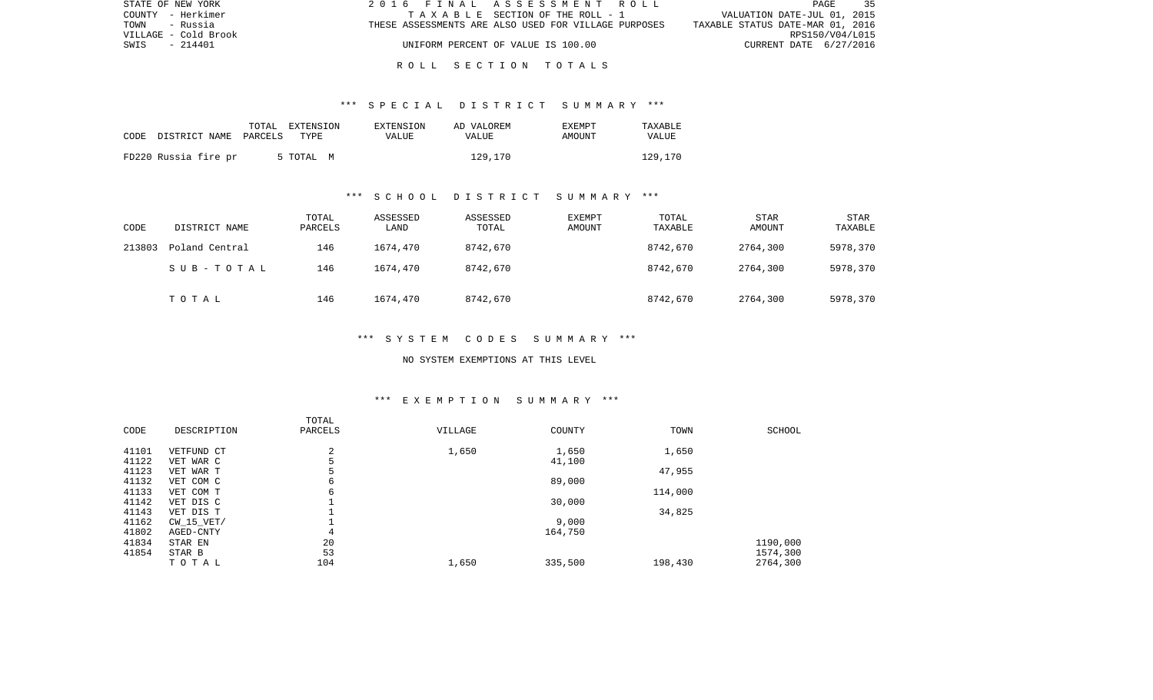| STATE OF NEW YORK    | 2016 FINAL ASSESSMENT ROLL                           | PAGE<br>35                       |
|----------------------|------------------------------------------------------|----------------------------------|
| COUNTY - Herkimer    | TAXABLE SECTION OF THE ROLL - 1                      | VALUATION DATE-JUL 01, 2015      |
| TOWN<br>- Russia     | THESE ASSESSMENTS ARE ALSO USED FOR VILLAGE PURPOSES | TAXABLE STATUS DATE-MAR 01, 2016 |
| VILLAGE - Cold Brook |                                                      | RPS150/V04/L015                  |
| SWIS - 214401        | UNIFORM PERCENT OF VALUE IS 100.00                   | CURRENT DATE 6/27/2016           |
|                      |                                                      |                                  |

## R O L L S E C T I O N T O T A L S

## \*\*\* S P E C I A L D I S T R I C T S U M M A R Y \*\*\*

| CODE | DISTRICT NAME PARCELS | TOTAL | EXTENSION<br>TYPE | EXTENSION<br>VALUE | AD VALOREM<br>VALUE | <b>EXEMPT</b><br>AMOUNT | TAXABLE<br>VALUE |
|------|-----------------------|-------|-------------------|--------------------|---------------------|-------------------------|------------------|
|      | FD220 Russia fire pr  |       | 5 TOTAL<br>M      |                    | 129,170             |                         | 129,170          |

# \*\*\* S C H O O L D I S T R I C T S U M M A R Y \*\*\*

| CODE   | DISTRICT NAME  | TOTAL<br>PARCELS | ASSESSED<br>LAND | ASSESSED<br>TOTAL | <b>EXEMPT</b><br>AMOUNT | TOTAL<br>TAXABLE | <b>STAR</b><br>AMOUNT | STAR<br>TAXABLE |
|--------|----------------|------------------|------------------|-------------------|-------------------------|------------------|-----------------------|-----------------|
| 213803 | Poland Central | 146              | 1674,470         | 8742,670          |                         | 8742,670         | 2764,300              | 5978,370        |
|        | SUB-TOTAL      | 146              | 1674,470         | 8742,670          |                         | 8742,670         | 2764,300              | 5978,370        |
|        | TOTAL          | 146              | 1674,470         | 8742,670          |                         | 8742,670         | 2764,300              | 5978,370        |

#### \*\*\* S Y S T E M C O D E S S U M M A R Y \*\*\*

#### NO SYSTEM EXEMPTIONS AT THIS LEVEL

## \*\*\* E X E M P T I O N S U M M A R Y \*\*\*

|       |                | TOTAL          |         |         |         |               |
|-------|----------------|----------------|---------|---------|---------|---------------|
| CODE  | DESCRIPTION    | PARCELS        | VILLAGE | COUNTY  | TOWN    | <b>SCHOOL</b> |
| 41101 | VETFUND CT     | $\overline{2}$ | 1,650   | 1,650   | 1,650   |               |
| 41122 | VET WAR C      |                |         | 41,100  |         |               |
| 41123 | VET WAR T      |                |         |         | 47,955  |               |
| 41132 | VET COM C      | 6              |         | 89,000  |         |               |
| 41133 | VET COM T      | 6              |         |         | 114,000 |               |
| 41142 | VET DIS C      |                |         | 30,000  |         |               |
| 41143 | VET DIS T      |                |         |         | 34,825  |               |
| 41162 | $CW$ 15 $VET/$ |                |         | 9,000   |         |               |
| 41802 | AGED-CNTY      | 4              |         | 164,750 |         |               |
| 41834 | STAR EN        | 20             |         |         |         | 1190,000      |
| 41854 | STAR B         | 53             |         |         |         | 1574,300      |
|       | TOTAL          | 104            | 1,650   | 335,500 | 198,430 | 2764,300      |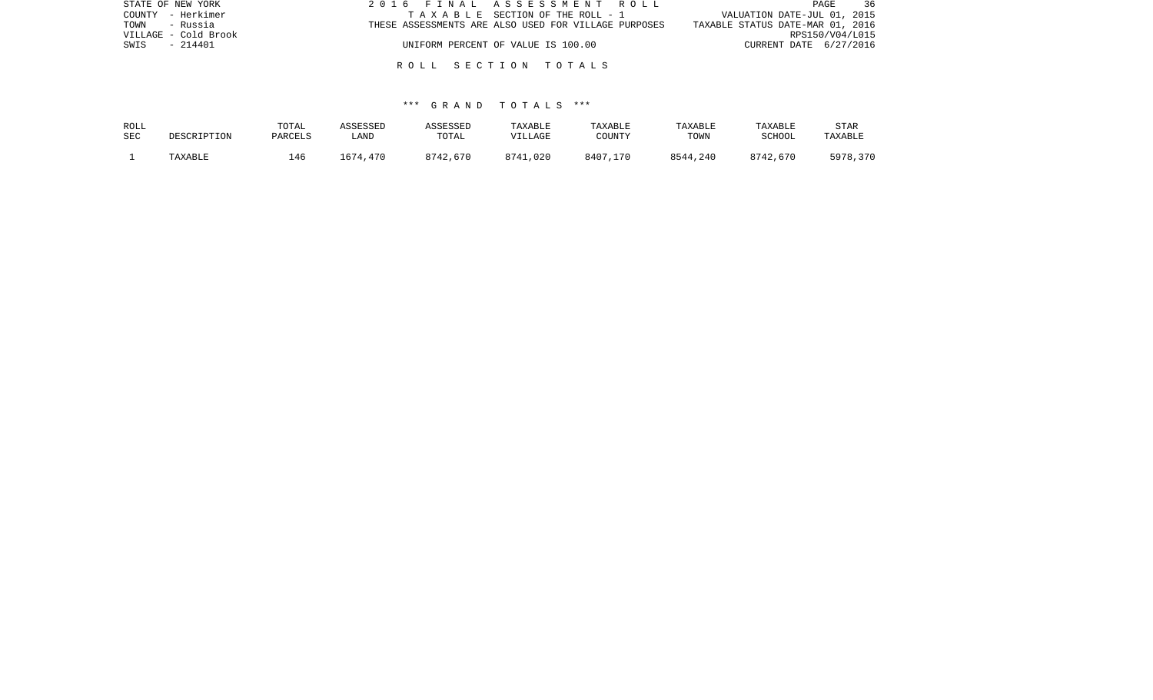| STATE OF NEW YORK    | 2016 FINAL ASSESSMENT ROLL                           | 36<br>PAGE                       |
|----------------------|------------------------------------------------------|----------------------------------|
| COUNTY - Herkimer    | TAXABLE SECTION OF THE ROLL - 1                      | VALUATION DATE-JUL 01, 2015      |
| TOWN - Russia        | THESE ASSESSMENTS ARE ALSO USED FOR VILLAGE PURPOSES | TAXABLE STATUS DATE-MAR 01, 2016 |
| VILLAGE - Cold Brook |                                                      | RPS150/V04/L015                  |
| SWIS<br>- 214401     | UNIFORM PERCENT OF VALUE IS 100.00                   | CURRENT DATE 6/27/2016           |
|                      |                                                      |                                  |
|                      | ROLL SECTION TOTALS                                  |                                  |

| ROLL       | DESCRIPTION | TOTAL   | ASSESSED | ASSESSED | TAXABLE  | <b>TAXABLE</b> | TAXABLE  | TAXABLE       | STAR     |
|------------|-------------|---------|----------|----------|----------|----------------|----------|---------------|----------|
| <b>SEC</b> |             | PARCELS | LAND     | TOTAL    | VILLAGE  | COUNTY         | TOWN     | <b>SCHOOL</b> | TAXABLE  |
|            | TAXABLE     | l 46    | 1674,470 | 8742,670 | 8741,020 | 8407,170       | 8544,240 | 8742,670      | 5978,370 |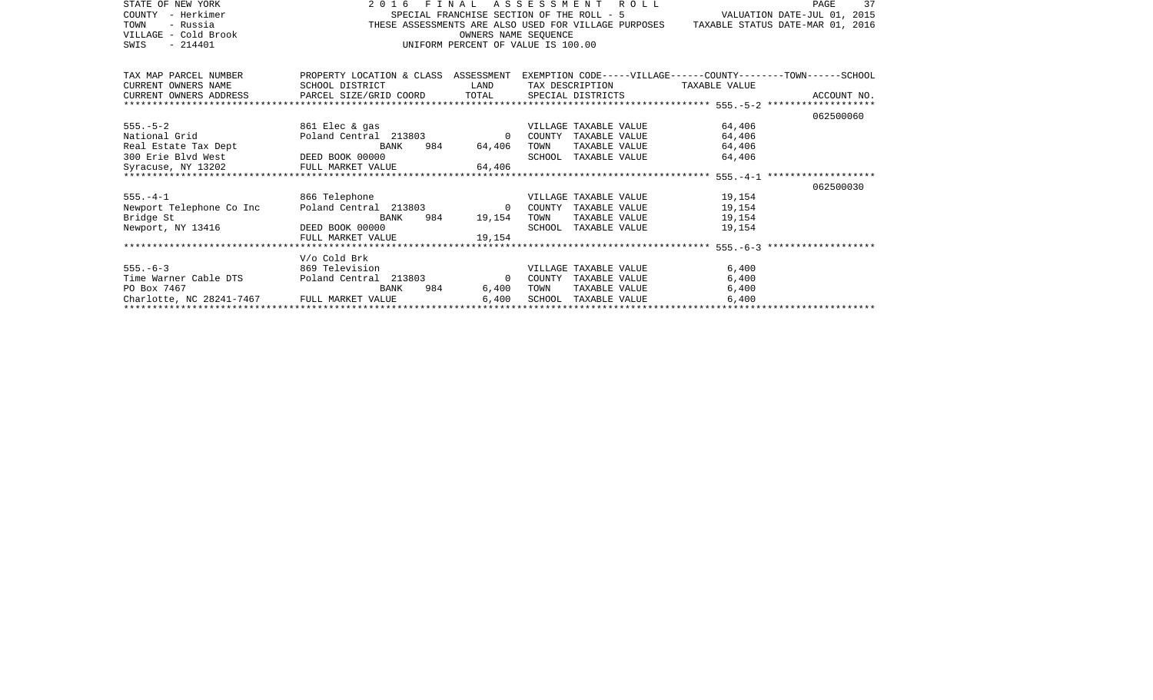| STATE OF NEW YORK<br>- Herkimer<br>COUNTY                                                                                           |                                                                                                                                          | SPECIAL FRANCHISE SECTION OF THE ROLL - 5 |      | 2016 FINAL ASSESSMENT ROLL   | VALUATION DATE-JUL 01, 2015                                                           | PAGE<br>37  |
|-------------------------------------------------------------------------------------------------------------------------------------|------------------------------------------------------------------------------------------------------------------------------------------|-------------------------------------------|------|------------------------------|---------------------------------------------------------------------------------------|-------------|
| TOWN<br>- Russia                                                                                                                    |                                                                                                                                          |                                           |      |                              | THESE ASSESSMENTS ARE ALSO USED FOR VILLAGE PURPOSES TAXABLE STATUS DATE-MAR 01, 2016 |             |
| VILLAGE - Cold Brook                                                                                                                |                                                                                                                                          | OWNERS NAME SEOUENCE                      |      |                              |                                                                                       |             |
| $-214401$<br>SWIS                                                                                                                   |                                                                                                                                          | UNIFORM PERCENT OF VALUE IS 100.00        |      |                              |                                                                                       |             |
|                                                                                                                                     |                                                                                                                                          |                                           |      |                              |                                                                                       |             |
|                                                                                                                                     |                                                                                                                                          |                                           |      |                              |                                                                                       |             |
| TAX MAP PARCEL NUMBER                                                                                                               | PROPERTY LOCATION & CLASS ASSESSMENT EXEMPTION CODE-----VILLAGE------COUNTY-------TOWN------SCHOOL                                       |                                           |      |                              |                                                                                       |             |
| CURRENT OWNERS NAME                                                                                                                 | SCHOOL DISTRICT<br><b>EXAMPLE DESCRIPTION OF STREET AND STREET AND STREET AND STREET AND STREET AND STREET AND STREET AND STREET AND</b> |                                           |      | TAX DESCRIPTION              | TAXABLE VALUE                                                                         |             |
| CURRENT OWNERS ADDRESS PARCEL SIZE/GRID COORD TOTAL                                                                                 |                                                                                                                                          |                                           |      | SPECIAL DISTRICTS            |                                                                                       | ACCOUNT NO. |
|                                                                                                                                     |                                                                                                                                          |                                           |      |                              |                                                                                       |             |
|                                                                                                                                     |                                                                                                                                          |                                           |      |                              |                                                                                       | 062500060   |
| $555. - 5 - 2$                                                                                                                      | $861$ Elec & gas                                                                                                                         |                                           |      | VILLAGE TAXABLE VALUE        | 64,406                                                                                |             |
| National Grid                                                                                                                       | Poland Central 213803 0                                                                                                                  |                                           |      | COUNTY TAXABLE VALUE         | 64,406                                                                                |             |
| Real Estate Tax Dept                                                                                                                | BANK                                                                                                                                     | 984 64,406                                | TOWN | TAXABLE VALUE                | 64,406                                                                                |             |
| 300 Erie Blvd West CODEED BOOK 00000                                                                                                |                                                                                                                                          |                                           |      | SCHOOL TAXABLE VALUE         | 64,406                                                                                |             |
| 300 Erie Blvd West                 DEED BOOK 00000<br>Syracuse, NY 13202             FULL MARKET VALUE                       64,406 |                                                                                                                                          |                                           |      |                              |                                                                                       |             |
|                                                                                                                                     |                                                                                                                                          |                                           |      |                              |                                                                                       |             |
|                                                                                                                                     |                                                                                                                                          |                                           |      |                              |                                                                                       | 062500030   |
| 866 Telephone<br>$555. - 4 - 1$                                                                                                     |                                                                                                                                          |                                           |      | VILLAGE TAXABLE VALUE 19,154 |                                                                                       |             |
| Newport Telephone Co Inc      Poland Central 213803               0   COUNTY TAXABLE VALUE                                          |                                                                                                                                          |                                           |      |                              | 19,154                                                                                |             |
| Bridge St                                                                                                                           | BANK                                                                                                                                     | 984 19,154                                | TOWN | TAXABLE VALUE                | 19,154                                                                                |             |
| Newport, NY 13416                                                                                                                   | DEED BOOK 00000                                                                                                                          |                                           |      | SCHOOL TAXABLE VALUE         | 19,154                                                                                |             |
|                                                                                                                                     | FULL MARKET VALUE                                                                                                                        | 19,154                                    |      |                              |                                                                                       |             |
|                                                                                                                                     |                                                                                                                                          |                                           |      |                              |                                                                                       |             |
|                                                                                                                                     | V/o Cold Brk                                                                                                                             |                                           |      |                              |                                                                                       |             |
| $555. - 6 - 3$                                                                                                                      | 869 Television                                                                                                                           |                                           |      | VILLAGE TAXABLE VALUE        | 6,400                                                                                 |             |
| Time Warner Cable DTS    Poland Central 213803                                                                                      |                                                                                                                                          | $\overline{0}$                            |      | COUNTY TAXABLE VALUE         | 6,400                                                                                 |             |
| PO Box 7467                                                                                                                         | BANK                                                                                                                                     | 984 — 100<br>6,400                        | TOWN | TAXABLE VALUE                | 6,400                                                                                 |             |
| Charlotte, NC 28241-7467 FULL MARKET VALUE                                                                                          |                                                                                                                                          | 6,400                                     |      | SCHOOL TAXABLE VALUE         | 6,400                                                                                 |             |
|                                                                                                                                     |                                                                                                                                          |                                           |      |                              |                                                                                       |             |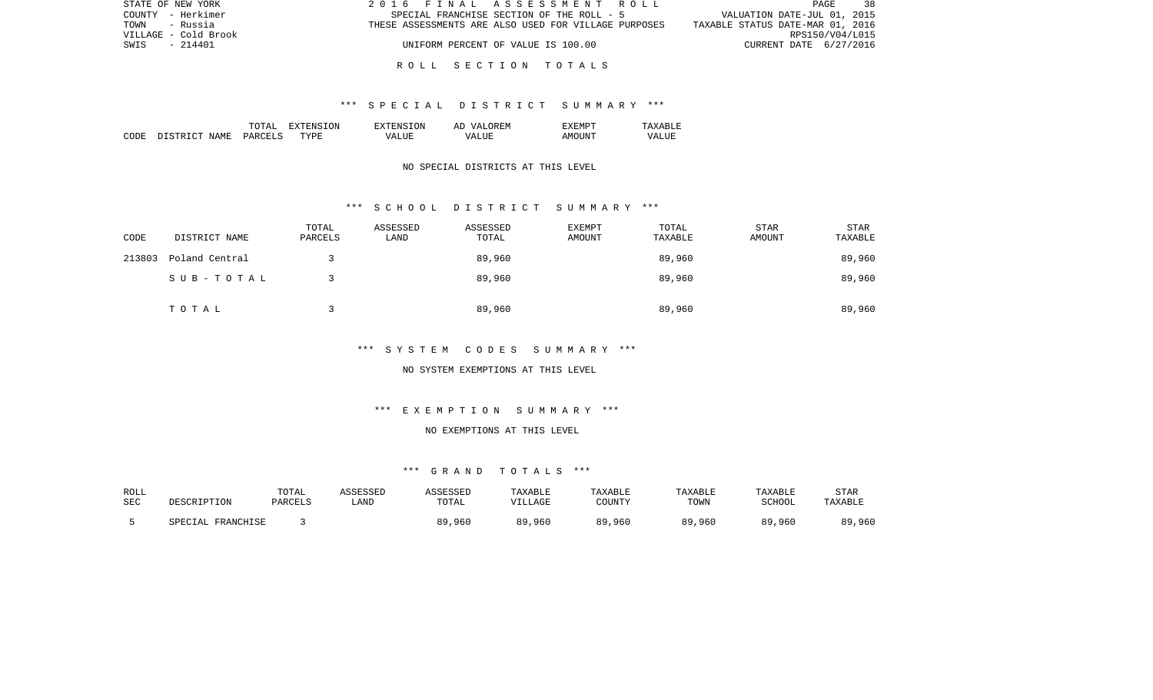| STATE OF NEW YORK    | 2016 FINAL ASSESSMENT ROLL                           | 38<br>PAGE                       |  |
|----------------------|------------------------------------------------------|----------------------------------|--|
| COUNTY - Herkimer    | SPECIAL FRANCHISE SECTION OF THE ROLL - 5            | VALUATION DATE-JUL 01, 2015      |  |
| TOWN<br>- Russia     | THESE ASSESSMENTS ARE ALSO USED FOR VILLAGE PURPOSES | TAXABLE STATUS DATE-MAR 01, 2016 |  |
| VILLAGE - Cold Brook |                                                      | RPS150/V04/L015                  |  |
| SWIS<br>$-214401$    | UNIFORM PERCENT OF VALUE IS 100.00                   | CURRENT DATE 6/27/2016           |  |
|                      |                                                      |                                  |  |

#### R O L L S E C T I O N T O T A L S

### \*\*\* S P E C I A L D I S T R I C T S U M M A R Y \*\*\*

|      |                         | ͲႶͲϪႨ          | 'ON<br>ווחידצי | TON.<br>. HIN'         | OREM<br>7 Z<br>Al | "XEMPT |                  |
|------|-------------------------|----------------|----------------|------------------------|-------------------|--------|------------------|
| CODE | NAME<br>DISTRI<br>יחיר. | <b>PARCELS</b> | <b>TYPE</b>    | $^{\prime}$ $\Delta$ . | <b>TTTT</b><br>۲Z | AMOINT | VALU.<br>_______ |

### NO SPECIAL DISTRICTS AT THIS LEVEL

#### \*\*\* S C H O O L D I S T R I C T S U M M A R Y \*\*\*

| CODE   | DISTRICT NAME  | TOTAL<br>PARCELS | ASSESSED<br>LAND | ASSESSED<br>TOTAL | <b>EXEMPT</b><br>AMOUNT | TOTAL<br>TAXABLE | <b>STAR</b><br>AMOUNT | <b>STAR</b><br>TAXABLE |
|--------|----------------|------------------|------------------|-------------------|-------------------------|------------------|-----------------------|------------------------|
| 213803 | Poland Central |                  |                  | 89,960            |                         | 89,960           |                       | 89,960                 |
|        | SUB-TOTAL      |                  |                  | 89,960            |                         | 89,960           |                       | 89,960                 |
|        | TOTAL          |                  |                  | 89,960            |                         | 89,960           |                       | 89,960                 |

## \*\*\* S Y S T E M C O D E S S U M M A R Y \*\*\*

#### NO SYSTEM EXEMPTIONS AT THIS LEVEL

# \*\*\* E X E M P T I O N S U M M A R Y \*\*\*

## NO EXEMPTIONS AT THIS LEVEL

| ROLL |                      | TOTAL   | ASSESSED | ASSESSED | <b>TAXABLE</b> | TAXABLE | TAXABLE | TAXABLE | STAR    |
|------|----------------------|---------|----------|----------|----------------|---------|---------|---------|---------|
| SEC  | DESCRIPTION          | PARCELS | LAND     | TOTAL    | VILLAGE        | COUNTY  | TOWN    | SCHOOL  | TAXABLE |
|      | FRANCHISE<br>SPECIAL |         |          | 89,960   | 89,960         | 89,960  | 89,960  | 89,960  | 89,960  |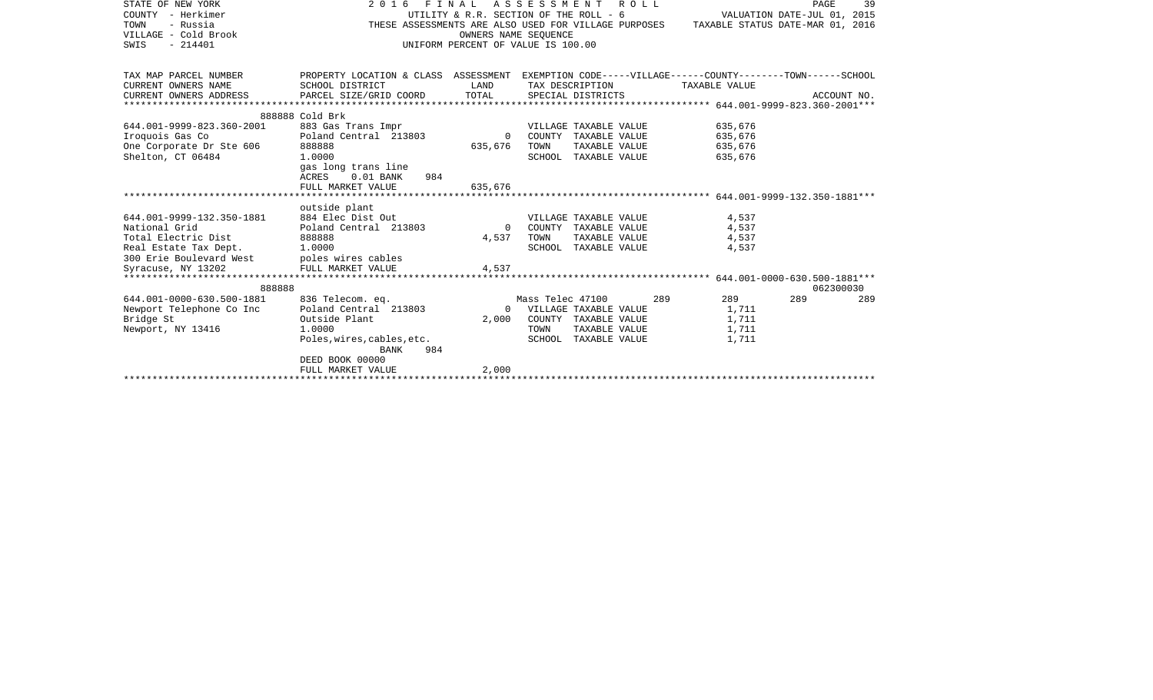| STATE OF NEW YORK         | 2016 FINAL ASSESSMENT ROLL                                                                         |                                        |                  |                       |     |                                  | PAGE                        | 39          |
|---------------------------|----------------------------------------------------------------------------------------------------|----------------------------------------|------------------|-----------------------|-----|----------------------------------|-----------------------------|-------------|
| COUNTY - Herkimer         |                                                                                                    | UTILITY & R.R. SECTION OF THE ROLL - 6 |                  |                       |     |                                  | VALUATION DATE-JUL 01, 2015 |             |
| TOWN<br>- Russia          | THESE ASSESSMENTS ARE ALSO USED FOR VILLAGE PURPOSES                                               |                                        |                  |                       |     | TAXABLE STATUS DATE-MAR 01, 2016 |                             |             |
| VILLAGE - Cold Brook      |                                                                                                    | OWNERS NAME SEOUENCE                   |                  |                       |     |                                  |                             |             |
| $-214401$<br>SWIS         |                                                                                                    | UNIFORM PERCENT OF VALUE IS 100.00     |                  |                       |     |                                  |                             |             |
|                           |                                                                                                    |                                        |                  |                       |     |                                  |                             |             |
|                           |                                                                                                    |                                        |                  |                       |     |                                  |                             |             |
| TAX MAP PARCEL NUMBER     | PROPERTY LOCATION & CLASS ASSESSMENT EXEMPTION CODE-----VILLAGE------COUNTY-------TOWN------SCHOOL |                                        |                  |                       |     |                                  |                             |             |
| CURRENT OWNERS NAME       | SCHOOL DISTRICT                                                                                    | LAND                                   |                  | TAX DESCRIPTION       |     | TAXABLE VALUE                    |                             |             |
| CURRENT OWNERS ADDRESS    | PARCEL SIZE/GRID COORD                                                                             | TOTAL                                  |                  | SPECIAL DISTRICTS     |     |                                  |                             | ACCOUNT NO. |
|                           |                                                                                                    |                                        |                  |                       |     |                                  |                             |             |
|                           | 888888 Cold Brk                                                                                    |                                        |                  |                       |     |                                  |                             |             |
|                           |                                                                                                    |                                        |                  |                       |     |                                  |                             |             |
| 644.001-9999-823.360-2001 | 883 Gas Trans Impr                                                                                 |                                        |                  | VILLAGE TAXABLE VALUE |     | 635,676                          |                             |             |
| Iroquois Gas Co           | Poland Central 213803                                                                              | $\Omega$                               |                  | COUNTY TAXABLE VALUE  |     | 635,676                          |                             |             |
| One Corporate Dr Ste 606  | 888888                                                                                             | 635,676                                | TOWN             | TAXABLE VALUE         |     | 635,676                          |                             |             |
| Shelton, CT 06484         | 1,0000                                                                                             |                                        |                  | SCHOOL TAXABLE VALUE  |     | 635,676                          |                             |             |
|                           | gas long trans line                                                                                |                                        |                  |                       |     |                                  |                             |             |
|                           | $0.01$ BANK<br>984<br>ACRES                                                                        |                                        |                  |                       |     |                                  |                             |             |
|                           | FULL MARKET VALUE                                                                                  | 635,676                                |                  |                       |     |                                  |                             |             |
|                           |                                                                                                    |                                        |                  |                       |     |                                  |                             |             |
|                           | outside plant                                                                                      |                                        |                  |                       |     |                                  |                             |             |
| 644.001-9999-132.350-1881 | 884 Elec Dist Out                                                                                  |                                        |                  | VILLAGE TAXABLE VALUE |     | 4,537                            |                             |             |
| National Grid             | Poland Central 213803                                                                              | $\Omega$                               |                  | COUNTY TAXABLE VALUE  |     | 4,537                            |                             |             |
| Total Electric Dist       | 888888                                                                                             | 4,537                                  | TOWN             | TAXABLE VALUE         |     | 4,537                            |                             |             |
| Real Estate Tax Dept.     | 1,0000                                                                                             |                                        |                  | SCHOOL TAXABLE VALUE  |     | 4,537                            |                             |             |
| 300 Erie Boulevard West   | poles wires cables                                                                                 |                                        |                  |                       |     |                                  |                             |             |
| Syracuse, NY 13202        | FULL MARKET VALUE                                                                                  | 4,537                                  |                  |                       |     |                                  |                             |             |
|                           |                                                                                                    |                                        |                  |                       |     |                                  |                             |             |
| 888888                    |                                                                                                    |                                        |                  |                       |     |                                  | 062300030                   |             |
| 644.001-0000-630.500-1881 | 836 Telecom. eq.                                                                                   |                                        | Mass Telec 47100 |                       | 289 | 289                              | 289                         | 289         |
| Newport Telephone Co Inc  | Poland Central 213803                                                                              | $\Omega$                               |                  | VILLAGE TAXABLE VALUE |     | 1,711                            |                             |             |
| Bridge St                 | Outside Plant                                                                                      | 2,000                                  |                  | COUNTY TAXABLE VALUE  |     | 1,711                            |                             |             |
|                           |                                                                                                    |                                        |                  |                       |     |                                  |                             |             |
|                           |                                                                                                    |                                        |                  |                       |     |                                  |                             |             |
| Newport, NY 13416         | 1,0000                                                                                             |                                        | TOWN             | TAXABLE VALUE         |     | 1,711                            |                             |             |
|                           | Poles, wires, cables, etc.                                                                         |                                        |                  | SCHOOL TAXABLE VALUE  |     | 1,711                            |                             |             |
|                           | 984<br>BANK                                                                                        |                                        |                  |                       |     |                                  |                             |             |
|                           | DEED BOOK 00000                                                                                    |                                        |                  |                       |     |                                  |                             |             |
|                           | FULL MARKET VALUE                                                                                  | 2,000                                  |                  |                       |     |                                  |                             |             |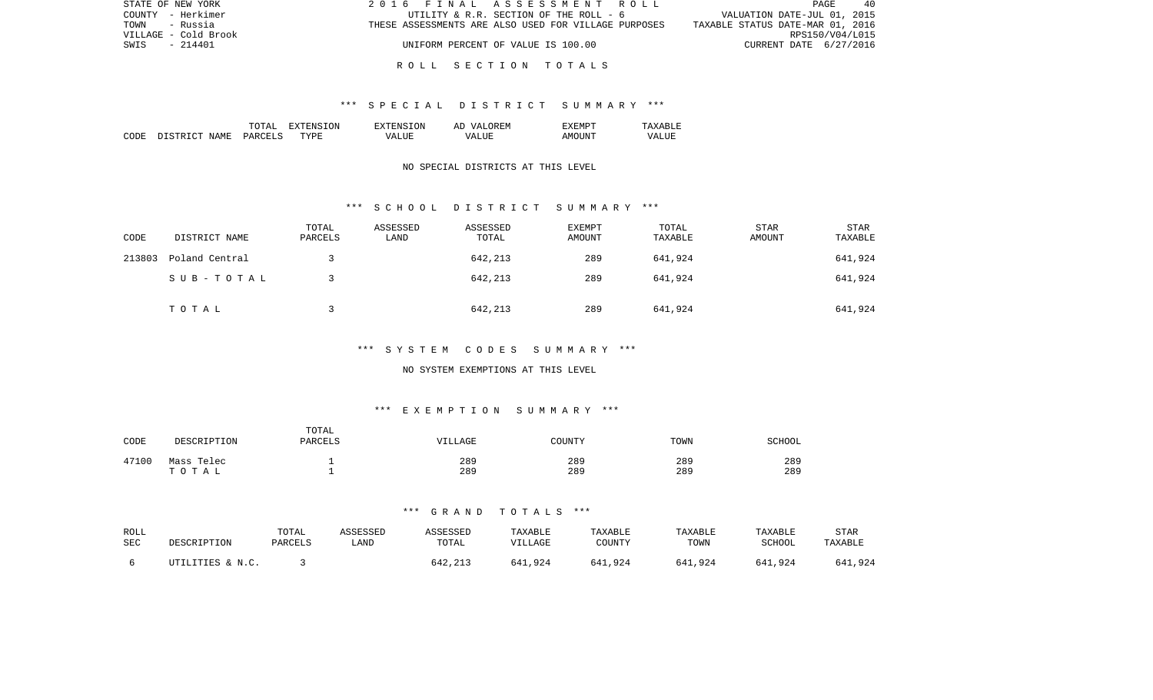| STATE OF NEW YORK    | 2016 FINAL ASSESSMENT ROLL                           | PAGE<br>- 40                     |
|----------------------|------------------------------------------------------|----------------------------------|
| COUNTY - Herkimer    | UTILITY & R.R. SECTION OF THE ROLL - 6               | VALUATION DATE-JUL 01, 2015      |
| TOWN<br>- Russia     | THESE ASSESSMENTS ARE ALSO USED FOR VILLAGE PURPOSES | TAXABLE STATUS DATE-MAR 01, 2016 |
| VILLAGE - Cold Brook |                                                      | RPS150/V04/L015                  |
| SWIS<br>- 214401     | UNIFORM PERCENT OF VALUE IS 100.00                   | CURRENT DATE 6/27/2016           |
|                      |                                                      |                                  |

#### R O L L S E C T I O N T O T A L S

#### \*\*\* S P E C I A L D I S T R I C T S U M M A R Y \*\*\*

|      |                        | ͲႶͲϪͳ   | ∟ הרידי<br>. х і | TON.<br>TYTENS. | OREM<br>AP<br>VΖD. |                                             | <u>д х</u><br>$\cdots$ |
|------|------------------------|---------|------------------|-----------------|--------------------|---------------------------------------------|------------------------|
| CODE | ידי אידי אידי<br>NAME. | PARCELS | TYPE             | VALUE           | ALUF<br>74 A       | $\wedge$ M $\bigcap$ <sup>T</sup><br>'ות ונ | VALUI<br>_______       |

## NO SPECIAL DISTRICTS AT THIS LEVEL

#### \*\*\* S C H O O L D I S T R I C T S U M M A R Y \*\*\*

| CODE   | DISTRICT NAME  | TOTAL<br>PARCELS | ASSESSED<br>LAND | ASSESSED<br>TOTAL | EXEMPT<br>AMOUNT | TOTAL<br>TAXABLE | STAR<br>AMOUNT | <b>STAR</b><br>TAXABLE |
|--------|----------------|------------------|------------------|-------------------|------------------|------------------|----------------|------------------------|
| 213803 | Poland Central |                  |                  | 642,213           | 289              | 641,924          |                | 641,924                |
|        | SUB-TOTAL      |                  |                  | 642,213           | 289              | 641,924          |                | 641,924                |
|        | TOTAL          |                  |                  | 642,213           | 289              | 641,924          |                | 641,924                |

## \*\*\* S Y S T E M C O D E S S U M M A R Y \*\*\*

#### NO SYSTEM EXEMPTIONS AT THIS LEVEL

# \*\*\* E X E M P T I O N S U M M A R Y \*\*\*

| CODE  | DESCRIPTION | TOTAL<br>PARCELS | <b>VILLAGE</b> | COUNTY | TOWN | SCHOOL |
|-------|-------------|------------------|----------------|--------|------|--------|
| 47100 | Mass Telec  | -                | 289            | 289    | 289  | 289    |
|       | TOTAL       | -                | 289            | 289    | 289  | 289    |

| ROLL | DESCRIPTION      | TOTAL   | ASSESSED | ASSESSED | <b>TAXABLE</b> | <b>TAXABLE</b> | TAXABLE | TAXABLE       | STAR    |
|------|------------------|---------|----------|----------|----------------|----------------|---------|---------------|---------|
| SEC  |                  | PARCELS | LAND     | TOTAL    | VILLAGE        | COUNTY         | TOWN    | <b>SCHOOL</b> | TAXABLE |
|      | UTILITIES & N.C. |         |          | 642,213  | 641,924        | 641<br>,924    | 641,924 | 641,924       | 641,924 |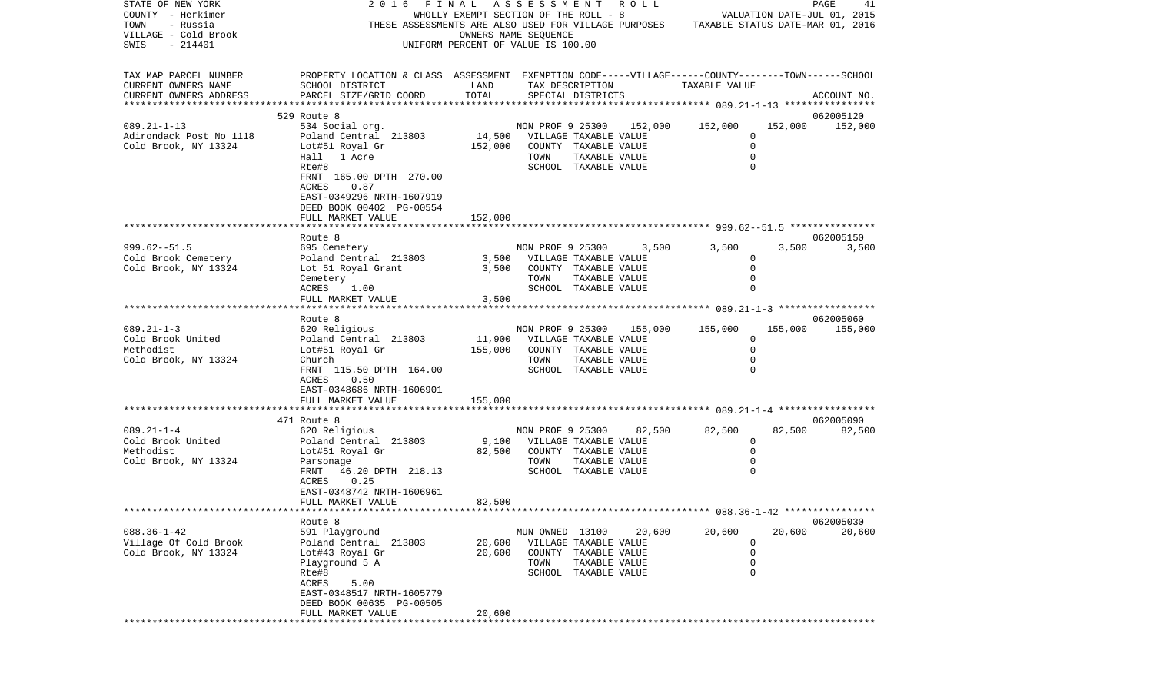| STATE OF NEW YORK<br>COUNTY - Herkimer<br>- Russia<br>TOWN             | 2016 FINAL ASSESSMENT ROLL<br>THESE ASSESSMENTS ARE ALSO USED FOR VILLAGE PURPOSES TAXABLE STATUS DATE-MAR 01, 2016                             | WHOLLY EXEMPT SECTION OF THE ROLL - 8 |                              |                                      |                          | VALUATION DATE-JUL 01, 2015 |                            | PAGE<br>41                   |
|------------------------------------------------------------------------|-------------------------------------------------------------------------------------------------------------------------------------------------|---------------------------------------|------------------------------|--------------------------------------|--------------------------|-----------------------------|----------------------------|------------------------------|
| VILLAGE - Cold Brook<br>SWIS<br>$-214401$                              |                                                                                                                                                 | UNIFORM PERCENT OF VALUE IS 100.00    | OWNERS NAME SEQUENCE         |                                      |                          |                             |                            |                              |
| TAX MAP PARCEL NUMBER<br>CURRENT OWNERS NAME<br>CURRENT OWNERS ADDRESS | PROPERTY LOCATION & CLASS ASSESSMENT EXEMPTION CODE-----VILLAGE------COUNTY-------TOWN------SCHOOL<br>SCHOOL DISTRICT<br>PARCEL SIZE/GRID COORD | LAND<br>TOTAL                         |                              | TAX DESCRIPTION<br>SPECIAL DISTRICTS |                          | TAXABLE VALUE               |                            | ACCOUNT NO.                  |
|                                                                        |                                                                                                                                                 |                                       |                              |                                      |                          |                             |                            |                              |
| $089.21 - 1 - 13$                                                      | 529 Route 8                                                                                                                                     |                                       |                              |                                      |                          | 152,000                     | 152,000                    | 062005120<br>152,000         |
| Adirondack Post No 1118                                                | 534 Social org.<br>Poland Central 213803                                                                                                        | 14,500 VILLAGE TAXABLE VALUE          |                              |                                      | NON PROF 9 25300 152,000 |                             | 0                          |                              |
| Cold Brook, NY 13324                                                   | Lot#51 Royal Gr                                                                                                                                 | 152,000                               |                              | COUNTY TAXABLE VALUE                 |                          |                             | $\mathbf 0$                |                              |
|                                                                        | Hall 1 Acre                                                                                                                                     |                                       | TOWN                         | TAXABLE VALUE                        |                          |                             | $\mathbf 0$                |                              |
|                                                                        | Rte#8                                                                                                                                           |                                       |                              | SCHOOL TAXABLE VALUE                 |                          |                             | $\Omega$                   |                              |
|                                                                        | FRNT 165.00 DPTH 270.00<br>ACRES<br>0.87                                                                                                        |                                       |                              |                                      |                          |                             |                            |                              |
|                                                                        | EAST-0349296 NRTH-1607919<br>DEED BOOK 00402 PG-00554                                                                                           |                                       |                              |                                      |                          |                             |                            |                              |
|                                                                        | FULL MARKET VALUE                                                                                                                               | 152,000                               |                              |                                      |                          |                             |                            |                              |
|                                                                        |                                                                                                                                                 |                                       |                              |                                      |                          |                             |                            |                              |
|                                                                        | Route 8                                                                                                                                         |                                       |                              |                                      |                          |                             |                            | 062005150                    |
| $999.62 - 51.5$                                                        | 695 Cemetery                                                                                                                                    |                                       |                              |                                      | NON PROF 9 25300 3,500   | 3,500                       | 3,500                      | 3,500                        |
| Cold Brook Cemetery<br>Cold Brook, NY 13324                            | Poland Central 213803<br>Lot 51 Royal Grant                                                                                                     | 3,500                                 | 3,500 VILLAGE TAXABLE VALUE  | COUNTY TAXABLE VALUE                 |                          |                             | 0<br>$\mathbf 0$           |                              |
|                                                                        | Cemetery                                                                                                                                        |                                       | TOWN                         | TAXABLE VALUE                        |                          |                             | $\mathbf 0$                |                              |
|                                                                        | ACRES<br>1.00                                                                                                                                   |                                       |                              | SCHOOL TAXABLE VALUE                 |                          |                             | $\mathbf 0$                |                              |
|                                                                        | FULL MARKET VALUE                                                                                                                               | 3,500                                 |                              |                                      |                          |                             |                            |                              |
|                                                                        |                                                                                                                                                 |                                       |                              |                                      |                          |                             |                            |                              |
| $089.21 - 1 - 3$                                                       | Route 8<br>620 Religious                                                                                                                        |                                       | NON PROF 9 25300             |                                      |                          | 155,000 155,000             |                            | 062005060<br>155,000 155,000 |
| Cold Brook United                                                      | Poland Central 213803                                                                                                                           | 11,900                                | VILLAGE TAXABLE VALUE        |                                      |                          |                             | $\Omega$                   |                              |
| Methodist                                                              | Lot#51 Royal Gr                                                                                                                                 | 155,000                               |                              | COUNTY TAXABLE VALUE                 |                          |                             | $\mathbf 0$                |                              |
| Cold Brook, NY 13324                                                   | Church                                                                                                                                          |                                       | TOWN                         | TAXABLE VALUE                        |                          |                             | $\Omega$                   |                              |
|                                                                        | FRNT 115.50 DPTH 164.00                                                                                                                         |                                       |                              | SCHOOL TAXABLE VALUE                 |                          |                             | $\Omega$                   |                              |
|                                                                        | 0.50<br>ACRES                                                                                                                                   |                                       |                              |                                      |                          |                             |                            |                              |
|                                                                        | EAST-0348686 NRTH-1606901<br>FULL MARKET VALUE                                                                                                  | 155,000                               |                              |                                      |                          |                             |                            |                              |
|                                                                        |                                                                                                                                                 |                                       |                              |                                      |                          |                             |                            |                              |
|                                                                        | 471 Route 8                                                                                                                                     |                                       |                              |                                      |                          |                             |                            | 062005090                    |
| $089.21 - 1 - 4$                                                       | 620 Religious                                                                                                                                   |                                       |                              |                                      | NON PROF 9 25300 82,500  | 82,500                      | 82,500                     | 82,500                       |
| Cold Brook United                                                      | Poland Central 213803                                                                                                                           |                                       | 9,100 VILLAGE TAXABLE VALUE  |                                      |                          |                             | $\mathbf 0$                |                              |
| Methodist<br>Cold Brook, NY 13324                                      | Lot#51 Royal Gr<br>Parsonage                                                                                                                    | 82,500                                | COUNTY TAXABLE VALUE<br>TOWN | TAXABLE VALUE                        |                          |                             | $\mathbf 0$<br>$\mathbf 0$ |                              |
|                                                                        | FRNT 46.20 DPTH 218.13                                                                                                                          |                                       |                              | SCHOOL TAXABLE VALUE                 |                          |                             | $\Omega$                   |                              |
|                                                                        | 0.25<br>ACRES                                                                                                                                   |                                       |                              |                                      |                          |                             |                            |                              |
|                                                                        | EAST-0348742 NRTH-1606961                                                                                                                       |                                       |                              |                                      |                          |                             |                            |                              |
|                                                                        | FULL MARKET VALUE                                                                                                                               | 82,500                                |                              |                                      |                          |                             |                            |                              |
|                                                                        |                                                                                                                                                 |                                       |                              |                                      |                          |                             |                            |                              |
| $088.36 - 1 - 42$                                                      | Route 8<br>591 Playground                                                                                                                       |                                       | MUN OWNED 13100              |                                      | 20,600                   | 20,600                      | 20,600                     | 062005030<br>20,600          |
| Village Of Cold Brook                                                  | Poland Central 213803                                                                                                                           | 20,600                                |                              | VILLAGE TAXABLE VALUE                |                          |                             | 0                          |                              |
| Cold Brook, NY 13324                                                   | Lot#43 Royal Gr                                                                                                                                 | 20,600                                |                              | COUNTY TAXABLE VALUE                 |                          |                             | 0                          |                              |
|                                                                        | Playground 5 A                                                                                                                                  |                                       | TOWN                         | TAXABLE VALUE                        |                          |                             | $\mathsf 0$                |                              |
|                                                                        | Rte#8                                                                                                                                           |                                       |                              | SCHOOL TAXABLE VALUE                 |                          |                             | $\mathbf 0$                |                              |
|                                                                        | ACRES<br>5.00                                                                                                                                   |                                       |                              |                                      |                          |                             |                            |                              |
|                                                                        | EAST-0348517 NRTH-1605779<br>DEED BOOK 00635 PG-00505                                                                                           |                                       |                              |                                      |                          |                             |                            |                              |
|                                                                        | FULL MARKET VALUE                                                                                                                               | 20,600                                |                              |                                      |                          |                             |                            |                              |
|                                                                        |                                                                                                                                                 |                                       |                              |                                      |                          |                             |                            |                              |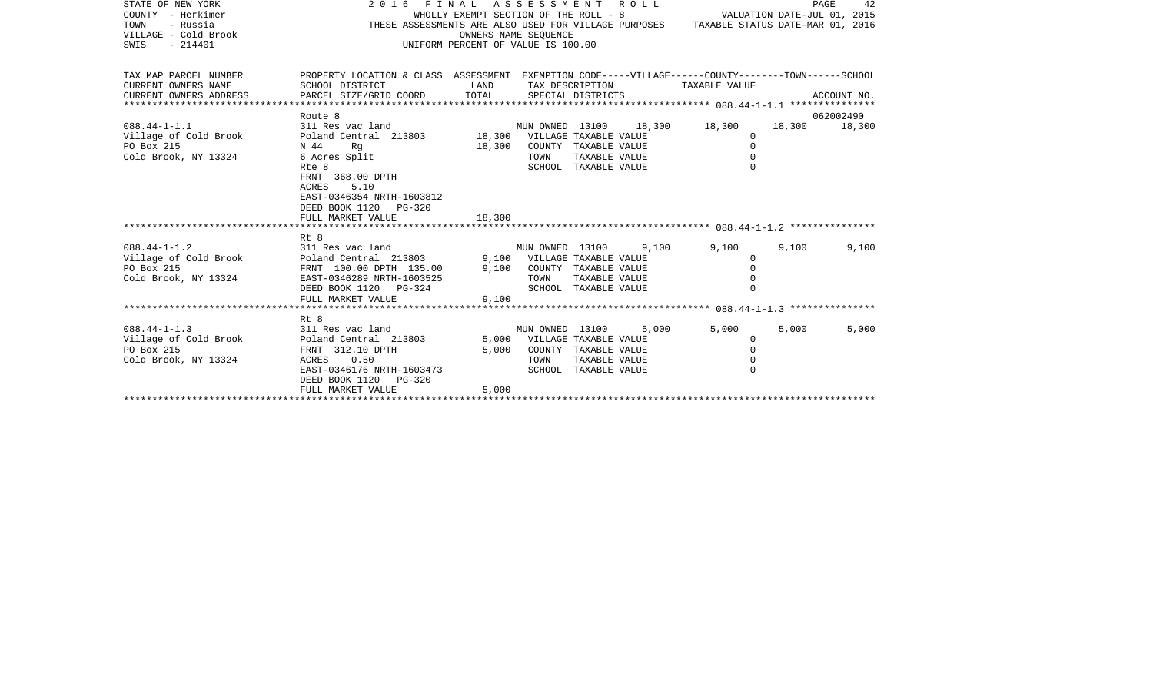| STATE OF NEW YORK<br>COUNTY - Herkimer<br>TOWN<br>- Russia<br>VILLAGE - Cold Brook<br>SWIS<br>$-214401$ | 2016 FINAL ASSESSMENT ROLL<br>THESE ASSESSMENTS ARE ALSO USED FOR VILLAGE PURPOSES TAXABLE STATUS DATE-MAR 01, 2016                             | WHOLLY EXEMPT SECTION OF THE ROLL - 8<br>UNIFORM PERCENT OF VALUE IS 100.00 | OWNERS NAME SEQUENCE        |                                      |                       | VALUATION DATE-JUL 01, 2015               |       | PAGE<br>42    |
|---------------------------------------------------------------------------------------------------------|-------------------------------------------------------------------------------------------------------------------------------------------------|-----------------------------------------------------------------------------|-----------------------------|--------------------------------------|-----------------------|-------------------------------------------|-------|---------------|
| TAX MAP PARCEL NUMBER<br>CURRENT OWNERS NAME<br>CURRENT OWNERS ADDRESS                                  | PROPERTY LOCATION & CLASS ASSESSMENT EXEMPTION CODE-----VILLAGE------COUNTY-------TOWN------SCHOOL<br>SCHOOL DISTRICT<br>PARCEL SIZE/GRID COORD | LAND<br>TOTAL                                                               |                             | TAX DESCRIPTION<br>SPECIAL DISTRICTS |                       | TAXABLE VALUE                             |       | ACCOUNT NO.   |
|                                                                                                         | Route 8                                                                                                                                         |                                                                             |                             |                                      |                       |                                           |       | 062002490     |
| $088.44 - 1 - 1.1$<br>Village of Cold Brook                                                             | 311 Res vac land<br>Poland Central 213803 18,300 VILLAGE TAXABLE VALUE                                                                          |                                                                             |                             |                                      |                       | MUN OWNED 13100 18,300 18,300<br>$\Omega$ |       | 18,300 18,300 |
| PO Box 215                                                                                              | N 44<br>Rq                                                                                                                                      | 18,300                                                                      | COUNTY TAXABLE VALUE        |                                      |                       | $\Omega$                                  |       |               |
| Cold Brook, NY 13324                                                                                    | 6 Acres Split                                                                                                                                   |                                                                             | TOWN                        |                                      | TAXABLE VALUE         | $\Omega$                                  |       |               |
|                                                                                                         | Rte 8                                                                                                                                           |                                                                             |                             | SCHOOL TAXABLE VALUE                 |                       | $\Omega$                                  |       |               |
|                                                                                                         | FRNT 368.00 DPTH<br>5.10<br>ACRES<br>EAST-0346354 NRTH-1603812<br>DEED BOOK 1120 PG-320<br>FULL MARKET VALUE                                    | 18,300                                                                      |                             |                                      |                       |                                           |       |               |
|                                                                                                         |                                                                                                                                                 |                                                                             |                             |                                      |                       |                                           |       |               |
|                                                                                                         | Rt 8                                                                                                                                            |                                                                             |                             |                                      |                       |                                           |       |               |
| $088.44 - 1 - 1.2$                                                                                      | 311 Res vac land<br>Poland Central 213803 9,100<br>FRNT 100.00 DPTH 135.00 9,100<br>EAST-0346289 NPTH-1602525                                   |                                                                             |                             |                                      | MUN OWNED 13100 9,100 | 9,100                                     | 9,100 | 9,100         |
| Village of Cold Brook                                                                                   |                                                                                                                                                 |                                                                             | 9,100 VILLAGE TAXABLE VALUE |                                      |                       | $\mathbf 0$                               |       |               |
| PO Box 215                                                                                              |                                                                                                                                                 |                                                                             | 9,100 COUNTY TAXABLE VALUE  |                                      |                       | $\Omega$                                  |       |               |
| Cold Brook, NY 13324                                                                                    | EAST-0346289 NRTH-1603525                                                                                                                       |                                                                             | TOWN                        |                                      | TAXABLE VALUE         |                                           |       |               |
|                                                                                                         | DEED BOOK 1120 PG-324                                                                                                                           |                                                                             |                             | SCHOOL TAXABLE VALUE                 |                       |                                           |       |               |
|                                                                                                         | FULL MARKET VALUE                                                                                                                               | 9,100                                                                       |                             |                                      |                       |                                           |       |               |
|                                                                                                         |                                                                                                                                                 |                                                                             |                             |                                      |                       |                                           |       |               |
| $088.44 - 1 - 1.3$                                                                                      | Rt 8<br>311 Res vac land                                                                                                                        |                                                                             |                             |                                      | MUN OWNED 13100 5,000 | 5,000                                     | 5,000 | 5,000         |
| Village of Cold Brook                                                                                   | Poland Central 213803                                                                                                                           |                                                                             | 5,000 VILLAGE TAXABLE VALUE |                                      |                       | $\circ$                                   |       |               |
| PO Box 215                                                                                              | FRNT 312.10 DPTH                                                                                                                                |                                                                             | 5,000 COUNTY TAXABLE VALUE  |                                      |                       | $\mathbf 0$                               |       |               |
| Cold Brook, NY 13324                                                                                    | ACRES 0.50                                                                                                                                      |                                                                             | TOWN                        |                                      | TAXABLE VALUE         | $\Omega$                                  |       |               |
|                                                                                                         | EAST-0346176 NRTH-1603473                                                                                                                       |                                                                             |                             | SCHOOL TAXABLE VALUE                 |                       |                                           |       |               |
|                                                                                                         | DEED BOOK 1120 PG-320<br>FULL MARKET VALUE                                                                                                      | 5,000                                                                       |                             |                                      |                       |                                           |       |               |
|                                                                                                         |                                                                                                                                                 |                                                                             |                             |                                      |                       |                                           |       |               |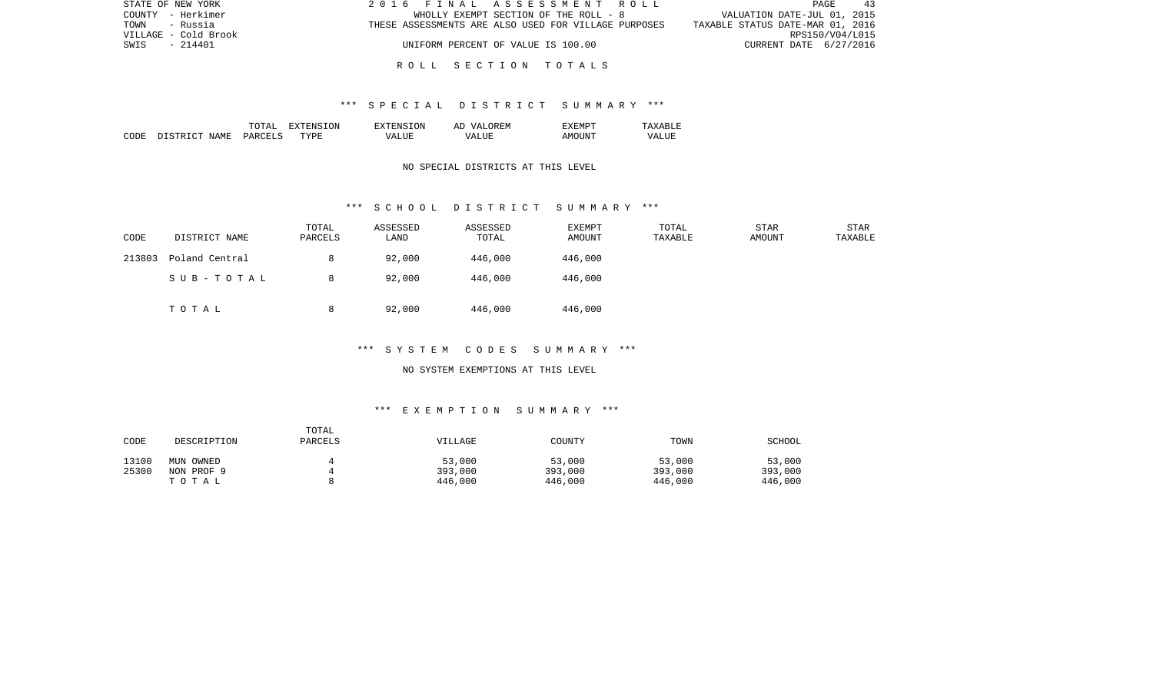| STATE OF NEW YORK    | 2016 FINAL ASSESSMENT ROLL                           | PAGE<br>-43                      |
|----------------------|------------------------------------------------------|----------------------------------|
| COUNTY - Herkimer    | WHOLLY EXEMPT SECTION OF THE ROLL - 8                | VALUATION DATE-JUL 01, 2015      |
| TOWN<br>- Russia     | THESE ASSESSMENTS ARE ALSO USED FOR VILLAGE PURPOSES | TAXABLE STATUS DATE-MAR 01, 2016 |
| VILLAGE - Cold Brook |                                                      | RPS150/V04/L015                  |
| $-214401$<br>SWIS    | UNIFORM PERCENT OF VALUE IS 100.00                   | CURRENT DATE 6/27/2016           |
|                      |                                                      |                                  |

### R O L L S E C T I O N T O T A L S

### \*\*\* S P E C I A L D I S T R I C T S U M M A R Y \*\*\*

|      |                         | ͲႶͲϪႨ          | 'ON<br>ווחידצי | TON.<br>. HIN'         | OREM<br>7 Z<br>Al | "XEMPT |                  |
|------|-------------------------|----------------|----------------|------------------------|-------------------|--------|------------------|
| CODE | NAME<br>DISTRI<br>יחיר. | <b>PARCELS</b> | <b>TYPE</b>    | $^{\prime}$ $\Delta$ . | <b>TTTT</b><br>۲Z | AMOINT | VALU.<br>_______ |

## NO SPECIAL DISTRICTS AT THIS LEVEL

#### \*\*\* S C H O O L D I S T R I C T S U M M A R Y \*\*\*

| CODE   | DISTRICT NAME  | TOTAL<br>PARCELS | ASSESSED<br>LAND | ASSESSED<br>TOTAL | EXEMPT<br>AMOUNT | TOTAL<br>TAXABLE | STAR<br>AMOUNT | <b>STAR</b><br>TAXABLE |
|--------|----------------|------------------|------------------|-------------------|------------------|------------------|----------------|------------------------|
| 213803 | Poland Central | 8                | 92,000           | 446,000           | 446,000          |                  |                |                        |
|        | SUB-TOTAL      | 8                | 92,000           | 446,000           | 446,000          |                  |                |                        |
|        | TOTAL          | 8                | 92,000           | 446,000           | 446,000          |                  |                |                        |

## \*\*\* S Y S T E M C O D E S S U M M A R Y \*\*\*

#### NO SYSTEM EXEMPTIONS AT THIS LEVEL

# \*\*\* E X E M P T I O N S U M M A R Y \*\*\*

| CODE  | DESCRIPTION | TOTAL<br><b>PARCELS</b> | VILLAGE | COUNTY  | TOWN    | SCHOOL  |
|-------|-------------|-------------------------|---------|---------|---------|---------|
| 13100 | MUN OWNED   |                         | 53,000  | 53,000  | 53,000  | 53,000  |
| 25300 | NON PROF 9  |                         | 393,000 | 393,000 | 393,000 | 393,000 |
|       | тотаь       |                         | 446,000 | 446,000 | 446,000 | 446,000 |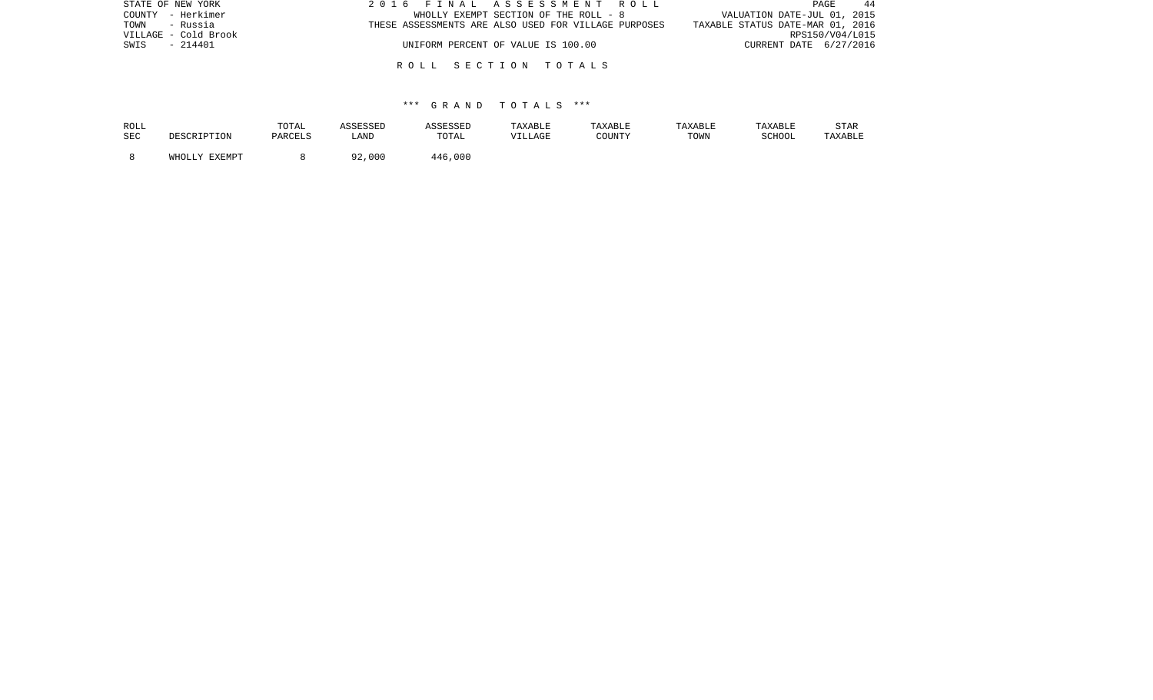| STATE OF NEW YORK    | 2016 FINAL ASSESSMENT ROLL                           | -44<br>PAGE                      |
|----------------------|------------------------------------------------------|----------------------------------|
| COUNTY - Herkimer    | WHOLLY EXEMPT SECTION OF THE ROLL - 8                | VALUATION DATE-JUL 01, 2015      |
| TOWN - Russia        | THESE ASSESSMENTS ARE ALSO USED FOR VILLAGE PURPOSES | TAXABLE STATUS DATE-MAR 01, 2016 |
| VILLAGE - Cold Brook |                                                      | RPS150/V04/L015                  |
| - 214401<br>SWIS     | UNIFORM PERCENT OF VALUE IS 100.00                   | CURRENT DATE 6/27/2016           |
|                      |                                                      |                                  |
|                      | ROLL SECTION TOTALS                                  |                                  |

| ROLL | DESCRIPTION   | TOTAL   | ASSESSED      | ASSESSED | TAXABLE | TAXABLE | TAXABLE | TAXABLE | <b>STAR</b> |
|------|---------------|---------|---------------|----------|---------|---------|---------|---------|-------------|
| SEC  |               | PARCELS | LAND          | TOTAL    | VILLAGE | COUNTY  | TOWN    | SCHOOL  | TAXABLE     |
|      | WHOLLY EXEMPT |         | .000 کړ<br>റി | 446,000  |         |         |         |         |             |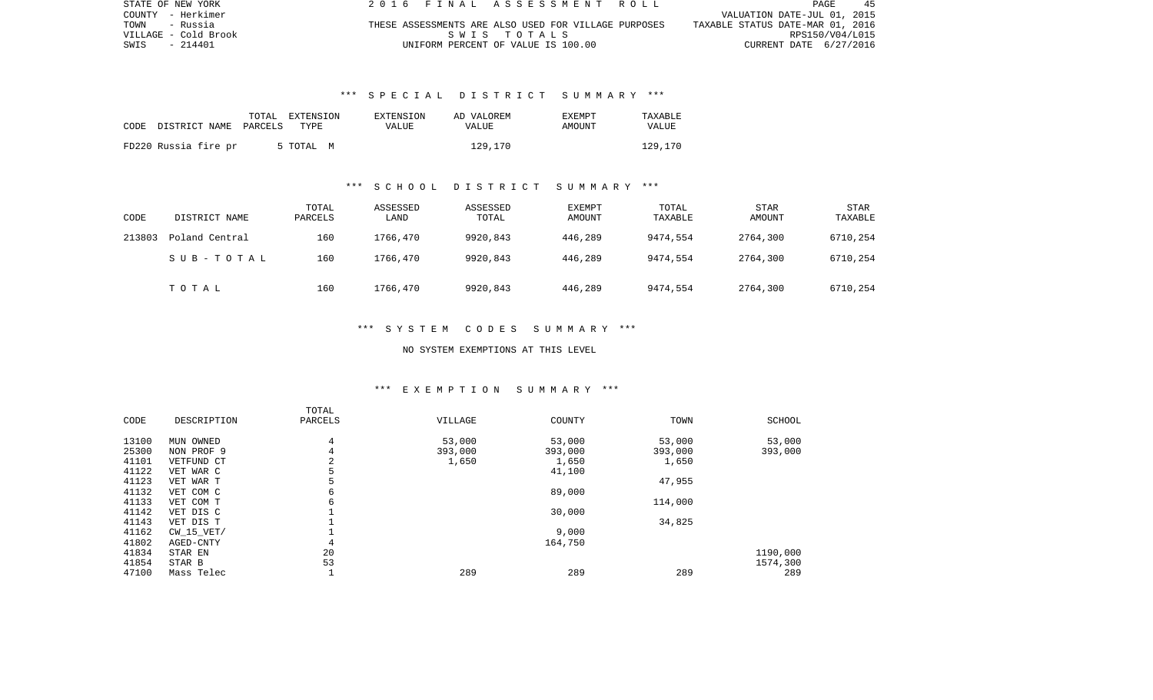| STATE OF NEW YORK    | 2016 FINAL ASSESSMENT ROLL                           | 45<br>PAGE                       |
|----------------------|------------------------------------------------------|----------------------------------|
| COUNTY - Herkimer    |                                                      | VALUATION DATE-JUL 01, 2015      |
| TOWN<br>- Russia     | THESE ASSESSMENTS ARE ALSO USED FOR VILLAGE PURPOSES | TAXABLE STATUS DATE-MAR 01, 2016 |
| VILLAGE - Cold Brook | SWIS TOTALS                                          | RPS150/V04/L015                  |
| SWIS - 214401        | UNIFORM PERCENT OF VALUE IS 100.00                   | CURRENT DATE 6/27/2016           |

# \*\*\* S P E C I A L D I S T R I C T S U M M A R Y \*\*\*

|                               | EXTENSION<br>TOTAL | EXTENSION | AD VALOREM | <b>EXEMPT</b> | TAXABLE |
|-------------------------------|--------------------|-----------|------------|---------------|---------|
| CODE<br>DISTRICT NAME PARCELS | TYPE               | VALUE     | VALUE      | <b>AMOUNT</b> | VALUE   |
| FD220 Russia fire pr          | 5 TOTAL M          |           | 129,170    |               | 129,170 |

#### \*\*\* S C H O O L D I S T R I C T S U M M A R Y \*\*\*

| CODE   | DISTRICT NAME  | TOTAL<br>PARCELS | ASSESSED<br>LAND | ASSESSED<br>TOTAL | <b>EXEMPT</b><br>AMOUNT | TOTAL<br>TAXABLE | <b>STAR</b><br>AMOUNT | STAR<br>TAXABLE |
|--------|----------------|------------------|------------------|-------------------|-------------------------|------------------|-----------------------|-----------------|
| 213803 | Poland Central | 160              | 1766,470         | 9920,843          | 446,289                 | 9474,554         | 2764,300              | 6710,254        |
|        | SUB-TOTAL      | 160              | 1766,470         | 9920,843          | 446,289                 | 9474,554         | 2764,300              | 6710,254        |
|        | TOTAL          | 160              | 1766,470         | 9920,843          | 446,289                 | 9474,554         | 2764,300              | 6710,254        |

### \*\*\* S Y S T E M C O D E S S U M M A R Y \*\*\*

# NO SYSTEM EXEMPTIONS AT THIS LEVEL

#### \*\*\* E X E M P T I O N S U M M A R Y \*\*\*

| CODE  | DESCRIPTION    | TOTAL<br>PARCELS | VILLAGE | COUNTY  | TOWN    | SCHOOL   |
|-------|----------------|------------------|---------|---------|---------|----------|
| 13100 | OWNED<br>MUN   | 4                | 53,000  | 53,000  | 53,000  | 53,000   |
| 25300 | NON PROF 9     | 4                | 393,000 | 393,000 | 393,000 | 393,000  |
| 41101 | VETFUND CT     | 2                | 1,650   | 1,650   | 1,650   |          |
| 41122 | VET WAR C      | 5                |         | 41,100  |         |          |
| 41123 | VET WAR T      | 5                |         |         | 47,955  |          |
| 41132 | VET COM C      | 6                |         | 89,000  |         |          |
| 41133 | VET COM T      | 6                |         |         | 114,000 |          |
| 41142 | VET DIS C      |                  |         | 30,000  |         |          |
| 41143 | VET DIS T      |                  |         |         | 34,825  |          |
| 41162 | $CW$ 15 $VET/$ |                  |         | 9,000   |         |          |
| 41802 | AGED-CNTY      | 4                |         | 164,750 |         |          |
| 41834 | STAR EN        | 20               |         |         |         | 1190,000 |
| 41854 | STAR B         | 53               |         |         |         | 1574,300 |
| 47100 | Mass Telec     |                  | 289     | 289     | 289     | 289      |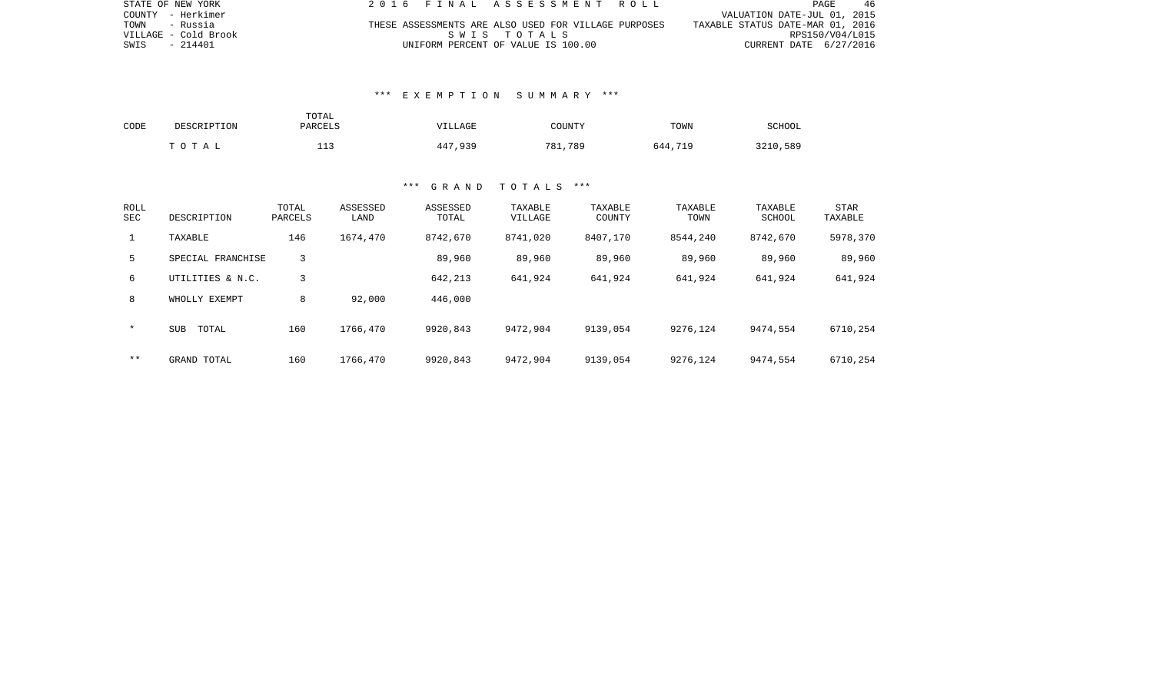| STATE OF NEW YORK    |  | 2016 FINAL ASSESSMENT ROLL                           |  |                                  | PAGE            | -46 |
|----------------------|--|------------------------------------------------------|--|----------------------------------|-----------------|-----|
| COUNTY - Herkimer    |  |                                                      |  | VALUATION DATE-JUL 01, 2015      |                 |     |
| TOWN - Russia        |  | THESE ASSESSMENTS ARE ALSO USED FOR VILLAGE PURPOSES |  | TAXABLE STATUS DATE-MAR 01, 2016 |                 |     |
| VILLAGE - Cold Brook |  | SWIS TOTALS                                          |  |                                  | RPS150/V04/L015 |     |
| SWIS - 214401        |  | UNIFORM PERCENT OF VALUE IS 100.00                   |  | CURRENT DATE 6/27/2016           |                 |     |

### \*\*\* E X E M P T I O N S U M M A R Y \*\*\*

| CODE | DESCRIPTION | TOTAL<br>PARCELS                | <b>VILLAGE</b> | COUNTY  | TOWN    | SCHOOL   |
|------|-------------|---------------------------------|----------------|---------|---------|----------|
|      | TOTAL       | $\lnot$ $\lnot$<br>— — <i>—</i> | 447,939        | 781,789 | 644,719 | 3210,589 |

| ROLL<br>SEC  | DESCRIPTION         | TOTAL<br>PARCELS | ASSESSED<br>LAND | ASSESSED<br>TOTAL | TAXABLE<br>VILLAGE | TAXABLE<br>COUNTY | TAXABLE<br>TOWN | TAXABLE<br>SCHOOL | STAR<br>TAXABLE |
|--------------|---------------------|------------------|------------------|-------------------|--------------------|-------------------|-----------------|-------------------|-----------------|
| $\mathbf{1}$ | TAXABLE             | 146              | 1674,470         | 8742,670          | 8741,020           | 8407,170          | 8544,240        | 8742,670          | 5978,370        |
| 5            | SPECIAL FRANCHISE   | 3                |                  | 89,960            | 89,960             | 89,960            | 89,960          | 89,960            | 89,960          |
| 6            | UTILITIES & N.C.    | 3                |                  | 642,213           | 641,924            | 641,924           | 641,924         | 641,924           | 641,924         |
| 8            | WHOLLY EXEMPT       | 8                | 92,000           | 446,000           |                    |                   |                 |                   |                 |
| $\star$      | <b>SUB</b><br>TOTAL | 160              | 1766,470         | 9920,843          | 9472,904           | 9139,054          | 9276,124        | 9474,554          | 6710,254        |
| $* *$        | GRAND TOTAL         | 160              | 1766,470         | 9920,843          | 9472,904           | 9139,054          | 9276,124        | 9474,554          | 6710,254        |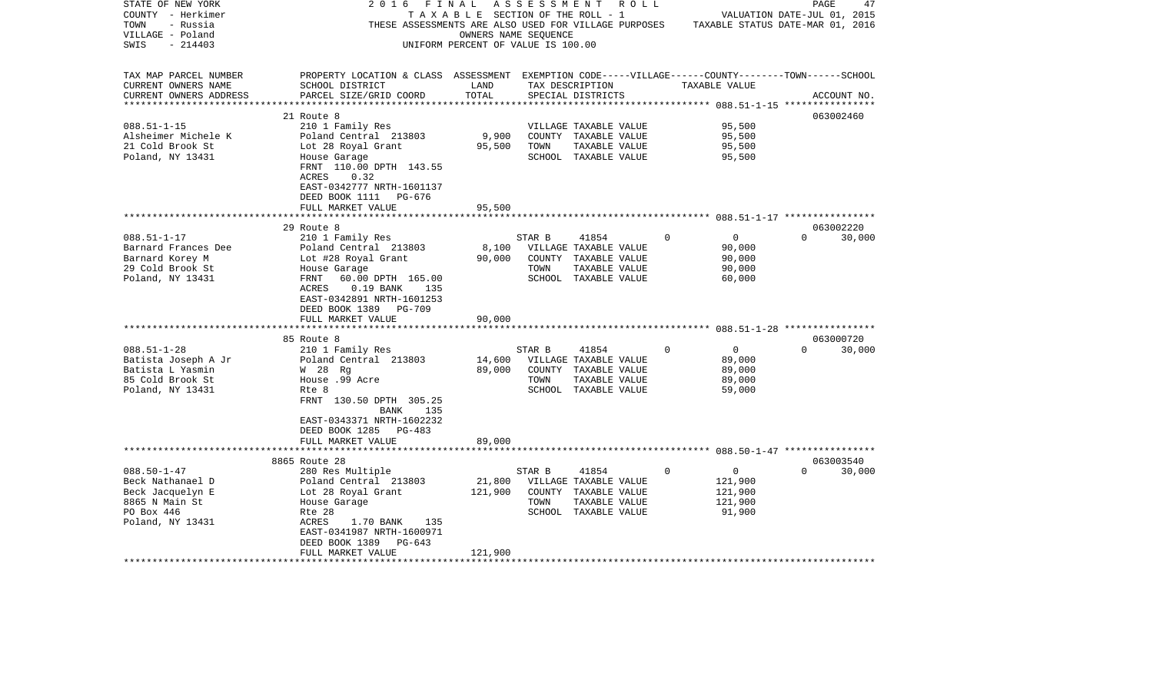| STATE OF NEW YORK      | 2016<br>FINAL                                                                                      |                                       | ASSESSMENT |                                | R O L L |                                  | PAGE     |             | 47 |
|------------------------|----------------------------------------------------------------------------------------------------|---------------------------------------|------------|--------------------------------|---------|----------------------------------|----------|-------------|----|
| COUNTY - Herkimer      |                                                                                                    | T A X A B L E SECTION OF THE ROLL - 1 |            |                                |         | VALUATION DATE-JUL 01, 2015      |          |             |    |
| - Russia<br>TOWN       | THESE ASSESSMENTS ARE ALSO USED FOR VILLAGE PURPOSES                                               |                                       |            |                                |         | TAXABLE STATUS DATE-MAR 01, 2016 |          |             |    |
| VILLAGE - Poland       |                                                                                                    | OWNERS NAME SEQUENCE                  |            |                                |         |                                  |          |             |    |
| $-214403$<br>SWIS      |                                                                                                    | UNIFORM PERCENT OF VALUE IS 100.00    |            |                                |         |                                  |          |             |    |
|                        |                                                                                                    |                                       |            |                                |         |                                  |          |             |    |
| TAX MAP PARCEL NUMBER  | PROPERTY LOCATION & CLASS ASSESSMENT EXEMPTION CODE-----VILLAGE------COUNTY-------TOWN------SCHOOL |                                       |            |                                |         |                                  |          |             |    |
| CURRENT OWNERS NAME    | SCHOOL DISTRICT                                                                                    | LAND                                  |            | TAX DESCRIPTION                |         | TAXABLE VALUE                    |          |             |    |
| CURRENT OWNERS ADDRESS | PARCEL SIZE/GRID COORD                                                                             | TOTAL                                 |            | SPECIAL DISTRICTS              |         |                                  |          | ACCOUNT NO. |    |
|                        |                                                                                                    |                                       |            |                                |         |                                  |          |             |    |
|                        | 21 Route 8                                                                                         |                                       |            |                                |         |                                  |          | 063002460   |    |
| $088.51 - 1 - 15$      | 210 1 Family Res                                                                                   |                                       |            | VILLAGE TAXABLE VALUE          |         | 95,500                           |          |             |    |
| Alsheimer Michele K    | Poland Central 213803                                                                              | 9,900                                 |            | COUNTY TAXABLE VALUE           |         | 95,500                           |          |             |    |
| 21 Cold Brook St       | Lot 28 Royal Grant                                                                                 | 95,500                                | TOWN       | TAXABLE VALUE                  |         | 95,500                           |          |             |    |
| Poland, NY 13431       | House Garage                                                                                       |                                       |            | SCHOOL TAXABLE VALUE           |         | 95,500                           |          |             |    |
|                        | FRNT 110.00 DPTH 143.55                                                                            |                                       |            |                                |         |                                  |          |             |    |
|                        | ACRES<br>0.32                                                                                      |                                       |            |                                |         |                                  |          |             |    |
|                        | EAST-0342777 NRTH-1601137                                                                          |                                       |            |                                |         |                                  |          |             |    |
|                        | DEED BOOK 1111<br>PG-676                                                                           |                                       |            |                                |         |                                  |          |             |    |
|                        | FULL MARKET VALUE                                                                                  | 95,500                                |            |                                |         |                                  |          |             |    |
|                        |                                                                                                    |                                       |            |                                |         |                                  |          |             |    |
|                        | 29 Route 8                                                                                         |                                       |            |                                |         |                                  |          | 063002220   |    |
| $088.51 - 1 - 17$      | 210 1 Family Res                                                                                   |                                       | STAR B     | 41854                          | 0       | $\overline{0}$                   | $\Omega$ | 30,000      |    |
| Barnard Frances Dee    | Poland Central 213803                                                                              | 8,100                                 |            | VILLAGE TAXABLE VALUE          |         | 90,000                           |          |             |    |
| Barnard Korey M        | Lot #28 Royal Grant                                                                                | 90,000                                |            | COUNTY TAXABLE VALUE           |         | 90,000                           |          |             |    |
| 29 Cold Brook St       | House Garage                                                                                       |                                       | TOWN       | TAXABLE VALUE                  |         | 90,000                           |          |             |    |
| Poland, NY 13431       | FRNT<br>60.00 DPTH 165.00                                                                          |                                       |            | SCHOOL TAXABLE VALUE           |         | 60,000                           |          |             |    |
|                        | ACRES<br>$0.19$ BANK<br>135                                                                        |                                       |            |                                |         |                                  |          |             |    |
|                        | EAST-0342891 NRTH-1601253                                                                          |                                       |            |                                |         |                                  |          |             |    |
|                        | DEED BOOK 1389 PG-709                                                                              |                                       |            |                                |         |                                  |          |             |    |
|                        | FULL MARKET VALUE<br>*************************                                                     | 90,000                                |            |                                |         |                                  |          |             |    |
|                        | 85 Route 8                                                                                         |                                       |            |                                |         |                                  |          | 063000720   |    |
| $088.51 - 1 - 28$      |                                                                                                    |                                       |            |                                | 0       | $\mathbf 0$                      | $\Omega$ | 30,000      |    |
| Batista Joseph A Jr    | 210 1 Family Res<br>Poland Central 213803                                                          | 14,600                                | STAR B     | 41854<br>VILLAGE TAXABLE VALUE |         | 89,000                           |          |             |    |
| Batista L Yasmin       | W 28 Rq                                                                                            | 89,000                                |            | COUNTY TAXABLE VALUE           |         | 89,000                           |          |             |    |
| 85 Cold Brook St       | House .99 Acre                                                                                     |                                       | TOWN       | TAXABLE VALUE                  |         | 89,000                           |          |             |    |
| Poland, NY 13431       | Rte 8                                                                                              |                                       |            | SCHOOL TAXABLE VALUE           |         | 59,000                           |          |             |    |
|                        | FRNT 130.50 DPTH 305.25                                                                            |                                       |            |                                |         |                                  |          |             |    |
|                        | 135<br>BANK                                                                                        |                                       |            |                                |         |                                  |          |             |    |
|                        | EAST-0343371 NRTH-1602232                                                                          |                                       |            |                                |         |                                  |          |             |    |
|                        | DEED BOOK 1285 PG-483                                                                              |                                       |            |                                |         |                                  |          |             |    |
|                        | FULL MARKET VALUE                                                                                  | 89,000                                |            |                                |         |                                  |          |             |    |
|                        |                                                                                                    |                                       |            |                                |         |                                  |          |             |    |
|                        | 8865 Route 28                                                                                      |                                       |            |                                |         |                                  |          | 063003540   |    |
| $088.50 - 1 - 47$      | 280 Res Multiple                                                                                   |                                       | STAR B     | 41854                          | 0       | 0                                | $\Omega$ | 30,000      |    |
| Beck Nathanael D       | Poland Central 213803                                                                              | 21,800                                |            | VILLAGE TAXABLE VALUE          |         | 121,900                          |          |             |    |
| Beck Jacquelyn E       | Lot 28 Royal Grant                                                                                 | 121,900                               |            | COUNTY TAXABLE VALUE           |         | 121,900                          |          |             |    |
| 8865 N Main St         | House Garage                                                                                       |                                       | TOWN       | TAXABLE VALUE                  |         | 121,900                          |          |             |    |
| PO Box 446             | Rte 28                                                                                             |                                       |            | SCHOOL TAXABLE VALUE           |         | 91,900                           |          |             |    |
| Poland, NY 13431       | ACRES<br>1.70 BANK<br>135                                                                          |                                       |            |                                |         |                                  |          |             |    |
|                        | EAST-0341987 NRTH-1600971                                                                          |                                       |            |                                |         |                                  |          |             |    |
|                        | DEED BOOK 1389<br>PG-643                                                                           |                                       |            |                                |         |                                  |          |             |    |
|                        | FULL MARKET VALUE                                                                                  | 121,900                               |            |                                |         |                                  |          |             |    |
|                        |                                                                                                    |                                       |            |                                |         |                                  |          |             |    |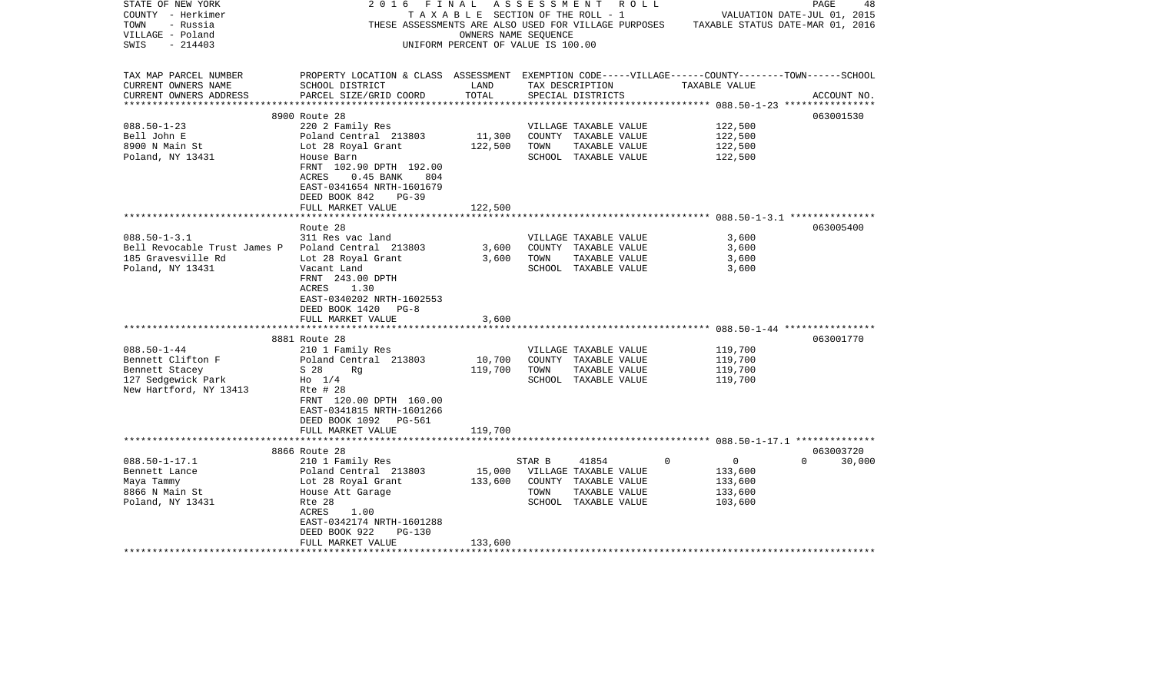| STATE OF NEW YORK<br>COUNTY - Herkimer<br>TOWN<br>- Russia<br>VILLAGE - Poland | 2 0 1 6<br>FINAL<br>THESE ASSESSMENTS ARE ALSO USED FOR VILLAGE PURPOSES TAXABLE STATUS DATE-MAR 01, 2016                     | OWNERS NAME SEQUENCE               |        | A S S E S S M E N T A O L L<br>TAXABLE SECTION OF THE ROLL - 1 |             |                | PAGE<br>VALUATION DATE-JUL 01, 2015 | 48          |
|--------------------------------------------------------------------------------|-------------------------------------------------------------------------------------------------------------------------------|------------------------------------|--------|----------------------------------------------------------------|-------------|----------------|-------------------------------------|-------------|
| $-214403$<br>SWIS                                                              |                                                                                                                               | UNIFORM PERCENT OF VALUE IS 100.00 |        |                                                                |             |                |                                     |             |
| TAX MAP PARCEL NUMBER<br>CURRENT OWNERS NAME                                   | PROPERTY LOCATION & CLASS ASSESSMENT EXEMPTION CODE-----VILLAGE------COUNTY-------TOWN------SCHOOL<br>SCHOOL DISTRICT         | LAND                               |        | TAX DESCRIPTION                                                |             | TAXABLE VALUE  |                                     |             |
| CURRENT OWNERS ADDRESS                                                         | PARCEL SIZE/GRID COORD                                                                                                        | TOTAL                              |        | SPECIAL DISTRICTS                                              |             |                |                                     | ACCOUNT NO. |
|                                                                                |                                                                                                                               |                                    |        |                                                                |             |                |                                     |             |
|                                                                                | 8900 Route 28                                                                                                                 |                                    |        |                                                                |             |                | 063001530                           |             |
| $088.50 - 1 - 23$                                                              | 220 2 Family Res                                                                                                              |                                    |        | VILLAGE TAXABLE VALUE                                          |             | 122,500        |                                     |             |
| Bell John E                                                                    | Poland Central 213803                                                                                                         | 11,300                             |        | COUNTY TAXABLE VALUE                                           |             | 122,500        |                                     |             |
| 8900 N Main St                                                                 | Lot 28 Royal Grant                                                                                                            | 122,500                            | TOWN   | TAXABLE VALUE                                                  |             | 122,500        |                                     |             |
| Poland, NY 13431                                                               | House Barn<br>FRNT 102.90 DPTH 192.00<br>ACRES<br>$0.45$ BANK<br>804<br>EAST-0341654 NRTH-1601679<br>DEED BOOK 842<br>$PG-39$ |                                    |        | SCHOOL TAXABLE VALUE                                           |             | 122,500        |                                     |             |
|                                                                                | FULL MARKET VALUE                                                                                                             | 122,500                            |        |                                                                |             |                |                                     |             |
|                                                                                | Route 28                                                                                                                      |                                    |        |                                                                |             |                | 063005400                           |             |
| $088.50 - 1 - 3.1$                                                             | 311 Res vac land                                                                                                              |                                    |        | VILLAGE TAXABLE VALUE                                          |             | 3,600          |                                     |             |
| Bell Revocable Trust James P Poland Central 213803                             |                                                                                                                               | 3,600                              |        | COUNTY TAXABLE VALUE                                           |             | 3,600          |                                     |             |
| 185 Gravesville Rd                                                             | Lot 28 Royal Grant                                                                                                            | 3,600                              | TOWN   | TAXABLE VALUE                                                  |             | 3,600          |                                     |             |
| Poland, NY 13431                                                               | Vacant Land<br>FRNT 243.00 DPTH<br>ACRES<br>1.30<br>EAST-0340202 NRTH-1602553<br>DEED BOOK 1420<br>$PG-8$                     |                                    |        | SCHOOL TAXABLE VALUE                                           |             | 3,600          |                                     |             |
|                                                                                | FULL MARKET VALUE<br>**********************                                                                                   | 3,600<br>************              |        |                                                                |             |                |                                     |             |
|                                                                                |                                                                                                                               |                                    |        |                                                                |             |                | 063001770                           |             |
| $088.50 - 1 - 44$                                                              | 8881 Route 28<br>210 1 Family Res                                                                                             |                                    |        | VILLAGE TAXABLE VALUE                                          |             | 119,700        |                                     |             |
| Bennett Clifton F                                                              | Poland Central 213803                                                                                                         | 10,700                             |        | COUNTY TAXABLE VALUE                                           |             | 119,700        |                                     |             |
| Bennett Stacey                                                                 | S 28<br>Rq                                                                                                                    | 119,700                            | TOWN   | TAXABLE VALUE                                                  |             | 119,700        |                                     |             |
| 127 Sedgewick Park                                                             | $HO$ 1/4                                                                                                                      |                                    |        | SCHOOL TAXABLE VALUE                                           |             | 119,700        |                                     |             |
| New Hartford, NY 13413                                                         | Rte # 28<br>FRNT 120.00 DPTH 160.00<br>EAST-0341815 NRTH-1601266<br>DEED BOOK 1092 PG-561<br>FULL MARKET VALUE                | 119,700                            |        |                                                                |             |                |                                     |             |
|                                                                                |                                                                                                                               |                                    |        |                                                                |             |                |                                     |             |
|                                                                                | 8866 Route 28                                                                                                                 |                                    |        |                                                                |             |                |                                     | 063003720   |
| $088.50 - 1 - 17.1$                                                            | 210 1 Family Res                                                                                                              |                                    | STAR B | 41854                                                          | $\mathbf 0$ | $\overline{0}$ | $\Omega$                            | 30,000      |
| Bennett Lance                                                                  | Poland Central 213803                                                                                                         | 15,000                             |        | VILLAGE TAXABLE VALUE                                          |             | 133,600        |                                     |             |
| Maya Tammy                                                                     | Lot 28 Royal Grant                                                                                                            | 133,600                            |        | COUNTY TAXABLE VALUE                                           |             | 133,600        |                                     |             |
| 8866 N Main St                                                                 | House Att Garage                                                                                                              |                                    | TOWN   | TAXABLE VALUE                                                  |             | 133,600        |                                     |             |
| Poland, NY 13431                                                               | Rte 28                                                                                                                        |                                    |        | SCHOOL TAXABLE VALUE                                           |             | 103,600        |                                     |             |
|                                                                                | ACRES<br>1.00<br>EAST-0342174 NRTH-1601288                                                                                    |                                    |        |                                                                |             |                |                                     |             |
|                                                                                | DEED BOOK 922<br><b>PG-130</b><br>FULL MARKET VALUE                                                                           | 133,600                            |        |                                                                |             |                |                                     |             |
| ********************                                                           | *****************************                                                                                                 |                                    |        |                                                                |             |                |                                     |             |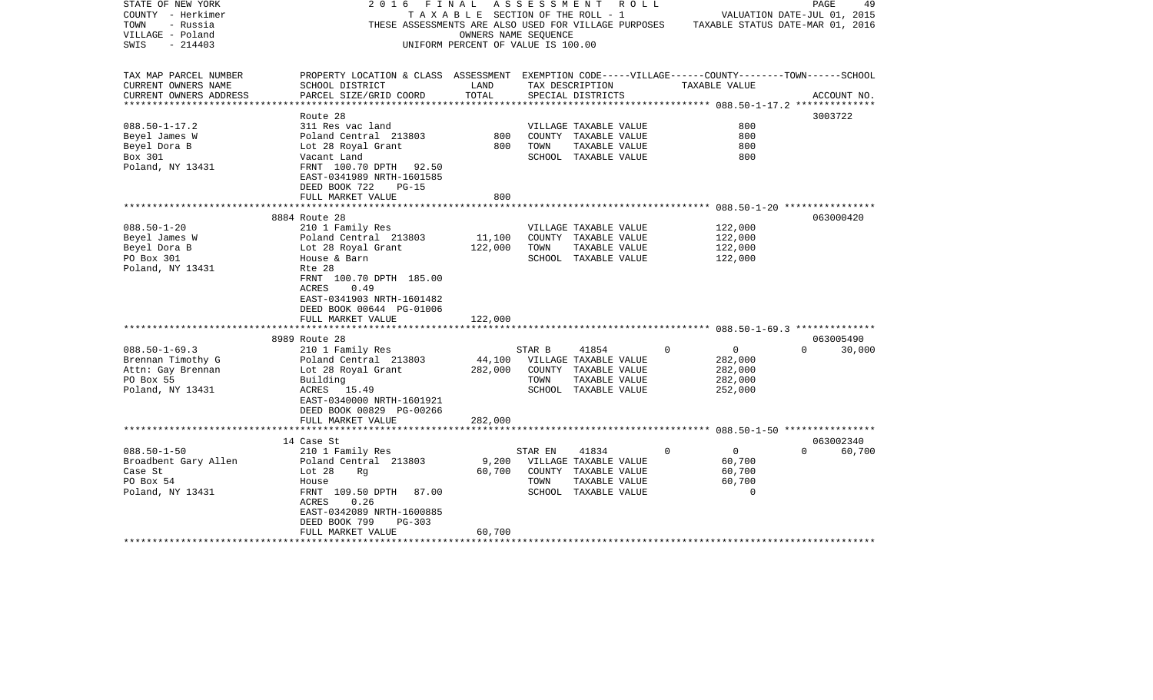| STATE OF NEW YORK       | 2016<br>FINAL                                                                                      |                                    |         | A S S E S S M E N T     R O L L |             |                | PAGE                        | 49          |
|-------------------------|----------------------------------------------------------------------------------------------------|------------------------------------|---------|---------------------------------|-------------|----------------|-----------------------------|-------------|
| COUNTY - Herkimer       |                                                                                                    | TAXABLE SECTION OF THE ROLL - 1    |         |                                 |             |                | VALUATION DATE-JUL 01, 2015 |             |
| TOWN<br>- Russia        | THESE ASSESSMENTS ARE ALSO USED FOR VILLAGE PURPOSES TAXABLE STATUS DATE-MAR 01, 2016              |                                    |         |                                 |             |                |                             |             |
| VILLAGE - Poland        |                                                                                                    | OWNERS NAME SEQUENCE               |         |                                 |             |                |                             |             |
| - 214403<br>SWIS        |                                                                                                    | UNIFORM PERCENT OF VALUE IS 100.00 |         |                                 |             |                |                             |             |
|                         |                                                                                                    |                                    |         |                                 |             |                |                             |             |
|                         |                                                                                                    |                                    |         |                                 |             |                |                             |             |
| TAX MAP PARCEL NUMBER   | PROPERTY LOCATION & CLASS ASSESSMENT EXEMPTION CODE-----VILLAGE------COUNTY-------TOWN------SCHOOL |                                    |         |                                 |             |                |                             |             |
| CURRENT OWNERS NAME     | SCHOOL DISTRICT                                                                                    | LAND                               |         | TAX DESCRIPTION                 |             | TAXABLE VALUE  |                             |             |
| CURRENT OWNERS ADDRESS  | PARCEL SIZE/GRID COORD                                                                             | TOTAL                              |         | SPECIAL DISTRICTS               |             |                |                             | ACCOUNT NO. |
|                         | Route 28                                                                                           |                                    |         |                                 |             |                | 3003722                     |             |
| $088.50 - 1 - 17.2$     | 311 Res vac land                                                                                   |                                    |         | VILLAGE TAXABLE VALUE           |             | 800            |                             |             |
| Beyel James W           | Poland Central 213803                                                                              | 800                                |         | COUNTY TAXABLE VALUE            |             | 800            |                             |             |
|                         |                                                                                                    |                                    |         |                                 |             |                |                             |             |
| Beyel Dora B            | Lot 28 Royal Grant                                                                                 | 800                                | TOWN    | TAXABLE VALUE                   |             | 800            |                             |             |
| Box 301                 | Vacant Land                                                                                        |                                    |         | SCHOOL TAXABLE VALUE            |             | 800            |                             |             |
| Poland, NY 13431        | FRNT 100.70 DPTH 92.50                                                                             |                                    |         |                                 |             |                |                             |             |
|                         | EAST-0341989 NRTH-1601585                                                                          |                                    |         |                                 |             |                |                             |             |
|                         | DEED BOOK 722<br>$PG-15$                                                                           |                                    |         |                                 |             |                |                             |             |
|                         | FULL MARKET VALUE                                                                                  | 800                                |         |                                 |             |                |                             |             |
|                         |                                                                                                    | ************                       |         |                                 |             |                |                             |             |
|                         | 8884 Route 28                                                                                      |                                    |         |                                 |             |                | 063000420                   |             |
| $088.50 - 1 - 20$       | 210 1 Family Res                                                                                   |                                    |         | VILLAGE TAXABLE VALUE           |             | 122,000        |                             |             |
| Beyel James W           | Poland Central 213803                                                                              | 11,100                             |         | COUNTY TAXABLE VALUE            |             | 122,000        |                             |             |
| Beyel Dora B            | Lot 28 Royal Grant                                                                                 | 122,000                            | TOWN    | TAXABLE VALUE                   |             | 122,000        |                             |             |
| PO Box 301              | House & Barn                                                                                       |                                    |         | SCHOOL TAXABLE VALUE            |             | 122,000        |                             |             |
| Poland, NY 13431        | Rte 28                                                                                             |                                    |         |                                 |             |                |                             |             |
|                         | FRNT 100.70 DPTH 185.00                                                                            |                                    |         |                                 |             |                |                             |             |
|                         | 0.49<br>ACRES                                                                                      |                                    |         |                                 |             |                |                             |             |
|                         | EAST-0341903 NRTH-1601482                                                                          |                                    |         |                                 |             |                |                             |             |
|                         |                                                                                                    |                                    |         |                                 |             |                |                             |             |
|                         | DEED BOOK 00644 PG-01006                                                                           |                                    |         |                                 |             |                |                             |             |
|                         | FULL MARKET VALUE                                                                                  | 122,000                            |         |                                 |             |                |                             |             |
|                         |                                                                                                    |                                    |         |                                 |             |                |                             |             |
|                         | 8989 Route 28                                                                                      |                                    |         |                                 |             |                | 063005490                   |             |
| $088.50 - 1 - 69.3$     | 210 1 Family Res                                                                                   |                                    | STAR B  | 41854                           | $\mathbf 0$ | $\overline{0}$ | $\Omega$                    | 30,000      |
| Brennan Timothy G       | Poland Central 213803                                                                              | 44,100                             |         | VILLAGE TAXABLE VALUE           |             | 282,000        |                             |             |
| Attn: Gay Brennan       | Lot 28 Royal Grant                                                                                 | 282,000                            |         | COUNTY TAXABLE VALUE            |             | 282,000        |                             |             |
| PO Box 55               | Building                                                                                           |                                    | TOWN    | TAXABLE VALUE                   |             | 282,000        |                             |             |
| Poland, NY 13431        | ACRES 15.49                                                                                        |                                    |         | SCHOOL TAXABLE VALUE            |             | 252,000        |                             |             |
|                         | EAST-0340000 NRTH-1601921                                                                          |                                    |         |                                 |             |                |                             |             |
|                         | DEED BOOK 00829 PG-00266                                                                           |                                    |         |                                 |             |                |                             |             |
|                         | FULL MARKET VALUE                                                                                  | 282,000                            |         |                                 |             |                |                             |             |
|                         |                                                                                                    |                                    |         |                                 |             |                |                             |             |
|                         | 14 Case St                                                                                         |                                    |         |                                 |             |                | 063002340                   |             |
| $088.50 - 1 - 50$       | 210 1 Family Res                                                                                   |                                    | STAR EN | 41834                           | $\Omega$    | $\overline{0}$ | $\Omega$                    | 60,700      |
| Broadbent Gary Allen    | Poland Central 213803                                                                              | 9,200                              |         | VILLAGE TAXABLE VALUE           |             | 60,700         |                             |             |
| Case St                 |                                                                                                    | 60,700                             |         |                                 |             |                |                             |             |
|                         | Lot 28<br>Rq                                                                                       |                                    |         | COUNTY TAXABLE VALUE            |             | 60,700         |                             |             |
| PO Box 54               | House                                                                                              |                                    | TOWN    | TAXABLE VALUE                   |             | 60,700         |                             |             |
| Poland, NY 13431        | FRNT 109.50 DPTH 87.00                                                                             |                                    |         | SCHOOL TAXABLE VALUE            |             | $\Omega$       |                             |             |
|                         | ACRES<br>0.26                                                                                      |                                    |         |                                 |             |                |                             |             |
|                         | EAST-0342089 NRTH-1600885                                                                          |                                    |         |                                 |             |                |                             |             |
|                         | DEED BOOK 799<br>$PG-303$                                                                          |                                    |         |                                 |             |                |                             |             |
|                         | FULL MARKET VALUE                                                                                  | 60,700                             |         |                                 |             |                |                             |             |
| *********************** |                                                                                                    |                                    |         |                                 |             |                |                             |             |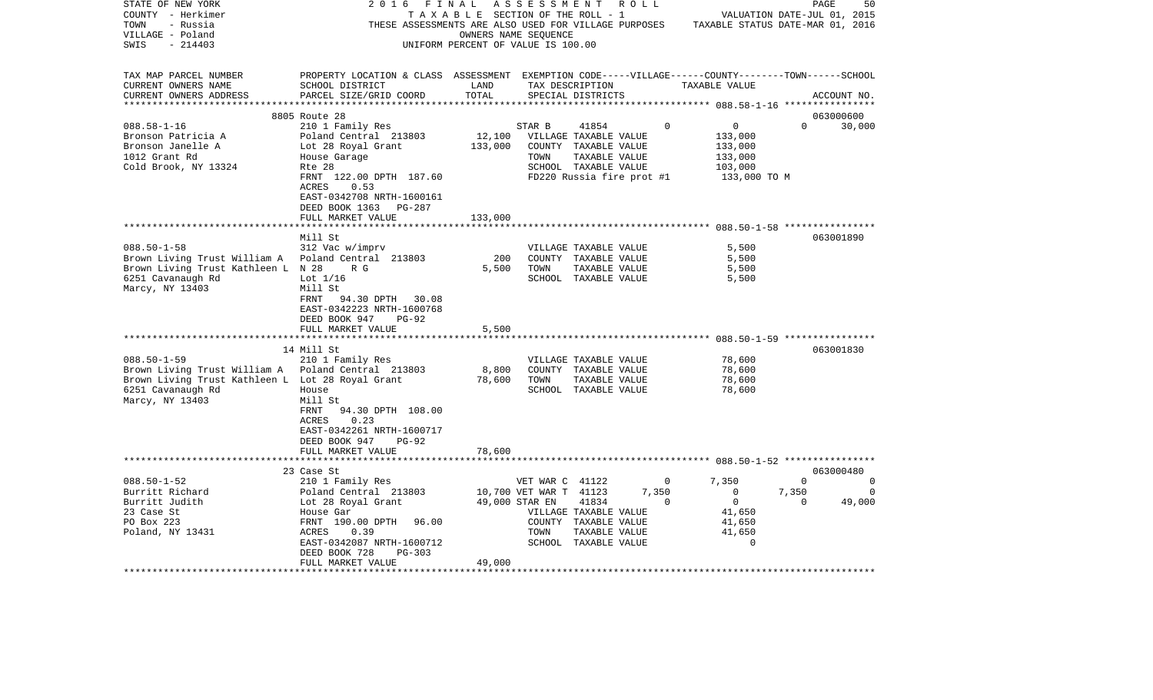| STATE OF NEW YORK                                | 2016                                                                                               | FINAL                              | A S S E S S M E N T    | R O L L                   |       |                                  |          | PAGE<br>50  |
|--------------------------------------------------|----------------------------------------------------------------------------------------------------|------------------------------------|------------------------|---------------------------|-------|----------------------------------|----------|-------------|
| COUNTY - Herkimer                                |                                                                                                    | TAXABLE SECTION OF THE ROLL - 1    |                        |                           |       | VALUATION DATE-JUL 01, 2015      |          |             |
| TOWN<br>- Russia                                 | THESE ASSESSMENTS ARE ALSO USED FOR VILLAGE PURPOSES                                               |                                    |                        |                           |       | TAXABLE STATUS DATE-MAR 01, 2016 |          |             |
| VILLAGE - Poland                                 |                                                                                                    | OWNERS NAME SEQUENCE               |                        |                           |       |                                  |          |             |
| $-214403$<br>SWIS                                |                                                                                                    | UNIFORM PERCENT OF VALUE IS 100.00 |                        |                           |       |                                  |          |             |
|                                                  |                                                                                                    |                                    |                        |                           |       |                                  |          |             |
|                                                  |                                                                                                    |                                    |                        |                           |       |                                  |          |             |
| TAX MAP PARCEL NUMBER                            | PROPERTY LOCATION & CLASS ASSESSMENT EXEMPTION CODE-----VILLAGE------COUNTY-------TOWN------SCHOOL |                                    |                        |                           |       |                                  |          |             |
| CURRENT OWNERS NAME                              | SCHOOL DISTRICT                                                                                    | LAND                               |                        | TAX DESCRIPTION           |       | TAXABLE VALUE                    |          |             |
| CURRENT OWNERS ADDRESS                           | PARCEL SIZE/GRID COORD                                                                             | TOTAL                              |                        | SPECIAL DISTRICTS         |       |                                  |          | ACCOUNT NO. |
| *************************                        |                                                                                                    |                                    |                        |                           |       |                                  |          |             |
|                                                  | 8805 Route 28                                                                                      |                                    |                        |                           |       |                                  |          | 063000600   |
| $088.58 - 1 - 16$                                | 210 1 Family Res                                                                                   |                                    | STAR B                 | 41854                     | 0     | 0                                | $\Omega$ | 30,000      |
| Bronson Patricia A                               | Poland Central 213803                                                                              | 12,100                             |                        | VILLAGE TAXABLE VALUE     |       | 133,000                          |          |             |
| Bronson Janelle A                                | Lot 28 Royal Grant                                                                                 | 133,000                            |                        | COUNTY TAXABLE VALUE      |       | 133,000                          |          |             |
| 1012 Grant Rd                                    | House Garage                                                                                       |                                    | TOWN                   | TAXABLE VALUE             |       | 133,000                          |          |             |
| Cold Brook, NY 13324                             | Rte 28                                                                                             |                                    |                        | SCHOOL TAXABLE VALUE      |       | 103,000                          |          |             |
|                                                  | FRNT 122.00 DPTH 187.60                                                                            |                                    |                        | FD220 Russia fire prot #1 |       | 133,000 TO M                     |          |             |
|                                                  | <b>ACRES</b><br>0.53                                                                               |                                    |                        |                           |       |                                  |          |             |
|                                                  | EAST-0342708 NRTH-1600161                                                                          |                                    |                        |                           |       |                                  |          |             |
|                                                  | DEED BOOK 1363<br>PG-287                                                                           |                                    |                        |                           |       |                                  |          |             |
|                                                  | FULL MARKET VALUE                                                                                  | 133,000                            |                        |                           |       |                                  |          |             |
|                                                  |                                                                                                    |                                    |                        |                           |       |                                  |          |             |
|                                                  | Mill St                                                                                            |                                    |                        |                           |       |                                  |          | 063001890   |
|                                                  |                                                                                                    |                                    |                        |                           |       |                                  |          |             |
| $088.50 - 1 - 58$                                | 312 Vac w/imprv                                                                                    |                                    |                        | VILLAGE TAXABLE VALUE     |       | 5,500                            |          |             |
| Brown Living Trust William A                     | Poland Central 213803                                                                              | 200                                |                        | COUNTY TAXABLE VALUE      |       | 5,500                            |          |             |
| Brown Living Trust Kathleen L N 28               | R G                                                                                                | 5,500                              | TOWN                   | TAXABLE VALUE             |       | 5,500                            |          |             |
| 6251 Cavanaugh Rd                                | Lot $1/16$                                                                                         |                                    |                        | SCHOOL TAXABLE VALUE      |       | 5,500                            |          |             |
| Marcy, NY 13403                                  | Mill St                                                                                            |                                    |                        |                           |       |                                  |          |             |
|                                                  | 94.30 DPTH 30.08<br>FRNT                                                                           |                                    |                        |                           |       |                                  |          |             |
|                                                  | EAST-0342223 NRTH-1600768                                                                          |                                    |                        |                           |       |                                  |          |             |
|                                                  | DEED BOOK 947<br>$PG-92$                                                                           |                                    |                        |                           |       |                                  |          |             |
|                                                  | FULL MARKET VALUE                                                                                  | 5,500                              |                        |                           |       |                                  |          |             |
|                                                  | **************************                                                                         |                                    |                        |                           |       |                                  |          |             |
|                                                  | 14 Mill St                                                                                         |                                    |                        |                           |       |                                  |          | 063001830   |
| $088.50 - 1 - 59$                                | 210 1 Family Res                                                                                   |                                    |                        | VILLAGE TAXABLE VALUE     |       | 78,600                           |          |             |
| Brown Living Trust William A                     | Poland Central 213803                                                                              | 8,800                              |                        | COUNTY TAXABLE VALUE      |       | 78,600                           |          |             |
| Brown Living Trust Kathleen L Lot 28 Royal Grant |                                                                                                    | 78,600                             | TOWN                   | TAXABLE VALUE             |       | 78,600                           |          |             |
| 6251 Cavanaugh Rd                                | House                                                                                              |                                    |                        | SCHOOL TAXABLE VALUE      |       | 78,600                           |          |             |
| Marcy, NY 13403                                  | Mill St                                                                                            |                                    |                        |                           |       |                                  |          |             |
|                                                  | 94.30 DPTH 108.00<br>FRNT                                                                          |                                    |                        |                           |       |                                  |          |             |
|                                                  | 0.23<br>ACRES                                                                                      |                                    |                        |                           |       |                                  |          |             |
|                                                  | EAST-0342261 NRTH-1600717                                                                          |                                    |                        |                           |       |                                  |          |             |
|                                                  | DEED BOOK 947<br>PG-92                                                                             |                                    |                        |                           |       |                                  |          |             |
|                                                  | FULL MARKET VALUE                                                                                  | 78,600                             |                        |                           |       |                                  |          |             |
|                                                  | ******************************                                                                     |                                    |                        |                           |       |                                  |          |             |
|                                                  |                                                                                                    |                                    |                        |                           |       |                                  |          |             |
|                                                  | 23 Case St                                                                                         |                                    |                        |                           |       |                                  |          | 063000480   |
| $088.50 - 1 - 52$                                | 210 1 Family Res                                                                                   |                                    | VET WAR C 41122        |                           | 0     | 7,350                            | $\Omega$ | 0           |
| Burritt Richard                                  | Poland Central 213803                                                                              |                                    | 10,700 VET WAR T 41123 |                           | 7,350 | $\Omega$                         | 7,350    | $\Omega$    |
| Burritt Judith                                   | Lot 28 Royal Grant                                                                                 |                                    | 49,000 STAR EN         | 41834                     | 0     | $\mathbf 0$                      | $\Omega$ | 49,000      |
| 23 Case St                                       | House Gar                                                                                          |                                    |                        | VILLAGE TAXABLE VALUE     |       | 41,650                           |          |             |
| PO Box 223                                       | FRNT 190.00 DPTH<br>96.00                                                                          |                                    |                        | COUNTY TAXABLE VALUE      |       | 41,650                           |          |             |
| Poland, NY 13431                                 | ACRES<br>0.39                                                                                      |                                    | TOWN                   | TAXABLE VALUE             |       | 41,650                           |          |             |
|                                                  | EAST-0342087 NRTH-1600712                                                                          |                                    |                        | SCHOOL TAXABLE VALUE      |       | $\Omega$                         |          |             |
|                                                  | DEED BOOK 728<br>$PG-303$                                                                          |                                    |                        |                           |       |                                  |          |             |
|                                                  | FULL MARKET VALUE                                                                                  | 49,000                             |                        |                           |       |                                  |          |             |
|                                                  |                                                                                                    |                                    |                        |                           |       |                                  |          |             |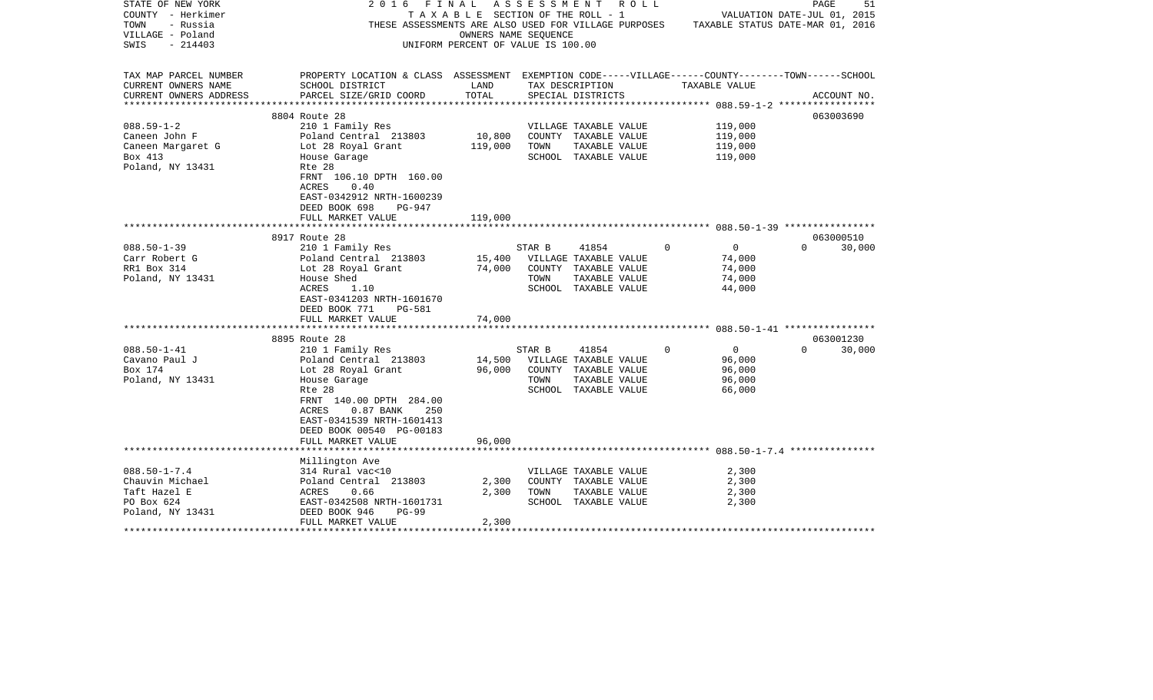| STATE OF NEW YORK       | 2016<br>FINAL                                                                                      |                  | A S S E S S M E N T R O L L                                                           |          |                | PAGE                        | 51          |
|-------------------------|----------------------------------------------------------------------------------------------------|------------------|---------------------------------------------------------------------------------------|----------|----------------|-----------------------------|-------------|
| COUNTY - Herkimer       |                                                                                                    |                  | TAXABLE SECTION OF THE ROLL - 1                                                       |          |                | VALUATION DATE-JUL 01, 2015 |             |
| TOWN<br>- Russia        |                                                                                                    |                  | THESE ASSESSMENTS ARE ALSO USED FOR VILLAGE PURPOSES TAXABLE STATUS DATE-MAR 01, 2016 |          |                |                             |             |
| VILLAGE - Poland        |                                                                                                    |                  | OWNERS NAME SEQUENCE                                                                  |          |                |                             |             |
| SWIS<br>$-214403$       |                                                                                                    |                  | UNIFORM PERCENT OF VALUE IS 100.00                                                    |          |                |                             |             |
|                         |                                                                                                    |                  |                                                                                       |          |                |                             |             |
|                         |                                                                                                    |                  |                                                                                       |          |                |                             |             |
| TAX MAP PARCEL NUMBER   | PROPERTY LOCATION & CLASS ASSESSMENT EXEMPTION CODE-----VILLAGE------COUNTY-------TOWN------SCHOOL |                  |                                                                                       |          |                |                             |             |
| CURRENT OWNERS NAME     | SCHOOL DISTRICT                                                                                    | LAND             | TAX DESCRIPTION                                                                       |          | TAXABLE VALUE  |                             |             |
| CURRENT OWNERS ADDRESS  | PARCEL SIZE/GRID COORD                                                                             | TOTAL            | SPECIAL DISTRICTS                                                                     |          |                |                             | ACCOUNT NO. |
| *********************** |                                                                                                    |                  |                                                                                       |          |                |                             |             |
|                         | 8804 Route 28                                                                                      |                  |                                                                                       |          |                | 063003690                   |             |
| $088.59 - 1 - 2$        | 210 1 Family Res                                                                                   |                  | VILLAGE TAXABLE VALUE                                                                 |          | 119,000        |                             |             |
| Caneen John F           | Poland Central 213803                                                                              | 10,800           | COUNTY TAXABLE VALUE                                                                  |          | 119,000        |                             |             |
| Caneen Margaret G       | Lot 28 Royal Grant                                                                                 | 119,000          | TOWN<br>TAXABLE VALUE                                                                 |          | 119,000        |                             |             |
| Box 413                 | House Garage                                                                                       |                  | SCHOOL TAXABLE VALUE                                                                  |          | 119,000        |                             |             |
| Poland, NY 13431        | Rte 28                                                                                             |                  |                                                                                       |          |                |                             |             |
|                         | FRNT 106.10 DPTH 160.00                                                                            |                  |                                                                                       |          |                |                             |             |
|                         | ACRES<br>0.40                                                                                      |                  |                                                                                       |          |                |                             |             |
|                         | EAST-0342912 NRTH-1600239                                                                          |                  |                                                                                       |          |                |                             |             |
|                         | DEED BOOK 698<br>PG-947                                                                            |                  |                                                                                       |          |                |                             |             |
|                         | FULL MARKET VALUE                                                                                  | 119,000          |                                                                                       |          |                |                             |             |
|                         |                                                                                                    |                  |                                                                                       |          |                |                             |             |
|                         | 8917 Route 28                                                                                      |                  |                                                                                       |          |                | 063000510                   |             |
| $088.50 - 1 - 39$       | 210 1 Family Res                                                                                   |                  | STAR B<br>41854                                                                       | $\Omega$ | $\overline{0}$ | $\Omega$                    | 30,000      |
| Carr Robert G           | Poland Central 213803                                                                              |                  | VILLAGE TAXABLE VALUE                                                                 |          | 74,000         |                             |             |
| RR1 Box 314             | Lot 28 Royal Grant                                                                                 | 15,400<br>74,000 | COUNTY TAXABLE VALUE                                                                  |          | 74,000         |                             |             |
|                         | House Shed                                                                                         |                  | TOWN                                                                                  |          | 74,000         |                             |             |
| Poland, NY 13431        |                                                                                                    |                  | TAXABLE VALUE                                                                         |          |                |                             |             |
|                         | ACRES<br>1.10                                                                                      |                  | SCHOOL TAXABLE VALUE                                                                  |          | 44,000         |                             |             |
|                         | EAST-0341203 NRTH-1601670                                                                          |                  |                                                                                       |          |                |                             |             |
|                         | DEED BOOK 771<br>PG-581                                                                            |                  |                                                                                       |          |                |                             |             |
|                         | FULL MARKET VALUE                                                                                  | 74,000           |                                                                                       |          |                |                             |             |
|                         |                                                                                                    |                  |                                                                                       |          |                |                             |             |
|                         | 8895 Route 28                                                                                      |                  |                                                                                       | $\Omega$ |                | 063001230<br>$\Omega$       |             |
| $088.50 - 1 - 41$       | 210 1 Family Res                                                                                   |                  | STAR B<br>41854                                                                       |          | $\overline{0}$ |                             | 30,000      |
| Cavano Paul J           | Poland Central 213803                                                                              | 14,500           | VILLAGE TAXABLE VALUE                                                                 |          | 96,000         |                             |             |
| Box 174                 | Lot 28 Royal Grant                                                                                 | 96,000           | COUNTY TAXABLE VALUE                                                                  |          | 96,000         |                             |             |
| Poland, NY 13431        | House Garage                                                                                       |                  | TOWN<br>TAXABLE VALUE                                                                 |          | 96,000         |                             |             |
|                         | Rte 28                                                                                             |                  | SCHOOL TAXABLE VALUE                                                                  |          | 66,000         |                             |             |
|                         | FRNT 140.00 DPTH 284.00                                                                            |                  |                                                                                       |          |                |                             |             |
|                         | $0.87$ BANK<br>ACRES<br>250                                                                        |                  |                                                                                       |          |                |                             |             |
|                         | EAST-0341539 NRTH-1601413                                                                          |                  |                                                                                       |          |                |                             |             |
|                         | DEED BOOK 00540 PG-00183                                                                           |                  |                                                                                       |          |                |                             |             |
|                         | FULL MARKET VALUE                                                                                  | 96,000           |                                                                                       |          |                |                             |             |
|                         |                                                                                                    |                  |                                                                                       |          |                |                             |             |
|                         | Millington Ave                                                                                     |                  |                                                                                       |          |                |                             |             |
| $088.50 - 1 - 7.4$      | 314 Rural vac<10                                                                                   |                  | VILLAGE TAXABLE VALUE                                                                 |          | 2,300          |                             |             |
| Chauvin Michael         | Poland Central 213803                                                                              | 2,300            | COUNTY TAXABLE VALUE                                                                  |          | 2,300          |                             |             |
| Taft Hazel E            | ACRES<br>0.66                                                                                      | 2,300            | TOWN<br>TAXABLE VALUE                                                                 |          | 2,300          |                             |             |
| PO Box 624              | EAST-0342508 NRTH-1601731                                                                          |                  | SCHOOL TAXABLE VALUE                                                                  |          | 2,300          |                             |             |
| Poland, NY 13431        | DEED BOOK 946<br>$PG-99$                                                                           |                  |                                                                                       |          |                |                             |             |
|                         | FULL MARKET VALUE                                                                                  | 2,300            |                                                                                       |          |                |                             |             |
|                         |                                                                                                    |                  |                                                                                       |          |                |                             |             |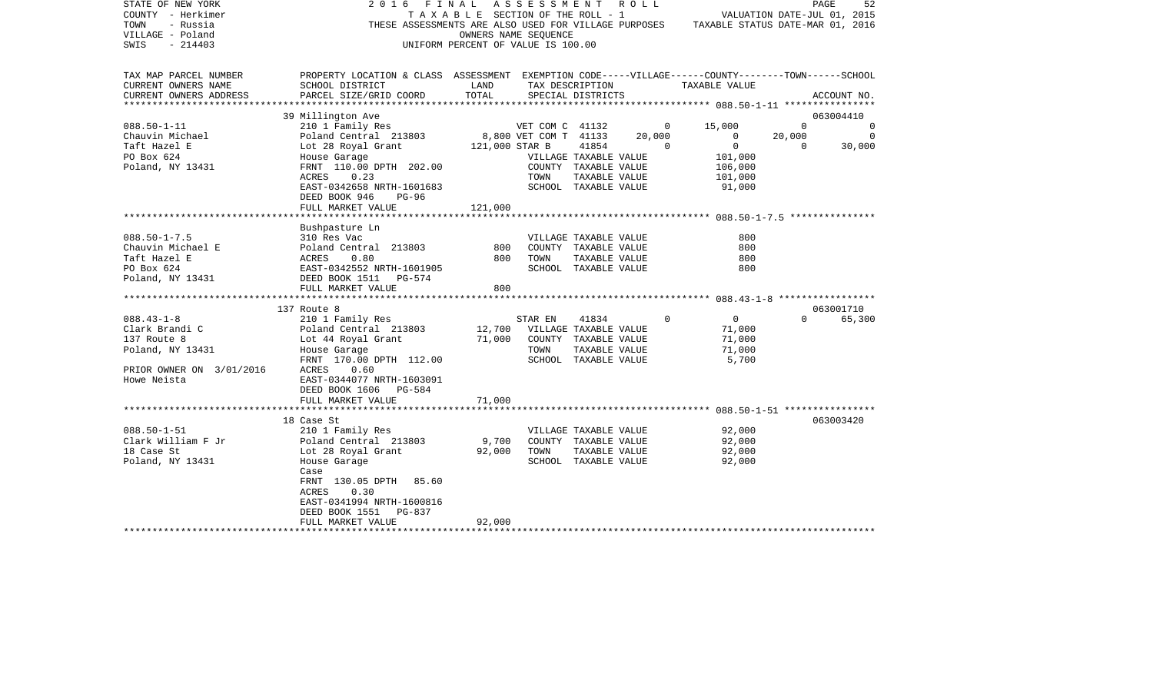| STATE OF NEW YORK<br>COUNTY - Herkimer<br>TOWN<br>- Russia<br>VILLAGE - Poland<br>$-214403$<br>SWIS | 2016<br>THESE ASSESSMENTS ARE ALSO USED FOR VILLAGE PURPOSES                                                          | FINAL<br>TAXABLE SECTION OF THE ROLL - 1<br>OWNERS NAME SEQUENCE<br>UNIFORM PERCENT OF VALUE IS 100.00 | ASSESSMENT ROLL       |                       |        | TAXABLE STATUS DATE-MAR 01, 2016 | VALUATION DATE-JUL 01, 2015 | PAGE<br>52  |
|-----------------------------------------------------------------------------------------------------|-----------------------------------------------------------------------------------------------------------------------|--------------------------------------------------------------------------------------------------------|-----------------------|-----------------------|--------|----------------------------------|-----------------------------|-------------|
| TAX MAP PARCEL NUMBER<br>CURRENT OWNERS NAME                                                        | PROPERTY LOCATION & CLASS ASSESSMENT EXEMPTION CODE-----VILLAGE------COUNTY-------TOWN------SCHOOL<br>SCHOOL DISTRICT | LAND                                                                                                   |                       | TAX DESCRIPTION       |        | TAXABLE VALUE                    |                             |             |
| CURRENT OWNERS ADDRESS                                                                              | PARCEL SIZE/GRID COORD                                                                                                | TOTAL                                                                                                  |                       | SPECIAL DISTRICTS     |        |                                  |                             | ACCOUNT NO. |
|                                                                                                     | 39 Millington Ave                                                                                                     |                                                                                                        |                       |                       |        |                                  |                             | 063004410   |
| $088.50 - 1 - 11$                                                                                   | 210 1 Family Res                                                                                                      |                                                                                                        | VET COM C 41132       |                       |        | 15,000<br>$\overline{0}$         | $\Omega$                    | 0           |
| Chauvin Michael                                                                                     | Poland Central 213803                                                                                                 |                                                                                                        | 8,800 VET COM T 41133 |                       | 20,000 | $\overline{0}$                   | 20,000                      | $\Omega$    |
| Taft Hazel E                                                                                        | Lot 28 Royal Grant                                                                                                    | 121,000 STAR B                                                                                         |                       | 41854                 |        | $\mathbf{0}$<br>$\Omega$         | $\Omega$                    | 30,000      |
| PO Box 624                                                                                          | House Garage                                                                                                          |                                                                                                        |                       | VILLAGE TAXABLE VALUE |        | 101,000                          |                             |             |
| Poland, NY 13431                                                                                    | FRNT 110.00 DPTH 202.00                                                                                               |                                                                                                        |                       | COUNTY TAXABLE VALUE  |        | 106,000                          |                             |             |
|                                                                                                     | ACRES<br>0.23                                                                                                         |                                                                                                        | TOWN                  | TAXABLE VALUE         |        | 101,000                          |                             |             |
|                                                                                                     | EAST-0342658 NRTH-1601683                                                                                             |                                                                                                        |                       | SCHOOL TAXABLE VALUE  |        | 91,000                           |                             |             |
|                                                                                                     | DEED BOOK 946<br>$PG-96$<br>FULL MARKET VALUE                                                                         | 121,000                                                                                                |                       |                       |        |                                  |                             |             |
|                                                                                                     |                                                                                                                       |                                                                                                        |                       |                       |        |                                  |                             |             |
|                                                                                                     | Bushpasture Ln                                                                                                        |                                                                                                        |                       |                       |        |                                  |                             |             |
| $088.50 - 1 - 7.5$                                                                                  | 310 Res Vac                                                                                                           |                                                                                                        |                       | VILLAGE TAXABLE VALUE |        | 800                              |                             |             |
| Chauvin Michael E                                                                                   | Poland Central 213803                                                                                                 | 800                                                                                                    |                       | COUNTY TAXABLE VALUE  |        | 800                              |                             |             |
| Taft Hazel E                                                                                        | ACRES<br>0.80                                                                                                         | 800                                                                                                    | TOWN                  | TAXABLE VALUE         |        | 800                              |                             |             |
| PO Box 624                                                                                          | EAST-0342552 NRTH-1601905                                                                                             |                                                                                                        |                       | SCHOOL TAXABLE VALUE  |        | 800                              |                             |             |
| Poland, NY 13431                                                                                    | DEED BOOK 1511 PG-574                                                                                                 |                                                                                                        |                       |                       |        |                                  |                             |             |
|                                                                                                     | FULL MARKET VALUE                                                                                                     | 800                                                                                                    |                       |                       |        |                                  |                             |             |
|                                                                                                     | 137 Route 8                                                                                                           |                                                                                                        |                       |                       |        |                                  |                             | 063001710   |
| $088.43 - 1 - 8$                                                                                    | 210 1 Family Res                                                                                                      |                                                                                                        | STAR EN               | 41834                 |        | $\Omega$<br>$\overline{0}$       | $\Omega$                    | 65,300      |
| Clark Brandi C                                                                                      | Poland Central 213803                                                                                                 | 12,700                                                                                                 |                       | VILLAGE TAXABLE VALUE |        | 71,000                           |                             |             |
| 137 Route 8                                                                                         | Lot 44 Royal Grant                                                                                                    | 71,000                                                                                                 |                       | COUNTY TAXABLE VALUE  |        | 71,000                           |                             |             |
| Poland, NY 13431                                                                                    | House Garage                                                                                                          |                                                                                                        | TOWN                  | TAXABLE VALUE         |        | 71,000                           |                             |             |
|                                                                                                     | FRNT 170.00 DPTH 112.00                                                                                               |                                                                                                        |                       | SCHOOL TAXABLE VALUE  |        | 5,700                            |                             |             |
| PRIOR OWNER ON 3/01/2016                                                                            | ACRES<br>0.60                                                                                                         |                                                                                                        |                       |                       |        |                                  |                             |             |
| Howe Neista                                                                                         | EAST-0344077 NRTH-1603091                                                                                             |                                                                                                        |                       |                       |        |                                  |                             |             |
|                                                                                                     | DEED BOOK 1606<br>PG-584                                                                                              |                                                                                                        |                       |                       |        |                                  |                             |             |
|                                                                                                     | FULL MARKET VALUE                                                                                                     | 71,000                                                                                                 |                       |                       |        |                                  |                             |             |
|                                                                                                     | 18 Case St                                                                                                            |                                                                                                        |                       |                       |        |                                  |                             | 063003420   |
| $088.50 - 1 - 51$                                                                                   | 210 1 Family Res                                                                                                      |                                                                                                        |                       | VILLAGE TAXABLE VALUE |        | 92,000                           |                             |             |
| Clark William F Jr                                                                                  | Poland Central 213803                                                                                                 | 9,700                                                                                                  |                       | COUNTY TAXABLE VALUE  |        | 92,000                           |                             |             |
| 18 Case St                                                                                          | Lot 28 Royal Grant                                                                                                    | 92,000                                                                                                 | TOWN                  | TAXABLE VALUE         |        | 92,000                           |                             |             |
| Poland, NY 13431                                                                                    | House Garage                                                                                                          |                                                                                                        |                       | SCHOOL TAXABLE VALUE  |        | 92,000                           |                             |             |
|                                                                                                     | Case                                                                                                                  |                                                                                                        |                       |                       |        |                                  |                             |             |
|                                                                                                     | FRNT 130.05 DPTH<br>85.60                                                                                             |                                                                                                        |                       |                       |        |                                  |                             |             |
|                                                                                                     | ACRES<br>0.30                                                                                                         |                                                                                                        |                       |                       |        |                                  |                             |             |
|                                                                                                     | EAST-0341994 NRTH-1600816                                                                                             |                                                                                                        |                       |                       |        |                                  |                             |             |
|                                                                                                     | DEED BOOK 1551<br>PG-837                                                                                              |                                                                                                        |                       |                       |        |                                  |                             |             |
|                                                                                                     | FULL MARKET VALUE                                                                                                     | 92,000                                                                                                 |                       |                       |        |                                  |                             |             |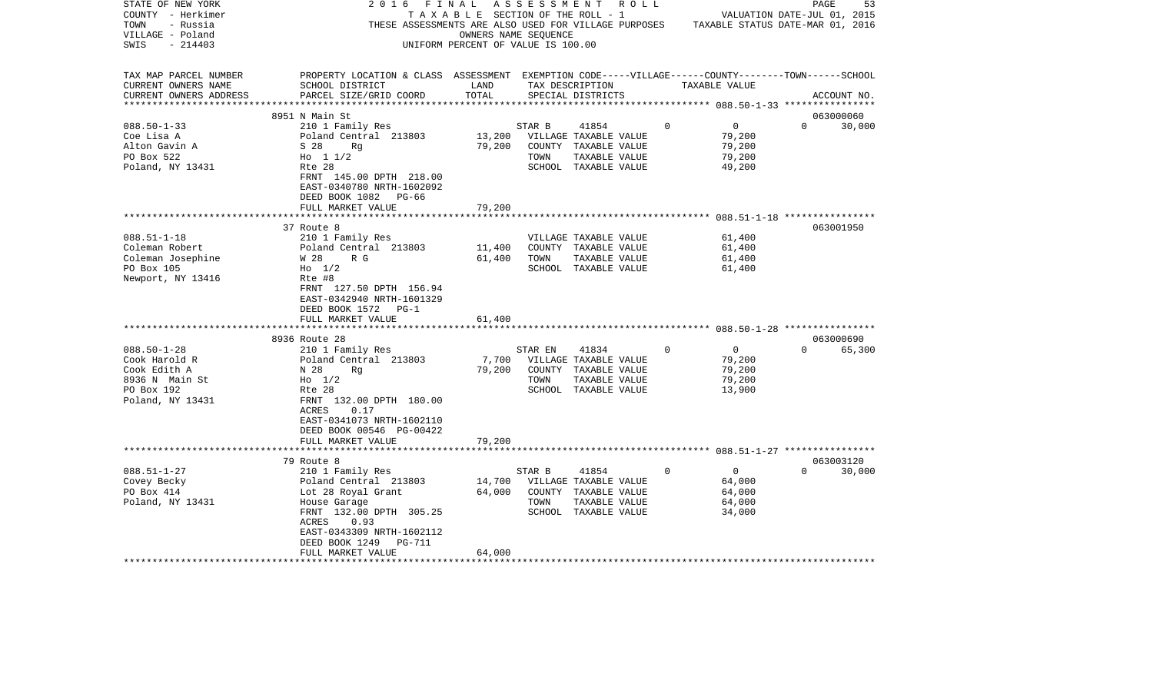| STATE OF NEW YORK<br>COUNTY - Herkimer<br>TOWN<br>- Russia<br>VILLAGE - Poland<br>SWIS<br>$-214403$ | 2016<br>THESE ASSESSMENTS ARE ALSO USED FOR VILLAGE PURPOSES                                                                                    | FINAL<br>T A X A B L E SECTION OF THE ROLL - 1<br>OWNERS NAME SEQUENCE<br>UNIFORM PERCENT OF VALUE IS 100.00 | ASSESSMENT | R O L L                              |   |                                           | 53<br>PAGE<br>VALUATION DATE-JUL 01, 2015<br>TAXABLE STATUS DATE-MAR 01, 2016 |
|-----------------------------------------------------------------------------------------------------|-------------------------------------------------------------------------------------------------------------------------------------------------|--------------------------------------------------------------------------------------------------------------|------------|--------------------------------------|---|-------------------------------------------|-------------------------------------------------------------------------------|
| TAX MAP PARCEL NUMBER<br>CURRENT OWNERS NAME<br>CURRENT OWNERS ADDRESS                              | PROPERTY LOCATION & CLASS ASSESSMENT EXEMPTION CODE-----VILLAGE------COUNTY-------TOWN------SCHOOL<br>SCHOOL DISTRICT<br>PARCEL SIZE/GRID COORD | LAND<br>TOTAL                                                                                                |            | TAX DESCRIPTION<br>SPECIAL DISTRICTS |   | TAXABLE VALUE                             | ACCOUNT NO.                                                                   |
| ***********************                                                                             |                                                                                                                                                 |                                                                                                              |            |                                      |   |                                           |                                                                               |
|                                                                                                     | 8951 N Main St                                                                                                                                  |                                                                                                              |            |                                      |   |                                           | 063000060<br>$\Omega$                                                         |
| $088.50 - 1 - 33$<br>Coe Lisa A                                                                     | 210 1 Family Res<br>Poland Central 213803                                                                                                       | 13,200                                                                                                       | STAR B     | 41854<br>VILLAGE TAXABLE VALUE       | 0 | $\mathsf{O}$<br>79,200                    | 30,000                                                                        |
| Alton Gavin A                                                                                       | S 28<br>Rq                                                                                                                                      | 79,200                                                                                                       | COUNTY     | TAXABLE VALUE                        |   | 79,200                                    |                                                                               |
| PO Box 522                                                                                          | Ho $11/2$                                                                                                                                       |                                                                                                              | TOWN       | TAXABLE VALUE                        |   | 79,200                                    |                                                                               |
| Poland, NY 13431                                                                                    | Rte 28                                                                                                                                          |                                                                                                              |            | SCHOOL TAXABLE VALUE                 |   | 49,200                                    |                                                                               |
|                                                                                                     | FRNT 145.00 DPTH 218.00                                                                                                                         |                                                                                                              |            |                                      |   |                                           |                                                                               |
|                                                                                                     | EAST-0340780 NRTH-1602092                                                                                                                       |                                                                                                              |            |                                      |   |                                           |                                                                               |
|                                                                                                     | DEED BOOK 1082<br>PG-66                                                                                                                         |                                                                                                              |            |                                      |   |                                           |                                                                               |
|                                                                                                     | FULL MARKET VALUE<br>******************                                                                                                         | 79,200                                                                                                       |            |                                      |   |                                           |                                                                               |
|                                                                                                     |                                                                                                                                                 |                                                                                                              |            |                                      |   | **************** 088.51-1-18 ************ |                                                                               |
| $088.51 - 1 - 18$                                                                                   | 37 Route 8<br>210 1 Family Res                                                                                                                  |                                                                                                              |            | VILLAGE TAXABLE VALUE                |   | 61,400                                    | 063001950                                                                     |
| Coleman Robert                                                                                      | Poland Central 213803                                                                                                                           | 11,400                                                                                                       |            | COUNTY TAXABLE VALUE                 |   | 61,400                                    |                                                                               |
| Coleman Josephine                                                                                   | W 28<br>R G                                                                                                                                     | 61,400                                                                                                       | TOWN       | TAXABLE VALUE                        |   | 61,400                                    |                                                                               |
| PO Box 105                                                                                          | $H_0$ 1/2                                                                                                                                       |                                                                                                              |            | SCHOOL TAXABLE VALUE                 |   | 61,400                                    |                                                                               |
| Newport, NY 13416                                                                                   | Rte #8                                                                                                                                          |                                                                                                              |            |                                      |   |                                           |                                                                               |
|                                                                                                     | FRNT 127.50 DPTH 156.94<br>EAST-0342940 NRTH-1601329<br>DEED BOOK 1572<br>$PG-1$                                                                |                                                                                                              |            |                                      |   |                                           |                                                                               |
|                                                                                                     | FULL MARKET VALUE                                                                                                                               | 61,400                                                                                                       |            |                                      |   |                                           |                                                                               |
|                                                                                                     |                                                                                                                                                 |                                                                                                              |            |                                      |   |                                           |                                                                               |
|                                                                                                     | 8936 Route 28                                                                                                                                   |                                                                                                              |            |                                      |   |                                           | 063000690                                                                     |
| $088.50 - 1 - 28$                                                                                   | 210 1 Family Res                                                                                                                                |                                                                                                              | STAR EN    | 41834                                | 0 | $\mathbf 0$                               | 65,300<br>$\Omega$                                                            |
| Cook Harold R                                                                                       | Poland Central 213803                                                                                                                           | 7,700                                                                                                        |            | VILLAGE TAXABLE VALUE                |   | 79,200                                    |                                                                               |
| Cook Edith A                                                                                        | N 28<br>Rg                                                                                                                                      | 79,200                                                                                                       |            | COUNTY TAXABLE VALUE                 |   | 79,200                                    |                                                                               |
| 8936 N Main St                                                                                      | $H_0$ 1/2                                                                                                                                       |                                                                                                              | TOWN       | TAXABLE VALUE                        |   | 79,200                                    |                                                                               |
| PO Box 192                                                                                          | Rte 28                                                                                                                                          |                                                                                                              |            | SCHOOL TAXABLE VALUE                 |   | 13,900                                    |                                                                               |
| Poland, NY 13431                                                                                    | FRNT 132.00 DPTH 180.00                                                                                                                         |                                                                                                              |            |                                      |   |                                           |                                                                               |
|                                                                                                     | ACRES<br>0.17<br>EAST-0341073 NRTH-1602110                                                                                                      |                                                                                                              |            |                                      |   |                                           |                                                                               |
|                                                                                                     | DEED BOOK 00546 PG-00422                                                                                                                        |                                                                                                              |            |                                      |   |                                           |                                                                               |
|                                                                                                     | FULL MARKET VALUE                                                                                                                               | 79,200                                                                                                       |            |                                      |   |                                           |                                                                               |
|                                                                                                     | *************************                                                                                                                       |                                                                                                              |            |                                      |   |                                           |                                                                               |
|                                                                                                     | 79 Route 8                                                                                                                                      |                                                                                                              |            |                                      |   |                                           | 063003120                                                                     |
| $088.51 - 1 - 27$                                                                                   | 210 1 Family Res                                                                                                                                |                                                                                                              | STAR B     | 41854                                | 0 | $\mathsf{O}$                              | 30,000<br>$\Omega$                                                            |
| Covey Becky                                                                                         | Poland Central 213803                                                                                                                           | 14,700                                                                                                       |            | VILLAGE TAXABLE VALUE                |   | 64,000                                    |                                                                               |
| PO Box 414                                                                                          | Lot 28 Royal Grant                                                                                                                              | 64,000                                                                                                       |            | COUNTY TAXABLE VALUE                 |   | 64,000                                    |                                                                               |
| Poland, NY 13431                                                                                    | House Garage                                                                                                                                    |                                                                                                              | TOWN       | TAXABLE VALUE                        |   | 64,000                                    |                                                                               |
|                                                                                                     | FRNT 132.00 DPTH 305.25                                                                                                                         |                                                                                                              |            | SCHOOL TAXABLE VALUE                 |   | 34,000                                    |                                                                               |
|                                                                                                     | ACRES<br>0.93<br>EAST-0343309 NRTH-1602112                                                                                                      |                                                                                                              |            |                                      |   |                                           |                                                                               |
|                                                                                                     | DEED BOOK 1249<br>PG-711                                                                                                                        |                                                                                                              |            |                                      |   |                                           |                                                                               |
|                                                                                                     | FULL MARKET VALUE                                                                                                                               | 64,000                                                                                                       |            |                                      |   |                                           |                                                                               |
|                                                                                                     |                                                                                                                                                 |                                                                                                              |            |                                      |   |                                           |                                                                               |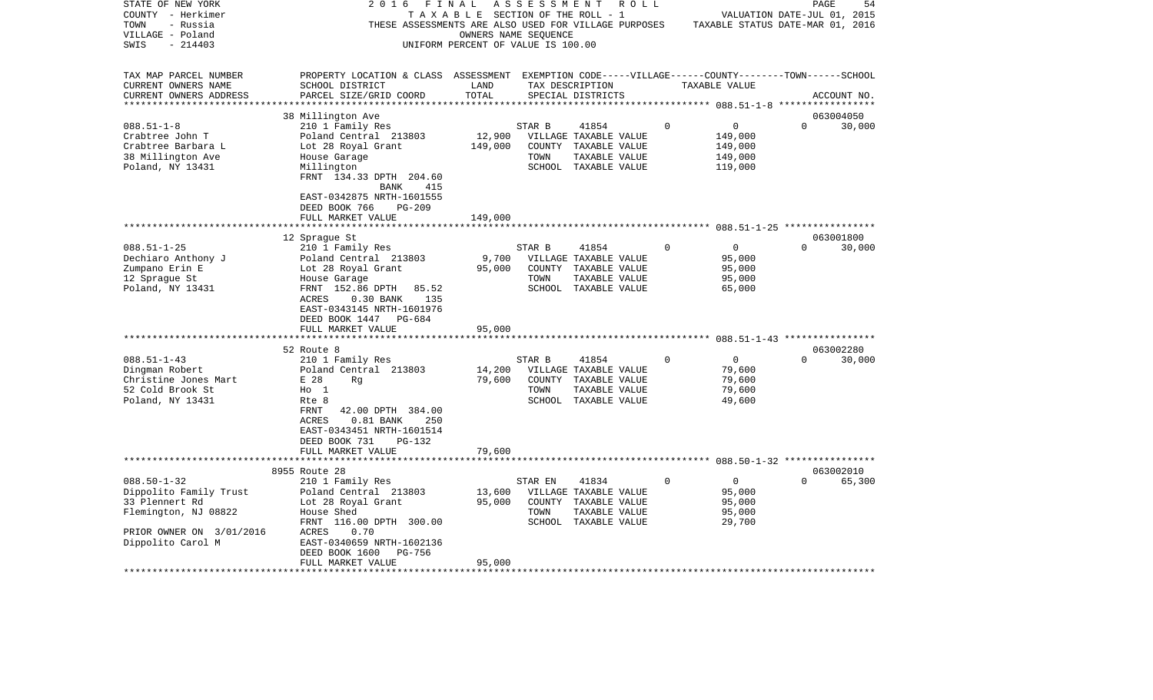| STATE OF NEW YORK                               | 2016                                                    | FINAL                              | A S S E S S M E N T | R O L L                                              |          |                                                               | PAGE     | 54          |
|-------------------------------------------------|---------------------------------------------------------|------------------------------------|---------------------|------------------------------------------------------|----------|---------------------------------------------------------------|----------|-------------|
| COUNTY - Herkimer                               |                                                         | TAXABLE SECTION OF THE ROLL - 1    |                     |                                                      |          | VALUATION DATE-JUL 01, 2015                                   |          |             |
| TOWN<br>- Russia                                |                                                         |                                    |                     | THESE ASSESSMENTS ARE ALSO USED FOR VILLAGE PURPOSES |          | TAXABLE STATUS DATE-MAR 01, 2016                              |          |             |
| VILLAGE - Poland                                |                                                         | OWNERS NAME SEQUENCE               |                     |                                                      |          |                                                               |          |             |
| $-214403$<br>SWIS                               |                                                         | UNIFORM PERCENT OF VALUE IS 100.00 |                     |                                                      |          |                                                               |          |             |
|                                                 |                                                         |                                    |                     |                                                      |          |                                                               |          |             |
| TAX MAP PARCEL NUMBER                           | PROPERTY LOCATION & CLASS                               | ASSESSMENT                         |                     |                                                      |          | EXEMPTION CODE-----VILLAGE------COUNTY-------TOWN------SCHOOL |          |             |
| CURRENT OWNERS NAME                             | SCHOOL DISTRICT                                         | LAND<br>TOTAL                      |                     | TAX DESCRIPTION                                      |          | TAXABLE VALUE                                                 |          |             |
| CURRENT OWNERS ADDRESS<br>********************* | PARCEL SIZE/GRID COORD<br>***************************** |                                    |                     | SPECIAL DISTRICTS                                    |          |                                                               |          | ACCOUNT NO. |
|                                                 | 38 Millington Ave                                       |                                    |                     |                                                      |          |                                                               |          | 063004050   |
| $088.51 - 1 - 8$                                | 210 1 Family Res                                        |                                    | STAR B              | 41854                                                | 0        | 0                                                             | $\Omega$ | 30,000      |
| Crabtree John T                                 | Poland Central 213803                                   | 12,900                             |                     | VILLAGE TAXABLE VALUE                                |          | 149,000                                                       |          |             |
| Crabtree Barbara L                              | Lot 28 Royal Grant                                      | 149,000                            | COUNTY              | TAXABLE VALUE                                        |          | 149,000                                                       |          |             |
| 38 Millington Ave                               | House Garage                                            |                                    | TOWN                | TAXABLE VALUE                                        |          | 149,000                                                       |          |             |
| Poland, NY 13431                                | Millington                                              |                                    |                     | SCHOOL TAXABLE VALUE                                 |          | 119,000                                                       |          |             |
|                                                 | FRNT 134.33 DPTH 204.60                                 |                                    |                     |                                                      |          |                                                               |          |             |
|                                                 | 415<br>BANK                                             |                                    |                     |                                                      |          |                                                               |          |             |
|                                                 | EAST-0342875 NRTH-1601555                               |                                    |                     |                                                      |          |                                                               |          |             |
|                                                 | DEED BOOK 766<br>PG-209                                 |                                    |                     |                                                      |          |                                                               |          |             |
|                                                 | FULL MARKET VALUE                                       | 149,000                            |                     |                                                      |          |                                                               |          |             |
|                                                 | ***************                                         | * * * * * * * * * * *              |                     |                                                      |          |                                                               |          |             |
|                                                 | 12 Sprague St                                           |                                    |                     |                                                      |          |                                                               |          | 063001800   |
| $088.51 - 1 - 25$                               | 210 1 Family Res                                        |                                    | STAR B              | 41854                                                | $\Omega$ | $\mathbf 0$                                                   | $\Omega$ | 30,000      |
| Dechiaro Anthony J                              | Poland Central 213803                                   | 9,700                              |                     | VILLAGE TAXABLE VALUE                                |          | 95,000                                                        |          |             |
| Zumpano Erin E                                  | Lot 28 Royal Grant                                      | 95,000                             |                     | COUNTY TAXABLE VALUE                                 |          | 95,000                                                        |          |             |
| 12 Sprague St                                   | House Garage                                            |                                    | TOWN                | TAXABLE VALUE                                        |          | 95,000                                                        |          |             |
| Poland, NY 13431                                | FRNT 152.86 DPTH<br>85.52                               |                                    |                     | SCHOOL TAXABLE VALUE                                 |          | 65,000                                                        |          |             |
|                                                 | ACRES<br>$0.30$ BANK<br>135                             |                                    |                     |                                                      |          |                                                               |          |             |
|                                                 | EAST-0343145 NRTH-1601976                               |                                    |                     |                                                      |          |                                                               |          |             |
|                                                 | DEED BOOK 1447<br>PG-684                                |                                    |                     |                                                      |          |                                                               |          |             |
|                                                 | FULL MARKET VALUE                                       | 95,000                             |                     |                                                      |          |                                                               |          |             |
|                                                 | ********************                                    |                                    |                     |                                                      |          |                                                               |          |             |
|                                                 | 52 Route 8                                              |                                    |                     |                                                      |          |                                                               |          | 063002280   |
| $088.51 - 1 - 43$                               | 210 1 Family Res                                        |                                    | STAR B              | 41854                                                | $\Omega$ | 0                                                             | $\Omega$ | 30,000      |
| Dingman Robert                                  | Poland Central 213803                                   | 14,200                             |                     | VILLAGE TAXABLE VALUE                                |          | 79,600                                                        |          |             |
| Christine Jones Mart                            | E 28<br>Rq                                              | 79,600                             | COUNTY              | TAXABLE VALUE                                        |          | 79,600                                                        |          |             |
| 52 Cold Brook St                                | $H_0$ 1                                                 |                                    | TOWN                | TAXABLE VALUE                                        |          | 79,600                                                        |          |             |
| Poland, NY 13431                                | Rte 8                                                   |                                    |                     | SCHOOL TAXABLE VALUE                                 |          | 49,600                                                        |          |             |
|                                                 | <b>FRNT</b><br>42.00 DPTH 384.00                        |                                    |                     |                                                      |          |                                                               |          |             |
|                                                 | ACRES<br>$0.81$ BANK<br>250                             |                                    |                     |                                                      |          |                                                               |          |             |
|                                                 | EAST-0343451 NRTH-1601514                               |                                    |                     |                                                      |          |                                                               |          |             |
|                                                 | DEED BOOK 731<br>PG-132<br>FULL MARKET VALUE            | 79,600                             |                     |                                                      |          |                                                               |          |             |
|                                                 |                                                         |                                    |                     |                                                      |          |                                                               |          |             |
|                                                 | 8955 Route 28                                           |                                    |                     |                                                      |          |                                                               |          | 063002010   |
| $088.50 - 1 - 32$                               | 210 1 Family Res                                        |                                    | STAR EN             | 41834                                                | $\Omega$ | $\mathbf 0$                                                   | $\Omega$ | 65,300      |
| Dippolito Family Trust                          | Poland Central 213803                                   | 13,600                             |                     | VILLAGE TAXABLE VALUE                                |          | 95,000                                                        |          |             |
| 33 Plennert Rd                                  | Lot 28 Royal Grant                                      | 95,000                             | COUNTY              | TAXABLE VALUE                                        |          | 95,000                                                        |          |             |
| Flemington, NJ 08822                            | House Shed                                              |                                    | TOWN                | TAXABLE VALUE                                        |          | 95,000                                                        |          |             |
|                                                 | FRNT 116.00 DPTH 300.00                                 |                                    |                     | SCHOOL TAXABLE VALUE                                 |          | 29,700                                                        |          |             |
| PRIOR OWNER ON 3/01/2016                        | ACRES<br>0.70                                           |                                    |                     |                                                      |          |                                                               |          |             |
| Dippolito Carol M                               | EAST-0340659 NRTH-1602136                               |                                    |                     |                                                      |          |                                                               |          |             |
|                                                 | DEED BOOK 1600<br>PG-756                                |                                    |                     |                                                      |          |                                                               |          |             |
|                                                 | FULL MARKET VALUE                                       | 95,000                             |                     |                                                      |          |                                                               |          |             |
|                                                 |                                                         |                                    |                     |                                                      |          |                                                               |          |             |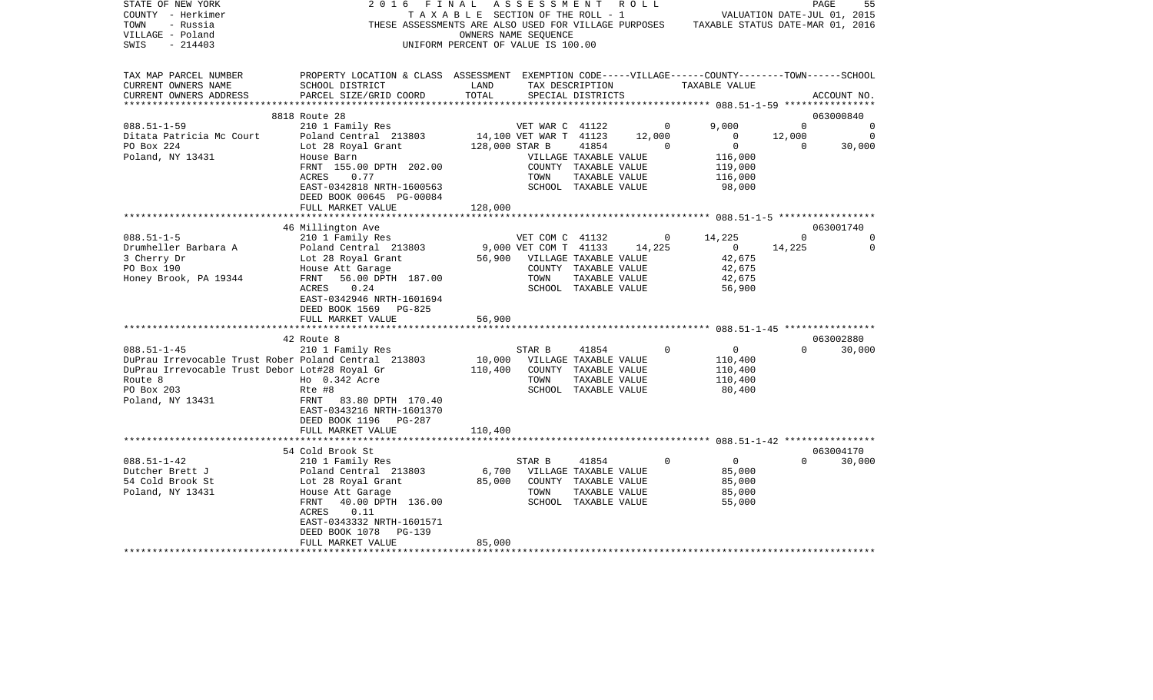| STATE OF NEW YORK<br>COUNTY - Herkimer<br>TOWN<br>- Russia<br>VILLAGE - Poland<br>SWIS<br>$-214403$ | 2016                                                                                                                                            | FINAL<br>TAXABLE SECTION OF THE ROLL - 1<br>THESE ASSESSMENTS ARE ALSO USED FOR VILLAGE PURPOSES<br>UNIFORM PERCENT OF VALUE IS 100.00 | ASSESSMENT ROLL<br>OWNERS NAME SEQUENCE |                                      |                | VALUATION DATE-JUL 01, 2015<br>TAXABLE STATUS DATE-MAR 01, 2016 |          | 55<br>PAGE     |
|-----------------------------------------------------------------------------------------------------|-------------------------------------------------------------------------------------------------------------------------------------------------|----------------------------------------------------------------------------------------------------------------------------------------|-----------------------------------------|--------------------------------------|----------------|-----------------------------------------------------------------|----------|----------------|
| TAX MAP PARCEL NUMBER<br>CURRENT OWNERS NAME<br>CURRENT OWNERS ADDRESS<br>***********************   | PROPERTY LOCATION & CLASS ASSESSMENT EXEMPTION CODE-----VILLAGE------COUNTY-------TOWN------SCHOOL<br>SCHOOL DISTRICT<br>PARCEL SIZE/GRID COORD | LAND<br>TOTAL                                                                                                                          |                                         | TAX DESCRIPTION<br>SPECIAL DISTRICTS |                | TAXABLE VALUE                                                   |          | ACCOUNT NO.    |
|                                                                                                     | 8818 Route 28                                                                                                                                   |                                                                                                                                        |                                         |                                      |                |                                                                 |          | 063000840      |
| $088.51 - 1 - 59$                                                                                   | 210 1 Family Res                                                                                                                                |                                                                                                                                        | VET WAR C 41122                         |                                      | $\overline{0}$ | 9,000                                                           | $\Omega$ | $\overline{0}$ |
| Ditata Patricia Mc Court                                                                            | Poland Central 213803                                                                                                                           |                                                                                                                                        | 14,100 VET WAR T 41123                  |                                      | 12,000         | $\overline{0}$                                                  | 12,000   | - 0            |
| PO Box 224                                                                                          | Lot 28 Royal Grant                                                                                                                              | 128,000 STAR B                                                                                                                         |                                         | 41854                                | $\Omega$       | $\overline{0}$                                                  | $\Omega$ | 30,000         |
| Poland, NY 13431                                                                                    | House Barn                                                                                                                                      |                                                                                                                                        |                                         | VILLAGE TAXABLE VALUE                |                | 116,000                                                         |          |                |
|                                                                                                     | FRNT 155.00 DPTH 202.00                                                                                                                         |                                                                                                                                        |                                         | COUNTY TAXABLE VALUE                 |                | 119,000                                                         |          |                |
|                                                                                                     | ACRES<br>0.77                                                                                                                                   |                                                                                                                                        | TOWN                                    | TAXABLE VALUE                        |                | 116,000                                                         |          |                |
|                                                                                                     | EAST-0342818 NRTH-1600563<br>DEED BOOK 00645 PG-00084                                                                                           |                                                                                                                                        |                                         | SCHOOL TAXABLE VALUE                 |                | 98,000                                                          |          |                |
|                                                                                                     | FULL MARKET VALUE                                                                                                                               | 128,000                                                                                                                                |                                         |                                      |                |                                                                 |          |                |
|                                                                                                     |                                                                                                                                                 |                                                                                                                                        |                                         |                                      |                |                                                                 |          |                |
|                                                                                                     | 46 Millington Ave                                                                                                                               |                                                                                                                                        |                                         |                                      |                |                                                                 |          | 063001740      |
| $088.51 - 1 - 5$                                                                                    | 210 1 Family Res                                                                                                                                |                                                                                                                                        | VET COM C 41132                         |                                      | $\circ$        | 14,225                                                          | $\Omega$ | 0              |
| Drumheller Barbara A                                                                                | Poland Central 213803                                                                                                                           |                                                                                                                                        | 9,000 VET COM T 41133                   |                                      | 14,225         | $\overline{0}$                                                  | 14,225   | $\Omega$       |
| 3 Cherry Dr                                                                                         |                                                                                                                                                 |                                                                                                                                        | 56,900 VILLAGE TAXABLE VALUE            |                                      |                | 42,675                                                          |          |                |
| PO Box 190                                                                                          | Lot 28 Royal Grant<br>House Att Garage<br>FRNT   56.00 DPTH                                                                                     |                                                                                                                                        |                                         | COUNTY TAXABLE VALUE                 |                | 42,675                                                          |          |                |
| Honey Brook, PA 19344                                                                               | 56.00 DPTH 187.00                                                                                                                               |                                                                                                                                        | TOWN                                    | TAXABLE VALUE                        |                | 42,675                                                          |          |                |
|                                                                                                     | ACRES<br>0.24<br>EAST-0342946 NRTH-1601694                                                                                                      |                                                                                                                                        |                                         | SCHOOL TAXABLE VALUE                 |                | 56,900                                                          |          |                |
|                                                                                                     | DEED BOOK 1569<br>PG-825                                                                                                                        |                                                                                                                                        |                                         |                                      |                |                                                                 |          |                |
|                                                                                                     | FULL MARKET VALUE                                                                                                                               | 56,900                                                                                                                                 |                                         |                                      |                |                                                                 |          |                |
|                                                                                                     |                                                                                                                                                 |                                                                                                                                        |                                         |                                      |                |                                                                 |          |                |
|                                                                                                     | 42 Route 8                                                                                                                                      |                                                                                                                                        |                                         |                                      |                |                                                                 |          | 063002880      |
| $088.51 - 1 - 45$                                                                                   | 210 1 Family Res                                                                                                                                |                                                                                                                                        | STAR B                                  | 41854                                | $\Omega$       | $\overline{0}$                                                  | $\Omega$ | 30,000         |
| DuPrau Irrevocable Trust Rober Poland Central 213803                                                |                                                                                                                                                 | 10,000                                                                                                                                 | VILLAGE TAXABLE VALUE                   |                                      |                | 110,400                                                         |          |                |
| DuPrau Irrevocable Trust Debor Lot#28 Royal Gr                                                      |                                                                                                                                                 | 110,400                                                                                                                                |                                         | COUNTY TAXABLE VALUE                 |                | 110,400                                                         |          |                |
| Route 8                                                                                             | Ho 0.342 Acre                                                                                                                                   |                                                                                                                                        | TOWN                                    | TAXABLE VALUE                        |                | 110,400                                                         |          |                |
| PO Box 203                                                                                          | Rte #8                                                                                                                                          |                                                                                                                                        |                                         | SCHOOL TAXABLE VALUE                 |                | 80,400                                                          |          |                |
| Poland, NY 13431                                                                                    | FRNT 83.80 DPTH 170.40<br>EAST-0343216 NRTH-1601370                                                                                             |                                                                                                                                        |                                         |                                      |                |                                                                 |          |                |
|                                                                                                     | DEED BOOK 1196 PG-287                                                                                                                           |                                                                                                                                        |                                         |                                      |                |                                                                 |          |                |
|                                                                                                     | FULL MARKET VALUE                                                                                                                               | 110,400                                                                                                                                |                                         |                                      |                |                                                                 |          |                |
|                                                                                                     | **************************                                                                                                                      |                                                                                                                                        |                                         |                                      |                |                                                                 |          |                |
|                                                                                                     | 54 Cold Brook St                                                                                                                                |                                                                                                                                        |                                         |                                      |                |                                                                 |          | 063004170      |
| $088.51 - 1 - 42$                                                                                   | 210 1 Family Res                                                                                                                                |                                                                                                                                        | STAR B                                  | 41854                                | 0              | $\overline{0}$                                                  | $\Omega$ | 30,000         |
| Dutcher Brett J                                                                                     | Poland Central 213803                                                                                                                           | 6,700                                                                                                                                  |                                         | VILLAGE TAXABLE VALUE                |                | 85,000                                                          |          |                |
| 54 Cold Brook St                                                                                    | Lot 28 Royal Grant                                                                                                                              | 85,000                                                                                                                                 |                                         | COUNTY TAXABLE VALUE                 |                | 85,000                                                          |          |                |
| Poland, NY 13431                                                                                    | House Att Garage                                                                                                                                |                                                                                                                                        | TOWN                                    | TAXABLE VALUE                        |                | 85,000                                                          |          |                |
|                                                                                                     | FRNT<br>40.00 DPTH 136.00<br>ACRES                                                                                                              |                                                                                                                                        |                                         | SCHOOL TAXABLE VALUE                 |                | 55,000                                                          |          |                |
|                                                                                                     | 0.11<br>EAST-0343332 NRTH-1601571                                                                                                               |                                                                                                                                        |                                         |                                      |                |                                                                 |          |                |
|                                                                                                     | DEED BOOK 1078<br>PG-139                                                                                                                        |                                                                                                                                        |                                         |                                      |                |                                                                 |          |                |
|                                                                                                     | FULL MARKET VALUE                                                                                                                               | 85,000                                                                                                                                 |                                         |                                      |                |                                                                 |          |                |
|                                                                                                     |                                                                                                                                                 |                                                                                                                                        |                                         |                                      |                |                                                                 |          |                |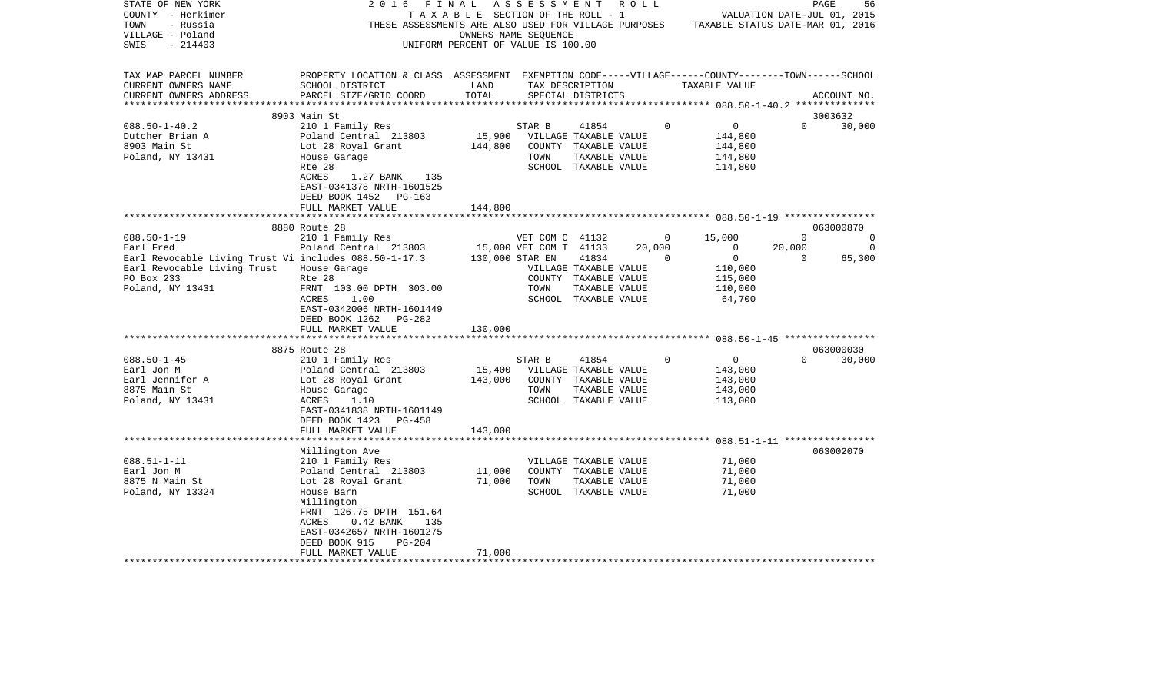| STATE OF NEW YORK                                     | 2016<br>FINAL                                                                                      |                                    | A S S E S S M E N T A O L L  |                       |          |                                                                                       |             | 56<br>PAGE                  |
|-------------------------------------------------------|----------------------------------------------------------------------------------------------------|------------------------------------|------------------------------|-----------------------|----------|---------------------------------------------------------------------------------------|-------------|-----------------------------|
| COUNTY - Herkimer                                     |                                                                                                    | TAXABLE SECTION OF THE ROLL - 1    |                              |                       |          |                                                                                       |             | VALUATION DATE-JUL 01, 2015 |
| TOWN<br>- Russia                                      |                                                                                                    |                                    |                              |                       |          | THESE ASSESSMENTS ARE ALSO USED FOR VILLAGE PURPOSES TAXABLE STATUS DATE-MAR 01, 2016 |             |                             |
| VILLAGE - Poland                                      |                                                                                                    |                                    | OWNERS NAME SEQUENCE         |                       |          |                                                                                       |             |                             |
| SWIS<br>- 214403                                      |                                                                                                    | UNIFORM PERCENT OF VALUE IS 100.00 |                              |                       |          |                                                                                       |             |                             |
|                                                       |                                                                                                    |                                    |                              |                       |          |                                                                                       |             |                             |
|                                                       |                                                                                                    |                                    |                              |                       |          |                                                                                       |             |                             |
| TAX MAP PARCEL NUMBER                                 | PROPERTY LOCATION & CLASS ASSESSMENT EXEMPTION CODE-----VILLAGE------COUNTY-------TOWN------SCHOOL |                                    |                              |                       |          |                                                                                       |             |                             |
| CURRENT OWNERS NAME                                   | SCHOOL DISTRICT                                                                                    | LAND                               |                              | TAX DESCRIPTION       |          | TAXABLE VALUE                                                                         |             |                             |
| CURRENT OWNERS ADDRESS                                | PARCEL SIZE/GRID COORD                                                                             | TOTAL                              |                              | SPECIAL DISTRICTS     |          |                                                                                       |             | ACCOUNT NO.                 |
| ************************                              |                                                                                                    |                                    |                              |                       |          |                                                                                       |             |                             |
|                                                       | 8903 Main St                                                                                       |                                    |                              |                       |          |                                                                                       |             | 3003632                     |
| $088.50 - 1 - 40.2$                                   | 210 1 Family Res                                                                                   |                                    | STAR B                       | 41854                 | $\Omega$ | $\overline{0}$                                                                        | $\Omega$    | 30,000                      |
| Dutcher Brian A                                       | Poland Central 213803                                                                              |                                    | 15,900 VILLAGE TAXABLE VALUE |                       |          | 144,800                                                                               |             |                             |
| 8903 Main St                                          | Lot 28 Royal Grant                                                                                 | 144,800                            |                              | COUNTY TAXABLE VALUE  |          | 144,800                                                                               |             |                             |
| Poland, NY 13431                                      | House Garage                                                                                       |                                    | TOWN                         | TAXABLE VALUE         |          | 144,800                                                                               |             |                             |
|                                                       | Rte 28                                                                                             |                                    |                              | SCHOOL TAXABLE VALUE  |          | 114,800                                                                               |             |                             |
|                                                       | ACRES<br>1.27 BANK 135                                                                             |                                    |                              |                       |          |                                                                                       |             |                             |
|                                                       | EAST-0341378 NRTH-1601525                                                                          |                                    |                              |                       |          |                                                                                       |             |                             |
|                                                       | DEED BOOK 1452 PG-163                                                                              |                                    |                              |                       |          |                                                                                       |             |                             |
|                                                       | FULL MARKET VALUE                                                                                  | 144,800                            |                              |                       |          |                                                                                       |             |                             |
|                                                       |                                                                                                    |                                    |                              |                       |          |                                                                                       |             |                             |
|                                                       |                                                                                                    |                                    |                              |                       |          |                                                                                       |             |                             |
|                                                       | 8880 Route 28                                                                                      |                                    |                              |                       |          |                                                                                       |             | 063000870                   |
| $088.50 - 1 - 19$                                     | 210 1 Family Res                                                                                   |                                    | VET COM C 41132              |                       | $\circ$  | 15,000                                                                                | $\mathbf 0$ | 0                           |
| Earl Fred                                             | Poland Central 213803                                                                              |                                    | 15,000 VET COM T 41133       |                       | 20,000   | $\overline{0}$                                                                        | 20,000      | $\overline{0}$              |
| Earl Revocable Living Trust Vi includes 088.50-1-17.3 |                                                                                                    | 130,000 STAR EN                    |                              | 41834                 | $\Omega$ | $\overline{0}$                                                                        | $\Omega$    | 65,300                      |
| Earl Revocable Living Trust                           | House Garage                                                                                       |                                    |                              | VILLAGE TAXABLE VALUE |          | 110,000                                                                               |             |                             |
| PO Box 233                                            | Rte 28                                                                                             |                                    |                              | COUNTY TAXABLE VALUE  |          | 115,000                                                                               |             |                             |
| Poland, NY 13431                                      | FRNT 103.00 DPTH 303.00                                                                            |                                    | TOWN                         | TAXABLE VALUE         |          | 110,000                                                                               |             |                             |
|                                                       | ACRES<br>1.00                                                                                      |                                    |                              | SCHOOL TAXABLE VALUE  |          | 64,700                                                                                |             |                             |
|                                                       | EAST-0342006 NRTH-1601449                                                                          |                                    |                              |                       |          |                                                                                       |             |                             |
|                                                       | DEED BOOK 1262<br>PG-282                                                                           |                                    |                              |                       |          |                                                                                       |             |                             |
|                                                       | FULL MARKET VALUE                                                                                  | 130,000                            |                              |                       |          |                                                                                       |             |                             |
|                                                       |                                                                                                    |                                    |                              |                       |          |                                                                                       |             |                             |
|                                                       | 8875 Route 28                                                                                      |                                    |                              |                       |          |                                                                                       |             | 063000030                   |
| $088.50 - 1 - 45$                                     | 210 1 Family Res                                                                                   |                                    | STAR B                       | 41854                 | $\Omega$ | $\overline{0}$                                                                        | $\Omega$    | 30,000                      |
| Earl Jon M                                            | Poland Central 213803                                                                              | 15,400                             |                              | VILLAGE TAXABLE VALUE |          | 143,000                                                                               |             |                             |
| Earl Jennifer A                                       | Lot 28 Royal Grant                                                                                 | 143,000                            |                              | COUNTY TAXABLE VALUE  |          | 143,000                                                                               |             |                             |
| 8875 Main St                                          | House Garage                                                                                       |                                    | TOWN                         | TAXABLE VALUE         |          | 143,000                                                                               |             |                             |
| Poland, NY 13431                                      | ACRES<br>1.10                                                                                      |                                    |                              | SCHOOL TAXABLE VALUE  |          | 113,000                                                                               |             |                             |
|                                                       | EAST-0341838 NRTH-1601149                                                                          |                                    |                              |                       |          |                                                                                       |             |                             |
|                                                       | DEED BOOK 1423<br>PG-458                                                                           |                                    |                              |                       |          |                                                                                       |             |                             |
|                                                       | FULL MARKET VALUE                                                                                  | 143,000                            |                              |                       |          |                                                                                       |             |                             |
|                                                       |                                                                                                    |                                    |                              |                       |          |                                                                                       |             |                             |
|                                                       | Millington Ave                                                                                     |                                    |                              |                       |          |                                                                                       |             | 063002070                   |
| $088.51 - 1 - 11$                                     | 210 1 Family Res                                                                                   |                                    |                              | VILLAGE TAXABLE VALUE |          | 71,000                                                                                |             |                             |
| Earl Jon M                                            | Poland Central 213803                                                                              | 11,000                             |                              | COUNTY TAXABLE VALUE  |          | 71,000                                                                                |             |                             |
| 8875 N Main St                                        | Lot 28 Royal Grant                                                                                 | 71,000                             | TOWN                         | TAXABLE VALUE         |          | 71,000                                                                                |             |                             |
| Poland, NY 13324                                      | House Barn                                                                                         |                                    |                              | SCHOOL TAXABLE VALUE  |          | 71,000                                                                                |             |                             |
|                                                       | Millington                                                                                         |                                    |                              |                       |          |                                                                                       |             |                             |
|                                                       | FRNT 126.75 DPTH 151.64                                                                            |                                    |                              |                       |          |                                                                                       |             |                             |
|                                                       | $0.42$ BANK<br>135<br>ACRES                                                                        |                                    |                              |                       |          |                                                                                       |             |                             |
|                                                       | EAST-0342657 NRTH-1601275                                                                          |                                    |                              |                       |          |                                                                                       |             |                             |
|                                                       | DEED BOOK 915<br>$PG-204$                                                                          |                                    |                              |                       |          |                                                                                       |             |                             |
|                                                       | FULL MARKET VALUE                                                                                  | 71,000                             |                              |                       |          |                                                                                       |             |                             |
|                                                       |                                                                                                    |                                    |                              |                       |          |                                                                                       |             |                             |
|                                                       |                                                                                                    |                                    |                              |                       |          |                                                                                       |             |                             |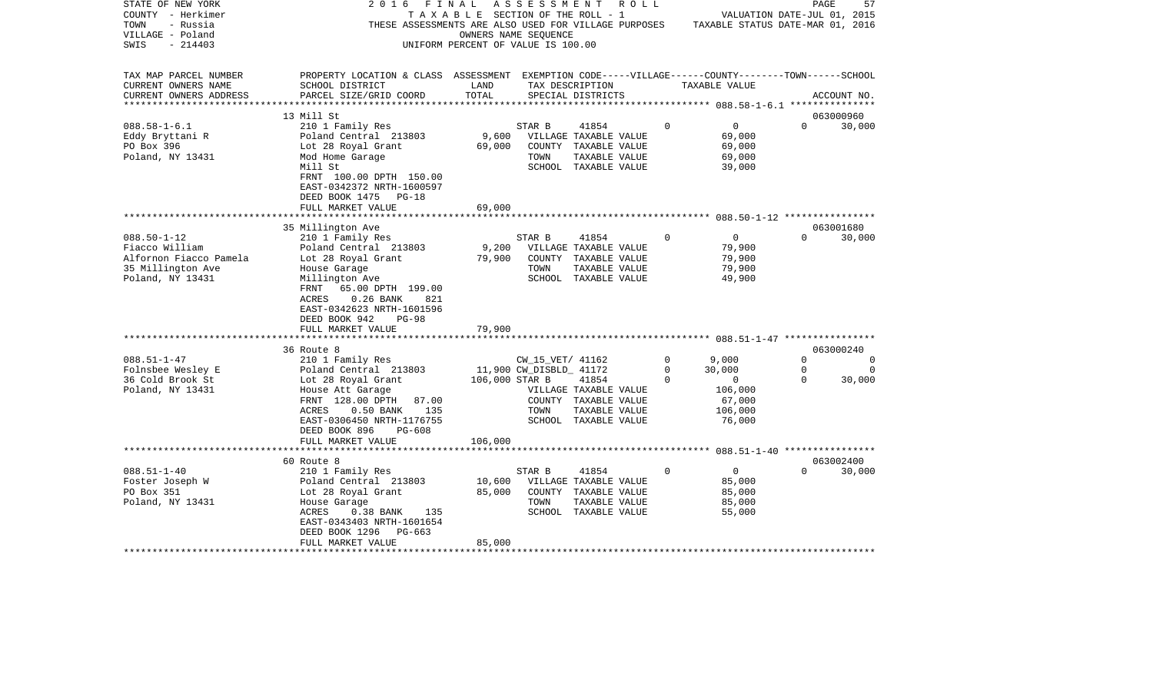| STATE OF NEW YORK      | FINAL<br>2 0 1 6                                                                                   |                                       | ASSESSMENT              | R O L L                                              |          |                                  | PAGE     | 57          |
|------------------------|----------------------------------------------------------------------------------------------------|---------------------------------------|-------------------------|------------------------------------------------------|----------|----------------------------------|----------|-------------|
| COUNTY - Herkimer      |                                                                                                    | T A X A B L E SECTION OF THE ROLL - 1 |                         |                                                      |          | VALUATION DATE-JUL 01, 2015      |          |             |
| TOWN<br>- Russia       |                                                                                                    |                                       |                         | THESE ASSESSMENTS ARE ALSO USED FOR VILLAGE PURPOSES |          | TAXABLE STATUS DATE-MAR 01, 2016 |          |             |
| VILLAGE - Poland       |                                                                                                    | OWNERS NAME SEQUENCE                  |                         |                                                      |          |                                  |          |             |
| SWIS<br>$-214403$      |                                                                                                    | UNIFORM PERCENT OF VALUE IS 100.00    |                         |                                                      |          |                                  |          |             |
|                        |                                                                                                    |                                       |                         |                                                      |          |                                  |          |             |
| TAX MAP PARCEL NUMBER  | PROPERTY LOCATION & CLASS ASSESSMENT EXEMPTION CODE-----VILLAGE------COUNTY-------TOWN------SCHOOL |                                       |                         |                                                      |          |                                  |          |             |
| CURRENT OWNERS NAME    | SCHOOL DISTRICT                                                                                    | LAND                                  |                         | TAX DESCRIPTION                                      |          | TAXABLE VALUE                    |          |             |
| CURRENT OWNERS ADDRESS |                                                                                                    | TOTAL                                 |                         | SPECIAL DISTRICTS                                    |          |                                  |          |             |
|                        | PARCEL SIZE/GRID COORD                                                                             |                                       |                         |                                                      |          |                                  |          | ACCOUNT NO. |
|                        | 13 Mill St                                                                                         |                                       |                         |                                                      |          |                                  |          | 063000960   |
| $088.58 - 1 - 6.1$     | 210 1 Family Res                                                                                   |                                       | STAR B                  | 41854                                                | $\Omega$ | $\overline{0}$                   | $\Omega$ | 30,000      |
| Eddy Bryttani R        | Poland Central 213803                                                                              | 9,600                                 |                         | VILLAGE TAXABLE VALUE                                |          | 69,000                           |          |             |
| PO Box 396             | Lot 28 Royal Grant                                                                                 | 69,000                                |                         | COUNTY TAXABLE VALUE                                 |          | 69,000                           |          |             |
| Poland, NY 13431       | Mod Home Garage                                                                                    |                                       | TOWN                    | TAXABLE VALUE                                        |          | 69,000                           |          |             |
|                        | Mill St                                                                                            |                                       |                         | SCHOOL TAXABLE VALUE                                 |          | 39,000                           |          |             |
|                        | FRNT 100.00 DPTH 150.00                                                                            |                                       |                         |                                                      |          |                                  |          |             |
|                        |                                                                                                    |                                       |                         |                                                      |          |                                  |          |             |
|                        | EAST-0342372 NRTH-1600597<br>DEED BOOK 1475<br>$PG-18$                                             |                                       |                         |                                                      |          |                                  |          |             |
|                        | FULL MARKET VALUE                                                                                  | 69,000                                |                         |                                                      |          |                                  |          |             |
|                        |                                                                                                    | * * * * * * * * * *                   |                         |                                                      |          |                                  |          |             |
|                        | 35 Millington Ave                                                                                  |                                       |                         |                                                      |          |                                  |          | 063001680   |
| $088.50 - 1 - 12$      | 210 1 Family Res                                                                                   |                                       | STAR B                  | 41854                                                | 0        | $\mathbf{0}$                     | $\Omega$ | 30,000      |
| Fiacco William         | Poland Central 213803                                                                              | 9,200                                 |                         | VILLAGE TAXABLE VALUE                                |          | 79,900                           |          |             |
| Alfornon Fiacco Pamela | Lot 28 Royal Grant                                                                                 | 79,900                                |                         | COUNTY TAXABLE VALUE                                 |          | 79,900                           |          |             |
| 35 Millington Ave      | House Garage                                                                                       |                                       | TOWN                    | TAXABLE VALUE                                        |          | 79,900                           |          |             |
| Poland, NY 13431       | Millington Ave                                                                                     |                                       |                         | SCHOOL TAXABLE VALUE                                 |          | 49,900                           |          |             |
|                        | 65.00 DPTH 199.00                                                                                  |                                       |                         |                                                      |          |                                  |          |             |
|                        | FRNT<br>$0.26$ BANK<br>821<br>ACRES                                                                |                                       |                         |                                                      |          |                                  |          |             |
|                        |                                                                                                    |                                       |                         |                                                      |          |                                  |          |             |
|                        | EAST-0342623 NRTH-1601596                                                                          |                                       |                         |                                                      |          |                                  |          |             |
|                        | DEED BOOK 942<br>$PG-98$                                                                           | 79,900                                |                         |                                                      |          |                                  |          |             |
|                        | FULL MARKET VALUE                                                                                  |                                       |                         |                                                      |          |                                  |          |             |
|                        | 36 Route 8                                                                                         |                                       |                         |                                                      |          |                                  |          | 063000240   |
| $088.51 - 1 - 47$      | 210 1 Family Res                                                                                   |                                       | CW_15_VET/ 41162        |                                                      | $\circ$  | 9,000                            | $\Omega$ | 0           |
| Folnsbee Wesley E      | Poland Central 213803                                                                              |                                       | 11,900 CW_DISBLD_ 41172 |                                                      | 0        | 30,000                           | 0        | 0           |
| 36 Cold Brook St       | Lot 28 Royal Grant                                                                                 | 106,000 STAR B                        |                         | 41854                                                | $\Omega$ | $\overline{0}$                   | $\Omega$ | 30,000      |
| Poland, NY 13431       | House Att Garage                                                                                   |                                       |                         | VILLAGE TAXABLE VALUE                                |          | 106,000                          |          |             |
|                        | FRNT 128.00 DPTH<br>87.00                                                                          |                                       |                         | COUNTY TAXABLE VALUE                                 |          | 67,000                           |          |             |
|                        | $0.50$ BANK<br>ACRES<br>135                                                                        |                                       | TOWN                    | TAXABLE VALUE                                        |          | 106,000                          |          |             |
|                        | EAST-0306450 NRTH-1176755                                                                          |                                       |                         | SCHOOL TAXABLE VALUE                                 |          | 76,000                           |          |             |
|                        | DEED BOOK 896<br>PG-608                                                                            |                                       |                         |                                                      |          |                                  |          |             |
|                        | FULL MARKET VALUE                                                                                  | 106,000                               |                         |                                                      |          |                                  |          |             |
|                        |                                                                                                    |                                       |                         |                                                      |          |                                  |          |             |
|                        | 60 Route 8                                                                                         |                                       |                         |                                                      |          |                                  |          | 063002400   |
| $088.51 - 1 - 40$      | 210 1 Family Res                                                                                   |                                       | STAR B                  | 41854                                                | $\Omega$ | $\overline{0}$                   | $\Omega$ | 30,000      |
| Foster Joseph W        | Poland Central 213803                                                                              | 10,600                                |                         | VILLAGE TAXABLE VALUE                                |          | 85,000                           |          |             |
| PO Box 351             | Lot 28 Royal Grant                                                                                 | 85,000                                |                         | COUNTY TAXABLE VALUE                                 |          | 85,000                           |          |             |
| Poland, NY 13431       | House Garage                                                                                       |                                       | TOWN                    | TAXABLE VALUE                                        |          | 85,000                           |          |             |
|                        | ACRES<br>$0.38$ BANK<br>135                                                                        |                                       |                         | SCHOOL TAXABLE VALUE                                 |          | 55,000                           |          |             |
|                        | EAST-0343403 NRTH-1601654                                                                          |                                       |                         |                                                      |          |                                  |          |             |
|                        | DEED BOOK 1296<br>PG-663                                                                           |                                       |                         |                                                      |          |                                  |          |             |
|                        | FULL MARKET VALUE                                                                                  | 85,000                                |                         |                                                      |          |                                  |          |             |
|                        |                                                                                                    |                                       |                         |                                                      |          |                                  |          |             |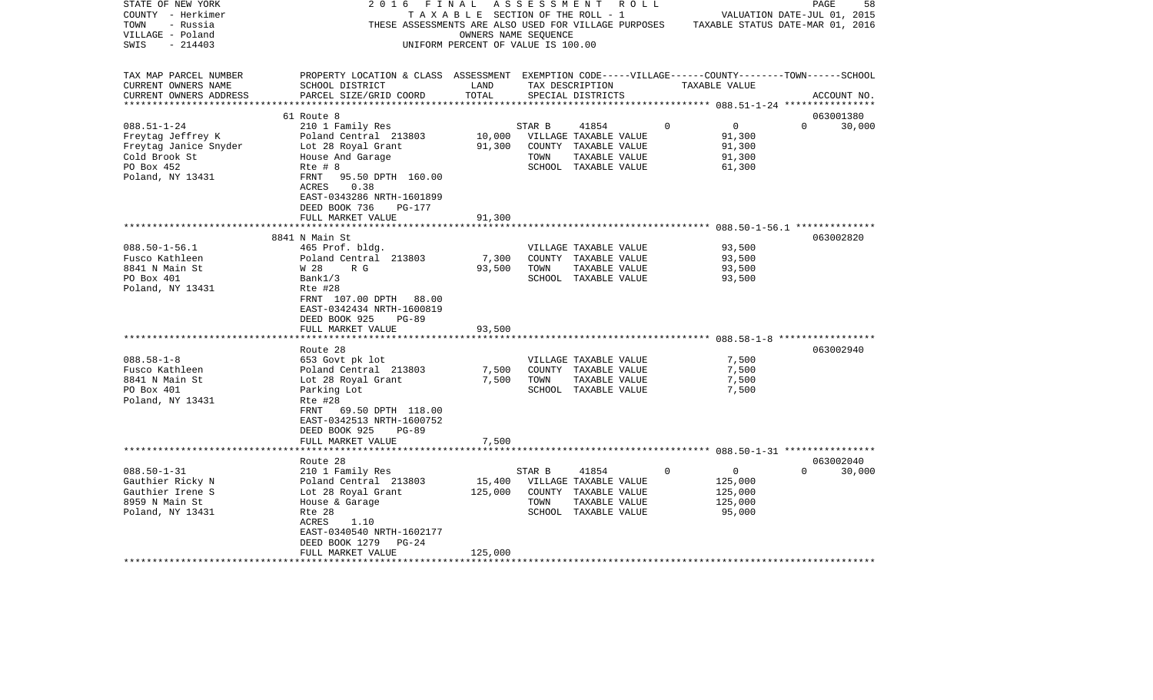| STATE OF NEW YORK<br>COUNTY - Herkimer<br>TOWN<br>- Russia<br>VILLAGE - Poland<br>SWIS<br>- 214403                 | 2016<br>FINAL<br>THESE ASSESSMENTS ARE ALSO USED FOR VILLAGE PURPOSES                                                                                                                 | T A X A B L E SECTION OF THE ROLL - 1<br>OWNERS NAME SEQUENCE<br>UNIFORM PERCENT OF VALUE IS 100.00 | A S S E S S M E N T | ROLL                                                                                            |             |                                              | PAGE<br>58<br>VALUATION DATE-JUL 01, 2015<br>TAXABLE STATUS DATE-MAR 01, 2016 |  |
|--------------------------------------------------------------------------------------------------------------------|---------------------------------------------------------------------------------------------------------------------------------------------------------------------------------------|-----------------------------------------------------------------------------------------------------|---------------------|-------------------------------------------------------------------------------------------------|-------------|----------------------------------------------|-------------------------------------------------------------------------------|--|
| TAX MAP PARCEL NUMBER<br>CURRENT OWNERS NAME<br>CURRENT OWNERS ADDRESS                                             | PROPERTY LOCATION & CLASS ASSESSMENT EXEMPTION CODE-----VILLAGE------COUNTY-------TOWN------SCHOOL<br>SCHOOL DISTRICT<br>PARCEL SIZE/GRID COORD                                       | LAND<br>TOTAL                                                                                       |                     | TAX DESCRIPTION<br>SPECIAL DISTRICTS                                                            |             | TAXABLE VALUE                                | ACCOUNT NO.                                                                   |  |
|                                                                                                                    | 61 Route 8                                                                                                                                                                            |                                                                                                     |                     |                                                                                                 |             |                                              | 063001380                                                                     |  |
| $088.51 - 1 - 24$<br>Freytag Jeffrey K<br>Freytag Janice Snyder<br>Cold Brook St<br>PO Box 452<br>Poland, NY 13431 | 210 1 Family Res<br>Poland Central 213803<br>Lot 28 Royal Grant<br>House And Garage<br>$Rte$ # 8<br>FRNT<br>95.50 DPTH 160.00<br>ACRES<br>0.38                                        | 10,000<br>91,300                                                                                    | STAR B<br>TOWN      | 41854<br>VILLAGE TAXABLE VALUE<br>COUNTY TAXABLE VALUE<br>TAXABLE VALUE<br>SCHOOL TAXABLE VALUE | $\Omega$    | 0<br>91,300<br>91,300<br>91,300<br>61,300    | $\Omega$<br>30,000                                                            |  |
|                                                                                                                    | EAST-0343286 NRTH-1601899<br>DEED BOOK 736<br>PG-177<br>FULL MARKET VALUE                                                                                                             | 91,300                                                                                              |                     |                                                                                                 |             |                                              |                                                                               |  |
|                                                                                                                    | 8841 N Main St                                                                                                                                                                        |                                                                                                     |                     |                                                                                                 |             |                                              | 063002820                                                                     |  |
| $088.50 - 1 - 56.1$<br>Fusco Kathleen<br>8841 N Main St<br>PO Box 401<br>Poland, NY 13431                          | 465 Prof. bldg.<br>Poland Central 213803<br>W 28<br>R G<br>Bank1/3<br>Rte #28<br>FRNT 107.00 DPTH 88.00<br>EAST-0342434 NRTH-1600819<br>DEED BOOK 925<br>$PG-89$<br>FULL MARKET VALUE | 7,300<br>93,500<br>93,500                                                                           | TOWN                | VILLAGE TAXABLE VALUE<br>COUNTY TAXABLE VALUE<br>TAXABLE VALUE<br>SCHOOL TAXABLE VALUE          |             | 93,500<br>93,500<br>93,500<br>93,500         |                                                                               |  |
|                                                                                                                    | Route 28                                                                                                                                                                              |                                                                                                     |                     |                                                                                                 |             |                                              | 063002940                                                                     |  |
| $088.58 - 1 - 8$<br>Fusco Kathleen<br>8841 N Main St<br>PO Box 401<br>Poland, NY 13431                             | 653 Govt pk lot<br>Poland Central 213803<br>Lot 28 Royal Grant<br>Parking Lot<br>Rte #28<br>69.50 DPTH 118.00<br>FRNT<br>EAST-0342513 NRTH-1600752<br>DEED BOOK 925<br>$PG-89$        | 7,500<br>7,500                                                                                      | TOWN                | VILLAGE TAXABLE VALUE<br>COUNTY TAXABLE VALUE<br>TAXABLE VALUE<br>SCHOOL TAXABLE VALUE          |             | 7,500<br>7,500<br>7,500<br>7,500             |                                                                               |  |
|                                                                                                                    | FULL MARKET VALUE                                                                                                                                                                     | 7,500                                                                                               |                     |                                                                                                 |             |                                              |                                                                               |  |
| $088.50 - 1 - 31$<br>Gauthier Ricky N<br>Gauthier Irene S<br>8959 N Main St<br>Poland, NY 13431                    | Route 28<br>210 1 Family Res<br>Poland Central 213803<br>Lot 28 Royal Grant<br>House & Garage<br>Rte 28<br>ACRES<br>1.10<br>EAST-0340540 NRTH-1602177                                 | 15,400<br>125,000                                                                                   | STAR B<br>TOWN      | 41854<br>VILLAGE TAXABLE VALUE<br>COUNTY TAXABLE VALUE<br>TAXABLE VALUE<br>SCHOOL TAXABLE VALUE | $\mathbf 0$ | 0<br>125,000<br>125,000<br>125,000<br>95,000 | 063002040<br>$\Omega$<br>30,000                                               |  |
| **********************                                                                                             | DEED BOOK 1279<br>$PG-24$<br>FULL MARKET VALUE                                                                                                                                        | 125,000                                                                                             |                     |                                                                                                 |             |                                              |                                                                               |  |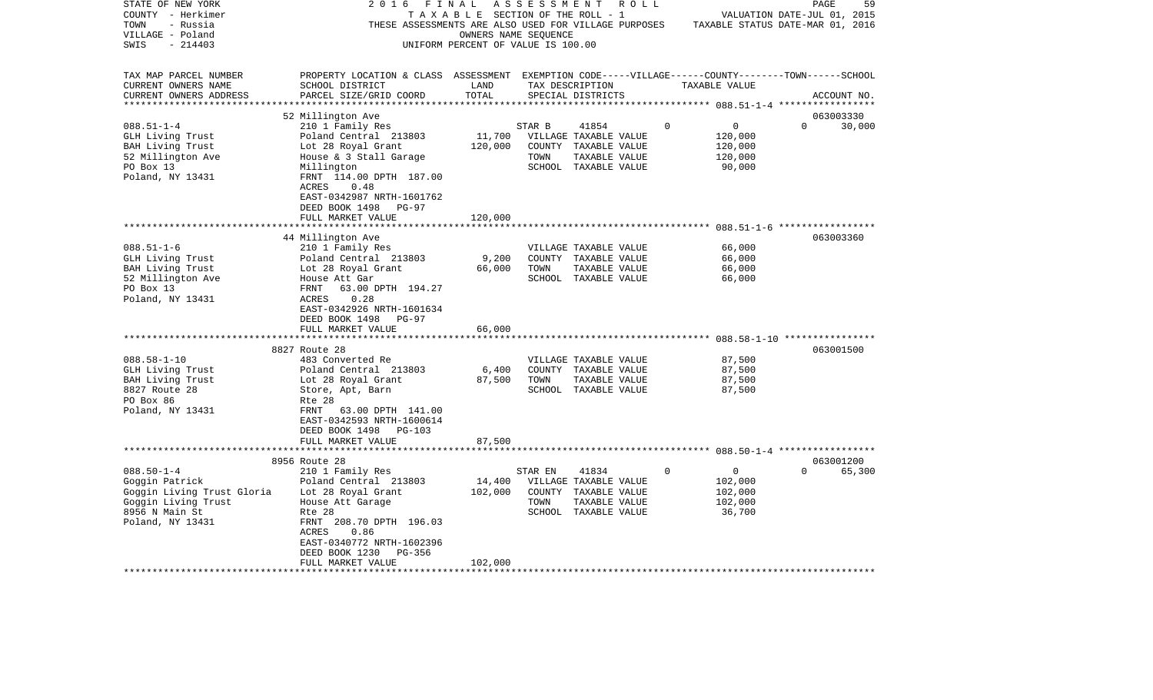| STATE OF NEW YORK<br>COUNTY - Herkimer<br>- Russia<br>TOWN<br>VILLAGE - Poland | 2016                                                                                                                                            | FINAL<br>TAXABLE SECTION OF THE ROLL - 1<br>OWNERS NAME SEQUENCE | ASSESSMENT | R O L L<br>THESE ASSESSMENTS ARE ALSO USED FOR VILLAGE PURPOSES |          | VALUATION DATE-JUL 01, 2015<br>TAXABLE STATUS DATE-MAR 01, 2016 | PAGE     | 59          |
|--------------------------------------------------------------------------------|-------------------------------------------------------------------------------------------------------------------------------------------------|------------------------------------------------------------------|------------|-----------------------------------------------------------------|----------|-----------------------------------------------------------------|----------|-------------|
| $-214403$<br>SWIS                                                              |                                                                                                                                                 | UNIFORM PERCENT OF VALUE IS 100.00                               |            |                                                                 |          |                                                                 |          |             |
| TAX MAP PARCEL NUMBER<br>CURRENT OWNERS NAME<br>CURRENT OWNERS ADDRESS         | PROPERTY LOCATION & CLASS ASSESSMENT EXEMPTION CODE-----VILLAGE------COUNTY-------TOWN------SCHOOL<br>SCHOOL DISTRICT<br>PARCEL SIZE/GRID COORD | LAND<br>TOTAL                                                    |            | TAX DESCRIPTION<br>SPECIAL DISTRICTS                            |          | TAXABLE VALUE                                                   |          | ACCOUNT NO. |
| ***********************                                                        |                                                                                                                                                 |                                                                  |            |                                                                 |          |                                                                 |          |             |
|                                                                                | 52 Millington Ave                                                                                                                               |                                                                  |            |                                                                 |          |                                                                 |          | 063003330   |
| $088.51 - 1 - 4$                                                               | 210 1 Family Res                                                                                                                                | 11,700                                                           | STAR B     | 41854                                                           | 0        | 0                                                               | $\Omega$ | 30,000      |
| GLH Living Trust<br>BAH Living Trust                                           | Poland Central 213803<br>Lot 28 Royal Grant                                                                                                     | 120,000                                                          |            | VILLAGE TAXABLE VALUE<br>COUNTY TAXABLE VALUE                   |          | 120,000<br>120,000                                              |          |             |
| 52 Millington Ave                                                              | House & 3 Stall Garage                                                                                                                          |                                                                  | TOWN       | TAXABLE VALUE                                                   |          | 120,000                                                         |          |             |
| PO Box 13                                                                      | Millington                                                                                                                                      |                                                                  |            | SCHOOL TAXABLE VALUE                                            |          | 90,000                                                          |          |             |
| Poland, NY 13431                                                               | FRNT 114.00 DPTH 187.00<br>ACRES<br>0.48<br>EAST-0342987 NRTH-1601762<br>DEED BOOK 1498<br>PG-97                                                |                                                                  |            |                                                                 |          |                                                                 |          |             |
|                                                                                | FULL MARKET VALUE                                                                                                                               | 120,000                                                          |            |                                                                 |          |                                                                 |          |             |
|                                                                                |                                                                                                                                                 |                                                                  |            |                                                                 |          |                                                                 |          |             |
|                                                                                | 44 Millington Ave                                                                                                                               |                                                                  |            |                                                                 |          |                                                                 |          | 063003360   |
| $088.51 - 1 - 6$<br>GLH Living Trust                                           | 210 1 Family Res<br>Poland Central 213803                                                                                                       | 9,200                                                            |            | VILLAGE TAXABLE VALUE<br>COUNTY TAXABLE VALUE                   |          | 66,000<br>66,000                                                |          |             |
| BAH Living Trust                                                               | Lot 28 Royal Grant                                                                                                                              | 66,000                                                           | TOWN       | TAXABLE VALUE                                                   |          | 66,000                                                          |          |             |
| 52 Millington Ave                                                              | House Att Gar                                                                                                                                   |                                                                  |            | SCHOOL TAXABLE VALUE                                            |          | 66,000                                                          |          |             |
| PO Box 13                                                                      | FRNT<br>63.00 DPTH 194.27                                                                                                                       |                                                                  |            |                                                                 |          |                                                                 |          |             |
| Poland, NY 13431                                                               | ACRES<br>0.28                                                                                                                                   |                                                                  |            |                                                                 |          |                                                                 |          |             |
|                                                                                | EAST-0342926 NRTH-1601634                                                                                                                       |                                                                  |            |                                                                 |          |                                                                 |          |             |
|                                                                                | DEED BOOK 1498<br>PG-97                                                                                                                         |                                                                  |            |                                                                 |          |                                                                 |          |             |
|                                                                                | FULL MARKET VALUE                                                                                                                               | 66,000                                                           |            |                                                                 |          |                                                                 |          |             |
|                                                                                | **********************                                                                                                                          |                                                                  |            |                                                                 |          |                                                                 |          |             |
|                                                                                | 8827 Route 28                                                                                                                                   |                                                                  |            |                                                                 |          |                                                                 |          | 063001500   |
| $088.58 - 1 - 10$<br>GLH Living Trust                                          | 483 Converted Re<br>Poland Central 213803                                                                                                       | 6,400                                                            |            | VILLAGE TAXABLE VALUE<br>COUNTY TAXABLE VALUE                   |          | 87,500<br>87,500                                                |          |             |
| BAH Living Trust                                                               | Lot 28 Royal Grant                                                                                                                              | 87,500                                                           | TOWN       | TAXABLE VALUE                                                   |          | 87,500                                                          |          |             |
| 8827 Route 28                                                                  | Store, Apt, Barn                                                                                                                                |                                                                  |            | SCHOOL TAXABLE VALUE                                            |          | 87,500                                                          |          |             |
| PO Box 86                                                                      | Rte 28                                                                                                                                          |                                                                  |            |                                                                 |          |                                                                 |          |             |
| Poland, NY 13431                                                               | FRNT<br>63.00 DPTH 141.00                                                                                                                       |                                                                  |            |                                                                 |          |                                                                 |          |             |
|                                                                                | EAST-0342593 NRTH-1600614                                                                                                                       |                                                                  |            |                                                                 |          |                                                                 |          |             |
|                                                                                | DEED BOOK 1498<br>PG-103                                                                                                                        |                                                                  |            |                                                                 |          |                                                                 |          |             |
|                                                                                | FULL MARKET VALUE                                                                                                                               | 87,500                                                           |            |                                                                 |          |                                                                 |          |             |
|                                                                                |                                                                                                                                                 |                                                                  |            |                                                                 |          |                                                                 |          |             |
|                                                                                | 8956 Route 28                                                                                                                                   |                                                                  |            |                                                                 | $\Omega$ | 0                                                               | $\Omega$ | 063001200   |
| $088.50 - 1 - 4$<br>Goggin Patrick                                             | 210 1 Family Res<br>Poland Central 213803                                                                                                       | 14,400                                                           | STAR EN    | 41834<br>VILLAGE TAXABLE VALUE                                  |          | 102,000                                                         |          | 65,300      |
| Goggin Living Trust Gloria                                                     | Lot 28 Royal Grant                                                                                                                              | 102,000                                                          |            | COUNTY TAXABLE VALUE                                            |          | 102,000                                                         |          |             |
| Goggin Living Trust                                                            | House Att Garage                                                                                                                                |                                                                  | TOWN       | TAXABLE VALUE                                                   |          | 102,000                                                         |          |             |
| 8956 N Main St                                                                 | Rte 28                                                                                                                                          |                                                                  |            | SCHOOL TAXABLE VALUE                                            |          | 36,700                                                          |          |             |
| Poland, NY 13431                                                               | FRNT 208.70 DPTH 196.03                                                                                                                         |                                                                  |            |                                                                 |          |                                                                 |          |             |
|                                                                                | ACRES<br>0.86                                                                                                                                   |                                                                  |            |                                                                 |          |                                                                 |          |             |
|                                                                                | EAST-0340772 NRTH-1602396                                                                                                                       |                                                                  |            |                                                                 |          |                                                                 |          |             |
|                                                                                | DEED BOOK 1230<br>PG-356                                                                                                                        |                                                                  |            |                                                                 |          |                                                                 |          |             |
| *******************                                                            | FULL MARKET VALUE                                                                                                                               | 102,000                                                          |            |                                                                 |          |                                                                 |          |             |
|                                                                                |                                                                                                                                                 |                                                                  |            |                                                                 |          |                                                                 |          |             |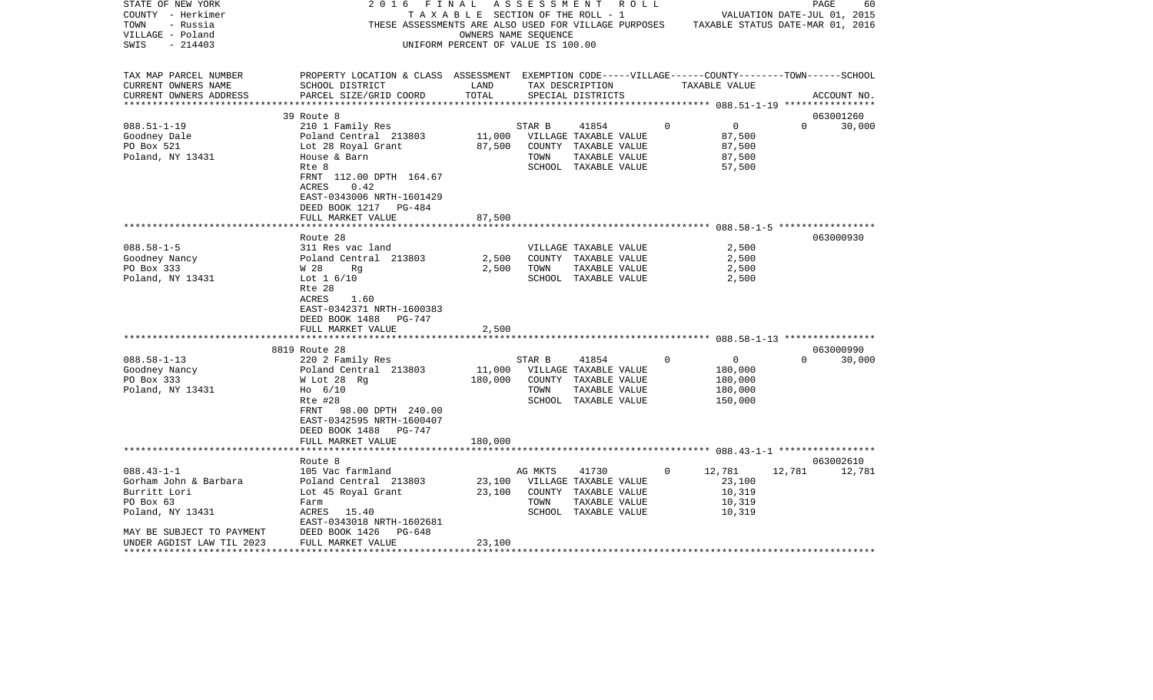| STATE OF NEW YORK         | 2 0 1 6<br>FINAL                                                                                   |                                    |         | A S S E S S M E N T A O L L           |             |                             |               | PAGE        | 60     |
|---------------------------|----------------------------------------------------------------------------------------------------|------------------------------------|---------|---------------------------------------|-------------|-----------------------------|---------------|-------------|--------|
| COUNTY - Herkimer         |                                                                                                    |                                    |         | T A X A B L E SECTION OF THE ROLL - 1 |             | VALUATION DATE-JUL 01, 2015 |               |             |        |
| TOWN<br>- Russia          | THESE ASSESSMENTS ARE ALSO USED FOR VILLAGE PURPOSES TAXABLE STATUS DATE-MAR 01, 2016              |                                    |         |                                       |             |                             |               |             |        |
| VILLAGE - Poland          |                                                                                                    | OWNERS NAME SEQUENCE               |         |                                       |             |                             |               |             |        |
| SWIS<br>$-214403$         |                                                                                                    | UNIFORM PERCENT OF VALUE IS 100.00 |         |                                       |             |                             |               |             |        |
|                           |                                                                                                    |                                    |         |                                       |             |                             |               |             |        |
|                           |                                                                                                    |                                    |         |                                       |             |                             |               |             |        |
| TAX MAP PARCEL NUMBER     | PROPERTY LOCATION & CLASS ASSESSMENT EXEMPTION CODE-----VILLAGE------COUNTY-------TOWN------SCHOOL |                                    |         |                                       |             |                             |               |             |        |
| CURRENT OWNERS NAME       | SCHOOL DISTRICT                                                                                    | LAND                               |         | TAX DESCRIPTION                       |             | TAXABLE VALUE               |               |             |        |
| CURRENT OWNERS ADDRESS    | PARCEL SIZE/GRID COORD                                                                             | TOTAL                              |         | SPECIAL DISTRICTS                     |             |                             |               | ACCOUNT NO. |        |
|                           |                                                                                                    |                                    |         |                                       |             |                             |               |             |        |
|                           | 39 Route 8                                                                                         |                                    |         |                                       |             |                             |               | 063001260   |        |
| $088.51 - 1 - 19$         | 210 1 Family Res                                                                                   |                                    | STAR B  | 41854                                 | $\Omega$    | $\overline{0}$              | $\Omega$      |             | 30,000 |
| Goodney Dale              | Poland Central 213803                                                                              | 11,000                             |         | VILLAGE TAXABLE VALUE                 |             | 87,500                      |               |             |        |
| PO Box 521                | Lot 28 Royal Grant                                                                                 | 87,500                             |         | COUNTY TAXABLE VALUE                  |             | 87,500                      |               |             |        |
| Poland, NY 13431          | House & Barn                                                                                       |                                    | TOWN    | TAXABLE VALUE                         |             | 87,500                      |               |             |        |
|                           | Rte 8                                                                                              |                                    |         | SCHOOL TAXABLE VALUE                  |             | 57,500                      |               |             |        |
|                           | FRNT 112.00 DPTH 164.67                                                                            |                                    |         |                                       |             |                             |               |             |        |
|                           | ACRES<br>0.42                                                                                      |                                    |         |                                       |             |                             |               |             |        |
|                           | EAST-0343006 NRTH-1601429                                                                          |                                    |         |                                       |             |                             |               |             |        |
|                           | DEED BOOK 1217 PG-484                                                                              |                                    |         |                                       |             |                             |               |             |        |
|                           | FULL MARKET VALUE                                                                                  | 87,500                             |         |                                       |             |                             |               |             |        |
|                           |                                                                                                    |                                    |         |                                       |             |                             |               |             |        |
|                           | Route 28                                                                                           |                                    |         |                                       |             |                             |               | 063000930   |        |
| $088.58 - 1 - 5$          | 311 Res vac land                                                                                   |                                    |         | VILLAGE TAXABLE VALUE                 |             | 2,500                       |               |             |        |
|                           |                                                                                                    | 2,500                              |         |                                       |             |                             |               |             |        |
| Goodney Nancy             | Poland Central 213803                                                                              | 2,500                              | TOWN    | COUNTY TAXABLE VALUE                  |             | 2,500                       |               |             |        |
| PO Box 333                | W 28<br>Rg                                                                                         |                                    |         | TAXABLE VALUE                         |             | 2,500                       |               |             |        |
| Poland, NY 13431          | Lot $1\,6/10$                                                                                      |                                    |         | SCHOOL TAXABLE VALUE                  |             | 2,500                       |               |             |        |
|                           | Rte 28                                                                                             |                                    |         |                                       |             |                             |               |             |        |
|                           | ACRES<br>1.60                                                                                      |                                    |         |                                       |             |                             |               |             |        |
|                           | EAST-0342371 NRTH-1600383                                                                          |                                    |         |                                       |             |                             |               |             |        |
|                           | DEED BOOK 1488<br>PG-747                                                                           |                                    |         |                                       |             |                             |               |             |        |
|                           | FULL MARKET VALUE                                                                                  | 2,500                              |         |                                       |             |                             |               |             |        |
|                           |                                                                                                    |                                    |         |                                       |             |                             |               |             |        |
|                           | 8819 Route 28                                                                                      |                                    |         |                                       |             |                             |               | 063000990   |        |
| $088.58 - 1 - 13$         | 220 2 Family Res                                                                                   |                                    | STAR B  | 41854                                 | $\mathbf 0$ | $\overline{0}$              | $\Omega$      |             | 30,000 |
| Goodney Nancy             | Poland Central 213803                                                                              | 11,000                             |         | VILLAGE TAXABLE VALUE                 |             | 180,000                     |               |             |        |
| PO Box 333                | W Lot 28 Rg                                                                                        | 180,000                            |         | COUNTY TAXABLE VALUE                  |             | 180,000                     |               |             |        |
| Poland, NY 13431          | $H_0$ 6/10                                                                                         |                                    | TOWN    | TAXABLE VALUE                         |             | 180,000                     |               |             |        |
|                           | Rte #28                                                                                            |                                    |         | SCHOOL TAXABLE VALUE                  |             | 150,000                     |               |             |        |
|                           | FRNT 98.00 DPTH 240.00                                                                             |                                    |         |                                       |             |                             |               |             |        |
|                           | EAST-0342595 NRTH-1600407                                                                          |                                    |         |                                       |             |                             |               |             |        |
|                           | DEED BOOK 1488<br>PG-747                                                                           |                                    |         |                                       |             |                             |               |             |        |
|                           | FULL MARKET VALUE                                                                                  | 180,000                            |         |                                       |             |                             |               |             |        |
|                           |                                                                                                    |                                    |         |                                       |             |                             |               |             |        |
|                           | Route 8                                                                                            |                                    |         |                                       |             |                             |               | 063002610   |        |
| $088.43 - 1 - 1$          | 105 Vac farmland                                                                                   |                                    | AG MKTS | 41730                                 | 0           | 12,781                      | 12,781 12,781 |             |        |
| Gorham John & Barbara     | Poland Central 213803                                                                              | 23,100                             |         | VILLAGE TAXABLE VALUE                 |             | 23,100                      |               |             |        |
| Burritt Lori              | Lot 45 Royal Grant                                                                                 | 23,100                             |         | COUNTY TAXABLE VALUE                  |             | 10,319                      |               |             |        |
| PO Box 63                 | Farm                                                                                               |                                    | TOWN    | TAXABLE VALUE                         |             | 10,319                      |               |             |        |
| Poland, NY 13431          | ACRES 15.40                                                                                        |                                    |         | SCHOOL TAXABLE VALUE                  |             | 10,319                      |               |             |        |
|                           | EAST-0343018 NRTH-1602681                                                                          |                                    |         |                                       |             |                             |               |             |        |
| MAY BE SUBJECT TO PAYMENT | DEED BOOK 1426<br>PG-648                                                                           |                                    |         |                                       |             |                             |               |             |        |
| UNDER AGDIST LAW TIL 2023 | FULL MARKET VALUE                                                                                  | 23,100                             |         |                                       |             |                             |               |             |        |
|                           |                                                                                                    |                                    |         |                                       |             |                             |               |             |        |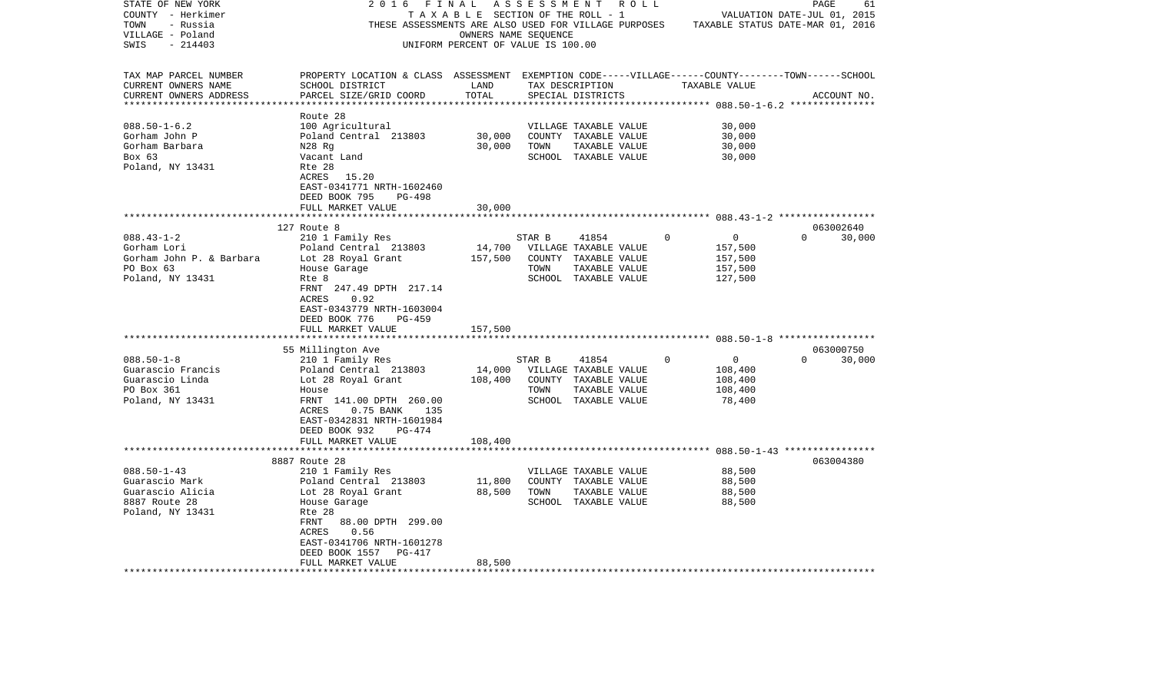| STATE OF NEW YORK                                   | 2016                                                                                               | FINAL                                 | A S S E S S M E N T | R O L L                                              |                            | PAGE<br>61                       |
|-----------------------------------------------------|----------------------------------------------------------------------------------------------------|---------------------------------------|---------------------|------------------------------------------------------|----------------------------|----------------------------------|
| COUNTY - Herkimer                                   |                                                                                                    | T A X A B L E SECTION OF THE ROLL - 1 |                     |                                                      |                            | VALUATION DATE-JUL 01, 2015      |
| TOWN<br>- Russia                                    |                                                                                                    |                                       |                     | THESE ASSESSMENTS ARE ALSO USED FOR VILLAGE PURPOSES |                            | TAXABLE STATUS DATE-MAR 01, 2016 |
| VILLAGE - Poland                                    |                                                                                                    | OWNERS NAME SEQUENCE                  |                     |                                                      |                            |                                  |
| $-214403$<br>SWIS                                   |                                                                                                    | UNIFORM PERCENT OF VALUE IS 100.00    |                     |                                                      |                            |                                  |
|                                                     |                                                                                                    |                                       |                     |                                                      |                            |                                  |
| TAX MAP PARCEL NUMBER                               | PROPERTY LOCATION & CLASS ASSESSMENT EXEMPTION CODE-----VILLAGE------COUNTY-------TOWN------SCHOOL |                                       |                     |                                                      |                            |                                  |
| CURRENT OWNERS NAME                                 | SCHOOL DISTRICT                                                                                    | LAND                                  |                     | TAX DESCRIPTION                                      | TAXABLE VALUE              |                                  |
| CURRENT OWNERS ADDRESS<br>************************* | PARCEL SIZE/GRID COORD                                                                             | TOTAL                                 |                     | SPECIAL DISTRICTS                                    |                            | ACCOUNT NO.                      |
|                                                     |                                                                                                    |                                       |                     |                                                      |                            |                                  |
| $088.50 - 1 - 6.2$                                  | Route 28                                                                                           |                                       |                     |                                                      | 30,000                     |                                  |
| Gorham John P                                       | 100 Agricultural<br>Poland Central 213803                                                          | 30,000                                |                     | VILLAGE TAXABLE VALUE<br>COUNTY TAXABLE VALUE        | 30,000                     |                                  |
| Gorham Barbara                                      | N28 Rg                                                                                             | 30,000                                | TOWN                | TAXABLE VALUE                                        | 30,000                     |                                  |
| Box 63                                              | Vacant Land                                                                                        |                                       |                     | SCHOOL TAXABLE VALUE                                 | 30,000                     |                                  |
| Poland, NY 13431                                    | Rte 28                                                                                             |                                       |                     |                                                      |                            |                                  |
|                                                     | 15.20<br>ACRES                                                                                     |                                       |                     |                                                      |                            |                                  |
|                                                     | EAST-0341771 NRTH-1602460                                                                          |                                       |                     |                                                      |                            |                                  |
|                                                     | DEED BOOK 795<br><b>PG-498</b>                                                                     |                                       |                     |                                                      |                            |                                  |
|                                                     | FULL MARKET VALUE                                                                                  | 30,000                                |                     |                                                      |                            |                                  |
|                                                     |                                                                                                    |                                       |                     |                                                      |                            |                                  |
|                                                     | 127 Route 8                                                                                        |                                       |                     |                                                      |                            | 063002640                        |
| $088.43 - 1 - 2$                                    | 210 1 Family Res                                                                                   |                                       | STAR B              | 41854                                                | 0<br>0                     | $\Omega$<br>30,000               |
| Gorham Lori                                         | Poland Central 213803                                                                              | 14,700                                |                     | VILLAGE TAXABLE VALUE                                | 157,500                    |                                  |
| Gorham John P. & Barbara                            | Lot 28 Royal Grant                                                                                 | 157,500                               |                     | COUNTY TAXABLE VALUE                                 | 157,500                    |                                  |
| PO Box 63                                           | House Garage                                                                                       |                                       | TOWN                | TAXABLE VALUE                                        | 157,500                    |                                  |
| Poland, NY 13431                                    | Rte 8                                                                                              |                                       |                     | SCHOOL TAXABLE VALUE                                 | 127,500                    |                                  |
|                                                     | FRNT 247.49 DPTH 217.14                                                                            |                                       |                     |                                                      |                            |                                  |
|                                                     | ACRES<br>0.92                                                                                      |                                       |                     |                                                      |                            |                                  |
|                                                     | EAST-0343779 NRTH-1603004                                                                          |                                       |                     |                                                      |                            |                                  |
|                                                     | DEED BOOK 776<br>$PG-459$                                                                          |                                       |                     |                                                      |                            |                                  |
|                                                     | FULL MARKET VALUE                                                                                  | 157,500                               |                     |                                                      |                            |                                  |
|                                                     | ******************                                                                                 |                                       |                     |                                                      |                            |                                  |
|                                                     | 55 Millington Ave                                                                                  |                                       |                     |                                                      |                            | 063000750                        |
| $088.50 - 1 - 8$                                    | 210 1 Family Res                                                                                   |                                       | STAR B              | 41854                                                | $\mathbf 0$<br>$\mathbf 0$ | 30,000<br>$\Omega$               |
| Guarascio Francis<br>Guarascio Linda                | Poland Central 213803                                                                              | 14,000<br>108,400                     |                     | VILLAGE TAXABLE VALUE<br>COUNTY TAXABLE VALUE        | 108,400                    |                                  |
| PO Box 361                                          | Lot 28 Royal Grant<br>House                                                                        |                                       | TOWN                | TAXABLE VALUE                                        | 108,400<br>108,400         |                                  |
| Poland, NY 13431                                    | FRNT 141.00 DPTH 260.00                                                                            |                                       |                     | SCHOOL TAXABLE VALUE                                 | 78,400                     |                                  |
|                                                     | ACRES<br>0.75 BANK<br>135                                                                          |                                       |                     |                                                      |                            |                                  |
|                                                     | EAST-0342831 NRTH-1601984                                                                          |                                       |                     |                                                      |                            |                                  |
|                                                     | DEED BOOK 932<br>PG-474                                                                            |                                       |                     |                                                      |                            |                                  |
|                                                     | FULL MARKET VALUE                                                                                  | 108,400                               |                     |                                                      |                            |                                  |
|                                                     |                                                                                                    |                                       |                     |                                                      |                            |                                  |
|                                                     | 8887 Route 28                                                                                      |                                       |                     |                                                      |                            | 063004380                        |
| $088.50 - 1 - 43$                                   | 210 1 Family Res                                                                                   |                                       |                     | VILLAGE TAXABLE VALUE                                | 88,500                     |                                  |
| Guarascio Mark                                      | Poland Central 213803                                                                              | 11,800                                |                     | COUNTY TAXABLE VALUE                                 | 88,500                     |                                  |
| Guarascio Alicia                                    | Lot 28 Royal Grant                                                                                 | 88,500                                | TOWN                | TAXABLE VALUE                                        | 88,500                     |                                  |
| 8887 Route 28                                       | House Garage                                                                                       |                                       |                     | SCHOOL TAXABLE VALUE                                 | 88,500                     |                                  |
| Poland, NY 13431                                    | Rte 28                                                                                             |                                       |                     |                                                      |                            |                                  |
|                                                     | FRNT<br>88.00 DPTH 299.00                                                                          |                                       |                     |                                                      |                            |                                  |
|                                                     | ACRES<br>0.56                                                                                      |                                       |                     |                                                      |                            |                                  |
|                                                     | EAST-0341706 NRTH-1601278                                                                          |                                       |                     |                                                      |                            |                                  |
|                                                     | DEED BOOK 1557<br>PG-417                                                                           |                                       |                     |                                                      |                            |                                  |
|                                                     | FULL MARKET VALUE                                                                                  | 88,500                                |                     |                                                      |                            |                                  |
|                                                     |                                                                                                    |                                       |                     |                                                      |                            |                                  |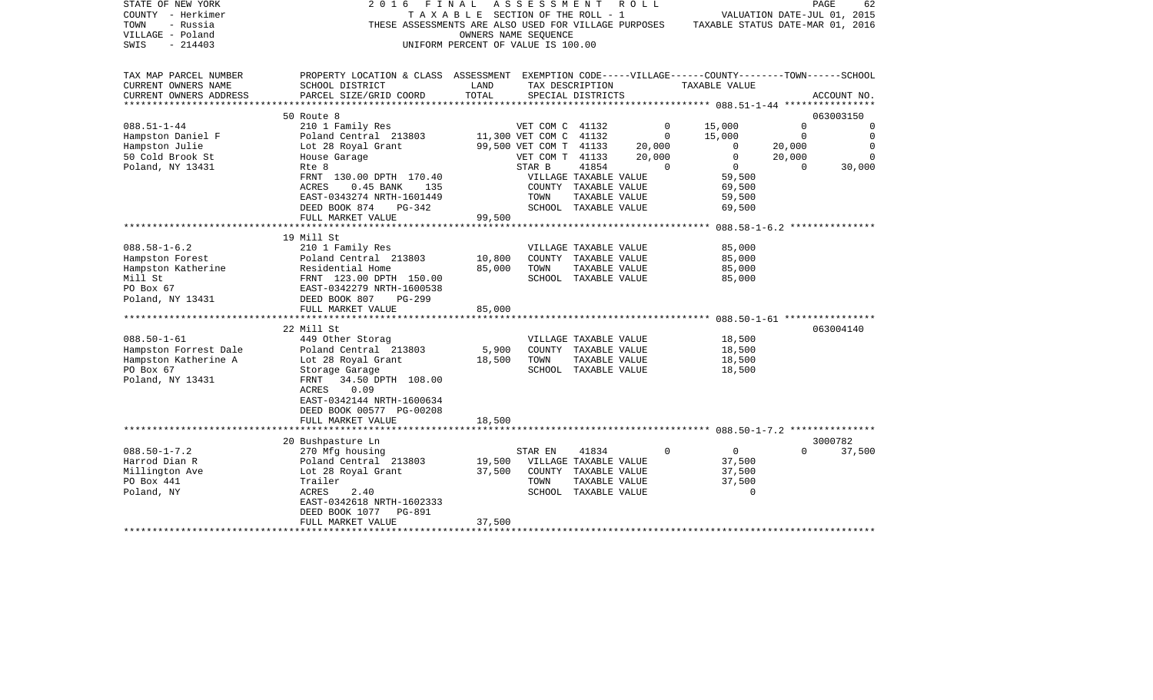| STATE OF NEW YORK      | 2016                                                                                               | FINAL                                 | A S S E S S M E N T    |               | R O L L     |                                                                                       |                             | PAGE<br>62  |
|------------------------|----------------------------------------------------------------------------------------------------|---------------------------------------|------------------------|---------------|-------------|---------------------------------------------------------------------------------------|-----------------------------|-------------|
| COUNTY - Herkimer      |                                                                                                    | T A X A B L E SECTION OF THE ROLL - 1 |                        |               |             |                                                                                       | VALUATION DATE-JUL 01, 2015 |             |
| - Russia<br>TOWN       |                                                                                                    |                                       |                        |               |             | THESE ASSESSMENTS ARE ALSO USED FOR VILLAGE PURPOSES TAXABLE STATUS DATE-MAR 01, 2016 |                             |             |
| VILLAGE - Poland       |                                                                                                    |                                       | OWNERS NAME SEQUENCE   |               |             |                                                                                       |                             |             |
| $-214403$<br>SWIS      |                                                                                                    | UNIFORM PERCENT OF VALUE IS 100.00    |                        |               |             |                                                                                       |                             |             |
|                        |                                                                                                    |                                       |                        |               |             |                                                                                       |                             |             |
|                        |                                                                                                    |                                       |                        |               |             |                                                                                       |                             |             |
| TAX MAP PARCEL NUMBER  | PROPERTY LOCATION & CLASS ASSESSMENT EXEMPTION CODE-----VILLAGE------COUNTY-------TOWN------SCHOOL |                                       |                        |               |             |                                                                                       |                             |             |
| CURRENT OWNERS NAME    | SCHOOL DISTRICT                                                                                    | LAND                                  | TAX DESCRIPTION        |               |             | TAXABLE VALUE                                                                         |                             |             |
| CURRENT OWNERS ADDRESS | PARCEL SIZE/GRID COORD                                                                             | TOTAL                                 | SPECIAL DISTRICTS      |               |             |                                                                                       |                             | ACCOUNT NO. |
| *****************      |                                                                                                    |                                       |                        |               |             |                                                                                       |                             |             |
|                        | 50 Route 8                                                                                         |                                       |                        |               |             |                                                                                       |                             | 063003150   |
| $088.51 - 1 - 44$      | 210 1 Family Res                                                                                   |                                       | VET COM C 41132        |               | $\Omega$    | 15,000                                                                                | $\Omega$                    | $\Omega$    |
| Hampston Daniel F      | Poland Central 213803                                                                              |                                       | 11,300 VET COM C 41132 |               | $\circ$     | 15,000                                                                                | $\overline{0}$              | $\mathbf 0$ |
| Hampston Julie         | Lot 28 Royal Grant                                                                                 |                                       | 99,500 VET COM T 41133 |               | 20,000      | $\mathbf{0}$                                                                          | 20,000                      | 0           |
| 50 Cold Brook St       | House Garage                                                                                       |                                       | VET COM T 41133        |               | 20,000      | $\overline{0}$                                                                        | 20,000                      | $\Omega$    |
| Poland, NY 13431       | Rte 8                                                                                              |                                       | STAR B                 | 41854         | $\Omega$    | $0 \qquad \qquad$                                                                     | $\Omega$                    | 30,000      |
|                        | FRNT 130.00 DPTH 170.40                                                                            |                                       | VILLAGE TAXABLE VALUE  |               |             | 59,500                                                                                |                             |             |
|                        | ACRES<br>$0.45$ BANK<br>135                                                                        |                                       | COUNTY TAXABLE VALUE   |               |             | 69,500                                                                                |                             |             |
|                        | EAST-0343274 NRTH-1601449                                                                          |                                       | TOWN                   | TAXABLE VALUE |             | 59,500                                                                                |                             |             |
|                        | DEED BOOK 874<br>PG-342                                                                            |                                       | SCHOOL TAXABLE VALUE   |               |             | 69,500                                                                                |                             |             |
|                        | FULL MARKET VALUE                                                                                  | 99,500                                |                        |               |             |                                                                                       |                             |             |
|                        |                                                                                                    |                                       |                        |               |             |                                                                                       |                             |             |
|                        | 19 Mill St                                                                                         |                                       |                        |               |             |                                                                                       |                             |             |
| $088.58 - 1 - 6.2$     | 210 1 Family Res                                                                                   |                                       | VILLAGE TAXABLE VALUE  |               |             | 85,000                                                                                |                             |             |
|                        |                                                                                                    | 10,800                                |                        |               |             | 85,000                                                                                |                             |             |
| Hampston Forest        | Poland Central 213803                                                                              |                                       | COUNTY TAXABLE VALUE   |               |             |                                                                                       |                             |             |
| Hampston Katherine     |                                                                                                    | 85,000                                | TOWN                   | TAXABLE VALUE |             | 85,000                                                                                |                             |             |
| Mill St                |                                                                                                    |                                       | SCHOOL TAXABLE VALUE   |               |             | 85,000                                                                                |                             |             |
| PO Box 67              |                                                                                                    |                                       |                        |               |             |                                                                                       |                             |             |
| Poland, NY 13431       | Residential Home<br>FRNT 123.00 DPTH 150.00<br>EAST-0342279 NRTH-1600538<br>DEED BOOK 807 PG-299   |                                       |                        |               |             |                                                                                       |                             |             |
|                        | FULL MARKET VALUE                                                                                  | 85,000                                |                        |               |             |                                                                                       |                             |             |
|                        |                                                                                                    |                                       |                        |               |             |                                                                                       |                             |             |
|                        | 22 Mill St                                                                                         |                                       |                        |               |             |                                                                                       |                             | 063004140   |
| $088.50 - 1 - 61$      | 449 Other Storag                                                                                   |                                       | VILLAGE TAXABLE VALUE  |               |             | 18,500                                                                                |                             |             |
| Hampston Forrest Dale  | Poland Central 213803                                                                              | 5,900                                 | COUNTY TAXABLE VALUE   |               |             | 18,500                                                                                |                             |             |
| Hampston Katherine A   | Lot 28 Royal Grant                                                                                 | 18,500                                | TOWN                   | TAXABLE VALUE |             | 18,500                                                                                |                             |             |
| PO Box 67              | Storage Garage                                                                                     |                                       | SCHOOL TAXABLE VALUE   |               |             | 18,500                                                                                |                             |             |
| Poland, NY 13431       | 34.50 DPTH 108.00<br>FRNT                                                                          |                                       |                        |               |             |                                                                                       |                             |             |
|                        | 0.09<br>ACRES                                                                                      |                                       |                        |               |             |                                                                                       |                             |             |
|                        | EAST-0342144 NRTH-1600634                                                                          |                                       |                        |               |             |                                                                                       |                             |             |
|                        | DEED BOOK 00577 PG-00208                                                                           |                                       |                        |               |             |                                                                                       |                             |             |
|                        | FULL MARKET VALUE                                                                                  | 18,500                                |                        |               |             |                                                                                       |                             |             |
|                        |                                                                                                    |                                       |                        |               |             |                                                                                       |                             |             |
|                        | 20 Bushpasture Ln                                                                                  |                                       |                        |               |             |                                                                                       |                             | 3000782     |
| $088.50 - 1 - 7.2$     | 270 Mfg housing                                                                                    |                                       | STAR EN                | 41834         | $\mathbf 0$ | $\overline{0}$                                                                        | $\Omega$                    | 37,500      |
| Harrod Dian R          | Poland Central 213803                                                                              | 19,500                                | VILLAGE TAXABLE VALUE  |               |             | 37,500                                                                                |                             |             |
| Millington Ave         | Lot 28 Royal Grant                                                                                 | 37,500                                | COUNTY TAXABLE VALUE   |               |             | 37,500                                                                                |                             |             |
| PO Box 441             | Trailer                                                                                            |                                       | TOWN                   | TAXABLE VALUE |             | 37,500                                                                                |                             |             |
| Poland, NY             | ACRES<br>2.40                                                                                      |                                       | SCHOOL TAXABLE VALUE   |               |             | $\Omega$                                                                              |                             |             |
|                        | EAST-0342618 NRTH-1602333                                                                          |                                       |                        |               |             |                                                                                       |                             |             |
|                        | DEED BOOK 1077 PG-891                                                                              |                                       |                        |               |             |                                                                                       |                             |             |
|                        | FULL MARKET VALUE                                                                                  | 37,500                                |                        |               |             |                                                                                       |                             |             |
|                        | **************************                                                                         |                                       |                        |               |             |                                                                                       |                             |             |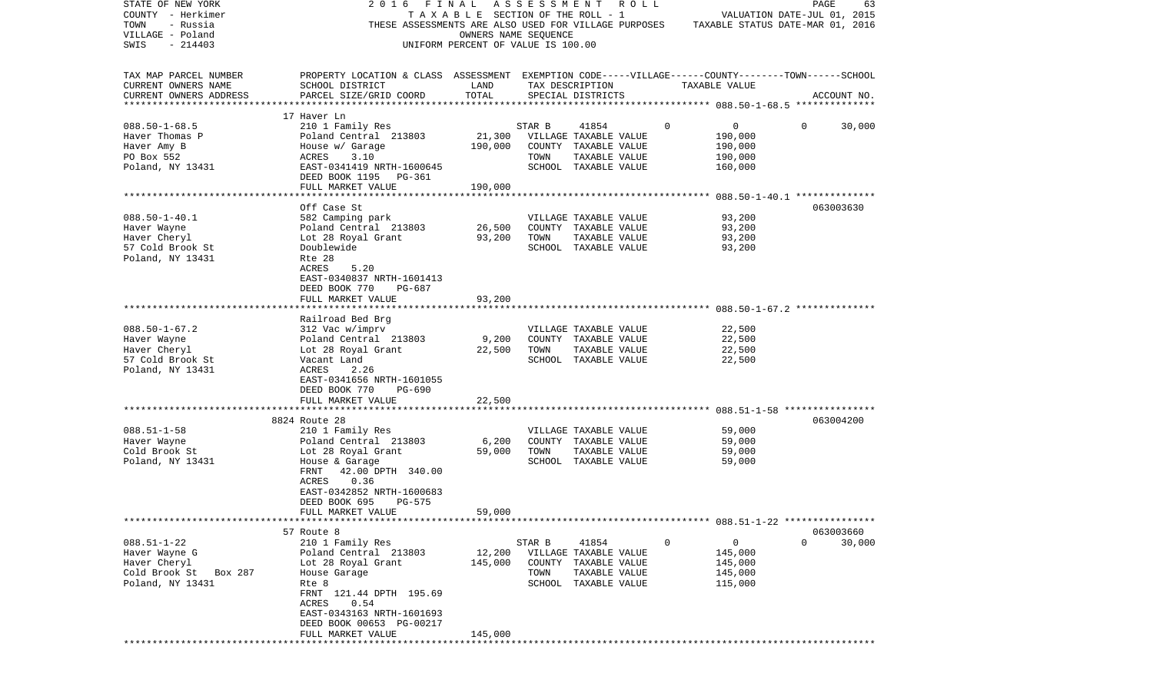| STATE OF NEW YORK<br>COUNTY - Herkimer<br>TOWN<br>- Russia<br>VILLAGE - Poland<br>SWIS<br>$-214403$ | 2016 FINAL<br>THESE ASSESSMENTS ARE ALSO USED FOR VILLAGE PURPOSES                                                                                                                                                                                 | TAXABLE SECTION OF THE ROLL - 1<br>OWNERS NAME SEQUENCE<br>UNIFORM PERCENT OF VALUE IS 100.00 | A S S E S S M E N T                     |                                                                                                 | R O L L     |               | VALUATION DATE-JUL 01, 2015<br>TAXABLE STATUS DATE-MAR 01, 2016 | PAGE                  | 63     |
|-----------------------------------------------------------------------------------------------------|----------------------------------------------------------------------------------------------------------------------------------------------------------------------------------------------------------------------------------------------------|-----------------------------------------------------------------------------------------------|-----------------------------------------|-------------------------------------------------------------------------------------------------|-------------|---------------|-----------------------------------------------------------------|-----------------------|--------|
| TAX MAP PARCEL NUMBER<br>CURRENT OWNERS NAME<br>CURRENT OWNERS ADDRESS                              | PROPERTY LOCATION & CLASS ASSESSMENT EXEMPTION CODE-----VILLAGE------COUNTY-------TOWN------SCHOOL<br>SCHOOL DISTRICT<br>PARCEL SIZE/GRID COORD                                                                                                    | LAND<br>TOTAL                                                                                 | TAX DESCRIPTION                         | SPECIAL DISTRICTS                                                                               |             | TAXABLE VALUE |                                                                 | ACCOUNT NO.           |        |
| $088.50 - 1 - 68.5$<br>Haver Thomas P<br>Haver Amy B<br>PO Box 552<br>Poland, NY 13431              | 17 Haver Ln<br>210 1 Family Res<br>Poland Central 213803<br>House w/ Garage<br>ACRES<br>3.10<br>EAST-0341419 NRTH-1600645<br>DEED BOOK 1195 PG-361<br>FULL MARKET VALUE                                                                            | 21,300<br>190,000<br>190,000                                                                  | STAR B<br>VILLAGE TAXABLE VALUE<br>TOWN | 41854<br>COUNTY TAXABLE VALUE<br>TAXABLE VALUE<br>SCHOOL TAXABLE VALUE                          | $\mathbf 0$ |               | 0<br>190,000<br>190,000<br>190,000<br>160,000                   | $\mathbf{0}$          | 30,000 |
| $088.50 - 1 - 40.1$<br>Haver Wayne<br>Haver Cheryl<br>57 Cold Brook St<br>Poland, NY 13431          | Off Case St<br>582 Camping park<br>Poland Central 213803<br>Lot 28 Royal Grant<br>Doublewide<br>Rte 28<br>ACRES<br>5.20<br>EAST-0340837 NRTH-1601413<br>DEED BOOK 770<br>PG-687<br>FULL MARKET VALUE                                               | 26,500<br>93,200<br>93,200                                                                    | TOWN                                    | VILLAGE TAXABLE VALUE<br>COUNTY TAXABLE VALUE<br>TAXABLE VALUE<br>SCHOOL TAXABLE VALUE          |             |               | 93,200<br>93,200<br>93,200<br>93,200                            | 063003630             |        |
| $088.50 - 1 - 67.2$<br>Haver Wayne<br>Haver Cheryl<br>57 Cold Brook St<br>Poland, NY 13431          | Railroad Bed Brg<br>312 Vac w/imprv<br>Poland Central 213803<br>Lot 28 Royal Grant<br>Vacant Land<br>ACRES<br>2.26<br>EAST-0341656 NRTH-1601055<br>DEED BOOK 770<br>PG-690                                                                         | 9,200<br>22,500                                                                               | TOWN                                    | VILLAGE TAXABLE VALUE<br>COUNTY TAXABLE VALUE<br>TAXABLE VALUE<br>SCHOOL TAXABLE VALUE          |             |               | 22,500<br>22,500<br>22,500<br>22,500                            |                       |        |
| $088.51 - 1 - 58$<br>Haver Wayne<br>Cold Brook St<br>Poland, NY 13431                               | FULL MARKET VALUE<br>8824 Route 28<br>210 1 Family Res<br>Poland Central 213803<br>Lot 28 Royal Grant<br>House & Garage<br>42.00 DPTH 340.00<br>FRNT<br>0.36<br>ACRES<br>EAST-0342852 NRTH-1600683<br>PG-575<br>DEED BOOK 695<br>FULL MARKET VALUE | 22,500<br>6,200<br>59,000<br>59,000                                                           | TOWN                                    | VILLAGE TAXABLE VALUE<br>COUNTY TAXABLE VALUE<br>TAXABLE VALUE<br>SCHOOL TAXABLE VALUE          |             |               | 59,000<br>59,000<br>59,000<br>59,000                            | 063004200             |        |
| $088.51 - 1 - 22$<br>Haver Wayne G<br>Haver Cheryl<br>Cold Brook St<br>Box 287<br>Poland, NY 13431  | 57 Route 8<br>210 1 Family Res<br>Poland Central 213803<br>Lot 28 Royal Grant<br>House Garage<br>Rte 8<br>FRNT 121.44 DPTH 195.69<br>ACRES<br>0.54<br>EAST-0343163 NRTH-1601693<br>DEED BOOK 00653 PG-00217<br>FULL MARKET VALUE                   | 12,200<br>145,000<br>145,000                                                                  | STAR B<br>TOWN                          | 41854<br>VILLAGE TAXABLE VALUE<br>COUNTY TAXABLE VALUE<br>TAXABLE VALUE<br>SCHOOL TAXABLE VALUE | 0           |               | $\overline{0}$<br>145,000<br>145,000<br>145,000<br>115,000      | 063003660<br>$\Omega$ | 30,000 |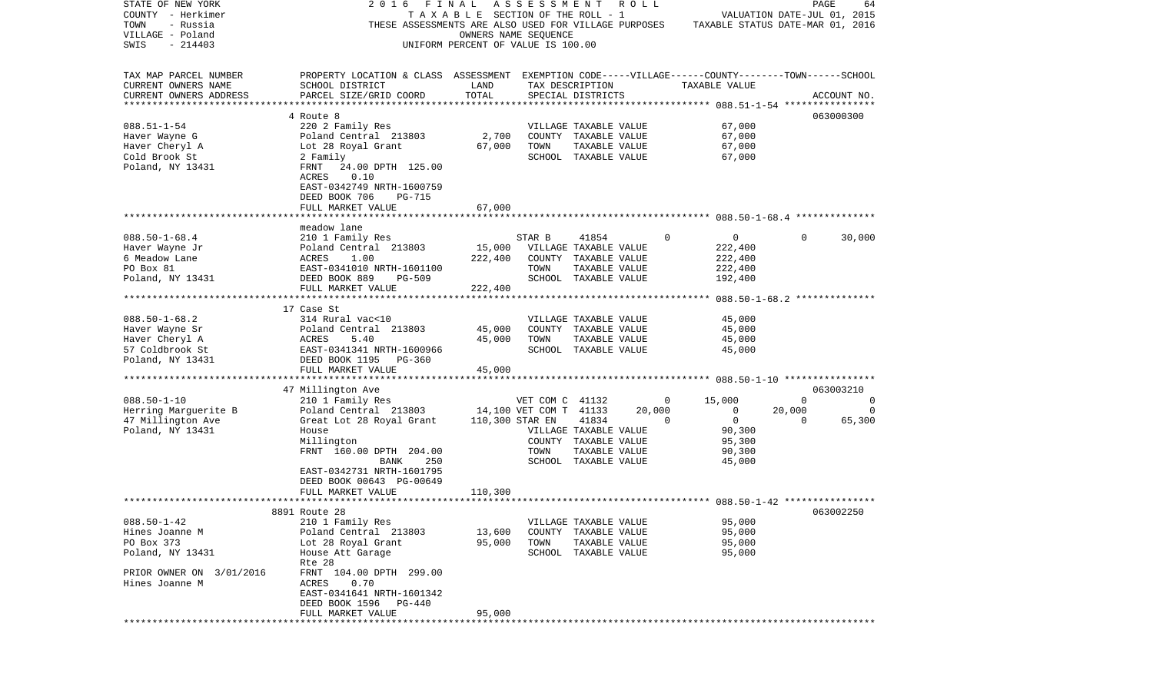| STATE OF NEW YORK        | 2016                                                 | FINAL                              | ASSESSMENT             |                       | R O L L |   |                                                               |             | PAGE<br>64                  |
|--------------------------|------------------------------------------------------|------------------------------------|------------------------|-----------------------|---------|---|---------------------------------------------------------------|-------------|-----------------------------|
| COUNTY - Herkimer        |                                                      | TAXABLE SECTION OF THE ROLL - 1    |                        |                       |         |   |                                                               |             | VALUATION DATE-JUL 01, 2015 |
| TOWN<br>- Russia         | THESE ASSESSMENTS ARE ALSO USED FOR VILLAGE PURPOSES |                                    |                        |                       |         |   | TAXABLE STATUS DATE-MAR 01, 2016                              |             |                             |
| VILLAGE - Poland         |                                                      | OWNERS NAME SEQUENCE               |                        |                       |         |   |                                                               |             |                             |
| SWIS<br>$-214403$        |                                                      | UNIFORM PERCENT OF VALUE IS 100.00 |                        |                       |         |   |                                                               |             |                             |
|                          |                                                      |                                    |                        |                       |         |   |                                                               |             |                             |
|                          |                                                      |                                    |                        |                       |         |   |                                                               |             |                             |
| TAX MAP PARCEL NUMBER    | PROPERTY LOCATION & CLASS ASSESSMENT                 |                                    |                        |                       |         |   | EXEMPTION CODE-----VILLAGE------COUNTY-------TOWN------SCHOOL |             |                             |
| CURRENT OWNERS NAME      | SCHOOL DISTRICT                                      | LAND                               |                        | TAX DESCRIPTION       |         |   | TAXABLE VALUE                                                 |             |                             |
| CURRENT OWNERS ADDRESS   | PARCEL SIZE/GRID COORD                               | TOTAL                              |                        | SPECIAL DISTRICTS     |         |   |                                                               |             | ACCOUNT NO.                 |
| ***********************  |                                                      |                                    |                        |                       |         |   |                                                               |             |                             |
|                          | 4 Route 8                                            |                                    |                        |                       |         |   |                                                               |             | 063000300                   |
| $088.51 - 1 - 54$        | 220 2 Family Res                                     |                                    |                        | VILLAGE TAXABLE VALUE |         |   | 67,000                                                        |             |                             |
| Haver Wayne G            | Poland Central 213803                                | 2,700                              |                        | COUNTY TAXABLE VALUE  |         |   | 67,000                                                        |             |                             |
| Haver Cheryl A           | Lot 28 Royal Grant                                   | 67,000                             | TOWN                   | TAXABLE VALUE         |         |   | 67,000                                                        |             |                             |
| Cold Brook St            | 2 Family                                             |                                    |                        | SCHOOL TAXABLE VALUE  |         |   | 67,000                                                        |             |                             |
| Poland, NY 13431         | 24.00 DPTH 125.00<br>FRNT                            |                                    |                        |                       |         |   |                                                               |             |                             |
|                          | ACRES<br>0.10                                        |                                    |                        |                       |         |   |                                                               |             |                             |
|                          | EAST-0342749 NRTH-1600759                            |                                    |                        |                       |         |   |                                                               |             |                             |
|                          | DEED BOOK 706<br>PG-715                              |                                    |                        |                       |         |   |                                                               |             |                             |
|                          | FULL MARKET VALUE                                    | 67,000                             |                        |                       |         |   |                                                               |             |                             |
|                          |                                                      |                                    |                        |                       |         |   |                                                               |             |                             |
|                          | meadow lane                                          |                                    |                        |                       |         |   |                                                               |             |                             |
| $088.50 - 1 - 68.4$      | 210 1 Family Res                                     |                                    | STAR B                 | 41854                 |         | 0 | $\mathbf 0$                                                   | $\Omega$    | 30,000                      |
| Haver Wayne Jr           | Poland Central 213803                                | 15,000                             |                        | VILLAGE TAXABLE VALUE |         |   | 222,400                                                       |             |                             |
| 6 Meadow Lane            | ACRES<br>1.00                                        | 222,400                            |                        | COUNTY TAXABLE VALUE  |         |   | 222,400                                                       |             |                             |
| PO Box 81                | EAST-0341010 NRTH-1601100                            |                                    | TOWN                   | TAXABLE VALUE         |         |   | 222,400                                                       |             |                             |
| Poland, NY 13431         | DEED BOOK 889<br><b>PG-509</b>                       |                                    |                        | SCHOOL TAXABLE VALUE  |         |   | 192,400                                                       |             |                             |
|                          | FULL MARKET VALUE                                    | 222,400                            |                        |                       |         |   |                                                               |             |                             |
|                          |                                                      |                                    |                        |                       |         |   |                                                               |             |                             |
|                          | 17 Case St                                           |                                    |                        |                       |         |   |                                                               |             |                             |
| $088.50 - 1 - 68.2$      | 314 Rural vac<10                                     |                                    |                        |                       |         |   | 45,000                                                        |             |                             |
| Haver Wayne Sr           |                                                      |                                    |                        | VILLAGE TAXABLE VALUE |         |   | 45,000                                                        |             |                             |
|                          | Poland Central 213803                                | 45,000                             |                        | COUNTY TAXABLE VALUE  |         |   |                                                               |             |                             |
| Haver Cheryl A           | ACRES<br>5.40                                        | 45,000                             | TOWN                   | TAXABLE VALUE         |         |   | 45,000                                                        |             |                             |
| 57 Coldbrook St          | EAST-0341341 NRTH-1600966                            |                                    |                        | SCHOOL TAXABLE VALUE  |         |   | 45,000                                                        |             |                             |
| Poland, NY 13431         | DEED BOOK 1195<br>PG-360                             |                                    |                        |                       |         |   |                                                               |             |                             |
|                          | FULL MARKET VALUE<br>****************************    | 45,000                             |                        |                       |         |   |                                                               |             |                             |
|                          |                                                      |                                    |                        |                       |         |   |                                                               |             |                             |
|                          | 47 Millington Ave                                    |                                    |                        |                       |         |   |                                                               |             | 063003210                   |
| $088.50 - 1 - 10$        | 210 1 Family Res                                     |                                    | VET COM C 41132        |                       |         | 0 | 15,000                                                        | $\mathbf 0$ | 0                           |
| Herring Marguerite B     | Poland Central 213803                                |                                    | 14,100 VET COM T 41133 |                       | 20,000  |   | $\mathbf{0}$                                                  | 20,000      | 0                           |
| 47 Millington Ave        | Great Lot 28 Royal Grant                             |                                    | 110,300 STAR EN        | 41834                 |         | 0 | $\mathbf{0}$                                                  | 0           | 65,300                      |
| Poland, NY 13431         | House                                                |                                    |                        | VILLAGE TAXABLE VALUE |         |   | 90,300                                                        |             |                             |
|                          | Millington                                           |                                    |                        | COUNTY TAXABLE VALUE  |         |   | 95,300                                                        |             |                             |
|                          | FRNT 160.00 DPTH 204.00                              |                                    | TOWN                   | TAXABLE VALUE         |         |   | 90,300                                                        |             |                             |
|                          | 250<br>BANK                                          |                                    |                        | SCHOOL TAXABLE VALUE  |         |   | 45,000                                                        |             |                             |
|                          | EAST-0342731 NRTH-1601795                            |                                    |                        |                       |         |   |                                                               |             |                             |
|                          | DEED BOOK 00643 PG-00649                             |                                    |                        |                       |         |   |                                                               |             |                             |
|                          | FULL MARKET VALUE                                    | 110,300                            |                        |                       |         |   |                                                               |             |                             |
|                          |                                                      |                                    |                        |                       |         |   |                                                               |             |                             |
|                          | 8891 Route 28                                        |                                    |                        |                       |         |   |                                                               |             | 063002250                   |
| $088.50 - 1 - 42$        | 210 1 Family Res                                     |                                    |                        | VILLAGE TAXABLE VALUE |         |   | 95,000                                                        |             |                             |
| Hines Joanne M           | Poland Central 213803                                | 13,600                             | COUNTY                 | TAXABLE VALUE         |         |   | 95,000                                                        |             |                             |
| PO Box 373               | Lot 28 Royal Grant                                   | 95,000                             | TOWN                   | TAXABLE VALUE         |         |   | 95,000                                                        |             |                             |
| Poland, NY 13431         | House Att Garage                                     |                                    |                        | SCHOOL TAXABLE VALUE  |         |   | 95,000                                                        |             |                             |
|                          | Rte 28                                               |                                    |                        |                       |         |   |                                                               |             |                             |
| PRIOR OWNER ON 3/01/2016 | FRNT 104.00 DPTH 299.00                              |                                    |                        |                       |         |   |                                                               |             |                             |
| Hines Joanne M           | ACRES<br>0.70                                        |                                    |                        |                       |         |   |                                                               |             |                             |
|                          | EAST-0341641 NRTH-1601342                            |                                    |                        |                       |         |   |                                                               |             |                             |
|                          | DEED BOOK 1596<br>PG-440                             |                                    |                        |                       |         |   |                                                               |             |                             |
|                          | FULL MARKET VALUE                                    | 95,000                             |                        |                       |         |   |                                                               |             |                             |
|                          |                                                      |                                    |                        |                       |         |   |                                                               |             |                             |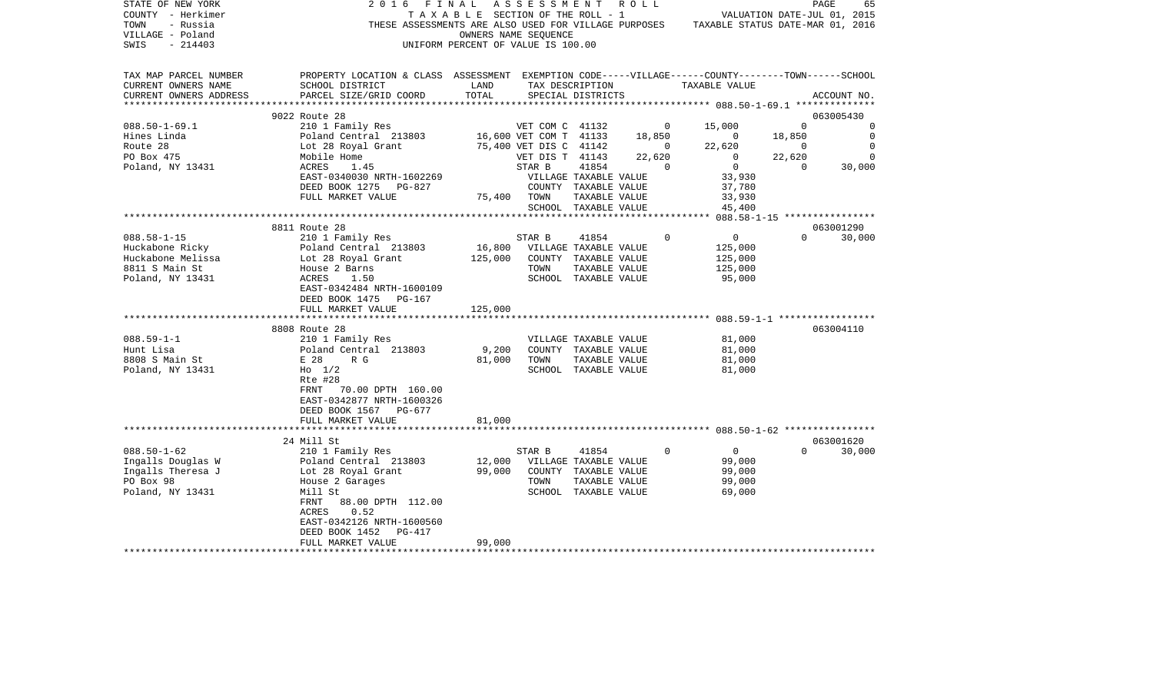| STATE OF NEW YORK<br>COUNTY - Herkimer<br>- Russia<br>TOWN<br>VILLAGE - Poland<br>SWIS<br>$-214403$ | 2016 FINAL                                                                                                                                                | UNIFORM PERCENT OF VALUE IS 100.00 | ASSESSMENT ROLL<br>OWNERS NAME SEQUENCE                     |                      |                       | T A X A B L E SECTION OF THE ROLL - 1 VALUATION DATE-JUL 01, 2015<br>THESE ASSESSMENTS ARE ALSO USED FOR VILLAGE PURPOSES TAXABLE STATUS DATE-MAR 01, 2016 |                | PAGE<br>65                                    |
|-----------------------------------------------------------------------------------------------------|-----------------------------------------------------------------------------------------------------------------------------------------------------------|------------------------------------|-------------------------------------------------------------|----------------------|-----------------------|------------------------------------------------------------------------------------------------------------------------------------------------------------|----------------|-----------------------------------------------|
| TAX MAP PARCEL NUMBER<br>CURRENT OWNERS NAME<br>CURRENT OWNERS ADDRESS                              | PROPERTY LOCATION & CLASS ASSESSMENT EXEMPTION CODE-----VILLAGE------COUNTY-------TOWN------SCHOOL<br>SCHOOL DISTRICT<br>PARCEL SIZE/GRID COORD           | LAND<br>TOTAL                      |                                                             | SPECIAL DISTRICTS    | TAX DESCRIPTION       | TAXABLE VALUE                                                                                                                                              |                | ACCOUNT NO.                                   |
|                                                                                                     | 9022 Route 28                                                                                                                                             |                                    |                                                             |                      |                       |                                                                                                                                                            |                | 063005430                                     |
| $088.50 - 1 - 69.1$                                                                                 | 210 1 Family Res                                                                                                                                          |                                    | VET COM C 41132                                             |                      |                       | $0 \t 15,000$                                                                                                                                              | $\overline{0}$ | $\Omega$                                      |
| Hines Linda                                                                                         | Poland Central 213803 16,600 VET COM T 41133 18,850                                                                                                       |                                    |                                                             |                      |                       |                                                                                                                                                            | 18,850         | $\overline{\phantom{0}}$                      |
| Route 28                                                                                            |                                                                                                                                                           |                                    | 75,400 VET DIS C 41142 0                                    |                      |                       | $\begin{array}{c} 0 \\ 22,620 \end{array}$<br>22,620                                                                                                       | $\sim$ 0       | $\overline{0}$                                |
| PO Box 475                                                                                          | Poland Central   213803<br>Lot 28 Royal Grant<br>Mobile Home                                                                                              |                                    | VET DIS T 41143                                             |                      | 22,620                | $\overline{0}$                                                                                                                                             | 22,620         | $\Omega$                                      |
| Poland, NY 13431                                                                                    | ACRES<br>1.45                                                                                                                                             |                                    | STAR B                                                      | 41854                | $\overline{0}$        | $\overline{0}$                                                                                                                                             | $\sim$ 0       | $\begin{smallmatrix}0\0\0\0\end{smallmatrix}$ |
|                                                                                                     | EAST-0340030 NRTH-1602269                                                                                                                                 |                                    | VILLAGE TAXABLE VALUE                                       |                      |                       | 33,930                                                                                                                                                     |                |                                               |
|                                                                                                     | DEED BOOK 1275 PG-827                                                                                                                                     |                                    | COUNTY TAXABLE VALUE                                        |                      |                       | 37,780<br>33,930                                                                                                                                           |                |                                               |
|                                                                                                     | FULL MARKET VALUE                                                                                                                                         | 75,400 TOWN                        |                                                             | TAXABLE VALUE        |                       |                                                                                                                                                            |                |                                               |
|                                                                                                     |                                                                                                                                                           |                                    |                                                             | SCHOOL TAXABLE VALUE |                       | 45,400                                                                                                                                                     |                |                                               |
|                                                                                                     |                                                                                                                                                           |                                    |                                                             |                      |                       |                                                                                                                                                            |                |                                               |
| $088.58 - 1 - 15$                                                                                   | 8811 Route 28<br>210 1 Family Res                                                                                                                         |                                    | STAR B                                                      |                      | 41854<br>$\circ$      | $\overline{0}$                                                                                                                                             | $\Omega$       | 063001290<br>30,000                           |
| Huckabone Ricky                                                                                     |                                                                                                                                                           |                                    |                                                             |                      |                       | 125,000                                                                                                                                                    |                |                                               |
| Huckabone Melissa                                                                                   |                                                                                                                                                           |                                    |                                                             |                      |                       | 125,000                                                                                                                                                    |                |                                               |
| 8811 S Main St                                                                                      |                                                                                                                                                           |                                    |                                                             |                      |                       | 125,000                                                                                                                                                    |                |                                               |
| Poland, NY 13431                                                                                    | Poland Central 213803<br>Lot 28 Royal Grant 125,000 COUNTY TAXABLE VALUE<br>House 2 Barns 125,000 COUNTY TAXABLE VALUE<br>ACRES 1.50 SCHOOL TAXABLE VALUE |                                    |                                                             |                      |                       | 95,000                                                                                                                                                     |                |                                               |
|                                                                                                     | EAST-0342484 NRTH-1600109<br>DEED BOOK 1475 PG-167                                                                                                        |                                    |                                                             |                      |                       |                                                                                                                                                            |                |                                               |
|                                                                                                     | FULL MARKET VALUE                                                                                                                                         | 125,000                            |                                                             |                      |                       |                                                                                                                                                            |                |                                               |
|                                                                                                     |                                                                                                                                                           |                                    |                                                             |                      |                       |                                                                                                                                                            |                |                                               |
|                                                                                                     | 8808 Route 28                                                                                                                                             |                                    |                                                             |                      |                       |                                                                                                                                                            |                | 063004110                                     |
| $088.59 - 1 - 1$                                                                                    | 210 1 Family Res<br>210 1<br>Polano<br>E 28                                                                                                               |                                    |                                                             |                      | VILLAGE TAXABLE VALUE | 81,000                                                                                                                                                     |                |                                               |
| Hunt Lisa                                                                                           | Poland Central 213803                                                                                                                                     | 9,200                              | COUNTY TAXABLE VALUE                                        |                      |                       | 81,000                                                                                                                                                     |                |                                               |
| 8808 S Main St                                                                                      | R G                                                                                                                                                       | 81,000                             | TOWN                                                        | TAXABLE VALUE        |                       | 81,000                                                                                                                                                     |                |                                               |
| Poland, NY 13431                                                                                    | $Ho$ 1/2                                                                                                                                                  |                                    |                                                             | SCHOOL TAXABLE VALUE |                       | 81,000                                                                                                                                                     |                |                                               |
|                                                                                                     | Rte #28                                                                                                                                                   |                                    |                                                             |                      |                       |                                                                                                                                                            |                |                                               |
|                                                                                                     | 70.00 DPTH 160.00<br>FRNT                                                                                                                                 |                                    |                                                             |                      |                       |                                                                                                                                                            |                |                                               |
|                                                                                                     | EAST-0342877 NRTH-1600326<br>DEED BOOK 1567 PG-677                                                                                                        |                                    |                                                             |                      |                       |                                                                                                                                                            |                |                                               |
|                                                                                                     | FULL MARKET VALUE                                                                                                                                         | 81,000                             |                                                             |                      |                       |                                                                                                                                                            |                |                                               |
|                                                                                                     |                                                                                                                                                           |                                    |                                                             |                      |                       |                                                                                                                                                            |                |                                               |
|                                                                                                     | 24 Mill St                                                                                                                                                |                                    |                                                             |                      |                       |                                                                                                                                                            |                | 063001620                                     |
| $088.50 - 1 - 62$                                                                                   | 210 1 Family Res                                                                                                                                          |                                    | STAR B                                                      | 41854                | $\circ$               | $\overline{0}$                                                                                                                                             |                | $0 \t 30,000$                                 |
| Ingalls Douglas W                                                                                   | Poland Central 213803<br>Lot 28 Royal Grant<br>House 2 Garages                                                                                            |                                    |                                                             |                      |                       | 99,000                                                                                                                                                     |                |                                               |
| Ingalls Theresa J                                                                                   |                                                                                                                                                           |                                    | 12,000 VILLAGE TAXABLE VALUE<br>99,000 COUNTY TAXABLE VALUE |                      |                       | 99,000                                                                                                                                                     |                |                                               |
| PO Box 98                                                                                           |                                                                                                                                                           |                                    | TOWN                                                        | TAXABLE VALUE        |                       | 99,000                                                                                                                                                     |                |                                               |
| Poland, NY 13431                                                                                    | Mill St                                                                                                                                                   |                                    |                                                             | SCHOOL TAXABLE VALUE |                       | 69,000                                                                                                                                                     |                |                                               |
|                                                                                                     | FRNT 88.00 DPTH 112.00                                                                                                                                    |                                    |                                                             |                      |                       |                                                                                                                                                            |                |                                               |
|                                                                                                     | ACRES<br>0.52                                                                                                                                             |                                    |                                                             |                      |                       |                                                                                                                                                            |                |                                               |
|                                                                                                     | EAST-0342126 NRTH-1600560                                                                                                                                 |                                    |                                                             |                      |                       |                                                                                                                                                            |                |                                               |
|                                                                                                     | DEED BOOK 1452 PG-417                                                                                                                                     |                                    |                                                             |                      |                       |                                                                                                                                                            |                |                                               |
| **********************                                                                              | FULL MARKET VALUE                                                                                                                                         | 99,000                             |                                                             |                      |                       |                                                                                                                                                            |                |                                               |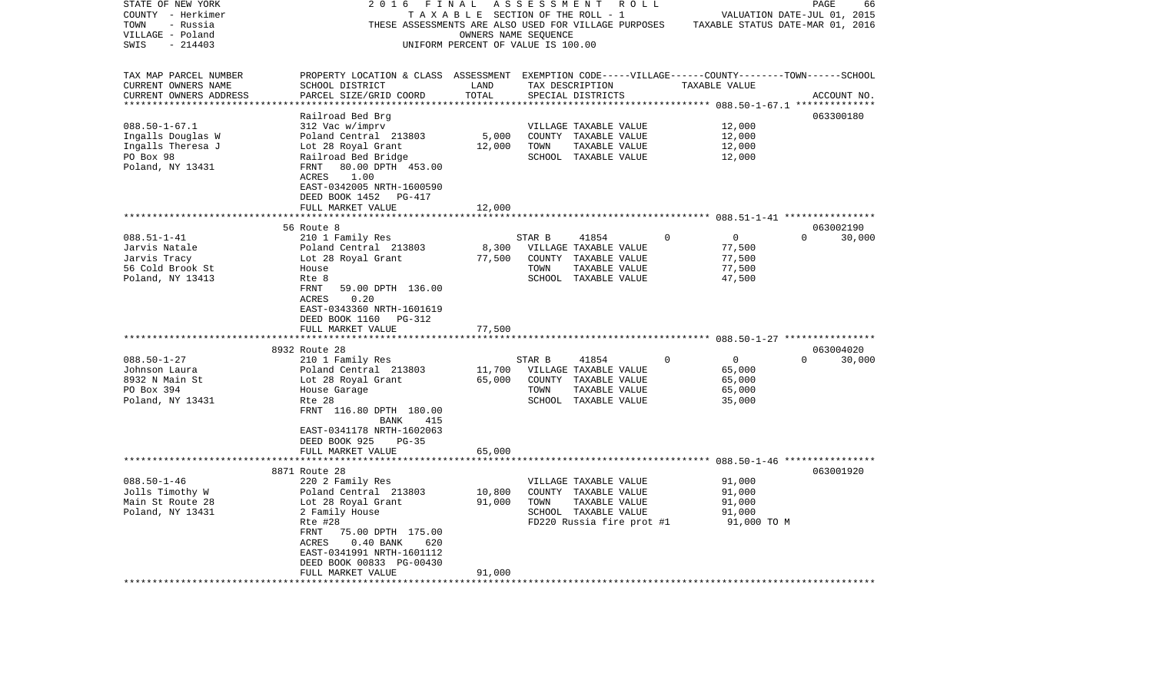| STATE OF NEW YORK                     | 2016                                                                                               | FINAL                                                      | A S S E S S M E N T | R O L L                   |          |                                        | PAGE                        | 66     |
|---------------------------------------|----------------------------------------------------------------------------------------------------|------------------------------------------------------------|---------------------|---------------------------|----------|----------------------------------------|-----------------------------|--------|
| COUNTY - Herkimer                     |                                                                                                    | T A X A B L E SECTION OF THE ROLL - 1                      |                     |                           |          |                                        | VALUATION DATE-JUL 01, 2015 |        |
| TOWN<br>- Russia                      | THESE ASSESSMENTS ARE ALSO USED FOR VILLAGE PURPOSES                                               |                                                            |                     |                           |          | TAXABLE STATUS DATE-MAR 01, 2016       |                             |        |
| VILLAGE - Poland<br>$-214403$<br>SWIS |                                                                                                    | OWNERS NAME SEQUENCE<br>UNIFORM PERCENT OF VALUE IS 100.00 |                     |                           |          |                                        |                             |        |
|                                       |                                                                                                    |                                                            |                     |                           |          |                                        |                             |        |
| TAX MAP PARCEL NUMBER                 | PROPERTY LOCATION & CLASS ASSESSMENT EXEMPTION CODE-----VILLAGE------COUNTY-------TOWN------SCHOOL |                                                            |                     |                           |          |                                        |                             |        |
| CURRENT OWNERS NAME                   | SCHOOL DISTRICT                                                                                    | LAND                                                       |                     | TAX DESCRIPTION           |          | TAXABLE VALUE                          |                             |        |
| CURRENT OWNERS ADDRESS                | PARCEL SIZE/GRID COORD                                                                             | TOTAL                                                      |                     | SPECIAL DISTRICTS         |          |                                        | ACCOUNT NO.                 |        |
|                                       |                                                                                                    |                                                            |                     |                           |          | ********* 088.50-1-67.1 ************** |                             |        |
|                                       | Railroad Bed Brg                                                                                   |                                                            |                     |                           |          |                                        | 063300180                   |        |
| $088.50 - 1 - 67.1$                   | 312 Vac w/imprv                                                                                    |                                                            |                     | VILLAGE TAXABLE VALUE     |          | 12,000                                 |                             |        |
| Ingalls Douglas W                     | Poland Central 213803                                                                              | 5,000                                                      |                     | COUNTY TAXABLE VALUE      |          | 12,000                                 |                             |        |
| Ingalls Theresa J                     | Lot 28 Royal Grant                                                                                 | 12,000                                                     | TOWN                | TAXABLE VALUE             |          | 12,000                                 |                             |        |
| PO Box 98                             | Railroad Bed Bridge                                                                                |                                                            |                     | SCHOOL TAXABLE VALUE      |          | 12,000                                 |                             |        |
| Poland, NY 13431                      | 80.00 DPTH 453.00<br>FRNT                                                                          |                                                            |                     |                           |          |                                        |                             |        |
|                                       | ACRES<br>1.00<br>EAST-0342005 NRTH-1600590                                                         |                                                            |                     |                           |          |                                        |                             |        |
|                                       | DEED BOOK 1452<br>PG-417                                                                           |                                                            |                     |                           |          |                                        |                             |        |
|                                       | FULL MARKET VALUE                                                                                  | 12,000                                                     |                     |                           |          |                                        |                             |        |
|                                       |                                                                                                    |                                                            |                     |                           |          |                                        |                             |        |
|                                       | 56 Route 8                                                                                         |                                                            |                     |                           |          |                                        | 063002190                   |        |
| $088.51 - 1 - 41$                     | 210 1 Family Res                                                                                   |                                                            | STAR B              | 41854                     | $\Omega$ | $\mathbf 0$                            | $\Omega$                    | 30,000 |
| Jarvis Natale                         | Poland Central 213803                                                                              | 8,300                                                      |                     | VILLAGE TAXABLE VALUE     |          | 77,500                                 |                             |        |
| Jarvis Tracy                          | Lot 28 Royal Grant                                                                                 | 77,500                                                     |                     | COUNTY TAXABLE VALUE      |          | 77,500                                 |                             |        |
| 56 Cold Brook St                      | House                                                                                              |                                                            | TOWN                | TAXABLE VALUE             |          | 77,500                                 |                             |        |
| Poland, NY 13413                      | Rte 8                                                                                              |                                                            |                     | SCHOOL TAXABLE VALUE      |          | 47,500                                 |                             |        |
|                                       | FRNT<br>59.00 DPTH 136.00                                                                          |                                                            |                     |                           |          |                                        |                             |        |
|                                       | ACRES<br>0.20<br>EAST-0343360 NRTH-1601619                                                         |                                                            |                     |                           |          |                                        |                             |        |
|                                       | DEED BOOK 1160<br>PG-312                                                                           |                                                            |                     |                           |          |                                        |                             |        |
|                                       | FULL MARKET VALUE                                                                                  | 77,500                                                     |                     |                           |          |                                        |                             |        |
|                                       | *********************                                                                              | **********                                                 |                     |                           |          |                                        |                             |        |
|                                       | 8932 Route 28                                                                                      |                                                            |                     |                           |          |                                        | 063004020                   |        |
| $088.50 - 1 - 27$                     | 210 1 Family Res                                                                                   |                                                            | STAR B              | 41854                     | $\Omega$ | $\mathbf 0$                            | $\Omega$                    | 30,000 |
| Johnson Laura                         | Poland Central 213803                                                                              | 11,700                                                     |                     | VILLAGE TAXABLE VALUE     |          | 65,000                                 |                             |        |
| 8932 N Main St                        | Lot 28 Royal Grant                                                                                 | 65,000                                                     |                     | COUNTY TAXABLE VALUE      |          | 65,000                                 |                             |        |
| PO Box 394                            | House Garage                                                                                       |                                                            | TOWN                | TAXABLE VALUE             |          | 65,000                                 |                             |        |
| Poland, NY 13431                      | Rte 28                                                                                             |                                                            |                     | SCHOOL TAXABLE VALUE      |          | 35,000                                 |                             |        |
|                                       | FRNT 116.80 DPTH 180.00                                                                            |                                                            |                     |                           |          |                                        |                             |        |
|                                       | BANK<br>415<br>EAST-0341178 NRTH-1602063                                                           |                                                            |                     |                           |          |                                        |                             |        |
|                                       | DEED BOOK 925<br>$PG-35$                                                                           |                                                            |                     |                           |          |                                        |                             |        |
|                                       | FULL MARKET VALUE                                                                                  | 65,000                                                     |                     |                           |          |                                        |                             |        |
|                                       |                                                                                                    |                                                            |                     |                           |          |                                        |                             |        |
|                                       | 8871 Route 28                                                                                      |                                                            |                     |                           |          |                                        | 063001920                   |        |
| $088.50 - 1 - 46$                     | 220 2 Family Res                                                                                   |                                                            |                     | VILLAGE TAXABLE VALUE     |          | 91,000                                 |                             |        |
| Jolls Timothy W                       | Poland Central 213803                                                                              | 10,800                                                     |                     | COUNTY TAXABLE VALUE      |          | 91,000                                 |                             |        |
| Main St Route 28                      | Lot 28 Royal Grant                                                                                 | 91,000                                                     | TOWN                | TAXABLE VALUE             |          | 91,000                                 |                             |        |
| Poland, NY 13431                      | 2 Family House                                                                                     |                                                            |                     | SCHOOL TAXABLE VALUE      |          | 91,000                                 |                             |        |
|                                       | Rte #28                                                                                            |                                                            |                     | FD220 Russia fire prot #1 |          | 91,000 TO M                            |                             |        |
|                                       | FRNT<br>75.00 DPTH 175.00                                                                          |                                                            |                     |                           |          |                                        |                             |        |
|                                       | ACRES<br>$0.40$ BANK<br>620                                                                        |                                                            |                     |                           |          |                                        |                             |        |
|                                       | EAST-0341991 NRTH-1601112<br>DEED BOOK 00833 PG-00430                                              |                                                            |                     |                           |          |                                        |                             |        |
|                                       | FULL MARKET VALUE                                                                                  | 91,000                                                     |                     |                           |          |                                        |                             |        |
|                                       | ***************                                                                                    |                                                            |                     |                           |          |                                        |                             |        |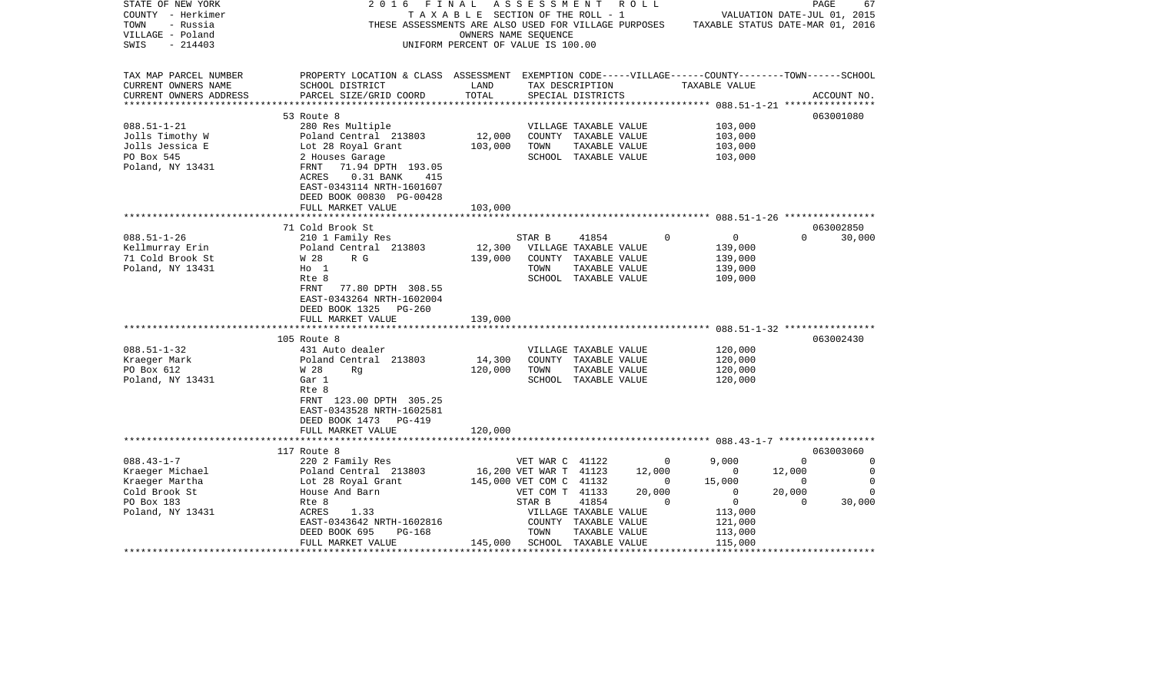| STATE OF NEW YORK      | 2 0 1 6<br>FINAL                                                                                   |                                       | ASSESSMENT              |                       | R O L L  |                                                          |             | PAGE        | 67       |
|------------------------|----------------------------------------------------------------------------------------------------|---------------------------------------|-------------------------|-----------------------|----------|----------------------------------------------------------|-------------|-------------|----------|
| COUNTY - Herkimer      |                                                                                                    | T A X A B L E SECTION OF THE ROLL - 1 |                         |                       |          | VALUATION DATE-JUL 01, 2015                              |             |             |          |
| TOWN<br>- Russia       | THESE ASSESSMENTS ARE ALSO USED FOR VILLAGE PURPOSES                                               |                                       |                         |                       |          | TAXABLE STATUS DATE-MAR 01, 2016                         |             |             |          |
| VILLAGE - Poland       |                                                                                                    | OWNERS NAME SEQUENCE                  |                         |                       |          |                                                          |             |             |          |
| $-214403$<br>SWIS      |                                                                                                    | UNIFORM PERCENT OF VALUE IS 100.00    |                         |                       |          |                                                          |             |             |          |
|                        |                                                                                                    |                                       |                         |                       |          |                                                          |             |             |          |
| TAX MAP PARCEL NUMBER  | PROPERTY LOCATION & CLASS ASSESSMENT EXEMPTION CODE-----VILLAGE------COUNTY-------TOWN------SCHOOL |                                       |                         |                       |          |                                                          |             |             |          |
| CURRENT OWNERS NAME    | SCHOOL DISTRICT                                                                                    | LAND                                  |                         | TAX DESCRIPTION       |          | TAXABLE VALUE                                            |             |             |          |
| CURRENT OWNERS ADDRESS | PARCEL SIZE/GRID COORD                                                                             | TOTAL                                 |                         | SPECIAL DISTRICTS     |          |                                                          |             | ACCOUNT NO. |          |
|                        |                                                                                                    |                                       |                         |                       |          |                                                          |             |             |          |
|                        | 53 Route 8                                                                                         |                                       |                         |                       |          |                                                          |             | 063001080   |          |
| $088.51 - 1 - 21$      | 280 Res Multiple                                                                                   |                                       |                         | VILLAGE TAXABLE VALUE |          | 103,000                                                  |             |             |          |
| Jolls Timothy W        | Poland Central 213803                                                                              | 12,000                                |                         | COUNTY TAXABLE VALUE  |          | 103,000                                                  |             |             |          |
| Jolls Jessica E        | Lot 28 Royal Grant                                                                                 | 103,000                               | TOWN                    | TAXABLE VALUE         |          | 103,000                                                  |             |             |          |
| PO Box 545             | 2 Houses Garage                                                                                    |                                       |                         | SCHOOL TAXABLE VALUE  |          | 103,000                                                  |             |             |          |
| Poland, NY 13431       | 71.94 DPTH 193.05<br>FRNT                                                                          |                                       |                         |                       |          |                                                          |             |             |          |
|                        | ACRES<br>$0.31$ BANK<br>415                                                                        |                                       |                         |                       |          |                                                          |             |             |          |
|                        | EAST-0343114 NRTH-1601607                                                                          |                                       |                         |                       |          |                                                          |             |             |          |
|                        | DEED BOOK 00830 PG-00428                                                                           |                                       |                         |                       |          |                                                          |             |             |          |
|                        | FULL MARKET VALUE                                                                                  | 103,000                               |                         |                       |          |                                                          |             |             |          |
|                        |                                                                                                    | ********                              |                         |                       |          | *************************** 088.51-1-26 **************** |             |             |          |
|                        | 71 Cold Brook St                                                                                   |                                       |                         |                       |          |                                                          |             | 063002850   |          |
| $088.51 - 1 - 26$      | 210 1 Family Res                                                                                   |                                       | STAR B                  | 41854                 | $\Omega$ | $\mathbf 0$                                              | $\Omega$    |             | 30,000   |
| Kellmurray Erin        | Poland Central 213803                                                                              | 12,300                                |                         | VILLAGE TAXABLE VALUE |          | 139,000                                                  |             |             |          |
| 71 Cold Brook St       | W 28<br>R G                                                                                        | 139,000                               |                         | COUNTY TAXABLE VALUE  |          | 139,000                                                  |             |             |          |
| Poland, NY 13431       | $H_0$ 1                                                                                            |                                       | TOWN                    | TAXABLE VALUE         |          | 139,000                                                  |             |             |          |
|                        | Rte 8                                                                                              |                                       |                         | SCHOOL TAXABLE VALUE  |          | 109,000                                                  |             |             |          |
|                        | FRNT<br>77.80 DPTH 308.55                                                                          |                                       |                         |                       |          |                                                          |             |             |          |
|                        | EAST-0343264 NRTH-1602004                                                                          |                                       |                         |                       |          |                                                          |             |             |          |
|                        | DEED BOOK 1325<br>$PG-260$                                                                         |                                       |                         |                       |          |                                                          |             |             |          |
|                        | FULL MARKET VALUE                                                                                  | 139,000                               |                         |                       |          |                                                          |             |             |          |
|                        |                                                                                                    |                                       |                         |                       |          |                                                          |             |             |          |
|                        | 105 Route 8                                                                                        |                                       |                         |                       |          |                                                          |             | 063002430   |          |
| $088.51 - 1 - 32$      | 431 Auto dealer                                                                                    |                                       |                         | VILLAGE TAXABLE VALUE |          | 120,000                                                  |             |             |          |
| Kraeger Mark           | Poland Central 213803                                                                              | 14,300                                |                         | COUNTY TAXABLE VALUE  |          | 120,000                                                  |             |             |          |
| PO Box 612             | W 28<br>Rq                                                                                         | 120,000                               | TOWN                    | TAXABLE VALUE         |          | 120,000                                                  |             |             |          |
| Poland, NY 13431       | Gar 1                                                                                              |                                       |                         | SCHOOL TAXABLE VALUE  |          | 120,000                                                  |             |             |          |
|                        | Rte 8                                                                                              |                                       |                         |                       |          |                                                          |             |             |          |
|                        | FRNT 123.00 DPTH 305.25                                                                            |                                       |                         |                       |          |                                                          |             |             |          |
|                        | EAST-0343528 NRTH-1602581                                                                          |                                       |                         |                       |          |                                                          |             |             |          |
|                        | DEED BOOK 1473<br>$PG-419$                                                                         |                                       |                         |                       |          |                                                          |             |             |          |
|                        | FULL MARKET VALUE<br>****************************                                                  | 120,000                               |                         |                       |          |                                                          |             |             |          |
|                        | 117 Route 8                                                                                        |                                       |                         |                       |          |                                                          |             | 063003060   |          |
| $088.43 - 1 - 7$       | 220 2 Family Res                                                                                   |                                       | VET WAR C 41122         |                       | 0        | 9,000                                                    | $\Omega$    |             | $\Omega$ |
| Kraeger Michael        | Poland Central 213803                                                                              |                                       | 16,200 VET WAR T 41123  |                       | 12,000   | 0                                                        | 12,000      |             | 0        |
| Kraeger Martha         | Lot 28 Royal Grant                                                                                 |                                       | 145,000 VET COM C 41132 |                       | 0        | 15,000                                                   | 0           |             | $\Omega$ |
| Cold Brook St          | House And Barn                                                                                     |                                       | VET COM T 41133         |                       | 20,000   | $\mathbf 0$                                              | 20,000      |             | $\Omega$ |
| PO Box 183             | Rte 8                                                                                              |                                       | STAR B                  | 41854                 | $\Omega$ | $\mathbf 0$                                              | $\mathbf 0$ |             | 30,000   |
| Poland, NY 13431       | ACRES<br>1.33                                                                                      |                                       |                         | VILLAGE TAXABLE VALUE |          | 113,000                                                  |             |             |          |
|                        | EAST-0343642 NRTH-1602816                                                                          |                                       |                         | COUNTY TAXABLE VALUE  |          | 121,000                                                  |             |             |          |
|                        | DEED BOOK 695<br><b>PG-168</b>                                                                     |                                       | TOWN                    | TAXABLE VALUE         |          | 113,000                                                  |             |             |          |
|                        | FULL MARKET VALUE                                                                                  | 145,000                               |                         | SCHOOL TAXABLE VALUE  |          | 115,000                                                  |             |             |          |
|                        |                                                                                                    |                                       |                         |                       |          |                                                          |             |             |          |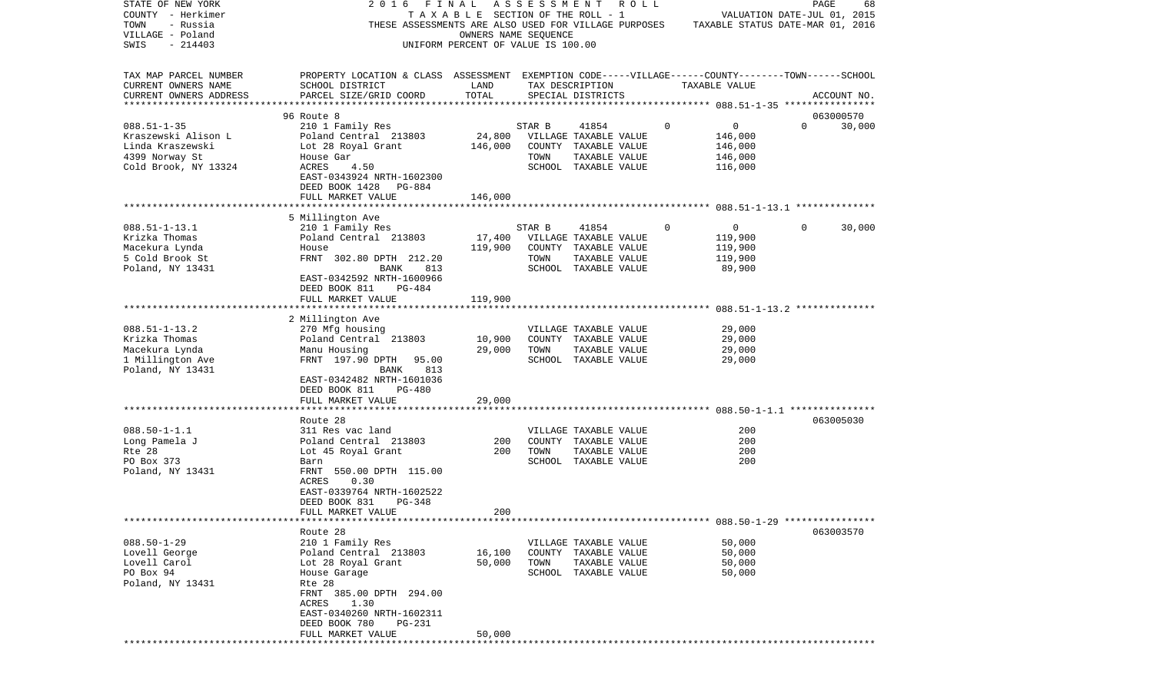| STATE OF NEW YORK<br>COUNTY - Herkimer<br>TOWN<br>- Russia<br>VILLAGE - Poland<br>SWIS<br>$-214403$    | 2016<br>FINAL<br>THESE ASSESSMENTS ARE ALSO USED FOR VILLAGE PURPOSES                                                                                                                                    | TAXABLE SECTION OF THE ROLL - 1<br>OWNERS NAME SEQUENCE<br>UNIFORM PERCENT OF VALUE IS 100.00 | A S S E S S M E N T R O L L |                                                                                                 |             | VALUATION DATE-JUL 01, 2015<br>TAXABLE STATUS DATE-MAR 01, 2016 | PAGE         | 68          |
|--------------------------------------------------------------------------------------------------------|----------------------------------------------------------------------------------------------------------------------------------------------------------------------------------------------------------|-----------------------------------------------------------------------------------------------|-----------------------------|-------------------------------------------------------------------------------------------------|-------------|-----------------------------------------------------------------|--------------|-------------|
| TAX MAP PARCEL NUMBER<br>CURRENT OWNERS NAME<br>CURRENT OWNERS ADDRESS<br>**************************   | PROPERTY LOCATION & CLASS ASSESSMENT EXEMPTION CODE-----VILLAGE------COUNTY-------TOWN------SCHOOL<br>SCHOOL DISTRICT<br>PARCEL SIZE/GRID COORD                                                          | LAND<br>TOTAL                                                                                 |                             | TAX DESCRIPTION<br>SPECIAL DISTRICTS                                                            |             | TAXABLE VALUE                                                   |              | ACCOUNT NO. |
|                                                                                                        | 96 Route 8                                                                                                                                                                                               |                                                                                               |                             |                                                                                                 |             |                                                                 |              | 063000570   |
| $088.51 - 1 - 35$<br>Kraszewski Alison L<br>Linda Kraszewski<br>4399 Norway St<br>Cold Brook, NY 13324 | 210 1 Family Res<br>Poland Central 213803<br>Lot 28 Royal Grant<br>House Gar<br>4.50<br>ACRES<br>EAST-0343924 NRTH-1602300<br>DEED BOOK 1428<br>PG-884<br>FULL MARKET VALUE                              | 24,800<br>146,000<br>146,000                                                                  | STAR B<br>TOWN              | 41854<br>VILLAGE TAXABLE VALUE<br>COUNTY TAXABLE VALUE<br>TAXABLE VALUE<br>SCHOOL TAXABLE VALUE | $\mathbf 0$ | 0<br>146,000<br>146,000<br>146,000<br>116,000                   | $\Omega$     | 30,000      |
|                                                                                                        |                                                                                                                                                                                                          |                                                                                               |                             |                                                                                                 |             |                                                                 |              |             |
| $088.51 - 1 - 13.1$<br>Krizka Thomas<br>Macekura Lynda<br>5 Cold Brook St<br>Poland, NY 13431          | 5 Millington Ave<br>210 1 Family Res<br>Poland Central 213803<br>House<br>FRNT 302.80 DPTH 212.20<br>813<br>BANK<br>EAST-0342592 NRTH-1600966<br>DEED BOOK 811<br>$PG-484$                               | 17,400<br>119,900                                                                             | STAR B<br>TOWN              | 41854<br>VILLAGE TAXABLE VALUE<br>COUNTY TAXABLE VALUE<br>TAXABLE VALUE<br>SCHOOL TAXABLE VALUE | 0           | $\overline{0}$<br>119,900<br>119,900<br>119,900<br>89,900       | $\mathbf{0}$ | 30,000      |
|                                                                                                        | FULL MARKET VALUE                                                                                                                                                                                        | 119,900                                                                                       |                             |                                                                                                 |             |                                                                 |              |             |
|                                                                                                        |                                                                                                                                                                                                          |                                                                                               |                             |                                                                                                 |             |                                                                 |              |             |
| $088.51 - 1 - 13.2$<br>Krizka Thomas<br>Macekura Lynda<br>1 Millington Ave<br>Poland, NY 13431         | 2 Millington Ave<br>270 Mfg housing<br>Poland Central 213803<br>Manu Housing<br>FRNT 197.90 DPTH<br>95.00<br>BANK<br>813<br>EAST-0342482 NRTH-1601036<br>DEED BOOK 811<br>PG-480                         | 10,900<br>29,000                                                                              | TOWN                        | VILLAGE TAXABLE VALUE<br>COUNTY TAXABLE VALUE<br>TAXABLE VALUE<br>SCHOOL TAXABLE VALUE          |             | 29,000<br>29,000<br>29,000<br>29,000                            |              |             |
|                                                                                                        | FULL MARKET VALUE                                                                                                                                                                                        | 29,000                                                                                        |                             |                                                                                                 |             |                                                                 |              |             |
| $088.50 - 1 - 1.1$<br>Long Pamela J<br>Rte 28<br>PO Box 373<br>Poland, NY 13431                        | Route 28<br>311 Res vac land<br>Poland Central 213803<br>Lot 45 Royal Grant<br>Barn<br>FRNT 550.00 DPTH 115.00<br>0.30<br>ACRES<br>EAST-0339764 NRTH-1602522<br>PG-348<br>DEED BOOK 831                  | 200<br>200                                                                                    | TOWN                        | VILLAGE TAXABLE VALUE<br>COUNTY TAXABLE VALUE<br>TAXABLE VALUE<br>SCHOOL TAXABLE VALUE          |             | 200<br>200<br>200<br>200                                        |              | 063005030   |
|                                                                                                        | FULL MARKET VALUE                                                                                                                                                                                        | 200                                                                                           |                             |                                                                                                 |             |                                                                 |              |             |
|                                                                                                        |                                                                                                                                                                                                          |                                                                                               |                             |                                                                                                 |             |                                                                 |              |             |
| $088.50 - 1 - 29$<br>Lovell George<br>Lovell Carol<br>PO Box 94<br>Poland, NY 13431                    | Route 28<br>210 1 Family Res<br>Poland Central 213803<br>Lot 28 Royal Grant<br>House Garage<br>Rte 28<br>FRNT 385.00 DPTH 294.00<br>ACRES 1.30<br>EAST-0340260 NRTH-1602311<br>DEED BOOK 780<br>$PG-231$ | 16,100<br>50,000                                                                              | TOWN                        | VILLAGE TAXABLE VALUE<br>COUNTY TAXABLE VALUE<br>TAXABLE VALUE<br>SCHOOL TAXABLE VALUE          |             | 50,000<br>50,000<br>50,000<br>50,000                            |              | 063003570   |
|                                                                                                        | FULL MARKET VALUE                                                                                                                                                                                        | 50,000                                                                                        |                             |                                                                                                 |             |                                                                 |              |             |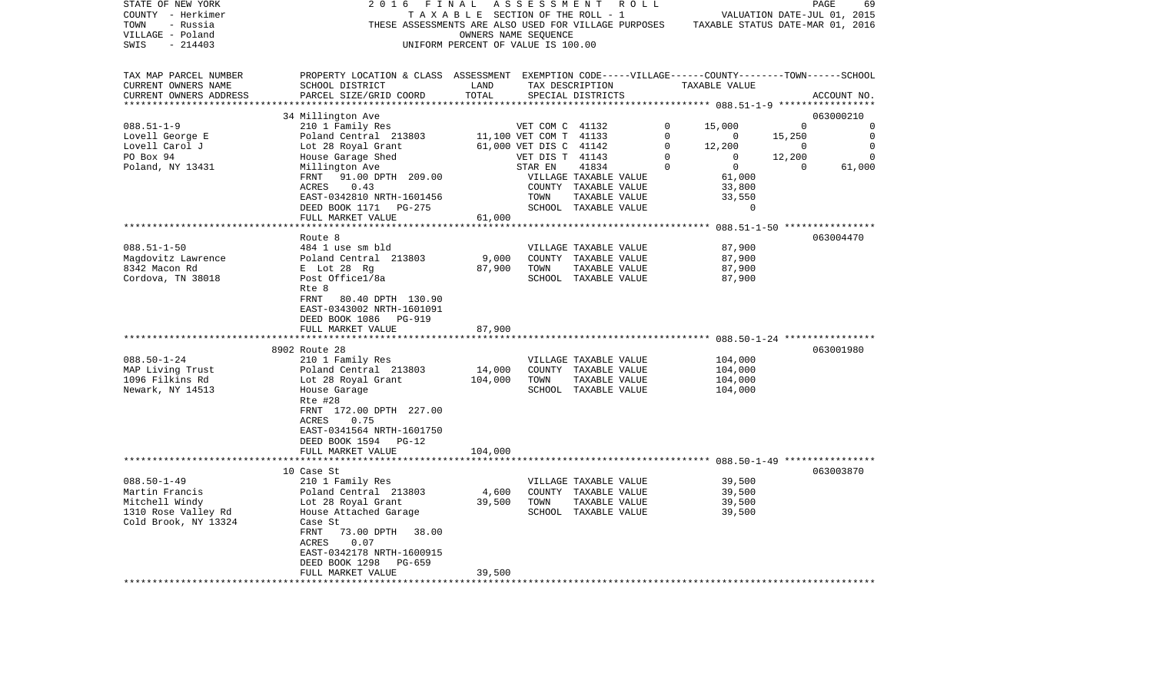| STATE OF NEW YORK        | 2 0 1 6<br>FINAL                                                                                   |                                    | ASSESSMENT ROLL        |                       |             |                                                     |                | PAGE<br>69                  |
|--------------------------|----------------------------------------------------------------------------------------------------|------------------------------------|------------------------|-----------------------|-------------|-----------------------------------------------------|----------------|-----------------------------|
| COUNTY - Herkimer        |                                                                                                    | TAXABLE SECTION OF THE ROLL - 1    |                        |                       |             |                                                     |                | VALUATION DATE-JUL 01, 2015 |
| TOWN<br>- Russia         | THESE ASSESSMENTS ARE ALSO USED FOR VILLAGE PURPOSES                                               |                                    |                        |                       |             | TAXABLE STATUS DATE-MAR 01, 2016                    |                |                             |
| VILLAGE - Poland         |                                                                                                    |                                    | OWNERS NAME SEQUENCE   |                       |             |                                                     |                |                             |
| $-214403$<br>SWIS        |                                                                                                    | UNIFORM PERCENT OF VALUE IS 100.00 |                        |                       |             |                                                     |                |                             |
|                          |                                                                                                    |                                    |                        |                       |             |                                                     |                |                             |
|                          |                                                                                                    |                                    |                        |                       |             |                                                     |                |                             |
| TAX MAP PARCEL NUMBER    | PROPERTY LOCATION & CLASS ASSESSMENT EXEMPTION CODE-----VILLAGE------COUNTY-------TOWN------SCHOOL |                                    |                        |                       |             |                                                     |                |                             |
| CURRENT OWNERS NAME      | SCHOOL DISTRICT                                                                                    | LAND                               |                        | TAX DESCRIPTION       |             | TAXABLE VALUE                                       |                |                             |
| CURRENT OWNERS ADDRESS   | PARCEL SIZE/GRID COORD                                                                             | TOTAL                              |                        | SPECIAL DISTRICTS     |             |                                                     |                | ACCOUNT NO.                 |
| ************************ |                                                                                                    |                                    |                        |                       |             |                                                     |                |                             |
|                          | 34 Millington Ave                                                                                  |                                    |                        |                       |             |                                                     |                | 063000210                   |
| $088.51 - 1 - 9$         | 210 1 Family Res                                                                                   |                                    | VET COM C 41132        |                       | 0           | 15,000                                              | $\mathbf 0$    | 0                           |
| Lovell George E          | Poland Central 213803                                                                              |                                    | 11,100 VET COM T 41133 |                       | $\mathbf 0$ | $\overline{0}$                                      | 15,250         | $\mathbf 0$                 |
| Lovell Carol J           | Lot 28 Royal Grant                                                                                 |                                    | 61,000 VET DIS C 41142 |                       | $\mathbf 0$ | 12,200                                              | $\overline{0}$ | $\mathbf 0$                 |
| PO Box 94                | House Garage Shed                                                                                  |                                    | VET DIS T 41143        |                       | $\Omega$    | $\overline{0}$                                      | 12,200         | $\overline{0}$              |
| Poland, NY 13431         | Millington Ave                                                                                     |                                    | STAR EN                | 41834                 | $\mathbf 0$ | $\overline{0}$                                      | $\overline{0}$ | 61,000                      |
|                          | 91.00 DPTH 209.00<br>FRNT                                                                          |                                    |                        | VILLAGE TAXABLE VALUE |             | 61,000                                              |                |                             |
|                          | ACRES<br>0.43                                                                                      |                                    |                        | COUNTY TAXABLE VALUE  |             | 33,800                                              |                |                             |
|                          | EAST-0342810 NRTH-1601456                                                                          |                                    | TOWN                   | TAXABLE VALUE         |             | 33,550                                              |                |                             |
|                          |                                                                                                    |                                    |                        |                       |             | $\Omega$                                            |                |                             |
|                          | DEED BOOK 1171<br>PG-275                                                                           |                                    |                        | SCHOOL TAXABLE VALUE  |             |                                                     |                |                             |
|                          | FULL MARKET VALUE                                                                                  | 61,000                             |                        |                       |             |                                                     |                |                             |
|                          |                                                                                                    |                                    |                        |                       |             |                                                     |                |                             |
|                          | Route 8                                                                                            |                                    |                        |                       |             |                                                     |                | 063004470                   |
| $088.51 - 1 - 50$        | 484 1 use sm bld                                                                                   |                                    |                        | VILLAGE TAXABLE VALUE |             | 87,900                                              |                |                             |
| Magdovitz Lawrence       | Poland Central 213803                                                                              | 9,000                              |                        | COUNTY TAXABLE VALUE  |             | 87,900                                              |                |                             |
| 8342 Macon Rd            | E Lot 28 Rg                                                                                        | 87,900                             | TOWN                   | TAXABLE VALUE         |             | 87,900                                              |                |                             |
| Cordova, TN 38018        | Post Office1/8a                                                                                    |                                    |                        | SCHOOL TAXABLE VALUE  |             | 87,900                                              |                |                             |
|                          | Rte 8                                                                                              |                                    |                        |                       |             |                                                     |                |                             |
|                          | FRNT<br>80.40 DPTH 130.90                                                                          |                                    |                        |                       |             |                                                     |                |                             |
|                          | EAST-0343002 NRTH-1601091                                                                          |                                    |                        |                       |             |                                                     |                |                             |
|                          | DEED BOOK 1086 PG-919                                                                              |                                    |                        |                       |             |                                                     |                |                             |
|                          | FULL MARKET VALUE                                                                                  | 87,900                             |                        |                       |             |                                                     |                |                             |
|                          |                                                                                                    |                                    |                        |                       |             | ********************** 088.50-1-24 **************** |                |                             |
|                          | 8902 Route 28                                                                                      |                                    |                        |                       |             |                                                     |                | 063001980                   |
| $088.50 - 1 - 24$        | 210 1 Family Res                                                                                   |                                    |                        | VILLAGE TAXABLE VALUE |             | 104,000                                             |                |                             |
| MAP Living Trust         | Poland Central 213803                                                                              | 14,000                             |                        | COUNTY TAXABLE VALUE  |             | 104,000                                             |                |                             |
| 1096 Filkins Rd          | Lot 28 Royal Grant                                                                                 | 104,000                            | TOWN                   | TAXABLE VALUE         |             | 104,000                                             |                |                             |
| Newark, NY 14513         | House Garage                                                                                       |                                    |                        | SCHOOL TAXABLE VALUE  |             | 104,000                                             |                |                             |
|                          | Rte #28                                                                                            |                                    |                        |                       |             |                                                     |                |                             |
|                          | FRNT 172.00 DPTH 227.00                                                                            |                                    |                        |                       |             |                                                     |                |                             |
|                          | 0.75<br>ACRES                                                                                      |                                    |                        |                       |             |                                                     |                |                             |
|                          | EAST-0341564 NRTH-1601750                                                                          |                                    |                        |                       |             |                                                     |                |                             |
|                          | DEED BOOK 1594 PG-12                                                                               |                                    |                        |                       |             |                                                     |                |                             |
|                          | FULL MARKET VALUE                                                                                  | 104,000                            |                        |                       |             |                                                     |                |                             |
|                          | **************************                                                                         |                                    |                        |                       |             |                                                     |                |                             |
|                          | 10 Case St                                                                                         |                                    |                        |                       |             |                                                     |                | 063003870                   |
|                          |                                                                                                    |                                    |                        |                       |             |                                                     |                |                             |
| $088.50 - 1 - 49$        | 210 1 Family Res                                                                                   |                                    |                        | VILLAGE TAXABLE VALUE |             | 39,500                                              |                |                             |
| Martin Francis           | Poland Central 213803                                                                              | 4,600                              |                        | COUNTY TAXABLE VALUE  |             | 39,500                                              |                |                             |
| Mitchell Windy           | Lot 28 Royal Grant                                                                                 | 39,500                             | TOWN                   | TAXABLE VALUE         |             | 39,500                                              |                |                             |
| 1310 Rose Valley Rd      | House Attached Garage                                                                              |                                    |                        | SCHOOL TAXABLE VALUE  |             | 39,500                                              |                |                             |
| Cold Brook, NY 13324     | Case St                                                                                            |                                    |                        |                       |             |                                                     |                |                             |
|                          | FRNT<br>73.00 DPTH<br>38.00                                                                        |                                    |                        |                       |             |                                                     |                |                             |
|                          | ACRES<br>0.07                                                                                      |                                    |                        |                       |             |                                                     |                |                             |
|                          | EAST-0342178 NRTH-1600915                                                                          |                                    |                        |                       |             |                                                     |                |                             |
|                          | DEED BOOK 1298<br>PG-659                                                                           |                                    |                        |                       |             |                                                     |                |                             |
|                          | FULL MARKET VALUE                                                                                  | 39,500                             |                        |                       |             |                                                     |                |                             |
|                          |                                                                                                    |                                    |                        |                       |             |                                                     |                |                             |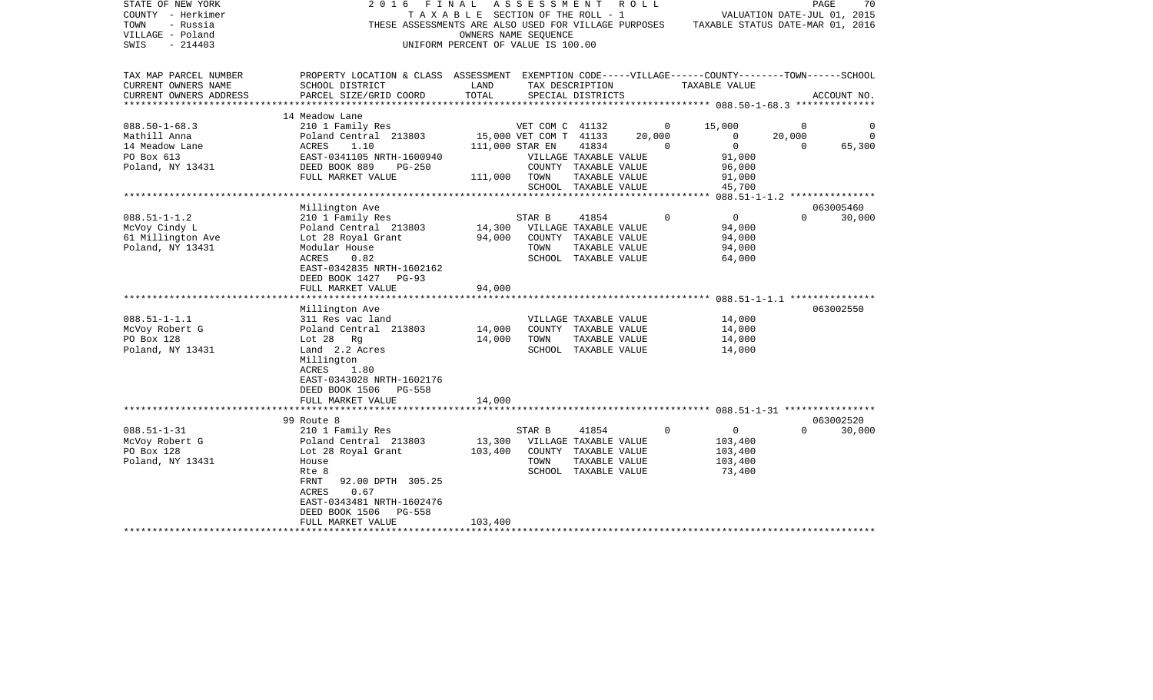| STATE OF NEW YORK<br>COUNTY - Herkimer<br>TOWN<br>- Russia<br>VILLAGE - Poland<br>$-214403$<br>SWIS | 2 0 1 6<br>FINAL<br>THESE ASSESSMENTS ARE ALSO USED FOR VILLAGE PURPOSES                                                                                                                                             | TAXABLE SECTION OF THE ROLL - 1<br>OWNERS NAME SEQUENCE<br>UNIFORM PERCENT OF VALUE IS 100.00 | ASSESSMENT                                                   |                                                                                                 | R O L L |                          |                                                         |                                | 70<br>PAGE<br>VALUATION DATE-JUL 01, 2015<br>TAXABLE STATUS DATE-MAR 01, 2016 |
|-----------------------------------------------------------------------------------------------------|----------------------------------------------------------------------------------------------------------------------------------------------------------------------------------------------------------------------|-----------------------------------------------------------------------------------------------|--------------------------------------------------------------|-------------------------------------------------------------------------------------------------|---------|--------------------------|---------------------------------------------------------|--------------------------------|-------------------------------------------------------------------------------|
| TAX MAP PARCEL NUMBER<br>CURRENT OWNERS NAME                                                        | PROPERTY LOCATION & CLASS ASSESSMENT EXEMPTION CODE-----VILLAGE------COUNTY-------TOWN------SCHOOL<br>SCHOOL DISTRICT                                                                                                | LAND                                                                                          |                                                              | TAX DESCRIPTION                                                                                 |         | TAXABLE VALUE            |                                                         |                                |                                                                               |
| CURRENT OWNERS ADDRESS<br>*****************                                                         | PARCEL SIZE/GRID COORD                                                                                                                                                                                               | TOTAL<br>*******************                                                                  |                                                              | SPECIAL DISTRICTS                                                                               |         |                          |                                                         |                                | ACCOUNT NO.<br>**************** 088.50-1-68.3 ***************                 |
|                                                                                                     | 14 Meadow Lane                                                                                                                                                                                                       |                                                                                               |                                                              |                                                                                                 |         |                          |                                                         |                                |                                                                               |
| $088.50 - 1 - 68.3$<br>Mathill Anna<br>14 Meadow Lane                                               | 210 1 Family Res<br>Poland Central 213803<br>ACRES<br>1.10                                                                                                                                                           |                                                                                               | VET COM C 41132<br>15,000 VET COM T 41133<br>111,000 STAR EN | 41834                                                                                           | 20,000  | $\mathbf{0}$<br>$\Omega$ | 15,000<br>0<br>$\mathbf 0$                              | $\Omega$<br>20,000<br>$\Omega$ | $\Omega$<br>$\Omega$<br>65,300                                                |
| PO Box 613<br>Poland, NY 13431                                                                      | EAST-0341105 NRTH-1600940<br>DEED BOOK 889<br>$PG-250$<br>FULL MARKET VALUE                                                                                                                                          | 111,000                                                                                       | TOWN                                                         | VILLAGE TAXABLE VALUE<br>COUNTY TAXABLE VALUE<br>TAXABLE VALUE<br>SCHOOL TAXABLE VALUE          |         |                          | 91,000<br>96,000<br>91,000<br>45,700                    |                                |                                                                               |
|                                                                                                     |                                                                                                                                                                                                                      |                                                                                               |                                                              |                                                                                                 |         |                          |                                                         |                                |                                                                               |
|                                                                                                     | Millington Ave                                                                                                                                                                                                       |                                                                                               |                                                              |                                                                                                 |         |                          |                                                         |                                | 063005460                                                                     |
| $088.51 - 1 - 1.2$<br>McVoy Cindy L<br>61 Millington Ave<br>Poland, NY 13431                        | 210 1 Family Res<br>Poland Central 213803<br>Lot 28 Royal Grant<br>Modular House<br>ACRES<br>0.82<br>EAST-0342835 NRTH-1602162<br>DEED BOOK 1427<br>$PG-93$                                                          | 14,300<br>94,000                                                                              | STAR B<br>TOWN                                               | 41854<br>VILLAGE TAXABLE VALUE<br>COUNTY TAXABLE VALUE<br>TAXABLE VALUE<br>SCHOOL TAXABLE VALUE |         | $\Omega$                 | $\mathbf{0}$<br>94,000<br>94,000<br>94,000<br>64,000    | $\Omega$                       | 30,000                                                                        |
|                                                                                                     | FULL MARKET VALUE                                                                                                                                                                                                    | 94,000                                                                                        |                                                              |                                                                                                 |         |                          |                                                         |                                |                                                                               |
|                                                                                                     | ******************                                                                                                                                                                                                   |                                                                                               |                                                              |                                                                                                 |         |                          |                                                         |                                | ******** 088.51-1-1.1 ***************                                         |
| $088.51 - 1 - 1.1$<br>McVoy Robert G<br>PO Box 128<br>Poland, NY 13431                              | Millington Ave<br>311 Res vac land<br>Poland Central 213803<br>Lot 28 Rg<br>Land 2.2 Acres<br>Millington<br>ACRES<br>1.80<br>EAST-0343028 NRTH-1602176<br>DEED BOOK 1506<br><b>PG-558</b>                            | 14,000<br>14,000                                                                              | TOWN                                                         | VILLAGE TAXABLE VALUE<br>COUNTY TAXABLE VALUE<br>TAXABLE VALUE<br>SCHOOL TAXABLE VALUE          |         |                          | 14,000<br>14,000<br>14,000<br>14,000                    |                                | 063002550                                                                     |
|                                                                                                     | FULL MARKET VALUE<br>************************                                                                                                                                                                        | 14,000                                                                                        |                                                              |                                                                                                 |         |                          |                                                         |                                |                                                                               |
|                                                                                                     | 99 Route 8                                                                                                                                                                                                           |                                                                                               |                                                              |                                                                                                 |         |                          |                                                         |                                | 063002520                                                                     |
| $088.51 - 1 - 31$<br>McVoy Robert G<br>PO Box 128<br>Poland, NY 13431                               | 210 1 Family Res<br>Poland Central 213803<br>Lot 28 Royal Grant<br>House<br>Rte 8<br>FRNT<br>92.00 DPTH 305.25<br><b>ACRES</b><br>0.67<br>EAST-0343481 NRTH-1602476<br>DEED BOOK 1506<br>PG-558<br>FULL MARKET VALUE | 13,300<br>103,400<br>103,400                                                                  | STAR B<br>TOWN                                               | 41854<br>VILLAGE TAXABLE VALUE<br>COUNTY TAXABLE VALUE<br>TAXABLE VALUE<br>SCHOOL TAXABLE VALUE |         | $\Omega$                 | $\mathbf{0}$<br>103,400<br>103,400<br>103,400<br>73,400 | $\Omega$                       | 30,000                                                                        |
|                                                                                                     |                                                                                                                                                                                                                      |                                                                                               |                                                              | *******************************                                                                 |         |                          |                                                         |                                |                                                                               |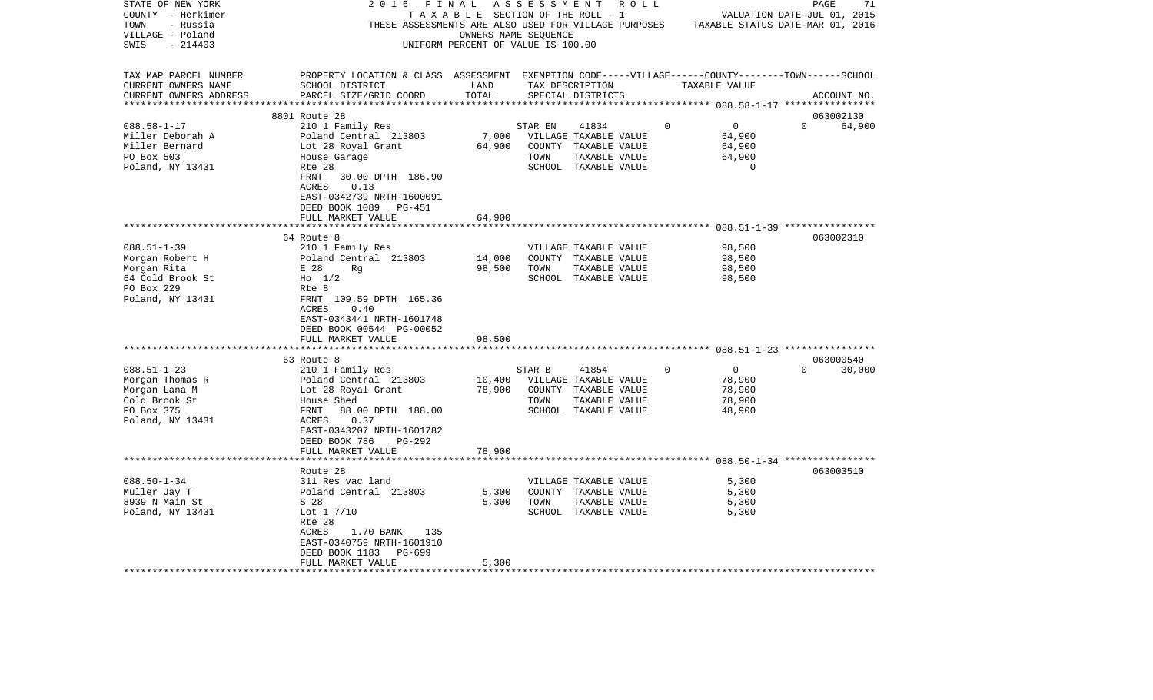| STATE OF NEW YORK                              | 2<br>016                                              | FINAL                              | ASSESSMENT | R O L L                                                 |   |                                                               | PAGE                        | 71          |
|------------------------------------------------|-------------------------------------------------------|------------------------------------|------------|---------------------------------------------------------|---|---------------------------------------------------------------|-----------------------------|-------------|
| COUNTY - Herkimer                              | TAXABLE                                               |                                    |            | SECTION OF THE ROLL - 1                                 |   |                                                               | VALUATION DATE-JUL 01, 2015 |             |
| TOWN<br>- Russia                               | THESE ASSESSMENTS ARE ALSO USED FOR VILLAGE PURPOSES  |                                    |            |                                                         |   | TAXABLE STATUS DATE-MAR 01, 2016                              |                             |             |
| VILLAGE - Poland                               |                                                       | OWNERS NAME SEQUENCE               |            |                                                         |   |                                                               |                             |             |
| $-214403$<br>SWIS                              |                                                       | UNIFORM PERCENT OF VALUE IS 100.00 |            |                                                         |   |                                                               |                             |             |
|                                                |                                                       |                                    |            |                                                         |   |                                                               |                             |             |
| TAX MAP PARCEL NUMBER                          | PROPERTY LOCATION & CLASS ASSESSMENT                  |                                    |            |                                                         |   | EXEMPTION CODE-----VILLAGE------COUNTY-------TOWN------SCHOOL |                             |             |
| CURRENT OWNERS NAME                            | SCHOOL DISTRICT                                       | LAND                               |            | TAX DESCRIPTION                                         |   | TAXABLE VALUE                                                 |                             |             |
| CURRENT OWNERS ADDRESS<br>******************** | PARCEL SIZE/GRID COORD<br>***********************     | TOTAL                              |            | SPECIAL DISTRICTS<br>********************************** |   |                                                               |                             | ACCOUNT NO. |
|                                                |                                                       |                                    |            |                                                         |   | ********** 088.58-1-17 ****************                       |                             |             |
|                                                | 8801 Route 28                                         |                                    |            |                                                         |   |                                                               | 063002130                   |             |
| $088.58 - 1 - 17$                              | 210 1 Family Res                                      |                                    | STAR EN    | 41834                                                   | 0 | 0                                                             | $\Omega$                    | 64,900      |
| Miller Deborah A                               | Poland Central 213803                                 | 7,000                              |            | VILLAGE TAXABLE VALUE                                   |   | 64,900                                                        |                             |             |
| Miller Bernard                                 | Lot 28 Royal Grant                                    | 64,900                             | COUNTY     | TAXABLE VALUE                                           |   | 64,900                                                        |                             |             |
| PO Box 503                                     | House Garage                                          |                                    | TOWN       | TAXABLE VALUE                                           |   | 64,900<br>$\Omega$                                            |                             |             |
| Poland, NY 13431                               | Rte 28                                                |                                    |            | SCHOOL TAXABLE VALUE                                    |   |                                                               |                             |             |
|                                                | FRNT<br>30.00 DPTH 186.90                             |                                    |            |                                                         |   |                                                               |                             |             |
|                                                | ACRES<br>0.13                                         |                                    |            |                                                         |   |                                                               |                             |             |
|                                                | EAST-0342739 NRTH-1600091                             |                                    |            |                                                         |   |                                                               |                             |             |
|                                                | DEED BOOK 1089<br>PG-451                              |                                    |            |                                                         |   |                                                               |                             |             |
|                                                | FULL MARKET VALUE                                     | 64,900                             |            |                                                         |   | ********************* 088.51-1-39 *****************           |                             |             |
|                                                | 64 Route 8                                            |                                    |            |                                                         |   |                                                               | 063002310                   |             |
| $088.51 - 1 - 39$                              | 210 1 Family Res                                      |                                    |            | VILLAGE TAXABLE VALUE                                   |   | 98,500                                                        |                             |             |
| Morgan Robert H                                | Poland Central 213803                                 | 14,000                             |            | COUNTY TAXABLE VALUE                                    |   | 98,500                                                        |                             |             |
| Morgan Rita                                    | E 28<br>Rq                                            | 98,500                             | TOWN       | TAXABLE VALUE                                           |   | 98,500                                                        |                             |             |
| 64 Cold Brook St                               | $H_0$ 1/2                                             |                                    |            | SCHOOL TAXABLE VALUE                                    |   | 98,500                                                        |                             |             |
| PO Box 229                                     | Rte 8                                                 |                                    |            |                                                         |   |                                                               |                             |             |
| Poland, NY 13431                               | FRNT 109.59 DPTH 165.36                               |                                    |            |                                                         |   |                                                               |                             |             |
|                                                | ACRES<br>0.40                                         |                                    |            |                                                         |   |                                                               |                             |             |
|                                                | EAST-0343441 NRTH-1601748                             |                                    |            |                                                         |   |                                                               |                             |             |
|                                                | DEED BOOK 00544 PG-00052                              |                                    |            |                                                         |   |                                                               |                             |             |
|                                                | FULL MARKET VALUE                                     | 98,500                             |            |                                                         |   |                                                               |                             |             |
|                                                |                                                       | ******                             |            |                                                         |   | ******************** 088.51-1-23 *****************            |                             |             |
|                                                | 63 Route 8                                            |                                    |            |                                                         |   |                                                               | 063000540                   |             |
| $088.51 - 1 - 23$                              | 210 1 Family Res                                      |                                    | STAR B     | 41854                                                   | 0 | 0                                                             | $\Omega$                    | 30,000      |
| Morgan Thomas R                                | Poland Central 213803                                 | 10,400                             |            | VILLAGE TAXABLE VALUE                                   |   | 78,900                                                        |                             |             |
| Morgan Lana M                                  | Lot 28 Royal Grant                                    | 78,900                             |            | COUNTY TAXABLE VALUE                                    |   | 78,900                                                        |                             |             |
| Cold Brook St                                  | House Shed                                            |                                    | TOWN       | TAXABLE VALUE                                           |   | 78,900                                                        |                             |             |
| PO Box 375                                     | FRNT<br>88.00 DPTH 188.00                             |                                    |            | SCHOOL TAXABLE VALUE                                    |   | 48,900                                                        |                             |             |
| Poland, NY 13431                               | 0.37<br>ACRES                                         |                                    |            |                                                         |   |                                                               |                             |             |
|                                                | EAST-0343207 NRTH-1601782                             |                                    |            |                                                         |   |                                                               |                             |             |
|                                                | DEED BOOK 786<br>$PG-292$                             |                                    |            |                                                         |   |                                                               |                             |             |
|                                                | FULL MARKET VALUE                                     | 78,900                             |            |                                                         |   |                                                               |                             |             |
|                                                | ********************                                  |                                    |            |                                                         |   |                                                               |                             |             |
|                                                | Route 28                                              |                                    |            |                                                         |   |                                                               | 063003510                   |             |
| $088.50 - 1 - 34$                              | 311 Res vac land                                      |                                    |            | VILLAGE TAXABLE VALUE                                   |   | 5,300                                                         |                             |             |
| Muller Jay T                                   | Poland Central 213803                                 | 5,300                              |            | COUNTY TAXABLE VALUE                                    |   | 5,300                                                         |                             |             |
| 8939 N Main St                                 | S 28                                                  | 5,300                              | TOWN       | TAXABLE VALUE                                           |   | 5,300                                                         |                             |             |
| Poland, NY 13431                               | Lot $1 \frac{7}{10}$                                  |                                    |            | SCHOOL TAXABLE VALUE                                    |   | 5,300                                                         |                             |             |
|                                                | Rte 28                                                |                                    |            |                                                         |   |                                                               |                             |             |
|                                                | ACRES<br>1.70 BANK<br>135                             |                                    |            |                                                         |   |                                                               |                             |             |
|                                                | EAST-0340759 NRTH-1601910<br>DEED BOOK 1183<br>PG-699 |                                    |            |                                                         |   |                                                               |                             |             |
|                                                | FULL MARKET VALUE                                     | 5,300                              |            |                                                         |   |                                                               |                             |             |
|                                                |                                                       |                                    |            |                                                         |   |                                                               |                             |             |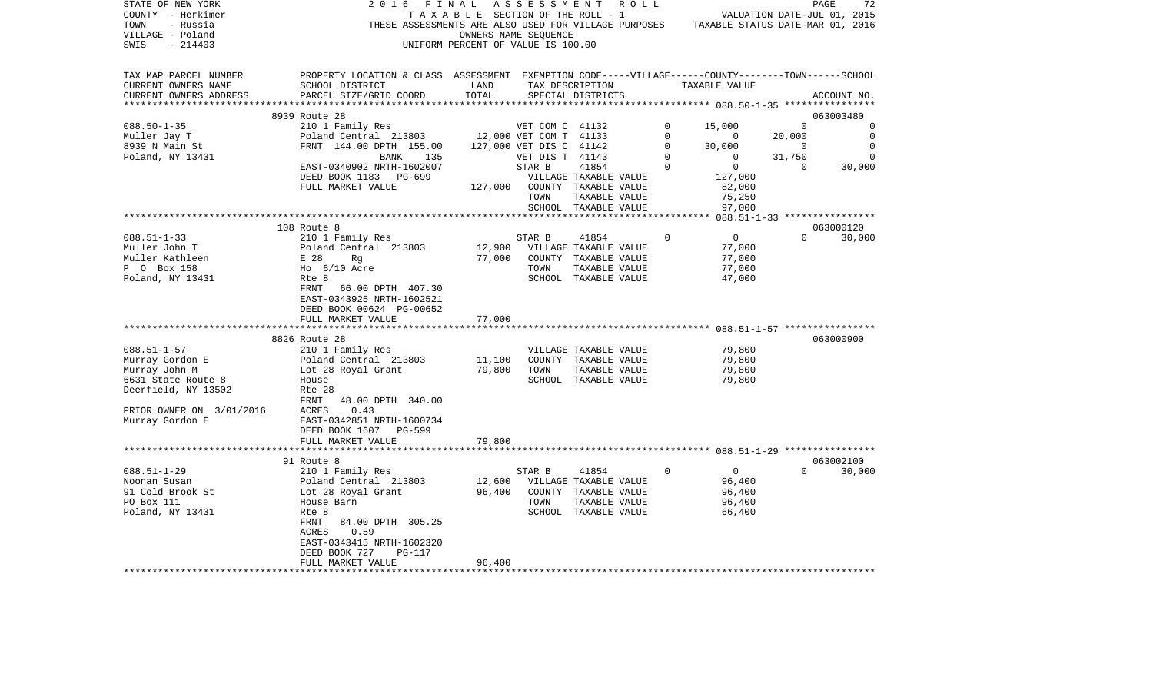| STATE OF NEW YORK<br>COUNTY - Herkimer<br>TOWN<br>- Russia<br>VILLAGE - Poland<br>$-214403$<br>SWIS | 2 0 1 6<br>FINAL<br>THESE ASSESSMENTS ARE ALSO USED FOR VILLAGE PURPOSES                                                                        | TAXABLE SECTION OF THE ROLL - 1<br>UNIFORM PERCENT OF VALUE IS 100.00 | ASSESSMENT<br>OWNERS NAME SEQUENCE |                                                   | R O L L     | TAXABLE STATUS DATE-MAR 01, 2016      |             | 72<br>PAGE<br>VALUATION DATE-JUL 01, 2015 |
|-----------------------------------------------------------------------------------------------------|-------------------------------------------------------------------------------------------------------------------------------------------------|-----------------------------------------------------------------------|------------------------------------|---------------------------------------------------|-------------|---------------------------------------|-------------|-------------------------------------------|
| TAX MAP PARCEL NUMBER<br>CURRENT OWNERS NAME<br>CURRENT OWNERS ADDRESS<br>************************* | PROPERTY LOCATION & CLASS ASSESSMENT EXEMPTION CODE-----VILLAGE------COUNTY-------TOWN------SCHOOL<br>SCHOOL DISTRICT<br>PARCEL SIZE/GRID COORD | LAND<br>TOTAL                                                         |                                    | TAX DESCRIPTION<br>SPECIAL DISTRICTS              |             | TAXABLE VALUE                         |             | ACCOUNT NO.                               |
|                                                                                                     | 8939 Route 28                                                                                                                                   |                                                                       |                                    |                                                   |             |                                       |             | 063003480                                 |
| $088.50 - 1 - 35$                                                                                   | 210 1 Family Res                                                                                                                                |                                                                       | VET COM C 41132                    |                                                   | 0           | 15,000                                | $\mathbf 0$ | 0                                         |
| Muller Jay T                                                                                        | Poland Central 213803                                                                                                                           |                                                                       | 12,000 VET COM T 41133             |                                                   | $\Omega$    | $\circ$                               | 20,000      | $\Omega$                                  |
| 8939 N Main St                                                                                      | FRNT 144.00 DPTH 155.00                                                                                                                         |                                                                       | 127,000 VET DIS C 41142            |                                                   | $\mathbf 0$ | 30,000                                | $\mathbf 0$ | $\Omega$                                  |
| Poland, NY 13431                                                                                    | BANK<br>135                                                                                                                                     |                                                                       | VET DIS T 41143                    |                                                   | $\mathbf 0$ | 0                                     | 31,750      | $\Omega$                                  |
|                                                                                                     | EAST-0340902 NRTH-1602007                                                                                                                       |                                                                       | STAR B                             | 41854                                             | $\Omega$    | $\mathbf{0}$                          | $\Omega$    | 30,000                                    |
|                                                                                                     | DEED BOOK 1183<br>PG-699                                                                                                                        |                                                                       |                                    | VILLAGE TAXABLE VALUE                             |             | 127,000                               |             |                                           |
|                                                                                                     | FULL MARKET VALUE                                                                                                                               | 127,000                                                               |                                    | COUNTY TAXABLE VALUE                              |             | 82,000                                |             |                                           |
|                                                                                                     |                                                                                                                                                 |                                                                       | TOWN                               | TAXABLE VALUE                                     |             | 75,250                                |             |                                           |
|                                                                                                     |                                                                                                                                                 |                                                                       |                                    | SCHOOL TAXABLE VALUE<br>************************* |             | 97,000                                |             |                                           |
|                                                                                                     | 108 Route 8                                                                                                                                     |                                                                       |                                    |                                                   |             | ******* 088.51-1-33 ***************** |             | 063000120                                 |
| $088.51 - 1 - 33$                                                                                   | 210 1 Family Res                                                                                                                                |                                                                       | STAR B                             | 41854                                             | $\Omega$    | $\overline{0}$                        | $\Omega$    | 30,000                                    |
| Muller John T                                                                                       | Poland Central 213803                                                                                                                           | 12,900                                                                |                                    | VILLAGE TAXABLE VALUE                             |             | 77,000                                |             |                                           |
| Muller Kathleen                                                                                     | E 28<br>Rg                                                                                                                                      | 77,000                                                                |                                    | COUNTY TAXABLE VALUE                              |             | 77,000                                |             |                                           |
| P 0 Box 158                                                                                         | $Ho$ 6/10 Acre                                                                                                                                  |                                                                       | TOWN                               | TAXABLE VALUE                                     |             | 77,000                                |             |                                           |
| Poland, NY 13431                                                                                    | Rte 8                                                                                                                                           |                                                                       |                                    | SCHOOL TAXABLE VALUE                              |             | 47,000                                |             |                                           |
|                                                                                                     | FRNT<br>66.00 DPTH 407.30<br>EAST-0343925 NRTH-1602521<br>DEED BOOK 00624 PG-00652<br>FULL MARKET VALUE                                         | 77,000                                                                |                                    |                                                   |             |                                       |             |                                           |
|                                                                                                     |                                                                                                                                                 |                                                                       |                                    |                                                   |             |                                       |             |                                           |
|                                                                                                     | 8826 Route 28                                                                                                                                   |                                                                       |                                    |                                                   |             |                                       |             | 063000900                                 |
| $088.51 - 1 - 57$                                                                                   | 210 1 Family Res                                                                                                                                |                                                                       |                                    | VILLAGE TAXABLE VALUE                             |             | 79,800                                |             |                                           |
| Murray Gordon E                                                                                     | Poland Central 213803                                                                                                                           | 11,100                                                                |                                    | COUNTY TAXABLE VALUE                              |             | 79,800                                |             |                                           |
| Murray John M                                                                                       | Lot 28 Royal Grant                                                                                                                              | 79,800                                                                | TOWN                               | TAXABLE VALUE                                     |             | 79,800                                |             |                                           |
| 6631 State Route 8                                                                                  | House                                                                                                                                           |                                                                       |                                    | SCHOOL TAXABLE VALUE                              |             | 79,800                                |             |                                           |
| Deerfield, NY 13502                                                                                 | Rte 28                                                                                                                                          |                                                                       |                                    |                                                   |             |                                       |             |                                           |
|                                                                                                     | FRNT<br>48.00 DPTH 340.00                                                                                                                       |                                                                       |                                    |                                                   |             |                                       |             |                                           |
| PRIOR OWNER ON 3/01/2016<br>Murray Gordon E                                                         | ACRES<br>0.43<br>EAST-0342851 NRTH-1600734                                                                                                      |                                                                       |                                    |                                                   |             |                                       |             |                                           |
|                                                                                                     | DEED BOOK 1607<br>PG-599                                                                                                                        |                                                                       |                                    |                                                   |             |                                       |             |                                           |
|                                                                                                     | FULL MARKET VALUE                                                                                                                               | 79,800                                                                |                                    |                                                   |             |                                       |             |                                           |
|                                                                                                     |                                                                                                                                                 |                                                                       |                                    |                                                   |             |                                       |             |                                           |
|                                                                                                     | 91 Route 8                                                                                                                                      |                                                                       |                                    |                                                   |             |                                       |             | 063002100                                 |
| $088.51 - 1 - 29$                                                                                   | 210 1 Family Res                                                                                                                                |                                                                       | STAR B                             | 41854                                             | $\Omega$    | $\overline{0}$                        | $\Omega$    | 30,000                                    |
| Noonan Susan                                                                                        | Poland Central 213803                                                                                                                           | 12,600                                                                |                                    | VILLAGE TAXABLE VALUE                             |             | 96,400                                |             |                                           |
| 91 Cold Brook St                                                                                    | Lot 28 Royal Grant                                                                                                                              | 96,400                                                                |                                    | COUNTY TAXABLE VALUE                              |             | 96,400                                |             |                                           |
| PO Box 111                                                                                          | House Barn                                                                                                                                      |                                                                       | TOWN                               | TAXABLE VALUE                                     |             | 96,400                                |             |                                           |
| Poland, NY 13431                                                                                    | Rte 8                                                                                                                                           |                                                                       |                                    | SCHOOL TAXABLE VALUE                              |             | 66,400                                |             |                                           |
|                                                                                                     | 84.00 DPTH 305.25<br>FRNT<br>ACRES<br>0.59                                                                                                      |                                                                       |                                    |                                                   |             |                                       |             |                                           |
|                                                                                                     | EAST-0343415 NRTH-1602320                                                                                                                       |                                                                       |                                    |                                                   |             |                                       |             |                                           |
|                                                                                                     | DEED BOOK 727<br><b>PG-117</b>                                                                                                                  |                                                                       |                                    |                                                   |             |                                       |             |                                           |
|                                                                                                     | FULL MARKET VALUE                                                                                                                               | 96,400                                                                |                                    |                                                   |             |                                       |             |                                           |
|                                                                                                     |                                                                                                                                                 |                                                                       |                                    |                                                   |             |                                       |             |                                           |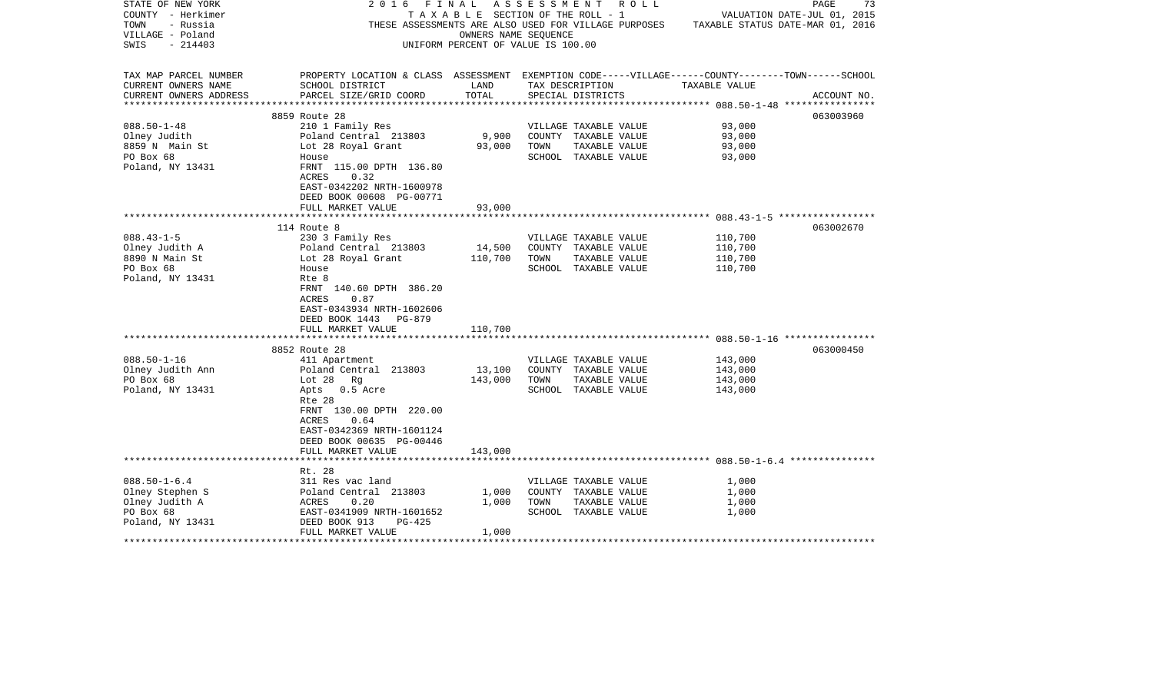| STATE OF NEW YORK       | 2016                                                                                               | FINAL                              |      | ASSESSMENT ROLL                                      |                                  | PAGE<br>73                  |
|-------------------------|----------------------------------------------------------------------------------------------------|------------------------------------|------|------------------------------------------------------|----------------------------------|-----------------------------|
| COUNTY - Herkimer       |                                                                                                    | TAXABLE SECTION OF THE ROLL - 1    |      |                                                      |                                  | VALUATION DATE-JUL 01, 2015 |
| TOWN<br>- Russia        |                                                                                                    |                                    |      | THESE ASSESSMENTS ARE ALSO USED FOR VILLAGE PURPOSES | TAXABLE STATUS DATE-MAR 01, 2016 |                             |
| VILLAGE - Poland        |                                                                                                    | OWNERS NAME SEQUENCE               |      |                                                      |                                  |                             |
| $-214403$<br>SWIS       |                                                                                                    | UNIFORM PERCENT OF VALUE IS 100.00 |      |                                                      |                                  |                             |
|                         |                                                                                                    |                                    |      |                                                      |                                  |                             |
| TAX MAP PARCEL NUMBER   | PROPERTY LOCATION & CLASS ASSESSMENT EXEMPTION CODE-----VILLAGE------COUNTY-------TOWN------SCHOOL |                                    |      |                                                      |                                  |                             |
| CURRENT OWNERS NAME     | SCHOOL DISTRICT                                                                                    | LAND                               |      | TAX DESCRIPTION                                      | TAXABLE VALUE                    |                             |
| CURRENT OWNERS ADDRESS  | PARCEL SIZE/GRID COORD                                                                             | TOTAL                              |      | SPECIAL DISTRICTS                                    |                                  | ACCOUNT NO.                 |
| *********************** |                                                                                                    |                                    |      |                                                      |                                  |                             |
|                         | 8859 Route 28                                                                                      |                                    |      |                                                      |                                  | 063003960                   |
| $088.50 - 1 - 48$       | 210 1 Family Res                                                                                   |                                    |      | VILLAGE TAXABLE VALUE                                | 93,000                           |                             |
| Olney Judith            | Poland Central 213803                                                                              | 9,900                              |      | COUNTY TAXABLE VALUE                                 | 93,000                           |                             |
| 8859 N Main St          | Lot 28 Royal Grant                                                                                 | 93,000                             | TOWN | TAXABLE VALUE                                        | 93,000                           |                             |
| PO Box 68               | House                                                                                              |                                    |      | SCHOOL TAXABLE VALUE                                 | 93,000                           |                             |
| Poland, NY 13431        | FRNT 115.00 DPTH 136.80                                                                            |                                    |      |                                                      |                                  |                             |
|                         | ACRES<br>0.32                                                                                      |                                    |      |                                                      |                                  |                             |
|                         | EAST-0342202 NRTH-1600978                                                                          |                                    |      |                                                      |                                  |                             |
|                         | DEED BOOK 00608 PG-00771                                                                           |                                    |      |                                                      |                                  |                             |
|                         | FULL MARKET VALUE                                                                                  | 93,000                             |      |                                                      |                                  |                             |
|                         |                                                                                                    |                                    |      |                                                      |                                  |                             |
|                         | 114 Route 8                                                                                        |                                    |      |                                                      |                                  | 063002670                   |
| $088.43 - 1 - 5$        | 230 3 Family Res                                                                                   |                                    |      | VILLAGE TAXABLE VALUE                                | 110,700                          |                             |
| Olney Judith A          | Poland Central 213803                                                                              | 14,500                             |      | COUNTY TAXABLE VALUE                                 | 110,700                          |                             |
| 8890 N Main St          | Lot 28 Royal Grant                                                                                 | 110,700                            | TOWN | TAXABLE VALUE                                        | 110,700                          |                             |
| PO Box 68               | House                                                                                              |                                    |      | SCHOOL TAXABLE VALUE                                 | 110,700                          |                             |
| Poland, NY 13431        | Rte 8                                                                                              |                                    |      |                                                      |                                  |                             |
|                         | FRNT 140.60 DPTH 386.20                                                                            |                                    |      |                                                      |                                  |                             |
|                         | ACRES<br>0.87                                                                                      |                                    |      |                                                      |                                  |                             |
|                         | EAST-0343934 NRTH-1602606                                                                          |                                    |      |                                                      |                                  |                             |
|                         | DEED BOOK 1443 PG-879                                                                              |                                    |      |                                                      |                                  |                             |
|                         | FULL MARKET VALUE                                                                                  | 110,700                            |      |                                                      |                                  |                             |
|                         |                                                                                                    |                                    |      |                                                      |                                  |                             |
|                         | 8852 Route 28                                                                                      |                                    |      |                                                      |                                  | 063000450                   |
| $088.50 - 1 - 16$       | 411 Apartment                                                                                      |                                    |      | VILLAGE TAXABLE VALUE                                | 143,000                          |                             |
| Olney Judith Ann        | Poland Central 213803                                                                              | 13,100                             |      | COUNTY TAXABLE VALUE                                 | 143,000                          |                             |
| PO Box 68               | Lot 28 Rg                                                                                          | 143,000                            | TOWN | TAXABLE VALUE                                        | 143,000                          |                             |
| Poland, NY 13431        | Apts 0.5 Acre                                                                                      |                                    |      | SCHOOL TAXABLE VALUE                                 | 143,000                          |                             |
|                         | Rte 28                                                                                             |                                    |      |                                                      |                                  |                             |
|                         | FRNT 130.00 DPTH 220.00                                                                            |                                    |      |                                                      |                                  |                             |
|                         | 0.64<br>ACRES                                                                                      |                                    |      |                                                      |                                  |                             |
|                         | EAST-0342369 NRTH-1601124                                                                          |                                    |      |                                                      |                                  |                             |
|                         | DEED BOOK 00635 PG-00446                                                                           |                                    |      |                                                      |                                  |                             |
|                         | FULL MARKET VALUE                                                                                  | 143,000                            |      |                                                      |                                  |                             |
|                         |                                                                                                    |                                    |      |                                                      |                                  |                             |
|                         | Rt. 28                                                                                             |                                    |      |                                                      |                                  |                             |
| $088.50 - 1 - 6.4$      | 311 Res vac land                                                                                   |                                    |      | VILLAGE TAXABLE VALUE                                | 1,000                            |                             |
| Olney Stephen S         | Poland Central 213803                                                                              | 1,000                              |      | COUNTY TAXABLE VALUE                                 | 1,000                            |                             |
| Olney Judith A          | ACRES<br>0.20                                                                                      | 1,000                              | TOWN | TAXABLE VALUE                                        | 1,000                            |                             |
| PO Box 68               | EAST-0341909 NRTH-1601652                                                                          |                                    |      | SCHOOL TAXABLE VALUE                                 | 1,000                            |                             |
| Poland, NY 13431        | DEED BOOK 913<br>PG-425                                                                            |                                    |      |                                                      |                                  |                             |
|                         | FULL MARKET VALUE                                                                                  | 1,000                              |      |                                                      |                                  |                             |
|                         |                                                                                                    |                                    |      |                                                      |                                  |                             |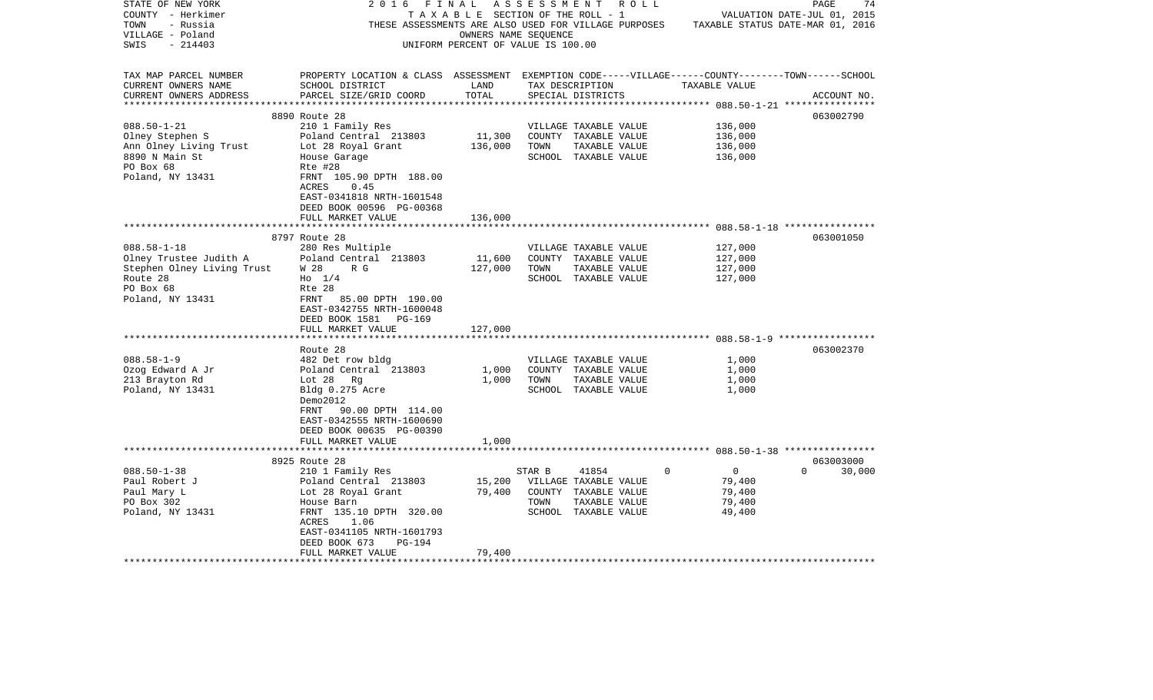| STATE OF NEW YORK          | 2016                                                                                               | FINAL                              | A S S E S S M E N T |                       | R O L L      |                | PAGE                             | 74     |
|----------------------------|----------------------------------------------------------------------------------------------------|------------------------------------|---------------------|-----------------------|--------------|----------------|----------------------------------|--------|
| COUNTY - Herkimer          |                                                                                                    | TAXABLE SECTION OF THE ROLL - 1    |                     |                       |              |                | VALUATION DATE-JUL 01, 2015      |        |
| TOWN<br>- Russia           | THESE ASSESSMENTS ARE ALSO USED FOR VILLAGE PURPOSES                                               |                                    |                     |                       |              |                | TAXABLE STATUS DATE-MAR 01, 2016 |        |
| VILLAGE - Poland           |                                                                                                    | OWNERS NAME SEQUENCE               |                     |                       |              |                |                                  |        |
| SWIS<br>$-214403$          |                                                                                                    | UNIFORM PERCENT OF VALUE IS 100.00 |                     |                       |              |                |                                  |        |
|                            |                                                                                                    |                                    |                     |                       |              |                |                                  |        |
|                            |                                                                                                    |                                    |                     |                       |              |                |                                  |        |
| TAX MAP PARCEL NUMBER      | PROPERTY LOCATION & CLASS ASSESSMENT EXEMPTION CODE-----VILLAGE------COUNTY-------TOWN------SCHOOL |                                    |                     |                       |              |                |                                  |        |
| CURRENT OWNERS NAME        | SCHOOL DISTRICT                                                                                    | LAND                               |                     | TAX DESCRIPTION       |              | TAXABLE VALUE  |                                  |        |
| CURRENT OWNERS ADDRESS     | PARCEL SIZE/GRID COORD                                                                             | TOTAL                              |                     | SPECIAL DISTRICTS     |              |                | ACCOUNT NO.                      |        |
| ***********************    |                                                                                                    |                                    |                     |                       |              |                |                                  |        |
|                            | 8890 Route 28                                                                                      |                                    |                     |                       |              |                | 063002790                        |        |
| $088.50 - 1 - 21$          | 210 1 Family Res                                                                                   |                                    |                     | VILLAGE TAXABLE VALUE |              | 136,000        |                                  |        |
| Olney Stephen S            | Poland Central 213803                                                                              | 11,300                             |                     | COUNTY TAXABLE VALUE  |              | 136,000        |                                  |        |
| Ann Olney Living Trust     | Lot 28 Royal Grant                                                                                 | 136,000                            | TOWN                | TAXABLE VALUE         |              | 136,000        |                                  |        |
| 8890 N Main St             | House Garage                                                                                       |                                    |                     | SCHOOL TAXABLE VALUE  |              | 136,000        |                                  |        |
| PO Box 68                  | Rte #28                                                                                            |                                    |                     |                       |              |                |                                  |        |
| Poland, NY 13431           | FRNT 105.90 DPTH 188.00                                                                            |                                    |                     |                       |              |                |                                  |        |
|                            | ACRES<br>0.45                                                                                      |                                    |                     |                       |              |                |                                  |        |
|                            | EAST-0341818 NRTH-1601548                                                                          |                                    |                     |                       |              |                |                                  |        |
|                            | DEED BOOK 00596 PG-00368                                                                           |                                    |                     |                       |              |                |                                  |        |
|                            | FULL MARKET VALUE                                                                                  | 136,000                            |                     |                       |              |                |                                  |        |
|                            |                                                                                                    |                                    |                     |                       |              |                |                                  |        |
|                            | 8797 Route 28                                                                                      |                                    |                     |                       |              |                | 063001050                        |        |
| $088.58 - 1 - 18$          | 280 Res Multiple                                                                                   |                                    |                     | VILLAGE TAXABLE VALUE |              | 127,000        |                                  |        |
| Olney Trustee Judith A     | Poland Central 213803                                                                              | 11,600                             |                     | COUNTY TAXABLE VALUE  |              | 127,000        |                                  |        |
| Stephen Olney Living Trust | W 28<br>R G                                                                                        | 127,000                            | TOWN                | TAXABLE VALUE         |              | 127,000        |                                  |        |
| Route 28                   | $H_0$ 1/4                                                                                          |                                    |                     | SCHOOL TAXABLE VALUE  |              | 127,000        |                                  |        |
| PO Box 68                  | Rte 28                                                                                             |                                    |                     |                       |              |                |                                  |        |
| Poland, NY 13431           | FRNT 85.00 DPTH 190.00                                                                             |                                    |                     |                       |              |                |                                  |        |
|                            | EAST-0342755 NRTH-1600048                                                                          |                                    |                     |                       |              |                |                                  |        |
|                            |                                                                                                    |                                    |                     |                       |              |                |                                  |        |
|                            | DEED BOOK 1581<br>PG-169                                                                           |                                    |                     |                       |              |                |                                  |        |
|                            | FULL MARKET VALUE                                                                                  | 127,000                            |                     |                       |              |                |                                  |        |
|                            |                                                                                                    |                                    |                     |                       |              |                | 063002370                        |        |
|                            | Route 28                                                                                           |                                    |                     |                       |              |                |                                  |        |
| $088.58 - 1 - 9$           | 482 Det row bldg                                                                                   |                                    |                     | VILLAGE TAXABLE VALUE |              | 1,000          |                                  |        |
| Ozog Edward A Jr           | Poland Central 213803                                                                              | 1,000                              |                     | COUNTY TAXABLE VALUE  |              | 1,000          |                                  |        |
| 213 Brayton Rd             | Lot 28 Rg                                                                                          | 1,000                              | TOWN                | TAXABLE VALUE         |              | 1,000          |                                  |        |
| Poland, NY 13431           | Bldg 0.275 Acre                                                                                    |                                    |                     | SCHOOL TAXABLE VALUE  |              | 1,000          |                                  |        |
|                            | Demo2012                                                                                           |                                    |                     |                       |              |                |                                  |        |
|                            | FRNT<br>90.00 DPTH 114.00                                                                          |                                    |                     |                       |              |                |                                  |        |
|                            | EAST-0342555 NRTH-1600690                                                                          |                                    |                     |                       |              |                |                                  |        |
|                            | DEED BOOK 00635 PG-00390                                                                           |                                    |                     |                       |              |                |                                  |        |
|                            | FULL MARKET VALUE                                                                                  | 1,000                              |                     |                       |              |                |                                  |        |
|                            | ********************************                                                                   |                                    |                     |                       |              |                |                                  |        |
|                            | 8925 Route 28                                                                                      |                                    |                     |                       |              |                | 063003000                        |        |
| $088.50 - 1 - 38$          | 210 1 Family Res                                                                                   |                                    | STAR B              | 41854                 | $\mathbf{0}$ | $\overline{0}$ | $\Omega$                         | 30,000 |
| Paul Robert J              | Poland Central 213803                                                                              | 15,200                             |                     | VILLAGE TAXABLE VALUE |              | 79,400         |                                  |        |
| Paul Mary L                | Lot 28 Royal Grant                                                                                 | 79,400                             |                     | COUNTY TAXABLE VALUE  |              | 79,400         |                                  |        |
| PO Box 302                 | House Barn                                                                                         |                                    | TOWN                | TAXABLE VALUE         |              | 79,400         |                                  |        |
| Poland, NY 13431           | FRNT 135.10 DPTH 320.00                                                                            |                                    |                     | SCHOOL TAXABLE VALUE  |              | 49,400         |                                  |        |
|                            | ACRES<br>1.06                                                                                      |                                    |                     |                       |              |                |                                  |        |
|                            | EAST-0341105 NRTH-1601793                                                                          |                                    |                     |                       |              |                |                                  |        |
|                            | DEED BOOK 673<br>PG-194                                                                            |                                    |                     |                       |              |                |                                  |        |
|                            | FULL MARKET VALUE                                                                                  | 79,400                             |                     |                       |              |                |                                  |        |
|                            |                                                                                                    |                                    |                     |                       |              |                |                                  |        |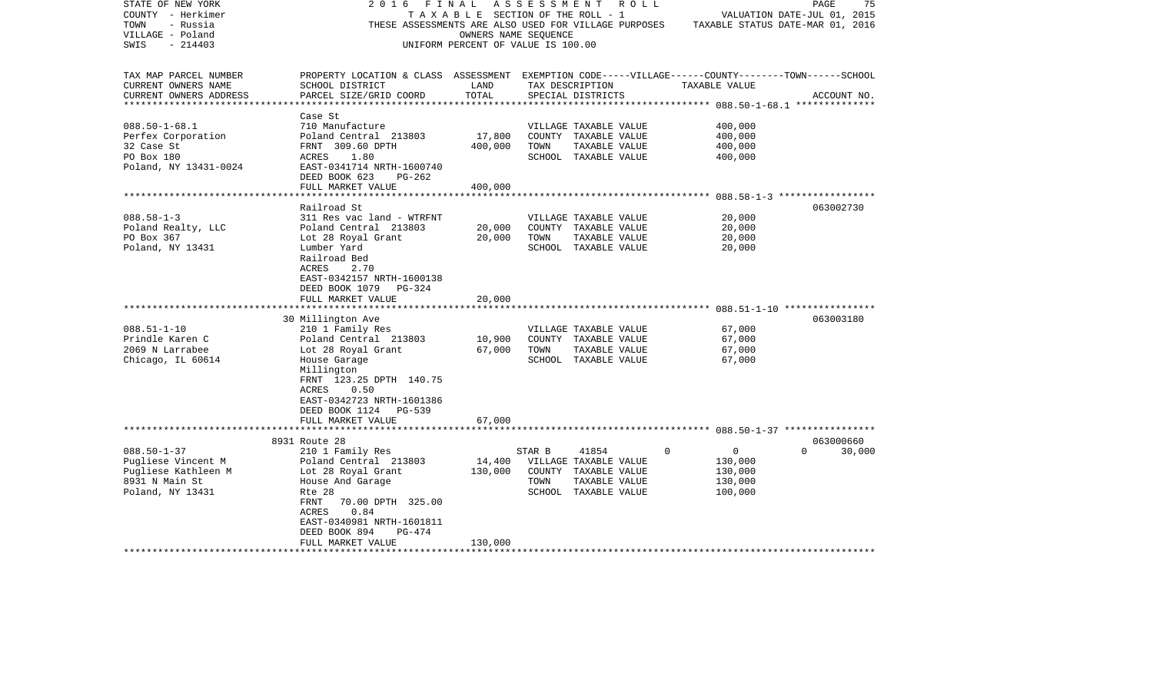| STATE OF NEW YORK<br>COUNTY - Herkimer<br>- Russia<br>TOWN<br>VILLAGE - Poland<br>SWIS<br>$-214403$  | 2 0 1 6<br>THESE ASSESSMENTS ARE ALSO USED FOR VILLAGE PURPOSES                                                                                       | FINAL<br>T A X A B L E SECTION OF THE ROLL - 1<br>UNIFORM PERCENT OF VALUE IS 100.00 | A S S E S S M E N T<br>OWNERS NAME SEQUENCE | R O L L                                                                                         |                                                                 | 75<br>PAGE<br>VALUATION DATE-JUL 01, 2015<br>TAXABLE STATUS DATE-MAR 01, 2016 |
|------------------------------------------------------------------------------------------------------|-------------------------------------------------------------------------------------------------------------------------------------------------------|--------------------------------------------------------------------------------------|---------------------------------------------|-------------------------------------------------------------------------------------------------|-----------------------------------------------------------------|-------------------------------------------------------------------------------|
| TAX MAP PARCEL NUMBER<br>CURRENT OWNERS NAME<br>CURRENT OWNERS ADDRESS                               | PROPERTY LOCATION & CLASS ASSESSMENT EXEMPTION CODE-----VILLAGE------COUNTY-------TOWN------SCHOOL<br>SCHOOL DISTRICT<br>PARCEL SIZE/GRID COORD       | LAND<br>TOTAL                                                                        |                                             | TAX DESCRIPTION<br>SPECIAL DISTRICTS                                                            | TAXABLE VALUE                                                   | ACCOUNT NO.                                                                   |
|                                                                                                      |                                                                                                                                                       |                                                                                      |                                             |                                                                                                 |                                                                 |                                                                               |
| $088.50 - 1 - 68.1$<br>Perfex Corporation<br>32 Case St                                              | Case St<br>710 Manufacture<br>Poland Central 213803<br>FRNT 309.60 DPTH                                                                               | 17,800<br>400,000                                                                    | TOWN                                        | VILLAGE TAXABLE VALUE<br>COUNTY TAXABLE VALUE<br>TAXABLE VALUE                                  | 400,000<br>400,000<br>400,000                                   |                                                                               |
| PO Box 180<br>Poland, NY 13431-0024                                                                  | ACRES<br>1.80<br>EAST-0341714 NRTH-1600740<br>DEED BOOK 623<br>PG-262                                                                                 |                                                                                      |                                             | SCHOOL TAXABLE VALUE                                                                            | 400,000                                                         |                                                                               |
|                                                                                                      | FULL MARKET VALUE<br>************************                                                                                                         | 400,000                                                                              |                                             |                                                                                                 |                                                                 |                                                                               |
|                                                                                                      | Railroad St                                                                                                                                           |                                                                                      |                                             |                                                                                                 |                                                                 | 063002730                                                                     |
| $088.58 - 1 - 3$<br>Poland Realty, LLC                                                               | 311 Res vac land - WTRFNT<br>Poland Central 213803                                                                                                    | 20,000                                                                               |                                             | VILLAGE TAXABLE VALUE<br>COUNTY TAXABLE VALUE                                                   | 20,000<br>20,000                                                |                                                                               |
| PO Box 367                                                                                           | Lot 28 Royal Grant                                                                                                                                    | 20,000                                                                               | TOWN                                        | TAXABLE VALUE                                                                                   | 20,000                                                          |                                                                               |
| Poland, NY 13431                                                                                     | Lumber Yard<br>Railroad Bed<br>2.70<br>ACRES<br>EAST-0342157 NRTH-1600138<br>DEED BOOK 1079<br>PG-324<br>FULL MARKET VALUE                            | 20,000                                                                               |                                             | SCHOOL TAXABLE VALUE                                                                            | 20,000                                                          |                                                                               |
|                                                                                                      |                                                                                                                                                       |                                                                                      |                                             |                                                                                                 |                                                                 |                                                                               |
|                                                                                                      | 30 Millington Ave                                                                                                                                     |                                                                                      |                                             |                                                                                                 |                                                                 | 063003180                                                                     |
| $088.51 - 1 - 10$                                                                                    | 210 1 Family Res                                                                                                                                      |                                                                                      |                                             | VILLAGE TAXABLE VALUE                                                                           | 67,000                                                          |                                                                               |
| Prindle Karen C                                                                                      | Poland Central 213803                                                                                                                                 | 10,900                                                                               |                                             | COUNTY TAXABLE VALUE                                                                            | 67,000                                                          |                                                                               |
| 2069 N Larrabee<br>Chicago, IL 60614                                                                 | Lot 28 Royal Grant<br>House Garage<br>Millington<br>FRNT 123.25 DPTH 140.75<br>ACRES<br>0.50<br>EAST-0342723 NRTH-1601386<br>DEED BOOK 1124<br>PG-539 | 67,000                                                                               | TOWN                                        | TAXABLE VALUE<br>SCHOOL TAXABLE VALUE                                                           | 67,000<br>67,000                                                |                                                                               |
|                                                                                                      | FULL MARKET VALUE                                                                                                                                     | 67,000                                                                               |                                             |                                                                                                 |                                                                 |                                                                               |
|                                                                                                      | 8931 Route 28                                                                                                                                         |                                                                                      |                                             |                                                                                                 |                                                                 | 063000660                                                                     |
| $088.50 - 1 - 37$<br>Pugliese Vincent M<br>Pugliese Kathleen M<br>8931 N Main St<br>Poland, NY 13431 | 210 1 Family Res<br>Poland Central 213803<br>Lot 28 Royal Grant<br>House And Garage<br>Rte 28<br>70.00 DPTH 325.00<br>FRNT<br>0.84<br>ACRES           | 14,400<br>130,000                                                                    | STAR B<br>TOWN                              | 41854<br>VILLAGE TAXABLE VALUE<br>COUNTY TAXABLE VALUE<br>TAXABLE VALUE<br>SCHOOL TAXABLE VALUE | 0<br>$\overline{0}$<br>130,000<br>130,000<br>130,000<br>100,000 | $\Omega$<br>30,000                                                            |
|                                                                                                      | EAST-0340981 NRTH-1601811<br>DEED BOOK 894<br>$PG-474$<br>FULL MARKET VALUE                                                                           | 130,000                                                                              |                                             |                                                                                                 |                                                                 |                                                                               |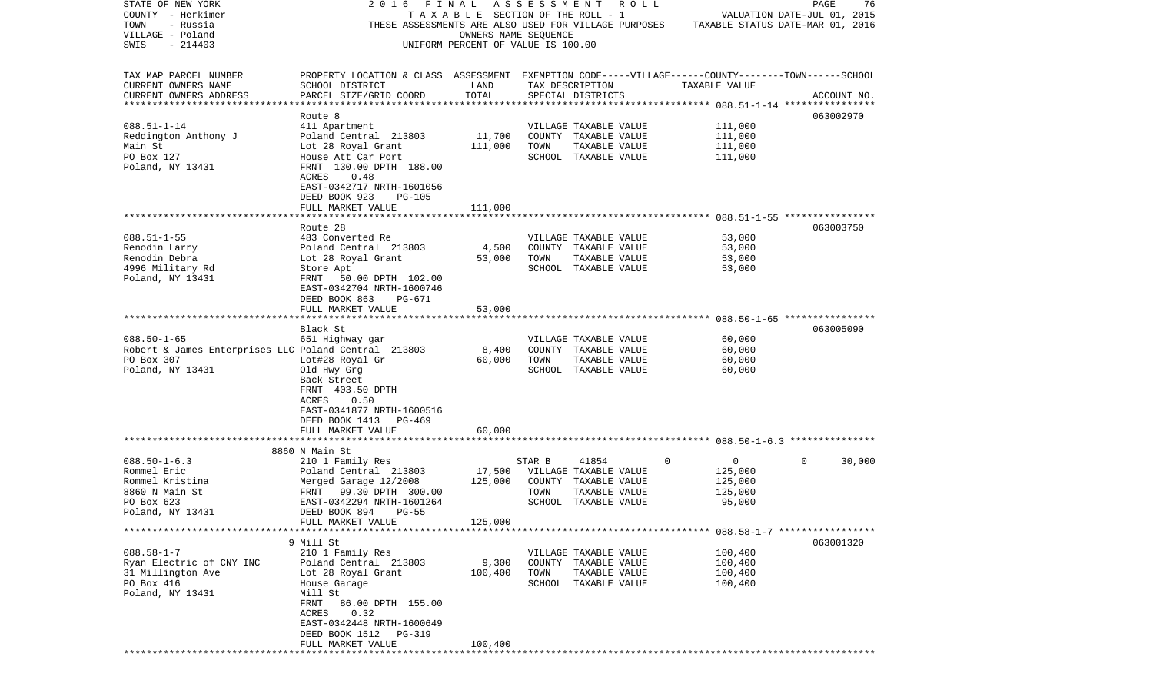| STATE OF NEW YORK                                    | 2016                                                                                                                  | FINAL                                 | A S S E S S M E N T | ROLL                  |                                                       | 76<br>PAGE                       |
|------------------------------------------------------|-----------------------------------------------------------------------------------------------------------------------|---------------------------------------|---------------------|-----------------------|-------------------------------------------------------|----------------------------------|
| COUNTY - Herkimer                                    |                                                                                                                       | T A X A B L E SECTION OF THE ROLL - 1 |                     |                       |                                                       | VALUATION DATE-JUL 01, 2015      |
| TOWN<br>- Russia                                     | THESE ASSESSMENTS ARE ALSO USED FOR VILLAGE PURPOSES                                                                  |                                       |                     |                       |                                                       | TAXABLE STATUS DATE-MAR 01, 2016 |
| VILLAGE - Poland                                     |                                                                                                                       | OWNERS NAME SEOUENCE                  |                     |                       |                                                       |                                  |
| $-214403$<br>SWIS                                    |                                                                                                                       | UNIFORM PERCENT OF VALUE IS 100.00    |                     |                       |                                                       |                                  |
|                                                      |                                                                                                                       |                                       |                     |                       |                                                       |                                  |
| TAX MAP PARCEL NUMBER<br>CURRENT OWNERS NAME         | PROPERTY LOCATION & CLASS ASSESSMENT EXEMPTION CODE-----VILLAGE------COUNTY-------TOWN------SCHOOL<br>SCHOOL DISTRICT | LAND                                  |                     | TAX DESCRIPTION       | TAXABLE VALUE                                         |                                  |
| CURRENT OWNERS ADDRESS                               | PARCEL SIZE/GRID COORD                                                                                                | TOTAL                                 |                     | SPECIAL DISTRICTS     |                                                       | ACCOUNT NO.                      |
|                                                      |                                                                                                                       |                                       |                     |                       |                                                       |                                  |
|                                                      | Route 8                                                                                                               |                                       |                     |                       |                                                       | 063002970                        |
| $088.51 - 1 - 14$                                    | 411 Apartment                                                                                                         |                                       |                     | VILLAGE TAXABLE VALUE | 111,000                                               |                                  |
| Reddington Anthony J                                 | Poland Central 213803                                                                                                 | 11,700                                |                     | COUNTY TAXABLE VALUE  | 111,000                                               |                                  |
| Main St                                              | Lot 28 Royal Grant                                                                                                    | 111,000                               | TOWN                | TAXABLE VALUE         | 111,000                                               |                                  |
| PO Box 127                                           | House Att Car Port                                                                                                    |                                       |                     | SCHOOL TAXABLE VALUE  | 111,000                                               |                                  |
| Poland, NY 13431                                     | FRNT 130.00 DPTH 188.00                                                                                               |                                       |                     |                       |                                                       |                                  |
|                                                      | 0.48<br>ACRES                                                                                                         |                                       |                     |                       |                                                       |                                  |
|                                                      | EAST-0342717 NRTH-1601056                                                                                             |                                       |                     |                       |                                                       |                                  |
|                                                      | DEED BOOK 923<br><b>PG-105</b>                                                                                        |                                       |                     |                       |                                                       |                                  |
|                                                      | FULL MARKET VALUE                                                                                                     | 111,000                               |                     |                       |                                                       |                                  |
|                                                      |                                                                                                                       |                                       |                     |                       |                                                       |                                  |
|                                                      | Route 28                                                                                                              |                                       |                     |                       |                                                       | 063003750                        |
| $088.51 - 1 - 55$                                    | 483 Converted Re                                                                                                      |                                       |                     | VILLAGE TAXABLE VALUE | 53,000                                                |                                  |
| Renodin Larry                                        | Poland Central 213803                                                                                                 | 4,500                                 |                     | COUNTY TAXABLE VALUE  | 53,000                                                |                                  |
| Renodin Debra                                        | Lot 28 Royal Grant                                                                                                    | 53,000                                | TOWN                | TAXABLE VALUE         | 53,000                                                |                                  |
| 4996 Military Rd                                     | Store Apt                                                                                                             |                                       |                     | SCHOOL TAXABLE VALUE  | 53,000                                                |                                  |
| Poland, NY 13431                                     | 50.00 DPTH 102.00<br>FRNT                                                                                             |                                       |                     |                       |                                                       |                                  |
|                                                      | EAST-0342704 NRTH-1600746                                                                                             |                                       |                     |                       |                                                       |                                  |
|                                                      | DEED BOOK 863<br>PG-671                                                                                               |                                       |                     |                       |                                                       |                                  |
|                                                      | FULL MARKET VALUE                                                                                                     | 53,000                                |                     |                       |                                                       |                                  |
|                                                      | *******************                                                                                                   |                                       |                     |                       |                                                       |                                  |
|                                                      | Black St                                                                                                              |                                       |                     |                       |                                                       | 063005090                        |
| $088.50 - 1 - 65$                                    | 651 Highway gar                                                                                                       |                                       |                     | VILLAGE TAXABLE VALUE | 60,000                                                |                                  |
| Robert & James Enterprises LLC Poland Central 213803 |                                                                                                                       | 8,400                                 |                     | COUNTY TAXABLE VALUE  | 60,000                                                |                                  |
| PO Box 307                                           | Lot#28 Royal Gr                                                                                                       | 60,000                                | TOWN                | TAXABLE VALUE         | 60,000                                                |                                  |
| Poland, NY 13431                                     | Old Hwy Grg                                                                                                           |                                       |                     | SCHOOL TAXABLE VALUE  | 60,000                                                |                                  |
|                                                      | Back Street                                                                                                           |                                       |                     |                       |                                                       |                                  |
|                                                      | FRNT 403.50 DPTH                                                                                                      |                                       |                     |                       |                                                       |                                  |
|                                                      | ACRES<br>0.50                                                                                                         |                                       |                     |                       |                                                       |                                  |
|                                                      | EAST-0341877 NRTH-1600516                                                                                             |                                       |                     |                       |                                                       |                                  |
|                                                      | DEED BOOK 1413<br>PG-469                                                                                              |                                       |                     |                       |                                                       |                                  |
|                                                      | FULL MARKET VALUE                                                                                                     | 60,000                                |                     |                       |                                                       |                                  |
|                                                      |                                                                                                                       |                                       |                     |                       |                                                       |                                  |
| $088.50 - 1 - 6.3$                                   | 8860 N Main St<br>210 1 Family Res                                                                                    |                                       | STAR B              | 41854                 | $\mathbf 0$<br>0                                      | 30,000<br>0                      |
| Rommel Eric                                          | Poland Central 213803                                                                                                 | 17,500                                |                     | VILLAGE TAXABLE VALUE | 125,000                                               |                                  |
| Rommel Kristina                                      | Merged Garage 12/2008                                                                                                 | 125,000                               |                     | COUNTY TAXABLE VALUE  | 125,000                                               |                                  |
| 8860 N Main St                                       | 99.30 DPTH 300.00<br>FRNT                                                                                             |                                       | TOWN                | TAXABLE VALUE         | 125,000                                               |                                  |
| PO Box 623                                           | EAST-0342294 NRTH-1601264                                                                                             |                                       |                     | SCHOOL TAXABLE VALUE  | 95,000                                                |                                  |
| Poland, NY 13431                                     | DEED BOOK 894<br>$PG-55$                                                                                              |                                       |                     |                       |                                                       |                                  |
|                                                      | FULL MARKET VALUE                                                                                                     | 125,000                               |                     |                       |                                                       |                                  |
|                                                      |                                                                                                                       |                                       |                     |                       | *********************** 088.58-1-7 ****************** |                                  |
|                                                      | 9 Mill St                                                                                                             |                                       |                     |                       |                                                       | 063001320                        |
| $088.58 - 1 - 7$                                     | 210 1 Family Res                                                                                                      |                                       |                     | VILLAGE TAXABLE VALUE | 100,400                                               |                                  |
| Ryan Electric of CNY INC                             | Poland Central 213803                                                                                                 | 9,300                                 |                     | COUNTY TAXABLE VALUE  | 100,400                                               |                                  |
| 31 Millington Ave                                    | Lot 28 Royal Grant                                                                                                    | 100,400                               | TOWN                | TAXABLE VALUE         | 100,400                                               |                                  |
| PO Box 416                                           | House Garage                                                                                                          |                                       |                     | SCHOOL TAXABLE VALUE  | 100,400                                               |                                  |
| Poland, NY 13431                                     | Mill St                                                                                                               |                                       |                     |                       |                                                       |                                  |
|                                                      | 86.00 DPTH 155.00<br>FRNT                                                                                             |                                       |                     |                       |                                                       |                                  |
|                                                      | 0.32<br>ACRES                                                                                                         |                                       |                     |                       |                                                       |                                  |
|                                                      | EAST-0342448 NRTH-1600649                                                                                             |                                       |                     |                       |                                                       |                                  |
|                                                      | DEED BOOK 1512<br>PG-319                                                                                              |                                       |                     |                       |                                                       |                                  |
|                                                      | FULL MARKET VALUE                                                                                                     | 100,400                               |                     |                       |                                                       |                                  |
|                                                      | * * * * * * * * * * * * * * * * * *                                                                                   |                                       |                     |                       |                                                       |                                  |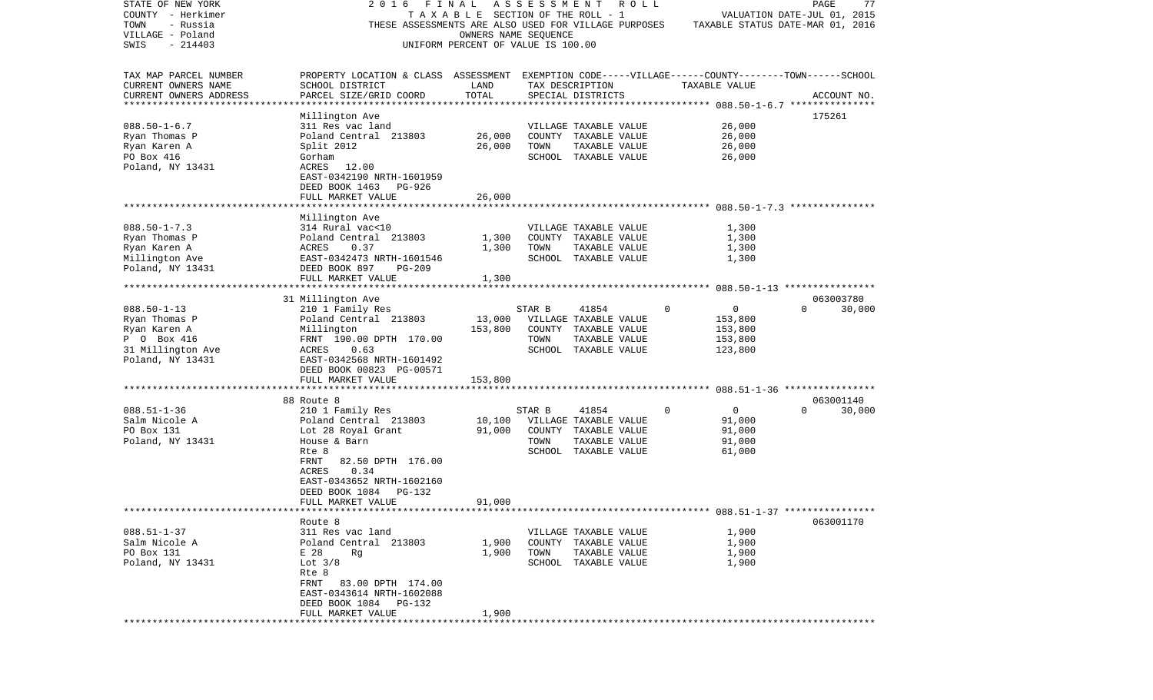| STATE OF NEW YORK       | 2016<br>FINAL                                                                                      |                                    | ASSESSMENT | R O L L               |             |                                  | PAGE                        | 77          |
|-------------------------|----------------------------------------------------------------------------------------------------|------------------------------------|------------|-----------------------|-------------|----------------------------------|-----------------------------|-------------|
| COUNTY - Herkimer       |                                                                                                    | TAXABLE SECTION OF THE ROLL - 1    |            |                       |             |                                  | VALUATION DATE-JUL 01, 2015 |             |
| - Russia<br>TOWN        | THESE ASSESSMENTS ARE ALSO USED FOR VILLAGE PURPOSES                                               |                                    |            |                       |             | TAXABLE STATUS DATE-MAR 01, 2016 |                             |             |
| VILLAGE - Poland        |                                                                                                    | OWNERS NAME SEQUENCE               |            |                       |             |                                  |                             |             |
| SWIS<br>$-214403$       |                                                                                                    | UNIFORM PERCENT OF VALUE IS 100.00 |            |                       |             |                                  |                             |             |
|                         |                                                                                                    |                                    |            |                       |             |                                  |                             |             |
|                         |                                                                                                    |                                    |            |                       |             |                                  |                             |             |
| TAX MAP PARCEL NUMBER   | PROPERTY LOCATION & CLASS ASSESSMENT EXEMPTION CODE-----VILLAGE------COUNTY-------TOWN------SCHOOL |                                    |            |                       |             |                                  |                             |             |
| CURRENT OWNERS NAME     | SCHOOL DISTRICT                                                                                    | LAND                               |            | TAX DESCRIPTION       |             | TAXABLE VALUE                    |                             |             |
| CURRENT OWNERS ADDRESS  | PARCEL SIZE/GRID COORD                                                                             | TOTAL                              |            | SPECIAL DISTRICTS     |             |                                  |                             | ACCOUNT NO. |
| *********************** |                                                                                                    |                                    |            |                       |             |                                  |                             |             |
|                         | Millington Ave                                                                                     |                                    |            |                       |             |                                  | 175261                      |             |
| $088.50 - 1 - 6.7$      | 311 Res vac land                                                                                   |                                    |            | VILLAGE TAXABLE VALUE |             | 26,000                           |                             |             |
| Ryan Thomas P           | Poland Central 213803                                                                              | 26,000                             |            | COUNTY TAXABLE VALUE  |             | 26,000                           |                             |             |
| Ryan Karen A            | Split 2012                                                                                         | 26,000                             | TOWN       | TAXABLE VALUE         |             | 26,000                           |                             |             |
| PO Box 416              | Gorham                                                                                             |                                    |            | SCHOOL TAXABLE VALUE  |             | 26,000                           |                             |             |
|                         |                                                                                                    |                                    |            |                       |             |                                  |                             |             |
| Poland, NY 13431        | ACRES 12.00                                                                                        |                                    |            |                       |             |                                  |                             |             |
|                         | EAST-0342190 NRTH-1601959                                                                          |                                    |            |                       |             |                                  |                             |             |
|                         | DEED BOOK 1463<br>PG-926                                                                           |                                    |            |                       |             |                                  |                             |             |
|                         | FULL MARKET VALUE                                                                                  | 26,000                             |            |                       |             |                                  |                             |             |
|                         |                                                                                                    |                                    |            |                       |             |                                  |                             |             |
|                         | Millington Ave                                                                                     |                                    |            |                       |             |                                  |                             |             |
| $088.50 - 1 - 7.3$      | 314 Rural vac<10                                                                                   |                                    |            | VILLAGE TAXABLE VALUE |             | 1,300                            |                             |             |
| Ryan Thomas P           | Poland Central 213803                                                                              | 1,300                              |            | COUNTY TAXABLE VALUE  |             | 1,300                            |                             |             |
| Ryan Karen A            | ACRES<br>0.37                                                                                      | 1,300                              | TOWN       | TAXABLE VALUE         |             | 1,300                            |                             |             |
| Millington Ave          | EAST-0342473 NRTH-1601546                                                                          |                                    |            | SCHOOL TAXABLE VALUE  |             | 1,300                            |                             |             |
| Poland, NY 13431        | DEED BOOK 897<br>$PG-209$                                                                          |                                    |            |                       |             |                                  |                             |             |
|                         | FULL MARKET VALUE                                                                                  | 1,300                              |            |                       |             |                                  |                             |             |
|                         |                                                                                                    |                                    |            |                       |             |                                  |                             |             |
|                         | 31 Millington Ave                                                                                  |                                    |            |                       |             |                                  | 063003780                   |             |
| $088.50 - 1 - 13$       | 210 1 Family Res                                                                                   |                                    | STAR B     | 41854                 | $\mathbf 0$ | $\overline{0}$                   | $\Omega$                    | 30,000      |
| Ryan Thomas P           | Poland Central 213803                                                                              | 13,000                             |            | VILLAGE TAXABLE VALUE |             | 153,800                          |                             |             |
| Ryan Karen A            | Millington                                                                                         | 153,800                            |            | COUNTY TAXABLE VALUE  |             | 153,800                          |                             |             |
| P 0 Box 416             | FRNT 190.00 DPTH 170.00                                                                            |                                    | TOWN       | TAXABLE VALUE         |             | 153,800                          |                             |             |
| 31 Millington Ave       | ACRES<br>0.63                                                                                      |                                    |            | SCHOOL TAXABLE VALUE  |             | 123,800                          |                             |             |
| Poland, NY 13431        | EAST-0342568 NRTH-1601492                                                                          |                                    |            |                       |             |                                  |                             |             |
|                         | DEED BOOK 00823 PG-00571                                                                           |                                    |            |                       |             |                                  |                             |             |
|                         |                                                                                                    |                                    |            |                       |             |                                  |                             |             |
|                         | FULL MARKET VALUE<br>***********************                                                       | 153,800                            |            |                       |             |                                  |                             |             |
|                         | 88 Route 8                                                                                         |                                    |            |                       |             |                                  | 063001140                   |             |
|                         |                                                                                                    |                                    |            |                       |             |                                  | $\Omega$                    |             |
| $088.51 - 1 - 36$       | 210 1 Family Res                                                                                   |                                    | STAR B     | 41854                 | 0           | $\mathsf{O}$                     |                             | 30,000      |
| Salm Nicole A           | Poland Central 213803                                                                              | 10,100                             |            | VILLAGE TAXABLE VALUE |             | 91,000                           |                             |             |
| PO Box 131              | Lot 28 Royal Grant                                                                                 | 91,000                             |            | COUNTY TAXABLE VALUE  |             | 91,000                           |                             |             |
| Poland, NY 13431        | House & Barn                                                                                       |                                    | TOWN       | TAXABLE VALUE         |             | 91,000                           |                             |             |
|                         | Rte 8                                                                                              |                                    |            | SCHOOL TAXABLE VALUE  |             | 61,000                           |                             |             |
|                         | 82.50 DPTH 176.00<br>FRNT                                                                          |                                    |            |                       |             |                                  |                             |             |
|                         | 0.34<br>ACRES                                                                                      |                                    |            |                       |             |                                  |                             |             |
|                         | EAST-0343652 NRTH-1602160                                                                          |                                    |            |                       |             |                                  |                             |             |
|                         | DEED BOOK 1084<br>PG-132                                                                           |                                    |            |                       |             |                                  |                             |             |
|                         | FULL MARKET VALUE                                                                                  | 91,000                             |            |                       |             |                                  |                             |             |
| ********************    |                                                                                                    |                                    |            |                       |             |                                  |                             |             |
|                         | Route 8                                                                                            |                                    |            |                       |             |                                  | 063001170                   |             |
| $088.51 - 1 - 37$       | 311 Res vac land                                                                                   |                                    |            | VILLAGE TAXABLE VALUE |             | 1,900                            |                             |             |
| Salm Nicole A           | Poland Central 213803                                                                              | 1,900                              |            | COUNTY TAXABLE VALUE  |             | 1,900                            |                             |             |
| PO Box 131              | E 28<br>Rq                                                                                         | 1,900                              | TOWN       | TAXABLE VALUE         |             | 1,900                            |                             |             |
| Poland, NY 13431        | Lot $3/8$                                                                                          |                                    |            | SCHOOL TAXABLE VALUE  |             | 1,900                            |                             |             |
|                         | Rte 8                                                                                              |                                    |            |                       |             |                                  |                             |             |
|                         | FRNT<br>83.00 DPTH 174.00                                                                          |                                    |            |                       |             |                                  |                             |             |
|                         | EAST-0343614 NRTH-1602088                                                                          |                                    |            |                       |             |                                  |                             |             |
|                         | DEED BOOK 1084<br>PG-132                                                                           |                                    |            |                       |             |                                  |                             |             |
|                         | FULL MARKET VALUE                                                                                  | 1,900                              |            |                       |             |                                  |                             |             |
|                         |                                                                                                    |                                    |            |                       |             |                                  |                             |             |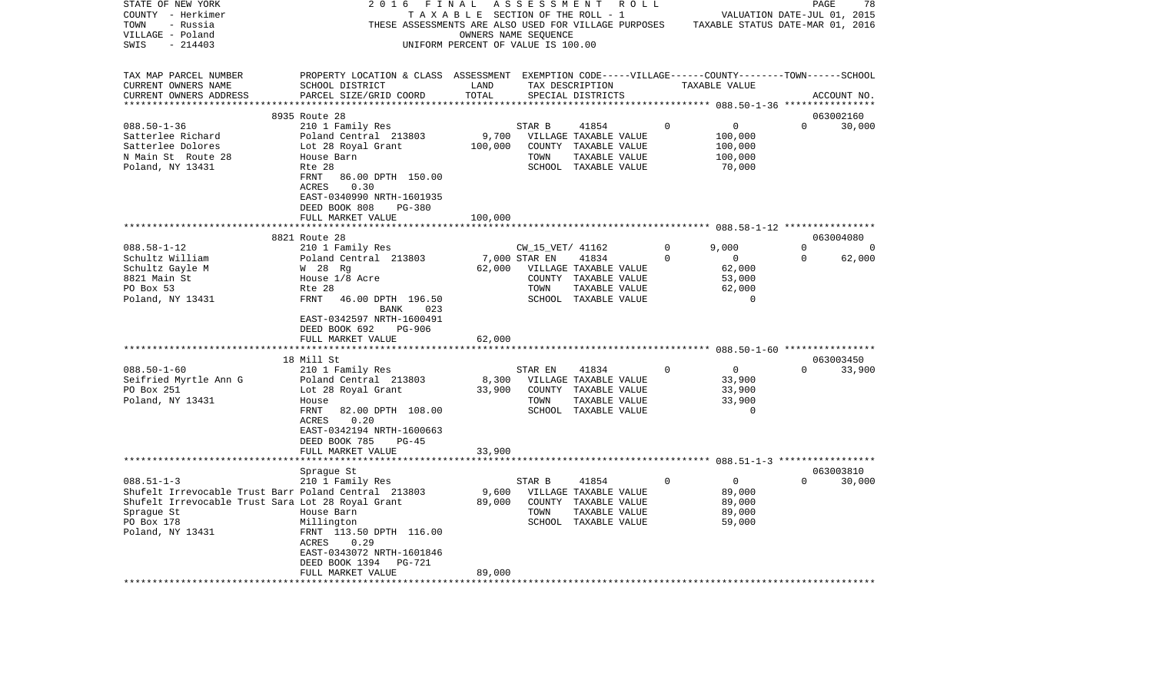| STATE OF NEW YORK                                    | 2016<br>FINAL                                                                                      |                                       | A S S E S S M E N T  | R O L L                                       |          |                                  | PAGE        | 78          |
|------------------------------------------------------|----------------------------------------------------------------------------------------------------|---------------------------------------|----------------------|-----------------------------------------------|----------|----------------------------------|-------------|-------------|
| COUNTY - Herkimer                                    |                                                                                                    | T A X A B L E SECTION OF THE ROLL - 1 |                      |                                               |          | VALUATION DATE-JUL 01, 2015      |             |             |
| TOWN<br>- Russia                                     | THESE ASSESSMENTS ARE ALSO USED FOR VILLAGE PURPOSES                                               |                                       |                      |                                               |          | TAXABLE STATUS DATE-MAR 01, 2016 |             |             |
| VILLAGE - Poland                                     |                                                                                                    |                                       | OWNERS NAME SEQUENCE |                                               |          |                                  |             |             |
| SWIS<br>$-214403$                                    |                                                                                                    | UNIFORM PERCENT OF VALUE IS 100.00    |                      |                                               |          |                                  |             |             |
| TAX MAP PARCEL NUMBER                                | PROPERTY LOCATION & CLASS ASSESSMENT EXEMPTION CODE-----VILLAGE------COUNTY-------TOWN------SCHOOL |                                       |                      |                                               |          |                                  |             |             |
| CURRENT OWNERS NAME                                  | SCHOOL DISTRICT                                                                                    | LAND                                  |                      | TAX DESCRIPTION                               |          | TAXABLE VALUE                    |             |             |
| CURRENT OWNERS ADDRESS                               | PARCEL SIZE/GRID COORD                                                                             | TOTAL                                 |                      | SPECIAL DISTRICTS                             |          |                                  |             | ACCOUNT NO. |
|                                                      |                                                                                                    | * * * * * * * * * *                   |                      |                                               |          |                                  |             |             |
|                                                      | 8935 Route 28                                                                                      |                                       |                      |                                               |          |                                  |             | 063002160   |
| $088.50 - 1 - 36$                                    | 210 1 Family Res                                                                                   |                                       | STAR B               | 41854                                         | $\Omega$ | 0                                | $\Omega$    | 30,000      |
| Satterlee Richard<br>Satterlee Dolores               | Poland Central 213803<br>Lot 28 Royal Grant                                                        | 9,700<br>100,000                      |                      | VILLAGE TAXABLE VALUE<br>COUNTY TAXABLE VALUE |          | 100,000<br>100,000               |             |             |
| N Main St Route 28                                   | House Barn                                                                                         |                                       | TOWN                 | TAXABLE VALUE                                 |          | 100,000                          |             |             |
| Poland, NY 13431                                     | Rte 28                                                                                             |                                       |                      | SCHOOL TAXABLE VALUE                          |          | 70,000                           |             |             |
|                                                      | 86.00 DPTH 150.00<br>FRNT                                                                          |                                       |                      |                                               |          |                                  |             |             |
|                                                      | 0.30<br>ACRES                                                                                      |                                       |                      |                                               |          |                                  |             |             |
|                                                      | EAST-0340990 NRTH-1601935                                                                          |                                       |                      |                                               |          |                                  |             |             |
|                                                      | DEED BOOK 808<br>PG-380                                                                            |                                       |                      |                                               |          |                                  |             |             |
|                                                      | FULL MARKET VALUE                                                                                  | 100,000                               |                      |                                               |          |                                  |             |             |
|                                                      |                                                                                                    |                                       |                      |                                               |          |                                  |             | 063004080   |
| $088.58 - 1 - 12$                                    | 8821 Route 28<br>210 1 Family Res                                                                  |                                       | CW_15_VET/ 41162     |                                               | 0        | 9,000                            | $\mathbf 0$ | 0           |
| Schultz William                                      | Poland Central 213803                                                                              |                                       | 7,000 STAR EN        | 41834                                         | 0        | $\overline{\mathbf{0}}$          | $\mathbf 0$ | 62,000      |
| Schultz Gayle M                                      | W 28 Rg                                                                                            | 62,000                                |                      | VILLAGE TAXABLE VALUE                         |          | 62,000                           |             |             |
| 8821 Main St                                         | House 1/8 Acre                                                                                     |                                       |                      | COUNTY TAXABLE VALUE                          |          | 53,000                           |             |             |
| PO Box 53                                            | Rte 28                                                                                             |                                       | TOWN                 | TAXABLE VALUE                                 |          | 62,000                           |             |             |
| Poland, NY 13431                                     | FRNT<br>46.00 DPTH 196.50                                                                          |                                       |                      | SCHOOL TAXABLE VALUE                          |          | $\overline{0}$                   |             |             |
|                                                      | BANK<br>023                                                                                        |                                       |                      |                                               |          |                                  |             |             |
|                                                      | EAST-0342597 NRTH-1600491                                                                          |                                       |                      |                                               |          |                                  |             |             |
|                                                      | PG-906<br>DEED BOOK 692                                                                            |                                       |                      |                                               |          |                                  |             |             |
|                                                      | FULL MARKET VALUE                                                                                  | 62,000                                |                      |                                               |          |                                  |             |             |
|                                                      | 18 Mill St                                                                                         |                                       |                      |                                               |          |                                  |             | 063003450   |
| $088.50 - 1 - 60$                                    | 210 1 Family Res                                                                                   |                                       | STAR EN              | 41834                                         | 0        | $\mathbf{0}$                     | $\Omega$    | 33,900      |
| Seifried Myrtle Ann G                                | Poland Central 213803                                                                              | 8,300                                 |                      | VILLAGE TAXABLE VALUE                         |          | 33,900                           |             |             |
| PO Box 251                                           | Lot 28 Royal Grant                                                                                 | 33,900                                |                      | COUNTY TAXABLE VALUE                          |          | 33,900                           |             |             |
| Poland, NY 13431                                     | House                                                                                              |                                       | TOWN                 | TAXABLE VALUE                                 |          | 33,900                           |             |             |
|                                                      | FRNT<br>82.00 DPTH 108.00                                                                          |                                       |                      | SCHOOL TAXABLE VALUE                          |          | $\Omega$                         |             |             |
|                                                      | 0.20<br>ACRES                                                                                      |                                       |                      |                                               |          |                                  |             |             |
|                                                      | EAST-0342194 NRTH-1600663<br>DEED BOOK 785<br>$PG-45$                                              |                                       |                      |                                               |          |                                  |             |             |
|                                                      | FULL MARKET VALUE                                                                                  | 33,900                                |                      |                                               |          |                                  |             |             |
|                                                      |                                                                                                    |                                       |                      |                                               |          |                                  |             |             |
|                                                      | Spraque St                                                                                         |                                       |                      |                                               |          |                                  |             | 063003810   |
| $088.51 - 1 - 3$                                     | 210 1 Family Res                                                                                   |                                       | STAR B               | 41854                                         | 0        | $\overline{0}$                   | $\Omega$    | 30,000      |
| Shufelt Irrevocable Trust Barr Poland Central 213803 |                                                                                                    | 9,600                                 |                      | VILLAGE TAXABLE VALUE                         |          | 89,000                           |             |             |
| Shufelt Irrevocable Trust Sara Lot 28 Royal Grant    |                                                                                                    | 89,000                                |                      | COUNTY TAXABLE VALUE                          |          | 89,000                           |             |             |
| Spraque St                                           | House Barn                                                                                         |                                       | TOWN                 | TAXABLE VALUE                                 |          | 89,000                           |             |             |
| PO Box 178                                           | Millington                                                                                         |                                       |                      | SCHOOL TAXABLE VALUE                          |          | 59,000                           |             |             |
| Poland, NY 13431                                     | FRNT 113.50 DPTH 116.00<br>0.29<br>ACRES                                                           |                                       |                      |                                               |          |                                  |             |             |
|                                                      | EAST-0343072 NRTH-1601846                                                                          |                                       |                      |                                               |          |                                  |             |             |
|                                                      | DEED BOOK 1394<br><b>PG-721</b>                                                                    |                                       |                      |                                               |          |                                  |             |             |
|                                                      | FULL MARKET VALUE                                                                                  | 89,000                                |                      |                                               |          |                                  |             |             |
| **************************                           | ************************************                                                               |                                       |                      |                                               |          |                                  |             |             |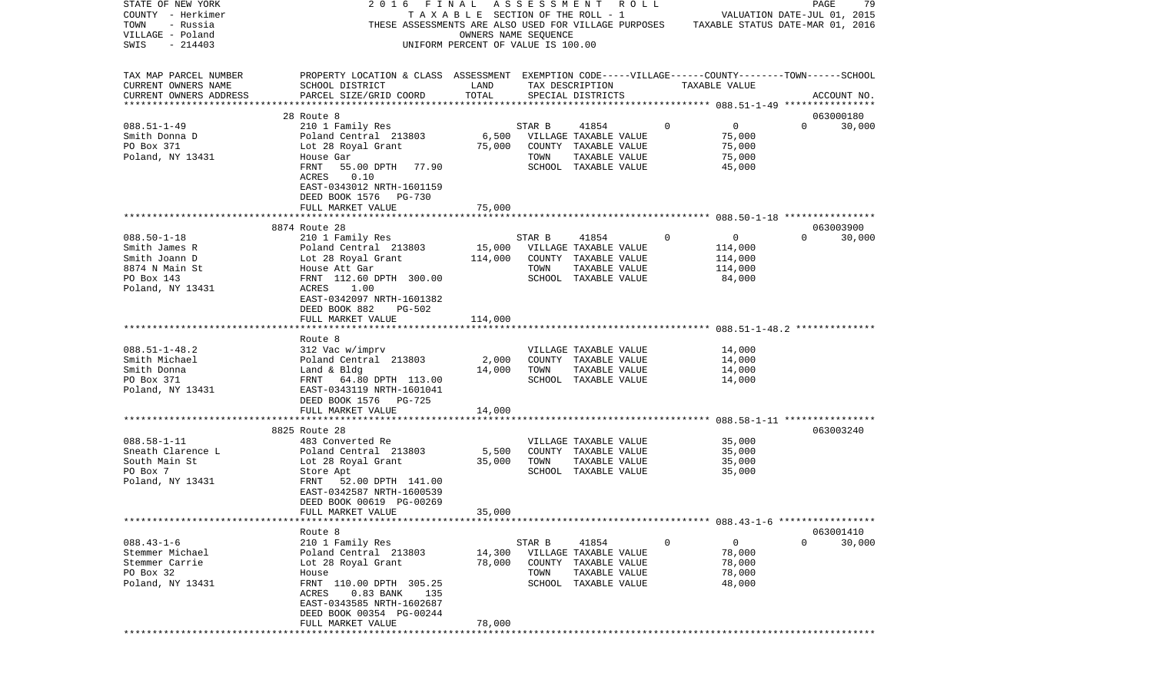| STATE OF NEW YORK             | 2016                                                                                               | FINAL                              |        | ASSESSMENT ROLL                       |             |                | PAGE<br>79                       |  |
|-------------------------------|----------------------------------------------------------------------------------------------------|------------------------------------|--------|---------------------------------------|-------------|----------------|----------------------------------|--|
| COUNTY - Herkimer             |                                                                                                    | TAXABLE SECTION OF THE ROLL - 1    |        |                                       |             |                | VALUATION DATE-JUL 01, 2015      |  |
| TOWN<br>- Russia              | THESE ASSESSMENTS ARE ALSO USED FOR VILLAGE PURPOSES                                               |                                    |        |                                       |             |                | TAXABLE STATUS DATE-MAR 01, 2016 |  |
| VILLAGE - Poland              |                                                                                                    | OWNERS NAME SEQUENCE               |        |                                       |             |                |                                  |  |
| SWIS<br>$-214403$             |                                                                                                    | UNIFORM PERCENT OF VALUE IS 100.00 |        |                                       |             |                |                                  |  |
|                               |                                                                                                    |                                    |        |                                       |             |                |                                  |  |
|                               |                                                                                                    |                                    |        |                                       |             |                |                                  |  |
| TAX MAP PARCEL NUMBER         | PROPERTY LOCATION & CLASS ASSESSMENT EXEMPTION CODE-----VILLAGE------COUNTY-------TOWN------SCHOOL |                                    |        |                                       |             |                |                                  |  |
| CURRENT OWNERS NAME           | SCHOOL DISTRICT                                                                                    | LAND                               |        | TAX DESCRIPTION                       |             | TAXABLE VALUE  |                                  |  |
| CURRENT OWNERS ADDRESS        | PARCEL SIZE/GRID COORD                                                                             | TOTAL                              |        | SPECIAL DISTRICTS                     |             |                | ACCOUNT NO.                      |  |
| **************************    |                                                                                                    |                                    |        |                                       |             |                |                                  |  |
|                               | 28 Route 8                                                                                         |                                    |        |                                       |             |                | 063000180                        |  |
| $088.51 - 1 - 49$             | 210 1 Family Res                                                                                   |                                    | STAR B | 41854                                 | $\mathbf 0$ | 0              | $\Omega$<br>30,000               |  |
| Smith Donna D                 | Poland Central 213803                                                                              | 6,500                              |        | VILLAGE TAXABLE VALUE                 |             | 75,000         |                                  |  |
| PO Box 371                    | Lot 28 Royal Grant                                                                                 | 75,000                             |        | COUNTY TAXABLE VALUE                  |             | 75,000         |                                  |  |
| Poland, NY 13431              | House Gar                                                                                          |                                    | TOWN   | TAXABLE VALUE                         |             | 75,000         |                                  |  |
|                               | 55.00 DPTH<br>FRNT<br>77.90                                                                        |                                    |        | SCHOOL TAXABLE VALUE                  |             | 45,000         |                                  |  |
|                               | 0.10<br>ACRES                                                                                      |                                    |        |                                       |             |                |                                  |  |
|                               | EAST-0343012 NRTH-1601159                                                                          |                                    |        |                                       |             |                |                                  |  |
|                               | DEED BOOK 1576 PG-730                                                                              |                                    |        |                                       |             |                |                                  |  |
|                               | FULL MARKET VALUE                                                                                  | 75,000                             |        |                                       |             |                |                                  |  |
|                               |                                                                                                    |                                    |        |                                       |             |                |                                  |  |
|                               | 8874 Route 28                                                                                      |                                    |        |                                       |             |                | 063003900                        |  |
| $088.50 - 1 - 18$             | 210 1 Family Res                                                                                   |                                    | STAR B | 41854                                 | $\mathbf 0$ | $\overline{0}$ | $\Omega$<br>30,000               |  |
| Smith James R                 | Poland Central 213803                                                                              | 15,000                             |        | VILLAGE TAXABLE VALUE                 |             | 114,000        |                                  |  |
| Smith Joann D                 | Lot 28 Royal Grant                                                                                 | 114,000                            |        | COUNTY TAXABLE VALUE                  |             | 114,000        |                                  |  |
| 8874 N Main St                | House Att Gar                                                                                      |                                    | TOWN   | TAXABLE VALUE                         |             | 114,000        |                                  |  |
| PO Box 143                    | FRNT 112.60 DPTH 300.00                                                                            |                                    |        | SCHOOL TAXABLE VALUE                  |             | 84,000         |                                  |  |
| Poland, NY 13431              | ACRES<br>1.00                                                                                      |                                    |        |                                       |             |                |                                  |  |
|                               | EAST-0342097 NRTH-1601382                                                                          |                                    |        |                                       |             |                |                                  |  |
|                               | DEED BOOK 882<br>PG-502                                                                            |                                    |        |                                       |             |                |                                  |  |
|                               | FULL MARKET VALUE                                                                                  | 114,000                            |        |                                       |             |                |                                  |  |
|                               |                                                                                                    |                                    |        |                                       |             |                |                                  |  |
|                               | Route 8                                                                                            |                                    |        |                                       |             |                |                                  |  |
| $088.51 - 1 - 48.2$           | 312 Vac w/imprv                                                                                    |                                    |        | VILLAGE TAXABLE VALUE                 |             | 14,000         |                                  |  |
| Smith Michael                 | Poland Central 213803                                                                              | 2,000                              |        | COUNTY TAXABLE VALUE                  |             | 14,000         |                                  |  |
| Smith Donna                   | Land & Bldg                                                                                        | 14,000                             | TOWN   | TAXABLE VALUE                         |             | 14,000         |                                  |  |
| PO Box 371                    | FRNT 64.80 DPTH 113.00                                                                             |                                    |        | SCHOOL TAXABLE VALUE                  |             | 14,000         |                                  |  |
| Poland, NY 13431              | EAST-0343119 NRTH-1601041                                                                          |                                    |        |                                       |             |                |                                  |  |
|                               | DEED BOOK 1576 PG-725                                                                              |                                    |        |                                       |             |                |                                  |  |
|                               | FULL MARKET VALUE                                                                                  | 14,000                             |        |                                       |             |                |                                  |  |
|                               | ***********************                                                                            | ********                           |        |                                       |             |                |                                  |  |
|                               | 8825 Route 28                                                                                      |                                    |        |                                       |             |                | 063003240                        |  |
| $088.58 - 1 - 11$             | 483 Converted Re                                                                                   |                                    |        | VILLAGE TAXABLE VALUE                 |             | 35,000         |                                  |  |
| Sneath Clarence L             | Poland Central 213803                                                                              | 5,500                              |        | COUNTY TAXABLE VALUE                  |             | 35,000         |                                  |  |
| South Main St                 | Lot 28 Royal Grant                                                                                 | 35,000                             | TOWN   | TAXABLE VALUE                         |             | 35,000         |                                  |  |
| PO Box 7                      | Store Apt                                                                                          |                                    |        | SCHOOL TAXABLE VALUE                  |             | 35,000         |                                  |  |
| Poland, NY 13431              | FRNT<br>52.00 DPTH 141.00                                                                          |                                    |        |                                       |             |                |                                  |  |
|                               | EAST-0342587 NRTH-1600539                                                                          |                                    |        |                                       |             |                |                                  |  |
|                               | DEED BOOK 00619 PG-00269                                                                           |                                    |        |                                       |             |                |                                  |  |
|                               | FULL MARKET VALUE                                                                                  | 35,000                             |        |                                       |             |                |                                  |  |
|                               |                                                                                                    |                                    |        |                                       |             |                |                                  |  |
|                               | Route 8                                                                                            |                                    |        |                                       |             |                | 063001410                        |  |
| $088.43 - 1 - 6$              | 210 1 Family Res                                                                                   |                                    | STAR B | 41854                                 | $\mathbf 0$ | $\mathsf{O}$   | $\Omega$<br>30,000               |  |
| Stemmer Michael               | Poland Central 213803                                                                              | 14,300                             |        | VILLAGE TAXABLE VALUE                 |             | 78,000         |                                  |  |
| Stemmer Carrie                | Lot 28 Royal Grant                                                                                 | 78,000                             |        | COUNTY TAXABLE VALUE                  |             | 78,000         |                                  |  |
|                               |                                                                                                    |                                    | TOWN   |                                       |             | 78,000         |                                  |  |
| PO Box 32<br>Poland, NY 13431 | House<br>FRNT 110.00 DPTH 305.25                                                                   |                                    |        | TAXABLE VALUE<br>SCHOOL TAXABLE VALUE |             | 48,000         |                                  |  |
|                               |                                                                                                    |                                    |        |                                       |             |                |                                  |  |
|                               | ACRES<br>$0.83$ BANK<br>135                                                                        |                                    |        |                                       |             |                |                                  |  |
|                               | EAST-0343585 NRTH-1602687<br>DEED BOOK 00354 PG-00244                                              |                                    |        |                                       |             |                |                                  |  |
|                               | FULL MARKET VALUE                                                                                  | 78,000                             |        |                                       |             |                |                                  |  |
| ***************               |                                                                                                    |                                    |        |                                       |             |                |                                  |  |
|                               |                                                                                                    |                                    |        |                                       |             |                |                                  |  |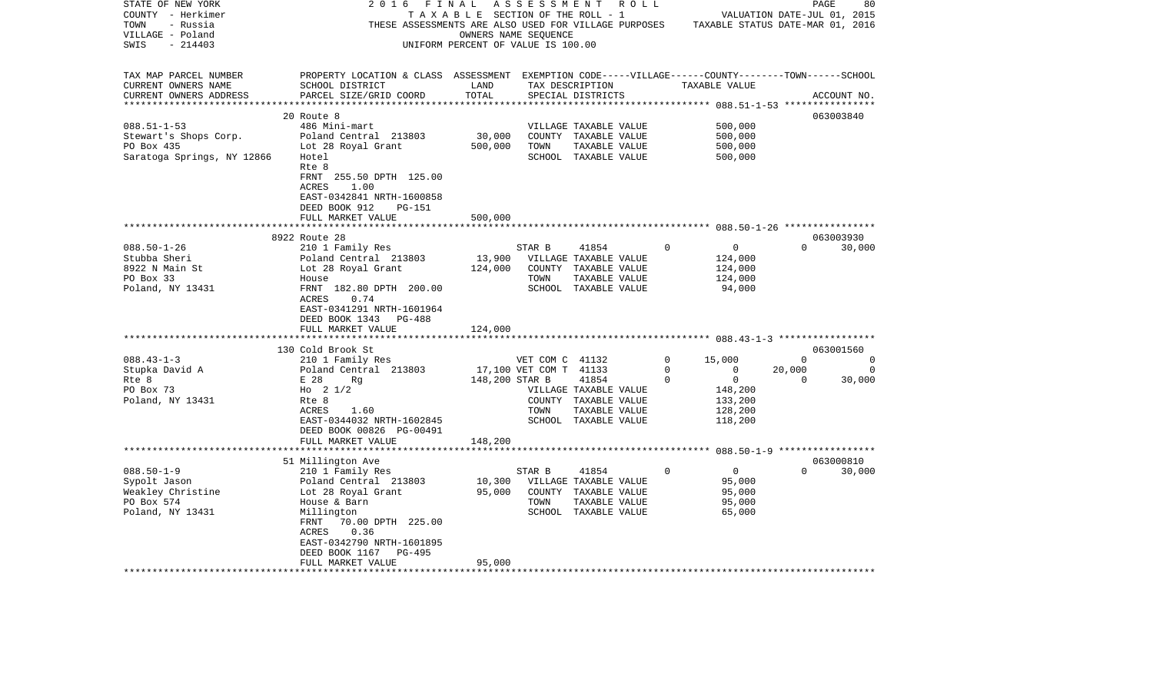| STATE OF NEW YORK                                 | 2016                                                                                               | FINAL                              | A S S E S S M E N T    | R O L L                                              |             |                                  | PAGE                        | 80          |
|---------------------------------------------------|----------------------------------------------------------------------------------------------------|------------------------------------|------------------------|------------------------------------------------------|-------------|----------------------------------|-----------------------------|-------------|
| COUNTY - Herkimer                                 |                                                                                                    | TAXABLE SECTION OF THE ROLL - 1    |                        |                                                      |             |                                  | VALUATION DATE-JUL 01, 2015 |             |
| TOWN<br>- Russia                                  |                                                                                                    |                                    |                        | THESE ASSESSMENTS ARE ALSO USED FOR VILLAGE PURPOSES |             | TAXABLE STATUS DATE-MAR 01, 2016 |                             |             |
| VILLAGE - Poland                                  |                                                                                                    |                                    | OWNERS NAME SEQUENCE   |                                                      |             |                                  |                             |             |
| SWIS<br>$-214403$                                 |                                                                                                    | UNIFORM PERCENT OF VALUE IS 100.00 |                        |                                                      |             |                                  |                             |             |
|                                                   |                                                                                                    |                                    |                        |                                                      |             |                                  |                             |             |
| TAX MAP PARCEL NUMBER                             | PROPERTY LOCATION & CLASS ASSESSMENT EXEMPTION CODE-----VILLAGE------COUNTY-------TOWN------SCHOOL |                                    |                        |                                                      |             |                                  |                             |             |
| CURRENT OWNERS NAME                               | SCHOOL DISTRICT                                                                                    | LAND                               |                        | TAX DESCRIPTION                                      |             | TAXABLE VALUE                    |                             |             |
| CURRENT OWNERS ADDRESS<br>*********************** | PARCEL SIZE/GRID COORD                                                                             | TOTAL                              |                        | SPECIAL DISTRICTS                                    |             |                                  |                             | ACCOUNT NO. |
|                                                   |                                                                                                    |                                    |                        |                                                      |             |                                  |                             |             |
|                                                   | 20 Route 8                                                                                         |                                    |                        |                                                      |             |                                  |                             | 063003840   |
| $088.51 - 1 - 53$                                 | 486 Mini-mart                                                                                      |                                    |                        | VILLAGE TAXABLE VALUE                                |             | 500,000                          |                             |             |
| Stewart's Shops Corp.<br>PO Box 435               | Poland Central 213803                                                                              | 30,000<br>500,000                  | TOWN                   | COUNTY TAXABLE VALUE                                 |             | 500,000<br>500,000               |                             |             |
|                                                   | Lot 28 Royal Grant<br>Hotel                                                                        |                                    |                        | TAXABLE VALUE                                        |             |                                  |                             |             |
| Saratoga Springs, NY 12866                        | Rte 8                                                                                              |                                    |                        | SCHOOL TAXABLE VALUE                                 |             | 500,000                          |                             |             |
|                                                   | FRNT 255.50 DPTH 125.00                                                                            |                                    |                        |                                                      |             |                                  |                             |             |
|                                                   | ACRES<br>1.00                                                                                      |                                    |                        |                                                      |             |                                  |                             |             |
|                                                   | EAST-0342841 NRTH-1600858                                                                          |                                    |                        |                                                      |             |                                  |                             |             |
|                                                   | DEED BOOK 912<br>PG-151                                                                            |                                    |                        |                                                      |             |                                  |                             |             |
|                                                   | FULL MARKET VALUE                                                                                  | 500,000                            |                        |                                                      |             |                                  |                             |             |
|                                                   | *****************<br>* * * * * * * * * * *                                                         |                                    |                        |                                                      |             |                                  |                             |             |
|                                                   | 8922 Route 28                                                                                      |                                    |                        |                                                      |             |                                  |                             | 063003930   |
| $088.50 - 1 - 26$                                 | 210 1 Family Res                                                                                   |                                    | STAR B                 | 41854                                                | 0           | $\mathbf 0$                      | $\Omega$                    | 30,000      |
| Stubba Sheri                                      | Poland Central 213803                                                                              | 13,900                             |                        | VILLAGE TAXABLE VALUE                                |             | 124,000                          |                             |             |
| 8922 N Main St                                    | Lot 28 Royal Grant                                                                                 | 124,000                            |                        | COUNTY TAXABLE VALUE                                 |             | 124,000                          |                             |             |
| PO Box 33                                         | House                                                                                              |                                    | TOWN                   | TAXABLE VALUE                                        |             | 124,000                          |                             |             |
| Poland, NY 13431                                  | FRNT 182.80 DPTH 200.00                                                                            |                                    |                        | SCHOOL TAXABLE VALUE                                 |             | 94,000                           |                             |             |
|                                                   | ACRES<br>0.74                                                                                      |                                    |                        |                                                      |             |                                  |                             |             |
|                                                   | EAST-0341291 NRTH-1601964                                                                          |                                    |                        |                                                      |             |                                  |                             |             |
|                                                   | DEED BOOK 1343<br>PG-488                                                                           |                                    |                        |                                                      |             |                                  |                             |             |
|                                                   | FULL MARKET VALUE                                                                                  | 124,000                            |                        |                                                      |             |                                  |                             |             |
|                                                   |                                                                                                    |                                    |                        |                                                      |             |                                  |                             |             |
|                                                   | 130 Cold Brook St                                                                                  |                                    |                        |                                                      |             |                                  |                             | 063001560   |
| $088.43 - 1 - 3$                                  | 210 1 Family Res                                                                                   |                                    | VET COM C 41132        |                                                      | $\mathbf 0$ | 15,000                           | 0                           | 0           |
| Stupka David A                                    | Poland Central 213803                                                                              |                                    | 17,100 VET COM T 41133 |                                                      | $\Omega$    | $\mathbf 0$                      | 20,000                      | 0           |
| Rte 8                                             | E 28<br>Rg                                                                                         | 148,200 STAR B                     |                        | 41854                                                | 0           | $\overline{0}$                   | 0                           | 30,000      |
| PO Box 73                                         | Ho $2 \frac{1}{2}$                                                                                 |                                    |                        | VILLAGE TAXABLE VALUE                                |             | 148,200                          |                             |             |
| Poland, NY 13431                                  | Rte 8                                                                                              |                                    |                        | COUNTY TAXABLE VALUE                                 |             | 133,200                          |                             |             |
|                                                   | ACRES<br>1.60                                                                                      |                                    | TOWN                   | TAXABLE VALUE                                        |             | 128,200                          |                             |             |
|                                                   | EAST-0344032 NRTH-1602845<br>DEED BOOK 00826 PG-00491                                              |                                    |                        | SCHOOL TAXABLE VALUE                                 |             | 118,200                          |                             |             |
|                                                   | FULL MARKET VALUE                                                                                  | 148,200                            |                        |                                                      |             |                                  |                             |             |
|                                                   |                                                                                                    |                                    |                        |                                                      |             |                                  |                             |             |
|                                                   | 51 Millington Ave                                                                                  |                                    |                        |                                                      |             |                                  |                             | 063000810   |
| $088.50 - 1 - 9$                                  | 210 1 Family Res                                                                                   |                                    | STAR B                 | 41854                                                | $\Omega$    | $\overline{0}$                   | $\Omega$                    | 30,000      |
| Sypolt Jason                                      | Poland Central 213803                                                                              | 10,300                             |                        | VILLAGE TAXABLE VALUE                                |             | 95,000                           |                             |             |
| Weakley Christine                                 | Lot 28 Royal Grant                                                                                 | 95,000                             |                        | COUNTY TAXABLE VALUE                                 |             | 95,000                           |                             |             |
| PO Box 574                                        | House & Barn                                                                                       |                                    | TOWN                   | TAXABLE VALUE                                        |             | 95,000                           |                             |             |
| Poland, NY 13431                                  | Millington                                                                                         |                                    |                        | SCHOOL TAXABLE VALUE                                 |             | 65,000                           |                             |             |
|                                                   | FRNT<br>70.00 DPTH 225.00                                                                          |                                    |                        |                                                      |             |                                  |                             |             |
|                                                   | 0.36<br>ACRES                                                                                      |                                    |                        |                                                      |             |                                  |                             |             |
|                                                   | EAST-0342790 NRTH-1601895                                                                          |                                    |                        |                                                      |             |                                  |                             |             |
|                                                   | DEED BOOK 1167<br>PG-495                                                                           |                                    |                        |                                                      |             |                                  |                             |             |
|                                                   | FULL MARKET VALUE                                                                                  | 95,000                             |                        |                                                      |             |                                  |                             |             |
|                                                   |                                                                                                    |                                    |                        |                                                      |             |                                  |                             |             |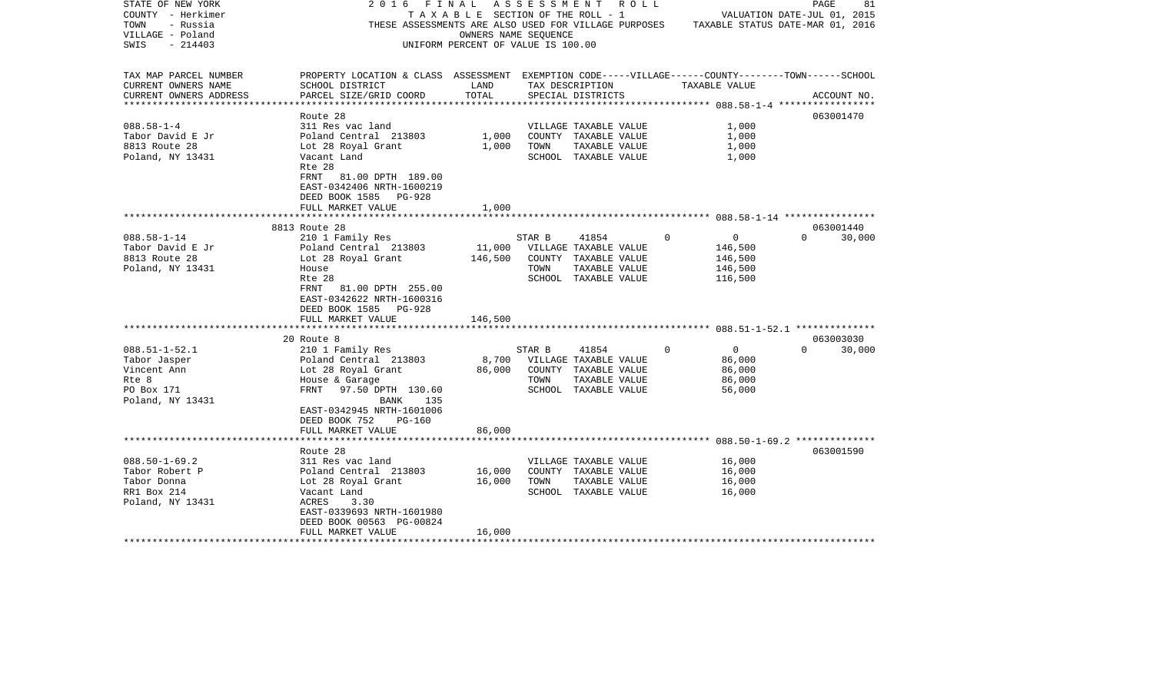| STATE OF NEW YORK<br>COUNTY - Herkimer<br>TOWN<br>- Russia<br>VILLAGE - Poland<br>$-214403$<br>SWIS                                                                         | 2016                                                                                                                                                                                                                                                                                                                                                 | OWNERS NAME SEOUENCE<br>UNIFORM PERCENT OF VALUE IS 100.00 |                                  | FINAL ASSESSMENT ROLL<br>TAXABLE SECTION OF THE ROLL - 1                                                                                                                                           |                      |                                                                                                         | 81<br>PAGE<br>VALUATION DATE-JUL 01, 2015<br>THESE ASSESSMENTS ARE ALSO USED FOR VILLAGE PURPOSES TAXABLE STATUS DATE-MAR 01, 2016 |
|-----------------------------------------------------------------------------------------------------------------------------------------------------------------------------|------------------------------------------------------------------------------------------------------------------------------------------------------------------------------------------------------------------------------------------------------------------------------------------------------------------------------------------------------|------------------------------------------------------------|----------------------------------|----------------------------------------------------------------------------------------------------------------------------------------------------------------------------------------------------|----------------------|---------------------------------------------------------------------------------------------------------|------------------------------------------------------------------------------------------------------------------------------------|
| TAX MAP PARCEL NUMBER<br>CURRENT OWNERS NAME<br>CURRENT OWNERS ADDRESS<br>**********************                                                                            | PROPERTY LOCATION & CLASS ASSESSMENT EXEMPTION CODE-----VILLAGE------COUNTY-------TOWN------SCHOOL<br>SCHOOL DISTRICT<br>PARCEL SIZE/GRID COORD                                                                                                                                                                                                      | LAND<br>TOTAL                                              |                                  | TAX DESCRIPTION<br>SPECIAL DISTRICTS                                                                                                                                                               |                      | TAXABLE VALUE                                                                                           | ACCOUNT NO.                                                                                                                        |
| $088.58 - 1 - 4$<br>Tabor David E Jr<br>8813 Route 28<br>Poland, NY 13431                                                                                                   | Route 28<br>311 Res vac land<br>Poland Central 213803<br>Lot 28 Royal Grant<br>Vacant Land<br>Rte 28<br>FRNT<br>81.00 DPTH 189.00<br>EAST-0342406 NRTH-1600219<br>DEED BOOK 1585 PG-928<br>FULL MARKET VALUE                                                                                                                                         | 1,000<br>1,000<br>1,000                                    | TOWN                             | VILLAGE TAXABLE VALUE<br>COUNTY TAXABLE VALUE<br>TAXABLE VALUE<br>SCHOOL TAXABLE VALUE                                                                                                             |                      | 1,000<br>1,000<br>1,000<br>1,000                                                                        | 063001470                                                                                                                          |
|                                                                                                                                                                             |                                                                                                                                                                                                                                                                                                                                                      |                                                            |                                  |                                                                                                                                                                                                    |                      |                                                                                                         |                                                                                                                                    |
| $088.58 - 1 - 14$<br>Tabor David E Jr<br>8813 Route 28<br>Poland, NY 13431<br>$088.51 - 1 - 52.1$<br>Tabor Jasper<br>Vincent Ann<br>Rte 8<br>PO Box 171<br>Poland, NY 13431 | 8813 Route 28<br>210 1 Family Res<br>Poland Central 213803<br>Lot 28 Royal Grant<br>House<br>Rte 28<br>FRNT<br>81.00 DPTH 255.00<br>EAST-0342622 NRTH-1600316<br>DEED BOOK 1585 PG-928<br>FULL MARKET VALUE<br>20 Route 8<br>210 1 Family Res<br>Poland Central 213803<br>Lot 28 Royal Grant<br>House & Garage<br>FRNT 97.50 DPTH 130.60<br>BANK 135 | 11,000<br>146,500<br>146,500<br>8,700<br>86,000            | STAR B<br>TOWN<br>STAR B<br>TOWN | 41854<br>VILLAGE TAXABLE VALUE<br>COUNTY TAXABLE VALUE<br>TAXABLE VALUE<br>SCHOOL TAXABLE VALUE<br>41854<br>VILLAGE TAXABLE VALUE<br>COUNTY TAXABLE VALUE<br>TAXABLE VALUE<br>SCHOOL TAXABLE VALUE | $\Omega$<br>$\Omega$ | 0<br>146,500<br>146,500<br>146,500<br>116,500<br>$\overline{0}$<br>86,000<br>86,000<br>86,000<br>56,000 | 063001440<br>$\Omega$<br>30,000<br>063003030<br>$\Omega$<br>30,000                                                                 |
|                                                                                                                                                                             | EAST-0342945 NRTH-1601006<br>DEED BOOK 752<br>PG-160<br>FULL MARKET VALUE                                                                                                                                                                                                                                                                            | 86,000                                                     |                                  |                                                                                                                                                                                                    |                      |                                                                                                         |                                                                                                                                    |
| $088.50 - 1 - 69.2$<br>Tabor Robert P<br>Tabor Donna<br>RR1 Box 214<br>Poland, NY 13431                                                                                     | Route 28<br>311 Res vac land<br>Poland Central 213803<br>Lot 28 Royal Grant<br>Vacant Land<br>ACRES<br>3.30<br>EAST-0339693 NRTH-1601980<br>DEED BOOK 00563 PG-00824<br>FULL MARKET VALUE                                                                                                                                                            | 16,000<br>16,000<br>16,000<br>******************           | TOWN                             | VILLAGE TAXABLE VALUE<br>COUNTY TAXABLE VALUE<br>TAXABLE VALUE<br>SCHOOL TAXABLE VALUE                                                                                                             |                      | 16,000<br>16,000<br>16,000<br>16,000                                                                    | 063001590                                                                                                                          |
|                                                                                                                                                                             |                                                                                                                                                                                                                                                                                                                                                      |                                                            |                                  |                                                                                                                                                                                                    |                      |                                                                                                         |                                                                                                                                    |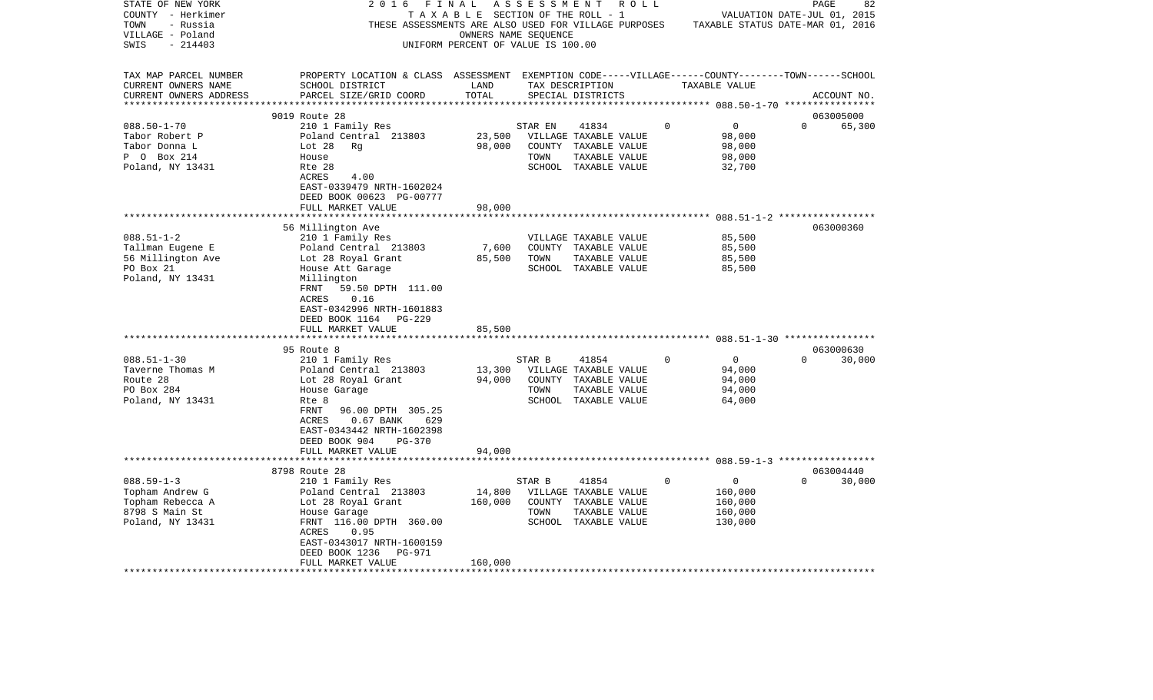| STATE OF NEW YORK<br>COUNTY - Herkimer<br>- Russia<br>TOWN             | 2 0 1 6<br>TAXABLE                                                                                                                              | FINAL                                                      | ASSESSMENT | R O L L<br>SECTION OF THE ROLL - 1<br>THESE ASSESSMENTS ARE ALSO USED FOR VILLAGE PURPOSES |             | TAXABLE STATUS DATE-MAR 01, 2016          | PAGE<br>VALUATION DATE-JUL 01, 2015 | 82     |
|------------------------------------------------------------------------|-------------------------------------------------------------------------------------------------------------------------------------------------|------------------------------------------------------------|------------|--------------------------------------------------------------------------------------------|-------------|-------------------------------------------|-------------------------------------|--------|
| VILLAGE - Poland<br>$-214403$<br>SWIS                                  |                                                                                                                                                 | OWNERS NAME SEQUENCE<br>UNIFORM PERCENT OF VALUE IS 100.00 |            |                                                                                            |             |                                           |                                     |        |
| TAX MAP PARCEL NUMBER<br>CURRENT OWNERS NAME<br>CURRENT OWNERS ADDRESS | PROPERTY LOCATION & CLASS ASSESSMENT EXEMPTION CODE-----VILLAGE------COUNTY-------TOWN------SCHOOL<br>SCHOOL DISTRICT<br>PARCEL SIZE/GRID COORD | LAND<br>TOTAL                                              |            | TAX DESCRIPTION<br>SPECIAL DISTRICTS                                                       |             | TAXABLE VALUE                             | ACCOUNT NO.                         |        |
|                                                                        | 9019 Route 28                                                                                                                                   |                                                            |            |                                                                                            |             |                                           | 063005000                           |        |
| $088.50 - 1 - 70$                                                      | 210 1 Family Res                                                                                                                                |                                                            | STAR EN    | 41834                                                                                      | $\mathbf 0$ | $\mathbf 0$                               | $\Omega$                            | 65,300 |
| Tabor Robert P                                                         | Poland Central 213803                                                                                                                           | 23,500                                                     |            | VILLAGE TAXABLE VALUE                                                                      |             | 98,000                                    |                                     |        |
| Tabor Donna L                                                          | Lot 28<br>Rg                                                                                                                                    | 98,000                                                     |            | COUNTY TAXABLE VALUE                                                                       |             | 98,000                                    |                                     |        |
| P 0 Box 214                                                            | House                                                                                                                                           |                                                            | TOWN       | TAXABLE VALUE                                                                              |             | 98,000                                    |                                     |        |
| Poland, NY 13431                                                       | Rte 28                                                                                                                                          |                                                            |            | SCHOOL TAXABLE VALUE                                                                       |             | 32,700                                    |                                     |        |
|                                                                        | ACRES<br>4.00<br>EAST-0339479 NRTH-1602024<br>DEED BOOK 00623 PG-00777                                                                          |                                                            |            |                                                                                            |             |                                           |                                     |        |
|                                                                        | FULL MARKET VALUE                                                                                                                               | 98,000                                                     |            |                                                                                            |             |                                           |                                     |        |
|                                                                        |                                                                                                                                                 |                                                            |            |                                                                                            |             | **************** 088.51-1-2 ************* |                                     |        |
|                                                                        | 56 Millington Ave                                                                                                                               |                                                            |            |                                                                                            |             |                                           | 063000360                           |        |
| $088.51 - 1 - 2$                                                       | 210 1 Family Res                                                                                                                                |                                                            |            | VILLAGE TAXABLE VALUE                                                                      |             | 85,500                                    |                                     |        |
| Tallman Eugene E<br>56 Millington Ave                                  | Poland Central 213803<br>Lot 28 Royal Grant                                                                                                     | 7,600<br>85,500                                            | TOWN       | COUNTY TAXABLE VALUE                                                                       |             | 85,500<br>85,500                          |                                     |        |
| PO Box 21                                                              | House Att Garage                                                                                                                                |                                                            |            | TAXABLE VALUE<br>SCHOOL TAXABLE VALUE                                                      |             | 85,500                                    |                                     |        |
| Poland, NY 13431                                                       | Millington                                                                                                                                      |                                                            |            |                                                                                            |             |                                           |                                     |        |
|                                                                        | 59.50 DPTH 111.00<br>FRNT<br>ACRES<br>0.16<br>EAST-0342996 NRTH-1601883                                                                         |                                                            |            |                                                                                            |             |                                           |                                     |        |
|                                                                        | DEED BOOK 1164<br>PG-229<br>FULL MARKET VALUE                                                                                                   | 85,500                                                     |            |                                                                                            |             |                                           |                                     |        |
|                                                                        |                                                                                                                                                 |                                                            |            |                                                                                            |             |                                           |                                     |        |
|                                                                        | 95 Route 8                                                                                                                                      |                                                            |            |                                                                                            |             |                                           | 063000630                           |        |
| $088.51 - 1 - 30$                                                      | 210 1 Family Res                                                                                                                                |                                                            | STAR B     | 41854                                                                                      | $\Omega$    | 0                                         | $\Omega$                            | 30,000 |
| Taverne Thomas M                                                       | Poland Central 213803                                                                                                                           | 13,300                                                     |            | VILLAGE TAXABLE VALUE                                                                      |             | 94,000                                    |                                     |        |
| Route 28                                                               | Lot 28 Royal Grant                                                                                                                              | 94,000                                                     | COUNTY     | TAXABLE VALUE                                                                              |             | 94,000                                    |                                     |        |
| PO Box 284                                                             | House Garage                                                                                                                                    |                                                            | TOWN       | TAXABLE VALUE                                                                              |             | 94,000                                    |                                     |        |
| Poland, NY 13431                                                       | Rte 8                                                                                                                                           |                                                            |            | SCHOOL TAXABLE VALUE                                                                       |             | 64,000                                    |                                     |        |
|                                                                        | FRNT<br>96.00 DPTH 305.25                                                                                                                       |                                                            |            |                                                                                            |             |                                           |                                     |        |
|                                                                        | ACRES<br>$0.67$ BANK<br>629                                                                                                                     |                                                            |            |                                                                                            |             |                                           |                                     |        |
|                                                                        | EAST-0343442 NRTH-1602398                                                                                                                       |                                                            |            |                                                                                            |             |                                           |                                     |        |
|                                                                        | DEED BOOK 904<br>PG-370                                                                                                                         |                                                            |            |                                                                                            |             |                                           |                                     |        |
|                                                                        | FULL MARKET VALUE<br>*********************                                                                                                      | 94,000                                                     |            |                                                                                            |             |                                           |                                     |        |
|                                                                        | 8798 Route 28                                                                                                                                   |                                                            |            |                                                                                            |             |                                           | 063004440                           |        |
| $088.59 - 1 - 3$                                                       | 210 1 Family Res                                                                                                                                |                                                            | STAR B     | 41854                                                                                      | 0           | 0                                         | $\Omega$                            | 30,000 |
| Topham Andrew G                                                        | Poland Central 213803                                                                                                                           | 14,800                                                     |            | VILLAGE TAXABLE VALUE                                                                      |             | 160,000                                   |                                     |        |
| Topham Rebecca A                                                       | Lot 28 Royal Grant                                                                                                                              | 160,000                                                    |            | COUNTY TAXABLE VALUE                                                                       |             | 160,000                                   |                                     |        |
| 8798 S Main St                                                         | House Garage                                                                                                                                    |                                                            | TOWN       | TAXABLE VALUE                                                                              |             | 160,000                                   |                                     |        |
| Poland, NY 13431                                                       | FRNT 116.00 DPTH 360.00<br>0.95<br>ACRES<br>EAST-0343017 NRTH-1600159                                                                           |                                                            |            | SCHOOL TAXABLE VALUE                                                                       |             | 130,000                                   |                                     |        |
|                                                                        | DEED BOOK 1236<br>PG-971                                                                                                                        |                                                            |            |                                                                                            |             |                                           |                                     |        |
|                                                                        | FULL MARKET VALUE                                                                                                                               | 160,000                                                    |            |                                                                                            |             |                                           |                                     |        |
|                                                                        |                                                                                                                                                 |                                                            |            |                                                                                            |             |                                           |                                     |        |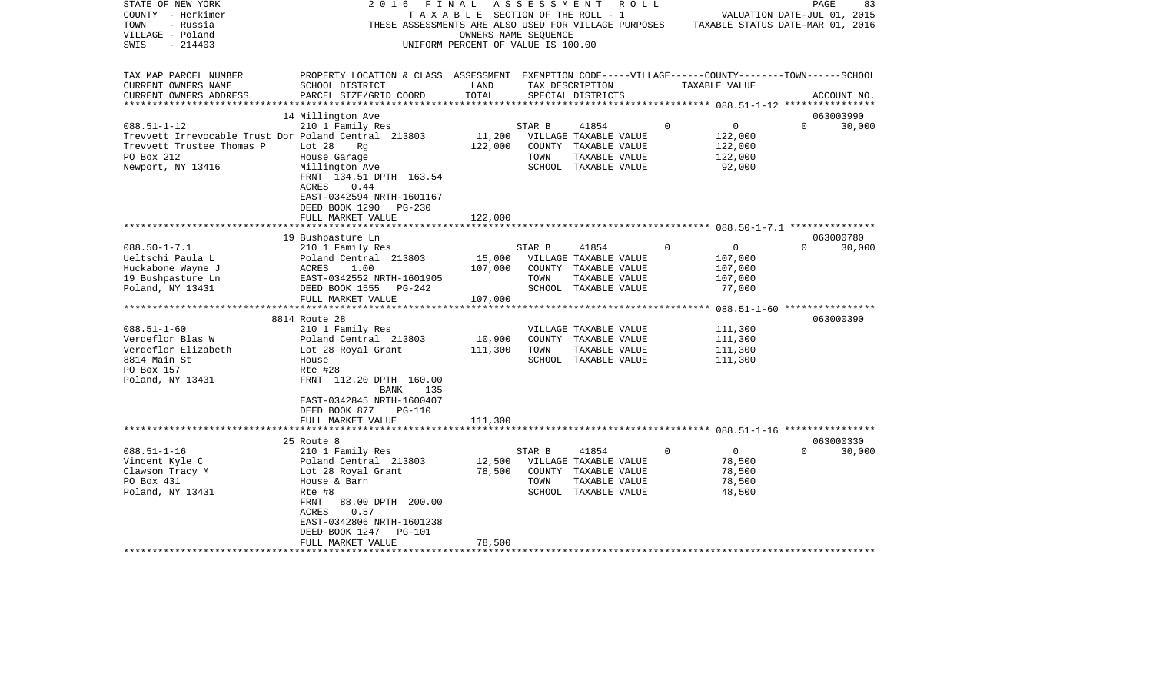| STATE OF NEW YORK<br>COUNTY - Herkimer               | 2016                                                                                               | FINAL<br>TAXABLE SECTION OF THE ROLL - 1 | A S S E S S M E N T | R O L L               |             |                                  | PAGE<br>VALUATION DATE-JUL 01, 2015 | 83          |
|------------------------------------------------------|----------------------------------------------------------------------------------------------------|------------------------------------------|---------------------|-----------------------|-------------|----------------------------------|-------------------------------------|-------------|
| TOWN<br>- Russia                                     | THESE ASSESSMENTS ARE ALSO USED FOR VILLAGE PURPOSES                                               |                                          |                     |                       |             | TAXABLE STATUS DATE-MAR 01, 2016 |                                     |             |
| VILLAGE - Poland                                     |                                                                                                    | OWNERS NAME SEQUENCE                     |                     |                       |             |                                  |                                     |             |
| $-214403$<br>SWIS                                    |                                                                                                    | UNIFORM PERCENT OF VALUE IS 100.00       |                     |                       |             |                                  |                                     |             |
|                                                      |                                                                                                    |                                          |                     |                       |             |                                  |                                     |             |
| TAX MAP PARCEL NUMBER                                | PROPERTY LOCATION & CLASS ASSESSMENT EXEMPTION CODE-----VILLAGE------COUNTY-------TOWN------SCHOOL |                                          |                     |                       |             |                                  |                                     |             |
| CURRENT OWNERS NAME                                  | SCHOOL DISTRICT                                                                                    | LAND                                     |                     | TAX DESCRIPTION       |             | TAXABLE VALUE                    |                                     |             |
| CURRENT OWNERS ADDRESS                               | PARCEL SIZE/GRID COORD                                                                             | TOTAL                                    |                     | SPECIAL DISTRICTS     |             |                                  |                                     | ACCOUNT NO. |
| ***********************                              |                                                                                                    |                                          |                     |                       |             |                                  |                                     |             |
|                                                      | 14 Millington Ave                                                                                  |                                          |                     |                       |             |                                  | 063003990                           |             |
| $088.51 - 1 - 12$                                    | 210 1 Family Res                                                                                   |                                          | STAR B              | 41854                 | $\mathbf 0$ | $\mathsf{O}$                     | $\Omega$                            | 30,000      |
| Trevvett Irrevocable Trust Dor Poland Central 213803 |                                                                                                    | 11,200                                   |                     | VILLAGE TAXABLE VALUE |             | 122,000                          |                                     |             |
| Trevvett Trustee Thomas P                            | Lot 28<br>Rq                                                                                       | 122,000                                  |                     | COUNTY TAXABLE VALUE  |             | 122,000                          |                                     |             |
| PO Box 212                                           | House Garage                                                                                       |                                          | TOWN                | TAXABLE VALUE         |             | 122,000                          |                                     |             |
| Newport, NY 13416                                    | Millington Ave                                                                                     |                                          |                     | SCHOOL TAXABLE VALUE  |             | 92,000                           |                                     |             |
|                                                      | FRNT 134.51 DPTH 163.54                                                                            |                                          |                     |                       |             |                                  |                                     |             |
|                                                      | 0.44<br>ACRES                                                                                      |                                          |                     |                       |             |                                  |                                     |             |
|                                                      | EAST-0342594 NRTH-1601167                                                                          |                                          |                     |                       |             |                                  |                                     |             |
|                                                      | DEED BOOK 1290<br>PG-230                                                                           |                                          |                     |                       |             |                                  |                                     |             |
|                                                      | FULL MARKET VALUE                                                                                  | 122,000                                  |                     |                       |             |                                  |                                     |             |
|                                                      |                                                                                                    |                                          |                     |                       |             |                                  |                                     |             |
|                                                      | 19 Bushpasture Ln                                                                                  |                                          |                     |                       |             |                                  | 063000780                           |             |
| $088.50 - 1 - 7.1$                                   | 210 1 Family Res                                                                                   |                                          | STAR B              | 41854                 | $\mathbf 0$ | $\mathbf 0$                      | $\Omega$                            | 30,000      |
| Ueltschi Paula L                                     | Poland Central 213803                                                                              | 15,000                                   |                     | VILLAGE TAXABLE VALUE |             | 107,000                          |                                     |             |
| Huckabone Wayne J                                    | 1.00<br>ACRES                                                                                      | 107,000                                  |                     | COUNTY TAXABLE VALUE  |             | 107,000                          |                                     |             |
| 19 Bushpasture Ln                                    | EAST-0342552 NRTH-1601905                                                                          |                                          | TOWN                | TAXABLE VALUE         |             | 107,000                          |                                     |             |
| Poland, NY 13431                                     | DEED BOOK 1555<br>PG-242                                                                           |                                          |                     | SCHOOL TAXABLE VALUE  |             | 77,000                           |                                     |             |
|                                                      | FULL MARKET VALUE<br>************************                                                      | 107,000                                  |                     |                       |             |                                  |                                     |             |
|                                                      |                                                                                                    | ***********                              |                     |                       |             |                                  |                                     |             |
|                                                      | 8814 Route 28                                                                                      |                                          |                     |                       |             |                                  | 063000390                           |             |
| $088.51 - 1 - 60$                                    | 210 1 Family Res                                                                                   |                                          |                     | VILLAGE TAXABLE VALUE |             | 111,300                          |                                     |             |
| Verdeflor Blas W                                     | Poland Central 213803                                                                              | 10,900                                   |                     | COUNTY TAXABLE VALUE  |             | 111,300                          |                                     |             |
| Verdeflor Elizabeth                                  | Lot 28 Royal Grant                                                                                 | 111,300                                  | TOWN                | TAXABLE VALUE         |             | 111,300                          |                                     |             |
| 8814 Main St<br>PO Box 157                           | House<br>Rte #28                                                                                   |                                          |                     | SCHOOL TAXABLE VALUE  |             | 111,300                          |                                     |             |
|                                                      | FRNT 112.20 DPTH 160.00                                                                            |                                          |                     |                       |             |                                  |                                     |             |
| Poland, NY 13431                                     | <b>BANK</b><br>135                                                                                 |                                          |                     |                       |             |                                  |                                     |             |
|                                                      | EAST-0342845 NRTH-1600407                                                                          |                                          |                     |                       |             |                                  |                                     |             |
|                                                      | DEED BOOK 877<br>PG-110                                                                            |                                          |                     |                       |             |                                  |                                     |             |
|                                                      | FULL MARKET VALUE                                                                                  | 111,300                                  |                     |                       |             |                                  |                                     |             |
|                                                      |                                                                                                    |                                          |                     |                       |             |                                  |                                     |             |
|                                                      | 25 Route 8                                                                                         |                                          |                     |                       |             |                                  | 063000330                           |             |
| $088.51 - 1 - 16$                                    | 210 1 Family Res                                                                                   |                                          | STAR B              | 41854                 | $\Omega$    | $\overline{0}$                   | $\Omega$                            | 30,000      |
| Vincent Kyle C                                       | Poland Central 213803                                                                              | 12,500                                   |                     | VILLAGE TAXABLE VALUE |             | 78,500                           |                                     |             |
| Clawson Tracy M                                      | Lot 28 Royal Grant                                                                                 | 78,500                                   |                     | COUNTY TAXABLE VALUE  |             | 78,500                           |                                     |             |
| PO Box 431                                           | House & Barn                                                                                       |                                          | TOWN                | TAXABLE VALUE         |             | 78,500                           |                                     |             |
| Poland, NY 13431                                     | Rte #8                                                                                             |                                          |                     | SCHOOL TAXABLE VALUE  |             | 48,500                           |                                     |             |
|                                                      | FRNT<br>88.00 DPTH 200.00                                                                          |                                          |                     |                       |             |                                  |                                     |             |
|                                                      | ACRES<br>0.57                                                                                      |                                          |                     |                       |             |                                  |                                     |             |
|                                                      | EAST-0342806 NRTH-1601238                                                                          |                                          |                     |                       |             |                                  |                                     |             |
|                                                      | DEED BOOK 1247<br><b>PG-101</b>                                                                    |                                          |                     |                       |             |                                  |                                     |             |
|                                                      | FULL MARKET VALUE                                                                                  | 78,500                                   |                     |                       |             |                                  |                                     |             |
|                                                      | **********************                                                                             |                                          |                     |                       |             |                                  |                                     |             |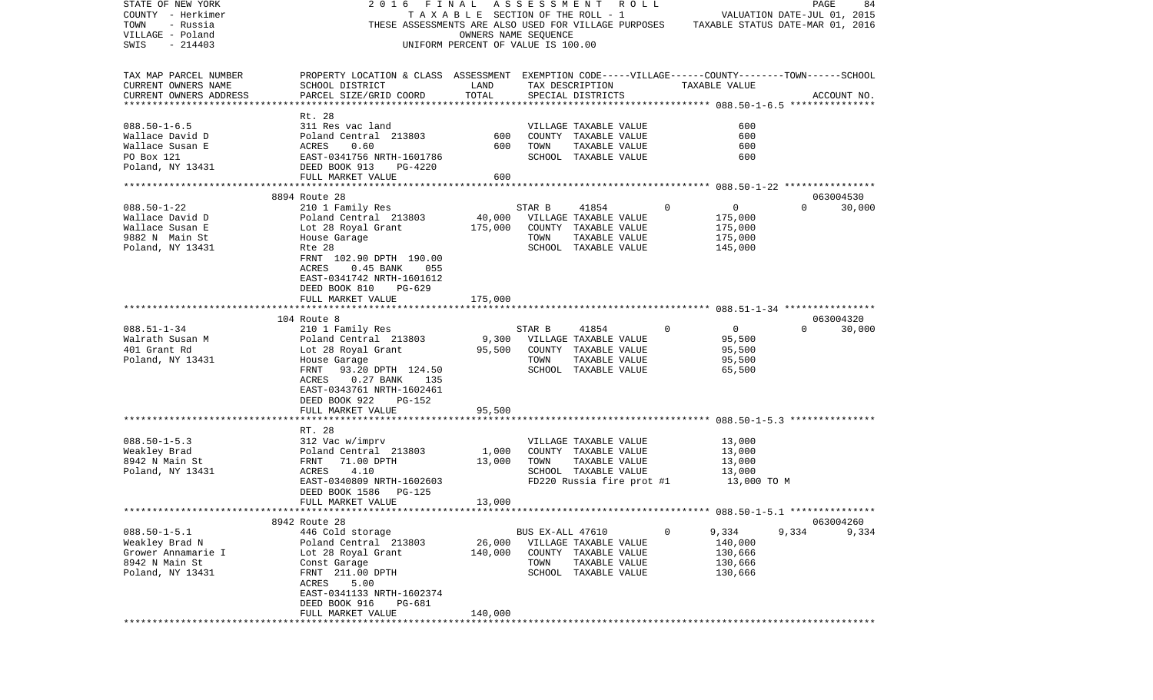| STATE OF NEW YORK        | 2016<br>FINAL                                                                                      |                                    | ASSESSMENT       |                           | R O L L |          |               | PAGE                                                       | 84          |
|--------------------------|----------------------------------------------------------------------------------------------------|------------------------------------|------------------|---------------------------|---------|----------|---------------|------------------------------------------------------------|-------------|
| COUNTY - Herkimer        |                                                                                                    | TAXABLE SECTION OF THE ROLL - 1    |                  |                           |         |          |               | VALUATION DATE-JUL 01, 2015                                |             |
| TOWN<br>- Russia         | THESE ASSESSMENTS ARE ALSO USED FOR VILLAGE PURPOSES                                               |                                    |                  |                           |         |          |               | TAXABLE STATUS DATE-MAR 01, 2016                           |             |
| VILLAGE - Poland         |                                                                                                    | OWNERS NAME SEQUENCE               |                  |                           |         |          |               |                                                            |             |
| SWIS<br>$-214403$        |                                                                                                    | UNIFORM PERCENT OF VALUE IS 100.00 |                  |                           |         |          |               |                                                            |             |
| TAX MAP PARCEL NUMBER    | PROPERTY LOCATION & CLASS ASSESSMENT EXEMPTION CODE-----VILLAGE------COUNTY-------TOWN------SCHOOL |                                    |                  |                           |         |          |               |                                                            |             |
| CURRENT OWNERS NAME      | SCHOOL DISTRICT                                                                                    | LAND                               |                  | TAX DESCRIPTION           |         |          | TAXABLE VALUE |                                                            |             |
| CURRENT OWNERS ADDRESS   | PARCEL SIZE/GRID COORD                                                                             | TOTAL                              |                  | SPECIAL DISTRICTS         |         |          |               |                                                            | ACCOUNT NO. |
| ************************ |                                                                                                    |                                    |                  |                           |         |          |               |                                                            |             |
|                          | Rt. 28                                                                                             |                                    |                  |                           |         |          |               |                                                            |             |
| $088.50 - 1 - 6.5$       | 311 Res vac land                                                                                   |                                    |                  | VILLAGE TAXABLE VALUE     |         |          | 600           |                                                            |             |
| Wallace David D          | Poland Central 213803                                                                              | 600                                |                  | COUNTY TAXABLE VALUE      |         |          | 600           |                                                            |             |
| Wallace Susan E          | ACRES<br>0.60                                                                                      | 600                                | TOWN             | TAXABLE VALUE             |         |          | 600           |                                                            |             |
| PO Box 121               | EAST-0341756 NRTH-1601786                                                                          |                                    |                  | SCHOOL TAXABLE VALUE      |         |          | 600           |                                                            |             |
| Poland, NY 13431         | DEED BOOK 913<br>PG-4220                                                                           |                                    |                  |                           |         |          |               |                                                            |             |
|                          | FULL MARKET VALUE                                                                                  | 600                                |                  |                           |         |          |               |                                                            |             |
|                          |                                                                                                    |                                    |                  |                           |         |          |               |                                                            |             |
|                          | 8894 Route 28                                                                                      |                                    |                  |                           |         |          |               | 063004530                                                  |             |
| $088.50 - 1 - 22$        | 210 1 Family Res                                                                                   |                                    | STAR B           | 41854                     |         | 0        | 0             | $\Omega$                                                   | 30,000      |
| Wallace David D          | Poland Central 213803                                                                              | 40,000                             |                  | VILLAGE TAXABLE VALUE     |         |          | 175,000       |                                                            |             |
| Wallace Susan E          | Lot 28 Royal Grant                                                                                 | 175,000                            |                  | COUNTY TAXABLE VALUE      |         |          | 175,000       |                                                            |             |
| 9882 N Main St           | House Garage                                                                                       |                                    | TOWN             | TAXABLE VALUE             |         |          | 175,000       |                                                            |             |
| Poland, NY 13431         | Rte 28                                                                                             |                                    |                  | SCHOOL TAXABLE VALUE      |         |          | 145,000       |                                                            |             |
|                          | FRNT 102.90 DPTH 190.00                                                                            |                                    |                  |                           |         |          |               |                                                            |             |
|                          | ACRES<br>$0.45$ BANK<br>055                                                                        |                                    |                  |                           |         |          |               |                                                            |             |
|                          | EAST-0341742 NRTH-1601612                                                                          |                                    |                  |                           |         |          |               |                                                            |             |
|                          | DEED BOOK 810<br>PG-629                                                                            |                                    |                  |                           |         |          |               |                                                            |             |
|                          | FULL MARKET VALUE                                                                                  | 175,000                            |                  |                           |         |          |               |                                                            |             |
|                          |                                                                                                    |                                    |                  |                           |         |          |               |                                                            |             |
|                          | 104 Route 8                                                                                        |                                    |                  |                           |         |          |               | 063004320                                                  |             |
| $088.51 - 1 - 34$        | 210 1 Family Res                                                                                   |                                    | STAR B           | 41854                     |         | $\Omega$ | $\mathbf 0$   | $\Omega$                                                   | 30,000      |
| Walrath Susan M          | Poland Central 213803                                                                              | 9,300                              |                  | VILLAGE TAXABLE VALUE     |         |          | 95,500        |                                                            |             |
| 401 Grant Rd             | Lot 28 Royal Grant                                                                                 | 95,500                             |                  | COUNTY TAXABLE VALUE      |         |          | 95,500        |                                                            |             |
| Poland, NY 13431         | House Garage                                                                                       |                                    | TOWN             | TAXABLE VALUE             |         |          | 95,500        |                                                            |             |
|                          | 93.20 DPTH 124.50<br>FRNT                                                                          |                                    |                  | SCHOOL TAXABLE VALUE      |         |          | 65,500        |                                                            |             |
|                          | $0.27$ BANK<br>ACRES<br>135                                                                        |                                    |                  |                           |         |          |               |                                                            |             |
|                          | EAST-0343761 NRTH-1602461                                                                          |                                    |                  |                           |         |          |               |                                                            |             |
|                          | DEED BOOK 922<br>PG-152                                                                            |                                    |                  |                           |         |          |               |                                                            |             |
|                          | FULL MARKET VALUE                                                                                  | 95,500                             |                  |                           |         |          |               |                                                            |             |
|                          | *******************                                                                                | *********                          |                  |                           |         |          |               | ***************************** 088.50-1-5.3 *************** |             |
|                          | RT. 28                                                                                             |                                    |                  |                           |         |          |               |                                                            |             |
| $088.50 - 1 - 5.3$       | 312 Vac w/imprv                                                                                    |                                    |                  | VILLAGE TAXABLE VALUE     |         |          | 13,000        |                                                            |             |
| Weakley Brad             | Poland Central 213803                                                                              | 1,000                              |                  | COUNTY TAXABLE VALUE      |         |          | 13,000        |                                                            |             |
| 8942 N Main St           | FRNT<br>71.00 DPTH                                                                                 | 13,000                             | TOWN             | TAXABLE VALUE             |         |          | 13,000        |                                                            |             |
| Poland, NY 13431         | 4.10<br>ACRES                                                                                      |                                    |                  | SCHOOL TAXABLE VALUE      |         |          | 13,000        |                                                            |             |
|                          | EAST-0340809 NRTH-1602603                                                                          |                                    |                  | FD220 Russia fire prot #1 |         |          | 13,000 TO M   |                                                            |             |
|                          | DEED BOOK 1586<br>PG-125                                                                           |                                    |                  |                           |         |          |               |                                                            |             |
|                          | FULL MARKET VALUE                                                                                  | 13,000                             |                  |                           |         |          |               |                                                            |             |
|                          | 8942 Route 28                                                                                      |                                    |                  |                           |         |          |               | 063004260                                                  |             |
| $088.50 - 1 - 5.1$       |                                                                                                    |                                    |                  |                           |         | 0        | 9,334         | 9,334                                                      | 9,334       |
| Weakley Brad N           | 446 Cold storage<br>Poland Central 213803                                                          | 26,000                             | BUS EX-ALL 47610 | VILLAGE TAXABLE VALUE     |         |          | 140,000       |                                                            |             |
| Grower Annamarie I       | Lot 28 Royal Grant                                                                                 | 140,000                            |                  | COUNTY TAXABLE VALUE      |         |          | 130,666       |                                                            |             |
| 8942 N Main St           | Const Garage                                                                                       |                                    | TOWN             | TAXABLE VALUE             |         |          | 130,666       |                                                            |             |
|                          | FRNT 211.00 DPTH                                                                                   |                                    |                  | SCHOOL TAXABLE VALUE      |         |          |               |                                                            |             |
| Poland, NY 13431         | 5.00<br>ACRES                                                                                      |                                    |                  |                           |         |          | 130,666       |                                                            |             |
|                          | EAST-0341133 NRTH-1602374                                                                          |                                    |                  |                           |         |          |               |                                                            |             |
|                          | DEED BOOK 916<br>PG-681                                                                            |                                    |                  |                           |         |          |               |                                                            |             |
|                          | FULL MARKET VALUE                                                                                  | 140,000                            |                  |                           |         |          |               |                                                            |             |
|                          |                                                                                                    |                                    |                  |                           |         |          |               |                                                            |             |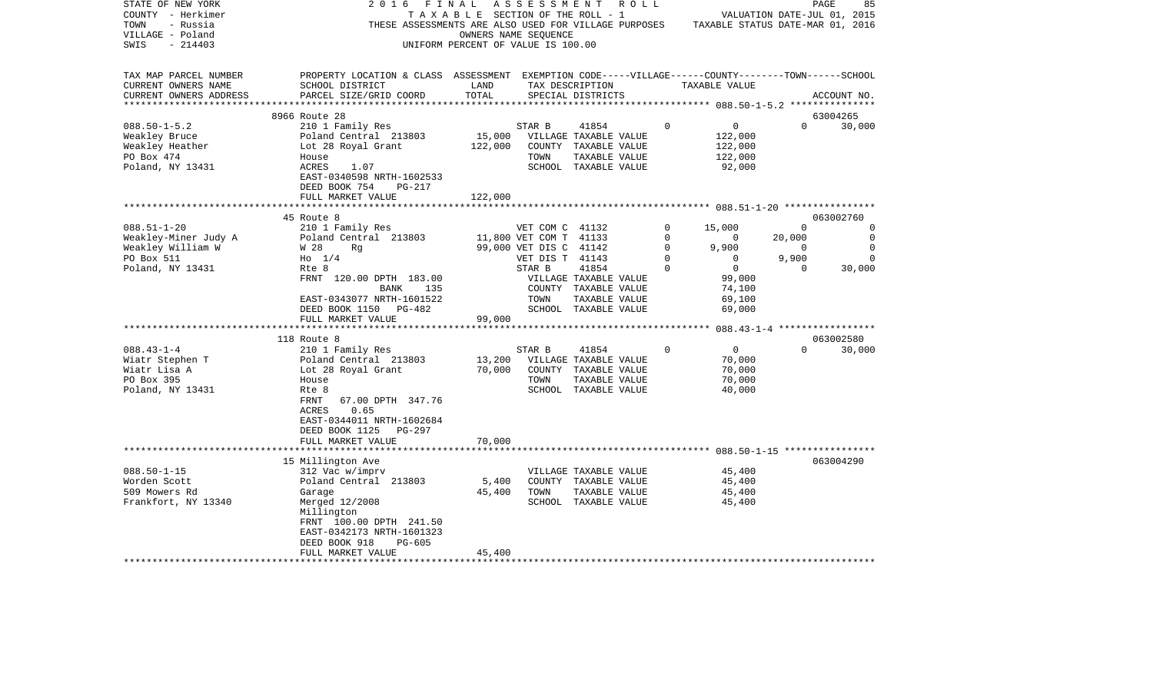| STATE OF NEW YORK<br>COUNTY - Herkimer<br>TOWN<br>- Russia<br>VILLAGE - Poland                                                                                                            | 2016<br>THESE ASSESSMENTS ARE ALSO USED FOR VILLAGE PURPOSES                                                                                                                                                                                                                                                                                                                                                                                 | FINAL<br>TAXABLE SECTION OF THE ROLL - 1 | A S S E S S M E N T<br>OWNERS NAME SEOUENCE                                                                                | R O L L                                                                                                                                                                                            |                                                 | TAXABLE STATUS DATE-MAR 01, 2016                                                                                                                                                              |                                                                 | PAGE<br>85<br>VALUATION DATE-JUL 01, 2015                                       |
|-------------------------------------------------------------------------------------------------------------------------------------------------------------------------------------------|----------------------------------------------------------------------------------------------------------------------------------------------------------------------------------------------------------------------------------------------------------------------------------------------------------------------------------------------------------------------------------------------------------------------------------------------|------------------------------------------|----------------------------------------------------------------------------------------------------------------------------|----------------------------------------------------------------------------------------------------------------------------------------------------------------------------------------------------|-------------------------------------------------|-----------------------------------------------------------------------------------------------------------------------------------------------------------------------------------------------|-----------------------------------------------------------------|---------------------------------------------------------------------------------|
| SWIS<br>$-214403$                                                                                                                                                                         |                                                                                                                                                                                                                                                                                                                                                                                                                                              | UNIFORM PERCENT OF VALUE IS 100.00       |                                                                                                                            |                                                                                                                                                                                                    |                                                 |                                                                                                                                                                                               |                                                                 |                                                                                 |
| TAX MAP PARCEL NUMBER<br>CURRENT OWNERS NAME<br>CURRENT OWNERS ADDRESS                                                                                                                    | PROPERTY LOCATION & CLASS ASSESSMENT EXEMPTION CODE-----VILLAGE------COUNTY-------TOWN------SCHOOL<br>SCHOOL DISTRICT<br>PARCEL SIZE/GRID COORD                                                                                                                                                                                                                                                                                              | LAND<br>TOTAL                            |                                                                                                                            | TAX DESCRIPTION<br>SPECIAL DISTRICTS                                                                                                                                                               |                                                 | TAXABLE VALUE                                                                                                                                                                                 |                                                                 | ACCOUNT NO.                                                                     |
|                                                                                                                                                                                           | 8966 Route 28                                                                                                                                                                                                                                                                                                                                                                                                                                |                                          |                                                                                                                            |                                                                                                                                                                                                    |                                                 |                                                                                                                                                                                               |                                                                 | 63004265                                                                        |
| $088.50 - 1 - 5.2$<br>Weakley Bruce<br>Weakley Heather<br>PO Box 474<br>Poland, NY 13431                                                                                                  | 210 1 Family Res<br>Poland Central 213803<br>Lot 28 Royal Grant<br>House<br>ACRES<br>1.07<br>EAST-0340598 NRTH-1602533<br>DEED BOOK 754<br>$PG-217$<br>FULL MARKET VALUE                                                                                                                                                                                                                                                                     | 15,000<br>122,000<br>122,000             | STAR B<br>TOWN                                                                                                             | 41854<br>VILLAGE TAXABLE VALUE<br>COUNTY TAXABLE VALUE<br>TAXABLE VALUE<br>SCHOOL TAXABLE VALUE                                                                                                    | $\Omega$                                        | $\mathbf 0$<br>122,000<br>122,000<br>122,000<br>92,000                                                                                                                                        | $\Omega$                                                        | 30,000                                                                          |
|                                                                                                                                                                                           |                                                                                                                                                                                                                                                                                                                                                                                                                                              | *********                                |                                                                                                                            |                                                                                                                                                                                                    |                                                 |                                                                                                                                                                                               |                                                                 |                                                                                 |
| $088.51 - 1 - 20$<br>Weakley-Miner Judy A<br>Weakley William W<br>PO Box 511<br>Poland, NY 13431<br>$088.43 - 1 - 4$<br>Wiatr Stephen T<br>Wiatr Lisa A<br>PO Box 395<br>Poland, NY 13431 | 45 Route 8<br>210 1 Family Res<br>Poland Central 213803<br>W 28<br>Rq<br>$H_0$ 1/4<br>Rte 8<br>FRNT 120.00 DPTH 183.00<br><b>BANK</b><br>135<br>EAST-0343077 NRTH-1601522<br>DEED BOOK 1150<br>PG-482<br>FULL MARKET VALUE<br>118 Route 8<br>210 1 Family Res<br>Poland Central 213803<br>Lot 28 Royal Grant<br>House<br>Rte 8<br>FRNT<br>67.00 DPTH 347.76<br>ACRES<br>0.65<br>EAST-0344011 NRTH-1602684<br>DEED BOOK 1125<br><b>PG-297</b> | 99,000<br>**********<br>13,200<br>70,000 | VET COM C 41132<br>11,800 VET COM T 41133<br>99,000 VET DIS C 41142<br>VET DIS T 41143<br>STAR B<br>TOWN<br>STAR B<br>TOWN | 41854<br>VILLAGE TAXABLE VALUE<br>COUNTY TAXABLE VALUE<br>TAXABLE VALUE<br>SCHOOL TAXABLE VALUE<br>41854<br>VILLAGE TAXABLE VALUE<br>COUNTY TAXABLE VALUE<br>TAXABLE VALUE<br>SCHOOL TAXABLE VALUE | 0<br>0<br>0<br>$\Omega$<br>$\Omega$<br>$\Omega$ | 15,000<br>0<br>9,900<br>$\Omega$<br>$\mathbf 0$<br>99,000<br>74,100<br>69,100<br>69,000<br>************* 088.43-1-4 ******************<br>$\mathbf 0$<br>70,000<br>70,000<br>70,000<br>40,000 | $\Omega$<br>20,000<br>$\Omega$<br>9,900<br>$\Omega$<br>$\Omega$ | 063002760<br>0<br>0<br>$\mathbf 0$<br>$\Omega$<br>30,000<br>063002580<br>30,000 |
|                                                                                                                                                                                           | FULL MARKET VALUE<br>***************************                                                                                                                                                                                                                                                                                                                                                                                             | 70,000                                   |                                                                                                                            |                                                                                                                                                                                                    |                                                 |                                                                                                                                                                                               |                                                                 |                                                                                 |
| $088.50 - 1 - 15$<br>Worden Scott<br>509 Mowers Rd<br>Frankfort, NY 13340                                                                                                                 | 15 Millington Ave<br>312 Vac w/imprv<br>Poland Central 213803<br>Garage<br>Merged 12/2008<br>Millington<br>FRNT 100.00 DPTH 241.50<br>EAST-0342173 NRTH-1601323<br>DEED BOOK 918<br>$PG-605$<br>FULL MARKET VALUE                                                                                                                                                                                                                            | 5,400<br>45,400<br>45,400                | TOWN                                                                                                                       | VILLAGE TAXABLE VALUE<br>COUNTY TAXABLE VALUE<br>TAXABLE VALUE<br>SCHOOL TAXABLE VALUE                                                                                                             |                                                 | 45,400<br>45,400<br>45,400<br>45,400                                                                                                                                                          |                                                                 | 063004290                                                                       |
|                                                                                                                                                                                           |                                                                                                                                                                                                                                                                                                                                                                                                                                              |                                          |                                                                                                                            |                                                                                                                                                                                                    |                                                 |                                                                                                                                                                                               |                                                                 |                                                                                 |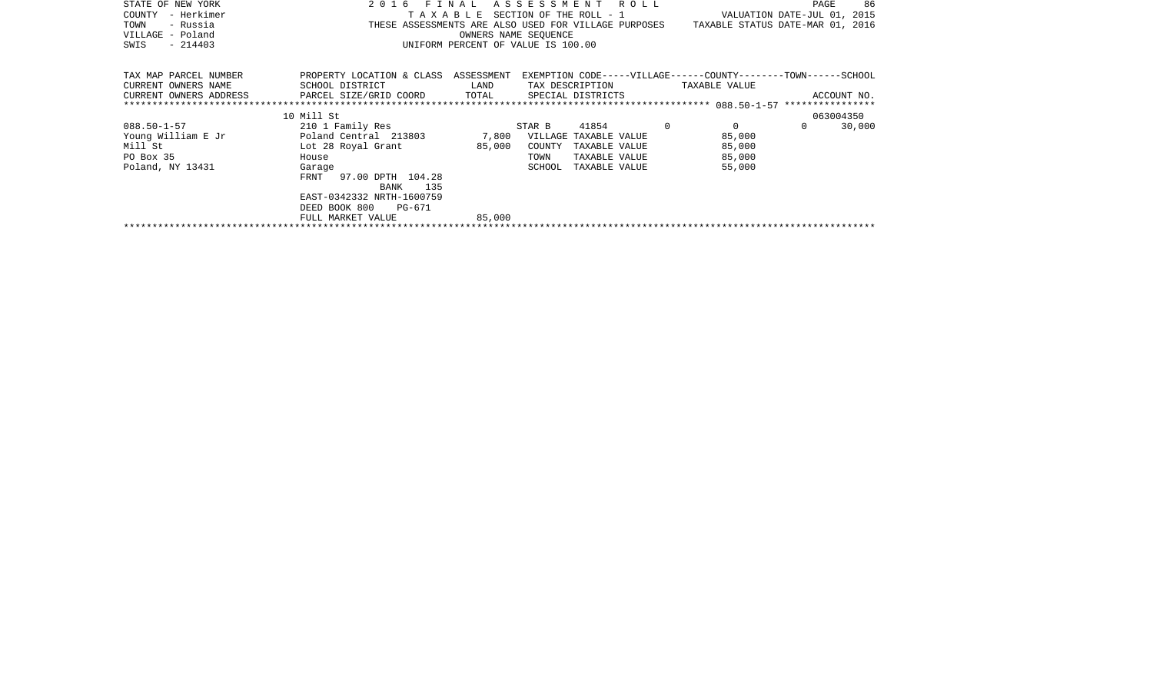| STATE OF NEW YORK      | 2016                                                                                     | FINAL                              | ASSESSMENT |                 | R O L L     |                                                                | PAGE             | 86          |
|------------------------|------------------------------------------------------------------------------------------|------------------------------------|------------|-----------------|-------------|----------------------------------------------------------------|------------------|-------------|
| - Herkimer<br>COUNTY   | VALUATION DATE-JUL 01, 2015<br>TAXABLE<br>SECTION OF THE ROLL - 1                        |                                    |            |                 |             |                                                                |                  |             |
| - Russia<br>TOWN       | TAXABLE STATUS DATE-MAR 01, 2016<br>THESE ASSESSMENTS ARE ALSO USED FOR VILLAGE PURPOSES |                                    |            |                 |             |                                                                |                  |             |
| VILLAGE - Poland       |                                                                                          | OWNERS NAME SEOUENCE               |            |                 |             |                                                                |                  |             |
| $-214403$<br>SWIS      |                                                                                          | UNIFORM PERCENT OF VALUE IS 100.00 |            |                 |             |                                                                |                  |             |
|                        |                                                                                          |                                    |            |                 |             |                                                                |                  |             |
| TAX MAP PARCEL NUMBER  | PROPERTY LOCATION & CLASS ASSESSMENT                                                     |                                    |            |                 |             | EXEMPTION CODE-----VILLAGE------COUNTY--------TOWN------SCHOOL |                  |             |
| CURRENT OWNERS NAME    | SCHOOL DISTRICT                                                                          | LAND                               |            | TAX DESCRIPTION |             | TAXABLE VALUE                                                  |                  |             |
| CURRENT OWNERS ADDRESS | TOTAL<br>PARCEL SIZE/GRID COORD<br>SPECIAL DISTRICTS                                     |                                    |            |                 |             |                                                                |                  | ACCOUNT NO. |
|                        |                                                                                          |                                    |            |                 |             |                                                                | **************** |             |
|                        | 10 Mill St                                                                               |                                    |            |                 |             |                                                                |                  | 063004350   |
| $088.50 - 1 - 57$      | 210 1 Family Res                                                                         |                                    | STAR B     | 41854           | $\mathbf 0$ | $\mathbf 0$                                                    | 0                | 30,000      |
| Young William E Jr     | Poland Central 213803                                                                    | 7,800                              | VILLAGE    | TAXABLE VALUE   |             | 85,000                                                         |                  |             |
| Mill St                | Lot 28 Royal Grant                                                                       | 85,000                             | COUNTY     | TAXABLE VALUE   |             | 85,000                                                         |                  |             |
| PO Box 35              | House                                                                                    |                                    | TOWN       | TAXABLE VALUE   |             | 85,000                                                         |                  |             |
| Poland, NY 13431       | Garage                                                                                   |                                    | SCHOOL     | TAXABLE VALUE   |             | 55,000                                                         |                  |             |
|                        | 97.00 DPTH 104.28<br>FRNT                                                                |                                    |            |                 |             |                                                                |                  |             |
|                        | 135<br>BANK                                                                              |                                    |            |                 |             |                                                                |                  |             |
|                        | EAST-0342332 NRTH-1600759                                                                |                                    |            |                 |             |                                                                |                  |             |
|                        | DEED BOOK 800<br>PG-671                                                                  |                                    |            |                 |             |                                                                |                  |             |
|                        | FULL MARKET VALUE                                                                        | 85,000                             |            |                 |             |                                                                |                  |             |
|                        |                                                                                          |                                    |            |                 |             |                                                                |                  |             |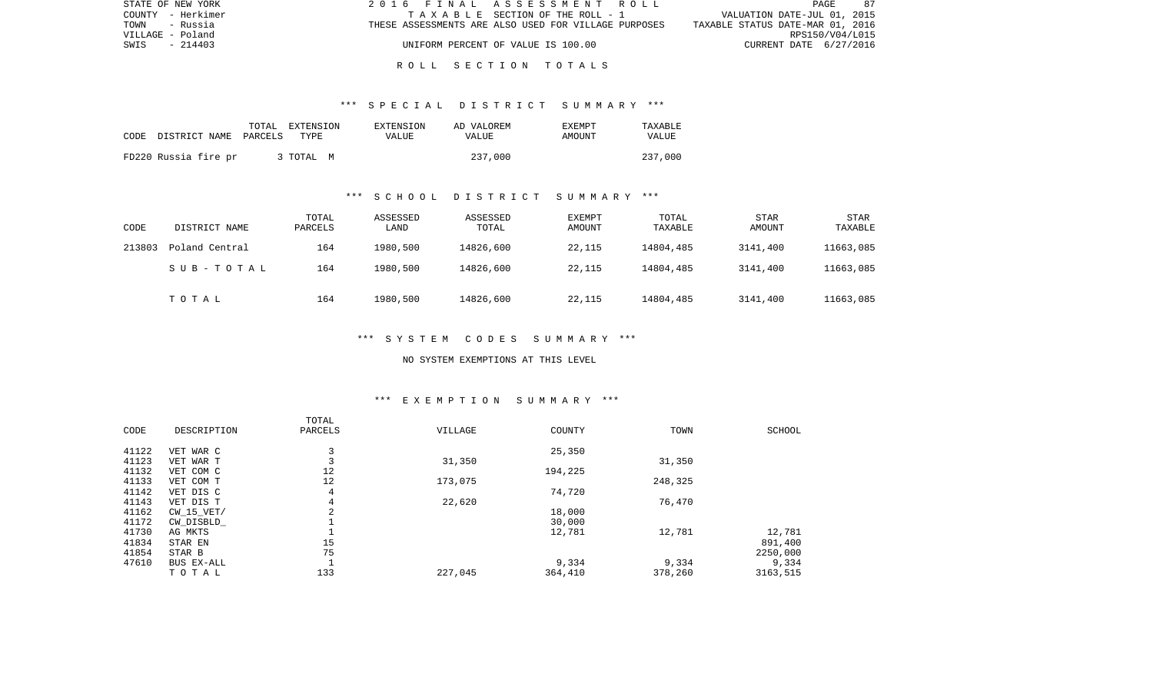| STATE OF NEW YORK | 2016 FINAL ASSESSMENT ROLL                           | - 87<br>PAGE                     |
|-------------------|------------------------------------------------------|----------------------------------|
| COUNTY - Herkimer | TAXABLE SECTION OF THE ROLL - 1                      | VALUATION DATE-JUL 01, 2015      |
| TOWN<br>- Russia  | THESE ASSESSMENTS ARE ALSO USED FOR VILLAGE PURPOSES | TAXABLE STATUS DATE-MAR 01, 2016 |
| VILLAGE - Poland  |                                                      | RPS150/V04/L015                  |
| $-214403$<br>SWIS | UNIFORM PERCENT OF VALUE IS 100.00                   | CURRENT DATE 6/27/2016           |
|                   |                                                      |                                  |

\*\*\* S P E C I A L D I S T R I C T S U M M A R Y \*\*\*

R O L L S E C T I O N T O T A L S

| CODE DISTRICT NAME PARCELS | TOTAL | EXTENSION<br>TYPF. | EXTENSION<br>VALUE | AD VALOREM<br><b>VALUE</b> | <b>EXEMPT</b><br>AMOUNT | TAXABLE<br>VALUE |
|----------------------------|-------|--------------------|--------------------|----------------------------|-------------------------|------------------|
| FD220 Russia fire pr       |       | 3 TOTAL M          |                    | 237,000                    |                         | 237,000          |

### \*\*\* S C H O O L D I S T R I C T S U M M A R Y \*\*\*

| CODE   | DISTRICT NAME  | TOTAL<br>PARCELS | ASSESSED<br>LAND | ASSESSED<br>TOTAL | EXEMPT<br>AMOUNT | TOTAL<br>TAXABLE | <b>STAR</b><br>AMOUNT | <b>STAR</b><br>TAXABLE |
|--------|----------------|------------------|------------------|-------------------|------------------|------------------|-----------------------|------------------------|
| 213803 | Poland Central | 164              | 1980,500         | 14826,600         | 22,115           | 14804,485        | 3141,400              | 11663,085              |
|        | SUB-TOTAL      | 164              | 1980,500         | 14826,600         | 22,115           | 14804,485        | 3141,400              | 11663,085              |
|        | TOTAL          | 164              | 1980,500         | 14826,600         | 22,115           | 14804,485        | 3141,400              | 11663,085              |

#### \*\*\* S Y S T E M C O D E S S U M M A R Y \*\*\*

#### NO SYSTEM EXEMPTIONS AT THIS LEVEL

### \*\*\* E X E M P T I O N S U M M A R Y \*\*\*

| CODE  | DESCRIPTION    | TOTAL<br>PARCELS | VILLAGE | COUNTY  | TOWN    | <b>SCHOOL</b> |
|-------|----------------|------------------|---------|---------|---------|---------------|
| 41122 | VET WAR C      | 3                |         | 25,350  |         |               |
| 41123 | VET WAR T      | 3                | 31,350  |         | 31,350  |               |
| 41132 | VET COM C      | 12               |         | 194,225 |         |               |
| 41133 | VET COM T      | 12               | 173,075 |         | 248,325 |               |
| 41142 | VET DIS C      | 4                |         | 74,720  |         |               |
| 41143 | VET DIS T      | 4                | 22,620  |         | 76,470  |               |
| 41162 | $CW$ 15 $VET/$ | 2                |         | 18,000  |         |               |
| 41172 | CW_DISBLD_     |                  |         | 30,000  |         |               |
| 41730 | AG MKTS        |                  |         | 12,781  | 12,781  | 12,781        |
| 41834 | STAR EN        | 15               |         |         |         | 891,400       |
| 41854 | STAR B         | 75               |         |         |         | 2250,000      |
| 47610 | BUS EX-ALL     |                  |         | 9,334   | 9,334   | 9,334         |
|       | TOTAL          | 133              | 227,045 | 364,410 | 378,260 | 3163,515      |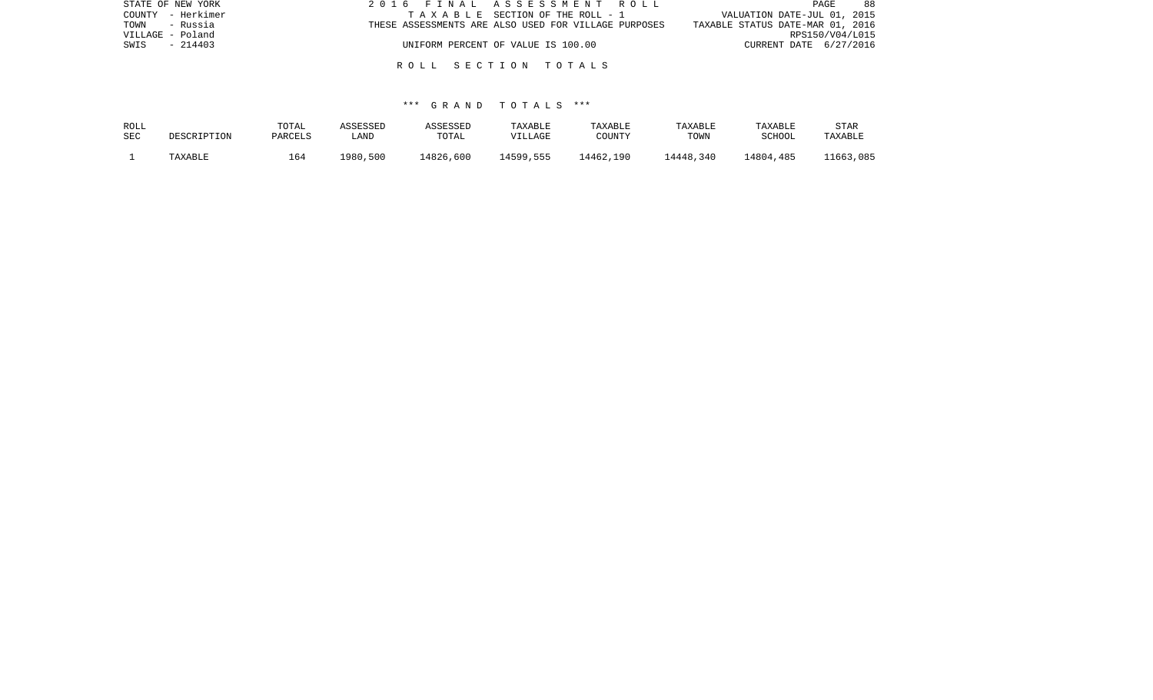| STATE OF NEW YORK | 2016 FINAL ASSESSMENT ROLL                           | 88<br>PAGE                       |
|-------------------|------------------------------------------------------|----------------------------------|
| COUNTY - Herkimer | TAXABLE SECTION OF THE ROLL - 1                      | VALUATION DATE-JUL 01, 2015      |
| TOWN - Russia     | THESE ASSESSMENTS ARE ALSO USED FOR VILLAGE PURPOSES | TAXABLE STATUS DATE-MAR 01, 2016 |
| VILLAGE - Poland  |                                                      | RPS150/V04/L015                  |
| $-214403$<br>SWIS | UNIFORM PERCENT OF VALUE IS 100.00                   | CURRENT DATE 6/27/2016           |
|                   |                                                      |                                  |
|                   | ROLL SECTION TOTALS                                  |                                  |

| ROLL       | DESCRIPTION | TOTAL   | ASSESSED | ASSESSED  | TAXABLE   | TAXABLE   | TAXABLE   | TAXABLE   | STAR      |
|------------|-------------|---------|----------|-----------|-----------|-----------|-----------|-----------|-----------|
| <b>SEC</b> |             | PARCELS | LAND     | TOTAL     | VILLAGE   | COUNTY    | TOWN      | SCHOOL    | TAXABLE   |
|            | TAXABLE     | 164     | 1980,500 | 14826,600 | 14599,555 | 14462,190 | 14448,340 | 14804,485 | 11663,085 |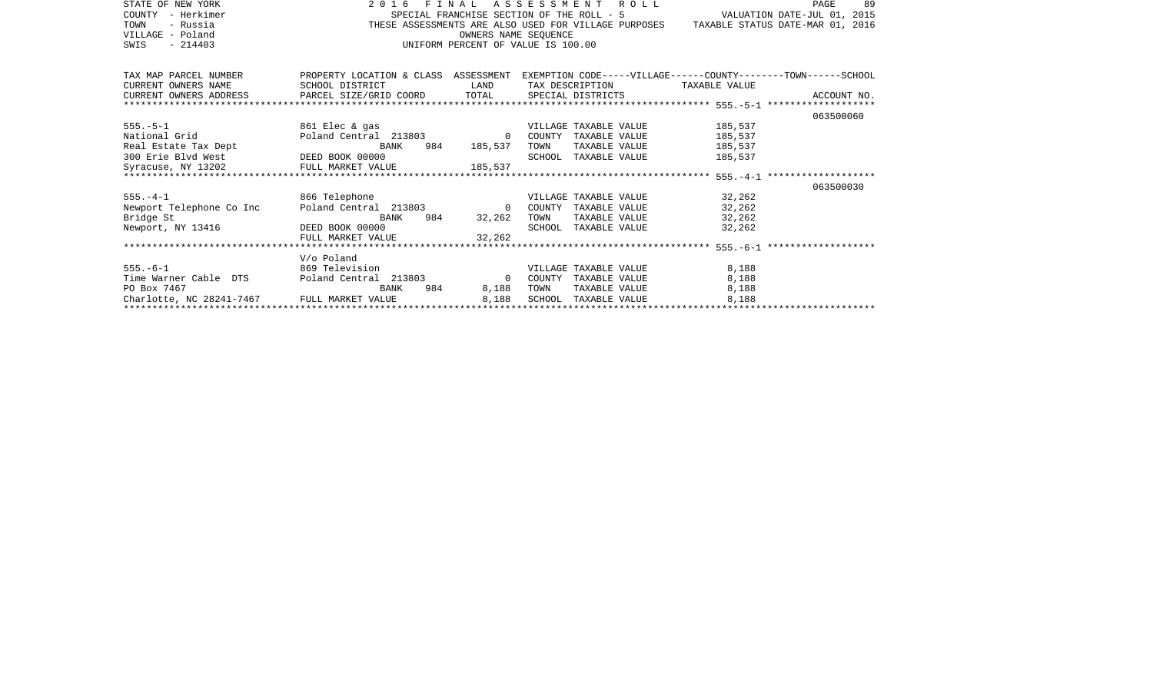| STATE OF NEW YORK<br>COUNTY - Herkimer<br>TOWN<br>- Russia<br>VILLAGE - Poland<br>SWIS<br>$-214403$                                            | 2016<br>S<br>S<br>THESE | OWNERS NAME SEQUENCE                                                                    | FINAL ASSESSMENT ROLL<br>SPECIAL FRANCHISE SECTION OF THE ROLL - $5$ VALUATION DATE-JUL 01, 2015<br>THESE ASSESSMENTS ARE ALSO USED FOR VILLAGE PURPOSES TAXABLE STATUS DATE-MAR 01, 2016<br>UNIFORM PERCENT OF VALUE IS 100.00 |         | 89<br>PAGE |
|------------------------------------------------------------------------------------------------------------------------------------------------|-------------------------|-----------------------------------------------------------------------------------------|---------------------------------------------------------------------------------------------------------------------------------------------------------------------------------------------------------------------------------|---------|------------|
| TAX MAP PARCEL NUMBER PROPERTY LOCATION & CLASS ASSESSMENT EXEMPTION CODE-----VILLAGE-----COUNTY-------TOWN------SCHOOL<br>CURRENT OWNERS NAME | SCHOOL DISTRICT         | <b>EXAMPLE THE STATE OF STATE OF STATE OF STATE OF STATE OF STATE OF STATE OF STATE</b> | TAX DESCRIPTION TAXABLE VALUE                                                                                                                                                                                                   |         |            |
|                                                                                                                                                |                         |                                                                                         |                                                                                                                                                                                                                                 |         |            |
|                                                                                                                                                |                         |                                                                                         |                                                                                                                                                                                                                                 |         |            |
|                                                                                                                                                |                         |                                                                                         |                                                                                                                                                                                                                                 |         | 063500060  |
| 555.-5-1 861 Elec & gas                                                                                                                        |                         |                                                                                         | VILLAGE TAXABLE VALUE 185,537                                                                                                                                                                                                   |         |            |
|                                                                                                                                                |                         |                                                                                         |                                                                                                                                                                                                                                 | 185,537 |            |
|                                                                                                                                                |                         |                                                                                         |                                                                                                                                                                                                                                 | 185,537 |            |
| 300 Erie Blvd West<br>Syracuse, NY 13202 FULL MARKET VALUE 185,537                                                                             |                         |                                                                                         | SCHOOL TAXABLE VALUE                                                                                                                                                                                                            | 185,537 |            |
|                                                                                                                                                |                         |                                                                                         |                                                                                                                                                                                                                                 |         |            |
|                                                                                                                                                |                         |                                                                                         |                                                                                                                                                                                                                                 |         |            |
|                                                                                                                                                |                         |                                                                                         |                                                                                                                                                                                                                                 |         | 063500030  |
|                                                                                                                                                |                         |                                                                                         |                                                                                                                                                                                                                                 |         |            |
| Bridge St                                                                                                                                      | <b>BANK</b>             | 984 32,262                                                                              | TOWN<br>TAXABLE VALUE                                                                                                                                                                                                           | 32,262  |            |
| Newport, NY 13416 DEED BOOK 00000                                                                                                              |                         |                                                                                         | SCHOOL TAXABLE VALUE 32,262                                                                                                                                                                                                     |         |            |
|                                                                                                                                                | FULL MARKET VALUE       | 32.262                                                                                  |                                                                                                                                                                                                                                 |         |            |
|                                                                                                                                                |                         |                                                                                         |                                                                                                                                                                                                                                 |         |            |
|                                                                                                                                                | V/o Poland              |                                                                                         |                                                                                                                                                                                                                                 |         |            |
| 555.-6-1 869 Television                                                                                                                        |                         |                                                                                         | VILLAGE TAXABLE VALUE                                                                                                                                                                                                           | 8,188   |            |
| Time Warner Cable DTS Poland Central 213803 0                                                                                                  |                         |                                                                                         | COUNTY TAXABLE VALUE                                                                                                                                                                                                            | 8,188   |            |
| PO Box 7467                                                                                                                                    | BANK                    | 984 — 100<br>8,188                                                                      | TOWN<br>TAXABLE VALUE                                                                                                                                                                                                           | 8,188   |            |
| Charlotte, NC 28241-7467 FULL MARKET VALUE                                                                                                     |                         | 8,188                                                                                   | SCHOOL TAXABLE VALUE                                                                                                                                                                                                            | 8,188   |            |
|                                                                                                                                                |                         |                                                                                         |                                                                                                                                                                                                                                 |         |            |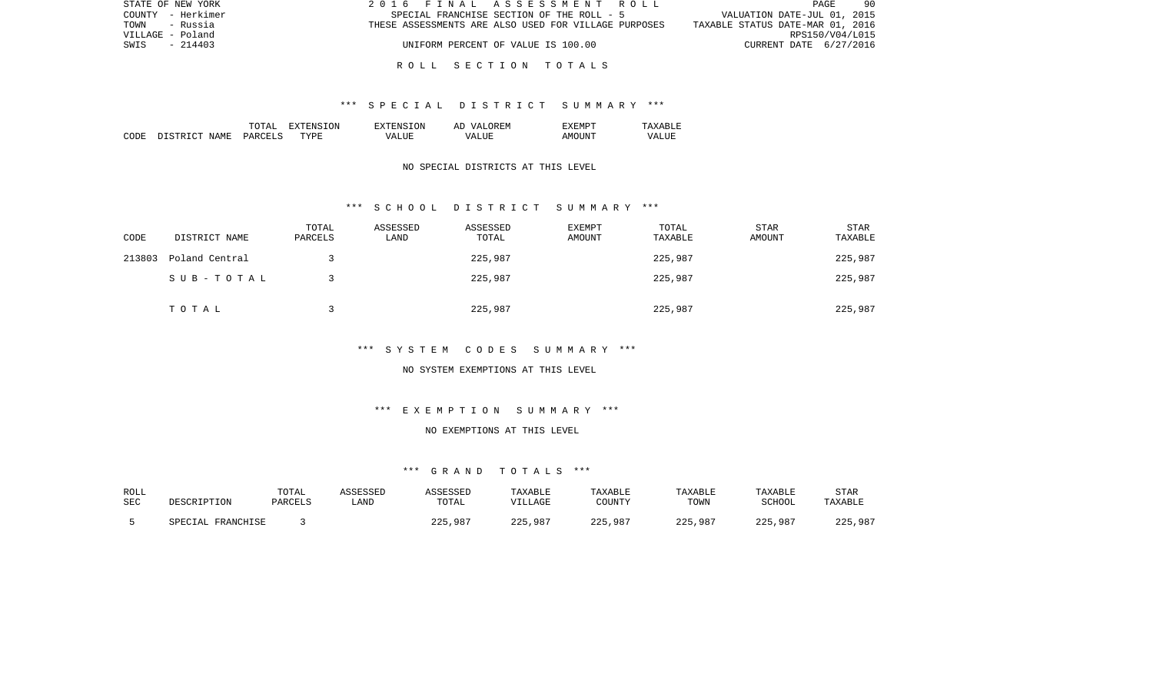| STATE OF NEW YORK | 2016 FINAL ASSESSMENT ROLL                           | 90<br>PAGE                       |
|-------------------|------------------------------------------------------|----------------------------------|
| COUNTY - Herkimer | SPECIAL FRANCHISE SECTION OF THE ROLL - 5            | VALUATION DATE-JUL 01, 2015      |
| TOWN<br>- Russia  | THESE ASSESSMENTS ARE ALSO USED FOR VILLAGE PURPOSES | TAXABLE STATUS DATE-MAR 01, 2016 |
| VILLAGE - Poland  |                                                      | RPS150/V04/L015                  |
| SWIS<br>$-214403$ | UNIFORM PERCENT OF VALUE IS 100.00                   | CURRENT DATE 6/27/2016           |
|                   |                                                      |                                  |

# R O L L S E C T I O N T O T A L S

#### \*\*\* S P E C I A L D I S T R I C T S U M M A R Y \*\*\*

|       |                                  | ͲႶͲϪͳ                          | ON.<br>. . | TON.<br>$\neg$ v $\neg$ F.N.s. | <b>777</b><br>`F.N.<br>AΓ | "XFMPT        |                  |
|-------|----------------------------------|--------------------------------|------------|--------------------------------|---------------------------|---------------|------------------|
| CODE: | <b>NAME</b><br>$\sim$<br>־ פרי פ | <b>PARCET</b><br>$\sim$ $\sim$ | TYPF.      | $- - - -$<br>VА                | - ---<br>∖7∆<br>.         | TINT.<br>AMOT | VALU.<br>_______ |

### NO SPECIAL DISTRICTS AT THIS LEVEL

#### \*\*\* S C H O O L D I S T R I C T S U M M A R Y \*\*\*

| CODE   | DISTRICT NAME  | TOTAL<br>PARCELS | ASSESSED<br>LAND | ASSESSED<br>TOTAL | EXEMPT<br>AMOUNT | TOTAL<br>TAXABLE | STAR<br>AMOUNT | STAR<br>TAXABLE |
|--------|----------------|------------------|------------------|-------------------|------------------|------------------|----------------|-----------------|
| 213803 | Poland Central |                  |                  | 225,987           |                  | 225,987          |                | 225,987         |
|        | SUB-TOTAL      |                  |                  | 225,987           |                  | 225,987          |                | 225,987         |
|        | TOTAL          |                  |                  | 225,987           |                  | 225,987          |                | 225,987         |

### \*\*\* S Y S T E M C O D E S S U M M A R Y \*\*\*

#### NO SYSTEM EXEMPTIONS AT THIS LEVEL

### \*\*\* E X E M P T I O N S U M M A R Y \*\*\*

### NO EXEMPTIONS AT THIS LEVEL

| ROLL       |                   | TOTAL   | ASSESSED | ASSESSED | TAXABLE | TAXABLE | TAXABLE | TAXABLE | STAR    |
|------------|-------------------|---------|----------|----------|---------|---------|---------|---------|---------|
| <b>SEC</b> | PESCRIPTION       | PARCELS | LAND     | TOTAL    | VILLAGE | COUNTY  | TOWN    | SCHOOL  | TAXABLE |
|            | SPECIAL FRANCHISE |         |          | 225,987  | 225,987 | 225,987 | 225,987 | 225,987 | 225,987 |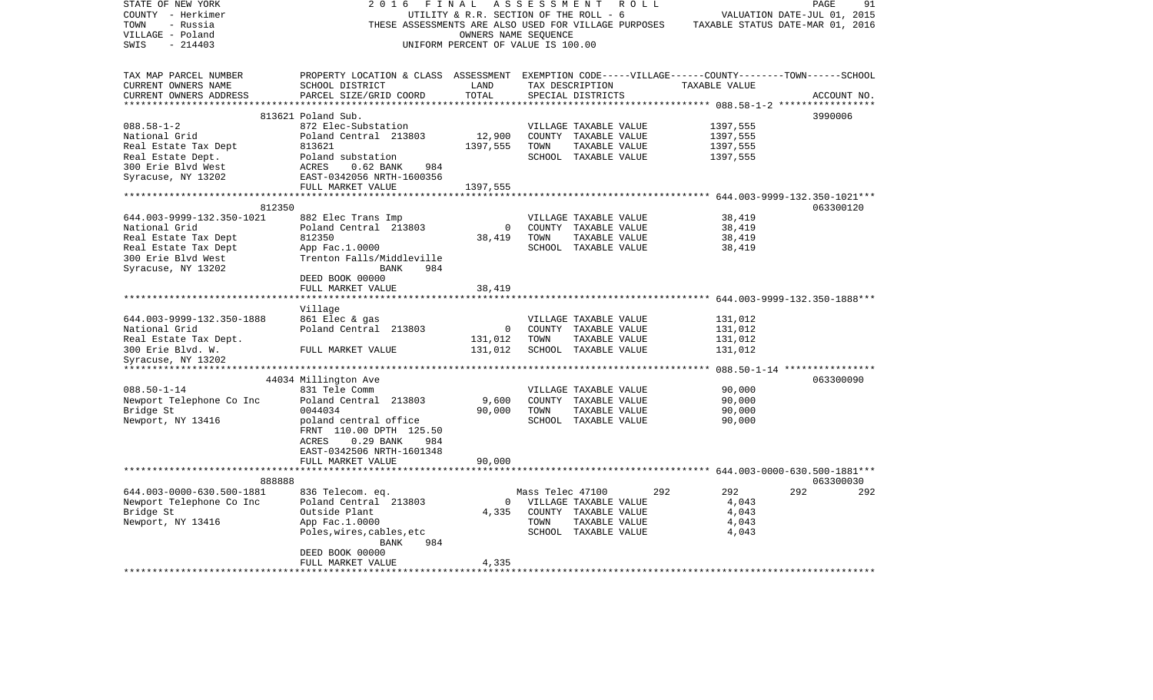| STATE OF NEW YORK                          | 2016                                                                                               | FINAL                                  | A S S E S S M E N T | R O L L                                              |                                                                   | PAGE<br>91                       |
|--------------------------------------------|----------------------------------------------------------------------------------------------------|----------------------------------------|---------------------|------------------------------------------------------|-------------------------------------------------------------------|----------------------------------|
| COUNTY - Herkimer                          |                                                                                                    | UTILITY & R.R. SECTION OF THE ROLL - 6 |                     |                                                      |                                                                   | VALUATION DATE-JUL 01, 2015      |
| TOWN<br>- Russia                           |                                                                                                    |                                        |                     | THESE ASSESSMENTS ARE ALSO USED FOR VILLAGE PURPOSES |                                                                   | TAXABLE STATUS DATE-MAR 01, 2016 |
| VILLAGE - Poland                           |                                                                                                    | OWNERS NAME SEQUENCE                   |                     |                                                      |                                                                   |                                  |
| $-214403$<br>SWIS                          |                                                                                                    | UNIFORM PERCENT OF VALUE IS 100.00     |                     |                                                      |                                                                   |                                  |
|                                            |                                                                                                    |                                        |                     |                                                      |                                                                   |                                  |
| TAX MAP PARCEL NUMBER                      | PROPERTY LOCATION & CLASS ASSESSMENT EXEMPTION CODE-----VILLAGE------COUNTY-------TOWN------SCHOOL |                                        |                     |                                                      |                                                                   |                                  |
| CURRENT OWNERS NAME                        | SCHOOL DISTRICT                                                                                    | LAND                                   |                     | TAX DESCRIPTION                                      | TAXABLE VALUE                                                     |                                  |
| CURRENT OWNERS ADDRESS                     | PARCEL SIZE/GRID COORD                                                                             | TOTAL                                  |                     | SPECIAL DISTRICTS                                    |                                                                   | ACCOUNT NO.                      |
|                                            |                                                                                                    |                                        |                     |                                                      |                                                                   | 3990006                          |
| $088.58 - 1 - 2$                           | 813621 Poland Sub.<br>872 Elec-Substation                                                          |                                        |                     | VILLAGE TAXABLE VALUE                                |                                                                   |                                  |
| National Grid                              | Poland Central 213803                                                                              | 12,900                                 |                     | COUNTY TAXABLE VALUE                                 | 1397,555<br>1397,555                                              |                                  |
| Real Estate Tax Dept                       | 813621                                                                                             | 1397,555                               | TOWN                | TAXABLE VALUE                                        | 1397,555                                                          |                                  |
| Real Estate Dept.                          | Poland substation                                                                                  |                                        |                     | SCHOOL TAXABLE VALUE                                 | 1397,555                                                          |                                  |
| 300 Erie Blvd West                         | ACRES<br>$0.62$ BANK<br>984                                                                        |                                        |                     |                                                      |                                                                   |                                  |
| Syracuse, NY 13202                         | EAST-0342056 NRTH-1600356                                                                          |                                        |                     |                                                      |                                                                   |                                  |
|                                            | FULL MARKET VALUE                                                                                  | 1397,555                               |                     |                                                      |                                                                   |                                  |
|                                            |                                                                                                    |                                        |                     |                                                      |                                                                   |                                  |
| 812350                                     |                                                                                                    |                                        |                     |                                                      |                                                                   | 063300120                        |
| 644.003-9999-132.350-1021                  | 882 Elec Trans Imp                                                                                 |                                        |                     | VILLAGE TAXABLE VALUE                                | 38,419                                                            |                                  |
| National Grid                              | Poland Central 213803                                                                              | $\mathbf 0$                            |                     | COUNTY TAXABLE VALUE                                 | 38,419                                                            |                                  |
| Real Estate Tax Dept                       | 812350                                                                                             | 38,419                                 | TOWN                | TAXABLE VALUE                                        | 38,419                                                            |                                  |
| Real Estate Tax Dept                       | App Fac.1.0000                                                                                     |                                        |                     | SCHOOL TAXABLE VALUE                                 | 38,419                                                            |                                  |
| 300 Erie Blvd West                         | Trenton Falls/Middleville                                                                          |                                        |                     |                                                      |                                                                   |                                  |
| Syracuse, NY 13202                         | 984<br>BANK                                                                                        |                                        |                     |                                                      |                                                                   |                                  |
|                                            | DEED BOOK 00000                                                                                    |                                        |                     |                                                      |                                                                   |                                  |
|                                            | FULL MARKET VALUE                                                                                  | 38,419                                 |                     |                                                      |                                                                   |                                  |
|                                            |                                                                                                    |                                        |                     |                                                      | *********************************    644.003-9999-132.350-1888*** |                                  |
|                                            | Village                                                                                            |                                        |                     |                                                      |                                                                   |                                  |
| 644.003-9999-132.350-1888<br>National Grid | 861 Elec & gas                                                                                     | $\overline{0}$                         |                     | VILLAGE TAXABLE VALUE                                | 131,012                                                           |                                  |
| Real Estate Tax Dept.                      | Poland Central 213803                                                                              | 131,012                                | TOWN                | COUNTY TAXABLE VALUE<br>TAXABLE VALUE                | 131,012<br>131,012                                                |                                  |
| 300 Erie Blvd. W.                          | FULL MARKET VALUE                                                                                  | 131,012                                |                     | SCHOOL TAXABLE VALUE                                 | 131,012                                                           |                                  |
| Syracuse, NY 13202                         |                                                                                                    |                                        |                     |                                                      |                                                                   |                                  |
|                                            |                                                                                                    |                                        |                     |                                                      |                                                                   |                                  |
|                                            | 44034 Millington Ave                                                                               |                                        |                     |                                                      |                                                                   | 063300090                        |
| $088.50 - 1 - 14$                          | 831 Tele Comm                                                                                      |                                        |                     | VILLAGE TAXABLE VALUE                                | 90,000                                                            |                                  |
| Newport Telephone Co Inc                   | Poland Central 213803                                                                              | 9,600                                  |                     | COUNTY TAXABLE VALUE                                 | 90,000                                                            |                                  |
| Bridge St                                  | 0044034                                                                                            | 90,000                                 | TOWN                | TAXABLE VALUE                                        | 90,000                                                            |                                  |
| Newport, NY 13416                          | poland central office                                                                              |                                        |                     | SCHOOL TAXABLE VALUE                                 | 90,000                                                            |                                  |
|                                            | FRNT 110.00 DPTH 125.50                                                                            |                                        |                     |                                                      |                                                                   |                                  |
|                                            | $0.29$ BANK<br>ACRES<br>984                                                                        |                                        |                     |                                                      |                                                                   |                                  |
|                                            | EAST-0342506 NRTH-1601348                                                                          |                                        |                     |                                                      |                                                                   |                                  |
|                                            | FULL MARKET VALUE                                                                                  | 90,000                                 |                     |                                                      |                                                                   |                                  |
|                                            |                                                                                                    |                                        |                     |                                                      |                                                                   |                                  |
| 888888                                     |                                                                                                    |                                        |                     |                                                      |                                                                   | 063300030                        |
| 644.003-0000-630.500-1881                  | 836 Telecom. eq.                                                                                   |                                        | Mass Telec 47100    |                                                      | 292<br>292                                                        | 292<br>292                       |
| Newport Telephone Co Inc                   | Poland Central 213803                                                                              | $\overline{0}$                         |                     | VILLAGE TAXABLE VALUE                                | 4,043                                                             |                                  |
| Bridge St                                  | Outside Plant                                                                                      | 4,335                                  |                     | COUNTY TAXABLE VALUE                                 | 4,043                                                             |                                  |
| Newport, NY 13416                          | App Fac.1.0000<br>Poles, wires, cables, etc                                                        |                                        | TOWN                | TAXABLE VALUE<br>SCHOOL TAXABLE VALUE                | 4,043<br>4,043                                                    |                                  |
|                                            | BANK<br>984                                                                                        |                                        |                     |                                                      |                                                                   |                                  |
|                                            | DEED BOOK 00000                                                                                    |                                        |                     |                                                      |                                                                   |                                  |
|                                            | FULL MARKET VALUE                                                                                  | 4,335                                  |                     |                                                      |                                                                   |                                  |
|                                            |                                                                                                    |                                        |                     |                                                      |                                                                   |                                  |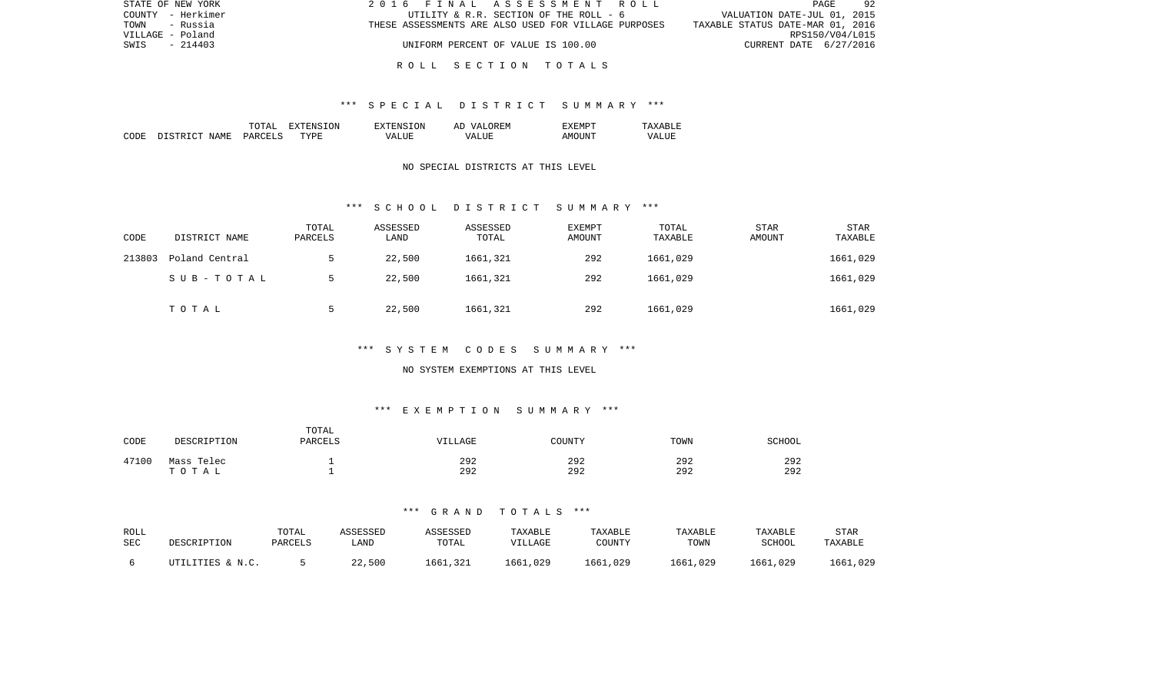| STATE OF NEW YORK | 2016 FINAL ASSESSMENT ROLL                           | 92<br>PAGE                       |
|-------------------|------------------------------------------------------|----------------------------------|
| COUNTY - Herkimer | UTILITY & R.R. SECTION OF THE ROLL - 6               | VALUATION DATE-JUL 01, 2015      |
| TOWN<br>- Russia  | THESE ASSESSMENTS ARE ALSO USED FOR VILLAGE PURPOSES | TAXABLE STATUS DATE-MAR 01, 2016 |
| VILLAGE - Poland  |                                                      | RPS150/V04/L015                  |
| $-214403$<br>SWIS | UNIFORM PERCENT OF VALUE IS 100.00                   | CURRENT DATE 6/27/2016           |
|                   |                                                      |                                  |

## R O L L S E C T I O N T O T A L S

#### \*\*\* S P E C I A L D I S T R I C T S U M M A R Y \*\*\*

|       |                                  | ͲႶͲϪͳ                          | ON.<br>. . | TON.<br>$\neg$ v $\neg$ F.N.s. | <b>777</b><br>`F.N.<br>AΓ | "XFMPT        |                  |
|-------|----------------------------------|--------------------------------|------------|--------------------------------|---------------------------|---------------|------------------|
| CODE: | <b>NAME</b><br>$\sim$<br>־ פרי פ | <b>PARCET</b><br>$\sim$ $\sim$ | TYPF.      | $- - - -$<br>VА                | - ---<br>∖7∆<br>.         | TINT.<br>AMOT | VALU.<br>_______ |

### NO SPECIAL DISTRICTS AT THIS LEVEL

#### \*\*\* S C H O O L D I S T R I C T S U M M A R Y \*\*\*

| CODE   | DISTRICT NAME  | TOTAL<br>PARCELS | ASSESSED<br>LAND | ASSESSED<br>TOTAL | EXEMPT<br>AMOUNT | TOTAL<br>TAXABLE | <b>STAR</b><br>AMOUNT | <b>STAR</b><br>TAXABLE |
|--------|----------------|------------------|------------------|-------------------|------------------|------------------|-----------------------|------------------------|
| 213803 | Poland Central |                  | 22,500           | 1661,321          | 292              | 1661,029         |                       | 1661,029               |
|        | SUB-TOTAL      |                  | 22,500           | 1661,321          | 292              | 1661,029         |                       | 1661,029               |
|        | TOTAL          |                  | 22,500           | 1661,321          | 292              | 1661,029         |                       | 1661,029               |

### \*\*\* S Y S T E M C O D E S S U M M A R Y \*\*\*

#### NO SYSTEM EXEMPTIONS AT THIS LEVEL

### \*\*\* E X E M P T I O N S U M M A R Y \*\*\*

| CODE  | DESCRIPTION | TOTAL<br>PARCELS | VILLAGE | COUNTY | TOWN | SCHOOL |
|-------|-------------|------------------|---------|--------|------|--------|
| 47100 | Mass Telec  | -                | 292     | 292    | 292  | 292    |
|       | тотаь       |                  | 292     | 292    | 292  | 292    |

| ROLL | DESCRIPTION      | TOTAL   | ASSESSED | ASSESSED | TAXABLE  | TAXABLE  | <b>TAXABLE</b> | TAXABLE  | <b>STAR</b> |
|------|------------------|---------|----------|----------|----------|----------|----------------|----------|-------------|
| SEC  |                  | PARCELS | LAND     | TOTAL    | VILLAGE  | COUNTY   | TOWN           | SCHOOL   | TAXABLE     |
|      | UTILITIES & N.C. |         | 22,500   | 1661,321 | 1661,029 | 1661,029 | 1661,029       | 1661,029 | 1661,029    |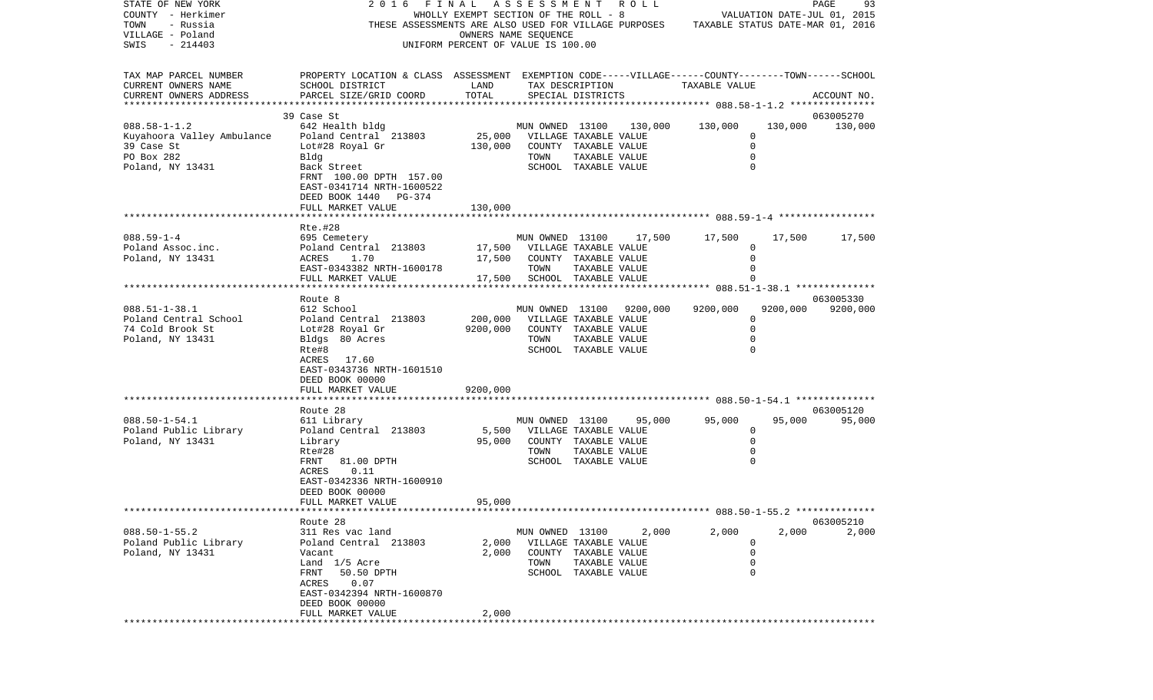| STATE OF NEW YORK                         | 2016                                                                                               | FINAL                                 | ASSESSMENT                               |                      | R O L L  |                                                                      |             | PAGE<br>93                       |
|-------------------------------------------|----------------------------------------------------------------------------------------------------|---------------------------------------|------------------------------------------|----------------------|----------|----------------------------------------------------------------------|-------------|----------------------------------|
| COUNTY - Herkimer                         |                                                                                                    | WHOLLY EXEMPT SECTION OF THE ROLL - 8 |                                          |                      |          |                                                                      |             | VALUATION DATE-JUL 01, 2015      |
| TOWN<br>- Russia                          | THESE ASSESSMENTS ARE ALSO USED FOR VILLAGE PURPOSES                                               |                                       |                                          |                      |          |                                                                      |             | TAXABLE STATUS DATE-MAR 01, 2016 |
| VILLAGE - Poland                          |                                                                                                    |                                       | OWNERS NAME SEQUENCE                     |                      |          |                                                                      |             |                                  |
| $-214403$<br>SWIS                         |                                                                                                    | UNIFORM PERCENT OF VALUE IS 100.00    |                                          |                      |          |                                                                      |             |                                  |
| TAX MAP PARCEL NUMBER                     | PROPERTY LOCATION & CLASS ASSESSMENT EXEMPTION CODE-----VILLAGE------COUNTY-------TOWN------SCHOOL |                                       |                                          |                      |          |                                                                      |             |                                  |
| CURRENT OWNERS NAME                       | SCHOOL DISTRICT                                                                                    | LAND                                  |                                          | TAX DESCRIPTION      |          | TAXABLE VALUE                                                        |             |                                  |
| CURRENT OWNERS ADDRESS                    | PARCEL SIZE/GRID COORD                                                                             | TOTAL                                 |                                          | SPECIAL DISTRICTS    |          |                                                                      |             | ACCOUNT NO.                      |
| **********************                    |                                                                                                    |                                       |                                          |                      |          |                                                                      |             |                                  |
|                                           | 39 Case St                                                                                         |                                       |                                          |                      |          |                                                                      |             | 063005270                        |
| $088.58 - 1 - 1.2$                        | 642 Health bldg                                                                                    |                                       | MUN OWNED 13100                          |                      | 130,000  | 130,000                                                              | 130,000     | 130,000                          |
| Kuyahoora Valley Ambulance                | Poland Central 213803                                                                              | 25,000                                | VILLAGE TAXABLE VALUE                    |                      |          |                                                                      | $\Omega$    |                                  |
| 39 Case St                                | Lot#28 Royal Gr                                                                                    | 130,000                               |                                          | COUNTY TAXABLE VALUE |          |                                                                      | $\mathbf 0$ |                                  |
| PO Box 282                                | Bldg                                                                                               |                                       | TOWN                                     | TAXABLE VALUE        |          |                                                                      | 0           |                                  |
| Poland, NY 13431                          | Back Street                                                                                        |                                       |                                          | SCHOOL TAXABLE VALUE |          |                                                                      | $\Omega$    |                                  |
|                                           | FRNT 100.00 DPTH 157.00                                                                            |                                       |                                          |                      |          |                                                                      |             |                                  |
|                                           | EAST-0341714 NRTH-1600522                                                                          |                                       |                                          |                      |          |                                                                      |             |                                  |
|                                           | DEED BOOK 1440 PG-374                                                                              |                                       |                                          |                      |          |                                                                      |             |                                  |
|                                           | FULL MARKET VALUE                                                                                  | 130,000                               |                                          |                      |          |                                                                      |             |                                  |
|                                           |                                                                                                    |                                       |                                          |                      |          |                                                                      |             |                                  |
|                                           | Rte.#28                                                                                            |                                       |                                          |                      |          |                                                                      |             |                                  |
| $088.59 - 1 - 4$                          | 695 Cemetery                                                                                       |                                       | MUN OWNED 13100                          |                      | 17,500   | 17,500                                                               | 17,500      | 17,500                           |
| Poland Assoc.inc.                         | Poland Central 213803                                                                              | 17,500                                | VILLAGE TAXABLE VALUE                    |                      |          |                                                                      | 0           |                                  |
| Poland, NY 13431                          | 1.70<br>ACRES                                                                                      | 17,500                                | COUNTY TAXABLE VALUE                     |                      |          |                                                                      | 0           |                                  |
|                                           | EAST-0343382 NRTH-1600178                                                                          |                                       | TOWN                                     | TAXABLE VALUE        |          |                                                                      | 0           |                                  |
|                                           | FULL MARKET VALUE<br>***********************                                                       | 17,500                                | SCHOOL TAXABLE VALUE                     |                      |          |                                                                      |             |                                  |
|                                           |                                                                                                    |                                       |                                          |                      |          | ************************************** 088.51-1-38.1 *************** |             |                                  |
| $088.51 - 1 - 38.1$                       | Route 8                                                                                            |                                       |                                          |                      |          | 9200,000                                                             | 9200,000    | 063005330                        |
|                                           | 612 School                                                                                         | 200,000                               | MUN OWNED 13100<br>VILLAGE TAXABLE VALUE |                      | 9200,000 |                                                                      | 0           | 9200,000                         |
| Poland Central School<br>74 Cold Brook St | Poland Central 213803                                                                              | 9200,000                              |                                          | COUNTY TAXABLE VALUE |          |                                                                      | $\Omega$    |                                  |
| Poland, NY 13431                          | Lot#28 Royal Gr<br>Bldgs 80 Acres                                                                  |                                       | TOWN                                     | TAXABLE VALUE        |          |                                                                      |             |                                  |
|                                           | Rte#8                                                                                              |                                       |                                          | SCHOOL TAXABLE VALUE |          |                                                                      |             |                                  |
|                                           | ACRES<br>17.60                                                                                     |                                       |                                          |                      |          |                                                                      |             |                                  |
|                                           | EAST-0343736 NRTH-1601510                                                                          |                                       |                                          |                      |          |                                                                      |             |                                  |
|                                           | DEED BOOK 00000                                                                                    |                                       |                                          |                      |          |                                                                      |             |                                  |
|                                           | FULL MARKET VALUE                                                                                  | 9200,000                              |                                          |                      |          |                                                                      |             |                                  |
|                                           |                                                                                                    |                                       |                                          |                      |          |                                                                      |             |                                  |
|                                           | Route 28                                                                                           |                                       |                                          |                      |          |                                                                      |             | 063005120                        |
| $088.50 - 1 - 54.1$                       | 611 Library                                                                                        |                                       | MUN OWNED 13100                          |                      | 95,000   | 95,000                                                               | 95,000      | 95,000                           |
| Poland Public Library                     | Poland Central 213803                                                                              | 5,500                                 | VILLAGE TAXABLE VALUE                    |                      |          |                                                                      | 0           |                                  |
| Poland, NY 13431                          | Library                                                                                            | 95,000                                |                                          | COUNTY TAXABLE VALUE |          |                                                                      | 0           |                                  |
|                                           | Rte#28                                                                                             |                                       | TOWN                                     | TAXABLE VALUE        |          |                                                                      | 0           |                                  |
|                                           | FRNT<br>81.00 DPTH                                                                                 |                                       |                                          | SCHOOL TAXABLE VALUE |          |                                                                      |             |                                  |
|                                           | 0.11<br>ACRES                                                                                      |                                       |                                          |                      |          |                                                                      |             |                                  |
|                                           | EAST-0342336 NRTH-1600910                                                                          |                                       |                                          |                      |          |                                                                      |             |                                  |
|                                           | DEED BOOK 00000                                                                                    |                                       |                                          |                      |          |                                                                      |             |                                  |
|                                           | FULL MARKET VALUE                                                                                  | 95,000                                |                                          |                      |          |                                                                      |             |                                  |
|                                           |                                                                                                    |                                       |                                          |                      |          | ******************************* 088.50-1-55.2 **************         |             |                                  |
|                                           | Route 28                                                                                           |                                       |                                          |                      |          |                                                                      |             | 063005210                        |
| $088.50 - 1 - 55.2$                       | 311 Res vac land                                                                                   |                                       | MUN OWNED 13100                          |                      | 2,000    | 2,000                                                                | 2,000       | 2,000                            |
| Poland Public Library                     | Poland Central 213803                                                                              | 2,000                                 | VILLAGE TAXABLE VALUE                    |                      |          |                                                                      | 0           |                                  |
| Poland, NY 13431                          | Vacant                                                                                             | 2,000                                 |                                          | COUNTY TAXABLE VALUE |          |                                                                      | $\mathbf 0$ |                                  |
|                                           | Land 1/5 Acre                                                                                      |                                       | TOWN                                     | TAXABLE VALUE        |          |                                                                      | $\mathbf 0$ |                                  |
|                                           | FRNT<br>50.50 DPTH                                                                                 |                                       |                                          | SCHOOL TAXABLE VALUE |          |                                                                      | $\Omega$    |                                  |
|                                           | 0.07<br>ACRES                                                                                      |                                       |                                          |                      |          |                                                                      |             |                                  |
|                                           | EAST-0342394 NRTH-1600870                                                                          |                                       |                                          |                      |          |                                                                      |             |                                  |
|                                           | DEED BOOK 00000                                                                                    |                                       |                                          |                      |          |                                                                      |             |                                  |
|                                           | FULL MARKET VALUE                                                                                  | 2,000                                 |                                          |                      |          |                                                                      |             |                                  |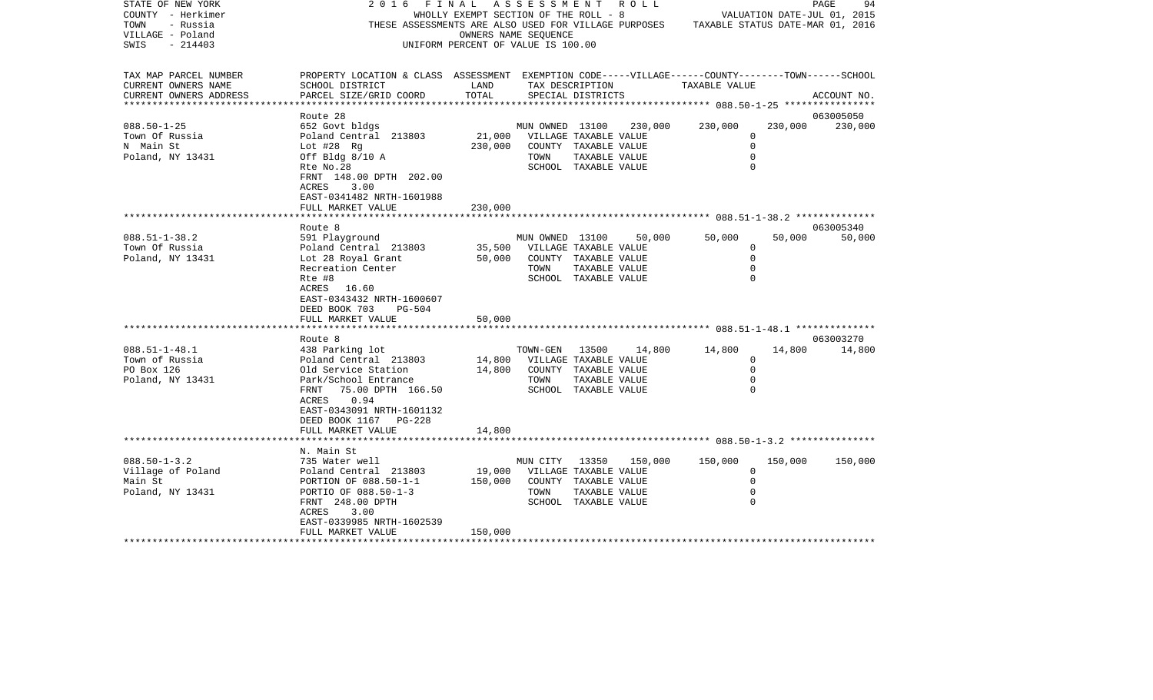| STATE OF NEW YORK<br>COUNTY - Herkimer<br>TOWN<br>- Russia<br>VILLAGE - Poland<br>$-214403$<br>SWIS | 2 0 1 6<br>THESE ASSESSMENTS ARE ALSO USED FOR VILLAGE PURPOSES                                                                                                                                               | FINAL<br>WHOLLY EXEMPT SECTION OF THE ROLL - 8<br>UNIFORM PERCENT OF VALUE IS 100.00 | ASSESSMENT<br>OWNERS NAME SEQUENCE               |                                                                                                 | R O L L | TAXABLE STATUS DATE-MAR 01, 2016                                |         | PAGE<br>94<br>VALUATION DATE-JUL 01, 2015 |
|-----------------------------------------------------------------------------------------------------|---------------------------------------------------------------------------------------------------------------------------------------------------------------------------------------------------------------|--------------------------------------------------------------------------------------|--------------------------------------------------|-------------------------------------------------------------------------------------------------|---------|-----------------------------------------------------------------|---------|-------------------------------------------|
| TAX MAP PARCEL NUMBER<br>CURRENT OWNERS NAME<br>CURRENT OWNERS ADDRESS                              | PROPERTY LOCATION & CLASS ASSESSMENT EXEMPTION CODE-----VILLAGE------COUNTY-------TOWN------SCHOOL<br>SCHOOL DISTRICT<br>PARCEL SIZE/GRID COORD                                                               | LAND<br>TOTAL                                                                        |                                                  | TAX DESCRIPTION<br>SPECIAL DISTRICTS                                                            |         | TAXABLE VALUE                                                   |         | ACCOUNT NO.                               |
| $088.50 - 1 - 25$<br>Town Of Russia<br>N Main St<br>Poland, NY 13431                                | Route 28<br>652 Govt bldgs<br>Poland Central 213803<br>Lot $#28$ Rg<br>Off Bldg $8/10$ A<br>Rte No.28<br>FRNT 148.00 DPTH 202.00<br>ACRES<br>3.00<br>EAST-0341482 NRTH-1601988                                | 21,000<br>230,000                                                                    | MUN OWNED 13100<br>VILLAGE TAXABLE VALUE<br>TOWN | COUNTY TAXABLE VALUE<br>TAXABLE VALUE<br>SCHOOL TAXABLE VALUE                                   | 230,000 | 230,000<br>0<br>$\mathbf 0$<br>$\mathbf 0$<br>$\Omega$          | 230,000 | 063005050<br>230,000                      |
|                                                                                                     | FULL MARKET VALUE                                                                                                                                                                                             | 230,000                                                                              |                                                  |                                                                                                 |         |                                                                 |         |                                           |
| $088.51 - 1 - 38.2$<br>Town Of Russia<br>Poland, NY 13431                                           | Route 8<br>591 Playground<br>Poland Central 213803<br>Lot 28 Royal Grant<br>Recreation Center<br>Rte #8<br>ACRES<br>16.60<br>EAST-0343432 NRTH-1600607<br>DEED BOOK 703<br><b>PG-504</b><br>FULL MARKET VALUE | 35,500<br>50,000<br>50,000                                                           | MUN OWNED 13100<br>TOWN                          | VILLAGE TAXABLE VALUE<br>COUNTY TAXABLE VALUE<br>TAXABLE VALUE<br>SCHOOL TAXABLE VALUE          | 50,000  | 50,000<br>$\mathbf 0$<br>$\mathbf 0$<br>$\mathbf 0$<br>$\Omega$ | 50,000  | 063005340<br>50,000                       |
|                                                                                                     | *********************                                                                                                                                                                                         |                                                                                      |                                                  |                                                                                                 |         |                                                                 |         |                                           |
| $088.51 - 1 - 48.1$<br>Town of Russia<br>PO Box 126<br>Poland, NY 13431                             | Route 8<br>438 Parking lot<br>Poland Central 213803<br>Old Service Station<br>Park/School Entrance<br>75.00 DPTH 166.50<br>FRNT<br>0.94<br>ACRES<br>EAST-0343091 NRTH-1601132<br>DEED BOOK 1167<br>PG-228     | 14,800<br>14,800                                                                     | TOWN-GEN<br>VILLAGE TAXABLE VALUE<br>TOWN        | 13500<br>COUNTY TAXABLE VALUE<br>TAXABLE VALUE<br>SCHOOL TAXABLE VALUE                          | 14,800  | 14,800<br>$\Omega$<br>$\mathbf 0$<br>$\mathbf 0$<br>0           | 14,800  | 063003270<br>14,800                       |
|                                                                                                     | FULL MARKET VALUE                                                                                                                                                                                             | 14,800                                                                               |                                                  |                                                                                                 |         |                                                                 |         |                                           |
| $088.50 - 1 - 3.2$<br>Village of Poland<br>Main St<br>Poland, NY 13431                              | N. Main St<br>735 Water well<br>Poland Central 213803<br>PORTION OF 088.50-1-1<br>PORTIO OF 088.50-1-3<br>FRNT 248.00 DPTH<br>ACRES<br>3.00                                                                   | 19,000<br>150,000                                                                    | MUN CITY<br>TOWN                                 | 13350<br>VILLAGE TAXABLE VALUE<br>COUNTY TAXABLE VALUE<br>TAXABLE VALUE<br>SCHOOL TAXABLE VALUE | 150,000 | 150,000<br>0<br>$\mathbf 0$<br>0<br>$\Omega$                    | 150,000 | 150,000                                   |
|                                                                                                     | EAST-0339985 NRTH-1602539<br>FULL MARKET VALUE<br>*********************                                                                                                                                       | 150,000                                                                              |                                                  |                                                                                                 |         |                                                                 |         |                                           |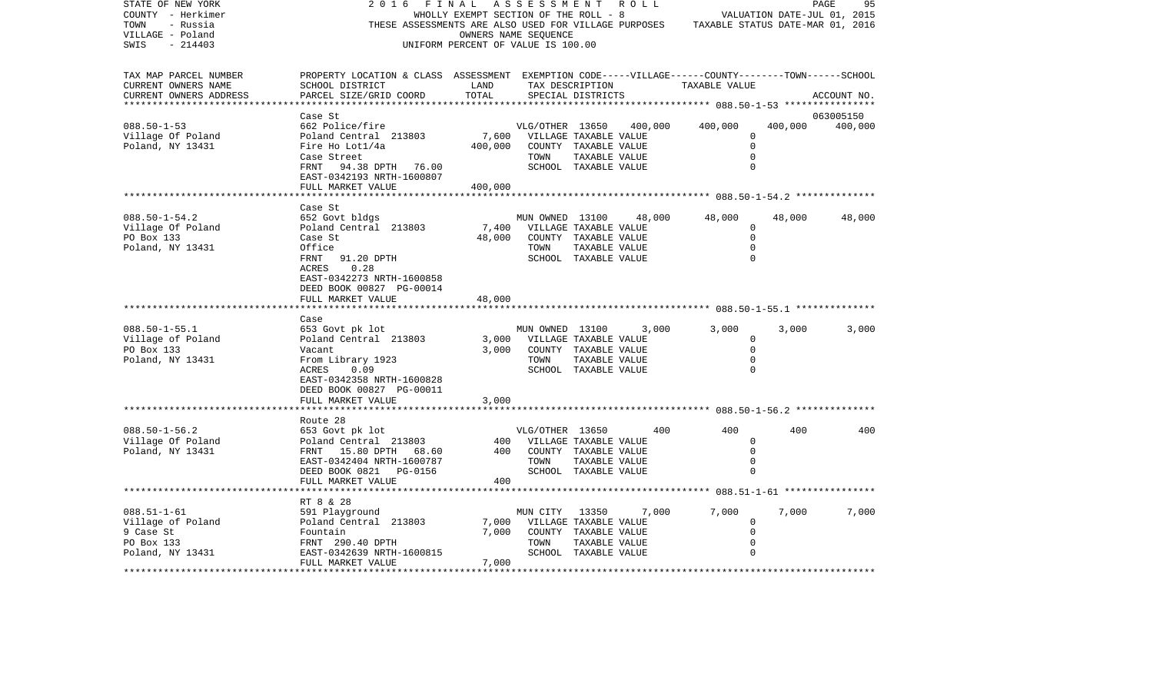| STATE OF NEW YORK<br>COUNTY - Herkimer<br>- Russia<br>TOWN<br>VILLAGE - Poland<br>$-214403$<br>SWIS | 2016<br>FINAL<br>THESE ASSESSMENTS ARE ALSO USED FOR VILLAGE PURPOSES                                                                                                                        | WHOLLY EXEMPT SECTION OF THE ROLL - 8<br>OWNERS NAME SEQUENCE<br>UNIFORM PERCENT OF VALUE IS 100.00 | A S S E S S M E N T     |                                                                                                 | R O L L |                                        |                                                          | PAGE<br>95<br>VALUATION DATE-JUL 01, 2015<br>TAXABLE STATUS DATE-MAR 01, 2016 |
|-----------------------------------------------------------------------------------------------------|----------------------------------------------------------------------------------------------------------------------------------------------------------------------------------------------|-----------------------------------------------------------------------------------------------------|-------------------------|-------------------------------------------------------------------------------------------------|---------|----------------------------------------|----------------------------------------------------------|-------------------------------------------------------------------------------|
| TAX MAP PARCEL NUMBER<br>CURRENT OWNERS NAME<br>CURRENT OWNERS ADDRESS                              | PROPERTY LOCATION & CLASS ASSESSMENT EXEMPTION CODE-----VILLAGE------COUNTY-------TOWN------SCHOOL<br>SCHOOL DISTRICT<br>PARCEL SIZE/GRID COORD                                              | LAND<br>TOTAL                                                                                       |                         | TAX DESCRIPTION<br>SPECIAL DISTRICTS                                                            |         | TAXABLE VALUE                          |                                                          | ACCOUNT NO.                                                                   |
|                                                                                                     | Case St                                                                                                                                                                                      |                                                                                                     |                         |                                                                                                 |         |                                        |                                                          | 063005150                                                                     |
| $088.50 - 1 - 53$<br>Village Of Poland<br>Poland, NY 13431                                          | 662 Police/fire<br>Poland Central 213803<br>Fire Ho Lot1/4a<br>Case Street<br>94.38 DPTH<br>FRNT<br>76.00<br>EAST-0342193 NRTH-1600807                                                       | 7,600<br>400,000                                                                                    | VLG/OTHER 13650<br>TOWN | VILLAGE TAXABLE VALUE<br>COUNTY TAXABLE VALUE<br>TAXABLE VALUE<br>SCHOOL TAXABLE VALUE          | 400,000 | 400,000                                | 400,000<br>0<br>$\Omega$<br>$\mathbf 0$<br>$\Omega$      | 400,000                                                                       |
|                                                                                                     | FULL MARKET VALUE<br>********************                                                                                                                                                    | 400,000                                                                                             |                         |                                                                                                 |         |                                        |                                                          |                                                                               |
| $088.50 - 1 - 54.2$<br>Village Of Poland<br>PO Box 133<br>Poland, NY 13431                          | Case St<br>652 Govt bldgs<br>Poland Central 213803<br>Case St<br>Office<br>91.20 DPTH<br>FRNT<br>ACRES<br>0.28<br>EAST-0342273 NRTH-1600858<br>DEED BOOK 00827 PG-00014<br>FULL MARKET VALUE | 7,400<br>48,000<br>48,000                                                                           | MUN OWNED 13100<br>TOWN | VILLAGE TAXABLE VALUE<br>COUNTY TAXABLE VALUE<br>TAXABLE VALUE<br>SCHOOL TAXABLE VALUE          | 48,000  | 48,000                                 | 48,000<br>0<br>$\mathbf 0$<br>$\mathbf 0$<br>$\mathbf 0$ | 48,000                                                                        |
|                                                                                                     | Case                                                                                                                                                                                         |                                                                                                     |                         |                                                                                                 |         |                                        |                                                          |                                                                               |
| $088.50 - 1 - 55.1$<br>Village of Poland<br>PO Box 133<br>Poland, NY 13431                          | 653 Govt pk lot<br>Poland Central 213803<br>Vacant<br>From Library 1923<br>ACRES<br>0.09<br>EAST-0342358 NRTH-1600828<br>DEED BOOK 00827 PG-00011                                            | 3,000<br>3,000                                                                                      | MUN OWNED 13100<br>TOWN | VILLAGE TAXABLE VALUE<br>COUNTY TAXABLE VALUE<br>TAXABLE VALUE<br>SCHOOL TAXABLE VALUE          | 3,000   | 3,000                                  | 3,000<br>0<br>$\Omega$<br>$\mathbf 0$<br>$\Omega$        | 3,000                                                                         |
|                                                                                                     | FULL MARKET VALUE                                                                                                                                                                            | 3,000                                                                                               |                         |                                                                                                 |         |                                        |                                                          |                                                                               |
|                                                                                                     |                                                                                                                                                                                              |                                                                                                     |                         |                                                                                                 |         | ********* 088.50-1-56.2 ************** |                                                          |                                                                               |
| $088.50 - 1 - 56.2$<br>Village Of Poland<br>Poland, NY 13431                                        | Route 28<br>653 Govt pk lot<br>Poland Central 213803<br>FRNT 15.80 DPTH<br>68.60<br>EAST-0342404 NRTH-1600787<br>DEED BOOK 0821 PG-0156<br>FULL MARKET VALUE                                 | 400<br>400<br>400                                                                                   | VLG/OTHER 13650<br>TOWN | VILLAGE TAXABLE VALUE<br>COUNTY TAXABLE VALUE<br>TAXABLE VALUE<br>SCHOOL TAXABLE VALUE          | 400     | 400                                    | 400<br>$\mathbf 0$<br>$\mathbf 0$<br>0<br>$\Omega$       | 400                                                                           |
|                                                                                                     | ******************                                                                                                                                                                           |                                                                                                     |                         |                                                                                                 |         |                                        |                                                          |                                                                               |
| $088.51 - 1 - 61$<br>Village of Poland<br>9 Case St<br>PO Box 133<br>Poland, NY 13431               | RT 8 & 28<br>591 Playground<br>Poland Central 213803<br>Fountain<br>FRNT 290.40 DPTH<br>EAST-0342639 NRTH-1600815                                                                            | 7,000<br>7,000                                                                                      | MUN CITY<br>TOWN        | 13350<br>VILLAGE TAXABLE VALUE<br>COUNTY TAXABLE VALUE<br>TAXABLE VALUE<br>SCHOOL TAXABLE VALUE | 7,000   | 7,000                                  | 7,000<br>0<br>$\Omega$<br>$\mathbf 0$<br>$\Omega$        | 7,000                                                                         |
|                                                                                                     | FULL MARKET VALUE                                                                                                                                                                            | 7,000<br>**************                                                                             |                         |                                                                                                 |         |                                        |                                                          |                                                                               |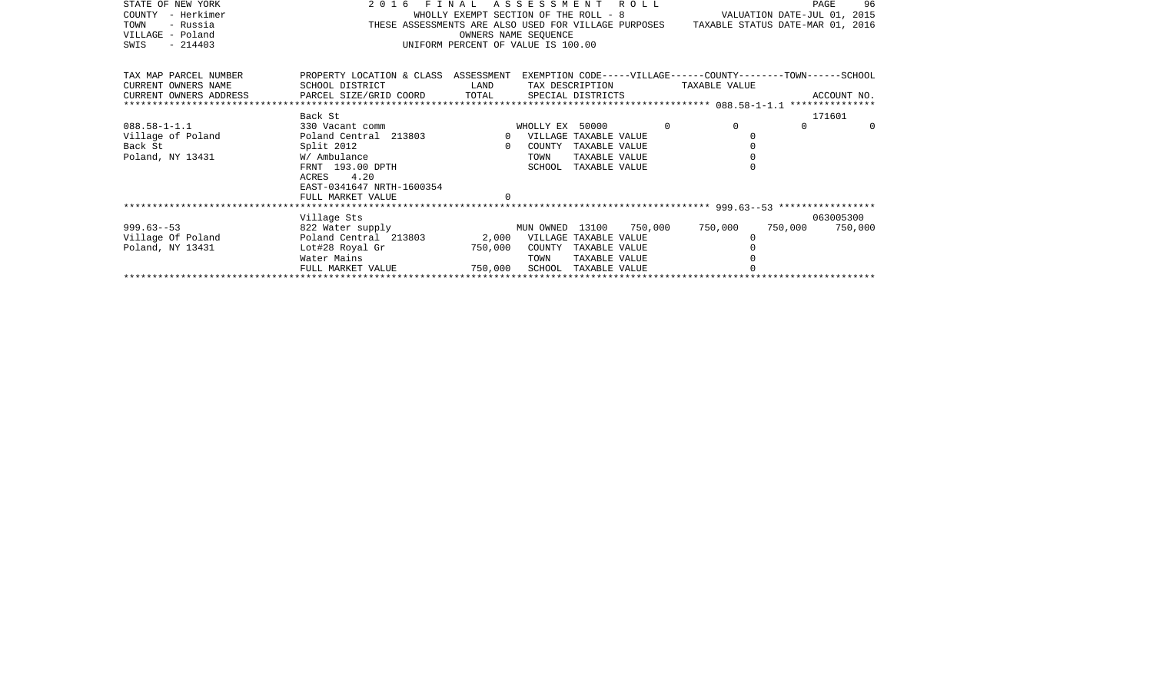| STATE OF NEW YORK      | 2016 FINAL ASSESSMENT ROLL                                                                         |                                    |                             |                      |          |                                                                                       |         | 96<br>PAGE  |
|------------------------|----------------------------------------------------------------------------------------------------|------------------------------------|-----------------------------|----------------------|----------|---------------------------------------------------------------------------------------|---------|-------------|
| - Herkimer<br>COUNTY   |                                                                                                    |                                    |                             |                      |          | WHOLLY EXEMPT SECTION OF THE ROLL - 8 VALUATION DATE-JUL 01, 2015                     |         |             |
| TOWN<br>- Russia       |                                                                                                    |                                    |                             |                      |          | THESE ASSESSMENTS ARE ALSO USED FOR VILLAGE PURPOSES TAXABLE STATUS DATE-MAR 01, 2016 |         |             |
| VILLAGE - Poland       |                                                                                                    |                                    | OWNERS NAME SEOUENCE        |                      |          |                                                                                       |         |             |
| $-214403$<br>SWIS      |                                                                                                    | UNIFORM PERCENT OF VALUE IS 100.00 |                             |                      |          |                                                                                       |         |             |
|                        |                                                                                                    |                                    |                             |                      |          |                                                                                       |         |             |
| TAX MAP PARCEL NUMBER  | PROPERTY LOCATION & CLASS ASSESSMENT EXEMPTION CODE-----VILLAGE------COUNTY-------TOWN------SCHOOL |                                    |                             |                      |          |                                                                                       |         |             |
| CURRENT OWNERS NAME    | SCHOOL DISTRICT                                                                                    | <b>LAND</b>                        |                             |                      |          | TAX DESCRIPTION TAXABLE VALUE                                                         |         |             |
| CURRENT OWNERS ADDRESS | PARCEL SIZE/GRID COORD TOTAL                                                                       |                                    |                             | SPECIAL DISTRICTS    |          |                                                                                       |         | ACCOUNT NO. |
|                        |                                                                                                    |                                    |                             |                      |          |                                                                                       |         |             |
|                        | Back St                                                                                            |                                    |                             |                      |          |                                                                                       |         | 171601      |
| $088.58 - 1 - 1.1$     | 330 Vacant comm                                                                                    |                                    | WHOLLY EX 50000             |                      | $\Omega$ | $\Omega$                                                                              | $\cap$  | $\Omega$    |
| Village of Poland      | Poland Central 213803                                                                              |                                    | 0 VILLAGE TAXABLE VALUE     |                      |          |                                                                                       |         |             |
| Back St                | Split 2012                                                                                         | $\Omega$                           | COUNTY                      | TAXABLE VALUE        |          |                                                                                       |         |             |
| Poland, NY 13431       | W/ Ambulance                                                                                       |                                    | TOWN                        | TAXABLE VALUE        |          |                                                                                       |         |             |
|                        | FRNT 193.00 DPTH                                                                                   |                                    | SCHOOL                      | TAXABLE VALUE        |          |                                                                                       |         |             |
|                        | ACRES 4.20                                                                                         |                                    |                             |                      |          |                                                                                       |         |             |
|                        | EAST-0341647 NRTH-1600354                                                                          |                                    |                             |                      |          |                                                                                       |         |             |
|                        | FULL MARKET VALUE                                                                                  |                                    |                             |                      |          |                                                                                       |         |             |
|                        |                                                                                                    |                                    |                             |                      |          |                                                                                       |         |             |
|                        | Village Sts                                                                                        |                                    |                             |                      |          |                                                                                       |         | 063005300   |
| $999.63 - 53$          | 822 Water supply                                                                                   |                                    | MUN OWNED 13100 750,000     |                      |          | 750,000                                                                               | 750,000 | 750,000     |
| Village Of Poland      | Poland Central 213803                                                                              |                                    | 2,000 VILLAGE TAXABLE VALUE |                      |          |                                                                                       |         |             |
| Poland, NY 13431       | Lot#28 Royal Gr                                                                                    | 750,000                            | COUNTY                      | TAXABLE VALUE        |          |                                                                                       |         |             |
|                        | Water Mains<br>FULL MARKET VALUE                                                                   | 750,000                            | TOWN                        | TAXABLE VALUE        |          |                                                                                       |         |             |
|                        |                                                                                                    |                                    |                             | SCHOOL TAXABLE VALUE |          |                                                                                       |         |             |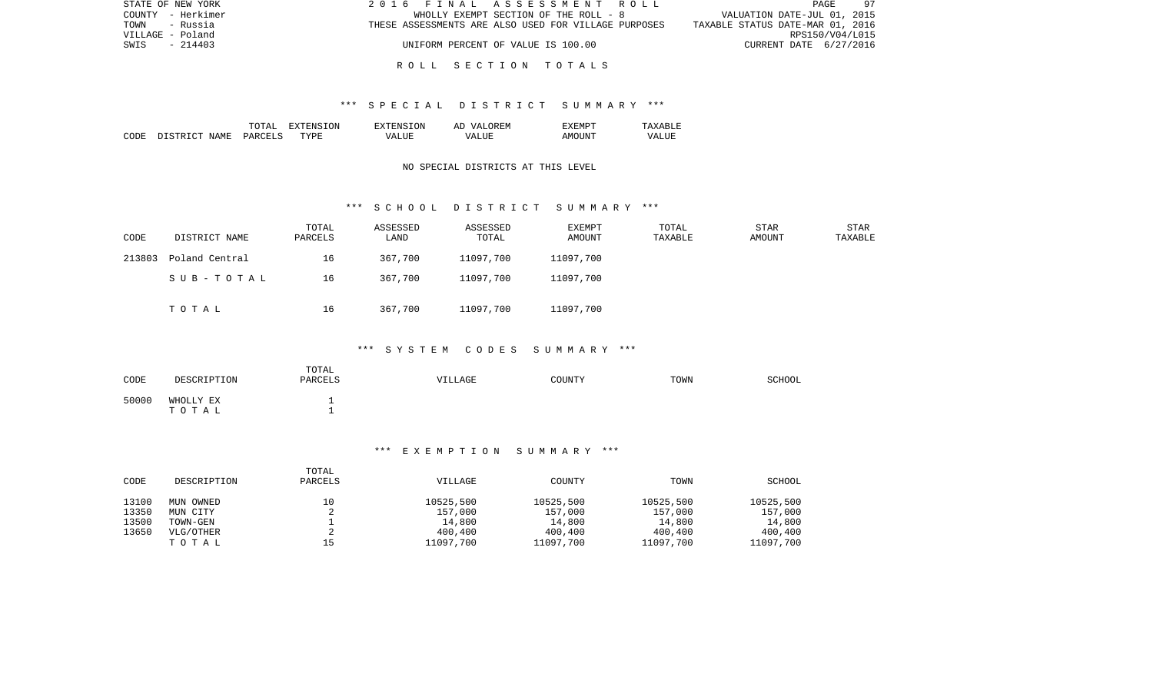| STATE OF NEW YORK | 2016 FINAL ASSESSMENT ROLL                           | 97<br>PAGE                       |
|-------------------|------------------------------------------------------|----------------------------------|
| COUNTY - Herkimer | WHOLLY EXEMPT SECTION OF THE ROLL - 8                | VALUATION DATE-JUL 01, 2015      |
| TOWN<br>- Russia  | THESE ASSESSMENTS ARE ALSO USED FOR VILLAGE PURPOSES | TAXABLE STATUS DATE-MAR 01, 2016 |
| VILLAGE - Poland  |                                                      | RPS150/V04/L015                  |
| $-214403$<br>SWIS | UNIFORM PERCENT OF VALUE IS 100.00                   | CURRENT DATE 6/27/2016           |
|                   |                                                      |                                  |

### R O L L S E C T I O N T O T A L S

### \*\*\* S P E C I A L D I S T R I C T S U M M A R Y \*\*\*

|      |                  | ΤΟΠΑΤ   | RNS.<br>NSION<br>. x : | "SION<br><b>EXTENS</b> | OREM<br>AD<br>$\tau$ $\tau$ $\Delta$ | ' F.M.P        | $\sqrt{2}$ X<br>∸ |
|------|------------------|---------|------------------------|------------------------|--------------------------------------|----------------|-------------------|
| CODE | DISTRICT<br>NAME | PARCELS | TYPE.                  | VALUE                  | TJTE:<br>$\sqrt{A}$                  | ⊿Μ∩™<br>'ות ונ | VALUI             |

### NO SPECIAL DISTRICTS AT THIS LEVEL

### \*\*\* S C H O O L D I S T R I C T S U M M A R Y \*\*\*

| CODE   | DISTRICT NAME  | TOTAL<br>PARCELS | ASSESSED<br>LAND | ASSESSED<br>TOTAL | EXEMPT<br>AMOUNT | TOTAL<br>TAXABLE | <b>STAR</b><br>AMOUNT | STAR<br>TAXABLE |
|--------|----------------|------------------|------------------|-------------------|------------------|------------------|-----------------------|-----------------|
| 213803 | Poland Central | 16               | 367,700          | 11097,700         | 11097,700        |                  |                       |                 |
|        | SUB-TOTAL      | 16               | 367,700          | 11097,700         | 11097,700        |                  |                       |                 |
|        | TOTAL          | 16               | 367,700          | 11097,700         | 11097,700        |                  |                       |                 |

### \*\*\* S Y S T E M C O D E S S U M M A R Y \*\*\*

| CODE  | DESCRIPTION        | TOTAL<br>PARCELS | <b>VILLAGE</b> | COUNTY | TOWN | SCHOOL |
|-------|--------------------|------------------|----------------|--------|------|--------|
| 50000 | WHOLLY EX<br>TOTAL | -<br>-           |                |        |      |        |

### \*\*\* E X E M P T I O N S U M M A R Y \*\*\*

| CODE  | DESCRIPTION | TOTAL<br>PARCELS | VILLAGE   | COUNTY    | TOWN      | SCHOOL    |
|-------|-------------|------------------|-----------|-----------|-----------|-----------|
| 13100 | MUN OWNED   | 10               | 10525,500 | 10525,500 | 10525,500 | 10525,500 |
| 13350 | MUN CITY    |                  | 157,000   | 157,000   | 157,000   | 157,000   |
| 13500 | TOWN-GEN    |                  | 14,800    | 14,800    | 14,800    | 14,800    |
| 13650 | VLG/OTHER   |                  | 400,400   | 400,400   | 400,400   | 400,400   |
|       | TOTAL       | 15               | 11097,700 | 11097,700 | 11097,700 | 11097,700 |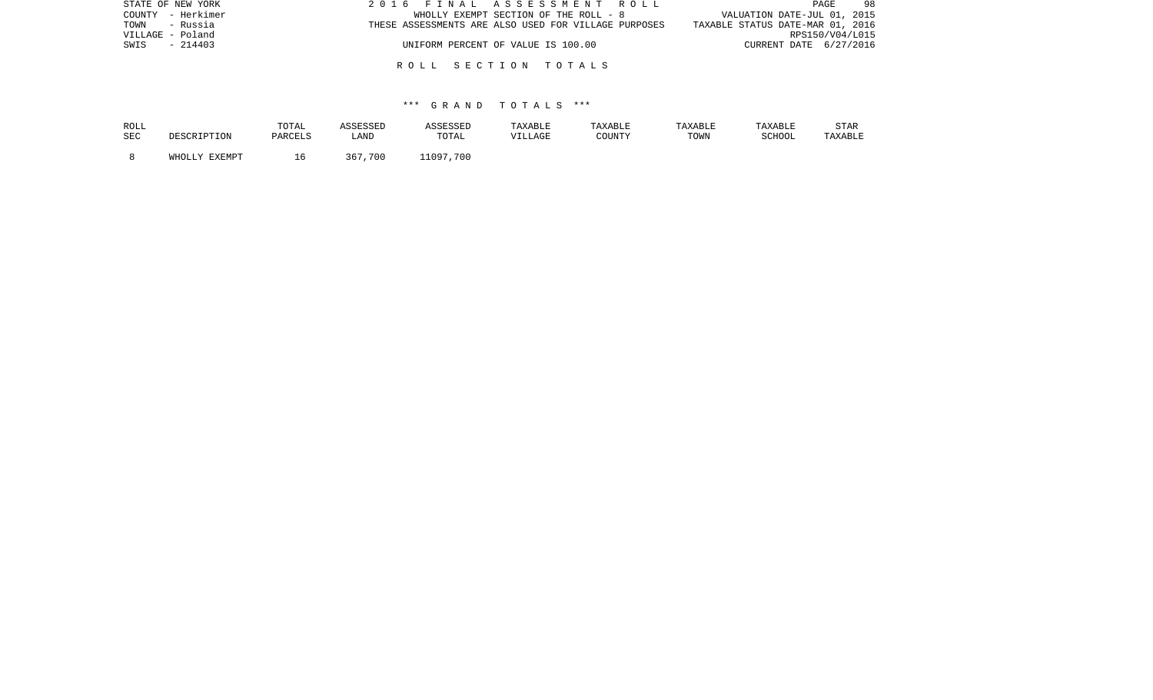| STATE OF NEW YORK | 2016 FINAL ASSESSMENT ROLL                           | 98<br><b>PAGE</b>                |
|-------------------|------------------------------------------------------|----------------------------------|
| COUNTY - Herkimer | WHOLLY EXEMPT SECTION OF THE ROLL - 8                | VALUATION DATE-JUL 01, 2015      |
| TOWN<br>- Russia  | THESE ASSESSMENTS ARE ALSO USED FOR VILLAGE PURPOSES | TAXABLE STATUS DATE-MAR 01, 2016 |
| VILLAGE - Poland  |                                                      | RPS150/V04/L015                  |
| $-214403$<br>SWIS | UNIFORM PERCENT OF VALUE IS 100.00                   | CURRENT DATE 6/27/2016           |
|                   |                                                      |                                  |
|                   | ROLL SECTION TOTALS                                  |                                  |

| ROLL<br>SEC | MRSCRIPTON | TOTAL<br>PARCELS | SSESSED<br>LAND | <i><b>\SSESSED</b></i><br>TOTAL | TAXABLE<br>VILLAGE | TAXABLE<br>COUNTY | TAXABLE<br>TOWN | TAXABLE<br>SCHOOI | <b>STAR</b><br>TAXABLE |
|-------------|------------|------------------|-----------------|---------------------------------|--------------------|-------------------|-----------------|-------------------|------------------------|
|             | FYFMDT     |                  | 700<br>367      | 700<br>11097                    |                    |                   |                 |                   |                        |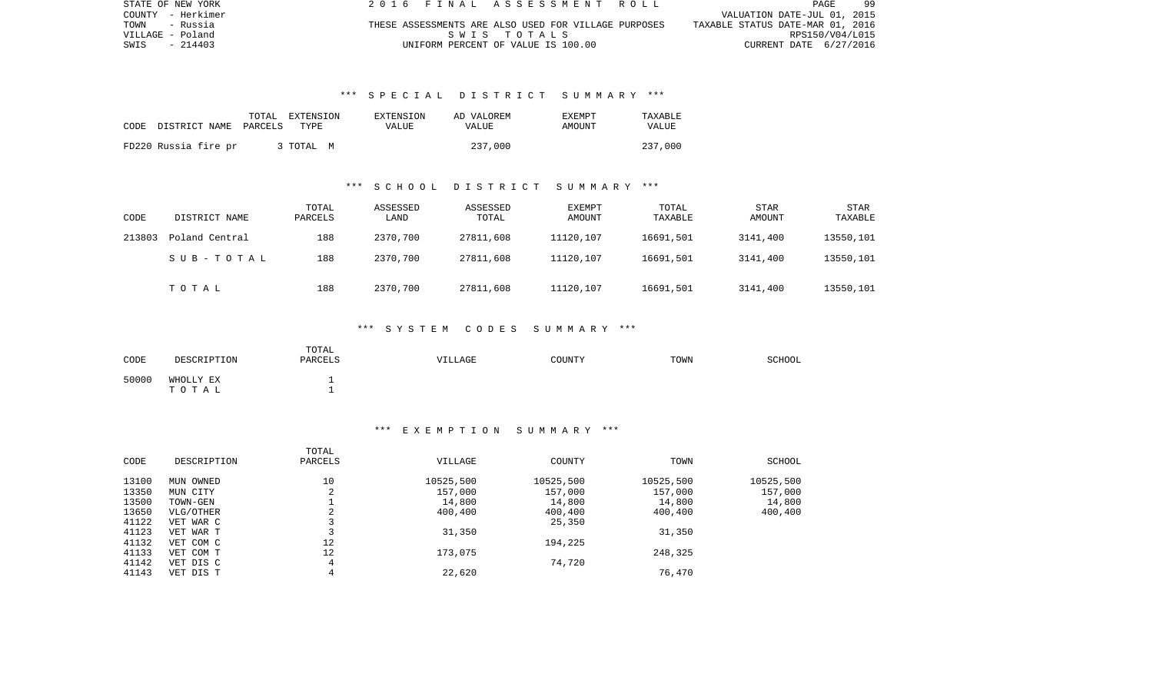| STATE OF NEW YORK | 2016 FINAL ASSESSMENT ROLL                           | -99<br>PAGE                      |
|-------------------|------------------------------------------------------|----------------------------------|
| COUNTY - Herkimer |                                                      | VALUATION DATE-JUL 01, 2015      |
| TOWN<br>- Russia  | THESE ASSESSMENTS ARE ALSO USED FOR VILLAGE PURPOSES | TAXABLE STATUS DATE-MAR 01, 2016 |
| VILLAGE - Poland  | SWIS TOTALS                                          | RPS150/V04/L015                  |
| SWIS<br>$-214403$ | UNIFORM PERCENT OF VALUE IS 100.00                   | CURRENT DATE 6/27/2016           |

### \*\*\* S P E C I A L D I S T R I C T S U M M A R Y \*\*\*

|      |                       | TOTAL EXTENSION | EXTENSION | AD VALOREM | <b>EXEMPT</b> | TAXABLE      |
|------|-----------------------|-----------------|-----------|------------|---------------|--------------|
| CODE | DISTRICT NAME PARCELS | TYPE            | VALUE     | VALUE      | AMOUNT        | <b>VALUE</b> |
|      | FD220 Russia fire pr  | 3 TOTAL M       |           | 237,000    |               | 237,000      |

#### \*\*\* S C H O O L D I S T R I C T S U M M A R Y \*\*\*

| CODE   | DISTRICT NAME  | TOTAL<br>PARCELS | ASSESSED<br>LAND | ASSESSED<br>TOTAL | EXEMPT<br>AMOUNT | TOTAL<br>TAXABLE | <b>STAR</b><br>AMOUNT | STAR<br>TAXABLE |
|--------|----------------|------------------|------------------|-------------------|------------------|------------------|-----------------------|-----------------|
| 213803 | Poland Central | 188              | 2370,700         | 27811,608         | 11120,107        | 16691,501        | 3141,400              | 13550,101       |
|        | SUB-TOTAL      | 188              | 2370,700         | 27811,608         | 11120,107        | 16691,501        | 3141,400              | 13550,101       |
|        | TOTAL          | 188              | 2370,700         | 27811,608         | 11120,107        | 16691,501        | 3141,400              | 13550,101       |

### \*\*\* S Y S T E M C O D E S S U M M A R Y \*\*\*

| CODE  | DESCRIPTION        | TOTAL<br>PARCELS | VILLAGE | COUNTY | TOWN | SCHOOL |
|-------|--------------------|------------------|---------|--------|------|--------|
| 50000 | WHOLLY EX<br>ТОТАЬ | -                |         |        |      |        |

### \*\*\* E X E M P T I O N S U M M A R Y \*\*\*

| CODE  | DESCRIPTION | TOTAL<br>PARCELS | VILLAGE   | COUNTY    | TOWN      | SCHOOL    |
|-------|-------------|------------------|-----------|-----------|-----------|-----------|
| 13100 | MUN OWNED   | 10               | 10525,500 | 10525,500 | 10525,500 | 10525,500 |
| 13350 | MUN CITY    | 2                | 157,000   | 157,000   | 157,000   | 157,000   |
| 13500 | TOWN-GEN    |                  | 14,800    | 14,800    | 14,800    | 14,800    |
| 13650 | VLG/OTHER   | 2                | 400,400   | 400,400   | 400,400   | 400,400   |
| 41122 | VET WAR C   |                  |           | 25,350    |           |           |
| 41123 | VET WAR T   |                  | 31,350    |           | 31,350    |           |
| 41132 | VET COM C   | 12               |           | 194,225   |           |           |
| 41133 | VET COM T   | 12               | 173,075   |           | 248,325   |           |
| 41142 | VET DIS C   | 4                |           | 74,720    |           |           |
| 41143 | VET DIS T   | 4                | 22,620    |           | 76,470    |           |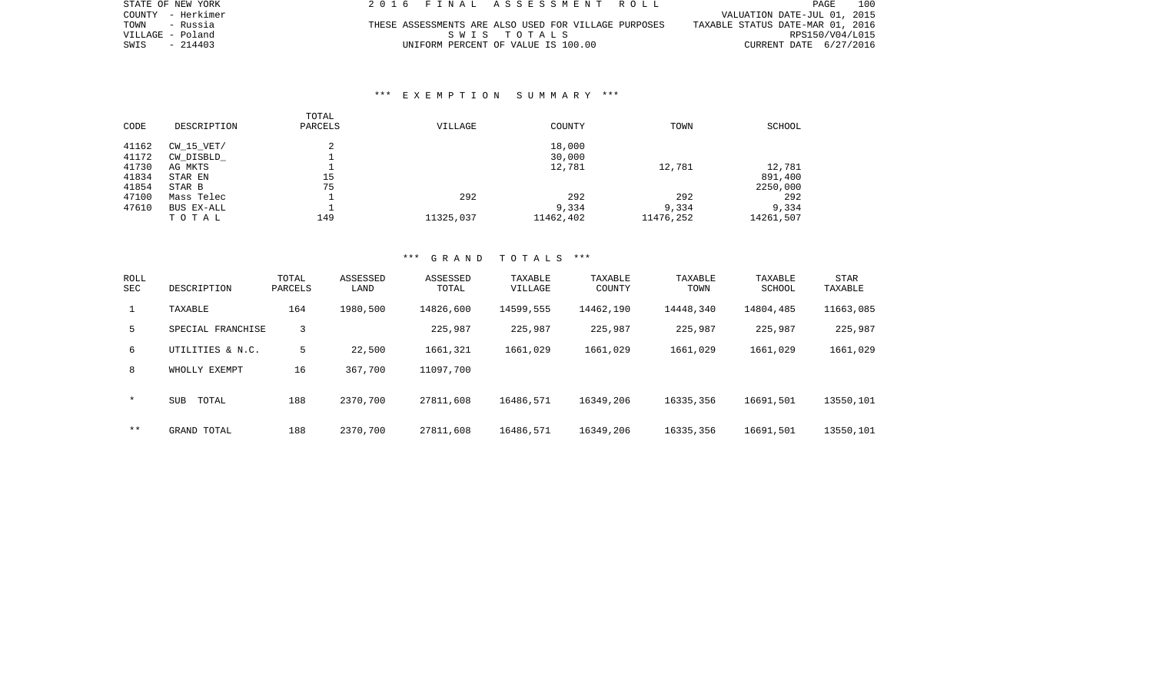| STATE OF NEW YORK | 2016 FINAL ASSESSMENT ROLL                           | 100<br>PAGE                      |
|-------------------|------------------------------------------------------|----------------------------------|
| COUNTY - Herkimer |                                                      | VALUATION DATE-JUL 01, 2015      |
| TOWN<br>- Russia  | THESE ASSESSMENTS ARE ALSO USED FOR VILLAGE PURPOSES | TAXABLE STATUS DATE-MAR 01, 2016 |
| VILLAGE - Poland  | SWIS TOTALS                                          | RPS150/V04/L015                  |
| SWIS<br>$-214403$ | UNIFORM PERCENT OF VALUE IS 100.00                   | CURRENT DATE 6/27/2016           |

### \*\*\* E X E M P T I O N S U M M A R Y \*\*\*

|       |             | TOTAL   |           |           |           |           |
|-------|-------------|---------|-----------|-----------|-----------|-----------|
| CODE  | DESCRIPTION | PARCELS | VILLAGE   | COUNTY    | TOWN      | SCHOOL    |
| 41162 | CW 15 VET/  | 2       |           | 18,000    |           |           |
| 41172 | CW DISBLD   |         |           | 30,000    |           |           |
| 41730 | AG MKTS     |         |           | 12,781    | 12,781    | 12,781    |
| 41834 | STAR EN     | 15      |           |           |           | 891,400   |
| 41854 | STAR B      | 75      |           |           |           | 2250,000  |
| 47100 | Mass Telec  |         | 292       | 292       | 292       | 292       |
| 47610 | BUS EX-ALL  |         |           | 9,334     | 9,334     | 9,334     |
|       | TOTAL       | 149     | 11325,037 | 11462,402 | 11476,252 | 14261,507 |

| ROLL<br>SEC | DESCRIPTION         | TOTAL<br>PARCELS | ASSESSED<br>LAND | ASSESSED<br>TOTAL | TAXABLE<br>VILLAGE | TAXABLE<br>COUNTY | TAXABLE<br>TOWN | TAXABLE<br>SCHOOL | STAR<br>TAXABLE |
|-------------|---------------------|------------------|------------------|-------------------|--------------------|-------------------|-----------------|-------------------|-----------------|
|             | TAXABLE             | 164              | 1980,500         | 14826,600         | 14599,555          | 14462,190         | 14448,340       | 14804,485         | 11663,085       |
| 5           | SPECIAL FRANCHISE   | 3                |                  | 225,987           | 225,987            | 225,987           | 225,987         | 225,987           | 225,987         |
| 6           | UTILITIES & N.C.    | 5.               | 22,500           | 1661,321          | 1661,029           | 1661,029          | 1661,029        | 1661,029          | 1661,029        |
| 8           | WHOLLY EXEMPT       | 16               | 367,700          | 11097,700         |                    |                   |                 |                   |                 |
| $\star$     | <b>SUB</b><br>TOTAL | 188              | 2370,700         | 27811,608         | 16486,571          | 16349,206         | 16335,356       | 16691,501         | 13550,101       |
| $* *$       | GRAND TOTAL         | 188              | 2370,700         | 27811,608         | 16486,571          | 16349,206         | 16335,356       | 16691,501         | 13550,101       |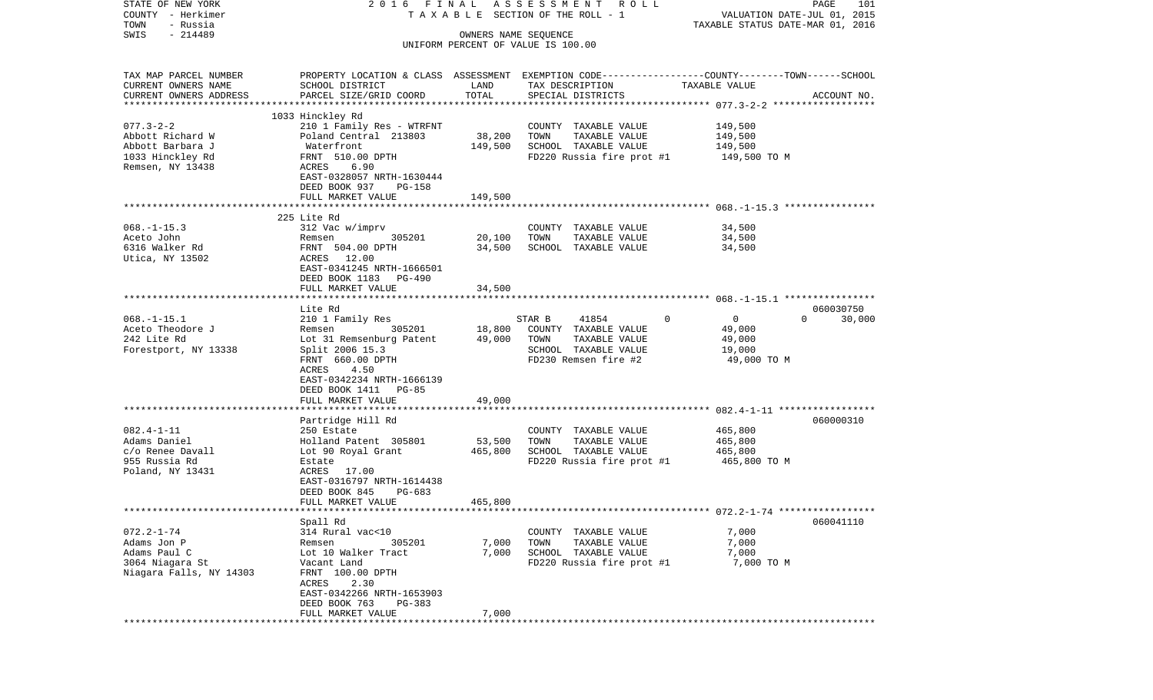| STATE OF NEW YORK       | 2016 FINAL                                      |                      | A S S E S S M E N T R O L L                                                                     |                                  | PAGE<br>101        |
|-------------------------|-------------------------------------------------|----------------------|-------------------------------------------------------------------------------------------------|----------------------------------|--------------------|
| COUNTY - Herkimer       |                                                 |                      | TAXABLE SECTION OF THE ROLL - 1                                                                 | VALUATION DATE-JUL 01, 2015      |                    |
| TOWN<br>- Russia        |                                                 |                      |                                                                                                 | TAXABLE STATUS DATE-MAR 01, 2016 |                    |
| $-214489$<br>SWIS       |                                                 | OWNERS NAME SEQUENCE | UNIFORM PERCENT OF VALUE IS 100.00                                                              |                                  |                    |
|                         |                                                 |                      |                                                                                                 |                                  |                    |
| TAX MAP PARCEL NUMBER   |                                                 |                      | PROPERTY LOCATION & CLASS ASSESSMENT EXEMPTION CODE---------------COUNTY-------TOWN------SCHOOL |                                  |                    |
| CURRENT OWNERS NAME     | SCHOOL DISTRICT                                 | LAND                 | TAX DESCRIPTION                                                                                 | TAXABLE VALUE                    |                    |
| CURRENT OWNERS ADDRESS  | PARCEL SIZE/GRID COORD                          | TOTAL                | SPECIAL DISTRICTS                                                                               |                                  | ACCOUNT NO.        |
|                         |                                                 |                      |                                                                                                 |                                  |                    |
|                         | 1033 Hinckley Rd                                |                      |                                                                                                 |                                  |                    |
| $077.3 - 2 - 2$         | 210 1 Family Res - WTRFNT                       |                      | COUNTY TAXABLE VALUE                                                                            | 149,500                          |                    |
| Abbott Richard W        | Poland Central 213803                           | 38,200               | TOWN<br>TAXABLE VALUE                                                                           | 149,500                          |                    |
| Abbott Barbara J        | Waterfront                                      | 149,500              | SCHOOL TAXABLE VALUE                                                                            | 149,500                          |                    |
| 1033 Hinckley Rd        | FRNT 510.00 DPTH                                |                      | FD220 Russia fire prot #1                                                                       | 149,500 TO M                     |                    |
| Remsen, NY 13438        | 6.90<br>ACRES                                   |                      |                                                                                                 |                                  |                    |
|                         | EAST-0328057 NRTH-1630444                       |                      |                                                                                                 |                                  |                    |
|                         | DEED BOOK 937<br>PG-158<br>FULL MARKET VALUE    | 149,500              |                                                                                                 |                                  |                    |
|                         |                                                 |                      |                                                                                                 |                                  |                    |
|                         | 225 Lite Rd                                     |                      |                                                                                                 |                                  |                    |
| $068. -1 - 15.3$        | 312 Vac w/imprv                                 |                      | COUNTY TAXABLE VALUE                                                                            | 34,500                           |                    |
| Aceto John              | 305201<br>Remsen                                | 20,100               | TOWN<br>TAXABLE VALUE                                                                           | 34,500                           |                    |
| 6316 Walker Rd          | FRNT 504.00 DPTH                                | 34,500               | SCHOOL TAXABLE VALUE                                                                            | 34,500                           |                    |
| Utica, NY 13502         | ACRES 12.00                                     |                      |                                                                                                 |                                  |                    |
|                         | EAST-0341245 NRTH-1666501                       |                      |                                                                                                 |                                  |                    |
|                         | DEED BOOK 1183 PG-490                           |                      |                                                                                                 |                                  |                    |
|                         | FULL MARKET VALUE                               | 34,500               |                                                                                                 |                                  |                    |
|                         | Lite Rd                                         |                      |                                                                                                 |                                  | 060030750          |
| $068. -1 - 15.1$        | 210 1 Family Res                                |                      | STAR B<br>41854<br>$\mathbf{0}$                                                                 | $\overline{0}$                   | $\Omega$<br>30,000 |
| Aceto Theodore J        | 305201<br>Remsen                                | 18,800               | COUNTY TAXABLE VALUE                                                                            | 49,000                           |                    |
| 242 Lite Rd             | Lot 31 Remsenburg Patent 49,000                 |                      | TOWN<br>TAXABLE VALUE                                                                           | 49,000                           |                    |
| Forestport, NY 13338    | Split 2006 15.3                                 |                      | SCHOOL TAXABLE VALUE                                                                            | 19,000                           |                    |
|                         | FRNT 660.00 DPTH                                |                      | FD230 Remsen fire #2                                                                            | 49,000 TO M                      |                    |
|                         | ACRES<br>4.50                                   |                      |                                                                                                 |                                  |                    |
|                         | EAST-0342234 NRTH-1666139                       |                      |                                                                                                 |                                  |                    |
|                         | DEED BOOK 1411 PG-85                            |                      |                                                                                                 |                                  |                    |
|                         | FULL MARKET VALUE<br>************************** | 49,000               |                                                                                                 |                                  |                    |
|                         | Partridge Hill Rd                               |                      |                                                                                                 |                                  | 060000310          |
| $082.4 - 1 - 11$        | 250 Estate                                      |                      | COUNTY TAXABLE VALUE                                                                            | 465,800                          |                    |
| Adams Daniel            | Holland Patent 305801                           | 53,500               | TOWN<br>TAXABLE VALUE                                                                           | 465,800                          |                    |
| c/o Renee Davall        | Lot 90 Royal Grant                              | 465,800              | SCHOOL TAXABLE VALUE                                                                            | 465,800                          |                    |
| 955 Russia Rd           | Estate                                          |                      | FD220 Russia fire prot #1                                                                       | 465,800 TO M                     |                    |
| Poland, NY 13431        | ACRES 17.00                                     |                      |                                                                                                 |                                  |                    |
|                         | EAST-0316797 NRTH-1614438                       |                      |                                                                                                 |                                  |                    |
|                         | DEED BOOK 845<br>$PG-683$                       |                      |                                                                                                 |                                  |                    |
|                         | FULL MARKET VALUE                               | 465,800              |                                                                                                 |                                  |                    |
|                         |                                                 |                      |                                                                                                 |                                  |                    |
| $072.2 - 1 - 74$        | Spall Rd                                        |                      |                                                                                                 |                                  | 060041110          |
| Adams Jon P             | 314 Rural vac<10<br>Remsen<br>305201            | 7,000                | COUNTY TAXABLE VALUE<br>TOWN<br>TAXABLE VALUE                                                   | 7,000<br>7,000                   |                    |
| Adams Paul C            | Lot 10 Walker Tract                             | 7,000                | SCHOOL TAXABLE VALUE                                                                            | 7,000                            |                    |
| 3064 Niagara St         | Vacant Land                                     |                      | FD220 Russia fire prot #1                                                                       | 7,000 TO M                       |                    |
| Niagara Falls, NY 14303 | FRNT 100.00 DPTH                                |                      |                                                                                                 |                                  |                    |
|                         | ACRES<br>2.30                                   |                      |                                                                                                 |                                  |                    |
|                         | EAST-0342266 NRTH-1653903                       |                      |                                                                                                 |                                  |                    |
|                         | DEED BOOK 763<br>PG-383                         |                      |                                                                                                 |                                  |                    |
|                         | FULL MARKET VALUE                               | 7,000                |                                                                                                 |                                  |                    |
|                         |                                                 |                      |                                                                                                 |                                  |                    |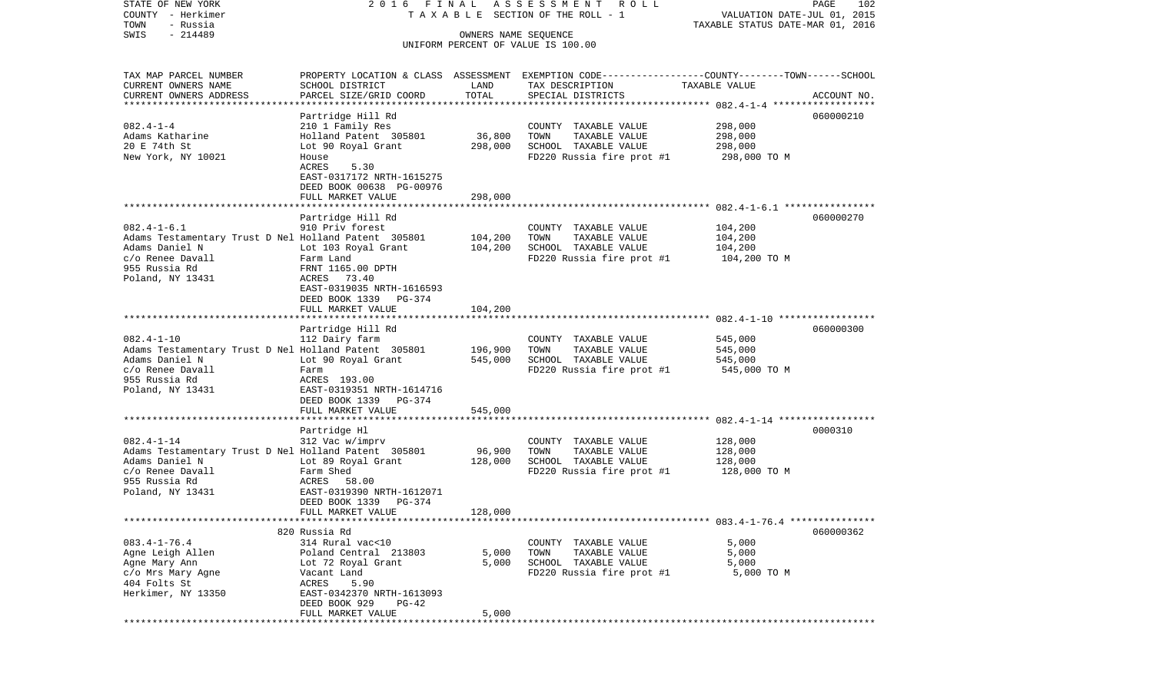COUNTY - Herkimer **T A X A B L E SECTION OF THE ROLL - 1** VALUATION DATE-JUL 01, 2015 TOWN - Russia TAXABLE STATUS DATE-MAR 01, 2016 SWIS - 214489 OWNERS NAME SEQUENCE UNIFORM PERCENT OF VALUE IS 100.00TAX MAP PARCEL NUMBER PROPERTY LOCATION & CLASS ASSESSMENT EXEMPTION CODE------------------COUNTY--------TOWN------SCHOOL CURRENT OWNERS NAME SCHOOL DISTRICT LAND TAX DESCRIPTION TAXABLE VALUECURRENT OWNERS ADDRESS PARCEL SIZE/GRID COORD TOTAL SPECIAL DISTRICTS ACCOUNT NO. \*\*\*\*\*\*\*\*\*\*\*\*\*\*\*\*\*\*\*\*\*\*\*\*\*\*\*\*\*\*\*\*\*\*\*\*\*\*\*\*\*\*\*\*\*\*\*\*\*\*\*\*\*\*\*\*\*\*\*\*\*\*\*\*\*\*\*\*\*\*\*\*\*\*\*\*\*\*\*\*\*\*\*\*\*\*\*\*\*\*\*\*\*\*\*\*\*\*\*\*\*\*\* 082.4-1-4 \*\*\*\*\*\*\*\*\*\*\*\*\*\*\*\*\*\* Partridge Hill Rd 060000210 082.4-1-4 210 1 Family Res COUNTY TAXABLE VALUE 298,000 Adams Katharine Holland Patent 305801 36,800 TOWN TAXABLE VALUE 298,000 20 E 74th St Lot 90 Royal Grant 298,000 SCHOOL TAXABLE VALUE 298,000 New York, NY 10021 House House FD220 Russia fire prot #1 298,000 TO M ACRES EAST-0317172 NRTH-1615275 DEED BOOK 00638 PG-00976 FULL MARKET VALUE 298,000 \*\*\*\*\*\*\*\*\*\*\*\*\*\*\*\*\*\*\*\*\*\*\*\*\*\*\*\*\*\*\*\*\*\*\*\*\*\*\*\*\*\*\*\*\*\*\*\*\*\*\*\*\*\*\*\*\*\*\*\*\*\*\*\*\*\*\*\*\*\*\*\*\*\*\*\*\*\*\*\*\*\*\*\*\*\*\*\*\*\*\*\*\*\*\*\*\*\*\*\*\*\*\* 082.4-1-6.1 \*\*\*\*\*\*\*\*\*\*\*\*\*\*\*\* Partridge Hill Rd 060000270 082.4-1-6.1 910 Priv forest COUNTY TAXABLE VALUE 104,200 Adams Testamentary Trust D Nel Holland Patent 305801 104,200 TOWN TAXABLE VALUE 104,200 Adams Daniel N Lot 103 Royal Grant 104,200 SCHOOL TAXABLE VALUE 104,200 c/o Renee Davall Farm Land FD220 Russia fire prot #1 104,200 TO M 955 Russia Rd FRNT 1165.00 DPTH Poland, NY 13431 ACRES 73.40 EAST-0319035 NRTH-1616593 DEED BOOK 1339 PG-374FULL MARKET VALUE 104,200 \*\*\*\*\*\*\*\*\*\*\*\*\*\*\*\*\*\*\*\*\*\*\*\*\*\*\*\*\*\*\*\*\*\*\*\*\*\*\*\*\*\*\*\*\*\*\*\*\*\*\*\*\*\*\*\*\*\*\*\*\*\*\*\*\*\*\*\*\*\*\*\*\*\*\*\*\*\*\*\*\*\*\*\*\*\*\*\*\*\*\*\*\*\*\*\*\*\*\*\*\*\*\* 082.4-1-10 \*\*\*\*\*\*\*\*\*\*\*\*\*\*\*\*\* Partridge Hill Rd 060000300 082.4-1-10 112 Dairy farm COUNTY TAXABLE VALUE 545,000 Adams Testamentary Trust D Nel Holland Patent 305801 196,900 TOWN TAXABLE VALUE 545,000<br>Adams Daniel N Lot 90 Roval Grant 545,000 SCHOOL TAXABLE VALUE 545 Lot 90 Royal Grant 545,000 SCHOOL TAXABLE VALUE c/o Renee Davall Farm FD220 Russia fire prot #1 545,000 TO M 955 Russia Rd ACRES 193.00Poland, NY 13431 EAST-0319351 NRTH-1614716 DEED BOOK 1339 PG-374 FULL MARKET VALUE 545,000 \*\*\*\*\*\*\*\*\*\*\*\*\*\*\*\*\*\*\*\*\*\*\*\*\*\*\*\*\*\*\*\*\*\*\*\*\*\*\*\*\*\*\*\*\*\*\*\*\*\*\*\*\*\*\*\*\*\*\*\*\*\*\*\*\*\*\*\*\*\*\*\*\*\*\*\*\*\*\*\*\*\*\*\*\*\*\*\*\*\*\*\*\*\*\*\*\*\*\*\*\*\*\* 082.4-1-14 \*\*\*\*\*\*\*\*\*\*\*\*\*\*\*\*\* Partridge Hl 0000310 082.4-1-14 312 Vac w/imprv COUNTY TAXABLE VALUE 128,000 Adams Testamentary Trust D Nel Holland Patent 305801 96,900 TOWN TAXABLE VALUE 128,000 Adams Daniel N **Lot 89 Royal Grant** 128,000 SCHOOL TAXABLE VALUE 128,000 c/o Renee Davall Farm Shed Form Shed FD220 Russia fire prot #1 128,000 TO M<br>955 Russia Rd 955 Russia Rd ACRES 58.00Poland, NY 13431 EAST-0319390 NRTH-1612071 DEED BOOK 1339 PG-374FULL MARKET VALUE 128,000 \*\*\*\*\*\*\*\*\*\*\*\*\*\*\*\*\*\*\*\*\*\*\*\*\*\*\*\*\*\*\*\*\*\*\*\*\*\*\*\*\*\*\*\*\*\*\*\*\*\*\*\*\*\*\*\*\*\*\*\*\*\*\*\*\*\*\*\*\*\*\*\*\*\*\*\*\*\*\*\*\*\*\*\*\*\*\*\*\*\*\*\*\*\*\*\*\*\*\*\*\*\*\* 083.4-1-76.4 \*\*\*\*\*\*\*\*\*\*\*\*\*\*\* 820 Russia Rd 060000362083.4-1-76.4 314 Rural vac<10 COUNTY TAXABLE VALUE 5,000 Agne Leigh Allen Poland Central 213803 5,000 TOWN TAXABLE VALUE 5,000 Agne Mary Ann Lot 72 Royal Grant 5,000 SCHOOL TAXABLE VALUE 5,000 c/o Mrs Mary Agne Vacant Land FD220 Russia fire prot #1 5,000 TO M 404 Folts St ACRES 5.90 Herkimer, NY 13350 EAST-0342370 NRTH-1613093 DEED BOOK 929 PG-42FULL MARKET VALUE 5,000 \*\*\*\*\*\*\*\*\*\*\*\*\*\*\*\*\*\*\*\*\*\*\*\*\*\*\*\*\*\*\*\*\*\*\*\*\*\*\*\*\*\*\*\*\*\*\*\*\*\*\*\*\*\*\*\*\*\*\*\*\*\*\*\*\*\*\*\*\*\*\*\*\*\*\*\*\*\*\*\*\*\*\*\*\*\*\*\*\*\*\*\*\*\*\*\*\*\*\*\*\*\*\*\*\*\*\*\*\*\*\*\*\*\*\*\*\*\*\*\*\*\*\*\*\*\*\*\*\*\*\*\*

STATE OF NEW YORK 2 0 1 6 F I N A L A S S E S S M E N T R O L L PAGE 102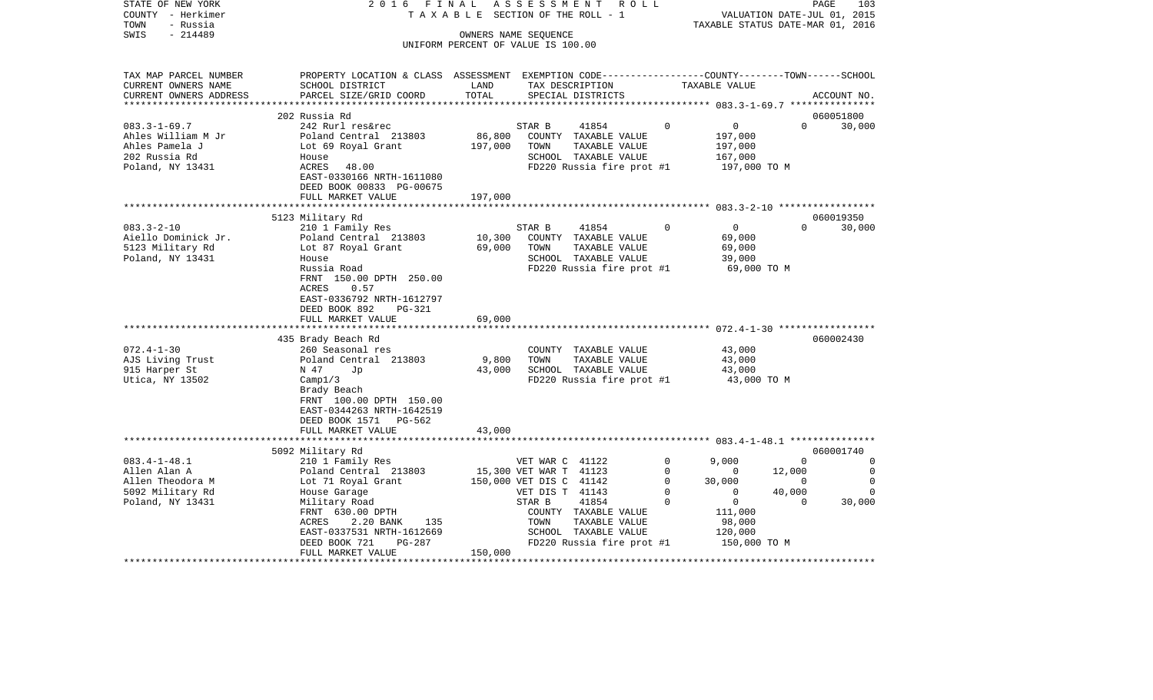| STATE OF NEW YORK<br>COUNTY - Herkimer<br>- Russia<br>TOWN<br>$-214489$<br>SWIS                   | 2 0 1 6<br>FINAL<br>TAXABLE                                                                                                                                                                   | OWNERS NAME SEQUENCE               | ASSESSMENT                                                           | ROLL<br>SECTION OF THE ROLL - 1                                                                     |                                           | TAXABLE STATUS DATE-MAR 01, 2016                                 |                                | PAGE<br>103<br>VALUATION DATE-JUL 01, 2015             |
|---------------------------------------------------------------------------------------------------|-----------------------------------------------------------------------------------------------------------------------------------------------------------------------------------------------|------------------------------------|----------------------------------------------------------------------|-----------------------------------------------------------------------------------------------------|-------------------------------------------|------------------------------------------------------------------|--------------------------------|--------------------------------------------------------|
|                                                                                                   |                                                                                                                                                                                               | UNIFORM PERCENT OF VALUE IS 100.00 |                                                                      |                                                                                                     |                                           |                                                                  |                                |                                                        |
| TAX MAP PARCEL NUMBER<br>CURRENT OWNERS NAME<br>CURRENT OWNERS ADDRESS<br>*********************** | PROPERTY LOCATION & CLASS ASSESSMENT EXEMPTION CODE----------------COUNTY-------TOWN------SCHOOL<br>SCHOOL DISTRICT<br>PARCEL SIZE/GRID COORD                                                 | LAND<br>TOTAL                      |                                                                      | TAX DESCRIPTION<br>SPECIAL DISTRICTS                                                                |                                           | TAXABLE VALUE                                                    |                                | ACCOUNT NO.                                            |
|                                                                                                   | 202 Russia Rd                                                                                                                                                                                 |                                    |                                                                      |                                                                                                     |                                           |                                                                  |                                | 060051800                                              |
| $083.3 - 1 - 69.7$<br>Ahles William M Jr<br>Ahles Pamela J<br>202 Russia Rd<br>Poland, NY 13431   | 242 Rurl res&rec<br>Poland Central 213803<br>Lot 69 Royal Grant<br>House<br>ACRES<br>48.00<br>EAST-0330166 NRTH-1611080<br>DEED BOOK 00833 PG-00675                                           | 86,800<br>197,000                  | STAR B<br>TOWN                                                       | 41854<br>COUNTY TAXABLE VALUE<br>TAXABLE VALUE<br>SCHOOL TAXABLE VALUE<br>FD220 Russia fire prot #1 | $\Omega$                                  | $\overline{0}$<br>197,000<br>197,000<br>167,000<br>197,000 TO M  | $\Omega$                       | 30,000                                                 |
|                                                                                                   | FULL MARKET VALUE                                                                                                                                                                             | 197,000                            |                                                                      |                                                                                                     |                                           |                                                                  |                                |                                                        |
|                                                                                                   | 5123 Military Rd                                                                                                                                                                              |                                    |                                                                      |                                                                                                     |                                           |                                                                  |                                | 060019350                                              |
| $083.3 - 2 - 10$<br>Aiello Dominick Jr.<br>5123 Military Rd<br>Poland, NY 13431                   | 210 1 Family Res<br>Poland Central 213803<br>Lot 87 Royal Grant<br>House<br>Russia Road<br>FRNT 150.00 DPTH 250.00<br>ACRES<br>0.57<br>EAST-0336792 NRTH-1612797<br>DEED BOOK 892<br>$PG-321$ | 10,300<br>69,000                   | STAR B<br>TOWN                                                       | 41854<br>COUNTY TAXABLE VALUE<br>TAXABLE VALUE<br>SCHOOL TAXABLE VALUE<br>FD220 Russia fire prot #1 | $\Omega$                                  | $\mathbf 0$<br>69,000<br>69,000<br>39,000<br>69,000 TO M         | $\Omega$                       | 30,000                                                 |
|                                                                                                   | FULL MARKET VALUE                                                                                                                                                                             | 69,000                             |                                                                      |                                                                                                     |                                           |                                                                  |                                |                                                        |
|                                                                                                   | 435 Brady Beach Rd                                                                                                                                                                            |                                    |                                                                      |                                                                                                     |                                           |                                                                  |                                | 060002430                                              |
| $072.4 - 1 - 30$<br>AJS Living Trust<br>915 Harper St<br>Utica, NY 13502                          | 260 Seasonal res<br>Poland Central 213803<br>N 47<br>Jp<br>Campl/3<br>Brady Beach<br>FRNT 100.00 DPTH 150.00<br>EAST-0344263 NRTH-1642519<br>DEED BOOK 1571<br>PG-562<br>FULL MARKET VALUE    | 9,800<br>43,000<br>43,000          | TOWN                                                                 | COUNTY TAXABLE VALUE<br>TAXABLE VALUE<br>SCHOOL TAXABLE VALUE<br>FD220 Russia fire prot #1          |                                           | 43,000<br>43,000<br>43,000<br>43,000 TO M                        |                                |                                                        |
|                                                                                                   |                                                                                                                                                                                               |                                    |                                                                      |                                                                                                     |                                           |                                                                  |                                |                                                        |
| $083.4 - 1 - 48.1$<br>Allen Alan A<br>Allen Theodora M                                            | 5092 Military Rd<br>210 1 Family Res<br>Poland Central 213803<br>Lot 71 Royal Grant                                                                                                           |                                    | VET WAR C 41122<br>15,300 VET WAR T 41123<br>150,000 VET DIS C 41142 |                                                                                                     | $\mathbf 0$<br>$\mathbf 0$<br>$\mathbf 0$ | 9,000<br>0<br>30,000                                             | $\Omega$<br>12,000<br>$\Omega$ | 060001740<br>$\mathbf 0$<br>$\mathbf 0$<br>$\mathbf 0$ |
| 5092 Military Rd<br>Poland, NY 13431                                                              | House Garage<br>Military Road<br>FRNT 630.00 DPTH<br>ACRES<br>2.20 BANK<br>135<br>EAST-0337531 NRTH-1612669<br>DEED BOOK 721<br>PG-287                                                        |                                    | VET DIS T 41143<br>STAR B<br>TOWN                                    | 41854<br>COUNTY TAXABLE VALUE<br>TAXABLE VALUE<br>SCHOOL TAXABLE VALUE<br>FD220 Russia fire prot #1 | $\mathbf 0$<br>$\Omega$                   | 0<br>$\mathbf 0$<br>111,000<br>98,000<br>120,000<br>150,000 TO M | 40,000<br>$\Omega$             | $\Omega$<br>30,000                                     |
|                                                                                                   | FULL MARKET VALUE                                                                                                                                                                             | 150,000                            |                                                                      |                                                                                                     |                                           |                                                                  |                                |                                                        |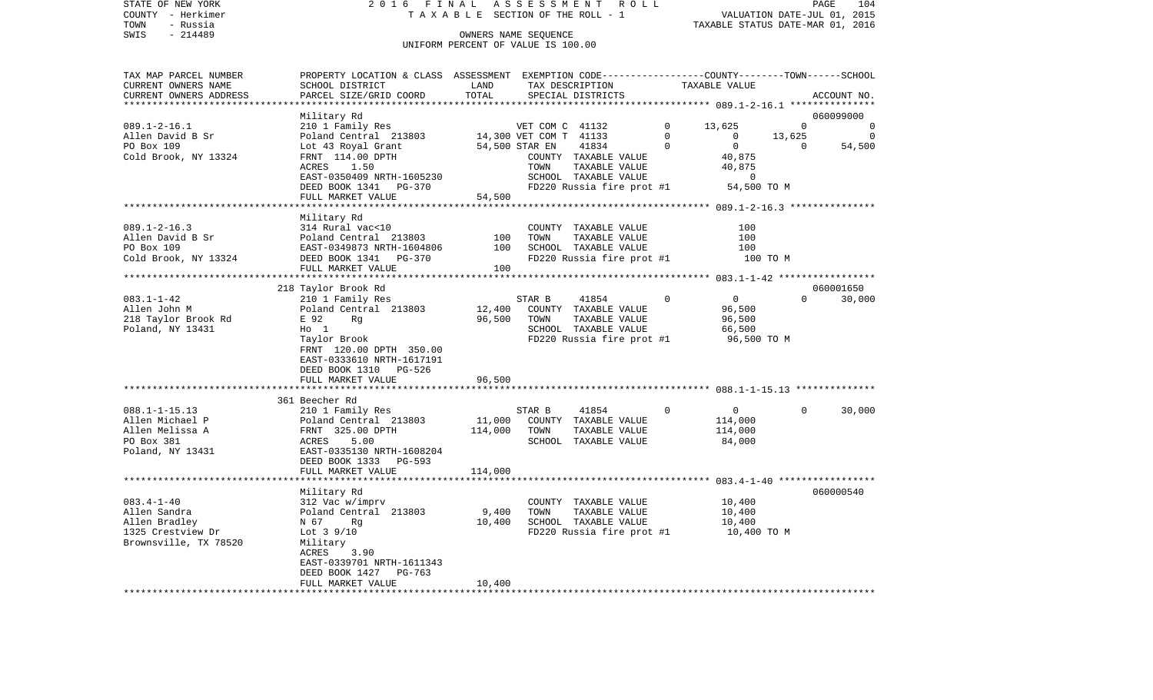|      | STATE OF NEW YORK | 2016 FINAL ASSESSMENT ROLL         | 104<br>PAGE                      |
|------|-------------------|------------------------------------|----------------------------------|
|      | COUNTY - Herkimer | TAXABLE SECTION OF THE ROLL - 1    | VALUATION DATE-JUL 01, 2015      |
| TOWN | - Russia          |                                    | TAXABLE STATUS DATE-MAR 01, 2016 |
| SWIS | $-214489$         | OWNERS NAME SEOUENCE               |                                  |
|      |                   | UNIFORM PERCENT OF VALUE IS 100.00 |                                  |
|      |                   |                                    |                                  |

| TAX MAP PARCEL NUMBER  | PROPERTY LOCATION & CLASS ASSESSMENT EXEMPTION CODE---------------COUNTY-------TOWN-----SCHOOL |         |                 |                           |                |                |          |             |
|------------------------|------------------------------------------------------------------------------------------------|---------|-----------------|---------------------------|----------------|----------------|----------|-------------|
| CURRENT OWNERS NAME    | SCHOOL DISTRICT                                                                                | LAND    |                 | TAX DESCRIPTION           |                | TAXABLE VALUE  |          |             |
| CURRENT OWNERS ADDRESS | PARCEL SIZE/GRID COORD                                                                         | TOTAL   |                 | SPECIAL DISTRICTS         |                |                |          | ACCOUNT NO. |
|                        |                                                                                                |         |                 |                           |                |                |          |             |
|                        | Military Rd                                                                                    |         |                 |                           |                |                |          | 060099000   |
| $089.1 - 2 - 16.1$     | 210 1 Family Res                                                                               |         | VET COM C 41132 |                           | $\Omega$       | 13,625         | $\Omega$ | $\Omega$    |
| Allen David B Sr       | Poland Central 213803 14,300 VET COM T 41133                                                   |         |                 |                           | $\Omega$       | $\Omega$       | 13,625   | $\Omega$    |
| PO Box 109             | Lot 43 Royal Grant                                                                             |         | 54,500 STAR EN  | 41834                     | $\Omega$       | $\mathbf 0$    | $\Omega$ | 54,500      |
| Cold Brook, NY 13324   | FRNT 114.00 DPTH                                                                               |         |                 | COUNTY TAXABLE VALUE      |                | 40,875         |          |             |
|                        | ACRES<br>1.50                                                                                  |         | TOWN            | TAXABLE VALUE             |                | 40,875         |          |             |
|                        | EAST-0350409 NRTH-1605230                                                                      |         |                 | SCHOOL TAXABLE VALUE      |                | 0              |          |             |
|                        | DEED BOOK 1341 PG-370                                                                          |         |                 | FD220 Russia fire prot #1 |                | 54,500 TO M    |          |             |
|                        | FULL MARKET VALUE                                                                              | 54,500  |                 |                           |                |                |          |             |
|                        |                                                                                                |         |                 |                           |                |                |          |             |
|                        | Military Rd                                                                                    |         |                 |                           |                |                |          |             |
| $089.1 - 2 - 16.3$     | 314 Rural vac<10                                                                               |         |                 | COUNTY TAXABLE VALUE      |                | 100            |          |             |
| Allen David B Sr       | Poland Central 213803                                                                          | 100     | TOWN            | TAXABLE VALUE             |                | 100            |          |             |
| PO Box 109             | EAST-0349873 NRTH-1604806                                                                      | 100     |                 | SCHOOL TAXABLE VALUE      |                | 100            |          |             |
| Cold Brook, NY 13324   | DEED BOOK 1341 PG-370                                                                          |         |                 | FD220 Russia fire prot #1 |                | 100 TO M       |          |             |
|                        | FULL MARKET VALUE                                                                              | 100     |                 |                           |                |                |          |             |
|                        |                                                                                                |         |                 |                           |                |                |          |             |
|                        | 218 Taylor Brook Rd                                                                            |         |                 |                           |                |                |          | 060001650   |
| $083.1 - 1 - 42$       | 210 1 Family Res                                                                               |         | STAR B          | 41854                     | $\overline{0}$ | $\overline{0}$ | $\Omega$ | 30,000      |
| Allen John M           | Poland Central 213803                                                                          | 12,400  |                 | COUNTY TAXABLE VALUE      |                | 96,500         |          |             |
| 218 Taylor Brook Rd    | E 92<br>Rg                                                                                     | 96,500  | TOWN            | TAXABLE VALUE             |                | 96,500         |          |             |
| Poland, NY 13431       | $HO$ 1                                                                                         |         |                 | SCHOOL TAXABLE VALUE      |                | 66,500         |          |             |
|                        | Taylor Brook                                                                                   |         |                 | FD220 Russia fire prot #1 |                | 96,500 TO M    |          |             |
|                        | FRNT 120.00 DPTH 350.00                                                                        |         |                 |                           |                |                |          |             |
|                        | EAST-0333610 NRTH-1617191                                                                      |         |                 |                           |                |                |          |             |
|                        | DEED BOOK 1310 PG-526                                                                          |         |                 |                           |                |                |          |             |
|                        | FULL MARKET VALUE                                                                              | 96,500  |                 |                           |                |                |          |             |
|                        |                                                                                                |         |                 |                           |                |                |          |             |
|                        | 361 Beecher Rd                                                                                 |         |                 |                           |                |                |          |             |
| $088.1 - 1 - 15.13$    | 210 1 Family Res                                                                               |         | STAR B          | 41854                     | $\overline{0}$ | $\overline{0}$ | $\Omega$ | 30,000      |
| Allen Michael P        | Poland Central 213803                                                                          | 11,000  |                 | COUNTY TAXABLE VALUE      |                | 114,000        |          |             |
| Allen Melissa A        | FRNT 325.00 DPTH                                                                               | 114,000 | TOWN            | TAXABLE VALUE             |                | 114,000        |          |             |
| PO Box 381             | ACRES<br>5.00                                                                                  |         |                 | SCHOOL TAXABLE VALUE      |                | 84,000         |          |             |
| Poland, NY 13431       | EAST-0335130 NRTH-1608204                                                                      |         |                 |                           |                |                |          |             |
|                        | DEED BOOK 1333 PG-593                                                                          |         |                 |                           |                |                |          |             |
|                        | FULL MARKET VALUE                                                                              | 114,000 |                 |                           |                |                |          |             |
|                        |                                                                                                |         |                 |                           |                |                |          |             |
|                        | Military Rd                                                                                    |         |                 |                           |                |                |          | 060000540   |
| $083.4 - 1 - 40$       | 312 Vac w/imprv                                                                                |         |                 | COUNTY TAXABLE VALUE      |                | 10,400         |          |             |
| Allen Sandra           | Poland Central 213803                                                                          | 9,400   | TOWN            | TAXABLE VALUE             |                | 10,400         |          |             |
| Allen Bradley          | N 67<br>Rq                                                                                     | 10,400  |                 | SCHOOL TAXABLE VALUE      |                | 10,400         |          |             |
| 1325 Crestview Dr      | Lot $3\frac{9}{10}$                                                                            |         |                 | FD220 Russia fire prot #1 |                | 10,400 TO M    |          |             |
| Brownsville, TX 78520  | Military                                                                                       |         |                 |                           |                |                |          |             |
|                        | ACRES<br>3.90                                                                                  |         |                 |                           |                |                |          |             |
|                        | EAST-0339701 NRTH-1611343                                                                      |         |                 |                           |                |                |          |             |
|                        | DEED BOOK 1427<br>PG-763                                                                       |         |                 |                           |                |                |          |             |
|                        | FULL MARKET VALUE                                                                              | 10,400  |                 |                           |                |                |          |             |
|                        |                                                                                                |         |                 |                           |                |                |          |             |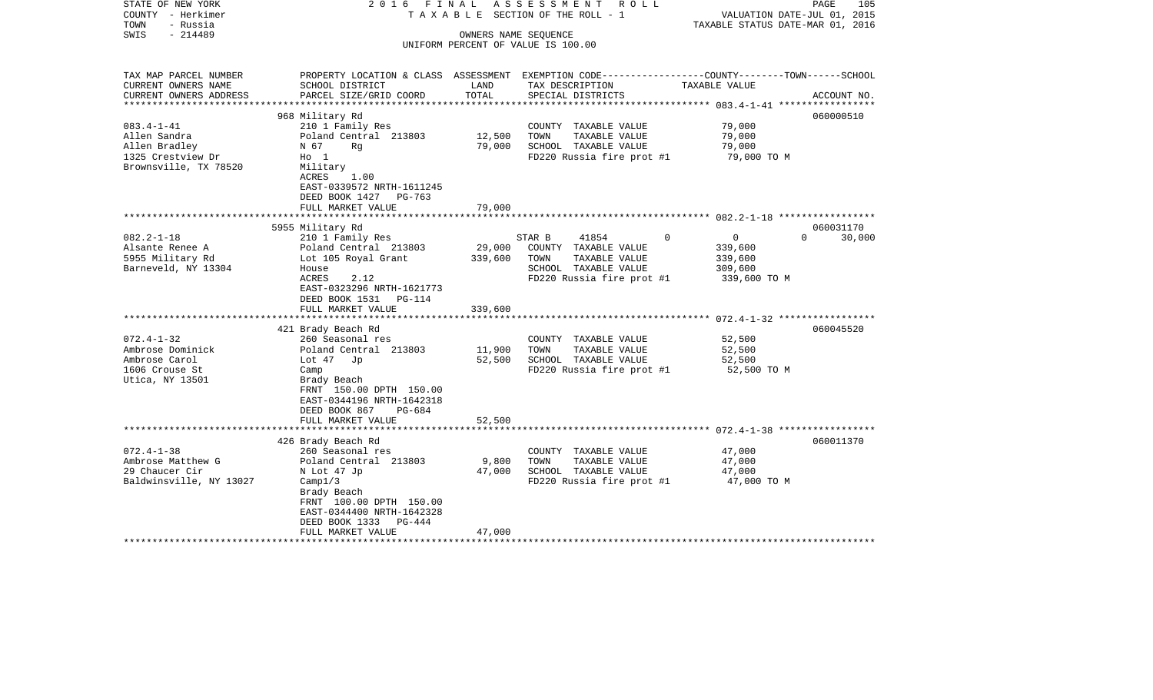| STATE OF NEW YORK<br>COUNTY - Herkimer<br>- Russia<br>TOWN<br>$-214489$<br>SWIS | 2016 FINAL                                                                                                 |         | A S S E S S M E N T R O L L<br>TAXABLE SECTION OF THE ROLL - 1<br>OWNERS NAME SEQUENCE                             | VALUATION DATE-JUL 01, 2015<br>TAXABLE STATUS DATE-MAR 01, 2016 | PAGE<br>105        |
|---------------------------------------------------------------------------------|------------------------------------------------------------------------------------------------------------|---------|--------------------------------------------------------------------------------------------------------------------|-----------------------------------------------------------------|--------------------|
|                                                                                 |                                                                                                            |         | UNIFORM PERCENT OF VALUE IS 100.00                                                                                 |                                                                 |                    |
|                                                                                 |                                                                                                            |         |                                                                                                                    |                                                                 |                    |
| TAX MAP PARCEL NUMBER<br>CURRENT OWNERS NAME                                    | SCHOOL DISTRICT                                                                                            | LAND    | PROPERTY LOCATION & CLASS ASSESSMENT EXEMPTION CODE---------------COUNTY-------TOWN------SCHOOL<br>TAX DESCRIPTION | TAXABLE VALUE                                                   |                    |
| CURRENT OWNERS ADDRESS                                                          | PARCEL SIZE/GRID COORD                                                                                     | TOTAL   | SPECIAL DISTRICTS                                                                                                  |                                                                 | ACCOUNT NO.        |
| ************************                                                        |                                                                                                            |         |                                                                                                                    |                                                                 | 060000510          |
| $083.4 - 1 - 41$                                                                | 968 Military Rd<br>210 1 Family Res                                                                        |         | COUNTY TAXABLE VALUE                                                                                               | 79,000                                                          |                    |
| Allen Sandra                                                                    | Poland Central 213803                                                                                      | 12,500  | TOWN<br>TAXABLE VALUE                                                                                              | 79,000                                                          |                    |
| Allen Bradley                                                                   | N 67<br>Rq                                                                                                 | 79,000  | SCHOOL TAXABLE VALUE                                                                                               | 79,000                                                          |                    |
| 1325 Crestview Dr                                                               | $H_0$ 1                                                                                                    |         | FD220 Russia fire prot #1                                                                                          | 79,000 TO M                                                     |                    |
| Brownsville, TX 78520                                                           | Military<br>ACRES<br>1.00<br>EAST-0339572 NRTH-1611245<br>DEED BOOK 1427<br>PG-763                         |         |                                                                                                                    |                                                                 |                    |
|                                                                                 | FULL MARKET VALUE                                                                                          | 79,000  |                                                                                                                    |                                                                 |                    |
|                                                                                 |                                                                                                            |         |                                                                                                                    |                                                                 |                    |
|                                                                                 | 5955 Military Rd                                                                                           |         |                                                                                                                    |                                                                 | 060031170          |
| $082.2 - 1 - 18$                                                                | 210 1 Family Res                                                                                           |         | 41854<br>STAR B                                                                                                    | $\mathbf 0$<br>$\overline{0}$                                   | $\Omega$<br>30,000 |
| Alsante Renee A                                                                 | Poland Central 213803                                                                                      | 29,000  | COUNTY TAXABLE VALUE                                                                                               | 339,600                                                         |                    |
| 5955 Military Rd                                                                | Lot 105 Royal Grant                                                                                        | 339,600 | TOWN<br>TAXABLE VALUE                                                                                              | 339,600                                                         |                    |
| Barneveld, NY 13304                                                             | House                                                                                                      |         | SCHOOL TAXABLE VALUE                                                                                               | 309,600                                                         |                    |
|                                                                                 | ACRES<br>2.12<br>EAST-0323296 NRTH-1621773<br>DEED BOOK 1531 PG-114                                        |         | FD220 Russia fire prot #1                                                                                          | 339,600 TO M                                                    |                    |
|                                                                                 | FULL MARKET VALUE                                                                                          | 339,600 |                                                                                                                    |                                                                 |                    |
|                                                                                 |                                                                                                            |         |                                                                                                                    |                                                                 |                    |
|                                                                                 | 421 Brady Beach Rd                                                                                         |         |                                                                                                                    |                                                                 | 060045520          |
| $072.4 - 1 - 32$                                                                | 260 Seasonal res                                                                                           |         | COUNTY TAXABLE VALUE                                                                                               | 52,500                                                          |                    |
| Ambrose Dominick                                                                | Poland Central 213803                                                                                      | 11,900  | TAXABLE VALUE<br>TOWN                                                                                              | 52,500                                                          |                    |
| Ambrose Carol                                                                   | Lot 47<br>Jp                                                                                               | 52,500  | SCHOOL TAXABLE VALUE                                                                                               | 52,500                                                          |                    |
| 1606 Crouse St<br>Utica, NY 13501                                               | Camp<br>Brady Beach<br>FRNT 150.00 DPTH 150.00<br>EAST-0344196 NRTH-1642318<br>DEED BOOK 867<br>$PG-684$   |         | FD220 Russia fire prot #1                                                                                          | 52,500 TO M                                                     |                    |
|                                                                                 | FULL MARKET VALUE                                                                                          | 52,500  |                                                                                                                    |                                                                 |                    |
|                                                                                 |                                                                                                            |         |                                                                                                                    |                                                                 |                    |
|                                                                                 | 426 Brady Beach Rd                                                                                         |         |                                                                                                                    |                                                                 | 060011370          |
| $072.4 - 1 - 38$                                                                | 260 Seasonal res                                                                                           |         | COUNTY TAXABLE VALUE                                                                                               | 47,000                                                          |                    |
| Ambrose Matthew G                                                               | Poland Central 213803                                                                                      | 9,800   | TOWN<br>TAXABLE VALUE                                                                                              | 47,000                                                          |                    |
| 29 Chaucer Cir                                                                  | N Lot 47 Jp                                                                                                | 47,000  | SCHOOL TAXABLE VALUE                                                                                               | 47,000                                                          |                    |
| Baldwinsville, NY 13027                                                         | Camp1/3<br>Brady Beach<br>FRNT 100.00 DPTH 150.00<br>EAST-0344400 NRTH-1642328<br>DEED BOOK 1333<br>PG-444 |         | FD220 Russia fire prot #1                                                                                          | 47,000 TO M                                                     |                    |
|                                                                                 | FULL MARKET VALUE<br>********************                                                                  | 47,000  |                                                                                                                    |                                                                 |                    |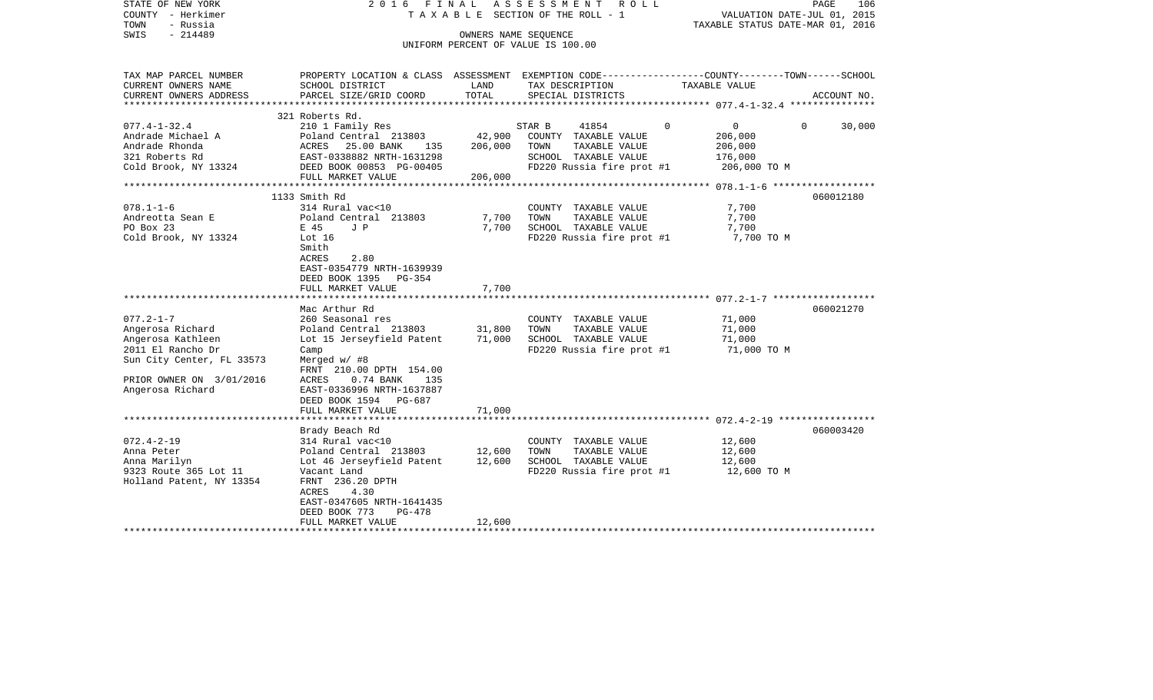| STATE OF NEW YORK<br>COUNTY - Herkimer<br>TOWN<br>- Russia<br>$-214489$<br>SWIS                                                                            | 2016 FINAL                                                                                                                                                                                                                                           | OWNERS NAME SEQUENCE         | ASSESSMENT<br>ROLL<br>TAXABLE SECTION OF THE ROLL - 1<br>UNIFORM PERCENT OF VALUE IS 100.00                           | VALUATION DATE-JUL 01, 2015<br>TAXABLE STATUS DATE-MAR 01, 2016             | PAGE<br>106        |
|------------------------------------------------------------------------------------------------------------------------------------------------------------|------------------------------------------------------------------------------------------------------------------------------------------------------------------------------------------------------------------------------------------------------|------------------------------|-----------------------------------------------------------------------------------------------------------------------|-----------------------------------------------------------------------------|--------------------|
| TAX MAP PARCEL NUMBER<br>CURRENT OWNERS NAME<br>CURRENT OWNERS ADDRESS                                                                                     | PROPERTY LOCATION & CLASS ASSESSMENT EXEMPTION CODE---------------COUNTY-------TOWN-----SCHOOL<br>SCHOOL DISTRICT                                                                                                                                    | LAND<br>TOTAL                | TAX DESCRIPTION                                                                                                       | TAXABLE VALUE                                                               |                    |
|                                                                                                                                                            | PARCEL SIZE/GRID COORD                                                                                                                                                                                                                               |                              | SPECIAL DISTRICTS                                                                                                     |                                                                             | ACCOUNT NO.        |
|                                                                                                                                                            | 321 Roberts Rd.                                                                                                                                                                                                                                      |                              |                                                                                                                       |                                                                             |                    |
| $077.4 - 1 - 32.4$<br>Andrade Michael A<br>Andrade Rhonda<br>321 Roberts Rd<br>Cold Brook, NY 13324                                                        | 210 1 Family Res<br>Poland Central 213803<br>25.00 BANK<br>ACRES<br>135<br>EAST-0338882 NRTH-1631298<br>DEED BOOK 00853 PG-00405<br>FULL MARKET VALUE                                                                                                | 42,900<br>206,000<br>206,000 | STAR B<br>41854<br>COUNTY TAXABLE VALUE<br>TOWN<br>TAXABLE VALUE<br>SCHOOL TAXABLE VALUE<br>FD220 Russia fire prot #1 | $\overline{0}$<br>$\Omega$<br>206,000<br>206,000<br>176,000<br>206,000 TO M | $\Omega$<br>30,000 |
|                                                                                                                                                            |                                                                                                                                                                                                                                                      |                              |                                                                                                                       |                                                                             |                    |
| $078.1 - 1 - 6$<br>Andreotta Sean E<br>PO Box 23<br>Cold Brook, NY 13324                                                                                   | 1133 Smith Rd<br>314 Rural vac<10<br>Poland Central 213803<br>E 45<br>J P<br>Lot 16<br>Smith<br>2.80<br>ACRES<br>EAST-0354779 NRTH-1639939<br>DEED BOOK 1395 PG-354<br>FULL MARKET VALUE                                                             | 7,700<br>7,700<br>7,700      | COUNTY TAXABLE VALUE<br>TAXABLE VALUE<br>TOWN<br>SCHOOL TAXABLE VALUE<br>FD220 Russia fire prot #1                    | 7,700<br>7,700<br>7,700<br>7,700 TO M                                       | 060012180          |
|                                                                                                                                                            |                                                                                                                                                                                                                                                      |                              |                                                                                                                       |                                                                             |                    |
| $077.2 - 1 - 7$<br>Angerosa Richard<br>Angerosa Kathleen<br>2011 El Rancho Dr<br>Sun City Center, FL 33573<br>PRIOR OWNER ON 3/01/2016<br>Angerosa Richard | Mac Arthur Rd<br>260 Seasonal res<br>Poland Central 213803<br>Lot 15 Jerseyfield Patent<br>Camp<br>Merged w/ #8<br>FRNT 210.00 DPTH 154.00<br>ACRES<br>$0.74$ BANK<br>135<br>EAST-0336996 NRTH-1637887<br>DEED BOOK 1594 PG-687<br>FULL MARKET VALUE | 31,800<br>71,000<br>71,000   | COUNTY TAXABLE VALUE<br>TOWN<br>TAXABLE VALUE<br>SCHOOL TAXABLE VALUE<br>FD220 Russia fire prot #1                    | 71,000<br>71,000<br>71,000<br>71,000 TO M                                   | 060021270          |
|                                                                                                                                                            |                                                                                                                                                                                                                                                      |                              |                                                                                                                       |                                                                             |                    |
| $072.4 - 2 - 19$<br>Anna Peter<br>Anna Marilyn<br>9323 Route 365 Lot 11<br>Holland Patent, NY 13354                                                        | Brady Beach Rd<br>314 Rural vac<10<br>Poland Central 213803<br>Lot 46 Jerseyfield Patent<br>Vacant Land<br>FRNT 236.20 DPTH<br>ACRES<br>4.30<br>EAST-0347605 NRTH-1641435<br>DEED BOOK 773<br>PG-478<br>FULL MARKET VALUE                            | 12,600<br>12,600<br>12,600   | COUNTY TAXABLE VALUE<br>TAXABLE VALUE<br>TOWN<br>SCHOOL TAXABLE VALUE<br>FD220 Russia fire prot #1                    | 12,600<br>12,600<br>12,600<br>12,600 TO M                                   | 060003420          |
| *********************                                                                                                                                      | ***********************                                                                                                                                                                                                                              |                              |                                                                                                                       |                                                                             |                    |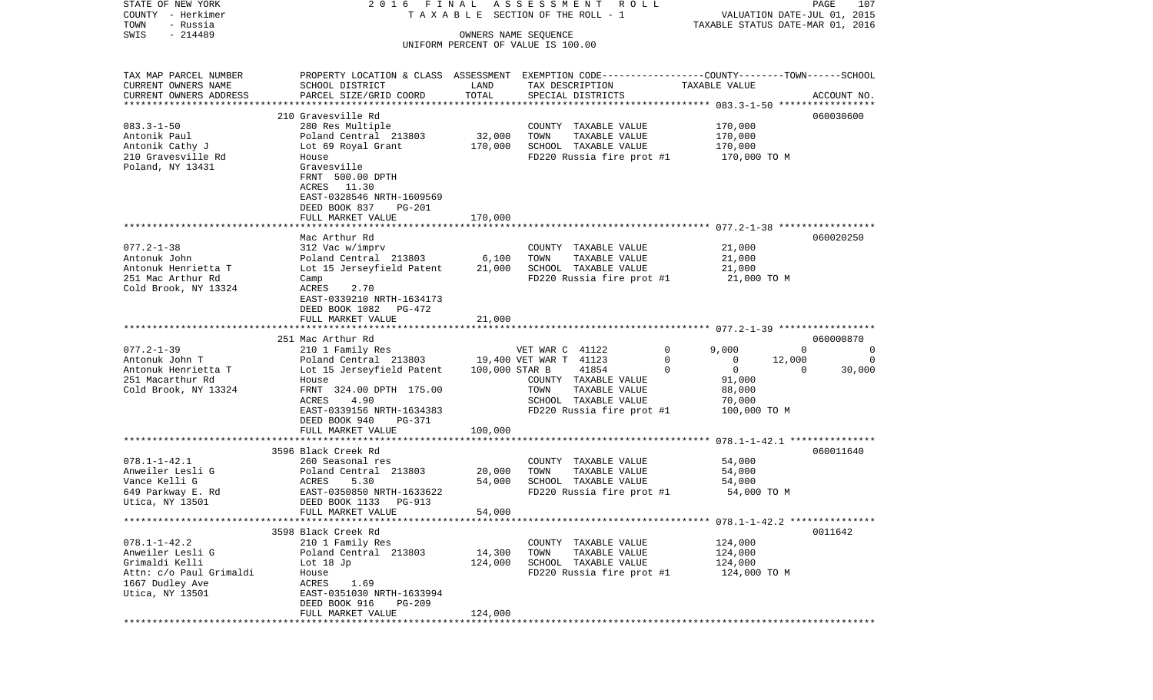| STATE OF NEW YORK        | 2016 FINAL                                                                                      |         | ASSESSMENT<br>R O L L                 |                         | 107<br>PAGE                      |
|--------------------------|-------------------------------------------------------------------------------------------------|---------|---------------------------------------|-------------------------|----------------------------------|
| COUNTY - Herkimer        |                                                                                                 |         | T A X A B L E SECTION OF THE ROLL - 1 |                         | VALUATION DATE-JUL 01, 2015      |
| TOWN<br>- Russia         |                                                                                                 |         |                                       |                         | TAXABLE STATUS DATE-MAR 01, 2016 |
| $-214489$<br>SWIS        |                                                                                                 |         | OWNERS NAME SEQUENCE                  |                         |                                  |
|                          |                                                                                                 |         | UNIFORM PERCENT OF VALUE IS 100.00    |                         |                                  |
|                          |                                                                                                 |         |                                       |                         |                                  |
| TAX MAP PARCEL NUMBER    | PROPERTY LOCATION & CLASS ASSESSMENT EXEMPTION CODE---------------COUNTY-------TOWN------SCHOOL |         |                                       |                         |                                  |
| CURRENT OWNERS NAME      | SCHOOL DISTRICT                                                                                 | LAND    | TAX DESCRIPTION                       | TAXABLE VALUE           |                                  |
| CURRENT OWNERS ADDRESS   | PARCEL SIZE/GRID COORD                                                                          | TOTAL   | SPECIAL DISTRICTS                     |                         | ACCOUNT NO.                      |
| ************************ |                                                                                                 |         |                                       |                         |                                  |
|                          | 210 Gravesville Rd                                                                              |         |                                       |                         | 060030600                        |
| $083.3 - 1 - 50$         | 280 Res Multiple                                                                                |         | COUNTY TAXABLE VALUE                  | 170,000                 |                                  |
| Antonik Paul             | Poland Central 213803                                                                           | 32,000  | TOWN<br>TAXABLE VALUE                 | 170,000                 |                                  |
| Antonik Cathy J          | Lot 69 Royal Grant                                                                              | 170,000 | SCHOOL TAXABLE VALUE                  | 170,000                 |                                  |
| 210 Gravesville Rd       | House                                                                                           |         | FD220 Russia fire prot #1             | 170,000 TO M            |                                  |
| Poland, NY 13431         | Gravesville                                                                                     |         |                                       |                         |                                  |
|                          | FRNT 500.00 DPTH                                                                                |         |                                       |                         |                                  |
|                          | ACRES 11.30                                                                                     |         |                                       |                         |                                  |
|                          | EAST-0328546 NRTH-1609569                                                                       |         |                                       |                         |                                  |
|                          |                                                                                                 |         |                                       |                         |                                  |
|                          | DEED BOOK 837<br>PG-201                                                                         |         |                                       |                         |                                  |
|                          | FULL MARKET VALUE                                                                               | 170,000 |                                       |                         |                                  |
|                          |                                                                                                 |         |                                       |                         |                                  |
|                          | Mac Arthur Rd                                                                                   |         |                                       |                         | 060020250                        |
| $077.2 - 1 - 38$         | 312 Vac w/imprv                                                                                 |         | COUNTY TAXABLE VALUE                  | 21,000                  |                                  |
| Antonuk John             | Poland Central 213803                                                                           | 6,100   | TOWN<br>TAXABLE VALUE                 | 21,000                  |                                  |
| Antonuk Henrietta T      | Lot 15 Jerseyfield Patent                                                                       | 21,000  | SCHOOL TAXABLE VALUE                  | 21,000                  |                                  |
| 251 Mac Arthur Rd        | Camp                                                                                            |         | FD220 Russia fire prot #1             | 21,000 TO M             |                                  |
| Cold Brook, NY 13324     | ACRES<br>2.70                                                                                   |         |                                       |                         |                                  |
|                          | EAST-0339210 NRTH-1634173                                                                       |         |                                       |                         |                                  |
|                          | DEED BOOK 1082 PG-472                                                                           |         |                                       |                         |                                  |
|                          | FULL MARKET VALUE                                                                               | 21,000  |                                       |                         |                                  |
|                          |                                                                                                 |         |                                       |                         |                                  |
|                          | 251 Mac Arthur Rd                                                                               |         |                                       |                         | 060000870                        |
| $077.2 - 1 - 39$         | 210 1 Family Res                                                                                |         | VET WAR C 41122                       | $\mathbf 0$<br>9,000    | $\Omega$<br>0                    |
| Antonuk John T           | Poland Central 213803                                                                           |         | 19,400 VET WAR T 41123                | 0<br>0                  | 12,000<br>0                      |
| Antonuk Henrietta T      | Lot 15 Jerseyfield Patent                                                                       |         | 100,000 STAR B<br>41854               | $\mathbf 0$<br>$\Omega$ | $\Omega$<br>30,000               |
| 251 Macarthur Rd         | House                                                                                           |         | COUNTY TAXABLE VALUE                  | 91,000                  |                                  |
| Cold Brook, NY 13324     | FRNT 324.00 DPTH 175.00                                                                         |         | TOWN<br>TAXABLE VALUE                 | 88,000                  |                                  |
|                          | ACRES<br>4.90                                                                                   |         | SCHOOL TAXABLE VALUE                  | 70,000                  |                                  |
|                          | EAST-0339156 NRTH-1634383                                                                       |         | FD220 Russia fire prot #1             | 100,000 TO M            |                                  |
|                          | DEED BOOK 940<br>PG-371                                                                         |         |                                       |                         |                                  |
|                          | FULL MARKET VALUE                                                                               | 100,000 |                                       |                         |                                  |
|                          |                                                                                                 |         |                                       |                         |                                  |
|                          | 3596 Black Creek Rd                                                                             |         |                                       |                         | 060011640                        |
| $078.1 - 1 - 42.1$       | 260 Seasonal res                                                                                |         | COUNTY TAXABLE VALUE                  | 54,000                  |                                  |
| Anweiler Lesli G         | Poland Central 213803                                                                           | 20,000  | TOWN<br>TAXABLE VALUE                 | 54,000                  |                                  |
| Vance Kelli G            | ACRES<br>5.30                                                                                   | 54,000  | SCHOOL TAXABLE VALUE                  | 54,000                  |                                  |
| 649 Parkway E. Rd        | EAST-0350850 NRTH-1633622                                                                       |         | FD220 Russia fire prot #1             | 54,000 TO M             |                                  |
| Utica, NY 13501          | DEED BOOK 1133<br>PG-913                                                                        |         |                                       |                         |                                  |
|                          | FULL MARKET VALUE                                                                               | 54,000  |                                       |                         |                                  |
|                          |                                                                                                 |         |                                       |                         |                                  |
|                          | 3598 Black Creek Rd                                                                             |         |                                       |                         | 0011642                          |
| $078.1 - 1 - 42.2$       | 210 1 Family Res                                                                                |         | COUNTY TAXABLE VALUE                  | 124,000                 |                                  |
| Anweiler Lesli G         | Poland Central 213803                                                                           | 14,300  | TAXABLE VALUE<br>TOWN                 | 124,000                 |                                  |
| Grimaldi Kelli           | Lot $18$ Jp                                                                                     | 124,000 | SCHOOL TAXABLE VALUE                  | 124,000                 |                                  |
| Attn: c/o Paul Grimaldi  | House                                                                                           |         | FD220 Russia fire prot #1             | 124,000 TO M            |                                  |
| 1667 Dudley Ave          | ACRES<br>1.69                                                                                   |         |                                       |                         |                                  |
| Utica, NY 13501          | EAST-0351030 NRTH-1633994                                                                       |         |                                       |                         |                                  |
|                          | DEED BOOK 916<br>PG-209                                                                         |         |                                       |                         |                                  |
|                          | FULL MARKET VALUE                                                                               | 124,000 |                                       |                         |                                  |
|                          |                                                                                                 |         |                                       |                         |                                  |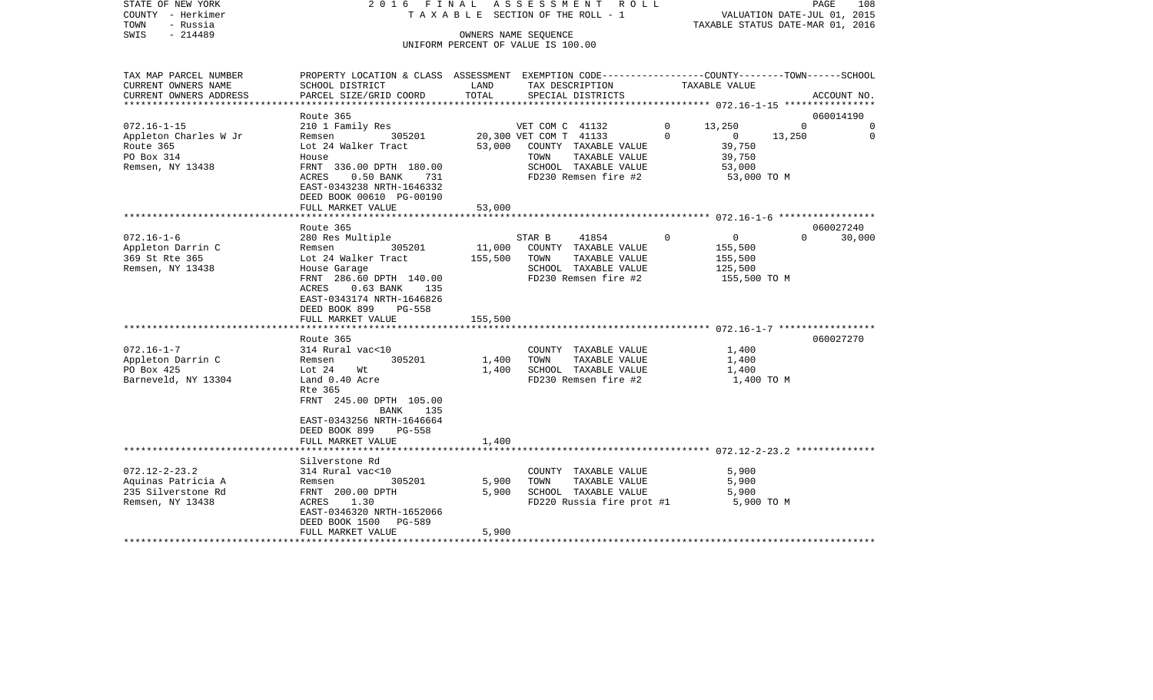| STATE OF NEW YORK<br>COUNTY - Herkimer<br>TOWN<br>- Russia |                                                                                                 |              | 2016 FINAL ASSESSMENT ROLL<br>TAXABLE SECTION OF THE ROLL - 1 |                        | VALUATION DATE-JUL 01, 2015<br>TAXABLE STATUS DATE-MAR 01, 2016 | PAGE<br>108 |
|------------------------------------------------------------|-------------------------------------------------------------------------------------------------|--------------|---------------------------------------------------------------|------------------------|-----------------------------------------------------------------|-------------|
| - 214489<br>SWIS                                           |                                                                                                 |              | OWNERS NAME SEOUENCE                                          |                        |                                                                 |             |
|                                                            |                                                                                                 |              | UNIFORM PERCENT OF VALUE IS 100.00                            |                        |                                                                 |             |
|                                                            |                                                                                                 |              |                                                               |                        |                                                                 |             |
| TAX MAP PARCEL NUMBER                                      | PROPERTY LOCATION & CLASS ASSESSMENT EXEMPTION CODE---------------COUNTY-------TOWN------SCHOOL |              |                                                               |                        |                                                                 |             |
| CURRENT OWNERS NAME                                        | SCHOOL DISTRICT                                                                                 | LAND         | TAX DESCRIPTION                                               | TAXABLE VALUE          |                                                                 |             |
| CURRENT OWNERS ADDRESS                                     | PARCEL SIZE/GRID COORD                                                                          | TOTAL        | SPECIAL DISTRICTS                                             |                        |                                                                 | ACCOUNT NO. |
|                                                            |                                                                                                 |              |                                                               |                        |                                                                 |             |
|                                                            | Route 365                                                                                       |              |                                                               |                        |                                                                 | 060014190   |
| $072.16 - 1 - 15$                                          | 210 1 Family Res                                                                                |              | VET COM C 41132                                               | 13,250<br>$\mathbf{0}$ | $\Omega$                                                        | 0           |
| Appleton Charles W Jr                                      | 305201<br>Remsen                                                                                |              | 20,300 VET COM T 41133                                        | $\Omega$               | $\overline{0}$<br>13,250                                        | 0           |
| Route 365                                                  | Lot 24 Walker Tract                                                                             |              | 53,000 COUNTY TAXABLE VALUE                                   |                        | 39,750                                                          |             |
| PO Box 314                                                 | House                                                                                           |              | TOWN<br>TAXABLE VALUE                                         |                        | 39,750                                                          |             |
| Remsen, NY 13438                                           | FRNT 336.00 DPTH 180.00                                                                         |              | SCHOOL TAXABLE VALUE                                          |                        | 53,000                                                          |             |
|                                                            | ACRES<br>0.50 BANK 731                                                                          |              | FD230 Remsen fire #2                                          |                        | 53,000 TO M                                                     |             |
|                                                            | EAST-0343238 NRTH-1646332                                                                       |              |                                                               |                        |                                                                 |             |
|                                                            | DEED BOOK 00610 PG-00190                                                                        |              |                                                               |                        |                                                                 |             |
|                                                            | FULL MARKET VALUE                                                                               | 53,000       |                                                               |                        |                                                                 |             |
|                                                            |                                                                                                 |              |                                                               |                        |                                                                 |             |
|                                                            | Route 365                                                                                       |              |                                                               |                        |                                                                 | 060027240   |
| $072.16 - 1 - 6$                                           | 280 Res Multiple                                                                                |              | STAR B<br>41854                                               | $\mathbf 0$            | $\overline{0}$<br>$\Omega$                                      | 30,000      |
| Appleton Darrin C                                          | Remsen<br>305201                                                                                |              | 11,000 COUNTY TAXABLE VALUE                                   |                        | 155,500                                                         |             |
| 369 St Rte 365                                             | Lot 24 Walker Tract                                                                             | 155,500 TOWN | TAXABLE VALUE                                                 |                        | 155,500                                                         |             |
| Remsen, NY 13438                                           | House Garage<br>FRNT 286.60 DPTH 140.00                                                         |              | SCHOOL TAXABLE VALUE<br>FD230 Remsen fire #2                  |                        | 125,500                                                         |             |
|                                                            | ACRES 0.63 BANK 135                                                                             |              |                                                               |                        | 155,500 TO M                                                    |             |
|                                                            | EAST-0343174 NRTH-1646826                                                                       |              |                                                               |                        |                                                                 |             |
|                                                            | DEED BOOK 899<br><b>PG-558</b>                                                                  |              |                                                               |                        |                                                                 |             |
|                                                            | FULL MARKET VALUE                                                                               | 155,500      |                                                               |                        |                                                                 |             |
|                                                            | ********************                                                                            |              |                                                               |                        |                                                                 |             |
|                                                            | Route 365                                                                                       |              |                                                               |                        |                                                                 | 060027270   |
| $072.16 - 1 - 7$                                           | 314 Rural vac<10                                                                                |              | COUNTY TAXABLE VALUE                                          |                        | 1,400                                                           |             |
| Appleton Darrin C                                          | 305201<br>Remsen                                                                                | 1,400        | TAXABLE VALUE<br>TOWN                                         |                        | 1,400                                                           |             |
| PO Box 425                                                 | Lot 24<br>Wt                                                                                    | 1,400        | SCHOOL TAXABLE VALUE                                          |                        | 1,400                                                           |             |
| Barneveld, NY 13304                                        | Land 0.40 Acre                                                                                  |              | FD230 Remsen fire #2                                          |                        | 1,400 TO M                                                      |             |
|                                                            | Rte 365                                                                                         |              |                                                               |                        |                                                                 |             |
|                                                            | FRNT 245.00 DPTH 105.00                                                                         |              |                                                               |                        |                                                                 |             |
|                                                            | BANK 135                                                                                        |              |                                                               |                        |                                                                 |             |
|                                                            | EAST-0343256 NRTH-1646664                                                                       |              |                                                               |                        |                                                                 |             |
|                                                            | DEED BOOK 899<br>PG-558                                                                         |              |                                                               |                        |                                                                 |             |
|                                                            | FULL MARKET VALUE                                                                               | 1,400        |                                                               |                        |                                                                 |             |
|                                                            |                                                                                                 |              |                                                               |                        |                                                                 |             |
|                                                            | Silverstone Rd                                                                                  |              |                                                               |                        |                                                                 |             |
| $072.12 - 2 - 23.2$                                        | 314 Rural vac<10                                                                                |              | COUNTY TAXABLE VALUE                                          |                        | 5,900                                                           |             |
| Aquinas Patricia A                                         | Remsen<br>305201                                                                                | 5,900        | TAXABLE VALUE<br>TOWN                                         |                        | 5,900                                                           |             |
| 235 Silverstone Rd                                         | FRNT 200.00 DPTH                                                                                | 5,900        | SCHOOL TAXABLE VALUE                                          |                        | 5,900                                                           |             |
| Remsen, NY 13438                                           | ACRES 1.30                                                                                      |              | FD220 Russia fire prot #1                                     |                        | 5,900 TO M                                                      |             |
|                                                            | EAST-0346320 NRTH-1652066                                                                       |              |                                                               |                        |                                                                 |             |
|                                                            | PG-589<br>DEED BOOK 1500                                                                        |              |                                                               |                        |                                                                 |             |
|                                                            | FULL MARKET VALUE                                                                               | 5,900        |                                                               |                        |                                                                 |             |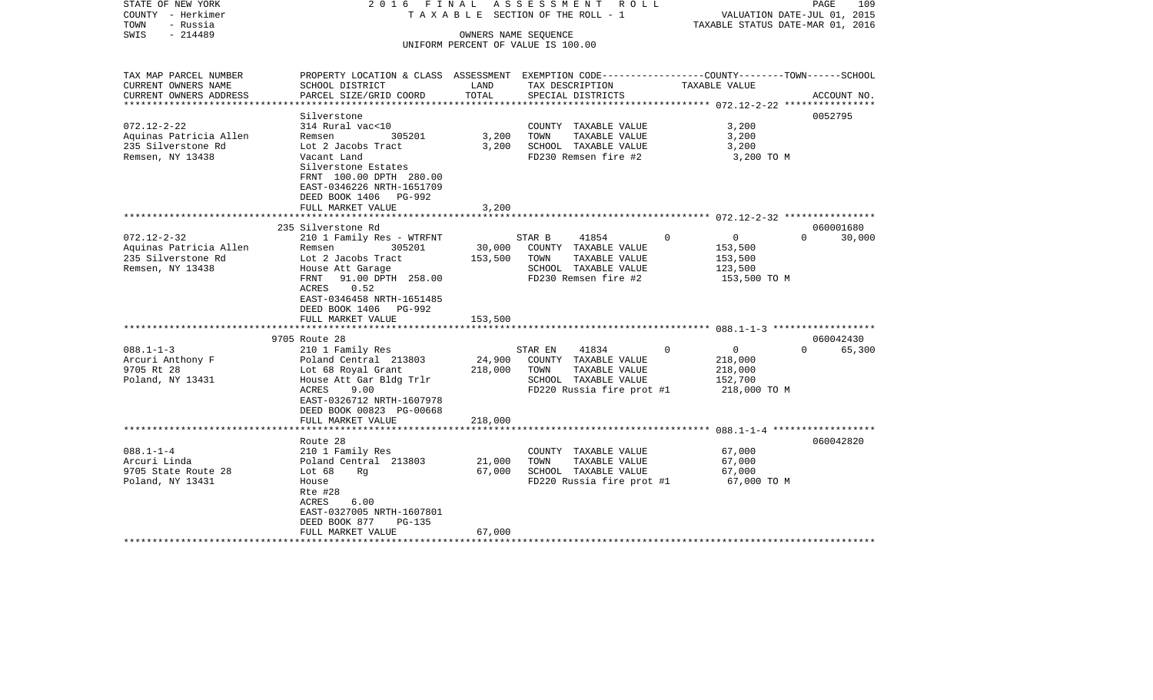| STATE OF NEW YORK<br>COUNTY - Herkimer<br>TOWN<br>- Russia<br>$-214489$<br>SWIS                     | 2016 FINAL                                                                                                                                                                                                            |                            | A S S E S S M E N T R O L L<br>TAXABLE SECTION OF THE ROLL - 1<br>OWNERS NAME SEQUENCE<br>UNIFORM PERCENT OF VALUE IS 100.00 |             | VALUATION DATE-JUL 01, 2015<br>TAXABLE STATUS DATE-MAR 01, 2016 | PAGE<br>109                     |
|-----------------------------------------------------------------------------------------------------|-----------------------------------------------------------------------------------------------------------------------------------------------------------------------------------------------------------------------|----------------------------|------------------------------------------------------------------------------------------------------------------------------|-------------|-----------------------------------------------------------------|---------------------------------|
| TAX MAP PARCEL NUMBER<br>CURRENT OWNERS NAME<br>CURRENT OWNERS ADDRESS<br>************************* | PROPERTY LOCATION & CLASS ASSESSMENT EXEMPTION CODE---------------COUNTY-------TOWN-----SCHOOL<br>SCHOOL DISTRICT<br>PARCEL SIZE/GRID COORD                                                                           | LAND<br>TOTAL              | TAX DESCRIPTION<br>SPECIAL DISTRICTS                                                                                         |             | TAXABLE VALUE                                                   | ACCOUNT NO.                     |
| $072.12 - 2 - 22$<br>Aquinas Patricia Allen<br>235 Silverstone Rd<br>Remsen, NY 13438               | Silverstone<br>314 Rural vac<10<br>305201<br>Remsen<br>Lot 2 Jacobs Tract<br>Vacant Land<br>Silverstone Estates<br>FRNT 100.00 DPTH 280.00<br>EAST-0346226 NRTH-1651709<br>DEED BOOK 1406 PG-992<br>FULL MARKET VALUE | 3,200<br>3,200<br>3,200    | COUNTY TAXABLE VALUE<br>TOWN<br>TAXABLE VALUE<br>SCHOOL TAXABLE VALUE<br>FD230 Remsen fire #2                                |             | 3,200<br>3,200<br>3,200<br>3,200 TO M                           | 0052795                         |
| $072.12 - 2 - 32$<br>Aquinas Patricia Allen                                                         | 235 Silverstone Rd<br>210 1 Family Res - WTRFNT<br>Remsen 305201                                                                                                                                                      |                            | 41854<br>STAR B<br>30,000 COUNTY TAXABLE VALUE                                                                               | $\mathbf 0$ | $\overline{0}$<br>153,500                                       | 060001680<br>30,000<br>$\Omega$ |
| 235 Silverstone Rd<br>Remsen, NY 13438                                                              | Lot 2 Jacobs Tract<br>House Att Garage<br>FRNT 91.00 DPTH 258.00<br>0.52<br>ACRES<br>EAST-0346458 NRTH-1651485<br>DEED BOOK 1406 PG-992<br>FULL MARKET VALUE                                                          | 153,500                    | TOWN<br>TAXABLE VALUE<br>SCHOOL TAXABLE VALUE<br>FD230 Remsen fire #2                                                        |             | 153,500<br>123,500<br>153,500 TO M                              |                                 |
|                                                                                                     |                                                                                                                                                                                                                       | 153,500                    |                                                                                                                              |             |                                                                 |                                 |
| $088.1 - 1 - 3$<br>Arcuri Anthony F<br>9705 Rt 28<br>Poland, NY 13431                               | 9705 Route 28<br>210 1 Family Res<br>Poland Central 213803<br>Lot 68 Royal Grant<br>House Att Gar Bldg Trlr<br>ACRES<br>9.00<br>EAST-0326712 NRTH-1607978                                                             | 24,900<br>218,000          | STAR EN<br>41834<br>COUNTY TAXABLE VALUE<br>TOWN<br>TAXABLE VALUE<br>SCHOOL TAXABLE VALUE<br>FD220 Russia fire prot #1       | $\Omega$    | $\overline{0}$<br>218,000<br>218,000<br>152,700<br>218,000 TO M | 060042430<br>$\Omega$<br>65,300 |
| ************************                                                                            | DEED BOOK 00823 PG-00668<br>FULL MARKET VALUE                                                                                                                                                                         | 218,000                    |                                                                                                                              |             |                                                                 |                                 |
| $088.1 - 1 - 4$<br>Arcuri Linda<br>9705 State Route 28<br>Poland, NY 13431                          | Route 28<br>210 1 Family Res<br>Poland Central 213803<br>Lot $68$<br>Rq<br>House<br>Rte #28<br>6.00<br>ACRES<br>EAST-0327005 NRTH-1607801<br>DEED BOOK 877<br>PG-135<br>FULL MARKET VALUE                             | 21,000<br>67,000<br>67,000 | COUNTY TAXABLE VALUE<br>TOWN<br>TAXABLE VALUE<br>SCHOOL TAXABLE VALUE<br>FD220 Russia fire prot #1                           |             | 67,000<br>67,000<br>67,000<br>67,000 TO M                       | 060042820                       |
| *******************                                                                                 |                                                                                                                                                                                                                       |                            |                                                                                                                              |             |                                                                 |                                 |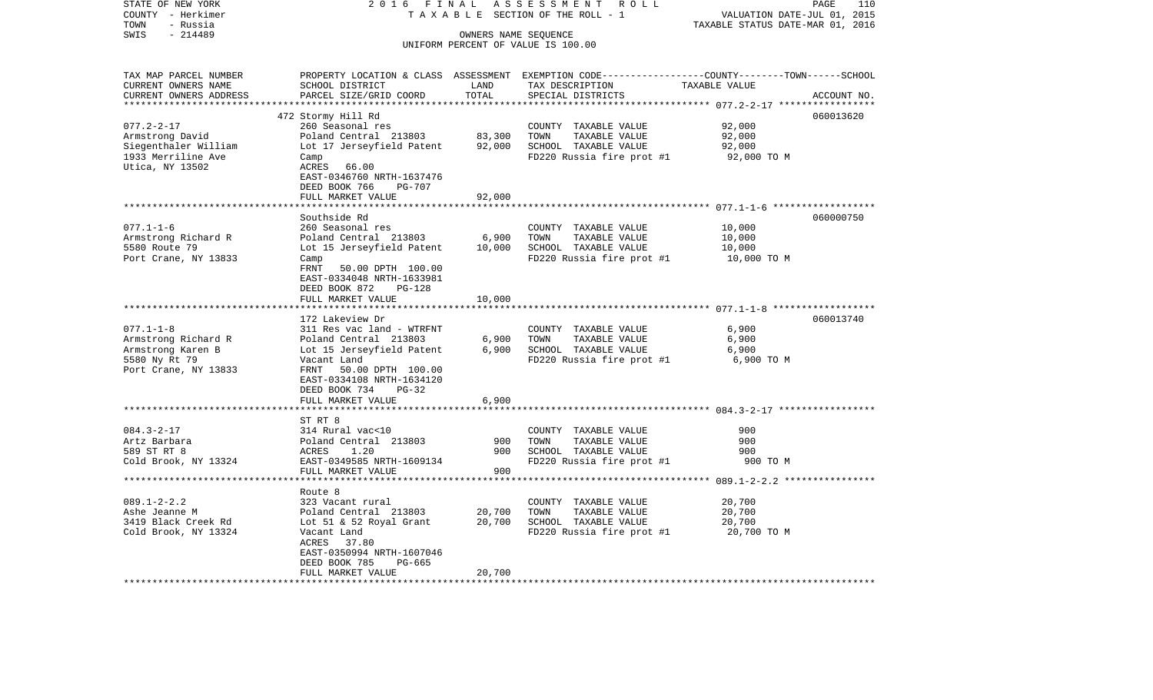| STATE OF NEW YORK                  | 2016<br>FINAL                            |                      | ASSESSMENT<br>R O L L                             | PAGE<br>110                                                                                     |  |
|------------------------------------|------------------------------------------|----------------------|---------------------------------------------------|-------------------------------------------------------------------------------------------------|--|
| COUNTY - Herkimer                  |                                          |                      | TAXABLE SECTION OF THE ROLL - 1                   | VALUATION DATE-JUL 01, 2015                                                                     |  |
| - Russia<br>TOWN                   |                                          |                      |                                                   | TAXABLE STATUS DATE-MAR 01, 2016                                                                |  |
| $-214489$<br>SWIS                  |                                          | OWNERS NAME SEQUENCE |                                                   |                                                                                                 |  |
|                                    |                                          |                      | UNIFORM PERCENT OF VALUE IS 100.00                |                                                                                                 |  |
|                                    |                                          |                      |                                                   |                                                                                                 |  |
| TAX MAP PARCEL NUMBER              |                                          |                      |                                                   | PROPERTY LOCATION & CLASS ASSESSMENT EXEMPTION CODE---------------COUNTY-------TOWN------SCHOOL |  |
| CURRENT OWNERS NAME                | SCHOOL DISTRICT                          | LAND                 | TAX DESCRIPTION                                   | TAXABLE VALUE                                                                                   |  |
| CURRENT OWNERS ADDRESS             | PARCEL SIZE/GRID COORD                   | TOTAL                | SPECIAL DISTRICTS                                 | ACCOUNT NO.                                                                                     |  |
| **********************             |                                          | *************        |                                                   |                                                                                                 |  |
|                                    | 472 Stormy Hill Rd                       |                      |                                                   | 060013620                                                                                       |  |
| $077.2 - 2 - 17$                   | 260 Seasonal res                         |                      | COUNTY TAXABLE VALUE                              | 92,000                                                                                          |  |
| Armstrong David                    | Poland Central 213803                    | 83,300               | TOWN<br>TAXABLE VALUE                             | 92,000                                                                                          |  |
| Siegenthaler William               | Lot 17 Jerseyfield Patent                | 92,000               | SCHOOL TAXABLE VALUE                              | 92,000                                                                                          |  |
| 1933 Merriline Ave                 | Camp                                     |                      | FD220 Russia fire prot #1                         | 92,000 TO M                                                                                     |  |
| Utica, NY 13502                    | ACRES<br>66.00                           |                      |                                                   |                                                                                                 |  |
|                                    | EAST-0346760 NRTH-1637476                |                      |                                                   |                                                                                                 |  |
|                                    | DEED BOOK 766<br><b>PG-707</b>           |                      |                                                   |                                                                                                 |  |
|                                    | FULL MARKET VALUE                        | 92,000               |                                                   |                                                                                                 |  |
|                                    | ******************                       |                      |                                                   | ******************************** 077.1-1-6 ******************                                   |  |
|                                    | Southside Rd                             |                      |                                                   | 060000750                                                                                       |  |
| $077.1 - 1 - 6$                    | 260 Seasonal res                         |                      | COUNTY TAXABLE VALUE                              | 10,000                                                                                          |  |
| Armstrong Richard R                | Poland Central 213803                    | 6,900                | TOWN<br>TAXABLE VALUE                             | 10,000                                                                                          |  |
| 5580 Route 79                      | Lot 15 Jerseyfield Patent                | 10,000               | SCHOOL TAXABLE VALUE                              | 10,000                                                                                          |  |
| Port Crane, NY 13833               | Camp                                     |                      | FD220 Russia fire prot #1                         | 10,000 TO M                                                                                     |  |
|                                    | FRNT<br>50.00 DPTH 100.00                |                      |                                                   |                                                                                                 |  |
|                                    | EAST-0334048 NRTH-1633981                |                      |                                                   |                                                                                                 |  |
|                                    | DEED BOOK 872<br><b>PG-128</b>           |                      |                                                   |                                                                                                 |  |
|                                    | FULL MARKET VALUE                        | 10,000               |                                                   |                                                                                                 |  |
|                                    |                                          | ********             |                                                   |                                                                                                 |  |
|                                    | 172 Lakeview Dr                          |                      |                                                   | 060013740                                                                                       |  |
| $077.1 - 1 - 8$                    | 311 Res vac land - WTRFNT                |                      | COUNTY TAXABLE VALUE<br>TOWN                      | 6,900                                                                                           |  |
| Armstrong Richard R                | Poland Central 213803                    | 6,900                | TAXABLE VALUE                                     | 6,900                                                                                           |  |
| Armstrong Karen B<br>5580 Ny Rt 79 | Lot 15 Jerseyfield Patent<br>Vacant Land | 6,900                | SCHOOL TAXABLE VALUE<br>FD220 Russia fire prot #1 | 6,900<br>6,900 TO M                                                                             |  |
| Port Crane, NY 13833               | FRNT<br>50.00 DPTH 100.00                |                      |                                                   |                                                                                                 |  |
|                                    | EAST-0334108 NRTH-1634120                |                      |                                                   |                                                                                                 |  |
|                                    | DEED BOOK 734<br>PG-32                   |                      |                                                   |                                                                                                 |  |
|                                    | FULL MARKET VALUE                        | 6,900                |                                                   |                                                                                                 |  |
|                                    |                                          |                      |                                                   |                                                                                                 |  |
|                                    | ST RT 8                                  |                      |                                                   |                                                                                                 |  |
| $084.3 - 2 - 17$                   | 314 Rural vac<10                         |                      | COUNTY TAXABLE VALUE                              | 900                                                                                             |  |
| Artz Barbara                       | Poland Central 213803                    | 900                  | TOWN<br>TAXABLE VALUE                             | 900                                                                                             |  |
| 589 ST RT 8                        | ACRES<br>1.20                            | 900                  | SCHOOL TAXABLE VALUE                              | 900                                                                                             |  |
| Cold Brook, NY 13324               | EAST-0349585 NRTH-1609134                |                      | FD220 Russia fire prot #1                         | 900 TO M                                                                                        |  |
|                                    | FULL MARKET VALUE                        | 900                  |                                                   |                                                                                                 |  |
|                                    |                                          | *********            |                                                   |                                                                                                 |  |
|                                    | Route 8                                  |                      |                                                   |                                                                                                 |  |
| $089.1 - 2 - 2.2$                  | 323 Vacant rural                         |                      | COUNTY TAXABLE VALUE                              | 20,700                                                                                          |  |
| Ashe Jeanne M                      | Poland Central 213803                    | 20,700               | TOWN<br>TAXABLE VALUE                             | 20,700                                                                                          |  |
| 3419 Black Creek Rd                | Lot 51 & 52 Royal Grant                  | 20,700               | SCHOOL TAXABLE VALUE                              | 20,700                                                                                          |  |
| Cold Brook, NY 13324               | Vacant Land                              |                      | FD220 Russia fire prot #1                         | 20,700 TO M                                                                                     |  |
|                                    | ACRES<br>37.80                           |                      |                                                   |                                                                                                 |  |
|                                    | EAST-0350994 NRTH-1607046                |                      |                                                   |                                                                                                 |  |
|                                    | DEED BOOK 785<br>PG-665                  |                      |                                                   |                                                                                                 |  |
|                                    | FULL MARKET VALUE                        | 20,700               |                                                   |                                                                                                 |  |
|                                    |                                          |                      |                                                   |                                                                                                 |  |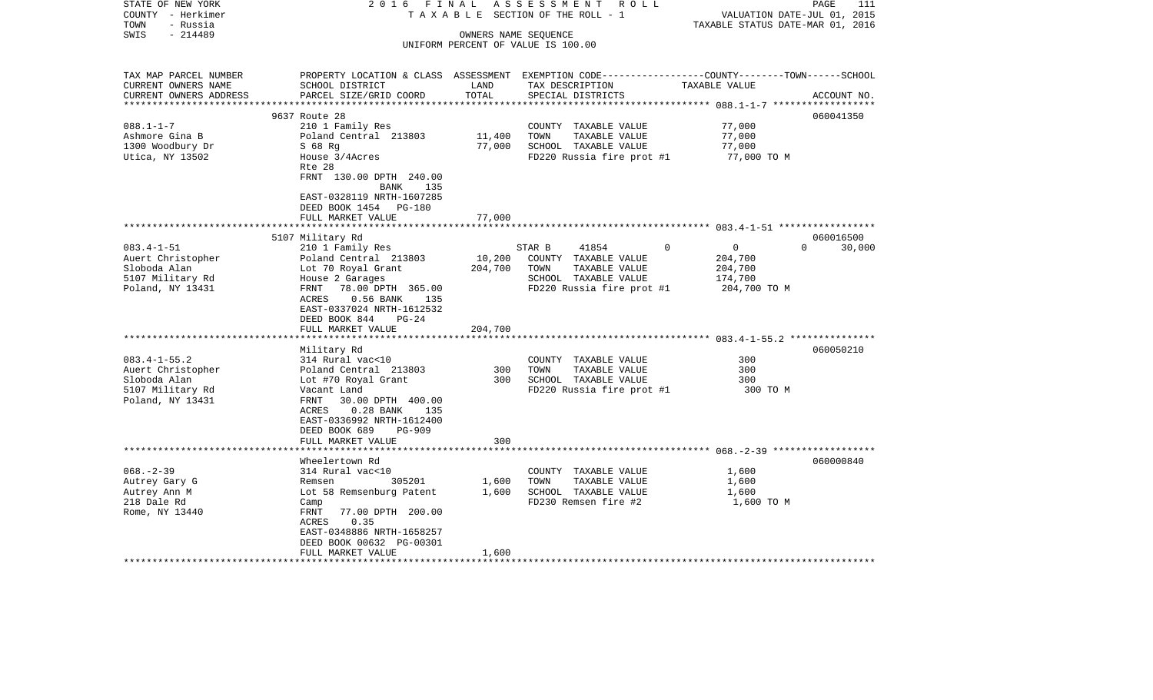| STATE OF NEW YORK<br>COUNTY - Herkimer<br>- Russia<br>TOWN             | 2016 FINAL<br>TAXABLE                                                                                                                        |               | ASSESSMENT ROLL<br>SECTION OF THE ROLL - 1                 | VALUATION DATE-JUL 01, 2015<br>TAXABLE STATUS DATE-MAR 01, 2016 | 111<br>PAGE         |
|------------------------------------------------------------------------|----------------------------------------------------------------------------------------------------------------------------------------------|---------------|------------------------------------------------------------|-----------------------------------------------------------------|---------------------|
| $-214489$<br>SWIS                                                      |                                                                                                                                              |               | OWNERS NAME SEQUENCE<br>UNIFORM PERCENT OF VALUE IS 100.00 |                                                                 |                     |
| TAX MAP PARCEL NUMBER<br>CURRENT OWNERS NAME<br>CURRENT OWNERS ADDRESS | PROPERTY LOCATION & CLASS ASSESSMENT EXEMPTION CODE---------------COUNTY-------TOWN------SCHOOL<br>SCHOOL DISTRICT<br>PARCEL SIZE/GRID COORD | LAND<br>TOTAL | TAX DESCRIPTION<br>SPECIAL DISTRICTS                       | TAXABLE VALUE                                                   | ACCOUNT NO.         |
|                                                                        |                                                                                                                                              |               |                                                            |                                                                 |                     |
| $088.1 - 1 - 7$                                                        | 9637 Route 28                                                                                                                                |               |                                                            |                                                                 | 060041350           |
| Ashmore Gina B                                                         | 210 1 Family Res<br>Poland Central 213803                                                                                                    | 11,400        | COUNTY TAXABLE VALUE<br>TOWN<br>TAXABLE VALUE              | 77,000<br>77,000                                                |                     |
| 1300 Woodbury Dr                                                       | $S$ 68 Rg                                                                                                                                    | 77,000        | SCHOOL TAXABLE VALUE                                       | 77,000                                                          |                     |
| Utica, NY 13502                                                        | House 3/4Acres<br>Rte 28                                                                                                                     |               | FD220 Russia fire prot #1                                  | 77,000 TO M                                                     |                     |
|                                                                        | FRNT 130.00 DPTH 240.00<br>135<br>BANK<br>EAST-0328119 NRTH-1607285                                                                          |               |                                                            |                                                                 |                     |
|                                                                        | DEED BOOK 1454 PG-180<br>FULL MARKET VALUE                                                                                                   | 77,000        |                                                            |                                                                 |                     |
|                                                                        |                                                                                                                                              |               |                                                            |                                                                 |                     |
| $083.4 - 1 - 51$                                                       | 5107 Military Rd<br>210 1 Family Res                                                                                                         |               | STAR B<br>41854                                            | $\Omega$<br>$\overline{0}$<br>$\Omega$                          | 060016500<br>30,000 |
| Auert Christopher                                                      | Poland Central 213803                                                                                                                        | 10,200        | COUNTY TAXABLE VALUE                                       | 204,700                                                         |                     |
| Sloboda Alan                                                           | Lot 70 Royal Grant                                                                                                                           | 204,700       | TOWN<br>TAXABLE VALUE                                      | 204,700                                                         |                     |
| 5107 Military Rd                                                       | House 2 Garages                                                                                                                              |               | SCHOOL TAXABLE VALUE                                       | 174,700                                                         |                     |
| Poland, NY 13431                                                       | 78.00 DPTH 365.00<br>FRNT<br>$0.56$ BANK<br>ACRES<br>135<br>EAST-0337024 NRTH-1612532<br>DEED BOOK 844<br>$PG-24$                            |               | FD220 Russia fire prot #1                                  | 204,700 TO M                                                    |                     |
|                                                                        | FULL MARKET VALUE                                                                                                                            | 204,700       |                                                            |                                                                 |                     |
|                                                                        | Military Rd                                                                                                                                  |               |                                                            |                                                                 | 060050210           |
| $083.4 - 1 - 55.2$                                                     | 314 Rural vac<10                                                                                                                             |               | COUNTY TAXABLE VALUE                                       | 300                                                             |                     |
| Auert Christopher                                                      | Poland Central 213803                                                                                                                        | 300           | TOWN<br>TAXABLE VALUE                                      | 300                                                             |                     |
| Sloboda Alan                                                           | Lot #70 Royal Grant                                                                                                                          | 300           | SCHOOL TAXABLE VALUE                                       | 300                                                             |                     |
| 5107 Military Rd                                                       | Vacant Land                                                                                                                                  |               | FD220 Russia fire prot #1                                  | 300 TO M                                                        |                     |
| Poland, NY 13431                                                       | 30.00 DPTH 400.00<br>FRNT<br>$0.28$ BANK<br>ACRES<br>135<br>EAST-0336992 NRTH-1612400<br>DEED BOOK 689<br><b>PG-909</b>                      |               |                                                            |                                                                 |                     |
|                                                                        | FULL MARKET VALUE                                                                                                                            | 300           |                                                            |                                                                 |                     |
|                                                                        |                                                                                                                                              |               |                                                            |                                                                 |                     |
|                                                                        | Wheelertown Rd                                                                                                                               |               |                                                            |                                                                 | 060000840           |
| $068. - 2 - 39$<br>Autrey Gary G                                       | 314 Rural vac<10<br>305201<br>Remsen                                                                                                         | 1,600         | COUNTY TAXABLE VALUE<br>TOWN<br>TAXABLE VALUE              | 1,600<br>1,600                                                  |                     |
| Autrey Ann M                                                           | Lot 58 Remsenburg Patent                                                                                                                     | 1,600         | SCHOOL TAXABLE VALUE                                       | 1,600                                                           |                     |
| 218 Dale Rd                                                            | Camp                                                                                                                                         |               | FD230 Remsen fire #2                                       | 1,600 TO M                                                      |                     |
| Rome, NY 13440                                                         | 77.00 DPTH 200.00<br>FRNT<br>0.35<br>ACRES                                                                                                   |               |                                                            |                                                                 |                     |
|                                                                        | EAST-0348886 NRTH-1658257<br>DEED BOOK 00632 PG-00301                                                                                        |               |                                                            |                                                                 |                     |
|                                                                        | FULL MARKET VALUE                                                                                                                            | 1,600         | **************************************                     |                                                                 |                     |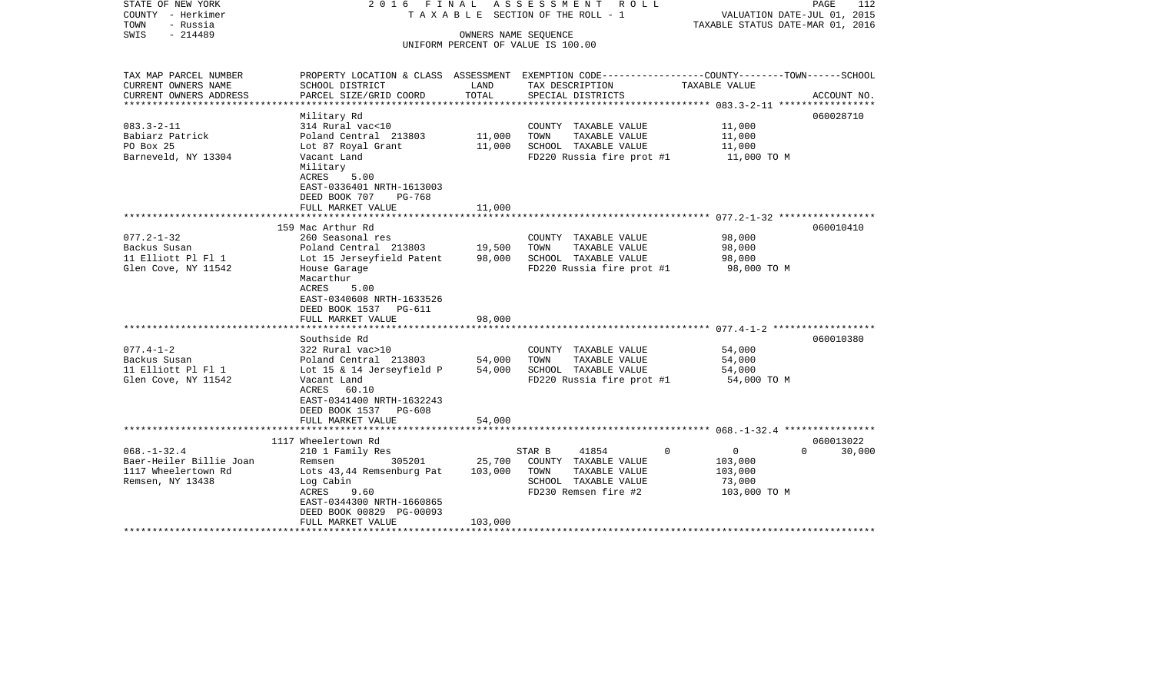| SWIS<br>$-214489$<br>OWNERS NAME SEOUENCE<br>UNIFORM PERCENT OF VALUE IS 100.00<br>TAX MAP PARCEL NUMBER<br>PROPERTY LOCATION & CLASS ASSESSMENT EXEMPTION CODE----------------COUNTY-------TOWN------SCHOOL<br>CURRENT OWNERS NAME<br>SCHOOL DISTRICT<br>LAND<br>TAX DESCRIPTION<br>TAXABLE VALUE<br>PARCEL SIZE/GRID COORD<br>TOTAL<br>CURRENT OWNERS ADDRESS<br>SPECIAL DISTRICTS<br>ACCOUNT NO.<br>*********************<br>Military Rd<br>060028710<br>$083.3 - 2 - 11$<br>314 Rural vac<10<br>11,000<br>COUNTY TAXABLE VALUE<br>TAXABLE VALUE<br>Babiarz Patrick<br>Poland Central 213803<br>11,000<br>TOWN<br>11,000<br>PO Box 25<br>11,000<br>SCHOOL TAXABLE VALUE<br>Lot 87 Royal Grant<br>11,000<br>Barneveld, NY 13304<br>FD220 Russia fire prot #1<br>Vacant Land<br>11,000 TO M<br>Military<br>ACRES<br>5.00<br>EAST-0336401 NRTH-1613003<br>DEED BOOK 707<br>PG-768<br>FULL MARKET VALUE<br>11,000<br>159 Mac Arthur Rd<br>060010410 | STATE OF NEW YORK<br>COUNTY - Herkimer<br>TOWN<br>- Russia | 2016 FINAL       | ASSESSMENT ROLL<br>T A X A B L E SECTION OF THE ROLL - 1 | VALUATION DATE-JUL 01, 2015<br>TAXABLE STATUS DATE-MAR 01, 2016 | PAGE<br>112 |
|----------------------------------------------------------------------------------------------------------------------------------------------------------------------------------------------------------------------------------------------------------------------------------------------------------------------------------------------------------------------------------------------------------------------------------------------------------------------------------------------------------------------------------------------------------------------------------------------------------------------------------------------------------------------------------------------------------------------------------------------------------------------------------------------------------------------------------------------------------------------------------------------------------------------------------------------------|------------------------------------------------------------|------------------|----------------------------------------------------------|-----------------------------------------------------------------|-------------|
|                                                                                                                                                                                                                                                                                                                                                                                                                                                                                                                                                                                                                                                                                                                                                                                                                                                                                                                                                    |                                                            |                  |                                                          |                                                                 |             |
|                                                                                                                                                                                                                                                                                                                                                                                                                                                                                                                                                                                                                                                                                                                                                                                                                                                                                                                                                    |                                                            |                  |                                                          |                                                                 |             |
|                                                                                                                                                                                                                                                                                                                                                                                                                                                                                                                                                                                                                                                                                                                                                                                                                                                                                                                                                    |                                                            |                  |                                                          |                                                                 |             |
|                                                                                                                                                                                                                                                                                                                                                                                                                                                                                                                                                                                                                                                                                                                                                                                                                                                                                                                                                    |                                                            |                  |                                                          |                                                                 |             |
|                                                                                                                                                                                                                                                                                                                                                                                                                                                                                                                                                                                                                                                                                                                                                                                                                                                                                                                                                    |                                                            |                  |                                                          |                                                                 |             |
|                                                                                                                                                                                                                                                                                                                                                                                                                                                                                                                                                                                                                                                                                                                                                                                                                                                                                                                                                    |                                                            |                  |                                                          |                                                                 |             |
|                                                                                                                                                                                                                                                                                                                                                                                                                                                                                                                                                                                                                                                                                                                                                                                                                                                                                                                                                    |                                                            |                  |                                                          |                                                                 |             |
|                                                                                                                                                                                                                                                                                                                                                                                                                                                                                                                                                                                                                                                                                                                                                                                                                                                                                                                                                    |                                                            |                  |                                                          |                                                                 |             |
|                                                                                                                                                                                                                                                                                                                                                                                                                                                                                                                                                                                                                                                                                                                                                                                                                                                                                                                                                    |                                                            |                  |                                                          |                                                                 |             |
|                                                                                                                                                                                                                                                                                                                                                                                                                                                                                                                                                                                                                                                                                                                                                                                                                                                                                                                                                    |                                                            |                  |                                                          |                                                                 |             |
|                                                                                                                                                                                                                                                                                                                                                                                                                                                                                                                                                                                                                                                                                                                                                                                                                                                                                                                                                    |                                                            |                  |                                                          |                                                                 |             |
|                                                                                                                                                                                                                                                                                                                                                                                                                                                                                                                                                                                                                                                                                                                                                                                                                                                                                                                                                    |                                                            |                  |                                                          |                                                                 |             |
|                                                                                                                                                                                                                                                                                                                                                                                                                                                                                                                                                                                                                                                                                                                                                                                                                                                                                                                                                    |                                                            |                  |                                                          |                                                                 |             |
|                                                                                                                                                                                                                                                                                                                                                                                                                                                                                                                                                                                                                                                                                                                                                                                                                                                                                                                                                    |                                                            |                  |                                                          |                                                                 |             |
|                                                                                                                                                                                                                                                                                                                                                                                                                                                                                                                                                                                                                                                                                                                                                                                                                                                                                                                                                    |                                                            |                  |                                                          |                                                                 |             |
|                                                                                                                                                                                                                                                                                                                                                                                                                                                                                                                                                                                                                                                                                                                                                                                                                                                                                                                                                    | $077.2 - 1 - 32$                                           | 260 Seasonal res | COUNTY TAXABLE VALUE                                     | 98,000                                                          |             |
| Backus Susan<br>19,500<br>TAXABLE VALUE<br>98,000<br>Poland Central 213803<br>TOWN                                                                                                                                                                                                                                                                                                                                                                                                                                                                                                                                                                                                                                                                                                                                                                                                                                                                 |                                                            |                  |                                                          |                                                                 |             |
| 11 Elliott Pl Fl 1<br>98,000<br>SCHOOL TAXABLE VALUE<br>Lot 15 Jerseyfield Patent<br>98,000                                                                                                                                                                                                                                                                                                                                                                                                                                                                                                                                                                                                                                                                                                                                                                                                                                                        |                                                            |                  |                                                          |                                                                 |             |
| Glen Cove, NY 11542<br>FD220 Russia fire prot #1<br>98,000 TO M<br>House Garage                                                                                                                                                                                                                                                                                                                                                                                                                                                                                                                                                                                                                                                                                                                                                                                                                                                                    |                                                            |                  |                                                          |                                                                 |             |
| Macarthur<br>ACRES                                                                                                                                                                                                                                                                                                                                                                                                                                                                                                                                                                                                                                                                                                                                                                                                                                                                                                                                 |                                                            |                  |                                                          |                                                                 |             |
| 5.00<br>EAST-0340608 NRTH-1633526                                                                                                                                                                                                                                                                                                                                                                                                                                                                                                                                                                                                                                                                                                                                                                                                                                                                                                                  |                                                            |                  |                                                          |                                                                 |             |
| DEED BOOK 1537 PG-611                                                                                                                                                                                                                                                                                                                                                                                                                                                                                                                                                                                                                                                                                                                                                                                                                                                                                                                              |                                                            |                  |                                                          |                                                                 |             |
| 98,000<br>FULL MARKET VALUE                                                                                                                                                                                                                                                                                                                                                                                                                                                                                                                                                                                                                                                                                                                                                                                                                                                                                                                        |                                                            |                  |                                                          |                                                                 |             |
|                                                                                                                                                                                                                                                                                                                                                                                                                                                                                                                                                                                                                                                                                                                                                                                                                                                                                                                                                    |                                                            |                  |                                                          |                                                                 |             |
| Southside Rd<br>060010380                                                                                                                                                                                                                                                                                                                                                                                                                                                                                                                                                                                                                                                                                                                                                                                                                                                                                                                          |                                                            |                  |                                                          |                                                                 |             |
| $077.4 - 1 - 2$<br>322 Rural vac>10<br>54,000<br>COUNTY TAXABLE VALUE                                                                                                                                                                                                                                                                                                                                                                                                                                                                                                                                                                                                                                                                                                                                                                                                                                                                              |                                                            |                  |                                                          |                                                                 |             |
| 54,000<br>Backus Susan<br>Poland Central 213803<br>TOWN<br>TAXABLE VALUE<br>54,000                                                                                                                                                                                                                                                                                                                                                                                                                                                                                                                                                                                                                                                                                                                                                                                                                                                                 |                                                            |                  |                                                          |                                                                 |             |
| 11 Elliott Pl Fl 1<br>54,000<br>SCHOOL TAXABLE VALUE<br>Lot 15 & 14 Jerseyfield P<br>54,000                                                                                                                                                                                                                                                                                                                                                                                                                                                                                                                                                                                                                                                                                                                                                                                                                                                        |                                                            |                  |                                                          |                                                                 |             |
| Glen Cove, NY 11542<br>FD220 Russia fire prot #1<br>Vacant Land<br>54,000 TO M                                                                                                                                                                                                                                                                                                                                                                                                                                                                                                                                                                                                                                                                                                                                                                                                                                                                     |                                                            |                  |                                                          |                                                                 |             |
| ACRES 60.10                                                                                                                                                                                                                                                                                                                                                                                                                                                                                                                                                                                                                                                                                                                                                                                                                                                                                                                                        |                                                            |                  |                                                          |                                                                 |             |
| EAST-0341400 NRTH-1632243                                                                                                                                                                                                                                                                                                                                                                                                                                                                                                                                                                                                                                                                                                                                                                                                                                                                                                                          |                                                            |                  |                                                          |                                                                 |             |
| DEED BOOK 1537 PG-608<br>FULL MARKET VALUE<br>54,000                                                                                                                                                                                                                                                                                                                                                                                                                                                                                                                                                                                                                                                                                                                                                                                                                                                                                               |                                                            |                  |                                                          |                                                                 |             |
|                                                                                                                                                                                                                                                                                                                                                                                                                                                                                                                                                                                                                                                                                                                                                                                                                                                                                                                                                    |                                                            |                  |                                                          |                                                                 |             |
| 1117 Wheelertown Rd<br>060013022                                                                                                                                                                                                                                                                                                                                                                                                                                                                                                                                                                                                                                                                                                                                                                                                                                                                                                                   |                                                            |                  |                                                          |                                                                 |             |
| $068. - 1 - 32.4$<br>$\overline{0}$<br>$\cap$<br>30,000<br>210 1 Family Res<br>STAR B<br>41854<br>$\Omega$                                                                                                                                                                                                                                                                                                                                                                                                                                                                                                                                                                                                                                                                                                                                                                                                                                         |                                                            |                  |                                                          |                                                                 |             |
| Baer-Heiler Billie Joan<br>25,700<br>COUNTY TAXABLE VALUE<br>Remsen<br>305201<br>103,000                                                                                                                                                                                                                                                                                                                                                                                                                                                                                                                                                                                                                                                                                                                                                                                                                                                           |                                                            |                  |                                                          |                                                                 |             |
| 1117 Wheelertown Rd<br>103,000<br>TOWN<br>TAXABLE VALUE<br>Lots 43,44 Remsenburg Pat<br>103,000                                                                                                                                                                                                                                                                                                                                                                                                                                                                                                                                                                                                                                                                                                                                                                                                                                                    |                                                            |                  |                                                          |                                                                 |             |
| Remsen, NY 13438<br>Log Cabin<br>SCHOOL TAXABLE VALUE<br>73,000                                                                                                                                                                                                                                                                                                                                                                                                                                                                                                                                                                                                                                                                                                                                                                                                                                                                                    |                                                            |                  |                                                          |                                                                 |             |
| ACRES<br>9.60<br>FD230 Remsen fire #2<br>103,000 TO M                                                                                                                                                                                                                                                                                                                                                                                                                                                                                                                                                                                                                                                                                                                                                                                                                                                                                              |                                                            |                  |                                                          |                                                                 |             |
| EAST-0344300 NRTH-1660865                                                                                                                                                                                                                                                                                                                                                                                                                                                                                                                                                                                                                                                                                                                                                                                                                                                                                                                          |                                                            |                  |                                                          |                                                                 |             |
| DEED BOOK 00829 PG-00093<br>103,000                                                                                                                                                                                                                                                                                                                                                                                                                                                                                                                                                                                                                                                                                                                                                                                                                                                                                                                |                                                            |                  |                                                          |                                                                 |             |
| FULL MARKET VALUE                                                                                                                                                                                                                                                                                                                                                                                                                                                                                                                                                                                                                                                                                                                                                                                                                                                                                                                                  |                                                            |                  |                                                          |                                                                 |             |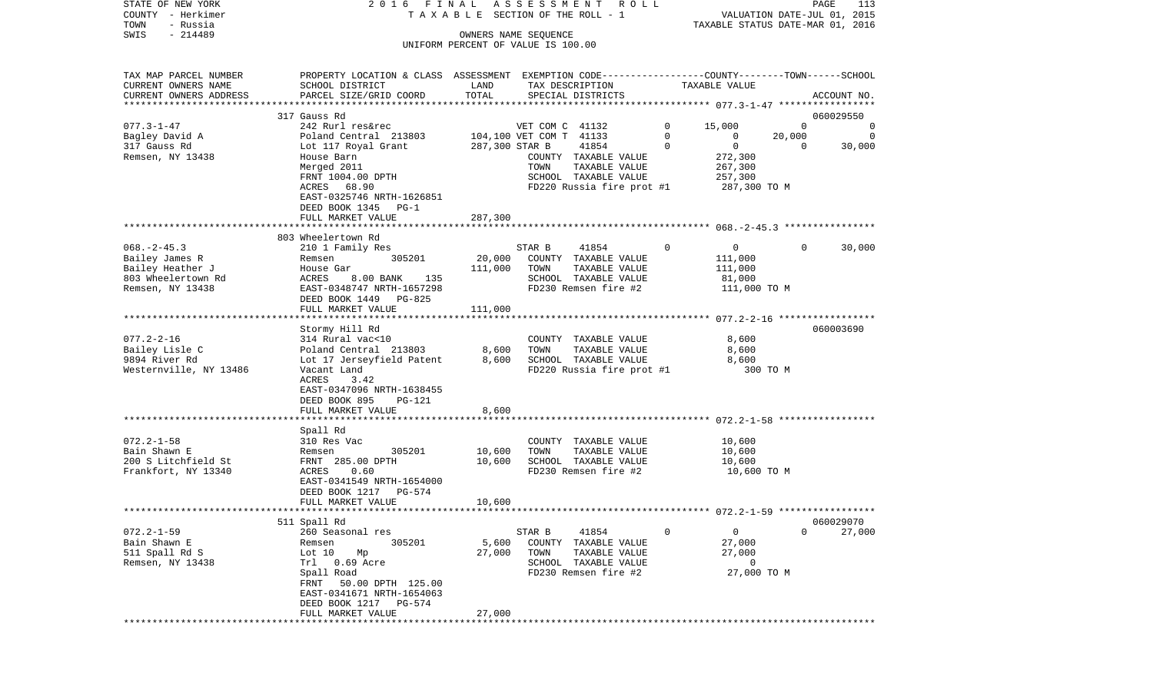| STATE OF NEW YORK                                | 2016 FINAL                                                                                       |                                    | ASSESSMENT              | R O L L                               |          |                                  |          | PAGE<br>113                 |
|--------------------------------------------------|--------------------------------------------------------------------------------------------------|------------------------------------|-------------------------|---------------------------------------|----------|----------------------------------|----------|-----------------------------|
| COUNTY - Herkimer<br>TOWN<br>- Russia            |                                                                                                  |                                    |                         | T A X A B L E SECTION OF THE ROLL - 1 |          | TAXABLE STATUS DATE-MAR 01, 2016 |          | VALUATION DATE-JUL 01, 2015 |
| $-214489$<br>SWIS                                |                                                                                                  |                                    | OWNERS NAME SEQUENCE    |                                       |          |                                  |          |                             |
|                                                  |                                                                                                  | UNIFORM PERCENT OF VALUE IS 100.00 |                         |                                       |          |                                  |          |                             |
|                                                  |                                                                                                  |                                    |                         |                                       |          |                                  |          |                             |
|                                                  |                                                                                                  |                                    |                         |                                       |          |                                  |          |                             |
| TAX MAP PARCEL NUMBER                            | PROPERTY LOCATION & CLASS ASSESSMENT EXEMPTION CODE----------------COUNTY-------TOWN------SCHOOL |                                    |                         |                                       |          |                                  |          |                             |
| CURRENT OWNERS NAME                              | SCHOOL DISTRICT                                                                                  | LAND                               |                         | TAX DESCRIPTION                       |          | TAXABLE VALUE                    |          |                             |
| CURRENT OWNERS ADDRESS<br>********************** | PARCEL SIZE/GRID COORD                                                                           | TOTAL                              |                         | SPECIAL DISTRICTS                     |          |                                  |          | ACCOUNT NO.                 |
|                                                  | 317 Gauss Rd                                                                                     |                                    |                         |                                       |          |                                  |          | 060029550                   |
| $077.3 - 1 - 47$                                 | 242 Rurl res&rec                                                                                 |                                    | VET COM C 41132         |                                       | 0        | 15,000                           | $\Omega$ | 0                           |
| Bagley David A                                   | Poland Central 213803                                                                            |                                    | 104,100 VET COM T 41133 |                                       | 0        | 0                                | 20,000   | 0                           |
| 317 Gauss Rd                                     | Lot 117 Royal Grant                                                                              |                                    | 287,300 STAR B          | 41854                                 | $\Omega$ | $\mathbf 0$                      | $\Omega$ | 30,000                      |
| Remsen, NY 13438                                 | House Barn                                                                                       |                                    |                         | COUNTY TAXABLE VALUE                  |          | 272,300                          |          |                             |
|                                                  | Merged 2011                                                                                      |                                    | TOWN                    | TAXABLE VALUE                         |          | 267,300                          |          |                             |
|                                                  | FRNT 1004.00 DPTH                                                                                |                                    |                         | SCHOOL TAXABLE VALUE                  |          | 257,300                          |          |                             |
|                                                  | ACRES 68.90                                                                                      |                                    |                         | FD220 Russia fire prot #1             |          | 287,300 TO M                     |          |                             |
|                                                  | EAST-0325746 NRTH-1626851                                                                        |                                    |                         |                                       |          |                                  |          |                             |
|                                                  | DEED BOOK 1345 PG-1                                                                              |                                    |                         |                                       |          |                                  |          |                             |
|                                                  | FULL MARKET VALUE                                                                                | 287,300                            |                         |                                       |          |                                  |          |                             |
|                                                  |                                                                                                  |                                    |                         |                                       |          |                                  |          |                             |
|                                                  | 803 Wheelertown Rd                                                                               |                                    |                         |                                       |          |                                  |          |                             |
| $068. -2 - 45.3$                                 | 210 1 Family Res                                                                                 |                                    | STAR B                  | 41854                                 | 0        | 0                                | 0        | 30,000                      |
| Bailey James R                                   | 305201<br>Remsen                                                                                 | 20,000                             |                         | COUNTY TAXABLE VALUE                  |          | 111,000                          |          |                             |
| Bailey Heather J                                 | House Gar                                                                                        | 111,000                            | TOWN                    | TAXABLE VALUE                         |          | 111,000                          |          |                             |
| 803 Wheelertown Rd                               | ACRES<br>8.00 BANK<br>135                                                                        |                                    |                         | SCHOOL TAXABLE VALUE                  |          | 81,000                           |          |                             |
| Remsen, NY 13438                                 | EAST-0348747 NRTH-1657298                                                                        |                                    |                         | FD230 Remsen fire #2                  |          | 111,000 TO M                     |          |                             |
|                                                  | DEED BOOK 1449 PG-825                                                                            |                                    |                         |                                       |          |                                  |          |                             |
|                                                  | FULL MARKET VALUE                                                                                | 111,000                            |                         |                                       |          |                                  |          |                             |
|                                                  |                                                                                                  |                                    |                         |                                       |          |                                  |          |                             |
|                                                  | Stormy Hill Rd                                                                                   |                                    |                         |                                       |          |                                  |          | 060003690                   |
| $077.2 - 2 - 16$                                 | 314 Rural vac<10                                                                                 |                                    |                         | COUNTY TAXABLE VALUE                  |          | 8,600                            |          |                             |
| Bailey Lisle C                                   | Poland Central 213803                                                                            | 8,600                              | TOWN                    | TAXABLE VALUE                         |          | 8,600                            |          |                             |
| 9894 River Rd                                    | Lot 17 Jerseyfield Patent                                                                        | 8,600                              |                         | SCHOOL TAXABLE VALUE                  |          | 8,600                            |          |                             |
| Westernville, NY 13486                           | Vacant Land                                                                                      |                                    |                         | FD220 Russia fire prot #1             |          | 300 TO M                         |          |                             |
|                                                  | ACRES<br>3.42                                                                                    |                                    |                         |                                       |          |                                  |          |                             |
|                                                  | EAST-0347096 NRTH-1638455                                                                        |                                    |                         |                                       |          |                                  |          |                             |
|                                                  | DEED BOOK 895<br>PG-121                                                                          |                                    |                         |                                       |          |                                  |          |                             |
|                                                  | FULL MARKET VALUE                                                                                | 8,600                              |                         |                                       |          |                                  |          |                             |
|                                                  | ******************                                                                               | * * * * * * * * * *                |                         |                                       |          |                                  |          |                             |
|                                                  | Spall Rd                                                                                         |                                    |                         |                                       |          |                                  |          |                             |
| $072.2 - 1 - 58$                                 | 310 Res Vac                                                                                      |                                    |                         | COUNTY TAXABLE VALUE                  |          | 10,600                           |          |                             |
| Bain Shawn E                                     | 305201<br>Remsen                                                                                 | 10,600                             | TOWN                    | TAXABLE VALUE                         |          | 10,600                           |          |                             |
| 200 S Litchfield St                              | FRNT 285.00 DPTH                                                                                 | 10,600                             |                         | SCHOOL TAXABLE VALUE                  |          | 10,600                           |          |                             |
| Frankfort, NY 13340                              | ACRES<br>0.60                                                                                    |                                    |                         | FD230 Remsen fire #2                  |          | 10,600 TO M                      |          |                             |
|                                                  | EAST-0341549 NRTH-1654000                                                                        |                                    |                         |                                       |          |                                  |          |                             |
|                                                  | DEED BOOK 1217<br>PG-574                                                                         |                                    |                         |                                       |          |                                  |          |                             |
| ***********************                          | FULL MARKET VALUE                                                                                | 10,600                             |                         |                                       |          |                                  |          |                             |
|                                                  |                                                                                                  |                                    |                         |                                       |          |                                  |          |                             |
|                                                  | 511 Spall Rd                                                                                     |                                    |                         |                                       |          |                                  |          | 060029070                   |
| $072.2 - 1 - 59$                                 | 260 Seasonal res                                                                                 |                                    | STAR B                  | 41854                                 | 0        | 0                                | 0        | 27,000                      |
| Bain Shawn E                                     | 305201<br>Remsen                                                                                 | 5,600                              |                         | COUNTY TAXABLE VALUE                  |          | 27,000                           |          |                             |
| 511 Spall Rd S                                   | Lot $10$<br>Mp                                                                                   | 27,000                             | TOWN                    | TAXABLE VALUE                         |          | 27,000                           |          |                             |
| Remsen, NY 13438                                 | 0.69 Acre<br>Trl                                                                                 |                                    |                         | SCHOOL TAXABLE VALUE                  |          | 0                                |          |                             |
|                                                  | Spall Road                                                                                       |                                    |                         | FD230 Remsen fire #2                  |          | 27,000 TO M                      |          |                             |
|                                                  | FRNT<br>50.00 DPTH 125.00                                                                        |                                    |                         |                                       |          |                                  |          |                             |
|                                                  | EAST-0341671 NRTH-1654063                                                                        |                                    |                         |                                       |          |                                  |          |                             |
|                                                  | DEED BOOK 1217<br>PG-574<br>FULL MARKET VALUE                                                    |                                    |                         |                                       |          |                                  |          |                             |
|                                                  |                                                                                                  | 27,000                             |                         |                                       |          |                                  |          |                             |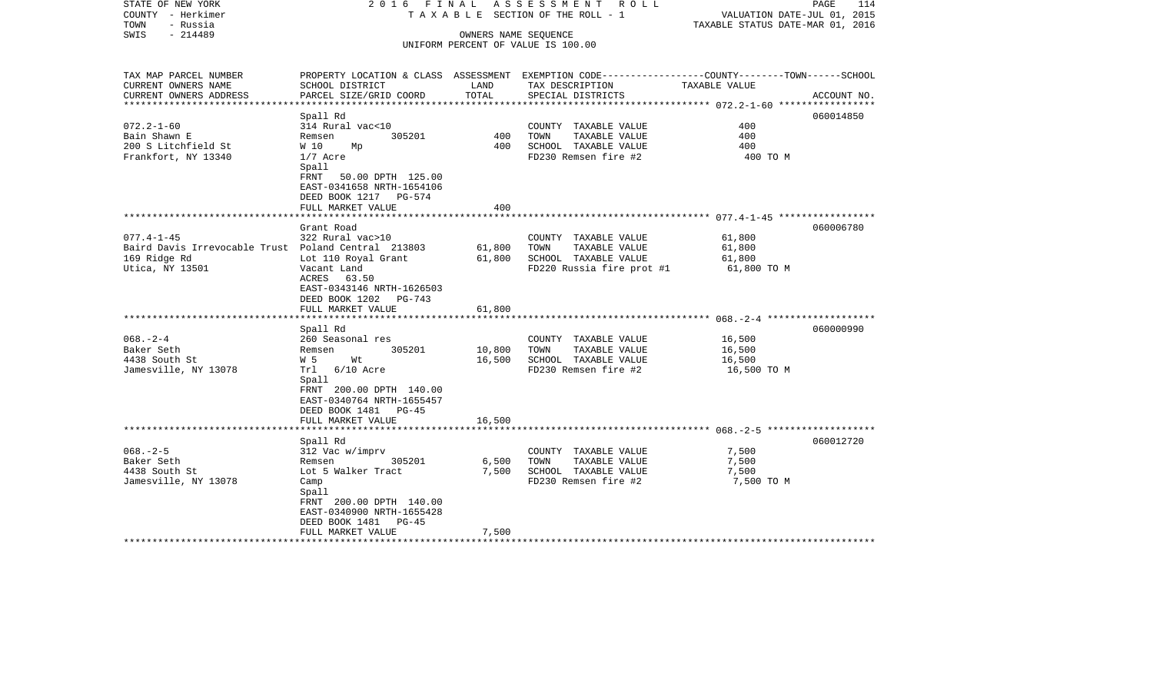| STATE OF NEW YORK<br>COUNTY - Herkimer<br>- Russia<br>TOWN | 2016 FINAL                    |        | A S S E S S M E N T R O L L<br>TAXABLE SECTION OF THE ROLL - 1 | PAGE<br>VALUATION DATE-JUL 01, 2015<br>TAXABLE STATUS DATE-MAR 01, 2016                         | 114 |
|------------------------------------------------------------|-------------------------------|--------|----------------------------------------------------------------|-------------------------------------------------------------------------------------------------|-----|
| - 214489<br>SWIS                                           |                               |        | OWNERS NAME SEQUENCE                                           |                                                                                                 |     |
|                                                            |                               |        | UNIFORM PERCENT OF VALUE IS 100.00                             |                                                                                                 |     |
|                                                            |                               |        |                                                                |                                                                                                 |     |
| TAX MAP PARCEL NUMBER                                      |                               |        |                                                                | PROPERTY LOCATION & CLASS ASSESSMENT EXEMPTION CODE---------------COUNTY-------TOWN------SCHOOL |     |
| CURRENT OWNERS NAME                                        | SCHOOL DISTRICT               | LAND   | TAX DESCRIPTION                                                | TAXABLE VALUE                                                                                   |     |
| CURRENT OWNERS ADDRESS                                     | PARCEL SIZE/GRID COORD        | TOTAL  | SPECIAL DISTRICTS                                              | ACCOUNT NO.                                                                                     |     |
| ***********************                                    |                               |        |                                                                |                                                                                                 |     |
|                                                            | Spall Rd                      |        |                                                                | 060014850                                                                                       |     |
| $072.2 - 1 - 60$                                           | 314 Rural vac<10              |        | COUNTY TAXABLE VALUE                                           | 400<br>400                                                                                      |     |
| Bain Shawn E                                               | 305201<br>Remsen              | 400    | TAXABLE VALUE<br>TOWN                                          |                                                                                                 |     |
| 200 S Litchfield St                                        | W 10<br>Мp                    | 400    | SCHOOL TAXABLE VALUE                                           | 400                                                                                             |     |
| Frankfort, NY 13340                                        | $1/7$ Acre<br>Spall           |        | FD230 Remsen fire #2                                           | 400 TO M                                                                                        |     |
|                                                            | FRNT 50.00 DPTH 125.00        |        |                                                                |                                                                                                 |     |
|                                                            | EAST-0341658 NRTH-1654106     |        |                                                                |                                                                                                 |     |
|                                                            | DEED BOOK 1217 PG-574         |        |                                                                |                                                                                                 |     |
|                                                            | FULL MARKET VALUE             | 400    |                                                                |                                                                                                 |     |
|                                                            |                               |        |                                                                |                                                                                                 |     |
|                                                            | Grant Road                    |        |                                                                | 060006780                                                                                       |     |
| $077.4 - 1 - 45$                                           | 322 Rural vac>10              |        | COUNTY TAXABLE VALUE                                           | 61,800                                                                                          |     |
| Baird Davis Irrevocable Trust Poland Central 213803        |                               | 61,800 | TOWN<br>TAXABLE VALUE                                          | 61,800                                                                                          |     |
| 169 Ridge Rd                                               | Lot 110 Royal Grant           | 61,800 | SCHOOL TAXABLE VALUE                                           | 61,800                                                                                          |     |
| Utica, NY 13501                                            | Vacant Land                   |        | FD220 Russia fire prot #1                                      | 61,800 TO M                                                                                     |     |
|                                                            | ACRES 63.50                   |        |                                                                |                                                                                                 |     |
|                                                            | EAST-0343146 NRTH-1626503     |        |                                                                |                                                                                                 |     |
|                                                            | DEED BOOK 1202 PG-743         |        |                                                                |                                                                                                 |     |
|                                                            | FULL MARKET VALUE             | 61,800 |                                                                |                                                                                                 |     |
|                                                            | ***************************** |        |                                                                |                                                                                                 |     |
|                                                            | Spall Rd                      |        |                                                                | 060000990                                                                                       |     |
| $068. - 2 - 4$                                             | 260 Seasonal res              |        | COUNTY TAXABLE VALUE                                           | 16,500                                                                                          |     |
| Baker Seth                                                 | 305201<br>Remsen              | 10,800 | TOWN<br>TAXABLE VALUE                                          | 16,500                                                                                          |     |
| 4438 South St                                              | W 5<br>Wt                     | 16,500 | SCHOOL TAXABLE VALUE                                           | 16,500                                                                                          |     |
| Jamesville, NY 13078                                       | Trl 6/10 Acre                 |        | FD230 Remsen fire #2                                           | 16,500 TO M                                                                                     |     |
|                                                            | Spall                         |        |                                                                |                                                                                                 |     |
|                                                            | FRNT 200.00 DPTH 140.00       |        |                                                                |                                                                                                 |     |
|                                                            | EAST-0340764 NRTH-1655457     |        |                                                                |                                                                                                 |     |
|                                                            | DEED BOOK 1481 PG-45          |        |                                                                |                                                                                                 |     |
|                                                            | FULL MARKET VALUE             | 16,500 |                                                                |                                                                                                 |     |
|                                                            | Spall Rd                      |        |                                                                | 060012720                                                                                       |     |
| $068. - 2 - 5$                                             | 312 Vac w/imprv               |        | COUNTY TAXABLE VALUE                                           | 7,500                                                                                           |     |
| Baker Seth                                                 | 305201<br>Remsen              | 6,500  | TOWN<br>TAXABLE VALUE                                          | 7,500                                                                                           |     |
| 4438 South St                                              | Lot 5 Walker Tract            | 7,500  | SCHOOL TAXABLE VALUE                                           | 7,500                                                                                           |     |
| Jamesville, NY 13078                                       | Camp                          |        | FD230 Remsen fire #2                                           | 7,500 TO M                                                                                      |     |
|                                                            | Spall                         |        |                                                                |                                                                                                 |     |
|                                                            | FRNT 200.00 DPTH 140.00       |        |                                                                |                                                                                                 |     |
|                                                            | EAST-0340900 NRTH-1655428     |        |                                                                |                                                                                                 |     |
|                                                            | DEED BOOK 1481<br>PG-45       |        |                                                                |                                                                                                 |     |
|                                                            | FULL MARKET VALUE             | 7,500  |                                                                |                                                                                                 |     |
|                                                            |                               |        |                                                                |                                                                                                 |     |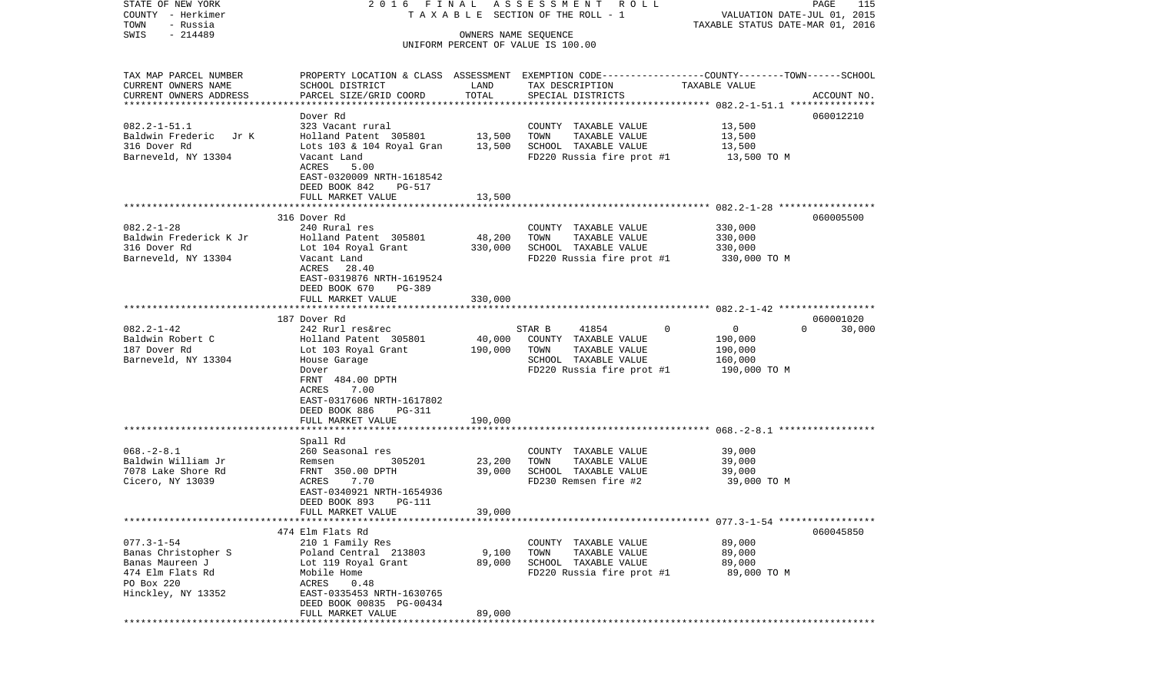STATE OF NEW YORK 2 0 1 6 F I N A L A S S E S S M E N T R O L L PAGE 115COUNTY - Herkimer **T A X A B L E SECTION OF THE ROLL - 1** VALUATION DATE-JUL 01, 2015 TOWN - Russia TAXABLE STATUS DATE-MAR 01, 2016 SWIS - 214489 OWNERS NAME SEQUENCE UNIFORM PERCENT OF VALUE IS 100.00TAX MAP PARCEL NUMBER PROPERTY LOCATION & CLASS ASSESSMENT EXEMPTION CODE------------------COUNTY--------TOWN------SCHOOL CURRENT OWNERS NAME SCHOOL DISTRICT LAND TAX DESCRIPTION TAXABLE VALUECURRENT OWNERS ADDRESS PARCEL SIZE/GRID COORD TOTAL SPECIAL DISTRICTS ACCOUNT NO. \*\*\*\*\*\*\*\*\*\*\*\*\*\*\*\*\*\*\*\*\*\*\*\*\*\*\*\*\*\*\*\*\*\*\*\*\*\*\*\*\*\*\*\*\*\*\*\*\*\*\*\*\*\*\*\*\*\*\*\*\*\*\*\*\*\*\*\*\*\*\*\*\*\*\*\*\*\*\*\*\*\*\*\*\*\*\*\*\*\*\*\*\*\*\*\*\*\*\*\*\*\*\* 082.2-1-51.1 \*\*\*\*\*\*\*\*\*\*\*\*\*\*\* Dover Rd 060012210060012210 082.2-1-51.1 323 Vacant rural COUNTY TAXABLE VALUE 13,500 Baldwin Frederic Jr K Holland Patent 305801 13,500 TOWN TAXABLE VALUE 13,500 316 Dover Rd Lots 103 & 104 Royal Gran 13,500 SCHOOL TAXABLE VALUE 13,500 Barneveld, NY 13304 Vacant Land FD220 Russia fire prot #1 13,500 TO M ACRES 5.00 EAST-0320009 NRTH-1618542 DEED BOOK 842 PG-517FULL MARKET VALUE 13,500 \*\*\*\*\*\*\*\*\*\*\*\*\*\*\*\*\*\*\*\*\*\*\*\*\*\*\*\*\*\*\*\*\*\*\*\*\*\*\*\*\*\*\*\*\*\*\*\*\*\*\*\*\*\*\*\*\*\*\*\*\*\*\*\*\*\*\*\*\*\*\*\*\*\*\*\*\*\*\*\*\*\*\*\*\*\*\*\*\*\*\*\*\*\*\*\*\*\*\*\*\*\*\* 082.2-1-28 \*\*\*\*\*\*\*\*\*\*\*\*\*\*\*\*\* 316 Dover Rd 060005500082.2-1-28 240 Rural res COUNTY TAXABLE VALUE 330,000 Baldwin Frederick K Jr Holland Patent 305801 48,200 TOWN TAXABLE VALUE 330,000 316 Dover Rd Lot 104 Royal Grant 330,000 SCHOOL TAXABLE VALUE 330,000 Barneveld, NY 13304 Vacant Land FD220 Russia fire prot #1 330,000 TO M ACRES 28.40 EAST-0319876 NRTH-1619524 DEED BOOK 670 PG-389 FULL MARKET VALUE 330,000 \*\*\*\*\*\*\*\*\*\*\*\*\*\*\*\*\*\*\*\*\*\*\*\*\*\*\*\*\*\*\*\*\*\*\*\*\*\*\*\*\*\*\*\*\*\*\*\*\*\*\*\*\*\*\*\*\*\*\*\*\*\*\*\*\*\*\*\*\*\*\*\*\*\*\*\*\*\*\*\*\*\*\*\*\*\*\*\*\*\*\*\*\*\*\*\*\*\*\*\*\*\*\* 082.2-1-42 \*\*\*\*\*\*\*\*\*\*\*\*\*\*\*\*\* 187 Dover Rd 060001020082.2-1-42 242 Rurl res&rec STAR B 41854 0 0 0 30,000 Baldwin Robert C 6 6 Holland Patent 305801 40,000 COUNTY TAXABLE VALUE 190,000 187 Dover Rd Lot 103 Royal Grant 190,000 TOWN TAXABLE VALUE 190,000 House Garage **SCHOOL TAXABLE VALUE** 160,000 Dover **FD220** Russia fire prot #1 190,000 TO M FRNT 484.00 DPTH ACRES 7.00 EAST-0317606 NRTH-1617802 DEED BOOK 886 PG-311FULL MARKET VALUE 190.000 \*\*\*\*\*\*\*\*\*\*\*\*\*\*\*\*\*\*\*\*\*\*\*\*\*\*\*\*\*\*\*\*\*\*\*\*\*\*\*\*\*\*\*\*\*\*\*\*\*\*\*\*\*\*\*\*\*\*\*\*\*\*\*\*\*\*\*\*\*\*\*\*\*\*\*\*\*\*\*\*\*\*\*\*\*\*\*\*\*\*\*\*\*\*\*\*\*\*\*\*\*\*\* 068.-2-8.1 \*\*\*\*\*\*\*\*\*\*\*\*\*\*\*\*\* Spall Rd 068.-2-8.1 260 Seasonal res COUNTY TAXABLE VALUE 39,000 Baldwin William Jr Remsen 305201 23,200 TOWN TAXABLE VALUE 39,000 7078 Lake Shore Rd FRNT 350.00 DPTH 39,000 SCHOOL TAXABLE VALUE 39,000  $Cicero$ , NY 13039  $Cicero$ , NY 13039  $Cicero$ ,  $NY$  13039  $S = Cicero$ ,  $S = Cicero$ ,  $S = Cicero$ ,  $S = Cicero$ ,  $S = Cicero$ ,  $S = Cicero$ ,  $S = Cicero$ ,  $S = Cicero$ ,  $S = Cicero$ ,  $S = Cicero$ ,  $S = Cicero$ ,  $S = Cicero$ ,  $S = Cicero$ ,  $S = Cicero$ ,  $S = Cicero$ ,  $S = Cicero$ ,  $S = Cicero$ ,  $S = Cicero$ ,  $S = Cicero$ , EAST-0340921 NRTH-1654936 DEED BOOK 893 PG-111 FULL MARKET VALUE 39,000 \*\*\*\*\*\*\*\*\*\*\*\*\*\*\*\*\*\*\*\*\*\*\*\*\*\*\*\*\*\*\*\*\*\*\*\*\*\*\*\*\*\*\*\*\*\*\*\*\*\*\*\*\*\*\*\*\*\*\*\*\*\*\*\*\*\*\*\*\*\*\*\*\*\*\*\*\*\*\*\*\*\*\*\*\*\*\*\*\*\*\*\*\*\*\*\*\*\*\*\*\*\*\* 077.3-1-54 \*\*\*\*\*\*\*\*\*\*\*\*\*\*\*\*\* 474 Elm Flats Rd 060045850077.3-1-54 210 1 Family Res COUNTY TAXABLE VALUE 89,000 Banas Christopher S Poland Central 213803 9,100 TOWN TAXABLE VALUE 89,000 Banas Maureen J Lot 119 Royal Grant 89,000 SCHOOL TAXABLE VALUE 89,000 474 Elm Flats Rd Mobile Home FD220 Russia fire prot #1 89,000 TO M PO Box 220 ACRES 0.48 Hinckley, NY 13352 EAST-0335453 NRTH-1630765 DEED BOOK 00835 PG-00434FULL MARKET VALUE 89,000 \*\*\*\*\*\*\*\*\*\*\*\*\*\*\*\*\*\*\*\*\*\*\*\*\*\*\*\*\*\*\*\*\*\*\*\*\*\*\*\*\*\*\*\*\*\*\*\*\*\*\*\*\*\*\*\*\*\*\*\*\*\*\*\*\*\*\*\*\*\*\*\*\*\*\*\*\*\*\*\*\*\*\*\*\*\*\*\*\*\*\*\*\*\*\*\*\*\*\*\*\*\*\*\*\*\*\*\*\*\*\*\*\*\*\*\*\*\*\*\*\*\*\*\*\*\*\*\*\*\*\*\*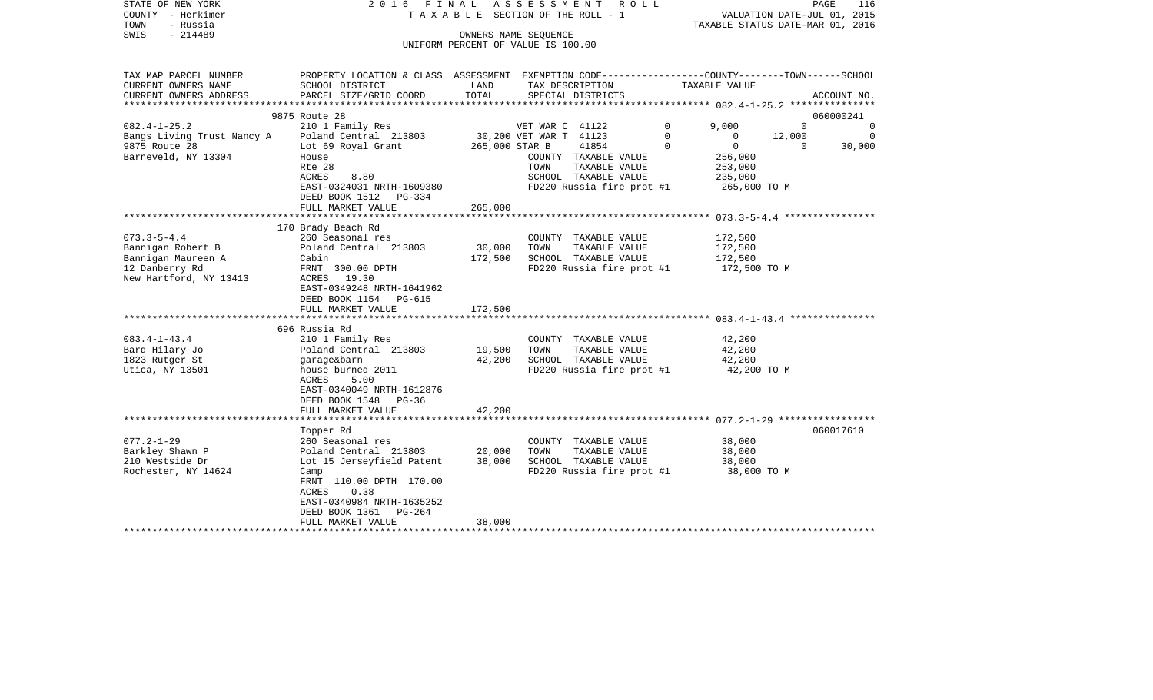| STATE OF NEW YORK<br>COUNTY - Herkimer<br>TOWN<br>- Russia<br>$-214489$<br>SWIS                          | 2016 FINAL<br>T A X A B L E SECTION OF THE ROLL - 1                                                                                                                                                | ASSESSMENT ROLL              | PAGE<br>116<br>VALUATION DATE-JUL 01, 2015<br>TAXABLE STATUS DATE-MAR 01, 2016                     |                              |                                                                       |                  |
|----------------------------------------------------------------------------------------------------------|----------------------------------------------------------------------------------------------------------------------------------------------------------------------------------------------------|------------------------------|----------------------------------------------------------------------------------------------------|------------------------------|-----------------------------------------------------------------------|------------------|
|                                                                                                          |                                                                                                                                                                                                    | OWNERS NAME SEQUENCE         | UNIFORM PERCENT OF VALUE IS 100.00                                                                 |                              |                                                                       |                  |
| TAX MAP PARCEL NUMBER<br>CURRENT OWNERS NAME                                                             | PROPERTY LOCATION & CLASS ASSESSMENT EXEMPTION CODE---------------COUNTY-------TOWN------SCHOOL<br>SCHOOL DISTRICT                                                                                 | LAND                         | TAX DESCRIPTION                                                                                    | TAXABLE VALUE                |                                                                       |                  |
| CURRENT OWNERS ADDRESS                                                                                   | PARCEL SIZE/GRID COORD                                                                                                                                                                             | TOTAL                        | SPECIAL DISTRICTS                                                                                  |                              |                                                                       | ACCOUNT NO.      |
|                                                                                                          | 9875 Route 28                                                                                                                                                                                      |                              |                                                                                                    |                              |                                                                       | 060000241        |
| $082.4 - 1 - 25.2$<br>Bangs Living Trust Nancy A<br>9875 Route 28                                        | 210 1 Family Res<br>Poland Central 213803<br>Lot 69 Royal Grant                                                                                                                                    | 265,000 STAR B               | VET WAR C 41122<br>30,200 VET WAR T 41123<br>41854                                                 | $\mathbf 0$<br>0<br>$\Omega$ | 9,000<br>$\Omega$<br>12,000<br>$\overline{0}$<br>$\Omega$<br>$\Omega$ | 0<br>0<br>30,000 |
| Barneveld, NY 13304                                                                                      | House<br>Rte 28<br>8.80<br>ACRES<br>EAST-0324031 NRTH-1609380<br>DEED BOOK 1512 PG-334                                                                                                             |                              | COUNTY TAXABLE VALUE<br>TOWN<br>TAXABLE VALUE<br>SCHOOL TAXABLE VALUE<br>FD220 Russia fire prot #1 |                              | 256,000<br>253,000<br>235,000<br>265,000 TO M                         |                  |
|                                                                                                          | FULL MARKET VALUE                                                                                                                                                                                  | 265,000                      |                                                                                                    |                              |                                                                       |                  |
| $073.3 - 5 - 4.4$<br>Bannigan Robert B<br>Bannigan Maureen A<br>12 Danberry Rd<br>New Hartford, NY 13413 | 170 Brady Beach Rd<br>260 Seasonal res<br>Poland Central 213803<br>Cabin<br>FRNT 300.00 DPTH<br>ACRES<br>19.30<br>EAST-0349248 NRTH-1641962<br>DEED BOOK 1154 PG-615<br>FULL MARKET VALUE          | 30,000<br>172,500<br>172,500 | COUNTY TAXABLE VALUE<br>TAXABLE VALUE<br>TOWN<br>SCHOOL TAXABLE VALUE<br>FD220 Russia fire prot #1 |                              | 172,500<br>172,500<br>172,500<br>172,500 TO M                         |                  |
|                                                                                                          |                                                                                                                                                                                                    |                              |                                                                                                    |                              |                                                                       |                  |
| $083.4 - 1 - 43.4$<br>Bard Hilary Jo<br>1823 Rutger St<br>Utica, NY 13501                                | 696 Russia Rd<br>210 1 Family Res<br>Poland Central 213803<br>garage&barn<br>house burned 2011<br>ACRES<br>5.00<br>EAST-0340049 NRTH-1612876<br>DEED BOOK 1548<br>PG-36                            | 19,500<br>42,200             | COUNTY TAXABLE VALUE<br>TAXABLE VALUE<br>TOWN<br>SCHOOL TAXABLE VALUE<br>FD220 Russia fire prot #1 |                              | 42,200<br>42,200<br>42,200<br>42,200 TO M                             |                  |
|                                                                                                          | FULL MARKET VALUE                                                                                                                                                                                  | 42,200                       |                                                                                                    |                              |                                                                       |                  |
|                                                                                                          |                                                                                                                                                                                                    |                              |                                                                                                    |                              |                                                                       |                  |
| $077.2 - 1 - 29$<br>Barkley Shawn P<br>210 Westside Dr<br>Rochester, NY 14624                            | Topper Rd<br>260 Seasonal res<br>Poland Central 213803<br>Lot 15 Jerseyfield Patent<br>Camp<br>FRNT 110.00 DPTH 170.00<br>0.38<br>ACRES<br>EAST-0340984 NRTH-1635252<br>DEED BOOK 1361<br>$PG-264$ | 20,000<br>38,000             | COUNTY TAXABLE VALUE<br>TOWN<br>TAXABLE VALUE<br>SCHOOL TAXABLE VALUE<br>FD220 Russia fire prot #1 |                              | 38,000<br>38,000<br>38,000<br>38,000 TO M                             | 060017610        |
|                                                                                                          | FULL MARKET VALUE                                                                                                                                                                                  | 38,000                       |                                                                                                    |                              |                                                                       |                  |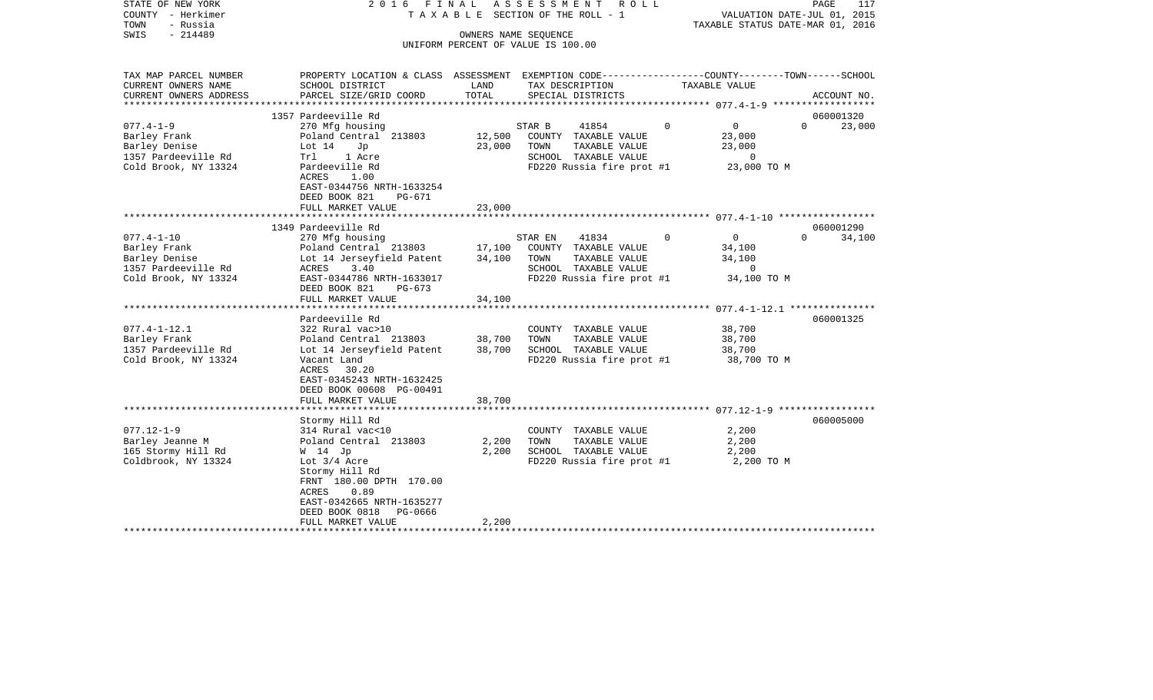| STATE OF NEW YORK<br>COUNTY - Herkimer<br>TOWN<br>- Russia<br>SWIS<br>$-214489$                  | 2016 FINAL                                                                                                                                                                                                                                                        |                            | ASSESSMENT<br>R O L L<br>TAXABLE SECTION OF THE ROLL - 1<br>OWNERS NAME SEQUENCE<br>UNIFORM PERCENT OF VALUE IS 100.00 |          | VALUATION DATE-JUL 01, 2015<br>TAXABLE STATUS DATE-MAR 01, 2016  | PAGE<br>117        |
|--------------------------------------------------------------------------------------------------|-------------------------------------------------------------------------------------------------------------------------------------------------------------------------------------------------------------------------------------------------------------------|----------------------------|------------------------------------------------------------------------------------------------------------------------|----------|------------------------------------------------------------------|--------------------|
| TAX MAP PARCEL NUMBER<br>CURRENT OWNERS NAME<br>CURRENT OWNERS ADDRESS<br>****************       | PROPERTY LOCATION & CLASS ASSESSMENT EXEMPTION CODE---------------COUNTY-------TOWN-----SCHOOL<br>SCHOOL DISTRICT<br>PARCEL SIZE/GRID COORD                                                                                                                       | LAND<br>TOTAL              | TAX DESCRIPTION<br>SPECIAL DISTRICTS                                                                                   |          | TAXABLE VALUE                                                    | ACCOUNT NO.        |
|                                                                                                  | 1357 Pardeeville Rd                                                                                                                                                                                                                                               |                            |                                                                                                                        |          |                                                                  | 060001320          |
| $077.4 - 1 - 9$<br>Barley Frank<br>Barley Denise<br>1357 Pardeeville Rd<br>Cold Brook, NY 13324  | 270 Mfg housing<br>Poland Central 213803<br>Lot $14$<br>Jp<br>Trl<br>1 Acre<br>Pardeeville Rd<br>ACRES<br>1.00<br>EAST-0344756 NRTH-1633254<br>DEED BOOK 821<br>PG-671                                                                                            | 12,500<br>23,000           | 41854<br>STAR B<br>COUNTY TAXABLE VALUE<br>TAXABLE VALUE<br>TOWN<br>SCHOOL TAXABLE VALUE<br>FD220 Russia fire prot #1  | $\Omega$ | $\overline{0}$<br>23,000<br>23,000<br>$\mathbf 0$<br>23,000 TO M | $\Omega$<br>23,000 |
|                                                                                                  | FULL MARKET VALUE                                                                                                                                                                                                                                                 | 23,000                     |                                                                                                                        |          |                                                                  |                    |
|                                                                                                  | 1349 Pardeeville Rd                                                                                                                                                                                                                                               |                            |                                                                                                                        |          |                                                                  | 060001290          |
| $077.4 - 1 - 10$<br>Barley Frank<br>Barley Denise<br>1357 Pardeeville Rd<br>Cold Brook, NY 13324 | 270 Mfg housing<br>Poland Central 213803<br>Lot 14 Jerseyfield Patent<br>ACRES<br>3.40<br>EAST-0344786 NRTH-1633017<br>DEED BOOK 821<br>$PG-673$<br>FULL MARKET VALUE                                                                                             | 17,100<br>34,100<br>34,100 | STAR EN<br>41834<br>COUNTY TAXABLE VALUE<br>TAXABLE VALUE<br>TOWN<br>SCHOOL TAXABLE VALUE<br>FD220 Russia fire prot #1 | $\Omega$ | $\overline{0}$<br>34,100<br>34,100<br>$\circ$<br>34,100 TO M     | $\Omega$<br>34,100 |
|                                                                                                  |                                                                                                                                                                                                                                                                   |                            |                                                                                                                        |          |                                                                  |                    |
| $077.4 - 1 - 12.1$<br>Barley Frank<br>1357 Pardeeville Rd<br>Cold Brook, NY 13324                | Pardeeville Rd<br>322 Rural vac>10<br>Poland Central 213803<br>Lot 14 Jerseyfield Patent<br>Vacant Land<br>30.20<br>ACRES<br>EAST-0345243 NRTH-1632425<br>DEED BOOK 00608 PG-00491                                                                                | 38,700<br>38,700           | COUNTY TAXABLE VALUE<br>TAXABLE VALUE<br>TOWN<br>SCHOOL TAXABLE VALUE<br>FD220 Russia fire prot #1                     |          | 38,700<br>38,700<br>38,700<br>38,700 TO M                        | 060001325          |
|                                                                                                  | FULL MARKET VALUE                                                                                                                                                                                                                                                 | 38,700                     |                                                                                                                        |          |                                                                  |                    |
| $077.12 - 1 - 9$<br>Barley Jeanne M<br>165 Stormy Hill Rd<br>Coldbrook, NY 13324                 | Stormy Hill Rd<br>314 Rural vac<10<br>Poland Central 213803<br>W 14 Jp<br>Lot $3/4$ Acre<br>Stormy Hill Rd<br>FRNT 180.00 DPTH 170.00<br>ACRES<br>0.89<br>EAST-0342665 NRTH-1635277<br>DEED BOOK 0818<br>PG-0666<br>FULL MARKET VALUE<br>************************ | 2,200<br>2,200<br>2,200    | COUNTY TAXABLE VALUE<br>TOWN<br>TAXABLE VALUE<br>SCHOOL TAXABLE VALUE<br>FD220 Russia fire prot #1                     |          | 2,200<br>2,200<br>2,200<br>2,200 TO M                            | 060005000          |
|                                                                                                  |                                                                                                                                                                                                                                                                   |                            |                                                                                                                        |          |                                                                  |                    |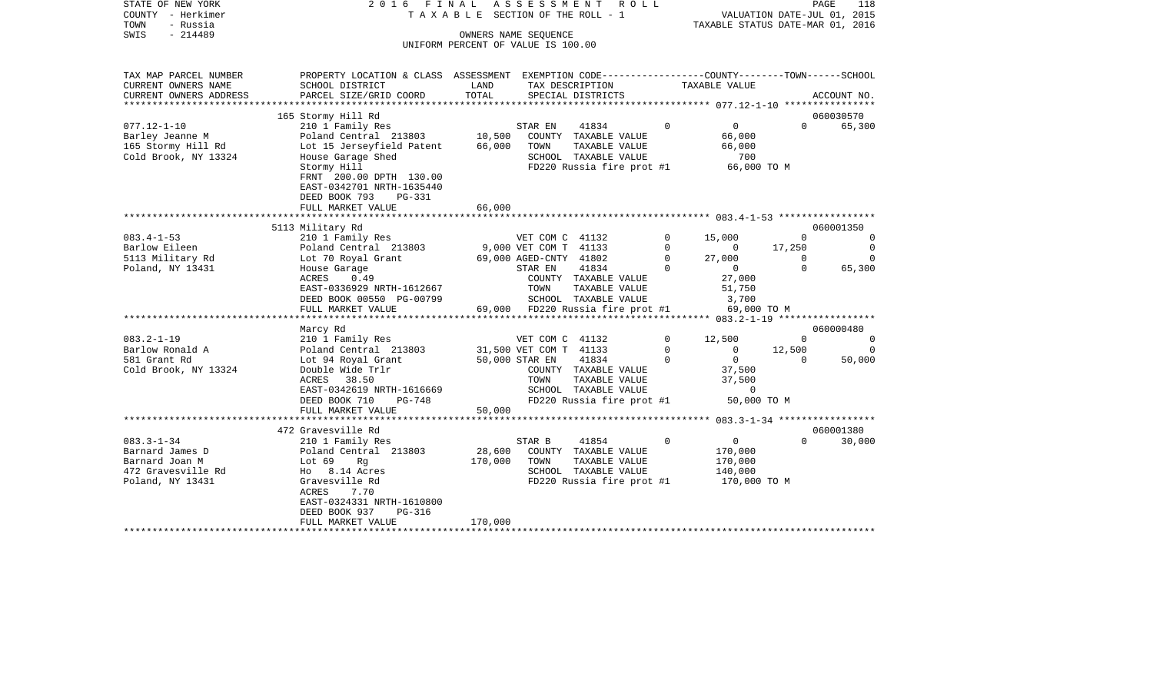| STATE OF NEW YORK        | 2016 FINAL                           |                                       | A S S E S S M E N T    | R O L L                                                      |          |                                  |                             | PAGE<br>118 |
|--------------------------|--------------------------------------|---------------------------------------|------------------------|--------------------------------------------------------------|----------|----------------------------------|-----------------------------|-------------|
| COUNTY - Herkimer        |                                      | T A X A B L E SECTION OF THE ROLL - 1 |                        |                                                              |          |                                  | VALUATION DATE-JUL 01, 2015 |             |
| TOWN<br>- Russia         |                                      |                                       |                        |                                                              |          | TAXABLE STATUS DATE-MAR 01, 2016 |                             |             |
| - 214489<br>SWIS         |                                      |                                       | OWNERS NAME SEOUENCE   |                                                              |          |                                  |                             |             |
|                          |                                      | UNIFORM PERCENT OF VALUE IS 100.00    |                        |                                                              |          |                                  |                             |             |
|                          |                                      |                                       |                        |                                                              |          |                                  |                             |             |
|                          |                                      |                                       |                        |                                                              |          |                                  |                             |             |
| TAX MAP PARCEL NUMBER    | PROPERTY LOCATION & CLASS ASSESSMENT |                                       |                        | EXEMPTION CODE-----------------COUNTY-------TOWN------SCHOOL |          |                                  |                             |             |
| CURRENT OWNERS NAME      | SCHOOL DISTRICT                      | LAND                                  |                        | TAX DESCRIPTION                                              |          | TAXABLE VALUE                    |                             |             |
| CURRENT OWNERS ADDRESS   | PARCEL SIZE/GRID COORD               | TOTAL                                 |                        | SPECIAL DISTRICTS                                            |          |                                  |                             | ACCOUNT NO. |
| ************************ |                                      |                                       |                        |                                                              |          |                                  |                             |             |
|                          | 165 Stormy Hill Rd                   |                                       |                        |                                                              |          |                                  |                             | 060030570   |
| $077.12 - 1 - 10$        | 210 1 Family Res                     |                                       | STAR EN                | 41834                                                        | $\Omega$ | $\Omega$                         | $\Omega$                    | 65,300      |
| Barley Jeanne M          | Poland Central 213803                | 10,500                                |                        | COUNTY TAXABLE VALUE                                         |          | 66,000                           |                             |             |
| 165 Stormy Hill Rd       | Lot 15 Jerseyfield Patent            | 66,000                                | TOWN                   | TAXABLE VALUE                                                |          | 66,000                           |                             |             |
| Cold Brook, NY 13324     | House Garage Shed                    |                                       |                        | SCHOOL TAXABLE VALUE                                         |          | 700                              |                             |             |
|                          | Stormy Hill                          |                                       |                        | FD220 Russia fire prot #1                                    |          | 66,000 TO M                      |                             |             |
|                          | FRNT 200.00 DPTH 130.00              |                                       |                        |                                                              |          |                                  |                             |             |
|                          | EAST-0342701 NRTH-1635440            |                                       |                        |                                                              |          |                                  |                             |             |
|                          | DEED BOOK 793<br>PG-331              |                                       |                        |                                                              |          |                                  |                             |             |
|                          | FULL MARKET VALUE                    | 66,000                                |                        |                                                              |          |                                  |                             |             |
|                          |                                      |                                       |                        |                                                              |          |                                  |                             |             |
|                          | 5113 Military Rd                     |                                       |                        |                                                              |          |                                  |                             | 060001350   |
| $083.4 - 1 - 53$         | 210 1 Family Res                     |                                       | VET COM C 41132        |                                                              | $\Omega$ | 15,000                           | $\Omega$                    | $\Omega$    |
| Barlow Eileen            | Poland Central 213803                |                                       | 9,000 VET COM T 41133  |                                                              | $\Omega$ | $\mathbf 0$                      | 17,250                      | $\Omega$    |
| 5113 Military Rd         | Lot 70 Royal Grant                   |                                       | 69,000 AGED-CNTY 41802 |                                                              | $\Omega$ | 27,000                           | $\Omega$                    | $\Omega$    |
| Poland, NY 13431         | House Garage                         |                                       | STAR EN                | 41834                                                        | $\Omega$ | $\Omega$                         | $\Omega$                    | 65,300      |
|                          | ACRES<br>0.49                        |                                       |                        | COUNTY TAXABLE VALUE                                         |          | 27,000                           |                             |             |
|                          | EAST-0336929 NRTH-1612667            |                                       | TOWN                   | TAXABLE VALUE                                                |          | 51,750                           |                             |             |
|                          | DEED BOOK 00550 PG-00799             |                                       |                        | SCHOOL TAXABLE VALUE                                         |          | 3,700                            |                             |             |
|                          | FULL MARKET VALUE                    |                                       |                        | 69,000 FD220 Russia fire prot #1                             |          | 69,000 TO M                      |                             |             |
| ************************ | *******************                  |                                       |                        |                                                              |          |                                  |                             |             |
|                          | Marcy Rd                             |                                       |                        |                                                              |          |                                  |                             | 060000480   |
| $083.2 - 1 - 19$         | 210 1 Family Res                     |                                       | VET COM C 41132        |                                                              | $\Omega$ | 12,500                           | $\Omega$                    | $\mathbf 0$ |
| Barlow Ronald A          | Poland Central 213803                |                                       | 31,500 VET COM T 41133 |                                                              | $\Omega$ | $\Omega$                         | 12,500                      | $\Omega$    |
| 581 Grant Rd             | Lot 94 Royal Grant                   |                                       | 50,000 STAR EN         | 41834                                                        | $\Omega$ | $\mathbf{0}$                     | $\Omega$                    | 50,000      |
| Cold Brook, NY 13324     | Double Wide Trlr                     |                                       |                        | COUNTY TAXABLE VALUE                                         |          | 37,500                           |                             |             |
|                          | ACRES<br>38.50                       |                                       | TOWN                   | TAXABLE VALUE                                                |          | 37,500                           |                             |             |
|                          | EAST-0342619 NRTH-1616669            |                                       |                        | SCHOOL TAXABLE VALUE                                         |          | $\Omega$                         |                             |             |
|                          | DEED BOOK 710<br>$PG-748$            |                                       |                        | FD220 Russia fire prot #1                                    |          | 50,000 TO M                      |                             |             |
|                          | FULL MARKET VALUE                    | 50,000                                |                        |                                                              |          |                                  |                             |             |
|                          | ***************************          |                                       |                        |                                                              |          |                                  |                             |             |
|                          | 472 Gravesville Rd                   |                                       |                        |                                                              |          |                                  |                             | 060001380   |
| $083.3 - 1 - 34$         | 210 1 Family Res                     |                                       | STAR B                 | 41854                                                        | $\Omega$ | $\overline{0}$                   | $\Omega$                    | 30,000      |
| Barnard James D          | Poland Central 213803                | 28,600                                |                        | COUNTY TAXABLE VALUE                                         |          | 170,000                          |                             |             |
| Barnard Joan M           | Lot 69<br>Rq                         | 170,000                               | TOWN                   | TAXABLE VALUE                                                |          | 170,000                          |                             |             |
| 472 Gravesville Rd       | Ho 8.14 Acres                        |                                       |                        | SCHOOL TAXABLE VALUE                                         |          | 140,000                          |                             |             |
| Poland, NY 13431         | Gravesville Rd                       |                                       |                        | FD220 Russia fire prot #1                                    |          | 170,000 TO M                     |                             |             |
|                          | ACRES<br>7.70                        |                                       |                        |                                                              |          |                                  |                             |             |
|                          | EAST-0324331 NRTH-1610800            |                                       |                        |                                                              |          |                                  |                             |             |
|                          | DEED BOOK 937<br>PG-316              |                                       |                        |                                                              |          |                                  |                             |             |
|                          | FULL MARKET VALUE                    | 170,000                               |                        |                                                              |          |                                  |                             |             |
|                          |                                      |                                       |                        |                                                              |          |                                  |                             |             |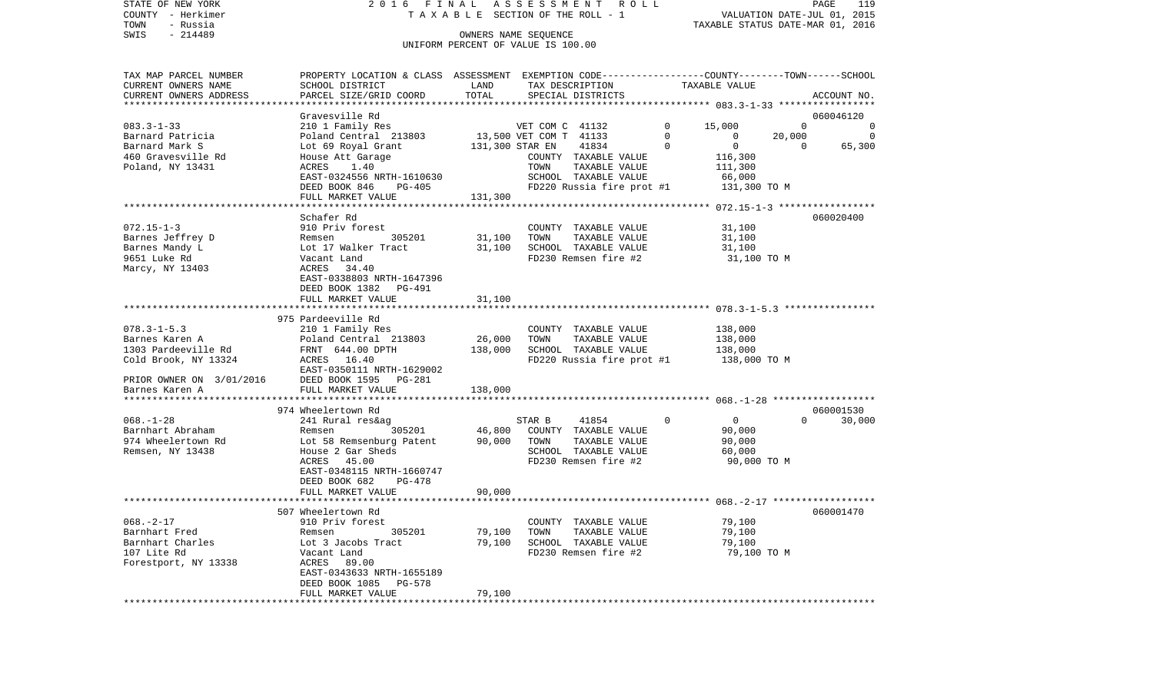| STATE OF NEW YORK<br>COUNTY - Herkimer | 2016                                                                                          | FINAL                | A S S E S S M E N T<br>R O L L<br>TAXABLE SECTION OF THE ROLL - 1 |             |                                  |             | 119<br>PAGE                 |
|----------------------------------------|-----------------------------------------------------------------------------------------------|----------------------|-------------------------------------------------------------------|-------------|----------------------------------|-------------|-----------------------------|
| - Russia<br>TOWN                       |                                                                                               |                      |                                                                   |             | TAXABLE STATUS DATE-MAR 01, 2016 |             | VALUATION DATE-JUL 01, 2015 |
| $-214489$<br>SWIS                      |                                                                                               | OWNERS NAME SEQUENCE |                                                                   |             |                                  |             |                             |
|                                        |                                                                                               |                      | UNIFORM PERCENT OF VALUE IS 100.00                                |             |                                  |             |                             |
|                                        |                                                                                               |                      |                                                                   |             |                                  |             |                             |
| TAX MAP PARCEL NUMBER                  | PROPERTY LOCATION & CLASS ASSESSMENT EXEMPTION CODE--------------COUNTY-------TOWN-----SCHOOL |                      |                                                                   |             |                                  |             |                             |
| CURRENT OWNERS NAME                    | SCHOOL DISTRICT                                                                               | LAND                 | TAX DESCRIPTION                                                   |             | TAXABLE VALUE                    |             |                             |
| CURRENT OWNERS ADDRESS                 | PARCEL SIZE/GRID COORD                                                                        | TOTAL                | SPECIAL DISTRICTS                                                 |             |                                  |             | ACCOUNT NO.                 |
| *************************              |                                                                                               |                      |                                                                   |             |                                  |             |                             |
|                                        | Gravesville Rd                                                                                |                      |                                                                   |             |                                  |             | 060046120                   |
| $083.3 - 1 - 33$                       | 210 1 Family Res                                                                              |                      | VET COM C 41132                                                   | 0           | 15,000                           | $\Omega$    | 0                           |
| Barnard Patricia                       | Poland Central 213803                                                                         |                      | 13,500 VET COM T 41133                                            | $\Omega$    | $\Omega$<br>$\mathbf 0$          | 20,000      | $\mathbf 0$                 |
| Barnard Mark S<br>460 Gravesville Rd   | Lot 69 Royal Grant<br>House Att Garage                                                        | 131,300 STAR EN      | 41834<br>COUNTY TAXABLE VALUE                                     | $\mathbf 0$ | 116,300                          | $\mathbf 0$ | 65,300                      |
| Poland, NY 13431                       | ACRES<br>1.40                                                                                 |                      | TOWN<br>TAXABLE VALUE                                             |             | 111,300                          |             |                             |
|                                        | EAST-0324556 NRTH-1610630                                                                     |                      | SCHOOL TAXABLE VALUE                                              |             | 66,000                           |             |                             |
|                                        | DEED BOOK 846<br>PG-405                                                                       |                      | FD220 Russia fire prot #1                                         |             | 131,300 TO M                     |             |                             |
|                                        | FULL MARKET VALUE                                                                             | 131,300              |                                                                   |             |                                  |             |                             |
|                                        |                                                                                               |                      |                                                                   |             |                                  |             |                             |
|                                        | Schafer Rd                                                                                    |                      |                                                                   |             |                                  |             | 060020400                   |
| $072.15 - 1 - 3$                       | 910 Priv forest                                                                               |                      | COUNTY<br>TAXABLE VALUE                                           |             | 31,100                           |             |                             |
| Barnes Jeffrey D                       | Remsen<br>305201                                                                              | 31,100               | TAXABLE VALUE<br>TOWN<br>SCHOOL TAXABLE VALUE                     |             | 31,100                           |             |                             |
| Barnes Mandy L<br>9651 Luke Rd         | Lot 17 Walker Tract<br>Vacant Land                                                            | 31,100               | FD230 Remsen fire #2                                              |             | 31,100<br>31,100 TO M            |             |                             |
| Marcy, NY 13403                        | ACRES<br>34.40                                                                                |                      |                                                                   |             |                                  |             |                             |
|                                        | EAST-0338803 NRTH-1647396                                                                     |                      |                                                                   |             |                                  |             |                             |
|                                        | DEED BOOK 1382<br><b>PG-491</b>                                                               |                      |                                                                   |             |                                  |             |                             |
|                                        | FULL MARKET VALUE                                                                             | 31,100               |                                                                   |             |                                  |             |                             |
|                                        |                                                                                               |                      |                                                                   |             |                                  |             |                             |
| $078.3 - 1 - 5.3$                      | 975 Pardeeville Rd                                                                            |                      |                                                                   |             |                                  |             |                             |
| Barnes Karen A                         | 210 1 Family Res<br>Poland Central 213803                                                     | 26,000               | COUNTY TAXABLE VALUE<br>TOWN<br>TAXABLE VALUE                     |             | 138,000<br>138,000               |             |                             |
| 1303 Pardeeville Rd                    | FRNT 644.00 DPTH                                                                              | 138,000              | SCHOOL TAXABLE VALUE                                              |             | 138,000                          |             |                             |
| Cold Brook, NY 13324                   | ACRES<br>16.40                                                                                |                      | FD220 Russia fire prot #1                                         |             | 138,000 TO M                     |             |                             |
|                                        | EAST-0350111 NRTH-1629002                                                                     |                      |                                                                   |             |                                  |             |                             |
| PRIOR OWNER ON 3/01/2016               | DEED BOOK 1595<br>PG-281                                                                      |                      |                                                                   |             |                                  |             |                             |
| Barnes Karen A                         | FULL MARKET VALUE                                                                             | 138,000              |                                                                   |             |                                  |             |                             |
| *****************                      | ************************                                                                      |                      |                                                                   |             |                                  |             |                             |
| $068. - 1 - 28$                        | 974 Wheelertown Rd<br>241 Rural res&ag                                                        |                      | STAR B<br>41854                                                   | $\Omega$    | $\mathbf 0$                      | $\Omega$    | 060001530<br>30,000         |
| Barnhart Abraham                       | 305201<br>Remsen                                                                              | 46,800               | COUNTY TAXABLE VALUE                                              |             | 90,000                           |             |                             |
| 974 Wheelertown Rd                     | Lot 58 Remsenburg Patent                                                                      | 90,000               | TOWN<br>TAXABLE VALUE                                             |             | 90,000                           |             |                             |
| Remsen, NY 13438                       | House 2 Gar Sheds                                                                             |                      | SCHOOL TAXABLE VALUE                                              |             | 60,000                           |             |                             |
|                                        | ACRES<br>45.00                                                                                |                      | FD230 Remsen fire #2                                              |             | 90,000 TO M                      |             |                             |
|                                        | EAST-0348115 NRTH-1660747                                                                     |                      |                                                                   |             |                                  |             |                             |
|                                        | DEED BOOK 682<br>$PG-478$                                                                     |                      |                                                                   |             |                                  |             |                             |
|                                        | FULL MARKET VALUE<br>**********************                                                   | 90,000               |                                                                   |             |                                  |             |                             |
|                                        | 507 Wheelertown Rd                                                                            |                      |                                                                   |             |                                  |             | 060001470                   |
| $068. - 2 - 17$                        | 910 Priv forest                                                                               |                      | COUNTY TAXABLE VALUE                                              |             | 79,100                           |             |                             |
| Barnhart Fred                          | Remsen<br>305201                                                                              | 79,100               | TAXABLE VALUE<br>TOWN                                             |             | 79,100                           |             |                             |
| Barnhart Charles                       | Lot 3 Jacobs Tract                                                                            | 79,100               | SCHOOL TAXABLE VALUE                                              |             | 79,100                           |             |                             |
| 107 Lite Rd                            | Vacant Land                                                                                   |                      | FD230 Remsen fire #2                                              |             | 79,100 TO M                      |             |                             |
| Forestport, NY 13338                   | ACRES<br>89.00                                                                                |                      |                                                                   |             |                                  |             |                             |

FULL MARKET VALUE 79,100 \*\*\*\*\*\*\*\*\*\*\*\*\*\*\*\*\*\*\*\*\*\*\*\*\*\*\*\*\*\*\*\*\*\*\*\*\*\*\*\*\*\*\*\*\*\*\*\*\*\*\*\*\*\*\*\*\*\*\*\*\*\*\*\*\*\*\*\*\*\*\*\*\*\*\*\*\*\*\*\*\*\*\*\*\*\*\*\*\*\*\*\*\*\*\*\*\*\*\*\*\*\*\*\*\*\*\*\*\*\*\*\*\*\*\*\*\*\*\*\*\*\*\*\*\*\*\*\*\*\*\*\*

 EAST-0343633 NRTH-1655189 DEED BOOK 1085 PG-578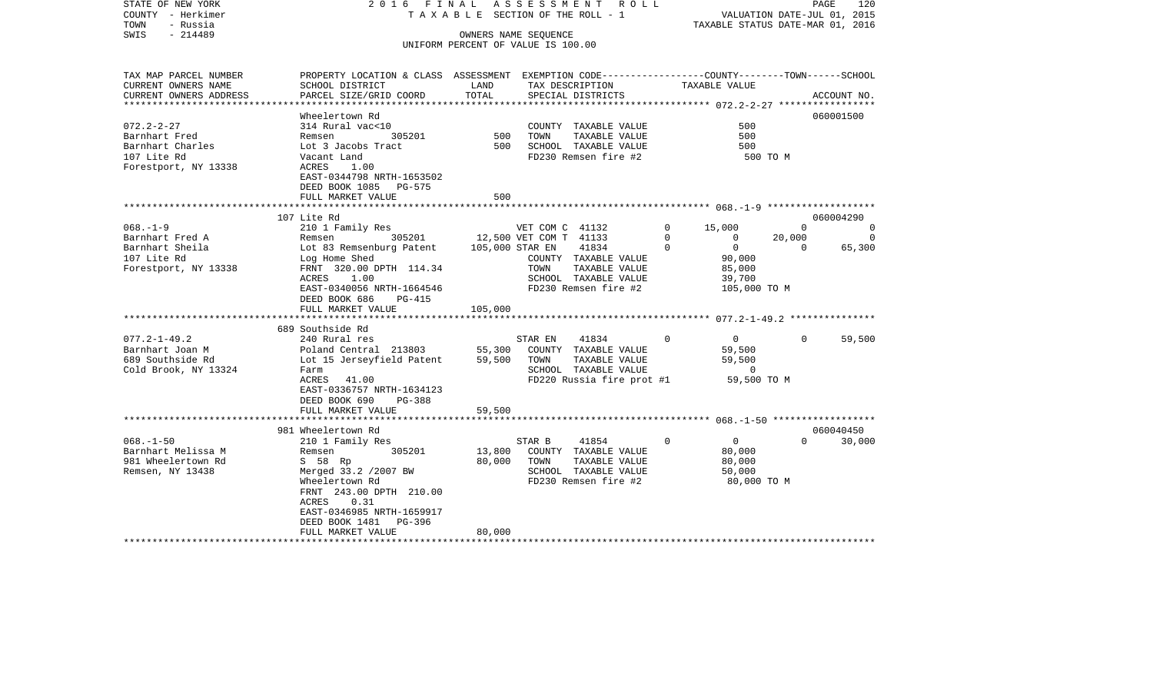| COUNTY<br>– Herkimer<br>TOWN<br>- Russia<br>SWIS<br>$-214489$                                                     |                                                                                                                                                                                                                                                                |                                        | T A X A B L E SECTION OF THE ROLL - 1<br>OWNERS NAME SEQUENCE<br>UNIFORM PERCENT OF VALUE IS 100.00                                                                     |                                                                                                                                | VALUATION DATE-JUL 01, 2015<br>TAXABLE STATUS DATE-MAR 01, 2016 |                                                |
|-------------------------------------------------------------------------------------------------------------------|----------------------------------------------------------------------------------------------------------------------------------------------------------------------------------------------------------------------------------------------------------------|----------------------------------------|-------------------------------------------------------------------------------------------------------------------------------------------------------------------------|--------------------------------------------------------------------------------------------------------------------------------|-----------------------------------------------------------------|------------------------------------------------|
| TAX MAP PARCEL NUMBER<br>CURRENT OWNERS NAME<br>CURRENT OWNERS ADDRESS<br>******************************          | PROPERTY LOCATION & CLASS ASSESSMENT EXEMPTION CODE----------------COUNTY-------TOWN------SCHOOL<br>SCHOOL DISTRICT<br>PARCEL SIZE/GRID COORD                                                                                                                  | LAND<br>TOTAL                          | TAX DESCRIPTION<br>SPECIAL DISTRICTS                                                                                                                                    | TAXABLE VALUE                                                                                                                  |                                                                 | ACCOUNT NO.                                    |
| $072.2 - 2 - 27$<br>Barnhart Fred<br>Barnhart Charles<br>107 Lite Rd<br>Forestport, NY 13338                      | Wheelertown Rd<br>314 Rural vac<10<br>Remsen<br>305201<br>Lot 3 Jacobs Tract<br>Vacant Land<br>ACRES<br>1.00<br>EAST-0344798 NRTH-1653502<br>DEED BOOK 1085<br>PG-575<br>FULL MARKET VALUE                                                                     | 500<br>500<br>500                      | COUNTY TAXABLE VALUE<br>TOWN<br>TAXABLE VALUE<br>SCHOOL TAXABLE VALUE<br>FD230 Remsen fire #2                                                                           |                                                                                                                                | 500<br>500<br>500<br>500 TO M                                   | 060001500                                      |
|                                                                                                                   |                                                                                                                                                                                                                                                                |                                        | *************************** 068. -1-9 ********************                                                                                                              |                                                                                                                                |                                                                 |                                                |
| $068. - 1 - 9$<br>Barnhart Fred A<br>Barnhart Sheila<br>107 Lite Rd<br>Forestport, NY 13338<br>$077.2 - 1 - 49.2$ | 107 Lite Rd<br>210 1 Family Res<br>305201<br>Remsen<br>Lot 83 Remsenburg Patent<br>Log Home Shed<br>FRNT 320.00 DPTH 114.34<br>ACRES<br>1.00<br>EAST-0340056 NRTH-1664546<br>DEED BOOK 686<br>PG-415<br>FULL MARKET VALUE<br>689 Southside Rd<br>240 Rural res | 105,000 STAR EN<br>105,000             | VET COM C 41132<br>12,500 VET COM T 41133<br>41834<br>COUNTY TAXABLE VALUE<br>TOWN<br>TAXABLE VALUE<br>SCHOOL TAXABLE VALUE<br>FD230 Remsen fire #2<br>41834<br>STAR EN | 15,000<br>0<br>$\Omega$<br>$\mathbf 0$<br>$\mathbf 0$<br>$\mathbf 0$<br>90,000<br>85,000<br>39,700<br>$\Omega$<br>$\mathbf{0}$ | $\Omega$<br>20,000<br>$\mathbf 0$<br>105,000 TO M<br>$\Omega$   | 060004290<br>0<br>$\Omega$<br>65,300<br>59,500 |
| Barnhart Joan M<br>689 Southside Rd<br>Cold Brook, NY 13324                                                       | Poland Central 213803<br>Lot 15 Jerseyfield Patent<br>Farm<br>41.00<br>ACRES<br>EAST-0336757 NRTH-1634123<br>DEED BOOK 690<br>PG-388<br>FULL MARKET VALUE<br>**********************                                                                            | 55,300<br>59,500<br>59,500<br>******** | COUNTY TAXABLE VALUE<br>TAXABLE VALUE<br>TOWN<br>SCHOOL TAXABLE VALUE<br>FD220 Russia fire prot #1                                                                      | 59,500<br>59,500                                                                                                               | 0<br>59,500 TO M                                                |                                                |
| $068. - 1 - 50$<br>Barnhart Melissa M<br>981 Wheelertown Rd<br>Remsen, NY 13438                                   | 981 Wheelertown Rd<br>210 1 Family Res<br>Remsen<br>305201<br>S 58 Rp<br>Merged 33.2 /2007 BW<br>Wheelertown Rd<br>FRNT 243.00 DPTH 210.00<br>0.31<br>ACRES<br>EAST-0346985 NRTH-1659917<br>DEED BOOK 1481<br>PG-396<br>FULL MARKET VALUE                      | 13,800<br>80,000<br>80,000             | STAR B<br>41854<br>COUNTY TAXABLE VALUE<br>TAXABLE VALUE<br>TOWN<br>SCHOOL TAXABLE VALUE<br>FD230 Remsen fire #2                                                        | $\overline{0}$<br>0<br>80,000<br>80,000<br>50,000                                                                              | $\Omega$<br>80,000 TO M                                         | 060040450<br>30,000                            |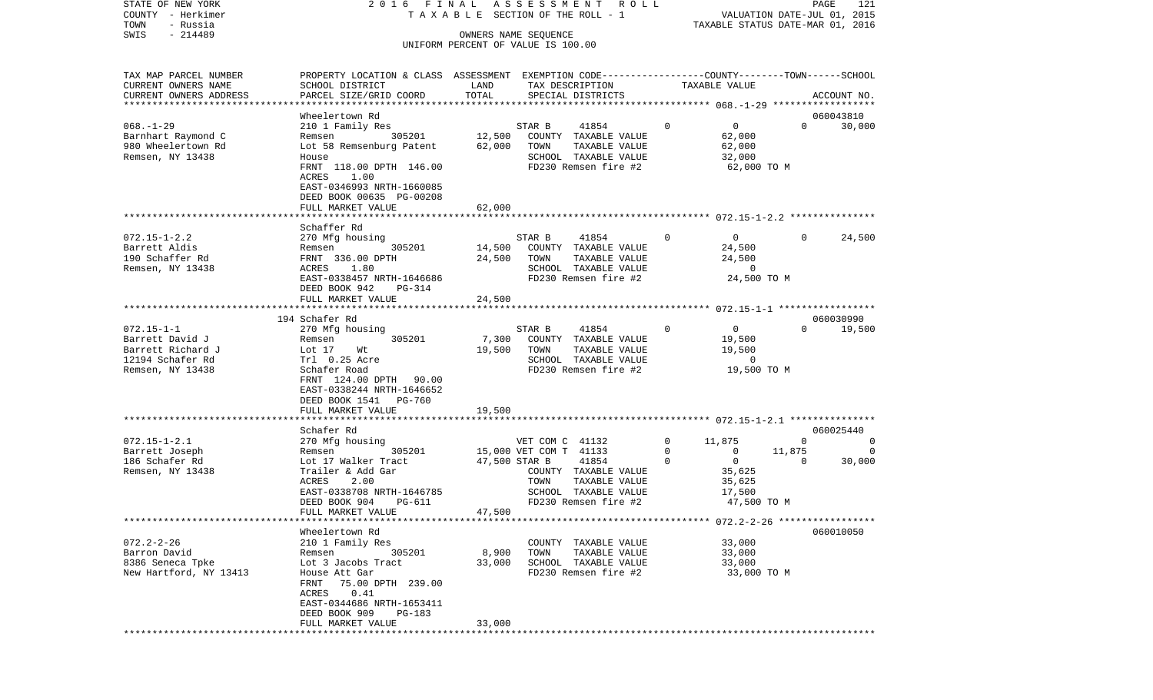| COUNTY<br>– Herkimer                       |                                                                                                 | T A X A B L E SECTION OF THE ROLL - 1 |                        |                                              |             | VALUATION DATE-JUL 01, 2015               |          |                     |
|--------------------------------------------|-------------------------------------------------------------------------------------------------|---------------------------------------|------------------------|----------------------------------------------|-------------|-------------------------------------------|----------|---------------------|
| TOWN<br>- Russia<br>SWIS<br>$-214489$      |                                                                                                 | OWNERS NAME SEQUENCE                  |                        |                                              |             | TAXABLE STATUS DATE-MAR 01, 2016          |          |                     |
|                                            |                                                                                                 | UNIFORM PERCENT OF VALUE IS 100.00    |                        |                                              |             |                                           |          |                     |
| TAX MAP PARCEL NUMBER                      | PROPERTY LOCATION & CLASS ASSESSMENT EXEMPTION CODE---------------COUNTY-------TOWN------SCHOOL |                                       |                        |                                              |             |                                           |          |                     |
| CURRENT OWNERS NAME                        | SCHOOL DISTRICT                                                                                 | LAND                                  |                        | TAX DESCRIPTION                              |             | TAXABLE VALUE                             |          |                     |
| CURRENT OWNERS ADDRESS                     | PARCEL SIZE/GRID COORD                                                                          | TOTAL                                 |                        | SPECIAL DISTRICTS                            |             |                                           |          | ACCOUNT NO.         |
| ************************                   |                                                                                                 |                                       |                        |                                              |             |                                           |          |                     |
| $068. - 1 - 29$                            | Wheelertown Rd                                                                                  |                                       | STAR B                 | 41854                                        | 0           | $\overline{0}$                            | $\Omega$ | 060043810<br>30,000 |
| Barnhart Raymond C                         | 210 1 Family Res<br>305201<br>Remsen                                                            | 12,500                                |                        | COUNTY TAXABLE VALUE                         |             | 62,000                                    |          |                     |
| 980 Wheelertown Rd                         | Lot 58 Remsenburg Patent                                                                        | 62,000                                | TOWN                   | TAXABLE VALUE                                |             | 62,000                                    |          |                     |
| Remsen, NY 13438                           | House                                                                                           |                                       |                        | SCHOOL TAXABLE VALUE                         |             | 32,000                                    |          |                     |
|                                            | FRNT 118.00 DPTH 146.00                                                                         |                                       |                        | FD230 Remsen fire #2                         |             | 62,000 TO M                               |          |                     |
|                                            | ACRES<br>1.00                                                                                   |                                       |                        |                                              |             |                                           |          |                     |
|                                            | EAST-0346993 NRTH-1660085                                                                       |                                       |                        |                                              |             |                                           |          |                     |
|                                            | DEED BOOK 00635 PG-00208                                                                        |                                       |                        |                                              |             |                                           |          |                     |
|                                            | FULL MARKET VALUE                                                                               | 62,000                                |                        |                                              |             |                                           |          |                     |
|                                            | Schaffer Rd                                                                                     |                                       |                        |                                              |             |                                           |          |                     |
| $072.15 - 1 - 2.2$                         | 270 Mfg housing                                                                                 |                                       | STAR B                 | 41854                                        | $\mathbf 0$ | $\overline{0}$                            | $\Omega$ | 24,500              |
| Barrett Aldis                              | 305201<br>Remsen                                                                                | 14,500                                |                        | COUNTY TAXABLE VALUE                         |             | 24,500                                    |          |                     |
| 190 Schaffer Rd                            | FRNT 336.00 DPTH                                                                                | 24,500                                | TOWN                   | TAXABLE VALUE                                |             | 24,500                                    |          |                     |
| Remsen, NY 13438                           | 1.80<br>ACRES                                                                                   |                                       |                        | SCHOOL TAXABLE VALUE                         |             | 0                                         |          |                     |
|                                            | EAST-0338457 NRTH-1646686                                                                       |                                       |                        | FD230 Remsen fire #2                         |             | 24,500 TO M                               |          |                     |
|                                            | DEED BOOK 942<br>$PG-314$                                                                       |                                       |                        |                                              |             |                                           |          |                     |
|                                            | FULL MARKET VALUE                                                                               | 24,500                                |                        |                                              |             | ******** 072.15-1-1 *************         |          |                     |
|                                            | 194 Schafer Rd                                                                                  |                                       |                        |                                              |             |                                           |          | 060030990           |
| $072.15 - 1 - 1$                           | 270 Mfg housing                                                                                 |                                       | STAR B                 | 41854                                        | 0           | $\overline{0}$                            | $\Omega$ | 19,500              |
| Barrett David J                            | 305201<br>Remsen                                                                                | 7,300                                 |                        | COUNTY TAXABLE VALUE                         |             | 19,500                                    |          |                     |
| Barrett Richard J                          | Lot 17<br>Wt                                                                                    | 19,500                                | TOWN                   | TAXABLE VALUE                                |             | 19,500                                    |          |                     |
| 12194 Schafer Rd                           | Trl 0.25 Acre                                                                                   |                                       |                        | SCHOOL TAXABLE VALUE                         |             | 0                                         |          |                     |
| Remsen, NY 13438                           | Schafer Road                                                                                    |                                       |                        | FD230 Remsen fire #2                         |             | 19,500 TO M                               |          |                     |
|                                            | FRNT 124.00 DPTH 90.00                                                                          |                                       |                        |                                              |             |                                           |          |                     |
|                                            | EAST-0338244 NRTH-1646652<br>DEED BOOK 1541<br><b>PG-760</b>                                    |                                       |                        |                                              |             |                                           |          |                     |
|                                            | FULL MARKET VALUE                                                                               | 19,500                                |                        |                                              |             |                                           |          |                     |
|                                            | ********************                                                                            |                                       |                        |                                              |             |                                           |          |                     |
|                                            | Schafer Rd                                                                                      |                                       |                        |                                              |             |                                           |          | 060025440           |
| $072.15 - 1 - 2.1$                         | 270 Mfg housing                                                                                 |                                       | VET COM C 41132        |                                              | 0           | 11,875                                    | 0        | 0                   |
| Barrett Joseph                             | 305201<br>Remsen                                                                                |                                       | 15,000 VET COM T 41133 |                                              | 0           | $\mathbf{0}$                              | 11,875   | $\Omega$            |
| 186 Schafer Rd                             | Lot 17 Walker Tract                                                                             | 47,500 STAR B                         |                        | 41854                                        | $\Omega$    | $\overline{0}$                            | 0        | 30,000              |
| Remsen, NY 13438                           | Trailer & Add Gar<br>ACRES<br>2.00                                                              |                                       | TOWN                   | COUNTY TAXABLE VALUE<br>TAXABLE VALUE        |             | 35,625<br>35,625                          |          |                     |
|                                            | EAST-0338708 NRTH-1646785                                                                       |                                       |                        | SCHOOL TAXABLE VALUE                         |             | 17,500                                    |          |                     |
|                                            | DEED BOOK 904<br>PG-611                                                                         |                                       |                        | FD230 Remsen fire #2                         |             | 47,500 TO M                               |          |                     |
|                                            | FULL MARKET VALUE                                                                               | 47,500                                |                        |                                              |             |                                           |          |                     |
|                                            |                                                                                                 |                                       |                        |                                              |             | ***************** 072.2-2-26 ************ |          |                     |
|                                            | Wheelertown Rd                                                                                  |                                       |                        |                                              |             |                                           |          | 060010050           |
| $072.2 - 2 - 26$                           | 210 1 Family Res                                                                                |                                       | COUNTY                 | TAXABLE VALUE                                |             | 33,000                                    |          |                     |
| Barron David                               | 305201<br>Remsen                                                                                | 8,900                                 | TOWN                   | TAXABLE VALUE                                |             | 33,000                                    |          |                     |
| 8386 Seneca Tpke<br>New Hartford, NY 13413 | Lot 3 Jacobs Tract<br>House Att Gar                                                             | 33,000                                |                        | SCHOOL TAXABLE VALUE<br>FD230 Remsen fire #2 |             | 33,000<br>33,000 TO M                     |          |                     |
|                                            | 75.00 DPTH 239.00<br>FRNT                                                                       |                                       |                        |                                              |             |                                           |          |                     |
|                                            | 0.41<br>ACRES                                                                                   |                                       |                        |                                              |             |                                           |          |                     |
|                                            | EAST-0344686 NRTH-1653411                                                                       |                                       |                        |                                              |             |                                           |          |                     |
|                                            | DEED BOOK 909<br>PG-183                                                                         |                                       |                        |                                              |             |                                           |          |                     |
|                                            | FULL MARKET VALUE                                                                               | 33,000                                |                        |                                              |             |                                           |          |                     |
|                                            |                                                                                                 |                                       |                        |                                              |             |                                           |          |                     |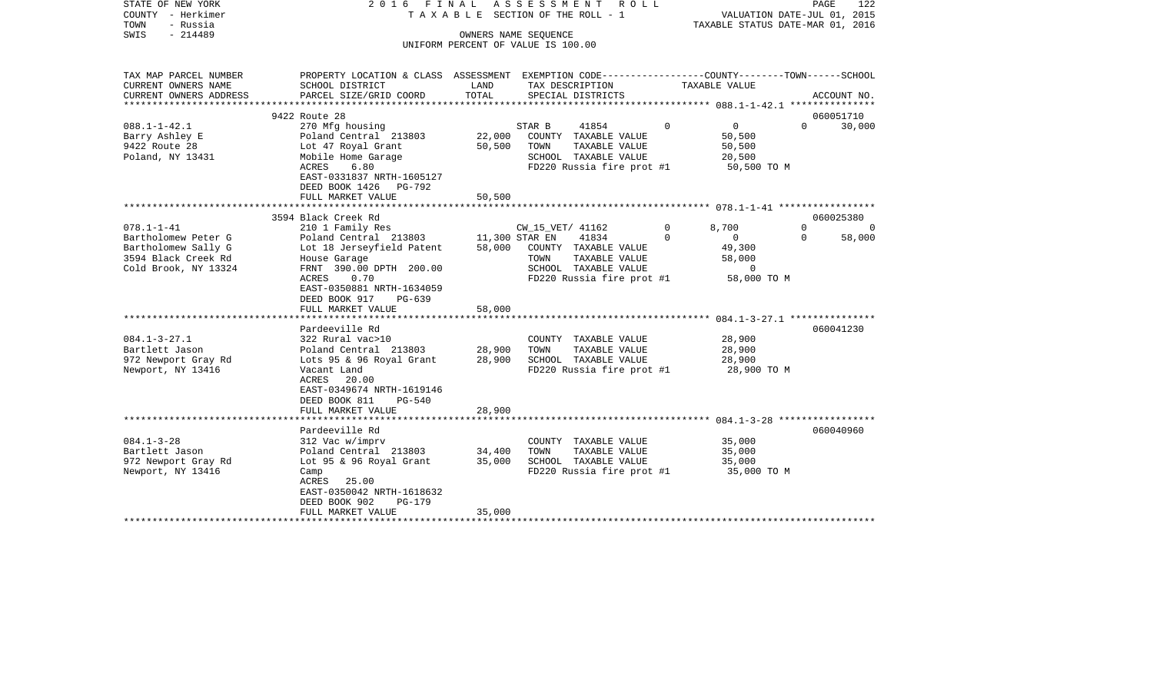| STATE OF NEW YORK<br>COUNTY - Herkimer | 2 0 1 6                                                                                        | FINAL            | ASSESSMENT<br>R O L L<br>T A X A B L E SECTION OF THE ROLL - 1 |          | 122<br>PAGE<br>VALUATION DATE-JUL 01, 2015 |             |          |  |  |
|----------------------------------------|------------------------------------------------------------------------------------------------|------------------|----------------------------------------------------------------|----------|--------------------------------------------|-------------|----------|--|--|
| TOWN<br>- Russia                       |                                                                                                |                  |                                                                |          | TAXABLE STATUS DATE-MAR 01, 2016           |             |          |  |  |
| SWIS<br>$-214489$                      |                                                                                                |                  | OWNERS NAME SEOUENCE                                           |          |                                            |             |          |  |  |
|                                        |                                                                                                |                  | UNIFORM PERCENT OF VALUE IS 100.00                             |          |                                            |             |          |  |  |
|                                        |                                                                                                |                  |                                                                |          |                                            |             |          |  |  |
| TAX MAP PARCEL NUMBER                  | PROPERTY LOCATION & CLASS ASSESSMENT EXEMPTION CODE---------------COUNTY-------TOWN-----SCHOOL |                  |                                                                |          |                                            |             |          |  |  |
| CURRENT OWNERS NAME                    | SCHOOL DISTRICT                                                                                | LAND             | TAX DESCRIPTION                                                |          | TAXABLE VALUE                              |             |          |  |  |
| CURRENT OWNERS ADDRESS                 | PARCEL SIZE/GRID COORD                                                                         | TOTAL            | SPECIAL DISTRICTS                                              |          |                                            | ACCOUNT NO. |          |  |  |
| *********************                  |                                                                                                |                  |                                                                |          |                                            |             |          |  |  |
|                                        | 9422 Route 28                                                                                  |                  |                                                                |          |                                            | 060051710   |          |  |  |
| $088.1 - 1 - 42.1$                     | 270 Mfg housing                                                                                |                  | STAR B<br>41854                                                | 0        | $\mathbf 0$                                | $\Omega$    | 30,000   |  |  |
| Barry Ashley E                         | Poland Central 213803                                                                          | 22,000           | COUNTY TAXABLE VALUE<br>TOWN                                   |          | 50,500                                     |             |          |  |  |
| 9422 Route 28                          | Lot 47 Royal Grant                                                                             | 50,500           | TAXABLE VALUE<br>SCHOOL TAXABLE VALUE                          |          | 50,500<br>20,500                           |             |          |  |  |
| Poland, NY 13431                       | Mobile Home Garage<br>ACRES<br>6.80                                                            |                  | FD220 Russia fire prot #1                                      |          | 50,500 TO M                                |             |          |  |  |
|                                        | EAST-0331837 NRTH-1605127                                                                      |                  |                                                                |          |                                            |             |          |  |  |
|                                        | DEED BOOK 1426 PG-792                                                                          |                  |                                                                |          |                                            |             |          |  |  |
|                                        | FULL MARKET VALUE                                                                              | 50,500           |                                                                |          |                                            |             |          |  |  |
|                                        | ***************************                                                                    |                  |                                                                |          |                                            |             |          |  |  |
|                                        | 3594 Black Creek Rd                                                                            |                  |                                                                |          |                                            | 060025380   |          |  |  |
| $078.1 - 1 - 41$                       | 210 1 Family Res                                                                               |                  | CW_15_VET/ 41162                                               | 0        | 8,700                                      | $\Omega$    | $\Omega$ |  |  |
| Bartholomew Peter G                    | Poland Central 213803                                                                          |                  | 11,300 STAR EN<br>41834                                        | $\Omega$ | $\mathbf 0$                                | $\Omega$    | 58,000   |  |  |
| Bartholomew Sally G                    | Lot 18 Jerseyfield Patent                                                                      | 58,000           | COUNTY TAXABLE VALUE                                           |          | 49,300                                     |             |          |  |  |
| 3594 Black Creek Rd                    | House Garage                                                                                   |                  | TAXABLE VALUE<br>TOWN                                          |          | 58,000                                     |             |          |  |  |
| Cold Brook, NY 13324                   | FRNT 390.00 DPTH 200.00                                                                        |                  | SCHOOL TAXABLE VALUE                                           |          | 0                                          |             |          |  |  |
|                                        | ACRES<br>0.70                                                                                  |                  | FD220 Russia fire prot #1                                      |          | 58,000 TO M                                |             |          |  |  |
|                                        | EAST-0350881 NRTH-1634059                                                                      |                  |                                                                |          |                                            |             |          |  |  |
|                                        | DEED BOOK 917<br>PG-639                                                                        |                  |                                                                |          |                                            |             |          |  |  |
|                                        | FULL MARKET VALUE                                                                              | 58,000           |                                                                |          |                                            |             |          |  |  |
|                                        | **************************                                                                     |                  |                                                                |          |                                            |             |          |  |  |
|                                        | Pardeeville Rd                                                                                 |                  |                                                                |          |                                            | 060041230   |          |  |  |
| $084.1 - 3 - 27.1$                     | 322 Rural vac>10                                                                               |                  | COUNTY TAXABLE VALUE                                           |          | 28,900                                     |             |          |  |  |
| Bartlett Jason<br>972 Newport Gray Rd  | Poland Central 213803<br>Lots 95 & 96 Royal Grant                                              | 28,900<br>28,900 | TOWN<br>TAXABLE VALUE<br>SCHOOL TAXABLE VALUE                  |          | 28,900<br>28,900                           |             |          |  |  |
| Newport, NY 13416                      | Vacant Land                                                                                    |                  | FD220 Russia fire prot #1                                      |          | 28,900 TO M                                |             |          |  |  |
|                                        | ACRES<br>20.00                                                                                 |                  |                                                                |          |                                            |             |          |  |  |
|                                        | EAST-0349674 NRTH-1619146                                                                      |                  |                                                                |          |                                            |             |          |  |  |
|                                        | DEED BOOK 811<br><b>PG-540</b>                                                                 |                  |                                                                |          |                                            |             |          |  |  |
|                                        | FULL MARKET VALUE                                                                              | 28,900           |                                                                |          |                                            |             |          |  |  |
|                                        | ********************                                                                           |                  |                                                                |          |                                            |             |          |  |  |
|                                        | Pardeeville Rd                                                                                 |                  |                                                                |          |                                            | 060040960   |          |  |  |
| $084.1 - 3 - 28$                       | 312 Vac w/imprv                                                                                |                  | COUNTY TAXABLE VALUE                                           |          | 35,000                                     |             |          |  |  |
| Bartlett Jason                         | Poland Central 213803                                                                          | 34,400           | TOWN<br>TAXABLE VALUE                                          |          | 35,000                                     |             |          |  |  |
| 972 Newport Gray Rd                    | Lot 95 & 96 Royal Grant                                                                        | 35,000           | SCHOOL TAXABLE VALUE                                           |          | 35,000                                     |             |          |  |  |
| Newport, NY 13416                      | Camp                                                                                           |                  | FD220 Russia fire prot #1                                      |          | 35,000 TO M                                |             |          |  |  |
|                                        | 25.00<br>ACRES                                                                                 |                  |                                                                |          |                                            |             |          |  |  |
|                                        | EAST-0350042 NRTH-1618632                                                                      |                  |                                                                |          |                                            |             |          |  |  |
|                                        | DEED BOOK 902<br><b>PG-179</b>                                                                 |                  |                                                                |          |                                            |             |          |  |  |
|                                        | FULL MARKET VALUE                                                                              | 35,000           |                                                                |          |                                            |             |          |  |  |
|                                        |                                                                                                |                  |                                                                |          |                                            |             |          |  |  |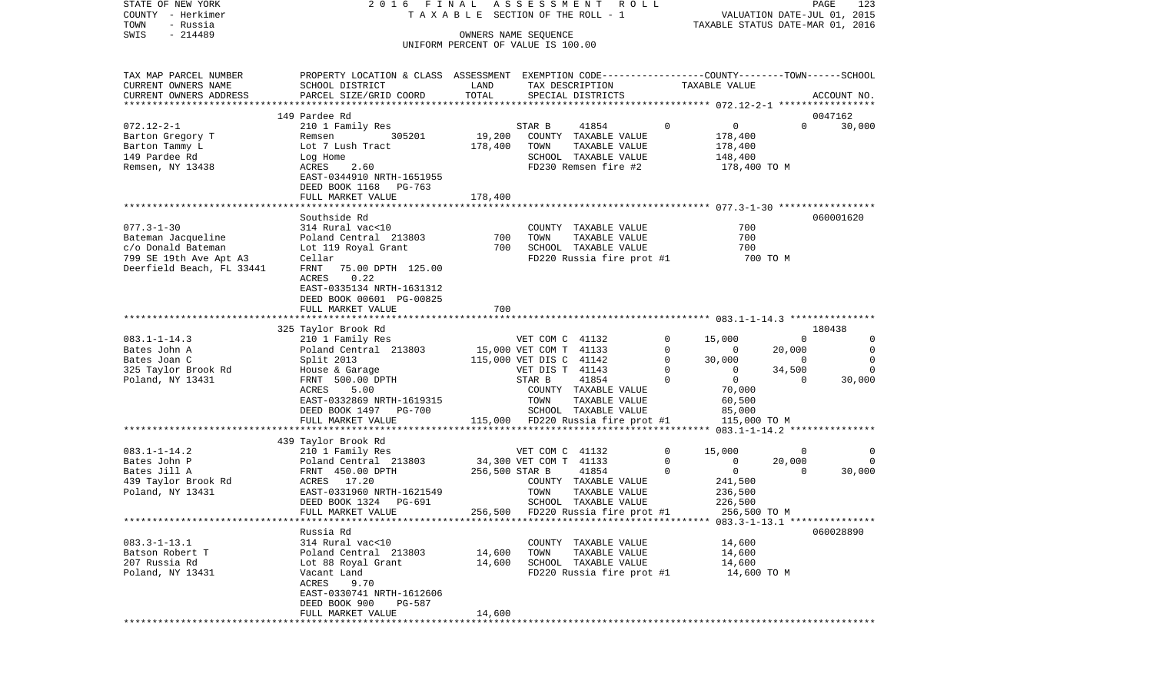| STATE OF NEW YORK<br>COUNTY - Herkimer | 2016 FINAL                                                                                      |                | A S S E S S M E N T R O L L<br>TAXABLE SECTION OF THE ROLL - 1 |              | VALUATION DATE-JUL 01, 2015      |                | PAGE<br>123 |
|----------------------------------------|-------------------------------------------------------------------------------------------------|----------------|----------------------------------------------------------------|--------------|----------------------------------|----------------|-------------|
| TOWN<br>- Russia                       |                                                                                                 |                |                                                                |              | TAXABLE STATUS DATE-MAR 01, 2016 |                |             |
| $-214489$<br>SWIS                      |                                                                                                 |                | OWNERS NAME SEQUENCE                                           |              |                                  |                |             |
|                                        |                                                                                                 |                | UNIFORM PERCENT OF VALUE IS 100.00                             |              |                                  |                |             |
|                                        |                                                                                                 |                |                                                                |              |                                  |                |             |
| TAX MAP PARCEL NUMBER                  | PROPERTY LOCATION & CLASS ASSESSMENT EXEMPTION CODE---------------COUNTY-------TOWN------SCHOOL |                |                                                                |              |                                  |                |             |
| CURRENT OWNERS NAME                    | SCHOOL DISTRICT                                                                                 | LAND           | TAX DESCRIPTION                                                |              | TAXABLE VALUE                    |                |             |
| CURRENT OWNERS ADDRESS                 | PARCEL SIZE/GRID COORD                                                                          | TOTAL          | SPECIAL DISTRICTS                                              |              |                                  |                | ACCOUNT NO. |
|                                        |                                                                                                 |                |                                                                |              |                                  |                |             |
|                                        | 149 Pardee Rd                                                                                   |                |                                                                |              |                                  |                | 0047162     |
| $072.12 - 2 - 1$                       | 210 1 Family Res                                                                                |                | 41854<br>STAR B                                                | $\mathbf 0$  | 0                                | $\Omega$       | 30,000      |
| Barton Gregory T                       | 305201<br>Remsen                                                                                | 19,200         | COUNTY TAXABLE VALUE                                           |              | 178,400                          |                |             |
| Barton Tammy L                         | Lot 7 Lush Tract                                                                                | 178,400        | TOWN<br>TAXABLE VALUE                                          |              | 178,400                          |                |             |
| 149 Pardee Rd                          | Log Home                                                                                        |                | SCHOOL TAXABLE VALUE                                           |              | 148,400                          |                |             |
| Remsen, NY 13438                       | ACRES<br>2.60                                                                                   |                | FD230 Remsen fire #2                                           |              | 178,400 TO M                     |                |             |
|                                        | EAST-0344910 NRTH-1651955                                                                       |                |                                                                |              |                                  |                |             |
|                                        | DEED BOOK 1168 PG-763                                                                           |                |                                                                |              |                                  |                |             |
|                                        | FULL MARKET VALUE                                                                               | 178,400        |                                                                |              |                                  |                |             |
|                                        |                                                                                                 |                |                                                                |              |                                  |                |             |
|                                        | Southside Rd                                                                                    |                |                                                                |              |                                  |                | 060001620   |
| $077.3 - 1 - 30$                       | 314 Rural vac<10                                                                                |                | COUNTY TAXABLE VALUE                                           |              | 700                              |                |             |
| Bateman Jacqueline                     | Poland Central 213803                                                                           | 700            | TOWN<br>TAXABLE VALUE                                          |              | 700                              |                |             |
| c/o Donald Bateman                     | Lot 119 Royal Grant                                                                             | 700            | SCHOOL TAXABLE VALUE                                           |              | 700                              |                |             |
| 799 SE 19th Ave Apt A3                 | Cellar                                                                                          |                | FD220 Russia fire prot #1                                      |              | 700 TO M                         |                |             |
| Deerfield Beach, FL 33441              | FRNT<br>75.00 DPTH 125.00                                                                       |                |                                                                |              |                                  |                |             |
|                                        | 0.22<br>ACRES                                                                                   |                |                                                                |              |                                  |                |             |
|                                        | EAST-0335134 NRTH-1631312<br>DEED BOOK 00601 PG-00825                                           |                |                                                                |              |                                  |                |             |
|                                        | FULL MARKET VALUE                                                                               | 700            |                                                                |              |                                  |                |             |
|                                        |                                                                                                 |                |                                                                |              |                                  |                |             |
|                                        | 325 Taylor Brook Rd                                                                             |                |                                                                |              |                                  |                | 180438      |
| $083.1 - 1 - 14.3$                     | 210 1 Family Res                                                                                |                | VET COM C 41132                                                | 0            | 15,000                           | $\Omega$       | 0           |
| Bates John A                           | Poland Central 213803                                                                           |                | 15,000 VET COM T 41133                                         | 0            | $\overline{\phantom{0}}$         | 20,000         | 0           |
| Bates Joan C                           | Split 2013                                                                                      |                | 115,000 VET DIS C 41142                                        | $\mathbf{0}$ | 30,000                           | $\overline{0}$ | 0           |
| 325 Taylor Brook Rd                    | House & Garage                                                                                  |                | VET DIS T 41143                                                | 0            | $\mathbf 0$                      | 34,500         | $\Omega$    |
| Poland, NY 13431                       | FRNT 500.00 DPTH                                                                                |                | 41854<br>STAR B                                                | $\Omega$     | $\overline{0}$                   | $\Omega$       | 30,000      |
|                                        | ACRES<br>5.00                                                                                   |                | COUNTY TAXABLE VALUE                                           |              | 70,000                           |                |             |
|                                        | EAST-0332869 NRTH-1619315                                                                       |                | TOWN<br>TAXABLE VALUE                                          |              | 60,500                           |                |             |
|                                        | DEED BOOK 1497 PG-700                                                                           |                | SCHOOL TAXABLE VALUE                                           |              | 85,000                           |                |             |
|                                        | FULL MARKET VALUE                                                                               |                | 115,000 FD220 Russia fire prot #1                              |              | 115,000 TO M                     |                |             |
|                                        |                                                                                                 |                |                                                                |              |                                  |                |             |
|                                        | 439 Taylor Brook Rd                                                                             |                |                                                                |              |                                  |                |             |
| $083.1 - 1 - 14.2$                     | 210 1 Family Res                                                                                |                | VET COM C 41132                                                | $\mathbf 0$  | 15,000                           | $\overline{0}$ | 0           |
| Bates John P                           | Poland Central 213803                                                                           |                | 34,300 VET COM T 41133                                         | $\circ$      | 0                                | 20,000         | $\Omega$    |
| Bates Jill A                           | FRNT 450.00 DPTH                                                                                | 256,500 STAR B | 41854                                                          | $\Omega$     | $\mathbf 0$                      | $\Omega$       | 30,000      |
| 439 Taylor Brook Rd                    | ACRES 17.20                                                                                     |                | COUNTY TAXABLE VALUE                                           |              | 241,500                          |                |             |
| Poland, NY 13431                       | EAST-0331960 NRTH-1621549                                                                       |                | TOWN<br>TAXABLE VALUE                                          |              | 236,500                          |                |             |
|                                        | DEED BOOK 1324<br>PG-691                                                                        |                | SCHOOL TAXABLE VALUE                                           |              | 226,500                          |                |             |
|                                        | FULL MARKET VALUE                                                                               |                | 256,500 FD220 Russia fire prot #1                              |              | 256,500 TO M                     |                |             |
|                                        | Russia Rd                                                                                       |                |                                                                |              |                                  |                | 060028890   |
| $083.3 - 1 - 13.1$                     | 314 Rural vac<10                                                                                |                | COUNTY TAXABLE VALUE                                           |              | 14,600                           |                |             |
| Batson Robert T                        | Poland Central 213803                                                                           | 14,600         | TOWN TAXABLE VALUE                                             |              | 14,600                           |                |             |
| 207 Russia Rd                          | Lot 88 Royal Grant                                                                              | 14,600         | SCHOOL TAXABLE VALUE                                           |              | 14,600                           |                |             |
| Poland, NY 13431                       | Vacant Land                                                                                     |                | FD220 Russia fire prot #1                                      |              | 14,600 TO M                      |                |             |
|                                        | ACRES 9.70                                                                                      |                |                                                                |              |                                  |                |             |
|                                        | EAST-0330741 NRTH-1612606                                                                       |                |                                                                |              |                                  |                |             |
|                                        | DEED BOOK 900 PG-587                                                                            |                |                                                                |              |                                  |                |             |
|                                        | FULL MARKET VALUE                                                                               | 14,600         |                                                                |              |                                  |                |             |
|                                        | ***********************************                                                             |                |                                                                |              |                                  |                |             |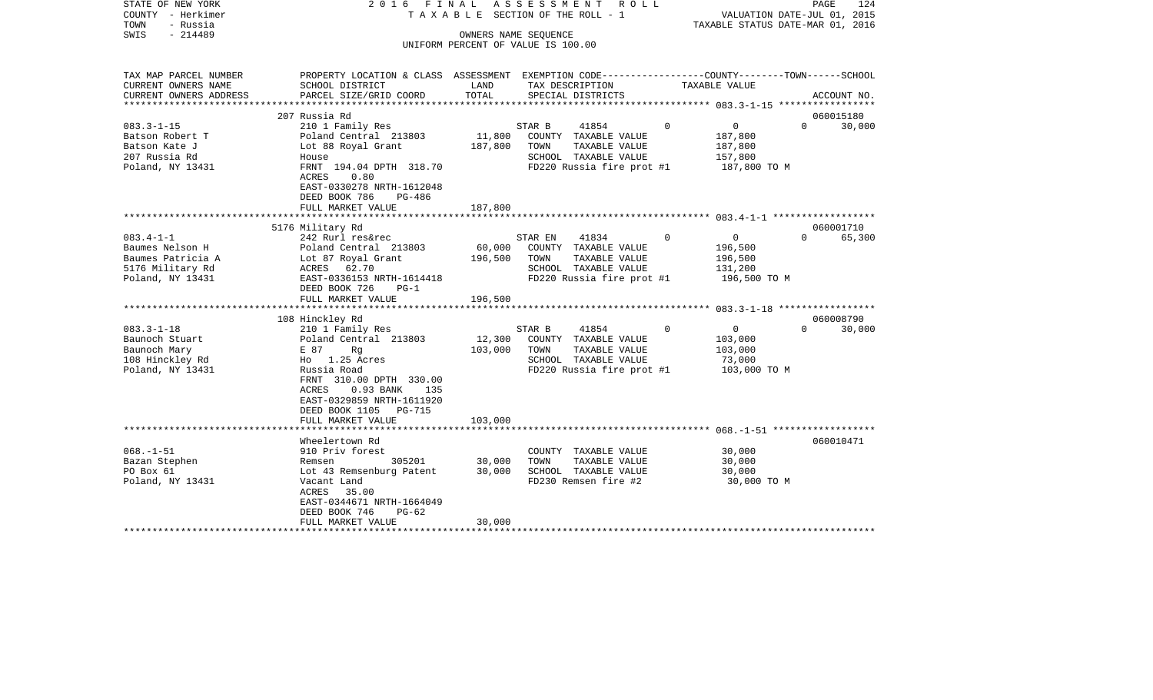| COUNTY<br>– Herkimer<br>TOWN<br>- Russia<br>$-214489$<br>SWIS          |                                                                                   |               | T A X A B L E SECTION OF THE ROLL - 1<br>OWNERS NAME SEQUENCE                                        |             | VALUATION DATE-JUL 01, 2015<br>TAXABLE STATUS DATE-MAR 01, 2016 |             |             |  |
|------------------------------------------------------------------------|-----------------------------------------------------------------------------------|---------------|------------------------------------------------------------------------------------------------------|-------------|-----------------------------------------------------------------|-------------|-------------|--|
|                                                                        |                                                                                   |               | UNIFORM PERCENT OF VALUE IS 100.00                                                                   |             |                                                                 |             |             |  |
| TAX MAP PARCEL NUMBER<br>CURRENT OWNERS NAME<br>CURRENT OWNERS ADDRESS | PROPERTY LOCATION & CLASS ASSESSMENT<br>SCHOOL DISTRICT<br>PARCEL SIZE/GRID COORD | LAND<br>TOTAL | EXEMPTION CODE-----------------COUNTY-------TOWN------SCHOOL<br>TAX DESCRIPTION<br>SPECIAL DISTRICTS |             | TAXABLE VALUE                                                   |             | ACCOUNT NO. |  |
| *******************                                                    |                                                                                   |               |                                                                                                      |             |                                                                 |             |             |  |
|                                                                        | 207 Russia Rd                                                                     |               |                                                                                                      |             |                                                                 |             | 060015180   |  |
| $083.3 - 1 - 15$                                                       | 210 1 Family Res                                                                  |               | 41854<br>STAR B                                                                                      | $\mathbf 0$ | 0                                                               | $\mathbf 0$ | 30,000      |  |
| Batson Robert T                                                        | Poland Central 213803                                                             | 11,800        | COUNTY TAXABLE VALUE                                                                                 |             | 187,800                                                         |             |             |  |
| Batson Kate J                                                          | Lot 88 Royal Grant                                                                | 187,800       | TOWN<br>TAXABLE VALUE                                                                                |             | 187,800                                                         |             |             |  |
| 207 Russia Rd                                                          | House<br>FRNT 194.04 DPTH 318.70                                                  |               | SCHOOL TAXABLE VALUE<br>FD220 Russia fire prot #1                                                    |             | 157,800                                                         |             |             |  |
| Poland, NY 13431                                                       | 0.80<br>ACRES                                                                     |               |                                                                                                      |             | 187,800 TO M                                                    |             |             |  |
|                                                                        | EAST-0330278 NRTH-1612048                                                         |               |                                                                                                      |             |                                                                 |             |             |  |
|                                                                        | DEED BOOK 786<br>PG-486                                                           |               |                                                                                                      |             |                                                                 |             |             |  |
|                                                                        | FULL MARKET VALUE                                                                 | 187,800       |                                                                                                      |             |                                                                 |             |             |  |
|                                                                        |                                                                                   | ********      |                                                                                                      |             |                                                                 |             |             |  |
|                                                                        | 5176 Military Rd                                                                  |               |                                                                                                      |             |                                                                 |             | 060001710   |  |
| $083.4 - 1 - 1$                                                        | 242 Rurl res&rec                                                                  |               | STAR EN<br>41834                                                                                     | $\Omega$    | $\mathbf 0$                                                     | $\Omega$    | 65,300      |  |
| Baumes Nelson H                                                        | Poland Central 213803                                                             | 60,000        | COUNTY TAXABLE VALUE                                                                                 |             | 196,500                                                         |             |             |  |
| Baumes Patricia A<br>5176 Military Rd                                  | Lot 87 Royal Grant<br>62.70<br>ACRES                                              | 196,500       | TAXABLE VALUE<br>TOWN<br>SCHOOL TAXABLE VALUE                                                        |             | 196,500<br>131,200                                              |             |             |  |
| Poland, NY 13431                                                       | EAST-0336153 NRTH-1614418                                                         |               | FD220 Russia fire prot #1                                                                            |             | 196,500 TO M                                                    |             |             |  |
|                                                                        | DEED BOOK 726<br>$PG-1$                                                           |               |                                                                                                      |             |                                                                 |             |             |  |
|                                                                        | FULL MARKET VALUE                                                                 | 196,500       |                                                                                                      |             |                                                                 |             |             |  |
|                                                                        |                                                                                   |               |                                                                                                      |             |                                                                 |             |             |  |
|                                                                        | 108 Hinckley Rd                                                                   |               |                                                                                                      |             |                                                                 |             | 060008790   |  |
| $083.3 - 1 - 18$                                                       | 210 1 Family Res                                                                  |               | STAR B<br>41854                                                                                      | 0           | $\overline{0}$                                                  | $\Omega$    | 30,000      |  |
| Baunoch Stuart                                                         | Poland Central 213803                                                             | 12,300        | COUNTY TAXABLE VALUE                                                                                 |             | 103,000                                                         |             |             |  |
| Baunoch Mary                                                           | E 87<br>Rg<br>Ho 1.25 Acres                                                       | 103,000       | TOWN<br>TAXABLE VALUE<br>SCHOOL TAXABLE VALUE                                                        |             | 103,000                                                         |             |             |  |
| 108 Hinckley Rd<br>Poland, NY 13431                                    | Russia Road                                                                       |               | FD220 Russia fire prot #1                                                                            |             | 73,000<br>103,000 TO M                                          |             |             |  |
|                                                                        | FRNT 310.00 DPTH 330.00                                                           |               |                                                                                                      |             |                                                                 |             |             |  |
|                                                                        | ACRES<br>0.93 BANK<br>135                                                         |               |                                                                                                      |             |                                                                 |             |             |  |
|                                                                        | EAST-0329859 NRTH-1611920                                                         |               |                                                                                                      |             |                                                                 |             |             |  |
|                                                                        | DEED BOOK 1105<br>PG-715                                                          |               |                                                                                                      |             |                                                                 |             |             |  |
|                                                                        | FULL MARKET VALUE                                                                 | 103,000       |                                                                                                      |             |                                                                 |             |             |  |
|                                                                        |                                                                                   |               |                                                                                                      |             |                                                                 |             |             |  |
|                                                                        | Wheelertown Rd                                                                    |               |                                                                                                      |             |                                                                 |             | 060010471   |  |
| $068. - 1 - 51$                                                        | 910 Priv forest                                                                   |               | COUNTY TAXABLE VALUE                                                                                 |             | 30,000                                                          |             |             |  |
| Bazan Stephen                                                          | 305201<br>Remsen                                                                  | 30,000        | TOWN<br>TAXABLE VALUE                                                                                |             | 30,000                                                          |             |             |  |
| PO Box 61<br>Poland, NY 13431                                          | Lot 43 Remsenburg Patent                                                          | 30,000        | SCHOOL TAXABLE VALUE<br>FD230 Remsen fire #2                                                         |             | 30,000<br>30,000 TO M                                           |             |             |  |
|                                                                        | Vacant Land<br>ACRES<br>35.00                                                     |               |                                                                                                      |             |                                                                 |             |             |  |
|                                                                        | EAST-0344671 NRTH-1664049                                                         |               |                                                                                                      |             |                                                                 |             |             |  |
|                                                                        | DEED BOOK 746<br>$PG-62$                                                          |               |                                                                                                      |             |                                                                 |             |             |  |
|                                                                        | FULL MARKET VALUE                                                                 | 30,000        |                                                                                                      |             |                                                                 |             |             |  |
|                                                                        |                                                                                   |               |                                                                                                      |             |                                                                 |             |             |  |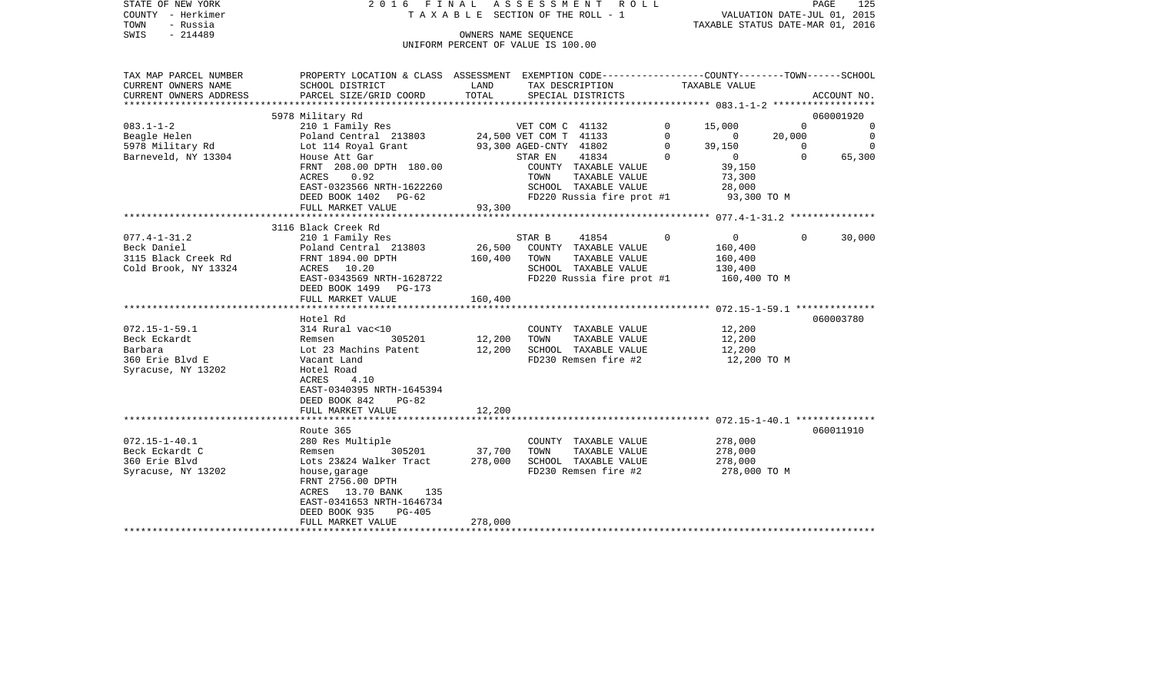| STATE OF NEW YORK                           |                                                                                                  |         | 2016 FINAL ASSESSMENT ROLL                    |             |                                         |          | PAGE<br>125                 |
|---------------------------------------------|--------------------------------------------------------------------------------------------------|---------|-----------------------------------------------|-------------|-----------------------------------------|----------|-----------------------------|
| COUNTY - Herkimer                           |                                                                                                  |         | TAXABLE SECTION OF THE ROLL - 1               |             |                                         |          | VALUATION DATE-JUL 01, 2015 |
| TOWN<br>- Russia                            |                                                                                                  |         |                                               |             | TAXABLE STATUS DATE-MAR 01, 2016        |          |                             |
| $-214489$<br>SWIS                           |                                                                                                  |         | OWNERS NAME SEOUENCE                          |             |                                         |          |                             |
|                                             |                                                                                                  |         | UNIFORM PERCENT OF VALUE IS 100.00            |             |                                         |          |                             |
|                                             |                                                                                                  |         |                                               |             |                                         |          |                             |
| TAX MAP PARCEL NUMBER                       | PROPERTY LOCATION & CLASS ASSESSMENT EXEMPTION CODE----------------COUNTY-------TOWN------SCHOOL |         |                                               |             |                                         |          |                             |
| CURRENT OWNERS NAME                         | SCHOOL DISTRICT                                                                                  | LAND    | TAX DESCRIPTION                               |             | TAXABLE VALUE                           |          |                             |
| CURRENT OWNERS ADDRESS                      | PARCEL SIZE/GRID COORD                                                                           | TOTAL   | SPECIAL DISTRICTS                             |             |                                         |          | ACCOUNT NO.                 |
|                                             |                                                                                                  |         |                                               |             |                                         |          |                             |
|                                             | 5978 Military Rd                                                                                 |         |                                               |             |                                         |          | 060001920                   |
| $083.1 - 1 - 2$                             | 210 1 Family Res                                                                                 |         | VET COM C 41132                               | $\mathbf 0$ | 15,000                                  | $\Omega$ | $\circ$                     |
| Beagle Helen                                | Poland Central 213803                                                                            |         | 24,500 VET COM T 41133                        | $\mathbf 0$ | $\overline{0}$                          | 20,000   | $\mathbf 0$                 |
| 5978 Military Rd                            | Lot 114 Royal Grant                                                                              |         | 93,300 AGED-CNTY 41802                        | $\Omega$    | 39,150                                  | $\Omega$ | $\Omega$                    |
| Barneveld, NY 13304                         | House Att Gar                                                                                    |         | 41834<br>STAR EN                              | $\Omega$    | $\overline{0}$                          | $\Omega$ | 65,300                      |
|                                             | FRNT 208.00 DPTH 180.00                                                                          |         | COUNTY TAXABLE VALUE                          |             | 39,150                                  |          |                             |
|                                             | ACRES<br>0.92                                                                                    |         | TAXABLE VALUE<br>TOWN                         |             | 73,300                                  |          |                             |
|                                             | EAST-0323566 NRTH-1622260                                                                        |         | SCHOOL TAXABLE VALUE                          |             | 28,000                                  |          |                             |
|                                             | DEED BOOK 1402 PG-62                                                                             |         | FD220 Russia fire prot #1                     |             | 93,300 TO M                             |          |                             |
|                                             | FULL MARKET VALUE                                                                                | 93,300  |                                               |             |                                         |          |                             |
|                                             |                                                                                                  |         | * * * * * * * * * * * * * * * * * * * *       |             | ********** 077.4-1-31.2 *************** |          |                             |
| $077.4 - 1 - 31.2$                          | 3116 Black Creek Rd                                                                              |         |                                               | $\Omega$    |                                         | $\Omega$ |                             |
| Beck Daniel                                 | 210 1 Family Res                                                                                 |         | STAR B<br>41854                               |             | $\overline{0}$                          |          | 30,000                      |
|                                             | Poland Central 213803                                                                            | 26,500  | COUNTY TAXABLE VALUE<br>TOWN<br>TAXABLE VALUE |             | 160,400                                 |          |                             |
| 3115 Black Creek Rd<br>Cold Brook, NY 13324 | FRNT 1894.00 DPTH<br>ACRES 10.20                                                                 | 160,400 | SCHOOL TAXABLE VALUE                          |             | 160,400<br>130,400                      |          |                             |
|                                             | EAST-0343569 NRTH-1628722                                                                        |         | FD220 Russia fire prot #1                     |             | 160,400 TO M                            |          |                             |
|                                             | DEED BOOK 1499 PG-173                                                                            |         |                                               |             |                                         |          |                             |
|                                             | FULL MARKET VALUE                                                                                | 160,400 |                                               |             |                                         |          |                             |
|                                             |                                                                                                  |         |                                               |             |                                         |          |                             |
|                                             | Hotel Rd                                                                                         |         |                                               |             |                                         |          | 060003780                   |
| $072.15 - 1 - 59.1$                         | 314 Rural vac<10                                                                                 |         | COUNTY TAXABLE VALUE                          |             | 12,200                                  |          |                             |
| Beck Eckardt                                | 305201<br>Remsen                                                                                 | 12,200  | TOWN<br>TAXABLE VALUE                         |             | 12,200                                  |          |                             |
| Barbara                                     | Lot 23 Machins Patent                                                                            | 12,200  | SCHOOL TAXABLE VALUE                          |             | 12,200                                  |          |                             |
| 360 Erie Blvd E                             | Vacant Land                                                                                      |         | FD230 Remsen fire #2                          |             | 12,200 TO M                             |          |                             |
| Syracuse, NY 13202                          | Hotel Road                                                                                       |         |                                               |             |                                         |          |                             |
|                                             | ACRES<br>4.10                                                                                    |         |                                               |             |                                         |          |                             |
|                                             | EAST-0340395 NRTH-1645394                                                                        |         |                                               |             |                                         |          |                             |
|                                             | DEED BOOK 842<br>$PG-82$                                                                         |         |                                               |             |                                         |          |                             |
|                                             | FULL MARKET VALUE                                                                                | 12,200  |                                               |             |                                         |          |                             |
|                                             |                                                                                                  |         |                                               |             |                                         |          |                             |
|                                             | Route 365                                                                                        |         |                                               |             |                                         |          | 060011910                   |
| $072.15 - 1 - 40.1$                         | 280 Res Multiple                                                                                 |         | COUNTY TAXABLE VALUE                          |             | 278,000                                 |          |                             |
| Beck Eckardt C                              | 305201<br>Remsen                                                                                 | 37,700  | TOWN<br>TAXABLE VALUE                         |             | 278,000                                 |          |                             |
| 360 Erie Blvd                               | Lots 23&24 Walker Tract                                                                          | 278,000 | SCHOOL TAXABLE VALUE                          |             | 278,000                                 |          |                             |
| Syracuse, NY 13202                          | house, garage                                                                                    |         | FD230 Remsen fire #2                          |             | 278,000 TO M                            |          |                             |
|                                             | FRNT 2756.00 DPTH                                                                                |         |                                               |             |                                         |          |                             |
|                                             | ACRES 13.70 BANK<br>135                                                                          |         |                                               |             |                                         |          |                             |
|                                             | EAST-0341653 NRTH-1646734<br>$PG-405$<br>DEED BOOK 935                                           |         |                                               |             |                                         |          |                             |
|                                             | FULL MARKET VALUE                                                                                | 278,000 |                                               |             |                                         |          |                             |
|                                             |                                                                                                  |         |                                               |             |                                         |          |                             |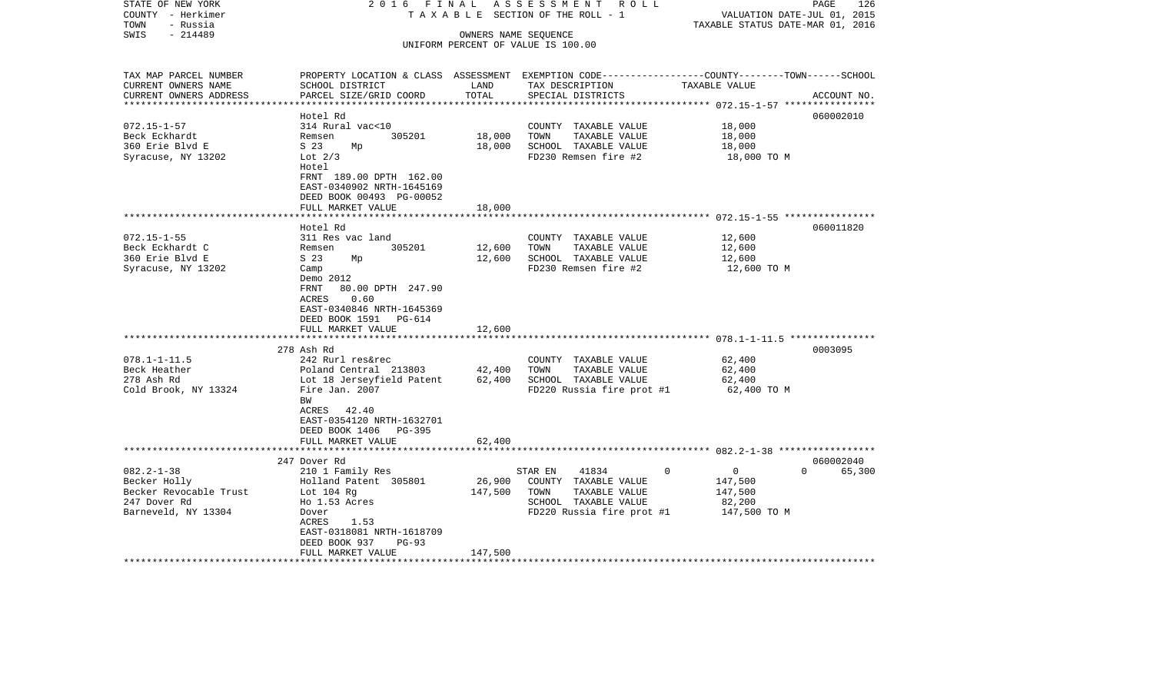| STATE OF NEW YORK<br>COUNTY - Herkimer       | 2016 FINAL<br>TAXABLE                              |                      | ASSESSMENT ROLL<br>SECTION OF THE ROLL - 1                                                                          | VALUATION DATE-JUL 01, 2015      | 126<br>PAGE        |
|----------------------------------------------|----------------------------------------------------|----------------------|---------------------------------------------------------------------------------------------------------------------|----------------------------------|--------------------|
| - Russia<br>TOWN                             |                                                    |                      |                                                                                                                     | TAXABLE STATUS DATE-MAR 01, 2016 |                    |
| $-214489$<br>SWIS                            |                                                    | OWNERS NAME SEQUENCE | UNIFORM PERCENT OF VALUE IS 100.00                                                                                  |                                  |                    |
|                                              |                                                    |                      |                                                                                                                     |                                  |                    |
| TAX MAP PARCEL NUMBER<br>CURRENT OWNERS NAME |                                                    |                      | PROPERTY LOCATION & CLASS ASSESSMENT EXEMPTION CODE----------------COUNTY-------TOWN------SCHOOL<br>TAX DESCRIPTION |                                  |                    |
| CURRENT OWNERS ADDRESS                       | SCHOOL DISTRICT<br>PARCEL SIZE/GRID COORD          | LAND<br>TOTAL        | SPECIAL DISTRICTS                                                                                                   | TAXABLE VALUE                    | ACCOUNT NO.        |
|                                              |                                                    |                      |                                                                                                                     |                                  |                    |
|                                              | Hotel Rd                                           |                      |                                                                                                                     |                                  | 060002010          |
| $072.15 - 1 - 57$                            | 314 Rural vac<10                                   |                      | COUNTY TAXABLE VALUE                                                                                                | 18,000                           |                    |
| Beck Eckhardt                                | 305201<br>Remsen                                   | 18,000               | TOWN<br>TAXABLE VALUE                                                                                               | 18,000                           |                    |
| 360 Erie Blvd E                              | S 23<br>Мp                                         | 18,000               | SCHOOL TAXABLE VALUE                                                                                                | 18,000                           |                    |
| Syracuse, NY 13202                           | Lot $2/3$<br>Hotel                                 |                      | FD230 Remsen fire #2                                                                                                | 18,000 TO M                      |                    |
|                                              | FRNT 189.00 DPTH 162.00                            |                      |                                                                                                                     |                                  |                    |
|                                              | EAST-0340902 NRTH-1645169                          |                      |                                                                                                                     |                                  |                    |
|                                              | DEED BOOK 00493 PG-00052                           |                      |                                                                                                                     |                                  |                    |
|                                              | FULL MARKET VALUE                                  | 18,000               |                                                                                                                     |                                  |                    |
|                                              | Hotel Rd                                           |                      |                                                                                                                     |                                  | 060011820          |
| $072.15 - 1 - 55$                            | 311 Res vac land                                   |                      | COUNTY TAXABLE VALUE                                                                                                | 12,600                           |                    |
| Beck Eckhardt C                              | 305201<br>Remsen                                   | 12,600               | TAXABLE VALUE<br>TOWN                                                                                               | 12,600                           |                    |
| 360 Erie Blvd E                              | S <sub>23</sub><br>Мp                              | 12,600               | SCHOOL TAXABLE VALUE                                                                                                | 12,600                           |                    |
| Syracuse, NY 13202                           | Camp                                               |                      | FD230 Remsen fire #2                                                                                                | 12,600 TO M                      |                    |
|                                              | Demo 2012                                          |                      |                                                                                                                     |                                  |                    |
|                                              | 80.00 DPTH 247.90<br>FRNT                          |                      |                                                                                                                     |                                  |                    |
|                                              | 0.60<br>ACRES                                      |                      |                                                                                                                     |                                  |                    |
|                                              | EAST-0340846 NRTH-1645369                          |                      |                                                                                                                     |                                  |                    |
|                                              | DEED BOOK 1591 PG-614                              |                      |                                                                                                                     |                                  |                    |
|                                              | FULL MARKET VALUE                                  | 12,600               |                                                                                                                     |                                  |                    |
|                                              |                                                    |                      |                                                                                                                     |                                  |                    |
|                                              | 278 Ash Rd                                         |                      |                                                                                                                     |                                  | 0003095            |
| $078.1 - 1 - 11.5$<br>Beck Heather           | 242 Rurl res&rec                                   |                      | COUNTY TAXABLE VALUE                                                                                                | 62,400                           |                    |
| 278 Ash Rd                                   | Poland Central 213803<br>Lot 18 Jerseyfield Patent | 42,400<br>62,400     | TOWN<br>TAXABLE VALUE<br>SCHOOL TAXABLE VALUE                                                                       | 62,400<br>62,400                 |                    |
| Cold Brook, NY 13324                         | Fire Jan. 2007                                     |                      | FD220 Russia fire prot #1                                                                                           | 62,400 TO M                      |                    |
|                                              | BW                                                 |                      |                                                                                                                     |                                  |                    |
|                                              | ACRES 42.40                                        |                      |                                                                                                                     |                                  |                    |
|                                              | EAST-0354120 NRTH-1632701                          |                      |                                                                                                                     |                                  |                    |
|                                              | DEED BOOK 1406 PG-395                              |                      |                                                                                                                     |                                  |                    |
|                                              | FULL MARKET VALUE                                  | 62,400               |                                                                                                                     |                                  |                    |
|                                              |                                                    |                      |                                                                                                                     |                                  |                    |
|                                              | 247 Dover Rd                                       |                      |                                                                                                                     |                                  | 060002040          |
| $082.2 - 1 - 38$                             | 210 1 Family Res                                   |                      | $\Omega$<br>STAR EN<br>41834                                                                                        | $\mathbf{0}$                     | 65,300<br>$\Omega$ |
| Becker Holly                                 | Holland Patent 305801                              | 26,900               | COUNTY TAXABLE VALUE                                                                                                | 147,500                          |                    |
| Becker Revocable Trust                       | Lot $104$ Rg                                       | 147,500              | TOWN<br>TAXABLE VALUE                                                                                               | 147,500                          |                    |
| 247 Dover Rd                                 | Ho 1.53 Acres                                      |                      | SCHOOL TAXABLE VALUE                                                                                                | 82,200                           |                    |
| Barneveld, NY 13304                          | Dover                                              |                      | FD220 Russia fire prot #1                                                                                           | 147,500 TO M                     |                    |
|                                              | 1.53<br>ACRES                                      |                      |                                                                                                                     |                                  |                    |
|                                              | EAST-0318081 NRTH-1618709<br>$PG-93$               |                      |                                                                                                                     |                                  |                    |
|                                              | DEED BOOK 937<br>FULL MARKET VALUE                 | 147,500              |                                                                                                                     |                                  |                    |
| *******************                          |                                                    |                      |                                                                                                                     |                                  |                    |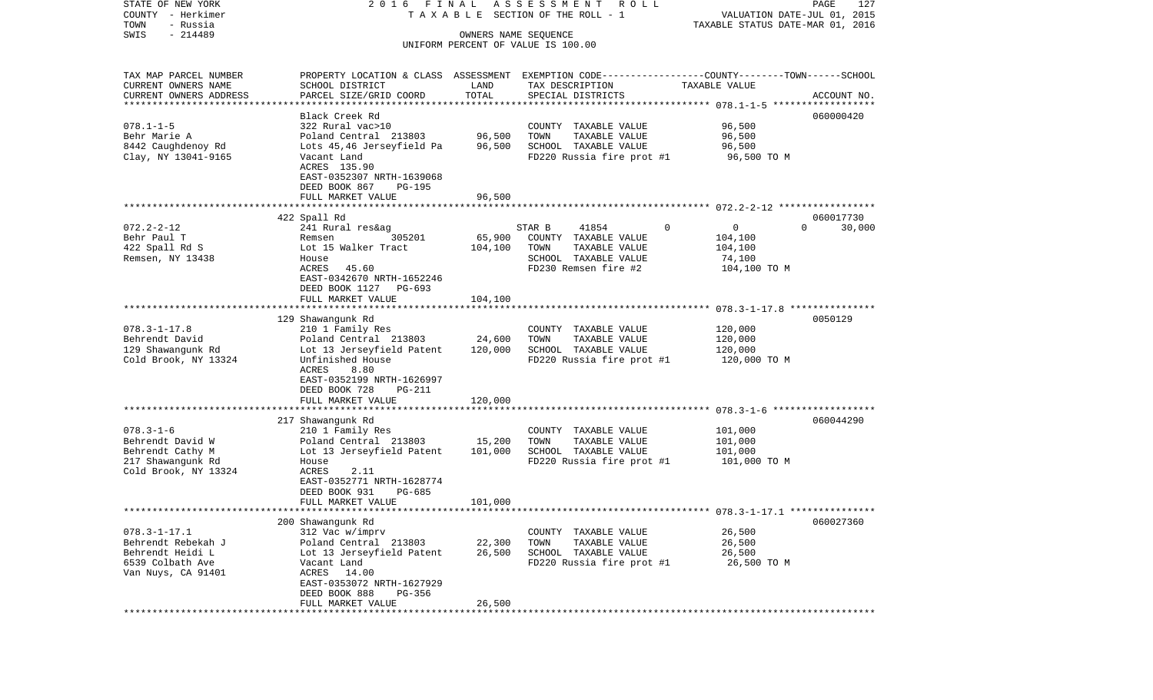| COUNTY<br>– Herkimer                     |                                                       |                 | T A X A B L E SECTION OF THE ROLL - 1                                   | VALUATION DATE-JUL 01, 2015        |             |  |  |
|------------------------------------------|-------------------------------------------------------|-----------------|-------------------------------------------------------------------------|------------------------------------|-------------|--|--|
| TOWN<br>- Russia                         |                                                       |                 |                                                                         | TAXABLE STATUS DATE-MAR 01, 2016   |             |  |  |
| SWIS<br>$-214489$                        |                                                       |                 | OWNERS NAME SEOUENCE                                                    |                                    |             |  |  |
|                                          |                                                       |                 | UNIFORM PERCENT OF VALUE IS 100.00                                      |                                    |             |  |  |
|                                          |                                                       |                 |                                                                         |                                    |             |  |  |
| TAX MAP PARCEL NUMBER                    | PROPERTY LOCATION & CLASS                             |                 | ASSESSMENT EXEMPTION CODE-----------------COUNTY-------TOWN------SCHOOL |                                    |             |  |  |
| CURRENT OWNERS NAME                      | SCHOOL DISTRICT                                       | LAND            | TAX DESCRIPTION                                                         | TAXABLE VALUE                      |             |  |  |
| CURRENT OWNERS ADDRESS                   | PARCEL SIZE/GRID COORD                                | TOTAL           | SPECIAL DISTRICTS                                                       |                                    | ACCOUNT NO. |  |  |
|                                          |                                                       |                 |                                                                         |                                    |             |  |  |
|                                          | Black Creek Rd                                        |                 |                                                                         |                                    | 060000420   |  |  |
| $078.1 - 1 - 5$                          | 322 Rural vac>10                                      |                 | COUNTY TAXABLE VALUE                                                    | 96,500                             |             |  |  |
| Behr Marie A                             | Poland Central 213803                                 | 96,500          | TOWN<br>TAXABLE VALUE                                                   | 96,500                             |             |  |  |
| 8442 Caughdenoy Rd                       | Lots 45,46 Jerseyfield Pa                             | 96,500          | SCHOOL TAXABLE VALUE                                                    | 96,500                             |             |  |  |
| Clay, NY 13041-9165                      | Vacant Land                                           |                 | FD220 Russia fire prot #1                                               | 96,500 TO M                        |             |  |  |
|                                          | ACRES 135.90                                          |                 |                                                                         |                                    |             |  |  |
|                                          | EAST-0352307 NRTH-1639068                             |                 |                                                                         |                                    |             |  |  |
|                                          | DEED BOOK 867<br><b>PG-195</b>                        |                 |                                                                         |                                    |             |  |  |
|                                          | FULL MARKET VALUE                                     | 96,500          |                                                                         |                                    |             |  |  |
|                                          | *******************                                   |                 |                                                                         |                                    |             |  |  |
|                                          | 422 Spall Rd                                          |                 |                                                                         |                                    | 060017730   |  |  |
| $072.2 - 2 - 12$                         | 241 Rural res&ag                                      |                 | 41854<br>STAR B                                                         | 0<br>0<br>$\Omega$                 | 30,000      |  |  |
| Behr Paul T                              | 305201<br>Remsen                                      | 65,900          | COUNTY TAXABLE VALUE                                                    | 104,100                            |             |  |  |
| 422 Spall Rd S                           | Lot 15 Walker Tract                                   | 104,100         | TOWN<br>TAXABLE VALUE                                                   | 104,100                            |             |  |  |
| Remsen, NY 13438                         | House                                                 |                 | SCHOOL TAXABLE VALUE                                                    | 74,100                             |             |  |  |
|                                          | ACRES<br>45.60                                        |                 | FD230 Remsen fire #2                                                    | 104,100 TO M                       |             |  |  |
|                                          | EAST-0342670 NRTH-1652246<br>DEED BOOK 1127<br>PG-693 |                 |                                                                         |                                    |             |  |  |
|                                          | FULL MARKET VALUE                                     | 104,100         |                                                                         |                                    |             |  |  |
|                                          |                                                       | * * * * * * * * |                                                                         | $078.3 - 1 - 17.8$ *************** |             |  |  |
|                                          | 129 Shawangunk Rd                                     |                 |                                                                         |                                    | 0050129     |  |  |
| $078.3 - 1 - 17.8$                       | 210 1 Family Res                                      |                 | COUNTY TAXABLE VALUE                                                    | 120,000                            |             |  |  |
| Behrendt David                           | Poland Central 213803                                 | 24,600          | TOWN<br>TAXABLE VALUE                                                   | 120,000                            |             |  |  |
| 129 Shawangunk Rd                        | Lot 13 Jerseyfield Patent                             | 120,000         | SCHOOL TAXABLE VALUE                                                    | 120,000                            |             |  |  |
| Cold Brook, NY 13324                     | Unfinished House                                      |                 | FD220 Russia fire prot #1                                               | 120,000 TO M                       |             |  |  |
|                                          | 8.80<br>ACRES                                         |                 |                                                                         |                                    |             |  |  |
|                                          | EAST-0352199 NRTH-1626997                             |                 |                                                                         |                                    |             |  |  |
|                                          | DEED BOOK 728<br><b>PG-211</b>                        |                 |                                                                         |                                    |             |  |  |
|                                          | FULL MARKET VALUE                                     | 120,000         |                                                                         |                                    |             |  |  |
|                                          |                                                       |                 |                                                                         |                                    |             |  |  |
|                                          | 217 Shawangunk Rd                                     |                 |                                                                         |                                    | 060044290   |  |  |
| $078.3 - 1 - 6$                          | 210 1 Family Res                                      |                 | COUNTY TAXABLE VALUE                                                    | 101,000                            |             |  |  |
| Behrendt David W                         | Poland Central 213803                                 | 15,200          | TOWN<br>TAXABLE VALUE                                                   | 101,000                            |             |  |  |
| Behrendt Cathy M                         | Lot 13 Jerseyfield Patent                             | 101,000         | SCHOOL TAXABLE VALUE                                                    | 101,000                            |             |  |  |
| 217 Shawangunk Rd                        | House                                                 |                 | FD220 Russia fire prot #1                                               | 101,000 TO M                       |             |  |  |
| Cold Brook, NY 13324                     | <b>ACRES</b><br>2.11                                  |                 |                                                                         |                                    |             |  |  |
|                                          | EAST-0352771 NRTH-1628774                             |                 |                                                                         |                                    |             |  |  |
|                                          | DEED BOOK 931<br>PG-685                               |                 |                                                                         |                                    |             |  |  |
|                                          | FULL MARKET VALUE                                     | 101,000         |                                                                         |                                    |             |  |  |
|                                          |                                                       |                 |                                                                         |                                    |             |  |  |
|                                          | 200 Shawangunk Rd                                     |                 | COUNTY TAXABLE VALUE                                                    |                                    | 060027360   |  |  |
| $078.3 - 1 - 17.1$<br>Behrendt Rebekah J | 312 Vac w/imprv<br>Poland Central 213803              | 22,300          |                                                                         | 26,500<br>26,500                   |             |  |  |
| Behrendt Heidi L                         | Lot 13 Jerseyfield Patent                             | 26,500          | TOWN<br>TAXABLE VALUE<br>SCHOOL TAXABLE VALUE                           | 26,500                             |             |  |  |
| 6539 Colbath Ave                         | Vacant Land                                           |                 | FD220 Russia fire prot #1                                               | 26,500 TO M                        |             |  |  |
| Van Nuys, CA 91401                       | ACRES 14.00                                           |                 |                                                                         |                                    |             |  |  |
|                                          | EAST-0353072 NRTH-1627929                             |                 |                                                                         |                                    |             |  |  |
|                                          | DEED BOOK 888<br>PG-356                               |                 |                                                                         |                                    |             |  |  |
|                                          | FULL MARKET VALUE                                     | 26,500          |                                                                         |                                    |             |  |  |
|                                          |                                                       |                 |                                                                         |                                    |             |  |  |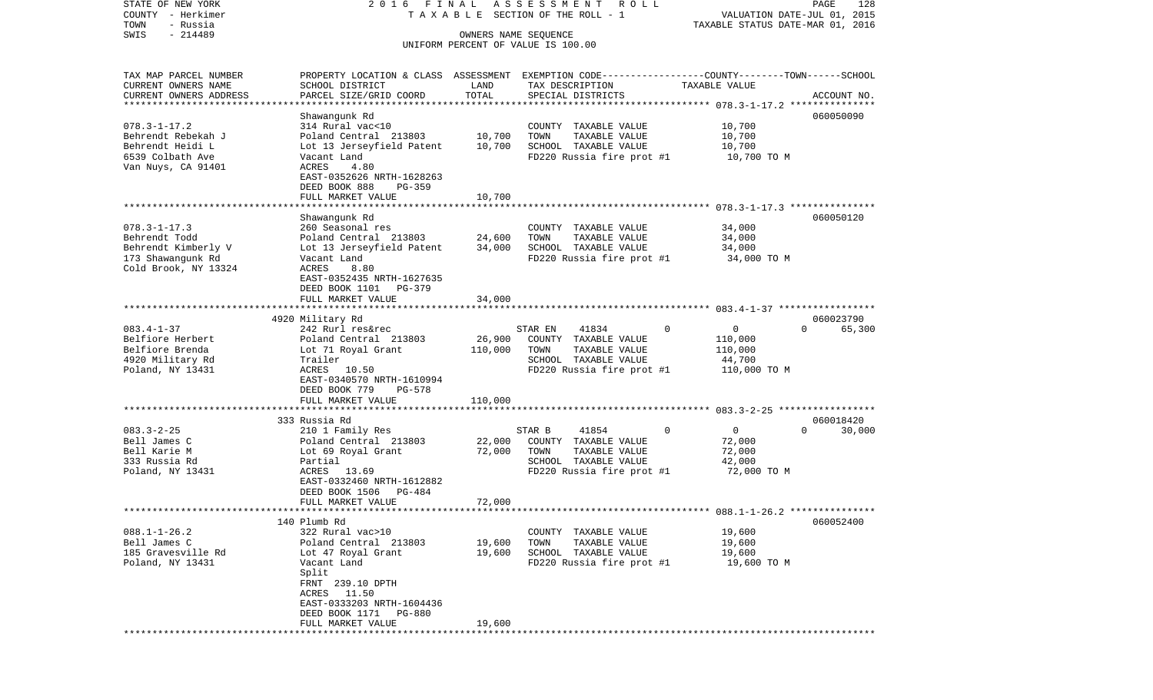COUNTY - Herkimer **T A X A B L E SECTION OF THE ROLL - 1** VALUATION DATE-JUL 01, 2015 TOWN - Russia TAXABLE STATUS DATE-MAR 01, 2016 SWIS - 214489 OWNERS NAME SEQUENCE UNIFORM PERCENT OF VALUE IS 100.00TAX MAP PARCEL NUMBER PROPERTY LOCATION & CLASS ASSESSMENT EXEMPTION CODE------------------COUNTY--------TOWN------SCHOOL CURRENT OWNERS NAME SCHOOL DISTRICT LAND TAX DESCRIPTION TAXABLE VALUECURRENT OWNERS ADDRESS PARCEL SIZE/GRID COORD TOTAL SPECIAL DISTRICTS ACCOUNT NO. \*\*\*\*\*\*\*\*\*\*\*\*\*\*\*\*\*\*\*\*\*\*\*\*\*\*\*\*\*\*\*\*\*\*\*\*\*\*\*\*\*\*\*\*\*\*\*\*\*\*\*\*\*\*\*\*\*\*\*\*\*\*\*\*\*\*\*\*\*\*\*\*\*\*\*\*\*\*\*\*\*\*\*\*\*\*\*\*\*\*\*\*\*\*\*\*\*\*\*\*\*\*\* 078.3-1-17.2 \*\*\*\*\*\*\*\*\*\*\*\*\*\*\* Shawangunk Rd 060050090 078.3-1-17.2 314 Rural vac<10 COUNTY TAXABLE VALUE 10,700 Behrendt Rebekah J Poland Central 213803 10,700 TOWN TAXABLE VALUE 10,700 Behrendt Heidi Lot 13 Jerseyfield Patent 10,700 SCHOOL TAXABLE VALUE 10,700 6539 Colbath Ave Vacant Land FD220 Russia fire prot #1 10,700 TO M Van Nuys, CA 91401 **ACRES** 4.80 EAST-0352626 NRTH-1628263 DEED BOOK 888 PG-359FULL MARKET VALUE 10,700 \*\*\*\*\*\*\*\*\*\*\*\*\*\*\*\*\*\*\*\*\*\*\*\*\*\*\*\*\*\*\*\*\*\*\*\*\*\*\*\*\*\*\*\*\*\*\*\*\*\*\*\*\*\*\*\*\*\*\*\*\*\*\*\*\*\*\*\*\*\*\*\*\*\*\*\*\*\*\*\*\*\*\*\*\*\*\*\*\*\*\*\*\*\*\*\*\*\*\*\*\*\*\* 078.3-1-17.3 \*\*\*\*\*\*\*\*\*\*\*\*\*\*\* Shawangunk Rd 060050120 078.3-1-17.3 260 Seasonal res COUNTY TAXABLE VALUE 34,000 Behrendt Todd Poland Central 213803 24,600 TOWN TAXABLE VALUE 34,000 Behrendt Kimberly V Lot 13 Jerseyfield Patent 34,000 SCHOOL TAXABLE VALUE 34,000 173 Shawangunk Rd Vacant Land FD220 Russia fire prot #1 34,000 TO M Cold Brook, NY 13324 ACRES 8.80 EAST-0352435 NRTH-1627635 DEED BOOK 1101 PG-379 FULL MARKET VALUE 34,000 \*\*\*\*\*\*\*\*\*\*\*\*\*\*\*\*\*\*\*\*\*\*\*\*\*\*\*\*\*\*\*\*\*\*\*\*\*\*\*\*\*\*\*\*\*\*\*\*\*\*\*\*\*\*\*\*\*\*\*\*\*\*\*\*\*\*\*\*\*\*\*\*\*\*\*\*\*\*\*\*\*\*\*\*\*\*\*\*\*\*\*\*\*\*\*\*\*\*\*\*\*\*\* 083.4-1-37 \*\*\*\*\*\*\*\*\*\*\*\*\*\*\*\*\* 4920 Military Rd 060023790 083.4-1-37 242 Rurl res&rec STAR EN 41834 0 0 0 65,300 Belfiore Herbert Poland Central 213803 26,900 COUNTY TAXABLE VALUE 110,000 Belfiore Brenda Lot 71 Royal Grant 110,000 TOWN TAXABLE VALUE 110,000 Trailer 1920 Military Roman SCHOOL TAXABLE VALUE Poland, NY 13431 ACRES 10.50 ACRES 10.50 FD220 Russia fire prot #1 110,000 TO M EAST-0340570 NRTH-1610994 DEED BOOK 779 PG-578FULL MARKET VALUE 110,000 \*\*\*\*\*\*\*\*\*\*\*\*\*\*\*\*\*\*\*\*\*\*\*\*\*\*\*\*\*\*\*\*\*\*\*\*\*\*\*\*\*\*\*\*\*\*\*\*\*\*\*\*\*\*\*\*\*\*\*\*\*\*\*\*\*\*\*\*\*\*\*\*\*\*\*\*\*\*\*\*\*\*\*\*\*\*\*\*\*\*\*\*\*\*\*\*\*\*\*\*\*\*\* 083.3-2-25 \*\*\*\*\*\*\*\*\*\*\*\*\*\*\*\*\* 333 Russia Rd 060018420083.3-2-25 210 1 Family Res STAR B 41854 0 0 0 30,000 Bell James C Poland Central 213803 22,000 COUNTY TAXABLE VALUE 72,000 Bell Karie M **Lot 69 Royal Grant** 72,000 TOWN TAXABLE VALUE 72,000 333 Russia Rd Partial SCHOOL TAXABLE VALUE 42,000 Poland, NY 13431 **ACRES** 13.69 **FD220** Russia fire prot #1 72,000 TO M EAST-0332460 NRTH-1612882 DEED BOOK 1506 PG-484 FULL MARKET VALUE 72,000 \*\*\*\*\*\*\*\*\*\*\*\*\*\*\*\*\*\*\*\*\*\*\*\*\*\*\*\*\*\*\*\*\*\*\*\*\*\*\*\*\*\*\*\*\*\*\*\*\*\*\*\*\*\*\*\*\*\*\*\*\*\*\*\*\*\*\*\*\*\*\*\*\*\*\*\*\*\*\*\*\*\*\*\*\*\*\*\*\*\*\*\*\*\*\*\*\*\*\*\*\*\*\* 088.1-1-26.2 \*\*\*\*\*\*\*\*\*\*\*\*\*\*\* 140 Plumb Rd 060052400088.1-1-26.2 322 Rural vac>10 COUNTY TAXABLE VALUE 19,600 Bell James C <sup>Poland</sup> Central 213803 19,600 TOWN TAXABLE VALUE 19,600 185 Gravesville Rd Lot 47 Royal Grant 19,600 SCHOOL TAXABLE VALUE 19,600 Poland, NY 13431 Vacant Land FD220 Russia fire prot #1 19,600 TO M Split FRNT 239.10 DPTH ACRES 11.50 EAST-0333203 NRTH-1604436 DEED BOOK 1171 PG-880FULL MARKET VALUE 19,600 \*\*\*\*\*\*\*\*\*\*\*\*\*\*\*\*\*\*\*\*\*\*\*\*\*\*\*\*\*\*\*\*\*\*\*\*\*\*\*\*\*\*\*\*\*\*\*\*\*\*\*\*\*\*\*\*\*\*\*\*\*\*\*\*\*\*\*\*\*\*\*\*\*\*\*\*\*\*\*\*\*\*\*\*\*\*\*\*\*\*\*\*\*\*\*\*\*\*\*\*\*\*\*\*\*\*\*\*\*\*\*\*\*\*\*\*\*\*\*\*\*\*\*\*\*\*\*\*\*\*\*\*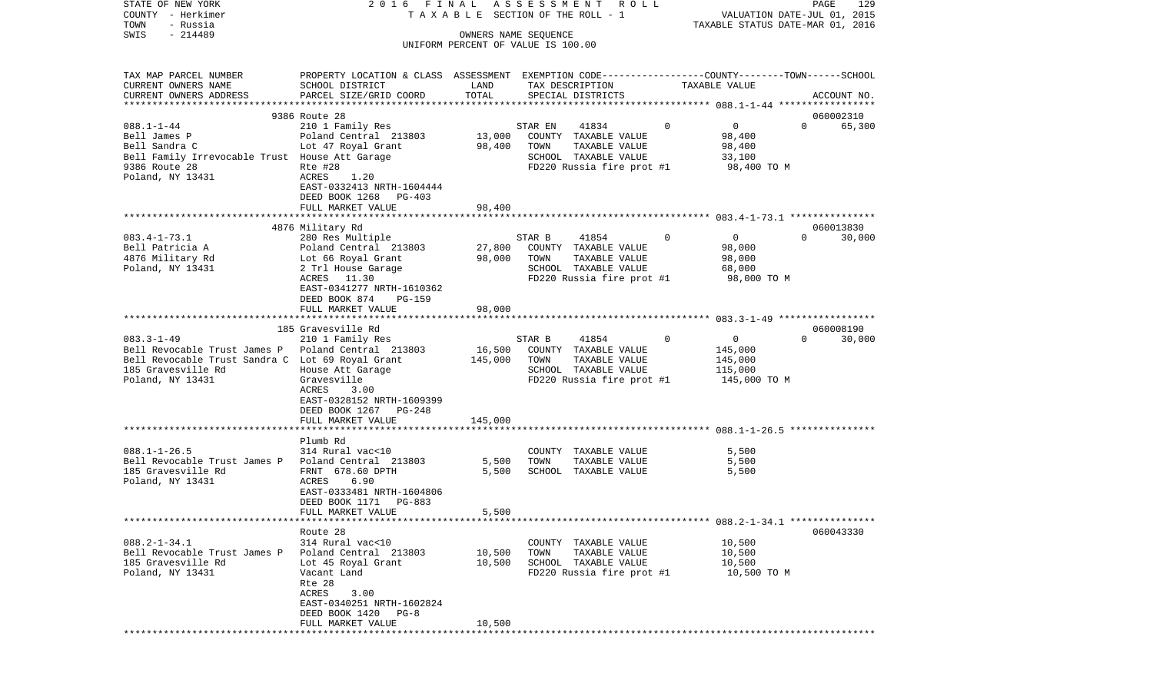| COUNTY<br>– Herkimer                               |                                                                                                 |         | T A X A B L E SECTION OF THE ROLL - 1         |                            | VALUATION DATE-JUL 01, 2015      |
|----------------------------------------------------|-------------------------------------------------------------------------------------------------|---------|-----------------------------------------------|----------------------------|----------------------------------|
| TOWN<br>- Russia<br>SWIS<br>$-214489$              |                                                                                                 |         | OWNERS NAME SEQUENCE                          |                            | TAXABLE STATUS DATE-MAR 01, 2016 |
|                                                    |                                                                                                 |         | UNIFORM PERCENT OF VALUE IS 100.00            |                            |                                  |
|                                                    |                                                                                                 |         |                                               |                            |                                  |
| TAX MAP PARCEL NUMBER                              | PROPERTY LOCATION & CLASS ASSESSMENT EXEMPTION CODE---------------COUNTY-------TOWN------SCHOOL |         |                                               |                            |                                  |
| CURRENT OWNERS NAME                                | SCHOOL DISTRICT                                                                                 | LAND    | TAX DESCRIPTION                               | TAXABLE VALUE              |                                  |
| CURRENT OWNERS ADDRESS                             | PARCEL SIZE/GRID COORD                                                                          | TOTAL   | SPECIAL DISTRICTS                             |                            | ACCOUNT NO.                      |
|                                                    | 9386 Route 28                                                                                   |         |                                               |                            | 060002310                        |
| $088.1 - 1 - 44$                                   | 210 1 Family Res                                                                                |         | STAR EN<br>41834                              | $\overline{0}$<br>$\Omega$ | 65,300<br>$\Omega$               |
| Bell James P                                       | Poland Central 213803                                                                           | 13,000  | COUNTY TAXABLE VALUE                          | 98,400                     |                                  |
| Bell Sandra C                                      | Lot 47 Royal Grant                                                                              | 98,400  | TAXABLE VALUE<br>TOWN                         | 98,400                     |                                  |
| Bell Family Irrevocable Trust House Att Garage     |                                                                                                 |         | SCHOOL TAXABLE VALUE                          | 33,100                     |                                  |
| 9386 Route 28                                      | Rte #28                                                                                         |         | FD220 Russia fire prot #1                     | 98,400 TO M                |                                  |
| Poland, NY 13431                                   | ACRES<br>1.20<br>EAST-0332413 NRTH-1604444                                                      |         |                                               |                            |                                  |
|                                                    | DEED BOOK 1268<br>PG-403                                                                        |         |                                               |                            |                                  |
|                                                    | FULL MARKET VALUE                                                                               | 98,400  |                                               |                            |                                  |
|                                                    |                                                                                                 |         |                                               |                            |                                  |
|                                                    | 4876 Military Rd                                                                                |         |                                               |                            | 060013830                        |
| $083.4 - 1 - 73.1$                                 | 280 Res Multiple                                                                                |         | 41854<br>STAR B                               | $\Omega$<br>$\overline{0}$ | $\Omega$<br>30,000               |
| Bell Patricia A                                    | Poland Central 213803                                                                           | 27,800  | COUNTY TAXABLE VALUE                          | 98,000                     |                                  |
| 4876 Military Rd<br>Poland, NY 13431               | Lot 66 Royal Grant<br>2 Trl House Garage                                                        | 98,000  | TOWN<br>TAXABLE VALUE<br>SCHOOL TAXABLE VALUE | 98,000<br>68,000           |                                  |
|                                                    | ACRES<br>11.30                                                                                  |         | FD220 Russia fire prot #1                     | 98,000 TO M                |                                  |
|                                                    | EAST-0341277 NRTH-1610362                                                                       |         |                                               |                            |                                  |
|                                                    | DEED BOOK 874<br>$PG-159$                                                                       |         |                                               |                            |                                  |
|                                                    | FULL MARKET VALUE                                                                               | 98,000  |                                               |                            |                                  |
|                                                    |                                                                                                 |         |                                               |                            |                                  |
|                                                    | 185 Gravesville Rd                                                                              |         |                                               |                            | 060008190<br>$\Omega$            |
| $083.3 - 1 - 49$<br>Bell Revocable Trust James P   | 210 1 Family Res<br>Poland Central 213803                                                       | 16,500  | 41854<br>STAR B<br>COUNTY TAXABLE VALUE       | 0<br>0<br>145,000          | 30,000                           |
| Bell Revocable Trust Sandra C Lot 69 Royal Grant   |                                                                                                 | 145,000 | TOWN<br>TAXABLE VALUE                         | 145,000                    |                                  |
| 185 Gravesville Rd                                 | House Att Garage                                                                                |         | SCHOOL TAXABLE VALUE                          | 115,000                    |                                  |
| Poland, NY 13431                                   | Gravesville                                                                                     |         | FD220 Russia fire prot #1                     | 145,000 TO M               |                                  |
|                                                    | ACRES<br>3.00                                                                                   |         |                                               |                            |                                  |
|                                                    | EAST-0328152 NRTH-1609399                                                                       |         |                                               |                            |                                  |
|                                                    | DEED BOOK 1267<br>PG-248                                                                        |         |                                               |                            |                                  |
|                                                    | FULL MARKET VALUE<br>*******************                                                        | 145,000 |                                               |                            |                                  |
|                                                    | Plumb Rd                                                                                        |         |                                               |                            |                                  |
| $088.1 - 1 - 26.5$                                 | 314 Rural vac<10                                                                                |         | COUNTY TAXABLE VALUE                          | 5,500                      |                                  |
| Bell Revocable Trust James P Poland Central 213803 |                                                                                                 | 5,500   | TOWN<br>TAXABLE VALUE                         | 5,500                      |                                  |
| 185 Gravesville Rd                                 | FRNT 678.60 DPTH                                                                                | 5,500   | SCHOOL TAXABLE VALUE                          | 5,500                      |                                  |
| Poland, NY 13431                                   | 6.90<br>ACRES                                                                                   |         |                                               |                            |                                  |
|                                                    | EAST-0333481 NRTH-1604806<br>DEED BOOK 1171<br>PG-883                                           |         |                                               |                            |                                  |
|                                                    | FULL MARKET VALUE                                                                               | 5,500   |                                               |                            |                                  |
|                                                    |                                                                                                 |         |                                               |                            |                                  |
|                                                    | Route 28                                                                                        |         |                                               |                            | 060043330                        |
| $088.2 - 1 - 34.1$                                 | 314 Rural vac<10                                                                                |         | COUNTY TAXABLE VALUE                          | 10,500                     |                                  |
| Bell Revocable Trust James P                       | Poland Central 213803                                                                           | 10,500  | TOWN<br>TAXABLE VALUE                         | 10,500                     |                                  |
| 185 Gravesville Rd                                 | Lot 45 Royal Grant                                                                              | 10,500  | SCHOOL TAXABLE VALUE                          | 10,500                     |                                  |
| Poland, NY 13431                                   | Vacant Land<br>Rte 28                                                                           |         | FD220 Russia fire prot #1                     | 10,500 TO M                |                                  |
|                                                    | ACRES<br>3.00                                                                                   |         |                                               |                            |                                  |
|                                                    | EAST-0340251 NRTH-1602824                                                                       |         |                                               |                            |                                  |
|                                                    | DEED BOOK 1420<br>$PG-8$                                                                        |         |                                               |                            |                                  |
|                                                    | FULL MARKET VALUE                                                                               | 10,500  |                                               |                            |                                  |
|                                                    |                                                                                                 |         |                                               |                            |                                  |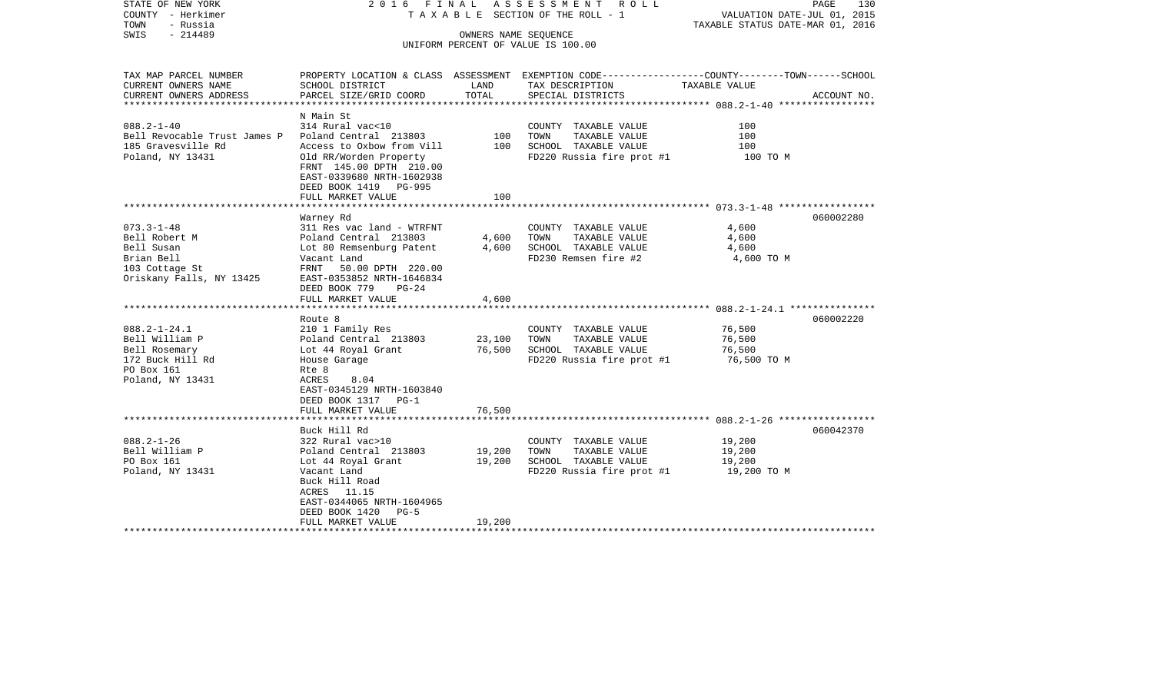|                                                                                                                                                                                                                                                                                                                                                                                                |                                                                                                                      |                                                                                                                                                                                                     | PAGE<br>130<br>VALUATION DATE-JUL 01, 2015<br>TAXABLE STATUS DATE-MAR 01, 2016                                                                                                                                                                |
|------------------------------------------------------------------------------------------------------------------------------------------------------------------------------------------------------------------------------------------------------------------------------------------------------------------------------------------------------------------------------------------------|----------------------------------------------------------------------------------------------------------------------|-----------------------------------------------------------------------------------------------------------------------------------------------------------------------------------------------------|-----------------------------------------------------------------------------------------------------------------------------------------------------------------------------------------------------------------------------------------------|
|                                                                                                                                                                                                                                                                                                                                                                                                |                                                                                                                      |                                                                                                                                                                                                     |                                                                                                                                                                                                                                               |
| SCHOOL DISTRICT                                                                                                                                                                                                                                                                                                                                                                                | LAND                                                                                                                 | TAX DESCRIPTION                                                                                                                                                                                     | TAXABLE VALUE                                                                                                                                                                                                                                 |
| PARCEL SIZE/GRID COORD                                                                                                                                                                                                                                                                                                                                                                         | TOTAL                                                                                                                | SPECIAL DISTRICTS                                                                                                                                                                                   | ACCOUNT NO.                                                                                                                                                                                                                                   |
| N Main St                                                                                                                                                                                                                                                                                                                                                                                      |                                                                                                                      |                                                                                                                                                                                                     |                                                                                                                                                                                                                                               |
| 314 Rural vac<10<br>Poland Central 213803<br>Access to Oxbow from Vill<br>Old RR/Worden Property                                                                                                                                                                                                                                                                                               | 100<br>100                                                                                                           | COUNTY TAXABLE VALUE<br>TOWN<br>TAXABLE VALUE<br>SCHOOL TAXABLE VALUE<br>FD220 Russia fire prot #1                                                                                                  | 100<br>100<br>100<br>100 TO M                                                                                                                                                                                                                 |
| FRNT 145.00 DPTH 210.00<br>EAST-0339680 NRTH-1602938<br>DEED BOOK 1419 PG-995<br>FULL MARKET VALUE                                                                                                                                                                                                                                                                                             | 100                                                                                                                  |                                                                                                                                                                                                     |                                                                                                                                                                                                                                               |
|                                                                                                                                                                                                                                                                                                                                                                                                |                                                                                                                      |                                                                                                                                                                                                     |                                                                                                                                                                                                                                               |
| Warney Rd<br>311 Res vac land - WTRFNT<br>Poland Central 213803<br>Lot 80 Remsenburg Patent<br>Vacant Land<br>FRNT 50.00 DPTH 220.00<br>EAST-0353852 NRTH-1646834<br>DEED BOOK 779<br>$PG-24$<br>FULL MARKET VALUE<br>Route 8<br>210 1 Family Res<br>Poland Central 213803<br>Lot 44 Royal Grant<br>House Garage<br>Rte 8<br>ACRES<br>8.04<br>EAST-0345129 NRTH-1603840<br>DEED BOOK 1317 PG-1 | 4,600<br>4,600<br>4,600<br>23,100<br>76,500                                                                          | COUNTY TAXABLE VALUE<br>TOWN<br>TAXABLE VALUE<br>SCHOOL TAXABLE VALUE<br>FD230 Remsen fire #2<br>COUNTY TAXABLE VALUE<br>TOWN<br>TAXABLE VALUE<br>SCHOOL TAXABLE VALUE<br>FD220 Russia fire prot #1 | 060002280<br>4,600<br>4,600<br>4,600<br>4,600 TO M<br>060002220<br>76,500<br>76,500<br>76,500<br>76,500 TO M                                                                                                                                  |
|                                                                                                                                                                                                                                                                                                                                                                                                |                                                                                                                      |                                                                                                                                                                                                     |                                                                                                                                                                                                                                               |
| 322 Rural vac>10<br>Poland Central 213803<br>Lot 44 Royal Grant<br>Vacant Land<br>Buck Hill Road<br>ACRES 11.15<br>EAST-0344065 NRTH-1604965<br>DEED BOOK 1420 PG-5                                                                                                                                                                                                                            | 19,200<br>19,200                                                                                                     | COUNTY TAXABLE VALUE<br>TOWN<br>TAXABLE VALUE<br>SCHOOL TAXABLE VALUE<br>FD220 Russia fire prot $#1$ 19,200 TO M                                                                                    | 060042370<br>19,200<br>19,200<br>19,200                                                                                                                                                                                                       |
|                                                                                                                                                                                                                                                                                                                                                                                                | Bell Revocable Trust James P<br>**************************<br>FULL MARKET VALUE<br>Buck Hill Rd<br>FULL MARKET VALUE | 76,500<br>19,200                                                                                                                                                                                    | 2016 FINAL ASSESSMENT ROLL<br>TAXABLE SECTION OF THE ROLL - 1<br>OWNERS NAME SEQUENCE<br>UNIFORM PERCENT OF VALUE IS 100.00<br>PROPERTY LOCATION & CLASS ASSESSMENT EXEMPTION CODE---------------COUNTY-------TOWN------SCHOOL<br>*********** |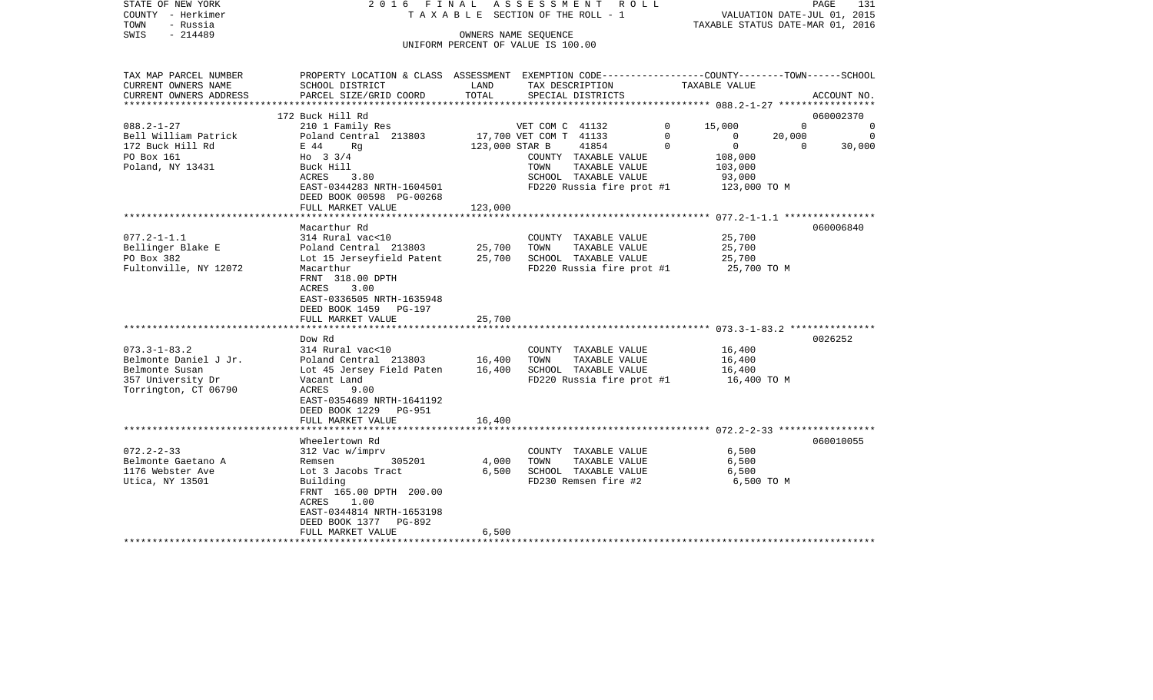| STATE OF NEW YORK<br>COUNTY - Herkimer<br>TOWN<br>- Russia<br>$-214489$<br>SWIS |                                                                                                 |                | 2016 FINAL ASSESSMENT ROLL<br>TAXABLE SECTION OF THE ROLL - 1<br>OWNERS NAME SEQUENCE |             | PAGE<br>131<br>VALUATION DATE-JUL 01, 2015<br>TAXABLE STATUS DATE-MAR 01, 2016 |             |  |  |
|---------------------------------------------------------------------------------|-------------------------------------------------------------------------------------------------|----------------|---------------------------------------------------------------------------------------|-------------|--------------------------------------------------------------------------------|-------------|--|--|
|                                                                                 |                                                                                                 |                | UNIFORM PERCENT OF VALUE IS 100.00                                                    |             |                                                                                |             |  |  |
|                                                                                 |                                                                                                 |                |                                                                                       |             |                                                                                |             |  |  |
| TAX MAP PARCEL NUMBER                                                           | PROPERTY LOCATION & CLASS ASSESSMENT EXEMPTION CODE---------------COUNTY-------TOWN------SCHOOL |                |                                                                                       |             |                                                                                |             |  |  |
| CURRENT OWNERS NAME<br>CURRENT OWNERS ADDRESS                                   | SCHOOL DISTRICT<br>PARCEL SIZE/GRID COORD                                                       | LAND<br>TOTAL  | TAX DESCRIPTION<br>SPECIAL DISTRICTS                                                  |             | TAXABLE VALUE                                                                  | ACCOUNT NO. |  |  |
| ***********************                                                         |                                                                                                 |                |                                                                                       |             |                                                                                |             |  |  |
|                                                                                 | 172 Buck Hill Rd                                                                                |                |                                                                                       |             |                                                                                | 060002370   |  |  |
| $088.2 - 1 - 27$                                                                | 210 1 Family Res                                                                                |                | VET COM C 41132                                                                       | $\Omega$    | 15,000<br>$\Omega$                                                             | $\Omega$    |  |  |
| Bell William Patrick                                                            | Poland Central 213803                                                                           |                | 17,700 VET COM T 41133                                                                | $\mathbf 0$ | $\mathbf{0}$<br>20,000                                                         | - 0         |  |  |
| 172 Buck Hill Rd                                                                | E 44<br>Rq                                                                                      | 123,000 STAR B | 41854                                                                                 | $\Omega$    | $\overline{0}$<br>$\Omega$                                                     | 30,000      |  |  |
| PO Box 161                                                                      | Ho $3 \frac{3}{4}$                                                                              |                | COUNTY TAXABLE VALUE                                                                  |             | 108,000                                                                        |             |  |  |
| Poland, NY 13431                                                                | Buck Hill                                                                                       |                | TAXABLE VALUE<br>TOWN                                                                 |             | 103,000                                                                        |             |  |  |
|                                                                                 | ACRES<br>3.80                                                                                   |                | SCHOOL TAXABLE VALUE                                                                  |             | 93,000                                                                         |             |  |  |
|                                                                                 | EAST-0344283 NRTH-1604501<br>DEED BOOK 00598 PG-00268                                           |                | FD220 Russia fire prot #1                                                             |             | 123,000 TO M                                                                   |             |  |  |
|                                                                                 | FULL MARKET VALUE                                                                               | 123,000        |                                                                                       |             |                                                                                |             |  |  |
|                                                                                 |                                                                                                 |                |                                                                                       |             |                                                                                |             |  |  |
|                                                                                 | Macarthur Rd                                                                                    |                |                                                                                       |             |                                                                                | 060006840   |  |  |
| $077.2 - 1 - 1.1$                                                               | 314 Rural vac<10                                                                                |                | COUNTY TAXABLE VALUE                                                                  |             | 25,700                                                                         |             |  |  |
| Bellinger Blake E                                                               | Poland Central 213803                                                                           | 25,700         | TOWN<br>TAXABLE VALUE                                                                 |             | 25,700                                                                         |             |  |  |
| PO Box 382                                                                      | Lot 15 Jerseyfield Patent                                                                       | 25,700         | SCHOOL TAXABLE VALUE                                                                  |             | 25,700                                                                         |             |  |  |
| Fultonville, NY 12072                                                           | Macarthur                                                                                       |                | FD220 Russia fire prot #1                                                             |             | 25,700 TO M                                                                    |             |  |  |
|                                                                                 | FRNT 318.00 DPTH                                                                                |                |                                                                                       |             |                                                                                |             |  |  |
|                                                                                 | 3.00<br>ACRES<br>EAST-0336505 NRTH-1635948                                                      |                |                                                                                       |             |                                                                                |             |  |  |
|                                                                                 | DEED BOOK 1459 PG-197                                                                           |                |                                                                                       |             |                                                                                |             |  |  |
|                                                                                 | FULL MARKET VALUE                                                                               | 25,700         |                                                                                       |             |                                                                                |             |  |  |
|                                                                                 |                                                                                                 |                |                                                                                       |             |                                                                                |             |  |  |
|                                                                                 | Dow Rd                                                                                          |                |                                                                                       |             |                                                                                | 0026252     |  |  |
| $073.3 - 1 - 83.2$                                                              | 314 Rural vac<10                                                                                |                | COUNTY TAXABLE VALUE                                                                  |             | 16,400                                                                         |             |  |  |
| Belmonte Daniel J Jr.                                                           | Poland Central 213803                                                                           | 16,400         | TOWN<br>TAXABLE VALUE                                                                 |             | 16,400                                                                         |             |  |  |
| Belmonte Susan                                                                  | Lot 45 Jersey Field Paten                                                                       | 16,400         | SCHOOL TAXABLE VALUE                                                                  |             | 16,400                                                                         |             |  |  |
| 357 University Dr                                                               | Vacant Land                                                                                     |                | $FD220$ Russia fire prot #1 $16,400$ TO M                                             |             |                                                                                |             |  |  |
| Torrington, CT 06790                                                            | ACRES<br>9.00<br>EAST-0354689 NRTH-1641192                                                      |                |                                                                                       |             |                                                                                |             |  |  |
|                                                                                 | DEED BOOK 1229<br>PG-951                                                                        |                |                                                                                       |             |                                                                                |             |  |  |
|                                                                                 | FULL MARKET VALUE                                                                               | 16,400         |                                                                                       |             |                                                                                |             |  |  |
|                                                                                 | *************************                                                                       |                |                                                                                       |             |                                                                                |             |  |  |
|                                                                                 | Wheelertown Rd                                                                                  |                |                                                                                       |             |                                                                                | 060010055   |  |  |
| $072.2 - 2 - 33$                                                                | 312 Vac w/imprv                                                                                 |                | COUNTY TAXABLE VALUE                                                                  |             | 6,500                                                                          |             |  |  |
| Belmonte Gaetano A                                                              | 305201<br>Remsen                                                                                | 4,000          | TOWN<br>TAXABLE VALUE                                                                 |             | 6,500                                                                          |             |  |  |
| 1176 Webster Ave                                                                | Lot 3 Jacobs Tract                                                                              | 6,500          | SCHOOL TAXABLE VALUE                                                                  |             | 6,500                                                                          |             |  |  |
| Utica, NY 13501                                                                 | Building<br>FRNT 165.00 DPTH 200.00                                                             |                | FD230 Remsen fire #2                                                                  |             | 6,500 TO M                                                                     |             |  |  |
|                                                                                 | 1.00<br>ACRES                                                                                   |                |                                                                                       |             |                                                                                |             |  |  |
|                                                                                 | EAST-0344814 NRTH-1653198                                                                       |                |                                                                                       |             |                                                                                |             |  |  |
|                                                                                 | DEED BOOK 1377<br>PG-892                                                                        |                |                                                                                       |             |                                                                                |             |  |  |
|                                                                                 | FULL MARKET VALUE                                                                               | 6,500          |                                                                                       |             |                                                                                |             |  |  |
|                                                                                 |                                                                                                 |                |                                                                                       |             |                                                                                |             |  |  |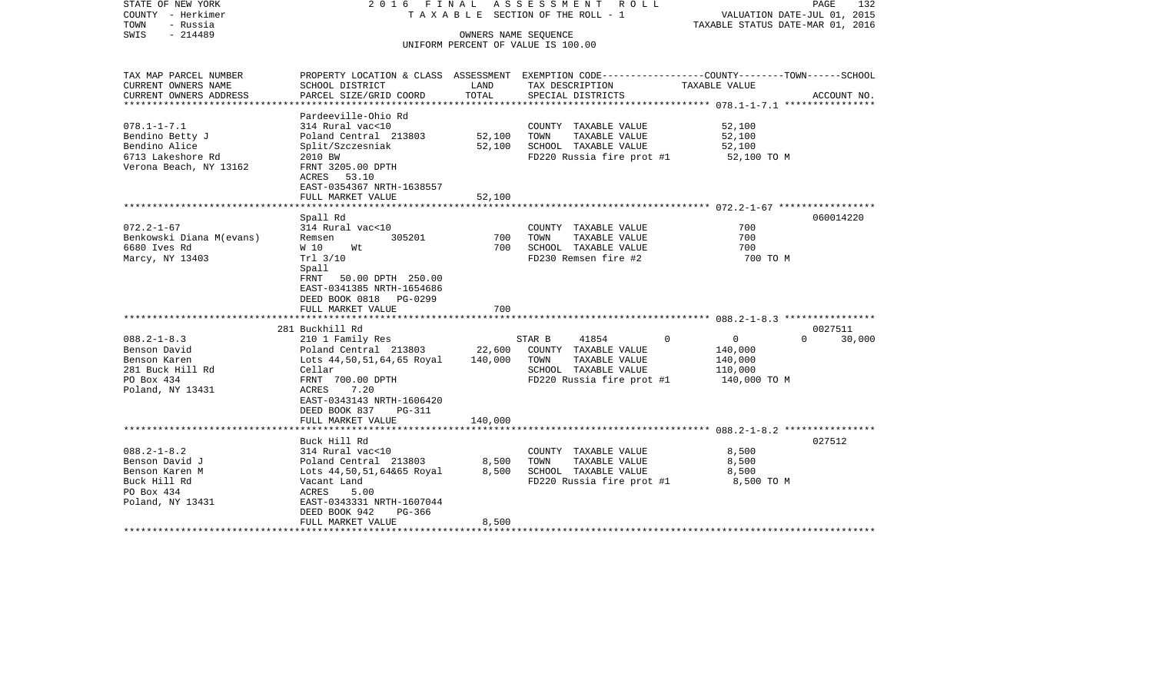| STATE OF NEW YORK<br>COUNTY - Herkimer<br>TOWN<br>- Russia<br>$-214489$<br>SWIS                         |                                                                                                                                                                               |                   | 2016 FINAL ASSESSMENT ROLL<br>TAXABLE SECTION OF THE ROLL - 1<br>OWNERS NAME SEOUENCE<br>UNIFORM PERCENT OF VALUE IS 100.00 | PAGE<br>132<br>VALUATION DATE-JUL 01, 2015<br>TAXABLE STATUS DATE-MAR 01, 2016                                                   |
|---------------------------------------------------------------------------------------------------------|-------------------------------------------------------------------------------------------------------------------------------------------------------------------------------|-------------------|-----------------------------------------------------------------------------------------------------------------------------|----------------------------------------------------------------------------------------------------------------------------------|
| TAX MAP PARCEL NUMBER<br>CURRENT OWNERS NAME<br>CURRENT OWNERS ADDRESS                                  | SCHOOL DISTRICT<br>PARCEL SIZE/GRID COORD                                                                                                                                     | LAND<br>TOTAL     | TAX DESCRIPTION<br>SPECIAL DISTRICTS                                                                                        | PROPERTY LOCATION & CLASS ASSESSMENT EXEMPTION CODE----------------COUNTY-------TOWN------SCHOOL<br>TAXABLE VALUE<br>ACCOUNT NO. |
|                                                                                                         |                                                                                                                                                                               |                   |                                                                                                                             |                                                                                                                                  |
| $078.1 - 1 - 7.1$<br>Bendino Betty J<br>Bendino Alice<br>6713 Lakeshore Rd<br>Verona Beach, NY 13162    | Pardeeville-Ohio Rd<br>314 Rural vac<10<br>Poland Central 213803<br>Split/Szczesniak<br>2010 BW<br>FRNT 3205.00 DPTH<br>ACRES 53.10<br>EAST-0354367 NRTH-1638557              | 52,100<br>52,100  | COUNTY TAXABLE VALUE<br>TAXABLE VALUE<br>TOWN<br>SCHOOL TAXABLE VALUE<br>FD220 Russia fire prot #1                          | 52,100<br>52,100<br>52,100<br>52,100 TO M                                                                                        |
|                                                                                                         | FULL MARKET VALUE                                                                                                                                                             | 52,100            |                                                                                                                             |                                                                                                                                  |
| $072.2 - 1 - 67$                                                                                        | Spall Rd<br>314 Rural vac<10                                                                                                                                                  |                   | COUNTY TAXABLE VALUE                                                                                                        | 060014220<br>700                                                                                                                 |
| Benkowski Diana M(evans)<br>6680 Ives Rd<br>Marcy, NY 13403                                             | 305201<br>Remsen<br>W 10<br>Wt<br>Trl 3/10<br>Spall<br>FRNT 50.00 DPTH 250.00<br>EAST-0341385 NRTH-1654686<br>DEED BOOK 0818 PG-0299                                          | 700<br>700        | TOWN<br>TAXABLE VALUE<br>SCHOOL TAXABLE VALUE<br>FD230 Remsen fire #2                                                       | 700<br>700<br>700 TO M                                                                                                           |
|                                                                                                         | FULL MARKET VALUE                                                                                                                                                             | 700               |                                                                                                                             |                                                                                                                                  |
|                                                                                                         | 281 Buckhill Rd                                                                                                                                                               |                   |                                                                                                                             | 0027511                                                                                                                          |
| $088.2 - 1 - 8.3$<br>Benson David<br>Benson Karen<br>281 Buck Hill Rd<br>PO Box 434<br>Poland, NY 13431 | 210 1 Family Res<br>Poland Central 213803<br>Lots 44,50,51,64,65 Royal<br>Cellar<br>FRNT 700.00 DPTH<br>7.20<br>ACRES<br>EAST-0343143 NRTH-1606420<br>DEED BOOK 837<br>PG-311 | 22,600<br>140,000 | 41854<br>STAR B<br>COUNTY TAXABLE VALUE<br>TOWN<br>TAXABLE VALUE<br>SCHOOL TAXABLE VALUE<br>FD220 Russia fire prot #1       | $\Omega$<br>$\overline{0}$<br>$\Omega$<br>30,000<br>140,000<br>140,000<br>110,000<br>140,000 TO M                                |
|                                                                                                         | FULL MARKET VALUE                                                                                                                                                             | 140,000           |                                                                                                                             |                                                                                                                                  |
|                                                                                                         |                                                                                                                                                                               |                   |                                                                                                                             | 027512                                                                                                                           |
| $088.2 - 1 - 8.2$<br>Benson David J<br>Benson Karen M<br>Buck Hill Rd<br>PO Box 434<br>Poland, NY 13431 | Buck Hill Rd<br>314 Rural vac<10<br>Poland Central 213803<br>Lots 44,50,51,64&65 Royal<br>Vacant Land<br>5.00<br>ACRES<br>EAST-0343331 NRTH-1607044                           | 8,500<br>8,500    | COUNTY TAXABLE VALUE<br>TAXABLE VALUE<br>TOWN<br>SCHOOL TAXABLE VALUE<br>$FD220$ Russia fire prot #1 $8,500$ TO M           | 8,500<br>8,500<br>8,500                                                                                                          |
|                                                                                                         | DEED BOOK 942<br>PG-366<br>FULL MARKET VALUE                                                                                                                                  | 8,500             |                                                                                                                             |                                                                                                                                  |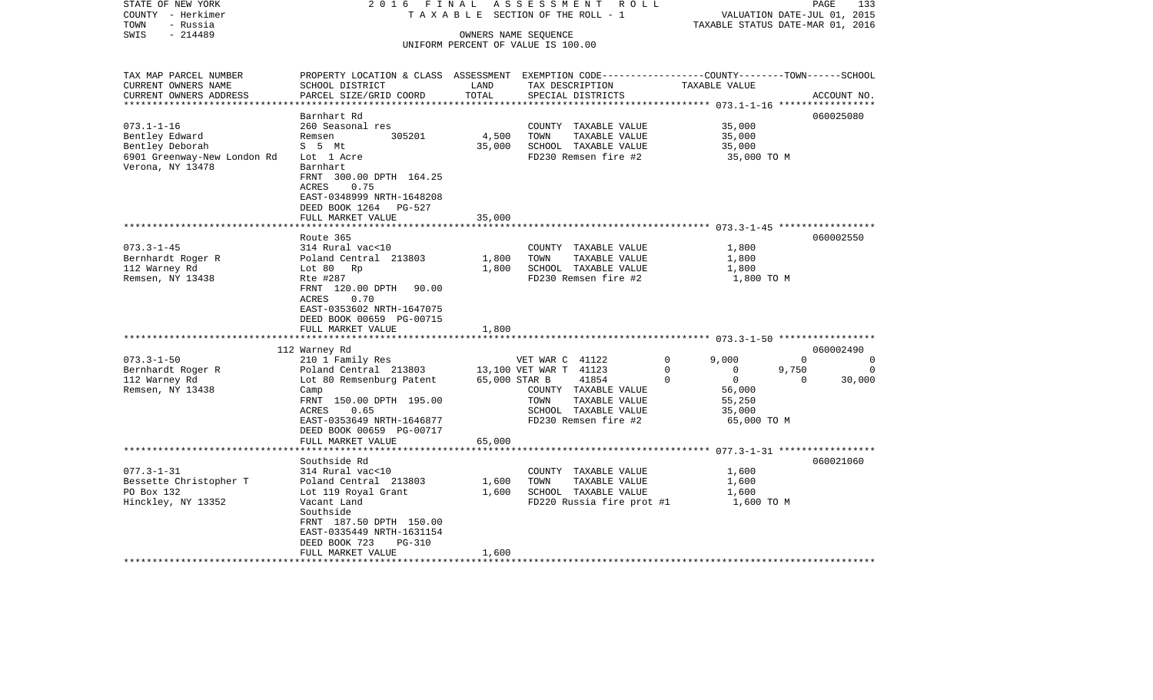| STATE OF NEW YORK<br>COUNTY - Herkimer | 2016 FINAL<br>TAXABLE                                                                           |               | ASSESSMENT<br>R O L L<br>SECTION OF THE ROLL - 1 |                            | PAGE<br>VALUATION DATE-JUL 01, 2015 | 133         |
|----------------------------------------|-------------------------------------------------------------------------------------------------|---------------|--------------------------------------------------|----------------------------|-------------------------------------|-------------|
| - Russia<br>TOWN                       |                                                                                                 |               |                                                  |                            | TAXABLE STATUS DATE-MAR 01, 2016    |             |
| $-214489$<br>SWIS                      |                                                                                                 |               | OWNERS NAME SEQUENCE                             |                            |                                     |             |
|                                        |                                                                                                 |               | UNIFORM PERCENT OF VALUE IS 100.00               |                            |                                     |             |
| TAX MAP PARCEL NUMBER                  | PROPERTY LOCATION & CLASS ASSESSMENT EXEMPTION CODE---------------COUNTY-------TOWN------SCHOOL |               |                                                  |                            |                                     |             |
| CURRENT OWNERS NAME                    | SCHOOL DISTRICT                                                                                 | LAND          | TAX DESCRIPTION                                  | TAXABLE VALUE              |                                     |             |
| CURRENT OWNERS ADDRESS                 | PARCEL SIZE/GRID COORD                                                                          | TOTAL         | SPECIAL DISTRICTS                                |                            |                                     | ACCOUNT NO. |
|                                        | Barnhart Rd                                                                                     |               |                                                  |                            |                                     |             |
| $073.1 - 1 - 16$                       | 260 Seasonal res                                                                                |               | COUNTY TAXABLE VALUE                             | 35,000                     |                                     | 060025080   |
| Bentley Edward                         | Remsen<br>305201                                                                                | 4,500         | TOWN<br>TAXABLE VALUE                            | 35,000                     |                                     |             |
| Bentley Deborah                        | S 5 Mt                                                                                          | 35,000        | SCHOOL TAXABLE VALUE                             | 35,000                     |                                     |             |
| 6901 Greenway-New London Rd            | Lot 1 Acre                                                                                      |               | FD230 Remsen fire #2                             |                            | 35,000 TO M                         |             |
| Verona, NY 13478                       | Barnhart                                                                                        |               |                                                  |                            |                                     |             |
|                                        | FRNT 300.00 DPTH 164.25                                                                         |               |                                                  |                            |                                     |             |
|                                        | 0.75<br>ACRES                                                                                   |               |                                                  |                            |                                     |             |
|                                        | EAST-0348999 NRTH-1648208                                                                       |               |                                                  |                            |                                     |             |
|                                        | DEED BOOK 1264<br>PG-527                                                                        |               |                                                  |                            |                                     |             |
|                                        | FULL MARKET VALUE                                                                               | 35,000        |                                                  |                            |                                     |             |
|                                        |                                                                                                 |               |                                                  |                            |                                     |             |
|                                        | Route 365                                                                                       |               |                                                  |                            |                                     | 060002550   |
| $073.3 - 1 - 45$                       | 314 Rural vac<10                                                                                |               | COUNTY TAXABLE VALUE                             | 1,800                      |                                     |             |
| Bernhardt Roger R                      | Poland Central 213803                                                                           | 1,800         | TAXABLE VALUE<br>TOWN                            | 1,800                      |                                     |             |
| 112 Warney Rd<br>Remsen, NY 13438      | Lot 80 Rp<br>Rte #287                                                                           | 1,800         | SCHOOL TAXABLE VALUE<br>FD230 Remsen fire #2     | 1,800                      | 1,800 TO M                          |             |
|                                        | FRNT 120.00 DPTH<br>90.00                                                                       |               |                                                  |                            |                                     |             |
|                                        | ACRES<br>0.70                                                                                   |               |                                                  |                            |                                     |             |
|                                        | EAST-0353602 NRTH-1647075                                                                       |               |                                                  |                            |                                     |             |
|                                        | DEED BOOK 00659 PG-00715                                                                        |               |                                                  |                            |                                     |             |
|                                        | FULL MARKET VALUE                                                                               | 1,800         |                                                  |                            |                                     |             |
|                                        |                                                                                                 |               |                                                  |                            |                                     |             |
|                                        | 112 Warney Rd                                                                                   |               |                                                  |                            |                                     | 060002490   |
| $073.3 - 1 - 50$                       | 210 1 Family Res                                                                                |               | VET WAR C 41122                                  | 9,000<br>0                 | $\Omega$                            | 0           |
| Bernhardt Roger R                      | Poland Central 213803                                                                           |               | 13,100 VET WAR T 41123                           | $\Omega$<br>$\mathbf 0$    | 9,750                               | $\Omega$    |
| 112 Warney Rd                          | Lot 80 Remsenburg Patent                                                                        | 65,000 STAR B | 41854                                            | $\overline{0}$<br>$\Omega$ | $\Omega$                            | 30,000      |
| Remsen, NY 13438                       | Camp                                                                                            |               | COUNTY TAXABLE VALUE                             | 56,000                     |                                     |             |
|                                        | FRNT 150.00 DPTH 195.00                                                                         |               | TOWN<br>TAXABLE VALUE                            | 55,250                     |                                     |             |
|                                        | 0.65<br>ACRES                                                                                   |               | SCHOOL TAXABLE VALUE<br>FD230 Remsen fire #2     | 35,000                     |                                     |             |
|                                        | EAST-0353649 NRTH-1646877<br>DEED BOOK 00659 PG-00717                                           |               |                                                  |                            | 65,000 TO M                         |             |
|                                        | FULL MARKET VALUE                                                                               | 65,000        |                                                  |                            |                                     |             |
|                                        |                                                                                                 |               |                                                  |                            |                                     |             |
|                                        | Southside Rd                                                                                    |               |                                                  |                            |                                     | 060021060   |
| $077.3 - 1 - 31$                       | 314 Rural vac<10                                                                                |               | COUNTY TAXABLE VALUE                             | 1,600                      |                                     |             |
| Bessette Christopher T                 | Poland Central 213803                                                                           | 1,600         | TOWN<br>TAXABLE VALUE                            | 1,600                      |                                     |             |
| PO Box 132                             | Lot 119 Royal Grant                                                                             | 1,600         | SCHOOL TAXABLE VALUE                             | 1,600                      |                                     |             |
| Hinckley, NY 13352                     | Vacant Land                                                                                     |               | FD220 Russia fire prot #1                        |                            | 1,600 TO M                          |             |
|                                        | Southside                                                                                       |               |                                                  |                            |                                     |             |
|                                        | FRNT 187.50 DPTH 150.00                                                                         |               |                                                  |                            |                                     |             |
|                                        | EAST-0335449 NRTH-1631154                                                                       |               |                                                  |                            |                                     |             |
|                                        | DEED BOOK 723<br>$PG-310$<br>FULL MARKET VALUE                                                  | 1,600         |                                                  |                            |                                     |             |
|                                        |                                                                                                 |               |                                                  |                            |                                     |             |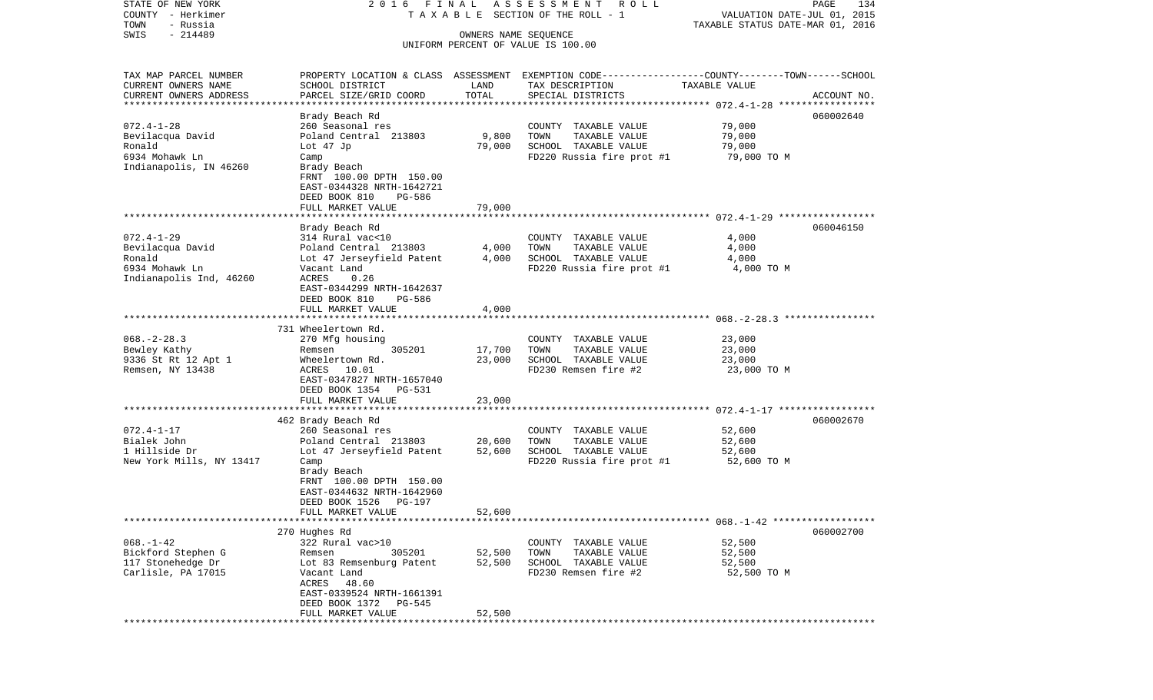| STATE OF NEW YORK                   | 2016 FINAL                                   |                      | A S S E S S M E N T R O L L                                                                      |                                  | PAGE<br>134 |
|-------------------------------------|----------------------------------------------|----------------------|--------------------------------------------------------------------------------------------------|----------------------------------|-------------|
| COUNTY - Herkimer                   |                                              |                      | TAXABLE SECTION OF THE ROLL - 1                                                                  | VALUATION DATE-JUL 01, 2015      |             |
| TOWN<br>- Russia                    |                                              |                      |                                                                                                  | TAXABLE STATUS DATE-MAR 01, 2016 |             |
| $-214489$<br>SWIS                   |                                              | OWNERS NAME SEQUENCE |                                                                                                  |                                  |             |
|                                     |                                              |                      | UNIFORM PERCENT OF VALUE IS 100.00                                                               |                                  |             |
| TAX MAP PARCEL NUMBER               |                                              |                      | PROPERTY LOCATION & CLASS ASSESSMENT EXEMPTION CODE----------------COUNTY-------TOWN------SCHOOL |                                  |             |
| CURRENT OWNERS NAME                 | SCHOOL DISTRICT                              | LAND                 | TAX DESCRIPTION                                                                                  | TAXABLE VALUE                    |             |
| CURRENT OWNERS ADDRESS              | PARCEL SIZE/GRID COORD                       | TOTAL                | SPECIAL DISTRICTS                                                                                |                                  | ACCOUNT NO. |
| *************************           |                                              |                      |                                                                                                  |                                  |             |
|                                     | Brady Beach Rd                               |                      |                                                                                                  |                                  | 060002640   |
| $072.4 - 1 - 28$                    | 260 Seasonal res                             |                      | COUNTY TAXABLE VALUE                                                                             | 79,000                           |             |
| Bevilacqua David                    | Poland Central 213803                        | 9,800                | TOWN<br>TAXABLE VALUE                                                                            | 79,000                           |             |
| Ronald                              | Lot 47 Jp                                    | 79,000               | SCHOOL TAXABLE VALUE                                                                             | 79,000                           |             |
| 6934 Mohawk Ln                      | Camp                                         |                      | FD220 Russia fire prot #1                                                                        | 79,000 TO M                      |             |
| Indianapolis, IN 46260              | Brady Beach                                  |                      |                                                                                                  |                                  |             |
|                                     | FRNT 100.00 DPTH 150.00                      |                      |                                                                                                  |                                  |             |
|                                     | EAST-0344328 NRTH-1642721                    |                      |                                                                                                  |                                  |             |
|                                     | DEED BOOK 810<br>PG-586<br>FULL MARKET VALUE | 79,000               |                                                                                                  |                                  |             |
|                                     |                                              |                      |                                                                                                  |                                  |             |
|                                     | Brady Beach Rd                               |                      |                                                                                                  |                                  | 060046150   |
| $072.4 - 1 - 29$                    | 314 Rural vac<10                             |                      | COUNTY TAXABLE VALUE                                                                             | 4,000                            |             |
| Bevilacqua David                    | Poland Central 213803                        | 4,000                | TOWN<br>TAXABLE VALUE                                                                            | 4,000                            |             |
| Ronald                              | Lot 47 Jerseyfield Patent                    | 4,000                | SCHOOL TAXABLE VALUE                                                                             | 4,000                            |             |
| 6934 Mohawk Ln                      | Vacant Land                                  |                      | FD220 Russia fire prot #1                                                                        | 4,000 TO M                       |             |
| Indianapolis Ind, 46260             | ACRES<br>0.26                                |                      |                                                                                                  |                                  |             |
|                                     | EAST-0344299 NRTH-1642637                    |                      |                                                                                                  |                                  |             |
|                                     | DEED BOOK 810<br>PG-586                      |                      |                                                                                                  |                                  |             |
|                                     | FULL MARKET VALUE                            | 4,000                |                                                                                                  |                                  |             |
|                                     |                                              |                      |                                                                                                  |                                  |             |
|                                     | 731 Wheelertown Rd.                          |                      |                                                                                                  |                                  |             |
| $068. - 2 - 28.3$                   | 270 Mfg housing<br>305201                    |                      | COUNTY TAXABLE VALUE<br>TOWN                                                                     | 23,000<br>23,000                 |             |
| Bewley Kathy<br>9336 St Rt 12 Apt 1 | Remsen<br>Wheelertown Rd.                    | 17,700<br>23,000     | TAXABLE VALUE<br>SCHOOL TAXABLE VALUE                                                            | 23,000                           |             |
| Remsen, NY 13438                    | ACRES 10.01                                  |                      | FD230 Remsen fire #2                                                                             | 23,000 TO M                      |             |
|                                     | EAST-0347827 NRTH-1657040                    |                      |                                                                                                  |                                  |             |
|                                     | DEED BOOK 1354 PG-531                        |                      |                                                                                                  |                                  |             |
|                                     | FULL MARKET VALUE                            | 23,000               |                                                                                                  |                                  |             |
|                                     | ***********************                      |                      |                                                                                                  |                                  |             |
|                                     | 462 Brady Beach Rd                           |                      |                                                                                                  |                                  | 060002670   |
| $072.4 - 1 - 17$                    | 260 Seasonal res                             |                      | COUNTY TAXABLE VALUE                                                                             | 52,600                           |             |
| Bialek John                         | Poland Central 213803                        | 20,600               | TOWN<br>TAXABLE VALUE                                                                            | 52,600                           |             |
| 1 Hillside Dr                       | Lot 47 Jerseyfield Patent                    | 52,600               | SCHOOL TAXABLE VALUE                                                                             | 52,600                           |             |
| New York Mills, NY 13417            | Camp                                         |                      | FD220 Russia fire prot #1                                                                        | 52,600 TO M                      |             |
|                                     | Brady Beach                                  |                      |                                                                                                  |                                  |             |
|                                     | FRNT 100.00 DPTH 150.00                      |                      |                                                                                                  |                                  |             |
|                                     | EAST-0344632 NRTH-1642960                    |                      |                                                                                                  |                                  |             |
|                                     | DEED BOOK 1526<br>PG-197                     |                      |                                                                                                  |                                  |             |
|                                     | FULL MARKET VALUE                            | 52,600               |                                                                                                  |                                  |             |
|                                     | 270 Hughes Rd                                |                      |                                                                                                  |                                  | 060002700   |
| $068. - 1 - 42$                     | 322 Rural vac>10                             |                      | COUNTY TAXABLE VALUE                                                                             | 52,500                           |             |
| Bickford Stephen G                  | 305201<br>Remsen                             | 52,500               | TOWN<br>TAXABLE VALUE                                                                            | 52,500                           |             |
| 117 Stonehedge Dr                   | Lot 83 Remsenburg Patent                     | 52,500               | SCHOOL TAXABLE VALUE                                                                             | 52,500                           |             |
| Carlisle, PA 17015                  | Vacant Land                                  |                      | FD230 Remsen fire #2                                                                             | 52,500 TO M                      |             |
|                                     | ACRES 48.60                                  |                      |                                                                                                  |                                  |             |
|                                     | EAST-0339524 NRTH-1661391                    |                      |                                                                                                  |                                  |             |
|                                     | DEED BOOK 1372 PG-545                        |                      |                                                                                                  |                                  |             |
|                                     | FULL MARKET VALUE                            | 52,500               |                                                                                                  |                                  |             |
|                                     |                                              |                      |                                                                                                  |                                  |             |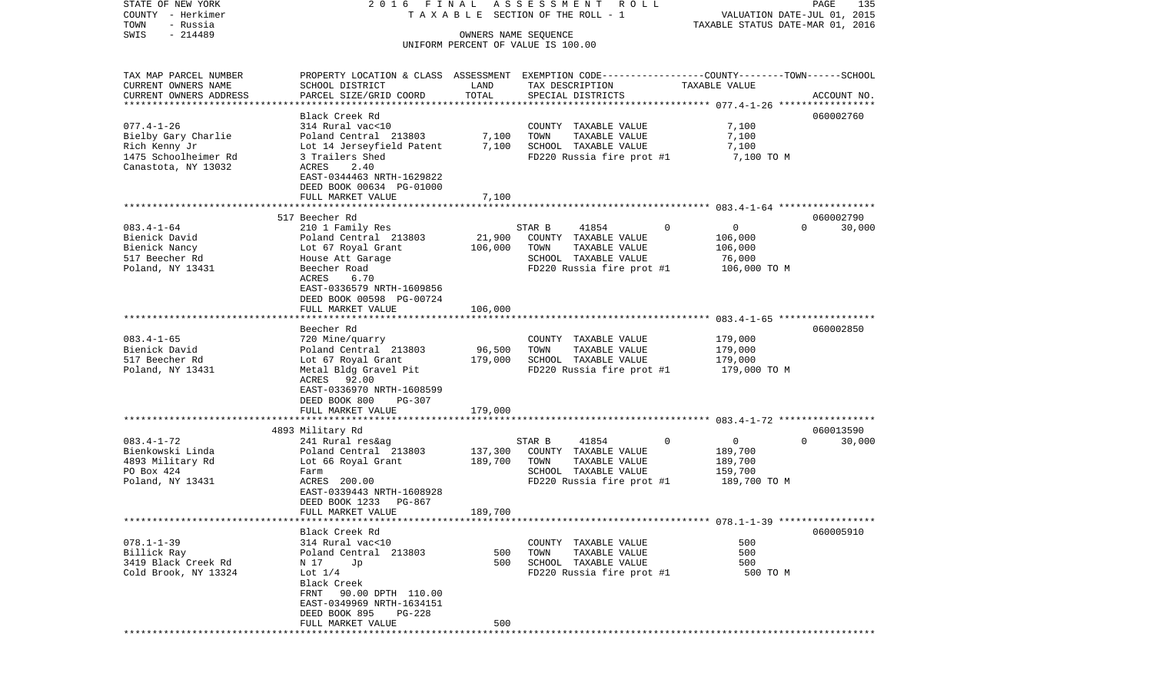COUNTY - Herkimer **T A X A B L E** SECTION OF THE ROLL - 1 VALUATION DATE-JUL 01, 2015 TOWN - Russia TAXABLE STATUS DATE-MAR 01, 2016 SWIS - 214489 OWNERS NAME SEQUENCE UNIFORM PERCENT OF VALUE IS 100.00TAX MAP PARCEL NUMBER PROPERTY LOCATION & CLASS ASSESSMENT EXEMPTION CODE------------------COUNTY--------TOWN------SCHOOL CURRENT OWNERS NAME SCHOOL DISTRICT LAND TAX DESCRIPTION TAXABLE VALUECURRENT OWNERS ADDRESS PARCEL SIZE/GRID COORD TOTAL SPECIAL DISTRICTS ACCOUNT NO. \*\*\*\*\*\*\*\*\*\*\*\*\*\*\*\*\*\*\*\*\*\*\*\*\*\*\*\*\*\*\*\*\*\*\*\*\*\*\*\*\*\*\*\*\*\*\*\*\*\*\*\*\*\*\*\*\*\*\*\*\*\*\*\*\*\*\*\*\*\*\*\*\*\*\*\*\*\*\*\*\*\*\*\*\*\*\*\*\*\*\*\*\*\*\*\*\*\*\*\*\*\*\* 077.4-1-26 \*\*\*\*\*\*\*\*\*\*\*\*\*\*\*\*\*Black Creek Rd 060002760 077.4-1-26 314 Rural vac<10 COUNTY TAXABLE VALUE 7,100 Bielby Gary Charlie **Poland Central 213803** 7,100 TOWN TAXABLE VALUE 7,100 Rich Kenny Jr Lot 14 Jerseyfield Patent 7,100 SCHOOL TAXABLE VALUE 7,100 1475 Schoolheimer Rd 3 Trailers Shed FD220 Russia fire prot #1 7,100 TO M Canastota, NY 13032 ACRES 2.40 EAST-0344463 NRTH-1629822 DEED BOOK 00634 PG-01000 FULL MARKET VALUE 7,100 \*\*\*\*\*\*\*\*\*\*\*\*\*\*\*\*\*\*\*\*\*\*\*\*\*\*\*\*\*\*\*\*\*\*\*\*\*\*\*\*\*\*\*\*\*\*\*\*\*\*\*\*\*\*\*\*\*\*\*\*\*\*\*\*\*\*\*\*\*\*\*\*\*\*\*\*\*\*\*\*\*\*\*\*\*\*\*\*\*\*\*\*\*\*\*\*\*\*\*\*\*\*\* 083.4-1-64 \*\*\*\*\*\*\*\*\*\*\*\*\*\*\*\*\* 517 Beecher Rd 060002790083.4-1-64 210 1 Family Res STAR B 41854 0 0 0 30,000 Bienick David **Poland Central 213803** 21,900 COUNTY TAXABLE VALUE 106,000 Bienick Nancy  $Lot$  67 Royal Grant  $106,000$  TOWN TAXABLE VALUE  $106,000$ 517 Beecher Rd House Att Garage SCHOOL TAXABLE VALUE 76,000 Poland, NY 13431 Beecher Road FD220 Russia fire prot #1 106,000 TO M ACRES 6.70 EAST-0336579 NRTH-1609856 DEED BOOK 00598 PG-00724FULL MARKET VALUE 106,000 \*\*\*\*\*\*\*\*\*\*\*\*\*\*\*\*\*\*\*\*\*\*\*\*\*\*\*\*\*\*\*\*\*\*\*\*\*\*\*\*\*\*\*\*\*\*\*\*\*\*\*\*\*\*\*\*\*\*\*\*\*\*\*\*\*\*\*\*\*\*\*\*\*\*\*\*\*\*\*\*\*\*\*\*\*\*\*\*\*\*\*\*\*\*\*\*\*\*\*\*\*\*\* 083.4-1-65 \*\*\*\*\*\*\*\*\*\*\*\*\*\*\*\*\* Beecher Rd 060002850083.4-1-65 720 Mine/quarry COUNTY TAXABLE VALUE 179,000 Bienick David Poland Central 213803 96,500 TOWN TAXABLE VALUE 179,000 517 Beecher Rd Lot 67 Royal Grant 179,000 SCHOOL TAXABLE VALUE 179,000 Poland, NY 13431 Metal Bldg Gravel Pit FD220 Russia fire prot #1 179,000 TO M ACRES 92.00 EAST-0336970 NRTH-1608599 DEED BOOK 800 PG-307FULL MARKET VALUE 179,000 \*\*\*\*\*\*\*\*\*\*\*\*\*\*\*\*\*\*\*\*\*\*\*\*\*\*\*\*\*\*\*\*\*\*\*\*\*\*\*\*\*\*\*\*\*\*\*\*\*\*\*\*\*\*\*\*\*\*\*\*\*\*\*\*\*\*\*\*\*\*\*\*\*\*\*\*\*\*\*\*\*\*\*\*\*\*\*\*\*\*\*\*\*\*\*\*\*\*\*\*\*\*\* 083.4-1-72 \*\*\*\*\*\*\*\*\*\*\*\*\*\*\*\*\* 4893 Military Rd 060013590 083.4-1-72 241 Rural res&ag STAR B 41854 0 0 0 30,000 Bienkowski Linda Poland Central 213803 137,300 COUNTY TAXABLE VALUE 189,700 4893 Military Rd Lot 66 Royal Grant 189,700 TOWN TAXABLE VALUE 189,700 PO Box 424 **Farm** Farm SCHOOL TAXABLE VALUE 159,700 Poland, NY 13431 **ACRES** 200.00 **FD220** Russia fire prot #1 189,700 TO M EAST-0339443 NRTH-1608928 DEED BOOK 1233 PG-867 FULL MARKET VALUE 189,700 \*\*\*\*\*\*\*\*\*\*\*\*\*\*\*\*\*\*\*\*\*\*\*\*\*\*\*\*\*\*\*\*\*\*\*\*\*\*\*\*\*\*\*\*\*\*\*\*\*\*\*\*\*\*\*\*\*\*\*\*\*\*\*\*\*\*\*\*\*\*\*\*\*\*\*\*\*\*\*\*\*\*\*\*\*\*\*\*\*\*\*\*\*\*\*\*\*\*\*\*\*\*\* 078.1-1-39 \*\*\*\*\*\*\*\*\*\*\*\*\*\*\*\*\* Black Creek Rd 060005910078.1-1-39 314 Rural vac<10 COUNTY TAXABLE VALUE 500Billick Ray Poland Central 213803 500 TOWN TAXABLE VALUE 500 3419 Black Creek Rd N 17 Jp 500 SCHOOL TAXABLE VALUE 500 Cold Brook, NY 13324 Lot  $1/4$  Lot  $1/4$  FD220 Russia fire prot #1 500 TO M Black Creek FRNT 90.00 DPTH 110.00 EAST-0349969 NRTH-1634151 DEED BOOK 895 PG-228FULL MARKET VALUE 500 \*\*\*\*\*\*\*\*\*\*\*\*\*\*\*\*\*\*\*\*\*\*\*\*\*\*\*\*\*\*\*\*\*\*\*\*\*\*\*\*\*\*\*\*\*\*\*\*\*\*\*\*\*\*\*\*\*\*\*\*\*\*\*\*\*\*\*\*\*\*\*\*\*\*\*\*\*\*\*\*\*\*\*\*\*\*\*\*\*\*\*\*\*\*\*\*\*\*\*\*\*\*\*\*\*\*\*\*\*\*\*\*\*\*\*\*\*\*\*\*\*\*\*\*\*\*\*\*\*\*\*\*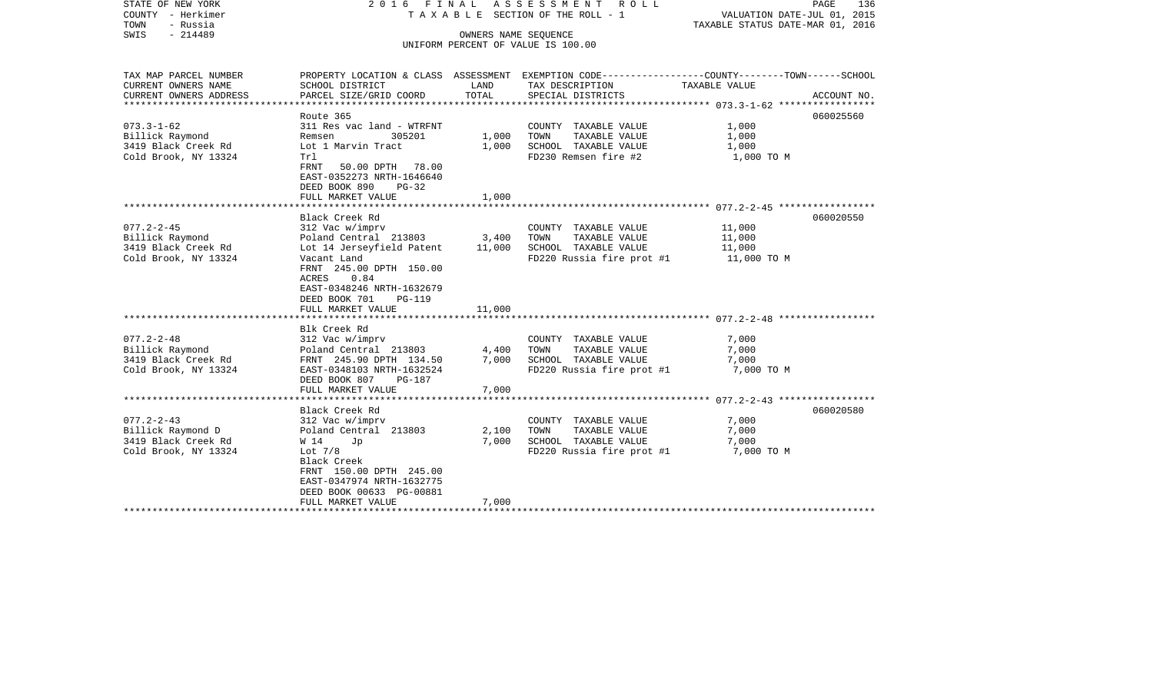| STATE OF NEW YORK<br>COUNTY - Herkimer<br>- Russia<br>TOWN<br>- 214489<br>SWIS | 2016 FINAL<br>T A X A B L E SECTION OF THE ROLL - 1<br>UNIFORM PERCENT OF VALUE IS 100.00                                    | VALUATION DATE-JUL 01, 2015<br>TAXABLE STATUS DATE-MAR 01, 2016 | PAGE<br>136                                                                                                                            |                       |             |
|--------------------------------------------------------------------------------|------------------------------------------------------------------------------------------------------------------------------|-----------------------------------------------------------------|----------------------------------------------------------------------------------------------------------------------------------------|-----------------------|-------------|
| TAX MAP PARCEL NUMBER<br>CURRENT OWNERS NAME<br>CURRENT OWNERS ADDRESS         | SCHOOL DISTRICT<br>PARCEL SIZE/GRID COORD                                                                                    | LAND<br>TOTAL                                                   | PROPERTY LOCATION & CLASS ASSESSMENT EXEMPTION CODE---------------COUNTY-------TOWN-----SCHOOL<br>TAX DESCRIPTION<br>SPECIAL DISTRICTS | TAXABLE VALUE         | ACCOUNT NO. |
| ***********************                                                        |                                                                                                                              |                                                                 |                                                                                                                                        |                       |             |
|                                                                                | Route 365                                                                                                                    |                                                                 |                                                                                                                                        |                       | 060025560   |
| $073.3 - 1 - 62$                                                               | 311 Res vac land - WTRFNT                                                                                                    |                                                                 | COUNTY TAXABLE VALUE                                                                                                                   | 1,000                 |             |
| Billick Raymond                                                                | 305201<br>Remsen                                                                                                             | 1,000                                                           | TOWN<br>TAXABLE VALUE                                                                                                                  | 1,000                 |             |
| 3419 Black Creek Rd                                                            | Lot 1 Marvin Tract                                                                                                           | 1,000                                                           | SCHOOL TAXABLE VALUE                                                                                                                   | 1,000                 |             |
| Cold Brook, NY 13324                                                           | Trl<br>FRNT<br>50.00 DPTH 78.00<br>EAST-0352273 NRTH-1646640<br>DEED BOOK 890<br>$PG-32$<br>FULL MARKET VALUE                | 1,000                                                           | FD230 Remsen fire #2                                                                                                                   | 1,000 TO M            |             |
|                                                                                |                                                                                                                              |                                                                 |                                                                                                                                        |                       |             |
|                                                                                | Black Creek Rd                                                                                                               |                                                                 |                                                                                                                                        |                       | 060020550   |
| $077.2 - 2 - 45$                                                               | 312 Vac w/imprv                                                                                                              |                                                                 | COUNTY TAXABLE VALUE                                                                                                                   | 11,000                |             |
| Billick Raymond                                                                | Poland Central 213803                                                                                                        | 3,400                                                           | TOWN<br>TAXABLE VALUE                                                                                                                  | 11,000                |             |
| 3419 Black Creek Rd<br>Cold Brook, NY 13324                                    | Lot 14 Jerseyfield Patent<br>Vacant Land                                                                                     | 11,000                                                          | SCHOOL TAXABLE VALUE<br>FD220 Russia fire prot #1                                                                                      | 11,000<br>11,000 TO M |             |
|                                                                                | FRNT 245.00 DPTH 150.00<br>0.84<br>ACRES<br>EAST-0348246 NRTH-1632679<br>DEED BOOK 701<br><b>PG-119</b><br>FULL MARKET VALUE | 11,000                                                          |                                                                                                                                        |                       |             |
|                                                                                |                                                                                                                              |                                                                 |                                                                                                                                        |                       |             |
|                                                                                | Blk Creek Rd                                                                                                                 |                                                                 |                                                                                                                                        |                       |             |
| $077.2 - 2 - 48$                                                               | 312 Vac w/imprv                                                                                                              |                                                                 | COUNTY TAXABLE VALUE                                                                                                                   | 7,000                 |             |
| Billick Raymond                                                                | Poland Central 213803                                                                                                        | 4,400                                                           | TOWN<br>TAXABLE VALUE                                                                                                                  | 7,000                 |             |
| 3419 Black Creek Rd                                                            | FRNT 245.90 DPTH 134.50                                                                                                      | 7,000                                                           | SCHOOL TAXABLE VALUE                                                                                                                   | 7,000                 |             |
| Cold Brook, NY 13324                                                           | EAST-0348103 NRTH-1632524<br>DEED BOOK 807<br>$PG-187$<br>FULL MARKET VALUE                                                  | 7,000                                                           | FD220 Russia fire prot #1                                                                                                              | 7,000 TO M            |             |
|                                                                                |                                                                                                                              |                                                                 |                                                                                                                                        |                       |             |
|                                                                                | Black Creek Rd                                                                                                               |                                                                 |                                                                                                                                        |                       | 060020580   |
| $077.2 - 2 - 43$                                                               | 312 Vac w/imprv                                                                                                              |                                                                 | COUNTY TAXABLE VALUE                                                                                                                   | 7,000                 |             |
| Billick Raymond D                                                              | Poland Central 213803                                                                                                        | 2,100                                                           | TOWN<br>TAXABLE VALUE                                                                                                                  | 7,000                 |             |
| 3419 Black Creek Rd                                                            | W 14<br>Jp                                                                                                                   | 7,000                                                           | SCHOOL TAXABLE VALUE                                                                                                                   | 7,000                 |             |
| Cold Brook, NY 13324                                                           | Lot $7/8$                                                                                                                    |                                                                 | FD220 Russia fire prot #1                                                                                                              | 7,000 TO M            |             |
|                                                                                | Black Creek<br>FRNT 150.00 DPTH 245.00<br>EAST-0347974 NRTH-1632775<br>DEED BOOK 00633 PG-00881                              |                                                                 |                                                                                                                                        |                       |             |
|                                                                                | FULL MARKET VALUE                                                                                                            | 7,000                                                           |                                                                                                                                        |                       |             |
|                                                                                |                                                                                                                              |                                                                 | ******************************                                                                                                         |                       |             |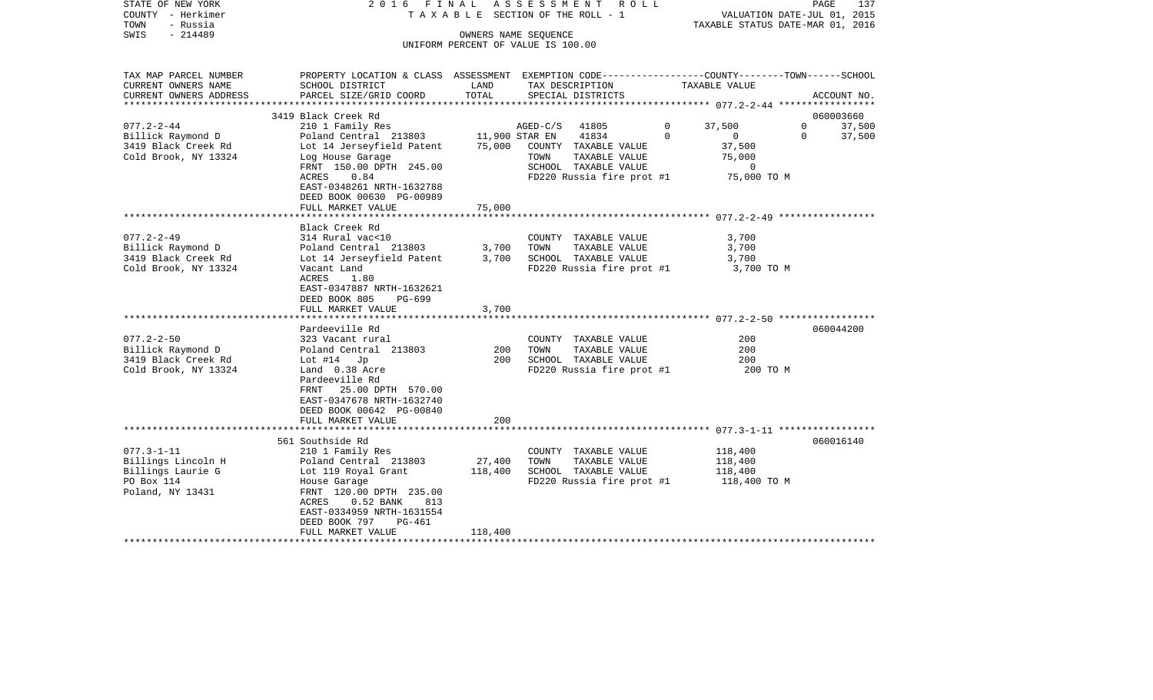| STATE OF NEW YORK<br>COUNTY - Herkimer<br>TOWN<br>- Russia<br>$-214489$<br>SWIS | 2016 FINAL                                                                                                                                  |               | A S S E S S M E N T R O L L<br>TAXABLE SECTION OF THE ROLL - 1<br>OWNERS NAME SEQUENCE<br>UNIFORM PERCENT OF VALUE IS 100.00 |                          | VALUATION DATE-JUL 01, 2015<br>TAXABLE STATUS DATE-MAR 01, 2016 | PAGE<br>137                      |
|---------------------------------------------------------------------------------|---------------------------------------------------------------------------------------------------------------------------------------------|---------------|------------------------------------------------------------------------------------------------------------------------------|--------------------------|-----------------------------------------------------------------|----------------------------------|
| TAX MAP PARCEL NUMBER<br>CURRENT OWNERS NAME<br>CURRENT OWNERS ADDRESS          | PROPERTY LOCATION & CLASS ASSESSMENT EXEMPTION CODE---------------COUNTY-------TOWN-----SCHOOL<br>SCHOOL DISTRICT<br>PARCEL SIZE/GRID COORD | LAND<br>TOTAL | TAX DESCRIPTION<br>SPECIAL DISTRICTS                                                                                         | TAXABLE VALUE            |                                                                 | ACCOUNT NO.                      |
|                                                                                 |                                                                                                                                             |               |                                                                                                                              |                          |                                                                 |                                  |
|                                                                                 | 3419 Black Creek Rd                                                                                                                         |               |                                                                                                                              |                          |                                                                 | 060003660                        |
| $077.2 - 2 - 44$<br>Billick Raymond D                                           | 210 1 Family Res<br>Poland Central 213803 11,900 STAR EN                                                                                    |               | $AGED-C/S$<br>41805<br>41834                                                                                                 | $\mathbf{0}$<br>$\Omega$ | 37,500<br>$\sim$ 0<br>$\Omega$                                  | $\mathbf{0}$<br>37,500<br>37,500 |
| 3419 Black Creek Rd                                                             | Lot 14 Jerseyfield Patent                                                                                                                   |               | 75,000 COUNTY TAXABLE VALUE                                                                                                  |                          | 37,500                                                          |                                  |
| Cold Brook, NY 13324                                                            | Log House Garage                                                                                                                            |               | TOWN<br>TAXABLE VALUE                                                                                                        |                          | 75,000                                                          |                                  |
|                                                                                 | FRNT 150.00 DPTH 245.00                                                                                                                     |               | SCHOOL TAXABLE VALUE                                                                                                         |                          | $\circ$                                                         |                                  |
|                                                                                 | ACRES<br>0.84<br>EAST-0348261 NRTH-1632788                                                                                                  |               | FD220 Russia fire prot #1 75,000 TO M                                                                                        |                          |                                                                 |                                  |
|                                                                                 | DEED BOOK 00630 PG-00989                                                                                                                    |               |                                                                                                                              |                          |                                                                 |                                  |
|                                                                                 | FULL MARKET VALUE                                                                                                                           | 75,000        |                                                                                                                              |                          |                                                                 |                                  |
|                                                                                 |                                                                                                                                             |               |                                                                                                                              |                          |                                                                 |                                  |
|                                                                                 | Black Creek Rd                                                                                                                              |               |                                                                                                                              |                          |                                                                 |                                  |
| $077.2 - 2 - 49$                                                                | 314 Rural vac<10                                                                                                                            |               | COUNTY TAXABLE VALUE                                                                                                         |                          | 3,700                                                           |                                  |
| Billick Raymond D                                                               | Poland Central 213803                                                                                                                       | 3,700         | TOWN<br>TAXABLE VALUE                                                                                                        |                          | 3,700                                                           |                                  |
| 3419 Black Creek Rd<br>Cold Brook, NY 13324                                     | Lot 14 Jerseyfield Patent<br>Vacant Land                                                                                                    | 3,700         | SCHOOL TAXABLE VALUE<br>FD220 Russia fire prot #1                                                                            |                          | 3,700<br>3,700 TO M                                             |                                  |
|                                                                                 | ACRES<br>1.80<br>EAST-0347887 NRTH-1632621                                                                                                  |               |                                                                                                                              |                          |                                                                 |                                  |
|                                                                                 | DEED BOOK 805<br>PG-699                                                                                                                     |               |                                                                                                                              |                          |                                                                 |                                  |
|                                                                                 | FULL MARKET VALUE                                                                                                                           | 3,700         |                                                                                                                              |                          |                                                                 |                                  |
|                                                                                 | Pardeeville Rd                                                                                                                              |               |                                                                                                                              |                          |                                                                 | 060044200                        |
| $077.2 - 2 - 50$                                                                | 323 Vacant rural                                                                                                                            |               | COUNTY TAXABLE VALUE                                                                                                         |                          | 200                                                             |                                  |
| Billick Raymond D                                                               | Poland Central 213803                                                                                                                       | 200           | TOWN<br>TAXABLE VALUE                                                                                                        |                          | 200                                                             |                                  |
| 3419 Black Creek Rd                                                             | Lot $#14$ Jp                                                                                                                                | 200           | SCHOOL TAXABLE VALUE                                                                                                         |                          | 200                                                             |                                  |
| Cold Brook, NY 13324                                                            | Land 0.38 Acre<br>Pardeeville Rd<br>FRNT 25.00 DPTH 570.00<br>EAST-0347678 NRTH-1632740<br>DEED BOOK 00642 PG-00840                         |               | FD220 Russia fire prot #1                                                                                                    |                          | 200 TO M                                                        |                                  |
|                                                                                 | FULL MARKET VALUE                                                                                                                           | 200           |                                                                                                                              |                          |                                                                 |                                  |
|                                                                                 |                                                                                                                                             |               |                                                                                                                              |                          |                                                                 |                                  |
|                                                                                 | 561 Southside Rd                                                                                                                            |               |                                                                                                                              |                          |                                                                 | 060016140                        |
| $077.3 - 1 - 11$<br>Billings Lincoln H                                          | 210 1 Family Res                                                                                                                            | 27,400        | COUNTY TAXABLE VALUE<br>TOWN<br>TAXABLE VALUE                                                                                |                          | 118,400                                                         |                                  |
| Billings Laurie G                                                               | Poland Central 213803                                                                                                                       | 118,400       | SCHOOL TAXABLE VALUE                                                                                                         |                          | 118,400<br>118,400                                              |                                  |
| PO Box 114                                                                      | Lot 119 Royal Grant<br>House Garage<br>House Garage                                                                                         |               | FD220 Russia fire prot #1 118,400 TO M                                                                                       |                          |                                                                 |                                  |
| Poland, NY 13431                                                                | FRNT 120.00 DPTH 235.00<br>$0.52$ BANK<br>ACRES<br>813<br>EAST-0334959 NRTH-1631554<br>DEED BOOK 797<br>PG-461                              |               |                                                                                                                              |                          |                                                                 |                                  |
|                                                                                 | FULL MARKET VALUE                                                                                                                           | 118,400       |                                                                                                                              |                          |                                                                 |                                  |
| *********************                                                           |                                                                                                                                             |               |                                                                                                                              |                          |                                                                 |                                  |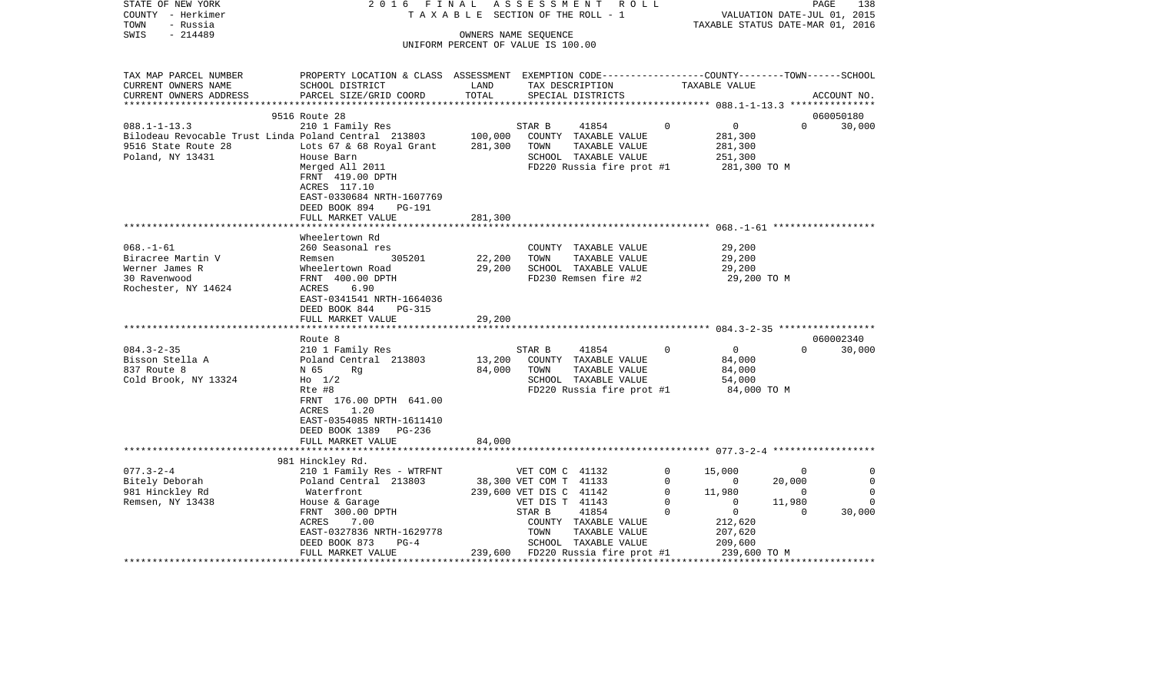| STATE OF NEW YORK<br>COUNTY - Herkimer<br>- Russia<br>TOWN<br>$-214489$<br>SWIS                                       | 2016 FINAL<br>TAXABLE                                                                                                                                                            | OWNERS NAME SEQUENCE               |                                                                                         | ASSESSMENT ROLL<br>SECTION OF THE ROLL - 1                                                          |                                                | VALUATION DATE-JUL 01, 2015<br>TAXABLE STATUS DATE-MAR 01, 2016 |                                                      | 138<br>PAGE                          |
|-----------------------------------------------------------------------------------------------------------------------|----------------------------------------------------------------------------------------------------------------------------------------------------------------------------------|------------------------------------|-----------------------------------------------------------------------------------------|-----------------------------------------------------------------------------------------------------|------------------------------------------------|-----------------------------------------------------------------|------------------------------------------------------|--------------------------------------|
|                                                                                                                       |                                                                                                                                                                                  | UNIFORM PERCENT OF VALUE IS 100.00 |                                                                                         |                                                                                                     |                                                |                                                                 |                                                      |                                      |
| TAX MAP PARCEL NUMBER<br>CURRENT OWNERS NAME<br>CURRENT OWNERS ADDRESS                                                | PROPERTY LOCATION & CLASS ASSESSMENT EXEMPTION CODE---------------COUNTY-------TOWN------SCHOOL<br>SCHOOL DISTRICT<br>PARCEL SIZE/GRID COORD                                     | LAND<br>TOTAL                      |                                                                                         | TAX DESCRIPTION<br>SPECIAL DISTRICTS                                                                |                                                | TAXABLE VALUE                                                   |                                                      | ACCOUNT NO.                          |
|                                                                                                                       | 9516 Route 28                                                                                                                                                                    |                                    |                                                                                         |                                                                                                     |                                                |                                                                 |                                                      | 060050180                            |
| $088.1 - 1 - 13.3$<br>Bilodeau Revocable Trust Linda Poland Central 213803<br>9516 State Route 28<br>Poland, NY 13431 | 210 1 Family Res<br>Lots 67 & 68 Royal Grant<br>House Barn<br>Merged All 2011                                                                                                    | 100,000<br>281,300                 | STAR B<br>TOWN                                                                          | 41854<br>COUNTY TAXABLE VALUE<br>TAXABLE VALUE<br>SCHOOL TAXABLE VALUE<br>FD220 Russia fire prot #1 | $\mathbf 0$                                    | $\overline{0}$<br>281,300<br>281,300<br>251,300<br>281,300 TO M | $\Omega$                                             | 30,000                               |
|                                                                                                                       | FRNT 419.00 DPTH<br>ACRES 117.10<br>EAST-0330684 NRTH-1607769<br>DEED BOOK 894<br>PG-191<br>FULL MARKET VALUE                                                                    | 281,300                            |                                                                                         |                                                                                                     |                                                |                                                                 |                                                      |                                      |
|                                                                                                                       | Wheelertown Rd                                                                                                                                                                   |                                    |                                                                                         |                                                                                                     |                                                |                                                                 |                                                      |                                      |
| $068. - 1 - 61$<br>Biracree Martin V<br>Werner James R<br>30 Ravenwood<br>Rochester, NY 14624                         | 260 Seasonal res<br>305201<br>Remsen<br>Wheelertown Road<br>FRNT 400.00 DPTH<br>6.90<br>ACRES<br>EAST-0341541 NRTH-1664036                                                       | 22,200<br>29,200                   | TOWN                                                                                    | COUNTY TAXABLE VALUE<br>TAXABLE VALUE<br>SCHOOL TAXABLE VALUE<br>FD230 Remsen fire #2               |                                                | 29,200<br>29,200<br>29,200<br>29,200 TO M                       |                                                      |                                      |
|                                                                                                                       | DEED BOOK 844<br><b>PG-315</b>                                                                                                                                                   |                                    |                                                                                         |                                                                                                     |                                                |                                                                 |                                                      |                                      |
|                                                                                                                       | FULL MARKET VALUE                                                                                                                                                                | 29,200                             |                                                                                         |                                                                                                     |                                                |                                                                 |                                                      |                                      |
|                                                                                                                       | Route 8                                                                                                                                                                          |                                    |                                                                                         |                                                                                                     |                                                |                                                                 |                                                      | 060002340                            |
| $084.3 - 2 - 35$<br>Bisson Stella A<br>837 Route 8<br>Cold Brook, NY 13324                                            | 210 1 Family Res<br>Poland Central 213803<br>N 65<br>Rg<br>$H_0$ 1/2<br>Rte #8<br>FRNT 176.00 DPTH 641.00<br>1.20<br>ACRES<br>EAST-0354085 NRTH-1611410<br>DEED BOOK 1389 PG-236 | 13,200<br>84,000                   | STAR B<br>TOWN                                                                          | 41854<br>COUNTY TAXABLE VALUE<br>TAXABLE VALUE<br>SCHOOL TAXABLE VALUE<br>FD220 Russia fire prot #1 | $\mathbf 0$                                    | $\mathbf{0}$<br>84,000<br>84,000<br>54,000<br>84,000 TO M       | $\Omega$                                             | 30,000                               |
|                                                                                                                       | FULL MARKET VALUE                                                                                                                                                                | 84,000                             |                                                                                         |                                                                                                     |                                                |                                                                 |                                                      |                                      |
|                                                                                                                       | 981 Hinckley Rd.                                                                                                                                                                 |                                    |                                                                                         |                                                                                                     |                                                |                                                                 |                                                      |                                      |
| $077.3 - 2 - 4$<br>Bitely Deborah<br>981 Hinckley Rd<br>Remsen, NY 13438                                              | 210 1 Family Res - WTRFNT<br>Poland Central 213803<br>Waterfront<br>House & Garage                                                                                               |                                    | VET COM C 41132<br>38,300 VET COM T 41133<br>239,600 VET DIS C 41142<br>VET DIS T 41143 |                                                                                                     | 0<br>$\mathbf 0$<br>$\mathbf 0$<br>$\mathbf 0$ | 15,000<br>$\overline{\phantom{0}}$<br>11,980<br>$\mathbf{0}$    | $\overline{0}$<br>20,000<br>$\overline{0}$<br>11,980 | 0<br>$\mathbf 0$<br>$\mathbf 0$<br>0 |
|                                                                                                                       | FRNT 300.00 DPTH<br>ACRES<br>7.00<br>EAST-0327836 NRTH-1629778<br>DEED BOOK 873<br>$PG-4$<br>FULL MARKET VALUE                                                                   | 239,600                            | STAR B<br>TOWN                                                                          | 41854<br>COUNTY TAXABLE VALUE<br>TAXABLE VALUE<br>SCHOOL TAXABLE VALUE<br>FD220 Russia fire prot #1 | $\Omega$                                       | $\overline{0}$<br>212,620<br>207,620<br>209,600<br>239,600 TO M | $\Omega$                                             | 30,000                               |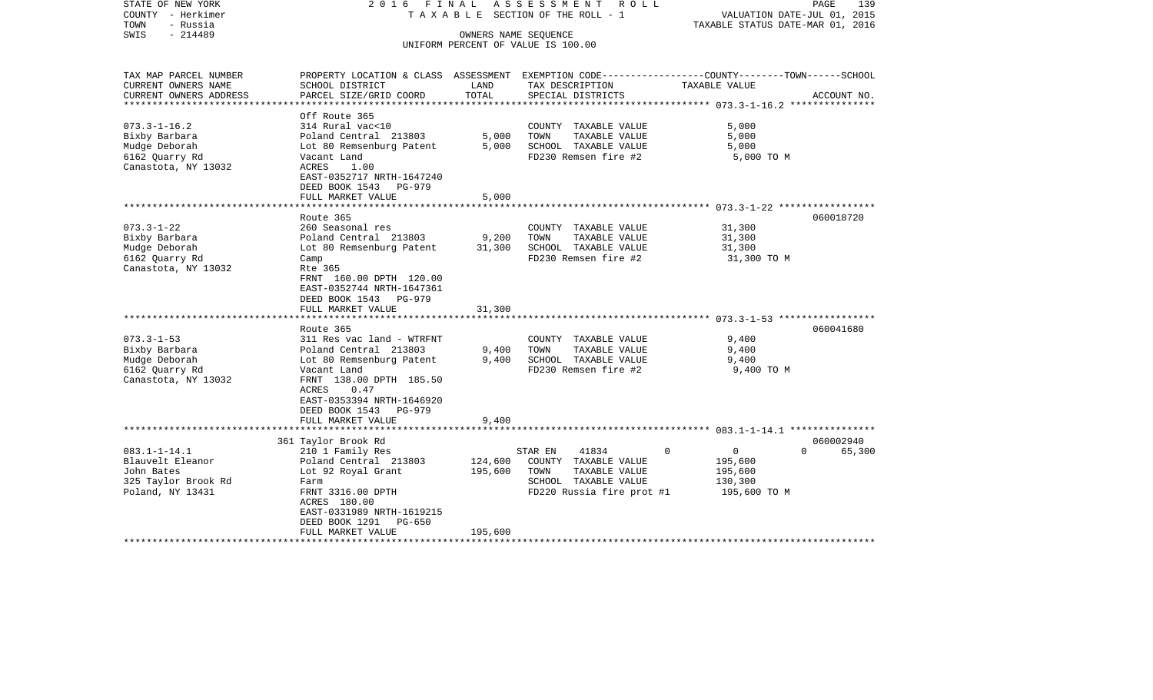| STATE OF NEW YORK<br>COUNTY - Herkimer<br>- Russia<br>TOWN<br>$-214489$<br>SWIS                                                                                                            | 2016<br>FINAL<br>T A X A B L E                                                                                                                                                                                                                                                                                                          | PAGE<br>139<br>VALUATION DATE-JUL 01, 2015<br>TAXABLE STATUS DATE-MAR 01, 2016 |                                                                                                                                                                                                |                                                                                    |                    |
|--------------------------------------------------------------------------------------------------------------------------------------------------------------------------------------------|-----------------------------------------------------------------------------------------------------------------------------------------------------------------------------------------------------------------------------------------------------------------------------------------------------------------------------------------|--------------------------------------------------------------------------------|------------------------------------------------------------------------------------------------------------------------------------------------------------------------------------------------|------------------------------------------------------------------------------------|--------------------|
|                                                                                                                                                                                            |                                                                                                                                                                                                                                                                                                                                         |                                                                                | OWNERS NAME SEQUENCE<br>UNIFORM PERCENT OF VALUE IS 100.00                                                                                                                                     |                                                                                    |                    |
| TAX MAP PARCEL NUMBER                                                                                                                                                                      | PROPERTY LOCATION & CLASS ASSESSMENT EXEMPTION CODE----------------COUNTY-------TOWN------SCHOOL                                                                                                                                                                                                                                        |                                                                                |                                                                                                                                                                                                |                                                                                    |                    |
| CURRENT OWNERS NAME<br>CURRENT OWNERS ADDRESS<br>***************                                                                                                                           | SCHOOL DISTRICT<br>PARCEL SIZE/GRID COORD                                                                                                                                                                                                                                                                                               | LAND<br>TOTAL                                                                  | TAX DESCRIPTION<br>SPECIAL DISTRICTS                                                                                                                                                           | TAXABLE VALUE<br>************************** 073.3-1-16.2 ***************           | ACCOUNT NO.        |
|                                                                                                                                                                                            | Off Route 365                                                                                                                                                                                                                                                                                                                           |                                                                                |                                                                                                                                                                                                |                                                                                    |                    |
| $073.3 - 1 - 16.2$<br>Bixby Barbara<br>Mudge Deborah<br>6162 Quarry Rd<br>Canastota, NY 13032                                                                                              | 314 Rural vac<10<br>Poland Central 213803<br>Lot 80 Remsenburg Patent<br>Vacant Land<br><b>ACRES</b><br>1.00<br>EAST-0352717 NRTH-1647240                                                                                                                                                                                               | 5,000<br>5,000                                                                 | COUNTY TAXABLE VALUE<br>TOWN<br>TAXABLE VALUE<br>SCHOOL TAXABLE VALUE<br>FD230 Remsen fire #2                                                                                                  | 5,000<br>5,000<br>5,000<br>5,000 TO M                                              |                    |
|                                                                                                                                                                                            | DEED BOOK 1543<br>PG-979<br>FULL MARKET VALUE<br>********************                                                                                                                                                                                                                                                                   | 5,000<br>*************                                                         |                                                                                                                                                                                                |                                                                                    |                    |
|                                                                                                                                                                                            | Route 365                                                                                                                                                                                                                                                                                                                               |                                                                                |                                                                                                                                                                                                |                                                                                    | 060018720          |
| $073.3 - 1 - 22$<br>Bixby Barbara<br>Mudge Deborah<br>6162 Quarry Rd<br>Canastota, NY 13032<br>$073.3 - 1 - 53$<br>Bixby Barbara<br>Mudge Deborah<br>6162 Quarry Rd<br>Canastota, NY 13032 | 260 Seasonal res<br>Poland Central 213803<br>Lot 80 Remsenburg Patent<br>Camp<br>Rte 365<br>FRNT 160.00 DPTH 120.00<br>EAST-0352744 NRTH-1647361<br>DEED BOOK 1543 PG-979<br>FULL MARKET VALUE<br>Route 365<br>311 Res vac land - WTRFNT<br>Poland Central 213803<br>Lot 80 Remsenburg Patent<br>Vacant Land<br>FRNT 138.00 DPTH 185.50 | 9,200<br>31,300<br>31,300<br>9,400<br>9,400                                    | COUNTY TAXABLE VALUE<br>TOWN<br>TAXABLE VALUE<br>SCHOOL TAXABLE VALUE<br>FD230 Remsen fire #2<br>COUNTY TAXABLE VALUE<br>TOWN<br>TAXABLE VALUE<br>SCHOOL TAXABLE VALUE<br>FD230 Remsen fire #2 | 31,300<br>31,300<br>31,300<br>31,300 TO M<br>9,400<br>9,400<br>9,400<br>9,400 TO M | 060041680          |
|                                                                                                                                                                                            | 0.47<br>ACRES<br>EAST-0353394 NRTH-1646920<br>DEED BOOK 1543<br>PG-979<br>FULL MARKET VALUE                                                                                                                                                                                                                                             | 9,400                                                                          |                                                                                                                                                                                                |                                                                                    |                    |
|                                                                                                                                                                                            | 361 Taylor Brook Rd                                                                                                                                                                                                                                                                                                                     |                                                                                |                                                                                                                                                                                                |                                                                                    | 060002940          |
| $083.1 - 1 - 14.1$<br>Blauvelt Eleanor<br>John Bates<br>325 Taylor Brook Rd<br>Poland, NY 13431                                                                                            | 210 1 Family Res<br>Poland Central 213803<br>Lot 92 Royal Grant<br>Farm<br>FRNT 3316.00 DPTH<br>ACRES 180.00<br>EAST-0331989 NRTH-1619215<br>DEED BOOK 1291<br>PG-650                                                                                                                                                                   | 124,600<br>195,600                                                             | 41834<br>STAR EN<br>COUNTY TAXABLE VALUE<br>TAXABLE VALUE<br>TOWN<br>SCHOOL TAXABLE VALUE<br>FD220 Russia fire prot #1                                                                         | $\Omega$<br>0<br>195,600<br>195,600<br>130,300<br>195,600 TO M                     | $\Omega$<br>65,300 |
|                                                                                                                                                                                            | FULL MARKET VALUE                                                                                                                                                                                                                                                                                                                       | 195,600                                                                        |                                                                                                                                                                                                |                                                                                    |                    |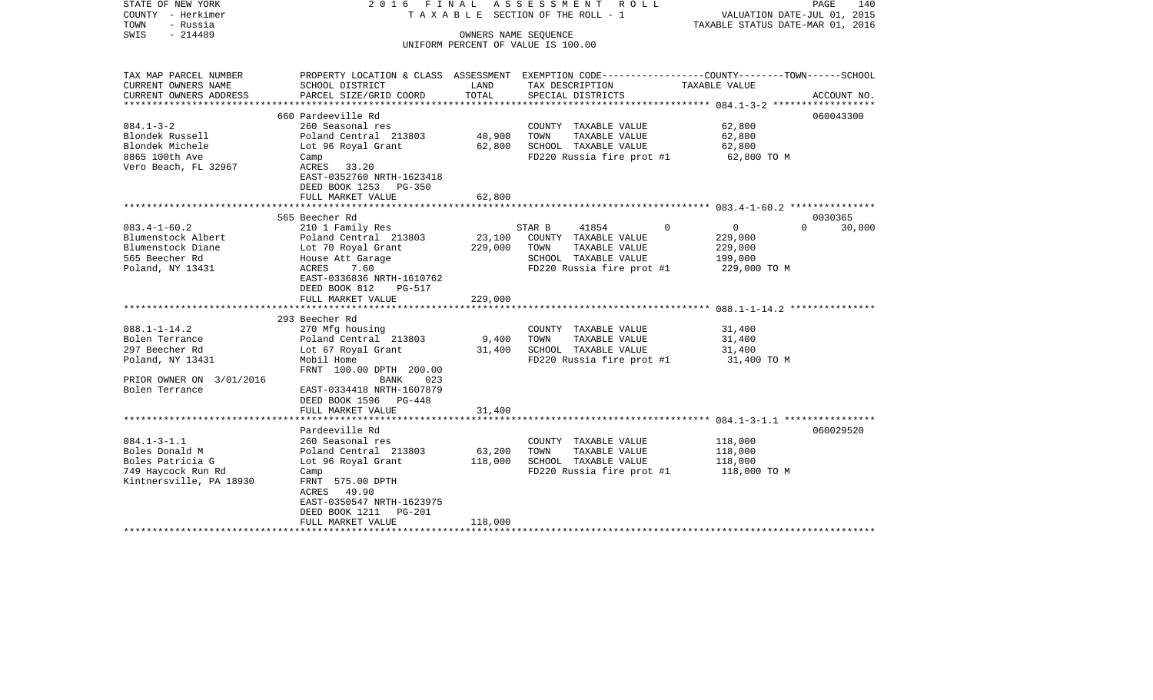| STATE OF NEW YORK<br>COUNTY - Herkimer<br>TOWN<br>- Russia<br>$-214489$<br>SWIS                                          |                                                                                                                                                                                                |                              | 2016 FINAL ASSESSMENT ROLL<br>T A X A B L E SECTION OF THE ROLL - 1<br>OWNERS NAME SEQUENCE<br>UNIFORM PERCENT OF VALUE IS 100.00        | VALUATION DATE-JUL 01, 2015<br>TAXABLE STATUS DATE-MAR 01, 2016 | PAGE<br>140        |
|--------------------------------------------------------------------------------------------------------------------------|------------------------------------------------------------------------------------------------------------------------------------------------------------------------------------------------|------------------------------|------------------------------------------------------------------------------------------------------------------------------------------|-----------------------------------------------------------------|--------------------|
| TAX MAP PARCEL NUMBER<br>CURRENT OWNERS NAME<br>CURRENT OWNERS ADDRESS                                                   | SCHOOL DISTRICT<br>PARCEL SIZE/GRID COORD                                                                                                                                                      | LAND<br>TOTAL                | PROPERTY LOCATION & CLASS ASSESSMENT EXEMPTION CODE----------------COUNTY-------TOWN------SCHOOL<br>TAX DESCRIPTION<br>SPECIAL DISTRICTS | TAXABLE VALUE                                                   | ACCOUNT NO.        |
|                                                                                                                          |                                                                                                                                                                                                |                              |                                                                                                                                          |                                                                 |                    |
| $084.1 - 3 - 2$<br>Blondek Russell<br>Blondek Michele<br>8865 100th Ave<br>Vero Beach, FL 32967                          | 660 Pardeeville Rd<br>260 Seasonal res<br>Poland Central 213803<br>Lot 96 Royal Grant<br>Camp<br>ACRES 33.20<br>EAST-0352760 NRTH-1623418<br>DEED BOOK 1253 PG-350                             | 40,900<br>62,800             | COUNTY TAXABLE VALUE<br>TOWN<br>TAXABLE VALUE<br>SCHOOL TAXABLE VALUE<br>FD220 Russia fire prot #1                                       | 62,800<br>62,800<br>62,800<br>62,800 TO M                       | 060043300          |
|                                                                                                                          | FULL MARKET VALUE                                                                                                                                                                              | 62,800                       |                                                                                                                                          |                                                                 |                    |
|                                                                                                                          | 565 Beecher Rd                                                                                                                                                                                 |                              |                                                                                                                                          |                                                                 | 0030365            |
| $083.4 - 1 - 60.2$<br>Blumenstock Albert<br>Blumenstock Diane<br>565 Beecher Rd<br>Poland, NY 13431                      | 210 1 Family Res<br>Poland Central 213803<br>Lot 70 Royal Grant<br>House Att Garage<br>ACRES<br>7.60<br>EAST-0336836 NRTH-1610762<br>DEED BOOK 812<br>PG-517<br>FULL MARKET VALUE              | 23,100<br>229,000<br>229,000 | $\Omega$<br>STAR B<br>41854<br>COUNTY TAXABLE VALUE<br>TOWN<br>TAXABLE VALUE<br>SCHOOL TAXABLE VALUE<br>FD220 Russia fire prot #1        | $\overline{0}$<br>229,000<br>229,000<br>199,000<br>229,000 TO M | $\Omega$<br>30,000 |
|                                                                                                                          |                                                                                                                                                                                                |                              |                                                                                                                                          |                                                                 |                    |
| $088.1 - 1 - 14.2$<br>Bolen Terrance<br>297 Beecher Rd<br>Poland, NY 13431<br>PRIOR OWNER ON 3/01/2016<br>Bolen Terrance | 293 Beecher Rd<br>270 Mfg housing<br>Poland Central 213803<br>Lot 67 Royal Grant<br>Mobil Home<br>FRNT 100.00 DPTH 200.00<br>BANK<br>023<br>EAST-0334418 NRTH-1607879<br>DEED BOOK 1596 PG-448 | 9,400<br>31,400              | COUNTY TAXABLE VALUE<br>TOWN<br>TAXABLE VALUE<br>SCHOOL TAXABLE VALUE<br>FD220 Russia fire prot #1 31,400 TO M                           | 31,400<br>31,400<br>31,400                                      |                    |
|                                                                                                                          | FULL MARKET VALUE                                                                                                                                                                              | 31,400                       |                                                                                                                                          |                                                                 |                    |
| $084.1 - 3 - 1.1$<br>Boles Donald M<br>Boles Patricia G<br>749 Haycock Run Rd<br>Kintnersville, PA 18930                 | Pardeeville Rd<br>260 Seasonal res<br>Poland Central 213803<br>Lot 96 Royal Grant<br>Camp<br>FRNT 575.00 DPTH<br>ACRES 49.90<br>EAST-0350547 NRTH-1623975<br>DEED BOOK 1211 PG-201             | 63,200<br>118,000            | COUNTY TAXABLE VALUE<br>TAXABLE VALUE<br>TOWN<br>SCHOOL TAXABLE VALUE<br>FD220 Russia fire prot #1                                       | 118,000<br>118,000<br>118,000<br>118,000 TO M                   | 060029520          |
|                                                                                                                          | FULL MARKET VALUE                                                                                                                                                                              | 118,000                      |                                                                                                                                          |                                                                 |                    |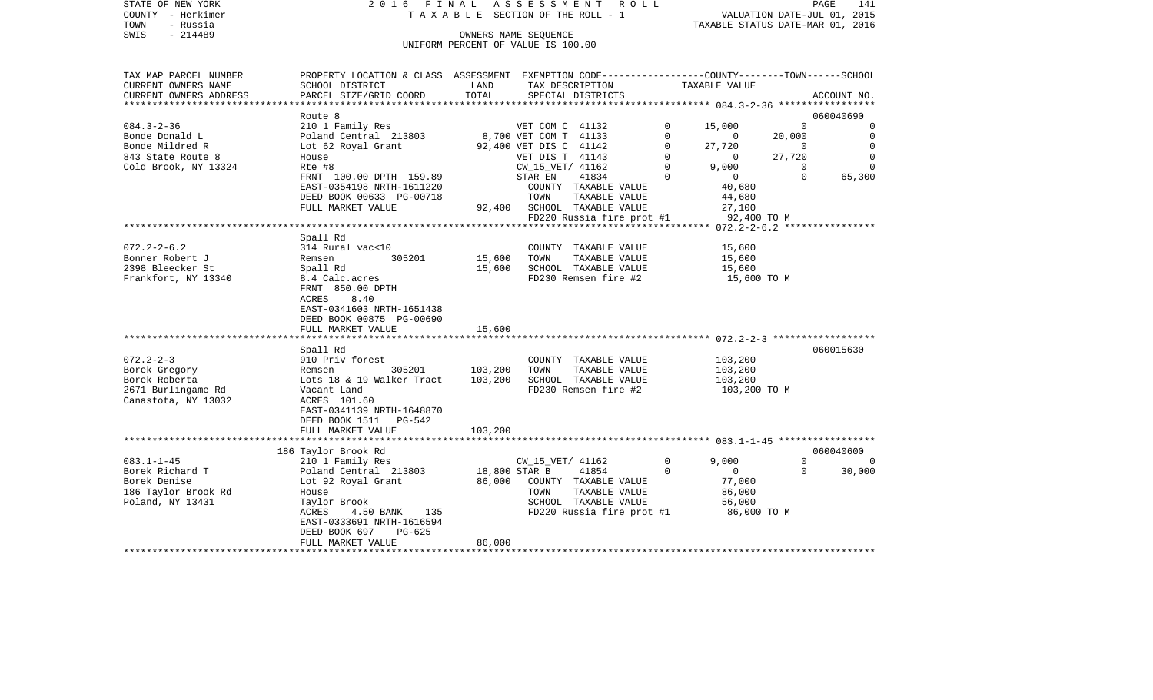|      | STATE OF NEW YORK | 2016 FINAL ASSESSMENT ROLL |                                    |                                  | PAGE | 141 |
|------|-------------------|----------------------------|------------------------------------|----------------------------------|------|-----|
|      | COUNTY - Herkimer |                            | TAXABLE SECTION OF THE ROLL - 1    | VALUATION DATE-JUL 01, 2015      |      |     |
| TOWN | - Russia          |                            |                                    | TAXABLE STATUS DATE-MAR 01, 2016 |      |     |
| SWIS | - 214489          |                            | OWNERS NAME SEOUENCE               |                                  |      |     |
|      |                   |                            | UNIFORM PERCENT OF VALUE IS 100.00 |                                  |      |     |

| TAX MAP PARCEL NUMBER  | PROPERTY LOCATION & CLASS ASSESSMENT EXEMPTION CODE---------------COUNTY-------TOWN------SCHOOL |         |                           |              |                  |             |             |
|------------------------|-------------------------------------------------------------------------------------------------|---------|---------------------------|--------------|------------------|-------------|-------------|
| CURRENT OWNERS NAME    | SCHOOL DISTRICT                                                                                 | LAND    | TAX DESCRIPTION           |              | TAXABLE VALUE    |             |             |
| CURRENT OWNERS ADDRESS | PARCEL SIZE/GRID COORD                                                                          | TOTAL   | SPECIAL DISTRICTS         |              |                  |             | ACCOUNT NO. |
|                        |                                                                                                 |         |                           |              |                  |             |             |
|                        | Route 8                                                                                         |         |                           |              |                  |             | 060040690   |
| $084.3 - 2 - 36$       | 210 1 Family Res                                                                                |         | VET COM C 41132           | $\Omega$     | 15,000           | $\Omega$    | $\Omega$    |
| Bonde Donald L         | Poland Central 213803                                                                           |         | 8,700 VET COM T 41133     | $\mathbf 0$  | $\circ$          | 20,000      | 0           |
| Bonde Mildred R        | Lot 62 Royal Grant                                                                              |         | 92,400 VET DIS C 41142    | $\Omega$     | 27,720           | $\Omega$    | $\Omega$    |
| 843 State Route 8      | House                                                                                           |         | VET DIS T 41143           | $\mathbf 0$  | $\overline{0}$   | 27,720      | $\mathbf 0$ |
| Cold Brook, NY 13324   | Rte #8                                                                                          |         | CW_15_VET/ 41162          | $\Omega$     | 9,000            | $\Omega$    | $\Omega$    |
|                        | FRNT 100.00 DPTH 159.89                                                                         |         | STAR EN<br>41834          | $\Omega$     | $\overline{0}$   | $\Omega$    | 65,300      |
|                        | EAST-0354198 NRTH-1611220                                                                       |         | COUNTY TAXABLE VALUE      |              | 40,680           |             |             |
|                        | DEED BOOK 00633 PG-00718                                                                        |         | TAXABLE VALUE<br>TOWN     |              | 44,680           |             |             |
|                        | FULL MARKET VALUE                                                                               | 92,400  | SCHOOL TAXABLE VALUE      |              | 27,100           |             |             |
|                        |                                                                                                 |         | FD220 Russia fire prot #1 |              | 92,400 TO M      |             |             |
|                        |                                                                                                 |         |                           |              |                  |             |             |
|                        | Spall Rd                                                                                        |         |                           |              |                  |             |             |
| $072.2 - 2 - 6.2$      | 314 Rural vac<10                                                                                |         | COUNTY TAXABLE VALUE      |              | 15,600           |             |             |
| Bonner Robert J        | 305201<br>Remsen                                                                                | 15,600  | TAXABLE VALUE<br>TOWN     |              | 15,600           |             |             |
| 2398 Bleecker St       | Spall Rd                                                                                        | 15,600  | SCHOOL TAXABLE VALUE      |              | 15,600           |             |             |
| Frankfort, NY 13340    | 8.4 Calc.acres                                                                                  |         | FD230 Remsen fire #2      |              | 15,600 TO M      |             |             |
|                        | FRNT 850.00 DPTH                                                                                |         |                           |              |                  |             |             |
|                        | ACRES<br>8.40                                                                                   |         |                           |              |                  |             |             |
|                        | EAST-0341603 NRTH-1651438                                                                       |         |                           |              |                  |             |             |
|                        | DEED BOOK 00875 PG-00690                                                                        |         |                           |              |                  |             |             |
|                        | FULL MARKET VALUE                                                                               | 15,600  |                           |              |                  |             |             |
|                        | ***********************************                                                             |         |                           |              |                  |             |             |
|                        | Spall Rd                                                                                        |         |                           |              |                  |             | 060015630   |
| $072.2 - 2 - 3$        | 910 Priv forest                                                                                 |         | COUNTY TAXABLE VALUE      |              | 103,200          |             |             |
| Borek Gregory          | 305201<br>Remsen                                                                                | 103,200 | TOWN<br>TAXABLE VALUE     |              | 103,200          |             |             |
| Borek Roberta          | Lots 18 & 19 Walker Tract                                                                       | 103,200 | SCHOOL TAXABLE VALUE      |              | 103,200          |             |             |
| 2671 Burlingame Rd     | Vacant Land                                                                                     |         | FD230 Remsen fire #2      |              | 103,200 TO M     |             |             |
| Canastota, NY 13032    | ACRES 101.60                                                                                    |         |                           |              |                  |             |             |
|                        | EAST-0341139 NRTH-1648870                                                                       |         |                           |              |                  |             |             |
|                        | DEED BOOK 1511 PG-542                                                                           |         |                           |              |                  |             |             |
|                        | FULL MARKET VALUE                                                                               | 103,200 |                           |              |                  |             |             |
|                        |                                                                                                 |         |                           |              |                  |             |             |
|                        | 186 Taylor Brook Rd                                                                             |         |                           |              |                  |             | 060040600   |
| $083.1 - 1 - 45$       | 210 1 Family Res                                                                                |         | CW_15_VET/ 41162          | $\mathbf{0}$ | 9,000            | $\mathbf 0$ | $\Omega$    |
| Borek Richard T        | Poland Central 213803                                                                           |         | 18,800 STAR B<br>41854    | $\Omega$     | $\mathbf{0}$     | $\Omega$    | 30,000      |
| Borek Denise           | Lot 92 Royal Grant                                                                              | 86,000  | COUNTY TAXABLE VALUE      |              |                  |             |             |
| 186 Taylor Brook Rd    | House                                                                                           |         | TOWN<br>TAXABLE VALUE     |              | 77,000<br>86,000 |             |             |
|                        |                                                                                                 |         | SCHOOL TAXABLE VALUE      |              |                  |             |             |
| Poland, NY 13431       | Taylor Brook                                                                                    |         |                           |              | 56,000           |             |             |
|                        | ACRES<br>4.50 BANK<br>135                                                                       |         | FD220 Russia fire prot #1 |              | 86,000 TO M      |             |             |
|                        | EAST-0333691 NRTH-1616594<br>PG-625                                                             |         |                           |              |                  |             |             |
|                        | DEED BOOK 697                                                                                   |         |                           |              |                  |             |             |
|                        | FULL MARKET VALUE                                                                               | 86,000  |                           |              |                  |             |             |
|                        |                                                                                                 |         |                           |              |                  |             |             |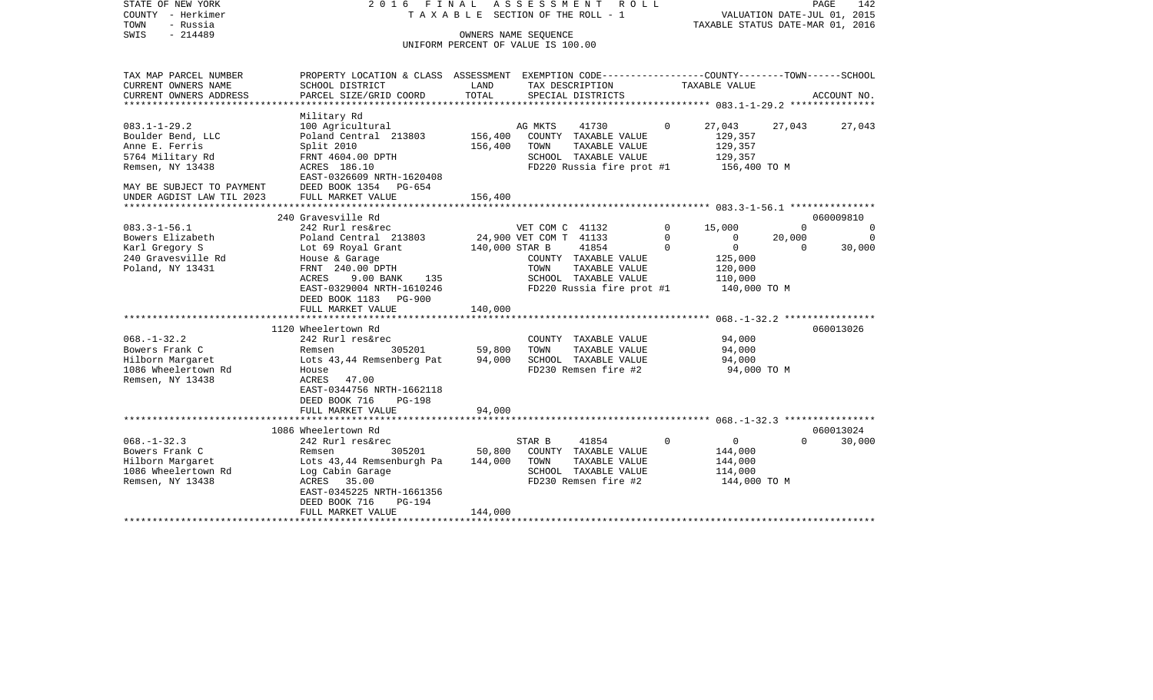| STATE OF NEW YORK<br>COUNTY - Herkimer<br>- Russia<br>TOWN<br>$-214489$<br>SWIS                    | ASSESSMENT<br>2016 FINAL<br>R O L L<br>T A X A B L E SECTION OF THE ROLL - 1<br>OWNERS NAME SEQUENCE<br>UNIFORM PERCENT OF VALUE IS 100.00                        |                   |                        |                                                                                                     |          |                                                               | PAGE<br>142<br>VALUATION DATE-JUL 01, 2015<br>TAXABLE STATUS DATE-MAR 01, 2016 |                       |  |  |
|----------------------------------------------------------------------------------------------------|-------------------------------------------------------------------------------------------------------------------------------------------------------------------|-------------------|------------------------|-----------------------------------------------------------------------------------------------------|----------|---------------------------------------------------------------|--------------------------------------------------------------------------------|-----------------------|--|--|
|                                                                                                    |                                                                                                                                                                   |                   |                        |                                                                                                     |          |                                                               |                                                                                |                       |  |  |
| TAX MAP PARCEL NUMBER<br>CURRENT OWNERS NAME                                                       | PROPERTY LOCATION & CLASS ASSESSMENT EXEMPTION CODE---------------COUNTY-------TOWN-----SCHOOL<br>SCHOOL DISTRICT                                                 | LAND<br>TOTAL     |                        | TAX DESCRIPTION                                                                                     |          | TAXABLE VALUE                                                 |                                                                                |                       |  |  |
| CURRENT OWNERS ADDRESS<br>*********************                                                    | PARCEL SIZE/GRID COORD<br>********************                                                                                                                    |                   |                        | SPECIAL DISTRICTS                                                                                   |          |                                                               |                                                                                | ACCOUNT NO.           |  |  |
| $083.1 - 1 - 29.2$<br>Boulder Bend, LLC                                                            | Military Rd<br>100 Agricultural<br>Poland Central 213803                                                                                                          | 156,400           | AG MKTS                | 41730<br>COUNTY TAXABLE VALUE                                                                       | $\Omega$ | 27,043<br>129,357                                             | 27,043                                                                         | 27,043                |  |  |
| Anne E. Ferris<br>5764 Military Rd<br>Remsen, NY 13438                                             | Split 2010<br>FRNT 4604.00 DPTH<br>ACRES 186.10                                                                                                                   | 156,400           | TOWN                   | TAXABLE VALUE<br>SCHOOL TAXABLE VALUE<br>FD220 Russia fire prot #1                                  |          | 129,357<br>129,357<br>156,400 TO M                            |                                                                                |                       |  |  |
| MAY BE SUBJECT TO PAYMENT<br>UNDER AGDIST LAW TIL 2023                                             | EAST-0326609 NRTH-1620408<br>DEED BOOK 1354<br>$PG-654$<br>FULL MARKET VALUE                                                                                      | 156,400           |                        |                                                                                                     |          |                                                               |                                                                                |                       |  |  |
| ********************                                                                               |                                                                                                                                                                   |                   |                        |                                                                                                     |          |                                                               |                                                                                |                       |  |  |
| $083.3 - 1 - 56.1$                                                                                 | 240 Gravesville Rd<br>242 Rurl res&rec                                                                                                                            |                   | VET COM C 41132        |                                                                                                     | $\Omega$ | 15,000                                                        | $\Omega$                                                                       | 060009810<br>$\Omega$ |  |  |
| Bowers Elizabeth                                                                                   | Poland Central 213803                                                                                                                                             |                   | 24,900 VET COM T 41133 |                                                                                                     | 0        | 0                                                             | 20,000                                                                         | $\overline{0}$        |  |  |
| Karl Gregory S<br>240 Gravesville Rd<br>Poland, NY 13431                                           | Lot 69 Royal Grant<br>House & Garage<br>FRNT 240.00 DPTH<br>9.00 BANK<br>ACRES<br>135<br>EAST-0329004 NRTH-1610246                                                | 140,000 STAR B    | TOWN                   | 41854<br>COUNTY TAXABLE VALUE<br>TAXABLE VALUE<br>SCHOOL TAXABLE VALUE<br>FD220 Russia fire prot #1 | $\Omega$ | $\mathbf 0$<br>125,000<br>120,000<br>110,000<br>140,000 TO M  | $\Omega$                                                                       | 30,000                |  |  |
|                                                                                                    | DEED BOOK 1183<br><b>PG-900</b><br>FULL MARKET VALUE                                                                                                              | 140,000           |                        |                                                                                                     |          |                                                               |                                                                                |                       |  |  |
|                                                                                                    | *****************************<br>1120 Wheelertown Rd                                                                                                              |                   |                        |                                                                                                     |          |                                                               |                                                                                | 060013026             |  |  |
| $068. - 1 - 32.2$<br>Bowers Frank C<br>Hilborn Margaret<br>1086 Wheelertown Rd<br>Remsen, NY 13438 | 242 Rurl res&rec<br>305201<br>Remsen<br>Lots 43,44 Remsenberg Pat<br>House<br>ACRES<br>47.00<br>EAST-0344756 NRTH-1662118<br>DEED BOOK 716<br>$PG-198$            | 59,800<br>94,000  | TOWN                   | COUNTY TAXABLE VALUE<br>TAXABLE VALUE<br>SCHOOL TAXABLE VALUE<br>FD230 Remsen fire #2               |          | 94,000<br>94,000<br>94,000<br>94,000 TO M                     |                                                                                |                       |  |  |
|                                                                                                    | FULL MARKET VALUE                                                                                                                                                 | 94,000            |                        |                                                                                                     |          |                                                               |                                                                                |                       |  |  |
|                                                                                                    | 1086 Wheelertown Rd                                                                                                                                               |                   |                        |                                                                                                     |          |                                                               |                                                                                | 060013024             |  |  |
| $068. - 1 - 32.3$<br>Bowers Frank C<br>Hilborn Margaret<br>1086 Wheelertown Rd<br>Remsen, NY 13438 | 242 Rurl res&rec<br>Remsen<br>305201<br>Lots 43,44 Remsenburgh Pa<br>Log Cabin Garage<br>ACRES<br>35.00<br>EAST-0345225 NRTH-1661356<br>DEED BOOK 716<br>$PG-194$ | 50,800<br>144,000 | STAR B<br>TOWN         | 41854<br>COUNTY TAXABLE VALUE<br>TAXABLE VALUE<br>SCHOOL TAXABLE VALUE<br>FD230 Remsen fire #2      | $\Omega$ | $\mathbf{0}$<br>144,000<br>144,000<br>114,000<br>144,000 TO M | $\Omega$                                                                       | 30,000                |  |  |
|                                                                                                    | FULL MARKET VALUE                                                                                                                                                 | 144,000           |                        |                                                                                                     |          |                                                               |                                                                                |                       |  |  |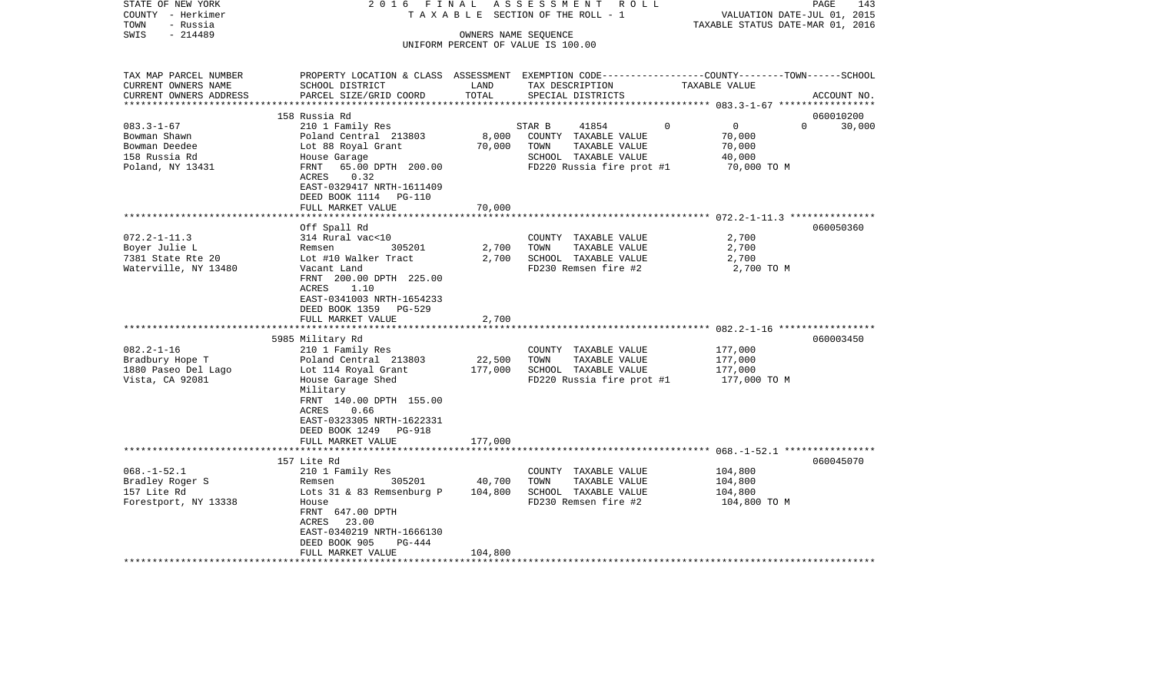| COUNTY - Herkimer<br>TOWN<br>- Russia |                                                     |         | T A X A B L E SECTION OF THE ROLL - 1   | VALUATION DATE-JUL 01, 2015<br>TAXABLE STATUS DATE-MAR 01, 2016                                 |             |
|---------------------------------------|-----------------------------------------------------|---------|-----------------------------------------|-------------------------------------------------------------------------------------------------|-------------|
| SWIS<br>$-214489$                     |                                                     |         | OWNERS NAME SEQUENCE                    |                                                                                                 |             |
|                                       |                                                     |         | UNIFORM PERCENT OF VALUE IS 100.00      |                                                                                                 |             |
| TAX MAP PARCEL NUMBER                 |                                                     |         |                                         | PROPERTY LOCATION & CLASS ASSESSMENT EXEMPTION CODE---------------COUNTY-------TOWN------SCHOOL |             |
| CURRENT OWNERS NAME                   | SCHOOL DISTRICT                                     | LAND    | TAX DESCRIPTION                         | TAXABLE VALUE                                                                                   |             |
| CURRENT OWNERS ADDRESS                | PARCEL SIZE/GRID COORD<br>************************* | TOTAL   | SPECIAL DISTRICTS                       |                                                                                                 | ACCOUNT NO. |
|                                       |                                                     |         |                                         |                                                                                                 |             |
| $083.3 - 1 - 67$                      | 158 Russia Rd                                       |         |                                         | $\Omega$<br>$\mathbf{0}$<br>$\Omega$                                                            | 060010200   |
| Bowman Shawn                          | 210 1 Family Res<br>Poland Central 213803           | 8,000   | STAR B<br>41854<br>COUNTY TAXABLE VALUE | 70,000                                                                                          | 30,000      |
| Bowman Deedee                         | Lot 88 Royal Grant                                  | 70,000  | TOWN<br>TAXABLE VALUE                   | 70,000                                                                                          |             |
| 158 Russia Rd                         | House Garage                                        |         | SCHOOL TAXABLE VALUE                    | 40,000                                                                                          |             |
| Poland, NY 13431                      | FRNT<br>65.00 DPTH 200.00                           |         | FD220 Russia fire prot #1               | 70,000 TO M                                                                                     |             |
|                                       | ACRES<br>0.32                                       |         |                                         |                                                                                                 |             |
|                                       | EAST-0329417 NRTH-1611409                           |         |                                         |                                                                                                 |             |
|                                       | DEED BOOK 1114<br>PG-110                            |         |                                         |                                                                                                 |             |
|                                       | FULL MARKET VALUE                                   | 70,000  |                                         |                                                                                                 |             |
|                                       |                                                     |         |                                         |                                                                                                 |             |
|                                       | Off Spall Rd                                        |         |                                         |                                                                                                 | 060050360   |
| $072.2 - 1 - 11.3$                    | 314 Rural vac<10                                    |         | COUNTY TAXABLE VALUE                    | 2,700                                                                                           |             |
| Boyer Julie L                         | 305201<br>Remsen                                    | 2,700   | TOWN<br>TAXABLE VALUE                   | 2,700                                                                                           |             |
| 7381 State Rte 20                     | Lot #10 Walker Tract                                | 2,700   | SCHOOL TAXABLE VALUE                    | 2,700                                                                                           |             |
| Waterville, NY 13480                  | Vacant Land                                         |         | FD230 Remsen fire #2                    | 2,700 TO M                                                                                      |             |
|                                       | FRNT 200.00 DPTH 225.00                             |         |                                         |                                                                                                 |             |
|                                       | 1.10<br>ACRES                                       |         |                                         |                                                                                                 |             |
|                                       | EAST-0341003 NRTH-1654233                           |         |                                         |                                                                                                 |             |
|                                       | DEED BOOK 1359<br>PG-529                            |         |                                         |                                                                                                 |             |
|                                       | FULL MARKET VALUE                                   | 2,700   |                                         |                                                                                                 |             |
|                                       | 5985 Military Rd                                    |         |                                         |                                                                                                 | 060003450   |
| $082.2 - 1 - 16$                      | 210 1 Family Res                                    |         | COUNTY TAXABLE VALUE                    | 177,000                                                                                         |             |
| Bradbury Hope T                       | Poland Central 213803                               | 22,500  | TAXABLE VALUE<br>TOWN                   | 177,000                                                                                         |             |
| 1880 Paseo Del Lago                   | Lot 114 Royal Grant                                 | 177,000 | SCHOOL TAXABLE VALUE                    | 177,000                                                                                         |             |
| Vista, CA 92081                       | House Garage Shed                                   |         | FD220 Russia fire prot #1               | 177,000 TO M                                                                                    |             |
|                                       | Military                                            |         |                                         |                                                                                                 |             |
|                                       | FRNT 140.00 DPTH 155.00                             |         |                                         |                                                                                                 |             |
|                                       | ACRES<br>0.66                                       |         |                                         |                                                                                                 |             |
|                                       | EAST-0323305 NRTH-1622331                           |         |                                         |                                                                                                 |             |
|                                       | DEED BOOK 1249<br>PG-918                            |         |                                         |                                                                                                 |             |
|                                       | FULL MARKET VALUE                                   | 177,000 |                                         |                                                                                                 |             |
|                                       | ************************                            |         |                                         |                                                                                                 |             |
|                                       | 157 Lite Rd                                         |         |                                         |                                                                                                 | 060045070   |
| $068. -1 - 52.1$                      | 210 1 Family Res                                    |         | COUNTY TAXABLE VALUE                    | 104,800                                                                                         |             |
| Bradley Roger S                       | 305201<br>Remsen                                    | 40,700  | TOWN<br>TAXABLE VALUE                   | 104,800                                                                                         |             |
| 157 Lite Rd                           | Lots 31 & 83 Remsenburg P                           | 104,800 | SCHOOL TAXABLE VALUE                    | 104,800                                                                                         |             |
| Forestport, NY 13338                  | House                                               |         | FD230 Remsen fire #2                    | 104,800 TO M                                                                                    |             |
|                                       | FRNT 647.00 DPTH                                    |         |                                         |                                                                                                 |             |
|                                       | 23.00<br>ACRES                                      |         |                                         |                                                                                                 |             |
|                                       | EAST-0340219 NRTH-1666130<br>DEED BOOK 905          |         |                                         |                                                                                                 |             |
|                                       | PG-444<br>FULL MARKET VALUE                         | 104,800 |                                         |                                                                                                 |             |
| ********************                  | ****************                                    |         |                                         |                                                                                                 |             |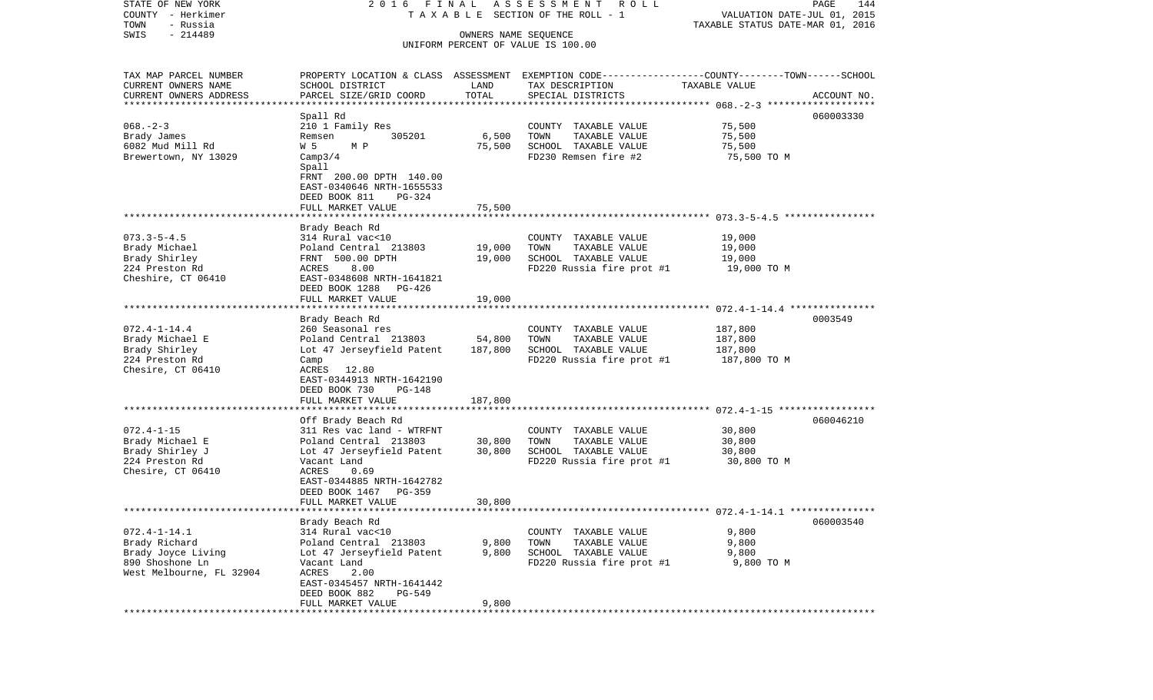| STATE OF NEW YORK<br>COUNTY - Herkimer            | 2016 FINAL                   |         | ASSESSMENT ROLL<br>T A X A B L E SECTION OF THE ROLL - 1                                        | VALUATION DATE-JUL 01, 2015      | PAGE<br>144 |
|---------------------------------------------------|------------------------------|---------|-------------------------------------------------------------------------------------------------|----------------------------------|-------------|
| TOWN<br>- Russia                                  |                              |         |                                                                                                 | TAXABLE STATUS DATE-MAR 01, 2016 |             |
| $-214489$<br>SWIS                                 |                              |         |                                                                                                 |                                  |             |
|                                                   |                              |         | UNIFORM PERCENT OF VALUE IS 100.00                                                              |                                  |             |
| TAX MAP PARCEL NUMBER                             |                              |         | PROPERTY LOCATION & CLASS ASSESSMENT EXEMPTION CODE---------------COUNTY-------TOWN------SCHOOL |                                  |             |
| CURRENT OWNERS NAME                               | SCHOOL DISTRICT              | LAND    | TAX DESCRIPTION                                                                                 | TAXABLE VALUE                    |             |
| CURRENT OWNERS ADDRESS<br>*********************** | PARCEL SIZE/GRID COORD       | TOTAL   | SPECIAL DISTRICTS                                                                               |                                  | ACCOUNT NO. |
|                                                   |                              |         |                                                                                                 |                                  | 060003330   |
| $068. - 2 - 3$                                    | Spall Rd<br>210 1 Family Res |         |                                                                                                 | 75,500                           |             |
| Brady James                                       | 305201<br>Remsen             | 6,500   | COUNTY TAXABLE VALUE<br>TOWN<br>TAXABLE VALUE                                                   | 75,500                           |             |
| 6082 Mud Mill Rd                                  | W 5<br>M P                   | 75,500  | SCHOOL TAXABLE VALUE                                                                            | 75,500                           |             |
| Brewertown, NY 13029                              | Camp3/4                      |         | FD230 Remsen fire #2                                                                            | 75,500 TO M                      |             |
|                                                   | Spall                        |         |                                                                                                 |                                  |             |
|                                                   | FRNT 200.00 DPTH 140.00      |         |                                                                                                 |                                  |             |
|                                                   | EAST-0340646 NRTH-1655533    |         |                                                                                                 |                                  |             |
|                                                   | DEED BOOK 811<br>PG-324      |         |                                                                                                 |                                  |             |
|                                                   | FULL MARKET VALUE            | 75,500  |                                                                                                 |                                  |             |
|                                                   |                              |         |                                                                                                 |                                  |             |
|                                                   | Brady Beach Rd               |         |                                                                                                 |                                  |             |
| $073.3 - 5 - 4.5$                                 | 314 Rural vac<10             |         | COUNTY TAXABLE VALUE                                                                            | 19,000                           |             |
| Brady Michael                                     | Poland Central 213803        | 19,000  | TOWN<br>TAXABLE VALUE                                                                           | 19,000                           |             |
| Brady Shirley                                     | FRNT 500.00 DPTH             | 19,000  | SCHOOL TAXABLE VALUE                                                                            | 19,000                           |             |
| 224 Preston Rd                                    | ACRES<br>8.00                |         | FD220 Russia fire prot #1                                                                       | 19,000 TO M                      |             |
| Cheshire, CT 06410                                | EAST-0348608 NRTH-1641821    |         |                                                                                                 |                                  |             |
|                                                   | DEED BOOK 1288<br>PG-426     |         |                                                                                                 |                                  |             |
|                                                   | FULL MARKET VALUE            | 19,000  |                                                                                                 |                                  |             |
|                                                   | Brady Beach Rd               |         |                                                                                                 |                                  | 0003549     |
| $072.4 - 1 - 14.4$                                | 260 Seasonal res             |         | COUNTY TAXABLE VALUE                                                                            | 187,800                          |             |
| Brady Michael E                                   | Poland Central 213803        | 54,800  | TOWN<br>TAXABLE VALUE                                                                           | 187,800                          |             |
| Brady Shirley                                     | Lot 47 Jerseyfield Patent    | 187,800 | SCHOOL TAXABLE VALUE                                                                            | 187,800                          |             |
| 224 Preston Rd                                    | Camp                         |         | FD220 Russia fire prot #1                                                                       | 187,800 TO M                     |             |
| Chesire, CT 06410                                 | ACRES 12.80                  |         |                                                                                                 |                                  |             |
|                                                   | EAST-0344913 NRTH-1642190    |         |                                                                                                 |                                  |             |
|                                                   | DEED BOOK 730<br>PG-148      |         |                                                                                                 |                                  |             |
|                                                   | FULL MARKET VALUE            | 187,800 |                                                                                                 |                                  |             |
|                                                   |                              |         |                                                                                                 |                                  |             |
|                                                   | Off Brady Beach Rd           |         |                                                                                                 |                                  | 060046210   |
| $072.4 - 1 - 15$                                  | 311 Res vac land - WTRFNT    |         | COUNTY TAXABLE VALUE                                                                            | 30,800                           |             |
| Brady Michael E                                   | Poland Central 213803        | 30,800  | TOWN<br>TAXABLE VALUE                                                                           | 30,800                           |             |
| Brady Shirley J                                   | Lot 47 Jerseyfield Patent    | 30,800  | SCHOOL TAXABLE VALUE                                                                            | 30,800                           |             |
| 224 Preston Rd<br>Chesire, CT 06410               | Vacant Land<br>ACRES<br>0.69 |         | FD220 Russia fire prot #1                                                                       | 30,800 TO M                      |             |
|                                                   | EAST-0344885 NRTH-1642782    |         |                                                                                                 |                                  |             |
|                                                   | DEED BOOK 1467<br>$PG-359$   |         |                                                                                                 |                                  |             |
|                                                   | FULL MARKET VALUE            | 30,800  |                                                                                                 |                                  |             |
|                                                   |                              |         |                                                                                                 |                                  |             |
|                                                   | Brady Beach Rd               |         |                                                                                                 |                                  | 060003540   |
| $072.4 - 1 - 14.1$                                | 314 Rural vac<10             |         | COUNTY TAXABLE VALUE                                                                            | 9,800                            |             |
| Brady Richard                                     | Poland Central 213803        | 9,800   | TOWN<br>TAXABLE VALUE                                                                           | 9,800                            |             |
| Brady Joyce Living                                | Lot 47 Jerseyfield Patent    | 9,800   | SCHOOL TAXABLE VALUE                                                                            | 9,800                            |             |
| 890 Shoshone Ln                                   | Vacant Land                  |         | FD220 Russia fire prot #1                                                                       | 9,800 TO M                       |             |
| West Melbourne, FL 32904                          | ACRES<br>2.00                |         |                                                                                                 |                                  |             |
|                                                   | EAST-0345457 NRTH-1641442    |         |                                                                                                 |                                  |             |
|                                                   | DEED BOOK 882<br>PG-549      |         |                                                                                                 |                                  |             |
| *********                                         | FULL MARKET VALUE            | 9,800   |                                                                                                 |                                  |             |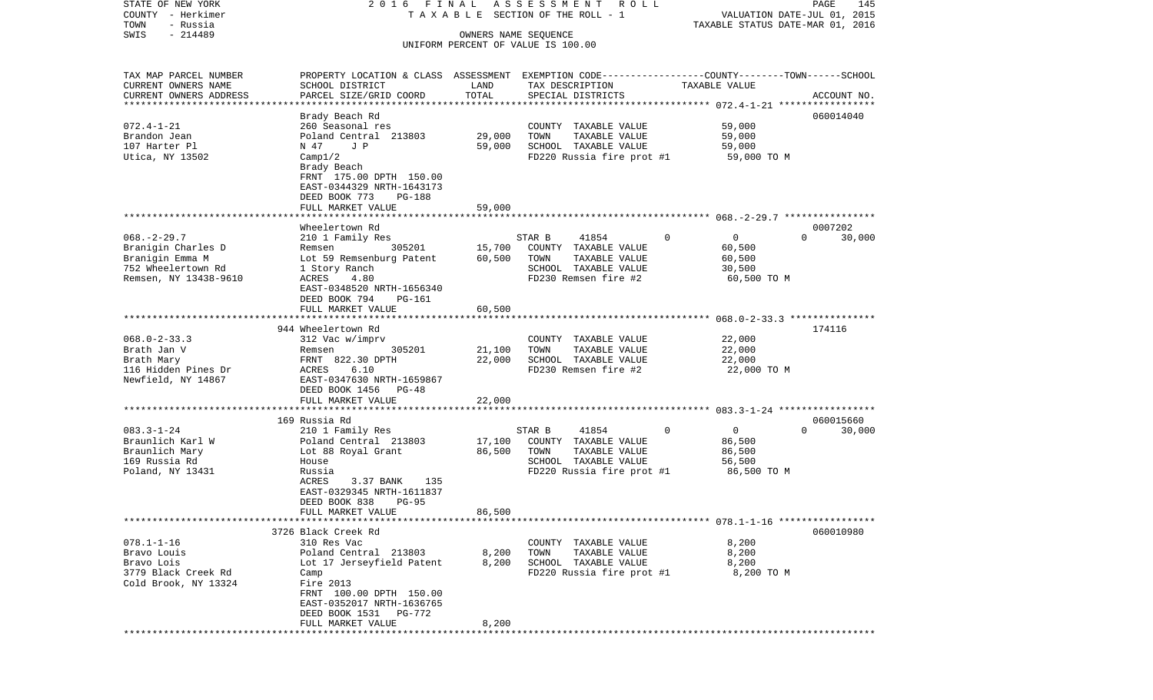COUNTY - Herkimer **T A X A B L E** SECTION OF THE ROLL - 1 VALUATION DATE-JUL 01, 2015 TOWN - Russia TAXABLE STATUS DATE-MAR 01, 2016 SWIS - 214489 OWNERS NAME SEQUENCE UNIFORM PERCENT OF VALUE IS 100.00TAX MAP PARCEL NUMBER PROPERTY LOCATION & CLASS ASSESSMENT EXEMPTION CODE------------------COUNTY--------TOWN------SCHOOL CURRENT OWNERS NAME SCHOOL DISTRICT LAND TAX DESCRIPTION TAXABLE VALUECURRENT OWNERS ADDRESS PARCEL SIZE/GRID COORD TOTAL SPECIAL DISTRICTS ACCOUNT NO. \*\*\*\*\*\*\*\*\*\*\*\*\*\*\*\*\*\*\*\*\*\*\*\*\*\*\*\*\*\*\*\*\*\*\*\*\*\*\*\*\*\*\*\*\*\*\*\*\*\*\*\*\*\*\*\*\*\*\*\*\*\*\*\*\*\*\*\*\*\*\*\*\*\*\*\*\*\*\*\*\*\*\*\*\*\*\*\*\*\*\*\*\*\*\*\*\*\*\*\*\*\*\* 072.4-1-21 \*\*\*\*\*\*\*\*\*\*\*\*\*\*\*\*\* Brady Beach Rd 060014040 072.4-1-21 260 Seasonal res COUNTY TAXABLE VALUE 59,000 Brandon Jean Poland Central 213803 29,000 TOWN TAXABLE VALUE 59,000 107 Harter Pl N 47 J P 59,000 SCHOOL TAXABLE VALUE 59,000 Utica, NY 13502 Camp1/2 Camp20 Camp20 Camp3020 Russia fire prot #1 59,000 TO M Brady Beach FRNT 175.00 DPTH 150.00 EAST-0344329 NRTH-1643173 DEED BOOK 773 PG-188FULL MARKET VALUE 59,000 \*\*\*\*\*\*\*\*\*\*\*\*\*\*\*\*\*\*\*\*\*\*\*\*\*\*\*\*\*\*\*\*\*\*\*\*\*\*\*\*\*\*\*\*\*\*\*\*\*\*\*\*\*\*\*\*\*\*\*\*\*\*\*\*\*\*\*\*\*\*\*\*\*\*\*\*\*\*\*\*\*\*\*\*\*\*\*\*\*\*\*\*\*\*\*\*\*\*\*\*\*\*\* 068.-2-29.7 \*\*\*\*\*\*\*\*\*\*\*\*\*\*\*\* Wheelertown Rd 0007202068.-2-29.7 210 1 Family Res STAR B 41854 0 0 30,000 Branigin Charles D **Remsen** 305201 15,700 COUNTY TAXABLE VALUE 60,500 Branigin Emma M **M** Lot 59 Remsenburg Patent 60,500 TOWN TAXABLE VALUE 60,500 752 Wheelertown Rd 1 Story Ranch SCHOOL TAXABLE VALUE 30,500 Remsen, NY 13438-9610 ACRES 4.80 **FD230** Remsen fire #2 60,500 TO M EAST-0348520 NRTH-1656340 DEED BOOK 794 PG-161FULL MARKET VALUE 60,500 \*\*\*\*\*\*\*\*\*\*\*\*\*\*\*\*\*\*\*\*\*\*\*\*\*\*\*\*\*\*\*\*\*\*\*\*\*\*\*\*\*\*\*\*\*\*\*\*\*\*\*\*\*\*\*\*\*\*\*\*\*\*\*\*\*\*\*\*\*\*\*\*\*\*\*\*\*\*\*\*\*\*\*\*\*\*\*\*\*\*\*\*\*\*\*\*\*\*\*\*\*\*\* 068.0-2-33.3 \*\*\*\*\*\*\*\*\*\*\*\*\*\*\*944 Wheelertown Rd 174116 068.0-2-33.3 312 Vac w/imprv COUNTY TAXABLE VALUE 22,000 Brath Jan V Remsen 305201 21,100 TOWN TAXABLE VALUE 22,000 Brath Mary **Example 22.30 DPTH** 22,000 SCHOOL TAXABLE VALUE 22,000 116 Hidden Pines Dr ACRES 6.10 FD230 Remsen fire #2 22,000 TO M Newfield, NY 14867 EAST-0347630 NRTH-1659867 DEED BOOK 1456 PG-48 FULL MARKET VALUE 22,000 \*\*\*\*\*\*\*\*\*\*\*\*\*\*\*\*\*\*\*\*\*\*\*\*\*\*\*\*\*\*\*\*\*\*\*\*\*\*\*\*\*\*\*\*\*\*\*\*\*\*\*\*\*\*\*\*\*\*\*\*\*\*\*\*\*\*\*\*\*\*\*\*\*\*\*\*\*\*\*\*\*\*\*\*\*\*\*\*\*\*\*\*\*\*\*\*\*\*\*\*\*\*\* 083.3-1-24 \*\*\*\*\*\*\*\*\*\*\*\*\*\*\*\*\* 169 Russia Rd 060015660083.3-1-24 210 1 Family Res STAR B 41854 0 0 0 30,000 Braunlich Karl W **Poland Central 213803** 17,100 COUNTY TAXABLE VALUE 86,500 Braunlich Mary 66,500 Lot 88 Royal Grant 66,500 TOWN TAXABLE VALUE 86,500 B66,500 169 Russia Rd House SCHOOL TAXABLE VALUE 56,500 Poland, NY 13431 Russia Russia Russia Russia FD220 Russia fire prot #1 86,500 TO M 3.37 BANK 135 EAST-0329345 NRTH-1611837 DEED BOOK 838 PG-95FULL MARKET VALUE 86,500 \*\*\*\*\*\*\*\*\*\*\*\*\*\*\*\*\*\*\*\*\*\*\*\*\*\*\*\*\*\*\*\*\*\*\*\*\*\*\*\*\*\*\*\*\*\*\*\*\*\*\*\*\*\*\*\*\*\*\*\*\*\*\*\*\*\*\*\*\*\*\*\*\*\*\*\*\*\*\*\*\*\*\*\*\*\*\*\*\*\*\*\*\*\*\*\*\*\*\*\*\*\*\* 078.1-1-16 \*\*\*\*\*\*\*\*\*\*\*\*\*\*\*\*\* 3726 Black Creek Rd 060010980078.1-1-16 310 Res Vac COUNTY TAXABLE VALUE 8,200 Bravo Louis Poland Central 213803 8,200 TOWN TAXABLE VALUE 8,200 Bravo Lois **Lot 17 Jerseyfield Patent** 8,200 SCHOOL TAXABLE VALUE 8,200 3779 Black Creek Rd Camp FD220 Russia fire prot #1 8,200 TO M Cold Brook, NY 13324 Fire 2013 FRNT 100.00 DPTH 150.00 EAST-0352017 NRTH-1636765 DEED BOOK 1531 PG-772FULL MARKET VALUE 8,200 \*\*\*\*\*\*\*\*\*\*\*\*\*\*\*\*\*\*\*\*\*\*\*\*\*\*\*\*\*\*\*\*\*\*\*\*\*\*\*\*\*\*\*\*\*\*\*\*\*\*\*\*\*\*\*\*\*\*\*\*\*\*\*\*\*\*\*\*\*\*\*\*\*\*\*\*\*\*\*\*\*\*\*\*\*\*\*\*\*\*\*\*\*\*\*\*\*\*\*\*\*\*\*\*\*\*\*\*\*\*\*\*\*\*\*\*\*\*\*\*\*\*\*\*\*\*\*\*\*\*\*\*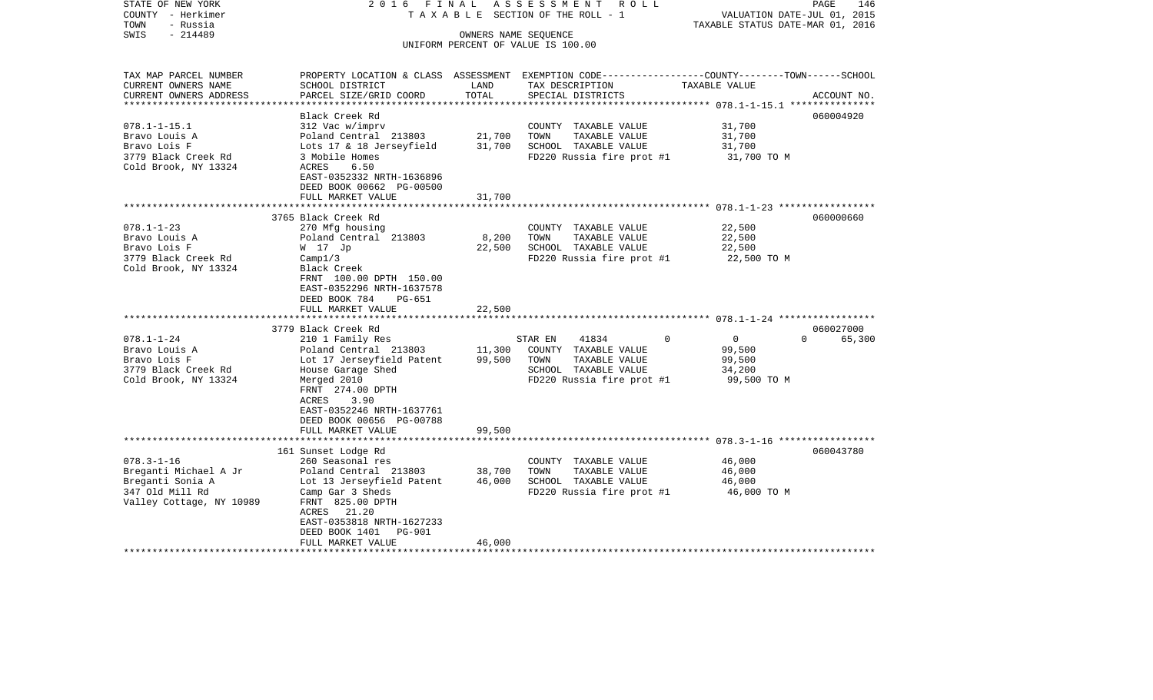| STATE OF NEW YORK<br>COUNTY - Herkimer<br>- Russia<br>TOWN | FINAL<br>2016                                                                                    |                            | ASSESSMENT ROLL<br>TAXABLE SECTION OF THE ROLL - 1 | VALUATION DATE-JUL 01, 2015<br>TAXABLE STATUS DATE-MAR 01, 2016 | PAGE<br>146        |
|------------------------------------------------------------|--------------------------------------------------------------------------------------------------|----------------------------|----------------------------------------------------|-----------------------------------------------------------------|--------------------|
| SWIS<br>$-214489$                                          |                                                                                                  | OWNERS NAME SEQUENCE       |                                                    |                                                                 |                    |
|                                                            |                                                                                                  |                            | UNIFORM PERCENT OF VALUE IS 100.00                 |                                                                 |                    |
|                                                            |                                                                                                  |                            |                                                    |                                                                 |                    |
| TAX MAP PARCEL NUMBER                                      | PROPERTY LOCATION & CLASS ASSESSMENT EXEMPTION CODE----------------COUNTY-------TOWN------SCHOOL |                            |                                                    |                                                                 |                    |
| CURRENT OWNERS NAME                                        | SCHOOL DISTRICT                                                                                  | LAND                       | TAX DESCRIPTION                                    | TAXABLE VALUE                                                   |                    |
| CURRENT OWNERS ADDRESS                                     | PARCEL SIZE/GRID COORD                                                                           | TOTAL                      | SPECIAL DISTRICTS                                  | **************** 078.1-1-15.1 ****************                  | ACCOUNT NO.        |
|                                                            | Black Creek Rd                                                                                   |                            |                                                    |                                                                 | 060004920          |
| $078.1 - 1 - 15.1$                                         | 312 Vac w/imprv                                                                                  |                            | COUNTY TAXABLE VALUE                               | 31,700                                                          |                    |
| Bravo Louis A                                              | Poland Central 213803                                                                            | 21,700                     | TAXABLE VALUE<br>TOWN                              | 31,700                                                          |                    |
| Bravo Lois F                                               | Lots 17 & 18 Jerseyfield                                                                         | 31,700                     | SCHOOL TAXABLE VALUE                               | 31,700                                                          |                    |
| 3779 Black Creek Rd                                        | 3 Mobile Homes                                                                                   |                            | FD220 Russia fire prot #1                          | 31,700 TO M                                                     |                    |
| Cold Brook, NY 13324                                       | 6.50<br>ACRES                                                                                    |                            |                                                    |                                                                 |                    |
|                                                            | EAST-0352332 NRTH-1636896                                                                        |                            |                                                    |                                                                 |                    |
|                                                            | DEED BOOK 00662 PG-00500                                                                         |                            |                                                    |                                                                 |                    |
|                                                            | FULL MARKET VALUE                                                                                | 31,700                     |                                                    |                                                                 |                    |
|                                                            |                                                                                                  |                            |                                                    |                                                                 |                    |
|                                                            | 3765 Black Creek Rd                                                                              |                            |                                                    |                                                                 | 060000660          |
| $078.1 - 1 - 23$                                           | 270 Mfg housing                                                                                  |                            | COUNTY TAXABLE VALUE                               | 22,500                                                          |                    |
| Bravo Louis A                                              | Poland Central 213803                                                                            | 8,200                      | TOWN<br>TAXABLE VALUE                              | 22,500                                                          |                    |
| Bravo Lois F                                               | W 17 Jp                                                                                          | 22,500                     | SCHOOL TAXABLE VALUE                               | 22,500                                                          |                    |
| 3779 Black Creek Rd                                        | Campl/3                                                                                          |                            | FD220 Russia fire prot #1                          | 22,500 TO M                                                     |                    |
| Cold Brook, NY 13324                                       | Black Creek                                                                                      |                            |                                                    |                                                                 |                    |
|                                                            | FRNT 100.00 DPTH 150.00<br>EAST-0352296 NRTH-1637578                                             |                            |                                                    |                                                                 |                    |
|                                                            | DEED BOOK 784<br>PG-651                                                                          |                            |                                                    |                                                                 |                    |
|                                                            | FULL MARKET VALUE                                                                                | 22,500                     |                                                    |                                                                 |                    |
|                                                            | *****************************                                                                    | ************               |                                                    |                                                                 |                    |
|                                                            | 3779 Black Creek Rd                                                                              |                            |                                                    |                                                                 | 060027000          |
| $078.1 - 1 - 24$                                           | 210 1 Family Res                                                                                 |                            | 41834<br>STAR EN                                   | 0<br>$\Omega$                                                   | $\Omega$<br>65,300 |
| Bravo Louis A                                              | Poland Central 213803                                                                            | 11,300                     | COUNTY TAXABLE VALUE                               | 99,500                                                          |                    |
| Bravo Lois F                                               | Lot 17 Jerseyfield Patent                                                                        | 99,500                     | TOWN<br>TAXABLE VALUE                              | 99,500                                                          |                    |
| 3779 Black Creek Rd                                        | House Garage Shed                                                                                |                            | SCHOOL TAXABLE VALUE                               | 34,200                                                          |                    |
| Cold Brook, NY 13324                                       | Merged 2010                                                                                      |                            | FD220 Russia fire prot #1                          | 99,500 TO M                                                     |                    |
|                                                            | FRNT 274.00 DPTH                                                                                 |                            |                                                    |                                                                 |                    |
|                                                            | ACRES<br>3.90                                                                                    |                            |                                                    |                                                                 |                    |
|                                                            | EAST-0352246 NRTH-1637761                                                                        |                            |                                                    |                                                                 |                    |
|                                                            | DEED BOOK 00656 PG-00788                                                                         |                            |                                                    |                                                                 |                    |
|                                                            | FULL MARKET VALUE                                                                                | 99,500                     |                                                    |                                                                 |                    |
|                                                            | *****************************                                                                    |                            |                                                    |                                                                 |                    |
|                                                            | 161 Sunset Lodge Rd                                                                              |                            |                                                    |                                                                 | 060043780          |
| $078.3 - 1 - 16$                                           | 260 Seasonal res                                                                                 |                            | COUNTY TAXABLE VALUE                               | 46,000                                                          |                    |
| Breganti Michael A Jr                                      | Poland Central 213803                                                                            | 38,700                     | TOWN<br>TAXABLE VALUE                              | 46,000                                                          |                    |
| Breganti Sonia A                                           | Lot 13 Jerseyfield Patent                                                                        | 46,000                     | SCHOOL TAXABLE VALUE                               | 46,000                                                          |                    |
| 347 Old Mill Rd                                            | Camp Gar 3 Sheds                                                                                 |                            | FD220 Russia fire prot #1                          | 46,000 TO M                                                     |                    |
| Valley Cottage, NY 10989                                   | FRNT 825.00 DPTH                                                                                 |                            |                                                    |                                                                 |                    |
|                                                            | ACRES 21.20                                                                                      |                            |                                                    |                                                                 |                    |
|                                                            | EAST-0353818 NRTH-1627233                                                                        |                            |                                                    |                                                                 |                    |
|                                                            | DEED BOOK 1401<br>PG-901                                                                         |                            |                                                    |                                                                 |                    |
| ***********************                                    | FULL MARKET VALUE<br>**************************                                                  | 46,000<br>**************** |                                                    |                                                                 |                    |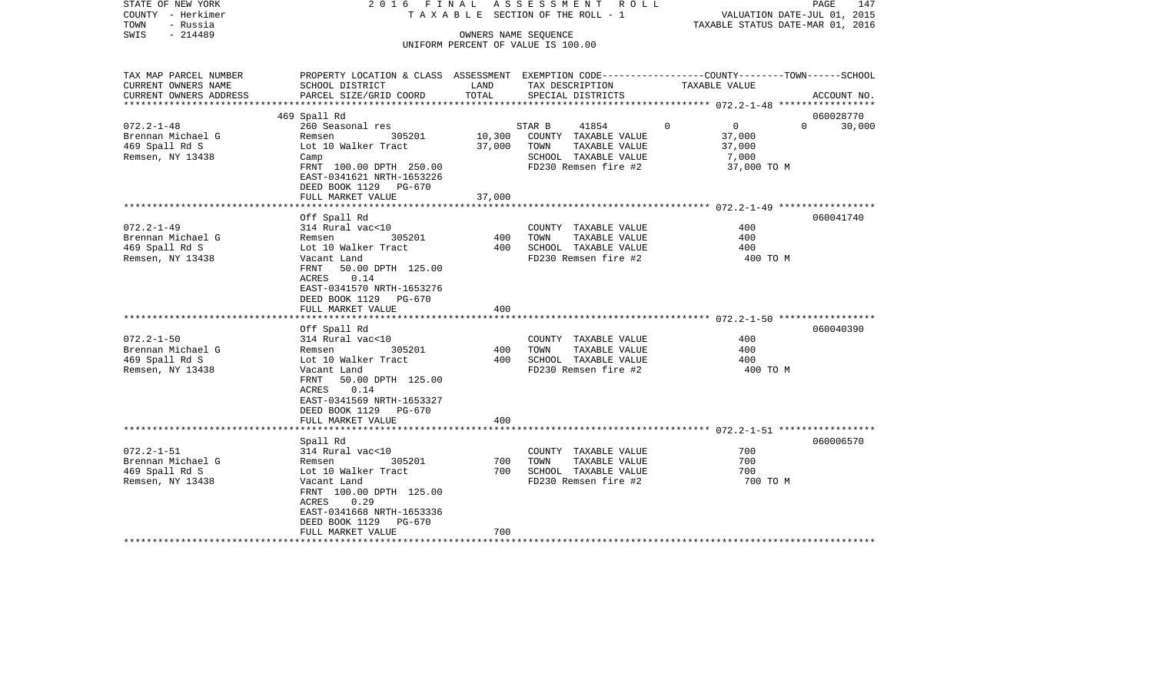| STATE OF NEW YORK             |                                      |        | 2016 FINAL ASSESSMENT ROLL              |                                                                                                 | PAGE<br>147                 |
|-------------------------------|--------------------------------------|--------|-----------------------------------------|-------------------------------------------------------------------------------------------------|-----------------------------|
| COUNTY - Herkimer<br>TOWN     |                                      |        | TAXABLE SECTION OF THE ROLL - 1         | VALUATION DATE-JUL 01, 2015<br>TAXABLE STATUS DATE-MAR 01, 2016                                 |                             |
| - Russia<br>$-214489$<br>SWIS |                                      |        | OWNERS NAME SEQUENCE                    |                                                                                                 |                             |
|                               |                                      |        | UNIFORM PERCENT OF VALUE IS 100.00      |                                                                                                 |                             |
|                               |                                      |        |                                         |                                                                                                 |                             |
| TAX MAP PARCEL NUMBER         |                                      |        |                                         | PROPERTY LOCATION & CLASS ASSESSMENT EXEMPTION CODE---------------COUNTY-------TOWN------SCHOOL |                             |
| CURRENT OWNERS NAME           | SCHOOL DISTRICT                      | LAND   | TAX DESCRIPTION                         | TAXABLE VALUE                                                                                   |                             |
| CURRENT OWNERS ADDRESS        | PARCEL SIZE/GRID COORD               | TOTAL  | SPECIAL DISTRICTS                       |                                                                                                 | ACCOUNT NO.                 |
| ***********************       |                                      |        |                                         |                                                                                                 |                             |
| $072.2 - 1 - 48$              | 469 Spall Rd                         |        |                                         | $\mathbf 0$<br>$0 \qquad \qquad$                                                                | 060028770<br>$\overline{0}$ |
| Brennan Michael G             | 260 Seasonal res<br>Remsen<br>305201 | 10,300 | STAR B<br>41854<br>COUNTY TAXABLE VALUE | 37,000                                                                                          | 30,000                      |
| 469 Spall Rd S                | Lot 10 Walker Tract                  | 37,000 | TOWN<br>TAXABLE VALUE                   | 37,000                                                                                          |                             |
| Remsen, NY 13438              |                                      |        | SCHOOL TAXABLE VALUE                    | 7,000                                                                                           |                             |
|                               | Camp<br>FRNT 100.00 DPTH 250.00      |        | FD230 Remsen fire #2                    | 37,000 TO M                                                                                     |                             |
|                               | EAST-0341621 NRTH-1653226            |        |                                         |                                                                                                 |                             |
|                               | DEED BOOK 1129 PG-670                |        |                                         |                                                                                                 |                             |
|                               | FULL MARKET VALUE                    | 37,000 |                                         |                                                                                                 |                             |
|                               |                                      |        |                                         |                                                                                                 |                             |
|                               | Off Spall Rd                         |        |                                         |                                                                                                 | 060041740                   |
| $072.2 - 1 - 49$              | 314 Rural vac<10                     |        | COUNTY TAXABLE VALUE                    | 400                                                                                             |                             |
| Brennan Michael G             | 305201<br>Remsen                     | 400    | TAXABLE VALUE<br>TOWN                   | 400                                                                                             |                             |
| 469 Spall Rd S                | Lot 10 Walker Tract                  | 400    | SCHOOL TAXABLE VALUE                    | 400                                                                                             |                             |
| Remsen, NY 13438              | Vacant Land                          |        | FD230 Remsen fire #2                    | 400 TO M                                                                                        |                             |
|                               | 50.00 DPTH 125.00<br>FRNT            |        |                                         |                                                                                                 |                             |
|                               | ACRES<br>0.14                        |        |                                         |                                                                                                 |                             |
|                               | EAST-0341570 NRTH-1653276            |        |                                         |                                                                                                 |                             |
|                               | DEED BOOK 1129 PG-670                |        |                                         |                                                                                                 |                             |
|                               | FULL MARKET VALUE                    | 400    |                                         |                                                                                                 |                             |
|                               |                                      |        |                                         |                                                                                                 |                             |
|                               | Off Spall Rd                         |        |                                         |                                                                                                 | 060040390                   |
| $072.2 - 1 - 50$              | 314 Rural vac<10                     |        | COUNTY TAXABLE VALUE                    | 400                                                                                             |                             |
| Brennan Michael G             | 305201<br>Remsen                     | 400    | TOWN<br>TAXABLE VALUE                   | 400                                                                                             |                             |
| 469 Spall Rd S                | Lot 10 Walker Tract                  | 400    | SCHOOL TAXABLE VALUE                    | 400                                                                                             |                             |
| Remsen, NY 13438              | Vacant Land                          |        | FD230 Remsen fire #2                    | 400 TO M                                                                                        |                             |
|                               | FRNT<br>50.00 DPTH 125.00            |        |                                         |                                                                                                 |                             |
|                               | 0.14<br>ACRES                        |        |                                         |                                                                                                 |                             |
|                               | EAST-0341569 NRTH-1653327            |        |                                         |                                                                                                 |                             |
|                               | DEED BOOK 1129 PG-670                | 400    |                                         |                                                                                                 |                             |
|                               | FULL MARKET VALUE                    |        |                                         |                                                                                                 |                             |
|                               | Spall Rd                             |        |                                         |                                                                                                 | 060006570                   |
| $072.2 - 1 - 51$              | 314 Rural vac<10                     |        | COUNTY TAXABLE VALUE                    | 700                                                                                             |                             |
| Brennan Michael G             | 305201<br>Remsen                     | 700    | TOWN<br>TAXABLE VALUE                   | 700                                                                                             |                             |
| 469 Spall Rd S                | Lot 10 Walker Tract                  | 700    | SCHOOL TAXABLE VALUE                    | 700                                                                                             |                             |
| Remsen, NY 13438              | Vacant Land                          |        | FD230 Remsen fire #2                    | 700 TO M                                                                                        |                             |
|                               | FRNT 100.00 DPTH 125.00              |        |                                         |                                                                                                 |                             |
|                               | ACRES<br>0.29                        |        |                                         |                                                                                                 |                             |
|                               | EAST-0341668 NRTH-1653336            |        |                                         |                                                                                                 |                             |
|                               | DEED BOOK 1129 PG-670                |        |                                         |                                                                                                 |                             |
|                               | FULL MARKET VALUE                    | 700    |                                         |                                                                                                 |                             |
| *********************         |                                      |        |                                         |                                                                                                 |                             |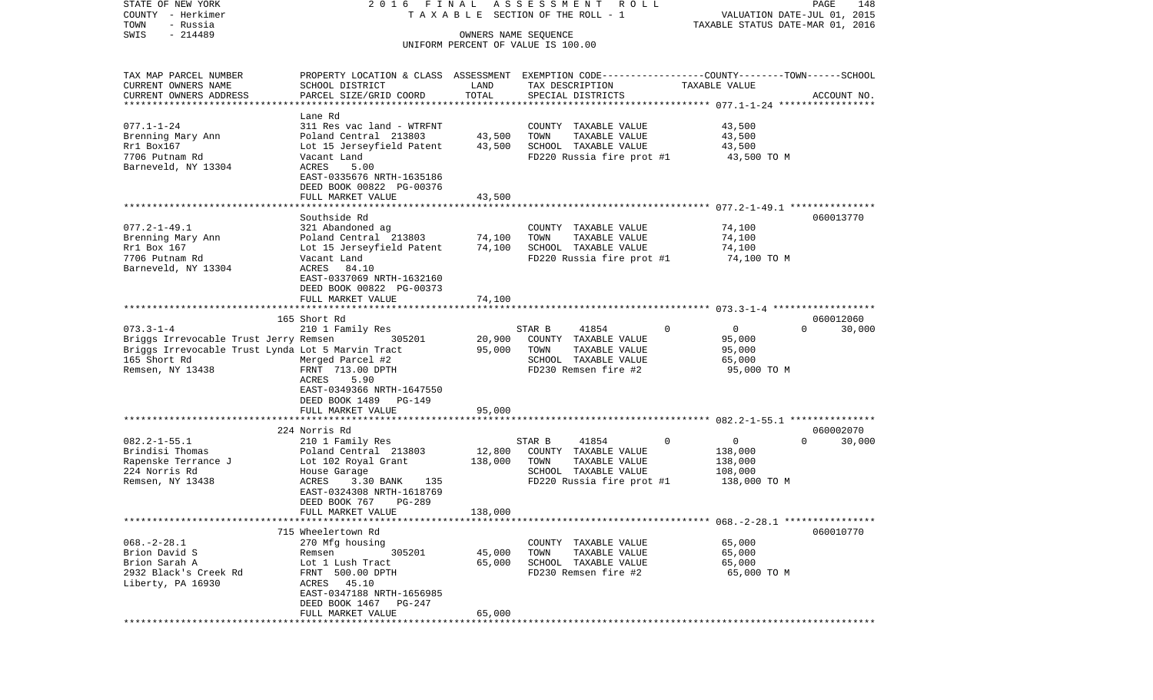| STATE OF NEW YORK                                 | 2016 FINAL                                                                                       |                      | ASSESSMENT ROLL                    |                                                           | PAGE<br>148                 |
|---------------------------------------------------|--------------------------------------------------------------------------------------------------|----------------------|------------------------------------|-----------------------------------------------------------|-----------------------------|
| COUNTY - Herkimer                                 |                                                                                                  |                      | TAXABLE SECTION OF THE ROLL - 1    |                                                           | VALUATION DATE-JUL 01, 2015 |
| TOWN<br>- Russia                                  |                                                                                                  |                      |                                    | TAXABLE STATUS DATE-MAR 01, 2016                          |                             |
| $-214489$<br>SWIS                                 |                                                                                                  | OWNERS NAME SEQUENCE |                                    |                                                           |                             |
|                                                   |                                                                                                  |                      | UNIFORM PERCENT OF VALUE IS 100.00 |                                                           |                             |
| TAX MAP PARCEL NUMBER                             | PROPERTY LOCATION & CLASS ASSESSMENT EXEMPTION CODE----------------COUNTY-------TOWN------SCHOOL |                      |                                    |                                                           |                             |
| CURRENT OWNERS NAME                               | SCHOOL DISTRICT                                                                                  | LAND                 | TAX DESCRIPTION                    | TAXABLE VALUE                                             |                             |
| CURRENT OWNERS ADDRESS                            | PARCEL SIZE/GRID COORD                                                                           | TOTAL                | SPECIAL DISTRICTS                  |                                                           | ACCOUNT NO.                 |
| ************************                          |                                                                                                  |                      |                                    |                                                           |                             |
|                                                   | Lane Rd                                                                                          |                      |                                    |                                                           |                             |
| $077.1 - 1 - 24$                                  | 311 Res vac land - WTRFNT                                                                        |                      | COUNTY TAXABLE VALUE               | 43,500                                                    |                             |
| Brenning Mary Ann                                 | Poland Central 213803                                                                            | 43,500               | TOWN<br>TAXABLE VALUE              | 43,500                                                    |                             |
| Rr1 Box167                                        | Lot 15 Jerseyfield Patent                                                                        | 43,500               | SCHOOL TAXABLE VALUE               | 43,500                                                    |                             |
| 7706 Putnam Rd                                    | Vacant Land                                                                                      |                      | FD220 Russia fire prot #1          | 43,500 TO M                                               |                             |
| Barneveld, NY 13304                               | ACRES<br>5.00                                                                                    |                      |                                    |                                                           |                             |
|                                                   | EAST-0335676 NRTH-1635186                                                                        |                      |                                    |                                                           |                             |
|                                                   | DEED BOOK 00822 PG-00376                                                                         |                      |                                    |                                                           |                             |
|                                                   | FULL MARKET VALUE                                                                                | 43,500               |                                    |                                                           |                             |
|                                                   |                                                                                                  |                      |                                    |                                                           |                             |
|                                                   | Southside Rd                                                                                     |                      |                                    |                                                           | 060013770                   |
| $077.2 - 1 - 49.1$                                | 321 Abandoned ag                                                                                 |                      | COUNTY TAXABLE VALUE               | 74,100                                                    |                             |
| Brenning Mary Ann                                 | Poland Central 213803                                                                            | 74,100               | TAXABLE VALUE<br>TOWN              | 74,100                                                    |                             |
| Rr1 Box 167                                       | Lot 15 Jerseyfield Patent                                                                        | 74,100               | SCHOOL TAXABLE VALUE               | 74,100                                                    |                             |
| 7706 Putnam Rd                                    | Vacant Land                                                                                      |                      | FD220 Russia fire prot #1          | 74,100 TO M                                               |                             |
| Barneveld, NY 13304                               | ACRES<br>84.10                                                                                   |                      |                                    |                                                           |                             |
|                                                   | EAST-0337069 NRTH-1632160                                                                        |                      |                                    |                                                           |                             |
|                                                   | DEED BOOK 00822 PG-00373                                                                         |                      |                                    |                                                           |                             |
|                                                   | FULL MARKET VALUE                                                                                | 74,100               |                                    |                                                           |                             |
|                                                   | 165 Short Rd                                                                                     |                      |                                    |                                                           | 060012060                   |
| $073.3 - 1 - 4$                                   | 210 1 Family Res                                                                                 |                      | 41854<br>STAR B                    | $\Omega$<br>$\mathbf 0$                                   | $\Omega$<br>30,000          |
| Briggs Irrevocable Trust Jerry Remsen             | 305201                                                                                           | 20,900               | COUNTY TAXABLE VALUE               | 95,000                                                    |                             |
| Briggs Irrevocable Trust Lynda Lot 5 Marvin Tract |                                                                                                  | 95,000               | TOWN<br>TAXABLE VALUE              | 95,000                                                    |                             |
| 165 Short Rd                                      | Merged Parcel #2                                                                                 |                      | SCHOOL TAXABLE VALUE               | 65,000                                                    |                             |
| Remsen, NY 13438                                  | FRNT 713.00 DPTH                                                                                 |                      | FD230 Remsen fire #2               | 95,000 TO M                                               |                             |
|                                                   | ACRES<br>5.90                                                                                    |                      |                                    |                                                           |                             |
|                                                   | EAST-0349366 NRTH-1647550                                                                        |                      |                                    |                                                           |                             |
|                                                   | DEED BOOK 1489<br>PG-149                                                                         |                      |                                    |                                                           |                             |
|                                                   | FULL MARKET VALUE                                                                                | 95,000               |                                    |                                                           |                             |
|                                                   | *************************                                                                        | ***********          |                                    | **************************** 082.2-1-55.1 *************** |                             |
|                                                   | 224 Norris Rd                                                                                    |                      |                                    |                                                           | 060002070                   |
| $082.2 - 1 - 55.1$                                | 210 1 Family Res                                                                                 |                      | STAR B<br>41854                    | 0<br>0                                                    | $\Omega$<br>30,000          |
| Brindisi Thomas                                   | Poland Central 213803                                                                            | 12,800               | COUNTY TAXABLE VALUE               | 138,000                                                   |                             |
| Rapenske Terrance J                               | Lot 102 Royal Grant                                                                              | 138,000              | TAXABLE VALUE<br>TOWN              | 138,000                                                   |                             |
| 224 Norris Rd                                     | House Garage                                                                                     |                      | SCHOOL TAXABLE VALUE               | 108,000                                                   |                             |
| Remsen, NY 13438                                  | ACRES<br>3.30 BANK<br>135                                                                        |                      | FD220 Russia fire prot #1          | 138,000 TO M                                              |                             |
|                                                   | EAST-0324308 NRTH-1618769                                                                        |                      |                                    |                                                           |                             |
|                                                   | PG-289<br>DEED BOOK 767                                                                          |                      |                                    |                                                           |                             |
|                                                   | FULL MARKET VALUE                                                                                | 138,000              |                                    |                                                           |                             |
|                                                   |                                                                                                  |                      |                                    |                                                           |                             |
|                                                   | 715 Wheelertown Rd                                                                               |                      |                                    |                                                           | 060010770                   |
| $068. -2 - 28.1$                                  | 270 Mfg housing                                                                                  |                      | COUNTY TAXABLE VALUE               | 65,000                                                    |                             |
| Brion David S                                     | 305201<br>Remsen                                                                                 | 45,000               | TOWN<br>TAXABLE VALUE              | 65,000                                                    |                             |
| Brion Sarah A                                     | Lot 1 Lush Tract                                                                                 | 65,000               | SCHOOL TAXABLE VALUE               | 65,000                                                    |                             |
| 2932 Black's Creek Rd                             | FRNT 500.00 DPTH                                                                                 |                      | FD230 Remsen fire #2               | 65,000 TO M                                               |                             |
| Liberty, PA 16930                                 | ACRES 45.10                                                                                      |                      |                                    |                                                           |                             |
|                                                   | EAST-0347188 NRTH-1656985                                                                        |                      |                                    |                                                           |                             |
|                                                   | DEED BOOK 1467 PG-247<br>FULL MARKET VALUE                                                       | 65,000               |                                    |                                                           |                             |
|                                                   |                                                                                                  |                      |                                    |                                                           |                             |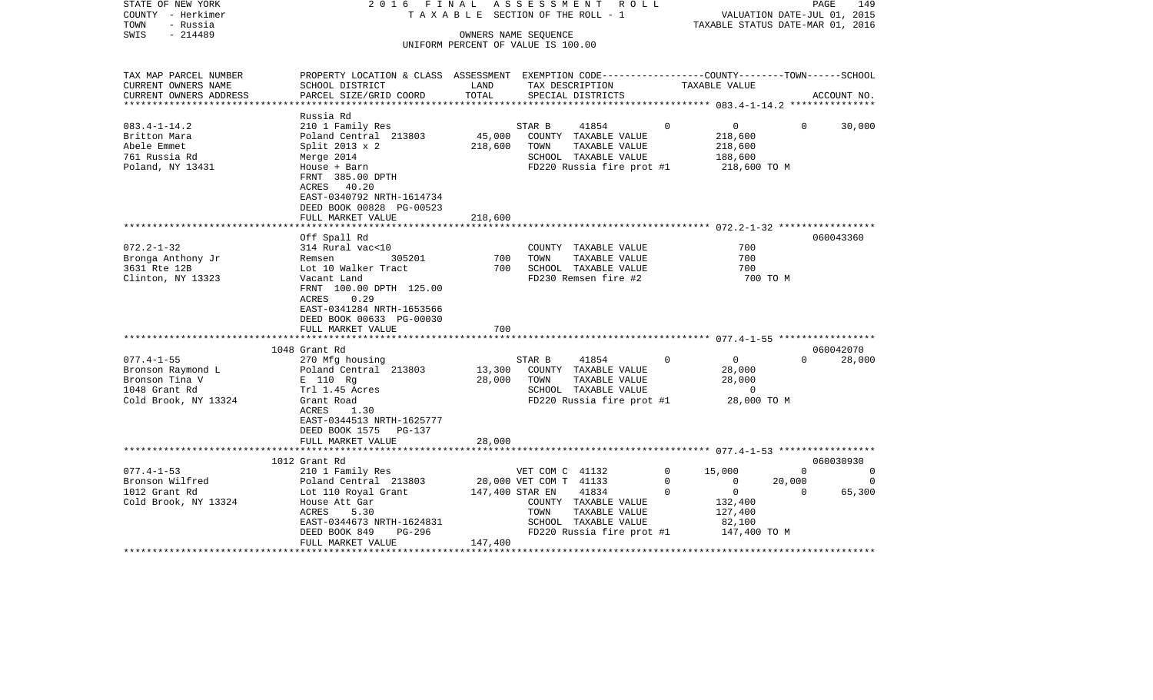| STATE OF NEW YORK<br>COUNTY - Herkimer<br>- Russia<br>TOWN<br>- 214489<br>SWIS                   | 2016 FINAL                                                                                                                                                                                                                         | TAXABLE SECTION OF THE ROLL - 1<br>UNIFORM PERCENT OF VALUE IS 100.00 | OWNERS NAME SEQUENCE | A S S E S S M E N T R O L L                                                                                              |                        | VALUATION DATE-JUL 01, 2015<br>TAXABLE STATUS DATE-MAR 01, 2016 |                          | PAGE<br>149         |
|--------------------------------------------------------------------------------------------------|------------------------------------------------------------------------------------------------------------------------------------------------------------------------------------------------------------------------------------|-----------------------------------------------------------------------|----------------------|--------------------------------------------------------------------------------------------------------------------------|------------------------|-----------------------------------------------------------------|--------------------------|---------------------|
| TAX MAP PARCEL NUMBER<br>CURRENT OWNERS NAME<br>CURRENT OWNERS ADDRESS                           | PROPERTY LOCATION & CLASS ASSESSMENT EXEMPTION CODE----------------COUNTY-------TOWN------SCHOOL<br>SCHOOL DISTRICT<br>PARCEL SIZE/GRID COORD                                                                                      | LAND<br>TOTAL                                                         |                      | TAX DESCRIPTION TAXABLE VALUE<br>SPECIAL DISTRICTS                                                                       |                        |                                                                 |                          | ACCOUNT NO.         |
| ***********************                                                                          |                                                                                                                                                                                                                                    |                                                                       |                      |                                                                                                                          |                        |                                                                 |                          |                     |
| $083.4 - 1 - 14.2$<br>Britton Mara<br>Abele Emmet<br>761 Russia Rd<br>Poland, NY 13431           | Russia Rd<br>210 1 Family Res<br>Poland Central 213803<br>Split $2013 \times 2$<br>Merge 2014<br>House + Barn<br>FRNT 385.00 DPTH<br>ACRES 40.20                                                                                   | 45,000<br>218,600                                                     | STAR B<br>TOWN       | 41854<br>COUNTY TAXABLE VALUE<br>TAXABLE VALUE<br>SCHOOL TAXABLE VALUE<br>FD220 Russia fire prot #1                      | $\Omega$               | $\overline{0}$<br>218,600<br>218,600<br>188,600<br>218,600 TO M | $\Omega$                 | 30,000              |
|                                                                                                  | EAST-0340792 NRTH-1614734<br>DEED BOOK 00828 PG-00523<br>FULL MARKET VALUE                                                                                                                                                         | 218,600                                                               |                      |                                                                                                                          |                        |                                                                 |                          |                     |
|                                                                                                  |                                                                                                                                                                                                                                    |                                                                       |                      |                                                                                                                          |                        |                                                                 |                          | 060043360           |
| $072.2 - 1 - 32$<br>Bronga Anthony Jr<br>3631 Rte 12B<br>Clinton, NY 13323                       | Off Spall Rd<br>314 Rural vac<10<br>Remsen 305201<br>Lot 10 Walker Tract<br>Vacant Land<br>FRNT 100.00 DPTH 125.00<br>0.29<br>ACRES<br>EAST-0341284 NRTH-1653566<br>DEED BOOK 00633 PG-00030<br>FULL MARKET VALUE<br>1048 Grant Rd | 700<br>700                                                            | TOWN                 | COUNTY TAXABLE VALUE<br>TAXABLE VALUE<br>700 SCHOOL TAXABLE VALUE<br>FD230 Remsen fire #2                                |                        | 700<br>700<br>700<br>700 TO M                                   |                          | 060042070           |
| $077.4 - 1 - 55$<br>Bronson Raymond L<br>Bronson Tina V<br>1048 Grant Rd<br>Cold Brook, NY 13324 | 270 Mfg housing<br>Poland Central 213803<br>E 110 Rg<br>Trl 1.45 Acres<br>Grant Road<br>ACRES<br>1.30<br>EAST-0344513 NRTH-1625777<br>DEED BOOK 1575 PG-137<br>FULL MARKET VALUE                                                   | 28,000<br>28,000                                                      | STAR B<br>TOWN       | 41854 0<br>13,300 COUNTY TAXABLE VALUE<br>TAXABLE VALUE<br>SCHOOL TAXABLE VALUE<br>FD220 Russia fire prot #1 28,000 TO M |                        | $\overline{0}$<br>28,000<br>28,000<br>$\overline{0}$            | $\Omega$                 | 28,000              |
|                                                                                                  |                                                                                                                                                                                                                                    |                                                                       |                      |                                                                                                                          |                        |                                                                 |                          |                     |
|                                                                                                  | 1012 Grant Rd                                                                                                                                                                                                                      |                                                                       |                      |                                                                                                                          |                        |                                                                 |                          | 060030930           |
| $077.4 - 1 - 53$                                                                                 | 210 1 Family Res                                                                                                                                                                                                                   |                                                                       | VET COM C 41132      |                                                                                                                          | $\circ$<br>$\mathbf 0$ | 15,000<br>$\overline{0}$                                        | $\overline{0}$<br>20,000 | $\circ$<br>$\Omega$ |
| Bronson Wilfred<br>1012 Grant Rd<br>Cold Brook, NY 13324                                         | Poland Central 213803 20,000 VET COM T 41133<br>Lot 110 Royal Grant 147,400 STAR EN 41834<br>House Att Gar<br>ACRES<br>5.30<br>EAST-0344673 NRTH-1624831                                                                           |                                                                       | TOWN                 | 41834<br>COUNTY TAXABLE VALUE<br>TAXABLE VALUE<br>SCHOOL TAXABLE VALUE                                                   | $\mathbf 0$            | $\overline{0}$<br>132,400<br>127,400<br>82,100                  | $\Omega$                 | 65,300              |
|                                                                                                  | DEED BOOK 849<br>PG-296<br>FULL MARKET VALUE                                                                                                                                                                                       | 147,400                                                               |                      | FD220 Russia fire prot #1                                                                                                |                        | 147,400 TO M                                                    |                          |                     |
|                                                                                                  |                                                                                                                                                                                                                                    |                                                                       |                      |                                                                                                                          |                        |                                                                 |                          |                     |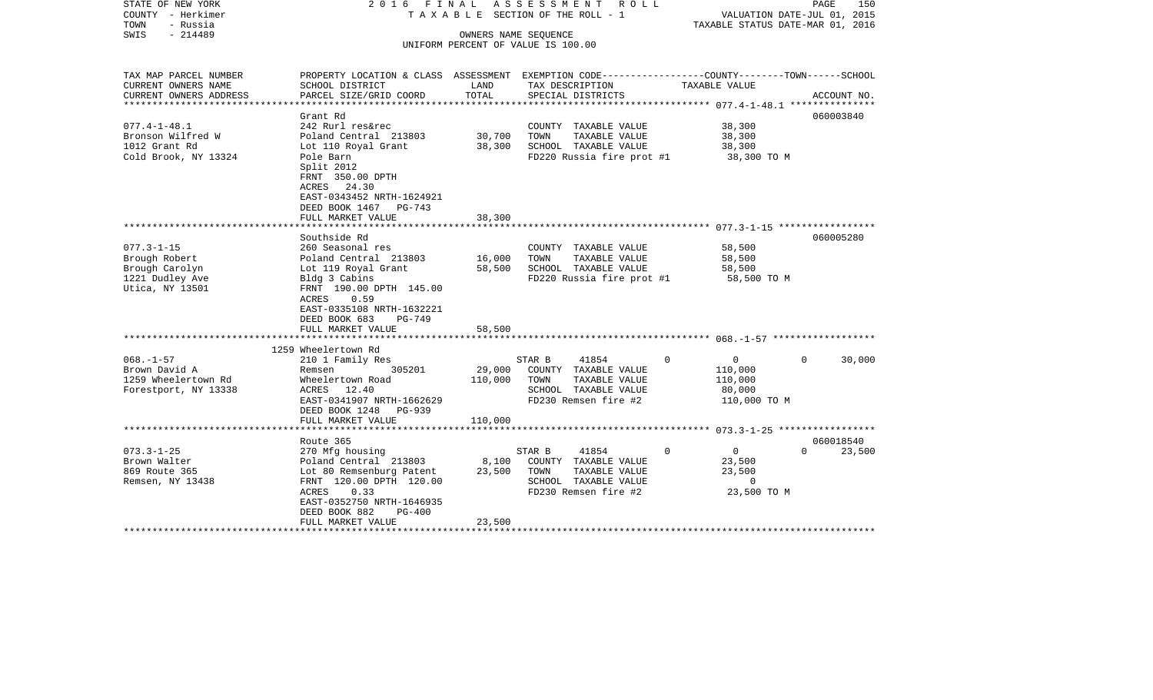| STATE OF NEW YORK<br>COUNTY - Herkimer<br>TOWN<br>- Russia | 2016 FINAL<br>ASSESSMENT ROLL<br>TAXABLE SECTION OF THE ROLL - 1                                                   |         |                                                            |                                            | PAGE<br>150<br>VALUATION DATE-JUL 01, 2015<br>TAXABLE STATUS DATE-MAR 01, 2016 |  |  |
|------------------------------------------------------------|--------------------------------------------------------------------------------------------------------------------|---------|------------------------------------------------------------|--------------------------------------------|--------------------------------------------------------------------------------|--|--|
| $-214489$<br>SWIS                                          |                                                                                                                    |         | OWNERS NAME SEQUENCE<br>UNIFORM PERCENT OF VALUE IS 100.00 |                                            |                                                                                |  |  |
| TAX MAP PARCEL NUMBER<br>CURRENT OWNERS NAME               | PROPERTY LOCATION & CLASS ASSESSMENT EXEMPTION CODE---------------COUNTY-------TOWN------SCHOOL<br>SCHOOL DISTRICT | LAND    | TAX DESCRIPTION                                            | TAXABLE VALUE                              |                                                                                |  |  |
| CURRENT OWNERS ADDRESS                                     | PARCEL SIZE/GRID COORD                                                                                             | TOTAL   | SPECIAL DISTRICTS                                          |                                            | ACCOUNT NO.                                                                    |  |  |
| **************                                             |                                                                                                                    |         |                                                            | ***************** 077.4-1-48.1 *********** |                                                                                |  |  |
|                                                            | Grant Rd                                                                                                           |         |                                                            |                                            | 060003840                                                                      |  |  |
| $077.4 - 1 - 48.1$<br>Bronson Wilfred W                    | 242 Rurl res&rec<br>Poland Central 213803                                                                          | 30,700  | COUNTY TAXABLE VALUE<br>TAXABLE VALUE<br>TOWN              | 38,300<br>38,300                           |                                                                                |  |  |
| 1012 Grant Rd                                              | Lot 110 Royal Grant                                                                                                | 38,300  | SCHOOL TAXABLE VALUE                                       | 38,300                                     |                                                                                |  |  |
| Cold Brook, NY 13324                                       | Pole Barn                                                                                                          |         | FD220 Russia fire prot #1                                  | 38,300 TO M                                |                                                                                |  |  |
|                                                            | Split 2012<br>FRNT 350.00 DPTH<br>ACRES 24.30                                                                      |         |                                                            |                                            |                                                                                |  |  |
|                                                            | EAST-0343452 NRTH-1624921<br>DEED BOOK 1467 PG-743<br>FULL MARKET VALUE                                            | 38,300  |                                                            |                                            |                                                                                |  |  |
|                                                            |                                                                                                                    |         |                                                            |                                            |                                                                                |  |  |
|                                                            | Southside Rd                                                                                                       |         |                                                            |                                            | 060005280                                                                      |  |  |
| $077.3 - 1 - 15$                                           | 260 Seasonal res                                                                                                   |         | COUNTY TAXABLE VALUE                                       | 58,500                                     |                                                                                |  |  |
| Brough Robert                                              | Poland Central 213803                                                                                              | 16,000  | TOWN<br>TAXABLE VALUE                                      | 58,500                                     |                                                                                |  |  |
| Brough Carolyn                                             | Lot 119 Royal Grant                                                                                                | 58,500  | SCHOOL TAXABLE VALUE                                       | 58,500                                     |                                                                                |  |  |
| 1221 Dudley Ave<br>Utica, NY 13501                         | Bldg 3 Cabins<br>FRNT 190.00 DPTH 145.00<br>ACRES<br>0.59<br>EAST-0335108 NRTH-1632221                             |         | FD220 Russia fire prot #1                                  | 58,500 TO M                                |                                                                                |  |  |
|                                                            | DEED BOOK 683<br>$PG-749$                                                                                          |         |                                                            |                                            |                                                                                |  |  |
|                                                            | FULL MARKET VALUE                                                                                                  | 58,500  |                                                            |                                            |                                                                                |  |  |
|                                                            | 1259 Wheelertown Rd                                                                                                |         |                                                            |                                            |                                                                                |  |  |
| $068. - 1 - 57$                                            | 210 1 Family Res                                                                                                   |         | 41854<br>STAR B                                            | $\circ$<br>$\overline{0}$                  | 30,000<br>$\Omega$                                                             |  |  |
| Brown David A                                              | 305201<br>Remsen                                                                                                   | 29,000  | COUNTY TAXABLE VALUE                                       | 110,000                                    |                                                                                |  |  |
| 1259 Wheelertown Rd                                        | Wheelertown Road                                                                                                   | 110,000 | TOWN<br>TAXABLE VALUE                                      | 110,000                                    |                                                                                |  |  |
| Forestport, NY 13338                                       | ACRES 12.40                                                                                                        |         | SCHOOL TAXABLE VALUE                                       | 80,000                                     |                                                                                |  |  |
|                                                            | EAST-0341907 NRTH-1662629                                                                                          |         | FD230 Remsen fire #2                                       | 110,000 TO M                               |                                                                                |  |  |
|                                                            | DEED BOOK 1248 PG-939                                                                                              |         |                                                            |                                            |                                                                                |  |  |
|                                                            | FULL MARKET VALUE<br>*********************                                                                         | 110,000 |                                                            |                                            |                                                                                |  |  |
|                                                            | Route 365                                                                                                          |         |                                                            |                                            | 060018540                                                                      |  |  |
| $073.3 - 1 - 25$                                           | 270 Mfg housing                                                                                                    |         | 41854<br>STAR B                                            | $\overline{0}$<br>$\Omega$                 | $\Omega$<br>23,500                                                             |  |  |
| Brown Walter                                               | Poland Central 213803                                                                                              | 8,100   | COUNTY TAXABLE VALUE                                       | 23,500                                     |                                                                                |  |  |
| 869 Route 365                                              | Lot 80 Remsenburg Patent                                                                                           | 23,500  | TOWN<br>TAXABLE VALUE                                      | 23,500                                     |                                                                                |  |  |
| Remsen, NY 13438                                           | FRNT 120.00 DPTH 120.00                                                                                            |         | SCHOOL TAXABLE VALUE                                       | $\overline{0}$                             |                                                                                |  |  |
|                                                            | 0.33<br>ACRES                                                                                                      |         | FD230 Remsen fire #2                                       | 23,500 TO M                                |                                                                                |  |  |
|                                                            | EAST-0352750 NRTH-1646935                                                                                          |         |                                                            |                                            |                                                                                |  |  |
|                                                            | DEED BOOK 882<br>$PG-400$<br>FULL MARKET VALUE                                                                     | 23,500  |                                                            |                                            |                                                                                |  |  |
|                                                            |                                                                                                                    |         |                                                            |                                            |                                                                                |  |  |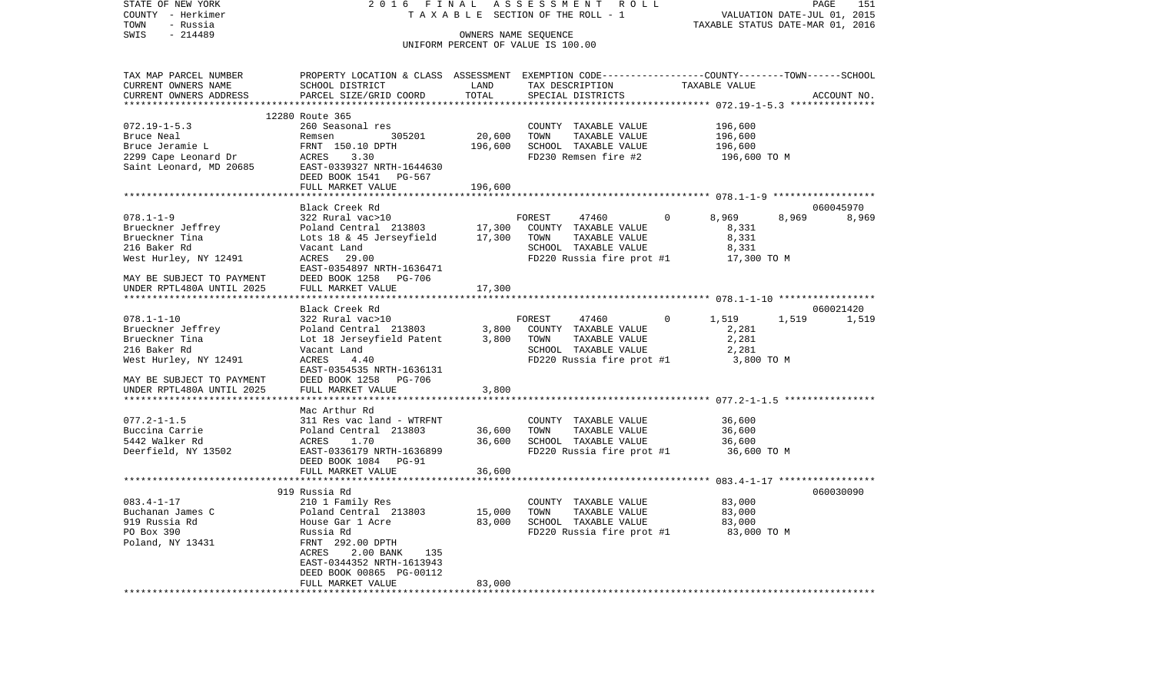| STATE OF NEW YORK<br>COUNTY - Herkimer<br>TOWN         | 2016 FINAL<br>TAXABLE SECTION OF THE ROLL - 1                                                   | ASSESSMENT ROLL | PAGE<br>151<br>VALUATION DATE-JUL 01, 2015<br>TAXABLE STATUS DATE-MAR 01, 2016 |                       |                |
|--------------------------------------------------------|-------------------------------------------------------------------------------------------------|-----------------|--------------------------------------------------------------------------------|-----------------------|----------------|
| - Russia<br>SWIS<br>$-214489$                          |                                                                                                 |                 | OWNERS NAME SEQUENCE                                                           |                       |                |
|                                                        |                                                                                                 |                 | UNIFORM PERCENT OF VALUE IS 100.00                                             |                       |                |
| TAX MAP PARCEL NUMBER                                  | PROPERTY LOCATION & CLASS ASSESSMENT EXEMPTION CODE---------------COUNTY-------TOWN------SCHOOL |                 |                                                                                |                       |                |
| CURRENT OWNERS NAME                                    | SCHOOL DISTRICT                                                                                 | LAND            | TAX DESCRIPTION                                                                | TAXABLE VALUE         |                |
| CURRENT OWNERS ADDRESS                                 | PARCEL SIZE/GRID COORD<br>***********************                                               | TOTAL           | SPECIAL DISTRICTS                                                              |                       | ACCOUNT NO.    |
|                                                        | 12280 Route 365                                                                                 |                 |                                                                                |                       |                |
| $072.19 - 1 - 5.3$                                     | 260 Seasonal res                                                                                |                 | COUNTY TAXABLE VALUE                                                           | 196,600               |                |
| Bruce Neal                                             | 305201<br>Remsen                                                                                | 20,600          | TOWN<br>TAXABLE VALUE                                                          | 196,600               |                |
| Bruce Jeramie L                                        | FRNT 150.10 DPTH                                                                                | 196,600         | SCHOOL TAXABLE VALUE                                                           | 196,600               |                |
| 2299 Cape Leonard Dr                                   | ACRES<br>3.30                                                                                   |                 | FD230 Remsen fire #2                                                           | 196,600 TO M          |                |
| Saint Leonard, MD 20685                                | EAST-0339327 NRTH-1644630                                                                       |                 |                                                                                |                       |                |
|                                                        | DEED BOOK 1541 PG-567                                                                           |                 |                                                                                |                       |                |
|                                                        | FULL MARKET VALUE                                                                               | 196,600         |                                                                                |                       |                |
|                                                        | Black Creek Rd                                                                                  |                 |                                                                                |                       | 060045970      |
| $078.1 - 1 - 9$                                        | 322 Rural vac>10                                                                                |                 | FOREST<br>47460                                                                | 8,969<br>$\mathbf{0}$ | 8,969<br>8,969 |
| Brueckner Jeffrey                                      | Poland Central 213803                                                                           | 17,300          | COUNTY TAXABLE VALUE                                                           | 8,331                 |                |
| Brueckner Tina                                         | Lots 18 & 45 Jerseyfield                                                                        | 17,300          | TAXABLE VALUE<br>TOWN                                                          | 8,331                 |                |
| 216 Baker Rd                                           | Vacant Land                                                                                     |                 | SCHOOL TAXABLE VALUE                                                           | 8,331                 |                |
| West Hurley, NY 12491                                  | ACRES 29.00<br>EAST-0354897 NRTH-1636471                                                        |                 | FD220 Russia fire prot #1                                                      | 17,300 TO M           |                |
| MAY BE SUBJECT TO PAYMENT                              | DEED BOOK 1258 PG-706                                                                           |                 |                                                                                |                       |                |
| UNDER RPTL480A UNTIL 2025                              | FULL MARKET VALUE                                                                               | 17,300          |                                                                                |                       |                |
|                                                        | Black Creek Rd                                                                                  |                 |                                                                                |                       | 060021420      |
| $078.1 - 1 - 10$                                       | 322 Rural vac>10                                                                                |                 | FOREST<br>47460                                                                | 1,519<br>$\Omega$     | 1,519<br>1,519 |
| Brueckner Jeffrey                                      | Poland Central 213803                                                                           | 3,800           | COUNTY TAXABLE VALUE                                                           | 2,281                 |                |
| Brueckner Tina                                         | Lot 18 Jerseyfield Patent                                                                       | 3,800           | TOWN<br>TAXABLE VALUE                                                          | 2,281                 |                |
| 216 Baker Rd                                           | Vacant Land                                                                                     |                 | SCHOOL TAXABLE VALUE                                                           | 2,281                 |                |
| West Hurley, NY 12491                                  | ACRES<br>4.40                                                                                   |                 | FD220 Russia fire prot #1                                                      | 3,800 TO M            |                |
|                                                        | EAST-0354535 NRTH-1636131                                                                       |                 |                                                                                |                       |                |
| MAY BE SUBJECT TO PAYMENT<br>UNDER RPTL480A UNTIL 2025 | DEED BOOK 1258 PG-706<br>FULL MARKET VALUE                                                      | 3,800           |                                                                                |                       |                |
|                                                        | *******************                                                                             | *******         |                                                                                |                       |                |
|                                                        | Mac Arthur Rd                                                                                   |                 |                                                                                |                       |                |
| $077.2 - 1 - 1.5$                                      | 311 Res vac land - WTRFNT                                                                       |                 | COUNTY TAXABLE VALUE                                                           | 36,600                |                |
| Buccina Carrie                                         | Poland Central 213803                                                                           | 36,600          | TOWN<br>TAXABLE VALUE                                                          | 36,600                |                |
| 5442 Walker Rd                                         | ACRES<br>1.70                                                                                   | 36,600          | SCHOOL TAXABLE VALUE                                                           | 36,600                |                |
| Deerfield, NY 13502                                    | EAST-0336179 NRTH-1636899                                                                       |                 | FD220 Russia fire prot #1                                                      | 36,600 TO M           |                |
|                                                        | DEED BOOK 1084 PG-91                                                                            |                 |                                                                                |                       |                |
|                                                        | FULL MARKET VALUE                                                                               | 36,600          |                                                                                |                       |                |
|                                                        | 919 Russia Rd                                                                                   |                 |                                                                                |                       | 060030090      |
| $083.4 - 1 - 17$                                       | 210 1 Family Res                                                                                |                 | COUNTY TAXABLE VALUE                                                           | 83,000                |                |
| Buchanan James C                                       | Poland Central 213803                                                                           | 15,000          | TOWN<br>TAXABLE VALUE                                                          | 83,000                |                |
| 919 Russia Rd                                          | House Gar 1 Acre                                                                                | 83,000          | SCHOOL TAXABLE VALUE                                                           | 83,000                |                |
| PO Box 390                                             | Russia Rd                                                                                       |                 | FD220 Russia fire prot #1                                                      | 83,000 TO M           |                |
| Poland, NY 13431                                       | FRNT 292.00 DPTH                                                                                |                 |                                                                                |                       |                |
|                                                        | ACRES<br>2.00 BANK<br>135<br>EAST-0344352 NRTH-1613943                                          |                 |                                                                                |                       |                |
|                                                        | DEED BOOK 00865 PG-00112                                                                        |                 |                                                                                |                       |                |
|                                                        | FULL MARKET VALUE                                                                               | 83,000          |                                                                                |                       |                |
|                                                        |                                                                                                 |                 |                                                                                |                       |                |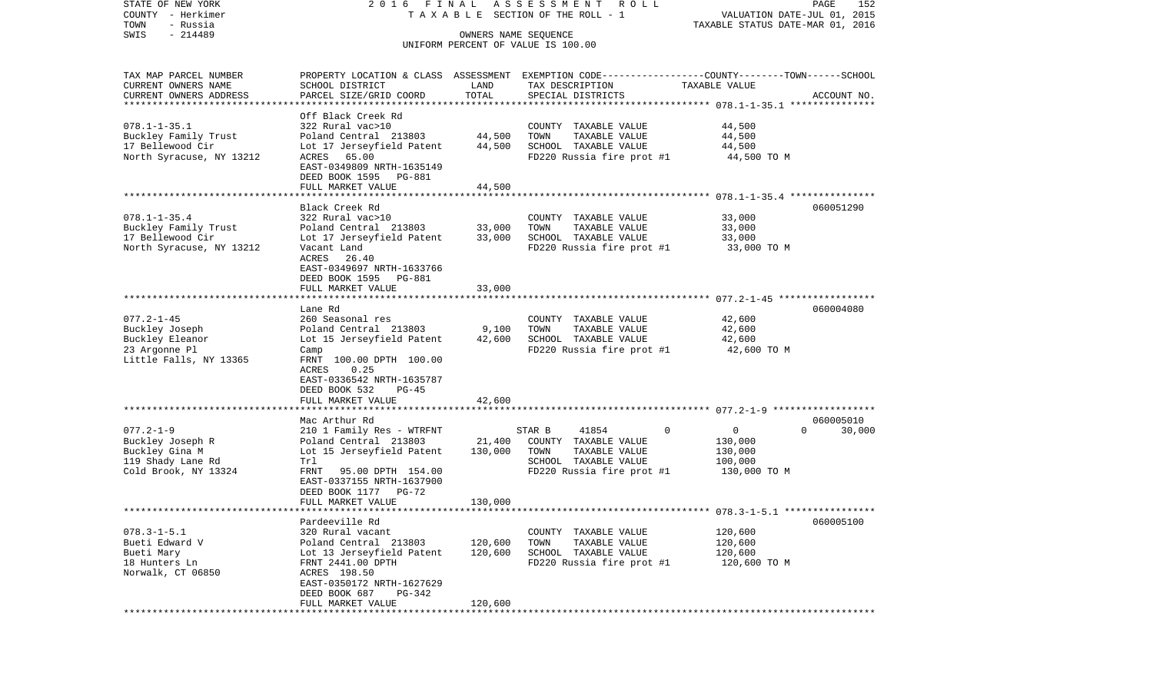| STATE OF NEW YORK<br>COUNTY - Herkimer<br>TOWN<br>- Russia | 2016 FINAL                                                                                                          |                      | A S S E S S M E N T<br>R O L L<br>T A X A B L E SECTION OF THE ROLL - 1 | VALUATION DATE-JUL 01, 2015<br>TAXABLE STATUS DATE-MAR 01, 2016 | PAGE<br>152        |
|------------------------------------------------------------|---------------------------------------------------------------------------------------------------------------------|----------------------|-------------------------------------------------------------------------|-----------------------------------------------------------------|--------------------|
| $-214489$<br>SWIS                                          |                                                                                                                     | OWNERS NAME SEQUENCE | UNIFORM PERCENT OF VALUE IS 100.00                                      |                                                                 |                    |
| TAX MAP PARCEL NUMBER<br>CURRENT OWNERS NAME               | PROPERTY LOCATION & CLASS ASSESSMENT EXEMPTION CODE----------------COUNTY-------TOWN------SCHOOL<br>SCHOOL DISTRICT | LAND                 | TAX DESCRIPTION                                                         | TAXABLE VALUE                                                   |                    |
| CURRENT OWNERS ADDRESS<br>***********************          | PARCEL SIZE/GRID COORD                                                                                              | TOTAL                | SPECIAL DISTRICTS                                                       |                                                                 | ACCOUNT NO.        |
|                                                            | Off Black Creek Rd                                                                                                  |                      |                                                                         |                                                                 |                    |
| $078.1 - 1 - 35.1$                                         | 322 Rural vac>10                                                                                                    |                      | COUNTY TAXABLE VALUE                                                    | 44,500                                                          |                    |
| Buckley Family Trust                                       | Poland Central 213803                                                                                               | 44,500               | TOWN<br>TAXABLE VALUE                                                   | 44,500                                                          |                    |
| 17 Bellewood Cir                                           | Lot 17 Jerseyfield Patent                                                                                           | 44,500               | SCHOOL TAXABLE VALUE                                                    | 44,500                                                          |                    |
| North Syracuse, NY 13212                                   | ACRES 65.00                                                                                                         |                      | FD220 Russia fire prot #1                                               | 44,500 TO M                                                     |                    |
|                                                            | EAST-0349809 NRTH-1635149                                                                                           |                      |                                                                         |                                                                 |                    |
|                                                            | DEED BOOK 1595 PG-881                                                                                               |                      |                                                                         |                                                                 |                    |
|                                                            | FULL MARKET VALUE                                                                                                   | 44,500               |                                                                         |                                                                 |                    |
|                                                            | *********************<br>Black Creek Rd                                                                             |                      |                                                                         |                                                                 | 060051290          |
| $078.1 - 1 - 35.4$                                         | 322 Rural vac>10                                                                                                    |                      | COUNTY TAXABLE VALUE                                                    | 33,000                                                          |                    |
| Buckley Family Trust                                       | Poland Central 213803                                                                                               | 33,000               | TAXABLE VALUE<br>TOWN                                                   | 33,000                                                          |                    |
| 17 Bellewood Cir                                           | Lot 17 Jerseyfield Patent                                                                                           | 33,000               | SCHOOL TAXABLE VALUE                                                    | 33,000                                                          |                    |
| North Syracuse, NY 13212                                   | Vacant Land                                                                                                         |                      | FD220 Russia fire prot #1                                               | 33,000 TO M                                                     |                    |
|                                                            | ACRES<br>26.40                                                                                                      |                      |                                                                         |                                                                 |                    |
|                                                            | EAST-0349697 NRTH-1633766                                                                                           |                      |                                                                         |                                                                 |                    |
|                                                            | DEED BOOK 1595<br><b>PG-881</b>                                                                                     |                      |                                                                         |                                                                 |                    |
|                                                            | FULL MARKET VALUE                                                                                                   | 33,000               |                                                                         |                                                                 |                    |
|                                                            |                                                                                                                     |                      |                                                                         |                                                                 |                    |
|                                                            | Lane Rd                                                                                                             |                      |                                                                         |                                                                 | 060004080          |
| $077.2 - 1 - 45$                                           | 260 Seasonal res<br>Poland Central 213803                                                                           | 9,100                | COUNTY TAXABLE VALUE<br>TAXABLE VALUE<br>TOWN                           | 42,600<br>42,600                                                |                    |
| Buckley Joseph<br>Buckley Eleanor                          | Lot 15 Jerseyfield Patent                                                                                           | 42,600               | SCHOOL TAXABLE VALUE                                                    | 42,600                                                          |                    |
| 23 Argonne Pl                                              | Camp                                                                                                                |                      | FD220 Russia fire prot #1                                               | 42,600 TO M                                                     |                    |
| Little Falls, NY 13365                                     | FRNT 100.00 DPTH 100.00                                                                                             |                      |                                                                         |                                                                 |                    |
|                                                            | ACRES<br>0.25                                                                                                       |                      |                                                                         |                                                                 |                    |
|                                                            | EAST-0336542 NRTH-1635787                                                                                           |                      |                                                                         |                                                                 |                    |
|                                                            | DEED BOOK 532<br>$PG-45$                                                                                            |                      |                                                                         |                                                                 |                    |
|                                                            | FULL MARKET VALUE                                                                                                   | 42,600               |                                                                         |                                                                 |                    |
|                                                            | *****************************                                                                                       |                      |                                                                         |                                                                 |                    |
|                                                            | Mac Arthur Rd                                                                                                       |                      |                                                                         |                                                                 | 060005010          |
| $077.2 - 1 - 9$                                            | 210 1 Family Res - WTRFNT                                                                                           |                      | STAR B<br>41854                                                         | $\mathbf 0$<br>$\overline{0}$                                   | $\Omega$<br>30,000 |
| Buckley Joseph R<br>Buckley Gina M                         | Poland Central 213803<br>Lot 15 Jerseyfield Patent                                                                  | 21,400<br>130,000    | COUNTY TAXABLE VALUE<br>TOWN<br>TAXABLE VALUE                           | 130,000<br>130,000                                              |                    |
| 119 Shady Lane Rd                                          | Trl                                                                                                                 |                      | SCHOOL TAXABLE VALUE                                                    | 100,000                                                         |                    |
| Cold Brook, NY 13324                                       | FRNT<br>95.00 DPTH 154.00                                                                                           |                      | FD220 Russia fire prot #1                                               | 130,000 TO M                                                    |                    |
|                                                            | EAST-0337155 NRTH-1637900                                                                                           |                      |                                                                         |                                                                 |                    |
|                                                            | DEED BOOK 1177 PG-72                                                                                                |                      |                                                                         |                                                                 |                    |
|                                                            | FULL MARKET VALUE                                                                                                   | 130,000              |                                                                         |                                                                 |                    |
| **********************                                     |                                                                                                                     |                      |                                                                         |                                                                 |                    |
|                                                            | Pardeeville Rd                                                                                                      |                      |                                                                         |                                                                 | 060005100          |
| $078.3 - 1 - 5.1$                                          | 320 Rural vacant                                                                                                    |                      | COUNTY TAXABLE VALUE                                                    | 120,600                                                         |                    |
| Bueti Edward V                                             | Poland Central 213803                                                                                               | 120,600              | TOWN<br>TAXABLE VALUE                                                   | 120,600                                                         |                    |
| Bueti Mary<br>18 Hunters Ln                                | Lot 13 Jerseyfield Patent<br>FRNT 2441.00 DPTH                                                                      | 120,600              | SCHOOL TAXABLE VALUE<br>FD220 Russia fire prot #1                       | 120,600                                                         |                    |
| Norwalk, CT 06850                                          | ACRES 198.50                                                                                                        |                      |                                                                         | 120,600 TO M                                                    |                    |
|                                                            | EAST-0350172 NRTH-1627629                                                                                           |                      |                                                                         |                                                                 |                    |
|                                                            | DEED BOOK 687<br>PG-342                                                                                             |                      |                                                                         |                                                                 |                    |
|                                                            | FULL MARKET VALUE                                                                                                   | 120,600              |                                                                         |                                                                 |                    |
|                                                            |                                                                                                                     |                      |                                                                         |                                                                 |                    |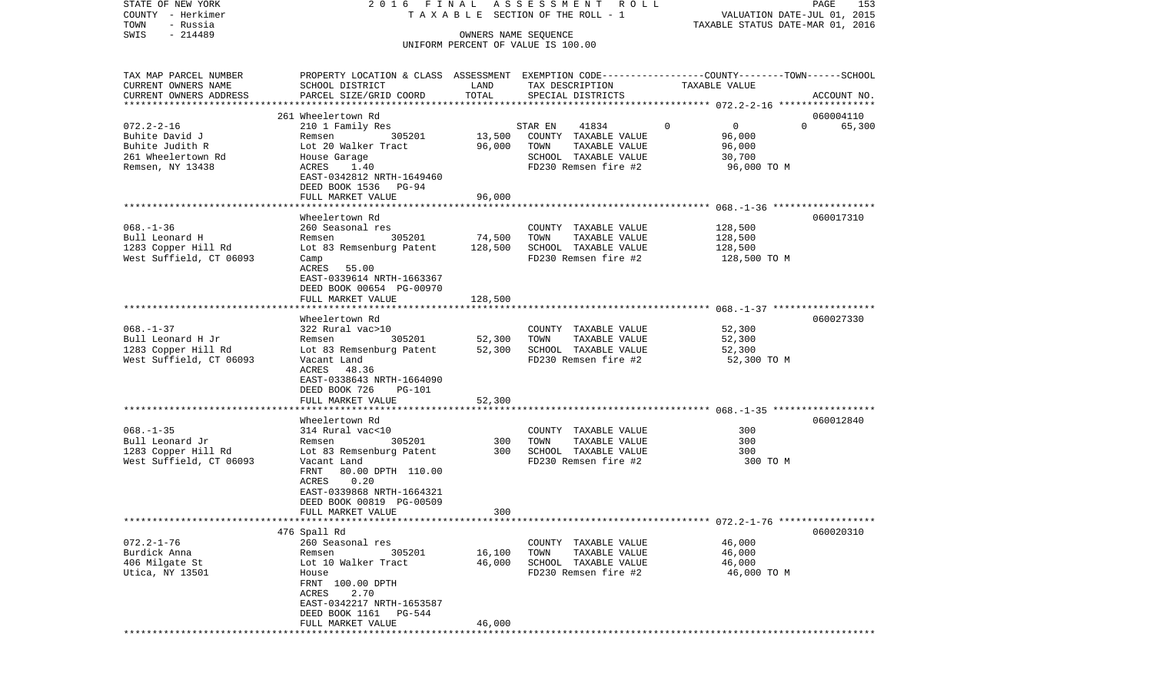| STATE OF NEW YORK<br>COUNTY - Herkimer<br>TOWN<br>- Russia |                                                                                                 |                      | 2016 FINAL ASSESSMENT ROLL<br>TAXABLE SECTION OF THE ROLL - 1 | VALUATION DATE-JUL 01, 2015      | PAGE<br>153        |
|------------------------------------------------------------|-------------------------------------------------------------------------------------------------|----------------------|---------------------------------------------------------------|----------------------------------|--------------------|
| $-214489$<br>SWIS                                          |                                                                                                 | OWNERS NAME SEQUENCE |                                                               | TAXABLE STATUS DATE-MAR 01, 2016 |                    |
|                                                            |                                                                                                 |                      | UNIFORM PERCENT OF VALUE IS 100.00                            |                                  |                    |
| TAX MAP PARCEL NUMBER                                      | PROPERTY LOCATION & CLASS ASSESSMENT EXEMPTION CODE----------------COUNTY-------TOWN-----SCHOOL |                      |                                                               |                                  |                    |
| CURRENT OWNERS NAME<br>CURRENT OWNERS ADDRESS              | SCHOOL DISTRICT<br>PARCEL SIZE/GRID COORD                                                       | LAND<br>TOTAL        | TAX DESCRIPTION<br>SPECIAL DISTRICTS                          | TAXABLE VALUE                    | ACCOUNT NO.        |
|                                                            | 261 Wheelertown Rd                                                                              |                      |                                                               |                                  | 060004110          |
| $072.2 - 2 - 16$                                           | 210 1 Family Res                                                                                |                      | STAR EN<br>41834                                              | $\circ$<br>$\overline{0}$        | $\Omega$<br>65,300 |
| Buhite David J                                             | 305201<br>Remsen                                                                                | 13,500               | COUNTY TAXABLE VALUE                                          | 96,000                           |                    |
| Buhite Judith R                                            | Lot 20 Walker Tract                                                                             | 96,000               | TOWN<br>TAXABLE VALUE                                         | 96,000                           |                    |
| 261 Wheelertown Rd                                         | House Garage                                                                                    |                      | SCHOOL TAXABLE VALUE                                          | 30,700                           |                    |
| Remsen, NY 13438                                           | ACRES<br>1.40<br>EAST-0342812 NRTH-1649460                                                      |                      | FD230 Remsen fire #2                                          | 96,000 TO M                      |                    |
|                                                            | DEED BOOK 1536 PG-94                                                                            |                      |                                                               |                                  |                    |
|                                                            | FULL MARKET VALUE                                                                               | 96,000               |                                                               |                                  |                    |
|                                                            |                                                                                                 |                      |                                                               |                                  |                    |
|                                                            | Wheelertown Rd                                                                                  |                      |                                                               |                                  | 060017310          |
| $068. - 1 - 36$                                            | 260 Seasonal res                                                                                |                      | COUNTY TAXABLE VALUE                                          | 128,500                          |                    |
| Bull Leonard H<br>1283 Copper Hill Rd                      | 305201<br>Remsen<br>Lot 83 Remsenburg Patent                                                    | 74,500<br>128,500    | TAXABLE VALUE<br>TOWN<br>SCHOOL TAXABLE VALUE                 | 128,500<br>128,500               |                    |
| West Suffield, CT 06093                                    | Camp                                                                                            |                      | FD230 Remsen fire #2                                          | 128,500 TO M                     |                    |
|                                                            | ACRES 55.00                                                                                     |                      |                                                               |                                  |                    |
|                                                            | EAST-0339614 NRTH-1663367                                                                       |                      |                                                               |                                  |                    |
|                                                            | DEED BOOK 00654 PG-00970                                                                        |                      |                                                               |                                  |                    |
|                                                            | FULL MARKET VALUE                                                                               | 128,500              |                                                               |                                  |                    |
|                                                            | Wheelertown Rd                                                                                  |                      |                                                               |                                  | 060027330          |
| $068. - 1 - 37$                                            | 322 Rural vac>10                                                                                |                      | COUNTY TAXABLE VALUE                                          | 52,300                           |                    |
| Bull Leonard H Jr                                          | 305201<br>Remsen                                                                                | 52,300               | TOWN<br>TAXABLE VALUE                                         | 52,300                           |                    |
| 1283 Copper Hill Rd                                        | Lot 83 Remsenburg Patent                                                                        | 52,300               | SCHOOL TAXABLE VALUE                                          | 52,300                           |                    |
| West Suffield, CT 06093                                    | Vacant Land                                                                                     |                      | FD230 Remsen fire #2                                          | 52,300 TO M                      |                    |
|                                                            | ACRES 48.36                                                                                     |                      |                                                               |                                  |                    |
|                                                            | EAST-0338643 NRTH-1664090                                                                       |                      |                                                               |                                  |                    |
|                                                            | DEED BOOK 726<br>PG-101<br>FULL MARKET VALUE                                                    | 52,300               |                                                               |                                  |                    |
|                                                            |                                                                                                 |                      |                                                               |                                  |                    |
|                                                            | Wheelertown Rd                                                                                  |                      |                                                               |                                  | 060012840          |
| $068. - 1 - 35$                                            | 314 Rural vac<10                                                                                |                      | COUNTY TAXABLE VALUE                                          | 300                              |                    |
| Bull Leonard Jr                                            | 305201<br>Remsen                                                                                | 300                  | TOWN<br>TAXABLE VALUE                                         | 300                              |                    |
| 1283 Copper Hill Rd<br>West Suffield, CT 06093             | Lot 83 Remsenburg Patent<br>Vacant Land                                                         | 300                  | SCHOOL TAXABLE VALUE<br>FD230 Remsen fire #2                  | 300<br>300 TO M                  |                    |
|                                                            | 80.00 DPTH 110.00<br>FRNT                                                                       |                      |                                                               |                                  |                    |
|                                                            | 0.20<br>ACRES                                                                                   |                      |                                                               |                                  |                    |
|                                                            | EAST-0339868 NRTH-1664321                                                                       |                      |                                                               |                                  |                    |
|                                                            | DEED BOOK 00819 PG-00509                                                                        |                      |                                                               |                                  |                    |
|                                                            | FULL MARKET VALUE                                                                               | 300                  |                                                               |                                  |                    |
|                                                            |                                                                                                 |                      |                                                               |                                  |                    |
| $072.2 - 1 - 76$                                           | 476 Spall Rd<br>260 Seasonal res                                                                |                      | COUNTY TAXABLE VALUE                                          | 46,000                           | 060020310          |
| Burdick Anna                                               | 305201<br>Remsen                                                                                | 16,100               | TAXABLE VALUE<br>TOWN                                         | 46,000                           |                    |
| 406 Milgate St                                             | Lot 10 Walker Tract                                                                             | 46,000               | SCHOOL TAXABLE VALUE                                          | 46,000                           |                    |
| Utica, NY 13501                                            | House                                                                                           |                      | FD230 Remsen fire #2                                          | 46,000 TO M                      |                    |
|                                                            | FRNT 100.00 DPTH                                                                                |                      |                                                               |                                  |                    |
|                                                            | 2.70<br>ACRES                                                                                   |                      |                                                               |                                  |                    |
|                                                            | EAST-0342217 NRTH-1653587<br>DEED BOOK 1161<br>PG-544                                           |                      |                                                               |                                  |                    |
|                                                            | FULL MARKET VALUE                                                                               | 46,000               |                                                               |                                  |                    |
|                                                            |                                                                                                 |                      |                                                               |                                  |                    |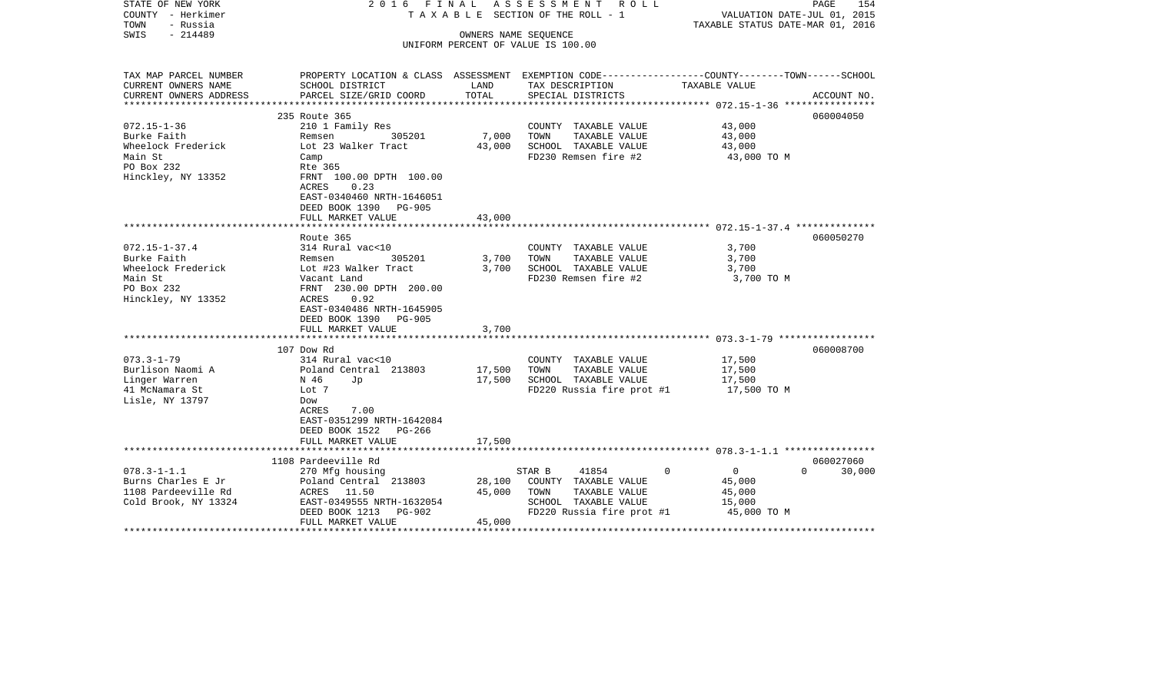| STATE OF NEW YORK<br>COUNTY - Herkimer<br>TOWN<br>- Russia | 2016 FINAL<br>ASSESSMENT ROLL<br>TAXABLE SECTION OF THE ROLL - 1                                                     |                               |                                    | PAGE<br>154<br>VALUATION DATE-JUL 01, 2015<br>TAXABLE STATUS DATE-MAR 01, 2016 |             |  |
|------------------------------------------------------------|----------------------------------------------------------------------------------------------------------------------|-------------------------------|------------------------------------|--------------------------------------------------------------------------------|-------------|--|
| $-214489$<br>SWIS                                          |                                                                                                                      |                               | OWNERS NAME SEQUENCE               |                                                                                |             |  |
|                                                            |                                                                                                                      |                               | UNIFORM PERCENT OF VALUE IS 100.00 |                                                                                |             |  |
|                                                            |                                                                                                                      |                               |                                    |                                                                                |             |  |
| TAX MAP PARCEL NUMBER<br>CURRENT OWNERS NAME               | PROPERTY LOCATION & CLASS ASSESSMENT EXEMPTION CODE-----------------COUNTY-------TOWN------SCHOOL<br>SCHOOL DISTRICT | LAND                          | TAX DESCRIPTION                    | TAXABLE VALUE                                                                  |             |  |
| CURRENT OWNERS ADDRESS                                     | PARCEL SIZE/GRID COORD                                                                                               | TOTAL                         | SPECIAL DISTRICTS                  |                                                                                | ACCOUNT NO. |  |
|                                                            |                                                                                                                      | *********************         |                                    | ********************* 072.15-1-36 ************                                 |             |  |
|                                                            | 235 Route 365                                                                                                        |                               |                                    |                                                                                | 060004050   |  |
| $072.15 - 1 - 36$                                          | 210 1 Family Res                                                                                                     |                               | COUNTY TAXABLE VALUE               | 43,000                                                                         |             |  |
| Burke Faith                                                | 305201<br>Remsen                                                                                                     | 7,000                         | TAXABLE VALUE<br>TOWN              | 43,000                                                                         |             |  |
| Wheelock Frederick                                         | Lot 23 Walker Tract                                                                                                  | 43,000                        | SCHOOL TAXABLE VALUE               | 43,000                                                                         |             |  |
| Main St                                                    | Camp                                                                                                                 |                               | FD230 Remsen fire #2               | 43,000 TO M                                                                    |             |  |
| PO Box 232                                                 | Rte 365                                                                                                              |                               |                                    |                                                                                |             |  |
| Hinckley, NY 13352                                         | FRNT 100.00 DPTH 100.00<br>ACRES<br>0.23                                                                             |                               |                                    |                                                                                |             |  |
|                                                            | EAST-0340460 NRTH-1646051                                                                                            |                               |                                    |                                                                                |             |  |
|                                                            | DEED BOOK 1390 PG-905                                                                                                |                               |                                    |                                                                                |             |  |
|                                                            | FULL MARKET VALUE                                                                                                    | 43,000                        |                                    |                                                                                |             |  |
|                                                            |                                                                                                                      |                               |                                    |                                                                                |             |  |
|                                                            | Route 365                                                                                                            |                               |                                    |                                                                                | 060050270   |  |
| $072.15 - 1 - 37.4$                                        | 314 Rural vac<10                                                                                                     |                               | COUNTY TAXABLE VALUE               | 3,700                                                                          |             |  |
| Burke Faith                                                | 305201<br>Remsen                                                                                                     | 3,700                         | TOWN<br>TAXABLE VALUE              | 3,700                                                                          |             |  |
| Wheelock Frederick                                         | Lot #23 Walker Tract                                                                                                 | 3,700                         | SCHOOL TAXABLE VALUE               | 3,700                                                                          |             |  |
| Main St                                                    | Vacant Land                                                                                                          |                               | FD230 Remsen fire #2               | 3,700 TO M                                                                     |             |  |
| PO Box 232                                                 | FRNT 230.00 DPTH 200.00                                                                                              |                               |                                    |                                                                                |             |  |
| Hinckley, NY 13352                                         | 0.92<br>ACRES<br>EAST-0340486 NRTH-1645905                                                                           |                               |                                    |                                                                                |             |  |
|                                                            | DEED BOOK 1390<br>PG-905                                                                                             |                               |                                    |                                                                                |             |  |
|                                                            | FULL MARKET VALUE                                                                                                    | 3,700                         |                                    |                                                                                |             |  |
|                                                            |                                                                                                                      |                               |                                    |                                                                                |             |  |
|                                                            | 107 Dow Rd                                                                                                           |                               |                                    |                                                                                | 060008700   |  |
| $073.3 - 1 - 79$                                           | 314 Rural vac<10                                                                                                     |                               | COUNTY TAXABLE VALUE               | 17,500                                                                         |             |  |
| Burlison Naomi A                                           | Poland Central 213803                                                                                                | 17,500                        | TOWN<br>TAXABLE VALUE              | 17,500                                                                         |             |  |
| Linger Warren                                              | N 46<br>Jp                                                                                                           | 17,500                        | SCHOOL TAXABLE VALUE               | 17,500                                                                         |             |  |
| 41 McNamara St                                             | Lot 7                                                                                                                |                               | FD220 Russia fire prot #1          | 17,500 TO M                                                                    |             |  |
| Lisle, NY 13797                                            | Dow                                                                                                                  |                               |                                    |                                                                                |             |  |
|                                                            | 7.00<br>ACRES                                                                                                        |                               |                                    |                                                                                |             |  |
|                                                            | EAST-0351299 NRTH-1642084<br>DEED BOOK 1522<br>PG-266                                                                |                               |                                    |                                                                                |             |  |
|                                                            | FULL MARKET VALUE                                                                                                    | 17,500                        |                                    |                                                                                |             |  |
|                                                            |                                                                                                                      |                               |                                    |                                                                                |             |  |
|                                                            | 1108 Pardeeville Rd                                                                                                  |                               |                                    |                                                                                | 060027060   |  |
| $078.3 - 1 - 1.1$                                          | 270 Mfg housing                                                                                                      |                               | STAR B<br>41854                    | $\Omega$<br>$\Omega$<br>$\overline{0}$                                         | 30,000      |  |
| Burns Charles E Jr                                         | Poland Central 213803                                                                                                | 28,100                        | COUNTY TAXABLE VALUE               | 45,000                                                                         |             |  |
| 1108 Pardeeville Rd                                        | ACRES 11.50                                                                                                          | 45,000                        | TOWN<br>TAXABLE VALUE              | 45,000                                                                         |             |  |
| Cold Brook, NY 13324                                       | EAST-0349555 NRTH-1632054                                                                                            |                               | SCHOOL TAXABLE VALUE               | 15,000                                                                         |             |  |
|                                                            | PG-902<br>DEED BOOK 1213                                                                                             |                               | FD220 Russia fire prot #1          | 45,000 TO M                                                                    |             |  |
|                                                            | FULL MARKET VALUE                                                                                                    | 45,000<br>******************* |                                    |                                                                                |             |  |
|                                                            |                                                                                                                      |                               |                                    |                                                                                |             |  |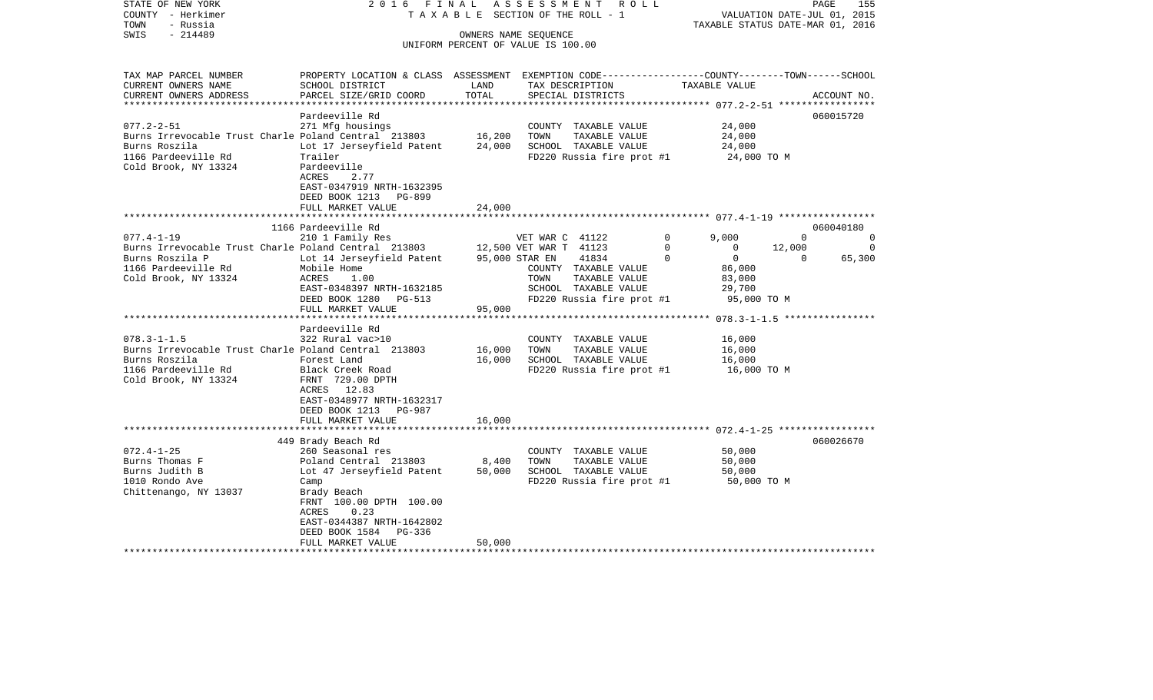| STATE OF NEW YORK<br>COUNTY - Herkimer<br>- Russia<br>TOWN                                                                                                                                                                                                                              | 2016 FINAL                                                                                                                                                                                                                                                                                                                     |                                | ASSESSMENT<br>R O L L<br>TAXABLE SECTION OF THE ROLL - 1                                                                                                                                                                                                                                                   |                                                                                                                                                                                                      | PAGE<br>VALUATION DATE-JUL 01, 2015<br>TAXABLE STATUS DATE-MAR 01, 2016 | 155                                  |
|-----------------------------------------------------------------------------------------------------------------------------------------------------------------------------------------------------------------------------------------------------------------------------------------|--------------------------------------------------------------------------------------------------------------------------------------------------------------------------------------------------------------------------------------------------------------------------------------------------------------------------------|--------------------------------|------------------------------------------------------------------------------------------------------------------------------------------------------------------------------------------------------------------------------------------------------------------------------------------------------------|------------------------------------------------------------------------------------------------------------------------------------------------------------------------------------------------------|-------------------------------------------------------------------------|--------------------------------------|
| $-214489$<br>SWIS                                                                                                                                                                                                                                                                       |                                                                                                                                                                                                                                                                                                                                | OWNERS NAME SEQUENCE           | UNIFORM PERCENT OF VALUE IS 100.00                                                                                                                                                                                                                                                                         |                                                                                                                                                                                                      |                                                                         |                                      |
| TAX MAP PARCEL NUMBER<br>CURRENT OWNERS NAME<br>CURRENT OWNERS ADDRESS                                                                                                                                                                                                                  | PROPERTY LOCATION & CLASS ASSESSMENT EXEMPTION CODE---------------COUNTY-------TOWN------SCHOOL<br>SCHOOL DISTRICT<br>PARCEL SIZE/GRID COORD                                                                                                                                                                                   | LAND<br>TOTAL                  | TAX DESCRIPTION<br>SPECIAL DISTRICTS                                                                                                                                                                                                                                                                       | TAXABLE VALUE                                                                                                                                                                                        |                                                                         | ACCOUNT NO.                          |
| $077.2 - 2 - 51$<br>Burns Irrevocable Trust Charle Poland Central 213803 16,200<br>Burns Roszila<br>1166 Pardeeville Rd<br>Cold Brook, NY 13324                                                                                                                                         | Pardeeville Rd<br>271 Mfg housings<br>Lot 17 Jerseyfield Patent<br>Trailer<br>Pardeeville<br>ACRES<br>2.77<br>EAST-0347919 NRTH-1632395<br>DEED BOOK 1213<br><b>PG-899</b><br>FULL MARKET VALUE                                                                                                                                | 24,000<br>24,000               | COUNTY TAXABLE VALUE<br>TOWN<br>TAXABLE VALUE<br>SCHOOL TAXABLE VALUE<br>FD220 Russia fire prot #1                                                                                                                                                                                                         | 24,000<br>24,000<br>24,000<br>24,000 TO M                                                                                                                                                            |                                                                         | 060015720                            |
|                                                                                                                                                                                                                                                                                         |                                                                                                                                                                                                                                                                                                                                | *******                        |                                                                                                                                                                                                                                                                                                            | ********************* 077.4-1-19 *****************                                                                                                                                                   |                                                                         |                                      |
| $077.4 - 1 - 19$<br>Burns Irrevocable Trust Charle Poland Central 213803<br>Burns Roszila P<br>1166 Pardeeville Rd<br>Cold Brook, NY 13324<br>$078.3 - 1 - 1.5$<br>Burns Irrevocable Trust Charle Poland Central 213803<br>Burns Roszila<br>1166 Pardeeville Rd<br>Cold Brook, NY 13324 | 1166 Pardeeville Rd<br>210 1 Family Res<br>Lot 14 Jerseyfield Patent<br>Mobile Home<br>ACRES<br>1.00<br>EAST-0348397 NRTH-1632185<br>DEED BOOK 1280<br>PG-513<br>FULL MARKET VALUE<br>Pardeeville Rd<br>322 Rural vac>10<br>Forest Land<br>Black Creek Road<br>FRNT 729.00 DPTH<br>12.83<br>ACRES<br>EAST-0348977 NRTH-1632317 | 95,000<br>16,000<br>16,000     | VET WAR C 41122<br>12,500 VET WAR T 41123<br>95,000 STAR EN<br>41834<br>COUNTY TAXABLE VALUE<br>TAXABLE VALUE<br>TOWN<br>SCHOOL TAXABLE VALUE<br>FD220 Russia fire prot #1<br>**********************<br>COUNTY TAXABLE VALUE<br>TAXABLE VALUE<br>TOWN<br>SCHOOL TAXABLE VALUE<br>FD220 Russia fire prot #1 | 9,000<br>$\mathbf 0$<br>$\Omega$<br>$\Omega$<br>$\overline{0}$<br>$\Omega$<br>86,000<br>83,000<br>29,700<br>************* 078.3-1-1.5 *****************<br>16,000<br>16,000<br>16,000<br>16,000 TO M | $\Omega$<br>12,000<br>$\Omega$<br>95,000 TO M                           | 060040180<br>0<br>$\Omega$<br>65,300 |
|                                                                                                                                                                                                                                                                                         | DEED BOOK 1213 PG-987<br>FULL MARKET VALUE<br>***************************                                                                                                                                                                                                                                                      | 16,000                         |                                                                                                                                                                                                                                                                                                            |                                                                                                                                                                                                      |                                                                         |                                      |
| $072.4 - 1 - 25$<br>Burns Thomas F<br>Burns Judith B<br>1010 Rondo Ave<br>Chittenango, NY 13037                                                                                                                                                                                         | 449 Brady Beach Rd<br>260 Seasonal res<br>Poland Central 213803<br>Lot 47 Jerseyfield Patent<br>Camp<br>Brady Beach<br>FRNT 100.00 DPTH 100.00<br>0.23<br>ACRES<br>EAST-0344387 NRTH-1642802<br>DEED BOOK 1584<br>PG-336<br>FULL MARKET VALUE                                                                                  | $8\,, 400$<br>50,000<br>50,000 | COUNTY TAXABLE VALUE<br>TOWN<br>TAXABLE VALUE<br>SCHOOL TAXABLE VALUE<br>FD220 Russia fire prot #1                                                                                                                                                                                                         | 50,000<br>50,000<br>50,000                                                                                                                                                                           | 50,000 TO M                                                             | 060026670                            |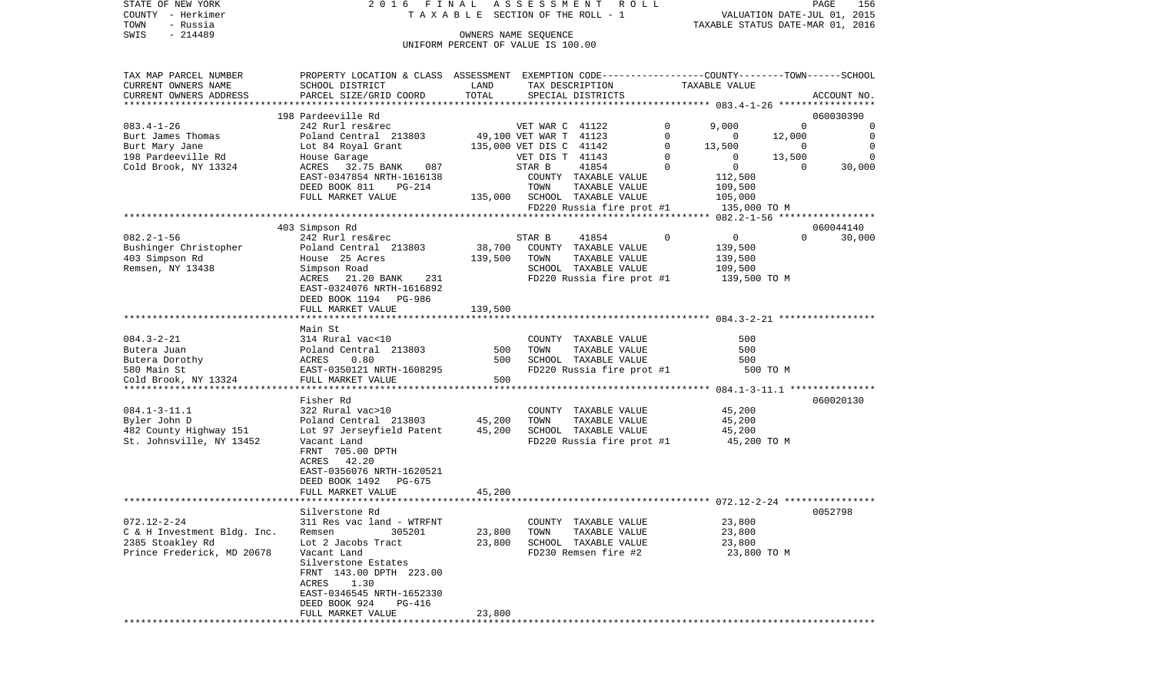| STATE OF NEW YORK                                 | 2016 FINAL ASSESSMENT ROLL                                                                                                                                                                                       |                                    |                      |                              |              |                                         |                | PAGE<br>156 |
|---------------------------------------------------|------------------------------------------------------------------------------------------------------------------------------------------------------------------------------------------------------------------|------------------------------------|----------------------|------------------------------|--------------|-----------------------------------------|----------------|-------------|
| COUNTY - Herkimer<br>TOWN                         |                                                                                                                                                                                                                  | TAXABLE SECTION OF THE ROLL - 1    |                      |                              |              | VALUATION DATE-JUL 01, 2015             |                |             |
| - Russia<br>$-214489$<br>SWIS                     |                                                                                                                                                                                                                  |                                    | OWNERS NAME SEOUENCE |                              |              | TAXABLE STATUS DATE-MAR 01, 2016        |                |             |
|                                                   |                                                                                                                                                                                                                  | UNIFORM PERCENT OF VALUE IS 100.00 |                      |                              |              |                                         |                |             |
|                                                   |                                                                                                                                                                                                                  |                                    |                      |                              |              |                                         |                |             |
|                                                   |                                                                                                                                                                                                                  |                                    |                      |                              |              |                                         |                |             |
| TAX MAP PARCEL NUMBER                             | PROPERTY LOCATION & CLASS ASSESSMENT EXEMPTION CODE----------------COUNTY-------TOWN------SCHOOL                                                                                                                 |                                    |                      |                              |              |                                         |                |             |
| CURRENT OWNERS NAME                               | SCHOOL DISTRICT                                                                                                                                                                                                  | LAND                               |                      | TAX DESCRIPTION              |              | TAXABLE VALUE                           |                |             |
| CURRENT OWNERS ADDRESS                            | PARCEL SIZE/GRID COORD                                                                                                                                                                                           | TOTAL                              |                      | SPECIAL DISTRICTS            |              |                                         |                | ACCOUNT NO. |
|                                                   |                                                                                                                                                                                                                  |                                    |                      |                              |              |                                         |                |             |
|                                                   | Article Community Care and Mark 242 Rurl resorted<br>242 Rurl resorted<br>242 Rurl resorted<br>213803 49,100 VET WAR T 41123<br>2324 House Garage<br>2324 House Garage<br>2324 House Garage<br>2324 House Garage |                                    |                      |                              |              |                                         |                | 060030390   |
| $083.4 - 1 - 26$                                  |                                                                                                                                                                                                                  |                                    |                      |                              | $\mathbf{0}$ | 9,000                                   | $\sim$ 0       | 0           |
| Burt James Thomas                                 |                                                                                                                                                                                                                  |                                    |                      |                              | $\Omega$     | $\overline{0}$                          | 12,000         | $\mathbf 0$ |
| Burt Mary Jane                                    |                                                                                                                                                                                                                  |                                    |                      |                              | 0            | 13,500                                  | $\sim$ 0       | $\mathbf 0$ |
| 198 Pardeeville Rd                                |                                                                                                                                                                                                                  |                                    |                      |                              | $\Omega$     | $\overline{0}$                          | 13,500         | $\Omega$    |
| Cold Brook, NY 13324                              | ACRES 32.75 BANK 087                                                                                                                                                                                             |                                    | STAR B               | 41854                        | $\Omega$     | 0                                       | $\overline{0}$ | 30,000      |
|                                                   | EAST-0347854 NRTH-1616138                                                                                                                                                                                        |                                    |                      | COUNTY TAXABLE VALUE         |              | 112,500                                 |                |             |
|                                                   | DEED BOOK 811<br>PG-214                                                                                                                                                                                          |                                    | TOWN                 | TAXABLE VALUE                |              | 109,500                                 |                |             |
|                                                   | FULL MARKET VALUE                                                                                                                                                                                                |                                    |                      | 135,000 SCHOOL TAXABLE VALUE |              | 105,000                                 |                |             |
|                                                   |                                                                                                                                                                                                                  |                                    |                      | FD220 Russia fire prot #1    |              | 135,000 TO M                            |                |             |
|                                                   |                                                                                                                                                                                                                  |                                    |                      |                              |              |                                         |                |             |
|                                                   | 403 Simpson Rd                                                                                                                                                                                                   |                                    |                      |                              |              |                                         |                | 060044140   |
| $082.2 - 1 - 56$                                  | 242 Rurl res&rec                                                                                                                                                                                                 |                                    | STAR B               | 41854                        | $\mathbf 0$  | $\overline{0}$                          | $\Omega$       | 30,000      |
| Bushinger Christopher                             | Poland Central 213803 38,700                                                                                                                                                                                     |                                    |                      | COUNTY TAXABLE VALUE         |              | 139,500                                 |                |             |
| 403 Simpson Rd                                    | House 25 Acres<br>Simpson Road                                                                                                                                                                                   | 139,500                            | TOWN                 | TAXABLE VALUE                |              | 139,500                                 |                |             |
| Remsen, NY 13438                                  |                                                                                                                                                                                                                  |                                    |                      | SCHOOL TAXABLE VALUE         |              | 109,500                                 |                |             |
|                                                   | 231<br>ACRES 21.20 BANK                                                                                                                                                                                          |                                    |                      | FD220 Russia fire prot #1    |              | 139,500 TO M                            |                |             |
|                                                   | EAST-0324076 NRTH-1616892                                                                                                                                                                                        |                                    |                      |                              |              |                                         |                |             |
|                                                   | DEED BOOK 1194 PG-986                                                                                                                                                                                            |                                    |                      |                              |              |                                         |                |             |
|                                                   | FULL MARKET VALUE                                                                                                                                                                                                | 139,500                            |                      |                              |              |                                         |                |             |
|                                                   | Main St                                                                                                                                                                                                          |                                    |                      |                              |              |                                         |                |             |
| $084.3 - 2 - 21$                                  | 314 Rural vac<10                                                                                                                                                                                                 |                                    |                      | COUNTY TAXABLE VALUE         |              | 500                                     |                |             |
| Butera Juan                                       | Poland Central 213803 500                                                                                                                                                                                        |                                    | TOWN                 | TAXABLE VALUE                |              | 500                                     |                |             |
|                                                   | ACRES<br>0.80                                                                                                                                                                                                    | 500                                |                      | SCHOOL TAXABLE VALUE         |              | 500                                     |                |             |
| Butera Juan<br>Butera Dorothy<br>Contract Creater | EAST-0350121 NRTH-1608295                                                                                                                                                                                        |                                    |                      |                              |              | FD220 Russia fire prot #1 500 TO M      |                |             |
|                                                   |                                                                                                                                                                                                                  |                                    |                      |                              |              |                                         |                |             |
|                                                   |                                                                                                                                                                                                                  |                                    |                      |                              |              |                                         |                |             |
|                                                   | Fisher Rd                                                                                                                                                                                                        |                                    |                      |                              |              |                                         |                | 060020130   |
| $084.1 - 3 - 11.1$                                | 322 Rural vac>10                                                                                                                                                                                                 |                                    |                      |                              |              | COUNTY TAXABLE VALUE 45,200             |                |             |
| Byler John D                                      |                                                                                                                                                                                                                  |                                    | TOWN                 | TAXABLE VALUE                |              | 45,200                                  |                |             |
| 482 County Highway 151                            | Poland Central 213803 45,200<br>Lot 97 Jerseyfield Patent 45,200                                                                                                                                                 |                                    |                      | SCHOOL TAXABLE VALUE         |              | 45,200                                  |                |             |
| St. Johnsville, NY 13452                          | Vacant Land                                                                                                                                                                                                      |                                    |                      |                              |              | FD220 Russia fire prot $#1$ 45,200 TO M |                |             |
|                                                   | FRNT 705.00 DPTH                                                                                                                                                                                                 |                                    |                      |                              |              |                                         |                |             |
|                                                   | ACRES 42.20                                                                                                                                                                                                      |                                    |                      |                              |              |                                         |                |             |
|                                                   | EAST-0356076 NRTH-1620521                                                                                                                                                                                        |                                    |                      |                              |              |                                         |                |             |

|                             | DEED BOOK 1492 PG-675<br>FULL MARKET VALUE | 45,200 |                         |             |
|-----------------------------|--------------------------------------------|--------|-------------------------|-------------|
|                             | Silverstone Rd                             |        |                         | 0052798     |
| 072.12-2-24                 | 311 Res vac land - WTRFNT                  |        | COUNTY<br>TAXABLE VALUE | 23,800      |
| C & H Investment Bldq. Inc. | 305201<br>Remsen                           | 23,800 | TOWN<br>TAXABLE VALUE   | 23,800      |
| 2385 Stoakley Rd            | Lot 2 Jacobs Tract                         | 23,800 | SCHOOL TAXABLE VALUE    | 23,800      |
| Prince Frederick, MD 20678  | Vacant Land                                |        | FD230 Remsen fire #2    | 23,800 TO M |
|                             | Silverstone Estates                        |        |                         |             |
|                             | FRNT 143.00 DPTH 223.00                    |        |                         |             |
|                             | 1.30<br>ACRES                              |        |                         |             |
|                             | EAST-0346545 NRTH-1652330                  |        |                         |             |
|                             | DEED BOOK 924 PG-416                       |        |                         |             |
|                             | FULL MARKET VALUE                          | 23,800 |                         |             |
|                             |                                            |        |                         |             |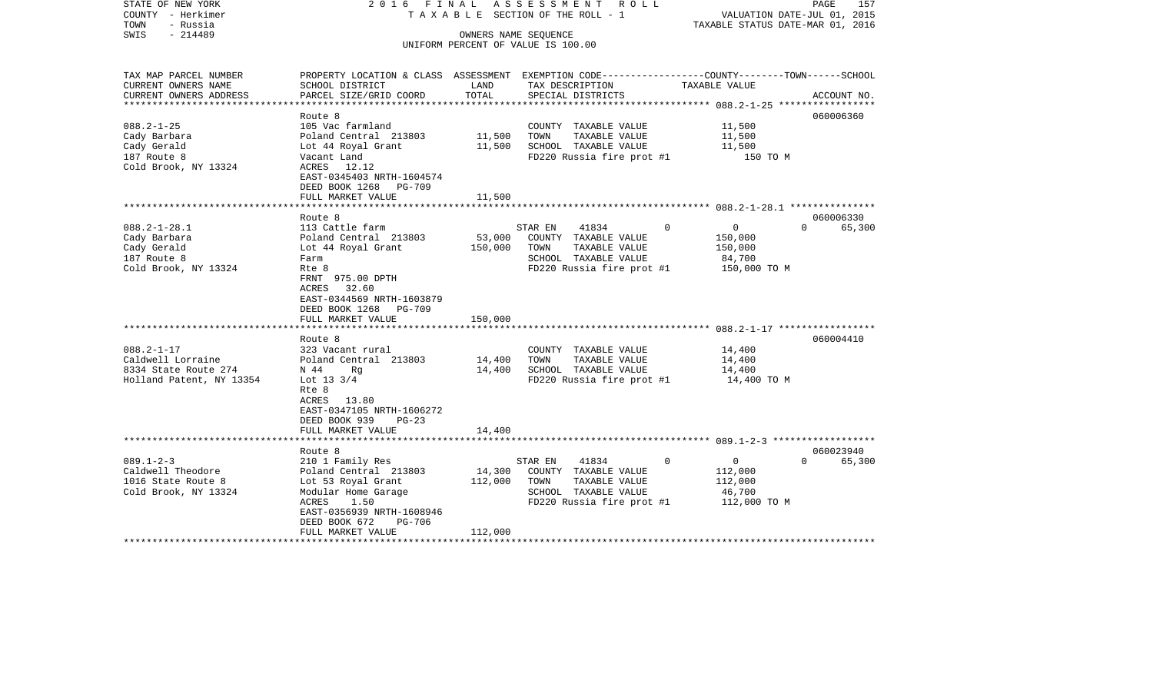| STATE OF NEW YORK<br>COUNTY - Herkimer<br>TOWN<br>- Russia                                | 2016 FINAL                                                                                                                           |                   | A S S E S S M E N T<br>R O L L<br>TAXABLE SECTION OF THE ROLL - 1                                                      |                                                                               | PAGE<br>157<br>VALUATION DATE-JUL 01, 2015<br>TAXABLE STATUS DATE-MAR 01, 2016 |
|-------------------------------------------------------------------------------------------|--------------------------------------------------------------------------------------------------------------------------------------|-------------------|------------------------------------------------------------------------------------------------------------------------|-------------------------------------------------------------------------------|--------------------------------------------------------------------------------|
| $-214489$<br>SWIS                                                                         |                                                                                                                                      |                   | OWNERS NAME SEQUENCE<br>UNIFORM PERCENT OF VALUE IS 100.00                                                             |                                                                               |                                                                                |
|                                                                                           |                                                                                                                                      |                   |                                                                                                                        |                                                                               |                                                                                |
| TAX MAP PARCEL NUMBER<br>CURRENT OWNERS NAME                                              | PROPERTY LOCATION & CLASS ASSESSMENT EXEMPTION CODE---------------COUNTY-------TOWN------SCHOOL<br>SCHOOL DISTRICT                   | LAND              | TAX DESCRIPTION                                                                                                        | TAXABLE VALUE                                                                 |                                                                                |
| CURRENT OWNERS ADDRESS                                                                    | PARCEL SIZE/GRID COORD                                                                                                               | TOTAL             | SPECIAL DISTRICTS                                                                                                      | ***************** 088.2-1-25 ******************                               | ACCOUNT NO.                                                                    |
|                                                                                           | Route 8                                                                                                                              |                   |                                                                                                                        |                                                                               | 060006360                                                                      |
| $088.2 - 1 - 25$<br>Cady Barbara<br>Cady Gerald<br>187 Route 8                            | 105 Vac farmland<br>Poland Central 213803<br>Lot 44 Royal Grant<br>Vacant Land                                                       | 11,500<br>11,500  | COUNTY TAXABLE VALUE<br>TOWN<br>TAXABLE VALUE<br>SCHOOL TAXABLE VALUE<br>FD220 Russia fire prot #1                     | 11,500<br>11,500<br>11,500<br>150 TO M                                        |                                                                                |
| Cold Brook, NY 13324                                                                      | ACRES 12.12<br>EAST-0345403 NRTH-1604574<br>DEED BOOK 1268<br>PG-709<br>FULL MARKET VALUE                                            | 11,500            |                                                                                                                        |                                                                               |                                                                                |
|                                                                                           |                                                                                                                                      |                   |                                                                                                                        |                                                                               |                                                                                |
| $088.2 - 1 - 28.1$<br>Cady Barbara<br>Cady Gerald<br>187 Route 8<br>Cold Brook, NY 13324  | Route 8<br>113 Cattle farm<br>Poland Central 213803<br>Lot 44 Royal Grant<br>Farm<br>Rte 8                                           | 53,000<br>150,000 | 41834<br>STAR EN<br>COUNTY TAXABLE VALUE<br>TOWN<br>TAXABLE VALUE<br>SCHOOL TAXABLE VALUE<br>FD220 Russia fire prot #1 | $\mathbf 0$<br>$\overline{0}$<br>150,000<br>150,000<br>84,700<br>150,000 TO M | 060006330<br>65,300<br>$\Omega$                                                |
|                                                                                           | FRNT 975.00 DPTH<br>32.60<br>ACRES<br>EAST-0344569 NRTH-1603879<br>DEED BOOK 1268<br>PG-709<br>FULL MARKET VALUE                     | 150,000           |                                                                                                                        |                                                                               |                                                                                |
|                                                                                           | Route 8                                                                                                                              |                   |                                                                                                                        |                                                                               | 060004410                                                                      |
| $088.2 - 1 - 17$<br>Caldwell Lorraine<br>8334 State Route 274<br>Holland Patent, NY 13354 | 323 Vacant rural<br>Poland Central 213803<br>N 44<br>Rq<br>Lot $13 \frac{3}{4}$<br>Rte 8                                             | 14,400<br>14,400  | COUNTY TAXABLE VALUE<br>TOWN<br>TAXABLE VALUE<br>SCHOOL TAXABLE VALUE<br>FD220 Russia fire prot #1                     | 14,400<br>14,400<br>14,400<br>14,400 TO M                                     |                                                                                |
|                                                                                           | ACRES 13.80<br>EAST-0347105 NRTH-1606272<br>DEED BOOK 939<br>$PG-23$<br>FULL MARKET VALUE                                            | 14,400            |                                                                                                                        |                                                                               |                                                                                |
|                                                                                           | Route 8                                                                                                                              |                   |                                                                                                                        |                                                                               | 060023940                                                                      |
| $089.1 - 2 - 3$<br>Caldwell Theodore<br>1016 State Route 8<br>Cold Brook, NY 13324        | 210 1 Family Res<br>Poland Central 213803<br>Lot 53 Royal Grant<br>Modular Home Garage<br>ACRES<br>1.50<br>EAST-0356939 NRTH-1608946 | 14,300<br>112,000 | 41834<br>STAR EN<br>COUNTY TAXABLE VALUE<br>TOWN<br>TAXABLE VALUE<br>SCHOOL TAXABLE VALUE<br>FD220 Russia fire prot #1 | $\mathbf 0$<br>0<br>112,000<br>112,000<br>46,700<br>112,000 TO M              | 65,300<br>$\Omega$                                                             |
|                                                                                           | DEED BOOK 672<br><b>PG-706</b><br>FULL MARKET VALUE                                                                                  | 112,000           |                                                                                                                        |                                                                               |                                                                                |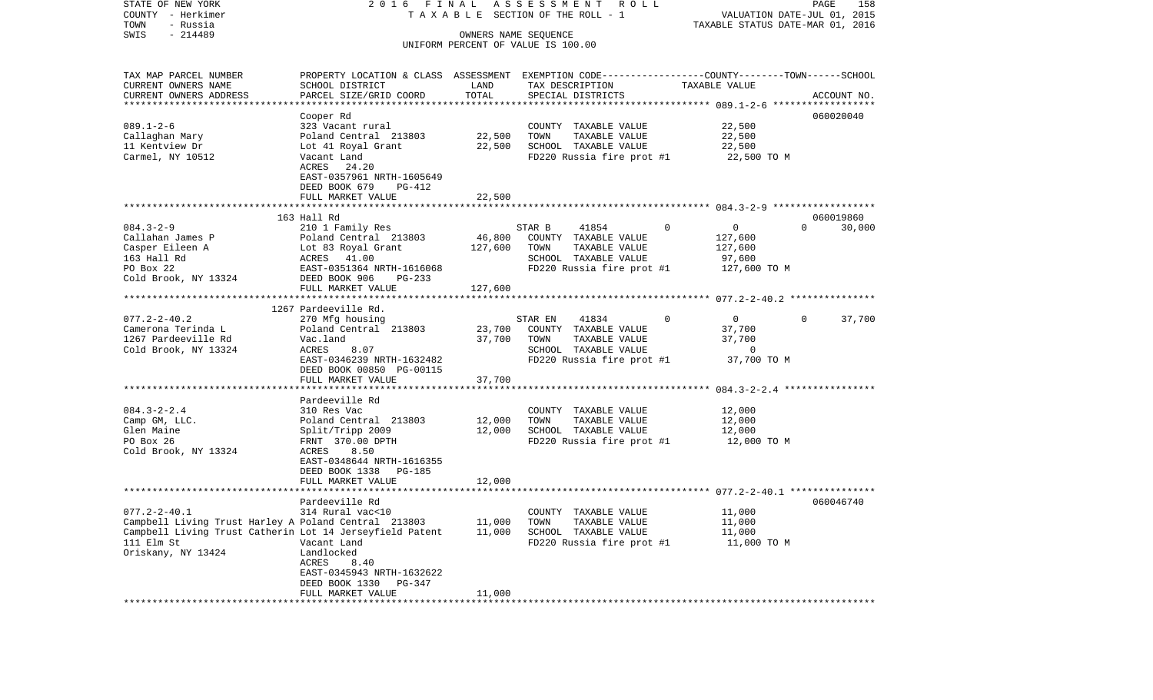COUNTY - Herkimer **T A X A B L E SECTION OF THE ROLL - 1** VALUATION DATE-JUL 01, 2015 TOWN - Russia TAXABLE STATUS DATE-MAR 01, 2016 SWIS - 214489 OWNERS NAME SEQUENCE UNIFORM PERCENT OF VALUE IS 100.00TAX MAP PARCEL NUMBER PROPERTY LOCATION & CLASS ASSESSMENT EXEMPTION CODE------------------COUNTY--------TOWN------SCHOOL CURRENT OWNERS NAME SCHOOL DISTRICT LAND TAX DESCRIPTION TAXABLE VALUECURRENT OWNERS ADDRESS PARCEL SIZE/GRID COORD TOTAL SPECIAL DISTRICTS ACCOUNT NO. \*\*\*\*\*\*\*\*\*\*\*\*\*\*\*\*\*\*\*\*\*\*\*\*\*\*\*\*\*\*\*\*\*\*\*\*\*\*\*\*\*\*\*\*\*\*\*\*\*\*\*\*\*\*\*\*\*\*\*\*\*\*\*\*\*\*\*\*\*\*\*\*\*\*\*\*\*\*\*\*\*\*\*\*\*\*\*\*\*\*\*\*\*\*\*\*\*\*\*\*\*\*\* 089.1-2-6 \*\*\*\*\*\*\*\*\*\*\*\*\*\*\*\*\*\* Cooper Rd 060020040 089.1-2-6 323 Vacant rural COUNTY TAXABLE VALUE 22,500 Callaghan Mary **Poland Central 213803** 22,500 TOWN TAXABLE VALUE 22,500 11 Kentview Dr Lot 41 Royal Grant 22,500 SCHOOL TAXABLE VALUE 22,500 Carmel, NY 10512 Vacant Land FD220 Russia fire prot #1 22,500 TO M ACRES 24.20 EAST-0357961 NRTH-1605649 DEED BOOK 679 PG-412FULL MARKET VALUE 22,500 \*\*\*\*\*\*\*\*\*\*\*\*\*\*\*\*\*\*\*\*\*\*\*\*\*\*\*\*\*\*\*\*\*\*\*\*\*\*\*\*\*\*\*\*\*\*\*\*\*\*\*\*\*\*\*\*\*\*\*\*\*\*\*\*\*\*\*\*\*\*\*\*\*\*\*\*\*\*\*\*\*\*\*\*\*\*\*\*\*\*\*\*\*\*\*\*\*\*\*\*\*\*\* 084.3-2-9 \*\*\*\*\*\*\*\*\*\*\*\*\*\*\*\*\*\* 163 Hall Rd 060019860084.3-2-9 210 1 Family Res STAR B 41854 0 0 0 30,000 Callahan James P Poland Central 213803 46,800 COUNTY TAXABLE VALUE 127,600 Casper Eileen A Lot 83 Royal Grant 127,600 TOWN TAXABLE VALUE 127,600 163 Hall Rd ACRES 41.00 SCHOOL TAXABLE VALUE 97,600 PO Box 22 EAST-0351364 NRTH-1616068 FD220 Russia fire prot #1 127,600 TO M Cold Brook, NY 13324 DEED BOOK 906 PG-233 FULL MARKET VALUE 127,600 \*\*\*\*\*\*\*\*\*\*\*\*\*\*\*\*\*\*\*\*\*\*\*\*\*\*\*\*\*\*\*\*\*\*\*\*\*\*\*\*\*\*\*\*\*\*\*\*\*\*\*\*\*\*\*\*\*\*\*\*\*\*\*\*\*\*\*\*\*\*\*\*\*\*\*\*\*\*\*\*\*\*\*\*\*\*\*\*\*\*\*\*\*\*\*\*\*\*\*\*\*\*\* 077.2-2-40.2 \*\*\*\*\*\*\*\*\*\*\*\*\*\*\* 1267 Pardeeville Rd. 077.2-2-40.2 270 Mfg housing STAR EN 41834 0 0 0 37,700 Camerona Terinda L Poland Central 213803 23,700 COUNTY TAXABLE VALUE 37,700 1267 Pardeeville Rd Vac.land 37,700 TOWN TAXABLE VALUE 37,700 Cold Brook, NY 13324 ACRES 8.07 ACRES 8.07 SCHOOL TAXABLE VALUE 0 EAST-0346239 NRTH-1632482 FD220 Russia fire prot #1 37,700 TO M DEED BOOK 00850 PG-00115FULL MARKET VALUE 37,700 \*\*\*\*\*\*\*\*\*\*\*\*\*\*\*\*\*\*\*\*\*\*\*\*\*\*\*\*\*\*\*\*\*\*\*\*\*\*\*\*\*\*\*\*\*\*\*\*\*\*\*\*\*\*\*\*\*\*\*\*\*\*\*\*\*\*\*\*\*\*\*\*\*\*\*\*\*\*\*\*\*\*\*\*\*\*\*\*\*\*\*\*\*\*\*\*\*\*\*\*\*\*\* 084.3-2-2.4 \*\*\*\*\*\*\*\*\*\*\*\*\*\*\*\* Pardeeville Rd084.3-2-2.4 310 Res Vac COUNTY TAXABLE VALUE 12,000 Camp GM, LLC.  $Poland Central$  213803 12,000 TOWN TAXABLE VALUE 12,000 Glen Maine 61 12,000 SCHOOL TAXABLE VALUE 12,000 SCHOOL TAXABLE VALUE PO Box 26 FRNT 370.00 DPTH FD220 Russia fire prot #1 12,000 TO M Cold Brook, NY 13324 ACRES 8.50 EAST-0348644 NRTH-1616355 DEED BOOK 1338 PG-185FULL MARKET VALUE 12,000 \*\*\*\*\*\*\*\*\*\*\*\*\*\*\*\*\*\*\*\*\*\*\*\*\*\*\*\*\*\*\*\*\*\*\*\*\*\*\*\*\*\*\*\*\*\*\*\*\*\*\*\*\*\*\*\*\*\*\*\*\*\*\*\*\*\*\*\*\*\*\*\*\*\*\*\*\*\*\*\*\*\*\*\*\*\*\*\*\*\*\*\*\*\*\*\*\*\*\*\*\*\*\* 077.2-2-40.1 \*\*\*\*\*\*\*\*\*\*\*\*\*\*\* Pardeeville Rd 060046740077.2-2-40.1 314 Rural vac<10 COUNTY TAXABLE VALUE 11,000 Campbell Living Trust Harley A Poland Central 213803 11,000 TOWN TAXABLE VALUE 11,000 Campbell Living Trust Catherin Lot 14 Jerseyfield Patent 11,000 SCHOOL TAXABLE VALUE 11,000 111 Elm St Vacant Land FD220 Russia fire prot #1 11,000 TO M Oriskany, NY 13424 Landlocked ACRES 8.40 EAST-0345943 NRTH-1632622 DEED BOOK 1330 PG-347FULL MARKET VALUE 11,000 \*\*\*\*\*\*\*\*\*\*\*\*\*\*\*\*\*\*\*\*\*\*\*\*\*\*\*\*\*\*\*\*\*\*\*\*\*\*\*\*\*\*\*\*\*\*\*\*\*\*\*\*\*\*\*\*\*\*\*\*\*\*\*\*\*\*\*\*\*\*\*\*\*\*\*\*\*\*\*\*\*\*\*\*\*\*\*\*\*\*\*\*\*\*\*\*\*\*\*\*\*\*\*\*\*\*\*\*\*\*\*\*\*\*\*\*\*\*\*\*\*\*\*\*\*\*\*\*\*\*\*\*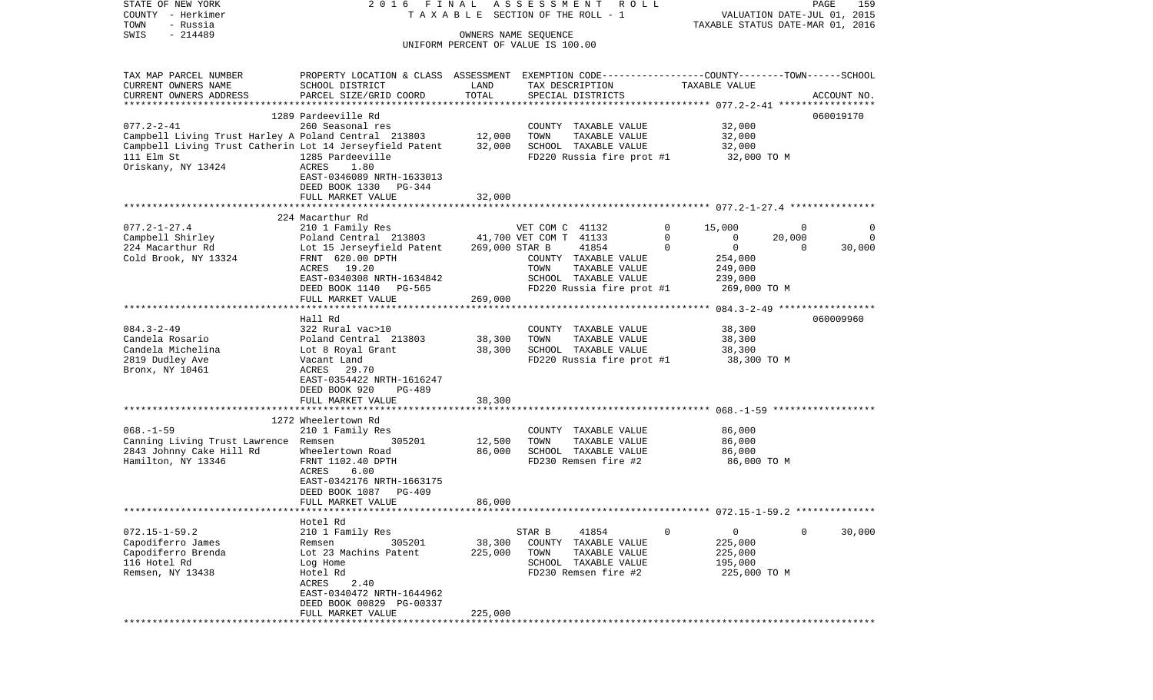| STATE OF NEW YORK                                               | 2016 FINAL                                                                                                         |                  | ASSESSMENT<br>ROLL                            |                             |                                  | PAGE<br>159 |
|-----------------------------------------------------------------|--------------------------------------------------------------------------------------------------------------------|------------------|-----------------------------------------------|-----------------------------|----------------------------------|-------------|
| COUNTY - Herkimer                                               |                                                                                                                    |                  | TAXABLE SECTION OF THE ROLL - 1               |                             | VALUATION DATE-JUL 01, 2015      |             |
| TOWN<br>- Russia<br>$-214489$<br>SWIS                           |                                                                                                                    |                  | OWNERS NAME SEQUENCE                          |                             | TAXABLE STATUS DATE-MAR 01, 2016 |             |
|                                                                 |                                                                                                                    |                  | UNIFORM PERCENT OF VALUE IS 100.00            |                             |                                  |             |
|                                                                 |                                                                                                                    |                  |                                               |                             |                                  |             |
|                                                                 |                                                                                                                    |                  |                                               |                             |                                  |             |
| TAX MAP PARCEL NUMBER<br>CURRENT OWNERS NAME                    | PROPERTY LOCATION & CLASS ASSESSMENT EXEMPTION CODE---------------COUNTY-------TOWN------SCHOOL<br>SCHOOL DISTRICT | LAND             | TAX DESCRIPTION                               | TAXABLE VALUE               |                                  |             |
| CURRENT OWNERS ADDRESS                                          | PARCEL SIZE/GRID COORD                                                                                             | TOTAL            | SPECIAL DISTRICTS                             |                             |                                  | ACCOUNT NO. |
|                                                                 |                                                                                                                    |                  |                                               |                             |                                  |             |
|                                                                 | 1289 Pardeeville Rd                                                                                                |                  |                                               |                             |                                  | 060019170   |
| $077.2 - 2 - 41$                                                | 260 Seasonal res                                                                                                   |                  | COUNTY TAXABLE VALUE                          | 32,000                      |                                  |             |
| Campbell Living Trust Harley A Poland Central 213803 12,000     |                                                                                                                    |                  | TOWN<br>TAXABLE VALUE                         | 32,000                      |                                  |             |
| Campbell Living Trust Catherin Lot 14 Jerseyfield Patent 32,000 |                                                                                                                    |                  | SCHOOL TAXABLE VALUE                          | 32,000                      |                                  |             |
| 111 Elm St                                                      | 1285 Pardeeville                                                                                                   |                  | FD220 Russia fire prot #1                     | 32,000 TO M                 |                                  |             |
| Oriskany, NY 13424                                              | ACRES<br>1.80<br>EAST-0346089 NRTH-1633013                                                                         |                  |                                               |                             |                                  |             |
|                                                                 | DEED BOOK 1330<br>PG-344                                                                                           |                  |                                               |                             |                                  |             |
|                                                                 | FULL MARKET VALUE                                                                                                  | 32,000           |                                               |                             |                                  |             |
|                                                                 |                                                                                                                    |                  |                                               |                             |                                  |             |
|                                                                 | 224 Macarthur Rd                                                                                                   |                  |                                               |                             |                                  |             |
| $077.2 - 1 - 27.4$                                              | 210 1 Family Res                                                                                                   |                  | VET COM C 41132                               | $\circ$<br>15,000           | 0                                | 0           |
| Campbell Shirley                                                | Poland Central 213803                                                                                              |                  | 41,700 VET COM T 41133                        | $\mathbf 0$<br>$\mathbf{0}$ | 20,000                           | 0           |
| 224 Macarthur Rd<br>Cold Brook, NY 13324                        | Lot 15 Jerseyfield Patent<br>FRNT 620.00 DPTH                                                                      | 269,000 STAR B   | 41854<br>COUNTY TAXABLE VALUE                 | $\mathbf{0}$<br>$\Omega$    | $\overline{0}$                   | 30,000      |
|                                                                 | ACRES 19.20                                                                                                        |                  | TAXABLE VALUE<br>TOWN                         | 254,000<br>249,000          |                                  |             |
|                                                                 | EAST-0340308 NRTH-1634842                                                                                          |                  | SCHOOL TAXABLE VALUE                          | 239,000                     |                                  |             |
|                                                                 | DEED BOOK 1140<br>PG-565                                                                                           |                  | FD220 Russia fire prot #1                     | 269,000 TO M                |                                  |             |
|                                                                 | FULL MARKET VALUE                                                                                                  | 269,000          |                                               |                             |                                  |             |
|                                                                 |                                                                                                                    |                  |                                               |                             |                                  |             |
|                                                                 | Hall Rd                                                                                                            |                  |                                               |                             |                                  | 060009960   |
| $084.3 - 2 - 49$                                                | 322 Rural vac>10                                                                                                   |                  | COUNTY TAXABLE VALUE                          | 38,300                      |                                  |             |
| Candela Rosario<br>Candela Michelina                            | Poland Central 213803<br>Lot 8 Royal Grant                                                                         | 38,300<br>38,300 | TOWN<br>TAXABLE VALUE<br>SCHOOL TAXABLE VALUE | 38,300<br>38,300            |                                  |             |
| 2819 Dudley Ave                                                 | Vacant Land                                                                                                        |                  | FD220 Russia fire prot #1                     | 38,300 TO M                 |                                  |             |
| Bronx, NY 10461                                                 | ACRES 29.70                                                                                                        |                  |                                               |                             |                                  |             |
|                                                                 | EAST-0354422 NRTH-1616247                                                                                          |                  |                                               |                             |                                  |             |
|                                                                 | DEED BOOK 920<br>PG-489                                                                                            |                  |                                               |                             |                                  |             |
|                                                                 | FULL MARKET VALUE                                                                                                  | 38,300           |                                               |                             |                                  |             |
|                                                                 | ************************                                                                                           |                  |                                               |                             |                                  |             |
| $068. - 1 - 59$                                                 | 1272 Wheelertown Rd<br>210 1 Family Res                                                                            |                  | COUNTY TAXABLE VALUE                          | 86,000                      |                                  |             |
| Canning Living Trust Lawrence Remsen                            | 305201                                                                                                             | 12,500           | TOWN<br>TAXABLE VALUE                         | 86,000                      |                                  |             |
| 2843 Johnny Cake Hill Rd                                        | Wheelertown Road                                                                                                   | 86,000           | SCHOOL TAXABLE VALUE                          | 86,000                      |                                  |             |
| Hamilton, NY 13346                                              | FRNT 1102.40 DPTH                                                                                                  |                  | FD230 Remsen fire #2                          | 86,000 TO M                 |                                  |             |
|                                                                 | 6.00<br>ACRES                                                                                                      |                  |                                               |                             |                                  |             |
|                                                                 | EAST-0342176 NRTH-1663175                                                                                          |                  |                                               |                             |                                  |             |
|                                                                 | DEED BOOK 1087<br>PG-409                                                                                           |                  |                                               |                             |                                  |             |
|                                                                 | FULL MARKET VALUE                                                                                                  | 86,000           |                                               |                             |                                  |             |
|                                                                 | Hotel Rd                                                                                                           |                  |                                               |                             |                                  |             |
| $072.15 - 1 - 59.2$                                             | 210 1 Family Res                                                                                                   |                  | STAR B<br>41854                               | 0<br>0                      | 0                                | 30,000      |
| Capodiferro James                                               | 305201<br>Remsen                                                                                                   | 38,300           | COUNTY<br>TAXABLE VALUE                       | 225,000                     |                                  |             |
| Capodiferro Brenda                                              | Lot 23 Machins Patent                                                                                              | 225,000          | TOWN<br>TAXABLE VALUE                         | 225,000                     |                                  |             |
| 116 Hotel Rd                                                    | Log Home                                                                                                           |                  | TAXABLE VALUE<br>SCHOOL                       | 195,000                     |                                  |             |
| Remsen, NY 13438                                                | Hotel Rd                                                                                                           |                  | FD230 Remsen fire #2                          |                             | 225,000 TO M                     |             |
|                                                                 | 2.40<br>ACRES                                                                                                      |                  |                                               |                             |                                  |             |
|                                                                 | EAST-0340472 NRTH-1644962                                                                                          |                  |                                               |                             |                                  |             |
|                                                                 | DEED BOOK 00829 PG-00337<br>FULL MARKET VALUE                                                                      | 225,000          |                                               |                             |                                  |             |
|                                                                 |                                                                                                                    |                  |                                               |                             |                                  |             |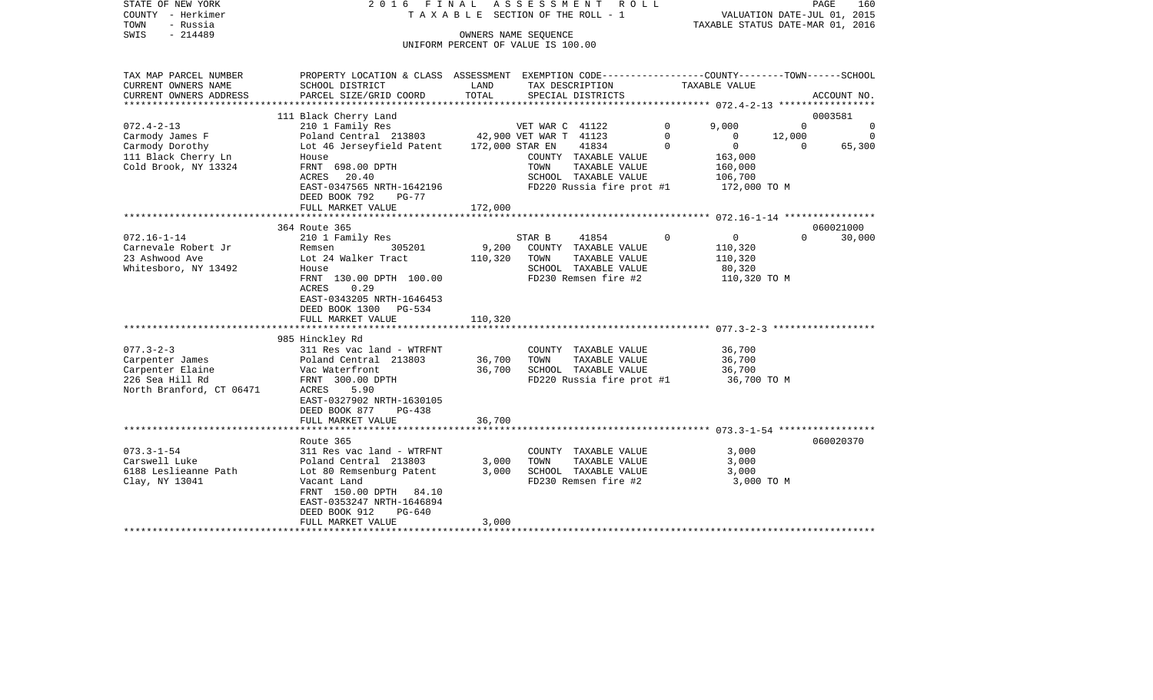| STATE OF NEW YORK<br>COUNTY - Herkimer<br>TOWN<br>- Russia | 2016 FINAL                                                                                       |         | ASSESSMENT ROLL<br>T A X A B L E SECTION OF THE ROLL - 1   |              | VALUATION DATE-JUL 01, 2015<br>TAXABLE STATUS DATE-MAR 01, 2016 |                | PAGE<br>160  |
|------------------------------------------------------------|--------------------------------------------------------------------------------------------------|---------|------------------------------------------------------------|--------------|-----------------------------------------------------------------|----------------|--------------|
| SWIS<br>$-214489$                                          |                                                                                                  |         | OWNERS NAME SEOUENCE<br>UNIFORM PERCENT OF VALUE IS 100.00 |              |                                                                 |                |              |
| TAX MAP PARCEL NUMBER                                      | PROPERTY LOCATION & CLASS ASSESSMENT EXEMPTION CODE----------------COUNTY-------TOWN------SCHOOL |         |                                                            |              |                                                                 |                |              |
| CURRENT OWNERS NAME                                        | SCHOOL DISTRICT                                                                                  | LAND    | TAX DESCRIPTION                                            |              | TAXABLE VALUE                                                   |                |              |
| CURRENT OWNERS ADDRESS                                     | PARCEL SIZE/GRID COORD                                                                           | TOTAL   | SPECIAL DISTRICTS                                          |              |                                                                 |                | ACCOUNT NO.  |
|                                                            |                                                                                                  |         |                                                            |              |                                                                 |                |              |
| $072.4 - 2 - 13$                                           | 111 Black Cherry Land<br>210 1 Family Res                                                        |         | VET WAR C 41122                                            | $\mathbf{0}$ | 9,000                                                           | $\overline{0}$ | 0003581<br>0 |
| Carmody James F                                            | Poland Central 213803 42,900 VET WAR T 41123                                                     |         |                                                            | $\Omega$     | $\Omega$                                                        | 12,000         | $\Omega$     |
| Carmody Dorothy                                            | Lot 46 Jerseyfield Patent                                                                        |         | 172,000 STAR EN<br>41834                                   | $\mathbf 0$  | $\overline{0}$                                                  | $\overline{0}$ | 65,300       |
| 111 Black Cherry Ln                                        | House                                                                                            |         | COUNTY TAXABLE VALUE                                       |              | 163,000                                                         |                |              |
| Cold Brook, NY 13324                                       | FRNT 698.00 DPTH                                                                                 |         | TOWN<br>TAXABLE VALUE                                      |              | 160,000                                                         |                |              |
|                                                            | 20.40<br>ACRES<br>EAST-0347565 NRTH-1642196                                                      |         | SCHOOL TAXABLE VALUE<br>FD220 Russia fire prot #1          |              | 106,700<br>172,000 TO M                                         |                |              |
|                                                            | DEED BOOK 792<br>PG-77                                                                           |         |                                                            |              |                                                                 |                |              |
|                                                            | FULL MARKET VALUE                                                                                | 172,000 |                                                            |              |                                                                 |                |              |
|                                                            | **********************                                                                           |         |                                                            |              |                                                                 |                |              |
|                                                            | 364 Route 365                                                                                    |         |                                                            |              |                                                                 |                | 060021000    |
| $072.16 - 1 - 14$<br>Carnevale Robert Jr                   | 210 1 Family Res<br>305201<br>Remsen                                                             | 9,200   | 41854<br>STAR B<br>COUNTY TAXABLE VALUE                    | $\mathbf 0$  | $\overline{0}$<br>110,320                                       | $\Omega$       | 30,000       |
| 23 Ashwood Ave                                             | Lot 24 Walker Tract                                                                              | 110,320 | TOWN<br>TAXABLE VALUE                                      |              | 110,320                                                         |                |              |
| Whitesboro, NY 13492                                       | House                                                                                            |         | SCHOOL TAXABLE VALUE                                       |              | 80,320                                                          |                |              |
|                                                            | FRNT 130.00 DPTH 100.00                                                                          |         | FD230 Remsen fire #2                                       |              | 110,320 TO M                                                    |                |              |
|                                                            | ACRES<br>0.29                                                                                    |         |                                                            |              |                                                                 |                |              |
|                                                            | EAST-0343205 NRTH-1646453                                                                        |         |                                                            |              |                                                                 |                |              |
|                                                            | DEED BOOK 1300 PG-534<br>FULL MARKET VALUE                                                       | 110,320 |                                                            |              |                                                                 |                |              |
|                                                            |                                                                                                  |         |                                                            |              |                                                                 |                |              |
|                                                            | 985 Hinckley Rd                                                                                  |         |                                                            |              |                                                                 |                |              |
| $077.3 - 2 - 3$                                            | 311 Res vac land - WTRFNT                                                                        |         | COUNTY TAXABLE VALUE                                       |              | 36,700                                                          |                |              |
| Carpenter James                                            | Poland Central 213803                                                                            | 36,700  | TOWN<br>TAXABLE VALUE                                      |              | 36,700                                                          |                |              |
| Carpenter Elaine<br>226 Sea Hill Rd                        | Vac Waterfront<br>FRNT 300.00 DPTH                                                               | 36,700  | SCHOOL TAXABLE VALUE<br>FD220 Russia fire prot #1          |              | 36,700<br>36,700 TO M                                           |                |              |
| North Branford, CT 06471                                   | 5.90<br>ACRES                                                                                    |         |                                                            |              |                                                                 |                |              |
|                                                            | EAST-0327902 NRTH-1630105                                                                        |         |                                                            |              |                                                                 |                |              |
|                                                            | DEED BOOK 877<br>PG-438                                                                          |         |                                                            |              |                                                                 |                |              |
|                                                            | FULL MARKET VALUE                                                                                | 36,700  |                                                            |              |                                                                 |                |              |
|                                                            | Route 365                                                                                        |         |                                                            |              |                                                                 |                | 060020370    |
| $073.3 - 1 - 54$                                           | 311 Res vac land - WTRFNT                                                                        |         | COUNTY TAXABLE VALUE                                       |              | 3,000                                                           |                |              |
| Carswell Luke                                              | Poland Central 213803                                                                            | 3,000   | TOWN<br>TAXABLE VALUE                                      |              | 3,000                                                           |                |              |
| 6188 Leslieanne Path                                       | Lot 80 Remsenburg Patent                                                                         | 3,000   | SCHOOL TAXABLE VALUE                                       |              | 3,000                                                           |                |              |
| Clay, NY 13041                                             | Vacant Land                                                                                      |         | FD230 Remsen fire #2                                       |              | 3,000 TO M                                                      |                |              |
|                                                            | FRNT 150.00 DPTH 84.10                                                                           |         |                                                            |              |                                                                 |                |              |
|                                                            | EAST-0353247 NRTH-1646894<br>DEED BOOK 912<br>PG-640                                             |         |                                                            |              |                                                                 |                |              |
|                                                            | FULL MARKET VALUE                                                                                | 3,000   |                                                            |              |                                                                 |                |              |
|                                                            |                                                                                                  |         |                                                            |              |                                                                 |                |              |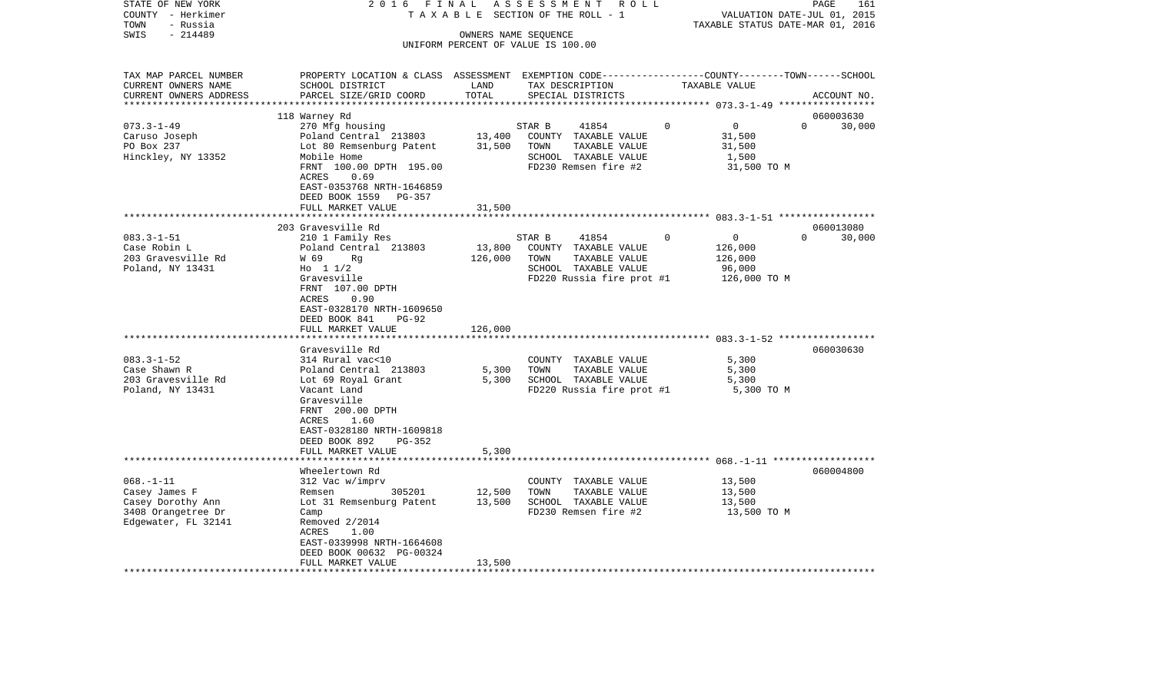| COUNTY<br>TOWN              | – Herkimer<br>- Russia |                                                                                                 |                              | TAXABLE SECTION OF THE ROLL - 1               |                         | VALUATION DATE-JUL 01, 2015<br>TAXABLE STATUS DATE-MAR 01, 2016 |
|-----------------------------|------------------------|-------------------------------------------------------------------------------------------------|------------------------------|-----------------------------------------------|-------------------------|-----------------------------------------------------------------|
| SWIS                        | $-214489$              |                                                                                                 | OWNERS NAME SEQUENCE         |                                               |                         |                                                                 |
|                             |                        |                                                                                                 |                              | UNIFORM PERCENT OF VALUE IS 100.00            |                         |                                                                 |
|                             | TAX MAP PARCEL NUMBER  | PROPERTY LOCATION & CLASS ASSESSMENT EXEMPTION CODE---------------COUNTY-------TOWN------SCHOOL |                              |                                               |                         |                                                                 |
|                             | CURRENT OWNERS NAME    | SCHOOL DISTRICT                                                                                 | LAND                         | TAX DESCRIPTION                               | TAXABLE VALUE           |                                                                 |
|                             | CURRENT OWNERS ADDRESS | PARCEL SIZE/GRID COORD                                                                          | TOTAL                        | SPECIAL DISTRICTS                             |                         | ACCOUNT NO.                                                     |
|                             |                        | **************************                                                                      |                              |                                               |                         |                                                                 |
|                             |                        | 118 Warney Rd                                                                                   |                              |                                               |                         | 060003630                                                       |
| $073.3 - 1 - 49$            |                        | 270 Mfg housing                                                                                 |                              | STAR B<br>41854                               | $\mathbf 0$<br>$\Omega$ | $\Omega$<br>30,000                                              |
| Caruso Joseph<br>PO Box 237 |                        | Poland Central 213803                                                                           | 13,400<br>31,500             | COUNTY TAXABLE VALUE<br>TOWN<br>TAXABLE VALUE | 31,500<br>31,500        |                                                                 |
|                             | Hinckley, NY 13352     | Lot 80 Remsenburg Patent<br>Mobile Home                                                         |                              | SCHOOL TAXABLE VALUE                          | 1,500                   |                                                                 |
|                             |                        | FRNT 100.00 DPTH 195.00                                                                         |                              | FD230 Remsen fire #2                          | 31,500 TO M             |                                                                 |
|                             |                        | ACRES<br>0.69                                                                                   |                              |                                               |                         |                                                                 |
|                             |                        | EAST-0353768 NRTH-1646859                                                                       |                              |                                               |                         |                                                                 |
|                             |                        | DEED BOOK 1559<br>PG-357                                                                        |                              |                                               |                         |                                                                 |
|                             |                        | FULL MARKET VALUE                                                                               | 31,500                       |                                               |                         |                                                                 |
|                             |                        |                                                                                                 | ***********                  |                                               |                         |                                                                 |
|                             |                        | 203 Gravesville Rd                                                                              |                              |                                               |                         | 060013080                                                       |
| $083.3 - 1 - 51$            |                        | 210 1 Family Res                                                                                |                              | STAR B<br>41854                               | $\mathbf 0$<br>0        | $\Omega$<br>30,000                                              |
| Case Robin L                |                        | Poland Central 213803                                                                           | 13,800                       | COUNTY TAXABLE VALUE                          | 126,000                 |                                                                 |
|                             | 203 Gravesville Rd     | W 69<br>Rq                                                                                      | 126,000                      | TOWN<br>TAXABLE VALUE                         | 126,000                 |                                                                 |
|                             | Poland, NY 13431       | Ho $11/2$                                                                                       |                              | SCHOOL TAXABLE VALUE                          | 96,000                  |                                                                 |
|                             |                        | Gravesville                                                                                     |                              | FD220 Russia fire prot #1                     | 126,000 TO M            |                                                                 |
|                             |                        | FRNT 107.00 DPTH<br>0.90<br>ACRES                                                               |                              |                                               |                         |                                                                 |
|                             |                        | EAST-0328170 NRTH-1609650                                                                       |                              |                                               |                         |                                                                 |
|                             |                        | DEED BOOK 841<br>$PG-92$                                                                        |                              |                                               |                         |                                                                 |
|                             |                        | FULL MARKET VALUE                                                                               | 126,000                      |                                               |                         |                                                                 |
|                             |                        | ***************************                                                                     |                              |                                               |                         |                                                                 |
|                             |                        | Gravesville Rd                                                                                  |                              |                                               |                         | 060030630                                                       |
| $083.3 - 1 - 52$            |                        | 314 Rural vac<10                                                                                |                              | COUNTY TAXABLE VALUE                          | 5,300                   |                                                                 |
| Case Shawn R                |                        | Poland Central 213803                                                                           | 5,300                        | TOWN<br>TAXABLE VALUE                         | 5,300                   |                                                                 |
|                             | 203 Gravesville Rd     | Lot 69 Royal Grant                                                                              | 5,300                        | SCHOOL TAXABLE VALUE                          | 5,300                   |                                                                 |
|                             | Poland, NY 13431       | Vacant Land                                                                                     |                              | FD220 Russia fire prot #1                     | 5,300 TO M              |                                                                 |
|                             |                        | Gravesville                                                                                     |                              |                                               |                         |                                                                 |
|                             |                        | FRNT 200.00 DPTH                                                                                |                              |                                               |                         |                                                                 |
|                             |                        | 1.60<br>ACRES                                                                                   |                              |                                               |                         |                                                                 |
|                             |                        | EAST-0328180 NRTH-1609818                                                                       |                              |                                               |                         |                                                                 |
|                             |                        | DEED BOOK 892<br>PG-352<br>FULL MARKET VALUE                                                    | 5,300                        |                                               |                         |                                                                 |
|                             |                        | *******************                                                                             |                              |                                               |                         |                                                                 |
|                             |                        | Wheelertown Rd                                                                                  |                              |                                               |                         | 060004800                                                       |
| $068. - 1 - 11$             |                        | 312 Vac w/imprv                                                                                 |                              | COUNTY TAXABLE VALUE                          | 13,500                  |                                                                 |
| Casey James F               |                        | 305201<br>Remsen                                                                                | 12,500                       | TOWN<br>TAXABLE VALUE                         | 13,500                  |                                                                 |
|                             | Casey Dorothy Ann      | Lot 31 Remsenburg Patent                                                                        | 13,500                       | SCHOOL TAXABLE VALUE                          | 13,500                  |                                                                 |
|                             | 3408 Orangetree Dr     | Camp                                                                                            |                              | FD230 Remsen fire #2                          | 13,500 TO M             |                                                                 |
|                             | Edgewater, FL 32141    | Removed 2/2014                                                                                  |                              |                                               |                         |                                                                 |
|                             |                        | ACRES<br>1.00                                                                                   |                              |                                               |                         |                                                                 |
|                             |                        | EAST-0339998 NRTH-1664608                                                                       |                              |                                               |                         |                                                                 |
|                             |                        | DEED BOOK 00632 PG-00324                                                                        |                              |                                               |                         |                                                                 |
|                             |                        | FULL MARKET VALUE                                                                               | 13,500<br>****************** |                                               |                         |                                                                 |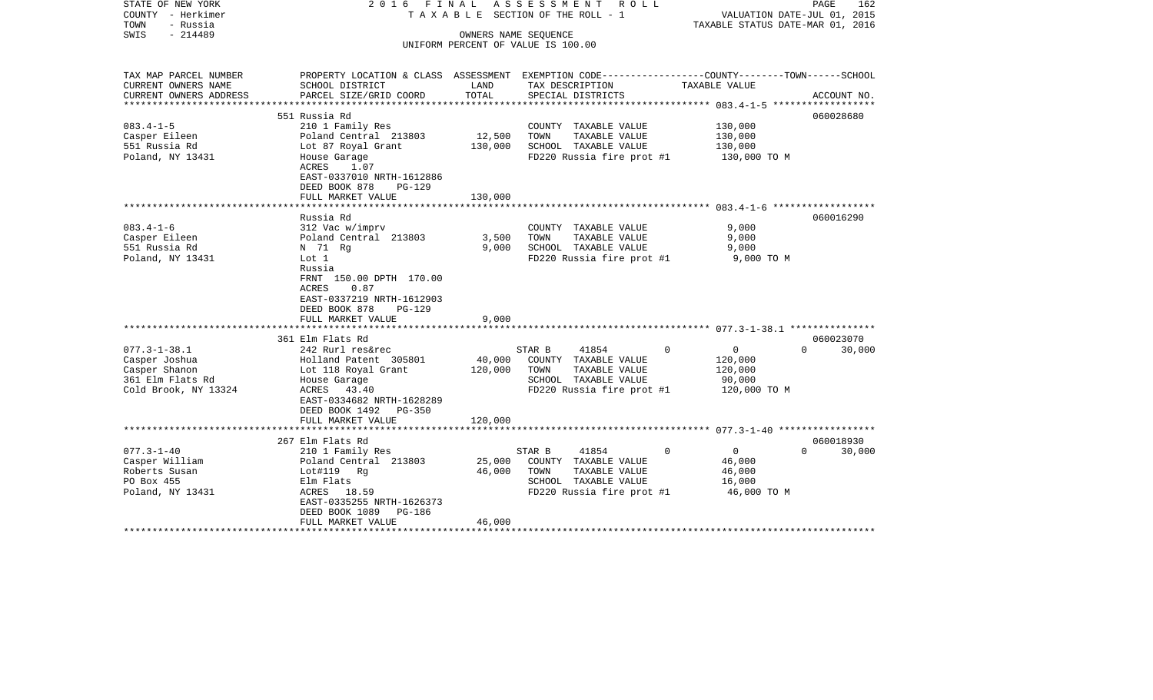| STATE OF NEW YORK<br>COUNTY - Herkimer<br>TOWN<br>- Russia                                       | 2016 FINAL                                                                                                                                                                                      |                         | ASSESSMENT ROLL<br>T A X A B L E SECTION OF THE ROLL - 1                                                              | VALUATION DATE-JUL 01, 2015<br>TAXABLE STATUS DATE-MAR 01, 2016            | PAGE<br>162        |
|--------------------------------------------------------------------------------------------------|-------------------------------------------------------------------------------------------------------------------------------------------------------------------------------------------------|-------------------------|-----------------------------------------------------------------------------------------------------------------------|----------------------------------------------------------------------------|--------------------|
| $-214489$<br>SWIS                                                                                |                                                                                                                                                                                                 |                         | OWNERS NAME SEQUENCE<br>UNIFORM PERCENT OF VALUE IS 100.00                                                            |                                                                            |                    |
|                                                                                                  |                                                                                                                                                                                                 |                         |                                                                                                                       |                                                                            |                    |
| TAX MAP PARCEL NUMBER<br>CURRENT OWNERS NAME                                                     | PROPERTY LOCATION & CLASS ASSESSMENT EXEMPTION CODE---------------COUNTY-------TOWN-----SCHOOL<br>SCHOOL DISTRICT                                                                               | LAND                    | TAX DESCRIPTION                                                                                                       | TAXABLE VALUE                                                              |                    |
| CURRENT OWNERS ADDRESS<br>*****************                                                      | PARCEL SIZE/GRID COORD<br>*****************************                                                                                                                                         | TOTAL                   | SPECIAL DISTRICTS<br>****************************                                                                     | ******************** 083.4-1-5 ***************                             | ACCOUNT NO.        |
|                                                                                                  | 551 Russia Rd                                                                                                                                                                                   |                         |                                                                                                                       |                                                                            | 060028680          |
| $083.4 - 1 - 5$<br>Casper Eileen<br>551 Russia Rd<br>Poland, NY 13431                            | 210 1 Family Res<br>Poland Central 213803<br>Lot 87 Royal Grant<br>House Garage<br>ACRES<br>1.07<br>EAST-0337010 NRTH-1612886                                                                   | 12,500<br>130,000       | COUNTY TAXABLE VALUE<br>TAXABLE VALUE<br>TOWN<br>SCHOOL TAXABLE VALUE<br>FD220 Russia fire prot #1                    | 130,000<br>130,000<br>130,000<br>130,000 TO M                              |                    |
|                                                                                                  | DEED BOOK 878<br>PG-129<br>FULL MARKET VALUE                                                                                                                                                    | 130,000                 |                                                                                                                       |                                                                            |                    |
|                                                                                                  | Russia Rd                                                                                                                                                                                       |                         |                                                                                                                       |                                                                            | 060016290          |
| $083.4 - 1 - 6$<br>Casper Eileen<br>551 Russia Rd<br>Poland, NY 13431                            | 312 Vac w/imprv<br>Poland Central 213803<br>N 71 Rg<br>Lot 1<br>Russia<br>FRNT 150.00 DPTH 170.00<br>0.87<br>ACRES<br>EAST-0337219 NRTH-1612903<br>DEED BOOK 878<br>PG-129<br>FULL MARKET VALUE | 3,500<br>9,000<br>9,000 | COUNTY TAXABLE VALUE<br>TOWN<br>TAXABLE VALUE<br>SCHOOL TAXABLE VALUE<br>FD220 Russia fire prot #1                    | 9,000<br>9,000<br>9,000<br>9,000 TO M                                      |                    |
|                                                                                                  | 361 Elm Flats Rd                                                                                                                                                                                |                         |                                                                                                                       |                                                                            | 060023070          |
| $077.3 - 1 - 38.1$<br>Casper Joshua<br>Casper Shanon<br>361 Elm Flats Rd<br>Cold Brook, NY 13324 | 242 Rurl res&rec<br>Holland Patent 305801<br>Lot 118 Royal Grant<br>House Garage<br>ACRES<br>43.40<br>EAST-0334682 NRTH-1628289<br>DEED BOOK 1492 PG-350                                        | 40,000<br>120,000       | 41854<br>STAR B<br>COUNTY TAXABLE VALUE<br>TOWN<br>TAXABLE VALUE<br>SCHOOL TAXABLE VALUE<br>FD220 Russia fire prot #1 | $\Omega$<br>$\overline{0}$<br>120,000<br>120,000<br>90,000<br>120,000 TO M | $\Omega$<br>30,000 |
|                                                                                                  | FULL MARKET VALUE                                                                                                                                                                               | 120,000                 |                                                                                                                       |                                                                            |                    |
|                                                                                                  | 267 Elm Flats Rd                                                                                                                                                                                |                         |                                                                                                                       |                                                                            | 060018930          |
| $077.3 - 1 - 40$<br>Casper William<br>Roberts Susan<br>PO Box 455<br>Poland, NY 13431            | 210 1 Family Res<br>Poland Central 213803<br>Lot#119 Rg<br>Elm Flats<br>ACRES 18.59<br>EAST-0335255 NRTH-1626373<br>DEED BOOK 1089<br>PG-186                                                    | 25,000<br>46,000        | STAR B<br>41854<br>COUNTY TAXABLE VALUE<br>TOWN<br>TAXABLE VALUE<br>SCHOOL TAXABLE VALUE<br>FD220 Russia fire prot #1 | $\overline{0}$<br>$\mathbf 0$<br>46,000<br>46,000<br>16,000<br>46,000 TO M | $\Omega$<br>30,000 |
| **********************                                                                           | FULL MARKET VALUE                                                                                                                                                                               | 46,000                  |                                                                                                                       |                                                                            |                    |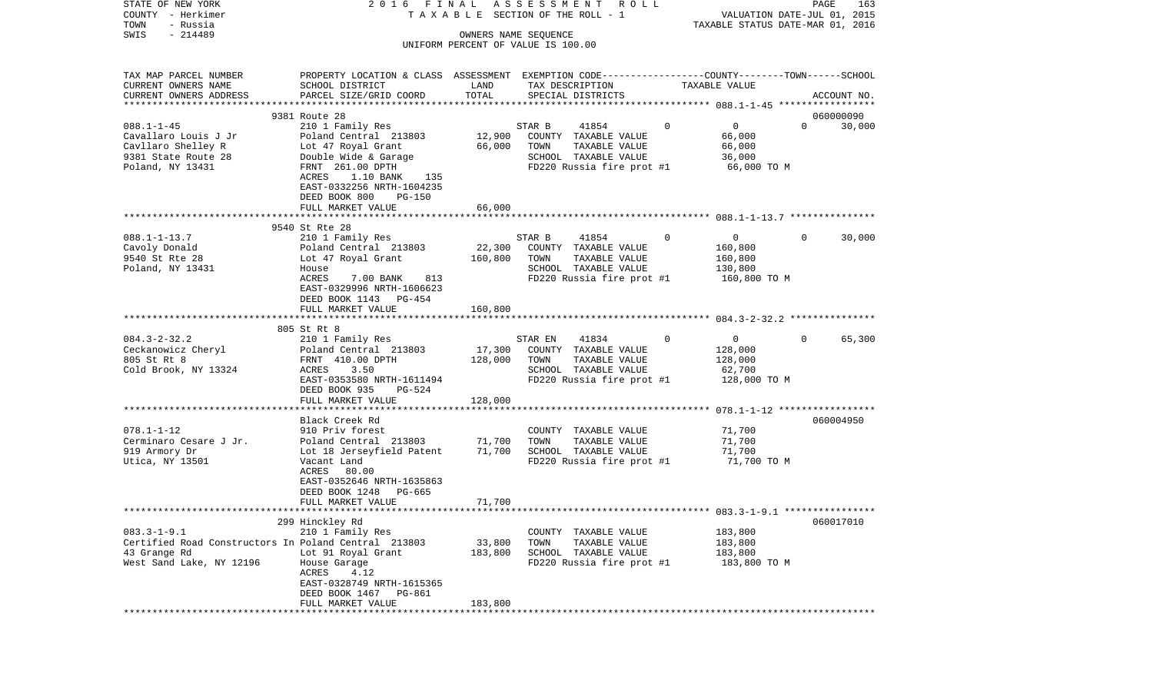| STATE OF NEW YORK<br>COUNTY - Herkimer<br>- Russia<br>TOWN | 2016 FINAL                                                                                      |                      | ASSESSMENT ROLL<br>T A X A B L E SECTION OF THE ROLL - 1 |                | VALUATION DATE-JUL 01, 2015<br>TAXABLE STATUS DATE-MAR 01, 2016 | PAGE     | 163         |
|------------------------------------------------------------|-------------------------------------------------------------------------------------------------|----------------------|----------------------------------------------------------|----------------|-----------------------------------------------------------------|----------|-------------|
| $-214489$<br>SWIS                                          |                                                                                                 | OWNERS NAME SEQUENCE |                                                          |                |                                                                 |          |             |
|                                                            |                                                                                                 |                      | UNIFORM PERCENT OF VALUE IS 100.00                       |                |                                                                 |          |             |
| TAX MAP PARCEL NUMBER                                      | PROPERTY LOCATION & CLASS ASSESSMENT EXEMPTION CODE---------------COUNTY-------TOWN------SCHOOL |                      |                                                          |                |                                                                 |          |             |
| CURRENT OWNERS NAME                                        | SCHOOL DISTRICT                                                                                 | LAND                 | TAX DESCRIPTION                                          |                | TAXABLE VALUE                                                   |          |             |
| CURRENT OWNERS ADDRESS                                     | PARCEL SIZE/GRID COORD                                                                          | TOTAL                | SPECIAL DISTRICTS                                        |                |                                                                 |          | ACCOUNT NO. |
|                                                            | 9381 Route 28                                                                                   |                      |                                                          |                |                                                                 |          | 060000090   |
| $088.1 - 1 - 45$                                           | 210 1 Family Res                                                                                |                      | STAR B<br>41854                                          | $\mathbf 0$    | $\overline{0}$                                                  | $\Omega$ | 30,000      |
| Cavallaro Louis J Jr                                       | Poland Central 213803                                                                           | 12,900               | COUNTY TAXABLE VALUE                                     |                | 66,000                                                          |          |             |
| Cavllaro Shelley R                                         | Lot 47 Royal Grant                                                                              | 66,000               | TOWN<br>TAXABLE VALUE                                    |                | 66,000                                                          |          |             |
| 9381 State Route 28                                        | Double Wide & Garage                                                                            |                      | SCHOOL TAXABLE VALUE                                     |                | 36,000                                                          |          |             |
| Poland, NY 13431                                           | FRNT 261.00 DPTH<br>ACRES<br>1.10 BANK<br>135                                                   |                      | FD220 Russia fire prot #1                                |                | 66,000 TO M                                                     |          |             |
|                                                            | EAST-0332256 NRTH-1604235                                                                       |                      |                                                          |                |                                                                 |          |             |
|                                                            | DEED BOOK 800<br><b>PG-150</b>                                                                  |                      |                                                          |                |                                                                 |          |             |
|                                                            | FULL MARKET VALUE                                                                               | 66,000               |                                                          |                |                                                                 |          |             |
|                                                            |                                                                                                 |                      |                                                          |                |                                                                 |          |             |
| $088.1 - 1 - 13.7$                                         | 9540 St Rte 28                                                                                  |                      |                                                          | $\overline{0}$ |                                                                 | $\Omega$ |             |
| Cavoly Donald                                              | 210 1 Family Res<br>Poland Central 213803                                                       | 22,300               | 41854<br>STAR B<br>COUNTY TAXABLE VALUE                  |                | $\overline{0}$<br>160,800                                       |          | 30,000      |
| 9540 St Rte 28                                             | Lot 47 Royal Grant                                                                              | 160,800              | TAXABLE VALUE<br>TOWN                                    |                | 160,800                                                         |          |             |
| Poland, NY 13431                                           | House                                                                                           |                      | SCHOOL TAXABLE VALUE                                     |                | 130,800                                                         |          |             |
|                                                            | ACRES<br>7.00 BANK<br>813                                                                       |                      | FD220 Russia fire prot #1                                |                | 160,800 TO M                                                    |          |             |
|                                                            | EAST-0329996 NRTH-1606623                                                                       |                      |                                                          |                |                                                                 |          |             |
|                                                            | DEED BOOK 1143 PG-454<br>FULL MARKET VALUE                                                      | 160,800              |                                                          |                |                                                                 |          |             |
|                                                            |                                                                                                 |                      |                                                          |                |                                                                 |          |             |
|                                                            | 805 St Rt 8                                                                                     |                      |                                                          |                |                                                                 |          |             |
| $084.3 - 2 - 32.2$                                         | 210 1 Family Res                                                                                |                      | 41834<br>STAR EN                                         | $\Omega$       | $\overline{0}$                                                  | $\Omega$ | 65,300      |
| Ceckanowicz Cheryl                                         | Poland Central 213803                                                                           | 17,300               | COUNTY TAXABLE VALUE                                     |                | 128,000                                                         |          |             |
| 805 St Rt 8<br>Cold Brook, NY 13324                        | FRNT 410.00 DPTH<br>3.50<br>ACRES                                                               | 128,000              | TOWN<br>TAXABLE VALUE<br>SCHOOL TAXABLE VALUE            |                | 128,000<br>62,700                                               |          |             |
|                                                            | EAST-0353580 NRTH-1611494                                                                       |                      | FD220 Russia fire prot #1                                |                | 128,000 TO M                                                    |          |             |
|                                                            | DEED BOOK 935<br>PG-524                                                                         |                      |                                                          |                |                                                                 |          |             |
|                                                            | FULL MARKET VALUE                                                                               | 128,000              |                                                          |                |                                                                 |          |             |
|                                                            |                                                                                                 |                      |                                                          |                |                                                                 |          |             |
|                                                            | Black Creek Rd                                                                                  |                      |                                                          |                |                                                                 |          | 060004950   |
| $078.1 - 1 - 12$<br>Cerminaro Cesare J Jr.                 | 910 Priv forest<br>Poland Central 213803                                                        | 71,700               | COUNTY TAXABLE VALUE<br>TOWN<br>TAXABLE VALUE            |                | 71,700<br>71,700                                                |          |             |
| 919 Armory Dr                                              | Lot 18 Jerseyfield Patent                                                                       | 71,700               | SCHOOL TAXABLE VALUE                                     |                | 71,700                                                          |          |             |
| Utica, NY 13501                                            | Vacant Land                                                                                     |                      | FD220 Russia fire prot #1                                |                | 71,700 TO M                                                     |          |             |
|                                                            | ACRES 80.00                                                                                     |                      |                                                          |                |                                                                 |          |             |
|                                                            | EAST-0352646 NRTH-1635863                                                                       |                      |                                                          |                |                                                                 |          |             |
|                                                            | DEED BOOK 1248<br>PG-665                                                                        |                      |                                                          |                |                                                                 |          |             |
|                                                            | FULL MARKET VALUE                                                                               | 71,700               |                                                          |                |                                                                 |          |             |
|                                                            | 299 Hinckley Rd                                                                                 |                      |                                                          |                |                                                                 |          | 060017010   |
| $083.3 - 1 - 9.1$                                          | 210 1 Family Res                                                                                |                      | COUNTY TAXABLE VALUE                                     |                | 183,800                                                         |          |             |
| Certified Road Constructors In Poland Central 213803       |                                                                                                 | 33,800               | TOWN<br>TAXABLE VALUE                                    |                | 183,800                                                         |          |             |
| 43 Grange Rd                                               | Lot 91 Royal Grant                                                                              | 183,800              | SCHOOL TAXABLE VALUE                                     |                | 183,800                                                         |          |             |
| West Sand Lake, NY 12196                                   | House Garage                                                                                    |                      | FD220 Russia fire prot #1                                |                | 183,800 TO M                                                    |          |             |
|                                                            | ACRES<br>4.12<br>EAST-0328749 NRTH-1615365                                                      |                      |                                                          |                |                                                                 |          |             |
|                                                            | DEED BOOK 1467 PG-861                                                                           |                      |                                                          |                |                                                                 |          |             |
|                                                            | FULL MARKET VALUE                                                                               | 183,800              |                                                          |                |                                                                 |          |             |
|                                                            |                                                                                                 |                      |                                                          |                |                                                                 |          |             |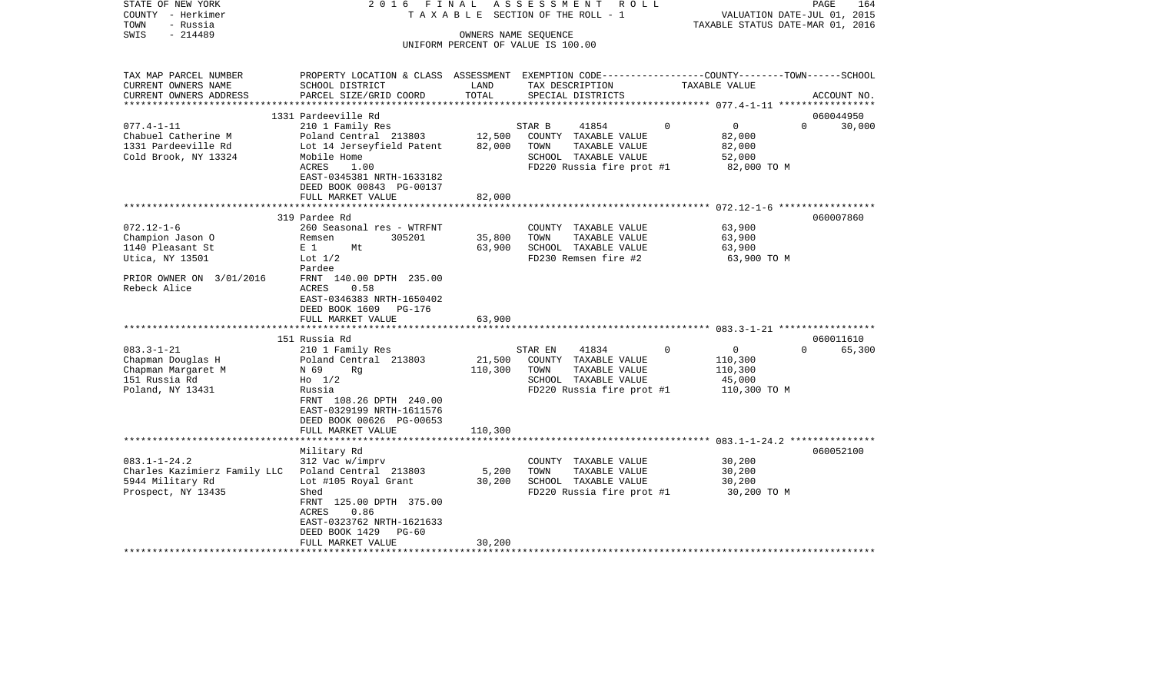| $-214489$<br>OWNERS NAME SEQUENCE<br>UNIFORM PERCENT OF VALUE IS 100.00<br>PROPERTY LOCATION & CLASS ASSESSMENT EXEMPTION CODE----------------COUNTY-------TOWN------SCHOOL<br>SCHOOL DISTRICT<br>TAX DESCRIPTION<br><b>TAXABLE VALUE</b><br>LAND<br>PARCEL SIZE/GRID COORD<br>TOTAL<br>SPECIAL DISTRICTS<br>ACCOUNT NO.<br>*********************<br>1331 Pardeeville Rd<br>060044950<br>$\Omega$<br>$077.4 - 1 - 11$<br>210 1 Family Res<br>$\Omega$<br>$\mathbf{0}$<br>STAR B<br>41854<br>30,000<br>12,500<br>Chabuel Catherine M<br>Poland Central 213803<br>COUNTY TAXABLE VALUE<br>82,000<br>1331 Pardeeville Rd<br>Lot 14 Jerseyfield Patent<br>82,000<br>TOWN<br>TAXABLE VALUE<br>82,000<br>Cold Brook, NY 13324<br>Mobile Home<br>SCHOOL TAXABLE VALUE<br>52,000<br>ACRES<br>1.00<br>FD220 Russia fire prot #1<br>82,000 TO M<br>EAST-0345381 NRTH-1633182<br>DEED BOOK 00843 PG-00137<br>82,000<br>FULL MARKET VALUE<br>************************<br>060007860<br>319 Pardee Rd<br>63,900<br>260 Seasonal res - WTRFNT<br>COUNTY TAXABLE VALUE<br>35,800<br>63,900<br>Remsen<br>305201<br>TOWN<br>TAXABLE VALUE<br>E <sub>1</sub><br>63,900<br>SCHOOL TAXABLE VALUE<br>63,900<br>Mt<br>FD230 Remsen fire #2<br>Lot $1/2$<br>63,900 TO M<br>Pardee<br>FRNT 140.00 DPTH 235.00<br>Rebeck Alice<br>ACRES<br>0.58<br>EAST-0346383 NRTH-1650402<br>DEED BOOK 1609<br>PG-176<br>63,900<br>FULL MARKET VALUE<br>151 Russia Rd<br>060011610<br>$083.3 - 1 - 21$<br>41834<br>$\mathbf 0$<br>$\circ$<br>65,300<br>210 1 Family Res<br>STAR EN<br>$\Omega$<br>21,500<br>Chapman Douglas H<br>Poland Central 213803<br>COUNTY TAXABLE VALUE<br>110,300<br>Chapman Margaret M<br>110,300<br>TAXABLE VALUE<br>110,300<br>N 69<br>Rq<br>TOWN<br>151 Russia Rd<br>SCHOOL TAXABLE VALUE<br>45,000<br>$H0$ 1/2<br>FD220 Russia fire prot #1<br>Poland, NY 13431<br>Russia<br>110,300 TO M<br>FRNT 108.26 DPTH 240.00<br>EAST-0329199 NRTH-1611576<br>DEED BOOK 00626 PG-00653<br>FULL MARKET VALUE<br>110,300<br>060052100<br>Military Rd<br>30,200<br>312 Vac w/imprv<br>COUNTY TAXABLE VALUE<br>5,200<br>TAXABLE VALUE<br>30,200<br>Poland Central 213803<br>TOWN<br>30,200<br>SCHOOL TAXABLE VALUE<br>30,200<br>Lot #105 Royal Grant<br>Shed<br>FD220 Russia fire prot #1<br>30,200 TO M<br>FRNT 125.00 DPTH 375.00<br>ACRES<br>0.86<br>EAST-0323762 NRTH-1621633<br>DEED BOOK 1429<br>$PG-60$<br>FULL MARKET VALUE<br>30,200<br>********************** | COUNTY<br>– Herkimer<br>TOWN<br>- Russia |  | T A X A B L E SECTION OF THE ROLL - 1 | VALUATION DATE-JUL 01, 2015<br>TAXABLE STATUS DATE-MAR 01, 2016 |
|--------------------------------------------------------------------------------------------------------------------------------------------------------------------------------------------------------------------------------------------------------------------------------------------------------------------------------------------------------------------------------------------------------------------------------------------------------------------------------------------------------------------------------------------------------------------------------------------------------------------------------------------------------------------------------------------------------------------------------------------------------------------------------------------------------------------------------------------------------------------------------------------------------------------------------------------------------------------------------------------------------------------------------------------------------------------------------------------------------------------------------------------------------------------------------------------------------------------------------------------------------------------------------------------------------------------------------------------------------------------------------------------------------------------------------------------------------------------------------------------------------------------------------------------------------------------------------------------------------------------------------------------------------------------------------------------------------------------------------------------------------------------------------------------------------------------------------------------------------------------------------------------------------------------------------------------------------------------------------------------------------------------------------------------------------------------------------------------------------------------------------------------------------------------------------------------------------------------------------------------------------------------------------------------------------------------------------------------------------------------------------------------------------------------------------------------------|------------------------------------------|--|---------------------------------------|-----------------------------------------------------------------|
|                                                                                                                                                                                                                                                                                                                                                                                                                                                                                                                                                                                                                                                                                                                                                                                                                                                                                                                                                                                                                                                                                                                                                                                                                                                                                                                                                                                                                                                                                                                                                                                                                                                                                                                                                                                                                                                                                                                                                                                                                                                                                                                                                                                                                                                                                                                                                                                                                                                  | SWIS                                     |  |                                       |                                                                 |
|                                                                                                                                                                                                                                                                                                                                                                                                                                                                                                                                                                                                                                                                                                                                                                                                                                                                                                                                                                                                                                                                                                                                                                                                                                                                                                                                                                                                                                                                                                                                                                                                                                                                                                                                                                                                                                                                                                                                                                                                                                                                                                                                                                                                                                                                                                                                                                                                                                                  |                                          |  |                                       |                                                                 |
|                                                                                                                                                                                                                                                                                                                                                                                                                                                                                                                                                                                                                                                                                                                                                                                                                                                                                                                                                                                                                                                                                                                                                                                                                                                                                                                                                                                                                                                                                                                                                                                                                                                                                                                                                                                                                                                                                                                                                                                                                                                                                                                                                                                                                                                                                                                                                                                                                                                  | TAX MAP PARCEL NUMBER                    |  |                                       |                                                                 |
|                                                                                                                                                                                                                                                                                                                                                                                                                                                                                                                                                                                                                                                                                                                                                                                                                                                                                                                                                                                                                                                                                                                                                                                                                                                                                                                                                                                                                                                                                                                                                                                                                                                                                                                                                                                                                                                                                                                                                                                                                                                                                                                                                                                                                                                                                                                                                                                                                                                  | CURRENT OWNERS NAME                      |  |                                       |                                                                 |
|                                                                                                                                                                                                                                                                                                                                                                                                                                                                                                                                                                                                                                                                                                                                                                                                                                                                                                                                                                                                                                                                                                                                                                                                                                                                                                                                                                                                                                                                                                                                                                                                                                                                                                                                                                                                                                                                                                                                                                                                                                                                                                                                                                                                                                                                                                                                                                                                                                                  | CURRENT OWNERS ADDRESS                   |  |                                       |                                                                 |
|                                                                                                                                                                                                                                                                                                                                                                                                                                                                                                                                                                                                                                                                                                                                                                                                                                                                                                                                                                                                                                                                                                                                                                                                                                                                                                                                                                                                                                                                                                                                                                                                                                                                                                                                                                                                                                                                                                                                                                                                                                                                                                                                                                                                                                                                                                                                                                                                                                                  |                                          |  |                                       |                                                                 |
|                                                                                                                                                                                                                                                                                                                                                                                                                                                                                                                                                                                                                                                                                                                                                                                                                                                                                                                                                                                                                                                                                                                                                                                                                                                                                                                                                                                                                                                                                                                                                                                                                                                                                                                                                                                                                                                                                                                                                                                                                                                                                                                                                                                                                                                                                                                                                                                                                                                  |                                          |  |                                       |                                                                 |
|                                                                                                                                                                                                                                                                                                                                                                                                                                                                                                                                                                                                                                                                                                                                                                                                                                                                                                                                                                                                                                                                                                                                                                                                                                                                                                                                                                                                                                                                                                                                                                                                                                                                                                                                                                                                                                                                                                                                                                                                                                                                                                                                                                                                                                                                                                                                                                                                                                                  |                                          |  |                                       |                                                                 |
|                                                                                                                                                                                                                                                                                                                                                                                                                                                                                                                                                                                                                                                                                                                                                                                                                                                                                                                                                                                                                                                                                                                                                                                                                                                                                                                                                                                                                                                                                                                                                                                                                                                                                                                                                                                                                                                                                                                                                                                                                                                                                                                                                                                                                                                                                                                                                                                                                                                  |                                          |  |                                       |                                                                 |
|                                                                                                                                                                                                                                                                                                                                                                                                                                                                                                                                                                                                                                                                                                                                                                                                                                                                                                                                                                                                                                                                                                                                                                                                                                                                                                                                                                                                                                                                                                                                                                                                                                                                                                                                                                                                                                                                                                                                                                                                                                                                                                                                                                                                                                                                                                                                                                                                                                                  |                                          |  |                                       |                                                                 |
|                                                                                                                                                                                                                                                                                                                                                                                                                                                                                                                                                                                                                                                                                                                                                                                                                                                                                                                                                                                                                                                                                                                                                                                                                                                                                                                                                                                                                                                                                                                                                                                                                                                                                                                                                                                                                                                                                                                                                                                                                                                                                                                                                                                                                                                                                                                                                                                                                                                  |                                          |  |                                       |                                                                 |
|                                                                                                                                                                                                                                                                                                                                                                                                                                                                                                                                                                                                                                                                                                                                                                                                                                                                                                                                                                                                                                                                                                                                                                                                                                                                                                                                                                                                                                                                                                                                                                                                                                                                                                                                                                                                                                                                                                                                                                                                                                                                                                                                                                                                                                                                                                                                                                                                                                                  |                                          |  |                                       |                                                                 |
|                                                                                                                                                                                                                                                                                                                                                                                                                                                                                                                                                                                                                                                                                                                                                                                                                                                                                                                                                                                                                                                                                                                                                                                                                                                                                                                                                                                                                                                                                                                                                                                                                                                                                                                                                                                                                                                                                                                                                                                                                                                                                                                                                                                                                                                                                                                                                                                                                                                  |                                          |  |                                       |                                                                 |
|                                                                                                                                                                                                                                                                                                                                                                                                                                                                                                                                                                                                                                                                                                                                                                                                                                                                                                                                                                                                                                                                                                                                                                                                                                                                                                                                                                                                                                                                                                                                                                                                                                                                                                                                                                                                                                                                                                                                                                                                                                                                                                                                                                                                                                                                                                                                                                                                                                                  |                                          |  |                                       |                                                                 |
|                                                                                                                                                                                                                                                                                                                                                                                                                                                                                                                                                                                                                                                                                                                                                                                                                                                                                                                                                                                                                                                                                                                                                                                                                                                                                                                                                                                                                                                                                                                                                                                                                                                                                                                                                                                                                                                                                                                                                                                                                                                                                                                                                                                                                                                                                                                                                                                                                                                  |                                          |  |                                       |                                                                 |
|                                                                                                                                                                                                                                                                                                                                                                                                                                                                                                                                                                                                                                                                                                                                                                                                                                                                                                                                                                                                                                                                                                                                                                                                                                                                                                                                                                                                                                                                                                                                                                                                                                                                                                                                                                                                                                                                                                                                                                                                                                                                                                                                                                                                                                                                                                                                                                                                                                                  |                                          |  |                                       |                                                                 |
|                                                                                                                                                                                                                                                                                                                                                                                                                                                                                                                                                                                                                                                                                                                                                                                                                                                                                                                                                                                                                                                                                                                                                                                                                                                                                                                                                                                                                                                                                                                                                                                                                                                                                                                                                                                                                                                                                                                                                                                                                                                                                                                                                                                                                                                                                                                                                                                                                                                  | $072.12 - 1 - 6$                         |  |                                       |                                                                 |
|                                                                                                                                                                                                                                                                                                                                                                                                                                                                                                                                                                                                                                                                                                                                                                                                                                                                                                                                                                                                                                                                                                                                                                                                                                                                                                                                                                                                                                                                                                                                                                                                                                                                                                                                                                                                                                                                                                                                                                                                                                                                                                                                                                                                                                                                                                                                                                                                                                                  | Champion Jason O                         |  |                                       |                                                                 |
|                                                                                                                                                                                                                                                                                                                                                                                                                                                                                                                                                                                                                                                                                                                                                                                                                                                                                                                                                                                                                                                                                                                                                                                                                                                                                                                                                                                                                                                                                                                                                                                                                                                                                                                                                                                                                                                                                                                                                                                                                                                                                                                                                                                                                                                                                                                                                                                                                                                  | 1140 Pleasant St                         |  |                                       |                                                                 |
|                                                                                                                                                                                                                                                                                                                                                                                                                                                                                                                                                                                                                                                                                                                                                                                                                                                                                                                                                                                                                                                                                                                                                                                                                                                                                                                                                                                                                                                                                                                                                                                                                                                                                                                                                                                                                                                                                                                                                                                                                                                                                                                                                                                                                                                                                                                                                                                                                                                  | Utica, NY 13501                          |  |                                       |                                                                 |
|                                                                                                                                                                                                                                                                                                                                                                                                                                                                                                                                                                                                                                                                                                                                                                                                                                                                                                                                                                                                                                                                                                                                                                                                                                                                                                                                                                                                                                                                                                                                                                                                                                                                                                                                                                                                                                                                                                                                                                                                                                                                                                                                                                                                                                                                                                                                                                                                                                                  |                                          |  |                                       |                                                                 |
|                                                                                                                                                                                                                                                                                                                                                                                                                                                                                                                                                                                                                                                                                                                                                                                                                                                                                                                                                                                                                                                                                                                                                                                                                                                                                                                                                                                                                                                                                                                                                                                                                                                                                                                                                                                                                                                                                                                                                                                                                                                                                                                                                                                                                                                                                                                                                                                                                                                  | PRIOR OWNER ON 3/01/2016                 |  |                                       |                                                                 |
|                                                                                                                                                                                                                                                                                                                                                                                                                                                                                                                                                                                                                                                                                                                                                                                                                                                                                                                                                                                                                                                                                                                                                                                                                                                                                                                                                                                                                                                                                                                                                                                                                                                                                                                                                                                                                                                                                                                                                                                                                                                                                                                                                                                                                                                                                                                                                                                                                                                  |                                          |  |                                       |                                                                 |
|                                                                                                                                                                                                                                                                                                                                                                                                                                                                                                                                                                                                                                                                                                                                                                                                                                                                                                                                                                                                                                                                                                                                                                                                                                                                                                                                                                                                                                                                                                                                                                                                                                                                                                                                                                                                                                                                                                                                                                                                                                                                                                                                                                                                                                                                                                                                                                                                                                                  |                                          |  |                                       |                                                                 |
|                                                                                                                                                                                                                                                                                                                                                                                                                                                                                                                                                                                                                                                                                                                                                                                                                                                                                                                                                                                                                                                                                                                                                                                                                                                                                                                                                                                                                                                                                                                                                                                                                                                                                                                                                                                                                                                                                                                                                                                                                                                                                                                                                                                                                                                                                                                                                                                                                                                  |                                          |  |                                       |                                                                 |
|                                                                                                                                                                                                                                                                                                                                                                                                                                                                                                                                                                                                                                                                                                                                                                                                                                                                                                                                                                                                                                                                                                                                                                                                                                                                                                                                                                                                                                                                                                                                                                                                                                                                                                                                                                                                                                                                                                                                                                                                                                                                                                                                                                                                                                                                                                                                                                                                                                                  |                                          |  |                                       |                                                                 |
|                                                                                                                                                                                                                                                                                                                                                                                                                                                                                                                                                                                                                                                                                                                                                                                                                                                                                                                                                                                                                                                                                                                                                                                                                                                                                                                                                                                                                                                                                                                                                                                                                                                                                                                                                                                                                                                                                                                                                                                                                                                                                                                                                                                                                                                                                                                                                                                                                                                  |                                          |  |                                       |                                                                 |
|                                                                                                                                                                                                                                                                                                                                                                                                                                                                                                                                                                                                                                                                                                                                                                                                                                                                                                                                                                                                                                                                                                                                                                                                                                                                                                                                                                                                                                                                                                                                                                                                                                                                                                                                                                                                                                                                                                                                                                                                                                                                                                                                                                                                                                                                                                                                                                                                                                                  |                                          |  |                                       |                                                                 |
|                                                                                                                                                                                                                                                                                                                                                                                                                                                                                                                                                                                                                                                                                                                                                                                                                                                                                                                                                                                                                                                                                                                                                                                                                                                                                                                                                                                                                                                                                                                                                                                                                                                                                                                                                                                                                                                                                                                                                                                                                                                                                                                                                                                                                                                                                                                                                                                                                                                  |                                          |  |                                       |                                                                 |
|                                                                                                                                                                                                                                                                                                                                                                                                                                                                                                                                                                                                                                                                                                                                                                                                                                                                                                                                                                                                                                                                                                                                                                                                                                                                                                                                                                                                                                                                                                                                                                                                                                                                                                                                                                                                                                                                                                                                                                                                                                                                                                                                                                                                                                                                                                                                                                                                                                                  |                                          |  |                                       |                                                                 |
|                                                                                                                                                                                                                                                                                                                                                                                                                                                                                                                                                                                                                                                                                                                                                                                                                                                                                                                                                                                                                                                                                                                                                                                                                                                                                                                                                                                                                                                                                                                                                                                                                                                                                                                                                                                                                                                                                                                                                                                                                                                                                                                                                                                                                                                                                                                                                                                                                                                  |                                          |  |                                       |                                                                 |
|                                                                                                                                                                                                                                                                                                                                                                                                                                                                                                                                                                                                                                                                                                                                                                                                                                                                                                                                                                                                                                                                                                                                                                                                                                                                                                                                                                                                                                                                                                                                                                                                                                                                                                                                                                                                                                                                                                                                                                                                                                                                                                                                                                                                                                                                                                                                                                                                                                                  |                                          |  |                                       |                                                                 |
|                                                                                                                                                                                                                                                                                                                                                                                                                                                                                                                                                                                                                                                                                                                                                                                                                                                                                                                                                                                                                                                                                                                                                                                                                                                                                                                                                                                                                                                                                                                                                                                                                                                                                                                                                                                                                                                                                                                                                                                                                                                                                                                                                                                                                                                                                                                                                                                                                                                  |                                          |  |                                       |                                                                 |
|                                                                                                                                                                                                                                                                                                                                                                                                                                                                                                                                                                                                                                                                                                                                                                                                                                                                                                                                                                                                                                                                                                                                                                                                                                                                                                                                                                                                                                                                                                                                                                                                                                                                                                                                                                                                                                                                                                                                                                                                                                                                                                                                                                                                                                                                                                                                                                                                                                                  |                                          |  |                                       |                                                                 |
|                                                                                                                                                                                                                                                                                                                                                                                                                                                                                                                                                                                                                                                                                                                                                                                                                                                                                                                                                                                                                                                                                                                                                                                                                                                                                                                                                                                                                                                                                                                                                                                                                                                                                                                                                                                                                                                                                                                                                                                                                                                                                                                                                                                                                                                                                                                                                                                                                                                  |                                          |  |                                       |                                                                 |
|                                                                                                                                                                                                                                                                                                                                                                                                                                                                                                                                                                                                                                                                                                                                                                                                                                                                                                                                                                                                                                                                                                                                                                                                                                                                                                                                                                                                                                                                                                                                                                                                                                                                                                                                                                                                                                                                                                                                                                                                                                                                                                                                                                                                                                                                                                                                                                                                                                                  |                                          |  |                                       |                                                                 |
|                                                                                                                                                                                                                                                                                                                                                                                                                                                                                                                                                                                                                                                                                                                                                                                                                                                                                                                                                                                                                                                                                                                                                                                                                                                                                                                                                                                                                                                                                                                                                                                                                                                                                                                                                                                                                                                                                                                                                                                                                                                                                                                                                                                                                                                                                                                                                                                                                                                  |                                          |  |                                       |                                                                 |
|                                                                                                                                                                                                                                                                                                                                                                                                                                                                                                                                                                                                                                                                                                                                                                                                                                                                                                                                                                                                                                                                                                                                                                                                                                                                                                                                                                                                                                                                                                                                                                                                                                                                                                                                                                                                                                                                                                                                                                                                                                                                                                                                                                                                                                                                                                                                                                                                                                                  |                                          |  |                                       |                                                                 |
|                                                                                                                                                                                                                                                                                                                                                                                                                                                                                                                                                                                                                                                                                                                                                                                                                                                                                                                                                                                                                                                                                                                                                                                                                                                                                                                                                                                                                                                                                                                                                                                                                                                                                                                                                                                                                                                                                                                                                                                                                                                                                                                                                                                                                                                                                                                                                                                                                                                  | $083.1 - 1 - 24.2$                       |  |                                       |                                                                 |
|                                                                                                                                                                                                                                                                                                                                                                                                                                                                                                                                                                                                                                                                                                                                                                                                                                                                                                                                                                                                                                                                                                                                                                                                                                                                                                                                                                                                                                                                                                                                                                                                                                                                                                                                                                                                                                                                                                                                                                                                                                                                                                                                                                                                                                                                                                                                                                                                                                                  | Charles Kazimierz Family LLC             |  |                                       |                                                                 |
|                                                                                                                                                                                                                                                                                                                                                                                                                                                                                                                                                                                                                                                                                                                                                                                                                                                                                                                                                                                                                                                                                                                                                                                                                                                                                                                                                                                                                                                                                                                                                                                                                                                                                                                                                                                                                                                                                                                                                                                                                                                                                                                                                                                                                                                                                                                                                                                                                                                  | 5944 Military Rd                         |  |                                       |                                                                 |
|                                                                                                                                                                                                                                                                                                                                                                                                                                                                                                                                                                                                                                                                                                                                                                                                                                                                                                                                                                                                                                                                                                                                                                                                                                                                                                                                                                                                                                                                                                                                                                                                                                                                                                                                                                                                                                                                                                                                                                                                                                                                                                                                                                                                                                                                                                                                                                                                                                                  | Prospect, NY 13435                       |  |                                       |                                                                 |
|                                                                                                                                                                                                                                                                                                                                                                                                                                                                                                                                                                                                                                                                                                                                                                                                                                                                                                                                                                                                                                                                                                                                                                                                                                                                                                                                                                                                                                                                                                                                                                                                                                                                                                                                                                                                                                                                                                                                                                                                                                                                                                                                                                                                                                                                                                                                                                                                                                                  |                                          |  |                                       |                                                                 |
|                                                                                                                                                                                                                                                                                                                                                                                                                                                                                                                                                                                                                                                                                                                                                                                                                                                                                                                                                                                                                                                                                                                                                                                                                                                                                                                                                                                                                                                                                                                                                                                                                                                                                                                                                                                                                                                                                                                                                                                                                                                                                                                                                                                                                                                                                                                                                                                                                                                  |                                          |  |                                       |                                                                 |
|                                                                                                                                                                                                                                                                                                                                                                                                                                                                                                                                                                                                                                                                                                                                                                                                                                                                                                                                                                                                                                                                                                                                                                                                                                                                                                                                                                                                                                                                                                                                                                                                                                                                                                                                                                                                                                                                                                                                                                                                                                                                                                                                                                                                                                                                                                                                                                                                                                                  |                                          |  |                                       |                                                                 |
|                                                                                                                                                                                                                                                                                                                                                                                                                                                                                                                                                                                                                                                                                                                                                                                                                                                                                                                                                                                                                                                                                                                                                                                                                                                                                                                                                                                                                                                                                                                                                                                                                                                                                                                                                                                                                                                                                                                                                                                                                                                                                                                                                                                                                                                                                                                                                                                                                                                  |                                          |  |                                       |                                                                 |
|                                                                                                                                                                                                                                                                                                                                                                                                                                                                                                                                                                                                                                                                                                                                                                                                                                                                                                                                                                                                                                                                                                                                                                                                                                                                                                                                                                                                                                                                                                                                                                                                                                                                                                                                                                                                                                                                                                                                                                                                                                                                                                                                                                                                                                                                                                                                                                                                                                                  |                                          |  |                                       |                                                                 |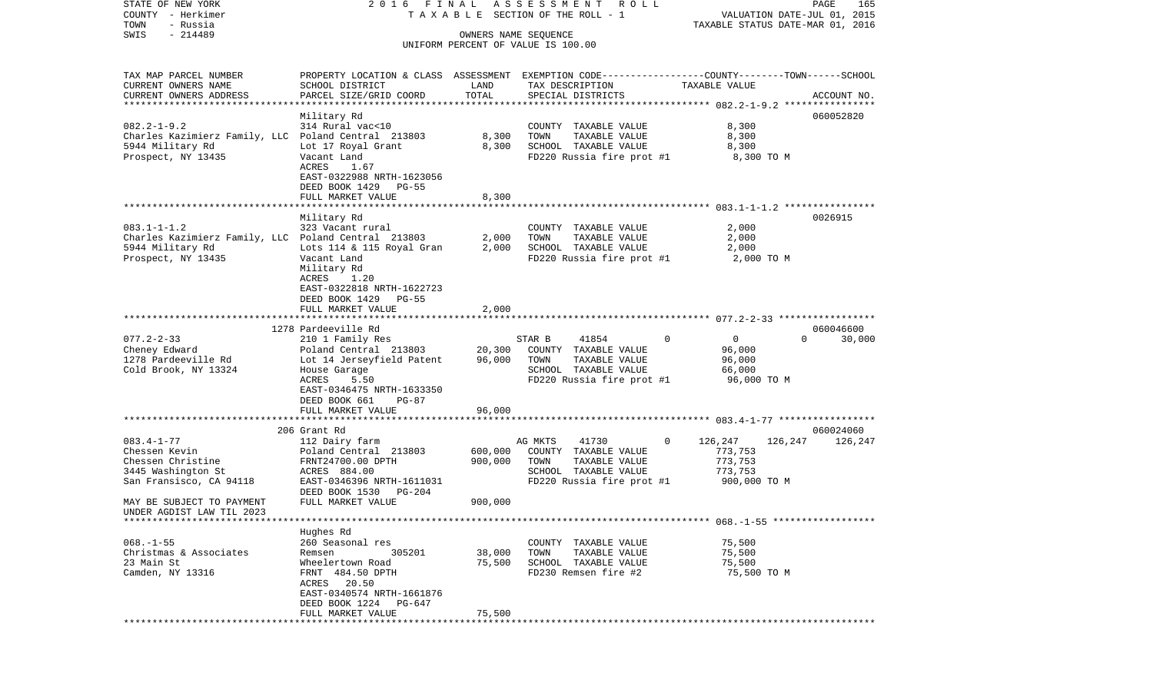COUNTY - Herkimer **T A X A B L E SECTION OF THE ROLL - 1** VALUATION DATE-JUL 01, 2015 TOWN - Russia TAXABLE STATUS DATE-MAR 01, 2016 SWIS - 214489 OWNERS NAME SEQUENCE UNIFORM PERCENT OF VALUE IS 100.00TAX MAP PARCEL NUMBER PROPERTY LOCATION & CLASS ASSESSMENT EXEMPTION CODE------------------COUNTY--------TOWN------SCHOOL CURRENT OWNERS NAME SCHOOL DISTRICT LAND TAX DESCRIPTION TAXABLE VALUECURRENT OWNERS ADDRESS PARCEL SIZE/GRID COORD TOTAL SPECIAL DISTRICTS ACCOUNT NO. \*\*\*\*\*\*\*\*\*\*\*\*\*\*\*\*\*\*\*\*\*\*\*\*\*\*\*\*\*\*\*\*\*\*\*\*\*\*\*\*\*\*\*\*\*\*\*\*\*\*\*\*\*\*\*\*\*\*\*\*\*\*\*\*\*\*\*\*\*\*\*\*\*\*\*\*\*\*\*\*\*\*\*\*\*\*\*\*\*\*\*\*\*\*\*\*\*\*\*\*\*\*\* 082.2-1-9.2 \*\*\*\*\*\*\*\*\*\*\*\*\*\*\*\* Military Rd 060052820 082.2-1-9.2 314 Rural vac<10 COUNTY TAXABLE VALUE 8,300 Charles Kazimierz Family, LLC Poland Central 213803 8,300 TOWN TAXABLE VALUE 8,300 5944 Military Rd Lot 17 Royal Grant 8,300 SCHOOL TAXABLE VALUE 8,300 Prospect, NY 13435 Vacant Land FD220 Russia fire prot #1 8,300 TO M<br>ACRES 1.67 1.67 EAST-0322988 NRTH-1623056 DEED BOOK 1429 PG-55 FULL MARKET VALUE 8,300 \*\*\*\*\*\*\*\*\*\*\*\*\*\*\*\*\*\*\*\*\*\*\*\*\*\*\*\*\*\*\*\*\*\*\*\*\*\*\*\*\*\*\*\*\*\*\*\*\*\*\*\*\*\*\*\*\*\*\*\*\*\*\*\*\*\*\*\*\*\*\*\*\*\*\*\*\*\*\*\*\*\*\*\*\*\*\*\*\*\*\*\*\*\*\*\*\*\*\*\*\*\*\* 083.1-1-1.2 \*\*\*\*\*\*\*\*\*\*\*\*\*\*\*\* Military Rd 0026915 083.1-1-1.2 323 Vacant rural COUNTY TAXABLE VALUE 2,000 Charles Kazimierz Family, LLC Poland Central 213803 2,000 TOWN TAXABLE VALUE 2,000 5944 Military Rd Lots 114 & 115 Royal Gran 2,000 SCHOOL TAXABLE VALUE 2,000 Prospect, NY 13435 Vacant Land FD220 Russia fire prot #1 2,000 TO M Military Rd ACRES 1.20 EAST-0322818 NRTH-1622723 DEED BOOK 1429 PG-55FULL MARKET VALUE 2,000 \*\*\*\*\*\*\*\*\*\*\*\*\*\*\*\*\*\*\*\*\*\*\*\*\*\*\*\*\*\*\*\*\*\*\*\*\*\*\*\*\*\*\*\*\*\*\*\*\*\*\*\*\*\*\*\*\*\*\*\*\*\*\*\*\*\*\*\*\*\*\*\*\*\*\*\*\*\*\*\*\*\*\*\*\*\*\*\*\*\*\*\*\*\*\*\*\*\*\*\*\*\*\* 077.2-2-33 \*\*\*\*\*\*\*\*\*\*\*\*\*\*\*\*\* 1278 Pardeeville Rd 060046600077.2-2-33 210 1 Family Res STAR B 41854 0 0 0 30,000 Cheney Edward Poland Central 213803 20,300 COUNTY TAXABLE VALUE 96,000 1278 Lot 14 Jerseyfield Patent 96,000 TOWN Cold Brook, NY 13324 House Garage SCHOOL TAXABLE VALUE 66,000 ACRES 5.50 FD220 Russia fire prot #1 96,000 TO M EAST-0346475 NRTH-1633350 DEED BOOK 661 PG-87 FULL MARKET VALUE 96,000 \*\*\*\*\*\*\*\*\*\*\*\*\*\*\*\*\*\*\*\*\*\*\*\*\*\*\*\*\*\*\*\*\*\*\*\*\*\*\*\*\*\*\*\*\*\*\*\*\*\*\*\*\*\*\*\*\*\*\*\*\*\*\*\*\*\*\*\*\*\*\*\*\*\*\*\*\*\*\*\*\*\*\*\*\*\*\*\*\*\*\*\*\*\*\*\*\*\*\*\*\*\*\* 083.4-1-77 \*\*\*\*\*\*\*\*\*\*\*\*\*\*\*\*\* 206 Grant Rd 060024060083.4-1-77 112 Dairy farm AG MKTS 41730 0 126,247 126,247 126,247 Chessen Kevin Poland Central 213803 600,000 COUNTY TAXABLE VALUE 773,753 Chessen Christine FRNT24700.00 DPTH 900,000 TOWN TAXABLE VALUE 773,753 3445 Washington St ACRES 884.00 SCHOOL TAXABLE VALUE 773,753 FD220 Russia fire prot #1 DEED BOOK 1530 PG-204MAY BE SUBJECT TO PAYMENT FULL MARKET VALUE  $900,000$ UNDER AGDIST LAW TIL 2023 \*\*\*\*\*\*\*\*\*\*\*\*\*\*\*\*\*\*\*\*\*\*\*\*\*\*\*\*\*\*\*\*\*\*\*\*\*\*\*\*\*\*\*\*\*\*\*\*\*\*\*\*\*\*\*\*\*\*\*\*\*\*\*\*\*\*\*\*\*\*\*\*\*\*\*\*\*\*\*\*\*\*\*\*\*\*\*\*\*\*\*\*\*\*\*\*\*\*\*\*\*\*\* 068.-1-55 \*\*\*\*\*\*\*\*\*\*\*\*\*\*\*\*\*\*Hughes Rd<br>260 Seasonal res 068.-1-55 260 Seasonal res COUNTY TAXABLE VALUE 75,500 Christmas & Associates Remsen 305201 38,000 TOWN TAXABLE VALUE 75,500 23 Main St Wheelertown Road 75,500 SCHOOL TAXABLE VALUE 75,500 Camden, NY 13316 FRNT 484.50 DPTH FD230 Remsen fire #2 75,500 TO M ACRES 20.50 EAST-0340574 NRTH-1661876 DEED BOOK 1224 PG-647FULL MARKET VALUE 75,500 \*\*\*\*\*\*\*\*\*\*\*\*\*\*\*\*\*\*\*\*\*\*\*\*\*\*\*\*\*\*\*\*\*\*\*\*\*\*\*\*\*\*\*\*\*\*\*\*\*\*\*\*\*\*\*\*\*\*\*\*\*\*\*\*\*\*\*\*\*\*\*\*\*\*\*\*\*\*\*\*\*\*\*\*\*\*\*\*\*\*\*\*\*\*\*\*\*\*\*\*\*\*\*\*\*\*\*\*\*\*\*\*\*\*\*\*\*\*\*\*\*\*\*\*\*\*\*\*\*\*\*\*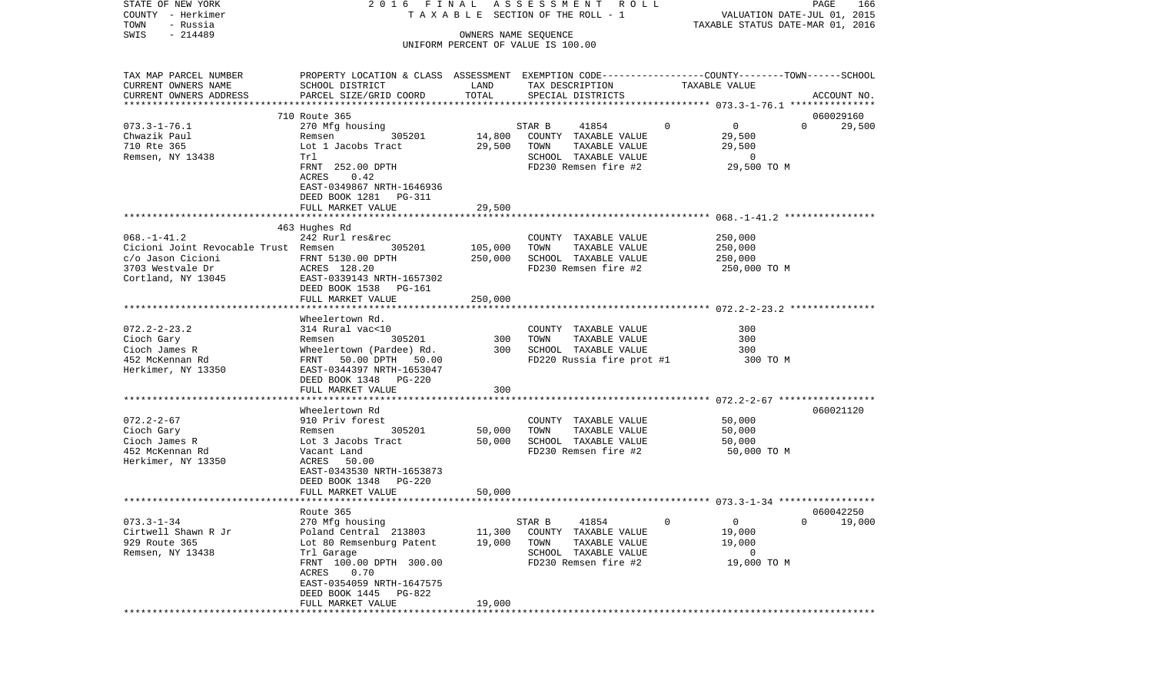| STATE OF NEW YORK                    | 2016 FINAL                                                                                      |                   | A S S E S S M E N T R O L L           |                         | PAGE<br>166                      |
|--------------------------------------|-------------------------------------------------------------------------------------------------|-------------------|---------------------------------------|-------------------------|----------------------------------|
| COUNTY - Herkimer                    |                                                                                                 |                   | T A X A B L E SECTION OF THE ROLL - 1 |                         | VALUATION DATE-JUL 01, 2015      |
| TOWN<br>- Russia                     |                                                                                                 |                   |                                       |                         | TAXABLE STATUS DATE-MAR 01, 2016 |
| $-214489$<br>SWIS                    |                                                                                                 |                   | OWNERS NAME SEQUENCE                  |                         |                                  |
|                                      |                                                                                                 |                   | UNIFORM PERCENT OF VALUE IS 100.00    |                         |                                  |
| TAX MAP PARCEL NUMBER                | PROPERTY LOCATION & CLASS ASSESSMENT EXEMPTION CODE---------------COUNTY-------TOWN------SCHOOL |                   |                                       |                         |                                  |
| CURRENT OWNERS NAME                  | SCHOOL DISTRICT                                                                                 | LAND              | TAX DESCRIPTION                       | TAXABLE VALUE           |                                  |
| CURRENT OWNERS ADDRESS               | PARCEL SIZE/GRID COORD                                                                          | TOTAL             | SPECIAL DISTRICTS                     |                         | ACCOUNT NO.                      |
| **********************               |                                                                                                 |                   |                                       |                         |                                  |
|                                      | 710 Route 365                                                                                   |                   |                                       |                         | 060029160                        |
| $073.3 - 1 - 76.1$                   | 270 Mfg housing                                                                                 |                   | STAR B<br>41854                       | $\Omega$<br>$\mathbf 0$ | $\Omega$<br>29,500               |
| Chwazik Paul                         | 305201<br>Remsen                                                                                | 14,800            | COUNTY TAXABLE VALUE                  | 29,500                  |                                  |
| 710 Rte 365                          | Lot 1 Jacobs Tract                                                                              | 29,500            | TOWN<br>TAXABLE VALUE                 | 29,500                  |                                  |
| Remsen, NY 13438                     | Trl                                                                                             |                   | SCHOOL TAXABLE VALUE                  | $\overline{0}$          |                                  |
|                                      | FRNT 252.00 DPTH                                                                                |                   | FD230 Remsen fire #2                  | 29,500 TO M             |                                  |
|                                      | ACRES<br>0.42                                                                                   |                   |                                       |                         |                                  |
|                                      | EAST-0349867 NRTH-1646936                                                                       |                   |                                       |                         |                                  |
|                                      | DEED BOOK 1281 PG-311                                                                           |                   |                                       |                         |                                  |
|                                      | FULL MARKET VALUE                                                                               | 29,500            |                                       |                         |                                  |
|                                      |                                                                                                 |                   |                                       |                         |                                  |
|                                      | 463 Hughes Rd                                                                                   |                   |                                       |                         |                                  |
| $068. - 1 - 41.2$                    | 242 Rurl res&rec                                                                                |                   | COUNTY TAXABLE VALUE                  | 250,000                 |                                  |
| Cicioni Joint Revocable Trust Remsen | 305201                                                                                          | 105,000           | TOWN<br>TAXABLE VALUE                 | 250,000                 |                                  |
| c/o Jason Cicioni                    | FRNT 5130.00 DPTH                                                                               | 250,000           | SCHOOL TAXABLE VALUE                  | 250,000                 |                                  |
| 3703 Westvale Dr                     | ACRES 128.20                                                                                    |                   | FD230 Remsen fire #2                  | 250,000 TO M            |                                  |
| Cortland, NY 13045                   | EAST-0339143 NRTH-1657302                                                                       |                   |                                       |                         |                                  |
|                                      | DEED BOOK 1538<br>PG-161                                                                        |                   |                                       |                         |                                  |
|                                      | FULL MARKET VALUE                                                                               | 250,000           |                                       |                         |                                  |
|                                      |                                                                                                 |                   |                                       |                         |                                  |
|                                      | Wheelertown Rd.                                                                                 |                   |                                       |                         |                                  |
| $072.2 - 2 - 23.2$                   | 314 Rural vac<10                                                                                |                   | COUNTY TAXABLE VALUE                  | 300                     |                                  |
| Cioch Gary                           | 305201<br>Remsen                                                                                | 300               | TAXABLE VALUE<br>TOWN                 | 300                     |                                  |
| Cioch James R                        | Wheelertown (Pardee) Rd.                                                                        | 300               | SCHOOL TAXABLE VALUE                  | 300                     |                                  |
| 452 McKennan Rd                      | FRNT 50.00 DPTH 50.00                                                                           |                   | FD220 Russia fire prot #1             | 300 TO M                |                                  |
| Herkimer, NY 13350                   | EAST-0344397 NRTH-1653047                                                                       |                   |                                       |                         |                                  |
|                                      | DEED BOOK 1348<br>PG-220                                                                        |                   |                                       |                         |                                  |
|                                      | FULL MARKET VALUE                                                                               | 300               |                                       |                         |                                  |
|                                      | *******************************                                                                 | ***************** |                                       |                         |                                  |
|                                      | Wheelertown Rd                                                                                  |                   |                                       |                         | 060021120                        |
| $072.2 - 2 - 67$                     | 910 Priv forest                                                                                 |                   | COUNTY TAXABLE VALUE                  | 50,000                  |                                  |
| Cioch Gary                           | 305201<br>Remsen                                                                                | 50,000            | TOWN<br>TAXABLE VALUE                 | 50,000                  |                                  |
| Cioch James R                        | Lot 3 Jacobs Tract                                                                              | 50,000            | SCHOOL TAXABLE VALUE                  | 50,000                  |                                  |
| 452 McKennan Rd                      | Vacant Land                                                                                     |                   | FD230 Remsen fire #2                  | 50,000 TO M             |                                  |
| Herkimer, NY 13350                   | ACRES 50.00                                                                                     |                   |                                       |                         |                                  |
|                                      | EAST-0343530 NRTH-1653873                                                                       |                   |                                       |                         |                                  |
|                                      | DEED BOOK 1348<br>PG-220                                                                        |                   |                                       |                         |                                  |
|                                      | FULL MARKET VALUE                                                                               | 50,000            |                                       |                         |                                  |
|                                      |                                                                                                 |                   |                                       |                         |                                  |
|                                      | Route 365                                                                                       |                   |                                       |                         | 060042250                        |
| $073.3 - 1 - 34$                     | 270 Mfg housing                                                                                 |                   | 41854<br>STAR B                       | $\mathbf 0$<br>$\circ$  | $\overline{0}$<br>19,000         |
| Cirtwell Shawn R Jr                  | Poland Central 213803                                                                           | 11,300            | COUNTY TAXABLE VALUE                  | 19,000                  |                                  |
| 929 Route 365                        | Lot 80 Remsenburg Patent                                                                        | 19,000            | TOWN<br>TAXABLE VALUE                 | 19,000                  |                                  |
| Remsen, NY 13438                     | Trl Garage                                                                                      |                   | SCHOOL TAXABLE VALUE                  | 0                       |                                  |
|                                      | FRNT 100.00 DPTH 300.00                                                                         |                   | FD230 Remsen fire #2                  | 19,000 TO M             |                                  |
|                                      | 0.70<br>ACRES                                                                                   |                   |                                       |                         |                                  |
|                                      | EAST-0354059 NRTH-1647575                                                                       |                   |                                       |                         |                                  |
|                                      | DEED BOOK 1445<br>PG-822                                                                        |                   |                                       |                         |                                  |
|                                      | FULL MARKET VALUE                                                                               | 19,000            |                                       |                         |                                  |
|                                      |                                                                                                 |                   |                                       |                         |                                  |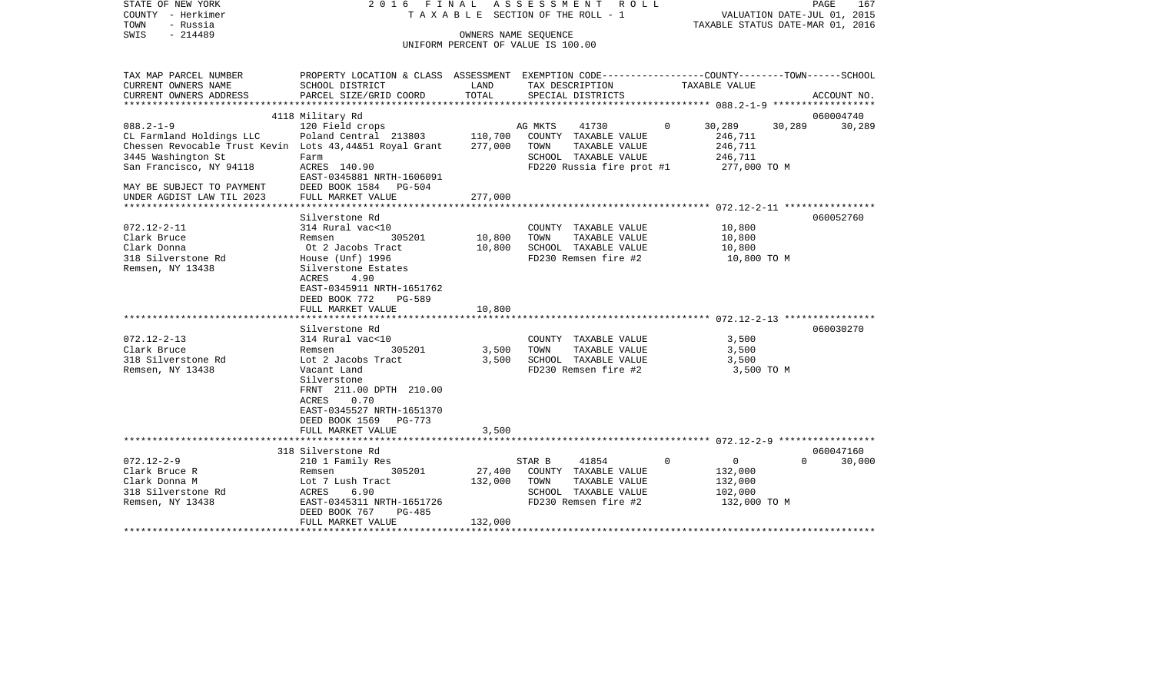| STATE OF NEW YORK<br>COUNTY - Herkimer<br>TOWN<br>- Russia                                                                                                                                                        | 2016                                                                                                                                                                                                            | FINAL                         | ASSESSMENT<br>R O L L<br>T A X A B L E SECTION OF THE ROLL - 1                                                            |                                                                     | PAGE<br>VALUATION DATE-JUL 01, 2015<br>TAXABLE STATUS DATE-MAR 01, 2016 | 167                 |
|-------------------------------------------------------------------------------------------------------------------------------------------------------------------------------------------------------------------|-----------------------------------------------------------------------------------------------------------------------------------------------------------------------------------------------------------------|-------------------------------|---------------------------------------------------------------------------------------------------------------------------|---------------------------------------------------------------------|-------------------------------------------------------------------------|---------------------|
| SWIS<br>$-214489$                                                                                                                                                                                                 |                                                                                                                                                                                                                 | OWNERS NAME SEQUENCE          | UNIFORM PERCENT OF VALUE IS 100.00                                                                                        |                                                                     |                                                                         |                     |
| TAX MAP PARCEL NUMBER<br>CURRENT OWNERS NAME<br>CURRENT OWNERS ADDRESS                                                                                                                                            | PROPERTY LOCATION & CLASS ASSESSMENT EXEMPTION CODE---------------COUNTY-------TOWN------SCHOOL<br>SCHOOL DISTRICT<br>PARCEL SIZE/GRID COORD                                                                    | LAND<br>TOTAL                 | TAX DESCRIPTION<br>SPECIAL DISTRICTS                                                                                      | TAXABLE VALUE                                                       |                                                                         | ACCOUNT NO.         |
| ***************                                                                                                                                                                                                   |                                                                                                                                                                                                                 |                               |                                                                                                                           |                                                                     |                                                                         |                     |
| $088.2 - 1 - 9$<br>CL Farmland Holdings LLC<br>Chessen Revocable Trust Kevin Lots 43,44&51 Royal Grant<br>3445 Washington St<br>San Francisco, NY 94118<br>MAY BE SUBJECT TO PAYMENT<br>UNDER AGDIST LAW TIL 2023 | 4118 Military Rd<br>120 Field crops<br>Poland Central 213803<br>Farm<br>ACRES 140.90<br>EAST-0345881 NRTH-1606091<br>DEED BOOK 1584<br><b>PG-504</b><br>FULL MARKET VALUE                                       | 110,700<br>277,000<br>277,000 | AG MKTS<br>41730<br>COUNTY<br>TAXABLE VALUE<br>TOWN<br>TAXABLE VALUE<br>SCHOOL TAXABLE VALUE<br>FD220 Russia fire prot #1 | $\Omega$<br>30,289<br>246,711<br>246,711<br>246,711<br>277,000 TO M | 30,289                                                                  | 060004740<br>30,289 |
|                                                                                                                                                                                                                   |                                                                                                                                                                                                                 |                               |                                                                                                                           |                                                                     |                                                                         |                     |
| $072.12 - 2 - 11$<br>Clark Bruce<br>Clark Donna<br>318 Silverstone Rd<br>Remsen, NY 13438                                                                                                                         | Silverstone Rd<br>314 Rural vac<10<br>Remsen<br>305201<br>Ot 2 Jacobs Tract<br>House (Unf) 1996<br>Silverstone Estates<br>ACRES<br>4.90<br>EAST-0345911 NRTH-1651762<br>DEED BOOK 772<br><b>PG-589</b>          | 10,800<br>10,800              | COUNTY TAXABLE VALUE<br>TOWN<br>TAXABLE VALUE<br>SCHOOL TAXABLE VALUE<br>FD230 Remsen fire #2                             | 10,800<br>10,800<br>10,800                                          | 10,800 TO M                                                             | 060052760           |
|                                                                                                                                                                                                                   | FULL MARKET VALUE                                                                                                                                                                                               | 10,800                        |                                                                                                                           |                                                                     |                                                                         |                     |
| $072.12 - 2 - 13$<br>Clark Bruce<br>318 Silverstone Rd<br>Remsen, NY 13438                                                                                                                                        | Silverstone Rd<br>314 Rural vac<10<br>305201<br>Remsen<br>Lot 2 Jacobs Tract<br>Vacant Land<br>Silverstone<br>FRNT 211.00 DPTH 210.00<br>ACRES<br>0.70<br>EAST-0345527 NRTH-1651370<br>DEED BOOK 1569<br>PG-773 | 3,500<br>3,500                | TAXABLE VALUE<br>COUNTY<br>TOWN<br>TAXABLE VALUE<br>SCHOOL TAXABLE VALUE<br>FD230 Remsen fire #2                          | 3,500<br>3,500<br>3,500                                             | 3,500 TO M                                                              | 060030270           |
|                                                                                                                                                                                                                   | FULL MARKET VALUE                                                                                                                                                                                               | 3,500                         |                                                                                                                           |                                                                     |                                                                         |                     |
|                                                                                                                                                                                                                   | 318 Silverstone Rd                                                                                                                                                                                              |                               |                                                                                                                           |                                                                     |                                                                         | 060047160           |
| $072.12 - 2 - 9$<br>Clark Bruce R<br>Clark Donna M<br>318 Silverstone Rd<br>Remsen, NY 13438                                                                                                                      | 210 1 Family Res<br>305201<br>Remsen<br>Lot 7 Lush Tract<br>ACRES<br>6.90<br>EAST-0345311 NRTH-1651726<br>DEED BOOK 767<br>PG-485                                                                               | 27,400<br>132,000             | 41854<br>STAR B<br>COUNTY TAXABLE VALUE<br>TOWN<br>TAXABLE VALUE<br>SCHOOL TAXABLE VALUE<br>FD230 Remsen fire #2          | $\circ$<br>0<br>132,000<br>132,000<br>102,000                       | $\Omega$<br>132,000 TO M                                                | 30,000              |

FULL MARKET VALUE 132,000 \*\*\*\*\*\*\*\*\*\*\*\*\*\*\*\*\*\*\*\*\*\*\*\*\*\*\*\*\*\*\*\*\*\*\*\*\*\*\*\*\*\*\*\*\*\*\*\*\*\*\*\*\*\*\*\*\*\*\*\*\*\*\*\*\*\*\*\*\*\*\*\*\*\*\*\*\*\*\*\*\*\*\*\*\*\*\*\*\*\*\*\*\*\*\*\*\*\*\*\*\*\*\*\*\*\*\*\*\*\*\*\*\*\*\*\*\*\*\*\*\*\*\*\*\*\*\*\*\*\*\*\*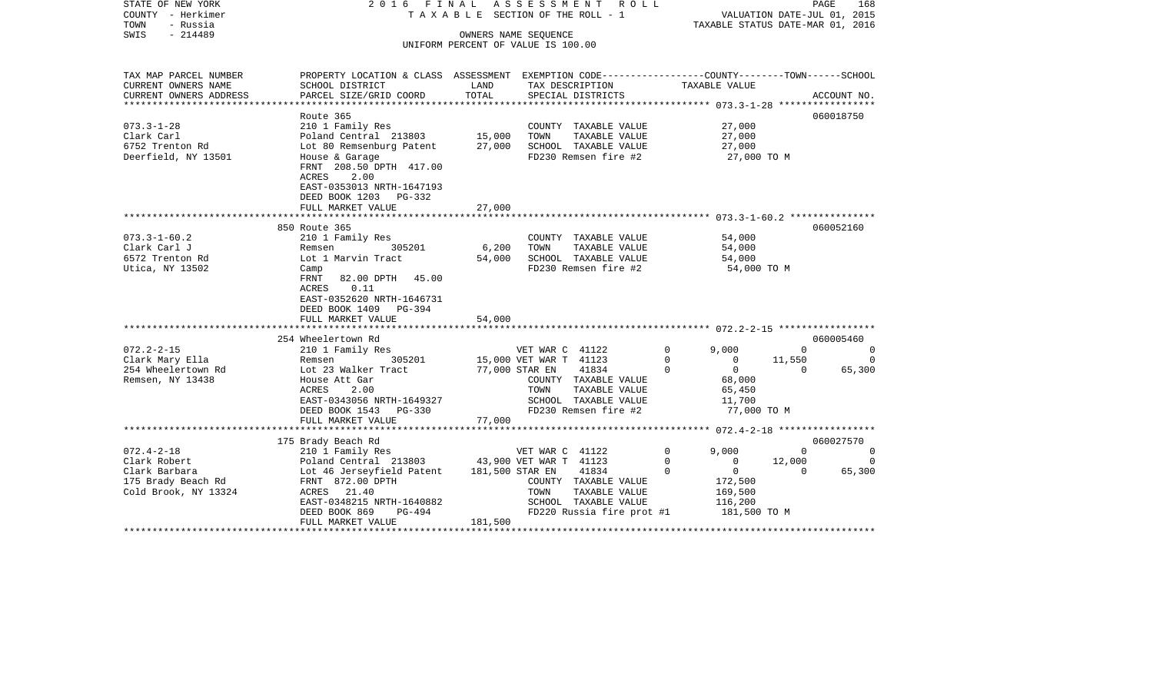| STATE OF NEW YORK<br>COUNTY - Herkimer<br>TOWN<br>- Russia<br>$-214489$<br>SWIS                 | 2016 FINAL                                                                                                                                       |                      | A S S E S S M E N T R O L L<br>TAXABLE SECTION OF THE ROLL - 1<br>OWNERS NAME SEQUENCE<br>UNIFORM PERCENT OF VALUE IS 100.00 | TAXABLE STATUS DATE-MAR 01, 2016                                                                      | VALUATION DATE-JUL 01, 2015    | PAGE<br>168                          |
|-------------------------------------------------------------------------------------------------|--------------------------------------------------------------------------------------------------------------------------------------------------|----------------------|------------------------------------------------------------------------------------------------------------------------------|-------------------------------------------------------------------------------------------------------|--------------------------------|--------------------------------------|
| TAX MAP PARCEL NUMBER<br>CURRENT OWNERS NAME                                                    | PROPERTY LOCATION & CLASS ASSESSMENT EXEMPTION CODE----------------COUNTY-------TOWN------SCHOOL<br>SCHOOL DISTRICT                              | LAND                 | TAX DESCRIPTION                                                                                                              | TAXABLE VALUE                                                                                         |                                |                                      |
| CURRENT OWNERS ADDRESS                                                                          | PARCEL SIZE/GRID COORD                                                                                                                           | TOTAL<br>*********** | SPECIAL DISTRICTS                                                                                                            | ***************** 073.3-1-28 ************                                                             |                                | ACCOUNT NO.                          |
| $073.3 - 1 - 28$<br>Clark Carl<br>6752 Trenton Rd<br>Deerfield, NY 13501                        | Route 365<br>210 1 Family Res<br>Poland Central 213803<br>Lot 80 Remsenburg Patent<br>House & Garage<br>FRNT 208.50 DPTH 417.00<br>ACRES<br>2.00 | 15,000<br>27,000     | COUNTY TAXABLE VALUE<br>TOWN<br>TAXABLE VALUE<br>SCHOOL TAXABLE VALUE<br>FD230 Remsen fire #2                                | 27,000<br>27,000<br>27,000<br>27,000 TO M                                                             |                                | 060018750                            |
|                                                                                                 | EAST-0353013 NRTH-1647193<br>DEED BOOK 1203 PG-332<br>FULL MARKET VALUE                                                                          | 27,000               |                                                                                                                              |                                                                                                       |                                |                                      |
|                                                                                                 | 850 Route 365                                                                                                                                    |                      |                                                                                                                              |                                                                                                       |                                | 060052160                            |
| $073.3 - 1 - 60.2$<br>Clark Carl J<br>6572 Trenton Rd<br>Utica, NY 13502                        | 210 1 Family Res<br>305201<br>Remsen<br>Lot 1 Marvin Tract<br>Camp                                                                               | 6,200<br>54,000      | COUNTY TAXABLE VALUE<br>TAXABLE VALUE<br>TOWN<br>SCHOOL TAXABLE VALUE<br>FD230 Remsen fire #2                                | 54,000<br>54,000<br>54,000<br>54,000 TO M                                                             |                                |                                      |
|                                                                                                 | 82.00 DPTH 45.00<br>FRNT<br>0.11<br>ACRES<br>EAST-0352620 NRTH-1646731<br>DEED BOOK 1409 PG-394<br>FULL MARKET VALUE                             | 54,000               |                                                                                                                              |                                                                                                       |                                |                                      |
|                                                                                                 |                                                                                                                                                  |                      |                                                                                                                              |                                                                                                       |                                |                                      |
| $072.2 - 2 - 15$<br>Clark Mary Ella                                                             | 254 Wheelertown Rd<br>210 1 Family Res<br>305201<br>Remsen                                                                                       |                      | VET WAR C 41122<br>15,000 VET WAR T 41123                                                                                    | 9.000<br>$\Omega$<br>$\Omega$<br>$\Omega$                                                             | $\Omega$<br>11,550             | 060005460<br>$\Omega$<br>$\Omega$    |
| 254 Wheelertown Rd<br>Remsen, NY 13438                                                          | Lot 23 Walker Tract<br>House Att Gar<br>ACRES<br>2.00<br>EAST-0343056 NRTH-1649327<br>DEED BOOK 1543 PG-330                                      |                      | 77,000 STAR EN<br>41834<br>COUNTY TAXABLE VALUE<br>TOWN<br>TAXABLE VALUE<br>SCHOOL TAXABLE VALUE<br>FD230 Remsen fire #2     | $\Omega$<br>$\Omega$<br>68,000<br>65,450<br>11,700<br>77,000 TO M                                     | $\Omega$                       | 65,300                               |
|                                                                                                 | FULL MARKET VALUE                                                                                                                                | 77,000               |                                                                                                                              |                                                                                                       |                                |                                      |
|                                                                                                 | 175 Brady Beach Rd                                                                                                                               |                      |                                                                                                                              |                                                                                                       |                                | 060027570                            |
| $072.4 - 2 - 18$<br>Clark Robert<br>Clark Barbara<br>175 Brady Beach Rd<br>Cold Brook, NY 13324 | 210 1 Family Res<br>Poland Central 213803<br>Lot 46 Jerseyfield Patent<br>FRNT 872.00 DPTH<br>ACRES 21.40<br>EAST-0348215 NRTH-1640882           | 181,500 STAR EN      | VET WAR C 41122<br>43,900 VET WAR T 41123<br>41834<br>COUNTY TAXABLE VALUE<br>TAXABLE VALUE<br>TOWN<br>SCHOOL TAXABLE VALUE  | 9,000<br>$\Omega$<br>$\mathbf 0$<br>$\mathbf 0$<br>$\mathbf{0}$<br>0<br>172,500<br>169,500<br>116,200 | $\Omega$<br>12,000<br>$\Omega$ | $\Omega$<br>$\overline{0}$<br>65,300 |
|                                                                                                 | DEED BOOK 869<br>PG-494<br>FULL MARKET VALUE                                                                                                     | 181,500              | FD220 Russia fire prot #1                                                                                                    | 181,500 TO M                                                                                          |                                |                                      |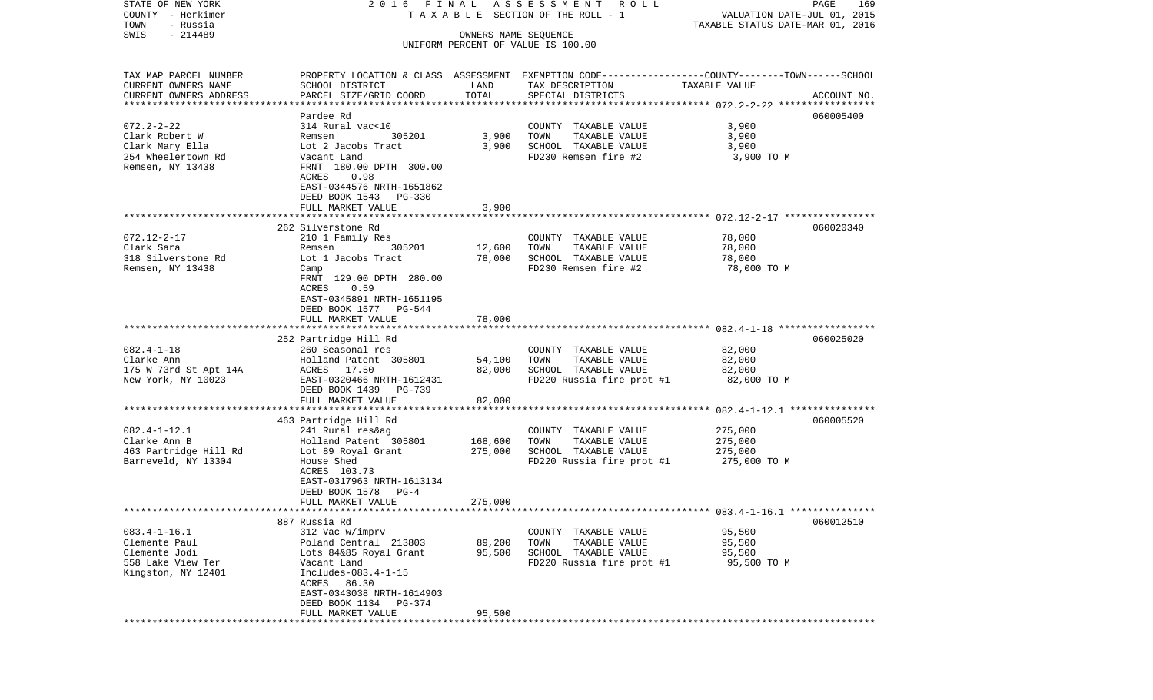| STATE OF NEW YORK                       | 2016 FINAL                                                                                       |                      | ASSESSMENT ROLL                       |                                                                 | PAGE<br>169 |
|-----------------------------------------|--------------------------------------------------------------------------------------------------|----------------------|---------------------------------------|-----------------------------------------------------------------|-------------|
| COUNTY - Herkimer<br>- Russia<br>TOWN   |                                                                                                  |                      | T A X A B L E SECTION OF THE ROLL - 1 | VALUATION DATE-JUL 01, 2015<br>TAXABLE STATUS DATE-MAR 01, 2016 |             |
| $-214489$<br>SWIS                       |                                                                                                  | OWNERS NAME SEQUENCE |                                       |                                                                 |             |
|                                         |                                                                                                  |                      | UNIFORM PERCENT OF VALUE IS 100.00    |                                                                 |             |
|                                         |                                                                                                  |                      |                                       |                                                                 |             |
| TAX MAP PARCEL NUMBER                   | PROPERTY LOCATION & CLASS ASSESSMENT EXEMPTION CODE----------------COUNTY-------TOWN------SCHOOL |                      |                                       |                                                                 |             |
| CURRENT OWNERS NAME                     | SCHOOL DISTRICT                                                                                  | LAND                 | TAX DESCRIPTION                       | TAXABLE VALUE                                                   |             |
| CURRENT OWNERS ADDRESS                  | PARCEL SIZE/GRID COORD                                                                           | TOTAL                | SPECIAL DISTRICTS                     |                                                                 | ACCOUNT NO. |
| ************************                |                                                                                                  |                      |                                       |                                                                 |             |
|                                         | Pardee Rd                                                                                        |                      |                                       |                                                                 | 060005400   |
| $072.2 - 2 - 22$                        | 314 Rural vac<10                                                                                 |                      | COUNTY TAXABLE VALUE                  | 3,900                                                           |             |
| Clark Robert W                          | 305201<br>Remsen                                                                                 | 3,900                | TAXABLE VALUE<br>TOWN                 | 3,900                                                           |             |
| Clark Mary Ella                         | Lot 2 Jacobs Tract                                                                               | 3,900                | SCHOOL TAXABLE VALUE                  | 3,900                                                           |             |
| 254 Wheelertown Rd                      | Vacant Land                                                                                      |                      | FD230 Remsen fire #2                  | 3,900 TO M                                                      |             |
| Remsen, NY 13438                        | FRNT 180.00 DPTH 300.00                                                                          |                      |                                       |                                                                 |             |
|                                         | ACRES<br>0.98                                                                                    |                      |                                       |                                                                 |             |
|                                         | EAST-0344576 NRTH-1651862<br>DEED BOOK 1543 PG-330                                               |                      |                                       |                                                                 |             |
|                                         | FULL MARKET VALUE                                                                                | 3,900                |                                       |                                                                 |             |
|                                         |                                                                                                  |                      |                                       |                                                                 |             |
|                                         | 262 Silverstone Rd                                                                               |                      |                                       |                                                                 | 060020340   |
| $072.12 - 2 - 17$                       | 210 1 Family Res                                                                                 |                      | COUNTY TAXABLE VALUE                  | 78,000                                                          |             |
| Clark Sara                              | 305201<br>Remsen                                                                                 | 12,600               | TOWN<br>TAXABLE VALUE                 | 78,000                                                          |             |
| 318 Silverstone Rd                      | Lot 1 Jacobs Tract                                                                               | 78,000               | SCHOOL TAXABLE VALUE                  | 78,000                                                          |             |
| Remsen, NY 13438                        | Camp                                                                                             |                      | FD230 Remsen fire #2                  | 78,000 TO M                                                     |             |
|                                         | FRNT 129.00 DPTH 280.00                                                                          |                      |                                       |                                                                 |             |
|                                         | ACRES<br>0.59                                                                                    |                      |                                       |                                                                 |             |
|                                         | EAST-0345891 NRTH-1651195                                                                        |                      |                                       |                                                                 |             |
|                                         | DEED BOOK 1577 PG-544                                                                            |                      |                                       |                                                                 |             |
|                                         | FULL MARKET VALUE                                                                                | 78,000               |                                       |                                                                 |             |
|                                         | 252 Partridge Hill Rd                                                                            |                      |                                       |                                                                 | 060025020   |
| $082.4 - 1 - 18$                        | 260 Seasonal res                                                                                 |                      | COUNTY TAXABLE VALUE                  | 82,000                                                          |             |
| Clarke Ann                              | Holland Patent 305801                                                                            | 54,100               | TAXABLE VALUE<br>TOWN                 | 82,000                                                          |             |
| 175 W 73rd St Apt 14A                   | ACRES 17.50                                                                                      | 82,000               | SCHOOL TAXABLE VALUE                  | 82,000                                                          |             |
| New York, NY 10023                      | EAST-0320466 NRTH-1612431                                                                        |                      | FD220 Russia fire prot #1             | 82,000 TO M                                                     |             |
|                                         | DEED BOOK 1439 PG-739                                                                            |                      |                                       |                                                                 |             |
|                                         | FULL MARKET VALUE                                                                                | 82,000               |                                       |                                                                 |             |
|                                         | **************************                                                                       |                      |                                       |                                                                 |             |
|                                         | 463 Partridge Hill Rd                                                                            |                      |                                       |                                                                 | 060005520   |
| $082.4 - 1 - 12.1$<br>Clarke Ann B      | 241 Rural res&ag                                                                                 |                      | COUNTY TAXABLE VALUE<br>TOWN          | 275,000                                                         |             |
| 463 Partridge Hill Rd                   | Holland Patent 305801<br>Lot 89 Royal Grant                                                      | 168,600<br>275,000   | TAXABLE VALUE<br>SCHOOL TAXABLE VALUE | 275,000<br>275,000                                              |             |
| Barneveld, NY 13304                     | House Shed                                                                                       |                      | FD220 Russia fire prot #1             | 275,000 TO M                                                    |             |
|                                         | ACRES 103.73                                                                                     |                      |                                       |                                                                 |             |
|                                         | EAST-0317963 NRTH-1613134                                                                        |                      |                                       |                                                                 |             |
|                                         | DEED BOOK 1578<br>$PG-4$                                                                         |                      |                                       |                                                                 |             |
|                                         | FULL MARKET VALUE                                                                                | 275,000              |                                       |                                                                 |             |
|                                         |                                                                                                  |                      |                                       |                                                                 |             |
|                                         | 887 Russia Rd                                                                                    |                      |                                       |                                                                 | 060012510   |
| $083.4 - 1 - 16.1$                      | 312 Vac w/imprv                                                                                  |                      | COUNTY<br>TAXABLE VALUE               | 95,500                                                          |             |
| Clemente Paul                           | Poland Central 213803                                                                            | 89,200               | TOWN<br>TAXABLE VALUE                 | 95,500                                                          |             |
| Clemente Jodi                           | Lots 84&85 Royal Grant                                                                           | 95,500               | SCHOOL TAXABLE VALUE                  | 95,500                                                          |             |
| 558 Lake View Ter<br>Kingston, NY 12401 | Vacant Land<br>Includes-083.4-1-15                                                               |                      | FD220 Russia fire prot #1             | 95,500 TO M                                                     |             |
|                                         | ACRES<br>86.30                                                                                   |                      |                                       |                                                                 |             |
|                                         | EAST-0343038 NRTH-1614903                                                                        |                      |                                       |                                                                 |             |
|                                         | DEED BOOK 1134<br>PG-374                                                                         |                      |                                       |                                                                 |             |
|                                         | FULL MARKET VALUE                                                                                | 95,500               |                                       |                                                                 |             |
|                                         |                                                                                                  |                      |                                       |                                                                 |             |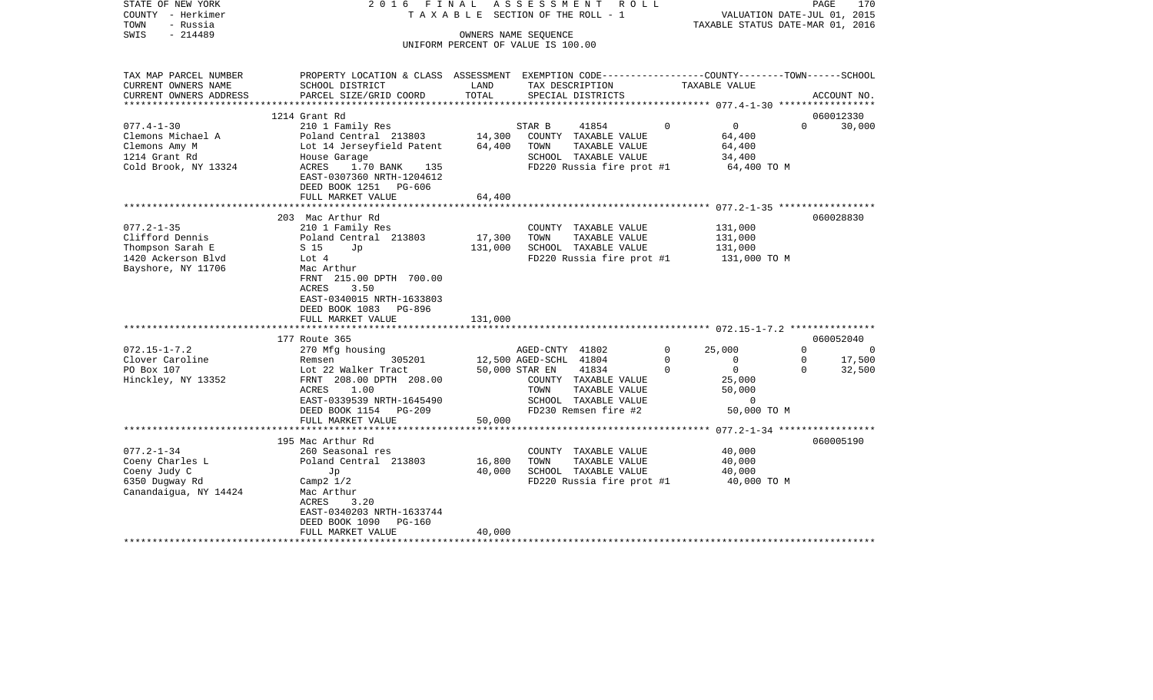| STATE OF NEW YORK<br>COUNTY - Herkimer<br>- Russia<br>TOWN<br>$-214489$<br>SWIS                | 2016 FINAL<br>TAXABLE                                                                                                           |                   | ASSESSMENT<br>R O L L<br>SECTION OF THE ROLL - 1<br>OWNERS NAME SEQUENCE                                                 |                  | VALUATION DATE-JUL 01, 2015<br>TAXABLE STATUS DATE-MAR 01, 2016 | PAGE                    | 170                 |
|------------------------------------------------------------------------------------------------|---------------------------------------------------------------------------------------------------------------------------------|-------------------|--------------------------------------------------------------------------------------------------------------------------|------------------|-----------------------------------------------------------------|-------------------------|---------------------|
|                                                                                                |                                                                                                                                 |                   | UNIFORM PERCENT OF VALUE IS 100.00                                                                                       |                  |                                                                 |                         |                     |
| TAX MAP PARCEL NUMBER<br>CURRENT OWNERS NAME                                                   | PROPERTY LOCATION & CLASS ASSESSMENT EXEMPTION CODE---------------COUNTY-------TOWN------SCHOOL<br>SCHOOL DISTRICT              | LAND              | TAX DESCRIPTION                                                                                                          |                  | TAXABLE VALUE                                                   |                         |                     |
| CURRENT OWNERS ADDRESS                                                                         | PARCEL SIZE/GRID COORD                                                                                                          | TOTAL             | SPECIAL DISTRICTS                                                                                                        |                  |                                                                 |                         | ACCOUNT NO.         |
| **********************                                                                         |                                                                                                                                 |                   |                                                                                                                          |                  |                                                                 |                         |                     |
| $077.4 - 1 - 30$                                                                               | 1214 Grant Rd<br>210 1 Family Res                                                                                               |                   | STAR B<br>41854                                                                                                          | $\mathbf 0$      | $\overline{0}$                                                  | $\Omega$                | 060012330<br>30,000 |
| Clemons Michael A<br>Clemons Amy M<br>1214 Grant Rd                                            | Poland Central 213803<br>Lot 14 Jerseyfield Patent<br>House Garage                                                              | 14,300<br>64,400  | COUNTY TAXABLE VALUE<br>TOWN<br>TAXABLE VALUE<br>SCHOOL TAXABLE VALUE                                                    |                  | 64,400<br>64,400<br>34,400                                      |                         |                     |
| Cold Brook, NY 13324                                                                           | ACRES<br>1.70 BANK<br>135<br>EAST-0307360 NRTH-1204612<br>DEED BOOK 1251 PG-606                                                 |                   | FD220 Russia fire prot #1                                                                                                |                  | 64,400 TO M                                                     |                         |                     |
|                                                                                                | FULL MARKET VALUE                                                                                                               | 64,400            |                                                                                                                          |                  |                                                                 |                         |                     |
|                                                                                                | 203 Mac Arthur Rd                                                                                                               |                   |                                                                                                                          |                  |                                                                 |                         | 060028830           |
| $077.2 - 1 - 35$<br>Clifford Dennis<br>Thompson Sarah E                                        | 210 1 Family Res<br>Poland Central 213803<br>S 15<br>Jp                                                                         | 17,300<br>131,000 | COUNTY TAXABLE VALUE<br>TOWN<br>TAXABLE VALUE<br>SCHOOL TAXABLE VALUE                                                    |                  | 131,000<br>131,000<br>131,000                                   |                         |                     |
| 1420 Ackerson Blvd<br>Bayshore, NY 11706                                                       | Lot 4<br>Mac Arthur<br>FRNT 215.00 DPTH 700.00<br>ACRES<br>3.50<br>EAST-0340015 NRTH-1633803<br>DEED BOOK 1083<br>PG-896        |                   | FD220 Russia fire prot #1                                                                                                |                  | 131,000 TO M                                                    |                         |                     |
|                                                                                                | FULL MARKET VALUE                                                                                                               | 131,000           |                                                                                                                          |                  |                                                                 |                         |                     |
|                                                                                                | 177 Route 365                                                                                                                   |                   |                                                                                                                          |                  |                                                                 |                         | 060052040           |
| $072.15 - 1 - 7.2$<br>Clover Caroline                                                          | 270 Mfg housing<br>305201<br>Remsen                                                                                             |                   | AGED-CNTY 41802<br>12,500 AGED-SCHL 41804                                                                                | 0<br>$\mathbf 0$ | 25,000<br>$\mathbf 0$                                           | $\Omega$<br>$\mathbf 0$ | 0<br>17,500         |
| PO Box 107<br>Hinckley, NY 13352                                                               | Lot 22 Walker Tract<br>FRNT 208.00 DPTH 208.00<br>1.00<br>ACRES<br>EAST-0339539 NRTH-1645490<br>DEED BOOK 1154<br><b>PG-209</b> |                   | 50,000 STAR EN<br>41834<br>COUNTY TAXABLE VALUE<br>TOWN<br>TAXABLE VALUE<br>SCHOOL TAXABLE VALUE<br>FD230 Remsen fire #2 | $\Omega$         | $\circ$<br>25,000<br>50,000<br>$\Omega$<br>50,000 TO M          | $\Omega$                | 32,500              |
|                                                                                                | FULL MARKET VALUE                                                                                                               | 50,000            |                                                                                                                          |                  |                                                                 |                         |                     |
|                                                                                                | 195 Mac Arthur Rd                                                                                                               |                   |                                                                                                                          |                  |                                                                 |                         | 060005190           |
| $077.2 - 1 - 34$<br>Coeny Charles L<br>Coeny Judy C<br>6350 Dugway Rd<br>Canandaigua, NY 14424 | 260 Seasonal res<br>Poland Central 213803<br>Jp<br>Camp $2 \frac{1}{2}$<br>Mac Arthur<br>3.20<br>ACRES                          | 16,800<br>40,000  | COUNTY TAXABLE VALUE<br>TOWN<br>TAXABLE VALUE<br>SCHOOL TAXABLE VALUE<br>FD220 Russia fire prot #1                       |                  | 40,000<br>40,000<br>40,000<br>40,000 TO M                       |                         |                     |
|                                                                                                | EAST-0340203 NRTH-1633744<br>DEED BOOK 1090<br>PG-160<br>FULL MARKET VALUE                                                      | 40,000            |                                                                                                                          |                  |                                                                 |                         |                     |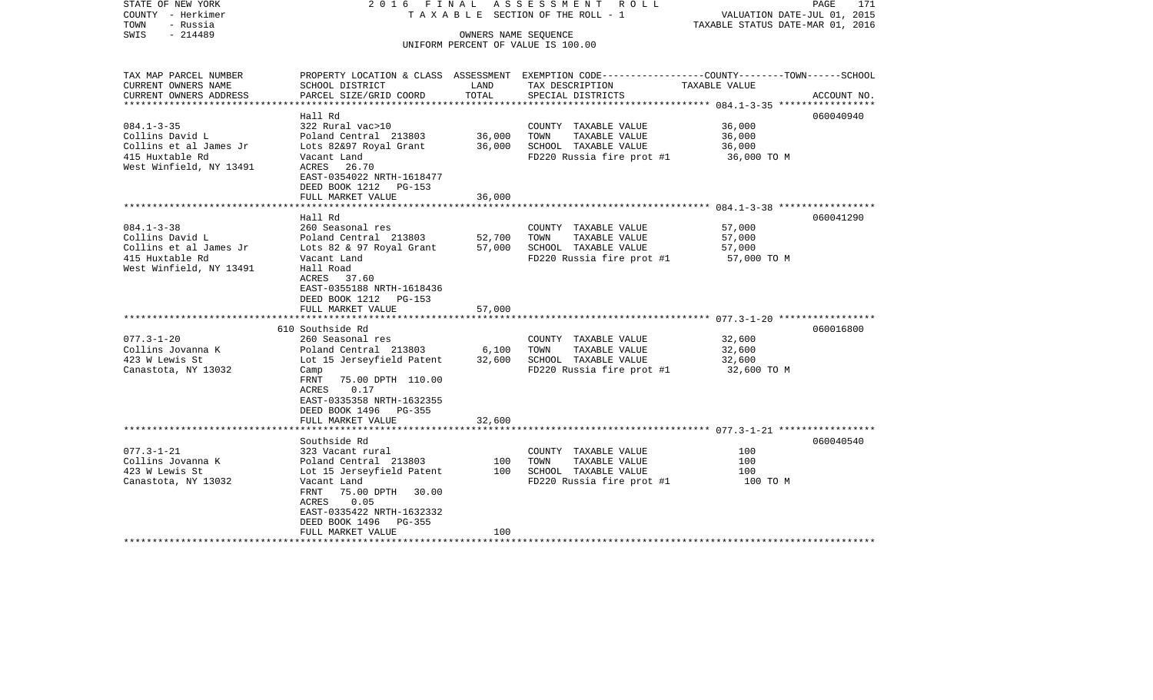| STATE OF NEW YORK<br>COUNTY - Herkimer<br>TOWN<br>- Russia | 2016 FINAL                  |                      | ASSESSMENT ROLL<br>T A X A B L E SECTION OF THE ROLL - 1   | PAGE<br>171<br>VALUATION DATE-JUL 01, 2015<br>TAXABLE STATUS DATE-MAR 01, 2016                   |
|------------------------------------------------------------|-----------------------------|----------------------|------------------------------------------------------------|--------------------------------------------------------------------------------------------------|
| $-214489$<br>SWIS                                          |                             |                      | OWNERS NAME SEQUENCE<br>UNIFORM PERCENT OF VALUE IS 100.00 |                                                                                                  |
|                                                            |                             |                      |                                                            |                                                                                                  |
| TAX MAP PARCEL NUMBER                                      |                             |                      |                                                            | PROPERTY LOCATION & CLASS ASSESSMENT EXEMPTION CODE----------------COUNTY-------TOWN------SCHOOL |
| CURRENT OWNERS NAME                                        | SCHOOL DISTRICT             | LAND                 | TAX DESCRIPTION                                            | TAXABLE VALUE                                                                                    |
| CURRENT OWNERS ADDRESS                                     | PARCEL SIZE/GRID COORD      | TOTAL                | SPECIAL DISTRICTS                                          | ACCOUNT NO.                                                                                      |
| ****************                                           |                             |                      |                                                            |                                                                                                  |
|                                                            | Hall Rd                     |                      |                                                            | 060040940                                                                                        |
| $084.1 - 3 - 35$                                           | 322 Rural vac>10            |                      | COUNTY TAXABLE VALUE                                       | 36,000                                                                                           |
| Collins David L                                            | Poland Central 213803       | 36,000               | TAXABLE VALUE<br>TOWN                                      | 36,000                                                                                           |
| Collins et al James Jr                                     | Lots 82&97 Royal Grant      | 36,000               | SCHOOL TAXABLE VALUE                                       | 36,000                                                                                           |
| 415 Huxtable Rd                                            | Vacant Land                 |                      | FD220 Russia fire prot #1                                  | 36,000 TO M                                                                                      |
| West Winfield, NY 13491                                    | ACRES 26.70                 |                      |                                                            |                                                                                                  |
|                                                            | EAST-0354022 NRTH-1618477   |                      |                                                            |                                                                                                  |
|                                                            | DEED BOOK 1212 PG-153       |                      |                                                            |                                                                                                  |
|                                                            | FULL MARKET VALUE           | 36,000               |                                                            |                                                                                                  |
|                                                            |                             | ******************** |                                                            |                                                                                                  |
|                                                            | Hall Rd                     |                      |                                                            | 060041290                                                                                        |
| $084.1 - 3 - 38$                                           | 260 Seasonal res            |                      | COUNTY TAXABLE VALUE                                       | 57,000                                                                                           |
| Collins David L                                            | Poland Central 213803       | 52,700               | TOWN<br>TAXABLE VALUE                                      | 57,000                                                                                           |
| Collins et al James Jr                                     | Lots 82 & 97 Royal Grant    | 57,000               | SCHOOL TAXABLE VALUE                                       | 57,000                                                                                           |
| 415 Huxtable Rd                                            | Vacant Land                 |                      | FD220 Russia fire prot #1                                  | 57,000 TO M                                                                                      |
| West Winfield, NY 13491                                    | Hall Road                   |                      |                                                            |                                                                                                  |
|                                                            | ACRES 37.60                 |                      |                                                            |                                                                                                  |
|                                                            | EAST-0355188 NRTH-1618436   |                      |                                                            |                                                                                                  |
|                                                            | DEED BOOK 1212 PG-153       |                      |                                                            |                                                                                                  |
|                                                            | FULL MARKET VALUE           | 57,000               |                                                            |                                                                                                  |
|                                                            | ***********************     |                      |                                                            |                                                                                                  |
|                                                            | 610 Southside Rd            |                      |                                                            | 060016800                                                                                        |
| $077.3 - 1 - 20$                                           | 260 Seasonal res            |                      | COUNTY TAXABLE VALUE                                       | 32,600                                                                                           |
| Collins Jovanna K                                          | Poland Central 213803       | 6,100                | TOWN<br>TAXABLE VALUE                                      | 32,600                                                                                           |
| 423 W Lewis St                                             | Lot 15 Jerseyfield Patent   | 32,600               | SCHOOL TAXABLE VALUE                                       | 32,600                                                                                           |
| Canastota, NY 13032                                        | Camp                        |                      | FD220 Russia fire prot #1                                  | 32,600 TO M                                                                                      |
|                                                            | FRNT<br>75.00 DPTH 110.00   |                      |                                                            |                                                                                                  |
|                                                            | 0.17<br>ACRES               |                      |                                                            |                                                                                                  |
|                                                            | EAST-0335358 NRTH-1632355   |                      |                                                            |                                                                                                  |
|                                                            | DEED BOOK 1496 PG-355       |                      |                                                            |                                                                                                  |
|                                                            | FULL MARKET VALUE           | 32,600               |                                                            |                                                                                                  |
|                                                            |                             |                      |                                                            |                                                                                                  |
|                                                            | Southside Rd                |                      |                                                            | 060040540                                                                                        |
| $077.3 - 1 - 21$                                           | 323 Vacant rural            |                      | COUNTY TAXABLE VALUE                                       | 100                                                                                              |
| Collins Jovanna K                                          | Poland Central 213803       | 100                  | TAXABLE VALUE<br>TOWN                                      | 100                                                                                              |
| 423 W Lewis St                                             | Lot 15 Jerseyfield Patent   | 100                  | SCHOOL TAXABLE VALUE                                       | 100                                                                                              |
| Canastota, NY 13032                                        | Vacant Land                 |                      | FD220 Russia fire prot #1                                  | 100 TO M                                                                                         |
|                                                            | FRNT<br>75.00 DPTH<br>30.00 |                      |                                                            |                                                                                                  |
|                                                            | ACRES<br>0.05               |                      |                                                            |                                                                                                  |
|                                                            | EAST-0335422 NRTH-1632332   |                      |                                                            |                                                                                                  |
|                                                            | DEED BOOK 1496<br>PG-355    |                      |                                                            |                                                                                                  |
|                                                            | FULL MARKET VALUE           | 100                  |                                                            |                                                                                                  |
| **********************                                     | *************************   | ***************      |                                                            |                                                                                                  |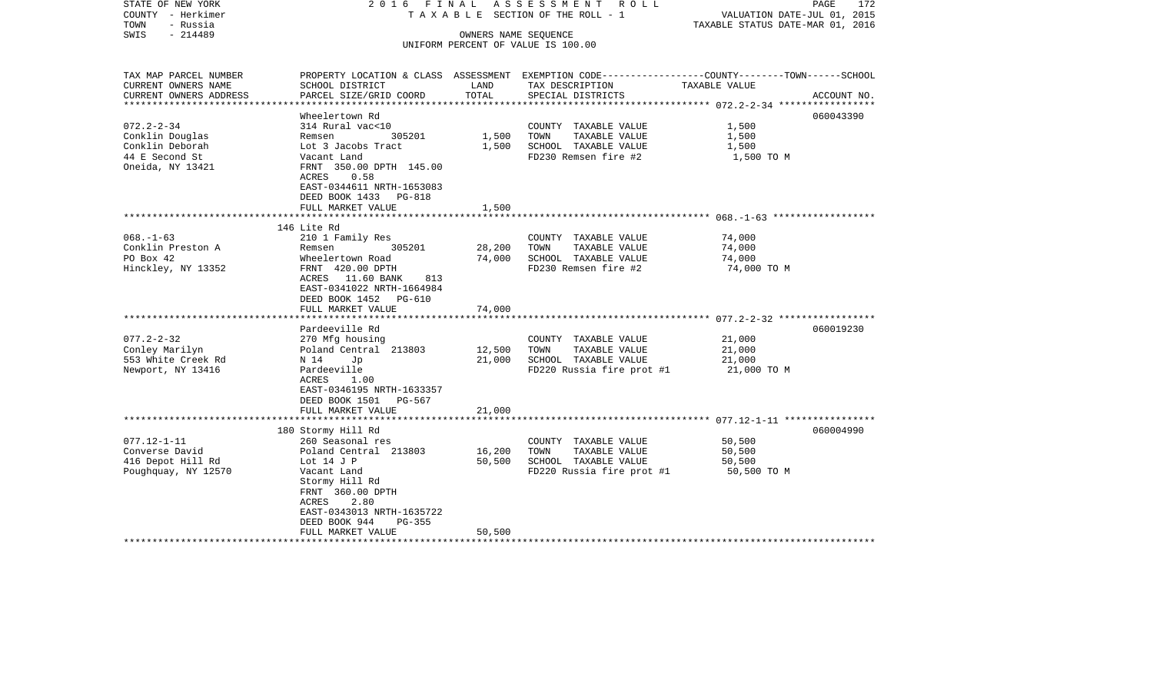| STATE OF NEW YORK<br>COUNTY - Herkimer<br>TOWN<br>- Russia | 2016 FINAL                                    |        | ASSESSMENT ROLL<br>T A X A B L E SECTION OF THE ROLL - 1                                                           | VALUATION DATE-JUL 01, 2015<br>TAXABLE STATUS DATE-MAR 01, 2016 | PAGE<br>172 |
|------------------------------------------------------------|-----------------------------------------------|--------|--------------------------------------------------------------------------------------------------------------------|-----------------------------------------------------------------|-------------|
| $-214489$<br>SWIS                                          |                                               |        | OWNERS NAME SEQUENCE                                                                                               |                                                                 |             |
|                                                            |                                               |        | UNIFORM PERCENT OF VALUE IS 100.00                                                                                 |                                                                 |             |
|                                                            |                                               |        |                                                                                                                    |                                                                 |             |
| TAX MAP PARCEL NUMBER<br>CURRENT OWNERS NAME               | SCHOOL DISTRICT                               | LAND   | PROPERTY LOCATION & CLASS ASSESSMENT EXEMPTION CODE---------------COUNTY-------TOWN------SCHOOL<br>TAX DESCRIPTION | TAXABLE VALUE                                                   |             |
| CURRENT OWNERS ADDRESS                                     | PARCEL SIZE/GRID COORD                        | TOTAL  | SPECIAL DISTRICTS                                                                                                  |                                                                 | ACCOUNT NO. |
|                                                            |                                               |        |                                                                                                                    |                                                                 |             |
|                                                            | Wheelertown Rd                                |        |                                                                                                                    |                                                                 | 060043390   |
| $072.2 - 2 - 34$                                           | 314 Rural vac<10                              |        | COUNTY TAXABLE VALUE                                                                                               | 1,500                                                           |             |
| Conklin Douglas                                            | 305201<br>Remsen                              | 1,500  | TOWN<br>TAXABLE VALUE                                                                                              | 1,500                                                           |             |
| Conklin Deborah                                            | Lot 3 Jacobs Tract                            | 1,500  | SCHOOL TAXABLE VALUE                                                                                               | 1,500                                                           |             |
| 44 E Second St                                             | Vacant Land                                   |        | FD230 Remsen fire #2                                                                                               | 1,500 TO M                                                      |             |
| Oneida, NY 13421                                           | FRNT 350.00 DPTH 145.00                       |        |                                                                                                                    |                                                                 |             |
|                                                            | ACRES<br>0.58                                 |        |                                                                                                                    |                                                                 |             |
|                                                            | EAST-0344611 NRTH-1653083                     |        |                                                                                                                    |                                                                 |             |
|                                                            | DEED BOOK 1433 PG-818                         |        |                                                                                                                    |                                                                 |             |
|                                                            | FULL MARKET VALUE                             | 1,500  |                                                                                                                    |                                                                 |             |
|                                                            |                                               |        |                                                                                                                    |                                                                 |             |
| $068. - 1 - 63$                                            | 146 Lite Rd<br>210 1 Family Res               |        | COUNTY TAXABLE VALUE                                                                                               | 74,000                                                          |             |
| Conklin Preston A                                          | 305201<br>Remsen                              | 28,200 | TOWN<br>TAXABLE VALUE                                                                                              | 74,000                                                          |             |
| PO Box 42                                                  | Wheelertown Road                              | 74,000 | SCHOOL TAXABLE VALUE                                                                                               | 74,000                                                          |             |
| Hinckley, NY 13352                                         | FRNT 420.00 DPTH                              |        | FD230 Remsen fire #2                                                                                               | 74,000 TO M                                                     |             |
|                                                            | ACRES 11.60 BANK 813                          |        |                                                                                                                    |                                                                 |             |
|                                                            | EAST-0341022 NRTH-1664984                     |        |                                                                                                                    |                                                                 |             |
|                                                            | DEED BOOK 1452 PG-610                         |        |                                                                                                                    |                                                                 |             |
|                                                            | FULL MARKET VALUE                             | 74,000 |                                                                                                                    |                                                                 |             |
|                                                            |                                               |        |                                                                                                                    |                                                                 |             |
|                                                            | Pardeeville Rd                                |        |                                                                                                                    |                                                                 | 060019230   |
| $077.2 - 2 - 32$                                           | 270 Mfg housing                               |        | COUNTY TAXABLE VALUE                                                                                               | 21,000                                                          |             |
| Conley Marilyn                                             | Poland Central 213803                         | 12,500 | TOWN<br>TAXABLE VALUE                                                                                              | 21,000                                                          |             |
| 553 White Creek Rd                                         | N 14<br>Jp                                    | 21,000 | SCHOOL TAXABLE VALUE                                                                                               | 21,000                                                          |             |
| Newport, NY 13416                                          | Pardeeville                                   |        | FD220 Russia fire prot #1                                                                                          | 21,000 TO M                                                     |             |
|                                                            | ACRES<br>1.00                                 |        |                                                                                                                    |                                                                 |             |
|                                                            | EAST-0346195 NRTH-1633357                     |        |                                                                                                                    |                                                                 |             |
|                                                            | DEED BOOK 1501 PG-567                         |        |                                                                                                                    |                                                                 |             |
|                                                            | FULL MARKET VALUE<br>************************ | 21,000 |                                                                                                                    |                                                                 |             |
|                                                            | 180 Stormy Hill Rd                            |        |                                                                                                                    |                                                                 | 060004990   |
| $077.12 - 1 - 11$                                          | 260 Seasonal res                              |        | COUNTY TAXABLE VALUE                                                                                               | 50,500                                                          |             |
| Converse David                                             | Poland Central 213803                         | 16,200 | TAXABLE VALUE<br>TOWN                                                                                              | 50,500                                                          |             |
| 416 Depot Hill Rd                                          | Lot $14$ J P                                  | 50,500 | SCHOOL TAXABLE VALUE                                                                                               | 50,500                                                          |             |
| Poughquay, NY 12570                                        | Vacant Land                                   |        | FD220 Russia fire prot #1                                                                                          | 50,500 TO M                                                     |             |
|                                                            | Stormy Hill Rd                                |        |                                                                                                                    |                                                                 |             |
|                                                            | FRNT 360.00 DPTH                              |        |                                                                                                                    |                                                                 |             |
|                                                            | ACRES<br>2.80                                 |        |                                                                                                                    |                                                                 |             |
|                                                            | EAST-0343013 NRTH-1635722                     |        |                                                                                                                    |                                                                 |             |
|                                                            | DEED BOOK 944<br>PG-355                       |        |                                                                                                                    |                                                                 |             |
|                                                            | FULL MARKET VALUE                             | 50,500 |                                                                                                                    |                                                                 |             |
|                                                            |                                               |        |                                                                                                                    |                                                                 |             |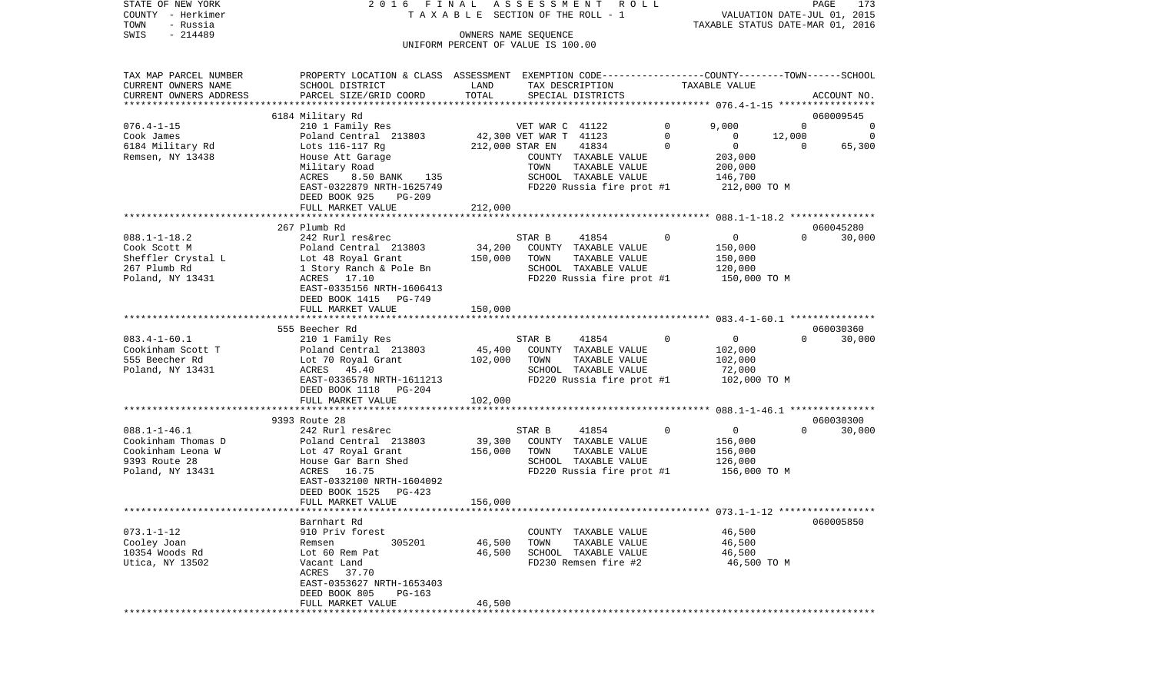| STATE OF NEW YORK<br>COUNTY - Herkimer<br>TOWN<br>- Russia             | 2016 FINAL                                                                                                                                   |                   | A S S E S S M E N T R O L L<br>TAXABLE SECTION OF THE ROLL - 1                                     |             | TAXABLE STATUS DATE-MAR 01, 2016              | PAGE<br>VALUATION DATE-JUL 01, 2015 | 173         |
|------------------------------------------------------------------------|----------------------------------------------------------------------------------------------------------------------------------------------|-------------------|----------------------------------------------------------------------------------------------------|-------------|-----------------------------------------------|-------------------------------------|-------------|
| $-214489$<br>SWIS                                                      |                                                                                                                                              |                   | OWNERS NAME SEQUENCE<br>UNIFORM PERCENT OF VALUE IS 100.00                                         |             |                                               |                                     |             |
| TAX MAP PARCEL NUMBER<br>CURRENT OWNERS NAME<br>CURRENT OWNERS ADDRESS | PROPERTY LOCATION & CLASS ASSESSMENT EXEMPTION CODE---------------COUNTY-------TOWN------SCHOOL<br>SCHOOL DISTRICT<br>PARCEL SIZE/GRID COORD | LAND<br>TOTAL     | TAX DESCRIPTION<br>SPECIAL DISTRICTS                                                               |             | TAXABLE VALUE                                 |                                     | ACCOUNT NO. |
| **********************                                                 |                                                                                                                                              |                   |                                                                                                    |             |                                               |                                     |             |
|                                                                        | 6184 Military Rd                                                                                                                             |                   |                                                                                                    |             |                                               |                                     | 060009545   |
| $076.4 - 1 - 15$                                                       | 210 1 Family Res                                                                                                                             |                   | VET WAR C 41122                                                                                    | 0           | 9,000                                         | $\Omega$                            | 0           |
| Cook James<br>6184 Military Rd                                         | Poland Central 213803<br>Lots 116-117 Rg                                                                                                     |                   | 42,300 VET WAR T 41123<br>212,000 STAR EN<br>41834                                                 | 0<br>0      | 0<br>$\mathbf 0$                              | 12,000<br>$\Omega$                  | 0<br>65,300 |
| Remsen, NY 13438                                                       | House Att Garage<br>Military Road<br>8.50 BANK<br>135<br>ACRES<br>EAST-0322879 NRTH-1625749<br>DEED BOOK 925<br><b>PG-209</b>                |                   | COUNTY TAXABLE VALUE<br>TOWN<br>TAXABLE VALUE<br>SCHOOL TAXABLE VALUE<br>FD220 Russia fire prot #1 |             | 203,000<br>200,000<br>146,700<br>212,000 TO M |                                     |             |
|                                                                        | FULL MARKET VALUE                                                                                                                            | 212,000           |                                                                                                    |             |                                               |                                     |             |
|                                                                        |                                                                                                                                              |                   |                                                                                                    |             |                                               |                                     |             |
|                                                                        | 267 Plumb Rd                                                                                                                                 |                   |                                                                                                    |             |                                               |                                     | 060045280   |
| $088.1 - 1 - 18.2$<br>Cook Scott M                                     | 242 Rurl res&rec<br>Poland Central 213803                                                                                                    | 34,200            | 41854<br>STAR B<br>COUNTY TAXABLE VALUE                                                            | $\mathbf 0$ | $\overline{0}$<br>150,000                     | $\Omega$                            | 30,000      |
| Sheffler Crystal L                                                     | Lot 48 Royal Grant                                                                                                                           | 150,000           | TAXABLE VALUE<br>TOWN                                                                              |             | 150,000                                       |                                     |             |
| 267 Plumb Rd                                                           | 1 Story Ranch & Pole Bn                                                                                                                      |                   | SCHOOL TAXABLE VALUE                                                                               |             | 120,000                                       |                                     |             |
| Poland, NY 13431                                                       | ACRES 17.10<br>EAST-0335156 NRTH-1606413<br>DEED BOOK 1415 PG-749<br>FULL MARKET VALUE                                                       | 150,000           | FD220 Russia fire prot #1                                                                          |             | 150,000 TO M                                  |                                     |             |
|                                                                        |                                                                                                                                              |                   |                                                                                                    |             |                                               |                                     |             |
|                                                                        | 555 Beecher Rd                                                                                                                               |                   |                                                                                                    |             |                                               |                                     | 060030360   |
| $083.4 - 1 - 60.1$                                                     | 210 1 Family Res                                                                                                                             |                   | STAR B<br>41854                                                                                    | $\Omega$    | $\overline{0}$                                | $\Omega$                            | 30,000      |
| Cookinham Scott T<br>555 Beecher Rd                                    | Poland Central 213803                                                                                                                        | 45,400<br>102,000 | COUNTY TAXABLE VALUE<br>TOWN                                                                       |             | 102,000                                       |                                     |             |
| Poland, NY 13431                                                       | Lot 70 Royal Grant<br>ACRES 45.40                                                                                                            |                   | TAXABLE VALUE<br>SCHOOL TAXABLE VALUE                                                              |             | 102,000<br>72,000                             |                                     |             |
|                                                                        | EAST-0336578 NRTH-1611213<br>DEED BOOK 1118 PG-204                                                                                           |                   | FD220 Russia fire prot #1                                                                          |             | 102,000 TO M                                  |                                     |             |
|                                                                        | FULL MARKET VALUE                                                                                                                            | 102,000           |                                                                                                    |             |                                               |                                     |             |
|                                                                        | 9393 Route 28                                                                                                                                |                   |                                                                                                    |             |                                               |                                     | 060030300   |
| $088.1 - 1 - 46.1$                                                     | 242 Rurl res&rec                                                                                                                             |                   | STAR B<br>41854                                                                                    | 0           | $\overline{0}$                                | $\Omega$                            | 30,000      |
| Cookinham Thomas D                                                     | Poland Central 213803                                                                                                                        | 39,300            | COUNTY TAXABLE VALUE                                                                               |             | 156,000                                       |                                     |             |
| Cookinham Leona W                                                      | Lot 47 Royal Grant                                                                                                                           | 156,000           | TOWN<br>TAXABLE VALUE                                                                              |             | 156,000                                       |                                     |             |
| 9393 Route 28                                                          | House Gar Barn Shed                                                                                                                          |                   | SCHOOL TAXABLE VALUE                                                                               |             | 126,000                                       |                                     |             |
| Poland, NY 13431                                                       | 16.75<br>ACRES<br>EAST-0332100 NRTH-1604092<br>DEED BOOK 1525<br>PG-423                                                                      |                   | FD220 Russia fire prot #1                                                                          |             | 156,000 TO M                                  |                                     |             |
|                                                                        | FULL MARKET VALUE                                                                                                                            | 156,000           |                                                                                                    |             |                                               |                                     |             |
|                                                                        | Barnhart Rd                                                                                                                                  |                   |                                                                                                    |             |                                               |                                     | 060005850   |
| $073.1 - 1 - 12$                                                       | 910 Priv forest                                                                                                                              |                   | COUNTY TAXABLE VALUE                                                                               |             | 46,500                                        |                                     |             |
| Cooley Joan                                                            | 305201<br>Remsen                                                                                                                             | 46,500            | TOWN<br>TAXABLE VALUE                                                                              |             | 46,500                                        |                                     |             |
| 10354 Woods Rd                                                         | Lot 60 Rem Pat                                                                                                                               | 46,500            | SCHOOL TAXABLE VALUE                                                                               |             | 46,500                                        |                                     |             |
| Utica, NY 13502                                                        | Vacant Land                                                                                                                                  |                   | FD230 Remsen fire #2                                                                               |             | 46,500 TO M                                   |                                     |             |
|                                                                        | ACRES<br>37.70<br>EAST-0353627 NRTH-1653403<br>DEED BOOK 805<br>$PG-163$                                                                     |                   |                                                                                                    |             |                                               |                                     |             |
|                                                                        | FULL MARKET VALUE<br>****************************                                                                                            | 46,500            |                                                                                                    |             |                                               |                                     |             |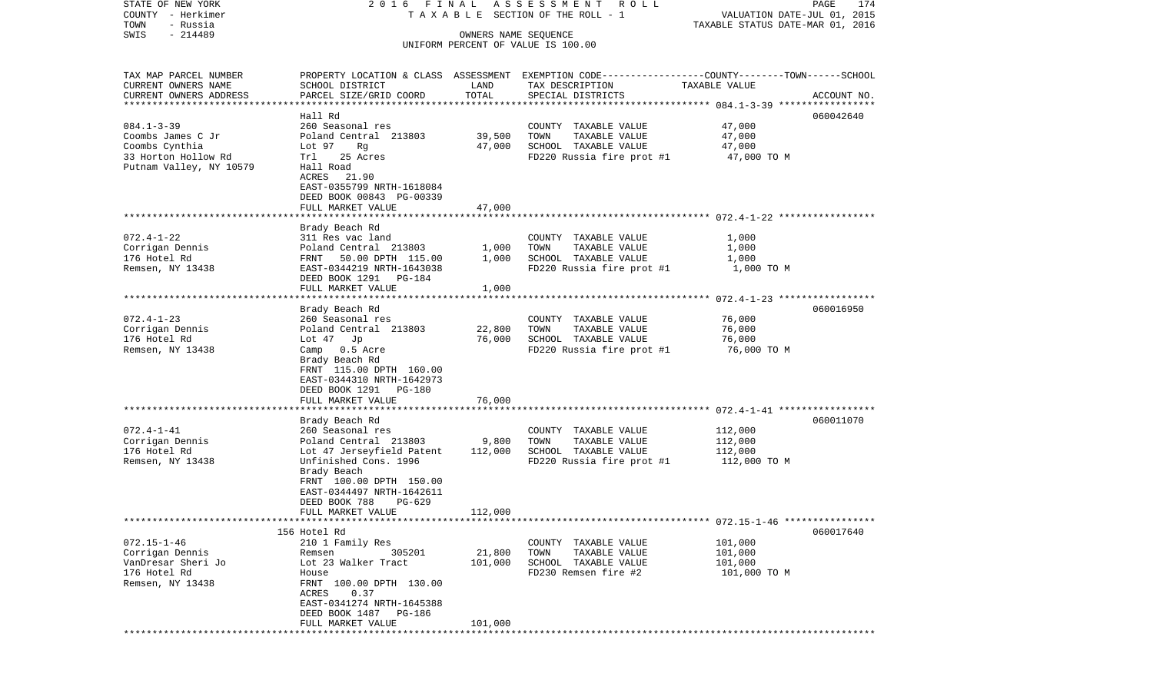| STATE OF NEW YORK<br>COUNTY - Herkimer<br>TOWN<br>- Russia | 2016 FINAL                                           |                      | ASSESSMENT<br>R O L L<br>TAXABLE SECTION OF THE ROLL - 1                                         | VALUATION DATE-JUL 01, 2015<br>TAXABLE STATUS DATE-MAR 01, 2016 | 174<br>PAGE |
|------------------------------------------------------------|------------------------------------------------------|----------------------|--------------------------------------------------------------------------------------------------|-----------------------------------------------------------------|-------------|
| $-214489$<br>SWIS                                          |                                                      | OWNERS NAME SEQUENCE | UNIFORM PERCENT OF VALUE IS 100.00                                                               |                                                                 |             |
| TAX MAP PARCEL NUMBER                                      |                                                      |                      | PROPERTY LOCATION & CLASS ASSESSMENT EXEMPTION CODE----------------COUNTY-------TOWN------SCHOOL |                                                                 |             |
| CURRENT OWNERS NAME                                        | SCHOOL DISTRICT                                      | LAND                 | TAX DESCRIPTION                                                                                  | TAXABLE VALUE                                                   |             |
| CURRENT OWNERS ADDRESS                                     | PARCEL SIZE/GRID COORD                               | TOTAL                | SPECIAL DISTRICTS                                                                                |                                                                 | ACCOUNT NO. |
| ************************                                   |                                                      |                      |                                                                                                  |                                                                 |             |
|                                                            | Hall Rd                                              |                      |                                                                                                  |                                                                 | 060042640   |
| $084.1 - 3 - 39$                                           | 260 Seasonal res                                     |                      | COUNTY TAXABLE VALUE                                                                             | 47,000                                                          |             |
| Coombs James C Jr                                          | Poland Central 213803                                | 39,500               | TOWN<br>TAXABLE VALUE                                                                            | 47,000                                                          |             |
| Coombs Cynthia                                             | Lot 97<br>Rg                                         | 47,000               | SCHOOL TAXABLE VALUE                                                                             | 47,000                                                          |             |
| 33 Horton Hollow Rd<br>Putnam Valley, NY 10579             | Trl<br>25 Acres<br>Hall Road                         |                      | FD220 Russia fire prot #1                                                                        | 47,000 TO M                                                     |             |
|                                                            | ACRES 21.90                                          |                      |                                                                                                  |                                                                 |             |
|                                                            | EAST-0355799 NRTH-1618084                            |                      |                                                                                                  |                                                                 |             |
|                                                            | DEED BOOK 00843 PG-00339                             |                      |                                                                                                  |                                                                 |             |
|                                                            | FULL MARKET VALUE                                    | 47,000               |                                                                                                  |                                                                 |             |
|                                                            |                                                      |                      |                                                                                                  |                                                                 |             |
|                                                            | Brady Beach Rd                                       |                      |                                                                                                  |                                                                 |             |
| $072.4 - 1 - 22$                                           | 311 Res vac land                                     |                      | COUNTY TAXABLE VALUE                                                                             | 1,000                                                           |             |
| Corrigan Dennis                                            | Poland Central 213803                                | 1,000                | TOWN<br>TAXABLE VALUE                                                                            | 1,000                                                           |             |
| 176 Hotel Rd                                               | 50.00 DPTH 115.00<br>FRNT                            | 1,000                | SCHOOL TAXABLE VALUE                                                                             | 1,000                                                           |             |
| Remsen, NY 13438                                           | EAST-0344219 NRTH-1643038<br>DEED BOOK 1291 PG-184   |                      | FD220 Russia fire prot #1                                                                        | 1,000 TO M                                                      |             |
|                                                            | FULL MARKET VALUE                                    | 1,000                |                                                                                                  |                                                                 |             |
|                                                            |                                                      |                      |                                                                                                  |                                                                 |             |
|                                                            | Brady Beach Rd                                       |                      |                                                                                                  |                                                                 | 060016950   |
| $072.4 - 1 - 23$                                           | 260 Seasonal res                                     |                      | COUNTY TAXABLE VALUE                                                                             | 76,000                                                          |             |
| Corrigan Dennis                                            | Poland Central 213803                                | 22,800               | TAXABLE VALUE<br>TOWN                                                                            | 76,000                                                          |             |
| 176 Hotel Rd                                               | Lot $47$ Jp                                          | 76,000               | SCHOOL TAXABLE VALUE                                                                             | 76,000                                                          |             |
| Remsen, NY 13438                                           | Camp 0.5 Acre                                        |                      | FD220 Russia fire prot #1                                                                        | 76,000 TO M                                                     |             |
|                                                            | Brady Beach Rd                                       |                      |                                                                                                  |                                                                 |             |
|                                                            | FRNT 115.00 DPTH 160.00                              |                      |                                                                                                  |                                                                 |             |
|                                                            | EAST-0344310 NRTH-1642973<br>DEED BOOK 1291 PG-180   |                      |                                                                                                  |                                                                 |             |
|                                                            | FULL MARKET VALUE                                    | 76,000               |                                                                                                  |                                                                 |             |
|                                                            | ************************                             |                      |                                                                                                  |                                                                 |             |
|                                                            | Brady Beach Rd                                       |                      |                                                                                                  |                                                                 | 060011070   |
| $072.4 - 1 - 41$                                           | 260 Seasonal res                                     |                      | COUNTY TAXABLE VALUE                                                                             | 112,000                                                         |             |
| Corrigan Dennis                                            | Poland Central 213803                                | 9,800                | TOWN<br>TAXABLE VALUE                                                                            | 112,000                                                         |             |
| 176 Hotel Rd                                               | Lot 47 Jerseyfield Patent                            | 112,000              | SCHOOL TAXABLE VALUE                                                                             | 112,000                                                         |             |
| Remsen, NY 13438                                           | Unfinished Cons. 1996                                |                      | FD220 Russia fire prot #1                                                                        | 112,000 TO M                                                    |             |
|                                                            | Brady Beach                                          |                      |                                                                                                  |                                                                 |             |
|                                                            | FRNT 100.00 DPTH 150.00<br>EAST-0344497 NRTH-1642611 |                      |                                                                                                  |                                                                 |             |
|                                                            | DEED BOOK 788<br>PG-629                              |                      |                                                                                                  |                                                                 |             |
|                                                            | FULL MARKET VALUE                                    | 112,000              |                                                                                                  |                                                                 |             |
|                                                            |                                                      |                      |                                                                                                  |                                                                 |             |
|                                                            | 156 Hotel Rd                                         |                      |                                                                                                  |                                                                 | 060017640   |
| $072.15 - 1 - 46$                                          | 210 1 Family Res                                     |                      | COUNTY TAXABLE VALUE                                                                             | 101,000                                                         |             |
| Corrigan Dennis                                            | 305201<br>Remsen                                     | 21,800               | TOWN<br>TAXABLE VALUE                                                                            | 101,000                                                         |             |
| VanDresar Sheri Jo                                         | Lot 23 Walker Tract                                  | 101,000              | SCHOOL TAXABLE VALUE                                                                             | 101,000                                                         |             |
| 176 Hotel Rd                                               | House                                                |                      | FD230 Remsen fire #2                                                                             | 101,000 TO M                                                    |             |
| Remsen, NY 13438                                           | FRNT 100.00 DPTH 130.00                              |                      |                                                                                                  |                                                                 |             |
|                                                            | 0.37<br>ACRES<br>EAST-0341274 NRTH-1645388           |                      |                                                                                                  |                                                                 |             |
|                                                            | DEED BOOK 1487 PG-186                                |                      |                                                                                                  |                                                                 |             |
|                                                            | FULL MARKET VALUE                                    | 101,000              |                                                                                                  |                                                                 |             |
|                                                            |                                                      |                      |                                                                                                  |                                                                 |             |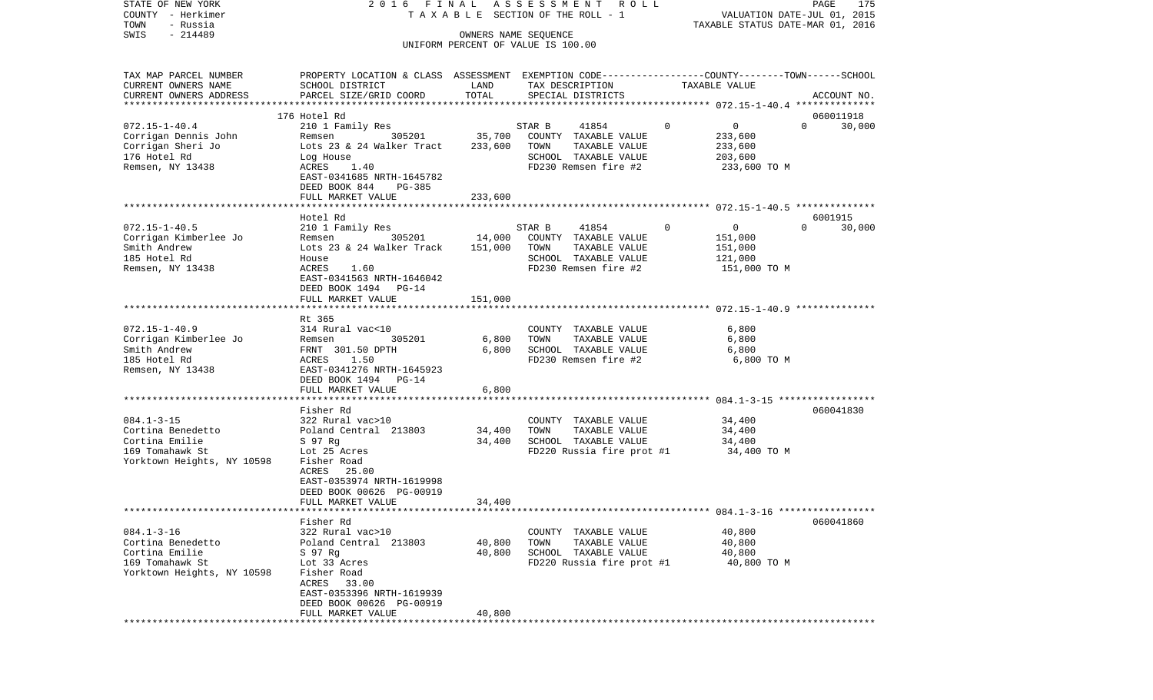| COUNTY - Herkimer          |                                                                                                 |          | T A X A B L E SECTION OF THE ROLL - 1 |                                                          | VALUATION DATE-JUL 01, 2015 |
|----------------------------|-------------------------------------------------------------------------------------------------|----------|---------------------------------------|----------------------------------------------------------|-----------------------------|
| TOWN<br>- Russia           |                                                                                                 |          |                                       | TAXABLE STATUS DATE-MAR 01, 2016                         |                             |
| SWIS<br>$-214489$          |                                                                                                 |          | OWNERS NAME SEQUENCE                  |                                                          |                             |
|                            |                                                                                                 |          | UNIFORM PERCENT OF VALUE IS 100.00    |                                                          |                             |
|                            |                                                                                                 |          |                                       |                                                          |                             |
| TAX MAP PARCEL NUMBER      | PROPERTY LOCATION & CLASS ASSESSMENT EXEMPTION CODE---------------COUNTY-------TOWN------SCHOOL |          |                                       |                                                          |                             |
| CURRENT OWNERS NAME        | SCHOOL DISTRICT                                                                                 | LAND     | TAX DESCRIPTION                       | TAXABLE VALUE                                            |                             |
| CURRENT OWNERS ADDRESS     | PARCEL SIZE/GRID COORD                                                                          | TOTAL    | SPECIAL DISTRICTS                     |                                                          | ACCOUNT NO.                 |
|                            |                                                                                                 |          |                                       |                                                          |                             |
|                            | 176 Hotel Rd                                                                                    |          |                                       |                                                          | 060011918                   |
| $072.15 - 1 - 40.4$        | 210 1 Family Res                                                                                |          | STAR B<br>41854                       | $\Omega$<br>$\overline{0}$                               | $\Omega$<br>30,000          |
| Corrigan Dennis John       | 305201<br>Remsen                                                                                | 35,700   | COUNTY TAXABLE VALUE                  | 233,600                                                  |                             |
| Corrigan Sheri Jo          | Lots 23 & 24 Walker Tract                                                                       | 233,600  | TOWN<br>TAXABLE VALUE                 | 233,600                                                  |                             |
| 176 Hotel Rd               | Log House                                                                                       |          | SCHOOL TAXABLE VALUE                  | 203,600                                                  |                             |
| Remsen, NY 13438           | 1.40<br>ACRES                                                                                   |          | FD230 Remsen fire #2                  | 233,600 TO M                                             |                             |
|                            | EAST-0341685 NRTH-1645782                                                                       |          |                                       |                                                          |                             |
|                            | DEED BOOK 844<br>PG-385                                                                         |          |                                       |                                                          |                             |
|                            | FULL MARKET VALUE                                                                               | 233,600  |                                       |                                                          |                             |
|                            |                                                                                                 |          |                                       |                                                          |                             |
|                            | Hotel Rd                                                                                        |          |                                       |                                                          | 6001915                     |
| $072.15 - 1 - 40.5$        | 210 1 Family Res                                                                                |          | STAR B<br>41854                       | $\Omega$<br>0                                            | $\Omega$<br>30,000          |
| Corrigan Kimberlee Jo      | 305201<br>Remsen                                                                                | 14,000   | COUNTY TAXABLE VALUE                  | 151,000                                                  |                             |
| Smith Andrew               | Lots 23 & 24 Walker Track                                                                       | 151,000  | TOWN<br>TAXABLE VALUE                 | 151,000                                                  |                             |
| 185 Hotel Rd               | House                                                                                           |          | SCHOOL TAXABLE VALUE                  | 121,000                                                  |                             |
| Remsen, NY 13438           | ACRES<br>1.60                                                                                   |          | FD230 Remsen fire #2                  | 151,000 TO M                                             |                             |
|                            | EAST-0341563 NRTH-1646042                                                                       |          |                                       |                                                          |                             |
|                            | DEED BOOK 1494<br>$PG-14$                                                                       |          |                                       |                                                          |                             |
|                            | FULL MARKET VALUE                                                                               | 151,000  |                                       |                                                          |                             |
|                            | *****************                                                                               | ******** |                                       | *************************** 072.15-1-40.9 ************** |                             |
|                            | Rt 365                                                                                          |          |                                       |                                                          |                             |
| $072.15 - 1 - 40.9$        | 314 Rural vac<10                                                                                |          | COUNTY TAXABLE VALUE                  | 6,800                                                    |                             |
| Corrigan Kimberlee Jo      | 305201<br>Remsen                                                                                | 6,800    | TOWN<br>TAXABLE VALUE                 | 6,800                                                    |                             |
| Smith Andrew               | FRNT 301.50 DPTH                                                                                | 6,800    | SCHOOL TAXABLE VALUE                  | 6,800                                                    |                             |
| 185 Hotel Rd               | 1.50<br>ACRES                                                                                   |          | FD230 Remsen fire #2                  | 6,800 TO M                                               |                             |
| Remsen, NY 13438           | EAST-0341276 NRTH-1645923                                                                       |          |                                       |                                                          |                             |
|                            | DEED BOOK 1494 PG-14                                                                            |          |                                       |                                                          |                             |
|                            | FULL MARKET VALUE                                                                               | 6,800    |                                       |                                                          |                             |
|                            |                                                                                                 |          |                                       |                                                          |                             |
|                            | Fisher Rd                                                                                       |          |                                       |                                                          | 060041830                   |
| $084.1 - 3 - 15$           | 322 Rural vac>10                                                                                |          | COUNTY TAXABLE VALUE                  | 34,400                                                   |                             |
| Cortina Benedetto          | Poland Central 213803                                                                           | 34,400   | TAXABLE VALUE<br>TOWN                 | 34,400                                                   |                             |
| Cortina Emilie             | S 97 Rg                                                                                         | 34,400   | SCHOOL TAXABLE VALUE                  | 34,400                                                   |                             |
| 169 Tomahawk St            | Lot 25 Acres                                                                                    |          | FD220 Russia fire prot #1             | 34,400 TO M                                              |                             |
| Yorktown Heights, NY 10598 | Fisher Road                                                                                     |          |                                       |                                                          |                             |
|                            | ACRES 25.00                                                                                     |          |                                       |                                                          |                             |
|                            | EAST-0353974 NRTH-1619998                                                                       |          |                                       |                                                          |                             |
|                            | DEED BOOK 00626 PG-00919                                                                        |          |                                       |                                                          |                             |
|                            | FULL MARKET VALUE                                                                               | 34,400   |                                       |                                                          |                             |
|                            |                                                                                                 |          |                                       |                                                          |                             |
|                            | Fisher Rd                                                                                       |          |                                       |                                                          | 060041860                   |
| $084.1 - 3 - 16$           | 322 Rural vac>10                                                                                |          | COUNTY TAXABLE VALUE                  | 40,800                                                   |                             |
| Cortina Benedetto          | Poland Central 213803                                                                           | 40,800   | TOWN<br>TAXABLE VALUE                 | 40,800                                                   |                             |
| Cortina Emilie             | S 97 Rg                                                                                         | 40,800   | SCHOOL TAXABLE VALUE                  | 40,800                                                   |                             |
| 169 Tomahawk St            | Lot 33 Acres                                                                                    |          | FD220 Russia fire prot #1             | 40,800 TO M                                              |                             |
| Yorktown Heights, NY 10598 | Fisher Road                                                                                     |          |                                       |                                                          |                             |
|                            | ACRES<br>33.00                                                                                  |          |                                       |                                                          |                             |
|                            | EAST-0353396 NRTH-1619939                                                                       |          |                                       |                                                          |                             |
|                            | DEED BOOK 00626 PG-00919                                                                        |          |                                       |                                                          |                             |
|                            | FULL MARKET VALUE                                                                               | 40,800   |                                       |                                                          |                             |
| ****************           |                                                                                                 |          |                                       |                                                          |                             |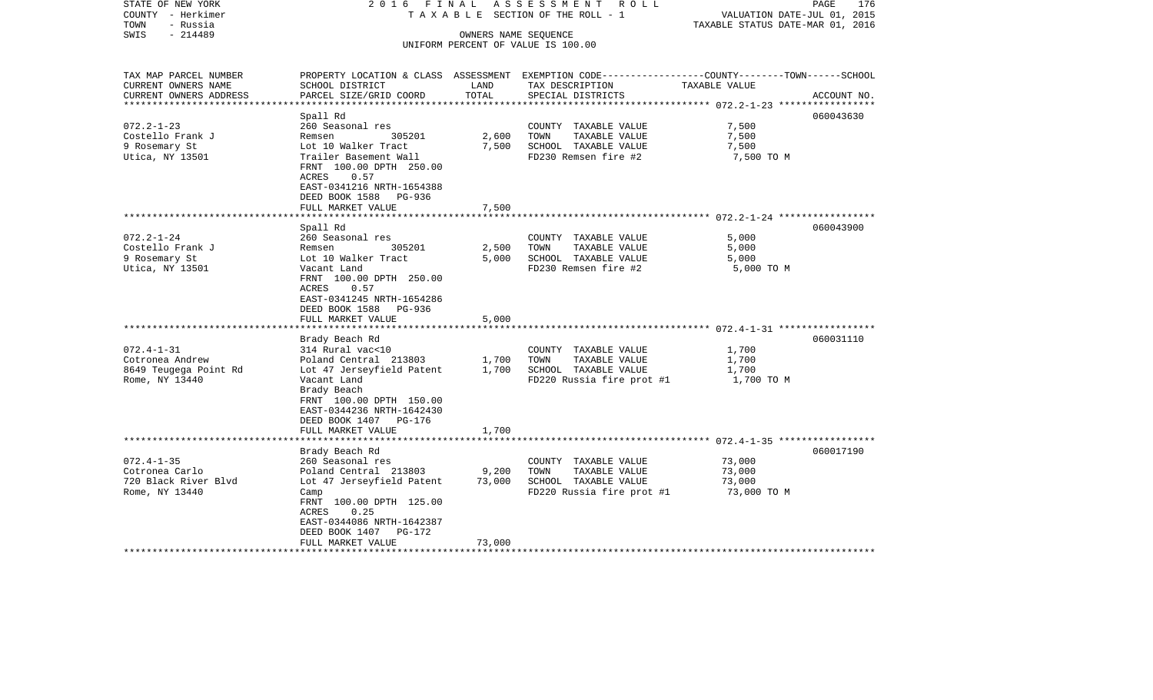| STATE OF NEW YORK<br>COUNTY - Herkimer<br>- Russia<br>TOWN | 2016 FINAL                                                                                                                         |                          | A S S E S S M E N T<br>R O L L<br>TAXABLE SECTION OF THE ROLL - 1                                                   | VALUATION DATE-JUL 01, 2015<br>TAXABLE STATUS DATE-MAR 01, 2016 | PAGE<br>176 |
|------------------------------------------------------------|------------------------------------------------------------------------------------------------------------------------------------|--------------------------|---------------------------------------------------------------------------------------------------------------------|-----------------------------------------------------------------|-------------|
| $-214489$<br>SWIS                                          |                                                                                                                                    | OWNERS NAME SEQUENCE     | UNIFORM PERCENT OF VALUE IS 100.00                                                                                  |                                                                 |             |
| TAX MAP PARCEL NUMBER<br>CURRENT OWNERS NAME               | SCHOOL DISTRICT                                                                                                                    | LAND                     | PROPERTY LOCATION & CLASS ASSESSMENT EXEMPTION CODE----------------COUNTY-------TOWN------SCHOOL<br>TAX DESCRIPTION | TAXABLE VALUE                                                   |             |
| CURRENT OWNERS ADDRESS<br>*********************            | PARCEL SIZE/GRID COORD                                                                                                             | TOTAL<br>*************** | SPECIAL DISTRICTS                                                                                                   |                                                                 | ACCOUNT NO. |
|                                                            | Spall Rd                                                                                                                           |                          |                                                                                                                     |                                                                 | 060043630   |
| $072.2 - 1 - 23$                                           | 260 Seasonal res                                                                                                                   |                          | COUNTY TAXABLE VALUE                                                                                                | 7,500                                                           |             |
| Costello Frank J                                           | 305201<br>Remsen                                                                                                                   | 2,600                    | TOWN<br>TAXABLE VALUE                                                                                               | 7,500                                                           |             |
| 9 Rosemary St                                              | Lot 10 Walker Tract                                                                                                                | 7,500                    | SCHOOL TAXABLE VALUE                                                                                                | 7,500                                                           |             |
| Utica, NY 13501                                            | Trailer Basement Wall<br>FRNT 100.00 DPTH 250.00<br>ACRES<br>0.57<br>EAST-0341216 NRTH-1654388<br>DEED BOOK 1588 PG-936            | 7,500                    | FD230 Remsen fire #2                                                                                                | 7,500 TO M                                                      |             |
|                                                            | FULL MARKET VALUE                                                                                                                  | * * * * * * * * * *      |                                                                                                                     |                                                                 |             |
|                                                            | Spall Rd                                                                                                                           |                          |                                                                                                                     |                                                                 | 060043900   |
| $072.2 - 1 - 24$                                           | 260 Seasonal res                                                                                                                   |                          | COUNTY TAXABLE VALUE                                                                                                | 5,000                                                           |             |
| Costello Frank J                                           | Remsen<br>305201                                                                                                                   | 2,500                    | TOWN<br>TAXABLE VALUE                                                                                               | 5,000                                                           |             |
| 9 Rosemary St                                              | Lot 10 Walker Tract                                                                                                                | 5,000                    | SCHOOL TAXABLE VALUE                                                                                                | 5,000                                                           |             |
| Utica, NY 13501                                            | Vacant Land<br>FRNT 100.00 DPTH 250.00<br>0.57<br>ACRES<br>EAST-0341245 NRTH-1654286<br>DEED BOOK 1588 PG-936<br>FULL MARKET VALUE | 5,000                    | FD230 Remsen fire #2                                                                                                | 5,000 TO M                                                      |             |
|                                                            |                                                                                                                                    |                          |                                                                                                                     |                                                                 |             |
|                                                            | Brady Beach Rd                                                                                                                     |                          |                                                                                                                     |                                                                 | 060031110   |
| $072.4 - 1 - 31$                                           | 314 Rural vac<10                                                                                                                   |                          | COUNTY TAXABLE VALUE                                                                                                | 1,700                                                           |             |
| Cotronea Andrew                                            | Poland Central 213803                                                                                                              | 1,700                    | TAXABLE VALUE<br>TOWN                                                                                               | 1,700                                                           |             |
| 8649 Teugega Point Rd                                      | Lot 47 Jerseyfield Patent                                                                                                          | 1,700                    | SCHOOL TAXABLE VALUE                                                                                                | 1,700                                                           |             |
| Rome, NY 13440                                             | Vacant Land<br>Brady Beach<br>FRNT 100.00 DPTH 150.00<br>EAST-0344236 NRTH-1642430<br>DEED BOOK 1407 PG-176                        |                          | FD220 Russia fire prot #1                                                                                           | 1,700 TO M                                                      |             |
|                                                            | FULL MARKET VALUE<br>*************************                                                                                     | 1,700                    |                                                                                                                     |                                                                 |             |
|                                                            | Brady Beach Rd                                                                                                                     |                          |                                                                                                                     |                                                                 | 060017190   |
| $072.4 - 1 - 35$                                           | 260 Seasonal res                                                                                                                   |                          | COUNTY TAXABLE VALUE                                                                                                | 73,000                                                          |             |
| Cotronea Carlo                                             | Poland Central 213803                                                                                                              | 9,200                    | TOWN<br>TAXABLE VALUE                                                                                               | 73,000                                                          |             |
| 720 Black River Blvd                                       | Lot 47 Jerseyfield Patent                                                                                                          | 73,000                   | SCHOOL TAXABLE VALUE                                                                                                | 73,000                                                          |             |
| Rome, NY 13440                                             | Camp<br>FRNT 100.00 DPTH 125.00<br>ACRES<br>0.25<br>EAST-0344086 NRTH-1642387                                                      |                          | FD220 Russia fire prot #1                                                                                           | 73,000 TO M                                                     |             |
|                                                            | DEED BOOK 1407<br>PG-172                                                                                                           |                          |                                                                                                                     |                                                                 |             |
|                                                            | FULL MARKET VALUE                                                                                                                  | 73,000                   |                                                                                                                     |                                                                 |             |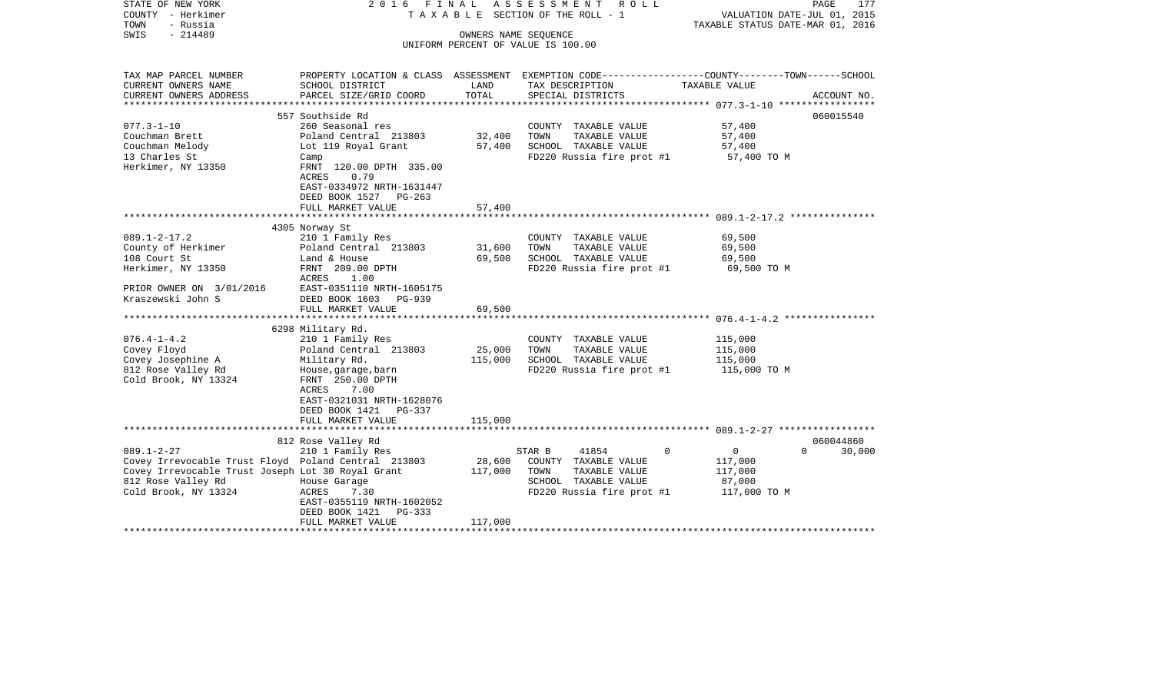| STATE OF NEW YORK                                   | 2016 FINAL                         |         | A S S E S S M E N T R O L L                                                                     |                                  | 177<br>PAGE        |
|-----------------------------------------------------|------------------------------------|---------|-------------------------------------------------------------------------------------------------|----------------------------------|--------------------|
| COUNTY - Herkimer                                   |                                    |         | T A X A B L E SECTION OF THE ROLL - 1                                                           | VALUATION DATE-JUL 01, 2015      |                    |
| - Russia<br>TOWN                                    |                                    |         |                                                                                                 | TAXABLE STATUS DATE-MAR 01, 2016 |                    |
| $-214489$<br>SWIS                                   |                                    |         | OWNERS NAME SEQUENCE<br>UNIFORM PERCENT OF VALUE IS 100.00                                      |                                  |                    |
|                                                     |                                    |         |                                                                                                 |                                  |                    |
| TAX MAP PARCEL NUMBER                               |                                    |         | PROPERTY LOCATION & CLASS ASSESSMENT EXEMPTION CODE---------------COUNTY-------TOWN------SCHOOL |                                  |                    |
| CURRENT OWNERS NAME                                 | SCHOOL DISTRICT                    | LAND    | TAX DESCRIPTION                                                                                 | TAXABLE VALUE                    |                    |
| CURRENT OWNERS ADDRESS                              | PARCEL SIZE/GRID COORD             | TOTAL   | SPECIAL DISTRICTS                                                                               |                                  | ACCOUNT NO.        |
|                                                     |                                    |         |                                                                                                 |                                  |                    |
|                                                     | 557 Southside Rd                   |         |                                                                                                 |                                  | 060015540          |
| $077.3 - 1 - 10$                                    | 260 Seasonal res                   |         | COUNTY TAXABLE VALUE                                                                            | 57,400                           |                    |
| Couchman Brett                                      | Poland Central 213803              | 32,400  | TOWN<br>TAXABLE VALUE                                                                           | 57,400                           |                    |
| Couchman Melody                                     | Lot 119 Royal Grant                | 57,400  | SCHOOL TAXABLE VALUE                                                                            | 57,400                           |                    |
| 13 Charles St                                       | Camp                               |         | FD220 Russia fire prot #1                                                                       | 57,400 TO M                      |                    |
| Herkimer, NY 13350                                  | FRNT 120.00 DPTH 335.00            |         |                                                                                                 |                                  |                    |
|                                                     | 0.79<br>ACRES                      |         |                                                                                                 |                                  |                    |
|                                                     | EAST-0334972 NRTH-1631447          |         |                                                                                                 |                                  |                    |
|                                                     | DEED BOOK 1527 PG-263              |         |                                                                                                 |                                  |                    |
|                                                     | FULL MARKET VALUE                  | 57,400  |                                                                                                 |                                  |                    |
|                                                     |                                    |         |                                                                                                 |                                  |                    |
| $089.1 - 2 - 17.2$                                  | 4305 Norway St<br>210 1 Family Res |         | COUNTY TAXABLE VALUE                                                                            | 69,500                           |                    |
| County of Herkimer                                  | Poland Central 213803              | 31,600  | TOWN<br>TAXABLE VALUE                                                                           | 69,500                           |                    |
| 108 Court St                                        | Land & House                       | 69,500  | SCHOOL TAXABLE VALUE                                                                            | 69,500                           |                    |
| Herkimer, NY 13350                                  | FRNT 209.00 DPTH                   |         | FD220 Russia fire prot #1                                                                       | 69,500 TO M                      |                    |
|                                                     | ACRES<br>1.00                      |         |                                                                                                 |                                  |                    |
| PRIOR OWNER ON 3/01/2016                            | EAST-0351110 NRTH-1605175          |         |                                                                                                 |                                  |                    |
| Kraszewski John S                                   | DEED BOOK 1603<br>PG-939           |         |                                                                                                 |                                  |                    |
|                                                     | FULL MARKET VALUE                  | 69,500  |                                                                                                 |                                  |                    |
|                                                     |                                    |         |                                                                                                 |                                  |                    |
|                                                     | 6298 Military Rd.                  |         |                                                                                                 |                                  |                    |
| $076.4 - 1 - 4.2$                                   | 210 1 Family Res                   |         | COUNTY TAXABLE VALUE                                                                            | 115,000                          |                    |
| Covey Floyd                                         | Poland Central 213803              | 25,000  | TOWN<br>TAXABLE VALUE                                                                           | 115,000                          |                    |
| Covey Josephine A                                   | Military Rd.                       | 115,000 | SCHOOL TAXABLE VALUE                                                                            | 115,000                          |                    |
| 812 Rose Valley Rd                                  | House, garage, barn                |         | FD220 Russia fire prot #1                                                                       | 115,000 TO M                     |                    |
| Cold Brook, NY 13324                                | FRNT 250.00 DPTH<br>7.00<br>ACRES  |         |                                                                                                 |                                  |                    |
|                                                     | EAST-0321031 NRTH-1628076          |         |                                                                                                 |                                  |                    |
|                                                     | DEED BOOK 1421<br>PG-337           |         |                                                                                                 |                                  |                    |
|                                                     | FULL MARKET VALUE                  | 115,000 |                                                                                                 |                                  |                    |
|                                                     |                                    |         |                                                                                                 |                                  |                    |
|                                                     | 812 Rose Valley Rd                 |         |                                                                                                 |                                  | 060044860          |
| $089.1 - 2 - 27$                                    | 210 1 Family Res                   |         | STAR B<br>41854                                                                                 | $\circ$<br>$\Omega$              | 30,000<br>$\Omega$ |
| Covey Irrevocable Trust Floyd Poland Central 213803 |                                    | 28,600  | COUNTY TAXABLE VALUE                                                                            | 117,000                          |                    |
| Covey Irrevocable Trust Joseph Lot 30 Royal Grant   |                                    | 117,000 | TOWN<br>TAXABLE VALUE                                                                           | 117,000                          |                    |
| 812 Rose Valley Rd                                  | House Garage                       |         | SCHOOL TAXABLE VALUE                                                                            | 87,000                           |                    |
| Cold Brook, NY 13324                                | 7.30<br>ACRES                      |         | FD220 Russia fire prot #1                                                                       | 117,000 TO M                     |                    |
|                                                     | EAST-0355119 NRTH-1602052          |         |                                                                                                 |                                  |                    |
|                                                     | DEED BOOK 1421<br>PG-333           |         |                                                                                                 |                                  |                    |
|                                                     | FULL MARKET VALUE                  | 117,000 |                                                                                                 |                                  |                    |
|                                                     |                                    |         |                                                                                                 |                                  |                    |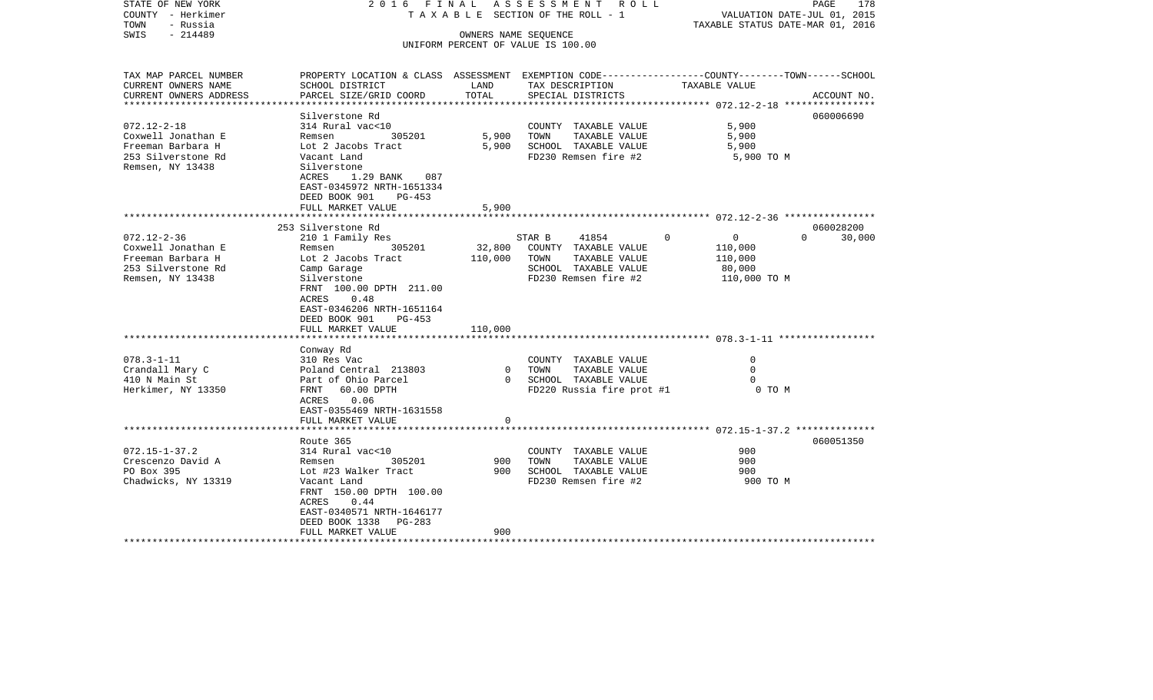| STATE OF NEW YORK<br>COUNTY - Herkimer<br>TOWN<br>- Russia<br>- 214489<br>SWIS                                                                |                                                                                                                                                                                                                                                                                              |                                              | 2016 FINAL ASSESSMENT ROLL<br>TAXABLE SECTION OF THE ROLL - 1<br>OWNERS NAME SEQUENCE<br>UNIFORM PERCENT OF VALUE IS 100.00                                       | VALUATION DATE-JUL 01, 2015<br>TAXABLE STATUS DATE-MAR 01, 2016                                          | PAGE<br>178                     |
|-----------------------------------------------------------------------------------------------------------------------------------------------|----------------------------------------------------------------------------------------------------------------------------------------------------------------------------------------------------------------------------------------------------------------------------------------------|----------------------------------------------|-------------------------------------------------------------------------------------------------------------------------------------------------------------------|----------------------------------------------------------------------------------------------------------|---------------------------------|
| TAX MAP PARCEL NUMBER<br>CURRENT OWNERS NAME<br>CURRENT OWNERS ADDRESS                                                                        | PROPERTY LOCATION & CLASS ASSESSMENT EXEMPTION CODE---------------COUNTY-------TOWN-----SCHOOL<br>SCHOOL DISTRICT<br>PARCEL SIZE/GRID COORD                                                                                                                                                  | LAND<br>TOTAL                                | TAX DESCRIPTION<br>SPECIAL DISTRICTS                                                                                                                              | TAXABLE VALUE                                                                                            | ACCOUNT NO.                     |
| *********************                                                                                                                         |                                                                                                                                                                                                                                                                                              |                                              |                                                                                                                                                                   |                                                                                                          |                                 |
| $072.12 - 2 - 18$<br>Coxwell Jonathan E<br>Freeman Barbara H<br>253 Silverstone Rd<br>Remsen, NY 13438                                        | Silverstone Rd<br>314 Rural vac<10<br>305201<br>Remsen<br>Lot 2 Jacobs Tract<br>Vacant Land<br>Silverstone<br>1.29 BANK<br>ACRES<br>087<br>EAST-0345972 NRTH-1651334<br>DEED BOOK 901<br>PG-453<br>FULL MARKET VALUE                                                                         | 5,900<br>5,900<br>5,900                      | COUNTY TAXABLE VALUE<br>TOWN<br>TAXABLE VALUE<br>SCHOOL TAXABLE VALUE<br>FD230 Remsen fire #2                                                                     | 5,900<br>5,900<br>5,900<br>5,900 TO M                                                                    | 060006690                       |
|                                                                                                                                               |                                                                                                                                                                                                                                                                                              |                                              |                                                                                                                                                                   |                                                                                                          |                                 |
| $072.12 - 2 - 36$<br>Coxwell Jonathan E<br>Freeman Barbara H<br>253 Silverstone Rd<br>Remsen, NY 13438<br>$078.3 - 1 - 11$<br>Crandall Mary C | 253 Silverstone Rd<br>210 1 Family Res<br>Remsen<br>305201<br>Lot 2 Jacobs Tract<br>Camp Garage<br>Silverstone<br>FRNT 100.00 DPTH 211.00<br>ACRES<br>0.48<br>EAST-0346206 NRTH-1651164<br>DEED BOOK 901<br>PG-453<br>FULL MARKET VALUE<br>Conway Rd<br>310 Res Vac<br>Poland Central 213803 | 32,800<br>110,000<br>110,000<br>$\mathbf{0}$ | 41854<br>STAR B<br>COUNTY TAXABLE VALUE<br>TAXABLE VALUE<br>TOWN<br>SCHOOL TAXABLE VALUE<br>FD230 Remsen fire #2<br>COUNTY TAXABLE VALUE<br>TOWN<br>TAXABLE VALUE | $\Omega$<br>$\overline{0}$<br>110,000<br>110,000<br>80,000<br>110,000 TO M<br>$\mathbf 0$<br>$\mathbf 0$ | 060028200<br>$\Omega$<br>30,000 |
| 410 N Main St<br>Herkimer, NY 13350                                                                                                           | Part of Ohio Parcel<br>FRNT 60.00 DPTH<br>ACRES<br>0.06<br>EAST-0355469 NRTH-1631558<br>FULL MARKET VALUE                                                                                                                                                                                    | $\Omega$<br>0                                | SCHOOL TAXABLE VALUE<br>FD220 Russia fire prot #1                                                                                                                 | 0 TO M                                                                                                   |                                 |
|                                                                                                                                               |                                                                                                                                                                                                                                                                                              |                                              |                                                                                                                                                                   |                                                                                                          |                                 |
| $072.15 - 1 - 37.2$<br>Crescenzo David A<br>PO Box 395<br>Chadwicks, NY 13319                                                                 | Route 365<br>314 Rural vac<10<br>305201<br>Remsen<br>Lot #23 Walker Tract<br>Vacant Land<br>FRNT 150.00 DPTH 100.00<br>ACRES<br>0.44<br>EAST-0340571 NRTH-1646177<br>DEED BOOK 1338<br>PG-283                                                                                                | 900<br>900                                   | COUNTY TAXABLE VALUE<br>TAXABLE VALUE<br>TOWN<br>SCHOOL TAXABLE VALUE<br>FD230 Remsen fire #2                                                                     | 900<br>900<br>900<br>900 TO M                                                                            | 060051350                       |
| *******************                                                                                                                           | FULL MARKET VALUE                                                                                                                                                                                                                                                                            | 900                                          |                                                                                                                                                                   |                                                                                                          |                                 |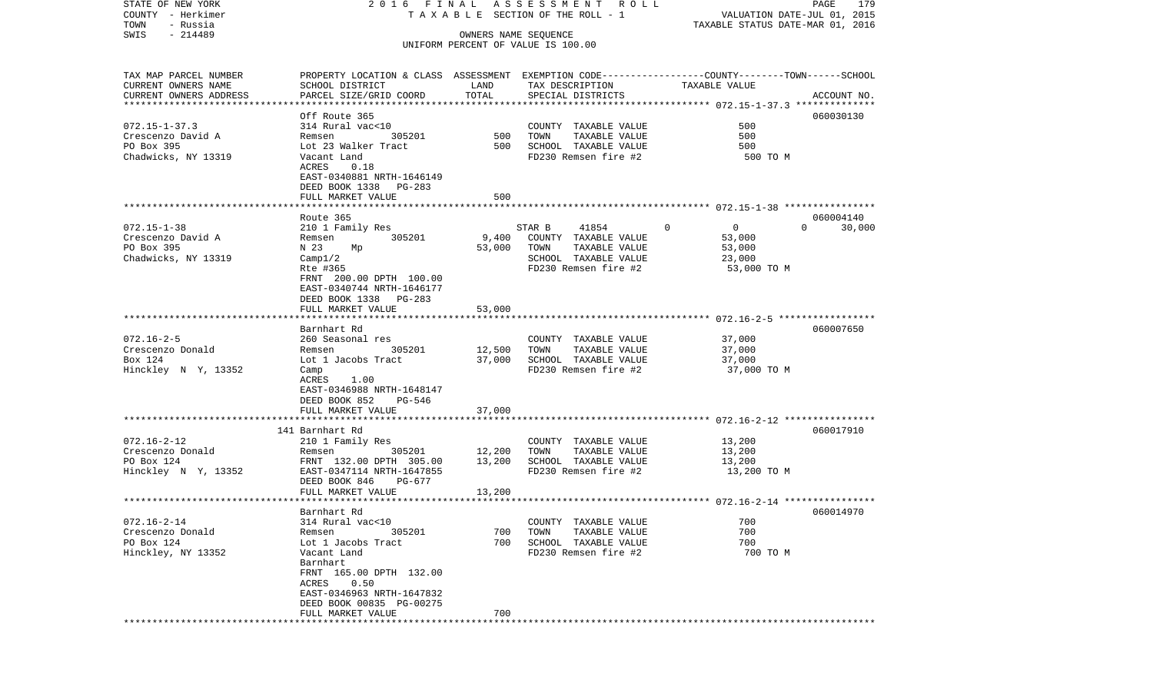| STATE OF NEW YORK<br>COUNTY - Herkimer             |                                                                                                  |                      | 2016 FINAL ASSESSMENT ROLL<br>TAXABLE SECTION OF THE ROLL - 1 | VALUATION DATE-JUL 01, 2015      | PAGE<br>179        |
|----------------------------------------------------|--------------------------------------------------------------------------------------------------|----------------------|---------------------------------------------------------------|----------------------------------|--------------------|
| TOWN<br>- Russia<br>$-214489$                      |                                                                                                  |                      |                                                               | TAXABLE STATUS DATE-MAR 01, 2016 |                    |
| SWIS                                               |                                                                                                  | OWNERS NAME SEQUENCE | UNIFORM PERCENT OF VALUE IS 100.00                            |                                  |                    |
| TAX MAP PARCEL NUMBER                              | PROPERTY LOCATION & CLASS ASSESSMENT EXEMPTION CODE----------------COUNTY-------TOWN------SCHOOL |                      |                                                               |                                  |                    |
| CURRENT OWNERS NAME                                | SCHOOL DISTRICT                                                                                  | LAND                 | TAX DESCRIPTION                                               | TAXABLE VALUE                    |                    |
| CURRENT OWNERS ADDRESS<br>************************ | PARCEL SIZE/GRID COORD                                                                           | TOTAL                | SPECIAL DISTRICTS                                             |                                  | ACCOUNT NO.        |
|                                                    | Off Route 365                                                                                    |                      |                                                               |                                  | 060030130          |
| $072.15 - 1 - 37.3$                                | 314 Rural vac<10                                                                                 |                      | COUNTY TAXABLE VALUE                                          | 500                              |                    |
| Crescenzo David A                                  | 305201<br>Remsen                                                                                 | 500                  | TOWN<br>TAXABLE VALUE                                         | 500                              |                    |
| PO Box 395                                         | Lot 23 Walker Tract                                                                              | 500                  | SCHOOL TAXABLE VALUE                                          | 500                              |                    |
| Chadwicks, NY 13319                                | Vacant Land                                                                                      |                      | FD230 Remsen fire #2                                          | 500 TO M                         |                    |
|                                                    | ACRES<br>0.18                                                                                    |                      |                                                               |                                  |                    |
|                                                    | EAST-0340881 NRTH-1646149                                                                        |                      |                                                               |                                  |                    |
|                                                    | DEED BOOK 1338 PG-283<br>FULL MARKET VALUE                                                       | 500                  |                                                               |                                  |                    |
|                                                    |                                                                                                  |                      |                                                               |                                  |                    |
|                                                    | Route 365                                                                                        |                      |                                                               |                                  | 060004140          |
| $072.15 - 1 - 38$                                  | 210 1 Family Res                                                                                 |                      | 41854<br>STAR B                                               | $\mathbf 0$<br>$\overline{0}$    | $\Omega$<br>30,000 |
| Crescenzo David A                                  | 305201<br>Remsen                                                                                 | 9,400                | COUNTY TAXABLE VALUE                                          | 53,000                           |                    |
| PO Box 395                                         | N 23<br>Mp                                                                                       | 53,000               | TOWN<br>TAXABLE VALUE                                         | 53,000                           |                    |
| Chadwicks, NY 13319                                | Campl/2                                                                                          |                      | SCHOOL TAXABLE VALUE                                          | 23,000                           |                    |
|                                                    | Rte #365<br>FRNT 200.00 DPTH 100.00                                                              |                      | FD230 Remsen fire #2                                          | 53,000 TO M                      |                    |
|                                                    | EAST-0340744 NRTH-1646177                                                                        |                      |                                                               |                                  |                    |
|                                                    | DEED BOOK 1338 PG-283                                                                            |                      |                                                               |                                  |                    |
|                                                    | FULL MARKET VALUE                                                                                | 53,000               |                                                               |                                  |                    |
|                                                    |                                                                                                  |                      |                                                               |                                  |                    |
|                                                    | Barnhart Rd                                                                                      |                      |                                                               |                                  | 060007650          |
| $072.16 - 2 - 5$                                   | 260 Seasonal res                                                                                 |                      | COUNTY TAXABLE VALUE                                          | 37,000                           |                    |
| Crescenzo Donald<br>Box 124                        | 305201<br>Remsen<br>Lot 1 Jacobs Tract                                                           | 12,500<br>37,000     | TAXABLE VALUE<br>TOWN<br>SCHOOL TAXABLE VALUE                 | 37,000<br>37,000                 |                    |
| Hinckley N Y, 13352                                | Camp                                                                                             |                      | FD230 Remsen fire #2                                          | 37,000 TO M                      |                    |
|                                                    | ACRES<br>1.00                                                                                    |                      |                                                               |                                  |                    |
|                                                    | EAST-0346988 NRTH-1648147                                                                        |                      |                                                               |                                  |                    |
|                                                    | DEED BOOK 852<br>PG-546                                                                          |                      |                                                               |                                  |                    |
|                                                    | FULL MARKET VALUE                                                                                | 37,000               |                                                               |                                  |                    |
|                                                    | ***********************                                                                          | ********             |                                                               |                                  |                    |
| $072.16 - 2 - 12$                                  | 141 Barnhart Rd<br>210 1 Family Res                                                              |                      | COUNTY TAXABLE VALUE                                          | 13,200                           | 060017910          |
| Crescenzo Donald                                   | 305201<br>Remsen                                                                                 | 12,200               | TOWN<br>TAXABLE VALUE                                         | 13,200                           |                    |
| PO Box 124                                         | FRNT 132.00 DPTH 305.00                                                                          | 13,200               | SCHOOL TAXABLE VALUE                                          | 13,200                           |                    |
| Hinckley N Y, 13352                                | EAST-0347114 NRTH-1647855                                                                        |                      | FD230 Remsen fire #2                                          | 13,200 TO M                      |                    |
|                                                    | DEED BOOK 846<br>PG-677                                                                          |                      |                                                               |                                  |                    |
|                                                    | FULL MARKET VALUE                                                                                | 13,200               |                                                               |                                  |                    |
|                                                    |                                                                                                  |                      |                                                               |                                  |                    |
| $072.16 - 2 - 14$                                  | Barnhart Rd<br>314 Rural vac<10                                                                  |                      | COUNTY TAXABLE VALUE                                          | 700                              | 060014970          |
| Crescenzo Donald                                   | Remsen<br>305201                                                                                 | 700                  | TOWN<br>TAXABLE VALUE                                         | 700                              |                    |
| PO Box 124                                         | Lot 1 Jacobs Tract                                                                               | 700                  | SCHOOL TAXABLE VALUE                                          | 700                              |                    |
| Hinckley, NY 13352                                 | Vacant Land                                                                                      |                      | FD230 Remsen fire #2                                          | 700 TO M                         |                    |
|                                                    | Barnhart                                                                                         |                      |                                                               |                                  |                    |
|                                                    | FRNT 165.00 DPTH 132.00                                                                          |                      |                                                               |                                  |                    |
|                                                    | ACRES<br>0.50                                                                                    |                      |                                                               |                                  |                    |
|                                                    | EAST-0346963 NRTH-1647832                                                                        |                      |                                                               |                                  |                    |
|                                                    | DEED BOOK 00835 PG-00275<br>FULL MARKET VALUE                                                    | 700                  |                                                               |                                  |                    |
|                                                    |                                                                                                  |                      |                                                               |                                  |                    |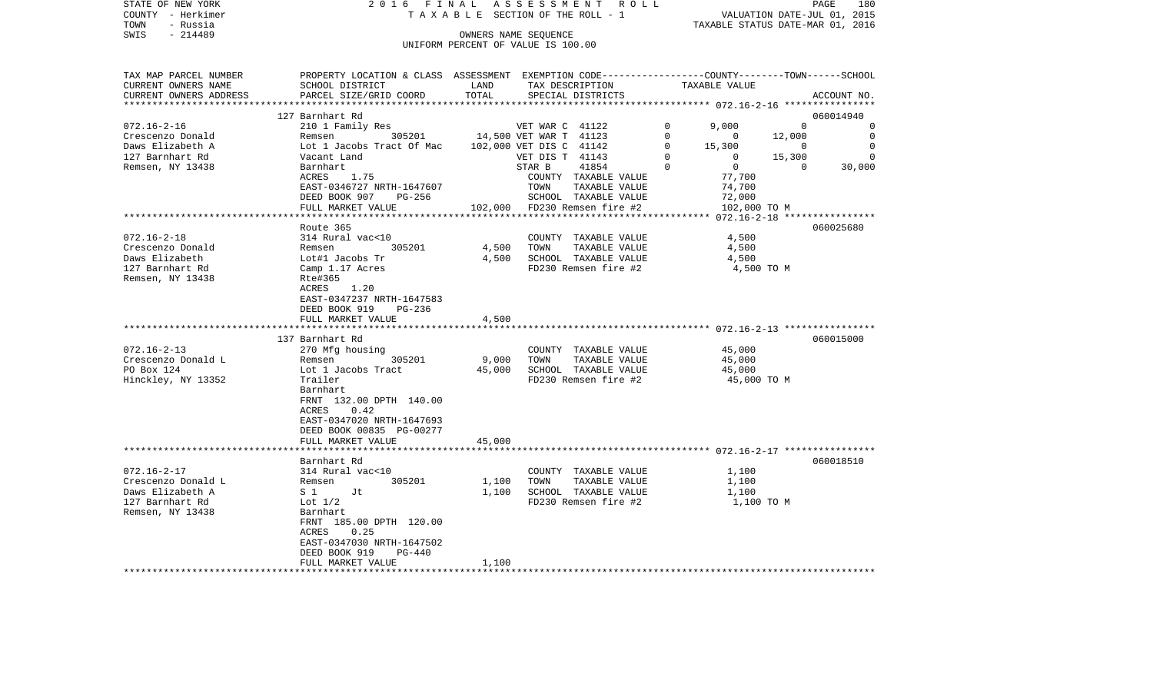|      | STATE OF NEW YORK | 2016 FINAL ASSESSMENT ROLL         |                                  | PAGE | 180 |
|------|-------------------|------------------------------------|----------------------------------|------|-----|
|      | COUNTY - Herkimer | TAXABLE SECTION OF THE ROLL - 1    | VALUATION DATE-JUL 01, 2015      |      |     |
| TOWN | - Russia          |                                    | TAXABLE STATUS DATE-MAR 01, 2016 |      |     |
| SWIS | - 214489          | OWNERS NAME SEOUENCE               |                                  |      |     |
|      |                   | UNIFORM PERCENT OF VALUE IS 100.00 |                                  |      |     |

| TAX MAP PARCEL NUMBER<br>CURRENT OWNERS NAME | PROPERTY LOCATION & CLASS ASSESSMENT EXEMPTION CODE---------------COUNTY-------TOWN-----SCHOOL<br>SCHOOL DISTRICT | LAND<br>TOTAL  | TAX DESCRIPTION                               | TAXABLE VALUE              |                                  |
|----------------------------------------------|-------------------------------------------------------------------------------------------------------------------|----------------|-----------------------------------------------|----------------------------|----------------------------------|
| CURRENT OWNERS ADDRESS                       | PARCEL SIZE/GRID COORD                                                                                            |                | SPECIAL DISTRICTS                             |                            | ACCOUNT NO.                      |
|                                              | 127 Barnhart Rd                                                                                                   |                |                                               |                            | 060014940                        |
| $072.16 - 2 - 16$                            | 210 1 Family Res                                                                                                  |                | VET WAR C 41122                               | $\Omega$<br>9,000          | $\Omega$<br>0                    |
| Crescenzo Donald                             | 305201<br>Remsen                                                                                                  |                | 14,500 VET WAR T 41123                        | 0<br>$\mathbf 0$           | 12,000<br>$\mathbf 0$            |
| Daws Elizabeth A                             | Lot 1 Jacobs Tract Of Mac                                                                                         |                | 102,000 VET DIS C 41142                       | 0<br>15,300                | $\overline{0}$<br>$\overline{0}$ |
| 127 Barnhart Rd                              | Vacant Land                                                                                                       |                | VET DIS T 41143                               | 0<br>$\overline{0}$        | 15,300<br>$\Omega$               |
| Remsen, NY 13438                             | Barnhart                                                                                                          |                | STAR B<br>41854                               | $\overline{0}$<br>$\Omega$ | 30,000<br>$\Omega$               |
|                                              | ACRES<br>1.75<br>EAST-0346727 NRTH-1647607                                                                        |                | COUNTY TAXABLE VALUE<br>TOWN<br>TAXABLE VALUE | 77,700<br>74,700           |                                  |
|                                              | DEED BOOK 907<br>PG-256                                                                                           |                | SCHOOL TAXABLE VALUE                          | 72,000                     |                                  |
|                                              | FULL MARKET VALUE                                                                                                 |                | 102,000 FD230 Remsen fire #2                  |                            | 102,000 TO M                     |
|                                              |                                                                                                                   |                |                                               |                            |                                  |
|                                              | Route 365                                                                                                         |                |                                               |                            | 060025680                        |
| $072.16 - 2 - 18$                            | 314 Rural vac<10                                                                                                  |                | COUNTY TAXABLE VALUE                          | 4,500                      |                                  |
| Crescenzo Donald                             | 305201<br>Remsen                                                                                                  | 4,500          | TOWN<br>TAXABLE VALUE                         | 4,500                      |                                  |
| Daws Elizabeth                               | Lot#1 Jacobs Tr                                                                                                   | 4,500          | SCHOOL TAXABLE VALUE                          | 4,500                      |                                  |
| 127 Barnhart Rd                              | Camp 1.17 Acres                                                                                                   |                | FD230 Remsen fire #2                          |                            | 4,500 TO M                       |
| Remsen, NY 13438                             | Rte#365                                                                                                           |                |                                               |                            |                                  |
|                                              | 1.20<br>ACRES<br>EAST-0347237 NRTH-1647583                                                                        |                |                                               |                            |                                  |
|                                              | DEED BOOK 919<br>PG-236                                                                                           |                |                                               |                            |                                  |
|                                              | FULL MARKET VALUE                                                                                                 | 4,500          |                                               |                            |                                  |
|                                              |                                                                                                                   |                |                                               |                            |                                  |
|                                              | 137 Barnhart Rd                                                                                                   |                |                                               |                            | 060015000                        |
| $072.16 - 2 - 13$                            | 270 Mfg housing                                                                                                   |                | COUNTY TAXABLE VALUE                          | 45,000                     |                                  |
| Crescenzo Donald L                           | 305201<br>Remsen                                                                                                  | 9,000          | TAXABLE VALUE<br>TOWN                         | 45,000                     |                                  |
| PO Box 124                                   | Lot 1 Jacobs Tract                                                                                                | 45,000         | SCHOOL TAXABLE VALUE                          | 45,000                     |                                  |
| Hinckley, NY 13352                           | Trailer<br>Barnhart                                                                                               |                | FD230 Remsen fire #2                          |                            | 45,000 TO M                      |
|                                              | FRNT 132.00 DPTH 140.00                                                                                           |                |                                               |                            |                                  |
|                                              | ACRES<br>0.42                                                                                                     |                |                                               |                            |                                  |
|                                              | EAST-0347020 NRTH-1647693                                                                                         |                |                                               |                            |                                  |
|                                              | DEED BOOK 00835 PG-00277                                                                                          |                |                                               |                            |                                  |
|                                              | FULL MARKET VALUE                                                                                                 | 45,000         |                                               |                            |                                  |
|                                              |                                                                                                                   |                |                                               |                            |                                  |
|                                              | Barnhart Rd                                                                                                       |                |                                               |                            | 060018510                        |
| $072.16 - 2 - 17$                            | 314 Rural vac<10                                                                                                  |                | COUNTY TAXABLE VALUE                          | 1,100                      |                                  |
| Crescenzo Donald L<br>Daws Elizabeth A       | Remsen<br>305201<br>$S_1$<br>Jt                                                                                   | 1,100<br>1,100 | TAXABLE VALUE<br>TOWN<br>SCHOOL TAXABLE VALUE | 1,100<br>1,100             |                                  |
| 127 Barnhart Rd                              | Lot $1/2$                                                                                                         |                | FD230 Remsen fire #2                          |                            | 1,100 TO M                       |
| Remsen, NY 13438                             | Barnhart                                                                                                          |                |                                               |                            |                                  |
|                                              | FRNT 185.00 DPTH 120.00                                                                                           |                |                                               |                            |                                  |
|                                              | ACRES<br>0.25                                                                                                     |                |                                               |                            |                                  |
|                                              | EAST-0347030 NRTH-1647502                                                                                         |                |                                               |                            |                                  |
|                                              | DEED BOOK 919<br><b>PG-440</b>                                                                                    |                |                                               |                            |                                  |
|                                              | FULL MARKET VALUE                                                                                                 | 1,100          |                                               |                            |                                  |
|                                              |                                                                                                                   |                |                                               |                            |                                  |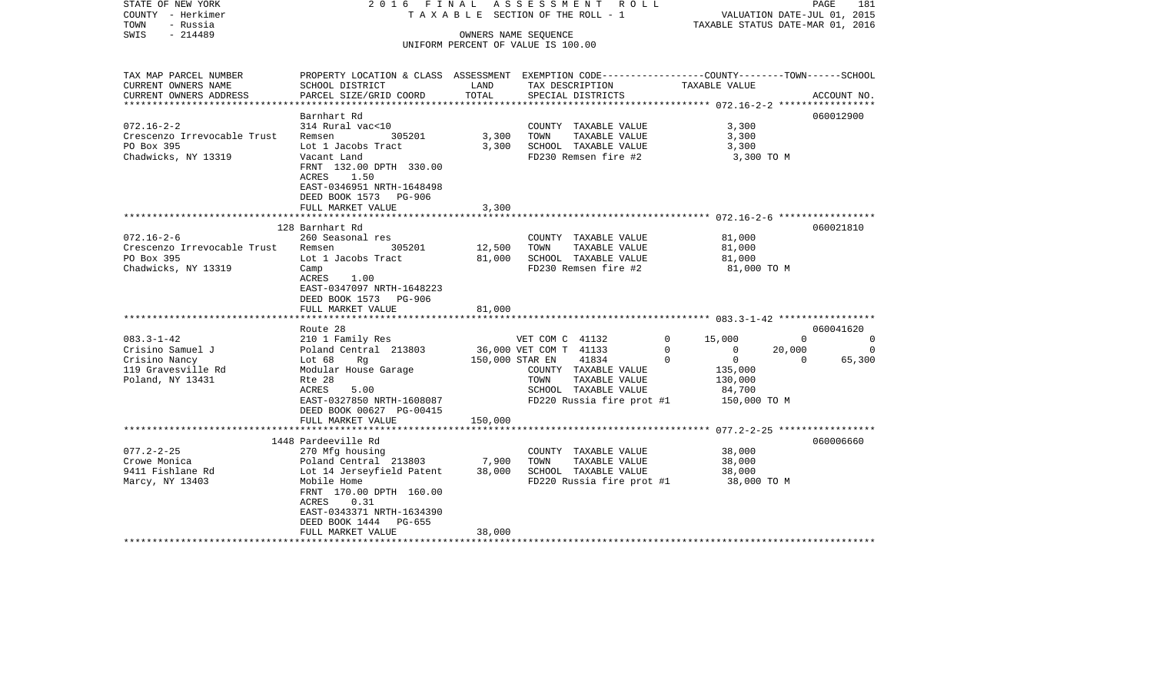| STATE OF NEW YORK<br>COUNTY - Herkimer<br>TOWN<br>- Russia | 2016 FINAL                                                                                      |         | A S S E S S M E N T R O L L<br>TAXABLE SECTION OF THE ROLL - 1     | VALUATION DATE-JUL 01, 2015<br>TAXABLE STATUS DATE-MAR 01, 2016 | PAGE               | 181         |
|------------------------------------------------------------|-------------------------------------------------------------------------------------------------|---------|--------------------------------------------------------------------|-----------------------------------------------------------------|--------------------|-------------|
| $-214489$<br>SWIS                                          |                                                                                                 |         | OWNERS NAME SEQUENCE                                               |                                                                 |                    |             |
|                                                            |                                                                                                 |         | UNIFORM PERCENT OF VALUE IS 100.00                                 |                                                                 |                    |             |
|                                                            |                                                                                                 |         |                                                                    |                                                                 |                    |             |
| TAX MAP PARCEL NUMBER                                      | PROPERTY LOCATION & CLASS ASSESSMENT EXEMPTION CODE---------------COUNTY-------TOWN------SCHOOL |         |                                                                    |                                                                 |                    |             |
| CURRENT OWNERS NAME                                        | SCHOOL DISTRICT                                                                                 | LAND    | TAX DESCRIPTION                                                    | TAXABLE VALUE                                                   |                    |             |
| CURRENT OWNERS ADDRESS                                     | PARCEL SIZE/GRID COORD                                                                          | TOTAL   | SPECIAL DISTRICTS                                                  |                                                                 |                    | ACCOUNT NO. |
| ***********************                                    |                                                                                                 |         |                                                                    |                                                                 |                    |             |
| $072.16 - 2 - 2$                                           | Barnhart Rd<br>314 Rural vac<10                                                                 |         | COUNTY TAXABLE VALUE                                               | 3,300                                                           |                    | 060012900   |
| Crescenzo Irrevocable Trust                                | 305201<br>Remsen                                                                                | 3,300   | TOWN<br>TAXABLE VALUE                                              | 3,300                                                           |                    |             |
| PO Box 395                                                 | Lot 1 Jacobs Tract                                                                              | 3,300   | SCHOOL TAXABLE VALUE                                               | 3,300                                                           |                    |             |
| Chadwicks, NY 13319                                        | Vacant Land                                                                                     |         | FD230 Remsen fire #2                                               | 3,300 TO M                                                      |                    |             |
|                                                            | FRNT 132.00 DPTH 330.00                                                                         |         |                                                                    |                                                                 |                    |             |
|                                                            | ACRES<br>1.50                                                                                   |         |                                                                    |                                                                 |                    |             |
|                                                            | EAST-0346951 NRTH-1648498                                                                       |         |                                                                    |                                                                 |                    |             |
|                                                            | DEED BOOK 1573 PG-906                                                                           |         |                                                                    |                                                                 |                    |             |
|                                                            | FULL MARKET VALUE                                                                               | 3,300   |                                                                    |                                                                 |                    |             |
|                                                            | *********************                                                                           |         | **************************************672.16-2-6****************** |                                                                 |                    |             |
|                                                            | 128 Barnhart Rd                                                                                 |         |                                                                    |                                                                 |                    | 060021810   |
| $072.16 - 2 - 6$                                           | 260 Seasonal res                                                                                |         | COUNTY TAXABLE VALUE                                               | 81,000                                                          |                    |             |
| Crescenzo Irrevocable Trust                                | 305201<br>Remsen                                                                                | 12,500  | TOWN<br>TAXABLE VALUE                                              | 81,000                                                          |                    |             |
| PO Box 395                                                 | Lot 1 Jacobs Tract                                                                              | 81,000  | SCHOOL TAXABLE VALUE                                               | 81,000                                                          |                    |             |
| Chadwicks, NY 13319                                        | Camp                                                                                            |         | FD230 Remsen fire #2                                               | 81,000 TO M                                                     |                    |             |
|                                                            | 1.00<br>ACRES                                                                                   |         |                                                                    |                                                                 |                    |             |
|                                                            | EAST-0347097 NRTH-1648223                                                                       |         |                                                                    |                                                                 |                    |             |
|                                                            | DEED BOOK 1573 PG-906                                                                           |         |                                                                    |                                                                 |                    |             |
|                                                            | FULL MARKET VALUE                                                                               | 81,000  |                                                                    |                                                                 |                    |             |
|                                                            | ***************************                                                                     |         |                                                                    |                                                                 |                    |             |
|                                                            | Route 28                                                                                        |         |                                                                    |                                                                 |                    | 060041620   |
| $083.3 - 1 - 42$                                           | 210 1 Family Res                                                                                |         | VET COM C 41132                                                    | $\mathbf 0$<br>15,000                                           | $\overline{0}$     | $\sim$ 0    |
| Crisino Samuel J                                           | Poland Central 213803                                                                           |         | 36,000 VET COM T 41133                                             | $\mathbf 0$<br>$\Omega$<br>$\Omega$<br>$\overline{0}$           | 20,000<br>$\Omega$ | $\Omega$    |
| Crisino Nancy                                              | Lot 68<br>Rq                                                                                    |         | 150,000 STAR EN<br>41834                                           |                                                                 |                    | 65,300      |
| 119 Gravesville Rd<br>Poland, NY 13431                     | Modular House Garage<br>Rte 28                                                                  |         | COUNTY TAXABLE VALUE<br>TOWN<br>TAXABLE VALUE                      | 135,000                                                         |                    |             |
|                                                            | 5.00<br>ACRES                                                                                   |         | SCHOOL TAXABLE VALUE                                               | 130,000<br>84,700                                               |                    |             |
|                                                            | EAST-0327850 NRTH-1608087                                                                       |         | FD220 Russia fire prot #1                                          | 150,000 TO M                                                    |                    |             |
|                                                            | DEED BOOK 00627 PG-00415                                                                        |         |                                                                    |                                                                 |                    |             |
|                                                            | FULL MARKET VALUE                                                                               | 150,000 |                                                                    |                                                                 |                    |             |
|                                                            | ***************************                                                                     |         |                                                                    |                                                                 |                    |             |
|                                                            | 1448 Pardeeville Rd                                                                             |         |                                                                    |                                                                 |                    | 060006660   |
| $077.2 - 2 - 25$                                           | 270 Mfg housing                                                                                 |         | COUNTY TAXABLE VALUE                                               | 38,000                                                          |                    |             |
| Crowe Monica                                               | Poland Central 213803                                                                           | 7,900   | TOWN<br>TAXABLE VALUE                                              | 38,000                                                          |                    |             |
| 9411 Fishlane Rd                                           | Lot 14 Jerseyfield Patent                                                                       | 38,000  | SCHOOL TAXABLE VALUE                                               | 38,000                                                          |                    |             |
| Marcy, NY 13403                                            | Mobile Home                                                                                     |         | FD220 Russia fire prot #1                                          | 38,000 TO M                                                     |                    |             |
|                                                            | FRNT 170.00 DPTH 160.00                                                                         |         |                                                                    |                                                                 |                    |             |
|                                                            | 0.31<br>ACRES                                                                                   |         |                                                                    |                                                                 |                    |             |
|                                                            | EAST-0343371 NRTH-1634390                                                                       |         |                                                                    |                                                                 |                    |             |
|                                                            | DEED BOOK 1444 PG-655                                                                           |         |                                                                    |                                                                 |                    |             |
|                                                            | FULL MARKET VALUE                                                                               | 38,000  |                                                                    |                                                                 |                    |             |
|                                                            |                                                                                                 |         |                                                                    |                                                                 |                    |             |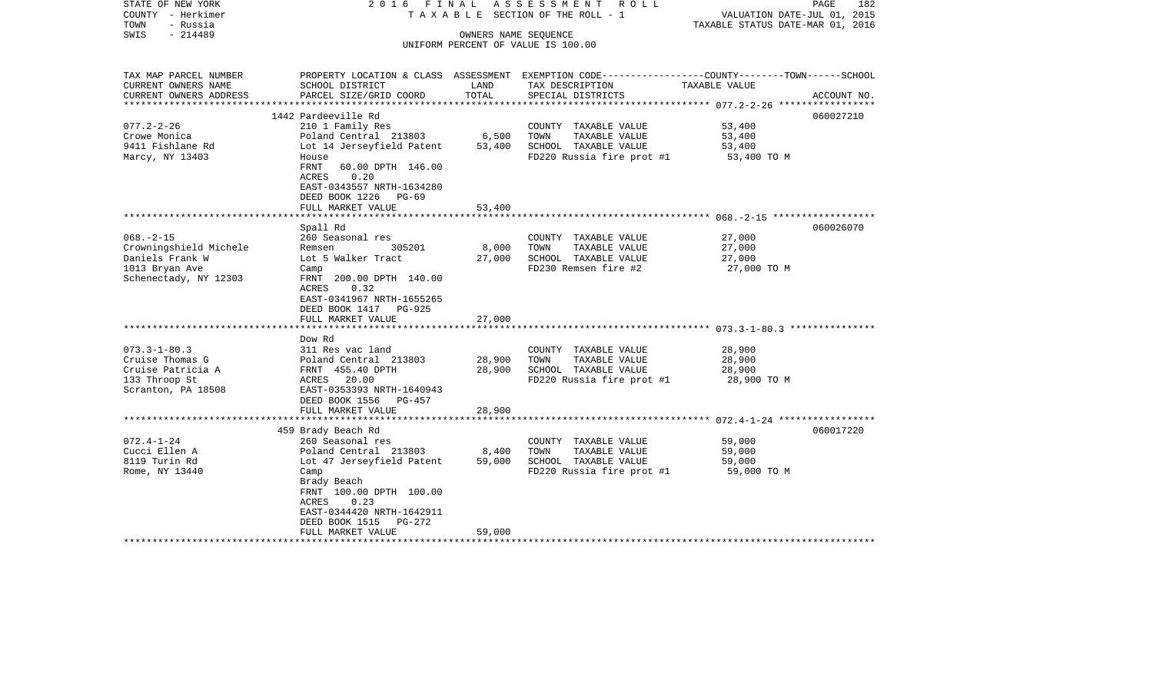| STATE OF NEW YORK<br>COUNTY - Herkimer<br>- Russia<br>TOWN<br>$-214489$<br>SWIS | 2016 FINAL                                         | OWNERS NAME SEQUENCE | ASSESSMENT ROLL<br>TAXABLE SECTION OF THE ROLL - 1<br>UNIFORM PERCENT OF VALUE IS 100.00        | VALUATION DATE-JUL 01, 2015<br>TAXABLE STATUS DATE-MAR 01, 2016 | PAGE<br>182 |
|---------------------------------------------------------------------------------|----------------------------------------------------|----------------------|-------------------------------------------------------------------------------------------------|-----------------------------------------------------------------|-------------|
|                                                                                 |                                                    |                      |                                                                                                 |                                                                 |             |
| TAX MAP PARCEL NUMBER                                                           |                                                    |                      | PROPERTY LOCATION & CLASS ASSESSMENT EXEMPTION CODE---------------COUNTY-------TOWN------SCHOOL |                                                                 |             |
| CURRENT OWNERS NAME<br>CURRENT OWNERS ADDRESS                                   | SCHOOL DISTRICT<br>PARCEL SIZE/GRID COORD          | LAND<br>TOTAL        | TAX DESCRIPTION<br>SPECIAL DISTRICTS                                                            | TAXABLE VALUE                                                   | ACCOUNT NO. |
| **********************                                                          |                                                    |                      |                                                                                                 |                                                                 |             |
|                                                                                 | 1442 Pardeeville Rd                                |                      |                                                                                                 |                                                                 | 060027210   |
| $077.2 - 2 - 26$                                                                | 210 1 Family Res                                   |                      | COUNTY TAXABLE VALUE                                                                            | 53,400                                                          |             |
| Crowe Monica                                                                    | Poland Central 213803                              | 6,500                | TOWN<br>TAXABLE VALUE                                                                           | 53,400                                                          |             |
| 9411 Fishlane Rd                                                                | Lot 14 Jerseyfield Patent                          | 53,400               | SCHOOL TAXABLE VALUE                                                                            | 53,400                                                          |             |
| Marcy, NY 13403                                                                 | House                                              |                      | FD220 Russia fire prot #1                                                                       | 53,400 TO M                                                     |             |
|                                                                                 | FRNT<br>60.00 DPTH 146.00<br>0.20<br>ACRES         |                      |                                                                                                 |                                                                 |             |
|                                                                                 | EAST-0343557 NRTH-1634280                          |                      |                                                                                                 |                                                                 |             |
|                                                                                 | DEED BOOK 1226 PG-69                               |                      |                                                                                                 |                                                                 |             |
|                                                                                 | FULL MARKET VALUE                                  | 53,400               |                                                                                                 |                                                                 |             |
|                                                                                 |                                                    |                      |                                                                                                 | $068. - 2 - 15$ *******************                             |             |
|                                                                                 | Spall Rd                                           |                      |                                                                                                 |                                                                 | 060026070   |
| $068. - 2 - 15$                                                                 | 260 Seasonal res                                   |                      | COUNTY TAXABLE VALUE                                                                            | 27,000                                                          |             |
| Crowningshield Michele                                                          | Remsen<br>305201                                   | 8,000                | TOWN<br>TAXABLE VALUE                                                                           | 27,000                                                          |             |
| Daniels Frank W                                                                 | Lot 5 Walker Tract                                 | 27,000               | SCHOOL TAXABLE VALUE                                                                            | 27,000                                                          |             |
| 1013 Bryan Ave<br>Schenectady, NY 12303                                         | Camp<br>FRNT 200.00 DPTH 140.00                    |                      | FD230 Remsen fire #2                                                                            | 27,000 TO M                                                     |             |
|                                                                                 | 0.32<br>ACRES                                      |                      |                                                                                                 |                                                                 |             |
|                                                                                 | EAST-0341967 NRTH-1655265                          |                      |                                                                                                 |                                                                 |             |
|                                                                                 | DEED BOOK 1417 PG-925                              |                      |                                                                                                 |                                                                 |             |
|                                                                                 | FULL MARKET VALUE                                  | 27,000               |                                                                                                 |                                                                 |             |
|                                                                                 |                                                    |                      |                                                                                                 |                                                                 |             |
|                                                                                 | Dow Rd                                             |                      |                                                                                                 |                                                                 |             |
| $073.3 - 1 - 80.3$<br>Cruise Thomas G                                           | 311 Res vac land<br>Poland Central 213803          | 28,900               | COUNTY TAXABLE VALUE<br>TOWN<br>TAXABLE VALUE                                                   | 28,900<br>28,900                                                |             |
| Cruise Patricia A                                                               | FRNT 455.40 DPTH                                   | 28,900               | SCHOOL TAXABLE VALUE                                                                            | 28,900                                                          |             |
| 133 Throop St                                                                   | ACRES 20.00                                        |                      | FD220 Russia fire prot #1                                                                       | 28,900 TO M                                                     |             |
| Scranton, PA 18508                                                              | EAST-0353393 NRTH-1640943                          |                      |                                                                                                 |                                                                 |             |
|                                                                                 | DEED BOOK 1556 PG-457                              |                      |                                                                                                 |                                                                 |             |
|                                                                                 | FULL MARKET VALUE                                  | 28,900               |                                                                                                 |                                                                 |             |
|                                                                                 |                                                    |                      |                                                                                                 |                                                                 |             |
|                                                                                 | 459 Brady Beach Rd                                 |                      |                                                                                                 |                                                                 | 060017220   |
| $072.4 - 1 - 24$                                                                | 260 Seasonal res                                   |                      | COUNTY TAXABLE VALUE                                                                            | 59,000                                                          |             |
| Cucci Ellen A<br>8119 Turin Rd                                                  | Poland Central 213803<br>Lot 47 Jerseyfield Patent | 8,400<br>59,000      | TOWN<br>TAXABLE VALUE<br>SCHOOL TAXABLE VALUE                                                   | 59,000<br>59,000                                                |             |
| Rome, NY 13440                                                                  | Camp                                               |                      | FD220 Russia fire prot #1                                                                       | 59,000 TO M                                                     |             |
|                                                                                 | Brady Beach                                        |                      |                                                                                                 |                                                                 |             |
|                                                                                 | FRNT 100.00 DPTH 100.00                            |                      |                                                                                                 |                                                                 |             |
|                                                                                 | 0.23<br>ACRES                                      |                      |                                                                                                 |                                                                 |             |
|                                                                                 | EAST-0344420 NRTH-1642911                          |                      |                                                                                                 |                                                                 |             |
|                                                                                 | DEED BOOK 1515<br>PG-272                           |                      |                                                                                                 |                                                                 |             |
|                                                                                 | FULL MARKET VALUE                                  | 59,000               |                                                                                                 |                                                                 |             |
|                                                                                 |                                                    |                      |                                                                                                 |                                                                 |             |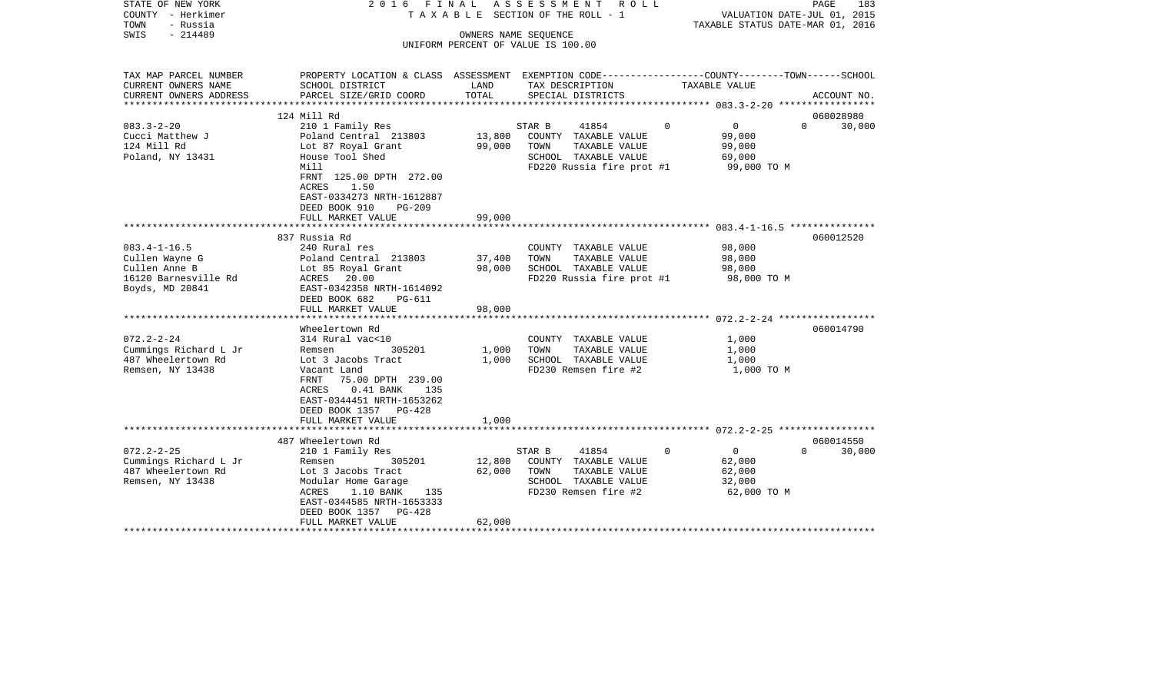| STATE OF NEW YORK<br>COUNTY - Herkimer<br>TOWN<br>- Russia<br>SWIS<br>$-214489$                  | 2016 FINAL                                                                                                                                                                                                                      |                            | ASSESSMENT ROLL<br>T A X A B L E SECTION OF THE ROLL - 1<br>OWNERS NAME SEQUENCE<br>UNIFORM PERCENT OF VALUE IS 100.00 |               | PAGE<br>VALUATION DATE-JUL 01, 2015<br>TAXABLE STATUS DATE-MAR 01, 2016 | 183                 |
|--------------------------------------------------------------------------------------------------|---------------------------------------------------------------------------------------------------------------------------------------------------------------------------------------------------------------------------------|----------------------------|------------------------------------------------------------------------------------------------------------------------|---------------|-------------------------------------------------------------------------|---------------------|
| TAX MAP PARCEL NUMBER<br>CURRENT OWNERS NAME<br>CURRENT OWNERS ADDRESS                           | PROPERTY LOCATION & CLASS ASSESSMENT EXEMPTION CODE----------------COUNTY-------TOWN------SCHOOL<br>SCHOOL DISTRICT<br>PARCEL SIZE/GRID COORD                                                                                   | LAND<br>TOTAL              | TAX DESCRIPTION<br>SPECIAL DISTRICTS                                                                                   | TAXABLE VALUE |                                                                         | ACCOUNT NO.         |
|                                                                                                  |                                                                                                                                                                                                                                 |                            |                                                                                                                        |               |                                                                         |                     |
|                                                                                                  | 124 Mill Rd                                                                                                                                                                                                                     |                            |                                                                                                                        |               |                                                                         | 060028980           |
| $083.3 - 2 - 20$<br>Cucci Matthew J<br>124 Mill Rd<br>Poland, NY 13431                           | 210 1 Family Res<br>Poland Central 213803<br>Lot 87 Royal Grant<br>House Tool Shed<br>Mill<br>FRNT 125.00 DPTH 272.00<br>ACRES<br>1.50<br>EAST-0334273 NRTH-1612887                                                             | 13,800<br>99,000           | 41854<br>STAR B<br>COUNTY TAXABLE VALUE<br>TOWN<br>TAXABLE VALUE<br>SCHOOL TAXABLE VALUE<br>FD220 Russia fire prot #1  | $\Omega$      | $\overline{0}$<br>$\Omega$<br>99,000<br>99,000<br>69,000<br>99,000 TO M | 30,000              |
|                                                                                                  | DEED BOOK 910<br>$PG-209$                                                                                                                                                                                                       |                            |                                                                                                                        |               |                                                                         |                     |
|                                                                                                  | FULL MARKET VALUE<br>************************                                                                                                                                                                                   | 99,000                     | **************************************683.4-1-16.5 ****************                                                    |               |                                                                         |                     |
|                                                                                                  | 837 Russia Rd                                                                                                                                                                                                                   |                            |                                                                                                                        |               |                                                                         | 060012520           |
| $083.4 - 1 - 16.5$<br>Cullen Wayne G<br>Cullen Anne B<br>16120 Barnesville Rd<br>Boyds, MD 20841 | 240 Rural res<br>Poland Central 213803<br>Lot 85 Royal Grant<br>ACRES 20.00<br>EAST-0342358 NRTH-1614092<br>DEED BOOK 682<br>PG-611                                                                                             | 37,400<br>98,000           | COUNTY TAXABLE VALUE<br>TOWN<br>TAXABLE VALUE<br>SCHOOL TAXABLE VALUE<br>FD220 Russia fire prot #1                     |               | 98,000<br>98,000<br>98,000<br>98,000 TO M                               |                     |
|                                                                                                  | FULL MARKET VALUE                                                                                                                                                                                                               | 98,000                     |                                                                                                                        |               |                                                                         |                     |
| $072.2 - 2 - 24$<br>Cummings Richard L Jr<br>487 Wheelertown Rd<br>Remsen, NY 13438              | Wheelertown Rd<br>314 Rural vac<10<br>305201<br>Remsen<br>Lot 3 Jacobs Tract<br>Vacant Land<br>FRNT 75.00 DPTH 239.00<br>$0.41$ BANK<br>ACRES<br>135<br>EAST-0344451 NRTH-1653262<br>DEED BOOK 1357 PG-428<br>FULL MARKET VALUE | 1,000<br>1,000<br>1,000    | COUNTY TAXABLE VALUE<br>TOWN<br>TAXABLE VALUE<br>SCHOOL TAXABLE VALUE<br>FD230 Remsen fire #2                          |               | 1,000<br>1,000<br>1,000<br>1,000 TO M                                   | 060014790           |
|                                                                                                  |                                                                                                                                                                                                                                 |                            |                                                                                                                        |               |                                                                         |                     |
| $072.2 - 2 - 25$<br>Cummings Richard L Jr<br>487 Wheelertown Rd<br>Remsen, NY 13438              | 487 Wheelertown Rd<br>210 1 Family Res<br>Remsen<br>305201<br>Lot 3 Jacobs Tract<br>Modular Home Garage<br>1.10 BANK 135<br>ACRES<br>EAST-0344585 NRTH-1653333<br>DEED BOOK 1357 PG-428<br>FULL MARKET VALUE                    | 12,800<br>62,000<br>62,000 | STAR B<br>41854<br>COUNTY TAXABLE VALUE<br>TOWN<br>TAXABLE VALUE<br>SCHOOL TAXABLE VALUE<br>FD230 Remsen fire #2       | $\Omega$      | $\overline{0}$<br>$\Omega$<br>62,000<br>62,000<br>32,000<br>62,000 TO M | 060014550<br>30,000 |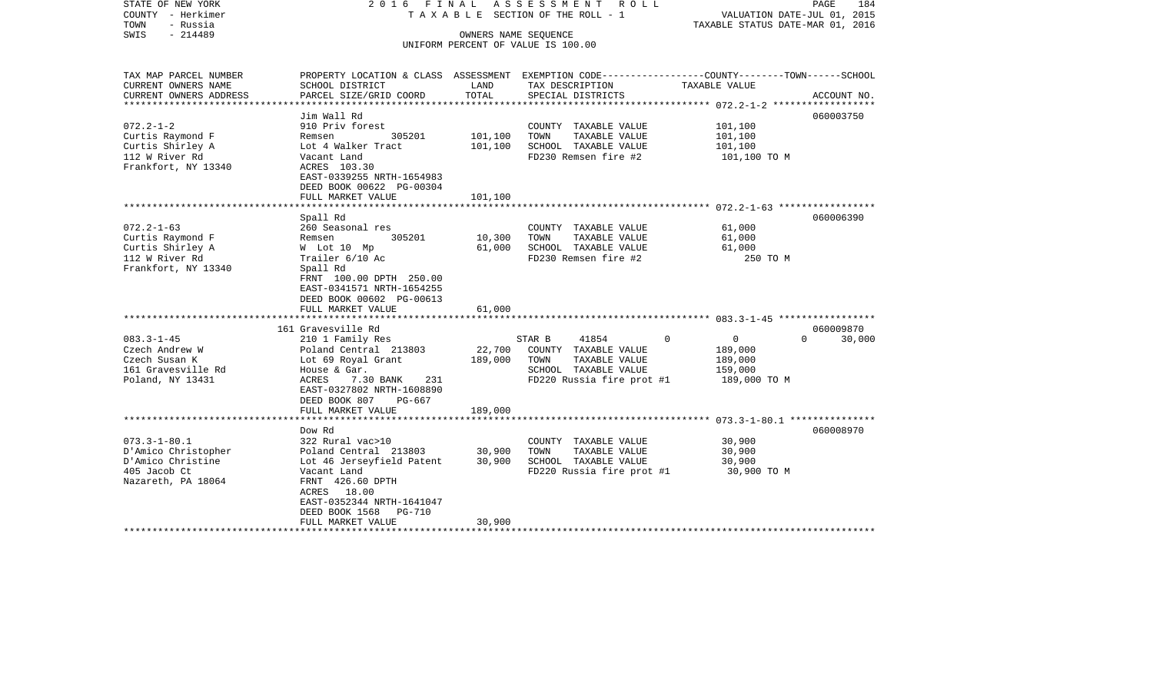| STATE OF NEW YORK<br>COUNTY - Herkimer<br>TOWN<br>- Russia<br>SWIS<br>$-214489$                      | 2016 FINAL                                                                                                                                                                                                              | OWNERS NAME SEQUENCE          | ASSESSMENT ROLL<br>TAXABLE SECTION OF THE ROLL - 1<br>UNIFORM PERCENT OF VALUE IS 100.00                              | VALUATION DATE-JUL 01, 2015<br>TAXABLE STATUS DATE-MAR 01, 2016                         | PAGE<br>184         |
|------------------------------------------------------------------------------------------------------|-------------------------------------------------------------------------------------------------------------------------------------------------------------------------------------------------------------------------|-------------------------------|-----------------------------------------------------------------------------------------------------------------------|-----------------------------------------------------------------------------------------|---------------------|
| TAX MAP PARCEL NUMBER<br>CURRENT OWNERS NAME<br>CURRENT OWNERS ADDRESS                               | PROPERTY LOCATION & CLASS ASSESSMENT EXEMPTION CODE---------------COUNTY-------TOWN-----SCHOOL<br>SCHOOL DISTRICT<br>PARCEL SIZE/GRID COORD                                                                             | LAND<br>TOTAL                 | TAX DESCRIPTION<br>SPECIAL DISTRICTS                                                                                  | TAXABLE VALUE<br>***************** 072.2-1-2 *******************                        | ACCOUNT NO.         |
| $072.2 - 1 - 2$<br>Curtis Raymond F<br>Curtis Shirley A<br>112 W River Rd<br>Frankfort, NY 13340     | Jim Wall Rd<br>910 Priv forest<br>305201<br>Remsen<br>Lot 4 Walker Tract<br>Vacant Land<br>ACRES 103.30<br>EAST-0339255 NRTH-1654983<br>DEED BOOK 00622 PG-00304<br>FULL MARKET VALUE                                   | 101,100<br>101,100<br>101,100 | COUNTY TAXABLE VALUE<br>TAXABLE VALUE<br>TOWN<br>SCHOOL TAXABLE VALUE<br>FD230 Remsen fire #2                         | 101,100<br>101,100<br>101,100<br>101,100 TO M                                           | 060003750           |
| $072.2 - 1 - 63$<br>Curtis Raymond F<br>Curtis Shirley A<br>112 W River Rd<br>Frankfort, NY 13340    | Spall Rd<br>260 Seasonal res<br>305201<br>Remsen<br>W Lot 10 Mp<br>Trailer 6/10 Ac<br>Spall Rd<br>FRNT 100.00 DPTH 250.00<br>EAST-0341571 NRTH-1654255<br>DEED BOOK 00602 PG-00613<br>FULL MARKET VALUE                 | 10,300<br>61,000<br>61,000    | COUNTY TAXABLE VALUE<br>TOWN<br>TAXABLE VALUE<br>SCHOOL TAXABLE VALUE<br>FD230 Remsen fire #2                         | 61,000<br>61,000<br>61,000<br>250 TO M                                                  | 060006390           |
| $083.3 - 1 - 45$<br>Czech Andrew W<br>Czech Susan K<br>161 Gravesville Rd<br>Poland, NY 13431        | 161 Gravesville Rd<br>210 1 Family Res<br>Poland Central 213803<br>Lot 69 Royal Grant<br>House & Gar.<br>ACRES<br>7.30 BANK<br>231<br>EAST-0327802 NRTH-1608890<br>DEED BOOK 807<br>PG-667<br>FULL MARKET VALUE         | 22,700<br>189,000<br>189,000  | STAR B<br>41854<br>COUNTY TAXABLE VALUE<br>TOWN<br>TAXABLE VALUE<br>SCHOOL TAXABLE VALUE<br>FD220 Russia fire prot #1 | $\Omega$<br>$\overline{0}$<br>$\Omega$<br>189,000<br>189,000<br>159,000<br>189,000 TO M | 060009870<br>30,000 |
| $073.3 - 1 - 80.1$<br>D'Amico Christopher<br>D'Amico Christine<br>405 Jacob Ct<br>Nazareth, PA 18064 | Dow Rd<br>322 Rural vac>10<br>Poland Central 213803<br>Lot 46 Jerseyfield Patent<br>Vacant Land<br>FRNT 426.60 DPTH<br>ACRES 18.00<br>EAST-0352344 NRTH-1641047<br>DEED BOOK 1568<br><b>PG-710</b><br>FULL MARKET VALUE | 30,900<br>30,900<br>30,900    | COUNTY TAXABLE VALUE<br>TAXABLE VALUE<br>TOWN<br>SCHOOL TAXABLE VALUE<br>FD220 Russia fire prot #1                    | 30,900<br>30,900<br>30,900<br>30,900 TO M                                               | 060008970           |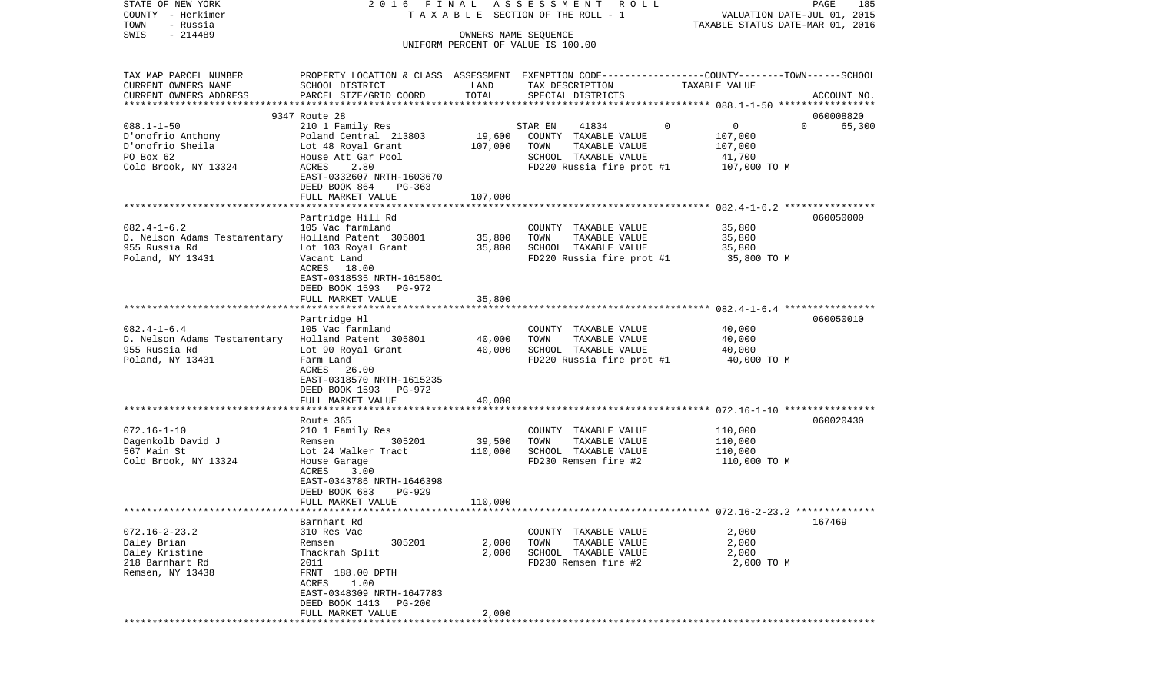| STATE OF NEW YORK                             | 2016 FINAL                                                                                      |                  | ASSESSMENT<br>R O L L                         |                             | PAGE<br>185                                                     |
|-----------------------------------------------|-------------------------------------------------------------------------------------------------|------------------|-----------------------------------------------|-----------------------------|-----------------------------------------------------------------|
| COUNTY - Herkimer<br>TOWN<br>- Russia         |                                                                                                 |                  | TAXABLE SECTION OF THE ROLL - 1               |                             | VALUATION DATE-JUL 01, 2015<br>TAXABLE STATUS DATE-MAR 01, 2016 |
| $-214489$<br>SWIS                             |                                                                                                 |                  | OWNERS NAME SEQUENCE                          |                             |                                                                 |
|                                               |                                                                                                 |                  | UNIFORM PERCENT OF VALUE IS 100.00            |                             |                                                                 |
|                                               |                                                                                                 |                  |                                               |                             |                                                                 |
| TAX MAP PARCEL NUMBER                         | PROPERTY LOCATION & CLASS ASSESSMENT EXEMPTION CODE---------------COUNTY-------TOWN------SCHOOL |                  |                                               |                             |                                                                 |
| CURRENT OWNERS NAME                           | SCHOOL DISTRICT                                                                                 | LAND             | TAX DESCRIPTION                               | TAXABLE VALUE               |                                                                 |
| CURRENT OWNERS ADDRESS                        | PARCEL SIZE/GRID COORD                                                                          | TOTAL            | SPECIAL DISTRICTS                             |                             | ACCOUNT NO.                                                     |
|                                               |                                                                                                 |                  |                                               |                             |                                                                 |
| $088.1 - 1 - 50$                              | 9347 Route 28<br>210 1 Family Res                                                               |                  | 41834<br>STAR EN                              | $\mathbf 0$<br>$\mathsf{O}$ | 060008820<br>$\Omega$<br>65,300                                 |
| D'onofrio Anthony                             | Poland Central 213803                                                                           | 19,600           | COUNTY TAXABLE VALUE                          | 107,000                     |                                                                 |
| D'onofrio Sheila                              | Lot 48 Royal Grant                                                                              | 107,000          | TOWN<br>TAXABLE VALUE                         | 107,000                     |                                                                 |
| PO Box 62                                     | House Att Gar Pool                                                                              |                  | SCHOOL TAXABLE VALUE                          | 41,700                      |                                                                 |
| Cold Brook, NY 13324                          | ACRES<br>2.80                                                                                   |                  | FD220 Russia fire prot #1                     | 107,000 TO M                |                                                                 |
|                                               | EAST-0332607 NRTH-1603670                                                                       |                  |                                               |                             |                                                                 |
|                                               | DEED BOOK 864<br>PG-363                                                                         |                  |                                               |                             |                                                                 |
|                                               | FULL MARKET VALUE                                                                               | 107,000          |                                               |                             |                                                                 |
|                                               | Partridge Hill Rd                                                                               |                  |                                               |                             | 060050000                                                       |
| $082.4 - 1 - 6.2$                             | 105 Vac farmland                                                                                |                  | COUNTY TAXABLE VALUE                          | 35,800                      |                                                                 |
| D. Nelson Adams Testamentary                  | Holland Patent 305801                                                                           | 35,800           | TOWN<br>TAXABLE VALUE                         | 35,800                      |                                                                 |
| 955 Russia Rd                                 | Lot 103 Royal Grant                                                                             | 35,800           | SCHOOL TAXABLE VALUE                          | 35,800                      |                                                                 |
| Poland, NY 13431                              | Vacant Land                                                                                     |                  | FD220 Russia fire prot #1                     | 35,800 TO M                 |                                                                 |
|                                               | ACRES 18.00<br>EAST-0318535 NRTH-1615801                                                        |                  |                                               |                             |                                                                 |
|                                               | DEED BOOK 1593 PG-972                                                                           |                  |                                               |                             |                                                                 |
|                                               | FULL MARKET VALUE                                                                               | 35,800           |                                               |                             |                                                                 |
|                                               |                                                                                                 |                  |                                               |                             |                                                                 |
|                                               | Partridge Hl                                                                                    |                  |                                               |                             | 060050010                                                       |
| $082.4 - 1 - 6.4$                             | 105 Vac farmland                                                                                |                  | COUNTY TAXABLE VALUE                          | 40,000                      |                                                                 |
| D. Nelson Adams Testamentary<br>955 Russia Rd | Holland Patent 305801                                                                           | 40,000<br>40,000 | TOWN<br>TAXABLE VALUE<br>SCHOOL TAXABLE VALUE | 40,000                      |                                                                 |
| Poland, NY 13431                              | Lot 90 Royal Grant<br>Farm Land                                                                 |                  | FD220 Russia fire prot #1                     | 40,000<br>40,000 TO M       |                                                                 |
|                                               | ACRES 26.00                                                                                     |                  |                                               |                             |                                                                 |
|                                               | EAST-0318570 NRTH-1615235                                                                       |                  |                                               |                             |                                                                 |
|                                               | DEED BOOK 1593 PG-972                                                                           |                  |                                               |                             |                                                                 |
|                                               | FULL MARKET VALUE                                                                               | 40,000           |                                               |                             |                                                                 |
|                                               | Route 365                                                                                       |                  |                                               |                             | 060020430                                                       |
| $072.16 - 1 - 10$                             | 210 1 Family Res                                                                                |                  | COUNTY TAXABLE VALUE                          | 110,000                     |                                                                 |
| Dagenkolb David J                             | 305201<br>Remsen                                                                                | 39,500           | TOWN<br>TAXABLE VALUE                         | 110,000                     |                                                                 |
| 567 Main St                                   | Lot 24 Walker Tract                                                                             | 110,000          | SCHOOL TAXABLE VALUE                          | 110,000                     |                                                                 |
| Cold Brook, NY 13324                          | House Garage                                                                                    |                  | FD230 Remsen fire #2                          | 110,000 TO M                |                                                                 |
|                                               | 3.00<br>ACRES                                                                                   |                  |                                               |                             |                                                                 |
|                                               | EAST-0343786 NRTH-1646398<br>DEED BOOK 683<br>PG-929                                            |                  |                                               |                             |                                                                 |
|                                               | FULL MARKET VALUE                                                                               | 110,000          |                                               |                             |                                                                 |
|                                               |                                                                                                 |                  |                                               |                             |                                                                 |
|                                               | Barnhart Rd                                                                                     |                  |                                               |                             | 167469                                                          |
| $072.16 - 2 - 23.2$                           | 310 Res Vac                                                                                     |                  | COUNTY<br>TAXABLE VALUE                       | 2,000                       |                                                                 |
| Daley Brian                                   | 305201<br>Remsen                                                                                | 2,000            | TOWN<br>TAXABLE VALUE                         | 2,000                       |                                                                 |
| Daley Kristine<br>218 Barnhart Rd             | Thackrah Split<br>2011                                                                          | 2,000            | SCHOOL TAXABLE VALUE<br>FD230 Remsen fire #2  | 2,000<br>2,000 TO M         |                                                                 |
| Remsen, NY 13438                              | FRNT 188.00 DPTH                                                                                |                  |                                               |                             |                                                                 |
|                                               | <b>ACRES</b><br>1.00                                                                            |                  |                                               |                             |                                                                 |
|                                               | EAST-0348309 NRTH-1647783                                                                       |                  |                                               |                             |                                                                 |
|                                               | DEED BOOK 1413<br><b>PG-200</b>                                                                 |                  |                                               |                             |                                                                 |
|                                               | FULL MARKET VALUE                                                                               | 2,000            |                                               |                             |                                                                 |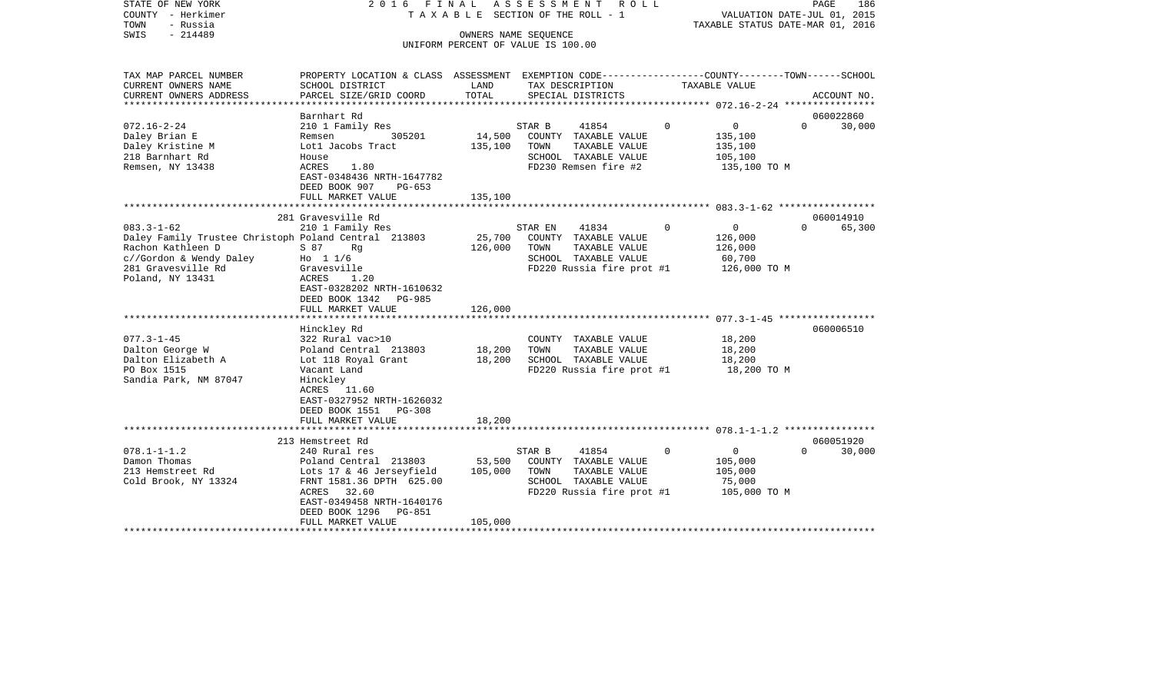| STATE OF NEW YORK<br>COUNTY - Herkimer<br>TOWN<br>- Russia<br>SWIS<br>$-214489$                      | 2016 FINAL                                                                                                         |                   | ASSESSMENT ROLL<br>T A X A B L E SECTION OF THE ROLL - 1<br>OWNERS NAME SEOUENCE |          | VALUATION DATE-JUL 01, 2015<br>TAXABLE STATUS DATE-MAR 01, 2016 | PAGE                  | 186    |
|------------------------------------------------------------------------------------------------------|--------------------------------------------------------------------------------------------------------------------|-------------------|----------------------------------------------------------------------------------|----------|-----------------------------------------------------------------|-----------------------|--------|
|                                                                                                      |                                                                                                                    |                   | UNIFORM PERCENT OF VALUE IS 100.00                                               |          |                                                                 |                       |        |
| TAX MAP PARCEL NUMBER<br>CURRENT OWNERS NAME                                                         | PROPERTY LOCATION & CLASS ASSESSMENT EXEMPTION CODE---------------COUNTY-------TOWN------SCHOOL<br>SCHOOL DISTRICT | LAND              | TAX DESCRIPTION                                                                  |          | TAXABLE VALUE                                                   |                       |        |
| CURRENT OWNERS ADDRESS                                                                               | PARCEL SIZE/GRID COORD                                                                                             | TOTAL             | SPECIAL DISTRICTS                                                                |          |                                                                 | ACCOUNT NO.           |        |
|                                                                                                      | Barnhart Rd                                                                                                        |                   |                                                                                  |          |                                                                 | 060022860             |        |
| $072.16 - 2 - 24$                                                                                    | 210 1 Family Res                                                                                                   |                   | STAR B<br>41854                                                                  | $\Omega$ | $\overline{0}$                                                  | $\Omega$              | 30,000 |
| Daley Brian E                                                                                        | 305201<br>Remsen                                                                                                   | 14,500            | COUNTY TAXABLE VALUE                                                             |          | 135,100                                                         |                       |        |
| Daley Kristine M                                                                                     | Lotl Jacobs Tract                                                                                                  | 135,100           | TAXABLE VALUE<br>TOWN                                                            |          | 135,100                                                         |                       |        |
| 218 Barnhart Rd                                                                                      | House                                                                                                              |                   | SCHOOL TAXABLE VALUE                                                             |          | 105,100                                                         |                       |        |
| Remsen, NY 13438                                                                                     | ACRES<br>1.80<br>EAST-0348436 NRTH-1647782<br>DEED BOOK 907<br>PG-653                                              |                   | FD230 Remsen fire #2                                                             |          | 135,100 TO M                                                    |                       |        |
|                                                                                                      | FULL MARKET VALUE                                                                                                  | 135,100           |                                                                                  |          |                                                                 |                       |        |
|                                                                                                      |                                                                                                                    |                   |                                                                                  |          |                                                                 |                       |        |
| $083.3 - 1 - 62$                                                                                     | 281 Gravesville Rd<br>210 1 Family Res                                                                             |                   | 41834<br>STAR EN                                                                 | $\Omega$ | $\circ$                                                         | 060014910<br>$\Omega$ | 65,300 |
| Daley Family Trustee Christoph Poland Central 213803<br>Rachon Kathleen D<br>c//Gordon & Wendy Daley | S 87<br>Rq<br>Ho $11/6$                                                                                            | 25,700<br>126,000 | COUNTY TAXABLE VALUE<br>TOWN<br>TAXABLE VALUE<br>SCHOOL TAXABLE VALUE            |          | 126,000<br>126,000<br>60,700                                    |                       |        |
| 281 Gravesville Rd<br>Poland, NY 13431                                                               | Gravesville<br>ACRES<br>1.20<br>EAST-0328202 NRTH-1610632<br>DEED BOOK 1342<br>PG-985                              |                   | FD220 Russia fire prot #1                                                        |          | 126,000 TO M                                                    |                       |        |
|                                                                                                      | FULL MARKET VALUE                                                                                                  | 126,000           |                                                                                  |          |                                                                 |                       |        |
|                                                                                                      | Hinckley Rd                                                                                                        |                   |                                                                                  |          |                                                                 | 060006510             |        |
| $077.3 - 1 - 45$                                                                                     | 322 Rural vac>10                                                                                                   |                   | COUNTY TAXABLE VALUE                                                             |          | 18,200                                                          |                       |        |
| Dalton George W                                                                                      | Poland Central 213803                                                                                              | 18,200            | TAXABLE VALUE<br>TOWN                                                            |          | 18,200                                                          |                       |        |
| Dalton Elizabeth A                                                                                   | Lot 118 Royal Grant                                                                                                | 18,200            | SCHOOL TAXABLE VALUE                                                             |          | 18,200                                                          |                       |        |
| PO Box 1515<br>Sandia Park, NM 87047                                                                 | Vacant Land<br>Hinckley<br>11.60<br>ACRES<br>EAST-0327952 NRTH-1626032<br>DEED BOOK 1551<br>PG-308                 |                   | FD220 Russia fire prot #1                                                        |          | 18,200 TO M                                                     |                       |        |
|                                                                                                      | FULL MARKET VALUE                                                                                                  | 18,200            |                                                                                  |          |                                                                 |                       |        |
|                                                                                                      | 213 Hemstreet Rd                                                                                                   |                   |                                                                                  |          |                                                                 | 060051920             |        |
| $078.1 - 1 - 1.2$                                                                                    | 240 Rural res                                                                                                      |                   | STAR B<br>41854                                                                  | $\Omega$ | $\overline{0}$                                                  | $\Omega$              | 30,000 |
| Damon Thomas                                                                                         | Poland Central 213803                                                                                              | 53,500            | COUNTY TAXABLE VALUE                                                             |          | 105,000                                                         |                       |        |
| 213 Hemstreet Rd                                                                                     | Lots 17 & 46 Jerseyfield                                                                                           | 105,000           | TOWN<br>TAXABLE VALUE                                                            |          | 105,000                                                         |                       |        |
| Cold Brook, NY 13324                                                                                 | FRNT 1581.36 DPTH 625.00<br>32.60<br>ACRES<br>EAST-0349458 NRTH-1640176<br>DEED BOOK 1296<br>PG-851                |                   | SCHOOL TAXABLE VALUE<br>FD220 Russia fire prot #1                                |          | 75,000<br>105,000 TO M                                          |                       |        |
|                                                                                                      | FULL MARKET VALUE                                                                                                  | 105,000           |                                                                                  |          |                                                                 |                       |        |
|                                                                                                      |                                                                                                                    |                   |                                                                                  |          |                                                                 |                       |        |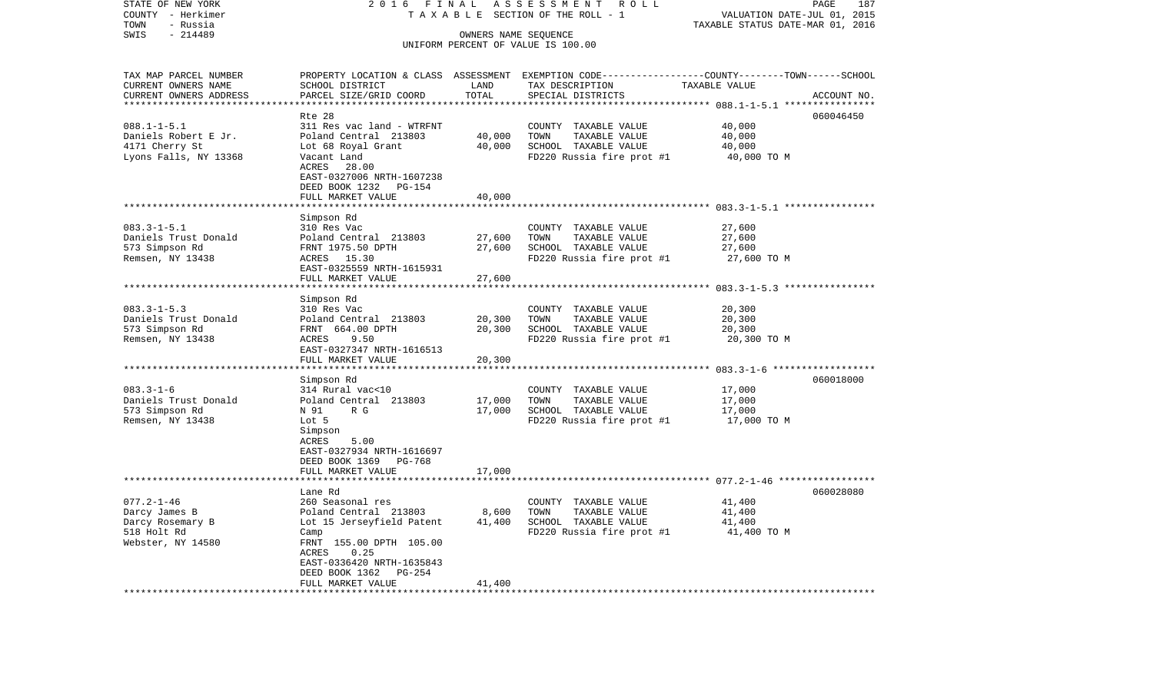| STATE OF NEW YORK<br>COUNTY - Herkimer                                                    | 2016 FINAL                                                                                                                                                                            |                            | ASSESSMENT<br>R O L L<br>TAXABLE SECTION OF THE ROLL - 1                                           | VALUATION DATE-JUL 01, 2015                           | 187<br>PAGE |
|-------------------------------------------------------------------------------------------|---------------------------------------------------------------------------------------------------------------------------------------------------------------------------------------|----------------------------|----------------------------------------------------------------------------------------------------|-------------------------------------------------------|-------------|
| TOWN<br>- Russia<br>SWIS<br>$-214489$                                                     |                                                                                                                                                                                       | OWNERS NAME SEQUENCE       | UNIFORM PERCENT OF VALUE IS 100.00                                                                 | TAXABLE STATUS DATE-MAR 01, 2016                      |             |
| TAX MAP PARCEL NUMBER<br>CURRENT OWNERS NAME<br>CURRENT OWNERS ADDRESS                    | PROPERTY LOCATION & CLASS ASSESSMENT EXEMPTION CODE----------------COUNTY-------TOWN------SCHOOL<br>SCHOOL DISTRICT<br>PARCEL SIZE/GRID COORD                                         | LAND<br>TOTAL              | TAX DESCRIPTION<br>SPECIAL DISTRICTS                                                               | TAXABLE VALUE                                         | ACCOUNT NO. |
|                                                                                           | Rte 28                                                                                                                                                                                |                            |                                                                                                    | ******** 088.1-1-5.1 ****                             | 060046450   |
| $088.1 - 1 - 5.1$<br>Daniels Robert E Jr.<br>4171 Cherry St<br>Lyons Falls, NY 13368      | 311 Res vac land - WTRFNT<br>Poland Central 213803<br>Lot 68 Royal Grant<br>Vacant Land<br>ACRES<br>28.00<br>EAST-0327006 NRTH-1607238<br>DEED BOOK 1232<br>PG-154                    | 40,000<br>40,000           | COUNTY TAXABLE VALUE<br>TOWN<br>TAXABLE VALUE<br>SCHOOL TAXABLE VALUE<br>FD220 Russia fire prot #1 | 40,000<br>40,000<br>40,000<br>40,000 TO M             |             |
|                                                                                           | FULL MARKET VALUE<br>*******************                                                                                                                                              | 40,000<br>***********      |                                                                                                    |                                                       |             |
| $083.3 - 1 - 5.1$<br>Daniels Trust Donald<br>573 Simpson Rd<br>Remsen, NY 13438           | Simpson Rd<br>310 Res Vac<br>Poland Central 213803<br>FRNT 1975.50 DPTH<br>ACRES 15.30<br>EAST-0325559 NRTH-1615931<br>FULL MARKET VALUE                                              | 27,600<br>27,600<br>27,600 | COUNTY TAXABLE VALUE<br>TOWN<br>TAXABLE VALUE<br>SCHOOL TAXABLE VALUE<br>FD220 Russia fire prot #1 | 27,600<br>27,600<br>27,600<br>27,600 TO M             |             |
|                                                                                           | Simpson Rd                                                                                                                                                                            |                            |                                                                                                    | *********************** 083.3-1-5.3 ***************** |             |
| $083.3 - 1 - 5.3$<br>Daniels Trust Donald<br>573 Simpson Rd<br>Remsen, NY 13438           | 310 Res Vac<br>Poland Central 213803<br>FRNT 664.00 DPTH<br>ACRES<br>9.50<br>EAST-0327347 NRTH-1616513<br>FULL MARKET VALUE                                                           | 20,300<br>20,300<br>20,300 | COUNTY TAXABLE VALUE<br>TAXABLE VALUE<br>TOWN<br>SCHOOL TAXABLE VALUE<br>FD220 Russia fire prot #1 | 20,300<br>20,300<br>20,300<br>20,300 TO M             |             |
|                                                                                           | *************<br>Simpson Rd                                                                                                                                                           |                            |                                                                                                    |                                                       | 060018000   |
| $083.3 - 1 - 6$<br>Daniels Trust Donald<br>573 Simpson Rd<br>Remsen, NY 13438             | 314 Rural vac<10<br>Poland Central 213803<br>N 91<br>R G<br>Lot 5<br>Simpson<br>ACRES<br>5.00<br>EAST-0327934 NRTH-1616697<br>DEED BOOK 1369<br>PG-768                                | 17,000<br>17,000           | COUNTY TAXABLE VALUE<br>TOWN<br>TAXABLE VALUE<br>SCHOOL TAXABLE VALUE<br>FD220 Russia fire prot #1 | 17,000<br>17,000<br>17,000<br>17,000 TO M             |             |
|                                                                                           | FULL MARKET VALUE                                                                                                                                                                     | 17,000                     |                                                                                                    |                                                       |             |
|                                                                                           | Lane Rd                                                                                                                                                                               |                            |                                                                                                    |                                                       | 060028080   |
| $077.2 - 1 - 46$<br>Darcy James B<br>Darcy Rosemary B<br>518 Holt Rd<br>Webster, NY 14580 | 260 Seasonal res<br>Poland Central 213803<br>Lot 15 Jerseyfield Patent<br>Camp<br>FRNT 155.00 DPTH 105.00<br>ACRES<br>0.25<br>EAST-0336420 NRTH-1635843<br>DEED BOOK 1362<br>$PG-254$ | 8,600<br>41,400            | COUNTY TAXABLE VALUE<br>TAXABLE VALUE<br>TOWN<br>SCHOOL TAXABLE VALUE<br>FD220 Russia fire prot #1 | 41,400<br>41,400<br>41,400<br>41,400 TO M             |             |
| *********************                                                                     | FULL MARKET VALUE<br>***********************                                                                                                                                          | 41,400                     |                                                                                                    |                                                       |             |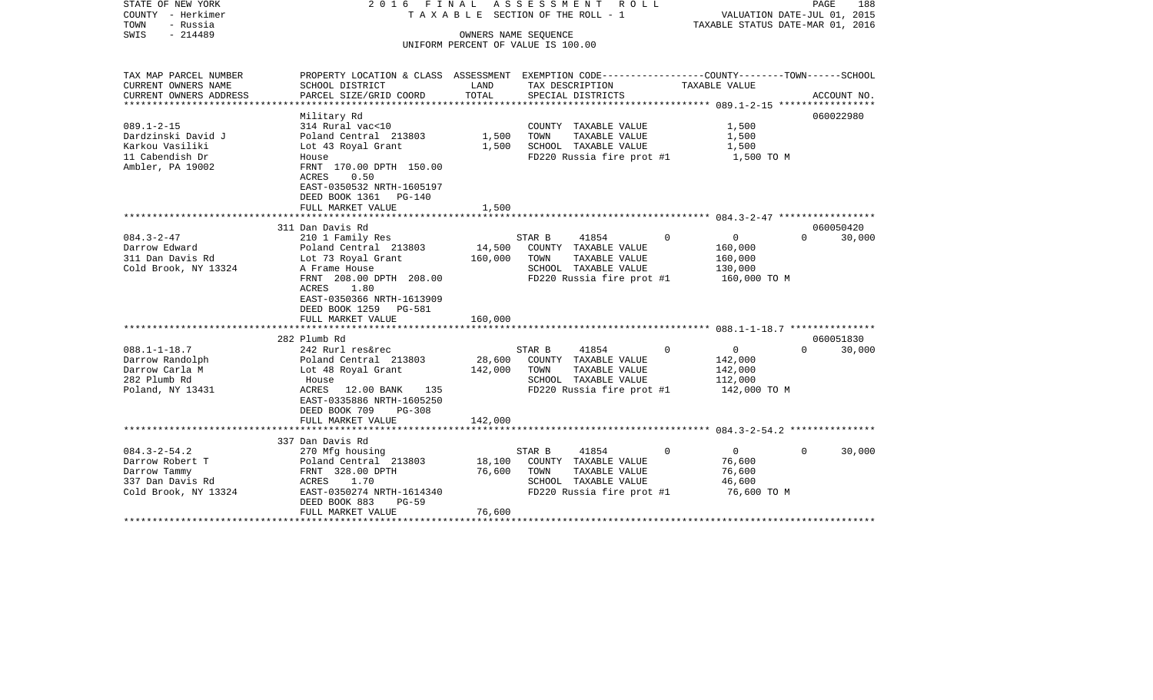| STATE OF NEW YORK<br>COUNTY - Herkimer<br>- Russia<br>TOWN<br>$-214489$<br>SWIS                  | 2016 FINAL                                                                                                                                                                                                               | OWNERS NAME SEQUENCE    | A S S E S S M E N T<br>R O L L<br>TAXABLE SECTION OF THE ROLL - 1<br>UNIFORM PERCENT OF VALUE IS 100.00               |                                                                             | PAGE<br>188<br>VALUATION DATE-JUL 01, 2015<br>TAXABLE STATUS DATE-MAR 01, 2016 |
|--------------------------------------------------------------------------------------------------|--------------------------------------------------------------------------------------------------------------------------------------------------------------------------------------------------------------------------|-------------------------|-----------------------------------------------------------------------------------------------------------------------|-----------------------------------------------------------------------------|--------------------------------------------------------------------------------|
| TAX MAP PARCEL NUMBER<br>CURRENT OWNERS NAME<br>CURRENT OWNERS ADDRESS                           | PROPERTY LOCATION & CLASS ASSESSMENT EXEMPTION CODE---------------COUNTY-------TOWN-----SCHOOL<br>SCHOOL DISTRICT<br>PARCEL SIZE/GRID COORD                                                                              | LAND<br>TOTAL           | TAX DESCRIPTION<br>SPECIAL DISTRICTS                                                                                  | TAXABLE VALUE                                                               | ACCOUNT NO.                                                                    |
| $089.1 - 2 - 15$<br>Dardzinski David J<br>Karkou Vasiliki<br>11 Cabendish Dr<br>Ambler, PA 19002 | Military Rd<br>314 Rural vac<10<br>Poland Central 213803<br>Lot 43 Royal Grant<br>House<br>FRNT 170.00 DPTH 150.00<br>0.50<br>ACRES<br>EAST-0350532 NRTH-1605197<br>DEED BOOK 1361<br><b>PG-140</b><br>FULL MARKET VALUE | 1,500<br>1,500<br>1,500 | COUNTY TAXABLE VALUE<br>TOWN<br>TAXABLE VALUE<br>SCHOOL TAXABLE VALUE<br>FD220 Russia fire prot #1                    | 1,500<br>1,500<br>1,500<br>1,500 TO M                                       | 060022980                                                                      |
|                                                                                                  |                                                                                                                                                                                                                          |                         |                                                                                                                       |                                                                             |                                                                                |
| $084.3 - 2 - 47$<br>Darrow Edward<br>311 Dan Davis Rd<br>Cold Brook, NY 13324                    | 311 Dan Davis Rd<br>210 1 Family Res<br>Poland Central 213803<br>Lot 73 Royal Grant<br>A Frame House<br>FRNT 208.00 DPTH 208.00<br>ACRES<br>1.80<br>EAST-0350366 NRTH-1613909<br>DEED BOOK 1259 PG-581                   | 14,500<br>160,000       | 41854<br>STAR B<br>COUNTY TAXABLE VALUE<br>TOWN<br>TAXABLE VALUE<br>SCHOOL TAXABLE VALUE<br>FD220 Russia fire prot #1 | $\Omega$<br>0<br>160,000<br>160,000<br>130,000<br>160,000 TO M              | 060050420<br>30,000<br>$\Omega$                                                |
|                                                                                                  | FULL MARKET VALUE<br>**************************                                                                                                                                                                          | 160,000                 |                                                                                                                       |                                                                             |                                                                                |
| $088.1 - 1 - 18.7$<br>Darrow Randolph<br>Darrow Carla M<br>282 Plumb Rd<br>Poland, NY 13431      | 282 Plumb Rd<br>242 Rurl res&rec<br>Poland Central 213803<br>Lot 48 Royal Grant<br>House<br>ACRES<br>12.00 BANK<br>135<br>EAST-0335886 NRTH-1605250                                                                      | 28,600<br>142,000       | 41854<br>STAR B<br>COUNTY TAXABLE VALUE<br>TAXABLE VALUE<br>TOWN<br>SCHOOL TAXABLE VALUE<br>FD220 Russia fire prot #1 | $\Omega$<br>$\overline{0}$<br>142,000<br>142,000<br>112,000<br>142,000 TO M | 060051830<br>30,000<br>$\Omega$                                                |
|                                                                                                  | DEED BOOK 709<br>$PG-308$<br>FULL MARKET VALUE<br>***********************                                                                                                                                                | 142,000<br>************ |                                                                                                                       |                                                                             |                                                                                |
| $084.3 - 2 - 54.2$<br>Darrow Robert T<br>Darrow Tammy                                            | 337 Dan Davis Rd<br>270 Mfg housing<br>Poland Central 213803<br>FRNT 328.00 DPTH                                                                                                                                         | 18,100<br>76,600        | 41854<br>STAR B<br>COUNTY TAXABLE VALUE<br>TAXABLE VALUE<br>TOWN                                                      | $\mathbf 0$<br>$\overline{0}$<br>76,600<br>76,600                           | 30,000<br>$\Omega$                                                             |
| 337 Dan Davis Rd<br>Cold Brook, NY 13324                                                         | 1.70<br>ACRES<br>EAST-0350274 NRTH-1614340<br>DEED BOOK 883<br>$PG-59$<br>FULL MARKET VALUE                                                                                                                              | 76,600                  | SCHOOL TAXABLE VALUE<br>FD220 Russia fire prot #1                                                                     | 46,600<br>76,600 TO M                                                       |                                                                                |
|                                                                                                  |                                                                                                                                                                                                                          |                         |                                                                                                                       |                                                                             |                                                                                |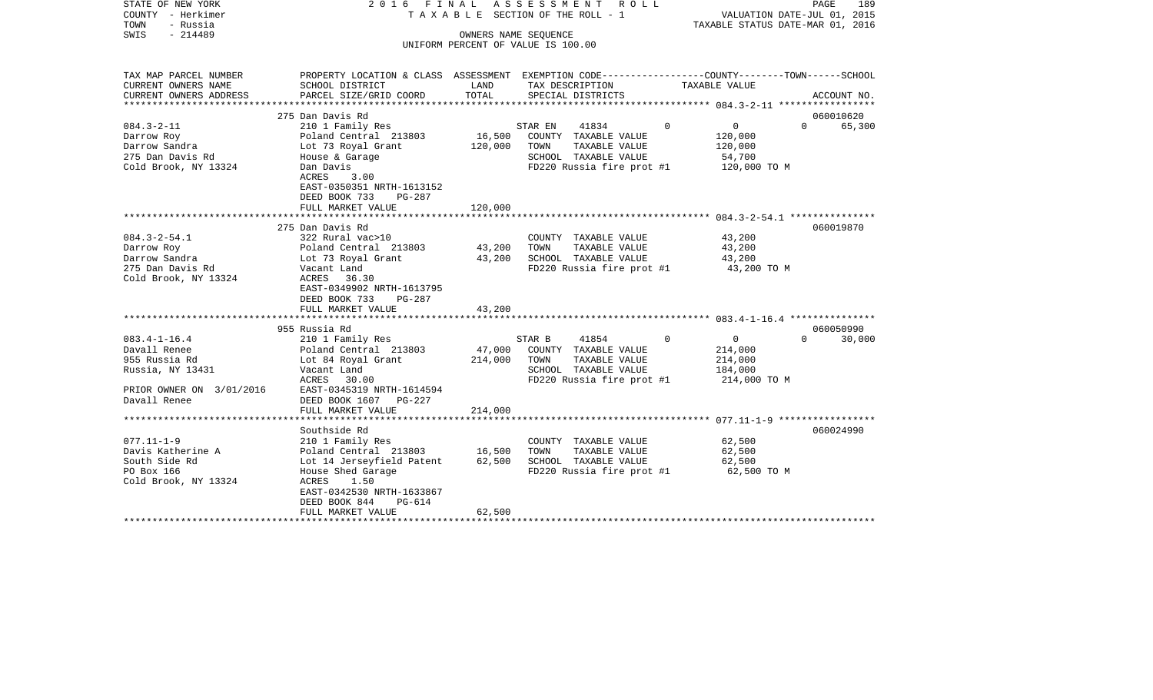| STATE OF NEW YORK<br>COUNTY - Herkimer<br>- Russia<br>TOWN<br>$-214489$<br>SWIS | 2016 FINAL                                                                                                         |                   | ASSESSMENT<br>R O L L<br>TAXABLE SECTION OF THE ROLL - 1<br>OWNERS NAME SEQUENCE<br>UNIFORM PERCENT OF VALUE IS 100.00 |                                                   | PAGE<br>189<br>VALUATION DATE-JUL 01, 2015<br>TAXABLE STATUS DATE-MAR 01, 2016 |
|---------------------------------------------------------------------------------|--------------------------------------------------------------------------------------------------------------------|-------------------|------------------------------------------------------------------------------------------------------------------------|---------------------------------------------------|--------------------------------------------------------------------------------|
| TAX MAP PARCEL NUMBER<br>CURRENT OWNERS NAME                                    | PROPERTY LOCATION & CLASS ASSESSMENT EXEMPTION CODE----------------COUNTY-------TOWN-----SCHOOL<br>SCHOOL DISTRICT | LAND              | TAX DESCRIPTION                                                                                                        | TAXABLE VALUE                                     |                                                                                |
| CURRENT OWNERS ADDRESS                                                          | PARCEL SIZE/GRID COORD                                                                                             | TOTAL             | SPECIAL DISTRICTS                                                                                                      |                                                   | ACCOUNT NO.                                                                    |
|                                                                                 |                                                                                                                    |                   |                                                                                                                        |                                                   |                                                                                |
| $084.3 - 2 - 11$                                                                | 275 Dan Davis Rd<br>210 1 Family Res                                                                               |                   | 41834<br>STAR EN                                                                                                       | $\mathbf{0}$<br>$\Omega$                          | 060010620<br>$\Omega$<br>65,300                                                |
| Darrow Roy<br>Darrow Sandra<br>275 Dan Davis Rd                                 | Poland Central 213803<br>Lot 73 Royal Grant<br>House & Garage                                                      | 16,500<br>120,000 | COUNTY TAXABLE VALUE<br>TOWN<br>TAXABLE VALUE<br>SCHOOL TAXABLE VALUE                                                  | 120,000<br>120,000<br>54,700                      |                                                                                |
| Cold Brook, NY 13324                                                            | Dan Davis<br>ACRES<br>3.00<br>EAST-0350351 NRTH-1613152<br>DEED BOOK 733<br>PG-287                                 |                   | FD220 Russia fire prot #1                                                                                              | 120,000 TO M                                      |                                                                                |
|                                                                                 | FULL MARKET VALUE                                                                                                  | 120,000           |                                                                                                                        |                                                   |                                                                                |
|                                                                                 | 275 Dan Davis Rd                                                                                                   |                   |                                                                                                                        |                                                   | 060019870                                                                      |
| $084.3 - 2 - 54.1$                                                              | 322 Rural vac>10                                                                                                   |                   | COUNTY TAXABLE VALUE                                                                                                   | 43,200                                            |                                                                                |
| Darrow Roy                                                                      | Poland Central 213803                                                                                              | 43,200            | TOWN<br>TAXABLE VALUE                                                                                                  | 43,200                                            |                                                                                |
| Darrow Sandra                                                                   | Lot 73 Royal Grant                                                                                                 | 43,200            | SCHOOL TAXABLE VALUE                                                                                                   | 43,200                                            |                                                                                |
| 275 Dan Davis Rd<br>Cold Brook, NY 13324                                        | Vacant Land<br>ACRES<br>36.30<br>EAST-0349902 NRTH-1613795<br>DEED BOOK 733<br><b>PG-287</b><br>FULL MARKET VALUE  | 43,200            | FD220 Russia fire prot #1                                                                                              | 43,200 TO M                                       |                                                                                |
|                                                                                 | **********************                                                                                             | **********        |                                                                                                                        |                                                   |                                                                                |
|                                                                                 | 955 Russia Rd                                                                                                      |                   |                                                                                                                        |                                                   | 060050990                                                                      |
| $083.4 - 1 - 16.4$<br>Davall Renee<br>955 Russia Rd                             | 210 1 Family Res<br>Poland Central 213803<br>Lot 84 Royal Grant                                                    | 47,000<br>214,000 | STAR B<br>41854<br>COUNTY TAXABLE VALUE<br>TAXABLE VALUE<br>TOWN                                                       | $\mathbf 0$<br>$\mathbf{0}$<br>214,000<br>214,000 | $\Omega$<br>30,000                                                             |
| Russia, NY 13431<br>PRIOR OWNER ON 3/01/2016<br>Davall Renee                    | Vacant Land<br>ACRES<br>30.00<br>EAST-0345319 NRTH-1614594<br>DEED BOOK 1607 PG-227                                |                   | SCHOOL TAXABLE VALUE<br>FD220 Russia fire prot #1                                                                      | 184,000<br>214,000 TO M                           |                                                                                |
|                                                                                 | FULL MARKET VALUE                                                                                                  | 214,000           |                                                                                                                        |                                                   |                                                                                |
|                                                                                 | **************************                                                                                         |                   |                                                                                                                        |                                                   |                                                                                |
|                                                                                 | Southside Rd                                                                                                       |                   |                                                                                                                        |                                                   | 060024990                                                                      |
| $077.11 - 1 - 9$                                                                | 210 1 Family Res                                                                                                   |                   | COUNTY TAXABLE VALUE                                                                                                   | 62,500                                            |                                                                                |
| Davis Katherine A<br>South Side Rd                                              | Poland Central 213803<br>Lot 14 Jerseyfield Patent                                                                 | 16,500<br>62,500  | TOWN<br>TAXABLE VALUE<br>SCHOOL TAXABLE VALUE                                                                          | 62,500<br>62,500                                  |                                                                                |
| PO Box 166                                                                      | House Shed Garage                                                                                                  |                   | FD220 Russia fire prot #1                                                                                              | 62,500 TO M                                       |                                                                                |
| Cold Brook, NY 13324                                                            | 1.50<br>ACRES<br>EAST-0342530 NRTH-1633867<br>DEED BOOK 844<br>PG-614                                              |                   |                                                                                                                        |                                                   |                                                                                |
|                                                                                 | FULL MARKET VALUE                                                                                                  | 62,500            |                                                                                                                        |                                                   |                                                                                |
|                                                                                 |                                                                                                                    |                   |                                                                                                                        |                                                   |                                                                                |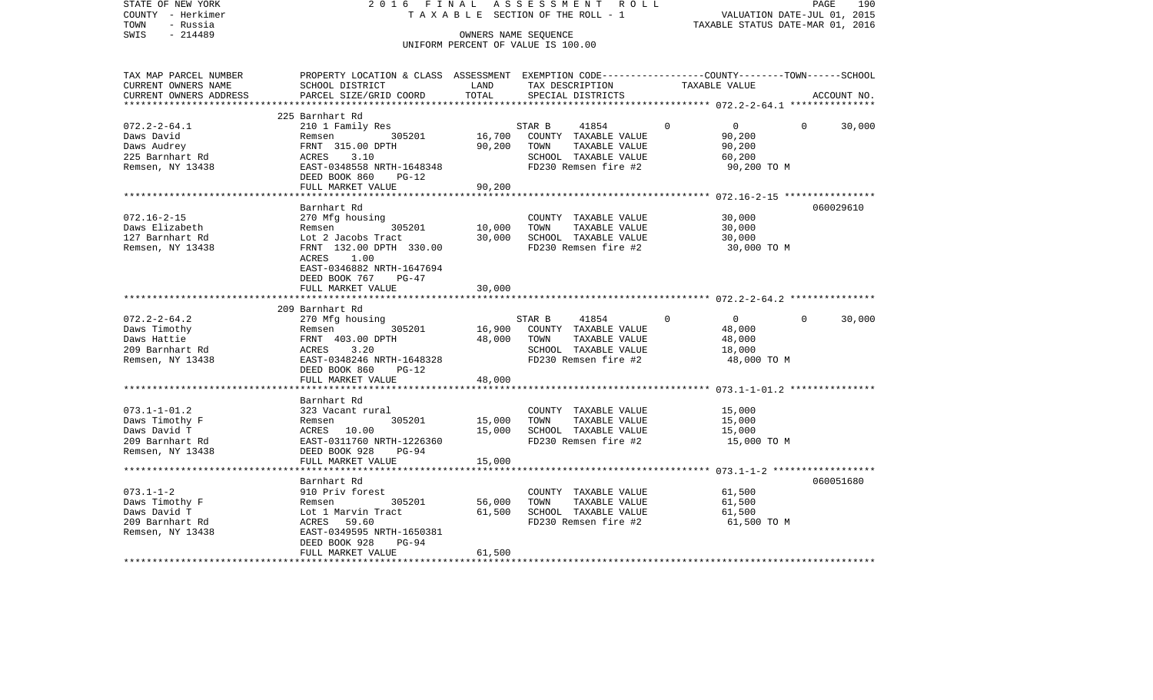| STATE OF NEW YORK<br>COUNTY - Herkimer<br>- Russia<br>TOWN<br>$-214489$<br>SWIS                   | 2016 FINAL<br>TAXABLE                                                                                                                                | OWNERS NAME SEQUENCE | ASSESSMENT<br>R O L L<br>SECTION OF THE ROLL - 1                                                                 |                                                                         | PAGE<br>190<br>VALUATION DATE-JUL 01, 2015<br>TAXABLE STATUS DATE-MAR 01, 2016 |
|---------------------------------------------------------------------------------------------------|------------------------------------------------------------------------------------------------------------------------------------------------------|----------------------|------------------------------------------------------------------------------------------------------------------|-------------------------------------------------------------------------|--------------------------------------------------------------------------------|
|                                                                                                   |                                                                                                                                                      |                      | UNIFORM PERCENT OF VALUE IS 100.00                                                                               |                                                                         |                                                                                |
| TAX MAP PARCEL NUMBER<br>CURRENT OWNERS NAME<br>CURRENT OWNERS ADDRESS<br>*********************** | PROPERTY LOCATION & CLASS ASSESSMENT EXEMPTION CODE----------------COUNTY-------TOWN------SCHOOL<br>SCHOOL DISTRICT<br>PARCEL SIZE/GRID COORD        | LAND<br>TOTAL        | TAX DESCRIPTION<br>SPECIAL DISTRICTS                                                                             | TAXABLE VALUE                                                           | ACCOUNT NO.                                                                    |
|                                                                                                   | 225 Barnhart Rd                                                                                                                                      |                      |                                                                                                                  |                                                                         |                                                                                |
| $072.2 - 2 - 64.1$<br>Daws David<br>Daws Audrey<br>225 Barnhart Rd<br>Remsen, NY 13438            | 210 1 Family Res<br>305201<br>Remsen<br>FRNT 315.00 DPTH<br>ACRES<br>3.10<br>EAST-0348558 NRTH-1648348<br>DEED BOOK 860<br>$PG-12$                   | 16,700<br>90,200     | STAR B<br>41854<br>COUNTY TAXABLE VALUE<br>TOWN<br>TAXABLE VALUE<br>SCHOOL TAXABLE VALUE<br>FD230 Remsen fire #2 | $\Omega$<br>$\overline{0}$<br>90,200<br>90,200<br>60,200<br>90,200 TO M | $\Omega$<br>30,000                                                             |
|                                                                                                   | FULL MARKET VALUE                                                                                                                                    | 90,200               |                                                                                                                  |                                                                         |                                                                                |
| $072.16 - 2 - 15$<br>Daws Elizabeth<br>127 Barnhart Rd<br>Remsen, NY 13438                        | Barnhart Rd<br>270 Mfg housing<br>305201<br>Remsen<br>Lot 2 Jacobs Tract<br>FRNT 132.00 DPTH 330.00<br>ACRES<br>1.00<br>EAST-0346882 NRTH-1647694    | 10,000<br>30,000     | COUNTY TAXABLE VALUE<br>TOWN<br>TAXABLE VALUE<br>SCHOOL TAXABLE VALUE<br>FD230 Remsen fire #2                    | 30,000<br>30,000<br>30,000<br>30,000 TO M                               | 060029610                                                                      |
|                                                                                                   | DEED BOOK 767<br>PG-47<br>FULL MARKET VALUE                                                                                                          | 30,000<br>*********  |                                                                                                                  |                                                                         |                                                                                |
| $072.2 - 2 - 64.2$<br>Daws Timothy<br>Daws Hattie<br>209 Barnhart Rd<br>Remsen, NY 13438          | 209 Barnhart Rd<br>270 Mfg housing<br>305201<br>Remsen<br>FRNT 403.00 DPTH<br>ACRES<br>3.20<br>EAST-0348246 NRTH-1648328<br>DEED BOOK 860<br>$PG-12$ | 16,900<br>48,000     | STAR B<br>41854<br>COUNTY TAXABLE VALUE<br>TAXABLE VALUE<br>TOWN<br>SCHOOL TAXABLE VALUE<br>FD230 Remsen fire #2 | $\overline{0}$<br>0<br>48,000<br>48,000<br>18,000<br>48,000 TO M        | 30,000<br>$\mathbf 0$                                                          |
|                                                                                                   | FULL MARKET VALUE                                                                                                                                    | 48,000               |                                                                                                                  |                                                                         |                                                                                |
| $073.1 - 1 - 01.2$<br>Daws Timothy F<br>Daws David T<br>209 Barnhart Rd<br>Remsen, NY 13438       | Barnhart Rd<br>323 Vacant rural<br>305201<br>Remsen<br>ACRES<br>10.00<br>EAST-0311760 NRTH-1226360<br>DEED BOOK 928<br>PG-94                         | 15,000<br>15,000     | COUNTY TAXABLE VALUE<br>TOWN<br>TAXABLE VALUE<br>SCHOOL TAXABLE VALUE<br>FD230 Remsen fire #2                    | 15,000<br>15,000<br>15,000<br>15,000 TO M                               |                                                                                |
|                                                                                                   | FULL MARKET VALUE                                                                                                                                    | 15,000               |                                                                                                                  |                                                                         |                                                                                |
|                                                                                                   | *******************<br>Barnhart Rd                                                                                                                   |                      |                                                                                                                  |                                                                         | 060051680                                                                      |
| $073.1 - 1 - 2$<br>Daws Timothy F<br>Daws David T<br>209 Barnhart Rd<br>Remsen, NY 13438          | 910 Priv forest<br>Remsen<br>305201<br>Lot 1 Marvin Tract<br>59.60<br>ACRES<br>EAST-0349595 NRTH-1650381<br>DEED BOOK 928<br>$PG-94$                 | 56,000<br>61,500     | COUNTY TAXABLE VALUE<br>TOWN<br>TAXABLE VALUE<br>SCHOOL TAXABLE VALUE<br>FD230 Remsen fire #2                    | 61,500<br>61,500<br>61,500<br>61,500 TO M                               |                                                                                |
|                                                                                                   | FULL MARKET VALUE                                                                                                                                    | 61,500               |                                                                                                                  |                                                                         |                                                                                |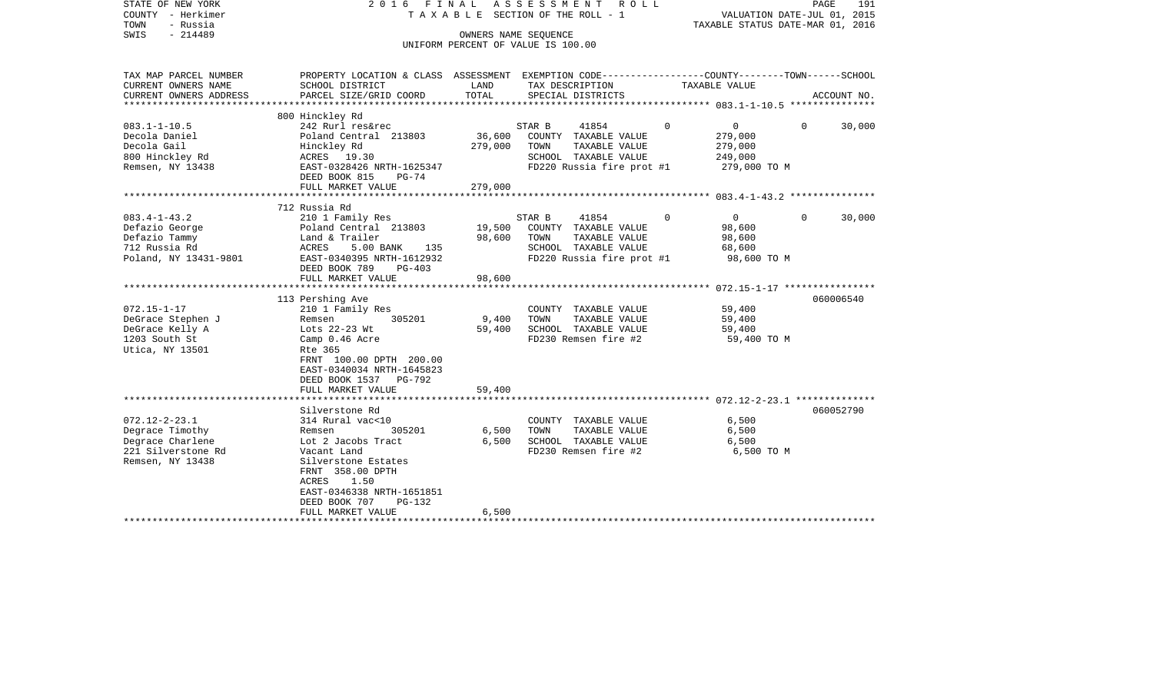| STATE OF NEW YORK<br>COUNTY - Herkimer<br>- Russia<br>TOWN<br>$-214489$<br>SWIS                                      | 2016 FINAL                                                                                                                                                                                                                                                          | OWNERS NAME SEQUENCE                              | ASSESSMENT<br>R O L L<br>TAXABLE SECTION OF THE ROLL - 1<br>UNIFORM PERCENT OF VALUE IS 100.00                                                | TAXABLE STATUS DATE-MAR 01, 2016                                                                                                      | PAGE<br>191<br>VALUATION DATE-JUL 01, 2015 |
|----------------------------------------------------------------------------------------------------------------------|---------------------------------------------------------------------------------------------------------------------------------------------------------------------------------------------------------------------------------------------------------------------|---------------------------------------------------|-----------------------------------------------------------------------------------------------------------------------------------------------|---------------------------------------------------------------------------------------------------------------------------------------|--------------------------------------------|
| TAX MAP PARCEL NUMBER<br>CURRENT OWNERS NAME<br>CURRENT OWNERS ADDRESS<br>**********************                     | PROPERTY LOCATION & CLASS ASSESSMENT EXEMPTION CODE---------------COUNTY-------TOWN-----SCHOOL<br>SCHOOL DISTRICT<br>PARCEL SIZE/GRID COORD                                                                                                                         | LAND<br>TOTAL                                     | TAX DESCRIPTION<br>SPECIAL DISTRICTS                                                                                                          | TAXABLE VALUE                                                                                                                         | ACCOUNT NO.                                |
|                                                                                                                      | 800 Hinckley Rd                                                                                                                                                                                                                                                     |                                                   |                                                                                                                                               |                                                                                                                                       |                                            |
| $083.1 - 1 - 10.5$<br>Decola Daniel<br>Decola Gail<br>800 Hinckley Rd<br>Remsen, NY 13438                            | 242 Rurl res&rec<br>Poland Central 213803<br>Hinckley Rd<br>ACRES 19.30<br>EAST-0328426 NRTH-1625347<br>DEED BOOK 815<br>$PG-74$<br>FULL MARKET VALUE                                                                                                               | 36,600<br>279,000<br>279,000                      | STAR B<br>41854<br>COUNTY TAXABLE VALUE<br>TOWN<br>TAXABLE VALUE<br>SCHOOL TAXABLE VALUE<br>FD220 Russia fire prot #1                         | $\Omega$<br>0<br>279,000<br>279,000<br>249,000<br>279,000 TO M                                                                        | $\Omega$<br>30,000                         |
|                                                                                                                      |                                                                                                                                                                                                                                                                     |                                                   |                                                                                                                                               |                                                                                                                                       |                                            |
| $083.4 - 1 - 43.2$<br>Defazio George<br>Defazio Tammy<br>712 Russia Rd<br>Poland, NY 13431-9801<br>$072.15 - 1 - 17$ | 712 Russia Rd<br>210 1 Family Res<br>Poland Central 213803<br>Land & Trailer<br>ACRES<br>5.00 BANK<br>135<br>EAST-0340395 NRTH-1612932<br>DEED BOOK 789<br>$PG-403$<br>FULL MARKET VALUE<br>***********************<br>113 Pershing Ave<br>210 1 Family Res         | 19,500<br>98,600<br>98,600<br>******************* | STAR B<br>41854<br>COUNTY TAXABLE VALUE<br>TOWN<br>TAXABLE VALUE<br>SCHOOL TAXABLE VALUE<br>FD220 Russia fire prot #1<br>COUNTY TAXABLE VALUE | $\Omega$<br>$\overline{0}$<br>98,600<br>98,600<br>68,600<br>98,600 TO M<br>****************** 072.15-1-17 *****************<br>59,400 | $\Omega$<br>30,000<br>060006540            |
| DeGrace Stephen J<br>DeGrace Kelly A<br>1203 South St<br>Utica, NY 13501                                             | 305201<br>Remsen<br>Lots 22-23 Wt<br>Camp 0.46 Acre<br>Rte 365<br>FRNT 100.00 DPTH 200.00<br>EAST-0340034 NRTH-1645823<br>DEED BOOK 1537<br>PG-792<br>FULL MARKET VALUE                                                                                             | 9,400<br>59,400<br>59,400                         | TOWN<br>TAXABLE VALUE<br>SCHOOL TAXABLE VALUE<br>FD230 Remsen fire #2                                                                         | 59,400<br>59,400<br>59,400 TO M                                                                                                       |                                            |
| $072.12 - 2 - 23.1$<br>Degrace Timothy<br>Degrace Charlene<br>221 Silverstone Rd<br>Remsen, NY 13438                 | Silverstone Rd<br>314 Rural vac<10<br>305201<br>Remsen<br>Lot 2 Jacobs Tract<br>Vacant Land<br>Silverstone Estates<br>FRNT 358.00 DPTH<br><b>ACRES</b><br>1.50<br>EAST-0346338 NRTH-1651851<br>DEED BOOK 707<br>$PG-132$<br>FULL MARKET VALUE<br>****************** | 6,500<br>6,500<br>6,500                           | COUNTY TAXABLE VALUE<br>TOWN<br>TAXABLE VALUE<br>SCHOOL TAXABLE VALUE<br>FD230 Remsen fire #2                                                 | 6,500<br>6,500<br>6,500<br>6,500 TO M                                                                                                 | 060052790                                  |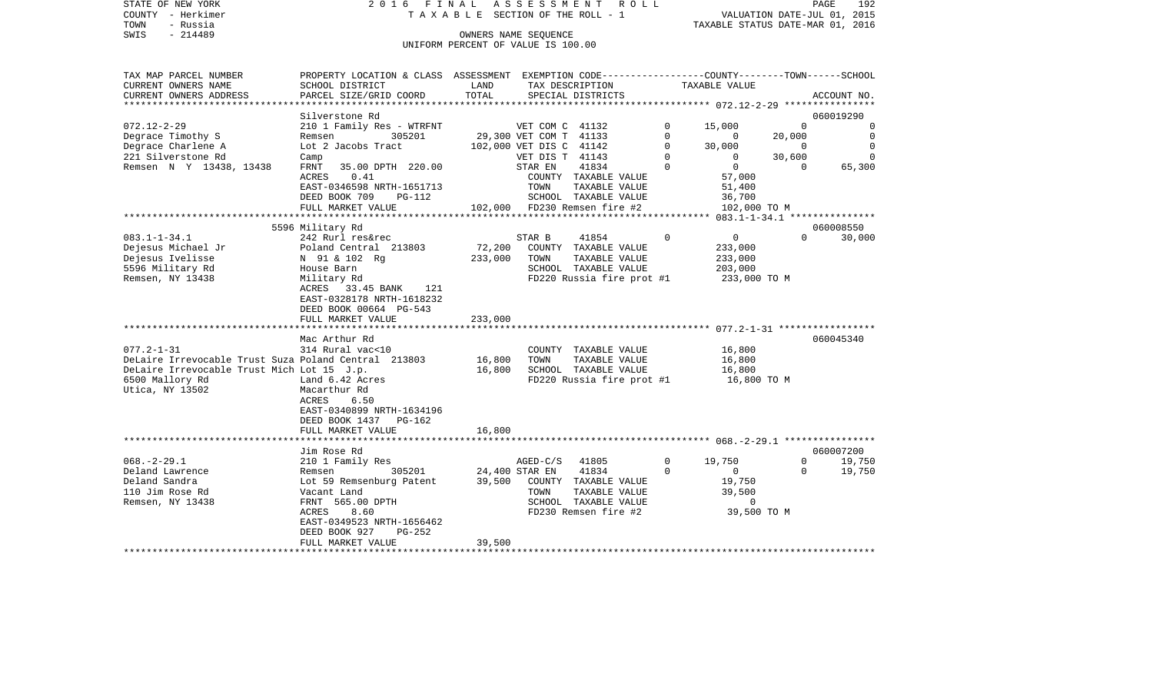| STATE OF NEW YORK      |                           |            | 2016 FINAL ASSESSMENT ROLL         | 192<br>PAGE                                                  |
|------------------------|---------------------------|------------|------------------------------------|--------------------------------------------------------------|
| - Herkimer<br>COUNTY   |                           |            | TAXABLE SECTION OF THE ROLL - 1    | 2015<br>VALUATION DATE-JUL 01,                               |
| - Russia<br>TOWN       |                           |            |                                    | TAXABLE STATUS DATE-MAR 01, 2016                             |
| SWIS<br>$-214489$      |                           |            | OWNERS NAME SEOUENCE               |                                                              |
|                        |                           |            | UNIFORM PERCENT OF VALUE IS 100.00 |                                                              |
|                        |                           |            |                                    |                                                              |
|                        |                           |            |                                    |                                                              |
| TAX MAP PARCEL NUMBER  | PROPERTY LOCATION & CLASS | ASSESSMENT |                                    | EXEMPTION CODE-----------------COUNTY-------TOWN------SCHOOL |
| CURRENT OWNERS NAME    | SCHOOL DISTRICT           | LAND       | TAX DESCRIPTION                    | TAXABLE VALUE                                                |
| CURRENT OWNERS ADDRESS | PARCEL SIZE/GRID COORD    | TOTAL      | SPECIAL DISTRICTS                  | ACCOUNT NO.                                                  |
|                        |                           |            |                                    |                                                              |

| Silverstone Rd<br>060019290<br>$072.12 - 2 - 29$<br>210 1 Family Res - WTRFNT<br>VET COM C 41132<br>$\Omega$<br>$\Omega$<br>15,000<br>$\mathbf 0$<br>Degrace Timothy S<br>305201<br>29,300 VET COM T 41133<br>20,000<br>$\overline{0}$<br>Remsen<br>$\Omega$<br>$\Omega$<br>Degrace Charlene A<br>Lot 2 Jacobs Tract<br>$\Omega$<br>30,000<br>$\mathbf 0$<br>102,000 VET DIS C<br>41142<br>$\overline{0}$<br>221 Silverstone Rd<br>$\Omega$<br>30,600<br>$\Omega$<br>VET DIS T 41143<br>Camp<br>0<br>Remsen N Y 13438, 13438<br>35.00 DPTH 220.00<br>STAR EN<br>41834<br>$\Omega$<br>$\mathbf{0}$<br>65,300<br>FRNT<br>$\Omega$<br>ACRES<br>0.41<br>COUNTY TAXABLE VALUE<br>57,000<br>EAST-0346598 NRTH-1651713<br>TAXABLE VALUE<br>TOWN<br>51,400<br>SCHOOL TAXABLE VALUE<br>DEED BOOK 709<br>36,700<br>PG-112 |
|-----------------------------------------------------------------------------------------------------------------------------------------------------------------------------------------------------------------------------------------------------------------------------------------------------------------------------------------------------------------------------------------------------------------------------------------------------------------------------------------------------------------------------------------------------------------------------------------------------------------------------------------------------------------------------------------------------------------------------------------------------------------------------------------------------------------|
|                                                                                                                                                                                                                                                                                                                                                                                                                                                                                                                                                                                                                                                                                                                                                                                                                 |
|                                                                                                                                                                                                                                                                                                                                                                                                                                                                                                                                                                                                                                                                                                                                                                                                                 |
|                                                                                                                                                                                                                                                                                                                                                                                                                                                                                                                                                                                                                                                                                                                                                                                                                 |
|                                                                                                                                                                                                                                                                                                                                                                                                                                                                                                                                                                                                                                                                                                                                                                                                                 |
|                                                                                                                                                                                                                                                                                                                                                                                                                                                                                                                                                                                                                                                                                                                                                                                                                 |
|                                                                                                                                                                                                                                                                                                                                                                                                                                                                                                                                                                                                                                                                                                                                                                                                                 |
|                                                                                                                                                                                                                                                                                                                                                                                                                                                                                                                                                                                                                                                                                                                                                                                                                 |
|                                                                                                                                                                                                                                                                                                                                                                                                                                                                                                                                                                                                                                                                                                                                                                                                                 |
| FULL MARKET VALUE<br>102,000 FD230 Remsen fire #2<br>102,000 TO M                                                                                                                                                                                                                                                                                                                                                                                                                                                                                                                                                                                                                                                                                                                                               |
| *******************<br>$083.1 - 1 - 34.1$ ****************                                                                                                                                                                                                                                                                                                                                                                                                                                                                                                                                                                                                                                                                                                                                                      |
| 5596 Military Rd<br>060008550                                                                                                                                                                                                                                                                                                                                                                                                                                                                                                                                                                                                                                                                                                                                                                                   |
| $\mathbf 0$<br>$\mathbf{0}$<br>$\Omega$<br>$083.1 - 1 - 34.1$<br>STAR B<br>41854<br>30,000<br>242 Rurl res&rec                                                                                                                                                                                                                                                                                                                                                                                                                                                                                                                                                                                                                                                                                                  |
| Dejesus Michael Jr<br>72,200<br>Poland Central 213803<br>COUNTY TAXABLE VALUE<br>233,000                                                                                                                                                                                                                                                                                                                                                                                                                                                                                                                                                                                                                                                                                                                        |
| Dejesus Ivelisse<br>N 91 & 102 Rq<br>233,000<br>TOWN<br>TAXABLE VALUE<br>233,000                                                                                                                                                                                                                                                                                                                                                                                                                                                                                                                                                                                                                                                                                                                                |
| 5596 Military Rd<br>SCHOOL TAXABLE VALUE<br>House Barn<br>203,000                                                                                                                                                                                                                                                                                                                                                                                                                                                                                                                                                                                                                                                                                                                                               |
| Remsen, NY 13438<br>FD220 Russia fire prot #1<br>Military Rd<br>233,000 TO M                                                                                                                                                                                                                                                                                                                                                                                                                                                                                                                                                                                                                                                                                                                                    |
| 33.45 BANK<br>ACRES<br>121                                                                                                                                                                                                                                                                                                                                                                                                                                                                                                                                                                                                                                                                                                                                                                                      |
| EAST-0328178 NRTH-1618232                                                                                                                                                                                                                                                                                                                                                                                                                                                                                                                                                                                                                                                                                                                                                                                       |
| DEED BOOK 00664 PG-543                                                                                                                                                                                                                                                                                                                                                                                                                                                                                                                                                                                                                                                                                                                                                                                          |
| 233,000<br>FULL MARKET VALUE                                                                                                                                                                                                                                                                                                                                                                                                                                                                                                                                                                                                                                                                                                                                                                                    |
|                                                                                                                                                                                                                                                                                                                                                                                                                                                                                                                                                                                                                                                                                                                                                                                                                 |
| 060045340<br>Mac Arthur Rd                                                                                                                                                                                                                                                                                                                                                                                                                                                                                                                                                                                                                                                                                                                                                                                      |
| $077.2 - 1 - 31$<br>314 Rural vac<10<br>16,800<br>COUNTY TAXABLE VALUE                                                                                                                                                                                                                                                                                                                                                                                                                                                                                                                                                                                                                                                                                                                                          |
| DeLaire Irrevocable Trust Suza Poland Central 213803<br>16,800<br>TOWN<br>TAXABLE VALUE<br>16,800                                                                                                                                                                                                                                                                                                                                                                                                                                                                                                                                                                                                                                                                                                               |
| DeLaire Irrevocable Trust Mich Lot 15 J.p.<br>16,800<br>SCHOOL TAXABLE VALUE<br>16,800                                                                                                                                                                                                                                                                                                                                                                                                                                                                                                                                                                                                                                                                                                                          |
| 6500 Mallory Rd<br>Land 6.42 Acres<br>FD220 Russia fire prot #1<br>16,800 TO M                                                                                                                                                                                                                                                                                                                                                                                                                                                                                                                                                                                                                                                                                                                                  |
| Utica, NY 13502<br>Macarthur Rd                                                                                                                                                                                                                                                                                                                                                                                                                                                                                                                                                                                                                                                                                                                                                                                 |
| ACRES<br>6.50                                                                                                                                                                                                                                                                                                                                                                                                                                                                                                                                                                                                                                                                                                                                                                                                   |
| EAST-0340899 NRTH-1634196                                                                                                                                                                                                                                                                                                                                                                                                                                                                                                                                                                                                                                                                                                                                                                                       |
| DEED BOOK 1437<br><b>PG-162</b>                                                                                                                                                                                                                                                                                                                                                                                                                                                                                                                                                                                                                                                                                                                                                                                 |
| 16,800<br>FULL MARKET VALUE                                                                                                                                                                                                                                                                                                                                                                                                                                                                                                                                                                                                                                                                                                                                                                                     |
| $068. -2 - 29.1$ *********                                                                                                                                                                                                                                                                                                                                                                                                                                                                                                                                                                                                                                                                                                                                                                                      |
| 060007200<br>Jim Rose Rd                                                                                                                                                                                                                                                                                                                                                                                                                                                                                                                                                                                                                                                                                                                                                                                        |
| $068. - 2 - 29.1$<br>41805<br>$\mathbf 0$<br>19,750<br>19,750<br>210 1 Family Res<br>$AGED-C/S$<br>$\mathbf{0}$                                                                                                                                                                                                                                                                                                                                                                                                                                                                                                                                                                                                                                                                                                 |
| Deland Lawrence<br>24,400 STAR EN<br>41834<br>$\Omega$<br>$\Omega$<br>19,750<br>305201<br>$\Omega$<br>Remsen                                                                                                                                                                                                                                                                                                                                                                                                                                                                                                                                                                                                                                                                                                    |
| Deland Sandra<br>Lot 59 Remsenburg Patent<br>39,500<br>COUNTY TAXABLE VALUE<br>19,750                                                                                                                                                                                                                                                                                                                                                                                                                                                                                                                                                                                                                                                                                                                           |
| 110 Jim Rose Rd<br>Vacant Land<br>TOWN<br>TAXABLE VALUE<br>39,500                                                                                                                                                                                                                                                                                                                                                                                                                                                                                                                                                                                                                                                                                                                                               |
| Remsen, NY 13438<br>FRNT 565.00 DPTH<br>SCHOOL TAXABLE VALUE<br>$\mathbf 0$                                                                                                                                                                                                                                                                                                                                                                                                                                                                                                                                                                                                                                                                                                                                     |
| 8.60<br>FD230 Remsen fire #2<br>39,500 TO M<br>ACRES                                                                                                                                                                                                                                                                                                                                                                                                                                                                                                                                                                                                                                                                                                                                                            |
| EAST-0349523 NRTH-1656462                                                                                                                                                                                                                                                                                                                                                                                                                                                                                                                                                                                                                                                                                                                                                                                       |
| DEED BOOK 927<br>$PG-252$                                                                                                                                                                                                                                                                                                                                                                                                                                                                                                                                                                                                                                                                                                                                                                                       |
| 39,500<br>FULL MARKET VALUE                                                                                                                                                                                                                                                                                                                                                                                                                                                                                                                                                                                                                                                                                                                                                                                     |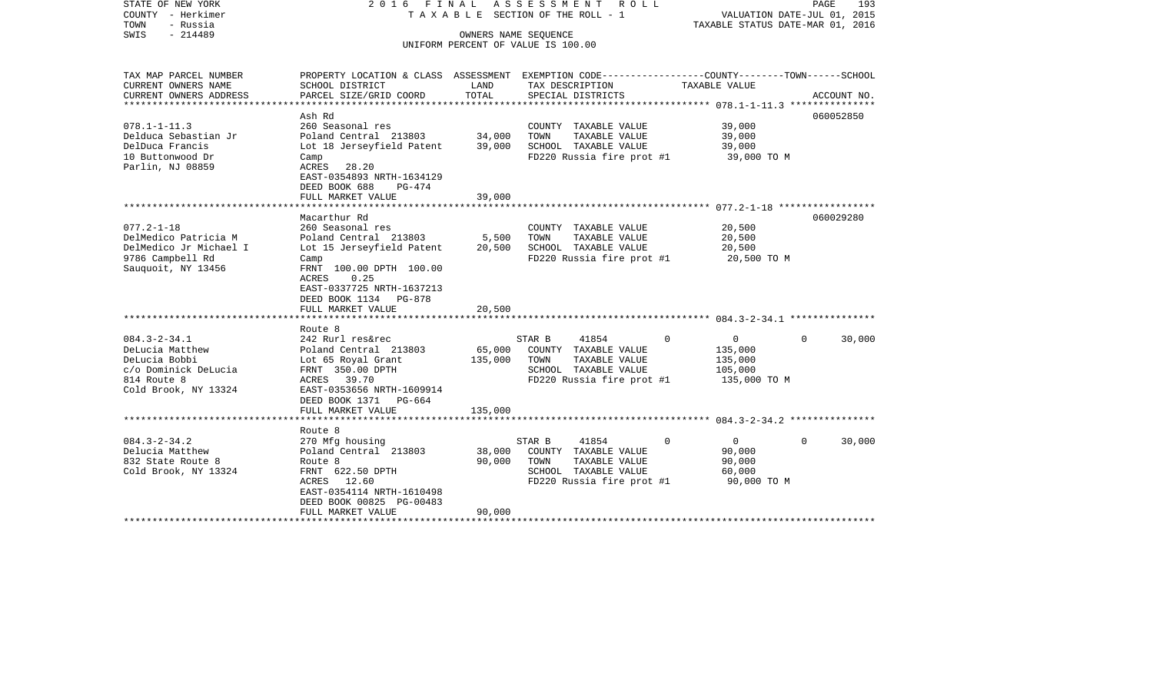| STATE OF NEW YORK<br>COUNTY - Herkimer<br>TOWN<br>- Russia<br>$-214489$<br>SWIS                                       | FINAL<br>2016                                                                                                                                                                                                         | OWNERS NAME SEQUENCE       | ASSESSMENT<br>R O L L<br>T A X A B L E SECTION OF THE ROLL - 1                                                                           | VALUATION DATE-JUL 01, 2015<br>TAXABLE STATUS DATE-MAR 01, 2016 | PAGE<br>193        |
|-----------------------------------------------------------------------------------------------------------------------|-----------------------------------------------------------------------------------------------------------------------------------------------------------------------------------------------------------------------|----------------------------|------------------------------------------------------------------------------------------------------------------------------------------|-----------------------------------------------------------------|--------------------|
|                                                                                                                       |                                                                                                                                                                                                                       |                            | UNIFORM PERCENT OF VALUE IS 100.00                                                                                                       |                                                                 |                    |
| TAX MAP PARCEL NUMBER<br>CURRENT OWNERS NAME<br>CURRENT OWNERS ADDRESS<br>********************                        | SCHOOL DISTRICT<br>PARCEL SIZE/GRID COORD                                                                                                                                                                             | LAND<br>TOTAL              | PROPERTY LOCATION & CLASS ASSESSMENT EXEMPTION CODE----------------COUNTY-------TOWN------SCHOOL<br>TAX DESCRIPTION<br>SPECIAL DISTRICTS | TAXABLE VALUE                                                   | ACCOUNT NO.        |
| $078.1 - 1 - 11.3$<br>Delduca Sebastian Jr<br>DelDuca Francis<br>10 Buttonwood Dr<br>Parlin, NJ 08859                 | Ash Rd<br>260 Seasonal res<br>Poland Central 213803<br>Lot 18 Jerseyfield Patent<br>Camp<br>ACRES<br>28.20<br>EAST-0354893 NRTH-1634129<br>DEED BOOK 688<br>PG-474                                                    | 34,000<br>39,000           | COUNTY TAXABLE VALUE<br>TAXABLE VALUE<br>TOWN<br>SCHOOL TAXABLE VALUE<br>FD220 Russia fire prot #1                                       | 39,000<br>39,000<br>39,000<br>39,000 TO M                       | 060052850          |
|                                                                                                                       | FULL MARKET VALUE<br>******************************                                                                                                                                                                   | 39,000                     |                                                                                                                                          |                                                                 |                    |
| $077.2 - 1 - 18$<br>DelMedico Patricia M<br>DelMedico Jr Michael I<br>9786 Campbell Rd<br>Sauquoit, NY 13456          | Macarthur Rd<br>260 Seasonal res<br>Poland Central 213803<br>Lot 15 Jerseyfield Patent<br>Camp<br>FRNT 100.00 DPTH 100.00<br>ACRES<br>0.25<br>EAST-0337725 NRTH-1637213<br>DEED BOOK 1134 PG-878<br>FULL MARKET VALUE | 5,500<br>20,500<br>20,500  | COUNTY TAXABLE VALUE<br>TAXABLE VALUE<br>TOWN<br>SCHOOL TAXABLE VALUE<br>FD220 Russia fire prot #1                                       | 20,500<br>20,500<br>20,500<br>20,500 TO M                       | 060029280          |
|                                                                                                                       | Route 8                                                                                                                                                                                                               |                            |                                                                                                                                          |                                                                 |                    |
| $084.3 - 2 - 34.1$<br>DeLucia Matthew<br>DeLucia Bobbi<br>c/o Dominick DeLucia<br>814 Route 8<br>Cold Brook, NY 13324 | 242 Rurl res&rec<br>Poland Central 213803<br>Lot 65 Royal Grant<br>FRNT 350.00 DPTH<br><b>ACRES</b><br>39.70<br>EAST-0353656 NRTH-1609914<br>DEED BOOK 1371<br>PG-664                                                 | 65,000<br>135,000          | 41854<br>$\mathbf 0$<br>STAR B<br>COUNTY TAXABLE VALUE<br>TAXABLE VALUE<br>TOWN<br>SCHOOL TAXABLE VALUE<br>FD220 Russia fire prot #1     | 0<br>135,000<br>135,000<br>105,000<br>135,000 TO M              | 30,000<br>$\Omega$ |
|                                                                                                                       | FULL MARKET VALUE                                                                                                                                                                                                     | 135,000                    |                                                                                                                                          |                                                                 |                    |
|                                                                                                                       |                                                                                                                                                                                                                       |                            |                                                                                                                                          |                                                                 |                    |
| $084.3 - 2 - 34.2$<br>Delucia Matthew<br>832 State Route 8<br>Cold Brook, NY 13324                                    | Route 8<br>270 Mfg housing<br>Poland Central 213803<br>Route 8<br>FRNT 622.50 DPTH<br>ACRES<br>12.60<br>EAST-0354114 NRTH-1610498<br>DEED BOOK 00825 PG-00483<br>FULL MARKET VALUE                                    | 38,000<br>90,000<br>90,000 | STAR B<br>41854<br>0<br>COUNTY TAXABLE VALUE<br>TOWN<br>TAXABLE VALUE<br>SCHOOL TAXABLE VALUE<br>FD220 Russia fire prot #1               | $\overline{0}$<br>90,000<br>90,000<br>60,000<br>90,000 TO M     | $\Omega$<br>30,000 |
| ********************                                                                                                  |                                                                                                                                                                                                                       |                            |                                                                                                                                          |                                                                 |                    |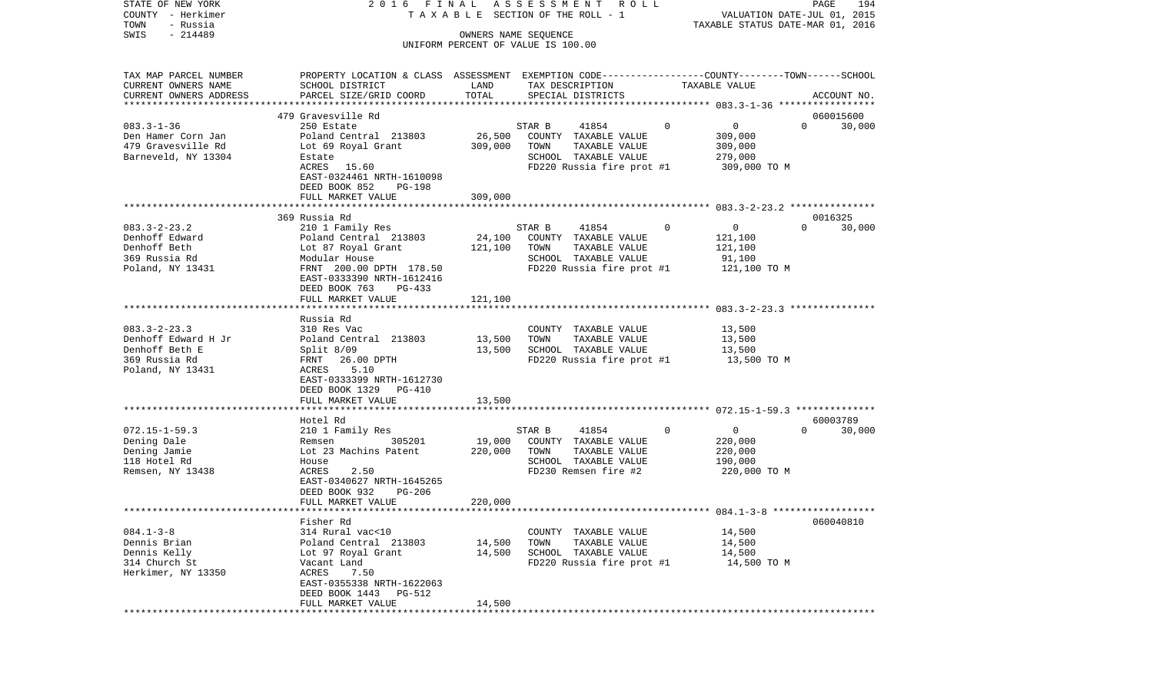| STATE OF NEW YORK<br>COUNTY - Herkimer<br>TOWN<br>- Russia | 2016 FINAL                                                                                      |         | ASSESSMENT ROLL<br>TAXABLE SECTION OF THE ROLL - 1         |                                | PAGE<br>194<br>VALUATION DATE-JUL 01, 2015<br>TAXABLE STATUS DATE-MAR 01, 2016 |
|------------------------------------------------------------|-------------------------------------------------------------------------------------------------|---------|------------------------------------------------------------|--------------------------------|--------------------------------------------------------------------------------|
| $-214489$<br>SWIS                                          |                                                                                                 |         | OWNERS NAME SEQUENCE<br>UNIFORM PERCENT OF VALUE IS 100.00 |                                |                                                                                |
|                                                            |                                                                                                 |         |                                                            |                                |                                                                                |
| TAX MAP PARCEL NUMBER                                      | PROPERTY LOCATION & CLASS ASSESSMENT EXEMPTION CODE----------------COUNTY-------TOWN-----SCHOOL |         |                                                            |                                |                                                                                |
| CURRENT OWNERS NAME                                        | SCHOOL DISTRICT                                                                                 | LAND    | TAX DESCRIPTION                                            | TAXABLE VALUE                  |                                                                                |
| CURRENT OWNERS ADDRESS<br>**********************           | PARCEL SIZE/GRID COORD                                                                          | TOTAL   | SPECIAL DISTRICTS                                          |                                | ACCOUNT NO.                                                                    |
|                                                            | 479 Gravesville Rd                                                                              |         |                                                            |                                | 060015600                                                                      |
| $083.3 - 1 - 36$                                           | 250 Estate                                                                                      |         | STAR B<br>41854                                            | $\mathbf 0$<br>0               | $\Omega$<br>30,000                                                             |
| Den Hamer Corn Jan                                         | Poland Central 213803                                                                           | 26,500  | COUNTY TAXABLE VALUE                                       | 309,000                        |                                                                                |
| 479 Gravesville Rd                                         | Lot 69 Royal Grant                                                                              | 309,000 | TOWN<br>TAXABLE VALUE                                      | 309,000                        |                                                                                |
| Barneveld, NY 13304                                        | Estate                                                                                          |         | SCHOOL TAXABLE VALUE                                       | 279,000                        |                                                                                |
|                                                            | ACRES 15.60                                                                                     |         | FD220 Russia fire prot #1                                  | 309,000 TO M                   |                                                                                |
|                                                            | EAST-0324461 NRTH-1610098                                                                       |         |                                                            |                                |                                                                                |
|                                                            | DEED BOOK 852<br>PG-198                                                                         |         |                                                            |                                |                                                                                |
|                                                            | FULL MARKET VALUE                                                                               | 309,000 |                                                            |                                |                                                                                |
|                                                            |                                                                                                 |         |                                                            |                                |                                                                                |
| $083.3 - 2 - 23.2$                                         | 369 Russia Rd<br>210 1 Family Res                                                               |         | STAR B<br>41854                                            | 0<br>$\overline{0}$            | 0016325<br>$\Omega$<br>30,000                                                  |
| Denhoff Edward                                             | Poland Central 213803                                                                           | 24,100  | COUNTY TAXABLE VALUE                                       | 121,100                        |                                                                                |
| Denhoff Beth                                               | Lot 87 Royal Grant                                                                              | 121,100 | TAXABLE VALUE<br>TOWN                                      | 121,100                        |                                                                                |
| 369 Russia Rd                                              | Modular House                                                                                   |         | SCHOOL TAXABLE VALUE                                       | 91,100                         |                                                                                |
| Poland, NY 13431                                           | FRNT 200.00 DPTH 178.50                                                                         |         | FD220 Russia fire prot #1                                  | 121,100 TO M                   |                                                                                |
|                                                            | EAST-0333390 NRTH-1612416                                                                       |         |                                                            |                                |                                                                                |
|                                                            | DEED BOOK 763<br>PG-433                                                                         |         |                                                            |                                |                                                                                |
|                                                            | FULL MARKET VALUE                                                                               | 121,100 |                                                            |                                |                                                                                |
|                                                            |                                                                                                 |         |                                                            |                                |                                                                                |
|                                                            | Russia Rd                                                                                       |         |                                                            |                                |                                                                                |
| $083.3 - 2 - 23.3$                                         | 310 Res Vac                                                                                     |         | COUNTY TAXABLE VALUE                                       | 13,500                         |                                                                                |
| Denhoff Edward H Jr                                        | Poland Central 213803                                                                           | 13,500  | TOWN<br>TAXABLE VALUE                                      | 13,500                         |                                                                                |
| Denhoff Beth E                                             | Split $8/09$                                                                                    | 13,500  | SCHOOL TAXABLE VALUE                                       | 13,500                         |                                                                                |
| 369 Russia Rd<br>Poland, NY 13431                          | FRNT 26.00 DPTH<br>5.10<br>ACRES                                                                |         | FD220 Russia fire prot #1                                  | 13,500 TO M                    |                                                                                |
|                                                            | EAST-0333399 NRTH-1612730                                                                       |         |                                                            |                                |                                                                                |
|                                                            | DEED BOOK 1329 PG-410                                                                           |         |                                                            |                                |                                                                                |
|                                                            | FULL MARKET VALUE                                                                               | 13,500  |                                                            |                                |                                                                                |
|                                                            |                                                                                                 |         |                                                            |                                |                                                                                |
|                                                            | Hotel Rd                                                                                        |         |                                                            |                                | 60003789                                                                       |
| $072.15 - 1 - 59.3$                                        | 210 1 Family Res                                                                                |         | STAR B<br>41854                                            | $\mathbf{0}$<br>$\overline{0}$ | $\Omega$<br>30,000                                                             |
| Dening Dale                                                | 305201<br>Remsen                                                                                | 19,000  | COUNTY TAXABLE VALUE                                       | 220,000                        |                                                                                |
| Dening Jamie                                               | Lot 23 Machins Patent                                                                           | 220,000 | TOWN<br>TAXABLE VALUE                                      | 220,000                        |                                                                                |
| 118 Hotel Rd                                               | House                                                                                           |         | SCHOOL TAXABLE VALUE                                       | 190,000                        |                                                                                |
| Remsen, NY 13438                                           | 2.50<br>ACRES                                                                                   |         | FD230 Remsen fire #2                                       | 220,000 TO M                   |                                                                                |
|                                                            | EAST-0340627 NRTH-1645265                                                                       |         |                                                            |                                |                                                                                |
|                                                            | DEED BOOK 932<br><b>PG-206</b><br>FULL MARKET VALUE                                             | 220,000 |                                                            |                                |                                                                                |
|                                                            |                                                                                                 |         |                                                            |                                |                                                                                |
|                                                            | Fisher Rd                                                                                       |         |                                                            |                                | 060040810                                                                      |
| $084.1 - 3 - 8$                                            | 314 Rural vac<10                                                                                |         | COUNTY TAXABLE VALUE                                       | 14,500                         |                                                                                |
| Dennis Brian                                               | Poland Central 213803                                                                           | 14,500  | TOWN<br>TAXABLE VALUE                                      | 14,500                         |                                                                                |
| Dennis Kelly                                               | Lot 97 Royal Grant                                                                              | 14,500  | SCHOOL TAXABLE VALUE                                       | 14,500                         |                                                                                |
| 314 Church St                                              | Vacant Land                                                                                     |         | FD220 Russia fire prot #1                                  | 14,500 TO M                    |                                                                                |
| Herkimer, NY 13350                                         | ACRES<br>7.50                                                                                   |         |                                                            |                                |                                                                                |
|                                                            | EAST-0355338 NRTH-1622063                                                                       |         |                                                            |                                |                                                                                |
|                                                            | DEED BOOK 1443<br>PG-512                                                                        |         |                                                            |                                |                                                                                |
|                                                            | FULL MARKET VALUE                                                                               | 14,500  |                                                            |                                |                                                                                |
|                                                            |                                                                                                 |         |                                                            |                                |                                                                                |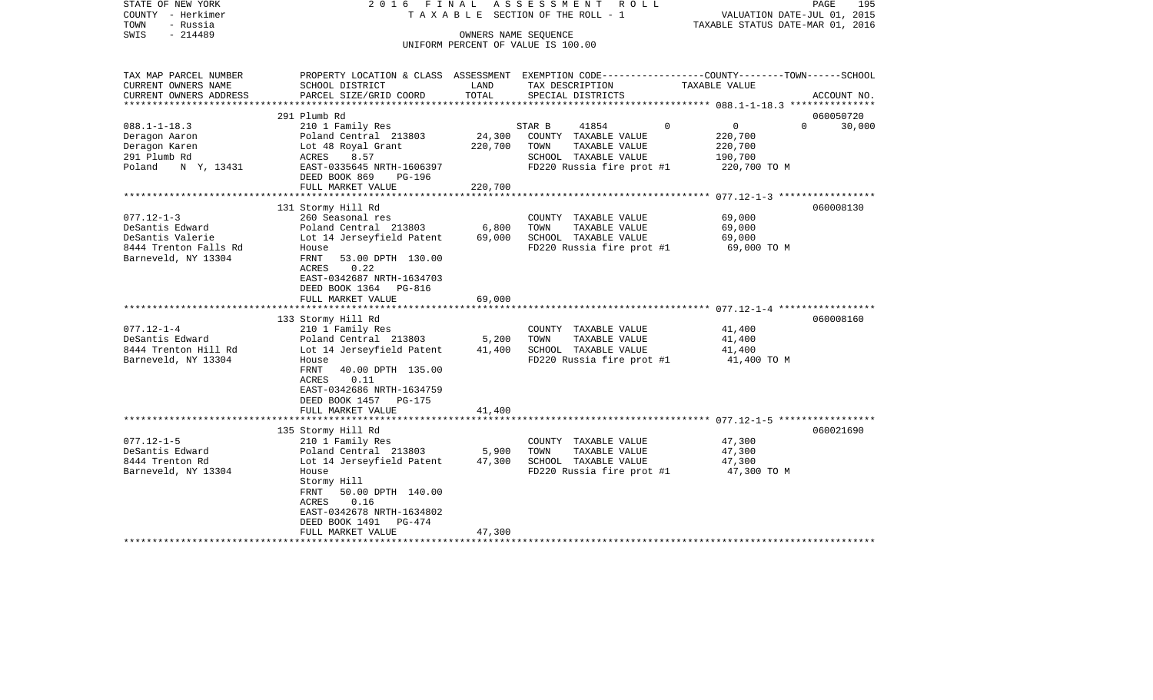| STATE OF NEW YORK<br>COUNTY - Herkimer | 2016 FINAL                                                                                       |                 | ASSESSMENT ROLL<br>T A X A B L E SECTION OF THE ROLL - 1 |                               | PAGE<br>195<br>VALUATION DATE-JUL 01, 2015 |
|----------------------------------------|--------------------------------------------------------------------------------------------------|-----------------|----------------------------------------------------------|-------------------------------|--------------------------------------------|
| TOWN<br>- Russia                       |                                                                                                  |                 |                                                          |                               | TAXABLE STATUS DATE-MAR 01, 2016           |
| $-214489$<br>SWIS                      |                                                                                                  |                 | OWNERS NAME SEQUENCE                                     |                               |                                            |
|                                        |                                                                                                  |                 | UNIFORM PERCENT OF VALUE IS 100.00                       |                               |                                            |
|                                        |                                                                                                  |                 |                                                          |                               |                                            |
| TAX MAP PARCEL NUMBER                  | PROPERTY LOCATION & CLASS ASSESSMENT EXEMPTION CODE----------------COUNTY-------TOWN------SCHOOL |                 |                                                          |                               |                                            |
| CURRENT OWNERS NAME                    | SCHOOL DISTRICT                                                                                  | LAND            | TAX DESCRIPTION                                          | TAXABLE VALUE                 |                                            |
| CURRENT OWNERS ADDRESS                 | PARCEL SIZE/GRID COORD                                                                           | TOTAL           | SPECIAL DISTRICTS                                        |                               | ACCOUNT NO.                                |
| ***********************                |                                                                                                  |                 |                                                          |                               |                                            |
|                                        | 291 Plumb Rd                                                                                     |                 |                                                          |                               | 060050720                                  |
| $088.1 - 1 - 18.3$                     | 210 1 Family Res                                                                                 |                 | STAR B<br>41854                                          | $\Omega$<br>$0 \qquad \qquad$ | $\Omega$<br>30,000                         |
| Deragon Aaron                          | Poland Central 213803                                                                            | 24,300          | COUNTY TAXABLE VALUE                                     | 220,700                       |                                            |
| Deragon Karen                          | Lot 48 Royal Grant                                                                               | 220,700         | TOWN<br>TAXABLE VALUE                                    | 220,700                       |                                            |
| 291 Plumb Rd                           | 8.57<br>ACRES                                                                                    |                 | SCHOOL TAXABLE VALUE                                     | 190,700                       |                                            |
| Poland N Y, 13431                      | EAST-0335645 NRTH-1606397                                                                        |                 | FD220 Russia fire prot #1                                | 220,700 TO M                  |                                            |
|                                        | DEED BOOK 869<br>PG-196                                                                          |                 |                                                          |                               |                                            |
|                                        | FULL MARKET VALUE                                                                                | 220,700         |                                                          |                               |                                            |
|                                        |                                                                                                  |                 |                                                          |                               |                                            |
|                                        | 131 Stormy Hill Rd                                                                               |                 |                                                          |                               | 060008130                                  |
| $077.12 - 1 - 3$                       | 260 Seasonal res                                                                                 |                 | COUNTY TAXABLE VALUE                                     | 69,000                        |                                            |
| DeSantis Edward<br>DeSantis Valerie    | Poland Central 213803                                                                            | 6,800<br>69,000 | TOWN<br>TAXABLE VALUE<br>SCHOOL TAXABLE VALUE            | 69,000<br>69,000              |                                            |
| 8444 Trenton Falls Rd                  | Lot 14 Jerseyfield Patent<br>House                                                               |                 | FD220 Russia fire prot #1                                | 69,000 TO M                   |                                            |
| Barneveld, NY 13304                    | FRNT<br>53.00 DPTH 130.00                                                                        |                 |                                                          |                               |                                            |
|                                        | 0.22<br>ACRES                                                                                    |                 |                                                          |                               |                                            |
|                                        | EAST-0342687 NRTH-1634703                                                                        |                 |                                                          |                               |                                            |
|                                        | DEED BOOK 1364 PG-816                                                                            |                 |                                                          |                               |                                            |
|                                        | FULL MARKET VALUE                                                                                | 69,000          |                                                          |                               |                                            |
|                                        |                                                                                                  |                 |                                                          |                               |                                            |
|                                        | 133 Stormy Hill Rd                                                                               |                 |                                                          |                               | 060008160                                  |
| $077.12 - 1 - 4$                       | 210 1 Family Res                                                                                 |                 | COUNTY TAXABLE VALUE                                     | 41,400                        |                                            |
| DeSantis Edward                        | Poland Central 213803                                                                            | 5,200           | TOWN<br>TAXABLE VALUE                                    | 41,400                        |                                            |
| 8444 Trenton Hill Rd                   | Lot 14 Jerseyfield Patent                                                                        | 41,400          | SCHOOL TAXABLE VALUE                                     | 41,400                        |                                            |
| Barneveld, NY 13304                    | House                                                                                            |                 | FD220 Russia fire prot #1                                | 41,400 TO M                   |                                            |
|                                        | FRNT<br>40.00 DPTH 135.00                                                                        |                 |                                                          |                               |                                            |
|                                        | ACRES<br>0.11                                                                                    |                 |                                                          |                               |                                            |
|                                        | EAST-0342686 NRTH-1634759<br>DEED BOOK 1457<br><b>PG-175</b>                                     |                 |                                                          |                               |                                            |
|                                        | FULL MARKET VALUE                                                                                | 41,400          |                                                          |                               |                                            |
|                                        |                                                                                                  |                 |                                                          |                               |                                            |
|                                        | 135 Stormy Hill Rd                                                                               |                 |                                                          |                               | 060021690                                  |
| $077.12 - 1 - 5$                       | 210 1 Family Res                                                                                 |                 | COUNTY TAXABLE VALUE                                     | 47,300                        |                                            |
| DeSantis Edward                        | Poland Central 213803                                                                            | 5,900           | TOWN<br>TAXABLE VALUE                                    | 47,300                        |                                            |
| 8444 Trenton Rd                        | Lot 14 Jerseyfield Patent                                                                        | 47,300          | SCHOOL TAXABLE VALUE                                     | 47,300                        |                                            |
| Barneveld, NY 13304                    | House                                                                                            |                 | FD220 Russia fire prot #1                                | 47,300 TO M                   |                                            |
|                                        | Stormy Hill                                                                                      |                 |                                                          |                               |                                            |
|                                        | 50.00 DPTH 140.00<br>FRNT                                                                        |                 |                                                          |                               |                                            |
|                                        | ACRES<br>0.16                                                                                    |                 |                                                          |                               |                                            |
|                                        | EAST-0342678 NRTH-1634802                                                                        |                 |                                                          |                               |                                            |
|                                        | DEED BOOK 1491<br>PG-474                                                                         |                 |                                                          |                               |                                            |
|                                        | FULL MARKET VALUE                                                                                | 47,300          |                                                          |                               |                                            |
|                                        |                                                                                                  |                 |                                                          |                               |                                            |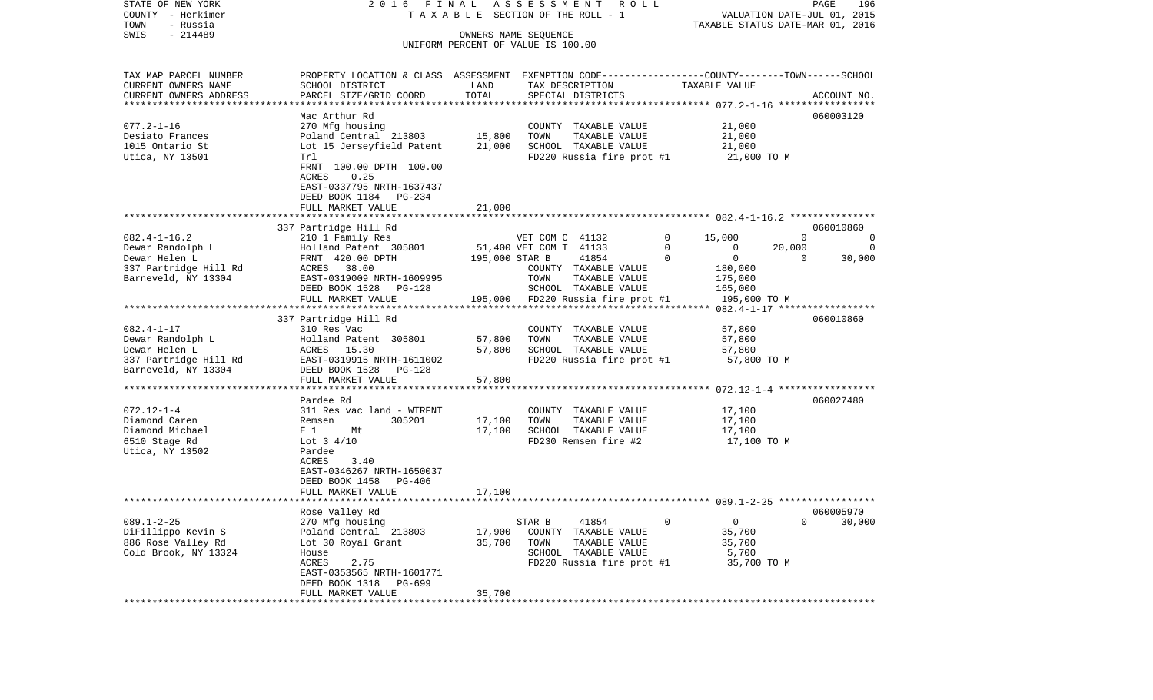COUNTY - Herkimer **T A X A B L E SECTION OF THE ROLL - 1** VALUATION DATE-JUL 01, 2015 TOWN - Russia TAXABLE STATUS DATE-MAR 01, 2016 SWIS - 214489 OWNERS NAME SEQUENCE UNIFORM PERCENT OF VALUE IS 100.00TAX MAP PARCEL NUMBER PROPERTY LOCATION & CLASS ASSESSMENT EXEMPTION CODE------------------COUNTY--------TOWN------SCHOOL CURRENT OWNERS NAME SCHOOL DISTRICT LAND TAX DESCRIPTION TAXABLE VALUECURRENT OWNERS ADDRESS PARCEL SIZE/GRID COORD TOTAL SPECIAL DISTRICTS ACCOUNT NO. \*\*\*\*\*\*\*\*\*\*\*\*\*\*\*\*\*\*\*\*\*\*\*\*\*\*\*\*\*\*\*\*\*\*\*\*\*\*\*\*\*\*\*\*\*\*\*\*\*\*\*\*\*\*\*\*\*\*\*\*\*\*\*\*\*\*\*\*\*\*\*\*\*\*\*\*\*\*\*\*\*\*\*\*\*\*\*\*\*\*\*\*\*\*\*\*\*\*\*\*\*\*\* 077.2-1-16 \*\*\*\*\*\*\*\*\*\*\*\*\*\*\*\*\*Mac Arthur Rd 060003120 077.2-1-16 270 Mfg housing COUNTY TAXABLE VALUE 21,000 Desiato Frances 6 1,000 Poland Central 213803 15,800 TOWN TAXABLE VALUE 21,000 1015 Ontario St Lot 15 Jerseyfield Patent 21,000 SCHOOL TAXABLE VALUE 21,000 Utica, NY 13501 Trl True Treater and Treater Control FD220 Russia fire prot #1 21,000 TO M FRNT 100.00 DPTH 100.00 ACRES 0.25 EAST-0337795 NRTH-1637437 DEED BOOK 1184 PG-234 FULL MARKET VALUE 21,000 \*\*\*\*\*\*\*\*\*\*\*\*\*\*\*\*\*\*\*\*\*\*\*\*\*\*\*\*\*\*\*\*\*\*\*\*\*\*\*\*\*\*\*\*\*\*\*\*\*\*\*\*\*\*\*\*\*\*\*\*\*\*\*\*\*\*\*\*\*\*\*\*\*\*\*\*\*\*\*\*\*\*\*\*\*\*\*\*\*\*\*\*\*\*\*\*\*\*\*\*\*\*\* 082.4-1-16.2 \*\*\*\*\*\*\*\*\*\*\*\*\*\*\* 337 Partridge Hill Rd 060010860 082.4-1-16.2 210 1 Family Res VET COM C 41132 0 15,000 0 0 Dewar Randolph L Holland Patent 305801 51,400 VET COM T 41133 0 0 20,000 0 Dewar Helen L FRNT 420.00 DPTH 195,000 STAR B 41854 0 0 0 30,000 337 Partridge Hill Rd  $ACRES$  38.00  $ACRES$  COUNTY TAXABLE VALUE 180,000 Barneveld, NY 13304 **EAST-0319009 NRTH-1609995** TOWN TAXABLE VALUE 175,000 DEED BOOK 1528 PG-128 SCHOOL TAXABLE VALUE 165,000 FULL MARKET VALUE 195,000 FD220 Russia fire prot #1 195,000 TO M \*\*\*\*\*\*\*\*\*\*\*\*\*\*\*\*\*\*\*\*\*\*\*\*\*\*\*\*\*\*\*\*\*\*\*\*\*\*\*\*\*\*\*\*\*\*\*\*\*\*\*\*\*\*\*\*\*\*\*\*\*\*\*\*\*\*\*\*\*\*\*\*\*\*\*\*\*\*\*\*\*\*\*\*\*\*\*\*\*\*\*\*\*\*\*\*\*\*\*\*\*\*\* 082.4-1-17 \*\*\*\*\*\*\*\*\*\*\*\*\*\*\*\*\* 337 Partridge Hill Rd 060010860 082.4-1-17 310 Res Vac COUNTY TAXABLE VALUE 57,800 Dewar Randolph L Holland Patent 305801 57,800 TOWN TAXABLE VALUE 57,800 Dewar Helen L ACRES 15.30 57,800 SCHOOL TAXABLE VALUE 57,800 337 Partridge Hill Rd EAST-0319915 NRTH-1611002 FD220 Russia fire prot #1 57,800 TO M Barneveld, NY 13304 DEED BOOK 1528 PG-128 FULL MARKET VALUE 57,800 \*\*\*\*\*\*\*\*\*\*\*\*\*\*\*\*\*\*\*\*\*\*\*\*\*\*\*\*\*\*\*\*\*\*\*\*\*\*\*\*\*\*\*\*\*\*\*\*\*\*\*\*\*\*\*\*\*\*\*\*\*\*\*\*\*\*\*\*\*\*\*\*\*\*\*\*\*\*\*\*\*\*\*\*\*\*\*\*\*\*\*\*\*\*\*\*\*\*\*\*\*\*\* 072.12-1-4 \*\*\*\*\*\*\*\*\*\*\*\*\*\*\*\*\* Pardee Rd 060027480072.12-1-4 311 Res vac land - WTRFNT COUNTY TAXABLE VALUE 17,100 Diamond Caren Remsen 305201 17,100 TOWN TAXABLE VALUE 17,100 Diamond Michael  $E 1$  Mt 17,100 SCHOOL TAXABLE VALUE 17,100 6510 Stage Rd Lot 3 4/10 FD230 Remsen fire #2 17,100 TO M Utica, NY 13502 Pardee ACRES 3.40 EAST-0346267 NRTH-1650037 DEED BOOK 1458 PG-406 FULL MARKET VALUE 17,100 \*\*\*\*\*\*\*\*\*\*\*\*\*\*\*\*\*\*\*\*\*\*\*\*\*\*\*\*\*\*\*\*\*\*\*\*\*\*\*\*\*\*\*\*\*\*\*\*\*\*\*\*\*\*\*\*\*\*\*\*\*\*\*\*\*\*\*\*\*\*\*\*\*\*\*\*\*\*\*\*\*\*\*\*\*\*\*\*\*\*\*\*\*\*\*\*\*\*\*\*\*\*\* 089.1-2-25 \*\*\*\*\*\*\*\*\*\*\*\*\*\*\*\*\* Rose Valley Rd 060005970 089.1-2-25 270 Mfg housing STAR B 41854 0 0 0 30,000 DiFillippo Kevin S Poland Central 213803 17,900 COUNTY TAXABLE VALUE 35,700 886 Rose Valley Rd Lot 30 Royal Grant 35,700 TOWN TAXABLE VALUE 35,700 Cold Brook, NY 13324 House House House SCHOOL TAXABLE VALUE 5,700 ACRES 2.75 FD220 Russia fire prot #1 35,700 TO M EAST-0353565 NRTH-1601771 DEED BOOK 1318 PG-699FULL MARKET VALUE 35,700 \*\*\*\*\*\*\*\*\*\*\*\*\*\*\*\*\*\*\*\*\*\*\*\*\*\*\*\*\*\*\*\*\*\*\*\*\*\*\*\*\*\*\*\*\*\*\*\*\*\*\*\*\*\*\*\*\*\*\*\*\*\*\*\*\*\*\*\*\*\*\*\*\*\*\*\*\*\*\*\*\*\*\*\*\*\*\*\*\*\*\*\*\*\*\*\*\*\*\*\*\*\*\*\*\*\*\*\*\*\*\*\*\*\*\*\*\*\*\*\*\*\*\*\*\*\*\*\*\*\*\*\*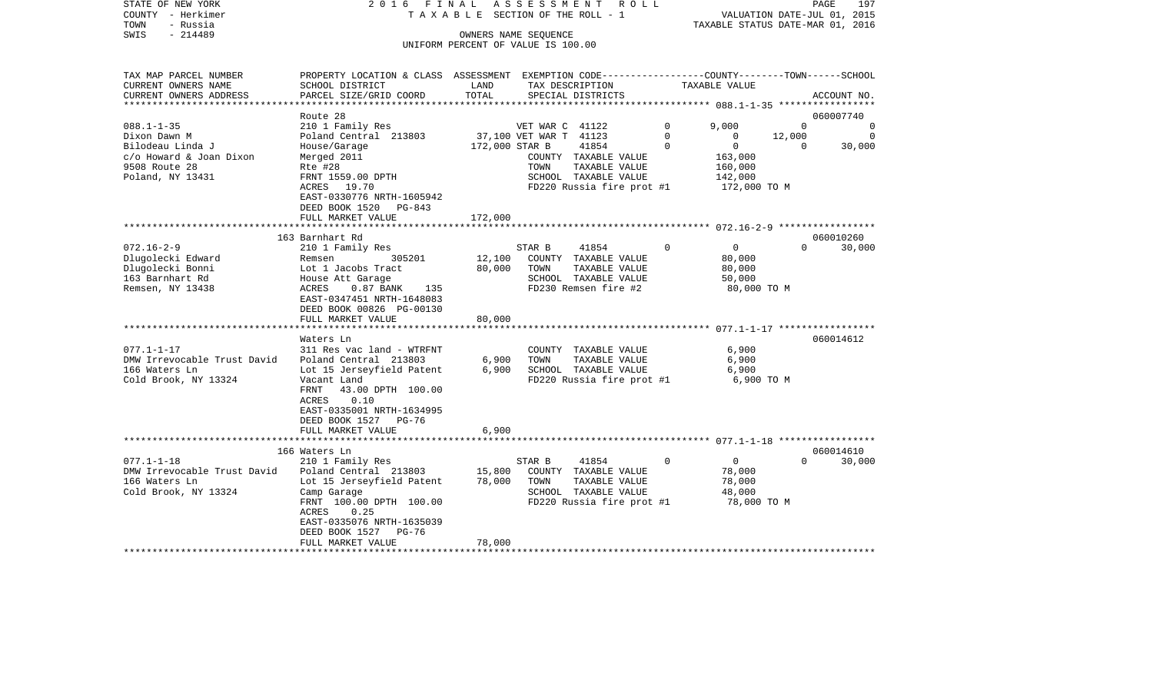| STATE OF NEW YORK<br>COUNTY - Herkimer<br>- Russia<br>TOWN<br>$-214489$<br>SWIS | 2016 FINAL<br>TAXABLE                                                                                                                        |                | ASSESSMENT<br>R O L L<br>SECTION OF THE ROLL - 1<br>OWNERS NAME SEQUENCE<br>UNIFORM PERCENT OF VALUE IS 100.00 |              | VALUATION DATE-JUL 01, 2015<br>TAXABLE STATUS DATE-MAR 01, 2016 |          | PAGE<br>197           |
|---------------------------------------------------------------------------------|----------------------------------------------------------------------------------------------------------------------------------------------|----------------|----------------------------------------------------------------------------------------------------------------|--------------|-----------------------------------------------------------------|----------|-----------------------|
|                                                                                 |                                                                                                                                              |                |                                                                                                                |              |                                                                 |          |                       |
| TAX MAP PARCEL NUMBER<br>CURRENT OWNERS NAME<br>CURRENT OWNERS ADDRESS          | PROPERTY LOCATION & CLASS ASSESSMENT EXEMPTION CODE---------------COUNTY-------TOWN------SCHOOL<br>SCHOOL DISTRICT<br>PARCEL SIZE/GRID COORD | LAND<br>TOTAL  | TAX DESCRIPTION<br>SPECIAL DISTRICTS                                                                           |              | TAXABLE VALUE                                                   |          | ACCOUNT NO.           |
| ***********************                                                         |                                                                                                                                              |                |                                                                                                                |              |                                                                 |          |                       |
| $088.1 - 1 - 35$                                                                | Route 28<br>210 1 Family Res                                                                                                                 |                | VET WAR C 41122                                                                                                | $\mathbf{0}$ | 9,000                                                           | $\Omega$ | 060007740<br>$\Omega$ |
| Dixon Dawn M                                                                    | Poland Central 213803                                                                                                                        |                | 37,100 VET WAR T 41123                                                                                         | $\mathbf{0}$ | $\overline{0}$                                                  | 12,000   | 0                     |
| Bilodeau Linda J                                                                | House/Garage                                                                                                                                 | 172,000 STAR B | 41854                                                                                                          | $\Omega$     | $\overline{0}$                                                  | $\Omega$ | 30,000                |
| c/o Howard & Joan Dixon                                                         | Merged 2011                                                                                                                                  |                | COUNTY TAXABLE VALUE                                                                                           |              | 163,000                                                         |          |                       |
| 9508 Route 28                                                                   | Rte #28                                                                                                                                      |                | TOWN<br>TAXABLE VALUE                                                                                          |              | 160,000                                                         |          |                       |
| Poland, NY 13431                                                                | FRNT 1559.00 DPTH                                                                                                                            |                | SCHOOL TAXABLE VALUE                                                                                           |              | 142,000                                                         |          |                       |
|                                                                                 | ACRES 19.70<br>EAST-0330776 NRTH-1605942                                                                                                     |                | FD220 Russia fire prot #1                                                                                      |              | 172,000 TO M                                                    |          |                       |
|                                                                                 | DEED BOOK 1520 PG-843                                                                                                                        |                |                                                                                                                |              |                                                                 |          |                       |
|                                                                                 | FULL MARKET VALUE                                                                                                                            | 172,000        |                                                                                                                |              |                                                                 |          |                       |
|                                                                                 |                                                                                                                                              |                |                                                                                                                |              |                                                                 |          |                       |
| $072.16 - 2 - 9$                                                                | 163 Barnhart Rd<br>210 1 Family Res                                                                                                          |                | STAR B<br>41854                                                                                                | $\Omega$     | $\circ$                                                         | $\Omega$ | 060010260<br>30,000   |
| Dlugolecki Edward                                                               | 305201<br>Remsen                                                                                                                             | 12,100         | COUNTY TAXABLE VALUE                                                                                           |              | 80,000                                                          |          |                       |
| Dlugolecki Bonni                                                                | Lot 1 Jacobs Tract                                                                                                                           | 80,000         | TOWN<br>TAXABLE VALUE                                                                                          |              | 80,000                                                          |          |                       |
| 163 Barnhart Rd                                                                 | House Att Garage                                                                                                                             |                | SCHOOL TAXABLE VALUE                                                                                           |              | 50,000                                                          |          |                       |
| Remsen, NY 13438                                                                | 0.87 BANK 135<br>ACRES                                                                                                                       |                | FD230 Remsen fire #2                                                                                           |              | 80,000 TO M                                                     |          |                       |
|                                                                                 | EAST-0347451 NRTH-1648083                                                                                                                    |                |                                                                                                                |              |                                                                 |          |                       |
|                                                                                 | DEED BOOK 00826 PG-00130<br>FULL MARKET VALUE                                                                                                | 80,000         |                                                                                                                |              |                                                                 |          |                       |
|                                                                                 |                                                                                                                                              |                |                                                                                                                |              |                                                                 |          |                       |
|                                                                                 | Waters Ln                                                                                                                                    |                |                                                                                                                |              |                                                                 |          | 060014612             |
| $077.1 - 1 - 17$                                                                | 311 Res vac land - WTRFNT                                                                                                                    |                | COUNTY TAXABLE VALUE                                                                                           |              | 6,900                                                           |          |                       |
| DMW Irrevocable Trust David                                                     | Poland Central 213803                                                                                                                        | 6,900          | TOWN<br>TAXABLE VALUE                                                                                          |              | 6,900                                                           |          |                       |
| 166 Waters Ln<br>Cold Brook, NY 13324                                           | Lot 15 Jerseyfield Patent<br>Vacant Land                                                                                                     | 6,900          | SCHOOL TAXABLE VALUE<br>FD220 Russia fire prot #1                                                              |              | 6,900<br>6,900 ТО М                                             |          |                       |
|                                                                                 | 43.00 DPTH 100.00<br>FRNT                                                                                                                    |                |                                                                                                                |              |                                                                 |          |                       |
|                                                                                 | 0.10<br>ACRES                                                                                                                                |                |                                                                                                                |              |                                                                 |          |                       |
|                                                                                 | EAST-0335001 NRTH-1634995                                                                                                                    |                |                                                                                                                |              |                                                                 |          |                       |
|                                                                                 | DEED BOOK 1527 PG-76                                                                                                                         |                |                                                                                                                |              |                                                                 |          |                       |
|                                                                                 | FULL MARKET VALUE                                                                                                                            | 6,900          |                                                                                                                |              |                                                                 |          |                       |
|                                                                                 | 166 Waters Ln                                                                                                                                |                |                                                                                                                |              |                                                                 |          | 060014610             |
| $077.1 - 1 - 18$                                                                | 210 1 Family Res                                                                                                                             |                | STAR B<br>41854                                                                                                | 0            | $\overline{0}$                                                  | $\Omega$ | 30,000                |
| DMW Irrevocable Trust David                                                     | Poland Central 213803                                                                                                                        | 15,800         | COUNTY TAXABLE VALUE                                                                                           |              | 78,000                                                          |          |                       |
| 166 Waters Ln                                                                   | Lot 15 Jerseyfield Patent                                                                                                                    | 78,000         | TOWN<br>TAXABLE VALUE                                                                                          |              | 78,000                                                          |          |                       |
| Cold Brook, NY 13324                                                            | Camp Garage                                                                                                                                  |                | SCHOOL TAXABLE VALUE                                                                                           |              | 48,000                                                          |          |                       |
|                                                                                 | FRNT 100.00 DPTH 100.00<br>0.25<br>ACRES                                                                                                     |                | FD220 Russia fire prot #1                                                                                      |              | 78,000 TO M                                                     |          |                       |
|                                                                                 | EAST-0335076 NRTH-1635039                                                                                                                    |                |                                                                                                                |              |                                                                 |          |                       |
|                                                                                 | DEED BOOK 1527<br>PG-76                                                                                                                      |                |                                                                                                                |              |                                                                 |          |                       |
|                                                                                 | FULL MARKET VALUE                                                                                                                            | 78,000         |                                                                                                                |              |                                                                 |          |                       |
|                                                                                 |                                                                                                                                              |                |                                                                                                                |              |                                                                 |          |                       |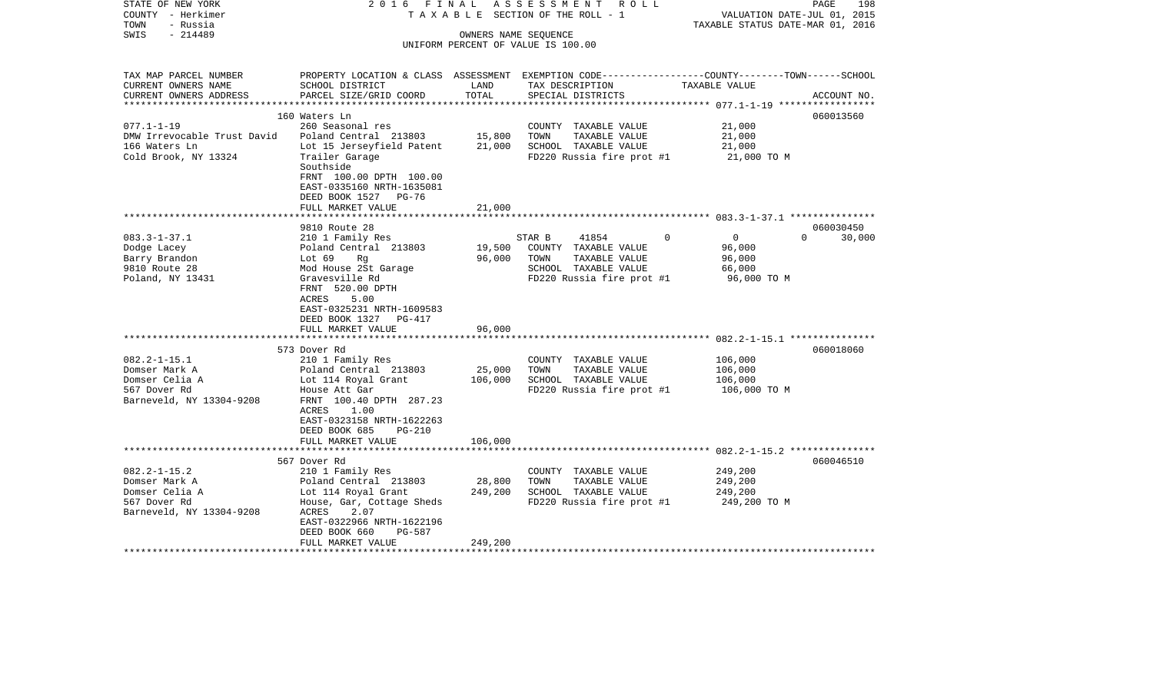| STATE OF NEW YORK<br>COUNTY - Herkimer<br>- Russia<br>TOWN | 2016 FINAL<br>TAXABLE                                       |                      | ASSESSMENT<br>R O L L<br>SECTION OF THE ROLL - 1                                                | VALUATION DATE-JUL 01, 2015<br>TAXABLE STATUS DATE-MAR 01, 2016 | 198<br>PAGE        |
|------------------------------------------------------------|-------------------------------------------------------------|----------------------|-------------------------------------------------------------------------------------------------|-----------------------------------------------------------------|--------------------|
| $-214489$<br>SWIS                                          |                                                             | OWNERS NAME SEQUENCE |                                                                                                 |                                                                 |                    |
|                                                            |                                                             |                      | UNIFORM PERCENT OF VALUE IS 100.00                                                              |                                                                 |                    |
|                                                            |                                                             |                      |                                                                                                 |                                                                 |                    |
| TAX MAP PARCEL NUMBER                                      |                                                             |                      | PROPERTY LOCATION & CLASS ASSESSMENT EXEMPTION CODE---------------COUNTY-------TOWN------SCHOOL |                                                                 |                    |
| CURRENT OWNERS NAME                                        | SCHOOL DISTRICT                                             | LAND                 | TAX DESCRIPTION                                                                                 | TAXABLE VALUE                                                   |                    |
| CURRENT OWNERS ADDRESS<br>**********************           | PARCEL SIZE/GRID COORD                                      | TOTAL                | SPECIAL DISTRICTS                                                                               |                                                                 | ACCOUNT NO.        |
|                                                            | 160 Waters Ln                                               |                      |                                                                                                 |                                                                 | 060013560          |
| $077.1 - 1 - 19$                                           | 260 Seasonal res                                            |                      | COUNTY TAXABLE VALUE                                                                            | 21,000                                                          |                    |
| DMW Irrevocable Trust David                                | Poland Central 213803                                       | 15,800               | TOWN<br>TAXABLE VALUE                                                                           | 21,000                                                          |                    |
| 166 Waters Ln                                              | Lot 15 Jerseyfield Patent                                   | 21,000               | SCHOOL TAXABLE VALUE                                                                            | 21,000                                                          |                    |
| Cold Brook, NY 13324                                       | Trailer Garage                                              |                      | FD220 Russia fire prot #1                                                                       | 21,000 TO M                                                     |                    |
|                                                            | Southside                                                   |                      |                                                                                                 |                                                                 |                    |
|                                                            | FRNT 100.00 DPTH 100.00                                     |                      |                                                                                                 |                                                                 |                    |
|                                                            | EAST-0335160 NRTH-1635081<br>DEED BOOK 1527<br>$PG-76$      |                      |                                                                                                 |                                                                 |                    |
|                                                            | FULL MARKET VALUE                                           | 21,000               |                                                                                                 |                                                                 |                    |
|                                                            |                                                             |                      |                                                                                                 |                                                                 |                    |
|                                                            | 9810 Route 28                                               |                      |                                                                                                 |                                                                 | 060030450          |
| $083.3 - 1 - 37.1$                                         | 210 1 Family Res                                            |                      | STAR B<br>41854<br>0                                                                            | $\overline{0}$                                                  | $\Omega$<br>30,000 |
| Dodge Lacey                                                | Poland Central 213803                                       | 19,500               | COUNTY TAXABLE VALUE                                                                            | 96,000                                                          |                    |
| Barry Brandon                                              | Lot 69<br>Rg                                                | 96,000               | TOWN<br>TAXABLE VALUE                                                                           | 96,000                                                          |                    |
| 9810 Route 28                                              | Mod House 2St Garage                                        |                      | SCHOOL TAXABLE VALUE                                                                            | 66,000                                                          |                    |
| Poland, NY 13431                                           | Gravesville Rd                                              |                      | FD220 Russia fire prot #1                                                                       | 96,000 TO M                                                     |                    |
|                                                            | FRNT 520.00 DPTH<br>ACRES<br>5.00                           |                      |                                                                                                 |                                                                 |                    |
|                                                            | EAST-0325231 NRTH-1609583                                   |                      |                                                                                                 |                                                                 |                    |
|                                                            | DEED BOOK 1327<br><b>PG-417</b>                             |                      |                                                                                                 |                                                                 |                    |
|                                                            | FULL MARKET VALUE                                           | 96,000               |                                                                                                 |                                                                 |                    |
|                                                            |                                                             |                      |                                                                                                 |                                                                 |                    |
|                                                            | 573 Dover Rd                                                |                      |                                                                                                 |                                                                 | 060018060          |
| $082.2 - 1 - 15.1$                                         | 210 1 Family Res                                            |                      | COUNTY TAXABLE VALUE                                                                            | 106,000                                                         |                    |
| Domser Mark A                                              | Poland Central 213803                                       | 25,000               | TOWN<br>TAXABLE VALUE                                                                           | 106,000                                                         |                    |
| Domser Celia A                                             | Lot 114 Royal Grant                                         | 106,000              | SCHOOL TAXABLE VALUE                                                                            | 106,000                                                         |                    |
| 567 Dover Rd                                               | House Att Gar                                               |                      | FD220 Russia fire prot #1                                                                       | 106,000 TO M                                                    |                    |
| Barneveld, NY 13304-9208                                   | FRNT 100.40 DPTH 287.23<br>ACRES<br>1.00                    |                      |                                                                                                 |                                                                 |                    |
|                                                            | EAST-0323158 NRTH-1622263                                   |                      |                                                                                                 |                                                                 |                    |
|                                                            | DEED BOOK 685<br>PG-210                                     |                      |                                                                                                 |                                                                 |                    |
|                                                            | FULL MARKET VALUE                                           | 106,000              |                                                                                                 |                                                                 |                    |
|                                                            |                                                             |                      |                                                                                                 |                                                                 |                    |
|                                                            | 567 Dover Rd                                                |                      |                                                                                                 |                                                                 | 060046510          |
| $082.2 - 1 - 15.2$                                         | 210 1 Family Res                                            |                      | COUNTY TAXABLE VALUE                                                                            | 249,200                                                         |                    |
| Domser Mark A                                              | Poland Central 213803                                       | 28,800               | TOWN<br>TAXABLE VALUE                                                                           | 249,200                                                         |                    |
| Domser Celia A                                             | Lot 114 Royal Grant                                         | 249,200              | SCHOOL TAXABLE VALUE                                                                            | 249,200                                                         |                    |
| 567 Dover Rd                                               | House, Gar, Cottage Sheds                                   |                      | FD220 Russia fire prot #1                                                                       | 249,200 TO M                                                    |                    |
| Barneveld, NY 13304-9208                                   | ACRES<br>2.07                                               |                      |                                                                                                 |                                                                 |                    |
|                                                            | EAST-0322966 NRTH-1622196<br>DEED BOOK 660<br><b>PG-587</b> |                      |                                                                                                 |                                                                 |                    |
|                                                            | FULL MARKET VALUE                                           | 249,200              |                                                                                                 |                                                                 |                    |
|                                                            |                                                             |                      |                                                                                                 |                                                                 |                    |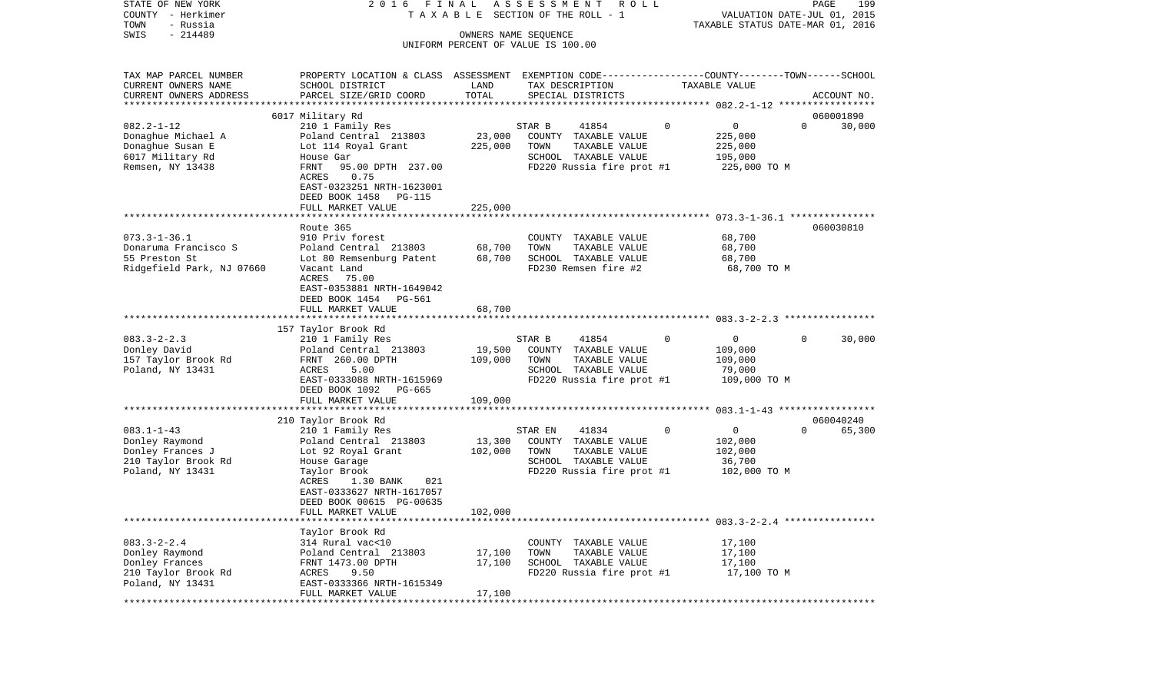| STATE OF NEW YORK                       | F I N A L<br>2016                                                                               |                   | ASSESSMENT<br>R O L L                         |              |                                  | PAGE        | 199    |
|-----------------------------------------|-------------------------------------------------------------------------------------------------|-------------------|-----------------------------------------------|--------------|----------------------------------|-------------|--------|
| COUNTY - Herkimer                       |                                                                                                 |                   | TAXABLE SECTION OF THE ROLL - 1               |              | VALUATION DATE-JUL 01, 2015      |             |        |
| TOWN<br>- Russia<br>$-214489$<br>SWIS   |                                                                                                 |                   | OWNERS NAME SEQUENCE                          |              | TAXABLE STATUS DATE-MAR 01, 2016 |             |        |
|                                         |                                                                                                 |                   | UNIFORM PERCENT OF VALUE IS 100.00            |              |                                  |             |        |
|                                         |                                                                                                 |                   |                                               |              |                                  |             |        |
| TAX MAP PARCEL NUMBER                   | PROPERTY LOCATION & CLASS ASSESSMENT EXEMPTION CODE---------------COUNTY-------TOWN------SCHOOL |                   |                                               |              |                                  |             |        |
| CURRENT OWNERS NAME                     | SCHOOL DISTRICT                                                                                 | LAND              | TAX DESCRIPTION                               |              | TAXABLE VALUE                    |             |        |
| CURRENT OWNERS ADDRESS                  | PARCEL SIZE/GRID COORD                                                                          | TOTAL             | SPECIAL DISTRICTS                             |              |                                  | ACCOUNT NO. |        |
| *************************               |                                                                                                 |                   |                                               |              |                                  |             |        |
|                                         | 6017 Military Rd                                                                                |                   |                                               |              |                                  | 060001890   |        |
| $082.2 - 1 - 12$                        | 210 1 Family Res                                                                                |                   | STAR B<br>41854                               | 0            | 0<br>$\Omega$                    |             | 30,000 |
| Donaghue Michael A<br>Donaghue Susan E  | Poland Central 213803<br>Lot 114 Royal Grant                                                    | 23,000<br>225,000 | COUNTY TAXABLE VALUE<br>TOWN<br>TAXABLE VALUE |              | 225,000<br>225,000               |             |        |
| 6017 Military Rd                        | House Gar                                                                                       |                   | SCHOOL TAXABLE VALUE                          |              | 195,000                          |             |        |
| Remsen, NY 13438                        | 95.00 DPTH 237.00<br>FRNT                                                                       |                   | FD220 Russia fire prot #1                     |              | 225,000 TO M                     |             |        |
|                                         | 0.75<br>ACRES                                                                                   |                   |                                               |              |                                  |             |        |
|                                         | EAST-0323251 NRTH-1623001                                                                       |                   |                                               |              |                                  |             |        |
|                                         | DEED BOOK 1458<br>PG-115                                                                        |                   |                                               |              |                                  |             |        |
|                                         | FULL MARKET VALUE                                                                               | 225,000           |                                               |              |                                  |             |        |
|                                         |                                                                                                 |                   |                                               |              |                                  |             |        |
|                                         | Route 365                                                                                       |                   |                                               |              |                                  | 060030810   |        |
| $073.3 - 1 - 36.1$                      | 910 Priv forest                                                                                 |                   | COUNTY TAXABLE VALUE                          |              | 68,700                           |             |        |
| Donaruma Francisco S                    | Poland Central 213803                                                                           | 68,700            | TOWN<br>TAXABLE VALUE                         |              | 68,700                           |             |        |
| 55 Preston St                           | Lot 80 Remsenburg Patent                                                                        | 68,700            | SCHOOL TAXABLE VALUE                          |              | 68,700                           |             |        |
| Ridgefield Park, NJ 07660               | Vacant Land                                                                                     |                   | FD230 Remsen fire #2                          |              | 68,700 TO M                      |             |        |
|                                         | ACRES<br>75.00                                                                                  |                   |                                               |              |                                  |             |        |
|                                         | EAST-0353881 NRTH-1649042<br>DEED BOOK 1454<br>PG-561                                           |                   |                                               |              |                                  |             |        |
|                                         | FULL MARKET VALUE                                                                               | 68,700            |                                               |              |                                  |             |        |
|                                         |                                                                                                 |                   |                                               |              |                                  |             |        |
|                                         | 157 Taylor Brook Rd                                                                             |                   |                                               |              |                                  |             |        |
| $083.3 - 2 - 2.3$                       | 210 1 Family Res                                                                                |                   | STAR B<br>41854                               | $\Omega$     | 0<br>$\Omega$                    |             | 30,000 |
| Donley David                            | Poland Central 213803                                                                           | 19,500            | COUNTY TAXABLE VALUE                          |              | 109,000                          |             |        |
| 157 Taylor Brook Rd                     | FRNT 260.00 DPTH                                                                                | 109,000           | TOWN<br>TAXABLE VALUE                         |              | 109,000                          |             |        |
| Poland, NY 13431                        | ACRES<br>5.00                                                                                   |                   | SCHOOL TAXABLE VALUE                          |              | 79,000                           |             |        |
|                                         | EAST-0333088 NRTH-1615969                                                                       |                   | FD220 Russia fire prot #1                     |              | 109,000 TO M                     |             |        |
|                                         | DEED BOOK 1092<br>PG-665                                                                        |                   |                                               |              |                                  |             |        |
|                                         | FULL MARKET VALUE<br>************************                                                   | 109,000           |                                               |              |                                  |             |        |
|                                         |                                                                                                 |                   |                                               |              |                                  |             |        |
| $083.1 - 1 - 43$                        | 210 Taylor Brook Rd<br>210 1 Family Res                                                         |                   | STAR EN<br>41834                              | $\mathbf{0}$ | 0<br>$\Omega$                    | 060040240   | 65,300 |
| Donley Raymond                          | Poland Central 213803                                                                           | 13,300            | COUNTY TAXABLE VALUE                          |              | 102,000                          |             |        |
| Donley Frances J                        | Lot 92 Royal Grant                                                                              | 102,000           | TOWN<br>TAXABLE VALUE                         |              | 102,000                          |             |        |
| 210 Taylor Brook Rd                     | House Garage                                                                                    |                   | SCHOOL TAXABLE VALUE                          |              | 36,700                           |             |        |
| Poland, NY 13431                        | Taylor Brook                                                                                    |                   | FD220 Russia fire prot #1                     |              | 102,000 TO M                     |             |        |
|                                         | 021<br>ACRES<br>1.30 BANK                                                                       |                   |                                               |              |                                  |             |        |
|                                         | EAST-0333627 NRTH-1617057                                                                       |                   |                                               |              |                                  |             |        |
|                                         | DEED BOOK 00615 PG-00635                                                                        |                   |                                               |              |                                  |             |        |
|                                         | FULL MARKET VALUE                                                                               | 102,000           |                                               |              |                                  |             |        |
|                                         |                                                                                                 |                   |                                               |              |                                  |             |        |
|                                         | Taylor Brook Rd                                                                                 |                   |                                               |              |                                  |             |        |
| $083.3 - 2 - 2.4$                       | 314 Rural vac<10                                                                                |                   | COUNTY TAXABLE VALUE                          |              | 17,100                           |             |        |
| Donley Raymond                          | Poland Central 213803                                                                           | 17,100            | TAXABLE VALUE<br>TOWN                         |              | 17,100                           |             |        |
| Donley Frances                          | FRNT 1473.00 DPTH                                                                               | 17,100            | SCHOOL TAXABLE VALUE                          |              | 17,100                           |             |        |
| 210 Taylor Brook Rd<br>Poland, NY 13431 | ACRES<br>9.50<br>EAST-0333366 NRTH-1615349                                                      |                   | FD220 Russia fire prot #1                     |              | 17,100 TO M                      |             |        |
|                                         | FULL MARKET VALUE                                                                               | 17,100            |                                               |              |                                  |             |        |
|                                         |                                                                                                 |                   |                                               |              |                                  |             |        |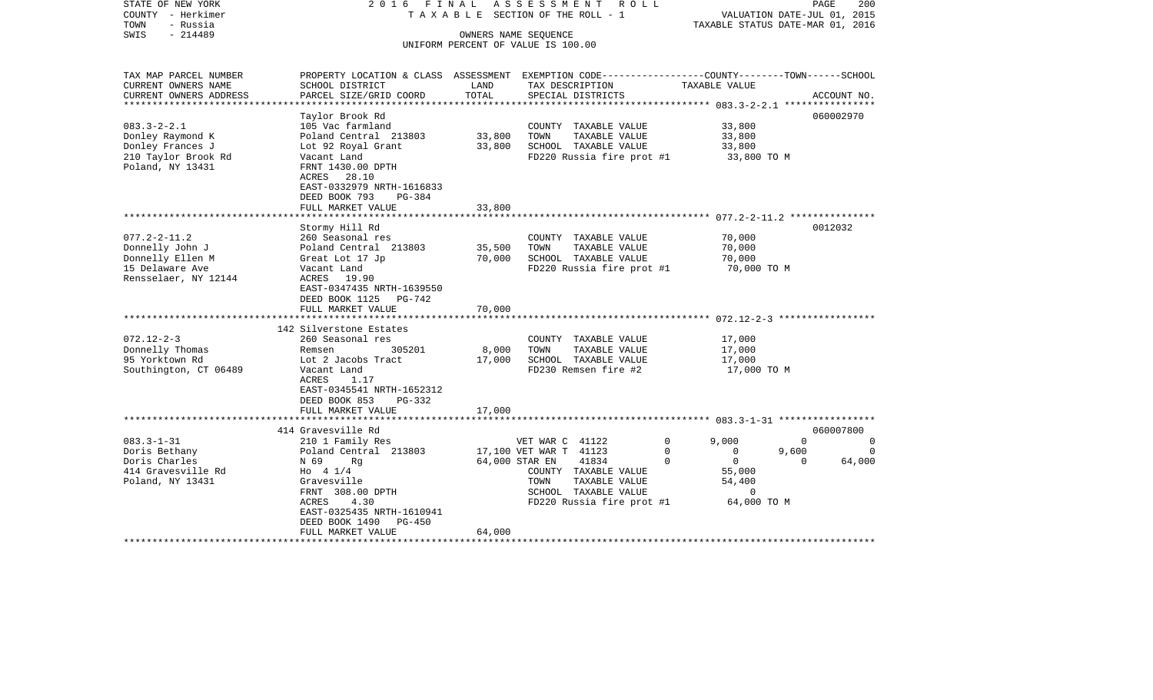| STATE OF NEW YORK<br>COUNTY - Herkimer<br>- Russia<br>TOWN<br>$-214489$<br>SWIS | 2016 FINAL                                                                                                        |        | ASSESSMENT<br>R O L L<br>TAXABLE SECTION OF THE ROLL - 1<br>OWNERS NAME SEQUENCE | TAXABLE STATUS DATE-MAR 01, 2016 | PAGE<br>VALUATION DATE-JUL 01, 2015 | 200         |
|---------------------------------------------------------------------------------|-------------------------------------------------------------------------------------------------------------------|--------|----------------------------------------------------------------------------------|----------------------------------|-------------------------------------|-------------|
|                                                                                 |                                                                                                                   |        | UNIFORM PERCENT OF VALUE IS 100.00                                               |                                  |                                     |             |
|                                                                                 |                                                                                                                   |        |                                                                                  |                                  |                                     |             |
| TAX MAP PARCEL NUMBER<br>CURRENT OWNERS NAME                                    | PROPERTY LOCATION & CLASS ASSESSMENT EXEMPTION CODE---------------COUNTY-------TOWN-----SCHOOL<br>SCHOOL DISTRICT | LAND   | TAX DESCRIPTION                                                                  | TAXABLE VALUE                    |                                     |             |
| CURRENT OWNERS ADDRESS                                                          | PARCEL SIZE/GRID COORD                                                                                            | TOTAL  | SPECIAL DISTRICTS                                                                |                                  |                                     | ACCOUNT NO. |
| ********************                                                            |                                                                                                                   |        |                                                                                  |                                  |                                     |             |
|                                                                                 | Taylor Brook Rd                                                                                                   |        |                                                                                  |                                  | 060002970                           |             |
| $083.3 - 2 - 2.1$                                                               | 105 Vac farmland                                                                                                  |        | COUNTY TAXABLE VALUE                                                             | 33,800                           |                                     |             |
| Donley Raymond K                                                                | Poland Central 213803                                                                                             | 33,800 | TOWN<br>TAXABLE VALUE                                                            | 33,800                           |                                     |             |
| Donley Frances J                                                                | Lot 92 Royal Grant                                                                                                | 33,800 | SCHOOL TAXABLE VALUE                                                             | 33,800                           |                                     |             |
| 210 Taylor Brook Rd                                                             | Vacant Land                                                                                                       |        | FD220 Russia fire prot #1                                                        | 33,800 TO M                      |                                     |             |
| Poland, NY 13431                                                                | FRNT 1430.00 DPTH                                                                                                 |        |                                                                                  |                                  |                                     |             |
|                                                                                 | ACRES 28.10                                                                                                       |        |                                                                                  |                                  |                                     |             |
|                                                                                 | EAST-0332979 NRTH-1616833                                                                                         |        |                                                                                  |                                  |                                     |             |
|                                                                                 | DEED BOOK 793<br>PG-384                                                                                           |        |                                                                                  |                                  |                                     |             |
|                                                                                 | FULL MARKET VALUE<br>************************                                                                     | 33,800 |                                                                                  |                                  |                                     |             |
|                                                                                 |                                                                                                                   |        |                                                                                  |                                  | 0012032                             |             |
| $077.2 - 2 - 11.2$                                                              | Stormy Hill Rd<br>260 Seasonal res                                                                                |        |                                                                                  | 70,000                           |                                     |             |
| Donnelly John J                                                                 | Poland Central 213803                                                                                             | 35,500 | COUNTY TAXABLE VALUE<br>TOWN<br>TAXABLE VALUE                                    | 70,000                           |                                     |             |
|                                                                                 |                                                                                                                   |        |                                                                                  |                                  |                                     |             |
| Donnelly Ellen M<br>15 Delaware Ave                                             | Great Lot 17 Jp                                                                                                   | 70,000 | SCHOOL TAXABLE VALUE<br>FD220 Russia fire prot #1                                | 70,000                           |                                     |             |
| Rensselaer, NY 12144                                                            | Vacant Land<br>ACRES 19.90                                                                                        |        |                                                                                  | 70,000 TO M                      |                                     |             |
|                                                                                 |                                                                                                                   |        |                                                                                  |                                  |                                     |             |
|                                                                                 | EAST-0347435 NRTH-1639550<br>DEED BOOK 1125 PG-742                                                                |        |                                                                                  |                                  |                                     |             |
|                                                                                 | FULL MARKET VALUE                                                                                                 | 70,000 |                                                                                  |                                  |                                     |             |
|                                                                                 | *******************                                                                                               |        |                                                                                  |                                  |                                     |             |
|                                                                                 | 142 Silverstone Estates                                                                                           |        |                                                                                  |                                  |                                     |             |
| $072.12 - 2 - 3$                                                                | 260 Seasonal res                                                                                                  |        | COUNTY TAXABLE VALUE                                                             | 17,000                           |                                     |             |
| Donnelly Thomas                                                                 | Remsen<br>305201                                                                                                  | 8,000  | TOWN<br>TAXABLE VALUE                                                            | 17,000                           |                                     |             |
| 95 Yorktown Rd                                                                  | Lot 2 Jacobs Tract                                                                                                | 17,000 | SCHOOL TAXABLE VALUE                                                             | 17,000                           |                                     |             |
| Southington, CT 06489                                                           | Vacant Land                                                                                                       |        | FD230 Remsen fire #2                                                             | 17,000 TO M                      |                                     |             |
|                                                                                 | ACRES<br>1.17                                                                                                     |        |                                                                                  |                                  |                                     |             |
|                                                                                 | EAST-0345541 NRTH-1652312                                                                                         |        |                                                                                  |                                  |                                     |             |
|                                                                                 | DEED BOOK 853<br>PG-332                                                                                           |        |                                                                                  |                                  |                                     |             |
|                                                                                 | FULL MARKET VALUE                                                                                                 | 17,000 |                                                                                  |                                  |                                     |             |
|                                                                                 | ********************                                                                                              |        |                                                                                  |                                  |                                     |             |
|                                                                                 | 414 Gravesville Rd                                                                                                |        |                                                                                  |                                  | 060007800                           |             |
| $083.3 - 1 - 31$                                                                | 210 1 Family Res                                                                                                  |        | VET WAR C 41122                                                                  | $\mathbf 0$<br>9,000             | $\Omega$                            | 0           |
| Doris Bethany                                                                   | Poland Central 213803                                                                                             |        | 17,100 VET WAR T 41123                                                           | $\mathbf 0$<br>$\Omega$          | 9,600                               | $\Omega$    |
| Doris Charles                                                                   | N 69<br>Rq                                                                                                        |        | 41834<br>64,000 STAR EN                                                          | $\mathbf 0$<br>$\overline{0}$    | 0                                   | 64,000      |
| 414 Gravesville Rd                                                              | Ho 4 1/4                                                                                                          |        | COUNTY TAXABLE VALUE                                                             | 55,000                           |                                     |             |
| Poland, NY 13431                                                                | Gravesville                                                                                                       |        | TAXABLE VALUE<br>TOWN                                                            | 54,400                           |                                     |             |
|                                                                                 | FRNT 308.00 DPTH                                                                                                  |        | SCHOOL TAXABLE VALUE                                                             | 0                                |                                     |             |
|                                                                                 | 4.30<br>ACRES                                                                                                     |        | FD220 Russia fire prot #1                                                        | 64,000 TO M                      |                                     |             |
|                                                                                 | EAST-0325435 NRTH-1610941                                                                                         |        |                                                                                  |                                  |                                     |             |
|                                                                                 | DEED BOOK 1490<br><b>PG-450</b>                                                                                   |        |                                                                                  |                                  |                                     |             |
|                                                                                 | FULL MARKET VALUE                                                                                                 | 64,000 |                                                                                  |                                  |                                     |             |
|                                                                                 |                                                                                                                   |        |                                                                                  |                                  |                                     |             |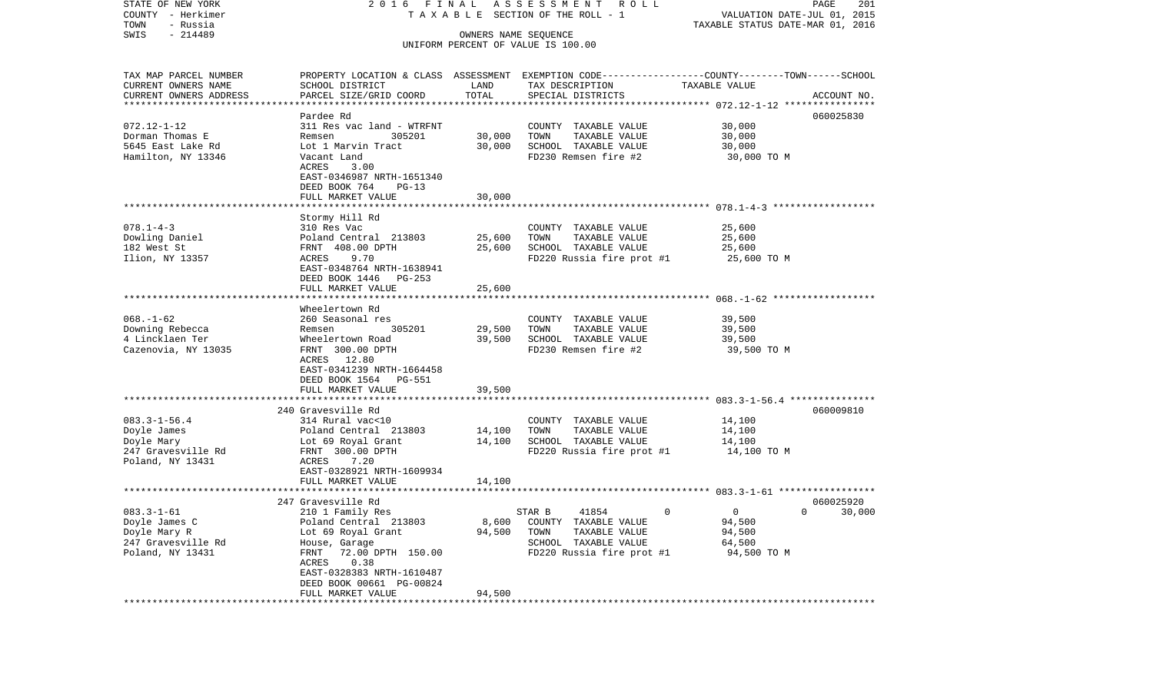| STATE OF NEW YORK      | 2016 FINAL                              |                      | A S S E S S M E N T<br>R O L L                                                                  |                                                               | PAGE<br>201   |
|------------------------|-----------------------------------------|----------------------|-------------------------------------------------------------------------------------------------|---------------------------------------------------------------|---------------|
| COUNTY - Herkimer      |                                         |                      | T A X A B L E SECTION OF THE ROLL - 1                                                           | VALUATION DATE-JUL 01, 2015                                   |               |
| TOWN<br>- Russia       |                                         |                      |                                                                                                 | TAXABLE STATUS DATE-MAR 01, 2016                              |               |
| $-214489$<br>SWIS      |                                         | OWNERS NAME SEQUENCE | UNIFORM PERCENT OF VALUE IS 100.00                                                              |                                                               |               |
|                        |                                         |                      |                                                                                                 |                                                               |               |
| TAX MAP PARCEL NUMBER  |                                         |                      | PROPERTY LOCATION & CLASS ASSESSMENT EXEMPTION CODE---------------COUNTY-------TOWN------SCHOOL |                                                               |               |
| CURRENT OWNERS NAME    | SCHOOL DISTRICT                         | LAND                 | TAX DESCRIPTION                                                                                 | TAXABLE VALUE                                                 |               |
| CURRENT OWNERS ADDRESS | PARCEL SIZE/GRID COORD                  | TOTAL                | SPECIAL DISTRICTS                                                                               |                                                               | ACCOUNT NO.   |
| ********************** |                                         |                      |                                                                                                 |                                                               |               |
|                        | Pardee Rd                               |                      |                                                                                                 |                                                               | 060025830     |
| $072.12 - 1 - 12$      | 311 Res vac land - WTRFNT               |                      | COUNTY TAXABLE VALUE                                                                            | 30,000                                                        |               |
| Dorman Thomas E        | 305201<br>Remsen                        | 30,000               | TOWN<br>TAXABLE VALUE                                                                           | 30,000                                                        |               |
| 5645 East Lake Rd      | Lot 1 Marvin Tract                      | 30,000               | SCHOOL TAXABLE VALUE                                                                            | 30,000                                                        |               |
| Hamilton, NY 13346     | Vacant Land                             |                      | FD230 Remsen fire #2                                                                            | 30,000 TO M                                                   |               |
|                        | ACRES<br>3.00                           |                      |                                                                                                 |                                                               |               |
|                        | EAST-0346987 NRTH-1651340               |                      |                                                                                                 |                                                               |               |
|                        | DEED BOOK 764<br>$PG-13$                |                      |                                                                                                 |                                                               |               |
|                        | FULL MARKET VALUE                       | 30,000               |                                                                                                 |                                                               |               |
|                        |                                         |                      |                                                                                                 |                                                               |               |
|                        | Stormy Hill Rd                          |                      |                                                                                                 |                                                               |               |
| $078.1 - 4 - 3$        | 310 Res Vac                             |                      | COUNTY TAXABLE VALUE                                                                            | 25,600                                                        |               |
| Dowling Daniel         | Poland Central 213803                   | 25,600               | TOWN<br>TAXABLE VALUE                                                                           | 25,600                                                        |               |
| 182 West St            | FRNT 408.00 DPTH                        |                      | SCHOOL TAXABLE VALUE                                                                            |                                                               |               |
|                        | 9.70<br>ACRES                           | 25,600               |                                                                                                 | 25,600                                                        |               |
| Ilion, NY 13357        | EAST-0348764 NRTH-1638941               |                      | FD220 Russia fire prot #1                                                                       | 25,600 TO M                                                   |               |
|                        | DEED BOOK 1446<br>$PG-253$              |                      |                                                                                                 |                                                               |               |
|                        | FULL MARKET VALUE                       | 25,600               |                                                                                                 |                                                               |               |
|                        |                                         |                      |                                                                                                 |                                                               |               |
|                        | Wheelertown Rd                          |                      |                                                                                                 |                                                               |               |
| $068. - 1 - 62$        | 260 Seasonal res                        |                      | COUNTY TAXABLE VALUE                                                                            | 39,500                                                        |               |
| Downing Rebecca        | 305201<br>Remsen                        | 29,500               | TOWN<br>TAXABLE VALUE                                                                           | 39,500                                                        |               |
| 4 Lincklaen Ter        | Wheelertown Road                        | 39,500               | SCHOOL TAXABLE VALUE                                                                            | 39,500                                                        |               |
| Cazenovia, NY 13035    | FRNT 300.00 DPTH                        |                      | FD230 Remsen fire #2                                                                            | 39,500 TO M                                                   |               |
|                        | ACRES 12.80                             |                      |                                                                                                 |                                                               |               |
|                        | EAST-0341239 NRTH-1664458               |                      |                                                                                                 |                                                               |               |
|                        | DEED BOOK 1564<br>PG-551                |                      |                                                                                                 |                                                               |               |
|                        | FULL MARKET VALUE                       | 39,500               |                                                                                                 |                                                               |               |
|                        | **********************                  |                      |                                                                                                 | ***********************************683.3-1-56.4 ************* |               |
|                        | 240 Gravesville Rd                      |                      |                                                                                                 |                                                               | 060009810     |
| $083.3 - 1 - 56.4$     | 314 Rural vac<10                        |                      | COUNTY TAXABLE VALUE                                                                            | 14,100                                                        |               |
| Doyle James            | Poland Central 213803                   | 14,100               | TOWN<br>TAXABLE VALUE                                                                           | 14,100                                                        |               |
| Doyle Mary             | Lot 69 Royal Grant                      | 14,100               | SCHOOL TAXABLE VALUE                                                                            | 14,100                                                        |               |
| 247 Gravesville Rd     | FRNT 300.00 DPTH                        |                      | FD220 Russia fire prot #1                                                                       | 14,100 TO M                                                   |               |
| Poland, NY 13431       | ACRES<br>7.20                           |                      |                                                                                                 |                                                               |               |
|                        | EAST-0328921 NRTH-1609934               |                      |                                                                                                 |                                                               |               |
|                        | FULL MARKET VALUE                       | 14,100               |                                                                                                 |                                                               |               |
|                        |                                         |                      |                                                                                                 |                                                               |               |
|                        | 247 Gravesville Rd                      |                      |                                                                                                 |                                                               | 060025920     |
| $083.3 - 1 - 61$       | 210 1 Family Res                        |                      | STAR B<br>41854<br>$\Omega$                                                                     | $\mathbf{0}$                                                  | $0 \t 30,000$ |
| Doyle James C          | Poland Central 213803                   | 8,600                | COUNTY TAXABLE VALUE                                                                            | 94,500                                                        |               |
| Doyle Mary R           | Lot 69 Royal Grant                      | 94,500               | TOWN<br>TAXABLE VALUE                                                                           | 94,500                                                        |               |
| 247 Gravesville Rd     |                                         |                      | SCHOOL TAXABLE VALUE                                                                            | 64,500                                                        |               |
| Poland, NY 13431       | House, Garage<br>FRNT 72.00 DPTH 150.00 |                      | FD220 Russia fire prot #1                                                                       | 94,500 TO M                                                   |               |
|                        | ACRES<br>0.38                           |                      |                                                                                                 |                                                               |               |
|                        | EAST-0328383 NRTH-1610487               |                      |                                                                                                 |                                                               |               |
|                        | DEED BOOK 00661 PG-00824                |                      |                                                                                                 |                                                               |               |
|                        | FULL MARKET VALUE                       | 94,500               |                                                                                                 |                                                               |               |
|                        | ***************************             |                      |                                                                                                 |                                                               |               |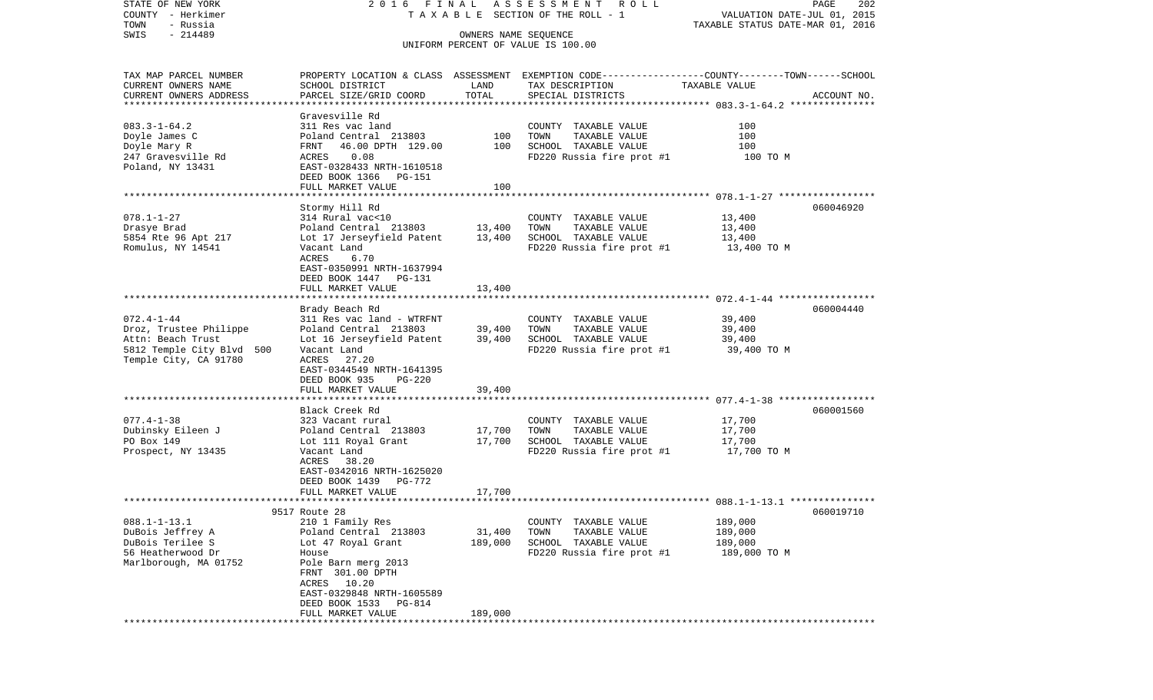| STATE OF NEW YORK<br>COUNTY - Herkimer     | 2016 FINAL                                    |                      | A S S E S S M E N T<br>R O L L<br>TAXABLE SECTION OF THE ROLL - 1                                | VALUATION DATE-JUL 01, 2015      | PAGE<br>202 |
|--------------------------------------------|-----------------------------------------------|----------------------|--------------------------------------------------------------------------------------------------|----------------------------------|-------------|
| TOWN<br>- Russia                           |                                               |                      |                                                                                                  | TAXABLE STATUS DATE-MAR 01, 2016 |             |
| $-214489$<br>SWIS                          |                                               | OWNERS NAME SEQUENCE | UNIFORM PERCENT OF VALUE IS 100.00                                                               |                                  |             |
|                                            |                                               |                      |                                                                                                  |                                  |             |
| TAX MAP PARCEL NUMBER                      |                                               |                      | PROPERTY LOCATION & CLASS ASSESSMENT EXEMPTION CODE----------------COUNTY-------TOWN------SCHOOL |                                  |             |
| CURRENT OWNERS NAME                        | SCHOOL DISTRICT                               | LAND                 | TAX DESCRIPTION                                                                                  | TAXABLE VALUE                    |             |
| CURRENT OWNERS ADDRESS                     | PARCEL SIZE/GRID COORD                        | TOTAL                | SPECIAL DISTRICTS                                                                                |                                  | ACCOUNT NO. |
| ************************                   |                                               |                      |                                                                                                  |                                  |             |
| $083.3 - 1 - 64.2$                         | Gravesville Rd<br>311 Res vac land            |                      | COUNTY TAXABLE VALUE                                                                             | 100                              |             |
| Doyle James C                              | Poland Central 213803                         | 100                  | TOWN<br>TAXABLE VALUE                                                                            | 100                              |             |
| Doyle Mary R                               | FRNT<br>46.00 DPTH 129.00                     | 100                  | SCHOOL TAXABLE VALUE                                                                             | 100                              |             |
| 247 Gravesville Rd                         | 0.08<br>ACRES                                 |                      | FD220 Russia fire prot #1                                                                        | 100 TO M                         |             |
| Poland, NY 13431                           | EAST-0328433 NRTH-1610518                     |                      |                                                                                                  |                                  |             |
|                                            | DEED BOOK 1366 PG-151                         |                      |                                                                                                  |                                  |             |
|                                            | FULL MARKET VALUE                             | 100                  |                                                                                                  |                                  |             |
|                                            |                                               |                      |                                                                                                  |                                  |             |
| $078.1 - 1 - 27$                           | Stormy Hill Rd<br>314 Rural vac<10            |                      | COUNTY TAXABLE VALUE                                                                             | 13,400                           | 060046920   |
| Drasye Brad                                | Poland Central 213803                         | 13,400               | TAXABLE VALUE<br>TOWN                                                                            | 13,400                           |             |
| 5854 Rte 96 Apt 217                        | Lot 17 Jerseyfield Patent                     | 13,400               | SCHOOL TAXABLE VALUE                                                                             | 13,400                           |             |
| Romulus, NY 14541                          | Vacant Land                                   |                      | FD220 Russia fire prot #1                                                                        | 13,400 TO M                      |             |
|                                            | <b>ACRES</b><br>6.70                          |                      |                                                                                                  |                                  |             |
|                                            | EAST-0350991 NRTH-1637994                     |                      |                                                                                                  |                                  |             |
|                                            | DEED BOOK 1447<br>PG-131                      |                      |                                                                                                  |                                  |             |
|                                            | FULL MARKET VALUE                             | 13,400               |                                                                                                  |                                  |             |
|                                            | Brady Beach Rd                                |                      |                                                                                                  |                                  | 060004440   |
| $072.4 - 1 - 44$                           | 311 Res vac land - WTRFNT                     |                      | COUNTY TAXABLE VALUE                                                                             | 39,400                           |             |
| Droz, Trustee Philippe                     | Poland Central 213803                         | 39,400               | TOWN<br>TAXABLE VALUE                                                                            | 39,400                           |             |
| Attn: Beach Trust                          | Lot 16 Jerseyfield Patent                     | 39,400               | SCHOOL TAXABLE VALUE                                                                             | 39,400                           |             |
| 5812 Temple City Blvd 500                  | Vacant Land                                   |                      | FD220 Russia fire prot #1                                                                        | 39,400 TO M                      |             |
| Temple City, CA 91780                      | ACRES 27.20                                   |                      |                                                                                                  |                                  |             |
|                                            | EAST-0344549 NRTH-1641395                     |                      |                                                                                                  |                                  |             |
|                                            | DEED BOOK 935<br>PG-220                       |                      |                                                                                                  |                                  |             |
|                                            | FULL MARKET VALUE<br>************************ | 39,400               |                                                                                                  |                                  |             |
|                                            | Black Creek Rd                                |                      |                                                                                                  |                                  | 060001560   |
| $077.4 - 1 - 38$                           | 323 Vacant rural                              |                      | COUNTY TAXABLE VALUE                                                                             | 17,700                           |             |
| Dubinsky Eileen J                          | Poland Central 213803                         | 17,700               | TOWN<br>TAXABLE VALUE                                                                            | 17,700                           |             |
| PO Box 149                                 | Lot 111 Royal Grant                           | 17,700               | SCHOOL TAXABLE VALUE                                                                             | 17,700                           |             |
| Prospect, NY 13435                         | Vacant Land                                   |                      | FD220 Russia fire prot #1                                                                        | 17,700 TO M                      |             |
|                                            | ACRES 38.20                                   |                      |                                                                                                  |                                  |             |
|                                            | EAST-0342016 NRTH-1625020                     |                      |                                                                                                  |                                  |             |
|                                            | DEED BOOK 1439<br>PG-772<br>FULL MARKET VALUE | 17,700               |                                                                                                  |                                  |             |
|                                            |                                               |                      |                                                                                                  |                                  |             |
|                                            | 9517 Route 28                                 |                      |                                                                                                  |                                  | 060019710   |
| $088.1 - 1 - 13.1$                         | 210 1 Family Res                              |                      | COUNTY TAXABLE VALUE                                                                             | 189,000                          |             |
| DuBois Jeffrey A                           | Poland Central 213803                         | 31,400               | TOWN<br>TAXABLE VALUE                                                                            | 189,000                          |             |
| DuBois Terilee S                           | Lot 47 Royal Grant                            | 189,000              | SCHOOL TAXABLE VALUE                                                                             | 189,000                          |             |
| 56 Heatherwood Dr<br>Marlborough, MA 01752 | House                                         |                      | FD220 Russia fire prot #1                                                                        | 189,000 TO M                     |             |
|                                            | Pole Barn merg 2013<br>FRNT 301.00 DPTH       |                      |                                                                                                  |                                  |             |
|                                            | 10.20<br>ACRES                                |                      |                                                                                                  |                                  |             |
|                                            | EAST-0329848 NRTH-1605589                     |                      |                                                                                                  |                                  |             |
|                                            | DEED BOOK 1533<br><b>PG-814</b>               |                      |                                                                                                  |                                  |             |
|                                            | FULL MARKET VALUE                             | 189,000              |                                                                                                  |                                  |             |
| ***************                            |                                               |                      |                                                                                                  |                                  |             |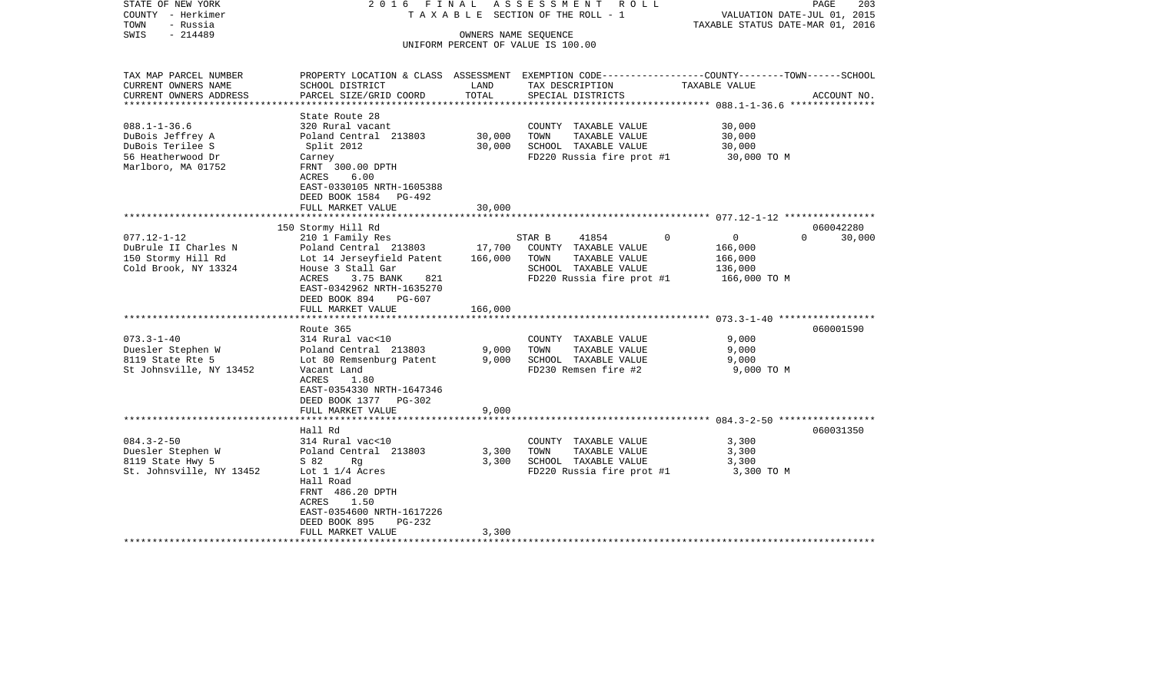| STATE OF NEW YORK<br>COUNTY - Herkimer<br>TOWN<br>- Russia | 2016 FINAL                   |         | A S S E S S M E N T R O L L<br>TAXABLE SECTION OF THE ROLL - 1                                 | VALUATION DATE-JUL 01, 2015<br>TAXABLE STATUS DATE-MAR 01, 2016 | PAGE<br>203 |
|------------------------------------------------------------|------------------------------|---------|------------------------------------------------------------------------------------------------|-----------------------------------------------------------------|-------------|
| $-214489$<br>SWIS                                          |                              |         | OWNERS NAME SEQUENCE                                                                           |                                                                 |             |
|                                                            |                              |         | UNIFORM PERCENT OF VALUE IS 100.00                                                             |                                                                 |             |
|                                                            |                              |         |                                                                                                |                                                                 |             |
| TAX MAP PARCEL NUMBER                                      |                              |         | PROPERTY LOCATION & CLASS ASSESSMENT EXEMPTION CODE---------------COUNTY-------TOWN-----SCHOOL |                                                                 |             |
| CURRENT OWNERS NAME                                        | SCHOOL DISTRICT              | LAND    | TAX DESCRIPTION                                                                                | TAXABLE VALUE                                                   |             |
| CURRENT OWNERS ADDRESS<br>**********************           | PARCEL SIZE/GRID COORD       | TOTAL   | SPECIAL DISTRICTS                                                                              |                                                                 | ACCOUNT NO. |
|                                                            | State Route 28               |         |                                                                                                |                                                                 |             |
| $088.1 - 1 - 36.6$                                         | 320 Rural vacant             |         | COUNTY TAXABLE VALUE                                                                           | 30,000                                                          |             |
| DuBois Jeffrey A                                           | Poland Central 213803        | 30,000  | TOWN<br>TAXABLE VALUE                                                                          | 30,000                                                          |             |
| DuBois Terilee S                                           | Split 2012                   | 30,000  | SCHOOL TAXABLE VALUE                                                                           | 30,000                                                          |             |
| 56 Heatherwood Dr                                          | Carney                       |         | FD220 Russia fire prot #1                                                                      | 30,000 TO M                                                     |             |
| Marlboro, MA 01752                                         | FRNT 300.00 DPTH             |         |                                                                                                |                                                                 |             |
|                                                            | ACRES<br>6.00                |         |                                                                                                |                                                                 |             |
|                                                            | EAST-0330105 NRTH-1605388    |         |                                                                                                |                                                                 |             |
|                                                            | DEED BOOK 1584 PG-492        |         |                                                                                                |                                                                 |             |
|                                                            | FULL MARKET VALUE            | 30,000  |                                                                                                |                                                                 |             |
|                                                            |                              |         |                                                                                                |                                                                 |             |
|                                                            | 150 Stormy Hill Rd           |         |                                                                                                |                                                                 | 060042280   |
| $077.12 - 1 - 12$                                          | 210 1 Family Res             |         | 41854<br>$\circ$<br>STAR B                                                                     | $\overline{0}$<br>$\Omega$                                      | 30,000      |
| DuBrule II Charles N                                       | Poland Central 213803        | 17,700  | COUNTY TAXABLE VALUE                                                                           | 166,000                                                         |             |
| 150 Stormy Hill Rd                                         | Lot 14 Jerseyfield Patent    | 166,000 | TAXABLE VALUE<br>TOWN                                                                          | 166,000                                                         |             |
| Cold Brook, NY 13324                                       | House 3 Stall Gar            |         | SCHOOL TAXABLE VALUE                                                                           | 136,000                                                         |             |
|                                                            | ACRES<br>3.75 BANK<br>821    |         | FD220 Russia fire prot #1                                                                      | 166,000 TO M                                                    |             |
|                                                            | EAST-0342962 NRTH-1635270    |         |                                                                                                |                                                                 |             |
|                                                            | DEED BOOK 894<br>PG-607      |         |                                                                                                |                                                                 |             |
|                                                            | FULL MARKET VALUE            | 166,000 |                                                                                                |                                                                 |             |
|                                                            |                              |         |                                                                                                |                                                                 |             |
|                                                            | Route 365                    |         |                                                                                                |                                                                 | 060001590   |
| $073.3 - 1 - 40$                                           | 314 Rural vac<10             |         | COUNTY TAXABLE VALUE                                                                           | 9,000                                                           |             |
| Duesler Stephen W                                          | Poland Central 213803        | 9,000   | TOWN<br>TAXABLE VALUE                                                                          | 9,000                                                           |             |
| 8119 State Rte 5                                           | Lot 80 Remsenburg Patent     | 9,000   | SCHOOL TAXABLE VALUE                                                                           | 9,000                                                           |             |
| St Johnsville, NY 13452                                    | Vacant Land<br>ACRES<br>1.80 |         | FD230 Remsen fire #2                                                                           | 9,000 TO M                                                      |             |
|                                                            | EAST-0354330 NRTH-1647346    |         |                                                                                                |                                                                 |             |
|                                                            | DEED BOOK 1377 PG-302        |         |                                                                                                |                                                                 |             |
|                                                            | FULL MARKET VALUE            | 9,000   |                                                                                                |                                                                 |             |
|                                                            | *************************    |         |                                                                                                |                                                                 |             |
|                                                            | Hall Rd                      |         |                                                                                                |                                                                 | 060031350   |
| $084.3 - 2 - 50$                                           | 314 Rural vac<10             |         | COUNTY TAXABLE VALUE                                                                           | 3,300                                                           |             |
| Duesler Stephen W                                          | Poland Central 213803        | 3,300   | TAXABLE VALUE<br>TOWN                                                                          | 3,300                                                           |             |
| 8119 State Hwy 5                                           | S 82<br>Rg                   | 3,300   | SCHOOL TAXABLE VALUE                                                                           | 3,300                                                           |             |
| St. Johnsville, NY 13452                                   | Lot $1\ 1/4$ Acres           |         | FD220 Russia fire prot #1                                                                      | 3,300 TO M                                                      |             |
|                                                            | Hall Road                    |         |                                                                                                |                                                                 |             |
|                                                            | FRNT 486.20 DPTH             |         |                                                                                                |                                                                 |             |
|                                                            | 1.50<br>ACRES                |         |                                                                                                |                                                                 |             |
|                                                            | EAST-0354600 NRTH-1617226    |         |                                                                                                |                                                                 |             |
|                                                            | DEED BOOK 895<br>PG-232      |         |                                                                                                |                                                                 |             |
|                                                            | FULL MARKET VALUE            | 3,300   |                                                                                                |                                                                 |             |
|                                                            |                              |         |                                                                                                |                                                                 |             |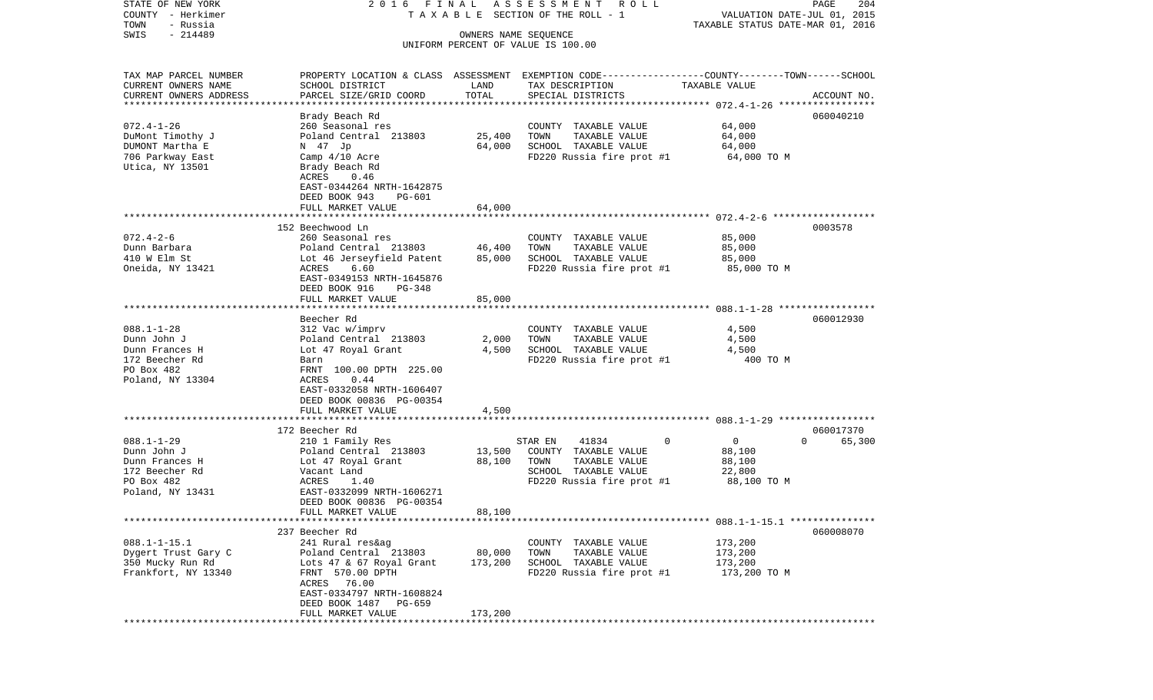| STATE OF NEW YORK                            | 2016 FINAL                                   |                      | ASSESSMENT ROLL                                                                                                     |                                  | PAGE<br>204        |
|----------------------------------------------|----------------------------------------------|----------------------|---------------------------------------------------------------------------------------------------------------------|----------------------------------|--------------------|
| COUNTY - Herkimer                            |                                              |                      | T A X A B L E SECTION OF THE ROLL - 1                                                                               | VALUATION DATE-JUL 01, 2015      |                    |
| TOWN<br>- Russia<br>$-214489$<br>SWIS        |                                              | OWNERS NAME SEQUENCE |                                                                                                                     | TAXABLE STATUS DATE-MAR 01, 2016 |                    |
|                                              |                                              |                      | UNIFORM PERCENT OF VALUE IS 100.00                                                                                  |                                  |                    |
|                                              |                                              |                      |                                                                                                                     |                                  |                    |
|                                              |                                              |                      |                                                                                                                     |                                  |                    |
| TAX MAP PARCEL NUMBER<br>CURRENT OWNERS NAME | SCHOOL DISTRICT                              | LAND                 | PROPERTY LOCATION & CLASS ASSESSMENT EXEMPTION CODE----------------COUNTY-------TOWN------SCHOOL<br>TAX DESCRIPTION | TAXABLE VALUE                    |                    |
| CURRENT OWNERS ADDRESS                       | PARCEL SIZE/GRID COORD                       | TOTAL                | SPECIAL DISTRICTS                                                                                                   |                                  | ACCOUNT NO.        |
| ************************                     |                                              |                      |                                                                                                                     |                                  |                    |
|                                              | Brady Beach Rd                               |                      |                                                                                                                     |                                  | 060040210          |
| $072.4 - 1 - 26$                             | 260 Seasonal res                             |                      | COUNTY TAXABLE VALUE                                                                                                | 64,000                           |                    |
| DuMont Timothy J                             | Poland Central 213803                        | 25,400               | TAXABLE VALUE<br>TOWN                                                                                               | 64,000                           |                    |
| DUMONT Martha E                              | N 47 Jp                                      | 64,000               | SCHOOL TAXABLE VALUE                                                                                                | 64,000                           |                    |
| 706 Parkway East                             | Camp 4/10 Acre                               |                      | FD220 Russia fire prot #1                                                                                           | 64,000 TO M                      |                    |
| Utica, NY 13501                              | Brady Beach Rd                               |                      |                                                                                                                     |                                  |                    |
|                                              | ACRES<br>0.46                                |                      |                                                                                                                     |                                  |                    |
|                                              | EAST-0344264 NRTH-1642875                    |                      |                                                                                                                     |                                  |                    |
|                                              | DEED BOOK 943<br>PG-601<br>FULL MARKET VALUE | 64,000               |                                                                                                                     |                                  |                    |
|                                              |                                              |                      |                                                                                                                     |                                  |                    |
|                                              | 152 Beechwood Ln                             |                      |                                                                                                                     |                                  | 0003578            |
| $072.4 - 2 - 6$                              | 260 Seasonal res                             |                      | COUNTY TAXABLE VALUE                                                                                                | 85,000                           |                    |
| Dunn Barbara                                 | Poland Central 213803                        | 46,400               | TOWN<br>TAXABLE VALUE                                                                                               | 85,000                           |                    |
| 410 W Elm St                                 | Lot 46 Jerseyfield Patent                    | 85,000               | SCHOOL TAXABLE VALUE                                                                                                | 85,000                           |                    |
| Oneida, NY 13421                             | ACRES<br>6.60                                |                      | FD220 Russia fire prot #1                                                                                           | 85,000 TO M                      |                    |
|                                              | EAST-0349153 NRTH-1645876                    |                      |                                                                                                                     |                                  |                    |
|                                              | DEED BOOK 916<br>PG-348                      |                      |                                                                                                                     |                                  |                    |
|                                              | FULL MARKET VALUE                            | 85,000               |                                                                                                                     |                                  |                    |
|                                              |                                              |                      |                                                                                                                     |                                  |                    |
|                                              | Beecher Rd                                   |                      |                                                                                                                     |                                  | 060012930          |
| $088.1 - 1 - 28$<br>Dunn John J              | 312 Vac w/imprv<br>Poland Central 213803     | 2,000                | COUNTY TAXABLE VALUE<br>TAXABLE VALUE<br>TOWN                                                                       | 4,500<br>4,500                   |                    |
| Dunn Frances H                               | Lot 47 Royal Grant                           | 4,500                | SCHOOL TAXABLE VALUE                                                                                                | 4,500                            |                    |
| 172 Beecher Rd                               | Barn                                         |                      | FD220 Russia fire prot #1                                                                                           | 400 TO M                         |                    |
| PO Box 482                                   | FRNT 100.00 DPTH 225.00                      |                      |                                                                                                                     |                                  |                    |
| Poland, NY 13304                             | <b>ACRES</b><br>0.44                         |                      |                                                                                                                     |                                  |                    |
|                                              | EAST-0332058 NRTH-1606407                    |                      |                                                                                                                     |                                  |                    |
|                                              | DEED BOOK 00836 PG-00354                     |                      |                                                                                                                     |                                  |                    |
|                                              | FULL MARKET VALUE                            | 4,500                |                                                                                                                     |                                  |                    |
|                                              | ***********************                      |                      |                                                                                                                     |                                  |                    |
|                                              | 172 Beecher Rd                               |                      |                                                                                                                     |                                  | 060017370          |
| $088.1 - 1 - 29$                             | 210 1 Family Res                             |                      | STAR EN<br>41834<br>0                                                                                               | 0                                | 65,300<br>$\Omega$ |
| Dunn John J                                  | Poland Central 213803                        | 13,500               | COUNTY TAXABLE VALUE                                                                                                | 88,100                           |                    |
| Dunn Frances H                               | Lot 47 Royal Grant                           | 88,100               | TAXABLE VALUE<br>TOWN<br>SCHOOL TAXABLE VALUE                                                                       | 88,100                           |                    |
| 172 Beecher Rd<br>PO Box 482                 | Vacant Land<br>ACRES<br>1.40                 |                      | FD220 Russia fire prot #1                                                                                           | 22,800<br>88,100 TO M            |                    |
| Poland, NY 13431                             | EAST-0332099 NRTH-1606271                    |                      |                                                                                                                     |                                  |                    |
|                                              | DEED BOOK 00836 PG-00354                     |                      |                                                                                                                     |                                  |                    |
|                                              | FULL MARKET VALUE                            | 88,100               |                                                                                                                     |                                  |                    |
|                                              |                                              |                      |                                                                                                                     |                                  |                    |
|                                              | 237 Beecher Rd                               |                      |                                                                                                                     |                                  | 060008070          |
| $088.1 - 1 - 15.1$                           | 241 Rural res&ag                             |                      | COUNTY TAXABLE VALUE                                                                                                | 173,200                          |                    |
| Dygert Trust Gary C                          | Poland Central 213803                        | 80,000               | TAXABLE VALUE<br>TOWN                                                                                               | 173,200                          |                    |
| 350 Mucky Run Rd                             | Lots 47 & 67 Royal Grant                     | 173,200              | SCHOOL TAXABLE VALUE                                                                                                | 173,200                          |                    |
| Frankfort, NY 13340                          | FRNT 570.00 DPTH                             |                      | FD220 Russia fire prot #1                                                                                           | 173,200 TO M                     |                    |
|                                              | ACRES 76.00                                  |                      |                                                                                                                     |                                  |                    |
|                                              | EAST-0334797 NRTH-1608824                    |                      |                                                                                                                     |                                  |                    |
|                                              | DEED BOOK 1487 PG-659                        |                      |                                                                                                                     |                                  |                    |
|                                              | FULL MARKET VALUE                            | 173,200              |                                                                                                                     |                                  |                    |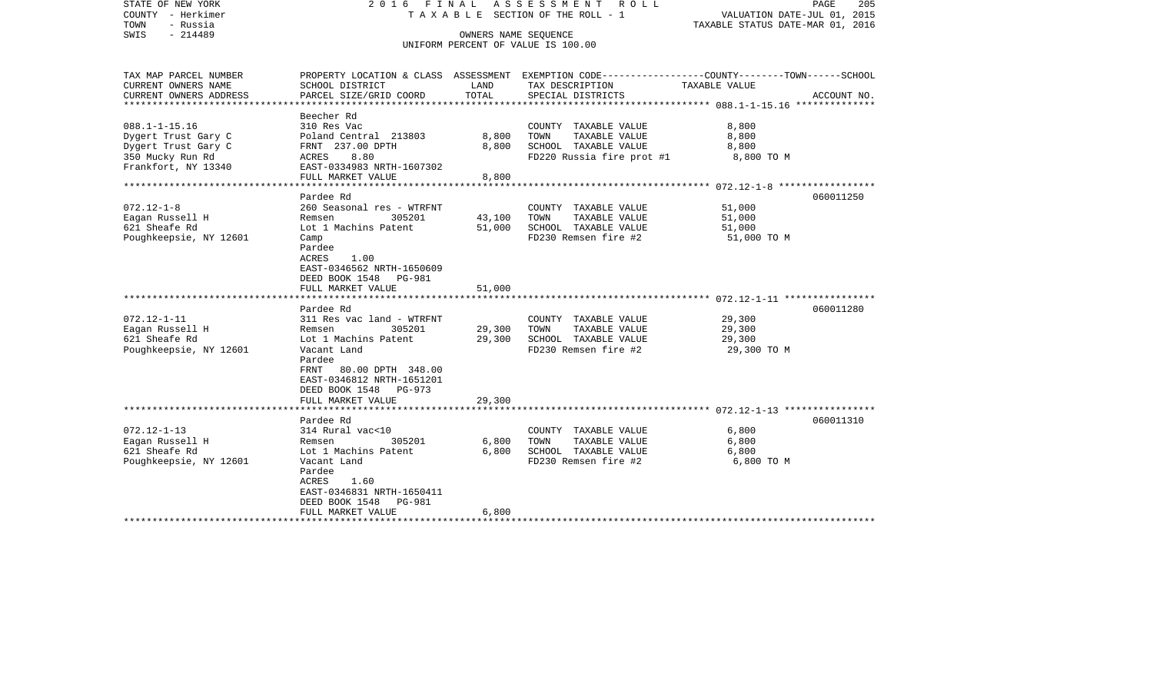| STATE OF NEW YORK<br>COUNTY - Herkimer<br>TOWN<br>- Russia<br>SWIS<br>$-214489$ |                                            |                                   | 2016 FINAL ASSESSMENT ROLL<br>T A X A B L E SECTION OF THE ROLL - 1<br>OWNERS NAME SEQUENCE<br>UNIFORM PERCENT OF VALUE IS 100.00 | PAGE<br>VALUATION DATE-JUL 01, 2015<br>TAXABLE STATUS DATE-MAR 01, 2016                                           | 205 |
|---------------------------------------------------------------------------------|--------------------------------------------|-----------------------------------|-----------------------------------------------------------------------------------------------------------------------------------|-------------------------------------------------------------------------------------------------------------------|-----|
| TAX MAP PARCEL NUMBER<br>CURRENT OWNERS NAME                                    | SCHOOL DISTRICT                            | LAND                              | TAX DESCRIPTION                                                                                                                   | PROPERTY LOCATION & CLASS ASSESSMENT EXEMPTION CODE----------------COUNTY-------TOWN------SCHOOL<br>TAXABLE VALUE |     |
| CURRENT OWNERS ADDRESS<br>***********************                               | PARCEL SIZE/GRID COORD                     | TOTAL                             | SPECIAL DISTRICTS                                                                                                                 | ACCOUNT NO.                                                                                                       |     |
|                                                                                 | Beecher Rd                                 |                                   |                                                                                                                                   |                                                                                                                   |     |
| $088.1 - 1 - 15.16$                                                             | 310 Res Vac                                |                                   | COUNTY TAXABLE VALUE                                                                                                              | 8,800                                                                                                             |     |
| Dygert Trust Gary C                                                             | Poland Central 213803                      | 8,800                             | TAXABLE VALUE<br>TOWN                                                                                                             | 8,800                                                                                                             |     |
| Dygert Trust Gary C                                                             | FRNT 237.00 DPTH                           | 8,800                             | SCHOOL TAXABLE VALUE                                                                                                              | 8,800                                                                                                             |     |
| 350 Mucky Run Rd<br>Frankfort, NY 13340                                         | ACRES<br>8.80<br>EAST-0334983 NRTH-1607302 |                                   | FD220 Russia fire prot #1                                                                                                         | 8,800 TO M                                                                                                        |     |
|                                                                                 | FULL MARKET VALUE<br>*******************   | 8,800<br>************************ |                                                                                                                                   | ************************ 072.12-1-8 *****************                                                             |     |
|                                                                                 | Pardee Rd                                  |                                   |                                                                                                                                   | 060011250                                                                                                         |     |
| $072.12 - 1 - 8$                                                                | 260 Seasonal res - WTRFNT                  |                                   | COUNTY TAXABLE VALUE                                                                                                              | 51,000                                                                                                            |     |
| Eagan Russell H                                                                 | Remsen<br>305201                           | 43,100                            | TAXABLE VALUE<br>TOWN                                                                                                             | 51,000                                                                                                            |     |
| 621 Sheafe Rd                                                                   | Lot 1 Machins Patent                       | 51,000                            | SCHOOL TAXABLE VALUE                                                                                                              | 51,000                                                                                                            |     |
| Poughkeepsie, NY 12601                                                          | Camp                                       |                                   | FD230 Remsen fire #2                                                                                                              | 51,000 TO M                                                                                                       |     |
|                                                                                 | Pardee                                     |                                   |                                                                                                                                   |                                                                                                                   |     |
|                                                                                 | ACRES<br>1.00                              |                                   |                                                                                                                                   |                                                                                                                   |     |
|                                                                                 | EAST-0346562 NRTH-1650609                  |                                   |                                                                                                                                   |                                                                                                                   |     |
|                                                                                 | DEED BOOK 1548 PG-981                      |                                   |                                                                                                                                   |                                                                                                                   |     |
|                                                                                 | FULL MARKET VALUE                          | 51,000                            |                                                                                                                                   |                                                                                                                   |     |
|                                                                                 |                                            |                                   |                                                                                                                                   |                                                                                                                   |     |
|                                                                                 | Pardee Rd                                  |                                   |                                                                                                                                   | 060011280                                                                                                         |     |
| $072.12 - 1 - 11$                                                               | 311 Res vac land - WTRFNT                  |                                   | COUNTY TAXABLE VALUE                                                                                                              | 29,300                                                                                                            |     |
| Eagan Russell H                                                                 | Remsen<br>305201                           | 29,300                            | TOWN<br>TAXABLE VALUE                                                                                                             | 29,300                                                                                                            |     |
| 621 Sheafe Rd                                                                   | Lot 1 Machins Patent                       | 29,300                            | SCHOOL TAXABLE VALUE                                                                                                              | 29,300                                                                                                            |     |
| Poughkeepsie, NY 12601                                                          | Vacant Land                                |                                   | FD230 Remsen fire #2                                                                                                              | 29,300 TO M                                                                                                       |     |
|                                                                                 | Pardee                                     |                                   |                                                                                                                                   |                                                                                                                   |     |
|                                                                                 | FRNT<br>80.00 DPTH 348.00                  |                                   |                                                                                                                                   |                                                                                                                   |     |
|                                                                                 | EAST-0346812 NRTH-1651201                  |                                   |                                                                                                                                   |                                                                                                                   |     |
|                                                                                 | DEED BOOK 1548 PG-973                      |                                   |                                                                                                                                   |                                                                                                                   |     |
|                                                                                 | FULL MARKET VALUE                          | 29,300                            |                                                                                                                                   |                                                                                                                   |     |
|                                                                                 |                                            |                                   |                                                                                                                                   |                                                                                                                   |     |
| $072.12 - 1 - 13$                                                               | Pardee Rd<br>314 Rural vac<10              |                                   | COUNTY TAXABLE VALUE                                                                                                              | 060011310<br>6,800                                                                                                |     |
| Eagan Russell H                                                                 | Remsen<br>305201                           | 6,800                             | TOWN<br>TAXABLE VALUE                                                                                                             | 6,800                                                                                                             |     |
| 621 Sheafe Rd                                                                   | Lot 1 Machins Patent                       | 6,800                             | SCHOOL TAXABLE VALUE                                                                                                              | 6,800                                                                                                             |     |
| Poughkeepsie, NY 12601                                                          | Vacant Land                                |                                   | FD230 Remsen fire #2                                                                                                              | 6,800 TO M                                                                                                        |     |
|                                                                                 | Pardee                                     |                                   |                                                                                                                                   |                                                                                                                   |     |
|                                                                                 | ACRES<br>1.60                              |                                   |                                                                                                                                   |                                                                                                                   |     |
|                                                                                 | EAST-0346831 NRTH-1650411                  |                                   |                                                                                                                                   |                                                                                                                   |     |
|                                                                                 | DEED BOOK 1548<br><b>PG-981</b>            |                                   |                                                                                                                                   |                                                                                                                   |     |
|                                                                                 | FULL MARKET VALUE                          | 6,800                             |                                                                                                                                   |                                                                                                                   |     |
|                                                                                 |                                            |                                   |                                                                                                                                   |                                                                                                                   |     |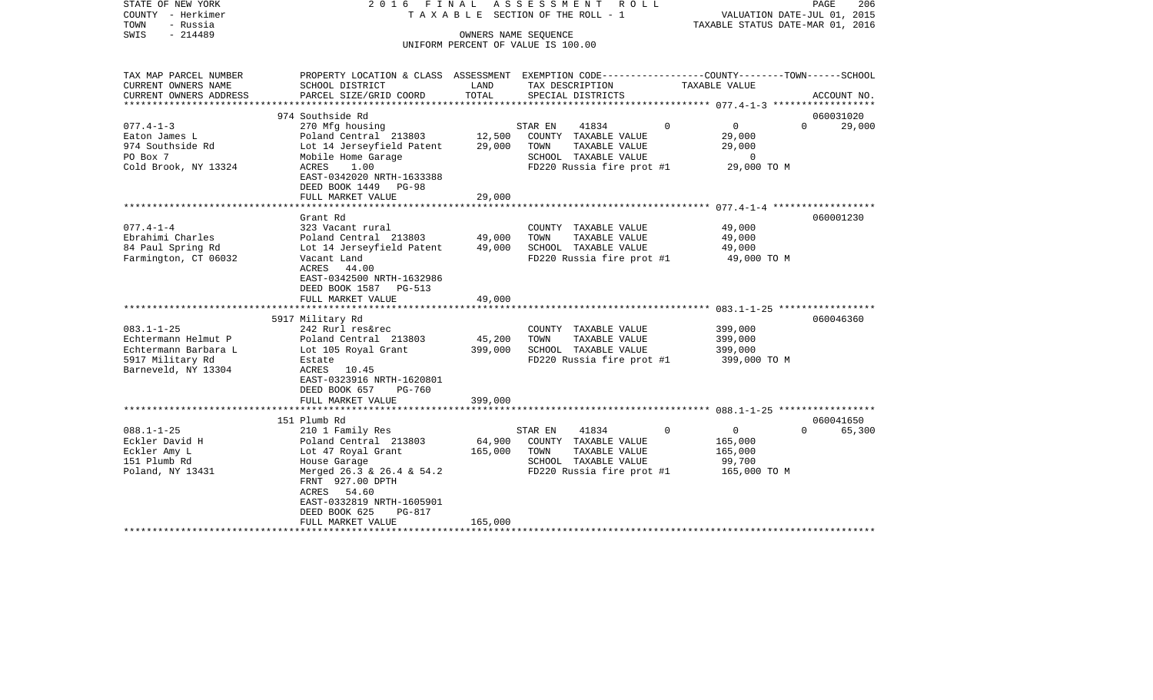| STATE OF NEW YORK<br>COUNTY - Herkimer<br>- Russia<br>TOWN                                                                                                              | 2016 FINAL ASSESSMENT ROLL<br>T A X A B L E SECTION OF THE ROLL - 1                                                                                                                                                                                                                                        |                                                 | PAGE<br>206<br>VALUATION DATE-JUL 01, 2015<br>TAXABLE STATUS DATE-MAR 01, 2016                                                                                                                           |                                                                                            |                                 |
|-------------------------------------------------------------------------------------------------------------------------------------------------------------------------|------------------------------------------------------------------------------------------------------------------------------------------------------------------------------------------------------------------------------------------------------------------------------------------------------------|-------------------------------------------------|----------------------------------------------------------------------------------------------------------------------------------------------------------------------------------------------------------|--------------------------------------------------------------------------------------------|---------------------------------|
| $-214489$<br>SWIS                                                                                                                                                       |                                                                                                                                                                                                                                                                                                            | OWNERS NAME SEOUENCE                            | UNIFORM PERCENT OF VALUE IS 100.00                                                                                                                                                                       |                                                                                            |                                 |
| TAX MAP PARCEL NUMBER<br>CURRENT OWNERS NAME<br>CURRENT OWNERS ADDRESS                                                                                                  | PROPERTY LOCATION & CLASS ASSESSMENT EXEMPTION CODE---------------COUNTY-------TOWN------SCHOOL<br>SCHOOL DISTRICT<br>PARCEL SIZE/GRID COORD                                                                                                                                                               | LAND<br>TOTAL                                   | TAX DESCRIPTION<br>SPECIAL DISTRICTS                                                                                                                                                                     | TAXABLE VALUE                                                                              | ACCOUNT NO.                     |
| **********************                                                                                                                                                  | ******************************<br>974 Southside Rd                                                                                                                                                                                                                                                         |                                                 |                                                                                                                                                                                                          |                                                                                            |                                 |
| $077.4 - 1 - 3$<br>Eaton James L<br>974 Southside Rd<br>PO Box 7<br>Cold Brook, NY 13324                                                                                | 270 Mfg housing<br>Poland Central 213803<br>Lot 14 Jerseyfield Patent<br>Mobile Home Garage<br>ACRES<br>1.00<br>EAST-0342020 NRTH-1633388<br>DEED BOOK 1449 PG-98                                                                                                                                          | 12,500<br>29,000                                | 41834<br>STAR EN<br>COUNTY TAXABLE VALUE<br>TOWN<br>TAXABLE VALUE<br>SCHOOL TAXABLE VALUE<br>FD220 Russia fire prot #1                                                                                   | $\mathbf{0}$<br>$\Omega$<br>29,000<br>29,000<br>0<br>29,000 TO M                           | 060031020<br>$\Omega$<br>29,000 |
|                                                                                                                                                                         | FULL MARKET VALUE                                                                                                                                                                                                                                                                                          | 29,000                                          |                                                                                                                                                                                                          |                                                                                            |                                 |
| $077.4 - 1 - 4$<br>Ebrahimi Charles<br>84 Paul Spring Rd<br>Farmington, CT 06032<br>$083.1 - 1 - 25$<br>Echtermann Helmut P<br>Echtermann Barbara L<br>5917 Military Rd | Grant Rd<br>323 Vacant rural<br>Poland Central 213803<br>Lot 14 Jerseyfield Patent<br>Vacant Land<br>ACRES<br>44.00<br>EAST-0342500 NRTH-1632986<br>DEED BOOK 1587<br><b>PG-513</b><br>FULL MARKET VALUE<br>5917 Military Rd<br>242 Rurl res&rec<br>Poland Central 213803<br>Lot 105 Royal Grant<br>Estate | 49,000<br>49,000<br>49,000<br>45,200<br>399,000 | COUNTY TAXABLE VALUE<br>TOWN<br>TAXABLE VALUE<br>SCHOOL TAXABLE VALUE<br>FD220 Russia fire prot #1<br>COUNTY TAXABLE VALUE<br>TOWN<br>TAXABLE VALUE<br>SCHOOL TAXABLE VALUE<br>FD220 Russia fire prot #1 | 49,000<br>49,000<br>49,000<br>49,000 TO M<br>399,000<br>399,000<br>399,000<br>399,000 TO M | 060001230<br>060046360          |
| Barneveld, NY 13304                                                                                                                                                     | ACRES<br>10.45<br>EAST-0323916 NRTH-1620801<br>DEED BOOK 657<br>PG-760<br>FULL MARKET VALUE                                                                                                                                                                                                                | 399,000                                         |                                                                                                                                                                                                          |                                                                                            |                                 |
| $088.1 - 1 - 25$<br>Eckler David H<br>Eckler Amy L<br>151 Plumb Rd<br>Poland, NY 13431                                                                                  | 151 Plumb Rd<br>210 1 Family Res<br>Poland Central 213803<br>Lot 47 Royal Grant<br>House Garage<br>Merged 26.3 & 26.4 & 54.2<br>FRNT 927.00 DPTH<br>ACRES<br>54.60<br>EAST-0332819 NRTH-1605901<br>DEED BOOK 625<br>PG-817<br>FULL MARKET VALUE                                                            | 64,900<br>165,000<br>165,000                    | 41834<br>STAR EN<br>COUNTY TAXABLE VALUE<br>TOWN<br>TAXABLE VALUE<br>SCHOOL TAXABLE VALUE<br>FD220 Russia fire prot #1                                                                                   | $\Omega$<br>$\mathbf{0}$<br>165,000<br>165,000<br>99,700<br>165,000 TO M                   | 060041650<br>65,300<br>$\Omega$ |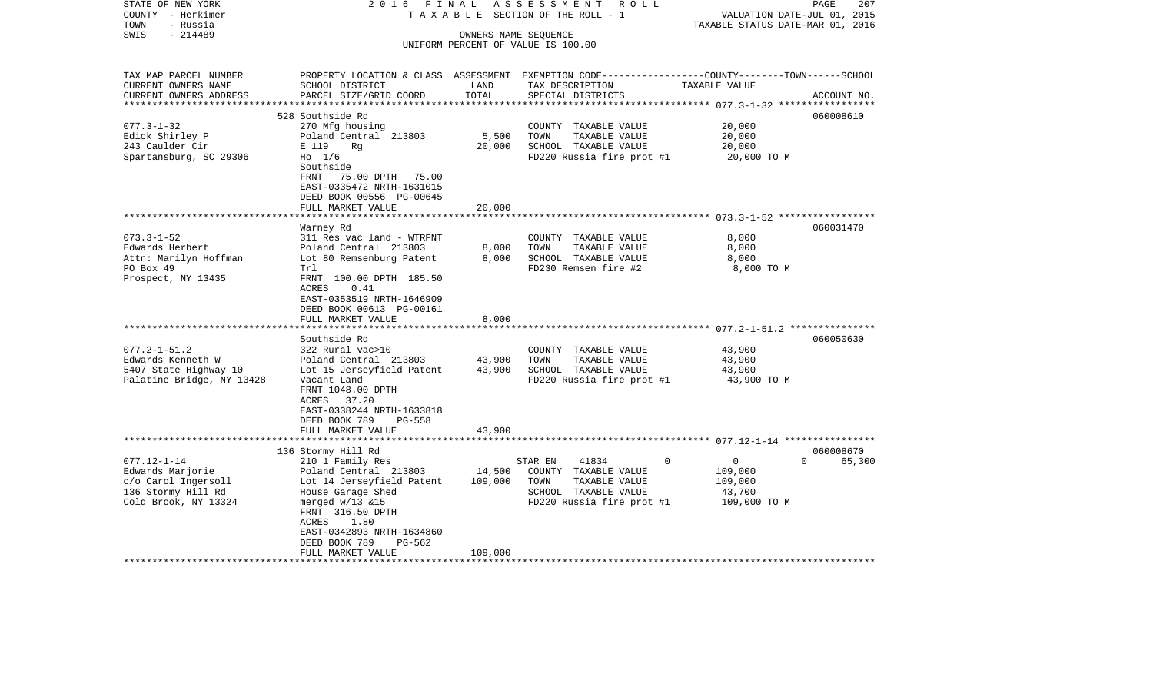| STATE OF NEW YORK<br>COUNTY - Herkimer<br>- Russia<br>TOWN | 2016 FINAL<br>TAXABLE                                 |         | ASSESSMENT ROLL<br>SECTION OF THE ROLL - 1                                                                         | VALUATION DATE-JUL 01, 2015<br>TAXABLE STATUS DATE-MAR 01, 2016 | 207<br>PAGE |
|------------------------------------------------------------|-------------------------------------------------------|---------|--------------------------------------------------------------------------------------------------------------------|-----------------------------------------------------------------|-------------|
| $-214489$<br>SWIS                                          |                                                       |         | OWNERS NAME SEQUENCE<br>UNIFORM PERCENT OF VALUE IS 100.00                                                         |                                                                 |             |
|                                                            |                                                       |         |                                                                                                                    |                                                                 |             |
| TAX MAP PARCEL NUMBER<br>CURRENT OWNERS NAME               | SCHOOL DISTRICT                                       | LAND    | PROPERTY LOCATION & CLASS ASSESSMENT EXEMPTION CODE---------------COUNTY-------TOWN------SCHOOL<br>TAX DESCRIPTION | TAXABLE VALUE                                                   |             |
| CURRENT OWNERS ADDRESS                                     | PARCEL SIZE/GRID COORD                                | TOTAL   | SPECIAL DISTRICTS                                                                                                  |                                                                 | ACCOUNT NO. |
|                                                            | 528 Southside Rd                                      |         |                                                                                                                    |                                                                 | 060008610   |
| $077.3 - 1 - 32$                                           | 270 Mfg housing                                       |         | COUNTY TAXABLE VALUE                                                                                               | 20,000                                                          |             |
| Edick Shirley P                                            | Poland Central 213803                                 | 5,500   | TOWN<br>TAXABLE VALUE                                                                                              | 20,000                                                          |             |
| 243 Caulder Cir                                            | E 119<br>Rg                                           | 20,000  | SCHOOL TAXABLE VALUE                                                                                               | 20,000                                                          |             |
| Spartansburg, SC 29306                                     | Ho 1/6<br>Southside                                   |         | FD220 Russia fire prot #1                                                                                          | 20,000 TO M                                                     |             |
|                                                            | FRNT<br>75.00 DPTH 75.00<br>EAST-0335472 NRTH-1631015 |         |                                                                                                                    |                                                                 |             |
|                                                            | DEED BOOK 00556 PG-00645                              |         |                                                                                                                    |                                                                 |             |
|                                                            | FULL MARKET VALUE                                     | 20,000  |                                                                                                                    |                                                                 |             |
|                                                            | ****************                                      |         |                                                                                                                    |                                                                 |             |
|                                                            | Warney Rd                                             |         |                                                                                                                    |                                                                 | 060031470   |
| $073.3 - 1 - 52$                                           | 311 Res vac land - WTRFNT                             |         | COUNTY TAXABLE VALUE                                                                                               | 8,000                                                           |             |
| Edwards Herbert                                            | Poland Central 213803                                 | 8,000   | TOWN<br>TAXABLE VALUE                                                                                              | 8,000                                                           |             |
| Attn: Marilyn Hoffman                                      | Lot 80 Remsenburg Patent                              | 8.000   | SCHOOL TAXABLE VALUE                                                                                               | 8,000                                                           |             |
| PO Box 49<br>Prospect, NY 13435                            | Trl<br>FRNT 100.00 DPTH 185.50                        |         | FD230 Remsen fire #2                                                                                               | 8,000 TO M                                                      |             |
|                                                            | <b>ACRES</b><br>0.41                                  |         |                                                                                                                    |                                                                 |             |
|                                                            | EAST-0353519 NRTH-1646909                             |         |                                                                                                                    |                                                                 |             |
|                                                            | DEED BOOK 00613 PG-00161                              |         |                                                                                                                    |                                                                 |             |
|                                                            | FULL MARKET VALUE                                     | 8,000   |                                                                                                                    |                                                                 |             |
|                                                            | *******************                                   |         |                                                                                                                    |                                                                 |             |
| $077.2 - 1 - 51.2$                                         | Southside Rd<br>322 Rural vac>10                      |         | COUNTY TAXABLE VALUE                                                                                               | 43,900                                                          | 060050630   |
| Edwards Kenneth W                                          | Poland Central 213803                                 | 43,900  | TAXABLE VALUE<br>TOWN                                                                                              | 43,900                                                          |             |
| 5407 State Highway 10                                      | Lot 15 Jerseyfield Patent                             | 43,900  | SCHOOL TAXABLE VALUE                                                                                               | 43,900                                                          |             |
| Palatine Bridge, NY 13428                                  | Vacant Land                                           |         | FD220 Russia fire prot #1                                                                                          | 43,900 TO M                                                     |             |
|                                                            | FRNT 1048.00 DPTH                                     |         |                                                                                                                    |                                                                 |             |
|                                                            | ACRES 37.20                                           |         |                                                                                                                    |                                                                 |             |
|                                                            | EAST-0338244 NRTH-1633818                             |         |                                                                                                                    |                                                                 |             |
|                                                            | DEED BOOK 789<br><b>PG-558</b><br>FULL MARKET VALUE   | 43,900  |                                                                                                                    |                                                                 |             |
|                                                            |                                                       |         |                                                                                                                    |                                                                 |             |
|                                                            | 136 Stormy Hill Rd                                    |         |                                                                                                                    |                                                                 | 060008670   |
| $077.12 - 1 - 14$                                          | 210 1 Family Res                                      |         | 41834<br>STAR EN                                                                                                   | $\overline{0}$<br>$\Omega$<br>$\mathbf 0$                       | 65,300      |
| Edwards Marjorie                                           | Poland Central 213803                                 | 14,500  | COUNTY TAXABLE VALUE                                                                                               | 109,000                                                         |             |
| c/o Carol Ingersoll                                        | Lot 14 Jerseyfield Patent                             | 109,000 | TOWN<br>TAXABLE VALUE                                                                                              | 109,000                                                         |             |
| 136 Stormy Hill Rd                                         | House Garage Shed                                     |         | SCHOOL TAXABLE VALUE                                                                                               | 43,700                                                          |             |
| Cold Brook, NY 13324                                       | merged $w/13$ &15<br>FRNT 316.50 DPTH                 |         | FD220 Russia fire prot #1                                                                                          | 109,000 TO M                                                    |             |
|                                                            | 1.80<br>ACRES<br>EAST-0342893 NRTH-1634860            |         |                                                                                                                    |                                                                 |             |
|                                                            | DEED BOOK 789<br>$PG-562$                             |         |                                                                                                                    |                                                                 |             |
|                                                            | FULL MARKET VALUE                                     | 109,000 |                                                                                                                    |                                                                 |             |
| *******************                                        |                                                       |         |                                                                                                                    |                                                                 |             |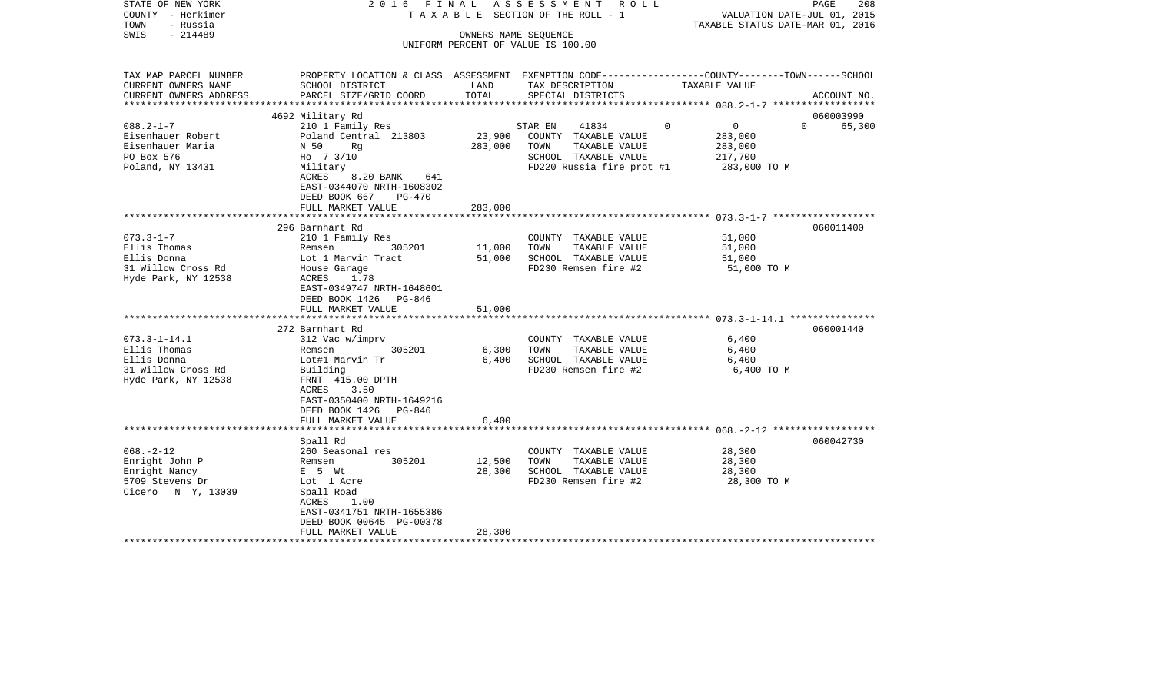| STATE OF NEW YORK<br>COUNTY - Herkimer<br>TOWN<br>- Russia<br>$-214489$<br>SWIS | 2016 FINAL                                                                                                               |         | ASSESSMENT ROLL<br>TAXABLE SECTION OF THE ROLL - 1<br>OWNERS NAME SEQUENCE<br>UNIFORM PERCENT OF VALUE IS 100.00 |               | PAGE<br>208<br>VALUATION DATE-JUL 01, 2015<br>TAXABLE STATUS DATE-MAR 01, 2016                   |
|---------------------------------------------------------------------------------|--------------------------------------------------------------------------------------------------------------------------|---------|------------------------------------------------------------------------------------------------------------------|---------------|--------------------------------------------------------------------------------------------------|
| TAX MAP PARCEL NUMBER                                                           |                                                                                                                          | LAND    |                                                                                                                  | TAXABLE VALUE | PROPERTY LOCATION & CLASS ASSESSMENT EXEMPTION CODE----------------COUNTY-------TOWN------SCHOOL |
| CURRENT OWNERS NAME<br>CURRENT OWNERS ADDRESS                                   | SCHOOL DISTRICT<br>PARCEL SIZE/GRID COORD                                                                                | TOTAL   | TAX DESCRIPTION<br>SPECIAL DISTRICTS                                                                             |               | ACCOUNT NO.                                                                                      |
| ***********************                                                         |                                                                                                                          |         |                                                                                                                  |               |                                                                                                  |
|                                                                                 | 4692 Military Rd                                                                                                         |         |                                                                                                                  |               | 060003990                                                                                        |
| $088.2 - 1 - 7$                                                                 | 210 1 Family Res                                                                                                         |         | STAR EN<br>41834                                                                                                 | $\Omega$      | $\overline{0}$<br>$\Omega$<br>65,300                                                             |
| Eisenhauer Robert                                                               | Poland Central 213803                                                                                                    | 23,900  | COUNTY TAXABLE VALUE                                                                                             |               | 283,000                                                                                          |
| Eisenhauer Maria                                                                | N 50<br>Rq                                                                                                               | 283,000 | TOWN<br>TAXABLE VALUE                                                                                            |               | 283,000                                                                                          |
| PO Box 576                                                                      | Ho 7 3/10                                                                                                                |         | SCHOOL TAXABLE VALUE                                                                                             |               | 217,700                                                                                          |
| Poland, NY 13431                                                                | Military<br>8.20 BANK<br>ACRES<br>641<br>EAST-0344070 NRTH-1608302<br>DEED BOOK 667<br>$PG-470$<br>FULL MARKET VALUE     | 283,000 | FD220 Russia fire prot #1                                                                                        |               | 283,000 TO M                                                                                     |
|                                                                                 |                                                                                                                          |         |                                                                                                                  |               |                                                                                                  |
|                                                                                 | 296 Barnhart Rd                                                                                                          |         |                                                                                                                  |               | 060011400                                                                                        |
| $073.3 - 1 - 7$                                                                 | 210 1 Family Res                                                                                                         |         | COUNTY TAXABLE VALUE                                                                                             |               | 51,000                                                                                           |
| Ellis Thomas                                                                    | 305201<br>Remsen                                                                                                         | 11,000  | TOWN<br>TAXABLE VALUE                                                                                            |               | 51,000                                                                                           |
| Ellis Donna                                                                     | Lot 1 Marvin Tract                                                                                                       | 51,000  | SCHOOL TAXABLE VALUE                                                                                             |               | 51,000                                                                                           |
| 31 Willow Cross Rd<br>Hyde Park, NY 12538                                       | House Garage<br>ACRES 1.78<br>EAST-0349747 NRTH-1648601<br>DEED BOOK 1426 PG-846                                         |         | FD230 Remsen fire #2                                                                                             |               | 51,000 TO M                                                                                      |
|                                                                                 | FULL MARKET VALUE                                                                                                        | 51,000  |                                                                                                                  |               |                                                                                                  |
|                                                                                 |                                                                                                                          |         |                                                                                                                  |               |                                                                                                  |
|                                                                                 | 272 Barnhart Rd                                                                                                          |         |                                                                                                                  |               | 060001440                                                                                        |
| $073.3 - 1 - 14.1$                                                              | 312 Vac w/imprv                                                                                                          |         | COUNTY TAXABLE VALUE                                                                                             |               | 6,400                                                                                            |
| Ellis Thomas                                                                    | 305201<br>Remsen                                                                                                         | 6,300   | TOWN<br>TAXABLE VALUE                                                                                            |               | 6,400                                                                                            |
| Ellis Donna                                                                     | Lot#1 Marvin Tr                                                                                                          | 6,400   | SCHOOL TAXABLE VALUE                                                                                             |               | 6,400                                                                                            |
| 31 Willow Cross Rd<br>Hyde Park, NY 12538                                       | Building<br>FRNT 415.00 DPTH<br>ACRES<br>3.50<br>EAST-0350400 NRTH-1649216<br>DEED BOOK 1426 PG-846<br>FULL MARKET VALUE | 6,400   | FD230 Remsen fire #2                                                                                             |               | 6,400 TO M                                                                                       |
|                                                                                 |                                                                                                                          |         |                                                                                                                  |               |                                                                                                  |
|                                                                                 | Spall Rd                                                                                                                 |         |                                                                                                                  |               | 060042730                                                                                        |
| $068. - 2 - 12$                                                                 | 260 Seasonal res                                                                                                         |         | COUNTY TAXABLE VALUE                                                                                             |               | 28,300                                                                                           |
| Enright John P                                                                  | 305201<br>Remsen                                                                                                         | 12,500  | TOWN<br>TAXABLE VALUE                                                                                            |               | 28,300                                                                                           |
| Enright Nancy                                                                   | $E$ 5 $Wt$                                                                                                               | 28,300  | SCHOOL TAXABLE VALUE                                                                                             |               | 28,300                                                                                           |
| 5709 Stevens Dr<br>Cicero N Y, 13039                                            | Lot 1 Acre<br>Spall Road<br>ACRES<br>1.00<br>EAST-0341751 NRTH-1655386<br>DEED BOOK 00645 PG-00378<br>FULL MARKET VALUE  | 28,300  | FD230 Remsen fire #2                                                                                             |               | 28,300 TO M                                                                                      |
|                                                                                 |                                                                                                                          |         |                                                                                                                  |               |                                                                                                  |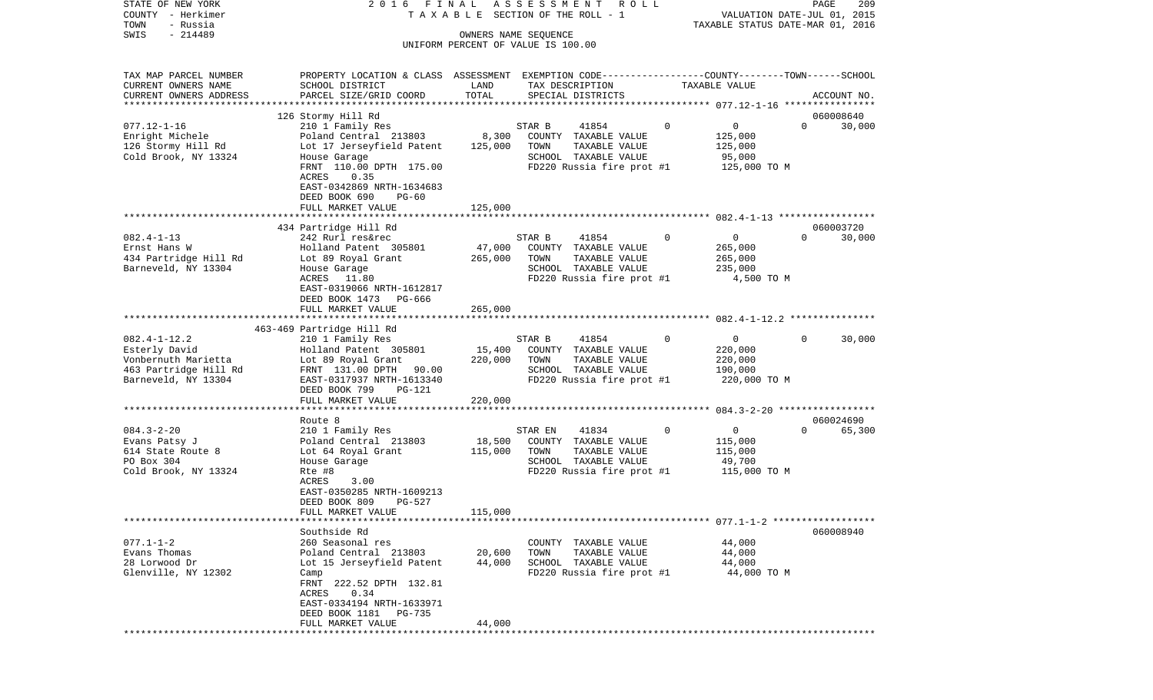| STATE OF NEW YORK<br>COUNTY - Herkimer<br>TOWN<br>- Russia                                                 | 2016 FINAL                                                                                                                                                                                          |                              | ASSESSMENT ROLL<br>TAXABLE SECTION OF THE ROLL - 1                                                                     |             | VALUATION DATE-JUL 01, 2015<br>TAXABLE STATUS DATE-MAR 01, 2016 | PAGE<br>209                     |
|------------------------------------------------------------------------------------------------------------|-----------------------------------------------------------------------------------------------------------------------------------------------------------------------------------------------------|------------------------------|------------------------------------------------------------------------------------------------------------------------|-------------|-----------------------------------------------------------------|---------------------------------|
| $-214489$<br>SWIS                                                                                          |                                                                                                                                                                                                     | OWNERS NAME SEQUENCE         | UNIFORM PERCENT OF VALUE IS 100.00                                                                                     |             |                                                                 |                                 |
| TAX MAP PARCEL NUMBER<br>CURRENT OWNERS NAME<br>CURRENT OWNERS ADDRESS<br>***********************          | PROPERTY LOCATION & CLASS ASSESSMENT EXEMPTION CODE---------------COUNTY-------TOWN------SCHOOL<br>SCHOOL DISTRICT<br>PARCEL SIZE/GRID COORD                                                        | LAND<br>TOTAL                | TAX DESCRIPTION<br>SPECIAL DISTRICTS                                                                                   |             | TAXABLE VALUE                                                   | ACCOUNT NO.                     |
|                                                                                                            | 126 Stormy Hill Rd                                                                                                                                                                                  |                              |                                                                                                                        |             |                                                                 | 060008640                       |
| $077.12 - 1 - 16$<br>Enright Michele<br>126 Stormy Hill Rd<br>Cold Brook, NY 13324                         | 210 1 Family Res<br>Poland Central 213803<br>Lot 17 Jerseyfield Patent<br>House Garage<br>FRNT 110.00 DPTH 175.00<br>ACRES<br>0.35<br>EAST-0342869 NRTH-1634683<br>DEED BOOK 690<br>$PG-60$         | 8,300<br>125,000             | 41854<br>STAR B<br>COUNTY TAXABLE VALUE<br>TOWN<br>TAXABLE VALUE<br>SCHOOL TAXABLE VALUE<br>FD220 Russia fire prot #1  | $\mathbf 0$ | 0<br>125,000<br>125,000<br>95,000<br>125,000 TO M               | $\Omega$<br>30,000              |
|                                                                                                            | FULL MARKET VALUE                                                                                                                                                                                   | 125,000                      |                                                                                                                        |             |                                                                 |                                 |
| $082.4 - 1 - 13$<br>Ernst Hans W<br>434 Partridge Hill Rd<br>Barneveld, NY 13304                           | 434 Partridge Hill Rd<br>242 Rurl res&rec<br>Holland Patent 305801<br>Lot 89 Royal Grant<br>House Garage<br>11.80<br>ACRES<br>EAST-0319066 NRTH-1612817<br>DEED BOOK 1473 PG-666                    | 47,000<br>265,000            | STAR B<br>41854<br>COUNTY TAXABLE VALUE<br>TOWN<br>TAXABLE VALUE<br>SCHOOL TAXABLE VALUE<br>FD220 Russia fire prot #1  | $\mathbf 0$ | $\overline{0}$<br>265,000<br>265,000<br>235,000<br>4,500 TO M   | 060003720<br>30,000<br>$\Omega$ |
|                                                                                                            | FULL MARKET VALUE                                                                                                                                                                                   | 265,000                      |                                                                                                                        |             |                                                                 |                                 |
|                                                                                                            |                                                                                                                                                                                                     |                              |                                                                                                                        |             |                                                                 |                                 |
| $082.4 - 1 - 12.2$<br>Esterly David<br>Vonbernuth Marietta<br>463 Partridge Hill Rd<br>Barneveld, NY 13304 | 463-469 Partridge Hill Rd<br>210 1 Family Res<br>Holland Patent 305801<br>Lot 89 Royal Grant<br>FRNT 131.00 DPTH 90.00<br>EAST-0317937 NRTH-1613340<br>DEED BOOK 799<br>PG-121<br>FULL MARKET VALUE | 15,400<br>220,000<br>220,000 | STAR B<br>41854<br>COUNTY TAXABLE VALUE<br>TOWN<br>TAXABLE VALUE<br>SCHOOL TAXABLE VALUE<br>FD220 Russia fire prot #1  | $\Omega$    | 0<br>220,000<br>220,000<br>190,000<br>220,000 TO M              | $\Omega$<br>30,000              |
|                                                                                                            | *********************                                                                                                                                                                               |                              |                                                                                                                        |             |                                                                 |                                 |
| $084.3 - 2 - 20$<br>Evans Patsy J<br>614 State Route 8<br>PO Box 304<br>Cold Brook, NY 13324               | Route 8<br>210 1 Family Res<br>Poland Central 213803<br>Lot 64 Royal Grant<br>House Garage<br>Rte #8<br>3.00<br>ACRES<br>EAST-0350285 NRTH-1609213<br>DEED BOOK 809<br>PG-527<br>FULL MARKET VALUE  | 18,500<br>115,000<br>115,000 | 41834<br>STAR EN<br>COUNTY TAXABLE VALUE<br>TOWN<br>TAXABLE VALUE<br>SCHOOL TAXABLE VALUE<br>FD220 Russia fire prot #1 | $\mathbf 0$ | $\overline{0}$<br>115,000<br>115,000<br>49,700<br>115,000 TO M  | 060024690<br>$\Omega$<br>65,300 |
|                                                                                                            |                                                                                                                                                                                                     |                              |                                                                                                                        |             |                                                                 |                                 |
| $077.1 - 1 - 2$<br>Evans Thomas<br>28 Lorwood Dr<br>Glenville, NY 12302                                    | Southside Rd<br>260 Seasonal res<br>Poland Central 213803<br>Lot 15 Jerseyfield Patent<br>Camp<br>FRNT 222.52 DPTH 132.81<br>0.34<br>ACRES<br>EAST-0334194 NRTH-1633971<br>DEED BOOK 1181<br>PG-735 | 20,600<br>44,000             | COUNTY TAXABLE VALUE<br>TOWN<br>TAXABLE VALUE<br>SCHOOL TAXABLE VALUE<br>FD220 Russia fire prot #1                     |             | 44,000<br>44,000<br>44,000<br>44,000 TO M                       | 060008940                       |
|                                                                                                            | FULL MARKET VALUE                                                                                                                                                                                   | 44,000                       |                                                                                                                        |             |                                                                 |                                 |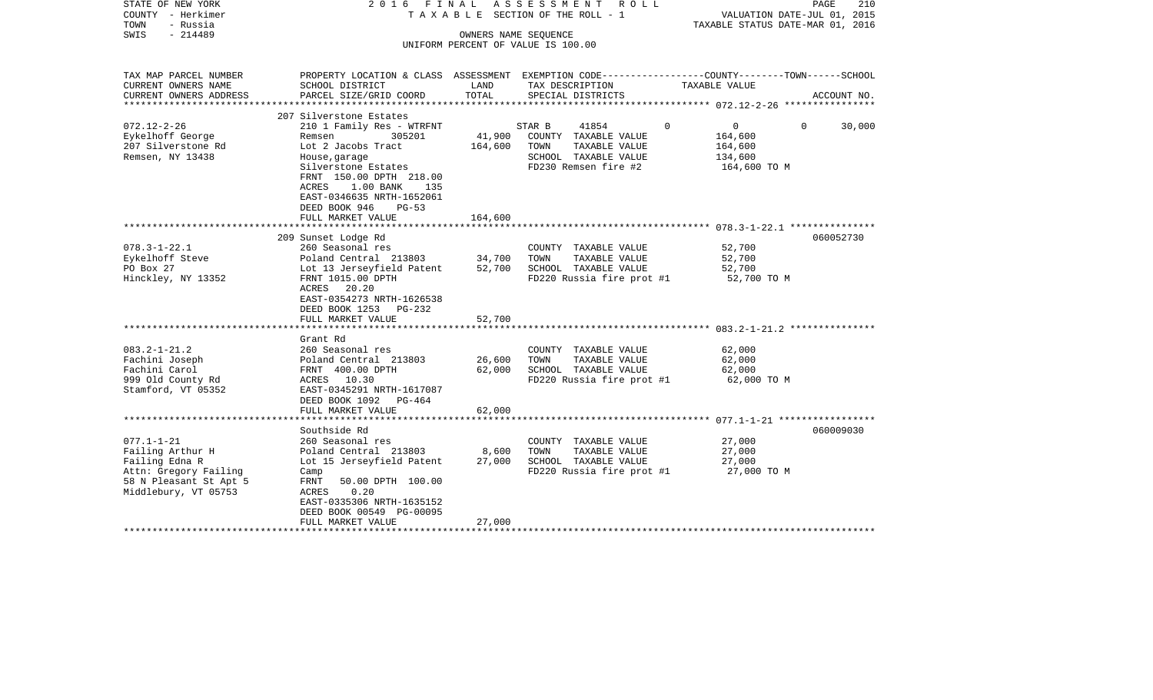| STATE OF NEW YORK        | 2016<br>FINAL                                                                                    |         | A S S E S S M E N T A O L L           |                                  | 210<br>PAGE                 |
|--------------------------|--------------------------------------------------------------------------------------------------|---------|---------------------------------------|----------------------------------|-----------------------------|
| COUNTY - Herkimer        |                                                                                                  |         | T A X A B L E SECTION OF THE ROLL - 1 |                                  | VALUATION DATE-JUL 01, 2015 |
| - Russia<br>TOWN         |                                                                                                  |         |                                       | TAXABLE STATUS DATE-MAR 01, 2016 |                             |
| $-214489$<br>SWIS        |                                                                                                  |         | OWNERS NAME SEQUENCE                  |                                  |                             |
|                          |                                                                                                  |         | UNIFORM PERCENT OF VALUE IS 100.00    |                                  |                             |
| TAX MAP PARCEL NUMBER    | PROPERTY LOCATION & CLASS ASSESSMENT EXEMPTION CODE----------------COUNTY-------TOWN------SCHOOL |         |                                       |                                  |                             |
| CURRENT OWNERS NAME      | SCHOOL DISTRICT                                                                                  | LAND    | TAX DESCRIPTION                       | TAXABLE VALUE                    |                             |
| CURRENT OWNERS ADDRESS   | PARCEL SIZE/GRID COORD                                                                           | TOTAL   | SPECIAL DISTRICTS                     |                                  | ACCOUNT NO.                 |
| ************************ |                                                                                                  |         |                                       |                                  |                             |
|                          | 207 Silverstone Estates                                                                          |         |                                       |                                  |                             |
| $072.12 - 2 - 26$        | 210 1 Family Res - WTRFNT                                                                        |         | 41854<br>STAR B                       | $\Omega$<br>$0 \qquad \qquad$    | 30,000<br>$\Omega$          |
| Eykelhoff George         | 305201<br>Remsen                                                                                 | 41,900  | COUNTY TAXABLE VALUE                  | 164,600                          |                             |
| 207 Silverstone Rd       | Lot 2 Jacobs Tract                                                                               | 164,600 | TOWN<br>TAXABLE VALUE                 | 164,600                          |                             |
| Remsen, NY 13438         | House, garage                                                                                    |         | SCHOOL TAXABLE VALUE                  | 134,600                          |                             |
|                          | Silverstone Estates                                                                              |         | FD230 Remsen fire #2                  | 164,600 TO M                     |                             |
|                          | FRNT 150.00 DPTH 218.00                                                                          |         |                                       |                                  |                             |
|                          | ACRES<br>1.00 BANK<br>135                                                                        |         |                                       |                                  |                             |
|                          | EAST-0346635 NRTH-1652061                                                                        |         |                                       |                                  |                             |
|                          | DEED BOOK 946<br>$PG-53$                                                                         |         |                                       |                                  |                             |
|                          | FULL MARKET VALUE                                                                                | 164,600 |                                       |                                  |                             |
|                          |                                                                                                  |         |                                       |                                  |                             |
|                          | 209 Sunset Lodge Rd                                                                              |         |                                       |                                  | 060052730                   |
| $078.3 - 1 - 22.1$       | 260 Seasonal res                                                                                 |         | COUNTY TAXABLE VALUE                  | 52,700                           |                             |
| Eykelhoff Steve          | Poland Central 213803                                                                            | 34,700  | TOWN<br>TAXABLE VALUE                 | 52,700                           |                             |
| PO Box 27                | Lot 13 Jerseyfield Patent                                                                        | 52,700  | SCHOOL TAXABLE VALUE                  | 52,700                           |                             |
| Hinckley, NY 13352       | FRNT 1015.00 DPTH                                                                                |         | FD220 Russia fire prot #1             | 52,700 TO M                      |                             |
|                          | ACRES 20.20<br>EAST-0354273 NRTH-1626538                                                         |         |                                       |                                  |                             |
|                          | DEED BOOK 1253 PG-232                                                                            |         |                                       |                                  |                             |
|                          | FULL MARKET VALUE                                                                                | 52,700  |                                       |                                  |                             |
|                          |                                                                                                  |         |                                       |                                  |                             |
|                          | Grant Rd                                                                                         |         |                                       |                                  |                             |
| $083.2 - 1 - 21.2$       | 260 Seasonal res                                                                                 |         | COUNTY TAXABLE VALUE                  | 62,000                           |                             |
| Fachini Joseph           | Poland Central 213803                                                                            | 26,600  | TOWN<br>TAXABLE VALUE                 | 62,000                           |                             |
| Fachini Carol            | FRNT 400.00 DPTH                                                                                 | 62,000  | SCHOOL TAXABLE VALUE                  | 62,000                           |                             |
| 999 Old County Rd        | ACRES 10.30                                                                                      |         | FD220 Russia fire prot #1             | 62,000 TO M                      |                             |
| Stamford, VT 05352       | EAST-0345291 NRTH-1617087                                                                        |         |                                       |                                  |                             |
|                          | DEED BOOK 1092 PG-464                                                                            |         |                                       |                                  |                             |
|                          | FULL MARKET VALUE                                                                                | 62,000  |                                       |                                  |                             |
|                          |                                                                                                  |         |                                       |                                  |                             |
|                          | Southside Rd                                                                                     |         |                                       |                                  | 060009030                   |
| $077.1 - 1 - 21$         | 260 Seasonal res                                                                                 |         | COUNTY TAXABLE VALUE                  | 27,000                           |                             |
| Failing Arthur H         | Poland Central 213803                                                                            | 8,600   | TOWN<br>TAXABLE VALUE                 | 27,000                           |                             |
| Failing Edna R           | Lot 15 Jerseyfield Patent                                                                        | 27,000  | SCHOOL TAXABLE VALUE                  | 27,000                           |                             |
| Attn: Gregory Failing    | Camp                                                                                             |         | FD220 Russia fire prot #1             | 27,000 TO M                      |                             |
| 58 N Pleasant St Apt 5   | FRNT<br>50.00 DPTH 100.00                                                                        |         |                                       |                                  |                             |
| Middlebury, VT 05753     | ACRES<br>0.20                                                                                    |         |                                       |                                  |                             |
|                          | EAST-0335306 NRTH-1635152                                                                        |         |                                       |                                  |                             |
|                          | DEED BOOK 00549 PG-00095                                                                         |         |                                       |                                  |                             |
|                          | FULL MARKET VALUE                                                                                | 27,000  |                                       |                                  |                             |
|                          |                                                                                                  |         |                                       |                                  |                             |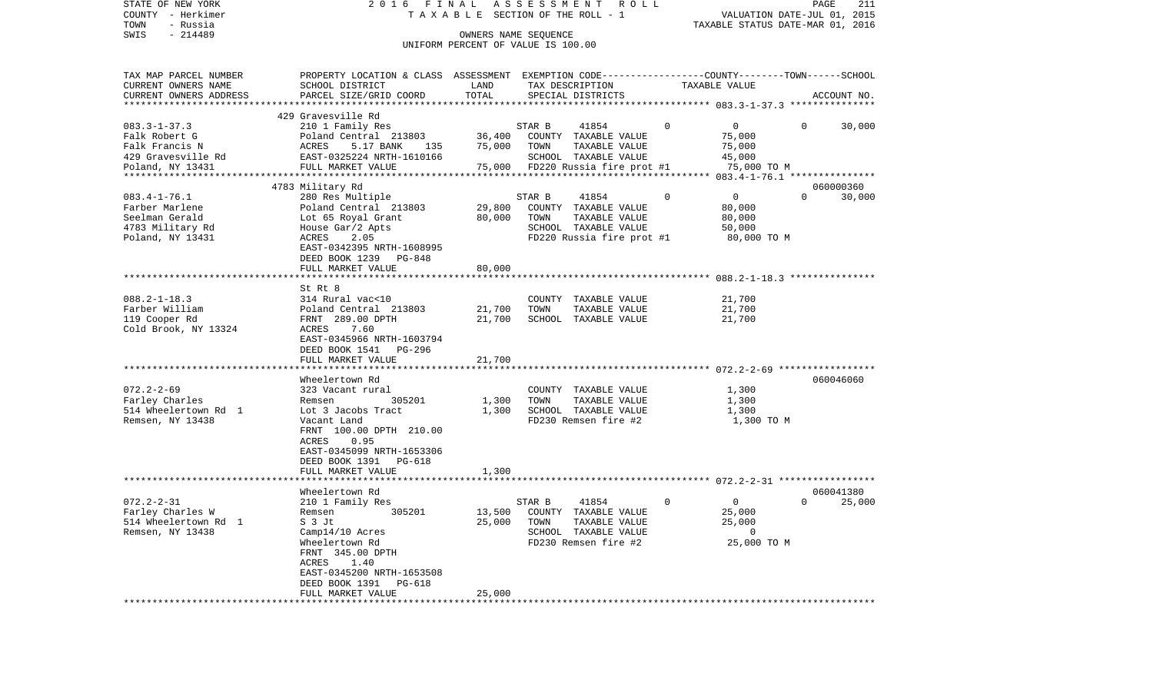| STATE OF NEW YORK                     | 2016 FINAL                                                                                       |        | ASSESSMENT ROLL                               |                               | PAGE<br>211                                                     |
|---------------------------------------|--------------------------------------------------------------------------------------------------|--------|-----------------------------------------------|-------------------------------|-----------------------------------------------------------------|
| COUNTY - Herkimer<br>- Russia<br>TOWN |                                                                                                  |        | T A X A B L E SECTION OF THE ROLL - 1         |                               | VALUATION DATE-JUL 01, 2015<br>TAXABLE STATUS DATE-MAR 01, 2016 |
| $-214489$<br>SWIS                     |                                                                                                  |        | OWNERS NAME SEQUENCE                          |                               |                                                                 |
|                                       |                                                                                                  |        | UNIFORM PERCENT OF VALUE IS 100.00            |                               |                                                                 |
|                                       |                                                                                                  |        |                                               |                               |                                                                 |
| TAX MAP PARCEL NUMBER                 | PROPERTY LOCATION & CLASS ASSESSMENT EXEMPTION CODE----------------COUNTY-------TOWN------SCHOOL |        |                                               |                               |                                                                 |
| CURRENT OWNERS NAME                   | SCHOOL DISTRICT                                                                                  | LAND   | TAX DESCRIPTION                               | TAXABLE VALUE                 |                                                                 |
| CURRENT OWNERS ADDRESS                | PARCEL SIZE/GRID COORD                                                                           | TOTAL  | SPECIAL DISTRICTS                             |                               | ACCOUNT NO.                                                     |
| ***********************               |                                                                                                  |        |                                               |                               |                                                                 |
|                                       | 429 Gravesville Rd                                                                               |        |                                               |                               |                                                                 |
| $083.3 - 1 - 37.3$                    | 210 1 Family Res                                                                                 |        | STAR B<br>41854                               | $\Omega$<br>$\mathbf 0$       | $\Omega$<br>30,000                                              |
| Falk Robert G                         | Poland Central 213803                                                                            | 36,400 | COUNTY TAXABLE VALUE                          | 75,000                        |                                                                 |
| Falk Francis N<br>429 Gravesville Rd  | ACRES<br>5.17 BANK<br>135<br>EAST-0325224 NRTH-1610166                                           | 75,000 | TOWN<br>TAXABLE VALUE<br>SCHOOL TAXABLE VALUE | 75,000<br>45,000              |                                                                 |
| Poland, NY 13431                      | FULL MARKET VALUE                                                                                | 75,000 | FD220 Russia fire prot #1                     | 75,000 TO M                   |                                                                 |
|                                       |                                                                                                  |        |                                               |                               |                                                                 |
|                                       | 4783 Military Rd                                                                                 |        |                                               |                               | 060000360                                                       |
| $083.4 - 1 - 76.1$                    | 280 Res Multiple                                                                                 |        | STAR B<br>41854                               | $\mathbf 0$<br>$\overline{0}$ | $\Omega$<br>30,000                                              |
| Farber Marlene                        | Poland Central 213803                                                                            | 29,800 | COUNTY TAXABLE VALUE                          | 80,000                        |                                                                 |
| Seelman Gerald                        | Lot 65 Royal Grant                                                                               | 80,000 | TOWN<br>TAXABLE VALUE                         | 80,000                        |                                                                 |
| 4783 Military Rd                      | House Gar/2 Apts                                                                                 |        | SCHOOL TAXABLE VALUE                          | 50,000                        |                                                                 |
| Poland, NY 13431                      | 2.05<br>ACRES                                                                                    |        | FD220 Russia fire prot #1                     | 80,000 TO M                   |                                                                 |
|                                       | EAST-0342395 NRTH-1608995                                                                        |        |                                               |                               |                                                                 |
|                                       | DEED BOOK 1239 PG-848<br>FULL MARKET VALUE                                                       | 80,000 |                                               |                               |                                                                 |
|                                       |                                                                                                  |        |                                               |                               |                                                                 |
|                                       | St Rt 8                                                                                          |        |                                               |                               |                                                                 |
| $088.2 - 1 - 18.3$                    | 314 Rural vac<10                                                                                 |        | COUNTY TAXABLE VALUE                          | 21,700                        |                                                                 |
| Farber William                        | Poland Central 213803                                                                            | 21,700 | TAXABLE VALUE<br>TOWN                         | 21,700                        |                                                                 |
| 119 Cooper Rd                         | FRNT 289.00 DPTH                                                                                 | 21,700 | SCHOOL TAXABLE VALUE                          | 21,700                        |                                                                 |
| Cold Brook, NY 13324                  | 7.60<br>ACRES                                                                                    |        |                                               |                               |                                                                 |
|                                       | EAST-0345966 NRTH-1603794                                                                        |        |                                               |                               |                                                                 |
|                                       | DEED BOOK 1541 PG-296                                                                            | 21,700 |                                               |                               |                                                                 |
|                                       | FULL MARKET VALUE                                                                                |        |                                               |                               |                                                                 |
|                                       | Wheelertown Rd                                                                                   |        |                                               |                               | 060046060                                                       |
| $072.2 - 2 - 69$                      | 323 Vacant rural                                                                                 |        | COUNTY TAXABLE VALUE                          | 1,300                         |                                                                 |
| Farley Charles                        | 305201<br>Remsen                                                                                 | 1,300  | TOWN<br>TAXABLE VALUE                         | 1,300                         |                                                                 |
| 514 Wheelertown Rd 1                  | Lot 3 Jacobs Tract                                                                               | 1,300  | SCHOOL TAXABLE VALUE                          | 1,300                         |                                                                 |
| Remsen, NY 13438                      | Vacant Land                                                                                      |        | FD230 Remsen fire #2                          | 1,300 TO M                    |                                                                 |
|                                       | FRNT 100.00 DPTH 210.00                                                                          |        |                                               |                               |                                                                 |
|                                       | ACRES<br>0.95                                                                                    |        |                                               |                               |                                                                 |
|                                       | EAST-0345099 NRTH-1653306<br>DEED BOOK 1391<br>PG-618                                            |        |                                               |                               |                                                                 |
|                                       | FULL MARKET VALUE                                                                                | 1,300  |                                               |                               |                                                                 |
|                                       |                                                                                                  |        |                                               |                               |                                                                 |
|                                       | Wheelertown Rd                                                                                   |        |                                               |                               | 060041380                                                       |
| $072.2 - 2 - 31$                      | 210 1 Family Res                                                                                 |        | 41854<br>STAR B                               | 0<br>$\mathbf 0$              | 25,000<br>$\Omega$                                              |
| Farley Charles W                      | 305201<br>Remsen                                                                                 |        | 13,500 COUNTY TAXABLE VALUE                   | 25,000                        |                                                                 |
| 514 Wheelertown Rd 1                  | S 3 Jt                                                                                           | 25,000 | TAXABLE VALUE<br>TOWN                         | 25,000                        |                                                                 |
| Remsen, NY 13438                      | Camp14/10 Acres                                                                                  |        | SCHOOL TAXABLE VALUE                          | 0                             |                                                                 |
|                                       | Wheelertown Rd<br>FRNT 345.00 DPTH                                                               |        | FD230 Remsen fire #2                          | 25,000 TO M                   |                                                                 |
|                                       | ACRES<br>1.40                                                                                    |        |                                               |                               |                                                                 |
|                                       | EAST-0345200 NRTH-1653508                                                                        |        |                                               |                               |                                                                 |
|                                       | DEED BOOK 1391<br>PG-618                                                                         |        |                                               |                               |                                                                 |
|                                       | FULL MARKET VALUE                                                                                | 25,000 |                                               |                               |                                                                 |
|                                       |                                                                                                  |        |                                               |                               |                                                                 |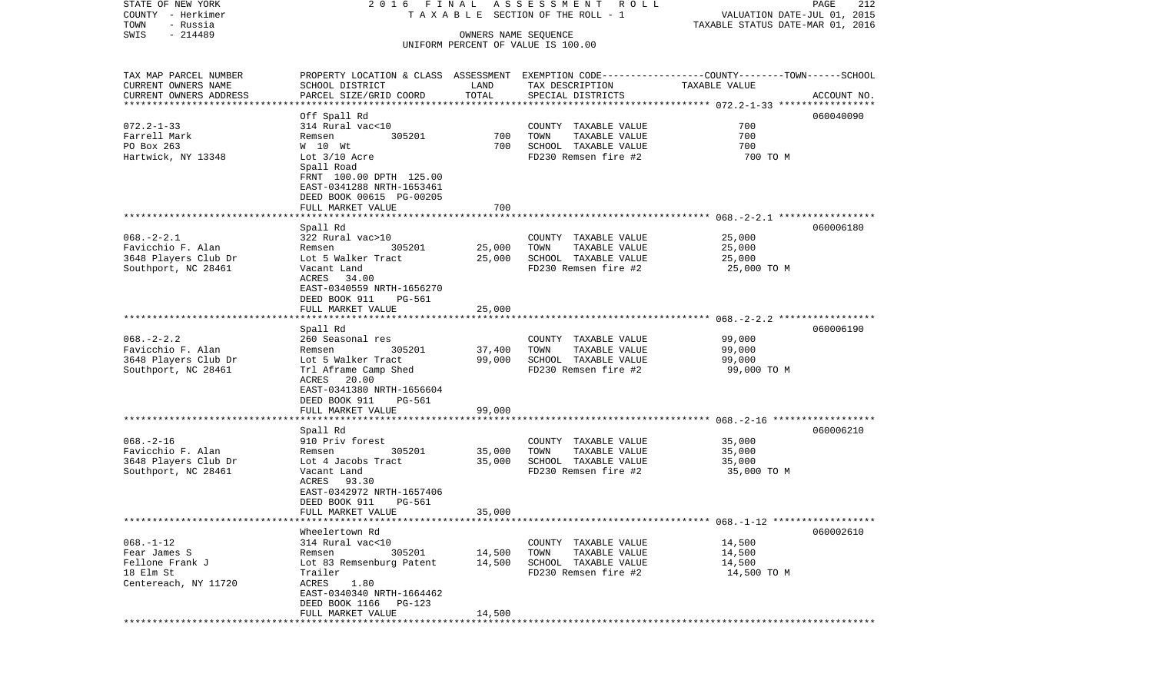| COUNTY - Herkimer               |                                                                                                 | T A X A B L E SECTION OF THE ROLL - 1 |                                    |               |             |
|---------------------------------|-------------------------------------------------------------------------------------------------|---------------------------------------|------------------------------------|---------------|-------------|
| TOWN<br>- Russia                |                                                                                                 | OWNERS NAME SEQUENCE                  |                                    |               |             |
| SWIS<br>$-214489$               |                                                                                                 |                                       |                                    |               |             |
|                                 |                                                                                                 |                                       | UNIFORM PERCENT OF VALUE IS 100.00 |               |             |
|                                 |                                                                                                 |                                       |                                    |               |             |
| TAX MAP PARCEL NUMBER           | PROPERTY LOCATION & CLASS ASSESSMENT EXEMPTION CODE---------------COUNTY-------TOWN------SCHOOL |                                       |                                    |               |             |
| CURRENT OWNERS NAME             | SCHOOL DISTRICT                                                                                 | LAND                                  | TAX DESCRIPTION                    | TAXABLE VALUE |             |
| CURRENT OWNERS ADDRESS          | PARCEL SIZE/GRID COORD                                                                          | TOTAL                                 | SPECIAL DISTRICTS                  |               | ACCOUNT NO. |
| *************************       |                                                                                                 |                                       |                                    |               |             |
|                                 | Off Spall Rd                                                                                    |                                       |                                    |               | 060040090   |
| $072.2 - 1 - 33$                | 314 Rural vac<10                                                                                |                                       | COUNTY TAXABLE VALUE               | 700           |             |
| Farrell Mark                    | 305201<br>Remsen                                                                                | 700                                   | TOWN<br>TAXABLE VALUE              | 700           |             |
| PO Box 263                      | W 10 Wt                                                                                         | 700                                   | SCHOOL TAXABLE VALUE               | 700           |             |
| Hartwick, NY 13348              | Lot $3/10$ Acre                                                                                 |                                       | FD230 Remsen fire #2               | 700 TO M      |             |
|                                 | Spall Road                                                                                      |                                       |                                    |               |             |
|                                 | FRNT 100.00 DPTH 125.00                                                                         |                                       |                                    |               |             |
|                                 | EAST-0341288 NRTH-1653461                                                                       |                                       |                                    |               |             |
|                                 | DEED BOOK 00615 PG-00205                                                                        |                                       |                                    |               |             |
|                                 | FULL MARKET VALUE                                                                               | 700                                   |                                    |               |             |
|                                 |                                                                                                 |                                       |                                    |               |             |
| $068. - 2 - 2.1$                | Spall Rd<br>322 Rural vac>10                                                                    |                                       | COUNTY TAXABLE VALUE               | 25,000        | 060006180   |
| Favicchio F. Alan               | 305201<br>Remsen                                                                                | 25,000                                | TOWN<br>TAXABLE VALUE              | 25,000        |             |
| 3648 Players Club Dr            | Lot 5 Walker Tract                                                                              | 25,000                                | SCHOOL TAXABLE VALUE               | 25,000        |             |
| Southport, NC 28461             | Vacant Land                                                                                     |                                       | FD230 Remsen fire #2               | 25,000 TO M   |             |
|                                 | ACRES 34.00                                                                                     |                                       |                                    |               |             |
|                                 | EAST-0340559 NRTH-1656270                                                                       |                                       |                                    |               |             |
|                                 | DEED BOOK 911<br>PG-561                                                                         |                                       |                                    |               |             |
|                                 | FULL MARKET VALUE                                                                               | 25,000                                |                                    |               |             |
|                                 |                                                                                                 |                                       |                                    |               |             |
|                                 | Spall Rd                                                                                        |                                       |                                    |               | 060006190   |
| $068. - 2 - 2.2$                | 260 Seasonal res                                                                                |                                       | COUNTY TAXABLE VALUE               | 99,000        |             |
| Favicchio F. Alan               | 305201<br>Remsen                                                                                | 37,400                                | TOWN<br>TAXABLE VALUE              | 99,000        |             |
| 3648 Players Club Dr            | Lot 5 Walker Tract                                                                              | 99,000                                | SCHOOL TAXABLE VALUE               | 99,000        |             |
| Southport, NC 28461             | Trl Aframe Camp Shed                                                                            |                                       | FD230 Remsen fire #2               | 99,000 TO M   |             |
|                                 | 20.00<br>ACRES                                                                                  |                                       |                                    |               |             |
|                                 | EAST-0341380 NRTH-1656604                                                                       |                                       |                                    |               |             |
|                                 | DEED BOOK 911<br>$PG-561$                                                                       |                                       |                                    |               |             |
|                                 | FULL MARKET VALUE                                                                               | 99,000                                |                                    |               |             |
|                                 |                                                                                                 |                                       |                                    |               |             |
|                                 | Spall Rd                                                                                        |                                       |                                    |               | 060006210   |
| $068. - 2 - 16$                 | 910 Priv forest                                                                                 |                                       | COUNTY TAXABLE VALUE               | 35,000        |             |
| Favicchio F. Alan               | 305201<br>Remsen                                                                                | 35,000                                | TOWN<br>TAXABLE VALUE              | 35,000        |             |
| 3648 Players Club Dr            | Lot 4 Jacobs Tract                                                                              | 35,000                                | SCHOOL TAXABLE VALUE               | 35,000        |             |
| Southport, NC 28461             | Vacant Land                                                                                     |                                       | FD230 Remsen fire #2               | 35,000 TO M   |             |
|                                 | 93.30<br>ACRES                                                                                  |                                       |                                    |               |             |
|                                 | EAST-0342972 NRTH-1657406                                                                       |                                       |                                    |               |             |
|                                 | DEED BOOK 911<br>PG-561                                                                         |                                       |                                    |               |             |
|                                 | FULL MARKET VALUE                                                                               | 35,000                                |                                    |               |             |
|                                 |                                                                                                 |                                       |                                    |               |             |
| $068. - 1 - 12$                 | Wheelertown Rd<br>314 Rural vac<10                                                              |                                       |                                    |               | 060002610   |
|                                 |                                                                                                 |                                       | COUNTY TAXABLE VALUE               | 14,500        |             |
| Fear James S<br>Fellone Frank J | 305201<br>Remsen                                                                                | 14,500                                | TOWN<br>TAXABLE VALUE              | 14,500        |             |
| 18 Elm St                       | Lot 83 Remsenburg Patent                                                                        | 14,500                                | SCHOOL TAXABLE VALUE               | 14,500        |             |
| Centereach, NY 11720            | Trailer<br>ACRES<br>1.80                                                                        |                                       | FD230 Remsen fire #2               | 14,500 TO M   |             |
|                                 | EAST-0340340 NRTH-1664462                                                                       |                                       |                                    |               |             |
|                                 | DEED BOOK 1166<br>PG-123                                                                        |                                       |                                    |               |             |
|                                 | FULL MARKET VALUE                                                                               | 14,500                                |                                    |               |             |
|                                 |                                                                                                 |                                       |                                    |               |             |

PAGE 212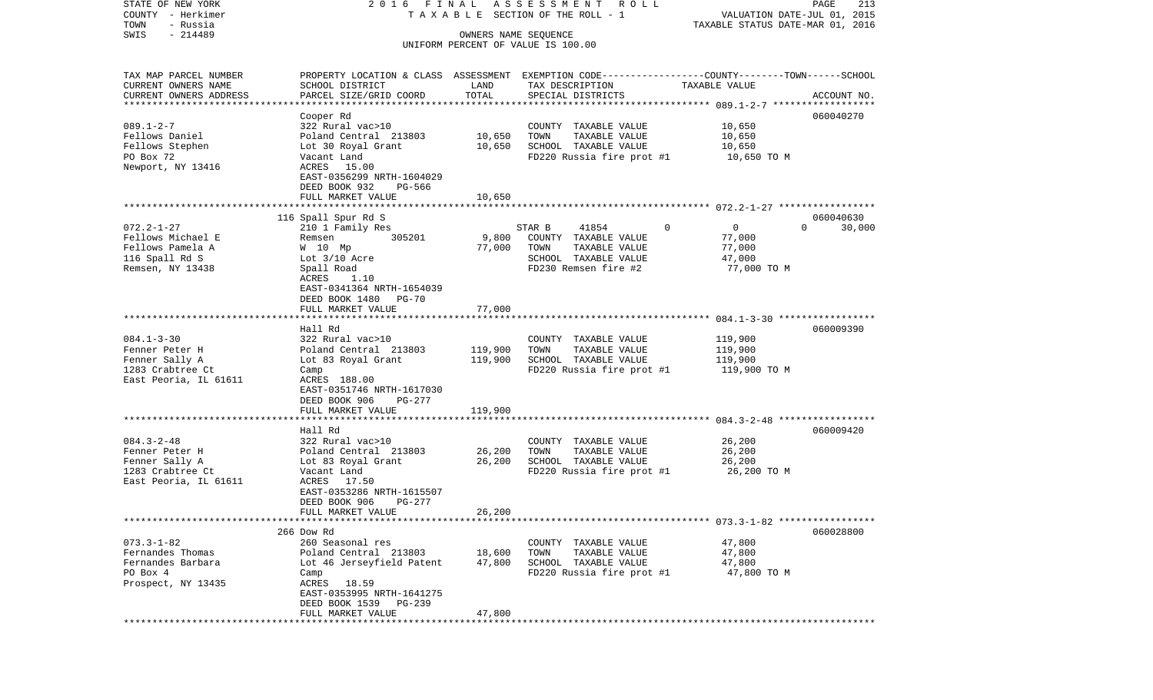COUNTY - Herkimer **T A X A B L E SECTION OF THE ROLL - 1** VALUATION DATE-JUL 01, 2015 TOWN - Russia TAXABLE STATUS DATE-MAR 01, 2016 SWIS - 214489 OWNERS NAME SEQUENCE UNIFORM PERCENT OF VALUE IS 100.00TAX MAP PARCEL NUMBER PROPERTY LOCATION & CLASS ASSESSMENT EXEMPTION CODE------------------COUNTY--------TOWN------SCHOOL CURRENT OWNERS NAME SCHOOL DISTRICT LAND TAX DESCRIPTION TAXABLE VALUECURRENT OWNERS ADDRESS PARCEL SIZE/GRID COORD TOTAL SPECIAL DISTRICTS ACCOUNT NO. \*\*\*\*\*\*\*\*\*\*\*\*\*\*\*\*\*\*\*\*\*\*\*\*\*\*\*\*\*\*\*\*\*\*\*\*\*\*\*\*\*\*\*\*\*\*\*\*\*\*\*\*\*\*\*\*\*\*\*\*\*\*\*\*\*\*\*\*\*\*\*\*\*\*\*\*\*\*\*\*\*\*\*\*\*\*\*\*\*\*\*\*\*\*\*\*\*\*\*\*\*\*\* 089.1-2-7 \*\*\*\*\*\*\*\*\*\*\*\*\*\*\*\*\*\* Cooper Rd 060040270 089.1-2-7 322 Rural vac>10 COUNTY TAXABLE VALUE 10,650 Fellows Daniel Poland Central 213803 10,650 TOWN TAXABLE VALUE 10,650 Fellows Stephen Lot 30 Royal Grant 10,650 SCHOOL TAXABLE VALUE 10,650 PO Box 72 Vacant Land FD220 Russia fire prot #1 10,650 TO M Newport, NY 13416 <br>
ACRES 15.00 EAST-0356299 NRTH-1604029 DEED BOOK 932 PG-566FULL MARKET VALUE 10,650 \*\*\*\*\*\*\*\*\*\*\*\*\*\*\*\*\*\*\*\*\*\*\*\*\*\*\*\*\*\*\*\*\*\*\*\*\*\*\*\*\*\*\*\*\*\*\*\*\*\*\*\*\*\*\*\*\*\*\*\*\*\*\*\*\*\*\*\*\*\*\*\*\*\*\*\*\*\*\*\*\*\*\*\*\*\*\*\*\*\*\*\*\*\*\*\*\*\*\*\*\*\*\* 072.2-1-27 \*\*\*\*\*\*\*\*\*\*\*\*\*\*\*\*\* 116 Spall Spur Rd S 060040630 072.2-1-27 210 1 Family Res STAR B 41854 0 0 0 30,000 Fellows Michael E Remsen 305201 9,800 COUNTY TAXABLE VALUE 77,000 Fellows Pamela A M 10 Mp 77,000 TOWN TAXABLE VALUE 77,000 116 Spall Rd S  $Lot$  3/10 Acre  $SCHOOL$  TAXABLE VALUE 47,000 Remsen, NY 13438 Spall Road Spall Road FD230 Remsen fire #2 77,000 TO M ACRES 1.10 EAST-0341364 NRTH-1654039 DEED BOOK 1480 PG-70FULL MARKET VALUE 77,000 \*\*\*\*\*\*\*\*\*\*\*\*\*\*\*\*\*\*\*\*\*\*\*\*\*\*\*\*\*\*\*\*\*\*\*\*\*\*\*\*\*\*\*\*\*\*\*\*\*\*\*\*\*\*\*\*\*\*\*\*\*\*\*\*\*\*\*\*\*\*\*\*\*\*\*\*\*\*\*\*\*\*\*\*\*\*\*\*\*\*\*\*\*\*\*\*\*\*\*\*\*\*\* 084.1-3-30 \*\*\*\*\*\*\*\*\*\*\*\*\*\*\*\*\* Hall Rd 060009390084.1-3-30 322 Rural vac>10 COUNTY TAXABLE VALUE 119,900 Fenner Peter H <sup>Poland</sup> Central 213803 119,900 TOWN TAXABLE VALUE 119,900 Fenner Sally A **Lot 83 Royal Grant** 119,900 SCHOOL TAXABLE VALUE 119,900 1283 Crabtree Ct Camp Camp Camp Camp FD220 Russia fire prot #1 119,900 TO M East Peoria, IL 61611 ACRES 188.00 EAST-0351746 NRTH-1617030 DEED BOOK 906 PG-277 FULL MARKET VALUE 119,900 \*\*\*\*\*\*\*\*\*\*\*\*\*\*\*\*\*\*\*\*\*\*\*\*\*\*\*\*\*\*\*\*\*\*\*\*\*\*\*\*\*\*\*\*\*\*\*\*\*\*\*\*\*\*\*\*\*\*\*\*\*\*\*\*\*\*\*\*\*\*\*\*\*\*\*\*\*\*\*\*\*\*\*\*\*\*\*\*\*\*\*\*\*\*\*\*\*\*\*\*\*\*\* 084.3-2-48 \*\*\*\*\*\*\*\*\*\*\*\*\*\*\*\*\* Hall Rd 060009420084.3-2-48 322 Rural vac>10 COUNTY TAXABLE VALUE 26,200 Fenner Peter H <sup>Poland</sup> Central 213803 26,200 TOWN TAXABLE VALUE 26,200 Fenner Sally A **Lot 83 Royal Grant** 26,200 SCHOOL TAXABLE VALUE 26,200 1283 Crabtree Ct Vacant Land FD220 Russia fire prot #1 26,200 TO M East Peoria, IL 61611 EAST-0353286 NRTH-1615507 DEED BOOK 906 PG-277 FULL MARKET VALUE 26,200 \*\*\*\*\*\*\*\*\*\*\*\*\*\*\*\*\*\*\*\*\*\*\*\*\*\*\*\*\*\*\*\*\*\*\*\*\*\*\*\*\*\*\*\*\*\*\*\*\*\*\*\*\*\*\*\*\*\*\*\*\*\*\*\*\*\*\*\*\*\*\*\*\*\*\*\*\*\*\*\*\*\*\*\*\*\*\*\*\*\*\*\*\*\*\*\*\*\*\*\*\*\*\* 073.3-1-82 \*\*\*\*\*\*\*\*\*\*\*\*\*\*\*\*\* 266 Dow Rd 060028800073.3-1-82 260 Seasonal res COUNTY TAXABLE VALUE 47,800 Fernandes Thomas Poland Central 213803 18,600 TOWN TAXABLE VALUE 47,800 Fernandes Barbara Lot 46 Jerseyfield Patent 47,800 SCHOOL TAXABLE VALUE 47,800 PO Box 4 Camp Camp Camp Camp FD220 Russia fire prot #1 47,800 TO M Prospect, NY 13435 ACRES 18.59 EAST-0353995 NRTH-1641275 DEED BOOK 1539 PG-239FULL MARKET VALUE 47,800 \*\*\*\*\*\*\*\*\*\*\*\*\*\*\*\*\*\*\*\*\*\*\*\*\*\*\*\*\*\*\*\*\*\*\*\*\*\*\*\*\*\*\*\*\*\*\*\*\*\*\*\*\*\*\*\*\*\*\*\*\*\*\*\*\*\*\*\*\*\*\*\*\*\*\*\*\*\*\*\*\*\*\*\*\*\*\*\*\*\*\*\*\*\*\*\*\*\*\*\*\*\*\*\*\*\*\*\*\*\*\*\*\*\*\*\*\*\*\*\*\*\*\*\*\*\*\*\*\*\*\*\*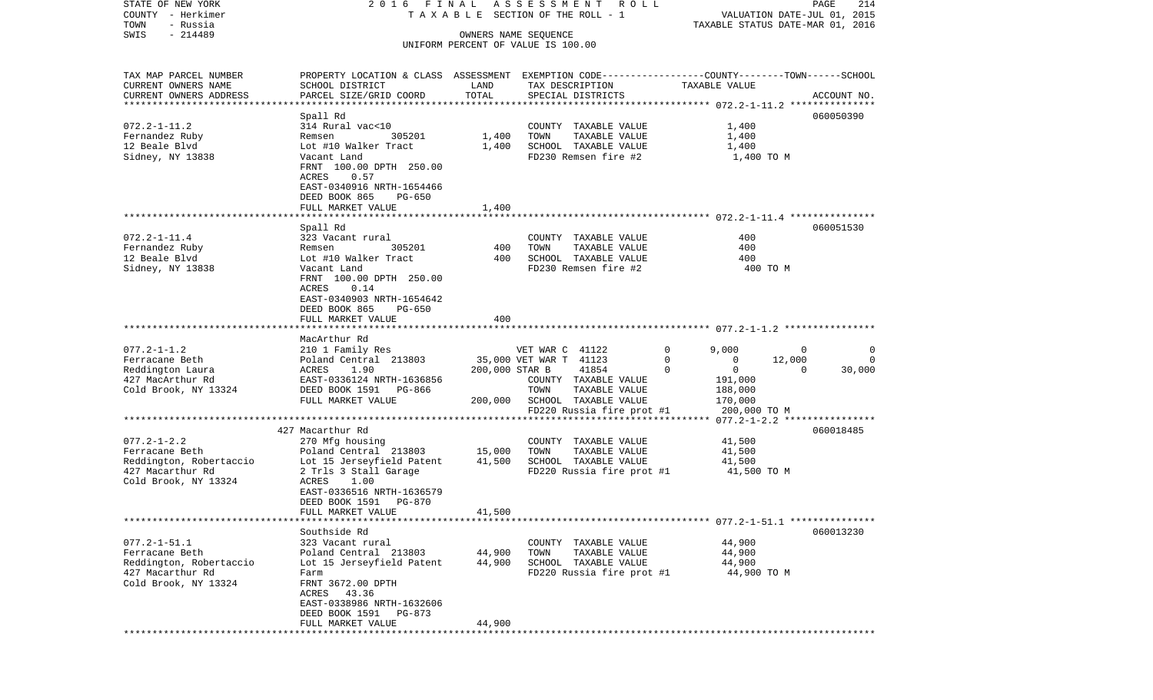| STATE OF NEW YORK<br>COUNTY - Herkimer            |                                                                                                  |                  | 2016 FINAL ASSESSMENT ROLL<br>TAXABLE SECTION OF THE ROLL - 1 |                            | PAGE<br>214<br>VALUATION DATE-JUL 01, 2015 |
|---------------------------------------------------|--------------------------------------------------------------------------------------------------|------------------|---------------------------------------------------------------|----------------------------|--------------------------------------------|
| TOWN<br>- Russia<br>$-214489$<br>SWIS             |                                                                                                  |                  | OWNERS NAME SEQUENCE                                          |                            | TAXABLE STATUS DATE-MAR 01, 2016           |
|                                                   |                                                                                                  |                  | UNIFORM PERCENT OF VALUE IS 100.00                            |                            |                                            |
| TAX MAP PARCEL NUMBER                             | PROPERTY LOCATION & CLASS ASSESSMENT EXEMPTION CODE----------------COUNTY-------TOWN------SCHOOL |                  |                                                               |                            |                                            |
| CURRENT OWNERS NAME                               | SCHOOL DISTRICT                                                                                  | LAND<br>TOTAL    | TAX DESCRIPTION                                               | TAXABLE VALUE              |                                            |
| CURRENT OWNERS ADDRESS<br>*********************** | PARCEL SIZE/GRID COORD                                                                           |                  | SPECIAL DISTRICTS                                             |                            | ACCOUNT NO.                                |
|                                                   | Spall Rd                                                                                         |                  |                                                               |                            | 060050390                                  |
| $072.2 - 1 - 11.2$                                | 314 Rural vac<10                                                                                 |                  | COUNTY TAXABLE VALUE                                          | 1,400                      |                                            |
| Fernandez Ruby                                    | 305201<br>Remsen                                                                                 | 1,400            | TOWN<br>TAXABLE VALUE                                         | 1,400                      |                                            |
| 12 Beale Blvd                                     | Lot #10 Walker Tract                                                                             | 1,400            | SCHOOL TAXABLE VALUE                                          | 1,400                      |                                            |
| Sidney, NY 13838                                  | Vacant Land                                                                                      |                  | FD230 Remsen fire #2                                          | 1,400 TO M                 |                                            |
|                                                   | FRNT 100.00 DPTH 250.00<br>ACRES<br>0.57                                                         |                  |                                                               |                            |                                            |
|                                                   | EAST-0340916 NRTH-1654466                                                                        |                  |                                                               |                            |                                            |
|                                                   | DEED BOOK 865<br>PG-650                                                                          |                  |                                                               |                            |                                            |
|                                                   | FULL MARKET VALUE                                                                                | 1,400            |                                                               |                            |                                            |
|                                                   |                                                                                                  |                  |                                                               |                            |                                            |
|                                                   | Spall Rd                                                                                         |                  |                                                               |                            | 060051530                                  |
| $072.2 - 1 - 11.4$                                | 323 Vacant rural<br>305201                                                                       | 400              | COUNTY TAXABLE VALUE<br>TOWN<br>TAXABLE VALUE                 | 400<br>400                 |                                            |
| Fernandez Ruby<br>12 Beale Blvd                   | Remsen<br>Lot #10 Walker Tract                                                                   | 400              | SCHOOL TAXABLE VALUE                                          | 400                        |                                            |
| Sidney, NY 13838                                  | Vacant Land                                                                                      |                  | FD230 Remsen fire #2                                          | 400 TO M                   |                                            |
|                                                   | FRNT 100.00 DPTH 250.00                                                                          |                  |                                                               |                            |                                            |
|                                                   | ACRES<br>0.14                                                                                    |                  |                                                               |                            |                                            |
|                                                   | EAST-0340903 NRTH-1654642                                                                        |                  |                                                               |                            |                                            |
|                                                   | DEED BOOK 865<br>PG-650                                                                          |                  |                                                               |                            |                                            |
|                                                   | FULL MARKET VALUE                                                                                | 400              |                                                               |                            |                                            |
|                                                   | MacArthur Rd                                                                                     |                  |                                                               |                            |                                            |
| $077.2 - 1 - 1.2$                                 | 210 1 Family Res                                                                                 |                  | VET WAR C 41122                                               | $\Omega$<br>9,000          | $\overline{0}$<br>0                        |
| Ferracane Beth                                    | Poland Central 213803                                                                            |                  | 35,000 VET WAR T 41123                                        | $\mathbf 0$<br>$\mathbf 0$ | 12,000<br>0                                |
| Reddington Laura                                  | ACRES 1.90                                                                                       | 200,000 STAR B   | 41854                                                         | $\Omega$<br>$\overline{0}$ | $\mathbf 0$<br>30,000                      |
| 427 MacArthur Rd                                  | EAST-0336124 NRTH-1636856                                                                        |                  | COUNTY TAXABLE VALUE                                          | 191,000                    |                                            |
| Cold Brook, NY 13324                              | DEED BOOK 1591 PG-866<br>FULL MARKET VALUE                                                       | 200,000          | TOWN<br>TAXABLE VALUE<br>SCHOOL TAXABLE VALUE                 | 188,000<br>170,000         |                                            |
|                                                   |                                                                                                  |                  | FD220 Russia fire prot #1                                     | 200,000 TO M               |                                            |
|                                                   |                                                                                                  |                  |                                                               |                            |                                            |
|                                                   | 427 Macarthur Rd                                                                                 |                  |                                                               |                            | 060018485                                  |
| $077.2 - 1 - 2.2$                                 | 270 Mfg housing                                                                                  |                  | COUNTY TAXABLE VALUE                                          | 41,500                     |                                            |
| Ferracane Beth                                    | Poland Central 213803                                                                            | 15,000           | TOWN<br>TAXABLE VALUE                                         | 41,500                     |                                            |
| Reddington, Robertaccio                           | Lot 15 Jerseyfield Patent                                                                        | 41,500           | SCHOOL TAXABLE VALUE                                          | 41,500                     |                                            |
| 427 Macarthur Rd<br>Cold Brook, NY 13324          | 2 Trls 3 Stall Garage<br>1.00<br>ACRES                                                           |                  | FD220 Russia fire prot #1                                     | 41,500 TO M                |                                            |
|                                                   | EAST-0336516 NRTH-1636579                                                                        |                  |                                                               |                            |                                            |
|                                                   | DEED BOOK 1591 PG-870                                                                            |                  |                                                               |                            |                                            |
|                                                   | FULL MARKET VALUE                                                                                | 41,500           |                                                               |                            |                                            |
|                                                   |                                                                                                  |                  |                                                               |                            |                                            |
|                                                   | Southside Rd                                                                                     |                  |                                                               |                            | 060013230                                  |
| $077.2 - 1 - 51.1$                                | 323 Vacant rural<br>Poland Central 213803                                                        |                  | COUNTY TAXABLE VALUE<br>TOWN                                  | 44,900                     |                                            |
| Ferracane Beth<br>Reddington, Robertaccio         | Lot 15 Jerseyfield Patent                                                                        | 44,900<br>44,900 | TAXABLE VALUE<br>SCHOOL TAXABLE VALUE                         | 44,900<br>44,900           |                                            |
| 427 Macarthur Rd                                  | Farm                                                                                             |                  | FD220 Russia fire prot #1                                     | 44,900 TO M                |                                            |
| Cold Brook, NY 13324                              | FRNT 3672.00 DPTH                                                                                |                  |                                                               |                            |                                            |
|                                                   | ACRES 43.36                                                                                      |                  |                                                               |                            |                                            |
|                                                   | EAST-0338986 NRTH-1632606                                                                        |                  |                                                               |                            |                                            |
|                                                   | DEED BOOK 1591 PG-873                                                                            |                  |                                                               |                            |                                            |
|                                                   | FULL MARKET VALUE                                                                                | 44,900           |                                                               |                            |                                            |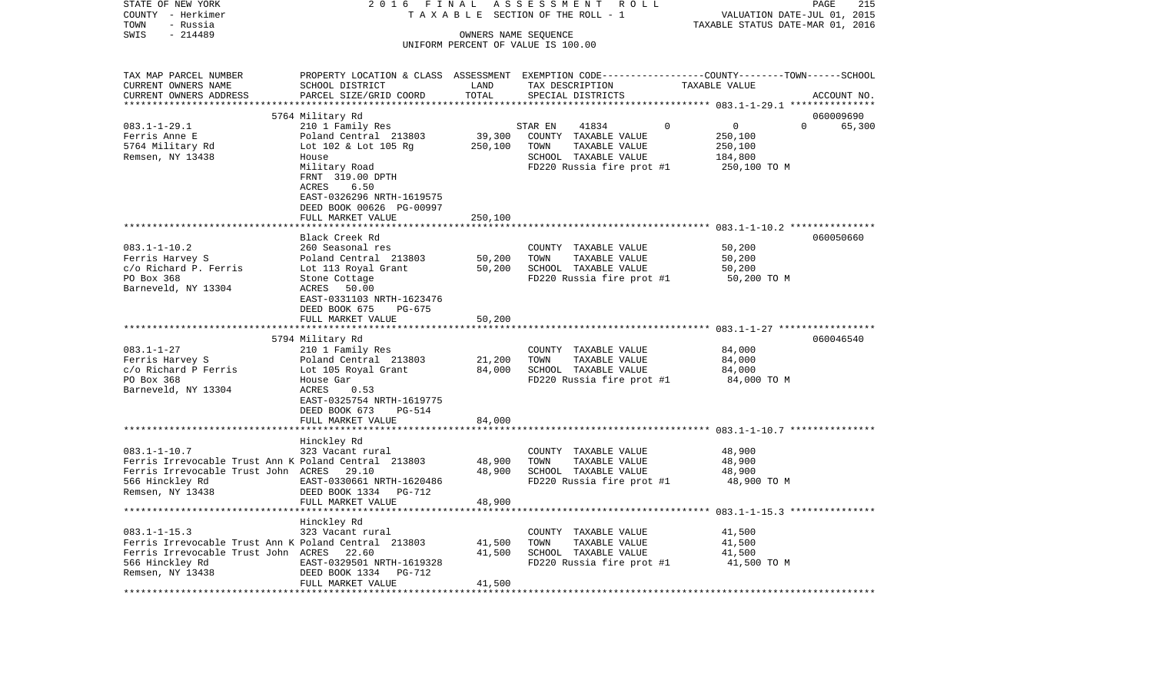| STATE OF NEW YORK                                    | 2016<br>FINAL                       |             | ASSESSMENT<br>R O L L              | PAGE                                                                                           | 215    |
|------------------------------------------------------|-------------------------------------|-------------|------------------------------------|------------------------------------------------------------------------------------------------|--------|
| COUNTY - Herkimer                                    |                                     |             | TAXABLE SECTION OF THE ROLL - 1    | VALUATION DATE-JUL 01, 2015                                                                    |        |
| TOWN<br>- Russia                                     |                                     |             |                                    | TAXABLE STATUS DATE-MAR 01, 2016                                                               |        |
| $-214489$<br>SWIS                                    |                                     |             | OWNERS NAME SEQUENCE               |                                                                                                |        |
|                                                      |                                     |             | UNIFORM PERCENT OF VALUE IS 100.00 |                                                                                                |        |
| TAX MAP PARCEL NUMBER                                |                                     |             |                                    | PROPERTY LOCATION & CLASS ASSESSMENT EXEMPTION CODE---------------COUNTY-------TOWN-----SCHOOL |        |
| CURRENT OWNERS NAME                                  | SCHOOL DISTRICT                     | LAND        | TAX DESCRIPTION                    | TAXABLE VALUE                                                                                  |        |
| CURRENT OWNERS ADDRESS                               | PARCEL SIZE/GRID COORD              | TOTAL       | SPECIAL DISTRICTS                  | ACCOUNT NO.                                                                                    |        |
|                                                      |                                     | *********** |                                    | ********** 083.1-1-29.1 ****************                                                       |        |
|                                                      | 5764 Military Rd                    |             |                                    | 060009690                                                                                      |        |
| $083.1 - 1 - 29.1$                                   | 210 1 Family Res                    |             | STAR EN<br>41834                   | $\mathsf 0$<br>$\Omega$<br>$\Omega$                                                            | 65,300 |
| Ferris Anne E                                        | Poland Central 213803               | 39,300      | COUNTY TAXABLE VALUE               | 250,100                                                                                        |        |
| 5764 Military Rd                                     | Lot 102 & Lot 105 Rg                | 250,100     | TOWN<br>TAXABLE VALUE              | 250,100                                                                                        |        |
| Remsen, NY 13438                                     | House                               |             | SCHOOL TAXABLE VALUE               | 184,800                                                                                        |        |
|                                                      | Military Road                       |             | FD220 Russia fire prot #1          | 250,100 TO M                                                                                   |        |
|                                                      | FRNT 319.00 DPTH                    |             |                                    |                                                                                                |        |
|                                                      | 6.50<br>ACRES                       |             |                                    |                                                                                                |        |
|                                                      | EAST-0326296 NRTH-1619575           |             |                                    |                                                                                                |        |
|                                                      | DEED BOOK 00626 PG-00997            |             |                                    |                                                                                                |        |
|                                                      | FULL MARKET VALUE                   | 250,100     |                                    |                                                                                                |        |
|                                                      |                                     |             |                                    |                                                                                                |        |
|                                                      | Black Creek Rd                      |             |                                    | 060050660                                                                                      |        |
| $083.1 - 1 - 10.2$                                   | 260 Seasonal res                    |             | COUNTY TAXABLE VALUE               | 50,200                                                                                         |        |
| Ferris Harvey S                                      | Poland Central 213803               | 50,200      | TOWN<br>TAXABLE VALUE              | 50,200                                                                                         |        |
| c/o Richard P. Ferris                                | Lot 113 Royal Grant                 | 50,200      | SCHOOL TAXABLE VALUE               | 50,200                                                                                         |        |
| PO Box 368                                           | Stone Cottage                       |             | FD220 Russia fire prot #1          | 50,200 TO M                                                                                    |        |
| Barneveld, NY 13304                                  | ACRES<br>50.00                      |             |                                    |                                                                                                |        |
|                                                      | EAST-0331103 NRTH-1623476           |             |                                    |                                                                                                |        |
|                                                      | DEED BOOK 675<br>PG-675             |             |                                    |                                                                                                |        |
|                                                      | FULL MARKET VALUE                   | 50,200      |                                    |                                                                                                |        |
|                                                      |                                     |             |                                    |                                                                                                |        |
|                                                      | 5794 Military Rd                    |             |                                    | 060046540                                                                                      |        |
| $083.1 - 1 - 27$                                     | 210 1 Family Res                    |             | COUNTY TAXABLE VALUE               | 84,000                                                                                         |        |
| Ferris Harvey S                                      | Poland Central 213803               | 21,200      | TOWN<br>TAXABLE VALUE              | 84,000                                                                                         |        |
| c/o Richard P Ferris                                 | Lot 105 Royal Grant                 | 84,000      | SCHOOL TAXABLE VALUE               | 84,000                                                                                         |        |
| PO Box 368                                           | House Gar                           |             | FD220 Russia fire prot #1          | 84,000 TO M                                                                                    |        |
| Barneveld, NY 13304                                  | ACRES<br>0.53                       |             |                                    |                                                                                                |        |
|                                                      | EAST-0325754 NRTH-1619775           |             |                                    |                                                                                                |        |
|                                                      | DEED BOOK 673<br>PG-514             |             |                                    |                                                                                                |        |
|                                                      | FULL MARKET VALUE                   | 84,000      |                                    | ***************************** 083.1-1-10.7 ***************                                     |        |
|                                                      |                                     |             |                                    |                                                                                                |        |
| $083.1 - 1 - 10.7$                                   | Hinckley Rd<br>323 Vacant rural     |             | COUNTY TAXABLE VALUE               | 48,900                                                                                         |        |
| Ferris Irrevocable Trust Ann K Poland Central 213803 |                                     | 48,900      | TOWN<br>TAXABLE VALUE              | 48,900                                                                                         |        |
| Ferris Irrevocable Trust John ACRES 29.10            |                                     | 48,900      | SCHOOL TAXABLE VALUE               | 48,900                                                                                         |        |
| 566 Hinckley Rd                                      | EAST-0330661 NRTH-1620486           |             | FD220 Russia fire prot #1          | 48,900 TO M                                                                                    |        |
| Remsen, NY 13438                                     | DEED BOOK 1334<br>PG-712            |             |                                    |                                                                                                |        |
|                                                      | FULL MARKET VALUE                   | 48,900      |                                    |                                                                                                |        |
|                                                      | * * * * * * * * * * * * * * * * * * |             |                                    |                                                                                                |        |
|                                                      | Hinckley Rd                         |             |                                    |                                                                                                |        |
| $083.1 - 1 - 15.3$                                   | 323 Vacant rural                    |             | COUNTY TAXABLE VALUE               | 41,500                                                                                         |        |
| Ferris Irrevocable Trust Ann K Poland Central 213803 |                                     | 41,500      | TAXABLE VALUE<br>TOWN              | 41,500                                                                                         |        |
| Ferris Irrevocable Trust John ACRES 22.60            |                                     | 41,500      | SCHOOL TAXABLE VALUE               | 41,500                                                                                         |        |
| 566 Hinckley Rd                                      | EAST-0329501 NRTH-1619328           |             | FD220 Russia fire prot #1          | 41,500 TO M                                                                                    |        |
| Remsen, NY 13438                                     | DEED BOOK 1334<br>PG-712            |             |                                    |                                                                                                |        |
|                                                      | FULL MARKET VALUE                   | 41,500      |                                    |                                                                                                |        |
|                                                      |                                     |             |                                    |                                                                                                |        |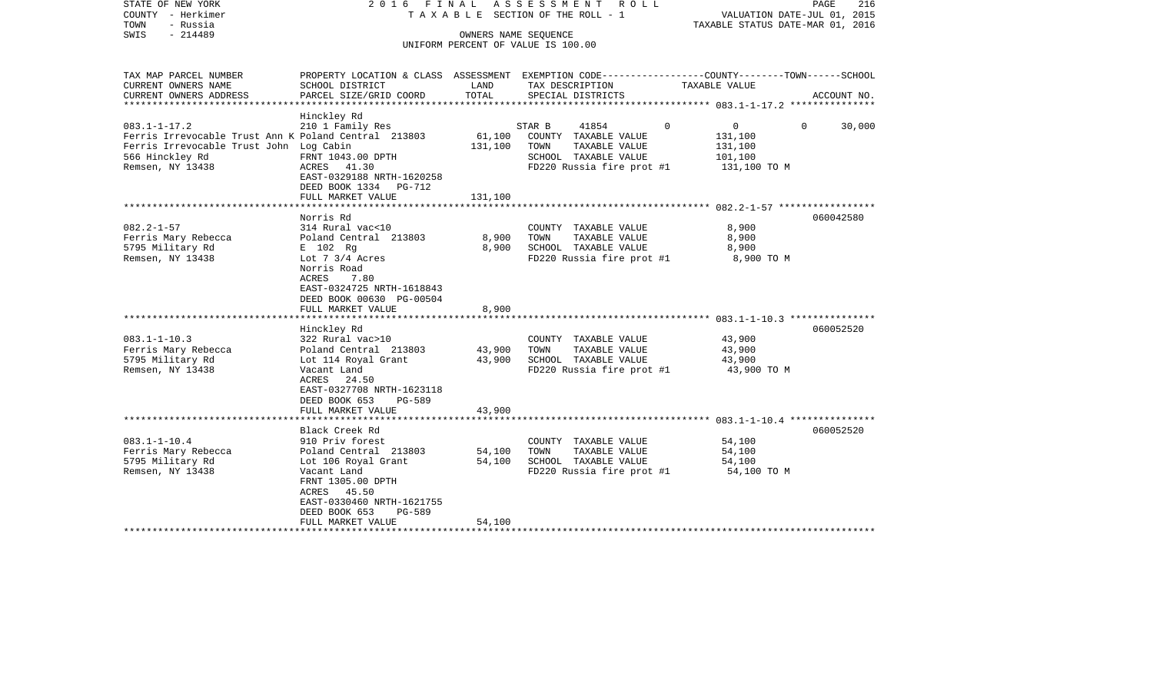| STATE OF NEW YORK<br>COUNTY - Herkimer<br>- Russia<br>TOWN<br>SWIS<br>$-214489$ | ASSESSMENT<br>2016 FINAL<br>ROLL<br>T A X A B L E SECTION OF THE ROLL - 1<br>OWNERS NAME SEOUENCE |         |                                               | PAGE<br>216<br>VALUATION DATE-JUL 01, 2015<br>TAXABLE STATUS DATE-MAR 01, 2016 |                        |  |
|---------------------------------------------------------------------------------|---------------------------------------------------------------------------------------------------|---------|-----------------------------------------------|--------------------------------------------------------------------------------|------------------------|--|
|                                                                                 |                                                                                                   |         | UNIFORM PERCENT OF VALUE IS 100.00            |                                                                                |                        |  |
| TAX MAP PARCEL NUMBER                                                           | PROPERTY LOCATION & CLASS ASSESSMENT EXEMPTION CODE---------------COUNTY-------TOWN------SCHOOL   |         |                                               |                                                                                |                        |  |
| CURRENT OWNERS NAME                                                             | SCHOOL DISTRICT                                                                                   | LAND    | TAX DESCRIPTION                               | TAXABLE VALUE                                                                  |                        |  |
| CURRENT OWNERS ADDRESS                                                          | PARCEL SIZE/GRID COORD                                                                            | TOTAL   | SPECIAL DISTRICTS                             |                                                                                | ACCOUNT NO.            |  |
|                                                                                 | Hinckley Rd                                                                                       |         |                                               |                                                                                |                        |  |
| $083.1 - 1 - 17.2$<br>Ferris Irrevocable Trust Ann K Poland Central 213803      | 210 1 Family Res                                                                                  | 61,100  | STAR B<br>41854<br>COUNTY TAXABLE VALUE       | $\mathbf 0$<br>$\Omega$<br>131,100                                             | $\mathbf{0}$<br>30,000 |  |
| Ferris Irrevocable Trust John Log Cabin                                         |                                                                                                   | 131,100 | TOWN<br>TAXABLE VALUE                         | 131,100                                                                        |                        |  |
| 566 Hinckley Rd                                                                 | FRNT 1043.00 DPTH                                                                                 |         | SCHOOL TAXABLE VALUE                          | 101,100                                                                        |                        |  |
| Remsen, NY 13438                                                                | ACRES 41.30                                                                                       |         | FD220 Russia fire prot #1                     | 131,100 TO M                                                                   |                        |  |
|                                                                                 | EAST-0329188 NRTH-1620258                                                                         |         |                                               |                                                                                |                        |  |
|                                                                                 | DEED BOOK 1334<br>PG-712                                                                          |         |                                               |                                                                                |                        |  |
|                                                                                 | FULL MARKET VALUE                                                                                 | 131,100 |                                               |                                                                                |                        |  |
|                                                                                 |                                                                                                   |         |                                               |                                                                                |                        |  |
| $082.2 - 1 - 57$                                                                | Norris Rd<br>314 Rural vac<10                                                                     |         |                                               | 8,900                                                                          | 060042580              |  |
| Ferris Mary Rebecca                                                             | Poland Central 213803                                                                             | 8,900   | COUNTY TAXABLE VALUE<br>TAXABLE VALUE<br>TOWN | 8,900                                                                          |                        |  |
| 5795 Military Rd                                                                | E 102 Rg                                                                                          | 8,900   | SCHOOL TAXABLE VALUE                          | 8,900                                                                          |                        |  |
| Remsen, NY 13438                                                                | Lot $7 \frac{3}{4}$ Acres                                                                         |         | FD220 Russia fire prot #1                     | 8,900 TO M                                                                     |                        |  |
|                                                                                 | Norris Road                                                                                       |         |                                               |                                                                                |                        |  |
|                                                                                 | ACRES<br>7.80                                                                                     |         |                                               |                                                                                |                        |  |
|                                                                                 | EAST-0324725 NRTH-1618843                                                                         |         |                                               |                                                                                |                        |  |
|                                                                                 | DEED BOOK 00630 PG-00504                                                                          |         |                                               |                                                                                |                        |  |
|                                                                                 | FULL MARKET VALUE                                                                                 | 8,900   |                                               |                                                                                |                        |  |
|                                                                                 | Hinckley Rd                                                                                       |         |                                               |                                                                                | 060052520              |  |
| $083.1 - 1 - 10.3$                                                              | 322 Rural vac>10                                                                                  |         | COUNTY TAXABLE VALUE                          | 43,900                                                                         |                        |  |
| Ferris Mary Rebecca                                                             | Poland Central 213803                                                                             | 43,900  | TOWN<br>TAXABLE VALUE                         | 43,900                                                                         |                        |  |
| 5795 Military Rd                                                                | Lot 114 Royal Grant                                                                               | 43,900  | SCHOOL TAXABLE VALUE                          | 43,900                                                                         |                        |  |
| Remsen, NY 13438                                                                | Vacant Land                                                                                       |         | FD220 Russia fire prot #1                     | 43,900 TO M                                                                    |                        |  |
|                                                                                 | ACRES 24.50                                                                                       |         |                                               |                                                                                |                        |  |
|                                                                                 | EAST-0327708 NRTH-1623118                                                                         |         |                                               |                                                                                |                        |  |
|                                                                                 | DEED BOOK 653<br>PG-589                                                                           |         |                                               |                                                                                |                        |  |
|                                                                                 | FULL MARKET VALUE                                                                                 | 43,900  |                                               |                                                                                |                        |  |
|                                                                                 | Black Creek Rd                                                                                    |         |                                               |                                                                                | 060052520              |  |
| $083.1 - 1 - 10.4$                                                              | 910 Priv forest                                                                                   |         | COUNTY TAXABLE VALUE                          | 54,100                                                                         |                        |  |
| Ferris Mary Rebecca                                                             | Poland Central 213803                                                                             | 54,100  | TOWN<br>TAXABLE VALUE                         | 54,100                                                                         |                        |  |
| 5795 Military Rd                                                                | Lot 106 Royal Grant                                                                               | 54,100  | SCHOOL TAXABLE VALUE                          | 54,100                                                                         |                        |  |
| Remsen, NY 13438                                                                | Vacant Land                                                                                       |         | FD220 Russia fire prot #1                     | 54,100 TO M                                                                    |                        |  |
|                                                                                 | FRNT 1305.00 DPTH                                                                                 |         |                                               |                                                                                |                        |  |
|                                                                                 | 45.50<br>ACRES                                                                                    |         |                                               |                                                                                |                        |  |
|                                                                                 | EAST-0330460 NRTH-1621755<br>DEED BOOK 653<br>$PG-589$                                            |         |                                               |                                                                                |                        |  |
|                                                                                 | FULL MARKET VALUE                                                                                 | 54,100  |                                               |                                                                                |                        |  |
|                                                                                 |                                                                                                   |         |                                               |                                                                                |                        |  |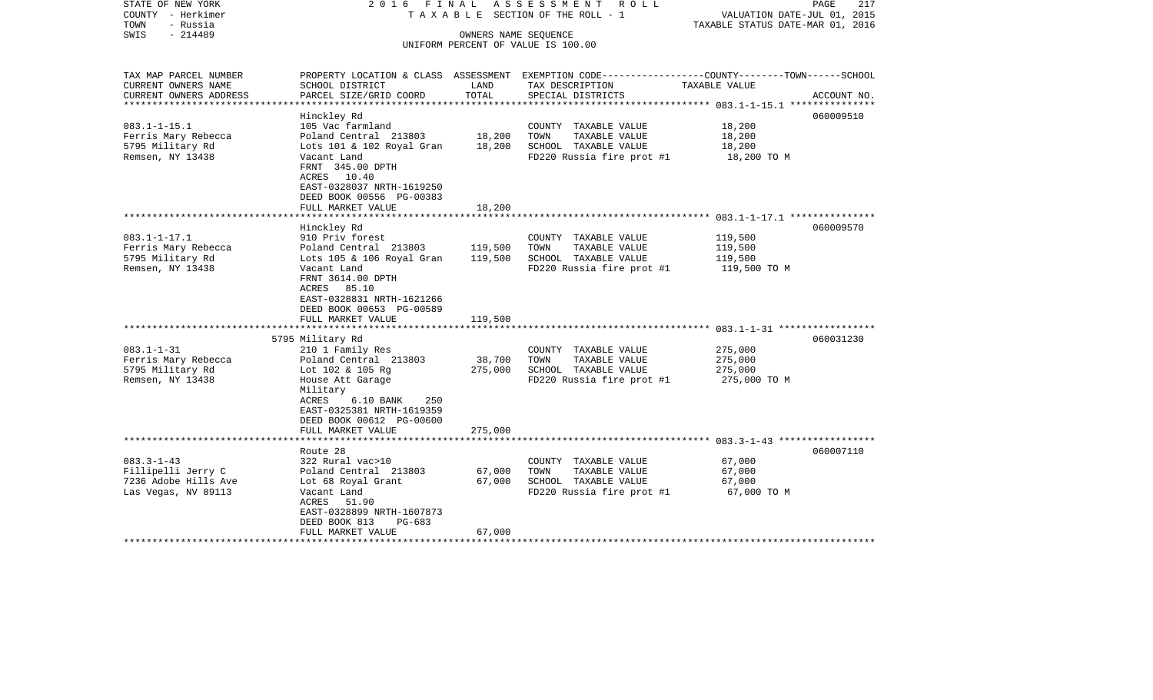| STATE OF NEW YORK<br>COUNTY - Herkimer<br>TOWN<br>- Russia<br>- 214489<br>SWIS                     | 2016 FINAL<br>TAXABLE SECTION OF THE ROLL - 1<br>UNIFORM PERCENT OF VALUE IS 100.00                                                                                                                                            | PAGE<br>VALUATION DATE-JUL 01, 2015<br>TAXABLE STATUS DATE-MAR 01, 2016 | 217                                                                                                |                                                                                                                                  |  |
|----------------------------------------------------------------------------------------------------|--------------------------------------------------------------------------------------------------------------------------------------------------------------------------------------------------------------------------------|-------------------------------------------------------------------------|----------------------------------------------------------------------------------------------------|----------------------------------------------------------------------------------------------------------------------------------|--|
| TAX MAP PARCEL NUMBER<br>CURRENT OWNERS NAME<br>CURRENT OWNERS ADDRESS<br>************************ | SCHOOL DISTRICT<br>PARCEL SIZE/GRID COORD                                                                                                                                                                                      | LAND<br>TOTAL                                                           | TAX DESCRIPTION<br>SPECIAL DISTRICTS                                                               | PROPERTY LOCATION & CLASS ASSESSMENT EXEMPTION CODE----------------COUNTY-------TOWN------SCHOOL<br>TAXABLE VALUE<br>ACCOUNT NO. |  |
| $083.1 - 1 - 15.1$<br>Ferris Mary Rebecca<br>5795 Military Rd<br>Remsen, NY 13438                  | Hinckley Rd<br>105 Vac farmland<br>Poland Central 213803<br>Lots 101 & 102 Royal Gran<br>Vacant Land<br>FRNT 345.00 DPTH<br>ACRES 10.40<br>EAST-0328037 NRTH-1619250<br>DEED BOOK 00556 PG-00383<br>FULL MARKET VALUE          | 18,200<br>18,200<br>18,200                                              | COUNTY TAXABLE VALUE<br>TOWN<br>TAXABLE VALUE<br>SCHOOL TAXABLE VALUE<br>FD220 Russia fire prot #1 | 060009510<br>18,200<br>18,200<br>18,200<br>18,200 TO M                                                                           |  |
|                                                                                                    |                                                                                                                                                                                                                                |                                                                         |                                                                                                    |                                                                                                                                  |  |
| $083.1 - 1 - 17.1$<br>Ferris Mary Rebecca<br>5795 Military Rd<br>Remsen, NY 13438                  | Hinckley Rd<br>910 Priv forest<br>Poland Central 213803<br>Lots 105 & 106 Royal Gran<br>Vacant Land<br>FRNT 3614.00 DPTH<br>ACRES 85.10<br>EAST-0328831 NRTH-1621266<br>DEED BOOK 00653 PG-00589                               | 119,500<br>119,500                                                      | COUNTY TAXABLE VALUE<br>TOWN<br>TAXABLE VALUE<br>SCHOOL TAXABLE VALUE<br>FD220 Russia fire prot #1 | 060009570<br>119,500<br>119,500<br>119,500<br>119,500 TO M                                                                       |  |
|                                                                                                    | FULL MARKET VALUE                                                                                                                                                                                                              | 119,500                                                                 |                                                                                                    |                                                                                                                                  |  |
| $083.1 - 1 - 31$<br>Ferris Mary Rebecca<br>5795 Military Rd<br>Remsen, NY 13438                    | 5795 Military Rd<br>210 1 Family Res<br>Poland Central 213803<br>Lot 102 & 105 Rg<br>House Att Garage<br>Military<br>ACRES<br>250<br>$6.10$ BANK<br>EAST-0325381 NRTH-1619359<br>DEED BOOK 00612 PG-00600<br>FULL MARKET VALUE | 38,700<br>275,000<br>275,000                                            | COUNTY TAXABLE VALUE<br>TOWN<br>TAXABLE VALUE<br>SCHOOL TAXABLE VALUE<br>FD220 Russia fire prot #1 | 060031230<br>275,000<br>275,000<br>275,000<br>275,000 TO M                                                                       |  |
|                                                                                                    | Route 28                                                                                                                                                                                                                       |                                                                         |                                                                                                    | 060007110                                                                                                                        |  |
| $083.3 - 1 - 43$<br>Fillipelli Jerry C<br>7236 Adobe Hills Ave<br>Las Vegas, NV 89113              | 322 Rural vac>10<br>Poland Central 213803<br>Lot 68 Royal Grant<br>Vacant Land<br>ACRES 51.90<br>EAST-0328899 NRTH-1607873<br>DEED BOOK 813<br>PG-683<br>FULL MARKET VALUE                                                     | 67,000<br>67,000<br>67,000                                              | COUNTY TAXABLE VALUE<br>TOWN<br>TAXABLE VALUE<br>SCHOOL TAXABLE VALUE<br>FD220 Russia fire prot #1 | 67,000<br>67,000<br>67,000<br>67,000 TO M                                                                                        |  |
|                                                                                                    |                                                                                                                                                                                                                                |                                                                         |                                                                                                    |                                                                                                                                  |  |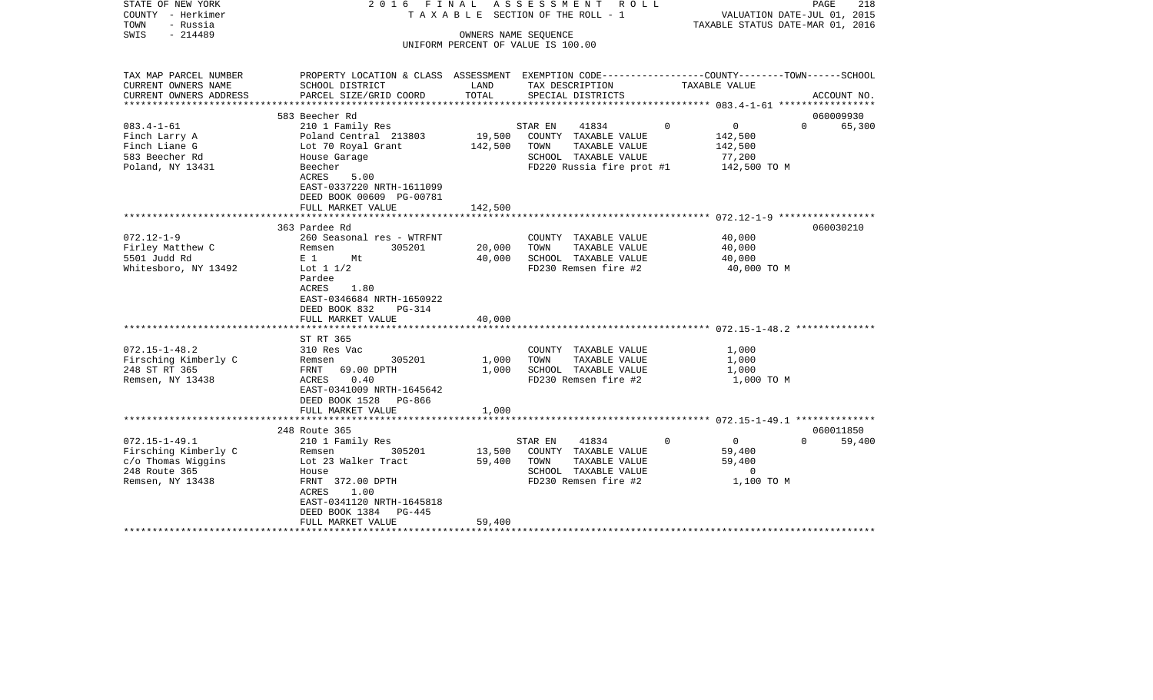| STATE OF NEW YORK<br>COUNTY - Herkimer<br>TOWN<br>- Russia | ASSESSMENT ROLL<br>2016 FINAL<br>TAXABLE SECTION OF THE ROLL - 1                                |         |                                          | PAGE<br>218<br>VALUATION DATE-JUL 01, 2015<br>TAXABLE STATUS DATE-MAR 01, 2016 |                    |  |
|------------------------------------------------------------|-------------------------------------------------------------------------------------------------|---------|------------------------------------------|--------------------------------------------------------------------------------|--------------------|--|
| SWIS<br>$-214489$                                          |                                                                                                 |         | OWNERS NAME SEQUENCE                     |                                                                                |                    |  |
|                                                            |                                                                                                 |         | UNIFORM PERCENT OF VALUE IS 100.00       |                                                                                |                    |  |
|                                                            |                                                                                                 |         |                                          |                                                                                |                    |  |
| TAX MAP PARCEL NUMBER                                      | PROPERTY LOCATION & CLASS ASSESSMENT EXEMPTION CODE----------------COUNTY-------TOWN-----SCHOOL |         |                                          |                                                                                |                    |  |
| CURRENT OWNERS NAME                                        | SCHOOL DISTRICT                                                                                 | LAND    | TAX DESCRIPTION                          | TAXABLE VALUE                                                                  |                    |  |
| CURRENT OWNERS ADDRESS                                     | PARCEL SIZE/GRID COORD                                                                          | TOTAL   | SPECIAL DISTRICTS                        |                                                                                | ACCOUNT NO.        |  |
|                                                            | 583 Beecher Rd                                                                                  |         |                                          |                                                                                | 060009930          |  |
| $083.4 - 1 - 61$                                           | 210 1 Family Res                                                                                |         | 41834<br>STAR EN                         | $\Omega$<br>$\overline{0}$                                                     | $\Omega$<br>65,300 |  |
| Finch Larry A                                              | Poland Central 213803                                                                           | 19,500  | COUNTY TAXABLE VALUE                     | 142,500                                                                        |                    |  |
| Finch Liane G                                              | Lot 70 Royal Grant                                                                              | 142,500 | TOWN<br>TAXABLE VALUE                    | 142,500                                                                        |                    |  |
| 583 Beecher Rd                                             | House Garage                                                                                    |         | SCHOOL TAXABLE VALUE                     | 77,200                                                                         |                    |  |
| Poland, NY 13431                                           | Beecher                                                                                         |         | FD220 Russia fire prot $#1$ 142,500 TO M |                                                                                |                    |  |
|                                                            | 5.00<br>ACRES                                                                                   |         |                                          |                                                                                |                    |  |
|                                                            | EAST-0337220 NRTH-1611099                                                                       |         |                                          |                                                                                |                    |  |
|                                                            | DEED BOOK 00609 PG-00781                                                                        |         |                                          |                                                                                |                    |  |
|                                                            | FULL MARKET VALUE<br>**************************                                                 | 142,500 |                                          |                                                                                |                    |  |
|                                                            | 363 Pardee Rd                                                                                   |         |                                          |                                                                                | 060030210          |  |
| $072.12 - 1 - 9$                                           | 260 Seasonal res - WTRFNT                                                                       |         | COUNTY TAXABLE VALUE                     | 40,000                                                                         |                    |  |
| Firley Matthew C                                           | 305201<br>Remsen                                                                                | 20,000  | TOWN<br>TAXABLE VALUE                    | 40,000                                                                         |                    |  |
| 5501 Judd Rd                                               | $E_1$ 1<br>Mt                                                                                   | 40,000  | SCHOOL TAXABLE VALUE                     | 40,000                                                                         |                    |  |
| Whitesboro, NY 13492                                       | Lot $1\ 1/2$                                                                                    |         | FD230 Remsen fire #2                     |                                                                                | 40,000 TO M        |  |
|                                                            | Pardee                                                                                          |         |                                          |                                                                                |                    |  |
|                                                            | ACRES<br>1.80                                                                                   |         |                                          |                                                                                |                    |  |
|                                                            | EAST-0346684 NRTH-1650922                                                                       |         |                                          |                                                                                |                    |  |
|                                                            | DEED BOOK 832<br>$PG-314$<br>FULL MARKET VALUE                                                  | 40,000  |                                          |                                                                                |                    |  |
|                                                            |                                                                                                 |         |                                          |                                                                                |                    |  |
|                                                            | ST RT 365                                                                                       |         |                                          |                                                                                |                    |  |
| $072.15 - 1 - 48.2$                                        | 310 Res Vac                                                                                     |         | COUNTY TAXABLE VALUE                     | 1,000                                                                          |                    |  |
| Firsching Kimberly C                                       | 305201<br>Remsen                                                                                | 1,000   | TOWN<br>TAXABLE VALUE                    | 1,000                                                                          |                    |  |
| 248 ST RT 365                                              | FRNT 69.00 DPTH                                                                                 | 1,000   | SCHOOL TAXABLE VALUE                     | 1,000                                                                          |                    |  |
| Remsen, NY 13438                                           | 0.40<br>ACRES                                                                                   |         | FD230 Remsen fire #2                     |                                                                                | 1,000 TO M         |  |
|                                                            | EAST-0341009 NRTH-1645642                                                                       |         |                                          |                                                                                |                    |  |
|                                                            | DEED BOOK 1528 PG-866<br>FULL MARKET VALUE                                                      | 1,000   |                                          |                                                                                |                    |  |
|                                                            |                                                                                                 |         |                                          |                                                                                |                    |  |
|                                                            | 248 Route 365                                                                                   |         |                                          |                                                                                | 060011850          |  |
| $072.15 - 1 - 49.1$                                        | 210 1 Family Res                                                                                |         | 41834<br>STAR EN                         | $\Omega$<br>$\overline{0}$                                                     | $\Omega$<br>59,400 |  |
| Firsching Kimberly C                                       | 305201<br>Remsen                                                                                | 13,500  | COUNTY TAXABLE VALUE                     | 59,400                                                                         |                    |  |
| c/o Thomas Wiggins                                         | Lot 23 Walker Tract                                                                             | 59,400  | TOWN<br>TAXABLE VALUE                    | 59,400                                                                         |                    |  |
| 248 Route 365                                              | House                                                                                           |         | SCHOOL TAXABLE VALUE                     |                                                                                | $\overline{0}$     |  |
| Remsen, NY 13438                                           | FRNT 372.00 DPTH                                                                                |         | FD230 Remsen fire #2                     |                                                                                | 1,100 TO M         |  |
|                                                            | 1.00<br>ACRES<br>EAST-0341120 NRTH-1645818                                                      |         |                                          |                                                                                |                    |  |
|                                                            | DEED BOOK 1384 PG-445                                                                           |         |                                          |                                                                                |                    |  |
|                                                            | FULL MARKET VALUE                                                                               | 59,400  |                                          |                                                                                |                    |  |
|                                                            |                                                                                                 |         |                                          |                                                                                |                    |  |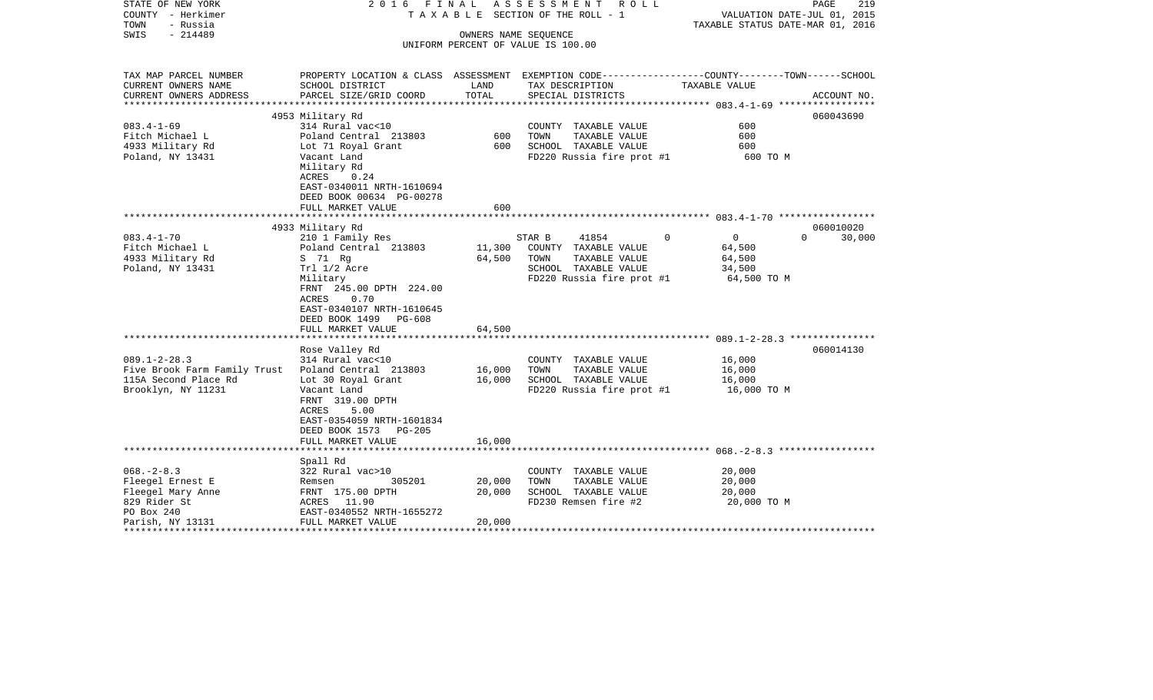| STATE OF NEW YORK<br>COUNTY - Herkimer<br>TOWN<br>- Russia                                                             | 2016 FINAL                                                                                                                                                                      |                            | ASSESSMENT ROLL<br>T A X A B L E SECTION OF THE ROLL - 1                                                              | 219<br>PAGE<br>VALUATION DATE-JUL 01, 2015<br>TAXABLE STATUS DATE-MAR 01, 2016                                  |
|------------------------------------------------------------------------------------------------------------------------|---------------------------------------------------------------------------------------------------------------------------------------------------------------------------------|----------------------------|-----------------------------------------------------------------------------------------------------------------------|-----------------------------------------------------------------------------------------------------------------|
| $-214489$<br>SWIS                                                                                                      |                                                                                                                                                                                 | OWNERS NAME SEQUENCE       | UNIFORM PERCENT OF VALUE IS 100.00                                                                                    |                                                                                                                 |
|                                                                                                                        |                                                                                                                                                                                 |                            |                                                                                                                       |                                                                                                                 |
| TAX MAP PARCEL NUMBER<br>CURRENT OWNERS NAME                                                                           | SCHOOL DISTRICT                                                                                                                                                                 | LAND                       | TAX DESCRIPTION                                                                                                       | PROPERTY LOCATION & CLASS ASSESSMENT EXEMPTION CODE---------------COUNTY-------TOWN-----SCHOOL<br>TAXABLE VALUE |
| CURRENT OWNERS ADDRESS                                                                                                 | PARCEL SIZE/GRID COORD                                                                                                                                                          | TOTAL                      | SPECIAL DISTRICTS                                                                                                     | ACCOUNT NO.                                                                                                     |
|                                                                                                                        | 4953 Military Rd                                                                                                                                                                |                            |                                                                                                                       | 060043690                                                                                                       |
| $083.4 - 1 - 69$<br>Fitch Michael L<br>4933 Military Rd<br>Poland, NY 13431                                            | 314 Rural vac<10<br>Poland Central 213803<br>Lot 71 Royal Grant<br>Vacant Land<br>Military Rd                                                                                   | 600<br>600                 | COUNTY TAXABLE VALUE<br>TOWN<br>TAXABLE VALUE<br>SCHOOL TAXABLE VALUE<br>FD220 Russia fire prot #1                    | 600<br>600<br>600<br>600 TO M                                                                                   |
|                                                                                                                        | ACRES<br>0.24<br>EAST-0340011 NRTH-1610694<br>DEED BOOK 00634 PG-00278<br>FULL MARKET VALUE                                                                                     | 600                        |                                                                                                                       |                                                                                                                 |
|                                                                                                                        | 4933 Military Rd                                                                                                                                                                |                            |                                                                                                                       | 060010020                                                                                                       |
| $083.4 - 1 - 70$<br>Fitch Michael L<br>4933 Military Rd<br>Poland, NY 13431                                            | 210 1 Family Res<br>Poland Central 213803<br>S 71 Rg<br>Trl 1/2 Acre<br>Military<br>FRNT 245.00 DPTH 224.00<br>ACRES 0.70<br>EAST-0340107 NRTH-1610645<br>DEED BOOK 1499 PG-608 | 11,300<br>64,500           | STAR B<br>41854<br>COUNTY TAXABLE VALUE<br>TOWN<br>TAXABLE VALUE<br>SCHOOL TAXABLE VALUE<br>FD220 Russia fire prot #1 | $\Omega$<br>$\overline{0}$<br>$\Omega$<br>30,000<br>64,500<br>64,500<br>34,500<br>64,500 TO M                   |
|                                                                                                                        | FULL MARKET VALUE                                                                                                                                                               | 64,500                     |                                                                                                                       |                                                                                                                 |
| $089.1 - 2 - 28.3$<br>Five Brook Farm Family Trust Poland Central 213803<br>115A Second Place Rd<br>Brooklyn, NY 11231 | Rose Valley Rd<br>314 Rural vac<10<br>Lot 30 Royal Grant<br>Vacant Land<br>FRNT 319.00 DPTH<br>5.00<br>ACRES<br>EAST-0354059 NRTH-1601834<br>DEED BOOK 1573 PG-205              | 16,000<br>16,000           | COUNTY TAXABLE VALUE<br>TOWN<br>TAXABLE VALUE<br>SCHOOL TAXABLE VALUE<br>FD220 Russia fire prot #1                    | 060014130<br>16,000<br>16,000<br>16,000<br>16,000 TO M                                                          |
|                                                                                                                        | FULL MARKET VALUE                                                                                                                                                               | 16,000                     |                                                                                                                       |                                                                                                                 |
| $068. - 2 - 8.3$<br>Fleegel Ernest E<br>Fleegel Mary Anne<br>829 Rider St<br>PO Box 240<br>Parish, NY 13131            | Spall Rd<br>322 Rural vac>10<br>305201<br>Remsen<br>FRNT 175.00 DPTH<br>ACRES 11.90<br>EAST-0340552 NRTH-1655272<br>FULL MARKET VALUE                                           | 20,000<br>20,000<br>20,000 | COUNTY TAXABLE VALUE<br>TOWN<br>TAXABLE VALUE<br>SCHOOL TAXABLE VALUE<br>FD230 Remsen fire #2                         | 20,000<br>20,000<br>20,000<br>20,000 TO M                                                                       |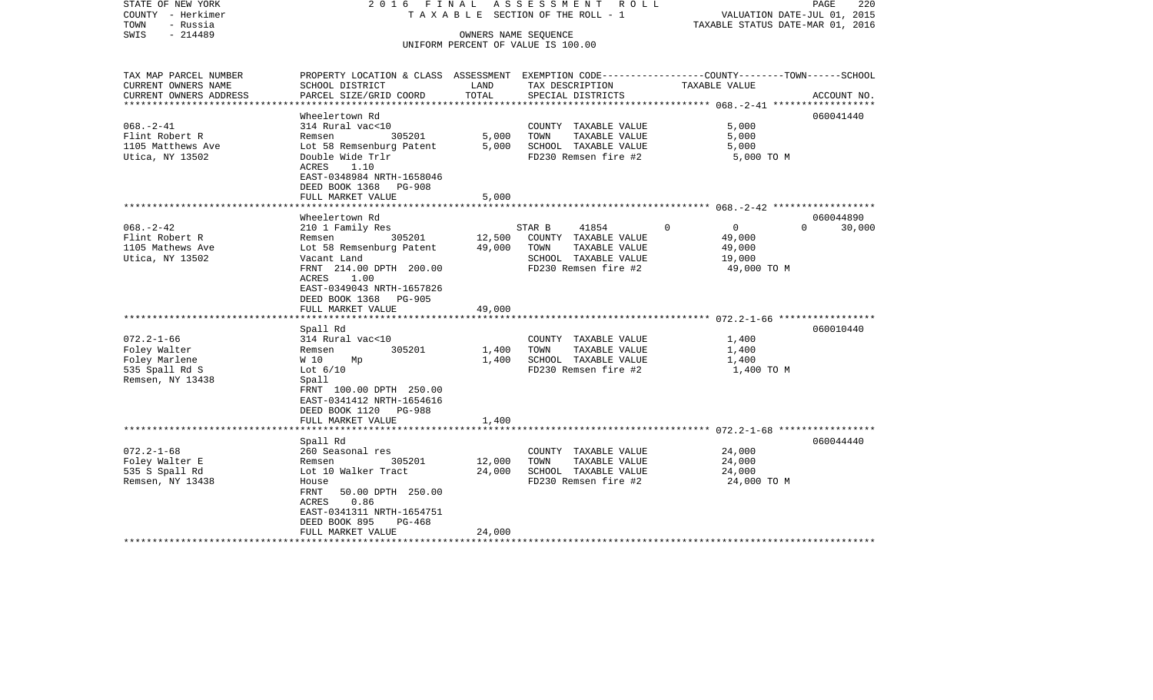| STATE OF NEW YORK<br>COUNTY - Herkimer<br>TOWN<br>- Russia | 2016 FINAL<br>T A X A B L E SECTION OF THE ROLL - 1                                             | ASSESSMENT ROLL<br>PAGE<br>220<br>VALUATION DATE-JUL 01, 2015<br>TAXABLE STATUS DATE-MAR 01, 2016 |                                                            |                                                          |                    |
|------------------------------------------------------------|-------------------------------------------------------------------------------------------------|---------------------------------------------------------------------------------------------------|------------------------------------------------------------|----------------------------------------------------------|--------------------|
| $-214489$<br>SWIS                                          |                                                                                                 |                                                                                                   | OWNERS NAME SEQUENCE<br>UNIFORM PERCENT OF VALUE IS 100.00 |                                                          |                    |
| TAX MAP PARCEL NUMBER                                      | PROPERTY LOCATION & CLASS ASSESSMENT EXEMPTION CODE---------------COUNTY-------TOWN------SCHOOL |                                                                                                   |                                                            |                                                          |                    |
| CURRENT OWNERS NAME                                        | SCHOOL DISTRICT                                                                                 | LAND                                                                                              | TAX DESCRIPTION                                            | TAXABLE VALUE                                            |                    |
| CURRENT OWNERS ADDRESS<br>****************                 | PARCEL SIZE/GRID COORD                                                                          | TOTAL                                                                                             | SPECIAL DISTRICTS                                          | ************************** 068.-2-41 ******************* | ACCOUNT NO.        |
|                                                            | Wheelertown Rd                                                                                  |                                                                                                   |                                                            |                                                          | 060041440          |
| $068. - 2 - 41$                                            | 314 Rural vac<10                                                                                |                                                                                                   | COUNTY TAXABLE VALUE                                       | 5,000                                                    |                    |
| Flint Robert R                                             | 305201<br>Remsen                                                                                | 5,000                                                                                             | TOWN<br>TAXABLE VALUE                                      | 5,000                                                    |                    |
| 1105 Matthews Ave                                          | Lot 58 Remsenburg Patent                                                                        | 5,000                                                                                             | SCHOOL TAXABLE VALUE                                       | 5,000                                                    |                    |
| Utica, NY 13502                                            | Double Wide Trlr                                                                                |                                                                                                   | FD230 Remsen fire #2                                       | 5,000 TO M                                               |                    |
|                                                            | ACRES<br>1.10                                                                                   |                                                                                                   |                                                            |                                                          |                    |
|                                                            | EAST-0348984 NRTH-1658046                                                                       |                                                                                                   |                                                            |                                                          |                    |
|                                                            | DEED BOOK 1368 PG-908                                                                           |                                                                                                   |                                                            |                                                          |                    |
|                                                            | FULL MARKET VALUE                                                                               | 5,000                                                                                             |                                                            |                                                          |                    |
|                                                            |                                                                                                 |                                                                                                   |                                                            |                                                          |                    |
|                                                            | Wheelertown Rd                                                                                  |                                                                                                   |                                                            |                                                          | 060044890          |
| $068. - 2 - 42$                                            | 210 1 Family Res                                                                                |                                                                                                   | 41854<br>STAR B                                            | $\mathbf 0$<br>$\overline{0}$                            | 30,000<br>$\Omega$ |
| Flint Robert R                                             | 305201<br>Remsen                                                                                | 12,500                                                                                            | COUNTY TAXABLE VALUE                                       | 49,000                                                   |                    |
| 1105 Mathews Ave                                           | Lot 58 Remsenburg Patent                                                                        | 49,000                                                                                            | TOWN<br>TAXABLE VALUE                                      | 49,000                                                   |                    |
| Utica, NY 13502                                            | Vacant Land                                                                                     |                                                                                                   | SCHOOL TAXABLE VALUE                                       | 19,000                                                   |                    |
|                                                            | FRNT 214.00 DPTH 200.00                                                                         |                                                                                                   | FD230 Remsen fire #2                                       | 49,000 TO M                                              |                    |
|                                                            | ACRES<br>1.00                                                                                   |                                                                                                   |                                                            |                                                          |                    |
|                                                            | EAST-0349043 NRTH-1657826                                                                       |                                                                                                   |                                                            |                                                          |                    |
|                                                            | DEED BOOK 1368 PG-905                                                                           |                                                                                                   |                                                            |                                                          |                    |
|                                                            | FULL MARKET VALUE                                                                               | 49,000                                                                                            |                                                            |                                                          |                    |
|                                                            |                                                                                                 |                                                                                                   |                                                            |                                                          |                    |
|                                                            | Spall Rd                                                                                        |                                                                                                   |                                                            |                                                          | 060010440          |
| $072.2 - 1 - 66$                                           | 314 Rural vac<10                                                                                |                                                                                                   | COUNTY TAXABLE VALUE                                       | 1,400                                                    |                    |
| Foley Walter                                               | 305201<br>Remsen                                                                                | 1,400                                                                                             | TOWN<br>TAXABLE VALUE                                      | 1,400                                                    |                    |
| Foley Marlene                                              | W 10<br>Mp                                                                                      | 1,400                                                                                             | SCHOOL TAXABLE VALUE                                       | 1,400                                                    |                    |
| 535 Spall Rd S                                             | Lot $6/10$                                                                                      |                                                                                                   | FD230 Remsen fire #2                                       | 1,400 TO M                                               |                    |
| Remsen, NY 13438                                           | Spall                                                                                           |                                                                                                   |                                                            |                                                          |                    |
|                                                            | FRNT 100.00 DPTH 250.00                                                                         |                                                                                                   |                                                            |                                                          |                    |
|                                                            | EAST-0341412 NRTH-1654616                                                                       |                                                                                                   |                                                            |                                                          |                    |
|                                                            | DEED BOOK 1120<br>PG-988                                                                        |                                                                                                   |                                                            |                                                          |                    |
|                                                            | FULL MARKET VALUE                                                                               | 1,400                                                                                             |                                                            |                                                          |                    |
|                                                            |                                                                                                 |                                                                                                   |                                                            |                                                          |                    |
|                                                            | Spall Rd                                                                                        |                                                                                                   |                                                            |                                                          | 060044440          |
| $072.2 - 1 - 68$                                           | 260 Seasonal res                                                                                |                                                                                                   | COUNTY TAXABLE VALUE                                       | 24,000                                                   |                    |
| Foley Walter E                                             | 305201<br>Remsen                                                                                | 12,000                                                                                            | TOWN<br>TAXABLE VALUE                                      | 24,000                                                   |                    |
| 535 S Spall Rd                                             | Lot 10 Walker Tract                                                                             | 24,000                                                                                            | SCHOOL TAXABLE VALUE                                       | 24,000                                                   |                    |
| Remsen, NY 13438                                           | House                                                                                           |                                                                                                   | FD230 Remsen fire #2                                       | 24,000 TO M                                              |                    |
|                                                            | FRNT<br>50.00 DPTH 250.00                                                                       |                                                                                                   |                                                            |                                                          |                    |
|                                                            | 0.86<br>ACRES                                                                                   |                                                                                                   |                                                            |                                                          |                    |
|                                                            | EAST-0341311 NRTH-1654751                                                                       |                                                                                                   |                                                            |                                                          |                    |
|                                                            | DEED BOOK 895<br>PG-468                                                                         |                                                                                                   |                                                            |                                                          |                    |
|                                                            | FULL MARKET VALUE                                                                               | 24,000                                                                                            |                                                            |                                                          |                    |
|                                                            |                                                                                                 |                                                                                                   |                                                            |                                                          |                    |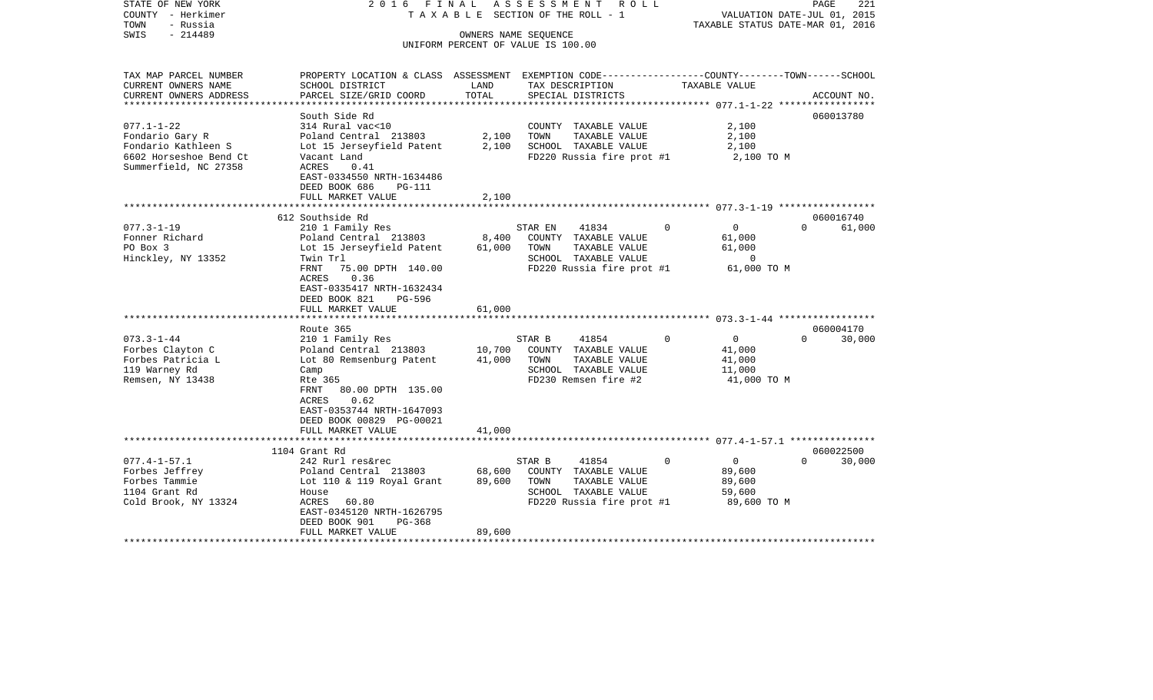| COUNTY<br>- Herkimer<br>TOWN<br>- Russia<br>SWIS<br>$-214489$ |                                                                                                                    |              | T A X A B L E SECTION OF THE ROLL - 1<br>OWNERS NAME SEOUENCE | VALUATION DATE-JUL 01, 2015<br>TAXABLE STATUS DATE-MAR 01, 2016 |                       |  |
|---------------------------------------------------------------|--------------------------------------------------------------------------------------------------------------------|--------------|---------------------------------------------------------------|-----------------------------------------------------------------|-----------------------|--|
|                                                               |                                                                                                                    |              | UNIFORM PERCENT OF VALUE IS 100.00                            |                                                                 |                       |  |
| TAX MAP PARCEL NUMBER<br>CURRENT OWNERS NAME                  | PROPERTY LOCATION & CLASS ASSESSMENT EXEMPTION CODE---------------COUNTY-------TOWN------SCHOOL<br>SCHOOL DISTRICT | LAND         | TAX DESCRIPTION                                               | TAXABLE VALUE                                                   |                       |  |
| CURRENT OWNERS ADDRESS                                        | PARCEL SIZE/GRID COORD                                                                                             | TOTAL        | SPECIAL DISTRICTS                                             |                                                                 | ACCOUNT NO.           |  |
| ********************                                          |                                                                                                                    | ************ | ********************************* 077.1-1-22 *****            |                                                                 |                       |  |
|                                                               | South Side Rd                                                                                                      |              |                                                               |                                                                 | 060013780             |  |
| $077.1 - 1 - 22$<br>Fondario Gary R                           | 314 Rural vac<10<br>Poland Central 213803                                                                          | 2,100        | COUNTY TAXABLE VALUE<br>TAXABLE VALUE<br>TOWN                 | 2,100<br>2,100                                                  |                       |  |
| Fondario Kathleen S                                           | Lot 15 Jerseyfield Patent                                                                                          | 2,100        | SCHOOL TAXABLE VALUE                                          | 2,100                                                           |                       |  |
| 6602 Horseshoe Bend Ct<br>Summerfield, NC 27358               | Vacant Land<br>ACRES<br>0.41                                                                                       |              | FD220 Russia fire prot #1                                     | 2,100 TO M                                                      |                       |  |
|                                                               | EAST-0334550 NRTH-1634486<br>DEED BOOK 686<br>PG-111                                                               |              |                                                               |                                                                 |                       |  |
|                                                               | FULL MARKET VALUE                                                                                                  | 2,100        |                                                               |                                                                 |                       |  |
|                                                               | 612 Southside Rd                                                                                                   | ***********  |                                                               |                                                                 | 060016740             |  |
| $077.3 - 1 - 19$                                              | 210 1 Family Res                                                                                                   |              | STAR EN<br>41834                                              | $\Omega$<br>0                                                   | $\Omega$<br>61,000    |  |
| Fonner Richard                                                | Poland Central 213803                                                                                              | 8,400        | COUNTY TAXABLE VALUE                                          | 61,000                                                          |                       |  |
| PO Box 3                                                      | Lot 15 Jerseyfield Patent                                                                                          | 61,000       | TOWN<br>TAXABLE VALUE                                         | 61,000                                                          |                       |  |
| Hinckley, NY 13352                                            | Twin Trl                                                                                                           |              | SCHOOL TAXABLE VALUE                                          | $\mathbf 0$                                                     |                       |  |
|                                                               | 75.00 DPTH 140.00<br>FRNT<br>0.36                                                                                  |              | FD220 Russia fire prot #1                                     | 61,000 TO M                                                     |                       |  |
|                                                               | ACRES<br>EAST-0335417 NRTH-1632434                                                                                 |              |                                                               |                                                                 |                       |  |
|                                                               | DEED BOOK 821<br>PG-596                                                                                            |              |                                                               |                                                                 |                       |  |
|                                                               | FULL MARKET VALUE                                                                                                  | 61,000       |                                                               |                                                                 |                       |  |
|                                                               |                                                                                                                    |              |                                                               |                                                                 |                       |  |
|                                                               | Route 365                                                                                                          |              |                                                               | $\Omega$                                                        | 060004170<br>$\Omega$ |  |
| $073.3 - 1 - 44$<br>Forbes Clayton C                          | 210 1 Family Res<br>Poland Central 213803                                                                          | 10,700       | STAR B<br>41854<br>COUNTY TAXABLE VALUE                       | $\mathbf 0$<br>41,000                                           | 30,000                |  |
| Forbes Patricia L                                             | Lot 80 Remsenburg Patent                                                                                           | 41,000       | TOWN<br>TAXABLE VALUE                                         | 41,000                                                          |                       |  |
| 119 Warney Rd                                                 | Camp                                                                                                               |              | SCHOOL TAXABLE VALUE                                          | 11,000                                                          |                       |  |
| Remsen, NY 13438                                              | Rte 365                                                                                                            |              | FD230 Remsen fire #2                                          | 41,000 TO M                                                     |                       |  |
|                                                               | FRNT<br>80.00 DPTH 135.00                                                                                          |              |                                                               |                                                                 |                       |  |
|                                                               | ACRES<br>0.62<br>EAST-0353744 NRTH-1647093                                                                         |              |                                                               |                                                                 |                       |  |
|                                                               | DEED BOOK 00829 PG-00021                                                                                           |              |                                                               |                                                                 |                       |  |
|                                                               | FULL MARKET VALUE                                                                                                  | 41,000       |                                                               |                                                                 |                       |  |
|                                                               |                                                                                                                    |              |                                                               |                                                                 |                       |  |
| $077.4 - 1 - 57.1$                                            | 1104 Grant Rd                                                                                                      |              | 41854                                                         | 0<br>$\overline{0}$                                             | 060022500<br>$\Omega$ |  |
| Forbes Jeffrey                                                | 242 Rurl res&rec<br>Poland Central 213803                                                                          | 68,600       | STAR B<br>COUNTY TAXABLE VALUE                                | 89,600                                                          | 30,000                |  |
| Forbes Tammie                                                 | Lot 110 & 119 Royal Grant                                                                                          | 89,600       | TOWN<br>TAXABLE VALUE                                         | 89,600                                                          |                       |  |
| 1104 Grant Rd                                                 | House                                                                                                              |              | SCHOOL TAXABLE VALUE                                          | 59,600                                                          |                       |  |
| Cold Brook, NY 13324                                          | ACRES<br>60.80                                                                                                     |              | FD220 Russia fire prot #1                                     | 89,600 TO M                                                     |                       |  |
|                                                               | EAST-0345120 NRTH-1626795                                                                                          |              |                                                               |                                                                 |                       |  |
|                                                               | DEED BOOK 901<br>PG-368<br>FULL MARKET VALUE                                                                       | 89,600       |                                                               |                                                                 |                       |  |
|                                                               |                                                                                                                    |              |                                                               |                                                                 |                       |  |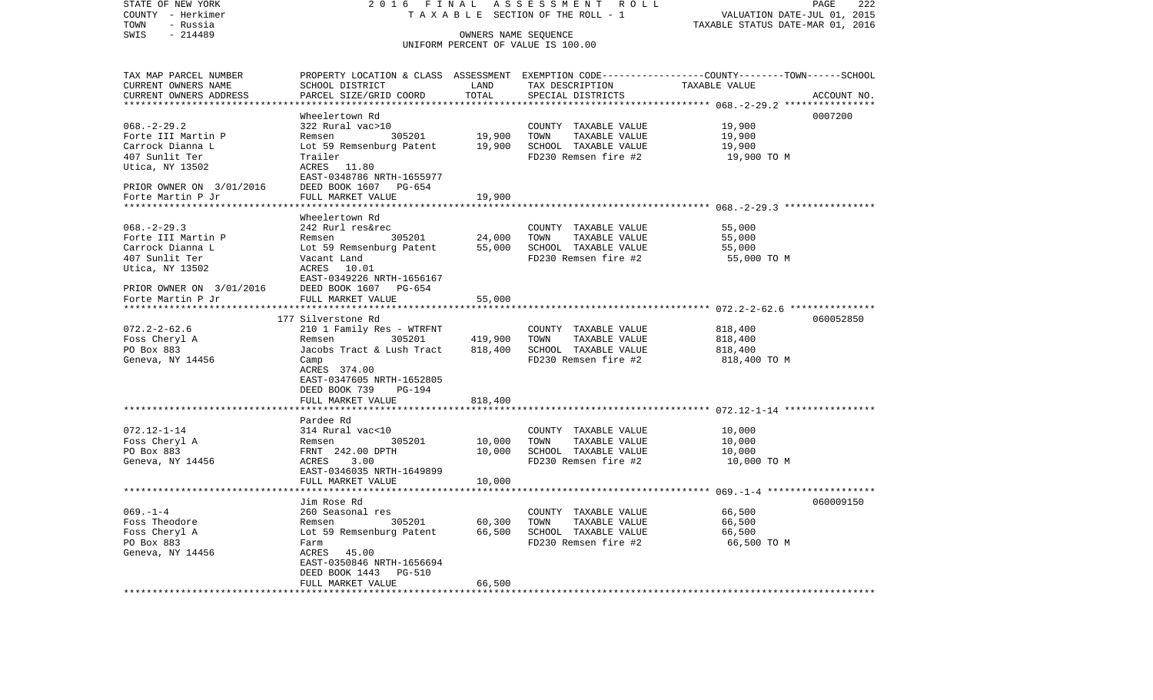| STATE OF NEW YORK<br>COUNTY - Herkimer | 2016 FINAL                                                             |         | ASSESSMENT ROLL<br>T A X A B L E SECTION OF THE ROLL - 1   | PAGE<br>VALUATION DATE-JUL 01, 2015                                                             | 222         |
|----------------------------------------|------------------------------------------------------------------------|---------|------------------------------------------------------------|-------------------------------------------------------------------------------------------------|-------------|
| TOWN<br>- Russia                       |                                                                        |         |                                                            | TAXABLE STATUS DATE-MAR 01, 2016                                                                |             |
| SWIS<br>$-214489$                      |                                                                        |         | OWNERS NAME SEQUENCE<br>UNIFORM PERCENT OF VALUE IS 100.00 |                                                                                                 |             |
| TAX MAP PARCEL NUMBER                  |                                                                        |         |                                                            | PROPERTY LOCATION & CLASS ASSESSMENT EXEMPTION CODE---------------COUNTY-------TOWN------SCHOOL |             |
| CURRENT OWNERS NAME                    | SCHOOL DISTRICT                                                        | LAND    | TAX DESCRIPTION                                            | TAXABLE VALUE                                                                                   |             |
| CURRENT OWNERS ADDRESS                 | PARCEL SIZE/GRID COORD                                                 | TOTAL   | SPECIAL DISTRICTS                                          |                                                                                                 | ACCOUNT NO. |
|                                        | Wheelertown Rd                                                         |         |                                                            |                                                                                                 | 0007200     |
| $068. - 2 - 29.2$                      | 322 Rural vac>10                                                       |         | COUNTY TAXABLE VALUE                                       | 19,900                                                                                          |             |
| Forte III Martin P                     | Remsen 305201                                                          | 19,900  | TOWN<br>TAXABLE VALUE                                      | 19,900                                                                                          |             |
| Carrock Dianna L                       | Lot 59 Remsenburg Patent 19,900                                        |         | SCHOOL TAXABLE VALUE                                       | 19,900                                                                                          |             |
| 407 Sunlit Ter                         | Trailer                                                                |         | FD230 Remsen fire #2                                       | 19,900 TO M                                                                                     |             |
| Utica, NY 13502                        | ACRES 11.80                                                            |         |                                                            |                                                                                                 |             |
| PRIOR OWNER ON 3/01/2016               | EAST-0348786 NRTH-1655977<br>DEED BOOK 1607 PG-654                     |         |                                                            |                                                                                                 |             |
| Forte Martin P Jr                      | FULL MARKET VALUE                                                      | 19,900  |                                                            |                                                                                                 |             |
| **********************                 |                                                                        |         |                                                            |                                                                                                 |             |
|                                        | Wheelertown Rd                                                         |         |                                                            |                                                                                                 |             |
| $068. -2 - 29.3$                       | 242 Rurl res&rec                                                       |         | COUNTY TAXABLE VALUE                                       | 55,000                                                                                          |             |
| Forte III Martin P                     | Remsen 305201 24,000<br>Lot 59 Remsenburg Patent 55,000<br>Vacant Land |         | TOWN<br>TAXABLE VALUE                                      | 55,000                                                                                          |             |
| Carrock Dianna L                       |                                                                        |         | SCHOOL TAXABLE VALUE                                       | 55,000                                                                                          |             |
| 407 Sunlit Ter<br>Utica, NY 13502      | ACRES 10.01                                                            |         | FD230 Remsen fire #2                                       | 55,000 TO M                                                                                     |             |
|                                        | EAST-0349226 NRTH-1656167                                              |         |                                                            |                                                                                                 |             |
| PRIOR OWNER ON 3/01/2016               | DEED BOOK 1607 PG-654<br>FULL MARKET VALUE                             |         |                                                            |                                                                                                 |             |
| Forte Martin P Jr                      |                                                                        | 55,000  |                                                            |                                                                                                 |             |
|                                        |                                                                        |         |                                                            |                                                                                                 |             |
|                                        | 177 Silverstone Rd                                                     |         |                                                            |                                                                                                 | 060052850   |
| $072.2 - 2 - 62.6$<br>Foss Cheryl A    | 210 1 Family Res - WTRFNT<br>Remsen 305201                             | 419,900 | COUNTY TAXABLE VALUE<br>TOWN<br>TAXABLE VALUE              | 818,400<br>818,400                                                                              |             |
| PO Box 883                             | Jacobs Tract & Lush Tract                                              | 818,400 | SCHOOL TAXABLE VALUE                                       | 818,400                                                                                         |             |
| Geneva, NY 14456                       | Camp                                                                   |         | FD230 Remsen fire #2                                       | 818,400 TO M                                                                                    |             |
|                                        | ACRES 374.00                                                           |         |                                                            |                                                                                                 |             |
|                                        | EAST-0347605 NRTH-1652805                                              |         |                                                            |                                                                                                 |             |
|                                        | DEED BOOK 739<br>PG-194<br>FULL MARKET VALUE                           | 818,400 |                                                            |                                                                                                 |             |
|                                        |                                                                        |         |                                                            |                                                                                                 |             |
|                                        | Pardee Rd                                                              |         |                                                            |                                                                                                 |             |
| $072.12 - 1 - 14$                      | 314 Rural vac<10                                                       |         | COUNTY TAXABLE VALUE                                       | 10,000                                                                                          |             |
| Foss Cheryl A                          | 305201<br>Remsen                                                       | 10,000  | TOWN<br>TAXABLE VALUE                                      | 10,000                                                                                          |             |
| PO Box 883                             | FRNT 242.00 DPTH                                                       | 10,000  | SCHOOL TAXABLE VALUE                                       | 10,000                                                                                          |             |
| Geneva, NY 14456                       | ACRES<br>3.00                                                          |         | FD230 Remsen fire #2                                       | 10,000 TO M                                                                                     |             |
|                                        | EAST-0346035 NRTH-1649899<br>FULL MARKET VALUE                         | 10,000  |                                                            |                                                                                                 |             |
|                                        | *******************                                                    |         |                                                            |                                                                                                 |             |
|                                        | Jim Rose Rd                                                            |         |                                                            |                                                                                                 | 060009150   |
| $069. - 1 - 4$                         | 260 Seasonal res                                                       |         | COUNTY TAXABLE VALUE                                       | 66,500                                                                                          |             |
| Foss Theodore                          | Remsen 105201<br>Lot 59 Remsenburg Patent                              | 60,300  | TOWN<br>TAXABLE VALUE                                      | 66,500                                                                                          |             |
| Foss Cheryl A                          | Lot 59 Remsenburg Patent                                               | 66,500  | SCHOOL TAXABLE VALUE                                       | 66,500                                                                                          |             |
| PO Box 883<br>Geneva, NY 14456         | Farm<br>ACRES<br>45.00                                                 |         | FD230 Remsen fire #2                                       | 66,500 TO M                                                                                     |             |
|                                        | EAST-0350846 NRTH-1656694                                              |         |                                                            |                                                                                                 |             |
|                                        | DEED BOOK 1443<br>PG-510                                               |         |                                                            |                                                                                                 |             |
|                                        | FULL MARKET VALUE                                                      | 66,500  |                                                            |                                                                                                 |             |
|                                        |                                                                        |         |                                                            |                                                                                                 |             |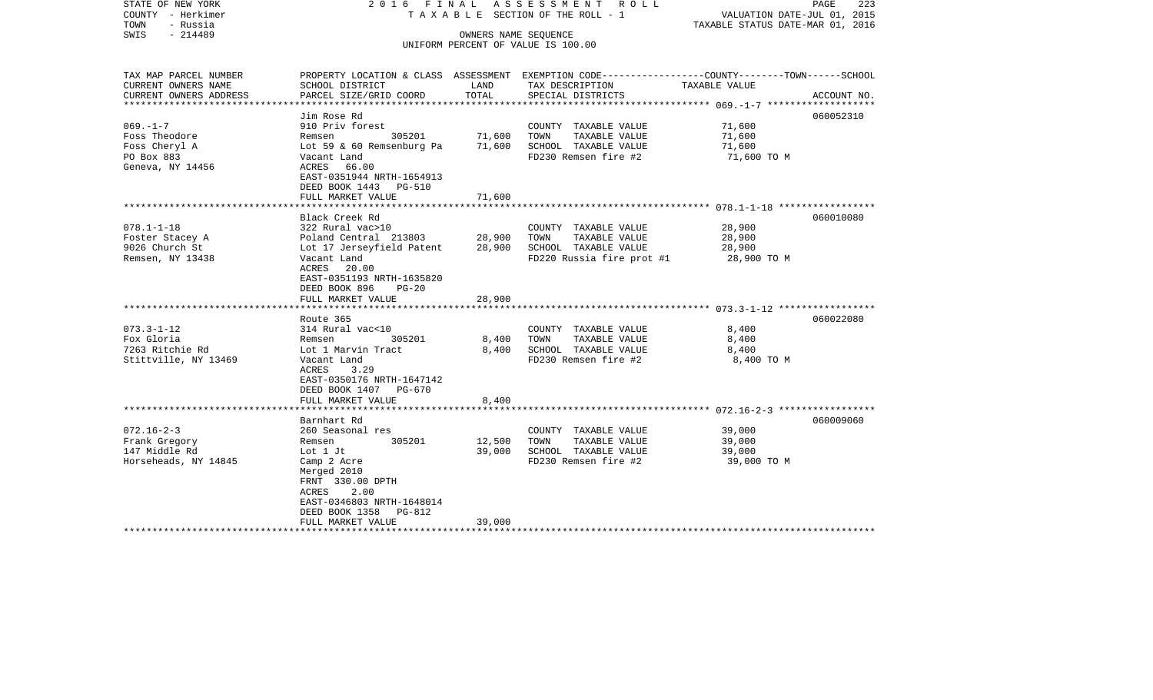| STATE OF NEW YORK<br>COUNTY - Herkimer<br>- Russia<br>TOWN<br>$-214489$<br>SWIS |                                           | ASSESSMENT ROLL<br>2016 FINAL<br>T A X A B L E SECTION OF THE ROLL - 1<br>OWNERS NAME SEQUENCE |                                                                                                 |                                            | PAGE<br>223<br>VALUATION DATE-JUL 01, 2015<br>TAXABLE STATUS DATE-MAR 01, 2016 |  |  |
|---------------------------------------------------------------------------------|-------------------------------------------|------------------------------------------------------------------------------------------------|-------------------------------------------------------------------------------------------------|--------------------------------------------|--------------------------------------------------------------------------------|--|--|
|                                                                                 |                                           |                                                                                                | UNIFORM PERCENT OF VALUE IS 100.00                                                              |                                            |                                                                                |  |  |
| TAX MAP PARCEL NUMBER<br>CURRENT OWNERS NAME                                    |                                           |                                                                                                | PROPERTY LOCATION & CLASS ASSESSMENT EXEMPTION CODE---------------COUNTY-------TOWN------SCHOOL |                                            |                                                                                |  |  |
| CURRENT OWNERS ADDRESS                                                          | SCHOOL DISTRICT<br>PARCEL SIZE/GRID COORD | LAND<br>TOTAL                                                                                  | TAX DESCRIPTION<br>SPECIAL DISTRICTS                                                            | TAXABLE VALUE                              | ACCOUNT NO.                                                                    |  |  |
|                                                                                 |                                           | **************                                                                                 |                                                                                                 | ***************** 069.-1-7 *************** |                                                                                |  |  |
|                                                                                 | Jim Rose Rd                               |                                                                                                |                                                                                                 |                                            | 060052310                                                                      |  |  |
| $069. - 1 - 7$                                                                  | 910 Priv forest                           |                                                                                                | COUNTY TAXABLE VALUE                                                                            | 71,600                                     |                                                                                |  |  |
| Foss Theodore                                                                   | 305201<br>Remsen                          | 71,600                                                                                         | TAXABLE VALUE<br>TOWN                                                                           | 71,600                                     |                                                                                |  |  |
| Foss Cheryl A                                                                   | Lot $59 \& 60$ Remsenburg Pa              | 71,600                                                                                         | SCHOOL TAXABLE VALUE                                                                            | 71,600                                     |                                                                                |  |  |
| PO Box 883                                                                      | Vacant Land                               |                                                                                                | FD230 Remsen fire #2                                                                            | 71,600 TO M                                |                                                                                |  |  |
| Geneva, NY 14456                                                                | 66.00<br>ACRES                            |                                                                                                |                                                                                                 |                                            |                                                                                |  |  |
|                                                                                 | EAST-0351944 NRTH-1654913                 |                                                                                                |                                                                                                 |                                            |                                                                                |  |  |
|                                                                                 | DEED BOOK 1443<br><b>PG-510</b>           |                                                                                                |                                                                                                 |                                            |                                                                                |  |  |
|                                                                                 | FULL MARKET VALUE                         | 71,600                                                                                         |                                                                                                 |                                            |                                                                                |  |  |
|                                                                                 | Black Creek Rd                            |                                                                                                |                                                                                                 |                                            | 060010080                                                                      |  |  |
| $078.1 - 1 - 18$                                                                | 322 Rural vac>10                          |                                                                                                | COUNTY TAXABLE VALUE                                                                            | 28,900                                     |                                                                                |  |  |
| Foster Stacey A                                                                 | Poland Central 213803                     | 28,900                                                                                         | TOWN<br>TAXABLE VALUE                                                                           | 28,900                                     |                                                                                |  |  |
| 9026 Church St                                                                  | Lot 17 Jerseyfield Patent                 | 28,900                                                                                         | SCHOOL TAXABLE VALUE                                                                            | 28,900                                     |                                                                                |  |  |
| Remsen, NY 13438                                                                | Vacant Land                               |                                                                                                | FD220 Russia fire prot #1                                                                       | 28,900 TO M                                |                                                                                |  |  |
|                                                                                 | ACRES<br>20.00                            |                                                                                                |                                                                                                 |                                            |                                                                                |  |  |
|                                                                                 | EAST-0351193 NRTH-1635820                 |                                                                                                |                                                                                                 |                                            |                                                                                |  |  |
|                                                                                 | DEED BOOK 896<br>$PG-20$                  |                                                                                                |                                                                                                 |                                            |                                                                                |  |  |
|                                                                                 | FULL MARKET VALUE                         | 28,900                                                                                         |                                                                                                 |                                            |                                                                                |  |  |
|                                                                                 |                                           | ***********                                                                                    |                                                                                                 |                                            |                                                                                |  |  |
| $073.3 - 1 - 12$                                                                | Route 365<br>314 Rural vac<10             |                                                                                                | COUNTY TAXABLE VALUE                                                                            | 8,400                                      | 060022080                                                                      |  |  |
| Fox Gloria                                                                      | 305201<br>Remsen                          | 8,400                                                                                          | TOWN<br>TAXABLE VALUE                                                                           | 8,400                                      |                                                                                |  |  |
| 7263 Ritchie Rd                                                                 | Lot 1 Marvin Tract                        | 8.400                                                                                          | SCHOOL TAXABLE VALUE                                                                            | 8,400                                      |                                                                                |  |  |
| Stittville, NY 13469                                                            | Vacant Land                               |                                                                                                | FD230 Remsen fire #2                                                                            | 8,400 TO M                                 |                                                                                |  |  |
|                                                                                 | ACRES<br>3.29                             |                                                                                                |                                                                                                 |                                            |                                                                                |  |  |
|                                                                                 | EAST-0350176 NRTH-1647142                 |                                                                                                |                                                                                                 |                                            |                                                                                |  |  |
|                                                                                 | DEED BOOK 1407 PG-670                     |                                                                                                |                                                                                                 |                                            |                                                                                |  |  |
|                                                                                 | FULL MARKET VALUE                         | 8,400                                                                                          |                                                                                                 |                                            |                                                                                |  |  |
|                                                                                 |                                           |                                                                                                |                                                                                                 |                                            |                                                                                |  |  |
|                                                                                 | Barnhart Rd                               |                                                                                                |                                                                                                 |                                            | 060009060                                                                      |  |  |
| $072.16 - 2 - 3$                                                                | 260 Seasonal res                          |                                                                                                | COUNTY TAXABLE VALUE                                                                            | 39,000                                     |                                                                                |  |  |
| Frank Gregory                                                                   | 305201<br>Remsen                          | 12,500                                                                                         | TOWN<br>TAXABLE VALUE                                                                           | 39,000                                     |                                                                                |  |  |
| 147 Middle Rd                                                                   | Lot 1 Jt                                  | 39,000                                                                                         | SCHOOL TAXABLE VALUE                                                                            | 39,000                                     |                                                                                |  |  |
| Horseheads, NY 14845                                                            | Camp 2 Acre                               |                                                                                                | FD230 Remsen fire #2                                                                            | 39,000 TO M                                |                                                                                |  |  |
|                                                                                 | Merged 2010<br>FRNT 330.00 DPTH           |                                                                                                |                                                                                                 |                                            |                                                                                |  |  |
|                                                                                 | ACRES<br>2.00                             |                                                                                                |                                                                                                 |                                            |                                                                                |  |  |
|                                                                                 | EAST-0346803 NRTH-1648014                 |                                                                                                |                                                                                                 |                                            |                                                                                |  |  |
|                                                                                 | DEED BOOK 1358<br>PG-812                  |                                                                                                |                                                                                                 |                                            |                                                                                |  |  |
|                                                                                 | FULL MARKET VALUE                         | 39,000                                                                                         |                                                                                                 |                                            |                                                                                |  |  |
|                                                                                 |                                           |                                                                                                |                                                                                                 |                                            |                                                                                |  |  |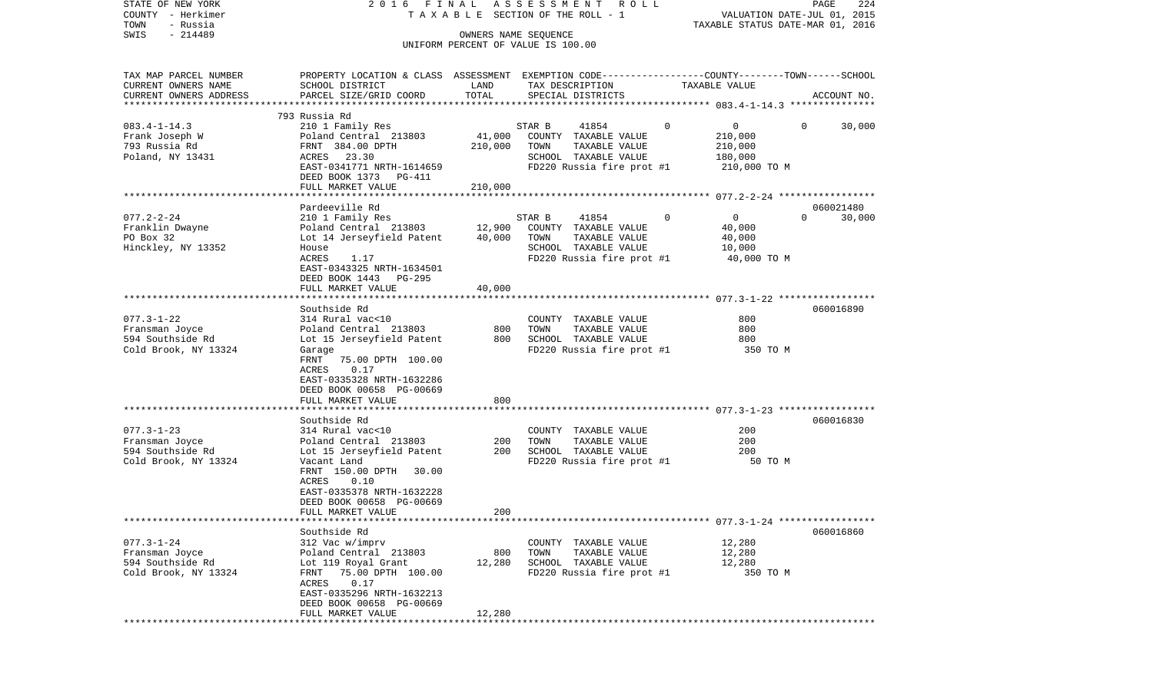| STATE OF NEW YORK<br>COUNTY - Herkimer<br>- Russia<br>TOWN                                          | 2 0 1 6                                                                                                                                                                                                                      |                            | FINAL ASSESSMENT ROLL<br>T A X A B L E SECTION OF THE ROLL - 1                                                        |                                                                          | PAGE<br>224<br>VALUATION DATE-JUL 01, 2015<br>TAXABLE STATUS DATE-MAR 01, 2016 |
|-----------------------------------------------------------------------------------------------------|------------------------------------------------------------------------------------------------------------------------------------------------------------------------------------------------------------------------------|----------------------------|-----------------------------------------------------------------------------------------------------------------------|--------------------------------------------------------------------------|--------------------------------------------------------------------------------|
| $-214489$<br>SWIS                                                                                   |                                                                                                                                                                                                                              |                            | OWNERS NAME SEQUENCE<br>UNIFORM PERCENT OF VALUE IS 100.00                                                            |                                                                          |                                                                                |
| TAX MAP PARCEL NUMBER<br>CURRENT OWNERS NAME<br>CURRENT OWNERS ADDRESS<br>************************* | PROPERTY LOCATION & CLASS ASSESSMENT EXEMPTION CODE----------------COUNTY-------TOWN------SCHOOL<br>SCHOOL DISTRICT<br>PARCEL SIZE/GRID COORD                                                                                | LAND<br>TOTAL              | TAX DESCRIPTION<br>SPECIAL DISTRICTS                                                                                  | TAXABLE VALUE                                                            | ACCOUNT NO.                                                                    |
| $083.4 - 1 - 14.3$<br>Frank Joseph W<br>793 Russia Rd<br>Poland, NY 13431                           | 793 Russia Rd<br>210 1 Family Res<br>Poland Central 213803<br>FRNT 384.00 DPTH<br>ACRES 23.30<br>EAST-0341771 NRTH-1614659<br>DEED BOOK 1373 PG-411                                                                          | 41,000<br>210,000          | 41854<br>STAR B<br>COUNTY TAXABLE VALUE<br>TAXABLE VALUE<br>TOWN<br>SCHOOL TAXABLE VALUE<br>FD220 Russia fire prot #1 | $\mathsf{O}$<br>$\circ$<br>210,000<br>210,000<br>180,000<br>210,000 TO M | 30,000<br>$\Omega$                                                             |
|                                                                                                     | FULL MARKET VALUE                                                                                                                                                                                                            | 210,000                    |                                                                                                                       |                                                                          |                                                                                |
| $077.2 - 2 - 24$<br>Franklin Dwayne<br>PO Box 32<br>Hinckley, NY 13352                              | Pardeeville Rd<br>210 1 Family Res<br>Poland Central 213803<br>Lot 14 Jerseyfield Patent<br>House<br><b>ACRES</b><br>1.17<br>EAST-0343325 NRTH-1634501<br>DEED BOOK 1443<br>PG-295<br>FULL MARKET VALUE                      | 12,900<br>40,000<br>40,000 | STAR B<br>41854<br>COUNTY TAXABLE VALUE<br>TAXABLE VALUE<br>TOWN<br>SCHOOL TAXABLE VALUE<br>FD220 Russia fire prot #1 | $\Omega$<br>$\circ$<br>40,000<br>40,000<br>10,000<br>40,000 TO M         | 060021480<br>30,000<br>$\Omega$                                                |
|                                                                                                     |                                                                                                                                                                                                                              |                            |                                                                                                                       |                                                                          |                                                                                |
| $077.3 - 1 - 22$<br>Fransman Joyce<br>594 Southside Rd<br>Cold Brook, NY 13324                      | Southside Rd<br>314 Rural vac<10<br>Poland Central 213803<br>Lot 15 Jerseyfield Patent<br>Garage<br>FRNT<br>75.00 DPTH 100.00<br>ACRES<br>0.17<br>EAST-0335328 NRTH-1632286<br>DEED BOOK 00658 PG-00669<br>FULL MARKET VALUE | 800<br>800<br>800          | COUNTY TAXABLE VALUE<br>TOWN<br>TAXABLE VALUE<br>SCHOOL TAXABLE VALUE<br>FD220 Russia fire prot #1                    | 800<br>800<br>800<br>350 TO M                                            | 060016890                                                                      |
|                                                                                                     |                                                                                                                                                                                                                              |                            |                                                                                                                       |                                                                          |                                                                                |
| $077.3 - 1 - 23$<br>Fransman Joyce<br>594 Southside Rd<br>Cold Brook, NY 13324                      | Southside Rd<br>314 Rural vac<10<br>Poland Central 213803<br>Lot 15 Jerseyfield Patent<br>Vacant Land<br>FRNT 150.00 DPTH 30.00<br>ACRES<br>0.10<br>EAST-0335378 NRTH-1632228                                                | 200<br>200                 | COUNTY TAXABLE VALUE<br>TOWN<br>TAXABLE VALUE<br>SCHOOL TAXABLE VALUE<br>FD220 Russia fire prot #1                    | 200<br>200<br>200<br>50 TO M                                             | 060016830                                                                      |
|                                                                                                     | DEED BOOK 00658 PG-00669<br>FULL MARKET VALUE                                                                                                                                                                                | 200                        |                                                                                                                       |                                                                          |                                                                                |
| $077.3 - 1 - 24$<br>Fransman Joyce<br>594 Southside Rd<br>Cold Brook, NY 13324                      | Southside Rd<br>312 Vac w/imprv<br>Poland Central 213803<br>Lot 119 Royal Grant<br>FRNT 75.00 DPTH 100.00<br>ACRES 0.17<br>EAST-0335296 NRTH-1632213<br>DEED BOOK 00658 PG-00669<br>FULL MARKET VALUE                        | 800<br>12,280<br>12,280    | COUNTY TAXABLE VALUE<br>TOWN<br>TAXABLE VALUE<br>SCHOOL TAXABLE VALUE<br>FD220 Russia fire prot #1                    | 12,280<br>12,280<br>12,280                                               | 060016860<br>350 TO M                                                          |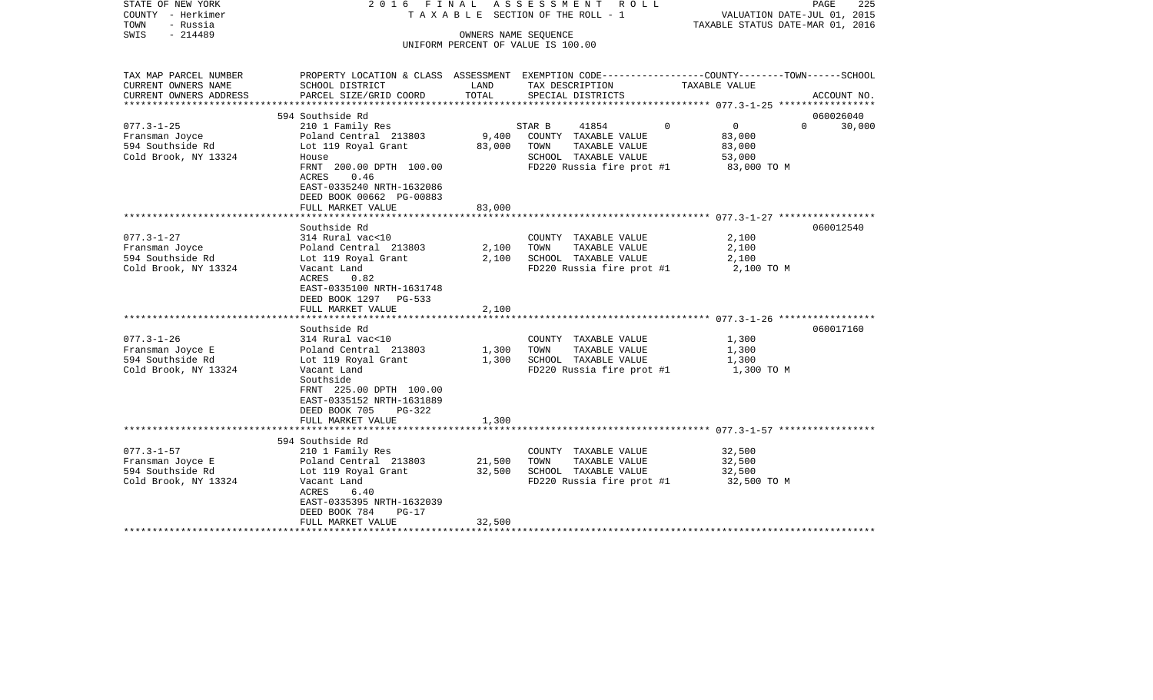| STATE OF NEW YORK<br>COUNTY - Herkimer<br>- Russia<br>TOWN<br>SWIS<br>$-214489$ | ASSESSMENT ROLL<br>2016 FINAL<br>T A X A B L E SECTION OF THE ROLL - 1<br>OWNERS NAME SEQUENCE                      |        |                                               |                                       | PAGE<br>225<br>VALUATION DATE-JUL 01, 2015<br>TAXABLE STATUS DATE-MAR 01, 2016 |  |  |
|---------------------------------------------------------------------------------|---------------------------------------------------------------------------------------------------------------------|--------|-----------------------------------------------|---------------------------------------|--------------------------------------------------------------------------------|--|--|
|                                                                                 |                                                                                                                     |        | UNIFORM PERCENT OF VALUE IS 100.00            |                                       |                                                                                |  |  |
|                                                                                 |                                                                                                                     |        |                                               |                                       |                                                                                |  |  |
| TAX MAP PARCEL NUMBER<br>CURRENT OWNERS NAME                                    | PROPERTY LOCATION & CLASS ASSESSMENT EXEMPTION CODE----------------COUNTY-------TOWN------SCHOOL<br>SCHOOL DISTRICT | LAND   | TAX DESCRIPTION                               | TAXABLE VALUE                         |                                                                                |  |  |
| CURRENT OWNERS ADDRESS                                                          | PARCEL SIZE/GRID COORD                                                                                              | TOTAL  | SPECIAL DISTRICTS                             |                                       | ACCOUNT NO.                                                                    |  |  |
|                                                                                 | 594 Southside Rd                                                                                                    |        |                                               |                                       | 060026040                                                                      |  |  |
| $077.3 - 1 - 25$                                                                | 210 1 Family Res                                                                                                    |        | STAR B<br>41854                               | $\Omega$<br>$\overline{0}$            | $\Omega$<br>30,000                                                             |  |  |
| Fransman Joyce                                                                  | Poland Central 213803                                                                                               | 9,400  | COUNTY TAXABLE VALUE                          | 83,000                                |                                                                                |  |  |
| 594 Southside Rd                                                                | Lot 119 Royal Grant                                                                                                 | 83,000 | TOWN<br>TAXABLE VALUE                         | 83,000                                |                                                                                |  |  |
| Cold Brook, NY 13324                                                            | House                                                                                                               |        | SCHOOL TAXABLE VALUE                          | 53,000                                |                                                                                |  |  |
|                                                                                 | FRNT 200.00 DPTH 100.00<br>0.46<br>ACRES                                                                            |        | FD220 Russia fire prot #1                     | 83,000 TO M                           |                                                                                |  |  |
|                                                                                 | EAST-0335240 NRTH-1632086                                                                                           |        |                                               |                                       |                                                                                |  |  |
|                                                                                 | DEED BOOK 00662 PG-00883                                                                                            |        |                                               |                                       |                                                                                |  |  |
|                                                                                 | FULL MARKET VALUE                                                                                                   | 83,000 |                                               |                                       |                                                                                |  |  |
|                                                                                 |                                                                                                                     |        |                                               |                                       |                                                                                |  |  |
|                                                                                 | Southside Rd                                                                                                        |        |                                               |                                       | 060012540                                                                      |  |  |
| $077.3 - 1 - 27$                                                                | 314 Rural vac<10                                                                                                    |        | COUNTY TAXABLE VALUE                          | 2,100                                 |                                                                                |  |  |
| Fransman Joyce                                                                  | Poland Central 213803                                                                                               | 2,100  | TAXABLE VALUE<br>TOWN                         | 2,100                                 |                                                                                |  |  |
| 594 Southside Rd                                                                | Lot 119 Royal Grant                                                                                                 | 2,100  | SCHOOL TAXABLE VALUE                          | 2,100                                 |                                                                                |  |  |
| Cold Brook, NY 13324                                                            | Vacant Land                                                                                                         |        | FD220 Russia fire prot #1                     | 2,100 TO M                            |                                                                                |  |  |
|                                                                                 | ACRES<br>0.82                                                                                                       |        |                                               |                                       |                                                                                |  |  |
|                                                                                 | EAST-0335100 NRTH-1631748                                                                                           |        |                                               |                                       |                                                                                |  |  |
|                                                                                 | DEED BOOK 1297 PG-533                                                                                               |        |                                               |                                       |                                                                                |  |  |
|                                                                                 | FULL MARKET VALUE                                                                                                   | 2,100  |                                               |                                       |                                                                                |  |  |
|                                                                                 | Southside Rd                                                                                                        |        |                                               |                                       | 060017160                                                                      |  |  |
| $077.3 - 1 - 26$                                                                | 314 Rural vac<10                                                                                                    |        | COUNTY TAXABLE VALUE                          | 1,300                                 |                                                                                |  |  |
| Fransman Joyce E                                                                | Poland Central 213803                                                                                               | 1,300  | TOWN<br>TAXABLE VALUE                         | 1,300                                 |                                                                                |  |  |
| 594 Southside Rd                                                                | Lot 119 Royal Grant                                                                                                 | 1,300  | SCHOOL TAXABLE VALUE                          | 1,300                                 |                                                                                |  |  |
| Cold Brook, NY 13324                                                            | Vacant Land                                                                                                         |        | FD220 Russia fire prot #1                     | 1,300 TO M                            |                                                                                |  |  |
|                                                                                 | Southside                                                                                                           |        |                                               |                                       |                                                                                |  |  |
|                                                                                 | FRNT 225.00 DPTH 100.00                                                                                             |        |                                               |                                       |                                                                                |  |  |
|                                                                                 | EAST-0335152 NRTH-1631889                                                                                           |        |                                               |                                       |                                                                                |  |  |
|                                                                                 | DEED BOOK 705<br>PG-322                                                                                             |        |                                               |                                       |                                                                                |  |  |
|                                                                                 | FULL MARKET VALUE                                                                                                   | 1,300  |                                               |                                       |                                                                                |  |  |
|                                                                                 |                                                                                                                     |        |                                               |                                       |                                                                                |  |  |
|                                                                                 | 594 Southside Rd                                                                                                    |        |                                               |                                       |                                                                                |  |  |
| $077.3 - 1 - 57$<br>Fransman Joyce E                                            | 210 1 Family Res<br>Poland Central 213803                                                                           | 21,500 | COUNTY TAXABLE VALUE<br>TAXABLE VALUE<br>TOWN | 32,500<br>32,500                      |                                                                                |  |  |
| 594 Southside Rd                                                                | Lot 119 Royal Grant                                                                                                 | 32,500 | SCHOOL TAXABLE VALUE                          | 32,500                                |                                                                                |  |  |
| Cold Brook, NY 13324                                                            | Vacant Land                                                                                                         |        |                                               | FD220 Russia fire prot #1 32,500 TO M |                                                                                |  |  |
|                                                                                 | ACRES<br>6.40                                                                                                       |        |                                               |                                       |                                                                                |  |  |
|                                                                                 | EAST-0335395 NRTH-1632039                                                                                           |        |                                               |                                       |                                                                                |  |  |
|                                                                                 | DEED BOOK 784<br>$PG-17$                                                                                            |        |                                               |                                       |                                                                                |  |  |
|                                                                                 | FULL MARKET VALUE                                                                                                   | 32,500 |                                               |                                       |                                                                                |  |  |
|                                                                                 |                                                                                                                     |        |                                               |                                       |                                                                                |  |  |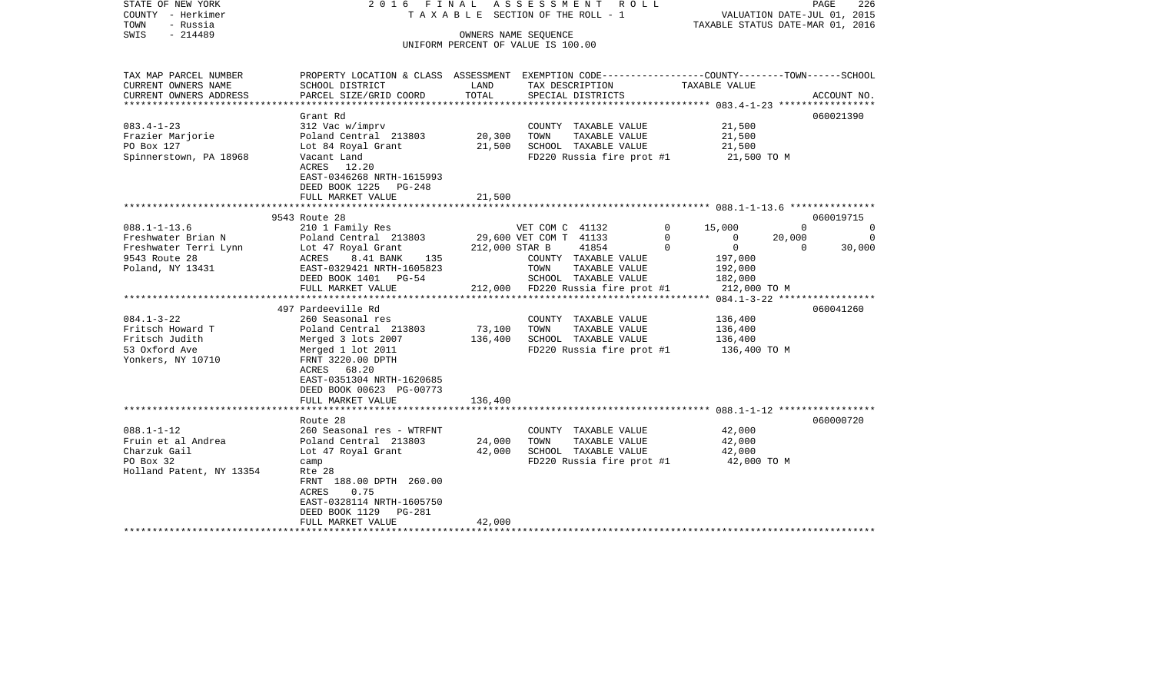| STATE OF NEW YORK<br>COUNTY - Herkimer<br>- Russia<br>TOWN<br>$-214489$<br>SWIS | ASSESSMENT<br>2016 FINAL<br>ROLL<br>T A X A B L E SECTION OF THE ROLL - 1<br>OWNERS NAME SEQUENCE |                                    |                        |                                       |          | TAXABLE STATUS DATE-MAR 01, 2016                                              |          | 226<br>PAGE<br>VALUATION DATE-JUL 01, 2015 |
|---------------------------------------------------------------------------------|---------------------------------------------------------------------------------------------------|------------------------------------|------------------------|---------------------------------------|----------|-------------------------------------------------------------------------------|----------|--------------------------------------------|
|                                                                                 |                                                                                                   | UNIFORM PERCENT OF VALUE IS 100.00 |                        |                                       |          |                                                                               |          |                                            |
| TAX MAP PARCEL NUMBER<br>CURRENT OWNERS NAME                                    | PROPERTY LOCATION & CLASS ASSESSMENT<br>SCHOOL DISTRICT                                           | LAND                               | TAX DESCRIPTION        |                                       |          | EXEMPTION CODE-----------------COUNTY-------TOWN------SCHOOL<br>TAXABLE VALUE |          |                                            |
| CURRENT OWNERS ADDRESS                                                          | PARCEL SIZE/GRID COORD                                                                            | TOTAL                              |                        | SPECIAL DISTRICTS                     |          |                                                                               |          | ACCOUNT NO.                                |
| **********************                                                          |                                                                                                   |                                    |                        |                                       |          |                                                                               |          |                                            |
|                                                                                 | Grant Rd                                                                                          |                                    |                        |                                       |          |                                                                               |          | 060021390                                  |
| $083.4 - 1 - 23$<br>Frazier Marjorie                                            | 312 Vac w/imprv<br>Poland Central 213803                                                          | 20,300                             | TOWN                   | COUNTY TAXABLE VALUE<br>TAXABLE VALUE |          | 21,500<br>21,500                                                              |          |                                            |
| PO Box 127                                                                      | Lot 84 Royal Grant                                                                                | 21,500                             |                        | SCHOOL TAXABLE VALUE                  |          | 21,500                                                                        |          |                                            |
| Spinnerstown, PA 18968                                                          | Vacant Land                                                                                       |                                    |                        | FD220 Russia fire prot #1             |          | 21,500 TO M                                                                   |          |                                            |
|                                                                                 | ACRES 12.20                                                                                       |                                    |                        |                                       |          |                                                                               |          |                                            |
|                                                                                 | EAST-0346268 NRTH-1615993                                                                         |                                    |                        |                                       |          |                                                                               |          |                                            |
|                                                                                 | DEED BOOK 1225 PG-248                                                                             |                                    |                        |                                       |          |                                                                               |          |                                            |
|                                                                                 | FULL MARKET VALUE                                                                                 | 21,500                             |                        |                                       |          |                                                                               |          |                                            |
|                                                                                 | 9543 Route 28                                                                                     |                                    |                        |                                       |          |                                                                               |          | 060019715                                  |
| $088.1 - 1 - 13.6$                                                              | 210 1 Family Res                                                                                  |                                    | VET COM C 41132        |                                       | $\Omega$ | 15,000                                                                        | $\Omega$ | 0                                          |
| Freshwater Brian N                                                              | Poland Central 213803                                                                             |                                    | 29,600 VET COM T 41133 |                                       | $\Omega$ | 0                                                                             | 20,000   | $\Omega$                                   |
| Freshwater Terri Lynn                                                           | Lot 47 Royal Grant                                                                                | 212,000 STAR B                     |                        | 41854                                 | $\Omega$ | $\mathbf 0$                                                                   | $\Omega$ | 30,000                                     |
| 9543 Route 28                                                                   | ACRES<br>8.41 BANK<br>135                                                                         |                                    |                        | COUNTY TAXABLE VALUE                  |          | 197,000                                                                       |          |                                            |
| Poland, NY 13431                                                                | EAST-0329421 NRTH-1605823                                                                         |                                    | TOWN                   | TAXABLE VALUE                         |          | 192,000                                                                       |          |                                            |
|                                                                                 | DEED BOOK 1401 PG-54                                                                              |                                    |                        | SCHOOL TAXABLE VALUE                  |          | 182,000                                                                       |          |                                            |
|                                                                                 | FULL MARKET VALUE                                                                                 | ************                       |                        | 212,000 FD220 Russia fire prot #1     |          | 212,000 TO M                                                                  |          |                                            |
|                                                                                 | 497 Pardeeville Rd                                                                                |                                    |                        |                                       |          |                                                                               |          | 060041260                                  |
| $084.1 - 3 - 22$                                                                | 260 Seasonal res                                                                                  |                                    |                        | COUNTY TAXABLE VALUE                  |          | 136,400                                                                       |          |                                            |
| Fritsch Howard T                                                                | Poland Central 213803                                                                             | 73,100                             | TOWN                   | TAXABLE VALUE                         |          | 136,400                                                                       |          |                                            |
| Fritsch Judith                                                                  | Merged 3 lots 2007                                                                                | 136,400                            |                        | SCHOOL TAXABLE VALUE                  |          | 136,400                                                                       |          |                                            |
| 53 Oxford Ave                                                                   | Merged 1 lot 2011                                                                                 |                                    |                        | FD220 Russia fire prot #1             |          | 136,400 ТО М                                                                  |          |                                            |
| Yonkers, NY 10710                                                               | FRNT 3220.00 DPTH                                                                                 |                                    |                        |                                       |          |                                                                               |          |                                            |
|                                                                                 | ACRES 68.20                                                                                       |                                    |                        |                                       |          |                                                                               |          |                                            |
|                                                                                 | EAST-0351304 NRTH-1620685                                                                         |                                    |                        |                                       |          |                                                                               |          |                                            |
|                                                                                 | DEED BOOK 00623 PG-00773                                                                          |                                    |                        |                                       |          |                                                                               |          |                                            |
|                                                                                 | FULL MARKET VALUE                                                                                 | 136,400                            |                        |                                       |          |                                                                               |          |                                            |
|                                                                                 | Route 28                                                                                          |                                    |                        |                                       |          |                                                                               |          | 060000720                                  |
| $088.1 - 1 - 12$                                                                | 260 Seasonal res - WTRFNT                                                                         |                                    |                        | COUNTY TAXABLE VALUE                  |          | 42,000                                                                        |          |                                            |
| Fruin et al Andrea                                                              | Poland Central 213803                                                                             | 24,000                             | TOWN                   | TAXABLE VALUE                         |          | 42,000                                                                        |          |                                            |
| Charzuk Gail                                                                    | Lot 47 Royal Grant                                                                                | 42,000                             |                        | SCHOOL TAXABLE VALUE                  |          | 42,000                                                                        |          |                                            |
| PO Box 32                                                                       | camp                                                                                              |                                    |                        | FD220 Russia fire prot #1             |          | 42,000 TO M                                                                   |          |                                            |
| Holland Patent, NY 13354                                                        | Rte 28                                                                                            |                                    |                        |                                       |          |                                                                               |          |                                            |
|                                                                                 | FRNT 188.00 DPTH 260.00                                                                           |                                    |                        |                                       |          |                                                                               |          |                                            |
|                                                                                 | 0.75<br>ACRES                                                                                     |                                    |                        |                                       |          |                                                                               |          |                                            |
|                                                                                 | EAST-0328114 NRTH-1605750<br>DEED BOOK 1129<br>PG-281                                             |                                    |                        |                                       |          |                                                                               |          |                                            |
|                                                                                 | FULL MARKET VALUE                                                                                 | 42,000                             |                        |                                       |          |                                                                               |          |                                            |
|                                                                                 |                                                                                                   |                                    |                        |                                       |          |                                                                               |          |                                            |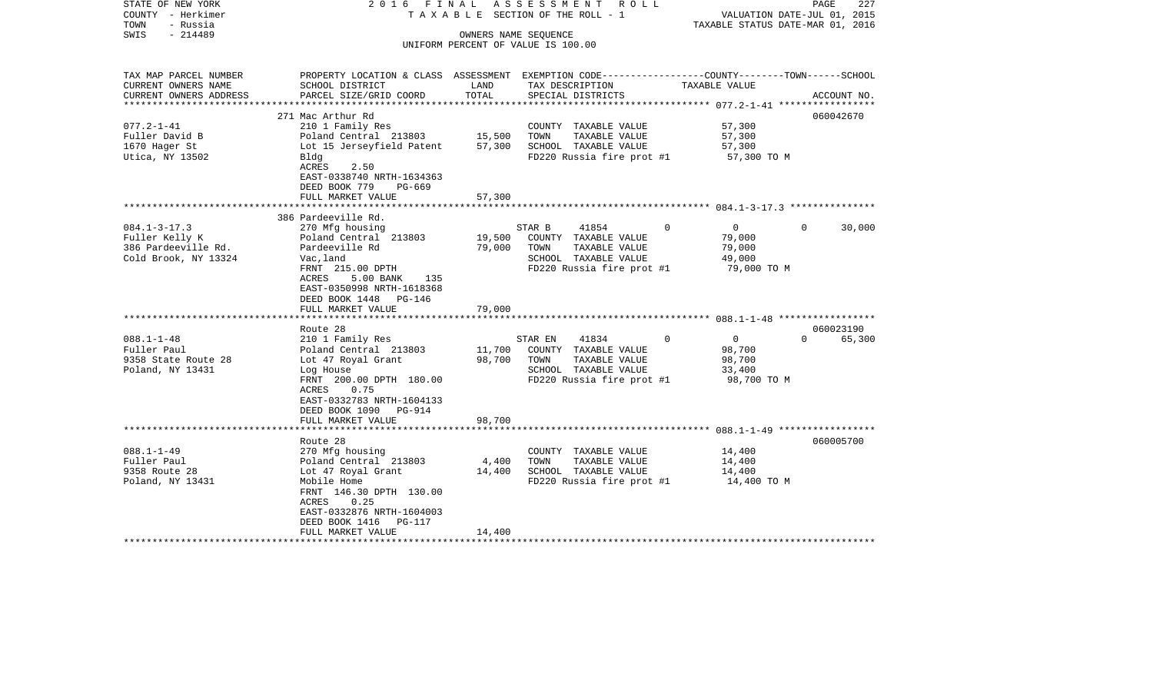| STATE OF NEW YORK<br>COUNTY - Herkimer<br>- Russia<br>TOWN<br>- 214489<br>SWIS                | 2016 FINAL                                                                                                                                                                                                          |                            | A S S E S S M E N T R O L L<br>TAXABLE SECTION OF THE ROLL - 1<br>OWNERS NAME SEQUENCE<br>UNIFORM PERCENT OF VALUE IS 100.00 | VALUATION DATE-JUL 01, 2015<br>TAXABLE STATUS DATE-MAR 01, 2016           | PAGE<br>227                     |
|-----------------------------------------------------------------------------------------------|---------------------------------------------------------------------------------------------------------------------------------------------------------------------------------------------------------------------|----------------------------|------------------------------------------------------------------------------------------------------------------------------|---------------------------------------------------------------------------|---------------------------------|
| TAX MAP PARCEL NUMBER<br>CURRENT OWNERS NAME<br>CURRENT OWNERS ADDRESS<br>******************* | PROPERTY LOCATION & CLASS ASSESSMENT EXEMPTION CODE---------------COUNTY-------TOWN------SCHOOL<br>SCHOOL DISTRICT<br>PARCEL SIZE/GRID COORD                                                                        | LAND<br>TOTAL              | TAX DESCRIPTION<br>SPECIAL DISTRICTS                                                                                         | TAXABLE VALUE<br>************************** 077.2-1-41 ****************** | ACCOUNT NO.                     |
| $077.2 - 1 - 41$<br>Fuller David B<br>1670 Hager St<br>Utica, NY 13502                        | 271 Mac Arthur Rd<br>210 1 Family Res<br>Poland Central 213803<br>Lot 15 Jerseyfield Patent<br>Bldg<br>ACRES<br>2.50<br>EAST-0338740 NRTH-1634363<br>DEED BOOK 779<br>PG-669<br>FULL MARKET VALUE                   | 15,500<br>57,300<br>57,300 | COUNTY TAXABLE VALUE<br>TOWN<br>TAXABLE VALUE<br>SCHOOL TAXABLE VALUE<br>FD220 Russia fire prot #1                           | 57,300<br>57,300<br>57,300<br>57,300 TO M                                 | 060042670                       |
| $084.1 - 3 - 17.3$<br>Fuller Kelly K<br>386 Pardeeville Rd.<br>Cold Brook, NY 13324           | 386 Pardeeville Rd.<br>270 Mfg housing<br>Poland Central 213803<br>Pardeeville Rd<br>Vac, land<br>FRNT 215.00 DPTH<br>5.00 BANK<br>ACRES<br>135<br>EAST-0350998 NRTH-1618368<br>DEED BOOK 1448 PG-146               | 19,500<br>79,000           | STAR B<br>41854<br>COUNTY TAXABLE VALUE<br>TOWN<br>TAXABLE VALUE<br>SCHOOL TAXABLE VALUE<br>FD220 Russia fire prot #1        | $\overline{0}$<br>$\Omega$<br>79,000<br>79,000<br>49,000<br>79,000 TO M   | $\Omega$<br>30,000              |
|                                                                                               | FULL MARKET VALUE                                                                                                                                                                                                   | 79,000                     |                                                                                                                              |                                                                           |                                 |
| $088.1 - 1 - 48$<br>Fuller Paul<br>9358 State Route 28<br>Poland, NY 13431                    | Route 28<br>210 1 Family Res<br>Poland Central 213803<br>Lot 47 Royal Grant<br>Log House<br>FRNT 200.00 DPTH 180.00<br>0.75<br>ACRES<br>EAST-0332783 NRTH-1604133<br>DEED BOOK 1090 PG-914                          | 11,700<br>98,700           | 41834<br>STAR EN<br>COUNTY TAXABLE VALUE<br>TOWN<br>TAXABLE VALUE<br>SCHOOL TAXABLE VALUE<br>FD220 Russia fire prot #1       | $\Omega$<br>$\overline{0}$<br>98,700<br>98,700<br>33,400<br>98,700 TO M   | 060023190<br>65,300<br>$\Omega$ |
|                                                                                               | FULL MARKET VALUE                                                                                                                                                                                                   | 98,700                     |                                                                                                                              |                                                                           |                                 |
| $088.1 - 1 - 49$<br>Fuller Paul<br>9358 Route 28<br>Poland, NY 13431                          | Route 28<br>270 Mfg housing<br>Poland Central 213803<br>Lot 47 Royal Grant<br>Mobile Home<br>FRNT 146.30 DPTH 130.00<br>0.25<br>ACRES<br>EAST-0332876 NRTH-1604003<br>DEED BOOK 1416<br>PG-117<br>FULL MARKET VALUE | 4,400<br>14,400<br>14,400  | COUNTY TAXABLE VALUE<br>TOWN<br>TAXABLE VALUE<br>SCHOOL TAXABLE VALUE<br>FD220 Russia fire prot #1                           | 14,400<br>14,400<br>14,400<br>14,400 TO M                                 | 060005700                       |
|                                                                                               |                                                                                                                                                                                                                     |                            |                                                                                                                              |                                                                           |                                 |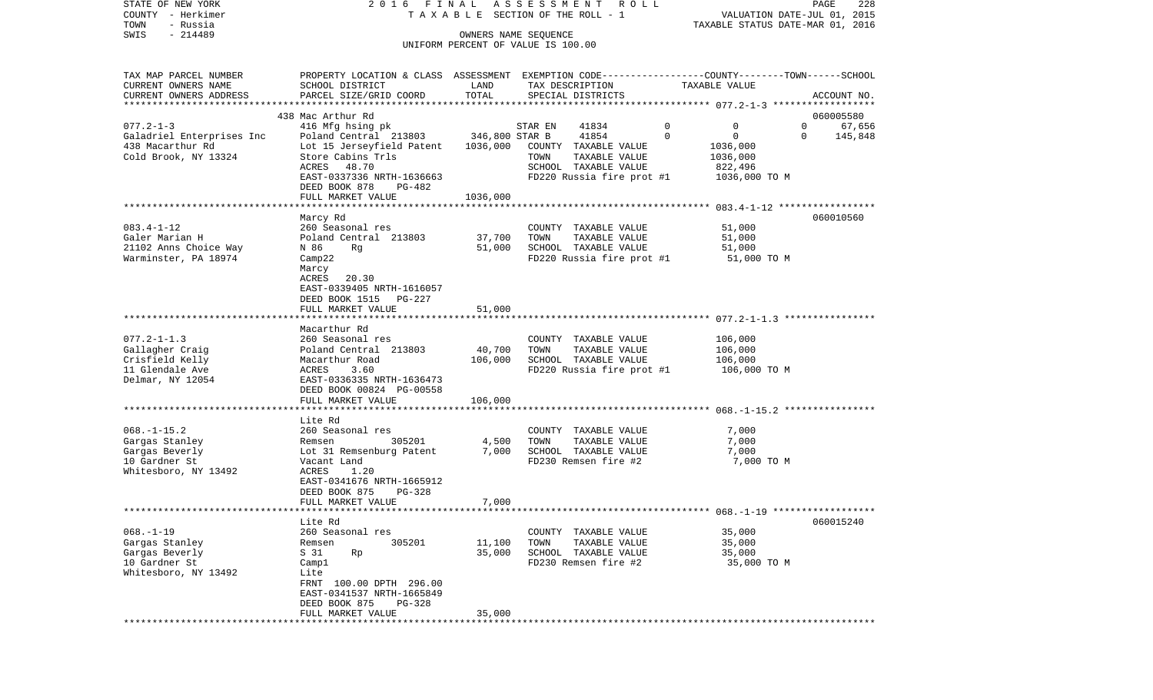| COUNTY<br>– Herkimer      |                                                                                                 |                | T A X A B L E SECTION OF THE ROLL - 1 |                         | VALUATION DATE-JUL 01, 2015      |
|---------------------------|-------------------------------------------------------------------------------------------------|----------------|---------------------------------------|-------------------------|----------------------------------|
| TOWN<br>- Russia          |                                                                                                 |                |                                       |                         | TAXABLE STATUS DATE-MAR 01, 2016 |
| SWIS<br>$-214489$         |                                                                                                 |                | OWNERS NAME SEQUENCE                  |                         |                                  |
|                           |                                                                                                 |                | UNIFORM PERCENT OF VALUE IS 100.00    |                         |                                  |
|                           |                                                                                                 |                |                                       |                         |                                  |
| TAX MAP PARCEL NUMBER     | PROPERTY LOCATION & CLASS ASSESSMENT EXEMPTION CODE---------------COUNTY-------TOWN------SCHOOL |                |                                       |                         |                                  |
| CURRENT OWNERS NAME       | SCHOOL DISTRICT                                                                                 | LAND           | TAX DESCRIPTION                       | TAXABLE VALUE           |                                  |
| CURRENT OWNERS ADDRESS    | PARCEL SIZE/GRID COORD                                                                          | TOTAL          | SPECIAL DISTRICTS                     |                         | ACCOUNT NO.                      |
| ***********************   |                                                                                                 |                |                                       |                         |                                  |
|                           | 438 Mac Arthur Rd                                                                               |                |                                       |                         | 060005580                        |
| $077.2 - 1 - 3$           | 416 Mfg hsing pk                                                                                |                | STAR EN<br>41834                      | $\circ$<br>0            | $\mathbf 0$<br>67,656            |
| Galadriel Enterprises Inc | Poland Central 213803                                                                           | 346,800 STAR B | 41854                                 | $\mathbf 0$<br>$\Omega$ | 145,848<br>0                     |
| 438 Macarthur Rd          | Lot 15 Jerseyfield Patent                                                                       | 1036,000       | COUNTY TAXABLE VALUE                  | 1036,000                |                                  |
| Cold Brook, NY 13324      | Store Cabins Trls                                                                               |                | TAXABLE VALUE<br>TOWN                 | 1036,000                |                                  |
|                           | ACRES<br>48.70                                                                                  |                | SCHOOL TAXABLE VALUE                  | 822,496                 |                                  |
|                           | EAST-0337336 NRTH-1636663                                                                       |                | FD220 Russia fire prot #1             | 1036,000 TO M           |                                  |
|                           | DEED BOOK 878<br>PG-482                                                                         |                |                                       |                         |                                  |
|                           | FULL MARKET VALUE                                                                               | 1036,000       |                                       |                         |                                  |
|                           |                                                                                                 |                |                                       |                         |                                  |
|                           | Marcy Rd                                                                                        |                |                                       |                         | 060010560                        |
| $083.4 - 1 - 12$          | 260 Seasonal res                                                                                |                | COUNTY TAXABLE VALUE                  | 51,000                  |                                  |
| Galer Marian H            | Poland Central 213803                                                                           | 37,700         | TAXABLE VALUE<br>TOWN                 | 51,000                  |                                  |
| 21102 Anns Choice Way     | N 86<br>Rg                                                                                      | 51,000         | SCHOOL TAXABLE VALUE                  | 51,000                  |                                  |
| Warminster, PA 18974      | $\texttt{Camp22}$                                                                               |                | FD220 Russia fire prot #1             | 51,000 TO M             |                                  |
|                           | Marcy                                                                                           |                |                                       |                         |                                  |
|                           | 20.30<br>ACRES                                                                                  |                |                                       |                         |                                  |
|                           | EAST-0339405 NRTH-1616057                                                                       |                |                                       |                         |                                  |
|                           | DEED BOOK 1515<br>PG-227                                                                        |                |                                       |                         |                                  |
|                           | FULL MARKET VALUE                                                                               | 51,000         |                                       |                         |                                  |
|                           |                                                                                                 |                |                                       |                         |                                  |
|                           | Macarthur Rd                                                                                    |                |                                       |                         |                                  |
| $077.2 - 1 - 1.3$         | 260 Seasonal res                                                                                |                | COUNTY TAXABLE VALUE                  | 106,000                 |                                  |
| Gallagher Craig           | Poland Central 213803                                                                           | 40,700         | TOWN<br>TAXABLE VALUE                 | 106,000                 |                                  |
| Crisfield Kelly           | Macarthur Road                                                                                  | 106,000        | SCHOOL TAXABLE VALUE                  | 106,000                 |                                  |
| 11 Glendale Ave           | ACRES<br>3.60                                                                                   |                | FD220 Russia fire prot #1             | 106,000 TO M            |                                  |
| Delmar, NY 12054          | EAST-0336335 NRTH-1636473                                                                       |                |                                       |                         |                                  |
|                           | DEED BOOK 00824 PG-00558                                                                        |                |                                       |                         |                                  |
|                           | FULL MARKET VALUE                                                                               | 106,000        |                                       |                         |                                  |
|                           |                                                                                                 |                |                                       |                         |                                  |
|                           | Lite Rd                                                                                         |                |                                       |                         |                                  |
| $068. - 1 - 15.2$         | 260 Seasonal res                                                                                |                | COUNTY TAXABLE VALUE                  | 7,000                   |                                  |
| Gargas Stanley            | 305201<br>Remsen                                                                                | 4,500          | TOWN<br>TAXABLE VALUE                 | 7,000                   |                                  |
| Gargas Beverly            | Lot 31 Remsenburg Patent                                                                        | 7,000          | SCHOOL TAXABLE VALUE                  | 7,000                   |                                  |
| 10 Gardner St             | Vacant Land                                                                                     |                | FD230 Remsen fire #2                  | 7,000 TO M              |                                  |
| Whitesboro, NY 13492      | ACRES<br>1.20                                                                                   |                |                                       |                         |                                  |
|                           | EAST-0341676 NRTH-1665912                                                                       |                |                                       |                         |                                  |
|                           | DEED BOOK 875<br>PG-328                                                                         |                |                                       |                         |                                  |
|                           | FULL MARKET VALUE                                                                               | 7,000          |                                       |                         |                                  |
|                           |                                                                                                 |                |                                       |                         |                                  |
|                           | Lite Rd                                                                                         |                |                                       |                         | 060015240                        |
| $068. -1 - 19$            | 260 Seasonal res                                                                                |                | COUNTY TAXABLE VALUE                  | 35,000                  |                                  |
| Gargas Stanley            | 305201<br>Remsen                                                                                | 11,100         | TOWN<br>TAXABLE VALUE                 | 35,000                  |                                  |
| Gargas Beverly            | S 31<br>Rp                                                                                      | 35,000         | SCHOOL TAXABLE VALUE                  | 35,000                  |                                  |
| 10 Gardner St             | Camp1                                                                                           |                | FD230 Remsen fire #2                  | 35,000 TO M             |                                  |
| Whitesboro, NY 13492      | Lite                                                                                            |                |                                       |                         |                                  |
|                           | FRNT 100.00 DPTH 296.00                                                                         |                |                                       |                         |                                  |
|                           | EAST-0341537 NRTH-1665849                                                                       |                |                                       |                         |                                  |
|                           | DEED BOOK 875<br>PG-328                                                                         |                |                                       |                         |                                  |
|                           | FULL MARKET VALUE                                                                               | 35,000         |                                       |                         |                                  |
|                           |                                                                                                 |                |                                       |                         |                                  |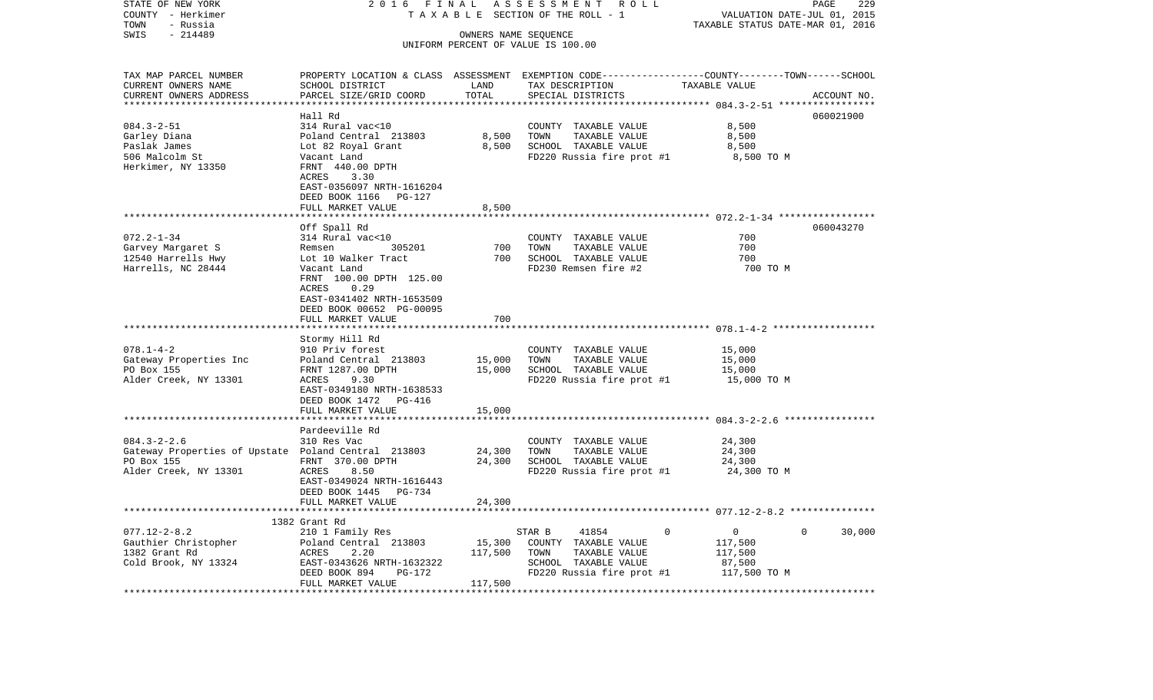| STATE OF NEW YORK<br>COUNTY - Herkimer<br>TOWN<br>- Russia                                                      | 2016 FINAL<br>TAXABLE                                                                                                                                                                                                |                              | ASSESSMENT ROLL<br>SECTION OF THE ROLL - 1                                                                                               | VALUATION DATE-JUL 01, 2015<br>TAXABLE STATUS DATE-MAR 01, 2016 | PAGE<br>229           |
|-----------------------------------------------------------------------------------------------------------------|----------------------------------------------------------------------------------------------------------------------------------------------------------------------------------------------------------------------|------------------------------|------------------------------------------------------------------------------------------------------------------------------------------|-----------------------------------------------------------------|-----------------------|
| $-214489$<br>SWIS                                                                                               |                                                                                                                                                                                                                      |                              | OWNERS NAME SEQUENCE<br>UNIFORM PERCENT OF VALUE IS 100.00                                                                               |                                                                 |                       |
| TAX MAP PARCEL NUMBER<br>CURRENT OWNERS NAME<br>CURRENT OWNERS ADDRESS<br>*********************                 | SCHOOL DISTRICT<br>PARCEL SIZE/GRID COORD                                                                                                                                                                            | LAND<br>TOTAL                | PROPERTY LOCATION & CLASS ASSESSMENT EXEMPTION CODE----------------COUNTY-------TOWN------SCHOOL<br>TAX DESCRIPTION<br>SPECIAL DISTRICTS | TAXABLE VALUE                                                   | ACCOUNT NO.           |
| $084.3 - 2 - 51$<br>Garley Diana<br>Paslak James<br>506 Malcolm St<br>Herkimer, NY 13350                        | Hall Rd<br>314 Rural vac<10<br>Poland Central 213803<br>Lot 82 Royal Grant<br>Vacant Land<br>FRNT 440.00 DPTH<br>ACRES<br>3.30<br>EAST-0356097 NRTH-1616204<br>DEED BOOK 1166 PG-127                                 | 8,500<br>8,500               | COUNTY TAXABLE VALUE<br>TOWN<br>TAXABLE VALUE<br>SCHOOL TAXABLE VALUE<br>FD220 Russia fire prot #1                                       | 8,500<br>8,500<br>8,500<br>8,500 TO M                           | 060021900             |
|                                                                                                                 | FULL MARKET VALUE                                                                                                                                                                                                    | 8,500                        |                                                                                                                                          |                                                                 |                       |
| $072.2 - 1 - 34$<br>Garvey Margaret S<br>12540 Harrells Hwy<br>Harrells, NC 28444                               | Off Spall Rd<br>314 Rural vac<10<br>305201<br>Remsen<br>Lot 10 Walker Tract<br>Vacant Land<br>FRNT 100.00 DPTH 125.00<br>ACRES<br>0.29<br>EAST-0341402 NRTH-1653509<br>DEED BOOK 00652 PG-00095<br>FULL MARKET VALUE | *******<br>700<br>700<br>700 | COUNTY TAXABLE VALUE<br>TAXABLE VALUE<br>TOWN<br>SCHOOL TAXABLE VALUE<br>FD230 Remsen fire #2                                            | 700<br>700<br>700<br>700 TO M                                   | 060043270             |
|                                                                                                                 |                                                                                                                                                                                                                      | *******                      |                                                                                                                                          |                                                                 |                       |
| $078.1 - 4 - 2$<br>Gateway Properties Inc<br>PO Box 155<br>Alder Creek, NY 13301                                | Stormy Hill Rd<br>910 Priv forest<br>Poland Central 213803<br>FRNT 1287.00 DPTH<br>ACRES<br>9.30<br>EAST-0349180 NRTH-1638533<br>DEED BOOK 1472 PG-416<br>FULL MARKET VALUE                                          | 15,000<br>15,000<br>15,000   | COUNTY TAXABLE VALUE<br>TAXABLE VALUE<br>TOWN<br>SCHOOL TAXABLE VALUE<br>FD220 Russia fire prot #1                                       | 15,000<br>15,000<br>15,000<br>15,000 TO M                       |                       |
|                                                                                                                 |                                                                                                                                                                                                                      |                              |                                                                                                                                          |                                                                 |                       |
| $084.3 - 2 - 2.6$<br>Gateway Properties of Upstate Poland Central 213803<br>PO Box 155<br>Alder Creek, NY 13301 | Pardeeville Rd<br>310 Res Vac<br>FRNT 370.00 DPTH<br>ACRES<br>8.50<br>EAST-0349024 NRTH-1616443<br>DEED BOOK 1445 PG-734                                                                                             | 24,300<br>24,300             | COUNTY TAXABLE VALUE<br>TAXABLE VALUE<br>TOWN<br>SCHOOL TAXABLE VALUE<br>FD220 Russia fire prot #1                                       | 24,300<br>24,300<br>24,300<br>24,300 TO M                       |                       |
|                                                                                                                 | FULL MARKET VALUE                                                                                                                                                                                                    | 24,300                       |                                                                                                                                          |                                                                 |                       |
|                                                                                                                 | 1382 Grant Rd                                                                                                                                                                                                        |                              |                                                                                                                                          |                                                                 |                       |
| $077.12 - 2 - 8.2$<br>Gauthier Christopher<br>1382 Grant Rd<br>Cold Brook, NY 13324                             | 210 1 Family Res<br>Poland Central 213803<br>ACRES<br>2.20<br>EAST-0343626 NRTH-1632322<br>DEED BOOK 894<br>PG-172                                                                                                   | 15,300<br>117,500            | STAR B<br>41854<br>$\mathbf{0}$<br>COUNTY TAXABLE VALUE<br>TOWN<br>TAXABLE VALUE<br>SCHOOL TAXABLE VALUE<br>FD220 Russia fire prot #1    | $\overline{0}$<br>117,500<br>117,500<br>87,500<br>117,500 TO M  | $\mathbf 0$<br>30,000 |
|                                                                                                                 | FULL MARKET VALUE                                                                                                                                                                                                    | 117,500                      |                                                                                                                                          |                                                                 |                       |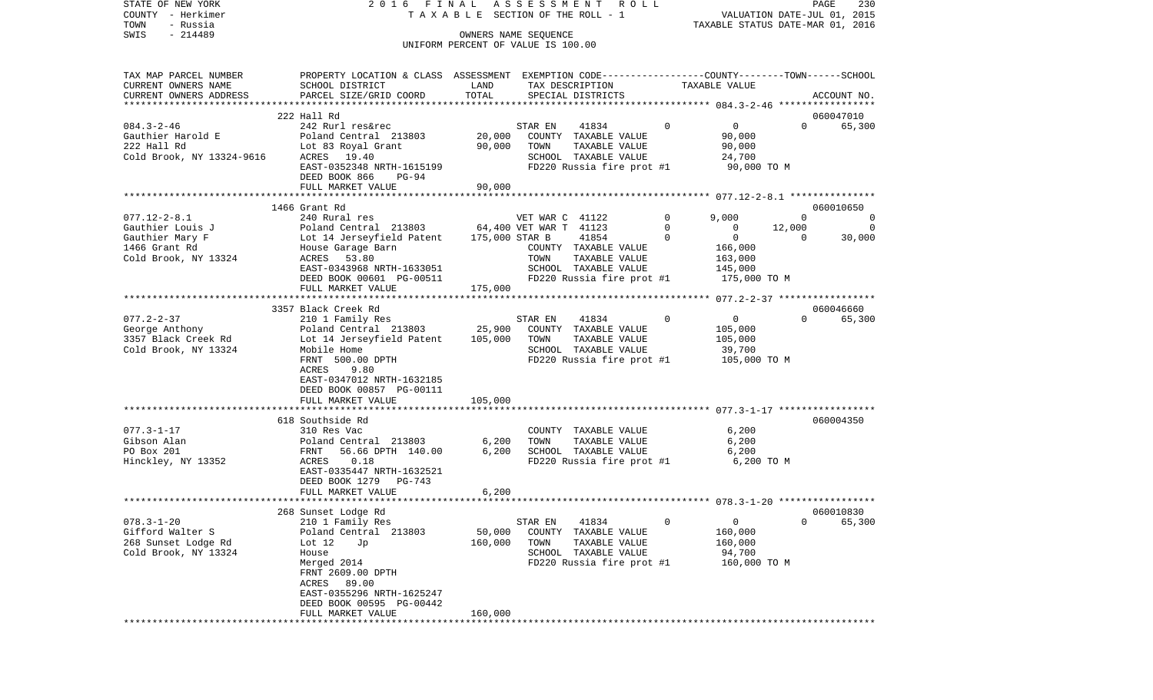| STATE OF NEW YORK<br>COUNTY - Herkimer<br>- Russia<br>TOWN                                         | 2016 FINAL                                                                                                                                                                                               |                              | ASSESSMENT<br>R O L L<br>TAXABLE SECTION OF THE ROLL - 1                                                                    |                             |                                                              | PAGE<br>230<br>VALUATION DATE-JUL 01, 2015<br>TAXABLE STATUS DATE-MAR 01, 2016 |
|----------------------------------------------------------------------------------------------------|----------------------------------------------------------------------------------------------------------------------------------------------------------------------------------------------------------|------------------------------|-----------------------------------------------------------------------------------------------------------------------------|-----------------------------|--------------------------------------------------------------|--------------------------------------------------------------------------------|
| $-214489$<br>SWIS                                                                                  |                                                                                                                                                                                                          |                              | OWNERS NAME SEOUENCE                                                                                                        |                             |                                                              |                                                                                |
|                                                                                                    |                                                                                                                                                                                                          |                              | UNIFORM PERCENT OF VALUE IS 100.00                                                                                          |                             |                                                              |                                                                                |
| TAX MAP PARCEL NUMBER<br>CURRENT OWNERS NAME<br>CURRENT OWNERS ADDRESS                             | PROPERTY LOCATION & CLASS ASSESSMENT EXEMPTION CODE---------------COUNTY-------TOWN------SCHOOL<br>SCHOOL DISTRICT<br>PARCEL SIZE/GRID COORD                                                             | LAND<br>TOTAL                | TAX DESCRIPTION<br>SPECIAL DISTRICTS                                                                                        |                             | TAXABLE VALUE                                                | ACCOUNT NO.                                                                    |
| *************************                                                                          | 222 Hall Rd                                                                                                                                                                                              |                              |                                                                                                                             |                             |                                                              | 060047010                                                                      |
| $084.3 - 2 - 46$<br>Gauthier Harold E<br>222 Hall Rd<br>Cold Brook, NY 13324-9616                  | 242 Rurl res&rec<br>Poland Central 213803<br>Lot 83 Royal Grant<br>ACRES 19.40<br>EAST-0352348 NRTH-1615199                                                                                              | 20,000<br>90,000             | STAR EN<br>41834<br>COUNTY TAXABLE VALUE<br>TAXABLE VALUE<br>TOWN<br>SCHOOL TAXABLE VALUE<br>FD220 Russia fire prot #1      | $\Omega$                    | $\circ$<br>90,000<br>90,000<br>24,700<br>90,000 TO M         | $\Omega$<br>65,300                                                             |
|                                                                                                    | DEED BOOK 866<br>PG-94<br>FULL MARKET VALUE                                                                                                                                                              | 90,000                       |                                                                                                                             |                             |                                                              |                                                                                |
|                                                                                                    |                                                                                                                                                                                                          |                              |                                                                                                                             |                             |                                                              |                                                                                |
|                                                                                                    | 1466 Grant Rd                                                                                                                                                                                            |                              |                                                                                                                             |                             |                                                              | 060010650                                                                      |
| $077.12 - 2 - 8.1$<br>Gauthier Louis J<br>Gauthier Mary F<br>1466 Grant Rd<br>Cold Brook, NY 13324 | 240 Rural res<br>Poland Central 213803<br>Lot 14 Jerseyfield Patent<br>House Garage Barn<br>53.80<br>ACRES<br>EAST-0343968 NRTH-1633051                                                                  | 175,000 STAR B               | VET WAR C 41122<br>64,400 VET WAR T 41123<br>41854<br>COUNTY TAXABLE VALUE<br>TAXABLE VALUE<br>TOWN<br>SCHOOL TAXABLE VALUE | $\mathbf 0$<br>0<br>$\circ$ | 9,000<br>$\circ$<br>$\circ$<br>166,000<br>163,000<br>145,000 | $\Omega$<br>$\mathbf{0}$<br>12,000<br>$\Omega$<br>$\Omega$<br>30,000           |
|                                                                                                    | DEED BOOK 00601 PG-00511                                                                                                                                                                                 |                              | FD220 Russia fire prot #1                                                                                                   |                             | 175,000 TO M                                                 |                                                                                |
|                                                                                                    | FULL MARKET VALUE                                                                                                                                                                                        | 175,000                      |                                                                                                                             |                             |                                                              |                                                                                |
|                                                                                                    | 3357 Black Creek Rd                                                                                                                                                                                      |                              |                                                                                                                             |                             |                                                              | 060046660                                                                      |
| $077.2 - 2 - 37$<br>George Anthony<br>3357 Black Creek Rd<br>Cold Brook, NY 13324                  | 210 1 Family Res<br>Poland Central 213803<br>Lot 14 Jerseyfield Patent<br>Mobile Home<br>FRNT 500.00 DPTH<br>ACRES<br>9.80<br>EAST-0347012 NRTH-1632185<br>DEED BOOK 00857 PG-00111<br>FULL MARKET VALUE | 25,900<br>105,000<br>105,000 | STAR EN<br>41834<br>COUNTY TAXABLE VALUE<br>TOWN<br>TAXABLE VALUE<br>SCHOOL TAXABLE VALUE<br>FD220 Russia fire prot #1      | $\circ$                     | $\mathsf{O}$<br>105,000<br>105,000<br>39,700<br>105,000 то м | 65,300<br>$\Omega$                                                             |
|                                                                                                    |                                                                                                                                                                                                          |                              |                                                                                                                             |                             |                                                              |                                                                                |
| $077.3 - 1 - 17$<br>Gibson Alan<br>PO Box 201<br>Hinckley, NY 13352                                | 618 Southside Rd<br>310 Res Vac<br>Poland Central 213803<br>FRNT<br>56.66 DPTH 140.00<br>0.18<br>ACRES<br>EAST-0335447 NRTH-1632521<br>DEED BOOK 1279<br>PG-743                                          | 6,200<br>6,200               | COUNTY TAXABLE VALUE<br>TOWN<br>TAXABLE VALUE<br>SCHOOL TAXABLE VALUE<br>FD220 Russia fire prot #1                          |                             | 6,200<br>6,200<br>6,200<br>6,200 TO M                        | 060004350                                                                      |
|                                                                                                    | FULL MARKET VALUE                                                                                                                                                                                        | 6,200                        |                                                                                                                             |                             |                                                              |                                                                                |
|                                                                                                    | 268 Sunset Lodge Rd                                                                                                                                                                                      |                              |                                                                                                                             |                             |                                                              | 060010830                                                                      |
| $078.3 - 1 - 20$<br>Gifford Walter S<br>268 Sunset Lodge Rd<br>Cold Brook, NY 13324                | 210 1 Family Res<br>Poland Central 213803<br>Lot 12<br>Jp<br>House<br>Merged 2014<br>FRNT 2609.00 DPTH<br>ACRES 89.00<br>EAST-0355296 NRTH-1625247<br>DEED BOOK 00595 PG-00442<br>FULL MARKET VALUE      | 50,000<br>160,000<br>160,000 | 41834<br>STAR EN<br>COUNTY<br>TAXABLE VALUE<br>TOWN<br>TAXABLE VALUE<br>SCHOOL TAXABLE VALUE<br>FD220 Russia fire prot #1   | 0                           | $\mathbf 0$<br>160,000<br>160,000<br>94,700<br>160,000 TO M  | 65,300<br>0                                                                    |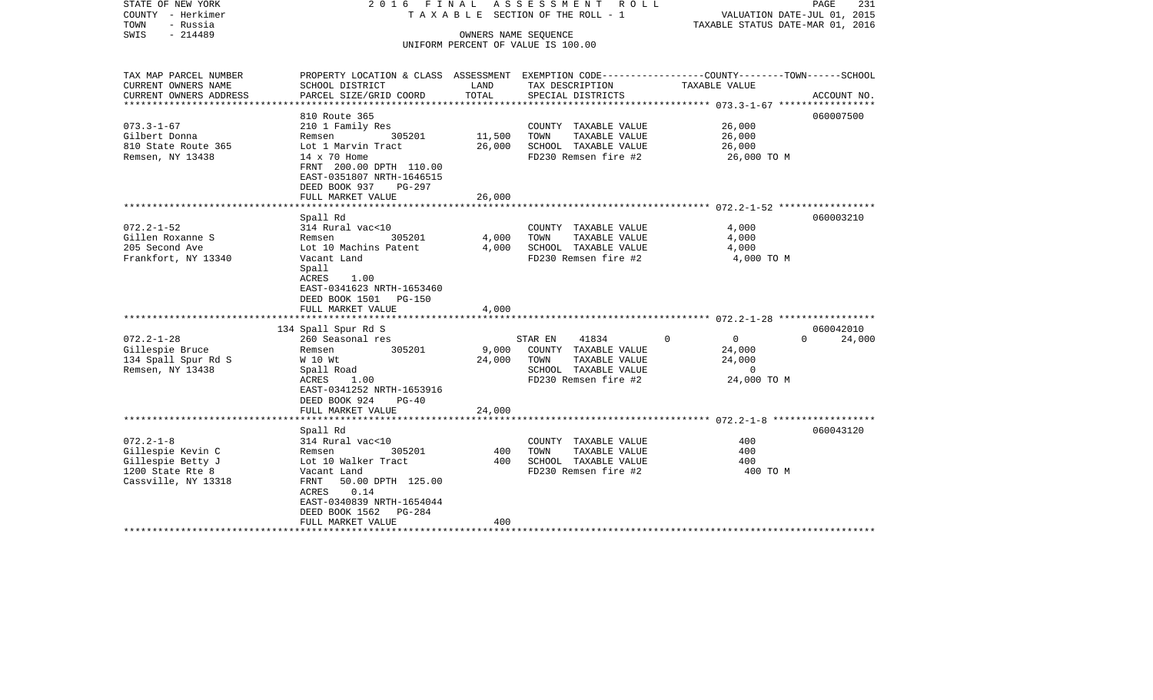| STATE OF NEW YORK<br>COUNTY - Herkimer<br>TOWN<br>- Russia<br>$-214489$<br>SWIS                      |                                                                                                                                                                                                 |                           | 2016 FINAL ASSESSMENT ROLL<br>TAXABLE SECTION OF THE ROLL - 1<br>OWNERS NAME SEQUENCE<br>UNIFORM PERCENT OF VALUE IS 100.00 | VALUATION DATE-JUL 01, 2015<br>TAXABLE STATUS DATE-MAR 01, 2016          | PAGE<br>231                     |
|------------------------------------------------------------------------------------------------------|-------------------------------------------------------------------------------------------------------------------------------------------------------------------------------------------------|---------------------------|-----------------------------------------------------------------------------------------------------------------------------|--------------------------------------------------------------------------|---------------------------------|
| TAX MAP PARCEL NUMBER<br>CURRENT OWNERS NAME<br>CURRENT OWNERS ADDRESS                               | PROPERTY LOCATION & CLASS ASSESSMENT EXEMPTION CODE---------------COUNTY-------TOWN-----SCHOOL<br>SCHOOL DISTRICT<br>PARCEL SIZE/GRID COORD                                                     | LAND<br>TOTAL             | TAX DESCRIPTION<br>SPECIAL DISTRICTS                                                                                        | TAXABLE VALUE                                                            |                                 |
| ***********************                                                                              |                                                                                                                                                                                                 |                           |                                                                                                                             |                                                                          | ACCOUNT NO.                     |
| $073.3 - 1 - 67$<br>Gilbert Donna<br>810 State Route 365<br>Remsen, NY 13438                         | 810 Route 365<br>210 1 Family Res<br>305201<br>Remsen<br>Lot 1 Marvin Tract<br>$14 \times 70$ Home<br>FRNT 200.00 DPTH 110.00<br>EAST-0351807 NRTH-1646515<br>DEED BOOK 937<br>PG-297           | 11,500<br>26,000          | COUNTY TAXABLE VALUE<br>TOWN<br>TAXABLE VALUE<br>SCHOOL TAXABLE VALUE<br>FD230 Remsen fire #2                               | 26,000<br>26,000<br>26,000<br>26,000 TO M                                | 060007500                       |
|                                                                                                      | FULL MARKET VALUE                                                                                                                                                                               | 26,000                    |                                                                                                                             |                                                                          |                                 |
| $072.2 - 1 - 52$<br>Gillen Roxanne S<br>205 Second Ave<br>Frankfort, NY 13340                        | Spall Rd<br>314 Rural vac<10<br>Remsen<br>305201<br>Lot 10 Machins Patent<br>Vacant Land<br>Spall<br>ACRES<br>1.00<br>EAST-0341623 NRTH-1653460                                                 | 4,000<br>4,000            | COUNTY TAXABLE VALUE<br>TOWN<br>TAXABLE VALUE<br>SCHOOL TAXABLE VALUE<br>FD230 Remsen fire #2                               | 4,000<br>4,000<br>4,000<br>4,000 TO M                                    | 060003210                       |
|                                                                                                      | DEED BOOK 1501 PG-150                                                                                                                                                                           |                           |                                                                                                                             |                                                                          |                                 |
|                                                                                                      | FULL MARKET VALUE                                                                                                                                                                               | 4,000                     |                                                                                                                             |                                                                          |                                 |
| $072.2 - 1 - 28$<br>Gillespie Bruce<br>134 Spall Spur Rd S<br>Remsen, NY 13438                       | 134 Spall Spur Rd S<br>260 Seasonal res<br>305201<br>Remsen<br>W 10 Wt<br>Spall Road<br>1.00<br>ACRES<br>EAST-0341252 NRTH-1653916<br>DEED BOOK 924<br>$PG-40$<br>FULL MARKET VALUE             | 9,000<br>24,000<br>24,000 | STAR EN<br>41834<br>COUNTY TAXABLE VALUE<br>TOWN<br>TAXABLE VALUE<br>SCHOOL TAXABLE VALUE<br>FD230 Remsen fire #2           | $\Omega$<br>$\overline{0}$<br>24,000<br>24,000<br>$\circ$<br>24,000 TO M | 060042010<br>$\Omega$<br>24,000 |
|                                                                                                      |                                                                                                                                                                                                 |                           |                                                                                                                             |                                                                          |                                 |
| $072.2 - 1 - 8$<br>Gillespie Kevin C<br>Gillespie Betty J<br>1200 State Rte 8<br>Cassville, NY 13318 | Spall Rd<br>314 Rural vac<10<br>305201<br>Remsen<br>Lot 10 Walker Tract<br>Vacant Land<br>50.00 DPTH 125.00<br>FRNT<br>0.14<br>ACRES<br>EAST-0340839 NRTH-1654044<br>$PG-284$<br>DEED BOOK 1562 | 400<br>400                | COUNTY TAXABLE VALUE<br>TAXABLE VALUE<br>TOWN<br>SCHOOL TAXABLE VALUE<br>FD230 Remsen fire #2                               | 400<br>400<br>400<br>400 TO M                                            | 060043120                       |
| ************************                                                                             | FULL MARKET VALUE                                                                                                                                                                               | 400                       |                                                                                                                             |                                                                          |                                 |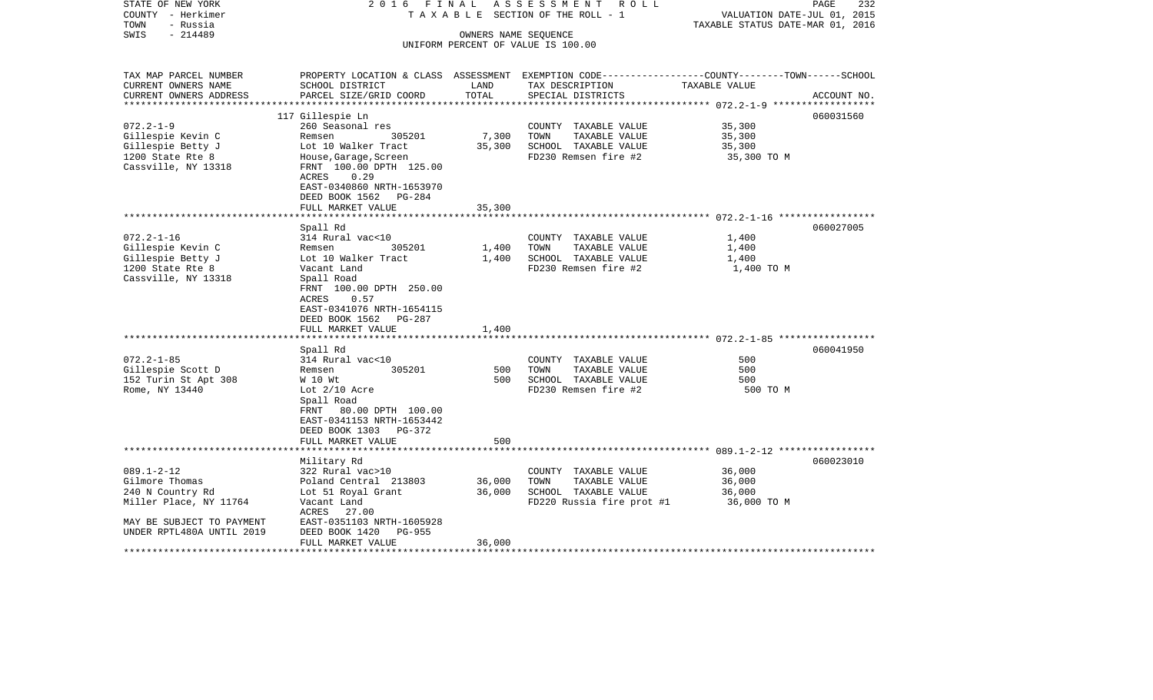| STATE OF NEW YORK<br>COUNTY - Herkimer<br>- Russia<br>TOWN | 2016 FINAL                                                                                                                        |                      | ASSESSMENT ROLL<br>TAXABLE SECTION OF THE ROLL - 1 | VALUATION DATE-JUL 01, 2015<br>TAXABLE STATUS DATE-MAR 01, 2016 | 232<br>PAGE |
|------------------------------------------------------------|-----------------------------------------------------------------------------------------------------------------------------------|----------------------|----------------------------------------------------|-----------------------------------------------------------------|-------------|
| $-214489$<br>SWIS                                          |                                                                                                                                   | OWNERS NAME SEQUENCE | UNIFORM PERCENT OF VALUE IS 100.00                 |                                                                 |             |
| TAX MAP PARCEL NUMBER                                      | PROPERTY LOCATION & CLASS ASSESSMENT EXEMPTION CODE----------------COUNTY-------TOWN------SCHOOL                                  |                      |                                                    |                                                                 |             |
| CURRENT OWNERS NAME                                        | SCHOOL DISTRICT                                                                                                                   | LAND                 | TAX DESCRIPTION                                    | TAXABLE VALUE                                                   |             |
| CURRENT OWNERS ADDRESS                                     | PARCEL SIZE/GRID COORD                                                                                                            | TOTAL                | SPECIAL DISTRICTS                                  |                                                                 | ACCOUNT NO. |
|                                                            | 117 Gillespie Ln                                                                                                                  |                      |                                                    |                                                                 | 060031560   |
| $072.2 - 1 - 9$                                            | 260 Seasonal res                                                                                                                  |                      | COUNTY TAXABLE VALUE                               | 35,300                                                          |             |
| Gillespie Kevin C<br>Gillespie Betty J                     | 305201<br>Remsen<br>Lot 10 Walker Tract                                                                                           | 7,300<br>35,300      | TOWN<br>TAXABLE VALUE<br>SCHOOL TAXABLE VALUE      | 35,300<br>35,300                                                |             |
| 1200 State Rte 8                                           | House, Garage, Screen                                                                                                             |                      | FD230 Remsen fire #2                               | 35,300 TO M                                                     |             |
| Cassville, NY 13318                                        | FRNT 100.00 DPTH 125.00<br>0.29<br>ACRES                                                                                          |                      |                                                    |                                                                 |             |
|                                                            | EAST-0340860 NRTH-1653970<br>DEED BOOK 1562 PG-284                                                                                |                      |                                                    |                                                                 |             |
|                                                            | FULL MARKET VALUE                                                                                                                 | 35,300               |                                                    |                                                                 |             |
|                                                            |                                                                                                                                   | ********             |                                                    |                                                                 |             |
| $072.2 - 1 - 16$                                           | Spall Rd                                                                                                                          |                      |                                                    |                                                                 | 060027005   |
| Gillespie Kevin C                                          | 314 Rural vac<10<br>305201<br>Remsen                                                                                              | 1,400                | COUNTY TAXABLE VALUE<br>TOWN<br>TAXABLE VALUE      | 1,400<br>1,400                                                  |             |
| Gillespie Betty J                                          | Lot 10 Walker Tract                                                                                                               | 1,400                | SCHOOL TAXABLE VALUE                               | 1,400                                                           |             |
| 1200 State Rte 8                                           | Vacant Land                                                                                                                       |                      | FD230 Remsen fire #2                               | 1,400 TO M                                                      |             |
| Cassville, NY 13318                                        | Spall Road<br>FRNT 100.00 DPTH 250.00<br>0.57<br>ACRES<br>EAST-0341076 NRTH-1654115<br>DEED BOOK 1562 PG-287<br>FULL MARKET VALUE | 1,400                |                                                    |                                                                 |             |
|                                                            |                                                                                                                                   |                      |                                                    |                                                                 |             |
|                                                            | Spall Rd                                                                                                                          |                      |                                                    |                                                                 | 060041950   |
| $072.2 - 1 - 85$                                           | 314 Rural vac<10                                                                                                                  |                      | COUNTY TAXABLE VALUE                               | 500                                                             |             |
| Gillespie Scott D                                          | 305201<br>Remsen                                                                                                                  | 500                  | TOWN<br>TAXABLE VALUE                              | 500                                                             |             |
| 152 Turin St Apt 308<br>Rome, NY 13440                     | W 10 Wt<br>Lot $2/10$ Acre                                                                                                        | 500                  | SCHOOL TAXABLE VALUE<br>FD230 Remsen fire #2       | 500<br>500 TO M                                                 |             |
|                                                            | Spall Road<br>80.00 DPTH 100.00<br>FRNT<br>EAST-0341153 NRTH-1653442<br>DEED BOOK 1303 PG-372                                     |                      |                                                    |                                                                 |             |
|                                                            | FULL MARKET VALUE<br>*************************                                                                                    | 500                  |                                                    |                                                                 |             |
|                                                            | Military Rd                                                                                                                       |                      |                                                    |                                                                 | 060023010   |
| $089.1 - 2 - 12$                                           | 322 Rural vac>10                                                                                                                  |                      | COUNTY TAXABLE VALUE                               | 36,000                                                          |             |
| Gilmore Thomas                                             | Poland Central 213803                                                                                                             | 36,000               | TOWN<br>TAXABLE VALUE                              | 36,000                                                          |             |
| 240 N Country Rd                                           | Lot 51 Royal Grant                                                                                                                | 36,000               | SCHOOL TAXABLE VALUE                               | 36,000                                                          |             |
| Miller Place, NY 11764                                     | Vacant Land<br>ACRES 27.00                                                                                                        |                      | FD220 Russia fire prot #1                          | 36,000 TO M                                                     |             |
| MAY BE SUBJECT TO PAYMENT                                  | EAST-0351103 NRTH-1605928                                                                                                         |                      |                                                    |                                                                 |             |
| UNDER RPTL480A UNTIL 2019                                  | DEED BOOK 1420<br>PG-955                                                                                                          |                      |                                                    |                                                                 |             |
| ******************                                         | FULL MARKET VALUE<br>************************                                                                                     | 36,000               |                                                    |                                                                 |             |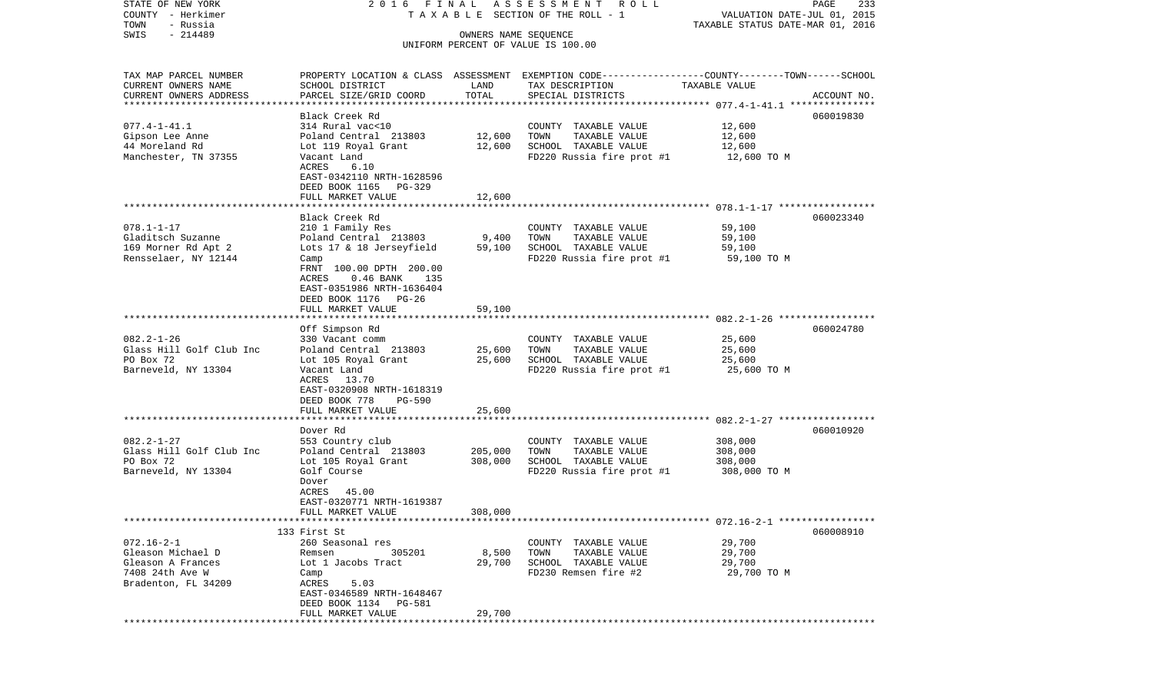| COUNTY<br>– Herkimer      |                                                |                      | T A X A B L E SECTION OF THE ROLL - 1                                                            | VALUATION DATE-JUL 01, 2015      |             |
|---------------------------|------------------------------------------------|----------------------|--------------------------------------------------------------------------------------------------|----------------------------------|-------------|
| TOWN<br>- Russia          |                                                |                      |                                                                                                  | TAXABLE STATUS DATE-MAR 01, 2016 |             |
| SWIS<br>$-214489$         |                                                | OWNERS NAME SEQUENCE |                                                                                                  |                                  |             |
|                           |                                                |                      | UNIFORM PERCENT OF VALUE IS 100.00                                                               |                                  |             |
|                           |                                                |                      |                                                                                                  |                                  |             |
| TAX MAP PARCEL NUMBER     |                                                |                      | PROPERTY LOCATION & CLASS ASSESSMENT EXEMPTION CODE----------------COUNTY-------TOWN------SCHOOL |                                  |             |
| CURRENT OWNERS NAME       | SCHOOL DISTRICT                                | LAND                 | TAX DESCRIPTION                                                                                  | TAXABLE VALUE                    |             |
| CURRENT OWNERS ADDRESS    | PARCEL SIZE/GRID COORD                         | TOTAL                | SPECIAL DISTRICTS                                                                                |                                  | ACCOUNT NO. |
| ************************* |                                                |                      |                                                                                                  |                                  |             |
|                           | Black Creek Rd                                 |                      |                                                                                                  |                                  | 060019830   |
| $077.4 - 1 - 41.1$        | 314 Rural vac<10                               |                      | COUNTY TAXABLE VALUE                                                                             | 12,600                           |             |
| Gipson Lee Anne           | Poland Central 213803                          | 12,600               | TOWN<br>TAXABLE VALUE                                                                            | 12,600                           |             |
| 44 Moreland Rd            | Lot 119 Royal Grant                            | 12,600               | SCHOOL TAXABLE VALUE                                                                             | 12,600                           |             |
| Manchester, TN 37355      | Vacant Land                                    |                      | FD220 Russia fire prot #1                                                                        | 12,600 TO M                      |             |
|                           | ACRES<br>6.10                                  |                      |                                                                                                  |                                  |             |
|                           | EAST-0342110 NRTH-1628596                      |                      |                                                                                                  |                                  |             |
|                           | DEED BOOK 1165<br>PG-329                       |                      |                                                                                                  |                                  |             |
|                           | FULL MARKET VALUE<br>***********************   | 12,600               |                                                                                                  |                                  |             |
|                           | Black Creek Rd                                 |                      |                                                                                                  |                                  | 060023340   |
| $078.1 - 1 - 17$          | 210 1 Family Res                               |                      | COUNTY TAXABLE VALUE                                                                             | 59,100                           |             |
| Gladitsch Suzanne         | Poland Central 213803                          | 9,400                | TAXABLE VALUE<br>TOWN                                                                            | 59,100                           |             |
| 169 Morner Rd Apt 2       | Lots 17 & 18 Jerseyfield                       | 59,100               | SCHOOL TAXABLE VALUE                                                                             | 59,100                           |             |
| Rensselaer, NY 12144      | Camp                                           |                      | FD220 Russia fire prot #1                                                                        | 59,100 TO M                      |             |
|                           | FRNT 100.00 DPTH 200.00                        |                      |                                                                                                  |                                  |             |
|                           | $0.46$ BANK<br>ACRES<br>135                    |                      |                                                                                                  |                                  |             |
|                           | EAST-0351986 NRTH-1636404                      |                      |                                                                                                  |                                  |             |
|                           | DEED BOOK 1176<br>PG-26                        |                      |                                                                                                  |                                  |             |
|                           | FULL MARKET VALUE                              | 59,100               |                                                                                                  |                                  |             |
|                           | **************                                 |                      |                                                                                                  |                                  |             |
|                           | Off Simpson Rd                                 |                      |                                                                                                  |                                  | 060024780   |
| $082.2 - 1 - 26$          | 330 Vacant comm                                |                      | COUNTY TAXABLE VALUE                                                                             | 25,600                           |             |
| Glass Hill Golf Club Inc  | Poland Central 213803                          | 25,600               | TOWN<br>TAXABLE VALUE                                                                            | 25,600                           |             |
| PO Box 72                 | Lot 105 Royal Grant                            | 25,600               | SCHOOL TAXABLE VALUE                                                                             | 25,600                           |             |
| Barneveld, NY 13304       | Vacant Land                                    |                      | FD220 Russia fire prot #1                                                                        | 25,600 TO M                      |             |
|                           | 13.70<br>ACRES                                 |                      |                                                                                                  |                                  |             |
|                           | EAST-0320908 NRTH-1618319                      |                      |                                                                                                  |                                  |             |
|                           | DEED BOOK 778<br><b>PG-590</b>                 |                      |                                                                                                  |                                  |             |
|                           | FULL MARKET VALUE                              | 25,600               |                                                                                                  |                                  |             |
|                           | ***************************                    |                      |                                                                                                  |                                  |             |
|                           | Dover Rd                                       |                      |                                                                                                  |                                  | 060010920   |
| $082.2 - 1 - 27$          | 553 Country club                               |                      | COUNTY TAXABLE VALUE                                                                             | 308,000                          |             |
| Glass Hill Golf Club Inc  | Poland Central 213803                          | 205,000              | TOWN<br>TAXABLE VALUE                                                                            | 308,000                          |             |
| PO Box 72                 | Lot 105 Royal Grant                            | 308,000              | SCHOOL TAXABLE VALUE                                                                             | 308,000                          |             |
| Barneveld, NY 13304       | Golf Course                                    |                      | FD220 Russia fire prot #1                                                                        | 308,000 TO M                     |             |
|                           | Dover                                          |                      |                                                                                                  |                                  |             |
|                           | ACRES<br>45.00                                 |                      |                                                                                                  |                                  |             |
|                           | EAST-0320771 NRTH-1619387<br>FULL MARKET VALUE | 308,000              |                                                                                                  |                                  |             |
|                           |                                                |                      |                                                                                                  |                                  |             |
|                           | 133 First St                                   |                      |                                                                                                  |                                  | 060008910   |
| $072.16 - 2 - 1$          | 260 Seasonal res                               |                      | COUNTY TAXABLE VALUE                                                                             | 29,700                           |             |
| Gleason Michael D         | 305201<br>Remsen                               | 8,500                | TOWN<br>TAXABLE VALUE                                                                            | 29,700                           |             |
| Gleason A Frances         | Lot 1 Jacobs Tract                             | 29,700               | SCHOOL TAXABLE VALUE                                                                             | 29,700                           |             |
| 7408 24th Ave W           | Camp                                           |                      | FD230 Remsen fire #2                                                                             | 29,700 TO M                      |             |
| Bradenton, FL 34209       | ACRES<br>5.03                                  |                      |                                                                                                  |                                  |             |
|                           | EAST-0346589 NRTH-1648467                      |                      |                                                                                                  |                                  |             |
|                           | DEED BOOK 1134<br>PG-581                       |                      |                                                                                                  |                                  |             |
|                           | FULL MARKET VALUE                              | 29,700               |                                                                                                  |                                  |             |
|                           |                                                |                      |                                                                                                  |                                  |             |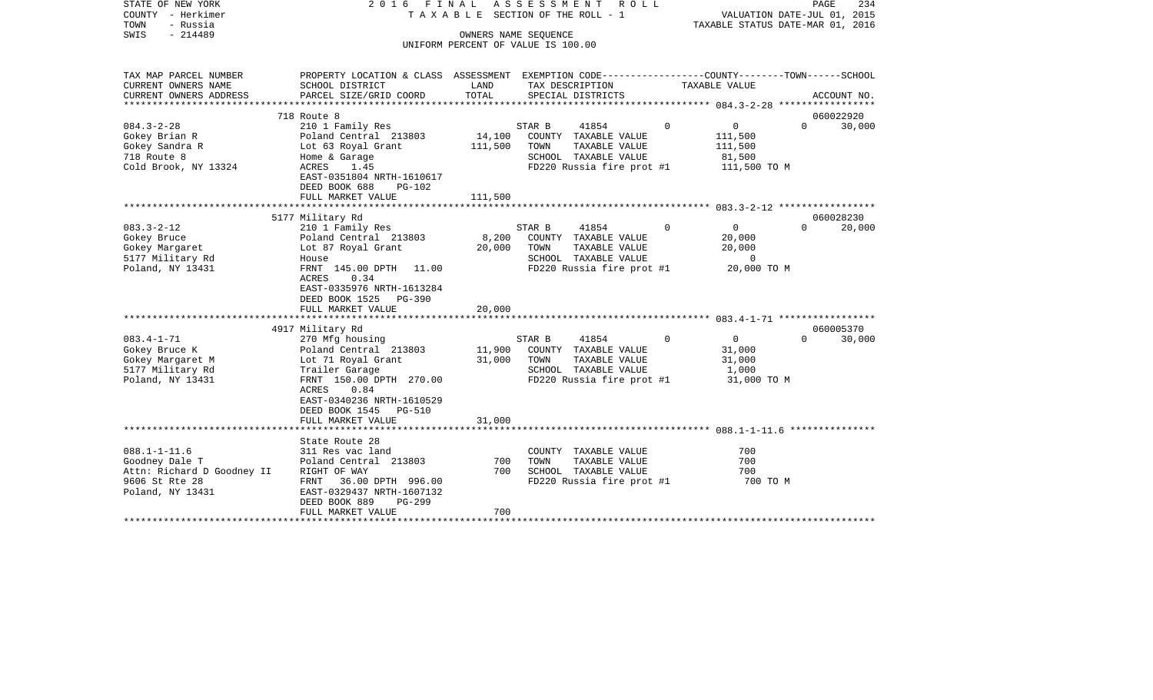| STATE OF NEW YORK<br>COUNTY - Herkimer<br>- Russia<br>TOWN<br>$-214489$<br>SWIS                          | FINAL<br>2016                                                                                                                                                                                                    |                   | A S S E S S M E N T<br>R O L L<br>TAXABLE SECTION OF THE ROLL - 1                                                     |          | VALUATION DATE-JUL 01, 2015<br>TAXABLE STATUS DATE-MAR 01, 2016         | 234<br>PAGE         |
|----------------------------------------------------------------------------------------------------------|------------------------------------------------------------------------------------------------------------------------------------------------------------------------------------------------------------------|-------------------|-----------------------------------------------------------------------------------------------------------------------|----------|-------------------------------------------------------------------------|---------------------|
|                                                                                                          |                                                                                                                                                                                                                  |                   | OWNERS NAME SEQUENCE<br>UNIFORM PERCENT OF VALUE IS 100.00                                                            |          |                                                                         |                     |
| TAX MAP PARCEL NUMBER<br>CURRENT OWNERS NAME                                                             | PROPERTY LOCATION & CLASS ASSESSMENT EXEMPTION CODE---------------COUNTY-------TOWN------SCHOOL<br>SCHOOL DISTRICT                                                                                               | LAND              | TAX DESCRIPTION                                                                                                       |          | TAXABLE VALUE                                                           |                     |
| CURRENT OWNERS ADDRESS                                                                                   | PARCEL SIZE/GRID COORD                                                                                                                                                                                           | TOTAL             | SPECIAL DISTRICTS                                                                                                     |          |                                                                         | ACCOUNT NO.         |
| **********************                                                                                   |                                                                                                                                                                                                                  |                   |                                                                                                                       |          |                                                                         |                     |
|                                                                                                          | 718 Route 8                                                                                                                                                                                                      |                   |                                                                                                                       |          |                                                                         | 060022920           |
| $084.3 - 2 - 28$<br>Gokey Brian R<br>Gokey Sandra R<br>718 Route 8<br>Cold Brook, NY 13324               | 210 1 Family Res<br>Poland Central 213803<br>Lot 63 Royal Grant<br>Home & Garage<br>ACRES<br>1.45<br>EAST-0351804 NRTH-1610617                                                                                   | 14,100<br>111,500 | STAR B<br>41854<br>COUNTY TAXABLE VALUE<br>TOWN<br>TAXABLE VALUE<br>SCHOOL TAXABLE VALUE<br>FD220 Russia fire prot #1 | $\Omega$ | $\mathbf 0$<br>$\Omega$<br>111,500<br>111,500<br>81,500<br>111,500 TO M | 30,000              |
|                                                                                                          | DEED BOOK 688<br>PG-102                                                                                                                                                                                          |                   |                                                                                                                       |          |                                                                         |                     |
|                                                                                                          | FULL MARKET VALUE                                                                                                                                                                                                | 111,500           |                                                                                                                       |          |                                                                         |                     |
|                                                                                                          |                                                                                                                                                                                                                  |                   |                                                                                                                       |          |                                                                         |                     |
| $083.3 - 2 - 12$<br>Gokey Bruce<br>Gokey Margaret                                                        | 5177 Military Rd<br>210 1 Family Res<br>Poland Central 213803<br>Lot 87 Royal Grant                                                                                                                              | 8,200<br>20,000   | STAR B<br>41854<br>COUNTY TAXABLE VALUE<br>TAXABLE VALUE<br>TOWN<br>SCHOOL TAXABLE VALUE                              | $\Omega$ | 0<br>$\Omega$<br>20,000<br>20,000<br>$\Omega$                           | 060028230<br>20,000 |
| 5177 Military Rd<br>Poland, NY 13431                                                                     | House<br>FRNT 145.00 DPTH<br>11.00<br>ACRES<br>0.34<br>EAST-0335976 NRTH-1613284<br>DEED BOOK 1525<br><b>PG-390</b><br>FULL MARKET VALUE                                                                         | 20,000            | FD220 Russia fire prot #1                                                                                             |          | 20,000 TO M                                                             |                     |
|                                                                                                          |                                                                                                                                                                                                                  |                   |                                                                                                                       |          |                                                                         |                     |
| $083.4 - 1 - 71$<br>Gokey Bruce K<br>Gokey Margaret M<br>5177 Military Rd<br>Poland, NY 13431            | 4917 Military Rd<br>270 Mfg housing<br>Poland Central 213803<br>Lot 71 Royal Grant<br>Trailer Garage<br>FRNT 150.00 DPTH 270.00<br>ACRES<br>0.84<br>EAST-0340236 NRTH-1610529<br>DEED BOOK 1545<br><b>PG-510</b> | 11,900<br>31,000  | STAR B<br>41854<br>COUNTY TAXABLE VALUE<br>TOWN<br>TAXABLE VALUE<br>SCHOOL TAXABLE VALUE<br>FD220 Russia fire prot #1 | $\Omega$ | 0<br>$\Omega$<br>31,000<br>31,000<br>1,000<br>31,000 TO M               | 060005370<br>30,000 |
|                                                                                                          | FULL MARKET VALUE<br>*******************<br>State Route 28                                                                                                                                                       | 31,000            |                                                                                                                       |          |                                                                         |                     |
| $088.1 - 1 - 11.6$<br>Goodney Dale T<br>Attn: Richard D Goodney II<br>9606 St Rte 28<br>Poland, NY 13431 | 311 Res vac land<br>Poland Central 213803<br>RIGHT OF WAY<br>FRNT<br>36.00 DPTH 996.00<br>EAST-0329437 NRTH-1607132<br>DEED BOOK 889<br>PG-299                                                                   | 700<br>700        | COUNTY TAXABLE VALUE<br>TOWN<br>TAXABLE VALUE<br>SCHOOL TAXABLE VALUE<br>FD220 Russia fire prot #1                    |          | 700<br>700<br>700<br>700 TO M                                           |                     |
| *********************                                                                                    | FULL MARKET VALUE                                                                                                                                                                                                | 700               |                                                                                                                       |          |                                                                         |                     |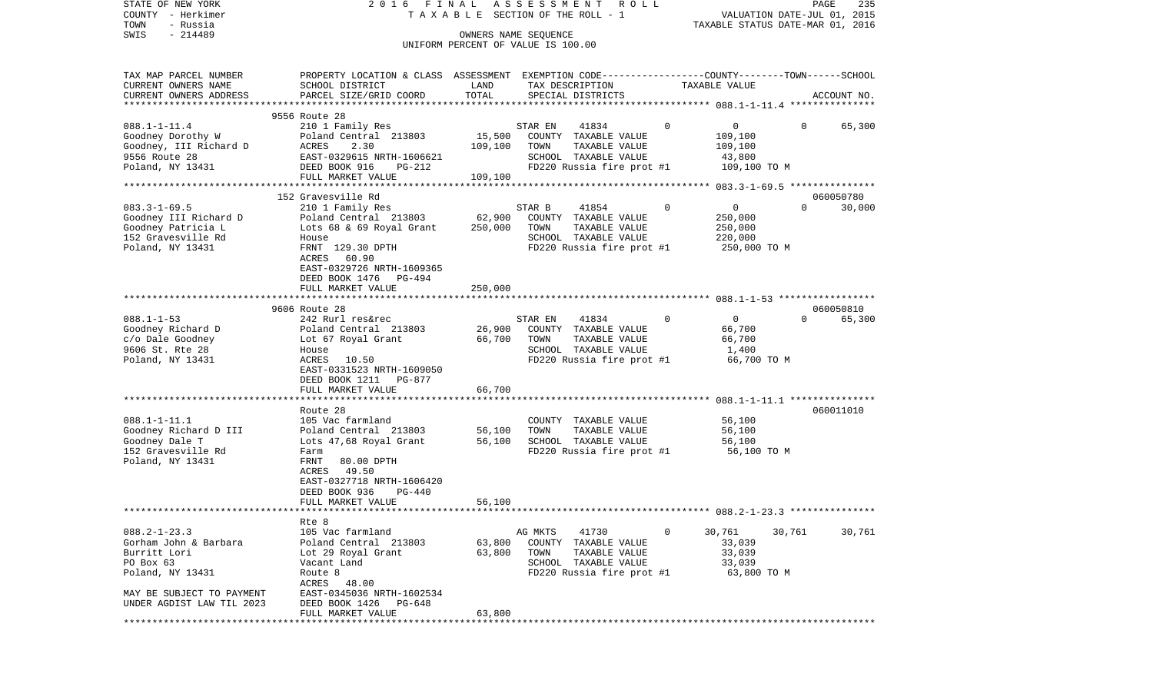| STATE OF NEW YORK<br>COUNTY - Herkimer<br>TOWN<br>- Russia                                                  | FINAL<br>2016<br>TAXABLE                                                                                                                                                                            |                   | ASSESSMENT<br>R O L L<br>SECTION OF THE ROLL - 1                                                                          |          | VALUATION DATE-JUL 01, 2015<br>TAXABLE STATUS DATE-MAR 01, 2016                       | PAGE<br>235                     |
|-------------------------------------------------------------------------------------------------------------|-----------------------------------------------------------------------------------------------------------------------------------------------------------------------------------------------------|-------------------|---------------------------------------------------------------------------------------------------------------------------|----------|---------------------------------------------------------------------------------------|---------------------------------|
| $-214489$<br>SWIS                                                                                           |                                                                                                                                                                                                     |                   | OWNERS NAME SEQUENCE<br>UNIFORM PERCENT OF VALUE IS 100.00                                                                |          |                                                                                       |                                 |
| TAX MAP PARCEL NUMBER<br>CURRENT OWNERS NAME<br>CURRENT OWNERS ADDRESS<br>**********************            | PROPERTY LOCATION & CLASS ASSESSMENT EXEMPTION CODE---------------COUNTY-------TOWN------SCHOOL<br>SCHOOL DISTRICT<br>PARCEL SIZE/GRID COORD                                                        | LAND<br>TOTAL     | TAX DESCRIPTION<br>SPECIAL DISTRICTS                                                                                      |          | TAXABLE VALUE                                                                         | ACCOUNT NO.                     |
|                                                                                                             | 9556 Route 28                                                                                                                                                                                       |                   |                                                                                                                           |          |                                                                                       |                                 |
| $088.1 - 1 - 11.4$<br>Goodney Dorothy W<br>Goodney, III Richard D<br>9556 Route 28<br>Poland, NY 13431      | 210 1 Family Res<br>Poland Central 213803<br>ACRES<br>2.30<br>EAST-0329615 NRTH-1606621<br>DEED BOOK 916<br>PG-212                                                                                  | 15,500<br>109,100 | 41834<br>STAR EN<br>COUNTY TAXABLE VALUE<br>TOWN<br>TAXABLE VALUE<br>SCHOOL TAXABLE VALUE<br>FD220 Russia fire prot #1    | 0        | 0<br>109,100<br>109,100<br>43,800<br>109,100 TO M                                     | 65,300<br>0                     |
|                                                                                                             | FULL MARKET VALUE                                                                                                                                                                                   | 109,100           |                                                                                                                           |          |                                                                                       |                                 |
| $083.3 - 1 - 69.5$<br>Goodney III Richard D<br>Goodney Patricia L<br>152 Gravesville Rd<br>Poland, NY 13431 | 152 Gravesville Rd<br>210 1 Family Res<br>Poland Central 213803<br>Lots 68 & 69 Royal Grant<br>House<br>FRNT 129.30 DPTH<br>60.90<br>ACRES<br>EAST-0329726 NRTH-1609365<br>DEED BOOK 1476<br>PG-494 | 62,900<br>250,000 | 41854<br>STAR B<br>COUNTY TAXABLE VALUE<br>TAXABLE VALUE<br>TOWN<br>SCHOOL TAXABLE VALUE<br>FD220 Russia fire prot #1     | 0        | 0<br>250,000<br>250,000<br>220,000<br>250,000 TO M                                    | 060050780<br>$\Omega$<br>30,000 |
|                                                                                                             | FULL MARKET VALUE                                                                                                                                                                                   | 250,000           |                                                                                                                           |          |                                                                                       |                                 |
|                                                                                                             | 9606 Route 28                                                                                                                                                                                       |                   |                                                                                                                           |          |                                                                                       | 060050810                       |
| $088.1 - 1 - 53$<br>Goodney Richard D<br>c/o Dale Goodney<br>9606 St. Rte 28<br>Poland, NY 13431            | 242 Rurl res&rec<br>Poland Central 213803<br>Lot 67 Royal Grant<br>House<br>ACRES<br>10.50<br>EAST-0331523 NRTH-1609050<br>DEED BOOK 1211<br>PG-877                                                 | 26,900<br>66,700  | STAR EN<br>41834<br>COUNTY TAXABLE VALUE<br>TOWN<br>TAXABLE VALUE<br>SCHOOL TAXABLE VALUE<br>FD220 Russia fire prot #1    | $\Omega$ | 0<br>66,700<br>66,700<br>1,400<br>66,700 TO M                                         | 65,300<br>$\Omega$              |
|                                                                                                             | FULL MARKET VALUE                                                                                                                                                                                   | 66,700            |                                                                                                                           |          |                                                                                       |                                 |
| $088.1 - 1 - 11.1$<br>Goodney Richard D III<br>Goodney Dale T<br>152 Gravesville Rd<br>Poland, NY 13431     | Route 28<br>105 Vac farmland<br>Poland Central 213803<br>Lots 47,68 Royal Grant<br>Farm<br>FRNT<br>80.00 DPTH<br>49.50<br>ACRES<br>EAST-0327718 NRTH-1606420<br>DEED BOOK 936<br>$PG-440$           | 56,100<br>56,100  | COUNTY TAXABLE VALUE<br>TOWN<br>TAXABLE VALUE<br>SCHOOL TAXABLE VALUE<br>FD220 Russia fire prot #1                        |          | **************** 088.1-1-11.1 **********<br>56,100<br>56,100<br>56,100<br>56,100 TO M | 060011010                       |
| *********************                                                                                       | FULL MARKET VALUE                                                                                                                                                                                   | 56,100            |                                                                                                                           |          |                                                                                       |                                 |
| $088.2 - 1 - 23.3$<br>Gorham John & Barbara<br>Burritt Lori<br>PO Box 63<br>Poland, NY 13431                | Rte 8<br>105 Vac farmland<br>Poland Central 213803<br>Lot 29 Royal Grant<br>Vacant Land<br>Route 8                                                                                                  | 63,800<br>63,800  | AG MKTS<br>41730<br>COUNTY<br>TAXABLE VALUE<br>TOWN<br>TAXABLE VALUE<br>SCHOOL TAXABLE VALUE<br>FD220 Russia fire prot #1 | 0        | 30,761<br>30,761<br>33,039<br>33,039<br>33,039<br>63,800 TO M                         | 30,761                          |
| MAY BE SUBJECT TO PAYMENT<br>UNDER AGDIST LAW TIL 2023                                                      | 48.00<br>ACRES<br>EAST-0345036 NRTH-1602534<br>DEED BOOK 1426<br>PG-648<br>FULL MARKET VALUE                                                                                                        | 63,800            |                                                                                                                           |          |                                                                                       |                                 |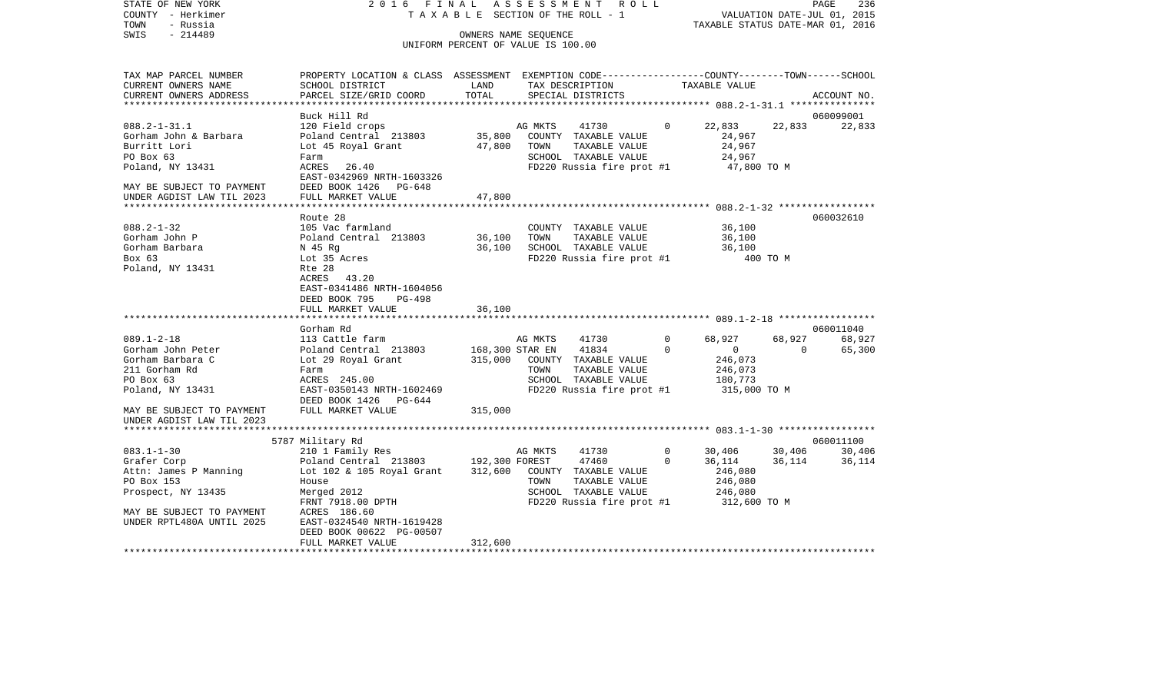STATE OF NEW YORK 2016 FINAL ASSESSMENT ROLL COUNTY - Herkimer T A X A B L E SECTION OF THE ROLL - 1 VALUATION DATE-JUL 01, 2015 TOWN - Russia TAXABLE STATUS DATE-MAR 01, 2016 OWNERS NAME SEQUENCE

UNIFORM PERCENT OF VALUE IS 100.00

| TAX MAP PARCEL NUMBER     | PROPERTY LOCATION & CLASS ASSESSMENT EXEMPTION CODE---------------COUNTY-------TOWN------SCHOOL |                       |         |                                        |             |               |          |             |
|---------------------------|-------------------------------------------------------------------------------------------------|-----------------------|---------|----------------------------------------|-------------|---------------|----------|-------------|
| CURRENT OWNERS NAME       | SCHOOL DISTRICT                                                                                 | LAND                  |         | TAX DESCRIPTION                        |             | TAXABLE VALUE |          |             |
| CURRENT OWNERS ADDRESS    | PARCEL SIZE/GRID COORD                                                                          | TOTAL                 |         | SPECIAL DISTRICTS                      |             |               |          | ACCOUNT NO. |
| ***********************   |                                                                                                 |                       |         |                                        |             |               |          |             |
|                           | Buck Hill Rd                                                                                    |                       |         |                                        |             |               |          | 060099001   |
| $088.2 - 1 - 31.1$        | 120 Field crops                                                                                 |                       | AG MKTS | 41730                                  | $\Omega$    | 22,833        | 22,833   | 22,833      |
| Gorham John & Barbara     | Poland Central 213803                                                                           |                       |         | 35,800 COUNTY TAXABLE VALUE            |             | 24,967        |          |             |
| Burritt Lori              | Lot 45 Royal Grant                                                                              | 47,800 TOWN           |         | TAXABLE VALUE                          |             | 24,967        |          |             |
| PO Box 63                 | Farm                                                                                            |                       |         | SCHOOL TAXABLE VALUE                   |             | 24,967        |          |             |
| Poland, NY 13431          | ACRES 26.40                                                                                     |                       |         | FD220 Russia fire prot #1              |             | 47,800 TO M   |          |             |
|                           | EAST-0342969 NRTH-1603326                                                                       |                       |         |                                        |             |               |          |             |
| MAY BE SUBJECT TO PAYMENT | DEED BOOK 1426 PG-648                                                                           |                       |         |                                        |             |               |          |             |
| UNDER AGDIST LAW TIL 2023 | FULL MARKET VALUE                                                                               | 47,800                |         |                                        |             |               |          |             |
|                           |                                                                                                 |                       |         |                                        |             |               |          |             |
|                           | Route 28                                                                                        |                       |         |                                        |             |               |          | 060032610   |
| $088.2 - 1 - 32$          | 105 Vac farmland                                                                                |                       |         | COUNTY TAXABLE VALUE                   |             | 36,100        |          |             |
| Gorham John P             | Poland Central 213803                                                                           | 36,100 TOWN           |         | TAXABLE VALUE                          |             |               |          |             |
|                           |                                                                                                 |                       |         |                                        |             | 36,100        |          |             |
| Gorham Barbara            | N 45 Rq                                                                                         | 36,100                |         | SCHOOL TAXABLE VALUE                   |             | 36,100        |          |             |
| Box 63                    | Lot 35 Acres                                                                                    |                       |         | FD220 Russia fire prot #1              |             | 400 TO M      |          |             |
| Poland, NY 13431          | Rte 28                                                                                          |                       |         |                                        |             |               |          |             |
|                           | ACRES 43.20                                                                                     |                       |         |                                        |             |               |          |             |
|                           | EAST-0341486 NRTH-1604056                                                                       |                       |         |                                        |             |               |          |             |
|                           | DEED BOOK 795<br>PG-498                                                                         |                       |         |                                        |             |               |          |             |
|                           | FULL MARKET VALUE                                                                               | 36,100                |         |                                        |             |               |          |             |
|                           |                                                                                                 |                       |         |                                        |             |               |          |             |
|                           | Gorham Rd                                                                                       |                       |         |                                        |             |               |          | 060011040   |
| $089.1 - 2 - 18$          | 113 Cattle farm                                                                                 |                       | AG MKTS | 41730                                  | $\mathbf 0$ | 68,927        | 68,927   | 68,927      |
| Gorham John Peter         | Poland Central 213803                                                                           | 168,300 STAR EN 41834 |         |                                        | $\Omega$    | $\Omega$      | $\Omega$ | 65,300      |
| Gorham Barbara C          | Lot 29 Royal Grant                                                                              |                       |         | 315,000 COUNTY TAXABLE VALUE           |             | 246,073       |          |             |
| 211 Gorham Rd             | Farm                                                                                            |                       | TOWN    | TAXABLE VALUE                          |             | 246,073       |          |             |
| PO Box 63                 | ACRES 245.00                                                                                    |                       |         | SCHOOL TAXABLE VALUE                   |             | 180,773       |          |             |
| Poland, NY 13431          | EAST-0350143 NRTH-1602469                                                                       |                       |         | FD220 Russia fire prot #1 315,000 TO M |             |               |          |             |
|                           | DEED BOOK 1426 PG-644                                                                           |                       |         |                                        |             |               |          |             |
| MAY BE SUBJECT TO PAYMENT | FULL MARKET VALUE                                                                               | 315,000               |         |                                        |             |               |          |             |
| UNDER AGDIST LAW TIL 2023 |                                                                                                 |                       |         |                                        |             |               |          |             |
|                           |                                                                                                 |                       |         |                                        |             |               |          |             |
|                           | 5787 Military Rd                                                                                |                       |         |                                        |             |               |          | 060011100   |
| $083.1 - 1 - 30$          | 210 1 Family Res                                                                                |                       | AG MKTS | 41730                                  | $\circ$     | 30,406        | 30,406   | 30,406      |
| Grafer Corp               | Poland Central 213803 192,300 FOREST                                                            |                       |         | 47460                                  | $\Omega$    | 36,114        | 36,114   | 36,114      |
| Attn: James P Manning     | Lot 102 & 105 Royal Grant                                                                       |                       |         | 312,600 COUNTY TAXABLE VALUE           |             | 246,080       |          |             |
| PO Box 153                | House                                                                                           |                       | TOWN    | TAXABLE VALUE                          |             | 246,080       |          |             |
| Prospect, NY 13435        | Merged 2012                                                                                     |                       |         | SCHOOL TAXABLE VALUE                   |             | 246,080       |          |             |
|                           | FRNT 7918.00 DPTH                                                                               |                       |         | FD220 Russia fire prot #1              |             | 312,600 TO M  |          |             |
| MAY BE SUBJECT TO PAYMENT | ACRES 186.60                                                                                    |                       |         |                                        |             |               |          |             |
| UNDER RPTL480A UNTIL 2025 | EAST-0324540 NRTH-1619428                                                                       |                       |         |                                        |             |               |          |             |
|                           | DEED BOOK 00622 PG-00507                                                                        |                       |         |                                        |             |               |          |             |
|                           | FULL MARKET VALUE                                                                               | 312,600               |         |                                        |             |               |          |             |
|                           |                                                                                                 |                       |         |                                        |             |               |          |             |
|                           |                                                                                                 |                       |         |                                        |             |               |          |             |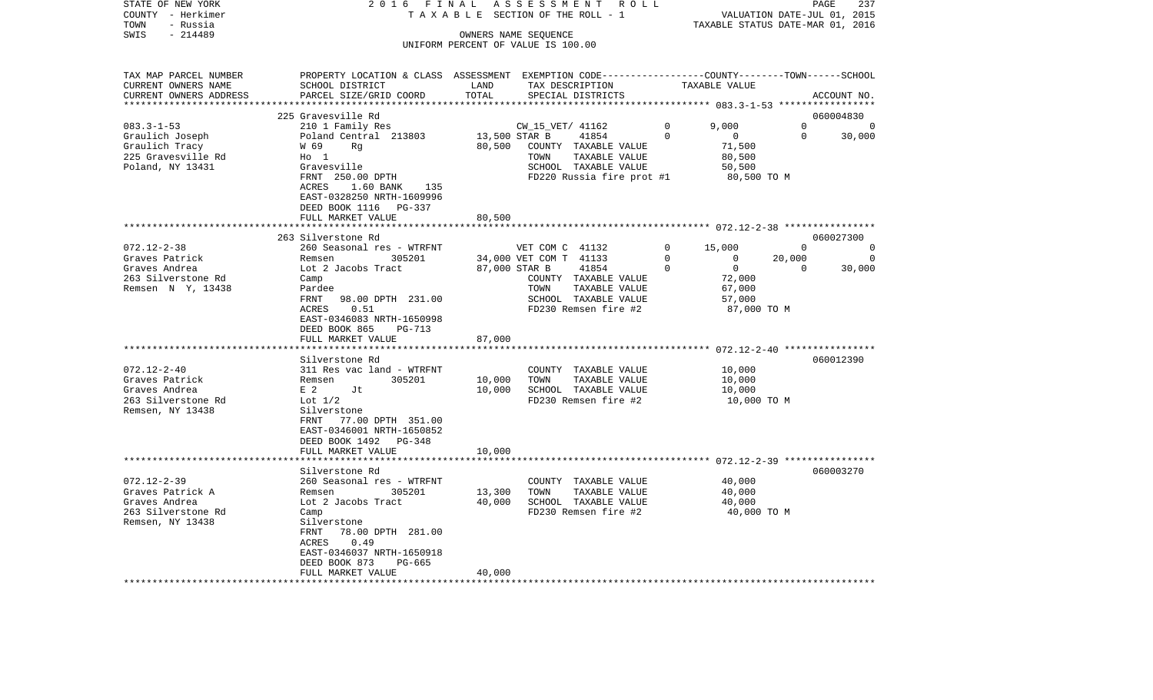| STATE OF NEW YORK                                | 2 0 1 6<br>FINAL                                                                                |                      | ASSESSMENT<br>R O L L                                      |             |                                           |          | PAGE<br>237                 |
|--------------------------------------------------|-------------------------------------------------------------------------------------------------|----------------------|------------------------------------------------------------|-------------|-------------------------------------------|----------|-----------------------------|
| COUNTY - Herkimer                                | TAXABLE                                                                                         |                      | SECTION OF THE ROLL - 1                                    |             |                                           |          | VALUATION DATE-JUL 01, 2015 |
| - Russia<br>TOWN                                 |                                                                                                 |                      |                                                            |             | TAXABLE STATUS DATE-MAR 01, 2016          |          |                             |
| SWIS<br>$-214489$                                |                                                                                                 |                      | OWNERS NAME SEQUENCE<br>UNIFORM PERCENT OF VALUE IS 100.00 |             |                                           |          |                             |
|                                                  |                                                                                                 |                      |                                                            |             |                                           |          |                             |
|                                                  |                                                                                                 |                      |                                                            |             |                                           |          |                             |
| TAX MAP PARCEL NUMBER                            | PROPERTY LOCATION & CLASS ASSESSMENT EXEMPTION CODE---------------COUNTY-------TOWN------SCHOOL |                      |                                                            |             |                                           |          |                             |
| CURRENT OWNERS NAME                              | SCHOOL DISTRICT                                                                                 | LAND                 | TAX DESCRIPTION                                            |             | TAXABLE VALUE                             |          |                             |
| CURRENT OWNERS ADDRESS<br>********************** | PARCEL SIZE/GRID COORD<br>***************************                                           | TOTAL<br>*********** | SPECIAL DISTRICTS                                          |             |                                           |          | ACCOUNT NO.                 |
|                                                  | 225 Gravesville Rd                                                                              |                      |                                                            |             |                                           |          | 060004830                   |
| $083.3 - 1 - 53$                                 | 210 1 Family Res                                                                                |                      | CW 15 VET/ 41162                                           | $\Omega$    | 9.000                                     | $\Omega$ | $\Omega$                    |
| Graulich Joseph                                  | Poland Central 213803                                                                           | 13,500 STAR B        | 41854                                                      | $\Omega$    | $\overline{0}$                            | $\Omega$ | 30,000                      |
| Graulich Tracy                                   | W 69<br>Rq                                                                                      | 80,500               | COUNTY TAXABLE VALUE                                       |             | 71,500                                    |          |                             |
| 225 Gravesville Rd                               | $H_0$ 1                                                                                         |                      | TAXABLE VALUE<br>TOWN                                      |             | 80,500                                    |          |                             |
| Poland, NY 13431                                 | Gravesville                                                                                     |                      | SCHOOL TAXABLE VALUE                                       |             | 50,500                                    |          |                             |
|                                                  | FRNT 250.00 DPTH                                                                                |                      | FD220 Russia fire prot #1                                  |             | 80,500 TO M                               |          |                             |
|                                                  | ACRES<br>1.60 BANK<br>135                                                                       |                      |                                                            |             |                                           |          |                             |
|                                                  | EAST-0328250 NRTH-1609996<br>DEED BOOK 1116<br>PG-337                                           |                      |                                                            |             |                                           |          |                             |
|                                                  | FULL MARKET VALUE                                                                               | 80,500               |                                                            |             |                                           |          |                             |
|                                                  |                                                                                                 |                      |                                                            |             |                                           |          |                             |
|                                                  | 263 Silverstone Rd                                                                              |                      |                                                            |             |                                           |          | 060027300                   |
| $072.12 - 2 - 38$                                | 260 Seasonal res - WTRFNT                                                                       |                      | VET COM C 41132                                            | 0           | 15,000                                    | $\Omega$ | $\mathbf 0$                 |
| Graves Patrick                                   | Remsen<br>305201                                                                                |                      | 34,000 VET COM T 41133                                     | $\mathbf 0$ | 0                                         | 20,000   | $\mathbf 0$                 |
| Graves Andrea                                    | Lot 2 Jacobs Tract                                                                              | 87,000 STAR B        | 41854                                                      | 0           | $\circ$                                   | $\Omega$ | 30,000                      |
| 263 Silverstone Rd                               | Camp                                                                                            |                      | COUNTY TAXABLE VALUE                                       |             | 72,000                                    |          |                             |
| Remsen N Y, 13438                                | Pardee<br>FRNT<br>98.00 DPTH 231.00                                                             |                      | TOWN<br>TAXABLE VALUE<br>SCHOOL TAXABLE VALUE              |             | 67,000<br>57,000                          |          |                             |
|                                                  | 0.51<br>ACRES                                                                                   |                      | FD230 Remsen fire #2                                       |             | 87,000 TO M                               |          |                             |
|                                                  | EAST-0346083 NRTH-1650998                                                                       |                      |                                                            |             |                                           |          |                             |
|                                                  | DEED BOOK 865<br>PG-713                                                                         |                      |                                                            |             |                                           |          |                             |
|                                                  | FULL MARKET VALUE                                                                               | 87,000               |                                                            |             |                                           |          |                             |
|                                                  |                                                                                                 | *******              |                                                            |             | ***************** 072.12-2-40 *********** |          |                             |
|                                                  | Silverstone Rd                                                                                  |                      |                                                            |             |                                           |          | 060012390                   |
| $072.12 - 2 - 40$                                | 311 Res vac land - WTRFNT                                                                       |                      | COUNTY TAXABLE VALUE                                       |             | 10,000                                    |          |                             |
| Graves Patrick<br>Graves Andrea                  | 305201<br>Remsen<br>Jt                                                                          | 10,000<br>10,000     | TAXABLE VALUE<br>TOWN                                      |             | 10,000                                    |          |                             |
| 263 Silverstone Rd                               | E 2<br>Lot $1/2$                                                                                |                      | SCHOOL TAXABLE VALUE<br>FD230 Remsen fire #2               |             | 10,000<br>10,000 TO M                     |          |                             |
| Remsen, NY 13438                                 | Silverstone                                                                                     |                      |                                                            |             |                                           |          |                             |
|                                                  | FRNT<br>77.00 DPTH 351.00                                                                       |                      |                                                            |             |                                           |          |                             |
|                                                  | EAST-0346001 NRTH-1650852                                                                       |                      |                                                            |             |                                           |          |                             |
|                                                  | DEED BOOK 1492<br>PG-348                                                                        |                      |                                                            |             |                                           |          |                             |
|                                                  | FULL MARKET VALUE                                                                               | 10,000               |                                                            |             |                                           |          |                             |
|                                                  | ******************                                                                              | *********            |                                                            |             |                                           |          |                             |
| $072.12 - 2 - 39$                                | Silverstone Rd<br>260 Seasonal res - WTRFNT                                                     |                      | COUNTY TAXABLE VALUE                                       |             | 40,000                                    |          | 060003270                   |
| Graves Patrick A                                 | Remsen<br>305201                                                                                | 13,300               | TAXABLE VALUE<br>TOWN                                      |             | 40,000                                    |          |                             |
| Graves Andrea                                    | Lot 2 Jacobs Tract                                                                              | 40,000               | SCHOOL TAXABLE VALUE                                       |             | 40,000                                    |          |                             |
| 263 Silverstone Rd                               | Camp                                                                                            |                      | FD230 Remsen fire #2                                       |             | 40,000 TO M                               |          |                             |
| Remsen, NY 13438                                 | Silverstone                                                                                     |                      |                                                            |             |                                           |          |                             |
|                                                  | 78.00 DPTH 281.00<br>FRNT                                                                       |                      |                                                            |             |                                           |          |                             |
|                                                  | 0.49<br>ACRES                                                                                   |                      |                                                            |             |                                           |          |                             |
|                                                  | EAST-0346037 NRTH-1650918                                                                       |                      |                                                            |             |                                           |          |                             |
|                                                  | DEED BOOK 873<br>PG-665<br>FULL MARKET VALUE                                                    | 40,000               |                                                            |             |                                           |          |                             |
| ********************                             | * * * * * * * * * * * * * * * * * * * *                                                         |                      |                                                            |             |                                           |          |                             |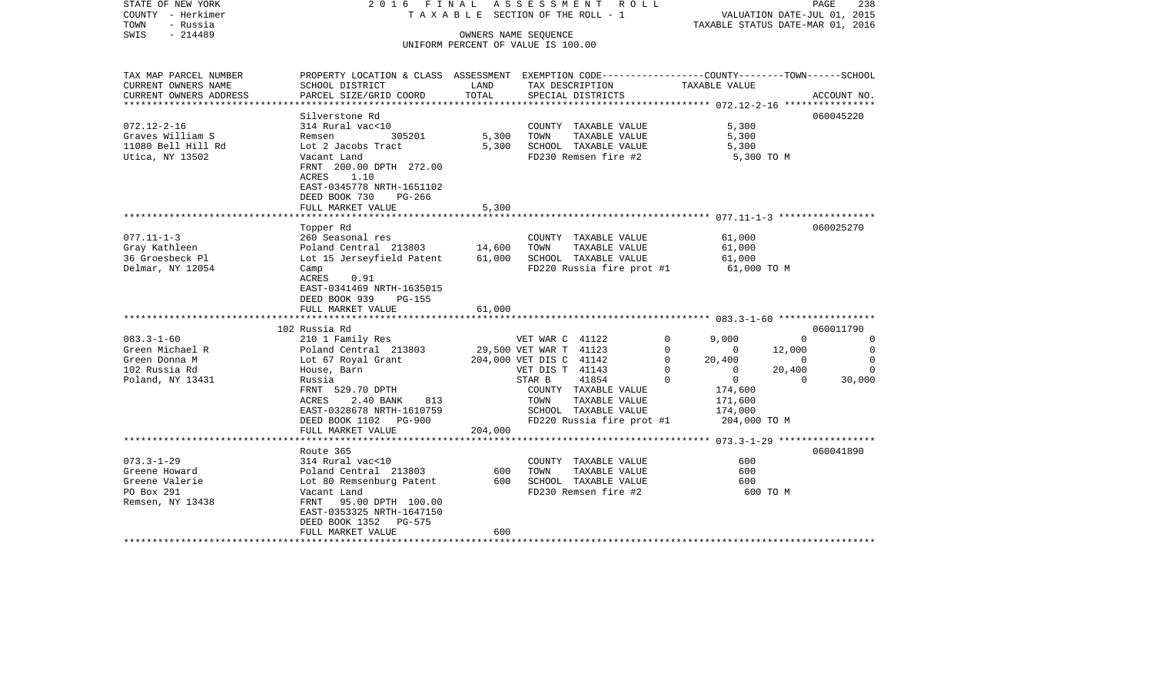| STATE OF NEW YORK<br>COUNTY - Herkimer<br>TOWN<br>- Russia | 2016 FINAL                                                                                     |         | A S S E S S M E N T R O L L<br>TAXABLE SECTION OF THE ROLL - 1 | VALUATION DATE-JUL 01, 2015<br>TAXABLE STATUS DATE-MAR 01, 2016 | PAGE           | 238            |
|------------------------------------------------------------|------------------------------------------------------------------------------------------------|---------|----------------------------------------------------------------|-----------------------------------------------------------------|----------------|----------------|
| $-214489$<br>SWIS                                          |                                                                                                |         | OWNERS NAME SEQUENCE                                           |                                                                 |                |                |
|                                                            |                                                                                                |         | UNIFORM PERCENT OF VALUE IS 100.00                             |                                                                 |                |                |
|                                                            |                                                                                                |         |                                                                |                                                                 |                |                |
| TAX MAP PARCEL NUMBER                                      | PROPERTY LOCATION & CLASS ASSESSMENT EXEMPTION CODE---------------COUNTY-------TOWN-----SCHOOL |         |                                                                |                                                                 |                |                |
| CURRENT OWNERS NAME                                        | SCHOOL DISTRICT                                                                                | LAND    | TAX DESCRIPTION                                                | TAXABLE VALUE                                                   |                |                |
| CURRENT OWNERS ADDRESS<br>**********************           | PARCEL SIZE/GRID COORD                                                                         | TOTAL   | SPECIAL DISTRICTS                                              |                                                                 |                | ACCOUNT NO.    |
|                                                            | Silverstone Rd                                                                                 |         |                                                                |                                                                 |                | 060045220      |
| $072.12 - 2 - 16$                                          | 314 Rural vac<10                                                                               |         | COUNTY TAXABLE VALUE                                           | 5,300                                                           |                |                |
| Graves William S                                           | 305201<br>Remsen                                                                               | 5,300   | TOWN<br>TAXABLE VALUE                                          | 5,300                                                           |                |                |
| 11080 Bell Hill Rd                                         | Lot 2 Jacobs Tract                                                                             | 5,300   | SCHOOL TAXABLE VALUE                                           | 5,300                                                           |                |                |
| Utica, NY 13502                                            | Vacant Land                                                                                    |         | FD230 Remsen fire #2                                           | 5,300 TO M                                                      |                |                |
|                                                            | FRNT 200.00 DPTH 272.00                                                                        |         |                                                                |                                                                 |                |                |
|                                                            | ACRES<br>1.10                                                                                  |         |                                                                |                                                                 |                |                |
|                                                            | EAST-0345778 NRTH-1651102                                                                      |         |                                                                |                                                                 |                |                |
|                                                            | DEED BOOK 730<br>$PG-266$                                                                      |         |                                                                |                                                                 |                |                |
|                                                            | FULL MARKET VALUE                                                                              | 5,300   |                                                                |                                                                 |                |                |
|                                                            |                                                                                                |         |                                                                |                                                                 |                |                |
|                                                            | Topper Rd                                                                                      |         |                                                                |                                                                 |                | 060025270      |
| $077.11 - 1 - 3$                                           | 260 Seasonal res                                                                               |         | COUNTY TAXABLE VALUE                                           | 61,000                                                          |                |                |
| Gray Kathleen                                              | Poland Central 213803                                                                          | 14,600  | TOWN<br>TAXABLE VALUE                                          | 61,000                                                          |                |                |
| 36 Groesbeck Pl                                            | Lot 15 Jerseyfield Patent                                                                      | 61,000  | SCHOOL TAXABLE VALUE                                           | 61,000                                                          |                |                |
| Delmar, NY 12054                                           | Camp                                                                                           |         | FD220 Russia fire prot #1                                      | 61,000 TO M                                                     |                |                |
|                                                            | ACRES<br>0.91                                                                                  |         |                                                                |                                                                 |                |                |
|                                                            | EAST-0341469 NRTH-1635015                                                                      |         |                                                                |                                                                 |                |                |
|                                                            | DEED BOOK 939<br>PG-155                                                                        | 61,000  |                                                                |                                                                 |                |                |
|                                                            | FULL MARKET VALUE                                                                              |         |                                                                |                                                                 |                |                |
|                                                            | 102 Russia Rd                                                                                  |         |                                                                |                                                                 |                | 060011790      |
| $083.3 - 1 - 60$                                           | 210 1 Family Res                                                                               |         | VET WAR C 41122                                                | $\mathbf 0$<br>9,000                                            | $\Omega$       | 0              |
| Green Michael R                                            | Poland Central 213803                                                                          |         | 29,500 VET WAR T 41123                                         | $\mathbf 0$<br>$\mathbf{0}$                                     | 12,000         | $\overline{0}$ |
| Green Donna M                                              | Lot 67 Royal Grant 204,000 VET DIS C 41142                                                     |         |                                                                | $\Omega$<br>20,400                                              | $\overline{0}$ | $\Omega$       |
| 102 Russia Rd                                              | House, Barn                                                                                    |         | VET DIS T 41143                                                | $\mathbf 0$<br>$\overline{0}$                                   | 20,400         | $\mathbf 0$    |
| Poland, NY 13431                                           | Russia                                                                                         |         | STAR B<br>41854                                                | $\overline{0}$<br>$\mathbf 0$                                   | $\Omega$       | 30,000         |
|                                                            | FRNT 529.70 DPTH                                                                               |         | COUNTY TAXABLE VALUE                                           | 174,600                                                         |                |                |
|                                                            | 813<br>2.40 BANK<br>ACRES                                                                      |         | TAXABLE VALUE<br>TOWN                                          | 171,600                                                         |                |                |
|                                                            | EAST-0328678 NRTH-1610759                                                                      |         | SCHOOL TAXABLE VALUE                                           | 174,000                                                         |                |                |
|                                                            | DEED BOOK 1102 PG-900                                                                          |         | FD220 Russia fire prot #1                                      | 204,000 TO M                                                    |                |                |
|                                                            | FULL MARKET VALUE                                                                              | 204,000 |                                                                |                                                                 |                |                |
|                                                            |                                                                                                |         |                                                                |                                                                 |                |                |
|                                                            | Route 365                                                                                      |         |                                                                |                                                                 |                | 060041890      |
| $073.3 - 1 - 29$                                           | 314 Rural vac<10                                                                               |         | COUNTY TAXABLE VALUE                                           | 600                                                             |                |                |
| Greene Howard                                              | Poland Central 213803                                                                          | 600     | TAXABLE VALUE<br>TOWN                                          | 600                                                             |                |                |
| Greene Valerie                                             | Lot 80 Remsenburg Patent                                                                       | 600     | SCHOOL TAXABLE VALUE                                           | 600                                                             |                |                |
| PO Box 291                                                 | Vacant Land                                                                                    |         | FD230 Remsen fire #2                                           | 600 TO M                                                        |                |                |
| Remsen, NY 13438                                           | FRNT 95.00 DPTH 100.00                                                                         |         |                                                                |                                                                 |                |                |
|                                                            | EAST-0353325 NRTH-1647150<br>DEED BOOK 1352 PG-575                                             |         |                                                                |                                                                 |                |                |
|                                                            | FULL MARKET VALUE                                                                              | 600     |                                                                |                                                                 |                |                |
|                                                            |                                                                                                |         |                                                                |                                                                 |                |                |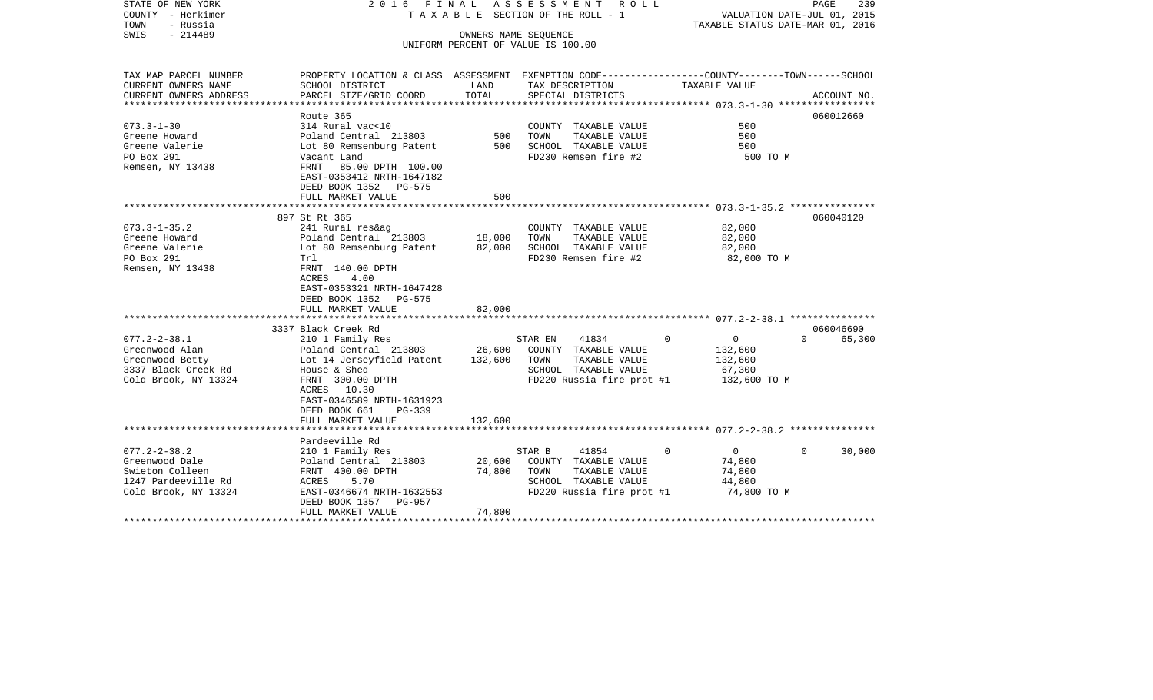| STATE OF NEW YORK<br>COUNTY - Herkimer<br>- Russia<br>TOWN<br>$-214489$<br>SWIS                               | 2016 FINAL                                                                                                                                                                                                                                                      |                              | A S S E S S M E N T<br>R O L L<br>T A X A B L E SECTION OF THE ROLL - 1<br>OWNERS NAME SEQUENCE                       | TAXABLE STATUS DATE-MAR 01, 2016                                        | PAGE<br>239<br>VALUATION DATE-JUL 01, 2015   |
|---------------------------------------------------------------------------------------------------------------|-----------------------------------------------------------------------------------------------------------------------------------------------------------------------------------------------------------------------------------------------------------------|------------------------------|-----------------------------------------------------------------------------------------------------------------------|-------------------------------------------------------------------------|----------------------------------------------|
|                                                                                                               |                                                                                                                                                                                                                                                                 |                              | UNIFORM PERCENT OF VALUE IS 100.00                                                                                    |                                                                         |                                              |
| TAX MAP PARCEL NUMBER<br>CURRENT OWNERS NAME<br>CURRENT OWNERS ADDRESS<br>*************************           | PROPERTY LOCATION & CLASS ASSESSMENT EXEMPTION CODE---------------COUNTY-------TOWN-----SCHOOL<br>SCHOOL DISTRICT<br>PARCEL SIZE/GRID COORD                                                                                                                     | LAND<br>TOTAL                | TAX DESCRIPTION<br>SPECIAL DISTRICTS                                                                                  | TAXABLE VALUE                                                           | ACCOUNT NO.                                  |
| $073.3 - 1 - 30$<br>Greene Howard<br>Greene Valerie<br>PO Box 291<br>Remsen, NY 13438                         | Route 365<br>314 Rural vac<10<br>Poland Central 213803<br>Lot 80 Remsenburg Patent<br>Vacant Land<br>FRNT 85.00 DPTH 100.00<br>EAST-0353412 NRTH-1647182<br>DEED BOOK 1352 PG-575<br>FULL MARKET VALUE                                                          | 500<br>500<br>500            | COUNTY TAXABLE VALUE<br>TAXABLE VALUE<br>TOWN<br>SCHOOL TAXABLE VALUE<br>FD230 Remsen fire #2                         | 500<br>500<br>500<br>500 TO M                                           | 060012660                                    |
|                                                                                                               |                                                                                                                                                                                                                                                                 |                              |                                                                                                                       |                                                                         |                                              |
| $073.3 - 1 - 35.2$<br>Greene Howard<br>Greene Valerie<br>PO Box 291<br>Remsen, NY 13438<br>$077.2 - 2 - 38.1$ | 897 St Rt 365<br>241 Rural res&ag<br>Poland Central 213803<br>Lot 80 Remsenburg Patent<br>Trl<br>FRNT 140.00 DPTH<br><b>ACRES</b><br>4.00<br>EAST-0353321 NRTH-1647428<br>DEED BOOK 1352 PG-575<br>FULL MARKET VALUE<br>3337 Black Creek Rd<br>210 1 Family Res | 18,000<br>82,000<br>82,000   | COUNTY TAXABLE VALUE<br>TOWN<br>TAXABLE VALUE<br>SCHOOL TAXABLE VALUE<br>FD230 Remsen fire #2<br>41834<br>STAR EN     | 82,000<br>82,000<br>82,000<br>82,000 TO M<br>$\Omega$<br>$\mathbf{0}$   | 060040120<br>060046690<br>65,300<br>$\Omega$ |
| Greenwood Alan<br>Greenwood Betty<br>3337 Black Creek Rd<br>Cold Brook, NY 13324                              | Poland Central 213803<br>Lot 14 Jerseyfield Patent<br>House & Shed<br>FRNT 300.00 DPTH<br>ACRES 10.30<br>EAST-0346589 NRTH-1631923<br>DEED BOOK 661<br>$PG-339$<br>FULL MARKET VALUE                                                                            | 26,600<br>132,600<br>132,600 | COUNTY TAXABLE VALUE<br>TAXABLE VALUE<br>TOWN<br>SCHOOL TAXABLE VALUE<br>FD220 Russia fire prot #1                    | 132,600<br>132,600<br>67,300<br>132,600 TO M                            |                                              |
|                                                                                                               | Pardeeville Rd                                                                                                                                                                                                                                                  |                              |                                                                                                                       |                                                                         |                                              |
| $077.2 - 2 - 38.2$<br>Greenwood Dale<br>Swieton Colleen<br>1247 Pardeeville Rd<br>Cold Brook, NY 13324        | 210 1 Family Res<br>Poland Central 213803<br>FRNT 400.00 DPTH<br>5.70<br>ACRES<br>EAST-0346674 NRTH-1632553<br>DEED BOOK 1357<br>PG-957                                                                                                                         | 20,600<br>74,800             | 41854<br>STAR B<br>COUNTY TAXABLE VALUE<br>TOWN<br>TAXABLE VALUE<br>SCHOOL TAXABLE VALUE<br>FD220 Russia fire prot #1 | $\overline{0}$<br>$\Omega$<br>74,800<br>74,800<br>44,800<br>74,800 TO M | 30,000<br>$\Omega$                           |
|                                                                                                               | FULL MARKET VALUE                                                                                                                                                                                                                                               | 74,800                       |                                                                                                                       |                                                                         |                                              |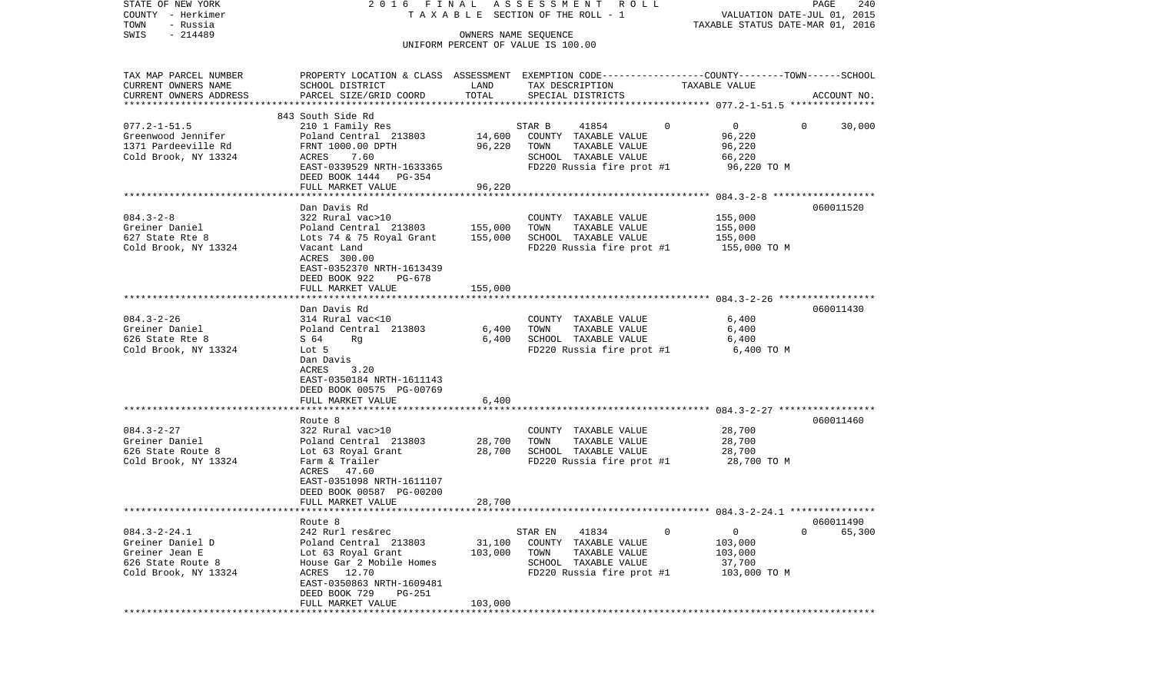| STATE OF NEW YORK<br>COUNTY - Herkimer<br>- Russia<br>TOWN | 2016 FINAL                                                                                                         |                  | A S S E S S M E N T<br>R O L L<br>T A X A B L E SECTION OF THE ROLL - 1 |                            | PAGE<br>240<br>VALUATION DATE-JUL 01, 2015<br>TAXABLE STATUS DATE-MAR 01, 2016 |
|------------------------------------------------------------|--------------------------------------------------------------------------------------------------------------------|------------------|-------------------------------------------------------------------------|----------------------------|--------------------------------------------------------------------------------|
| $-214489$<br>SWIS                                          |                                                                                                                    |                  | OWNERS NAME SEQUENCE<br>UNIFORM PERCENT OF VALUE IS 100.00              |                            |                                                                                |
| TAX MAP PARCEL NUMBER<br>CURRENT OWNERS NAME               | PROPERTY LOCATION & CLASS ASSESSMENT EXEMPTION CODE---------------COUNTY-------TOWN------SCHOOL<br>SCHOOL DISTRICT | LAND             | TAX DESCRIPTION                                                         | TAXABLE VALUE              |                                                                                |
| CURRENT OWNERS ADDRESS<br>*************************        | PARCEL SIZE/GRID COORD                                                                                             | TOTAL            | SPECIAL DISTRICTS                                                       |                            | ACCOUNT NO.                                                                    |
|                                                            | 843 South Side Rd                                                                                                  |                  |                                                                         |                            |                                                                                |
| $077.2 - 1 - 51.5$                                         | 210 1 Family Res                                                                                                   |                  | 41854<br>STAR B                                                         | $\overline{0}$<br>$\Omega$ | 30,000<br>$\mathbf{0}$                                                         |
| Greenwood Jennifer<br>1371 Pardeeville Rd                  | Poland Central 213803<br>FRNT 1000.00 DPTH                                                                         | 14,600<br>96,220 | COUNTY TAXABLE VALUE<br>TOWN<br>TAXABLE VALUE                           | 96,220<br>96,220           |                                                                                |
| Cold Brook, NY 13324                                       | ACRES<br>7.60                                                                                                      |                  | SCHOOL TAXABLE VALUE                                                    | 66,220                     |                                                                                |
|                                                            | EAST-0339529 NRTH-1633365                                                                                          |                  | FD220 Russia fire prot #1                                               |                            | 96,220 TO M                                                                    |
|                                                            | DEED BOOK 1444 PG-354                                                                                              |                  |                                                                         |                            |                                                                                |
|                                                            | FULL MARKET VALUE                                                                                                  | 96,220           |                                                                         |                            |                                                                                |
|                                                            | Dan Davis Rd                                                                                                       |                  |                                                                         |                            | 060011520                                                                      |
| $084.3 - 2 - 8$                                            | 322 Rural vac>10                                                                                                   |                  | COUNTY TAXABLE VALUE                                                    | 155,000                    |                                                                                |
| Greiner Daniel                                             | Poland Central 213803                                                                                              | 155,000          | TAXABLE VALUE<br>TOWN                                                   | 155,000                    |                                                                                |
| 627 State Rte 8                                            | Lots 74 & 75 Royal Grant                                                                                           | 155,000          | SCHOOL TAXABLE VALUE                                                    | 155,000                    |                                                                                |
| Cold Brook, NY 13324                                       | Vacant Land<br>ACRES 300.00                                                                                        |                  | FD220 Russia fire prot #1                                               |                            | 155,000 TO M                                                                   |
|                                                            | EAST-0352370 NRTH-1613439                                                                                          |                  |                                                                         |                            |                                                                                |
|                                                            | DEED BOOK 922<br>PG-678                                                                                            |                  |                                                                         |                            |                                                                                |
|                                                            | FULL MARKET VALUE                                                                                                  | 155,000          |                                                                         |                            |                                                                                |
|                                                            | Dan Davis Rd                                                                                                       |                  |                                                                         |                            | 060011430                                                                      |
| $084.3 - 2 - 26$                                           | 314 Rural vac<10                                                                                                   |                  | COUNTY TAXABLE VALUE                                                    |                            | 6,400                                                                          |
| Greiner Daniel                                             | Poland Central 213803                                                                                              | 6,400            | TAXABLE VALUE<br>TOWN                                                   |                            | 6,400                                                                          |
| 626 State Rte 8                                            | S 64<br>Rq                                                                                                         | 6,400            | SCHOOL TAXABLE VALUE                                                    |                            | 6,400                                                                          |
| Cold Brook, NY 13324                                       | Lot 5                                                                                                              |                  | FD220 Russia fire prot #1                                               |                            | 6,400 TO M                                                                     |
|                                                            | Dan Davis<br>ACRES<br>3.20                                                                                         |                  |                                                                         |                            |                                                                                |
|                                                            | EAST-0350184 NRTH-1611143                                                                                          |                  |                                                                         |                            |                                                                                |
|                                                            | DEED BOOK 00575 PG-00769                                                                                           |                  |                                                                         |                            |                                                                                |
|                                                            | FULL MARKET VALUE                                                                                                  | 6,400            |                                                                         |                            |                                                                                |
|                                                            | **************************<br>Route 8                                                                              |                  |                                                                         |                            | 060011460                                                                      |
| $084.3 - 2 - 27$                                           | 322 Rural vac>10                                                                                                   |                  | COUNTY TAXABLE VALUE                                                    | 28,700                     |                                                                                |
| Greiner Daniel                                             | Poland Central 213803                                                                                              | 28,700           | TOWN<br>TAXABLE VALUE                                                   | 28,700                     |                                                                                |
| 626 State Route 8                                          | Lot 63 Royal Grant                                                                                                 | 28,700           | SCHOOL TAXABLE VALUE                                                    | 28,700                     |                                                                                |
| Cold Brook, NY 13324                                       | Farm & Trailer                                                                                                     |                  | FD220 Russia fire prot #1                                               |                            | 28,700 TO M                                                                    |
|                                                            | ACRES 47.60<br>EAST-0351098 NRTH-1611107                                                                           |                  |                                                                         |                            |                                                                                |
|                                                            | DEED BOOK 00587 PG-00200                                                                                           |                  |                                                                         |                            |                                                                                |
|                                                            | FULL MARKET VALUE                                                                                                  | 28,700           |                                                                         |                            |                                                                                |
|                                                            |                                                                                                                    |                  |                                                                         |                            |                                                                                |
| $084.3 - 2 - 24.1$                                         | Route 8<br>242 Rurl res&rec                                                                                        |                  | STAR EN<br>41834                                                        | 0<br>0                     | 060011490<br>0<br>65,300                                                       |
| Greiner Daniel D                                           | Poland Central 213803                                                                                              | 31,100           | COUNTY<br>TAXABLE VALUE                                                 | 103,000                    |                                                                                |
| Greiner Jean E                                             | Lot 63 Royal Grant                                                                                                 | 103,000          | TOWN<br>TAXABLE VALUE                                                   | 103,000                    |                                                                                |
| 626 State Route 8                                          | House Gar 2 Mobile Homes                                                                                           |                  | SCHOOL TAXABLE VALUE                                                    | 37,700                     |                                                                                |
| Cold Brook, NY 13324                                       | 12.70<br>ACRES                                                                                                     |                  | FD220 Russia fire prot #1                                               |                            | 103,000 TO M                                                                   |
|                                                            | EAST-0350863 NRTH-1609481<br>DEED BOOK 729<br>PG-251                                                               |                  |                                                                         |                            |                                                                                |
|                                                            | FULL MARKET VALUE                                                                                                  | 103,000          |                                                                         |                            |                                                                                |
| *******                                                    |                                                                                                                    |                  |                                                                         |                            |                                                                                |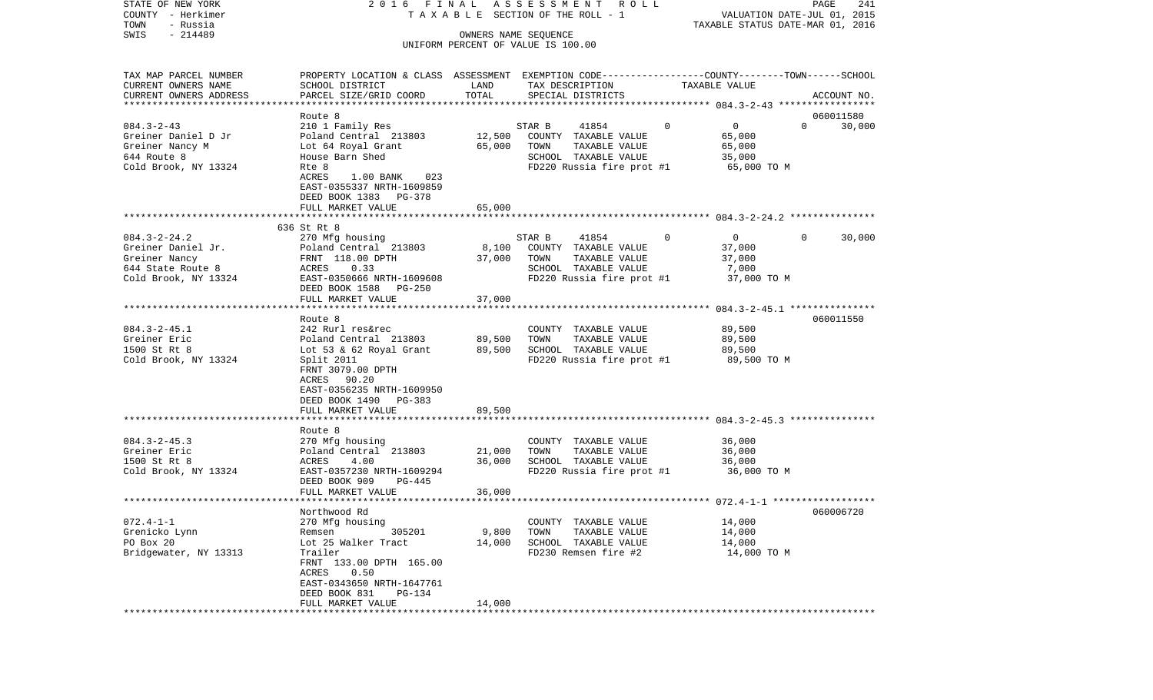| STATE OF NEW YORK                     | 2016 FINAL                                                                                      |                      | ASSESSMENT<br>R O L L                        |                       | PAGE<br>241                                                     |
|---------------------------------------|-------------------------------------------------------------------------------------------------|----------------------|----------------------------------------------|-----------------------|-----------------------------------------------------------------|
| COUNTY - Herkimer<br>TOWN<br>- Russia |                                                                                                 |                      | TAXABLE SECTION OF THE ROLL - 1              |                       | VALUATION DATE-JUL 01, 2015<br>TAXABLE STATUS DATE-MAR 01, 2016 |
| $-214489$<br>SWIS                     |                                                                                                 | OWNERS NAME SEQUENCE |                                              |                       |                                                                 |
|                                       |                                                                                                 |                      | UNIFORM PERCENT OF VALUE IS 100.00           |                       |                                                                 |
| TAX MAP PARCEL NUMBER                 | PROPERTY LOCATION & CLASS ASSESSMENT EXEMPTION CODE---------------COUNTY-------TOWN------SCHOOL |                      |                                              |                       |                                                                 |
| CURRENT OWNERS NAME                   | SCHOOL DISTRICT                                                                                 | LAND                 | TAX DESCRIPTION                              | TAXABLE VALUE         |                                                                 |
| CURRENT OWNERS ADDRESS                | PARCEL SIZE/GRID COORD                                                                          | TOTAL                | SPECIAL DISTRICTS                            |                       | ACCOUNT NO.                                                     |
| **********************                |                                                                                                 |                      |                                              |                       |                                                                 |
|                                       | Route 8                                                                                         |                      |                                              |                       | 060011580                                                       |
| $084.3 - 2 - 43$                      | 210 1 Family Res                                                                                |                      | STAR B<br>41854                              | $\mathbf 0$<br>0      | $\Omega$<br>30,000                                              |
| Greiner Daniel D Jr                   | Poland Central 213803                                                                           | 12,500               | COUNTY TAXABLE VALUE                         | 65,000                |                                                                 |
| Greiner Nancy M                       | Lot 64 Royal Grant                                                                              | 65,000               | TAXABLE VALUE<br>TOWN                        | 65,000                |                                                                 |
| 644 Route 8                           | House Barn Shed                                                                                 |                      | SCHOOL TAXABLE VALUE                         | 35,000                |                                                                 |
| Cold Brook, NY 13324                  | Rte 8                                                                                           |                      | FD220 Russia fire prot #1                    | 65,000 TO M           |                                                                 |
|                                       | ACRES<br>023<br>$1.00$ BANK                                                                     |                      |                                              |                       |                                                                 |
|                                       | EAST-0355337 NRTH-1609859                                                                       |                      |                                              |                       |                                                                 |
|                                       | DEED BOOK 1383 PG-378<br>FULL MARKET VALUE                                                      | 65,000               |                                              |                       |                                                                 |
|                                       |                                                                                                 |                      |                                              |                       |                                                                 |
|                                       | 636 St Rt 8                                                                                     |                      |                                              |                       |                                                                 |
| $084.3 - 2 - 24.2$                    | 270 Mfg housing                                                                                 |                      | STAR B<br>41854                              | 0<br>$\overline{0}$   | 30,000<br>$\Omega$                                              |
| Greiner Daniel Jr.                    | Poland Central 213803                                                                           | 8,100                | COUNTY TAXABLE VALUE                         | 37,000                |                                                                 |
| Greiner Nancy                         | FRNT 118.00 DPTH                                                                                | 37,000               | TAXABLE VALUE<br>TOWN                        | 37,000                |                                                                 |
| 644 State Route 8                     | ACRES<br>0.33                                                                                   |                      | SCHOOL TAXABLE VALUE                         | 7,000                 |                                                                 |
| Cold Brook, NY 13324                  | EAST-0350666 NRTH-1609608                                                                       |                      | FD220 Russia fire prot #1                    | 37,000 TO M           |                                                                 |
|                                       | DEED BOOK 1588<br>PG-250                                                                        |                      |                                              |                       |                                                                 |
|                                       | FULL MARKET VALUE                                                                               | 37,000               |                                              |                       |                                                                 |
|                                       |                                                                                                 |                      |                                              |                       |                                                                 |
|                                       | Route 8                                                                                         |                      |                                              |                       | 060011550                                                       |
| $084.3 - 2 - 45.1$                    | 242 Rurl res&rec                                                                                |                      | COUNTY TAXABLE VALUE                         | 89,500                |                                                                 |
| Greiner Eric                          | Poland Central 213803                                                                           | 89,500               | TOWN<br>TAXABLE VALUE                        | 89,500                |                                                                 |
| 1500 St Rt 8                          | Lot 53 & 62 Royal Grant                                                                         | 89,500               | SCHOOL TAXABLE VALUE                         | 89,500                |                                                                 |
| Cold Brook, NY 13324                  | Split 2011<br>FRNT 3079.00 DPTH                                                                 |                      | FD220 Russia fire prot #1                    | 89,500 TO M           |                                                                 |
|                                       | ACRES<br>90.20                                                                                  |                      |                                              |                       |                                                                 |
|                                       | EAST-0356235 NRTH-1609950                                                                       |                      |                                              |                       |                                                                 |
|                                       | DEED BOOK 1490<br>PG-383                                                                        |                      |                                              |                       |                                                                 |
|                                       | FULL MARKET VALUE                                                                               | 89,500               |                                              |                       |                                                                 |
|                                       | *******************                                                                             |                      |                                              |                       |                                                                 |
|                                       | Route 8                                                                                         |                      |                                              |                       |                                                                 |
| $084.3 - 2 - 45.3$                    | 270 Mfg housing                                                                                 |                      | COUNTY TAXABLE VALUE                         | 36,000                |                                                                 |
| Greiner Eric                          | Poland Central 213803                                                                           | 21,000               | TOWN<br>TAXABLE VALUE                        | 36,000                |                                                                 |
| 1500 St Rt 8                          | ACRES<br>4.00                                                                                   | 36,000               | SCHOOL TAXABLE VALUE                         | 36,000                |                                                                 |
| Cold Brook, NY 13324                  | EAST-0357230 NRTH-1609294                                                                       |                      | FD220 Russia fire prot #1                    | 36,000 TO M           |                                                                 |
|                                       | DEED BOOK 909<br>PG-445                                                                         |                      |                                              |                       |                                                                 |
|                                       | FULL MARKET VALUE                                                                               | 36,000               |                                              |                       |                                                                 |
|                                       |                                                                                                 |                      |                                              |                       |                                                                 |
|                                       | Northwood Rd                                                                                    |                      |                                              |                       | 060006720                                                       |
| $072.4 - 1 - 1$                       | 270 Mfg housing                                                                                 |                      | COUNTY TAXABLE VALUE                         | 14,000                |                                                                 |
| Grenicko Lynn                         | Remsen<br>305201                                                                                | 9,800                | TOWN<br>TAXABLE VALUE                        | 14,000                |                                                                 |
| PO Box 20<br>Bridgewater, NY 13313    | Lot 25 Walker Tract<br>Trailer                                                                  | 14,000               | SCHOOL TAXABLE VALUE<br>FD230 Remsen fire #2 | 14,000<br>14,000 TO M |                                                                 |
|                                       | FRNT 133.00 DPTH 165.00                                                                         |                      |                                              |                       |                                                                 |
|                                       | ACRES<br>0.50                                                                                   |                      |                                              |                       |                                                                 |
|                                       | EAST-0343650 NRTH-1647761                                                                       |                      |                                              |                       |                                                                 |
|                                       | DEED BOOK 831<br>PG-134                                                                         |                      |                                              |                       |                                                                 |
|                                       | FULL MARKET VALUE                                                                               | 14,000               |                                              |                       |                                                                 |
|                                       |                                                                                                 |                      |                                              |                       |                                                                 |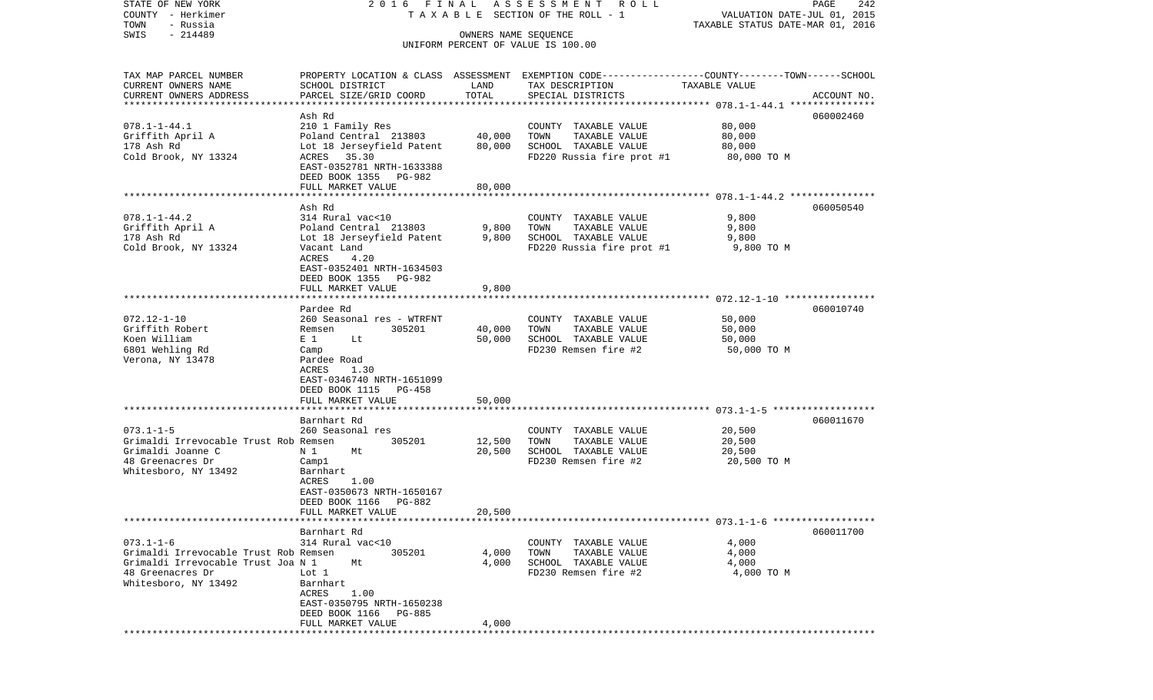| STATE OF NEW YORK<br>COUNTY - Herkimer<br>TOWN<br>- Russia<br>$-214489$<br>SWIS                                           | 2016 FINAL                                                                                                                                                                      | OWNERS NAME SEQUENCE       | A S S E S S M E N T R O L L<br>TAXABLE SECTION OF THE ROLL - 1                                     | VALUATION DATE-JUL 01, 2015<br>TAXABLE STATUS DATE-MAR 01, 2016 | PAGE<br>242 |
|---------------------------------------------------------------------------------------------------------------------------|---------------------------------------------------------------------------------------------------------------------------------------------------------------------------------|----------------------------|----------------------------------------------------------------------------------------------------|-----------------------------------------------------------------|-------------|
|                                                                                                                           |                                                                                                                                                                                 |                            | UNIFORM PERCENT OF VALUE IS 100.00                                                                 |                                                                 |             |
| TAX MAP PARCEL NUMBER<br>CURRENT OWNERS NAME<br>CURRENT OWNERS ADDRESS<br>**********************                          | PROPERTY LOCATION & CLASS ASSESSMENT EXEMPTION CODE----------------COUNTY-------TOWN------SCHOOL<br>SCHOOL DISTRICT<br>PARCEL SIZE/GRID COORD                                   | LAND<br>TOTAL              | TAX DESCRIPTION<br>SPECIAL DISTRICTS                                                               | TAXABLE VALUE                                                   | ACCOUNT NO. |
| $078.1 - 1 - 44.1$<br>Griffith April A<br>178 Ash Rd<br>Cold Brook, NY 13324                                              | Ash Rd<br>210 1 Family Res<br>Poland Central 213803<br>Lot 18 Jerseyfield Patent<br>ACRES 35.30<br>EAST-0352781 NRTH-1633388<br>DEED BOOK 1355 PG-982<br>FULL MARKET VALUE      | 40,000<br>80,000<br>80,000 | COUNTY TAXABLE VALUE<br>TOWN<br>TAXABLE VALUE<br>SCHOOL TAXABLE VALUE<br>FD220 Russia fire prot #1 | 80,000<br>80,000<br>80,000<br>80,000 TO M                       | 060002460   |
|                                                                                                                           |                                                                                                                                                                                 |                            |                                                                                                    |                                                                 | 060050540   |
| $078.1 - 1 - 44.2$<br>Griffith April A<br>178 Ash Rd<br>Cold Brook, NY 13324                                              | Ash Rd<br>314 Rural vac<10<br>Poland Central 213803<br>Lot 18 Jerseyfield Patent<br>Vacant Land<br>ACRES<br>4.20<br>EAST-0352401 NRTH-1634503<br>DEED BOOK 1355<br>PG-982       | 9,800<br>9,800             | COUNTY TAXABLE VALUE<br>TAXABLE VALUE<br>TOWN<br>SCHOOL TAXABLE VALUE<br>FD220 Russia fire prot #1 | 9,800<br>9,800<br>9,800<br>9,800 TO M                           |             |
|                                                                                                                           | FULL MARKET VALUE                                                                                                                                                               | 9,800                      |                                                                                                    |                                                                 |             |
|                                                                                                                           | Pardee Rd                                                                                                                                                                       |                            |                                                                                                    |                                                                 | 060010740   |
| $072.12 - 1 - 10$<br>Griffith Robert<br>Koen William<br>6801 Wehling Rd<br>Verona, NY 13478                               | 260 Seasonal res - WTRFNT<br>305201<br>Remsen<br>$E_1$<br>Lt<br>Camp<br>Pardee Road<br>ACRES<br>1.30<br>EAST-0346740 NRTH-1651099<br>DEED BOOK 1115<br>PG-458                   | 40,000<br>50,000           | COUNTY TAXABLE VALUE<br>TOWN<br>TAXABLE VALUE<br>SCHOOL TAXABLE VALUE<br>FD230 Remsen fire #2      | 50,000<br>50,000<br>50,000<br>50,000 TO M                       |             |
|                                                                                                                           | FULL MARKET VALUE                                                                                                                                                               | 50,000                     |                                                                                                    |                                                                 |             |
| $073.1 - 1 - 5$<br>Grimaldi Irrevocable Trust Rob Remsen<br>Grimaldi Joanne C<br>48 Greenacres Dr<br>Whitesboro, NY 13492 | **********************<br>Barnhart Rd<br>260 Seasonal res<br>305201<br>N 1<br>Mt<br>Camp1<br>Barnhart<br>1.00<br>ACRES<br>EAST-0350673 NRTH-1650167<br>DEED BOOK 1166<br>PG-882 | 12,500<br>20,500           | COUNTY TAXABLE VALUE<br>TOWN<br>TAXABLE VALUE<br>SCHOOL TAXABLE VALUE<br>FD230 Remsen fire #2      | 20,500<br>20,500<br>20,500<br>20,500 TO M                       | 060011670   |
|                                                                                                                           | FULL MARKET VALUE                                                                                                                                                               | 20,500                     |                                                                                                    |                                                                 |             |
| $073.1 - 1 - 6$<br>Grimaldi Irrevocable Trust Rob Remsen<br>Grimaldi Irrevocable Trust Joa N 1                            | Barnhart Rd<br>314 Rural vac<10<br>305201<br>Mt                                                                                                                                 | 4,000<br>4,000             | COUNTY TAXABLE VALUE<br>TOWN<br>TAXABLE VALUE<br>SCHOOL TAXABLE VALUE                              | 4,000<br>4,000<br>4,000                                         | 060011700   |
| 48 Greenacres Dr<br>Whitesboro, NY 13492                                                                                  | Lot 1<br>Barnhart<br>1.00<br>ACRES<br>EAST-0350795 NRTH-1650238<br>DEED BOOK 1166<br>PG-885<br>FULL MARKET VALUE                                                                | 4,000                      | FD230 Remsen fire #2                                                                               | 4,000 TO M                                                      |             |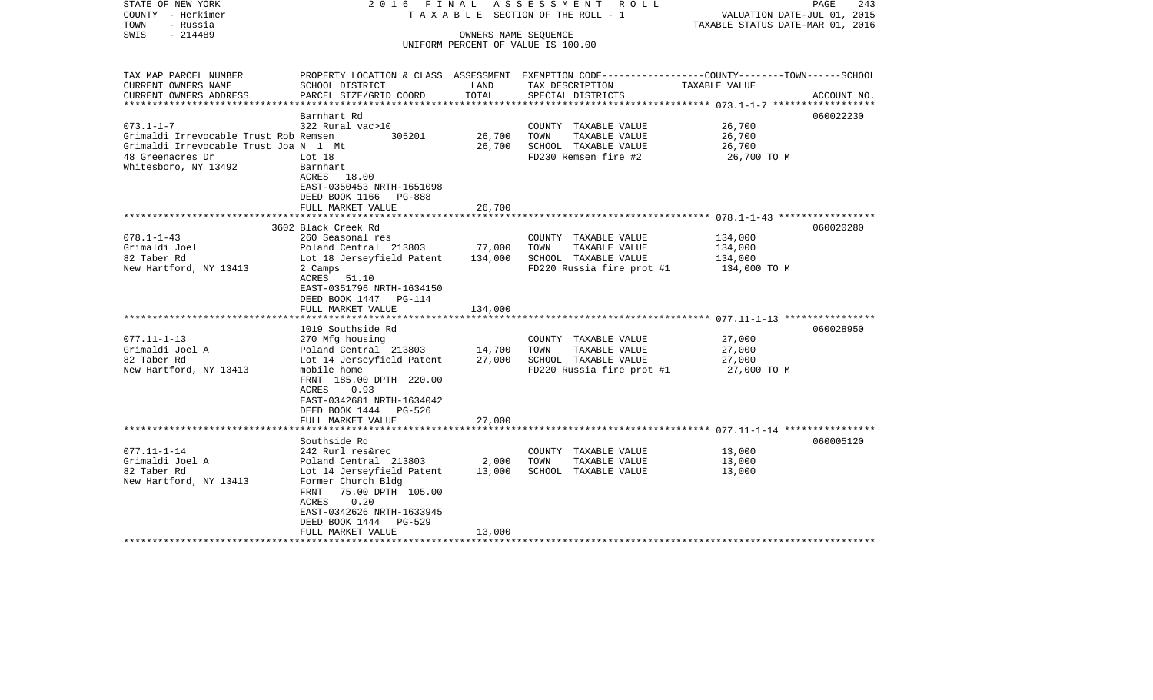| STATE OF NEW YORK<br>COUNTY - Herkimer<br>TOWN<br>- Russia<br>- 214489<br>SWIS | 2016 FINAL                                      | OWNERS NAME SEQUENCE | A S S E S S M E N T R O L L<br>TAXABLE SECTION OF THE ROLL - 1                                  | VALUATION DATE-JUL 01, 2015<br>TAXABLE STATUS DATE-MAR 01, 2016 | PAGE<br>243 |
|--------------------------------------------------------------------------------|-------------------------------------------------|----------------------|-------------------------------------------------------------------------------------------------|-----------------------------------------------------------------|-------------|
|                                                                                |                                                 |                      | UNIFORM PERCENT OF VALUE IS 100.00                                                              |                                                                 |             |
|                                                                                |                                                 |                      |                                                                                                 |                                                                 |             |
| TAX MAP PARCEL NUMBER                                                          |                                                 |                      | PROPERTY LOCATION & CLASS ASSESSMENT EXEMPTION CODE---------------COUNTY-------TOWN------SCHOOL |                                                                 |             |
| CURRENT OWNERS NAME                                                            | SCHOOL DISTRICT                                 | LAND                 | TAX DESCRIPTION                                                                                 | TAXABLE VALUE                                                   |             |
| CURRENT OWNERS ADDRESS<br>***********************                              | PARCEL SIZE/GRID COORD                          | TOTAL                | SPECIAL DISTRICTS                                                                               |                                                                 | ACCOUNT NO. |
|                                                                                | Barnhart Rd                                     |                      |                                                                                                 |                                                                 | 060022230   |
| $073.1 - 1 - 7$                                                                | 322 Rural vac>10                                |                      | COUNTY TAXABLE VALUE                                                                            | 26,700                                                          |             |
| Grimaldi Irrevocable Trust Rob Remsen                                          | 305201                                          | 26,700               | TAXABLE VALUE<br>TOWN                                                                           | 26,700                                                          |             |
| Grimaldi Irrevocable Trust Joa N 1 Mt                                          |                                                 | 26,700               | SCHOOL TAXABLE VALUE                                                                            | 26,700                                                          |             |
| 48 Greenacres Dr                                                               | Lot 18                                          |                      | FD230 Remsen fire #2                                                                            | 26,700 TO M                                                     |             |
| Whitesboro, NY 13492                                                           | Barnhart                                        |                      |                                                                                                 |                                                                 |             |
|                                                                                | ACRES 18.00                                     |                      |                                                                                                 |                                                                 |             |
|                                                                                | EAST-0350453 NRTH-1651098                       |                      |                                                                                                 |                                                                 |             |
|                                                                                | DEED BOOK 1166 PG-888                           |                      |                                                                                                 |                                                                 |             |
|                                                                                | FULL MARKET VALUE                               | 26,700               |                                                                                                 |                                                                 |             |
|                                                                                |                                                 |                      |                                                                                                 |                                                                 |             |
|                                                                                | 3602 Black Creek Rd                             |                      |                                                                                                 |                                                                 | 060020280   |
| $078.1 - 1 - 43$                                                               | 260 Seasonal res                                |                      | COUNTY TAXABLE VALUE                                                                            | 134,000                                                         |             |
| Grimaldi Joel                                                                  | Poland Central 213803                           | 77,000               | TOWN<br>TAXABLE VALUE                                                                           | 134,000                                                         |             |
| 82 Taber Rd                                                                    | Lot 18 Jerseyfield Patent                       | 134,000              | SCHOOL TAXABLE VALUE                                                                            | 134,000                                                         |             |
| New Hartford, NY 13413                                                         | 2 Camps                                         |                      | FD220 Russia fire prot #1                                                                       | 134,000 TO M                                                    |             |
|                                                                                | ACRES 51.10                                     |                      |                                                                                                 |                                                                 |             |
|                                                                                | EAST-0351796 NRTH-1634150                       |                      |                                                                                                 |                                                                 |             |
|                                                                                | DEED BOOK 1447 PG-114                           |                      |                                                                                                 |                                                                 |             |
|                                                                                | FULL MARKET VALUE                               | 134,000              |                                                                                                 |                                                                 |             |
|                                                                                | ****************************                    |                      |                                                                                                 |                                                                 |             |
|                                                                                | 1019 Southside Rd                               |                      |                                                                                                 |                                                                 | 060028950   |
| $077.11 - 1 - 13$                                                              | 270 Mfg housing                                 |                      | COUNTY TAXABLE VALUE                                                                            | 27,000                                                          |             |
| Grimaldi Joel A                                                                | Poland Central 213803                           | 14,700               | TAXABLE VALUE<br>TOWN                                                                           | 27,000                                                          |             |
| 82 Taber Rd                                                                    | Lot 14 Jerseyfield Patent                       | 27,000               | SCHOOL TAXABLE VALUE                                                                            | 27,000                                                          |             |
| New Hartford, NY 13413                                                         | mobile home                                     |                      | FD220 Russia fire prot #1                                                                       | 27,000 TO M                                                     |             |
|                                                                                | FRNT 185.00 DPTH 220.00                         |                      |                                                                                                 |                                                                 |             |
|                                                                                | 0.93<br>ACRES                                   |                      |                                                                                                 |                                                                 |             |
|                                                                                | EAST-0342681 NRTH-1634042                       |                      |                                                                                                 |                                                                 |             |
|                                                                                | DEED BOOK 1444 PG-526                           |                      |                                                                                                 |                                                                 |             |
|                                                                                | FULL MARKET VALUE                               | 27,000               |                                                                                                 |                                                                 |             |
|                                                                                |                                                 |                      |                                                                                                 |                                                                 |             |
|                                                                                | Southside Rd                                    |                      |                                                                                                 |                                                                 | 060005120   |
| $077.11 - 1 - 14$                                                              | 242 Rurl res&rec                                |                      | COUNTY TAXABLE VALUE                                                                            | 13,000                                                          |             |
| Grimaldi Joel A<br>82 Taber Rd                                                 | Poland Central 213803                           | 2,000                | TOWN<br>TAXABLE VALUE                                                                           | 13,000                                                          |             |
|                                                                                | Lot 14 Jerseyfield Patent                       | 13,000               | SCHOOL TAXABLE VALUE                                                                            | 13,000                                                          |             |
| New Hartford, NY 13413                                                         | Former Church Bldg<br>75.00 DPTH 105.00<br>FRNT |                      |                                                                                                 |                                                                 |             |
|                                                                                | 0.20<br>ACRES                                   |                      |                                                                                                 |                                                                 |             |
|                                                                                | EAST-0342626 NRTH-1633945                       |                      |                                                                                                 |                                                                 |             |
|                                                                                | DEED BOOK 1444<br>PG-529                        |                      |                                                                                                 |                                                                 |             |
|                                                                                | FULL MARKET VALUE                               | 13,000               |                                                                                                 |                                                                 |             |
| *******************                                                            |                                                 |                      |                                                                                                 |                                                                 |             |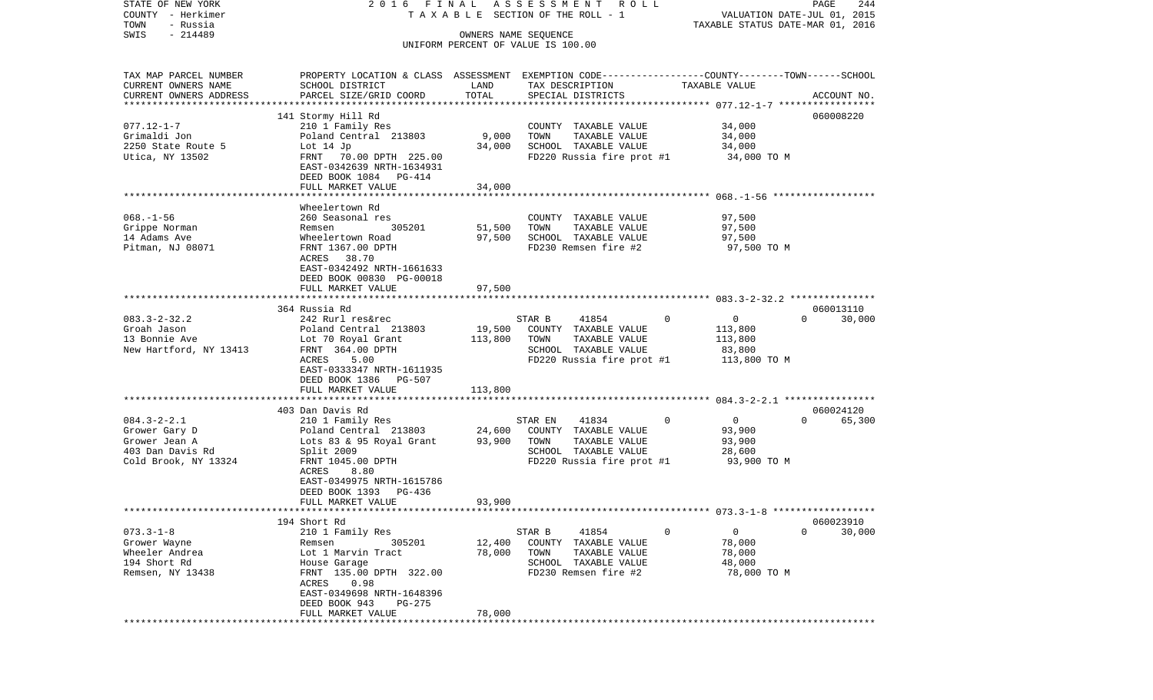| STATE OF NEW YORK                     | 2016 FINAL                                                                                     |                   | ASSESSMENT ROLL                               |                                  | PAGE<br>244                 |
|---------------------------------------|------------------------------------------------------------------------------------------------|-------------------|-----------------------------------------------|----------------------------------|-----------------------------|
| COUNTY - Herkimer<br>TOWN<br>- Russia |                                                                                                |                   | T A X A B L E SECTION OF THE ROLL - 1         | TAXABLE STATUS DATE-MAR 01, 2016 | VALUATION DATE-JUL 01, 2015 |
| $-214489$<br>SWIS                     |                                                                                                |                   | OWNERS NAME SEQUENCE                          |                                  |                             |
|                                       |                                                                                                |                   | UNIFORM PERCENT OF VALUE IS 100.00            |                                  |                             |
|                                       |                                                                                                |                   |                                               |                                  |                             |
| TAX MAP PARCEL NUMBER                 | PROPERTY LOCATION & CLASS ASSESSMENT EXEMPTION CODE---------------COUNTY-------TOWN-----SCHOOL |                   |                                               |                                  |                             |
| CURRENT OWNERS NAME                   | SCHOOL DISTRICT                                                                                | LAND              | TAX DESCRIPTION                               | TAXABLE VALUE                    |                             |
| CURRENT OWNERS ADDRESS                | PARCEL SIZE/GRID COORD                                                                         | TOTAL             | SPECIAL DISTRICTS                             |                                  | ACCOUNT NO.                 |
| **********************                |                                                                                                |                   |                                               |                                  |                             |
|                                       | 141 Stormy Hill Rd                                                                             |                   |                                               |                                  | 060008220                   |
| $077.12 - 1 - 7$                      | 210 1 Family Res                                                                               |                   | COUNTY TAXABLE VALUE                          | 34,000                           |                             |
| Grimaldi Jon                          | Poland Central 213803                                                                          | 9,000             | TOWN<br>TAXABLE VALUE                         | 34,000                           |                             |
| 2250 State Route 5                    | Lot $14$ Jp                                                                                    | 34,000            | SCHOOL TAXABLE VALUE                          | 34,000                           |                             |
| Utica, NY 13502                       | FRNT 70.00 DPTH 225.00                                                                         |                   | FD220 Russia fire prot #1                     | 34,000 TO M                      |                             |
|                                       | EAST-0342639 NRTH-1634931                                                                      |                   |                                               |                                  |                             |
|                                       | DEED BOOK 1084 PG-414                                                                          |                   |                                               |                                  |                             |
|                                       | FULL MARKET VALUE                                                                              | 34,000            |                                               |                                  |                             |
|                                       | Wheelertown Rd                                                                                 |                   |                                               |                                  |                             |
| $068. - 1 - 56$                       | 260 Seasonal res                                                                               |                   | COUNTY TAXABLE VALUE                          | 97,500                           |                             |
| Grippe Norman                         | 305201<br>Remsen                                                                               | 51,500            | TOWN<br>TAXABLE VALUE                         | 97,500                           |                             |
| 14 Adams Ave                          | Wheelertown Road                                                                               | 97,500            | SCHOOL TAXABLE VALUE                          | 97,500                           |                             |
| Pitman, NJ 08071                      | FRNT 1367.00 DPTH                                                                              |                   | FD230 Remsen fire #2                          | 97,500 TO M                      |                             |
|                                       | ACRES 38.70                                                                                    |                   |                                               |                                  |                             |
|                                       | EAST-0342492 NRTH-1661633                                                                      |                   |                                               |                                  |                             |
|                                       | DEED BOOK 00830 PG-00018                                                                       |                   |                                               |                                  |                             |
|                                       | FULL MARKET VALUE                                                                              | 97,500            |                                               |                                  |                             |
|                                       |                                                                                                |                   |                                               |                                  |                             |
|                                       | 364 Russia Rd                                                                                  |                   |                                               |                                  | 060013110                   |
| $083.3 - 2 - 32.2$                    | 242 Rurl res&rec                                                                               |                   | STAR B<br>41854                               | $\Omega$<br>$\mathbf{0}$         | $\Omega$<br>30,000          |
| Groah Jason<br>13 Bonnie Ave          | Poland Central 213803                                                                          | 19,500<br>113,800 | COUNTY TAXABLE VALUE<br>TOWN<br>TAXABLE VALUE | 113,800                          |                             |
| New Hartford, NY 13413                | Lot 70 Royal Grant<br>FRNT 364.00 DPTH                                                         |                   | SCHOOL TAXABLE VALUE                          | 113,800<br>83,800                |                             |
|                                       | ACRES<br>5.00                                                                                  |                   | FD220 Russia fire prot #1                     | 113,800 TO M                     |                             |
|                                       | EAST-0333347 NRTH-1611935                                                                      |                   |                                               |                                  |                             |
|                                       | DEED BOOK 1386 PG-507                                                                          |                   |                                               |                                  |                             |
|                                       | FULL MARKET VALUE                                                                              | 113,800           |                                               |                                  |                             |
|                                       | ************************                                                                       |                   |                                               |                                  |                             |
|                                       | 403 Dan Davis Rd                                                                               |                   |                                               |                                  | 060024120                   |
| $084.3 - 2 - 2.1$                     | 210 1 Family Res                                                                               |                   | STAR EN<br>41834                              | $\mathbf 0$<br>$\overline{0}$    | $\Omega$<br>65,300          |
| Grower Gary D                         | Poland Central 213803                                                                          | 24,600            | COUNTY TAXABLE VALUE                          | 93,900                           |                             |
| Grower Jean A                         | Lots 83 & 95 Royal Grant                                                                       | 93,900            | TOWN<br>TAXABLE VALUE                         | 93,900                           |                             |
| 403 Dan Davis Rd                      | Split 2009                                                                                     |                   | SCHOOL TAXABLE VALUE                          | 28,600                           |                             |
| Cold Brook, NY 13324                  | FRNT 1045.00 DPTH                                                                              |                   | FD220 Russia fire prot #1                     | 93,900 TO M                      |                             |
|                                       | 8.80<br>ACRES                                                                                  |                   |                                               |                                  |                             |
|                                       | EAST-0349975 NRTH-1615786<br>DEED BOOK 1393                                                    |                   |                                               |                                  |                             |
|                                       | PG-436<br>FULL MARKET VALUE                                                                    | 93,900            |                                               |                                  |                             |
|                                       |                                                                                                |                   |                                               |                                  |                             |
|                                       | 194 Short Rd                                                                                   |                   |                                               |                                  | 060023910                   |
| $073.3 - 1 - 8$                       | 210 1 Family Res                                                                               |                   | STAR B<br>41854                               | 0<br>0                           | 0<br>30,000                 |
| Grower Wayne                          | 305201<br>Remsen                                                                               | 12,400            | COUNTY<br>TAXABLE VALUE                       | 78,000                           |                             |
| Wheeler Andrea                        | Lot 1 Marvin Tract                                                                             | 78,000            | TOWN<br>TAXABLE VALUE                         | 78,000                           |                             |
| 194 Short Rd                          | House Garage                                                                                   |                   | SCHOOL<br>TAXABLE VALUE                       | 48,000                           |                             |
| Remsen, NY 13438                      | FRNT 135.00 DPTH 322.00                                                                        |                   | FD230 Remsen fire #2                          | 78,000 TO M                      |                             |
|                                       | ACRES<br>0.98                                                                                  |                   |                                               |                                  |                             |
|                                       | EAST-0349698 NRTH-1648396                                                                      |                   |                                               |                                  |                             |
|                                       | DEED BOOK 943<br>PG-275                                                                        |                   |                                               |                                  |                             |
|                                       | FULL MARKET VALUE                                                                              | 78,000            |                                               |                                  |                             |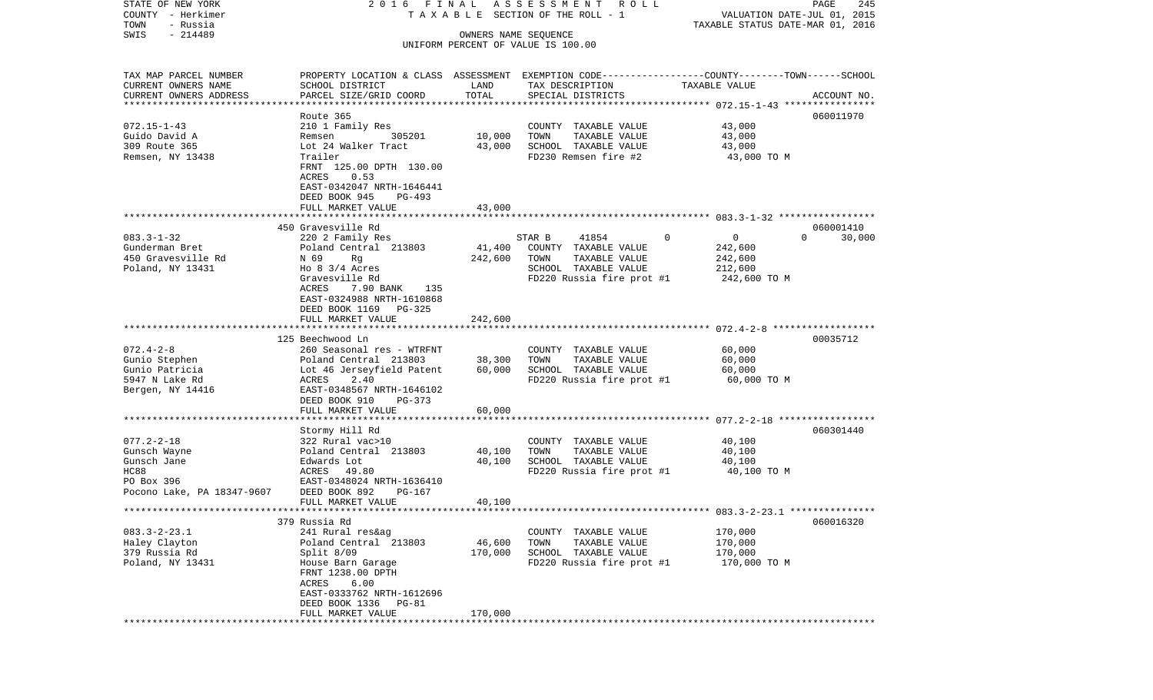COUNTY - Herkimer **T A X A B L E SECTION OF THE ROLL - 1** VALUATION DATE-JUL 01, 2015 TOWN - Russia TAXABLE STATUS DATE-MAR 01, 2016 SWIS - 214489 OWNERS NAME SEQUENCE UNIFORM PERCENT OF VALUE IS 100.00TAX MAP PARCEL NUMBER PROPERTY LOCATION & CLASS ASSESSMENT EXEMPTION CODE------------------COUNTY--------TOWN------SCHOOL CURRENT OWNERS NAME SCHOOL DISTRICT LAND TAX DESCRIPTION TAXABLE VALUECURRENT OWNERS ADDRESS PARCEL SIZE/GRID COORD TOTAL SPECIAL DISTRICTS ACCOUNT NO. \*\*\*\*\*\*\*\*\*\*\*\*\*\*\*\*\*\*\*\*\*\*\*\*\*\*\*\*\*\*\*\*\*\*\*\*\*\*\*\*\*\*\*\*\*\*\*\*\*\*\*\*\*\*\*\*\*\*\*\*\*\*\*\*\*\*\*\*\*\*\*\*\*\*\*\*\*\*\*\*\*\*\*\*\*\*\*\*\*\*\*\*\*\*\*\*\*\*\*\*\*\*\* 072.15-1-43 \*\*\*\*\*\*\*\*\*\*\*\*\*\*\*\* Route 365 060011970060011970 072.15-1-43 210 1 Family Res COUNTY TAXABLE VALUE 43,000 Guido David A **Remsen** 305201 10,000 TOWN TAXABLE VALUE 43,000 309 Route 365 Lot 24 Walker Tract 43,000 SCHOOL TAXABLE VALUE 43,000 Remsen, NY 13438 Trailer FD230 Remsen fire #2 43,000 TO M FRNT 125.00 DPTH 130.00 ACRES 0.53 EAST-0342047 NRTH-1646441 DEED BOOK 945 PG-493FULL MARKET VALUE 43,000 \*\*\*\*\*\*\*\*\*\*\*\*\*\*\*\*\*\*\*\*\*\*\*\*\*\*\*\*\*\*\*\*\*\*\*\*\*\*\*\*\*\*\*\*\*\*\*\*\*\*\*\*\*\*\*\*\*\*\*\*\*\*\*\*\*\*\*\*\*\*\*\*\*\*\*\*\*\*\*\*\*\*\*\*\*\*\*\*\*\*\*\*\*\*\*\*\*\*\*\*\*\*\* 083.3-1-32 \*\*\*\*\*\*\*\*\*\*\*\*\*\*\*\*\* 450 Gravesville Rd 060001410083.3-1-32 220 2 Family Res STAR B 41854 0 0 30,000 Gunderman Bret Poland Central 213803 41,400 COUNTY TAXABLE VALUE 242,600 450 Gravesville Rd  $N$  69 Rg  $N$  242,600 TOWN TAXABLE VALUE 242,600 Poland, NY 13431 Ho 8 3/4 Acres SCHOOL TAXABLE VALUE 212,600 Gravesville Rd **FD220** Russia fire prot #1 242,600 TO M ACRES 7.90 BANK 135 EAST-0324988 NRTH-1610868 DEED BOOK 1169 PG-325 FULL MARKET VALUE 242,600 \*\*\*\*\*\*\*\*\*\*\*\*\*\*\*\*\*\*\*\*\*\*\*\*\*\*\*\*\*\*\*\*\*\*\*\*\*\*\*\*\*\*\*\*\*\*\*\*\*\*\*\*\*\*\*\*\*\*\*\*\*\*\*\*\*\*\*\*\*\*\*\*\*\*\*\*\*\*\*\*\*\*\*\*\*\*\*\*\*\*\*\*\*\*\*\*\*\*\*\*\*\*\* 072.4-2-8 \*\*\*\*\*\*\*\*\*\*\*\*\*\*\*\*\*\*125 Beechwood Ln 00035712 072.4-2-8 260 Seasonal res - WTRFNT COUNTY TAXABLE VALUE 60,000 Gunio Stephen Poland Central 213803 38,300 TOWN TAXABLE VALUE 60,000 Gunio Patricia  $Lot$  46 Jerseyfield Patent 60,000 SCHOOL TAXABLE VALUE 60,000 5947 N Lake Rd  $ACRES$  2.40 FD220 Russia fire prot #1 60,000 TO M Bergen, NY 14416 EAST-0348567 NRTH-1646102 DEED BOOK 910 PG-373 FULL MARKET VALUE 60,000 \*\*\*\*\*\*\*\*\*\*\*\*\*\*\*\*\*\*\*\*\*\*\*\*\*\*\*\*\*\*\*\*\*\*\*\*\*\*\*\*\*\*\*\*\*\*\*\*\*\*\*\*\*\*\*\*\*\*\*\*\*\*\*\*\*\*\*\*\*\*\*\*\*\*\*\*\*\*\*\*\*\*\*\*\*\*\*\*\*\*\*\*\*\*\*\*\*\*\*\*\*\*\* 077.2-2-18 \*\*\*\*\*\*\*\*\*\*\*\*\*\*\*\*\* Stormy Hill Rd 060301440 077.2-2-18 322 Rural vac>10 COUNTY TAXABLE VALUE 40,100 Gunsch Wayne Poland Central 213803 40,100 TOWN TAXABLE VALUE 40,100 Gunsch Jane Edwards Lot 40,100 SCHOOL TAXABLE VALUE 40,100 HC88 ACRES 49.80 FD220 Russia fire prot #1 40,100 TO M<br>PO Box 396 EAST-0348024 NRTH-1636410 EAST-0348024 NRTH-1636410 Pocono Lake, PA 18347-9607 DEED BOOK 892 PG-167 FULL MARKET VALUE 40,100 \*\*\*\*\*\*\*\*\*\*\*\*\*\*\*\*\*\*\*\*\*\*\*\*\*\*\*\*\*\*\*\*\*\*\*\*\*\*\*\*\*\*\*\*\*\*\*\*\*\*\*\*\*\*\*\*\*\*\*\*\*\*\*\*\*\*\*\*\*\*\*\*\*\*\*\*\*\*\*\*\*\*\*\*\*\*\*\*\*\*\*\*\*\*\*\*\*\*\*\*\*\*\* 083.3-2-23.1 \*\*\*\*\*\*\*\*\*\*\*\*\*\*\* 379 Russia Rd 060016320083.3-2-23.1 241 Rural res&ag COUNTY TAXABLE VALUE 170,000 Poland Central 213803 46,600 TOWN 379 Russia Rd Split 8/09 170,000 SCHOOL TAXABLE VALUE 170,000 Poland, NY 13431 House Barn Garage FD220 Russia fire prot #1 170,000 TO M FRNT 1238.00 DPTH ACRES 6.00 EAST-0333762 NRTH-1612696 DEED BOOK 1336 PG-81FULL MARKET VALUE 170,000 \*\*\*\*\*\*\*\*\*\*\*\*\*\*\*\*\*\*\*\*\*\*\*\*\*\*\*\*\*\*\*\*\*\*\*\*\*\*\*\*\*\*\*\*\*\*\*\*\*\*\*\*\*\*\*\*\*\*\*\*\*\*\*\*\*\*\*\*\*\*\*\*\*\*\*\*\*\*\*\*\*\*\*\*\*\*\*\*\*\*\*\*\*\*\*\*\*\*\*\*\*\*\*\*\*\*\*\*\*\*\*\*\*\*\*\*\*\*\*\*\*\*\*\*\*\*\*\*\*\*\*\*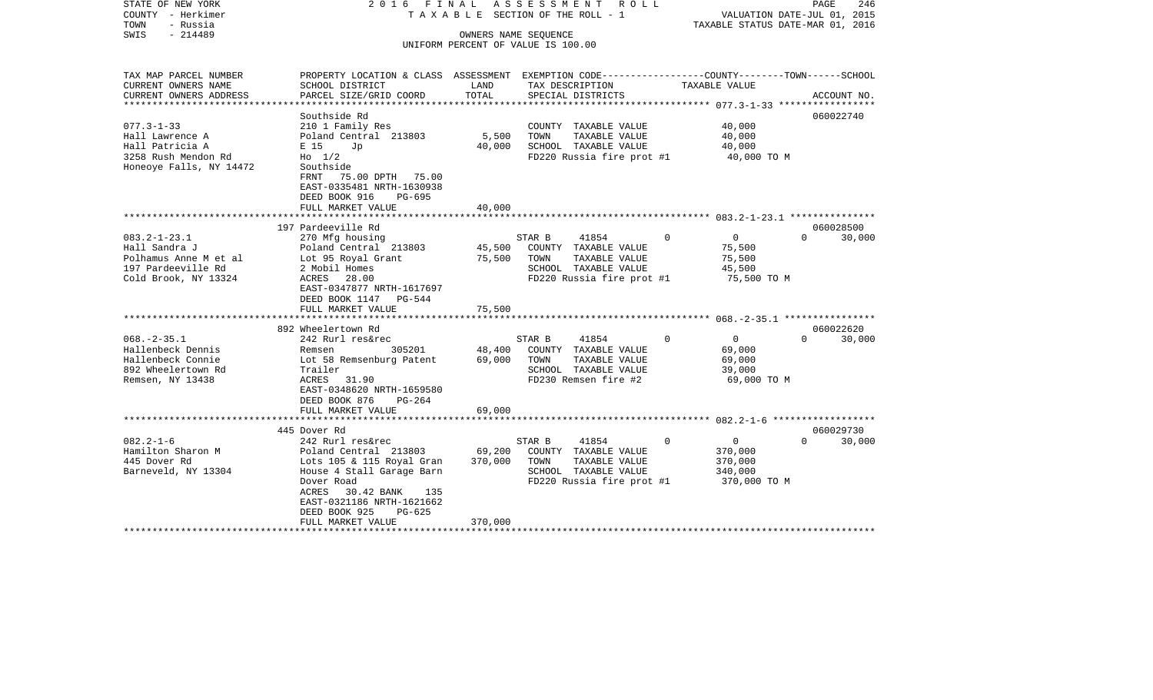| STATE OF NEW YORK<br>COUNTY - Herkimer<br>TOWN<br>- Russia<br>SWIS<br>$-214489$                            | 2016 FINAL                                                                                                                                                                            |                            | ASSESSMENT ROLL<br>T A X A B L E SECTION OF THE ROLL - 1<br>OWNERS NAME SEOUENCE<br>UNIFORM PERCENT OF VALUE IS 100.00 | TAXABLE STATUS DATE-MAR 01, 2016                                        | PAGE<br>246<br>VALUATION DATE-JUL 01, 2015 |
|------------------------------------------------------------------------------------------------------------|---------------------------------------------------------------------------------------------------------------------------------------------------------------------------------------|----------------------------|------------------------------------------------------------------------------------------------------------------------|-------------------------------------------------------------------------|--------------------------------------------|
|                                                                                                            |                                                                                                                                                                                       |                            |                                                                                                                        |                                                                         |                                            |
| TAX MAP PARCEL NUMBER<br>CURRENT OWNERS NAME                                                               | PROPERTY LOCATION & CLASS ASSESSMENT EXEMPTION CODE----------------COUNTY-------TOWN------SCHOOL<br>SCHOOL DISTRICT                                                                   | LAND                       | TAX DESCRIPTION                                                                                                        | TAXABLE VALUE                                                           |                                            |
| CURRENT OWNERS ADDRESS<br>*********************                                                            | PARCEL SIZE/GRID COORD                                                                                                                                                                | TOTAL                      | SPECIAL DISTRICTS                                                                                                      |                                                                         | ACCOUNT NO.                                |
| $077.3 - 1 - 33$<br>Hall Lawrence A<br>Hall Patricia A<br>3258 Rush Mendon Rd                              | Southside Rd<br>210 1 Family Res<br>Poland Central 213803<br>E 15<br>Jp<br>Ho 1/2                                                                                                     | 5,500<br>40,000            | COUNTY TAXABLE VALUE<br>TAXABLE VALUE<br>TOWN<br>SCHOOL TAXABLE VALUE<br>FD220 Russia fire prot #1                     | 40,000<br>40,000<br>40,000<br>40,000 TO M                               | 060022740                                  |
| Honeoye Falls, NY 14472                                                                                    | Southside<br>FRNT 75.00 DPTH 75.00<br>EAST-0335481 NRTH-1630938<br>DEED BOOK 916<br>PG-695<br>FULL MARKET VALUE                                                                       | 40,000                     |                                                                                                                        |                                                                         |                                            |
|                                                                                                            | ************************<br>197 Pardeeville Rd                                                                                                                                        |                            |                                                                                                                        |                                                                         | 060028500                                  |
| $083.2 - 1 - 23.1$<br>Hall Sandra J<br>Polhamus Anne M et al<br>197 Pardeeville Rd<br>Cold Brook, NY 13324 | 270 Mfg housing<br>Poland Central 213803<br>Lot 95 Royal Grant<br>2 Mobil Homes<br>ACRES 28.00<br>EAST-0347877 NRTH-1617697<br>DEED BOOK 1147 PG-544                                  | 45,500<br>75,500           | 41854<br>STAR B<br>COUNTY TAXABLE VALUE<br>TAXABLE VALUE<br>TOWN<br>SCHOOL TAXABLE VALUE<br>FD220 Russia fire prot #1  | $\overline{0}$<br>$\Omega$<br>75,500<br>75,500<br>45,500<br>75,500 TO M | $\Omega$<br>30,000                         |
|                                                                                                            | FULL MARKET VALUE                                                                                                                                                                     | 75,500                     |                                                                                                                        |                                                                         |                                            |
|                                                                                                            | 892 Wheelertown Rd                                                                                                                                                                    |                            |                                                                                                                        |                                                                         | 060022620                                  |
| $068. - 2 - 35.1$<br>Hallenbeck Dennis<br>Hallenbeck Connie<br>892 Wheelertown Rd<br>Remsen, NY 13438      | 242 Rurl res&rec<br>305201<br>Remsen<br>Lot 58 Remsenburg Patent<br>Trailer<br>ACRES 31.90<br>EAST-0348620 NRTH-1659580<br>DEED BOOK 876<br>PG-264<br>FULL MARKET VALUE               | 48,400<br>69,000<br>69,000 | 41854<br>STAR B<br>COUNTY TAXABLE VALUE<br>TOWN<br>TAXABLE VALUE<br>SCHOOL TAXABLE VALUE<br>FD230 Remsen fire #2       | $\Omega$<br>$\overline{0}$<br>69,000<br>69,000<br>39,000<br>69,000 TO M | $\Omega$<br>30,000                         |
|                                                                                                            |                                                                                                                                                                                       |                            |                                                                                                                        |                                                                         |                                            |
| $082.2 - 1 - 6$                                                                                            | 445 Dover Rd<br>242 Rurl res&rec                                                                                                                                                      |                            | STAR B<br>41854                                                                                                        | $\overline{0}$<br>$\Omega$                                              | 060029730<br>30,000<br>$\Omega$            |
| Hamilton Sharon M<br>445 Dover Rd<br>Barneveld, NY 13304                                                   | Poland Central 213803<br>Lots 105 & 115 Royal Gran<br>House 4 Stall Garage Barn<br>Dover Road<br>30.42 BANK<br>135<br>ACRES<br>EAST-0321186 NRTH-1621662<br>DEED BOOK 925<br>$PG-625$ | 69,200<br>370,000          | COUNTY TAXABLE VALUE<br>TOWN<br>TAXABLE VALUE<br>SCHOOL TAXABLE VALUE<br>$FD220$ Russia fire prot #1 370,000 TO M      | 370,000<br>370,000<br>340,000                                           |                                            |
|                                                                                                            | FULL MARKET VALUE                                                                                                                                                                     | 370,000                    |                                                                                                                        |                                                                         |                                            |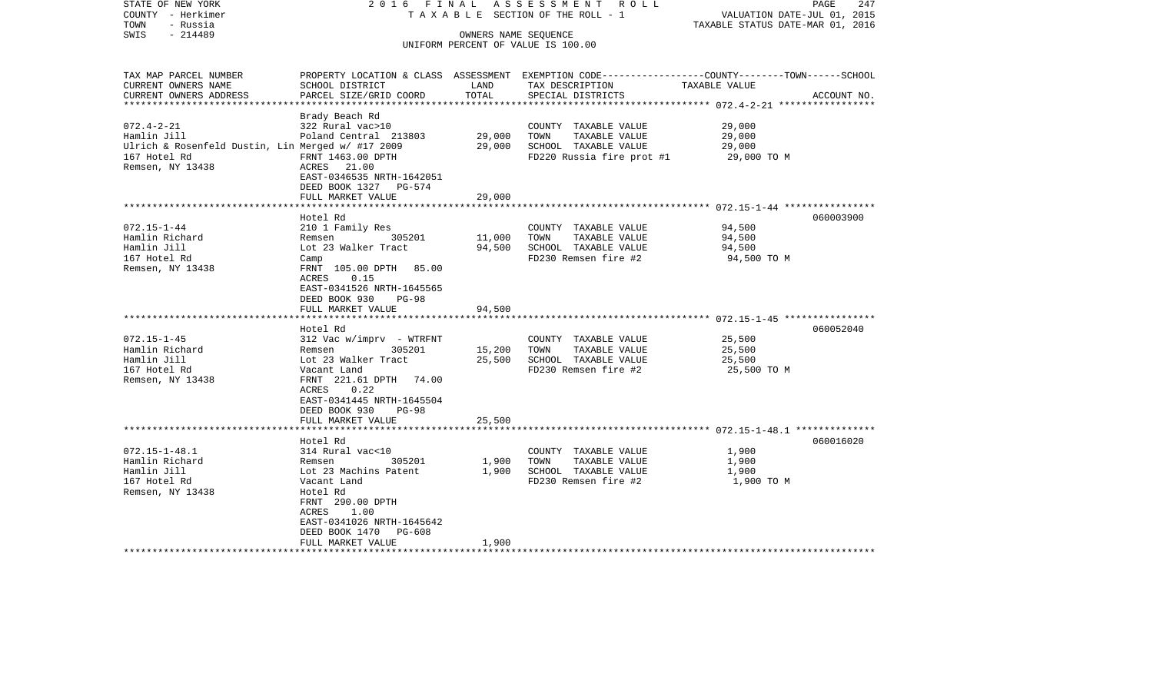| STATE OF NEW YORK<br>COUNTY - Herkimer            | 2016 FINAL                        |                         | ASSESSMENT ROLL<br>TAXABLE SECTION OF THE ROLL - 1 | PAGE<br>247<br>VALUATION DATE-JUL 01, 2015                                                      |
|---------------------------------------------------|-----------------------------------|-------------------------|----------------------------------------------------|-------------------------------------------------------------------------------------------------|
| TOWN<br>- Russia                                  |                                   |                         |                                                    | TAXABLE STATUS DATE-MAR 01, 2016                                                                |
| SWIS<br>$-214489$                                 |                                   | OWNERS NAME SEQUENCE    | UNIFORM PERCENT OF VALUE IS 100.00                 |                                                                                                 |
|                                                   |                                   |                         |                                                    |                                                                                                 |
| TAX MAP PARCEL NUMBER                             |                                   |                         |                                                    | PROPERTY LOCATION & CLASS ASSESSMENT EXEMPTION CODE---------------COUNTY-------TOWN------SCHOOL |
| CURRENT OWNERS NAME                               | SCHOOL DISTRICT                   | LAND                    | TAX DESCRIPTION                                    | TAXABLE VALUE                                                                                   |
| CURRENT OWNERS ADDRESS                            | PARCEL SIZE/GRID COORD            | TOTAL<br>************** | SPECIAL DISTRICTS                                  | ACCOUNT NO.                                                                                     |
|                                                   | Brady Beach Rd                    |                         |                                                    |                                                                                                 |
| $072.4 - 2 - 21$                                  | 322 Rural vac>10                  |                         | COUNTY TAXABLE VALUE                               | 29,000                                                                                          |
| Hamlin Jill                                       | Poland Central 213803             | 29,000                  | TAXABLE VALUE<br>TOWN                              | 29,000                                                                                          |
| Ulrich & Rosenfeld Dustin, Lin Merged w/ #17 2009 |                                   | 29,000                  | SCHOOL TAXABLE VALUE                               | 29,000                                                                                          |
| 167 Hotel Rd                                      | FRNT 1463.00 DPTH                 |                         | FD220 Russia fire prot #1                          | 29,000 TO M                                                                                     |
| Remsen, NY 13438                                  | ACRES 21.00                       |                         |                                                    |                                                                                                 |
|                                                   | EAST-0346535 NRTH-1642051         |                         |                                                    |                                                                                                 |
|                                                   | DEED BOOK 1327 PG-574             |                         |                                                    |                                                                                                 |
|                                                   | FULL MARKET VALUE                 | 29,000                  |                                                    |                                                                                                 |
|                                                   |                                   |                         |                                                    |                                                                                                 |
|                                                   | Hotel Rd                          |                         |                                                    | 060003900                                                                                       |
| $072.15 - 1 - 44$                                 | 210 1 Family Res<br>305201        |                         | COUNTY TAXABLE VALUE                               | 94,500                                                                                          |
| Hamlin Richard<br>Hamlin Jill                     | Remsen<br>Lot 23 Walker Tract     | 11,000<br>94,500        | TOWN<br>TAXABLE VALUE<br>SCHOOL TAXABLE VALUE      | 94,500                                                                                          |
| 167 Hotel Rd                                      |                                   |                         | FD230 Remsen fire #2                               | 94,500<br>94,500 TO M                                                                           |
| Remsen, NY 13438                                  | Camp<br>FRNT 105.00 DPTH<br>85.00 |                         |                                                    |                                                                                                 |
|                                                   | ACRES<br>0.15                     |                         |                                                    |                                                                                                 |
|                                                   | EAST-0341526 NRTH-1645565         |                         |                                                    |                                                                                                 |
|                                                   | DEED BOOK 930<br>$PG-98$          |                         |                                                    |                                                                                                 |
|                                                   | FULL MARKET VALUE                 | 94,500                  |                                                    |                                                                                                 |
|                                                   |                                   |                         |                                                    |                                                                                                 |
|                                                   | Hotel Rd                          |                         |                                                    | 060052040                                                                                       |
| $072.15 - 1 - 45$                                 | $312$ Vac w/imprv - WTRFNT        |                         | COUNTY TAXABLE VALUE                               | 25,500                                                                                          |
| Hamlin Richard                                    | 305201<br>Remsen                  | 15,200                  | TOWN<br>TAXABLE VALUE                              | 25,500                                                                                          |
| Hamlin Jill                                       | Lot 23 Walker Tract               | 25,500                  | SCHOOL TAXABLE VALUE                               | 25,500                                                                                          |
| 167 Hotel Rd                                      | Vacant Land                       |                         | FD230 Remsen fire #2                               | 25,500 TO M                                                                                     |
| Remsen, NY 13438                                  | FRNT 221.61 DPTH 74.00            |                         |                                                    |                                                                                                 |
|                                                   | ACRES<br>0.22                     |                         |                                                    |                                                                                                 |
|                                                   | EAST-0341445 NRTH-1645504         |                         |                                                    |                                                                                                 |
|                                                   | DEED BOOK 930<br><b>PG-98</b>     |                         |                                                    |                                                                                                 |
|                                                   | FULL MARKET VALUE                 | 25,500                  |                                                    |                                                                                                 |
|                                                   |                                   |                         |                                                    |                                                                                                 |
| $072.15 - 1 - 48.1$                               | Hotel Rd<br>314 Rural vac<10      |                         | COUNTY TAXABLE VALUE                               | 060016020<br>1,900                                                                              |
| Hamlin Richard                                    | 305201<br>Remsen                  | 1,900                   | TOWN<br>TAXABLE VALUE                              | 1,900                                                                                           |
| Hamlin Jill                                       | Lot 23 Machins Patent             | 1,900                   | SCHOOL TAXABLE VALUE                               | 1,900                                                                                           |
| 167 Hotel Rd                                      | Vacant Land                       |                         | FD230 Remsen fire #2                               | 1,900 TO M                                                                                      |
| Remsen, NY 13438                                  | Hotel Rd                          |                         |                                                    |                                                                                                 |
|                                                   | FRNT 290.00 DPTH                  |                         |                                                    |                                                                                                 |
|                                                   | <b>ACRES</b><br>1.00              |                         |                                                    |                                                                                                 |
|                                                   | EAST-0341026 NRTH-1645642         |                         |                                                    |                                                                                                 |
|                                                   | <b>PG-608</b><br>DEED BOOK 1470   |                         |                                                    |                                                                                                 |
|                                                   | FULL MARKET VALUE                 | 1,900                   |                                                    |                                                                                                 |
| *************************                         |                                   |                         |                                                    |                                                                                                 |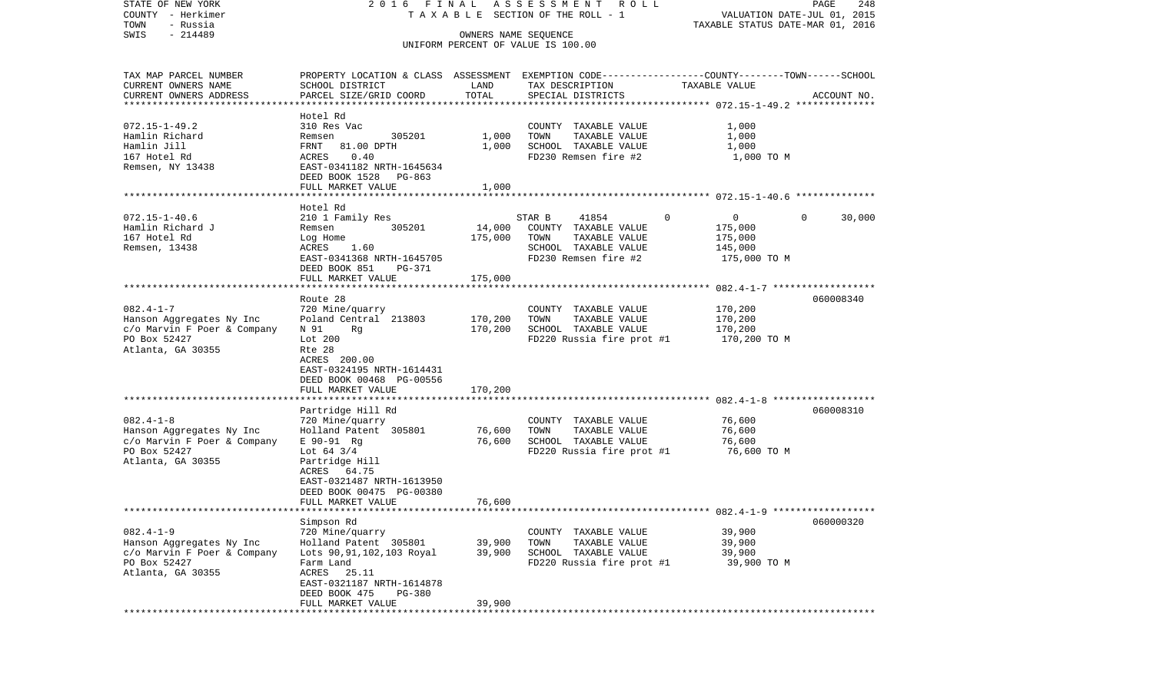| STATE OF NEW YORK                     | 2016 FINAL                                                                                       |         | ASSESSMENT ROLL                       |                                  | PAGE<br>248            |
|---------------------------------------|--------------------------------------------------------------------------------------------------|---------|---------------------------------------|----------------------------------|------------------------|
| COUNTY - Herkimer<br>TOWN<br>- Russia |                                                                                                  |         | T A X A B L E SECTION OF THE ROLL - 1 | VALUATION DATE-JUL 01, 2015      |                        |
| $-214489$<br>SWIS                     |                                                                                                  |         | OWNERS NAME SEQUENCE                  | TAXABLE STATUS DATE-MAR 01, 2016 |                        |
|                                       |                                                                                                  |         | UNIFORM PERCENT OF VALUE IS 100.00    |                                  |                        |
| TAX MAP PARCEL NUMBER                 | PROPERTY LOCATION & CLASS ASSESSMENT EXEMPTION CODE----------------COUNTY-------TOWN------SCHOOL |         |                                       |                                  |                        |
| CURRENT OWNERS NAME                   | SCHOOL DISTRICT                                                                                  | LAND    | TAX DESCRIPTION                       | TAXABLE VALUE                    |                        |
| CURRENT OWNERS ADDRESS                | PARCEL SIZE/GRID COORD                                                                           | TOTAL   | SPECIAL DISTRICTS                     |                                  | ACCOUNT NO.            |
| *************************             |                                                                                                  |         |                                       |                                  |                        |
|                                       | Hotel Rd                                                                                         |         |                                       |                                  |                        |
| $072.15 - 1 - 49.2$                   | 310 Res Vac                                                                                      |         | COUNTY TAXABLE VALUE                  | 1,000                            |                        |
| Hamlin Richard                        | 305201<br>Remsen                                                                                 | 1,000   | TOWN<br>TAXABLE VALUE                 | 1,000                            |                        |
| Hamlin Jill                           | FRNT<br>81.00 DPTH                                                                               | 1,000   | SCHOOL TAXABLE VALUE                  | 1,000                            |                        |
| 167 Hotel Rd                          | 0.40<br>ACRES                                                                                    |         | FD230 Remsen fire #2                  | 1,000 TO M                       |                        |
| Remsen, NY 13438                      | EAST-0341182 NRTH-1645634                                                                        |         |                                       |                                  |                        |
|                                       | DEED BOOK 1528 PG-863                                                                            |         |                                       |                                  |                        |
|                                       | FULL MARKET VALUE                                                                                | 1,000   |                                       |                                  |                        |
|                                       |                                                                                                  |         |                                       |                                  |                        |
| $072.15 - 1 - 40.6$                   | Hotel Rd<br>210 1 Family Res                                                                     |         | 41854<br>STAR B                       | $\mathbf{0}$<br>$\mathbf{0}$     | $\mathbf{0}$<br>30,000 |
| Hamlin Richard J                      | 305201<br>Remsen                                                                                 | 14,000  | COUNTY TAXABLE VALUE                  | 175,000                          |                        |
| 167 Hotel Rd                          | Log Home                                                                                         | 175,000 | TOWN<br>TAXABLE VALUE                 | 175,000                          |                        |
| Remsen, 13438                         | ACRES 1.60                                                                                       |         | SCHOOL TAXABLE VALUE                  | 145,000                          |                        |
|                                       | EAST-0341368 NRTH-1645705                                                                        |         | FD230 Remsen fire #2                  | 175,000 TO M                     |                        |
|                                       | DEED BOOK 851<br>PG-371                                                                          |         |                                       |                                  |                        |
|                                       | FULL MARKET VALUE                                                                                | 175,000 |                                       |                                  |                        |
|                                       |                                                                                                  |         |                                       |                                  |                        |
|                                       | Route 28                                                                                         |         |                                       |                                  | 060008340              |
| $082.4 - 1 - 7$                       | 720 Mine/quarry                                                                                  |         | COUNTY TAXABLE VALUE                  | 170,200                          |                        |
| Hanson Aggregates Ny Inc              | Poland Central 213803                                                                            | 170,200 | TOWN<br>TAXABLE VALUE                 | 170,200                          |                        |
| c/o Marvin F Poer & Company           | N 91<br>Rg                                                                                       | 170,200 | SCHOOL TAXABLE VALUE                  | 170,200                          |                        |
| PO Box 52427                          | Lot 200                                                                                          |         | FD220 Russia fire prot #1             | 170,200 TO M                     |                        |
| Atlanta, GA 30355                     | Rte 28                                                                                           |         |                                       |                                  |                        |
|                                       | ACRES 200.00<br>EAST-0324195 NRTH-1614431                                                        |         |                                       |                                  |                        |
|                                       | DEED BOOK 00468 PG-00556                                                                         |         |                                       |                                  |                        |
|                                       | FULL MARKET VALUE                                                                                | 170,200 |                                       |                                  |                        |
|                                       |                                                                                                  |         |                                       |                                  |                        |
|                                       | Partridge Hill Rd                                                                                |         |                                       |                                  | 060008310              |
| $082.4 - 1 - 8$                       | 720 Mine/quarry                                                                                  |         | COUNTY TAXABLE VALUE                  | 76,600                           |                        |
| Hanson Aggregates Ny Inc              | Holland Patent 305801                                                                            | 76,600  | TOWN<br>TAXABLE VALUE                 | 76,600                           |                        |
| c/o Marvin F Poer & Company           | E 90-91 Rg                                                                                       | 76,600  | SCHOOL TAXABLE VALUE                  | 76,600                           |                        |
| PO Box 52427                          | Lot $64 \frac{3}{4}$                                                                             |         | FD220 Russia fire prot #1             | 76,600 TO M                      |                        |
| Atlanta, GA 30355                     | Partridge Hill                                                                                   |         |                                       |                                  |                        |
|                                       | ACRES 64.75                                                                                      |         |                                       |                                  |                        |
|                                       | EAST-0321487 NRTH-1613950                                                                        |         |                                       |                                  |                        |
|                                       | DEED BOOK 00475 PG-00380                                                                         |         |                                       |                                  |                        |
|                                       | FULL MARKET VALUE                                                                                | 76,600  |                                       |                                  |                        |
|                                       |                                                                                                  |         |                                       |                                  |                        |
| $082.4 - 1 - 9$                       | Simpson Rd<br>720 Mine/quarry                                                                    |         | COUNTY TAXABLE VALUE                  | 39,900                           | 060000320              |
| Hanson Aggregates Ny Inc              | Holland Patent 305801                                                                            | 39,900  | TOWN<br>TAXABLE VALUE                 | 39,900                           |                        |
| c/o Marvin F Poer & Company           | Lots 90, 91, 102, 103 Royal                                                                      | 39,900  | SCHOOL TAXABLE VALUE                  | 39,900                           |                        |
| PO Box 52427                          | Farm Land                                                                                        |         | FD220 Russia fire prot #1             | 39,900 TO M                      |                        |
| Atlanta, GA 30355                     | ACRES<br>25.11                                                                                   |         |                                       |                                  |                        |
|                                       | EAST-0321187 NRTH-1614878                                                                        |         |                                       |                                  |                        |
|                                       | DEED BOOK 475<br>PG-380                                                                          |         |                                       |                                  |                        |
|                                       | FULL MARKET VALUE                                                                                | 39,900  |                                       |                                  |                        |
| ************                          |                                                                                                  |         |                                       |                                  |                        |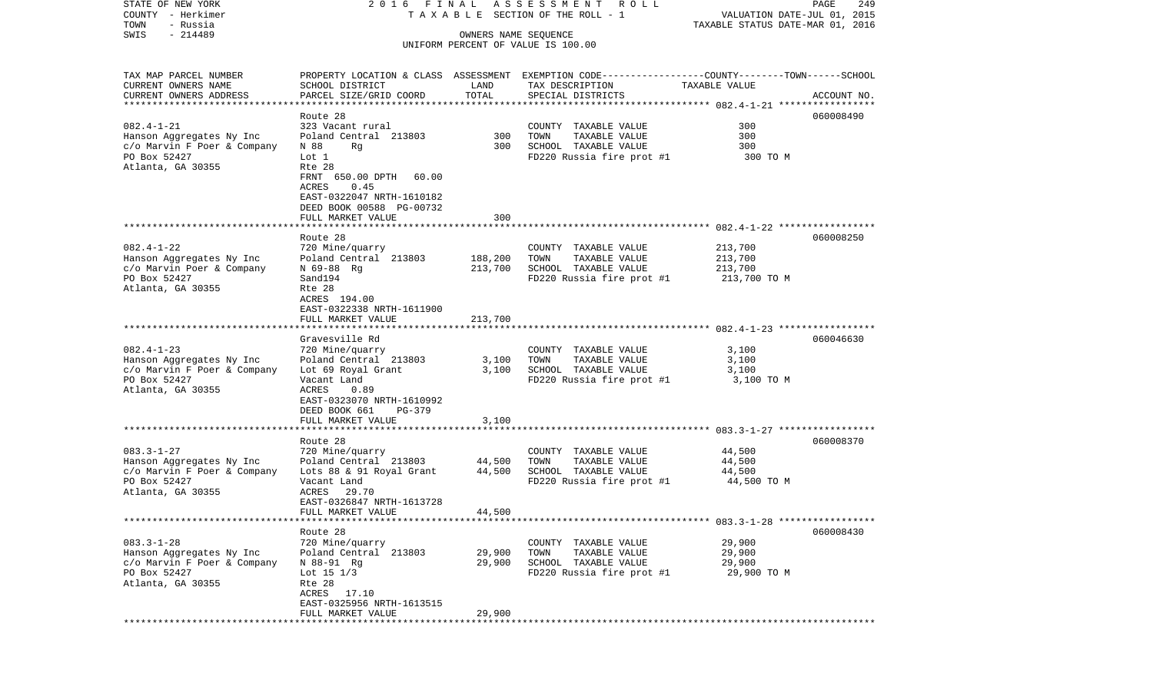| COUNTY<br>– Herkimer<br>- Russia<br>TOWN     |                                                |         | T A X A B L E SECTION OF THE ROLL - 1                                                                               | VALUATION DATE-JUL 01, 2015<br>TAXABLE STATUS DATE-MAR 01, 2016 |             |
|----------------------------------------------|------------------------------------------------|---------|---------------------------------------------------------------------------------------------------------------------|-----------------------------------------------------------------|-------------|
| SWIS<br>$-214489$                            |                                                |         | OWNERS NAME SEQUENCE                                                                                                |                                                                 |             |
|                                              |                                                |         | UNIFORM PERCENT OF VALUE IS 100.00                                                                                  |                                                                 |             |
|                                              |                                                |         |                                                                                                                     |                                                                 |             |
| TAX MAP PARCEL NUMBER<br>CURRENT OWNERS NAME | SCHOOL DISTRICT                                | LAND    | PROPERTY LOCATION & CLASS ASSESSMENT EXEMPTION CODE----------------COUNTY-------TOWN------SCHOOL<br>TAX DESCRIPTION | TAXABLE VALUE                                                   |             |
| CURRENT OWNERS ADDRESS                       | PARCEL SIZE/GRID COORD                         | TOTAL   | SPECIAL DISTRICTS                                                                                                   |                                                                 | ACCOUNT NO. |
|                                              |                                                |         |                                                                                                                     |                                                                 |             |
|                                              | Route 28                                       |         |                                                                                                                     |                                                                 | 060008490   |
| $082.4 - 1 - 21$                             | 323 Vacant rural                               |         | COUNTY TAXABLE VALUE                                                                                                | 300                                                             |             |
| Hanson Aggregates Ny Inc                     | Poland Central 213803                          | 300     | TOWN<br>TAXABLE VALUE                                                                                               | 300                                                             |             |
| c/o Marvin F Poer & Company<br>PO Box 52427  | N 88<br>Rg<br>Lot 1                            | 300     | SCHOOL TAXABLE VALUE<br>FD220 Russia fire prot #1                                                                   | 300<br>300 TO M                                                 |             |
| Atlanta, GA 30355                            | Rte 28                                         |         |                                                                                                                     |                                                                 |             |
|                                              | FRNT 650.00 DPTH<br>60.00                      |         |                                                                                                                     |                                                                 |             |
|                                              | ACRES<br>0.45                                  |         |                                                                                                                     |                                                                 |             |
|                                              | EAST-0322047 NRTH-1610182                      |         |                                                                                                                     |                                                                 |             |
|                                              | DEED BOOK 00588 PG-00732                       | 300     |                                                                                                                     |                                                                 |             |
|                                              | FULL MARKET VALUE                              |         |                                                                                                                     |                                                                 |             |
|                                              | Route 28                                       |         |                                                                                                                     |                                                                 | 060008250   |
| $082.4 - 1 - 22$                             | 720 Mine/quarry                                |         | COUNTY TAXABLE VALUE                                                                                                | 213,700                                                         |             |
| Hanson Aggregates Ny Inc                     | Poland Central 213803                          | 188,200 | TAXABLE VALUE<br>TOWN                                                                                               | 213,700                                                         |             |
| c/o Marvin Poer & Company                    | N 69-88 Rg                                     | 213,700 | SCHOOL TAXABLE VALUE                                                                                                | 213,700                                                         |             |
| PO Box 52427<br>Atlanta, GA 30355            | Sand194<br>Rte 28                              |         | FD220 Russia fire prot #1                                                                                           | 213,700 TO M                                                    |             |
|                                              | ACRES 194.00                                   |         |                                                                                                                     |                                                                 |             |
|                                              | EAST-0322338 NRTH-1611900                      |         |                                                                                                                     |                                                                 |             |
|                                              | FULL MARKET VALUE                              | 213,700 |                                                                                                                     |                                                                 |             |
|                                              |                                                |         |                                                                                                                     |                                                                 |             |
| $082.4 - 1 - 23$                             | Gravesville Rd<br>720 Mine/quarry              |         | COUNTY TAXABLE VALUE                                                                                                | 3,100                                                           | 060046630   |
| Hanson Aggregates Ny Inc                     | Poland Central 213803                          | 3,100   | TOWN<br>TAXABLE VALUE                                                                                               | 3,100                                                           |             |
| c/o Marvin F Poer & Company                  | Lot 69 Royal Grant                             | 3,100   | SCHOOL TAXABLE VALUE                                                                                                | 3,100                                                           |             |
| PO Box 52427                                 | Vacant Land                                    |         | FD220 Russia fire prot #1                                                                                           | 3,100 TO M                                                      |             |
| Atlanta, GA 30355                            | ACRES<br>0.89                                  |         |                                                                                                                     |                                                                 |             |
|                                              | EAST-0323070 NRTH-1610992<br>DEED BOOK 661     |         |                                                                                                                     |                                                                 |             |
|                                              | PG-379<br>FULL MARKET VALUE                    | 3,100   |                                                                                                                     |                                                                 |             |
|                                              | **********************                         |         |                                                                                                                     |                                                                 |             |
|                                              | Route 28                                       |         |                                                                                                                     |                                                                 | 060008370   |
| $083.3 - 1 - 27$                             | 720 Mine/quarry                                |         | COUNTY TAXABLE VALUE                                                                                                | 44,500                                                          |             |
| Hanson Aggregates Ny Inc                     | Poland Central 213803                          | 44,500  | TOWN<br>TAXABLE VALUE                                                                                               | 44,500                                                          |             |
| c/o Marvin F Poer & Company<br>PO Box 52427  | Lots 88 & 91 Royal Grant<br>Vacant Land        | 44,500  | SCHOOL TAXABLE VALUE<br>FD220 Russia fire prot #1                                                                   | 44,500<br>44,500 TO M                                           |             |
| Atlanta, GA 30355                            | ACRES<br>29.70                                 |         |                                                                                                                     |                                                                 |             |
|                                              | EAST-0326847 NRTH-1613728                      |         |                                                                                                                     |                                                                 |             |
|                                              | FULL MARKET VALUE                              | 44,500  |                                                                                                                     |                                                                 |             |
|                                              |                                                |         |                                                                                                                     |                                                                 |             |
| $083.3 - 1 - 28$                             | Route 28<br>720 Mine/quarry                    |         | COUNTY TAXABLE VALUE                                                                                                | 29,900                                                          | 060008430   |
| Hanson Aggregates Ny Inc                     | Poland Central 213803                          | 29,900  | TOWN<br>TAXABLE VALUE                                                                                               | 29,900                                                          |             |
| c/o Marvin F Poer & Company                  | N 88-91 Rg                                     | 29,900  | SCHOOL TAXABLE VALUE                                                                                                | 29,900                                                          |             |
| PO Box 52427                                 | Lot 15 1/3                                     |         | FD220 Russia fire prot #1                                                                                           | 29,900 TO M                                                     |             |
| Atlanta, GA 30355                            | Rte 28                                         |         |                                                                                                                     |                                                                 |             |
|                                              | ACRES<br>17.10                                 |         |                                                                                                                     |                                                                 |             |
|                                              | EAST-0325956 NRTH-1613515<br>FULL MARKET VALUE | 29,900  |                                                                                                                     |                                                                 |             |
| *************                                |                                                |         |                                                                                                                     |                                                                 |             |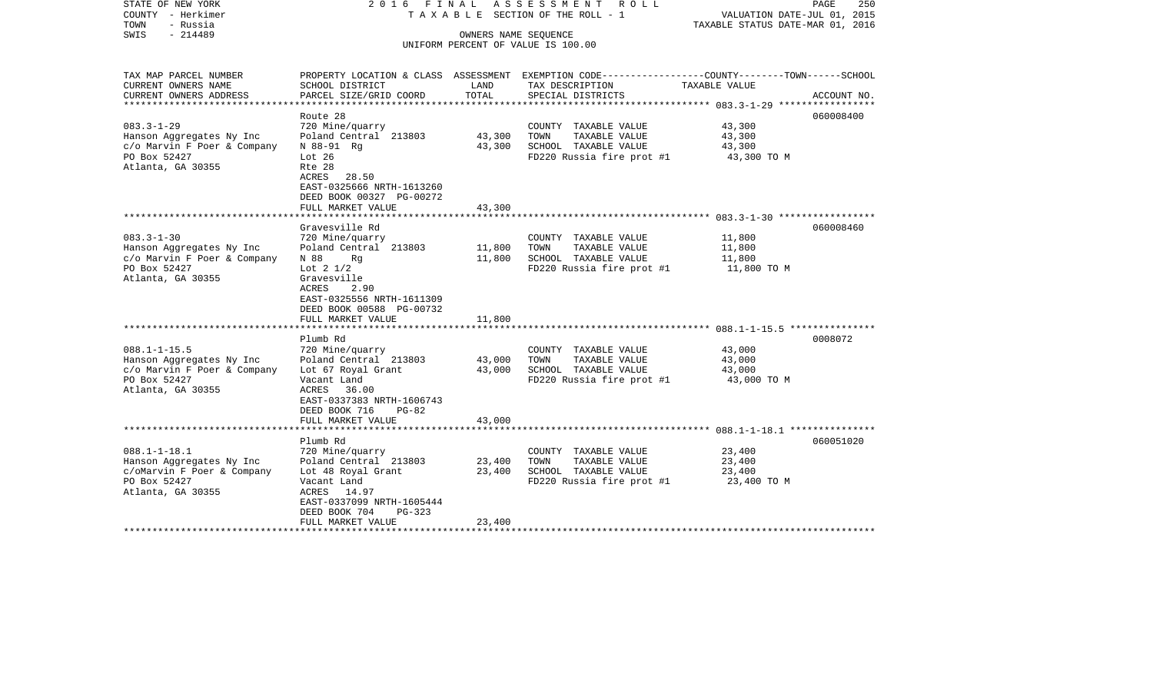| STATE OF NEW YORK<br>COUNTY - Herkimer<br>- Russia<br>TOWN<br>SWIS<br>$-214489$                                    | 2016 FINAL                                                                                                                                                                                  |                            | ASSESSMENT ROLL<br>TAXABLE SECTION OF THE ROLL - 1<br>OWNERS NAME SEOUENCE<br>UNIFORM PERCENT OF VALUE IS 100.00   | PAGE<br>VALUATION DATE-JUL 01, 2015<br>TAXABLE STATUS DATE-MAR 01, 2016                                         | 250 |
|--------------------------------------------------------------------------------------------------------------------|---------------------------------------------------------------------------------------------------------------------------------------------------------------------------------------------|----------------------------|--------------------------------------------------------------------------------------------------------------------|-----------------------------------------------------------------------------------------------------------------|-----|
| TAX MAP PARCEL NUMBER<br>CURRENT OWNERS NAME                                                                       | SCHOOL DISTRICT                                                                                                                                                                             | LAND                       | TAX DESCRIPTION                                                                                                    | PROPERTY LOCATION & CLASS ASSESSMENT EXEMPTION CODE---------------COUNTY-------TOWN-----SCHOOL<br>TAXABLE VALUE |     |
| CURRENT OWNERS ADDRESS                                                                                             | PARCEL SIZE/GRID COORD                                                                                                                                                                      | TOTAL                      | SPECIAL DISTRICTS                                                                                                  | ACCOUNT NO.                                                                                                     |     |
| $083.3 - 1 - 29$<br>Hanson Aggregates Ny Inc<br>c/o Marvin F Poer & Company<br>PO Box 52427<br>Atlanta, GA 30355   | Route 28<br>720 Mine/quarry<br>Poland Central 213803<br>N 88-91 Rg<br>Lot $26$<br>Rte 28<br>ACRES 28.50<br>EAST-0325666 NRTH-1613260<br>DEED BOOK 00327 PG-00272                            | 43,300<br>43,300           | COUNTY TAXABLE VALUE<br>TOWN<br>TAXABLE VALUE<br>SCHOOL TAXABLE VALUE<br>FD220 Russia fire prot #1                 | 060008400<br>43,300<br>43,300<br>43,300<br>43,300 TO M                                                          |     |
|                                                                                                                    | FULL MARKET VALUE                                                                                                                                                                           | 43,300                     |                                                                                                                    |                                                                                                                 |     |
|                                                                                                                    | Gravesville Rd                                                                                                                                                                              |                            |                                                                                                                    | 060008460                                                                                                       |     |
| $083.3 - 1 - 30$<br>Hanson Aggregates Ny Inc<br>c/o Marvin F Poer & Company<br>PO Box 52427<br>Atlanta, GA 30355   | 720 Mine/quarry<br>Poland Central 213803<br>N 88<br>Ra<br>Lot $2 \frac{1}{2}$<br>Gravesville<br>ACRES<br>2.90<br>EAST-0325556 NRTH-1611309<br>DEED BOOK 00588 PG-00732<br>FULL MARKET VALUE | 11,800<br>11,800<br>11,800 | COUNTY TAXABLE VALUE<br>TAXABLE VALUE<br>TOWN<br>SCHOOL TAXABLE VALUE<br>FD220 Russia fire prot #1                 | 11,800<br>11,800<br>11,800<br>11,800 TO M                                                                       |     |
|                                                                                                                    |                                                                                                                                                                                             |                            |                                                                                                                    |                                                                                                                 |     |
| $088.1 - 1 - 15.5$<br>Hanson Aggregates Ny Inc<br>c/o Marvin F Poer & Company<br>PO Box 52427<br>Atlanta, GA 30355 | Plumb Rd<br>720 Mine/quarry<br>Poland Central 213803<br>Lot 67 Royal Grant<br>Vacant Land<br>ACRES 36.00<br>EAST-0337383 NRTH-1606743<br>DEED BOOK 716<br>$PG-82$                           | 43,000<br>43,000           | COUNTY TAXABLE VALUE<br>TOWN<br>TAXABLE VALUE<br>SCHOOL TAXABLE VALUE<br>$FD220$ Russia fire prot #1 $43,000$ TO M | 0008072<br>43,000<br>43,000<br>43,000                                                                           |     |
|                                                                                                                    | FULL MARKET VALUE                                                                                                                                                                           | 43,000                     |                                                                                                                    |                                                                                                                 |     |
|                                                                                                                    | Plumb Rd                                                                                                                                                                                    |                            |                                                                                                                    | 060051020                                                                                                       |     |
| $088.1 - 1 - 18.1$<br>Hanson Aggregates Ny Inc<br>c/oMarvin F Poer & Company<br>PO Box 52427<br>Atlanta, GA 30355  | 720 Mine/quarry<br>Poland Central 213803<br>Lot 48 Royal Grant<br>Vacant Land<br>ACRES 14.97<br>EAST-0337099 NRTH-1605444<br>DEED BOOK 704<br>$PG-323$<br>FULL MARKET VALUE                 | 23,400<br>23,400<br>23,400 | COUNTY TAXABLE VALUE<br>TOWN<br>TAXABLE VALUE<br>SCHOOL TAXABLE VALUE<br>FD220 Russia fire prot #1 23,400 TO M     | 23,400<br>23,400<br>23,400                                                                                      |     |
|                                                                                                                    |                                                                                                                                                                                             |                            |                                                                                                                    |                                                                                                                 |     |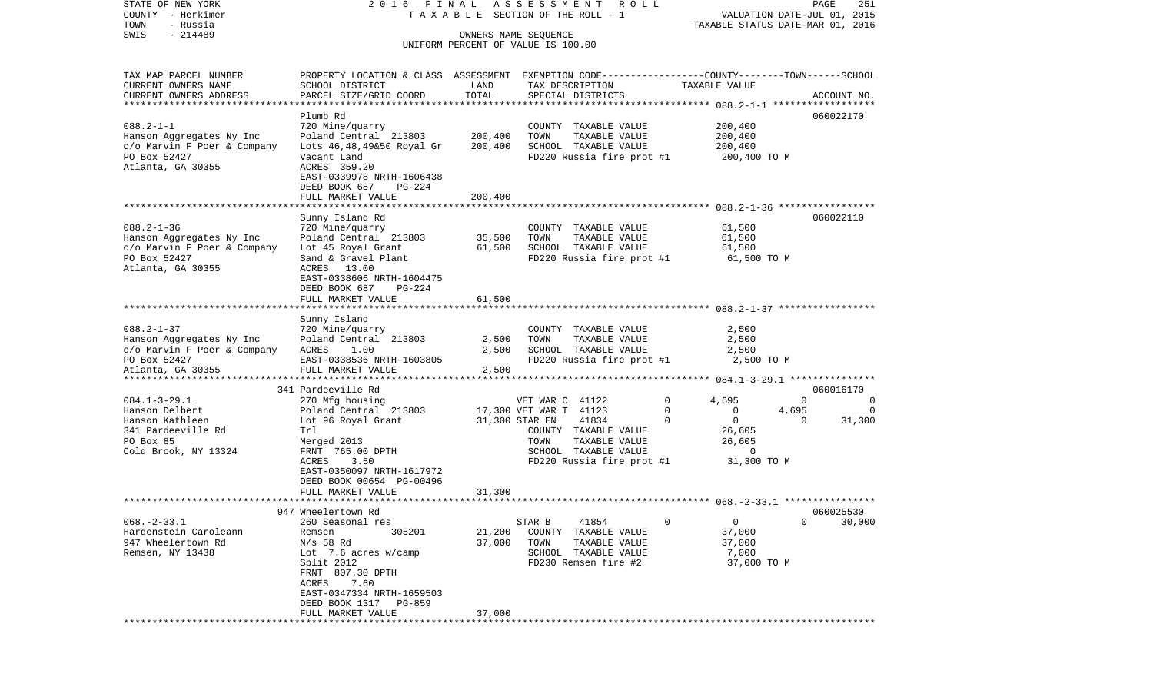STATE OF NEW YORK 2 0 1 6 F I N A L A S S E S S M E N T R O L L PAGE 251VALUATION DATE-JUL 01, 2015 COUNTY - Herkimer T A X A B L E SECTION OF THE ROLL - 1 TOWN - Russia TAXABLE STATUS DATE-MAR 01, 2016 SWIS - 214489 OWNERS NAME SEQUENCE UNIFORM PERCENT OF VALUE IS 100.00TAX MAP PARCEL NUMBER PROPERTY LOCATION & CLASS ASSESSMENT EXEMPTION CODE------------------COUNTY--------TOWN------SCHOOL CURRENT OWNERS NAME SCHOOL DISTRICT LAND TAX DESCRIPTION TAXABLE VALUECURRENT OWNERS ADDRESS PARCEL SIZE/GRID COORD TOTAL SPECIAL DISTRICTS ACCOUNT NO. \*\*\*\*\*\*\*\*\*\*\*\*\*\*\*\*\*\*\*\*\*\*\*\*\*\*\*\*\*\*\*\*\*\*\*\*\*\*\*\*\*\*\*\*\*\*\*\*\*\*\*\*\*\*\*\*\*\*\*\*\*\*\*\*\*\*\*\*\*\*\*\*\*\*\*\*\*\*\*\*\*\*\*\*\*\*\*\*\*\*\*\*\*\*\*\*\*\*\*\*\*\*\* 088.2-1-1 \*\*\*\*\*\*\*\*\*\*\*\*\*\*\*\*\*\* Plumb Rd 060022170060022170 088.2-1-1 720 Mine/quarry COUNTY TAXABLE VALUE 200,400 Hanson Aggregates Ny Inc Poland Central 213803 200,400 TOWN TAXABLE VALUE 200,400 c/o Marvin F Poer & Company Lots 46,48,49&50 Royal Gr 200,400 SCHOOL TAXABLE VALUE 200,400 PO Box 52427 Vacant Land FD220 Russia fire prot #1 200,400 TO M Atlanta, GA 30355 ACRES 359.20 EAST-0339978 NRTH-1606438 DEED BOOK 687 PG-224 FULL MARKET VALUE 200,400 \*\*\*\*\*\*\*\*\*\*\*\*\*\*\*\*\*\*\*\*\*\*\*\*\*\*\*\*\*\*\*\*\*\*\*\*\*\*\*\*\*\*\*\*\*\*\*\*\*\*\*\*\*\*\*\*\*\*\*\*\*\*\*\*\*\*\*\*\*\*\*\*\*\*\*\*\*\*\*\*\*\*\*\*\*\*\*\*\*\*\*\*\*\*\*\*\*\*\*\*\*\*\* 088.2-1-36 \*\*\*\*\*\*\*\*\*\*\*\*\*\*\*\*\* Sunny Island Rd 060022110 088.2-1-36 720 Mine/quarry COUNTY TAXABLE VALUE 61,500 Hanson Aggregates Ny Inc Poland Central 213803 35,500 TOWN TAXABLE VALUE 61,500 c/o Marvin F Poer & Company Lot 45 Royal Grant 61,500 SCHOOL TAXABLE VALUE 61,500 PO Box 52427 Sand & Gravel Plant FD220 Russia fire prot #1 61,500 TO M Atlanta, GA 30355 ACRES 13.00 EAST-0338606 NRTH-1604475 DEED BOOK 687 PG-224FULL MARKET VALUE 61,500 \*\*\*\*\*\*\*\*\*\*\*\*\*\*\*\*\*\*\*\*\*\*\*\*\*\*\*\*\*\*\*\*\*\*\*\*\*\*\*\*\*\*\*\*\*\*\*\*\*\*\*\*\*\*\*\*\*\*\*\*\*\*\*\*\*\*\*\*\*\*\*\*\*\*\*\*\*\*\*\*\*\*\*\*\*\*\*\*\*\*\*\*\*\*\*\*\*\*\*\*\*\*\* 088.2-1-37 \*\*\*\*\*\*\*\*\*\*\*\*\*\*\*\*\* Sunny Island 088.2-1-37 720 Mine/quarry COUNTY TAXABLE VALUE 2,500 Hanson Aggregates Ny Inc Poland Central 213803 2,500 TOWN TAXABLE VALUE 2,500 c/o Marvin F Poer & Company ACRES 1.00 2,500 SCHOOL TAXABLE VALUE 2,500 FD220 Russia fire prot #1 Atlanta, GA 30355 FULL MARKET VALUE 2,500 \*\*\*\*\*\*\*\*\*\*\*\*\*\*\*\*\*\*\*\*\*\*\*\*\*\*\*\*\*\*\*\*\*\*\*\*\*\*\*\*\*\*\*\*\*\*\*\*\*\*\*\*\*\*\*\*\*\*\*\*\*\*\*\*\*\*\*\*\*\*\*\*\*\*\*\*\*\*\*\*\*\*\*\*\*\*\*\*\*\*\*\*\*\*\*\*\*\*\*\*\*\*\* 084.1-3-29.1 \*\*\*\*\*\*\*\*\*\*\*\*\*\*\*341 Pardeeville Rd 060016170 084.1-3-29.1 270 Mfg housing VET WAR C 41122 0 4,695 0 0 Hanson Delbert Poland Central 213803 17,300 VET WAR T 41123 0 0 4,695 0 Hanson Kathleen Lot 96 Royal Grant 31,300 STAR EN 41834 0 0 0 31,300 341 Pardeeville Rd Trl COUNTY TAXABLE VALUE 26,605 PO Box 85 Merged 2013 TOWN TAXABLE VALUE 26,605 Cold Brook, NY 13324 FRNT 765.00 DPTH SCHOOL TAXABLE VALUE 0 ACRES 3.50 FD220 Russia fire prot #1 31,300 TO M EAST-0350097 NRTH-1617972 DEED BOOK 00654 PG-00496FULL MARKET VALUE 31,300 \*\*\*\*\*\*\*\*\*\*\*\*\*\*\*\*\*\*\*\*\*\*\*\*\*\*\*\*\*\*\*\*\*\*\*\*\*\*\*\*\*\*\*\*\*\*\*\*\*\*\*\*\*\*\*\*\*\*\*\*\*\*\*\*\*\*\*\*\*\*\*\*\*\*\*\*\*\*\*\*\*\*\*\*\*\*\*\*\*\*\*\*\*\*\*\*\*\*\*\*\*\*\* 068.-2-33.1 \*\*\*\*\*\*\*\*\*\*\*\*\*\*\*\* 947 Wheelertown Rd 060025530068.-2-33.1 260 Seasonal res STAR B 41854 0 0 0 30,000 Hardenstein Caroleann Remsen 305201 21,200 COUNTY TAXABLE VALUE 37,000 947 Wheelertown Rd N/s 58 Rd 37,000 TOWN TAXABLE VALUE 37,000 Remsen, NY 13438 Lot 7.6 acres w/camp SCHOOL TAXABLE VALUE 7.000 Split 2012 FD230 Remsen fire #2 37,000 TO M FRNT 807.30 DPTH ACRES 7.60 EAST-0347334 NRTH-1659503 DEED BOOK 1317 PG-859 FULL MARKET VALUE 37,000 \*\*\*\*\*\*\*\*\*\*\*\*\*\*\*\*\*\*\*\*\*\*\*\*\*\*\*\*\*\*\*\*\*\*\*\*\*\*\*\*\*\*\*\*\*\*\*\*\*\*\*\*\*\*\*\*\*\*\*\*\*\*\*\*\*\*\*\*\*\*\*\*\*\*\*\*\*\*\*\*\*\*\*\*\*\*\*\*\*\*\*\*\*\*\*\*\*\*\*\*\*\*\*\*\*\*\*\*\*\*\*\*\*\*\*\*\*\*\*\*\*\*\*\*\*\*\*\*\*\*\*\*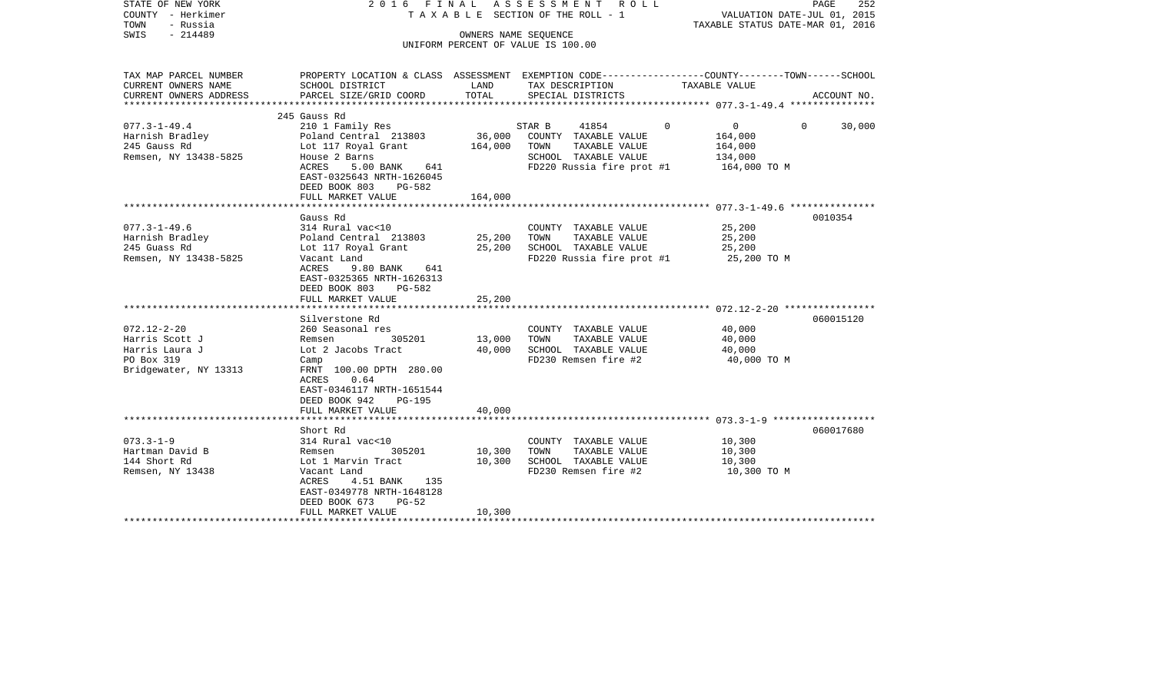| STATE OF NEW YORK<br>COUNTY - Herkimer<br>- Russia<br>TOWN<br>SWIS<br>$-214489$                   | 2016 FINAL                                                                                                                                                                                                                                                 | OWNERS NAME SEQUENCE                                  | A S S E S S M E N T R O L L<br>TAXABLE SECTION OF THE ROLL - 1<br>UNIFORM PERCENT OF VALUE IS 100.00                              | PAGE<br>252<br>VALUATION DATE-JUL 01, 2015<br>TAXABLE STATUS DATE-MAR 01, 2016                                                  |
|---------------------------------------------------------------------------------------------------|------------------------------------------------------------------------------------------------------------------------------------------------------------------------------------------------------------------------------------------------------------|-------------------------------------------------------|-----------------------------------------------------------------------------------------------------------------------------------|---------------------------------------------------------------------------------------------------------------------------------|
| TAX MAP PARCEL NUMBER<br>CURRENT OWNERS NAME<br>CURRENT OWNERS ADDRESS<br>*********************** | SCHOOL DISTRICT<br>PARCEL SIZE/GRID COORD                                                                                                                                                                                                                  | LAND<br>TOTAL                                         | TAX DESCRIPTION<br>SPECIAL DISTRICTS                                                                                              | PROPERTY LOCATION & CLASS ASSESSMENT EXEMPTION CODE---------------COUNTY-------TOWN------SCHOOL<br>TAXABLE VALUE<br>ACCOUNT NO. |
| $077.3 - 1 - 49.4$<br>Harnish Bradley<br>245 Gauss Rd<br>Remsen, NY 13438-5825                    | 245 Gauss Rd<br>210 1 Family Res<br>Poland Central 213803<br>Lot 117 Royal Grant<br>House 2 Barns<br>ACRES<br>5.00 BANK<br>641<br>EAST-0325643 NRTH-1626045<br>DEED BOOK 803<br>PG-582<br>FULL MARKET VALUE                                                | 36,000<br>164,000<br>164,000                          | $\Omega$<br>STAR B<br>41854<br>COUNTY TAXABLE VALUE<br>TOWN<br>TAXABLE VALUE<br>SCHOOL TAXABLE VALUE<br>FD220 Russia fire prot #1 | $\mathbf{0}$<br>$\Omega$<br>30,000<br>164,000<br>164,000<br>134,000<br>164,000 TO M                                             |
| $077.3 - 1 - 49.6$<br>Harnish Bradley<br>245 Guass Rd<br>Remsen, NY 13438-5825                    | *************************<br>Gauss Rd<br>314 Rural vac<10<br>Poland Central 213803<br>Lot 117 Royal Grant<br>Vacant Land<br>ACRES<br>9.80 BANK<br>641<br>EAST-0325365 NRTH-1626313<br>DEED BOOK 803<br>PG-582<br>FULL MARKET VALUE                         | * * * * * * * * * * * *<br>25,200<br>25,200<br>25,200 | COUNTY TAXABLE VALUE<br>TOWN<br>TAXABLE VALUE<br>SCHOOL TAXABLE VALUE<br>FD220 Russia fire prot #1                                | 0010354<br>25,200<br>25,200<br>25,200<br>25,200 TO M                                                                            |
| $072.12 - 2 - 20$<br>Harris Scott J<br>Harris Laura J<br>PO Box 319<br>Bridgewater, NY 13313      | Silverstone Rd<br>260 Seasonal res<br>Remsen<br>305201<br>Lot 2 Jacobs Tract<br>Camp<br>FRNT 100.00 DPTH 280.00<br><b>ACRES</b><br>0.64<br>EAST-0346117 NRTH-1651544<br>DEED BOOK 942<br><b>PG-195</b><br>FULL MARKET VALUE<br>*************************** | 13,000<br>40,000<br>40,000                            | COUNTY TAXABLE VALUE<br>TAXABLE VALUE<br>TOWN<br>SCHOOL TAXABLE VALUE<br>FD230 Remsen fire #2                                     | 060015120<br>40,000<br>40,000<br>40,000<br>40,000 TO M                                                                          |
| $073.3 - 1 - 9$<br>Hartman David B<br>144 Short Rd<br>Remsen, NY 13438                            | Short Rd<br>314 Rural vac<10<br>Remsen<br>305201<br>Lot 1 Marvin Tract<br>Vacant Land<br>4.51 BANK<br>ACRES<br>135<br>EAST-0349778 NRTH-1648128<br>DEED BOOK 673<br>$PG-52$<br>FULL MARKET VALUE<br>******************                                     | 10,300<br>10,300<br>10,300                            | COUNTY TAXABLE VALUE<br>TAXABLE VALUE<br>TOWN<br>SCHOOL TAXABLE VALUE<br>FD230 Remsen fire #2<br>****************************     | 060017680<br>10,300<br>10,300<br>10,300<br>10,300 TO M                                                                          |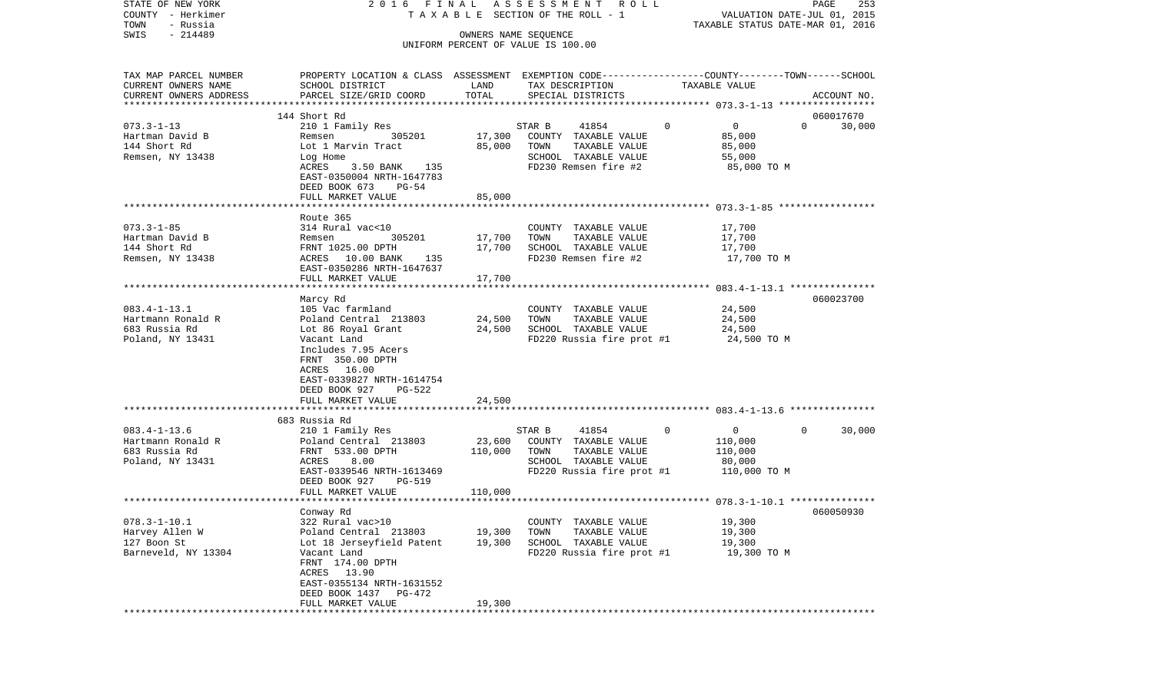| STATE OF NEW YORK      |                                                                                                   |         | 2016 FINAL ASSESSMENT ROLL         |                                | PAGE<br>253                      |
|------------------------|---------------------------------------------------------------------------------------------------|---------|------------------------------------|--------------------------------|----------------------------------|
| COUNTY - Herkimer      |                                                                                                   |         | TAXABLE SECTION OF THE ROLL - 1    |                                | VALUATION DATE-JUL 01, 2015      |
| TOWN<br>- Russia       |                                                                                                   |         |                                    |                                | TAXABLE STATUS DATE-MAR 01, 2016 |
| $-214489$<br>SWIS      |                                                                                                   |         | OWNERS NAME SEQUENCE               |                                |                                  |
|                        |                                                                                                   |         | UNIFORM PERCENT OF VALUE IS 100.00 |                                |                                  |
| TAX MAP PARCEL NUMBER  | PROPERTY LOCATION & CLASS ASSESSMENT EXEMPTION CODE----------------COUNTY--------TOWN------SCHOOL |         |                                    |                                |                                  |
| CURRENT OWNERS NAME    | SCHOOL DISTRICT                                                                                   | LAND    | TAX DESCRIPTION                    | TAXABLE VALUE                  |                                  |
| CURRENT OWNERS ADDRESS | PARCEL SIZE/GRID COORD                                                                            | TOTAL   | SPECIAL DISTRICTS                  |                                | ACCOUNT NO.                      |
|                        |                                                                                                   |         |                                    |                                |                                  |
|                        | 144 Short Rd                                                                                      |         |                                    |                                | 060017670                        |
| $073.3 - 1 - 13$       | 210 1 Family Res                                                                                  |         | STAR B<br>41854                    | $\Omega$<br>$\overline{0}$     | $\Omega$<br>30,000               |
| Hartman David B        | 305201<br>Remsen                                                                                  | 17,300  | COUNTY TAXABLE VALUE               | 85,000                         |                                  |
| 144 Short Rd           | Lot 1 Marvin Tract                                                                                | 85,000  | TOWN<br>TAXABLE VALUE              | 85,000                         |                                  |
| Remsen, NY 13438       | Log Home                                                                                          |         | SCHOOL TAXABLE VALUE               | 55,000                         |                                  |
|                        | 3.50 BANK 135<br>ACRES                                                                            |         | FD230 Remsen fire #2               | 85,000 TO M                    |                                  |
|                        | EAST-0350004 NRTH-1647783                                                                         |         |                                    |                                |                                  |
|                        | DEED BOOK 673<br>PG-54                                                                            |         |                                    |                                |                                  |
|                        | FULL MARKET VALUE                                                                                 | 85,000  |                                    |                                |                                  |
|                        |                                                                                                   |         |                                    |                                |                                  |
|                        | Route 365                                                                                         |         |                                    |                                |                                  |
| $073.3 - 1 - 85$       | 314 Rural vac<10                                                                                  |         | COUNTY TAXABLE VALUE               | 17,700                         |                                  |
| Hartman David B        | 305201<br>Remsen                                                                                  | 17,700  | TAXABLE VALUE<br>TOWN              | 17,700                         |                                  |
| 144 Short Rd           | FRNT 1025.00 DPTH                                                                                 | 17,700  | SCHOOL TAXABLE VALUE               | 17,700                         |                                  |
| Remsen, NY 13438       | ACRES 10.00 BANK 135                                                                              |         | FD230 Remsen fire #2               | 17,700 TO M                    |                                  |
|                        | EAST-0350286 NRTH-1647637                                                                         |         |                                    |                                |                                  |
|                        | FULL MARKET VALUE                                                                                 | 17,700  |                                    |                                |                                  |
|                        |                                                                                                   |         |                                    |                                |                                  |
|                        | Marcy Rd                                                                                          |         |                                    |                                | 060023700                        |
| $083.4 - 1 - 13.1$     | 105 Vac farmland                                                                                  |         | COUNTY TAXABLE VALUE               | 24,500                         |                                  |
| Hartmann Ronald R      | Poland Central 213803                                                                             | 24,500  | TAXABLE VALUE<br>TOWN              | 24,500                         |                                  |
| 683 Russia Rd          | Lot 86 Royal Grant                                                                                | 24,500  | SCHOOL TAXABLE VALUE               | 24,500                         |                                  |
| Poland, NY 13431       | Vacant Land                                                                                       |         | FD220 Russia fire prot #1          | 24,500 TO M                    |                                  |
|                        | Includes 7.95 Acers                                                                               |         |                                    |                                |                                  |
|                        | FRNT 350.00 DPTH                                                                                  |         |                                    |                                |                                  |
|                        | ACRES 16.00                                                                                       |         |                                    |                                |                                  |
|                        | EAST-0339827 NRTH-1614754                                                                         |         |                                    |                                |                                  |
|                        | DEED BOOK 927<br>PG-522                                                                           |         |                                    |                                |                                  |
|                        | FULL MARKET VALUE                                                                                 | 24,500  |                                    |                                |                                  |
|                        |                                                                                                   |         |                                    |                                |                                  |
|                        | 683 Russia Rd                                                                                     |         |                                    |                                |                                  |
| $083.4 - 1 - 13.6$     | 210 1 Family Res                                                                                  |         | 41854<br>STAR B                    | $\mathbf{0}$<br>$\overline{0}$ | 30,000<br>$\Omega$               |
| Hartmann Ronald R      | Poland Central 213803                                                                             | 23,600  | COUNTY TAXABLE VALUE               | 110,000                        |                                  |
| 683 Russia Rd          | FRNT 533.00 DPTH                                                                                  | 110,000 | TOWN<br>TAXABLE VALUE              | 110,000                        |                                  |
| Poland, NY 13431       | ACRES<br>8.00                                                                                     |         | SCHOOL TAXABLE VALUE               | 80,000                         |                                  |
|                        | EAST-0339546 NRTH-1613469                                                                         |         | FD220 Russia fire prot #1          | 110,000 TO M                   |                                  |
|                        | DEED BOOK 927<br>PG-519                                                                           |         |                                    |                                |                                  |
|                        | FULL MARKET VALUE                                                                                 | 110,000 |                                    |                                |                                  |
|                        |                                                                                                   |         |                                    |                                |                                  |
|                        | Conway Rd                                                                                         |         |                                    |                                | 060050930                        |
| $078.3 - 1 - 10.1$     | 322 Rural vac>10                                                                                  |         | COUNTY TAXABLE VALUE               | 19,300                         |                                  |
| Harvey Allen W         | Poland Central 213803                                                                             | 19,300  | TOWN<br>TAXABLE VALUE              | 19,300                         |                                  |
| 127 Boon St            | Lot 18 Jerseyfield Patent                                                                         | 19,300  | SCHOOL TAXABLE VALUE               | 19,300                         |                                  |
| Barneveld, NY 13304    | Vacant Land                                                                                       |         | FD220 Russia fire prot #1          | 19,300 TO M                    |                                  |
|                        | FRNT 174.00 DPTH                                                                                  |         |                                    |                                |                                  |
|                        | ACRES 13.90                                                                                       |         |                                    |                                |                                  |
|                        | EAST-0355134 NRTH-1631552                                                                         |         |                                    |                                |                                  |
|                        | DEED BOOK 1437<br>PG-472                                                                          |         |                                    |                                |                                  |
|                        | FULL MARKET VALUE                                                                                 | 19,300  |                                    |                                |                                  |
|                        |                                                                                                   |         |                                    |                                |                                  |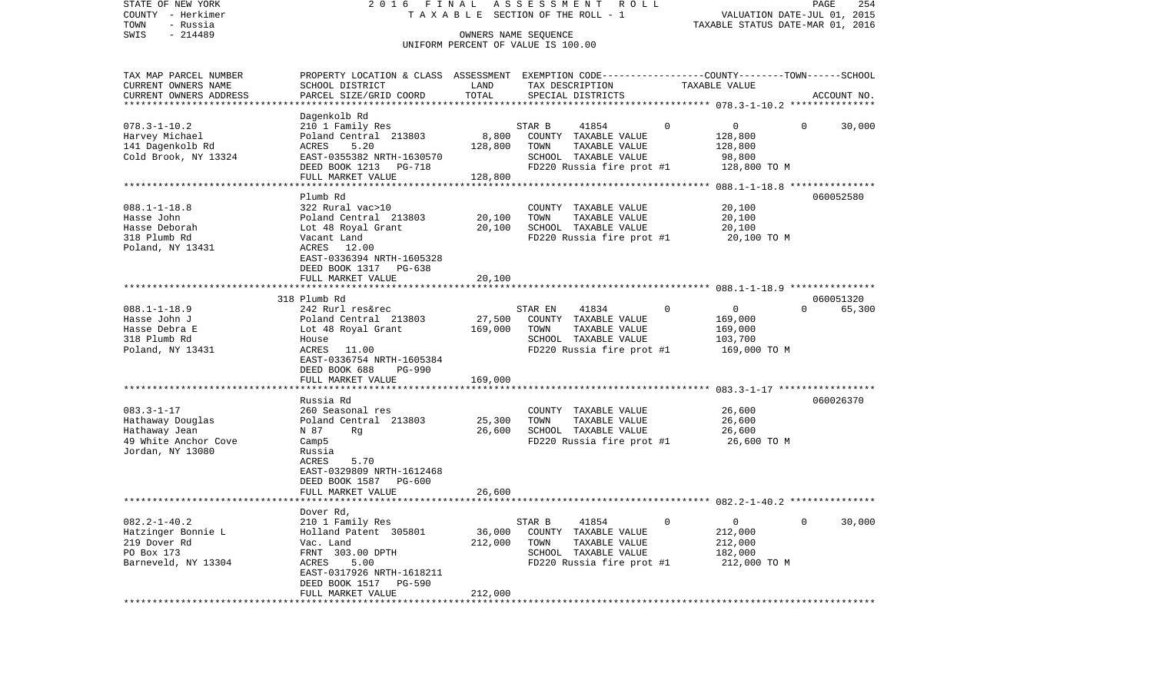| STATE OF NEW YORK<br>COUNTY - Herkimer<br>TOWN<br>- Russia                                        | 2016<br>F I N A L                                                                                                                                                                                                       |                                                           | ASSESSMENT<br>R O L L<br>TAXABLE SECTION OF THE ROLL - 1                                                               |                                                                                | PAGE<br>254<br>VALUATION DATE-JUL 01, 2015<br>TAXABLE STATUS DATE-MAR 01, 2016 |
|---------------------------------------------------------------------------------------------------|-------------------------------------------------------------------------------------------------------------------------------------------------------------------------------------------------------------------------|-----------------------------------------------------------|------------------------------------------------------------------------------------------------------------------------|--------------------------------------------------------------------------------|--------------------------------------------------------------------------------|
| $-214489$<br>SWIS                                                                                 |                                                                                                                                                                                                                         |                                                           | OWNERS NAME SEQUENCE<br>UNIFORM PERCENT OF VALUE IS 100.00                                                             |                                                                                |                                                                                |
| TAX MAP PARCEL NUMBER<br>CURRENT OWNERS NAME<br>CURRENT OWNERS ADDRESS<br>*********************   | PROPERTY LOCATION & CLASS ASSESSMENT EXEMPTION CODE----------------COUNTY-------TOWN------SCHOOL<br>SCHOOL DISTRICT<br>PARCEL SIZE/GRID COORD                                                                           | LAND<br>TOTAL                                             | TAX DESCRIPTION<br>SPECIAL DISTRICTS                                                                                   | TAXABLE VALUE                                                                  | ACCOUNT NO.                                                                    |
| $078.3 - 1 - 10.2$<br>Harvey Michael<br>141 Dagenkolb Rd<br>Cold Brook, NY 13324                  | Dagenkolb Rd<br>210 1 Family Res<br>Poland Central 213803<br>5.20<br>ACRES<br>EAST-0355382 NRTH-1630570<br>DEED BOOK 1213 PG-718<br>FULL MARKET VALUE                                                                   | 8,800<br>128,800<br>128,800                               | STAR B<br>41854<br>COUNTY TAXABLE VALUE<br>TOWN<br>TAXABLE VALUE<br>SCHOOL TAXABLE VALUE<br>FD220 Russia fire prot #1  | 0<br>0<br>128,800<br>128,800<br>98,800<br>128,800 TO M                         | 30,000<br>0                                                                    |
| $088.1 - 1 - 18.8$<br>Hasse John<br>Hasse Deborah<br>318 Plumb Rd<br>Poland, NY 13431             | Plumb Rd<br>322 Rural vac>10<br>Poland Central 213803<br>Lot 48 Royal Grant<br>Vacant Land<br>ACRES 12.00<br>EAST-0336394 NRTH-1605328<br>DEED BOOK 1317 PG-638<br>FULL MARKET VALUE                                    | 20,100<br>20,100<br>20,100                                | COUNTY TAXABLE VALUE<br>TOWN<br>TAXABLE VALUE<br>SCHOOL TAXABLE VALUE<br>FD220 Russia fire prot #1                     | 20,100<br>20,100<br>20,100<br>20,100 TO M                                      | 060052580                                                                      |
| $088.1 - 1 - 18.9$<br>Hasse John J<br>Hasse Debra E<br>318 Plumb Rd<br>Poland, NY 13431           | 318 Plumb Rd<br>242 Rurl res&rec<br>Poland Central 213803<br>Lot 48 Royal Grant<br>House<br>ACRES<br>11.00<br>EAST-0336754 NRTH-1605384<br>DEED BOOK 688<br>PG-990<br>FULL MARKET VALUE                                 | 27,500<br>169,000<br>169,000                              | 41834<br>STAR EN<br>COUNTY TAXABLE VALUE<br>TOWN<br>TAXABLE VALUE<br>SCHOOL TAXABLE VALUE<br>FD220 Russia fire prot #1 | $\mathbf 0$<br>$\overline{0}$<br>169,000<br>169,000<br>103,700<br>169,000 TO M | 060051320<br>$\Omega$<br>65,300                                                |
| $083.3 - 1 - 17$<br>Hathaway Douglas<br>Hathaway Jean<br>49 White Anchor Cove<br>Jordan, NY 13080 | ********************<br>Russia Rd<br>260 Seasonal res<br>Poland Central 213803<br>N 87<br>Rg<br>Camp <sub>5</sub><br>Russia<br>5.70<br>ACRES<br>EAST-0329809 NRTH-1612468<br>DEED BOOK 1587 PG-600<br>FULL MARKET VALUE | 25,300<br>26,600<br>26,600                                | COUNTY TAXABLE VALUE<br>TOWN<br>TAXABLE VALUE<br>SCHOOL TAXABLE VALUE<br>FD220 Russia fire prot #1                     | 26,600<br>26,600<br>26,600<br>26,600 TO M                                      | 060026370                                                                      |
| $082.2 - 1 - 40.2$<br>Hatzinger Bonnie L<br>219 Dover Rd<br>PO Box 173<br>Barneveld, NY 13304     | Dover Rd,<br>210 1 Family Res<br>Holland Patent 305801<br>Vac. Land<br>FRNT 303.00 DPTH<br>ACRES<br>5.00<br>EAST-0317926 NRTH-1618211<br>DEED BOOK 1517 PG-590<br>FULL MARKET VALUE<br>**************************       | 36,000<br>212,000<br>212,000<br>************************* | 41854<br>STAR B<br>COUNTY TAXABLE VALUE<br>TOWN<br>TAXABLE VALUE<br>SCHOOL TAXABLE VALUE<br>FD220 Russia fire prot #1  | $\mathsf{O}$<br>0<br>212,000<br>212,000<br>182,000<br>212,000 TO M             | 0<br>30,000                                                                    |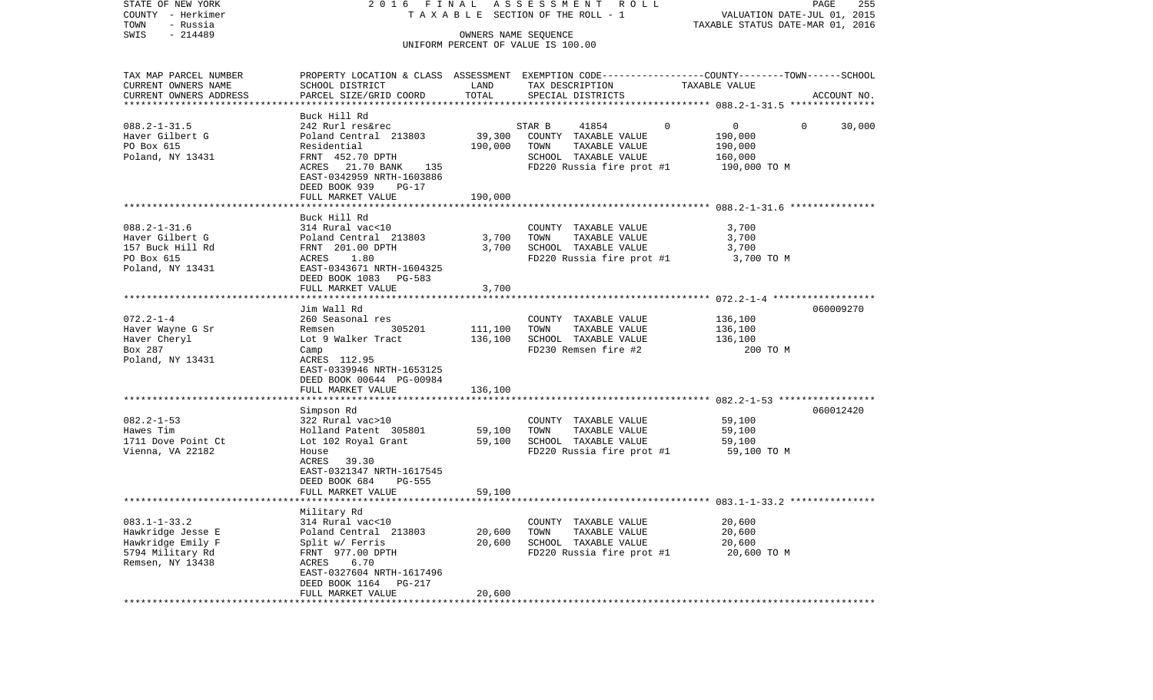| COUNTY - Herkimer      |                                                                                                 |                              | T A X A B L E SECTION OF THE ROLL - 1 |               | VALUATION DATE-JUL 01, 2015      |             |
|------------------------|-------------------------------------------------------------------------------------------------|------------------------------|---------------------------------------|---------------|----------------------------------|-------------|
| TOWN<br>- Russia       |                                                                                                 |                              |                                       |               | TAXABLE STATUS DATE-MAR 01, 2016 |             |
| SWIS<br>$-214489$      |                                                                                                 |                              | OWNERS NAME SEQUENCE                  |               |                                  |             |
|                        |                                                                                                 |                              | UNIFORM PERCENT OF VALUE IS 100.00    |               |                                  |             |
|                        |                                                                                                 |                              |                                       |               |                                  |             |
| TAX MAP PARCEL NUMBER  | PROPERTY LOCATION & CLASS ASSESSMENT EXEMPTION CODE---------------COUNTY-------TOWN------SCHOOL |                              |                                       |               |                                  |             |
| CURRENT OWNERS NAME    | SCHOOL DISTRICT                                                                                 | LAND                         | TAX DESCRIPTION                       | TAXABLE VALUE |                                  |             |
| CURRENT OWNERS ADDRESS | PARCEL SIZE/GRID COORD                                                                          | TOTAL                        | SPECIAL DISTRICTS                     |               |                                  | ACCOUNT NO. |
|                        |                                                                                                 |                              |                                       |               |                                  |             |
|                        | Buck Hill Rd                                                                                    |                              |                                       |               |                                  |             |
| $088.2 - 1 - 31.5$     | 242 Rurl res&rec                                                                                |                              | STAR B<br>41854                       | $\mathbf{0}$  | $\overline{0}$<br>$\overline{0}$ | 30,000      |
| Haver Gilbert G        | Poland Central 213803                                                                           | 39,300                       | COUNTY TAXABLE VALUE                  |               | 190,000                          |             |
| PO Box 615             | Residential                                                                                     | 190,000                      | TOWN<br>TAXABLE VALUE                 |               | 190,000                          |             |
| Poland, NY 13431       | FRNT 452.70 DPTH                                                                                |                              | SCHOOL TAXABLE VALUE                  |               | 160,000                          |             |
|                        | ACRES 21.70 BANK 135                                                                            |                              | FD220 Russia fire prot #1             |               | 190,000 TO M                     |             |
|                        | EAST-0342959 NRTH-1603886                                                                       |                              |                                       |               |                                  |             |
|                        | DEED BOOK 939<br>PG-17                                                                          |                              |                                       |               |                                  |             |
|                        | FULL MARKET VALUE                                                                               | 190,000                      |                                       |               |                                  |             |
|                        |                                                                                                 |                              |                                       |               |                                  |             |
|                        | Buck Hill Rd                                                                                    |                              |                                       |               |                                  |             |
| $088.2 - 1 - 31.6$     | 314 Rural vac<10                                                                                |                              | COUNTY TAXABLE VALUE                  |               | 3,700                            |             |
| Haver Gilbert G        |                                                                                                 | 3,700                        | TOWN<br>TAXABLE VALUE                 |               | 3,700                            |             |
| 157 Buck Hill Rd       | Poland Central 213803<br>FRNT 201.00 DPTH<br>ACRES 1.80<br>EAST-0343671 NRTH-1604325            | 3,700                        | SCHOOL TAXABLE VALUE                  |               | 3,700                            |             |
| PO Box 615             |                                                                                                 |                              | FD220 Russia fire prot #1 3,700 TO M  |               |                                  |             |
| Poland, NY 13431       |                                                                                                 |                              |                                       |               |                                  |             |
|                        | DEED BOOK 1083 PG-583                                                                           |                              |                                       |               |                                  |             |
|                        | FULL MARKET VALUE                                                                               | 3,700<br>* * * * * * * * * * |                                       |               |                                  |             |
|                        |                                                                                                 |                              |                                       |               |                                  | 060009270   |
| $072.2 - 1 - 4$        | Jim Wall Rd<br>260 Seasonal res                                                                 |                              |                                       |               | 136,100                          |             |
| Haver Wayne G Sr       | Remsen 305201                                                                                   | 111,100                      | COUNTY TAXABLE VALUE<br>TOWN          |               | 136,100                          |             |
| Haver Cheryl           | Lot 9 Walker Tract                                                                              | 136,100                      | TAXABLE VALUE<br>SCHOOL TAXABLE VALUE |               | 136,100                          |             |
| Box 287                | Camp                                                                                            |                              | FD230 Remsen fire #2                  |               | 200 TO M                         |             |
| Poland, NY 13431       | ACRES 112.95                                                                                    |                              |                                       |               |                                  |             |
|                        | EAST-0339946 NRTH-1653125                                                                       |                              |                                       |               |                                  |             |
|                        | DEED BOOK 00644 PG-00984                                                                        |                              |                                       |               |                                  |             |
|                        | FULL MARKET VALUE                                                                               | 136,100                      |                                       |               |                                  |             |
|                        |                                                                                                 |                              |                                       |               |                                  |             |
|                        | Simpson Rd                                                                                      |                              |                                       |               |                                  | 060012420   |
| $082.2 - 1 - 53$       | 322 Rural vac>10                                                                                |                              | COUNTY TAXABLE VALUE                  |               | 59,100                           |             |
| Hawes Tim              | Holland Patent 305801                                                                           | 59,100                       | TOWN<br>TAXABLE VALUE                 |               | 59,100                           |             |
| 1711 Dove Point Ct     | Lot 102 Royal Grant 59,100                                                                      |                              | SCHOOL TAXABLE VALUE                  |               | 59,100                           |             |
| Vienna, VA 22182       | House                                                                                           |                              | FD220 Russia fire prot #1             |               | 59,100 TO M                      |             |
|                        | ACRES 39.30                                                                                     |                              |                                       |               |                                  |             |
|                        | EAST-0321347 NRTH-1617545                                                                       |                              |                                       |               |                                  |             |
|                        | DEED BOOK 684<br>PG-555                                                                         |                              |                                       |               |                                  |             |
|                        | FULL MARKET VALUE                                                                               | 59,100                       |                                       |               |                                  |             |
|                        |                                                                                                 |                              |                                       |               |                                  |             |
|                        | Military Rd                                                                                     |                              |                                       |               |                                  |             |
| $083.1 - 1 - 33.2$     | 314 Rural vac<10                                                                                |                              | COUNTY TAXABLE VALUE                  |               | 20,600                           |             |
| Hawkridge Jesse E      | Poland Central 213803                                                                           | 20,600                       | TOWN<br>TAXABLE VALUE                 |               | 20,600                           |             |
| Hawkridge Emily F      | Split w/ Ferris                                                                                 | 20,600                       | SCHOOL TAXABLE VALUE                  |               | 20,600                           |             |
| 5794 Military Rd       | Split w/ Ferris<br>FRNT 977.00 DPTH                                                             |                              | FD220 Russia fire prot #1             |               | 20,600 TO M                      |             |
| Remsen, NY 13438       | 6.70<br>ACRES                                                                                   |                              |                                       |               |                                  |             |
|                        | EAST-0327604 NRTH-1617496                                                                       |                              |                                       |               |                                  |             |
|                        | DEED BOOK 1164<br>PG-217                                                                        |                              |                                       |               |                                  |             |
|                        | FULL MARKET VALUE                                                                               | 20,600                       |                                       |               |                                  |             |
|                        |                                                                                                 |                              |                                       |               |                                  |             |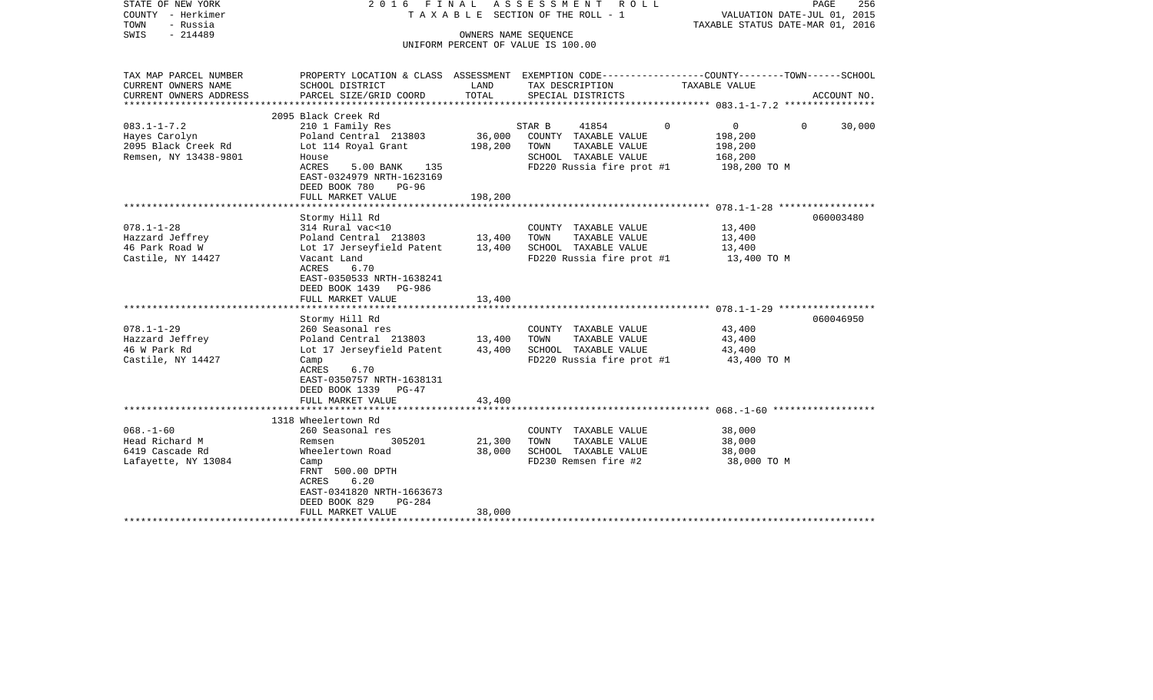| STATE OF NEW YORK<br>COUNTY - Herkimer<br>- Russia<br>TOWN<br>$-214489$<br>SWIS                                                                        | 2016 FINAL                                                                                                                                                                                                                                                                                                                                            | OWNERS NAME SEOUENCE                           | ASSESSMENT ROLL<br>T A X A B L E SECTION OF THE ROLL - 1<br>UNIFORM PERCENT OF VALUE IS 100.00                                                                                                           | PAGE<br>VALUATION DATE-JUL 01, 2015<br>TAXABLE STATUS DATE-MAR 01, 2016                                           | 256    |
|--------------------------------------------------------------------------------------------------------------------------------------------------------|-------------------------------------------------------------------------------------------------------------------------------------------------------------------------------------------------------------------------------------------------------------------------------------------------------------------------------------------------------|------------------------------------------------|----------------------------------------------------------------------------------------------------------------------------------------------------------------------------------------------------------|-------------------------------------------------------------------------------------------------------------------|--------|
| TAX MAP PARCEL NUMBER<br>CURRENT OWNERS NAME                                                                                                           | SCHOOL DISTRICT                                                                                                                                                                                                                                                                                                                                       | LAND                                           | TAX DESCRIPTION                                                                                                                                                                                          | PROPERTY LOCATION & CLASS ASSESSMENT EXEMPTION CODE----------------COUNTY-------TOWN------SCHOOL<br>TAXABLE VALUE |        |
| CURRENT OWNERS ADDRESS<br>***********************                                                                                                      | PARCEL SIZE/GRID COORD                                                                                                                                                                                                                                                                                                                                | TOTAL                                          | SPECIAL DISTRICTS                                                                                                                                                                                        | ACCOUNT NO.                                                                                                       |        |
|                                                                                                                                                        | 2095 Black Creek Rd                                                                                                                                                                                                                                                                                                                                   |                                                |                                                                                                                                                                                                          |                                                                                                                   |        |
| $083.1 - 1 - 7.2$<br>Hayes Carolyn<br>2095 Black Creek Rd<br>Remsen, NY 13438-9801                                                                     | 210 1 Family Res<br>Poland Central 213803<br>Lot 114 Royal Grant<br>House<br>ACRES<br>5.00 BANK<br>135<br>EAST-0324979 NRTH-1623169                                                                                                                                                                                                                   | 36,000<br>198,200                              | 41854<br>STAR B<br>COUNTY TAXABLE VALUE<br>TOWN<br>TAXABLE VALUE<br>SCHOOL TAXABLE VALUE<br>FD220 Russia fire prot #1                                                                                    | $\mathbf{0}$<br>$\Omega$<br>$\Omega$<br>198,200<br>198,200<br>168,200<br>198,200 TO M                             | 30,000 |
|                                                                                                                                                        | DEED BOOK 780<br>$PG-96$<br>FULL MARKET VALUE                                                                                                                                                                                                                                                                                                         | 198,200                                        |                                                                                                                                                                                                          |                                                                                                                   |        |
|                                                                                                                                                        | ************************                                                                                                                                                                                                                                                                                                                              |                                                |                                                                                                                                                                                                          |                                                                                                                   |        |
| $078.1 - 1 - 28$<br>Hazzard Jeffrey<br>46 Park Road W<br>Castile, NY 14427<br>$078.1 - 1 - 29$<br>Hazzard Jeffrey<br>46 W Park Rd<br>Castile, NY 14427 | Stormy Hill Rd<br>314 Rural vac<10<br>Poland Central 213803<br>Lot 17 Jerseyfield Patent<br>Vacant Land<br>ACRES<br>6.70<br>EAST-0350533 NRTH-1638241<br>DEED BOOK 1439 PG-986<br>FULL MARKET VALUE<br>Stormy Hill Rd<br>260 Seasonal res<br>Poland Central 213803<br>Lot 17 Jerseyfield Patent<br>Camp<br>ACRES<br>6.70<br>EAST-0350757 NRTH-1638131 | 13,400<br>13,400<br>13,400<br>13,400<br>43,400 | COUNTY TAXABLE VALUE<br>TOWN<br>TAXABLE VALUE<br>SCHOOL TAXABLE VALUE<br>FD220 Russia fire prot #1<br>COUNTY TAXABLE VALUE<br>TAXABLE VALUE<br>TOWN<br>SCHOOL TAXABLE VALUE<br>FD220 Russia fire prot #1 | 060003480<br>13,400<br>13,400<br>13,400<br>13,400 TO M<br>060046950<br>43,400<br>43,400<br>43,400<br>43,400 TO M  |        |
|                                                                                                                                                        | DEED BOOK 1339 PG-47<br>FULL MARKET VALUE                                                                                                                                                                                                                                                                                                             | 43,400                                         |                                                                                                                                                                                                          |                                                                                                                   |        |
|                                                                                                                                                        | 1318 Wheelertown Rd                                                                                                                                                                                                                                                                                                                                   |                                                |                                                                                                                                                                                                          |                                                                                                                   |        |
| $068. - 1 - 60$<br>Head Richard M<br>6419 Cascade Rd<br>Lafayette, NY 13084                                                                            | 260 Seasonal res<br>305201<br>Remsen<br>Wheelertown Road<br>Camp<br>FRNT 500.00 DPTH<br>6.20<br>ACRES<br>EAST-0341820 NRTH-1663673<br>DEED BOOK 829<br>PG-284<br>FULL MARKET VALUE                                                                                                                                                                    | 21,300<br>38,000<br>38,000                     | COUNTY TAXABLE VALUE<br>TAXABLE VALUE<br>TOWN<br>SCHOOL TAXABLE VALUE<br>FD230 Remsen fire #2                                                                                                            | 38,000<br>38,000<br>38,000<br>38,000 TO M                                                                         |        |
|                                                                                                                                                        | ************************                                                                                                                                                                                                                                                                                                                              |                                                | *****************************                                                                                                                                                                            |                                                                                                                   |        |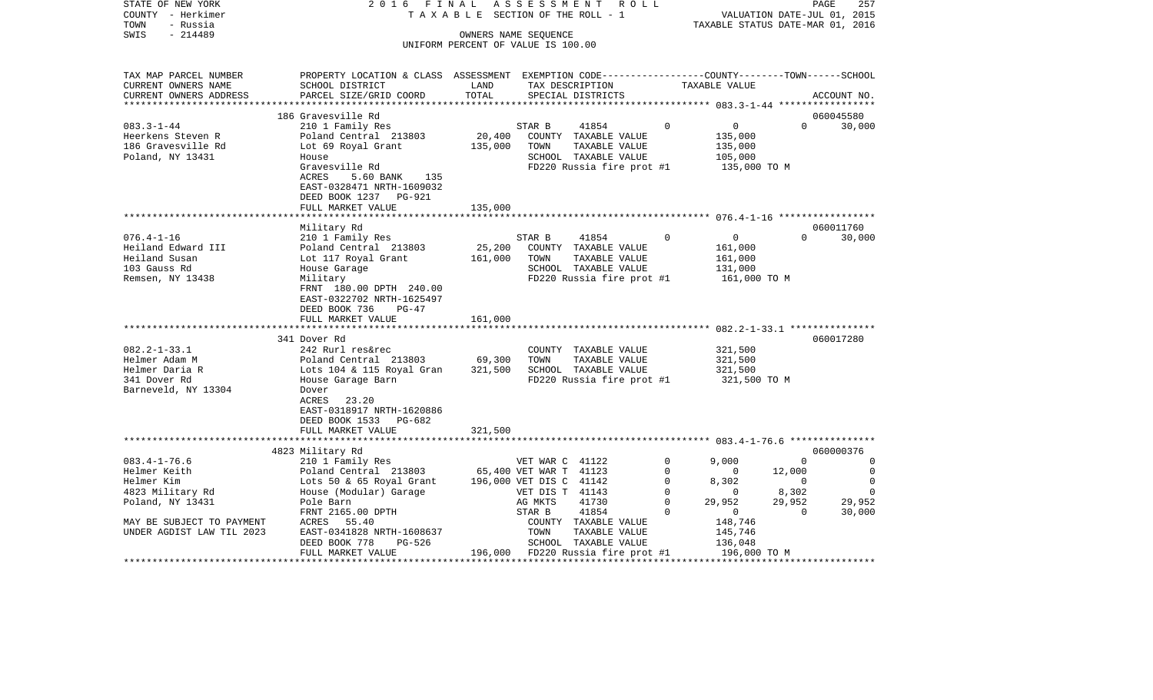| COUNTY<br>– Herkimer           |                                                                                                  |         | T A X A B L E SECTION OF THE ROLL - 1      |               |                       | VALUATION DATE-JUL 01, 2015      |                |
|--------------------------------|--------------------------------------------------------------------------------------------------|---------|--------------------------------------------|---------------|-----------------------|----------------------------------|----------------|
| TOWN<br>- Russia               |                                                                                                  |         |                                            |               |                       | TAXABLE STATUS DATE-MAR 01, 2016 |                |
| $-214489$<br>SWIS              |                                                                                                  |         | OWNERS NAME SEQUENCE                       |               |                       |                                  |                |
|                                |                                                                                                  |         | UNIFORM PERCENT OF VALUE IS 100.00         |               |                       |                                  |                |
| TAX MAP PARCEL NUMBER          | PROPERTY LOCATION & CLASS ASSESSMENT EXEMPTION CODE----------------COUNTY-------TOWN------SCHOOL |         |                                            |               |                       |                                  |                |
| CURRENT OWNERS NAME            | SCHOOL DISTRICT                                                                                  | LAND    | TAX DESCRIPTION                            |               | TAXABLE VALUE         |                                  |                |
| CURRENT OWNERS ADDRESS         | PARCEL SIZE/GRID COORD                                                                           | TOTAL   | SPECIAL DISTRICTS                          |               |                       |                                  | ACCOUNT NO.    |
|                                |                                                                                                  |         |                                            |               |                       |                                  |                |
|                                | 186 Gravesville Rd                                                                               |         |                                            |               |                       |                                  | 060045580      |
| $083.3 - 1 - 44$               | 210 1 Family Res                                                                                 |         | 41854<br>STAR B                            |               | $\Omega$              | $\overline{0}$<br>$\Omega$       | 30,000         |
| Heerkens Steven R              | Poland Central 213803                                                                            | 20,400  | COUNTY TAXABLE VALUE                       |               |                       | 135,000                          |                |
| 186 Gravesville Rd             | Lot 69 Royal Grant                                                                               | 135,000 | TOWN                                       | TAXABLE VALUE |                       | 135,000                          |                |
| Poland, NY 13431               | House                                                                                            |         | SCHOOL TAXABLE VALUE                       |               |                       | 105,000                          |                |
|                                | Gravesville Rd                                                                                   |         | FD220 Russia fire prot #1                  |               |                       | 135,000 TO M                     |                |
|                                | <b>ACRES</b><br>5.60 BANK<br>135                                                                 |         |                                            |               |                       |                                  |                |
|                                | EAST-0328471 NRTH-1609032                                                                        |         |                                            |               |                       |                                  |                |
|                                | DEED BOOK 1237<br>PG-921                                                                         |         |                                            |               |                       |                                  |                |
|                                | FULL MARKET VALUE                                                                                | 135,000 |                                            |               |                       |                                  |                |
|                                |                                                                                                  |         |                                            |               |                       |                                  |                |
|                                | Military Rd                                                                                      |         |                                            |               |                       |                                  | 060011760      |
| $076.4 - 1 - 16$               | 210 1 Family Res                                                                                 |         | STAR B<br>41854                            |               | $\Omega$              | $\mathbf 0$<br>$\Omega$          | 30,000         |
| Heiland Edward III             | Poland Central 213803                                                                            | 25,200  | COUNTY TAXABLE VALUE                       |               |                       | 161,000                          |                |
| Heiland Susan                  | Lot 117 Royal Grant                                                                              | 161,000 | TOWN                                       | TAXABLE VALUE |                       | 161,000                          |                |
| 103 Gauss Rd                   | House Garage                                                                                     |         | SCHOOL TAXABLE VALUE                       |               |                       | 131,000                          |                |
| Remsen, NY 13438               | Military                                                                                         |         | FD220 Russia fire prot #1                  |               |                       | 161,000 TO M                     |                |
|                                | FRNT 180.00 DPTH 240.00                                                                          |         |                                            |               |                       |                                  |                |
|                                | EAST-0322702 NRTH-1625497                                                                        |         |                                            |               |                       |                                  |                |
|                                | DEED BOOK 736<br>$PG-47$                                                                         |         |                                            |               |                       |                                  |                |
|                                | FULL MARKET VALUE                                                                                | 161,000 |                                            |               |                       |                                  |                |
|                                |                                                                                                  |         |                                            |               |                       |                                  |                |
|                                | 341 Dover Rd                                                                                     |         |                                            |               |                       |                                  | 060017280      |
| $082.2 - 1 - 33.1$             | 242 Rurl res&rec                                                                                 |         | COUNTY TAXABLE VALUE                       |               |                       | 321,500                          |                |
| Helmer Adam M                  | Poland Central 213803                                                                            | 69,300  | TOWN                                       | TAXABLE VALUE |                       | 321,500                          |                |
| Helmer Daria R                 | Lots 104 & 115 Royal Gran                                                                        | 321,500 | SCHOOL TAXABLE VALUE                       |               |                       | 321,500                          |                |
| 341 Dover Rd                   | House Garage Barn                                                                                |         | FD220 Russia fire prot #1                  |               |                       | 321,500 TO M                     |                |
| Barneveld, NY 13304            | Dover                                                                                            |         |                                            |               |                       |                                  |                |
|                                | 23.20<br>ACRES                                                                                   |         |                                            |               |                       |                                  |                |
|                                | EAST-0318917 NRTH-1620886                                                                        |         |                                            |               |                       |                                  |                |
|                                | DEED BOOK 1533 PG-682                                                                            |         |                                            |               |                       |                                  |                |
|                                | FULL MARKET VALUE                                                                                | 321,500 |                                            |               |                       |                                  |                |
|                                | 4823 Military Rd                                                                                 |         |                                            |               |                       |                                  | 060000376      |
| $083.4 - 1 - 76.6$             | 210 1 Family Res                                                                                 |         | VET WAR C 41122                            |               | $\mathbf 0$<br>9,000  | $\Omega$                         | 0              |
| Helmer Keith                   | Poland Central 213803                                                                            |         | 65,400 VET WAR T 41123                     |               | $\mathbf 0$           | 12,000<br>$\mathbf{0}$           | 0              |
|                                |                                                                                                  |         |                                            |               | $\mathbf 0$           | $\Omega$                         | 0              |
| Helmer Kim<br>4823 Military Rd | Lots 50 & 65 Royal Grant<br>House (Modular) Garage                                               |         | 196,000 VET DIS C 41142<br>VET DIS T 41143 |               | 8,302<br>$\mathbf 0$  | 8,302<br>$\mathbf{0}$            | $\overline{0}$ |
| Poland, NY 13431               | Pole Barn                                                                                        |         | 41730<br>AG MKTS                           |               | $\mathbf 0$<br>29,952 | 29,952                           | 29,952         |
|                                | FRNT 2165.00 DPTH                                                                                |         | 41854<br>STAR B                            |               | $\Omega$              | $\overline{0}$<br>$\mathbf{0}$   | 30,000         |
| MAY BE SUBJECT TO PAYMENT      | ACRES<br>55.40                                                                                   |         | COUNTY TAXABLE VALUE                       |               |                       | 148,746                          |                |
| UNDER AGDIST LAW TIL 2023      | EAST-0341828 NRTH-1608637                                                                        |         | TOWN                                       | TAXABLE VALUE |                       | 145,746                          |                |
|                                | DEED BOOK 778<br>PG-526                                                                          |         | SCHOOL TAXABLE VALUE                       |               |                       | 136,048                          |                |
|                                | FULL MARKET VALUE                                                                                | 196,000 | FD220 Russia fire prot #1                  |               |                       | 196,000 TO M                     |                |
|                                | ************************                                                                         |         |                                            |               |                       |                                  |                |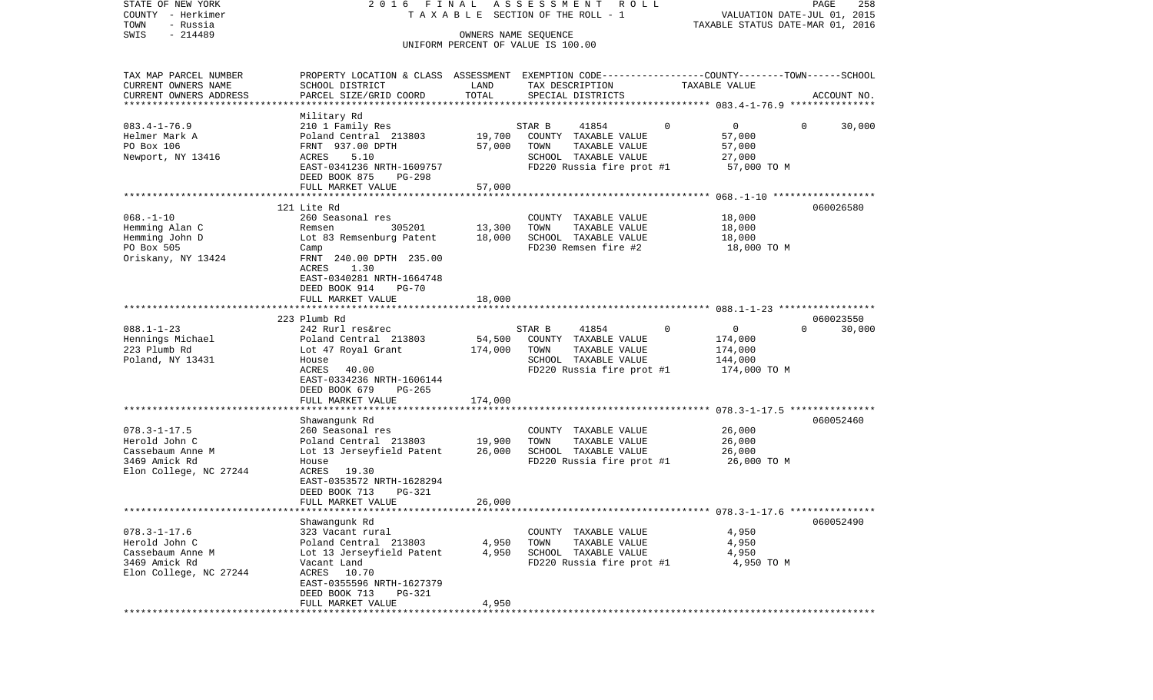| STATE OF NEW YORK<br>COUNTY - Herkimer          | 2016 FINAL                                                                                      |                      | A S S E S S M E N T<br>R O L L<br>TAXABLE SECTION OF THE ROLL - 1 |                            | PAGE<br>258<br>VALUATION DATE-JUL 01, 2015 |
|-------------------------------------------------|-------------------------------------------------------------------------------------------------|----------------------|-------------------------------------------------------------------|----------------------------|--------------------------------------------|
| TOWN<br>- Russia<br>$-214489$<br>SWIS           |                                                                                                 | OWNERS NAME SEQUENCE |                                                                   |                            | TAXABLE STATUS DATE-MAR 01, 2016           |
|                                                 |                                                                                                 |                      | UNIFORM PERCENT OF VALUE IS 100.00                                |                            |                                            |
| TAX MAP PARCEL NUMBER                           | PROPERTY LOCATION & CLASS ASSESSMENT EXEMPTION CODE---------------COUNTY-------TOWN------SCHOOL |                      |                                                                   |                            |                                            |
| CURRENT OWNERS NAME                             | SCHOOL DISTRICT                                                                                 | LAND                 | TAX DESCRIPTION                                                   | TAXABLE VALUE              |                                            |
| CURRENT OWNERS ADDRESS<br>********************* | PARCEL SIZE/GRID COORD                                                                          | TOTAL                | SPECIAL DISTRICTS                                                 |                            | ACCOUNT NO.                                |
|                                                 | Military Rd                                                                                     |                      |                                                                   |                            |                                            |
| $083.4 - 1 - 76.9$                              | 210 1 Family Res                                                                                |                      | STAR B<br>41854                                                   | $\overline{0}$<br>$\Omega$ | 30,000<br>0                                |
| Helmer Mark A                                   | Poland Central 213803                                                                           | 19,700               | COUNTY TAXABLE VALUE                                              | 57,000                     |                                            |
| PO Box 106                                      | FRNT 937.00 DPTH                                                                                | 57,000               | TOWN<br>TAXABLE VALUE                                             | 57,000                     |                                            |
| Newport, NY 13416                               | ACRES<br>5.10                                                                                   |                      | SCHOOL TAXABLE VALUE                                              | 27,000                     |                                            |
|                                                 | EAST-0341236 NRTH-1609757                                                                       |                      | FD220 Russia fire prot #1                                         | 57,000 TO M                |                                            |
|                                                 | DEED BOOK 875<br>PG-298                                                                         |                      |                                                                   |                            |                                            |
|                                                 | FULL MARKET VALUE                                                                               | 57,000               |                                                                   |                            |                                            |
|                                                 | 121 Lite Rd                                                                                     |                      |                                                                   |                            | 060026580                                  |
| $068. - 1 - 10$                                 | 260 Seasonal res                                                                                |                      | COUNTY TAXABLE VALUE                                              | 18,000                     |                                            |
| Hemming Alan C                                  | Remsen<br>305201                                                                                | 13,300               | TOWN<br>TAXABLE VALUE                                             | 18,000                     |                                            |
| Hemming John D                                  | Lot 83 Remsenburg Patent                                                                        | 18,000               | SCHOOL TAXABLE VALUE                                              | 18,000                     |                                            |
| PO Box 505                                      | Camp                                                                                            |                      | FD230 Remsen fire #2                                              | 18,000 TO M                |                                            |
| Oriskany, NY 13424                              | FRNT 240.00 DPTH 235.00                                                                         |                      |                                                                   |                            |                                            |
|                                                 | 1.30<br>ACRES                                                                                   |                      |                                                                   |                            |                                            |
|                                                 | EAST-0340281 NRTH-1664748                                                                       |                      |                                                                   |                            |                                            |
|                                                 | DEED BOOK 914<br>$PG-70$<br>FULL MARKET VALUE                                                   | 18,000               |                                                                   |                            |                                            |
|                                                 |                                                                                                 |                      |                                                                   |                            |                                            |
|                                                 | 223 Plumb Rd                                                                                    |                      |                                                                   |                            | 060023550                                  |
| $088.1 - 1 - 23$                                | 242 Rurl res&rec                                                                                |                      | 41854<br>STAR B                                                   | 0<br>0                     | $\Omega$<br>30,000                         |
| Hennings Michael                                | Poland Central 213803                                                                           | 54,500               | COUNTY TAXABLE VALUE                                              | 174,000                    |                                            |
| 223 Plumb Rd                                    | Lot 47 Royal Grant                                                                              | 174,000              | TAXABLE VALUE<br>TOWN                                             | 174,000                    |                                            |
| Poland, NY 13431                                | House                                                                                           |                      | SCHOOL TAXABLE VALUE                                              | 144,000                    |                                            |
|                                                 | ACRES<br>40.00                                                                                  |                      | FD220 Russia fire prot #1                                         | 174,000 TO M               |                                            |
|                                                 | EAST-0334236 NRTH-1606144                                                                       |                      |                                                                   |                            |                                            |
|                                                 | DEED BOOK 679<br>$PG-265$                                                                       | 174,000              |                                                                   |                            |                                            |
|                                                 | FULL MARKET VALUE<br>*************************                                                  |                      |                                                                   |                            |                                            |
|                                                 | Shawangunk Rd                                                                                   |                      |                                                                   |                            | 060052460                                  |
| $078.3 - 1 - 17.5$                              | 260 Seasonal res                                                                                |                      | COUNTY TAXABLE VALUE                                              | 26,000                     |                                            |
| Herold John C                                   | Poland Central 213803                                                                           | 19,900               | TOWN<br>TAXABLE VALUE                                             | 26,000                     |                                            |
| Cassebaum Anne M                                | Lot 13 Jerseyfield Patent                                                                       | 26,000               | SCHOOL TAXABLE VALUE                                              | 26,000                     |                                            |
| 3469 Amick Rd                                   | House                                                                                           |                      | FD220 Russia fire prot #1                                         | 26,000 TO M                |                                            |
| Elon College, NC 27244                          | ACRES 19.30                                                                                     |                      |                                                                   |                            |                                            |
|                                                 | EAST-0353572 NRTH-1628294                                                                       |                      |                                                                   |                            |                                            |
|                                                 | DEED BOOK 713<br><b>PG-321</b>                                                                  |                      |                                                                   |                            |                                            |
| *************************                       | FULL MARKET VALUE                                                                               | 26,000               |                                                                   |                            |                                            |
|                                                 | Shawanqunk Rd                                                                                   |                      |                                                                   |                            | 060052490                                  |
| $078.3 - 1 - 17.6$                              | 323 Vacant rural                                                                                |                      | COUNTY TAXABLE VALUE                                              | 4,950                      |                                            |
| Herold John C                                   | Poland Central 213803                                                                           | 4,950                | TOWN<br>TAXABLE VALUE                                             | 4,950                      |                                            |
| Cassebaum Anne M                                | Lot 13 Jerseyfield Patent                                                                       | 4,950                | SCHOOL TAXABLE VALUE                                              | 4,950                      |                                            |
| 3469 Amick Rd                                   | Vacant Land                                                                                     |                      | FD220 Russia fire prot #1                                         | 4,950 TO M                 |                                            |
| Elon College, NC 27244                          | ACRES 10.70                                                                                     |                      |                                                                   |                            |                                            |
|                                                 | EAST-0355596 NRTH-1627379                                                                       |                      |                                                                   |                            |                                            |
|                                                 | <b>PG-321</b><br>DEED BOOK 713                                                                  |                      |                                                                   |                            |                                            |
|                                                 | FULL MARKET VALUE                                                                               | 4,950                |                                                                   |                            |                                            |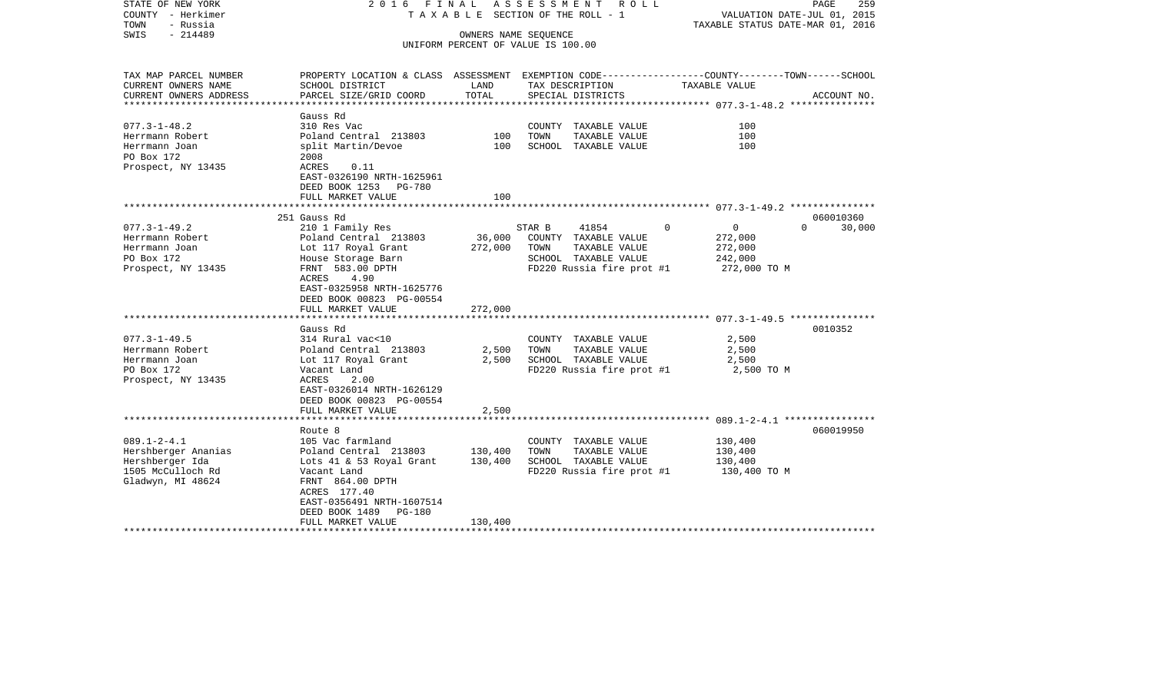| COUNTY<br>– Herkimer<br>TOWN<br>- Russia     |                                                                                                                     |                      | T A X A B L E SECTION OF THE ROLL - 1         |                          | VALUATION DATE-JUL 01, 2015<br>TAXABLE STATUS DATE-MAR 01, 2016 |  |  |
|----------------------------------------------|---------------------------------------------------------------------------------------------------------------------|----------------------|-----------------------------------------------|--------------------------|-----------------------------------------------------------------|--|--|
| SWIS<br>$-214489$                            |                                                                                                                     | OWNERS NAME SEQUENCE | UNIFORM PERCENT OF VALUE IS 100.00            |                          |                                                                 |  |  |
| TAX MAP PARCEL NUMBER<br>CURRENT OWNERS NAME | PROPERTY LOCATION & CLASS ASSESSMENT EXEMPTION CODE----------------COUNTY-------TOWN------SCHOOL<br>SCHOOL DISTRICT | LAND                 | TAX DESCRIPTION                               | TAXABLE VALUE            |                                                                 |  |  |
| CURRENT OWNERS ADDRESS                       | PARCEL SIZE/GRID COORD                                                                                              | TOTAL                | SPECIAL DISTRICTS                             |                          | ACCOUNT NO.                                                     |  |  |
| **********************                       |                                                                                                                     |                      |                                               |                          |                                                                 |  |  |
|                                              | Gauss Rd                                                                                                            |                      |                                               |                          |                                                                 |  |  |
| $077.3 - 1 - 48.2$                           | 310 Res Vac                                                                                                         |                      | COUNTY TAXABLE VALUE                          | 100                      |                                                                 |  |  |
| Herrmann Robert<br>Herrmann Joan             | Poland Central 213803<br>split Martin/Devoe                                                                         | 100<br>100           | TOWN<br>TAXABLE VALUE<br>SCHOOL TAXABLE VALUE | 100<br>100               |                                                                 |  |  |
| PO Box 172                                   | 2008                                                                                                                |                      |                                               |                          |                                                                 |  |  |
| Prospect, NY 13435                           | ACRES<br>0.11                                                                                                       |                      |                                               |                          |                                                                 |  |  |
|                                              | EAST-0326190 NRTH-1625961                                                                                           |                      |                                               |                          |                                                                 |  |  |
|                                              | DEED BOOK 1253 PG-780                                                                                               |                      |                                               |                          |                                                                 |  |  |
|                                              | FULL MARKET VALUE                                                                                                   | 100                  |                                               |                          |                                                                 |  |  |
|                                              |                                                                                                                     |                      |                                               |                          |                                                                 |  |  |
|                                              | 251 Gauss Rd                                                                                                        |                      |                                               |                          | 060010360                                                       |  |  |
| $077.3 - 1 - 49.2$                           | 210 1 Family Res                                                                                                    |                      | 41854<br>STAR B                               | $\Omega$<br>$\mathbf{0}$ | $\Omega$<br>30,000                                              |  |  |
| Herrmann Robert<br>Herrmann Joan             | Poland Central 213803<br>Lot 117 Royal Grant                                                                        | 36,000<br>272,000    | COUNTY TAXABLE VALUE<br>TOWN<br>TAXABLE VALUE | 272,000<br>272,000       |                                                                 |  |  |
| PO Box 172                                   | House Storage Barn                                                                                                  |                      | SCHOOL TAXABLE VALUE                          | 242,000                  |                                                                 |  |  |
| Prospect, NY 13435                           | FRNT 583.00 DPTH                                                                                                    |                      | FD220 Russia fire prot #1                     | 272,000 TO M             |                                                                 |  |  |
|                                              | ACRES<br>4.90                                                                                                       |                      |                                               |                          |                                                                 |  |  |
|                                              | EAST-0325958 NRTH-1625776                                                                                           |                      |                                               |                          |                                                                 |  |  |
|                                              | DEED BOOK 00823 PG-00554                                                                                            |                      |                                               |                          |                                                                 |  |  |
|                                              | FULL MARKET VALUE                                                                                                   | 272,000              |                                               |                          |                                                                 |  |  |
|                                              | ************************                                                                                            |                      |                                               |                          |                                                                 |  |  |
|                                              | Gauss Rd                                                                                                            |                      |                                               |                          | 0010352                                                         |  |  |
| $077.3 - 1 - 49.5$                           | 314 Rural vac<10                                                                                                    |                      | COUNTY TAXABLE VALUE                          | 2,500                    |                                                                 |  |  |
| Herrmann Robert<br>Herrmann Joan             | Poland Central 213803                                                                                               | 2,500<br>2,500       | TOWN<br>TAXABLE VALUE<br>SCHOOL TAXABLE VALUE | 2,500<br>2,500           |                                                                 |  |  |
| PO Box 172                                   | Lot 117 Royal Grant<br>Vacant Land                                                                                  |                      | FD220 Russia fire prot #1                     | 2,500 TO M               |                                                                 |  |  |
| Prospect, NY 13435                           | ACRES<br>2.00                                                                                                       |                      |                                               |                          |                                                                 |  |  |
|                                              | EAST-0326014 NRTH-1626129                                                                                           |                      |                                               |                          |                                                                 |  |  |
|                                              | DEED BOOK 00823 PG-00554                                                                                            |                      |                                               |                          |                                                                 |  |  |
|                                              | FULL MARKET VALUE                                                                                                   | 2,500                |                                               |                          |                                                                 |  |  |
|                                              |                                                                                                                     |                      |                                               |                          |                                                                 |  |  |
|                                              | Route 8                                                                                                             |                      |                                               |                          | 060019950                                                       |  |  |
| $089.1 - 2 - 4.1$                            | 105 Vac farmland                                                                                                    |                      | COUNTY TAXABLE VALUE                          | 130,400                  |                                                                 |  |  |
| Hershberger Ananias                          | Poland Central 213803                                                                                               | 130,400              | TOWN<br>TAXABLE VALUE                         | 130,400                  |                                                                 |  |  |
| Hershberger Ida                              | Lots 41 & 53 Royal Grant                                                                                            | 130,400              | SCHOOL TAXABLE VALUE                          | 130,400                  |                                                                 |  |  |
| 1505 McCulloch Rd                            | Vacant Land<br>FRNT 864.00 DPTH                                                                                     |                      | FD220 Russia fire prot #1                     | 130,400 TO M             |                                                                 |  |  |
| Gladwyn, MI 48624                            | ACRES 177.40                                                                                                        |                      |                                               |                          |                                                                 |  |  |
|                                              | EAST-0356491 NRTH-1607514                                                                                           |                      |                                               |                          |                                                                 |  |  |
|                                              | DEED BOOK 1489<br><b>PG-180</b>                                                                                     |                      |                                               |                          |                                                                 |  |  |
|                                              | FULL MARKET VALUE                                                                                                   | 130,400              |                                               |                          |                                                                 |  |  |
|                                              |                                                                                                                     |                      |                                               |                          |                                                                 |  |  |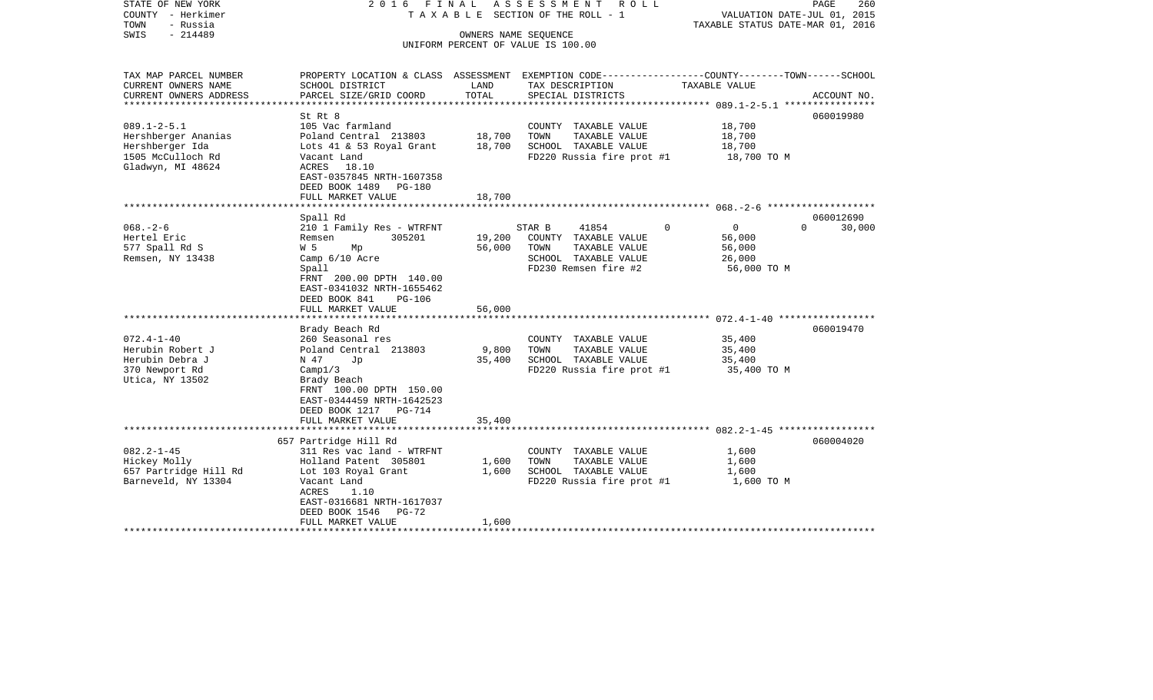| STATE OF NEW YORK<br>COUNTY - Herkimer<br>TOWN<br>- Russia<br>$-214489$<br>SWIS                       |                                                                                                                                                                                                                   | OWNERS NAME SEQUENCE    | 2016 FINAL ASSESSMENT<br>ROLL<br>T A X A B L E SECTION OF THE ROLL - 1<br>UNIFORM PERCENT OF VALUE IS 100.00     |                                                                       | PAGE<br>260<br>VALUATION DATE-JUL 01, 2015<br>TAXABLE STATUS DATE-MAR 01, 2016 |  |  |  |
|-------------------------------------------------------------------------------------------------------|-------------------------------------------------------------------------------------------------------------------------------------------------------------------------------------------------------------------|-------------------------|------------------------------------------------------------------------------------------------------------------|-----------------------------------------------------------------------|--------------------------------------------------------------------------------|--|--|--|
| TAX MAP PARCEL NUMBER<br>CURRENT OWNERS NAME<br>CURRENT OWNERS ADDRESS                                | PROPERTY LOCATION & CLASS ASSESSMENT EXEMPTION CODE---------------COUNTY-------TOWN------SCHOOL<br>SCHOOL DISTRICT                                                                                                | LAND<br>TOTAL           | TAX DESCRIPTION<br>SPECIAL DISTRICTS                                                                             | TAXABLE VALUE                                                         |                                                                                |  |  |  |
| * * * * * * * * * * * * * * * * * * *                                                                 | PARCEL SIZE/GRID COORD                                                                                                                                                                                            |                         |                                                                                                                  | ***************** 089.1-2-5.1 *****************                       | ACCOUNT NO.                                                                    |  |  |  |
| $089.1 - 2 - 5.1$<br>Hershberger Ananias<br>Hershberger Ida<br>1505 McCulloch Rd<br>Gladwyn, MI 48624 | St Rt 8<br>105 Vac farmland<br>Poland Central 213803<br>Lots 41 & 53 Royal Grant<br>Vacant Land<br>ACRES 18.10<br>EAST-0357845 NRTH-1607358<br>DEED BOOK 1489 PG-180                                              | 18,700<br>18,700        | COUNTY TAXABLE VALUE<br>TOWN<br>TAXABLE VALUE<br>SCHOOL TAXABLE VALUE<br>FD220 Russia fire prot #1               | 18,700<br>18,700<br>18,700<br>18,700 TO M                             | 060019980                                                                      |  |  |  |
|                                                                                                       | FULL MARKET VALUE                                                                                                                                                                                                 | 18,700                  |                                                                                                                  |                                                                       |                                                                                |  |  |  |
| **************************                                                                            | ********************<br>Spall Rd                                                                                                                                                                                  |                         |                                                                                                                  |                                                                       | 060012690                                                                      |  |  |  |
| $068. - 2 - 6$<br>Hertel Eric<br>577 Spall Rd S<br>Remsen, NY 13438                                   | 210 1 Family Res - WTRFNT<br>305201<br>Remsen<br>W 5<br>Мp<br>Camp $6/10$ Acre<br>Spall<br>FRNT 200.00 DPTH 140.00<br>EAST-0341032 NRTH-1655462<br>DEED BOOK 841<br>PG-106                                        | 19,200<br>56,000        | STAR B<br>41854<br>COUNTY TAXABLE VALUE<br>TAXABLE VALUE<br>TOWN<br>SCHOOL TAXABLE VALUE<br>FD230 Remsen fire #2 | $\mathbf{0}$<br>$\Omega$<br>56,000<br>56,000<br>26,000<br>56,000 TO M | $\Omega$<br>30,000                                                             |  |  |  |
|                                                                                                       | FULL MARKET VALUE                                                                                                                                                                                                 | 56,000                  |                                                                                                                  |                                                                       |                                                                                |  |  |  |
|                                                                                                       | Brady Beach Rd                                                                                                                                                                                                    |                         |                                                                                                                  |                                                                       | 060019470                                                                      |  |  |  |
| $072.4 - 1 - 40$<br>Herubin Robert J<br>Herubin Debra J<br>370 Newport Rd<br>Utica, NY 13502          | 260 Seasonal res<br>Poland Central 213803<br>N 47<br>Jp<br>Campl/3<br>Brady Beach<br>FRNT 100.00 DPTH 150.00<br>EAST-0344459 NRTH-1642523<br>DEED BOOK 1217 PG-714                                                | 9,800<br>35,400         | COUNTY TAXABLE VALUE<br>TAXABLE VALUE<br>TOWN<br>SCHOOL TAXABLE VALUE<br>FD220 Russia fire prot #1               | 35,400<br>35,400<br>35,400<br>35,400 TO M                             |                                                                                |  |  |  |
|                                                                                                       | FULL MARKET VALUE                                                                                                                                                                                                 | 35,400                  |                                                                                                                  |                                                                       |                                                                                |  |  |  |
| $082.2 - 1 - 45$<br>Hickey Molly<br>657 Partridge Hill Rd<br>Barneveld, NY 13304                      | 657 Partridge Hill Rd<br>311 Res vac land - WTRFNT<br>Holland Patent 305801<br>Lot 103 Royal Grant<br>Vacant Land<br>ACRES<br>1.10<br>EAST-0316681 NRTH-1617037<br>DEED BOOK 1546<br>$PG-72$<br>FULL MARKET VALUE | 1,600<br>1,600<br>1,600 | COUNTY TAXABLE VALUE<br>TOWN<br>TAXABLE VALUE<br>SCHOOL TAXABLE VALUE<br>FD220 Russia fire prot #1               | 1,600<br>1,600<br>1,600<br>1,600 TO M                                 | 060004020                                                                      |  |  |  |
|                                                                                                       |                                                                                                                                                                                                                   |                         |                                                                                                                  |                                                                       |                                                                                |  |  |  |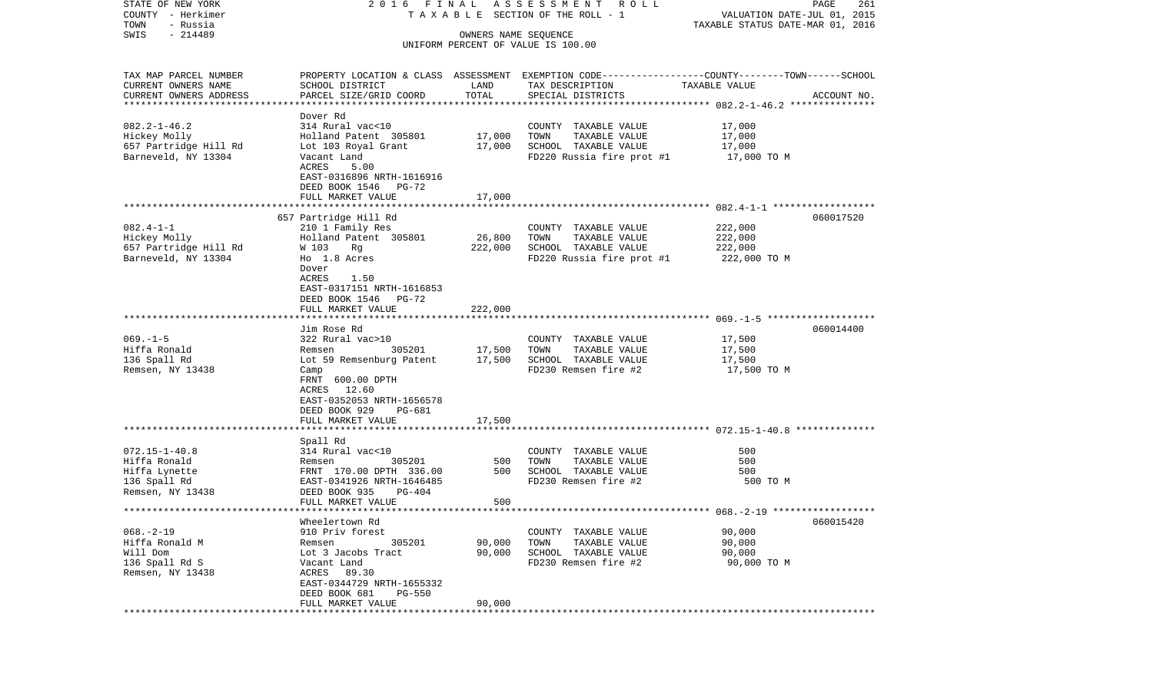| STATE OF NEW YORK                     |                                                                                                 |                        | 2016 FINAL ASSESSMENT ROLL                    |                                                                 | PAGE<br>261 |
|---------------------------------------|-------------------------------------------------------------------------------------------------|------------------------|-----------------------------------------------|-----------------------------------------------------------------|-------------|
| COUNTY - Herkimer<br>TOWN<br>- Russia |                                                                                                 |                        | TAXABLE SECTION OF THE ROLL - 1               | VALUATION DATE-JUL 01, 2015<br>TAXABLE STATUS DATE-MAR 01, 2016 |             |
| $-214489$<br>SWIS                     |                                                                                                 | OWNERS NAME SEQUENCE   |                                               |                                                                 |             |
|                                       |                                                                                                 |                        | UNIFORM PERCENT OF VALUE IS 100.00            |                                                                 |             |
| TAX MAP PARCEL NUMBER                 | PROPERTY LOCATION & CLASS ASSESSMENT EXEMPTION CODE---------------COUNTY-------TOWN------SCHOOL |                        |                                               |                                                                 |             |
| CURRENT OWNERS NAME                   | SCHOOL DISTRICT                                                                                 | LAND                   | TAX DESCRIPTION                               | TAXABLE VALUE                                                   |             |
| CURRENT OWNERS ADDRESS                | PARCEL SIZE/GRID COORD                                                                          | TOTAL                  | SPECIAL DISTRICTS                             |                                                                 | ACCOUNT NO. |
|                                       | Dover Rd                                                                                        |                        |                                               |                                                                 |             |
| $082.2 - 1 - 46.2$                    | 314 Rural vac<10                                                                                |                        | COUNTY TAXABLE VALUE                          | 17,000                                                          |             |
| Hickey Molly                          | Holland Patent 305801                                                                           | 17,000                 | TOWN<br>TAXABLE VALUE                         | 17,000                                                          |             |
| 657 Partridge Hill Rd                 | Lot 103 Royal Grant                                                                             | 17,000                 | SCHOOL TAXABLE VALUE                          | 17,000                                                          |             |
| Barneveld, NY 13304                   | Vacant Land                                                                                     |                        | FD220 Russia fire prot #1                     | 17,000 TO M                                                     |             |
|                                       | ACRES<br>5.00                                                                                   |                        |                                               |                                                                 |             |
|                                       | EAST-0316896 NRTH-1616916                                                                       |                        |                                               |                                                                 |             |
|                                       | DEED BOOK 1546 PG-72<br>FULL MARKET VALUE                                                       | 17,000                 |                                               |                                                                 |             |
|                                       |                                                                                                 |                        |                                               |                                                                 |             |
|                                       | 657 Partridge Hill Rd                                                                           |                        |                                               |                                                                 | 060017520   |
| $082.4 - 1 - 1$                       | 210 1 Family Res                                                                                |                        | COUNTY TAXABLE VALUE                          | 222,000                                                         |             |
| Hickey Molly                          | Holland Patent 305801                                                                           | 26,800                 | TOWN<br>TAXABLE VALUE                         | 222,000                                                         |             |
| 657 Partridge Hill Rd                 | W 103 Rg                                                                                        | 222,000                | SCHOOL TAXABLE VALUE                          | 222,000                                                         |             |
| Barneveld, NY 13304                   | Ho 1.8 Acres                                                                                    |                        | FD220 Russia fire prot #1                     | 222,000 TO M                                                    |             |
|                                       | Dover<br>ACRES<br>1.50                                                                          |                        |                                               |                                                                 |             |
|                                       | EAST-0317151 NRTH-1616853                                                                       |                        |                                               |                                                                 |             |
|                                       | DEED BOOK 1546<br>PG-72                                                                         |                        |                                               |                                                                 |             |
|                                       | FULL MARKET VALUE                                                                               | 222,000                |                                               |                                                                 |             |
|                                       |                                                                                                 |                        |                                               |                                                                 |             |
|                                       | Jim Rose Rd                                                                                     |                        |                                               |                                                                 | 060014400   |
| $069. -1 - 5$<br>Hiffa Ronald         | 322 Rural vac>10<br>305201<br>Remsen                                                            | 17,500                 | COUNTY TAXABLE VALUE<br>TOWN<br>TAXABLE VALUE | 17,500<br>17,500                                                |             |
| 136 Spall Rd                          | Lot 59 Remsenburg Patent                                                                        | 17,500                 | SCHOOL TAXABLE VALUE                          | 17,500                                                          |             |
| Remsen, NY 13438                      | Camp                                                                                            |                        | FD230 Remsen fire #2                          | 17,500 TO M                                                     |             |
|                                       | FRNT 600.00 DPTH                                                                                |                        |                                               |                                                                 |             |
|                                       | ACRES<br>12.60                                                                                  |                        |                                               |                                                                 |             |
|                                       | EAST-0352053 NRTH-1656578                                                                       |                        |                                               |                                                                 |             |
|                                       | DEED BOOK 929<br>PG-681<br>FULL MARKET VALUE                                                    | 17,500                 |                                               |                                                                 |             |
|                                       |                                                                                                 |                        |                                               |                                                                 |             |
|                                       | Spall Rd                                                                                        |                        |                                               |                                                                 |             |
| $072.15 - 1 - 40.8$                   | 314 Rural vac<10                                                                                |                        | COUNTY TAXABLE VALUE                          | 500                                                             |             |
| Hiffa Ronald                          | 305201<br>Remsen                                                                                | 500                    | TAXABLE VALUE<br>TOWN                         | 500                                                             |             |
| Hiffa Lynette                         | FRNT 170.00 DPTH 336.00                                                                         | 500                    | SCHOOL TAXABLE VALUE                          | 500                                                             |             |
| 136 Spall Rd<br>Remsen, NY 13438      | EAST-0341926 NRTH-1646485<br>DEED BOOK 935<br>PG-404                                            |                        | FD230 Remsen fire #2                          | 500 TO M                                                        |             |
|                                       | FULL MARKET VALUE                                                                               | 500                    |                                               |                                                                 |             |
|                                       |                                                                                                 |                        |                                               | ************************** 068.-2-19 ******************         |             |
|                                       | Wheelertown Rd                                                                                  |                        |                                               |                                                                 | 060015420   |
| $068. - 2 - 19$                       | 910 Priv forest                                                                                 |                        | COUNTY TAXABLE VALUE                          | 90,000                                                          |             |
| Hiffa Ronald M                        | 305201<br>Remsen                                                                                | 90,000                 | TOWN<br>TAXABLE VALUE                         | 90,000                                                          |             |
| Will Dom<br>136 Spall Rd S            | Lot 3 Jacobs Tract                                                                              | 90,000                 | SCHOOL TAXABLE VALUE<br>FD230 Remsen fire #2  | 90,000                                                          |             |
| Remsen, NY 13438                      | Vacant Land<br>ACRES<br>89.30                                                                   |                        |                                               | 90,000 TO M                                                     |             |
|                                       | EAST-0344729 NRTH-1655332                                                                       |                        |                                               |                                                                 |             |
|                                       | DEED BOOK 681<br><b>PG-550</b>                                                                  |                        |                                               |                                                                 |             |
|                                       | FULL MARKET VALUE                                                                               | 90,000                 |                                               |                                                                 |             |
|                                       | ****************************                                                                    | ********************** |                                               |                                                                 |             |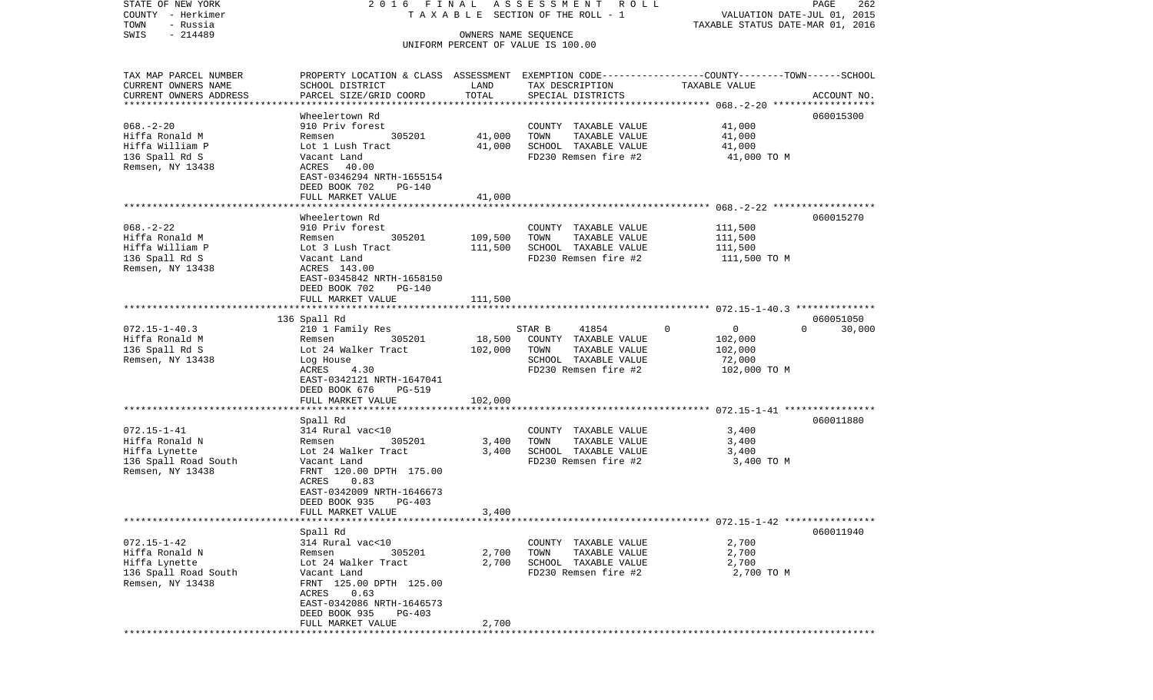| STATE OF NEW YORK<br>COUNTY - Herkimer |                                 |                      | 2016 FINAL ASSESSMENT ROLL<br>TAXABLE SECTION OF THE ROLL - 1 | PAGE<br>262<br>VALUATION DATE-JUL 01, 2015                                                       |
|----------------------------------------|---------------------------------|----------------------|---------------------------------------------------------------|--------------------------------------------------------------------------------------------------|
| TOWN<br>- Russia                       |                                 |                      |                                                               | TAXABLE STATUS DATE-MAR 01, 2016                                                                 |
| $-214489$<br>SWIS                      |                                 | OWNERS NAME SEQUENCE | UNIFORM PERCENT OF VALUE IS 100.00                            |                                                                                                  |
|                                        |                                 |                      |                                                               |                                                                                                  |
| TAX MAP PARCEL NUMBER                  |                                 |                      |                                                               | PROPERTY LOCATION & CLASS ASSESSMENT EXEMPTION CODE----------------COUNTY-------TOWN------SCHOOL |
| CURRENT OWNERS NAME                    | SCHOOL DISTRICT                 | LAND                 | TAX DESCRIPTION                                               | TAXABLE VALUE                                                                                    |
| CURRENT OWNERS ADDRESS                 | PARCEL SIZE/GRID COORD          | TOTAL                | SPECIAL DISTRICTS                                             | ACCOUNT NO.                                                                                      |
|                                        |                                 |                      |                                                               |                                                                                                  |
|                                        | Wheelertown Rd                  |                      |                                                               | 060015300                                                                                        |
| $068. - 2 - 20$<br>Hiffa Ronald M      | 910 Priv forest<br>305201       |                      | COUNTY TAXABLE VALUE                                          | 41,000                                                                                           |
|                                        | Remsen                          | 41,000               | TOWN<br>TAXABLE VALUE                                         | 41,000                                                                                           |
| Hiffa William P<br>136 Spall Rd S      | Lot 1 Lush Tract<br>Vacant Land | 41,000               | SCHOOL TAXABLE VALUE<br>FD230 Remsen fire #2                  | 41,000                                                                                           |
| Remsen, NY 13438                       | ACRES 40.00                     |                      |                                                               | 41,000 TO M                                                                                      |
|                                        | EAST-0346294 NRTH-1655154       |                      |                                                               |                                                                                                  |
|                                        | DEED BOOK 702<br>PG-140         |                      |                                                               |                                                                                                  |
|                                        | FULL MARKET VALUE               | 41,000               |                                                               |                                                                                                  |
|                                        |                                 |                      |                                                               |                                                                                                  |
|                                        | Wheelertown Rd                  |                      |                                                               | 060015270                                                                                        |
| $068. - 2 - 22$                        | 910 Priv forest                 |                      | COUNTY TAXABLE VALUE                                          | 111,500                                                                                          |
| Hiffa Ronald M                         | 305201<br>Remsen                | 109,500              | TOWN<br>TAXABLE VALUE                                         | 111,500                                                                                          |
| Hiffa William P                        | Lot 3 Lush Tract                | 111,500              | SCHOOL TAXABLE VALUE                                          | 111,500                                                                                          |
| 136 Spall Rd S                         | Vacant Land                     |                      | FD230 Remsen fire #2                                          | 111,500 TO M                                                                                     |
| Remsen, NY 13438                       | ACRES 143.00                    |                      |                                                               |                                                                                                  |
|                                        | EAST-0345842 NRTH-1658150       |                      |                                                               |                                                                                                  |
|                                        | DEED BOOK 702<br>PG-140         |                      |                                                               |                                                                                                  |
|                                        | FULL MARKET VALUE               | 111,500              |                                                               |                                                                                                  |
|                                        |                                 |                      |                                                               |                                                                                                  |
|                                        | 136 Spall Rd                    |                      |                                                               | 060051050                                                                                        |
| $072.15 - 1 - 40.3$                    | 210 1 Family Res                |                      | STAR B<br>41854                                               | $\Omega$<br>0<br>$\Omega$<br>30,000                                                              |
| Hiffa Ronald M                         | 305201<br>Remsen                | 18,500               | COUNTY TAXABLE VALUE                                          | 102,000                                                                                          |
| 136 Spall Rd S                         | Lot 24 Walker Tract             | 102,000              | TOWN<br>TAXABLE VALUE                                         | 102,000                                                                                          |
| Remsen, NY 13438                       | Log House                       |                      | SCHOOL TAXABLE VALUE                                          | 72,000                                                                                           |
|                                        | ACRES<br>4.30                   |                      | FD230 Remsen fire #2                                          | 102,000 TO M                                                                                     |
|                                        | EAST-0342121 NRTH-1647041       |                      |                                                               |                                                                                                  |
|                                        | DEED BOOK 676<br>PG-519         |                      |                                                               |                                                                                                  |
|                                        | FULL MARKET VALUE               | 102,000              |                                                               |                                                                                                  |
|                                        | Spall Rd                        |                      |                                                               | 060011880                                                                                        |
| $072.15 - 1 - 41$                      | 314 Rural vac<10                |                      | COUNTY TAXABLE VALUE                                          | 3,400                                                                                            |
| Hiffa Ronald N                         | 305201<br>Remsen                | 3,400                | TOWN<br>TAXABLE VALUE                                         | 3,400                                                                                            |
| Hiffa Lynette                          | Lot 24 Walker Tract             | 3,400                | SCHOOL TAXABLE VALUE                                          | 3,400                                                                                            |
| 136 Spall Road South                   | Vacant Land                     |                      | FD230 Remsen fire #2                                          | 3,400 TO M                                                                                       |
| Remsen, NY 13438                       | FRNT 120.00 DPTH 175.00         |                      |                                                               |                                                                                                  |
|                                        | 0.83<br>ACRES                   |                      |                                                               |                                                                                                  |
|                                        | EAST-0342009 NRTH-1646673       |                      |                                                               |                                                                                                  |
|                                        | DEED BOOK 935<br>$PG-403$       |                      |                                                               |                                                                                                  |
|                                        | FULL MARKET VALUE               | 3,400                |                                                               |                                                                                                  |
|                                        |                                 |                      |                                                               |                                                                                                  |
|                                        | Spall Rd                        |                      |                                                               | 060011940                                                                                        |
| $072.15 - 1 - 42$                      | 314 Rural vac<10                |                      | COUNTY TAXABLE VALUE                                          | 2,700                                                                                            |
| Hiffa Ronald N                         | 305201<br>Remsen                | 2,700                | TOWN<br>TAXABLE VALUE                                         | 2,700                                                                                            |
| Hiffa Lynette                          | Lot 24 Walker Tract             | 2,700                | SCHOOL TAXABLE VALUE                                          | 2,700                                                                                            |
| 136 Spall Road South                   | Vacant Land                     |                      | FD230 Remsen fire #2                                          | 2,700 TO M                                                                                       |
| Remsen, NY 13438                       | FRNT 125.00 DPTH 125.00         |                      |                                                               |                                                                                                  |
|                                        | 0.63<br>ACRES                   |                      |                                                               |                                                                                                  |
|                                        | EAST-0342086 NRTH-1646573       |                      |                                                               |                                                                                                  |
|                                        | DEED BOOK 935<br>PG-403         |                      |                                                               |                                                                                                  |
| *************                          | FULL MARKET VALUE               | 2,700                |                                                               |                                                                                                  |
|                                        |                                 |                      |                                                               |                                                                                                  |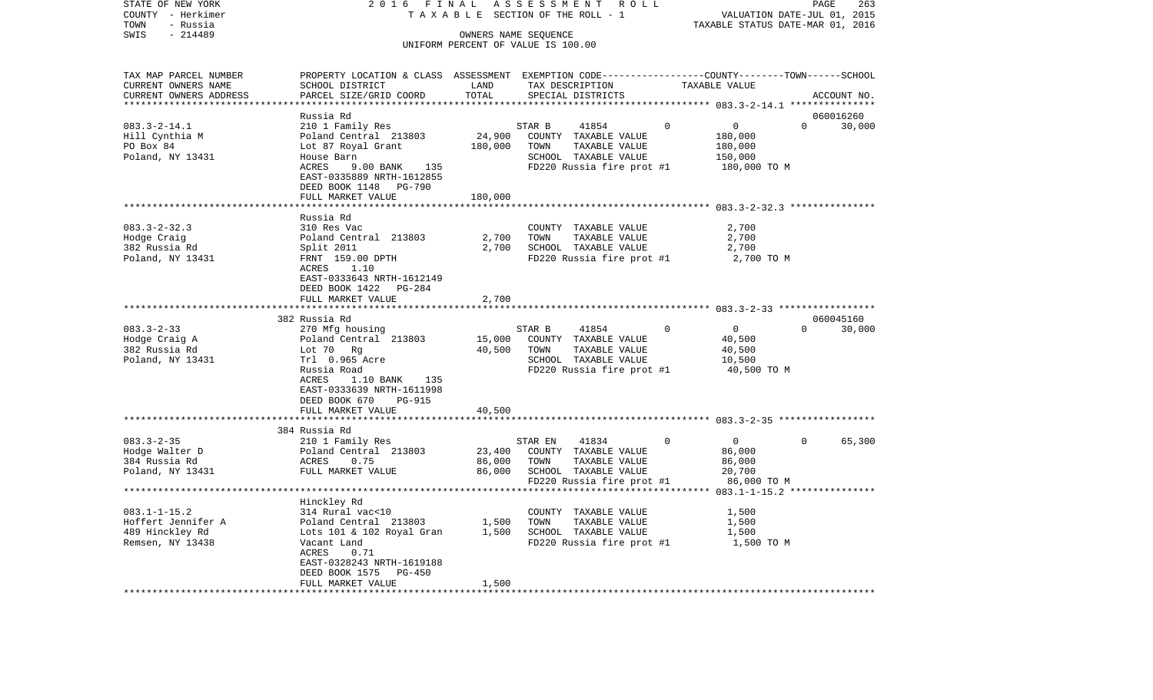| COUNTY<br>– Herkimer    |                                                                                                 | T A X A B L E SECTION OF THE ROLL - 1 |         |                           |             | VALUATION DATE-JUL 01, 2015                    |                |             |
|-------------------------|-------------------------------------------------------------------------------------------------|---------------------------------------|---------|---------------------------|-------------|------------------------------------------------|----------------|-------------|
| TOWN<br>- Russia        |                                                                                                 |                                       |         |                           |             | TAXABLE STATUS DATE-MAR 01, 2016               |                |             |
| SWIS<br>$-214489$       |                                                                                                 | OWNERS NAME SEQUENCE                  |         |                           |             |                                                |                |             |
|                         |                                                                                                 | UNIFORM PERCENT OF VALUE IS 100.00    |         |                           |             |                                                |                |             |
|                         |                                                                                                 |                                       |         |                           |             |                                                |                |             |
| TAX MAP PARCEL NUMBER   | PROPERTY LOCATION & CLASS ASSESSMENT EXEMPTION CODE---------------COUNTY-------TOWN------SCHOOL |                                       |         |                           |             |                                                |                |             |
| CURRENT OWNERS NAME     | SCHOOL DISTRICT                                                                                 | LAND                                  |         | TAX DESCRIPTION           |             | TAXABLE VALUE                                  |                |             |
| CURRENT OWNERS ADDRESS  | PARCEL SIZE/GRID COORD                                                                          | TOTAL                                 |         | SPECIAL DISTRICTS         |             |                                                |                | ACCOUNT NO. |
| *********************** |                                                                                                 |                                       |         |                           |             |                                                |                |             |
|                         |                                                                                                 |                                       |         |                           |             |                                                |                |             |
|                         | Russia Rd                                                                                       |                                       |         |                           |             |                                                |                | 060016260   |
| $083.3 - 2 - 14.1$      | 210 1 Family Res                                                                                |                                       | STAR B  | 41854                     | $\Omega$    | $\overline{0}$                                 | $\Omega$       | 30,000      |
| Hill Cynthia M          | Poland Central 213803                                                                           | 24,900                                |         | COUNTY TAXABLE VALUE      |             | 180,000                                        |                |             |
| PO Box 84               | Lot 87 Royal Grant                                                                              | 180,000                               | TOWN    | TAXABLE VALUE             |             | 180,000                                        |                |             |
| Poland, NY 13431        | House Barn                                                                                      |                                       |         | SCHOOL TAXABLE VALUE      |             | 150,000                                        |                |             |
|                         | ACRES<br>9.00 BANK<br>135                                                                       |                                       |         | FD220 Russia fire prot #1 |             | 180,000 TO M                                   |                |             |
|                         | EAST-0335889 NRTH-1612855                                                                       |                                       |         |                           |             |                                                |                |             |
|                         | DEED BOOK 1148<br>PG-790                                                                        |                                       |         |                           |             |                                                |                |             |
|                         | FULL MARKET VALUE                                                                               | 180,000                               |         |                           |             |                                                |                |             |
|                         |                                                                                                 |                                       |         |                           |             |                                                |                |             |
|                         | Russia Rd                                                                                       |                                       |         |                           |             |                                                |                |             |
| $083.3 - 2 - 32.3$      | 310 Res Vac                                                                                     |                                       |         | COUNTY TAXABLE VALUE      |             | 2,700                                          |                |             |
| Hodge Craig             | Poland Central 213803                                                                           | 2,700                                 | TOWN    | TAXABLE VALUE             |             | 2,700                                          |                |             |
| 382 Russia Rd           | Split 2011                                                                                      | 2,700                                 |         | SCHOOL TAXABLE VALUE      |             | 2,700                                          |                |             |
| Poland, NY 13431        | FRNT 159.00 DPTH                                                                                |                                       |         | FD220 Russia fire prot #1 |             | 2,700 TO M                                     |                |             |
|                         | ACRES<br>1.10                                                                                   |                                       |         |                           |             |                                                |                |             |
|                         | EAST-0333643 NRTH-1612149                                                                       |                                       |         |                           |             |                                                |                |             |
|                         |                                                                                                 |                                       |         |                           |             |                                                |                |             |
|                         | DEED BOOK 1422<br>PG-284                                                                        |                                       |         |                           |             |                                                |                |             |
|                         | FULL MARKET VALUE                                                                               | 2,700                                 |         |                           |             |                                                |                |             |
|                         |                                                                                                 |                                       |         |                           |             | **************** 083.3-2-33 ****************** |                |             |
|                         | 382 Russia Rd                                                                                   |                                       |         |                           |             |                                                |                | 060045160   |
| $083.3 - 2 - 33$        | 270 Mfg housing                                                                                 |                                       | STAR B  | 41854                     | $\mathbf 0$ | $\overline{0}$                                 | $\overline{0}$ | 30,000      |
| Hodge Craig A           | Poland Central 213803                                                                           | 15,000                                |         | COUNTY TAXABLE VALUE      |             | 40,500                                         |                |             |
| 382 Russia Rd           | Lot 70 Rg                                                                                       | 40,500                                | TOWN    | TAXABLE VALUE             |             | 40,500                                         |                |             |
| Poland, NY 13431        | Trl 0.965 Acre                                                                                  |                                       |         | SCHOOL TAXABLE VALUE      |             | 10,500                                         |                |             |
|                         | Russia Road                                                                                     |                                       |         | FD220 Russia fire prot #1 |             | 40,500 TO M                                    |                |             |
|                         | ACRES<br>$1.10$ BANK<br>135                                                                     |                                       |         |                           |             |                                                |                |             |
|                         | EAST-0333639 NRTH-1611998                                                                       |                                       |         |                           |             |                                                |                |             |
|                         | DEED BOOK 670<br>PG-915                                                                         |                                       |         |                           |             |                                                |                |             |
|                         | FULL MARKET VALUE                                                                               | 40,500                                |         |                           |             |                                                |                |             |
|                         |                                                                                                 |                                       |         |                           |             |                                                |                |             |
|                         | 384 Russia Rd                                                                                   |                                       |         |                           |             |                                                |                |             |
| $083.3 - 2 - 35$        | 210 1 Family Res                                                                                |                                       | STAR EN | 41834                     | $\mathbf 0$ | $\overline{0}$                                 | $\mathbf{0}$   | 65,300      |
| Hodge Walter D          | Poland Central 213803                                                                           | 23,400                                |         | COUNTY TAXABLE VALUE      |             | 86,000                                         |                |             |
| 384 Russia Rd           | ACRES<br>0.75                                                                                   | 86,000                                | TOWN    | TAXABLE VALUE             |             | 86,000                                         |                |             |
|                         |                                                                                                 |                                       |         |                           |             |                                                |                |             |
| Poland, NY 13431        | FULL MARKET VALUE                                                                               | 86,000                                |         | SCHOOL TAXABLE VALUE      |             | 20,700                                         |                |             |
|                         | * * * * * * * * *                                                                               |                                       |         | FD220 Russia fire prot #1 |             | 86,000 TO M                                    |                |             |
|                         |                                                                                                 |                                       |         |                           |             | $* 083.1 - 1 - 15.2 **$                        |                |             |
|                         | Hinckley Rd                                                                                     |                                       |         |                           |             |                                                |                |             |
| $083.1 - 1 - 15.2$      | 314 Rural vac<10                                                                                |                                       |         | COUNTY TAXABLE VALUE      |             | 1,500                                          |                |             |
| Hoffert Jennifer A      | Poland Central 213803                                                                           | 1,500                                 | TOWN    | TAXABLE VALUE             |             | 1,500                                          |                |             |
| 489 Hinckley Rd         | Lots 101 & 102 Royal Gran                                                                       | 1,500                                 |         | SCHOOL TAXABLE VALUE      |             | 1,500                                          |                |             |
| Remsen, NY 13438        | Vacant Land                                                                                     |                                       |         | FD220 Russia fire prot #1 |             | 1,500 TO M                                     |                |             |
|                         | ACRES<br>0.71                                                                                   |                                       |         |                           |             |                                                |                |             |
|                         | EAST-0328243 NRTH-1619188                                                                       |                                       |         |                           |             |                                                |                |             |
|                         | DEED BOOK 1575<br><b>PG-450</b>                                                                 |                                       |         |                           |             |                                                |                |             |
|                         | FULL MARKET VALUE                                                                               | 1,500                                 |         |                           |             |                                                |                |             |
| *********************** | * * * * * * * * * * * * * * * * * * * *                                                         |                                       |         |                           |             |                                                |                |             |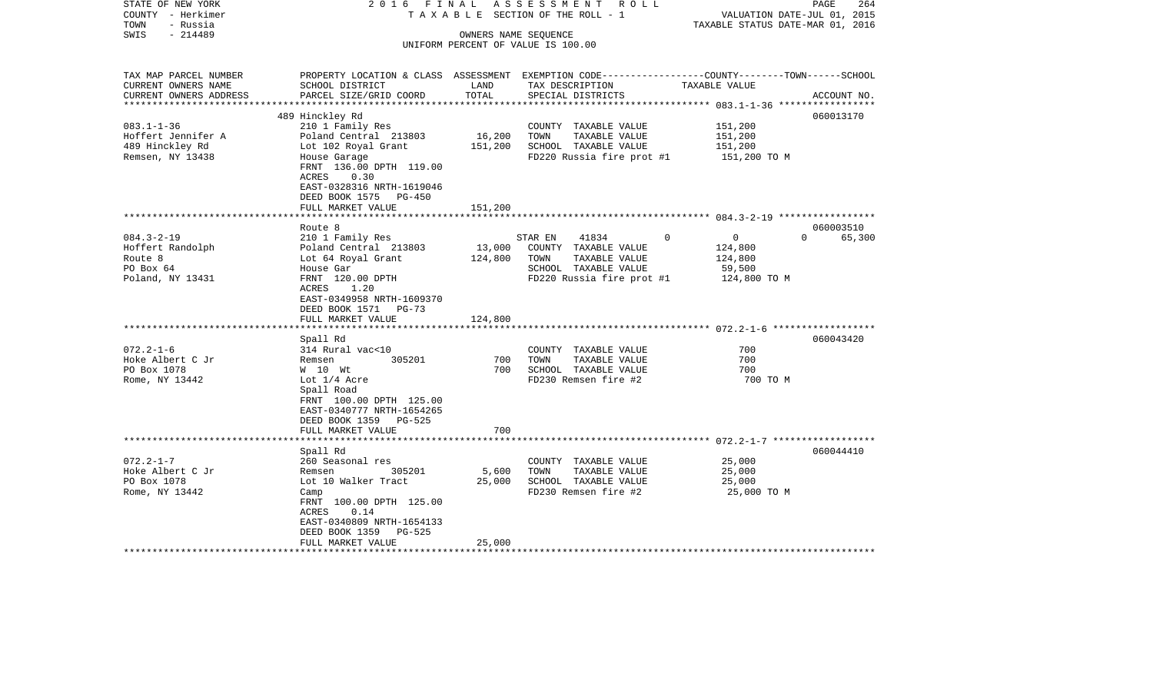| $-214489$<br>SWIS<br>OWNERS NAME SEQUENCE<br>UNIFORM PERCENT OF VALUE IS 100.00<br>TAX MAP PARCEL NUMBER<br>PROPERTY LOCATION & CLASS ASSESSMENT EXEMPTION CODE----------------COUNTY-------TOWN------SCHOOL<br>TAX DESCRIPTION<br>CURRENT OWNERS NAME<br>SCHOOL DISTRICT<br>LAND<br>TAXABLE VALUE<br>TOTAL<br>CURRENT OWNERS ADDRESS<br>PARCEL SIZE/GRID COORD<br>SPECIAL DISTRICTS<br>ACCOUNT NO.<br>************************<br>060013170<br>489 Hinckley Rd<br>$083.1 - 1 - 36$<br>210 1 Family Res<br>COUNTY TAXABLE VALUE<br>151,200<br>16,200<br>151,200<br>Hoffert Jennifer A<br>Poland Central 213803<br>TOWN<br>TAXABLE VALUE<br>489 Hinckley Rd<br>Lot 102 Royal Grant<br>151,200<br>SCHOOL TAXABLE VALUE<br>151,200<br>Remsen, NY 13438<br>FD220 Russia fire prot #1<br>House Garage<br>151,200 TO M<br>FRNT 136.00 DPTH 119.00<br>ACRES<br>0.30<br>EAST-0328316 NRTH-1619046<br>DEED BOOK 1575 PG-450<br>FULL MARKET VALUE<br>151,200<br>***********<br>060003510<br>Route 8<br>$\Omega$<br>$084.3 - 2 - 19$<br>210 1 Family Res<br>$\Omega$<br>$\mathbf{0}$<br>65,300<br>STAR EN<br>41834<br>Poland Central 213803<br>13,000<br>Hoffert Randolph<br>COUNTY TAXABLE VALUE<br>124,800<br>Route 8<br>124,800<br>TOWN<br>TAXABLE VALUE<br>124,800<br>Lot 64 Royal Grant<br>PO Box 64<br>SCHOOL TAXABLE VALUE<br>House Gar<br>59,500<br>FRNT 120.00 DPTH<br>FD220 Russia fire prot #1<br>Poland, NY 13431<br>124,800 TO M<br>1.20<br>ACRES<br>EAST-0349958 NRTH-1609370<br>DEED BOOK 1571 PG-73<br>FULL MARKET VALUE<br>124,800<br>Spall Rd<br>060043420<br>$072.2 - 1 - 6$<br>314 Rural vac<10<br>COUNTY TAXABLE VALUE<br>700<br>Hoke Albert C Jr<br>305201<br>700<br>TAXABLE VALUE<br>700<br>Remsen<br>TOWN<br>PO Box 1078<br>700<br>SCHOOL TAXABLE VALUE<br>700<br>W 10 Wt<br>FD230 Remsen fire #2<br>700 TO M<br>Rome, NY 13442<br>Lot $1/4$ Acre<br>Spall Road<br>FRNT 100.00 DPTH 125.00<br>EAST-0340777 NRTH-1654265<br>DEED BOOK 1359 PG-525<br>700<br>FULL MARKET VALUE<br>********************<br>060044410<br>Spall Rd<br>$072.2 - 1 - 7$<br>260 Seasonal res<br>COUNTY TAXABLE VALUE<br>25,000<br>Hoke Albert C Jr<br>305201<br>5,600<br>TOWN<br>TAXABLE VALUE<br>25,000<br>Remsen<br>PO Box 1078<br>25,000<br>SCHOOL TAXABLE VALUE<br>25,000<br>Lot 10 Walker Tract<br>FD230 Remsen fire #2<br>Rome, NY 13442<br>25,000 TO M<br>Camp<br>FRNT 100.00 DPTH 125.00<br>ACRES<br>0.14<br>EAST-0340809 NRTH-1654133<br>DEED BOOK 1359<br>PG-525<br>FULL MARKET VALUE<br>25,000 | STATE OF NEW YORK<br>COUNTY - Herkimer<br>TOWN<br>- Russia | 2016 FINAL | ASSESSMENT ROLL<br>TAXABLE SECTION OF THE ROLL - 1 | VALUATION DATE-JUL 01, 2015<br>TAXABLE STATUS DATE-MAR 01, 2016 | 264<br>PAGE |
|------------------------------------------------------------------------------------------------------------------------------------------------------------------------------------------------------------------------------------------------------------------------------------------------------------------------------------------------------------------------------------------------------------------------------------------------------------------------------------------------------------------------------------------------------------------------------------------------------------------------------------------------------------------------------------------------------------------------------------------------------------------------------------------------------------------------------------------------------------------------------------------------------------------------------------------------------------------------------------------------------------------------------------------------------------------------------------------------------------------------------------------------------------------------------------------------------------------------------------------------------------------------------------------------------------------------------------------------------------------------------------------------------------------------------------------------------------------------------------------------------------------------------------------------------------------------------------------------------------------------------------------------------------------------------------------------------------------------------------------------------------------------------------------------------------------------------------------------------------------------------------------------------------------------------------------------------------------------------------------------------------------------------------------------------------------------------------------------------------------------------------------------------------------------------------------------------------------------------------------------------------------------------------------------------------------------------------------------------------------------------------------------------------------------------------------------------------------------------------------------|------------------------------------------------------------|------------|----------------------------------------------------|-----------------------------------------------------------------|-------------|
|                                                                                                                                                                                                                                                                                                                                                                                                                                                                                                                                                                                                                                                                                                                                                                                                                                                                                                                                                                                                                                                                                                                                                                                                                                                                                                                                                                                                                                                                                                                                                                                                                                                                                                                                                                                                                                                                                                                                                                                                                                                                                                                                                                                                                                                                                                                                                                                                                                                                                                |                                                            |            |                                                    |                                                                 |             |
|                                                                                                                                                                                                                                                                                                                                                                                                                                                                                                                                                                                                                                                                                                                                                                                                                                                                                                                                                                                                                                                                                                                                                                                                                                                                                                                                                                                                                                                                                                                                                                                                                                                                                                                                                                                                                                                                                                                                                                                                                                                                                                                                                                                                                                                                                                                                                                                                                                                                                                |                                                            |            |                                                    |                                                                 |             |
|                                                                                                                                                                                                                                                                                                                                                                                                                                                                                                                                                                                                                                                                                                                                                                                                                                                                                                                                                                                                                                                                                                                                                                                                                                                                                                                                                                                                                                                                                                                                                                                                                                                                                                                                                                                                                                                                                                                                                                                                                                                                                                                                                                                                                                                                                                                                                                                                                                                                                                |                                                            |            |                                                    |                                                                 |             |
|                                                                                                                                                                                                                                                                                                                                                                                                                                                                                                                                                                                                                                                                                                                                                                                                                                                                                                                                                                                                                                                                                                                                                                                                                                                                                                                                                                                                                                                                                                                                                                                                                                                                                                                                                                                                                                                                                                                                                                                                                                                                                                                                                                                                                                                                                                                                                                                                                                                                                                |                                                            |            |                                                    |                                                                 |             |
|                                                                                                                                                                                                                                                                                                                                                                                                                                                                                                                                                                                                                                                                                                                                                                                                                                                                                                                                                                                                                                                                                                                                                                                                                                                                                                                                                                                                                                                                                                                                                                                                                                                                                                                                                                                                                                                                                                                                                                                                                                                                                                                                                                                                                                                                                                                                                                                                                                                                                                |                                                            |            |                                                    |                                                                 |             |
|                                                                                                                                                                                                                                                                                                                                                                                                                                                                                                                                                                                                                                                                                                                                                                                                                                                                                                                                                                                                                                                                                                                                                                                                                                                                                                                                                                                                                                                                                                                                                                                                                                                                                                                                                                                                                                                                                                                                                                                                                                                                                                                                                                                                                                                                                                                                                                                                                                                                                                |                                                            |            |                                                    |                                                                 |             |
|                                                                                                                                                                                                                                                                                                                                                                                                                                                                                                                                                                                                                                                                                                                                                                                                                                                                                                                                                                                                                                                                                                                                                                                                                                                                                                                                                                                                                                                                                                                                                                                                                                                                                                                                                                                                                                                                                                                                                                                                                                                                                                                                                                                                                                                                                                                                                                                                                                                                                                |                                                            |            |                                                    |                                                                 |             |
|                                                                                                                                                                                                                                                                                                                                                                                                                                                                                                                                                                                                                                                                                                                                                                                                                                                                                                                                                                                                                                                                                                                                                                                                                                                                                                                                                                                                                                                                                                                                                                                                                                                                                                                                                                                                                                                                                                                                                                                                                                                                                                                                                                                                                                                                                                                                                                                                                                                                                                |                                                            |            |                                                    |                                                                 |             |
|                                                                                                                                                                                                                                                                                                                                                                                                                                                                                                                                                                                                                                                                                                                                                                                                                                                                                                                                                                                                                                                                                                                                                                                                                                                                                                                                                                                                                                                                                                                                                                                                                                                                                                                                                                                                                                                                                                                                                                                                                                                                                                                                                                                                                                                                                                                                                                                                                                                                                                |                                                            |            |                                                    |                                                                 |             |
|                                                                                                                                                                                                                                                                                                                                                                                                                                                                                                                                                                                                                                                                                                                                                                                                                                                                                                                                                                                                                                                                                                                                                                                                                                                                                                                                                                                                                                                                                                                                                                                                                                                                                                                                                                                                                                                                                                                                                                                                                                                                                                                                                                                                                                                                                                                                                                                                                                                                                                |                                                            |            |                                                    |                                                                 |             |
|                                                                                                                                                                                                                                                                                                                                                                                                                                                                                                                                                                                                                                                                                                                                                                                                                                                                                                                                                                                                                                                                                                                                                                                                                                                                                                                                                                                                                                                                                                                                                                                                                                                                                                                                                                                                                                                                                                                                                                                                                                                                                                                                                                                                                                                                                                                                                                                                                                                                                                |                                                            |            |                                                    |                                                                 |             |
|                                                                                                                                                                                                                                                                                                                                                                                                                                                                                                                                                                                                                                                                                                                                                                                                                                                                                                                                                                                                                                                                                                                                                                                                                                                                                                                                                                                                                                                                                                                                                                                                                                                                                                                                                                                                                                                                                                                                                                                                                                                                                                                                                                                                                                                                                                                                                                                                                                                                                                |                                                            |            |                                                    |                                                                 |             |
|                                                                                                                                                                                                                                                                                                                                                                                                                                                                                                                                                                                                                                                                                                                                                                                                                                                                                                                                                                                                                                                                                                                                                                                                                                                                                                                                                                                                                                                                                                                                                                                                                                                                                                                                                                                                                                                                                                                                                                                                                                                                                                                                                                                                                                                                                                                                                                                                                                                                                                |                                                            |            |                                                    |                                                                 |             |
|                                                                                                                                                                                                                                                                                                                                                                                                                                                                                                                                                                                                                                                                                                                                                                                                                                                                                                                                                                                                                                                                                                                                                                                                                                                                                                                                                                                                                                                                                                                                                                                                                                                                                                                                                                                                                                                                                                                                                                                                                                                                                                                                                                                                                                                                                                                                                                                                                                                                                                |                                                            |            |                                                    |                                                                 |             |
|                                                                                                                                                                                                                                                                                                                                                                                                                                                                                                                                                                                                                                                                                                                                                                                                                                                                                                                                                                                                                                                                                                                                                                                                                                                                                                                                                                                                                                                                                                                                                                                                                                                                                                                                                                                                                                                                                                                                                                                                                                                                                                                                                                                                                                                                                                                                                                                                                                                                                                |                                                            |            |                                                    |                                                                 |             |
|                                                                                                                                                                                                                                                                                                                                                                                                                                                                                                                                                                                                                                                                                                                                                                                                                                                                                                                                                                                                                                                                                                                                                                                                                                                                                                                                                                                                                                                                                                                                                                                                                                                                                                                                                                                                                                                                                                                                                                                                                                                                                                                                                                                                                                                                                                                                                                                                                                                                                                |                                                            |            |                                                    |                                                                 |             |
|                                                                                                                                                                                                                                                                                                                                                                                                                                                                                                                                                                                                                                                                                                                                                                                                                                                                                                                                                                                                                                                                                                                                                                                                                                                                                                                                                                                                                                                                                                                                                                                                                                                                                                                                                                                                                                                                                                                                                                                                                                                                                                                                                                                                                                                                                                                                                                                                                                                                                                |                                                            |            |                                                    |                                                                 |             |
|                                                                                                                                                                                                                                                                                                                                                                                                                                                                                                                                                                                                                                                                                                                                                                                                                                                                                                                                                                                                                                                                                                                                                                                                                                                                                                                                                                                                                                                                                                                                                                                                                                                                                                                                                                                                                                                                                                                                                                                                                                                                                                                                                                                                                                                                                                                                                                                                                                                                                                |                                                            |            |                                                    |                                                                 |             |
|                                                                                                                                                                                                                                                                                                                                                                                                                                                                                                                                                                                                                                                                                                                                                                                                                                                                                                                                                                                                                                                                                                                                                                                                                                                                                                                                                                                                                                                                                                                                                                                                                                                                                                                                                                                                                                                                                                                                                                                                                                                                                                                                                                                                                                                                                                                                                                                                                                                                                                |                                                            |            |                                                    |                                                                 |             |
|                                                                                                                                                                                                                                                                                                                                                                                                                                                                                                                                                                                                                                                                                                                                                                                                                                                                                                                                                                                                                                                                                                                                                                                                                                                                                                                                                                                                                                                                                                                                                                                                                                                                                                                                                                                                                                                                                                                                                                                                                                                                                                                                                                                                                                                                                                                                                                                                                                                                                                |                                                            |            |                                                    |                                                                 |             |
|                                                                                                                                                                                                                                                                                                                                                                                                                                                                                                                                                                                                                                                                                                                                                                                                                                                                                                                                                                                                                                                                                                                                                                                                                                                                                                                                                                                                                                                                                                                                                                                                                                                                                                                                                                                                                                                                                                                                                                                                                                                                                                                                                                                                                                                                                                                                                                                                                                                                                                |                                                            |            |                                                    |                                                                 |             |
|                                                                                                                                                                                                                                                                                                                                                                                                                                                                                                                                                                                                                                                                                                                                                                                                                                                                                                                                                                                                                                                                                                                                                                                                                                                                                                                                                                                                                                                                                                                                                                                                                                                                                                                                                                                                                                                                                                                                                                                                                                                                                                                                                                                                                                                                                                                                                                                                                                                                                                |                                                            |            |                                                    |                                                                 |             |
|                                                                                                                                                                                                                                                                                                                                                                                                                                                                                                                                                                                                                                                                                                                                                                                                                                                                                                                                                                                                                                                                                                                                                                                                                                                                                                                                                                                                                                                                                                                                                                                                                                                                                                                                                                                                                                                                                                                                                                                                                                                                                                                                                                                                                                                                                                                                                                                                                                                                                                |                                                            |            |                                                    |                                                                 |             |
|                                                                                                                                                                                                                                                                                                                                                                                                                                                                                                                                                                                                                                                                                                                                                                                                                                                                                                                                                                                                                                                                                                                                                                                                                                                                                                                                                                                                                                                                                                                                                                                                                                                                                                                                                                                                                                                                                                                                                                                                                                                                                                                                                                                                                                                                                                                                                                                                                                                                                                |                                                            |            |                                                    |                                                                 |             |
|                                                                                                                                                                                                                                                                                                                                                                                                                                                                                                                                                                                                                                                                                                                                                                                                                                                                                                                                                                                                                                                                                                                                                                                                                                                                                                                                                                                                                                                                                                                                                                                                                                                                                                                                                                                                                                                                                                                                                                                                                                                                                                                                                                                                                                                                                                                                                                                                                                                                                                |                                                            |            |                                                    |                                                                 |             |
|                                                                                                                                                                                                                                                                                                                                                                                                                                                                                                                                                                                                                                                                                                                                                                                                                                                                                                                                                                                                                                                                                                                                                                                                                                                                                                                                                                                                                                                                                                                                                                                                                                                                                                                                                                                                                                                                                                                                                                                                                                                                                                                                                                                                                                                                                                                                                                                                                                                                                                |                                                            |            |                                                    |                                                                 |             |
|                                                                                                                                                                                                                                                                                                                                                                                                                                                                                                                                                                                                                                                                                                                                                                                                                                                                                                                                                                                                                                                                                                                                                                                                                                                                                                                                                                                                                                                                                                                                                                                                                                                                                                                                                                                                                                                                                                                                                                                                                                                                                                                                                                                                                                                                                                                                                                                                                                                                                                |                                                            |            |                                                    |                                                                 |             |
|                                                                                                                                                                                                                                                                                                                                                                                                                                                                                                                                                                                                                                                                                                                                                                                                                                                                                                                                                                                                                                                                                                                                                                                                                                                                                                                                                                                                                                                                                                                                                                                                                                                                                                                                                                                                                                                                                                                                                                                                                                                                                                                                                                                                                                                                                                                                                                                                                                                                                                |                                                            |            |                                                    |                                                                 |             |
|                                                                                                                                                                                                                                                                                                                                                                                                                                                                                                                                                                                                                                                                                                                                                                                                                                                                                                                                                                                                                                                                                                                                                                                                                                                                                                                                                                                                                                                                                                                                                                                                                                                                                                                                                                                                                                                                                                                                                                                                                                                                                                                                                                                                                                                                                                                                                                                                                                                                                                |                                                            |            |                                                    |                                                                 |             |
|                                                                                                                                                                                                                                                                                                                                                                                                                                                                                                                                                                                                                                                                                                                                                                                                                                                                                                                                                                                                                                                                                                                                                                                                                                                                                                                                                                                                                                                                                                                                                                                                                                                                                                                                                                                                                                                                                                                                                                                                                                                                                                                                                                                                                                                                                                                                                                                                                                                                                                |                                                            |            |                                                    |                                                                 |             |
|                                                                                                                                                                                                                                                                                                                                                                                                                                                                                                                                                                                                                                                                                                                                                                                                                                                                                                                                                                                                                                                                                                                                                                                                                                                                                                                                                                                                                                                                                                                                                                                                                                                                                                                                                                                                                                                                                                                                                                                                                                                                                                                                                                                                                                                                                                                                                                                                                                                                                                |                                                            |            |                                                    |                                                                 |             |
|                                                                                                                                                                                                                                                                                                                                                                                                                                                                                                                                                                                                                                                                                                                                                                                                                                                                                                                                                                                                                                                                                                                                                                                                                                                                                                                                                                                                                                                                                                                                                                                                                                                                                                                                                                                                                                                                                                                                                                                                                                                                                                                                                                                                                                                                                                                                                                                                                                                                                                |                                                            |            |                                                    |                                                                 |             |
|                                                                                                                                                                                                                                                                                                                                                                                                                                                                                                                                                                                                                                                                                                                                                                                                                                                                                                                                                                                                                                                                                                                                                                                                                                                                                                                                                                                                                                                                                                                                                                                                                                                                                                                                                                                                                                                                                                                                                                                                                                                                                                                                                                                                                                                                                                                                                                                                                                                                                                |                                                            |            |                                                    |                                                                 |             |
|                                                                                                                                                                                                                                                                                                                                                                                                                                                                                                                                                                                                                                                                                                                                                                                                                                                                                                                                                                                                                                                                                                                                                                                                                                                                                                                                                                                                                                                                                                                                                                                                                                                                                                                                                                                                                                                                                                                                                                                                                                                                                                                                                                                                                                                                                                                                                                                                                                                                                                |                                                            |            |                                                    |                                                                 |             |
|                                                                                                                                                                                                                                                                                                                                                                                                                                                                                                                                                                                                                                                                                                                                                                                                                                                                                                                                                                                                                                                                                                                                                                                                                                                                                                                                                                                                                                                                                                                                                                                                                                                                                                                                                                                                                                                                                                                                                                                                                                                                                                                                                                                                                                                                                                                                                                                                                                                                                                |                                                            |            |                                                    |                                                                 |             |
|                                                                                                                                                                                                                                                                                                                                                                                                                                                                                                                                                                                                                                                                                                                                                                                                                                                                                                                                                                                                                                                                                                                                                                                                                                                                                                                                                                                                                                                                                                                                                                                                                                                                                                                                                                                                                                                                                                                                                                                                                                                                                                                                                                                                                                                                                                                                                                                                                                                                                                |                                                            |            |                                                    |                                                                 |             |
|                                                                                                                                                                                                                                                                                                                                                                                                                                                                                                                                                                                                                                                                                                                                                                                                                                                                                                                                                                                                                                                                                                                                                                                                                                                                                                                                                                                                                                                                                                                                                                                                                                                                                                                                                                                                                                                                                                                                                                                                                                                                                                                                                                                                                                                                                                                                                                                                                                                                                                |                                                            |            |                                                    |                                                                 |             |
|                                                                                                                                                                                                                                                                                                                                                                                                                                                                                                                                                                                                                                                                                                                                                                                                                                                                                                                                                                                                                                                                                                                                                                                                                                                                                                                                                                                                                                                                                                                                                                                                                                                                                                                                                                                                                                                                                                                                                                                                                                                                                                                                                                                                                                                                                                                                                                                                                                                                                                |                                                            |            |                                                    |                                                                 |             |
|                                                                                                                                                                                                                                                                                                                                                                                                                                                                                                                                                                                                                                                                                                                                                                                                                                                                                                                                                                                                                                                                                                                                                                                                                                                                                                                                                                                                                                                                                                                                                                                                                                                                                                                                                                                                                                                                                                                                                                                                                                                                                                                                                                                                                                                                                                                                                                                                                                                                                                |                                                            |            |                                                    |                                                                 |             |
|                                                                                                                                                                                                                                                                                                                                                                                                                                                                                                                                                                                                                                                                                                                                                                                                                                                                                                                                                                                                                                                                                                                                                                                                                                                                                                                                                                                                                                                                                                                                                                                                                                                                                                                                                                                                                                                                                                                                                                                                                                                                                                                                                                                                                                                                                                                                                                                                                                                                                                |                                                            |            |                                                    |                                                                 |             |
|                                                                                                                                                                                                                                                                                                                                                                                                                                                                                                                                                                                                                                                                                                                                                                                                                                                                                                                                                                                                                                                                                                                                                                                                                                                                                                                                                                                                                                                                                                                                                                                                                                                                                                                                                                                                                                                                                                                                                                                                                                                                                                                                                                                                                                                                                                                                                                                                                                                                                                |                                                            |            |                                                    |                                                                 |             |
|                                                                                                                                                                                                                                                                                                                                                                                                                                                                                                                                                                                                                                                                                                                                                                                                                                                                                                                                                                                                                                                                                                                                                                                                                                                                                                                                                                                                                                                                                                                                                                                                                                                                                                                                                                                                                                                                                                                                                                                                                                                                                                                                                                                                                                                                                                                                                                                                                                                                                                |                                                            |            |                                                    |                                                                 |             |
|                                                                                                                                                                                                                                                                                                                                                                                                                                                                                                                                                                                                                                                                                                                                                                                                                                                                                                                                                                                                                                                                                                                                                                                                                                                                                                                                                                                                                                                                                                                                                                                                                                                                                                                                                                                                                                                                                                                                                                                                                                                                                                                                                                                                                                                                                                                                                                                                                                                                                                |                                                            |            |                                                    |                                                                 |             |
|                                                                                                                                                                                                                                                                                                                                                                                                                                                                                                                                                                                                                                                                                                                                                                                                                                                                                                                                                                                                                                                                                                                                                                                                                                                                                                                                                                                                                                                                                                                                                                                                                                                                                                                                                                                                                                                                                                                                                                                                                                                                                                                                                                                                                                                                                                                                                                                                                                                                                                |                                                            |            |                                                    |                                                                 |             |
|                                                                                                                                                                                                                                                                                                                                                                                                                                                                                                                                                                                                                                                                                                                                                                                                                                                                                                                                                                                                                                                                                                                                                                                                                                                                                                                                                                                                                                                                                                                                                                                                                                                                                                                                                                                                                                                                                                                                                                                                                                                                                                                                                                                                                                                                                                                                                                                                                                                                                                |                                                            |            |                                                    |                                                                 |             |
|                                                                                                                                                                                                                                                                                                                                                                                                                                                                                                                                                                                                                                                                                                                                                                                                                                                                                                                                                                                                                                                                                                                                                                                                                                                                                                                                                                                                                                                                                                                                                                                                                                                                                                                                                                                                                                                                                                                                                                                                                                                                                                                                                                                                                                                                                                                                                                                                                                                                                                |                                                            |            |                                                    |                                                                 |             |
|                                                                                                                                                                                                                                                                                                                                                                                                                                                                                                                                                                                                                                                                                                                                                                                                                                                                                                                                                                                                                                                                                                                                                                                                                                                                                                                                                                                                                                                                                                                                                                                                                                                                                                                                                                                                                                                                                                                                                                                                                                                                                                                                                                                                                                                                                                                                                                                                                                                                                                |                                                            |            |                                                    |                                                                 |             |
|                                                                                                                                                                                                                                                                                                                                                                                                                                                                                                                                                                                                                                                                                                                                                                                                                                                                                                                                                                                                                                                                                                                                                                                                                                                                                                                                                                                                                                                                                                                                                                                                                                                                                                                                                                                                                                                                                                                                                                                                                                                                                                                                                                                                                                                                                                                                                                                                                                                                                                |                                                            |            |                                                    |                                                                 |             |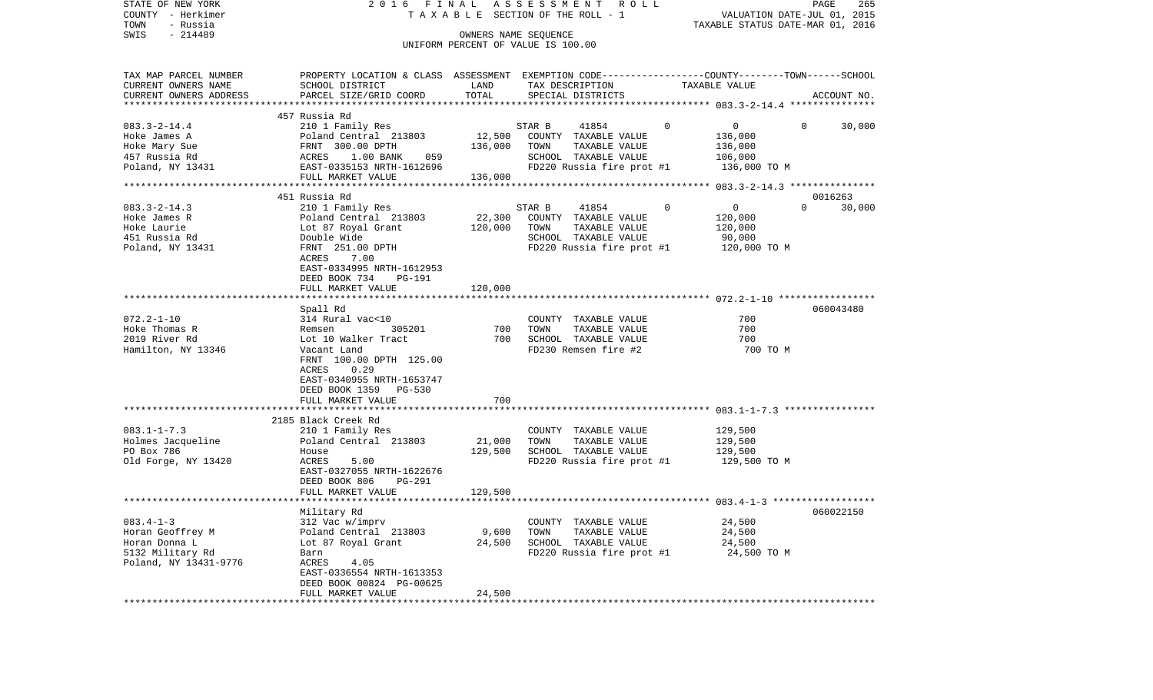| STATE OF NEW YORK<br>COUNTY - Herkimer<br>- Russia<br>TOWN                                        | 2016 FINAL                                                                                                                                                                     |                              | ASSESSMENT<br>R O L L<br>T A X A B L E SECTION OF THE ROLL - 1                                     |                                               | PAGE<br>265<br>VALUATION DATE-JUL 01, 2015<br>TAXABLE STATUS DATE-MAR 01, 2016 |
|---------------------------------------------------------------------------------------------------|--------------------------------------------------------------------------------------------------------------------------------------------------------------------------------|------------------------------|----------------------------------------------------------------------------------------------------|-----------------------------------------------|--------------------------------------------------------------------------------|
| $-214489$<br>SWIS                                                                                 |                                                                                                                                                                                |                              | OWNERS NAME SEQUENCE<br>UNIFORM PERCENT OF VALUE IS 100.00                                         |                                               |                                                                                |
| TAX MAP PARCEL NUMBER                                                                             | PROPERTY LOCATION & CLASS ASSESSMENT EXEMPTION CODE---------------COUNTY-------TOWN------SCHOOL                                                                                |                              |                                                                                                    |                                               |                                                                                |
| CURRENT OWNERS NAME<br>CURRENT OWNERS ADDRESS                                                     | SCHOOL DISTRICT<br>PARCEL SIZE/GRID COORD                                                                                                                                      | LAND<br>TOTAL                | TAX DESCRIPTION<br>SPECIAL DISTRICTS                                                               | TAXABLE VALUE                                 | ACCOUNT NO.                                                                    |
|                                                                                                   |                                                                                                                                                                                |                              |                                                                                                    |                                               |                                                                                |
| $083.3 - 2 - 14.4$<br>Hoke James A                                                                | 457 Russia Rd<br>210 1 Family Res<br>Poland Central 213803                                                                                                                     | 12,500                       | STAR B<br>41854<br>COUNTY TAXABLE VALUE                                                            | $\mathbf 0$<br>$\mathbf{0}$<br>136,000        | 30,000<br>0                                                                    |
| Hoke Mary Sue<br>457 Russia Rd                                                                    | FRNT 300.00 DPTH<br>1.00 BANK<br>ACRES<br>059                                                                                                                                  | 136,000                      | TAXABLE VALUE<br>TOWN<br>SCHOOL TAXABLE VALUE                                                      | 136,000<br>106,000                            |                                                                                |
| Poland, NY 13431                                                                                  | EAST-0335153 NRTH-1612696<br>FULL MARKET VALUE                                                                                                                                 | 136,000                      | FD220 Russia fire prot #1                                                                          | 136,000 TO M                                  |                                                                                |
|                                                                                                   |                                                                                                                                                                                |                              |                                                                                                    |                                               |                                                                                |
| $083.3 - 2 - 14.3$<br>Hoke James R<br>Hoke Laurie                                                 | 451 Russia Rd<br>210 1 Family Res<br>Poland Central 213803<br>Lot 87 Royal Grant                                                                                               | 22,300<br>120,000            | 41854<br>STAR B<br>COUNTY TAXABLE VALUE<br>TOWN<br>TAXABLE VALUE                                   | $\mathbf 0$<br>0<br>120,000<br>120,000        | 0016263<br>$\Omega$<br>30,000                                                  |
| 451 Russia Rd<br>Poland, NY 13431                                                                 | Double Wide<br>FRNT 251.00 DPTH<br>7.00<br>ACRES<br>EAST-0334995 NRTH-1612953<br>DEED BOOK 734<br><b>PG-191</b>                                                                |                              | SCHOOL TAXABLE VALUE<br>FD220 Russia fire prot #1                                                  | 90,000<br>120,000 TO M                        |                                                                                |
|                                                                                                   | FULL MARKET VALUE                                                                                                                                                              | 120,000                      |                                                                                                    |                                               |                                                                                |
|                                                                                                   | Spall Rd                                                                                                                                                                       |                              |                                                                                                    |                                               | 060043480                                                                      |
| $072.2 - 1 - 10$<br>Hoke Thomas R<br>2019 River Rd<br>Hamilton, NY 13346                          | 314 Rural vac<10<br>305201<br>Remsen<br>Lot 10 Walker Tract<br>Vacant Land<br>FRNT 100.00 DPTH 125.00<br>0.29<br>ACRES<br>EAST-0340955 NRTH-1653747<br>DEED BOOK 1359 PG-530   | 700<br>700                   | COUNTY TAXABLE VALUE<br>TAXABLE VALUE<br>TOWN<br>SCHOOL TAXABLE VALUE<br>FD230 Remsen fire #2      | 700<br>700<br>700<br>700 TO M                 |                                                                                |
|                                                                                                   | FULL MARKET VALUE                                                                                                                                                              | 700                          |                                                                                                    |                                               |                                                                                |
| $083.1 - 1 - 7.3$<br>Holmes Jacqueline<br>PO Box 786<br>Old Forge, NY 13420                       | 2185 Black Creek Rd<br>210 1 Family Res<br>Poland Central 213803<br>House<br>ACRES<br>5.00<br>EAST-0327055 NRTH-1622676<br>DEED BOOK 806<br><b>PG-291</b><br>FULL MARKET VALUE | 21,000<br>129,500<br>129,500 | COUNTY TAXABLE VALUE<br>TOWN<br>TAXABLE VALUE<br>SCHOOL TAXABLE VALUE<br>FD220 Russia fire prot #1 | 129,500<br>129,500<br>129,500<br>129,500 TO M |                                                                                |
|                                                                                                   |                                                                                                                                                                                |                              |                                                                                                    |                                               |                                                                                |
| $083.4 - 1 - 3$<br>Horan Geoffrey M<br>Horan Donna L<br>5132 Military Rd<br>Poland, NY 13431-9776 | Military Rd<br>312 Vac w/imprv<br>Poland Central 213803<br>Lot 87 Royal Grant<br>Barn<br>ACRES<br>4.05<br>EAST-0336554 NRTH-1613353<br>DEED BOOK 00824 PG-00625                | 9,600<br>24,500              | COUNTY TAXABLE VALUE<br>TOWN<br>TAXABLE VALUE<br>SCHOOL TAXABLE VALUE<br>FD220 Russia fire prot #1 | 24,500<br>24,500<br>24,500<br>24,500 TO M     | 060022150                                                                      |
|                                                                                                   | FULL MARKET VALUE<br>***************                                                                                                                                           | 24,500                       |                                                                                                    |                                               |                                                                                |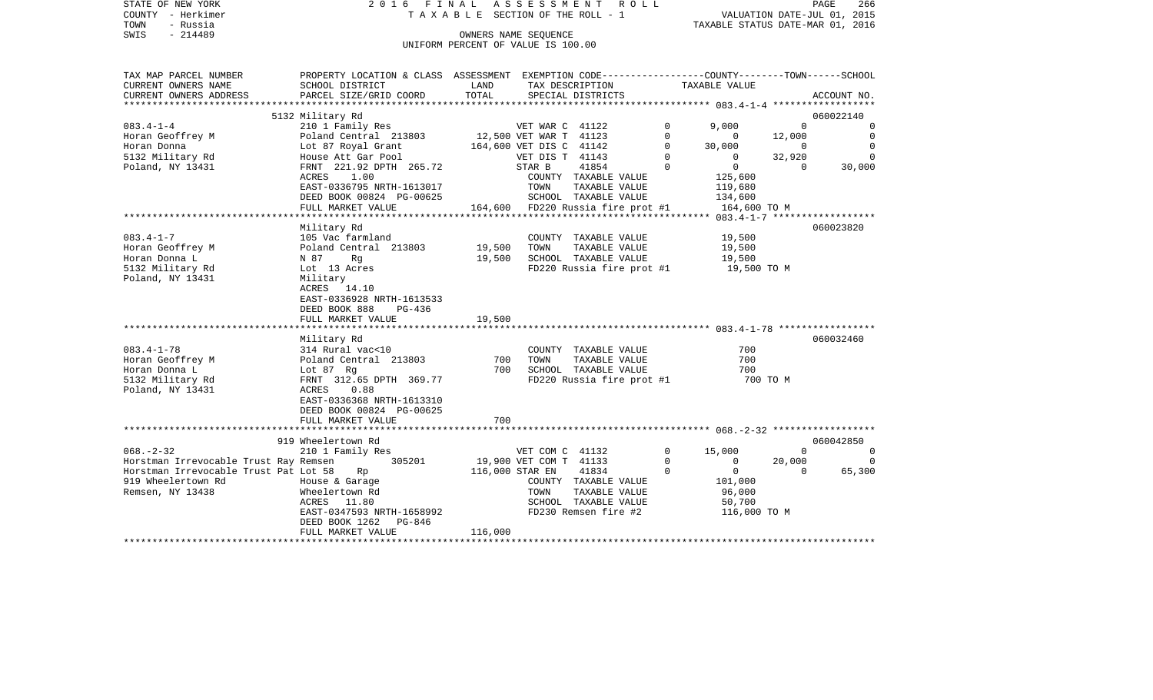|      | STATE OF NEW YORK | 2016 FINAL ASSESSMENT ROLL |                                 |                                  | PAGE                        | 266 |
|------|-------------------|----------------------------|---------------------------------|----------------------------------|-----------------------------|-----|
|      | COUNTY - Herkimer |                            | TAXABLE SECTION OF THE ROLL - 1 |                                  | VALUATION DATE-JUL 01, 2015 |     |
| TOWN | - Russia          |                            |                                 | TAXABLE STATUS DATE-MAR 01, 2016 |                             |     |
| SWIS | $-214489$         |                            | OWNERS NAME SEOUENCE            |                                  |                             |     |

UNIFORM PERCENT OF VALUE IS 100.00

| SCHOOL DISTRICT<br>LAND<br>TAX DESCRIPTION TAXABLE VALUE<br>. PARCEL SIZE/GRID COORD TOTAL SPECIAL DISTRICTS ACCOUNT NO ACCOUNT NO ACCOUNT NO ARTERIORE<br>060022140<br>5132 Military Rd<br>VET WAR C 41122<br>210 1 Family Res<br>$\Omega$<br>9,000<br>$\overline{0}$<br>$\circ$<br>Poland Central 213803 12,500 VET WAR T 41123<br>Lot 87 Royal Grant 164,600 VET DIS C 41142<br>$\mathbf 0$<br>$\overline{0}$<br>12,000<br>$\mathbf 0$<br>Lot 87 Royal Grant<br>$\Omega$<br>$\Omega$<br>30,000<br>$\sim$ 0<br>$\Omega$<br>$\Omega$<br>House Att Gar Pool<br>VET DIS T 41143<br>$\Omega$<br>32,920<br>$\overline{0}$<br>STAR B<br>$\Omega$<br>HOUSE ALL 001 2010<br>FRNT 221.92 DPTH 265.72<br>41854<br>$\Omega$<br>30,000<br>1.00<br>125,600<br>ACRES<br>COUNTY TAXABLE VALUE<br>EAST-0336795 NRTH-1613017<br>DEED BOOK 00824 PG-00625<br>FULL MARKET VALUE<br>FULL MARKET VALUE<br>FULL MARKET VALUE<br>PULL MARKET VALUE<br>PULL MARKET VALUE<br>PULL MARKET VALUE<br>PULL MARKET VALUE<br>PULL MARKET VALUE<br>119,680<br>134,600<br>164,600 TO M<br>Military Rd<br>060023820<br>19,500<br>19,500<br>105 Vac farmland<br>19,500<br>COUNTY TAXABLE VALUE<br>Poland Central 213803<br>TOWN<br>TAXABLE VALUE<br>Horan Geoffrey M<br>19,500<br>19,500<br>SCHOOL TAXABLE VALUE<br>N 87<br>Rq<br>FD220 Russia fire prot #1 19,500 TO M<br>5132 Military Rd<br>Lot 13 Acres<br>Military<br>ACRES 14.10<br>EAST-0336928 NRTH-1613533<br>DEED BOOK 888<br>PG-436<br>FULL MARKET VALUE 19,500<br>Military Rd<br>060032460<br>314 Rural vac<10<br>Poland Central 213803 700<br>700<br>COUNTY TAXABLE VALUE<br>TOWN<br>TAXABLE VALUE<br>700<br>Horan Geoffrey M<br>Lot 87 Rg<br>FRNT 312.6<br>700 SCHOOL TAXABLE VALUE<br>Horan Donna L<br>700<br>FD220 Russia fire prot #1<br>5132 Military Rd<br>FRNT 312.65 DPTH 369.77<br>700 TO M<br>Poland, NY 13431<br>ACRES 0.88<br>EAST-0336368 NRTH-1613310<br>DEED BOOK 00824 PG-00625<br>700<br>FULL MARKET VALUE<br>919 Wheelertown Rd<br>060042850<br>210 1 Family Res<br>$\mathbf{0}$<br>15,000<br>$\overline{0}$<br>$\mathbf 0$<br>VET COM C 41132<br>305201<br>19,900 VET COM T 41133<br>Horstman Irrevocable Trust Ray Remsen<br>0<br>$\mathbf 0$<br>20,000<br>$\circ$<br>Horstman Irrevocable Trust Pat Lot 58<br>$\overline{0}$<br>65,300<br>Rp<br>116,000 STAR EN<br>41834<br>$\sim$ 0<br>$\overline{0}$<br>919 Wheelertown Rd<br>House & Garage<br>101,000<br>COUNTY TAXABLE VALUE<br>Remsen, NY 13438<br>Wheelertown Rd<br>TOWN<br>TAXABLE VALUE<br>96,000<br>SCHOOL TAXABLE VALUE<br>ACRES 11.80<br>50,700<br>EAST-0347593 NRTH-1658992<br>116,000 TO M<br>FD230 Remsen fire #2<br>DEED BOOK 1262 PG-846<br>FULL MARKET VALUE<br>116,000 | TAX MAP PARCEL NUMBER   | PROPERTY LOCATION & CLASS ASSESSMENT EXEMPTION CODE--------------COUNTY-------TOWN-----SCHOOL |  |  |  |  |
|--------------------------------------------------------------------------------------------------------------------------------------------------------------------------------------------------------------------------------------------------------------------------------------------------------------------------------------------------------------------------------------------------------------------------------------------------------------------------------------------------------------------------------------------------------------------------------------------------------------------------------------------------------------------------------------------------------------------------------------------------------------------------------------------------------------------------------------------------------------------------------------------------------------------------------------------------------------------------------------------------------------------------------------------------------------------------------------------------------------------------------------------------------------------------------------------------------------------------------------------------------------------------------------------------------------------------------------------------------------------------------------------------------------------------------------------------------------------------------------------------------------------------------------------------------------------------------------------------------------------------------------------------------------------------------------------------------------------------------------------------------------------------------------------------------------------------------------------------------------------------------------------------------------------------------------------------------------------------------------------------------------------------------------------------------------------------------------------------------------------------------------------------------------------------------------------------------------------------------------------------------------------------------------------------------------------------------------------------------------------------------------------------------------------------------------------------------------------------------------------------------------------------------------------------------------------------------------------------------------------------------------------------------------------------------------------|-------------------------|-----------------------------------------------------------------------------------------------|--|--|--|--|
|                                                                                                                                                                                                                                                                                                                                                                                                                                                                                                                                                                                                                                                                                                                                                                                                                                                                                                                                                                                                                                                                                                                                                                                                                                                                                                                                                                                                                                                                                                                                                                                                                                                                                                                                                                                                                                                                                                                                                                                                                                                                                                                                                                                                                                                                                                                                                                                                                                                                                                                                                                                                                                                                                            | CURRENT OWNERS NAME     |                                                                                               |  |  |  |  |
|                                                                                                                                                                                                                                                                                                                                                                                                                                                                                                                                                                                                                                                                                                                                                                                                                                                                                                                                                                                                                                                                                                                                                                                                                                                                                                                                                                                                                                                                                                                                                                                                                                                                                                                                                                                                                                                                                                                                                                                                                                                                                                                                                                                                                                                                                                                                                                                                                                                                                                                                                                                                                                                                                            | CURRENT OWNERS ADDRESS  |                                                                                               |  |  |  |  |
|                                                                                                                                                                                                                                                                                                                                                                                                                                                                                                                                                                                                                                                                                                                                                                                                                                                                                                                                                                                                                                                                                                                                                                                                                                                                                                                                                                                                                                                                                                                                                                                                                                                                                                                                                                                                                                                                                                                                                                                                                                                                                                                                                                                                                                                                                                                                                                                                                                                                                                                                                                                                                                                                                            | *********************** |                                                                                               |  |  |  |  |
|                                                                                                                                                                                                                                                                                                                                                                                                                                                                                                                                                                                                                                                                                                                                                                                                                                                                                                                                                                                                                                                                                                                                                                                                                                                                                                                                                                                                                                                                                                                                                                                                                                                                                                                                                                                                                                                                                                                                                                                                                                                                                                                                                                                                                                                                                                                                                                                                                                                                                                                                                                                                                                                                                            |                         |                                                                                               |  |  |  |  |
|                                                                                                                                                                                                                                                                                                                                                                                                                                                                                                                                                                                                                                                                                                                                                                                                                                                                                                                                                                                                                                                                                                                                                                                                                                                                                                                                                                                                                                                                                                                                                                                                                                                                                                                                                                                                                                                                                                                                                                                                                                                                                                                                                                                                                                                                                                                                                                                                                                                                                                                                                                                                                                                                                            | $083.4 - 1 - 4$         |                                                                                               |  |  |  |  |
|                                                                                                                                                                                                                                                                                                                                                                                                                                                                                                                                                                                                                                                                                                                                                                                                                                                                                                                                                                                                                                                                                                                                                                                                                                                                                                                                                                                                                                                                                                                                                                                                                                                                                                                                                                                                                                                                                                                                                                                                                                                                                                                                                                                                                                                                                                                                                                                                                                                                                                                                                                                                                                                                                            | Horan Geoffrey M        |                                                                                               |  |  |  |  |
|                                                                                                                                                                                                                                                                                                                                                                                                                                                                                                                                                                                                                                                                                                                                                                                                                                                                                                                                                                                                                                                                                                                                                                                                                                                                                                                                                                                                                                                                                                                                                                                                                                                                                                                                                                                                                                                                                                                                                                                                                                                                                                                                                                                                                                                                                                                                                                                                                                                                                                                                                                                                                                                                                            | Horan Donna             |                                                                                               |  |  |  |  |
|                                                                                                                                                                                                                                                                                                                                                                                                                                                                                                                                                                                                                                                                                                                                                                                                                                                                                                                                                                                                                                                                                                                                                                                                                                                                                                                                                                                                                                                                                                                                                                                                                                                                                                                                                                                                                                                                                                                                                                                                                                                                                                                                                                                                                                                                                                                                                                                                                                                                                                                                                                                                                                                                                            | 5132 Military Rd        |                                                                                               |  |  |  |  |
|                                                                                                                                                                                                                                                                                                                                                                                                                                                                                                                                                                                                                                                                                                                                                                                                                                                                                                                                                                                                                                                                                                                                                                                                                                                                                                                                                                                                                                                                                                                                                                                                                                                                                                                                                                                                                                                                                                                                                                                                                                                                                                                                                                                                                                                                                                                                                                                                                                                                                                                                                                                                                                                                                            | Poland, NY 13431        |                                                                                               |  |  |  |  |
|                                                                                                                                                                                                                                                                                                                                                                                                                                                                                                                                                                                                                                                                                                                                                                                                                                                                                                                                                                                                                                                                                                                                                                                                                                                                                                                                                                                                                                                                                                                                                                                                                                                                                                                                                                                                                                                                                                                                                                                                                                                                                                                                                                                                                                                                                                                                                                                                                                                                                                                                                                                                                                                                                            |                         |                                                                                               |  |  |  |  |
|                                                                                                                                                                                                                                                                                                                                                                                                                                                                                                                                                                                                                                                                                                                                                                                                                                                                                                                                                                                                                                                                                                                                                                                                                                                                                                                                                                                                                                                                                                                                                                                                                                                                                                                                                                                                                                                                                                                                                                                                                                                                                                                                                                                                                                                                                                                                                                                                                                                                                                                                                                                                                                                                                            |                         |                                                                                               |  |  |  |  |
|                                                                                                                                                                                                                                                                                                                                                                                                                                                                                                                                                                                                                                                                                                                                                                                                                                                                                                                                                                                                                                                                                                                                                                                                                                                                                                                                                                                                                                                                                                                                                                                                                                                                                                                                                                                                                                                                                                                                                                                                                                                                                                                                                                                                                                                                                                                                                                                                                                                                                                                                                                                                                                                                                            |                         |                                                                                               |  |  |  |  |
|                                                                                                                                                                                                                                                                                                                                                                                                                                                                                                                                                                                                                                                                                                                                                                                                                                                                                                                                                                                                                                                                                                                                                                                                                                                                                                                                                                                                                                                                                                                                                                                                                                                                                                                                                                                                                                                                                                                                                                                                                                                                                                                                                                                                                                                                                                                                                                                                                                                                                                                                                                                                                                                                                            |                         |                                                                                               |  |  |  |  |
|                                                                                                                                                                                                                                                                                                                                                                                                                                                                                                                                                                                                                                                                                                                                                                                                                                                                                                                                                                                                                                                                                                                                                                                                                                                                                                                                                                                                                                                                                                                                                                                                                                                                                                                                                                                                                                                                                                                                                                                                                                                                                                                                                                                                                                                                                                                                                                                                                                                                                                                                                                                                                                                                                            |                         |                                                                                               |  |  |  |  |
|                                                                                                                                                                                                                                                                                                                                                                                                                                                                                                                                                                                                                                                                                                                                                                                                                                                                                                                                                                                                                                                                                                                                                                                                                                                                                                                                                                                                                                                                                                                                                                                                                                                                                                                                                                                                                                                                                                                                                                                                                                                                                                                                                                                                                                                                                                                                                                                                                                                                                                                                                                                                                                                                                            |                         |                                                                                               |  |  |  |  |
|                                                                                                                                                                                                                                                                                                                                                                                                                                                                                                                                                                                                                                                                                                                                                                                                                                                                                                                                                                                                                                                                                                                                                                                                                                                                                                                                                                                                                                                                                                                                                                                                                                                                                                                                                                                                                                                                                                                                                                                                                                                                                                                                                                                                                                                                                                                                                                                                                                                                                                                                                                                                                                                                                            | $083.4 - 1 - 7$         |                                                                                               |  |  |  |  |
|                                                                                                                                                                                                                                                                                                                                                                                                                                                                                                                                                                                                                                                                                                                                                                                                                                                                                                                                                                                                                                                                                                                                                                                                                                                                                                                                                                                                                                                                                                                                                                                                                                                                                                                                                                                                                                                                                                                                                                                                                                                                                                                                                                                                                                                                                                                                                                                                                                                                                                                                                                                                                                                                                            |                         |                                                                                               |  |  |  |  |
|                                                                                                                                                                                                                                                                                                                                                                                                                                                                                                                                                                                                                                                                                                                                                                                                                                                                                                                                                                                                                                                                                                                                                                                                                                                                                                                                                                                                                                                                                                                                                                                                                                                                                                                                                                                                                                                                                                                                                                                                                                                                                                                                                                                                                                                                                                                                                                                                                                                                                                                                                                                                                                                                                            | Horan Donna L           |                                                                                               |  |  |  |  |
|                                                                                                                                                                                                                                                                                                                                                                                                                                                                                                                                                                                                                                                                                                                                                                                                                                                                                                                                                                                                                                                                                                                                                                                                                                                                                                                                                                                                                                                                                                                                                                                                                                                                                                                                                                                                                                                                                                                                                                                                                                                                                                                                                                                                                                                                                                                                                                                                                                                                                                                                                                                                                                                                                            |                         |                                                                                               |  |  |  |  |
|                                                                                                                                                                                                                                                                                                                                                                                                                                                                                                                                                                                                                                                                                                                                                                                                                                                                                                                                                                                                                                                                                                                                                                                                                                                                                                                                                                                                                                                                                                                                                                                                                                                                                                                                                                                                                                                                                                                                                                                                                                                                                                                                                                                                                                                                                                                                                                                                                                                                                                                                                                                                                                                                                            | Poland, NY 13431        |                                                                                               |  |  |  |  |
|                                                                                                                                                                                                                                                                                                                                                                                                                                                                                                                                                                                                                                                                                                                                                                                                                                                                                                                                                                                                                                                                                                                                                                                                                                                                                                                                                                                                                                                                                                                                                                                                                                                                                                                                                                                                                                                                                                                                                                                                                                                                                                                                                                                                                                                                                                                                                                                                                                                                                                                                                                                                                                                                                            |                         |                                                                                               |  |  |  |  |
|                                                                                                                                                                                                                                                                                                                                                                                                                                                                                                                                                                                                                                                                                                                                                                                                                                                                                                                                                                                                                                                                                                                                                                                                                                                                                                                                                                                                                                                                                                                                                                                                                                                                                                                                                                                                                                                                                                                                                                                                                                                                                                                                                                                                                                                                                                                                                                                                                                                                                                                                                                                                                                                                                            |                         |                                                                                               |  |  |  |  |
|                                                                                                                                                                                                                                                                                                                                                                                                                                                                                                                                                                                                                                                                                                                                                                                                                                                                                                                                                                                                                                                                                                                                                                                                                                                                                                                                                                                                                                                                                                                                                                                                                                                                                                                                                                                                                                                                                                                                                                                                                                                                                                                                                                                                                                                                                                                                                                                                                                                                                                                                                                                                                                                                                            |                         |                                                                                               |  |  |  |  |
|                                                                                                                                                                                                                                                                                                                                                                                                                                                                                                                                                                                                                                                                                                                                                                                                                                                                                                                                                                                                                                                                                                                                                                                                                                                                                                                                                                                                                                                                                                                                                                                                                                                                                                                                                                                                                                                                                                                                                                                                                                                                                                                                                                                                                                                                                                                                                                                                                                                                                                                                                                                                                                                                                            |                         |                                                                                               |  |  |  |  |
|                                                                                                                                                                                                                                                                                                                                                                                                                                                                                                                                                                                                                                                                                                                                                                                                                                                                                                                                                                                                                                                                                                                                                                                                                                                                                                                                                                                                                                                                                                                                                                                                                                                                                                                                                                                                                                                                                                                                                                                                                                                                                                                                                                                                                                                                                                                                                                                                                                                                                                                                                                                                                                                                                            |                         |                                                                                               |  |  |  |  |
|                                                                                                                                                                                                                                                                                                                                                                                                                                                                                                                                                                                                                                                                                                                                                                                                                                                                                                                                                                                                                                                                                                                                                                                                                                                                                                                                                                                                                                                                                                                                                                                                                                                                                                                                                                                                                                                                                                                                                                                                                                                                                                                                                                                                                                                                                                                                                                                                                                                                                                                                                                                                                                                                                            |                         |                                                                                               |  |  |  |  |
|                                                                                                                                                                                                                                                                                                                                                                                                                                                                                                                                                                                                                                                                                                                                                                                                                                                                                                                                                                                                                                                                                                                                                                                                                                                                                                                                                                                                                                                                                                                                                                                                                                                                                                                                                                                                                                                                                                                                                                                                                                                                                                                                                                                                                                                                                                                                                                                                                                                                                                                                                                                                                                                                                            | $083.4 - 1 - 78$        |                                                                                               |  |  |  |  |
|                                                                                                                                                                                                                                                                                                                                                                                                                                                                                                                                                                                                                                                                                                                                                                                                                                                                                                                                                                                                                                                                                                                                                                                                                                                                                                                                                                                                                                                                                                                                                                                                                                                                                                                                                                                                                                                                                                                                                                                                                                                                                                                                                                                                                                                                                                                                                                                                                                                                                                                                                                                                                                                                                            |                         |                                                                                               |  |  |  |  |
|                                                                                                                                                                                                                                                                                                                                                                                                                                                                                                                                                                                                                                                                                                                                                                                                                                                                                                                                                                                                                                                                                                                                                                                                                                                                                                                                                                                                                                                                                                                                                                                                                                                                                                                                                                                                                                                                                                                                                                                                                                                                                                                                                                                                                                                                                                                                                                                                                                                                                                                                                                                                                                                                                            |                         |                                                                                               |  |  |  |  |
|                                                                                                                                                                                                                                                                                                                                                                                                                                                                                                                                                                                                                                                                                                                                                                                                                                                                                                                                                                                                                                                                                                                                                                                                                                                                                                                                                                                                                                                                                                                                                                                                                                                                                                                                                                                                                                                                                                                                                                                                                                                                                                                                                                                                                                                                                                                                                                                                                                                                                                                                                                                                                                                                                            |                         |                                                                                               |  |  |  |  |
|                                                                                                                                                                                                                                                                                                                                                                                                                                                                                                                                                                                                                                                                                                                                                                                                                                                                                                                                                                                                                                                                                                                                                                                                                                                                                                                                                                                                                                                                                                                                                                                                                                                                                                                                                                                                                                                                                                                                                                                                                                                                                                                                                                                                                                                                                                                                                                                                                                                                                                                                                                                                                                                                                            |                         |                                                                                               |  |  |  |  |
|                                                                                                                                                                                                                                                                                                                                                                                                                                                                                                                                                                                                                                                                                                                                                                                                                                                                                                                                                                                                                                                                                                                                                                                                                                                                                                                                                                                                                                                                                                                                                                                                                                                                                                                                                                                                                                                                                                                                                                                                                                                                                                                                                                                                                                                                                                                                                                                                                                                                                                                                                                                                                                                                                            |                         |                                                                                               |  |  |  |  |
|                                                                                                                                                                                                                                                                                                                                                                                                                                                                                                                                                                                                                                                                                                                                                                                                                                                                                                                                                                                                                                                                                                                                                                                                                                                                                                                                                                                                                                                                                                                                                                                                                                                                                                                                                                                                                                                                                                                                                                                                                                                                                                                                                                                                                                                                                                                                                                                                                                                                                                                                                                                                                                                                                            |                         |                                                                                               |  |  |  |  |
|                                                                                                                                                                                                                                                                                                                                                                                                                                                                                                                                                                                                                                                                                                                                                                                                                                                                                                                                                                                                                                                                                                                                                                                                                                                                                                                                                                                                                                                                                                                                                                                                                                                                                                                                                                                                                                                                                                                                                                                                                                                                                                                                                                                                                                                                                                                                                                                                                                                                                                                                                                                                                                                                                            |                         |                                                                                               |  |  |  |  |
|                                                                                                                                                                                                                                                                                                                                                                                                                                                                                                                                                                                                                                                                                                                                                                                                                                                                                                                                                                                                                                                                                                                                                                                                                                                                                                                                                                                                                                                                                                                                                                                                                                                                                                                                                                                                                                                                                                                                                                                                                                                                                                                                                                                                                                                                                                                                                                                                                                                                                                                                                                                                                                                                                            |                         |                                                                                               |  |  |  |  |
|                                                                                                                                                                                                                                                                                                                                                                                                                                                                                                                                                                                                                                                                                                                                                                                                                                                                                                                                                                                                                                                                                                                                                                                                                                                                                                                                                                                                                                                                                                                                                                                                                                                                                                                                                                                                                                                                                                                                                                                                                                                                                                                                                                                                                                                                                                                                                                                                                                                                                                                                                                                                                                                                                            |                         |                                                                                               |  |  |  |  |
|                                                                                                                                                                                                                                                                                                                                                                                                                                                                                                                                                                                                                                                                                                                                                                                                                                                                                                                                                                                                                                                                                                                                                                                                                                                                                                                                                                                                                                                                                                                                                                                                                                                                                                                                                                                                                                                                                                                                                                                                                                                                                                                                                                                                                                                                                                                                                                                                                                                                                                                                                                                                                                                                                            | $068. - 2 - 32$         |                                                                                               |  |  |  |  |
|                                                                                                                                                                                                                                                                                                                                                                                                                                                                                                                                                                                                                                                                                                                                                                                                                                                                                                                                                                                                                                                                                                                                                                                                                                                                                                                                                                                                                                                                                                                                                                                                                                                                                                                                                                                                                                                                                                                                                                                                                                                                                                                                                                                                                                                                                                                                                                                                                                                                                                                                                                                                                                                                                            |                         |                                                                                               |  |  |  |  |
|                                                                                                                                                                                                                                                                                                                                                                                                                                                                                                                                                                                                                                                                                                                                                                                                                                                                                                                                                                                                                                                                                                                                                                                                                                                                                                                                                                                                                                                                                                                                                                                                                                                                                                                                                                                                                                                                                                                                                                                                                                                                                                                                                                                                                                                                                                                                                                                                                                                                                                                                                                                                                                                                                            |                         |                                                                                               |  |  |  |  |
|                                                                                                                                                                                                                                                                                                                                                                                                                                                                                                                                                                                                                                                                                                                                                                                                                                                                                                                                                                                                                                                                                                                                                                                                                                                                                                                                                                                                                                                                                                                                                                                                                                                                                                                                                                                                                                                                                                                                                                                                                                                                                                                                                                                                                                                                                                                                                                                                                                                                                                                                                                                                                                                                                            |                         |                                                                                               |  |  |  |  |
|                                                                                                                                                                                                                                                                                                                                                                                                                                                                                                                                                                                                                                                                                                                                                                                                                                                                                                                                                                                                                                                                                                                                                                                                                                                                                                                                                                                                                                                                                                                                                                                                                                                                                                                                                                                                                                                                                                                                                                                                                                                                                                                                                                                                                                                                                                                                                                                                                                                                                                                                                                                                                                                                                            |                         |                                                                                               |  |  |  |  |
|                                                                                                                                                                                                                                                                                                                                                                                                                                                                                                                                                                                                                                                                                                                                                                                                                                                                                                                                                                                                                                                                                                                                                                                                                                                                                                                                                                                                                                                                                                                                                                                                                                                                                                                                                                                                                                                                                                                                                                                                                                                                                                                                                                                                                                                                                                                                                                                                                                                                                                                                                                                                                                                                                            |                         |                                                                                               |  |  |  |  |
|                                                                                                                                                                                                                                                                                                                                                                                                                                                                                                                                                                                                                                                                                                                                                                                                                                                                                                                                                                                                                                                                                                                                                                                                                                                                                                                                                                                                                                                                                                                                                                                                                                                                                                                                                                                                                                                                                                                                                                                                                                                                                                                                                                                                                                                                                                                                                                                                                                                                                                                                                                                                                                                                                            |                         |                                                                                               |  |  |  |  |
|                                                                                                                                                                                                                                                                                                                                                                                                                                                                                                                                                                                                                                                                                                                                                                                                                                                                                                                                                                                                                                                                                                                                                                                                                                                                                                                                                                                                                                                                                                                                                                                                                                                                                                                                                                                                                                                                                                                                                                                                                                                                                                                                                                                                                                                                                                                                                                                                                                                                                                                                                                                                                                                                                            |                         |                                                                                               |  |  |  |  |
|                                                                                                                                                                                                                                                                                                                                                                                                                                                                                                                                                                                                                                                                                                                                                                                                                                                                                                                                                                                                                                                                                                                                                                                                                                                                                                                                                                                                                                                                                                                                                                                                                                                                                                                                                                                                                                                                                                                                                                                                                                                                                                                                                                                                                                                                                                                                                                                                                                                                                                                                                                                                                                                                                            |                         |                                                                                               |  |  |  |  |
|                                                                                                                                                                                                                                                                                                                                                                                                                                                                                                                                                                                                                                                                                                                                                                                                                                                                                                                                                                                                                                                                                                                                                                                                                                                                                                                                                                                                                                                                                                                                                                                                                                                                                                                                                                                                                                                                                                                                                                                                                                                                                                                                                                                                                                                                                                                                                                                                                                                                                                                                                                                                                                                                                            | *********************   |                                                                                               |  |  |  |  |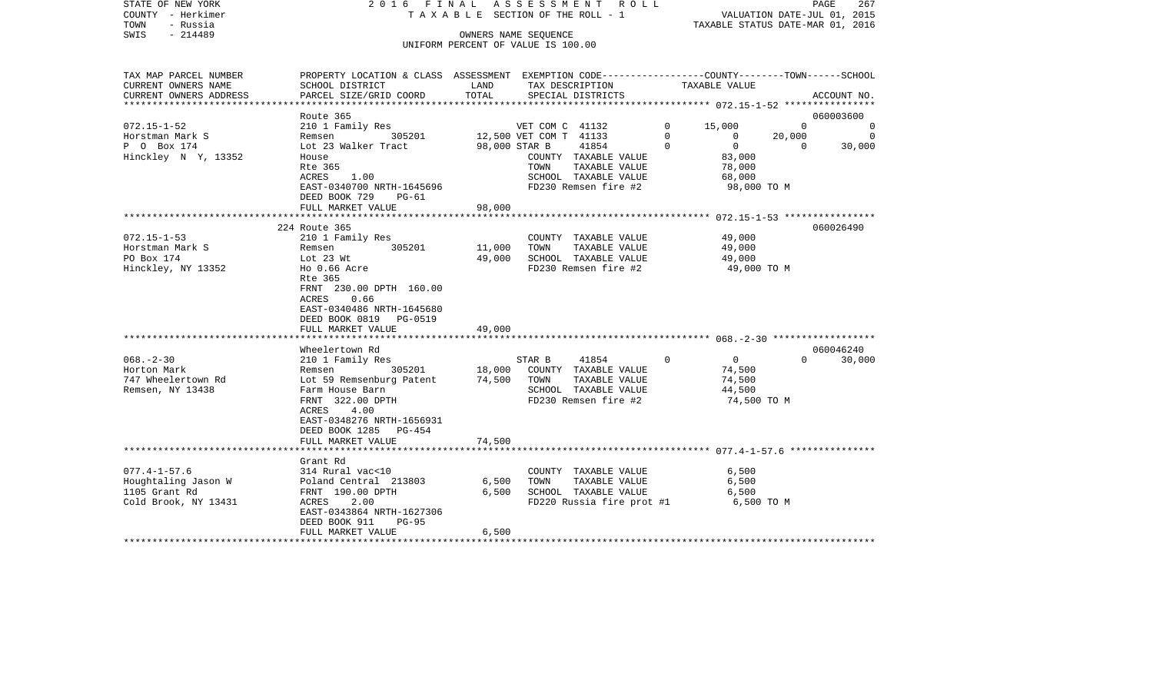| STATE OF NEW YORK<br>COUNTY - Herkimer<br>TOWN<br>- Russia | 2016 FINAL ASSESSMENT ROLL<br>TAXABLE SECTION OF THE ROLL - 1                                  |                                    | PAGE<br>267<br>VALUATION DATE-JUL 01, 2015<br>TAXABLE STATUS DATE-MAR 01, 2016 |                                              |          |                       |                |                |
|------------------------------------------------------------|------------------------------------------------------------------------------------------------|------------------------------------|--------------------------------------------------------------------------------|----------------------------------------------|----------|-----------------------|----------------|----------------|
| - 214489<br>SWIS                                           |                                                                                                | OWNERS NAME SEQUENCE               |                                                                                |                                              |          |                       |                |                |
|                                                            |                                                                                                | UNIFORM PERCENT OF VALUE IS 100.00 |                                                                                |                                              |          |                       |                |                |
|                                                            |                                                                                                |                                    |                                                                                |                                              |          |                       |                |                |
| TAX MAP PARCEL NUMBER                                      | PROPERTY LOCATION & CLASS ASSESSMENT EXEMPTION CODE---------------COUNTY-------TOWN-----SCHOOL |                                    |                                                                                |                                              |          |                       |                |                |
| CURRENT OWNERS NAME                                        | SCHOOL DISTRICT                                                                                | LAND                               |                                                                                | TAX DESCRIPTION                              |          | TAXABLE VALUE         |                |                |
| CURRENT OWNERS ADDRESS                                     | PARCEL SIZE/GRID COORD                                                                         | TOTAL                              |                                                                                | SPECIAL DISTRICTS                            |          |                       |                | ACCOUNT NO.    |
| ***********************                                    | Route 365                                                                                      |                                    |                                                                                |                                              |          |                       |                | 060003600      |
| $072.15 - 1 - 52$                                          | 210 1 Family Res                                                                               |                                    | VET COM C 41132                                                                |                                              | $\Omega$ | 15,000                | $\Omega$       | $\Omega$       |
| Horstman Mark S                                            | Remsen 305201                                                                                  |                                    | 12,500 VET COM T 41133                                                         |                                              | $\Omega$ | $\overline{0}$        | 20,000         | $\overline{0}$ |
| P 0 Box 174                                                | Lot 23 Walker Tract                                                                            | 98,000 STAR B                      |                                                                                | 41854                                        | $\Omega$ | $\overline{0}$        | $\overline{0}$ | 30,000         |
| Hinckley N Y, 13352                                        | House                                                                                          |                                    |                                                                                | COUNTY TAXABLE VALUE                         |          | 83,000                |                |                |
|                                                            | Rte 365                                                                                        |                                    | TOWN                                                                           | TAXABLE VALUE                                |          | 78,000                |                |                |
|                                                            | ACRES<br>1.00                                                                                  |                                    |                                                                                | SCHOOL TAXABLE VALUE                         |          | 68,000                |                |                |
|                                                            | EAST-0340700 NRTH-1645696<br>DEED BOOK 729 PG-61                                               |                                    |                                                                                | FD230 Remsen fire #2                         |          | 98,000 TO M           |                |                |
|                                                            | FULL MARKET VALUE                                                                              | 98,000                             |                                                                                |                                              |          |                       |                |                |
|                                                            |                                                                                                |                                    |                                                                                |                                              |          |                       |                |                |
|                                                            | 224 Route 365                                                                                  |                                    |                                                                                |                                              |          |                       |                | 060026490      |
| $072.15 - 1 - 53$                                          | 210 1 Family Res                                                                               |                                    |                                                                                | COUNTY TAXABLE VALUE                         |          | 49,000                |                |                |
| Horstman Mark S                                            | 305201<br>Remsen                                                                               | 11,000                             | TOWN                                                                           | TAXABLE VALUE                                |          | 49,000                |                |                |
| PO Box 174<br>Hinckley, NY 13352                           | Lot 23 Wt<br>Ho 0.66 Acre                                                                      | 49,000                             |                                                                                | SCHOOL TAXABLE VALUE<br>FD230 Remsen fire #2 |          | 49,000<br>49,000 TO M |                |                |
|                                                            | Rte 365                                                                                        |                                    |                                                                                |                                              |          |                       |                |                |
|                                                            | FRNT 230.00 DPTH 160.00                                                                        |                                    |                                                                                |                                              |          |                       |                |                |
|                                                            | 0.66<br>ACRES                                                                                  |                                    |                                                                                |                                              |          |                       |                |                |
|                                                            | EAST-0340486 NRTH-1645680                                                                      |                                    |                                                                                |                                              |          |                       |                |                |
|                                                            | DEED BOOK 0819 PG-0519                                                                         |                                    |                                                                                |                                              |          |                       |                |                |
|                                                            | FULL MARKET VALUE                                                                              | 49,000                             |                                                                                |                                              |          |                       |                |                |
|                                                            |                                                                                                |                                    |                                                                                |                                              |          |                       |                |                |
|                                                            | Wheelertown Rd                                                                                 |                                    |                                                                                |                                              |          |                       |                | 060046240      |
| $068. - 2 - 30$                                            | 210 1 Family Res                                                                               |                                    | STAR B                                                                         | 41854                                        | $\Omega$ | $\overline{0}$        | $\Omega$       | 30,000         |
| Horton Mark                                                | Remsen 305201                                                                                  | 18,000                             |                                                                                | COUNTY TAXABLE VALUE                         |          | 74,500                |                |                |
| 747 Wheelertown Rd                                         | Lot 59 Remsenburg Patent 74,500                                                                |                                    | TOWN                                                                           | TAXABLE VALUE<br>SCHOOL TAXABLE VALUE        |          | 74,500                |                |                |
| Remsen, NY 13438                                           | Farm House Barn<br>FRNT 322.00 DPTH                                                            |                                    |                                                                                | FD230 Remsen fire #2                         |          | 44,500<br>74,500 TO M |                |                |
|                                                            | ACRES<br>4.00                                                                                  |                                    |                                                                                |                                              |          |                       |                |                |
|                                                            | EAST-0348276 NRTH-1656931                                                                      |                                    |                                                                                |                                              |          |                       |                |                |
|                                                            | DEED BOOK 1285 PG-454                                                                          |                                    |                                                                                |                                              |          |                       |                |                |
|                                                            | FULL MARKET VALUE                                                                              | 74,500                             |                                                                                |                                              |          |                       |                |                |
|                                                            |                                                                                                |                                    |                                                                                |                                              |          |                       |                |                |
|                                                            | Grant Rd                                                                                       |                                    |                                                                                |                                              |          |                       |                |                |
| $077.4 - 1 - 57.6$                                         | 314 Rural vac<10                                                                               |                                    |                                                                                | COUNTY TAXABLE VALUE                         |          | 6,500                 |                |                |
| Houghtaling Jason W                                        | Poland Central 213803                                                                          | 6,500                              | TOWN                                                                           | TAXABLE VALUE                                |          | 6,500                 |                |                |
| 1105 Grant Rd                                              | FRNT 190.00 DPTH                                                                               | 6,500                              |                                                                                | SCHOOL TAXABLE VALUE                         |          | 6,500                 |                |                |
| Cold Brook, NY 13431                                       | ACRES<br>2.00                                                                                  |                                    |                                                                                | FD220 Russia fire prot #1                    |          | 6,500 TO M            |                |                |
|                                                            | EAST-0343864 NRTH-1627306                                                                      |                                    |                                                                                |                                              |          |                       |                |                |
|                                                            | DEED BOOK 911<br>$PG-95$<br>FULL MARKET VALUE                                                  | 6,500                              |                                                                                |                                              |          |                       |                |                |
|                                                            |                                                                                                |                                    |                                                                                |                                              |          |                       |                |                |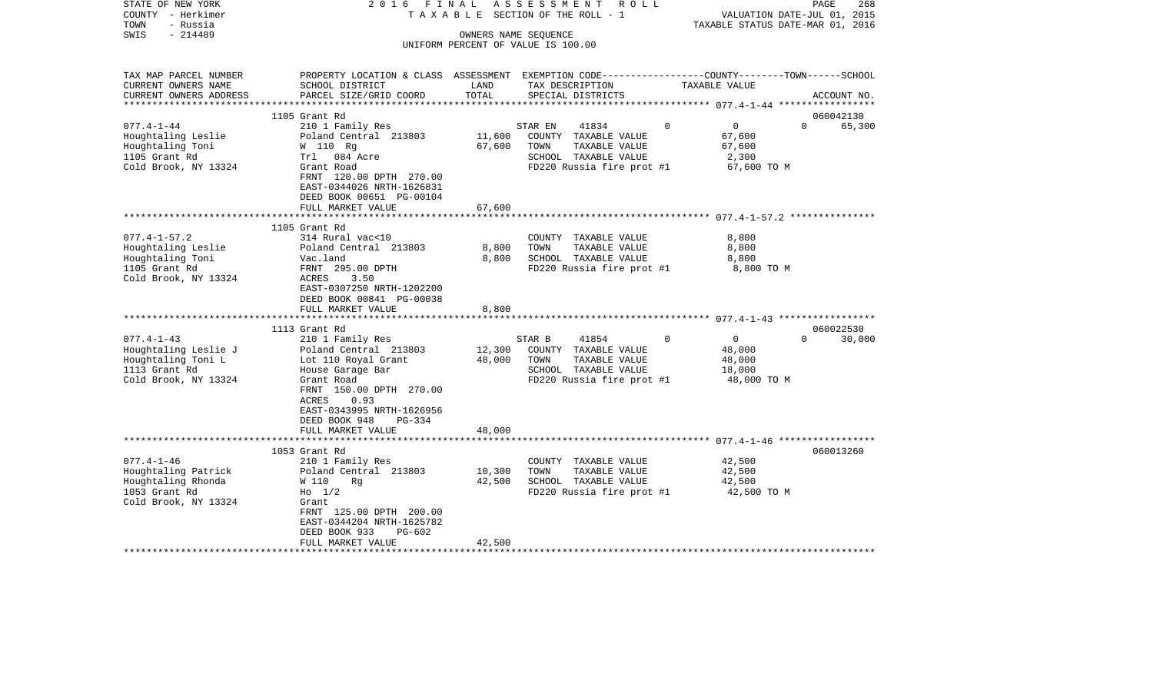| STATE OF NEW YORK<br>COUNTY - Herkimer | 2016 FINAL                                                                                     |                      | A S S E S S M E N T R O L L<br>TAXABLE SECTION OF THE ROLL - 1 |                            | 268<br>PAGE<br>VALUATION DATE-JUL 01, 2015 |
|----------------------------------------|------------------------------------------------------------------------------------------------|----------------------|----------------------------------------------------------------|----------------------------|--------------------------------------------|
| - Russia<br>TOWN                       |                                                                                                |                      |                                                                |                            | TAXABLE STATUS DATE-MAR 01, 2016           |
| $-214489$<br>SWIS                      |                                                                                                | OWNERS NAME SEQUENCE |                                                                |                            |                                            |
|                                        |                                                                                                |                      | UNIFORM PERCENT OF VALUE IS 100.00                             |                            |                                            |
|                                        |                                                                                                |                      |                                                                |                            |                                            |
| TAX MAP PARCEL NUMBER                  | PROPERTY LOCATION & CLASS ASSESSMENT EXEMPTION CODE---------------COUNTY-------TOWN-----SCHOOL |                      |                                                                |                            |                                            |
| CURRENT OWNERS NAME                    | SCHOOL DISTRICT                                                                                | LAND                 | TAX DESCRIPTION                                                | TAXABLE VALUE              |                                            |
| CURRENT OWNERS ADDRESS                 | PARCEL SIZE/GRID COORD                                                                         | TOTAL                | SPECIAL DISTRICTS                                              |                            | ACCOUNT NO.                                |
|                                        |                                                                                                |                      |                                                                |                            |                                            |
|                                        | 1105 Grant Rd                                                                                  |                      |                                                                |                            | 060042130                                  |
| $077.4 - 1 - 44$                       | 210 1 Family Res                                                                               |                      | 41834<br>STAR EN                                               | $\overline{0}$<br>$\Omega$ | $\Omega$<br>65,300                         |
| Houghtaling Leslie                     | Poland Central 213803                                                                          | 11,600               | COUNTY TAXABLE VALUE                                           | 67,600                     |                                            |
| Houghtaling Toni                       | W 110 Rg                                                                                       | 67,600               | TAXABLE VALUE<br>TOWN                                          | 67,600                     |                                            |
| 1105 Grant Rd                          | Trl 084 Acre                                                                                   |                      | SCHOOL TAXABLE VALUE                                           | 2,300                      |                                            |
| Cold Brook, NY 13324                   | Grant Road                                                                                     |                      | FD220 Russia fire prot #1                                      | 67,600 TO M                |                                            |
|                                        | FRNT 120.00 DPTH 270.00                                                                        |                      |                                                                |                            |                                            |
|                                        | EAST-0344026 NRTH-1626831                                                                      |                      |                                                                |                            |                                            |
|                                        | DEED BOOK 00651 PG-00104                                                                       |                      |                                                                |                            |                                            |
|                                        | FULL MARKET VALUE                                                                              | 67,600               |                                                                |                            |                                            |
|                                        | **********************                                                                         | ********             | ***************************** 077.4-1-57.2 ***************     |                            |                                            |
|                                        | 1105 Grant Rd                                                                                  |                      |                                                                |                            |                                            |
| $077.4 - 1 - 57.2$                     | 314 Rural vac<10                                                                               | 8,800                | COUNTY TAXABLE VALUE<br>TOWN                                   | 8,800                      |                                            |
| Houghtaling Leslie                     | Poland Central 213803<br>Vac.land                                                              | 8,800                | TAXABLE VALUE<br>SCHOOL TAXABLE VALUE                          | 8,800<br>8,800             |                                            |
| Houghtaling Toni<br>1105 Grant Rd      | FRNT 295.00 DPTH                                                                               |                      | FD220 Russia fire prot #1                                      | 8,800 TO M                 |                                            |
| Cold Brook, NY 13324                   | ACRES<br>3.50                                                                                  |                      |                                                                |                            |                                            |
|                                        | EAST-0307250 NRTH-1202200                                                                      |                      |                                                                |                            |                                            |
|                                        | DEED BOOK 00841 PG-00038                                                                       |                      |                                                                |                            |                                            |
|                                        | FULL MARKET VALUE                                                                              | 8,800                |                                                                |                            |                                            |
|                                        |                                                                                                |                      |                                                                |                            |                                            |
|                                        | 1113 Grant Rd                                                                                  |                      |                                                                |                            | 060022530                                  |
| $077.4 - 1 - 43$                       | 210 1 Family Res                                                                               |                      | 41854<br>STAR B                                                | $\Omega$<br>$\overline{0}$ | $\Omega$<br>30,000                         |
| Houghtaling Leslie J                   | Poland Central 213803                                                                          | 12,300               | COUNTY TAXABLE VALUE                                           | 48,000                     |                                            |
| Houghtaling Toni L                     | Lot 110 Royal Grant                                                                            | 48,000               | TOWN<br>TAXABLE VALUE                                          | 48,000                     |                                            |
| 1113 Grant Rd                          | House Garage Bar                                                                               |                      | SCHOOL TAXABLE VALUE                                           | 18,000                     |                                            |
| Cold Brook, NY 13324                   | Grant Road                                                                                     |                      | FD220 Russia fire prot #1                                      | 48,000 TO M                |                                            |
|                                        | FRNT 150.00 DPTH 270.00                                                                        |                      |                                                                |                            |                                            |
|                                        | ACRES<br>0.93                                                                                  |                      |                                                                |                            |                                            |
|                                        | EAST-0343995 NRTH-1626956                                                                      |                      |                                                                |                            |                                            |
|                                        | DEED BOOK 948<br>$PG-334$<br>FULL MARKET VALUE                                                 | 48,000               |                                                                |                            |                                            |
|                                        |                                                                                                |                      |                                                                |                            |                                            |
|                                        | 1053 Grant Rd                                                                                  |                      |                                                                |                            | 060013260                                  |
| $077.4 - 1 - 46$                       | 210 1 Family Res                                                                               |                      | COUNTY TAXABLE VALUE                                           | 42,500                     |                                            |
| Houghtaling Patrick                    | Poland Central 213803                                                                          | 10,300               | TAXABLE VALUE<br>TOWN                                          | 42,500                     |                                            |
| Houghtaling Rhonda                     | W 110<br>Rq                                                                                    | 42,500               | SCHOOL TAXABLE VALUE                                           | 42,500                     |                                            |
| 1053 Grant Rd                          | $H_0$ 1/2                                                                                      |                      | FD220 Russia fire prot #1                                      | 42,500 TO M                |                                            |
| Cold Brook, NY 13324                   | Grant                                                                                          |                      |                                                                |                            |                                            |
|                                        | FRNT 125.00 DPTH 200.00                                                                        |                      |                                                                |                            |                                            |
|                                        | EAST-0344204 NRTH-1625782                                                                      |                      |                                                                |                            |                                            |
|                                        | DEED BOOK 933<br>PG-602                                                                        |                      |                                                                |                            |                                            |
|                                        | FULL MARKET VALUE                                                                              | 42,500               |                                                                |                            |                                            |
|                                        |                                                                                                |                      |                                                                |                            |                                            |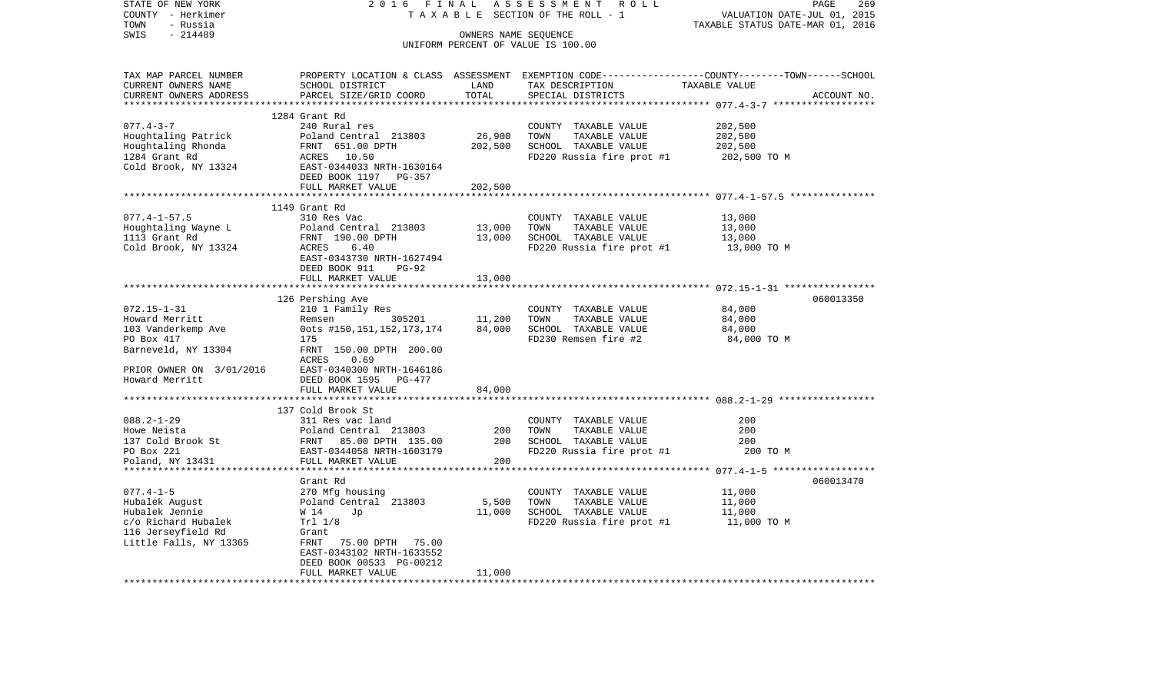| STATE OF NEW YORK        | 2016<br>FINAL                   |                                  | ASSESSMENT ROLL                        | PAGE<br>269                                                                                     |
|--------------------------|---------------------------------|----------------------------------|----------------------------------------|-------------------------------------------------------------------------------------------------|
| COUNTY - Herkimer        |                                 |                                  | TAXABLE SECTION OF THE ROLL - 1        | VALUATION DATE-JUL 01, 2015                                                                     |
| TOWN<br>- Russia         |                                 |                                  |                                        | TAXABLE STATUS DATE-MAR 01, 2016                                                                |
| SWIS<br>$-214489$        |                                 |                                  | OWNERS NAME SEQUENCE                   |                                                                                                 |
|                          |                                 |                                  | UNIFORM PERCENT OF VALUE IS 100.00     |                                                                                                 |
|                          |                                 |                                  |                                        |                                                                                                 |
|                          |                                 |                                  |                                        |                                                                                                 |
| TAX MAP PARCEL NUMBER    |                                 |                                  |                                        | PROPERTY LOCATION & CLASS ASSESSMENT EXEMPTION CODE----------------COUNTY-------TOWN-----SCHOOL |
| CURRENT OWNERS NAME      | SCHOOL DISTRICT                 | LAND                             | TAX DESCRIPTION                        |                                                                                                 |
| CURRENT OWNERS ADDRESS   | PARCEL SIZE/GRID COORD          | TOTAL                            | SPECIAL DISTRICTS                      | TAXABLE VALUE<br>ACCOUNT NO.                                                                    |
|                          |                                 |                                  |                                        |                                                                                                 |
|                          | 1284 Grant Rd                   |                                  |                                        |                                                                                                 |
| $077.4 - 3 - 7$          | 240 Rural res                   |                                  | COUNTY TAXABLE VALUE                   | 202,500                                                                                         |
| Houghtaling Patrick      | Poland Central 213803           | 26,900                           | TOWN<br>TAXABLE VALUE                  | 202,500                                                                                         |
| Houghtaling Rhonda       |                                 | 202,500                          | SCHOOL TAXABLE VALUE                   | 202,500                                                                                         |
| 1284 Grant Rd            | FRNT 651.00 DPTH<br>ACRES 10.50 |                                  | FD220 Russia fire prot #1 202,500 TO M |                                                                                                 |
| Cold Brook, NY 13324     | EAST-0344033 NRTH-1630164       |                                  |                                        |                                                                                                 |
|                          | DEED BOOK 1197 PG-357           |                                  |                                        |                                                                                                 |
|                          | FULL MARKET VALUE               |                                  |                                        |                                                                                                 |
|                          |                                 | 202,500<br>* * * * * * * * * * * |                                        | ***************************** 077.4-1-57.5 ***************                                      |
|                          | 1149 Grant Rd                   |                                  |                                        |                                                                                                 |
| $077.4 - 1 - 57.5$       | 310 Res Vac                     |                                  |                                        | 13,000                                                                                          |
|                          |                                 |                                  | COUNTY TAXABLE VALUE                   |                                                                                                 |
| Houghtaling Wayne L      | Poland Central 213803           | 13,000                           | TOWN<br>TAXABLE VALUE                  | 13,000                                                                                          |
| 1113 Grant Rd            | FRNT 190.00 DPTH                | 13,000                           | SCHOOL TAXABLE VALUE                   | 13,000                                                                                          |
| Cold Brook, NY 13324     | ACRES<br>6.40                   |                                  | FD220 Russia fire prot #1              | 13,000 TO M                                                                                     |
|                          | EAST-0343730 NRTH-1627494       |                                  |                                        |                                                                                                 |
|                          | DEED BOOK 911<br>$PG-92$        |                                  |                                        |                                                                                                 |
|                          | FULL MARKET VALUE               | 13,000                           |                                        |                                                                                                 |
|                          |                                 |                                  |                                        |                                                                                                 |
|                          | 126 Pershing Ave                |                                  |                                        | 060013350                                                                                       |
| $072.15 - 1 - 31$        | 210 1 Family Res                |                                  | COUNTY TAXABLE VALUE                   | 84,000                                                                                          |
| Howard Merritt           | 305201<br>Remsen                | 11,200                           | TAXABLE VALUE<br>TOWN                  | 84,000                                                                                          |
| 103 Vanderkemp Ave       | 0ots #150,151,152,173,174       | 84,000                           | SCHOOL TAXABLE VALUE                   | 84,000                                                                                          |
| PO Box 417               | 175                             |                                  | FD230 Remsen fire #2                   | 84,000 TO M                                                                                     |
| Barneveld, NY 13304      | FRNT 150.00 DPTH 200.00         |                                  |                                        |                                                                                                 |
|                          | ACRES<br>0.69                   |                                  |                                        |                                                                                                 |
| PRIOR OWNER ON 3/01/2016 | EAST-0340300 NRTH-1646186       |                                  |                                        |                                                                                                 |
| Howard Merritt           | DEED BOOK 1595 PG-477           |                                  |                                        |                                                                                                 |
|                          | FULL MARKET VALUE               | 84,000                           |                                        |                                                                                                 |
|                          |                                 |                                  |                                        |                                                                                                 |
|                          | 137 Cold Brook St               |                                  |                                        |                                                                                                 |
| $088.2 - 1 - 29$         | 311 Res vac land                |                                  | COUNTY TAXABLE VALUE                   | 200                                                                                             |
| Howe Neista              | Poland Central 213803           | 200                              | TOWN<br>TAXABLE VALUE                  | 200                                                                                             |
| 137 Cold Brook St        | FRNT 85.00 DPTH 135.00          | 200                              | SCHOOL TAXABLE VALUE                   | 200                                                                                             |
| PO Box 221               | EAST-0344058 NRTH-1603179       |                                  | FD220 Russia fire prot #1              | 200 TO M                                                                                        |
| Poland, NY 13431         | FULL MARKET VALUE               | 200                              |                                        |                                                                                                 |
|                          |                                 |                                  |                                        |                                                                                                 |
|                          | Grant Rd                        |                                  |                                        | 060013470                                                                                       |
| $077.4 - 1 - 5$          | 270 Mfg housing                 |                                  | COUNTY TAXABLE VALUE                   | 11,000                                                                                          |
| Hubalek August           | Poland Central 213803           | 5,500                            | TOWN<br>TAXABLE VALUE                  | 11,000                                                                                          |
| Hubalek Jennie           | W 14<br>Jp                      | 11,000                           | SCHOOL TAXABLE VALUE                   | 11,000                                                                                          |
| c/o Richard Hubalek      | Trl 1/8                         |                                  | FD220 Russia fire prot #1              | 11,000 TO M                                                                                     |
| 116 Jerseyfield Rd       | Grant                           |                                  |                                        |                                                                                                 |
| Little Falls, NY 13365   | FRNT<br>75.00 DPTH 75.00        |                                  |                                        |                                                                                                 |
|                          | EAST-0343102 NRTH-1633552       |                                  |                                        |                                                                                                 |
|                          | DEED BOOK 00533 PG-00212        |                                  |                                        |                                                                                                 |
|                          | FULL MARKET VALUE               | 11,000                           |                                        |                                                                                                 |
|                          |                                 |                                  |                                        |                                                                                                 |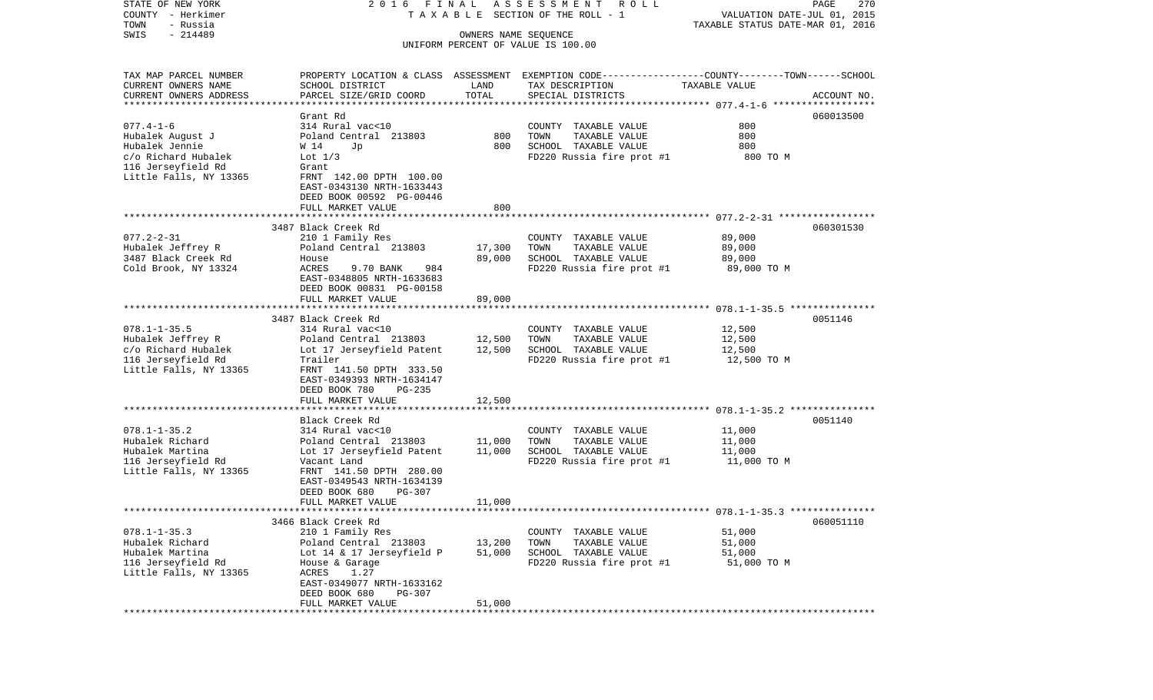| STATE OF NEW YORK                                | 2016 FINAL                                                                                       |                      | ASSESSMENT ROLL                       |                                  | 270<br>PAGE |
|--------------------------------------------------|--------------------------------------------------------------------------------------------------|----------------------|---------------------------------------|----------------------------------|-------------|
| COUNTY - Herkimer                                |                                                                                                  |                      | T A X A B L E SECTION OF THE ROLL - 1 | VALUATION DATE-JUL 01, 2015      |             |
| TOWN<br>- Russia                                 |                                                                                                  |                      |                                       | TAXABLE STATUS DATE-MAR 01, 2016 |             |
| $-214489$<br>SWIS                                |                                                                                                  | OWNERS NAME SEQUENCE | UNIFORM PERCENT OF VALUE IS 100.00    |                                  |             |
|                                                  |                                                                                                  |                      |                                       |                                  |             |
|                                                  |                                                                                                  |                      |                                       |                                  |             |
| TAX MAP PARCEL NUMBER                            | PROPERTY LOCATION & CLASS ASSESSMENT EXEMPTION CODE----------------COUNTY-------TOWN------SCHOOL |                      |                                       |                                  |             |
| CURRENT OWNERS NAME                              | SCHOOL DISTRICT                                                                                  | LAND                 | TAX DESCRIPTION                       | TAXABLE VALUE                    |             |
| CURRENT OWNERS ADDRESS<br>********************** | PARCEL SIZE/GRID COORD                                                                           | TOTAL                | SPECIAL DISTRICTS                     |                                  | ACCOUNT NO. |
|                                                  | Grant Rd                                                                                         |                      |                                       |                                  | 060013500   |
| $077.4 - 1 - 6$                                  | 314 Rural vac<10                                                                                 |                      | COUNTY TAXABLE VALUE                  | 800                              |             |
| Hubalek August J                                 | Poland Central 213803                                                                            | 800                  | TOWN<br>TAXABLE VALUE                 | 800                              |             |
| Hubalek Jennie                                   | W 14<br>Jp                                                                                       | 800                  | SCHOOL TAXABLE VALUE                  | 800                              |             |
| c/o Richard Hubalek                              | Lot $1/3$                                                                                        |                      | FD220 Russia fire prot #1             | 800 TO M                         |             |
| 116 Jerseyfield Rd                               | Grant                                                                                            |                      |                                       |                                  |             |
| Little Falls, NY 13365                           | FRNT 142.00 DPTH 100.00                                                                          |                      |                                       |                                  |             |
|                                                  | EAST-0343130 NRTH-1633443                                                                        |                      |                                       |                                  |             |
|                                                  | DEED BOOK 00592 PG-00446                                                                         |                      |                                       |                                  |             |
|                                                  | FULL MARKET VALUE                                                                                | 800                  |                                       |                                  |             |
|                                                  |                                                                                                  |                      |                                       |                                  |             |
|                                                  | 3487 Black Creek Rd                                                                              |                      |                                       |                                  | 060301530   |
| $077.2 - 2 - 31$                                 | 210 1 Family Res                                                                                 |                      | COUNTY TAXABLE VALUE                  | 89,000                           |             |
| Hubalek Jeffrey R                                | Poland Central 213803                                                                            | 17,300               | TAXABLE VALUE<br>TOWN                 | 89,000                           |             |
| 3487 Black Creek Rd                              | House                                                                                            | 89,000               | SCHOOL TAXABLE VALUE                  | 89,000                           |             |
| Cold Brook, NY 13324                             | ACRES<br>9.70 BANK<br>984                                                                        |                      | FD220 Russia fire prot #1             | 89,000 TO M                      |             |
|                                                  | EAST-0348805 NRTH-1633683                                                                        |                      |                                       |                                  |             |
|                                                  | DEED BOOK 00831 PG-00158                                                                         |                      |                                       |                                  |             |
|                                                  | FULL MARKET VALUE                                                                                | 89,000               |                                       |                                  |             |
|                                                  |                                                                                                  |                      |                                       |                                  |             |
|                                                  | 3487 Black Creek Rd                                                                              |                      |                                       |                                  | 0051146     |
| $078.1 - 1 - 35.5$                               | 314 Rural vac<10                                                                                 |                      | COUNTY TAXABLE VALUE                  | 12,500                           |             |
| Hubalek Jeffrey R                                | Poland Central 213803                                                                            | 12,500               | TOWN<br>TAXABLE VALUE                 | 12,500                           |             |
| c/o Richard Hubalek                              | Lot 17 Jerseyfield Patent                                                                        | 12,500               | SCHOOL TAXABLE VALUE                  | 12,500                           |             |
| 116 Jerseyfield Rd                               | Trailer                                                                                          |                      | FD220 Russia fire prot #1             | 12,500 TO M                      |             |
| Little Falls, NY 13365                           | FRNT 141.50 DPTH 333.50                                                                          |                      |                                       |                                  |             |
|                                                  | EAST-0349393 NRTH-1634147                                                                        |                      |                                       |                                  |             |
|                                                  | DEED BOOK 780<br>PG-235                                                                          |                      |                                       |                                  |             |
|                                                  | FULL MARKET VALUE                                                                                | 12,500               |                                       |                                  |             |
|                                                  | ************************                                                                         |                      |                                       |                                  |             |
|                                                  | Black Creek Rd                                                                                   |                      |                                       |                                  | 0051140     |
| $078.1 - 1 - 35.2$                               | 314 Rural vac<10                                                                                 |                      | COUNTY TAXABLE VALUE                  | 11,000                           |             |
| Hubalek Richard                                  | Poland Central 213803                                                                            | 11,000               | TOWN<br>TAXABLE VALUE                 | 11,000                           |             |
| Hubalek Martina                                  | Lot 17 Jerseyfield Patent                                                                        | 11,000               | SCHOOL TAXABLE VALUE                  | 11,000                           |             |
| 116 Jerseyfield Rd                               | Vacant Land                                                                                      |                      | FD220 Russia fire prot #1             | 11,000 TO M                      |             |
| Little Falls, NY 13365                           | FRNT 141.50 DPTH 280.00                                                                          |                      |                                       |                                  |             |
|                                                  | EAST-0349543 NRTH-1634139                                                                        |                      |                                       |                                  |             |
|                                                  | PG-307<br>DEED BOOK 680                                                                          |                      |                                       |                                  |             |
|                                                  | FULL MARKET VALUE                                                                                | 11,000               |                                       |                                  |             |
| **************************                       |                                                                                                  |                      |                                       |                                  |             |
|                                                  | 3466 Black Creek Rd                                                                              |                      |                                       |                                  | 060051110   |
| $078.1 - 1 - 35.3$                               | 210 1 Family Res                                                                                 |                      | COUNTY TAXABLE VALUE                  | 51,000                           |             |
| Hubalek Richard                                  | Poland Central 213803                                                                            | 13,200               | TOWN<br>TAXABLE VALUE                 | 51,000                           |             |
| Hubalek Martina                                  | Lot 14 & 17 Jerseyfield P                                                                        | 51,000               | SCHOOL TAXABLE VALUE                  | 51,000                           |             |
| 116 Jerseyfield Rd                               | House & Garage                                                                                   |                      | FD220 Russia fire prot #1             | 51,000 TO M                      |             |
| Little Falls, NY 13365                           | ACRES<br>1.27                                                                                    |                      |                                       |                                  |             |
|                                                  | EAST-0349077 NRTH-1633162                                                                        |                      |                                       |                                  |             |
|                                                  | DEED BOOK 680<br><b>PG-307</b>                                                                   |                      |                                       |                                  |             |
|                                                  | FULL MARKET VALUE                                                                                | 51,000               |                                       |                                  |             |
|                                                  | *****************************                                                                    |                      |                                       |                                  |             |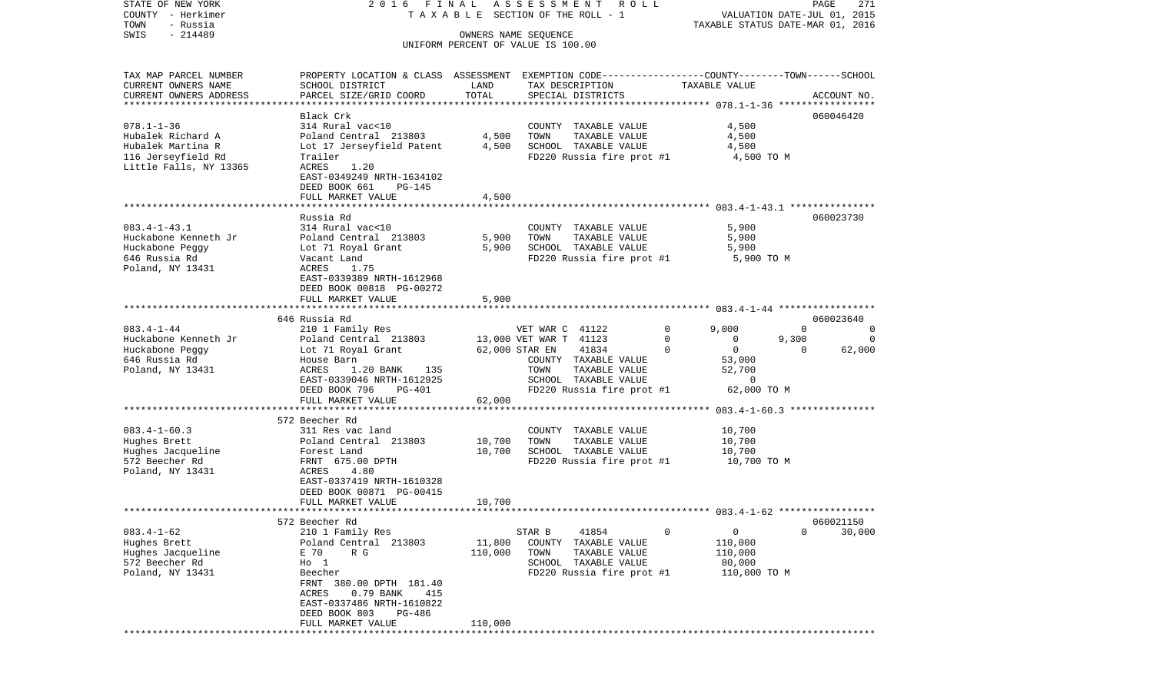| STATE OF NEW YORK<br>COUNTY - Herkimer<br>TOWN<br>- Russia | 2016 FINAL                                                                                      |         | A S S E S S M E N T R O L L<br>TAXABLE SECTION OF THE ROLL - 1 |                         | PAGE<br>271<br>VALUATION DATE-JUL 01, 2015<br>TAXABLE STATUS DATE-MAR 01, 2016 |
|------------------------------------------------------------|-------------------------------------------------------------------------------------------------|---------|----------------------------------------------------------------|-------------------------|--------------------------------------------------------------------------------|
| $-214489$<br>SWIS                                          |                                                                                                 |         | OWNERS NAME SEQUENCE                                           |                         |                                                                                |
|                                                            |                                                                                                 |         | UNIFORM PERCENT OF VALUE IS 100.00                             |                         |                                                                                |
| TAX MAP PARCEL NUMBER                                      | PROPERTY LOCATION & CLASS ASSESSMENT EXEMPTION CODE---------------COUNTY-------TOWN------SCHOOL |         |                                                                |                         |                                                                                |
| CURRENT OWNERS NAME                                        | SCHOOL DISTRICT                                                                                 | LAND    | TAX DESCRIPTION                                                | TAXABLE VALUE           |                                                                                |
| CURRENT OWNERS ADDRESS<br>***********************          | PARCEL SIZE/GRID COORD                                                                          | TOTAL   | SPECIAL DISTRICTS                                              |                         | ACCOUNT NO.                                                                    |
|                                                            | Black Crk                                                                                       |         |                                                                |                         | 060046420                                                                      |
| $078.1 - 1 - 36$                                           | 314 Rural vac<10                                                                                |         | COUNTY TAXABLE VALUE                                           | 4,500                   |                                                                                |
| Hubalek Richard A                                          | Poland Central 213803                                                                           | 4,500   | TOWN<br>TAXABLE VALUE                                          | 4,500                   |                                                                                |
| Hubalek Martina R                                          | Lot 17 Jerseyfield Patent                                                                       | 4,500   | SCHOOL TAXABLE VALUE                                           | 4,500                   |                                                                                |
| 116 Jerseyfield Rd                                         | Trailer                                                                                         |         | FD220 Russia fire prot #1                                      | 4,500 TO M              |                                                                                |
| Little Falls, NY 13365                                     | ACRES<br>1.20<br>EAST-0349249 NRTH-1634102                                                      |         |                                                                |                         |                                                                                |
|                                                            | DEED BOOK 661<br>PG-145                                                                         |         |                                                                |                         |                                                                                |
|                                                            | FULL MARKET VALUE                                                                               | 4,500   |                                                                |                         |                                                                                |
|                                                            |                                                                                                 |         |                                                                |                         |                                                                                |
|                                                            | Russia Rd                                                                                       |         |                                                                |                         | 060023730                                                                      |
| $083.4 - 1 - 43.1$                                         | 314 Rural vac<10                                                                                |         | COUNTY TAXABLE VALUE                                           | 5,900                   |                                                                                |
| Huckabone Kenneth Jr                                       | Poland Central 213803                                                                           | 5,900   | TOWN<br>TAXABLE VALUE<br>SCHOOL TAXABLE VALUE                  | 5,900<br>5,900          |                                                                                |
| Huckabone Peggy<br>646 Russia Rd                           | Lot 71 Royal Grant<br>Vacant Land                                                               | 5,900   | FD220 Russia fire prot #1                                      | 5,900 TO M              |                                                                                |
| Poland, NY 13431                                           | ACRES<br>1.75                                                                                   |         |                                                                |                         |                                                                                |
|                                                            | EAST-0339389 NRTH-1612968                                                                       |         |                                                                |                         |                                                                                |
|                                                            | DEED BOOK 00818 PG-00272                                                                        |         |                                                                |                         |                                                                                |
|                                                            | FULL MARKET VALUE                                                                               | 5,900   |                                                                |                         |                                                                                |
|                                                            |                                                                                                 |         |                                                                |                         | 060023640                                                                      |
| $083.4 - 1 - 44$                                           | 646 Russia Rd<br>210 1 Family Res                                                               |         | VET WAR C 41122                                                | 0<br>9,000              | $\Omega$<br>0                                                                  |
| Huckabone Kenneth Jr                                       | Poland Central 213803                                                                           |         | 13,000 VET WAR T 41123                                         | $\Omega$<br>0           | 9,300<br>$\Omega$                                                              |
| Huckabone Peggy                                            | Lot 71 Royal Grant                                                                              |         | 62,000 STAR EN<br>41834                                        | $\mathbf 0$<br>$\Omega$ | $\Omega$<br>62,000                                                             |
| 646 Russia Rd                                              | House Barn                                                                                      |         | COUNTY TAXABLE VALUE                                           | 53,000                  |                                                                                |
| Poland, NY 13431                                           | ACRES<br>1.20 BANK<br>135                                                                       |         | TAXABLE VALUE<br>TOWN                                          | 52,700                  |                                                                                |
|                                                            | EAST-0339046 NRTH-1612925<br>PG-401                                                             |         | SCHOOL TAXABLE VALUE                                           | $\Omega$                |                                                                                |
|                                                            | DEED BOOK 796<br>FULL MARKET VALUE                                                              | 62,000  | FD220 Russia fire prot #1                                      | 62,000 TO M             |                                                                                |
|                                                            |                                                                                                 |         |                                                                |                         |                                                                                |
|                                                            | 572 Beecher Rd                                                                                  |         |                                                                |                         |                                                                                |
| $083.4 - 1 - 60.3$                                         | 311 Res vac land                                                                                |         | COUNTY TAXABLE VALUE                                           | 10,700                  |                                                                                |
| Hughes Brett                                               | Poland Central 213803                                                                           | 10,700  | TOWN<br>TAXABLE VALUE                                          | 10,700                  |                                                                                |
| Hughes Jacqueline                                          | Forest Land                                                                                     | 10,700  | SCHOOL TAXABLE VALUE<br>FD220 Russia fire prot #1              | 10,700                  |                                                                                |
| 572 Beecher Rd<br>Poland, NY 13431                         | FRNT 675.00 DPTH<br>4.80<br>ACRES                                                               |         |                                                                | 10,700 TO M             |                                                                                |
|                                                            | EAST-0337419 NRTH-1610328                                                                       |         |                                                                |                         |                                                                                |
|                                                            | DEED BOOK 00871 PG-00415                                                                        |         |                                                                |                         |                                                                                |
|                                                            | FULL MARKET VALUE                                                                               | 10,700  |                                                                |                         |                                                                                |
|                                                            |                                                                                                 |         |                                                                |                         |                                                                                |
|                                                            | 572 Beecher Rd                                                                                  |         |                                                                |                         | 060021150                                                                      |
| $083.4 - 1 - 62$<br>Hughes Brett                           | 210 1 Family Res<br>Poland Central 213803                                                       | 11,800  | STAR B<br>41854<br>COUNTY<br>TAXABLE VALUE                     | 0<br>0<br>110,000       | $\mathbf 0$<br>30,000                                                          |
| Hughes Jacqueline                                          | E 70<br>R G                                                                                     | 110,000 | TOWN<br>TAXABLE VALUE                                          | 110,000                 |                                                                                |
| 572 Beecher Rd                                             | $HO$ 1                                                                                          |         | SCHOOL<br>TAXABLE VALUE                                        | 80,000                  |                                                                                |
| Poland, NY 13431                                           | Beecher                                                                                         |         | FD220 Russia fire prot #1                                      | 110,000 TO M            |                                                                                |
|                                                            | FRNT 380.00 DPTH 181.40                                                                         |         |                                                                |                         |                                                                                |
|                                                            | ACRES<br>0.79 BANK<br>415                                                                       |         |                                                                |                         |                                                                                |
|                                                            | EAST-0337486 NRTH-1610822                                                                       |         |                                                                |                         |                                                                                |
|                                                            | DEED BOOK 803<br>PG-486<br>FULL MARKET VALUE                                                    | 110,000 |                                                                |                         |                                                                                |
|                                                            |                                                                                                 |         |                                                                |                         |                                                                                |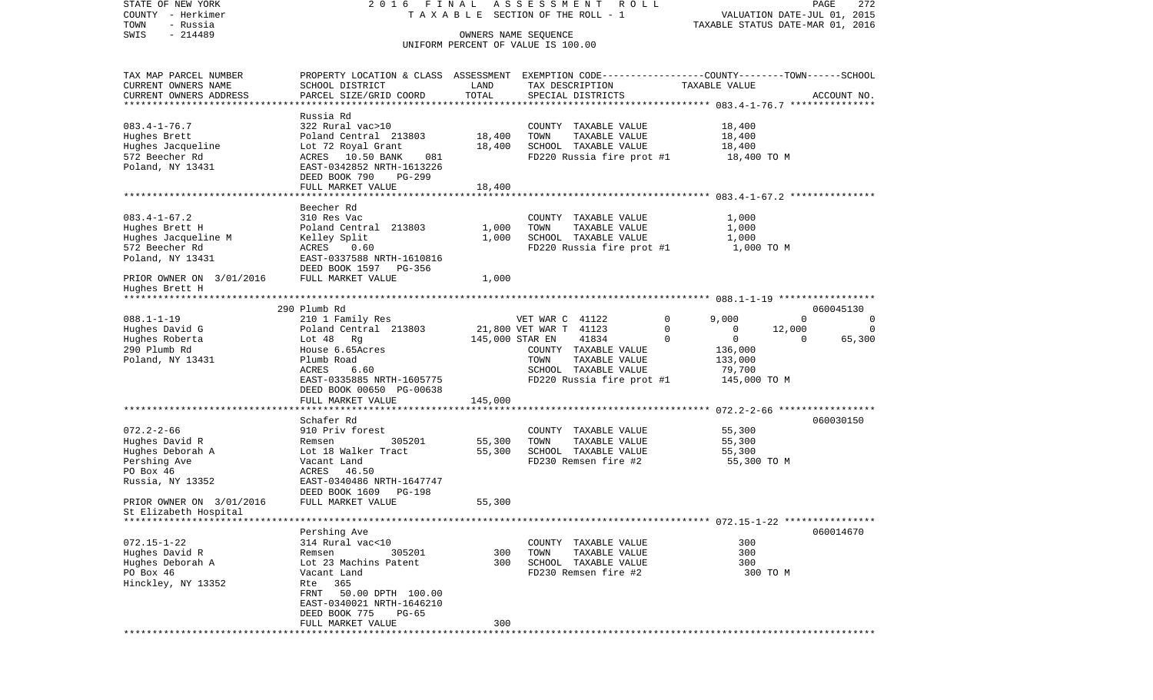| STATE OF NEW YORK<br>COUNTY - Herkimer<br>TOWN<br>- Russia                                              | 2016 FINAL                                                                                                                                                                                                      |                            | A S S E S S M E N T R O L L<br>TAXABLE SECTION OF THE ROLL - 1                                                                                           | VALUATION DATE-JUL 01, 2015<br>TAXABLE STATUS DATE-MAR 01, 2016                                                                   | 272<br>PAGE                   |
|---------------------------------------------------------------------------------------------------------|-----------------------------------------------------------------------------------------------------------------------------------------------------------------------------------------------------------------|----------------------------|----------------------------------------------------------------------------------------------------------------------------------------------------------|-----------------------------------------------------------------------------------------------------------------------------------|-------------------------------|
| $-214489$<br>SWIS                                                                                       |                                                                                                                                                                                                                 | OWNERS NAME SEQUENCE       | UNIFORM PERCENT OF VALUE IS 100.00                                                                                                                       |                                                                                                                                   |                               |
| TAX MAP PARCEL NUMBER<br>CURRENT OWNERS NAME<br>CURRENT OWNERS ADDRESS<br>*************************     | PROPERTY LOCATION & CLASS ASSESSMENT EXEMPTION CODE---------------COUNTY-------TOWN-----SCHOOL<br>SCHOOL DISTRICT<br>PARCEL SIZE/GRID COORD                                                                     | LAND<br>TOTAL              | TAX DESCRIPTION<br>SPECIAL DISTRICTS                                                                                                                     | TAXABLE VALUE                                                                                                                     | ACCOUNT NO.                   |
| $083.4 - 1 - 76.7$<br>Hughes Brett<br>Hughes Jacqueline<br>572 Beecher Rd<br>Poland, NY 13431           | Russia Rd<br>322 Rural vac>10<br>Poland Central 213803<br>Lot 72 Royal Grant<br>ACRES 10.50 BANK<br>081<br>EAST-0342852 NRTH-1613226<br>DEED BOOK 790<br>PG-299<br>FULL MARKET VALUE                            | 18,400<br>18,400<br>18,400 | COUNTY TAXABLE VALUE<br>TOWN<br>TAXABLE VALUE<br>SCHOOL TAXABLE VALUE<br>FD220 Russia fire prot #1                                                       | 18,400<br>18,400<br>18,400<br>18,400 TO M                                                                                         |                               |
|                                                                                                         | Beecher Rd                                                                                                                                                                                                      |                            |                                                                                                                                                          |                                                                                                                                   |                               |
| $083.4 - 1 - 67.2$<br>Hughes Brett H<br>Hughes Jacqueline M<br>572 Beecher Rd<br>Poland, NY 13431       | 310 Res Vac<br>Poland Central 213803<br>Kelley Split<br>ACRES<br>0.60<br>EAST-0337588 NRTH-1610816<br>DEED BOOK 1597 PG-356                                                                                     | 1,000<br>1,000             | COUNTY TAXABLE VALUE<br>TOWN<br>TAXABLE VALUE<br>SCHOOL TAXABLE VALUE<br>FD220 Russia fire prot #1                                                       | 1,000<br>1,000<br>1,000<br>1,000 TO M                                                                                             |                               |
| PRIOR OWNER ON 3/01/2016<br>Hughes Brett H<br>********************                                      | FULL MARKET VALUE                                                                                                                                                                                               | 1,000                      |                                                                                                                                                          |                                                                                                                                   |                               |
| $088.1 - 1 - 19$<br>Hughes David G<br>Hughes Roberta<br>290 Plumb Rd<br>Poland, NY 13431                | 290 Plumb Rd<br>210 1 Family Res<br>Poland Central 213803<br>Lot 48 Rg<br>House 6.65Acres<br>Plumb Road<br>ACRES<br>6.60<br>EAST-0335885 NRTH-1605775<br>DEED BOOK 00650 PG-00638                               | 145,000 STAR EN            | VET WAR C 41122<br>21,800 VET WAR T 41123<br>41834<br>COUNTY TAXABLE VALUE<br>TOWN<br>TAXABLE VALUE<br>SCHOOL TAXABLE VALUE<br>FD220 Russia fire prot #1 | 0<br>9,000<br>$\Omega$<br>12,000<br>0<br>0<br>$\mathbf 0$<br>$\Omega$<br>$\Omega$<br>136,000<br>133,000<br>79,700<br>145,000 TO M | 060045130<br>0<br>0<br>65,300 |
|                                                                                                         | FULL MARKET VALUE                                                                                                                                                                                               | 145,000                    |                                                                                                                                                          |                                                                                                                                   |                               |
| $072.2 - 2 - 66$<br>Hughes David R<br>Hughes Deborah A<br>Pershing Ave<br>PO Box 46<br>Russia, NY 13352 | ************************<br>Schafer Rd<br>910 Priv forest<br>305201<br>Remsen<br>Lot 18 Walker Tract<br>Vacant Land<br>ACRES 46.50<br>EAST-0340486 NRTH-1647747<br>DEED BOOK 1609<br>PG-198                     | 55,300<br>55,300           | COUNTY TAXABLE VALUE<br>TOWN<br>TAXABLE VALUE<br>SCHOOL TAXABLE VALUE<br>FD230 Remsen fire #2                                                            | 55,300<br>55,300<br>55,300<br>55,300 TO M                                                                                         | 060030150                     |
| PRIOR OWNER ON 3/01/2016<br>St Elizabeth Hospital                                                       | FULL MARKET VALUE                                                                                                                                                                                               | 55,300                     |                                                                                                                                                          |                                                                                                                                   |                               |
| $072.15 - 1 - 22$<br>Hughes David R<br>Hughes Deborah A<br>PO Box 46<br>Hinckley, NY 13352              | Pershing Ave<br>314 Rural vac<10<br>305201<br>Remsen<br>Lot 23 Machins Patent<br>Vacant Land<br>Rte 365<br>FRNT 50.00 DPTH 100.00<br>EAST-0340021 NRTH-1646210<br>DEED BOOK 775<br>$PG-65$<br>FULL MARKET VALUE | 300<br>300<br>300          | COUNTY TAXABLE VALUE<br>TOWN<br>TAXABLE VALUE<br>SCHOOL TAXABLE VALUE<br>FD230 Remsen fire #2                                                            | 300<br>300<br>300<br>300 TO M                                                                                                     | 060014670                     |
|                                                                                                         |                                                                                                                                                                                                                 |                            |                                                                                                                                                          |                                                                                                                                   |                               |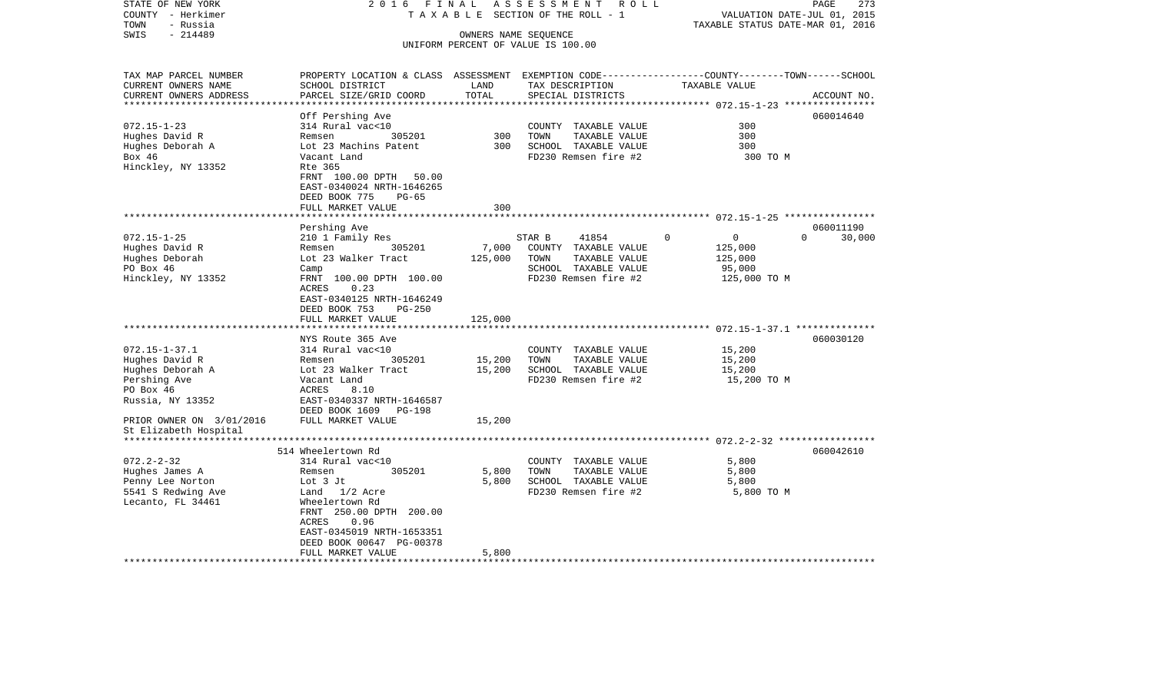| COUNTY<br>– Herkimer<br>TOWN<br>- Russia             | T A X A B L E SECTION OF THE ROLL - 1                                                           | VALUATION DATE-JUL 01, 2015<br>TAXABLE STATUS DATE-MAR 01, 2016 |                                    |               |                    |
|------------------------------------------------------|-------------------------------------------------------------------------------------------------|-----------------------------------------------------------------|------------------------------------|---------------|--------------------|
| $-214489$<br>SWIS                                    |                                                                                                 | OWNERS NAME SEOUENCE                                            |                                    |               |                    |
|                                                      |                                                                                                 |                                                                 | UNIFORM PERCENT OF VALUE IS 100.00 |               |                    |
|                                                      |                                                                                                 |                                                                 |                                    |               |                    |
| TAX MAP PARCEL NUMBER                                | PROPERTY LOCATION & CLASS ASSESSMENT EXEMPTION CODE---------------COUNTY-------TOWN------SCHOOL |                                                                 |                                    |               |                    |
| CURRENT OWNERS NAME                                  | SCHOOL DISTRICT                                                                                 | LAND                                                            | TAX DESCRIPTION                    | TAXABLE VALUE |                    |
| CURRENT OWNERS ADDRESS<br>************************** | PARCEL SIZE/GRID COORD                                                                          | TOTAL                                                           | SPECIAL DISTRICTS                  |               | ACCOUNT NO.        |
|                                                      | Off Pershing Ave                                                                                |                                                                 |                                    |               | 060014640          |
| $072.15 - 1 - 23$                                    | 314 Rural vac<10                                                                                |                                                                 | COUNTY TAXABLE VALUE               | 300           |                    |
| Hughes David R                                       | 305201<br>Remsen                                                                                | 300                                                             | TOWN<br>TAXABLE VALUE              | 300           |                    |
| Hughes Deborah A                                     | Lot 23 Machins Patent                                                                           | 300                                                             | SCHOOL TAXABLE VALUE               | 300           |                    |
| Box 46                                               | Vacant Land                                                                                     |                                                                 | FD230 Remsen fire #2               | 300 TO M      |                    |
| Hinckley, NY 13352                                   | Rte 365                                                                                         |                                                                 |                                    |               |                    |
|                                                      | FRNT 100.00 DPTH<br>50.00                                                                       |                                                                 |                                    |               |                    |
|                                                      | EAST-0340024 NRTH-1646265                                                                       |                                                                 |                                    |               |                    |
|                                                      | DEED BOOK 775<br>$PG-65$                                                                        |                                                                 |                                    |               |                    |
|                                                      | FULL MARKET VALUE                                                                               | 300                                                             |                                    |               |                    |
|                                                      | ******************                                                                              |                                                                 |                                    |               |                    |
|                                                      | Pershing Ave                                                                                    |                                                                 |                                    |               | 060011190          |
| $072.15 - 1 - 25$                                    | 210 1 Family Res                                                                                |                                                                 | STAR B<br>41854                    | $\Omega$<br>0 | 30,000<br>$\Omega$ |
| Hughes David R                                       | 305201<br>Remsen                                                                                | 7,000                                                           | COUNTY TAXABLE VALUE               | 125,000       |                    |
| Hughes Deborah                                       | Lot 23 Walker Tract                                                                             | 125,000                                                         | TOWN<br>TAXABLE VALUE              | 125,000       |                    |
| PO Box 46                                            | Camp                                                                                            |                                                                 | SCHOOL TAXABLE VALUE               | 95,000        |                    |
| Hinckley, NY 13352                                   | FRNT 100.00 DPTH 100.00                                                                         |                                                                 | FD230 Remsen fire #2               | 125,000 TO M  |                    |
|                                                      | <b>ACRES</b><br>0.23                                                                            |                                                                 |                                    |               |                    |
|                                                      | EAST-0340125 NRTH-1646249                                                                       |                                                                 |                                    |               |                    |
|                                                      | DEED BOOK 753<br>$PG-250$                                                                       |                                                                 |                                    |               |                    |
|                                                      | FULL MARKET VALUE                                                                               | 125,000                                                         |                                    |               |                    |
|                                                      |                                                                                                 | **********                                                      |                                    |               |                    |
|                                                      | NYS Route 365 Ave                                                                               |                                                                 |                                    |               | 060030120          |
| $072.15 - 1 - 37.1$                                  | 314 Rural vac<10                                                                                |                                                                 | COUNTY TAXABLE VALUE               | 15,200        |                    |
| Hughes David R                                       | Remsen<br>305201                                                                                | 15,200                                                          | TAXABLE VALUE<br>TOWN              | 15,200        |                    |
| Hughes Deborah A                                     | Lot 23 Walker Tract                                                                             | 15,200                                                          | SCHOOL TAXABLE VALUE               | 15,200        |                    |
| Pershing Ave                                         | Vacant Land                                                                                     |                                                                 | FD230 Remsen fire #2               | 15,200 TO M   |                    |
| PO Box 46                                            | ACRES<br>8.10                                                                                   |                                                                 |                                    |               |                    |
| Russia, NY 13352                                     | EAST-0340337 NRTH-1646587                                                                       |                                                                 |                                    |               |                    |
|                                                      | DEED BOOK 1609<br>PG-198                                                                        |                                                                 |                                    |               |                    |
| PRIOR OWNER ON 3/01/2016                             | FULL MARKET VALUE                                                                               | 15,200                                                          |                                    |               |                    |
| St Elizabeth Hospital<br>*******************         |                                                                                                 |                                                                 |                                    |               |                    |
|                                                      | 514 Wheelertown Rd                                                                              |                                                                 |                                    |               | 060042610          |
| $072.2 - 2 - 32$                                     | 314 Rural vac<10                                                                                |                                                                 | COUNTY TAXABLE VALUE               | 5,800         |                    |
| Hughes James A                                       | 305201<br>Remsen                                                                                | 5,800                                                           | TOWN<br>TAXABLE VALUE              | 5,800         |                    |
| Penny Lee Norton                                     | Lot 3 Jt                                                                                        | 5,800                                                           | SCHOOL TAXABLE VALUE               | 5,800         |                    |
| 5541 S Redwing Ave                                   | Land 1/2 Acre                                                                                   |                                                                 | FD230 Remsen fire #2               | 5,800 TO M    |                    |
| Lecanto, FL 34461                                    | Wheelertown Rd                                                                                  |                                                                 |                                    |               |                    |
|                                                      | FRNT 250.00 DPTH 200.00                                                                         |                                                                 |                                    |               |                    |
|                                                      | <b>ACRES</b><br>0.96                                                                            |                                                                 |                                    |               |                    |
|                                                      | EAST-0345019 NRTH-1653351                                                                       |                                                                 |                                    |               |                    |
|                                                      | DEED BOOK 00647 PG-00378                                                                        |                                                                 |                                    |               |                    |
|                                                      | FULL MARKET VALUE                                                                               | 5,800                                                           |                                    |               |                    |
|                                                      |                                                                                                 |                                                                 |                                    |               |                    |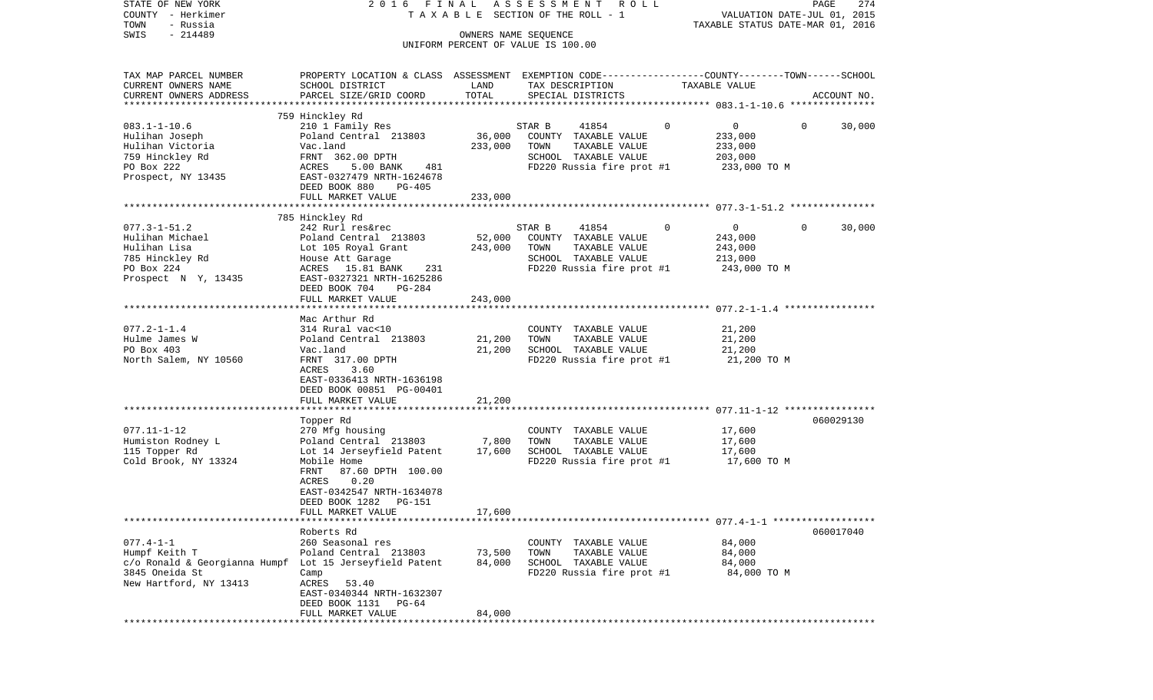| STATE OF NEW YORK<br>COUNTY - Herkimer                  | 2016 FINAL                                                                                      |                      | A S S E S S M E N T R O L L<br>TAXABLE SECTION OF THE ROLL - 1 |                               | PAGE<br>VALUATION DATE-JUL 01, 2015 | 274         |
|---------------------------------------------------------|-------------------------------------------------------------------------------------------------|----------------------|----------------------------------------------------------------|-------------------------------|-------------------------------------|-------------|
| TOWN<br>- Russia                                        |                                                                                                 |                      |                                                                |                               | TAXABLE STATUS DATE-MAR 01, 2016    |             |
| $-214489$<br>SWIS                                       |                                                                                                 | OWNERS NAME SEQUENCE | UNIFORM PERCENT OF VALUE IS 100.00                             |                               |                                     |             |
| TAX MAP PARCEL NUMBER                                   | PROPERTY LOCATION & CLASS ASSESSMENT EXEMPTION CODE---------------COUNTY-------TOWN------SCHOOL |                      |                                                                |                               |                                     |             |
| CURRENT OWNERS NAME                                     | SCHOOL DISTRICT                                                                                 | LAND                 | TAX DESCRIPTION                                                | TAXABLE VALUE                 |                                     |             |
| CURRENT OWNERS ADDRESS                                  | PARCEL SIZE/GRID COORD                                                                          | TOTAL                | SPECIAL DISTRICTS                                              |                               |                                     | ACCOUNT NO. |
|                                                         |                                                                                                 |                      |                                                                |                               |                                     |             |
| $083.1 - 1 - 10.6$                                      | 759 Hinckley Rd<br>210 1 Family Res                                                             |                      | 41854<br>STAR B                                                | $\mathbf 0$<br>$\overline{0}$ | $\mathbf{0}$                        | 30,000      |
| Hulihan Joseph                                          | Poland Central 213803                                                                           | 36,000               | COUNTY TAXABLE VALUE                                           | 233,000                       |                                     |             |
| Hulihan Victoria                                        | Vac.land                                                                                        | 233,000              | TOWN<br>TAXABLE VALUE                                          | 233,000                       |                                     |             |
| 759 Hinckley Rd                                         | FRNT 362.00 DPTH                                                                                |                      | SCHOOL TAXABLE VALUE                                           | 203,000                       |                                     |             |
| PO Box 222                                              | ACRES<br>5.00 BANK<br>481                                                                       |                      | FD220 Russia fire prot #1                                      |                               | 233,000 TO M                        |             |
| Prospect, NY 13435                                      | EAST-0327479 NRTH-1624678<br>DEED BOOK 880<br>$PG-405$                                          |                      |                                                                |                               |                                     |             |
|                                                         | FULL MARKET VALUE                                                                               | 233,000              |                                                                |                               |                                     |             |
|                                                         |                                                                                                 |                      |                                                                |                               |                                     |             |
|                                                         | 785 Hinckley Rd                                                                                 |                      |                                                                |                               |                                     |             |
| $077.3 - 1 - 51.2$                                      | 242 Rurl res&rec                                                                                |                      | STAR B<br>41854                                                | 0<br>$\overline{0}$           | $\Omega$                            | 30,000      |
| Hulihan Michael                                         | Poland Central 213803                                                                           | 52,000               | COUNTY TAXABLE VALUE                                           | 243,000                       |                                     |             |
| Hulihan Lisa<br>785 Hinckley Rd                         | Lot 105 Royal Grant                                                                             | 243,000              | TOWN<br>TAXABLE VALUE<br>SCHOOL TAXABLE VALUE                  | 243,000<br>213,000            |                                     |             |
| PO Box 224                                              | House Att Garage<br>ACRES 15.81 BANK<br>231                                                     |                      | FD220 Russia fire prot #1                                      |                               | 243,000 TO M                        |             |
| Prospect N Y, 13435                                     | EAST-0327321 NRTH-1625286                                                                       |                      |                                                                |                               |                                     |             |
|                                                         | DEED BOOK 704<br>PG-284                                                                         |                      |                                                                |                               |                                     |             |
|                                                         | FULL MARKET VALUE                                                                               | 243,000              |                                                                |                               |                                     |             |
|                                                         | Mac Arthur Rd                                                                                   |                      |                                                                |                               |                                     |             |
| $077.2 - 1 - 1.4$                                       | 314 Rural vac<10                                                                                |                      | COUNTY TAXABLE VALUE                                           | 21,200                        |                                     |             |
| Hulme James W                                           | Poland Central 213803                                                                           | 21,200               | TOWN<br>TAXABLE VALUE                                          | 21,200                        |                                     |             |
| PO Box 403                                              | Vac.land                                                                                        | 21,200               | SCHOOL TAXABLE VALUE                                           | 21,200                        |                                     |             |
| North Salem, NY 10560                                   | FRNT 317.00 DPTH                                                                                |                      | FD220 Russia fire prot #1                                      |                               | 21,200 TO M                         |             |
|                                                         | 3.60<br>ACRES                                                                                   |                      |                                                                |                               |                                     |             |
|                                                         | EAST-0336413 NRTH-1636198<br>DEED BOOK 00851 PG-00401                                           |                      |                                                                |                               |                                     |             |
|                                                         | FULL MARKET VALUE                                                                               | 21,200               |                                                                |                               |                                     |             |
|                                                         |                                                                                                 |                      |                                                                |                               |                                     |             |
|                                                         | Topper Rd                                                                                       |                      |                                                                |                               |                                     | 060029130   |
| $077.11 - 1 - 12$                                       | 270 Mfg housing                                                                                 |                      | COUNTY TAXABLE VALUE                                           | 17,600                        |                                     |             |
| Humiston Rodney L                                       | Poland Central 213803                                                                           | 7,800                | TOWN<br>TAXABLE VALUE                                          | 17,600                        |                                     |             |
| 115 Topper Rd                                           | Lot 14 Jerseyfield Patent                                                                       | 17,600               | SCHOOL TAXABLE VALUE                                           | 17,600                        |                                     |             |
| Cold Brook, NY 13324                                    | Mobile Home<br>87.60 DPTH 100.00<br>FRNT                                                        |                      | FD220 Russia fire prot #1 17,600 TO M                          |                               |                                     |             |
|                                                         | 0.20<br>ACRES                                                                                   |                      |                                                                |                               |                                     |             |
|                                                         | EAST-0342547 NRTH-1634078                                                                       |                      |                                                                |                               |                                     |             |
|                                                         | DEED BOOK 1282<br>PG-151                                                                        |                      |                                                                |                               |                                     |             |
|                                                         | FULL MARKET VALUE                                                                               | 17,600               |                                                                |                               |                                     |             |
|                                                         | Roberts Rd                                                                                      |                      |                                                                |                               |                                     | 060017040   |
| $077.4 - 1 - 1$                                         | 260 Seasonal res                                                                                |                      | COUNTY TAXABLE VALUE                                           | 84,000                        |                                     |             |
| Humpf Keith T                                           | Poland Central 213803                                                                           | 73,500               | TAXABLE VALUE<br>TOWN                                          | 84,000                        |                                     |             |
| c/o Ronald & Georgianna Humpf Lot 15 Jerseyfield Patent |                                                                                                 | 84,000               | SCHOOL TAXABLE VALUE                                           | 84,000                        |                                     |             |
| 3845 Oneida St                                          | Camp                                                                                            |                      | FD220 Russia fire prot #1                                      |                               | 84,000 TO M                         |             |
| New Hartford, NY 13413                                  | ACRES 53.40                                                                                     |                      |                                                                |                               |                                     |             |
|                                                         | EAST-0340344 NRTH-1632307<br>DEED BOOK 1131 PG-64                                               |                      |                                                                |                               |                                     |             |
|                                                         | FULL MARKET VALUE                                                                               | 84,000               |                                                                |                               |                                     |             |
|                                                         |                                                                                                 |                      |                                                                |                               |                                     |             |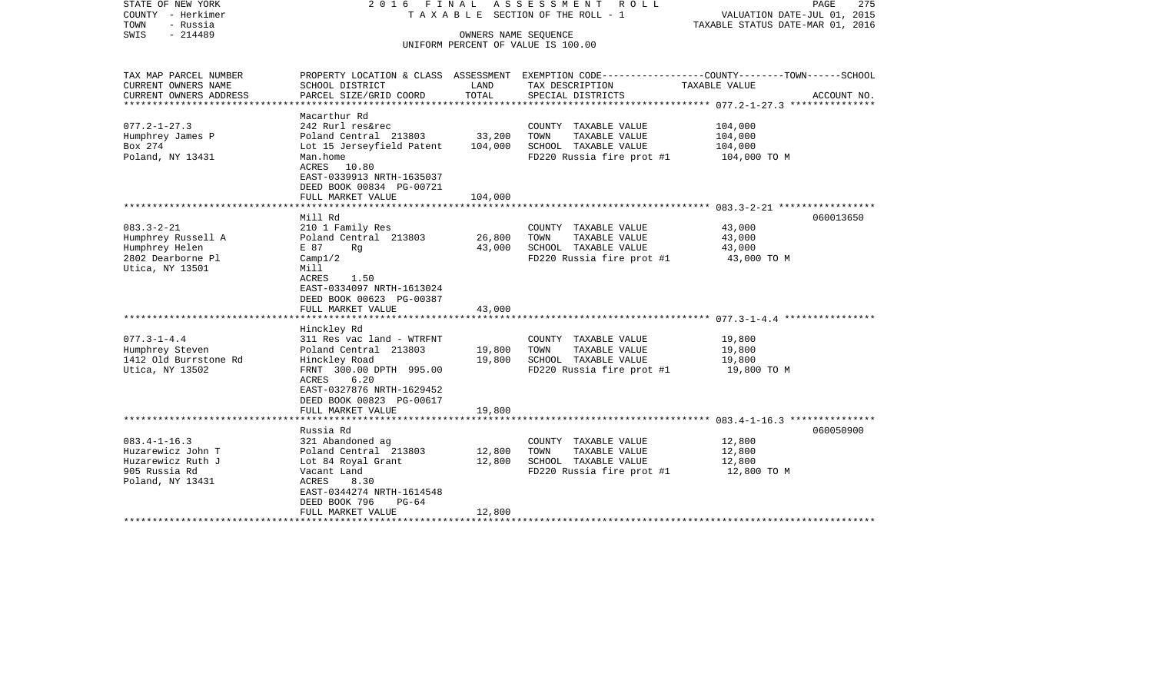| STATE OF NEW YORK<br>COUNTY - Herkimer<br>TOWN<br>- Russia<br>SWIS<br>$-214489$                   | 2016 FINAL                                                                                                                                                                                      | OWNERS NAME SEQUENCE         | ASSESSMENT<br>R O L L<br>T A X A B L E SECTION OF THE ROLL - 1                                     | PAGE<br>275<br>VALUATION DATE-JUL 01, 2015<br>TAXABLE STATUS DATE-MAR 01, 2016                                                  |
|---------------------------------------------------------------------------------------------------|-------------------------------------------------------------------------------------------------------------------------------------------------------------------------------------------------|------------------------------|----------------------------------------------------------------------------------------------------|---------------------------------------------------------------------------------------------------------------------------------|
|                                                                                                   |                                                                                                                                                                                                 |                              | UNIFORM PERCENT OF VALUE IS 100.00                                                                 |                                                                                                                                 |
| TAX MAP PARCEL NUMBER<br>CURRENT OWNERS NAME<br>CURRENT OWNERS ADDRESS<br>********************    | SCHOOL DISTRICT<br>PARCEL SIZE/GRID COORD<br>**********************                                                                                                                             | LAND<br>TOTAL                | TAX DESCRIPTION<br>SPECIAL DISTRICTS                                                               | PROPERTY LOCATION & CLASS ASSESSMENT EXEMPTION CODE---------------COUNTY-------TOWN------SCHOOL<br>TAXABLE VALUE<br>ACCOUNT NO. |
| $077.2 - 1 - 27.3$<br>Humphrey James P<br>Box 274<br>Poland, NY 13431                             | Macarthur Rd<br>242 Rurl res&rec<br>Poland Central 213803<br>Lot 15 Jerseyfield Patent<br>Man.home<br>ACRES 10.80<br>EAST-0339913 NRTH-1635037<br>DEED BOOK 00834 PG-00721<br>FULL MARKET VALUE | 33,200<br>104,000<br>104,000 | COUNTY TAXABLE VALUE<br>TAXABLE VALUE<br>TOWN<br>SCHOOL TAXABLE VALUE<br>FD220 Russia fire prot #1 | 104,000<br>104,000<br>104,000<br>104,000 TO M                                                                                   |
|                                                                                                   | *********************                                                                                                                                                                           |                              |                                                                                                    |                                                                                                                                 |
| $083.3 - 2 - 21$<br>Humphrey Russell A<br>Humphrey Helen<br>2802 Dearborne Pl<br>Utica, NY 13501  | Mill Rd<br>210 1 Family Res<br>Poland Central 213803<br>E 87<br>Rq<br>Camp1/2<br>Mill<br><b>ACRES</b><br>1.50<br>EAST-0334097 NRTH-1613024<br>DEED BOOK 00623 PG-00387                          | 26,800<br>43,000             | COUNTY TAXABLE VALUE<br>TOWN<br>TAXABLE VALUE<br>SCHOOL TAXABLE VALUE<br>FD220 Russia fire prot #1 | 060013650<br>43,000<br>43,000<br>43,000<br>43,000 TO M                                                                          |
|                                                                                                   | FULL MARKET VALUE                                                                                                                                                                               | 43,000                       |                                                                                                    |                                                                                                                                 |
| $077.3 - 1 - 4.4$<br>Humphrey Steven<br>1412 Old Burrstone Rd<br>Utica, NY 13502                  | Hinckley Rd<br>311 Res vac land - WTRFNT<br>Poland Central 213803<br>Hinckley Road<br>FRNT 300.00 DPTH 995.00<br>6.20<br>ACRES<br>EAST-0327876 NRTH-1629452                                     | 19,800<br>19,800             | COUNTY TAXABLE VALUE<br>TOWN<br>TAXABLE VALUE<br>SCHOOL TAXABLE VALUE<br>FD220 Russia fire prot #1 | 19,800<br>19,800<br>19,800<br>19,800 TO M                                                                                       |
|                                                                                                   | DEED BOOK 00823 PG-00617<br>FULL MARKET VALUE                                                                                                                                                   | 19,800                       |                                                                                                    |                                                                                                                                 |
| ********************                                                                              |                                                                                                                                                                                                 |                              |                                                                                                    |                                                                                                                                 |
| $083.4 - 1 - 16.3$<br>Huzarewicz John T<br>Huzarewicz Ruth J<br>905 Russia Rd<br>Poland, NY 13431 | Russia Rd<br>321 Abandoned ag<br>Poland Central 213803<br>Lot 84 Royal Grant<br>Vacant Land<br>ACRES<br>8.30<br>EAST-0344274 NRTH-1614548<br>DEED BOOK 796<br>$PG-64$                           | 12,800<br>12,800             | COUNTY TAXABLE VALUE<br>TOWN<br>TAXABLE VALUE<br>SCHOOL TAXABLE VALUE<br>FD220 Russia fire prot #1 | 060050900<br>12,800<br>12,800<br>12,800<br>12,800 TO M                                                                          |
|                                                                                                   | FULL MARKET VALUE                                                                                                                                                                               | 12,800                       |                                                                                                    |                                                                                                                                 |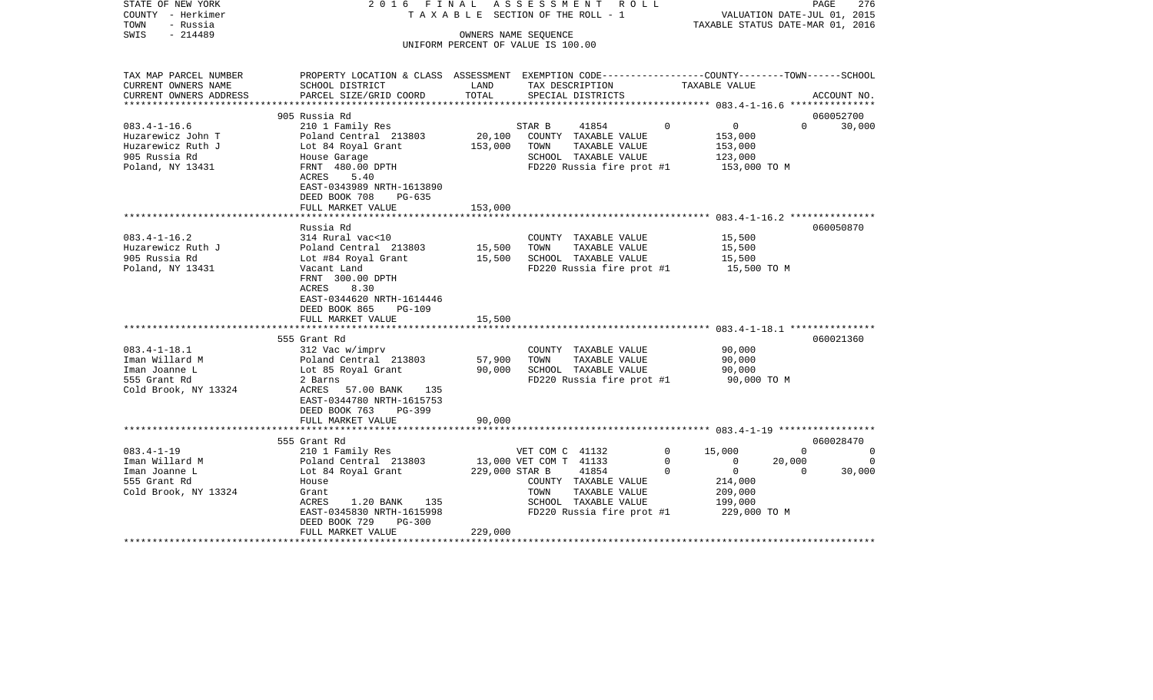| STATE OF NEW YORK<br>COUNTY - Herkimer<br>TOWN<br>- Russia<br>$-214489$<br>SWIS | 2016 FINAL<br>TAXABLE SECTION OF THE ROLL - 1                                                                      | ASSESSMENT ROLL | 276<br>PAGE<br>VALUATION DATE-JUL 01, 2015<br>TAXABLE STATUS DATE-MAR 01, 2016 |                          |                                |                    |                       |
|---------------------------------------------------------------------------------|--------------------------------------------------------------------------------------------------------------------|-----------------|--------------------------------------------------------------------------------|--------------------------|--------------------------------|--------------------|-----------------------|
|                                                                                 |                                                                                                                    |                 | OWNERS NAME SEQUENCE<br>UNIFORM PERCENT OF VALUE IS 100.00                     |                          |                                |                    |                       |
|                                                                                 |                                                                                                                    |                 |                                                                                |                          |                                |                    |                       |
| TAX MAP PARCEL NUMBER<br>CURRENT OWNERS NAME                                    | PROPERTY LOCATION & CLASS ASSESSMENT EXEMPTION CODE---------------COUNTY-------TOWN------SCHOOL<br>SCHOOL DISTRICT | LAND            | TAX DESCRIPTION                                                                |                          | TAXABLE VALUE                  |                    |                       |
| CURRENT OWNERS ADDRESS                                                          | PARCEL SIZE/GRID COORD                                                                                             | TOTAL           | SPECIAL DISTRICTS                                                              |                          |                                |                    | ACCOUNT NO.           |
|                                                                                 |                                                                                                                    |                 |                                                                                |                          |                                |                    |                       |
|                                                                                 | 905 Russia Rd                                                                                                      |                 |                                                                                |                          |                                |                    | 060052700             |
| $083.4 - 1 - 16.6$                                                              | 210 1 Family Res                                                                                                   |                 | STAR B<br>41854                                                                | $\mathbf 0$              | 0                              | $\Omega$           | 30,000                |
| Huzarewicz John T                                                               | Poland Central 213803                                                                                              | 20,100          | COUNTY TAXABLE VALUE                                                           |                          | 153,000                        |                    |                       |
| Huzarewicz Ruth J                                                               | Lot 84 Royal Grant                                                                                                 | 153,000         | TOWN<br>TAXABLE VALUE                                                          |                          | 153,000                        |                    |                       |
| 905 Russia Rd                                                                   | House Garage                                                                                                       |                 | SCHOOL TAXABLE VALUE                                                           |                          | 123,000                        |                    |                       |
| Poland, NY 13431                                                                | FRNT 480.00 DPTH<br>ACRES<br>5.40                                                                                  |                 | FD220 Russia fire prot #1                                                      |                          | 153,000 TO M                   |                    |                       |
|                                                                                 | EAST-0343989 NRTH-1613890                                                                                          |                 |                                                                                |                          |                                |                    |                       |
|                                                                                 | DEED BOOK 708<br>$PG-635$                                                                                          |                 |                                                                                |                          |                                |                    |                       |
|                                                                                 | FULL MARKET VALUE                                                                                                  | 153,000         |                                                                                |                          |                                |                    |                       |
|                                                                                 |                                                                                                                    |                 |                                                                                |                          |                                |                    |                       |
| $083.4 - 1 - 16.2$                                                              | Russia Rd<br>314 Rural vac<10                                                                                      |                 |                                                                                |                          | 15,500                         |                    | 060050870             |
| Huzarewicz Ruth J                                                               | Poland Central 213803                                                                                              | 15,500          | COUNTY TAXABLE VALUE<br>TOWN<br>TAXABLE VALUE                                  |                          | 15,500                         |                    |                       |
| 905 Russia Rd                                                                   | Lot #84 Royal Grant                                                                                                | 15,500          | SCHOOL TAXABLE VALUE                                                           |                          | 15,500                         |                    |                       |
| Poland, NY 13431                                                                | Vacant Land                                                                                                        |                 | FD220 Russia fire prot #1                                                      |                          | 15,500 TO M                    |                    |                       |
|                                                                                 | FRNT 300.00 DPTH<br>8.30                                                                                           |                 |                                                                                |                          |                                |                    |                       |
|                                                                                 | ACRES<br>EAST-0344620 NRTH-1614446                                                                                 |                 |                                                                                |                          |                                |                    |                       |
|                                                                                 | DEED BOOK 865<br><b>PG-109</b>                                                                                     |                 |                                                                                |                          |                                |                    |                       |
|                                                                                 | FULL MARKET VALUE                                                                                                  | 15,500          |                                                                                |                          |                                |                    |                       |
|                                                                                 |                                                                                                                    |                 |                                                                                |                          |                                |                    |                       |
|                                                                                 | 555 Grant Rd                                                                                                       |                 |                                                                                |                          |                                |                    | 060021360             |
| $083.4 - 1 - 18.1$                                                              | 312 Vac w/imprv                                                                                                    |                 | COUNTY TAXABLE VALUE                                                           |                          | 90,000                         |                    |                       |
| Iman Willard M                                                                  | Poland Central 213803                                                                                              | 57,900          | TAXABLE VALUE<br>TOWN                                                          |                          | 90,000                         |                    |                       |
| Iman Joanne L                                                                   | Lot 85 Royal Grant                                                                                                 | 90,000          | SCHOOL TAXABLE VALUE                                                           |                          | 90,000                         |                    |                       |
| 555 Grant Rd                                                                    | 2 Barns                                                                                                            |                 | FD220 Russia fire prot #1                                                      |                          | 90,000 TO M                    |                    |                       |
| Cold Brook, NY 13324                                                            | 57.00 BANK<br>ACRES<br>135                                                                                         |                 |                                                                                |                          |                                |                    |                       |
|                                                                                 | EAST-0344780 NRTH-1615753                                                                                          |                 |                                                                                |                          |                                |                    |                       |
|                                                                                 | DEED BOOK 763<br>$PG-399$                                                                                          |                 |                                                                                |                          |                                |                    |                       |
|                                                                                 | FULL MARKET VALUE                                                                                                  | 90,000          |                                                                                |                          |                                |                    |                       |
|                                                                                 |                                                                                                                    |                 |                                                                                |                          |                                |                    |                       |
|                                                                                 | 555 Grant Rd                                                                                                       |                 |                                                                                | $\Omega$                 |                                | $\Omega$           | 060028470<br>$\Omega$ |
| $083.4 - 1 - 19$                                                                | 210 1 Family Res                                                                                                   |                 | VET COM C 41132                                                                |                          | 15,000                         |                    |                       |
| Iman Willard M                                                                  | Poland Central 213803                                                                                              |                 | 13,000 VET COM T 41133<br>41854                                                | $\mathbf{0}$<br>$\Omega$ | $\mathbf{0}$<br>$\overline{0}$ | 20,000<br>$\Omega$ | $\mathbf 0$           |
| Iman Joanne L                                                                   | Lot 84 Royal Grant                                                                                                 | 229,000 STAR B  |                                                                                |                          |                                |                    | 30,000                |
| 555 Grant Rd                                                                    | House                                                                                                              |                 | COUNTY TAXABLE VALUE<br>TOWN                                                   |                          | 214,000                        |                    |                       |
| Cold Brook, NY 13324                                                            | Grant<br>ACRES<br>135                                                                                              |                 | TAXABLE VALUE<br>SCHOOL TAXABLE VALUE                                          |                          | 209,000<br>199,000             |                    |                       |
|                                                                                 | 1.20 BANK<br>EAST-0345830 NRTH-1615998                                                                             |                 |                                                                                |                          | 229,000 TO M                   |                    |                       |
|                                                                                 | DEED BOOK 729<br><b>PG-300</b>                                                                                     |                 | FD220 Russia fire prot #1                                                      |                          |                                |                    |                       |
|                                                                                 | FULL MARKET VALUE                                                                                                  | 229,000         |                                                                                |                          |                                |                    |                       |
|                                                                                 | **********************                                                                                             |                 |                                                                                |                          |                                |                    |                       |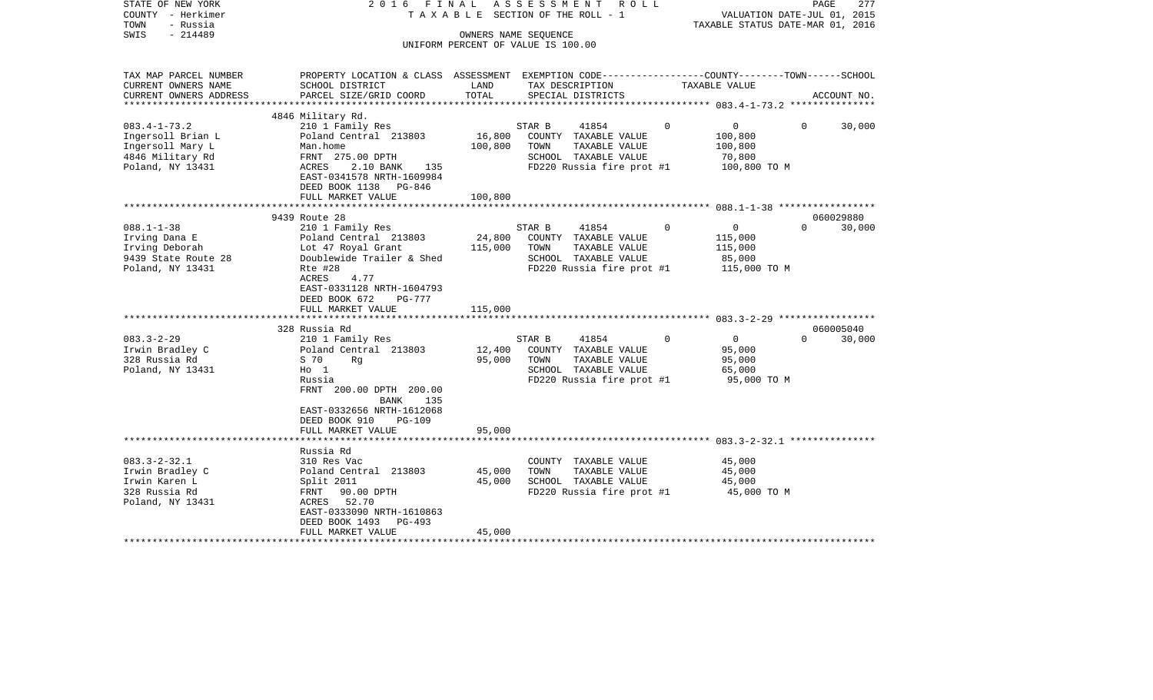| STATE OF NEW YORK<br>COUNTY - Herkimer<br>TOWN<br>- Russia<br>$-214489$<br>SWIS | 2016 FINAL                                                                                                 | TAXABLE SECTION OF THE ROLL - 1<br>OWNERS NAME SEQUENCE<br>UNIFORM PERCENT OF VALUE IS 100.00 | A S S E S S M E N T | R O L L                                   |          | VALUATION DATE-JUL 01, 2015<br>TAXABLE STATUS DATE-MAR 01, 2016 |          | 277<br>PAGE |
|---------------------------------------------------------------------------------|------------------------------------------------------------------------------------------------------------|-----------------------------------------------------------------------------------------------|---------------------|-------------------------------------------|----------|-----------------------------------------------------------------|----------|-------------|
| TAX MAP PARCEL NUMBER                                                           | PROPERTY LOCATION & CLASS ASSESSMENT EXEMPTION CODE----------------COUNTY-------TOWN------SCHOOL           |                                                                                               |                     |                                           |          |                                                                 |          |             |
| CURRENT OWNERS NAME<br>CURRENT OWNERS ADDRESS                                   | SCHOOL DISTRICT<br>PARCEL SIZE/GRID COORD                                                                  | LAND<br>TOTAL                                                                                 |                     | TAX DESCRIPTION<br>SPECIAL DISTRICTS      |          | TAXABLE VALUE                                                   |          | ACCOUNT NO. |
| ***********************                                                         |                                                                                                            |                                                                                               |                     |                                           |          |                                                                 |          |             |
|                                                                                 | 4846 Military Rd.                                                                                          |                                                                                               |                     |                                           |          |                                                                 |          |             |
| $083.4 - 1 - 73.2$                                                              | 210 1 Family Res                                                                                           |                                                                                               | STAR B              | 41854                                     | $\Omega$ | $0 \qquad \qquad$                                               | $\Omega$ | 30,000      |
| Ingersoll Brian L                                                               | Poland Central 213803                                                                                      | 16,800                                                                                        |                     | COUNTY TAXABLE VALUE                      |          | 100,800                                                         |          |             |
| Ingersoll Mary L                                                                | Man.home                                                                                                   | 100,800                                                                                       | TOWN                | TAXABLE VALUE                             |          | 100,800                                                         |          |             |
| 4846 Military Rd                                                                | FRNT 275.00 DPTH                                                                                           |                                                                                               |                     | SCHOOL TAXABLE VALUE                      |          | 70,800                                                          |          |             |
| Poland, NY 13431                                                                | ACRES<br>2.10 BANK 135<br>EAST-0341578 NRTH-1609984<br>DEED BOOK 1138 PG-846                               |                                                                                               |                     | FD220 Russia fire prot #1                 |          | 100,800 TO M                                                    |          |             |
|                                                                                 | FULL MARKET VALUE<br>**********************                                                                | 100,800                                                                                       |                     |                                           |          |                                                                 |          |             |
|                                                                                 | 9439 Route 28                                                                                              |                                                                                               |                     |                                           |          |                                                                 |          | 060029880   |
| $088.1 - 1 - 38$                                                                | 210 1 Family Res                                                                                           |                                                                                               | STAR B              | 41854                                     | $\Omega$ | $\overline{0}$                                                  | $\Omega$ | 30,000      |
| Irving Dana E                                                                   | Poland Central 213803                                                                                      | 24,800                                                                                        |                     | COUNTY TAXABLE VALUE                      |          | 115,000                                                         |          |             |
| Irving Deborah                                                                  | Lot 47 Royal Grant                                                                                         | 115,000                                                                                       | TOWN                | TAXABLE VALUE                             |          | 115,000                                                         |          |             |
| 9439 State Route 28                                                             | Doublewide Trailer & Shed                                                                                  |                                                                                               |                     | SCHOOL TAXABLE VALUE                      |          | 85,000                                                          |          |             |
| Poland, NY 13431                                                                | Rte #28<br>ACRES<br>4.77<br>EAST-0331128 NRTH-1604793<br>DEED BOOK 672<br>PG-777                           |                                                                                               |                     | FD220 Russia fire prot #1                 |          | 115,000 TO M                                                    |          |             |
|                                                                                 | FULL MARKET VALUE                                                                                          | 115,000                                                                                       |                     |                                           |          |                                                                 |          |             |
|                                                                                 | 328 Russia Rd                                                                                              |                                                                                               |                     |                                           |          |                                                                 |          | 060005040   |
| $083.3 - 2 - 29$                                                                | 210 1 Family Res                                                                                           |                                                                                               | STAR B              | 41854                                     | $\Omega$ | $\overline{0}$                                                  | $\Omega$ | 30,000      |
| Irwin Bradley C                                                                 | Poland Central 213803                                                                                      | 12,400                                                                                        |                     | COUNTY TAXABLE VALUE                      |          | 95,000                                                          |          |             |
| 328 Russia Rd                                                                   | S 70<br>Rq                                                                                                 | 95,000                                                                                        | TOWN                | TAXABLE VALUE                             |          | 95,000                                                          |          |             |
| Poland, NY 13431                                                                | $H_0$ 1                                                                                                    |                                                                                               |                     | SCHOOL TAXABLE VALUE                      |          | 65,000                                                          |          |             |
|                                                                                 | Russia<br>FRNT 200.00 DPTH 200.00<br>BANK<br>135<br>EAST-0332656 NRTH-1612068<br>DEED BOOK 910<br>$PG-109$ |                                                                                               |                     | FD220 Russia fire prot #1                 |          | 95,000 TO M                                                     |          |             |
|                                                                                 | FULL MARKET VALUE                                                                                          | 95,000                                                                                        |                     |                                           |          |                                                                 |          |             |
|                                                                                 |                                                                                                            |                                                                                               |                     |                                           |          |                                                                 |          |             |
| $083.3 - 2 - 32.1$                                                              | Russia Rd<br>310 Res Vac                                                                                   |                                                                                               |                     | COUNTY TAXABLE VALUE                      |          | 45,000                                                          |          |             |
| Irwin Bradley C                                                                 | Poland Central 213803                                                                                      | 45,000                                                                                        | TOWN                | TAXABLE VALUE                             |          | 45,000                                                          |          |             |
| Irwin Karen L                                                                   | Split 2011                                                                                                 | 45,000                                                                                        |                     | SCHOOL TAXABLE VALUE                      |          | 45,000                                                          |          |             |
| 328 Russia Rd                                                                   | FRNT 90.00 DPTH                                                                                            |                                                                                               |                     | $FD220$ Russia fire prot #1 $45,000$ TO M |          |                                                                 |          |             |
| Poland, NY 13431                                                                | ACRES 52.70                                                                                                |                                                                                               |                     |                                           |          |                                                                 |          |             |
|                                                                                 | EAST-0333090 NRTH-1610863                                                                                  |                                                                                               |                     |                                           |          |                                                                 |          |             |
|                                                                                 | DEED BOOK 1493 PG-493<br>FULL MARKET VALUE                                                                 | 45,000                                                                                        |                     |                                           |          |                                                                 |          |             |
|                                                                                 |                                                                                                            |                                                                                               |                     |                                           |          |                                                                 |          |             |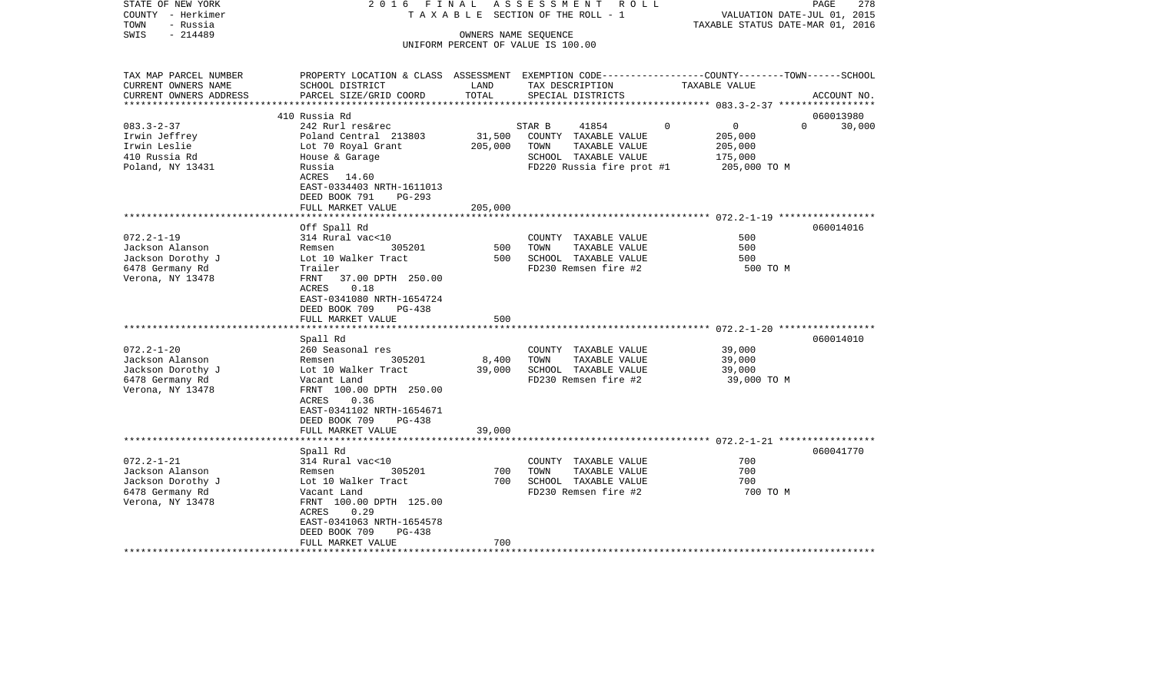| STATE OF NEW YORK<br>COUNTY - Herkimer<br>TOWN<br>- Russia | 2016 FINAL                                                                                       |         | ASSESSMENT<br>R O L L<br>T A X A B L E SECTION OF THE ROLL - 1 | TAXABLE STATUS DATE-MAR 01, 2016 | 278<br>PAGE<br>VALUATION DATE-JUL 01, 2015 |
|------------------------------------------------------------|--------------------------------------------------------------------------------------------------|---------|----------------------------------------------------------------|----------------------------------|--------------------------------------------|
| $-214489$<br>SWIS                                          |                                                                                                  |         | OWNERS NAME SEQUENCE                                           |                                  |                                            |
|                                                            |                                                                                                  |         | UNIFORM PERCENT OF VALUE IS 100.00                             |                                  |                                            |
|                                                            |                                                                                                  |         |                                                                |                                  |                                            |
| TAX MAP PARCEL NUMBER                                      | PROPERTY LOCATION & CLASS ASSESSMENT EXEMPTION CODE----------------COUNTY-------TOWN------SCHOOL |         |                                                                |                                  |                                            |
| CURRENT OWNERS NAME                                        | SCHOOL DISTRICT                                                                                  | LAND    | TAX DESCRIPTION                                                | TAXABLE VALUE                    |                                            |
| CURRENT OWNERS ADDRESS                                     | PARCEL SIZE/GRID COORD                                                                           | TOTAL   | SPECIAL DISTRICTS                                              |                                  | ACCOUNT NO.                                |
| **********************                                     |                                                                                                  |         |                                                                |                                  |                                            |
|                                                            | 410 Russia Rd                                                                                    |         |                                                                |                                  | 060013980                                  |
| $083.3 - 2 - 37$                                           | 242 Rurl res&rec                                                                                 |         | STAR B<br>41854                                                | $\Omega$<br>$\overline{0}$       | $\Omega$<br>30,000                         |
| Irwin Jeffrey                                              | Poland Central 213803                                                                            | 31,500  | COUNTY TAXABLE VALUE                                           | 205,000                          |                                            |
| Irwin Leslie                                               | Lot 70 Royal Grant                                                                               | 205,000 | TOWN<br>TAXABLE VALUE                                          | 205,000                          |                                            |
| 410 Russia Rd                                              | House & Garage                                                                                   |         | SCHOOL TAXABLE VALUE                                           | 175,000                          |                                            |
| Poland, NY 13431                                           | Russia                                                                                           |         | FD220 Russia fire prot #1                                      | 205,000 TO M                     |                                            |
|                                                            | ACRES<br>14.60                                                                                   |         |                                                                |                                  |                                            |
|                                                            | EAST-0334403 NRTH-1611013                                                                        |         |                                                                |                                  |                                            |
|                                                            | DEED BOOK 791<br>$PG-293$                                                                        |         |                                                                |                                  |                                            |
|                                                            | FULL MARKET VALUE                                                                                | 205,000 |                                                                |                                  |                                            |
|                                                            |                                                                                                  |         |                                                                |                                  |                                            |
| $072.2 - 1 - 19$                                           | Off Spall Rd<br>314 Rural vac<10                                                                 |         | COUNTY TAXABLE VALUE                                           | 500                              | 060014016                                  |
| Jackson Alanson                                            | 305201<br>Remsen                                                                                 | 500     | TAXABLE VALUE<br>TOWN                                          | 500                              |                                            |
| Jackson Dorothy J                                          | Lot 10 Walker Tract                                                                              | 500     | SCHOOL TAXABLE VALUE                                           | 500                              |                                            |
| 6478 Germany Rd                                            | Trailer                                                                                          |         | FD230 Remsen fire #2                                           | 500 TO M                         |                                            |
| Verona, NY 13478                                           | 37.00 DPTH 250.00<br>FRNT                                                                        |         |                                                                |                                  |                                            |
|                                                            | 0.18<br><b>ACRES</b>                                                                             |         |                                                                |                                  |                                            |
|                                                            | EAST-0341080 NRTH-1654724                                                                        |         |                                                                |                                  |                                            |
|                                                            | DEED BOOK 709<br>PG-438                                                                          |         |                                                                |                                  |                                            |
|                                                            | FULL MARKET VALUE                                                                                | 500     |                                                                |                                  |                                            |
|                                                            | *****************                                                                                |         |                                                                |                                  |                                            |
|                                                            | Spall Rd                                                                                         |         |                                                                |                                  | 060014010                                  |
| $072.2 - 1 - 20$                                           | 260 Seasonal res                                                                                 |         | COUNTY TAXABLE VALUE                                           | 39,000                           |                                            |
| Jackson Alanson                                            | Remsen<br>305201                                                                                 | 8,400   | TOWN<br>TAXABLE VALUE                                          | 39,000                           |                                            |
| Jackson Dorothy J                                          | Lot 10 Walker Tract                                                                              | 39,000  | SCHOOL TAXABLE VALUE                                           | 39,000                           |                                            |
| 6478 Germany Rd                                            | Vacant Land                                                                                      |         | FD230 Remsen fire #2                                           | 39,000 TO M                      |                                            |
| Verona, NY 13478                                           | FRNT 100.00 DPTH 250.00                                                                          |         |                                                                |                                  |                                            |
|                                                            | 0.36<br>ACRES                                                                                    |         |                                                                |                                  |                                            |
|                                                            | EAST-0341102 NRTH-1654671                                                                        |         |                                                                |                                  |                                            |
|                                                            | DEED BOOK 709<br><b>PG-438</b>                                                                   |         |                                                                |                                  |                                            |
|                                                            | FULL MARKET VALUE<br>*******************                                                         | 39,000  |                                                                |                                  |                                            |
|                                                            |                                                                                                  |         |                                                                |                                  |                                            |
| $072.2 - 1 - 21$                                           | Spall Rd<br>314 Rural vac<10                                                                     |         | COUNTY TAXABLE VALUE                                           | 700                              | 060041770                                  |
| Jackson Alanson                                            | 305201<br>Remsen                                                                                 | 700     | TOWN<br>TAXABLE VALUE                                          | 700                              |                                            |
| Jackson Dorothy J                                          | Lot 10 Walker Tract                                                                              | 700     | SCHOOL TAXABLE VALUE                                           | 700                              |                                            |
| 6478 Germany Rd                                            | Vacant Land                                                                                      |         | FD230 Remsen fire #2                                           | 700 TO M                         |                                            |
| Verona, NY 13478                                           | FRNT 100.00 DPTH 125.00                                                                          |         |                                                                |                                  |                                            |
|                                                            | ACRES<br>0.29                                                                                    |         |                                                                |                                  |                                            |
|                                                            | EAST-0341063 NRTH-1654578                                                                        |         |                                                                |                                  |                                            |
|                                                            | DEED BOOK 709<br>$PG-438$                                                                        |         |                                                                |                                  |                                            |
|                                                            | FULL MARKET VALUE                                                                                | 700     |                                                                |                                  |                                            |
|                                                            |                                                                                                  |         |                                                                |                                  |                                            |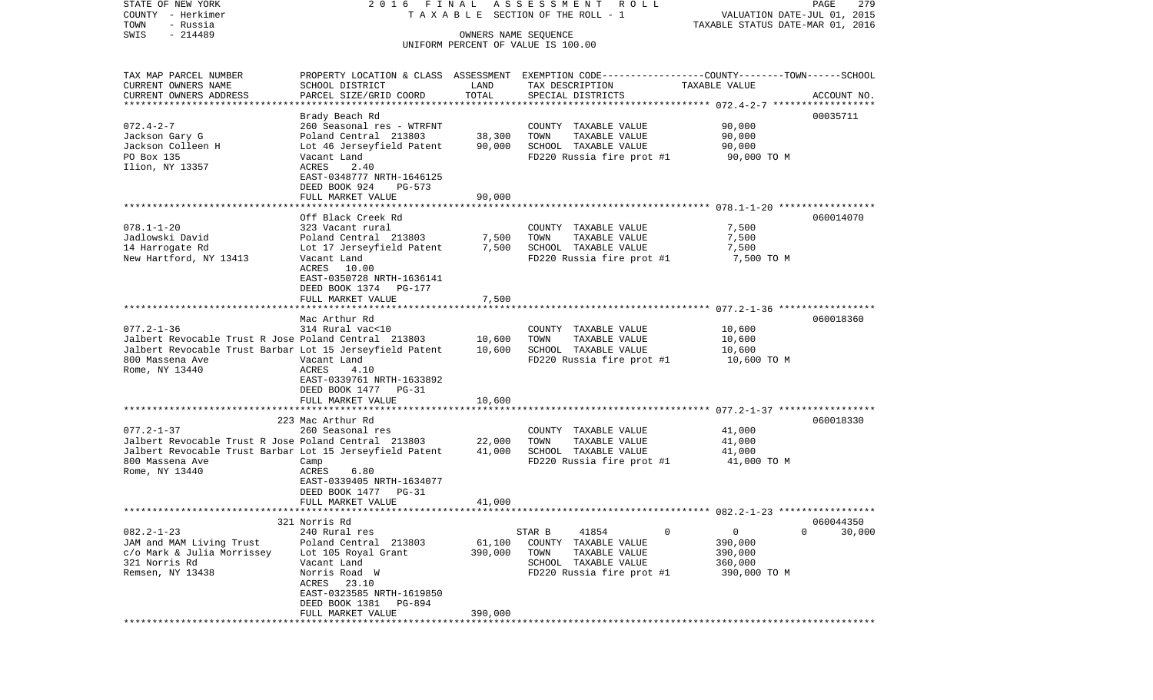VALUATION DATE-JUL 01, 2015 COUNTY - Herkimer T A X A B L E SECTION OF THE ROLL - 1 TOWN - Russia TAXABLE STATUS DATE-MAR 01, 2016 SWIS - 214489 OWNERS NAME SEQUENCE UNIFORM PERCENT OF VALUE IS 100.00TAX MAP PARCEL NUMBER PROPERTY LOCATION & CLASS ASSESSMENT EXEMPTION CODE------------------COUNTY--------TOWN------SCHOOL CURRENT OWNERS NAME SCHOOL DISTRICT LAND TAX DESCRIPTION TAXABLE VALUECURRENT OWNERS ADDRESS PARCEL SIZE/GRID COORD TOTAL SPECIAL DISTRICTS ACCOUNT NO. \*\*\*\*\*\*\*\*\*\*\*\*\*\*\*\*\*\*\*\*\*\*\*\*\*\*\*\*\*\*\*\*\*\*\*\*\*\*\*\*\*\*\*\*\*\*\*\*\*\*\*\*\*\*\*\*\*\*\*\*\*\*\*\*\*\*\*\*\*\*\*\*\*\*\*\*\*\*\*\*\*\*\*\*\*\*\*\*\*\*\*\*\*\*\*\*\*\*\*\*\*\*\* 072.4-2-7 \*\*\*\*\*\*\*\*\*\*\*\*\*\*\*\*\*\* Brady Beach Rd 00035711 072.4-2-7 260 Seasonal res - WTRFNT COUNTY TAXABLE VALUE 90,000 Jackson Gary G **Poland Central 213803** 38,300 TOWN TAXABLE VALUE 90,000 Jackson Colleen H Lot 46 Jerseyfield Patent 90,000 SCHOOL TAXABLE VALUE 90,000 PO Box 135 Vacant Land FD220 Russia fire prot #1 90,000 TO M Ilion, NY 13357 ACRES 2.40 EAST-0348777 NRTH-1646125 DEED BOOK 924 PG-573FULL MARKET VALUE 90,000 \*\*\*\*\*\*\*\*\*\*\*\*\*\*\*\*\*\*\*\*\*\*\*\*\*\*\*\*\*\*\*\*\*\*\*\*\*\*\*\*\*\*\*\*\*\*\*\*\*\*\*\*\*\*\*\*\*\*\*\*\*\*\*\*\*\*\*\*\*\*\*\*\*\*\*\*\*\*\*\*\*\*\*\*\*\*\*\*\*\*\*\*\*\*\*\*\*\*\*\*\*\*\* 078.1-1-20 \*\*\*\*\*\*\*\*\*\*\*\*\*\*\*\*\* Off Black Creek Rd 060014070078.1-1-20 323 Vacant rural COUNTY TAXABLE VALUE 7,500 Jadlowski David Poland Central 213803 7,500 TOWN TAXABLE VALUE 7,500 14 Harrogate Rd Lot 17 Jerseyfield Patent 7,500 SCHOOL TAXABLE VALUE 7,500 New Hartford, NY 13413 Vacant Land FD220 Russia fire prot #1 7,500 TO M ACRES 10.00 EAST-0350728 NRTH-1636141 DEED BOOK 1374 PG-177FULL MARKET VALUE 7,500 \*\*\*\*\*\*\*\*\*\*\*\*\*\*\*\*\*\*\*\*\*\*\*\*\*\*\*\*\*\*\*\*\*\*\*\*\*\*\*\*\*\*\*\*\*\*\*\*\*\*\*\*\*\*\*\*\*\*\*\*\*\*\*\*\*\*\*\*\*\*\*\*\*\*\*\*\*\*\*\*\*\*\*\*\*\*\*\*\*\*\*\*\*\*\*\*\*\*\*\*\*\*\* 077.2-1-36 \*\*\*\*\*\*\*\*\*\*\*\*\*\*\*\*\* Mac Arthur Rd 060018360077.2-1-36 314 Rural vac<10 COUNTY TAXABLE VALUE 10,600 Jalbert Revocable Trust R Jose Poland Central 213803 10,600 TOWN TAXABLE VALUE 10,600 Jalbert Revocable Trust Barbar Lot 15 Jerseyfield Patent 10,600 SCHOOL TAXABLE VALUE 10,600 Vacant Land  $V$  FD220 Russia fire prot #1 Rome, NY 13440 <br>
ACRES 4.10 EAST-0339761 NRTH-1633892 DEED BOOK 1477 PG-31FULL MARKET VALUE 10,600 \*\*\*\*\*\*\*\*\*\*\*\*\*\*\*\*\*\*\*\*\*\*\*\*\*\*\*\*\*\*\*\*\*\*\*\*\*\*\*\*\*\*\*\*\*\*\*\*\*\*\*\*\*\*\*\*\*\*\*\*\*\*\*\*\*\*\*\*\*\*\*\*\*\*\*\*\*\*\*\*\*\*\*\*\*\*\*\*\*\*\*\*\*\*\*\*\*\*\*\*\*\*\* 077.2-1-37 \*\*\*\*\*\*\*\*\*\*\*\*\*\*\*\*\* 223 Mac Arthur Rd 060018330077.2-1-37 260 Seasonal res COUNTY TAXABLE VALUE 41,000 Jalbert Revocable Trust R Jose Poland Central 213803 22,000 TOWN TAXABLE VALUE 41,000 Jalbert Revocable Trust Barbar Lot 15 Jerseyfield Patent 41,000 SCHOOL TAXABLE VALUE 41,000 800 Massena Ave Camp FD220 Russia fire prot #1 41,000 TO M Rome, NY 13440 ACRES 6.80 EAST-0339405 NRTH-1634077 DEED BOOK 1477 PG-31 FULL MARKET VALUE 41,000 \*\*\*\*\*\*\*\*\*\*\*\*\*\*\*\*\*\*\*\*\*\*\*\*\*\*\*\*\*\*\*\*\*\*\*\*\*\*\*\*\*\*\*\*\*\*\*\*\*\*\*\*\*\*\*\*\*\*\*\*\*\*\*\*\*\*\*\*\*\*\*\*\*\*\*\*\*\*\*\*\*\*\*\*\*\*\*\*\*\*\*\*\*\*\*\*\*\*\*\*\*\*\* 082.2-1-23 \*\*\*\*\*\*\*\*\*\*\*\*\*\*\*\*\* 321 Norris Rd 060044350082.2-1-23 240 Rural res STAR B 41854 0 0 0 30,000 JAM and MAM Living Trust Poland Central 213803 61,100 COUNTY TAXABLE VALUE 390,000 c/o Mark & Julia Morrissey Lot 105 Royal Grant 390,000 TOWN TAXABLE VALUE 390,000 321 Norris Rd Vacant Land SCHOOL TAXABLE VALUE 360,000 Remsen, NY 13438 Norris Road W FD220 Russia fire prot #1 390,000 TO M ACRES 23.10 EAST-0323585 NRTH-1619850 DEED BOOK 1381 PG-894 FULL MARKET VALUE 390,000 \*\*\*\*\*\*\*\*\*\*\*\*\*\*\*\*\*\*\*\*\*\*\*\*\*\*\*\*\*\*\*\*\*\*\*\*\*\*\*\*\*\*\*\*\*\*\*\*\*\*\*\*\*\*\*\*\*\*\*\*\*\*\*\*\*\*\*\*\*\*\*\*\*\*\*\*\*\*\*\*\*\*\*\*\*\*\*\*\*\*\*\*\*\*\*\*\*\*\*\*\*\*\*\*\*\*\*\*\*\*\*\*\*\*\*\*\*\*\*\*\*\*\*\*\*\*\*\*\*\*\*\*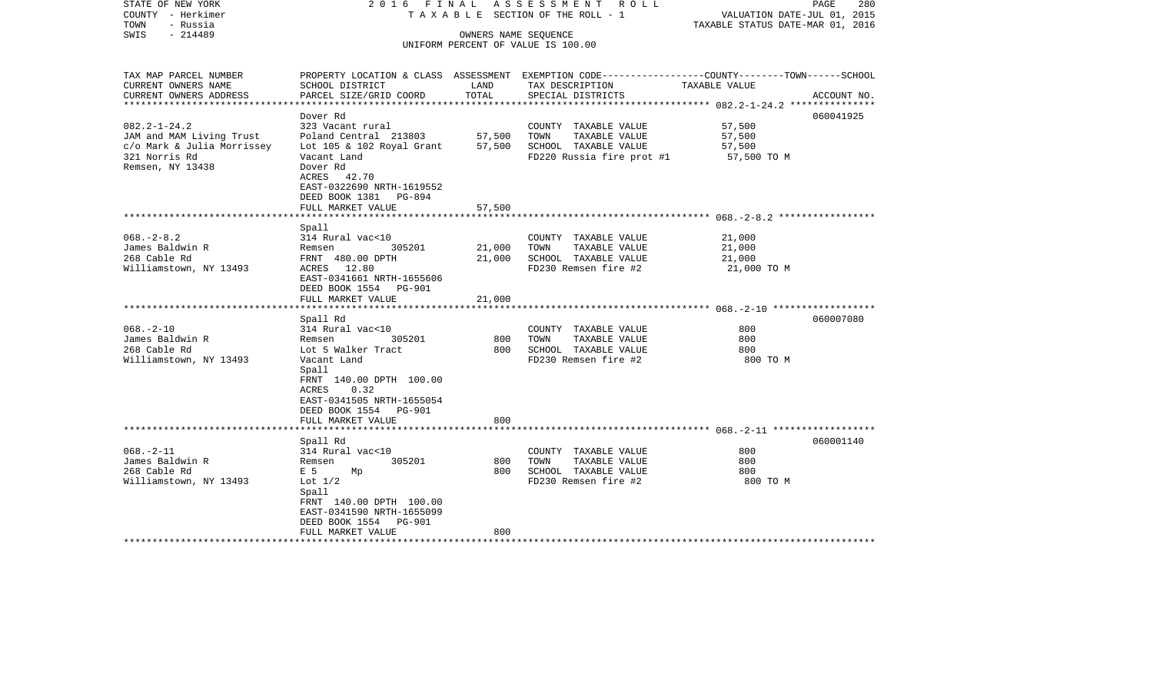| STATE OF NEW YORK<br>COUNTY - Herkimer<br>TOWN<br>- Russia | 2016 FINAL                                 |        | A S S E S S M E N T R O L L<br>TAXABLE SECTION OF THE ROLL - 1 | PAGE<br>280<br>VALUATION DATE-JUL 01, 2015<br>TAXABLE STATUS DATE-MAR 01, 2016                  |
|------------------------------------------------------------|--------------------------------------------|--------|----------------------------------------------------------------|-------------------------------------------------------------------------------------------------|
| $-214489$<br>SWIS                                          |                                            |        | OWNERS NAME SEQUENCE                                           |                                                                                                 |
|                                                            |                                            |        | UNIFORM PERCENT OF VALUE IS 100.00                             |                                                                                                 |
|                                                            |                                            |        |                                                                |                                                                                                 |
| TAX MAP PARCEL NUMBER                                      |                                            |        |                                                                | PROPERTY LOCATION & CLASS ASSESSMENT EXEMPTION CODE---------------COUNTY-------TOWN------SCHOOL |
| CURRENT OWNERS NAME                                        | SCHOOL DISTRICT                            | LAND   | TAX DESCRIPTION                                                | TAXABLE VALUE                                                                                   |
| CURRENT OWNERS ADDRESS                                     | PARCEL SIZE/GRID COORD                     | TOTAL  | SPECIAL DISTRICTS                                              | ACCOUNT NO.                                                                                     |
| *********************                                      |                                            |        |                                                                |                                                                                                 |
|                                                            | Dover Rd                                   |        |                                                                | 060041925                                                                                       |
| $082.2 - 1 - 24.2$                                         | 323 Vacant rural                           |        | COUNTY TAXABLE VALUE                                           | 57,500                                                                                          |
| JAM and MAM Living Trust                                   | Poland Central 213803                      | 57,500 | TOWN<br>TAXABLE VALUE                                          | 57,500                                                                                          |
| c/o Mark & Julia Morrissey                                 | Lot 105 & 102 Royal Grant                  | 57,500 | SCHOOL TAXABLE VALUE                                           | 57,500                                                                                          |
| 321 Norris Rd                                              | Vacant Land                                |        | FD220 Russia fire prot #1                                      | 57,500 TO M                                                                                     |
| Remsen, NY 13438                                           | Dover Rd                                   |        |                                                                |                                                                                                 |
|                                                            | ACRES 42.70                                |        |                                                                |                                                                                                 |
|                                                            | EAST-0322690 NRTH-1619552                  |        |                                                                |                                                                                                 |
|                                                            | DEED BOOK 1381 PG-894                      |        |                                                                |                                                                                                 |
|                                                            | FULL MARKET VALUE                          | 57,500 |                                                                |                                                                                                 |
|                                                            |                                            |        |                                                                |                                                                                                 |
| $068. - 2 - 8.2$                                           | Spall<br>314 Rural vac<10                  |        | COUNTY TAXABLE VALUE                                           | 21,000                                                                                          |
| James Baldwin R                                            | 305201<br>Remsen                           | 21,000 | TOWN<br>TAXABLE VALUE                                          | 21,000                                                                                          |
| 268 Cable Rd                                               | FRNT 480.00 DPTH                           | 21,000 | SCHOOL TAXABLE VALUE                                           | 21,000                                                                                          |
| Williamstown, NY 13493                                     | ACRES 12.80                                |        | FD230 Remsen fire #2                                           | 21,000 TO M                                                                                     |
|                                                            | EAST-0341661 NRTH-1655606                  |        |                                                                |                                                                                                 |
|                                                            | DEED BOOK 1554 PG-901                      |        |                                                                |                                                                                                 |
|                                                            | FULL MARKET VALUE                          | 21,000 |                                                                |                                                                                                 |
|                                                            |                                            |        |                                                                |                                                                                                 |
|                                                            | Spall Rd                                   |        |                                                                | 060007080                                                                                       |
| $068. - 2 - 10$                                            | 314 Rural vac<10                           |        | COUNTY TAXABLE VALUE                                           | 800                                                                                             |
| James Baldwin R                                            | 305201<br>Remsen                           | 800    | TOWN<br>TAXABLE VALUE                                          | 800                                                                                             |
| 268 Cable Rd                                               | Lot 5 Walker Tract                         | 800    | SCHOOL TAXABLE VALUE                                           | 800                                                                                             |
| Williamstown, NY 13493                                     | Vacant Land                                |        | FD230 Remsen fire #2                                           | 800 TO M                                                                                        |
|                                                            | Spall                                      |        |                                                                |                                                                                                 |
|                                                            | FRNT 140.00 DPTH 100.00                    |        |                                                                |                                                                                                 |
|                                                            | 0.32<br>ACRES                              |        |                                                                |                                                                                                 |
|                                                            | EAST-0341505 NRTH-1655054                  |        |                                                                |                                                                                                 |
|                                                            | DEED BOOK 1554 PG-901<br>FULL MARKET VALUE | 800    |                                                                |                                                                                                 |
|                                                            |                                            |        |                                                                | ***************************** 068.__2_11 *******************                                    |
|                                                            | Spall Rd                                   |        |                                                                | 060001140                                                                                       |
| $068. - 2 - 11$                                            | 314 Rural vac<10                           |        | COUNTY TAXABLE VALUE                                           | 800                                                                                             |
| James Baldwin R                                            | 305201<br>Remsen                           | 800    | TOWN<br>TAXABLE VALUE                                          | 800                                                                                             |
| 268 Cable Rd                                               | E 5<br>Мp                                  | 800    | SCHOOL TAXABLE VALUE                                           | 800                                                                                             |
| Williamstown, NY 13493                                     | Lot $1/2$                                  |        | FD230 Remsen fire #2                                           | 800 TO M                                                                                        |
|                                                            | Spall                                      |        |                                                                |                                                                                                 |
|                                                            | FRNT 140.00 DPTH 100.00                    |        |                                                                |                                                                                                 |
|                                                            | EAST-0341590 NRTH-1655099                  |        |                                                                |                                                                                                 |
|                                                            | DEED BOOK 1554 PG-901                      |        |                                                                |                                                                                                 |
|                                                            | FULL MARKET VALUE                          | 800    |                                                                |                                                                                                 |
|                                                            |                                            |        |                                                                |                                                                                                 |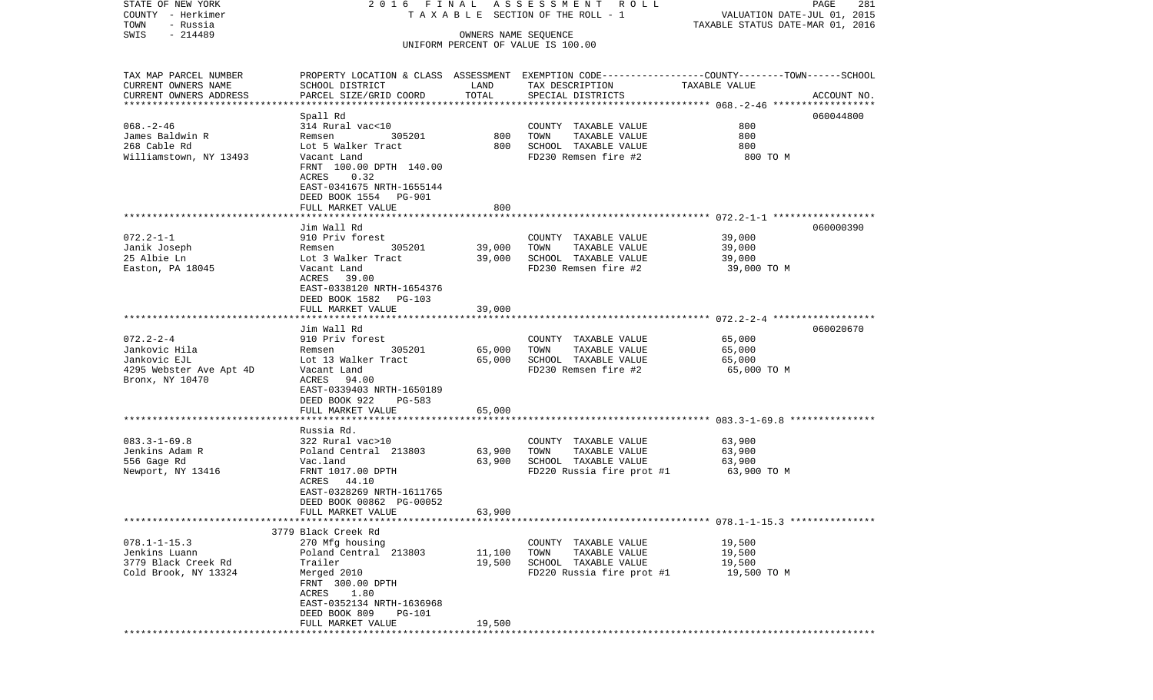| STATE OF NEW YORK<br>COUNTY - Herkimer<br>TOWN<br>- Russia |                                              |                      | 2016 FINAL ASSESSMENT ROLL<br>TAXABLE SECTION OF THE ROLL - 1 | PAGE<br>281<br>VALUATION DATE-JUL 01, 2015<br>TAXABLE STATUS DATE-MAR 01, 2016                   |
|------------------------------------------------------------|----------------------------------------------|----------------------|---------------------------------------------------------------|--------------------------------------------------------------------------------------------------|
| $-214489$<br>SWIS                                          |                                              | OWNERS NAME SEQUENCE |                                                               |                                                                                                  |
|                                                            |                                              |                      | UNIFORM PERCENT OF VALUE IS 100.00                            |                                                                                                  |
| TAX MAP PARCEL NUMBER                                      |                                              |                      |                                                               | PROPERTY LOCATION & CLASS ASSESSMENT EXEMPTION CODE----------------COUNTY-------TOWN------SCHOOL |
| CURRENT OWNERS NAME<br>CURRENT OWNERS ADDRESS              | SCHOOL DISTRICT<br>PARCEL SIZE/GRID COORD    | LAND<br>TOTAL        | TAX DESCRIPTION<br>SPECIAL DISTRICTS                          | TAXABLE VALUE<br>ACCOUNT NO.                                                                     |
| *************************                                  |                                              |                      |                                                               |                                                                                                  |
|                                                            | Spall Rd                                     |                      |                                                               | 060044800                                                                                        |
| $068. - 2 - 46$                                            | 314 Rural vac<10                             |                      | COUNTY TAXABLE VALUE                                          | 800                                                                                              |
| James Baldwin R                                            | 305201<br>Remsen                             | 800                  | TOWN<br>TAXABLE VALUE                                         | 800                                                                                              |
| 268 Cable Rd                                               | Lot 5 Walker Tract                           | 800                  | SCHOOL TAXABLE VALUE                                          | 800                                                                                              |
| Williamstown, NY 13493                                     | Vacant Land<br>FRNT 100.00 DPTH 140.00       |                      | FD230 Remsen fire #2                                          | 800 TO M                                                                                         |
|                                                            | ACRES<br>0.32                                |                      |                                                               |                                                                                                  |
|                                                            | EAST-0341675 NRTH-1655144                    |                      |                                                               |                                                                                                  |
|                                                            | DEED BOOK 1554 PG-901                        |                      |                                                               |                                                                                                  |
|                                                            | FULL MARKET VALUE                            | 800                  |                                                               |                                                                                                  |
|                                                            |                                              |                      |                                                               |                                                                                                  |
|                                                            | Jim Wall Rd                                  |                      |                                                               | 060000390                                                                                        |
| $072.2 - 1 - 1$<br>Janik Joseph                            | 910 Priv forest<br>305201<br>Remsen          | 39,000               | COUNTY TAXABLE VALUE<br>TOWN<br>TAXABLE VALUE                 | 39,000<br>39,000                                                                                 |
| 25 Albie Ln                                                | Lot 3 Walker Tract                           | 39,000               | SCHOOL TAXABLE VALUE                                          | 39,000                                                                                           |
| Easton, PA 18045                                           | Vacant Land                                  |                      | FD230 Remsen fire #2                                          | 39,000 TO M                                                                                      |
|                                                            | ACRES 39.00                                  |                      |                                                               |                                                                                                  |
|                                                            | EAST-0338120 NRTH-1654376                    |                      |                                                               |                                                                                                  |
|                                                            | DEED BOOK 1582 PG-103                        |                      |                                                               |                                                                                                  |
|                                                            | FULL MARKET VALUE                            | 39,000               |                                                               |                                                                                                  |
|                                                            | Jim Wall Rd                                  |                      |                                                               | 060020670                                                                                        |
| $072.2 - 2 - 4$                                            | 910 Priv forest                              |                      | COUNTY TAXABLE VALUE                                          | 65,000                                                                                           |
| Jankovic Hila                                              | 305201<br>Remsen                             | 65,000               | TAXABLE VALUE<br>TOWN                                         | 65,000                                                                                           |
| Jankovic EJL                                               | Lot 13 Walker Tract                          | 65,000               | SCHOOL TAXABLE VALUE                                          | 65,000                                                                                           |
| 4295 Webster Ave Apt 4D                                    | Vacant Land                                  |                      | FD230 Remsen fire #2                                          | 65,000 TO M                                                                                      |
| Bronx, NY 10470                                            | ACRES<br>94.00                               |                      |                                                               |                                                                                                  |
|                                                            | EAST-0339403 NRTH-1650189                    |                      |                                                               |                                                                                                  |
|                                                            | DEED BOOK 922<br>PG-583<br>FULL MARKET VALUE | 65,000               |                                                               |                                                                                                  |
|                                                            | *******************                          | * * * * * * * * * *  |                                                               |                                                                                                  |
|                                                            | Russia Rd.                                   |                      |                                                               |                                                                                                  |
| $083.3 - 1 - 69.8$                                         | 322 Rural vac>10                             |                      | COUNTY TAXABLE VALUE                                          | 63,900                                                                                           |
| Jenkins Adam R                                             | Poland Central 213803                        | 63,900               | TOWN<br>TAXABLE VALUE                                         | 63,900                                                                                           |
| 556 Gage Rd                                                | Vac.land                                     | 63,900               | SCHOOL TAXABLE VALUE                                          | 63,900                                                                                           |
| Newport, NY 13416                                          | FRNT 1017.00 DPTH                            |                      | FD220 Russia fire prot #1                                     | 63,900 ТО М                                                                                      |
|                                                            | ACRES 44.10<br>EAST-0328269 NRTH-1611765     |                      |                                                               |                                                                                                  |
|                                                            | DEED BOOK 00862 PG-00052                     |                      |                                                               |                                                                                                  |
|                                                            | FULL MARKET VALUE                            | 63,900               |                                                               |                                                                                                  |
|                                                            |                                              |                      |                                                               |                                                                                                  |
|                                                            | 3779 Black Creek Rd                          |                      |                                                               |                                                                                                  |
| $078.1 - 1 - 15.3$                                         | 270 Mfg housing                              |                      | COUNTY TAXABLE VALUE                                          | 19,500                                                                                           |
| Jenkins Luann<br>3779 Black Creek Rd                       | Poland Central 213803<br>Trailer             | 11,100<br>19,500     | TAXABLE VALUE<br>TOWN<br>SCHOOL TAXABLE VALUE                 | 19,500<br>19,500                                                                                 |
| Cold Brook, NY 13324                                       | Merged 2010                                  |                      | FD220 Russia fire prot #1                                     | 19,500 TO M                                                                                      |
|                                                            | FRNT 300.00 DPTH                             |                      |                                                               |                                                                                                  |
|                                                            | ACRES 1.80                                   |                      |                                                               |                                                                                                  |
|                                                            | EAST-0352134 NRTH-1636968                    |                      |                                                               |                                                                                                  |
|                                                            | DEED BOOK 809<br>PG-101                      |                      |                                                               |                                                                                                  |
|                                                            | FULL MARKET VALUE                            | 19,500               |                                                               |                                                                                                  |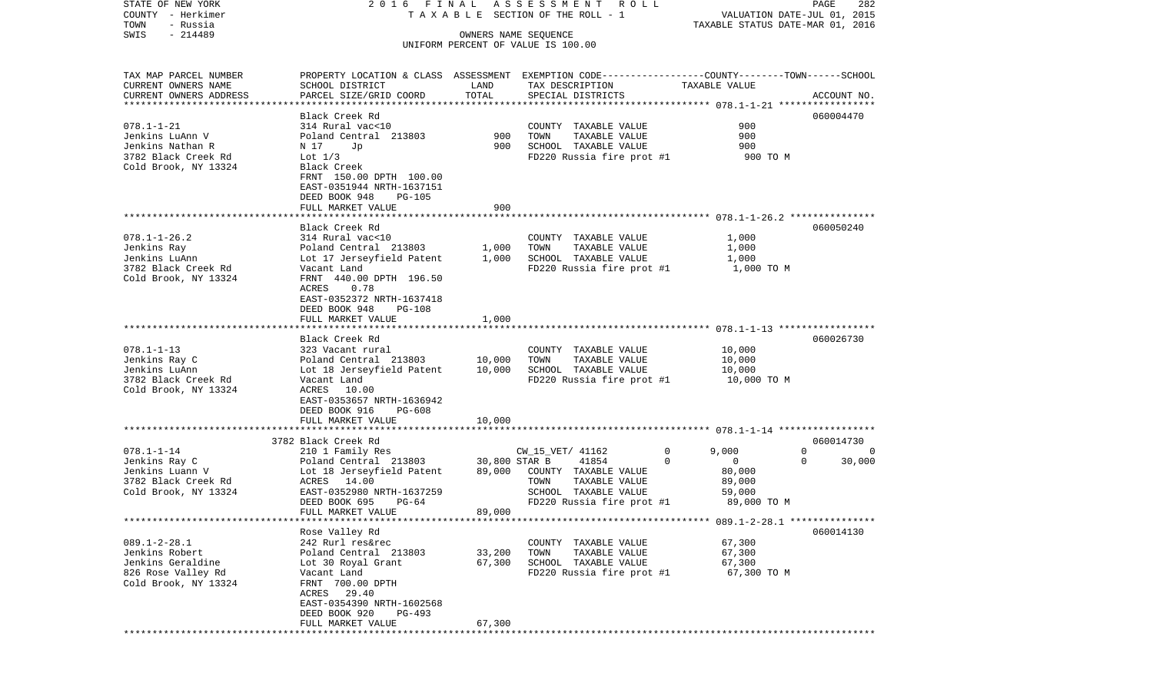| COUNTY<br>– Herkimer   |                                          | TAXABLE SECTION OF THE ROLL - 1<br>VALUATION DATE-JUL 01, 2015 |                                                                                                 |                                        |             |  |
|------------------------|------------------------------------------|----------------------------------------------------------------|-------------------------------------------------------------------------------------------------|----------------------------------------|-------------|--|
| TOWN<br>- Russia       |                                          |                                                                |                                                                                                 | TAXABLE STATUS DATE-MAR 01, 2016       |             |  |
| $-214489$<br>SWIS      |                                          |                                                                | OWNERS NAME SEQUENCE<br>UNIFORM PERCENT OF VALUE IS 100.00                                      |                                        |             |  |
|                        |                                          |                                                                |                                                                                                 |                                        |             |  |
| TAX MAP PARCEL NUMBER  |                                          |                                                                | PROPERTY LOCATION & CLASS ASSESSMENT EXEMPTION CODE---------------COUNTY-------TOWN------SCHOOL |                                        |             |  |
| CURRENT OWNERS NAME    | SCHOOL DISTRICT                          | LAND                                                           | TAX DESCRIPTION                                                                                 | TAXABLE VALUE                          |             |  |
| CURRENT OWNERS ADDRESS | PARCEL SIZE/GRID COORD                   | TOTAL                                                          | SPECIAL DISTRICTS                                                                               |                                        | ACCOUNT NO. |  |
|                        |                                          |                                                                |                                                                                                 |                                        |             |  |
|                        | Black Creek Rd                           |                                                                |                                                                                                 |                                        | 060004470   |  |
| $078.1 - 1 - 21$       | 314 Rural vac<10                         |                                                                | TAXABLE VALUE<br>COUNTY                                                                         | 900                                    |             |  |
| Jenkins LuAnn V        | Poland Central 213803                    | 900                                                            | TOWN<br>TAXABLE VALUE                                                                           | 900                                    |             |  |
| Jenkins Nathan R       | N 17<br>Jp                               | 900                                                            | SCHOOL TAXABLE VALUE                                                                            | 900                                    |             |  |
| 3782 Black Creek Rd    | Lot $1/3$                                |                                                                | FD220 Russia fire prot #1                                                                       | 900 TO M                               |             |  |
| Cold Brook, NY 13324   | Black Creek                              |                                                                |                                                                                                 |                                        |             |  |
|                        | FRNT 150.00 DPTH 100.00                  |                                                                |                                                                                                 |                                        |             |  |
|                        | EAST-0351944 NRTH-1637151                |                                                                |                                                                                                 |                                        |             |  |
|                        | DEED BOOK 948<br><b>PG-105</b>           |                                                                |                                                                                                 |                                        |             |  |
|                        | FULL MARKET VALUE                        | 900                                                            |                                                                                                 |                                        |             |  |
|                        |                                          |                                                                |                                                                                                 |                                        |             |  |
|                        | Black Creek Rd                           |                                                                |                                                                                                 |                                        | 060050240   |  |
| $078.1 - 1 - 26.2$     | 314 Rural vac<10                         |                                                                | COUNTY TAXABLE VALUE                                                                            | 1,000                                  |             |  |
| Jenkins Ray            | Poland Central 213803                    | 1,000                                                          | TAXABLE VALUE<br>TOWN                                                                           | 1,000                                  |             |  |
| Jenkins LuAnn          | Lot 17 Jerseyfield Patent                | 1,000                                                          | SCHOOL TAXABLE VALUE                                                                            | 1,000                                  |             |  |
| 3782 Black Creek Rd    | Vacant Land                              |                                                                | FD220 Russia fire prot #1                                                                       | 1,000 TO M                             |             |  |
| Cold Brook, NY 13324   | FRNT 440.00 DPTH 196.50                  |                                                                |                                                                                                 |                                        |             |  |
|                        | ACRES<br>0.78                            |                                                                |                                                                                                 |                                        |             |  |
|                        | EAST-0352372 NRTH-1637418                |                                                                |                                                                                                 |                                        |             |  |
|                        | DEED BOOK 948<br>PG-108                  |                                                                |                                                                                                 |                                        |             |  |
|                        | FULL MARKET VALUE                        | 1,000                                                          |                                                                                                 |                                        |             |  |
|                        |                                          |                                                                |                                                                                                 |                                        |             |  |
|                        | Black Creek Rd                           |                                                                |                                                                                                 |                                        | 060026730   |  |
| $078.1 - 1 - 13$       | 323 Vacant rural                         |                                                                | COUNTY TAXABLE VALUE                                                                            | 10,000                                 |             |  |
| Jenkins Ray C          | Poland Central 213803                    | 10,000                                                         | TOWN<br>TAXABLE VALUE                                                                           | 10,000                                 |             |  |
| Jenkins LuAnn          | Lot 18 Jerseyfield Patent                | 10,000                                                         | SCHOOL TAXABLE VALUE                                                                            | 10,000                                 |             |  |
| 3782 Black Creek Rd    | Vacant Land                              |                                                                | FD220 Russia fire prot #1                                                                       | 10,000 TO M                            |             |  |
| Cold Brook, NY 13324   | ACRES 10.00<br>EAST-0353657 NRTH-1636942 |                                                                |                                                                                                 |                                        |             |  |
|                        | DEED BOOK 916<br>PG-608                  |                                                                |                                                                                                 |                                        |             |  |
|                        | FULL MARKET VALUE                        | 10,000                                                         |                                                                                                 |                                        |             |  |
|                        |                                          |                                                                |                                                                                                 |                                        |             |  |
|                        | 3782 Black Creek Rd                      |                                                                |                                                                                                 |                                        | 060014730   |  |
| $078.1 - 1 - 14$       | 210 1 Family Res                         |                                                                | CW_15_VET/ 41162<br>0                                                                           | 9,000                                  | 0<br>0      |  |
| Jenkins Ray C          | Poland Central 213803                    | 30,800 STAR B                                                  | 41854<br>$\Omega$                                                                               | $\mathbf 0$                            | 30,000<br>0 |  |
| Jenkins Luann V        | Lot 18 Jerseyfield Patent                | 89,000                                                         | COUNTY TAXABLE VALUE                                                                            | 80,000                                 |             |  |
| 3782 Black Creek Rd    | 14.00<br>ACRES                           |                                                                | TOWN<br>TAXABLE VALUE                                                                           | 89,000                                 |             |  |
| Cold Brook, NY 13324   | EAST-0352980 NRTH-1637259                |                                                                | SCHOOL TAXABLE VALUE                                                                            | 59,000                                 |             |  |
|                        | DEED BOOK 695<br>$PG-64$                 |                                                                | FD220 Russia fire prot #1                                                                       | 89,000 TO M                            |             |  |
|                        | FULL MARKET VALUE                        | 89,000                                                         |                                                                                                 |                                        |             |  |
|                        |                                          |                                                                |                                                                                                 | ******** 089.1-2-28.1 **************** |             |  |
|                        | Rose Valley Rd                           |                                                                |                                                                                                 |                                        | 060014130   |  |
| $089.1 - 2 - 28.1$     | 242 Rurl res&rec                         |                                                                | COUNTY TAXABLE VALUE                                                                            | 67,300                                 |             |  |
| Jenkins Robert         | Poland Central 213803                    | 33,200                                                         | TOWN<br>TAXABLE VALUE                                                                           | 67,300                                 |             |  |
| Jenkins Geraldine      | Lot 30 Royal Grant                       | 67,300                                                         | SCHOOL TAXABLE VALUE                                                                            | 67,300                                 |             |  |
| 826 Rose Valley Rd     | Vacant Land                              |                                                                | FD220 Russia fire prot #1                                                                       | 67,300 TO M                            |             |  |
| Cold Brook, NY 13324   | FRNT 700.00 DPTH                         |                                                                |                                                                                                 |                                        |             |  |
|                        | 29.40<br>ACRES                           |                                                                |                                                                                                 |                                        |             |  |
|                        | EAST-0354390 NRTH-1602568                |                                                                |                                                                                                 |                                        |             |  |
|                        | DEED BOOK 920<br>PG-493                  |                                                                |                                                                                                 |                                        |             |  |
|                        | FULL MARKET VALUE                        | 67,300                                                         |                                                                                                 |                                        |             |  |
|                        | ************************                 |                                                                |                                                                                                 |                                        |             |  |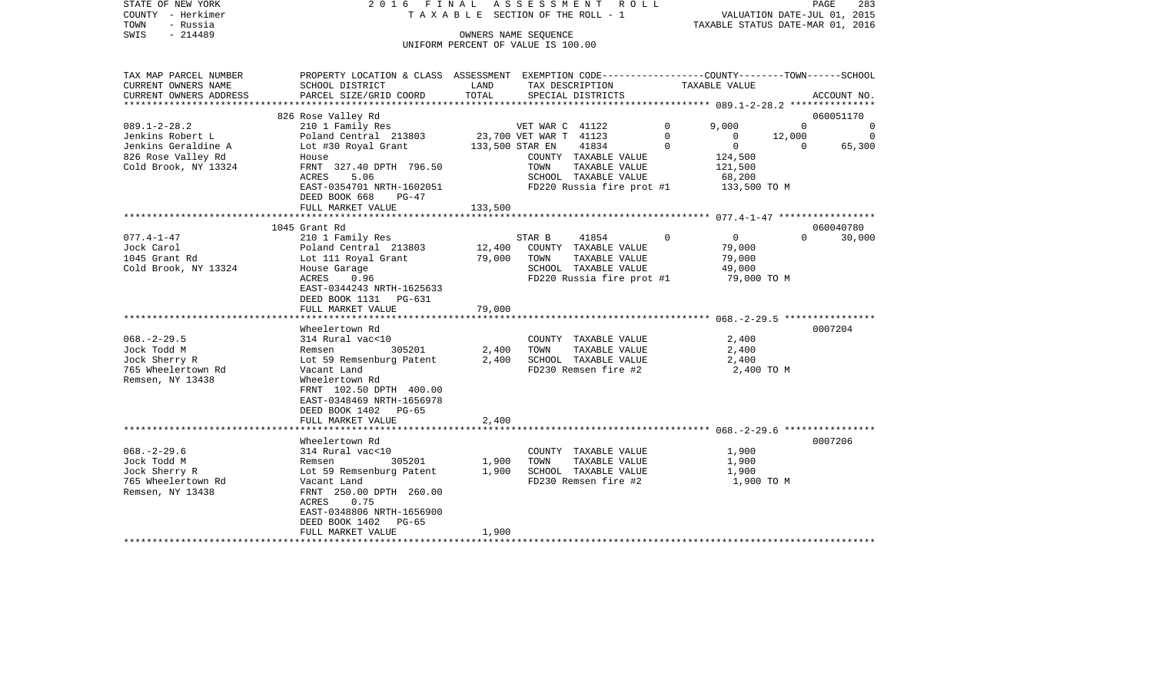| STATE OF NEW YORK<br>COUNTY - Herkimer<br>TOWN<br>- Russia<br>$-214489$<br>SWIS | 2016 FINAL                                                                                                          |         | ASSESSMENT ROLL<br>T A X A B L E SECTION OF THE ROLL - 1<br>OWNERS NAME SEQUENCE<br>UNIFORM PERCENT OF VALUE IS 100.00 |             | VALUATION DATE-JUL 01, 2015<br>TAXABLE STATUS DATE-MAR 01, 2016 |          | PAGE<br>283 |
|---------------------------------------------------------------------------------|---------------------------------------------------------------------------------------------------------------------|---------|------------------------------------------------------------------------------------------------------------------------|-------------|-----------------------------------------------------------------|----------|-------------|
|                                                                                 |                                                                                                                     |         |                                                                                                                        |             |                                                                 |          |             |
| TAX MAP PARCEL NUMBER<br>CURRENT OWNERS NAME                                    | PROPERTY LOCATION & CLASS ASSESSMENT EXEMPTION CODE----------------COUNTY-------TOWN------SCHOOL<br>SCHOOL DISTRICT | LAND    | TAX DESCRIPTION                                                                                                        |             | TAXABLE VALUE                                                   |          |             |
| CURRENT OWNERS ADDRESS<br>**********************                                | PARCEL SIZE/GRID COORD                                                                                              | TOTAL   | SPECIAL DISTRICTS                                                                                                      |             |                                                                 |          | ACCOUNT NO. |
|                                                                                 | 826 Rose Valley Rd                                                                                                  |         |                                                                                                                        |             |                                                                 |          | 060051170   |
| $089.1 - 2 - 28.2$                                                              | 210 1 Family Res                                                                                                    |         | VET WAR C 41122                                                                                                        | 0           | 9,000                                                           | $\Omega$ | 0           |
| Jenkins Robert L                                                                | Poland Central 213803                                                                                               |         | 23,700 VET WAR T 41123                                                                                                 | $\Omega$    | $\Omega$                                                        | 12,000   | $\Omega$    |
| Jenkins Geraldine A                                                             | Lot #30 Royal Grant                                                                                                 |         | 133,500 STAR EN<br>41834                                                                                               | $\mathbf 0$ | $\mathsf{O}$                                                    | $\Omega$ | 65,300      |
| 826 Rose Valley Rd                                                              | House                                                                                                               |         | COUNTY TAXABLE VALUE                                                                                                   |             | 124,500                                                         |          |             |
| Cold Brook, NY 13324                                                            | FRNT 327.40 DPTH 796.50                                                                                             |         | TOWN<br>TAXABLE VALUE                                                                                                  |             | 121,500                                                         |          |             |
|                                                                                 | ACRES<br>5.06                                                                                                       |         | SCHOOL TAXABLE VALUE                                                                                                   |             | 68,200                                                          |          |             |
|                                                                                 | EAST-0354701 NRTH-1602051                                                                                           |         | FD220 Russia fire prot #1                                                                                              |             | 133,500 TO M                                                    |          |             |
|                                                                                 | DEED BOOK 668<br>$PG-47$<br>FULL MARKET VALUE                                                                       | 133,500 |                                                                                                                        |             |                                                                 |          |             |
|                                                                                 |                                                                                                                     |         |                                                                                                                        |             |                                                                 |          |             |
|                                                                                 | 1045 Grant Rd                                                                                                       |         |                                                                                                                        |             |                                                                 |          | 060040780   |
| $077.4 - 1 - 47$                                                                | 210 1 Family Res                                                                                                    |         | 41854<br>STAR B                                                                                                        | $\Omega$    | $\overline{0}$                                                  | $\Omega$ | 30,000      |
| Jock Carol                                                                      | Poland Central 213803                                                                                               | 12,400  | COUNTY TAXABLE VALUE                                                                                                   |             | 79,000                                                          |          |             |
| 1045 Grant Rd                                                                   | Lot 111 Royal Grant                                                                                                 | 79,000  | TOWN<br>TAXABLE VALUE                                                                                                  |             | 79,000                                                          |          |             |
| Cold Brook, NY 13324                                                            | House Garage                                                                                                        |         | SCHOOL TAXABLE VALUE                                                                                                   |             | 49,000                                                          |          |             |
|                                                                                 | ACRES<br>0.96                                                                                                       |         | FD220 Russia fire prot #1                                                                                              |             | 79,000 TO M                                                     |          |             |
|                                                                                 | EAST-0344243 NRTH-1625633<br>DEED BOOK 1131 PG-631                                                                  |         |                                                                                                                        |             |                                                                 |          |             |
|                                                                                 | FULL MARKET VALUE                                                                                                   | 79,000  |                                                                                                                        |             |                                                                 |          |             |
|                                                                                 |                                                                                                                     |         |                                                                                                                        |             |                                                                 |          |             |
|                                                                                 | Wheelertown Rd                                                                                                      |         |                                                                                                                        |             |                                                                 |          | 0007204     |
| $068. - 2 - 29.5$                                                               | 314 Rural vac<10                                                                                                    |         | COUNTY TAXABLE VALUE                                                                                                   |             | 2,400                                                           |          |             |
| Jock Todd M                                                                     | 305201<br>Remsen                                                                                                    | 2,400   | TOWN<br>TAXABLE VALUE                                                                                                  |             | 2,400                                                           |          |             |
| Jock Sherry R                                                                   | Lot 59 Remsenburg Patent                                                                                            | 2,400   | SCHOOL TAXABLE VALUE                                                                                                   |             | 2,400                                                           |          |             |
| 765 Wheelertown Rd<br>Remsen, NY 13438                                          | Vacant Land<br>Wheelertown Rd<br>FRNT 102.50 DPTH 400.00                                                            |         | FD230 Remsen fire #2                                                                                                   |             | 2,400 TO M                                                      |          |             |
|                                                                                 | EAST-0348469 NRTH-1656978                                                                                           |         |                                                                                                                        |             |                                                                 |          |             |
|                                                                                 | DEED BOOK 1402<br>PG-65<br>FULL MARKET VALUE                                                                        | 2,400   |                                                                                                                        |             |                                                                 |          |             |
|                                                                                 |                                                                                                                     |         |                                                                                                                        |             |                                                                 |          |             |
|                                                                                 | Wheelertown Rd                                                                                                      |         |                                                                                                                        |             |                                                                 |          | 0007206     |
| $068. - 2 - 29.6$                                                               | 314 Rural vac<10                                                                                                    |         | COUNTY TAXABLE VALUE                                                                                                   |             | 1,900                                                           |          |             |
| Jock Todd M                                                                     | 305201<br>Remsen                                                                                                    | 1,900   | TOWN<br>TAXABLE VALUE                                                                                                  |             | 1,900                                                           |          |             |
| Jock Sherry R                                                                   | Lot 59 Remsenburg Patent                                                                                            | 1,900   | SCHOOL TAXABLE VALUE                                                                                                   |             | 1,900                                                           |          |             |
| 765 Wheelertown Rd<br>Remsen, NY 13438                                          | Vacant Land<br>FRNT 250.00 DPTH 260.00<br>0.75<br>ACRES                                                             |         | FD230 Remsen fire #2                                                                                                   |             | 1,900 TO M                                                      |          |             |
|                                                                                 | EAST-0348806 NRTH-1656900<br>DEED BOOK 1402<br>PG-65                                                                |         |                                                                                                                        |             |                                                                 |          |             |
|                                                                                 | FULL MARKET VALUE                                                                                                   | 1,900   |                                                                                                                        |             |                                                                 |          |             |
|                                                                                 |                                                                                                                     |         |                                                                                                                        |             |                                                                 |          |             |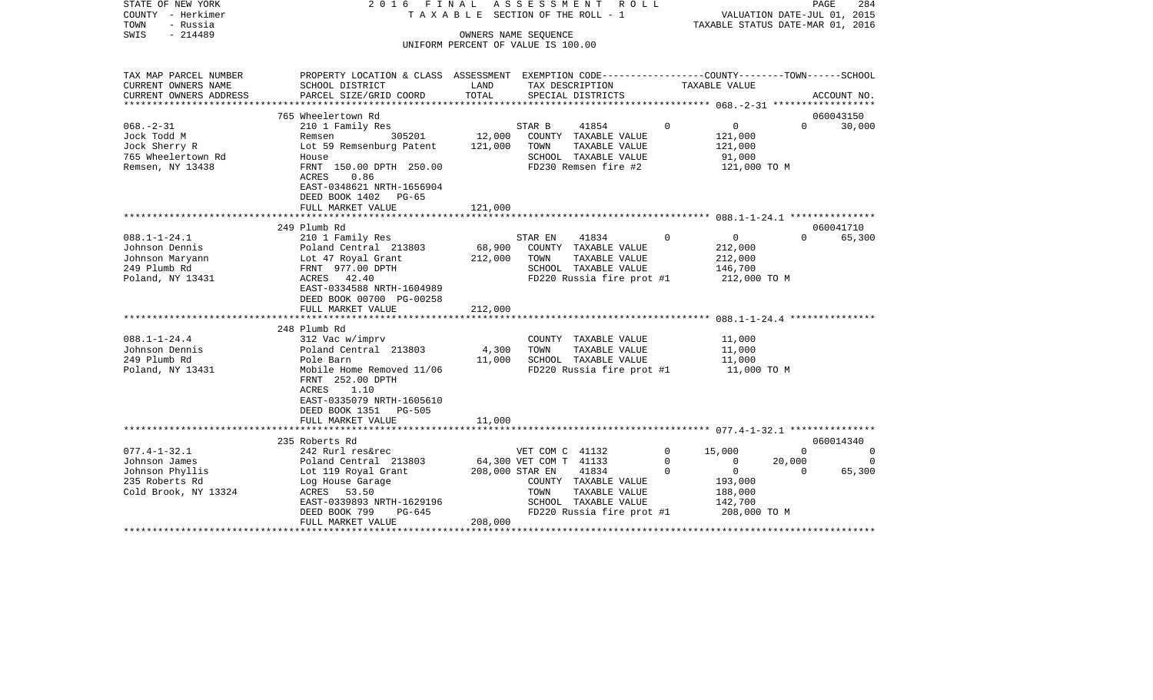| STATE OF NEW YORK<br>COUNTY - Herkimer<br>TOWN<br>- Russia<br>$-214489$<br>SWIS                  | 2016 FINAL                                                                                                                                                                                       |                            | ASSESSMENT<br>TAXABLE SECTION OF THE ROLL - 1<br>OWNERS NAME SEQUENCE<br>UNIFORM PERCENT OF VALUE IS 100.00 | R O L L                                             |                          | VALUATION DATE-JUL 01, 2015<br>TAXABLE STATUS DATE-MAR 01, 2016                          | PAGE                           | 284                     |
|--------------------------------------------------------------------------------------------------|--------------------------------------------------------------------------------------------------------------------------------------------------------------------------------------------------|----------------------------|-------------------------------------------------------------------------------------------------------------|-----------------------------------------------------|--------------------------|------------------------------------------------------------------------------------------|--------------------------------|-------------------------|
| TAX MAP PARCEL NUMBER<br>CURRENT OWNERS NAME<br>CURRENT OWNERS ADDRESS                           | PROPERTY LOCATION & CLASS ASSESSMENT EXEMPTION CODE----------------COUNTY-------TOWN------SCHOOL<br>SCHOOL DISTRICT<br>PARCEL SIZE/GRID COORD                                                    | LAND<br>TOTAL              | TAX DESCRIPTION<br>SPECIAL DISTRICTS                                                                        |                                                     |                          | TAXABLE VALUE                                                                            |                                | ACCOUNT NO.             |
|                                                                                                  |                                                                                                                                                                                                  |                            |                                                                                                             |                                                     |                          |                                                                                          |                                |                         |
| $068. - 2 - 31$                                                                                  | 765 Wheelertown Rd                                                                                                                                                                               |                            |                                                                                                             |                                                     | $\Omega$                 |                                                                                          | $\Omega$                       | 060043150               |
| Jock Todd M<br>Jock Sherry R<br>765 Wheelertown Rd<br>Remsen, NY 13438                           | 210 1 Family Res<br>305201<br>Remsen<br>Lot 59 Remsenburg Patent<br>House<br>FRNT 150.00 DPTH 250.00<br>0.86<br>ACRES<br>EAST-0348621 NRTH-1656904<br>DEED BOOK 1402<br>PG-65                    | 12,000<br>121,000          | STAR B<br>COUNTY TAXABLE VALUE<br>TOWN<br>SCHOOL TAXABLE VALUE<br>FD230 Remsen fire #2                      | 41854<br>TAXABLE VALUE                              |                          | $\overline{0}$<br>121,000<br>121,000<br>91,000<br>121,000 TO M                           |                                | 30,000                  |
|                                                                                                  | FULL MARKET VALUE                                                                                                                                                                                | 121,000                    |                                                                                                             |                                                     |                          |                                                                                          |                                |                         |
|                                                                                                  | 249 Plumb Rd                                                                                                                                                                                     |                            |                                                                                                             |                                                     |                          |                                                                                          |                                | 060041710               |
| $088.1 - 1 - 24.1$<br>Johnson Dennis<br>Johnson Maryann<br>249 Plumb Rd<br>Poland, NY 13431      | 210 1 Family Res<br>Poland Central 213803<br>Lot 47 Royal Grant<br>FRNT 977.00 DPTH<br>ACRES 42.40<br>EAST-0334588 NRTH-1604989<br>DEED BOOK 00700 PG-00258                                      | 68,900<br>212,000          | STAR EN<br>COUNTY TAXABLE VALUE<br>TOWN<br>SCHOOL TAXABLE VALUE                                             | 41834<br>TAXABLE VALUE<br>FD220 Russia fire prot #1 | 0                        | $\overline{0}$<br>212,000<br>212,000<br>146,700<br>212,000 TO M                          | $\Omega$                       | 65,300                  |
|                                                                                                  | FULL MARKET VALUE                                                                                                                                                                                | 212,000                    |                                                                                                             |                                                     |                          |                                                                                          |                                |                         |
| $088.1 - 1 - 24.4$<br>Johnson Dennis<br>249 Plumb Rd<br>Poland, NY 13431                         | 248 Plumb Rd<br>312 Vac w/imprv<br>Poland Central 213803<br>Pole Barn<br>Mobile Home Removed 11/06<br>FRNT 252.00 DPTH<br>ACRES<br>1.10<br>EAST-0335079 NRTH-1605610<br>DEED BOOK 1351<br>PG-505 | 4,300<br>11,000            | COUNTY TAXABLE VALUE<br>TOWN<br>SCHOOL TAXABLE VALUE                                                        | TAXABLE VALUE<br>FD220 Russia fire prot #1          |                          | 11,000<br>11,000<br>11,000<br>11,000 TO M                                                |                                |                         |
|                                                                                                  | FULL MARKET VALUE<br>***********************                                                                                                                                                     | 11,000                     |                                                                                                             |                                                     |                          |                                                                                          |                                |                         |
|                                                                                                  | 235 Roberts Rd                                                                                                                                                                                   |                            |                                                                                                             |                                                     |                          |                                                                                          |                                | 060014340               |
| $077.4 - 1 - 32.1$<br>Johnson James<br>Johnson Phyllis<br>235 Roberts Rd<br>Cold Brook, NY 13324 | 242 Rurl res&rec<br>Poland Central 213803<br>Lot 119 Royal Grant<br>Log House Garage<br>ACRES 53.50<br>EAST-0339893 NRTH-1629196<br>DEED BOOK 799<br>PG-645<br>FULL MARKET VALUE                 | 208,000 STAR EN<br>208,000 | VET COM C 41132<br>64,300 VET COM T 41133<br>COUNTY TAXABLE VALUE<br>TOWN<br>SCHOOL TAXABLE VALUE           | 41834<br>TAXABLE VALUE<br>FD220 Russia fire prot #1 | $\circ$<br>$\Omega$<br>0 | 15,000<br>$\mathbf 0$<br>$\overline{0}$<br>193,000<br>188,000<br>142,700<br>208,000 TO M | $\Omega$<br>20,000<br>$\Omega$ | 0<br>$\Omega$<br>65,300 |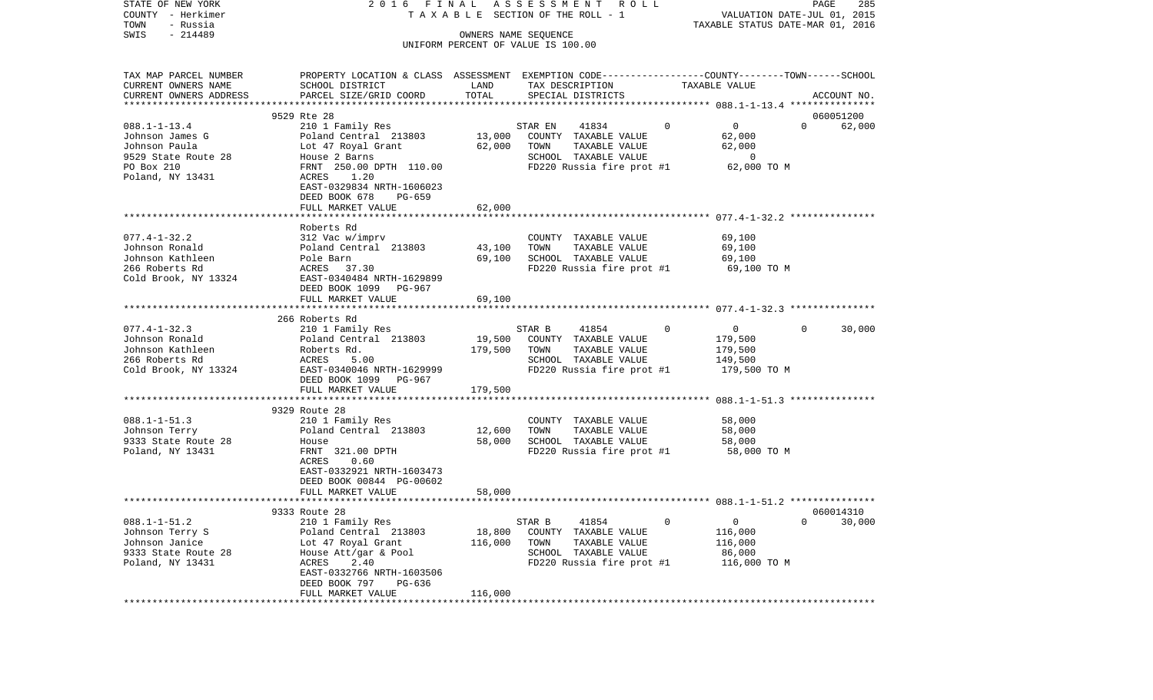| STATE OF NEW YORK      |                                                                                                  |         | 2016 FINAL ASSESSMENT ROLL            |          |                                  |          | PAGE<br>285 |
|------------------------|--------------------------------------------------------------------------------------------------|---------|---------------------------------------|----------|----------------------------------|----------|-------------|
| COUNTY - Herkimer      |                                                                                                  |         | TAXABLE SECTION OF THE ROLL - 1       |          | VALUATION DATE-JUL 01, 2015      |          |             |
| - Russia<br>TOWN       |                                                                                                  |         |                                       |          | TAXABLE STATUS DATE-MAR 01, 2016 |          |             |
| $-214489$<br>SWIS      |                                                                                                  |         | OWNERS NAME SEOUENCE                  |          |                                  |          |             |
|                        |                                                                                                  |         | UNIFORM PERCENT OF VALUE IS 100.00    |          |                                  |          |             |
| TAX MAP PARCEL NUMBER  | PROPERTY LOCATION & CLASS ASSESSMENT EXEMPTION CODE----------------COUNTY-------TOWN------SCHOOL |         |                                       |          |                                  |          |             |
|                        |                                                                                                  | LAND    |                                       |          | TAXABLE VALUE                    |          |             |
| CURRENT OWNERS NAME    | SCHOOL DISTRICT                                                                                  | TOTAL   | TAX DESCRIPTION                       |          |                                  |          |             |
| CURRENT OWNERS ADDRESS | PARCEL SIZE/GRID COORD                                                                           |         | SPECIAL DISTRICTS                     |          |                                  |          | ACCOUNT NO. |
|                        | 9529 Rte 28                                                                                      |         |                                       |          |                                  |          | 060051200   |
| $088.1 - 1 - 13.4$     |                                                                                                  |         | 41834                                 | $\circ$  | $\overline{0}$                   | $\Omega$ |             |
| Johnson James G        | 210 1 Family Res                                                                                 | 13,000  | STAR EN                               |          | 62,000                           |          | 62,000      |
|                        | Poland Central 213803                                                                            |         | COUNTY TAXABLE VALUE                  |          | 62,000                           |          |             |
| Johnson Paula          | Lot 47 Royal Grant                                                                               | 62,000  | TOWN<br>TAXABLE VALUE                 |          |                                  |          |             |
| 9529 State Route 28    | House 2 Barns                                                                                    |         | SCHOOL TAXABLE VALUE                  |          | $\overline{0}$                   |          |             |
| PO Box 210             | FRNT 250.00 DPTH 110.00                                                                          |         | FD220 Russia fire prot #1 62,000 TO M |          |                                  |          |             |
| Poland, NY 13431       | ACRES 1.20                                                                                       |         |                                       |          |                                  |          |             |
|                        | EAST-0329834 NRTH-1606023                                                                        |         |                                       |          |                                  |          |             |
|                        | DEED BOOK 678<br>PG-659                                                                          |         |                                       |          |                                  |          |             |
|                        | FULL MARKET VALUE                                                                                | 62,000  |                                       |          |                                  |          |             |
|                        |                                                                                                  |         |                                       |          |                                  |          |             |
|                        | Roberts Rd                                                                                       |         |                                       |          |                                  |          |             |
| $077.4 - 1 - 32.2$     | 312 Vac w/imprv                                                                                  |         | COUNTY TAXABLE VALUE                  |          | 69,100                           |          |             |
| Johnson Ronald         | Poland Central 213803                                                                            | 43,100  | TAXABLE VALUE<br>TOWN                 |          | 69,100                           |          |             |
| Johnson Kathleen       | Pole Barn                                                                                        | 69,100  | SCHOOL TAXABLE VALUE                  |          | 69,100                           |          |             |
| 266 Roberts Rd         | ACRES 37.30                                                                                      |         | FD220 Russia fire prot #1             |          | 69,100 TO M                      |          |             |
| Cold Brook, NY 13324   | EAST-0340484 NRTH-1629899                                                                        |         |                                       |          |                                  |          |             |
|                        | DEED BOOK 1099 PG-967                                                                            |         |                                       |          |                                  |          |             |
|                        | FULL MARKET VALUE                                                                                | 69,100  |                                       |          |                                  |          |             |
|                        |                                                                                                  |         |                                       |          |                                  |          |             |
|                        | 266 Roberts Rd                                                                                   |         |                                       |          |                                  |          |             |
| $077.4 - 1 - 32.3$     | 210 1 Family Res                                                                                 |         | STAR B<br>41854                       | $\Omega$ | $\overline{0}$                   | $\Omega$ | 30,000      |
| Johnson Ronald         | Poland Central 213803                                                                            | 19,500  | COUNTY TAXABLE VALUE                  |          | 179,500                          |          |             |
| Johnson Kathleen       | Roberts Rd.                                                                                      | 179,500 | TOWN<br>TAXABLE VALUE                 |          | 179,500                          |          |             |
| 266 Roberts Rd         | ACRES<br>5.00                                                                                    |         | SCHOOL TAXABLE VALUE                  |          | 149,500                          |          |             |
| Cold Brook, NY 13324   | EAST-0340046 NRTH-1629999                                                                        |         | FD220 Russia fire prot #1             |          | 179,500 TO M                     |          |             |
|                        | DEED BOOK 1099 PG-967                                                                            |         |                                       |          |                                  |          |             |
|                        | FULL MARKET VALUE                                                                                | 179,500 |                                       |          |                                  |          |             |
|                        |                                                                                                  |         |                                       |          |                                  |          |             |
|                        | 9329 Route 28                                                                                    |         |                                       |          |                                  |          |             |
| $088.1 - 1 - 51.3$     | 210 1 Family Res                                                                                 |         | COUNTY TAXABLE VALUE                  |          | 58,000                           |          |             |
| Johnson Terry          | Poland Central 213803                                                                            | 12,600  | TOWN<br>TAXABLE VALUE                 |          | 58,000                           |          |             |
| 9333 State Route 28    | House                                                                                            | 58,000  | SCHOOL TAXABLE VALUE                  |          | 58,000                           |          |             |
| Poland, NY 13431       | FRNT 321.00 DPTH                                                                                 |         | FD220 Russia fire prot #1             |          | 58,000 TO M                      |          |             |
|                        | 0.60<br>ACRES                                                                                    |         |                                       |          |                                  |          |             |
|                        | EAST-0332921 NRTH-1603473                                                                        |         |                                       |          |                                  |          |             |
|                        | DEED BOOK 00844 PG-00602                                                                         |         |                                       |          |                                  |          |             |
|                        | FULL MARKET VALUE                                                                                | 58,000  |                                       |          |                                  |          |             |
|                        |                                                                                                  |         |                                       |          |                                  |          |             |
|                        | 9333 Route 28                                                                                    |         |                                       |          | 060014310                        |          |             |
| $088.1 - 1 - 51.2$     | 210 1 Family Res                                                                                 |         | STAR B<br>41854                       | 0        | $\mathsf{O}$                     | 0        | 30,000      |
| Johnson Terry S        | Poland Central 213803                                                                            | 18,800  | COUNTY TAXABLE VALUE                  |          | 116,000                          |          |             |
| Johnson Janice         |                                                                                                  | 116,000 | TAXABLE VALUE<br>TOWN                 |          | 116,000                          |          |             |
|                        | Lot 47 Royal Grant<br>House Att/gar & Pool                                                       |         |                                       |          |                                  |          |             |
| 9333 State Route 28    |                                                                                                  |         | SCHOOL TAXABLE VALUE                  |          | 86,000                           |          |             |
| Poland, NY 13431       | ACRES<br>2.40<br>EAST-0332766 NRTH-1603506                                                       |         | FD220 Russia fire prot #1             |          | 116,000 TO M                     |          |             |
|                        |                                                                                                  |         |                                       |          |                                  |          |             |
|                        |                                                                                                  |         |                                       |          |                                  |          |             |
|                        | DEED BOOK 797<br>PG-636<br>FULL MARKET VALUE                                                     | 116,000 |                                       |          |                                  |          |             |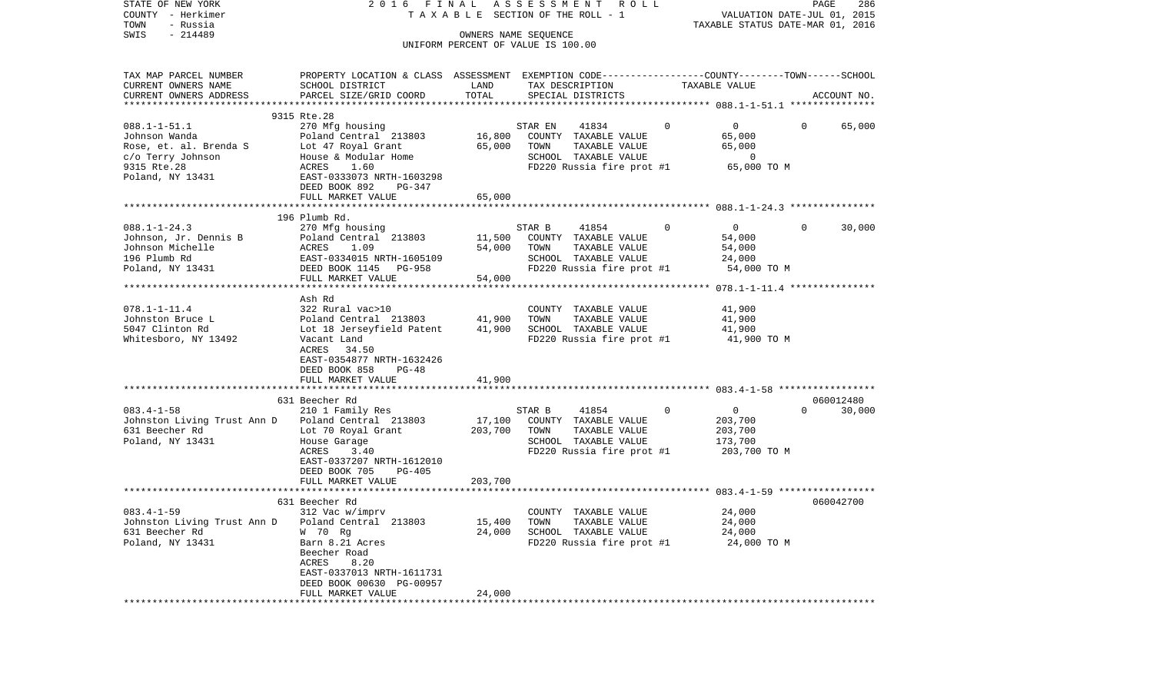| STATE OF NEW YORK<br>COUNTY - Herkimer<br>- Russia<br>TOWN                            | 2016 FINAL                                                                                                                                                              |                   | A S S E S S M E N T<br>R O L L<br>TAXABLE SECTION OF THE ROLL - 1                                                     |             | VALUATION DATE-JUL 01, 2015<br>TAXABLE STATUS DATE-MAR 01, 2016 | PAGE     | 286         |
|---------------------------------------------------------------------------------------|-------------------------------------------------------------------------------------------------------------------------------------------------------------------------|-------------------|-----------------------------------------------------------------------------------------------------------------------|-------------|-----------------------------------------------------------------|----------|-------------|
| $-214489$<br>SWIS                                                                     |                                                                                                                                                                         |                   | OWNERS NAME SEOUENCE<br>UNIFORM PERCENT OF VALUE IS 100.00                                                            |             |                                                                 |          |             |
| TAX MAP PARCEL NUMBER                                                                 | PROPERTY LOCATION & CLASS ASSESSMENT EXEMPTION CODE----------------COUNTY-------TOWN-----SCHOOL                                                                         |                   |                                                                                                                       |             |                                                                 |          |             |
| CURRENT OWNERS NAME<br>CURRENT OWNERS ADDRESS                                         | SCHOOL DISTRICT<br>PARCEL SIZE/GRID COORD                                                                                                                               | LAND<br>TOTAL     | TAX DESCRIPTION<br>SPECIAL DISTRICTS                                                                                  |             | TAXABLE VALUE                                                   |          | ACCOUNT NO. |
|                                                                                       | 9315 Rte.28                                                                                                                                                             |                   |                                                                                                                       |             |                                                                 |          |             |
| $088.1 - 1 - 51.1$<br>Johnson Wanda<br>Rose, et. al. Brenda S                         | 270 Mfg housing<br>Poland Central 213803<br>Lot 47 Royal Grant                                                                                                          | 16,800<br>65,000  | STAR EN<br>41834<br>COUNTY TAXABLE VALUE<br>TOWN<br>TAXABLE VALUE                                                     | $\mathbf 0$ | $\overline{0}$<br>65,000<br>65,000                              | $\Omega$ | 65,000      |
| c/o Terry Johnson<br>9315 Rte.28<br>Poland, NY 13431                                  | House & Modular Home<br>ACRES<br>1.60<br>EAST-0333073 NRTH-1603298                                                                                                      |                   | SCHOOL TAXABLE VALUE<br>FD220 Russia fire prot #1                                                                     |             | $\overline{0}$<br>65,000 TO M                                   |          |             |
|                                                                                       | DEED BOOK 892<br>PG-347<br>FULL MARKET VALUE                                                                                                                            | 65,000            |                                                                                                                       |             |                                                                 |          |             |
|                                                                                       |                                                                                                                                                                         |                   |                                                                                                                       |             |                                                                 |          |             |
| $088.1 - 1 - 24.3$<br>Johnson, Jr. Dennis B<br>Johnson Michelle<br>196 Plumb Rd       | 196 Plumb Rd.<br>270 Mfg housing<br>Poland Central 213803<br>ACRES<br>1.09<br>EAST-0334015 NRTH-1605109                                                                 | 11,500<br>54,000  | STAR B<br>41854<br>COUNTY TAXABLE VALUE<br>TAXABLE VALUE<br>TOWN<br>SCHOOL TAXABLE VALUE                              | 0           | $\overline{0}$<br>54,000<br>54,000<br>24,000                    | $\Omega$ | 30,000      |
| Poland, NY 13431                                                                      | DEED BOOK 1145 PG-958<br>FULL MARKET VALUE                                                                                                                              | 54,000            | FD220 Russia fire prot #1                                                                                             |             | 54,000 TO M                                                     |          |             |
|                                                                                       |                                                                                                                                                                         |                   |                                                                                                                       |             |                                                                 |          |             |
| $078.1 - 1 - 11.4$<br>Johnston Bruce L<br>5047 Clinton Rd<br>Whitesboro, NY 13492     | Ash Rd<br>322 Rural vac>10<br>Poland Central 213803<br>Lot 18 Jerseyfield Patent<br>Vacant Land<br>ACRES 34.50<br>EAST-0354877 NRTH-1632426<br>DEED BOOK 858<br>$PG-48$ | 41,900<br>41,900  | COUNTY TAXABLE VALUE<br>TAXABLE VALUE<br>TOWN<br>SCHOOL TAXABLE VALUE<br>FD220 Russia fire prot #1                    |             | 41,900<br>41,900<br>41,900<br>41,900 TO M                       |          |             |
|                                                                                       | FULL MARKET VALUE                                                                                                                                                       | 41,900            |                                                                                                                       |             |                                                                 |          |             |
|                                                                                       | 631 Beecher Rd                                                                                                                                                          |                   |                                                                                                                       |             |                                                                 |          | 060012480   |
| $083.4 - 1 - 58$<br>Johnston Living Trust Ann D<br>631 Beecher Rd<br>Poland, NY 13431 | 210 1 Family Res<br>Poland Central 213803<br>Lot 70 Royal Grant<br>House Garage<br>ACRES<br>3.40<br>EAST-0337207 NRTH-1612010<br>DEED BOOK 705<br>PG-405                | 17,100<br>203,700 | STAR B<br>41854<br>COUNTY TAXABLE VALUE<br>TOWN<br>TAXABLE VALUE<br>SCHOOL TAXABLE VALUE<br>FD220 Russia fire prot #1 | 0           | $\overline{0}$<br>203,700<br>203,700<br>173,700<br>203,700 TO M | $\Omega$ | 30,000      |
|                                                                                       | FULL MARKET VALUE                                                                                                                                                       | 203,700           |                                                                                                                       |             |                                                                 |          |             |
|                                                                                       | 631 Beecher Rd                                                                                                                                                          |                   |                                                                                                                       |             |                                                                 |          | 060042700   |
| $083.4 - 1 - 59$<br>Johnston Living Trust Ann D<br>631 Beecher Rd<br>Poland, NY 13431 | 312 Vac w/imprv<br>Poland Central 213803<br>W 70 Rg<br>Barn 8.21 Acres<br>Beecher Road<br>ACRES<br>8.20<br>EAST-0337013 NRTH-1611731                                    | 15,400<br>24,000  | COUNTY TAXABLE VALUE<br>TAXABLE VALUE<br>TOWN<br>SCHOOL TAXABLE VALUE<br>FD220 Russia fire prot #1                    |             | 24,000<br>24,000<br>24,000<br>24,000 TO M                       |          |             |
|                                                                                       | DEED BOOK 00630 PG-00957<br>FULL MARKET VALUE                                                                                                                           | 24,000            |                                                                                                                       |             |                                                                 |          |             |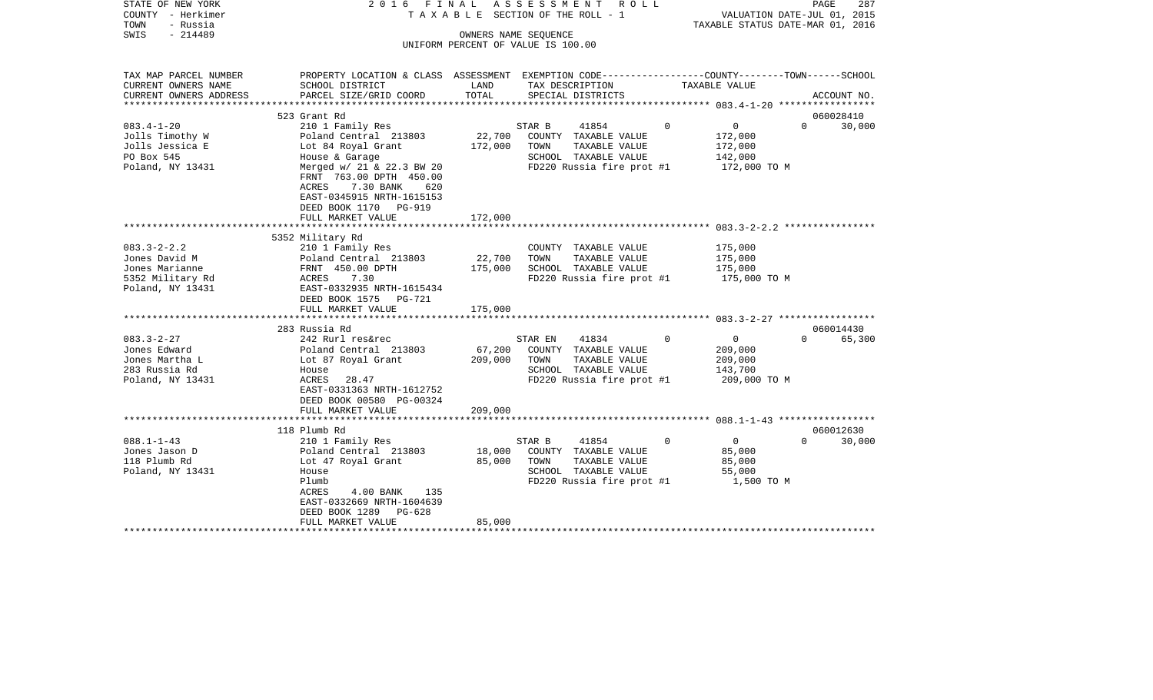| STATE OF NEW YORK<br>COUNTY - Herkimer<br>TOWN<br>- Russia                                   | 2016 FINAL                                                                                                                                                                                          |                              | ASSESSMENT ROLL<br>TAXABLE SECTION OF THE ROLL - 1                                                                     |          | VALUATION DATE-JUL 01, 2015<br>TAXABLE STATUS DATE-MAR 01, 2016 | PAGE                  | 287         |
|----------------------------------------------------------------------------------------------|-----------------------------------------------------------------------------------------------------------------------------------------------------------------------------------------------------|------------------------------|------------------------------------------------------------------------------------------------------------------------|----------|-----------------------------------------------------------------|-----------------------|-------------|
| $-214489$<br>SWIS                                                                            |                                                                                                                                                                                                     |                              | OWNERS NAME SEQUENCE<br>UNIFORM PERCENT OF VALUE IS 100.00                                                             |          |                                                                 |                       |             |
|                                                                                              |                                                                                                                                                                                                     |                              |                                                                                                                        |          |                                                                 |                       |             |
| TAX MAP PARCEL NUMBER<br>CURRENT OWNERS NAME                                                 | PROPERTY LOCATION & CLASS ASSESSMENT EXEMPTION CODE----------------COUNTY-------TOWN-----SCHOOL<br>SCHOOL DISTRICT                                                                                  | LAND                         | TAX DESCRIPTION                                                                                                        |          | TAXABLE VALUE                                                   |                       |             |
| CURRENT OWNERS ADDRESS                                                                       | PARCEL SIZE/GRID COORD                                                                                                                                                                              | TOTAL                        | SPECIAL DISTRICTS                                                                                                      |          |                                                                 |                       | ACCOUNT NO. |
|                                                                                              |                                                                                                                                                                                                     |                              |                                                                                                                        |          |                                                                 |                       |             |
| $083.4 - 1 - 20$                                                                             | 523 Grant Rd                                                                                                                                                                                        |                              |                                                                                                                        | $\Omega$ | $\overline{0}$                                                  | 060028410<br>$\Omega$ |             |
| Jolls Timothy W<br>Jolls Jessica E<br>PO Box 545<br>Poland, NY 13431                         | 210 1 Family Res<br>Poland Central 213803<br>Lot 84 Royal Grant<br>House & Garage<br>Merged w/ 21 & 22.3 BW 20<br>FRNT 763.00 DPTH 450.00<br>7.30 BANK<br>ACRES<br>620<br>EAST-0345915 NRTH-1615153 | 22,700<br>172,000            | STAR B<br>41854<br>COUNTY TAXABLE VALUE<br>TOWN<br>TAXABLE VALUE<br>SCHOOL TAXABLE VALUE<br>FD220 Russia fire prot #1  |          | 172,000<br>172,000<br>142,000<br>172,000 TO M                   |                       | 30,000      |
|                                                                                              | DEED BOOK 1170 PG-919<br>FULL MARKET VALUE                                                                                                                                                          | 172,000                      |                                                                                                                        |          |                                                                 |                       |             |
|                                                                                              | 5352 Military Rd                                                                                                                                                                                    |                              |                                                                                                                        |          |                                                                 |                       |             |
| $083.3 - 2 - 2.2$<br>Jones David M<br>Jones Marianne<br>5352 Military Rd<br>Poland, NY 13431 | 210 1 Family Res<br>Poland Central 213803<br>FRNT 450.00 DPTH<br>7.30<br>ACRES<br>EAST-0332935 NRTH-1615434                                                                                         | 22,700<br>175,000            | COUNTY TAXABLE VALUE<br>TOWN<br>TAXABLE VALUE<br>SCHOOL TAXABLE VALUE<br>FD220 Russia fire prot #1                     |          | 175,000<br>175,000<br>175,000<br>175,000 TO M                   |                       |             |
|                                                                                              | DEED BOOK 1575 PG-721<br>FULL MARKET VALUE                                                                                                                                                          | 175,000                      |                                                                                                                        |          |                                                                 |                       |             |
|                                                                                              | 283 Russia Rd                                                                                                                                                                                       |                              |                                                                                                                        |          |                                                                 | 060014430             |             |
| $083.3 - 2 - 27$<br>Jones Edward<br>Jones Martha L<br>283 Russia Rd<br>Poland, NY 13431      | 242 Rurl res&rec<br>Poland Central 213803<br>Lot 87 Royal Grant<br>House<br>ACRES 28.47<br>EAST-0331363 NRTH-1612752<br>DEED BOOK 00580 PG-00324<br>FULL MARKET VALUE                               | 67,200<br>209,000<br>209,000 | 41834<br>STAR EN<br>COUNTY TAXABLE VALUE<br>TOWN<br>TAXABLE VALUE<br>SCHOOL TAXABLE VALUE<br>FD220 Russia fire prot #1 | $\Omega$ | $\overline{0}$<br>209,000<br>209,000<br>143,700<br>209,000 TO M | $\Omega$              | 65,300      |
|                                                                                              |                                                                                                                                                                                                     |                              |                                                                                                                        |          |                                                                 |                       |             |
|                                                                                              | 118 Plumb Rd                                                                                                                                                                                        |                              |                                                                                                                        |          |                                                                 | 060012630             |             |
| $088.1 - 1 - 43$<br>Jones Jason D<br>118 Plumb Rd<br>Poland, NY 13431                        | 210 1 Family Res<br>Poland Central 213803<br>Lot 47 Royal Grant<br>House<br>Plumb<br>4.00 BANK<br>ACRES<br>135<br>EAST-0332669 NRTH-1604639<br>DEED BOOK 1289<br>PG-628                             | 18,000<br>85,000             | STAR B<br>41854<br>COUNTY TAXABLE VALUE<br>TOWN<br>TAXABLE VALUE<br>SCHOOL TAXABLE VALUE<br>FD220 Russia fire prot #1  | $\Omega$ | $\overline{0}$<br>85,000<br>85,000<br>55,000<br>1,500 TO M      | $\Omega$              | 30,000      |
|                                                                                              | FULL MARKET VALUE                                                                                                                                                                                   | 85,000                       |                                                                                                                        |          |                                                                 |                       |             |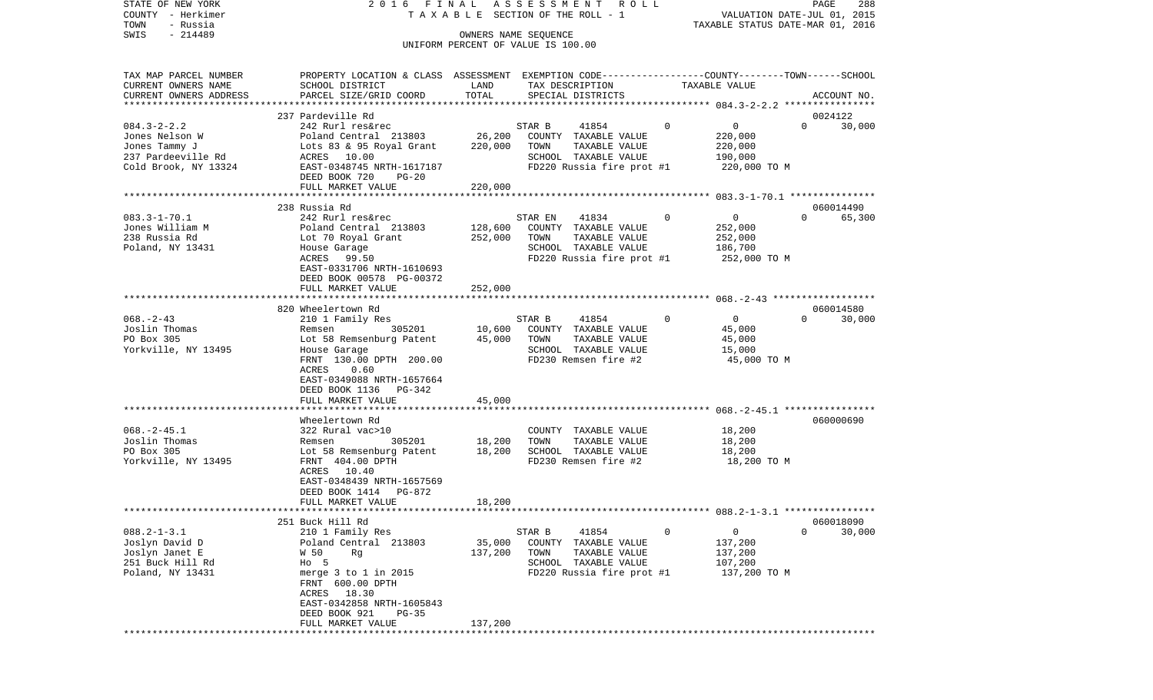| STATE OF NEW YORK<br>COUNTY - Herkimer<br>TOWN<br>- Russia                                         | 2016 FINAL                                                                                                                                                                                                        |                              | ASSESSMENT<br>R O L L<br>TAXABLE SECTION OF THE ROLL - 1                                                                    |              | VALUATION DATE-JUL 01, 2015<br>TAXABLE STATUS DATE-MAR 01, 2016 | PAGE<br>288                     |
|----------------------------------------------------------------------------------------------------|-------------------------------------------------------------------------------------------------------------------------------------------------------------------------------------------------------------------|------------------------------|-----------------------------------------------------------------------------------------------------------------------------|--------------|-----------------------------------------------------------------|---------------------------------|
| $-214489$<br>SWIS                                                                                  |                                                                                                                                                                                                                   |                              | OWNERS NAME SEQUENCE<br>UNIFORM PERCENT OF VALUE IS 100.00                                                                  |              |                                                                 |                                 |
| TAX MAP PARCEL NUMBER<br>CURRENT OWNERS NAME<br>CURRENT OWNERS ADDRESS<br>*********************    | PROPERTY LOCATION & CLASS ASSESSMENT EXEMPTION CODE---------------COUNTY-------TOWN------SCHOOL<br>SCHOOL DISTRICT<br>PARCEL SIZE/GRID COORD                                                                      | LAND<br>TOTAL                | TAX DESCRIPTION<br>SPECIAL DISTRICTS                                                                                        |              | TAXABLE VALUE                                                   | ACCOUNT NO.                     |
|                                                                                                    | 237 Pardeville Rd                                                                                                                                                                                                 |                              |                                                                                                                             |              |                                                                 | 0024122                         |
| $084.3 - 2 - 2.2$<br>Jones Nelson W<br>Jones Tammy J<br>237 Pardeeville Rd<br>Cold Brook, NY 13324 | 242 Rurl res&rec<br>Poland Central 213803<br>Lots 83 & 95 Royal Grant<br>ACRES 10.00<br>EAST-0348745 NRTH-1617187<br>DEED BOOK 720<br>PG-20                                                                       | 26,200<br>220,000            | STAR B<br>41854<br>COUNTY TAXABLE VALUE<br>TOWN<br>TAXABLE VALUE<br>SCHOOL TAXABLE VALUE<br>FD220 Russia fire prot #1       | $\Omega$     | 0<br>220,000<br>220,000<br>190,000<br>220,000 TO M              | $\Omega$<br>30,000              |
|                                                                                                    | FULL MARKET VALUE                                                                                                                                                                                                 | 220,000                      |                                                                                                                             |              |                                                                 |                                 |
|                                                                                                    | 238 Russia Rd                                                                                                                                                                                                     |                              |                                                                                                                             |              |                                                                 | 060014490                       |
| $083.3 - 1 - 70.1$<br>Jones William M<br>238 Russia Rd<br>Poland, NY 13431                         | 242 Rurl res&rec<br>Poland Central 213803<br>Lot 70 Royal Grant<br>House Garage<br>ACRES<br>99.50<br>EAST-0331706 NRTH-1610693<br>DEED BOOK 00578 PG-00372                                                        | 128,600<br>252,000           | 41834<br>STAR EN<br>COUNTY TAXABLE VALUE<br>TOWN<br>TAXABLE VALUE<br>SCHOOL TAXABLE VALUE<br>FD220 Russia fire prot #1      | $\Omega$     | $\overline{0}$<br>252,000<br>252,000<br>186,700<br>252,000 TO M | 65,300<br>$\Omega$              |
|                                                                                                    | FULL MARKET VALUE                                                                                                                                                                                                 | 252,000                      |                                                                                                                             |              |                                                                 |                                 |
| $068. - 2 - 43$<br>Joslin Thomas<br>PO Box 305<br>Yorkville, NY 13495                              | 820 Wheelertown Rd<br>210 1 Family Res<br>305201<br>Remsen<br>Lot 58 Remsenburg Patent<br>House Garage<br>FRNT 130.00 DPTH 200.00<br>ACRES<br>0.60<br>EAST-0349088 NRTH-1657664<br>DEED BOOK 1136 PG-342          | 10,600<br>45,000             | STAR B<br>41854<br>COUNTY TAXABLE VALUE<br>TOWN<br>TAXABLE VALUE<br>SCHOOL TAXABLE VALUE<br>FD230 Remsen fire #2            | $\mathbf{0}$ | $\overline{0}$<br>45,000<br>45,000<br>15,000<br>45,000 TO M     | 060014580<br>30,000<br>$\Omega$ |
|                                                                                                    | FULL MARKET VALUE                                                                                                                                                                                                 | 45,000                       |                                                                                                                             |              |                                                                 |                                 |
| $068. -2 - 45.1$<br>Joslin Thomas<br>PO Box 305<br>Yorkville, NY 13495                             | **********************<br>Wheelertown Rd<br>322 Rural vac>10<br>305201<br>Remsen<br>Lot 58 Remsenburg Patent<br>FRNT 404.00 DPTH<br>ACRES 10.40<br>EAST-0348439 NRTH-1657569<br>DEED BOOK 1414<br>PG-872          | 18,200<br>18,200             | COUNTY TAXABLE VALUE<br>TOWN<br>TAXABLE VALUE<br>SCHOOL TAXABLE VALUE<br>FD230 Remsen fire #2                               |              | 18,200<br>18,200<br>18,200<br>18,200 TO M                       | 060000690                       |
|                                                                                                    | FULL MARKET VALUE                                                                                                                                                                                                 | 18,200                       |                                                                                                                             |              |                                                                 |                                 |
|                                                                                                    | 251 Buck Hill Rd                                                                                                                                                                                                  |                              |                                                                                                                             |              |                                                                 | 060018090                       |
| $088.2 - 1 - 3.1$<br>Joslyn David D<br>Joslyn Janet E<br>251 Buck Hill Rd<br>Poland, NY 13431      | 210 1 Family Res<br>Poland Central 213803<br>W 50<br>Rq<br>$HO$ 5<br>merge $3$ to $1$ in 2015<br>FRNT 600.00 DPTH<br>18.30<br>ACRES<br>EAST-0342858 NRTH-1605843<br>DEED BOOK 921<br>$PG-35$<br>FULL MARKET VALUE | 35,000<br>137,200<br>137,200 | STAR B<br>41854<br>COUNTY<br>TAXABLE VALUE<br>TOWN<br>TAXABLE VALUE<br>SCHOOL<br>TAXABLE VALUE<br>FD220 Russia fire prot #1 | 0            | 0<br>137,200<br>137,200<br>107,200<br>137,200 TO M              | 0<br>30,000                     |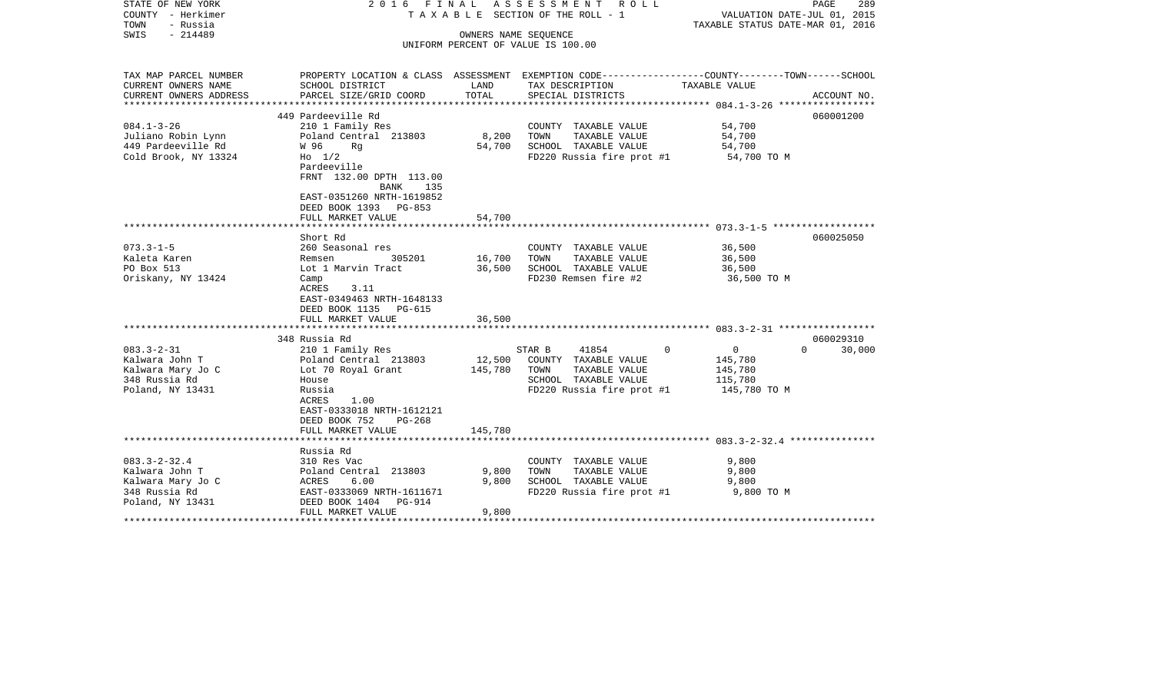| STATE OF NEW YORK<br>COUNTY - Herkimer<br>TOWN<br>- Russia<br>$-214489$<br>SWIS                |                                                                                                                                                               | OWNERS NAME SEOUENCE    | 2016 FINAL ASSESSMENT ROLL<br>T A X A B L E SECTION OF THE ROLL - 1<br>UNIFORM PERCENT OF VALUE IS 100.00                         | PAGE<br>289<br>VALUATION DATE-JUL 01, 2015<br>TAXABLE STATUS DATE-MAR 01, 2016                                                 |
|------------------------------------------------------------------------------------------------|---------------------------------------------------------------------------------------------------------------------------------------------------------------|-------------------------|-----------------------------------------------------------------------------------------------------------------------------------|--------------------------------------------------------------------------------------------------------------------------------|
|                                                                                                |                                                                                                                                                               |                         |                                                                                                                                   |                                                                                                                                |
| TAX MAP PARCEL NUMBER<br>CURRENT OWNERS NAME<br>CURRENT OWNERS ADDRESS                         | SCHOOL DISTRICT<br>PARCEL SIZE/GRID COORD                                                                                                                     | LAND<br>TOTAL           | TAX DESCRIPTION<br>SPECIAL DISTRICTS                                                                                              | PROPERTY LOCATION & CLASS ASSESSMENT EXEMPTION CODE---------------COUNTY-------TOWN-----SCHOOL<br>TAXABLE VALUE<br>ACCOUNT NO. |
| ***********************                                                                        | ******************************                                                                                                                                |                         |                                                                                                                                   |                                                                                                                                |
|                                                                                                | 449 Pardeeville Rd                                                                                                                                            |                         |                                                                                                                                   | 060001200                                                                                                                      |
| $084.1 - 3 - 26$<br>Juliano Robin Lynn<br>449 Pardeeville Rd<br>Cold Brook, NY 13324           | 210 1 Family Res<br>Poland Central 213803<br>W 96<br>Rg<br>$H_0$ 1/2<br>Pardeeville<br>FRNT 132.00 DPTH 113.00<br>135<br>BANK<br>EAST-0351260 NRTH-1619852    | 8,200<br>54,700         | COUNTY TAXABLE VALUE<br>TAXABLE VALUE<br>TOWN<br>SCHOOL TAXABLE VALUE<br>FD220 Russia fire prot #1                                | 54,700<br>54,700<br>54,700<br>54,700 TO M                                                                                      |
|                                                                                                | DEED BOOK 1393 PG-853                                                                                                                                         |                         |                                                                                                                                   |                                                                                                                                |
|                                                                                                | FULL MARKET VALUE                                                                                                                                             | 54,700                  |                                                                                                                                   |                                                                                                                                |
|                                                                                                | Short Rd                                                                                                                                                      |                         |                                                                                                                                   | 060025050                                                                                                                      |
| $073.3 - 1 - 5$<br>Kaleta Karen<br>PO Box 513<br>Oriskany, NY 13424                            | 260 Seasonal res<br>305201<br>Remsen<br>Lot 1 Marvin Tract<br>Camp<br>ACRES<br>3.11<br>EAST-0349463 NRTH-1648133<br>DEED BOOK 1135 PG-615                     | 16,700<br>36,500        | COUNTY TAXABLE VALUE<br>TAXABLE VALUE<br>TOWN<br>SCHOOL TAXABLE VALUE<br>FD230 Remsen fire #2                                     | 36,500<br>36,500<br>36,500<br>36,500 TO M                                                                                      |
|                                                                                                | FULL MARKET VALUE                                                                                                                                             | 36,500                  |                                                                                                                                   |                                                                                                                                |
|                                                                                                | 348 Russia Rd                                                                                                                                                 |                         |                                                                                                                                   | 060029310                                                                                                                      |
| $083.3 - 2 - 31$<br>Kalwara John T<br>Kalwara Mary Jo C<br>348 Russia Rd<br>Poland, NY 13431   | 210 1 Family Res<br>Poland Central 213803<br>Lot 70 Royal Grant<br>House<br>Russia<br>1.00<br>ACRES<br>EAST-0333018 NRTH-1612121<br>DEED BOOK 752<br>$PG-268$ | 12,500<br>145,780       | 41854<br>$\Omega$<br>STAR B<br>COUNTY TAXABLE VALUE<br>TOWN<br>TAXABLE VALUE<br>SCHOOL TAXABLE VALUE<br>FD220 Russia fire prot #1 | $\overline{0}$<br>$\Omega$<br>30,000<br>145,780<br>145,780<br>115,780<br>145,780 TO M                                          |
|                                                                                                | FULL MARKET VALUE                                                                                                                                             | 145,780                 |                                                                                                                                   |                                                                                                                                |
| $083.3 - 2 - 32.4$<br>Kalwara John T<br>Kalwara Mary Jo C<br>348 Russia Rd<br>Poland, NY 13431 | Russia Rd<br>310 Res Vac<br>Poland Central 213803<br>6.00<br>ACRES<br>EAST-0333069 NRTH-1611671<br>DEED BOOK 1404<br>PG-914<br>FULL MARKET VALUE              | 9,800<br>9,800<br>9,800 | COUNTY TAXABLE VALUE<br>TAXABLE VALUE<br>TOWN<br>SCHOOL TAXABLE VALUE<br>FD220 Russia fire prot #1                                | 9,800<br>9,800<br>9,800<br>9,800 TO M                                                                                          |
|                                                                                                |                                                                                                                                                               |                         |                                                                                                                                   |                                                                                                                                |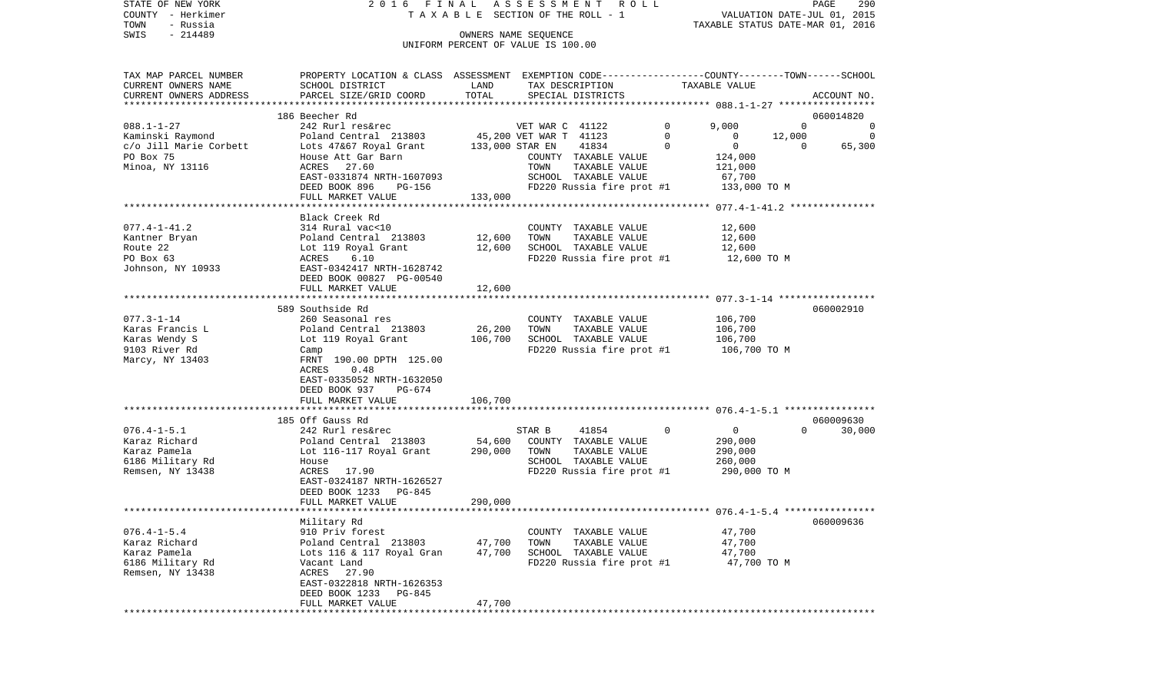| STATE OF NEW YORK<br>COUNTY - Herkimer | 2016 FINAL                                                                                      |         | ASSESSMENT<br>R O L L<br>TAXABLE SECTION OF THE ROLL - 1 |             | VALUATION DATE-JUL 01, 2015      | PAGE         | 290      |
|----------------------------------------|-------------------------------------------------------------------------------------------------|---------|----------------------------------------------------------|-------------|----------------------------------|--------------|----------|
| - Russia<br>TOWN                       |                                                                                                 |         |                                                          |             | TAXABLE STATUS DATE-MAR 01, 2016 |              |          |
| $-214489$<br>SWIS                      |                                                                                                 |         | OWNERS NAME SEQUENCE                                     |             |                                  |              |          |
|                                        |                                                                                                 |         | UNIFORM PERCENT OF VALUE IS 100.00                       |             |                                  |              |          |
|                                        |                                                                                                 |         |                                                          |             |                                  |              |          |
| TAX MAP PARCEL NUMBER                  | PROPERTY LOCATION & CLASS ASSESSMENT EXEMPTION CODE---------------COUNTY-------TOWN------SCHOOL |         |                                                          |             |                                  |              |          |
| CURRENT OWNERS NAME                    | SCHOOL DISTRICT                                                                                 | LAND    | TAX DESCRIPTION                                          |             | TAXABLE VALUE                    |              |          |
| CURRENT OWNERS ADDRESS                 | PARCEL SIZE/GRID COORD                                                                          | TOTAL   | SPECIAL DISTRICTS                                        |             |                                  | ACCOUNT NO.  |          |
| ***********************                |                                                                                                 |         |                                                          |             |                                  |              |          |
|                                        | 186 Beecher Rd                                                                                  |         |                                                          |             |                                  | 060014820    |          |
| $088.1 - 1 - 27$                       | 242 Rurl res&rec                                                                                |         | VET WAR C 41122                                          | 0           | 9,000                            | $\mathbf 0$  | $\Omega$ |
| Kaminski Raymond                       | Poland Central 213803                                                                           |         | 45,200 VET WAR T 41123                                   | $\mathbf 0$ | $\mathbf{0}$<br>12,000           |              | 0        |
| c/o Jill Marie Corbett                 | Lots 47&67 Royal Grant                                                                          |         | 41834<br>133,000 STAR EN                                 | $\mathbf 0$ | $\overline{0}$                   | $\mathbf{0}$ | 65,300   |
| PO Box 75                              | House Att Gar Barn                                                                              |         | COUNTY TAXABLE VALUE                                     |             | 124,000                          |              |          |
| Minoa, NY 13116                        | ACRES 27.60                                                                                     |         | TOWN<br>TAXABLE VALUE                                    |             | 121,000                          |              |          |
|                                        | EAST-0331874 NRTH-1607093                                                                       |         | SCHOOL TAXABLE VALUE                                     |             | 67,700                           |              |          |
|                                        | DEED BOOK 896<br>PG-156                                                                         |         | FD220 Russia fire prot #1                                |             | 133,000 TO M                     |              |          |
|                                        | FULL MARKET VALUE                                                                               | 133,000 |                                                          |             |                                  |              |          |
|                                        |                                                                                                 |         |                                                          |             |                                  |              |          |
|                                        | Black Creek Rd                                                                                  |         |                                                          |             |                                  |              |          |
| $077.4 - 1 - 41.2$                     | 314 Rural vac<10                                                                                |         | COUNTY TAXABLE VALUE                                     |             | 12,600                           |              |          |
| Kantner Bryan                          | Poland Central 213803                                                                           | 12,600  | TOWN<br>TAXABLE VALUE                                    |             | 12,600                           |              |          |
| Route 22                               | Lot 119 Royal Grant                                                                             | 12,600  | SCHOOL TAXABLE VALUE                                     |             | 12,600                           |              |          |
| PO Box 63                              | 6.10<br>ACRES                                                                                   |         | FD220 Russia fire prot #1                                |             | 12,600 TO M                      |              |          |
| Johnson, NY 10933                      | EAST-0342417 NRTH-1628742                                                                       |         |                                                          |             |                                  |              |          |
|                                        | DEED BOOK 00827 PG-00540                                                                        |         |                                                          |             |                                  |              |          |
|                                        | FULL MARKET VALUE                                                                               | 12,600  |                                                          |             |                                  |              |          |
|                                        | 589 Southside Rd                                                                                |         |                                                          |             |                                  | 060002910    |          |
| $077.3 - 1 - 14$                       | 260 Seasonal res                                                                                |         | COUNTY TAXABLE VALUE                                     |             | 106,700                          |              |          |
| Karas Francis L                        | Poland Central 213803                                                                           | 26,200  | TOWN<br>TAXABLE VALUE                                    |             | 106,700                          |              |          |
| Karas Wendy S                          | Lot 119 Royal Grant                                                                             | 106,700 | SCHOOL TAXABLE VALUE                                     |             | 106,700                          |              |          |
| 9103 River Rd                          | Camp                                                                                            |         | FD220 Russia fire prot #1                                |             | 106,700 TO M                     |              |          |
| Marcy, NY 13403                        | FRNT 190.00 DPTH 125.00                                                                         |         |                                                          |             |                                  |              |          |
|                                        | ACRES<br>0.48                                                                                   |         |                                                          |             |                                  |              |          |
|                                        | EAST-0335052 NRTH-1632050                                                                       |         |                                                          |             |                                  |              |          |
|                                        | DEED BOOK 937<br>PG-674                                                                         |         |                                                          |             |                                  |              |          |
|                                        | FULL MARKET VALUE                                                                               | 106,700 |                                                          |             |                                  |              |          |
|                                        |                                                                                                 |         |                                                          |             |                                  |              |          |
|                                        | 185 Off Gauss Rd                                                                                |         |                                                          |             |                                  | 060009630    |          |
| $076.4 - 1 - 5.1$                      | 242 Rurl res&rec                                                                                |         | STAR B<br>41854                                          | $\mathbf 0$ | $\overline{0}$                   | $\Omega$     | 30,000   |
| Karaz Richard                          | Poland Central 213803                                                                           | 54,600  | COUNTY TAXABLE VALUE                                     |             | 290,000                          |              |          |
| Karaz Pamela                           | Lot 116-117 Royal Grant                                                                         | 290,000 | TOWN<br>TAXABLE VALUE                                    |             | 290,000                          |              |          |
| 6186 Military Rd                       | House                                                                                           |         | SCHOOL TAXABLE VALUE                                     |             | 260,000                          |              |          |
| Remsen, NY 13438                       | ACRES 17.90                                                                                     |         | FD220 Russia fire prot #1                                |             | 290,000 TO M                     |              |          |
|                                        | EAST-0324187 NRTH-1626527<br>DEED BOOK 1233<br>PG-845                                           |         |                                                          |             |                                  |              |          |
|                                        | FULL MARKET VALUE                                                                               | 290,000 |                                                          |             |                                  |              |          |
|                                        |                                                                                                 |         |                                                          |             |                                  |              |          |
|                                        | Military Rd                                                                                     |         |                                                          |             |                                  | 060009636    |          |
| $076.4 - 1 - 5.4$                      | 910 Priv forest                                                                                 |         | COUNTY TAXABLE VALUE                                     |             | 47,700                           |              |          |
| Karaz Richard                          | Poland Central 213803                                                                           | 47,700  | TOWN<br>TAXABLE VALUE                                    |             | 47,700                           |              |          |
| Karaz Pamela                           | Lots 116 & 117 Royal Gran                                                                       | 47,700  | SCHOOL TAXABLE VALUE                                     |             | 47,700                           |              |          |
| 6186 Military Rd                       | Vacant Land                                                                                     |         | FD220 Russia fire prot #1                                |             | 47,700 TO M                      |              |          |
| Remsen, NY 13438                       | ACRES<br>27.90                                                                                  |         |                                                          |             |                                  |              |          |
|                                        | EAST-0322818 NRTH-1626353                                                                       |         |                                                          |             |                                  |              |          |
|                                        | DEED BOOK 1233<br>PG-845                                                                        |         |                                                          |             |                                  |              |          |
|                                        | FULL MARKET VALUE                                                                               | 47,700  |                                                          |             |                                  |              |          |
|                                        |                                                                                                 |         |                                                          |             |                                  |              |          |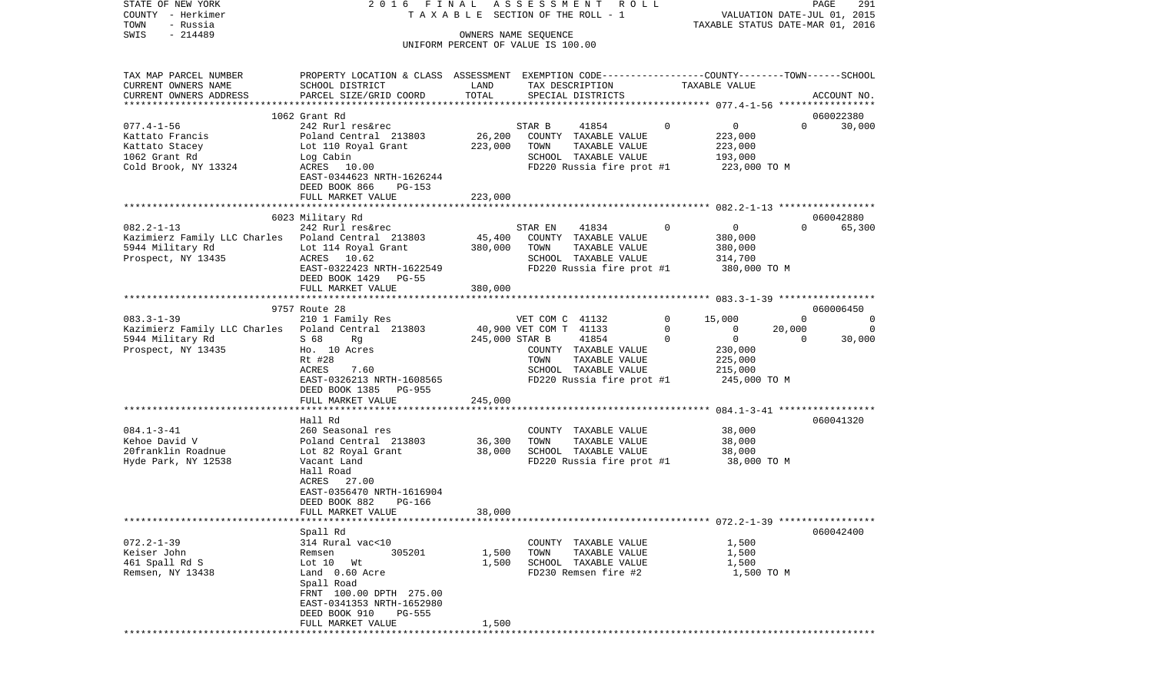| COUNTY - Herkimer<br>TOWN<br>- Russia                  |                                                                                                  |                  | T A X A B L E SECTION OF THE ROLL - 1             |             | VALUATION DATE-JUL 01, 2015<br>TAXABLE STATUS DATE-MAR 01, 2016 |                |             |
|--------------------------------------------------------|--------------------------------------------------------------------------------------------------|------------------|---------------------------------------------------|-------------|-----------------------------------------------------------------|----------------|-------------|
| SWIS<br>$-214489$                                      |                                                                                                  |                  | OWNERS NAME SEOUENCE                              |             |                                                                 |                |             |
|                                                        |                                                                                                  |                  | UNIFORM PERCENT OF VALUE IS 100.00                |             |                                                                 |                |             |
|                                                        |                                                                                                  |                  |                                                   |             |                                                                 |                |             |
| TAX MAP PARCEL NUMBER                                  | PROPERTY LOCATION & CLASS ASSESSMENT EXEMPTION CODE----------------COUNTY-------TOWN------SCHOOL |                  |                                                   |             |                                                                 |                |             |
| CURRENT OWNERS NAME                                    | SCHOOL DISTRICT                                                                                  | LAND             | TAX DESCRIPTION                                   |             | TAXABLE VALUE                                                   |                |             |
| CURRENT OWNERS ADDRESS                                 | PARCEL SIZE/GRID COORD                                                                           | TOTAL            | SPECIAL DISTRICTS                                 |             |                                                                 |                | ACCOUNT NO. |
|                                                        |                                                                                                  |                  |                                                   |             |                                                                 |                |             |
|                                                        | 1062 Grant Rd                                                                                    |                  |                                                   | $\mathbf 0$ |                                                                 | $\Omega$       | 060022380   |
| $077.4 - 1 - 56$<br>Kattato Francis                    | 242 Rurl res&rec<br>Poland Central 213803                                                        | 26,200           | 41854<br>STAR B<br>COUNTY TAXABLE VALUE           |             | $\overline{0}$<br>223,000                                       |                | 30,000      |
| Kattato Stacey                                         | Lot 110 Royal Grant                                                                              | 223,000          | TOWN<br>TAXABLE VALUE                             |             | 223,000                                                         |                |             |
| 1062 Grant Rd                                          | Log Cabin                                                                                        |                  | SCHOOL TAXABLE VALUE                              |             | 193,000                                                         |                |             |
| Cold Brook, NY 13324                                   | ACRES 10.00                                                                                      |                  | FD220 Russia fire prot #1                         |             | 223,000 TO M                                                    |                |             |
|                                                        | EAST-0344623 NRTH-1626244                                                                        |                  |                                                   |             |                                                                 |                |             |
|                                                        | DEED BOOK 866<br>PG-153                                                                          |                  |                                                   |             |                                                                 |                |             |
|                                                        | FULL MARKET VALUE                                                                                | 223,000          |                                                   |             |                                                                 |                |             |
|                                                        | 6023 Military Rd                                                                                 |                  |                                                   |             |                                                                 |                | 060042880   |
| $082.2 - 1 - 13$                                       | 242 Rurl res&rec                                                                                 |                  | 41834<br>STAR EN                                  | $\mathbf 0$ | $\overline{0}$                                                  | $\Omega$       | 65,300      |
| Kazimierz Family LLC Charles - Poland Central - 213803 |                                                                                                  | 45,400           | COUNTY TAXABLE VALUE                              |             | 380,000                                                         |                |             |
| 5944 Military Rd                                       | Lot 114 Royal Grant                                                                              | 380,000          | TOWN<br>TAXABLE VALUE                             |             | 380,000                                                         |                |             |
| Prospect, NY 13435                                     | ACRES 10.62                                                                                      |                  | SCHOOL TAXABLE VALUE                              |             | 314,700                                                         |                |             |
|                                                        | EAST-0322423 NRTH-1622549                                                                        |                  | FD220 Russia fire prot #1                         |             | 380,000 TO M                                                    |                |             |
|                                                        | DEED BOOK 1429 PG-55                                                                             |                  |                                                   |             |                                                                 |                |             |
|                                                        | FULL MARKET VALUE                                                                                | 380,000          |                                                   |             | ******************** 083.3-1-39 ******************              |                |             |
|                                                        | 9757 Route 28                                                                                    |                  |                                                   |             |                                                                 |                | 060006450   |
| $083.3 - 1 - 39$                                       | 210 1 Family Res                                                                                 |                  | VET COM C 41132                                   | $\mathbf 0$ | 15,000                                                          | $\overline{0}$ | 0           |
| Kazimierz Family LLC Charles 9 Poland Central 213803   |                                                                                                  |                  | 40,900 VET COM T 41133                            | 0           | $\overline{0}$                                                  | 20,000         | 0           |
| 5944 Military Rd                                       | S 68<br>Rg                                                                                       | 245,000 STAR B   | 41854                                             | $\mathbf 0$ | $\overline{\mathbf{0}}$                                         | $\overline{0}$ | 30,000      |
| Prospect, NY 13435                                     | Ho. 10 Acres                                                                                     |                  | COUNTY TAXABLE VALUE                              |             | 230,000                                                         |                |             |
|                                                        | Rt #28                                                                                           |                  | TAXABLE VALUE<br>TOWN                             |             | 225,000                                                         |                |             |
|                                                        | ACRES<br>7.60<br>EAST-0326213 NRTH-1608565                                                       |                  | SCHOOL TAXABLE VALUE<br>FD220 Russia fire prot #1 |             | 215,000<br>245,000 TO M                                         |                |             |
|                                                        | DEED BOOK 1385<br>PG-955                                                                         |                  |                                                   |             |                                                                 |                |             |
|                                                        | FULL MARKET VALUE                                                                                | 245,000          |                                                   |             |                                                                 |                |             |
|                                                        |                                                                                                  |                  |                                                   |             |                                                                 |                |             |
|                                                        | Hall Rd                                                                                          |                  |                                                   |             |                                                                 |                | 060041320   |
| $084.1 - 3 - 41$                                       | 260 Seasonal res<br>Poland Central 213803                                                        |                  | COUNTY TAXABLE VALUE                              |             | 38,000                                                          |                |             |
| Kehoe David V<br>20franklin Roadnue                    | Lot 82 Royal Grant                                                                               | 36,300<br>38,000 | TOWN<br>TAXABLE VALUE<br>SCHOOL TAXABLE VALUE     |             | 38,000<br>38,000                                                |                |             |
| Hyde Park, NY 12538                                    | Vacant Land                                                                                      |                  | FD220 Russia fire prot #1                         |             | 38,000 TO M                                                     |                |             |
|                                                        | Hall Road                                                                                        |                  |                                                   |             |                                                                 |                |             |
|                                                        | 27.00<br>ACRES                                                                                   |                  |                                                   |             |                                                                 |                |             |
|                                                        | EAST-0356470 NRTH-1616904                                                                        |                  |                                                   |             |                                                                 |                |             |
|                                                        | DEED BOOK 882<br>PG-166                                                                          |                  |                                                   |             |                                                                 |                |             |
|                                                        | FULL MARKET VALUE                                                                                | 38,000           |                                                   |             |                                                                 |                |             |
|                                                        | Spall Rd                                                                                         |                  |                                                   |             |                                                                 |                | 060042400   |
| $072.2 - 1 - 39$                                       | 314 Rural vac<10                                                                                 |                  | COUNTY TAXABLE VALUE                              |             | 1,500                                                           |                |             |
| Keiser John                                            | 305201<br>Remsen                                                                                 | 1,500            | TOWN<br>TAXABLE VALUE                             |             | 1,500                                                           |                |             |
| 461 Spall Rd S                                         | Lot 10<br>Wt                                                                                     | 1,500            | SCHOOL TAXABLE VALUE                              |             | 1,500                                                           |                |             |
| Remsen, NY 13438                                       | Land 0.60 Acre                                                                                   |                  | FD230 Remsen fire #2                              |             | 1,500 TO M                                                      |                |             |
|                                                        | Spall Road                                                                                       |                  |                                                   |             |                                                                 |                |             |
|                                                        | FRNT 100.00 DPTH 275.00<br>EAST-0341353 NRTH-1652980                                             |                  |                                                   |             |                                                                 |                |             |
|                                                        | DEED BOOK 910<br>PG-555                                                                          |                  |                                                   |             |                                                                 |                |             |
|                                                        | FULL MARKET VALUE                                                                                | 1,500            |                                                   |             |                                                                 |                |             |
|                                                        |                                                                                                  |                  |                                                   |             |                                                                 |                |             |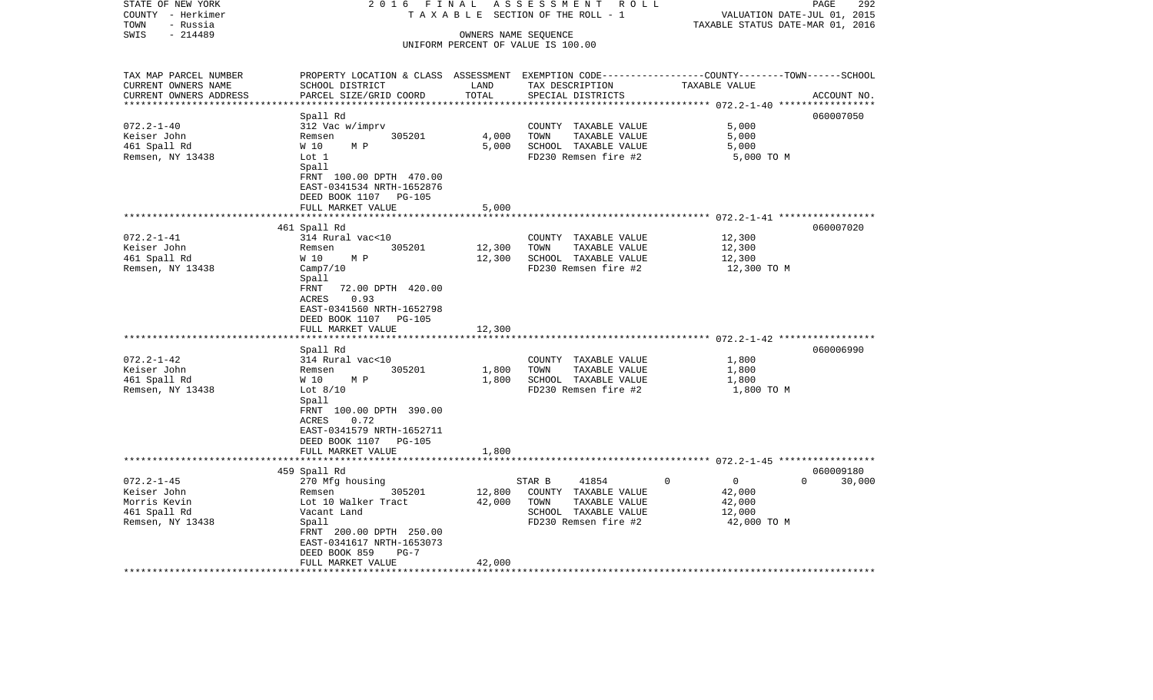| STATE OF NEW YORK<br>COUNTY - Herkimer       | 2 0 1 6<br>FINAL<br>TAXABLE                                                                                        |                  | ASSESSMENT<br>R O L L<br>SECTION OF THE ROLL - 1 | VALUATION DATE-JUL 01, 2015               | 292<br>PAGE           |
|----------------------------------------------|--------------------------------------------------------------------------------------------------------------------|------------------|--------------------------------------------------|-------------------------------------------|-----------------------|
| TOWN<br>- Russia                             |                                                                                                                    |                  |                                                  | TAXABLE STATUS DATE-MAR 01, 2016          |                       |
| $-214489$<br>SWIS                            |                                                                                                                    |                  | OWNERS NAME SEQUENCE                             |                                           |                       |
|                                              |                                                                                                                    |                  | UNIFORM PERCENT OF VALUE IS 100.00               |                                           |                       |
|                                              |                                                                                                                    |                  |                                                  |                                           |                       |
|                                              |                                                                                                                    |                  |                                                  |                                           |                       |
| TAX MAP PARCEL NUMBER<br>CURRENT OWNERS NAME | PROPERTY LOCATION & CLASS ASSESSMENT EXEMPTION CODE---------------COUNTY-------TOWN------SCHOOL<br>SCHOOL DISTRICT | LAND             |                                                  | TAXABLE VALUE                             |                       |
| CURRENT OWNERS ADDRESS                       | PARCEL SIZE/GRID COORD                                                                                             | TOTAL            | TAX DESCRIPTION<br>SPECIAL DISTRICTS             |                                           | ACCOUNT NO.           |
| ********************                         |                                                                                                                    |                  |                                                  |                                           |                       |
|                                              | Spall Rd                                                                                                           |                  |                                                  |                                           | 060007050             |
| $072.2 - 1 - 40$                             | 312 Vac w/imprv                                                                                                    |                  | COUNTY TAXABLE VALUE                             | 5,000                                     |                       |
| Keiser John                                  | 305201<br>Remsen                                                                                                   | 4,000            | TOWN<br>TAXABLE VALUE                            | 5,000                                     |                       |
| 461 Spall Rd                                 | W 10<br>M P                                                                                                        | 5,000            | SCHOOL TAXABLE VALUE                             | 5,000                                     |                       |
| Remsen, NY 13438                             | Lot 1                                                                                                              |                  | FD230 Remsen fire #2                             | 5,000 TO M                                |                       |
|                                              | Spall                                                                                                              |                  |                                                  |                                           |                       |
|                                              | FRNT 100.00 DPTH 470.00                                                                                            |                  |                                                  |                                           |                       |
|                                              | EAST-0341534 NRTH-1652876                                                                                          |                  |                                                  |                                           |                       |
|                                              | DEED BOOK 1107<br><b>PG-105</b>                                                                                    |                  |                                                  |                                           |                       |
|                                              | FULL MARKET VALUE                                                                                                  | 5,000            |                                                  |                                           |                       |
|                                              |                                                                                                                    |                  |                                                  | *************** 072.2-1-41 ************** |                       |
|                                              | 461 Spall Rd                                                                                                       |                  |                                                  |                                           | 060007020             |
| $072.2 - 1 - 41$                             | 314 Rural vac<10                                                                                                   |                  | COUNTY TAXABLE VALUE                             | 12,300                                    |                       |
| Keiser John                                  | 305201<br>Remsen                                                                                                   | 12,300           | TOWN<br>TAXABLE VALUE                            | 12,300                                    |                       |
| 461 Spall Rd                                 | W 10<br>M P                                                                                                        | 12,300           | SCHOOL TAXABLE VALUE                             | 12,300                                    |                       |
| Remsen, NY 13438                             | Camp7/10                                                                                                           |                  | FD230 Remsen fire #2                             | 12,300 TO M                               |                       |
|                                              | Spall                                                                                                              |                  |                                                  |                                           |                       |
|                                              | 72.00 DPTH 420.00<br>FRNT<br><b>ACRES</b><br>0.93                                                                  |                  |                                                  |                                           |                       |
|                                              | EAST-0341560 NRTH-1652798                                                                                          |                  |                                                  |                                           |                       |
|                                              | DEED BOOK 1107<br><b>PG-105</b>                                                                                    |                  |                                                  |                                           |                       |
|                                              | FULL MARKET VALUE                                                                                                  | 12,300           |                                                  |                                           |                       |
|                                              |                                                                                                                    |                  |                                                  |                                           |                       |
|                                              | Spall Rd                                                                                                           |                  |                                                  |                                           | 060006990             |
| $072.2 - 1 - 42$                             | 314 Rural vac<10                                                                                                   |                  | COUNTY TAXABLE VALUE                             | 1,800                                     |                       |
| Keiser John                                  | 305201<br>Remsen                                                                                                   | 1,800            | TOWN<br>TAXABLE VALUE                            | 1,800                                     |                       |
| 461 Spall Rd                                 | W 10<br>M P                                                                                                        | 1,800            | SCHOOL TAXABLE VALUE                             | 1,800                                     |                       |
| Remsen, NY 13438                             | Lot $8/10$                                                                                                         |                  | FD230 Remsen fire #2                             | 1,800 TO M                                |                       |
|                                              | Spall                                                                                                              |                  |                                                  |                                           |                       |
|                                              | FRNT 100.00 DPTH 390.00                                                                                            |                  |                                                  |                                           |                       |
|                                              | ACRES<br>0.72                                                                                                      |                  |                                                  |                                           |                       |
|                                              | EAST-0341579 NRTH-1652711                                                                                          |                  |                                                  |                                           |                       |
|                                              | DEED BOOK 1107 PG-105                                                                                              |                  |                                                  |                                           |                       |
|                                              | FULL MARKET VALUE<br>******************                                                                            | 1,800            |                                                  |                                           |                       |
|                                              |                                                                                                                    |                  |                                                  |                                           |                       |
|                                              | 459 Spall Rd                                                                                                       |                  |                                                  | $\mathbf 0$                               | 060009180<br>$\Omega$ |
| $072.2 - 1 - 45$<br>Keiser John              | 270 Mfg housing<br>305201                                                                                          |                  | 41854<br>STAR B<br>COUNTY TAXABLE VALUE          | $\mathbf 0$                               | 30,000                |
| Morris Kevin                                 | Remsen<br>Lot 10 Walker Tract                                                                                      | 12,800<br>42,000 | TOWN<br>TAXABLE VALUE                            | 42,000<br>42,000                          |                       |
| 461 Spall Rd                                 | Vacant Land                                                                                                        |                  | SCHOOL TAXABLE VALUE                             | 12,000                                    |                       |
| Remsen, NY 13438                             | Spall                                                                                                              |                  | FD230 Remsen fire #2                             | 42,000 TO M                               |                       |
|                                              | FRNT 200.00 DPTH 250.00                                                                                            |                  |                                                  |                                           |                       |
|                                              | EAST-0341617 NRTH-1653073                                                                                          |                  |                                                  |                                           |                       |
|                                              | DEED BOOK 859<br>$PG-7$                                                                                            |                  |                                                  |                                           |                       |
|                                              | FULL MARKET VALUE                                                                                                  | 42,000           |                                                  |                                           |                       |
|                                              |                                                                                                                    |                  |                                                  |                                           |                       |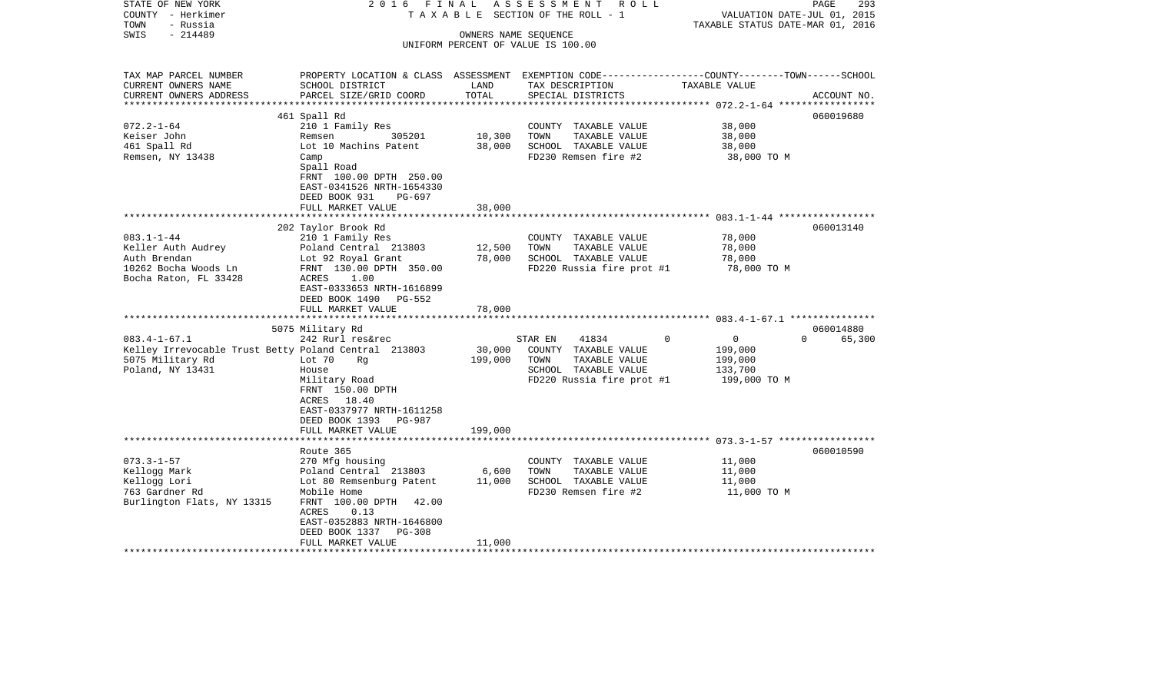| STATE OF NEW YORK                                    | 2016                                                                                             | FINAL    | A S S E S S M E N T<br>ROLL                                |                                  | 293<br>PAGE        |
|------------------------------------------------------|--------------------------------------------------------------------------------------------------|----------|------------------------------------------------------------|----------------------------------|--------------------|
| COUNTY - Herkimer                                    |                                                                                                  |          | T A X A B L E SECTION OF THE ROLL - 1                      | VALUATION DATE-JUL 01, 2015      |                    |
| TOWN<br>- Russia                                     |                                                                                                  |          |                                                            | TAXABLE STATUS DATE-MAR 01, 2016 |                    |
| SWIS<br>$-214489$                                    |                                                                                                  |          | OWNERS NAME SEQUENCE<br>UNIFORM PERCENT OF VALUE IS 100.00 |                                  |                    |
|                                                      |                                                                                                  |          |                                                            |                                  |                    |
| TAX MAP PARCEL NUMBER                                | PROPERTY LOCATION & CLASS ASSESSMENT EXEMPTION CODE----------------COUNTY-------TOWN------SCHOOL |          |                                                            |                                  |                    |
| CURRENT OWNERS NAME                                  | SCHOOL DISTRICT                                                                                  | LAND     | TAX DESCRIPTION                                            | TAXABLE VALUE                    |                    |
| CURRENT OWNERS ADDRESS                               | PARCEL SIZE/GRID COORD                                                                           | TOTAL    | SPECIAL DISTRICTS                                          |                                  | ACCOUNT NO.        |
| ***********************                              |                                                                                                  |          |                                                            |                                  |                    |
|                                                      | 461 Spall Rd                                                                                     |          |                                                            |                                  | 060019680          |
| $072.2 - 1 - 64$                                     | 210 1 Family Res                                                                                 |          | COUNTY TAXABLE VALUE                                       | 38,000                           |                    |
| Keiser John                                          | 305201<br>Remsen                                                                                 | 10,300   | TOWN<br>TAXABLE VALUE                                      | 38,000                           |                    |
| 461 Spall Rd                                         | Lot 10 Machins Patent                                                                            | 38,000   | SCHOOL TAXABLE VALUE                                       | 38,000                           |                    |
| Remsen, NY 13438                                     | Camp                                                                                             |          | FD230 Remsen fire #2                                       | 38,000 TO M                      |                    |
|                                                      | Spall Road                                                                                       |          |                                                            |                                  |                    |
|                                                      | FRNT 100.00 DPTH 250.00                                                                          |          |                                                            |                                  |                    |
|                                                      | EAST-0341526 NRTH-1654330                                                                        |          |                                                            |                                  |                    |
|                                                      | DEED BOOK 931<br>PG-697                                                                          |          |                                                            |                                  |                    |
|                                                      | FULL MARKET VALUE                                                                                | 38,000   |                                                            |                                  |                    |
|                                                      |                                                                                                  | ******** |                                                            |                                  |                    |
|                                                      | 202 Taylor Brook Rd                                                                              |          |                                                            |                                  | 060013140          |
| $083.1 - 1 - 44$                                     | 210 1 Family Res                                                                                 |          | COUNTY TAXABLE VALUE                                       | 78,000                           |                    |
| Keller Auth Audrey                                   | Poland Central 213803                                                                            | 12,500   | TAXABLE VALUE<br>TOWN                                      | 78,000                           |                    |
| Auth Brendan                                         | Lot 92 Royal Grant                                                                               | 78,000   | SCHOOL TAXABLE VALUE                                       | 78,000                           |                    |
| 10262 Bocha Woods Ln                                 | FRNT 130.00 DPTH 350.00                                                                          |          | FD220 Russia fire prot #1                                  | 78,000 TO M                      |                    |
| Bocha Raton, FL 33428                                | ACRES<br>1.00                                                                                    |          |                                                            |                                  |                    |
|                                                      | EAST-0333653 NRTH-1616899<br>DEED BOOK 1490<br>PG-552                                            |          |                                                            |                                  |                    |
|                                                      | FULL MARKET VALUE                                                                                | 78,000   |                                                            |                                  |                    |
|                                                      | ************************                                                                         |          |                                                            |                                  |                    |
|                                                      | 5075 Military Rd                                                                                 |          |                                                            |                                  | 060014880          |
| $083.4 - 1 - 67.1$                                   | 242 Rurl res&rec                                                                                 |          | STAR EN<br>41834                                           | $\Omega$<br>$\overline{0}$       | $\Omega$<br>65,300 |
| Kelley Irrevocable Trust Betty Poland Central 213803 |                                                                                                  | 30,000   | COUNTY TAXABLE VALUE                                       | 199,000                          |                    |
| 5075 Military Rd                                     | Lot 70<br>Rq                                                                                     | 199,000  | TOWN<br>TAXABLE VALUE                                      | 199,000                          |                    |
| Poland, NY 13431                                     | House                                                                                            |          | SCHOOL TAXABLE VALUE                                       | 133,700                          |                    |
|                                                      | Military Road                                                                                    |          | FD220 Russia fire prot #1                                  | 199,000 TO M                     |                    |
|                                                      | FRNT 150.00 DPTH                                                                                 |          |                                                            |                                  |                    |
|                                                      | ACRES<br>18.40                                                                                   |          |                                                            |                                  |                    |
|                                                      | EAST-0337977 NRTH-1611258                                                                        |          |                                                            |                                  |                    |
|                                                      | DEED BOOK 1393<br>PG-987                                                                         |          |                                                            |                                  |                    |
|                                                      | FULL MARKET VALUE                                                                                | 199,000  |                                                            |                                  |                    |
|                                                      | ********************                                                                             |          |                                                            |                                  |                    |
|                                                      | Route 365                                                                                        |          |                                                            |                                  | 060010590          |
| $073.3 - 1 - 57$                                     | 270 Mfg housing                                                                                  |          | COUNTY TAXABLE VALUE                                       | 11,000                           |                    |
| Kellogg Mark                                         | Poland Central 213803                                                                            | 6,600    | TOWN<br>TAXABLE VALUE                                      | 11,000                           |                    |
| Kellogg Lori                                         | Lot 80 Remsenburg Patent                                                                         | 11,000   | SCHOOL TAXABLE VALUE                                       | 11,000                           |                    |
| 763 Gardner Rd                                       | Mobile Home                                                                                      |          | FD230 Remsen fire #2                                       | 11,000 TO M                      |                    |
| Burlington Flats, NY 13315                           | FRNT 100.00 DPTH<br>42.00<br>ACRES<br>0.13                                                       |          |                                                            |                                  |                    |
|                                                      | EAST-0352883 NRTH-1646800                                                                        |          |                                                            |                                  |                    |
|                                                      | DEED BOOK 1337<br>PG-308                                                                         |          |                                                            |                                  |                    |
|                                                      | FULL MARKET VALUE                                                                                | 11,000   |                                                            |                                  |                    |
|                                                      |                                                                                                  |          |                                                            |                                  |                    |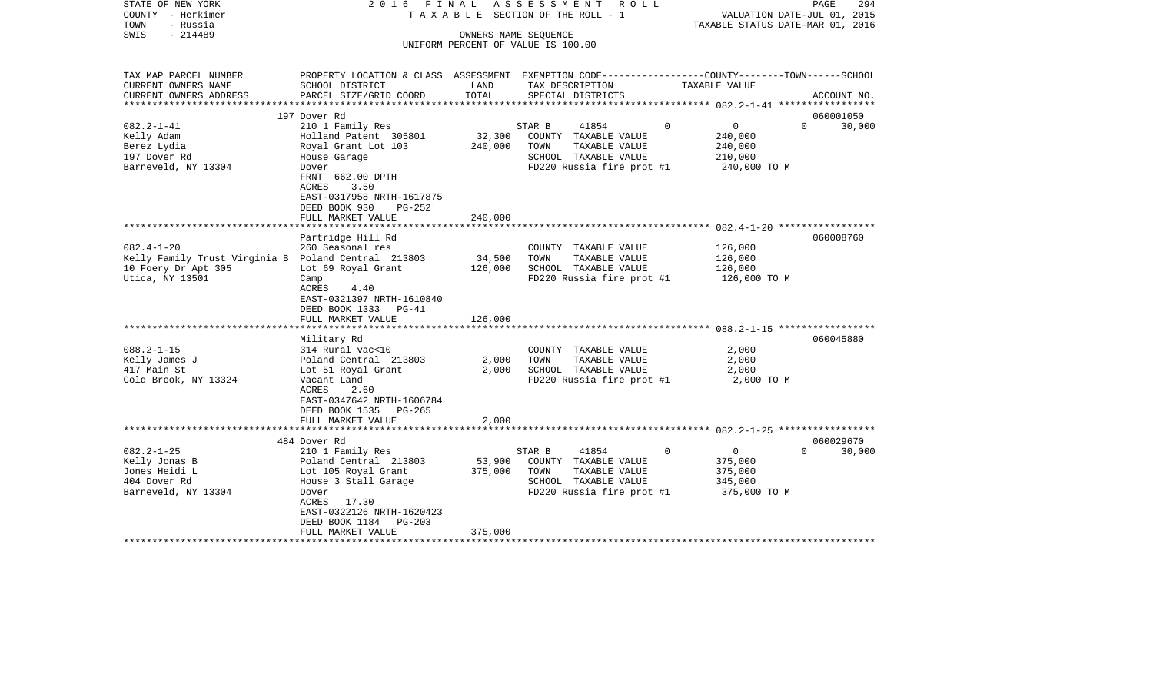| STATE OF NEW YORK<br>COUNTY - Herkimer<br>TOWN<br>- Russia<br>$-214489$<br>SWIS                                   | 2016 FINAL                                                                                                                                                                                                  |                              | ASSESSMENT ROLL<br>TAXABLE SECTION OF THE ROLL - 1<br>OWNERS NAME SEQUENCE<br>UNIFORM PERCENT OF VALUE IS 100.00      |                                                                             | PAGE<br>294<br>VALUATION DATE-JUL 01, 2015<br>TAXABLE STATUS DATE-MAR 01, 2016 |
|-------------------------------------------------------------------------------------------------------------------|-------------------------------------------------------------------------------------------------------------------------------------------------------------------------------------------------------------|------------------------------|-----------------------------------------------------------------------------------------------------------------------|-----------------------------------------------------------------------------|--------------------------------------------------------------------------------|
| TAX MAP PARCEL NUMBER<br>CURRENT OWNERS NAME<br>CURRENT OWNERS ADDRESS                                            | PROPERTY LOCATION & CLASS ASSESSMENT EXEMPTION CODE---------------COUNTY-------TOWN------SCHOOL<br>SCHOOL DISTRICT<br>PARCEL SIZE/GRID COORD                                                                | LAND<br>TOTAL                | TAX DESCRIPTION<br>SPECIAL DISTRICTS                                                                                  | TAXABLE VALUE                                                               | ACCOUNT NO.                                                                    |
| ************************                                                                                          |                                                                                                                                                                                                             |                              |                                                                                                                       |                                                                             |                                                                                |
| $082.2 - 1 - 41$<br>Kelly Adam<br>Berez Lydia<br>197 Dover Rd<br>Barneveld, NY 13304                              | 197 Dover Rd<br>210 1 Family Res<br>Holland Patent 305801<br>Royal Grant Lot 103<br>House Garage<br>Dover<br>FRNT 662.00 DPTH<br>ACRES<br>3.50<br>EAST-0317958 NRTH-1617875<br>DEED BOOK 930<br>PG-252      | 32,300<br>240,000            | STAR B<br>41854<br>COUNTY TAXABLE VALUE<br>TOWN<br>TAXABLE VALUE<br>SCHOOL TAXABLE VALUE<br>FD220 Russia fire prot #1 | $\overline{0}$<br>$\Omega$<br>240,000<br>240,000<br>210,000<br>240,000 TO M | 060001050<br>$\Omega$<br>30,000                                                |
|                                                                                                                   | FULL MARKET VALUE                                                                                                                                                                                           | 240,000                      |                                                                                                                       |                                                                             |                                                                                |
|                                                                                                                   |                                                                                                                                                                                                             |                              |                                                                                                                       |                                                                             |                                                                                |
| $082.4 - 1 - 20$<br>Kelly Family Trust Virginia B Poland Central 213803<br>10 Foery Dr Apt 305<br>Utica, NY 13501 | Partridge Hill Rd<br>260 Seasonal res<br>Lot 69 Royal Grant<br>Camp<br>ACRES<br>4.40<br>EAST-0321397 NRTH-1610840<br>DEED BOOK 1333 PG-41<br>FULL MARKET VALUE                                              | 34,500<br>126,000<br>126,000 | COUNTY TAXABLE VALUE<br>TOWN<br>TAXABLE VALUE<br>SCHOOL TAXABLE VALUE<br>FD220 Russia fire prot #1                    | 126,000<br>126,000<br>126,000<br>126,000 TO M                               | 060008760                                                                      |
| $088.2 - 1 - 15$<br>Kelly James J<br>417 Main St<br>Cold Brook, NY 13324                                          | Military Rd<br>314 Rural vac<10<br>Poland Central 213803<br>Lot 51 Royal Grant<br>Vacant Land<br>ACRES<br>2.60<br>EAST-0347642 NRTH-1606784<br>DEED BOOK 1535 PG-265<br>FULL MARKET VALUE                   | 2,000<br>2,000<br>2,000      | COUNTY TAXABLE VALUE<br>TOWN<br>TAXABLE VALUE<br>SCHOOL TAXABLE VALUE<br>FD220 Russia fire prot #1                    | 2,000<br>2,000<br>2,000<br>2,000 TO M                                       | 060045880                                                                      |
|                                                                                                                   |                                                                                                                                                                                                             |                              |                                                                                                                       |                                                                             |                                                                                |
| $082.2 - 1 - 25$<br>Kelly Jonas B<br>Jones Heidi L<br>404 Dover Rd<br>Barneveld, NY 13304                         | 484 Dover Rd<br>210 1 Family Res<br>Poland Central 213803<br>Lot 105 Royal Grant<br>House 3 Stall Garage<br>Dover<br>ACRES 17.30<br>EAST-0322126 NRTH-1620423<br>DEED BOOK 1184 PG-203<br>FULL MARKET VALUE | 53,900<br>375,000<br>375,000 | 41854<br>STAR B<br>COUNTY TAXABLE VALUE<br>TOWN<br>TAXABLE VALUE<br>SCHOOL TAXABLE VALUE<br>FD220 Russia fire prot #1 | $\Omega$<br>$\overline{0}$<br>375,000<br>375,000<br>345,000<br>375,000 TO M | 060029670<br>$\Omega$<br>30,000                                                |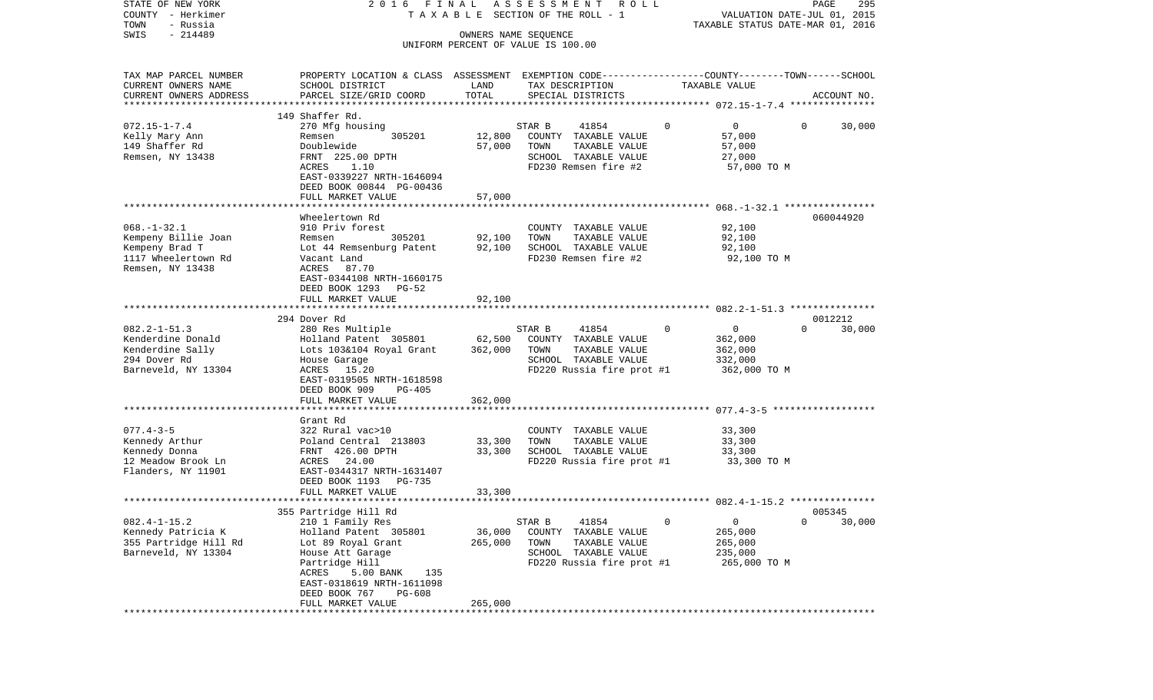| STATE OF NEW YORK<br>COUNTY - Herkimer | 2016 FINAL                                                                                      |                      | A S S E S S M E N T R O L L<br>T A X A B L E SECTION OF THE ROLL - 1 |               | VALUATION DATE-JUL 01, 2015      | 295<br>PAGE      |
|----------------------------------------|-------------------------------------------------------------------------------------------------|----------------------|----------------------------------------------------------------------|---------------|----------------------------------|------------------|
| TOWN<br>- Russia                       |                                                                                                 |                      |                                                                      |               | TAXABLE STATUS DATE-MAR 01, 2016 |                  |
| $-214489$<br>SWIS                      |                                                                                                 | OWNERS NAME SEQUENCE |                                                                      |               |                                  |                  |
|                                        |                                                                                                 |                      | UNIFORM PERCENT OF VALUE IS 100.00                                   |               |                                  |                  |
| TAX MAP PARCEL NUMBER                  | PROPERTY LOCATION & CLASS ASSESSMENT EXEMPTION CODE---------------COUNTY-------TOWN------SCHOOL |                      |                                                                      |               |                                  |                  |
| CURRENT OWNERS NAME                    | SCHOOL DISTRICT                                                                                 | LAND                 | TAX DESCRIPTION                                                      | TAXABLE VALUE |                                  |                  |
| CURRENT OWNERS ADDRESS                 | PARCEL SIZE/GRID COORD                                                                          | TOTAL                | SPECIAL DISTRICTS                                                    |               |                                  | ACCOUNT NO.      |
| ************************               |                                                                                                 |                      |                                                                      |               |                                  |                  |
|                                        | 149 Shaffer Rd.                                                                                 |                      |                                                                      |               |                                  |                  |
| $072.15 - 1 - 7.4$                     | 270 Mfg housing                                                                                 |                      | 41854<br>STAR B                                                      | $\mathbf{0}$  | $\mathbf 0$<br>$\Omega$          | 30,000           |
| Kelly Mary Ann                         | 305201<br>Remsen                                                                                | 12,800               | COUNTY TAXABLE VALUE                                                 |               | 57,000                           |                  |
| 149 Shaffer Rd                         | Doublewide                                                                                      | 57,000               | TOWN<br>TAXABLE VALUE                                                |               | 57,000                           |                  |
| Remsen, NY 13438                       | FRNT 225.00 DPTH                                                                                |                      | SCHOOL TAXABLE VALUE                                                 |               | 27,000                           |                  |
|                                        | ACRES<br>1.10                                                                                   |                      | FD230 Remsen fire #2                                                 |               | 57,000 TO M                      |                  |
|                                        | EAST-0339227 NRTH-1646094                                                                       |                      |                                                                      |               |                                  |                  |
|                                        | DEED BOOK 00844 PG-00436                                                                        |                      |                                                                      |               |                                  |                  |
|                                        | FULL MARKET VALUE                                                                               | 57,000               |                                                                      |               |                                  |                  |
|                                        |                                                                                                 |                      |                                                                      |               |                                  |                  |
|                                        | Wheelertown Rd                                                                                  |                      |                                                                      |               |                                  | 060044920        |
| $068. - 1 - 32.1$                      | 910 Priv forest                                                                                 |                      | COUNTY TAXABLE VALUE                                                 |               | 92,100                           |                  |
| Kempeny Billie Joan                    | 305201<br>Remsen                                                                                | 92,100               | TOWN<br>TAXABLE VALUE                                                |               | 92,100                           |                  |
| Kempeny Brad T                         | Lot 44 Remsenburg Patent                                                                        | 92,100               | SCHOOL TAXABLE VALUE                                                 |               | 92,100                           |                  |
| 1117 Wheelertown Rd                    | Vacant Land                                                                                     |                      | FD230 Remsen fire #2                                                 |               | 92,100 TO M                      |                  |
| Remsen, NY 13438                       | ACRES 87.70                                                                                     |                      |                                                                      |               |                                  |                  |
|                                        | EAST-0344108 NRTH-1660175                                                                       |                      |                                                                      |               |                                  |                  |
|                                        | DEED BOOK 1293 PG-52                                                                            |                      |                                                                      |               |                                  |                  |
|                                        | FULL MARKET VALUE                                                                               | 92,100               |                                                                      |               |                                  |                  |
|                                        |                                                                                                 |                      |                                                                      |               |                                  |                  |
|                                        | 294 Dover Rd                                                                                    |                      |                                                                      |               |                                  | 0012212          |
| $082.2 - 1 - 51.3$                     | 280 Res Multiple                                                                                |                      | 41854<br>STAR B                                                      | 0             | 0<br>$\Omega$                    | 30,000           |
| Kenderdine Donald                      | Holland Patent 305801                                                                           | 62,500               | COUNTY TAXABLE VALUE                                                 |               | 362,000                          |                  |
| Kenderdine Sally                       | Lots 103&104 Royal Grant                                                                        | 362,000              | TAXABLE VALUE<br>TOWN                                                |               | 362,000                          |                  |
| 294 Dover Rd                           | House Garage                                                                                    |                      | SCHOOL TAXABLE VALUE                                                 |               | 332,000                          |                  |
| Barneveld, NY 13304                    | ACRES 15.20                                                                                     |                      | FD220 Russia fire prot #1                                            |               | 362,000 TO M                     |                  |
|                                        | EAST-0319505 NRTH-1618598                                                                       |                      |                                                                      |               |                                  |                  |
|                                        | DEED BOOK 909<br>PG-405                                                                         |                      |                                                                      |               |                                  |                  |
|                                        | FULL MARKET VALUE                                                                               | 362,000              |                                                                      |               |                                  |                  |
|                                        |                                                                                                 |                      |                                                                      |               |                                  |                  |
|                                        | Grant Rd                                                                                        |                      |                                                                      |               |                                  |                  |
| $077.4 - 3 - 5$                        | 322 Rural vac>10                                                                                |                      | COUNTY TAXABLE VALUE                                                 |               | 33,300                           |                  |
| Kennedy Arthur                         | Poland Central 213803                                                                           | 33,300               | TOWN<br>TAXABLE VALUE                                                |               | 33,300                           |                  |
| Kennedy Donna                          | FRNT 426.00 DPTH                                                                                | 33,300               | SCHOOL TAXABLE VALUE                                                 |               | 33,300                           |                  |
| 12 Meadow Brook Ln                     | ACRES 24.00                                                                                     |                      | FD220 Russia fire prot #1                                            |               | 33,300 TO M                      |                  |
| Flanders, NY 11901                     | EAST-0344317 NRTH-1631407                                                                       |                      |                                                                      |               |                                  |                  |
|                                        | DEED BOOK 1193 PG-735                                                                           |                      |                                                                      |               |                                  |                  |
|                                        | FULL MARKET VALUE                                                                               | 33,300               |                                                                      |               |                                  |                  |
|                                        |                                                                                                 |                      |                                                                      |               |                                  |                  |
| $082.4 - 1 - 15.2$                     | 355 Partridge Hill Rd<br>210 1 Family Res                                                       |                      | 41854<br>STAR B                                                      | 0             | 0<br>0                           | 005345<br>30,000 |
| Kennedy Patricia K                     | Holland Patent 305801                                                                           | 36,000               | TAXABLE VALUE<br>COUNTY                                              |               | 265,000                          |                  |
| 355 Partridge Hill Rd                  |                                                                                                 | 265,000              | TOWN<br>TAXABLE VALUE                                                |               | 265,000                          |                  |
|                                        | Lot 89 Royal Grant                                                                              |                      |                                                                      |               |                                  |                  |
| Barneveld, NY 13304                    | House Att Garage<br>Partridge Hill                                                              |                      | SCHOOL TAXABLE VALUE                                                 |               | 235,000                          |                  |
|                                        | ACRES<br>5.00 BANK<br>135                                                                       |                      | FD220 Russia fire prot #1                                            |               | 265,000 TO M                     |                  |
|                                        | EAST-0318619 NRTH-1611098                                                                       |                      |                                                                      |               |                                  |                  |
|                                        | DEED BOOK 767<br>PG-608                                                                         |                      |                                                                      |               |                                  |                  |
|                                        | FULL MARKET VALUE                                                                               | 265,000              |                                                                      |               |                                  |                  |
|                                        |                                                                                                 |                      |                                                                      |               |                                  |                  |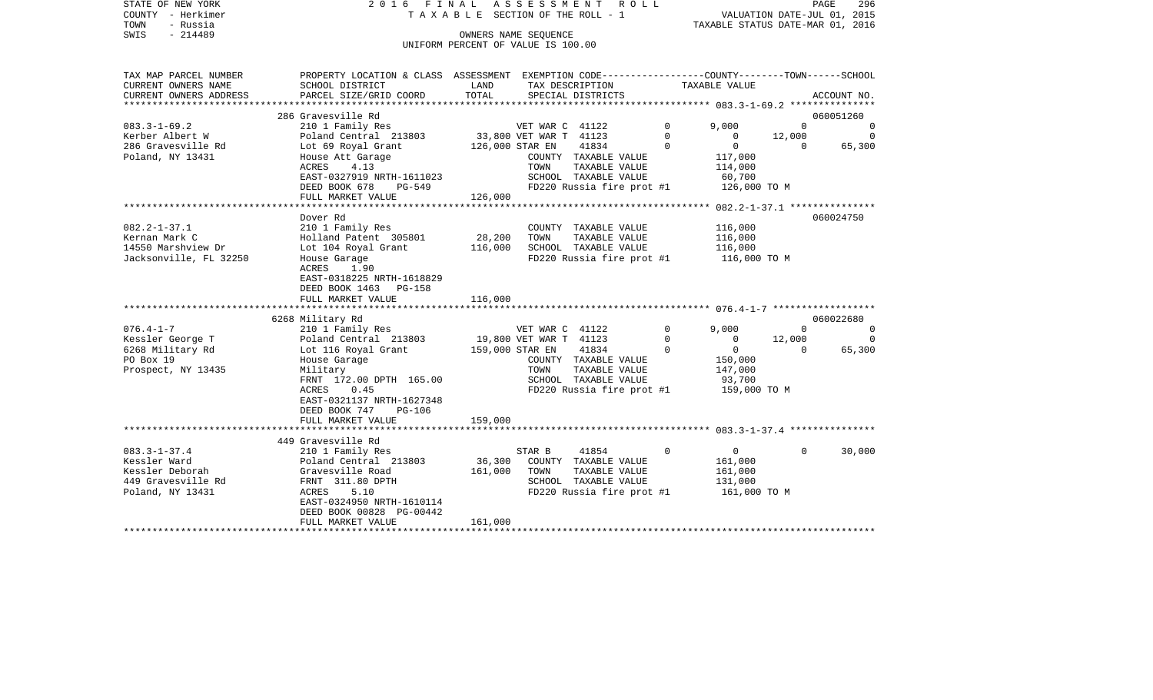|      | STATE OF NEW YORK | 2016 FINAL ASSESSMENT ROLL         |                                  | PAGE | 296 |
|------|-------------------|------------------------------------|----------------------------------|------|-----|
|      | COUNTY - Herkimer | TAXABLE SECTION OF THE ROLL - 1    | VALUATION DATE-JUL 01, 2015      |      |     |
| TOWN | - Russia          |                                    | TAXABLE STATUS DATE-MAR 01, 2016 |      |     |
| SWIS | $-214489$         | OWNERS NAME SEOUENCE               |                                  |      |     |
|      |                   | UNIFORM PERCENT OF VALUE IS 100.00 |                                  |      |     |
|      |                   |                                    |                                  |      |     |

| CURRENT OWNERS NAME<br>SCHOOL DISTRICT<br>LAND<br>TAX DESCRIPTION<br>TAXABLE VALUE<br>TOTAL<br>CURRENT OWNERS ADDRESS<br>PARCEL SIZE/GRID COORD<br>SPECIAL DISTRICTS<br>ACCOUNT NO.<br>***************************<br>*******************<br>286 Gravesville Rd<br>060051260<br>$083.3 - 1 - 69.2$<br>210 1 Family Res<br>VET WAR C 41122<br>$\mathbf 0$<br>9,000<br>$\Omega$<br>$\Omega$<br>Poland Central 213803<br>33,800 VET WAR T 41123<br>12,000<br>Kerber Albert W<br>0<br>$\Omega$<br>0<br>$\Omega$<br>$\mathbf 0$<br>286 Gravesville Rd<br>Lot 69 Royal Grant<br>126,000 STAR EN<br>41834<br>$\Omega$<br>65,300<br>Poland, NY 13431<br>House Att Garage<br>COUNTY TAXABLE VALUE<br>117,000<br><b>ACRES</b><br>4.13<br>TOWN<br>TAXABLE VALUE<br>114,000<br>EAST-0327919 NRTH-1611023<br>SCHOOL TAXABLE VALUE<br>60,700<br>DEED BOOK 678<br>FD220 Russia fire prot #1<br>126,000 TO M<br>PG-549<br>126,000<br>FULL MARKET VALUE<br>060024750<br>Dover Rd<br>210 1 Family Res<br>116,000<br>$082.2 - 1 - 37.1$<br>COUNTY TAXABLE VALUE<br>28,200<br>Kernan Mark C<br>Holland Patent 305801<br>TOWN<br>TAXABLE VALUE<br>116,000<br>14550 Marshview Dr<br>Lot 104 Royal Grant<br>116,000<br>SCHOOL TAXABLE VALUE<br>116,000<br>Jacksonville, FL 32250<br>House Garage<br>FD220 Russia fire prot #1<br>116,000 TO M<br>ACRES<br>1.90<br>EAST-0318225 NRTH-1618829<br>DEED BOOK 1463 PG-158<br>116,000<br>FULL MARKET VALUE<br>6268 Military Rd<br>060022680<br>$076.4 - 1 - 7$<br>9,000<br>210 1 Family Res<br>VET WAR C 41122<br>$\mathbf 0$<br>$\Omega$<br>$\Omega$<br>Kessler George T<br>Poland Central 213803<br>19,800 VET WAR T 41123<br>0<br>12,000<br>$\Omega$<br>$\mathbf{0}$<br>$\mathbf 0$<br>6268 Military Rd<br>Lot 116 Royal Grant<br>159,000 STAR EN<br>41834<br>$\Omega$<br>65,300<br>$\Omega$<br>PO Box 19<br>House Garage<br>COUNTY TAXABLE VALUE<br>150,000<br>Prospect, NY 13435<br>Military<br>TOWN<br>TAXABLE VALUE<br>147,000<br>FRNT 172.00 DPTH 165.00<br>SCHOOL TAXABLE VALUE<br>93,700<br>ACRES<br>0.45<br>FD220 Russia fire prot #1<br>159,000 TO M<br>EAST-0321137 NRTH-1627348<br>DEED BOOK 747<br>$PG-106$<br>159,000<br>FULL MARKET VALUE<br>449 Gravesville Rd<br>$083.3 - 1 - 37.4$<br>41854<br>$\overline{0}$<br>30,000<br>210 1 Family Res<br>STAR B<br>$\mathbf 0$<br>$\Omega$<br>Kessler Ward<br>Poland Central 213803<br>36,300<br>COUNTY TAXABLE VALUE<br>161,000<br>Gravesville Road<br>Kessler Deborah<br>161,000<br>161,000<br>TOWN<br>TAXABLE VALUE<br>FRNT 311.80 DPTH<br>449 Gravesville Rd<br>SCHOOL TAXABLE VALUE<br>131,000<br>FD220 Russia fire prot #1<br>Poland, NY 13431<br>ACRES<br>5.10<br>161,000 TO M<br>EAST-0324950 NRTH-1610114<br>DEED BOOK 00828 PG-00442<br>161,000<br>FULL MARKET VALUE | TAX MAP PARCEL NUMBER | PROPERTY LOCATION & CLASS ASSESSMENT EXEMPTION CODE----------------COUNTY-------TOWN------SCHOOL |  |  |  |
|-------------------------------------------------------------------------------------------------------------------------------------------------------------------------------------------------------------------------------------------------------------------------------------------------------------------------------------------------------------------------------------------------------------------------------------------------------------------------------------------------------------------------------------------------------------------------------------------------------------------------------------------------------------------------------------------------------------------------------------------------------------------------------------------------------------------------------------------------------------------------------------------------------------------------------------------------------------------------------------------------------------------------------------------------------------------------------------------------------------------------------------------------------------------------------------------------------------------------------------------------------------------------------------------------------------------------------------------------------------------------------------------------------------------------------------------------------------------------------------------------------------------------------------------------------------------------------------------------------------------------------------------------------------------------------------------------------------------------------------------------------------------------------------------------------------------------------------------------------------------------------------------------------------------------------------------------------------------------------------------------------------------------------------------------------------------------------------------------------------------------------------------------------------------------------------------------------------------------------------------------------------------------------------------------------------------------------------------------------------------------------------------------------------------------------------------------------------------------------------------------------------------------------------------------------------------------------------------------------------------------------------------------------------------------------------------------------------------------------------------------------------|-----------------------|--------------------------------------------------------------------------------------------------|--|--|--|
|                                                                                                                                                                                                                                                                                                                                                                                                                                                                                                                                                                                                                                                                                                                                                                                                                                                                                                                                                                                                                                                                                                                                                                                                                                                                                                                                                                                                                                                                                                                                                                                                                                                                                                                                                                                                                                                                                                                                                                                                                                                                                                                                                                                                                                                                                                                                                                                                                                                                                                                                                                                                                                                                                                                                                             |                       |                                                                                                  |  |  |  |
|                                                                                                                                                                                                                                                                                                                                                                                                                                                                                                                                                                                                                                                                                                                                                                                                                                                                                                                                                                                                                                                                                                                                                                                                                                                                                                                                                                                                                                                                                                                                                                                                                                                                                                                                                                                                                                                                                                                                                                                                                                                                                                                                                                                                                                                                                                                                                                                                                                                                                                                                                                                                                                                                                                                                                             |                       |                                                                                                  |  |  |  |
|                                                                                                                                                                                                                                                                                                                                                                                                                                                                                                                                                                                                                                                                                                                                                                                                                                                                                                                                                                                                                                                                                                                                                                                                                                                                                                                                                                                                                                                                                                                                                                                                                                                                                                                                                                                                                                                                                                                                                                                                                                                                                                                                                                                                                                                                                                                                                                                                                                                                                                                                                                                                                                                                                                                                                             |                       |                                                                                                  |  |  |  |
|                                                                                                                                                                                                                                                                                                                                                                                                                                                                                                                                                                                                                                                                                                                                                                                                                                                                                                                                                                                                                                                                                                                                                                                                                                                                                                                                                                                                                                                                                                                                                                                                                                                                                                                                                                                                                                                                                                                                                                                                                                                                                                                                                                                                                                                                                                                                                                                                                                                                                                                                                                                                                                                                                                                                                             |                       |                                                                                                  |  |  |  |
|                                                                                                                                                                                                                                                                                                                                                                                                                                                                                                                                                                                                                                                                                                                                                                                                                                                                                                                                                                                                                                                                                                                                                                                                                                                                                                                                                                                                                                                                                                                                                                                                                                                                                                                                                                                                                                                                                                                                                                                                                                                                                                                                                                                                                                                                                                                                                                                                                                                                                                                                                                                                                                                                                                                                                             |                       |                                                                                                  |  |  |  |
|                                                                                                                                                                                                                                                                                                                                                                                                                                                                                                                                                                                                                                                                                                                                                                                                                                                                                                                                                                                                                                                                                                                                                                                                                                                                                                                                                                                                                                                                                                                                                                                                                                                                                                                                                                                                                                                                                                                                                                                                                                                                                                                                                                                                                                                                                                                                                                                                                                                                                                                                                                                                                                                                                                                                                             |                       |                                                                                                  |  |  |  |
|                                                                                                                                                                                                                                                                                                                                                                                                                                                                                                                                                                                                                                                                                                                                                                                                                                                                                                                                                                                                                                                                                                                                                                                                                                                                                                                                                                                                                                                                                                                                                                                                                                                                                                                                                                                                                                                                                                                                                                                                                                                                                                                                                                                                                                                                                                                                                                                                                                                                                                                                                                                                                                                                                                                                                             |                       |                                                                                                  |  |  |  |
|                                                                                                                                                                                                                                                                                                                                                                                                                                                                                                                                                                                                                                                                                                                                                                                                                                                                                                                                                                                                                                                                                                                                                                                                                                                                                                                                                                                                                                                                                                                                                                                                                                                                                                                                                                                                                                                                                                                                                                                                                                                                                                                                                                                                                                                                                                                                                                                                                                                                                                                                                                                                                                                                                                                                                             |                       |                                                                                                  |  |  |  |
|                                                                                                                                                                                                                                                                                                                                                                                                                                                                                                                                                                                                                                                                                                                                                                                                                                                                                                                                                                                                                                                                                                                                                                                                                                                                                                                                                                                                                                                                                                                                                                                                                                                                                                                                                                                                                                                                                                                                                                                                                                                                                                                                                                                                                                                                                                                                                                                                                                                                                                                                                                                                                                                                                                                                                             |                       |                                                                                                  |  |  |  |
|                                                                                                                                                                                                                                                                                                                                                                                                                                                                                                                                                                                                                                                                                                                                                                                                                                                                                                                                                                                                                                                                                                                                                                                                                                                                                                                                                                                                                                                                                                                                                                                                                                                                                                                                                                                                                                                                                                                                                                                                                                                                                                                                                                                                                                                                                                                                                                                                                                                                                                                                                                                                                                                                                                                                                             |                       |                                                                                                  |  |  |  |
|                                                                                                                                                                                                                                                                                                                                                                                                                                                                                                                                                                                                                                                                                                                                                                                                                                                                                                                                                                                                                                                                                                                                                                                                                                                                                                                                                                                                                                                                                                                                                                                                                                                                                                                                                                                                                                                                                                                                                                                                                                                                                                                                                                                                                                                                                                                                                                                                                                                                                                                                                                                                                                                                                                                                                             |                       |                                                                                                  |  |  |  |
|                                                                                                                                                                                                                                                                                                                                                                                                                                                                                                                                                                                                                                                                                                                                                                                                                                                                                                                                                                                                                                                                                                                                                                                                                                                                                                                                                                                                                                                                                                                                                                                                                                                                                                                                                                                                                                                                                                                                                                                                                                                                                                                                                                                                                                                                                                                                                                                                                                                                                                                                                                                                                                                                                                                                                             |                       |                                                                                                  |  |  |  |
|                                                                                                                                                                                                                                                                                                                                                                                                                                                                                                                                                                                                                                                                                                                                                                                                                                                                                                                                                                                                                                                                                                                                                                                                                                                                                                                                                                                                                                                                                                                                                                                                                                                                                                                                                                                                                                                                                                                                                                                                                                                                                                                                                                                                                                                                                                                                                                                                                                                                                                                                                                                                                                                                                                                                                             |                       |                                                                                                  |  |  |  |
|                                                                                                                                                                                                                                                                                                                                                                                                                                                                                                                                                                                                                                                                                                                                                                                                                                                                                                                                                                                                                                                                                                                                                                                                                                                                                                                                                                                                                                                                                                                                                                                                                                                                                                                                                                                                                                                                                                                                                                                                                                                                                                                                                                                                                                                                                                                                                                                                                                                                                                                                                                                                                                                                                                                                                             |                       |                                                                                                  |  |  |  |
|                                                                                                                                                                                                                                                                                                                                                                                                                                                                                                                                                                                                                                                                                                                                                                                                                                                                                                                                                                                                                                                                                                                                                                                                                                                                                                                                                                                                                                                                                                                                                                                                                                                                                                                                                                                                                                                                                                                                                                                                                                                                                                                                                                                                                                                                                                                                                                                                                                                                                                                                                                                                                                                                                                                                                             |                       |                                                                                                  |  |  |  |
|                                                                                                                                                                                                                                                                                                                                                                                                                                                                                                                                                                                                                                                                                                                                                                                                                                                                                                                                                                                                                                                                                                                                                                                                                                                                                                                                                                                                                                                                                                                                                                                                                                                                                                                                                                                                                                                                                                                                                                                                                                                                                                                                                                                                                                                                                                                                                                                                                                                                                                                                                                                                                                                                                                                                                             |                       |                                                                                                  |  |  |  |
|                                                                                                                                                                                                                                                                                                                                                                                                                                                                                                                                                                                                                                                                                                                                                                                                                                                                                                                                                                                                                                                                                                                                                                                                                                                                                                                                                                                                                                                                                                                                                                                                                                                                                                                                                                                                                                                                                                                                                                                                                                                                                                                                                                                                                                                                                                                                                                                                                                                                                                                                                                                                                                                                                                                                                             |                       |                                                                                                  |  |  |  |
|                                                                                                                                                                                                                                                                                                                                                                                                                                                                                                                                                                                                                                                                                                                                                                                                                                                                                                                                                                                                                                                                                                                                                                                                                                                                                                                                                                                                                                                                                                                                                                                                                                                                                                                                                                                                                                                                                                                                                                                                                                                                                                                                                                                                                                                                                                                                                                                                                                                                                                                                                                                                                                                                                                                                                             |                       |                                                                                                  |  |  |  |
|                                                                                                                                                                                                                                                                                                                                                                                                                                                                                                                                                                                                                                                                                                                                                                                                                                                                                                                                                                                                                                                                                                                                                                                                                                                                                                                                                                                                                                                                                                                                                                                                                                                                                                                                                                                                                                                                                                                                                                                                                                                                                                                                                                                                                                                                                                                                                                                                                                                                                                                                                                                                                                                                                                                                                             |                       |                                                                                                  |  |  |  |
|                                                                                                                                                                                                                                                                                                                                                                                                                                                                                                                                                                                                                                                                                                                                                                                                                                                                                                                                                                                                                                                                                                                                                                                                                                                                                                                                                                                                                                                                                                                                                                                                                                                                                                                                                                                                                                                                                                                                                                                                                                                                                                                                                                                                                                                                                                                                                                                                                                                                                                                                                                                                                                                                                                                                                             |                       |                                                                                                  |  |  |  |
|                                                                                                                                                                                                                                                                                                                                                                                                                                                                                                                                                                                                                                                                                                                                                                                                                                                                                                                                                                                                                                                                                                                                                                                                                                                                                                                                                                                                                                                                                                                                                                                                                                                                                                                                                                                                                                                                                                                                                                                                                                                                                                                                                                                                                                                                                                                                                                                                                                                                                                                                                                                                                                                                                                                                                             |                       |                                                                                                  |  |  |  |
|                                                                                                                                                                                                                                                                                                                                                                                                                                                                                                                                                                                                                                                                                                                                                                                                                                                                                                                                                                                                                                                                                                                                                                                                                                                                                                                                                                                                                                                                                                                                                                                                                                                                                                                                                                                                                                                                                                                                                                                                                                                                                                                                                                                                                                                                                                                                                                                                                                                                                                                                                                                                                                                                                                                                                             |                       |                                                                                                  |  |  |  |
|                                                                                                                                                                                                                                                                                                                                                                                                                                                                                                                                                                                                                                                                                                                                                                                                                                                                                                                                                                                                                                                                                                                                                                                                                                                                                                                                                                                                                                                                                                                                                                                                                                                                                                                                                                                                                                                                                                                                                                                                                                                                                                                                                                                                                                                                                                                                                                                                                                                                                                                                                                                                                                                                                                                                                             |                       |                                                                                                  |  |  |  |
|                                                                                                                                                                                                                                                                                                                                                                                                                                                                                                                                                                                                                                                                                                                                                                                                                                                                                                                                                                                                                                                                                                                                                                                                                                                                                                                                                                                                                                                                                                                                                                                                                                                                                                                                                                                                                                                                                                                                                                                                                                                                                                                                                                                                                                                                                                                                                                                                                                                                                                                                                                                                                                                                                                                                                             |                       |                                                                                                  |  |  |  |
|                                                                                                                                                                                                                                                                                                                                                                                                                                                                                                                                                                                                                                                                                                                                                                                                                                                                                                                                                                                                                                                                                                                                                                                                                                                                                                                                                                                                                                                                                                                                                                                                                                                                                                                                                                                                                                                                                                                                                                                                                                                                                                                                                                                                                                                                                                                                                                                                                                                                                                                                                                                                                                                                                                                                                             |                       |                                                                                                  |  |  |  |
|                                                                                                                                                                                                                                                                                                                                                                                                                                                                                                                                                                                                                                                                                                                                                                                                                                                                                                                                                                                                                                                                                                                                                                                                                                                                                                                                                                                                                                                                                                                                                                                                                                                                                                                                                                                                                                                                                                                                                                                                                                                                                                                                                                                                                                                                                                                                                                                                                                                                                                                                                                                                                                                                                                                                                             |                       |                                                                                                  |  |  |  |
|                                                                                                                                                                                                                                                                                                                                                                                                                                                                                                                                                                                                                                                                                                                                                                                                                                                                                                                                                                                                                                                                                                                                                                                                                                                                                                                                                                                                                                                                                                                                                                                                                                                                                                                                                                                                                                                                                                                                                                                                                                                                                                                                                                                                                                                                                                                                                                                                                                                                                                                                                                                                                                                                                                                                                             |                       |                                                                                                  |  |  |  |
|                                                                                                                                                                                                                                                                                                                                                                                                                                                                                                                                                                                                                                                                                                                                                                                                                                                                                                                                                                                                                                                                                                                                                                                                                                                                                                                                                                                                                                                                                                                                                                                                                                                                                                                                                                                                                                                                                                                                                                                                                                                                                                                                                                                                                                                                                                                                                                                                                                                                                                                                                                                                                                                                                                                                                             |                       |                                                                                                  |  |  |  |
|                                                                                                                                                                                                                                                                                                                                                                                                                                                                                                                                                                                                                                                                                                                                                                                                                                                                                                                                                                                                                                                                                                                                                                                                                                                                                                                                                                                                                                                                                                                                                                                                                                                                                                                                                                                                                                                                                                                                                                                                                                                                                                                                                                                                                                                                                                                                                                                                                                                                                                                                                                                                                                                                                                                                                             |                       |                                                                                                  |  |  |  |
|                                                                                                                                                                                                                                                                                                                                                                                                                                                                                                                                                                                                                                                                                                                                                                                                                                                                                                                                                                                                                                                                                                                                                                                                                                                                                                                                                                                                                                                                                                                                                                                                                                                                                                                                                                                                                                                                                                                                                                                                                                                                                                                                                                                                                                                                                                                                                                                                                                                                                                                                                                                                                                                                                                                                                             |                       |                                                                                                  |  |  |  |
|                                                                                                                                                                                                                                                                                                                                                                                                                                                                                                                                                                                                                                                                                                                                                                                                                                                                                                                                                                                                                                                                                                                                                                                                                                                                                                                                                                                                                                                                                                                                                                                                                                                                                                                                                                                                                                                                                                                                                                                                                                                                                                                                                                                                                                                                                                                                                                                                                                                                                                                                                                                                                                                                                                                                                             |                       |                                                                                                  |  |  |  |
|                                                                                                                                                                                                                                                                                                                                                                                                                                                                                                                                                                                                                                                                                                                                                                                                                                                                                                                                                                                                                                                                                                                                                                                                                                                                                                                                                                                                                                                                                                                                                                                                                                                                                                                                                                                                                                                                                                                                                                                                                                                                                                                                                                                                                                                                                                                                                                                                                                                                                                                                                                                                                                                                                                                                                             |                       |                                                                                                  |  |  |  |
|                                                                                                                                                                                                                                                                                                                                                                                                                                                                                                                                                                                                                                                                                                                                                                                                                                                                                                                                                                                                                                                                                                                                                                                                                                                                                                                                                                                                                                                                                                                                                                                                                                                                                                                                                                                                                                                                                                                                                                                                                                                                                                                                                                                                                                                                                                                                                                                                                                                                                                                                                                                                                                                                                                                                                             |                       |                                                                                                  |  |  |  |
|                                                                                                                                                                                                                                                                                                                                                                                                                                                                                                                                                                                                                                                                                                                                                                                                                                                                                                                                                                                                                                                                                                                                                                                                                                                                                                                                                                                                                                                                                                                                                                                                                                                                                                                                                                                                                                                                                                                                                                                                                                                                                                                                                                                                                                                                                                                                                                                                                                                                                                                                                                                                                                                                                                                                                             |                       |                                                                                                  |  |  |  |
|                                                                                                                                                                                                                                                                                                                                                                                                                                                                                                                                                                                                                                                                                                                                                                                                                                                                                                                                                                                                                                                                                                                                                                                                                                                                                                                                                                                                                                                                                                                                                                                                                                                                                                                                                                                                                                                                                                                                                                                                                                                                                                                                                                                                                                                                                                                                                                                                                                                                                                                                                                                                                                                                                                                                                             |                       |                                                                                                  |  |  |  |
|                                                                                                                                                                                                                                                                                                                                                                                                                                                                                                                                                                                                                                                                                                                                                                                                                                                                                                                                                                                                                                                                                                                                                                                                                                                                                                                                                                                                                                                                                                                                                                                                                                                                                                                                                                                                                                                                                                                                                                                                                                                                                                                                                                                                                                                                                                                                                                                                                                                                                                                                                                                                                                                                                                                                                             |                       |                                                                                                  |  |  |  |
|                                                                                                                                                                                                                                                                                                                                                                                                                                                                                                                                                                                                                                                                                                                                                                                                                                                                                                                                                                                                                                                                                                                                                                                                                                                                                                                                                                                                                                                                                                                                                                                                                                                                                                                                                                                                                                                                                                                                                                                                                                                                                                                                                                                                                                                                                                                                                                                                                                                                                                                                                                                                                                                                                                                                                             |                       |                                                                                                  |  |  |  |
|                                                                                                                                                                                                                                                                                                                                                                                                                                                                                                                                                                                                                                                                                                                                                                                                                                                                                                                                                                                                                                                                                                                                                                                                                                                                                                                                                                                                                                                                                                                                                                                                                                                                                                                                                                                                                                                                                                                                                                                                                                                                                                                                                                                                                                                                                                                                                                                                                                                                                                                                                                                                                                                                                                                                                             |                       |                                                                                                  |  |  |  |
|                                                                                                                                                                                                                                                                                                                                                                                                                                                                                                                                                                                                                                                                                                                                                                                                                                                                                                                                                                                                                                                                                                                                                                                                                                                                                                                                                                                                                                                                                                                                                                                                                                                                                                                                                                                                                                                                                                                                                                                                                                                                                                                                                                                                                                                                                                                                                                                                                                                                                                                                                                                                                                                                                                                                                             |                       |                                                                                                  |  |  |  |
|                                                                                                                                                                                                                                                                                                                                                                                                                                                                                                                                                                                                                                                                                                                                                                                                                                                                                                                                                                                                                                                                                                                                                                                                                                                                                                                                                                                                                                                                                                                                                                                                                                                                                                                                                                                                                                                                                                                                                                                                                                                                                                                                                                                                                                                                                                                                                                                                                                                                                                                                                                                                                                                                                                                                                             |                       |                                                                                                  |  |  |  |
|                                                                                                                                                                                                                                                                                                                                                                                                                                                                                                                                                                                                                                                                                                                                                                                                                                                                                                                                                                                                                                                                                                                                                                                                                                                                                                                                                                                                                                                                                                                                                                                                                                                                                                                                                                                                                                                                                                                                                                                                                                                                                                                                                                                                                                                                                                                                                                                                                                                                                                                                                                                                                                                                                                                                                             |                       |                                                                                                  |  |  |  |
|                                                                                                                                                                                                                                                                                                                                                                                                                                                                                                                                                                                                                                                                                                                                                                                                                                                                                                                                                                                                                                                                                                                                                                                                                                                                                                                                                                                                                                                                                                                                                                                                                                                                                                                                                                                                                                                                                                                                                                                                                                                                                                                                                                                                                                                                                                                                                                                                                                                                                                                                                                                                                                                                                                                                                             |                       |                                                                                                  |  |  |  |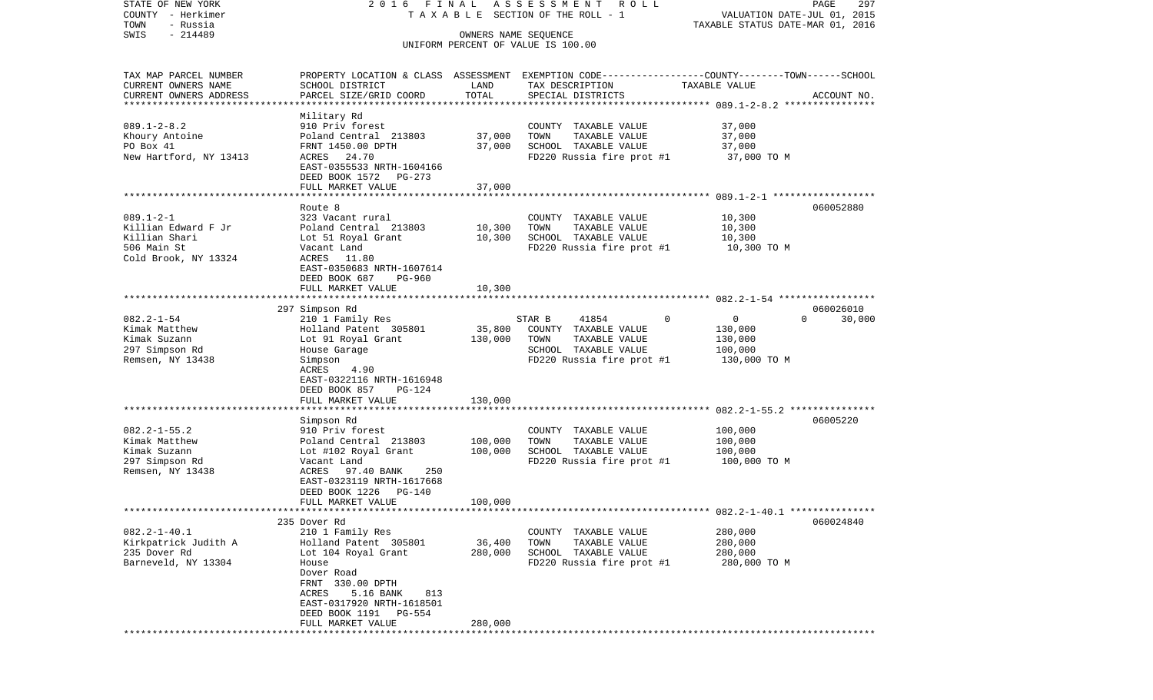| STATE OF NEW YORK<br>COUNTY - Herkimer<br>TOWN<br>- Russia<br>$-214489$<br>SWIS                               | 2016 FINAL                                                                                                                                                                                                                                                     | OWNERS NAME SEQUENCE          | ASSESSMENT ROLL<br>T A X A B L E SECTION OF THE ROLL - 1<br>UNIFORM PERCENT OF VALUE IS 100.00                                           | VALUATION DATE-JUL 01, 2015<br>TAXABLE STATUS DATE-MAR 01, 2016 | PAGE<br>297         |
|---------------------------------------------------------------------------------------------------------------|----------------------------------------------------------------------------------------------------------------------------------------------------------------------------------------------------------------------------------------------------------------|-------------------------------|------------------------------------------------------------------------------------------------------------------------------------------|-----------------------------------------------------------------|---------------------|
| TAX MAP PARCEL NUMBER<br>CURRENT OWNERS NAME<br>CURRENT OWNERS ADDRESS<br>************************            | SCHOOL DISTRICT<br>PARCEL SIZE/GRID COORD                                                                                                                                                                                                                      | LAND<br>TOTAL                 | PROPERTY LOCATION & CLASS ASSESSMENT EXEMPTION CODE----------------COUNTY-------TOWN------SCHOOL<br>TAX DESCRIPTION<br>SPECIAL DISTRICTS | TAXABLE VALUE                                                   | ACCOUNT NO.         |
| $089.1 - 2 - 8.2$<br>Khoury Antoine<br>PO Box 41<br>New Hartford, NY 13413                                    | Military Rd<br>910 Priv forest<br>Poland Central 213803<br>FRNT 1450.00 DPTH<br>ACRES 24.70<br>EAST-0355533 NRTH-1604166<br>DEED BOOK 1572 PG-273<br>FULL MARKET VALUE                                                                                         | 37,000<br>37,000<br>37,000    | COUNTY TAXABLE VALUE<br>TOWN<br>TAXABLE VALUE<br>SCHOOL TAXABLE VALUE<br>FD220 Russia fire prot #1                                       | 37,000<br>37,000<br>37,000<br>37,000 TO M                       |                     |
| $089.1 - 2 - 1$<br>Killian Edward F Jr<br>Killian Shari<br>506 Main St<br>Cold Brook, NY 13324                | Route 8<br>323 Vacant rural<br>Poland Central 213803<br>Lot 51 Royal Grant<br>Vacant Land<br>ACRES 11.80<br>EAST-0350683 NRTH-1607614<br>DEED BOOK 687<br>PG-960<br>FULL MARKET VALUE                                                                          | 10,300<br>10,300<br>10,300    | COUNTY TAXABLE VALUE<br>TAXABLE VALUE<br>TOWN<br>SCHOOL TAXABLE VALUE<br>FD220 Russia fire prot #1                                       | 10,300<br>10,300<br>10,300<br>10,300 TO M                       | 060052880           |
| $082.2 - 1 - 54$<br>Kimak Matthew<br>Kimak Suzann<br>297 Simpson Rd<br>Remsen, NY 13438                       | 297 Simpson Rd<br>210 1 Family Res<br>Holland Patent 305801<br>Lot 91 Royal Grant<br>House Garage<br>Simpson<br>ACRES<br>4.90<br>EAST-0322116 NRTH-1616948<br>DEED BOOK 857<br><b>PG-124</b><br>FULL MARKET VALUE                                              | 35,800<br>130,000<br>130,000  | STAR B<br>41854<br>0<br>COUNTY TAXABLE VALUE<br>TOWN<br>TAXABLE VALUE<br>SCHOOL TAXABLE VALUE<br>FD220 Russia fire prot #1               | 0<br>$\Omega$<br>130,000<br>130,000<br>100,000<br>130,000 TO M  | 060026010<br>30,000 |
| $082.2 - 1 - 55.2$<br>Kimak Matthew<br>Kimak Suzann<br>297 Simpson Rd<br>Remsen, NY 13438                     | ********************<br>Simpson Rd<br>910 Priv forest<br>Poland Central 213803<br>Lot #102 Royal Grant<br>Vacant Land<br>ACRES 97.40 BANK<br>250<br>EAST-0323119 NRTH-1617668<br>DEED BOOK 1226<br>$PG-140$<br>FULL MARKET VALUE                               | 100,000<br>100,000<br>100,000 | COUNTY TAXABLE VALUE<br>TOWN<br>TAXABLE VALUE<br>SCHOOL TAXABLE VALUE<br>FD220 Russia fire prot #1                                       | 100,000<br>100,000<br>100,000<br>100,000 TO M                   | 06005220            |
| ************************<br>$082.2 - 1 - 40.1$<br>Kirkpatrick Judith A<br>235 Dover Rd<br>Barneveld, NY 13304 | 235 Dover Rd<br>210 1 Family Res<br>Holland Patent 305801<br>Lot 104 Royal Grant<br>House<br>Dover Road<br>FRNT 330.00 DPTH<br>5.16 BANK<br>ACRES<br>813<br>EAST-0317920 NRTH-1618501<br>DEED BOOK 1191<br>PG-554<br>FULL MARKET VALUE<br>******************** | 36,400<br>280,000<br>280,000  | COUNTY TAXABLE VALUE<br>TOWN<br>TAXABLE VALUE<br>SCHOOL TAXABLE VALUE<br>FD220 Russia fire prot #1                                       | 280,000<br>280,000<br>280,000<br>280,000 TO M                   | 060024840           |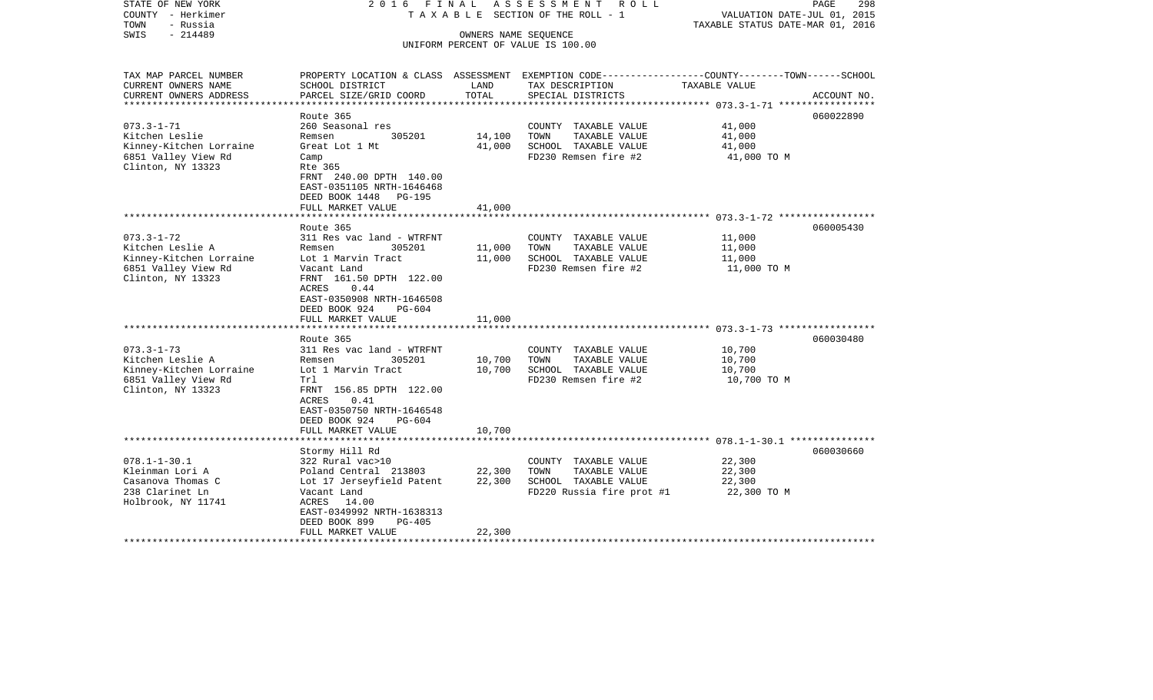| STATE OF NEW YORK<br>COUNTY - Herkimer<br>TOWN<br>- Russia | 2016 FINAL                                                                                                                            |                      | ASSESSMENT<br>R O L L<br>TAXABLE SECTION OF THE ROLL - 1                                         | VALUATION DATE-JUL 01, 2015<br>TAXABLE STATUS DATE-MAR 01, 2016 | 298<br>PAGE |
|------------------------------------------------------------|---------------------------------------------------------------------------------------------------------------------------------------|----------------------|--------------------------------------------------------------------------------------------------|-----------------------------------------------------------------|-------------|
| $-214489$<br>SWIS                                          |                                                                                                                                       | OWNERS NAME SEQUENCE | UNIFORM PERCENT OF VALUE IS 100.00                                                               |                                                                 |             |
|                                                            |                                                                                                                                       |                      |                                                                                                  |                                                                 |             |
| TAX MAP PARCEL NUMBER                                      |                                                                                                                                       |                      | PROPERTY LOCATION & CLASS ASSESSMENT EXEMPTION CODE----------------COUNTY-------TOWN------SCHOOL |                                                                 |             |
| CURRENT OWNERS NAME                                        | SCHOOL DISTRICT                                                                                                                       | LAND                 | TAX DESCRIPTION                                                                                  | TAXABLE VALUE                                                   |             |
| CURRENT OWNERS ADDRESS<br>**********************           | PARCEL SIZE/GRID COORD                                                                                                                | TOTAL                | SPECIAL DISTRICTS                                                                                |                                                                 | ACCOUNT NO. |
|                                                            | Route 365                                                                                                                             |                      |                                                                                                  |                                                                 | 060022890   |
| $073.3 - 1 - 71$                                           | 260 Seasonal res                                                                                                                      |                      | COUNTY TAXABLE VALUE                                                                             | 41,000                                                          |             |
| Kitchen Leslie                                             | Remsen<br>305201                                                                                                                      | 14,100               | TAXABLE VALUE<br>TOWN                                                                            | 41,000                                                          |             |
| Kinney-Kitchen Lorraine                                    | Great Lot 1 Mt                                                                                                                        | 41,000               | SCHOOL TAXABLE VALUE                                                                             | 41,000                                                          |             |
| 6851 Valley View Rd                                        | Camp                                                                                                                                  |                      | FD230 Remsen fire #2                                                                             | 41,000 TO M                                                     |             |
| Clinton, NY 13323                                          | Rte 365<br>FRNT 240.00 DPTH 140.00<br>EAST-0351105 NRTH-1646468<br>DEED BOOK 1448 PG-195                                              |                      |                                                                                                  |                                                                 |             |
|                                                            | FULL MARKET VALUE                                                                                                                     | 41,000               |                                                                                                  |                                                                 |             |
|                                                            |                                                                                                                                       |                      |                                                                                                  |                                                                 |             |
|                                                            | Route 365                                                                                                                             |                      |                                                                                                  |                                                                 | 060005430   |
| $073.3 - 1 - 72$                                           | 311 Res vac land - WTRFNT                                                                                                             |                      | COUNTY TAXABLE VALUE                                                                             | 11,000                                                          |             |
| Kitchen Leslie A                                           | Remsen<br>305201                                                                                                                      | 11,000               | TOWN<br>TAXABLE VALUE                                                                            | 11,000                                                          |             |
| Kinney-Kitchen Lorraine<br>6851 Valley View Rd             | Lot 1 Marvin Tract<br>Vacant Land                                                                                                     | 11,000               | SCHOOL TAXABLE VALUE<br>FD230 Remsen fire #2                                                     | 11,000<br>11,000 TO M                                           |             |
| Clinton, NY 13323                                          | FRNT 161.50 DPTH 122.00<br>0.44<br>ACRES<br>EAST-0350908 NRTH-1646508<br>DEED BOOK 924<br>PG-604                                      |                      |                                                                                                  |                                                                 |             |
|                                                            | FULL MARKET VALUE<br>********************                                                                                             | 11,000               |                                                                                                  |                                                                 |             |
|                                                            | Route 365                                                                                                                             |                      |                                                                                                  |                                                                 | 060030480   |
| $073.3 - 1 - 73$                                           | 311 Res vac land - WTRFNT                                                                                                             |                      | COUNTY TAXABLE VALUE                                                                             | 10,700                                                          |             |
| Kitchen Leslie A                                           | Remsen<br>305201                                                                                                                      | 10,700               | TOWN<br>TAXABLE VALUE                                                                            | 10,700                                                          |             |
| Kinney-Kitchen Lorraine                                    | Lot 1 Marvin Tract                                                                                                                    | 10,700               | SCHOOL TAXABLE VALUE                                                                             | 10,700                                                          |             |
| 6851 Valley View Rd<br>Clinton, NY 13323                   | Trl<br>FRNT 156.85 DPTH 122.00<br><b>ACRES</b><br>0.41<br>EAST-0350750 NRTH-1646548<br>DEED BOOK 924<br>$PG-604$<br>FULL MARKET VALUE | 10,700               | FD230 Remsen fire #2                                                                             | 10,700 TO M                                                     |             |
|                                                            | *******************                                                                                                                   |                      |                                                                                                  |                                                                 |             |
|                                                            | Stormy Hill Rd                                                                                                                        |                      |                                                                                                  |                                                                 | 060030660   |
| $078.1 - 1 - 30.1$                                         | 322 Rural vac>10                                                                                                                      |                      | COUNTY TAXABLE VALUE                                                                             | 22,300                                                          |             |
| Kleinman Lori A                                            | Poland Central 213803                                                                                                                 | 22,300               | TOWN<br>TAXABLE VALUE                                                                            | 22,300                                                          |             |
| Casanova Thomas C<br>238 Clarinet Ln                       | Lot 17 Jerseyfield Patent<br>Vacant Land                                                                                              | 22,300               | SCHOOL TAXABLE VALUE<br>FD220 Russia fire prot #1                                                | 22,300<br>22,300 TO M                                           |             |
| Holbrook, NY 11741                                         | ACRES<br>14.00<br>EAST-0349992 NRTH-1638313<br>DEED BOOK 899<br>$PG-405$                                                              |                      |                                                                                                  |                                                                 |             |
|                                                            | FULL MARKET VALUE                                                                                                                     | 22,300               |                                                                                                  |                                                                 |             |
|                                                            |                                                                                                                                       |                      |                                                                                                  |                                                                 |             |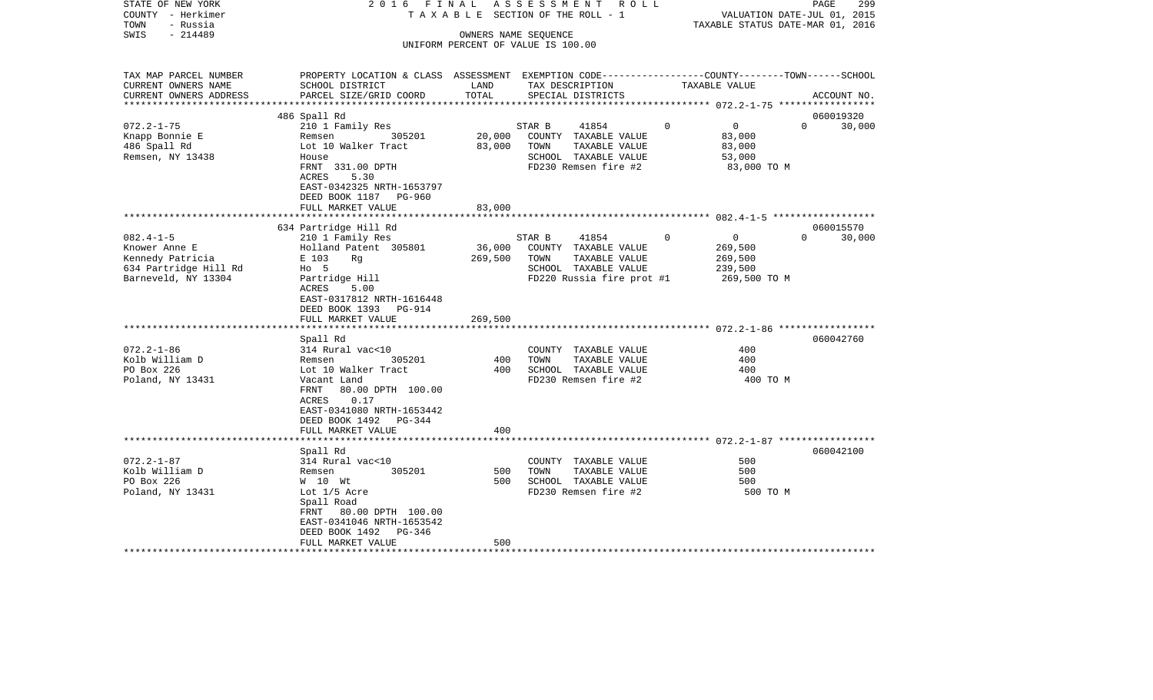| STATE OF NEW YORK<br>COUNTY - Herkimer<br>- Russia<br>TOWN | 2016 FINAL                                                                                      |                             | ASSESSMENT ROLL<br>T A X A B L E SECTION OF THE ROLL - 1 |                               | 299<br>PAGE<br>VALUATION DATE-JUL 01, 2015<br>TAXABLE STATUS DATE-MAR 01, 2016 |
|------------------------------------------------------------|-------------------------------------------------------------------------------------------------|-----------------------------|----------------------------------------------------------|-------------------------------|--------------------------------------------------------------------------------|
| $-214489$<br>SWIS<br>OWNERS NAME SEQUENCE                  |                                                                                                 |                             |                                                          |                               |                                                                                |
|                                                            |                                                                                                 |                             | UNIFORM PERCENT OF VALUE IS 100.00                       |                               |                                                                                |
|                                                            |                                                                                                 |                             |                                                          |                               |                                                                                |
| TAX MAP PARCEL NUMBER                                      | PROPERTY LOCATION & CLASS ASSESSMENT EXEMPTION CODE---------------COUNTY-------TOWN------SCHOOL |                             |                                                          |                               |                                                                                |
| CURRENT OWNERS NAME                                        | SCHOOL DISTRICT                                                                                 | LAND                        | TAX DESCRIPTION                                          | TAXABLE VALUE                 |                                                                                |
| CURRENT OWNERS ADDRESS<br>**********************           | PARCEL SIZE/GRID COORD                                                                          | TOTAL                       | SPECIAL DISTRICTS                                        |                               | ACCOUNT NO.                                                                    |
|                                                            | 486 Spall Rd                                                                                    |                             |                                                          |                               | 060019320                                                                      |
| $072.2 - 1 - 75$                                           | 210 1 Family Res                                                                                |                             | STAR B<br>41854                                          | $\mathbf 0$<br>$\overline{0}$ | $\Omega$<br>30,000                                                             |
| Knapp Bonnie E                                             | 305201<br>Remsen                                                                                | 20,000                      | COUNTY TAXABLE VALUE                                     | 83,000                        |                                                                                |
| 486 Spall Rd                                               | Lot 10 Walker Tract                                                                             | 83,000                      | TOWN<br>TAXABLE VALUE                                    | 83,000                        |                                                                                |
| Remsen, NY 13438                                           | House                                                                                           |                             | SCHOOL TAXABLE VALUE                                     | 53,000                        |                                                                                |
|                                                            | FRNT 331.00 DPTH                                                                                |                             | FD230 Remsen fire #2                                     | 83,000 TO M                   |                                                                                |
|                                                            | ACRES<br>5.30                                                                                   |                             |                                                          |                               |                                                                                |
|                                                            | EAST-0342325 NRTH-1653797                                                                       |                             |                                                          |                               |                                                                                |
|                                                            | DEED BOOK 1187<br>PG-960                                                                        |                             |                                                          |                               |                                                                                |
|                                                            | FULL MARKET VALUE                                                                               | 83,000<br>* * * * * * * * * |                                                          |                               |                                                                                |
|                                                            | 634 Partridge Hill Rd                                                                           |                             |                                                          |                               | 060015570                                                                      |
| $082.4 - 1 - 5$                                            | 210 1 Family Res                                                                                |                             | STAR B<br>41854                                          | $\overline{0}$<br>0           | $\Omega$<br>30,000                                                             |
| Knower Anne E                                              | Holland Patent 305801                                                                           | 36,000                      | COUNTY TAXABLE VALUE                                     | 269,500                       |                                                                                |
| Kennedy Patricia                                           | E 103<br>Rq                                                                                     | 269,500                     | TOWN<br>TAXABLE VALUE                                    | 269,500                       |                                                                                |
| 634 Partridge Hill Rd                                      | $HO$ 5                                                                                          |                             | SCHOOL TAXABLE VALUE                                     | 239,500                       |                                                                                |
| Barneveld, NY 13304                                        | Partridge Hill                                                                                  |                             | FD220 Russia fire prot #1                                | 269,500 TO M                  |                                                                                |
|                                                            | 5.00<br>ACRES                                                                                   |                             |                                                          |                               |                                                                                |
|                                                            | EAST-0317812 NRTH-1616448                                                                       |                             |                                                          |                               |                                                                                |
|                                                            | DEED BOOK 1393 PG-914                                                                           |                             |                                                          |                               |                                                                                |
|                                                            | FULL MARKET VALUE                                                                               | 269,500                     |                                                          |                               |                                                                                |
|                                                            | Spall Rd                                                                                        |                             |                                                          |                               | 060042760                                                                      |
| $072.2 - 1 - 86$                                           | 314 Rural vac<10                                                                                |                             | COUNTY TAXABLE VALUE                                     | 400                           |                                                                                |
| Kolb William D                                             | 305201<br>Remsen                                                                                | 400                         | TAXABLE VALUE<br>TOWN                                    | 400                           |                                                                                |
| PO Box 226                                                 | Lot 10 Walker Tract                                                                             | 400                         | SCHOOL TAXABLE VALUE                                     | 400                           |                                                                                |
| Poland, NY 13431                                           | Vacant Land                                                                                     |                             | FD230 Remsen fire #2                                     | 400 TO M                      |                                                                                |
|                                                            | 80.00 DPTH 100.00<br>FRNT                                                                       |                             |                                                          |                               |                                                                                |
|                                                            | ACRES<br>0.17                                                                                   |                             |                                                          |                               |                                                                                |
|                                                            | EAST-0341080 NRTH-1653442                                                                       |                             |                                                          |                               |                                                                                |
|                                                            | DEED BOOK 1492<br>PG-344                                                                        |                             |                                                          |                               |                                                                                |
|                                                            | FULL MARKET VALUE                                                                               | 400                         |                                                          |                               |                                                                                |
|                                                            |                                                                                                 |                             |                                                          |                               |                                                                                |
| $072.2 - 1 - 87$                                           | Spall Rd<br>314 Rural vac<10                                                                    |                             | COUNTY TAXABLE VALUE                                     | 500                           | 060042100                                                                      |
| Kolb William D                                             | 305201<br>Remsen                                                                                | 500                         | TOWN<br>TAXABLE VALUE                                    | 500                           |                                                                                |
| PO Box 226                                                 | W 10 Wt                                                                                         | 500                         | SCHOOL TAXABLE VALUE                                     | 500                           |                                                                                |
| Poland, NY 13431                                           | Lot 1/5 Acre                                                                                    |                             | FD230 Remsen fire #2                                     | 500 TO M                      |                                                                                |
|                                                            | Spall Road                                                                                      |                             |                                                          |                               |                                                                                |
|                                                            | FRNT 80.00 DPTH 100.00                                                                          |                             |                                                          |                               |                                                                                |
|                                                            | EAST-0341046 NRTH-1653542                                                                       |                             |                                                          |                               |                                                                                |
|                                                            | DEED BOOK 1492<br>PG-346                                                                        |                             |                                                          |                               |                                                                                |
|                                                            | FULL MARKET VALUE                                                                               | 500                         |                                                          |                               |                                                                                |
|                                                            |                                                                                                 |                             |                                                          |                               |                                                                                |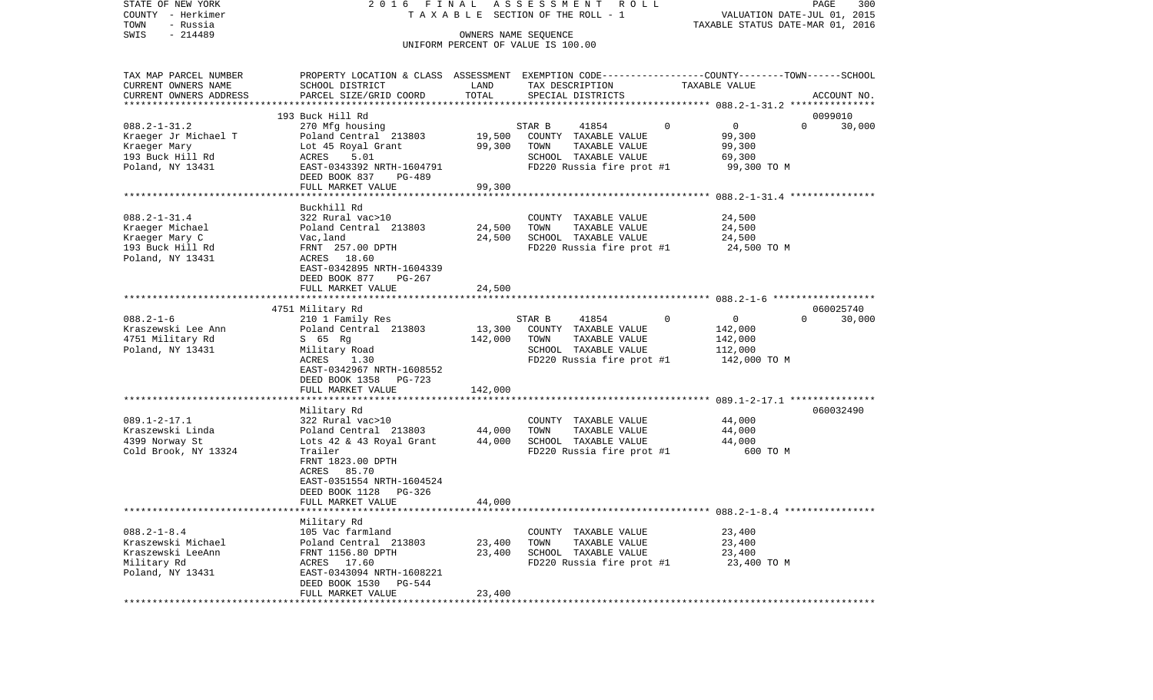| STATE OF NEW YORK<br>COUNTY - Herkimer<br>TOWN<br>- Russia                                         | 2016 FINAL                                                                                                                                                                                      |                              | ASSESSMENT ROLL<br>TAXABLE SECTION OF THE ROLL - 1                                                                    |               | VALUATION DATE-JUL 01, 2015<br>TAXABLE STATUS DATE-MAR 01, 2016 | PAGE                  | 300    |
|----------------------------------------------------------------------------------------------------|-------------------------------------------------------------------------------------------------------------------------------------------------------------------------------------------------|------------------------------|-----------------------------------------------------------------------------------------------------------------------|---------------|-----------------------------------------------------------------|-----------------------|--------|
| $-214489$<br>SWIS                                                                                  |                                                                                                                                                                                                 |                              | OWNERS NAME SEOUENCE<br>UNIFORM PERCENT OF VALUE IS 100.00                                                            |               |                                                                 |                       |        |
| TAX MAP PARCEL NUMBER<br>CURRENT OWNERS NAME<br>CURRENT OWNERS ADDRESS<br>***********************  | PROPERTY LOCATION & CLASS ASSESSMENT EXEMPTION CODE----------------COUNTY-------TOWN------SCHOOL<br>SCHOOL DISTRICT<br>PARCEL SIZE/GRID COORD                                                   | LAND<br>TOTAL                | TAX DESCRIPTION<br>SPECIAL DISTRICTS                                                                                  | TAXABLE VALUE |                                                                 | ACCOUNT NO.           |        |
| $088.2 - 1 - 31.2$<br>Kraeger Jr Michael T<br>Kraeger Mary<br>193 Buck Hill Rd<br>Poland, NY 13431 | 193 Buck Hill Rd<br>270 Mfg housing<br>Poland Central 213803<br>Lot 45 Royal Grant<br>ACRES<br>5.01<br>EAST-0343392 NRTH-1604791<br>DEED BOOK 837<br>PG-489<br>FULL MARKET VALUE                | 19,500<br>99,300<br>99,300   | STAR B<br>41854<br>COUNTY TAXABLE VALUE<br>TOWN<br>TAXABLE VALUE<br>SCHOOL TAXABLE VALUE<br>FD220 Russia fire prot #1 | $\mathbf{0}$  | $\mathbf{0}$<br>99,300<br>99,300<br>69,300<br>99,300 TO M       | 0099010<br>$\Omega$   | 30,000 |
| $088.2 - 1 - 31.4$<br>Kraeger Michael<br>Kraeger Mary C<br>193 Buck Hill Rd<br>Poland, NY 13431    | Buckhill Rd<br>322 Rural vac>10<br>Poland Central 213803<br>Vac,land<br>FRNT 257.00 DPTH<br>ACRES 18.60<br>EAST-0342895 NRTH-1604339<br>DEED BOOK 877<br>PG-267<br>FULL MARKET VALUE            | 24,500<br>24,500<br>24,500   | COUNTY TAXABLE VALUE<br>TOWN<br>TAXABLE VALUE<br>SCHOOL TAXABLE VALUE<br>FD220 Russia fire prot #1                    |               | 24,500<br>24,500<br>24,500<br>24,500 TO M                       |                       |        |
|                                                                                                    |                                                                                                                                                                                                 |                              |                                                                                                                       |               |                                                                 |                       |        |
| $088.2 - 1 - 6$<br>Kraszewski Lee Ann<br>4751 Military Rd<br>Poland, NY 13431                      | 4751 Military Rd<br>210 1 Family Res<br>Poland Central 213803<br>S 65 Rg<br>Military Road<br>ACRES<br>1.30<br>EAST-0342967 NRTH-1608552<br>DEED BOOK 1358<br>PG-723<br>FULL MARKET VALUE        | 13,300<br>142,000<br>142,000 | STAR B<br>41854<br>COUNTY TAXABLE VALUE<br>TOWN<br>TAXABLE VALUE<br>SCHOOL TAXABLE VALUE<br>FD220 Russia fire prot #1 | $\mathbf{0}$  | $\overline{0}$<br>142,000<br>142,000<br>112,000<br>142,000 TO M | 060025740<br>$\Omega$ | 30,000 |
|                                                                                                    | ********************                                                                                                                                                                            |                              |                                                                                                                       |               |                                                                 |                       |        |
| $089.1 - 2 - 17.1$<br>Kraszewski Linda<br>4399 Norway St<br>Cold Brook, NY 13324                   | Military Rd<br>322 Rural vac>10<br>Poland Central 213803<br>Lots 42 & 43 Royal Grant<br>Trailer<br>FRNT 1823.00 DPTH<br>85.70<br>ACRES<br>EAST-0351554 NRTH-1604524<br>DEED BOOK 1128<br>PG-326 | 44,000<br>44,000             | COUNTY TAXABLE VALUE<br>TOWN<br>TAXABLE VALUE<br>SCHOOL TAXABLE VALUE<br>FD220 Russia fire prot #1                    |               | 44,000<br>44,000<br>44,000<br>600 TO M                          | 060032490             |        |
|                                                                                                    | FULL MARKET VALUE                                                                                                                                                                               | 44,000                       |                                                                                                                       |               |                                                                 |                       |        |
| $088.2 - 1 - 8.4$<br>Kraszewski Michael<br>Kraszewski LeeAnn<br>Military Rd<br>Poland, NY 13431    | Military Rd<br>105 Vac farmland<br>Poland Central 213803<br>FRNT 1156.80 DPTH<br>ACRES 17.60<br>EAST-0343094 NRTH-1608221<br>DEED BOOK 1530<br>PG-544<br>FULL MARKET VALUE                      | 23,400<br>23,400<br>23,400   | COUNTY TAXABLE VALUE<br>TOWN<br>TAXABLE VALUE<br>SCHOOL TAXABLE VALUE<br>FD220 Russia fire prot #1                    |               | 23,400<br>23,400<br>23,400<br>23,400 TO M                       |                       |        |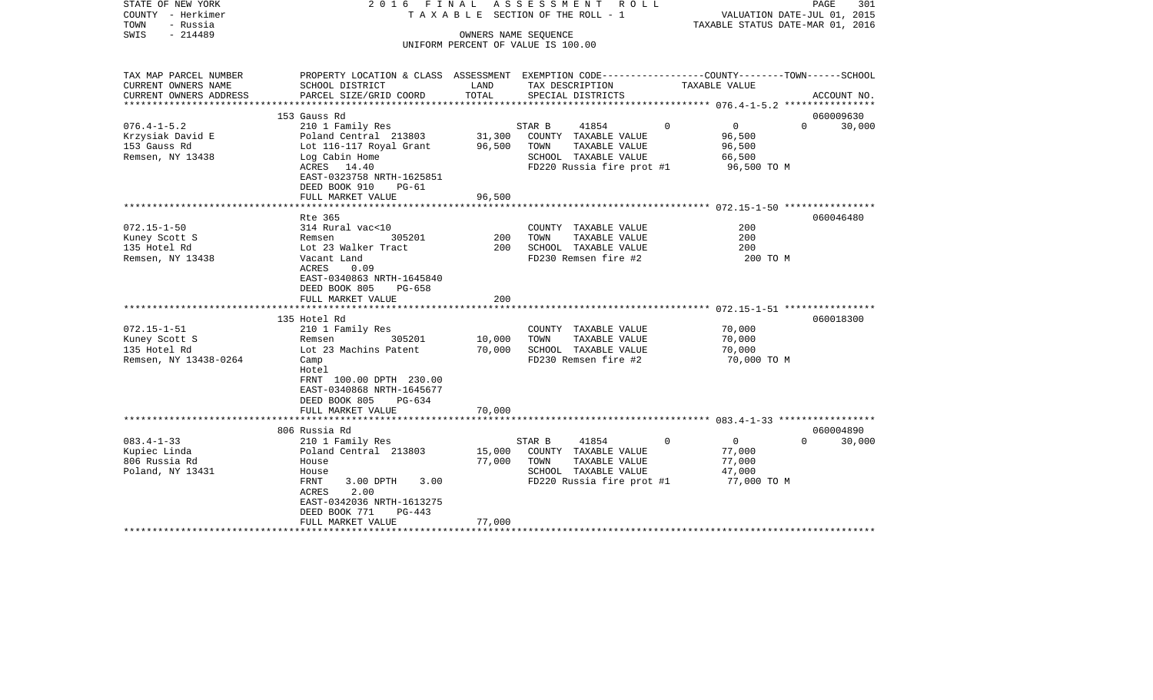| STATE OF NEW YORK<br>COUNTY - Herkimer<br>TOWN<br>- Russia<br>$-214489$<br>SWIS |                                                                                                                    | OWNERS NAME SEQUENCE | 2016 FINAL ASSESSMENT ROLL<br>T A X A B L E SECTION OF THE ROLL - 1                                                   |                                                                      | PAGE<br>301<br>VALUATION DATE-JUL 01, 2015<br>TAXABLE STATUS DATE-MAR 01, 2016 |
|---------------------------------------------------------------------------------|--------------------------------------------------------------------------------------------------------------------|----------------------|-----------------------------------------------------------------------------------------------------------------------|----------------------------------------------------------------------|--------------------------------------------------------------------------------|
|                                                                                 |                                                                                                                    |                      | UNIFORM PERCENT OF VALUE IS 100.00                                                                                    |                                                                      |                                                                                |
| TAX MAP PARCEL NUMBER<br>CURRENT OWNERS NAME                                    | PROPERTY LOCATION & CLASS ASSESSMENT EXEMPTION CODE---------------COUNTY-------TOWN------SCHOOL<br>SCHOOL DISTRICT | LAND                 | TAX DESCRIPTION                                                                                                       | TAXABLE VALUE                                                        |                                                                                |
| CURRENT OWNERS ADDRESS                                                          | PARCEL SIZE/GRID COORD                                                                                             | TOTAL                | SPECIAL DISTRICTS                                                                                                     |                                                                      | ACCOUNT NO.                                                                    |
|                                                                                 | 153 Gauss Rd                                                                                                       |                      |                                                                                                                       |                                                                      | 060009630                                                                      |
| $076.4 - 1 - 5.2$                                                               | 210 1 Family Res                                                                                                   |                      | STAR B<br>41854                                                                                                       | $\overline{0}$<br>$\Omega$                                           | $\Omega$<br>30,000                                                             |
| Krzysiak David E                                                                | Poland Central 213803                                                                                              | 31,300               | COUNTY TAXABLE VALUE                                                                                                  | 96,500                                                               |                                                                                |
| 153 Gauss Rd                                                                    | Lot 116-117 Royal Grant                                                                                            | 96,500               | TOWN<br>TAXABLE VALUE                                                                                                 | 96,500                                                               |                                                                                |
| Remsen, NY 13438                                                                | Log Cabin Home                                                                                                     |                      | SCHOOL TAXABLE VALUE                                                                                                  | 66,500                                                               |                                                                                |
|                                                                                 | ACRES 14.40<br>EAST-0323758 NRTH-1625851<br>DEED BOOK 910<br>$PG-61$                                               |                      | FD220 Russia fire prot #1                                                                                             | 96,500 TO M                                                          |                                                                                |
|                                                                                 | FULL MARKET VALUE                                                                                                  | 96,500               |                                                                                                                       |                                                                      |                                                                                |
|                                                                                 |                                                                                                                    |                      |                                                                                                                       |                                                                      | 060046480                                                                      |
| $072.15 - 1 - 50$                                                               | Rte 365<br>314 Rural vac<10                                                                                        |                      | COUNTY TAXABLE VALUE                                                                                                  | 200                                                                  |                                                                                |
| Kuney Scott S                                                                   | Remsen<br>305201                                                                                                   | 200                  | TOWN<br>TAXABLE VALUE                                                                                                 | 200                                                                  |                                                                                |
| 135 Hotel Rd                                                                    | Lot 23 Walker Tract                                                                                                | 200                  | SCHOOL TAXABLE VALUE                                                                                                  | 200                                                                  |                                                                                |
| Remsen, NY 13438                                                                | Vacant Land                                                                                                        |                      | FD230 Remsen fire #2                                                                                                  | 200 TO M                                                             |                                                                                |
|                                                                                 | ACRES<br>0.09<br>EAST-0340863 NRTH-1645840<br>DEED BOOK 805<br>$PG-658$                                            |                      |                                                                                                                       |                                                                      |                                                                                |
|                                                                                 | FULL MARKET VALUE                                                                                                  | 200                  |                                                                                                                       |                                                                      |                                                                                |
|                                                                                 | 135 Hotel Rd                                                                                                       |                      |                                                                                                                       |                                                                      | 060018300                                                                      |
| $072.15 - 1 - 51$                                                               | 210 1 Family Res                                                                                                   |                      | COUNTY TAXABLE VALUE                                                                                                  | 70,000                                                               |                                                                                |
| Kuney Scott S                                                                   | 305201<br>Remsen                                                                                                   | 10,000               | TAXABLE VALUE<br>TOWN                                                                                                 | 70,000                                                               |                                                                                |
| 135 Hotel Rd                                                                    | Lot 23 Machins Patent                                                                                              | 70,000               | SCHOOL TAXABLE VALUE                                                                                                  | 70,000                                                               |                                                                                |
| Remsen, NY 13438-0264                                                           | Camp<br>Hotel<br>FRNT 100.00 DPTH 230.00<br>EAST-0340868 NRTH-1645677<br>DEED BOOK 805<br>PG-634                   |                      | FD230 Remsen fire #2                                                                                                  | 70,000 TO M                                                          |                                                                                |
|                                                                                 | FULL MARKET VALUE                                                                                                  | 70,000               |                                                                                                                       |                                                                      |                                                                                |
|                                                                                 |                                                                                                                    |                      |                                                                                                                       |                                                                      |                                                                                |
|                                                                                 | 806 Russia Rd                                                                                                      |                      |                                                                                                                       |                                                                      | 060004890                                                                      |
| $083.4 - 1 - 33$<br>Kupiec Linda<br>806 Russia Rd<br>Poland, NY 13431           | 210 1 Family Res<br>Poland Central 213803<br>House<br>House<br>FRNT<br>3.00 DPTH<br>3.00                           | 15,000<br>77,000     | 41854<br>STAR B<br>COUNTY TAXABLE VALUE<br>TOWN<br>TAXABLE VALUE<br>SCHOOL TAXABLE VALUE<br>FD220 Russia fire prot #1 | $\mathbf 0$<br>$\Omega$<br>77,000<br>77,000<br>47,000<br>77,000 TO M | $\Omega$<br>30,000                                                             |
| ********************                                                            | 2.00<br>ACRES<br>EAST-0342036 NRTH-1613275<br>DEED BOOK 771<br>$PG-443$<br>FULL MARKET VALUE                       | 77,000               |                                                                                                                       |                                                                      |                                                                                |
|                                                                                 |                                                                                                                    |                      |                                                                                                                       |                                                                      |                                                                                |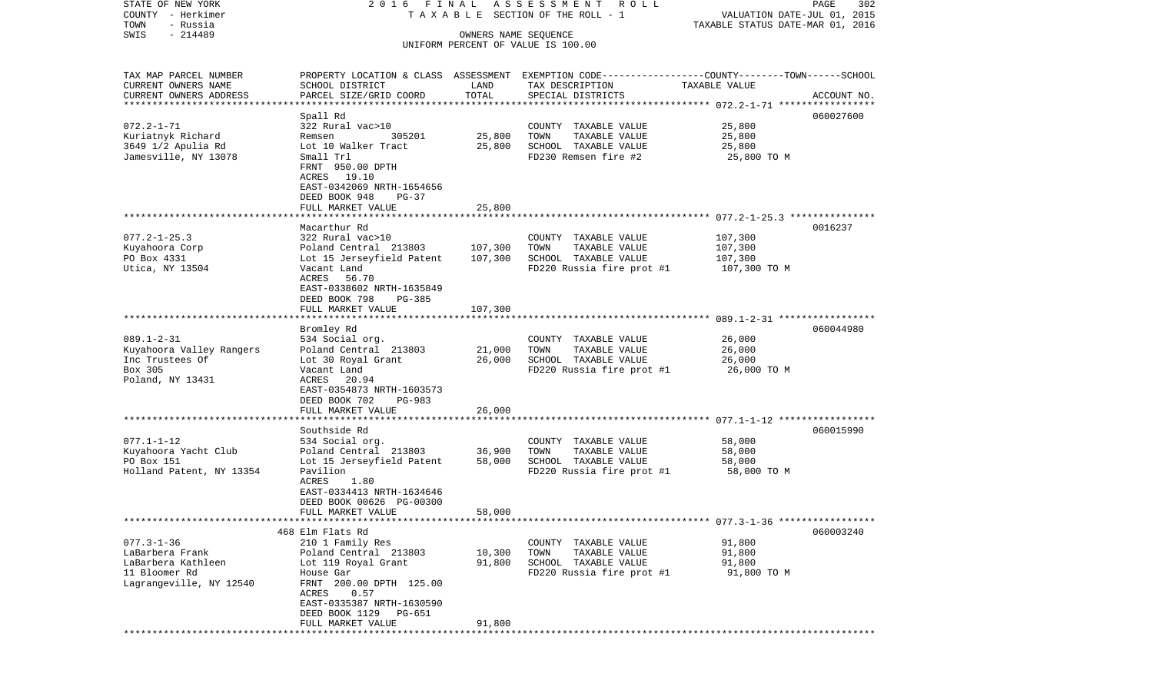| STATE OF NEW YORK<br>COUNTY - Herkimer            | 2016 FINAL                                                                                       |                      | ASSESSMENT ROLL<br>T A X A B L E SECTION OF THE ROLL - 1 | VALUATION DATE-JUL 01, 2015      | 302<br>PAGE |
|---------------------------------------------------|--------------------------------------------------------------------------------------------------|----------------------|----------------------------------------------------------|----------------------------------|-------------|
| - Russia<br>TOWN                                  |                                                                                                  |                      |                                                          | TAXABLE STATUS DATE-MAR 01, 2016 |             |
| $-214489$<br>SWIS                                 |                                                                                                  | OWNERS NAME SEQUENCE |                                                          |                                  |             |
|                                                   |                                                                                                  |                      | UNIFORM PERCENT OF VALUE IS 100.00                       |                                  |             |
|                                                   |                                                                                                  |                      |                                                          |                                  |             |
|                                                   |                                                                                                  |                      |                                                          |                                  |             |
| TAX MAP PARCEL NUMBER                             | PROPERTY LOCATION & CLASS ASSESSMENT EXEMPTION CODE----------------COUNTY-------TOWN------SCHOOL |                      |                                                          |                                  |             |
| CURRENT OWNERS NAME                               | SCHOOL DISTRICT                                                                                  | LAND                 | TAX DESCRIPTION                                          | TAXABLE VALUE                    |             |
| CURRENT OWNERS ADDRESS<br>*********************** | PARCEL SIZE/GRID COORD                                                                           | TOTAL                | SPECIAL DISTRICTS                                        |                                  | ACCOUNT NO. |
|                                                   |                                                                                                  |                      |                                                          |                                  |             |
|                                                   | Spall Rd                                                                                         |                      |                                                          |                                  | 060027600   |
| $072.2 - 1 - 71$                                  | 322 Rural vac>10                                                                                 |                      | COUNTY TAXABLE VALUE                                     | 25,800                           |             |
| Kuriatnyk Richard                                 | 305201<br>Remsen                                                                                 | 25,800               | TOWN<br>TAXABLE VALUE                                    | 25,800                           |             |
| 3649 1/2 Apulia Rd                                | Lot 10 Walker Tract                                                                              | 25,800               | SCHOOL TAXABLE VALUE                                     | 25,800                           |             |
| Jamesville, NY 13078                              | Small Trl                                                                                        |                      | FD230 Remsen fire #2                                     | 25,800 TO M                      |             |
|                                                   | FRNT 950.00 DPTH                                                                                 |                      |                                                          |                                  |             |
|                                                   | ACRES 19.10                                                                                      |                      |                                                          |                                  |             |
|                                                   | EAST-0342069 NRTH-1654656                                                                        |                      |                                                          |                                  |             |
|                                                   | DEED BOOK 948<br>PG-37<br>FULL MARKET VALUE                                                      | 25,800               |                                                          |                                  |             |
|                                                   |                                                                                                  |                      |                                                          |                                  |             |
|                                                   | Macarthur Rd                                                                                     |                      |                                                          |                                  | 0016237     |
| $077.2 - 1 - 25.3$                                | 322 Rural vac>10                                                                                 |                      | COUNTY TAXABLE VALUE                                     | 107,300                          |             |
| Kuyahoora Corp                                    | Poland Central 213803                                                                            | 107,300              | TOWN<br>TAXABLE VALUE                                    | 107,300                          |             |
| PO Box 4331                                       | Lot 15 Jerseyfield Patent                                                                        | 107,300              | SCHOOL TAXABLE VALUE                                     | 107,300                          |             |
| Utica, NY 13504                                   | Vacant Land                                                                                      |                      | FD220 Russia fire prot #1                                | 107,300 TO M                     |             |
|                                                   | 56.70<br>ACRES                                                                                   |                      |                                                          |                                  |             |
|                                                   | EAST-0338602 NRTH-1635849                                                                        |                      |                                                          |                                  |             |
|                                                   | DEED BOOK 798<br>PG-385                                                                          |                      |                                                          |                                  |             |
|                                                   | FULL MARKET VALUE                                                                                | 107,300              |                                                          |                                  |             |
|                                                   |                                                                                                  |                      |                                                          |                                  |             |
|                                                   | Bromley Rd                                                                                       |                      |                                                          |                                  | 060044980   |
| $089.1 - 2 - 31$                                  | 534 Social org.                                                                                  |                      | COUNTY TAXABLE VALUE                                     | 26,000                           |             |
| Kuyahoora Valley Rangers                          | Poland Central 213803                                                                            | 21,000               | TOWN<br>TAXABLE VALUE                                    | 26,000                           |             |
| Inc Trustees Of                                   | Lot 30 Royal Grant                                                                               | 26,000               | SCHOOL TAXABLE VALUE                                     | 26,000                           |             |
| Box 305                                           | Vacant Land                                                                                      |                      | FD220 Russia fire prot #1                                | 26,000 TO M                      |             |
| Poland, NY 13431                                  | ACRES 20.94                                                                                      |                      |                                                          |                                  |             |
|                                                   | EAST-0354873 NRTH-1603573                                                                        |                      |                                                          |                                  |             |
|                                                   | DEED BOOK 702<br>PG-983                                                                          |                      |                                                          |                                  |             |
|                                                   | FULL MARKET VALUE                                                                                | 26,000               |                                                          |                                  |             |
|                                                   | *******************                                                                              |                      |                                                          |                                  |             |
|                                                   | Southside Rd                                                                                     |                      |                                                          |                                  | 060015990   |
| $077.1 - 1 - 12$                                  | 534 Social org.                                                                                  |                      | COUNTY TAXABLE VALUE                                     | 58,000                           |             |
| Kuyahoora Yacht Club                              | Poland Central 213803                                                                            | 36,900               | TOWN<br>TAXABLE VALUE                                    | 58,000                           |             |
| PO Box 151                                        | Lot 15 Jerseyfield Patent                                                                        | 58,000               | SCHOOL TAXABLE VALUE                                     | 58,000                           |             |
| Holland Patent, NY 13354                          | Pavilion                                                                                         |                      | FD220 Russia fire prot #1                                | 58,000 TO M                      |             |
|                                                   | ACRES<br>1.80                                                                                    |                      |                                                          |                                  |             |
|                                                   | EAST-0334413 NRTH-1634646                                                                        |                      |                                                          |                                  |             |
|                                                   | DEED BOOK 00626 PG-00300                                                                         |                      |                                                          |                                  |             |
|                                                   | FULL MARKET VALUE                                                                                | 58,000               |                                                          |                                  |             |
|                                                   |                                                                                                  |                      |                                                          |                                  |             |
|                                                   | 468 Elm Flats Rd                                                                                 |                      |                                                          |                                  | 060003240   |
| $077.3 - 1 - 36$                                  | 210 1 Family Res                                                                                 |                      | COUNTY TAXABLE VALUE                                     | 91,800                           |             |
| LaBarbera Frank                                   | Poland Central 213803                                                                            | 10,300               | TOWN<br>TAXABLE VALUE                                    | 91,800                           |             |
| LaBarbera Kathleen                                | Lot 119 Royal Grant                                                                              | 91,800               | SCHOOL TAXABLE VALUE                                     | 91,800                           |             |
| 11 Bloomer Rd<br>Lagrangeville, NY 12540          | House Gar<br>FRNT 200.00 DPTH 125.00                                                             |                      | FD220 Russia fire prot #1                                | 91,800 TO M                      |             |
|                                                   | ACRES 0.57                                                                                       |                      |                                                          |                                  |             |
|                                                   | EAST-0335387 NRTH-1630590                                                                        |                      |                                                          |                                  |             |
|                                                   | DEED BOOK 1129<br>PG-651                                                                         |                      |                                                          |                                  |             |
|                                                   | FULL MARKET VALUE                                                                                | 91,800               |                                                          |                                  |             |
| ***************                                   |                                                                                                  |                      |                                                          |                                  |             |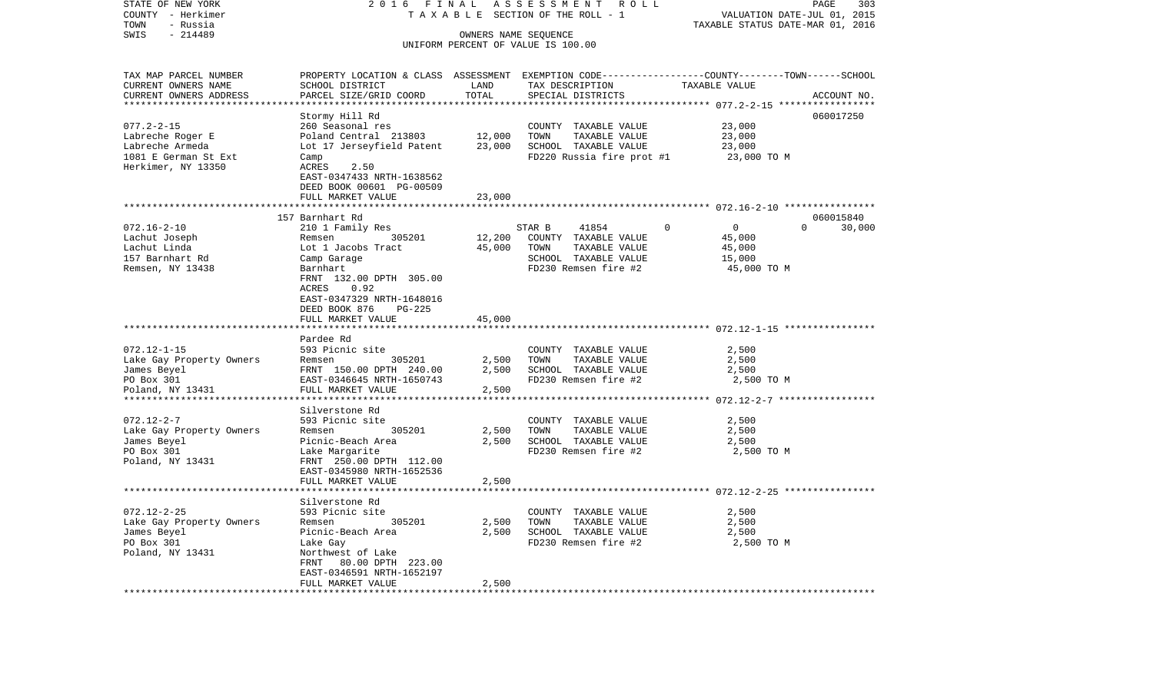| COUNTY - Herkimer              |                                                |             | T A X A B L E SECTION OF THE ROLL - 1 | VALUATION DATE-JUL 01, 2015                                                                      |        |
|--------------------------------|------------------------------------------------|-------------|---------------------------------------|--------------------------------------------------------------------------------------------------|--------|
| TOWN<br>- Russia               |                                                |             |                                       | TAXABLE STATUS DATE-MAR 01, 2016                                                                 |        |
| SWIS<br>$-214489$              |                                                |             | OWNERS NAME SEQUENCE                  |                                                                                                  |        |
|                                |                                                |             | UNIFORM PERCENT OF VALUE IS 100.00    |                                                                                                  |        |
|                                |                                                |             |                                       |                                                                                                  |        |
| TAX MAP PARCEL NUMBER          |                                                |             |                                       | PROPERTY LOCATION & CLASS ASSESSMENT EXEMPTION CODE----------------COUNTY-------TOWN------SCHOOL |        |
| CURRENT OWNERS NAME            | SCHOOL DISTRICT                                | LAND        | TAX DESCRIPTION                       | TAXABLE VALUE                                                                                    |        |
| CURRENT OWNERS ADDRESS         | PARCEL SIZE/GRID COORD                         | TOTAL       | SPECIAL DISTRICTS                     | ACCOUNT NO.                                                                                      |        |
|                                |                                                |             |                                       |                                                                                                  |        |
|                                | Stormy Hill Rd                                 |             |                                       | 060017250                                                                                        |        |
| $077.2 - 2 - 15$               | 260 Seasonal res                               |             | COUNTY TAXABLE VALUE                  | 23,000                                                                                           |        |
| Labreche Roger E               | Poland Central 213803                          | 12,000      | TOWN<br>TAXABLE VALUE                 | 23,000                                                                                           |        |
| Labreche Armeda                | Lot 17 Jerseyfield Patent                      | 23,000      | SCHOOL TAXABLE VALUE                  | 23,000                                                                                           |        |
| 1081 E German St Ext           | Camp                                           |             | FD220 Russia fire prot #1             | 23,000 TO M                                                                                      |        |
| Herkimer, NY 13350             | ACRES<br>2.50                                  |             |                                       |                                                                                                  |        |
|                                | EAST-0347433 NRTH-1638562                      |             |                                       |                                                                                                  |        |
|                                | DEED BOOK 00601 PG-00509                       |             |                                       |                                                                                                  |        |
|                                | FULL MARKET VALUE                              | 23,000      |                                       |                                                                                                  |        |
|                                | **********************                         | *********** |                                       | ******************************* 072.16-2-10 ****************                                     |        |
|                                | 157 Barnhart Rd                                |             |                                       | 060015840                                                                                        |        |
| $072.16 - 2 - 10$              | 210 1 Family Res                               |             | STAR B<br>41854                       | $\overline{0}$<br>$\Omega$<br>$\Omega$                                                           | 30,000 |
| Lachut Joseph                  | 305201<br>Remsen                               | 12,200      | COUNTY TAXABLE VALUE                  | 45,000                                                                                           |        |
| Lachut Linda                   | Lot 1 Jacobs Tract                             | 45,000      | TOWN<br>TAXABLE VALUE                 | 45,000                                                                                           |        |
| 157 Barnhart Rd                | Camp Garage                                    |             | SCHOOL TAXABLE VALUE                  | 15,000                                                                                           |        |
| Remsen, NY 13438               | Barnhart                                       |             | FD230 Remsen fire #2                  | 45,000 TO M                                                                                      |        |
|                                | FRNT 132.00 DPTH 305.00                        |             |                                       |                                                                                                  |        |
|                                | ACRES<br>0.92                                  |             |                                       |                                                                                                  |        |
|                                | EAST-0347329 NRTH-1648016                      |             |                                       |                                                                                                  |        |
|                                | DEED BOOK 876<br>PG-225                        |             |                                       |                                                                                                  |        |
|                                | FULL MARKET VALUE                              | 45,000      |                                       |                                                                                                  |        |
|                                |                                                |             |                                       |                                                                                                  |        |
|                                | Pardee Rd                                      |             |                                       |                                                                                                  |        |
| $072.12 - 1 - 15$              | 593 Picnic site                                |             | COUNTY TAXABLE VALUE                  | 2,500                                                                                            |        |
| Lake Gay Property Owners       | 305201<br>Remsen                               | 2,500       | TOWN<br>TAXABLE VALUE                 | 2,500                                                                                            |        |
|                                |                                                | 2,500       | SCHOOL TAXABLE VALUE                  |                                                                                                  |        |
| James Beyel                    | FRNT 150.00 DPTH 240.00                        |             |                                       | 2,500                                                                                            |        |
| PO Box 301<br>Poland, NY 13431 | EAST-0346645 NRTH-1650743<br>FULL MARKET VALUE |             | FD230 Remsen fire #2                  | 2,500 TO M                                                                                       |        |
| *************************      | ******************                             | 2,500       |                                       |                                                                                                  |        |
|                                |                                                |             |                                       |                                                                                                  |        |
|                                | Silverstone Rd                                 |             |                                       |                                                                                                  |        |
| $072.12 - 2 - 7$               | 593 Picnic site                                |             | COUNTY TAXABLE VALUE                  | 2,500                                                                                            |        |
| Lake Gay Property Owners       | 305201<br>Remsen                               | 2,500       | TOWN<br>TAXABLE VALUE                 | 2,500                                                                                            |        |
| James Beyel                    | Picnic-Beach Area                              | 2,500       | SCHOOL TAXABLE VALUE                  | 2,500                                                                                            |        |
| PO Box 301                     | Lake Margarite                                 |             | FD230 Remsen fire #2                  | 2,500 TO M                                                                                       |        |
| Poland, NY 13431               | FRNT 250.00 DPTH 112.00                        |             |                                       |                                                                                                  |        |
|                                | EAST-0345980 NRTH-1652536                      |             |                                       |                                                                                                  |        |
|                                | FULL MARKET VALUE                              | 2,500       |                                       |                                                                                                  |        |
|                                | **************                                 |             |                                       | ********************** 072.12-2-25 **********                                                    |        |
|                                | Silverstone Rd                                 |             |                                       |                                                                                                  |        |
| $072.12 - 2 - 25$              | 593 Picnic site                                |             | COUNTY TAXABLE VALUE                  | 2,500                                                                                            |        |
| Lake Gay Property Owners       | 305201<br>Remsen                               | 2,500       | TOWN<br>TAXABLE VALUE                 | 2,500                                                                                            |        |
| James Beyel                    | Picnic-Beach Area                              | 2,500       | SCHOOL TAXABLE VALUE                  | 2,500                                                                                            |        |
| PO Box 301                     | Lake Gay                                       |             | FD230 Remsen fire #2                  | 2,500 TO M                                                                                       |        |
| Poland, NY 13431               | Northwest of Lake                              |             |                                       |                                                                                                  |        |
|                                | FRNT<br>80.00 DPTH 223.00                      |             |                                       |                                                                                                  |        |
|                                | EAST-0346591 NRTH-1652197                      |             |                                       |                                                                                                  |        |
|                                | FULL MARKET VALUE                              | 2,500       |                                       |                                                                                                  |        |
| ***************************    | ******************                             |             |                                       |                                                                                                  |        |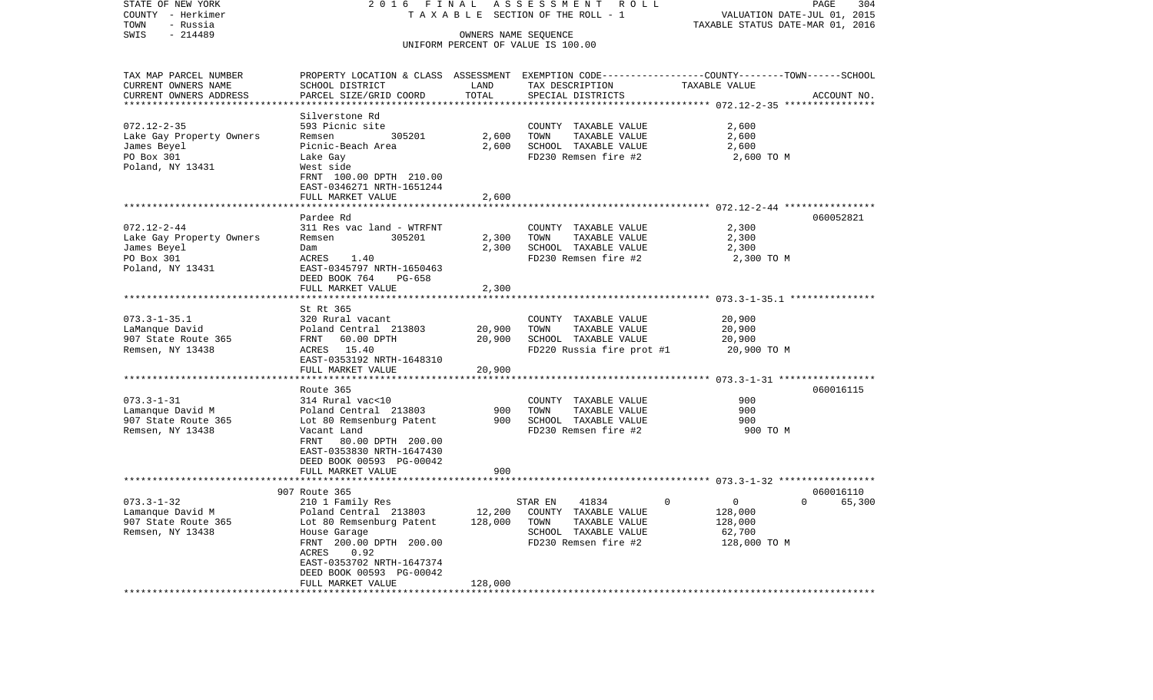| STATE OF NEW YORK                       | 2016<br>F I N A L                                                                                |                      | ASSESSMENT ROLL                                            |                                  | 304<br>PAGE        |
|-----------------------------------------|--------------------------------------------------------------------------------------------------|----------------------|------------------------------------------------------------|----------------------------------|--------------------|
| COUNTY - Herkimer                       |                                                                                                  |                      | TAXABLE SECTION OF THE ROLL - 1                            | VALUATION DATE-JUL 01, 2015      |                    |
| TOWN<br>- Russia                        |                                                                                                  |                      |                                                            | TAXABLE STATUS DATE-MAR 01, 2016 |                    |
| SWIS<br>$-214489$                       |                                                                                                  |                      | OWNERS NAME SEQUENCE<br>UNIFORM PERCENT OF VALUE IS 100.00 |                                  |                    |
|                                         |                                                                                                  |                      |                                                            |                                  |                    |
| TAX MAP PARCEL NUMBER                   | PROPERTY LOCATION & CLASS ASSESSMENT EXEMPTION CODE----------------COUNTY-------TOWN------SCHOOL |                      |                                                            |                                  |                    |
| CURRENT OWNERS NAME                     | SCHOOL DISTRICT                                                                                  | LAND                 | TAX DESCRIPTION                                            | TAXABLE VALUE                    |                    |
| CURRENT OWNERS ADDRESS                  | PARCEL SIZE/GRID COORD                                                                           | TOTAL                | SPECIAL DISTRICTS                                          |                                  | ACCOUNT NO.        |
|                                         |                                                                                                  |                      |                                                            |                                  |                    |
|                                         | Silverstone Rd                                                                                   |                      |                                                            |                                  |                    |
| $072.12 - 2 - 35$                       | 593 Picnic site                                                                                  |                      | COUNTY TAXABLE VALUE                                       | 2,600                            |                    |
| Lake Gay Property Owners                | Remsen<br>305201                                                                                 | 2,600                | TOWN<br>TAXABLE VALUE                                      | 2,600                            |                    |
| James Beyel                             | Picnic-Beach Area                                                                                | 2,600                | SCHOOL TAXABLE VALUE                                       | 2,600                            |                    |
| PO Box 301                              | Lake Gay                                                                                         |                      | FD230 Remsen fire #2                                       | 2,600 TO M                       |                    |
| Poland, NY 13431                        | West side                                                                                        |                      |                                                            |                                  |                    |
|                                         | FRNT 100.00 DPTH 210.00                                                                          |                      |                                                            |                                  |                    |
|                                         | EAST-0346271 NRTH-1651244<br>FULL MARKET VALUE                                                   | 2,600                |                                                            |                                  |                    |
|                                         |                                                                                                  |                      |                                                            |                                  |                    |
|                                         | Pardee Rd                                                                                        |                      |                                                            |                                  | 060052821          |
| $072.12 - 2 - 44$                       | 311 Res vac land - WTRFNT                                                                        |                      | COUNTY TAXABLE VALUE                                       | 2,300                            |                    |
| Lake Gay Property Owners                | 305201<br>Remsen                                                                                 | 2,300                | TOWN<br>TAXABLE VALUE                                      | 2,300                            |                    |
| James Beyel                             | Dam                                                                                              | 2,300                | SCHOOL TAXABLE VALUE                                       | 2,300                            |                    |
| PO Box 301                              | ACRES<br>1.40                                                                                    |                      | FD230 Remsen fire #2                                       | 2,300 TO M                       |                    |
| Poland, NY 13431                        | EAST-0345797 NRTH-1650463                                                                        |                      |                                                            |                                  |                    |
|                                         | DEED BOOK 764<br>PG-658                                                                          |                      |                                                            |                                  |                    |
|                                         | FULL MARKET VALUE                                                                                | 2,300                |                                                            |                                  |                    |
|                                         |                                                                                                  |                      |                                                            |                                  |                    |
|                                         | St Rt 365                                                                                        |                      |                                                            |                                  |                    |
| $073.3 - 1 - 35.1$                      | 320 Rural vacant                                                                                 |                      | COUNTY TAXABLE VALUE<br>TOWN                               | 20,900                           |                    |
| LaManque David                          | Poland Central 213803<br>FRNT 60.00 DPTH                                                         | 20,900<br>20,900     | TAXABLE VALUE<br>SCHOOL TAXABLE VALUE                      | 20,900<br>20,900                 |                    |
| 907 State Route 365<br>Remsen, NY 13438 | ACRES 15.40                                                                                      |                      | FD220 Russia fire prot #1                                  | 20,900 TO M                      |                    |
|                                         | EAST-0353192 NRTH-1648310                                                                        |                      |                                                            |                                  |                    |
|                                         | FULL MARKET VALUE                                                                                | 20,900               |                                                            |                                  |                    |
|                                         |                                                                                                  |                      |                                                            |                                  |                    |
|                                         | Route 365                                                                                        |                      |                                                            |                                  | 060016115          |
| $073.3 - 1 - 31$                        | 314 Rural vac<10                                                                                 |                      | COUNTY TAXABLE VALUE                                       | 900                              |                    |
| Lamanque David M                        | Poland Central 213803                                                                            | 900                  | TOWN<br>TAXABLE VALUE                                      | 900                              |                    |
| 907 State Route 365                     | Lot 80 Remsenburg Patent                                                                         | 900                  | SCHOOL TAXABLE VALUE                                       | 900                              |                    |
| Remsen, NY 13438                        | Vacant Land                                                                                      |                      | FD230 Remsen fire #2                                       | 900 TO M                         |                    |
|                                         | FRNT<br>80.00 DPTH 200.00                                                                        |                      |                                                            |                                  |                    |
|                                         | EAST-0353830 NRTH-1647430                                                                        |                      |                                                            |                                  |                    |
|                                         | DEED BOOK 00593 PG-00042                                                                         |                      |                                                            |                                  |                    |
|                                         | FULL MARKET VALUE                                                                                | 900<br>************* |                                                            |                                  |                    |
|                                         |                                                                                                  |                      |                                                            |                                  | 060016110          |
| $073.3 - 1 - 32$                        | 907 Route 365<br>210 1 Family Res                                                                |                      | 41834<br>STAR EN                                           | $\mathsf{O}$<br>$\mathbf 0$      | $\Omega$<br>65,300 |
| Lamanque David M                        | Poland Central 213803                                                                            | 12,200               | COUNTY TAXABLE VALUE                                       | 128,000                          |                    |
| 907 State Route 365                     | Lot 80 Remsenburg Patent                                                                         | 128,000              | TOWN<br>TAXABLE VALUE                                      | 128,000                          |                    |
| Remsen, NY 13438                        | House Garage                                                                                     |                      | SCHOOL TAXABLE VALUE                                       | 62,700                           |                    |
|                                         | FRNT 200.00 DPTH 200.00                                                                          |                      | FD230 Remsen fire #2                                       | 128,000 TO M                     |                    |
|                                         | ACRES<br>0.92                                                                                    |                      |                                                            |                                  |                    |
|                                         | EAST-0353702 NRTH-1647374                                                                        |                      |                                                            |                                  |                    |
|                                         | DEED BOOK 00593 PG-00042                                                                         |                      |                                                            |                                  |                    |
|                                         | FULL MARKET VALUE                                                                                | 128,000              |                                                            |                                  |                    |
| ***********************                 | ******************                                                                               |                      |                                                            |                                  |                    |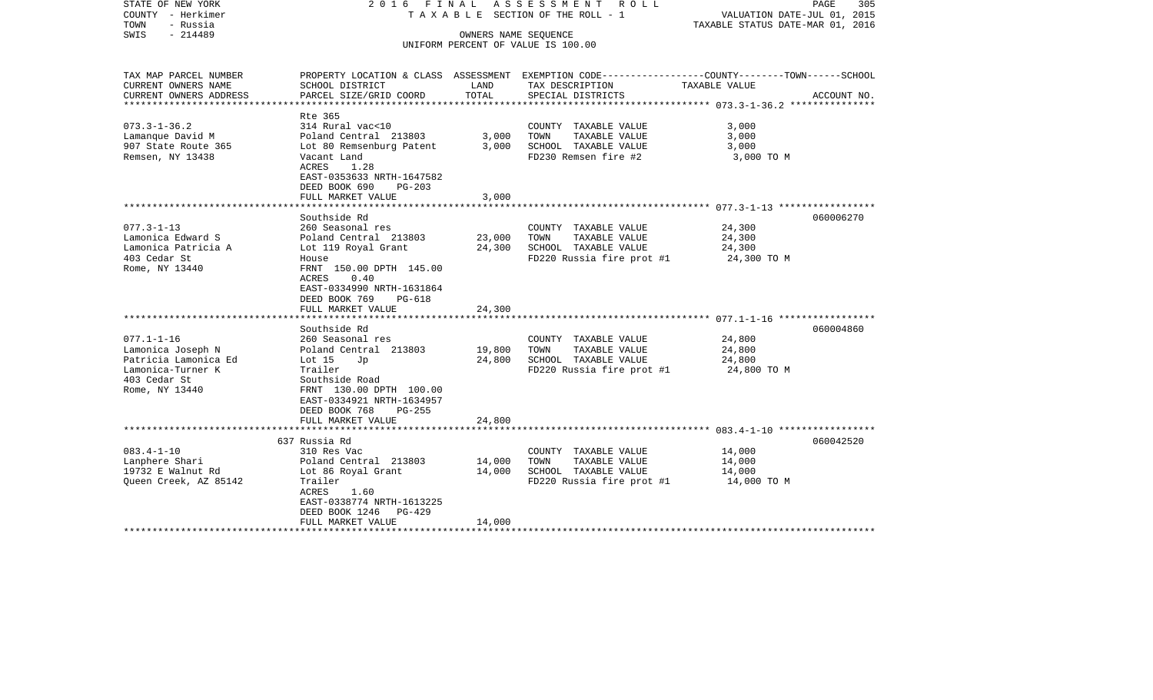| STATE OF NEW YORK<br>COUNTY - Herkimer<br>TOWN<br>- Russia<br>$-214489$<br>SWIS                                      | 2016 FINAL                                                                                                                                                                                                        | OWNERS NAME SEQUENCE       | ASSESSMENT ROLL<br>T A X A B L E SECTION OF THE ROLL - 1<br>UNIFORM PERCENT OF VALUE IS 100.00     | PAGE<br>305<br>VALUATION DATE-JUL 01, 2015<br>TAXABLE STATUS DATE-MAR 01, 2016                                                  |
|----------------------------------------------------------------------------------------------------------------------|-------------------------------------------------------------------------------------------------------------------------------------------------------------------------------------------------------------------|----------------------------|----------------------------------------------------------------------------------------------------|---------------------------------------------------------------------------------------------------------------------------------|
| TAX MAP PARCEL NUMBER<br>CURRENT OWNERS NAME<br>CURRENT OWNERS ADDRESS                                               | SCHOOL DISTRICT<br>PARCEL SIZE/GRID COORD                                                                                                                                                                         | LAND<br>TOTAL              | TAX DESCRIPTION<br>SPECIAL DISTRICTS                                                               | PROPERTY LOCATION & CLASS ASSESSMENT EXEMPTION CODE---------------COUNTY-------TOWN------SCHOOL<br>TAXABLE VALUE<br>ACCOUNT NO. |
| *********************                                                                                                |                                                                                                                                                                                                                   |                            |                                                                                                    |                                                                                                                                 |
| $073.3 - 1 - 36.2$<br>Lamanque David M<br>907 State Route 365<br>Remsen, NY 13438                                    | Rte 365<br>314 Rural vac<10<br>Poland Central 213803<br>Lot 80 Remsenburg Patent<br>Vacant Land<br>ACRES<br>1.28<br>EAST-0353633 NRTH-1647582<br>DEED BOOK 690<br>$PG-203$<br>FULL MARKET VALUE                   | 3,000<br>3,000<br>3,000    | COUNTY TAXABLE VALUE<br>TOWN<br>TAXABLE VALUE<br>SCHOOL TAXABLE VALUE<br>FD230 Remsen fire #2      | 3,000<br>3,000<br>3,000<br>3,000 TO M                                                                                           |
|                                                                                                                      |                                                                                                                                                                                                                   |                            |                                                                                                    |                                                                                                                                 |
| $077.3 - 1 - 13$<br>Lamonica Edward S<br>Lamonica Patricia A<br>403 Cedar St<br>Rome, NY 13440                       | Southside Rd<br>260 Seasonal res<br>Poland Central 213803<br>Lot 119 Royal Grant<br>House<br>FRNT 150.00 DPTH 145.00<br>0.40<br>ACRES<br>EAST-0334990 NRTH-1631864<br>DEED BOOK 769<br>PG-618                     | 23,000<br>24,300           | COUNTY TAXABLE VALUE<br>TOWN<br>TAXABLE VALUE<br>SCHOOL TAXABLE VALUE<br>FD220 Russia fire prot #1 | 060006270<br>24,300<br>24,300<br>24,300<br>24,300 TO M                                                                          |
|                                                                                                                      | FULL MARKET VALUE                                                                                                                                                                                                 | 24,300                     |                                                                                                    |                                                                                                                                 |
| $077.1 - 1 - 16$<br>Lamonica Joseph N<br>Patricia Lamonica Ed<br>Lamonica-Turner K<br>403 Cedar St<br>Rome, NY 13440 | Southside Rd<br>260 Seasonal res<br>Poland Central 213803<br>Lot $15$<br>Jp<br>Trailer<br>Southside Road<br>FRNT 130.00 DPTH 100.00<br>EAST-0334921 NRTH-1634957<br>DEED BOOK 768<br>$PG-255$                     | 19,800<br>24,800           | COUNTY TAXABLE VALUE<br>TAXABLE VALUE<br>TOWN<br>SCHOOL TAXABLE VALUE<br>FD220 Russia fire prot #1 | 060004860<br>24,800<br>24,800<br>24,800<br>24,800 TO M                                                                          |
|                                                                                                                      | FULL MARKET VALUE                                                                                                                                                                                                 | 24,800                     |                                                                                                    |                                                                                                                                 |
| $083.4 - 1 - 10$<br>Lanphere Shari<br>19732 E Walnut Rd<br>Queen Creek, AZ 85142                                     | 637 Russia Rd<br>310 Res Vac<br>Poland Central 213803<br>Lot 86 Royal Grant<br>Trailer<br>ACRES<br>1.60<br>EAST-0338774 NRTH-1613225<br>DEED BOOK 1246<br>PG-429<br>FULL MARKET VALUE<br>************************ | 14,000<br>14,000<br>14,000 | COUNTY TAXABLE VALUE<br>TAXABLE VALUE<br>TOWN<br>SCHOOL TAXABLE VALUE<br>FD220 Russia fire prot #1 | 060042520<br>14,000<br>14,000<br>14,000<br>14,000 TO M                                                                          |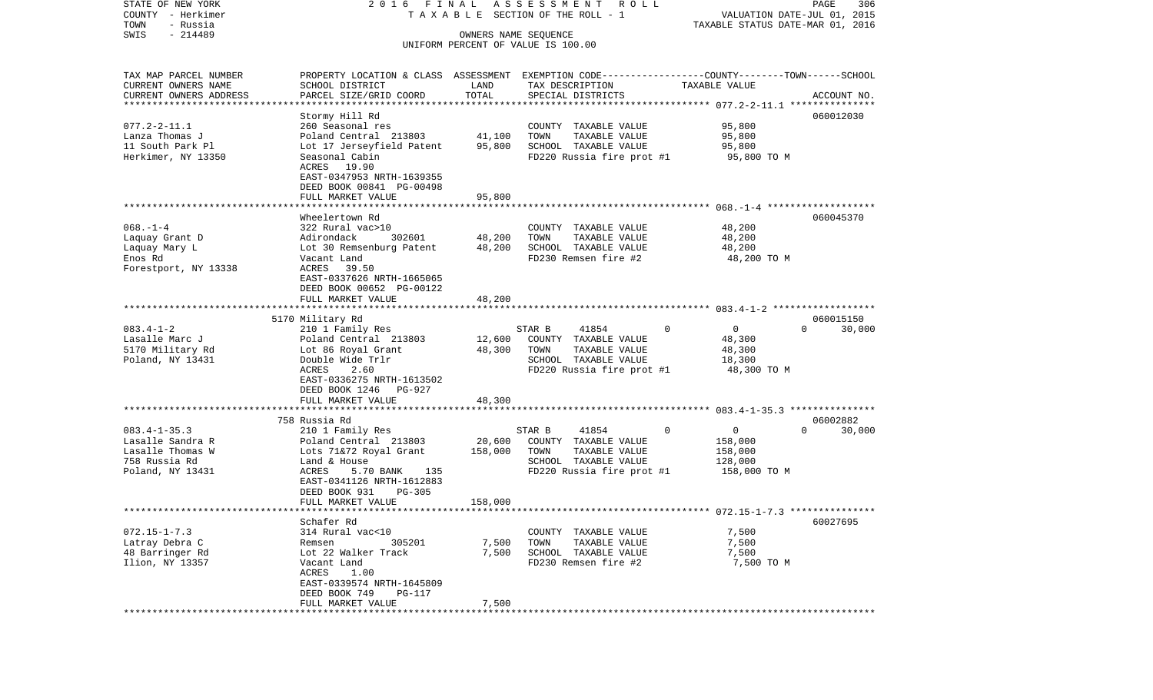| COUNTY<br>- Herkimer<br>TOWN<br>- Russia | T A X A B L E SECTION OF THE ROLL - 1                                                           | VALUATION DATE-JUL 01, 2015<br>TAXABLE STATUS DATE-MAR 01, 2016 |                                               |                   |                    |
|------------------------------------------|-------------------------------------------------------------------------------------------------|-----------------------------------------------------------------|-----------------------------------------------|-------------------|--------------------|
| $-214489$<br>SWIS                        |                                                                                                 |                                                                 | OWNERS NAME SEQUENCE                          |                   |                    |
|                                          |                                                                                                 |                                                                 | UNIFORM PERCENT OF VALUE IS 100.00            |                   |                    |
|                                          |                                                                                                 |                                                                 |                                               |                   |                    |
| TAX MAP PARCEL NUMBER                    | PROPERTY LOCATION & CLASS ASSESSMENT EXEMPTION CODE---------------COUNTY-------TOWN------SCHOOL |                                                                 |                                               |                   |                    |
| CURRENT OWNERS NAME                      | SCHOOL DISTRICT                                                                                 | LAND                                                            | TAX DESCRIPTION                               | TAXABLE VALUE     |                    |
| CURRENT OWNERS ADDRESS                   | PARCEL SIZE/GRID COORD                                                                          | TOTAL                                                           | SPECIAL DISTRICTS                             |                   | ACCOUNT NO.        |
|                                          |                                                                                                 |                                                                 |                                               |                   |                    |
|                                          | Stormy Hill Rd                                                                                  |                                                                 |                                               |                   | 060012030          |
| $077.2 - 2 - 11.1$                       | 260 Seasonal res                                                                                |                                                                 | COUNTY TAXABLE VALUE                          | 95,800            |                    |
| Lanza Thomas J                           | Poland Central 213803                                                                           | 41,100                                                          | TOWN<br>TAXABLE VALUE                         | 95,800            |                    |
| 11 South Park Pl                         | Lot 17 Jerseyfield Patent                                                                       | 95,800                                                          | SCHOOL TAXABLE VALUE                          | 95,800            |                    |
| Herkimer, NY 13350                       | Seasonal Cabin                                                                                  |                                                                 | FD220 Russia fire prot #1                     | 95,800 TO M       |                    |
|                                          | ACRES 19.90                                                                                     |                                                                 |                                               |                   |                    |
|                                          | EAST-0347953 NRTH-1639355                                                                       |                                                                 |                                               |                   |                    |
|                                          | DEED BOOK 00841 PG-00498                                                                        |                                                                 |                                               |                   |                    |
|                                          | FULL MARKET VALUE                                                                               | 95,800                                                          |                                               |                   |                    |
|                                          | Wheelertown Rd                                                                                  |                                                                 |                                               |                   |                    |
| $068. -1 -4$                             | 322 Rural vac>10                                                                                |                                                                 |                                               |                   | 060045370          |
| Laquay Grant D                           | Adirondack<br>302601                                                                            | 48,200                                                          | COUNTY TAXABLE VALUE<br>TOWN<br>TAXABLE VALUE | 48,200<br>48,200  |                    |
| Laquay Mary L                            | Lot 30 Remsenburg Patent                                                                        | 48,200                                                          | SCHOOL TAXABLE VALUE                          | 48,200            |                    |
| Enos Rd                                  | Vacant Land                                                                                     |                                                                 | FD230 Remsen fire #2                          | 48,200 TO M       |                    |
| Forestport, NY 13338                     | ACRES<br>39.50                                                                                  |                                                                 |                                               |                   |                    |
|                                          | EAST-0337626 NRTH-1665065                                                                       |                                                                 |                                               |                   |                    |
|                                          | DEED BOOK 00652 PG-00122                                                                        |                                                                 |                                               |                   |                    |
|                                          | FULL MARKET VALUE                                                                               | 48,200                                                          |                                               |                   |                    |
|                                          |                                                                                                 |                                                                 |                                               |                   |                    |
|                                          | 5170 Military Rd                                                                                |                                                                 |                                               |                   | 060015150          |
| $083.4 - 1 - 2$                          | 210 1 Family Res                                                                                |                                                                 | STAR B<br>41854                               | $\mathbf 0$<br>0  | $\Omega$<br>30,000 |
| Lasalle Marc J                           | Poland Central 213803                                                                           | 12,600                                                          | COUNTY TAXABLE VALUE                          | 48,300            |                    |
| 5170 Military Rd                         | Lot 86 Royal Grant                                                                              | 48,300                                                          | TAXABLE VALUE<br>TOWN                         | 48,300            |                    |
| Poland, NY 13431                         | Double Wide Trlr                                                                                |                                                                 | SCHOOL TAXABLE VALUE                          | 18,300            |                    |
|                                          | ACRES<br>2.60                                                                                   |                                                                 | FD220 Russia fire prot #1                     | 48,300 TO M       |                    |
|                                          | EAST-0336275 NRTH-1613502                                                                       |                                                                 |                                               |                   |                    |
|                                          | DEED BOOK 1246<br>PG-927                                                                        |                                                                 |                                               |                   |                    |
|                                          | FULL MARKET VALUE                                                                               | 48,300                                                          |                                               |                   |                    |
|                                          | 758 Russia Rd                                                                                   |                                                                 |                                               |                   | 06002882           |
| $083.4 - 1 - 35.3$                       | 210 1 Family Res                                                                                |                                                                 | STAR B<br>41854                               | 0<br>$\mathbf{0}$ | $\Omega$<br>30,000 |
| Lasalle Sandra R                         | Poland Central 213803                                                                           | 20,600                                                          | COUNTY TAXABLE VALUE                          | 158,000           |                    |
| Lasalle Thomas W                         | Lots 71&72 Royal Grant                                                                          | 158,000                                                         | TOWN<br>TAXABLE VALUE                         | 158,000           |                    |
| 758 Russia Rd                            | Land & House                                                                                    |                                                                 | SCHOOL TAXABLE VALUE                          | 128,000           |                    |
| Poland, NY 13431                         | ACRES<br>5.70 BANK<br>135                                                                       |                                                                 | FD220 Russia fire prot #1                     | 158,000 TO M      |                    |
|                                          | EAST-0341126 NRTH-1612883                                                                       |                                                                 |                                               |                   |                    |
|                                          | DEED BOOK 931<br>PG-305                                                                         |                                                                 |                                               |                   |                    |
|                                          | FULL MARKET VALUE                                                                               | 158,000                                                         |                                               |                   |                    |
|                                          |                                                                                                 |                                                                 |                                               |                   |                    |
|                                          | Schafer Rd                                                                                      |                                                                 |                                               |                   | 60027695           |
| $072.15 - 1 - 7.3$                       | 314 Rural vac<10                                                                                |                                                                 | COUNTY TAXABLE VALUE                          | 7,500             |                    |
| Latray Debra C                           | Remsen<br>305201                                                                                | 7,500                                                           | TOWN<br>TAXABLE VALUE                         | 7,500             |                    |
| 48 Barringer Rd                          | Lot 22 Walker Track                                                                             | 7,500                                                           | SCHOOL TAXABLE VALUE                          | 7,500             |                    |
| Ilion, NY 13357                          | Vacant Land                                                                                     |                                                                 | FD230 Remsen fire #2                          | 7,500 TO M        |                    |
|                                          | ACRES<br>1.00                                                                                   |                                                                 |                                               |                   |                    |
|                                          | EAST-0339574 NRTH-1645809                                                                       |                                                                 |                                               |                   |                    |
|                                          | DEED BOOK 749<br><b>PG-117</b><br>FULL MARKET VALUE                                             |                                                                 |                                               |                   |                    |
|                                          |                                                                                                 | 7,500                                                           |                                               |                   |                    |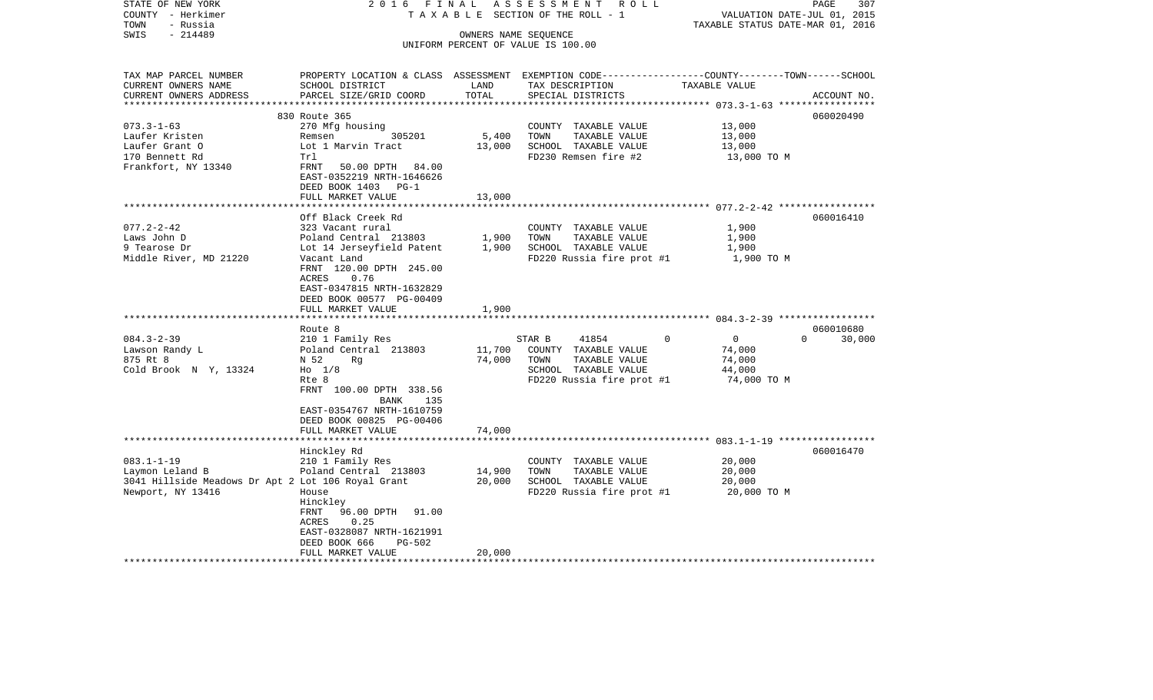| STATE OF NEW YORK<br>COUNTY - Herkimer             | 2016 FINAL<br>TAXABLE                                                                           |                                   | ASSESSMENT ROLL<br>SECTION OF THE ROLL - 1 | VALUATION DATE-JUL 01, 2015      | 307<br>PAGE        |
|----------------------------------------------------|-------------------------------------------------------------------------------------------------|-----------------------------------|--------------------------------------------|----------------------------------|--------------------|
| - Russia<br>TOWN<br>$-214489$<br>SWIS              |                                                                                                 | OWNERS NAME SEQUENCE              |                                            | TAXABLE STATUS DATE-MAR 01, 2016 |                    |
|                                                    |                                                                                                 |                                   | UNIFORM PERCENT OF VALUE IS 100.00         |                                  |                    |
|                                                    |                                                                                                 |                                   |                                            |                                  |                    |
| TAX MAP PARCEL NUMBER                              | PROPERTY LOCATION & CLASS ASSESSMENT EXEMPTION CODE---------------COUNTY-------TOWN------SCHOOL |                                   |                                            |                                  |                    |
| CURRENT OWNERS NAME<br>CURRENT OWNERS ADDRESS      | SCHOOL DISTRICT<br>PARCEL SIZE/GRID COORD                                                       | LAND<br>TOTAL                     | TAX DESCRIPTION<br>SPECIAL DISTRICTS       | TAXABLE VALUE                    | ACCOUNT NO.        |
|                                                    |                                                                                                 |                                   |                                            |                                  |                    |
|                                                    | 830 Route 365                                                                                   |                                   |                                            |                                  | 060020490          |
| $073.3 - 1 - 63$                                   | 270 Mfg housing                                                                                 |                                   | COUNTY TAXABLE VALUE                       | 13,000                           |                    |
| Laufer Kristen                                     | 305201<br>Remsen                                                                                | 5,400                             | TOWN<br>TAXABLE VALUE                      | 13,000                           |                    |
| Laufer Grant O                                     | Lot 1 Marvin Tract                                                                              | 13,000                            | SCHOOL TAXABLE VALUE                       | 13,000                           |                    |
| 170 Bennett Rd                                     | Trl                                                                                             |                                   | FD230 Remsen fire #2                       | 13,000 TO M                      |                    |
| Frankfort, NY 13340                                | FRNT<br>50.00 DPTH 84.00                                                                        |                                   |                                            |                                  |                    |
|                                                    | EAST-0352219 NRTH-1646626                                                                       |                                   |                                            |                                  |                    |
|                                                    | DEED BOOK 1403 PG-1                                                                             | 13,000                            |                                            |                                  |                    |
|                                                    | FULL MARKET VALUE                                                                               |                                   |                                            |                                  |                    |
|                                                    | Off Black Creek Rd                                                                              |                                   |                                            |                                  | 060016410          |
| $077.2 - 2 - 42$                                   | 323 Vacant rural                                                                                |                                   | COUNTY TAXABLE VALUE                       | 1,900                            |                    |
| Laws John D                                        | Poland Central 213803                                                                           | 1,900                             | TOWN<br>TAXABLE VALUE                      | 1,900                            |                    |
| 9 Tearose Dr                                       | Lot 14 Jerseyfield Patent                                                                       | 1,900                             | SCHOOL TAXABLE VALUE                       | 1,900                            |                    |
| Middle River, MD 21220                             | Vacant Land                                                                                     |                                   | FD220 Russia fire prot #1                  | 1,900 TO M                       |                    |
|                                                    | FRNT 120.00 DPTH 245.00                                                                         |                                   |                                            |                                  |                    |
|                                                    | ACRES<br>0.76                                                                                   |                                   |                                            |                                  |                    |
|                                                    | EAST-0347815 NRTH-1632829                                                                       |                                   |                                            |                                  |                    |
|                                                    | DEED BOOK 00577 PG-00409<br>FULL MARKET VALUE                                                   | 1,900                             |                                            |                                  |                    |
|                                                    |                                                                                                 |                                   |                                            |                                  |                    |
|                                                    | Route 8                                                                                         |                                   |                                            |                                  | 060010680          |
| $084.3 - 2 - 39$                                   | 210 1 Family Res                                                                                |                                   | STAR B<br>41854                            | $\Omega$<br>$\overline{0}$       | $\Omega$<br>30,000 |
| Lawson Randy L                                     | Poland Central 213803                                                                           | 11,700                            | COUNTY TAXABLE VALUE                       | 74,000                           |                    |
| 875 Rt 8                                           | N 52<br>Rq                                                                                      | 74,000                            | TOWN<br>TAXABLE VALUE                      | 74,000                           |                    |
| Cold Brook N Y, 13324                              | $H_0$ 1/8                                                                                       |                                   | SCHOOL TAXABLE VALUE                       | 44,000                           |                    |
|                                                    | Rte 8                                                                                           |                                   | FD220 Russia fire prot #1                  | 74,000 TO M                      |                    |
|                                                    | FRNT 100.00 DPTH 338.56                                                                         |                                   |                                            |                                  |                    |
|                                                    | BANK<br>135<br>EAST-0354767 NRTH-1610759                                                        |                                   |                                            |                                  |                    |
|                                                    | DEED BOOK 00825 PG-00406                                                                        |                                   |                                            |                                  |                    |
|                                                    | FULL MARKET VALUE                                                                               | 74,000                            |                                            |                                  |                    |
|                                                    |                                                                                                 | * * * * * * * * * * * * * * * * * |                                            |                                  |                    |
|                                                    | Hinckley Rd                                                                                     |                                   |                                            |                                  | 060016470          |
| $083.1 - 1 - 19$                                   | 210 1 Family Res                                                                                |                                   | COUNTY TAXABLE VALUE                       | 20,000                           |                    |
| Laymon Leland B                                    | Poland Central 213803                                                                           | 14,900                            | TOWN<br>TAXABLE VALUE                      | 20,000                           |                    |
| 3041 Hillside Meadows Dr Apt 2 Lot 106 Royal Grant |                                                                                                 | 20,000                            | SCHOOL TAXABLE VALUE                       | 20,000                           |                    |
| Newport, NY 13416                                  | House                                                                                           |                                   | FD220 Russia fire prot #1                  | 20,000 TO M                      |                    |
|                                                    | Hinckley                                                                                        |                                   |                                            |                                  |                    |
|                                                    | 96.00 DPTH<br>91.00<br>FRNT<br>0.25<br>ACRES                                                    |                                   |                                            |                                  |                    |
|                                                    | EAST-0328087 NRTH-1621991                                                                       |                                   |                                            |                                  |                    |
|                                                    | DEED BOOK 666<br>$PG-502$                                                                       |                                   |                                            |                                  |                    |
|                                                    | FULL MARKET VALUE                                                                               | 20,000                            |                                            |                                  |                    |
|                                                    |                                                                                                 |                                   |                                            |                                  |                    |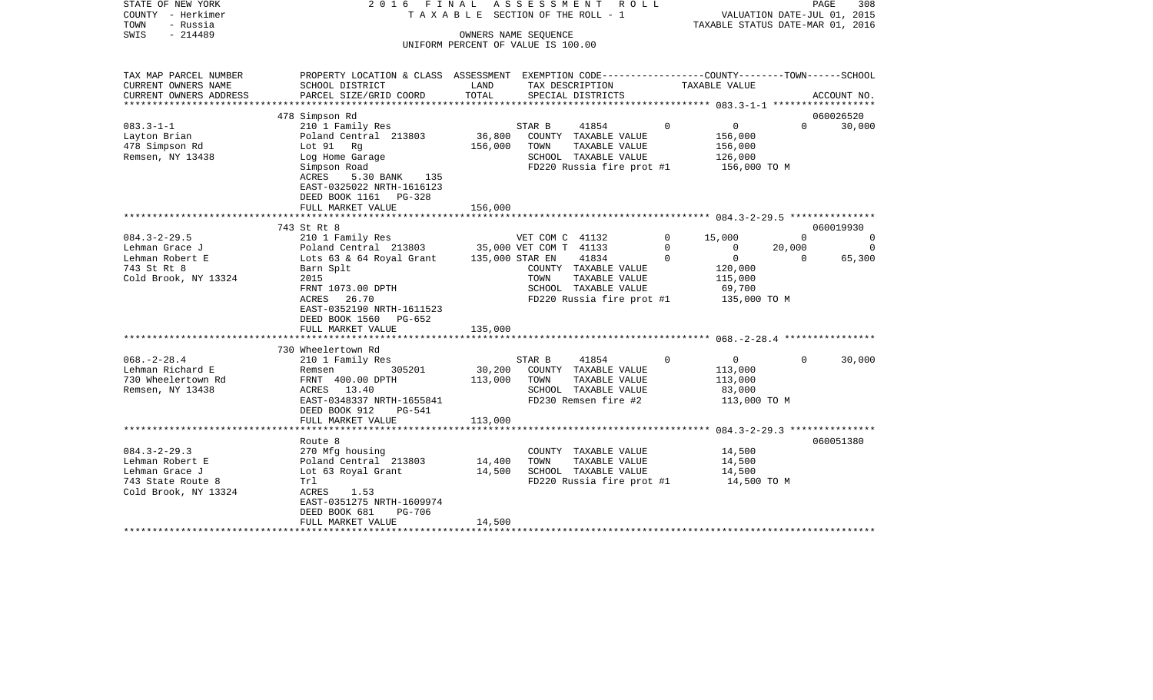| STATE OF NEW YORK<br>COUNTY - Herkimer<br>TOWN<br>- Russia | 2016 FINAL                                                                                       |                 | ASSESSMENT<br>R O L L<br>T A X A B L E SECTION OF THE ROLL - 1 |             | TAXABLE STATUS DATE-MAR 01, 2016 | VALUATION DATE-JUL 01, 2015 | PAGE<br>308 |
|------------------------------------------------------------|--------------------------------------------------------------------------------------------------|-----------------|----------------------------------------------------------------|-------------|----------------------------------|-----------------------------|-------------|
| SWIS<br>$-214489$                                          |                                                                                                  |                 | OWNERS NAME SEQUENCE                                           |             |                                  |                             |             |
|                                                            |                                                                                                  |                 | UNIFORM PERCENT OF VALUE IS 100.00                             |             |                                  |                             |             |
| TAX MAP PARCEL NUMBER                                      | PROPERTY LOCATION & CLASS ASSESSMENT EXEMPTION CODE----------------COUNTY-------TOWN------SCHOOL |                 |                                                                |             |                                  |                             |             |
| CURRENT OWNERS NAME                                        | SCHOOL DISTRICT                                                                                  | LAND            | TAX DESCRIPTION                                                |             | TAXABLE VALUE                    |                             |             |
| CURRENT OWNERS ADDRESS                                     | PARCEL SIZE/GRID COORD                                                                           | TOTAL           | SPECIAL DISTRICTS                                              |             |                                  |                             | ACCOUNT NO. |
|                                                            | 478 Simpson Rd                                                                                   |                 |                                                                |             |                                  |                             | 060026520   |
| $083.3 - 1 - 1$                                            | 210 1 Family Res                                                                                 |                 | STAR B<br>41854                                                | $\Omega$    | $\mathbf 0$                      | $\Omega$                    | 30,000      |
| Layton Brian                                               | Poland Central 213803                                                                            | 36,800          | COUNTY TAXABLE VALUE                                           |             | 156,000                          |                             |             |
| 478 Simpson Rd                                             | Lot 91 Rg                                                                                        | 156,000         | TOWN<br>TAXABLE VALUE                                          |             | 156,000                          |                             |             |
| Remsen, NY 13438                                           | Log Home Garage                                                                                  |                 | SCHOOL TAXABLE VALUE                                           |             | 126,000                          |                             |             |
|                                                            | Simpson Road                                                                                     |                 | FD220 Russia fire prot #1                                      |             | 156,000 TO M                     |                             |             |
|                                                            | 5.30 BANK<br>135<br>ACRES                                                                        |                 |                                                                |             |                                  |                             |             |
|                                                            | EAST-0325022 NRTH-1616123                                                                        |                 |                                                                |             |                                  |                             |             |
|                                                            | DEED BOOK 1161<br>PG-328                                                                         |                 |                                                                |             |                                  |                             |             |
|                                                            | FULL MARKET VALUE<br>**************************                                                  | 156,000         |                                                                |             |                                  |                             |             |
|                                                            | 743 St Rt 8                                                                                      |                 |                                                                |             |                                  |                             | 060019930   |
| $084.3 - 2 - 29.5$                                         | 210 1 Family Res                                                                                 |                 | VET COM C 41132                                                | $\mathbf 0$ | 15,000                           | $\Omega$                    | $\Omega$    |
| Lehman Grace J                                             | Poland Central 213803                                                                            |                 | 35,000 VET COM T 41133                                         | $\Omega$    | $\mathbf 0$                      | 20,000                      | $\Omega$    |
| Lehman Robert E                                            | Lots 63 & 64 Royal Grant                                                                         | 135,000 STAR EN | 41834                                                          | $\Omega$    | $\overline{0}$                   | $\Omega$                    | 65,300      |
| 743 St Rt 8                                                | Barn Splt                                                                                        |                 | COUNTY TAXABLE VALUE                                           |             | 120,000                          |                             |             |
| Cold Brook, NY 13324                                       | 2015                                                                                             |                 | TOWN<br>TAXABLE VALUE                                          |             | 115,000                          |                             |             |
|                                                            | FRNT 1073.00 DPTH                                                                                |                 | SCHOOL TAXABLE VALUE                                           |             | 69,700                           |                             |             |
|                                                            | 26.70<br>ACRES                                                                                   |                 | FD220 Russia fire prot #1                                      |             | 135,000 TO M                     |                             |             |
|                                                            | EAST-0352190 NRTH-1611523                                                                        |                 |                                                                |             |                                  |                             |             |
|                                                            | DEED BOOK 1560<br>PG-652<br>FULL MARKET VALUE                                                    | 135,000         |                                                                |             |                                  |                             |             |
|                                                            |                                                                                                  |                 |                                                                |             |                                  |                             |             |
|                                                            | 730 Wheelertown Rd                                                                               |                 |                                                                |             |                                  |                             |             |
| $068. - 2 - 28.4$                                          | 210 1 Family Res                                                                                 |                 | STAR B<br>41854                                                | 0           | $\overline{0}$                   | $\Omega$                    | 30,000      |
| Lehman Richard E                                           | 305201<br>Remsen                                                                                 | 30,200          | COUNTY TAXABLE VALUE                                           |             | 113,000                          |                             |             |
| 730 Wheelertown Rd                                         | FRNT 400.00 DPTH                                                                                 | 113,000         | TOWN<br>TAXABLE VALUE                                          |             | 113,000                          |                             |             |
| Remsen, NY 13438                                           | ACRES 13.40                                                                                      |                 | SCHOOL TAXABLE VALUE                                           |             | 83,000                           |                             |             |
|                                                            | EAST-0348337 NRTH-1655841                                                                        |                 | FD230 Remsen fire #2                                           |             | 113,000 TO M                     |                             |             |
|                                                            | DEED BOOK 912<br><b>PG-541</b>                                                                   |                 |                                                                |             |                                  |                             |             |
|                                                            | FULL MARKET VALUE                                                                                | 113,000         |                                                                |             |                                  |                             |             |
|                                                            | Route 8                                                                                          |                 |                                                                |             |                                  |                             | 060051380   |
| $084.3 - 2 - 29.3$                                         | 270 Mfg housing                                                                                  |                 | COUNTY TAXABLE VALUE                                           |             | 14,500                           |                             |             |
| Lehman Robert E                                            | Poland Central 213803                                                                            | 14,400          | TOWN<br>TAXABLE VALUE                                          |             | 14,500                           |                             |             |
| Lehman Grace J                                             | Lot 63 Royal Grant                                                                               | 14,500          | SCHOOL TAXABLE VALUE                                           |             | 14,500                           |                             |             |
| 743 State Route 8                                          | Trl                                                                                              |                 | FD220 Russia fire prot #1                                      |             | 14,500 TO M                      |                             |             |
| Cold Brook, NY 13324                                       | ACRES 1.53                                                                                       |                 |                                                                |             |                                  |                             |             |
|                                                            | EAST-0351275 NRTH-1609974                                                                        |                 |                                                                |             |                                  |                             |             |
|                                                            | DEED BOOK 681<br><b>PG-706</b>                                                                   |                 |                                                                |             |                                  |                             |             |
|                                                            | FULL MARKET VALUE                                                                                | 14,500          |                                                                |             |                                  |                             |             |
|                                                            |                                                                                                  |                 |                                                                |             |                                  |                             |             |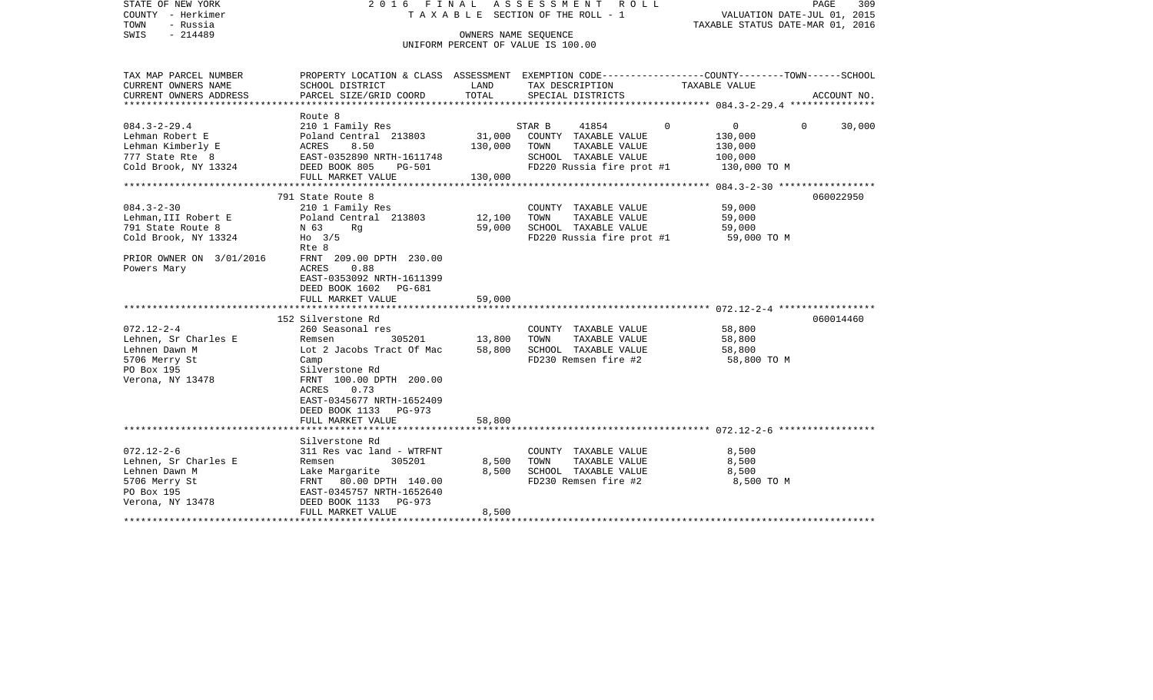| STATE OF NEW YORK<br>COUNTY - Herkimer<br>- Russia<br>TOWN<br>SWIS<br>$-214489$                              | F I N A L<br>2016                                                                                                                                                                                                     | OWNERS NAME SEQUENCE         | A S S E S S M E N T<br>R O L L<br>TAXABLE SECTION OF THE ROLL - 1<br>UNIFORM PERCENT OF VALUE IS 100.00               |                                                                           | 309<br>PAGE<br>VALUATION DATE-JUL 01, 2015<br>TAXABLE STATUS DATE-MAR 01, 2016 |
|--------------------------------------------------------------------------------------------------------------|-----------------------------------------------------------------------------------------------------------------------------------------------------------------------------------------------------------------------|------------------------------|-----------------------------------------------------------------------------------------------------------------------|---------------------------------------------------------------------------|--------------------------------------------------------------------------------|
| TAX MAP PARCEL NUMBER<br>CURRENT OWNERS NAME<br>CURRENT OWNERS ADDRESS                                       | PROPERTY LOCATION & CLASS ASSESSMENT EXEMPTION CODE--------------COUNTY-------TOWN-----SCHOOL<br>SCHOOL DISTRICT<br>PARCEL SIZE/GRID COORD                                                                            | LAND<br>TOTAL                | TAX DESCRIPTION<br>SPECIAL DISTRICTS                                                                                  | TAXABLE VALUE                                                             | ACCOUNT NO.                                                                    |
| ***********************                                                                                      | ************************                                                                                                                                                                                              |                              |                                                                                                                       |                                                                           |                                                                                |
| $084.3 - 2 - 29.4$<br>Lehman Robert E<br>Lehman Kimberly E<br>777 State Rte 8<br>Cold Brook, NY 13324        | Route 8<br>210 1 Family Res<br>Poland Central 213803<br>ACRES<br>8.50<br>EAST-0352890 NRTH-1611748<br>DEED BOOK 805<br>PG-501<br>FULL MARKET VALUE                                                                    | 31,000<br>130,000<br>130,000 | STAR B<br>41854<br>COUNTY TAXABLE VALUE<br>TOWN<br>TAXABLE VALUE<br>SCHOOL TAXABLE VALUE<br>FD220 Russia fire prot #1 | $\mathbf{0}$<br>$\Omega$<br>130,000<br>130,000<br>100,000<br>130,000 TO M | $\Omega$<br>30,000                                                             |
|                                                                                                              |                                                                                                                                                                                                                       |                              |                                                                                                                       |                                                                           |                                                                                |
| $084.3 - 2 - 30$<br>Lehman, III Robert E<br>791 State Route 8<br>Cold Brook, NY 13324                        | 791 State Route 8<br>210 1 Family Res<br>Poland Central 213803<br>N 63<br>Rq<br>$Ho$ 3/5<br>Rte 8                                                                                                                     | 12,100<br>59,000             | COUNTY TAXABLE VALUE<br>TAXABLE VALUE<br>TOWN<br>SCHOOL TAXABLE VALUE<br>FD220 Russia fire prot #1                    | 59,000<br>59,000<br>59,000<br>59,000 TO M                                 | 060022950                                                                      |
| PRIOR OWNER ON 3/01/2016<br>Powers Mary                                                                      | FRNT 209.00 DPTH 230.00<br>0.88<br>ACRES<br>EAST-0353092 NRTH-1611399<br>DEED BOOK 1602<br>PG-681<br>FULL MARKET VALUE                                                                                                | 59,000                       |                                                                                                                       |                                                                           |                                                                                |
|                                                                                                              | 152 Silverstone Rd                                                                                                                                                                                                    |                              |                                                                                                                       |                                                                           | 060014460                                                                      |
| $072.12 - 2 - 4$<br>Lehnen, Sr Charles E<br>Lehnen Dawn M<br>5706 Merry St<br>PO Box 195<br>Verona, NY 13478 | 260 Seasonal res<br>Remsen<br>305201<br>Lot 2 Jacobs Tract Of Mac<br>Camp<br>Silverstone Rd<br>FRNT 100.00 DPTH 200.00<br>ACRES<br>0.73<br>EAST-0345677 NRTH-1652409<br>DEED BOOK 1133<br><b>PG-973</b>               | 13,800<br>58,800             | COUNTY TAXABLE VALUE<br>TAXABLE VALUE<br>TOWN<br>SCHOOL TAXABLE VALUE<br>FD230 Remsen fire #2                         | 58,800<br>58,800<br>58,800<br>58,800 TO M                                 |                                                                                |
|                                                                                                              | FULL MARKET VALUE<br>* * * * * * * * * * * * * * * * * * *                                                                                                                                                            | 58,800<br>******             |                                                                                                                       | ************************* 072.12-2-6 **********                           |                                                                                |
| $072.12 - 2 - 6$<br>Lehnen, Sr Charles E<br>Lehnen Dawn M<br>5706 Merry St<br>PO Box 195<br>Verona, NY 13478 | Silverstone Rd<br>311 Res vac land - WTRFNT<br>305201<br>Remsen<br>Lake Margarite<br>80.00 DPTH 140.00<br>FRNT<br>EAST-0345757 NRTH-1652640<br>DEED BOOK 1133<br>$PG-973$<br>FULL MARKET VALUE<br>******************* | 8,500<br>8,500<br>8,500      | COUNTY TAXABLE VALUE<br>TOWN<br>TAXABLE VALUE<br>SCHOOL TAXABLE VALUE<br>FD230 Remsen fire #2                         | 8,500<br>8,500<br>8,500<br>8,500 TO M                                     |                                                                                |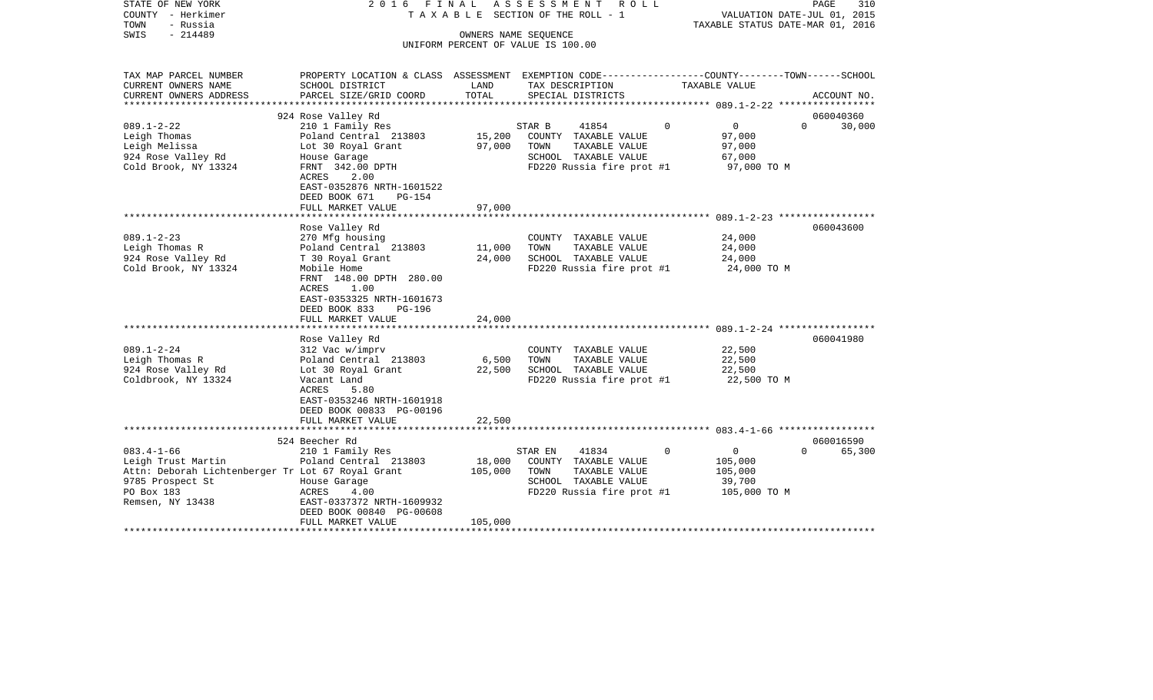| STATE OF NEW YORK<br>COUNTY - Herkimer<br>- Russia<br>TOWN<br>SWIS<br>$-214489$ | 2016 FINAL                                                                                                         |         | ASSESSMENT ROLL<br>T A X A B L E SECTION OF THE ROLL - 1<br>OWNERS NAME SEQUENCE<br>UNIFORM PERCENT OF VALUE IS 100.00 |          | VALUATION DATE-JUL 01, 2015<br>TAXABLE STATUS DATE-MAR 01, 2016 | PAGE<br>310 |
|---------------------------------------------------------------------------------|--------------------------------------------------------------------------------------------------------------------|---------|------------------------------------------------------------------------------------------------------------------------|----------|-----------------------------------------------------------------|-------------|
|                                                                                 |                                                                                                                    |         |                                                                                                                        |          |                                                                 |             |
| TAX MAP PARCEL NUMBER<br>CURRENT OWNERS NAME                                    | PROPERTY LOCATION & CLASS ASSESSMENT EXEMPTION CODE---------------COUNTY-------TOWN------SCHOOL<br>SCHOOL DISTRICT | LAND    | TAX DESCRIPTION                                                                                                        |          | TAXABLE VALUE                                                   |             |
| CURRENT OWNERS ADDRESS                                                          | PARCEL SIZE/GRID COORD                                                                                             | TOTAL   | SPECIAL DISTRICTS                                                                                                      |          |                                                                 | ACCOUNT NO. |
|                                                                                 | 924 Rose Valley Rd                                                                                                 |         |                                                                                                                        |          |                                                                 | 060040360   |
| $089.1 - 2 - 22$                                                                | 210 1 Family Res                                                                                                   |         | 41854<br>STAR B                                                                                                        | $\Omega$ | $\overline{0}$<br>$\Omega$                                      | 30,000      |
| Leigh Thomas                                                                    | Poland Central 213803                                                                                              | 15,200  | COUNTY TAXABLE VALUE                                                                                                   |          | 97,000                                                          |             |
| Leigh Melissa                                                                   | Lot 30 Royal Grant                                                                                                 | 97,000  | TOWN<br>TAXABLE VALUE                                                                                                  |          | 97,000                                                          |             |
| 924 Rose Valley Rd                                                              | House Garage                                                                                                       |         | SCHOOL TAXABLE VALUE                                                                                                   |          | 67,000                                                          |             |
| Cold Brook, NY 13324                                                            | FRNT 342.00 DPTH                                                                                                   |         | FD220 Russia fire prot #1                                                                                              |          | 97,000 TO M                                                     |             |
|                                                                                 | ACRES<br>2.00                                                                                                      |         |                                                                                                                        |          |                                                                 |             |
|                                                                                 | EAST-0352876 NRTH-1601522                                                                                          |         |                                                                                                                        |          |                                                                 |             |
|                                                                                 | DEED BOOK 671<br>PG-154<br>FULL MARKET VALUE                                                                       | 97,000  |                                                                                                                        |          |                                                                 |             |
|                                                                                 | ***********************                                                                                            |         |                                                                                                                        |          |                                                                 |             |
|                                                                                 | Rose Valley Rd                                                                                                     |         |                                                                                                                        |          |                                                                 | 060043600   |
| $089.1 - 2 - 23$                                                                | 270 Mfg housing                                                                                                    |         | COUNTY TAXABLE VALUE                                                                                                   |          | 24,000                                                          |             |
| Leigh Thomas R                                                                  | Poland Central 213803                                                                                              | 11,000  | TAXABLE VALUE<br>TOWN                                                                                                  |          | 24,000                                                          |             |
| 924 Rose Valley Rd                                                              | T 30 Royal Grant                                                                                                   | 24,000  | SCHOOL TAXABLE VALUE                                                                                                   |          | 24,000                                                          |             |
| Cold Brook, NY 13324                                                            | Mobile Home                                                                                                        |         | FD220 Russia fire prot #1                                                                                              |          | 24,000 TO M                                                     |             |
|                                                                                 | FRNT 148.00 DPTH 280.00                                                                                            |         |                                                                                                                        |          |                                                                 |             |
|                                                                                 | ACRES<br>1.00                                                                                                      |         |                                                                                                                        |          |                                                                 |             |
|                                                                                 | EAST-0353325 NRTH-1601673                                                                                          |         |                                                                                                                        |          |                                                                 |             |
|                                                                                 | DEED BOOK 833<br>PG-196                                                                                            |         |                                                                                                                        |          |                                                                 |             |
|                                                                                 | FULL MARKET VALUE                                                                                                  | 24,000  |                                                                                                                        |          |                                                                 |             |
|                                                                                 |                                                                                                                    |         |                                                                                                                        |          |                                                                 |             |
|                                                                                 | Rose Valley Rd                                                                                                     |         |                                                                                                                        |          |                                                                 | 060041980   |
| $089.1 - 2 - 24$<br>Leigh Thomas R                                              | 312 Vac w/imprv<br>Poland Central 213803                                                                           | 6,500   | COUNTY TAXABLE VALUE<br>TOWN<br>TAXABLE VALUE                                                                          |          | 22,500<br>22,500                                                |             |
| 924 Rose Valley Rd                                                              | Lot 30 Royal Grant                                                                                                 | 22,500  | SCHOOL TAXABLE VALUE                                                                                                   |          | 22,500                                                          |             |
| Coldbrook, NY 13324                                                             | Vacant Land                                                                                                        |         | FD220 Russia fire prot #1                                                                                              |          | 22,500 TO M                                                     |             |
|                                                                                 | ACRES<br>5.80                                                                                                      |         |                                                                                                                        |          |                                                                 |             |
|                                                                                 | EAST-0353246 NRTH-1601918                                                                                          |         |                                                                                                                        |          |                                                                 |             |
|                                                                                 | DEED BOOK 00833 PG-00196                                                                                           |         |                                                                                                                        |          |                                                                 |             |
|                                                                                 | FULL MARKET VALUE                                                                                                  | 22,500  |                                                                                                                        |          |                                                                 |             |
|                                                                                 |                                                                                                                    |         |                                                                                                                        |          |                                                                 |             |
|                                                                                 | 524 Beecher Rd                                                                                                     |         |                                                                                                                        |          |                                                                 | 060016590   |
| $083.4 - 1 - 66$                                                                | 210 1 Family Res                                                                                                   |         | 41834<br>STAR EN                                                                                                       | $\Omega$ | $\overline{0}$<br>$\Omega$                                      | 65,300      |
| Leigh Trust Martin                                                              | Poland Central 213803                                                                                              | 18,000  | COUNTY TAXABLE VALUE                                                                                                   |          | 105,000                                                         |             |
| Attn: Deborah Lichtenberger Tr Lot 67 Royal Grant                               |                                                                                                                    | 105,000 | TOWN<br>TAXABLE VALUE                                                                                                  |          | 105,000                                                         |             |
| 9785 Prospect St                                                                | House Garage                                                                                                       |         | SCHOOL TAXABLE VALUE                                                                                                   |          | 39,700                                                          |             |
| PO Box 183<br>Remsen, NY 13438                                                  | 4.00<br>ACRES<br>EAST-0337372 NRTH-1609932                                                                         |         | FD220 Russia fire prot #1                                                                                              |          | 105,000 TO M                                                    |             |
|                                                                                 | DEED BOOK 00840 PG-00608                                                                                           |         |                                                                                                                        |          |                                                                 |             |
|                                                                                 | FULL MARKET VALUE                                                                                                  | 105,000 |                                                                                                                        |          |                                                                 |             |
|                                                                                 |                                                                                                                    |         |                                                                                                                        |          |                                                                 |             |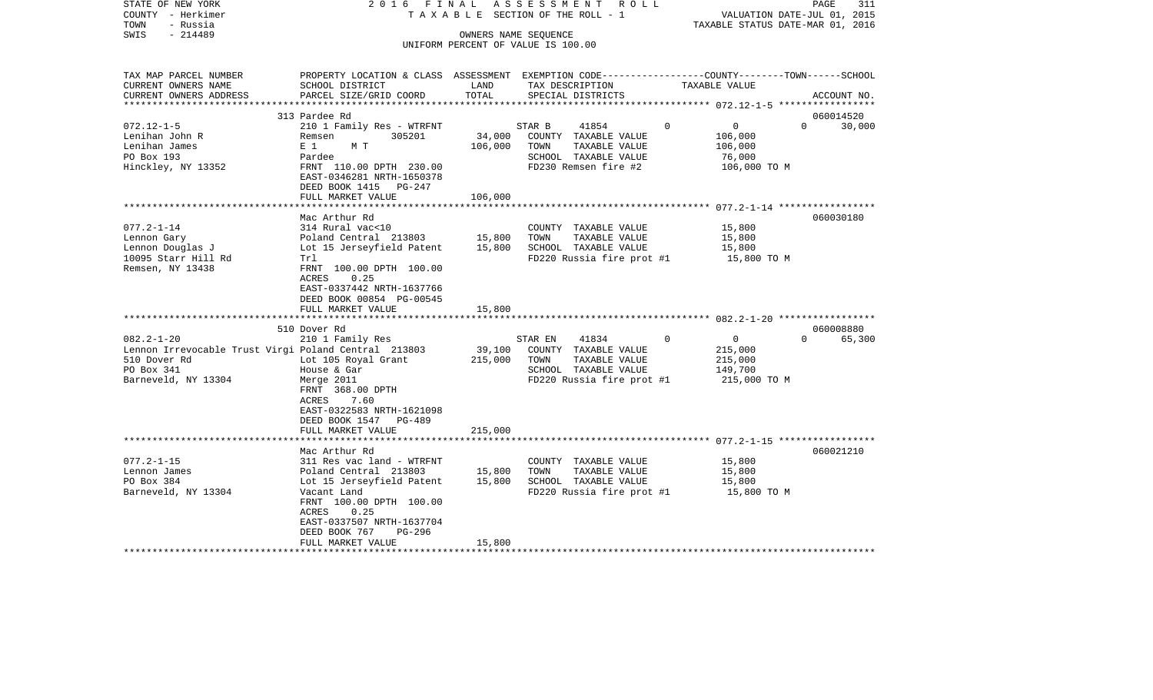| COUNTY - Herkimer<br>- Russia<br>TOWN<br>$-214489$<br>SWIS                                                                    | 2016 FINAL                                                                                                                                                                                          |                   | ASSESSMENT<br>R O L L<br>TAXABLE SECTION OF THE ROLL - 1<br>OWNERS NAME SEQUENCE                                       |               | VALUATION DATE-JUL 01, 2015<br>TAXABLE STATUS DATE-MAR 01, 2016             | 311<br>PAGE |
|-------------------------------------------------------------------------------------------------------------------------------|-----------------------------------------------------------------------------------------------------------------------------------------------------------------------------------------------------|-------------------|------------------------------------------------------------------------------------------------------------------------|---------------|-----------------------------------------------------------------------------|-------------|
|                                                                                                                               |                                                                                                                                                                                                     |                   | UNIFORM PERCENT OF VALUE IS 100.00                                                                                     |               |                                                                             |             |
|                                                                                                                               |                                                                                                                                                                                                     |                   |                                                                                                                        |               |                                                                             |             |
| TAX MAP PARCEL NUMBER<br>CURRENT OWNERS NAME<br>CURRENT OWNERS ADDRESS                                                        | PROPERTY LOCATION & CLASS ASSESSMENT EXEMPTION CODE---------------COUNTY-------TOWN------SCHOOL<br>SCHOOL DISTRICT<br>PARCEL SIZE/GRID COORD                                                        | LAND<br>TOTAL     | TAX DESCRIPTION<br>SPECIAL DISTRICTS                                                                                   | TAXABLE VALUE |                                                                             | ACCOUNT NO. |
|                                                                                                                               |                                                                                                                                                                                                     |                   |                                                                                                                        |               |                                                                             |             |
|                                                                                                                               | 313 Pardee Rd                                                                                                                                                                                       |                   |                                                                                                                        |               |                                                                             | 060014520   |
| $072.12 - 1 - 5$<br>Lenihan John R<br>Lenihan James<br>PO Box 193<br>Hinckley, NY 13352                                       | 210 1 Family Res - WTRFNT<br>305201<br>Remsen<br>E 1<br>M T<br>Pardee<br>FRNT 110.00 DPTH 230.00<br>EAST-0346281 NRTH-1650378<br>DEED BOOK 1415 PG-247                                              | 34,000<br>106,000 | STAR B<br>41854<br>COUNTY TAXABLE VALUE<br>TOWN<br>TAXABLE VALUE<br>SCHOOL TAXABLE VALUE<br>FD230 Remsen fire #2       | $\Omega$      | $\overline{0}$<br>$\Omega$<br>106,000<br>106,000<br>76,000<br>106,000 TO M  | 30,000      |
|                                                                                                                               | FULL MARKET VALUE                                                                                                                                                                                   | 106,000           |                                                                                                                        |               |                                                                             |             |
|                                                                                                                               |                                                                                                                                                                                                     |                   |                                                                                                                        |               |                                                                             |             |
| $077.2 - 1 - 14$<br>Lennon Gary<br>Lennon Douglas J<br>10095 Starr Hill Rd<br>Remsen, NY 13438                                | Mac Arthur Rd<br>314 Rural vac<10<br>Poland Central 213803<br>Lot 15 Jerseyfield Patent<br>Trl<br>FRNT 100.00 DPTH 100.00<br>0.25<br>ACRES<br>EAST-0337442 NRTH-1637766<br>DEED BOOK 00854 PG-00545 | 15,800<br>15,800  | COUNTY TAXABLE VALUE<br>TOWN<br>TAXABLE VALUE<br>SCHOOL TAXABLE VALUE<br>FD220 Russia fire prot #1                     |               | 15,800<br>15,800<br>15,800<br>15,800 TO M                                   | 060030180   |
|                                                                                                                               | FULL MARKET VALUE                                                                                                                                                                                   | 15,800            |                                                                                                                        |               |                                                                             |             |
|                                                                                                                               | 510 Dover Rd                                                                                                                                                                                        |                   |                                                                                                                        |               |                                                                             | 060008880   |
| $082.2 - 1 - 20$<br>Lennon Irrevocable Trust Virgi Poland Central 213803<br>510 Dover Rd<br>PO Box 341<br>Barneveld, NY 13304 | 210 1 Family Res<br>Lot 105 Royal Grant<br>House & Gar<br>Merge 2011<br>FRNT 368.00 DPTH<br>ACRES<br>7.60<br>EAST-0322583 NRTH-1621098<br>DEED BOOK 1547 PG-489                                     | 39,100<br>215,000 | 41834<br>STAR EN<br>COUNTY TAXABLE VALUE<br>TOWN<br>TAXABLE VALUE<br>SCHOOL TAXABLE VALUE<br>FD220 Russia fire prot #1 | $\Omega$      | $\overline{0}$<br>$\Omega$<br>215,000<br>215,000<br>149,700<br>215,000 TO M | 65,300      |
|                                                                                                                               | FULL MARKET VALUE                                                                                                                                                                                   | 215,000           |                                                                                                                        |               |                                                                             |             |
|                                                                                                                               | Mac Arthur Rd                                                                                                                                                                                       |                   |                                                                                                                        |               |                                                                             | 060021210   |
| $077.2 - 1 - 15$<br>Lennon James<br>PO Box 384<br>Barneveld, NY 13304                                                         | 311 Res vac land - WTRFNT<br>Poland Central 213803<br>Lot 15 Jerseyfield Patent<br>Vacant Land<br>FRNT 100.00 DPTH 100.00<br>0.25<br>ACRES<br>EAST-0337507 NRTH-1637704<br>DEED BOOK 767<br>PG-296  | 15,800<br>15,800  | COUNTY TAXABLE VALUE<br>TOWN<br>TAXABLE VALUE<br>SCHOOL TAXABLE VALUE<br>FD220 Russia fire prot #1                     |               | 15,800<br>15,800<br>15,800<br>15,800 TO M                                   |             |
| ********************                                                                                                          | FULL MARKET VALUE<br>***********************                                                                                                                                                        | 15,800            |                                                                                                                        |               |                                                                             |             |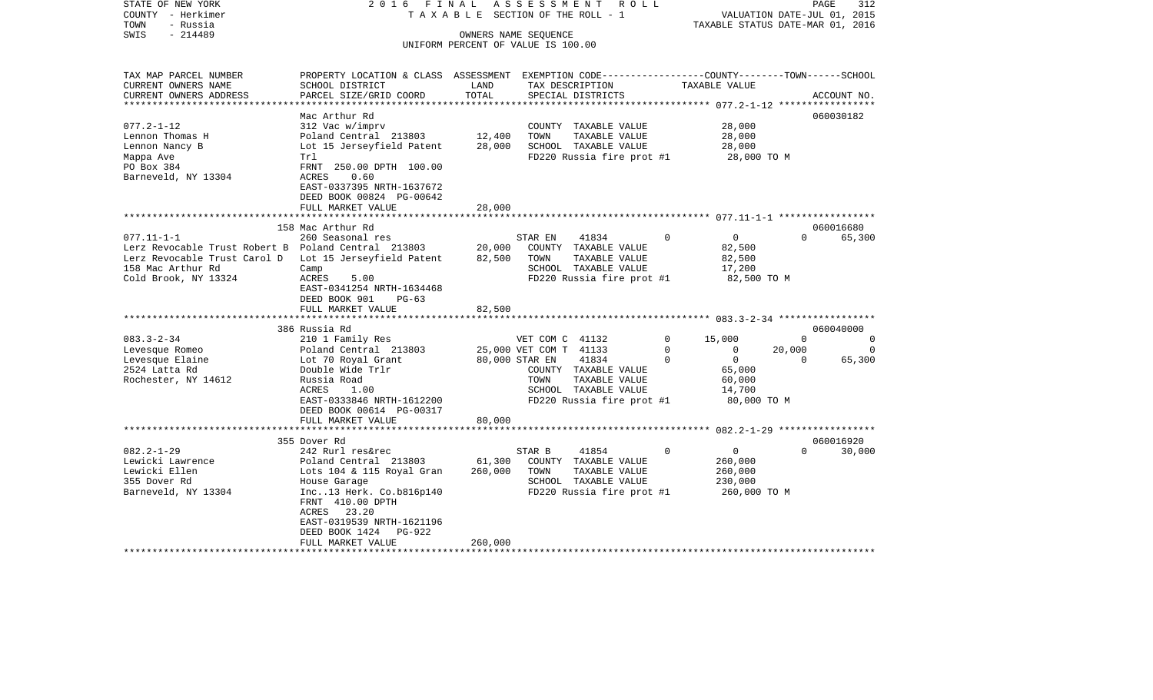| STATE OF NEW YORK<br>COUNTY - Herkimer<br>- Russia<br>TOWN | FINAL<br>2016<br>TAXABLE                                                                         |                       | ASSESSMENT<br>R O L L<br>SECTION OF THE ROLL - 1 | TAXABLE STATUS DATE-MAR 01, 2016   | PAGE<br>VALUATION DATE-JUL 01, 2015 | 312         |
|------------------------------------------------------------|--------------------------------------------------------------------------------------------------|-----------------------|--------------------------------------------------|------------------------------------|-------------------------------------|-------------|
| SWIS<br>$-214489$                                          |                                                                                                  |                       | OWNERS NAME SEQUENCE                             |                                    |                                     |             |
|                                                            |                                                                                                  |                       | UNIFORM PERCENT OF VALUE IS 100.00               |                                    |                                     |             |
|                                                            |                                                                                                  |                       |                                                  |                                    |                                     |             |
| TAX MAP PARCEL NUMBER                                      | PROPERTY LOCATION & CLASS ASSESSMENT EXEMPTION CODE----------------COUNTY-------TOWN------SCHOOL |                       |                                                  |                                    |                                     |             |
| CURRENT OWNERS NAME                                        | SCHOOL DISTRICT                                                                                  | LAND                  | TAX DESCRIPTION                                  | TAXABLE VALUE                      |                                     |             |
| CURRENT OWNERS ADDRESS                                     | PARCEL SIZE/GRID COORD                                                                           | TOTAL<br>************ | SPECIAL DISTRICTS                                | ***************** 077.2-1-12 ***** |                                     | ACCOUNT NO. |
|                                                            | Mac Arthur Rd                                                                                    |                       |                                                  |                                    |                                     | 060030182   |
| $077.2 - 1 - 12$                                           | 312 Vac w/imprv                                                                                  |                       | COUNTY TAXABLE VALUE                             | 28,000                             |                                     |             |
| Lennon Thomas H                                            | Poland Central 213803                                                                            | 12,400                | TOWN<br>TAXABLE VALUE                            | 28,000                             |                                     |             |
| Lennon Nancy B                                             | Lot 15 Jerseyfield Patent                                                                        | 28,000                | SCHOOL TAXABLE VALUE                             | 28,000                             |                                     |             |
| Mappa Ave                                                  | Trl                                                                                              |                       | FD220 Russia fire prot #1                        | 28,000 TO M                        |                                     |             |
| PO Box 384                                                 | FRNT 250.00 DPTH 100.00                                                                          |                       |                                                  |                                    |                                     |             |
| Barneveld, NY 13304                                        | ACRES<br>0.60                                                                                    |                       |                                                  |                                    |                                     |             |
|                                                            | EAST-0337395 NRTH-1637672                                                                        |                       |                                                  |                                    |                                     |             |
|                                                            | DEED BOOK 00824 PG-00642                                                                         |                       |                                                  |                                    |                                     |             |
|                                                            | FULL MARKET VALUE                                                                                | 28,000                |                                                  |                                    |                                     |             |
|                                                            |                                                                                                  |                       |                                                  |                                    |                                     |             |
|                                                            | 158 Mac Arthur Rd                                                                                |                       |                                                  |                                    |                                     | 060016680   |
| $077.11 - 1 - 1$                                           | 260 Seasonal res                                                                                 |                       | 41834<br>STAR EN                                 | $\mathbf 0$<br>0                   | $\Omega$                            | 65,300      |
| Lerz Revocable Trust Robert B Poland Central 213803        |                                                                                                  | 20,000                | COUNTY TAXABLE VALUE                             | 82,500                             |                                     |             |
| Lerz Revocable Trust Carol D                               | Lot 15 Jerseyfield Patent                                                                        | 82,500                | TOWN<br>TAXABLE VALUE                            | 82,500                             |                                     |             |
| 158 Mac Arthur Rd                                          | Camp                                                                                             |                       | SCHOOL TAXABLE VALUE                             | 17,200                             |                                     |             |
| Cold Brook, NY 13324                                       | ACRES<br>5.00                                                                                    |                       | FD220 Russia fire prot #1                        | 82,500 TO M                        |                                     |             |
|                                                            | EAST-0341254 NRTH-1634468<br>DEED BOOK 901<br>$PG-63$                                            |                       |                                                  |                                    |                                     |             |
|                                                            | FULL MARKET VALUE                                                                                | 82,500                |                                                  |                                    |                                     |             |
|                                                            | 386 Russia Rd                                                                                    |                       |                                                  |                                    |                                     | 060040000   |
| $083.3 - 2 - 34$                                           | 210 1 Family Res                                                                                 |                       | VET COM C 41132                                  | $\mathbf 0$<br>15,000              | $\Omega$                            | 0           |
| Levesque Romeo                                             | Poland Central 213803                                                                            |                       | 25,000 VET COM T 41133                           | 0<br>0                             | 20,000                              | $\Omega$    |
| Levesque Elaine                                            | Lot 70 Royal Grant                                                                               |                       | 80,000 STAR EN<br>41834                          | $\overline{0}$<br>$\Omega$         | $\Omega$                            | 65,300      |
| 2524 Latta Rd                                              | Double Wide Trlr                                                                                 |                       | COUNTY TAXABLE VALUE                             | 65,000                             |                                     |             |
| Rochester, NY 14612                                        | Russia Road                                                                                      |                       | TOWN<br>TAXABLE VALUE                            | 60,000                             |                                     |             |
|                                                            | ACRES<br>1.00                                                                                    |                       | SCHOOL TAXABLE VALUE                             | 14,700                             |                                     |             |
|                                                            | EAST-0333846 NRTH-1612200                                                                        |                       | FD220 Russia fire prot #1                        | 80,000 TO M                        |                                     |             |
|                                                            | DEED BOOK 00614 PG-00317                                                                         |                       |                                                  |                                    |                                     |             |
|                                                            | FULL MARKET VALUE                                                                                | 80,000                |                                                  |                                    |                                     |             |
|                                                            | **********************                                                                           |                       |                                                  |                                    |                                     |             |
|                                                            | 355 Dover Rd                                                                                     |                       |                                                  |                                    |                                     | 060016920   |
| $082.2 - 1 - 29$                                           | 242 Rurl res&rec                                                                                 |                       | STAR B<br>41854                                  | $\overline{0}$<br>0                | $\Omega$                            | 30,000      |
| Lewicki Lawrence                                           | Poland Central 213803                                                                            | 61,300                | COUNTY TAXABLE VALUE                             | 260,000                            |                                     |             |
| Lewicki Ellen                                              | Lots 104 & 115 Royal Gran                                                                        | 260,000               | TOWN<br>TAXABLE VALUE                            | 260,000                            |                                     |             |
| 355 Dover Rd                                               | House Garage                                                                                     |                       | SCHOOL TAXABLE VALUE                             | 230,000                            |                                     |             |
| Barneveld, NY 13304                                        | Inc13 Herk. Co.b816p140                                                                          |                       | FD220 Russia fire prot #1                        | 260,000 TO M                       |                                     |             |
|                                                            | FRNT 410.00 DPTH                                                                                 |                       |                                                  |                                    |                                     |             |
|                                                            | 23.20<br>ACRES                                                                                   |                       |                                                  |                                    |                                     |             |
|                                                            | EAST-0319539 NRTH-1621196                                                                        |                       |                                                  |                                    |                                     |             |
|                                                            | DEED BOOK 1424<br>$PG-922$                                                                       |                       |                                                  |                                    |                                     |             |
|                                                            | FULL MARKET VALUE                                                                                | 260,000               |                                                  |                                    |                                     |             |
|                                                            |                                                                                                  |                       |                                                  |                                    |                                     |             |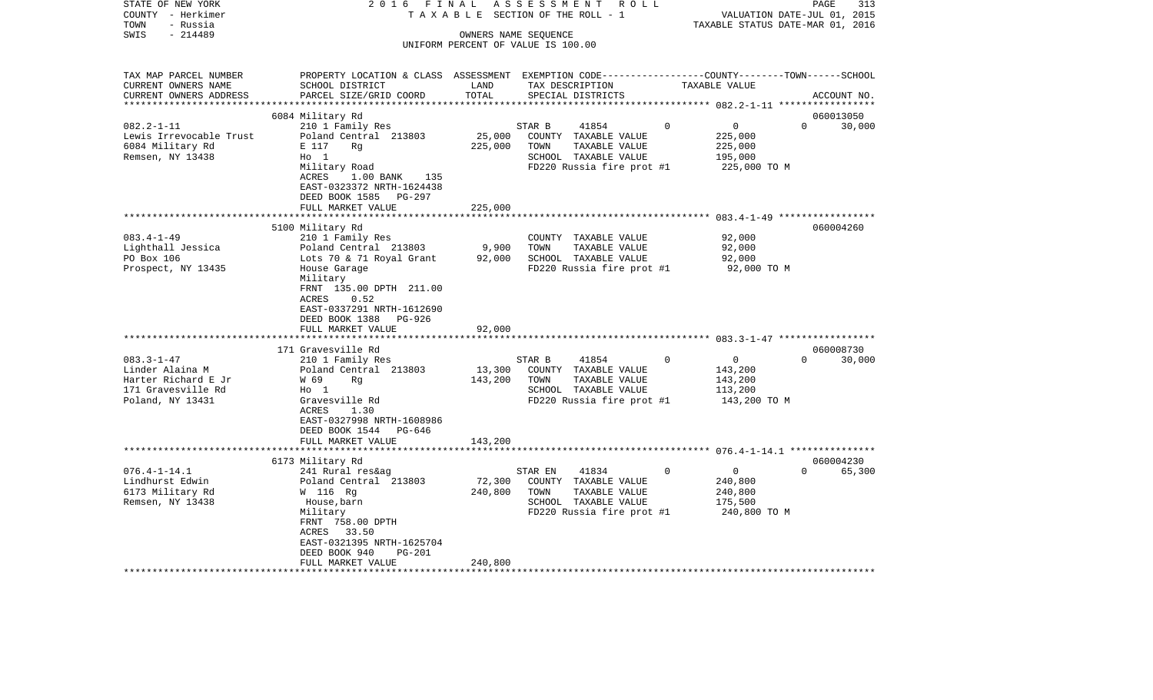| STATE OF NEW YORK                         | 2 0 1 6<br>FINAL                                                                                 |         | ASSESSMENT                         | R O L L     |                                  | PAGE<br>313                 |
|-------------------------------------------|--------------------------------------------------------------------------------------------------|---------|------------------------------------|-------------|----------------------------------|-----------------------------|
| COUNTY - Herkimer                         | TAXABLE                                                                                          |         | SECTION OF THE ROLL - 1            |             |                                  | VALUATION DATE-JUL 01, 2015 |
| TOWN<br>- Russia                          |                                                                                                  |         |                                    |             | TAXABLE STATUS DATE-MAR 01, 2016 |                             |
| $-214489$<br>SWIS                         |                                                                                                  |         | OWNERS NAME SEQUENCE               |             |                                  |                             |
|                                           |                                                                                                  |         | UNIFORM PERCENT OF VALUE IS 100.00 |             |                                  |                             |
|                                           |                                                                                                  |         |                                    |             |                                  |                             |
| TAX MAP PARCEL NUMBER                     | PROPERTY LOCATION & CLASS ASSESSMENT EXEMPTION CODE----------------COUNTY-------TOWN------SCHOOL |         |                                    |             |                                  |                             |
| CURRENT OWNERS NAME                       | SCHOOL DISTRICT                                                                                  | LAND    | TAX DESCRIPTION                    |             | TAXABLE VALUE                    |                             |
| CURRENT OWNERS ADDRESS                    | PARCEL SIZE/GRID COORD                                                                           | TOTAL   | SPECIAL DISTRICTS                  |             |                                  | ACCOUNT NO.                 |
|                                           |                                                                                                  |         |                                    |             |                                  |                             |
|                                           | 6084 Military Rd                                                                                 |         |                                    |             |                                  | 060013050                   |
| $082.2 - 1 - 11$                          | 210 1 Family Res                                                                                 |         | 41854<br>STAR B                    | $\Omega$    | 0                                | $\Omega$<br>30,000          |
| Lewis Irrevocable Trust                   | Poland Central 213803                                                                            | 25,000  | COUNTY TAXABLE VALUE               |             | 225,000                          |                             |
| 6084 Military Rd                          | E 117<br>Rg                                                                                      | 225,000 | TAXABLE VALUE<br>TOWN              |             | 225,000                          |                             |
| Remsen, NY 13438                          | $H_0$ 1                                                                                          |         | SCHOOL TAXABLE VALUE               |             | 195,000                          |                             |
|                                           | Military Road                                                                                    |         | FD220 Russia fire prot #1          |             | 225,000 TO M                     |                             |
|                                           | ACRES<br>$1.00$ BANK<br>135<br>EAST-0323372 NRTH-1624438                                         |         |                                    |             |                                  |                             |
|                                           | DEED BOOK 1585<br>PG-297                                                                         |         |                                    |             |                                  |                             |
|                                           | FULL MARKET VALUE                                                                                | 225,000 |                                    |             |                                  |                             |
|                                           |                                                                                                  |         |                                    |             |                                  |                             |
|                                           | 5100 Military Rd                                                                                 |         |                                    |             |                                  | 060004260                   |
| $083.4 - 1 - 49$                          | 210 1 Family Res                                                                                 |         | COUNTY TAXABLE VALUE               |             | 92,000                           |                             |
| Lighthall Jessica                         | Poland Central 213803                                                                            | 9,900   | TOWN<br>TAXABLE VALUE              |             | 92,000                           |                             |
| PO Box 106                                | Lots 70 & 71 Royal Grant                                                                         | 92,000  | SCHOOL TAXABLE VALUE               |             | 92,000                           |                             |
| Prospect, NY 13435                        | House Garage                                                                                     |         | FD220 Russia fire prot #1          |             | 92,000 TO M                      |                             |
|                                           | Military                                                                                         |         |                                    |             |                                  |                             |
|                                           | FRNT 135.00 DPTH 211.00                                                                          |         |                                    |             |                                  |                             |
|                                           | 0.52<br>ACRES                                                                                    |         |                                    |             |                                  |                             |
|                                           | EAST-0337291 NRTH-1612690                                                                        |         |                                    |             |                                  |                             |
|                                           | DEED BOOK 1388<br>PG-926                                                                         |         |                                    |             |                                  |                             |
|                                           | FULL MARKET VALUE                                                                                | 92,000  |                                    |             |                                  |                             |
|                                           | *************************                                                                        |         |                                    |             |                                  |                             |
|                                           | 171 Gravesville Rd                                                                               |         |                                    |             |                                  | 060008730                   |
| $083.3 - 1 - 47$                          | 210 1 Family Res                                                                                 |         | 41854<br>STAR B                    | $\mathbf 0$ | $\mathbf 0$                      | $\Omega$<br>30,000          |
| Linder Alaina M                           | Poland Central 213803                                                                            | 13,300  | COUNTY TAXABLE VALUE               |             | 143,200                          |                             |
| Harter Richard E Jr<br>171 Gravesville Rd | W 69<br>Rq                                                                                       | 143,200 | TAXABLE VALUE<br>TOWN              |             | 143,200                          |                             |
|                                           | $H_0$ 1<br>Gravesville Rd                                                                        |         | SCHOOL TAXABLE VALUE               |             | 113,200                          |                             |
| Poland, NY 13431                          | <b>ACRES</b><br>1.30                                                                             |         | FD220 Russia fire prot #1          |             | 143,200 TO M                     |                             |
|                                           | EAST-0327998 NRTH-1608986                                                                        |         |                                    |             |                                  |                             |
|                                           | DEED BOOK 1544 PG-646                                                                            |         |                                    |             |                                  |                             |
|                                           | FULL MARKET VALUE                                                                                | 143,200 |                                    |             |                                  |                             |
|                                           | ************************                                                                         |         |                                    |             |                                  |                             |
|                                           | 6173 Military Rd                                                                                 |         |                                    |             |                                  | 060004230                   |
| $076.4 - 1 - 14.1$                        | 241 Rural res&ag                                                                                 |         | STAR EN<br>41834                   | $\Omega$    | $\Omega$                         | $\Omega$<br>65,300          |
| Lindhurst Edwin                           | Poland Central 213803                                                                            | 72,300  | COUNTY TAXABLE VALUE               |             | 240,800                          |                             |
| 6173 Military Rd                          | W 116 Rg                                                                                         | 240,800 | TAXABLE VALUE<br>TOWN              |             | 240,800                          |                             |
| Remsen, NY 13438                          | House,barn                                                                                       |         | SCHOOL TAXABLE VALUE               |             | 175,500                          |                             |
|                                           | Military                                                                                         |         | FD220 Russia fire prot #1          |             | 240,800 TO M                     |                             |
|                                           | FRNT 758.00 DPTH                                                                                 |         |                                    |             |                                  |                             |
|                                           | ACRES 33.50                                                                                      |         |                                    |             |                                  |                             |
|                                           | EAST-0321395 NRTH-1625704                                                                        |         |                                    |             |                                  |                             |
|                                           | DEED BOOK 940<br>PG-201                                                                          |         |                                    |             |                                  |                             |
|                                           | FULL MARKET VALUE                                                                                | 240,800 |                                    |             |                                  |                             |
|                                           |                                                                                                  |         |                                    |             |                                  |                             |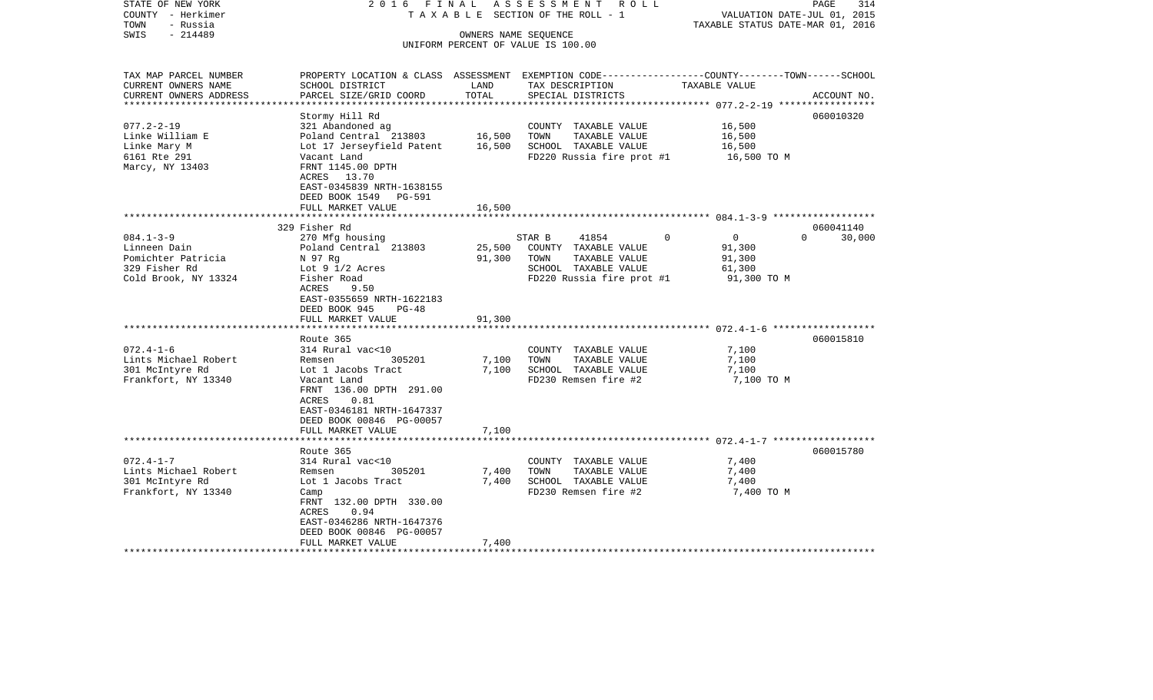| STATE OF NEW YORK<br>COUNTY - Herkimer<br>- Russia<br>TOWN                                     | 2016 FINAL<br>TAXABLE                                                                                                                                                                                             |                         | ASSESSMENT<br>R O L L<br>SECTION OF THE ROLL - 1                                                                                         | VALUATION DATE-JUL 01, 2015<br>TAXABLE STATUS DATE-MAR 01, 2016 | 314<br>PAGE        |
|------------------------------------------------------------------------------------------------|-------------------------------------------------------------------------------------------------------------------------------------------------------------------------------------------------------------------|-------------------------|------------------------------------------------------------------------------------------------------------------------------------------|-----------------------------------------------------------------|--------------------|
| $-214489$<br>SWIS                                                                              |                                                                                                                                                                                                                   | OWNERS NAME SEQUENCE    | UNIFORM PERCENT OF VALUE IS 100.00                                                                                                       |                                                                 |                    |
| TAX MAP PARCEL NUMBER<br>CURRENT OWNERS NAME<br>CURRENT OWNERS ADDRESS                         | SCHOOL DISTRICT<br>PARCEL SIZE/GRID COORD                                                                                                                                                                         | LAND<br>TOTAL           | PROPERTY LOCATION & CLASS ASSESSMENT EXEMPTION CODE----------------COUNTY-------TOWN------SCHOOL<br>TAX DESCRIPTION<br>SPECIAL DISTRICTS | TAXABLE VALUE                                                   | ACCOUNT NO.        |
| *********************                                                                          |                                                                                                                                                                                                                   | *************           |                                                                                                                                          | ********************* 077.2-2-19 ******************             |                    |
| $077.2 - 2 - 19$<br>Linke William E<br>Linke Mary M<br>6161 Rte 291<br>Marcy, NY 13403         | Stormy Hill Rd<br>321 Abandoned ag<br>Poland Central 213803<br>Lot 17 Jerseyfield Patent<br>Vacant Land<br>FRNT 1145.00 DPTH<br>ACRES 13.70<br>EAST-0345839 NRTH-1638155                                          | 16,500<br>16,500        | COUNTY TAXABLE VALUE<br>TOWN<br>TAXABLE VALUE<br>SCHOOL TAXABLE VALUE<br>FD220 Russia fire prot #1                                       | 16,500<br>16,500<br>16,500<br>16,500 TO M                       | 060010320          |
|                                                                                                | DEED BOOK 1549<br>PG-591<br>FULL MARKET VALUE                                                                                                                                                                     | 16,500                  |                                                                                                                                          |                                                                 |                    |
|                                                                                                | 329 Fisher Rd                                                                                                                                                                                                     |                         |                                                                                                                                          | ********************** 084.1-3-9 *******************            | 060041140          |
| $084.1 - 3 - 9$<br>Linneen Dain<br>Pomichter Patricia<br>329 Fisher Rd<br>Cold Brook, NY 13324 | 270 Mfg housing<br>Poland Central 213803<br>N 97 Rq<br>Lot $9\frac{1}{2}$ Acres<br>Fisher Road<br>ACRES<br>9.50<br>EAST-0355659 NRTH-1622183<br>DEED BOOK 945<br>$PG-48$                                          | 25,500<br>91,300        | 0<br>STAR B<br>41854<br>COUNTY TAXABLE VALUE<br>TOWN<br>TAXABLE VALUE<br>SCHOOL TAXABLE VALUE<br>FD220 Russia fire prot #1               | 0<br>91,300<br>91,300<br>61,300<br>91,300 TO M                  | $\Omega$<br>30,000 |
|                                                                                                | FULL MARKET VALUE                                                                                                                                                                                                 | 91,300                  |                                                                                                                                          |                                                                 |                    |
| $072.4 - 1 - 6$<br>Lints Michael Robert<br>301 McIntyre Rd<br>Frankfort, NY 13340              | ******************<br>Route 365<br>314 Rural vac<10<br>305201<br>Remsen<br>Lot 1 Jacobs Tract<br>Vacant Land<br>FRNT 136.00 DPTH 291.00<br>ACRES<br>0.81<br>EAST-0346181 NRTH-1647337<br>DEED BOOK 00846 PG-00057 | 7,100<br>7,100          | COUNTY TAXABLE VALUE<br>TOWN<br>TAXABLE VALUE<br>SCHOOL TAXABLE VALUE<br>FD230 Remsen fire #2                                            | 7,100<br>7,100<br>7,100<br>7,100 TO M                           | 060015810          |
|                                                                                                | FULL MARKET VALUE<br>*****************                                                                                                                                                                            | 7,100                   |                                                                                                                                          |                                                                 |                    |
|                                                                                                | Route 365                                                                                                                                                                                                         |                         |                                                                                                                                          | ***************************** 072.4-1-7 ******************      | 060015780          |
| $072.4 - 1 - 7$<br>Lints Michael Robert<br>301 McIntyre Rd<br>Frankfort, NY 13340              | 314 Rural vac<10<br>305201<br>Remsen<br>Lot 1 Jacobs Tract<br>Camp<br>FRNT 132.00 DPTH 330.00<br>0.94<br>ACRES<br>EAST-0346286 NRTH-1647376<br>DEED BOOK 00846 PG-00057<br>FULL MARKET VALUE                      | 7,400<br>7,400<br>7,400 | COUNTY TAXABLE VALUE<br>TOWN<br>TAXABLE VALUE<br>SCHOOL TAXABLE VALUE<br>FD230 Remsen fire #2                                            | 7,400<br>7,400<br>7,400<br>7,400 TO M                           |                    |
|                                                                                                |                                                                                                                                                                                                                   |                         | ***************************                                                                                                              |                                                                 |                    |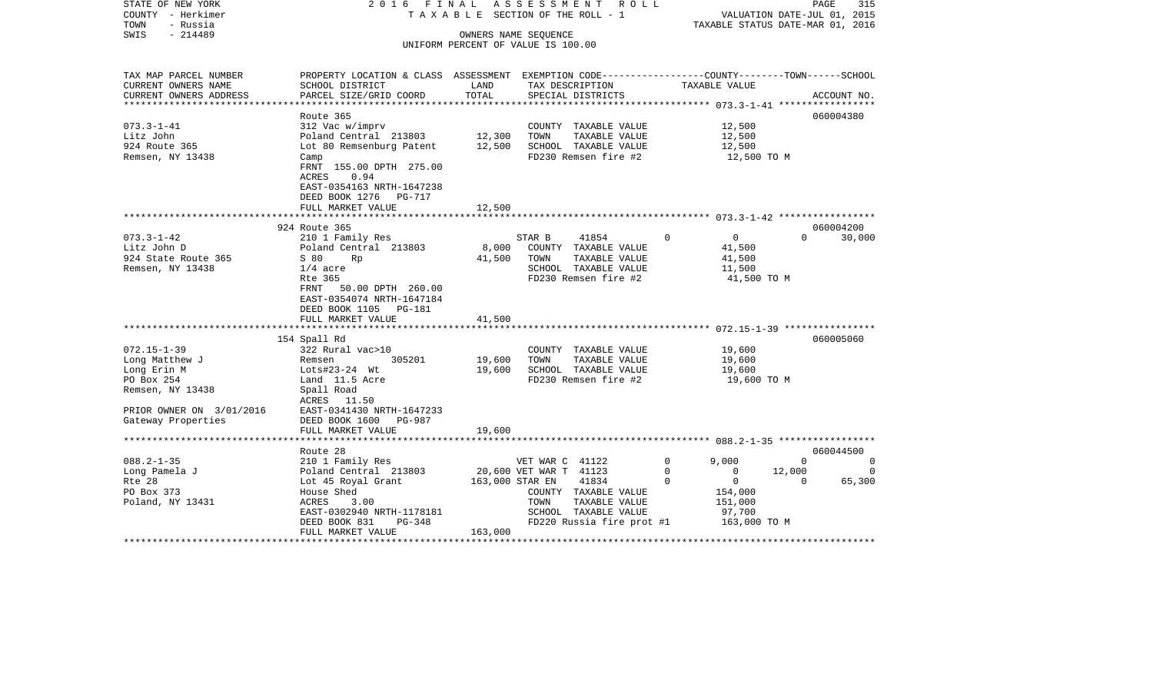| $-214489$<br>SWIS<br>OWNERS NAME SEOUENCE<br>UNIFORM PERCENT OF VALUE IS 100.00<br>PROPERTY LOCATION & CLASS ASSESSMENT EXEMPTION CODE----------------COUNTY-------TOWN------SCHOOL<br>TAX MAP PARCEL NUMBER<br>CURRENT OWNERS NAME<br>SCHOOL DISTRICT<br>LAND<br>TAXABLE VALUE<br>TAX DESCRIPTION<br>TOTAL<br>PARCEL SIZE/GRID COORD<br>CURRENT OWNERS ADDRESS<br>SPECIAL DISTRICTS<br>ACCOUNT NO.<br>***********************<br>060004380<br>Route 365<br>$073.3 - 1 - 41$<br>312 Vac w/imprv<br>COUNTY TAXABLE VALUE<br>12,500<br>Litz John<br>Poland Central 213803<br>12,300<br>TOWN<br>TAXABLE VALUE<br>12,500<br>924 Route 365<br>Lot 80 Remsenburg Patent<br>12,500<br>SCHOOL TAXABLE VALUE<br>12,500<br>Remsen, NY 13438<br>FD230 Remsen fire #2<br>12,500 TO M<br>Camp<br>FRNT 155.00 DPTH 275.00<br>ACRES<br>0.94<br>EAST-0354163 NRTH-1647238<br>DEED BOOK 1276 PG-717<br>12,500<br>FULL MARKET VALUE<br>924 Route 365<br>060004200<br>$073.3 - 1 - 42$<br>210 1 Family Res<br>STAR B<br>41854<br>$\overline{0}$<br>$\overline{0}$<br>$\Omega$<br>30,000<br>Litz John D<br>Poland Central 213803<br>8,000<br>COUNTY TAXABLE VALUE<br>41,500<br>924 State Route 365<br>41,500<br>TOWN<br>TAXABLE VALUE<br>S 80<br><b>Rp</b><br>41,500<br>Remsen, NY 13438<br>SCHOOL TAXABLE VALUE<br>$1/4$ acre<br>11,500<br>FD230 Remsen fire #2<br>Rte 365<br>41,500 TO M<br>FRNT<br>50.00 DPTH 260.00<br>EAST-0354074 NRTH-1647184<br>DEED BOOK 1105 PG-181<br>FULL MARKET VALUE<br>41,500<br>*********<br>154 Spall Rd<br>060005060<br>$072.15 - 1 - 39$<br>322 Rural vac>10<br>COUNTY TAXABLE VALUE<br>19,600<br>19,600<br>TAXABLE VALUE<br>Long Matthew J<br>305201<br>TOWN<br>19,600<br>Remsen<br>Long Erin M<br>19,600<br>SCHOOL TAXABLE VALUE<br>19,600<br>Lots#23-24 Wt<br>FD230 Remsen fire #2<br>PO Box 254<br>Land 11.5 Acre<br>19,600 TO M<br>Remsen, NY 13438<br>Spall Road<br>ACRES 11.50<br>EAST-0341430 NRTH-1647233<br>PRIOR OWNER ON 3/01/2016<br>DEED BOOK 1600 PG-987<br>Gateway Properties<br>FULL MARKET VALUE<br>19,600<br>Route 28<br>060044500<br>$088.2 - 1 - 35$<br>9,000<br>210 1 Family Res<br>VET WAR C 41122<br>$\Omega$<br>$\Omega$<br>$\Omega$<br>Long Pamela J<br>Poland Central 213803<br>20,600 VET WAR T 41123<br>12,000<br>0<br>$\mathbf{0}$<br>$\Omega$<br>Rte 28<br>$\overline{0}$<br>65,300<br>Lot 45 Royal Grant<br>163,000 STAR EN<br>41834<br>$\Omega$<br>$\Omega$<br>PO Box 373<br>House Shed<br>COUNTY TAXABLE VALUE<br>154,000<br>Poland, NY 13431<br>ACRES<br>3.00<br>TOWN<br>TAXABLE VALUE<br>151,000<br>SCHOOL TAXABLE VALUE<br>EAST-0302940 NRTH-1178181<br>97,700<br>DEED BOOK 831<br>FD220 Russia fire prot #1<br>163,000 TO M<br>PG-348<br>FULL MARKET VALUE<br>163,000 | STATE OF NEW YORK<br>COUNTY - Herkimer<br>TOWN<br>- Russia | 2016 FINAL | ASSESSMENT ROLL<br>TAXABLE SECTION OF THE ROLL - 1 | PAGE<br>VALUATION DATE-JUL 01, 2015<br>TAXABLE STATUS DATE-MAR 01, 2016 | 315 |
|----------------------------------------------------------------------------------------------------------------------------------------------------------------------------------------------------------------------------------------------------------------------------------------------------------------------------------------------------------------------------------------------------------------------------------------------------------------------------------------------------------------------------------------------------------------------------------------------------------------------------------------------------------------------------------------------------------------------------------------------------------------------------------------------------------------------------------------------------------------------------------------------------------------------------------------------------------------------------------------------------------------------------------------------------------------------------------------------------------------------------------------------------------------------------------------------------------------------------------------------------------------------------------------------------------------------------------------------------------------------------------------------------------------------------------------------------------------------------------------------------------------------------------------------------------------------------------------------------------------------------------------------------------------------------------------------------------------------------------------------------------------------------------------------------------------------------------------------------------------------------------------------------------------------------------------------------------------------------------------------------------------------------------------------------------------------------------------------------------------------------------------------------------------------------------------------------------------------------------------------------------------------------------------------------------------------------------------------------------------------------------------------------------------------------------------------------------------------------------------------------------------------------------------------------------------------------------------------------------------------------------------------------------------------------------------------------------------------------|------------------------------------------------------------|------------|----------------------------------------------------|-------------------------------------------------------------------------|-----|
|                                                                                                                                                                                                                                                                                                                                                                                                                                                                                                                                                                                                                                                                                                                                                                                                                                                                                                                                                                                                                                                                                                                                                                                                                                                                                                                                                                                                                                                                                                                                                                                                                                                                                                                                                                                                                                                                                                                                                                                                                                                                                                                                                                                                                                                                                                                                                                                                                                                                                                                                                                                                                                                                                                                            |                                                            |            |                                                    |                                                                         |     |
|                                                                                                                                                                                                                                                                                                                                                                                                                                                                                                                                                                                                                                                                                                                                                                                                                                                                                                                                                                                                                                                                                                                                                                                                                                                                                                                                                                                                                                                                                                                                                                                                                                                                                                                                                                                                                                                                                                                                                                                                                                                                                                                                                                                                                                                                                                                                                                                                                                                                                                                                                                                                                                                                                                                            |                                                            |            |                                                    |                                                                         |     |
|                                                                                                                                                                                                                                                                                                                                                                                                                                                                                                                                                                                                                                                                                                                                                                                                                                                                                                                                                                                                                                                                                                                                                                                                                                                                                                                                                                                                                                                                                                                                                                                                                                                                                                                                                                                                                                                                                                                                                                                                                                                                                                                                                                                                                                                                                                                                                                                                                                                                                                                                                                                                                                                                                                                            |                                                            |            |                                                    |                                                                         |     |
|                                                                                                                                                                                                                                                                                                                                                                                                                                                                                                                                                                                                                                                                                                                                                                                                                                                                                                                                                                                                                                                                                                                                                                                                                                                                                                                                                                                                                                                                                                                                                                                                                                                                                                                                                                                                                                                                                                                                                                                                                                                                                                                                                                                                                                                                                                                                                                                                                                                                                                                                                                                                                                                                                                                            |                                                            |            |                                                    |                                                                         |     |
|                                                                                                                                                                                                                                                                                                                                                                                                                                                                                                                                                                                                                                                                                                                                                                                                                                                                                                                                                                                                                                                                                                                                                                                                                                                                                                                                                                                                                                                                                                                                                                                                                                                                                                                                                                                                                                                                                                                                                                                                                                                                                                                                                                                                                                                                                                                                                                                                                                                                                                                                                                                                                                                                                                                            |                                                            |            |                                                    |                                                                         |     |
|                                                                                                                                                                                                                                                                                                                                                                                                                                                                                                                                                                                                                                                                                                                                                                                                                                                                                                                                                                                                                                                                                                                                                                                                                                                                                                                                                                                                                                                                                                                                                                                                                                                                                                                                                                                                                                                                                                                                                                                                                                                                                                                                                                                                                                                                                                                                                                                                                                                                                                                                                                                                                                                                                                                            |                                                            |            |                                                    |                                                                         |     |
|                                                                                                                                                                                                                                                                                                                                                                                                                                                                                                                                                                                                                                                                                                                                                                                                                                                                                                                                                                                                                                                                                                                                                                                                                                                                                                                                                                                                                                                                                                                                                                                                                                                                                                                                                                                                                                                                                                                                                                                                                                                                                                                                                                                                                                                                                                                                                                                                                                                                                                                                                                                                                                                                                                                            |                                                            |            |                                                    |                                                                         |     |
|                                                                                                                                                                                                                                                                                                                                                                                                                                                                                                                                                                                                                                                                                                                                                                                                                                                                                                                                                                                                                                                                                                                                                                                                                                                                                                                                                                                                                                                                                                                                                                                                                                                                                                                                                                                                                                                                                                                                                                                                                                                                                                                                                                                                                                                                                                                                                                                                                                                                                                                                                                                                                                                                                                                            |                                                            |            |                                                    |                                                                         |     |
|                                                                                                                                                                                                                                                                                                                                                                                                                                                                                                                                                                                                                                                                                                                                                                                                                                                                                                                                                                                                                                                                                                                                                                                                                                                                                                                                                                                                                                                                                                                                                                                                                                                                                                                                                                                                                                                                                                                                                                                                                                                                                                                                                                                                                                                                                                                                                                                                                                                                                                                                                                                                                                                                                                                            |                                                            |            |                                                    |                                                                         |     |
|                                                                                                                                                                                                                                                                                                                                                                                                                                                                                                                                                                                                                                                                                                                                                                                                                                                                                                                                                                                                                                                                                                                                                                                                                                                                                                                                                                                                                                                                                                                                                                                                                                                                                                                                                                                                                                                                                                                                                                                                                                                                                                                                                                                                                                                                                                                                                                                                                                                                                                                                                                                                                                                                                                                            |                                                            |            |                                                    |                                                                         |     |
|                                                                                                                                                                                                                                                                                                                                                                                                                                                                                                                                                                                                                                                                                                                                                                                                                                                                                                                                                                                                                                                                                                                                                                                                                                                                                                                                                                                                                                                                                                                                                                                                                                                                                                                                                                                                                                                                                                                                                                                                                                                                                                                                                                                                                                                                                                                                                                                                                                                                                                                                                                                                                                                                                                                            |                                                            |            |                                                    |                                                                         |     |
|                                                                                                                                                                                                                                                                                                                                                                                                                                                                                                                                                                                                                                                                                                                                                                                                                                                                                                                                                                                                                                                                                                                                                                                                                                                                                                                                                                                                                                                                                                                                                                                                                                                                                                                                                                                                                                                                                                                                                                                                                                                                                                                                                                                                                                                                                                                                                                                                                                                                                                                                                                                                                                                                                                                            |                                                            |            |                                                    |                                                                         |     |
|                                                                                                                                                                                                                                                                                                                                                                                                                                                                                                                                                                                                                                                                                                                                                                                                                                                                                                                                                                                                                                                                                                                                                                                                                                                                                                                                                                                                                                                                                                                                                                                                                                                                                                                                                                                                                                                                                                                                                                                                                                                                                                                                                                                                                                                                                                                                                                                                                                                                                                                                                                                                                                                                                                                            |                                                            |            |                                                    |                                                                         |     |
|                                                                                                                                                                                                                                                                                                                                                                                                                                                                                                                                                                                                                                                                                                                                                                                                                                                                                                                                                                                                                                                                                                                                                                                                                                                                                                                                                                                                                                                                                                                                                                                                                                                                                                                                                                                                                                                                                                                                                                                                                                                                                                                                                                                                                                                                                                                                                                                                                                                                                                                                                                                                                                                                                                                            |                                                            |            |                                                    |                                                                         |     |
|                                                                                                                                                                                                                                                                                                                                                                                                                                                                                                                                                                                                                                                                                                                                                                                                                                                                                                                                                                                                                                                                                                                                                                                                                                                                                                                                                                                                                                                                                                                                                                                                                                                                                                                                                                                                                                                                                                                                                                                                                                                                                                                                                                                                                                                                                                                                                                                                                                                                                                                                                                                                                                                                                                                            |                                                            |            |                                                    |                                                                         |     |
|                                                                                                                                                                                                                                                                                                                                                                                                                                                                                                                                                                                                                                                                                                                                                                                                                                                                                                                                                                                                                                                                                                                                                                                                                                                                                                                                                                                                                                                                                                                                                                                                                                                                                                                                                                                                                                                                                                                                                                                                                                                                                                                                                                                                                                                                                                                                                                                                                                                                                                                                                                                                                                                                                                                            |                                                            |            |                                                    |                                                                         |     |
|                                                                                                                                                                                                                                                                                                                                                                                                                                                                                                                                                                                                                                                                                                                                                                                                                                                                                                                                                                                                                                                                                                                                                                                                                                                                                                                                                                                                                                                                                                                                                                                                                                                                                                                                                                                                                                                                                                                                                                                                                                                                                                                                                                                                                                                                                                                                                                                                                                                                                                                                                                                                                                                                                                                            |                                                            |            |                                                    |                                                                         |     |
|                                                                                                                                                                                                                                                                                                                                                                                                                                                                                                                                                                                                                                                                                                                                                                                                                                                                                                                                                                                                                                                                                                                                                                                                                                                                                                                                                                                                                                                                                                                                                                                                                                                                                                                                                                                                                                                                                                                                                                                                                                                                                                                                                                                                                                                                                                                                                                                                                                                                                                                                                                                                                                                                                                                            |                                                            |            |                                                    |                                                                         |     |
|                                                                                                                                                                                                                                                                                                                                                                                                                                                                                                                                                                                                                                                                                                                                                                                                                                                                                                                                                                                                                                                                                                                                                                                                                                                                                                                                                                                                                                                                                                                                                                                                                                                                                                                                                                                                                                                                                                                                                                                                                                                                                                                                                                                                                                                                                                                                                                                                                                                                                                                                                                                                                                                                                                                            |                                                            |            |                                                    |                                                                         |     |
|                                                                                                                                                                                                                                                                                                                                                                                                                                                                                                                                                                                                                                                                                                                                                                                                                                                                                                                                                                                                                                                                                                                                                                                                                                                                                                                                                                                                                                                                                                                                                                                                                                                                                                                                                                                                                                                                                                                                                                                                                                                                                                                                                                                                                                                                                                                                                                                                                                                                                                                                                                                                                                                                                                                            |                                                            |            |                                                    |                                                                         |     |
|                                                                                                                                                                                                                                                                                                                                                                                                                                                                                                                                                                                                                                                                                                                                                                                                                                                                                                                                                                                                                                                                                                                                                                                                                                                                                                                                                                                                                                                                                                                                                                                                                                                                                                                                                                                                                                                                                                                                                                                                                                                                                                                                                                                                                                                                                                                                                                                                                                                                                                                                                                                                                                                                                                                            |                                                            |            |                                                    |                                                                         |     |
|                                                                                                                                                                                                                                                                                                                                                                                                                                                                                                                                                                                                                                                                                                                                                                                                                                                                                                                                                                                                                                                                                                                                                                                                                                                                                                                                                                                                                                                                                                                                                                                                                                                                                                                                                                                                                                                                                                                                                                                                                                                                                                                                                                                                                                                                                                                                                                                                                                                                                                                                                                                                                                                                                                                            |                                                            |            |                                                    |                                                                         |     |
|                                                                                                                                                                                                                                                                                                                                                                                                                                                                                                                                                                                                                                                                                                                                                                                                                                                                                                                                                                                                                                                                                                                                                                                                                                                                                                                                                                                                                                                                                                                                                                                                                                                                                                                                                                                                                                                                                                                                                                                                                                                                                                                                                                                                                                                                                                                                                                                                                                                                                                                                                                                                                                                                                                                            |                                                            |            |                                                    |                                                                         |     |
|                                                                                                                                                                                                                                                                                                                                                                                                                                                                                                                                                                                                                                                                                                                                                                                                                                                                                                                                                                                                                                                                                                                                                                                                                                                                                                                                                                                                                                                                                                                                                                                                                                                                                                                                                                                                                                                                                                                                                                                                                                                                                                                                                                                                                                                                                                                                                                                                                                                                                                                                                                                                                                                                                                                            |                                                            |            |                                                    |                                                                         |     |
|                                                                                                                                                                                                                                                                                                                                                                                                                                                                                                                                                                                                                                                                                                                                                                                                                                                                                                                                                                                                                                                                                                                                                                                                                                                                                                                                                                                                                                                                                                                                                                                                                                                                                                                                                                                                                                                                                                                                                                                                                                                                                                                                                                                                                                                                                                                                                                                                                                                                                                                                                                                                                                                                                                                            |                                                            |            |                                                    |                                                                         |     |
|                                                                                                                                                                                                                                                                                                                                                                                                                                                                                                                                                                                                                                                                                                                                                                                                                                                                                                                                                                                                                                                                                                                                                                                                                                                                                                                                                                                                                                                                                                                                                                                                                                                                                                                                                                                                                                                                                                                                                                                                                                                                                                                                                                                                                                                                                                                                                                                                                                                                                                                                                                                                                                                                                                                            |                                                            |            |                                                    |                                                                         |     |
|                                                                                                                                                                                                                                                                                                                                                                                                                                                                                                                                                                                                                                                                                                                                                                                                                                                                                                                                                                                                                                                                                                                                                                                                                                                                                                                                                                                                                                                                                                                                                                                                                                                                                                                                                                                                                                                                                                                                                                                                                                                                                                                                                                                                                                                                                                                                                                                                                                                                                                                                                                                                                                                                                                                            |                                                            |            |                                                    |                                                                         |     |
|                                                                                                                                                                                                                                                                                                                                                                                                                                                                                                                                                                                                                                                                                                                                                                                                                                                                                                                                                                                                                                                                                                                                                                                                                                                                                                                                                                                                                                                                                                                                                                                                                                                                                                                                                                                                                                                                                                                                                                                                                                                                                                                                                                                                                                                                                                                                                                                                                                                                                                                                                                                                                                                                                                                            |                                                            |            |                                                    |                                                                         |     |
|                                                                                                                                                                                                                                                                                                                                                                                                                                                                                                                                                                                                                                                                                                                                                                                                                                                                                                                                                                                                                                                                                                                                                                                                                                                                                                                                                                                                                                                                                                                                                                                                                                                                                                                                                                                                                                                                                                                                                                                                                                                                                                                                                                                                                                                                                                                                                                                                                                                                                                                                                                                                                                                                                                                            |                                                            |            |                                                    |                                                                         |     |
|                                                                                                                                                                                                                                                                                                                                                                                                                                                                                                                                                                                                                                                                                                                                                                                                                                                                                                                                                                                                                                                                                                                                                                                                                                                                                                                                                                                                                                                                                                                                                                                                                                                                                                                                                                                                                                                                                                                                                                                                                                                                                                                                                                                                                                                                                                                                                                                                                                                                                                                                                                                                                                                                                                                            |                                                            |            |                                                    |                                                                         |     |
|                                                                                                                                                                                                                                                                                                                                                                                                                                                                                                                                                                                                                                                                                                                                                                                                                                                                                                                                                                                                                                                                                                                                                                                                                                                                                                                                                                                                                                                                                                                                                                                                                                                                                                                                                                                                                                                                                                                                                                                                                                                                                                                                                                                                                                                                                                                                                                                                                                                                                                                                                                                                                                                                                                                            |                                                            |            |                                                    |                                                                         |     |
|                                                                                                                                                                                                                                                                                                                                                                                                                                                                                                                                                                                                                                                                                                                                                                                                                                                                                                                                                                                                                                                                                                                                                                                                                                                                                                                                                                                                                                                                                                                                                                                                                                                                                                                                                                                                                                                                                                                                                                                                                                                                                                                                                                                                                                                                                                                                                                                                                                                                                                                                                                                                                                                                                                                            |                                                            |            |                                                    |                                                                         |     |
|                                                                                                                                                                                                                                                                                                                                                                                                                                                                                                                                                                                                                                                                                                                                                                                                                                                                                                                                                                                                                                                                                                                                                                                                                                                                                                                                                                                                                                                                                                                                                                                                                                                                                                                                                                                                                                                                                                                                                                                                                                                                                                                                                                                                                                                                                                                                                                                                                                                                                                                                                                                                                                                                                                                            |                                                            |            |                                                    |                                                                         |     |
|                                                                                                                                                                                                                                                                                                                                                                                                                                                                                                                                                                                                                                                                                                                                                                                                                                                                                                                                                                                                                                                                                                                                                                                                                                                                                                                                                                                                                                                                                                                                                                                                                                                                                                                                                                                                                                                                                                                                                                                                                                                                                                                                                                                                                                                                                                                                                                                                                                                                                                                                                                                                                                                                                                                            |                                                            |            |                                                    |                                                                         |     |
|                                                                                                                                                                                                                                                                                                                                                                                                                                                                                                                                                                                                                                                                                                                                                                                                                                                                                                                                                                                                                                                                                                                                                                                                                                                                                                                                                                                                                                                                                                                                                                                                                                                                                                                                                                                                                                                                                                                                                                                                                                                                                                                                                                                                                                                                                                                                                                                                                                                                                                                                                                                                                                                                                                                            |                                                            |            |                                                    |                                                                         |     |
|                                                                                                                                                                                                                                                                                                                                                                                                                                                                                                                                                                                                                                                                                                                                                                                                                                                                                                                                                                                                                                                                                                                                                                                                                                                                                                                                                                                                                                                                                                                                                                                                                                                                                                                                                                                                                                                                                                                                                                                                                                                                                                                                                                                                                                                                                                                                                                                                                                                                                                                                                                                                                                                                                                                            |                                                            |            |                                                    |                                                                         |     |
|                                                                                                                                                                                                                                                                                                                                                                                                                                                                                                                                                                                                                                                                                                                                                                                                                                                                                                                                                                                                                                                                                                                                                                                                                                                                                                                                                                                                                                                                                                                                                                                                                                                                                                                                                                                                                                                                                                                                                                                                                                                                                                                                                                                                                                                                                                                                                                                                                                                                                                                                                                                                                                                                                                                            |                                                            |            |                                                    |                                                                         |     |
|                                                                                                                                                                                                                                                                                                                                                                                                                                                                                                                                                                                                                                                                                                                                                                                                                                                                                                                                                                                                                                                                                                                                                                                                                                                                                                                                                                                                                                                                                                                                                                                                                                                                                                                                                                                                                                                                                                                                                                                                                                                                                                                                                                                                                                                                                                                                                                                                                                                                                                                                                                                                                                                                                                                            |                                                            |            |                                                    |                                                                         |     |
|                                                                                                                                                                                                                                                                                                                                                                                                                                                                                                                                                                                                                                                                                                                                                                                                                                                                                                                                                                                                                                                                                                                                                                                                                                                                                                                                                                                                                                                                                                                                                                                                                                                                                                                                                                                                                                                                                                                                                                                                                                                                                                                                                                                                                                                                                                                                                                                                                                                                                                                                                                                                                                                                                                                            |                                                            |            |                                                    |                                                                         |     |
|                                                                                                                                                                                                                                                                                                                                                                                                                                                                                                                                                                                                                                                                                                                                                                                                                                                                                                                                                                                                                                                                                                                                                                                                                                                                                                                                                                                                                                                                                                                                                                                                                                                                                                                                                                                                                                                                                                                                                                                                                                                                                                                                                                                                                                                                                                                                                                                                                                                                                                                                                                                                                                                                                                                            |                                                            |            |                                                    |                                                                         |     |
|                                                                                                                                                                                                                                                                                                                                                                                                                                                                                                                                                                                                                                                                                                                                                                                                                                                                                                                                                                                                                                                                                                                                                                                                                                                                                                                                                                                                                                                                                                                                                                                                                                                                                                                                                                                                                                                                                                                                                                                                                                                                                                                                                                                                                                                                                                                                                                                                                                                                                                                                                                                                                                                                                                                            |                                                            |            |                                                    |                                                                         |     |
|                                                                                                                                                                                                                                                                                                                                                                                                                                                                                                                                                                                                                                                                                                                                                                                                                                                                                                                                                                                                                                                                                                                                                                                                                                                                                                                                                                                                                                                                                                                                                                                                                                                                                                                                                                                                                                                                                                                                                                                                                                                                                                                                                                                                                                                                                                                                                                                                                                                                                                                                                                                                                                                                                                                            |                                                            |            |                                                    |                                                                         |     |
|                                                                                                                                                                                                                                                                                                                                                                                                                                                                                                                                                                                                                                                                                                                                                                                                                                                                                                                                                                                                                                                                                                                                                                                                                                                                                                                                                                                                                                                                                                                                                                                                                                                                                                                                                                                                                                                                                                                                                                                                                                                                                                                                                                                                                                                                                                                                                                                                                                                                                                                                                                                                                                                                                                                            |                                                            |            |                                                    |                                                                         |     |
|                                                                                                                                                                                                                                                                                                                                                                                                                                                                                                                                                                                                                                                                                                                                                                                                                                                                                                                                                                                                                                                                                                                                                                                                                                                                                                                                                                                                                                                                                                                                                                                                                                                                                                                                                                                                                                                                                                                                                                                                                                                                                                                                                                                                                                                                                                                                                                                                                                                                                                                                                                                                                                                                                                                            |                                                            |            |                                                    |                                                                         |     |
|                                                                                                                                                                                                                                                                                                                                                                                                                                                                                                                                                                                                                                                                                                                                                                                                                                                                                                                                                                                                                                                                                                                                                                                                                                                                                                                                                                                                                                                                                                                                                                                                                                                                                                                                                                                                                                                                                                                                                                                                                                                                                                                                                                                                                                                                                                                                                                                                                                                                                                                                                                                                                                                                                                                            |                                                            |            |                                                    |                                                                         |     |
|                                                                                                                                                                                                                                                                                                                                                                                                                                                                                                                                                                                                                                                                                                                                                                                                                                                                                                                                                                                                                                                                                                                                                                                                                                                                                                                                                                                                                                                                                                                                                                                                                                                                                                                                                                                                                                                                                                                                                                                                                                                                                                                                                                                                                                                                                                                                                                                                                                                                                                                                                                                                                                                                                                                            |                                                            |            |                                                    |                                                                         |     |
|                                                                                                                                                                                                                                                                                                                                                                                                                                                                                                                                                                                                                                                                                                                                                                                                                                                                                                                                                                                                                                                                                                                                                                                                                                                                                                                                                                                                                                                                                                                                                                                                                                                                                                                                                                                                                                                                                                                                                                                                                                                                                                                                                                                                                                                                                                                                                                                                                                                                                                                                                                                                                                                                                                                            |                                                            |            |                                                    |                                                                         |     |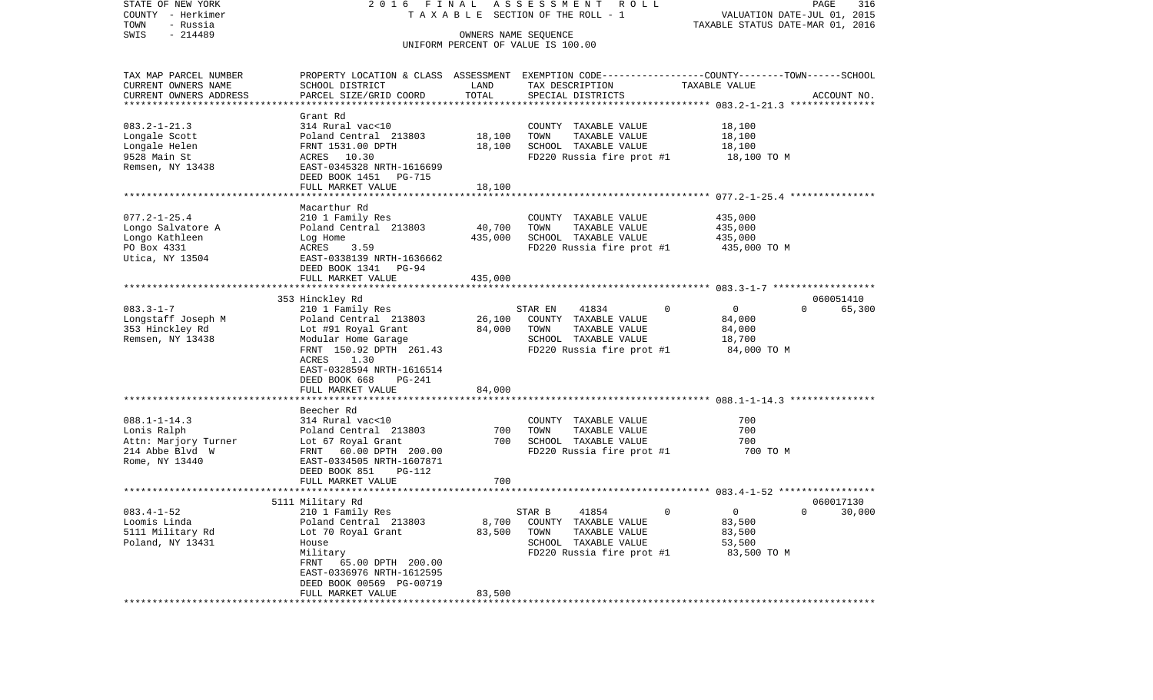| STATE OF NEW YORK<br>COUNTY - Herkimer<br>TOWN<br>- Russia | 2016 FINAL                               |         | A S S E S S M E N T R O L L<br>TAXABLE SECTION OF THE ROLL - 1                                  | VALUATION DATE-JUL 01, 2015      | PAGE<br>316        |
|------------------------------------------------------------|------------------------------------------|---------|-------------------------------------------------------------------------------------------------|----------------------------------|--------------------|
| $-214489$<br>SWIS                                          |                                          |         | OWNERS NAME SEQUENCE                                                                            | TAXABLE STATUS DATE-MAR 01, 2016 |                    |
|                                                            |                                          |         | UNIFORM PERCENT OF VALUE IS 100.00                                                              |                                  |                    |
| TAX MAP PARCEL NUMBER                                      |                                          |         | PROPERTY LOCATION & CLASS ASSESSMENT EXEMPTION CODE---------------COUNTY-------TOWN------SCHOOL |                                  |                    |
| CURRENT OWNERS NAME                                        | SCHOOL DISTRICT                          | LAND    | TAX DESCRIPTION                                                                                 | TAXABLE VALUE                    |                    |
| CURRENT OWNERS ADDRESS<br>*************************        | PARCEL SIZE/GRID COORD                   | TOTAL   | SPECIAL DISTRICTS                                                                               |                                  | ACCOUNT NO.        |
|                                                            | Grant Rd                                 |         |                                                                                                 |                                  |                    |
| $083.2 - 1 - 21.3$                                         | 314 Rural vac<10                         |         | COUNTY TAXABLE VALUE                                                                            | 18,100                           |                    |
| Longale Scott                                              | Poland Central 213803                    | 18,100  | TOWN<br>TAXABLE VALUE                                                                           | 18,100                           |                    |
| Longale Helen                                              | FRNT 1531.00 DPTH                        | 18,100  | SCHOOL TAXABLE VALUE                                                                            | 18,100                           |                    |
| 9528 Main St                                               | ACRES 10.30                              |         | FD220 Russia fire prot #1                                                                       | 18,100 TO M                      |                    |
| Remsen, NY 13438                                           | EAST-0345328 NRTH-1616699                |         |                                                                                                 |                                  |                    |
|                                                            | DEED BOOK 1451 PG-715                    |         |                                                                                                 |                                  |                    |
|                                                            | FULL MARKET VALUE                        | 18,100  |                                                                                                 |                                  |                    |
|                                                            |                                          |         |                                                                                                 |                                  |                    |
|                                                            | Macarthur Rd                             |         |                                                                                                 |                                  |                    |
| $077.2 - 1 - 25.4$<br>Longo Salvatore A                    | 210 1 Family Res                         | 40,700  | COUNTY TAXABLE VALUE<br>TOWN<br>TAXABLE VALUE                                                   | 435,000<br>435,000               |                    |
| Longo Kathleen                                             | Poland Central 213803<br>Log Home        | 435,000 | SCHOOL TAXABLE VALUE                                                                            | 435,000                          |                    |
| PO Box 4331                                                | 3.59<br>ACRES                            |         | FD220 Russia fire prot #1                                                                       | 435,000 TO M                     |                    |
| Utica, NY 13504                                            | EAST-0338139 NRTH-1636662                |         |                                                                                                 |                                  |                    |
|                                                            | DEED BOOK 1341 PG-94                     |         |                                                                                                 |                                  |                    |
|                                                            | FULL MARKET VALUE                        | 435,000 |                                                                                                 |                                  |                    |
|                                                            |                                          |         |                                                                                                 |                                  |                    |
|                                                            | 353 Hinckley Rd                          |         |                                                                                                 |                                  | 060051410          |
| $083.3 - 1 - 7$                                            | 210 1 Family Res                         |         | 41834<br>STAR EN                                                                                | $\mathbf 0$<br>$\overline{0}$    | $\Omega$<br>65,300 |
| Longstaff Joseph M                                         | Poland Central 213803                    | 26,100  | COUNTY TAXABLE VALUE                                                                            | 84,000                           |                    |
| 353 Hinckley Rd                                            | Lot #91 Royal Grant                      | 84,000  | TOWN<br>TAXABLE VALUE                                                                           | 84,000                           |                    |
| Remsen, NY 13438                                           | Modular Home Garage                      |         | SCHOOL TAXABLE VALUE                                                                            | 18,700                           |                    |
|                                                            | FRNT 150.92 DPTH 261.43<br>ACRES<br>1.30 |         | FD220 Russia fire prot #1                                                                       | 84,000 TO M                      |                    |
|                                                            | EAST-0328594 NRTH-1616514                |         |                                                                                                 |                                  |                    |
|                                                            | DEED BOOK 668<br>PG-241                  |         |                                                                                                 |                                  |                    |
|                                                            | FULL MARKET VALUE                        | 84,000  |                                                                                                 |                                  |                    |
|                                                            |                                          |         |                                                                                                 |                                  |                    |
|                                                            | Beecher Rd                               |         |                                                                                                 |                                  |                    |
| $088.1 - 1 - 14.3$                                         | 314 Rural vac<10                         |         | COUNTY TAXABLE VALUE                                                                            | 700                              |                    |
| Lonis Ralph                                                | Poland Central 213803                    | 700     | TOWN<br>TAXABLE VALUE                                                                           | 700                              |                    |
| Attn: Marjory Turner                                       | Lot 67 Royal Grant                       | 700     | SCHOOL TAXABLE VALUE                                                                            | 700                              |                    |
| 214 Abbe Blvd W                                            | FRNT 60.00 DPTH 200.00                   |         | FD220 Russia fire prot #1                                                                       | 700 TO M                         |                    |
| Rome, NY 13440                                             | EAST-0334505 NRTH-1607871                |         |                                                                                                 |                                  |                    |
|                                                            | DEED BOOK 851<br>PG-112                  | 700     |                                                                                                 |                                  |                    |
|                                                            | FULL MARKET VALUE                        |         |                                                                                                 |                                  |                    |
|                                                            | 5111 Military Rd                         |         |                                                                                                 |                                  | 060017130          |
| $083.4 - 1 - 52$                                           | 210 1 Family Res                         |         | STAR B<br>41854                                                                                 | $\Omega$<br>$\Omega$             | $0 \t 30,000$      |
| Loomis Linda                                               | Poland Central 213803                    | 8,700   | COUNTY TAXABLE VALUE                                                                            | 83,500                           |                    |
| 5111 Military Rd                                           | Lot 70 Royal Grant                       | 83,500  | TOWN<br>TAXABLE VALUE                                                                           | 83,500                           |                    |
| Poland, NY 13431                                           | House                                    |         | SCHOOL TAXABLE VALUE                                                                            | 53,500                           |                    |
|                                                            | Military                                 |         | FD220 Russia fire prot #1                                                                       | 83,500 TO M                      |                    |
|                                                            | FRNT 65.00 DPTH 200.00                   |         |                                                                                                 |                                  |                    |
|                                                            | EAST-0336976 NRTH-1612595                |         |                                                                                                 |                                  |                    |
|                                                            | DEED BOOK 00569 PG-00719                 |         |                                                                                                 |                                  |                    |
|                                                            | FULL MARKET VALUE                        | 83,500  |                                                                                                 |                                  |                    |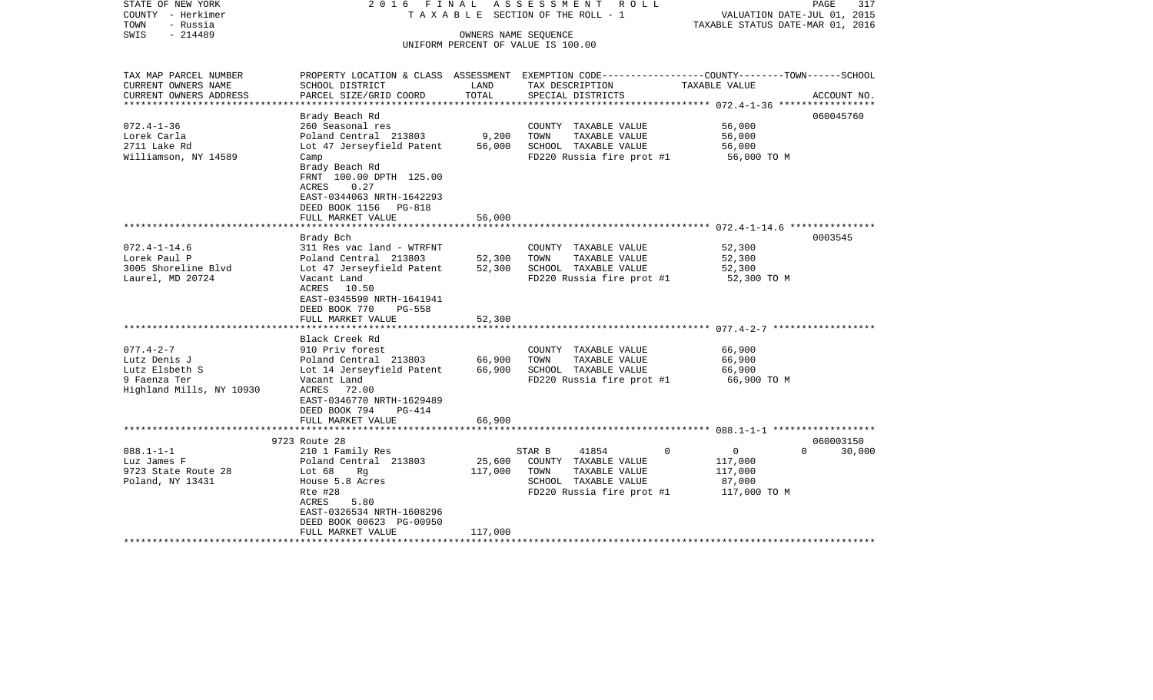| STATE OF NEW YORK<br>COUNTY - Herkimer<br>TOWN<br>- Russia | 2016 FINAL                                                                                                          |               | A S S E S S M E N T R O L L<br>TAXABLE SECTION OF THE ROLL - 1 | VALUATION DATE-JUL 01, 2015<br>TAXABLE STATUS DATE-MAR 01, 2016 | PAGE<br>317        |
|------------------------------------------------------------|---------------------------------------------------------------------------------------------------------------------|---------------|----------------------------------------------------------------|-----------------------------------------------------------------|--------------------|
| $-214489$<br>SWIS                                          |                                                                                                                     |               | OWNERS NAME SEQUENCE<br>UNIFORM PERCENT OF VALUE IS 100.00     |                                                                 |                    |
|                                                            |                                                                                                                     |               |                                                                |                                                                 |                    |
| TAX MAP PARCEL NUMBER                                      | PROPERTY LOCATION & CLASS ASSESSMENT EXEMPTION CODE---------------COUNTY-------TOWN------SCHOOL                     |               |                                                                |                                                                 |                    |
| CURRENT OWNERS NAME                                        | SCHOOL DISTRICT                                                                                                     | LAND<br>TOTAL | TAX DESCRIPTION                                                | TAXABLE VALUE                                                   |                    |
| CURRENT OWNERS ADDRESS<br>*********************            | PARCEL SIZE/GRID COORD                                                                                              |               | SPECIAL DISTRICTS                                              |                                                                 | ACCOUNT NO.        |
|                                                            | Brady Beach Rd                                                                                                      |               |                                                                |                                                                 | 060045760          |
| $072.4 - 1 - 36$                                           | 260 Seasonal res                                                                                                    |               | COUNTY TAXABLE VALUE                                           | 56,000                                                          |                    |
| Lorek Carla                                                | Poland Central 213803                                                                                               | 9,200         | TOWN<br>TAXABLE VALUE                                          | 56,000                                                          |                    |
| 2711 Lake Rd                                               | Lot 47 Jerseyfield Patent                                                                                           | 56,000        | SCHOOL TAXABLE VALUE                                           | 56,000                                                          |                    |
| Williamson, NY 14589                                       | Camp                                                                                                                |               | FD220 Russia fire prot #1                                      | 56,000 TO M                                                     |                    |
|                                                            | Brady Beach Rd<br>FRNT 100.00 DPTH 125.00<br>ACRES<br>0.27<br>EAST-0344063 NRTH-1642293<br>DEED BOOK 1156<br>PG-818 |               |                                                                |                                                                 |                    |
|                                                            | FULL MARKET VALUE                                                                                                   | 56,000        |                                                                |                                                                 |                    |
|                                                            | ***********************                                                                                             | ************  |                                                                |                                                                 |                    |
|                                                            | Brady Bch                                                                                                           |               |                                                                |                                                                 | 0003545            |
| $072.4 - 1 - 14.6$                                         | 311 Res vac land - WTRFNT                                                                                           |               | COUNTY TAXABLE VALUE                                           | 52,300                                                          |                    |
| Lorek Paul P                                               | Poland Central 213803                                                                                               | 52,300        | TAXABLE VALUE<br>TOWN                                          | 52,300                                                          |                    |
| 3005 Shoreline Blvd                                        | Lot 47 Jerseyfield Patent                                                                                           | 52,300        | SCHOOL TAXABLE VALUE                                           | 52,300                                                          |                    |
| Laurel, MD 20724                                           | Vacant Land<br>ACRES<br>10.50<br>EAST-0345590 NRTH-1641941<br>DEED BOOK 770<br>PG-558<br>FULL MARKET VALUE          | 52,300        | FD220 Russia fire prot #1                                      | 52,300 TO M                                                     |                    |
|                                                            |                                                                                                                     |               |                                                                |                                                                 |                    |
|                                                            | Black Creek Rd                                                                                                      |               |                                                                |                                                                 |                    |
| $077.4 - 2 - 7$                                            | 910 Priv forest                                                                                                     |               | COUNTY TAXABLE VALUE                                           | 66,900                                                          |                    |
| Lutz Denis J                                               | Poland Central 213803                                                                                               | 66,900        | TAXABLE VALUE<br>TOWN                                          | 66,900                                                          |                    |
| Lutz Elsbeth S                                             | Lot 14 Jerseyfield Patent                                                                                           | 66,900        | SCHOOL TAXABLE VALUE                                           | 66,900                                                          |                    |
| 9 Faenza Ter<br>Highland Mills, NY 10930                   | Vacant Land<br>ACRES 72.00<br>EAST-0346770 NRTH-1629489                                                             |               | FD220 Russia fire prot #1                                      | 66,900 то м                                                     |                    |
|                                                            | DEED BOOK 794<br>PG-414                                                                                             |               |                                                                |                                                                 |                    |
|                                                            | FULL MARKET VALUE                                                                                                   | 66,900        |                                                                |                                                                 |                    |
|                                                            |                                                                                                                     |               |                                                                |                                                                 |                    |
|                                                            | 9723 Route 28                                                                                                       |               |                                                                |                                                                 | 060003150          |
| $088.1 - 1 - 1$                                            | 210 1 Family Res                                                                                                    |               | STAR B<br>41854                                                | $\Omega$<br>0                                                   | $\Omega$<br>30,000 |
| Luz James F                                                | Poland Central 213803                                                                                               | 25,600        | COUNTY TAXABLE VALUE                                           | 117,000                                                         |                    |
| 9723 State Route 28                                        | Lot 68<br>Rg                                                                                                        | 117,000       | TOWN<br>TAXABLE VALUE                                          | 117,000                                                         |                    |
| Poland, NY 13431                                           | House 5.8 Acres                                                                                                     |               | SCHOOL TAXABLE VALUE                                           | 87,000                                                          |                    |
|                                                            | Rte #28                                                                                                             |               | FD220 Russia fire prot #1                                      | 117,000 TO M                                                    |                    |
|                                                            | ACRES<br>5.80                                                                                                       |               |                                                                |                                                                 |                    |
|                                                            | EAST-0326534 NRTH-1608296                                                                                           |               |                                                                |                                                                 |                    |
|                                                            | DEED BOOK 00623 PG-00950                                                                                            |               |                                                                |                                                                 |                    |
| ********************                                       | FULL MARKET VALUE                                                                                                   | 117,000       |                                                                |                                                                 |                    |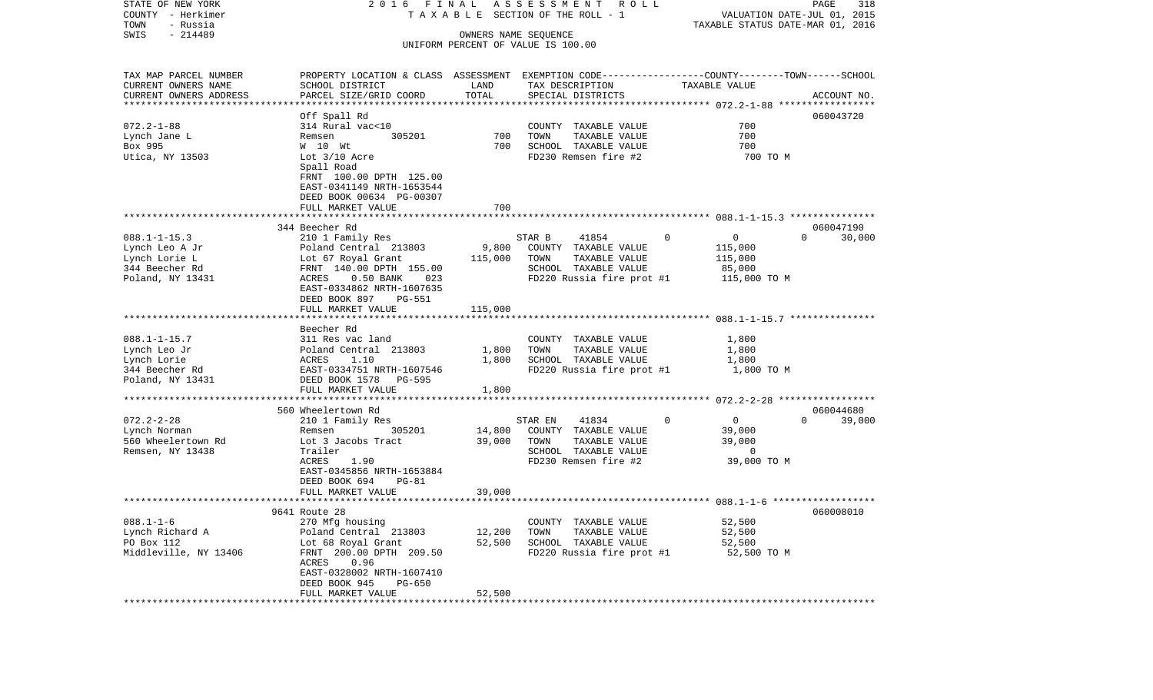| STATE OF NEW YORK<br>COUNTY - Herkimer<br>TOWN<br>- Russia | 2016 FINAL                                                                                     |                         | A S S E S S M E N T R O L L<br>T A X A B L E SECTION OF THE ROLL - 1 |                                                             | PAGE<br>318<br>VALUATION DATE-JUL 01, 2015<br>TAXABLE STATUS DATE-MAR 01, 2016 |
|------------------------------------------------------------|------------------------------------------------------------------------------------------------|-------------------------|----------------------------------------------------------------------|-------------------------------------------------------------|--------------------------------------------------------------------------------|
| $-214489$<br>SWIS                                          |                                                                                                | OWNERS NAME SEOUENCE    |                                                                      |                                                             |                                                                                |
|                                                            |                                                                                                |                         | UNIFORM PERCENT OF VALUE IS 100.00                                   |                                                             |                                                                                |
| TAX MAP PARCEL NUMBER                                      | PROPERTY LOCATION & CLASS ASSESSMENT EXEMPTION CODE---------------COUNTY-------TOWN-----SCHOOL |                         |                                                                      |                                                             |                                                                                |
| CURRENT OWNERS NAME                                        | SCHOOL DISTRICT                                                                                | LAND                    | TAX DESCRIPTION                                                      | TAXABLE VALUE                                               |                                                                                |
| CURRENT OWNERS ADDRESS                                     | PARCEL SIZE/GRID COORD                                                                         | TOTAL                   | SPECIAL DISTRICTS                                                    |                                                             | ACCOUNT NO.                                                                    |
| **********************                                     |                                                                                                |                         |                                                                      |                                                             |                                                                                |
| $072.2 - 1 - 88$                                           | Off Spall Rd                                                                                   |                         | COUNTY TAXABLE VALUE                                                 | 700                                                         | 060043720                                                                      |
| Lynch Jane L                                               | 314 Rural vac<10<br>305201<br>Remsen                                                           | 700                     | TOWN<br>TAXABLE VALUE                                                | 700                                                         |                                                                                |
| Box 995                                                    | W 10 Wt                                                                                        | 700                     | SCHOOL TAXABLE VALUE                                                 | 700                                                         |                                                                                |
| Utica, NY 13503                                            | Lot $3/10$ Acre                                                                                |                         | FD230 Remsen fire #2                                                 | 700 TO M                                                    |                                                                                |
|                                                            | Spall Road                                                                                     |                         |                                                                      |                                                             |                                                                                |
|                                                            | FRNT 100.00 DPTH 125.00                                                                        |                         |                                                                      |                                                             |                                                                                |
|                                                            | EAST-0341149 NRTH-1653544                                                                      |                         |                                                                      |                                                             |                                                                                |
|                                                            | DEED BOOK 00634 PG-00307                                                                       |                         |                                                                      |                                                             |                                                                                |
|                                                            | FULL MARKET VALUE                                                                              | 700                     |                                                                      |                                                             |                                                                                |
|                                                            |                                                                                                |                         |                                                                      |                                                             |                                                                                |
|                                                            | 344 Beecher Rd                                                                                 |                         |                                                                      |                                                             | 060047190                                                                      |
| $088.1 - 1 - 15.3$                                         | 210 1 Family Res                                                                               |                         | STAR B<br>41854                                                      | $\mathbf 0$<br>$\overline{0}$                               | $\Omega$<br>30,000                                                             |
| Lynch Leo A Jr                                             | Poland Central 213803                                                                          | 9,800                   | COUNTY TAXABLE VALUE                                                 | 115,000                                                     |                                                                                |
| Lynch Lorie L                                              | Lot 67 Royal Grant                                                                             | 115,000                 | TAXABLE VALUE<br>TOWN                                                | 115,000                                                     |                                                                                |
| 344 Beecher Rd                                             | FRNT 140.00 DPTH 155.00                                                                        |                         | SCHOOL TAXABLE VALUE                                                 | 85,000                                                      |                                                                                |
| Poland, NY 13431                                           | ACRES<br>$0.50$ BANK<br>023                                                                    |                         | FD220 Russia fire prot #1                                            | 115,000 TO M                                                |                                                                                |
|                                                            | EAST-0334862 NRTH-1607635                                                                      |                         |                                                                      |                                                             |                                                                                |
|                                                            | DEED BOOK 897<br>PG-551<br>FULL MARKET VALUE                                                   | 115,000                 |                                                                      |                                                             |                                                                                |
|                                                            |                                                                                                |                         |                                                                      |                                                             |                                                                                |
|                                                            | Beecher Rd                                                                                     |                         |                                                                      |                                                             |                                                                                |
| $088.1 - 1 - 15.7$                                         | 311 Res vac land                                                                               |                         | COUNTY TAXABLE VALUE                                                 | 1,800                                                       |                                                                                |
| Lynch Leo Jr                                               | Poland Central 213803                                                                          | 1,800                   | TAXABLE VALUE<br>TOWN                                                | 1,800                                                       |                                                                                |
| Lynch Lorie                                                | 1.10<br>ACRES                                                                                  | 1,800                   | SCHOOL TAXABLE VALUE                                                 | 1,800                                                       |                                                                                |
| 344 Beecher Rd                                             | EAST-0334751 NRTH-1607546                                                                      |                         | FD220 Russia fire prot #1                                            | 1,800 TO M                                                  |                                                                                |
| Poland, NY 13431                                           | DEED BOOK 1578<br>PG-595                                                                       |                         |                                                                      |                                                             |                                                                                |
|                                                            | FULL MARKET VALUE                                                                              | 1,800                   |                                                                      |                                                             |                                                                                |
|                                                            |                                                                                                |                         |                                                                      | ****************************** 072.2-2-28 ***************** |                                                                                |
|                                                            | 560 Wheelertown Rd                                                                             |                         |                                                                      |                                                             | 060044680                                                                      |
| $072.2 - 2 - 28$                                           | 210 1 Family Res                                                                               |                         | STAR EN<br>41834                                                     | $\overline{0}$<br>0                                         | $\Omega$<br>39,000                                                             |
| Lynch Norman                                               | 305201<br>Remsen                                                                               | 14,800                  | COUNTY TAXABLE VALUE                                                 | 39,000                                                      |                                                                                |
| 560 Wheelertown Rd                                         | Lot 3 Jacobs Tract                                                                             | 39,000                  | TOWN<br>TAXABLE VALUE                                                | 39,000                                                      |                                                                                |
| Remsen, NY 13438                                           | Trailer                                                                                        |                         | SCHOOL TAXABLE VALUE                                                 | 0                                                           |                                                                                |
|                                                            | 1.90<br>ACRES                                                                                  |                         | FD230 Remsen fire #2                                                 | 39,000 TO M                                                 |                                                                                |
|                                                            | EAST-0345856 NRTH-1653884                                                                      |                         |                                                                      |                                                             |                                                                                |
|                                                            | DEED BOOK 694<br>PG-81<br>FULL MARKET VALUE                                                    | 39,000                  |                                                                      |                                                             |                                                                                |
|                                                            |                                                                                                |                         |                                                                      |                                                             |                                                                                |
|                                                            | 9641 Route 28                                                                                  |                         |                                                                      |                                                             | 060008010                                                                      |
| $088.1 - 1 - 6$                                            | 270 Mfg housing                                                                                |                         | COUNTY TAXABLE VALUE                                                 | 52,500                                                      |                                                                                |
| Lynch Richard A                                            | Poland Central 213803                                                                          | 12,200                  | TOWN<br>TAXABLE VALUE                                                | 52,500                                                      |                                                                                |
| PO Box 112                                                 | Lot 68 Royal Grant                                                                             | 52,500                  | SCHOOL TAXABLE VALUE                                                 | 52,500                                                      |                                                                                |
| Middleville, NY 13406                                      | FRNT 200.00 DPTH 209.50                                                                        |                         | FD220 Russia fire prot #1                                            | 52,500 TO M                                                 |                                                                                |
|                                                            | ACRES<br>0.96                                                                                  |                         |                                                                      |                                                             |                                                                                |
|                                                            | EAST-0328002 NRTH-1607410                                                                      |                         |                                                                      |                                                             |                                                                                |
|                                                            | DEED BOOK 945<br>PG-650                                                                        |                         |                                                                      |                                                             |                                                                                |
|                                                            | FULL MARKET VALUE<br>**********************                                                    | 52,500<br>************* |                                                                      |                                                             |                                                                                |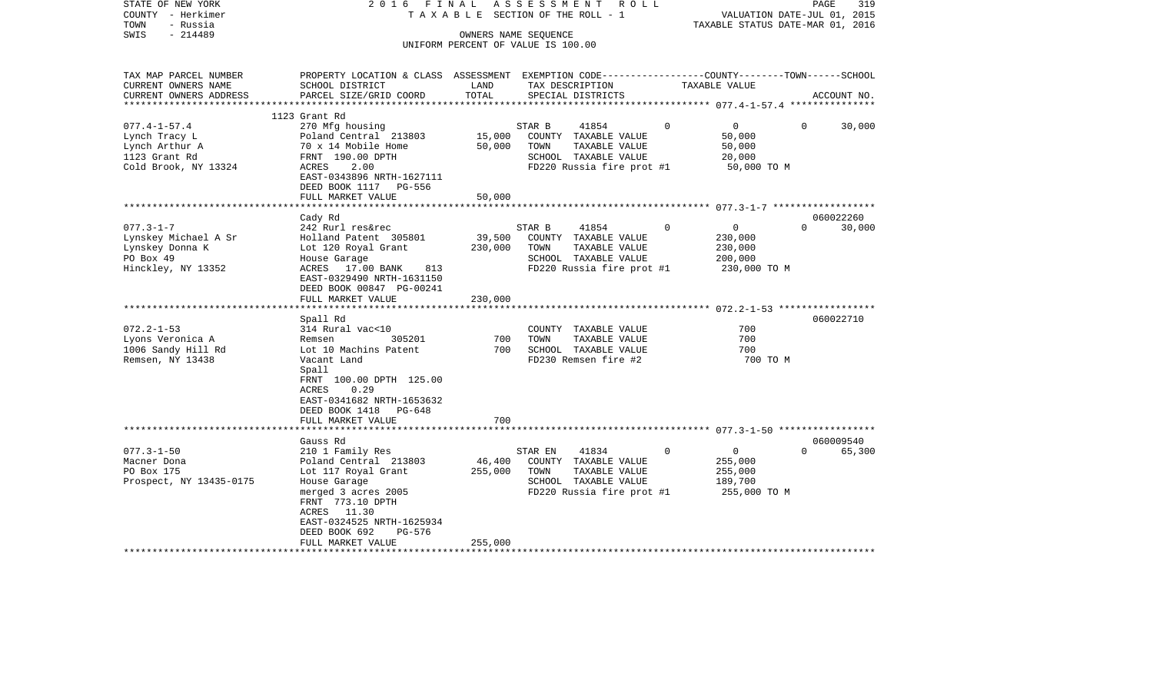| STATE OF NEW YORK<br>COUNTY - Herkimer<br>TOWN<br>- Russia<br>$-214489$<br>SWIS                | 2016 FINAL                                                                                                                                                                                                       |                              | ASSESSMENT<br>R O L L<br>TAXABLE SECTION OF THE ROLL - 1<br>OWNERS NAME SEQUENCE                                       |                                                                                | PAGE<br>319<br>VALUATION DATE-JUL 01, 2015<br>TAXABLE STATUS DATE-MAR 01, 2016 |
|------------------------------------------------------------------------------------------------|------------------------------------------------------------------------------------------------------------------------------------------------------------------------------------------------------------------|------------------------------|------------------------------------------------------------------------------------------------------------------------|--------------------------------------------------------------------------------|--------------------------------------------------------------------------------|
|                                                                                                |                                                                                                                                                                                                                  |                              | UNIFORM PERCENT OF VALUE IS 100.00                                                                                     |                                                                                |                                                                                |
| TAX MAP PARCEL NUMBER<br>CURRENT OWNERS NAME<br>CURRENT OWNERS ADDRESS                         | PROPERTY LOCATION & CLASS ASSESSMENT EXEMPTION CODE---------------COUNTY-------TOWN------SCHOOL<br>SCHOOL DISTRICT<br>PARCEL SIZE/GRID COORD                                                                     | LAND<br>TOTAL                | TAX DESCRIPTION<br>SPECIAL DISTRICTS                                                                                   | TAXABLE VALUE                                                                  | ACCOUNT NO.                                                                    |
| ***********************                                                                        | 1123 Grant Rd                                                                                                                                                                                                    |                              |                                                                                                                        |                                                                                |                                                                                |
| $077.4 - 1 - 57.4$<br>Lynch Tracy L<br>Lynch Arthur A<br>1123 Grant Rd<br>Cold Brook, NY 13324 | 270 Mfg housing<br>Poland Central 213803<br>70 x 14 Mobile Home<br>FRNT 190.00 DPTH<br>ACRES<br>2.00<br>EAST-0343896 NRTH-1627111<br>DEED BOOK 1117 PG-556                                                       | 15,000<br>50,000             | 41854<br>STAR B<br>COUNTY TAXABLE VALUE<br>TOWN<br>TAXABLE VALUE<br>SCHOOL TAXABLE VALUE<br>FD220 Russia fire prot #1  | $\Omega$<br>$\overline{0}$<br>50,000<br>50,000<br>20,000<br>50,000 TO M        | $\Omega$<br>30,000                                                             |
|                                                                                                | FULL MARKET VALUE                                                                                                                                                                                                | 50,000                       |                                                                                                                        |                                                                                |                                                                                |
| $077.3 - 1 - 7$<br>Lynskey Michael A Sr<br>Lynskey Donna K<br>PO Box 49<br>Hinckley, NY 13352  | Cady Rd<br>242 Rurl res&rec<br>Holland Patent 305801<br>Lot 120 Royal Grant<br>House Garage<br>ACRES 17.00 BANK<br>813<br>EAST-0329490 NRTH-1631150<br>DEED BOOK 00847 PG-00241<br>FULL MARKET VALUE<br>Spall Rd | 39,500<br>230,000<br>230,000 | STAR B<br>41854<br>COUNTY TAXABLE VALUE<br>TAXABLE VALUE<br>TOWN<br>SCHOOL TAXABLE VALUE<br>FD220 Russia fire prot #1  | 0<br>$\overline{0}$<br>230,000<br>230,000<br>200,000<br>230,000 TO M           | 060022260<br>30,000<br>$\Omega$<br>060022710                                   |
| $072.2 - 1 - 53$<br>Lyons Veronica A<br>1006 Sandy Hill Rd<br>Remsen, NY 13438                 | 314 Rural vac<10<br>Remsen<br>305201<br>Lot 10 Machins Patent<br>Vacant Land<br>Spall<br>FRNT 100.00 DPTH 125.00<br>0.29<br>ACRES<br>EAST-0341682 NRTH-1653632<br>DEED BOOK 1418 PG-648<br>FULL MARKET VALUE     | 700<br>700<br>700            | COUNTY TAXABLE VALUE<br>TOWN<br>TAXABLE VALUE<br>SCHOOL TAXABLE VALUE<br>FD230 Remsen fire #2                          | 700<br>700<br>700<br>700 TO M                                                  |                                                                                |
|                                                                                                |                                                                                                                                                                                                                  |                              |                                                                                                                        |                                                                                |                                                                                |
| $077.3 - 1 - 50$<br>Macner Dona<br>PO Box 175<br>Prospect, NY 13435-0175                       | Gauss Rd<br>210 1 Family Res<br>Poland Central 213803<br>Lot 117 Royal Grant<br>House Garage<br>merged 3 acres 2005<br>FRNT 773.10 DPTH<br>ACRES 11.30<br>EAST-0324525 NRTH-1625934<br>DEED BOOK 692<br>PG-576   | 46,400<br>255,000            | 41834<br>STAR EN<br>COUNTY TAXABLE VALUE<br>TOWN<br>TAXABLE VALUE<br>SCHOOL TAXABLE VALUE<br>FD220 Russia fire prot #1 | $\mathbf 0$<br>$\overline{0}$<br>255,000<br>255,000<br>189,700<br>255,000 TO M | 060009540<br>$\Omega$<br>65,300                                                |
|                                                                                                | FULL MARKET VALUE<br>********************                                                                                                                                                                        | 255,000                      |                                                                                                                        |                                                                                |                                                                                |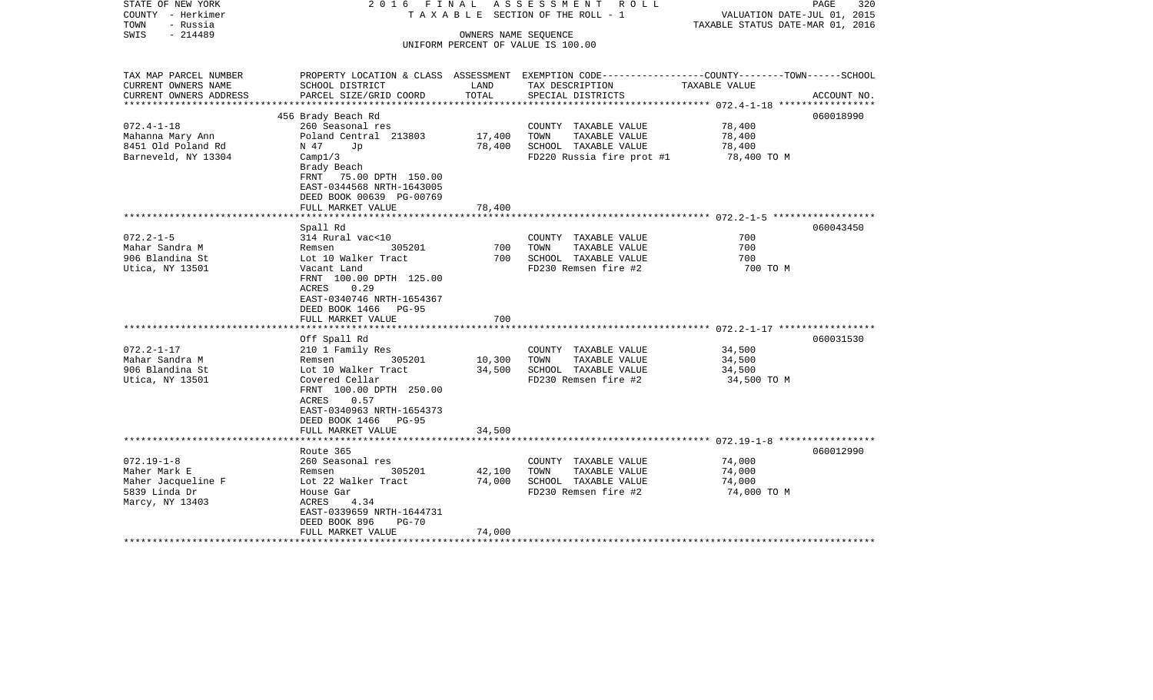| STATE OF NEW YORK<br>COUNTY - Herkimer<br>TOWN<br>- Russia | 2016 FINAL                                |        | A S S E S S M E N T R O L L<br>T A X A B L E SECTION OF THE ROLL - 1                             | VALUATION DATE-JUL 01, 2015<br>TAXABLE STATUS DATE-MAR 01, 2016 | PAGE<br>320 |
|------------------------------------------------------------|-------------------------------------------|--------|--------------------------------------------------------------------------------------------------|-----------------------------------------------------------------|-------------|
| - 214489<br>SWIS                                           |                                           |        | OWNERS NAME SEQUENCE                                                                             |                                                                 |             |
|                                                            |                                           |        | UNIFORM PERCENT OF VALUE IS 100.00                                                               |                                                                 |             |
|                                                            |                                           |        |                                                                                                  |                                                                 |             |
| TAX MAP PARCEL NUMBER                                      |                                           |        | PROPERTY LOCATION & CLASS ASSESSMENT EXEMPTION CODE----------------COUNTY-------TOWN------SCHOOL |                                                                 |             |
| CURRENT OWNERS NAME                                        | SCHOOL DISTRICT                           | LAND   | TAX DESCRIPTION                                                                                  | TAXABLE VALUE                                                   |             |
| CURRENT OWNERS ADDRESS<br>**********************           | PARCEL SIZE/GRID COORD                    | TOTAL  | SPECIAL DISTRICTS                                                                                |                                                                 | ACCOUNT NO. |
|                                                            | 456 Brady Beach Rd                        |        |                                                                                                  |                                                                 | 060018990   |
| $072.4 - 1 - 18$                                           | 260 Seasonal res                          |        | COUNTY TAXABLE VALUE                                                                             | 78,400                                                          |             |
| Mahanna Mary Ann                                           | Poland Central 213803                     | 17,400 | TOWN<br>TAXABLE VALUE                                                                            | 78,400                                                          |             |
| 8451 Old Poland Rd                                         | N 47<br>Jp                                | 78,400 | SCHOOL TAXABLE VALUE                                                                             | 78,400                                                          |             |
| Barneveld, NY 13304                                        | Campl/3                                   |        | FD220 Russia fire prot #1                                                                        | 78,400 TO M                                                     |             |
|                                                            | Brady Beach                               |        |                                                                                                  |                                                                 |             |
|                                                            | FRNT 75.00 DPTH 150.00                    |        |                                                                                                  |                                                                 |             |
|                                                            | EAST-0344568 NRTH-1643005                 |        |                                                                                                  |                                                                 |             |
|                                                            | DEED BOOK 00639 PG-00769                  |        |                                                                                                  |                                                                 |             |
|                                                            | FULL MARKET VALUE                         | 78,400 |                                                                                                  |                                                                 |             |
|                                                            | *************************                 |        |                                                                                                  |                                                                 |             |
|                                                            | Spall Rd                                  |        |                                                                                                  |                                                                 | 060043450   |
| $072.2 - 1 - 5$                                            | 314 Rural vac<10                          |        | COUNTY TAXABLE VALUE                                                                             | 700                                                             |             |
| Mahar Sandra M                                             | 305201<br>Remsen                          | 700    | TOWN<br>TAXABLE VALUE                                                                            | 700                                                             |             |
| 906 Blandina St                                            | Lot 10 Walker Tract                       | 700    | SCHOOL TAXABLE VALUE                                                                             | 700<br>700 TO M                                                 |             |
| Utica, NY 13501                                            | Vacant Land<br>FRNT 100.00 DPTH 125.00    |        | FD230 Remsen fire #2                                                                             |                                                                 |             |
|                                                            | 0.29<br>ACRES                             |        |                                                                                                  |                                                                 |             |
|                                                            | EAST-0340746 NRTH-1654367                 |        |                                                                                                  |                                                                 |             |
|                                                            | DEED BOOK 1466 PG-95                      |        |                                                                                                  |                                                                 |             |
|                                                            | FULL MARKET VALUE                         | 700    |                                                                                                  |                                                                 |             |
| **************************                                 |                                           |        |                                                                                                  |                                                                 |             |
|                                                            | Off Spall Rd                              |        |                                                                                                  |                                                                 | 060031530   |
| $072.2 - 1 - 17$                                           | 210 1 Family Res                          |        | COUNTY TAXABLE VALUE                                                                             | 34,500                                                          |             |
| Mahar Sandra M                                             | 305201<br>Remsen                          | 10,300 | TAXABLE VALUE<br>TOWN                                                                            | 34,500                                                          |             |
| 906 Blandina St                                            | Lot 10 Walker Tract                       | 34,500 | SCHOOL TAXABLE VALUE                                                                             | 34,500                                                          |             |
| Utica, NY 13501                                            | Covered Cellar                            |        | FD230 Remsen fire #2                                                                             | 34,500 TO M                                                     |             |
|                                                            | FRNT 100.00 DPTH 250.00                   |        |                                                                                                  |                                                                 |             |
|                                                            | 0.57<br>ACRES                             |        |                                                                                                  |                                                                 |             |
|                                                            | EAST-0340963 NRTH-1654373                 |        |                                                                                                  |                                                                 |             |
|                                                            | DEED BOOK 1466 PG-95<br>FULL MARKET VALUE | 34,500 |                                                                                                  |                                                                 |             |
|                                                            |                                           |        |                                                                                                  |                                                                 |             |
|                                                            | Route 365                                 |        |                                                                                                  |                                                                 | 060012990   |
| $072.19 - 1 - 8$                                           | 260 Seasonal res                          |        | COUNTY TAXABLE VALUE                                                                             | 74,000                                                          |             |
| Maher Mark E                                               | 305201<br>Remsen                          | 42,100 | TOWN<br>TAXABLE VALUE                                                                            | 74,000                                                          |             |
| Maher Jacqueline F                                         | Lot 22 Walker Tract                       | 74,000 | SCHOOL TAXABLE VALUE                                                                             | 74,000                                                          |             |
| 5839 Linda Dr                                              | House Gar                                 |        | FD230 Remsen fire #2                                                                             | 74,000 TO M                                                     |             |
| Marcy, NY 13403                                            | 4.34<br>ACRES                             |        |                                                                                                  |                                                                 |             |
|                                                            | EAST-0339659 NRTH-1644731                 |        |                                                                                                  |                                                                 |             |
|                                                            | DEED BOOK 896<br>$PG-70$                  |        |                                                                                                  |                                                                 |             |
|                                                            | FULL MARKET VALUE                         | 74,000 |                                                                                                  |                                                                 |             |
|                                                            |                                           |        |                                                                                                  |                                                                 |             |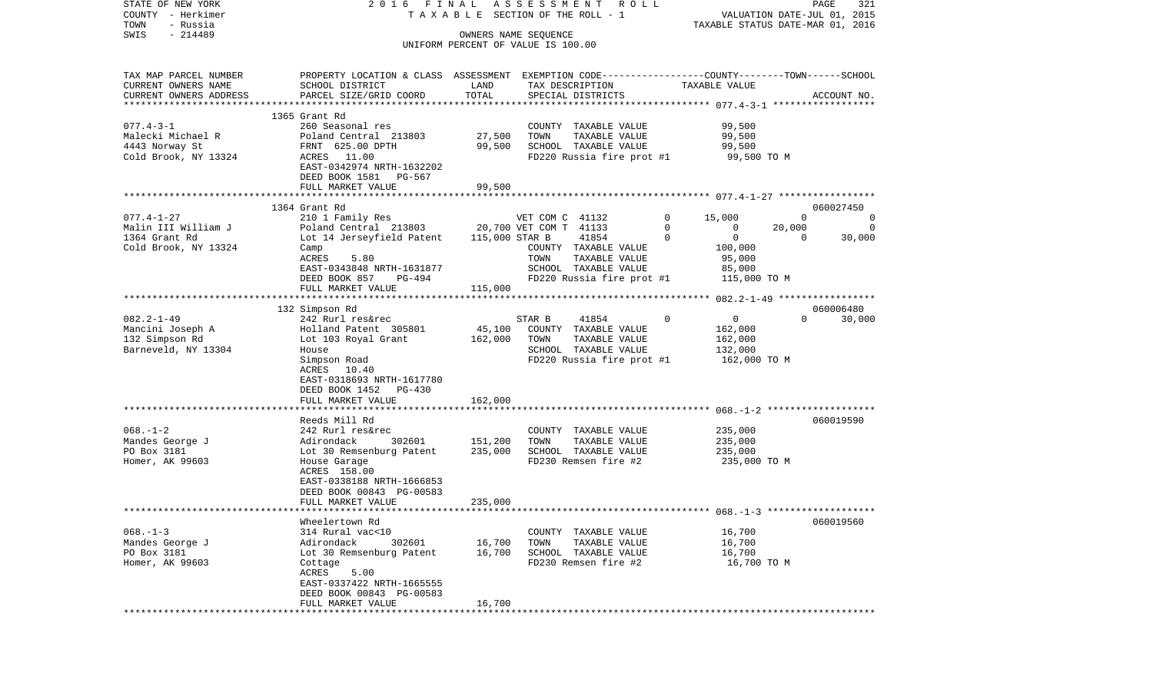| STATE OF NEW YORK<br>COUNTY - Herkimer | 2016 FINAL                                                                                     |                    | ASSESSMENT ROLL<br>TAXABLE SECTION OF THE ROLL - 1 |                                                                | PAGE<br>321<br>VALUATION DATE-JUL 01, 2015 |
|----------------------------------------|------------------------------------------------------------------------------------------------|--------------------|----------------------------------------------------|----------------------------------------------------------------|--------------------------------------------|
| TOWN<br>- Russia                       |                                                                                                |                    |                                                    |                                                                | TAXABLE STATUS DATE-MAR 01, 2016           |
| $-214489$<br>SWIS                      |                                                                                                |                    | OWNERS NAME SEQUENCE                               |                                                                |                                            |
|                                        |                                                                                                |                    | UNIFORM PERCENT OF VALUE IS 100.00                 |                                                                |                                            |
| TAX MAP PARCEL NUMBER                  | PROPERTY LOCATION & CLASS ASSESSMENT EXEMPTION CODE---------------COUNTY-------TOWN-----SCHOOL |                    |                                                    |                                                                |                                            |
| CURRENT OWNERS NAME                    | SCHOOL DISTRICT                                                                                | LAND               | TAX DESCRIPTION                                    | TAXABLE VALUE                                                  |                                            |
| CURRENT OWNERS ADDRESS                 | PARCEL SIZE/GRID COORD                                                                         | TOTAL              | SPECIAL DISTRICTS                                  |                                                                | ACCOUNT NO.                                |
|                                        | 1365 Grant Rd                                                                                  |                    |                                                    |                                                                |                                            |
| $077.4 - 3 - 1$                        | 260 Seasonal res                                                                               |                    | COUNTY TAXABLE VALUE                               | 99,500                                                         |                                            |
| Malecki Michael R                      | Poland Central 213803                                                                          | 27,500             | TOWN<br>TAXABLE VALUE                              | 99,500                                                         |                                            |
| 4443 Norway St                         | FRNT 625.00 DPTH                                                                               | 99,500             | SCHOOL TAXABLE VALUE                               | 99,500                                                         |                                            |
| Cold Brook, NY 13324                   | ACRES 11.00                                                                                    |                    | FD220 Russia fire prot #1                          | 99,500 TO M                                                    |                                            |
|                                        | EAST-0342974 NRTH-1632202                                                                      |                    |                                                    |                                                                |                                            |
|                                        | DEED BOOK 1581 PG-567                                                                          |                    |                                                    |                                                                |                                            |
|                                        | FULL MARKET VALUE                                                                              | 99,500             |                                                    |                                                                |                                            |
|                                        |                                                                                                |                    |                                                    |                                                                |                                            |
|                                        | 1364 Grant Rd                                                                                  |                    |                                                    |                                                                | 060027450                                  |
| $077.4 - 1 - 27$                       | 210 1 Family Res                                                                               |                    | VET COM C 41132                                    | $\overline{0}$<br>15,000                                       | $\overline{0}$<br>$\overline{0}$           |
| Malin III William J<br>1364 Grant Rd   | Poland Central 213803 20,700 VET COM T 41133<br>Lot 14 Jerseyfield Patent                      | 115,000 STAR B     | 41854                                              | $\overline{0}$<br>$\overline{0}$<br>$\mathbf 0$<br>$\mathbf 0$ | 20,000<br>0<br>$\Omega$<br>30,000          |
| Cold Brook, NY 13324                   | Camp                                                                                           |                    | COUNTY TAXABLE VALUE                               | 100,000                                                        |                                            |
|                                        | 5.80<br>ACRES                                                                                  |                    | TOWN<br>TAXABLE VALUE                              | 95,000                                                         |                                            |
|                                        | EAST-0343848 NRTH-1631877                                                                      |                    | SCHOOL TAXABLE VALUE                               | 85,000                                                         |                                            |
|                                        | DEED BOOK 857<br>PG-494                                                                        |                    | FD220 Russia fire prot #1                          | 115,000 TO M                                                   |                                            |
|                                        | FULL MARKET VALUE                                                                              | 115,000            |                                                    |                                                                |                                            |
|                                        |                                                                                                |                    |                                                    |                                                                |                                            |
|                                        | 132 Simpson Rd                                                                                 |                    |                                                    |                                                                | 060006480                                  |
| $082.2 - 1 - 49$                       | 242 Rurl res&rec                                                                               |                    | STAR B<br>41854                                    | $\mathbf 0$<br>$\mathbf{0}$                                    | $\Omega$<br>30,000                         |
| Mancini Joseph A<br>132 Simpson Rd     | Holland Patent 305801                                                                          | 45,100<br>162,000  | COUNTY TAXABLE VALUE<br>TOWN<br>TAXABLE VALUE      | 162,000<br>162,000                                             |                                            |
| Barneveld, NY 13304                    | Lot 103 Royal Grant<br>House                                                                   |                    | SCHOOL TAXABLE VALUE                               | 132,000                                                        |                                            |
|                                        | Simpson Road                                                                                   |                    | FD220 Russia fire prot #1                          | 162,000 TO M                                                   |                                            |
|                                        | ACRES 10.40                                                                                    |                    |                                                    |                                                                |                                            |
|                                        | EAST-0318693 NRTH-1617780                                                                      |                    |                                                    |                                                                |                                            |
|                                        | DEED BOOK 1452 PG-430                                                                          |                    |                                                    |                                                                |                                            |
|                                        | FULL MARKET VALUE                                                                              | 162,000            |                                                    |                                                                |                                            |
|                                        | **************************                                                                     |                    |                                                    |                                                                |                                            |
|                                        | Reeds Mill Rd                                                                                  |                    |                                                    |                                                                | 060019590                                  |
| $068. - 1 - 2$                         | 242 Rurl res&rec                                                                               |                    | COUNTY TAXABLE VALUE                               | 235,000                                                        |                                            |
| Mandes George J<br>PO Box 3181         | Adirondack<br>302601<br>Lot 30 Remsenburg Patent                                               | 151,200<br>235,000 | TOWN<br>TAXABLE VALUE<br>SCHOOL TAXABLE VALUE      | 235,000<br>235,000                                             |                                            |
| Homer, AK 99603                        | House Garage                                                                                   |                    | FD230 Remsen fire #2                               | 235,000 TO M                                                   |                                            |
|                                        | ACRES 158.00                                                                                   |                    |                                                    |                                                                |                                            |
|                                        | EAST-0338188 NRTH-1666853                                                                      |                    |                                                    |                                                                |                                            |
|                                        | DEED BOOK 00843 PG-00583                                                                       |                    |                                                    |                                                                |                                            |
|                                        | FULL MARKET VALUE                                                                              | 235,000            |                                                    |                                                                |                                            |
|                                        |                                                                                                |                    |                                                    |                                                                |                                            |
|                                        | Wheelertown Rd                                                                                 |                    |                                                    |                                                                | 060019560                                  |
| $068. - 1 - 3$                         | 314 Rural vac<10                                                                               |                    | COUNTY TAXABLE VALUE                               | 16,700                                                         |                                            |
| Mandes George J<br>PO Box 3181         | Adirondack<br>302601<br>Lot 30 Remsenburg Patent                                               | 16,700<br>16,700   | TOWN<br>TAXABLE VALUE<br>SCHOOL TAXABLE VALUE      | 16,700<br>16,700                                               |                                            |
| Homer, AK 99603                        | Cottage                                                                                        |                    | FD230 Remsen fire #2                               | 16,700 TO M                                                    |                                            |
|                                        | 5.00<br>ACRES                                                                                  |                    |                                                    |                                                                |                                            |
|                                        | EAST-0337422 NRTH-1665555                                                                      |                    |                                                    |                                                                |                                            |
|                                        | DEED BOOK 00843 PG-00583                                                                       |                    |                                                    |                                                                |                                            |
|                                        | FULL MARKET VALUE                                                                              | 16,700             |                                                    |                                                                |                                            |
|                                        | *********************                                                                          |                    | ************************                           |                                                                |                                            |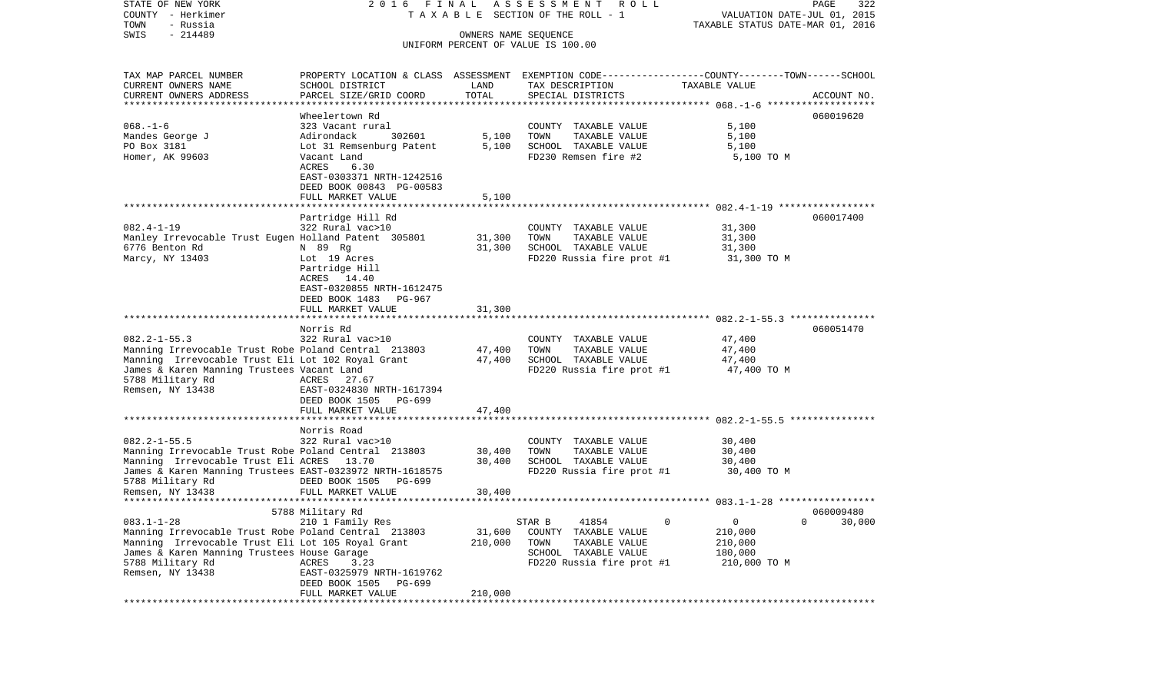COUNTY - Herkimer **T A X A B L E SECTION OF THE ROLL - 1** VALUATION DATE-JUL 01, 2015 TOWN - Russia TAXABLE STATUS DATE-MAR 01, 2016 SWIS - 214489 OWNERS NAME SEQUENCE UNIFORM PERCENT OF VALUE IS 100.00TAX MAP PARCEL NUMBER PROPERTY LOCATION & CLASS ASSESSMENT EXEMPTION CODE------------------COUNTY--------TOWN------SCHOOL CURRENT OWNERS NAME SCHOOL DISTRICT LAND TAX DESCRIPTION TAXABLE VALUECURRENT OWNERS ADDRESS PARCEL SIZE/GRID COORD TOTAL SPECIAL DISTRICTS ACCOUNT NO. \*\*\*\*\*\*\*\*\*\*\*\*\*\*\*\*\*\*\*\*\*\*\*\*\*\*\*\*\*\*\*\*\*\*\*\*\*\*\*\*\*\*\*\*\*\*\*\*\*\*\*\*\*\*\*\*\*\*\*\*\*\*\*\*\*\*\*\*\*\*\*\*\*\*\*\*\*\*\*\*\*\*\*\*\*\*\*\*\*\*\*\*\*\*\*\*\*\*\*\*\*\*\* 068.-1-6 \*\*\*\*\*\*\*\*\*\*\*\*\*\*\*\*\*\*\*Wheelertown Rd 060019620 068.-1-6 323 Vacant rural COUNTY TAXABLE VALUE 5,100 Mandes George J Adirondack 302601 5,100 TOWN TAXABLE VALUE 5,100 PO Box 3181 **Lot 31 Remsenburg Patent** 5,100 SCHOOL TAXABLE VALUE 5,100 Homer, AK 99603 Vacant Land FD230 Remsen fire #2 5,100 TO M ACRES 6.30 EAST-0303371 NRTH-1242516 DEED BOOK 00843 PG-00583 FULL MARKET VALUE 5,100 \*\*\*\*\*\*\*\*\*\*\*\*\*\*\*\*\*\*\*\*\*\*\*\*\*\*\*\*\*\*\*\*\*\*\*\*\*\*\*\*\*\*\*\*\*\*\*\*\*\*\*\*\*\*\*\*\*\*\*\*\*\*\*\*\*\*\*\*\*\*\*\*\*\*\*\*\*\*\*\*\*\*\*\*\*\*\*\*\*\*\*\*\*\*\*\*\*\*\*\*\*\*\* 082.4-1-19 \*\*\*\*\*\*\*\*\*\*\*\*\*\*\*\*\* Partridge Hill Rd 060017400 082.4-1-19 322 Rural vac>10 COUNTY TAXABLE VALUE 31,300 Manley Irrevocable Trust Eugen Holland Patent 305801 31,300 TOWN TAXABLE VALUE 31,300 6776 Benton Rd N 89 Rg 31,300 SCHOOL TAXABLE VALUE 31,300 Marcy, NY 13403 Lot 19 Acres The Service Russia fire prot #1 31,300 TO M Partridge Hill ACRES 14.40 EAST-0320855 NRTH-1612475 DEED BOOK 1483 PG-967FULL MARKET VALUE 31,300 \*\*\*\*\*\*\*\*\*\*\*\*\*\*\*\*\*\*\*\*\*\*\*\*\*\*\*\*\*\*\*\*\*\*\*\*\*\*\*\*\*\*\*\*\*\*\*\*\*\*\*\*\*\*\*\*\*\*\*\*\*\*\*\*\*\*\*\*\*\*\*\*\*\*\*\*\*\*\*\*\*\*\*\*\*\*\*\*\*\*\*\*\*\*\*\*\*\*\*\*\*\*\* 082.2-1-55.3 \*\*\*\*\*\*\*\*\*\*\*\*\*\*\* Norris Rd 060051470082.2-1-55.3 322 Rural vac>10 COUNTY TAXABLE VALUE 47,400 Manning Irrevocable Trust Robe Poland Central 213803 47,400 TOWN TAXABLE VALUE 47,400<br>Manning Irrevocable Trust Eli Lot 102 Roval Grant 47,400 SCHOOL TAXABLE VALUE 47,400 Manning Irrevocable Trust Eli Lot 102 Royal Grant 47,400 SCHOOL TAXABLE VALUE James & Karen Manning Trustees Vacant Land Funder FD220 Russia fire prot #1 47,400 TO M 5788 Military Rd **ACRES** 27.67 Remsen, NY 13438 EAST-0324830 NRTH-1617394 DEED BOOK 1505 PG-699FULL MARKET VALUE 47.400 \*\*\*\*\*\*\*\*\*\*\*\*\*\*\*\*\*\*\*\*\*\*\*\*\*\*\*\*\*\*\*\*\*\*\*\*\*\*\*\*\*\*\*\*\*\*\*\*\*\*\*\*\*\*\*\*\*\*\*\*\*\*\*\*\*\*\*\*\*\*\*\*\*\*\*\*\*\*\*\*\*\*\*\*\*\*\*\*\*\*\*\*\*\*\*\*\*\*\*\*\*\*\* 082.2-1-55.5 \*\*\*\*\*\*\*\*\*\*\*\*\*\*\* Norris Road082.2-1-55.5 322 Rural vac>10 COUNTY TAXABLE VALUE 30,400 Manning Irrevocable Trust Robe Poland Central 213803 30,400 TOWN TAXABLE VALUE 30,400 Manning Irrevocable Trust Eli ACRES 13.70 30,400 SCHOOL TAXABLE VALUE 30,400 James & Karen Manning Trustees EAST-0323972 NRTH-1618575 FD220 Russia fire prot #1 30,400 TO M DEED BOOK 1505 PG-699 Remsen, NY 13438 FULL MARKET VALUE 30,400 \*\*\*\*\*\*\*\*\*\*\*\*\*\*\*\*\*\*\*\*\*\*\*\*\*\*\*\*\*\*\*\*\*\*\*\*\*\*\*\*\*\*\*\*\*\*\*\*\*\*\*\*\*\*\*\*\*\*\*\*\*\*\*\*\*\*\*\*\*\*\*\*\*\*\*\*\*\*\*\*\*\*\*\*\*\*\*\*\*\*\*\*\*\*\*\*\*\*\*\*\*\*\* 083.1-1-28 \*\*\*\*\*\*\*\*\*\*\*\*\*\*\*\*\* 5788 Military Rd 060009480 083.1-1-28 210 1 Family Res STAR B 41854 0 0 0 30,000 Manning Irrevocable Trust Robe Poland Central 213803 31,600 COUNTY TAXABLE VALUE 210,000 Manning Irrevocable Trust Eli Lot 105 Royal Grant 210,000 TOWN TAXABLE VALUE 210,000 James & Karen Manning Trustees House Garage SCHOOL TAXABLE VALUE 180,000 5788 Military Rd  $ACRES$  3.23 FD220 Russia fire prot #1 210,000 TO M Remsen, NY 13438 EAST-0325979 NRTH-1619762 DEED BOOK 1505 PG-699FULL MARKET VALUE 210,000 \*\*\*\*\*\*\*\*\*\*\*\*\*\*\*\*\*\*\*\*\*\*\*\*\*\*\*\*\*\*\*\*\*\*\*\*\*\*\*\*\*\*\*\*\*\*\*\*\*\*\*\*\*\*\*\*\*\*\*\*\*\*\*\*\*\*\*\*\*\*\*\*\*\*\*\*\*\*\*\*\*\*\*\*\*\*\*\*\*\*\*\*\*\*\*\*\*\*\*\*\*\*\*\*\*\*\*\*\*\*\*\*\*\*\*\*\*\*\*\*\*\*\*\*\*\*\*\*\*\*\*\*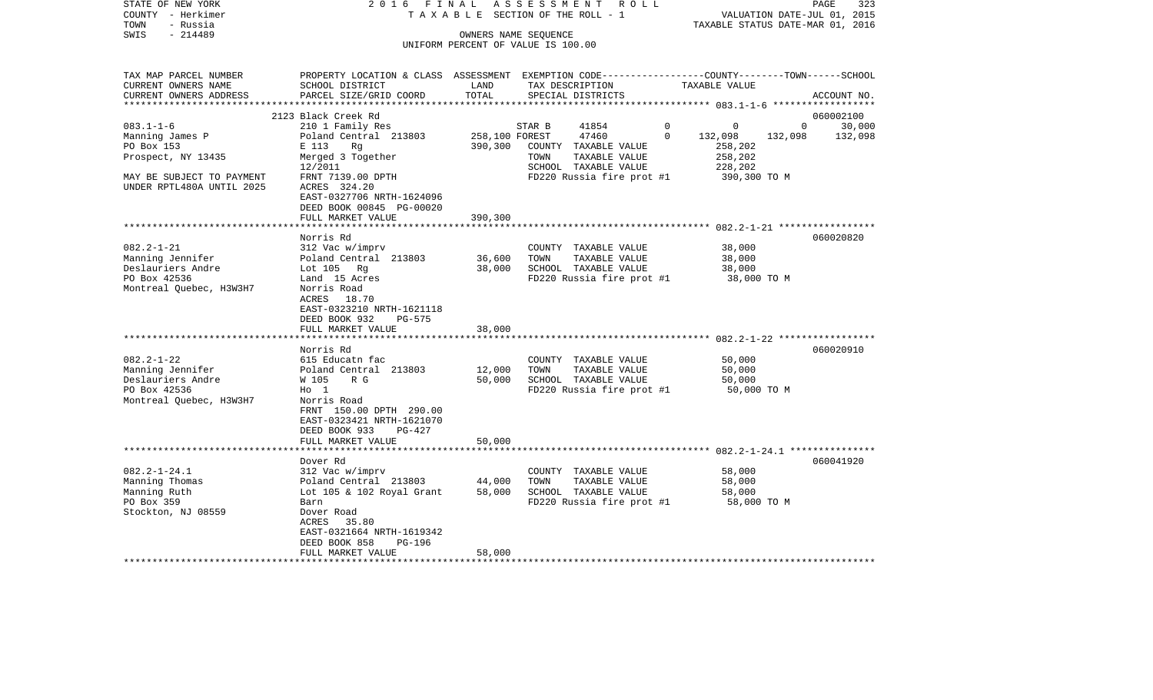| STATE OF NEW YORK<br>COUNTY - Herkimer<br>- Russia<br>TOWN | 2016 FINAL                                                                                      |                      | ASSESSMENT ROLL<br>TAXABLE SECTION OF THE ROLL - 1 |                | TAXABLE STATUS DATE-MAR 01, 2016 |                | 323<br>PAGE<br>VALUATION DATE-JUL 01, 2015 |
|------------------------------------------------------------|-------------------------------------------------------------------------------------------------|----------------------|----------------------------------------------------|----------------|----------------------------------|----------------|--------------------------------------------|
| $-214489$<br>SWIS                                          |                                                                                                 | OWNERS NAME SEQUENCE |                                                    |                |                                  |                |                                            |
|                                                            |                                                                                                 |                      | UNIFORM PERCENT OF VALUE IS 100.00                 |                |                                  |                |                                            |
|                                                            |                                                                                                 |                      |                                                    |                |                                  |                |                                            |
| TAX MAP PARCEL NUMBER                                      | PROPERTY LOCATION & CLASS ASSESSMENT EXEMPTION CODE---------------COUNTY-------TOWN------SCHOOL |                      |                                                    |                |                                  |                |                                            |
| CURRENT OWNERS NAME                                        | SCHOOL DISTRICT                                                                                 | LAND<br>TOTAL        | TAX DESCRIPTION                                    |                | TAXABLE VALUE                    |                |                                            |
| CURRENT OWNERS ADDRESS                                     | PARCEL SIZE/GRID COORD                                                                          |                      | SPECIAL DISTRICTS                                  |                |                                  |                | ACCOUNT NO.                                |
|                                                            | 2123 Black Creek Rd                                                                             |                      |                                                    |                |                                  |                | 060002100                                  |
| $083.1 - 1 - 6$                                            | 210 1 Family Res                                                                                |                      | 41854<br>STAR B                                    | $\overline{0}$ | 0                                | $\overline{0}$ | 30,000                                     |
| Manning James P                                            | Poland Central 213803                                                                           | 258,100 FOREST       | 47460                                              | $\Omega$       | 132,098                          | 132,098        | 132,098                                    |
| PO Box 153                                                 | E 113<br>Rq                                                                                     | 390,300              | COUNTY TAXABLE VALUE                               |                | 258,202                          |                |                                            |
| Prospect, NY 13435                                         | Merged 3 Together                                                                               |                      | TOWN<br>TAXABLE VALUE                              |                | 258,202                          |                |                                            |
|                                                            | 12/2011                                                                                         |                      | SCHOOL TAXABLE VALUE                               |                | 228,202                          |                |                                            |
| MAY BE SUBJECT TO PAYMENT                                  | FRNT 7139.00 DPTH                                                                               |                      | FD220 Russia fire prot #1                          |                | 390,300 TO M                     |                |                                            |
| UNDER RPTL480A UNTIL 2025                                  | ACRES 324.20                                                                                    |                      |                                                    |                |                                  |                |                                            |
|                                                            | EAST-0327706 NRTH-1624096                                                                       |                      |                                                    |                |                                  |                |                                            |
|                                                            | DEED BOOK 00845 PG-00020                                                                        |                      |                                                    |                |                                  |                |                                            |
|                                                            | FULL MARKET VALUE                                                                               | 390,300              |                                                    |                |                                  |                |                                            |
|                                                            |                                                                                                 |                      |                                                    |                |                                  |                |                                            |
|                                                            | Norris Rd                                                                                       |                      |                                                    |                |                                  |                | 060020820                                  |
| $082.2 - 1 - 21$                                           | 312 Vac w/imprv                                                                                 |                      | COUNTY TAXABLE VALUE                               |                | 38,000                           |                |                                            |
| Manning Jennifer                                           | Poland Central 213803                                                                           | 36,600               | TAXABLE VALUE<br>TOWN                              |                | 38,000                           |                |                                            |
| Deslauriers Andre                                          | Lot $105$ Rg                                                                                    | 38,000               | SCHOOL TAXABLE VALUE                               |                | 38,000                           |                |                                            |
| PO Box 42536                                               | Land 15 Acres                                                                                   |                      | FD220 Russia fire prot #1                          |                | 38,000 TO M                      |                |                                            |
| Montreal Quebec, H3W3H7                                    | Norris Road                                                                                     |                      |                                                    |                |                                  |                |                                            |
|                                                            | ACRES<br>18.70                                                                                  |                      |                                                    |                |                                  |                |                                            |
|                                                            | EAST-0323210 NRTH-1621118                                                                       |                      |                                                    |                |                                  |                |                                            |
|                                                            | DEED BOOK 932<br>PG-575                                                                         |                      |                                                    |                |                                  |                |                                            |
|                                                            | FULL MARKET VALUE                                                                               | 38,000               |                                                    |                |                                  |                |                                            |
|                                                            | *********************                                                                           |                      |                                                    |                |                                  |                |                                            |
|                                                            | Norris Rd                                                                                       |                      |                                                    |                |                                  |                | 060020910                                  |
| $082.2 - 1 - 22$                                           | 615 Educatn fac                                                                                 |                      | COUNTY TAXABLE VALUE                               |                | 50,000                           |                |                                            |
| Manning Jennifer                                           | Poland Central 213803                                                                           | 12,000               | TOWN<br>TAXABLE VALUE                              |                | 50,000                           |                |                                            |
| Deslauriers Andre                                          | W 105<br>R G                                                                                    | 50,000               | SCHOOL TAXABLE VALUE                               |                | 50,000                           |                |                                            |
| PO Box 42536                                               | $H_0$ 1                                                                                         |                      | FD220 Russia fire prot #1                          |                | 50,000 TO M                      |                |                                            |
| Montreal Quebec, H3W3H7                                    | Norris Road                                                                                     |                      |                                                    |                |                                  |                |                                            |
|                                                            | FRNT 150.00 DPTH 290.00                                                                         |                      |                                                    |                |                                  |                |                                            |
|                                                            | EAST-0323421 NRTH-1621070                                                                       |                      |                                                    |                |                                  |                |                                            |
|                                                            | DEED BOOK 933<br>PG-427                                                                         |                      |                                                    |                |                                  |                |                                            |
|                                                            |                                                                                                 | 50,000               |                                                    |                |                                  |                |                                            |
|                                                            | FULL MARKET VALUE                                                                               |                      |                                                    |                |                                  |                |                                            |
|                                                            | Dover Rd                                                                                        |                      |                                                    |                |                                  |                | 060041920                                  |
| $082.2 - 1 - 24.1$                                         |                                                                                                 |                      |                                                    |                |                                  |                |                                            |
|                                                            | 312 Vac w/imprv                                                                                 |                      | COUNTY TAXABLE VALUE<br>TOWN                       |                | 58,000                           |                |                                            |
| Manning Thomas                                             | Poland Central 213803                                                                           | 44,000<br>58,000     | TAXABLE VALUE                                      |                | 58,000                           |                |                                            |
| Manning Ruth                                               | Lot 105 & 102 Royal Grant                                                                       |                      | SCHOOL TAXABLE VALUE                               |                | 58,000                           |                |                                            |
| PO Box 359                                                 | Barn                                                                                            |                      | FD220 Russia fire prot #1                          |                | 58,000 TO M                      |                |                                            |
| Stockton, NJ 08559                                         | Dover Road                                                                                      |                      |                                                    |                |                                  |                |                                            |
|                                                            | ACRES<br>35.80                                                                                  |                      |                                                    |                |                                  |                |                                            |
|                                                            | EAST-0321664 NRTH-1619342                                                                       |                      |                                                    |                |                                  |                |                                            |
|                                                            | DEED BOOK 858<br>PG-196<br>FULL MARKET VALUE                                                    | 58,000               |                                                    |                |                                  |                |                                            |
|                                                            |                                                                                                 |                      |                                                    |                |                                  |                |                                            |
|                                                            |                                                                                                 |                      |                                                    |                |                                  |                |                                            |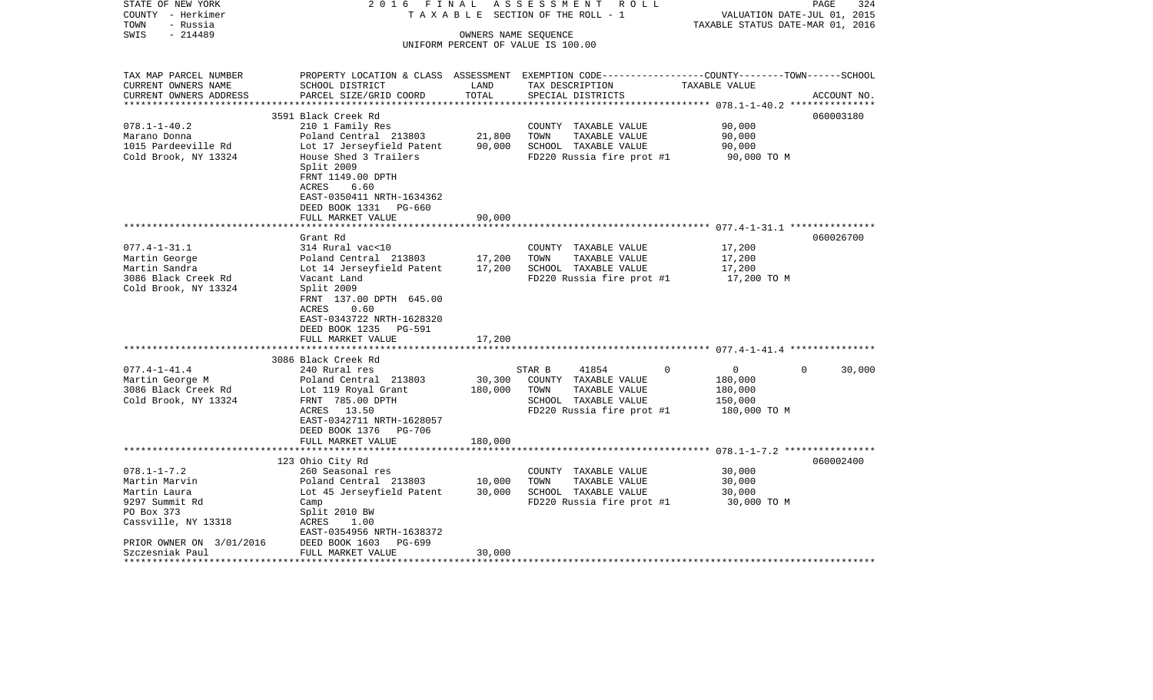| STATE OF NEW YORK<br>COUNTY - Herkimer       | 2016 FINAL<br>TAXABLE                                                                                              |                      | ASSESSMENT ROLL<br>SECTION OF THE ROLL - 1 |          | VALUATION DATE-JUL 01, 2015      | PAGE        | 324    |
|----------------------------------------------|--------------------------------------------------------------------------------------------------------------------|----------------------|--------------------------------------------|----------|----------------------------------|-------------|--------|
| - Russia<br>TOWN                             |                                                                                                                    |                      |                                            |          | TAXABLE STATUS DATE-MAR 01, 2016 |             |        |
| $-214489$<br>SWIS                            |                                                                                                                    | OWNERS NAME SEQUENCE |                                            |          |                                  |             |        |
|                                              |                                                                                                                    |                      | UNIFORM PERCENT OF VALUE IS 100.00         |          |                                  |             |        |
|                                              |                                                                                                                    |                      |                                            |          |                                  |             |        |
|                                              |                                                                                                                    |                      |                                            |          |                                  |             |        |
| TAX MAP PARCEL NUMBER<br>CURRENT OWNERS NAME | PROPERTY LOCATION & CLASS ASSESSMENT EXEMPTION CODE---------------COUNTY-------TOWN------SCHOOL<br>SCHOOL DISTRICT | LAND                 | TAX DESCRIPTION                            |          | TAXABLE VALUE                    |             |        |
| CURRENT OWNERS ADDRESS                       | PARCEL SIZE/GRID COORD                                                                                             | TOTAL                | SPECIAL DISTRICTS                          |          |                                  | ACCOUNT NO. |        |
|                                              |                                                                                                                    |                      |                                            |          |                                  |             |        |
|                                              | 3591 Black Creek Rd                                                                                                |                      |                                            |          |                                  | 060003180   |        |
| $078.1 - 1 - 40.2$                           | 210 1 Family Res                                                                                                   |                      | COUNTY TAXABLE VALUE                       |          | 90,000                           |             |        |
| Marano Donna                                 | Poland Central 213803                                                                                              | 21,800               | TOWN<br>TAXABLE VALUE                      |          | 90,000                           |             |        |
| 1015 Pardeeville Rd                          | Lot 17 Jerseyfield Patent                                                                                          | 90,000               | SCHOOL TAXABLE VALUE                       |          | 90,000                           |             |        |
| Cold Brook, NY 13324                         | House Shed 3 Trailers                                                                                              |                      | FD220 Russia fire prot #1                  |          | 90,000 TO M                      |             |        |
|                                              | Split 2009                                                                                                         |                      |                                            |          |                                  |             |        |
|                                              | FRNT 1149.00 DPTH                                                                                                  |                      |                                            |          |                                  |             |        |
|                                              | ACRES<br>6.60                                                                                                      |                      |                                            |          |                                  |             |        |
|                                              | EAST-0350411 NRTH-1634362                                                                                          |                      |                                            |          |                                  |             |        |
|                                              | DEED BOOK 1331 PG-660<br>FULL MARKET VALUE                                                                         | 90,000               |                                            |          |                                  |             |        |
|                                              |                                                                                                                    |                      |                                            |          |                                  |             |        |
|                                              | Grant Rd                                                                                                           |                      |                                            |          |                                  | 060026700   |        |
| $077.4 - 1 - 31.1$                           | 314 Rural vac<10                                                                                                   |                      | COUNTY TAXABLE VALUE                       |          | 17,200                           |             |        |
| Martin George                                | Poland Central 213803                                                                                              | 17,200               | TOWN<br>TAXABLE VALUE                      |          | 17,200                           |             |        |
| Martin Sandra                                | Lot 14 Jerseyfield Patent                                                                                          | 17,200               | SCHOOL TAXABLE VALUE                       |          | 17,200                           |             |        |
| 3086 Black Creek Rd                          | Vacant Land                                                                                                        |                      | FD220 Russia fire prot #1                  |          | 17,200 TO M                      |             |        |
| Cold Brook, NY 13324                         | Split 2009                                                                                                         |                      |                                            |          |                                  |             |        |
|                                              | FRNT 137.00 DPTH 645.00                                                                                            |                      |                                            |          |                                  |             |        |
|                                              | ACRES<br>0.60                                                                                                      |                      |                                            |          |                                  |             |        |
|                                              | EAST-0343722 NRTH-1628320                                                                                          |                      |                                            |          |                                  |             |        |
|                                              | DEED BOOK 1235<br>PG-591                                                                                           |                      |                                            |          |                                  |             |        |
|                                              | FULL MARKET VALUE<br>***********************                                                                       | 17,200               |                                            |          |                                  |             |        |
|                                              | 3086 Black Creek Rd                                                                                                |                      |                                            |          |                                  |             |        |
| $077.4 - 1 - 41.4$                           | 240 Rural res                                                                                                      |                      | STAR B<br>41854                            | $\Omega$ | $\overline{0}$                   | $\Omega$    | 30,000 |
| Martin George M                              | Poland Central 213803                                                                                              | 30,300               | COUNTY TAXABLE VALUE                       |          | 180,000                          |             |        |
| 3086 Black Creek Rd                          | Lot 119 Royal Grant                                                                                                | 180,000              | TOWN<br>TAXABLE VALUE                      |          | 180,000                          |             |        |
| Cold Brook, NY 13324                         | FRNT 785.00 DPTH                                                                                                   |                      | SCHOOL TAXABLE VALUE                       |          | 150,000                          |             |        |
|                                              | ACRES 13.50                                                                                                        |                      | FD220 Russia fire prot #1                  |          | 180,000 TO M                     |             |        |
|                                              | EAST-0342711 NRTH-1628057                                                                                          |                      |                                            |          |                                  |             |        |
|                                              | DEED BOOK 1376 PG-706                                                                                              |                      |                                            |          |                                  |             |        |
|                                              | FULL MARKET VALUE                                                                                                  | 180,000              |                                            |          |                                  |             |        |
|                                              |                                                                                                                    |                      |                                            |          |                                  |             |        |
|                                              | 123 Ohio City Rd                                                                                                   |                      |                                            |          |                                  | 060002400   |        |
| $078.1 - 1 - 7.2$                            | 260 Seasonal res                                                                                                   |                      | COUNTY TAXABLE VALUE                       |          | 30,000                           |             |        |
| Martin Marvin                                | Poland Central 213803                                                                                              | 10,000               | TOWN<br>TAXABLE VALUE                      |          | 30,000                           |             |        |
| Martin Laura                                 | Lot 45 Jerseyfield Patent                                                                                          | 30,000               | SCHOOL TAXABLE VALUE                       |          | 30,000                           |             |        |
| 9297 Summit Rd<br>PO Box 373                 | Camp<br>Split 2010 BW                                                                                              |                      | FD220 Russia fire prot #1                  |          | 30,000 TO M                      |             |        |
| Cassville, NY 13318                          | ACRES<br>1.00                                                                                                      |                      |                                            |          |                                  |             |        |
|                                              | EAST-0354956 NRTH-1638372                                                                                          |                      |                                            |          |                                  |             |        |
| PRIOR OWNER ON 3/01/2016                     | DEED BOOK 1603<br>PG-699                                                                                           |                      |                                            |          |                                  |             |        |
| Szczesniak Paul                              | FULL MARKET VALUE                                                                                                  | 30,000               |                                            |          |                                  |             |        |
| ****************                             |                                                                                                                    |                      |                                            |          |                                  |             |        |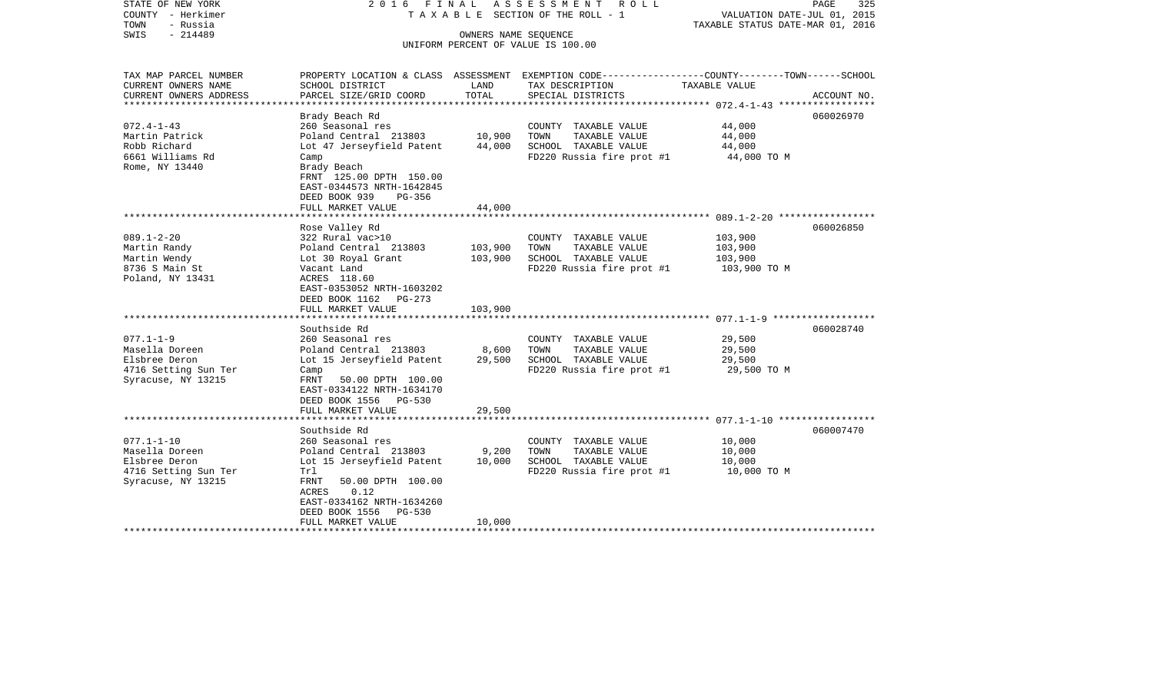| STATE OF NEW YORK<br>COUNTY - Herkimer<br>TOWN<br>- Russia<br>$-214489$<br>SWIS                                          | 2016 FINAL                                                                                                                                                                                                                       | OWNERS NAME SEQUENCE          | A S S E S S M E N T<br>ROLL ROLL<br>T A X A B L E SECTION OF THE ROLL - 1<br>UNIFORM PERCENT OF VALUE IS 100.00             | PAGE<br>325<br>VALUATION DATE-JUL 01, 2015<br>TAXABLE STATUS DATE-MAR 01, 2016                                                                                                     |
|--------------------------------------------------------------------------------------------------------------------------|----------------------------------------------------------------------------------------------------------------------------------------------------------------------------------------------------------------------------------|-------------------------------|-----------------------------------------------------------------------------------------------------------------------------|------------------------------------------------------------------------------------------------------------------------------------------------------------------------------------|
| TAX MAP PARCEL NUMBER<br>CURRENT OWNERS NAME<br>CURRENT OWNERS ADDRESS<br>**********************                         | SCHOOL DISTRICT<br>PARCEL SIZE/GRID COORD                                                                                                                                                                                        | LAND<br>TOTAL                 | TAX DESCRIPTION<br>SPECIAL DISTRICTS                                                                                        | PROPERTY LOCATION & CLASS ASSESSMENT EXEMPTION CODE----------------COUNTY-------TOWN-----SCHOOL<br>TAXABLE VALUE<br>ACCOUNT NO.<br>***************** 072.4-1-43 ****************** |
| $072.4 - 1 - 43$<br>Martin Patrick<br>Robb Richard<br>6661 Williams Rd<br>Rome, NY 13440                                 | Brady Beach Rd<br>260 Seasonal res<br>Poland Central 213803<br>Lot 47 Jerseyfield Patent<br>Camp<br>Brady Beach<br>FRNT 125.00 DPTH 150.00<br>EAST-0344573 NRTH-1642845<br>DEED BOOK 939<br>$PG-356$<br>FULL MARKET VALUE        | 10,900<br>44,000<br>44,000    | COUNTY TAXABLE VALUE<br>TAXABLE VALUE<br>TOWN<br>SCHOOL TAXABLE VALUE<br>FD220 Russia fire prot #1                          | 060026970<br>44,000<br>44,000<br>44,000<br>44,000 TO M                                                                                                                             |
| $089.1 - 2 - 20$<br>Martin Randy<br>Martin Wendy<br>8736 S Main St<br>Poland, NY 13431                                   | Rose Valley Rd<br>322 Rural vac>10<br>Poland Central 213803<br>Lot 30 Royal Grant<br>Vacant Land<br>ACRES 118.60<br>EAST-0353052 NRTH-1603202<br>DEED BOOK 1162 PG-273<br>FULL MARKET VALUE                                      | 103,900<br>103,900<br>103,900 | COUNTY TAXABLE VALUE<br>TAXABLE VALUE<br>TOWN<br>SCHOOL TAXABLE VALUE<br>FD220 Russia fire prot #1                          | 060026850<br>103,900<br>103,900<br>103,900<br>103,900 ТО М                                                                                                                         |
| $077.1 - 1 - 9$<br>Masella Doreen<br>Elsbree Deron<br>4716 Setting Sun Ter<br>Syracuse, NY 13215                         | Southside Rd<br>260 Seasonal res<br>Poland Central 213803<br>Lot 15 Jerseyfield Patent<br>Camp<br><b>FRNT</b><br>50.00 DPTH 100.00<br>EAST-0334122 NRTH-1634170<br>DEED BOOK 1556<br>PG-530<br>FULL MARKET VALUE                 | 8,600<br>29,500<br>29,500     | COUNTY TAXABLE VALUE<br>TAXABLE VALUE<br>TOWN<br>SCHOOL TAXABLE VALUE<br>FD220 Russia fire prot #1                          | 060028740<br>29,500<br>29,500<br>29,500<br>29,500 TO M                                                                                                                             |
| $077.1 - 1 - 10$<br>Masella Doreen<br>Elsbree Deron<br>4716 Setting Sun Ter<br>Syracuse, NY 13215<br>******************* | Southside Rd<br>260 Seasonal res<br>Poland Central 213803<br>Lot 15 Jerseyfield Patent<br>Trl<br>50.00 DPTH 100.00<br>FRNT<br>ACRES<br>0.12<br>EAST-0334162 NRTH-1634260<br>DEED BOOK 1556<br><b>PG-530</b><br>FULL MARKET VALUE | 9,200<br>10,000<br>10,000     | COUNTY TAXABLE VALUE<br>TAXABLE VALUE<br>TOWN<br>SCHOOL TAXABLE VALUE<br>FD220 Russia fire prot #1<br>********************* | 060007470<br>10,000<br>10,000<br>10,000<br>10,000 TO M                                                                                                                             |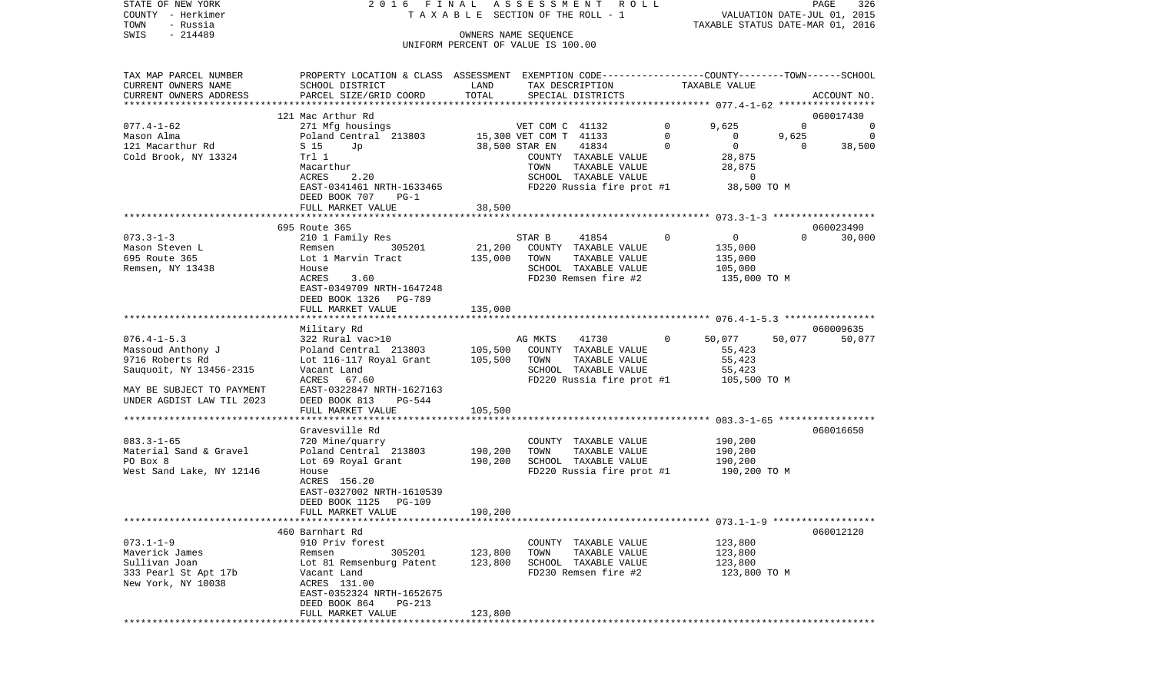| STATE OF NEW YORK<br>COUNTY - Herkimer<br>- Russia<br>TOWN | 2016 FINAL ASSESSMENT ROLL                                                                                         |         | T A X A B L E SECTION OF THE ROLL - 1                      |                           |                | VALUATION DATE-JUL 01, 2015<br>TAXABLE STATUS DATE-MAR 01, 2016 | PAGE     | 326            |
|------------------------------------------------------------|--------------------------------------------------------------------------------------------------------------------|---------|------------------------------------------------------------|---------------------------|----------------|-----------------------------------------------------------------|----------|----------------|
| $-214489$<br>SWIS                                          |                                                                                                                    |         | OWNERS NAME SEOUENCE<br>UNIFORM PERCENT OF VALUE IS 100.00 |                           |                |                                                                 |          |                |
|                                                            |                                                                                                                    |         |                                                            |                           |                |                                                                 |          |                |
| TAX MAP PARCEL NUMBER<br>CURRENT OWNERS NAME               | PROPERTY LOCATION & CLASS ASSESSMENT EXEMPTION CODE---------------COUNTY-------TOWN------SCHOOL<br>SCHOOL DISTRICT | LAND    |                                                            | TAX DESCRIPTION           |                | TAXABLE VALUE                                                   |          |                |
| CURRENT OWNERS ADDRESS                                     | PARCEL SIZE/GRID COORD                                                                                             | TOTAL   |                                                            | SPECIAL DISTRICTS         |                |                                                                 |          | ACCOUNT NO.    |
|                                                            | 121 Mac Arthur Rd                                                                                                  |         |                                                            |                           |                |                                                                 |          | 060017430      |
| $077.4 - 1 - 62$                                           | 271 Mfg housings                                                                                                   |         | VET COM C 41132                                            |                           | $\overline{0}$ | 9,625                                                           | $\Omega$ | 0              |
| Mason Alma                                                 | Poland Central 213803                                                                                              |         | 15,300 VET COM T 41133                                     |                           | $\mathbf 0$    | $\mathbf{0}$                                                    | 9,625    | $\overline{0}$ |
| 121 Macarthur Rd                                           | S 15<br>Jp                                                                                                         |         | 38,500 STAR EN                                             | 41834                     | $\mathbf 0$    | $\mathbf{0}$                                                    | $\Omega$ | 38,500         |
| Cold Brook, NY 13324                                       | Trl 1                                                                                                              |         |                                                            | COUNTY TAXABLE VALUE      |                | 28,875                                                          |          |                |
|                                                            | Macarthur                                                                                                          |         | TOWN                                                       | TAXABLE VALUE             |                | 28,875                                                          |          |                |
|                                                            | ACRES<br>2.20                                                                                                      |         |                                                            | SCHOOL TAXABLE VALUE      |                | $\overline{0}$                                                  |          |                |
|                                                            | EAST-0341461 NRTH-1633465                                                                                          |         |                                                            | FD220 Russia fire prot #1 |                | 38,500 TO M                                                     |          |                |
|                                                            | DEED BOOK 707<br>$PG-1$                                                                                            |         |                                                            |                           |                |                                                                 |          |                |
|                                                            | FULL MARKET VALUE                                                                                                  | 38,500  |                                                            |                           |                |                                                                 |          |                |
|                                                            |                                                                                                                    |         |                                                            |                           |                |                                                                 |          |                |
|                                                            | 695 Route 365                                                                                                      |         |                                                            |                           |                |                                                                 |          | 060023490      |
| $073.3 - 1 - 3$                                            | 210 1 Family Res                                                                                                   |         | STAR B                                                     | 41854                     | $\circ$        | $\overline{0}$                                                  | $\Omega$ | 30,000         |
| Mason Steven L                                             | 305201<br>Remsen                                                                                                   | 21,200  |                                                            | COUNTY TAXABLE VALUE      |                | 135,000                                                         |          |                |
| 695 Route 365                                              | Lot 1 Marvin Tract                                                                                                 | 135,000 | TOWN                                                       | TAXABLE VALUE             |                | 135,000                                                         |          |                |
| Remsen, NY 13438                                           | House                                                                                                              |         |                                                            | SCHOOL TAXABLE VALUE      |                | 105,000                                                         |          |                |
|                                                            | ACRES<br>3.60                                                                                                      |         |                                                            | FD230 Remsen fire #2      |                | 135,000 TO M                                                    |          |                |
|                                                            | EAST-0349709 NRTH-1647248                                                                                          |         |                                                            |                           |                |                                                                 |          |                |
|                                                            | DEED BOOK 1326 PG-789                                                                                              |         |                                                            |                           |                |                                                                 |          |                |
|                                                            | FULL MARKET VALUE                                                                                                  | 135,000 |                                                            |                           |                |                                                                 |          |                |
|                                                            |                                                                                                                    |         |                                                            |                           |                |                                                                 |          |                |
|                                                            | Military Rd                                                                                                        |         |                                                            |                           |                |                                                                 |          | 060009635      |
| $076.4 - 1 - 5.3$                                          | 322 Rural vac>10                                                                                                   |         | AG MKTS                                                    | 41730                     | $\Omega$       | 50,077                                                          | 50,077   | 50,077         |
| Massoud Anthony J                                          | Poland Central 213803                                                                                              | 105,500 |                                                            | COUNTY TAXABLE VALUE      |                | 55,423                                                          |          |                |
| 9716 Roberts Rd                                            | Lot 116-117 Royal Grant                                                                                            | 105,500 | TOWN                                                       | TAXABLE VALUE             |                | 55,423                                                          |          |                |
| Sauquoit, NY 13456-2315                                    | Vacant Land                                                                                                        |         |                                                            | SCHOOL TAXABLE VALUE      |                | 55,423                                                          |          |                |
|                                                            | ACRES 67.60                                                                                                        |         |                                                            | FD220 Russia fire prot #1 |                | 105,500 TO M                                                    |          |                |
| MAY BE SUBJECT TO PAYMENT                                  | EAST-0322847 NRTH-1627163                                                                                          |         |                                                            |                           |                |                                                                 |          |                |
| UNDER AGDIST LAW TIL 2023                                  | DEED BOOK 813<br>PG-544                                                                                            |         |                                                            |                           |                |                                                                 |          |                |
|                                                            | FULL MARKET VALUE                                                                                                  | 105,500 |                                                            |                           |                |                                                                 |          |                |
| ************************                                   |                                                                                                                    |         |                                                            |                           |                |                                                                 |          |                |
|                                                            | Gravesville Rd                                                                                                     |         |                                                            |                           |                |                                                                 |          | 060016650      |
| $083.3 - 1 - 65$                                           | 720 Mine/quarry                                                                                                    |         |                                                            | COUNTY TAXABLE VALUE      |                | 190,200                                                         |          |                |
| Material Sand & Gravel                                     | Poland Central 213803                                                                                              | 190,200 | TOWN                                                       | TAXABLE VALUE             |                | 190,200                                                         |          |                |
| PO Box 8                                                   | Lot 69 Royal Grant                                                                                                 | 190,200 |                                                            | SCHOOL TAXABLE VALUE      |                | 190,200                                                         |          |                |
| West Sand Lake, NY 12146                                   | House                                                                                                              |         |                                                            | FD220 Russia fire prot #1 |                | 190,200 TO M                                                    |          |                |
|                                                            | ACRES 156.20                                                                                                       |         |                                                            |                           |                |                                                                 |          |                |
|                                                            | EAST-0327002 NRTH-1610539                                                                                          |         |                                                            |                           |                |                                                                 |          |                |
|                                                            | DEED BOOK 1125 PG-109                                                                                              |         |                                                            |                           |                |                                                                 |          |                |
|                                                            | FULL MARKET VALUE                                                                                                  | 190,200 |                                                            |                           |                |                                                                 |          |                |
|                                                            |                                                                                                                    |         |                                                            |                           |                |                                                                 |          |                |
|                                                            | 460 Barnhart Rd                                                                                                    |         |                                                            |                           |                |                                                                 |          | 060012120      |
| $073.1 - 1 - 9$                                            | 910 Priv forest                                                                                                    |         |                                                            | COUNTY TAXABLE VALUE      |                | 123,800                                                         |          |                |
| Maverick James                                             | 305201<br>Remsen                                                                                                   | 123,800 | TOWN                                                       | TAXABLE VALUE             |                | 123,800                                                         |          |                |
| Sullivan Joan                                              | Lot 81 Remsenburg Patent                                                                                           | 123,800 |                                                            | SCHOOL TAXABLE VALUE      |                | 123,800                                                         |          |                |
| 333 Pearl St Apt 17b                                       | Vacant Land                                                                                                        |         |                                                            | FD230 Remsen fire #2      |                | 123,800 TO M                                                    |          |                |
| New York, NY 10038                                         | ACRES 131.00                                                                                                       |         |                                                            |                           |                |                                                                 |          |                |
|                                                            | EAST-0352324 NRTH-1652675                                                                                          |         |                                                            |                           |                |                                                                 |          |                |
|                                                            | DEED BOOK 864<br>PG-213                                                                                            |         |                                                            |                           |                |                                                                 |          |                |
|                                                            | FULL MARKET VALUE                                                                                                  | 123,800 |                                                            |                           |                |                                                                 |          |                |
|                                                            |                                                                                                                    |         |                                                            |                           |                |                                                                 |          |                |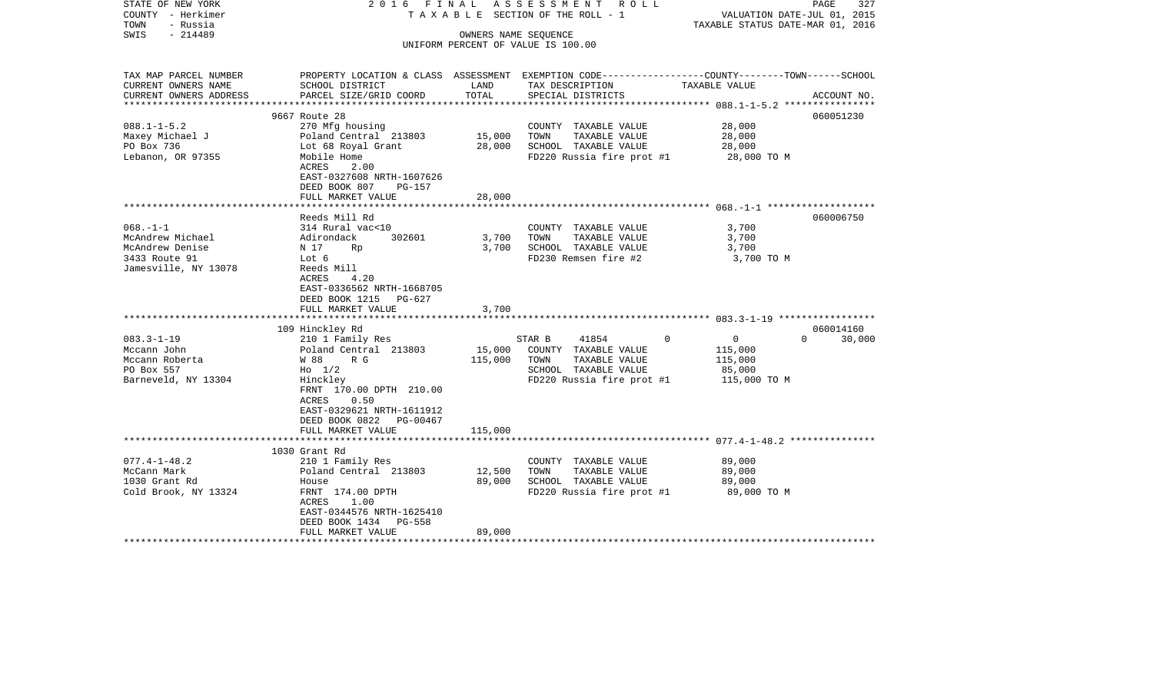| STATE OF NEW YORK<br>COUNTY - Herkimer<br>TOWN<br>- Russia | 2016 FINAL                   |                   | ASSESSMENT ROLL<br>TAXABLE SECTION OF THE ROLL - 1 | VALUATION DATE-JUL 01, 2015<br>TAXABLE STATUS DATE-MAR 01, 2016                                 | PAGE<br>327 |
|------------------------------------------------------------|------------------------------|-------------------|----------------------------------------------------|-------------------------------------------------------------------------------------------------|-------------|
| - 214489<br>SWIS                                           |                              |                   | OWNERS NAME SEQUENCE                               |                                                                                                 |             |
|                                                            |                              |                   | UNIFORM PERCENT OF VALUE IS 100.00                 |                                                                                                 |             |
|                                                            |                              |                   |                                                    |                                                                                                 |             |
| TAX MAP PARCEL NUMBER                                      |                              |                   |                                                    | PROPERTY LOCATION & CLASS ASSESSMENT EXEMPTION CODE---------------COUNTY-------TOWN------SCHOOL |             |
| CURRENT OWNERS NAME                                        | SCHOOL DISTRICT              | LAND              | TAX DESCRIPTION                                    | TAXABLE VALUE                                                                                   |             |
| CURRENT OWNERS ADDRESS<br>***********************          | PARCEL SIZE/GRID COORD       | TOTAL             | SPECIAL DISTRICTS                                  |                                                                                                 | ACCOUNT NO. |
|                                                            | 9667 Route 28                |                   |                                                    |                                                                                                 | 060051230   |
| $088.1 - 1 - 5.2$                                          | 270 Mfg housing              |                   | COUNTY TAXABLE VALUE                               | 28,000                                                                                          |             |
| Maxey Michael J                                            | Poland Central 213803        | 15,000            | TOWN<br>TAXABLE VALUE                              | 28,000                                                                                          |             |
| PO Box 736                                                 | Lot 68 Royal Grant           | 28,000            | SCHOOL TAXABLE VALUE                               | 28,000                                                                                          |             |
| Lebanon, OR 97355                                          | Mobile Home                  |                   | FD220 Russia fire prot #1                          | 28,000 TO M                                                                                     |             |
|                                                            | ACRES<br>2.00                |                   |                                                    |                                                                                                 |             |
|                                                            | EAST-0327608 NRTH-1607626    |                   |                                                    |                                                                                                 |             |
|                                                            | DEED BOOK 807<br>PG-157      |                   |                                                    |                                                                                                 |             |
|                                                            | FULL MARKET VALUE            | 28,000            |                                                    |                                                                                                 |             |
|                                                            |                              |                   |                                                    |                                                                                                 |             |
|                                                            | Reeds Mill Rd                |                   |                                                    |                                                                                                 | 060006750   |
| $068. -1 - 1$                                              | 314 Rural vac<10             |                   | COUNTY TAXABLE VALUE                               | 3,700                                                                                           |             |
| McAndrew Michael                                           | 302601<br>Adirondack         | 3,700             | TOWN<br>TAXABLE VALUE                              | 3,700                                                                                           |             |
| McAndrew Denise                                            | N 17<br>Rp                   | 3,700             | SCHOOL TAXABLE VALUE                               | 3,700                                                                                           |             |
| 3433 Route 91                                              | Lot 6                        |                   | FD230 Remsen fire #2                               | 3,700 TO M                                                                                      |             |
| Jamesville, NY 13078                                       | Reeds Mill                   |                   |                                                    |                                                                                                 |             |
|                                                            | ACRES<br>4.20                |                   |                                                    |                                                                                                 |             |
|                                                            | EAST-0336562 NRTH-1668705    |                   |                                                    |                                                                                                 |             |
|                                                            | DEED BOOK 1215 PG-627        |                   |                                                    |                                                                                                 |             |
|                                                            | FULL MARKET VALUE            | 3,700             |                                                    |                                                                                                 |             |
|                                                            |                              |                   |                                                    |                                                                                                 |             |
|                                                            | 109 Hinckley Rd              |                   |                                                    | $\Omega$                                                                                        | 060014160   |
| $083.3 - 1 - 19$                                           | 210 1 Family Res             |                   | 41854<br>STAR B                                    | $\overline{0}$<br>$\Omega$                                                                      | 30,000      |
| Mccann John                                                | Poland Central 213803<br>R G | 15,000<br>115,000 | COUNTY TAXABLE VALUE<br>TAXABLE VALUE              | 115,000                                                                                         |             |
| Mccann Roberta                                             | W 88                         |                   | TOWN                                               | 115,000                                                                                         |             |
| PO Box 557<br>Barneveld, NY 13304                          | $H_0$ 1/2<br>Hinckley        |                   | SCHOOL TAXABLE VALUE<br>FD220 Russia fire prot #1  | 85,000<br>115,000 TO M                                                                          |             |
|                                                            | FRNT 170.00 DPTH 210.00      |                   |                                                    |                                                                                                 |             |
|                                                            | ACRES<br>0.50                |                   |                                                    |                                                                                                 |             |
|                                                            | EAST-0329621 NRTH-1611912    |                   |                                                    |                                                                                                 |             |
|                                                            | DEED BOOK 0822 PG-00467      |                   |                                                    |                                                                                                 |             |
|                                                            | FULL MARKET VALUE            | 115,000           |                                                    |                                                                                                 |             |
|                                                            | ************************     |                   |                                                    |                                                                                                 |             |
|                                                            | 1030 Grant Rd                |                   |                                                    |                                                                                                 |             |
| $077.4 - 1 - 48.2$                                         | 210 1 Family Res             |                   | COUNTY TAXABLE VALUE                               | 89,000                                                                                          |             |
| McCann Mark                                                | Poland Central 213803        | 12,500            | TOWN<br>TAXABLE VALUE                              | 89,000                                                                                          |             |
| 1030 Grant Rd                                              | House                        | 89,000            | SCHOOL TAXABLE VALUE                               | 89,000                                                                                          |             |
| Cold Brook, NY 13324                                       | FRNT 174.00 DPTH             |                   | FD220 Russia fire prot #1                          | 89,000 TO M                                                                                     |             |
|                                                            | ACRES<br>1.00                |                   |                                                    |                                                                                                 |             |
|                                                            | EAST-0344576 NRTH-1625410    |                   |                                                    |                                                                                                 |             |
|                                                            | DEED BOOK 1434<br>PG-558     |                   |                                                    |                                                                                                 |             |
|                                                            | FULL MARKET VALUE            | 89,000            |                                                    |                                                                                                 |             |
|                                                            |                              |                   |                                                    |                                                                                                 |             |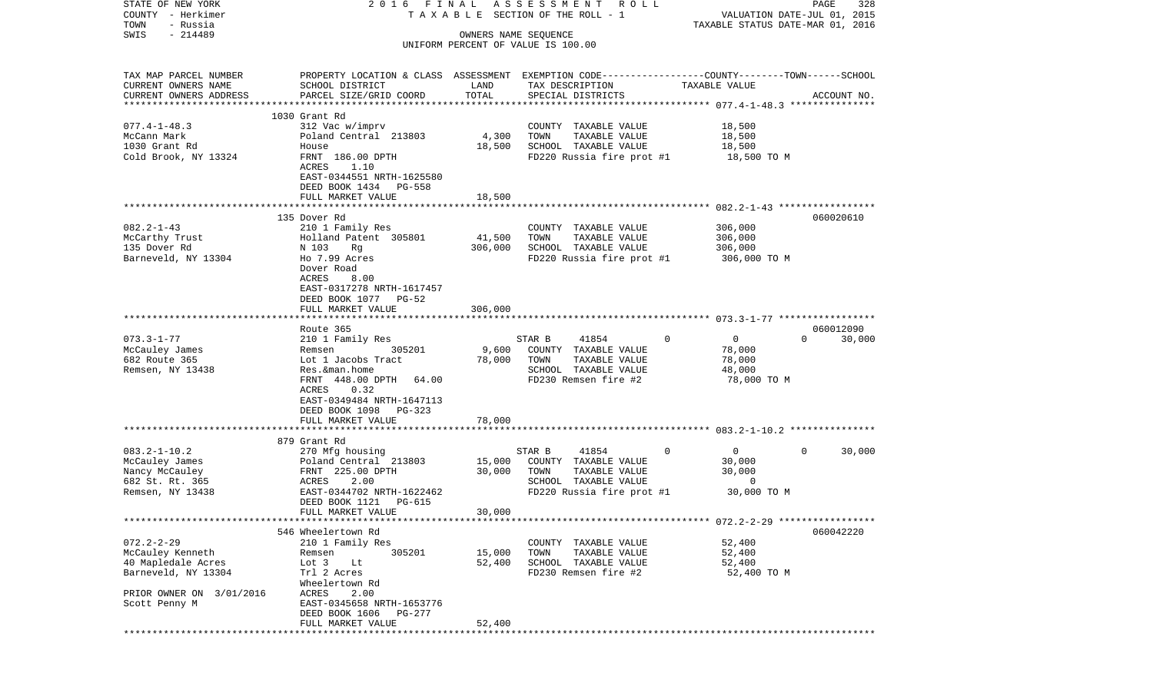| STATE OF NEW YORK<br>COUNTY - Herkimer |                                                                                                 |                      | 2016 FINAL ASSESSMENT ROLL<br>TAXABLE SECTION OF THE ROLL - 1 | VALUATION DATE-JUL 01, 2015      | PAGE<br>328        |
|----------------------------------------|-------------------------------------------------------------------------------------------------|----------------------|---------------------------------------------------------------|----------------------------------|--------------------|
| TOWN<br>- Russia<br>$-214489$<br>SWIS  |                                                                                                 |                      |                                                               | TAXABLE STATUS DATE-MAR 01, 2016 |                    |
|                                        |                                                                                                 | OWNERS NAME SEQUENCE | UNIFORM PERCENT OF VALUE IS 100.00                            |                                  |                    |
| TAX MAP PARCEL NUMBER                  | PROPERTY LOCATION & CLASS ASSESSMENT EXEMPTION CODE---------------COUNTY-------TOWN------SCHOOL |                      |                                                               |                                  |                    |
| CURRENT OWNERS NAME                    | SCHOOL DISTRICT                                                                                 | LAND<br>TOTAL        | TAX DESCRIPTION                                               | TAXABLE VALUE                    |                    |
| CURRENT OWNERS ADDRESS                 | PARCEL SIZE/GRID COORD                                                                          |                      | SPECIAL DISTRICTS                                             |                                  | ACCOUNT NO.        |
|                                        | 1030 Grant Rd                                                                                   |                      |                                                               |                                  |                    |
| $077.4 - 1 - 48.3$                     | 312 Vac w/imprv                                                                                 |                      | COUNTY TAXABLE VALUE                                          | 18,500                           |                    |
| McCann Mark                            | Poland Central 213803                                                                           | 4,300                | TOWN<br>TAXABLE VALUE                                         | 18,500                           |                    |
| 1030 Grant Rd                          | House                                                                                           | 18,500               | SCHOOL TAXABLE VALUE                                          | 18,500                           |                    |
| Cold Brook, NY 13324                   | FRNT 186.00 DPTH<br>ACRES<br>1.10                                                               |                      | FD220 Russia fire prot #1                                     | 18,500 TO M                      |                    |
|                                        | EAST-0344551 NRTH-1625580<br>DEED BOOK 1434 PG-558<br>FULL MARKET VALUE                         | 18,500               |                                                               |                                  |                    |
|                                        |                                                                                                 |                      |                                                               |                                  |                    |
|                                        | 135 Dover Rd                                                                                    |                      |                                                               |                                  | 060020610          |
| $082.2 - 1 - 43$                       | 210 1 Family Res                                                                                |                      | COUNTY TAXABLE VALUE                                          | 306,000                          |                    |
| McCarthy Trust                         | Holland Patent 305801                                                                           | 41,500               | TOWN<br>TAXABLE VALUE                                         | 306,000                          |                    |
| 135 Dover Rd                           | N 103 Rg                                                                                        | 306,000              | SCHOOL TAXABLE VALUE                                          | 306,000                          |                    |
| Barneveld, NY 13304                    | Ho 7.99 Acres<br>Dover Road<br>ACRES<br>8.00                                                    |                      | FD220 Russia fire prot #1                                     | 306,000 TO M                     |                    |
|                                        | EAST-0317278 NRTH-1617457<br>DEED BOOK 1077 PG-52                                               |                      |                                                               |                                  |                    |
|                                        | FULL MARKET VALUE                                                                               | 306,000              |                                                               |                                  |                    |
|                                        |                                                                                                 |                      |                                                               |                                  | 060012090          |
| $073.3 - 1 - 77$                       | Route 365<br>210 1 Family Res                                                                   |                      | 41854<br>STAR B                                               | $\overline{0}$<br>$\Omega$       | $\Omega$<br>30,000 |
| McCauley James                         | 305201<br>Remsen                                                                                | 9,600                | COUNTY TAXABLE VALUE                                          | 78,000                           |                    |
| 682 Route 365                          | Lot 1 Jacobs Tract                                                                              | 78,000               | TOWN<br>TAXABLE VALUE                                         | 78,000                           |                    |
| Remsen, NY 13438                       | Res. &man.home                                                                                  |                      | SCHOOL TAXABLE VALUE                                          | 48,000                           |                    |
|                                        | FRNT 448.00 DPTH 64.00<br>ACRES<br>0.32                                                         |                      | FD230 Remsen fire #2                                          | 78,000 TO M                      |                    |
|                                        | EAST-0349484 NRTH-1647113<br>DEED BOOK 1098<br>PG-323                                           |                      |                                                               |                                  |                    |
|                                        | FULL MARKET VALUE                                                                               | 78,000               |                                                               |                                  |                    |
|                                        | 879 Grant Rd                                                                                    |                      |                                                               |                                  |                    |
| $083.2 - 1 - 10.2$                     | 270 Mfg housing                                                                                 |                      | STAR B<br>41854                                               | 0<br>$\overline{0}$              | 0<br>30,000        |
| McCauley James                         | Poland Central 213803                                                                           | 15,000               | COUNTY TAXABLE VALUE                                          | 30,000                           |                    |
| Nancy McCauley                         | FRNT 225.00 DPTH                                                                                | 30,000               | TOWN<br>TAXABLE VALUE                                         | 30,000                           |                    |
| 682 St. Rt. 365                        | ACRES<br>2.00                                                                                   |                      | SCHOOL TAXABLE VALUE                                          | $\mathbf 0$                      |                    |
| Remsen, NY 13438                       | EAST-0344702 NRTH-1622462<br>DEED BOOK 1121<br>PG-615                                           |                      | FD220 Russia fire prot #1                                     | 30,000 TO M                      |                    |
|                                        | FULL MARKET VALUE                                                                               | 30,000               |                                                               |                                  |                    |
|                                        |                                                                                                 |                      |                                                               |                                  |                    |
|                                        | 546 Wheelertown Rd                                                                              |                      |                                                               |                                  | 060042220          |
| $072.2 - 2 - 29$<br>McCauley Kenneth   | 210 1 Family Res<br>305201<br>Remsen                                                            | 15,000               | COUNTY TAXABLE VALUE<br>TOWN<br>TAXABLE VALUE                 | 52,400<br>52,400                 |                    |
| 40 Mapledale Acres                     | Lot 3<br>Lt                                                                                     | 52,400               | SCHOOL TAXABLE VALUE                                          | 52,400                           |                    |
| Barneveld, NY 13304                    | Trl 2 Acres                                                                                     |                      | FD230 Remsen fire #2                                          | 52,400 TO M                      |                    |
|                                        | Wheelertown Rd                                                                                  |                      |                                                               |                                  |                    |
| PRIOR OWNER ON 3/01/2016               | 2.00<br>ACRES                                                                                   |                      |                                                               |                                  |                    |
| Scott Penny M                          | EAST-0345658 NRTH-1653776                                                                       |                      |                                                               |                                  |                    |
|                                        | DEED BOOK 1606<br>PG-277                                                                        |                      |                                                               |                                  |                    |
|                                        | FULL MARKET VALUE                                                                               | 52,400               |                                                               |                                  |                    |
|                                        |                                                                                                 |                      |                                                               |                                  |                    |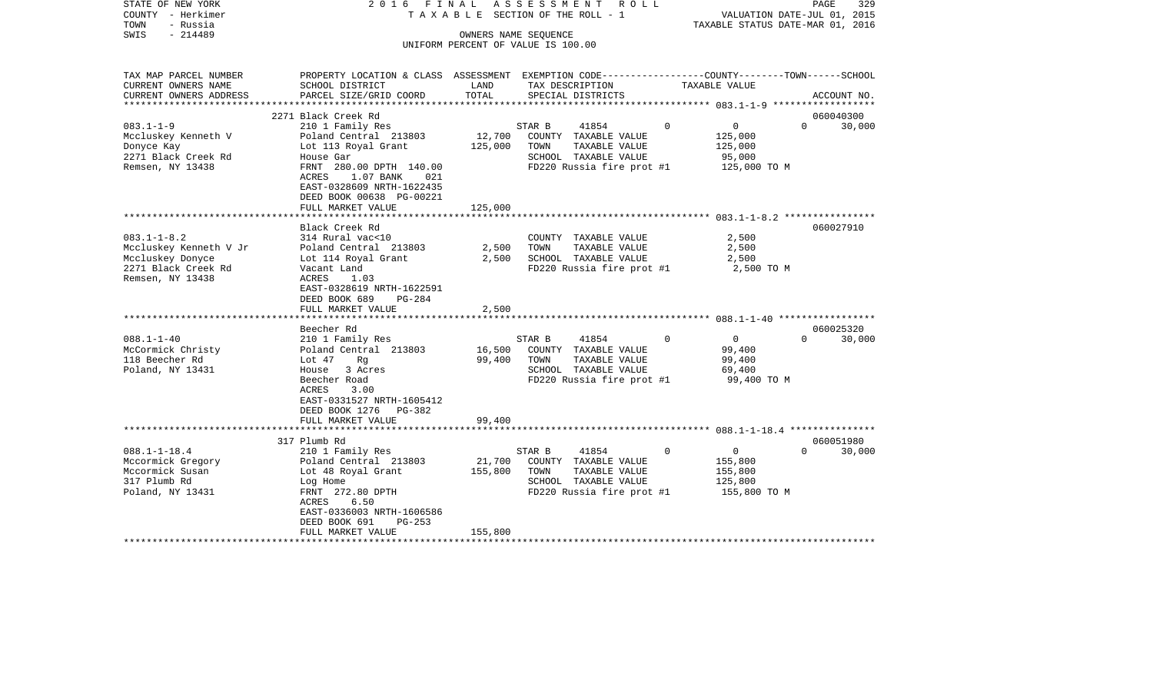| $-214489$<br>SWIS<br>OWNERS NAME SEQUENCE<br>UNIFORM PERCENT OF VALUE IS 100.00<br>PROPERTY LOCATION & CLASS ASSESSMENT EXEMPTION CODE----------------COUNTY-------TOWN------SCHOOL<br>TAX MAP PARCEL NUMBER<br>CURRENT OWNERS NAME<br>SCHOOL DISTRICT<br>LAND<br>TAX DESCRIPTION<br>TAXABLE VALUE<br>TOTAL<br>CURRENT OWNERS ADDRESS<br>PARCEL SIZE/GRID COORD<br>SPECIAL DISTRICTS<br>ACCOUNT NO.<br>***********************<br>060040300<br>2271 Black Creek Rd<br>$083.1 - 1 - 9$<br>$\Omega$<br>$\overline{0}$<br>210 1 Family Res<br>STAR B<br>41854<br>$\Omega$<br>30,000<br>12,700<br>Mccluskey Kenneth V<br>Poland Central 213803<br>COUNTY TAXABLE VALUE<br>125,000<br>125,000<br>Donyce Kay<br>Lot 113 Royal Grant<br>TOWN<br>TAXABLE VALUE<br>125,000<br>2271 Black Creek Rd<br>SCHOOL TAXABLE VALUE<br>95,000<br>House Gar<br>FD220 Russia fire prot #1<br>Remsen, NY 13438<br>FRNT 280.00 DPTH 140.00<br>125,000 TO M<br>1.07 BANK<br>ACRES<br>021<br>EAST-0328609 NRTH-1622435<br>DEED BOOK 00638 PG-00221<br>125,000<br>FULL MARKET VALUE<br>060027910<br>Black Creek Rd<br>$083.1 - 1 - 8.2$<br>314 Rural vac<10<br>COUNTY TAXABLE VALUE<br>2,500<br>Mccluskey Kenneth V Jr<br>Poland Central 213803<br>2,500<br>TOWN<br>TAXABLE VALUE<br>2,500<br>Mccluskey Donyce<br>Lot 114 Royal Grant<br>2,500<br>SCHOOL TAXABLE VALUE<br>2,500<br>FD220 Russia fire prot #1<br>2271 Black Creek Rd<br>Vacant Land<br>2,500 TO M<br>Remsen, NY 13438<br>ACRES<br>1.03<br>EAST-0328619 NRTH-1622591<br>DEED BOOK 689<br>$PG-284$<br>2,500<br>FULL MARKET VALUE<br>060025320<br>Beecher Rd<br>$088.1 - 1 - 40$<br>41854<br>$\mathbf 0$<br>30,000<br>210 1 Family Res<br>STAR B<br>$\overline{0}$<br>$\Omega$<br>16,500<br>99,400<br>McCormick Christy<br>Poland Central 213803<br>COUNTY TAXABLE VALUE<br>118 Beecher Rd<br>99,400<br>TOWN<br>TAXABLE VALUE<br>99,400<br>Lot 47<br>Rg<br>Poland, NY 13431<br>House 3 Acres<br>SCHOOL TAXABLE VALUE<br>69,400<br>Beecher Road<br>FD220 Russia fire prot #1<br>99,400 TO M<br>ACRES<br>3.00<br>EAST-0331527 NRTH-1605412<br>DEED BOOK 1276 PG-382<br>FULL MARKET VALUE<br>99,400<br>060051980<br>317 Plumb Rd<br>$088.1 - 1 - 18.4$<br>210 1 Family Res<br>41854<br>$\mathbf 0$<br>$\mathbf{0}$<br>$\Omega$<br>30,000<br>STAR B<br>Mccormick Gregory<br>Poland Central 213803<br>21,700<br>COUNTY TAXABLE VALUE<br>155,800<br>Mccormick Susan<br>155,800<br>TAXABLE VALUE<br>Lot 48 Royal Grant<br>TOWN<br>155,800<br>317 Plumb Rd<br>SCHOOL TAXABLE VALUE<br>125,800<br>Log Home<br>FRNT 272.80 DPTH<br>FD220 Russia fire prot #1<br>155,800 TO M<br>Poland, NY 13431<br>ACRES<br>6.50<br>EAST-0336003 NRTH-1606586<br>DEED BOOK 691<br>$PG-253$<br>FULL MARKET VALUE<br>155,800 | STATE OF NEW YORK<br>COUNTY - Herkimer<br>TOWN<br>- Russia | 2016 FINAL<br>ASSESSMENT<br>R O L L<br>TAXABLE SECTION OF THE ROLL - 1 |  |  | PAGE<br>329<br>VALUATION DATE-JUL 01, 2015<br>TAXABLE STATUS DATE-MAR 01, 2016 |  |  |
|-------------------------------------------------------------------------------------------------------------------------------------------------------------------------------------------------------------------------------------------------------------------------------------------------------------------------------------------------------------------------------------------------------------------------------------------------------------------------------------------------------------------------------------------------------------------------------------------------------------------------------------------------------------------------------------------------------------------------------------------------------------------------------------------------------------------------------------------------------------------------------------------------------------------------------------------------------------------------------------------------------------------------------------------------------------------------------------------------------------------------------------------------------------------------------------------------------------------------------------------------------------------------------------------------------------------------------------------------------------------------------------------------------------------------------------------------------------------------------------------------------------------------------------------------------------------------------------------------------------------------------------------------------------------------------------------------------------------------------------------------------------------------------------------------------------------------------------------------------------------------------------------------------------------------------------------------------------------------------------------------------------------------------------------------------------------------------------------------------------------------------------------------------------------------------------------------------------------------------------------------------------------------------------------------------------------------------------------------------------------------------------------------------------------------------------------------------------------------------------------------------------------------------------------------------------------------------------------------------------------------------------------------------------------------------------------------------------------------------------|------------------------------------------------------------|------------------------------------------------------------------------|--|--|--------------------------------------------------------------------------------|--|--|
|                                                                                                                                                                                                                                                                                                                                                                                                                                                                                                                                                                                                                                                                                                                                                                                                                                                                                                                                                                                                                                                                                                                                                                                                                                                                                                                                                                                                                                                                                                                                                                                                                                                                                                                                                                                                                                                                                                                                                                                                                                                                                                                                                                                                                                                                                                                                                                                                                                                                                                                                                                                                                                                                                                                                     |                                                            |                                                                        |  |  |                                                                                |  |  |
|                                                                                                                                                                                                                                                                                                                                                                                                                                                                                                                                                                                                                                                                                                                                                                                                                                                                                                                                                                                                                                                                                                                                                                                                                                                                                                                                                                                                                                                                                                                                                                                                                                                                                                                                                                                                                                                                                                                                                                                                                                                                                                                                                                                                                                                                                                                                                                                                                                                                                                                                                                                                                                                                                                                                     |                                                            |                                                                        |  |  |                                                                                |  |  |
|                                                                                                                                                                                                                                                                                                                                                                                                                                                                                                                                                                                                                                                                                                                                                                                                                                                                                                                                                                                                                                                                                                                                                                                                                                                                                                                                                                                                                                                                                                                                                                                                                                                                                                                                                                                                                                                                                                                                                                                                                                                                                                                                                                                                                                                                                                                                                                                                                                                                                                                                                                                                                                                                                                                                     |                                                            |                                                                        |  |  |                                                                                |  |  |
|                                                                                                                                                                                                                                                                                                                                                                                                                                                                                                                                                                                                                                                                                                                                                                                                                                                                                                                                                                                                                                                                                                                                                                                                                                                                                                                                                                                                                                                                                                                                                                                                                                                                                                                                                                                                                                                                                                                                                                                                                                                                                                                                                                                                                                                                                                                                                                                                                                                                                                                                                                                                                                                                                                                                     |                                                            |                                                                        |  |  |                                                                                |  |  |
|                                                                                                                                                                                                                                                                                                                                                                                                                                                                                                                                                                                                                                                                                                                                                                                                                                                                                                                                                                                                                                                                                                                                                                                                                                                                                                                                                                                                                                                                                                                                                                                                                                                                                                                                                                                                                                                                                                                                                                                                                                                                                                                                                                                                                                                                                                                                                                                                                                                                                                                                                                                                                                                                                                                                     |                                                            |                                                                        |  |  |                                                                                |  |  |
|                                                                                                                                                                                                                                                                                                                                                                                                                                                                                                                                                                                                                                                                                                                                                                                                                                                                                                                                                                                                                                                                                                                                                                                                                                                                                                                                                                                                                                                                                                                                                                                                                                                                                                                                                                                                                                                                                                                                                                                                                                                                                                                                                                                                                                                                                                                                                                                                                                                                                                                                                                                                                                                                                                                                     |                                                            |                                                                        |  |  |                                                                                |  |  |
|                                                                                                                                                                                                                                                                                                                                                                                                                                                                                                                                                                                                                                                                                                                                                                                                                                                                                                                                                                                                                                                                                                                                                                                                                                                                                                                                                                                                                                                                                                                                                                                                                                                                                                                                                                                                                                                                                                                                                                                                                                                                                                                                                                                                                                                                                                                                                                                                                                                                                                                                                                                                                                                                                                                                     |                                                            |                                                                        |  |  |                                                                                |  |  |
|                                                                                                                                                                                                                                                                                                                                                                                                                                                                                                                                                                                                                                                                                                                                                                                                                                                                                                                                                                                                                                                                                                                                                                                                                                                                                                                                                                                                                                                                                                                                                                                                                                                                                                                                                                                                                                                                                                                                                                                                                                                                                                                                                                                                                                                                                                                                                                                                                                                                                                                                                                                                                                                                                                                                     |                                                            |                                                                        |  |  |                                                                                |  |  |
|                                                                                                                                                                                                                                                                                                                                                                                                                                                                                                                                                                                                                                                                                                                                                                                                                                                                                                                                                                                                                                                                                                                                                                                                                                                                                                                                                                                                                                                                                                                                                                                                                                                                                                                                                                                                                                                                                                                                                                                                                                                                                                                                                                                                                                                                                                                                                                                                                                                                                                                                                                                                                                                                                                                                     |                                                            |                                                                        |  |  |                                                                                |  |  |
|                                                                                                                                                                                                                                                                                                                                                                                                                                                                                                                                                                                                                                                                                                                                                                                                                                                                                                                                                                                                                                                                                                                                                                                                                                                                                                                                                                                                                                                                                                                                                                                                                                                                                                                                                                                                                                                                                                                                                                                                                                                                                                                                                                                                                                                                                                                                                                                                                                                                                                                                                                                                                                                                                                                                     |                                                            |                                                                        |  |  |                                                                                |  |  |
|                                                                                                                                                                                                                                                                                                                                                                                                                                                                                                                                                                                                                                                                                                                                                                                                                                                                                                                                                                                                                                                                                                                                                                                                                                                                                                                                                                                                                                                                                                                                                                                                                                                                                                                                                                                                                                                                                                                                                                                                                                                                                                                                                                                                                                                                                                                                                                                                                                                                                                                                                                                                                                                                                                                                     |                                                            |                                                                        |  |  |                                                                                |  |  |
|                                                                                                                                                                                                                                                                                                                                                                                                                                                                                                                                                                                                                                                                                                                                                                                                                                                                                                                                                                                                                                                                                                                                                                                                                                                                                                                                                                                                                                                                                                                                                                                                                                                                                                                                                                                                                                                                                                                                                                                                                                                                                                                                                                                                                                                                                                                                                                                                                                                                                                                                                                                                                                                                                                                                     |                                                            |                                                                        |  |  |                                                                                |  |  |
|                                                                                                                                                                                                                                                                                                                                                                                                                                                                                                                                                                                                                                                                                                                                                                                                                                                                                                                                                                                                                                                                                                                                                                                                                                                                                                                                                                                                                                                                                                                                                                                                                                                                                                                                                                                                                                                                                                                                                                                                                                                                                                                                                                                                                                                                                                                                                                                                                                                                                                                                                                                                                                                                                                                                     |                                                            |                                                                        |  |  |                                                                                |  |  |
|                                                                                                                                                                                                                                                                                                                                                                                                                                                                                                                                                                                                                                                                                                                                                                                                                                                                                                                                                                                                                                                                                                                                                                                                                                                                                                                                                                                                                                                                                                                                                                                                                                                                                                                                                                                                                                                                                                                                                                                                                                                                                                                                                                                                                                                                                                                                                                                                                                                                                                                                                                                                                                                                                                                                     |                                                            |                                                                        |  |  |                                                                                |  |  |
|                                                                                                                                                                                                                                                                                                                                                                                                                                                                                                                                                                                                                                                                                                                                                                                                                                                                                                                                                                                                                                                                                                                                                                                                                                                                                                                                                                                                                                                                                                                                                                                                                                                                                                                                                                                                                                                                                                                                                                                                                                                                                                                                                                                                                                                                                                                                                                                                                                                                                                                                                                                                                                                                                                                                     |                                                            |                                                                        |  |  |                                                                                |  |  |
|                                                                                                                                                                                                                                                                                                                                                                                                                                                                                                                                                                                                                                                                                                                                                                                                                                                                                                                                                                                                                                                                                                                                                                                                                                                                                                                                                                                                                                                                                                                                                                                                                                                                                                                                                                                                                                                                                                                                                                                                                                                                                                                                                                                                                                                                                                                                                                                                                                                                                                                                                                                                                                                                                                                                     |                                                            |                                                                        |  |  |                                                                                |  |  |
|                                                                                                                                                                                                                                                                                                                                                                                                                                                                                                                                                                                                                                                                                                                                                                                                                                                                                                                                                                                                                                                                                                                                                                                                                                                                                                                                                                                                                                                                                                                                                                                                                                                                                                                                                                                                                                                                                                                                                                                                                                                                                                                                                                                                                                                                                                                                                                                                                                                                                                                                                                                                                                                                                                                                     |                                                            |                                                                        |  |  |                                                                                |  |  |
|                                                                                                                                                                                                                                                                                                                                                                                                                                                                                                                                                                                                                                                                                                                                                                                                                                                                                                                                                                                                                                                                                                                                                                                                                                                                                                                                                                                                                                                                                                                                                                                                                                                                                                                                                                                                                                                                                                                                                                                                                                                                                                                                                                                                                                                                                                                                                                                                                                                                                                                                                                                                                                                                                                                                     |                                                            |                                                                        |  |  |                                                                                |  |  |
|                                                                                                                                                                                                                                                                                                                                                                                                                                                                                                                                                                                                                                                                                                                                                                                                                                                                                                                                                                                                                                                                                                                                                                                                                                                                                                                                                                                                                                                                                                                                                                                                                                                                                                                                                                                                                                                                                                                                                                                                                                                                                                                                                                                                                                                                                                                                                                                                                                                                                                                                                                                                                                                                                                                                     |                                                            |                                                                        |  |  |                                                                                |  |  |
|                                                                                                                                                                                                                                                                                                                                                                                                                                                                                                                                                                                                                                                                                                                                                                                                                                                                                                                                                                                                                                                                                                                                                                                                                                                                                                                                                                                                                                                                                                                                                                                                                                                                                                                                                                                                                                                                                                                                                                                                                                                                                                                                                                                                                                                                                                                                                                                                                                                                                                                                                                                                                                                                                                                                     |                                                            |                                                                        |  |  |                                                                                |  |  |
|                                                                                                                                                                                                                                                                                                                                                                                                                                                                                                                                                                                                                                                                                                                                                                                                                                                                                                                                                                                                                                                                                                                                                                                                                                                                                                                                                                                                                                                                                                                                                                                                                                                                                                                                                                                                                                                                                                                                                                                                                                                                                                                                                                                                                                                                                                                                                                                                                                                                                                                                                                                                                                                                                                                                     |                                                            |                                                                        |  |  |                                                                                |  |  |
|                                                                                                                                                                                                                                                                                                                                                                                                                                                                                                                                                                                                                                                                                                                                                                                                                                                                                                                                                                                                                                                                                                                                                                                                                                                                                                                                                                                                                                                                                                                                                                                                                                                                                                                                                                                                                                                                                                                                                                                                                                                                                                                                                                                                                                                                                                                                                                                                                                                                                                                                                                                                                                                                                                                                     |                                                            |                                                                        |  |  |                                                                                |  |  |
|                                                                                                                                                                                                                                                                                                                                                                                                                                                                                                                                                                                                                                                                                                                                                                                                                                                                                                                                                                                                                                                                                                                                                                                                                                                                                                                                                                                                                                                                                                                                                                                                                                                                                                                                                                                                                                                                                                                                                                                                                                                                                                                                                                                                                                                                                                                                                                                                                                                                                                                                                                                                                                                                                                                                     |                                                            |                                                                        |  |  |                                                                                |  |  |
|                                                                                                                                                                                                                                                                                                                                                                                                                                                                                                                                                                                                                                                                                                                                                                                                                                                                                                                                                                                                                                                                                                                                                                                                                                                                                                                                                                                                                                                                                                                                                                                                                                                                                                                                                                                                                                                                                                                                                                                                                                                                                                                                                                                                                                                                                                                                                                                                                                                                                                                                                                                                                                                                                                                                     |                                                            |                                                                        |  |  |                                                                                |  |  |
|                                                                                                                                                                                                                                                                                                                                                                                                                                                                                                                                                                                                                                                                                                                                                                                                                                                                                                                                                                                                                                                                                                                                                                                                                                                                                                                                                                                                                                                                                                                                                                                                                                                                                                                                                                                                                                                                                                                                                                                                                                                                                                                                                                                                                                                                                                                                                                                                                                                                                                                                                                                                                                                                                                                                     |                                                            |                                                                        |  |  |                                                                                |  |  |
|                                                                                                                                                                                                                                                                                                                                                                                                                                                                                                                                                                                                                                                                                                                                                                                                                                                                                                                                                                                                                                                                                                                                                                                                                                                                                                                                                                                                                                                                                                                                                                                                                                                                                                                                                                                                                                                                                                                                                                                                                                                                                                                                                                                                                                                                                                                                                                                                                                                                                                                                                                                                                                                                                                                                     |                                                            |                                                                        |  |  |                                                                                |  |  |
|                                                                                                                                                                                                                                                                                                                                                                                                                                                                                                                                                                                                                                                                                                                                                                                                                                                                                                                                                                                                                                                                                                                                                                                                                                                                                                                                                                                                                                                                                                                                                                                                                                                                                                                                                                                                                                                                                                                                                                                                                                                                                                                                                                                                                                                                                                                                                                                                                                                                                                                                                                                                                                                                                                                                     |                                                            |                                                                        |  |  |                                                                                |  |  |
|                                                                                                                                                                                                                                                                                                                                                                                                                                                                                                                                                                                                                                                                                                                                                                                                                                                                                                                                                                                                                                                                                                                                                                                                                                                                                                                                                                                                                                                                                                                                                                                                                                                                                                                                                                                                                                                                                                                                                                                                                                                                                                                                                                                                                                                                                                                                                                                                                                                                                                                                                                                                                                                                                                                                     |                                                            |                                                                        |  |  |                                                                                |  |  |
|                                                                                                                                                                                                                                                                                                                                                                                                                                                                                                                                                                                                                                                                                                                                                                                                                                                                                                                                                                                                                                                                                                                                                                                                                                                                                                                                                                                                                                                                                                                                                                                                                                                                                                                                                                                                                                                                                                                                                                                                                                                                                                                                                                                                                                                                                                                                                                                                                                                                                                                                                                                                                                                                                                                                     |                                                            |                                                                        |  |  |                                                                                |  |  |
|                                                                                                                                                                                                                                                                                                                                                                                                                                                                                                                                                                                                                                                                                                                                                                                                                                                                                                                                                                                                                                                                                                                                                                                                                                                                                                                                                                                                                                                                                                                                                                                                                                                                                                                                                                                                                                                                                                                                                                                                                                                                                                                                                                                                                                                                                                                                                                                                                                                                                                                                                                                                                                                                                                                                     |                                                            |                                                                        |  |  |                                                                                |  |  |
|                                                                                                                                                                                                                                                                                                                                                                                                                                                                                                                                                                                                                                                                                                                                                                                                                                                                                                                                                                                                                                                                                                                                                                                                                                                                                                                                                                                                                                                                                                                                                                                                                                                                                                                                                                                                                                                                                                                                                                                                                                                                                                                                                                                                                                                                                                                                                                                                                                                                                                                                                                                                                                                                                                                                     |                                                            |                                                                        |  |  |                                                                                |  |  |
|                                                                                                                                                                                                                                                                                                                                                                                                                                                                                                                                                                                                                                                                                                                                                                                                                                                                                                                                                                                                                                                                                                                                                                                                                                                                                                                                                                                                                                                                                                                                                                                                                                                                                                                                                                                                                                                                                                                                                                                                                                                                                                                                                                                                                                                                                                                                                                                                                                                                                                                                                                                                                                                                                                                                     |                                                            |                                                                        |  |  |                                                                                |  |  |
|                                                                                                                                                                                                                                                                                                                                                                                                                                                                                                                                                                                                                                                                                                                                                                                                                                                                                                                                                                                                                                                                                                                                                                                                                                                                                                                                                                                                                                                                                                                                                                                                                                                                                                                                                                                                                                                                                                                                                                                                                                                                                                                                                                                                                                                                                                                                                                                                                                                                                                                                                                                                                                                                                                                                     |                                                            |                                                                        |  |  |                                                                                |  |  |
|                                                                                                                                                                                                                                                                                                                                                                                                                                                                                                                                                                                                                                                                                                                                                                                                                                                                                                                                                                                                                                                                                                                                                                                                                                                                                                                                                                                                                                                                                                                                                                                                                                                                                                                                                                                                                                                                                                                                                                                                                                                                                                                                                                                                                                                                                                                                                                                                                                                                                                                                                                                                                                                                                                                                     |                                                            |                                                                        |  |  |                                                                                |  |  |
|                                                                                                                                                                                                                                                                                                                                                                                                                                                                                                                                                                                                                                                                                                                                                                                                                                                                                                                                                                                                                                                                                                                                                                                                                                                                                                                                                                                                                                                                                                                                                                                                                                                                                                                                                                                                                                                                                                                                                                                                                                                                                                                                                                                                                                                                                                                                                                                                                                                                                                                                                                                                                                                                                                                                     |                                                            |                                                                        |  |  |                                                                                |  |  |
|                                                                                                                                                                                                                                                                                                                                                                                                                                                                                                                                                                                                                                                                                                                                                                                                                                                                                                                                                                                                                                                                                                                                                                                                                                                                                                                                                                                                                                                                                                                                                                                                                                                                                                                                                                                                                                                                                                                                                                                                                                                                                                                                                                                                                                                                                                                                                                                                                                                                                                                                                                                                                                                                                                                                     |                                                            |                                                                        |  |  |                                                                                |  |  |
|                                                                                                                                                                                                                                                                                                                                                                                                                                                                                                                                                                                                                                                                                                                                                                                                                                                                                                                                                                                                                                                                                                                                                                                                                                                                                                                                                                                                                                                                                                                                                                                                                                                                                                                                                                                                                                                                                                                                                                                                                                                                                                                                                                                                                                                                                                                                                                                                                                                                                                                                                                                                                                                                                                                                     |                                                            |                                                                        |  |  |                                                                                |  |  |
|                                                                                                                                                                                                                                                                                                                                                                                                                                                                                                                                                                                                                                                                                                                                                                                                                                                                                                                                                                                                                                                                                                                                                                                                                                                                                                                                                                                                                                                                                                                                                                                                                                                                                                                                                                                                                                                                                                                                                                                                                                                                                                                                                                                                                                                                                                                                                                                                                                                                                                                                                                                                                                                                                                                                     |                                                            |                                                                        |  |  |                                                                                |  |  |
|                                                                                                                                                                                                                                                                                                                                                                                                                                                                                                                                                                                                                                                                                                                                                                                                                                                                                                                                                                                                                                                                                                                                                                                                                                                                                                                                                                                                                                                                                                                                                                                                                                                                                                                                                                                                                                                                                                                                                                                                                                                                                                                                                                                                                                                                                                                                                                                                                                                                                                                                                                                                                                                                                                                                     |                                                            |                                                                        |  |  |                                                                                |  |  |
|                                                                                                                                                                                                                                                                                                                                                                                                                                                                                                                                                                                                                                                                                                                                                                                                                                                                                                                                                                                                                                                                                                                                                                                                                                                                                                                                                                                                                                                                                                                                                                                                                                                                                                                                                                                                                                                                                                                                                                                                                                                                                                                                                                                                                                                                                                                                                                                                                                                                                                                                                                                                                                                                                                                                     |                                                            |                                                                        |  |  |                                                                                |  |  |
|                                                                                                                                                                                                                                                                                                                                                                                                                                                                                                                                                                                                                                                                                                                                                                                                                                                                                                                                                                                                                                                                                                                                                                                                                                                                                                                                                                                                                                                                                                                                                                                                                                                                                                                                                                                                                                                                                                                                                                                                                                                                                                                                                                                                                                                                                                                                                                                                                                                                                                                                                                                                                                                                                                                                     |                                                            |                                                                        |  |  |                                                                                |  |  |
|                                                                                                                                                                                                                                                                                                                                                                                                                                                                                                                                                                                                                                                                                                                                                                                                                                                                                                                                                                                                                                                                                                                                                                                                                                                                                                                                                                                                                                                                                                                                                                                                                                                                                                                                                                                                                                                                                                                                                                                                                                                                                                                                                                                                                                                                                                                                                                                                                                                                                                                                                                                                                                                                                                                                     |                                                            |                                                                        |  |  |                                                                                |  |  |
|                                                                                                                                                                                                                                                                                                                                                                                                                                                                                                                                                                                                                                                                                                                                                                                                                                                                                                                                                                                                                                                                                                                                                                                                                                                                                                                                                                                                                                                                                                                                                                                                                                                                                                                                                                                                                                                                                                                                                                                                                                                                                                                                                                                                                                                                                                                                                                                                                                                                                                                                                                                                                                                                                                                                     |                                                            |                                                                        |  |  |                                                                                |  |  |
|                                                                                                                                                                                                                                                                                                                                                                                                                                                                                                                                                                                                                                                                                                                                                                                                                                                                                                                                                                                                                                                                                                                                                                                                                                                                                                                                                                                                                                                                                                                                                                                                                                                                                                                                                                                                                                                                                                                                                                                                                                                                                                                                                                                                                                                                                                                                                                                                                                                                                                                                                                                                                                                                                                                                     |                                                            |                                                                        |  |  |                                                                                |  |  |
|                                                                                                                                                                                                                                                                                                                                                                                                                                                                                                                                                                                                                                                                                                                                                                                                                                                                                                                                                                                                                                                                                                                                                                                                                                                                                                                                                                                                                                                                                                                                                                                                                                                                                                                                                                                                                                                                                                                                                                                                                                                                                                                                                                                                                                                                                                                                                                                                                                                                                                                                                                                                                                                                                                                                     |                                                            |                                                                        |  |  |                                                                                |  |  |
|                                                                                                                                                                                                                                                                                                                                                                                                                                                                                                                                                                                                                                                                                                                                                                                                                                                                                                                                                                                                                                                                                                                                                                                                                                                                                                                                                                                                                                                                                                                                                                                                                                                                                                                                                                                                                                                                                                                                                                                                                                                                                                                                                                                                                                                                                                                                                                                                                                                                                                                                                                                                                                                                                                                                     |                                                            |                                                                        |  |  |                                                                                |  |  |
|                                                                                                                                                                                                                                                                                                                                                                                                                                                                                                                                                                                                                                                                                                                                                                                                                                                                                                                                                                                                                                                                                                                                                                                                                                                                                                                                                                                                                                                                                                                                                                                                                                                                                                                                                                                                                                                                                                                                                                                                                                                                                                                                                                                                                                                                                                                                                                                                                                                                                                                                                                                                                                                                                                                                     |                                                            |                                                                        |  |  |                                                                                |  |  |
|                                                                                                                                                                                                                                                                                                                                                                                                                                                                                                                                                                                                                                                                                                                                                                                                                                                                                                                                                                                                                                                                                                                                                                                                                                                                                                                                                                                                                                                                                                                                                                                                                                                                                                                                                                                                                                                                                                                                                                                                                                                                                                                                                                                                                                                                                                                                                                                                                                                                                                                                                                                                                                                                                                                                     |                                                            |                                                                        |  |  |                                                                                |  |  |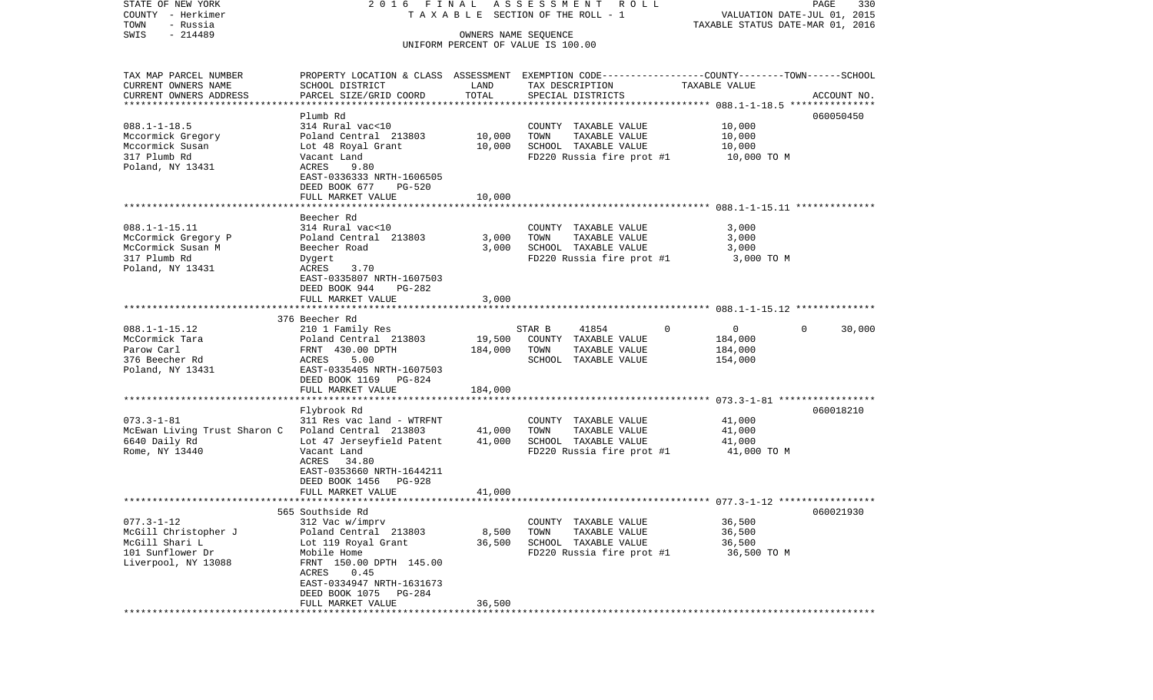| STATE OF NEW YORK                                  | 2016 FINAL                                                                                       |                      | ASSESSMENT ROLL                    |                                  | PAGE<br>330                 |
|----------------------------------------------------|--------------------------------------------------------------------------------------------------|----------------------|------------------------------------|----------------------------------|-----------------------------|
| COUNTY - Herkimer                                  |                                                                                                  |                      | TAXABLE SECTION OF THE ROLL - 1    |                                  | VALUATION DATE-JUL 01, 2015 |
| TOWN<br>- Russia                                   |                                                                                                  |                      |                                    | TAXABLE STATUS DATE-MAR 01, 2016 |                             |
| $-214489$<br>SWIS                                  |                                                                                                  | OWNERS NAME SEQUENCE |                                    |                                  |                             |
|                                                    |                                                                                                  |                      | UNIFORM PERCENT OF VALUE IS 100.00 |                                  |                             |
| TAX MAP PARCEL NUMBER                              | PROPERTY LOCATION & CLASS ASSESSMENT EXEMPTION CODE----------------COUNTY-------TOWN------SCHOOL |                      |                                    |                                  |                             |
| CURRENT OWNERS NAME                                | SCHOOL DISTRICT                                                                                  | LAND                 | TAX DESCRIPTION                    | TAXABLE VALUE                    |                             |
| CURRENT OWNERS ADDRESS                             | PARCEL SIZE/GRID COORD                                                                           | TOTAL                | SPECIAL DISTRICTS                  |                                  | ACCOUNT NO.                 |
| *************************                          |                                                                                                  |                      |                                    |                                  |                             |
|                                                    | Plumb Rd                                                                                         |                      |                                    |                                  | 060050450                   |
| $088.1 - 1 - 18.5$                                 | 314 Rural vac<10                                                                                 |                      | COUNTY TAXABLE VALUE               | 10,000                           |                             |
| Mccormick Gregory                                  | Poland Central 213803                                                                            | 10,000               | TOWN<br>TAXABLE VALUE              | 10,000                           |                             |
| Mccormick Susan                                    | Lot 48 Royal Grant                                                                               | 10,000               | SCHOOL TAXABLE VALUE               | 10,000                           |                             |
| 317 Plumb Rd                                       | Vacant Land                                                                                      |                      | FD220 Russia fire prot #1          | 10,000 TO M                      |                             |
| Poland, NY 13431                                   | ACRES<br>9.80                                                                                    |                      |                                    |                                  |                             |
|                                                    | EAST-0336333 NRTH-1606505                                                                        |                      |                                    |                                  |                             |
|                                                    | DEED BOOK 677<br>PG-520                                                                          |                      |                                    |                                  |                             |
|                                                    | FULL MARKET VALUE                                                                                | 10,000               |                                    |                                  |                             |
|                                                    |                                                                                                  |                      |                                    |                                  |                             |
|                                                    | Beecher Rd                                                                                       |                      |                                    |                                  |                             |
| $088.1 - 1 - 15.11$                                | 314 Rural vac<10                                                                                 |                      | COUNTY TAXABLE VALUE               | 3,000                            |                             |
| McCormick Gregory P                                | Poland Central 213803                                                                            | 3,000                | TOWN<br>TAXABLE VALUE              | 3,000                            |                             |
| McCormick Susan M                                  | Beecher Road                                                                                     | 3,000                | SCHOOL TAXABLE VALUE               | 3,000                            |                             |
| 317 Plumb Rd                                       | Dygert                                                                                           |                      | FD220 Russia fire prot #1          | 3,000 TO M                       |                             |
| Poland, NY 13431                                   | 3.70<br>ACRES                                                                                    |                      |                                    |                                  |                             |
|                                                    | EAST-0335807 NRTH-1607503                                                                        |                      |                                    |                                  |                             |
|                                                    | DEED BOOK 944<br>PG-282                                                                          |                      |                                    |                                  |                             |
|                                                    | FULL MARKET VALUE                                                                                | 3,000                |                                    |                                  |                             |
|                                                    |                                                                                                  |                      |                                    |                                  |                             |
|                                                    | 376 Beecher Rd                                                                                   |                      |                                    |                                  |                             |
| $088.1 - 1 - 15.12$                                | 210 1 Family Res                                                                                 |                      | 41854<br>STAR B                    | 0<br>$\Omega$                    | $\Omega$<br>30,000          |
| McCormick Tara                                     | Poland Central 213803                                                                            | 19,500               | COUNTY TAXABLE VALUE               | 184,000                          |                             |
| Parow Carl                                         | FRNT 430.00 DPTH                                                                                 | 184,000              | TOWN<br>TAXABLE VALUE              | 184,000                          |                             |
| 376 Beecher Rd                                     | 5.00<br>ACRES                                                                                    |                      | SCHOOL TAXABLE VALUE               | 154,000                          |                             |
| Poland, NY 13431                                   | EAST-0335405 NRTH-1607503                                                                        |                      |                                    |                                  |                             |
|                                                    | DEED BOOK 1169 PG-824                                                                            |                      |                                    |                                  |                             |
|                                                    | FULL MARKET VALUE                                                                                | 184,000              |                                    |                                  |                             |
|                                                    |                                                                                                  |                      |                                    |                                  |                             |
|                                                    | Flybrook Rd                                                                                      |                      |                                    |                                  | 060018210                   |
| $073.3 - 1 - 81$                                   | 311 Res vac land - WTRFNT                                                                        |                      | COUNTY TAXABLE VALUE               | 41,000                           |                             |
| McEwan Living Trust Sharon C Poland Central 213803 |                                                                                                  | 41,000               | TOWN<br>TAXABLE VALUE              | 41,000                           |                             |
| 6640 Daily Rd                                      | Lot 47 Jerseyfield Patent                                                                        | 41,000               | SCHOOL TAXABLE VALUE               | 41,000                           |                             |
| Rome, NY 13440                                     | Vacant Land                                                                                      |                      | FD220 Russia fire prot #1          | 41,000 TO M                      |                             |
|                                                    | ACRES 34.80                                                                                      |                      |                                    |                                  |                             |
|                                                    | EAST-0353660 NRTH-1644211                                                                        |                      |                                    |                                  |                             |
|                                                    | PG-928<br>DEED BOOK 1456                                                                         |                      |                                    |                                  |                             |
|                                                    | FULL MARKET VALUE                                                                                | 41,000               |                                    |                                  |                             |
|                                                    |                                                                                                  |                      |                                    |                                  |                             |
|                                                    | 565 Southside Rd                                                                                 |                      |                                    |                                  | 060021930                   |
| $077.3 - 1 - 12$                                   | 312 Vac w/imprv                                                                                  |                      | COUNTY TAXABLE VALUE               | 36,500                           |                             |
| McGill Christopher J                               | Poland Central 213803                                                                            | 8,500                | TOWN<br>TAXABLE VALUE              | 36,500                           |                             |
| McGill Shari L                                     | Lot 119 Royal Grant                                                                              | 36,500               | SCHOOL TAXABLE VALUE               | 36,500                           |                             |
| 101 Sunflower Dr                                   | Mobile Home                                                                                      |                      | FD220 Russia fire prot #1          | 36,500 TO M                      |                             |
| Liverpool, NY 13088                                | FRNT 150.00 DPTH 145.00                                                                          |                      |                                    |                                  |                             |
|                                                    | ACRES<br>0.45                                                                                    |                      |                                    |                                  |                             |
|                                                    | EAST-0334947 NRTH-1631673                                                                        |                      |                                    |                                  |                             |
|                                                    | DEED BOOK 1075<br>PG-284                                                                         |                      |                                    |                                  |                             |
|                                                    | FULL MARKET VALUE                                                                                | 36,500               |                                    |                                  |                             |
|                                                    |                                                                                                  |                      |                                    |                                  |                             |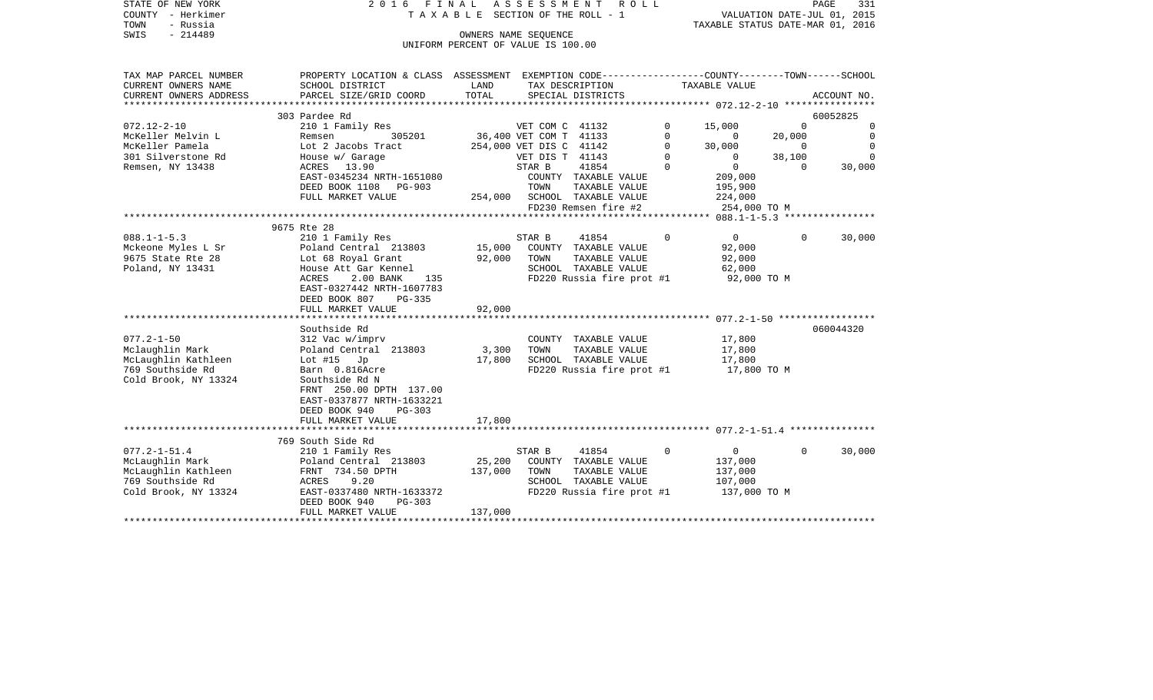| STATE OF NEW YORK                     | 2016<br>FINAL                                                                                  |                                         | A S S E S S M E N T     | R O L L                   |             |                                                |                             | PAGE<br>331 |
|---------------------------------------|------------------------------------------------------------------------------------------------|-----------------------------------------|-------------------------|---------------------------|-------------|------------------------------------------------|-----------------------------|-------------|
| COUNTY - Herkimer<br>TOWN<br>- Russia |                                                                                                | T A X A B L E SECTION OF THE ROLL - 1   |                         |                           |             | TAXABLE STATUS DATE-MAR 01, 2016               | VALUATION DATE-JUL 01, 2015 |             |
| $-214489$<br>SWIS                     |                                                                                                |                                         | OWNERS NAME SEQUENCE    |                           |             |                                                |                             |             |
|                                       |                                                                                                | UNIFORM PERCENT OF VALUE IS 100.00      |                         |                           |             |                                                |                             |             |
|                                       |                                                                                                |                                         |                         |                           |             |                                                |                             |             |
| TAX MAP PARCEL NUMBER                 | PROPERTY LOCATION & CLASS ASSESSMENT EXEMPTION CODE---------------COUNTY-------TOWN-----SCHOOL |                                         |                         |                           |             |                                                |                             |             |
| CURRENT OWNERS NAME                   | SCHOOL DISTRICT                                                                                | LAND                                    |                         | TAX DESCRIPTION           |             | TAXABLE VALUE                                  |                             |             |
| CURRENT OWNERS ADDRESS                | PARCEL SIZE/GRID COORD<br>****************************                                         | TOTAL<br>****************************** |                         | SPECIAL DISTRICTS         |             |                                                |                             | ACCOUNT NO. |
|                                       | 303 Pardee Rd                                                                                  |                                         |                         |                           |             | ***************** 072.12-2-10 **************** |                             | 60052825    |
| $072.12 - 2 - 10$                     | 210 1 Family Res                                                                               |                                         | VET COM C 41132         |                           | $\Omega$    | 15,000                                         | $\mathbf 0$                 | 0           |
| McKeller Melvin L                     | Remsen<br>305201                                                                               |                                         | 36,400 VET COM T 41133  |                           | $\Omega$    | $\mathbf{0}$                                   | 20,000                      | $\Omega$    |
| McKeller Pamela                       | Lot 2 Jacobs Tract                                                                             |                                         | 254,000 VET DIS C 41142 |                           | $\mathbf 0$ | 30,000                                         | $\overline{0}$              | $\mathbf 0$ |
| 301 Silverstone Rd                    | House w/ Garage                                                                                |                                         | VET DIS T 41143         |                           | $\Omega$    | $\Omega$                                       | 38,100                      | $\Omega$    |
| Remsen, NY 13438                      | 13.90<br>ACRES                                                                                 |                                         | STAR B                  | 41854                     | $\mathbf 0$ | $\circ$                                        | $\Omega$                    | 30,000      |
|                                       | EAST-0345234 NRTH-1651080                                                                      |                                         |                         | COUNTY TAXABLE VALUE      |             | 209,000                                        |                             |             |
|                                       | DEED BOOK 1108<br>PG-903                                                                       |                                         | TOWN                    | TAXABLE VALUE             |             | 195,900                                        |                             |             |
|                                       | FULL MARKET VALUE                                                                              | 254,000                                 |                         | SCHOOL TAXABLE VALUE      |             | 224,000                                        |                             |             |
|                                       |                                                                                                |                                         |                         | FD230 Remsen fire #2      |             | 254,000 TO M                                   |                             |             |
|                                       | 9675 Rte 28                                                                                    |                                         |                         |                           |             |                                                |                             |             |
| $088.1 - 1 - 5.3$                     | 210 1 Family Res                                                                               |                                         | STAR B                  | 41854                     | $\Omega$    | $\overline{0}$                                 | 0                           | 30,000      |
| Mckeone Myles L Sr                    | Poland Central 213803                                                                          | 15,000                                  |                         | COUNTY TAXABLE VALUE      |             | 92,000                                         |                             |             |
| 9675 State Rte 28                     | Lot 68 Royal Grant                                                                             | 92,000                                  | TOWN                    | TAXABLE VALUE             |             | 92,000                                         |                             |             |
| Poland, NY 13431                      | House Att Gar Kennel                                                                           |                                         |                         | SCHOOL TAXABLE VALUE      |             | 62,000                                         |                             |             |
|                                       | 2.00 BANK<br>ACRES<br>135                                                                      |                                         |                         | FD220 Russia fire prot #1 |             | 92,000 TO M                                    |                             |             |
|                                       | EAST-0327442 NRTH-1607783                                                                      |                                         |                         |                           |             |                                                |                             |             |
|                                       | DEED BOOK 807<br>$PG-335$                                                                      |                                         |                         |                           |             |                                                |                             |             |
|                                       | FULL MARKET VALUE                                                                              | 92,000                                  |                         |                           |             |                                                |                             |             |
|                                       | Southside Rd                                                                                   |                                         |                         |                           |             |                                                |                             | 060044320   |
| $077.2 - 1 - 50$                      | 312 Vac w/imprv                                                                                |                                         |                         | COUNTY TAXABLE VALUE      |             | 17,800                                         |                             |             |
| Mclaughlin Mark                       | Poland Central 213803                                                                          | 3,300                                   | TOWN                    | TAXABLE VALUE             |             | 17,800                                         |                             |             |
| McLaughlin Kathleen                   | Lot $#15$ Jp                                                                                   | 17,800                                  |                         | SCHOOL TAXABLE VALUE      |             | 17,800                                         |                             |             |
| 769 Southside Rd                      | Barn 0.816Acre                                                                                 |                                         |                         | FD220 Russia fire prot #1 |             | 17,800 TO M                                    |                             |             |
| Cold Brook, NY 13324                  | Southside Rd N                                                                                 |                                         |                         |                           |             |                                                |                             |             |
|                                       | FRNT 250.00 DPTH 137.00                                                                        |                                         |                         |                           |             |                                                |                             |             |
|                                       | EAST-0337877 NRTH-1633221                                                                      |                                         |                         |                           |             |                                                |                             |             |
|                                       | DEED BOOK 940<br><b>PG-303</b>                                                                 | 17,800                                  |                         |                           |             |                                                |                             |             |
|                                       | FULL MARKET VALUE                                                                              | ***********                             |                         |                           |             |                                                |                             |             |
|                                       | 769 South Side Rd                                                                              |                                         |                         |                           |             |                                                |                             |             |
| $077.2 - 1 - 51.4$                    | 210 1 Family Res                                                                               |                                         | STAR B                  | 41854                     | $\mathbf 0$ | $\mathbf 0$                                    | $\mathbf 0$                 | 30,000      |
| McLaughlin Mark                       | Poland Central 213803                                                                          | 25,200                                  |                         | COUNTY TAXABLE VALUE      |             | 137,000                                        |                             |             |
| McLaughlin Kathleen                   | FRNT 734.50 DPTH                                                                               | 137,000                                 | TOWN                    | TAXABLE VALUE             |             | 137,000                                        |                             |             |
| 769 Southside Rd                      | 9.20<br>ACRES                                                                                  |                                         |                         | SCHOOL TAXABLE VALUE      |             | 107,000                                        |                             |             |
| Cold Brook, NY 13324                  | EAST-0337480 NRTH-1633372                                                                      |                                         |                         | FD220 Russia fire prot #1 |             | 137,000 TO M                                   |                             |             |
|                                       | DEED BOOK 940<br>PG-303                                                                        |                                         |                         |                           |             |                                                |                             |             |
|                                       | FULL MARKET VALUE                                                                              | 137,000                                 |                         |                           |             |                                                |                             |             |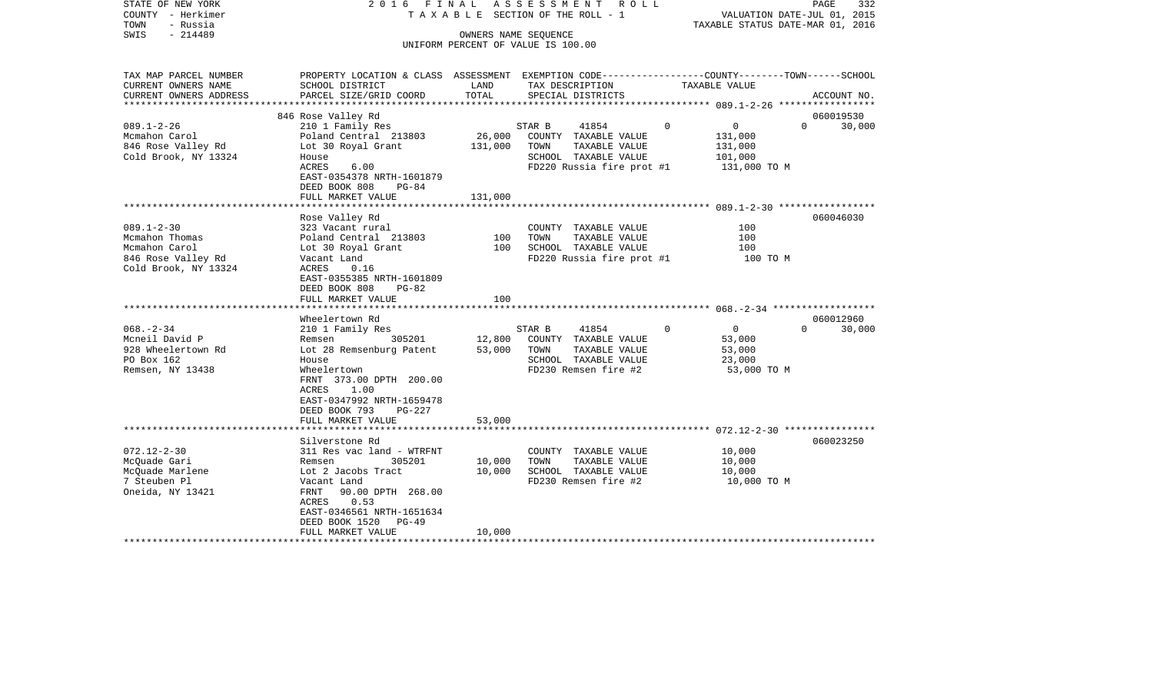| COUNTY<br>- Herkimer<br>TOWN<br>- Russia<br>SWIS<br>$-214489$                             |                                                                                                                                                                                                                   | T A X A B L E SECTION OF THE ROLL - 1<br>VALUATION DATE-JUL 01, 2015<br>TAXABLE STATUS DATE-MAR 01, 2016<br>OWNERS NAME SEQUENCE<br>UNIFORM PERCENT OF VALUE IS 100.00 |                                                                                                                       |                                                                      |                    |
|-------------------------------------------------------------------------------------------|-------------------------------------------------------------------------------------------------------------------------------------------------------------------------------------------------------------------|------------------------------------------------------------------------------------------------------------------------------------------------------------------------|-----------------------------------------------------------------------------------------------------------------------|----------------------------------------------------------------------|--------------------|
| TAX MAP PARCEL NUMBER<br>CURRENT OWNERS NAME<br>CURRENT OWNERS ADDRESS                    | PROPERTY LOCATION & CLASS ASSESSMENT EXEMPTION CODE---------------COUNTY-------TOWN-----SCHOOL<br>SCHOOL DISTRICT<br>PARCEL SIZE/GRID COORD                                                                       | LAND<br>TOTAL                                                                                                                                                          | TAX DESCRIPTION<br>SPECIAL DISTRICTS                                                                                  | TAXABLE VALUE                                                        | ACCOUNT NO.        |
|                                                                                           |                                                                                                                                                                                                                   | *********                                                                                                                                                              |                                                                                                                       | ********** 089.1-2-26 ******************                             |                    |
|                                                                                           | 846 Rose Valley Rd                                                                                                                                                                                                |                                                                                                                                                                        |                                                                                                                       |                                                                      | 060019530          |
| $089.1 - 2 - 26$<br>Mcmahon Carol<br>846 Rose Valley Rd<br>Cold Brook, NY 13324           | 210 1 Family Res<br>Poland Central 213803<br>Lot 30 Royal Grant<br>House<br><b>ACRES</b><br>6.00                                                                                                                  | 26,000<br>131,000                                                                                                                                                      | STAR B<br>41854<br>COUNTY TAXABLE VALUE<br>TOWN<br>TAXABLE VALUE<br>SCHOOL TAXABLE VALUE<br>FD220 Russia fire prot #1 | 0<br>$\Omega$<br>131,000<br>131,000<br>101,000<br>131,000 TO M       | 30,000<br>$\Omega$ |
|                                                                                           | EAST-0354378 NRTH-1601879<br>DEED BOOK 808<br>$PG-84$                                                                                                                                                             |                                                                                                                                                                        |                                                                                                                       |                                                                      |                    |
|                                                                                           | FULL MARKET VALUE                                                                                                                                                                                                 | 131,000                                                                                                                                                                |                                                                                                                       |                                                                      |                    |
| $089.1 - 2 - 30$                                                                          | Rose Valley Rd<br>323 Vacant rural                                                                                                                                                                                |                                                                                                                                                                        | COUNTY TAXABLE VALUE                                                                                                  | 100                                                                  | 060046030          |
| Mcmahon Thomas<br>Mcmahon Carol<br>846 Rose Valley Rd<br>Cold Brook, NY 13324             | Poland Central 213803<br>Lot 30 Royal Grant<br>Vacant Land<br>ACRES<br>0.16<br>EAST-0355385 NRTH-1601809                                                                                                          | 100<br>100                                                                                                                                                             | TOWN<br>TAXABLE VALUE<br>SCHOOL TAXABLE VALUE<br>FD220 Russia fire prot #1                                            | 100<br>100<br>100 TO M                                               |                    |
|                                                                                           | DEED BOOK 808<br>$PG-82$<br>FULL MARKET VALUE                                                                                                                                                                     | 100                                                                                                                                                                    |                                                                                                                       |                                                                      |                    |
|                                                                                           |                                                                                                                                                                                                                   |                                                                                                                                                                        |                                                                                                                       |                                                                      |                    |
|                                                                                           | Wheelertown Rd                                                                                                                                                                                                    |                                                                                                                                                                        |                                                                                                                       |                                                                      | 060012960          |
| $068. - 2 - 34$<br>Mcneil David P<br>928 Wheelertown Rd<br>PO Box 162<br>Remsen, NY 13438 | 210 1 Family Res<br>305201<br>Remsen<br>Lot 28 Remsenburg Patent<br>House<br>Wheelertown<br>FRNT 373.00 DPTH 200.00<br>1.00<br>ACRES<br>EAST-0347992 NRTH-1659478<br>DEED BOOK 793<br>PG-227<br>FULL MARKET VALUE | 12,800<br>53,000<br>53,000                                                                                                                                             | STAR B<br>41854<br>COUNTY TAXABLE VALUE<br>TOWN<br>TAXABLE VALUE<br>SCHOOL TAXABLE VALUE<br>FD230 Remsen fire #2      | $\Omega$<br>$\mathbf 0$<br>53,000<br>53,000<br>23,000<br>53,000 TO M | 30,000<br>$\Omega$ |
|                                                                                           |                                                                                                                                                                                                                   | * * * * * * * * * * * * *                                                                                                                                              |                                                                                                                       |                                                                      |                    |
| $072.12 - 2 - 30$<br>McQuade Gari<br>McQuade Marlene<br>7 Steuben Pl<br>Oneida, NY 13421  | Silverstone Rd<br>311 Res vac land - WTRFNT<br>Remsen<br>305201<br>Lot 2 Jacobs Tract<br>Vacant Land<br>FRNT<br>90.00 DPTH 268.00<br>ACRES<br>0.53<br>EAST-0346561 NRTH-1651634<br>DEED BOOK 1520<br>$PG-49$      | 10,000<br>10,000                                                                                                                                                       | COUNTY TAXABLE VALUE<br>TOWN<br>TAXABLE VALUE<br>SCHOOL TAXABLE VALUE<br>FD230 Remsen fire #2                         | 10,000<br>10,000<br>10,000<br>10,000 TO M                            | 060023250          |
|                                                                                           | FULL MARKET VALUE                                                                                                                                                                                                 | 10,000                                                                                                                                                                 |                                                                                                                       |                                                                      |                    |

PAGE 332

STATE OF NEW YORK 2 0 1 6 F I N A L A S S E S S M E N T R O L L PAGE 332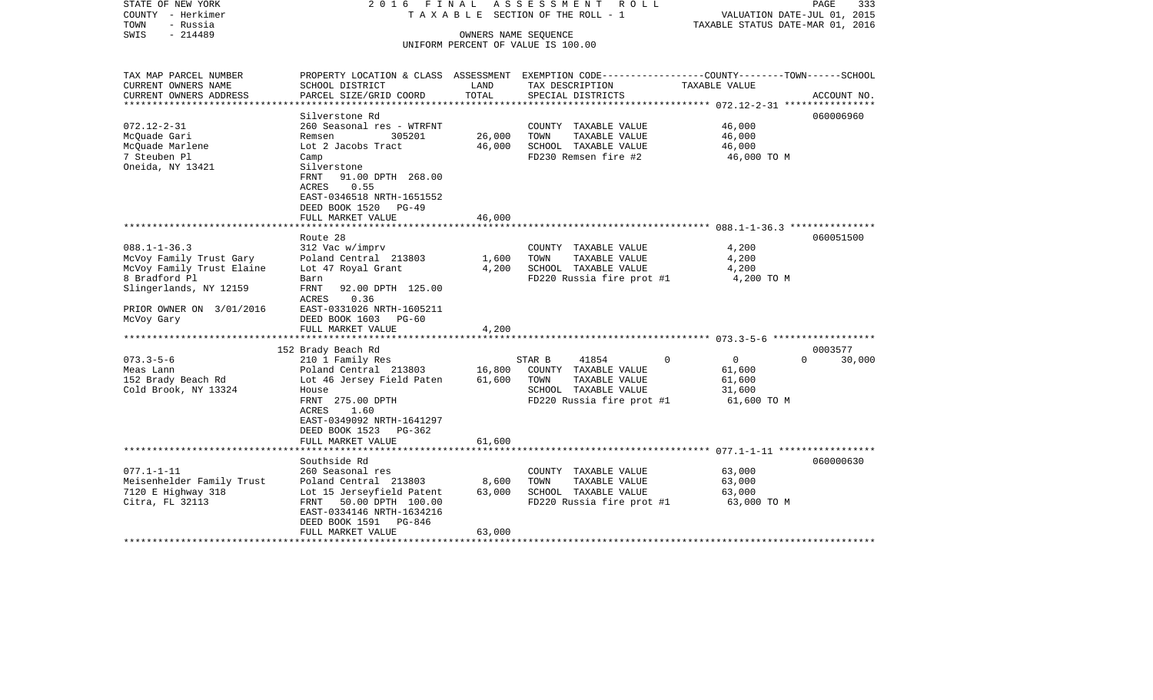| STATE OF NEW YORK<br>COUNTY - Herkimer<br>TOWN<br>- Russia | 2016 FINAL<br>ASSESSMENT<br>R O L L<br>SECTION OF THE ROLL - 1<br>TAXABLE                        |        |                                               | PAGE<br>333<br>VALUATION DATE-JUL 01, 2015<br>TAXABLE STATUS DATE-MAR 01, 2016 |                    |  |
|------------------------------------------------------------|--------------------------------------------------------------------------------------------------|--------|-----------------------------------------------|--------------------------------------------------------------------------------|--------------------|--|
| $-214489$<br>SWIS                                          |                                                                                                  |        | OWNERS NAME SEQUENCE                          |                                                                                |                    |  |
|                                                            |                                                                                                  |        | UNIFORM PERCENT OF VALUE IS 100.00            |                                                                                |                    |  |
|                                                            |                                                                                                  |        |                                               |                                                                                |                    |  |
| TAX MAP PARCEL NUMBER                                      | PROPERTY LOCATION & CLASS ASSESSMENT EXEMPTION CODE----------------COUNTY-------TOWN------SCHOOL |        |                                               |                                                                                |                    |  |
| CURRENT OWNERS NAME                                        | SCHOOL DISTRICT                                                                                  | LAND   | TAX DESCRIPTION                               | TAXABLE VALUE                                                                  |                    |  |
| CURRENT OWNERS ADDRESS                                     | PARCEL SIZE/GRID COORD                                                                           | TOTAL  | SPECIAL DISTRICTS                             |                                                                                | ACCOUNT NO.        |  |
| **********************                                     |                                                                                                  |        |                                               |                                                                                |                    |  |
| $072.12 - 2 - 31$                                          | Silverstone Rd                                                                                   |        |                                               | 46,000                                                                         | 060006960          |  |
| McQuade Gari                                               | 260 Seasonal res - WTRFNT<br>305201<br>Remsen                                                    | 26,000 | COUNTY TAXABLE VALUE<br>TAXABLE VALUE<br>TOWN | 46,000                                                                         |                    |  |
| McQuade Marlene                                            | Lot 2 Jacobs Tract                                                                               | 46,000 | SCHOOL TAXABLE VALUE                          | 46,000                                                                         |                    |  |
| 7 Steuben Pl                                               | Camp                                                                                             |        | FD230 Remsen fire #2                          | 46,000 TO M                                                                    |                    |  |
| Oneida, NY 13421                                           | Silverstone                                                                                      |        |                                               |                                                                                |                    |  |
|                                                            | FRNT<br>91.00 DPTH 268.00                                                                        |        |                                               |                                                                                |                    |  |
|                                                            | <b>ACRES</b><br>0.55                                                                             |        |                                               |                                                                                |                    |  |
|                                                            | EAST-0346518 NRTH-1651552                                                                        |        |                                               |                                                                                |                    |  |
|                                                            | DEED BOOK 1520<br>$PG-49$                                                                        |        |                                               |                                                                                |                    |  |
|                                                            | FULL MARKET VALUE                                                                                | 46,000 |                                               |                                                                                |                    |  |
|                                                            | Route 28                                                                                         |        |                                               |                                                                                | 060051500          |  |
| $088.1 - 1 - 36.3$                                         | 312 Vac w/imprv                                                                                  |        | COUNTY TAXABLE VALUE                          | 4,200                                                                          |                    |  |
| McVoy Family Trust Gary                                    | Poland Central 213803                                                                            | 1,600  | TOWN<br>TAXABLE VALUE                         | 4,200                                                                          |                    |  |
| McVoy Family Trust Elaine                                  | Lot 47 Royal Grant                                                                               | 4,200  | SCHOOL TAXABLE VALUE                          | 4,200                                                                          |                    |  |
| 8 Bradford Pl                                              | Barn                                                                                             |        | FD220 Russia fire prot #1                     | 4,200 TO M                                                                     |                    |  |
| Slingerlands, NY 12159                                     | FRNT<br>92.00 DPTH 125.00                                                                        |        |                                               |                                                                                |                    |  |
| PRIOR OWNER ON 3/01/2016                                   | <b>ACRES</b><br>0.36<br>EAST-0331026 NRTH-1605211                                                |        |                                               |                                                                                |                    |  |
| McVoy Gary                                                 | DEED BOOK 1603<br>$PG-60$                                                                        |        |                                               |                                                                                |                    |  |
|                                                            | FULL MARKET VALUE                                                                                | 4,200  |                                               |                                                                                |                    |  |
|                                                            |                                                                                                  |        |                                               |                                                                                |                    |  |
|                                                            | 152 Brady Beach Rd                                                                               |        |                                               |                                                                                | 0003577            |  |
| $073.3 - 5 - 6$                                            | 210 1 Family Res                                                                                 |        | STAR B<br>41854                               | $\overline{0}$<br>0                                                            | $\Omega$<br>30,000 |  |
| Meas Lann                                                  | Poland Central 213803                                                                            | 16,800 | COUNTY TAXABLE VALUE                          | 61,600                                                                         |                    |  |
| 152 Brady Beach Rd<br>Cold Brook, NY 13324                 | Lot 46 Jersey Field Paten<br>House                                                               | 61,600 | TOWN<br>TAXABLE VALUE<br>SCHOOL TAXABLE VALUE | 61,600<br>31,600                                                               |                    |  |
|                                                            | FRNT 275.00 DPTH                                                                                 |        | FD220 Russia fire prot #1                     | 61,600 TO M                                                                    |                    |  |
|                                                            | ACRES<br>1.60                                                                                    |        |                                               |                                                                                |                    |  |
|                                                            | EAST-0349092 NRTH-1641297                                                                        |        |                                               |                                                                                |                    |  |
|                                                            | DEED BOOK 1523 PG-362                                                                            |        |                                               |                                                                                |                    |  |
|                                                            | FULL MARKET VALUE                                                                                | 61,600 |                                               |                                                                                |                    |  |
|                                                            | *********************                                                                            |        |                                               |                                                                                |                    |  |
| $077.1 - 1 - 11$                                           | Southside Rd                                                                                     |        |                                               |                                                                                | 060000630          |  |
| Meisenhelder Family Trust                                  | 260 Seasonal res<br>Poland Central 213803                                                        | 8,600  | COUNTY TAXABLE VALUE<br>TOWN<br>TAXABLE VALUE | 63,000<br>63,000                                                               |                    |  |
| 7120 E Highway 318                                         | Lot 15 Jerseyfield Patent                                                                        | 63,000 | SCHOOL TAXABLE VALUE                          | 63,000                                                                         |                    |  |
| Citra, FL 32113                                            | FRNT 50.00 DPTH 100.00                                                                           |        | FD220 Russia fire prot #1                     | 63,000 TO M                                                                    |                    |  |
|                                                            | EAST-0334146 NRTH-1634216                                                                        |        |                                               |                                                                                |                    |  |
|                                                            | DEED BOOK 1591<br>PG-846                                                                         |        |                                               |                                                                                |                    |  |
|                                                            | FULL MARKET VALUE                                                                                | 63,000 |                                               |                                                                                |                    |  |
|                                                            |                                                                                                  |        |                                               |                                                                                |                    |  |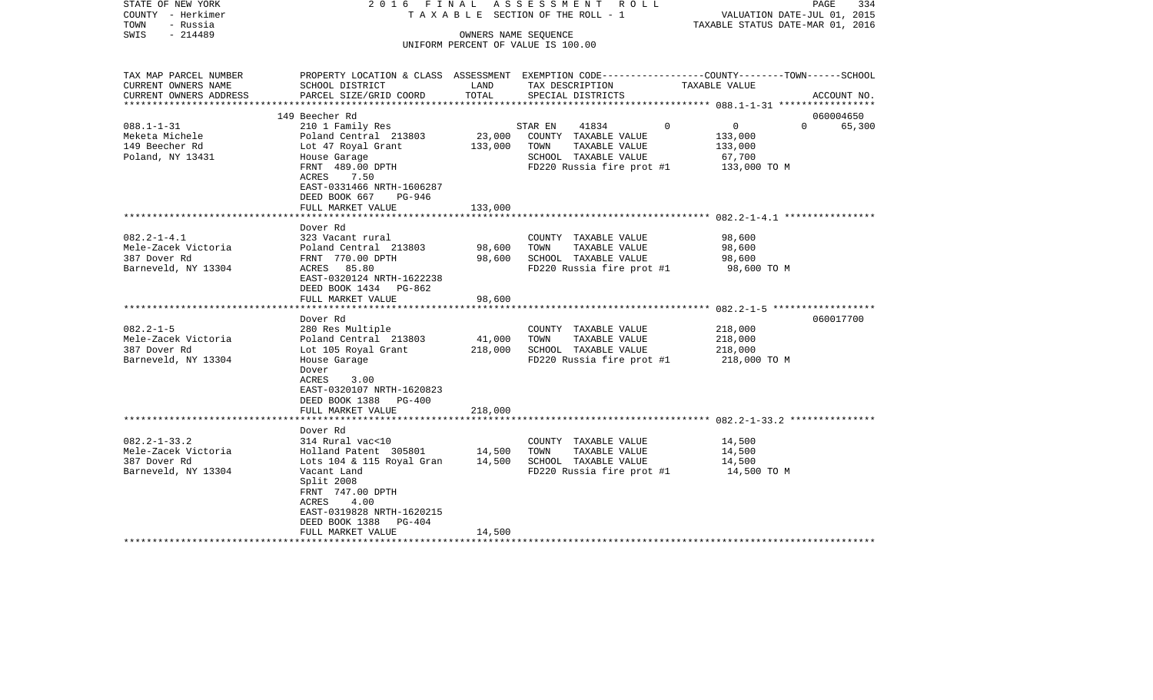| STATE OF NEW YORK<br>COUNTY - Herkimer<br>TOWN<br>- Russia | 2016 FINAL<br>A S S E S S M E N T R O L L<br>TAXABLE SECTION OF THE ROLL - 1                   |                      |                                                   |                               | PAGE<br>334<br>VALUATION DATE-JUL 01, 2015<br>TAXABLE STATUS DATE-MAR 01, 2016 |  |  |
|------------------------------------------------------------|------------------------------------------------------------------------------------------------|----------------------|---------------------------------------------------|-------------------------------|--------------------------------------------------------------------------------|--|--|
| $-214489$<br>SWIS                                          |                                                                                                | OWNERS NAME SEQUENCE |                                                   |                               |                                                                                |  |  |
|                                                            |                                                                                                |                      | UNIFORM PERCENT OF VALUE IS 100.00                |                               |                                                                                |  |  |
|                                                            |                                                                                                |                      |                                                   |                               |                                                                                |  |  |
| TAX MAP PARCEL NUMBER                                      | PROPERTY LOCATION & CLASS ASSESSMENT EXEMPTION CODE---------------COUNTY-------TOWN-----SCHOOL |                      |                                                   |                               |                                                                                |  |  |
| CURRENT OWNERS NAME                                        | SCHOOL DISTRICT                                                                                | LAND                 | TAX DESCRIPTION                                   | TAXABLE VALUE                 |                                                                                |  |  |
| CURRENT OWNERS ADDRESS<br>************************         | PARCEL SIZE/GRID COORD                                                                         | TOTAL                | SPECIAL DISTRICTS                                 |                               | ACCOUNT NO.                                                                    |  |  |
|                                                            | 149 Beecher Rd                                                                                 |                      |                                                   |                               | 060004650                                                                      |  |  |
| $088.1 - 1 - 31$                                           | 210 1 Family Res                                                                               |                      | STAR EN<br>41834                                  | $\overline{0}$<br>$\mathbf 0$ | $\overline{0}$<br>65,300                                                       |  |  |
| Meketa Michele                                             | Poland Central 213803                                                                          | 23,000               | COUNTY TAXABLE VALUE                              | 133,000                       |                                                                                |  |  |
| 149 Beecher Rd                                             | Lot 47 Royal Grant                                                                             | 133,000              | TOWN<br>TAXABLE VALUE                             | 133,000                       |                                                                                |  |  |
| Poland, NY 13431                                           | House Garage                                                                                   |                      | SCHOOL TAXABLE VALUE                              | 67,700                        |                                                                                |  |  |
|                                                            | FRNT 489.00 DPTH                                                                               |                      | FD220 Russia fire prot #1                         |                               | 133,000 TO M                                                                   |  |  |
|                                                            | ACRES<br>7.50                                                                                  |                      |                                                   |                               |                                                                                |  |  |
|                                                            | EAST-0331466 NRTH-1606287                                                                      |                      |                                                   |                               |                                                                                |  |  |
|                                                            | DEED BOOK 667<br>PG-946                                                                        |                      |                                                   |                               |                                                                                |  |  |
|                                                            | FULL MARKET VALUE                                                                              | 133,000              |                                                   |                               |                                                                                |  |  |
|                                                            |                                                                                                |                      |                                                   |                               |                                                                                |  |  |
| $082.2 - 1 - 4.1$                                          | Dover Rd<br>323 Vacant rural                                                                   |                      |                                                   | 98,600                        |                                                                                |  |  |
| Mele-Zacek Victoria                                        | Poland Central 213803                                                                          | 98,600               | COUNTY TAXABLE VALUE<br>TOWN<br>TAXABLE VALUE     | 98,600                        |                                                                                |  |  |
| 387 Dover Rd                                               | FRNT 770.00 DPTH                                                                               | 98,600               | SCHOOL TAXABLE VALUE                              | 98,600                        |                                                                                |  |  |
| Barneveld, NY 13304                                        | ACRES 85.80                                                                                    |                      | FD220 Russia fire prot #1                         |                               | 98,600 TO M                                                                    |  |  |
|                                                            | EAST-0320124 NRTH-1622238                                                                      |                      |                                                   |                               |                                                                                |  |  |
|                                                            | DEED BOOK 1434 PG-862                                                                          |                      |                                                   |                               |                                                                                |  |  |
|                                                            | FULL MARKET VALUE                                                                              | 98,600               |                                                   |                               |                                                                                |  |  |
|                                                            |                                                                                                |                      |                                                   |                               |                                                                                |  |  |
|                                                            | Dover Rd                                                                                       |                      |                                                   |                               | 060017700                                                                      |  |  |
| $082.2 - 1 - 5$                                            | 280 Res Multiple                                                                               |                      | COUNTY TAXABLE VALUE                              | 218,000                       |                                                                                |  |  |
| Mele-Zacek Victoria                                        | Poland Central 213803                                                                          | 41,000               | TAXABLE VALUE<br>TOWN                             | 218,000                       |                                                                                |  |  |
| 387 Dover Rd<br>Barneveld, NY 13304                        | Lot 105 Royal Grant<br>House Garage                                                            | 218,000              | SCHOOL TAXABLE VALUE<br>FD220 Russia fire prot #1 | 218,000                       | 218,000 TO M                                                                   |  |  |
|                                                            | Dover                                                                                          |                      |                                                   |                               |                                                                                |  |  |
|                                                            | ACRES<br>3.00                                                                                  |                      |                                                   |                               |                                                                                |  |  |
|                                                            | EAST-0320107 NRTH-1620823                                                                      |                      |                                                   |                               |                                                                                |  |  |
|                                                            | DEED BOOK 1388 PG-400                                                                          |                      |                                                   |                               |                                                                                |  |  |
|                                                            | FULL MARKET VALUE                                                                              | 218,000              |                                                   |                               |                                                                                |  |  |
|                                                            |                                                                                                |                      |                                                   |                               |                                                                                |  |  |
|                                                            | Dover Rd                                                                                       |                      |                                                   |                               |                                                                                |  |  |
| $082.2 - 1 - 33.2$                                         | 314 Rural vac<10                                                                               |                      | COUNTY TAXABLE VALUE                              | 14,500                        |                                                                                |  |  |
| Mele-Zacek Victoria                                        | Holland Patent 305801                                                                          | 14,500               | TAXABLE VALUE<br>TOWN                             | 14,500                        |                                                                                |  |  |
| 387 Dover Rd<br>Barneveld, NY 13304                        | Lots 104 & 115 Royal Gran<br>Vacant Land                                                       | 14,500               | SCHOOL TAXABLE VALUE<br>FD220 Russia fire prot #1 | 14,500                        | 14,500 TO M                                                                    |  |  |
|                                                            | Split 2008                                                                                     |                      |                                                   |                               |                                                                                |  |  |
|                                                            | FRNT 747.00 DPTH                                                                               |                      |                                                   |                               |                                                                                |  |  |
|                                                            | 4.00<br>ACRES                                                                                  |                      |                                                   |                               |                                                                                |  |  |
|                                                            | EAST-0319828 NRTH-1620215                                                                      |                      |                                                   |                               |                                                                                |  |  |
|                                                            | DEED BOOK 1388<br>PG-404                                                                       |                      |                                                   |                               |                                                                                |  |  |
|                                                            | FULL MARKET VALUE                                                                              | 14,500               |                                                   |                               |                                                                                |  |  |
|                                                            |                                                                                                |                      |                                                   |                               |                                                                                |  |  |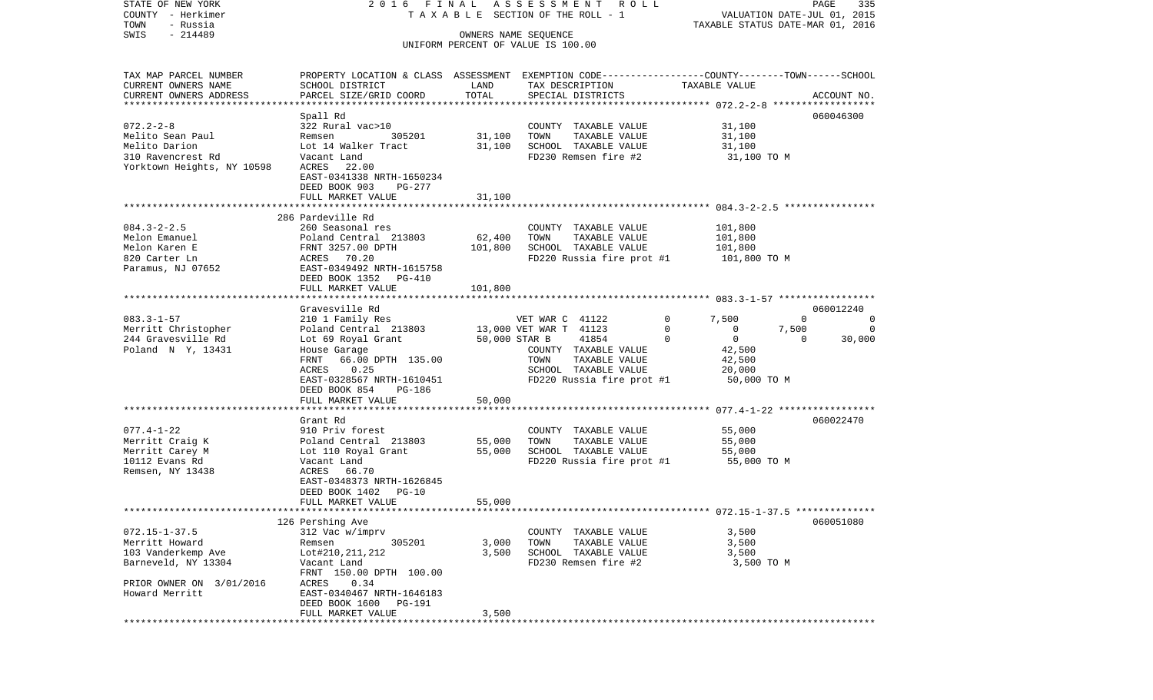| STATE OF NEW YORK                         | 2016 FINAL                                                                                      |         | ASSESSMENT ROLL                                            |                                                | PAGE<br>335                      |
|-------------------------------------------|-------------------------------------------------------------------------------------------------|---------|------------------------------------------------------------|------------------------------------------------|----------------------------------|
| COUNTY - Herkimer                         |                                                                                                 |         | TAXABLE SECTION OF THE ROLL - 1                            |                                                | VALUATION DATE-JUL 01, 2015      |
| TOWN<br>- Russia                          |                                                                                                 |         |                                                            |                                                | TAXABLE STATUS DATE-MAR 01, 2016 |
| $-214489$<br>SWIS                         |                                                                                                 |         | OWNERS NAME SEQUENCE<br>UNIFORM PERCENT OF VALUE IS 100.00 |                                                |                                  |
|                                           |                                                                                                 |         |                                                            |                                                |                                  |
| TAX MAP PARCEL NUMBER                     | PROPERTY LOCATION & CLASS ASSESSMENT EXEMPTION CODE---------------COUNTY-------TOWN------SCHOOL |         |                                                            |                                                |                                  |
| CURRENT OWNERS NAME                       | SCHOOL DISTRICT                                                                                 | LAND    | TAX DESCRIPTION                                            | TAXABLE VALUE                                  |                                  |
| CURRENT OWNERS ADDRESS                    | PARCEL SIZE/GRID COORD                                                                          | TOTAL   | SPECIAL DISTRICTS                                          |                                                | ACCOUNT NO.                      |
| ************************                  |                                                                                                 |         |                                                            |                                                |                                  |
|                                           | Spall Rd                                                                                        |         |                                                            |                                                | 060046300                        |
| $072.2 - 2 - 8$                           | 322 Rural vac>10                                                                                |         | COUNTY TAXABLE VALUE                                       | 31,100                                         |                                  |
| Melito Sean Paul                          | 305201<br>Remsen                                                                                | 31,100  | TOWN<br>TAXABLE VALUE                                      | 31,100                                         |                                  |
| Melito Darion                             | Lot 14 Walker Tract                                                                             | 31,100  | SCHOOL TAXABLE VALUE                                       | 31,100                                         |                                  |
| 310 Ravencrest Rd                         | Vacant Land                                                                                     |         | FD230 Remsen fire #2                                       | 31,100 TO M                                    |                                  |
| Yorktown Heights, NY 10598                | ACRES 22.00                                                                                     |         |                                                            |                                                |                                  |
|                                           | EAST-0341338 NRTH-1650234                                                                       |         |                                                            |                                                |                                  |
|                                           | DEED BOOK 903<br>PG-277                                                                         |         |                                                            |                                                |                                  |
|                                           | FULL MARKET VALUE                                                                               | 31,100  |                                                            |                                                |                                  |
|                                           | 286 Pardeville Rd                                                                               |         |                                                            |                                                |                                  |
| $084.3 - 2 - 2.5$                         | 260 Seasonal res                                                                                |         | COUNTY TAXABLE VALUE                                       | 101,800                                        |                                  |
| Melon Emanuel                             | Poland Central 213803                                                                           | 62,400  | TOWN<br>TAXABLE VALUE                                      | 101,800                                        |                                  |
| Melon Karen E                             | FRNT 3257.00 DPTH                                                                               | 101,800 | SCHOOL TAXABLE VALUE                                       | 101,800                                        |                                  |
| 820 Carter Ln                             | ACRES 70.20                                                                                     |         | FD220 Russia fire prot #1                                  | 101,800 TO M                                   |                                  |
| Paramus, NJ 07652                         | EAST-0349492 NRTH-1615758                                                                       |         |                                                            |                                                |                                  |
|                                           | DEED BOOK 1352<br>PG-410                                                                        |         |                                                            |                                                |                                  |
|                                           | FULL MARKET VALUE                                                                               | 101,800 |                                                            |                                                |                                  |
|                                           |                                                                                                 |         |                                                            |                                                |                                  |
|                                           | Gravesville Rd                                                                                  |         |                                                            |                                                | 060012240                        |
| $083.3 - 1 - 57$                          | 210 1 Family Res                                                                                |         | VET WAR C 41122                                            | $\mathbf{0}$<br>7,500                          | $\Omega$<br>0                    |
| Merritt Christopher<br>244 Gravesville Rd | Poland Central 213803                                                                           |         | 13,000 VET WAR T 41123<br>50,000 STAR B<br>41854           | $\mathbf 0$<br>0<br>$\overline{0}$<br>$\Omega$ | 7,500<br>0<br>30,000<br>$\Omega$ |
| Poland N Y, 13431                         | Lot 69 Royal Grant<br>House Garage                                                              |         | COUNTY TAXABLE VALUE                                       | 42,500                                         |                                  |
|                                           | 66.00 DPTH 135.00<br>FRNT                                                                       |         | TOWN<br>TAXABLE VALUE                                      | 42,500                                         |                                  |
|                                           | 0.25<br>ACRES                                                                                   |         | SCHOOL TAXABLE VALUE                                       | 20,000                                         |                                  |
|                                           | EAST-0328567 NRTH-1610451                                                                       |         | FD220 Russia fire prot #1                                  | 50,000 TO M                                    |                                  |
|                                           | DEED BOOK 854<br>PG-186                                                                         |         |                                                            |                                                |                                  |
|                                           | FULL MARKET VALUE                                                                               | 50,000  |                                                            |                                                |                                  |
|                                           |                                                                                                 |         |                                                            |                                                |                                  |
|                                           | Grant Rd                                                                                        |         |                                                            |                                                | 060022470                        |
| $077.4 - 1 - 22$                          | 910 Priv forest                                                                                 |         | COUNTY TAXABLE VALUE                                       | 55,000                                         |                                  |
| Merritt Craig K                           | Poland Central 213803                                                                           | 55,000  | TOWN<br>TAXABLE VALUE                                      | 55,000                                         |                                  |
| Merritt Carey M                           | Lot 110 Royal Grant                                                                             | 55,000  | SCHOOL TAXABLE VALUE                                       | 55,000                                         |                                  |
| 10112 Evans Rd                            | Vacant Land                                                                                     |         | FD220 Russia fire prot #1                                  | 55,000 TO M                                    |                                  |
| Remsen, NY 13438                          | ACRES 66.70                                                                                     |         |                                                            |                                                |                                  |
|                                           | EAST-0348373 NRTH-1626845<br>DEED BOOK 1402<br>$PG-10$                                          |         |                                                            |                                                |                                  |
|                                           | FULL MARKET VALUE                                                                               | 55,000  |                                                            |                                                |                                  |
|                                           |                                                                                                 |         |                                                            |                                                |                                  |
|                                           | 126 Pershing Ave                                                                                |         |                                                            |                                                | 060051080                        |
| $072.15 - 1 - 37.5$                       | 312 Vac w/imprv                                                                                 |         | COUNTY TAXABLE VALUE                                       | 3,500                                          |                                  |
| Merritt Howard                            | 305201<br>Remsen                                                                                | 3,000   | TOWN<br>TAXABLE VALUE                                      | 3,500                                          |                                  |
| 103 Vanderkemp Ave                        | Lot#210, 211, 212                                                                               | 3,500   | SCHOOL TAXABLE VALUE                                       | 3,500                                          |                                  |
| Barneveld, NY 13304                       | Vacant Land                                                                                     |         | FD230 Remsen fire #2                                       | 3,500 TO M                                     |                                  |
|                                           | FRNT 150.00 DPTH 100.00                                                                         |         |                                                            |                                                |                                  |
| PRIOR OWNER ON 3/01/2016                  | ACRES<br>0.34                                                                                   |         |                                                            |                                                |                                  |
| Howard Merritt                            | EAST-0340467 NRTH-1646183                                                                       |         |                                                            |                                                |                                  |
|                                           | DEED BOOK 1600<br>PG-191                                                                        |         |                                                            |                                                |                                  |
|                                           | FULL MARKET VALUE                                                                               | 3,500   |                                                            |                                                |                                  |
|                                           |                                                                                                 |         |                                                            |                                                |                                  |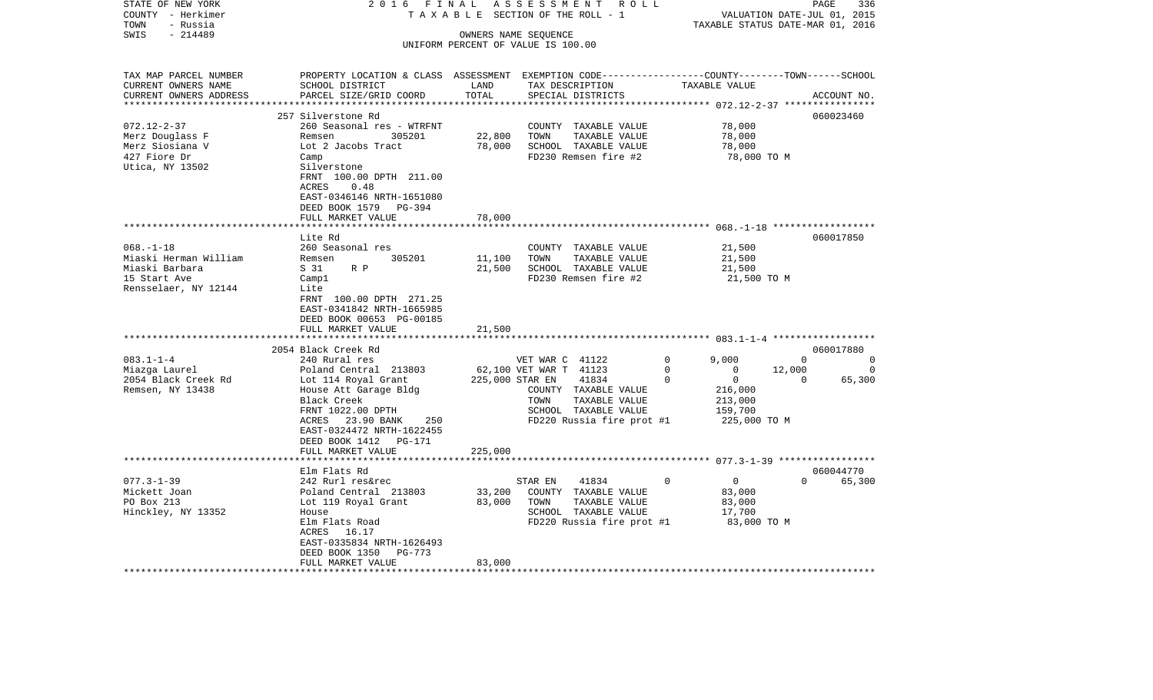| STATE OF NEW YORK                                   | 2016 FINAL                                                                                      |         | ASSESSMENT<br>R O L L              |                                  | PAGE                        | 336         |
|-----------------------------------------------------|-------------------------------------------------------------------------------------------------|---------|------------------------------------|----------------------------------|-----------------------------|-------------|
| COUNTY - Herkimer                                   | TAXABLE                                                                                         |         | SECTION OF THE ROLL - 1            |                                  | VALUATION DATE-JUL 01, 2015 |             |
| TOWN<br>- Russia                                    |                                                                                                 |         |                                    | TAXABLE STATUS DATE-MAR 01, 2016 |                             |             |
| $-214489$<br>SWIS                                   |                                                                                                 |         | OWNERS NAME SEQUENCE               |                                  |                             |             |
|                                                     |                                                                                                 |         | UNIFORM PERCENT OF VALUE IS 100.00 |                                  |                             |             |
|                                                     |                                                                                                 |         |                                    |                                  |                             |             |
|                                                     |                                                                                                 |         |                                    |                                  |                             |             |
| TAX MAP PARCEL NUMBER                               | PROPERTY LOCATION & CLASS ASSESSMENT EXEMPTION CODE---------------COUNTY-------TOWN------SCHOOL |         |                                    |                                  |                             |             |
| CURRENT OWNERS NAME                                 | SCHOOL DISTRICT                                                                                 | LAND    | TAX DESCRIPTION                    | TAXABLE VALUE                    |                             |             |
| CURRENT OWNERS ADDRESS<br>************************* | PARCEL SIZE/GRID COORD                                                                          | TOTAL   | SPECIAL DISTRICTS                  |                                  |                             | ACCOUNT NO. |
|                                                     |                                                                                                 |         |                                    |                                  |                             |             |
|                                                     | 257 Silverstone Rd                                                                              |         |                                    |                                  |                             | 060023460   |
| $072.12 - 2 - 37$                                   | 260 Seasonal res - WTRFNT                                                                       |         | COUNTY TAXABLE VALUE               | 78,000                           |                             |             |
| Merz Douglass F                                     | Remsen<br>305201                                                                                | 22,800  | TOWN<br>TAXABLE VALUE              | 78,000                           |                             |             |
| Merz Siosiana V                                     | Lot 2 Jacobs Tract                                                                              | 78,000  | SCHOOL TAXABLE VALUE               | 78,000                           |                             |             |
| 427 Fiore Dr                                        | Camp                                                                                            |         | FD230 Remsen fire #2               | 78,000 TO M                      |                             |             |
| Utica, NY 13502                                     | Silverstone                                                                                     |         |                                    |                                  |                             |             |
|                                                     | FRNT 100.00 DPTH 211.00                                                                         |         |                                    |                                  |                             |             |
|                                                     | <b>ACRES</b><br>0.48                                                                            |         |                                    |                                  |                             |             |
|                                                     | EAST-0346146 NRTH-1651080                                                                       |         |                                    |                                  |                             |             |
|                                                     | DEED BOOK 1579 PG-394                                                                           |         |                                    |                                  |                             |             |
|                                                     | FULL MARKET VALUE                                                                               | 78,000  |                                    |                                  |                             |             |
|                                                     | *******************                                                                             |         |                                    |                                  |                             |             |
|                                                     | Lite Rd                                                                                         |         |                                    |                                  |                             | 060017850   |
| $068. - 1 - 18$                                     | 260 Seasonal res                                                                                |         | COUNTY TAXABLE VALUE               | 21,500                           |                             |             |
| Miaski Herman William                               | 305201<br>Remsen                                                                                | 11,100  | TOWN<br>TAXABLE VALUE              | 21,500                           |                             |             |
| Miaski Barbara                                      | S 31<br>$R$ $P$                                                                                 | 21,500  | SCHOOL TAXABLE VALUE               | 21,500                           |                             |             |
| 15 Start Ave                                        | Camp1                                                                                           |         | FD230 Remsen fire #2               | 21,500 TO M                      |                             |             |
| Rensselaer, NY 12144                                | Lite                                                                                            |         |                                    |                                  |                             |             |
|                                                     | FRNT 100.00 DPTH 271.25                                                                         |         |                                    |                                  |                             |             |
|                                                     | EAST-0341842 NRTH-1665985                                                                       |         |                                    |                                  |                             |             |
|                                                     | DEED BOOK 00653 PG-00185                                                                        |         |                                    |                                  |                             |             |
|                                                     | FULL MARKET VALUE                                                                               | 21,500  |                                    |                                  |                             |             |
|                                                     | *******************                                                                             |         |                                    |                                  |                             |             |
|                                                     | 2054 Black Creek Rd                                                                             |         |                                    |                                  |                             | 060017880   |
| $083.1 - 1 - 4$                                     | 240 Rural res                                                                                   |         | VET WAR C 41122                    | $\mathbf 0$<br>9,000             | $\mathbf 0$                 | 0           |
| Miazga Laurel                                       | Poland Central 213803                                                                           |         | 62,100 VET WAR T 41123             | $\Omega$<br>$\Omega$             | 12,000                      | $\Omega$    |
| 2054 Black Creek Rd                                 | Lot 114 Royal Grant                                                                             |         | 225,000 STAR EN<br>41834           | $\mathbf 0$<br>0                 | $\Omega$                    | 65,300      |
| Remsen, NY 13438                                    | House Att Garage Bldg                                                                           |         | COUNTY TAXABLE VALUE               | 216,000                          |                             |             |
|                                                     | Black Creek                                                                                     |         | TOWN<br>TAXABLE VALUE              | 213,000                          |                             |             |
|                                                     | FRNT 1022.00 DPTH                                                                               |         | SCHOOL TAXABLE VALUE               | 159,700                          |                             |             |
|                                                     | 23.90 BANK<br>250<br>ACRES                                                                      |         |                                    | 225,000 TO M                     |                             |             |
|                                                     | EAST-0324472 NRTH-1622455                                                                       |         | FD220 Russia fire prot #1          |                                  |                             |             |
|                                                     |                                                                                                 |         |                                    |                                  |                             |             |
|                                                     | DEED BOOK 1412<br>PG-171                                                                        |         |                                    |                                  |                             |             |
|                                                     | FULL MARKET VALUE<br>***************                                                            | 225,000 |                                    |                                  |                             |             |
|                                                     |                                                                                                 |         |                                    |                                  |                             |             |
|                                                     | Elm Flats Rd                                                                                    |         |                                    |                                  |                             | 060044770   |
| $077.3 - 1 - 39$                                    | 242 Rurl res&rec                                                                                |         | 41834<br>STAR EN                   | $\Omega$<br>$\mathbf 0$          | $\Omega$                    | 65,300      |
| Mickett Joan                                        | Poland Central 213803                                                                           | 33,200  | COUNTY TAXABLE VALUE               | 83,000                           |                             |             |
| PO Box 213                                          | Lot 119 Royal Grant                                                                             | 83,000  | TOWN<br>TAXABLE VALUE              | 83,000                           |                             |             |
| Hinckley, NY 13352                                  | House                                                                                           |         | SCHOOL TAXABLE VALUE               | 17,700                           |                             |             |
|                                                     | Elm Flats Road                                                                                  |         | FD220 Russia fire prot #1          | 83,000 TO M                      |                             |             |
|                                                     | ACRES<br>16.17                                                                                  |         |                                    |                                  |                             |             |
|                                                     | EAST-0335834 NRTH-1626493                                                                       |         |                                    |                                  |                             |             |
|                                                     | DEED BOOK 1350<br>PG-773                                                                        |         |                                    |                                  |                             |             |
|                                                     | FULL MARKET VALUE                                                                               | 83,000  |                                    |                                  |                             |             |
|                                                     |                                                                                                 |         |                                    |                                  |                             |             |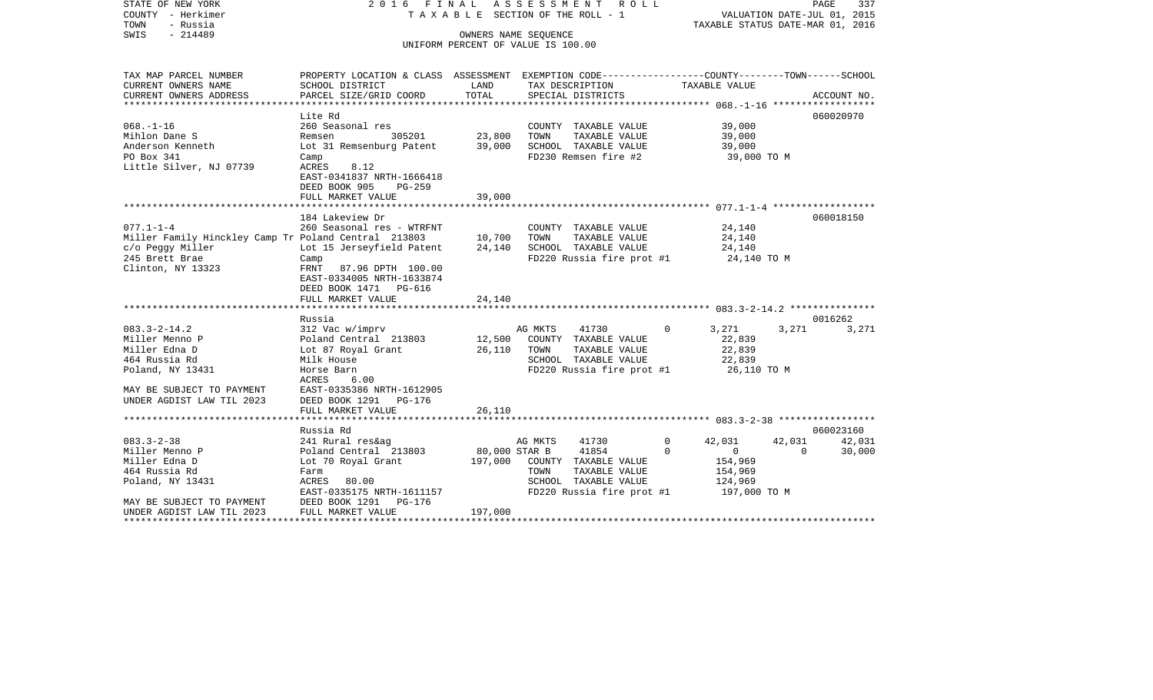| STATE OF NEW YORK<br>2016 FINAL<br>COUNTY - Herkimer<br>TAXABLE SECTION OF THE ROLL - 1<br>- Russia<br>TOWN |                                                                                                 |                                    |         | ASSESSMENT ROLL                       |             | PAGE<br>337<br>VALUATION DATE-JUL 01, 2015<br>TAXABLE STATUS DATE-MAR 01, 2016 |          |             |
|-------------------------------------------------------------------------------------------------------------|-------------------------------------------------------------------------------------------------|------------------------------------|---------|---------------------------------------|-------------|--------------------------------------------------------------------------------|----------|-------------|
| - 214489<br>SWIS                                                                                            |                                                                                                 | OWNERS NAME SEQUENCE               |         |                                       |             |                                                                                |          |             |
|                                                                                                             |                                                                                                 | UNIFORM PERCENT OF VALUE IS 100.00 |         |                                       |             |                                                                                |          |             |
| TAX MAP PARCEL NUMBER                                                                                       | PROPERTY LOCATION & CLASS ASSESSMENT EXEMPTION CODE----------------COUNTY-------TOWN-----SCHOOL |                                    |         |                                       |             |                                                                                |          |             |
| CURRENT OWNERS NAME                                                                                         | SCHOOL DISTRICT                                                                                 | LAND                               |         | TAX DESCRIPTION                       |             | TAXABLE VALUE                                                                  |          |             |
| CURRENT OWNERS ADDRESS                                                                                      | PARCEL SIZE/GRID COORD                                                                          | TOTAL                              |         | SPECIAL DISTRICTS                     |             |                                                                                |          | ACCOUNT NO. |
|                                                                                                             |                                                                                                 |                                    |         |                                       |             |                                                                                |          |             |
| $068. - 1 - 16$                                                                                             | Lite Rd<br>260 Seasonal res                                                                     |                                    |         |                                       |             | 39,000                                                                         |          | 060020970   |
| Mihlon Dane S                                                                                               | 305201<br>Remsen                                                                                | 23,800                             | TOWN    | COUNTY TAXABLE VALUE<br>TAXABLE VALUE |             | 39,000                                                                         |          |             |
| Anderson Kenneth                                                                                            | Lot 31 Remsenburg Patent                                                                        | 39,000                             |         | SCHOOL TAXABLE VALUE                  |             | 39,000                                                                         |          |             |
| PO Box 341                                                                                                  | Camp                                                                                            |                                    |         | FD230 Remsen fire #2                  |             | 39,000 TO M                                                                    |          |             |
| Little Silver, NJ 07739                                                                                     | ACRES<br>8.12                                                                                   |                                    |         |                                       |             |                                                                                |          |             |
|                                                                                                             | EAST-0341837 NRTH-1666418                                                                       |                                    |         |                                       |             |                                                                                |          |             |
|                                                                                                             | DEED BOOK 905<br>$PG-259$                                                                       |                                    |         |                                       |             |                                                                                |          |             |
|                                                                                                             | FULL MARKET VALUE                                                                               | 39,000                             |         |                                       |             |                                                                                |          |             |
|                                                                                                             |                                                                                                 |                                    |         |                                       |             |                                                                                |          |             |
|                                                                                                             | 184 Lakeview Dr                                                                                 |                                    |         |                                       |             |                                                                                |          | 060018150   |
| $077.1 - 1 - 4$<br>Miller Family Hinckley Camp Tr Poland Central 213803                                     | 260 Seasonal res - WTRFNT                                                                       | 10,700                             | TOWN    | COUNTY TAXABLE VALUE<br>TAXABLE VALUE |             | 24,140<br>24,140                                                               |          |             |
| c/o Peggy Miller                                                                                            | Lot 15 Jerseyfield Patent                                                                       | 24,140                             |         | SCHOOL TAXABLE VALUE                  |             | 24,140                                                                         |          |             |
| 245 Brett Brae                                                                                              | Camp                                                                                            |                                    |         | FD220 Russia fire prot #1             |             | 24,140 TO M                                                                    |          |             |
| Clinton, NY 13323                                                                                           | FRNT 87.96 DPTH 100.00                                                                          |                                    |         |                                       |             |                                                                                |          |             |
|                                                                                                             | EAST-0334005 NRTH-1633874                                                                       |                                    |         |                                       |             |                                                                                |          |             |
|                                                                                                             | DEED BOOK 1471 PG-616                                                                           |                                    |         |                                       |             |                                                                                |          |             |
|                                                                                                             | FULL MARKET VALUE                                                                               | 24,140                             |         |                                       |             |                                                                                |          |             |
|                                                                                                             |                                                                                                 |                                    |         |                                       |             |                                                                                |          |             |
|                                                                                                             | Russia                                                                                          |                                    |         |                                       |             |                                                                                |          | 0016262     |
| $083.3 - 2 - 14.2$<br>Miller Menno P                                                                        | 312 Vac w/imprv<br>Poland Central 213803                                                        | 12,500                             | AG MKTS | 41730<br>COUNTY TAXABLE VALUE         | $\mathbf 0$ | 3,271<br>22,839                                                                | 3,271    | 3,271       |
| Miller Edna D                                                                                               | Lot 87 Royal Grant                                                                              | 26,110                             | TOWN    | TAXABLE VALUE                         |             | 22,839                                                                         |          |             |
| 464 Russia Rd                                                                                               | Milk House                                                                                      |                                    |         | SCHOOL TAXABLE VALUE                  |             | 22,839                                                                         |          |             |
| Poland, NY 13431                                                                                            | Horse Barn                                                                                      |                                    |         | FD220 Russia fire prot #1             |             | 26,110 TO M                                                                    |          |             |
|                                                                                                             | ACRES<br>6.00                                                                                   |                                    |         |                                       |             |                                                                                |          |             |
| MAY BE SUBJECT TO PAYMENT                                                                                   | EAST-0335386 NRTH-1612905                                                                       |                                    |         |                                       |             |                                                                                |          |             |
| UNDER AGDIST LAW TIL 2023                                                                                   | DEED BOOK 1291 PG-176                                                                           |                                    |         |                                       |             |                                                                                |          |             |
|                                                                                                             | FULL MARKET VALUE                                                                               | 26,110                             |         |                                       |             |                                                                                |          |             |
|                                                                                                             |                                                                                                 |                                    |         |                                       |             |                                                                                |          |             |
|                                                                                                             | Russia Rd                                                                                       |                                    |         |                                       |             |                                                                                |          | 060023160   |
| $083.3 - 2 - 38$                                                                                            | 241 Rural res&ag                                                                                |                                    | AG MKTS | 41730                                 | $\mathbf 0$ | 42,031                                                                         | 42,031   | 42,031      |
| Miller Menno P                                                                                              | Poland Central 213803                                                                           | 80,000 STAR B                      |         | 41854                                 | $\Omega$    | $\overline{0}$                                                                 | $\Omega$ | 30,000      |
| Miller Edna D<br>464 Russia Rd                                                                              | Lot 70 Royal Grant<br>Farm                                                                      | 197,000                            | TOWN    | COUNTY TAXABLE VALUE<br>TAXABLE VALUE |             | 154,969<br>154,969                                                             |          |             |
| Poland, NY 13431                                                                                            | ACRES 80.00                                                                                     |                                    |         | SCHOOL TAXABLE VALUE                  |             | 124,969                                                                        |          |             |
|                                                                                                             | EAST-0335175 NRTH-1611157                                                                       |                                    |         | FD220 Russia fire prot #1             |             | 197,000 TO M                                                                   |          |             |
| MAY BE SUBJECT TO PAYMENT                                                                                   | DEED BOOK 1291 PG-176                                                                           |                                    |         |                                       |             |                                                                                |          |             |
| UNDER AGDIST LAW TIL 2023                                                                                   | FULL MARKET VALUE                                                                               | 197,000                            |         |                                       |             |                                                                                |          |             |
|                                                                                                             |                                                                                                 |                                    |         |                                       |             |                                                                                |          |             |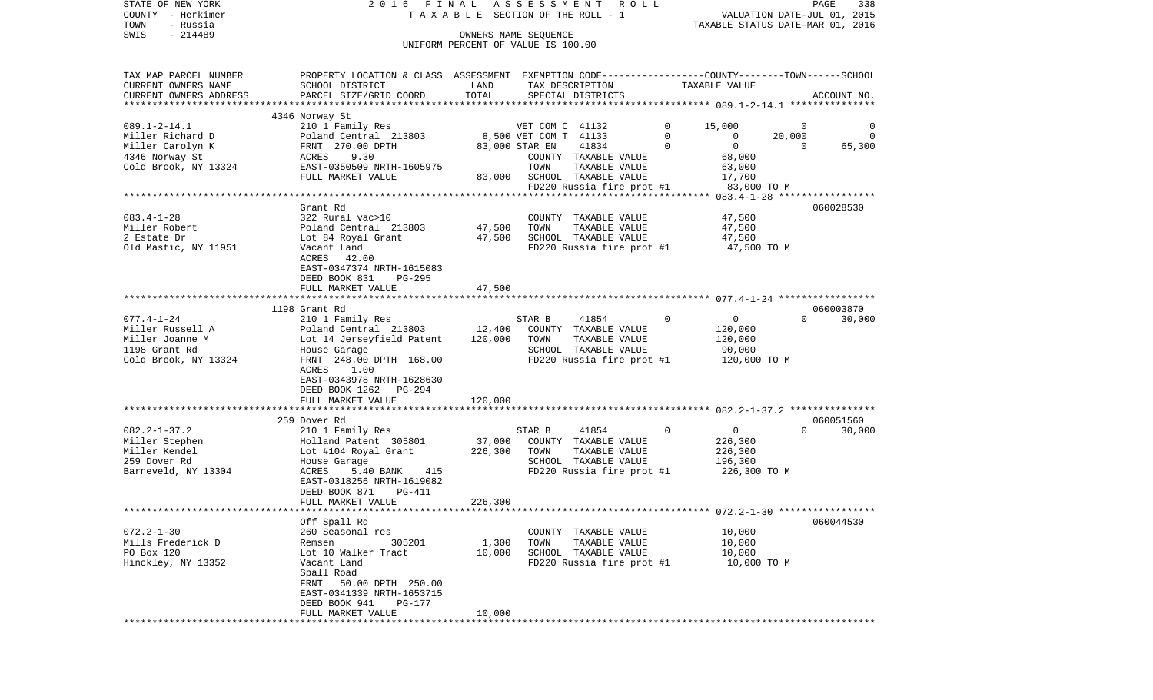| COUNTY<br>– Herkimer                         |                                                                                                  | T A X A B L E SECTION OF THE ROLL - 1 |                       |                                                   |             | VALUATION DATE-JUL 01, 2015      |                |             |
|----------------------------------------------|--------------------------------------------------------------------------------------------------|---------------------------------------|-----------------------|---------------------------------------------------|-------------|----------------------------------|----------------|-------------|
| TOWN<br>- Russia<br>SWIS<br>$-214489$        |                                                                                                  |                                       | OWNERS NAME SEOUENCE  |                                                   |             | TAXABLE STATUS DATE-MAR 01, 2016 |                |             |
|                                              |                                                                                                  | UNIFORM PERCENT OF VALUE IS 100.00    |                       |                                                   |             |                                  |                |             |
|                                              |                                                                                                  |                                       |                       |                                                   |             |                                  |                |             |
|                                              |                                                                                                  |                                       |                       |                                                   |             |                                  |                |             |
| TAX MAP PARCEL NUMBER<br>CURRENT OWNERS NAME | PROPERTY LOCATION & CLASS ASSESSMENT EXEMPTION CODE----------------COUNTY-------TOWN------SCHOOL |                                       |                       |                                                   |             |                                  |                |             |
| CURRENT OWNERS ADDRESS                       | SCHOOL DISTRICT                                                                                  | LAND<br>TOTAL                         | TAX DESCRIPTION       |                                                   |             | TAXABLE VALUE                    |                | ACCOUNT NO. |
|                                              | PARCEL SIZE/GRID COORD                                                                           |                                       |                       | SPECIAL DISTRICTS                                 |             |                                  |                |             |
|                                              | 4346 Norway St                                                                                   |                                       |                       |                                                   |             |                                  |                |             |
| $089.1 - 2 - 14.1$                           | 210 1 Family Res                                                                                 |                                       | VET COM C 41132       |                                                   | 0           | 15,000                           | 0              | 0           |
| Miller Richard D                             | Poland Central 213803                                                                            |                                       | 8,500 VET COM T 41133 |                                                   | 0           | $\mathbf{0}$                     | 20,000         | $\Omega$    |
| Miller Carolyn K                             | FRNT 270.00 DPTH                                                                                 |                                       | 83,000 STAR EN        | 41834                                             | $\Omega$    | $\overline{0}$                   | $\overline{0}$ | 65,300      |
| 4346 Norway St                               | ACRES<br>9.30                                                                                    |                                       |                       | COUNTY TAXABLE VALUE                              |             | 68,000                           |                |             |
| Cold Brook, NY 13324                         | EAST-0350509 NRTH-1605975                                                                        |                                       | TOWN                  | TAXABLE VALUE                                     |             | 63,000                           |                |             |
|                                              | FULL MARKET VALUE                                                                                | 83,000                                |                       | SCHOOL TAXABLE VALUE                              |             | 17,700                           |                |             |
|                                              |                                                                                                  |                                       |                       | FD220 Russia fire prot #1                         |             | 83,000 TO M                      |                |             |
|                                              |                                                                                                  |                                       |                       |                                                   |             |                                  |                |             |
|                                              | Grant Rd                                                                                         |                                       |                       |                                                   |             |                                  |                | 060028530   |
| $083.4 - 1 - 28$                             | 322 Rural vac>10                                                                                 |                                       |                       | COUNTY TAXABLE VALUE                              |             | 47,500                           |                |             |
| Miller Robert                                | Poland Central 213803                                                                            | 47,500                                | TOWN                  | TAXABLE VALUE                                     |             | 47,500                           |                |             |
| 2 Estate Dr                                  | Lot 84 Royal Grant                                                                               | 47,500                                |                       | SCHOOL TAXABLE VALUE                              |             | 47,500<br>47,500 TO M            |                |             |
| Old Mastic, NY 11951                         | Vacant Land<br>ACRES<br>42.00                                                                    |                                       |                       | FD220 Russia fire prot #1                         |             |                                  |                |             |
|                                              | EAST-0347374 NRTH-1615083                                                                        |                                       |                       |                                                   |             |                                  |                |             |
|                                              | DEED BOOK 831<br>PG-295                                                                          |                                       |                       |                                                   |             |                                  |                |             |
|                                              | FULL MARKET VALUE                                                                                | 47,500                                |                       |                                                   |             |                                  |                |             |
|                                              |                                                                                                  |                                       |                       |                                                   |             |                                  |                |             |
|                                              | 1198 Grant Rd                                                                                    |                                       |                       |                                                   |             |                                  |                | 060003870   |
| $077.4 - 1 - 24$                             | 210 1 Family Res                                                                                 |                                       | STAR B                | 41854                                             | $\mathbf 0$ | $\overline{0}$                   | $\Omega$       | 30,000      |
| Miller Russell A                             | Poland Central 213803                                                                            | 12,400                                |                       | COUNTY TAXABLE VALUE                              |             | 120,000                          |                |             |
| Miller Joanne M                              | Lot 14 Jerseyfield Patent                                                                        | 120,000                               | TOWN                  | TAXABLE VALUE                                     |             | 120,000                          |                |             |
| 1198 Grant Rd                                | House Garage                                                                                     |                                       |                       | SCHOOL TAXABLE VALUE                              |             | 90,000                           |                |             |
| Cold Brook, NY 13324                         | FRNT 248.00 DPTH 168.00                                                                          |                                       |                       | FD220 Russia fire prot #1                         |             | 120,000 TO M                     |                |             |
|                                              | ACRES<br>1.00                                                                                    |                                       |                       |                                                   |             |                                  |                |             |
|                                              | EAST-0343978 NRTH-1628630                                                                        |                                       |                       |                                                   |             |                                  |                |             |
|                                              | DEED BOOK 1262<br>PG-294                                                                         |                                       |                       |                                                   |             |                                  |                |             |
|                                              | FULL MARKET VALUE                                                                                | 120,000                               |                       |                                                   |             |                                  |                |             |
|                                              | 259 Dover Rd                                                                                     |                                       |                       |                                                   |             |                                  |                | 060051560   |
| $082.2 - 1 - 37.2$                           | 210 1 Family Res                                                                                 |                                       | STAR B                | 41854                                             | 0           | $\overline{0}$                   | $\Omega$       | 30,000      |
| Miller Stephen                               | Holland Patent 305801                                                                            | 37,000                                |                       | COUNTY TAXABLE VALUE                              |             | 226,300                          |                |             |
| Miller Kendel                                | Lot #104 Royal Grant                                                                             | 226,300                               | TOWN                  | TAXABLE VALUE                                     |             | 226,300                          |                |             |
| 259 Dover Rd                                 | House Garage                                                                                     |                                       |                       | SCHOOL TAXABLE VALUE                              |             | 196,300                          |                |             |
| Barneveld, NY 13304                          | 415<br>ACRES<br>5.40 BANK                                                                        |                                       |                       | FD220 Russia fire prot #1                         |             | 226,300 ТО М                     |                |             |
|                                              | EAST-0318256 NRTH-1619082                                                                        |                                       |                       |                                                   |             |                                  |                |             |
|                                              | DEED BOOK 871<br>PG-411                                                                          |                                       |                       |                                                   |             |                                  |                |             |
|                                              | FULL MARKET VALUE                                                                                | 226,300                               |                       |                                                   |             |                                  |                |             |
|                                              |                                                                                                  |                                       |                       |                                                   |             |                                  |                |             |
|                                              | Off Spall Rd                                                                                     |                                       |                       |                                                   |             |                                  |                | 060044530   |
| $072.2 - 1 - 30$                             | 260 Seasonal res                                                                                 |                                       |                       | COUNTY TAXABLE VALUE                              |             | 10,000                           |                |             |
| Mills Frederick D<br>PO Box 120              | Remsen<br>305201<br>Lot 10 Walker Tract                                                          | 1,300                                 | TOWN                  | TAXABLE VALUE                                     |             | 10,000                           |                |             |
| Hinckley, NY 13352                           | Vacant Land                                                                                      | 10,000                                |                       | SCHOOL TAXABLE VALUE<br>FD220 Russia fire prot #1 |             | 10,000<br>10,000 TO M            |                |             |
|                                              | Spall Road                                                                                       |                                       |                       |                                                   |             |                                  |                |             |
|                                              | FRNT 50.00 DPTH 250.00                                                                           |                                       |                       |                                                   |             |                                  |                |             |
|                                              | EAST-0341339 NRTH-1653715                                                                        |                                       |                       |                                                   |             |                                  |                |             |
|                                              | DEED BOOK 941<br>PG-177                                                                          |                                       |                       |                                                   |             |                                  |                |             |
|                                              | FULL MARKET VALUE                                                                                | 10,000                                |                       |                                                   |             |                                  |                |             |
|                                              | *****************                                                                                | ***********                           |                       |                                                   |             |                                  |                |             |

PAGE 338

STATE OF NEW YORK 2 0 1 6 F I N A L A S S E S S M E N T R O L L PAGE 338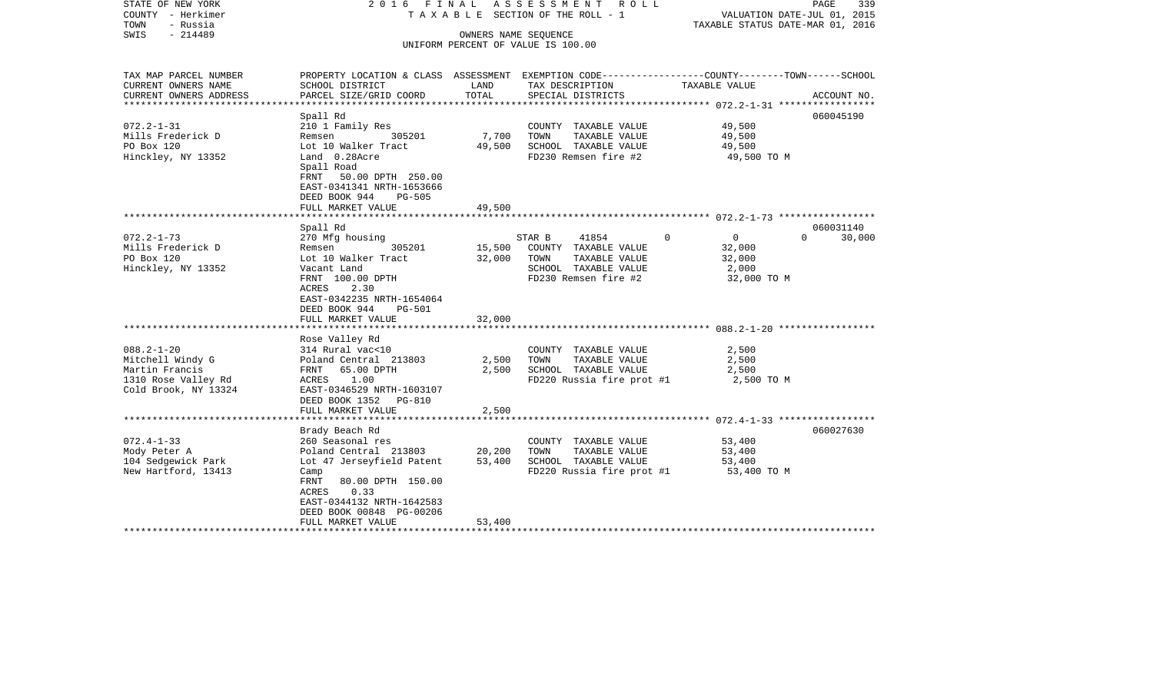| STATE OF NEW YORK<br>COUNTY - Herkimer<br>TOWN<br>- Russia<br>SWIS<br>$-214489$                       | 2016 FINAL<br>TAXABLE SECTION OF THE ROLL - 1<br>UNIFORM PERCENT OF VALUE IS 100.00                                                                                                                                       | ASSESSMENT ROLL            | PAGE<br>339<br>VALUATION DATE-JUL 01, 2015<br>TAXABLE STATUS DATE-MAR 01, 2016                                   |                                                                        |                                 |
|-------------------------------------------------------------------------------------------------------|---------------------------------------------------------------------------------------------------------------------------------------------------------------------------------------------------------------------------|----------------------------|------------------------------------------------------------------------------------------------------------------|------------------------------------------------------------------------|---------------------------------|
|                                                                                                       |                                                                                                                                                                                                                           |                            |                                                                                                                  |                                                                        |                                 |
| TAX MAP PARCEL NUMBER<br>CURRENT OWNERS NAME                                                          | PROPERTY LOCATION & CLASS ASSESSMENT EXEMPTION CODE---------------COUNTY-------TOWN-----SCHOOL<br>SCHOOL DISTRICT                                                                                                         | LAND<br>TOTAL              | TAX DESCRIPTION                                                                                                  | TAXABLE VALUE                                                          |                                 |
| CURRENT OWNERS ADDRESS<br>*********************                                                       | PARCEL SIZE/GRID COORD                                                                                                                                                                                                    |                            | SPECIAL DISTRICTS                                                                                                |                                                                        | ACCOUNT NO.                     |
| $072.2 - 1 - 31$<br>Mills Frederick D<br>PO Box 120<br>Hinckley, NY 13352                             | Spall Rd<br>210 1 Family Res<br>Remsen 305201<br>Lot 10 Walker Tract<br>Land 0.28Acre<br>Spall Road<br>FRNT 50.00 DPTH 250.00<br>EAST-0341341 NRTH-1653666<br>DEED BOOK 944<br><b>PG-505</b><br>FULL MARKET VALUE         | 7,700<br>49,500<br>49,500  | COUNTY TAXABLE VALUE<br>TOWN<br>TAXABLE VALUE<br>SCHOOL TAXABLE VALUE<br>FD230 Remsen fire #2                    | 49,500<br>49,500<br>49,500<br>49,500 TO M                              | 060045190                       |
|                                                                                                       |                                                                                                                                                                                                                           |                            |                                                                                                                  |                                                                        |                                 |
| $072.2 - 1 - 73$<br>Mills Frederick D<br>PO Box 120<br>Hinckley, NY 13352                             | Spall Rd<br>270 Mfg housing<br>Remsen<br>305201<br>Lot 10 Walker Tract<br>Vacant Land<br>FRNT 100.00 DPTH<br>ACRES<br>2.30<br>EAST-0342235 NRTH-1654064<br>DEED BOOK 944<br>PG-501<br>FULL MARKET VALUE<br>Rose Valley Rd | 15,500<br>32,000<br>32,000 | STAR B<br>41854<br>COUNTY TAXABLE VALUE<br>TAXABLE VALUE<br>TOWN<br>SCHOOL TAXABLE VALUE<br>FD230 Remsen fire #2 | $\Omega$<br>$\overline{0}$<br>32,000<br>32,000<br>2,000<br>32,000 TO M | 060031140<br>$\Omega$<br>30,000 |
| $088.2 - 1 - 20$<br>Mitchell Windy G<br>Martin Francis<br>1310 Rose Valley Rd<br>Cold Brook, NY 13324 | 314 Rural vac<10<br>Poland Central 213803<br>FRNT 65.00 DPTH<br>ACRES 1.00<br>EAST-0346529 NRTH-1603107<br>DEED BOOK 1352 PG-810<br>FULL MARKET VALUE                                                                     | 2,500<br>2,500<br>2,500    | COUNTY TAXABLE VALUE<br>TOWN<br>TAXABLE VALUE<br>SCHOOL TAXABLE VALUE<br>FD220 Russia fire prot #1               | 2,500<br>2,500<br>2,500<br>2,500 TO M                                  |                                 |
|                                                                                                       | Brady Beach Rd                                                                                                                                                                                                            |                            |                                                                                                                  |                                                                        | 060027630                       |
| $072.4 - 1 - 33$<br>Mody Peter A<br>104 Sedgewick Park<br>New Hartford, 13413                         | 260 Seasonal res<br>Poland Central 213803<br>Lot 47 Jerseyfield Patent<br>Camp<br>FRNT<br>80.00 DPTH 150.00<br>ACRES<br>0.33<br>EAST-0344132 NRTH-1642583<br>DEED BOOK 00848 PG-00206                                     | 20,200<br>53,400           | COUNTY TAXABLE VALUE<br>TOWN<br>TAXABLE VALUE<br>SCHOOL TAXABLE VALUE<br>FD220 Russia fire prot #1               | 53,400<br>53,400<br>53,400<br>53,400 TO M                              |                                 |
|                                                                                                       | FULL MARKET VALUE                                                                                                                                                                                                         | 53,400                     |                                                                                                                  |                                                                        |                                 |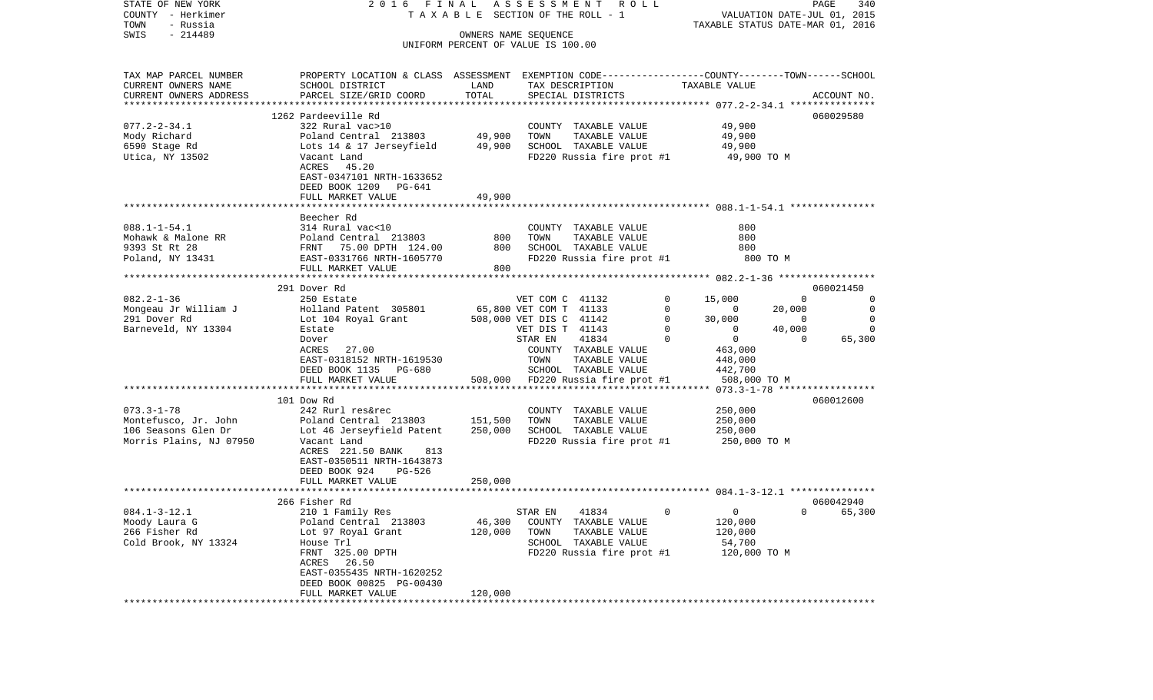| STATE OF NEW YORK                            |                                                                                                |                    | 2016 FINAL ASSESSMENT ROLL                    |                         | PAGE<br>340                      |
|----------------------------------------------|------------------------------------------------------------------------------------------------|--------------------|-----------------------------------------------|-------------------------|----------------------------------|
| COUNTY - Herkimer                            |                                                                                                |                    | T A X A B L E SECTION OF THE ROLL - 1         |                         | VALUATION DATE-JUL 01, 2015      |
| TOWN<br>- Russia<br>- 214489<br>SWIS         |                                                                                                |                    | OWNERS NAME SEQUENCE                          |                         | TAXABLE STATUS DATE-MAR 01, 2016 |
|                                              |                                                                                                |                    | UNIFORM PERCENT OF VALUE IS 100.00            |                         |                                  |
|                                              |                                                                                                |                    |                                               |                         |                                  |
|                                              | PROPERTY LOCATION & CLASS ASSESSMENT EXEMPTION CODE---------------COUNTY-------TOWN-----SCHOOL |                    |                                               |                         |                                  |
| TAX MAP PARCEL NUMBER<br>CURRENT OWNERS NAME | SCHOOL DISTRICT                                                                                | LAND               | TAX DESCRIPTION                               | TAXABLE VALUE           |                                  |
| CURRENT OWNERS ADDRESS                       | PARCEL SIZE/GRID COORD                                                                         | TOTAL              | SPECIAL DISTRICTS                             |                         | ACCOUNT NO.                      |
| *************************                    |                                                                                                |                    |                                               |                         |                                  |
|                                              | 1262 Pardeeville Rd                                                                            |                    |                                               |                         | 060029580                        |
| $077.2 - 2 - 34.1$                           | 322 Rural vac>10                                                                               |                    | COUNTY TAXABLE VALUE                          | 49,900                  |                                  |
| Mody Richard                                 | Poland Central 213803                                                                          | 49,900             | TOWN<br>TAXABLE VALUE                         | 49,900                  |                                  |
| 6590 Stage Rd                                | Lots 14 & 17 Jerseyfield                                                                       | 49,900             | SCHOOL TAXABLE VALUE                          | 49,900                  |                                  |
| Utica, NY 13502                              | Vacant Land                                                                                    |                    | FD220 Russia fire prot #1                     |                         | 49,900 TO M                      |
|                                              | ACRES 45.20                                                                                    |                    |                                               |                         |                                  |
|                                              | EAST-0347101 NRTH-1633652                                                                      |                    |                                               |                         |                                  |
|                                              | DEED BOOK 1209 PG-641                                                                          |                    |                                               |                         |                                  |
|                                              | FULL MARKET VALUE                                                                              | 49,900             |                                               |                         |                                  |
|                                              |                                                                                                |                    |                                               |                         |                                  |
|                                              | Beecher Rd                                                                                     |                    |                                               |                         |                                  |
| $088.1 - 1 - 54.1$                           | 314 Rural vac<10                                                                               |                    | COUNTY TAXABLE VALUE                          | 800<br>800              |                                  |
| Mohawk & Malone RR<br>9393 St Rt 28          | Poland Central 213803                                                                          | 800<br>800         | TOWN<br>TAXABLE VALUE<br>SCHOOL TAXABLE VALUE | 800                     |                                  |
| Poland, NY 13431                             | FRNT 75.00 DPTH 124.00<br>EAST-0331766 NRTH-1605770                                            |                    | FD220 Russia fire prot #1                     |                         | 800 TO M                         |
|                                              | FULL MARKET VALUE                                                                              | 800                |                                               |                         |                                  |
|                                              |                                                                                                |                    |                                               |                         |                                  |
|                                              | 291 Dover Rd                                                                                   |                    |                                               |                         | 060021450                        |
| $082.2 - 1 - 36$                             | 250 Estate                                                                                     |                    | VET COM C 41132                               | 0<br>15,000             | $\Omega$<br>0                    |
| Mongeau Jr William J                         | Holland Patent 305801                                                                          |                    | 65,800 VET COM T 41133                        | 0<br>$\mathbf{0}$       | 20,000<br>0                      |
| 291 Dover Rd                                 | Lot 104 Royal Grant                                                                            |                    | 508,000 VET DIS C 41142                       | $\mathbf{0}$<br>30,000  | $\Omega$<br>0                    |
| Barneveld, NY 13304                          | Estate                                                                                         |                    | VET DIS T 41143                               | 0<br>$\mathbf{0}$       | 40,000<br>$\Omega$               |
|                                              | Dover                                                                                          |                    | 41834<br>STAR EN                              | $\mathbf 0$<br>$\Omega$ | 65,300<br>$\Omega$               |
|                                              | ACRES 27.00                                                                                    |                    | COUNTY TAXABLE VALUE                          | 463,000                 |                                  |
|                                              | EAST-0318152 NRTH-1619530                                                                      |                    | TOWN<br>TAXABLE VALUE                         | 448,000                 |                                  |
|                                              | DEED BOOK 1135 PG-680                                                                          |                    | SCHOOL TAXABLE VALUE                          | 442,700                 |                                  |
|                                              | FULL MARKET VALUE                                                                              |                    | 508,000 FD220 Russia fire prot #1             |                         | 508,000 TO M                     |
|                                              |                                                                                                |                    |                                               |                         |                                  |
|                                              | 101 Dow Rd                                                                                     |                    |                                               |                         | 060012600                        |
| $073.3 - 1 - 78$                             | 242 Rurl res&rec                                                                               |                    | COUNTY TAXABLE VALUE                          | 250,000                 |                                  |
| Montefusco, Jr. John<br>106 Seasons Glen Dr  | Poland Central 213803<br>Lot 46 Jerseyfield Patent                                             | 151,500<br>250,000 | TAXABLE VALUE<br>TOWN<br>SCHOOL TAXABLE VALUE | 250,000<br>250,000      |                                  |
| Morris Plains, NJ 07950                      | Vacant Land                                                                                    |                    | FD220 Russia fire prot #1                     |                         | 250,000 TO M                     |
|                                              | ACRES 221.50 BANK<br>813                                                                       |                    |                                               |                         |                                  |
|                                              | EAST-0350511 NRTH-1643873                                                                      |                    |                                               |                         |                                  |
|                                              | DEED BOOK 924<br>PG-526                                                                        |                    |                                               |                         |                                  |
|                                              | FULL MARKET VALUE                                                                              | 250,000            |                                               |                         |                                  |
|                                              |                                                                                                |                    |                                               |                         |                                  |
|                                              | 266 Fisher Rd                                                                                  |                    |                                               |                         | 060042940                        |
| $084.1 - 3 - 12.1$                           | 210 1 Family Res                                                                               |                    | STAR EN<br>41834                              | $\Omega$<br>$\Omega$    | $0 \t\t 65,300$                  |
| Moody Laura G                                | Poland Central 213803                                                                          | 46,300             | COUNTY TAXABLE VALUE                          | 120,000                 |                                  |
| 266 Fisher Rd                                | Lot 97 Royal Grant                                                                             | 120,000            | TAXABLE VALUE<br>TOWN                         | 120,000                 |                                  |
| Cold Brook, NY 13324                         | House Trl                                                                                      |                    | SCHOOL TAXABLE VALUE                          | 54,700                  |                                  |
|                                              | FRNT 325.00 DPTH                                                                               |                    | FD220 Russia fire prot #1                     |                         | 120,000 TO M                     |
|                                              | ACRES 26.50                                                                                    |                    |                                               |                         |                                  |
|                                              | EAST-0355435 NRTH-1620252                                                                      |                    |                                               |                         |                                  |
|                                              | DEED BOOK 00825 PG-00430                                                                       |                    |                                               |                         |                                  |
|                                              | FULL MARKET VALUE                                                                              | 120,000            |                                               |                         |                                  |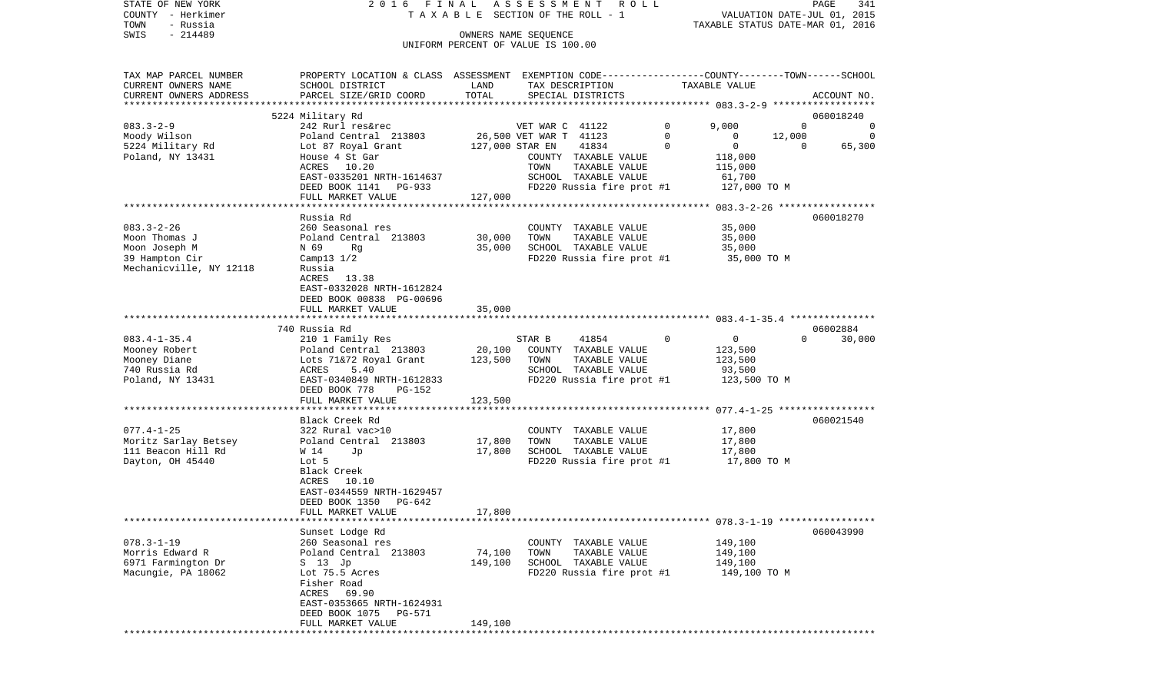STATE OF NEW YORK 2 0 1 6 F I N A L A S S E S S M E N T R O L L PAGE 341COUNTY - Herkimer **T A X A B L E** SECTION OF THE ROLL - 1 VALUATION DATE-JUL 01, 2015 TOWN - Russia TAXABLE STATUS DATE-MAR 01, 2016 SWIS - 214489 OWNERS NAME SEQUENCE UNIFORM PERCENT OF VALUE IS 100.00

TAX MAP PARCEL NUMBER PROPERTY LOCATION & CLASS ASSESSMENT EXEMPTION CODE------------------COUNTY--------TOWN------SCHOOL CURRENT OWNERS NAME SCHOOL DISTRICT LAND TAX DESCRIPTION TAXABLE VALUECURRENT OWNERS ADDRESS PARCEL SIZE/GRID COORD TOTAL SPECIAL DISTRICTS ACCOUNT NO. \*\*\*\*\*\*\*\*\*\*\*\*\*\*\*\*\*\*\*\*\*\*\*\*\*\*\*\*\*\*\*\*\*\*\*\*\*\*\*\*\*\*\*\*\*\*\*\*\*\*\*\*\*\*\*\*\*\*\*\*\*\*\*\*\*\*\*\*\*\*\*\*\*\*\*\*\*\*\*\*\*\*\*\*\*\*\*\*\*\*\*\*\*\*\*\*\*\*\*\*\*\*\* 083.3-2-9 \*\*\*\*\*\*\*\*\*\*\*\*\*\*\*\*\*\* 5224 Military Rd 060018240 083.3-2-9 242 Rurl res&rec VET WAR C 41122 0 9,000 0 0 0 Moody Wilson Poland Central 213803 26,500 VET WAR T 41123 0 0 12,000 0 5224 Military Rd Lot 87 Royal Grant 127,000 STAR EN 41834 0 0 0 65,300 Poland, NY 13431 House 4 St Gar COUNTY TAXABLE VALUE 118,000 ACRES 10.20 TOWN TAXABLE VALUE 115,000 EAST-0335201 NRTH-1614637 SCHOOL TAXABLE VALUE 61,700 DEED BOOK 1141 PG-933 FD220 Russia fire prot #1 127,000 TO M FULL MARKET VALUE 127,000 \*\*\*\*\*\*\*\*\*\*\*\*\*\*\*\*\*\*\*\*\*\*\*\*\*\*\*\*\*\*\*\*\*\*\*\*\*\*\*\*\*\*\*\*\*\*\*\*\*\*\*\*\*\*\*\*\*\*\*\*\*\*\*\*\*\*\*\*\*\*\*\*\*\*\*\*\*\*\*\*\*\*\*\*\*\*\*\*\*\*\*\*\*\*\*\*\*\*\*\*\*\*\* 083.3-2-26 \*\*\*\*\*\*\*\*\*\*\*\*\*\*\*\*\* Russia Rd 060018270083.3-2-26 260 Seasonal res COUNTY TAXABLE VALUE 35,000 Moon Thomas J Poland Central 213803 30,000 TOWN TAXABLE VALUE 35,000 Moon Joseph M  $N = 69$  Rg  $Rg$  35,000 SCHOOL TAXABLE VALUE 35,000 39 Hampton Cir Camp13 1/2 FD220 Russia fire prot #1 35,000 TO M Mechanicville, NY 12118 Russia ACRES 13.38 EAST-0332028 NRTH-1612824 DEED BOOK 00838 PG-00696FULL MARKET VALUE 35,000 \*\*\*\*\*\*\*\*\*\*\*\*\*\*\*\*\*\*\*\*\*\*\*\*\*\*\*\*\*\*\*\*\*\*\*\*\*\*\*\*\*\*\*\*\*\*\*\*\*\*\*\*\*\*\*\*\*\*\*\*\*\*\*\*\*\*\*\*\*\*\*\*\*\*\*\*\*\*\*\*\*\*\*\*\*\*\*\*\*\*\*\*\*\*\*\*\*\*\*\*\*\*\* 083.4-1-35.4 \*\*\*\*\*\*\*\*\*\*\*\*\*\*\* 740 Russia Rd 06002884083.4-1-35.4 210 1 Family Res STAR B 41854 0 0 0 30,000 Mooney Robert Poland Central 213803 20,100 COUNTY TAXABLE VALUE 123,500 Mooney Diane Lots 71&72 Royal Grant 123,500 TOWN TAXABLE VALUE 740 Russia Rd ACRES 5.40 SCHOOL TAXABLE VALUE 93,500 Poland, NY 13431 **EAST-0340849 NRTH-1612833** FD220 Russia fire prot #1 123,500 TO M DEED BOOK 778 PG-152FULL MARKET VALUE 123,500 \*\*\*\*\*\*\*\*\*\*\*\*\*\*\*\*\*\*\*\*\*\*\*\*\*\*\*\*\*\*\*\*\*\*\*\*\*\*\*\*\*\*\*\*\*\*\*\*\*\*\*\*\*\*\*\*\*\*\*\*\*\*\*\*\*\*\*\*\*\*\*\*\*\*\*\*\*\*\*\*\*\*\*\*\*\*\*\*\*\*\*\*\*\*\*\*\*\*\*\*\*\*\* 077.4-1-25 \*\*\*\*\*\*\*\*\*\*\*\*\*\*\*\*\* Black Creek Rd 060021540077.4-1-25 322 Rural vac>10 COUNTY TAXABLE VALUE 17,800 Moritz Sarlay Betsey  $Polarical$  213803 17,800 TOWN TAXABLE VALUE 17,800 111 Beacon Hill Rd  $\overline{y}$  W 14 Jp 17,800 SCHOOL TAXABLE VALUE 17,800 Dayton, OH 45440 Lot 5 Lot 5 Company Lot 5 RD220 Russia fire prot #1 17,800 TO M Black Creek ACRES 10.10 EAST-0344559 NRTH-1629457 DEED BOOK 1350 PG-642FULL MARKET VALUE 17,800 \*\*\*\*\*\*\*\*\*\*\*\*\*\*\*\*\*\*\*\*\*\*\*\*\*\*\*\*\*\*\*\*\*\*\*\*\*\*\*\*\*\*\*\*\*\*\*\*\*\*\*\*\*\*\*\*\*\*\*\*\*\*\*\*\*\*\*\*\*\*\*\*\*\*\*\*\*\*\*\*\*\*\*\*\*\*\*\*\*\*\*\*\*\*\*\*\*\*\*\*\*\*\* 078.3-1-19 \*\*\*\*\*\*\*\*\*\*\*\*\*\*\*\*\* Sunset Lodge Rd 060043990 078.3-1-19 260 Seasonal res COUNTY TAXABLE VALUE 149,100 Morris Edward R **Poland Central 213803** 74,100 TOWN TAXABLE VALUE 149,100 6971 Farmington Dr S 13 Jp 149,100 SCHOOL TAXABLE VALUE 149,100 Macungie, PA 18062 Lot 75.5 Acres The Superinten RD220 Russia fire prot #1 149,100 TO M Fisher Road ACRES 69.90 EAST-0353665 NRTH-1624931 DEED BOOK 1075 PG-571FULL MARKET VALUE 149,100 \*\*\*\*\*\*\*\*\*\*\*\*\*\*\*\*\*\*\*\*\*\*\*\*\*\*\*\*\*\*\*\*\*\*\*\*\*\*\*\*\*\*\*\*\*\*\*\*\*\*\*\*\*\*\*\*\*\*\*\*\*\*\*\*\*\*\*\*\*\*\*\*\*\*\*\*\*\*\*\*\*\*\*\*\*\*\*\*\*\*\*\*\*\*\*\*\*\*\*\*\*\*\*\*\*\*\*\*\*\*\*\*\*\*\*\*\*\*\*\*\*\*\*\*\*\*\*\*\*\*\*\*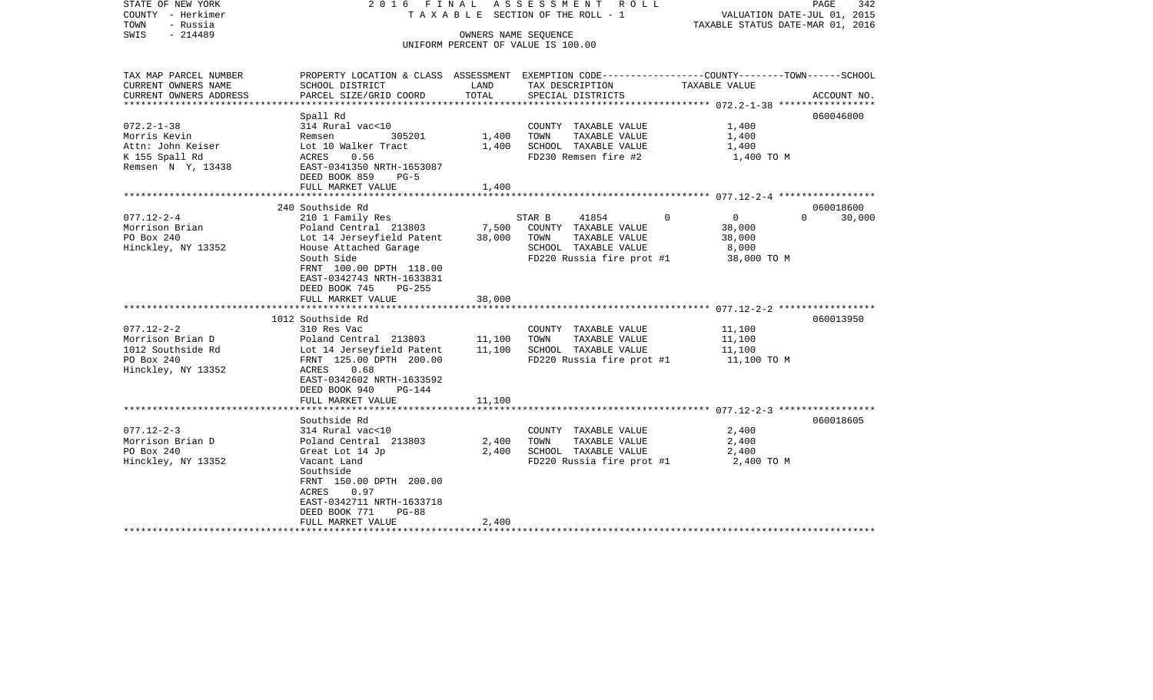| STATE OF NEW YORK<br>COUNTY - Herkimer<br>TOWN<br>- Russia<br>$-214489$<br>SWIS | 2016 FINAL<br>ASSESSMENT<br>ROLL ROLL<br>PAGE<br>T A X A B L E SECTION OF THE ROLL - 1<br>VALUATION DATE-JUL 01, 2015<br>TAXABLE STATUS DATE-MAR 01, 2016<br>OWNERS NAME SEQUENCE<br>UNIFORM PERCENT OF VALUE IS 100.00 |          |                                               |                            |                    |  |
|---------------------------------------------------------------------------------|-------------------------------------------------------------------------------------------------------------------------------------------------------------------------------------------------------------------------|----------|-----------------------------------------------|----------------------------|--------------------|--|
| TAX MAP PARCEL NUMBER<br>CURRENT OWNERS NAME                                    | PROPERTY LOCATION & CLASS ASSESSMENT EXEMPTION CODE---------------COUNTY-------TOWN------SCHOOL<br>SCHOOL DISTRICT                                                                                                      | LAND     | TAX DESCRIPTION                               | TAXABLE VALUE              |                    |  |
| CURRENT OWNERS ADDRESS                                                          | PARCEL SIZE/GRID COORD                                                                                                                                                                                                  | TOTAL    | SPECIAL DISTRICTS                             |                            | ACCOUNT NO.        |  |
| ********************                                                            |                                                                                                                                                                                                                         |          |                                               |                            |                    |  |
|                                                                                 | Spall Rd                                                                                                                                                                                                                |          |                                               |                            | 060046800          |  |
| $072.2 - 1 - 38$                                                                | 314 Rural vac<10                                                                                                                                                                                                        |          | COUNTY TAXABLE VALUE                          | 1,400                      |                    |  |
| Morris Kevin                                                                    | Remsen<br>305201                                                                                                                                                                                                        | 1,400    | TOWN<br>TAXABLE VALUE                         | 1,400                      |                    |  |
| Attn: John Keiser<br>K 155 Spall Rd                                             | Lot 10 Walker Tract<br>0.56<br>ACRES                                                                                                                                                                                    | 1,400    | SCHOOL TAXABLE VALUE<br>FD230 Remsen fire #2  | 1,400<br>1,400 TO M        |                    |  |
| Remsen N Y, 13438                                                               | EAST-0341350 NRTH-1653087                                                                                                                                                                                               |          |                                               |                            |                    |  |
|                                                                                 | DEED BOOK 859<br>$PG-5$                                                                                                                                                                                                 |          |                                               |                            |                    |  |
|                                                                                 | FULL MARKET VALUE                                                                                                                                                                                                       | 1,400    |                                               |                            |                    |  |
|                                                                                 |                                                                                                                                                                                                                         |          |                                               |                            |                    |  |
|                                                                                 | 240 Southside Rd                                                                                                                                                                                                        |          |                                               |                            | 060018600          |  |
| $077.12 - 2 - 4$                                                                | 210 1 Family Res                                                                                                                                                                                                        |          | 41854<br>STAR B                               | $\Omega$<br>$\overline{0}$ | 30,000<br>$\Omega$ |  |
| Morrison Brian                                                                  | Poland Central 213803                                                                                                                                                                                                   | 7,500    | COUNTY TAXABLE VALUE                          | 38,000                     |                    |  |
| PO Box 240<br>Hinckley, NY 13352                                                | Lot 14 Jerseyfield Patent<br>House Attached Garage                                                                                                                                                                      | 38,000   | TAXABLE VALUE<br>TOWN<br>SCHOOL TAXABLE VALUE | 38,000<br>8,000            |                    |  |
|                                                                                 | South Side                                                                                                                                                                                                              |          | FD220 Russia fire prot #1                     | 38,000 TO M                |                    |  |
|                                                                                 | FRNT 100.00 DPTH 118.00                                                                                                                                                                                                 |          |                                               |                            |                    |  |
|                                                                                 | EAST-0342743 NRTH-1633831                                                                                                                                                                                               |          |                                               |                            |                    |  |
|                                                                                 | DEED BOOK 745<br>$PG-255$                                                                                                                                                                                               |          |                                               |                            |                    |  |
|                                                                                 | FULL MARKET VALUE                                                                                                                                                                                                       | 38,000   |                                               |                            |                    |  |
|                                                                                 |                                                                                                                                                                                                                         | ******** |                                               |                            |                    |  |
|                                                                                 | 1012 Southside Rd                                                                                                                                                                                                       |          |                                               |                            | 060013950          |  |
| $077.12 - 2 - 2$<br>Morrison Brian D                                            | 310 Res Vac<br>Poland Central 213803                                                                                                                                                                                    | 11,100   | COUNTY TAXABLE VALUE<br>TAXABLE VALUE<br>TOWN | 11,100<br>11,100           |                    |  |
| 1012 Southside Rd                                                               | Lot 14 Jerseyfield Patent                                                                                                                                                                                               | 11,100   | SCHOOL TAXABLE VALUE                          | 11,100                     |                    |  |
| PO Box 240                                                                      | FRNT 125.00 DPTH 200.00                                                                                                                                                                                                 |          | FD220 Russia fire prot #1                     | 11,100 TO M                |                    |  |
| Hinckley, NY 13352                                                              | ACRES<br>0.68                                                                                                                                                                                                           |          |                                               |                            |                    |  |
|                                                                                 | EAST-0342602 NRTH-1633592                                                                                                                                                                                               |          |                                               |                            |                    |  |
|                                                                                 | DEED BOOK 940<br>PG-144                                                                                                                                                                                                 |          |                                               |                            |                    |  |
|                                                                                 | FULL MARKET VALUE                                                                                                                                                                                                       | 11,100   |                                               |                            |                    |  |
|                                                                                 |                                                                                                                                                                                                                         |          |                                               |                            |                    |  |
| $077.12 - 2 - 3$                                                                | Southside Rd                                                                                                                                                                                                            |          |                                               |                            | 060018605          |  |
| Morrison Brian D                                                                | 314 Rural vac<10<br>Poland Central 213803                                                                                                                                                                               | 2,400    | COUNTY TAXABLE VALUE<br>TOWN<br>TAXABLE VALUE | 2,400<br>2,400             |                    |  |
| PO Box 240                                                                      | Great Lot 14 Jp                                                                                                                                                                                                         | 2,400    | SCHOOL TAXABLE VALUE                          | 2,400                      |                    |  |
| Hinckley, NY 13352                                                              | Vacant Land                                                                                                                                                                                                             |          | FD220 Russia fire prot #1                     | 2,400 TO M                 |                    |  |
|                                                                                 | Southside                                                                                                                                                                                                               |          |                                               |                            |                    |  |
|                                                                                 | FRNT 150.00 DPTH 200.00                                                                                                                                                                                                 |          |                                               |                            |                    |  |
|                                                                                 | ACRES<br>0.97                                                                                                                                                                                                           |          |                                               |                            |                    |  |
|                                                                                 | EAST-0342711 NRTH-1633718                                                                                                                                                                                               |          |                                               |                            |                    |  |
|                                                                                 | DEED BOOK 771<br>$PG-88$                                                                                                                                                                                                |          |                                               |                            |                    |  |
|                                                                                 | FULL MARKET VALUE                                                                                                                                                                                                       | 2,400    |                                               |                            |                    |  |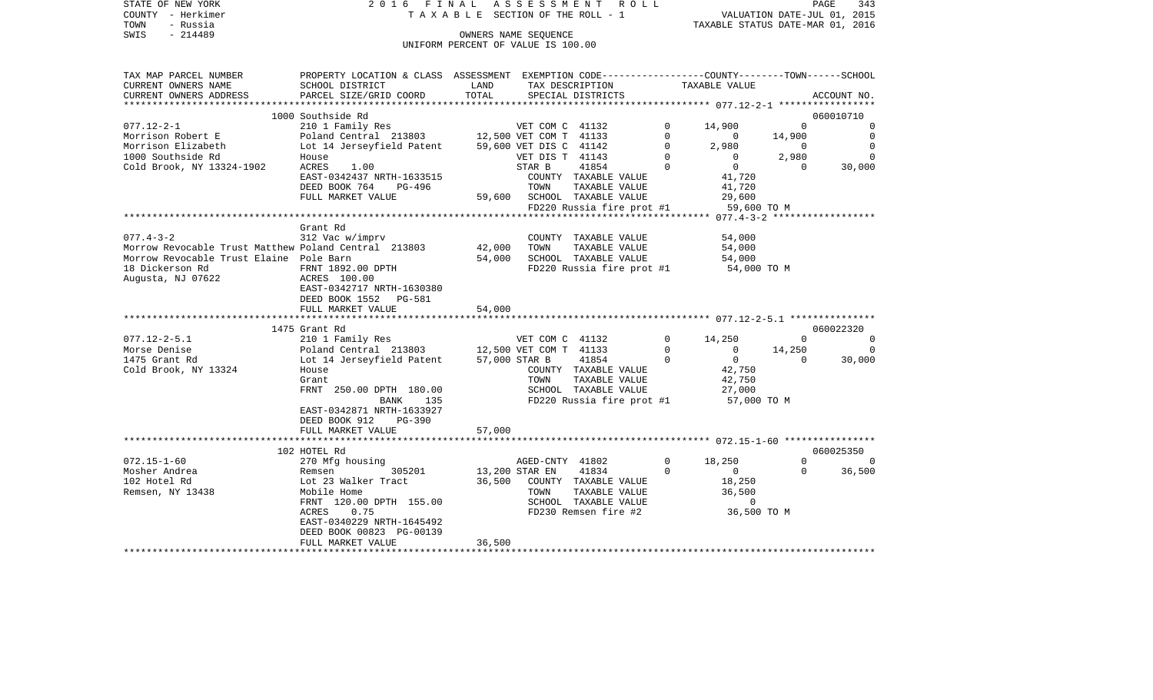| STATE OF NEW YORK<br>COUNTY - Herkimer               | 2016 FINAL ASSESSMENT                                                                           | T A X A B L E SECTION OF THE ROLL - 1 |                        | R O L L                   |             |                                  | VALUATION DATE-JUL 01, 2015 | PAGE<br>343    |
|------------------------------------------------------|-------------------------------------------------------------------------------------------------|---------------------------------------|------------------------|---------------------------|-------------|----------------------------------|-----------------------------|----------------|
| - Russia<br>TOWN<br>$-214489$<br>SWIS                |                                                                                                 |                                       | OWNERS NAME SEOUENCE   |                           |             | TAXABLE STATUS DATE-MAR 01, 2016 |                             |                |
|                                                      |                                                                                                 | UNIFORM PERCENT OF VALUE IS 100.00    |                        |                           |             |                                  |                             |                |
|                                                      |                                                                                                 |                                       |                        |                           |             |                                  |                             |                |
| TAX MAP PARCEL NUMBER                                | PROPERTY LOCATION & CLASS ASSESSMENT EXEMPTION CODE---------------COUNTY-------TOWN------SCHOOL |                                       |                        |                           |             |                                  |                             |                |
| CURRENT OWNERS NAME                                  | SCHOOL DISTRICT                                                                                 | LAND                                  | TAX DESCRIPTION        |                           |             | TAXABLE VALUE                    |                             |                |
| CURRENT OWNERS ADDRESS                               | PARCEL SIZE/GRID COORD                                                                          | TOTAL                                 |                        | SPECIAL DISTRICTS         |             |                                  |                             | ACCOUNT NO.    |
| ************************                             |                                                                                                 |                                       |                        |                           |             |                                  |                             |                |
|                                                      | 1000 Southside Rd                                                                               |                                       |                        |                           |             |                                  |                             | 060010710      |
| $077.12 - 2 - 1$                                     | 210 1 Family Res                                                                                |                                       | VET COM C 41132        |                           | 0           | 14,900                           | $\Omega$                    | $\mathbf 0$    |
| Morrison Robert E                                    | Poland Central 213803                                                                           |                                       | 12,500 VET COM T 41133 |                           | $\mathbf 0$ | $\mathbf{0}$                     | 14,900                      | $\mathbf 0$    |
| Morrison Elizabeth                                   | Lot 14 Jerseyfield Patent                                                                       |                                       | 59,600 VET DIS C 41142 |                           | $\mathbf 0$ | 2,980                            | $\mathbf 0$                 | 0              |
| 1000 Southside Rd                                    | House                                                                                           |                                       | VET DIS T 41143        |                           | $\mathbf 0$ | $\mathbf{0}$                     | 2,980                       | $\Omega$       |
| Cold Brook, NY 13324-1902                            | 1.00<br>ACRES                                                                                   |                                       | STAR B                 | 41854                     | $\Omega$    | $\overline{0}$                   | $\Omega$                    | 30,000         |
|                                                      | EAST-0342437 NRTH-1633515                                                                       |                                       |                        | COUNTY TAXABLE VALUE      |             | 41,720                           |                             |                |
|                                                      | DEED BOOK 764<br>PG-496                                                                         |                                       | TOWN                   | TAXABLE VALUE             |             | 41,720                           |                             |                |
|                                                      | FULL MARKET VALUE                                                                               | 59,600                                |                        | SCHOOL TAXABLE VALUE      |             | 29,600                           |                             |                |
|                                                      |                                                                                                 |                                       |                        | FD220 Russia fire prot #1 |             | 59,600 TO M                      |                             |                |
|                                                      |                                                                                                 |                                       |                        |                           |             |                                  |                             |                |
| $077.4 - 3 - 2$                                      | Grant Rd<br>312 Vac w/imprv                                                                     |                                       |                        | COUNTY TAXABLE VALUE      |             | 54,000                           |                             |                |
| Morrow Revocable Trust Matthew Poland Central 213803 |                                                                                                 | 42,000                                | TOWN                   | TAXABLE VALUE             |             | 54,000                           |                             |                |
| Morrow Revocable Trust Elaine Pole Barn              |                                                                                                 | 54,000                                |                        | SCHOOL TAXABLE VALUE      |             | 54,000                           |                             |                |
| 18 Dickerson Rd                                      | FRNT 1892.00 DPTH                                                                               |                                       |                        | FD220 Russia fire prot #1 |             | 54,000 TO M                      |                             |                |
| Augusta, NJ 07622                                    | ACRES 100.00                                                                                    |                                       |                        |                           |             |                                  |                             |                |
|                                                      | EAST-0342717 NRTH-1630380                                                                       |                                       |                        |                           |             |                                  |                             |                |
|                                                      | DEED BOOK 1552<br>PG-581                                                                        |                                       |                        |                           |             |                                  |                             |                |
|                                                      | FULL MARKET VALUE                                                                               | 54,000                                |                        |                           |             |                                  |                             |                |
|                                                      |                                                                                                 |                                       |                        |                           |             |                                  |                             |                |
|                                                      | 1475 Grant Rd                                                                                   |                                       |                        |                           |             |                                  |                             | 060022320      |
| $077.12 - 2 - 5.1$                                   | 210 1 Family Res                                                                                |                                       | VET COM C 41132        |                           | $\Omega$    | 14,250                           | $\Omega$                    | $\Omega$       |
| Morse Denise                                         | Poland Central 213803                                                                           |                                       | 12,500 VET COM T 41133 |                           | $\mathbf 0$ | $\mathbf 0$                      | 14,250                      | $\overline{0}$ |
| 1475 Grant Rd                                        | Lot 14 Jerseyfield Patent                                                                       |                                       | 57,000 STAR B          | 41854                     | $\Omega$    | $\circ$                          | $\Omega$                    | 30,000         |
| Cold Brook, NY 13324                                 | House                                                                                           |                                       |                        | COUNTY TAXABLE VALUE      |             | 42,750                           |                             |                |
|                                                      | Grant                                                                                           |                                       | TOWN                   | TAXABLE VALUE             |             | 42,750                           |                             |                |
|                                                      | FRNT 250.00 DPTH 180.00                                                                         |                                       |                        | SCHOOL TAXABLE VALUE      |             | 27,000                           |                             |                |
|                                                      | <b>BANK</b><br>135                                                                              |                                       |                        | FD220 Russia fire prot #1 |             | 57,000 TO M                      |                             |                |
|                                                      | EAST-0342871 NRTH-1633927                                                                       |                                       |                        |                           |             |                                  |                             |                |
|                                                      | DEED BOOK 912<br><b>PG-390</b><br>FULL MARKET VALUE                                             | 57,000                                |                        |                           |             |                                  |                             |                |
|                                                      |                                                                                                 |                                       |                        |                           |             |                                  |                             |                |
|                                                      | 102 HOTEL Rd                                                                                    |                                       |                        |                           |             |                                  |                             | 060025350      |
| $072.15 - 1 - 60$                                    | 270 Mfg housing                                                                                 |                                       | AGED-CNTY 41802        |                           | $\Omega$    | 18,250                           | $\Omega$                    | $\Omega$       |
| Mosher Andrea                                        | 305201<br>Remsen                                                                                | 13,200 STAR EN                        |                        | 41834                     | $\Omega$    | $\mathbf{0}$                     | $\mathbf 0$                 | 36,500         |
| 102 Hotel Rd                                         | Lot 23 Walker Tract                                                                             | 36,500                                |                        | COUNTY TAXABLE VALUE      |             | 18,250                           |                             |                |
| Remsen, NY 13438                                     | Mobile Home                                                                                     |                                       | TOWN                   | TAXABLE VALUE             |             | 36,500                           |                             |                |
|                                                      | FRNT 120.00 DPTH 155.00                                                                         |                                       |                        | SCHOOL TAXABLE VALUE      |             | $\Omega$                         |                             |                |

 $ACRES$  0.75 FD230 Remsen fire #2

FULL MARKET VALUE 36,500 \*\*\*\*\*\*\*\*\*\*\*\*\*\*\*\*\*\*\*\*\*\*\*\*\*\*\*\*\*\*\*\*\*\*\*\*\*\*\*\*\*\*\*\*\*\*\*\*\*\*\*\*\*\*\*\*\*\*\*\*\*\*\*\*\*\*\*\*\*\*\*\*\*\*\*\*\*\*\*\*\*\*\*\*\*\*\*\*\*\*\*\*\*\*\*\*\*\*\*\*\*\*\*\*\*\*\*\*\*\*\*\*\*\*\*\*\*\*\*\*\*\*\*\*\*\*\*\*\*\*\*\*

 EAST-0340229 NRTH-1645492 DEED BOOK 00823 PG-00139 36,500 TO M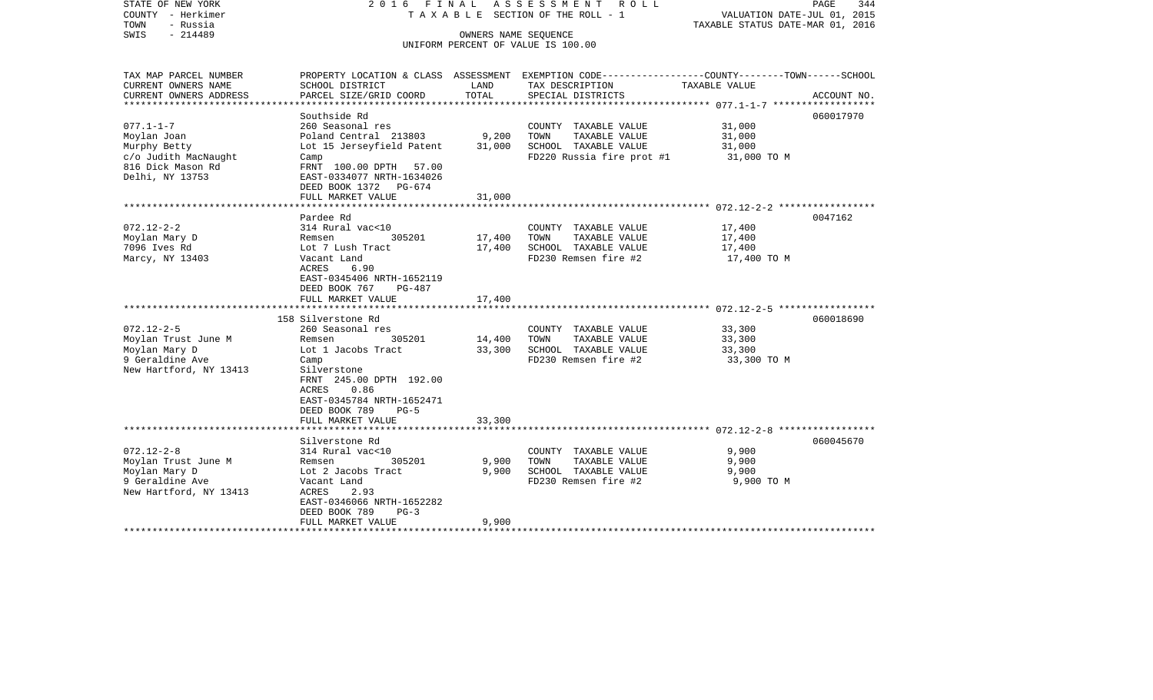| STATE OF NEW YORK<br>COUNTY - Herkimer<br>TOWN<br>- Russia<br>SWIS<br>$-214489$                                                                                               | 2016 FINAL                                                                                                                                                                                                                                                                                                                                                                                                             | OWNERS NAME SEOUENCE                                     | ASSESSMENT ROLL<br>TAXABLE SECTION OF THE ROLL - 1                                                                                                                                             | PAGE<br>344<br>VALUATION DATE-JUL 01, 2015<br>TAXABLE STATUS DATE-MAR 01, 2016                                    |
|-------------------------------------------------------------------------------------------------------------------------------------------------------------------------------|------------------------------------------------------------------------------------------------------------------------------------------------------------------------------------------------------------------------------------------------------------------------------------------------------------------------------------------------------------------------------------------------------------------------|----------------------------------------------------------|------------------------------------------------------------------------------------------------------------------------------------------------------------------------------------------------|-------------------------------------------------------------------------------------------------------------------|
|                                                                                                                                                                               |                                                                                                                                                                                                                                                                                                                                                                                                                        |                                                          | UNIFORM PERCENT OF VALUE IS 100.00                                                                                                                                                             |                                                                                                                   |
| TAX MAP PARCEL NUMBER<br>CURRENT OWNERS NAME                                                                                                                                  | SCHOOL DISTRICT                                                                                                                                                                                                                                                                                                                                                                                                        | LAND                                                     | TAX DESCRIPTION                                                                                                                                                                                | PROPERTY LOCATION & CLASS ASSESSMENT EXEMPTION CODE----------------COUNTY-------TOWN------SCHOOL<br>TAXABLE VALUE |
| CURRENT OWNERS ADDRESS<br>*****************                                                                                                                                   | PARCEL SIZE/GRID COORD                                                                                                                                                                                                                                                                                                                                                                                                 | TOTAL                                                    | SPECIAL DISTRICTS                                                                                                                                                                              | ACCOUNT NO.<br>****************** 077.1-1-7 ***************                                                       |
|                                                                                                                                                                               | Southside Rd                                                                                                                                                                                                                                                                                                                                                                                                           |                                                          |                                                                                                                                                                                                | 060017970                                                                                                         |
| $077.1 - 1 - 7$<br>Moylan Joan<br>Murphy Betty<br>c/o Judith MacNaught<br>816 Dick Mason Rd                                                                                   | 260 Seasonal res<br>Poland Central 213803<br>Lot 15 Jerseyfield Patent<br>Camp<br>FRNT 100.00 DPTH 57.00                                                                                                                                                                                                                                                                                                               | 9,200<br>31,000                                          | COUNTY TAXABLE VALUE<br>TOWN<br>TAXABLE VALUE<br>SCHOOL TAXABLE VALUE<br>FD220 Russia fire prot #1                                                                                             | 31,000<br>31,000<br>31,000<br>31,000 TO M                                                                         |
| Delhi, NY 13753                                                                                                                                                               | EAST-0334077 NRTH-1634026<br>DEED BOOK 1372 PG-674<br>FULL MARKET VALUE                                                                                                                                                                                                                                                                                                                                                | 31,000                                                   |                                                                                                                                                                                                |                                                                                                                   |
|                                                                                                                                                                               |                                                                                                                                                                                                                                                                                                                                                                                                                        |                                                          |                                                                                                                                                                                                |                                                                                                                   |
| $072.12 - 2 - 2$<br>Moylan Mary D<br>7096 Ives Rd<br>Marcy, NY 13403<br>$072.12 - 2 - 5$<br>Moylan Trust June M<br>Moylan Mary D<br>9 Geraldine Ave<br>New Hartford, NY 13413 | Pardee Rd<br>314 Rural vac<10<br>305201<br>Remsen<br>Lot 7 Lush Tract<br>Vacant Land<br>6.90<br>ACRES<br>EAST-0345406 NRTH-1652119<br>DEED BOOK 767<br>PG-487<br>FULL MARKET VALUE<br>158 Silverstone Rd<br>260 Seasonal res<br>Remsen<br>305201<br>Lot 1 Jacobs Tract<br>Camp<br>Silverstone<br>FRNT 245.00 DPTH 192.00<br>0.86<br>ACRES<br>EAST-0345784 NRTH-1652471<br>DEED BOOK 789<br>$PG-5$<br>FULL MARKET VALUE | 17,400<br>17,400<br>17,400<br>14,400<br>33,300<br>33,300 | COUNTY TAXABLE VALUE<br>TOWN<br>TAXABLE VALUE<br>SCHOOL TAXABLE VALUE<br>FD230 Remsen fire #2<br>COUNTY TAXABLE VALUE<br>TAXABLE VALUE<br>TOWN<br>SCHOOL TAXABLE VALUE<br>FD230 Remsen fire #2 | 0047162<br>17,400<br>17,400<br>17,400<br>17,400 TO M<br>060018690<br>33,300<br>33,300<br>33,300<br>33,300 TO M    |
|                                                                                                                                                                               | ********************                                                                                                                                                                                                                                                                                                                                                                                                   |                                                          |                                                                                                                                                                                                |                                                                                                                   |
| $072.12 - 2 - 8$<br>Moylan Trust June M<br>Moylan Mary D<br>9 Geraldine Ave<br>New Hartford, NY 13413                                                                         | Silverstone Rd<br>314 Rural vac<10<br>Remsen<br>305201<br>Lot 2 Jacobs Tract<br>Vacant Land<br>ACRES<br>2.93<br>EAST-0346066 NRTH-1652282<br>DEED BOOK 789<br>$PG-3$                                                                                                                                                                                                                                                   | 9,900<br>9,900                                           | COUNTY TAXABLE VALUE<br>TOWN<br>TAXABLE VALUE<br>SCHOOL TAXABLE VALUE<br>FD230 Remsen fire #2                                                                                                  | 060045670<br>9,900<br>9,900<br>9,900<br>9,900 TO M                                                                |
| ***********************                                                                                                                                                       | FULL MARKET VALUE                                                                                                                                                                                                                                                                                                                                                                                                      | 9,900                                                    |                                                                                                                                                                                                |                                                                                                                   |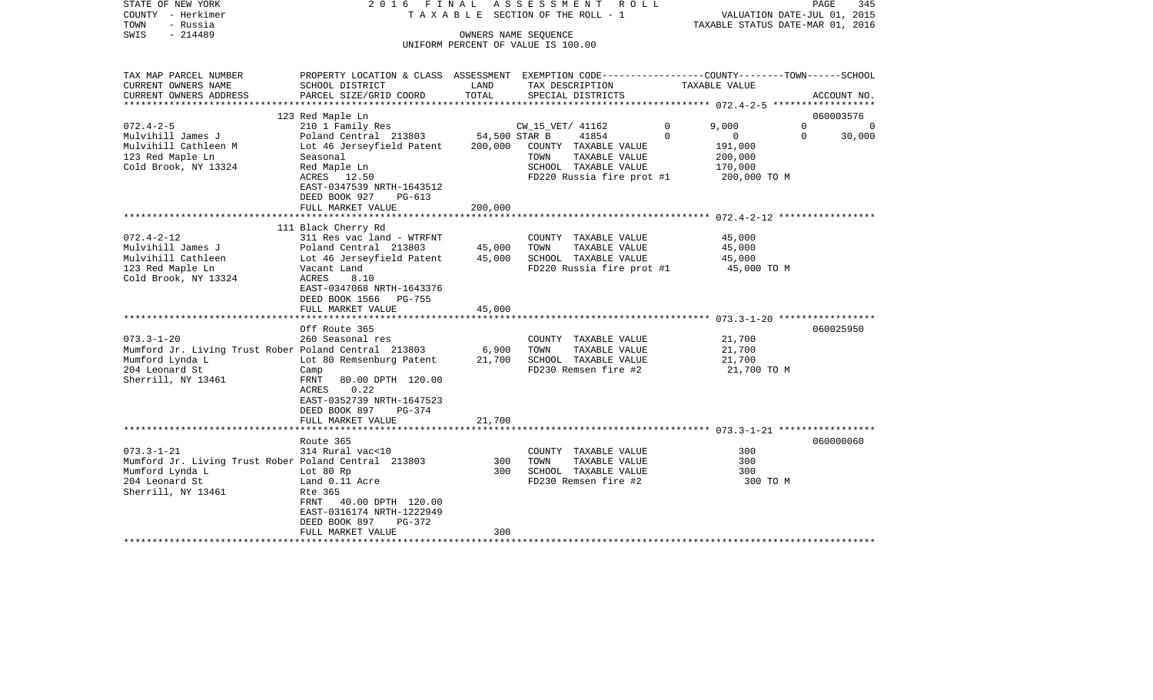| STATE OF NEW YORK<br>COUNTY - Herkimer<br>- Russia<br>TOWN<br>- 214489<br>SWIS | 2016 FINAL                                                                                                                                  |               | ASSESSMENT ROLL<br>TAXABLE SECTION OF THE ROLL - 1<br>OWNERS NAME SEQUENCE<br>UNIFORM PERCENT OF VALUE IS 100.00 |          | VALUATION DATE-JUL 01, 2015<br>TAXABLE STATUS DATE-MAR 01, 2016 | PAGE<br>345 |
|--------------------------------------------------------------------------------|---------------------------------------------------------------------------------------------------------------------------------------------|---------------|------------------------------------------------------------------------------------------------------------------|----------|-----------------------------------------------------------------|-------------|
| TAX MAP PARCEL NUMBER<br>CURRENT OWNERS NAME<br>CURRENT OWNERS ADDRESS         | PROPERTY LOCATION & CLASS ASSESSMENT EXEMPTION CODE---------------COUNTY-------TOWN-----SCHOOL<br>SCHOOL DISTRICT<br>PARCEL SIZE/GRID COORD | LAND<br>TOTAL | TAX DESCRIPTION<br>SPECIAL DISTRICTS                                                                             |          | TAXABLE VALUE                                                   | ACCOUNT NO. |
| *********************                                                          |                                                                                                                                             |               |                                                                                                                  |          |                                                                 |             |
|                                                                                | 123 Red Maple Ln                                                                                                                            |               |                                                                                                                  |          |                                                                 | 060003576   |
| $072.4 - 2 - 5$                                                                | 210 1 Family Res                                                                                                                            |               | CW_15_VET/ 41162                                                                                                 | 0        | 9,000<br>$\mathbf 0$                                            | 0           |
| Mulvihill James J                                                              | Poland Central 213803                                                                                                                       | 54,500 STAR B | 41854                                                                                                            | $\Omega$ | $\overline{0}$<br>$\Omega$                                      | 30,000      |
| Mulvihill Cathleen M                                                           | Lot 46 Jerseyfield Patent                                                                                                                   | 200,000       | COUNTY TAXABLE VALUE                                                                                             |          | 191,000                                                         |             |
| 123 Red Maple Ln                                                               | Seasonal                                                                                                                                    |               | TOWN<br>TAXABLE VALUE<br>SCHOOL TAXABLE VALUE                                                                    |          | 200,000                                                         |             |
| Cold Brook, NY 13324                                                           | Red Maple Ln<br>ACRES 12.50                                                                                                                 |               | FD220 Russia fire prot #1                                                                                        |          | 170,000<br>200,000 TO M                                         |             |
|                                                                                | EAST-0347539 NRTH-1643512                                                                                                                   |               |                                                                                                                  |          |                                                                 |             |
|                                                                                | DEED BOOK 927<br>$PG-613$                                                                                                                   |               |                                                                                                                  |          |                                                                 |             |
|                                                                                | FULL MARKET VALUE                                                                                                                           | 200,000       |                                                                                                                  |          |                                                                 |             |
|                                                                                |                                                                                                                                             |               |                                                                                                                  |          |                                                                 |             |
|                                                                                | 111 Black Cherry Rd                                                                                                                         |               |                                                                                                                  |          |                                                                 |             |
| $072.4 - 2 - 12$                                                               | 311 Res vac land - WTRFNT                                                                                                                   |               | COUNTY TAXABLE VALUE                                                                                             |          | 45,000                                                          |             |
| Mulvihill James J                                                              | Poland Central 213803                                                                                                                       | 45,000        | TOWN<br>TAXABLE VALUE                                                                                            |          | 45,000                                                          |             |
| Mulvihill Cathleen                                                             | Lot 46 Jerseyfield Patent                                                                                                                   | 45,000        | SCHOOL TAXABLE VALUE                                                                                             |          | 45,000                                                          |             |
| 123 Red Maple Ln                                                               | Vacant Land                                                                                                                                 |               | FD220 Russia fire prot #1                                                                                        |          | 45,000 TO M                                                     |             |
| Cold Brook, NY 13324                                                           | ACRES<br>8.10                                                                                                                               |               |                                                                                                                  |          |                                                                 |             |
|                                                                                | EAST-0347068 NRTH-1643376                                                                                                                   |               |                                                                                                                  |          |                                                                 |             |
|                                                                                | DEED BOOK 1566 PG-755                                                                                                                       | 45,000        |                                                                                                                  |          |                                                                 |             |
|                                                                                | FULL MARKET VALUE                                                                                                                           |               |                                                                                                                  |          |                                                                 |             |
|                                                                                | Off Route 365                                                                                                                               |               |                                                                                                                  |          |                                                                 | 060025950   |
| $073.3 - 1 - 20$                                                               | 260 Seasonal res                                                                                                                            |               | COUNTY TAXABLE VALUE                                                                                             |          | 21,700                                                          |             |
| Mumford Jr. Living Trust Rober Poland Central 213803                           |                                                                                                                                             | 6,900         | TOWN<br>TAXABLE VALUE                                                                                            |          | 21,700                                                          |             |
| Mumford Lynda L                                                                | Lot 80 Remsenburg Patent                                                                                                                    | 21,700        | SCHOOL TAXABLE VALUE                                                                                             |          | 21,700                                                          |             |
| 204 Leonard St                                                                 | Camp                                                                                                                                        |               | FD230 Remsen fire #2                                                                                             |          | 21,700 TO M                                                     |             |
| Sherrill, NY 13461                                                             | FRNT<br>80.00 DPTH 120.00                                                                                                                   |               |                                                                                                                  |          |                                                                 |             |
|                                                                                | 0.22<br>ACRES                                                                                                                               |               |                                                                                                                  |          |                                                                 |             |
|                                                                                | EAST-0352739 NRTH-1647523                                                                                                                   |               |                                                                                                                  |          |                                                                 |             |
|                                                                                | DEED BOOK 897<br>$PG-374$                                                                                                                   |               |                                                                                                                  |          |                                                                 |             |
|                                                                                | FULL MARKET VALUE                                                                                                                           | 21,700        |                                                                                                                  |          |                                                                 |             |
|                                                                                |                                                                                                                                             |               |                                                                                                                  |          |                                                                 |             |
|                                                                                | Route 365                                                                                                                                   |               |                                                                                                                  |          |                                                                 | 060000060   |
| $073.3 - 1 - 21$                                                               | 314 Rural vac<10                                                                                                                            | 300           | COUNTY TAXABLE VALUE<br>TOWN<br>TAXABLE VALUE                                                                    |          | 300<br>300                                                      |             |
| Mumford Jr. Living Trust Rober Poland Central 213803<br>Mumford Lynda L        | Lot 80 Rp                                                                                                                                   | 300           | SCHOOL TAXABLE VALUE                                                                                             |          | 300                                                             |             |
| 204 Leonard St                                                                 | Land 0.11 Acre                                                                                                                              |               | FD230 Remsen fire #2                                                                                             |          | 300 TO M                                                        |             |
| Sherrill, NY 13461                                                             | Rte 365                                                                                                                                     |               |                                                                                                                  |          |                                                                 |             |
|                                                                                | FRNT<br>40.00 DPTH 120.00                                                                                                                   |               |                                                                                                                  |          |                                                                 |             |
|                                                                                | EAST-0316174 NRTH-1222949                                                                                                                   |               |                                                                                                                  |          |                                                                 |             |
|                                                                                | DEED BOOK 897<br>PG-372                                                                                                                     |               |                                                                                                                  |          |                                                                 |             |
|                                                                                | FULL MARKET VALUE                                                                                                                           | 300           |                                                                                                                  |          |                                                                 |             |
|                                                                                |                                                                                                                                             |               | ************************                                                                                         |          |                                                                 |             |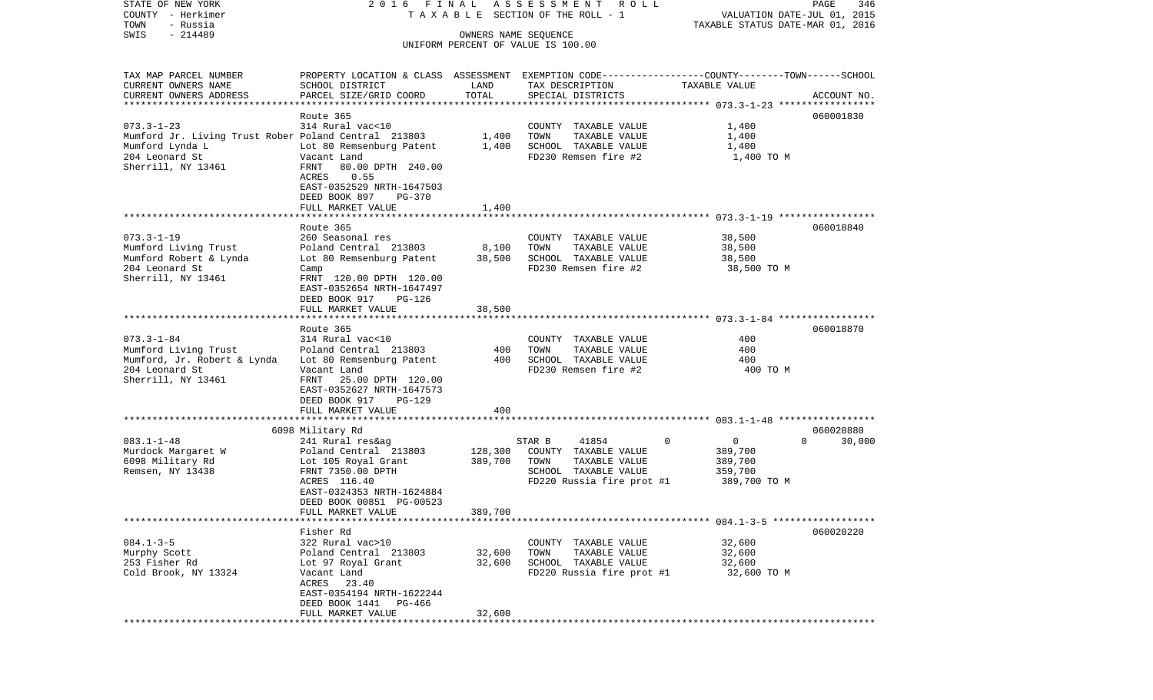| COUNTY<br>- Herkimer<br>TOWN<br>- Russia                   |                                                                                                 | T A X A B L E SECTION OF THE ROLL - 1 | VALUATION DATE-JUL 01, 2015<br>TAXABLE STATUS DATE-MAR 01, 2016 |                            |                    |
|------------------------------------------------------------|-------------------------------------------------------------------------------------------------|---------------------------------------|-----------------------------------------------------------------|----------------------------|--------------------|
| $-214489$<br>SWIS                                          |                                                                                                 |                                       | OWNERS NAME SEQUENCE                                            |                            |                    |
|                                                            |                                                                                                 |                                       | UNIFORM PERCENT OF VALUE IS 100.00                              |                            |                    |
|                                                            |                                                                                                 |                                       |                                                                 |                            |                    |
| TAX MAP PARCEL NUMBER                                      | PROPERTY LOCATION & CLASS ASSESSMENT EXEMPTION CODE---------------COUNTY-------TOWN------SCHOOL |                                       |                                                                 |                            |                    |
| CURRENT OWNERS NAME                                        | SCHOOL DISTRICT                                                                                 | LAND                                  | TAX DESCRIPTION                                                 | TAXABLE VALUE              |                    |
| CURRENT OWNERS ADDRESS                                     | PARCEL SIZE/GRID COORD                                                                          | TOTAL                                 | SPECIAL DISTRICTS                                               |                            | ACCOUNT NO.        |
|                                                            |                                                                                                 |                                       |                                                                 |                            |                    |
|                                                            | Route 365                                                                                       |                                       |                                                                 |                            | 060001830          |
| $073.3 - 1 - 23$                                           | 314 Rural vac<10                                                                                |                                       | COUNTY TAXABLE VALUE                                            | 1,400                      |                    |
| Mumford Jr. Living Trust Rober Poland Central 213803 1,400 |                                                                                                 |                                       | TOWN<br>TAXABLE VALUE                                           | 1,400                      |                    |
| Mumford Lynda L                                            | Lot 80 Remsenburg Patent                                                                        | 1,400                                 | SCHOOL TAXABLE VALUE                                            | 1,400                      |                    |
| 204 Leonard St                                             | Vacant Land                                                                                     |                                       | FD230 Remsen fire #2                                            | 1,400 TO M                 |                    |
| Sherrill, NY 13461                                         | FRNT<br>80.00 DPTH 240.00                                                                       |                                       |                                                                 |                            |                    |
|                                                            | ACRES<br>0.55                                                                                   |                                       |                                                                 |                            |                    |
|                                                            | EAST-0352529 NRTH-1647503                                                                       |                                       |                                                                 |                            |                    |
|                                                            | DEED BOOK 897<br>PG-370                                                                         |                                       |                                                                 |                            |                    |
|                                                            | FULL MARKET VALUE                                                                               | 1,400                                 |                                                                 |                            |                    |
|                                                            |                                                                                                 |                                       |                                                                 |                            |                    |
|                                                            | Route 365                                                                                       |                                       |                                                                 |                            | 060018840          |
| $073.3 - 1 - 19$                                           | 260 Seasonal res                                                                                |                                       | COUNTY TAXABLE VALUE                                            | 38,500                     |                    |
| Mumford Living Trust                                       | Poland Central 213803                                                                           | 8,100                                 | TOWN<br>TAXABLE VALUE                                           | 38,500                     |                    |
| Mumford Robert & Lynda                                     | Lot 80 Remsenburg Patent                                                                        | 38,500                                | SCHOOL TAXABLE VALUE                                            | 38,500                     |                    |
| 204 Leonard St                                             | Camp                                                                                            |                                       | FD230 Remsen fire #2                                            | 38,500 TO M                |                    |
| Sherrill, NY 13461                                         | FRNT 120.00 DPTH 120.00                                                                         |                                       |                                                                 |                            |                    |
|                                                            | EAST-0352654 NRTH-1647497                                                                       |                                       |                                                                 |                            |                    |
|                                                            | DEED BOOK 917<br>PG-126                                                                         |                                       |                                                                 |                            |                    |
|                                                            | FULL MARKET VALUE                                                                               | 38,500                                |                                                                 |                            |                    |
|                                                            |                                                                                                 |                                       |                                                                 |                            |                    |
|                                                            | Route 365                                                                                       |                                       |                                                                 |                            | 060018870          |
| $073.3 - 1 - 84$                                           | 314 Rural vac<10                                                                                |                                       | COUNTY TAXABLE VALUE                                            | 400                        |                    |
| Mumford Living Trust                                       | Poland Central 213803                                                                           | 400<br>400                            | TOWN<br>TAXABLE VALUE<br>SCHOOL TAXABLE VALUE                   | 400<br>400                 |                    |
| Mumford, Jr. Robert & Lynda<br>204 Leonard St              | Lot 80 Remsenburg Patent<br>Vacant Land                                                         |                                       | FD230 Remsen fire #2                                            | 400 TO M                   |                    |
| Sherrill, NY 13461                                         | 25.00 DPTH 120.00<br>FRNT                                                                       |                                       |                                                                 |                            |                    |
|                                                            | EAST-0352627 NRTH-1647573                                                                       |                                       |                                                                 |                            |                    |
|                                                            | DEED BOOK 917<br><b>PG-129</b>                                                                  |                                       |                                                                 |                            |                    |
|                                                            | FULL MARKET VALUE                                                                               | 400                                   |                                                                 |                            |                    |
|                                                            |                                                                                                 |                                       |                                                                 |                            |                    |
|                                                            | 6098 Military Rd                                                                                |                                       |                                                                 |                            | 060020880          |
| $083.1 - 1 - 48$                                           | 241 Rural res&ag                                                                                |                                       | STAR B<br>41854                                                 | $\mathbf 0$<br>$\mathbf 0$ | $\Omega$<br>30,000 |
| Murdock Margaret W                                         | Poland Central 213803                                                                           | 128,300                               | COUNTY TAXABLE VALUE                                            | 389,700                    |                    |
| 6098 Military Rd                                           | Lot 105 Royal Grant                                                                             | 389,700                               | TAXABLE VALUE<br>TOWN                                           | 389,700                    |                    |
| Remsen, NY 13438                                           | FRNT 7350.00 DPTH                                                                               |                                       | SCHOOL TAXABLE VALUE                                            | 359,700                    |                    |
|                                                            | ACRES 116.40                                                                                    |                                       | FD220 Russia fire prot #1                                       | 389,700 TO M               |                    |
|                                                            | EAST-0324353 NRTH-1624884                                                                       |                                       |                                                                 |                            |                    |
|                                                            | DEED BOOK 00851 PG-00523                                                                        |                                       |                                                                 |                            |                    |
|                                                            | FULL MARKET VALUE                                                                               | 389,700                               |                                                                 |                            |                    |
|                                                            |                                                                                                 |                                       |                                                                 |                            |                    |
|                                                            | Fisher Rd                                                                                       |                                       |                                                                 |                            | 060020220          |
| $084.1 - 3 - 5$                                            | 322 Rural vac>10                                                                                |                                       | COUNTY TAXABLE VALUE                                            | 32,600                     |                    |
| Murphy Scott                                               | Poland Central 213803                                                                           | 32,600                                | TAXABLE VALUE<br>TOWN                                           | 32,600                     |                    |
| 253 Fisher Rd                                              | Lot 97 Royal Grant                                                                              | 32,600                                | SCHOOL TAXABLE VALUE                                            | 32,600                     |                    |
| Cold Brook, NY 13324                                       | Vacant Land                                                                                     |                                       | FD220 Russia fire prot #1                                       | 32,600 TO M                |                    |
|                                                            | 23.40<br>ACRES                                                                                  |                                       |                                                                 |                            |                    |
|                                                            | EAST-0354194 NRTH-1622244                                                                       |                                       |                                                                 |                            |                    |
|                                                            | DEED BOOK 1441<br>PG-466                                                                        |                                       |                                                                 |                            |                    |
|                                                            | FULL MARKET VALUE                                                                               | 32,600                                |                                                                 |                            |                    |
| ***********                                                |                                                                                                 |                                       |                                                                 |                            |                    |

PAGE 346

STATE OF NEW YORK 2 0 1 6 F I N A L A S S E S S M E N T R O L L PAGE 346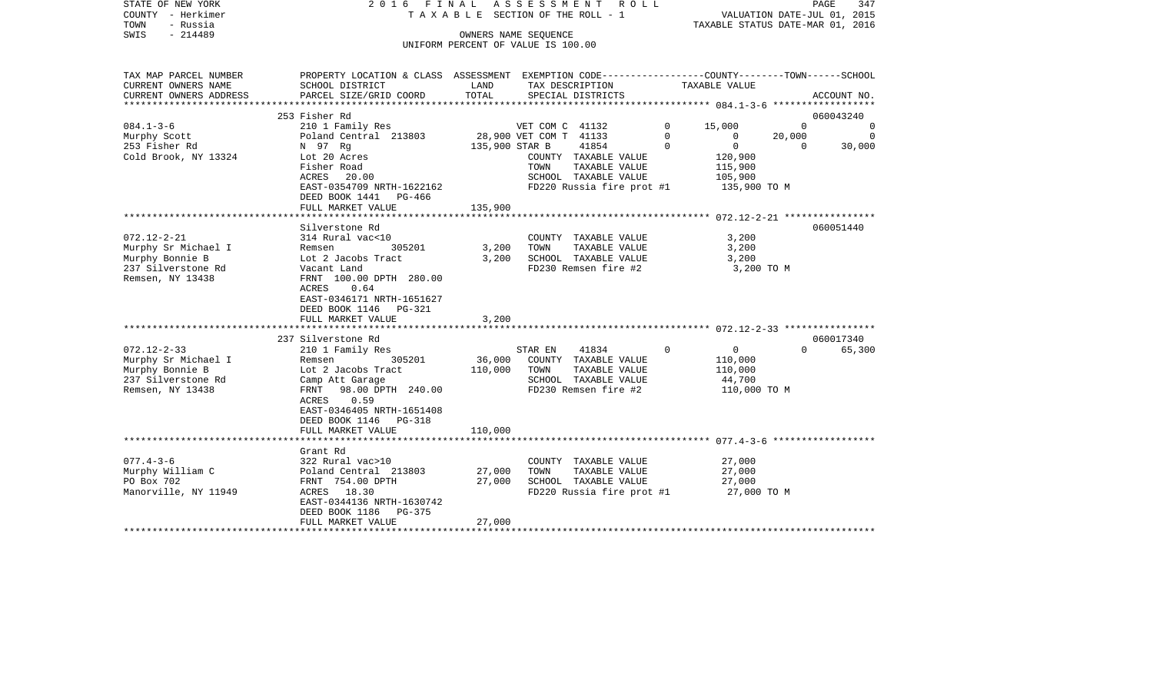| STATE OF NEW YORK<br>COUNTY - Herkimer<br>TOWN<br>- Russia<br>$-214489$<br>SWIS                       | 2016 FINAL                                                                                                                                                                                       |                              | ASSESSMENT ROLL<br>TAXABLE SECTION OF THE ROLL - 1<br>OWNERS NAME SEQUENCE<br>UNIFORM PERCENT OF VALUE IS 100.00  |               | VALUATION DATE-JUL 01, 2015<br>TAXABLE STATUS DATE-MAR 01, 2016 | PAGE               | 347         |
|-------------------------------------------------------------------------------------------------------|--------------------------------------------------------------------------------------------------------------------------------------------------------------------------------------------------|------------------------------|-------------------------------------------------------------------------------------------------------------------|---------------|-----------------------------------------------------------------|--------------------|-------------|
| TAX MAP PARCEL NUMBER<br>CURRENT OWNERS NAME                                                          | PROPERTY LOCATION & CLASS ASSESSMENT EXEMPTION CODE---------------COUNTY-------TOWN-----SCHOOL<br>SCHOOL DISTRICT                                                                                | LAND                         | TAX DESCRIPTION                                                                                                   |               | TAXABLE VALUE                                                   |                    |             |
| CURRENT OWNERS ADDRESS                                                                                | PARCEL SIZE/GRID COORD                                                                                                                                                                           | TOTAL                        | SPECIAL DISTRICTS<br>**************************                                                                   |               |                                                                 |                    | ACCOUNT NO. |
|                                                                                                       | 253 Fisher Rd                                                                                                                                                                                    |                              |                                                                                                                   |               |                                                                 |                    | 060043240   |
| $084.1 - 3 - 6$                                                                                       | 210 1 Family Res                                                                                                                                                                                 |                              | VET COM C 41132                                                                                                   | $\Omega$      | 15,000                                                          | $\Omega$           | $\Omega$    |
| Murphy Scott                                                                                          | Poland Central 213803                                                                                                                                                                            |                              | 28,900 VET COM T 41133<br>41854                                                                                   | 0<br>$\Omega$ | $\circ$<br>$\overline{0}$                                       | 20,000<br>$\Omega$ | $\Omega$    |
| 253 Fisher Rd<br>Cold Brook, NY 13324                                                                 | N 97 Rg<br>Lot 20 Acres<br>Fisher Road<br>ACRES 20.00<br>EAST-0354709 NRTH-1622162                                                                                                               | 135,900 STAR B               | COUNTY TAXABLE VALUE<br>TOWN<br>TAXABLE VALUE<br>SCHOOL TAXABLE VALUE<br>FD220 Russia fire prot #1                |               | 120,900<br>115,900<br>105,900<br>135,900 TO M                   |                    | 30,000      |
|                                                                                                       | DEED BOOK 1441 PG-466<br>FULL MARKET VALUE                                                                                                                                                       | 135,900                      |                                                                                                                   |               |                                                                 |                    |             |
|                                                                                                       |                                                                                                                                                                                                  |                              |                                                                                                                   |               |                                                                 |                    |             |
| $072.12 - 2 - 21$                                                                                     | Silverstone Rd<br>314 Rural vac<10                                                                                                                                                               |                              | COUNTY TAXABLE VALUE                                                                                              |               | 3,200                                                           |                    | 060051440   |
| Murphy Sr Michael I<br>Murphy Bonnie B<br>237 Silverstone Rd<br>Remsen, NY 13438                      | Remsen<br>305201<br>Lot 2 Jacobs Tract<br>Vacant Land<br>FRNT 100.00 DPTH 280.00                                                                                                                 | 3,200<br>3,200               | TAXABLE VALUE<br>TOWN<br>SCHOOL TAXABLE VALUE<br>FD230 Remsen fire #2                                             |               | 3,200<br>3,200<br>3,200 TO M                                    |                    |             |
|                                                                                                       | 0.64<br>ACRES<br>EAST-0346171 NRTH-1651627<br>DEED BOOK 1146 PG-321<br>FULL MARKET VALUE                                                                                                         | 3,200                        |                                                                                                                   |               |                                                                 |                    |             |
|                                                                                                       |                                                                                                                                                                                                  |                              |                                                                                                                   |               |                                                                 |                    |             |
|                                                                                                       | 237 Silverstone Rd                                                                                                                                                                               |                              |                                                                                                                   |               |                                                                 |                    | 060017340   |
| $072.12 - 2 - 33$<br>Murphy Sr Michael I<br>Murphy Bonnie B<br>237 Silverstone Rd<br>Remsen, NY 13438 | 210 1 Family Res<br>305201<br>Remsen<br>Lot 2 Jacobs Tract<br>Camp Att Garage<br>FRNT 98.00 DPTH 240.00<br>ACRES 0.59<br>EAST-0346405 NRTH-1651408<br>DEED BOOK 1146 PG-318<br>FULL MARKET VALUE | 36,000<br>110,000<br>110,000 | STAR EN<br>41834<br>COUNTY TAXABLE VALUE<br>TOWN<br>TAXABLE VALUE<br>SCHOOL TAXABLE VALUE<br>FD230 Remsen fire #2 | $\Omega$      | $\overline{0}$<br>110,000<br>110,000<br>44,700<br>110,000 TO M  | $\Omega$           | 65,300      |
|                                                                                                       |                                                                                                                                                                                                  |                              |                                                                                                                   |               |                                                                 |                    |             |
| $077.4 - 3 - 6$<br>Murphy William C<br>PO Box 702<br>Manorville, NY 11949                             | Grant Rd<br>322 Rural vac>10<br>Poland Central 213803<br>FRNT 754.00 DPTH<br>ACRES 18.30<br>EAST-0344136 NRTH-1630742                                                                            | 27,000<br>27,000             | COUNTY TAXABLE VALUE<br>TOWN<br>TAXABLE VALUE<br>SCHOOL TAXABLE VALUE<br>FD220 Russia fire prot #1                |               | 27,000<br>27,000<br>27,000<br>27,000 TO M                       |                    |             |
| *********************                                                                                 | DEED BOOK 1186 PG-375<br>FULL MARKET VALUE                                                                                                                                                       | 27,000                       |                                                                                                                   |               |                                                                 |                    |             |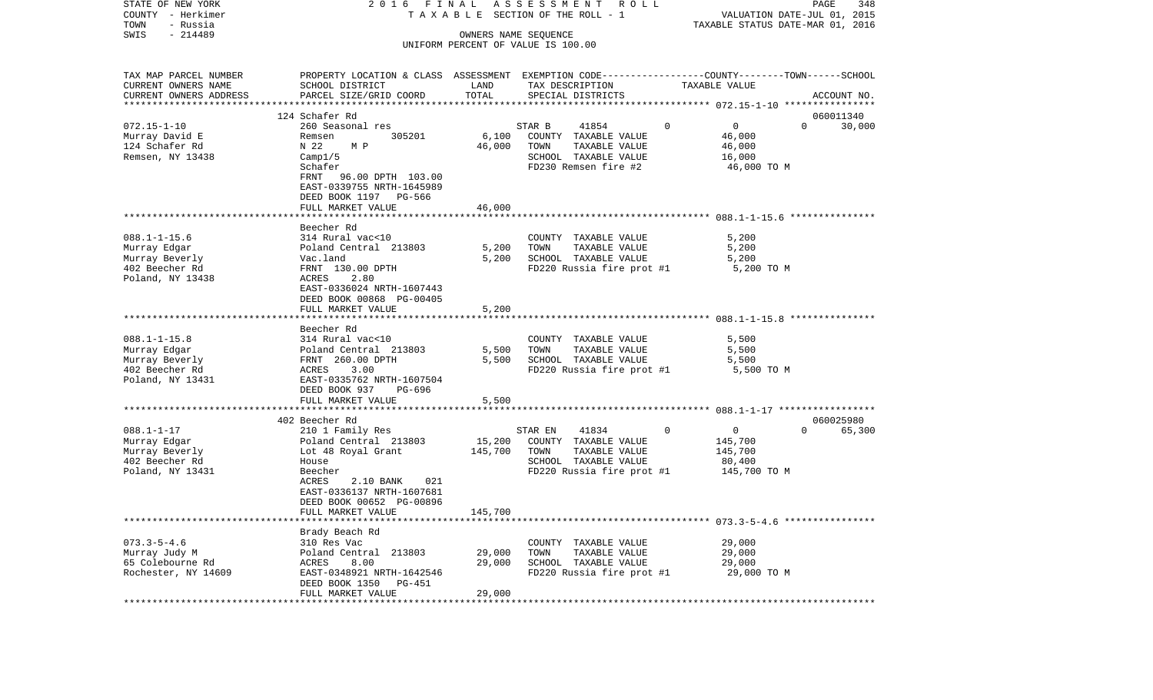| STATE OF NEW YORK         | 2016 FINAL                                                                                       |         | ASSESSMENT<br>R O L L              |               |                            | PAGE<br>348 |
|---------------------------|--------------------------------------------------------------------------------------------------|---------|------------------------------------|---------------|----------------------------|-------------|
| COUNTY - Herkimer         | TAXABLE SECTION OF THE ROLL - 1                                                                  |         | VALUATION DATE-JUL 01, 2015        |               |                            |             |
| TOWN<br>- Russia          |                                                                                                  |         | TAXABLE STATUS DATE-MAR 01, 2016   |               |                            |             |
| $-214489$<br>SWIS         |                                                                                                  |         | OWNERS NAME SEQUENCE               |               |                            |             |
|                           |                                                                                                  |         | UNIFORM PERCENT OF VALUE IS 100.00 |               |                            |             |
|                           |                                                                                                  |         |                                    |               |                            |             |
| TAX MAP PARCEL NUMBER     | PROPERTY LOCATION & CLASS ASSESSMENT EXEMPTION CODE----------------COUNTY-------TOWN------SCHOOL |         |                                    |               |                            |             |
| CURRENT OWNERS NAME       | SCHOOL DISTRICT                                                                                  | LAND    | TAX DESCRIPTION                    | TAXABLE VALUE |                            |             |
| CURRENT OWNERS ADDRESS    | PARCEL SIZE/GRID COORD                                                                           | TOTAL   | SPECIAL DISTRICTS                  |               |                            | ACCOUNT NO. |
| ************************* |                                                                                                  |         |                                    |               |                            |             |
|                           | 124 Schafer Rd                                                                                   |         |                                    |               |                            | 060011340   |
| $072.15 - 1 - 10$         | 260 Seasonal res                                                                                 |         | STAR B<br>41854                    | $\Omega$      | $\mathbf 0$<br>$\Omega$    | 30,000      |
| Murray David E            | 305201<br>Remsen                                                                                 | 6,100   | COUNTY TAXABLE VALUE               |               | 46,000                     |             |
| 124 Schafer Rd            | N 22<br>M P                                                                                      | 46,000  | TOWN<br>TAXABLE VALUE              |               | 46,000                     |             |
| Remsen, NY 13438          | Campl/5                                                                                          |         | SCHOOL TAXABLE VALUE               |               | 16,000                     |             |
|                           | Schafer                                                                                          |         | FD230 Remsen fire #2               |               | 46,000 TO M                |             |
|                           | FRNT<br>96.00 DPTH 103.00                                                                        |         |                                    |               |                            |             |
|                           | EAST-0339755 NRTH-1645989                                                                        |         |                                    |               |                            |             |
|                           | DEED BOOK 1197 PG-566                                                                            |         |                                    |               |                            |             |
|                           | FULL MARKET VALUE                                                                                | 46,000  |                                    |               |                            |             |
|                           |                                                                                                  |         |                                    |               |                            |             |
|                           | Beecher Rd                                                                                       |         |                                    |               |                            |             |
| $088.1 - 1 - 15.6$        | 314 Rural vac<10                                                                                 |         | COUNTY TAXABLE VALUE               |               | 5,200                      |             |
| Murray Edgar              | Poland Central 213803                                                                            | 5,200   | TOWN<br>TAXABLE VALUE              |               | 5,200                      |             |
|                           |                                                                                                  |         |                                    |               |                            |             |
| Murray Beverly            | Vac.land                                                                                         | 5,200   | SCHOOL TAXABLE VALUE               |               | 5,200                      |             |
| 402 Beecher Rd            | FRNT 130.00 DPTH                                                                                 |         | FD220 Russia fire prot #1          |               | 5,200 TO M                 |             |
| Poland, NY 13438          | 2.80<br>ACRES                                                                                    |         |                                    |               |                            |             |
|                           | EAST-0336024 NRTH-1607443                                                                        |         |                                    |               |                            |             |
|                           | DEED BOOK 00868 PG-00405                                                                         |         |                                    |               |                            |             |
|                           | FULL MARKET VALUE                                                                                | 5,200   |                                    |               |                            |             |
|                           |                                                                                                  |         |                                    |               |                            |             |
|                           | Beecher Rd                                                                                       |         |                                    |               |                            |             |
| $088.1 - 1 - 15.8$        | 314 Rural vac<10                                                                                 |         | COUNTY TAXABLE VALUE               |               | 5,500                      |             |
| Murray Edgar              | Poland Central 213803                                                                            | 5,500   | TAXABLE VALUE<br>TOWN              |               | 5,500                      |             |
| Murray Beverly            | FRNT 260.00 DPTH                                                                                 | 5,500   | SCHOOL TAXABLE VALUE               |               | 5,500                      |             |
| 402 Beecher Rd            | 3.00<br>ACRES                                                                                    |         | FD220 Russia fire prot #1          |               | 5,500 TO M                 |             |
| Poland, NY 13431          | EAST-0335762 NRTH-1607504                                                                        |         |                                    |               |                            |             |
|                           | DEED BOOK 937<br>PG-696                                                                          |         |                                    |               |                            |             |
|                           | FULL MARKET VALUE                                                                                | 5,500   |                                    |               |                            |             |
|                           |                                                                                                  |         |                                    |               |                            |             |
|                           | 402 Beecher Rd                                                                                   |         |                                    |               |                            | 060025980   |
| $088.1 - 1 - 17$          | 210 1 Family Res                                                                                 |         | 41834<br>STAR EN                   | $\circ$       | $\overline{0}$<br>$\Omega$ | 65,300      |
| Murray Edgar              | Poland Central 213803                                                                            | 15,200  | COUNTY TAXABLE VALUE               |               | 145,700                    |             |
| Murray Beverly            | Lot 48 Royal Grant                                                                               | 145,700 | TOWN<br>TAXABLE VALUE              |               | 145,700                    |             |
| 402 Beecher Rd            | House                                                                                            |         | SCHOOL TAXABLE VALUE               |               | 80,400                     |             |
| Poland, NY 13431          | Beecher                                                                                          |         | FD220 Russia fire prot #1          |               | 145,700 TO M               |             |
|                           | ACRES<br>2.10 BANK<br>021                                                                        |         |                                    |               |                            |             |
|                           | EAST-0336137 NRTH-1607681                                                                        |         |                                    |               |                            |             |
|                           | DEED BOOK 00652 PG-00896                                                                         |         |                                    |               |                            |             |
|                           | FULL MARKET VALUE                                                                                | 145,700 |                                    |               |                            |             |
|                           |                                                                                                  |         |                                    |               |                            |             |
|                           | Brady Beach Rd                                                                                   |         |                                    |               |                            |             |
| $073.3 - 5 - 4.6$         | 310 Res Vac                                                                                      |         | COUNTY TAXABLE VALUE               |               | 29,000                     |             |
| Murray Judy M             | Poland Central 213803                                                                            | 29,000  | TAXABLE VALUE<br>TOWN              |               | 29,000                     |             |
| 65 Colebourne Rd          | ACRES<br>8.00                                                                                    | 29,000  | SCHOOL TAXABLE VALUE               |               | 29,000                     |             |
| Rochester, NY 14609       |                                                                                                  |         |                                    |               |                            |             |
|                           | EAST-0348921 NRTH-1642546<br>PG-451                                                              |         | FD220 Russia fire prot #1          |               | 29,000 TO M                |             |
|                           | DEED BOOK 1350                                                                                   |         |                                    |               |                            |             |
|                           | FULL MARKET VALUE                                                                                | 29,000  |                                    |               |                            |             |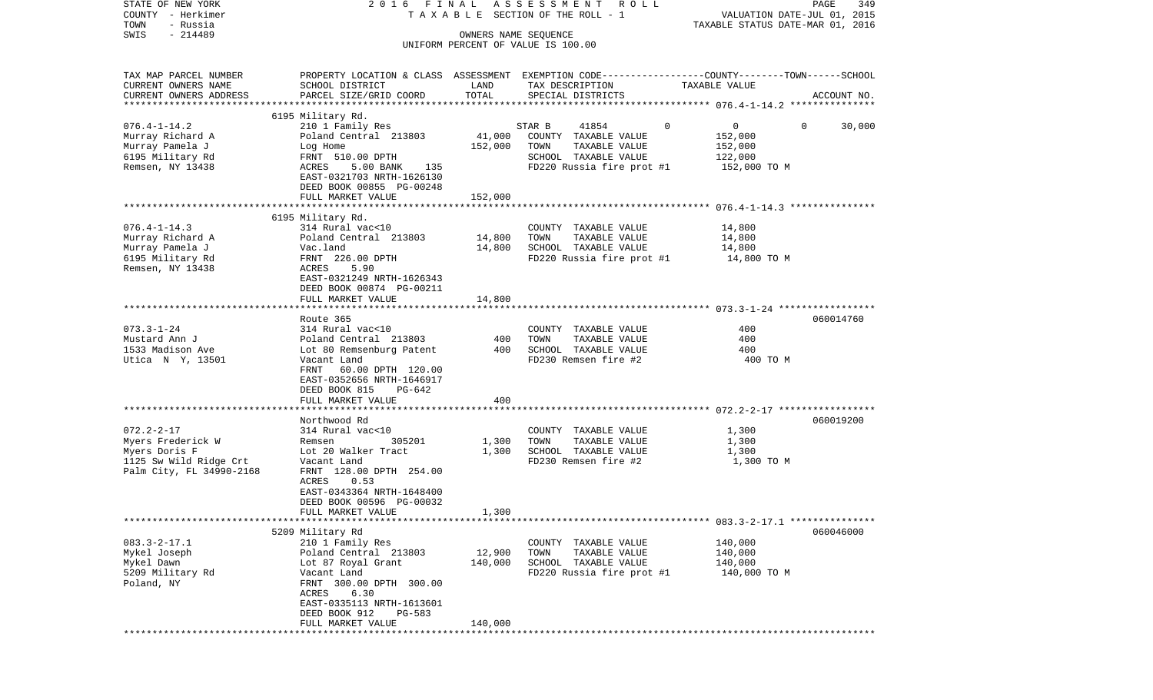| STATE OF NEW YORK<br>COUNTY - Herkimer<br>TOWN<br>- Russia |                                                                                                                    |                      | 2016 FINAL ASSESSMENT ROLL<br>T A X A B L E SECTION OF THE ROLL - 1 | VALUATION DATE-JUL 01, 2015<br>TAXABLE STATUS DATE-MAR 01, 2016 | PAGE<br>349            |
|------------------------------------------------------------|--------------------------------------------------------------------------------------------------------------------|----------------------|---------------------------------------------------------------------|-----------------------------------------------------------------|------------------------|
| $-214489$<br>SWIS                                          |                                                                                                                    | OWNERS NAME SEQUENCE | UNIFORM PERCENT OF VALUE IS 100.00                                  |                                                                 |                        |
| TAX MAP PARCEL NUMBER<br>CURRENT OWNERS NAME               | PROPERTY LOCATION & CLASS ASSESSMENT EXEMPTION CODE---------------COUNTY-------TOWN------SCHOOL<br>SCHOOL DISTRICT | LAND                 | TAX DESCRIPTION                                                     | TAXABLE VALUE                                                   |                        |
| CURRENT OWNERS ADDRESS                                     | PARCEL SIZE/GRID COORD                                                                                             | TOTAL                | SPECIAL DISTRICTS                                                   |                                                                 | ACCOUNT NO.            |
|                                                            | 6195 Military Rd.                                                                                                  |                      |                                                                     |                                                                 |                        |
| $076.4 - 1 - 14.2$                                         | 210 1 Family Res                                                                                                   |                      | 41854<br>STAR B                                                     | 0<br>0                                                          | 30,000<br>$\mathbf{0}$ |
| Murray Richard A                                           | Poland Central 213803                                                                                              | 41,000               | COUNTY TAXABLE VALUE                                                | 152,000                                                         |                        |
| Murray Pamela J                                            | Log Home                                                                                                           | 152,000              | TOWN<br>TAXABLE VALUE                                               | 152,000                                                         |                        |
| 6195 Military Rd<br>Remsen, NY 13438                       | FRNT 510.00 DPTH<br>5.00 BANK<br>ACRES<br>135                                                                      |                      | SCHOOL TAXABLE VALUE<br>FD220 Russia fire prot #1                   | 122,000<br>152,000 TO M                                         |                        |
|                                                            | EAST-0321703 NRTH-1626130<br>DEED BOOK 00855 PG-00248                                                              |                      |                                                                     |                                                                 |                        |
|                                                            | FULL MARKET VALUE                                                                                                  | 152,000              |                                                                     |                                                                 |                        |
|                                                            |                                                                                                                    |                      |                                                                     |                                                                 |                        |
| $076.4 - 1 - 14.3$                                         | 6195 Military Rd.<br>314 Rural vac<10                                                                              |                      | COUNTY TAXABLE VALUE                                                | 14,800                                                          |                        |
| Murray Richard A                                           | Poland Central 213803                                                                                              | 14,800               | TAXABLE VALUE<br>TOWN                                               | 14,800                                                          |                        |
| Murray Pamela J                                            | Vac.land                                                                                                           | 14,800               | SCHOOL TAXABLE VALUE                                                | 14,800                                                          |                        |
| 6195 Military Rd                                           | FRNT 226.00 DPTH                                                                                                   |                      | FD220 Russia fire prot #1                                           | 14,800 TO M                                                     |                        |
| Remsen, NY 13438                                           | ACRES<br>5.90                                                                                                      |                      |                                                                     |                                                                 |                        |
|                                                            | EAST-0321249 NRTH-1626343<br>DEED BOOK 00874 PG-00211                                                              |                      |                                                                     |                                                                 |                        |
|                                                            | FULL MARKET VALUE                                                                                                  | 14,800               |                                                                     |                                                                 |                        |
|                                                            |                                                                                                                    |                      |                                                                     |                                                                 |                        |
|                                                            | Route 365                                                                                                          |                      |                                                                     |                                                                 | 060014760              |
| $073.3 - 1 - 24$                                           | 314 Rural vac<10                                                                                                   |                      | COUNTY TAXABLE VALUE                                                | 400                                                             |                        |
| Mustard Ann J<br>1533 Madison Ave                          | Poland Central 213803<br>Lot 80 Remsenburg Patent                                                                  | 400<br>400           | TAXABLE VALUE<br>TOWN<br>SCHOOL TAXABLE VALUE                       | 400<br>400                                                      |                        |
| Utica N Y, 13501                                           | Vacant Land                                                                                                        |                      | FD230 Remsen fire #2                                                | 400 TO M                                                        |                        |
|                                                            | FRNT 60.00 DPTH 120.00                                                                                             |                      |                                                                     |                                                                 |                        |
|                                                            | EAST-0352656 NRTH-1646917                                                                                          |                      |                                                                     |                                                                 |                        |
|                                                            | DEED BOOK 815<br>PG-642                                                                                            |                      |                                                                     |                                                                 |                        |
|                                                            | FULL MARKET VALUE                                                                                                  | 400                  |                                                                     |                                                                 |                        |
|                                                            | Northwood Rd                                                                                                       |                      |                                                                     |                                                                 | 060019200              |
| $072.2 - 2 - 17$                                           | 314 Rural vac<10                                                                                                   |                      | COUNTY TAXABLE VALUE                                                | 1,300                                                           |                        |
| Myers Frederick W                                          | 305201<br>Remsen                                                                                                   | 1,300                | TOWN<br>TAXABLE VALUE                                               | 1,300                                                           |                        |
| Myers Doris F                                              | Lot 20 Walker Tract                                                                                                | 1,300                | SCHOOL TAXABLE VALUE                                                | 1,300                                                           |                        |
| 1125 Sw Wild Ridge Crt<br>Palm City, FL 34990-2168         | Vacant Land<br>FRNT 128.00 DPTH 254.00                                                                             |                      | FD230 Remsen fire #2                                                | 1,300 TO M                                                      |                        |
|                                                            | ACRES<br>0.53                                                                                                      |                      |                                                                     |                                                                 |                        |
|                                                            | EAST-0343364 NRTH-1648400                                                                                          |                      |                                                                     |                                                                 |                        |
|                                                            | DEED BOOK 00596 PG-00032                                                                                           |                      |                                                                     |                                                                 |                        |
|                                                            | FULL MARKET VALUE                                                                                                  | 1,300                |                                                                     |                                                                 |                        |
|                                                            | 5209 Military Rd                                                                                                   |                      |                                                                     |                                                                 | 060046000              |
| $083.3 - 2 - 17.1$                                         | 210 1 Family Res                                                                                                   |                      | COUNTY TAXABLE VALUE                                                | 140,000                                                         |                        |
| Mykel Joseph                                               | Poland Central 213803                                                                                              | 12,900               | TOWN<br>TAXABLE VALUE                                               | 140,000                                                         |                        |
| Mykel Dawn                                                 | Lot 87 Royal Grant                                                                                                 | 140,000              | SCHOOL TAXABLE VALUE                                                | 140,000                                                         |                        |
| 5209 Military Rd                                           | Vacant Land                                                                                                        |                      | FD220 Russia fire prot #1                                           | 140,000 TO M                                                    |                        |
| Poland, NY                                                 | FRNT 300.00 DPTH 300.00<br>6.30<br>ACRES                                                                           |                      |                                                                     |                                                                 |                        |
|                                                            | EAST-0335113 NRTH-1613601                                                                                          |                      |                                                                     |                                                                 |                        |
|                                                            | DEED BOOK 912<br>PG-583                                                                                            |                      |                                                                     |                                                                 |                        |
|                                                            | FULL MARKET VALUE                                                                                                  | 140,000              |                                                                     |                                                                 |                        |
|                                                            |                                                                                                                    |                      |                                                                     |                                                                 |                        |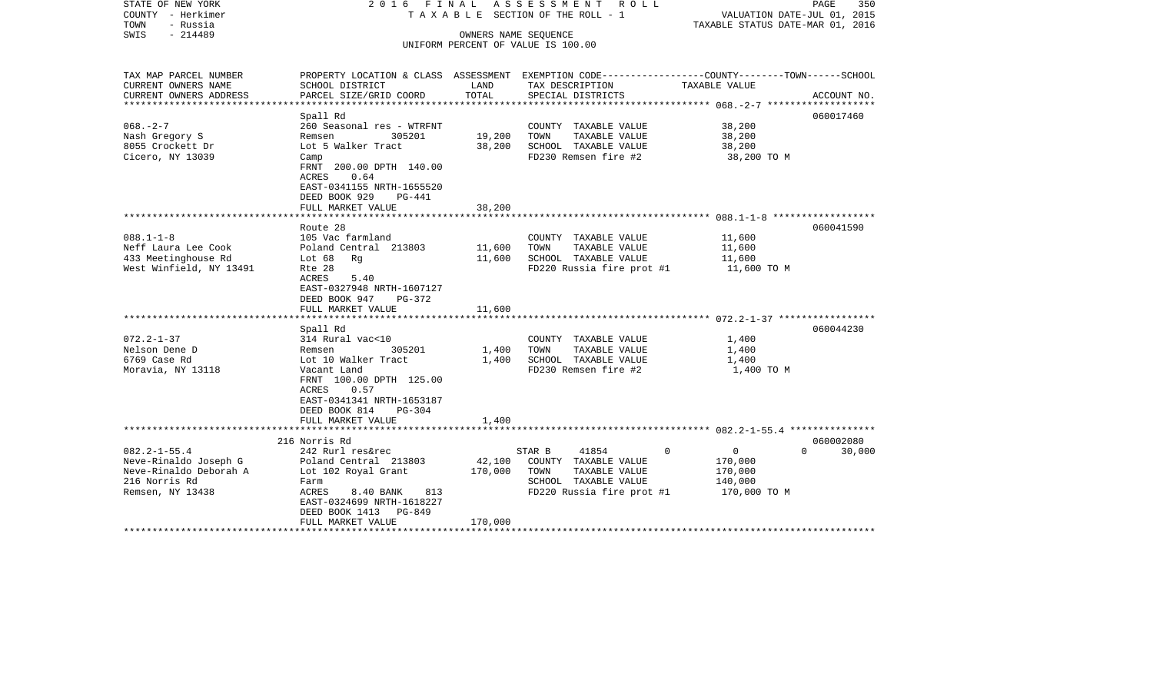| STATE OF NEW YORK<br>COUNTY - Herkimer<br>TOWN<br>- Russia<br>$-214489$<br>SWIS                                                    | 2016 FINAL                                                                                                                                                                                           | OWNERS NAME SEQUENCE         | ASSESSMENT<br>R O L L<br>T A X A B L E SECTION OF THE ROLL - 1<br>UNIFORM PERCENT OF VALUE IS 100.00                  | PAGE<br>350<br>VALUATION DATE-JUL 01, 2015<br>TAXABLE STATUS DATE-MAR 01, 2016 |                                 |  |
|------------------------------------------------------------------------------------------------------------------------------------|------------------------------------------------------------------------------------------------------------------------------------------------------------------------------------------------------|------------------------------|-----------------------------------------------------------------------------------------------------------------------|--------------------------------------------------------------------------------|---------------------------------|--|
| TAX MAP PARCEL NUMBER<br>CURRENT OWNERS NAME<br>CURRENT OWNERS ADDRESS                                                             | PROPERTY LOCATION & CLASS ASSESSMENT EXEMPTION CODE---------------COUNTY-------TOWN-----SCHOOL<br>SCHOOL DISTRICT<br>PARCEL SIZE/GRID COORD                                                          | LAND<br>TOTAL                | TAX DESCRIPTION<br>SPECIAL DISTRICTS                                                                                  | TAXABLE VALUE                                                                  | ACCOUNT NO.                     |  |
| ********************                                                                                                               |                                                                                                                                                                                                      |                              |                                                                                                                       | ***************** 068. - 2-7 ********************                              |                                 |  |
| $068. - 2 - 7$<br>Nash Gregory S<br>8055 Crockett Dr<br>Cicero, NY 13039                                                           | Spall Rd<br>260 Seasonal res - WTRFNT<br>Remsen<br>305201<br>Lot 5 Walker Tract<br>Camp<br>FRNT 200.00 DPTH 140.00<br><b>ACRES</b><br>0.64<br>EAST-0341155 NRTH-1655520<br>DEED BOOK 929<br>$PG-441$ | 19,200<br>38,200             | COUNTY TAXABLE VALUE<br>TAXABLE VALUE<br>TOWN<br>SCHOOL TAXABLE VALUE<br>FD230 Remsen fire #2                         | 38,200<br>38,200<br>38,200<br>38,200 TO M                                      | 060017460                       |  |
|                                                                                                                                    | FULL MARKET VALUE                                                                                                                                                                                    | 38,200                       |                                                                                                                       |                                                                                |                                 |  |
| $088.1 - 1 - 8$<br>Neff Laura Lee Cook<br>433 Meetinghouse Rd<br>West Winfield, NY 13491                                           | Route 28<br>105 Vac farmland<br>Poland Central 213803<br>Lot $68$<br>Rg<br>Rte 28<br>ACRES<br>5.40<br>EAST-0327948 NRTH-1607127<br>DEED BOOK 947<br>PG-372<br>FULL MARKET VALUE                      | 11,600<br>11,600<br>11,600   | COUNTY TAXABLE VALUE<br>TAXABLE VALUE<br>TOWN<br>SCHOOL TAXABLE VALUE<br>FD220 Russia fire prot #1                    | 11,600<br>11,600<br>11,600<br>11,600 TO M                                      | 060041590                       |  |
|                                                                                                                                    | Spall Rd                                                                                                                                                                                             |                              |                                                                                                                       |                                                                                | 060044230                       |  |
| $072.2 - 1 - 37$<br>Nelson Dene D<br>6769 Case Rd<br>Moravia, NY 13118                                                             | 314 Rural vac<10<br>Remsen<br>305201<br>Lot 10 Walker Tract<br>Vacant Land<br>FRNT 100.00 DPTH 125.00<br>0.57<br>ACRES<br>EAST-0341341 NRTH-1653187<br>DEED BOOK 814<br>$PG-304$                     | 1,400<br>1,400               | COUNTY TAXABLE VALUE<br>TAXABLE VALUE<br>TOWN<br>SCHOOL TAXABLE VALUE<br>FD230 Remsen fire #2                         | 1,400<br>1,400<br>1,400<br>1,400 TO M                                          |                                 |  |
|                                                                                                                                    | FULL MARKET VALUE<br>********************                                                                                                                                                            | 1,400                        |                                                                                                                       |                                                                                |                                 |  |
| $082.2 - 1 - 55.4$<br>Neve-Rinaldo Joseph G<br>Neve-Rinaldo Deborah A<br>216 Norris Rd<br>Remsen, NY 13438<br>******************** | 216 Norris Rd<br>242 Rurl res&rec<br>Poland Central 213803<br>Lot 102 Royal Grant<br>Farm<br>ACRES<br>813<br>8.40 BANK<br>EAST-0324699 NRTH-1618227<br>DEED BOOK 1413<br>PG-849<br>FULL MARKET VALUE | 42,100<br>170,000<br>170,000 | STAR B<br>41854<br>COUNTY TAXABLE VALUE<br>TOWN<br>TAXABLE VALUE<br>SCHOOL TAXABLE VALUE<br>FD220 Russia fire prot #1 | $\Omega$<br>$\overline{0}$<br>170,000<br>170,000<br>140,000<br>170,000 TO M    | 060002080<br>$\Omega$<br>30,000 |  |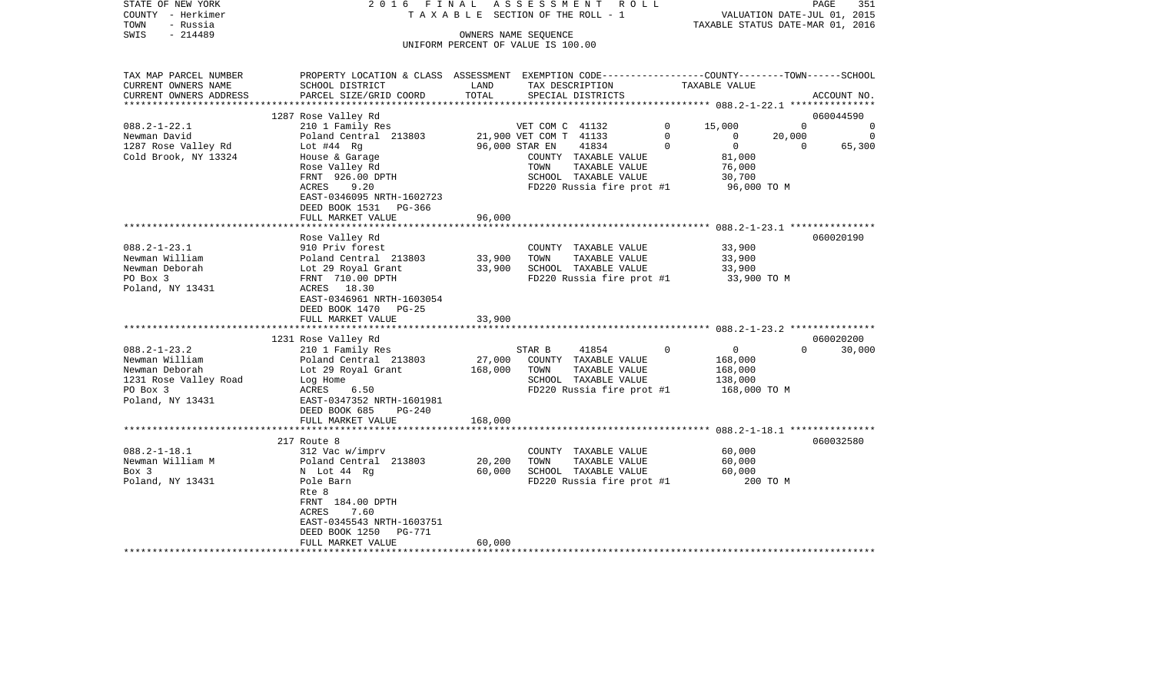| STATE OF NEW YORK<br>COUNTY - Herkimer<br>TOWN<br>- Russia<br>SWIS<br>$-214489$ | 2016 FINAL<br>A S S E S S M E N T<br>R O L L<br>TAXABLE SECTION OF THE ROLL - 1<br>OWNERS NAME SEQUENCE            |                |                                                   |              | 351<br>PAGE<br>VALUATION DATE-JUL 01, 2015<br>TAXABLE STATUS DATE-MAR 01, 2016 |                |          |  |
|---------------------------------------------------------------------------------|--------------------------------------------------------------------------------------------------------------------|----------------|---------------------------------------------------|--------------|--------------------------------------------------------------------------------|----------------|----------|--|
|                                                                                 |                                                                                                                    |                | UNIFORM PERCENT OF VALUE IS 100.00                |              |                                                                                |                |          |  |
| TAX MAP PARCEL NUMBER<br>CURRENT OWNERS NAME                                    | PROPERTY LOCATION & CLASS ASSESSMENT EXEMPTION CODE---------------COUNTY-------TOWN------SCHOOL<br>SCHOOL DISTRICT | LAND           | TAX DESCRIPTION                                   |              | TAXABLE VALUE                                                                  |                |          |  |
| CURRENT OWNERS ADDRESS                                                          | PARCEL SIZE/GRID COORD                                                                                             | TOTAL          | SPECIAL DISTRICTS                                 |              |                                                                                | ACCOUNT NO.    |          |  |
|                                                                                 | 1287 Rose Valley Rd                                                                                                |                |                                                   |              | ******************* 088.2-1-22.1 ****************                              | 060044590      |          |  |
| $088.2 - 1 - 22.1$                                                              | 210 1 Family Res                                                                                                   |                | VET COM C 41132                                   | $\mathbf{0}$ | 15,000                                                                         | $\overline{0}$ | $\Omega$ |  |
| Newman David                                                                    | Poland Central 213803                                                                                              |                | 21,900 VET COM T 41133                            | $\Omega$     | 20,000<br>$\Omega$                                                             |                | $\Omega$ |  |
| 1287 Rose Valley Rd                                                             | Lot $#44$ Rg                                                                                                       | 96,000 STAR EN | 41834                                             | $\Omega$     | $\overline{0}$                                                                 | $\overline{0}$ | 65,300   |  |
| Cold Brook, NY 13324                                                            | House & Garage<br>Rose Valley Rd                                                                                   |                | COUNTY TAXABLE VALUE<br>TAXABLE VALUE<br>TOWN     |              | 81,000<br>76,000                                                               |                |          |  |
|                                                                                 | FRNT 926.00 DPTH<br>ACRES<br>9.20                                                                                  |                | SCHOOL TAXABLE VALUE<br>FD220 Russia fire prot #1 |              | 30,700<br>96,000 TO M                                                          |                |          |  |
|                                                                                 | EAST-0346095 NRTH-1602723<br>DEED BOOK 1531 PG-366                                                                 |                |                                                   |              |                                                                                |                |          |  |
|                                                                                 | FULL MARKET VALUE                                                                                                  | 96,000         |                                                   |              |                                                                                |                |          |  |
|                                                                                 |                                                                                                                    |                |                                                   |              |                                                                                | 060020190      |          |  |
| $088.2 - 1 - 23.1$                                                              | Rose Valley Rd<br>910 Priv forest                                                                                  |                | COUNTY TAXABLE VALUE                              |              | 33,900                                                                         |                |          |  |
| Newman William                                                                  | Poland Central 213803                                                                                              | 33,900         | TOWN<br>TAXABLE VALUE                             |              | 33,900                                                                         |                |          |  |
| Newman Deborah                                                                  | Lot 29 Royal Grant                                                                                                 | 33,900         | SCHOOL TAXABLE VALUE                              |              | 33,900                                                                         |                |          |  |
| PO Box 3                                                                        | FRNT 710.00 DPTH                                                                                                   |                | FD220 Russia fire prot #1                         |              | 33,900 TO M                                                                    |                |          |  |
| Poland, NY 13431                                                                | ACRES 18.30<br>EAST-0346961 NRTH-1603054                                                                           |                |                                                   |              |                                                                                |                |          |  |
|                                                                                 | DEED BOOK 1470 PG-25                                                                                               |                |                                                   |              |                                                                                |                |          |  |
|                                                                                 | FULL MARKET VALUE                                                                                                  | 33,900         |                                                   |              |                                                                                |                |          |  |
|                                                                                 | 1231 Rose Valley Rd                                                                                                |                |                                                   |              |                                                                                | 060020200      |          |  |
| $088.2 - 1 - 23.2$                                                              | 210 1 Family Res                                                                                                   |                | STAR B<br>41854                                   | 0            | $\overline{0}$                                                                 | $\Omega$       | 30,000   |  |
| Newman William                                                                  | Poland Central 213803                                                                                              | 27,000         | COUNTY TAXABLE VALUE                              |              | 168,000                                                                        |                |          |  |
| Newman Deborah                                                                  | Lot 29 Royal Grant                                                                                                 | 168,000        | TOWN<br>TAXABLE VALUE                             |              | 168,000                                                                        |                |          |  |
| 1231 Rose Valley Road                                                           | Log Home                                                                                                           |                | SCHOOL TAXABLE VALUE                              |              | 138,000                                                                        |                |          |  |
| PO Box 3                                                                        | 6.50<br>ACRES                                                                                                      |                | FD220 Russia fire prot #1                         |              | 168,000 TO M                                                                   |                |          |  |
| Poland, NY 13431                                                                | EAST-0347352 NRTH-1601981<br>DEED BOOK 685<br>$PG-240$                                                             |                |                                                   |              |                                                                                |                |          |  |
|                                                                                 | FULL MARKET VALUE                                                                                                  | 168,000        |                                                   |              |                                                                                |                |          |  |
|                                                                                 | ************                                                                                                       |                |                                                   |              |                                                                                |                |          |  |
| $088.2 - 1 - 18.1$                                                              | 217 Route 8                                                                                                        |                |                                                   |              |                                                                                | 060032580      |          |  |
| Newman William M                                                                | 312 Vac w/imprv<br>Poland Central 213803                                                                           | 20,200         | COUNTY TAXABLE VALUE<br>TOWN<br>TAXABLE VALUE     |              | 60,000<br>60,000                                                               |                |          |  |
| Box 3                                                                           | N Lot 44 Rg                                                                                                        | 60,000         | SCHOOL TAXABLE VALUE                              |              | 60,000                                                                         |                |          |  |
| Poland, NY 13431                                                                | Pole Barn                                                                                                          |                | FD220 Russia fire prot #1                         |              | 200 TO M                                                                       |                |          |  |
|                                                                                 | Rte 8                                                                                                              |                |                                                   |              |                                                                                |                |          |  |
|                                                                                 | FRNT 184.00 DPTH                                                                                                   |                |                                                   |              |                                                                                |                |          |  |
|                                                                                 | <b>ACRES</b><br>7.60                                                                                               |                |                                                   |              |                                                                                |                |          |  |
|                                                                                 | EAST-0345543 NRTH-1603751                                                                                          |                |                                                   |              |                                                                                |                |          |  |
|                                                                                 | <b>PG-771</b><br>DEED BOOK 1250                                                                                    |                |                                                   |              |                                                                                |                |          |  |
| **********************                                                          | FULL MARKET VALUE                                                                                                  | 60,000         |                                                   |              |                                                                                |                |          |  |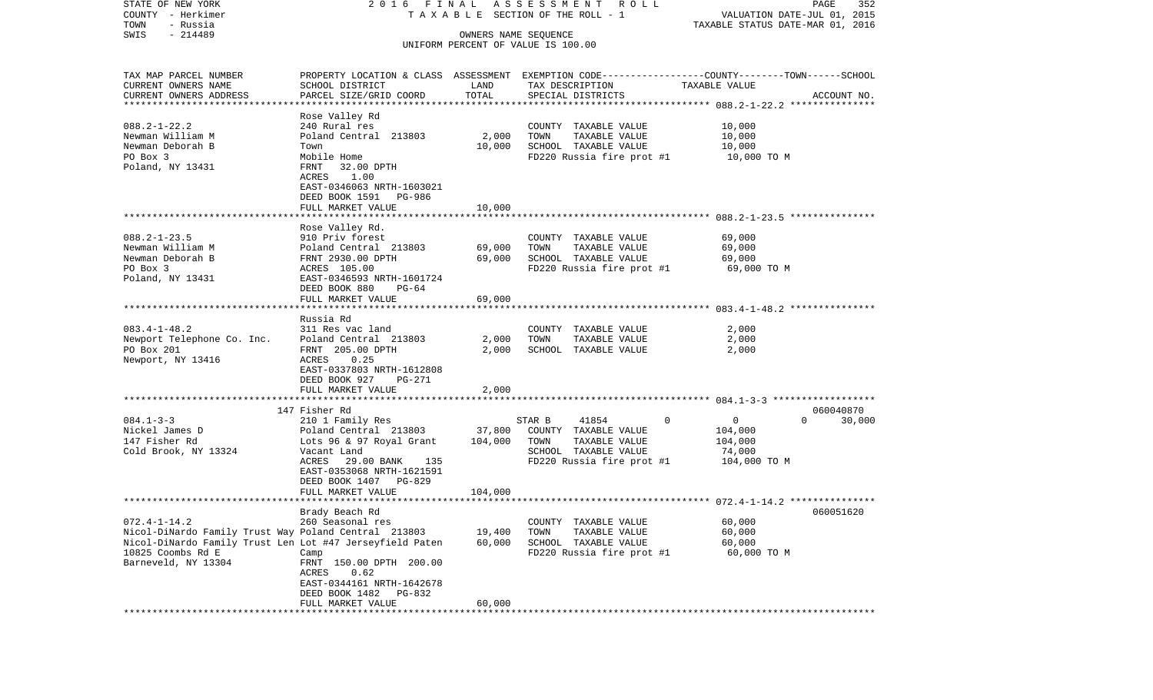| STATE OF NEW YORK                                        | 2016 FINAL                 |                      | A S S E S S M E N T R O L L        |                                                                                                 | 352<br>PAGE |
|----------------------------------------------------------|----------------------------|----------------------|------------------------------------|-------------------------------------------------------------------------------------------------|-------------|
| COUNTY - Herkimer                                        |                            |                      | TAXABLE SECTION OF THE ROLL - 1    | VALUATION DATE-JUL 01, 2015                                                                     |             |
| TOWN<br>- Russia                                         |                            |                      |                                    | TAXABLE STATUS DATE-MAR 01, 2016                                                                |             |
| $-214489$<br>SWIS                                        |                            | OWNERS NAME SEQUENCE |                                    |                                                                                                 |             |
|                                                          |                            |                      | UNIFORM PERCENT OF VALUE IS 100.00 |                                                                                                 |             |
|                                                          |                            |                      |                                    |                                                                                                 |             |
| TAX MAP PARCEL NUMBER                                    |                            |                      |                                    | PROPERTY LOCATION & CLASS ASSESSMENT EXEMPTION CODE---------------COUNTY-------TOWN------SCHOOL |             |
| CURRENT OWNERS NAME                                      | SCHOOL DISTRICT            | LAND                 | TAX DESCRIPTION                    | TAXABLE VALUE                                                                                   |             |
| CURRENT OWNERS ADDRESS                                   | PARCEL SIZE/GRID COORD     | TOTAL                |                                    |                                                                                                 | ACCOUNT NO. |
| ************************                                 |                            |                      | SPECIAL DISTRICTS                  |                                                                                                 |             |
|                                                          | Rose Valley Rd             |                      |                                    |                                                                                                 |             |
| $088.2 - 1 - 22.2$                                       | 240 Rural res              |                      | COUNTY TAXABLE VALUE               | 10,000                                                                                          |             |
| Newman William M                                         | Poland Central 213803      | 2,000                | TOWN<br>TAXABLE VALUE              | 10,000                                                                                          |             |
| Newman Deborah B                                         |                            |                      | SCHOOL TAXABLE VALUE               | 10,000                                                                                          |             |
|                                                          | Town<br>Mobile Home        | 10,000               |                                    |                                                                                                 |             |
| PO Box 3                                                 |                            |                      | FD220 Russia fire prot #1          | 10,000 TO M                                                                                     |             |
| Poland, NY 13431                                         | FRNT<br>32.00 DPTH         |                      |                                    |                                                                                                 |             |
|                                                          | ACRES<br>1.00              |                      |                                    |                                                                                                 |             |
|                                                          | EAST-0346063 NRTH-1603021  |                      |                                    |                                                                                                 |             |
|                                                          | DEED BOOK 1591<br>PG-986   |                      |                                    |                                                                                                 |             |
|                                                          | FULL MARKET VALUE          | 10,000               |                                    |                                                                                                 |             |
|                                                          |                            |                      |                                    |                                                                                                 |             |
|                                                          | Rose Valley Rd.            |                      |                                    |                                                                                                 |             |
| $088.2 - 1 - 23.5$                                       | 910 Priv forest            |                      | COUNTY TAXABLE VALUE               | 69,000                                                                                          |             |
| Newman William M                                         | Poland Central 213803      | 69,000               | TOWN<br>TAXABLE VALUE              | 69,000                                                                                          |             |
| Newman Deborah B                                         | FRNT 2930.00 DPTH          | 69,000               | SCHOOL TAXABLE VALUE               | 69,000                                                                                          |             |
| PO Box 3                                                 | ACRES 105.00               |                      | FD220 Russia fire prot #1          | 69,000 TO M                                                                                     |             |
| Poland, NY 13431                                         | EAST-0346593 NRTH-1601724  |                      |                                    |                                                                                                 |             |
|                                                          | DEED BOOK 880<br>$PG-64$   |                      |                                    |                                                                                                 |             |
|                                                          | FULL MARKET VALUE          | 69,000               |                                    |                                                                                                 |             |
|                                                          |                            |                      |                                    |                                                                                                 |             |
|                                                          | Russia Rd                  |                      |                                    |                                                                                                 |             |
| $083.4 - 1 - 48.2$                                       | 311 Res vac land           |                      | COUNTY TAXABLE VALUE               | 2,000                                                                                           |             |
| Newport Telephone Co. Inc.                               | Poland Central 213803      | 2,000                | TOWN<br>TAXABLE VALUE              | 2,000                                                                                           |             |
| PO Box 201                                               | FRNT 205.00 DPTH           | 2,000                | SCHOOL TAXABLE VALUE               | 2,000                                                                                           |             |
| Newport, NY 13416                                        | ACRES<br>0.25              |                      |                                    |                                                                                                 |             |
|                                                          | EAST-0337803 NRTH-1612808  |                      |                                    |                                                                                                 |             |
|                                                          | DEED BOOK 927<br>PG-271    |                      |                                    |                                                                                                 |             |
|                                                          | FULL MARKET VALUE          | 2,000                |                                    |                                                                                                 |             |
|                                                          | ************************   | ****************     |                                    |                                                                                                 |             |
|                                                          | 147 Fisher Rd              |                      |                                    |                                                                                                 | 060040870   |
| $084.1 - 3 - 3$                                          | 210 1 Family Res           |                      | STAR B<br>41854                    | 0<br>$\overline{0}$<br>$\Omega$                                                                 | 30,000      |
| Nickel James D                                           | Poland Central 213803      | 37,800               | COUNTY TAXABLE VALUE               | 104,000                                                                                         |             |
| 147 Fisher Rd                                            | Lots 96 & 97 Royal Grant   | 104,000              | TOWN<br>TAXABLE VALUE              | 104,000                                                                                         |             |
| Cold Brook, NY 13324                                     | Vacant Land                |                      | SCHOOL TAXABLE VALUE               | 74,000                                                                                          |             |
|                                                          | ACRES<br>29.00 BANK<br>135 |                      | FD220 Russia fire prot #1          | 104,000 TO M                                                                                    |             |
|                                                          | EAST-0353068 NRTH-1621591  |                      |                                    |                                                                                                 |             |
|                                                          | DEED BOOK 1407 PG-829      |                      |                                    |                                                                                                 |             |
|                                                          | FULL MARKET VALUE          | 104,000              |                                    |                                                                                                 |             |
|                                                          |                            |                      |                                    |                                                                                                 |             |
|                                                          | Brady Beach Rd             |                      |                                    |                                                                                                 | 060051620   |
| $072.4 - 1 - 14.2$                                       | 260 Seasonal res           |                      | COUNTY TAXABLE VALUE               | 60,000                                                                                          |             |
| Nicol-DiNardo Family Trust Way Poland Central 213803     |                            | 19,400               | TOWN<br>TAXABLE VALUE              | 60,000                                                                                          |             |
| Nicol-DiNardo Family Trust Len Lot #47 Jerseyfield Paten |                            | 60,000               | SCHOOL TAXABLE VALUE               | 60,000                                                                                          |             |
| 10825 Coombs Rd E                                        | Camp                       |                      | FD220 Russia fire prot #1          | 60,000 TO M                                                                                     |             |
| Barneveld, NY 13304                                      | FRNT 150.00 DPTH 200.00    |                      |                                    |                                                                                                 |             |
|                                                          | 0.62<br>ACRES              |                      |                                    |                                                                                                 |             |
|                                                          | EAST-0344161 NRTH-1642678  |                      |                                    |                                                                                                 |             |
|                                                          | DEED BOOK 1482<br>PG-832   |                      |                                    |                                                                                                 |             |
|                                                          | FULL MARKET VALUE          | 60,000               |                                    |                                                                                                 |             |
|                                                          |                            |                      |                                    |                                                                                                 |             |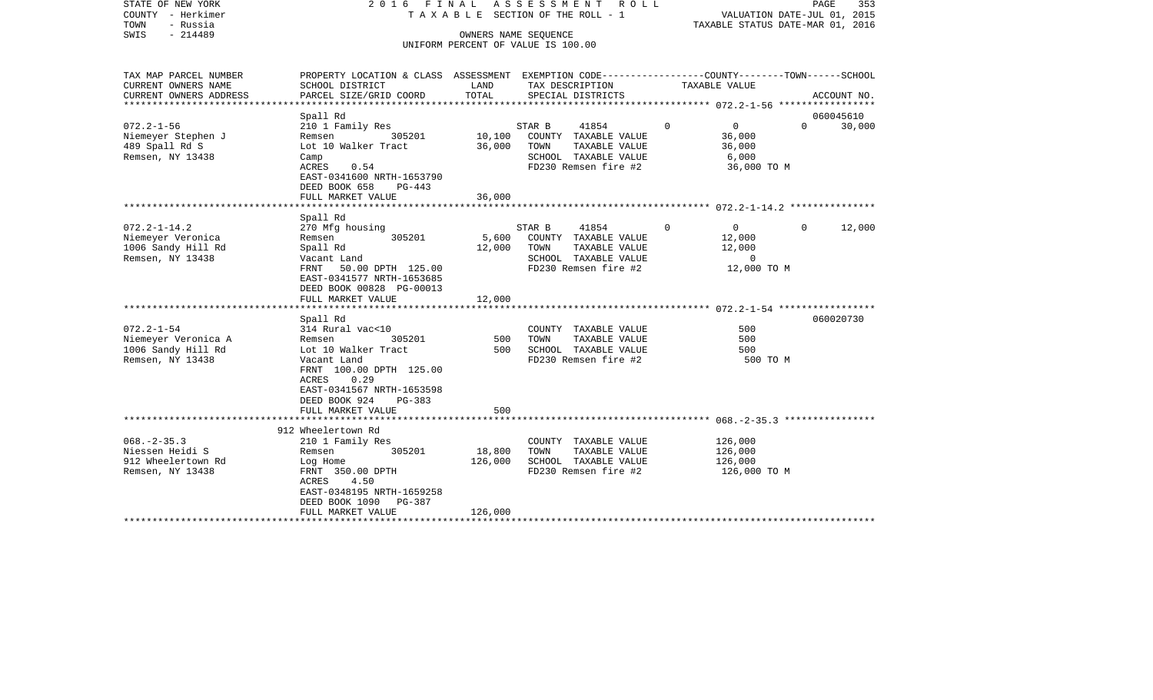| STATE OF NEW YORK<br>COUNTY - Herkimer<br>- Russia<br>TOWN<br>$-214489$<br>SWIS   | 2016 FINAL                                                                                                                                                                         |                           | ASSESSMENT<br>R O L L<br>T A X A B L E SECTION OF THE ROLL - 1<br>OWNERS NAME SEQUENCE<br>UNIFORM PERCENT OF VALUE IS 100.00 |                                                                                                |          | PAGE<br>353<br>VALUATION DATE-JUL 01, 2015<br>TAXABLE STATUS DATE-MAR 01, 2016 |          |                     |
|-----------------------------------------------------------------------------------|------------------------------------------------------------------------------------------------------------------------------------------------------------------------------------|---------------------------|------------------------------------------------------------------------------------------------------------------------------|------------------------------------------------------------------------------------------------|----------|--------------------------------------------------------------------------------|----------|---------------------|
| TAX MAP PARCEL NUMBER<br>CURRENT OWNERS NAME<br>CURRENT OWNERS ADDRESS            | PROPERTY LOCATION & CLASS ASSESSMENT EXEMPTION CODE----------------COUNTY-------TOWN------SCHOOL<br>SCHOOL DISTRICT<br>PARCEL SIZE/GRID COORD                                      | LAND<br>TOTAL             |                                                                                                                              | TAX DESCRIPTION<br>SPECIAL DISTRICTS                                                           |          | TAXABLE VALUE                                                                  |          | ACCOUNT NO.         |
| ***********************                                                           |                                                                                                                                                                                    |                           |                                                                                                                              |                                                                                                |          |                                                                                |          |                     |
| $072.2 - 1 - 56$                                                                  | Spall Rd                                                                                                                                                                           |                           |                                                                                                                              | 41854                                                                                          | $\Omega$ | $\mathbf{0}$                                                                   | $\Omega$ | 060045610           |
| Niemeyer Stephen J<br>489 Spall Rd S<br>Remsen, NY 13438                          | 210 1 Family Res<br>305201<br>Remsen<br>Lot 10 Walker Tract<br>Camp<br>0.54<br>ACRES<br>EAST-0341600 NRTH-1653790<br>DEED BOOK 658<br>$PG-443$                                     | 10,100<br>36,000          | STAR B<br>TOWN                                                                                                               | COUNTY TAXABLE VALUE<br>TAXABLE VALUE<br>SCHOOL TAXABLE VALUE<br>FD230 Remsen fire #2          |          | 36,000<br>36,000<br>6,000<br>36,000 TO M                                       |          | 30,000              |
|                                                                                   | FULL MARKET VALUE<br>***************                                                                                                                                               | 36,000                    |                                                                                                                              |                                                                                                |          |                                                                                |          |                     |
|                                                                                   | Spall Rd                                                                                                                                                                           |                           |                                                                                                                              |                                                                                                |          |                                                                                |          |                     |
| $072.2 - 1 - 14.2$<br>Niemeyer Veronica<br>1006 Sandy Hill Rd<br>Remsen, NY 13438 | 270 Mfg housing<br>305201<br>Remsen<br>Spall Rd<br>Vacant Land<br>FRNT 50.00 DPTH 125.00<br>EAST-0341577 NRTH-1653685<br>DEED BOOK 00828 PG-00013<br>FULL MARKET VALUE<br>Spall Rd | 5,600<br>12,000<br>12,000 | STAR B<br>TOWN                                                                                                               | 41854<br>COUNTY TAXABLE VALUE<br>TAXABLE VALUE<br>SCHOOL TAXABLE VALUE<br>FD230 Remsen fire #2 | $\Omega$ | $\circ$<br>12,000<br>12,000<br>$\mathbf 0$<br>12,000 TO M                      | $\Omega$ | 12,000<br>060020730 |
| $072.2 - 1 - 54$                                                                  | 314 Rural vac<10                                                                                                                                                                   |                           |                                                                                                                              | COUNTY TAXABLE VALUE                                                                           |          | 500                                                                            |          |                     |
| Niemeyer Veronica A<br>1006 Sandy Hill Rd<br>Remsen, NY 13438                     | 305201<br>Remsen<br>Lot 10 Walker Tract<br>Vacant Land<br>FRNT 100.00 DPTH 125.00<br>0.29<br>ACRES<br>EAST-0341567 NRTH-1653598<br>DEED BOOK 924<br><b>PG-383</b>                  | 500<br>500                | TOWN                                                                                                                         | TAXABLE VALUE<br>SCHOOL TAXABLE VALUE<br>FD230 Remsen fire #2                                  |          | 500<br>500<br>500 TO M                                                         |          |                     |
|                                                                                   | FULL MARKET VALUE                                                                                                                                                                  | 500                       |                                                                                                                              |                                                                                                |          |                                                                                |          |                     |
|                                                                                   | 912 Wheelertown Rd                                                                                                                                                                 |                           |                                                                                                                              |                                                                                                |          |                                                                                |          |                     |
| $068. - 2 - 35.3$<br>Niessen Heidi S<br>912 Wheelertown Rd<br>Remsen, NY 13438    | 210 1 Family Res<br>305201<br>Remsen<br>Log Home<br>FRNT 350.00 DPTH<br>4.50<br>ACRES<br>EAST-0348195 NRTH-1659258<br>DEED BOOK 1090<br>PG-387                                     | 18,800<br>126,000         | TOWN                                                                                                                         | COUNTY TAXABLE VALUE<br>TAXABLE VALUE<br>SCHOOL TAXABLE VALUE<br>FD230 Remsen fire #2          |          | 126,000<br>126,000<br>126,000<br>126,000 то м                                  |          |                     |
|                                                                                   | FULL MARKET VALUE                                                                                                                                                                  | 126,000                   |                                                                                                                              | ******************************                                                                 |          |                                                                                |          |                     |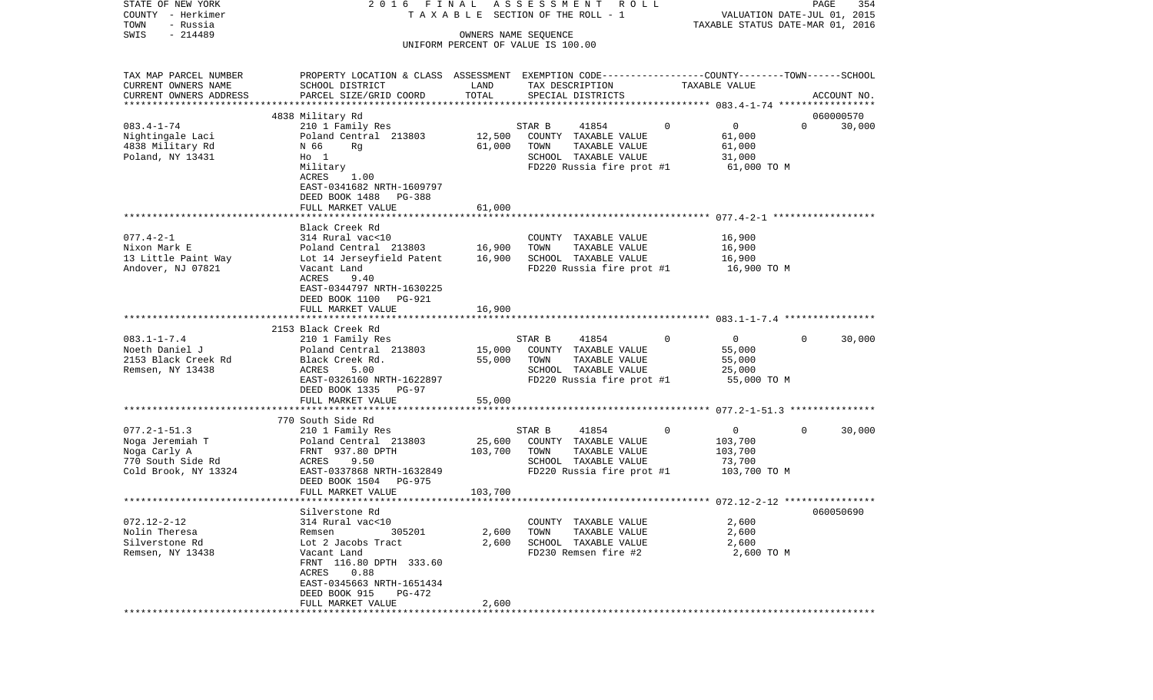| STATE OF NEW YORK<br>COUNTY - Herkimer<br>- Russia<br>TOWN                                         | 2016 FINAL                                                                                                                                                                                                           |                              | ASSESSMENT ROLL<br>T A X A B L E SECTION OF THE ROLL - 1                                                              |                                                                             | PAGE<br>VALUATION DATE-JUL 01, 2015<br>TAXABLE STATUS DATE-MAR 01, 2016 | 354    |
|----------------------------------------------------------------------------------------------------|----------------------------------------------------------------------------------------------------------------------------------------------------------------------------------------------------------------------|------------------------------|-----------------------------------------------------------------------------------------------------------------------|-----------------------------------------------------------------------------|-------------------------------------------------------------------------|--------|
| $-214489$<br>SWIS                                                                                  |                                                                                                                                                                                                                      | OWNERS NAME SEQUENCE         | UNIFORM PERCENT OF VALUE IS 100.00                                                                                    |                                                                             |                                                                         |        |
| TAX MAP PARCEL NUMBER<br>CURRENT OWNERS NAME<br>CURRENT OWNERS ADDRESS<br>************************ | PROPERTY LOCATION & CLASS ASSESSMENT EXEMPTION CODE---------------COUNTY-------TOWN------SCHOOL<br>SCHOOL DISTRICT<br>PARCEL SIZE/GRID COORD                                                                         | LAND<br>TOTAL                | TAX DESCRIPTION<br>SPECIAL DISTRICTS                                                                                  | TAXABLE VALUE                                                               | ACCOUNT NO.                                                             |        |
| $083.4 - 1 - 74$<br>Nightingale Laci<br>4838 Military Rd<br>Poland, NY 13431                       | 4838 Military Rd<br>210 1 Family Res<br>Poland Central 213803<br>N 66<br>Rg<br>$H_0$ 1<br>Military<br>ACRES<br>1.00<br>EAST-0341682 NRTH-1609797<br>DEED BOOK 1488 PG-388<br>FULL MARKET VALUE                       | 12,500<br>61,000<br>61,000   | STAR B<br>41854<br>COUNTY TAXABLE VALUE<br>TAXABLE VALUE<br>TOWN<br>SCHOOL TAXABLE VALUE<br>FD220 Russia fire prot #1 | $\mathbf 0$<br>$\mathbf 0$<br>61,000<br>61,000<br>31,000<br>61,000 TO M     | 060000570<br>$\Omega$                                                   | 30,000 |
| $077.4 - 2 - 1$<br>Nixon Mark E<br>13 Little Paint Way<br>Andover, NJ 07821                        | Black Creek Rd<br>314 Rural vac<10<br>Poland Central 213803<br>Lot 14 Jerseyfield Patent<br>Vacant Land<br>ACRES<br>9.40<br>EAST-0344797 NRTH-1630225<br>DEED BOOK 1100 PG-921<br>FULL MARKET VALUE                  | 16,900<br>16,900<br>16,900   | COUNTY TAXABLE VALUE<br>TOWN<br>TAXABLE VALUE<br>SCHOOL TAXABLE VALUE<br>FD220 Russia fire prot #1                    | 16,900<br>16,900<br>16,900<br>16,900 TO M                                   |                                                                         |        |
| $083.1 - 1 - 7.4$<br>Noeth Daniel J<br>2153 Black Creek Rd<br>Remsen, NY 13438                     | 2153 Black Creek Rd<br>210 1 Family Res<br>Poland Central 213803<br>Black Creek Rd.<br>ACRES<br>5.00<br>EAST-0326160 NRTH-1622897<br>DEED BOOK 1335 PG-97<br>FULL MARKET VALUE                                       | 15,000<br>55,000<br>55,000   | 41854<br>STAR B<br>COUNTY TAXABLE VALUE<br>TOWN<br>TAXABLE VALUE<br>SCHOOL TAXABLE VALUE<br>FD220 Russia fire prot #1 | $\Omega$<br>$\overline{0}$<br>55,000<br>55,000<br>25,000<br>55,000 TO M     | $\Omega$                                                                | 30,000 |
| $077.2 - 1 - 51.3$<br>Noga Jeremiah T<br>Noga Carly A<br>770 South Side Rd<br>Cold Brook, NY 13324 | *****************************<br>770 South Side Rd<br>210 1 Family Res<br>Poland Central 213803<br>FRNT 937.80 DPTH<br>9.50<br>ACRES<br>EAST-0337868 NRTH-1632849<br>DEED BOOK 1504 PG-975<br>FULL MARKET VALUE      | 25,600<br>103,700<br>103,700 | 41854<br>STAR B<br>COUNTY TAXABLE VALUE<br>TOWN<br>TAXABLE VALUE<br>SCHOOL TAXABLE VALUE<br>FD220 Russia fire prot #1 | $\mathbf{0}$<br>$\mathbf 0$<br>103,700<br>103,700<br>73,700<br>103,700 TO M | $\Omega$                                                                | 30,000 |
| $072.12 - 2 - 12$<br>Nolin Theresa<br>Silverstone Rd<br>Remsen, NY 13438                           | Silverstone Rd<br>314 Rural vac<10<br>Remsen<br>305201<br>Lot 2 Jacobs Tract<br>Vacant Land<br>FRNT 116.80 DPTH 333.60<br>ACRES<br>0.88<br>EAST-0345663 NRTH-1651434<br>DEED BOOK 915<br>PG-472<br>FULL MARKET VALUE | 2,600<br>2,600<br>2,600      | COUNTY TAXABLE VALUE<br>TOWN<br>TAXABLE VALUE<br>SCHOOL TAXABLE VALUE<br>FD230 Remsen fire #2                         | 2,600<br>2,600<br>2,600                                                     | 060050690<br>2,600 TO M                                                 |        |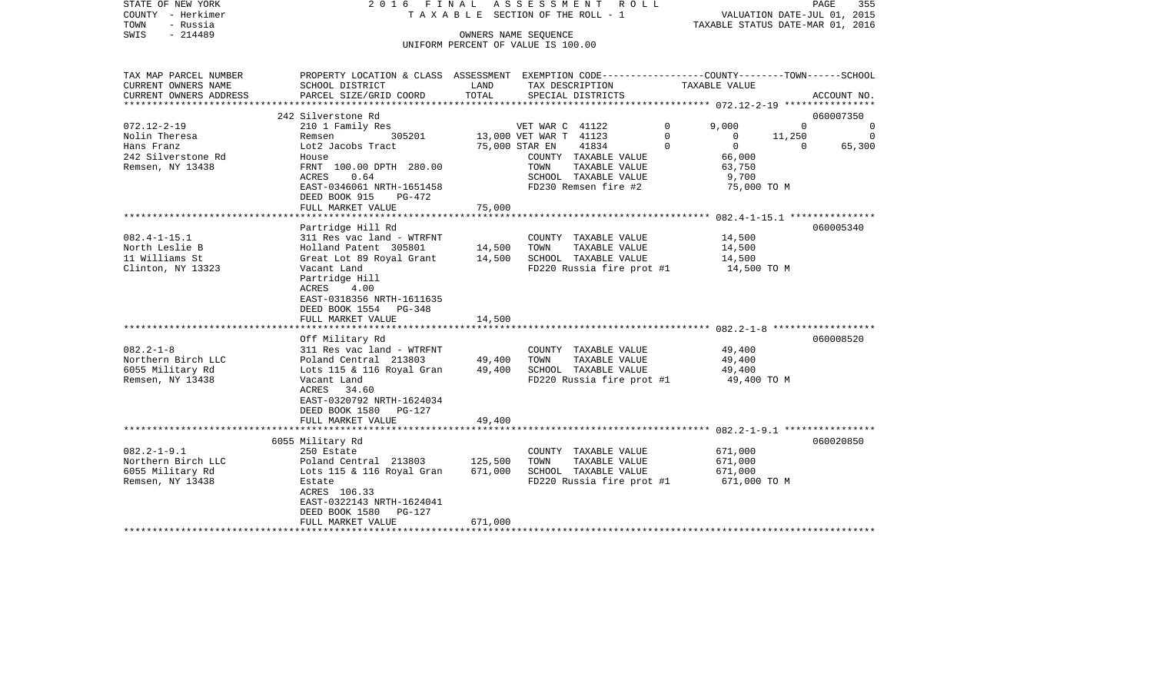| STATE OF NEW YORK<br>COUNTY - Herkimer<br>TOWN<br>- Russia<br>$-214489$<br>SWIS | ASSESSMENT ROLL<br>2016 FINAL<br>TAXABLE SECTION OF THE ROLL - 1<br>OWNERS NAME SEQUENCE<br>UNIFORM PERCENT OF VALUE IS 100.00              |                    |                                                                                                    |             | 355<br>PAGE<br>VALUATION DATE-JUL 01, 2015<br>TAXABLE STATUS DATE-MAR 01, 2016 |                       |  |
|---------------------------------------------------------------------------------|---------------------------------------------------------------------------------------------------------------------------------------------|--------------------|----------------------------------------------------------------------------------------------------|-------------|--------------------------------------------------------------------------------|-----------------------|--|
| TAX MAP PARCEL NUMBER<br>CURRENT OWNERS NAME<br>CURRENT OWNERS ADDRESS          | PROPERTY LOCATION & CLASS ASSESSMENT EXEMPTION CODE---------------COUNTY-------TOWN-----SCHOOL<br>SCHOOL DISTRICT<br>PARCEL SIZE/GRID COORD | LAND<br>TOTAL      | TAX DESCRIPTION<br>SPECIAL DISTRICTS                                                               |             | TAXABLE VALUE                                                                  | ACCOUNT NO.           |  |
| *******************                                                             |                                                                                                                                             |                    |                                                                                                    |             | **************** 072.12-2-19 *****************                                 |                       |  |
| $072.12 - 2 - 19$                                                               | 242 Silverstone Rd<br>210 1 Family Res                                                                                                      |                    |                                                                                                    | $\Omega$    | 9,000<br>$\Omega$                                                              | 060007350<br>$\Omega$ |  |
| Nolin Theresa                                                                   | 305201<br>Remsen                                                                                                                            |                    | VET WAR C 41122<br>13,000 VET WAR T 41123                                                          | $\mathbf 0$ | $\mathbf{0}$<br>11,250                                                         | $\Omega$              |  |
| Hans Franz                                                                      | Lot2 Jacobs Tract                                                                                                                           |                    | 41834<br>75,000 STAR EN                                                                            | $\Omega$    | $\Omega$<br>$\Omega$                                                           | 65,300                |  |
| 242 Silverstone Rd<br>Remsen, NY 13438                                          | House<br>FRNT 100.00 DPTH 280.00<br>ACRES<br>0.64<br>EAST-0346061 NRTH-1651458                                                              |                    | COUNTY TAXABLE VALUE<br>TOWN<br>TAXABLE VALUE<br>SCHOOL TAXABLE VALUE<br>FD230 Remsen fire #2      |             | 66,000<br>63,750<br>9,700<br>75,000 TO M                                       |                       |  |
|                                                                                 | DEED BOOK 915<br>$PG-472$                                                                                                                   |                    |                                                                                                    |             |                                                                                |                       |  |
|                                                                                 | FULL MARKET VALUE                                                                                                                           | 75,000             |                                                                                                    |             |                                                                                |                       |  |
|                                                                                 | Partridge Hill Rd                                                                                                                           |                    |                                                                                                    |             |                                                                                | 060005340             |  |
| $082.4 - 1 - 15.1$<br>North Leslie B<br>11 Williams St<br>Clinton, NY 13323     | 311 Res vac land - WTRFNT<br>Holland Patent 305801<br>Great Lot 89 Royal Grant<br>Vacant Land<br>Partridge Hill                             | 14,500<br>14,500   | COUNTY TAXABLE VALUE<br>TAXABLE VALUE<br>TOWN<br>SCHOOL TAXABLE VALUE<br>FD220 Russia fire prot #1 |             | 14,500<br>14,500<br>14,500<br>14,500 TO M                                      |                       |  |
|                                                                                 | 4.00<br>ACRES<br>EAST-0318356 NRTH-1611635<br>DEED BOOK 1554 PG-348<br>FULL MARKET VALUE                                                    | 14,500             |                                                                                                    |             |                                                                                |                       |  |
|                                                                                 |                                                                                                                                             |                    |                                                                                                    |             |                                                                                | 060008520             |  |
| $082.2 - 1 - 8$                                                                 | Off Military Rd<br>311 Res vac land - WTRFNT                                                                                                |                    | COUNTY TAXABLE VALUE                                                                               |             | 49,400                                                                         |                       |  |
| Northern Birch LLC<br>6055 Military Rd                                          | Poland Central 213803<br>Lots 115 & 116 Royal Gran                                                                                          | 49,400<br>49,400   | TOWN<br>TAXABLE VALUE<br>SCHOOL TAXABLE VALUE                                                      |             | 49,400<br>49,400                                                               |                       |  |
| Remsen, NY 13438                                                                | Vacant Land<br>ACRES<br>34.60<br>EAST-0320792 NRTH-1624034<br>DEED BOOK 1580 PG-127                                                         |                    | FD220 Russia fire prot #1                                                                          |             | 49,400 TO M                                                                    |                       |  |
|                                                                                 | FULL MARKET VALUE                                                                                                                           | 49,400             |                                                                                                    |             |                                                                                |                       |  |
|                                                                                 |                                                                                                                                             |                    |                                                                                                    |             |                                                                                |                       |  |
| $082.2 - 1 - 9.1$<br>Northern Birch LLC<br>6055 Military Rd<br>Remsen, NY 13438 | 6055 Military Rd<br>250 Estate<br>Poland Central 213803<br>Lots 115 & 116 Royal Gran<br>Estate<br>ACRES 106.33                              | 125,500<br>671,000 | COUNTY TAXABLE VALUE<br>TOWN<br>TAXABLE VALUE<br>SCHOOL TAXABLE VALUE<br>FD220 Russia fire prot #1 |             | 671,000<br>671,000<br>671,000<br>671,000 TO M                                  | 060020850             |  |
|                                                                                 | EAST-0322143 NRTH-1624041<br>DEED BOOK 1580<br>PG-127<br>FULL MARKET VALUE                                                                  | 671,000            |                                                                                                    |             |                                                                                |                       |  |
|                                                                                 |                                                                                                                                             |                    |                                                                                                    |             |                                                                                |                       |  |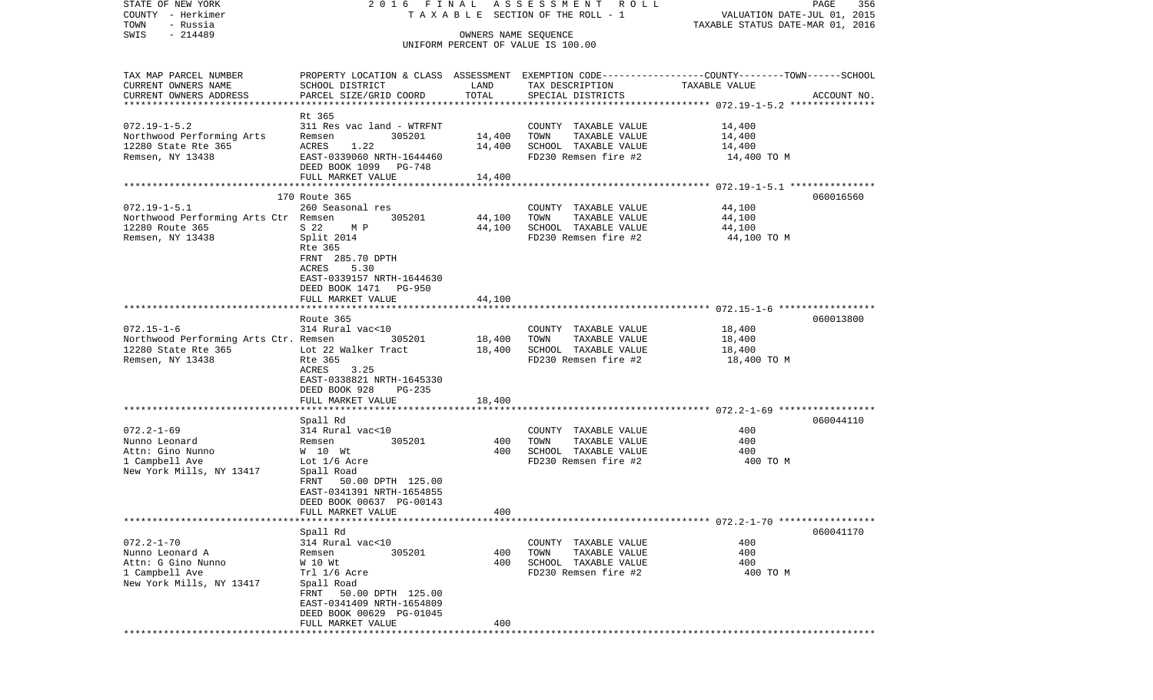| STATE OF NEW YORK<br>COUNTY - Herkimer<br>TOWN<br>- Russia                                              |                                                                                                                                                                                                   |                            | 2016 FINAL ASSESSMENT ROLL<br>T A X A B L E SECTION OF THE ROLL - 1                           | PAGE<br>356<br>VALUATION DATE-JUL 01, 2015<br>TAXABLE STATUS DATE-MAR 01, 2016                                                  |
|---------------------------------------------------------------------------------------------------------|---------------------------------------------------------------------------------------------------------------------------------------------------------------------------------------------------|----------------------------|-----------------------------------------------------------------------------------------------|---------------------------------------------------------------------------------------------------------------------------------|
| $-214489$<br>SWIS                                                                                       |                                                                                                                                                                                                   | OWNERS NAME SEQUENCE       | UNIFORM PERCENT OF VALUE IS 100.00                                                            |                                                                                                                                 |
| TAX MAP PARCEL NUMBER<br>CURRENT OWNERS NAME<br>CURRENT OWNERS ADDRESS                                  | SCHOOL DISTRICT<br>PARCEL SIZE/GRID COORD                                                                                                                                                         | LAND<br>TOTAL              | TAX DESCRIPTION<br>SPECIAL DISTRICTS                                                          | PROPERTY LOCATION & CLASS ASSESSMENT EXEMPTION CODE---------------COUNTY-------TOWN------SCHOOL<br>TAXABLE VALUE<br>ACCOUNT NO. |
| $072.19 - 1 - 5.2$<br>Northwood Performing Arts<br>12280 State Rte 365<br>Remsen, NY 13438              | Rt 365<br>311 Res vac land - WTRFNT<br>305201<br>Remsen<br>ACRES<br>1.22<br>EAST-0339060 NRTH-1644460<br>DEED BOOK 1099 PG-748<br>FULL MARKET VALUE                                               | 14,400<br>14,400<br>14,400 | COUNTY TAXABLE VALUE<br>TOWN<br>TAXABLE VALUE<br>SCHOOL TAXABLE VALUE<br>FD230 Remsen fire #2 | 14,400<br>14,400<br>14,400<br>14,400 TO M                                                                                       |
|                                                                                                         | 170 Route 365                                                                                                                                                                                     |                            |                                                                                               | 060016560                                                                                                                       |
| $072.19 - 1 - 5.1$<br>Northwood Performing Arts Ctr Remsen<br>12280 Route 365<br>Remsen, NY 13438       | 260 Seasonal res<br>305201<br>S 22 M P<br>Split 2014<br>Rte 365<br>FRNT 285.70 DPTH<br>ACRES<br>5.30<br>EAST-0339157 NRTH-1644630<br>DEED BOOK 1471 PG-950                                        | 44,100<br>44,100           | COUNTY TAXABLE VALUE<br>TOWN<br>TAXABLE VALUE<br>SCHOOL TAXABLE VALUE<br>FD230 Remsen fire #2 | 44,100<br>44,100<br>44,100<br>44,100 TO M                                                                                       |
|                                                                                                         | FULL MARKET VALUE                                                                                                                                                                                 | 44,100                     |                                                                                               |                                                                                                                                 |
| $072.15 - 1 - 6$<br>Northwood Performing Arts Ctr. Remsen<br>12280 State Rte 365<br>Remsen, NY 13438    | Route 365<br>314 Rural vac<10<br>305201<br>Lot 22 Walker Tract<br>Rte 365<br>3.25<br>ACRES<br>EAST-0338821 NRTH-1645330<br>DEED BOOK 928<br>PG-235                                                | 18,400<br>18,400           | COUNTY TAXABLE VALUE<br>TOWN<br>TAXABLE VALUE<br>SCHOOL TAXABLE VALUE<br>FD230 Remsen fire #2 | 060013800<br>18,400<br>18,400<br>18,400<br>18,400 TO M                                                                          |
|                                                                                                         | FULL MARKET VALUE                                                                                                                                                                                 | 18,400                     |                                                                                               |                                                                                                                                 |
| $072.2 - 1 - 69$<br>Nunno Leonard<br>Attn: Gino Nunno<br>1 Campbell Ave<br>New York Mills, NY 13417     | Spall Rd<br>314 Rural vac<10<br>305201<br>Remsen<br>W 10 Wt<br>Lot 1/6 Acre<br>Spall Road<br>FRNT 50.00 DPTH 125.00<br>EAST-0341391 NRTH-1654855<br>DEED BOOK 00637 PG-00143                      | 400<br>400                 | COUNTY TAXABLE VALUE<br>TOWN<br>TAXABLE VALUE<br>SCHOOL TAXABLE VALUE<br>FD230 Remsen fire #2 | 060044110<br>400<br>400<br>400<br>400 TO M                                                                                      |
|                                                                                                         | FULL MARKET VALUE                                                                                                                                                                                 | 400                        |                                                                                               |                                                                                                                                 |
| $072.2 - 1 - 70$<br>Nunno Leonard A<br>Attn: G Gino Nunno<br>1 Campbell Ave<br>New York Mills, NY 13417 | Spall Rd<br>314 Rural vac<10<br>305201<br>Remsen<br>W 10 Wt<br>Trl 1/6 Acre<br>Spall Road<br>FRNT 50.00 DPTH 125.00<br>EAST-0341409 NRTH-1654809<br>DEED BOOK 00629 PG-01045<br>FULL MARKET VALUE | 400<br>400<br>400          | COUNTY TAXABLE VALUE<br>TAXABLE VALUE<br>TOWN<br>SCHOOL TAXABLE VALUE<br>FD230 Remsen fire #2 | 060041170<br>400<br>400<br>400<br>400 TO M                                                                                      |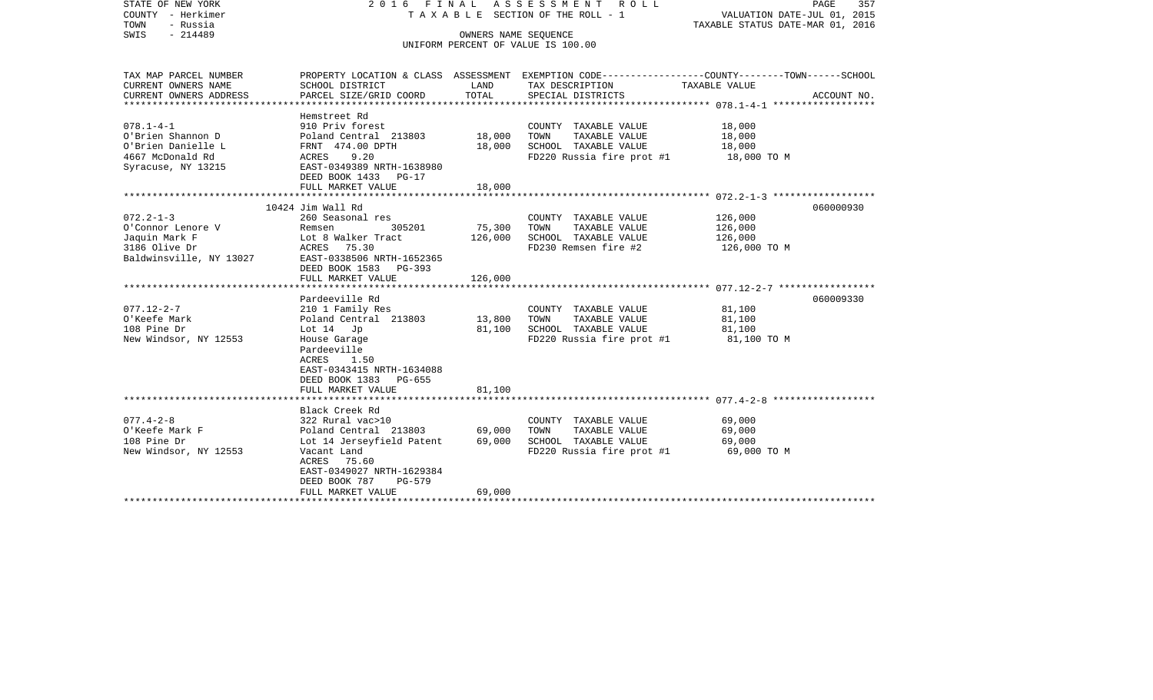| STATE OF NEW YORK<br>COUNTY - Herkimer<br>- Russia<br>TOWN<br>$-214489$<br>SWIS | 2016 FINAL ASSESSMENT<br>R O L L<br>TAXABLE SECTION OF THE ROLL - 1<br>OWNERS NAME SEOUENCE |                                    |                           | PAGE<br>357<br>VALUATION DATE-JUL 01, 2015<br>TAXABLE STATUS DATE-MAR 01, 2016                   |
|---------------------------------------------------------------------------------|---------------------------------------------------------------------------------------------|------------------------------------|---------------------------|--------------------------------------------------------------------------------------------------|
|                                                                                 |                                                                                             | UNIFORM PERCENT OF VALUE IS 100.00 |                           |                                                                                                  |
|                                                                                 |                                                                                             |                                    |                           |                                                                                                  |
| TAX MAP PARCEL NUMBER                                                           |                                                                                             |                                    |                           | PROPERTY LOCATION & CLASS ASSESSMENT EXEMPTION CODE----------------COUNTY-------TOWN------SCHOOL |
| CURRENT OWNERS NAME                                                             | SCHOOL DISTRICT                                                                             | LAND                               | TAX DESCRIPTION           | TAXABLE VALUE                                                                                    |
| CURRENT OWNERS ADDRESS<br>************************                              | PARCEL SIZE/GRID COORD                                                                      | TOTAL                              | SPECIAL DISTRICTS         | ACCOUNT NO.                                                                                      |
|                                                                                 | Hemstreet Rd                                                                                |                                    |                           |                                                                                                  |
| $078.1 - 4 - 1$                                                                 | 910 Priv forest                                                                             |                                    | COUNTY TAXABLE VALUE      | 18,000                                                                                           |
| O'Brien Shannon D                                                               | Poland Central 213803                                                                       | 18,000                             | TOWN<br>TAXABLE VALUE     | 18,000                                                                                           |
| O'Brien Danielle L                                                              | FRNT 474.00 DPTH                                                                            | 18,000                             | SCHOOL TAXABLE VALUE      | 18,000                                                                                           |
| 4667 McDonald Rd                                                                | ACRES<br>9.20                                                                               |                                    | FD220 Russia fire prot #1 | 18,000 TO M                                                                                      |
| Syracuse, NY 13215                                                              | EAST-0349389 NRTH-1638980                                                                   |                                    |                           |                                                                                                  |
|                                                                                 | DEED BOOK 1433 PG-17<br>FULL MARKET VALUE                                                   | 18,000                             |                           |                                                                                                  |
|                                                                                 |                                                                                             |                                    |                           |                                                                                                  |
|                                                                                 | 10424 Jim Wall Rd                                                                           |                                    |                           | 060000930                                                                                        |
| $072.2 - 1 - 3$                                                                 | 260 Seasonal res                                                                            |                                    | COUNTY TAXABLE VALUE      | 126,000                                                                                          |
| O'Connor Lenore V                                                               | 305201<br>Remsen                                                                            | 75,300                             | TAXABLE VALUE<br>TOWN     | 126,000                                                                                          |
| Jaquin Mark F                                                                   | Lot 8 Walker Tract                                                                          | 126,000                            | SCHOOL TAXABLE VALUE      | 126,000                                                                                          |
| 3186 Olive Dr                                                                   | ACRES<br>75.30                                                                              |                                    | FD230 Remsen fire #2      | 126,000 TO M                                                                                     |
| Baldwinsville, NY 13027                                                         | EAST-0338506 NRTH-1652365                                                                   |                                    |                           |                                                                                                  |
|                                                                                 | DEED BOOK 1583 PG-393<br>FULL MARKET VALUE                                                  | 126,000                            |                           |                                                                                                  |
|                                                                                 |                                                                                             |                                    |                           |                                                                                                  |
|                                                                                 | Pardeeville Rd                                                                              |                                    |                           | 060009330                                                                                        |
| $077.12 - 2 - 7$                                                                | 210 1 Family Res                                                                            |                                    | COUNTY TAXABLE VALUE      | 81,100                                                                                           |
| O'Keefe Mark                                                                    | Poland Central 213803                                                                       | 13,800                             | TAXABLE VALUE<br>TOWN     | 81,100                                                                                           |
| 108 Pine Dr                                                                     | Lot $14$ Jp                                                                                 | 81,100                             | SCHOOL TAXABLE VALUE      | 81,100                                                                                           |
| New Windsor, NY 12553                                                           | House Garage                                                                                |                                    | FD220 Russia fire prot #1 | 81,100 TO M                                                                                      |
|                                                                                 | Pardeeville                                                                                 |                                    |                           |                                                                                                  |
|                                                                                 | ACRES<br>1.50                                                                               |                                    |                           |                                                                                                  |
|                                                                                 | EAST-0343415 NRTH-1634088                                                                   |                                    |                           |                                                                                                  |
|                                                                                 | DEED BOOK 1383<br>PG-655                                                                    |                                    |                           |                                                                                                  |
|                                                                                 | FULL MARKET VALUE                                                                           | 81,100                             |                           |                                                                                                  |
|                                                                                 | Black Creek Rd                                                                              |                                    |                           |                                                                                                  |
| $077.4 - 2 - 8$                                                                 | 322 Rural vac>10                                                                            |                                    | COUNTY TAXABLE VALUE      | 69,000                                                                                           |
| O'Keefe Mark F                                                                  | Poland Central 213803                                                                       | 69,000                             | TAXABLE VALUE<br>TOWN     | 69,000                                                                                           |
| 108 Pine Dr                                                                     | Lot 14 Jerseyfield Patent                                                                   | 69,000                             | SCHOOL TAXABLE VALUE      | 69,000                                                                                           |
| New Windsor, NY 12553                                                           | Vacant Land                                                                                 |                                    | FD220 Russia fire prot #1 | 69,000 TO M                                                                                      |
|                                                                                 | ACRES 75.60                                                                                 |                                    |                           |                                                                                                  |
|                                                                                 | EAST-0349027 NRTH-1629384                                                                   |                                    |                           |                                                                                                  |
|                                                                                 | DEED BOOK 787<br><b>PG-579</b>                                                              |                                    |                           |                                                                                                  |
|                                                                                 | FULL MARKET VALUE                                                                           | 69,000                             |                           |                                                                                                  |
|                                                                                 |                                                                                             |                                    |                           |                                                                                                  |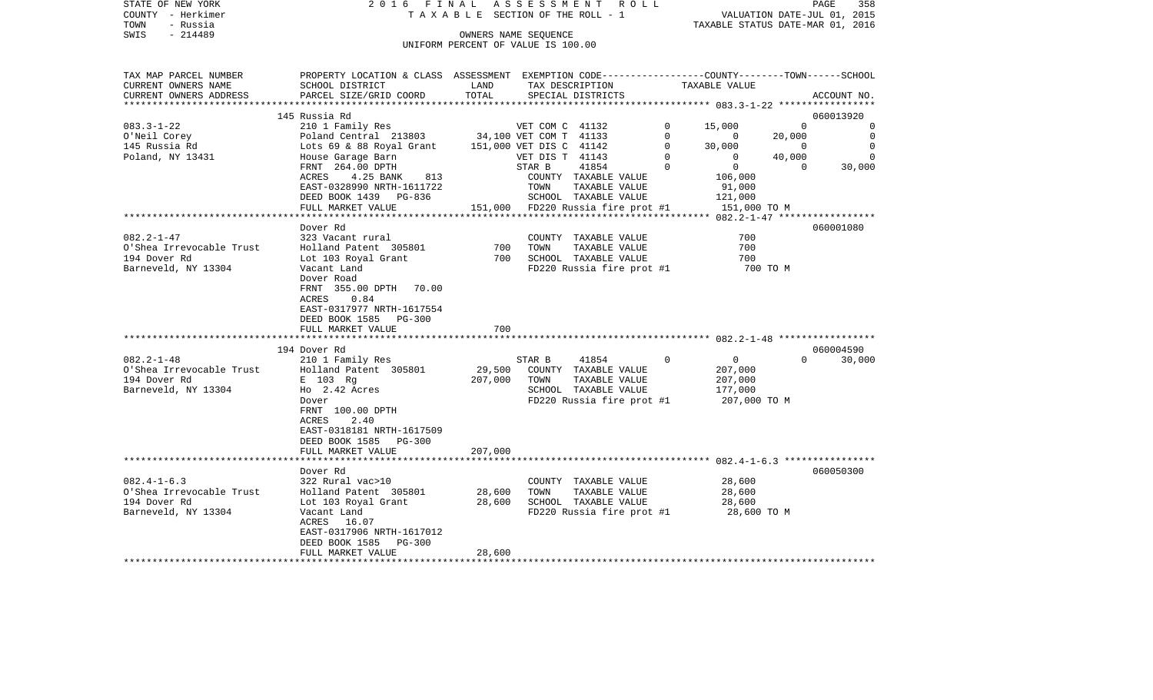|      | STATE OF NEW YORK | 2016 FINAL ASSESSMENT ROLL            | PAGE                             | 358 |
|------|-------------------|---------------------------------------|----------------------------------|-----|
|      | COUNTY - Herkimer | T A X A B L E SECTION OF THE ROLL - 1 | VALUATION DATE-JUL 01, 2015      |     |
| TOWN | - Russia          |                                       | TAXABLE STATUS DATE-MAR 01, 2016 |     |
| SWIS | - 214489          | OWNERS NAME SEOUENCE                  |                                  |     |
|      |                   | UNIFORM PERCENT OF VALUE IS 100.00    |                                  |     |

TAX MAP PARCEL NUMBER PROPERTY LOCATION & CLASS ASSESSMENT EXEMPTION CODE------------------COUNTY--------TOWN------SCHOOL

CURRENT OWNERS NAME SCHOOL DISTRICT LAND TAX DESCRIPTION TAXABLE VALUE

CURRENT OWNERS ADDRESS PARCEL SIZE/GRID COORD TOTAL SPECIAL DISTRICTS ACCOUNT NO. \*\*\*\*\*\*\*\*\*\*\*\*\*\*\*\*\*\*\*\*\*\*\*\*\*\*\*\*\*\*\*\*\*\*\*\*\*\*\*\*\*\*\*\*\*\*\*\*\*\*\*\*\*\*\*\*\*\*\*\*\*\*\*\*\*\*\*\*\*\*\*\*\*\*\*\*\*\*\*\*\*\*\*\*\*\*\*\*\*\*\*\*\*\*\*\*\*\*\*\*\*\*\* 083.3-1-22 \*\*\*\*\*\*\*\*\*\*\*\*\*\*\*\*\*145 Russia Rd 060013920 083.3-1-22 210 1 Family Res 200 VET COM C 41132 0 15,000 0 0 0 O'Neil Corey Poland Central 213803 34,100 VET COM T 41133 0 0 20,000 0 145 Russia Rd Lots 69 & 88 Royal Grant 151,000 VET DIS C 41142 0 30,000 0 0 Poland, NY 13431 House Garage Barn VET DIS T 41143 0 0 40,000 0 FRNT 264.00 DPTH STAR B 41854 0 0 0 0 ACRES 4.25 BANK 813 COUNTY TAXABLE VALUE 106,000 EAST-0328990 NRTH-1611722 TOWN TAXABLE VALUE 91,000 DEED BOOK 1439 PG-836 SCHOOL TAXABLE VALUE 121,000 FULL MARKET VALUE 151,000 FD220 Russia fire prot #1 151,000 TO M \*\*\*\*\*\*\*\*\*\*\*\*\*\*\*\*\*\*\*\*\*\*\*\*\*\*\*\*\*\*\*\*\*\*\*\*\*\*\*\*\*\*\*\*\*\*\*\*\*\*\*\*\*\*\*\*\*\*\*\*\*\*\*\*\*\*\*\*\*\*\*\*\*\*\*\*\*\*\*\*\*\*\*\*\*\*\*\*\*\*\*\*\*\*\*\*\*\*\*\*\*\*\* 082.2-1-47 \*\*\*\*\*\*\*\*\*\*\*\*\*\*\*\*\* Dover Rd 060001080082.2-1-47 323 Vacant rural COUNTY TAXABLE VALUE 700700 O'Shea Irrevocable Trust and Holland Patent 305801 700 TOWN TAXABLE VALUE 194 Dover Rd Lot 103 Royal Grant 700 SCHOOL TAXABLE VALUE 700 Barneveld, NY 13304 Vacant Land FD220 Russia fire prot #1 700 TO M Dover Road FRNT 355.00 DPTH 70.00 ACRES 0.84 EAST-0317977 NRTH-1617554 DEED BOOK 1585 PG-300FULL MARKET VALUE 700 \*\*\*\*\*\*\*\*\*\*\*\*\*\*\*\*\*\*\*\*\*\*\*\*\*\*\*\*\*\*\*\*\*\*\*\*\*\*\*\*\*\*\*\*\*\*\*\*\*\*\*\*\*\*\*\*\*\*\*\*\*\*\*\*\*\*\*\*\*\*\*\*\*\*\*\*\*\*\*\*\*\*\*\*\*\*\*\*\*\*\*\*\*\*\*\*\*\*\*\*\*\*\* 082.2-1-48 \*\*\*\*\*\*\*\*\*\*\*\*\*\*\*\*\* 194 Dover Rd 06000459030,000 082.2-1-48 210 1 Family Res STAR B 41854 0 0 0 0 O'Shea Irrevocable Trust Holland Patent 305801 29,500 COUNTY TAXABLE VALUE 207,000 194 Dover Rd E 103 Rg 207,000 TOWN TAXABLE VALUE 207,000 Barneveld, NY 13304 Ho 2.42 Acres SCHOOL TAXABLE VALUE 177,000 Dover FD220 Russia fire prot #1 207,000 TO M FRNT 100.00 DPTH ACRES 2.40EAST-0318181 NRTH-1617509

|                          | DEED BOOK 1585 PG-300<br>FULL MARKET VALUE                                       | 207,000 |                           |             |
|--------------------------|----------------------------------------------------------------------------------|---------|---------------------------|-------------|
|                          | Dover Rd                                                                         |         |                           | 060050300   |
| $082.4 - 1 - 6.3$        | 322 Rural vac>10                                                                 |         | TAXABLE VALUE<br>COUNTY   | 28,600      |
| O'Shea Irrevocable Trust | Holland Patent 305801                                                            | 28,600  | TOWN<br>TAXABLE VALUE     | 28,600      |
| 194 Dover Rd             | Lot 103 Royal Grant                                                              | 28,600  | SCHOOL<br>TAXABLE VALUE   | 28,600      |
| Barneveld, NY 13304      | Vacant Land<br>ACRES 16.07<br>EAST-0317906 NRTH-1617012<br>DEED BOOK 1585 PG-300 |         | FD220 Russia fire prot #1 | 28,600 TO M |
|                          | FULL MARKET VALUE                                                                | 28,600  |                           |             |
|                          |                                                                                  |         |                           |             |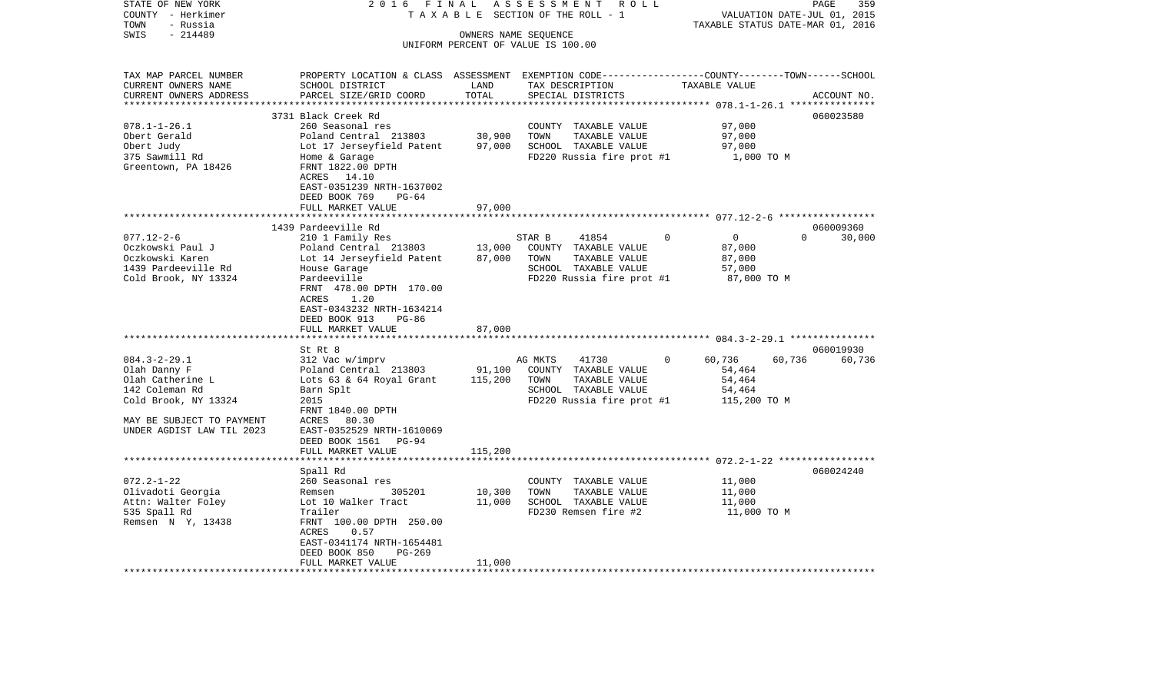| STATE OF NEW YORK                            | 2 0 1 6<br>FINAL                                                                                                    |         | ASSESSMENT                                        | R O L L     |                                                 |          | 359<br>PAGE                 |
|----------------------------------------------|---------------------------------------------------------------------------------------------------------------------|---------|---------------------------------------------------|-------------|-------------------------------------------------|----------|-----------------------------|
| COUNTY - Herkimer                            | TAXABLE                                                                                                             |         | SECTION OF THE ROLL - 1                           |             |                                                 |          | VALUATION DATE-JUL 01, 2015 |
| TOWN<br>- Russia                             |                                                                                                                     |         |                                                   |             | TAXABLE STATUS DATE-MAR 01, 2016                |          |                             |
| $-214489$<br>SWIS                            |                                                                                                                     |         | OWNERS NAME SEQUENCE                              |             |                                                 |          |                             |
|                                              |                                                                                                                     |         | UNIFORM PERCENT OF VALUE IS 100.00                |             |                                                 |          |                             |
|                                              |                                                                                                                     |         |                                                   |             |                                                 |          |                             |
| TAX MAP PARCEL NUMBER<br>CURRENT OWNERS NAME | PROPERTY LOCATION & CLASS ASSESSMENT EXEMPTION CODE----------------COUNTY-------TOWN------SCHOOL<br>SCHOOL DISTRICT | LAND    | TAX DESCRIPTION                                   |             | TAXABLE VALUE                                   |          |                             |
| CURRENT OWNERS ADDRESS                       | PARCEL SIZE/GRID COORD                                                                                              | TOTAL   | SPECIAL DISTRICTS                                 |             |                                                 |          | ACCOUNT NO.                 |
| ***********************                      |                                                                                                                     |         |                                                   |             |                                                 |          |                             |
|                                              | 3731 Black Creek Rd                                                                                                 |         |                                                   |             |                                                 |          | 060023580                   |
| $078.1 - 1 - 26.1$                           | 260 Seasonal res                                                                                                    |         | COUNTY TAXABLE VALUE                              |             | 97,000                                          |          |                             |
| Obert Gerald                                 | Poland Central 213803                                                                                               | 30,900  | TOWN<br>TAXABLE VALUE                             |             | 97,000                                          |          |                             |
| Obert Judy                                   | Lot 17 Jerseyfield Patent                                                                                           | 97,000  | SCHOOL TAXABLE VALUE                              |             | 97,000                                          |          |                             |
| 375 Sawmill Rd                               | Home & Garage                                                                                                       |         | FD220 Russia fire prot #1                         |             | 1,000 TO M                                      |          |                             |
| Greentown, PA 18426                          | FRNT 1822.00 DPTH                                                                                                   |         |                                                   |             |                                                 |          |                             |
|                                              | ACRES 14.10                                                                                                         |         |                                                   |             |                                                 |          |                             |
|                                              | EAST-0351239 NRTH-1637002                                                                                           |         |                                                   |             |                                                 |          |                             |
|                                              | DEED BOOK 769<br>$PG-64$                                                                                            |         |                                                   |             |                                                 |          |                             |
|                                              | FULL MARKET VALUE                                                                                                   | 97,000  |                                                   |             |                                                 |          |                             |
|                                              |                                                                                                                     |         |                                                   |             | **************************** 077.12-2-6 ******* |          |                             |
|                                              | 1439 Pardeeville Rd                                                                                                 |         |                                                   |             |                                                 |          | 060009360                   |
| $077.12 - 2 - 6$                             | 210 1 Family Res                                                                                                    |         | STAR B<br>41854                                   | $\mathbf 0$ | $\mathbf 0$                                     | $\Omega$ | 30,000                      |
| Oczkowski Paul J                             | Poland Central 213803                                                                                               | 13,000  | COUNTY TAXABLE VALUE                              |             | 87,000                                          |          |                             |
| Oczkowski Karen                              | Lot 14 Jerseyfield Patent                                                                                           | 87,000  | TOWN<br>TAXABLE VALUE                             |             | 87,000                                          |          |                             |
| 1439 Pardeeville Rd<br>Cold Brook, NY 13324  | House Garage<br>Pardeeville                                                                                         |         | SCHOOL TAXABLE VALUE<br>FD220 Russia fire prot #1 |             | 57,000<br>87,000 TO M                           |          |                             |
|                                              | FRNT 478.00 DPTH 170.00                                                                                             |         |                                                   |             |                                                 |          |                             |
|                                              | 1.20<br>ACRES                                                                                                       |         |                                                   |             |                                                 |          |                             |
|                                              | EAST-0343232 NRTH-1634214                                                                                           |         |                                                   |             |                                                 |          |                             |
|                                              | DEED BOOK 913<br>$PG-86$                                                                                            |         |                                                   |             |                                                 |          |                             |
|                                              | FULL MARKET VALUE                                                                                                   | 87,000  |                                                   |             |                                                 |          |                             |
|                                              |                                                                                                                     |         |                                                   |             |                                                 |          |                             |
|                                              | St Rt 8                                                                                                             |         |                                                   |             |                                                 |          | 060019930                   |
| $084.3 - 2 - 29.1$                           | 312 Vac w/imprv                                                                                                     |         | 41730<br>AG MKTS                                  | $\Omega$    | 60,736                                          | 60,736   | 60,736                      |
| Olah Danny F                                 | Poland Central 213803                                                                                               | 91,100  | COUNTY TAXABLE VALUE                              |             | 54,464                                          |          |                             |
| Olah Catherine L                             | Lots 63 & 64 Royal Grant                                                                                            | 115,200 | TAXABLE VALUE<br>TOWN                             |             | 54,464                                          |          |                             |
| 142 Coleman Rd                               | Barn Splt                                                                                                           |         | SCHOOL TAXABLE VALUE                              |             | 54,464                                          |          |                             |
| Cold Brook, NY 13324                         | 2015                                                                                                                |         | FD220 Russia fire prot #1                         |             | 115,200 TO M                                    |          |                             |
|                                              | FRNT 1840.00 DPTH                                                                                                   |         |                                                   |             |                                                 |          |                             |
| MAY BE SUBJECT TO PAYMENT                    | 80.30<br>ACRES                                                                                                      |         |                                                   |             |                                                 |          |                             |
| UNDER AGDIST LAW TIL 2023                    | EAST-0352529 NRTH-1610069                                                                                           |         |                                                   |             |                                                 |          |                             |
|                                              | DEED BOOK 1561<br>PG-94                                                                                             |         |                                                   |             |                                                 |          |                             |
| *********************                        | FULL MARKET VALUE<br>********************                                                                           | 115,200 |                                                   |             |                                                 |          |                             |
|                                              | Spall Rd                                                                                                            |         |                                                   |             |                                                 |          | 060024240                   |
| $072.2 - 1 - 22$                             | 260 Seasonal res                                                                                                    |         | COUNTY TAXABLE VALUE                              |             | 11,000                                          |          |                             |
| Olivadoti Georgia                            | 305201<br>Remsen                                                                                                    | 10,300  | TOWN<br>TAXABLE VALUE                             |             | 11,000                                          |          |                             |
| Attn: Walter Foley                           | Lot 10 Walker Tract                                                                                                 | 11,000  | SCHOOL TAXABLE VALUE                              |             | 11,000                                          |          |                             |
| 535 Spall Rd                                 | Trailer                                                                                                             |         | FD230 Remsen fire #2                              |             | 11,000 TO M                                     |          |                             |
| Remsen N Y, 13438                            | FRNT 100.00 DPTH 250.00                                                                                             |         |                                                   |             |                                                 |          |                             |
|                                              | ACRES<br>0.57                                                                                                       |         |                                                   |             |                                                 |          |                             |
|                                              | EAST-0341174 NRTH-1654481                                                                                           |         |                                                   |             |                                                 |          |                             |
|                                              | DEED BOOK 850<br>$PG-269$                                                                                           |         |                                                   |             |                                                 |          |                             |
|                                              | FULL MARKET VALUE                                                                                                   | 11,000  |                                                   |             |                                                 |          |                             |
|                                              |                                                                                                                     |         | ************************************              |             |                                                 |          |                             |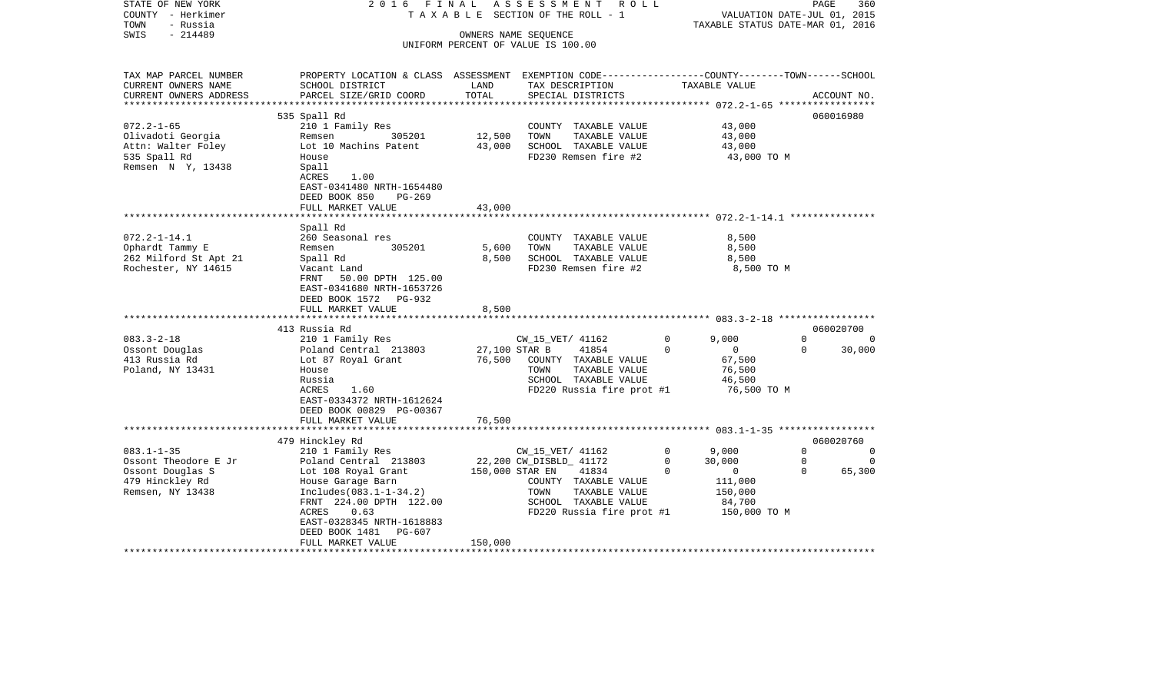| STATE OF NEW YORK<br>COUNTY - Herkimer<br>TOWN<br>- Russia              | 2016                                                                                                                                                                              | FINAL                             | A S S E S S M E N T<br>R O L L<br>T A X A B L E SECTION OF THE ROLL - 1                                                         |                        | VALUATION DATE-JUL 01, 2015<br>TAXABLE STATUS DATE-MAR 01, 2016 | PAGE                    | 360           |
|-------------------------------------------------------------------------|-----------------------------------------------------------------------------------------------------------------------------------------------------------------------------------|-----------------------------------|---------------------------------------------------------------------------------------------------------------------------------|------------------------|-----------------------------------------------------------------|-------------------------|---------------|
| $-214489$<br>SWIS                                                       |                                                                                                                                                                                   |                                   | OWNERS NAME SEQUENCE<br>UNIFORM PERCENT OF VALUE IS 100.00                                                                      |                        |                                                                 |                         |               |
| TAX MAP PARCEL NUMBER<br>CURRENT OWNERS NAME<br>CURRENT OWNERS ADDRESS  | PROPERTY LOCATION & CLASS ASSESSMENT EXEMPTION CODE---------------COUNTY-------TOWN------SCHOOL<br>SCHOOL DISTRICT<br>PARCEL SIZE/GRID COORD                                      | LAND<br>TOTAL                     | TAX DESCRIPTION<br>SPECIAL DISTRICTS                                                                                            |                        | TAXABLE VALUE                                                   |                         | ACCOUNT NO.   |
| **********************                                                  | *****************************                                                                                                                                                     | ***************                   |                                                                                                                                 |                        |                                                                 |                         |               |
|                                                                         | 535 Spall Rd                                                                                                                                                                      |                                   |                                                                                                                                 |                        |                                                                 |                         | 060016980     |
| $072.2 - 1 - 65$<br>Olivadoti Georgia                                   | 210 1 Family Res<br>Remsen<br>305201                                                                                                                                              | 12,500                            | COUNTY TAXABLE VALUE<br>TOWN<br>TAXABLE VALUE                                                                                   |                        | 43,000<br>43,000                                                |                         |               |
| Attn: Walter Foley                                                      | Lot 10 Machins Patent                                                                                                                                                             | 43,000                            | SCHOOL TAXABLE VALUE                                                                                                            |                        | 43,000                                                          |                         |               |
| 535 Spall Rd<br>Remsen N Y, 13438                                       | House<br>Spall<br>ACRES<br>1.00<br>EAST-0341480 NRTH-1654480<br>DEED BOOK 850<br>$PG-269$                                                                                         |                                   | FD230 Remsen fire #2                                                                                                            |                        | 43,000 TO M                                                     |                         |               |
|                                                                         | FULL MARKET VALUE                                                                                                                                                                 | 43,000                            |                                                                                                                                 |                        |                                                                 |                         |               |
|                                                                         | ********************                                                                                                                                                              | ************                      |                                                                                                                                 |                        |                                                                 |                         |               |
|                                                                         | Spall Rd                                                                                                                                                                          |                                   |                                                                                                                                 |                        |                                                                 |                         |               |
| $072.2 - 1 - 14.1$                                                      | 260 Seasonal res                                                                                                                                                                  |                                   | COUNTY TAXABLE VALUE                                                                                                            |                        | 8,500                                                           |                         |               |
| Ophardt Tammy E<br>262 Milford St Apt 21                                | 305201<br>Remsen<br>Spall Rd                                                                                                                                                      | 5,600<br>8,500                    | TOWN<br>TAXABLE VALUE<br>SCHOOL TAXABLE VALUE                                                                                   |                        | 8,500<br>8,500                                                  |                         |               |
| Rochester, NY 14615                                                     | Vacant Land<br>50.00 DPTH 125.00<br>FRNT<br>EAST-0341680 NRTH-1653726<br>DEED BOOK 1572<br>PG-932<br>FULL MARKET VALUE                                                            | 8,500                             | FD230 Remsen fire #2                                                                                                            |                        | 8,500 TO M                                                      |                         |               |
|                                                                         | ***************************                                                                                                                                                       |                                   |                                                                                                                                 |                        |                                                                 |                         |               |
|                                                                         | 413 Russia Rd                                                                                                                                                                     |                                   |                                                                                                                                 |                        |                                                                 |                         | 060020700     |
| $083.3 - 2 - 18$<br>Ossont Douglas<br>413 Russia Rd<br>Poland, NY 13431 | 210 1 Family Res<br>Poland Central 213803<br>Lot 87 Royal Grant<br>House<br>Russia<br>1.60<br>ACRES<br>EAST-0334372 NRTH-1612624<br>DEED BOOK 00829 PG-00367<br>FULL MARKET VALUE | 27,100 STAR B<br>76,500<br>76,500 | CW_15_VET/ 41162<br>41854<br>COUNTY TAXABLE VALUE<br>TOWN<br>TAXABLE VALUE<br>SCHOOL TAXABLE VALUE<br>FD220 Russia fire prot #1 | 0<br>$\Omega$          | 9,000<br>$\Omega$<br>67,500<br>76,500<br>46,500<br>76,500 TO M  | $\mathbf 0$<br>$\Omega$ | 0<br>30,000   |
|                                                                         |                                                                                                                                                                                   |                                   |                                                                                                                                 |                        |                                                                 |                         |               |
|                                                                         | 479 Hinckley Rd                                                                                                                                                                   |                                   |                                                                                                                                 |                        |                                                                 |                         | 060020760     |
| $083.1 - 1 - 35$<br>Ossont Theodore E Jr                                | 210 1 Family Res<br>Poland Central 213803                                                                                                                                         |                                   | CW_15_VET/ 41162<br>22,200 CW_DISBLD_ 41172                                                                                     | $\mathbf 0$<br>$\circ$ | 9,000<br>30,000                                                 | $\Omega$<br>0           | 0<br>$\Omega$ |
| Ossont Douglas S                                                        | Lot 108 Royal Grant                                                                                                                                                               | 150,000 STAR EN                   | 41834                                                                                                                           | $\Omega$               | $\overline{0}$                                                  | $\Omega$                | 65,300        |
| 479 Hinckley Rd<br>Remsen, NY 13438                                     | House Garage Barn<br>$Includes(083.1-1-34.2)$<br>FRNT 224.00 DPTH 122.00<br>ACRES<br>0.63<br>EAST-0328345 NRTH-1618883<br>PG-607                                                  |                                   | COUNTY TAXABLE VALUE<br>TOWN<br>TAXABLE VALUE<br>SCHOOL TAXABLE VALUE<br>FD220 Russia fire prot #1                              |                        | 111,000<br>150,000<br>84,700<br>150,000 TO M                    |                         |               |
|                                                                         | DEED BOOK 1481<br>FULL MARKET VALUE                                                                                                                                               | 150,000                           |                                                                                                                                 |                        |                                                                 |                         |               |
|                                                                         |                                                                                                                                                                                   |                                   |                                                                                                                                 |                        |                                                                 |                         |               |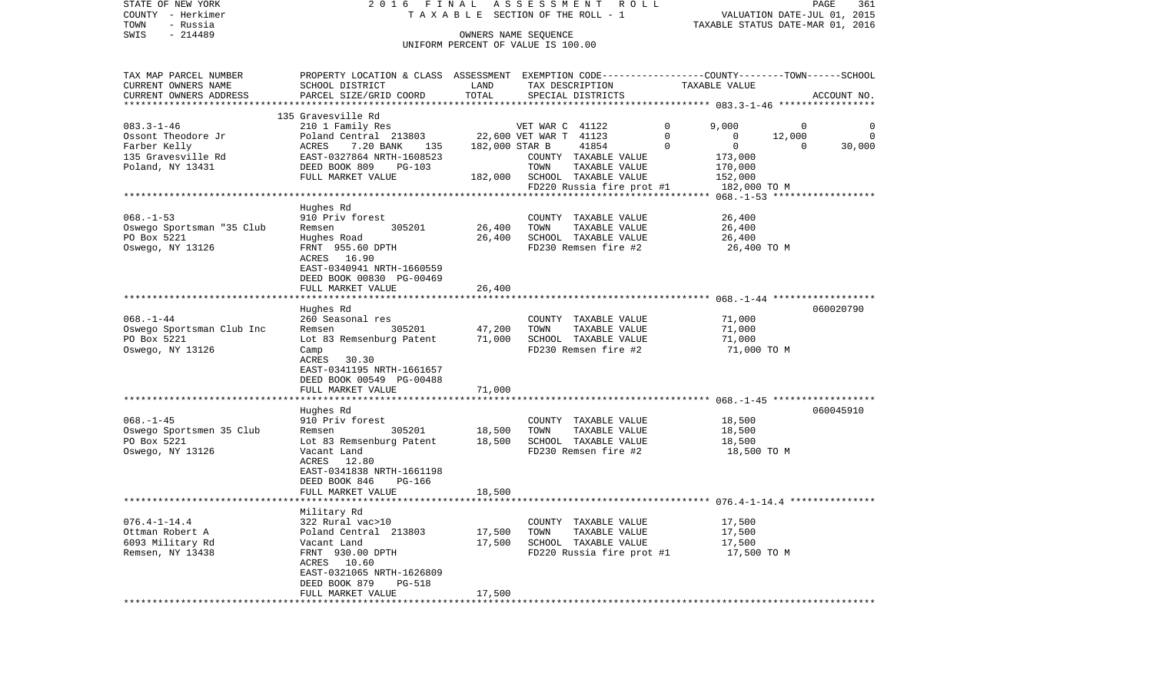| COUNTY - Herkimer         |                                                                                                  | T A X A B L E SECTION OF THE ROLL - 1 |                        |                              |             |                                                  |              | VALUATION DATE-JUL 01, 2015 |
|---------------------------|--------------------------------------------------------------------------------------------------|---------------------------------------|------------------------|------------------------------|-------------|--------------------------------------------------|--------------|-----------------------------|
| TOWN<br>- Russia          |                                                                                                  |                                       |                        |                              |             | TAXABLE STATUS DATE-MAR 01, 2016                 |              |                             |
| SWIS<br>$-214489$         |                                                                                                  |                                       | OWNERS NAME SEQUENCE   |                              |             |                                                  |              |                             |
|                           |                                                                                                  | UNIFORM PERCENT OF VALUE IS 100.00    |                        |                              |             |                                                  |              |                             |
|                           |                                                                                                  |                                       |                        |                              |             |                                                  |              |                             |
| TAX MAP PARCEL NUMBER     | PROPERTY LOCATION & CLASS ASSESSMENT EXEMPTION CODE----------------COUNTY-------TOWN------SCHOOL |                                       |                        |                              |             |                                                  |              |                             |
| CURRENT OWNERS NAME       | SCHOOL DISTRICT                                                                                  | LAND                                  |                        | TAX DESCRIPTION              |             | TAXABLE VALUE                                    |              |                             |
| CURRENT OWNERS ADDRESS    | PARCEL SIZE/GRID COORD                                                                           | TOTAL                                 |                        | SPECIAL DISTRICTS            |             |                                                  |              | ACCOUNT NO.                 |
|                           |                                                                                                  |                                       |                        |                              |             |                                                  |              |                             |
|                           | 135 Gravesville Rd                                                                               |                                       |                        |                              |             |                                                  |              |                             |
| $083.3 - 1 - 46$          | 210 1 Family Res                                                                                 |                                       | VET WAR C 41122        |                              | $\mathbf 0$ | 9,000                                            | $\mathbf{0}$ | 0                           |
| Ossont Theodore Jr        | Poland Central 213803                                                                            |                                       | 22,600 VET WAR T 41123 |                              | $\mathbf 0$ | $\mathbf{0}$                                     | 12,000       | 0                           |
| Farber Kelly              | 7.20 BANK 135<br>ACRES                                                                           | 182,000 STAR B                        |                        | 41854                        | $\mathbf 0$ | $\overline{0}$                                   | $\Omega$     | 30,000                      |
| 135 Gravesville Rd        | EAST-0327864 NRTH-1608523                                                                        |                                       |                        | COUNTY TAXABLE VALUE         |             | 173,000                                          |              |                             |
| Poland, NY 13431          | DEED BOOK 809<br>$PG-103$                                                                        |                                       | TOWN                   | TAXABLE VALUE                |             | 170,000                                          |              |                             |
|                           | FULL MARKET VALUE                                                                                |                                       |                        | 182,000 SCHOOL TAXABLE VALUE |             | 152,000                                          |              |                             |
|                           |                                                                                                  |                                       |                        | FD220 Russia fire prot #1    |             | 182,000 TO M                                     |              |                             |
|                           |                                                                                                  |                                       |                        |                              |             |                                                  |              |                             |
|                           | Hughes Rd                                                                                        |                                       |                        |                              |             |                                                  |              |                             |
| $068. -1 - 53$            | 910 Priv forest                                                                                  |                                       |                        | COUNTY TAXABLE VALUE         |             | 26,400                                           |              |                             |
| Oswego Sportsman "35 Club | 305201<br>Remsen                                                                                 | 26,400                                | TOWN                   | TAXABLE VALUE                |             | 26,400                                           |              |                             |
| PO Box 5221               | Hughes Road                                                                                      | 26,400                                |                        | SCHOOL TAXABLE VALUE         |             | 26,400                                           |              |                             |
| Oswego, NY 13126          | FRNT 955.60 DPTH                                                                                 |                                       |                        | FD230 Remsen fire #2         |             | 26,400 TO M                                      |              |                             |
|                           | ACRES 16.90                                                                                      |                                       |                        |                              |             |                                                  |              |                             |
|                           | EAST-0340941 NRTH-1660559                                                                        |                                       |                        |                              |             |                                                  |              |                             |
|                           | DEED BOOK 00830 PG-00469                                                                         |                                       |                        |                              |             |                                                  |              |                             |
|                           | FULL MARKET VALUE                                                                                | 26,400                                |                        |                              |             |                                                  |              |                             |
|                           |                                                                                                  |                                       |                        |                              |             |                                                  |              |                             |
|                           | Hughes Rd                                                                                        |                                       |                        |                              |             |                                                  |              | 060020790                   |
| $068. - 1 - 44$           | 260 Seasonal res                                                                                 |                                       |                        | COUNTY TAXABLE VALUE         |             | 71,000                                           |              |                             |
| Oswego Sportsman Club Inc | 305201<br>Remsen                                                                                 | 47,200                                | TOWN                   | TAXABLE VALUE                |             | 71,000                                           |              |                             |
| PO Box 5221               | Lot 83 Remsenburg Patent                                                                         | 71,000                                |                        | SCHOOL TAXABLE VALUE         |             | 71,000                                           |              |                             |
| Oswego, NY 13126          | Camp                                                                                             |                                       |                        | FD230 Remsen fire #2         |             | 71,000 TO M                                      |              |                             |
|                           | ACRES 30.30                                                                                      |                                       |                        |                              |             |                                                  |              |                             |
|                           | EAST-0341195 NRTH-1661657                                                                        |                                       |                        |                              |             |                                                  |              |                             |
|                           | DEED BOOK 00549 PG-00488                                                                         |                                       |                        |                              |             |                                                  |              |                             |
|                           | FULL MARKET VALUE                                                                                | 71,000                                |                        |                              |             |                                                  |              |                             |
|                           |                                                                                                  |                                       |                        |                              |             |                                                  |              |                             |
|                           | Hughes Rd                                                                                        |                                       |                        |                              |             |                                                  |              | 060045910                   |
| $068. - 1 - 45$           | 910 Priv forest                                                                                  |                                       |                        | COUNTY TAXABLE VALUE         |             | 18,500                                           |              |                             |
| Oswego Sportsmen 35 Club  | 305201<br>Remsen                                                                                 | 18,500                                | TOWN                   | TAXABLE VALUE                |             | 18,500                                           |              |                             |
| PO Box 5221               | Lot 83 Remsenburg Patent                                                                         | 18,500                                |                        | SCHOOL TAXABLE VALUE         |             | 18,500                                           |              |                             |
| Oswego, NY 13126          | Vacant Land                                                                                      |                                       |                        | FD230 Remsen fire #2         |             | 18,500 TO M                                      |              |                             |
|                           | ACRES<br>12.80                                                                                   |                                       |                        |                              |             |                                                  |              |                             |
|                           | EAST-0341838 NRTH-1661198                                                                        |                                       |                        |                              |             |                                                  |              |                             |
|                           | DEED BOOK 846<br>PG-166                                                                          |                                       |                        |                              |             |                                                  |              |                             |
|                           | FULL MARKET VALUE                                                                                | 18,500                                |                        |                              |             |                                                  |              |                             |
|                           |                                                                                                  |                                       |                        |                              |             | ************************ 076.4-1-14.4 ********** |              |                             |
|                           | Military Rd                                                                                      |                                       |                        |                              |             |                                                  |              |                             |
| $076.4 - 1 - 14.4$        | 322 Rural vac>10                                                                                 |                                       |                        | COUNTY TAXABLE VALUE         |             | 17,500                                           |              |                             |
| Ottman Robert A           | Poland Central 213803                                                                            | 17,500                                | TOWN                   | TAXABLE VALUE                |             | 17,500                                           |              |                             |
| 6093 Military Rd          | Vacant Land                                                                                      | 17,500                                |                        | SCHOOL TAXABLE VALUE         |             | 17,500                                           |              |                             |
| Remsen, NY 13438          | FRNT 930.00 DPTH                                                                                 |                                       |                        | FD220 Russia fire prot #1    |             | 17,500 TO M                                      |              |                             |
|                           | ACRES 10.60                                                                                      |                                       |                        |                              |             |                                                  |              |                             |
|                           | EAST-0321065 NRTH-1626809                                                                        |                                       |                        |                              |             |                                                  |              |                             |
|                           | DEED BOOK 879<br><b>PG-518</b>                                                                   |                                       |                        |                              |             |                                                  |              |                             |
|                           | FULL MARKET VALUE                                                                                | 17,500                                |                        |                              |             |                                                  |              |                             |
|                           |                                                                                                  |                                       |                        |                              |             |                                                  |              |                             |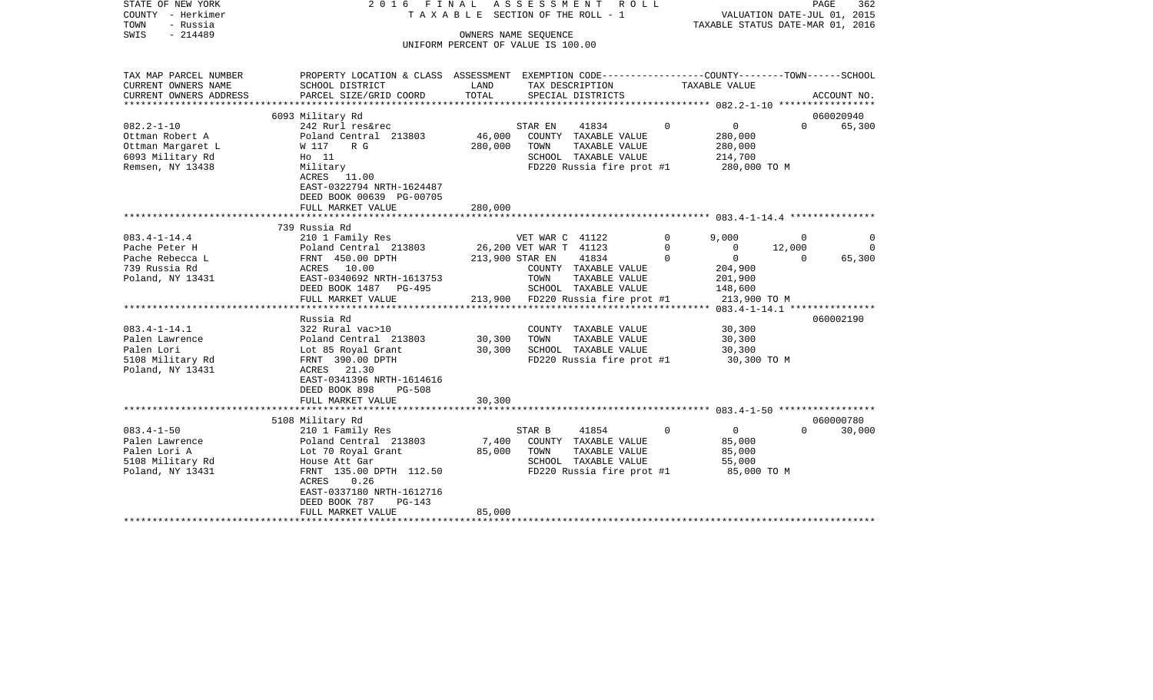| STATE OF NEW YORK<br>COUNTY - Herkimer<br>- Russia<br>TOWN<br>$-214489$<br>SWIS                  | 2016 FINAL                                                                                                                    |                   | ASSESSMENT<br>R O L L<br>TAXABLE SECTION OF THE ROLL - 1<br>OWNERS NAME SEQUENCE                                       |          | VALUATION DATE-JUL 01, 2015<br>TAXABLE STATUS DATE-MAR 01, 2016 | PAGE        | 362         |
|--------------------------------------------------------------------------------------------------|-------------------------------------------------------------------------------------------------------------------------------|-------------------|------------------------------------------------------------------------------------------------------------------------|----------|-----------------------------------------------------------------|-------------|-------------|
|                                                                                                  |                                                                                                                               |                   | UNIFORM PERCENT OF VALUE IS 100.00                                                                                     |          |                                                                 |             |             |
| TAX MAP PARCEL NUMBER<br>CURRENT OWNERS NAME                                                     | PROPERTY LOCATION & CLASS ASSESSMENT EXEMPTION CODE---------------COUNTY-------TOWN------SCHOOL<br>SCHOOL DISTRICT            | LAND              | TAX DESCRIPTION                                                                                                        |          | TAXABLE VALUE                                                   |             |             |
| CURRENT OWNERS ADDRESS                                                                           | PARCEL SIZE/GRID COORD                                                                                                        | TOTAL             | SPECIAL DISTRICTS                                                                                                      |          |                                                                 |             | ACCOUNT NO. |
|                                                                                                  |                                                                                                                               |                   |                                                                                                                        |          |                                                                 |             |             |
|                                                                                                  | 6093 Military Rd                                                                                                              |                   |                                                                                                                        |          |                                                                 |             | 060020940   |
| $082.2 - 1 - 10$<br>Ottman Robert A<br>Ottman Margaret L<br>6093 Military Rd<br>Remsen, NY 13438 | 242 Rurl res&rec<br>Poland Central 213803<br>W 117<br>R G<br>$H_0$ 11<br>Military<br>ACRES 11.00<br>EAST-0322794 NRTH-1624487 | 46,000<br>280,000 | STAR EN<br>41834<br>COUNTY TAXABLE VALUE<br>TOWN<br>TAXABLE VALUE<br>SCHOOL TAXABLE VALUE<br>FD220 Russia fire prot #1 | $\Omega$ | $\mathbf 0$<br>280,000<br>280,000<br>214,700<br>280,000 TO M    | $\Omega$    | 65,300      |
|                                                                                                  | DEED BOOK 00639 PG-00705<br>FULL MARKET VALUE                                                                                 | 280,000           |                                                                                                                        |          |                                                                 |             |             |
|                                                                                                  | 739 Russia Rd                                                                                                                 |                   |                                                                                                                        |          |                                                                 |             |             |
| $083.4 - 1 - 14.4$                                                                               | 210 1 Family Res                                                                                                              |                   | VET WAR C 41122                                                                                                        | 0        | 9.000                                                           | $\mathbf 0$ | $\Omega$    |
| Pache Peter H                                                                                    | Poland Central 213803                                                                                                         |                   | 26,200 VET WAR T 41123                                                                                                 | 0        | 0                                                               | 12,000      | $\Omega$    |
| Pache Rebecca L                                                                                  | FRNT 450.00 DPTH                                                                                                              |                   | 41834<br>213,900 STAR EN                                                                                               | $\Omega$ | $\overline{0}$                                                  | $\Omega$    | 65,300      |
| 739 Russia Rd                                                                                    | ACRES 10.00                                                                                                                   |                   | COUNTY TAXABLE VALUE                                                                                                   |          | 204,900                                                         |             |             |
| Poland, NY 13431                                                                                 | EAST-0340692 NRTH-1613753                                                                                                     |                   | TOWN<br>TAXABLE VALUE                                                                                                  |          | 201,900                                                         |             |             |
|                                                                                                  | DEED BOOK 1487<br>PG-495                                                                                                      |                   | SCHOOL TAXABLE VALUE                                                                                                   |          | 148,600                                                         |             |             |
|                                                                                                  | FULL MARKET VALUE                                                                                                             | 213,900           | FD220 Russia fire prot #1                                                                                              |          | 213,900 TO M                                                    |             |             |
|                                                                                                  | Russia Rd                                                                                                                     |                   |                                                                                                                        |          |                                                                 |             | 060002190   |
| $083.4 - 1 - 14.1$                                                                               | 322 Rural vac>10                                                                                                              |                   | COUNTY TAXABLE VALUE                                                                                                   |          | 30,300                                                          |             |             |
| Palen Lawrence                                                                                   | Poland Central 213803                                                                                                         | 30,300            | TOWN<br>TAXABLE VALUE                                                                                                  |          | 30,300                                                          |             |             |
| Palen Lori                                                                                       | Lot 85 Royal Grant                                                                                                            | 30,300            | SCHOOL TAXABLE VALUE                                                                                                   |          | 30,300                                                          |             |             |
| 5108 Military Rd<br>Poland, NY 13431                                                             | FRNT 390.00 DPTH<br>21.30<br>ACRES<br>EAST-0341396 NRTH-1614616<br>DEED BOOK 898<br><b>PG-508</b><br>FULL MARKET VALUE        | 30,300            | FD220 Russia fire prot #1                                                                                              |          | 30,300 TO M                                                     |             |             |
|                                                                                                  | **********************                                                                                                        |                   |                                                                                                                        |          |                                                                 |             |             |
|                                                                                                  | 5108 Military Rd                                                                                                              |                   |                                                                                                                        |          |                                                                 |             | 060000780   |
| $083.4 - 1 - 50$                                                                                 | 210 1 Family Res                                                                                                              |                   | STAR B<br>41854                                                                                                        | 0        | $\overline{0}$                                                  | $\Omega$    | 30,000      |
| Palen Lawrence                                                                                   | Poland Central 213803                                                                                                         | 7,400             | COUNTY TAXABLE VALUE                                                                                                   |          | 85,000                                                          |             |             |
| Palen Lori A                                                                                     | Lot 70 Royal Grant                                                                                                            | 85,000            | TOWN<br>TAXABLE VALUE                                                                                                  |          | 85,000                                                          |             |             |
| 5108 Military Rd                                                                                 | House Att Gar                                                                                                                 |                   | SCHOOL TAXABLE VALUE                                                                                                   |          | 55,000                                                          |             |             |
| Poland, NY 13431                                                                                 | FRNT 135.00 DPTH 112.50<br>0.26<br>ACRES<br>EAST-0337180 NRTH-1612716<br>DEED BOOK 787<br>$PG-143$                            |                   | FD220 Russia fire prot #1                                                                                              |          | 85,000 TO M                                                     |             |             |
|                                                                                                  | FULL MARKET VALUE<br>***********************                                                                                  | 85,000            |                                                                                                                        |          |                                                                 |             |             |
|                                                                                                  |                                                                                                                               |                   |                                                                                                                        |          |                                                                 |             |             |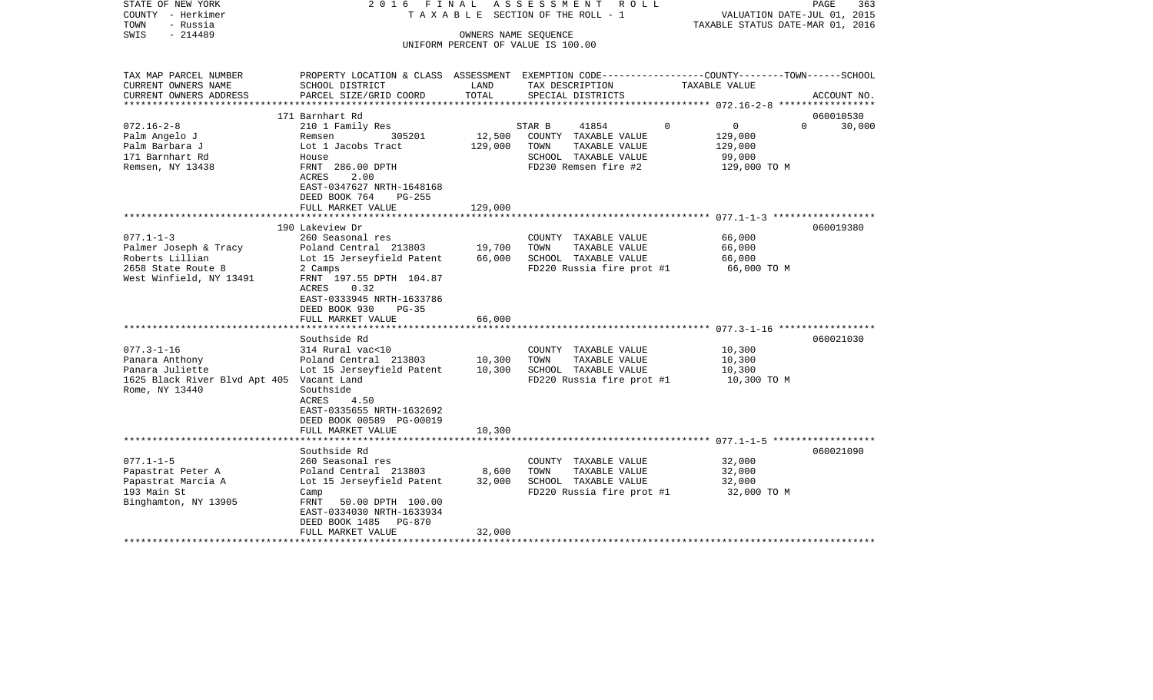| STATE OF NEW YORK<br>COUNTY - Herkimer<br>TOWN<br>- Russia<br>$-214489$<br>SWIS                                                                                                                                                                                  | 2016 FINAL                                                                                                                                                                                                                                                                                                                                                    |                                                | ASSESSMENT ROLL<br>TAXABLE SECTION OF THE ROLL - 1<br>OWNERS NAME SEQUENCE<br>UNIFORM PERCENT OF VALUE IS 100.00                                                                                         | VALUATION DATE-JUL 01, 2015<br>TAXABLE STATUS DATE-MAR 01, 2016                        | PAGE<br>363            |
|------------------------------------------------------------------------------------------------------------------------------------------------------------------------------------------------------------------------------------------------------------------|---------------------------------------------------------------------------------------------------------------------------------------------------------------------------------------------------------------------------------------------------------------------------------------------------------------------------------------------------------------|------------------------------------------------|----------------------------------------------------------------------------------------------------------------------------------------------------------------------------------------------------------|----------------------------------------------------------------------------------------|------------------------|
| TAX MAP PARCEL NUMBER<br>CURRENT OWNERS NAME<br>CURRENT OWNERS ADDRESS                                                                                                                                                                                           | PROPERTY LOCATION & CLASS ASSESSMENT EXEMPTION CODE---------------COUNTY-------TOWN------SCHOOL<br>SCHOOL DISTRICT<br>PARCEL SIZE/GRID COORD                                                                                                                                                                                                                  | LAND<br>TOTAL                                  | TAX DESCRIPTION<br>SPECIAL DISTRICTS                                                                                                                                                                     | TAXABLE VALUE                                                                          | ACCOUNT NO.            |
| ********************                                                                                                                                                                                                                                             |                                                                                                                                                                                                                                                                                                                                                               |                                                |                                                                                                                                                                                                          |                                                                                        |                        |
|                                                                                                                                                                                                                                                                  | 171 Barnhart Rd                                                                                                                                                                                                                                                                                                                                               |                                                |                                                                                                                                                                                                          | $\mathbf 0$                                                                            | 060010530<br>$\Omega$  |
| $072.16 - 2 - 8$<br>Palm Angelo J<br>Palm Barbara J<br>171 Barnhart Rd<br>Remsen, NY 13438                                                                                                                                                                       | 210 1 Family Res<br>305201<br>Remsen<br>Lot 1 Jacobs Tract<br>House<br>FRNT 286.00 DPTH<br>ACRES<br>2.00<br>EAST-0347627 NRTH-1648168<br>DEED BOOK 764<br>PG-255                                                                                                                                                                                              | 12,500<br>129,000                              | 41854<br>STAR B<br>COUNTY TAXABLE VALUE<br>TOWN<br>TAXABLE VALUE<br>SCHOOL TAXABLE VALUE<br>FD230 Remsen fire #2                                                                                         | $\overline{0}$<br>129,000<br>129,000<br>99,000<br>129,000 TO M                         | 30,000                 |
|                                                                                                                                                                                                                                                                  | FULL MARKET VALUE                                                                                                                                                                                                                                                                                                                                             | 129,000                                        |                                                                                                                                                                                                          |                                                                                        |                        |
|                                                                                                                                                                                                                                                                  |                                                                                                                                                                                                                                                                                                                                                               |                                                |                                                                                                                                                                                                          |                                                                                        |                        |
| $077.1 - 1 - 3$<br>Palmer Joseph & Tracy<br>Roberts Lillian<br>2658 State Route 8<br>West Winfield, NY 13491<br>************************<br>$077.3 - 1 - 16$<br>Panara Anthony<br>Panara Juliette<br>1625 Black River Blvd Apt 405 Vacant Land<br>Rome, NY 13440 | 190 Lakeview Dr<br>260 Seasonal res<br>Poland Central 213803<br>Lot 15 Jerseyfield Patent<br>2 Camps<br>FRNT 197.55 DPTH 104.87<br>0.32<br>ACRES<br>EAST-0333945 NRTH-1633786<br>DEED BOOK 930<br>$PG-35$<br>FULL MARKET VALUE<br>********************<br>Southside Rd<br>314 Rural vac<10<br>Poland Central 213803<br>Lot 15 Jerseyfield Patent<br>Southside | 19,700<br>66,000<br>66,000<br>10,300<br>10,300 | COUNTY TAXABLE VALUE<br>TOWN<br>TAXABLE VALUE<br>SCHOOL TAXABLE VALUE<br>FD220 Russia fire prot #1<br>COUNTY TAXABLE VALUE<br>TOWN<br>TAXABLE VALUE<br>SCHOOL TAXABLE VALUE<br>FD220 Russia fire prot #1 | 66,000<br>66,000<br>66,000<br>66,000 TO M<br>10,300<br>10,300<br>10,300<br>10,300 TO M | 060019380<br>060021030 |
|                                                                                                                                                                                                                                                                  | ACRES<br>4.50<br>EAST-0335655 NRTH-1632692<br>DEED BOOK 00589 PG-00019<br>FULL MARKET VALUE                                                                                                                                                                                                                                                                   | 10,300                                         |                                                                                                                                                                                                          |                                                                                        |                        |
|                                                                                                                                                                                                                                                                  | Southside Rd                                                                                                                                                                                                                                                                                                                                                  |                                                |                                                                                                                                                                                                          |                                                                                        | 060021090              |
| $077.1 - 1 - 5$<br>Papastrat Peter A<br>Papastrat Marcia A<br>193 Main St<br>Binghamton, NY 13905                                                                                                                                                                | 260 Seasonal res<br>Poland Central 213803<br>Lot 15 Jerseyfield Patent<br>Camp<br>FRNT<br>50.00 DPTH 100.00<br>EAST-0334030 NRTH-1633934<br>DEED BOOK 1485 PG-870<br>FULL MARKET VALUE                                                                                                                                                                        | 8,600<br>32,000<br>32,000                      | COUNTY TAXABLE VALUE<br>TAXABLE VALUE<br>TOWN<br>SCHOOL TAXABLE VALUE<br>FD220 Russia fire prot #1                                                                                                       | 32,000<br>32,000<br>32,000<br>32,000 TO M                                              |                        |
|                                                                                                                                                                                                                                                                  |                                                                                                                                                                                                                                                                                                                                                               |                                                |                                                                                                                                                                                                          |                                                                                        |                        |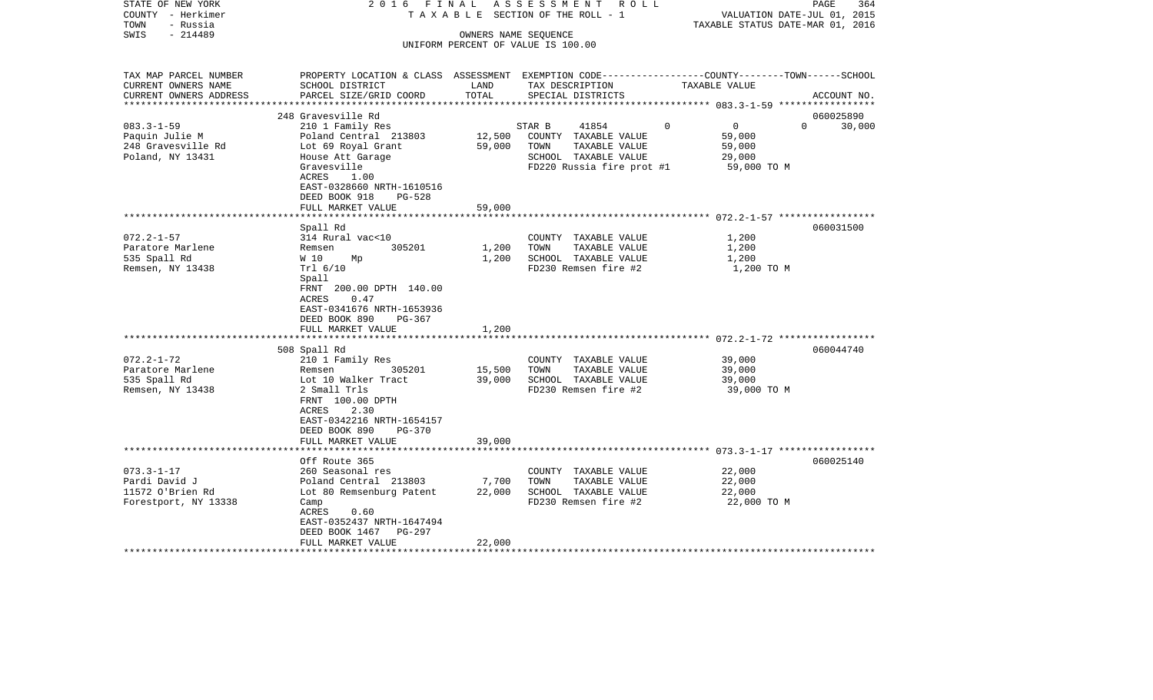| STATE OF NEW YORK<br>COUNTY - Herkimer<br>TOWN<br>- Russia | 2016 FINAL                                                                                       |                      | A S S E S S M E N T R O L L<br>TAXABLE SECTION OF THE ROLL - 1 | VALUATION DATE-JUL 01, 2015<br>TAXABLE STATUS DATE-MAR 01, 2016 | 364<br>PAGE        |
|------------------------------------------------------------|--------------------------------------------------------------------------------------------------|----------------------|----------------------------------------------------------------|-----------------------------------------------------------------|--------------------|
| SWIS<br>$-214489$                                          |                                                                                                  | OWNERS NAME SEQUENCE |                                                                |                                                                 |                    |
|                                                            |                                                                                                  |                      | UNIFORM PERCENT OF VALUE IS 100.00                             |                                                                 |                    |
|                                                            |                                                                                                  |                      |                                                                |                                                                 |                    |
|                                                            |                                                                                                  |                      |                                                                |                                                                 |                    |
| TAX MAP PARCEL NUMBER                                      | PROPERTY LOCATION & CLASS ASSESSMENT EXEMPTION CODE----------------COUNTY-------TOWN------SCHOOL |                      |                                                                |                                                                 |                    |
| CURRENT OWNERS NAME                                        | SCHOOL DISTRICT                                                                                  | LAND                 | TAX DESCRIPTION                                                | TAXABLE VALUE                                                   |                    |
| CURRENT OWNERS ADDRESS                                     | PARCEL SIZE/GRID COORD                                                                           | TOTAL                | SPECIAL DISTRICTS                                              |                                                                 | ACCOUNT NO.        |
| **********************                                     |                                                                                                  |                      |                                                                |                                                                 |                    |
|                                                            | 248 Gravesville Rd                                                                               |                      |                                                                |                                                                 | 060025890          |
| $083.3 - 1 - 59$                                           | 210 1 Family Res                                                                                 |                      | STAR B<br>41854                                                | $\Omega$<br>$\overline{0}$                                      | $\Omega$<br>30,000 |
| Paquin Julie M                                             | Poland Central 213803                                                                            | 12,500               | COUNTY TAXABLE VALUE                                           | 59,000                                                          |                    |
| 248 Gravesville Rd                                         | Lot 69 Royal Grant                                                                               | 59,000               | TOWN<br>TAXABLE VALUE                                          | 59,000                                                          |                    |
| Poland, NY 13431                                           | House Att Garage                                                                                 |                      | SCHOOL TAXABLE VALUE                                           | 29,000                                                          |                    |
|                                                            | Gravesville                                                                                      |                      | FD220 Russia fire prot #1                                      | 59,000 TO M                                                     |                    |
|                                                            | <b>ACRES</b><br>1.00                                                                             |                      |                                                                |                                                                 |                    |
|                                                            | EAST-0328660 NRTH-1610516                                                                        |                      |                                                                |                                                                 |                    |
|                                                            | DEED BOOK 918<br>$PG-528$                                                                        |                      |                                                                |                                                                 |                    |
|                                                            | FULL MARKET VALUE                                                                                | 59,000<br>********** |                                                                | ****************************** 072.2-1-57 *****************     |                    |
|                                                            |                                                                                                  |                      |                                                                |                                                                 |                    |
|                                                            | Spall Rd                                                                                         |                      |                                                                |                                                                 | 060031500          |
| $072.2 - 1 - 57$                                           | 314 Rural vac<10                                                                                 |                      | COUNTY TAXABLE VALUE                                           | 1,200                                                           |                    |
| Paratore Marlene                                           | 305201<br>Remsen                                                                                 | 1,200                | TOWN<br>TAXABLE VALUE                                          | 1,200                                                           |                    |
| 535 Spall Rd                                               | W 10<br>Мp                                                                                       | 1,200                | SCHOOL TAXABLE VALUE                                           | 1,200                                                           |                    |
| Remsen, NY 13438                                           | Trl 6/10                                                                                         |                      | FD230 Remsen fire #2                                           | 1,200 TO M                                                      |                    |
|                                                            | Spall                                                                                            |                      |                                                                |                                                                 |                    |
|                                                            | FRNT 200.00 DPTH 140.00                                                                          |                      |                                                                |                                                                 |                    |
|                                                            | 0.47<br>ACRES                                                                                    |                      |                                                                |                                                                 |                    |
|                                                            | EAST-0341676 NRTH-1653936                                                                        |                      |                                                                |                                                                 |                    |
|                                                            | DEED BOOK 890<br>PG-367                                                                          |                      |                                                                |                                                                 |                    |
|                                                            | FULL MARKET VALUE                                                                                | 1,200                |                                                                |                                                                 |                    |
|                                                            | 508 Spall Rd                                                                                     |                      |                                                                |                                                                 | 060044740          |
| $072.2 - 1 - 72$                                           | 210 1 Family Res                                                                                 |                      | COUNTY TAXABLE VALUE                                           | 39,000                                                          |                    |
| Paratore Marlene                                           | 305201<br>Remsen                                                                                 | 15,500               | TOWN<br>TAXABLE VALUE                                          | 39,000                                                          |                    |
| 535 Spall Rd                                               |                                                                                                  | 39,000               | SCHOOL TAXABLE VALUE                                           | 39,000                                                          |                    |
| Remsen, NY 13438                                           | Lot 10 Walker Tract<br>2 Small Trls                                                              |                      | FD230 Remsen fire #2                                           | 39,000 TO M                                                     |                    |
|                                                            | FRNT 100.00 DPTH                                                                                 |                      |                                                                |                                                                 |                    |
|                                                            | 2.30<br>ACRES                                                                                    |                      |                                                                |                                                                 |                    |
|                                                            | EAST-0342216 NRTH-1654157                                                                        |                      |                                                                |                                                                 |                    |
|                                                            | <b>PG-370</b>                                                                                    |                      |                                                                |                                                                 |                    |
|                                                            | DEED BOOK 890<br>FULL MARKET VALUE                                                               | 39,000               |                                                                |                                                                 |                    |
|                                                            |                                                                                                  |                      |                                                                |                                                                 |                    |
|                                                            | Off Route 365                                                                                    |                      |                                                                |                                                                 | 060025140          |
| $073.3 - 1 - 17$                                           | 260 Seasonal res                                                                                 |                      | COUNTY TAXABLE VALUE                                           | 22,000                                                          |                    |
| Pardi David J                                              | Poland Central 213803                                                                            | 7,700                | TOWN<br>TAXABLE VALUE                                          | 22,000                                                          |                    |
| 11572 O'Brien Rd                                           | Lot 80 Remsenburg Patent                                                                         | 22,000               | SCHOOL TAXABLE VALUE                                           | 22,000                                                          |                    |
| Forestport, NY 13338                                       | Camp                                                                                             |                      | FD230 Remsen fire #2                                           | 22,000 TO M                                                     |                    |
|                                                            | ACRES<br>0.60                                                                                    |                      |                                                                |                                                                 |                    |
|                                                            | EAST-0352437 NRTH-1647494                                                                        |                      |                                                                |                                                                 |                    |
|                                                            | DEED BOOK 1467<br>PG-297                                                                         |                      |                                                                |                                                                 |                    |
|                                                            | FULL MARKET VALUE                                                                                | 22,000               |                                                                |                                                                 |                    |
|                                                            | **************************                                                                       |                      |                                                                |                                                                 |                    |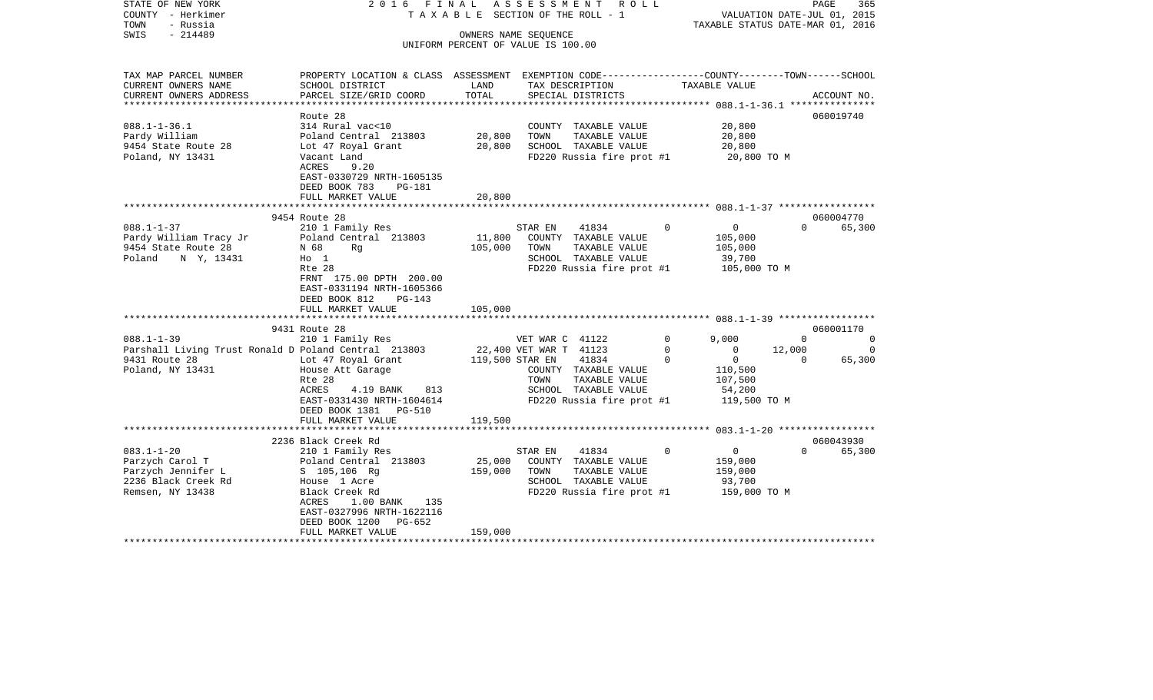| STATE OF NEW YORK<br>COUNTY - Herkimer<br>TOWN<br>- Russia | 2016 FINAL                                                                                      |                 | A S S E S S M E N T<br>R O L L<br>TAXABLE SECTION OF THE ROLL - 1 |                               | PAGE<br>365<br>VALUATION DATE-JUL 01, 2015<br>TAXABLE STATUS DATE-MAR 01, 2016 |
|------------------------------------------------------------|-------------------------------------------------------------------------------------------------|-----------------|-------------------------------------------------------------------|-------------------------------|--------------------------------------------------------------------------------|
| $-214489$<br>SWIS                                          |                                                                                                 |                 | OWNERS NAME SEOUENCE                                              |                               |                                                                                |
|                                                            |                                                                                                 |                 | UNIFORM PERCENT OF VALUE IS 100.00                                |                               |                                                                                |
|                                                            |                                                                                                 |                 |                                                                   |                               |                                                                                |
| TAX MAP PARCEL NUMBER                                      | PROPERTY LOCATION & CLASS ASSESSMENT EXEMPTION CODE---------------COUNTY-------TOWN------SCHOOL |                 |                                                                   |                               |                                                                                |
| CURRENT OWNERS NAME                                        | SCHOOL DISTRICT                                                                                 | LAND            | TAX DESCRIPTION                                                   | TAXABLE VALUE                 |                                                                                |
| CURRENT OWNERS ADDRESS                                     | PARCEL SIZE/GRID COORD                                                                          | TOTAL           | SPECIAL DISTRICTS                                                 |                               | ACCOUNT NO.                                                                    |
| ****************                                           |                                                                                                 |                 |                                                                   |                               | ***************** 088.1-1-36.1 ****************                                |
|                                                            | Route 28                                                                                        |                 |                                                                   |                               | 060019740                                                                      |
| $088.1 - 1 - 36.1$                                         | 314 Rural vac<10                                                                                |                 | COUNTY TAXABLE VALUE                                              | 20,800                        |                                                                                |
| Pardy William                                              | Poland Central 213803                                                                           | 20,800          | TOWN<br>TAXABLE VALUE                                             | 20,800                        |                                                                                |
| 9454 State Route 28                                        | Lot 47 Royal Grant                                                                              | 20,800          | SCHOOL TAXABLE VALUE                                              | 20,800                        |                                                                                |
| Poland, NY 13431                                           | Vacant Land                                                                                     |                 | FD220 Russia fire prot #1                                         |                               | 20,800 TO M                                                                    |
|                                                            | ACRES<br>9.20                                                                                   |                 |                                                                   |                               |                                                                                |
|                                                            | EAST-0330729 NRTH-1605135                                                                       |                 |                                                                   |                               |                                                                                |
|                                                            | DEED BOOK 783<br>PG-181                                                                         |                 |                                                                   |                               |                                                                                |
|                                                            | FULL MARKET VALUE                                                                               | 20,800          |                                                                   |                               |                                                                                |
|                                                            |                                                                                                 |                 |                                                                   |                               |                                                                                |
|                                                            | 9454 Route 28                                                                                   |                 |                                                                   |                               | 060004770                                                                      |
| $088.1 - 1 - 37$                                           | 210 1 Family Res                                                                                |                 | 41834<br>STAR EN                                                  | $\overline{0}$<br>$\Omega$    | 65,300<br>$\Omega$                                                             |
| Pardy William Tracy Jr                                     | Poland Central 213803                                                                           | 11,800          | COUNTY TAXABLE VALUE                                              | 105,000                       |                                                                                |
| 9454 State Route 28                                        | N 68<br>Rg                                                                                      | 105,000         | TOWN<br>TAXABLE VALUE                                             | 105,000                       |                                                                                |
| Poland N Y, 13431                                          | $H_0$ 1                                                                                         |                 | SCHOOL TAXABLE VALUE                                              | 39,700                        |                                                                                |
|                                                            | Rte 28                                                                                          |                 | FD220 Russia fire prot #1                                         |                               | 105,000 TO M                                                                   |
|                                                            | FRNT 175.00 DPTH 200.00                                                                         |                 |                                                                   |                               |                                                                                |
|                                                            | EAST-0331194 NRTH-1605366                                                                       |                 |                                                                   |                               |                                                                                |
|                                                            | DEED BOOK 812<br><b>PG-143</b>                                                                  |                 |                                                                   |                               |                                                                                |
|                                                            | FULL MARKET VALUE                                                                               | 105,000         |                                                                   |                               |                                                                                |
|                                                            |                                                                                                 |                 |                                                                   |                               |                                                                                |
|                                                            | 9431 Route 28                                                                                   |                 |                                                                   |                               | 060001170                                                                      |
| $088.1 - 1 - 39$                                           | 210 1 Family Res                                                                                |                 | VET WAR C 41122                                                   | $\mathbf 0$<br>9,000          | $\overline{0}$<br>$\circ$                                                      |
| Parshall Living Trust Ronald D Poland Central 213803       |                                                                                                 |                 | 22,400 VET WAR T 41123                                            | $\mathbf 0$<br>$\Omega$       | 12,000<br>$\Omega$                                                             |
| 9431 Route 28                                              | Lot 47 Royal Grant                                                                              | 119,500 STAR EN | 41834                                                             | $\mathbf 0$<br>$\overline{0}$ | 65,300<br>$\overline{0}$                                                       |
| Poland, NY 13431                                           | House Att Garage                                                                                |                 | COUNTY TAXABLE VALUE                                              | 110,500                       |                                                                                |
|                                                            | Rte 28                                                                                          |                 | TOWN<br>TAXABLE VALUE                                             | 107,500                       |                                                                                |
|                                                            | ACRES<br>4.19 BANK<br>813                                                                       |                 | SCHOOL TAXABLE VALUE                                              | 54,200                        |                                                                                |
|                                                            | EAST-0331430 NRTH-1604614                                                                       |                 | FD220 Russia fire prot #1                                         |                               | 119,500 TO M                                                                   |
|                                                            | DEED BOOK 1381 PG-510                                                                           |                 |                                                                   |                               |                                                                                |
|                                                            | FULL MARKET VALUE                                                                               | 119,500         |                                                                   |                               |                                                                                |
|                                                            |                                                                                                 |                 |                                                                   |                               | ********** 083.1-1-20 ******************                                       |
|                                                            | 2236 Black Creek Rd                                                                             |                 |                                                                   |                               | 060043930                                                                      |
| $083.1 - 1 - 20$                                           | 210 1 Family Res                                                                                |                 | 41834<br>STAR EN                                                  | $\Omega$<br>$\overline{0}$    | $\Omega$<br>65,300                                                             |
| Parzych Carol T                                            |                                                                                                 | 25,000          | COUNTY TAXABLE VALUE                                              |                               |                                                                                |
|                                                            | Poland Central 213803                                                                           |                 |                                                                   | 159,000                       |                                                                                |
| Parzych Jennifer L                                         | S 105,106 Rg                                                                                    | 159,000         | TOWN<br>TAXABLE VALUE                                             | 159,000                       |                                                                                |
| 2236 Black Creek Rd                                        | House 1 Acre                                                                                    |                 | SCHOOL TAXABLE VALUE                                              | 93,700                        |                                                                                |
| Remsen, NY 13438                                           | Black Creek Rd                                                                                  |                 | FD220 Russia fire prot #1                                         |                               | 159,000 TO M                                                                   |
|                                                            | ACRES<br>$1.00$ BANK<br>135                                                                     |                 |                                                                   |                               |                                                                                |
|                                                            | EAST-0327996 NRTH-1622116                                                                       |                 |                                                                   |                               |                                                                                |
|                                                            | DEED BOOK 1200<br>PG-652                                                                        |                 |                                                                   |                               |                                                                                |
|                                                            | FULL MARKET VALUE                                                                               | 159,000         |                                                                   |                               |                                                                                |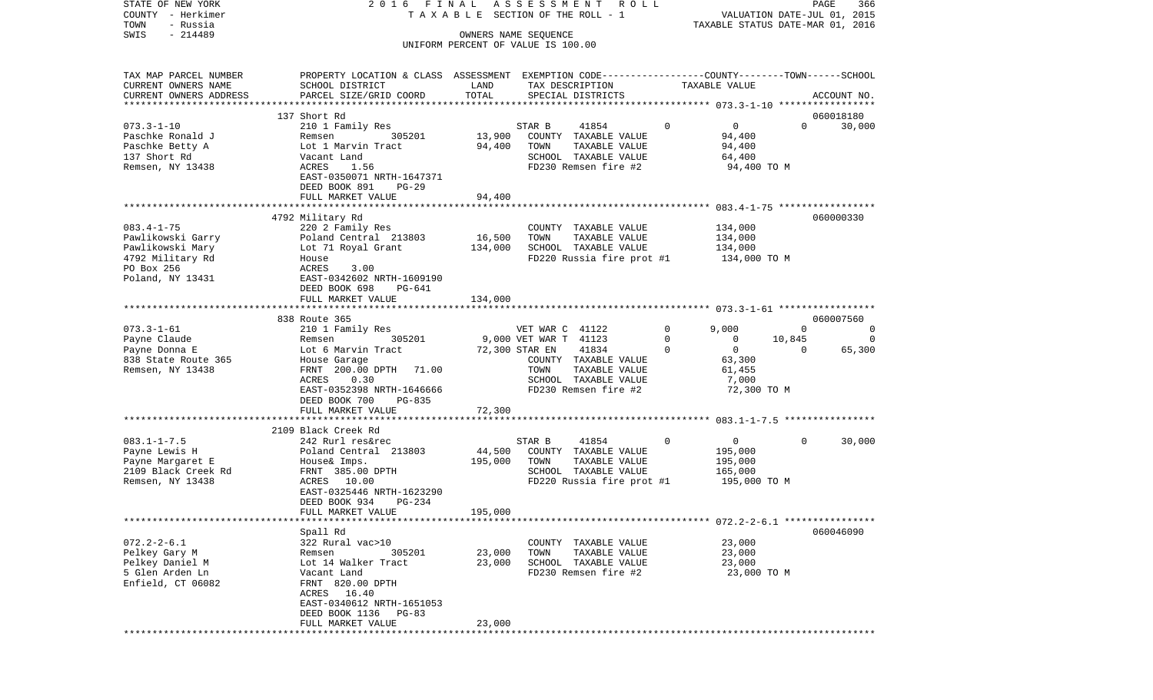| STATE OF NEW YORK<br>COUNTY - Herkimer<br>TOWN<br>- Russia | 2016 FINAL                                                                                                         |         | A S S E S S M E N T R O L L<br>TAXABLE SECTION OF THE ROLL - 1 |                            | VALUATION DATE-JUL 01, 2015<br>TAXABLE STATUS DATE-MAR 01, 2016 | PAGE<br>366    |
|------------------------------------------------------------|--------------------------------------------------------------------------------------------------------------------|---------|----------------------------------------------------------------|----------------------------|-----------------------------------------------------------------|----------------|
| $-214489$<br>SWIS                                          |                                                                                                                    |         | OWNERS NAME SEQUENCE<br>UNIFORM PERCENT OF VALUE IS 100.00     |                            |                                                                 |                |
| TAX MAP PARCEL NUMBER<br>CURRENT OWNERS NAME               | PROPERTY LOCATION & CLASS ASSESSMENT EXEMPTION CODE---------------COUNTY-------TOWN------SCHOOL<br>SCHOOL DISTRICT | LAND    | TAX DESCRIPTION                                                | TAXABLE VALUE              |                                                                 |                |
| CURRENT OWNERS ADDRESS                                     | PARCEL SIZE/GRID COORD                                                                                             | TOTAL   | SPECIAL DISTRICTS                                              |                            |                                                                 | ACCOUNT NO.    |
|                                                            | 137 Short Rd                                                                                                       |         |                                                                |                            |                                                                 | 060018180      |
| $073.3 - 1 - 10$                                           | 210 1 Family Res                                                                                                   |         | STAR B<br>41854                                                | $\Omega$<br>$\mathbf 0$    | $\Omega$                                                        | 30,000         |
| Paschke Ronald J                                           | 305201<br>Remsen                                                                                                   | 13,900  | COUNTY TAXABLE VALUE                                           | 94,400                     |                                                                 |                |
| Paschke Betty A                                            | Lot 1 Marvin Tract                                                                                                 | 94,400  | TOWN<br>TAXABLE VALUE                                          | 94,400                     |                                                                 |                |
| 137 Short Rd                                               | Vacant Land                                                                                                        |         | SCHOOL TAXABLE VALUE                                           | 64,400                     |                                                                 |                |
| Remsen, NY 13438                                           | ACRES<br>1.56<br>EAST-0350071 NRTH-1647371<br>DEED BOOK 891<br>PG-29                                               |         | FD230 Remsen fire #2                                           |                            | 94,400 TO M                                                     |                |
|                                                            | FULL MARKET VALUE                                                                                                  | 94,400  |                                                                |                            |                                                                 |                |
|                                                            |                                                                                                                    |         |                                                                |                            |                                                                 |                |
|                                                            | 4792 Military Rd                                                                                                   |         |                                                                |                            |                                                                 | 060000330      |
| $083.4 - 1 - 75$                                           | 220 2 Family Res                                                                                                   |         | COUNTY TAXABLE VALUE                                           | 134,000                    |                                                                 |                |
| Pawlikowski Garry                                          | Poland Central 213803                                                                                              | 16,500  | TAXABLE VALUE<br>TOWN                                          | 134,000                    |                                                                 |                |
| Pawlikowski Mary                                           | Lot 71 Royal Grant                                                                                                 | 134,000 | SCHOOL TAXABLE VALUE                                           | 134,000                    |                                                                 |                |
| 4792 Military Rd<br>PO Box 256                             | House<br>ACRES<br>3.00                                                                                             |         | FD220 Russia fire prot #1                                      | 134,000 TO M               |                                                                 |                |
| Poland, NY 13431                                           | EAST-0342602 NRTH-1609190                                                                                          |         |                                                                |                            |                                                                 |                |
|                                                            | DEED BOOK 698<br>PG-641                                                                                            |         |                                                                |                            |                                                                 |                |
|                                                            | FULL MARKET VALUE                                                                                                  | 134,000 |                                                                |                            |                                                                 |                |
|                                                            | 838 Route 365                                                                                                      |         |                                                                |                            |                                                                 | 060007560      |
| $073.3 - 1 - 61$                                           | 210 1 Family Res                                                                                                   |         | VET WAR C 41122                                                | $\Omega$<br>9,000          | $\Omega$                                                        | $\overline{0}$ |
| Payne Claude                                               | 305201<br>Remsen                                                                                                   |         | 9,000 VET WAR T 41123                                          | $\Omega$<br>$\mathbf{0}$   | 10,845                                                          | 0              |
| Payne Donna E                                              | Lot 6 Marvin Tract                                                                                                 |         | 72,300 STAR EN<br>41834                                        | $\overline{0}$<br>$\Omega$ | $\Omega$                                                        | 65,300         |
| 838 State Route 365                                        | House Garage                                                                                                       |         | COUNTY TAXABLE VALUE                                           | 63,300                     |                                                                 |                |
| Remsen, NY 13438                                           | FRNT 200.00 DPTH 71.00                                                                                             |         | TOWN<br>TAXABLE VALUE                                          | 61,455                     |                                                                 |                |
|                                                            | 0.30<br>ACRES                                                                                                      |         | SCHOOL TAXABLE VALUE                                           | 7,000                      |                                                                 |                |
|                                                            | EAST-0352398 NRTH-1646666                                                                                          |         | FD230 Remsen fire #2                                           |                            | 72,300 TO M                                                     |                |
|                                                            | DEED BOOK 700<br>PG-835                                                                                            |         |                                                                |                            |                                                                 |                |
|                                                            | FULL MARKET VALUE<br>********************************                                                              | 72,300  |                                                                |                            |                                                                 |                |
|                                                            | 2109 Black Creek Rd                                                                                                |         |                                                                |                            |                                                                 |                |
| $083.1 - 1 - 7.5$                                          | 242 Rurl res&rec                                                                                                   |         | STAR B<br>41854                                                | 0<br>$\overline{0}$        | $\Omega$                                                        | 30,000         |
| Payne Lewis H                                              | Poland Central 213803                                                                                              | 44,500  | COUNTY TAXABLE VALUE                                           | 195,000                    |                                                                 |                |
| Payne Margaret E                                           | House& Imps.                                                                                                       | 195,000 | TAXABLE VALUE<br>TOWN                                          | 195,000                    |                                                                 |                |
| 2109 Black Creek Rd                                        | FRNT 385.00 DPTH                                                                                                   |         | SCHOOL TAXABLE VALUE                                           | 165,000                    |                                                                 |                |
| Remsen, NY 13438                                           | ACRES 10.00                                                                                                        |         | FD220 Russia fire prot #1                                      | 195,000 TO M               |                                                                 |                |
|                                                            | EAST-0325446 NRTH-1623290                                                                                          |         |                                                                |                            |                                                                 |                |
|                                                            | DEED BOOK 934<br>PG-234                                                                                            |         |                                                                |                            |                                                                 |                |
|                                                            | FULL MARKET VALUE                                                                                                  | 195,000 |                                                                |                            |                                                                 |                |
|                                                            |                                                                                                                    |         |                                                                |                            |                                                                 |                |
| $072.2 - 2 - 6.1$                                          | Spall Rd<br>322 Rural vac>10                                                                                       |         | COUNTY TAXABLE VALUE                                           | 23,000                     |                                                                 | 060046090      |
| Pelkey Gary M                                              | 305201<br>Remsen                                                                                                   | 23,000  | TOWN<br>TAXABLE VALUE                                          | 23,000                     |                                                                 |                |
| Pelkey Daniel M                                            | Lot 14 Walker Tract                                                                                                | 23,000  | SCHOOL TAXABLE VALUE                                           | 23,000                     |                                                                 |                |
| 5 Glen Arden Ln                                            | Vacant Land                                                                                                        |         | FD230 Remsen fire #2                                           |                            | 23,000 TO M                                                     |                |
| Enfield, CT 06082                                          | FRNT 820.00 DPTH                                                                                                   |         |                                                                |                            |                                                                 |                |
|                                                            | ACRES 16.40                                                                                                        |         |                                                                |                            |                                                                 |                |
|                                                            | EAST-0340612 NRTH-1651053                                                                                          |         |                                                                |                            |                                                                 |                |
|                                                            | DEED BOOK 1136<br>PG-83                                                                                            |         |                                                                |                            |                                                                 |                |
|                                                            | FULL MARKET VALUE                                                                                                  | 23,000  |                                                                |                            |                                                                 |                |
|                                                            |                                                                                                                    |         |                                                                |                            |                                                                 |                |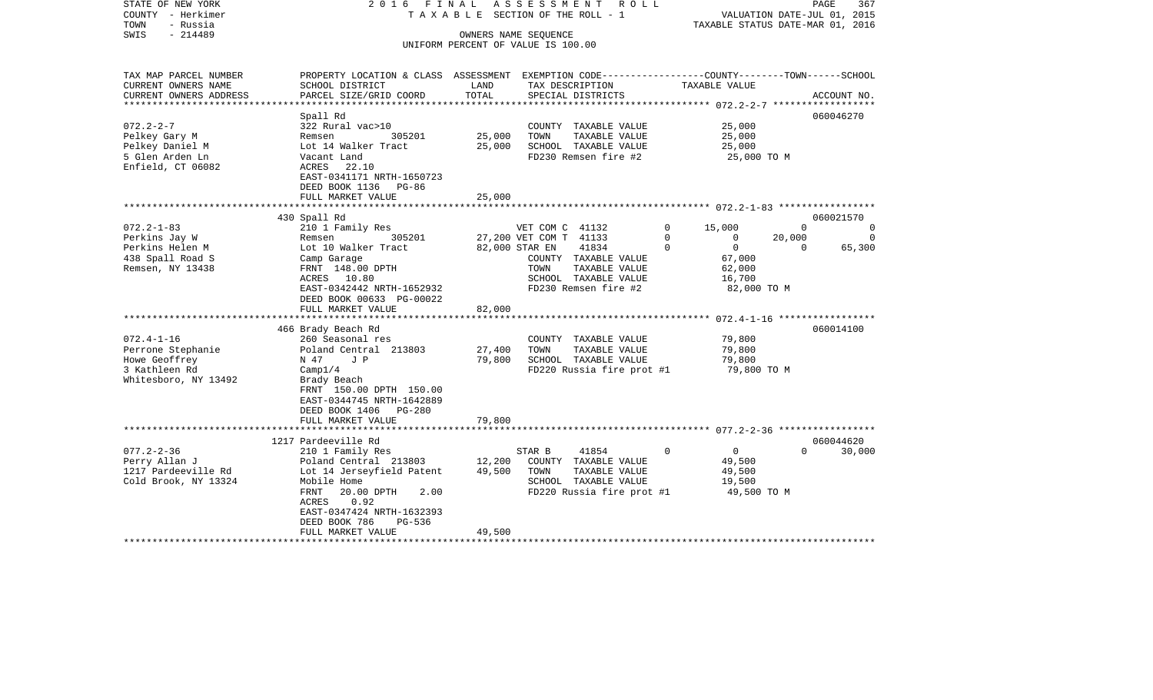| STATE OF NEW YORK<br>COUNTY - Herkimer<br>TOWN<br>- Russia<br>$-214489$<br>SWIS                                  | 2016 FINAL<br>TAXABLE                                                                                                                                                                                                                 |                            | ASSESSMENT<br>R O L L<br>SECTION OF THE ROLL - 1<br>OWNERS NAME SEQUENCE                                                                                                                      |                                                                                                                    | PAGE<br>367<br>VALUATION DATE-JUL 01, 2015<br>TAXABLE STATUS DATE-MAR 01, 2016                                   |
|------------------------------------------------------------------------------------------------------------------|---------------------------------------------------------------------------------------------------------------------------------------------------------------------------------------------------------------------------------------|----------------------------|-----------------------------------------------------------------------------------------------------------------------------------------------------------------------------------------------|--------------------------------------------------------------------------------------------------------------------|------------------------------------------------------------------------------------------------------------------|
|                                                                                                                  |                                                                                                                                                                                                                                       |                            | UNIFORM PERCENT OF VALUE IS 100.00                                                                                                                                                            |                                                                                                                    |                                                                                                                  |
| TAX MAP PARCEL NUMBER<br>CURRENT OWNERS NAME<br>CURRENT OWNERS ADDRESS                                           | PROPERTY LOCATION & CLASS ASSESSMENT<br>SCHOOL DISTRICT<br>PARCEL SIZE/GRID COORD                                                                                                                                                     | LAND<br>TOTAL              | EXEMPTION CODE-----------------COUNTY--------TOWN------SCHOOL<br>TAX DESCRIPTION<br>SPECIAL DISTRICTS                                                                                         | TAXABLE VALUE                                                                                                      | ACCOUNT NO.                                                                                                      |
| ***************<br>$072.2 - 2 - 7$<br>Pelkey Gary M<br>Pelkey Daniel M<br>5 Glen Arden Ln<br>Enfield, CT 06082   | Spall Rd<br>322 Rural vac>10<br>Remsen<br>305201<br>Lot 14 Walker Tract<br>Vacant Land<br>ACRES<br>22.10<br>EAST-0341171 NRTH-1650723<br>DEED BOOK 1136 PG-86<br>FULL MARKET VALUE                                                    | 25,000<br>25,000<br>25,000 | COUNTY TAXABLE VALUE<br>TOWN<br>TAXABLE VALUE<br>SCHOOL TAXABLE VALUE<br>FD230 Remsen fire #2                                                                                                 | 25,000<br>25,000<br>25,000<br>25,000 TO M                                                                          | ***************** 072.2-2-7 ******************<br>060046270                                                      |
|                                                                                                                  | 430 Spall Rd                                                                                                                                                                                                                          |                            |                                                                                                                                                                                               |                                                                                                                    | 060021570                                                                                                        |
| $072.2 - 1 - 83$<br>Perkins Jay W<br>Perkins Helen M<br>438 Spall Road S<br>Remsen, NY 13438<br>$072.4 - 1 - 16$ | 210 1 Family Res<br>305201<br>Remsen<br>Lot 10 Walker Tract<br>Camp Garage<br>FRNT 148.00 DPTH<br>ACRES 10.80<br>EAST-0342442 NRTH-1652932<br>DEED BOOK 00633 PG-00022<br>FULL MARKET VALUE<br>466 Brady Beach Rd<br>260 Seasonal res | 82,000                     | VET COM C 41132<br>27,200 VET COM T 41133<br>82,000 STAR EN<br>41834<br>COUNTY TAXABLE VALUE<br>TAXABLE VALUE<br>TOWN<br>SCHOOL TAXABLE VALUE<br>FD230 Remsen fire #2<br>COUNTY TAXABLE VALUE | 0<br>15,000<br>$\mathbf 0$<br>0<br>$\Omega$<br>$\mathbf{0}$<br>67,000<br>62,000<br>16,700<br>82,000 TO M<br>79,800 | $\Omega$<br>0<br>20,000<br>0<br>$\Omega$<br>65,300<br>*************** 072.4-1-16 ******************<br>060014100 |
| Perrone Stephanie<br>Howe Geoffrey<br>3 Kathleen Rd<br>Whitesboro, NY 13492                                      | Poland Central 213803<br>N 47<br>J P<br>Camp1/4<br>Brady Beach<br>FRNT 150.00 DPTH 150.00<br>EAST-0344745 NRTH-1642889<br>DEED BOOK 1406 PG-280<br>FULL MARKET VALUE                                                                  | 27,400<br>79,800<br>79,800 | TOWN<br>TAXABLE VALUE<br>SCHOOL TAXABLE VALUE<br>FD220 Russia fire prot #1                                                                                                                    | 79,800<br>79,800<br>79,800 TO M                                                                                    |                                                                                                                  |
|                                                                                                                  | 1217 Pardeeville Rd                                                                                                                                                                                                                   |                            |                                                                                                                                                                                               |                                                                                                                    | 060044620                                                                                                        |
| $077.2 - 2 - 36$<br>Perry Allan J<br>1217 Pardeeville Rd<br>Cold Brook, NY 13324                                 | 210 1 Family Res<br>Poland Central 213803<br>Lot 14 Jerseyfield Patent<br>Mobile Home<br>FRNT<br>20.00 DPTH<br>2.00<br>0.92<br>ACRES<br>EAST-0347424 NRTH-1632393<br>DEED BOOK 786<br>PG-536<br>FULL MARKET VALUE                     | 12,200<br>49,500<br>49,500 | 41854<br>STAR B<br>COUNTY TAXABLE VALUE<br>TOWN<br>TAXABLE VALUE<br>SCHOOL TAXABLE VALUE<br>FD220 Russia fire prot #1                                                                         | $\Omega$<br>$\overline{0}$<br>49,500<br>49,500<br>19,500<br>49,500 TO M                                            | $\Omega$<br>30,000                                                                                               |
|                                                                                                                  |                                                                                                                                                                                                                                       |                            |                                                                                                                                                                                               |                                                                                                                    |                                                                                                                  |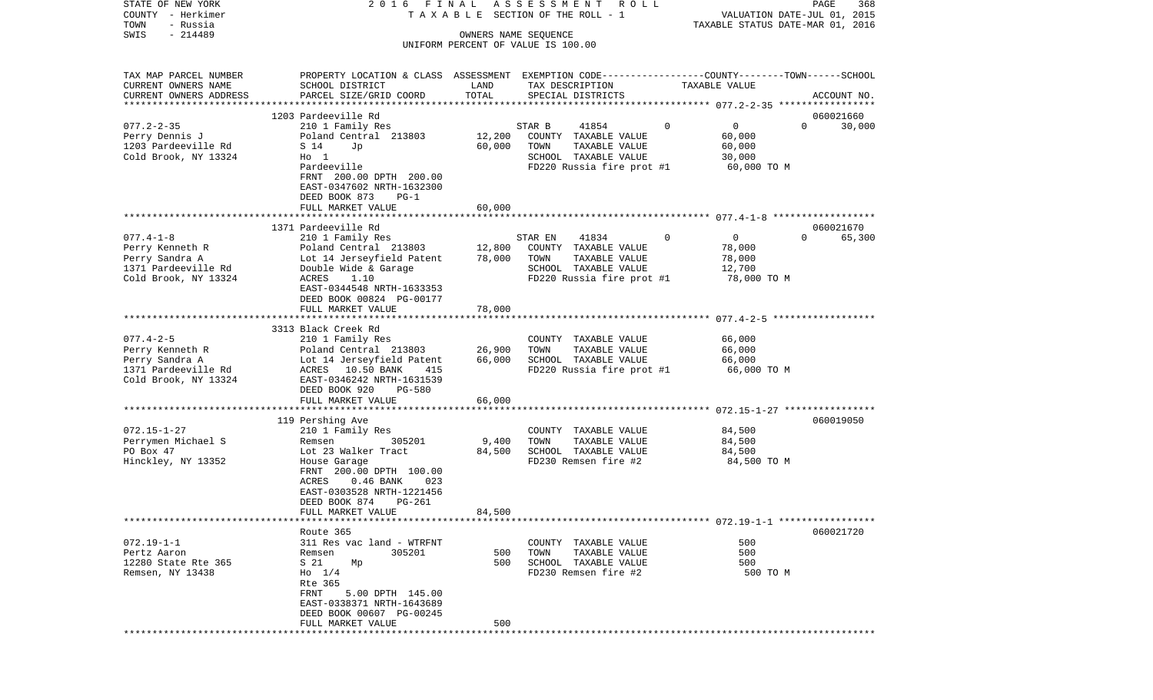| TAXABLE STATUS DATE-MAR 01, 2016<br>$-214489$<br>SWIS<br>OWNERS NAME SEQUENCE<br>UNIFORM PERCENT OF VALUE IS 100.00<br>PROPERTY LOCATION & CLASS ASSESSMENT EXEMPTION CODE---------------COUNTY-------TOWN-----SCHOOL<br>CURRENT OWNERS NAME<br>LAND<br>TAX DESCRIPTION<br>SCHOOL DISTRICT<br>TAXABLE VALUE<br>CURRENT OWNERS ADDRESS<br>PARCEL SIZE/GRID COORD<br>TOTAL<br>SPECIAL DISTRICTS<br>ACCOUNT NO.<br>1203 Pardeeville Rd<br>060021660<br>$\overline{0}$<br>$077.2 - 2 - 35$<br>41854<br>0<br>210 1 Family Res<br>STAR B<br>$\Omega$<br>30,000<br>12,200<br>Poland Central 213803<br>COUNTY TAXABLE VALUE<br>60,000<br>Perry Dennis J<br>1203 Pardeeville Rd<br>60,000<br>TAXABLE VALUE<br>60,000<br>S 14<br>Jp<br>TOWN<br>Cold Brook, NY 13324<br>SCHOOL TAXABLE VALUE<br>$H_0$ 1<br>30,000<br>Pardeeville<br>FD220 Russia fire prot #1<br>60,000 TO M<br>FRNT 200.00 DPTH 200.00<br>EAST-0347602 NRTH-1632300<br>DEED BOOK 873<br>$PG-1$<br>FULL MARKET VALUE<br>60,000<br>1371 Pardeeville Rd<br>060021670<br>$\mathbf 0$<br>$\overline{0}$<br>$\Omega$<br>$077.4 - 1 - 8$<br>41834<br>65,300<br>210 1 Family Res<br>STAR EN<br>12,800<br>Poland Central 213803<br>COUNTY TAXABLE VALUE<br>78,000<br>Perry Kenneth R<br>78,000<br>Perry Sandra A<br>Lot 14 Jerseyfield Patent<br>TOWN<br>TAXABLE VALUE<br>78,000<br>1371 Pardeeville Rd<br>Double Wide & Garage<br>SCHOOL TAXABLE VALUE<br>12,700<br>Cold Brook, NY 13324<br>ACRES<br>1.10<br>FD220 Russia fire prot #1<br>78,000 TO M<br>EAST-0344548 NRTH-1633353<br>DEED BOOK 00824 PG-00177<br>FULL MARKET VALUE<br>78,000<br>*********************<br>3313 Black Creek Rd<br>$077.4 - 2 - 5$<br>210 1 Family Res<br>66,000<br>COUNTY TAXABLE VALUE<br>Perry Kenneth R<br>Poland Central 213803<br>26,900<br>TAXABLE VALUE<br>66,000<br>TOWN<br>Perry Sandra A<br>66,000<br>SCHOOL TAXABLE VALUE<br>Lot 14 Jerseyfield Patent<br>66,000<br>1371 Pardeeville Rd<br>FD220 Russia fire prot #1<br>ACRES 10.50 BANK<br>415<br>66,000 то м<br>Cold Brook, NY 13324<br>EAST-0346242 NRTH-1631539<br>DEED BOOK 920<br><b>PG-580</b><br>66,000<br>FULL MARKET VALUE<br>060019050<br>119 Pershing Ave<br>210 1 Family Res<br>COUNTY TAXABLE VALUE<br>84,500<br>TAXABLE VALUE<br>Perrymen Michael S<br>305201<br>9,400<br>TOWN<br>84,500<br>Remsen<br>SCHOOL TAXABLE VALUE<br>PO Box 47<br>Lot 23 Walker Tract<br>84,500<br>84,500<br>Hinckley, NY 13352<br>FD230 Remsen fire #2<br>84,500 TO M<br>House Garage<br>FRNT 200.00 DPTH 100.00<br>$0.46$ BANK<br>023<br>ACRES<br>EAST-0303528 NRTH-1221456<br>DEED BOOK 874<br>PG-261<br>84,500<br>FULL MARKET VALUE<br>060021720<br>Route 365<br>$072.19 - 1 - 1$<br>311 Res vac land - WTRFNT<br>TAXABLE VALUE<br>500<br>COUNTY<br>TAXABLE VALUE<br>500<br>Pertz Aaron<br>Remsen<br>305201<br>500<br>TOWN<br>12280 State Rte 365<br>S 21<br>500<br>SCHOOL TAXABLE VALUE<br>500<br>Mp<br>Remsen, NY 13438<br>$H_0$ 1/4<br>FD230 Remsen fire #2<br>500 TO M<br>Rte 365<br>FRNT<br>5.00 DPTH 145.00<br>EAST-0338371 NRTH-1643689<br>DEED BOOK 00607 PG-00245<br>500<br>FULL MARKET VALUE<br>*********** | COUNTY<br>- Herkimer  |  | T A X A B L E SECTION OF THE ROLL - 1 | VALUATION DATE-JUL 01, 2015 |
|-----------------------------------------------------------------------------------------------------------------------------------------------------------------------------------------------------------------------------------------------------------------------------------------------------------------------------------------------------------------------------------------------------------------------------------------------------------------------------------------------------------------------------------------------------------------------------------------------------------------------------------------------------------------------------------------------------------------------------------------------------------------------------------------------------------------------------------------------------------------------------------------------------------------------------------------------------------------------------------------------------------------------------------------------------------------------------------------------------------------------------------------------------------------------------------------------------------------------------------------------------------------------------------------------------------------------------------------------------------------------------------------------------------------------------------------------------------------------------------------------------------------------------------------------------------------------------------------------------------------------------------------------------------------------------------------------------------------------------------------------------------------------------------------------------------------------------------------------------------------------------------------------------------------------------------------------------------------------------------------------------------------------------------------------------------------------------------------------------------------------------------------------------------------------------------------------------------------------------------------------------------------------------------------------------------------------------------------------------------------------------------------------------------------------------------------------------------------------------------------------------------------------------------------------------------------------------------------------------------------------------------------------------------------------------------------------------------------------------------------------------------------------------------------------------------------------------------------------------------------------------------------------------------------------------------------------------------------------------------------------------------------------------------------------------------------------------------------------------------|-----------------------|--|---------------------------------------|-----------------------------|
|                                                                                                                                                                                                                                                                                                                                                                                                                                                                                                                                                                                                                                                                                                                                                                                                                                                                                                                                                                                                                                                                                                                                                                                                                                                                                                                                                                                                                                                                                                                                                                                                                                                                                                                                                                                                                                                                                                                                                                                                                                                                                                                                                                                                                                                                                                                                                                                                                                                                                                                                                                                                                                                                                                                                                                                                                                                                                                                                                                                                                                                                                                           | TOWN<br>- Russia      |  |                                       |                             |
|                                                                                                                                                                                                                                                                                                                                                                                                                                                                                                                                                                                                                                                                                                                                                                                                                                                                                                                                                                                                                                                                                                                                                                                                                                                                                                                                                                                                                                                                                                                                                                                                                                                                                                                                                                                                                                                                                                                                                                                                                                                                                                                                                                                                                                                                                                                                                                                                                                                                                                                                                                                                                                                                                                                                                                                                                                                                                                                                                                                                                                                                                                           |                       |  |                                       |                             |
|                                                                                                                                                                                                                                                                                                                                                                                                                                                                                                                                                                                                                                                                                                                                                                                                                                                                                                                                                                                                                                                                                                                                                                                                                                                                                                                                                                                                                                                                                                                                                                                                                                                                                                                                                                                                                                                                                                                                                                                                                                                                                                                                                                                                                                                                                                                                                                                                                                                                                                                                                                                                                                                                                                                                                                                                                                                                                                                                                                                                                                                                                                           |                       |  |                                       |                             |
|                                                                                                                                                                                                                                                                                                                                                                                                                                                                                                                                                                                                                                                                                                                                                                                                                                                                                                                                                                                                                                                                                                                                                                                                                                                                                                                                                                                                                                                                                                                                                                                                                                                                                                                                                                                                                                                                                                                                                                                                                                                                                                                                                                                                                                                                                                                                                                                                                                                                                                                                                                                                                                                                                                                                                                                                                                                                                                                                                                                                                                                                                                           | TAX MAP PARCEL NUMBER |  |                                       |                             |
|                                                                                                                                                                                                                                                                                                                                                                                                                                                                                                                                                                                                                                                                                                                                                                                                                                                                                                                                                                                                                                                                                                                                                                                                                                                                                                                                                                                                                                                                                                                                                                                                                                                                                                                                                                                                                                                                                                                                                                                                                                                                                                                                                                                                                                                                                                                                                                                                                                                                                                                                                                                                                                                                                                                                                                                                                                                                                                                                                                                                                                                                                                           |                       |  |                                       |                             |
|                                                                                                                                                                                                                                                                                                                                                                                                                                                                                                                                                                                                                                                                                                                                                                                                                                                                                                                                                                                                                                                                                                                                                                                                                                                                                                                                                                                                                                                                                                                                                                                                                                                                                                                                                                                                                                                                                                                                                                                                                                                                                                                                                                                                                                                                                                                                                                                                                                                                                                                                                                                                                                                                                                                                                                                                                                                                                                                                                                                                                                                                                                           |                       |  |                                       |                             |
|                                                                                                                                                                                                                                                                                                                                                                                                                                                                                                                                                                                                                                                                                                                                                                                                                                                                                                                                                                                                                                                                                                                                                                                                                                                                                                                                                                                                                                                                                                                                                                                                                                                                                                                                                                                                                                                                                                                                                                                                                                                                                                                                                                                                                                                                                                                                                                                                                                                                                                                                                                                                                                                                                                                                                                                                                                                                                                                                                                                                                                                                                                           |                       |  |                                       |                             |
|                                                                                                                                                                                                                                                                                                                                                                                                                                                                                                                                                                                                                                                                                                                                                                                                                                                                                                                                                                                                                                                                                                                                                                                                                                                                                                                                                                                                                                                                                                                                                                                                                                                                                                                                                                                                                                                                                                                                                                                                                                                                                                                                                                                                                                                                                                                                                                                                                                                                                                                                                                                                                                                                                                                                                                                                                                                                                                                                                                                                                                                                                                           |                       |  |                                       |                             |
|                                                                                                                                                                                                                                                                                                                                                                                                                                                                                                                                                                                                                                                                                                                                                                                                                                                                                                                                                                                                                                                                                                                                                                                                                                                                                                                                                                                                                                                                                                                                                                                                                                                                                                                                                                                                                                                                                                                                                                                                                                                                                                                                                                                                                                                                                                                                                                                                                                                                                                                                                                                                                                                                                                                                                                                                                                                                                                                                                                                                                                                                                                           |                       |  |                                       |                             |
|                                                                                                                                                                                                                                                                                                                                                                                                                                                                                                                                                                                                                                                                                                                                                                                                                                                                                                                                                                                                                                                                                                                                                                                                                                                                                                                                                                                                                                                                                                                                                                                                                                                                                                                                                                                                                                                                                                                                                                                                                                                                                                                                                                                                                                                                                                                                                                                                                                                                                                                                                                                                                                                                                                                                                                                                                                                                                                                                                                                                                                                                                                           |                       |  |                                       |                             |
|                                                                                                                                                                                                                                                                                                                                                                                                                                                                                                                                                                                                                                                                                                                                                                                                                                                                                                                                                                                                                                                                                                                                                                                                                                                                                                                                                                                                                                                                                                                                                                                                                                                                                                                                                                                                                                                                                                                                                                                                                                                                                                                                                                                                                                                                                                                                                                                                                                                                                                                                                                                                                                                                                                                                                                                                                                                                                                                                                                                                                                                                                                           |                       |  |                                       |                             |
|                                                                                                                                                                                                                                                                                                                                                                                                                                                                                                                                                                                                                                                                                                                                                                                                                                                                                                                                                                                                                                                                                                                                                                                                                                                                                                                                                                                                                                                                                                                                                                                                                                                                                                                                                                                                                                                                                                                                                                                                                                                                                                                                                                                                                                                                                                                                                                                                                                                                                                                                                                                                                                                                                                                                                                                                                                                                                                                                                                                                                                                                                                           |                       |  |                                       |                             |
|                                                                                                                                                                                                                                                                                                                                                                                                                                                                                                                                                                                                                                                                                                                                                                                                                                                                                                                                                                                                                                                                                                                                                                                                                                                                                                                                                                                                                                                                                                                                                                                                                                                                                                                                                                                                                                                                                                                                                                                                                                                                                                                                                                                                                                                                                                                                                                                                                                                                                                                                                                                                                                                                                                                                                                                                                                                                                                                                                                                                                                                                                                           |                       |  |                                       |                             |
|                                                                                                                                                                                                                                                                                                                                                                                                                                                                                                                                                                                                                                                                                                                                                                                                                                                                                                                                                                                                                                                                                                                                                                                                                                                                                                                                                                                                                                                                                                                                                                                                                                                                                                                                                                                                                                                                                                                                                                                                                                                                                                                                                                                                                                                                                                                                                                                                                                                                                                                                                                                                                                                                                                                                                                                                                                                                                                                                                                                                                                                                                                           |                       |  |                                       |                             |
|                                                                                                                                                                                                                                                                                                                                                                                                                                                                                                                                                                                                                                                                                                                                                                                                                                                                                                                                                                                                                                                                                                                                                                                                                                                                                                                                                                                                                                                                                                                                                                                                                                                                                                                                                                                                                                                                                                                                                                                                                                                                                                                                                                                                                                                                                                                                                                                                                                                                                                                                                                                                                                                                                                                                                                                                                                                                                                                                                                                                                                                                                                           |                       |  |                                       |                             |
|                                                                                                                                                                                                                                                                                                                                                                                                                                                                                                                                                                                                                                                                                                                                                                                                                                                                                                                                                                                                                                                                                                                                                                                                                                                                                                                                                                                                                                                                                                                                                                                                                                                                                                                                                                                                                                                                                                                                                                                                                                                                                                                                                                                                                                                                                                                                                                                                                                                                                                                                                                                                                                                                                                                                                                                                                                                                                                                                                                                                                                                                                                           |                       |  |                                       |                             |
|                                                                                                                                                                                                                                                                                                                                                                                                                                                                                                                                                                                                                                                                                                                                                                                                                                                                                                                                                                                                                                                                                                                                                                                                                                                                                                                                                                                                                                                                                                                                                                                                                                                                                                                                                                                                                                                                                                                                                                                                                                                                                                                                                                                                                                                                                                                                                                                                                                                                                                                                                                                                                                                                                                                                                                                                                                                                                                                                                                                                                                                                                                           |                       |  |                                       |                             |
|                                                                                                                                                                                                                                                                                                                                                                                                                                                                                                                                                                                                                                                                                                                                                                                                                                                                                                                                                                                                                                                                                                                                                                                                                                                                                                                                                                                                                                                                                                                                                                                                                                                                                                                                                                                                                                                                                                                                                                                                                                                                                                                                                                                                                                                                                                                                                                                                                                                                                                                                                                                                                                                                                                                                                                                                                                                                                                                                                                                                                                                                                                           |                       |  |                                       |                             |
|                                                                                                                                                                                                                                                                                                                                                                                                                                                                                                                                                                                                                                                                                                                                                                                                                                                                                                                                                                                                                                                                                                                                                                                                                                                                                                                                                                                                                                                                                                                                                                                                                                                                                                                                                                                                                                                                                                                                                                                                                                                                                                                                                                                                                                                                                                                                                                                                                                                                                                                                                                                                                                                                                                                                                                                                                                                                                                                                                                                                                                                                                                           |                       |  |                                       |                             |
|                                                                                                                                                                                                                                                                                                                                                                                                                                                                                                                                                                                                                                                                                                                                                                                                                                                                                                                                                                                                                                                                                                                                                                                                                                                                                                                                                                                                                                                                                                                                                                                                                                                                                                                                                                                                                                                                                                                                                                                                                                                                                                                                                                                                                                                                                                                                                                                                                                                                                                                                                                                                                                                                                                                                                                                                                                                                                                                                                                                                                                                                                                           |                       |  |                                       |                             |
|                                                                                                                                                                                                                                                                                                                                                                                                                                                                                                                                                                                                                                                                                                                                                                                                                                                                                                                                                                                                                                                                                                                                                                                                                                                                                                                                                                                                                                                                                                                                                                                                                                                                                                                                                                                                                                                                                                                                                                                                                                                                                                                                                                                                                                                                                                                                                                                                                                                                                                                                                                                                                                                                                                                                                                                                                                                                                                                                                                                                                                                                                                           |                       |  |                                       |                             |
|                                                                                                                                                                                                                                                                                                                                                                                                                                                                                                                                                                                                                                                                                                                                                                                                                                                                                                                                                                                                                                                                                                                                                                                                                                                                                                                                                                                                                                                                                                                                                                                                                                                                                                                                                                                                                                                                                                                                                                                                                                                                                                                                                                                                                                                                                                                                                                                                                                                                                                                                                                                                                                                                                                                                                                                                                                                                                                                                                                                                                                                                                                           |                       |  |                                       |                             |
|                                                                                                                                                                                                                                                                                                                                                                                                                                                                                                                                                                                                                                                                                                                                                                                                                                                                                                                                                                                                                                                                                                                                                                                                                                                                                                                                                                                                                                                                                                                                                                                                                                                                                                                                                                                                                                                                                                                                                                                                                                                                                                                                                                                                                                                                                                                                                                                                                                                                                                                                                                                                                                                                                                                                                                                                                                                                                                                                                                                                                                                                                                           |                       |  |                                       |                             |
|                                                                                                                                                                                                                                                                                                                                                                                                                                                                                                                                                                                                                                                                                                                                                                                                                                                                                                                                                                                                                                                                                                                                                                                                                                                                                                                                                                                                                                                                                                                                                                                                                                                                                                                                                                                                                                                                                                                                                                                                                                                                                                                                                                                                                                                                                                                                                                                                                                                                                                                                                                                                                                                                                                                                                                                                                                                                                                                                                                                                                                                                                                           |                       |  |                                       |                             |
|                                                                                                                                                                                                                                                                                                                                                                                                                                                                                                                                                                                                                                                                                                                                                                                                                                                                                                                                                                                                                                                                                                                                                                                                                                                                                                                                                                                                                                                                                                                                                                                                                                                                                                                                                                                                                                                                                                                                                                                                                                                                                                                                                                                                                                                                                                                                                                                                                                                                                                                                                                                                                                                                                                                                                                                                                                                                                                                                                                                                                                                                                                           |                       |  |                                       |                             |
|                                                                                                                                                                                                                                                                                                                                                                                                                                                                                                                                                                                                                                                                                                                                                                                                                                                                                                                                                                                                                                                                                                                                                                                                                                                                                                                                                                                                                                                                                                                                                                                                                                                                                                                                                                                                                                                                                                                                                                                                                                                                                                                                                                                                                                                                                                                                                                                                                                                                                                                                                                                                                                                                                                                                                                                                                                                                                                                                                                                                                                                                                                           |                       |  |                                       |                             |
|                                                                                                                                                                                                                                                                                                                                                                                                                                                                                                                                                                                                                                                                                                                                                                                                                                                                                                                                                                                                                                                                                                                                                                                                                                                                                                                                                                                                                                                                                                                                                                                                                                                                                                                                                                                                                                                                                                                                                                                                                                                                                                                                                                                                                                                                                                                                                                                                                                                                                                                                                                                                                                                                                                                                                                                                                                                                                                                                                                                                                                                                                                           |                       |  |                                       |                             |
|                                                                                                                                                                                                                                                                                                                                                                                                                                                                                                                                                                                                                                                                                                                                                                                                                                                                                                                                                                                                                                                                                                                                                                                                                                                                                                                                                                                                                                                                                                                                                                                                                                                                                                                                                                                                                                                                                                                                                                                                                                                                                                                                                                                                                                                                                                                                                                                                                                                                                                                                                                                                                                                                                                                                                                                                                                                                                                                                                                                                                                                                                                           |                       |  |                                       |                             |
|                                                                                                                                                                                                                                                                                                                                                                                                                                                                                                                                                                                                                                                                                                                                                                                                                                                                                                                                                                                                                                                                                                                                                                                                                                                                                                                                                                                                                                                                                                                                                                                                                                                                                                                                                                                                                                                                                                                                                                                                                                                                                                                                                                                                                                                                                                                                                                                                                                                                                                                                                                                                                                                                                                                                                                                                                                                                                                                                                                                                                                                                                                           |                       |  |                                       |                             |
|                                                                                                                                                                                                                                                                                                                                                                                                                                                                                                                                                                                                                                                                                                                                                                                                                                                                                                                                                                                                                                                                                                                                                                                                                                                                                                                                                                                                                                                                                                                                                                                                                                                                                                                                                                                                                                                                                                                                                                                                                                                                                                                                                                                                                                                                                                                                                                                                                                                                                                                                                                                                                                                                                                                                                                                                                                                                                                                                                                                                                                                                                                           |                       |  |                                       |                             |
|                                                                                                                                                                                                                                                                                                                                                                                                                                                                                                                                                                                                                                                                                                                                                                                                                                                                                                                                                                                                                                                                                                                                                                                                                                                                                                                                                                                                                                                                                                                                                                                                                                                                                                                                                                                                                                                                                                                                                                                                                                                                                                                                                                                                                                                                                                                                                                                                                                                                                                                                                                                                                                                                                                                                                                                                                                                                                                                                                                                                                                                                                                           |                       |  |                                       |                             |
|                                                                                                                                                                                                                                                                                                                                                                                                                                                                                                                                                                                                                                                                                                                                                                                                                                                                                                                                                                                                                                                                                                                                                                                                                                                                                                                                                                                                                                                                                                                                                                                                                                                                                                                                                                                                                                                                                                                                                                                                                                                                                                                                                                                                                                                                                                                                                                                                                                                                                                                                                                                                                                                                                                                                                                                                                                                                                                                                                                                                                                                                                                           |                       |  |                                       |                             |
|                                                                                                                                                                                                                                                                                                                                                                                                                                                                                                                                                                                                                                                                                                                                                                                                                                                                                                                                                                                                                                                                                                                                                                                                                                                                                                                                                                                                                                                                                                                                                                                                                                                                                                                                                                                                                                                                                                                                                                                                                                                                                                                                                                                                                                                                                                                                                                                                                                                                                                                                                                                                                                                                                                                                                                                                                                                                                                                                                                                                                                                                                                           |                       |  |                                       |                             |
|                                                                                                                                                                                                                                                                                                                                                                                                                                                                                                                                                                                                                                                                                                                                                                                                                                                                                                                                                                                                                                                                                                                                                                                                                                                                                                                                                                                                                                                                                                                                                                                                                                                                                                                                                                                                                                                                                                                                                                                                                                                                                                                                                                                                                                                                                                                                                                                                                                                                                                                                                                                                                                                                                                                                                                                                                                                                                                                                                                                                                                                                                                           |                       |  |                                       |                             |
|                                                                                                                                                                                                                                                                                                                                                                                                                                                                                                                                                                                                                                                                                                                                                                                                                                                                                                                                                                                                                                                                                                                                                                                                                                                                                                                                                                                                                                                                                                                                                                                                                                                                                                                                                                                                                                                                                                                                                                                                                                                                                                                                                                                                                                                                                                                                                                                                                                                                                                                                                                                                                                                                                                                                                                                                                                                                                                                                                                                                                                                                                                           |                       |  |                                       |                             |
|                                                                                                                                                                                                                                                                                                                                                                                                                                                                                                                                                                                                                                                                                                                                                                                                                                                                                                                                                                                                                                                                                                                                                                                                                                                                                                                                                                                                                                                                                                                                                                                                                                                                                                                                                                                                                                                                                                                                                                                                                                                                                                                                                                                                                                                                                                                                                                                                                                                                                                                                                                                                                                                                                                                                                                                                                                                                                                                                                                                                                                                                                                           | $072.15 - 1 - 27$     |  |                                       |                             |
|                                                                                                                                                                                                                                                                                                                                                                                                                                                                                                                                                                                                                                                                                                                                                                                                                                                                                                                                                                                                                                                                                                                                                                                                                                                                                                                                                                                                                                                                                                                                                                                                                                                                                                                                                                                                                                                                                                                                                                                                                                                                                                                                                                                                                                                                                                                                                                                                                                                                                                                                                                                                                                                                                                                                                                                                                                                                                                                                                                                                                                                                                                           |                       |  |                                       |                             |
|                                                                                                                                                                                                                                                                                                                                                                                                                                                                                                                                                                                                                                                                                                                                                                                                                                                                                                                                                                                                                                                                                                                                                                                                                                                                                                                                                                                                                                                                                                                                                                                                                                                                                                                                                                                                                                                                                                                                                                                                                                                                                                                                                                                                                                                                                                                                                                                                                                                                                                                                                                                                                                                                                                                                                                                                                                                                                                                                                                                                                                                                                                           |                       |  |                                       |                             |
|                                                                                                                                                                                                                                                                                                                                                                                                                                                                                                                                                                                                                                                                                                                                                                                                                                                                                                                                                                                                                                                                                                                                                                                                                                                                                                                                                                                                                                                                                                                                                                                                                                                                                                                                                                                                                                                                                                                                                                                                                                                                                                                                                                                                                                                                                                                                                                                                                                                                                                                                                                                                                                                                                                                                                                                                                                                                                                                                                                                                                                                                                                           |                       |  |                                       |                             |
|                                                                                                                                                                                                                                                                                                                                                                                                                                                                                                                                                                                                                                                                                                                                                                                                                                                                                                                                                                                                                                                                                                                                                                                                                                                                                                                                                                                                                                                                                                                                                                                                                                                                                                                                                                                                                                                                                                                                                                                                                                                                                                                                                                                                                                                                                                                                                                                                                                                                                                                                                                                                                                                                                                                                                                                                                                                                                                                                                                                                                                                                                                           |                       |  |                                       |                             |
|                                                                                                                                                                                                                                                                                                                                                                                                                                                                                                                                                                                                                                                                                                                                                                                                                                                                                                                                                                                                                                                                                                                                                                                                                                                                                                                                                                                                                                                                                                                                                                                                                                                                                                                                                                                                                                                                                                                                                                                                                                                                                                                                                                                                                                                                                                                                                                                                                                                                                                                                                                                                                                                                                                                                                                                                                                                                                                                                                                                                                                                                                                           |                       |  |                                       |                             |
|                                                                                                                                                                                                                                                                                                                                                                                                                                                                                                                                                                                                                                                                                                                                                                                                                                                                                                                                                                                                                                                                                                                                                                                                                                                                                                                                                                                                                                                                                                                                                                                                                                                                                                                                                                                                                                                                                                                                                                                                                                                                                                                                                                                                                                                                                                                                                                                                                                                                                                                                                                                                                                                                                                                                                                                                                                                                                                                                                                                                                                                                                                           |                       |  |                                       |                             |
|                                                                                                                                                                                                                                                                                                                                                                                                                                                                                                                                                                                                                                                                                                                                                                                                                                                                                                                                                                                                                                                                                                                                                                                                                                                                                                                                                                                                                                                                                                                                                                                                                                                                                                                                                                                                                                                                                                                                                                                                                                                                                                                                                                                                                                                                                                                                                                                                                                                                                                                                                                                                                                                                                                                                                                                                                                                                                                                                                                                                                                                                                                           |                       |  |                                       |                             |
|                                                                                                                                                                                                                                                                                                                                                                                                                                                                                                                                                                                                                                                                                                                                                                                                                                                                                                                                                                                                                                                                                                                                                                                                                                                                                                                                                                                                                                                                                                                                                                                                                                                                                                                                                                                                                                                                                                                                                                                                                                                                                                                                                                                                                                                                                                                                                                                                                                                                                                                                                                                                                                                                                                                                                                                                                                                                                                                                                                                                                                                                                                           |                       |  |                                       |                             |
|                                                                                                                                                                                                                                                                                                                                                                                                                                                                                                                                                                                                                                                                                                                                                                                                                                                                                                                                                                                                                                                                                                                                                                                                                                                                                                                                                                                                                                                                                                                                                                                                                                                                                                                                                                                                                                                                                                                                                                                                                                                                                                                                                                                                                                                                                                                                                                                                                                                                                                                                                                                                                                                                                                                                                                                                                                                                                                                                                                                                                                                                                                           |                       |  |                                       |                             |
|                                                                                                                                                                                                                                                                                                                                                                                                                                                                                                                                                                                                                                                                                                                                                                                                                                                                                                                                                                                                                                                                                                                                                                                                                                                                                                                                                                                                                                                                                                                                                                                                                                                                                                                                                                                                                                                                                                                                                                                                                                                                                                                                                                                                                                                                                                                                                                                                                                                                                                                                                                                                                                                                                                                                                                                                                                                                                                                                                                                                                                                                                                           |                       |  |                                       |                             |
|                                                                                                                                                                                                                                                                                                                                                                                                                                                                                                                                                                                                                                                                                                                                                                                                                                                                                                                                                                                                                                                                                                                                                                                                                                                                                                                                                                                                                                                                                                                                                                                                                                                                                                                                                                                                                                                                                                                                                                                                                                                                                                                                                                                                                                                                                                                                                                                                                                                                                                                                                                                                                                                                                                                                                                                                                                                                                                                                                                                                                                                                                                           |                       |  |                                       |                             |
|                                                                                                                                                                                                                                                                                                                                                                                                                                                                                                                                                                                                                                                                                                                                                                                                                                                                                                                                                                                                                                                                                                                                                                                                                                                                                                                                                                                                                                                                                                                                                                                                                                                                                                                                                                                                                                                                                                                                                                                                                                                                                                                                                                                                                                                                                                                                                                                                                                                                                                                                                                                                                                                                                                                                                                                                                                                                                                                                                                                                                                                                                                           |                       |  |                                       |                             |
|                                                                                                                                                                                                                                                                                                                                                                                                                                                                                                                                                                                                                                                                                                                                                                                                                                                                                                                                                                                                                                                                                                                                                                                                                                                                                                                                                                                                                                                                                                                                                                                                                                                                                                                                                                                                                                                                                                                                                                                                                                                                                                                                                                                                                                                                                                                                                                                                                                                                                                                                                                                                                                                                                                                                                                                                                                                                                                                                                                                                                                                                                                           |                       |  |                                       |                             |
|                                                                                                                                                                                                                                                                                                                                                                                                                                                                                                                                                                                                                                                                                                                                                                                                                                                                                                                                                                                                                                                                                                                                                                                                                                                                                                                                                                                                                                                                                                                                                                                                                                                                                                                                                                                                                                                                                                                                                                                                                                                                                                                                                                                                                                                                                                                                                                                                                                                                                                                                                                                                                                                                                                                                                                                                                                                                                                                                                                                                                                                                                                           |                       |  |                                       |                             |
|                                                                                                                                                                                                                                                                                                                                                                                                                                                                                                                                                                                                                                                                                                                                                                                                                                                                                                                                                                                                                                                                                                                                                                                                                                                                                                                                                                                                                                                                                                                                                                                                                                                                                                                                                                                                                                                                                                                                                                                                                                                                                                                                                                                                                                                                                                                                                                                                                                                                                                                                                                                                                                                                                                                                                                                                                                                                                                                                                                                                                                                                                                           |                       |  |                                       |                             |
|                                                                                                                                                                                                                                                                                                                                                                                                                                                                                                                                                                                                                                                                                                                                                                                                                                                                                                                                                                                                                                                                                                                                                                                                                                                                                                                                                                                                                                                                                                                                                                                                                                                                                                                                                                                                                                                                                                                                                                                                                                                                                                                                                                                                                                                                                                                                                                                                                                                                                                                                                                                                                                                                                                                                                                                                                                                                                                                                                                                                                                                                                                           |                       |  |                                       |                             |
|                                                                                                                                                                                                                                                                                                                                                                                                                                                                                                                                                                                                                                                                                                                                                                                                                                                                                                                                                                                                                                                                                                                                                                                                                                                                                                                                                                                                                                                                                                                                                                                                                                                                                                                                                                                                                                                                                                                                                                                                                                                                                                                                                                                                                                                                                                                                                                                                                                                                                                                                                                                                                                                                                                                                                                                                                                                                                                                                                                                                                                                                                                           |                       |  |                                       |                             |
|                                                                                                                                                                                                                                                                                                                                                                                                                                                                                                                                                                                                                                                                                                                                                                                                                                                                                                                                                                                                                                                                                                                                                                                                                                                                                                                                                                                                                                                                                                                                                                                                                                                                                                                                                                                                                                                                                                                                                                                                                                                                                                                                                                                                                                                                                                                                                                                                                                                                                                                                                                                                                                                                                                                                                                                                                                                                                                                                                                                                                                                                                                           |                       |  |                                       |                             |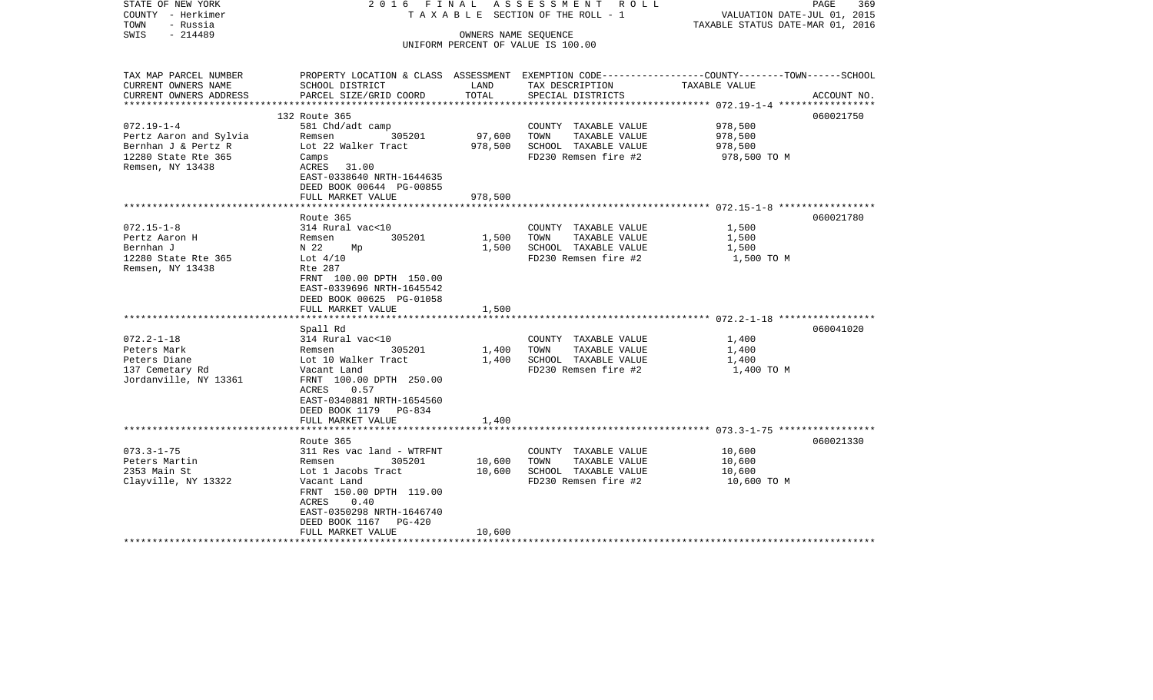| STATE OF NEW YORK<br>COUNTY - Herkimer<br>TOWN<br>- Russia<br>$-214489$<br>SWIS | 2016 FINAL                                                                                      |         | A S S E S S M E N T R O L L<br>TAXABLE SECTION OF THE ROLL - 1<br>OWNERS NAME SEQUENCE | VALUATION DATE-JUL 01, 2015<br>TAXABLE STATUS DATE-MAR 01, 2016 | PAGE<br>369 |
|---------------------------------------------------------------------------------|-------------------------------------------------------------------------------------------------|---------|----------------------------------------------------------------------------------------|-----------------------------------------------------------------|-------------|
|                                                                                 |                                                                                                 |         | UNIFORM PERCENT OF VALUE IS 100.00                                                     |                                                                 |             |
|                                                                                 |                                                                                                 |         |                                                                                        |                                                                 |             |
| TAX MAP PARCEL NUMBER                                                           | PROPERTY LOCATION & CLASS ASSESSMENT EXEMPTION CODE---------------COUNTY-------TOWN------SCHOOL |         |                                                                                        |                                                                 |             |
| CURRENT OWNERS NAME                                                             | SCHOOL DISTRICT                                                                                 | LAND    | TAX DESCRIPTION                                                                        | TAXABLE VALUE                                                   |             |
| CURRENT OWNERS ADDRESS                                                          | PARCEL SIZE/GRID COORD                                                                          | TOTAL   | SPECIAL DISTRICTS                                                                      |                                                                 | ACCOUNT NO. |
|                                                                                 | 132 Route 365                                                                                   |         |                                                                                        |                                                                 | 060021750   |
| $072.19 - 1 - 4$                                                                | 581 Chd/adt camp                                                                                |         | COUNTY TAXABLE VALUE                                                                   | 978,500                                                         |             |
| Pertz Aaron and Sylvia                                                          | 305201<br>Remsen                                                                                | 97,600  | TOWN<br>TAXABLE VALUE                                                                  | 978,500                                                         |             |
| Bernhan J & Pertz R                                                             | Lot 22 Walker Tract                                                                             | 978,500 | SCHOOL TAXABLE VALUE                                                                   | 978,500                                                         |             |
| 12280 State Rte 365                                                             | Camps                                                                                           |         | FD230 Remsen fire #2                                                                   | 978,500 TO M                                                    |             |
| Remsen, NY 13438                                                                | ACRES 31.00                                                                                     |         |                                                                                        |                                                                 |             |
|                                                                                 | EAST-0338640 NRTH-1644635                                                                       |         |                                                                                        |                                                                 |             |
|                                                                                 | DEED BOOK 00644 PG-00855                                                                        |         |                                                                                        |                                                                 |             |
|                                                                                 | FULL MARKET VALUE                                                                               | 978,500 |                                                                                        |                                                                 |             |
|                                                                                 |                                                                                                 |         |                                                                                        |                                                                 |             |
|                                                                                 | Route 365                                                                                       |         |                                                                                        |                                                                 | 060021780   |
| $072.15 - 1 - 8$                                                                | 314 Rural vac<10                                                                                |         | COUNTY TAXABLE VALUE                                                                   | 1,500                                                           |             |
| Pertz Aaron H                                                                   | 305201<br>Remsen                                                                                | 1,500   | TAXABLE VALUE<br>TOWN                                                                  | 1,500                                                           |             |
| Bernhan J                                                                       | N 22<br>Mp                                                                                      | 1,500   | SCHOOL TAXABLE VALUE                                                                   | 1,500                                                           |             |
| 12280 State Rte 365<br>Remsen, NY 13438                                         | Lot $4/10$<br>Rte 287                                                                           |         | FD230 Remsen fire #2                                                                   | 1,500 TO M                                                      |             |
|                                                                                 | FRNT 100.00 DPTH 150.00                                                                         |         |                                                                                        |                                                                 |             |
|                                                                                 | EAST-0339696 NRTH-1645542                                                                       |         |                                                                                        |                                                                 |             |
|                                                                                 | DEED BOOK 00625 PG-01058                                                                        |         |                                                                                        |                                                                 |             |
|                                                                                 | FULL MARKET VALUE                                                                               | 1,500   |                                                                                        |                                                                 |             |
|                                                                                 |                                                                                                 |         |                                                                                        |                                                                 |             |
|                                                                                 | Spall Rd                                                                                        |         |                                                                                        |                                                                 | 060041020   |
| $072.2 - 1 - 18$                                                                | 314 Rural vac<10                                                                                |         | COUNTY TAXABLE VALUE                                                                   | 1,400                                                           |             |
| Peters Mark                                                                     | 305201<br>Remsen                                                                                | 1,400   | TOWN<br>TAXABLE VALUE                                                                  | 1,400                                                           |             |
| Peters Diane                                                                    | Lot 10 Walker Tract                                                                             | 1,400   | SCHOOL TAXABLE VALUE                                                                   | 1,400                                                           |             |
| 137 Cemetary Rd                                                                 | Vacant Land                                                                                     |         | FD230 Remsen fire #2                                                                   | 1,400 TO M                                                      |             |
| Jordanville, NY 13361                                                           | FRNT 100.00 DPTH 250.00                                                                         |         |                                                                                        |                                                                 |             |
|                                                                                 | 0.57<br>ACRES<br>EAST-0340881 NRTH-1654560                                                      |         |                                                                                        |                                                                 |             |
|                                                                                 | DEED BOOK 1179 PG-834                                                                           |         |                                                                                        |                                                                 |             |
|                                                                                 | FULL MARKET VALUE                                                                               | 1,400   |                                                                                        |                                                                 |             |
|                                                                                 |                                                                                                 |         |                                                                                        |                                                                 |             |
|                                                                                 | Route 365                                                                                       |         |                                                                                        |                                                                 | 060021330   |
| $073.3 - 1 - 75$                                                                | 311 Res vac land - WTRFNT                                                                       |         | COUNTY TAXABLE VALUE                                                                   | 10,600                                                          |             |
| Peters Martin                                                                   | Remsen<br>305201                                                                                | 10,600  | TOWN<br>TAXABLE VALUE                                                                  | 10,600                                                          |             |
| 2353 Main St                                                                    | Lot 1 Jacobs Tract                                                                              | 10,600  | SCHOOL TAXABLE VALUE                                                                   | 10,600                                                          |             |
| Clayville, NY 13322                                                             | Vacant Land                                                                                     |         | FD230 Remsen fire #2                                                                   | 10,600 TO M                                                     |             |
|                                                                                 | FRNT 150.00 DPTH 119.00                                                                         |         |                                                                                        |                                                                 |             |
|                                                                                 | ACRES<br>0.40                                                                                   |         |                                                                                        |                                                                 |             |
|                                                                                 | EAST-0350298 NRTH-1646740                                                                       |         |                                                                                        |                                                                 |             |
|                                                                                 | DEED BOOK 1167<br>PG-420<br>FULL MARKET VALUE                                                   | 10,600  |                                                                                        |                                                                 |             |
|                                                                                 |                                                                                                 |         |                                                                                        |                                                                 |             |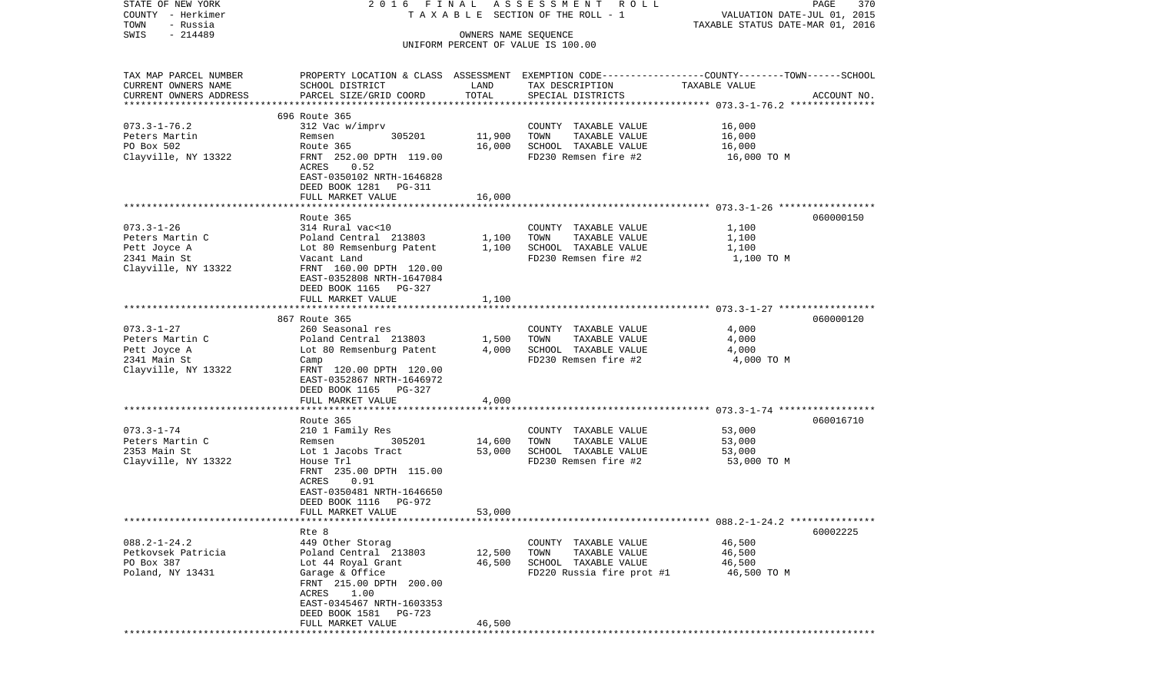| STATE OF NEW YORK<br>COUNTY - Herkimer<br>TOWN<br>- Russia                                 | 2016 FINAL                                                                                                                                                                                           |                            | A S S E S S M E N T R O L L<br>TAXABLE SECTION OF THE ROLL - 1                                     | VALUATION DATE-JUL 01, 2015<br>TAXABLE STATUS DATE-MAR 01, 2016                                                   | PAGE<br>370 |
|--------------------------------------------------------------------------------------------|------------------------------------------------------------------------------------------------------------------------------------------------------------------------------------------------------|----------------------------|----------------------------------------------------------------------------------------------------|-------------------------------------------------------------------------------------------------------------------|-------------|
| $-214489$<br>SWIS                                                                          |                                                                                                                                                                                                      | OWNERS NAME SEQUENCE       | UNIFORM PERCENT OF VALUE IS 100.00                                                                 |                                                                                                                   |             |
| TAX MAP PARCEL NUMBER<br>CURRENT OWNERS NAME<br>CURRENT OWNERS ADDRESS                     | SCHOOL DISTRICT<br>PARCEL SIZE/GRID COORD                                                                                                                                                            | LAND<br>TOTAL              | TAX DESCRIPTION<br>SPECIAL DISTRICTS                                                               | PROPERTY LOCATION & CLASS ASSESSMENT EXEMPTION CODE----------------COUNTY-------TOWN------SCHOOL<br>TAXABLE VALUE | ACCOUNT NO. |
|                                                                                            | 696 Route 365                                                                                                                                                                                        |                            |                                                                                                    |                                                                                                                   |             |
| $073.3 - 1 - 76.2$<br>Peters Martin<br>PO Box 502<br>Clayville, NY 13322                   | 312 Vac w/imprv<br>305201<br>Remsen<br>Route 365<br>FRNT 252.00 DPTH 119.00<br>0.52<br>ACRES<br>EAST-0350102 NRTH-1646828<br>DEED BOOK 1281 PG-311<br>FULL MARKET VALUE                              | 11,900<br>16,000<br>16,000 | COUNTY TAXABLE VALUE<br>TOWN<br>TAXABLE VALUE<br>SCHOOL TAXABLE VALUE<br>FD230 Remsen fire #2      | 16,000<br>16,000<br>16,000<br>16,000 TO M                                                                         |             |
|                                                                                            |                                                                                                                                                                                                      |                            |                                                                                                    |                                                                                                                   |             |
| $073.3 - 1 - 26$<br>Peters Martin C<br>Pett Joyce A<br>2341 Main St<br>Clayville, NY 13322 | Route 365<br>314 Rural vac<10<br>Poland Central 213803<br>Lot 80 Remsenburg Patent<br>Vacant Land<br>FRNT 160.00 DPTH 120.00<br>EAST-0352808 NRTH-1647084<br>DEED BOOK 1165 PG-327                   | 1,100<br>1,100             | COUNTY TAXABLE VALUE<br>TOWN<br>TAXABLE VALUE<br>SCHOOL TAXABLE VALUE<br>FD230 Remsen fire #2      | 1,100<br>1,100<br>1,100<br>1,100 TO M                                                                             | 060000150   |
|                                                                                            | FULL MARKET VALUE                                                                                                                                                                                    | 1,100                      |                                                                                                    |                                                                                                                   |             |
|                                                                                            |                                                                                                                                                                                                      |                            |                                                                                                    |                                                                                                                   |             |
| $073.3 - 1 - 27$<br>Peters Martin C<br>Pett Joyce A<br>2341 Main St<br>Clayville, NY 13322 | 867 Route 365<br>260 Seasonal res<br>Poland Central 213803<br>Lot 80 Remsenburg Patent<br>Camp<br>FRNT 120.00 DPTH 120.00<br>EAST-0352867 NRTH-1646972<br>DEED BOOK 1165 PG-327<br>FULL MARKET VALUE | 1,500<br>4,000<br>4,000    | COUNTY TAXABLE VALUE<br>TOWN<br>TAXABLE VALUE<br>SCHOOL TAXABLE VALUE<br>FD230 Remsen fire #2      | 4,000<br>4,000<br>4,000<br>4,000 TO M                                                                             | 060000120   |
|                                                                                            |                                                                                                                                                                                                      |                            |                                                                                                    |                                                                                                                   |             |
| $073.3 - 1 - 74$<br>Peters Martin C<br>2353 Main St<br>Clayville, NY 13322                 | Route 365<br>210 1 Family Res<br>305201<br>Remsen<br>Lot 1 Jacobs Tract<br>House Trl<br>FRNT 235.00 DPTH 115.00<br>ACRES<br>0.91<br>EAST-0350481 NRTH-1646650<br>DEED BOOK 1116 PG-972               | 14,600<br>53,000           | COUNTY TAXABLE VALUE<br>TOWN<br>TAXABLE VALUE<br>SCHOOL TAXABLE VALUE<br>FD230 Remsen fire #2      | 53,000<br>53,000<br>53,000<br>53,000 TO M                                                                         | 060016710   |
|                                                                                            | FULL MARKET VALUE                                                                                                                                                                                    | 53,000                     |                                                                                                    |                                                                                                                   |             |
| $088.2 - 1 - 24.2$<br>Petkovsek Patricia<br>PO Box 387<br>Poland, NY 13431                 | Rte 8<br>449 Other Storag<br>Poland Central 213803<br>Lot 44 Royal Grant<br>Garage & Office<br>FRNT 215.00 DPTH 200.00<br>ACRES 1.00<br>EAST-0345467 NRTH-1603353                                    | 12,500<br>46,500           | COUNTY TAXABLE VALUE<br>TAXABLE VALUE<br>TOWN<br>SCHOOL TAXABLE VALUE<br>FD220 Russia fire prot #1 | 46,500<br>46,500<br>46,500<br>46,500 TO M                                                                         | 60002225    |
|                                                                                            | DEED BOOK 1581 PG-723<br>FULL MARKET VALUE                                                                                                                                                           | 46,500                     |                                                                                                    |                                                                                                                   |             |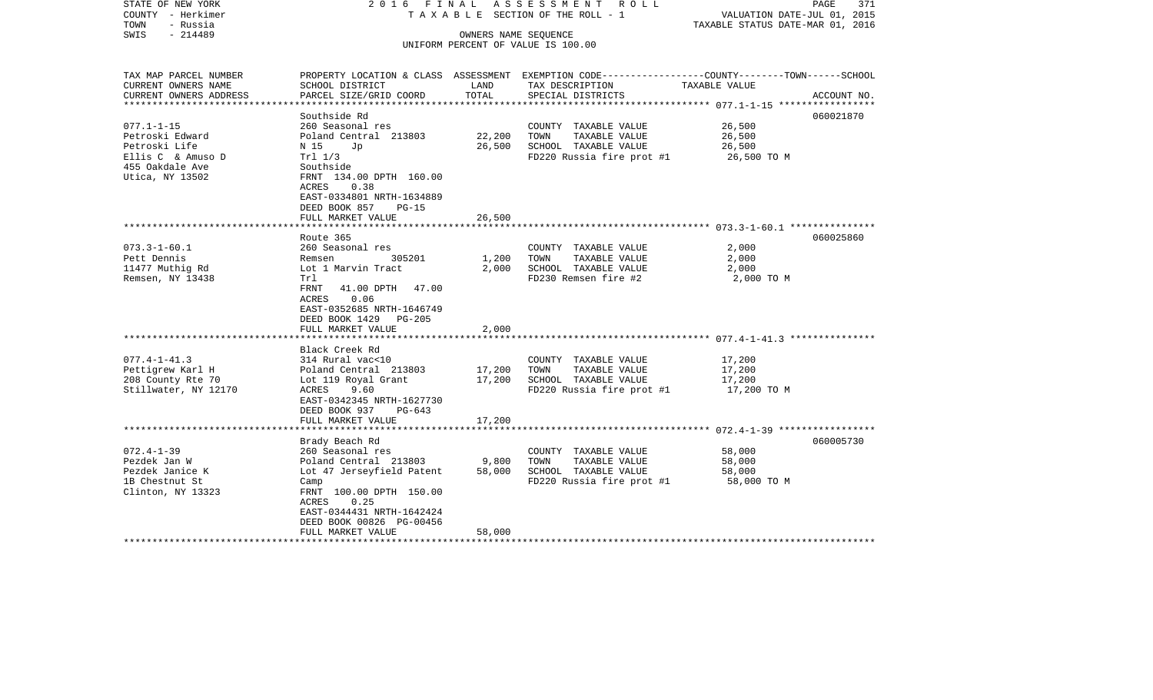| STATE OF NEW YORK<br>COUNTY - Herkimer<br>TOWN<br>- Russia<br>$-214489$<br>SWIS            | 2016 FINAL                                                                                                                                                                                                                 |                            | ASSESSMENT ROLL<br>T A X A B L E SECTION OF THE ROLL - 1<br>OWNERS NAME SEQUENCE                   | VALUATION DATE-JUL 01, 2015<br>TAXABLE STATUS DATE-MAR 01, 2016 | PAGE<br>371 |
|--------------------------------------------------------------------------------------------|----------------------------------------------------------------------------------------------------------------------------------------------------------------------------------------------------------------------------|----------------------------|----------------------------------------------------------------------------------------------------|-----------------------------------------------------------------|-------------|
|                                                                                            |                                                                                                                                                                                                                            |                            | UNIFORM PERCENT OF VALUE IS 100.00                                                                 |                                                                 |             |
| TAX MAP PARCEL NUMBER                                                                      |                                                                                                                                                                                                                            |                            | PROPERTY LOCATION & CLASS ASSESSMENT EXEMPTION CODE---------------COUNTY-------TOWN------SCHOOL    |                                                                 |             |
| CURRENT OWNERS NAME<br>CURRENT OWNERS ADDRESS<br>*****************                         | SCHOOL DISTRICT<br>PARCEL SIZE/GRID COORD                                                                                                                                                                                  | LAND<br>TOTAL              | TAX DESCRIPTION<br>SPECIAL DISTRICTS                                                               | TAXABLE VALUE                                                   | ACCOUNT NO. |
|                                                                                            | Southside Rd                                                                                                                                                                                                               |                            |                                                                                                    |                                                                 | 060021870   |
| $077.1 - 1 - 15$<br>Petroski Edward<br>Petroski Life<br>Ellis C & Amuso D                  | 260 Seasonal res<br>Poland Central 213803<br>N 15<br>Jp<br>Trl 1/3                                                                                                                                                         | 22,200<br>26,500           | COUNTY TAXABLE VALUE<br>TOWN<br>TAXABLE VALUE<br>SCHOOL TAXABLE VALUE<br>FD220 Russia fire prot #1 | 26,500<br>26,500<br>26,500<br>26,500 TO M                       |             |
| 455 Oakdale Ave<br>Utica, NY 13502                                                         | Southside<br>FRNT 134.00 DPTH 160.00<br>0.38<br>ACRES<br>EAST-0334801 NRTH-1634889<br>DEED BOOK 857<br><b>PG-15</b>                                                                                                        |                            |                                                                                                    |                                                                 |             |
|                                                                                            | FULL MARKET VALUE<br>**************************                                                                                                                                                                            | 26,500                     |                                                                                                    |                                                                 |             |
|                                                                                            | Route 365                                                                                                                                                                                                                  |                            |                                                                                                    |                                                                 | 060025860   |
| $073.3 - 1 - 60.1$<br>Pett Dennis                                                          | 260 Seasonal res<br>305201<br>Remsen                                                                                                                                                                                       | 1,200                      | COUNTY TAXABLE VALUE<br>TAXABLE VALUE<br>TOWN                                                      | 2,000<br>2,000                                                  |             |
| 11477 Muthig Rd                                                                            | Lot 1 Marvin Tract                                                                                                                                                                                                         | 2,000                      | SCHOOL TAXABLE VALUE                                                                               | 2,000                                                           |             |
| Remsen, NY 13438                                                                           | Trl<br>41.00 DPTH<br>FRNT<br>47.00<br>0.06<br>ACRES<br>EAST-0352685 NRTH-1646749<br>DEED BOOK 1429 PG-205<br>FULL MARKET VALUE                                                                                             | 2,000                      | FD230 Remsen fire #2                                                                               | 2,000 TO M                                                      |             |
|                                                                                            | Black Creek Rd                                                                                                                                                                                                             |                            |                                                                                                    |                                                                 |             |
| $077.4 - 1 - 41.3$<br>Pettigrew Karl H<br>208 County Rte 70<br>Stillwater, NY 12170        | 314 Rural vac<10<br>Poland Central 213803<br>Lot 119 Royal Grant<br>ACRES<br>9.60<br>EAST-0342345 NRTH-1627730<br>DEED BOOK 937<br>PG-643<br>FULL MARKET VALUE                                                             | 17,200<br>17,200<br>17,200 | COUNTY TAXABLE VALUE<br>TAXABLE VALUE<br>TOWN<br>SCHOOL TAXABLE VALUE<br>FD220 Russia fire prot #1 | 17,200<br>17,200<br>17,200<br>17,200 TO M                       |             |
|                                                                                            | *********************                                                                                                                                                                                                      |                            |                                                                                                    |                                                                 |             |
| $072.4 - 1 - 39$<br>Pezdek Jan W<br>Pezdek Janice K<br>1B Chestnut St<br>Clinton, NY 13323 | Brady Beach Rd<br>260 Seasonal res<br>Poland Central 213803<br>Lot 47 Jerseyfield Patent<br>Camp<br>FRNT 100.00 DPTH 150.00<br>ACRES<br>0.25<br>EAST-0344431 NRTH-1642424<br>DEED BOOK 00826 PG-00456<br>FULL MARKET VALUE | 9,800<br>58,000<br>58,000  | COUNTY TAXABLE VALUE<br>TOWN<br>TAXABLE VALUE<br>SCHOOL TAXABLE VALUE<br>FD220 Russia fire prot #1 | 58,000<br>58,000<br>58,000<br>58,000 TO M                       | 060005730   |
|                                                                                            |                                                                                                                                                                                                                            |                            | **************************                                                                         |                                                                 |             |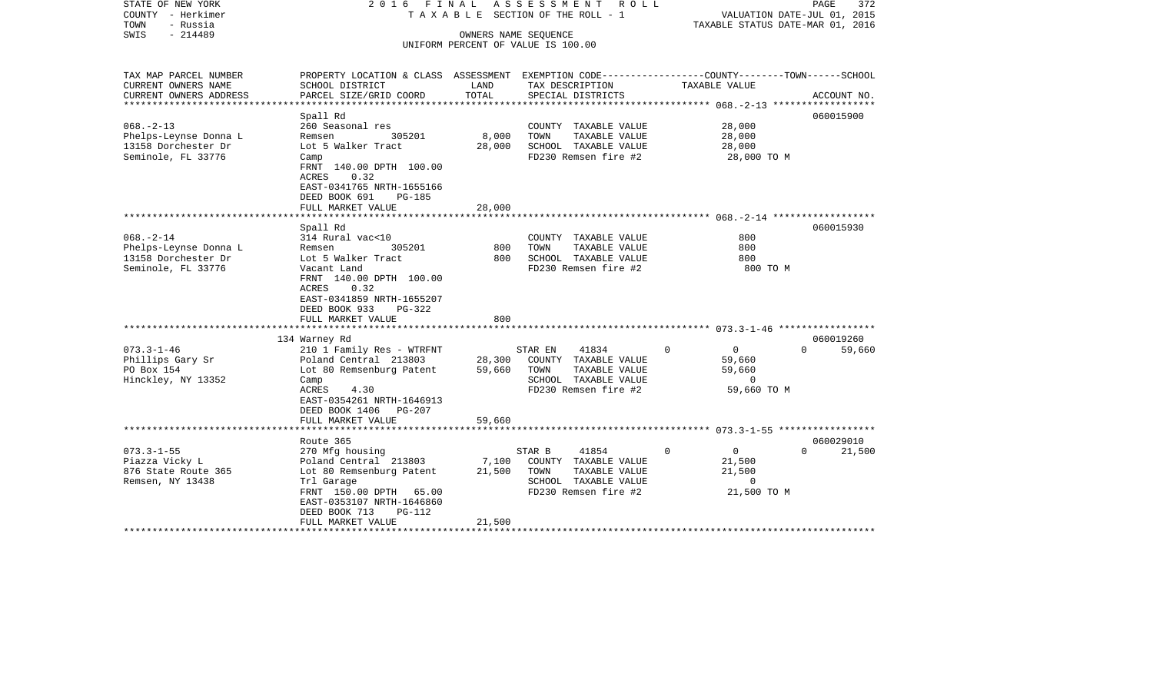| STATE OF NEW YORK<br>COUNTY - Herkimer<br>TOWN<br>- Russia<br>$-214489$<br>SWIS       | 2016 FINAL                                                                                                                                                                                                     |                           | A S S E S S M E N T R O L L<br>T A X A B L E SECTION OF THE ROLL - 1<br>OWNERS NAME SEQUENCE<br>UNIFORM PERCENT OF VALUE IS 100.00 | TAXABLE STATUS DATE-MAR 01, 2016                                                   | PAGE<br>372<br>VALUATION DATE-JUL 01, 2015 |
|---------------------------------------------------------------------------------------|----------------------------------------------------------------------------------------------------------------------------------------------------------------------------------------------------------------|---------------------------|------------------------------------------------------------------------------------------------------------------------------------|------------------------------------------------------------------------------------|--------------------------------------------|
| TAX MAP PARCEL NUMBER<br>CURRENT OWNERS NAME<br>CURRENT OWNERS ADDRESS                | PROPERTY LOCATION & CLASS ASSESSMENT EXEMPTION CODE----------------COUNTY-------TOWN------SCHOOL<br>SCHOOL DISTRICT<br>PARCEL SIZE/GRID COORD                                                                  | LAND<br>TOTAL             | TAX DESCRIPTION<br>SPECIAL DISTRICTS                                                                                               | TAXABLE VALUE                                                                      | ACCOUNT NO.                                |
| **********************                                                                |                                                                                                                                                                                                                |                           |                                                                                                                                    |                                                                                    |                                            |
| $068. - 2 - 13$<br>Phelps-Leynse Donna L<br>13158 Dorchester Dr<br>Seminole, FL 33776 | Spall Rd<br>260 Seasonal res<br>305201<br>Remsen<br>Lot 5 Walker Tract<br>Camp<br>FRNT 140.00 DPTH 100.00<br>0.32<br>ACRES<br>EAST-0341765 NRTH-1655166<br>DEED BOOK 691<br><b>PG-185</b>                      | 8,000<br>28,000           | COUNTY TAXABLE VALUE<br>TOWN<br>TAXABLE VALUE<br>SCHOOL TAXABLE VALUE<br>FD230 Remsen fire #2                                      | 28,000<br>28,000<br>28,000<br>28,000 TO M                                          | 060015900                                  |
|                                                                                       | FULL MARKET VALUE                                                                                                                                                                                              | 28,000                    |                                                                                                                                    |                                                                                    |                                            |
| $068. - 2 - 14$<br>Phelps-Leynse Donna L<br>13158 Dorchester Dr<br>Seminole, FL 33776 | Spall Rd<br>314 Rural vac<10<br>305201<br>Remsen<br>Lot 5 Walker Tract<br>Vacant Land<br>FRNT 140.00 DPTH 100.00<br>ACRES<br>0.32<br>EAST-0341859 NRTH-1655207<br>DEED BOOK 933<br>PG-322<br>FULL MARKET VALUE | 800<br>800<br>800         | COUNTY TAXABLE VALUE<br>TOWN<br>TAXABLE VALUE<br>SCHOOL TAXABLE VALUE<br>FD230 Remsen fire #2                                      | 800<br>800<br>800<br>800 TO M                                                      | 060015930                                  |
|                                                                                       | 134 Warney Rd                                                                                                                                                                                                  |                           |                                                                                                                                    |                                                                                    | 060019260                                  |
| $073.3 - 1 - 46$<br>Phillips Gary Sr<br>PO Box 154<br>Hinckley, NY 13352              | 210 1 Family Res - WTRFNT<br>Poland Central 213803<br>Lot 80 Remsenburg Patent<br>Camp<br>ACRES<br>4.30<br>EAST-0354261 NRTH-1646913<br>DEED BOOK 1406 PG-207                                                  | 28,300<br>59,660          | STAR EN<br>41834<br>COUNTY TAXABLE VALUE<br>TAXABLE VALUE<br>TOWN<br>SCHOOL TAXABLE VALUE<br>FD230 Remsen fire #2                  | $\mathbf 0$<br>$\overline{0}$<br>59,660<br>59,660<br>$\mathbf 0$<br>59,660 TO M    | $\Omega$<br>59,660                         |
|                                                                                       | FULL MARKET VALUE                                                                                                                                                                                              | 59,660                    |                                                                                                                                    |                                                                                    |                                            |
|                                                                                       | Route 365                                                                                                                                                                                                      |                           |                                                                                                                                    |                                                                                    | 060029010                                  |
| $073.3 - 1 - 55$<br>Piazza Vicky L<br>876 State Route 365<br>Remsen, NY 13438         | 270 Mfg housing<br>Poland Central 213803<br>Lot 80 Remsenburg Patent<br>Trl Garage<br>FRNT 150.00 DPTH 65.00<br>EAST-0353107 NRTH-1646860<br>DEED BOOK 713<br>PG-112<br>FULL MARKET VALUE                      | 7,100<br>21,500<br>21,500 | STAR B<br>41854<br>COUNTY TAXABLE VALUE<br>TOWN<br>TAXABLE VALUE<br>SCHOOL TAXABLE VALUE<br>FD230 Remsen fire #2                   | $\mathbf 0$<br>$\overline{0}$<br>21,500<br>21,500<br>$\overline{0}$<br>21,500 TO M | $\Omega$<br>21,500                         |
|                                                                                       |                                                                                                                                                                                                                |                           |                                                                                                                                    |                                                                                    |                                            |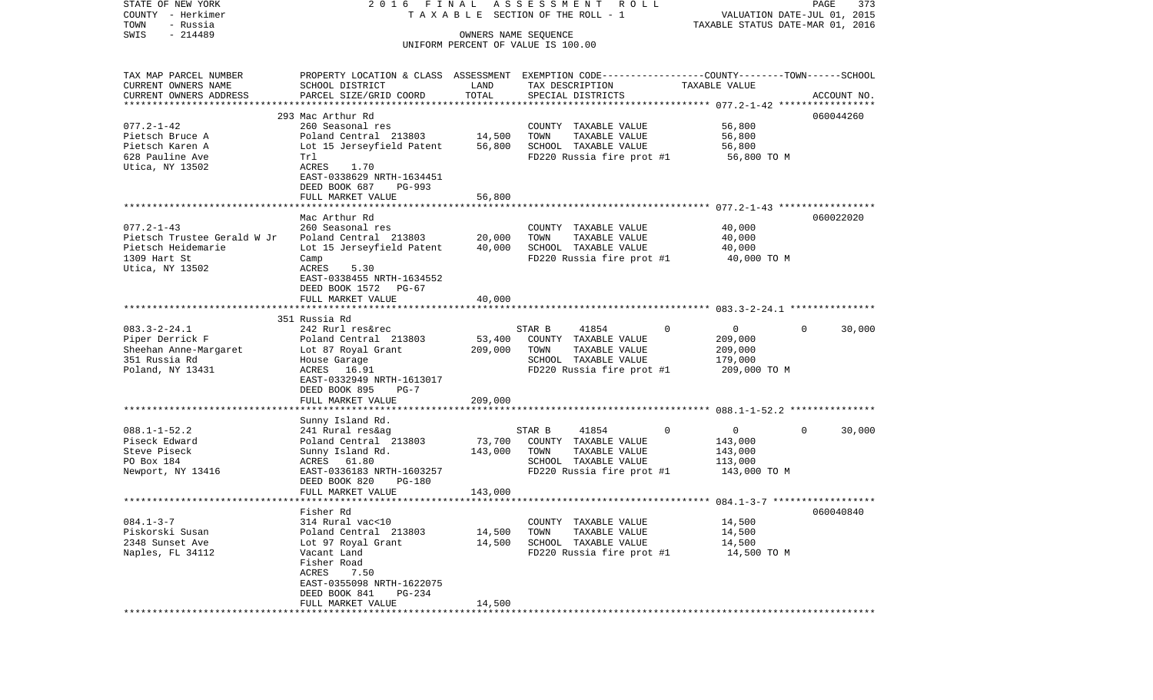| STATE OF NEW YORK                               | 2016 FINAL                                                                                       |                      | A S S E S S M E N T<br>R O L L        |                                | 373<br>PAGE                      |
|-------------------------------------------------|--------------------------------------------------------------------------------------------------|----------------------|---------------------------------------|--------------------------------|----------------------------------|
| COUNTY - Herkimer                               |                                                                                                  |                      | T A X A B L E SECTION OF THE ROLL - 1 |                                | VALUATION DATE-JUL 01, 2015      |
| TOWN<br>- Russia                                |                                                                                                  |                      |                                       |                                | TAXABLE STATUS DATE-MAR 01, 2016 |
| $-214489$<br>SWIS                               |                                                                                                  | OWNERS NAME SEQUENCE | UNIFORM PERCENT OF VALUE IS 100.00    |                                |                                  |
|                                                 |                                                                                                  |                      |                                       |                                |                                  |
| TAX MAP PARCEL NUMBER                           | PROPERTY LOCATION & CLASS ASSESSMENT EXEMPTION CODE----------------COUNTY-------TOWN------SCHOOL |                      |                                       |                                |                                  |
| CURRENT OWNERS NAME                             | SCHOOL DISTRICT                                                                                  | LAND                 | TAX DESCRIPTION                       | TAXABLE VALUE                  |                                  |
| CURRENT OWNERS ADDRESS                          | PARCEL SIZE/GRID COORD                                                                           | TOTAL                | SPECIAL DISTRICTS                     |                                | ACCOUNT NO.                      |
| *************************                       |                                                                                                  |                      |                                       |                                |                                  |
|                                                 | 293 Mac Arthur Rd                                                                                |                      |                                       |                                | 060044260                        |
| $077.2 - 1 - 42$                                | 260 Seasonal res                                                                                 |                      | COUNTY TAXABLE VALUE                  | 56,800                         |                                  |
| Pietsch Bruce A                                 | Poland Central 213803                                                                            | 14,500               | TOWN<br>TAXABLE VALUE                 | 56,800                         |                                  |
| Pietsch Karen A                                 | Lot 15 Jerseyfield Patent                                                                        | 56,800               | SCHOOL TAXABLE VALUE                  | 56,800                         |                                  |
| 628 Pauline Ave                                 | Trl                                                                                              |                      | FD220 Russia fire prot #1             | 56,800 TO M                    |                                  |
| Utica, NY 13502                                 | ACRES<br>1.70                                                                                    |                      |                                       |                                |                                  |
|                                                 | EAST-0338629 NRTH-1634451                                                                        |                      |                                       |                                |                                  |
|                                                 | DEED BOOK 687<br>PG-993                                                                          |                      |                                       |                                |                                  |
|                                                 | FULL MARKET VALUE                                                                                | 56,800               |                                       |                                |                                  |
|                                                 |                                                                                                  |                      |                                       |                                |                                  |
|                                                 | Mac Arthur Rd                                                                                    |                      |                                       |                                | 060022020                        |
| $077.2 - 1 - 43$<br>Pietsch Trustee Gerald W Jr | 260 Seasonal res                                                                                 |                      | COUNTY TAXABLE VALUE                  | 40,000                         |                                  |
|                                                 | Poland Central 213803                                                                            | 20,000               | TOWN<br>TAXABLE VALUE                 | 40,000                         |                                  |
| Pietsch Heidemarie                              | Lot 15 Jerseyfield Patent                                                                        | 40,000               | SCHOOL TAXABLE VALUE                  | 40,000                         |                                  |
| 1309 Hart St<br>Utica, NY 13502                 | Camp<br>ACRES<br>5.30                                                                            |                      | FD220 Russia fire prot #1             | 40,000 TO M                    |                                  |
|                                                 | EAST-0338455 NRTH-1634552                                                                        |                      |                                       |                                |                                  |
|                                                 | DEED BOOK 1572<br>PG-67                                                                          |                      |                                       |                                |                                  |
|                                                 | FULL MARKET VALUE                                                                                | 40,000               |                                       |                                |                                  |
|                                                 |                                                                                                  |                      |                                       |                                |                                  |
|                                                 | 351 Russia Rd                                                                                    |                      |                                       |                                |                                  |
| $083.3 - 2 - 24.1$                              | 242 Rurl res&rec                                                                                 |                      | STAR B<br>41854                       | $\mathbf{0}$<br>$\Omega$       | $\Omega$<br>30,000               |
| Piper Derrick F                                 | Poland Central 213803                                                                            | 53,400               | COUNTY TAXABLE VALUE                  | 209,000                        |                                  |
| Sheehan Anne-Margaret                           | Lot 87 Royal Grant                                                                               | 209,000              | TOWN<br>TAXABLE VALUE                 | 209,000                        |                                  |
| 351 Russia Rd                                   | House Garage                                                                                     |                      | SCHOOL TAXABLE VALUE                  | 179,000                        |                                  |
| Poland, NY 13431                                | ACRES 16.91                                                                                      |                      | FD220 Russia fire prot #1             | 209,000 TO M                   |                                  |
|                                                 | EAST-0332949 NRTH-1613017                                                                        |                      |                                       |                                |                                  |
|                                                 | DEED BOOK 895<br>$PG-7$                                                                          |                      |                                       |                                |                                  |
|                                                 | FULL MARKET VALUE<br>**************************                                                  | 209,000              |                                       |                                |                                  |
|                                                 | Sunny Island Rd.                                                                                 |                      |                                       |                                |                                  |
|                                                 |                                                                                                  |                      |                                       |                                |                                  |
|                                                 |                                                                                                  |                      |                                       |                                |                                  |
| $088.1 - 1 - 52.2$                              | 241 Rural res&ag                                                                                 |                      | STAR B<br>41854                       | $\mathbf{0}$<br>$\overline{0}$ | 30,000<br>$\Omega$               |
| Piseck Edward                                   | Poland Central 213803                                                                            | 73,700               | COUNTY TAXABLE VALUE                  | 143,000                        |                                  |
| Steve Piseck                                    | Sunny Island Rd.                                                                                 | 143,000              | TOWN<br>TAXABLE VALUE                 | 143,000                        |                                  |
| PO Box 184                                      | ACRES 61.80                                                                                      |                      | SCHOOL TAXABLE VALUE                  | 113,000                        |                                  |
| Newport, NY 13416                               | EAST-0336183 NRTH-1603257                                                                        |                      | FD220 Russia fire prot #1             | 143,000 TO M                   |                                  |
|                                                 | DEED BOOK 820<br>PG-180                                                                          |                      |                                       |                                |                                  |
|                                                 | FULL MARKET VALUE                                                                                | 143,000              |                                       |                                |                                  |
|                                                 | Fisher Rd                                                                                        |                      |                                       |                                | 060040840                        |
| $084.1 - 3 - 7$                                 | 314 Rural vac<10                                                                                 |                      | COUNTY TAXABLE VALUE                  | 14,500                         |                                  |
| Piskorski Susan                                 | Poland Central 213803                                                                            | 14,500               | TOWN<br>TAXABLE VALUE                 | 14,500                         |                                  |
| 2348 Sunset Ave                                 | Lot 97 Royal Grant                                                                               | 14,500               | SCHOOL TAXABLE VALUE                  | 14,500                         |                                  |
| Naples, FL 34112                                | Vacant Land                                                                                      |                      | FD220 Russia fire prot #1             | 14,500 TO M                    |                                  |
|                                                 | Fisher Road                                                                                      |                      |                                       |                                |                                  |
|                                                 | ACRES<br>7.50                                                                                    |                      |                                       |                                |                                  |
|                                                 | EAST-0355098 NRTH-1622075                                                                        |                      |                                       |                                |                                  |
|                                                 | PG-234<br>DEED BOOK 841<br>FULL MARKET VALUE                                                     | 14,500               |                                       |                                |                                  |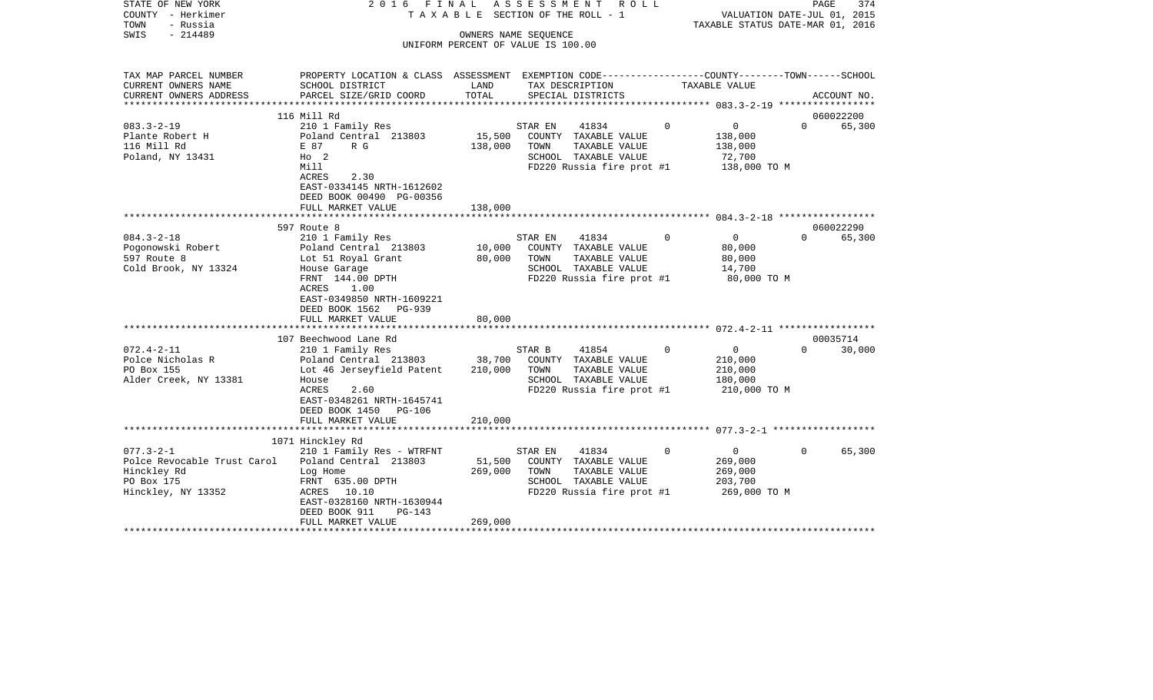| STATE OF NEW YORK<br>COUNTY - Herkimer<br>TOWN<br>- Russia<br>$-214489$<br>SWIS                                                                             | 2016 FINAL                                                                                                                                                                                                                                                                                                                                                                                        |                                                 | ASSESSMENT<br>ROLL<br>TAXABLE SECTION OF THE ROLL - 1<br>OWNERS NAME SEOUENCE<br>UNIFORM PERCENT OF VALUE IS 100.00                                                                                                                             |                               | VALUATION DATE-JUL 01, 2015<br>TAXABLE STATUS DATE-MAR 01, 2016                                                                                        | PAGE<br>374                               |
|-------------------------------------------------------------------------------------------------------------------------------------------------------------|---------------------------------------------------------------------------------------------------------------------------------------------------------------------------------------------------------------------------------------------------------------------------------------------------------------------------------------------------------------------------------------------------|-------------------------------------------------|-------------------------------------------------------------------------------------------------------------------------------------------------------------------------------------------------------------------------------------------------|-------------------------------|--------------------------------------------------------------------------------------------------------------------------------------------------------|-------------------------------------------|
| TAX MAP PARCEL NUMBER<br>CURRENT OWNERS NAME                                                                                                                | PROPERTY LOCATION & CLASS ASSESSMENT EXEMPTION CODE---------------COUNTY-------TOWN------SCHOOL<br>SCHOOL DISTRICT                                                                                                                                                                                                                                                                                | LAND                                            | TAX DESCRIPTION                                                                                                                                                                                                                                 |                               | TAXABLE VALUE                                                                                                                                          |                                           |
| CURRENT OWNERS ADDRESS                                                                                                                                      | PARCEL SIZE/GRID COORD                                                                                                                                                                                                                                                                                                                                                                            | TOTAL                                           | SPECIAL DISTRICTS                                                                                                                                                                                                                               |                               |                                                                                                                                                        | ACCOUNT NO.                               |
|                                                                                                                                                             |                                                                                                                                                                                                                                                                                                                                                                                                   |                                                 |                                                                                                                                                                                                                                                 |                               |                                                                                                                                                        |                                           |
|                                                                                                                                                             | 116 Mill Rd                                                                                                                                                                                                                                                                                                                                                                                       |                                                 |                                                                                                                                                                                                                                                 |                               |                                                                                                                                                        | 060022200                                 |
| $083.3 - 2 - 19$<br>Plante Robert H<br>116 Mill Rd<br>Poland, NY 13431                                                                                      | 210 1 Family Res<br>Poland Central 213803<br>E 87<br>R G<br>$H_0$ 2<br>Mill<br>2.30<br>ACRES                                                                                                                                                                                                                                                                                                      | 15,500<br>138,000                               | STAR EN<br>41834<br>COUNTY TAXABLE VALUE<br>TOWN<br>TAXABLE VALUE<br>SCHOOL TAXABLE VALUE<br>FD220 Russia fire prot #1                                                                                                                          | $\mathbf 0$                   | 0<br>138,000<br>138,000<br>72,700<br>138,000 TO M                                                                                                      | $\Omega$<br>65,300                        |
|                                                                                                                                                             | EAST-0334145 NRTH-1612602<br>DEED BOOK 00490 PG-00356<br>FULL MARKET VALUE<br>*********************                                                                                                                                                                                                                                                                                               | 138,000                                         |                                                                                                                                                                                                                                                 |                               |                                                                                                                                                        |                                           |
|                                                                                                                                                             |                                                                                                                                                                                                                                                                                                                                                                                                   |                                                 |                                                                                                                                                                                                                                                 |                               |                                                                                                                                                        |                                           |
| $084.3 - 2 - 18$<br>Pogonowski Robert<br>597 Route 8<br>Cold Brook, NY 13324<br>$072.4 - 2 - 11$<br>Polce Nicholas R<br>PO Box 155<br>Alder Creek, NY 13381 | 597 Route 8<br>210 1 Family Res<br>Poland Central 213803<br>Lot 51 Royal Grant<br>House Garage<br>FRNT 144.00 DPTH<br>ACRES<br>1.00<br>EAST-0349850 NRTH-1609221<br>DEED BOOK 1562 PG-939<br>FULL MARKET VALUE<br>107 Beechwood Lane Rd<br>210 1 Family Res<br>Poland Central 213803<br>Lot 46 Jerseyfield Patent<br>House<br>ACRES<br>2.60<br>EAST-0348261 NRTH-1645741<br>DEED BOOK 1450 PG-106 | 10,000<br>80,000<br>80,000<br>38,700<br>210,000 | 41834<br>STAR EN<br>COUNTY TAXABLE VALUE<br>TOWN<br>TAXABLE VALUE<br>SCHOOL TAXABLE VALUE<br>FD220 Russia fire prot #1<br>STAR B<br>41854<br>COUNTY TAXABLE VALUE<br>TOWN<br>TAXABLE VALUE<br>SCHOOL TAXABLE VALUE<br>FD220 Russia fire prot #1 | $\overline{0}$<br>$\mathbf 0$ | $\overline{0}$<br>$\Omega$<br>80,000<br>80,000<br>14,700<br>80,000 TO M<br>$\overline{0}$<br>$\Omega$<br>210,000<br>210,000<br>180,000<br>210,000 TO M | 060022290<br>65,300<br>00035714<br>30,000 |
|                                                                                                                                                             | FULL MARKET VALUE                                                                                                                                                                                                                                                                                                                                                                                 | 210,000                                         |                                                                                                                                                                                                                                                 |                               |                                                                                                                                                        |                                           |
|                                                                                                                                                             | 1071 Hinckley Rd                                                                                                                                                                                                                                                                                                                                                                                  |                                                 |                                                                                                                                                                                                                                                 |                               |                                                                                                                                                        |                                           |
| $077.3 - 2 - 1$<br>Polce Revocable Trust Carol<br>Hinckley Rd<br>PO Box 175<br>Hinckley, NY 13352                                                           | 210 1 Family Res - WTRFNT<br>Poland Central 213803<br>Log Home<br>FRNT 635.00 DPTH<br>ACRES 10.10<br>EAST-0328160 NRTH-1630944<br>DEED BOOK 911<br>$PG-143$                                                                                                                                                                                                                                       | 51,500<br>269,000                               | 41834<br>STAR EN<br>COUNTY TAXABLE VALUE<br>TOWN<br>TAXABLE VALUE<br>SCHOOL TAXABLE VALUE<br>FD220 Russia fire prot #1                                                                                                                          | $\Omega$                      | $\overline{0}$<br>$\Omega$<br>269,000<br>269,000<br>203,700<br>269,000 TO M                                                                            | 65,300                                    |
|                                                                                                                                                             | FULL MARKET VALUE                                                                                                                                                                                                                                                                                                                                                                                 | 269,000                                         |                                                                                                                                                                                                                                                 |                               |                                                                                                                                                        |                                           |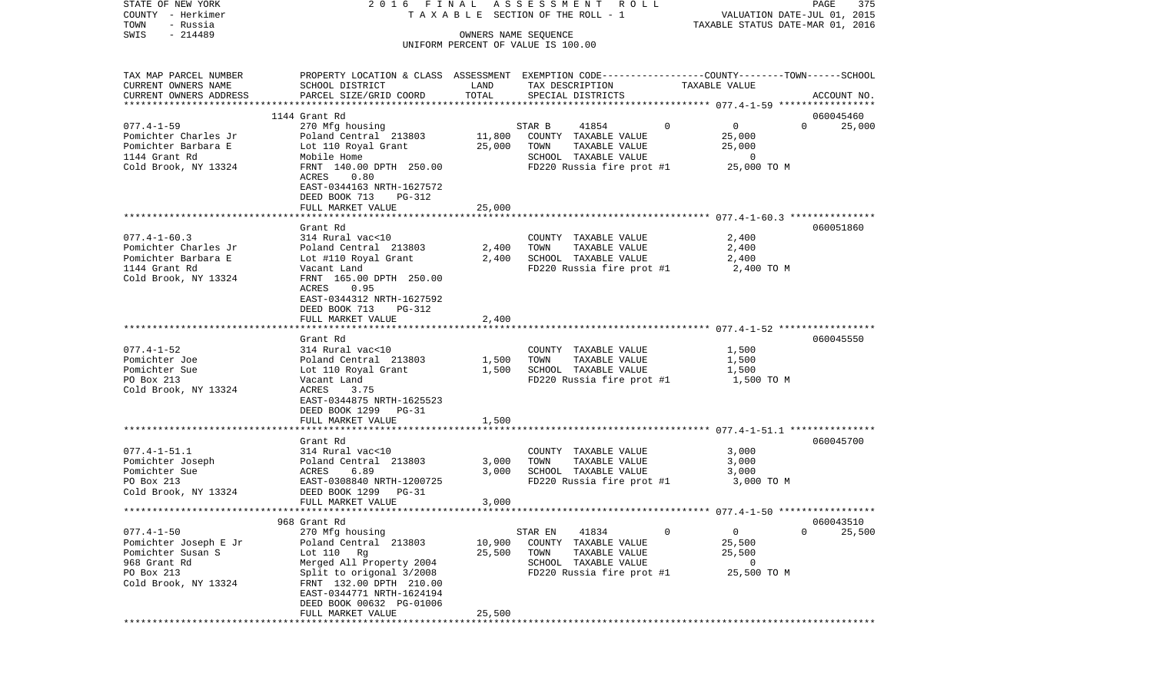| COUNTY - Herkimer      |                                                                                                 |        | T A X A B L E SECTION OF THE ROLL - 1 |               | VALUATION DATE-JUL 01, 2015          |
|------------------------|-------------------------------------------------------------------------------------------------|--------|---------------------------------------|---------------|--------------------------------------|
| TOWN<br>- Russia       |                                                                                                 |        |                                       |               | TAXABLE STATUS DATE-MAR 01, 2016     |
| $-214489$<br>SWIS      |                                                                                                 |        | OWNERS NAME SEQUENCE                  |               |                                      |
|                        |                                                                                                 |        | UNIFORM PERCENT OF VALUE IS 100.00    |               |                                      |
|                        |                                                                                                 |        |                                       |               |                                      |
| TAX MAP PARCEL NUMBER  | PROPERTY LOCATION & CLASS ASSESSMENT EXEMPTION CODE---------------COUNTY-------TOWN------SCHOOL |        |                                       |               |                                      |
| CURRENT OWNERS NAME    | SCHOOL DISTRICT                                                                                 | LAND   | TAX DESCRIPTION                       | TAXABLE VALUE |                                      |
| CURRENT OWNERS ADDRESS | PARCEL SIZE/GRID COORD                                                                          | TOTAL  | SPECIAL DISTRICTS                     |               |                                      |
|                        |                                                                                                 |        |                                       |               | ACCOUNT NO.                          |
|                        | 1144 Grant Rd                                                                                   |        |                                       |               | 060045460                            |
| $077.4 - 1 - 59$       | 270 Mfg housing                                                                                 |        | STAR B<br>41854                       | $\circ$       | $\overline{0}$<br>$\Omega$<br>25,000 |
|                        |                                                                                                 |        |                                       |               |                                      |
| Pomichter Charles Jr   | Poland Central 213803                                                                           | 11,800 | COUNTY TAXABLE VALUE                  |               | 25,000                               |
| Pomichter Barbara E    | Lot 110 Royal Grant                                                                             | 25,000 | TOWN<br>TAXABLE VALUE                 |               | 25,000                               |
| 1144 Grant Rd          | Mobile Home                                                                                     |        | SCHOOL TAXABLE VALUE                  |               | 0                                    |
| Cold Brook, NY 13324   | FRNT 140.00 DPTH 250.00                                                                         |        | FD220 Russia fire prot #1             |               | 25,000 TO M                          |
|                        | 0.80<br>ACRES                                                                                   |        |                                       |               |                                      |
|                        | EAST-0344163 NRTH-1627572                                                                       |        |                                       |               |                                      |
|                        | DEED BOOK 713<br>PG-312                                                                         |        |                                       |               |                                      |
|                        | FULL MARKET VALUE                                                                               | 25,000 |                                       |               |                                      |
|                        |                                                                                                 |        |                                       |               |                                      |
|                        | Grant Rd                                                                                        |        |                                       |               | 060051860                            |
| $077.4 - 1 - 60.3$     | 314 Rural vac<10                                                                                |        | COUNTY TAXABLE VALUE                  |               | 2,400                                |
| Pomichter Charles Jr   | Poland Central 213803                                                                           | 2,400  | TOWN<br>TAXABLE VALUE                 |               | 2,400                                |
| Pomichter Barbara E    | Lot #110 Royal Grant                                                                            | 2,400  | SCHOOL TAXABLE VALUE                  |               | 2,400                                |
| 1144 Grant Rd          | Vacant Land                                                                                     |        | FD220 Russia fire prot #1             |               | 2,400 TO M                           |
| Cold Brook, NY 13324   | FRNT 165.00 DPTH 250.00                                                                         |        |                                       |               |                                      |
|                        | 0.95<br>ACRES                                                                                   |        |                                       |               |                                      |
|                        | EAST-0344312 NRTH-1627592                                                                       |        |                                       |               |                                      |
|                        | DEED BOOK 713<br>PG-312                                                                         |        |                                       |               |                                      |
|                        | FULL MARKET VALUE<br>*********************                                                      | 2,400  |                                       |               |                                      |
|                        |                                                                                                 |        |                                       |               |                                      |
|                        | Grant Rd                                                                                        |        |                                       |               | 060045550                            |
| $077.4 - 1 - 52$       | 314 Rural vac<10                                                                                |        | COUNTY TAXABLE VALUE                  |               | 1,500                                |
| Pomichter Joe          | Poland Central 213803                                                                           | 1,500  | TOWN<br>TAXABLE VALUE                 |               | 1,500                                |
| Pomichter Sue          | Lot 110 Royal Grant                                                                             | 1,500  | SCHOOL TAXABLE VALUE                  |               | 1,500                                |
| PO Box 213             | Vacant Land                                                                                     |        | FD220 Russia fire prot #1             |               | 1,500 TO M                           |
| Cold Brook, NY 13324   | ACRES<br>3.75                                                                                   |        |                                       |               |                                      |
|                        | EAST-0344875 NRTH-1625523                                                                       |        |                                       |               |                                      |
|                        | DEED BOOK 1299 PG-31                                                                            |        |                                       |               |                                      |
|                        | FULL MARKET VALUE                                                                               | 1,500  |                                       |               |                                      |
|                        |                                                                                                 |        |                                       |               |                                      |
|                        | Grant Rd                                                                                        |        |                                       |               | 060045700                            |
| $077.4 - 1 - 51.1$     | 314 Rural vac<10                                                                                |        | COUNTY TAXABLE VALUE                  |               | 3,000                                |
| Pomichter Joseph       | Poland Central 213803                                                                           | 3,000  | TOWN<br>TAXABLE VALUE                 |               | 3,000                                |
| Pomichter Sue          | ACRES<br>6.89                                                                                   | 3,000  | SCHOOL TAXABLE VALUE                  |               | 3,000                                |
| PO Box 213             | EAST-0308840 NRTH-1200725                                                                       |        | FD220 Russia fire prot #1             |               | 3,000 TO M                           |
| Cold Brook, NY 13324   | DEED BOOK 1299 PG-31                                                                            |        |                                       |               |                                      |
|                        | FULL MARKET VALUE                                                                               | 3,000  |                                       |               |                                      |
|                        |                                                                                                 |        |                                       |               |                                      |
|                        | 968 Grant Rd                                                                                    |        |                                       |               | 060043510                            |
| $077.4 - 1 - 50$       | 270 Mfg housing                                                                                 |        | 41834<br>STAR EN                      | 0             | $\mathsf 0$<br>0<br>25,500           |
| Pomichter Joseph E Jr  | Poland Central 213803                                                                           | 10,900 | COUNTY<br>TAXABLE VALUE               |               | 25,500                               |
| Pomichter Susan S      | Lot $110$ Rg                                                                                    | 25,500 | TOWN<br>TAXABLE VALUE                 |               | 25,500                               |
| 968 Grant Rd           | Merged All Property 2004                                                                        |        | SCHOOL TAXABLE VALUE                  |               | 0                                    |
| PO Box 213             | Split to origonal 3/2008                                                                        |        | FD220 Russia fire prot #1             |               | 25,500 TO M                          |
| Cold Brook, NY 13324   | FRNT 132.00 DPTH 210.00                                                                         |        |                                       |               |                                      |
|                        | EAST-0344771 NRTH-1624194                                                                       |        |                                       |               |                                      |
|                        | DEED BOOK 00632 PG-01006                                                                        |        |                                       |               |                                      |
|                        | FULL MARKET VALUE                                                                               | 25,500 |                                       |               |                                      |
|                        |                                                                                                 |        |                                       |               |                                      |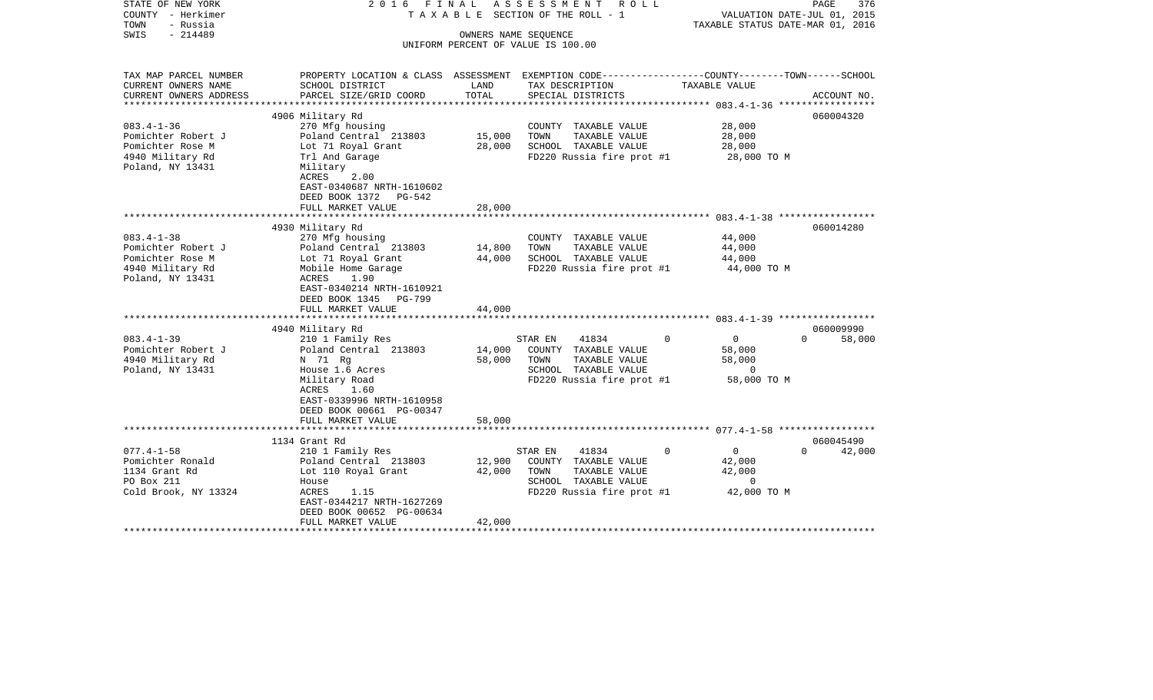| STATE OF NEW YORK                     | 2016<br>FINAL                                                                                   |                  | A S S E S S M E N T A O L L                                |                                  | 376<br>PAGE                 |
|---------------------------------------|-------------------------------------------------------------------------------------------------|------------------|------------------------------------------------------------|----------------------------------|-----------------------------|
| COUNTY - Herkimer                     |                                                                                                 |                  | TAXABLE SECTION OF THE ROLL - 1                            |                                  | VALUATION DATE-JUL 01, 2015 |
| - Russia<br>TOWN<br>$-214489$<br>SWIS |                                                                                                 |                  |                                                            | TAXABLE STATUS DATE-MAR 01, 2016 |                             |
|                                       |                                                                                                 |                  | OWNERS NAME SEQUENCE<br>UNIFORM PERCENT OF VALUE IS 100.00 |                                  |                             |
|                                       |                                                                                                 |                  |                                                            |                                  |                             |
| TAX MAP PARCEL NUMBER                 | PROPERTY LOCATION & CLASS ASSESSMENT EXEMPTION CODE---------------COUNTY-------TOWN------SCHOOL |                  |                                                            |                                  |                             |
| CURRENT OWNERS NAME                   | SCHOOL DISTRICT                                                                                 | LAND             | TAX DESCRIPTION                                            | TAXABLE VALUE                    |                             |
| CURRENT OWNERS ADDRESS                | PARCEL SIZE/GRID COORD                                                                          | TOTAL            | SPECIAL DISTRICTS                                          |                                  | ACCOUNT NO.                 |
| ***************                       |                                                                                                 |                  |                                                            |                                  |                             |
|                                       | 4906 Military Rd                                                                                |                  |                                                            |                                  | 060004320                   |
| $083.4 - 1 - 36$                      | 270 Mfg housing                                                                                 |                  | COUNTY TAXABLE VALUE                                       | 28,000                           |                             |
| Pomichter Robert J                    | Poland Central 213803                                                                           | 15,000           | TOWN<br>TAXABLE VALUE                                      | 28,000                           |                             |
| Pomichter Rose M                      | Lot 71 Royal Grant                                                                              | 28,000           | SCHOOL TAXABLE VALUE                                       | 28,000                           |                             |
| 4940 Military Rd                      | Trl And Garage                                                                                  |                  | FD220 Russia fire prot #1                                  | 28,000 TO M                      |                             |
| Poland, NY 13431                      | Military                                                                                        |                  |                                                            |                                  |                             |
|                                       | 2.00<br>ACRES                                                                                   |                  |                                                            |                                  |                             |
|                                       | EAST-0340687 NRTH-1610602                                                                       |                  |                                                            |                                  |                             |
|                                       | DEED BOOK 1372 PG-542                                                                           |                  |                                                            |                                  |                             |
|                                       | FULL MARKET VALUE                                                                               | 28,000           |                                                            |                                  |                             |
|                                       |                                                                                                 |                  |                                                            |                                  |                             |
|                                       | 4930 Military Rd                                                                                |                  |                                                            |                                  | 060014280                   |
| $083.4 - 1 - 38$                      | 270 Mfg housing                                                                                 |                  | COUNTY TAXABLE VALUE                                       | 44,000                           |                             |
| Pomichter Robert J                    | Poland Central 213803                                                                           | 14,800           | TOWN<br>TAXABLE VALUE                                      | 44,000                           |                             |
| Pomichter Rose M                      | Lot 71 Royal Grant                                                                              | 44,000           | SCHOOL TAXABLE VALUE                                       | 44,000                           |                             |
| 4940 Military Rd<br>Poland, NY 13431  | Mobile Home Garage<br>ACRES<br>1.90                                                             |                  | FD220 Russia fire prot #1                                  | 44,000 TO M                      |                             |
|                                       | EAST-0340214 NRTH-1610921                                                                       |                  |                                                            |                                  |                             |
|                                       | DEED BOOK 1345<br>PG-799                                                                        |                  |                                                            |                                  |                             |
|                                       | FULL MARKET VALUE                                                                               | 44,000           |                                                            |                                  |                             |
|                                       |                                                                                                 |                  |                                                            |                                  |                             |
|                                       | 4940 Military Rd                                                                                |                  |                                                            |                                  | 060009990                   |
| $083.4 - 1 - 39$                      | 210 1 Family Res                                                                                |                  | STAR EN<br>41834                                           | $\overline{0}$<br>$\Omega$       | $\Omega$<br>58,000          |
| Pomichter Robert J                    | Poland Central 213803                                                                           | 14,000           | COUNTY TAXABLE VALUE                                       | 58,000                           |                             |
| 4940 Military Rd                      | N 71 Rg                                                                                         | 58,000           | TOWN<br>TAXABLE VALUE                                      | 58,000                           |                             |
| Poland, NY 13431                      | House 1.6 Acres                                                                                 |                  | SCHOOL TAXABLE VALUE                                       | $\circ$                          |                             |
|                                       | Military Road                                                                                   |                  | FD220 Russia fire prot #1                                  | 58,000 TO M                      |                             |
|                                       | ACRES<br>1.60                                                                                   |                  |                                                            |                                  |                             |
|                                       | EAST-0339996 NRTH-1610958                                                                       |                  |                                                            |                                  |                             |
|                                       | DEED BOOK 00661 PG-00347                                                                        |                  |                                                            |                                  |                             |
|                                       | FULL MARKET VALUE                                                                               | 58,000           |                                                            |                                  |                             |
|                                       |                                                                                                 |                  |                                                            |                                  |                             |
|                                       | 1134 Grant Rd                                                                                   |                  |                                                            | $\overline{0}$                   | 060045490<br>$\Omega$       |
| $077.4 - 1 - 58$                      | 210 1 Family Res                                                                                |                  | STAR EN<br>41834                                           | $\Omega$<br>42,000               | 42,000                      |
| Pomichter Ronald<br>1134 Grant Rd     | Poland Central 213803<br>Lot 110 Royal Grant                                                    | 12,900<br>42,000 | COUNTY TAXABLE VALUE<br>TOWN<br>TAXABLE VALUE              | 42,000                           |                             |
| PO Box 211                            | House                                                                                           |                  | SCHOOL TAXABLE VALUE                                       | $\overline{0}$                   |                             |
| Cold Brook, NY 13324                  | 1.15<br>ACRES                                                                                   |                  | FD220 Russia fire prot #1                                  | 42,000 TO M                      |                             |
|                                       | EAST-0344217 NRTH-1627269                                                                       |                  |                                                            |                                  |                             |
|                                       | DEED BOOK 00652 PG-00634                                                                        |                  |                                                            |                                  |                             |
|                                       | FULL MARKET VALUE                                                                               | 42,000           |                                                            |                                  |                             |
|                                       |                                                                                                 |                  |                                                            |                                  |                             |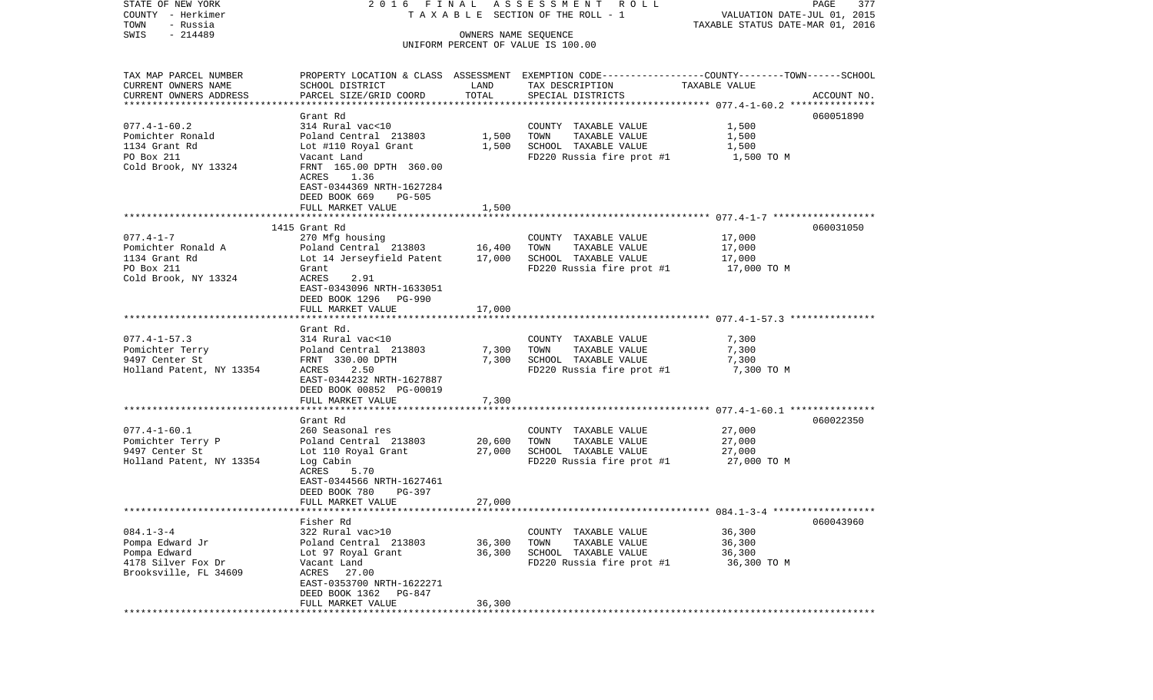| STATE OF NEW YORK                                  |                                                 |                      | 2016 FINAL ASSESSMENT ROLL                                                                      |                                                                 | PAGE<br>377 |
|----------------------------------------------------|-------------------------------------------------|----------------------|-------------------------------------------------------------------------------------------------|-----------------------------------------------------------------|-------------|
| COUNTY - Herkimer<br>- Russia<br>TOWN              |                                                 |                      | TAXABLE SECTION OF THE ROLL - 1                                                                 | VALUATION DATE-JUL 01, 2015<br>TAXABLE STATUS DATE-MAR 01, 2016 |             |
| $-214489$<br>SWIS                                  |                                                 | OWNERS NAME SEQUENCE |                                                                                                 |                                                                 |             |
|                                                    |                                                 |                      | UNIFORM PERCENT OF VALUE IS 100.00                                                              |                                                                 |             |
|                                                    |                                                 |                      |                                                                                                 |                                                                 |             |
| TAX MAP PARCEL NUMBER                              |                                                 |                      | PROPERTY LOCATION & CLASS ASSESSMENT EXEMPTION CODE---------------COUNTY-------TOWN------SCHOOL |                                                                 |             |
| CURRENT OWNERS NAME                                | SCHOOL DISTRICT                                 | LAND                 | TAX DESCRIPTION                                                                                 | TAXABLE VALUE                                                   |             |
| CURRENT OWNERS ADDRESS<br>************************ | PARCEL SIZE/GRID COORD                          | TOTAL                | SPECIAL DISTRICTS                                                                               |                                                                 | ACCOUNT NO. |
|                                                    | Grant Rd                                        |                      |                                                                                                 |                                                                 | 060051890   |
| $077.4 - 1 - 60.2$                                 | 314 Rural vac<10                                |                      | COUNTY TAXABLE VALUE                                                                            | 1,500                                                           |             |
| Pomichter Ronald                                   | Poland Central 213803                           | 1,500                | TOWN<br>TAXABLE VALUE                                                                           | 1,500                                                           |             |
| 1134 Grant Rd                                      | Lot #110 Royal Grant                            | 1,500                | SCHOOL TAXABLE VALUE                                                                            | 1,500                                                           |             |
| PO Box 211                                         | Vacant Land                                     |                      | FD220 Russia fire prot #1                                                                       | 1,500 TO M                                                      |             |
| Cold Brook, NY 13324                               | FRNT 165.00 DPTH 360.00                         |                      |                                                                                                 |                                                                 |             |
|                                                    | ACRES<br>1.36                                   |                      |                                                                                                 |                                                                 |             |
|                                                    | EAST-0344369 NRTH-1627284                       |                      |                                                                                                 |                                                                 |             |
|                                                    | DEED BOOK 669<br>PG-505                         |                      |                                                                                                 |                                                                 |             |
|                                                    | FULL MARKET VALUE                               | 1,500                |                                                                                                 |                                                                 |             |
|                                                    |                                                 |                      |                                                                                                 |                                                                 |             |
|                                                    | 1415 Grant Rd                                   |                      |                                                                                                 |                                                                 | 060031050   |
| $077.4 - 1 - 7$                                    | 270 Mfg housing                                 |                      | COUNTY TAXABLE VALUE                                                                            | 17,000                                                          |             |
| Pomichter Ronald A                                 | Poland Central 213803                           | 16,400               | TAXABLE VALUE<br>TOWN                                                                           | 17,000                                                          |             |
| 1134 Grant Rd<br>PO Box 211                        | Lot 14 Jerseyfield Patent                       | 17,000               | SCHOOL TAXABLE VALUE                                                                            | 17,000                                                          |             |
| Cold Brook, NY 13324                               | Grant<br>ACRES<br>2.91                          |                      | FD220 Russia fire prot #1                                                                       | 17,000 TO M                                                     |             |
|                                                    | EAST-0343096 NRTH-1633051                       |                      |                                                                                                 |                                                                 |             |
|                                                    | DEED BOOK 1296 PG-990                           |                      |                                                                                                 |                                                                 |             |
|                                                    | FULL MARKET VALUE                               | 17,000               |                                                                                                 |                                                                 |             |
|                                                    |                                                 |                      |                                                                                                 |                                                                 |             |
|                                                    | Grant Rd.                                       |                      |                                                                                                 |                                                                 |             |
| $077.4 - 1 - 57.3$                                 | 314 Rural vac<10                                |                      | COUNTY TAXABLE VALUE                                                                            | 7,300                                                           |             |
| Pomichter Terry                                    | Poland Central 213803                           | 7,300                | TOWN<br>TAXABLE VALUE                                                                           | 7,300                                                           |             |
| 9497 Center St                                     | FRNT 330.00 DPTH                                | 7,300                | SCHOOL TAXABLE VALUE                                                                            | 7,300                                                           |             |
| Holland Patent, NY 13354                           | 2.50<br>ACRES                                   |                      | FD220 Russia fire prot #1                                                                       | 7,300 TO M                                                      |             |
|                                                    | EAST-0344232 NRTH-1627887                       |                      |                                                                                                 |                                                                 |             |
|                                                    | DEED BOOK 00852 PG-00019                        |                      |                                                                                                 |                                                                 |             |
|                                                    | FULL MARKET VALUE<br>************************** | 7,300                |                                                                                                 |                                                                 |             |
|                                                    | Grant Rd                                        |                      |                                                                                                 |                                                                 | 060022350   |
| $077.4 - 1 - 60.1$                                 | 260 Seasonal res                                |                      | COUNTY TAXABLE VALUE                                                                            | 27,000                                                          |             |
| Pomichter Terry P                                  | Poland Central 213803                           | 20,600               | TOWN<br>TAXABLE VALUE                                                                           | 27,000                                                          |             |
| 9497 Center St                                     | Lot 110 Royal Grant                             | 27,000               | SCHOOL TAXABLE VALUE                                                                            | 27,000                                                          |             |
| Holland Patent, NY 13354                           | Log Cabin                                       |                      | FD220 Russia fire prot #1                                                                       | 27,000 TO M                                                     |             |
|                                                    | ACRES<br>5.70                                   |                      |                                                                                                 |                                                                 |             |
|                                                    | EAST-0344566 NRTH-1627461                       |                      |                                                                                                 |                                                                 |             |
|                                                    | DEED BOOK 780<br>PG-397                         |                      |                                                                                                 |                                                                 |             |
|                                                    | FULL MARKET VALUE                               | 27,000               |                                                                                                 |                                                                 |             |
|                                                    |                                                 |                      |                                                                                                 |                                                                 |             |
|                                                    | Fisher Rd                                       |                      |                                                                                                 |                                                                 | 060043960   |
| $084.1 - 3 - 4$                                    | 322 Rural vac>10                                |                      | TAXABLE VALUE<br>COUNTY                                                                         | 36,300                                                          |             |
| Pompa Edward Jr                                    | Poland Central 213803                           | 36,300               | TOWN<br>TAXABLE VALUE                                                                           | 36,300                                                          |             |
| Pompa Edward                                       | Lot 97 Royal Grant                              | 36,300               | SCHOOL TAXABLE VALUE                                                                            | 36,300                                                          |             |
| 4178 Silver Fox Dr                                 | Vacant Land                                     |                      | FD220 Russia fire prot #1                                                                       | 36,300 TO M                                                     |             |
| Brooksville, FL 34609                              | ACRES<br>27.00<br>EAST-0353700 NRTH-1622271     |                      |                                                                                                 |                                                                 |             |
|                                                    | DEED BOOK 1362<br>PG-847                        |                      |                                                                                                 |                                                                 |             |
|                                                    | FULL MARKET VALUE                               | 36,300               |                                                                                                 |                                                                 |             |
|                                                    | ***********************                         |                      |                                                                                                 |                                                                 |             |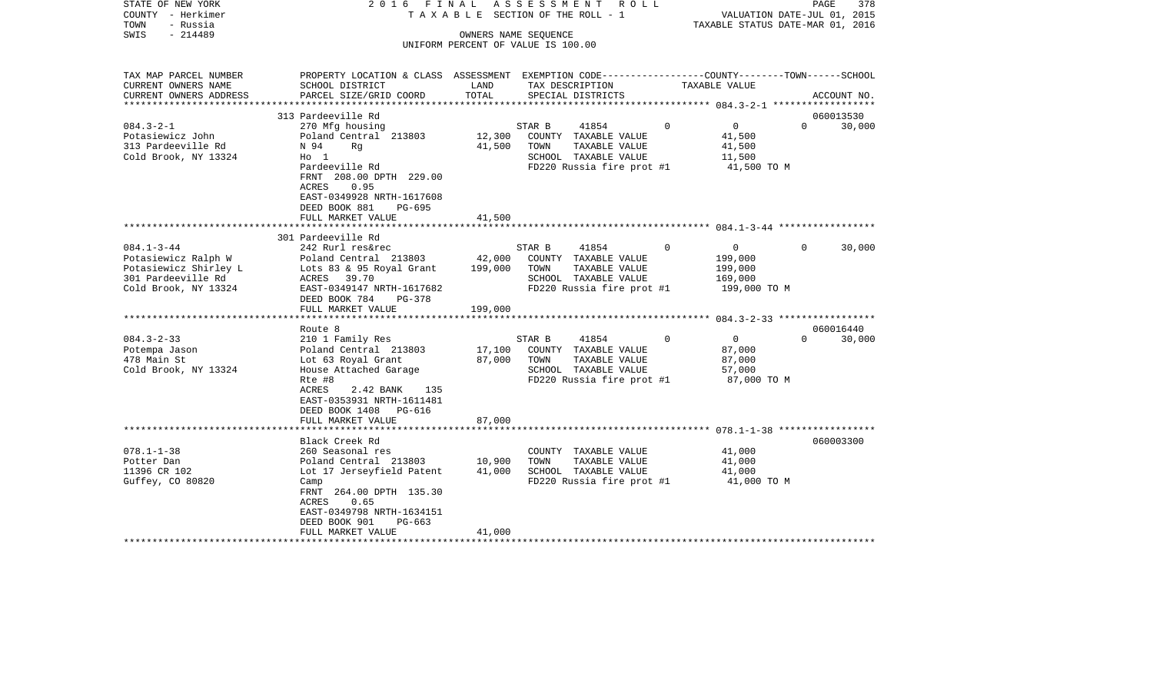| STATE OF NEW YORK<br>COUNTY - Herkimer<br>TOWN<br>- Russia<br>$-214489$<br>SWIS                                | 2016 FINAL                                                                                                                                                                                           |                     | ASSESSMENT<br>R O L L<br>TAXABLE SECTION OF THE ROLL - 1<br>OWNERS NAME SEQUENCE<br>UNIFORM PERCENT OF VALUE IS 100.00 |               | VALUATION DATE-JUL 01, 2015<br>TAXABLE STATUS DATE-MAR 01, 2016             | PAGE<br>378         |
|----------------------------------------------------------------------------------------------------------------|------------------------------------------------------------------------------------------------------------------------------------------------------------------------------------------------------|---------------------|------------------------------------------------------------------------------------------------------------------------|---------------|-----------------------------------------------------------------------------|---------------------|
| TAX MAP PARCEL NUMBER<br>CURRENT OWNERS NAME<br>CURRENT OWNERS ADDRESS                                         | PROPERTY LOCATION & CLASS ASSESSMENT EXEMPTION CODE----------------COUNTY-------TOWN------SCHOOL<br>SCHOOL DISTRICT<br>PARCEL SIZE/GRID COORD                                                        | LAND<br>TOTAL       | TAX DESCRIPTION<br>SPECIAL DISTRICTS                                                                                   | TAXABLE VALUE |                                                                             | ACCOUNT NO.         |
|                                                                                                                | 313 Pardeeville Rd                                                                                                                                                                                   |                     |                                                                                                                        |               |                                                                             | 060013530           |
| $084.3 - 2 - 1$<br>Potasiewicz John<br>313 Pardeeville Rd<br>Cold Brook, NY 13324                              | 270 Mfg housing<br>Poland Central 213803<br>N 94<br>Rq<br>$H_0$ 1<br>Pardeeville Rd<br>FRNT 208.00 DPTH 229.00<br>0.95<br>ACRES<br>EAST-0349928 NRTH-1617608<br>DEED BOOK 881<br>PG-695              | 12,300<br>41,500    | STAR B<br>41854<br>COUNTY TAXABLE VALUE<br>TOWN<br>TAXABLE VALUE<br>SCHOOL TAXABLE VALUE<br>FD220 Russia fire prot #1  | $\mathbf 0$   | $\overline{0}$<br>$\Omega$<br>41,500<br>41,500<br>11,500<br>41,500 TO M     | 30,000              |
|                                                                                                                | FULL MARKET VALUE<br>*************************                                                                                                                                                       | 41,500<br>********* |                                                                                                                        |               |                                                                             |                     |
|                                                                                                                | 301 Pardeeville Rd                                                                                                                                                                                   |                     |                                                                                                                        |               |                                                                             |                     |
| $084.1 - 3 - 44$<br>Potasiewicz Ralph W<br>Potasiewicz Shirley L<br>301 Pardeeville Rd<br>Cold Brook, NY 13324 | 242 Rurl res&rec<br>Poland Central 213803<br>Lots 83 & 95 Royal Grant<br>ACRES 39.70<br>EAST-0349147 NRTH-1617682<br>DEED BOOK 784<br>PG-378                                                         | 42,000<br>199,000   | STAR B<br>41854<br>COUNTY TAXABLE VALUE<br>TAXABLE VALUE<br>TOWN<br>SCHOOL TAXABLE VALUE<br>FD220 Russia fire prot #1  | 0             | $\overline{0}$<br>$\Omega$<br>199,000<br>199,000<br>169,000<br>199,000 TO M | 30,000              |
|                                                                                                                | FULL MARKET VALUE                                                                                                                                                                                    | 199,000             |                                                                                                                        |               |                                                                             |                     |
|                                                                                                                |                                                                                                                                                                                                      |                     |                                                                                                                        |               |                                                                             |                     |
| $084.3 - 2 - 33$<br>Potempa Jason<br>478 Main St<br>Cold Brook, NY 13324                                       | Route 8<br>210 1 Family Res<br>Poland Central 213803<br>Lot 63 Royal Grant<br>House Attached Garage<br>Rte #8<br>ACRES<br>2.42 BANK<br>135<br>EAST-0353931 NRTH-1611481<br>DEED BOOK 1408<br>PG-616  | 17,100<br>87,000    | 41854<br>STAR B<br>COUNTY TAXABLE VALUE<br>TOWN<br>TAXABLE VALUE<br>SCHOOL TAXABLE VALUE<br>FD220 Russia fire prot #1  | 0             | $\overline{0}$<br>$\Omega$<br>87,000<br>87,000<br>57,000<br>87,000 TO M     | 060016440<br>30,000 |
|                                                                                                                | FULL MARKET VALUE<br>********************                                                                                                                                                            | 87,000              |                                                                                                                        |               |                                                                             |                     |
| $078.1 - 1 - 38$<br>Potter Dan<br>11396 CR 102<br>Guffey, CO 80820                                             | Black Creek Rd<br>260 Seasonal res<br>Poland Central 213803<br>Lot 17 Jerseyfield Patent<br>Camp<br>FRNT 264.00 DPTH 135.30<br>ACRES<br>0.65<br>EAST-0349798 NRTH-1634151<br>DEED BOOK 901<br>PG-663 | 10,900<br>41,000    | COUNTY TAXABLE VALUE<br>TOWN<br>TAXABLE VALUE<br>SCHOOL TAXABLE VALUE<br>FD220 Russia fire prot #1                     |               | 41,000<br>41,000<br>41,000<br>41,000 TO M                                   | 060003300           |
|                                                                                                                | FULL MARKET VALUE                                                                                                                                                                                    | 41,000              |                                                                                                                        |               |                                                                             |                     |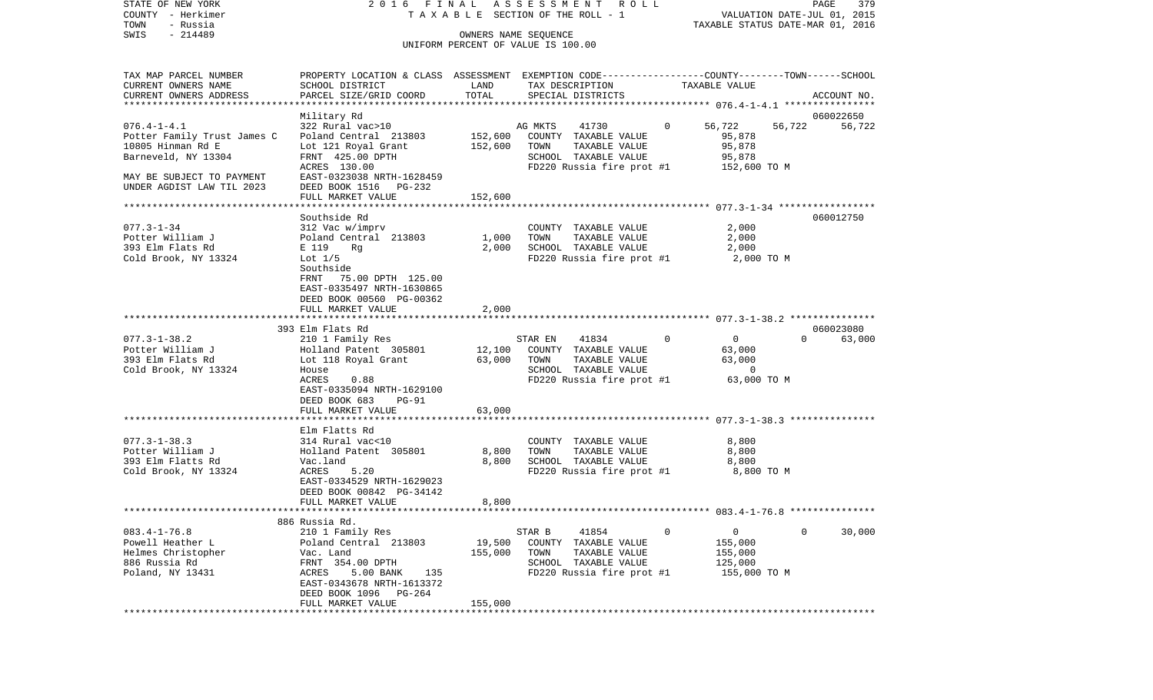STATE OF NEW YORK 2016 FINAL ASSESSMENT ROLL COUNTY - Herkimer T A X A B L E SECTION OF THE ROLL - 1 VALUATION DATE-JUL 01, 2015 TOWN - Russia TAXABLE STATUS DATE-MAR 01, 2016 OWNERS NAME SEQUENCE

UNIFORM PERCENT OF VALUE IS 100.00

| TAX MAP PARCEL NUMBER       | PROPERTY LOCATION & CLASS ASSESSMENT |         |         |                           |          | EXEMPTION CODE-----------------COUNTY-------TOWN------SCHOOL |          |             |
|-----------------------------|--------------------------------------|---------|---------|---------------------------|----------|--------------------------------------------------------------|----------|-------------|
| CURRENT OWNERS NAME         | SCHOOL DISTRICT                      | LAND    |         | TAX DESCRIPTION           |          | TAXABLE VALUE                                                |          |             |
| CURRENT OWNERS ADDRESS      | PARCEL SIZE/GRID COORD               | TOTAL   |         | SPECIAL DISTRICTS         |          |                                                              |          | ACCOUNT NO. |
|                             |                                      |         |         |                           |          |                                                              |          |             |
|                             | Military Rd                          |         |         |                           |          |                                                              |          | 060022650   |
| $076.4 - 1 - 4.1$           | 322 Rural vac>10                     |         | AG MKTS | 41730                     | $\Omega$ | 56,722                                                       | 56,722   | 56,722      |
| Potter Family Trust James C | Poland Central 213803                | 152,600 |         | COUNTY TAXABLE VALUE      |          | 95,878                                                       |          |             |
| 10805 Hinman Rd E           |                                      |         | TOWN    | TAXABLE VALUE             |          | 95,878                                                       |          |             |
|                             | Lot 121 Royal Grant                  | 152,600 |         |                           |          |                                                              |          |             |
| Barneveld, NY 13304         | FRNT 425.00 DPTH                     |         |         | SCHOOL TAXABLE VALUE      |          | 95,878                                                       |          |             |
|                             | ACRES 130.00                         |         |         | FD220 Russia fire prot #1 |          | 152,600 TO M                                                 |          |             |
| MAY BE SUBJECT TO PAYMENT   | EAST-0323038 NRTH-1628459            |         |         |                           |          |                                                              |          |             |
| UNDER AGDIST LAW TIL 2023   | DEED BOOK 1516 PG-232                |         |         |                           |          |                                                              |          |             |
|                             | FULL MARKET VALUE                    | 152,600 |         |                           |          |                                                              |          |             |
|                             |                                      |         |         |                           |          |                                                              |          |             |
|                             | Southside Rd                         |         |         |                           |          |                                                              |          | 060012750   |
| $077.3 - 1 - 34$            | 312 Vac w/imprv                      |         |         | COUNTY TAXABLE VALUE      |          | 2,000                                                        |          |             |
| Potter William J            | Poland Central 213803                | 1,000   | TOWN    | TAXABLE VALUE             |          | 2,000                                                        |          |             |
| 393 Elm Flats Rd            | E 119<br>Rq                          | 2,000   |         | SCHOOL TAXABLE VALUE      |          | 2,000                                                        |          |             |
| Cold Brook, NY 13324        | Lot $1/5$                            |         |         | FD220 Russia fire prot #1 |          | 2,000 TO M                                                   |          |             |
|                             | Southside                            |         |         |                           |          |                                                              |          |             |
|                             | FRNT<br>75.00 DPTH 125.00            |         |         |                           |          |                                                              |          |             |
|                             | EAST-0335497 NRTH-1630865            |         |         |                           |          |                                                              |          |             |
|                             | DEED BOOK 00560 PG-00362             |         |         |                           |          |                                                              |          |             |
|                             |                                      |         |         |                           |          |                                                              |          |             |
|                             | FULL MARKET VALUE                    | 2,000   |         |                           |          |                                                              |          |             |
|                             |                                      |         |         |                           |          |                                                              |          |             |
|                             | 393 Elm Flats Rd                     |         |         |                           |          |                                                              |          | 060023080   |
| $077.3 - 1 - 38.2$          | 210 1 Family Res                     |         | STAR EN | 41834                     | $\circ$  | $\overline{0}$                                               | $\Omega$ | 63,000      |
| Potter William J            | Holland Patent 305801                | 12,100  |         | COUNTY TAXABLE VALUE      |          | 63,000                                                       |          |             |
| 393 Elm Flats Rd            | Lot 118 Royal Grant                  | 63,000  | TOWN    | TAXABLE VALUE             |          | 63,000                                                       |          |             |
| Cold Brook, NY 13324        | House                                |         |         | SCHOOL TAXABLE VALUE      |          | $\overline{0}$                                               |          |             |
|                             | ACRES<br>0.88                        |         |         | FD220 Russia fire prot #1 |          | 63,000 TO M                                                  |          |             |
|                             | EAST-0335094 NRTH-1629100            |         |         |                           |          |                                                              |          |             |
|                             | DEED BOOK 683<br>$PG-91$             |         |         |                           |          |                                                              |          |             |
|                             | FULL MARKET VALUE                    | 63,000  |         |                           |          |                                                              |          |             |
|                             |                                      |         |         |                           |          |                                                              |          |             |
|                             | Elm Flatts Rd                        |         |         |                           |          |                                                              |          |             |
| $077.3 - 1 - 38.3$          | 314 Rural vac<10                     |         |         | COUNTY TAXABLE VALUE      |          | 8,800                                                        |          |             |
| Potter William J            | Holland Patent 305801                | 8,800   | TOWN    | TAXABLE VALUE             |          | 8,800                                                        |          |             |
| 393 Elm Flatts Rd           | Vac.land                             | 8,800   |         | SCHOOL TAXABLE VALUE      |          | 8,800                                                        |          |             |
| Cold Brook, NY 13324        | 5.20<br>ACRES                        |         |         | FD220 Russia fire prot #1 |          | 8,800 TO M                                                   |          |             |
|                             | EAST-0334529 NRTH-1629023            |         |         |                           |          |                                                              |          |             |
|                             | DEED BOOK 00842 PG-34142             |         |         |                           |          |                                                              |          |             |
|                             |                                      |         |         |                           |          |                                                              |          |             |
|                             | FULL MARKET VALUE                    | 8,800   |         |                           |          |                                                              |          |             |
|                             |                                      |         |         |                           |          |                                                              |          |             |
|                             | 886 Russia Rd.                       |         |         |                           |          |                                                              |          |             |
| $083.4 - 1 - 76.8$          | 210 1 Family Res                     |         | STAR B  | 41854                     | $\Omega$ | $\overline{0}$                                               | $\Omega$ | 30,000      |
| Powell Heather L            | Poland Central 213803                | 19,500  |         | COUNTY TAXABLE VALUE      |          | 155,000                                                      |          |             |
| Helmes Christopher          | Vac. Land                            | 155,000 | TOWN    | TAXABLE VALUE             |          | 155,000                                                      |          |             |
| 886 Russia Rd               | FRNT 354.00 DPTH                     |         |         | SCHOOL TAXABLE VALUE      |          | 125,000                                                      |          |             |
| Poland, NY 13431            | 5.00 BANK<br>ACRES<br>135            |         |         | FD220 Russia fire prot #1 |          | 155,000 TO M                                                 |          |             |
|                             | EAST-0343678 NRTH-1613372            |         |         |                           |          |                                                              |          |             |
|                             | DEED BOOK 1096 PG-264                |         |         |                           |          |                                                              |          |             |
|                             | FULL MARKET VALUE                    | 155,000 |         |                           |          |                                                              |          |             |
|                             |                                      |         |         |                           |          |                                                              |          |             |
|                             |                                      |         |         |                           |          |                                                              |          |             |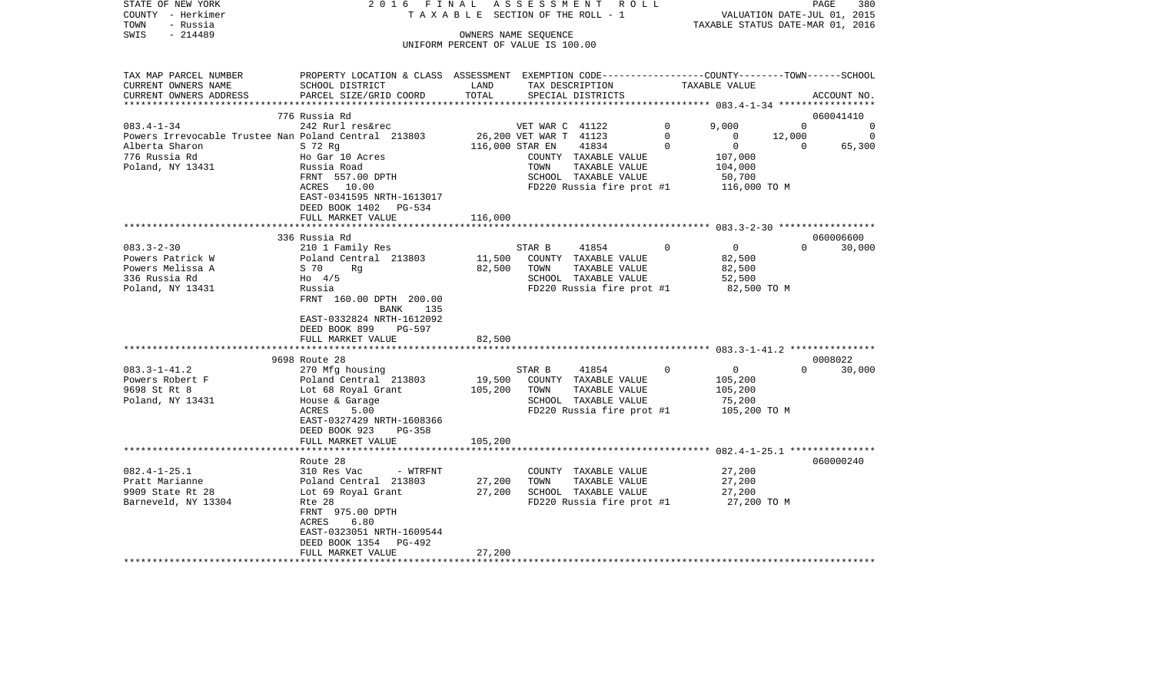| STATE OF NEW YORK<br>COUNTY - Herkimer<br>- Russia<br>TOWN | 2016 FINAL<br>TAXABLE                                                                                              |                                    | SECTION OF THE ROLL - 1                   | ASSESSMENT ROLL           |              | VALUATION DATE-JUL 01, 2015<br>TAXABLE STATUS DATE-MAR 01, 2016 | PAGE     | 380                   |
|------------------------------------------------------------|--------------------------------------------------------------------------------------------------------------------|------------------------------------|-------------------------------------------|---------------------------|--------------|-----------------------------------------------------------------|----------|-----------------------|
| $-214489$<br>SWIS                                          |                                                                                                                    |                                    | OWNERS NAME SEQUENCE                      |                           |              |                                                                 |          |                       |
|                                                            |                                                                                                                    | UNIFORM PERCENT OF VALUE IS 100.00 |                                           |                           |              |                                                                 |          |                       |
|                                                            |                                                                                                                    |                                    |                                           |                           |              |                                                                 |          |                       |
| TAX MAP PARCEL NUMBER<br>CURRENT OWNERS NAME               | PROPERTY LOCATION & CLASS ASSESSMENT EXEMPTION CODE---------------COUNTY-------TOWN------SCHOOL<br>SCHOOL DISTRICT | LAND                               |                                           | TAX DESCRIPTION           |              | TAXABLE VALUE                                                   |          |                       |
| CURRENT OWNERS ADDRESS                                     | PARCEL SIZE/GRID COORD                                                                                             | TOTAL                              |                                           | SPECIAL DISTRICTS         |              |                                                                 |          | ACCOUNT NO.           |
|                                                            |                                                                                                                    |                                    |                                           |                           |              |                                                                 |          |                       |
| $083.4 - 1 - 34$                                           | 776 Russia Rd<br>242 Rurl res&rec                                                                                  |                                    |                                           |                           | $\circ$      | 9,000                                                           | $\Omega$ | 060041410<br>$\Omega$ |
| Powers Irrevocable Trustee Nan Poland Central 213803       |                                                                                                                    |                                    | VET WAR C 41122<br>26,200 VET WAR T 41123 |                           | $\Omega$     | $\Omega$                                                        | 12,000   | $\overline{0}$        |
| Alberta Sharon                                             | S 72 Rg                                                                                                            |                                    | 116,000 STAR EN                           | 41834                     | $\Omega$     | $\Omega$                                                        | $\Omega$ | 65,300                |
| 776 Russia Rd                                              | Ho Gar 10 Acres                                                                                                    |                                    |                                           | COUNTY TAXABLE VALUE      |              | 107,000                                                         |          |                       |
| Poland, NY 13431                                           | Russia Road                                                                                                        |                                    | TOWN                                      | TAXABLE VALUE             |              | 104,000                                                         |          |                       |
|                                                            | FRNT 557.00 DPTH                                                                                                   |                                    |                                           | SCHOOL TAXABLE VALUE      |              | 50,700                                                          |          |                       |
|                                                            | ACRES 10.00                                                                                                        |                                    |                                           | FD220 Russia fire prot #1 |              | 116,000 TO M                                                    |          |                       |
|                                                            | EAST-0341595 NRTH-1613017                                                                                          |                                    |                                           |                           |              |                                                                 |          |                       |
|                                                            | DEED BOOK 1402 PG-534                                                                                              |                                    |                                           |                           |              |                                                                 |          |                       |
|                                                            | FULL MARKET VALUE                                                                                                  | 116,000                            |                                           |                           |              |                                                                 |          |                       |
|                                                            |                                                                                                                    |                                    |                                           |                           |              |                                                                 |          |                       |
|                                                            | 336 Russia Rd                                                                                                      |                                    |                                           |                           |              |                                                                 |          | 060006600             |
| $083.3 - 2 - 30$                                           | 210 1 Family Res                                                                                                   |                                    | STAR B                                    | 41854                     | $\mathbf{0}$ | $\overline{0}$                                                  | $\Omega$ | 30,000                |
| Powers Patrick W                                           | Poland Central 213803                                                                                              | 11,500                             |                                           | COUNTY TAXABLE VALUE      |              | 82,500                                                          |          |                       |
| Powers Melissa A                                           | S 70<br>Rg                                                                                                         | 82,500                             | TOWN                                      | TAXABLE VALUE             |              | 82,500                                                          |          |                       |
| 336 Russia Rd                                              | $H_0$ 4/5                                                                                                          |                                    |                                           | SCHOOL TAXABLE VALUE      |              | 52,500                                                          |          |                       |
| Poland, NY 13431                                           | Russia<br>FRNT 160.00 DPTH 200.00                                                                                  |                                    |                                           | FD220 Russia fire prot #1 |              | 82,500 TO M                                                     |          |                       |
|                                                            | BANK 135                                                                                                           |                                    |                                           |                           |              |                                                                 |          |                       |
|                                                            | EAST-0332824 NRTH-1612092                                                                                          |                                    |                                           |                           |              |                                                                 |          |                       |
|                                                            | DEED BOOK 899<br>PG-597                                                                                            |                                    |                                           |                           |              |                                                                 |          |                       |
|                                                            | FULL MARKET VALUE                                                                                                  | 82,500                             |                                           |                           |              |                                                                 |          |                       |
|                                                            |                                                                                                                    |                                    |                                           |                           |              |                                                                 |          |                       |
|                                                            | 9698 Route 28                                                                                                      |                                    |                                           |                           |              |                                                                 |          | 0008022               |
| $083.3 - 1 - 41.2$                                         | 270 Mfg housing                                                                                                    |                                    | STAR B                                    | 41854                     | $\Omega$     | $\overline{0}$                                                  |          | $0 \t 30,000$         |
| Powers Robert F                                            | Poland Central 213803                                                                                              | 19,500                             |                                           | COUNTY TAXABLE VALUE      |              | 105,200                                                         |          |                       |
| 9698 St Rt 8                                               | Lot 68 Royal Grant                                                                                                 | 105,200                            | TOWN                                      | TAXABLE VALUE             |              | 105,200                                                         |          |                       |
| Poland, NY 13431                                           | House & Garage                                                                                                     |                                    |                                           | SCHOOL TAXABLE VALUE      |              | 75,200                                                          |          |                       |
|                                                            | ACRES<br>5.00                                                                                                      |                                    |                                           | FD220 Russia fire prot #1 |              | 105,200 TO M                                                    |          |                       |
|                                                            | EAST-0327429 NRTH-1608366                                                                                          |                                    |                                           |                           |              |                                                                 |          |                       |
|                                                            | DEED BOOK 923<br><b>PG-358</b>                                                                                     |                                    |                                           |                           |              |                                                                 |          |                       |
|                                                            | FULL MARKET VALUE                                                                                                  | 105,200                            |                                           |                           |              |                                                                 |          |                       |
|                                                            | Route 28                                                                                                           |                                    |                                           |                           |              |                                                                 |          | 060000240             |
| $082.4 - 1 - 25.1$                                         | 310 Res Vac<br>- WTRFNT                                                                                            |                                    |                                           | COUNTY TAXABLE VALUE      |              | 27,200                                                          |          |                       |
| Pratt Marianne                                             | Poland Central 213803                                                                                              | 27,200                             | TOWN                                      | TAXABLE VALUE             |              | 27,200                                                          |          |                       |
| 9909 State Rt 28                                           | Lot 69 Royal Grant                                                                                                 | 27,200                             |                                           | SCHOOL TAXABLE VALUE      |              | 27,200                                                          |          |                       |
| Barneveld, NY 13304                                        | Rte 28                                                                                                             |                                    |                                           | FD220 Russia fire prot #1 |              | 27,200 TO M                                                     |          |                       |
|                                                            | FRNT 975.00 DPTH                                                                                                   |                                    |                                           |                           |              |                                                                 |          |                       |
|                                                            | 6.80<br>ACRES                                                                                                      |                                    |                                           |                           |              |                                                                 |          |                       |
|                                                            | EAST-0323051 NRTH-1609544                                                                                          |                                    |                                           |                           |              |                                                                 |          |                       |
|                                                            | DEED BOOK 1354<br>PG-492                                                                                           |                                    |                                           |                           |              |                                                                 |          |                       |
|                                                            | FULL MARKET VALUE                                                                                                  | 27,200                             |                                           |                           |              |                                                                 |          |                       |
|                                                            |                                                                                                                    |                                    |                                           |                           |              |                                                                 |          |                       |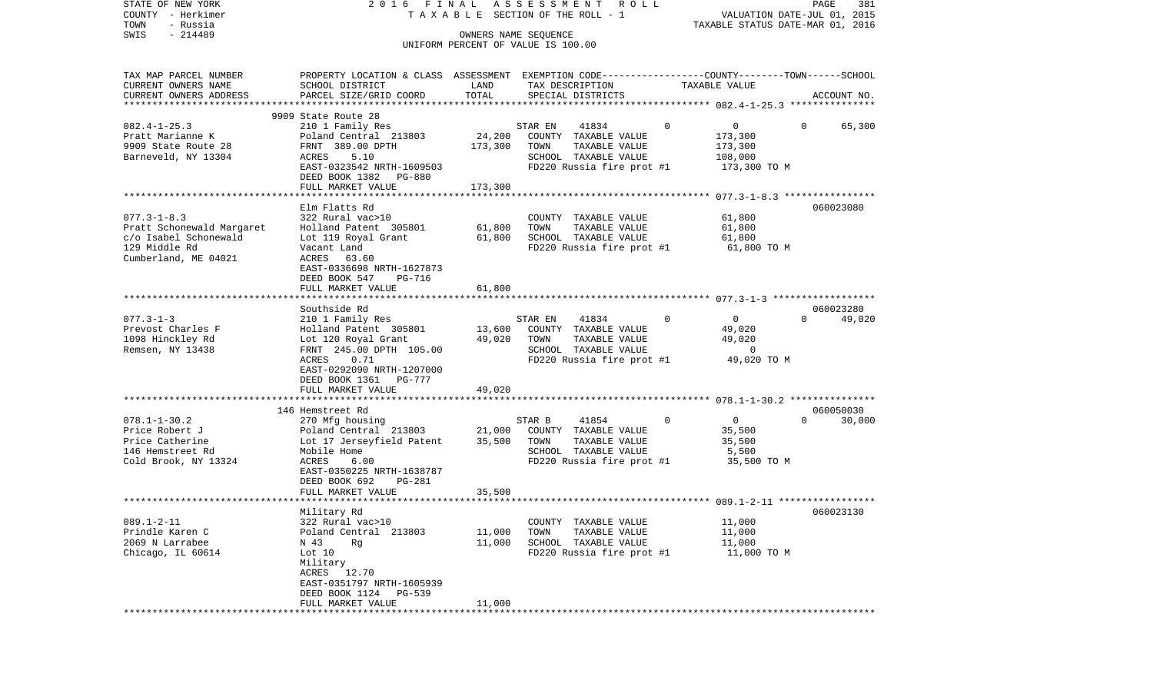| STATE OF NEW YORK         | 2016 FINAL                                                                                       |                      | ASSESSMENT<br>R O L L                 |                               | PAGE<br>381                      |
|---------------------------|--------------------------------------------------------------------------------------------------|----------------------|---------------------------------------|-------------------------------|----------------------------------|
| COUNTY - Herkimer         |                                                                                                  |                      | T A X A B L E SECTION OF THE ROLL - 1 |                               | VALUATION DATE-JUL 01, 2015      |
| - Russia<br>TOWN          |                                                                                                  |                      |                                       |                               | TAXABLE STATUS DATE-MAR 01, 2016 |
| $-214489$<br>SWIS         |                                                                                                  | OWNERS NAME SEQUENCE | UNIFORM PERCENT OF VALUE IS 100.00    |                               |                                  |
|                           |                                                                                                  |                      |                                       |                               |                                  |
| TAX MAP PARCEL NUMBER     | PROPERTY LOCATION & CLASS ASSESSMENT EXEMPTION CODE----------------COUNTY-------TOWN------SCHOOL |                      |                                       |                               |                                  |
| CURRENT OWNERS NAME       | SCHOOL DISTRICT                                                                                  | LAND                 | TAX DESCRIPTION                       | TAXABLE VALUE                 |                                  |
| CURRENT OWNERS ADDRESS    | PARCEL SIZE/GRID COORD                                                                           | TOTAL                | SPECIAL DISTRICTS                     |                               | ACCOUNT NO.                      |
| ************************  |                                                                                                  |                      |                                       |                               |                                  |
|                           | 9909 State Route 28                                                                              |                      |                                       |                               |                                  |
| $082.4 - 1 - 25.3$        | 210 1 Family Res                                                                                 |                      | 41834<br>STAR EN                      | $\mathsf{O}$<br>0             | 65,300<br>$\overline{0}$         |
| Pratt Marianne K          | Poland Central 213803                                                                            | 24,200               | COUNTY TAXABLE VALUE                  | 173,300                       |                                  |
| 9909 State Route 28       | FRNT 389.00 DPTH                                                                                 | 173,300              | TOWN<br>TAXABLE VALUE                 | 173,300                       |                                  |
| Barneveld, NY 13304       | ACRES<br>5.10                                                                                    |                      | SCHOOL TAXABLE VALUE                  | 108,000                       |                                  |
|                           | EAST-0323542 NRTH-1609503                                                                        |                      | FD220 Russia fire prot #1             | 173,300 TO M                  |                                  |
|                           | DEED BOOK 1382 PG-880                                                                            |                      |                                       |                               |                                  |
|                           | FULL MARKET VALUE                                                                                | 173,300              |                                       |                               |                                  |
|                           |                                                                                                  |                      |                                       |                               |                                  |
|                           | Elm Flatts Rd                                                                                    |                      |                                       |                               | 060023080                        |
| $077.3 - 1 - 8.3$         | 322 Rural vac>10                                                                                 |                      | COUNTY TAXABLE VALUE                  | 61,800                        |                                  |
| Pratt Schonewald Margaret | Holland Patent 305801                                                                            | 61,800               | TOWN<br>TAXABLE VALUE                 | 61,800                        |                                  |
| c/o Isabel Schonewald     | Lot 119 Royal Grant                                                                              | 61,800               | SCHOOL TAXABLE VALUE                  | 61,800                        |                                  |
| 129 Middle Rd             | Vacant Land                                                                                      |                      | FD220 Russia fire prot #1             | 61,800 TO M                   |                                  |
| Cumberland, ME 04021      | ACRES<br>63.60                                                                                   |                      |                                       |                               |                                  |
|                           | EAST-0336698 NRTH-1627873                                                                        |                      |                                       |                               |                                  |
|                           | DEED BOOK 547<br>PG-716                                                                          |                      |                                       |                               |                                  |
|                           | FULL MARKET VALUE                                                                                | 61,800               |                                       |                               |                                  |
|                           |                                                                                                  |                      |                                       |                               |                                  |
|                           | Southside Rd                                                                                     |                      |                                       |                               | 060023280                        |
| $077.3 - 1 - 3$           | 210 1 Family Res                                                                                 |                      | 41834<br>STAR EN                      | $\Omega$<br>$\overline{0}$    | 49,020<br>$\Omega$               |
| Prevost Charles F         | Holland Patent 305801                                                                            | 13,600               | COUNTY TAXABLE VALUE                  | 49,020                        |                                  |
| 1098 Hinckley Rd          | Lot 120 Royal Grant                                                                              | 49,020               | TOWN<br>TAXABLE VALUE                 | 49,020                        |                                  |
| Remsen, NY 13438          | FRNT 245.00 DPTH 105.00                                                                          |                      | SCHOOL TAXABLE VALUE                  | $\Omega$                      |                                  |
|                           | ACRES<br>0.71                                                                                    |                      | FD220 Russia fire prot #1             | 49,020 TO M                   |                                  |
|                           | EAST-0292090 NRTH-1207000                                                                        |                      |                                       |                               |                                  |
|                           | DEED BOOK 1361 PG-777                                                                            |                      |                                       |                               |                                  |
|                           | FULL MARKET VALUE                                                                                | 49,020               |                                       |                               |                                  |
|                           |                                                                                                  |                      |                                       |                               |                                  |
|                           | 146 Hemstreet Rd                                                                                 |                      |                                       |                               | 060050030                        |
| $078.1 - 1 - 30.2$        | 270 Mfg housing                                                                                  |                      | STAR B<br>41854                       | $\mathbf 0$<br>$\overline{0}$ | 30,000<br>$\Omega$               |
| Price Robert J            | Poland Central 213803                                                                            | 21,000               | COUNTY TAXABLE VALUE                  | 35,500                        |                                  |
| Price Catherine           | Lot 17 Jerseyfield Patent                                                                        | 35,500               | TOWN<br>TAXABLE VALUE                 | 35,500                        |                                  |
| 146 Hemstreet Rd          | Mobile Home                                                                                      |                      | SCHOOL TAXABLE VALUE                  | 5,500                         |                                  |
| Cold Brook, NY 13324      | ACRES<br>6.00                                                                                    |                      | FD220 Russia fire prot #1             | 35,500 TO M                   |                                  |
|                           | EAST-0350225 NRTH-1638787                                                                        |                      |                                       |                               |                                  |
|                           | DEED BOOK 692<br>PG-281                                                                          |                      |                                       |                               |                                  |
|                           | FULL MARKET VALUE                                                                                | 35,500               |                                       |                               |                                  |
|                           |                                                                                                  |                      |                                       |                               |                                  |
|                           | Military Rd                                                                                      |                      |                                       |                               | 060023130                        |
| $089.1 - 2 - 11$          | 322 Rural vac>10                                                                                 |                      | COUNTY TAXABLE VALUE                  | 11,000                        |                                  |
| Prindle Karen C           | Poland Central 213803                                                                            | 11,000               | TAXABLE VALUE<br>TOWN                 | 11,000                        |                                  |
| 2069 N Larrabee           | N 43<br>Rq                                                                                       | 11,000               | SCHOOL TAXABLE VALUE                  | 11,000                        |                                  |
| Chicago, IL 60614         | Lot 10                                                                                           |                      | FD220 Russia fire prot #1             | 11,000 TO M                   |                                  |
|                           | Military                                                                                         |                      |                                       |                               |                                  |
|                           | ACRES 12.70                                                                                      |                      |                                       |                               |                                  |
|                           | EAST-0351797 NRTH-1605939                                                                        |                      |                                       |                               |                                  |
|                           | DEED BOOK 1124<br>PG-539                                                                         |                      |                                       |                               |                                  |
|                           | FULL MARKET VALUE                                                                                | 11,000               |                                       |                               |                                  |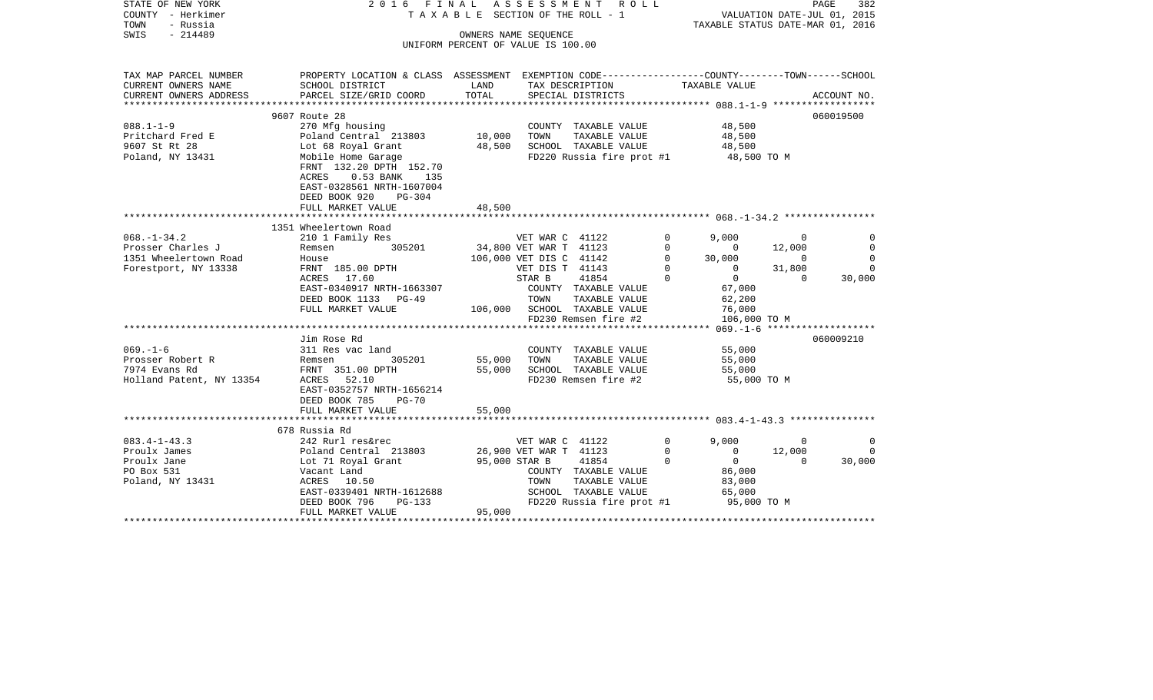| STATE OF NEW YORK<br>COUNTY - Herkimer<br>- Russia<br>TOWN<br>SWIS<br>$-214489$ | 2016 FINAL ASSESSMENT                                                                           | TAXABLE SECTION OF THE ROLL - 1    | OWNERS NAME SEOUENCE    | R O L L                               |              | VALUATION DATE-JUL 01, 2015<br>TAXABLE STATUS DATE-MAR 01, 2016 |                | PAGE<br>382 |
|---------------------------------------------------------------------------------|-------------------------------------------------------------------------------------------------|------------------------------------|-------------------------|---------------------------------------|--------------|-----------------------------------------------------------------|----------------|-------------|
|                                                                                 |                                                                                                 | UNIFORM PERCENT OF VALUE IS 100.00 |                         |                                       |              |                                                                 |                |             |
| TAX MAP PARCEL NUMBER                                                           | PROPERTY LOCATION & CLASS ASSESSMENT EXEMPTION CODE---------------COUNTY-------TOWN------SCHOOL |                                    |                         |                                       |              |                                                                 |                |             |
| CURRENT OWNERS NAME<br>CURRENT OWNERS ADDRESS                                   | SCHOOL DISTRICT<br>PARCEL SIZE/GRID COORD                                                       | LAND<br>TOTAL                      |                         | TAX DESCRIPTION<br>SPECIAL DISTRICTS  |              | TAXABLE VALUE                                                   |                |             |
|                                                                                 |                                                                                                 |                                    |                         |                                       |              |                                                                 |                | ACCOUNT NO. |
|                                                                                 | 9607 Route 28                                                                                   |                                    |                         |                                       |              |                                                                 |                | 060019500   |
| $088.1 - 1 - 9$                                                                 | 270 Mfg housing                                                                                 |                                    |                         | COUNTY TAXABLE VALUE                  |              | 48,500                                                          |                |             |
| Pritchard Fred E                                                                | Poland Central 213803                                                                           | 10,000                             | TOWN                    | TAXABLE VALUE                         |              | 48,500                                                          |                |             |
| 9607 St Rt 28                                                                   | Lot 68 Royal Grant                                                                              | 48,500                             |                         | SCHOOL TAXABLE VALUE                  |              | 48,500                                                          |                |             |
| Poland, NY 13431                                                                | Mobile Home Garage<br>FRNT 132.20 DPTH 152.70                                                   |                                    |                         | FD220 Russia fire prot #1 48,500 TO M |              |                                                                 |                |             |
|                                                                                 | $0.53$ BANK<br>ACRES<br>135<br>EAST-0328561 NRTH-1607004                                        |                                    |                         |                                       |              |                                                                 |                |             |
|                                                                                 | DEED BOOK 920<br>$PG-304$                                                                       | 48,500                             |                         |                                       |              |                                                                 |                |             |
|                                                                                 | FULL MARKET VALUE                                                                               |                                    |                         |                                       |              |                                                                 |                |             |
|                                                                                 | 1351 Wheelertown Road                                                                           |                                    |                         |                                       |              |                                                                 |                |             |
| $068. - 1 - 34.2$                                                               | 210 1 Family Res                                                                                |                                    | VET WAR C 41122         |                                       | $\Omega$     | 9,000                                                           | $\Omega$       | $\Omega$    |
| Prosser Charles J                                                               | 305201<br>Remsen                                                                                |                                    | 34,800 VET WAR T 41123  |                                       | $\Omega$     | $\mathbf{0}$                                                    | 12,000         | $\Omega$    |
| 1351 Wheelertown Road                                                           | House                                                                                           |                                    | 106,000 VET DIS C 41142 |                                       | $\Omega$     | 30,000                                                          | $\overline{0}$ | $\Omega$    |
| Forestport, NY 13338                                                            | FRNT 185.00 DPTH                                                                                |                                    | VET DIS T 41143         |                                       | $\mathbf{0}$ | $\overline{0}$                                                  | 31,800         | $\Omega$    |
|                                                                                 | ACRES 17.60                                                                                     |                                    | STAR B                  | 41854                                 |              | $\overline{0}$                                                  | $\Omega$       | 30,000      |
|                                                                                 | EAST-0340917 NRTH-1663307                                                                       |                                    |                         | COUNTY TAXABLE VALUE                  |              | 67,000                                                          |                |             |
|                                                                                 | DEED BOOK 1133 PG-49                                                                            |                                    | TOWN                    | TAXABLE VALUE                         |              | 62,200                                                          |                |             |
|                                                                                 | FULL MARKET VALUE                                                                               |                                    |                         | 106,000 SCHOOL TAXABLE VALUE          |              | 76,000                                                          |                |             |
|                                                                                 |                                                                                                 |                                    |                         | FD230 Remsen fire #2                  |              | 106,000 TO M                                                    |                |             |
|                                                                                 | Jim Rose Rd                                                                                     |                                    |                         |                                       |              |                                                                 |                | 060009210   |
| $069. -1 - 6$                                                                   | 311 Res vac land                                                                                |                                    |                         | COUNTY TAXABLE VALUE                  |              | 55,000                                                          |                |             |
| Prosser Robert R                                                                | 305201<br>Remsen                                                                                | 55,000                             | TOWN                    | TAXABLE VALUE                         |              | 55,000                                                          |                |             |
| 7974 Evans Rd                                                                   | FRNT 351.00 DPTH                                                                                | 55,000                             |                         | SCHOOL TAXABLE VALUE                  |              | 55,000                                                          |                |             |
| Holland Patent, NY 13354                                                        | ACRES 52.10                                                                                     |                                    |                         | FD230 Remsen fire #2                  |              | 55,000 TO M                                                     |                |             |
|                                                                                 | EAST-0352757 NRTH-1656214<br>DEED BOOK 785<br>$PG-70$                                           |                                    |                         |                                       |              |                                                                 |                |             |
|                                                                                 | FULL MARKET VALUE                                                                               | 55,000                             |                         |                                       |              |                                                                 |                |             |
|                                                                                 |                                                                                                 |                                    |                         |                                       |              |                                                                 |                |             |
|                                                                                 | 678 Russia Rd                                                                                   |                                    |                         |                                       |              |                                                                 |                |             |
| $083.4 - 1 - 43.3$                                                              | 242 Rurl res&rec                                                                                |                                    | VET WAR C 41122         |                                       | $\Omega$     | 9,000                                                           | $\Omega$       | $\Omega$    |
| Proulx James                                                                    | Poland Central 213803                                                                           |                                    | 26,900 VET WAR T 41123  |                                       | $\Omega$     | $\mathbf{0}$                                                    | 12,000         | $\Omega$    |
| Proulx Jane                                                                     | Lot 71 Royal Grant                                                                              |                                    | 95,000 STAR B           | 41854                                 | $\mathbf 0$  | $\overline{0}$                                                  | $\Omega$       | 30,000      |
| PO Box 531                                                                      | Vacant Land                                                                                     |                                    |                         | COUNTY TAXABLE VALUE                  |              | 86,000                                                          |                |             |
| Poland, NY 13431                                                                | ACRES 10.50                                                                                     |                                    | TOWN                    | TAXABLE VALUE                         |              | 83,000                                                          |                |             |
|                                                                                 | EAST-0339401 NRTH-1612688                                                                       |                                    |                         | SCHOOL TAXABLE VALUE                  |              | 65,000                                                          |                |             |
|                                                                                 | DEED BOOK 796<br>PG-133<br>FULL MARKET VALUE                                                    | 95,000                             |                         | FD220 Russia fire prot #1             |              | 95,000 TO M                                                     |                |             |
|                                                                                 |                                                                                                 |                                    |                         |                                       |              |                                                                 |                |             |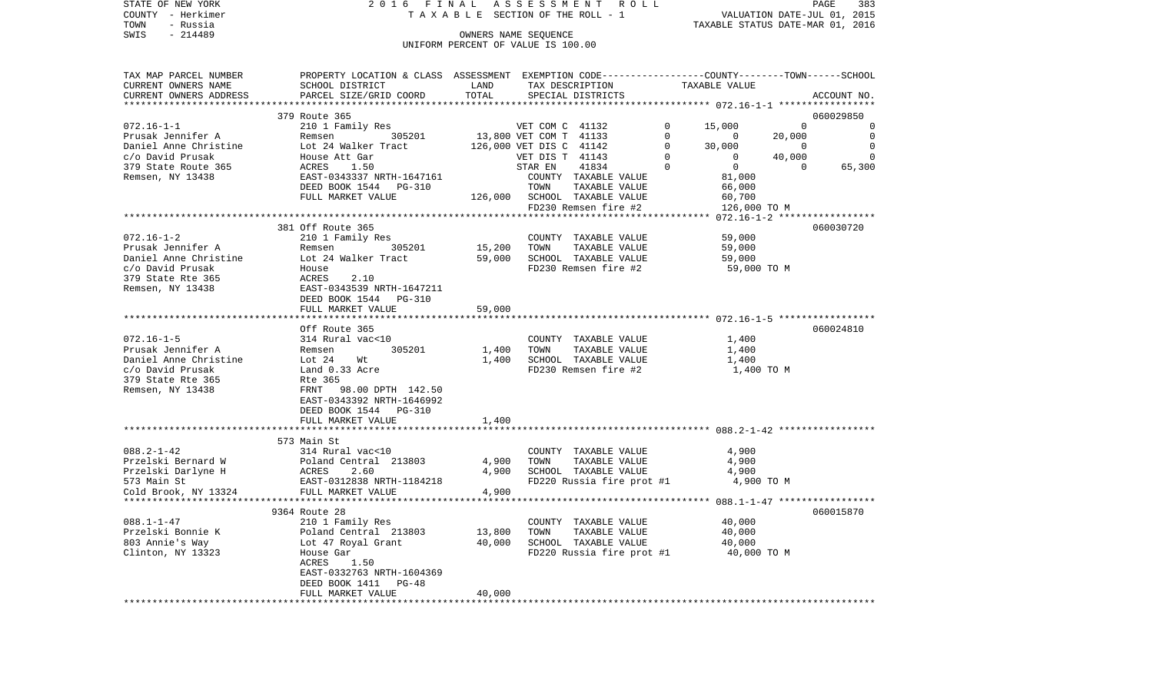| STATE OF NEW YORK<br>COUNTY - Herkimer |                                                                                                                                                                                                                                            |        | TAXABLE SECTION OF THE ROLL - 1<br>TAXABLE SECTION OF THE ROLL - 1<br>TAXABLE STATUS DATE-MAR 01, 2016 |             |             |
|----------------------------------------|--------------------------------------------------------------------------------------------------------------------------------------------------------------------------------------------------------------------------------------------|--------|--------------------------------------------------------------------------------------------------------|-------------|-------------|
| TOWN - Russia                          |                                                                                                                                                                                                                                            |        |                                                                                                        |             |             |
| SWIS - 214489                          |                                                                                                                                                                                                                                            |        | OWNERS NAME SEQUENCE                                                                                   |             |             |
|                                        |                                                                                                                                                                                                                                            |        | UNIFORM PERCENT OF VALUE IS 100.00                                                                     |             |             |
|                                        |                                                                                                                                                                                                                                            |        |                                                                                                        |             |             |
|                                        |                                                                                                                                                                                                                                            |        |                                                                                                        |             |             |
|                                        |                                                                                                                                                                                                                                            |        |                                                                                                        |             |             |
| ************************               | CURRENT OWNERS ADDRESS PARCEL SIZE/GRID COORD                                                                                                                                                                                              | TOTAL  | SPECIAL DISTRICTS                                                                                      |             | ACCOUNT NO. |
|                                        | 379 Route 365                                                                                                                                                                                                                              |        |                                                                                                        |             | 060029850   |
|                                        |                                                                                                                                                                                                                                            |        |                                                                                                        |             |             |
|                                        |                                                                                                                                                                                                                                            |        |                                                                                                        |             |             |
|                                        |                                                                                                                                                                                                                                            |        |                                                                                                        |             |             |
|                                        |                                                                                                                                                                                                                                            |        |                                                                                                        |             |             |
|                                        |                                                                                                                                                                                                                                            |        |                                                                                                        |             |             |
|                                        |                                                                                                                                                                                                                                            |        |                                                                                                        |             |             |
|                                        |                                                                                                                                                                                                                                            |        |                                                                                                        |             |             |
|                                        |                                                                                                                                                                                                                                            |        |                                                                                                        |             |             |
|                                        |                                                                                                                                                                                                                                            |        |                                                                                                        |             |             |
|                                        |                                                                                                                                                                                                                                            |        |                                                                                                        |             |             |
|                                        | 381 Off Route 365                                                                                                                                                                                                                          |        |                                                                                                        |             | 060030720   |
| $072.16 - 1 - 2$                       |                                                                                                                                                                                                                                            |        |                                                                                                        | 59,000      |             |
|                                        | 072.16-1-2<br>Prusak Jennifer A 210 1 Family Res COUNTY TAXABLE VALUE<br>Daniel Anne Christine Lot 24 Walker Tract 59,000 SCHOOL TAXABLE VALUE 59,000<br>C/O David Prusak House FD230 Remsen fire #2<br>379 State Rte 365 ACRES 2.10<br>   |        |                                                                                                        |             |             |
|                                        |                                                                                                                                                                                                                                            |        |                                                                                                        |             |             |
|                                        |                                                                                                                                                                                                                                            |        |                                                                                                        | 59,000 TO M |             |
|                                        |                                                                                                                                                                                                                                            |        |                                                                                                        |             |             |
|                                        |                                                                                                                                                                                                                                            |        |                                                                                                        |             |             |
|                                        |                                                                                                                                                                                                                                            |        |                                                                                                        |             |             |
|                                        | FULL MARKET VALUE                                                                                                                                                                                                                          | 59,000 |                                                                                                        |             |             |
|                                        |                                                                                                                                                                                                                                            |        |                                                                                                        |             |             |
|                                        | Off Route 365                                                                                                                                                                                                                              |        |                                                                                                        |             | 060024810   |
|                                        |                                                                                                                                                                                                                                            |        |                                                                                                        | 1,400       |             |
|                                        | 072.16-1-5<br>Prusak Jennifer A<br>Daniel Anne Christine is and the state and the state and the state and the state and the state and the state of<br>State Remsen, NY 13438<br>Remsen, NY 13438<br>Remsen, NY 13438<br>County TAXABLE VAL |        |                                                                                                        | 1,400       |             |
|                                        |                                                                                                                                                                                                                                            |        |                                                                                                        | 1,400       |             |
|                                        |                                                                                                                                                                                                                                            |        |                                                                                                        | 1,400 TO M  |             |
|                                        |                                                                                                                                                                                                                                            |        |                                                                                                        |             |             |
|                                        |                                                                                                                                                                                                                                            |        |                                                                                                        |             |             |
|                                        |                                                                                                                                                                                                                                            |        |                                                                                                        |             |             |
|                                        | DEED BOOK 1544 PG-310                                                                                                                                                                                                                      |        |                                                                                                        |             |             |
|                                        | FULL MARKET VALUE                                                                                                                                                                                                                          | 1,400  |                                                                                                        |             |             |
|                                        | 573 Main St                                                                                                                                                                                                                                |        |                                                                                                        |             |             |
|                                        |                                                                                                                                                                                                                                            |        |                                                                                                        |             |             |
|                                        |                                                                                                                                                                                                                                            |        |                                                                                                        |             |             |
|                                        |                                                                                                                                                                                                                                            |        |                                                                                                        |             |             |
|                                        |                                                                                                                                                                                                                                            |        |                                                                                                        |             |             |
|                                        |                                                                                                                                                                                                                                            |        |                                                                                                        |             |             |
|                                        |                                                                                                                                                                                                                                            |        |                                                                                                        |             |             |
|                                        | 9364 Route 28                                                                                                                                                                                                                              |        |                                                                                                        |             | 060015870   |
|                                        |                                                                                                                                                                                                                                            |        |                                                                                                        |             |             |
|                                        |                                                                                                                                                                                                                                            |        |                                                                                                        |             |             |
|                                        |                                                                                                                                                                                                                                            |        |                                                                                                        |             |             |
|                                        |                                                                                                                                                                                                                                            |        |                                                                                                        |             |             |
|                                        | 088.1-1-47<br>Przelski Bonnie K (210 1 Family Res COUNTY TAXABLE VALUE)<br>Przelski Bonnie K (213803 (213803 13,800 TOWN TAXABLE VALUE)<br>803 Annie 's Way (2147 Royal Grant 40,000 SCHOOL TAXABLE VALUE)<br>210 1 Family Res 1.30 (2     |        |                                                                                                        |             |             |
|                                        | EAST-0332763 NRTH-1604369                                                                                                                                                                                                                  |        |                                                                                                        |             |             |
|                                        | DEED BOOK 1411 PG-48                                                                                                                                                                                                                       |        |                                                                                                        |             |             |

FULL MARKET VALUE 40,000 \*\*\*\*\*\*\*\*\*\*\*\*\*\*\*\*\*\*\*\*\*\*\*\*\*\*\*\*\*\*\*\*\*\*\*\*\*\*\*\*\*\*\*\*\*\*\*\*\*\*\*\*\*\*\*\*\*\*\*\*\*\*\*\*\*\*\*\*\*\*\*\*\*\*\*\*\*\*\*\*\*\*\*\*\*\*\*\*\*\*\*\*\*\*\*\*\*\*\*\*\*\*\*\*\*\*\*\*\*\*\*\*\*\*\*\*\*\*\*\*\*\*\*\*\*\*\*\*\*\*\*\*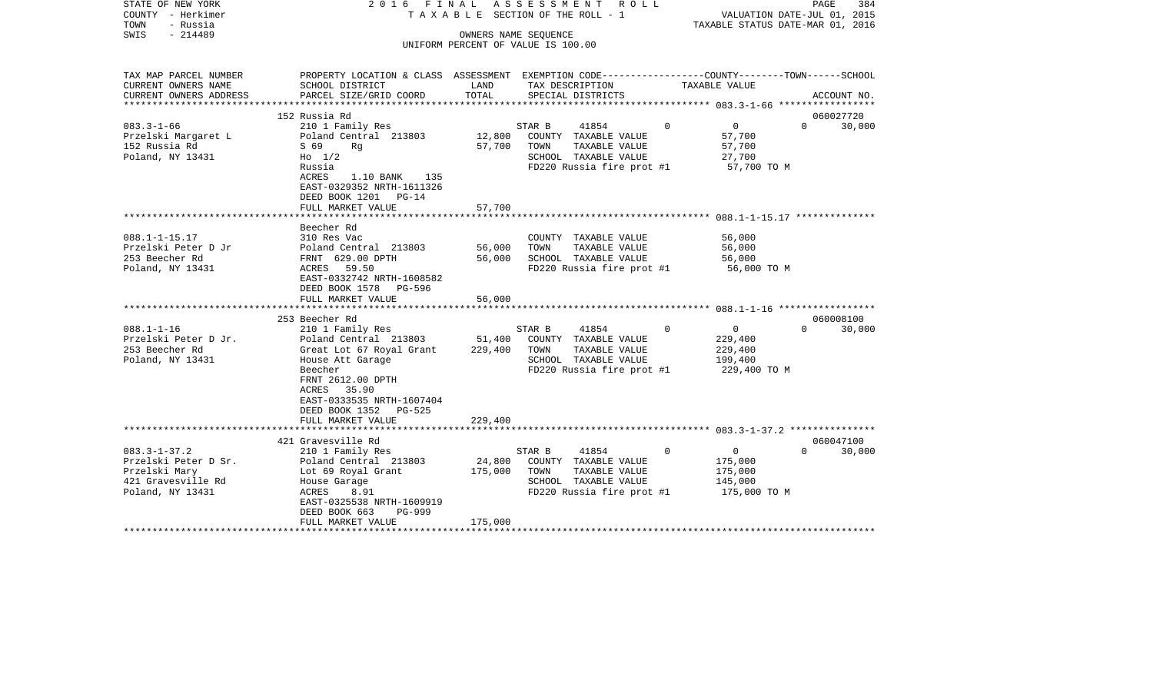| STATE OF NEW YORK<br>COUNTY - Herkimer<br>TOWN<br>- Russia                                            | 2016 FINAL                                                                                                                                                                                                       |                            | ASSESSMENT ROLL<br>TAXABLE SECTION OF THE ROLL - 1                                                                    |                                                                             | PAGE<br>384<br>VALUATION DATE-JUL 01, 2015<br>TAXABLE STATUS DATE-MAR 01, 2016 |
|-------------------------------------------------------------------------------------------------------|------------------------------------------------------------------------------------------------------------------------------------------------------------------------------------------------------------------|----------------------------|-----------------------------------------------------------------------------------------------------------------------|-----------------------------------------------------------------------------|--------------------------------------------------------------------------------|
| $-214489$<br>SWIS                                                                                     |                                                                                                                                                                                                                  |                            | OWNERS NAME SEQUENCE<br>UNIFORM PERCENT OF VALUE IS 100.00                                                            |                                                                             |                                                                                |
|                                                                                                       |                                                                                                                                                                                                                  |                            |                                                                                                                       |                                                                             |                                                                                |
| TAX MAP PARCEL NUMBER<br>CURRENT OWNERS NAME                                                          | PROPERTY LOCATION & CLASS ASSESSMENT EXEMPTION CODE----------------COUNTY-------TOWN-----SCHOOL<br>SCHOOL DISTRICT                                                                                               | LAND                       | TAX DESCRIPTION                                                                                                       | TAXABLE VALUE                                                               |                                                                                |
| CURRENT OWNERS ADDRESS                                                                                | PARCEL SIZE/GRID COORD                                                                                                                                                                                           | TOTAL                      | SPECIAL DISTRICTS                                                                                                     |                                                                             | ACCOUNT NO.                                                                    |
|                                                                                                       | 152 Russia Rd                                                                                                                                                                                                    |                            |                                                                                                                       |                                                                             | 060027720                                                                      |
| $083.3 - 1 - 66$                                                                                      | 210 1 Family Res                                                                                                                                                                                                 |                            | 41854<br>STAR B                                                                                                       | $\Omega$<br>$\overline{0}$                                                  | $\Omega$<br>30,000                                                             |
| Przelski Margaret L<br>152 Russia Rd<br>Poland, NY 13431                                              | Poland Central 213803<br>S 69<br>Rg<br>$H_0$ 1/2                                                                                                                                                                 | 12,800<br>57,700           | COUNTY TAXABLE VALUE<br>TOWN<br>TAXABLE VALUE<br>SCHOOL TAXABLE VALUE                                                 | 57,700<br>57,700<br>27,700                                                  |                                                                                |
|                                                                                                       | Russia<br>1.10 BANK 135<br>ACRES<br>EAST-0329352 NRTH-1611326<br>DEED BOOK 1201 PG-14<br>FULL MARKET VALUE                                                                                                       | 57,700                     | FD220 Russia fire prot #1                                                                                             | 57,700 TO M                                                                 |                                                                                |
|                                                                                                       | ************************                                                                                                                                                                                         |                            |                                                                                                                       |                                                                             |                                                                                |
| $088.1 - 1 - 15.17$<br>Przelski Peter D Jr<br>253 Beecher Rd<br>Poland, NY 13431                      | Beecher Rd<br>310 Res Vac<br>Poland Central 213803<br>FRNT 629.00 DPTH<br>ACRES 59.50<br>EAST-0332742 NRTH-1608582<br>DEED BOOK 1578 PG-596<br>FULL MARKET VALUE                                                 | 56,000<br>56,000<br>56,000 | COUNTY TAXABLE VALUE<br>TOWN<br>TAXABLE VALUE<br>SCHOOL TAXABLE VALUE<br>FD220 Russia fire prot #1                    | 56,000<br>56,000<br>56,000<br>56,000 TO M                                   |                                                                                |
|                                                                                                       |                                                                                                                                                                                                                  |                            |                                                                                                                       |                                                                             |                                                                                |
| $088.1 - 1 - 16$<br>Przelski Peter D Jr.<br>253 Beecher Rd<br>Poland, NY 13431                        | 253 Beecher Rd<br>210 1 Family Res<br>Poland Central 213803<br>Great Lot 67 Royal Grant<br>House Att Garage<br>Beecher<br>FRNT 2612.00 DPTH<br>ACRES 35.90<br>EAST-0333535 NRTH-1607404<br>DEED BOOK 1352 PG-525 | 51,400<br>229,400          | STAR B<br>41854<br>COUNTY TAXABLE VALUE<br>TOWN<br>TAXABLE VALUE<br>SCHOOL TAXABLE VALUE<br>FD220 Russia fire prot #1 | $\circ$<br>$\Omega$<br>229,400<br>229,400<br>199,400<br>229,400 TO M        | 060008100<br>$\Omega$<br>30,000                                                |
|                                                                                                       | FULL MARKET VALUE                                                                                                                                                                                                | 229,400                    |                                                                                                                       |                                                                             |                                                                                |
|                                                                                                       | 421 Gravesville Rd                                                                                                                                                                                               |                            |                                                                                                                       |                                                                             | 060047100                                                                      |
| $083.3 - 1 - 37.2$<br>Przelski Peter D Sr.<br>Przelski Mary<br>421 Gravesville Rd<br>Poland, NY 13431 | 210 1 Family Res<br>Poland Central 213803<br>Lot 69 Royal Grant<br>House Garage<br>ACRES<br>8.91<br>EAST-0325538 NRTH-1609919<br>DEED BOOK 663<br>PG-999                                                         | 24,800<br>175,000          | STAR B<br>41854<br>COUNTY TAXABLE VALUE<br>TOWN<br>TAXABLE VALUE<br>SCHOOL TAXABLE VALUE<br>FD220 Russia fire prot #1 | $\Omega$<br>$\overline{0}$<br>175,000<br>175,000<br>145,000<br>175,000 TO M | $\Omega$<br>30,000                                                             |
| **********************                                                                                | FULL MARKET VALUE                                                                                                                                                                                                | 175,000                    |                                                                                                                       |                                                                             |                                                                                |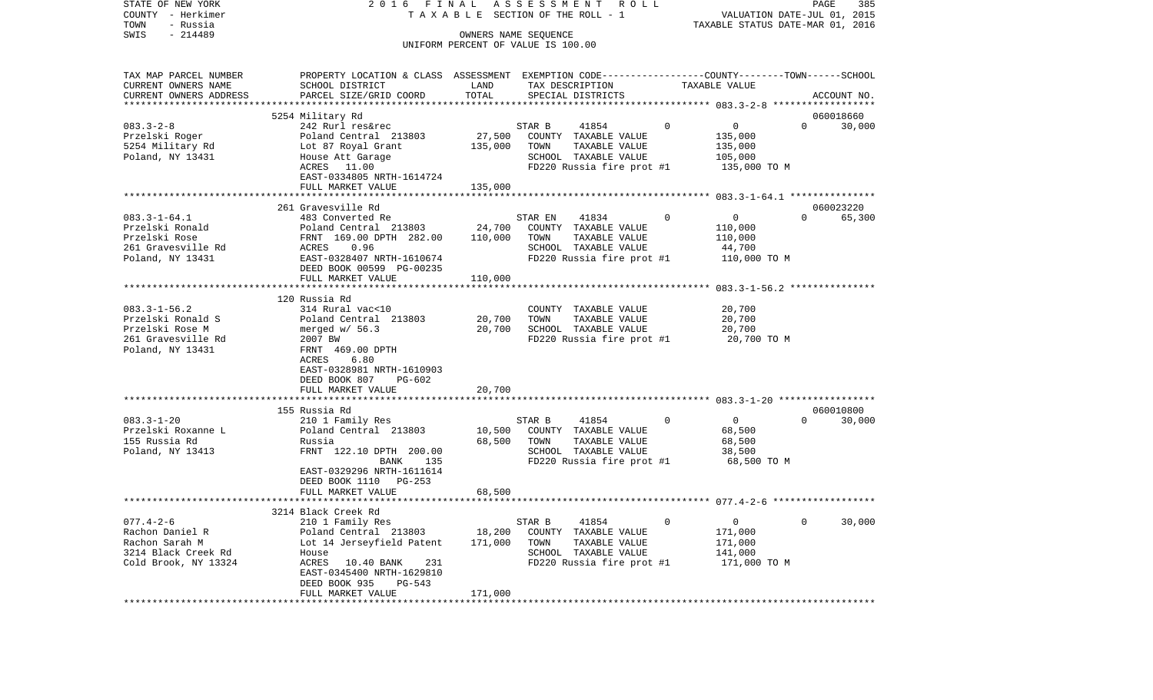| TOWN<br>- Russia<br>TAXABLE STATUS DATE-MAR 01, 2016<br>SWIS<br>$-214489$<br>OWNERS NAME SEQUENCE<br>UNIFORM PERCENT OF VALUE IS 100.00 |             |
|-----------------------------------------------------------------------------------------------------------------------------------------|-------------|
|                                                                                                                                         |             |
|                                                                                                                                         |             |
|                                                                                                                                         |             |
|                                                                                                                                         |             |
| PROPERTY LOCATION & CLASS ASSESSMENT EXEMPTION CODE---------------COUNTY-------TOWN------SCHOOL<br>TAX MAP PARCEL NUMBER                |             |
| CURRENT OWNERS NAME<br>SCHOOL DISTRICT<br>LAND<br>TAX DESCRIPTION<br>TAXABLE VALUE                                                      |             |
| TOTAL<br>CURRENT OWNERS ADDRESS<br>PARCEL SIZE/GRID COORD<br>SPECIAL DISTRICTS                                                          | ACCOUNT NO. |
|                                                                                                                                         |             |
| 5254 Military Rd                                                                                                                        | 060018660   |
| $083.3 - 2 - 8$<br>242 Rurl res&rec<br>41854<br>$\Omega$<br>$\overline{0}$<br>$\Omega$<br>STAR B                                        | 30,000      |
| 27,500<br>Przelski Roger<br>Poland Central 213803<br>COUNTY TAXABLE VALUE<br>135,000                                                    |             |
| 5254 Military Rd<br>Lot 87 Royal Grant<br>135,000<br>TOWN<br>TAXABLE VALUE<br>135,000                                                   |             |
| 105,000<br>Poland, NY 13431<br>House Att Garage<br>SCHOOL TAXABLE VALUE                                                                 |             |
| 11.00<br>FD220 Russia fire prot #1<br>135,000 TO M<br>ACRES                                                                             |             |
| EAST-0334805 NRTH-1614724                                                                                                               |             |
| FULL MARKET VALUE<br>135,000                                                                                                            |             |
| * * * * * * * * * * * * * * * * * * * *                                                                                                 |             |
| 261 Gravesville Rd                                                                                                                      | 060023220   |
| $083.3 - 1 - 64.1$<br>$\overline{0}$<br>$\Omega$<br>483 Converted Re<br>0<br>STAR EN<br>41834                                           | 65,300      |
| Przelski Ronald<br>24,700<br>Poland Central 213803<br>COUNTY TAXABLE VALUE<br>110,000                                                   |             |
| Przelski Rose<br>FRNT 169.00 DPTH 282.00<br>110,000<br>TOWN<br>TAXABLE VALUE<br>110,000                                                 |             |
| 261 Gravesville Rd<br>SCHOOL TAXABLE VALUE<br>ACRES<br>0.96<br>44,700                                                                   |             |
| Poland, NY 13431<br>EAST-0328407 NRTH-1610674<br>FD220 Russia fire prot #1<br>110,000 TO M                                              |             |
| DEED BOOK 00599 PG-00235                                                                                                                |             |
| FULL MARKET VALUE<br>110,000                                                                                                            |             |
| *************************<br>******************<br>***************** 083.3-1-56.2 ***************                                       |             |
| 120 Russia Rd                                                                                                                           |             |
| $083.3 - 1 - 56.2$<br>314 Rural vac<10<br>20,700<br>COUNTY TAXABLE VALUE                                                                |             |
| Przelski Ronald S<br>Poland Central 213803<br>20,700<br>TAXABLE VALUE<br>20,700<br>TOWN                                                 |             |
| 20,700<br>20,700<br>Przelski Rose M<br>merged $w/56.3$<br>SCHOOL TAXABLE VALUE                                                          |             |
| 261 Gravesville Rd<br>2007 BW<br>FD220 Russia fire prot #1<br>20,700 TO M                                                               |             |
| Poland, NY 13431<br>FRNT 469.00 DPTH                                                                                                    |             |
| ACRES<br>6.80                                                                                                                           |             |
| EAST-0328981 NRTH-1610903                                                                                                               |             |
| DEED BOOK 807<br>$PG-602$                                                                                                               |             |
| FULL MARKET VALUE<br>20,700                                                                                                             |             |
|                                                                                                                                         |             |
| 155 Russia Rd                                                                                                                           | 060010800   |
| $083.3 - 1 - 20$<br>$\overline{0}$<br>210 1 Family Res<br>STAR B<br>41854<br>0<br>$\Omega$                                              | 30,000      |
| 10,500<br>Przelski Roxanne L<br>Poland Central 213803<br>COUNTY TAXABLE VALUE<br>68,500                                                 |             |
| 155 Russia Rd<br>68,500<br>68,500<br>Russia<br>TOWN<br>TAXABLE VALUE                                                                    |             |
| FRNT 122.10 DPTH 200.00<br>Poland, NY 13413<br>SCHOOL TAXABLE VALUE<br>38,500                                                           |             |
| BANK<br>135<br>FD220 Russia fire prot #1<br>68,500 TO M                                                                                 |             |
| EAST-0329296 NRTH-1611614                                                                                                               |             |
| DEED BOOK 1110 PG-253                                                                                                                   |             |
| FULL MARKET VALUE<br>68,500                                                                                                             |             |
| *********************                                                                                                                   |             |
| 3214 Black Creek Rd                                                                                                                     |             |
| $077.4 - 2 - 6$<br>41854<br>$\Omega$<br>210 1 Family Res<br>STAR B<br>0<br>$\overline{0}$                                               | 30,000      |
| 18,200<br>Rachon Daniel R<br>COUNTY TAXABLE VALUE<br>171,000                                                                            |             |
| Poland Central 213803                                                                                                                   |             |
| Rachon Sarah M<br>171,000<br>TAXABLE VALUE<br>Lot 14 Jerseyfield Patent<br>TOWN<br>171,000                                              |             |
| 3214 Black Creek Rd<br>SCHOOL TAXABLE VALUE<br>141,000<br>House                                                                         |             |
| Cold Brook, NY 13324<br>ACRES<br>FD220 Russia fire prot #1<br>171,000 TO M<br>10.40 BANK<br>231                                         |             |
| EAST-0345400 NRTH-1629810                                                                                                               |             |
| DEED BOOK 935<br>PG-543                                                                                                                 |             |
| FULL MARKET VALUE<br>171,000                                                                                                            |             |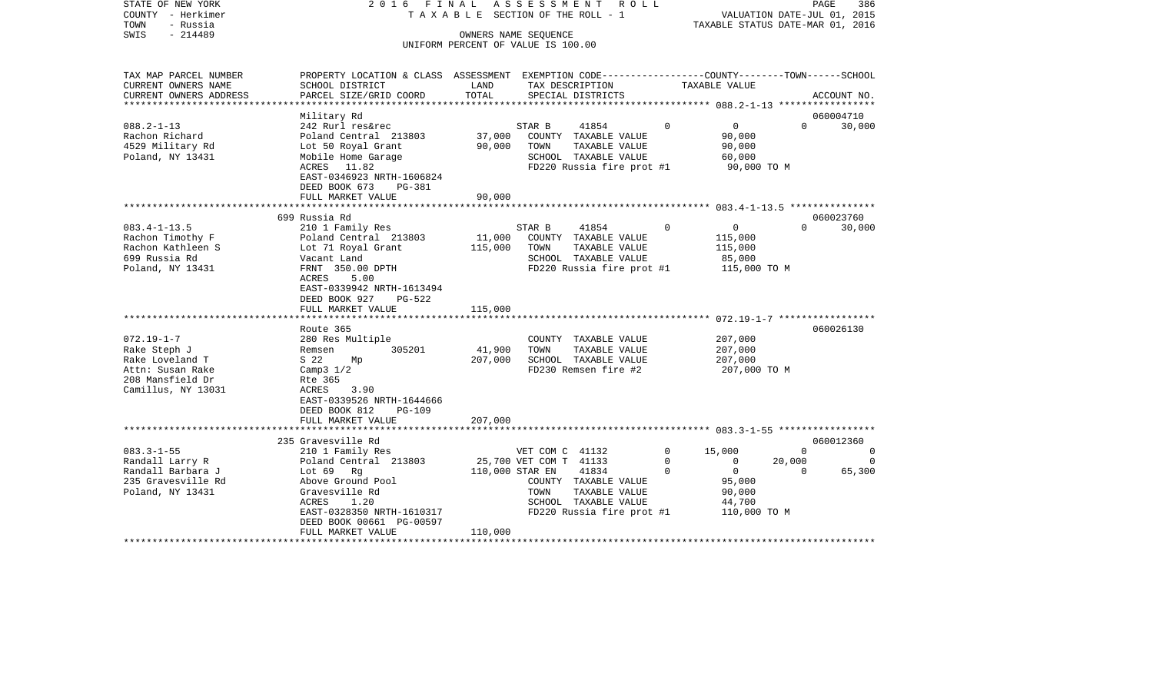| STATE OF NEW YORK      | 2016 FINAL                           |                                    |        | ASSESSMENT ROLL                                              |             |                | PAGE                             | 386         |
|------------------------|--------------------------------------|------------------------------------|--------|--------------------------------------------------------------|-------------|----------------|----------------------------------|-------------|
| COUNTY<br>- Herkimer   |                                      | TAXABLE SECTION OF THE ROLL - 1    |        |                                                              |             |                | VALUATION DATE-JUL 01, 2015      |             |
| - Russia<br>TOWN       |                                      |                                    |        |                                                              |             |                | TAXABLE STATUS DATE-MAR 01, 2016 |             |
| SWIS<br>$-214489$      |                                      | OWNERS NAME SEQUENCE               |        |                                                              |             |                |                                  |             |
|                        |                                      | UNIFORM PERCENT OF VALUE IS 100.00 |        |                                                              |             |                |                                  |             |
|                        |                                      |                                    |        |                                                              |             |                |                                  |             |
| TAX MAP PARCEL NUMBER  | PROPERTY LOCATION & CLASS ASSESSMENT |                                    |        | EXEMPTION CODE-----------------COUNTY-------TOWN------SCHOOL |             |                |                                  |             |
| CURRENT OWNERS NAME    | SCHOOL DISTRICT<br><b>LAND</b>       |                                    |        | TAX DESCRIPTION                                              |             | TAXABLE VALUE  |                                  |             |
| CURRENT OWNERS ADDRESS | PARCEL SIZE/GRID COORD TOTAL         |                                    |        | SPECIAL DISTRICTS                                            |             |                |                                  | ACCOUNT NO. |
|                        |                                      |                                    |        |                                                              |             |                |                                  |             |
|                        | Military Rd                          |                                    |        |                                                              |             |                |                                  | 060004710   |
| $088.2 - 1 - 13$       | 242 Rurl res&rec                     |                                    | STAR B | 41854 0                                                      |             | $\overline{0}$ | $\Omega$                         | 30,000      |
| Rachon Richard         | Poland Central 213803                | 37,000 COUNTY                      |        | TAXABLE VALUE                                                |             | 90,000         |                                  |             |
| 4529 Military Rd       | Lot 50 Royal Grant 90,000            |                                    | TOWN   | TAXABLE VALUE                                                |             | 90,000         |                                  |             |
| Poland, NY 13431       | Mobile Home Garage                   |                                    | SCHOOL | TAXABLE VALUE                                                |             | 60,000         |                                  |             |
|                        | ACRES 11.82                          |                                    |        | FD220 Russia fire prot #1 90,000 TO M                        |             |                |                                  |             |
|                        | EAST-0346923 NRTH-1606824            |                                    |        |                                                              |             |                |                                  |             |
|                        | DEED BOOK 673 PG-381                 |                                    |        |                                                              |             |                |                                  |             |
|                        | FULL MARKET VALUE                    | 90,000                             |        |                                                              |             |                |                                  |             |
|                        |                                      |                                    |        |                                                              |             |                |                                  |             |
|                        | 699 Russia Rd                        |                                    |        |                                                              |             |                |                                  | 060023760   |
| $083.4 - 1 - 13.5$     | 210 1 Family Res                     |                                    | STAR B | 41854                                                        | $\mathbf 0$ | $\overline{0}$ | $\overline{0}$                   | 30,000      |
| Rachon Timothy F       | Poland Central 213803 11,000 COUNTY  |                                    |        | TAXABLE VALUE                                                |             | 115,000        |                                  |             |
| Rachon Kathleen S      | Lot 71 Royal Grant                   | 115,000                            | TOWN   | TAXABLE VALUE                                                |             | 115,000        |                                  |             |

\*\*\*\*\*\*\*\*\*\*\*\*\*\*\*\*\*\*\*\*\*\*\*\*\*\*\*\*\*\*\*\*\*\*\*\*\*\*\*\*\*\*\*\*\*\*\*\*\*\*\*\*\*\*\*\*\*\*\*\*\*\*\*\*\*\*\*\*\*\*\*\*\*\*\*\*\*\*\*\*\*\*\*\*\*\*\*\*\*\*\*\*\*\*\*\*\*\*\*\*\*\*\* 072.19-1-7 \*\*\*\*\*\*\*\*\*\*\*\*\*\*\*\*\*

Mp 207,000 SCHOOL TAXABLE VALUE

\*\*\*\*\*\*\*\*\*\*\*\*\*\*\*\*\*\*\*\*\*\*\*\*\*\*\*\*\*\*\*\*\*\*\*\*\*\*\*\*\*\*\*\*\*\*\*\*\*\*\*\*\*\*\*\*\*\*\*\*\*\*\*\*\*\*\*\*\*\*\*\*\*\*\*\*\*\*\*\*\*\*\*\*\*\*\*\*\*\*\*\*\*\*\*\*\*\*\*\*\*\*\* 083.3-1-55 \*\*\*\*\*\*\*\*\*\*\*\*\*\*\*\*\*

083.3-1-55 210 1 Family Res VET COM C 41132 0 15,000 0 0 0 Randall Larry R Poland Central 213803 25,700 VET COM T 41133 0 0 20,000 0

\*\*\*\*\*\*\*\*\*\*\*\*\*\*\*\*\*\*\*\*\*\*\*\*\*\*\*\*\*\*\*\*\*\*\*\*\*\*\*\*\*\*\*\*\*\*\*\*\*\*\*\*\*\*\*\*\*\*\*\*\*\*\*\*\*\*\*\*\*\*\*\*\*\*\*\*\*\*\*\*\*\*\*\*\*\*\*\*\*\*\*\*\*\*\*\*\*\*\*\*\*\*\*\*\*\*\*\*\*\*\*\*\*\*\*\*\*\*\*\*\*\*\*\*\*\*\*\*\*\*\*\*

ACRES 1.20 SCHOOL TAXABLE VALUE 44,700 EAST-0328350 NRTH-1610317 FD220 Russia fire prot #1 110,000 TO M

Route 365 060026130

235 Gravesville Rd 060012360

COUNTY TAXABLE VALUE

699 Russia Rd Vacant Land SCHOOL TAXABLE VALUE 85,000 Poland, NY 13431 FRNT 350.00 DPTH FD220 Russia fire prot #1 115,000 TO M

072.19-1-7 280 Res Multiple COUNTY TAXABLE VALUE 207,000 Rake Steph J Remsen 305201 41,900 TOWN TAXABLE VALUE 207,000

Attn: Susan Rake Camp3 1/2 Camp3 1/2 FD230 Remsen fire #2 207,000 TO M

Randall Barbara J Lot 69 Rg 110,000 STAR EN 41834 0 0 0 65,300

Poland, NY 13431 Gravesville Rd TOWN TAXABLE VALUE 90,000

ACRES 5.00

Rte 365

Camillus, NY 13031 ACRES 3.90

208 Mansfield Dr

 EAST-0339942 NRTH-1613494DEED BOOK 927 PG-522

 EAST-0339526 NRTH-1644666DEED BOOK 812 PG-109

DEED BOOK 00661 PG-00597

FULL MARKET VALUE 115,000

FULL MARKET VALUE 207,000

FULL MARKET VALUE 110,000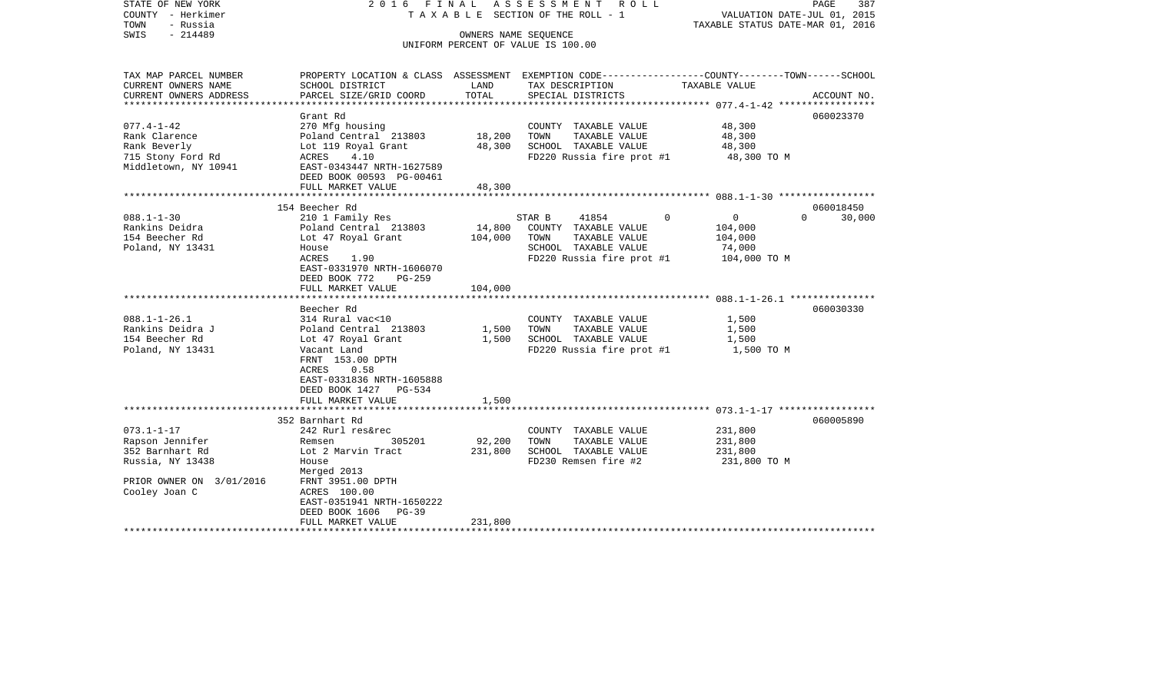| STATE OF NEW YORK<br>COUNTY - Herkimer<br>- Russia<br>TOWN<br>SWIS<br>$-214489$ | 2016 FINAL<br>TAXABLE SECTION OF THE ROLL - 1  | PAGE<br>387<br>VALUATION DATE-JUL 01, 2015<br>TAXABLE STATUS DATE-MAR 01, 2016 |                                               |                                                                                                  |             |
|---------------------------------------------------------------------------------|------------------------------------------------|--------------------------------------------------------------------------------|-----------------------------------------------|--------------------------------------------------------------------------------------------------|-------------|
|                                                                                 |                                                | OWNERS NAME SEQUENCE                                                           | UNIFORM PERCENT OF VALUE IS 100.00            |                                                                                                  |             |
| TAX MAP PARCEL NUMBER                                                           |                                                |                                                                                |                                               | PROPERTY LOCATION & CLASS ASSESSMENT EXEMPTION CODE----------------COUNTY-------TOWN------SCHOOL |             |
| CURRENT OWNERS NAME                                                             | SCHOOL DISTRICT                                | LAND                                                                           | TAX DESCRIPTION                               | TAXABLE VALUE                                                                                    |             |
| CURRENT OWNERS ADDRESS                                                          | PARCEL SIZE/GRID COORD                         | TOTAL                                                                          | SPECIAL DISTRICTS                             |                                                                                                  | ACCOUNT NO. |
| ********************                                                            |                                                | ***************                                                                |                                               | ***************** 077.4-1-42 ******************                                                  |             |
| $077.4 - 1 - 42$                                                                | Grant Rd<br>270 Mfg housing                    |                                                                                |                                               | 060023370<br>48,300                                                                              |             |
| Rank Clarence                                                                   | Poland Central 213803                          | 18,200                                                                         | COUNTY TAXABLE VALUE<br>TAXABLE VALUE<br>TOWN | 48,300                                                                                           |             |
| Rank Beverly                                                                    | Lot 119 Royal Grant                            | 48,300                                                                         | SCHOOL TAXABLE VALUE                          | 48,300                                                                                           |             |
| 715 Stony Ford Rd                                                               | 4.10<br>ACRES                                  |                                                                                | FD220 Russia fire prot #1                     | 48,300 TO M                                                                                      |             |
| Middletown, NY 10941                                                            | EAST-0343447 NRTH-1627589                      |                                                                                |                                               |                                                                                                  |             |
|                                                                                 | DEED BOOK 00593 PG-00461                       |                                                                                |                                               |                                                                                                  |             |
|                                                                                 | FULL MARKET VALUE                              | 48,300                                                                         |                                               |                                                                                                  |             |
|                                                                                 |                                                |                                                                                |                                               | *********************** 088.1-1-30 ******************                                            |             |
|                                                                                 | 154 Beecher Rd                                 |                                                                                |                                               | 060018450                                                                                        |             |
| $088.1 - 1 - 30$                                                                | 210 1 Family Res                               |                                                                                | 41854<br>STAR B<br>$\Omega$                   | $\mathbf 0$<br>$\Omega$                                                                          | 30,000      |
| Rankins Deidra                                                                  | Poland Central 213803                          | 14,800                                                                         | COUNTY TAXABLE VALUE                          | 104,000                                                                                          |             |
| 154 Beecher Rd                                                                  | Lot 47 Royal Grant                             | 104,000                                                                        | TOWN<br>TAXABLE VALUE                         | 104,000                                                                                          |             |
| Poland, NY 13431                                                                | House                                          |                                                                                | SCHOOL TAXABLE VALUE                          | 74,000                                                                                           |             |
|                                                                                 | ACRES<br>1.90<br>EAST-0331970 NRTH-1606070     |                                                                                | FD220 Russia fire prot #1                     | 104,000 TO M                                                                                     |             |
|                                                                                 | DEED BOOK 772<br>$PG-259$                      |                                                                                |                                               |                                                                                                  |             |
|                                                                                 | FULL MARKET VALUE                              | 104,000                                                                        |                                               |                                                                                                  |             |
|                                                                                 |                                                |                                                                                |                                               |                                                                                                  |             |
|                                                                                 | Beecher Rd                                     |                                                                                |                                               | 060030330                                                                                        |             |
| $088.1 - 1 - 26.1$                                                              | 314 Rural vac<10                               |                                                                                | COUNTY TAXABLE VALUE                          | 1,500                                                                                            |             |
| Rankins Deidra J                                                                | Poland Central 213803                          | 1,500                                                                          | TOWN<br>TAXABLE VALUE                         | 1,500                                                                                            |             |
| 154 Beecher Rd                                                                  | Lot 47 Royal Grant                             | 1,500                                                                          | SCHOOL TAXABLE VALUE                          | 1,500                                                                                            |             |
| Poland, NY 13431                                                                | Vacant Land                                    |                                                                                | FD220 Russia fire prot #1                     | 1,500 TO M                                                                                       |             |
|                                                                                 | FRNT 153.00 DPTH                               |                                                                                |                                               |                                                                                                  |             |
|                                                                                 | 0.58<br>ACRES                                  |                                                                                |                                               |                                                                                                  |             |
|                                                                                 | EAST-0331836 NRTH-1605888                      |                                                                                |                                               |                                                                                                  |             |
|                                                                                 | DEED BOOK 1427 PG-534                          |                                                                                |                                               |                                                                                                  |             |
|                                                                                 | FULL MARKET VALUE<br>************************* | 1,500                                                                          |                                               |                                                                                                  |             |
|                                                                                 | 352 Barnhart Rd                                |                                                                                |                                               | 060005890                                                                                        |             |
| $073.1 - 1 - 17$                                                                | 242 Rurl res&rec                               |                                                                                | COUNTY TAXABLE VALUE                          | 231,800                                                                                          |             |
| Rapson Jennifer                                                                 | Remsen<br>305201                               | 92,200                                                                         | TOWN<br>TAXABLE VALUE                         | 231,800                                                                                          |             |
| 352 Barnhart Rd                                                                 | Lot 2 Marvin Tract                             | 231,800                                                                        | SCHOOL TAXABLE VALUE                          | 231,800                                                                                          |             |
| Russia, NY 13438                                                                | House                                          |                                                                                | FD230 Remsen fire #2                          | 231,800 TO M                                                                                     |             |
|                                                                                 | Merged 2013                                    |                                                                                |                                               |                                                                                                  |             |
| PRIOR OWNER ON 3/01/2016                                                        | FRNT 3951.00 DPTH                              |                                                                                |                                               |                                                                                                  |             |
| Cooley Joan C                                                                   | ACRES 100.00                                   |                                                                                |                                               |                                                                                                  |             |
|                                                                                 | EAST-0351941 NRTH-1650222                      |                                                                                |                                               |                                                                                                  |             |
|                                                                                 | DEED BOOK 1606<br>$PG-39$                      |                                                                                |                                               |                                                                                                  |             |
|                                                                                 | FULL MARKET VALUE                              | 231,800<br>* * * * * * * * * * * * * *                                         |                                               |                                                                                                  |             |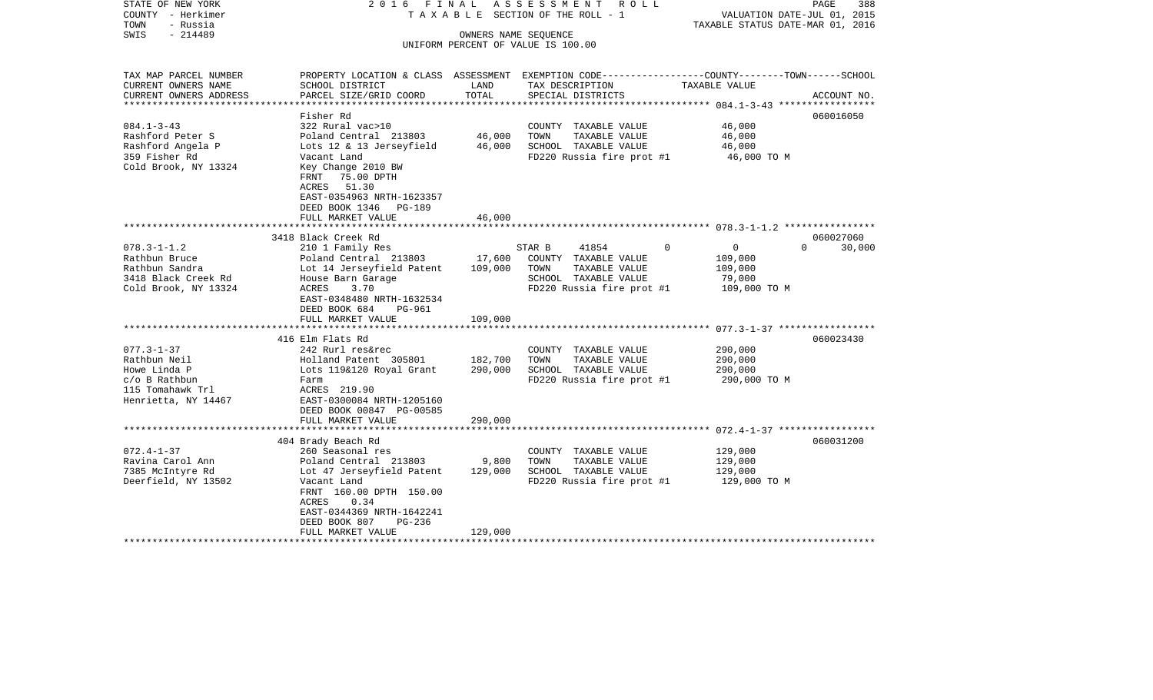| STATE OF NEW YORK<br>COUNTY - Herkimer<br>- Russia<br>TOWN<br>$-214489$<br>SWIS | 2016 FINAL                                                                                                                   |               | ASSESSMENT ROLL<br>TAXABLE SECTION OF THE ROLL - 1<br>OWNERS NAME SEQUENCE | VALUATION DATE-JUL 01, 2015<br>TAXABLE STATUS DATE-MAR 01, 2016 | PAGE<br>388        |
|---------------------------------------------------------------------------------|------------------------------------------------------------------------------------------------------------------------------|---------------|----------------------------------------------------------------------------|-----------------------------------------------------------------|--------------------|
|                                                                                 |                                                                                                                              |               | UNIFORM PERCENT OF VALUE IS 100.00                                         |                                                                 |                    |
| TAX MAP PARCEL NUMBER                                                           | PROPERTY LOCATION & CLASS ASSESSMENT EXEMPTION CODE---------------COUNTY-------TOWN------SCHOOL                              |               |                                                                            |                                                                 |                    |
| CURRENT OWNERS NAME<br>CURRENT OWNERS ADDRESS                                   | SCHOOL DISTRICT<br>PARCEL SIZE/GRID COORD                                                                                    | LAND<br>TOTAL | TAX DESCRIPTION<br>SPECIAL DISTRICTS                                       | TAXABLE VALUE                                                   | ACCOUNT NO.        |
|                                                                                 |                                                                                                                              |               |                                                                            |                                                                 |                    |
|                                                                                 | Fisher Rd                                                                                                                    |               |                                                                            |                                                                 | 060016050          |
| $084.1 - 3 - 43$                                                                | 322 Rural vac>10                                                                                                             |               | COUNTY TAXABLE VALUE                                                       | 46,000                                                          |                    |
| Rashford Peter S                                                                | Poland Central 213803                                                                                                        | 46,000        | TOWN<br>TAXABLE VALUE                                                      | 46,000                                                          |                    |
| Rashford Angela P                                                               | Lots 12 & 13 Jerseyfield                                                                                                     | 46,000        | SCHOOL TAXABLE VALUE                                                       | 46,000                                                          |                    |
| 359 Fisher Rd<br>Cold Brook, NY 13324                                           | Vacant Land<br>Key Change 2010 BW<br>FRNT 75.00 DPTH<br>ACRES 51.30<br>EAST-0354963 NRTH-1623357<br>DEED BOOK 1346<br>PG-189 |               | FD220 Russia fire prot #1                                                  | 46,000 TO M                                                     |                    |
|                                                                                 | FULL MARKET VALUE                                                                                                            | 46,000        |                                                                            |                                                                 |                    |
|                                                                                 | 3418 Black Creek Rd                                                                                                          |               |                                                                            |                                                                 | 060027060          |
| $078.3 - 1 - 1.2$                                                               | 210 1 Family Res                                                                                                             |               | 41854<br>STAR B                                                            | $\Omega$<br>$\Omega$                                            | $\Omega$<br>30,000 |
| Rathbun Bruce                                                                   | Poland Central 213803                                                                                                        | 17,600        | COUNTY TAXABLE VALUE                                                       | 109,000                                                         |                    |
| Rathbun Sandra                                                                  | Lot 14 Jerseyfield Patent                                                                                                    | 109,000       | TOWN<br>TAXABLE VALUE                                                      | 109,000                                                         |                    |
| 3418 Black Creek Rd                                                             | House Barn Garage                                                                                                            |               | SCHOOL TAXABLE VALUE                                                       | 79,000                                                          |                    |
| Cold Brook, NY 13324                                                            | 3.70<br>ACRES<br>EAST-0348480 NRTH-1632534<br>DEED BOOK 684<br><b>PG-961</b><br>FULL MARKET VALUE                            | 109,000       | FD220 Russia fire prot #1                                                  | 109,000 TO M                                                    |                    |
|                                                                                 |                                                                                                                              |               |                                                                            |                                                                 |                    |
|                                                                                 | 416 Elm Flats Rd                                                                                                             |               |                                                                            |                                                                 | 060023430          |
| $077.3 - 1 - 37$                                                                | 242 Rurl res&rec                                                                                                             |               | COUNTY TAXABLE VALUE                                                       | 290,000                                                         |                    |
| Rathbun Neil                                                                    | Holland Patent 305801                                                                                                        | 182,700       | TAXABLE VALUE<br>TOWN                                                      | 290,000                                                         |                    |
| Howe Linda P<br>c/o B Rathbun                                                   | Lots 119&120 Royal Grant                                                                                                     | 290,000       | SCHOOL TAXABLE VALUE<br>FD220 Russia fire prot #1                          | 290,000                                                         |                    |
| 115 Tomahawk Trl                                                                | Farm<br>ACRES 219.90                                                                                                         |               |                                                                            | 290,000 ТО М                                                    |                    |
| Henrietta, NY 14467                                                             | EAST-0300084 NRTH-1205160                                                                                                    |               |                                                                            |                                                                 |                    |
|                                                                                 | DEED BOOK 00847 PG-00585                                                                                                     |               |                                                                            |                                                                 |                    |
|                                                                                 | FULL MARKET VALUE                                                                                                            | 290,000       |                                                                            |                                                                 |                    |
|                                                                                 |                                                                                                                              |               |                                                                            |                                                                 |                    |
| $072.4 - 1 - 37$                                                                | 404 Brady Beach Rd<br>260 Seasonal res                                                                                       |               | COUNTY TAXABLE VALUE                                                       | 129,000                                                         | 060031200          |
| Ravina Carol Ann                                                                | Poland Central 213803                                                                                                        | 9,800         | TOWN<br>TAXABLE VALUE                                                      | 129,000                                                         |                    |
| 7385 McIntyre Rd                                                                | Lot 47 Jerseyfield Patent                                                                                                    | 129,000       | SCHOOL TAXABLE VALUE                                                       | 129,000                                                         |                    |
| Deerfield, NY 13502                                                             | Vacant Land<br>FRNT 160.00 DPTH 150.00<br>ACRES<br>0.34<br>EAST-0344369 NRTH-1642241                                         |               | FD220 Russia fire prot #1                                                  | 129,000 TO M                                                    |                    |
|                                                                                 | DEED BOOK 807<br>$PG-236$<br>FULL MARKET VALUE                                                                               | 129,000       |                                                                            |                                                                 |                    |
|                                                                                 |                                                                                                                              |               |                                                                            |                                                                 |                    |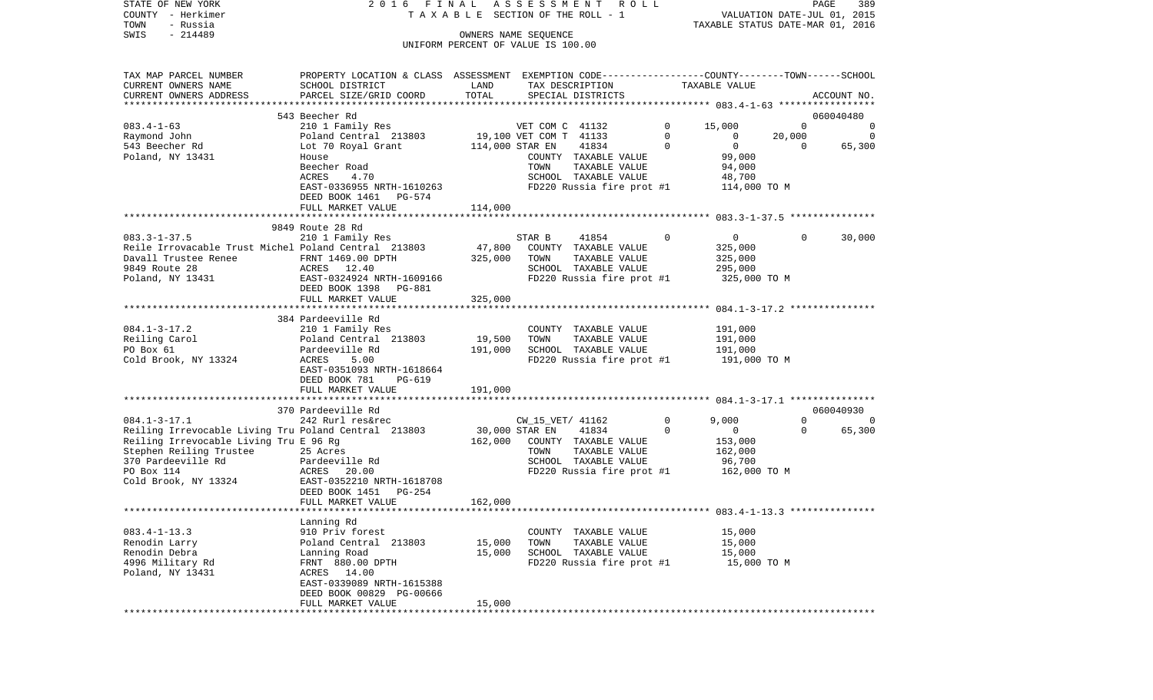| STATE OF NEW YORK<br>COUNTY - Herkimer<br>TOWN<br>- Russia                                                                                                                            | 2016<br>FINAL                                                                                                                                                     |                           | A S S E S S M E N T<br>R O L L<br>TAXABLE SECTION OF THE ROLL - 1                                                     |          | VALUATION DATE-JUL 01, 2015<br>TAXABLE STATUS DATE-MAR 01, 2016 | PAGE           | 389         |
|---------------------------------------------------------------------------------------------------------------------------------------------------------------------------------------|-------------------------------------------------------------------------------------------------------------------------------------------------------------------|---------------------------|-----------------------------------------------------------------------------------------------------------------------|----------|-----------------------------------------------------------------|----------------|-------------|
| $-214489$<br>SWIS                                                                                                                                                                     |                                                                                                                                                                   |                           | OWNERS NAME SEQUENCE<br>UNIFORM PERCENT OF VALUE IS 100.00                                                            |          |                                                                 |                |             |
| TAX MAP PARCEL NUMBER<br>CURRENT OWNERS NAME<br>CURRENT OWNERS ADDRESS                                                                                                                | PROPERTY LOCATION & CLASS ASSESSMENT EXEMPTION CODE---------------COUNTY-------TOWN-----SCHOOL<br>SCHOOL DISTRICT<br>PARCEL SIZE/GRID COORD                       | LAND<br>TOTAL             | TAX DESCRIPTION<br>SPECIAL DISTRICTS                                                                                  |          | TAXABLE VALUE                                                   |                | ACCOUNT NO. |
|                                                                                                                                                                                       | 543 Beecher Rd                                                                                                                                                    |                           |                                                                                                                       |          |                                                                 |                | 060040480   |
| $083.4 - 1 - 63$                                                                                                                                                                      | 210 1 Family Res                                                                                                                                                  |                           | VET COM C 41132                                                                                                       | 0        | 15,000                                                          | $\Omega$       | 0           |
| Raymond John                                                                                                                                                                          | Poland Central 213803                                                                                                                                             |                           | 19,100 VET COM T 41133                                                                                                | 0        | $\circ$                                                         | 20,000         | $\Omega$    |
| 543 Beecher Rd<br>Poland, NY 13431                                                                                                                                                    | Lot 70 Royal Grant<br>House<br>Beecher Road<br>ACRES<br>4.70                                                                                                      | 114,000 STAR EN           | 41834<br>COUNTY TAXABLE VALUE<br>TAXABLE VALUE<br>TOWN<br>SCHOOL TAXABLE VALUE                                        | 0        | $\mathbf{0}$<br>99,000<br>94,000<br>48,700                      | $\overline{0}$ | 65,300      |
|                                                                                                                                                                                       | EAST-0336955 NRTH-1610263<br>DEED BOOK 1461<br>PG-574<br>FULL MARKET VALUE                                                                                        | 114,000                   | FD220 Russia fire prot #1                                                                                             |          | 114,000 TO M                                                    |                |             |
|                                                                                                                                                                                       |                                                                                                                                                                   |                           |                                                                                                                       |          |                                                                 |                |             |
|                                                                                                                                                                                       | 9849 Route 28 Rd                                                                                                                                                  |                           |                                                                                                                       |          |                                                                 |                |             |
| $083.3 - 1 - 37.5$<br>Reile Irrovacable Trust Michel Poland Central 213803<br>Davall Trustee Renee<br>9849 Route 28<br>Poland, NY 13431                                               | 210 1 Family Res<br>FRNT 1469.00 DPTH<br>ACRES 12.40<br>EAST-0324924 NRTH-1609166                                                                                 | 47,800<br>325,000         | STAR B<br>41854<br>COUNTY TAXABLE VALUE<br>TOWN<br>TAXABLE VALUE<br>SCHOOL TAXABLE VALUE<br>FD220 Russia fire prot #1 | 0        | $\overline{0}$<br>325,000<br>325,000<br>295,000<br>325,000 TO M | $\Omega$       | 30,000      |
|                                                                                                                                                                                       | DEED BOOK 1398<br>PG-881<br>FULL MARKET VALUE                                                                                                                     | 325,000                   |                                                                                                                       |          |                                                                 |                |             |
|                                                                                                                                                                                       |                                                                                                                                                                   |                           |                                                                                                                       |          |                                                                 |                |             |
| $084.1 - 3 - 17.2$<br>Reiling Carol<br>PO Box 61<br>Cold Brook, NY 13324                                                                                                              | 384 Pardeeville Rd<br>210 1 Family Res<br>Poland Central 213803<br>Pardeeville Rd<br>ACRES<br>5.00<br>EAST-0351093 NRTH-1618664<br>DEED BOOK 781<br><b>PG-619</b> | 19,500<br>191,000         | COUNTY TAXABLE VALUE<br>TAXABLE VALUE<br>TOWN<br>SCHOOL TAXABLE VALUE<br>FD220 Russia fire prot #1                    |          | 191,000<br>191,000<br>191,000<br>191,000 TO M                   |                |             |
|                                                                                                                                                                                       | FULL MARKET VALUE                                                                                                                                                 | 191,000                   |                                                                                                                       |          |                                                                 |                |             |
|                                                                                                                                                                                       | 370 Pardeeville Rd                                                                                                                                                |                           |                                                                                                                       |          |                                                                 |                | 060040930   |
| $084.1 - 3 - 17.1$                                                                                                                                                                    | 242 Rurl res&rec                                                                                                                                                  |                           | CW_15_VET/ 41162                                                                                                      | 0        | 9,000                                                           | 0              | 0           |
| Reiling Irrevocable Living Tru Poland Central 213803<br>Reiling Irrevocable Living Tru E 96 Rg<br>Stephen Reiling Trustee<br>370 Pardeeville Rd<br>PO Box 114<br>Cold Brook, NY 13324 | 25 Acres<br>Pardeeville Rd<br>ACRES<br>20.00<br>EAST-0352210 NRTH-1618708<br>DEED BOOK 1451<br>PG-254                                                             | 30,000 STAR EN<br>162,000 | 41834<br>COUNTY TAXABLE VALUE<br>TOWN<br>TAXABLE VALUE<br>SCHOOL TAXABLE VALUE<br>FD220 Russia fire prot #1           | $\Omega$ | $\mathbf{0}$<br>153,000<br>162,000<br>96,700<br>162,000 TO M    | $\Omega$       | 65,300      |
|                                                                                                                                                                                       | FULL MARKET VALUE                                                                                                                                                 | 162,000                   |                                                                                                                       |          |                                                                 |                |             |
|                                                                                                                                                                                       |                                                                                                                                                                   |                           |                                                                                                                       |          |                                                                 |                |             |
| $083.4 - 1 - 13.3$<br>Renodin Larry<br>Renodin Debra<br>4996 Military Rd<br>Poland, NY 13431                                                                                          | Lanning Rd<br>910 Priv forest<br>Poland Central 213803<br>Lanning Road<br>FRNT 880.00 DPTH<br>ACRES 14.00<br>EAST-0339089 NRTH-1615388                            | 15,000<br>15,000          | TAXABLE VALUE<br>COUNTY<br>TOWN<br>TAXABLE VALUE<br>SCHOOL TAXABLE VALUE<br>FD220 Russia fire prot #1                 |          | 15,000<br>15,000<br>15,000<br>15,000 TO M                       |                |             |
|                                                                                                                                                                                       | DEED BOOK 00829 PG-00666<br>FULL MARKET VALUE                                                                                                                     | 15,000                    |                                                                                                                       |          |                                                                 |                |             |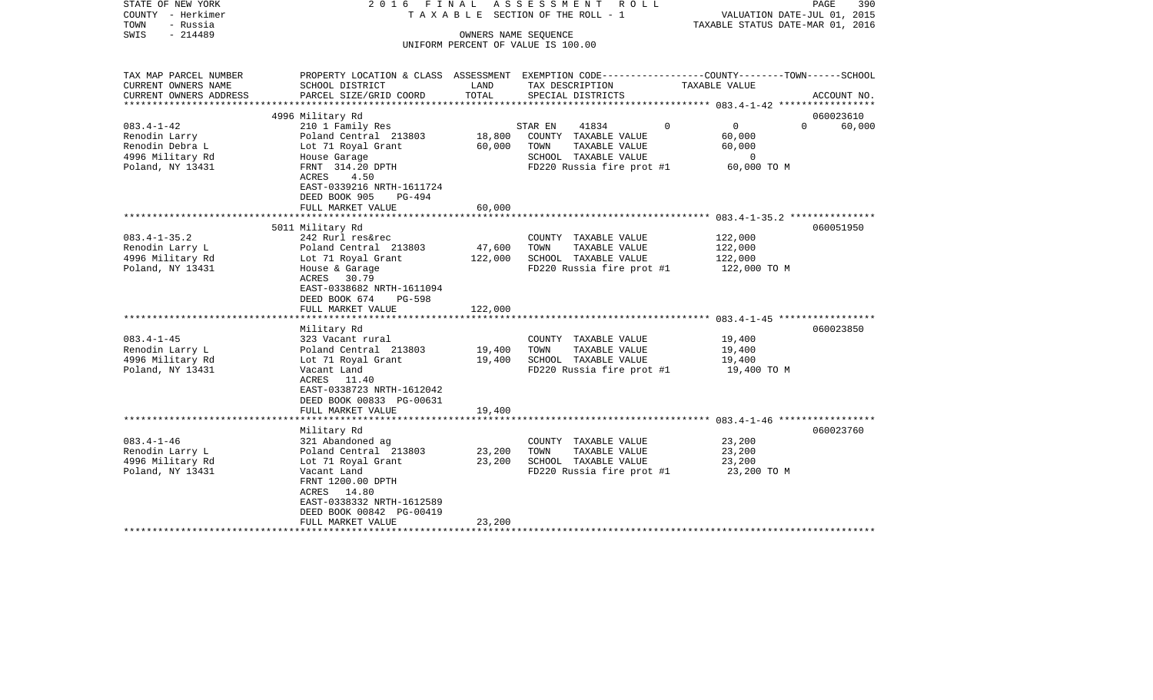| STATE OF NEW YORK<br>COUNTY - Herkimer<br>- Russia<br>TOWN<br>SWIS<br>$-214489$              | 2016 FINAL<br>OWNERS NAME SEOUENCE                                                                                                              | ASSESSMENT ROLL<br>TAXABLE SECTION OF THE ROLL - 1<br>UNIFORM PERCENT OF VALUE IS 100.00 |                                                                                                                        | PAGE<br>390<br>VALUATION DATE-JUL 01, 2015<br>TAXABLE STATUS DATE-MAR 01, 2016  |                                 |  |
|----------------------------------------------------------------------------------------------|-------------------------------------------------------------------------------------------------------------------------------------------------|------------------------------------------------------------------------------------------|------------------------------------------------------------------------------------------------------------------------|---------------------------------------------------------------------------------|---------------------------------|--|
| TAX MAP PARCEL NUMBER<br>CURRENT OWNERS NAME<br>CURRENT OWNERS ADDRESS                       | PROPERTY LOCATION & CLASS ASSESSMENT EXEMPTION CODE---------------COUNTY-------TOWN------SCHOOL<br>SCHOOL DISTRICT<br>PARCEL SIZE/GRID COORD    | LAND<br>TOTAL                                                                            | TAX DESCRIPTION<br>SPECIAL DISTRICTS                                                                                   | TAXABLE VALUE                                                                   | ACCOUNT NO.                     |  |
|                                                                                              |                                                                                                                                                 |                                                                                          |                                                                                                                        |                                                                                 |                                 |  |
| $083.4 - 1 - 42$<br>Renodin Larry<br>Renodin Debra L<br>4996 Military Rd<br>Poland, NY 13431 | 4996 Military Rd<br>210 1 Family Res<br>Poland Central 213803<br>Lot 71 Royal Grant<br>House Garage<br>FRNT 314.20 DPTH                         | 18,800<br>60,000                                                                         | STAR EN<br>41834<br>COUNTY TAXABLE VALUE<br>TOWN<br>TAXABLE VALUE<br>SCHOOL TAXABLE VALUE<br>FD220 Russia fire prot #1 | $\overline{0}$<br>$\Omega$<br>60,000<br>60,000<br>$\overline{0}$<br>60,000 TO M | 060023610<br>$\Omega$<br>60,000 |  |
|                                                                                              | ACRES<br>4.50<br>EAST-0339216 NRTH-1611724<br>DEED BOOK 905<br>PG-494<br>FULL MARKET VALUE<br>*************************                         | 60,000<br>*******************                                                            |                                                                                                                        |                                                                                 |                                 |  |
|                                                                                              | 5011 Military Rd                                                                                                                                |                                                                                          |                                                                                                                        |                                                                                 | 060051950                       |  |
| $083.4 - 1 - 35.2$<br>Renodin Larry L<br>4996 Military Rd<br>Poland, NY 13431                | 242 Rurl res&rec<br>Poland Central 213803<br>Lot 71 Royal Grant<br>House & Garage<br>ACRES 30.79<br>EAST-0338682 NRTH-1611094<br>PG-598         | 47,600<br>122,000                                                                        | COUNTY TAXABLE VALUE<br>TOWN<br>TAXABLE VALUE<br>SCHOOL TAXABLE VALUE<br>FD220 Russia fire prot #1                     | 122,000<br>122,000<br>122,000<br>122,000 TO M                                   |                                 |  |
|                                                                                              | DEED BOOK 674<br>FULL MARKET VALUE                                                                                                              | 122,000                                                                                  |                                                                                                                        |                                                                                 |                                 |  |
| $083.4 - 1 - 45$<br>Renodin Larry L<br>4996 Military Rd<br>Poland, NY 13431                  | Military Rd<br>323 Vacant rural<br>Poland Central 213803<br>Lot 71 Royal Grant<br>Vacant Land<br>ACRES 11.40                                    | 19,400<br>19,400                                                                         | COUNTY TAXABLE VALUE<br>TOWN<br>TAXABLE VALUE<br>SCHOOL TAXABLE VALUE<br>FD220 Russia fire prot #1                     | 19,400<br>19,400<br>19,400<br>19,400 TO M                                       | 060023850                       |  |
|                                                                                              | EAST-0338723 NRTH-1612042<br>DEED BOOK 00833 PG-00631<br>FULL MARKET VALUE                                                                      | 19,400                                                                                   |                                                                                                                        |                                                                                 |                                 |  |
|                                                                                              | Military Rd                                                                                                                                     |                                                                                          |                                                                                                                        |                                                                                 | 060023760                       |  |
| $083.4 - 1 - 46$<br>Renodin Larry L<br>4996 Military Rd<br>Poland, NY 13431                  | 321 Abandoned ag<br>Poland Central 213803<br>Lot 71 Royal Grant<br>Vacant Land<br>FRNT 1200.00 DPTH<br>ACRES 14.80<br>EAST-0338332 NRTH-1612589 | 23,200<br>23,200                                                                         | COUNTY TAXABLE VALUE<br>TOWN<br>TAXABLE VALUE<br>SCHOOL TAXABLE VALUE<br>FD220 Russia fire prot #1                     | 23,200<br>23,200<br>23,200<br>23,200 TO M                                       |                                 |  |
|                                                                                              | DEED BOOK 00842 PG-00419<br>FULL MARKET VALUE<br>**********************                                                                         | 23,200                                                                                   |                                                                                                                        |                                                                                 |                                 |  |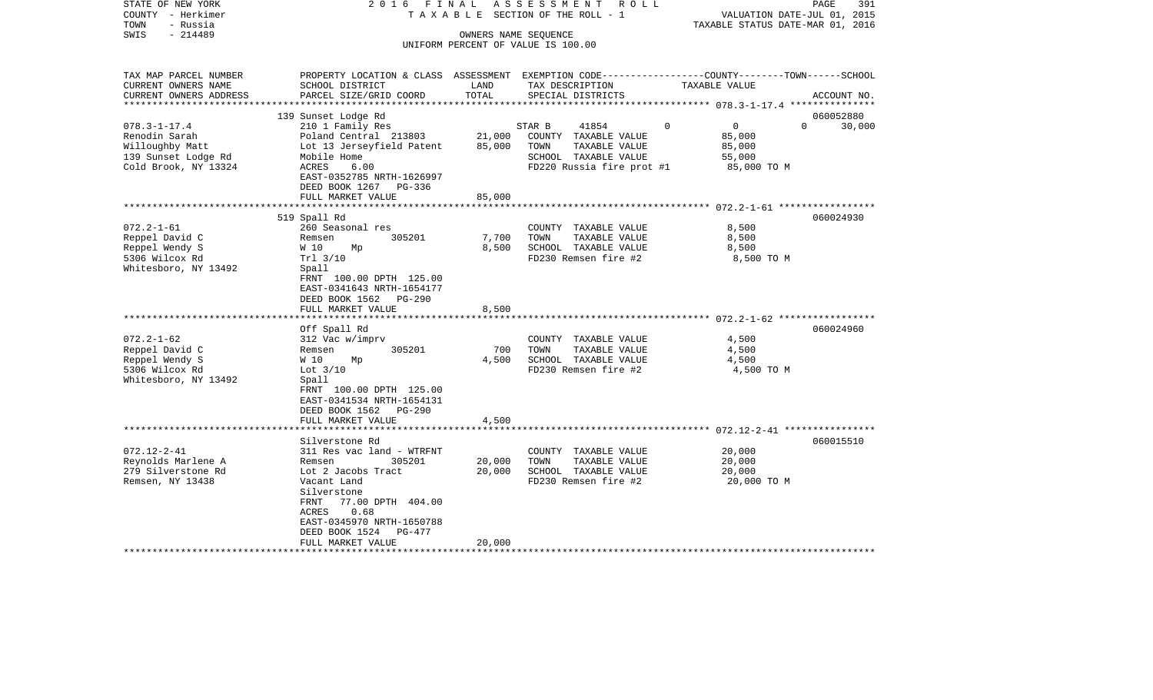| STATE OF NEW YORK<br>COUNTY - Herkimer<br>TOWN<br>- Russia<br>SWIS<br>$-214489$                                                                                                                  | F I N A L<br>2016                                                                                                                                                                                                                                                                                                                                                                                                            |                                                  | ASSESSMENT<br>R O L L<br>T A X A B L E SECTION OF THE ROLL - 1<br>OWNERS NAME SEQUENCE                                                                                                         | 391<br>PAGE<br>VALUATION DATE-JUL 01, 2015<br>TAXABLE STATUS DATE-MAR 01, 2016                                                  |
|--------------------------------------------------------------------------------------------------------------------------------------------------------------------------------------------------|------------------------------------------------------------------------------------------------------------------------------------------------------------------------------------------------------------------------------------------------------------------------------------------------------------------------------------------------------------------------------------------------------------------------------|--------------------------------------------------|------------------------------------------------------------------------------------------------------------------------------------------------------------------------------------------------|---------------------------------------------------------------------------------------------------------------------------------|
|                                                                                                                                                                                                  |                                                                                                                                                                                                                                                                                                                                                                                                                              |                                                  | UNIFORM PERCENT OF VALUE IS 100.00                                                                                                                                                             |                                                                                                                                 |
| TAX MAP PARCEL NUMBER<br>CURRENT OWNERS NAME<br>CURRENT OWNERS ADDRESS<br>*********************                                                                                                  | SCHOOL DISTRICT<br>PARCEL SIZE/GRID COORD                                                                                                                                                                                                                                                                                                                                                                                    | LAND<br>TOTAL                                    | TAX DESCRIPTION<br>SPECIAL DISTRICTS                                                                                                                                                           | PROPERTY LOCATION & CLASS ASSESSMENT EXEMPTION CODE---------------COUNTY-------TOWN------SCHOOL<br>TAXABLE VALUE<br>ACCOUNT NO. |
| $078.3 - 1 - 17.4$<br>Renodin Sarah<br>Willoughby Matt<br>139 Sunset Lodge Rd<br>Cold Brook, NY 13324                                                                                            | 139 Sunset Lodge Rd<br>210 1 Family Res<br>Poland Central 213803<br>Lot 13 Jerseyfield Patent<br>Mobile Home<br>ACRES<br>6.00<br>EAST-0352785 NRTH-1626997<br>DEED BOOK 1267<br>PG-336<br>FULL MARKET VALUE                                                                                                                                                                                                                  | 21,000<br>85,000<br>85,000                       | STAR B<br>41854<br>COUNTY TAXABLE VALUE<br>TOWN<br>TAXABLE VALUE<br>SCHOOL TAXABLE VALUE<br>FD220 Russia fire prot #1                                                                          | 060052880<br>$\overline{0}$<br>$\Omega$<br>$\Omega$<br>30,000<br>85,000<br>85,000<br>55,000<br>85,000 TO M                      |
|                                                                                                                                                                                                  |                                                                                                                                                                                                                                                                                                                                                                                                                              |                                                  |                                                                                                                                                                                                |                                                                                                                                 |
| $072.2 - 1 - 61$<br>Reppel David C<br>Reppel Wendy S<br>5306 Wilcox Rd<br>Whitesboro, NY 13492<br>$072.2 - 1 - 62$<br>Reppel David C<br>Reppel Wendy S<br>5306 Wilcox Rd<br>Whitesboro, NY 13492 | 519 Spall Rd<br>260 Seasonal res<br>305201<br>Remsen<br>W 10<br>Mp<br>Trl 3/10<br>Spall<br>FRNT 100.00 DPTH 125.00<br>EAST-0341643 NRTH-1654177<br>DEED BOOK 1562<br>PG-290<br>FULL MARKET VALUE<br>*******************<br>Off Spall Rd<br>312 Vac w/imprv<br>305201<br>Remsen<br>W 10<br>Мp<br>Lot $3/10$<br>Spall<br>FRNT 100.00 DPTH 125.00<br>EAST-0341534 NRTH-1654131<br>DEED BOOK 1562<br>PG-290<br>FULL MARKET VALUE | 7,700<br>8,500<br>8,500<br>700<br>4,500<br>4,500 | COUNTY TAXABLE VALUE<br>TOWN<br>TAXABLE VALUE<br>SCHOOL TAXABLE VALUE<br>FD230 Remsen fire #2<br>COUNTY TAXABLE VALUE<br>TAXABLE VALUE<br>TOWN<br>SCHOOL TAXABLE VALUE<br>FD230 Remsen fire #2 | 060024930<br>8,500<br>8,500<br>8,500<br>8,500 TO M<br>060024960<br>4,500<br>4,500<br>4,500<br>4,500 TO M                        |
|                                                                                                                                                                                                  |                                                                                                                                                                                                                                                                                                                                                                                                                              |                                                  |                                                                                                                                                                                                |                                                                                                                                 |
| $072.12 - 2 - 41$<br>Reynolds Marlene A<br>279 Silverstone Rd<br>Remsen, NY 13438                                                                                                                | Silverstone Rd<br>311 Res vac land - WTRFNT<br>305201<br>Remsen<br>Lot 2 Jacobs Tract<br>Vacant Land<br>Silverstone<br>FRNT<br>77.00 DPTH 404.00<br>0.68<br>ACRES<br>EAST-0345970 NRTH-1650788<br>DEED BOOK 1524<br>PG-477<br>FULL MARKET VALUE                                                                                                                                                                              | 20,000<br>20,000<br>20,000                       | COUNTY TAXABLE VALUE<br>TOWN<br>TAXABLE VALUE<br>SCHOOL TAXABLE VALUE<br>FD230 Remsen fire #2                                                                                                  | 060015510<br>20,000<br>20,000<br>20,000<br>20,000 TO M                                                                          |
|                                                                                                                                                                                                  |                                                                                                                                                                                                                                                                                                                                                                                                                              |                                                  |                                                                                                                                                                                                |                                                                                                                                 |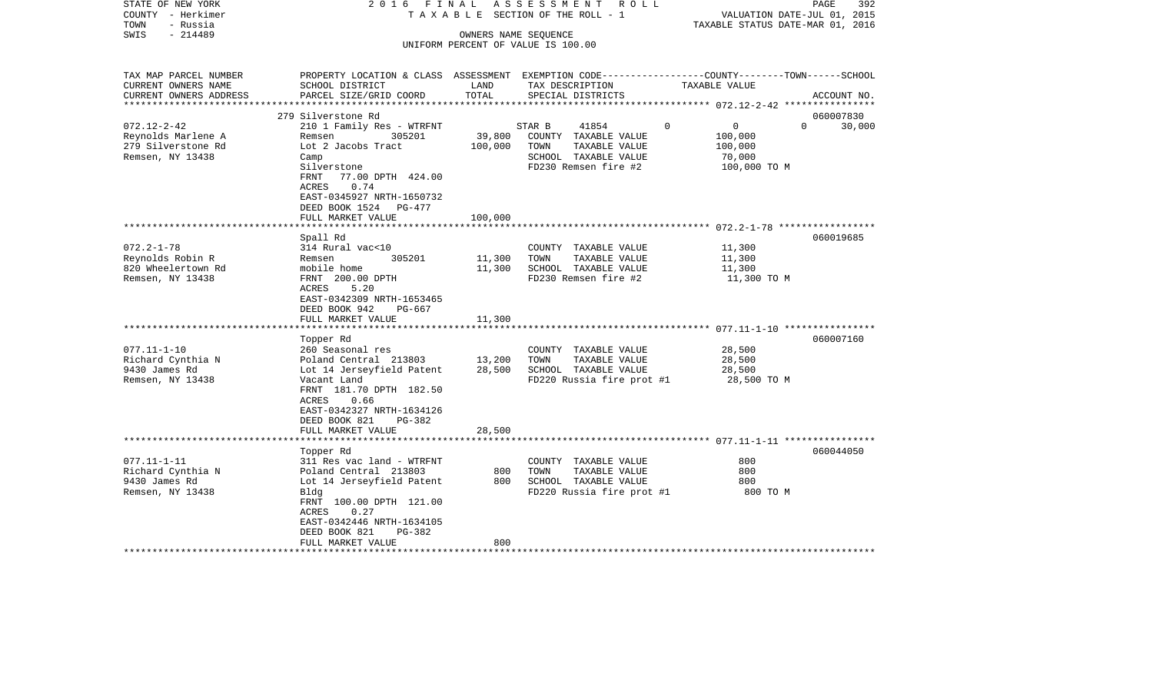| - Russia<br>TAXABLE STATUS DATE-MAR 01, 2016<br>TOWN<br>SWIS<br>$-214489$<br>OWNERS NAME SEQUENCE<br>UNIFORM PERCENT OF VALUE IS 100.00<br>TAX MAP PARCEL NUMBER<br>PROPERTY LOCATION & CLASS ASSESSMENT EXEMPTION CODE----------------COUNTY-------TOWN------SCHOOL<br>CURRENT OWNERS NAME<br>SCHOOL DISTRICT<br>LAND<br>TAX DESCRIPTION<br>TAXABLE VALUE |        |
|------------------------------------------------------------------------------------------------------------------------------------------------------------------------------------------------------------------------------------------------------------------------------------------------------------------------------------------------------------|--------|
|                                                                                                                                                                                                                                                                                                                                                            |        |
|                                                                                                                                                                                                                                                                                                                                                            |        |
|                                                                                                                                                                                                                                                                                                                                                            |        |
|                                                                                                                                                                                                                                                                                                                                                            |        |
|                                                                                                                                                                                                                                                                                                                                                            |        |
| TOTAL<br>CURRENT OWNERS ADDRESS<br>PARCEL SIZE/GRID COORD<br>SPECIAL DISTRICTS<br>ACCOUNT NO.<br>*********************                                                                                                                                                                                                                                     |        |
| 060007830<br>279 Silverstone Rd                                                                                                                                                                                                                                                                                                                            |        |
| $072.12 - 2 - 42$<br>$\mathbf 0$<br>$\Omega$<br>210 1 Family Res - WTRFNT<br>STAR B<br>41854<br>$\Omega$                                                                                                                                                                                                                                                   | 30,000 |
| 39,800<br>Reynolds Marlene A<br>COUNTY TAXABLE VALUE<br>100,000<br>Remsen<br>305201                                                                                                                                                                                                                                                                        |        |
| 279 Silverstone Rd<br>Lot 2 Jacobs Tract<br>100,000<br>TOWN<br>TAXABLE VALUE<br>100,000                                                                                                                                                                                                                                                                    |        |
| Remsen, NY 13438<br>SCHOOL TAXABLE VALUE<br>Camp<br>70,000                                                                                                                                                                                                                                                                                                 |        |
| Silverstone<br>FD230 Remsen fire #2<br>100,000 TO M                                                                                                                                                                                                                                                                                                        |        |
| FRNT<br>77.00 DPTH 424.00                                                                                                                                                                                                                                                                                                                                  |        |
| <b>ACRES</b><br>0.74                                                                                                                                                                                                                                                                                                                                       |        |
| EAST-0345927 NRTH-1650732                                                                                                                                                                                                                                                                                                                                  |        |
| DEED BOOK 1524<br>PG-477                                                                                                                                                                                                                                                                                                                                   |        |
| FULL MARKET VALUE<br>100,000                                                                                                                                                                                                                                                                                                                               |        |
|                                                                                                                                                                                                                                                                                                                                                            |        |
| Spall Rd<br>060019685                                                                                                                                                                                                                                                                                                                                      |        |
| $072.2 - 1 - 78$<br>314 Rural vac<10<br>11,300<br>COUNTY TAXABLE VALUE                                                                                                                                                                                                                                                                                     |        |
| 305201<br>11,300<br>11,300<br>Reynolds Robin R<br>TOWN<br>TAXABLE VALUE<br>Remsen                                                                                                                                                                                                                                                                          |        |
| 11,300<br>SCHOOL TAXABLE VALUE<br>820 Wheelertown Rd<br>mobile home<br>11,300                                                                                                                                                                                                                                                                              |        |
| FRNT 200.00 DPTH<br>FD230 Remsen fire #2<br>Remsen, NY 13438<br>11,300 TO M                                                                                                                                                                                                                                                                                |        |
| 5.20<br>ACRES                                                                                                                                                                                                                                                                                                                                              |        |
| EAST-0342309 NRTH-1653465                                                                                                                                                                                                                                                                                                                                  |        |
| DEED BOOK 942<br>PG-667                                                                                                                                                                                                                                                                                                                                    |        |
| FULL MARKET VALUE<br>11,300                                                                                                                                                                                                                                                                                                                                |        |
|                                                                                                                                                                                                                                                                                                                                                            |        |
| Topper Rd<br>060007160                                                                                                                                                                                                                                                                                                                                     |        |
| $077.11 - 1 - 10$<br>28,500<br>260 Seasonal res<br>COUNTY TAXABLE VALUE                                                                                                                                                                                                                                                                                    |        |
| Richard Cynthia N<br>13,200<br>TAXABLE VALUE<br>28,500<br>Poland Central 213803<br>TOWN                                                                                                                                                                                                                                                                    |        |
| 28,500<br>9430 James Rd<br>Lot 14 Jerseyfield Patent<br>SCHOOL TAXABLE VALUE<br>28,500                                                                                                                                                                                                                                                                     |        |
| Remsen, NY 13438<br>Vacant Land<br>FD220 Russia fire prot #1<br>28,500 TO M                                                                                                                                                                                                                                                                                |        |
| FRNT 181.70 DPTH 182.50                                                                                                                                                                                                                                                                                                                                    |        |
| ACRES<br>0.66                                                                                                                                                                                                                                                                                                                                              |        |
| EAST-0342327 NRTH-1634126                                                                                                                                                                                                                                                                                                                                  |        |
| DEED BOOK 821<br>PG-382                                                                                                                                                                                                                                                                                                                                    |        |
| 28,500<br>FULL MARKET VALUE                                                                                                                                                                                                                                                                                                                                |        |
|                                                                                                                                                                                                                                                                                                                                                            |        |
| 060044050<br>Topper Rd                                                                                                                                                                                                                                                                                                                                     |        |
| $077.11 - 1 - 11$<br>311 Res vac land - WTRFNT<br>COUNTY TAXABLE VALUE<br>800                                                                                                                                                                                                                                                                              |        |
| 800<br>Richard Cynthia N<br>Poland Central 213803<br>800<br>TOWN<br>TAXABLE VALUE                                                                                                                                                                                                                                                                          |        |
| 9430 James Rd<br>800<br>SCHOOL TAXABLE VALUE<br>800<br>Lot 14 Jerseyfield Patent                                                                                                                                                                                                                                                                           |        |
| Remsen, NY 13438<br>Bldg<br>FD220 Russia fire prot #1<br>800 TO M                                                                                                                                                                                                                                                                                          |        |
| FRNT 100.00 DPTH 121.00                                                                                                                                                                                                                                                                                                                                    |        |
| 0.27<br>ACRES                                                                                                                                                                                                                                                                                                                                              |        |
| EAST-0342446 NRTH-1634105                                                                                                                                                                                                                                                                                                                                  |        |
| DEED BOOK 821<br>PG-382                                                                                                                                                                                                                                                                                                                                    |        |
| FULL MARKET VALUE<br>800                                                                                                                                                                                                                                                                                                                                   |        |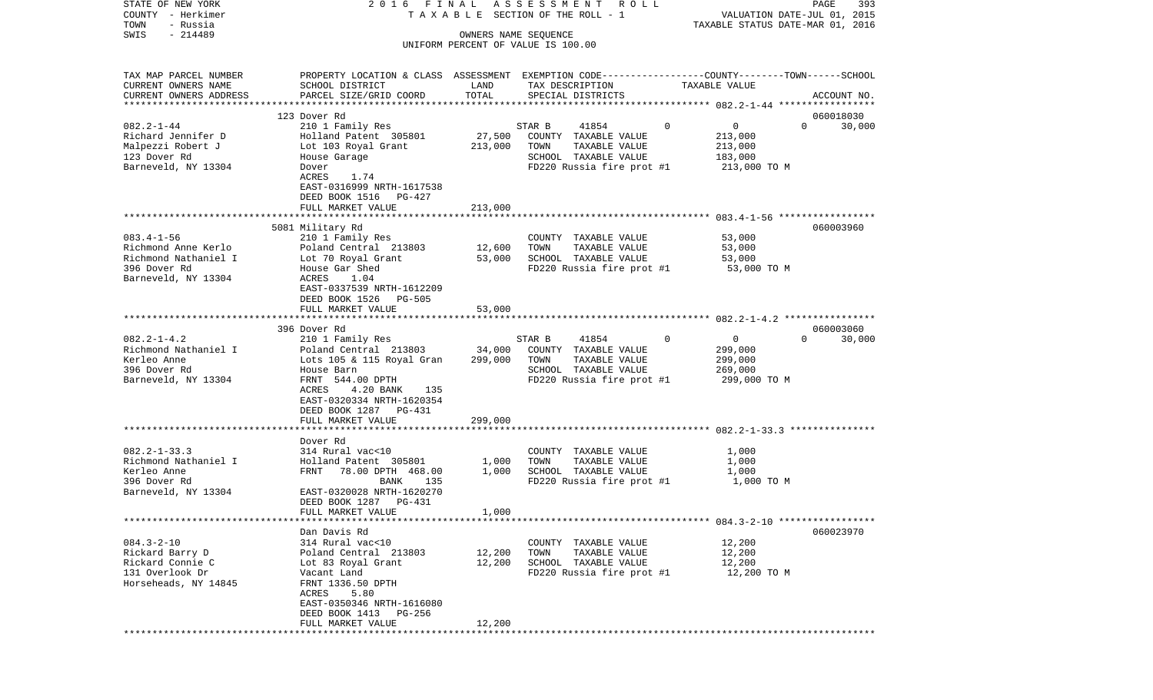| TAXABLE STATUS DATE-MAR 01, 2016<br>$-214489$<br>SWIS<br>OWNERS NAME SEQUENCE<br>UNIFORM PERCENT OF VALUE IS 100.00<br>TAX MAP PARCEL NUMBER<br>PROPERTY LOCATION & CLASS ASSESSMENT EXEMPTION CODE---------------COUNTY-------TOWN------SCHOOL<br>CURRENT OWNERS NAME<br>SCHOOL DISTRICT<br>TAXABLE VALUE<br>LAND<br>TAX DESCRIPTION<br>TOTAL<br>CURRENT OWNERS ADDRESS<br>PARCEL SIZE/GRID COORD<br>SPECIAL DISTRICTS<br>ACCOUNT NO.<br>************************<br>123 Dover Rd<br>060018030<br>$082.2 - 1 - 44$<br>0<br>210 1 Family Res<br>STAR B<br>41854<br>0<br>$\Omega$<br>30,000<br>Richard Jennifer D<br>Holland Patent 305801<br>27,500<br>COUNTY TAXABLE VALUE<br>213,000<br>Malpezzi Robert J<br>Lot 103 Royal Grant<br>213,000<br>TOWN<br>TAXABLE VALUE<br>213,000<br>123 Dover Rd<br>SCHOOL TAXABLE VALUE<br>House Garage<br>183,000<br>Barneveld, NY 13304<br>FD220 Russia fire prot #1<br>213,000 TO M<br>Dover<br>ACRES<br>1.74<br>EAST-0316999 NRTH-1617538<br>DEED BOOK 1516<br>PG-427<br>FULL MARKET VALUE<br>213,000<br>060003960<br>5081 Military Rd<br>$083.4 - 1 - 56$<br>53,000<br>210 1 Family Res<br>COUNTY TAXABLE VALUE<br>Richmond Anne Kerlo<br>Poland Central 213803<br>12,600<br>TOWN<br>TAXABLE VALUE<br>53,000<br>Richmond Nathaniel I<br>53,000<br>Lot 70 Royal Grant<br>SCHOOL TAXABLE VALUE<br>53,000<br>396 Dover Rd<br>House Gar Shed<br>FD220 Russia fire prot #1<br>53,000 TO M<br>Barneveld, NY 13304<br>ACRES<br>1.04<br>EAST-0337539 NRTH-1612209<br>DEED BOOK 1526 PG-505<br>FULL MARKET VALUE<br>53,000<br>396 Dover Rd<br>060003060<br>$082.2 - 1 - 4.2$<br>0<br>$\Omega$<br>210 1 Family Res<br>STAR B<br>41854<br>$\Omega$<br>30,000<br>Richmond Nathaniel I<br>Poland Central 213803<br>34,000<br>COUNTY TAXABLE VALUE<br>299,000<br>Lots 105 & 115 Royal Gran<br>Kerleo Anne<br>299,000<br>TOWN<br>TAXABLE VALUE<br>299,000<br>396 Dover Rd<br>SCHOOL TAXABLE VALUE<br>269,000<br>House Barn<br>FRNT 544.00 DPTH<br>Barneveld, NY 13304<br>FD220 Russia fire prot #1<br>299,000 TO M<br>ACRES<br>4.20 BANK<br>135<br>EAST-0320334 NRTH-1620354<br>DEED BOOK 1287 PG-431<br>FULL MARKET VALUE<br>299,000<br>Dover Rd<br>$082.2 - 1 - 33.3$<br>314 Rural vac<10<br>1,000<br>COUNTY TAXABLE VALUE<br>Richmond Nathaniel I<br>Holland Patent 305801<br>1,000<br>TOWN<br>TAXABLE VALUE<br>1,000<br>Kerleo Anne<br>78.00 DPTH 468.00<br>1,000<br>SCHOOL TAXABLE VALUE<br>1,000<br>FRNT<br>396 Dover Rd<br>FD220 Russia fire prot #1<br>1,000 TO M<br>BANK<br>135<br>Barneveld, NY 13304<br>EAST-0320028 NRTH-1620270<br>DEED BOOK 1287<br>PG-431<br>FULL MARKET VALUE<br>1,000<br>060023970<br>Dan Davis Rd<br>$084.3 - 2 - 10$<br>314 Rural vac<10<br>12,200<br>COUNTY TAXABLE VALUE<br>Rickard Barry D<br>Poland Central 213803<br>12,200<br>TOWN<br>TAXABLE VALUE<br>12,200<br>Rickard Connie C<br>12,200<br>Lot 83 Royal Grant<br>SCHOOL TAXABLE VALUE<br>12,200<br>131 Overlook Dr<br>FD220 Russia fire prot #1<br>12,200 TO M<br>Vacant Land<br>Horseheads, NY 14845<br>FRNT 1336.50 DPTH<br>5.80<br>ACRES<br>EAST-0350346 NRTH-1616080<br>DEED BOOK 1413<br>PG-256<br>12,200<br>FULL MARKET VALUE | STATE OF NEW YORK<br>COUNTY - Herkimer<br>TOWN<br>- Russia | 2016 FINAL | A S S E S S M E N T R O L L<br>T A X A B L E SECTION OF THE ROLL - 1 | 393<br>PAGE<br>VALUATION DATE-JUL 01, 2015 |
|----------------------------------------------------------------------------------------------------------------------------------------------------------------------------------------------------------------------------------------------------------------------------------------------------------------------------------------------------------------------------------------------------------------------------------------------------------------------------------------------------------------------------------------------------------------------------------------------------------------------------------------------------------------------------------------------------------------------------------------------------------------------------------------------------------------------------------------------------------------------------------------------------------------------------------------------------------------------------------------------------------------------------------------------------------------------------------------------------------------------------------------------------------------------------------------------------------------------------------------------------------------------------------------------------------------------------------------------------------------------------------------------------------------------------------------------------------------------------------------------------------------------------------------------------------------------------------------------------------------------------------------------------------------------------------------------------------------------------------------------------------------------------------------------------------------------------------------------------------------------------------------------------------------------------------------------------------------------------------------------------------------------------------------------------------------------------------------------------------------------------------------------------------------------------------------------------------------------------------------------------------------------------------------------------------------------------------------------------------------------------------------------------------------------------------------------------------------------------------------------------------------------------------------------------------------------------------------------------------------------------------------------------------------------------------------------------------------------------------------------------------------------------------------------------------------------------------------------------------------------------------------------------------------------------------------------------------------------------------------------------------------------------------------------------------------------------------------------------------------------------------------------------------|------------------------------------------------------------|------------|----------------------------------------------------------------------|--------------------------------------------|
|                                                                                                                                                                                                                                                                                                                                                                                                                                                                                                                                                                                                                                                                                                                                                                                                                                                                                                                                                                                                                                                                                                                                                                                                                                                                                                                                                                                                                                                                                                                                                                                                                                                                                                                                                                                                                                                                                                                                                                                                                                                                                                                                                                                                                                                                                                                                                                                                                                                                                                                                                                                                                                                                                                                                                                                                                                                                                                                                                                                                                                                                                                                                                          |                                                            |            |                                                                      |                                            |
|                                                                                                                                                                                                                                                                                                                                                                                                                                                                                                                                                                                                                                                                                                                                                                                                                                                                                                                                                                                                                                                                                                                                                                                                                                                                                                                                                                                                                                                                                                                                                                                                                                                                                                                                                                                                                                                                                                                                                                                                                                                                                                                                                                                                                                                                                                                                                                                                                                                                                                                                                                                                                                                                                                                                                                                                                                                                                                                                                                                                                                                                                                                                                          |                                                            |            |                                                                      |                                            |
|                                                                                                                                                                                                                                                                                                                                                                                                                                                                                                                                                                                                                                                                                                                                                                                                                                                                                                                                                                                                                                                                                                                                                                                                                                                                                                                                                                                                                                                                                                                                                                                                                                                                                                                                                                                                                                                                                                                                                                                                                                                                                                                                                                                                                                                                                                                                                                                                                                                                                                                                                                                                                                                                                                                                                                                                                                                                                                                                                                                                                                                                                                                                                          |                                                            |            |                                                                      |                                            |
|                                                                                                                                                                                                                                                                                                                                                                                                                                                                                                                                                                                                                                                                                                                                                                                                                                                                                                                                                                                                                                                                                                                                                                                                                                                                                                                                                                                                                                                                                                                                                                                                                                                                                                                                                                                                                                                                                                                                                                                                                                                                                                                                                                                                                                                                                                                                                                                                                                                                                                                                                                                                                                                                                                                                                                                                                                                                                                                                                                                                                                                                                                                                                          |                                                            |            |                                                                      |                                            |
|                                                                                                                                                                                                                                                                                                                                                                                                                                                                                                                                                                                                                                                                                                                                                                                                                                                                                                                                                                                                                                                                                                                                                                                                                                                                                                                                                                                                                                                                                                                                                                                                                                                                                                                                                                                                                                                                                                                                                                                                                                                                                                                                                                                                                                                                                                                                                                                                                                                                                                                                                                                                                                                                                                                                                                                                                                                                                                                                                                                                                                                                                                                                                          |                                                            |            |                                                                      |                                            |
|                                                                                                                                                                                                                                                                                                                                                                                                                                                                                                                                                                                                                                                                                                                                                                                                                                                                                                                                                                                                                                                                                                                                                                                                                                                                                                                                                                                                                                                                                                                                                                                                                                                                                                                                                                                                                                                                                                                                                                                                                                                                                                                                                                                                                                                                                                                                                                                                                                                                                                                                                                                                                                                                                                                                                                                                                                                                                                                                                                                                                                                                                                                                                          |                                                            |            |                                                                      |                                            |
|                                                                                                                                                                                                                                                                                                                                                                                                                                                                                                                                                                                                                                                                                                                                                                                                                                                                                                                                                                                                                                                                                                                                                                                                                                                                                                                                                                                                                                                                                                                                                                                                                                                                                                                                                                                                                                                                                                                                                                                                                                                                                                                                                                                                                                                                                                                                                                                                                                                                                                                                                                                                                                                                                                                                                                                                                                                                                                                                                                                                                                                                                                                                                          |                                                            |            |                                                                      |                                            |
|                                                                                                                                                                                                                                                                                                                                                                                                                                                                                                                                                                                                                                                                                                                                                                                                                                                                                                                                                                                                                                                                                                                                                                                                                                                                                                                                                                                                                                                                                                                                                                                                                                                                                                                                                                                                                                                                                                                                                                                                                                                                                                                                                                                                                                                                                                                                                                                                                                                                                                                                                                                                                                                                                                                                                                                                                                                                                                                                                                                                                                                                                                                                                          |                                                            |            |                                                                      |                                            |
|                                                                                                                                                                                                                                                                                                                                                                                                                                                                                                                                                                                                                                                                                                                                                                                                                                                                                                                                                                                                                                                                                                                                                                                                                                                                                                                                                                                                                                                                                                                                                                                                                                                                                                                                                                                                                                                                                                                                                                                                                                                                                                                                                                                                                                                                                                                                                                                                                                                                                                                                                                                                                                                                                                                                                                                                                                                                                                                                                                                                                                                                                                                                                          |                                                            |            |                                                                      |                                            |
|                                                                                                                                                                                                                                                                                                                                                                                                                                                                                                                                                                                                                                                                                                                                                                                                                                                                                                                                                                                                                                                                                                                                                                                                                                                                                                                                                                                                                                                                                                                                                                                                                                                                                                                                                                                                                                                                                                                                                                                                                                                                                                                                                                                                                                                                                                                                                                                                                                                                                                                                                                                                                                                                                                                                                                                                                                                                                                                                                                                                                                                                                                                                                          |                                                            |            |                                                                      |                                            |
|                                                                                                                                                                                                                                                                                                                                                                                                                                                                                                                                                                                                                                                                                                                                                                                                                                                                                                                                                                                                                                                                                                                                                                                                                                                                                                                                                                                                                                                                                                                                                                                                                                                                                                                                                                                                                                                                                                                                                                                                                                                                                                                                                                                                                                                                                                                                                                                                                                                                                                                                                                                                                                                                                                                                                                                                                                                                                                                                                                                                                                                                                                                                                          |                                                            |            |                                                                      |                                            |
|                                                                                                                                                                                                                                                                                                                                                                                                                                                                                                                                                                                                                                                                                                                                                                                                                                                                                                                                                                                                                                                                                                                                                                                                                                                                                                                                                                                                                                                                                                                                                                                                                                                                                                                                                                                                                                                                                                                                                                                                                                                                                                                                                                                                                                                                                                                                                                                                                                                                                                                                                                                                                                                                                                                                                                                                                                                                                                                                                                                                                                                                                                                                                          |                                                            |            |                                                                      |                                            |
|                                                                                                                                                                                                                                                                                                                                                                                                                                                                                                                                                                                                                                                                                                                                                                                                                                                                                                                                                                                                                                                                                                                                                                                                                                                                                                                                                                                                                                                                                                                                                                                                                                                                                                                                                                                                                                                                                                                                                                                                                                                                                                                                                                                                                                                                                                                                                                                                                                                                                                                                                                                                                                                                                                                                                                                                                                                                                                                                                                                                                                                                                                                                                          |                                                            |            |                                                                      |                                            |
|                                                                                                                                                                                                                                                                                                                                                                                                                                                                                                                                                                                                                                                                                                                                                                                                                                                                                                                                                                                                                                                                                                                                                                                                                                                                                                                                                                                                                                                                                                                                                                                                                                                                                                                                                                                                                                                                                                                                                                                                                                                                                                                                                                                                                                                                                                                                                                                                                                                                                                                                                                                                                                                                                                                                                                                                                                                                                                                                                                                                                                                                                                                                                          |                                                            |            |                                                                      |                                            |
|                                                                                                                                                                                                                                                                                                                                                                                                                                                                                                                                                                                                                                                                                                                                                                                                                                                                                                                                                                                                                                                                                                                                                                                                                                                                                                                                                                                                                                                                                                                                                                                                                                                                                                                                                                                                                                                                                                                                                                                                                                                                                                                                                                                                                                                                                                                                                                                                                                                                                                                                                                                                                                                                                                                                                                                                                                                                                                                                                                                                                                                                                                                                                          |                                                            |            |                                                                      |                                            |
|                                                                                                                                                                                                                                                                                                                                                                                                                                                                                                                                                                                                                                                                                                                                                                                                                                                                                                                                                                                                                                                                                                                                                                                                                                                                                                                                                                                                                                                                                                                                                                                                                                                                                                                                                                                                                                                                                                                                                                                                                                                                                                                                                                                                                                                                                                                                                                                                                                                                                                                                                                                                                                                                                                                                                                                                                                                                                                                                                                                                                                                                                                                                                          |                                                            |            |                                                                      |                                            |
|                                                                                                                                                                                                                                                                                                                                                                                                                                                                                                                                                                                                                                                                                                                                                                                                                                                                                                                                                                                                                                                                                                                                                                                                                                                                                                                                                                                                                                                                                                                                                                                                                                                                                                                                                                                                                                                                                                                                                                                                                                                                                                                                                                                                                                                                                                                                                                                                                                                                                                                                                                                                                                                                                                                                                                                                                                                                                                                                                                                                                                                                                                                                                          |                                                            |            |                                                                      |                                            |
|                                                                                                                                                                                                                                                                                                                                                                                                                                                                                                                                                                                                                                                                                                                                                                                                                                                                                                                                                                                                                                                                                                                                                                                                                                                                                                                                                                                                                                                                                                                                                                                                                                                                                                                                                                                                                                                                                                                                                                                                                                                                                                                                                                                                                                                                                                                                                                                                                                                                                                                                                                                                                                                                                                                                                                                                                                                                                                                                                                                                                                                                                                                                                          |                                                            |            |                                                                      |                                            |
|                                                                                                                                                                                                                                                                                                                                                                                                                                                                                                                                                                                                                                                                                                                                                                                                                                                                                                                                                                                                                                                                                                                                                                                                                                                                                                                                                                                                                                                                                                                                                                                                                                                                                                                                                                                                                                                                                                                                                                                                                                                                                                                                                                                                                                                                                                                                                                                                                                                                                                                                                                                                                                                                                                                                                                                                                                                                                                                                                                                                                                                                                                                                                          |                                                            |            |                                                                      |                                            |
|                                                                                                                                                                                                                                                                                                                                                                                                                                                                                                                                                                                                                                                                                                                                                                                                                                                                                                                                                                                                                                                                                                                                                                                                                                                                                                                                                                                                                                                                                                                                                                                                                                                                                                                                                                                                                                                                                                                                                                                                                                                                                                                                                                                                                                                                                                                                                                                                                                                                                                                                                                                                                                                                                                                                                                                                                                                                                                                                                                                                                                                                                                                                                          |                                                            |            |                                                                      |                                            |
|                                                                                                                                                                                                                                                                                                                                                                                                                                                                                                                                                                                                                                                                                                                                                                                                                                                                                                                                                                                                                                                                                                                                                                                                                                                                                                                                                                                                                                                                                                                                                                                                                                                                                                                                                                                                                                                                                                                                                                                                                                                                                                                                                                                                                                                                                                                                                                                                                                                                                                                                                                                                                                                                                                                                                                                                                                                                                                                                                                                                                                                                                                                                                          |                                                            |            |                                                                      |                                            |
|                                                                                                                                                                                                                                                                                                                                                                                                                                                                                                                                                                                                                                                                                                                                                                                                                                                                                                                                                                                                                                                                                                                                                                                                                                                                                                                                                                                                                                                                                                                                                                                                                                                                                                                                                                                                                                                                                                                                                                                                                                                                                                                                                                                                                                                                                                                                                                                                                                                                                                                                                                                                                                                                                                                                                                                                                                                                                                                                                                                                                                                                                                                                                          |                                                            |            |                                                                      |                                            |
|                                                                                                                                                                                                                                                                                                                                                                                                                                                                                                                                                                                                                                                                                                                                                                                                                                                                                                                                                                                                                                                                                                                                                                                                                                                                                                                                                                                                                                                                                                                                                                                                                                                                                                                                                                                                                                                                                                                                                                                                                                                                                                                                                                                                                                                                                                                                                                                                                                                                                                                                                                                                                                                                                                                                                                                                                                                                                                                                                                                                                                                                                                                                                          |                                                            |            |                                                                      |                                            |
|                                                                                                                                                                                                                                                                                                                                                                                                                                                                                                                                                                                                                                                                                                                                                                                                                                                                                                                                                                                                                                                                                                                                                                                                                                                                                                                                                                                                                                                                                                                                                                                                                                                                                                                                                                                                                                                                                                                                                                                                                                                                                                                                                                                                                                                                                                                                                                                                                                                                                                                                                                                                                                                                                                                                                                                                                                                                                                                                                                                                                                                                                                                                                          |                                                            |            |                                                                      |                                            |
|                                                                                                                                                                                                                                                                                                                                                                                                                                                                                                                                                                                                                                                                                                                                                                                                                                                                                                                                                                                                                                                                                                                                                                                                                                                                                                                                                                                                                                                                                                                                                                                                                                                                                                                                                                                                                                                                                                                                                                                                                                                                                                                                                                                                                                                                                                                                                                                                                                                                                                                                                                                                                                                                                                                                                                                                                                                                                                                                                                                                                                                                                                                                                          |                                                            |            |                                                                      |                                            |
|                                                                                                                                                                                                                                                                                                                                                                                                                                                                                                                                                                                                                                                                                                                                                                                                                                                                                                                                                                                                                                                                                                                                                                                                                                                                                                                                                                                                                                                                                                                                                                                                                                                                                                                                                                                                                                                                                                                                                                                                                                                                                                                                                                                                                                                                                                                                                                                                                                                                                                                                                                                                                                                                                                                                                                                                                                                                                                                                                                                                                                                                                                                                                          |                                                            |            |                                                                      |                                            |
|                                                                                                                                                                                                                                                                                                                                                                                                                                                                                                                                                                                                                                                                                                                                                                                                                                                                                                                                                                                                                                                                                                                                                                                                                                                                                                                                                                                                                                                                                                                                                                                                                                                                                                                                                                                                                                                                                                                                                                                                                                                                                                                                                                                                                                                                                                                                                                                                                                                                                                                                                                                                                                                                                                                                                                                                                                                                                                                                                                                                                                                                                                                                                          |                                                            |            |                                                                      |                                            |
|                                                                                                                                                                                                                                                                                                                                                                                                                                                                                                                                                                                                                                                                                                                                                                                                                                                                                                                                                                                                                                                                                                                                                                                                                                                                                                                                                                                                                                                                                                                                                                                                                                                                                                                                                                                                                                                                                                                                                                                                                                                                                                                                                                                                                                                                                                                                                                                                                                                                                                                                                                                                                                                                                                                                                                                                                                                                                                                                                                                                                                                                                                                                                          |                                                            |            |                                                                      |                                            |
|                                                                                                                                                                                                                                                                                                                                                                                                                                                                                                                                                                                                                                                                                                                                                                                                                                                                                                                                                                                                                                                                                                                                                                                                                                                                                                                                                                                                                                                                                                                                                                                                                                                                                                                                                                                                                                                                                                                                                                                                                                                                                                                                                                                                                                                                                                                                                                                                                                                                                                                                                                                                                                                                                                                                                                                                                                                                                                                                                                                                                                                                                                                                                          |                                                            |            |                                                                      |                                            |
|                                                                                                                                                                                                                                                                                                                                                                                                                                                                                                                                                                                                                                                                                                                                                                                                                                                                                                                                                                                                                                                                                                                                                                                                                                                                                                                                                                                                                                                                                                                                                                                                                                                                                                                                                                                                                                                                                                                                                                                                                                                                                                                                                                                                                                                                                                                                                                                                                                                                                                                                                                                                                                                                                                                                                                                                                                                                                                                                                                                                                                                                                                                                                          |                                                            |            |                                                                      |                                            |
|                                                                                                                                                                                                                                                                                                                                                                                                                                                                                                                                                                                                                                                                                                                                                                                                                                                                                                                                                                                                                                                                                                                                                                                                                                                                                                                                                                                                                                                                                                                                                                                                                                                                                                                                                                                                                                                                                                                                                                                                                                                                                                                                                                                                                                                                                                                                                                                                                                                                                                                                                                                                                                                                                                                                                                                                                                                                                                                                                                                                                                                                                                                                                          |                                                            |            |                                                                      |                                            |
|                                                                                                                                                                                                                                                                                                                                                                                                                                                                                                                                                                                                                                                                                                                                                                                                                                                                                                                                                                                                                                                                                                                                                                                                                                                                                                                                                                                                                                                                                                                                                                                                                                                                                                                                                                                                                                                                                                                                                                                                                                                                                                                                                                                                                                                                                                                                                                                                                                                                                                                                                                                                                                                                                                                                                                                                                                                                                                                                                                                                                                                                                                                                                          |                                                            |            |                                                                      |                                            |
|                                                                                                                                                                                                                                                                                                                                                                                                                                                                                                                                                                                                                                                                                                                                                                                                                                                                                                                                                                                                                                                                                                                                                                                                                                                                                                                                                                                                                                                                                                                                                                                                                                                                                                                                                                                                                                                                                                                                                                                                                                                                                                                                                                                                                                                                                                                                                                                                                                                                                                                                                                                                                                                                                                                                                                                                                                                                                                                                                                                                                                                                                                                                                          |                                                            |            |                                                                      |                                            |
|                                                                                                                                                                                                                                                                                                                                                                                                                                                                                                                                                                                                                                                                                                                                                                                                                                                                                                                                                                                                                                                                                                                                                                                                                                                                                                                                                                                                                                                                                                                                                                                                                                                                                                                                                                                                                                                                                                                                                                                                                                                                                                                                                                                                                                                                                                                                                                                                                                                                                                                                                                                                                                                                                                                                                                                                                                                                                                                                                                                                                                                                                                                                                          |                                                            |            |                                                                      |                                            |
|                                                                                                                                                                                                                                                                                                                                                                                                                                                                                                                                                                                                                                                                                                                                                                                                                                                                                                                                                                                                                                                                                                                                                                                                                                                                                                                                                                                                                                                                                                                                                                                                                                                                                                                                                                                                                                                                                                                                                                                                                                                                                                                                                                                                                                                                                                                                                                                                                                                                                                                                                                                                                                                                                                                                                                                                                                                                                                                                                                                                                                                                                                                                                          |                                                            |            |                                                                      |                                            |
|                                                                                                                                                                                                                                                                                                                                                                                                                                                                                                                                                                                                                                                                                                                                                                                                                                                                                                                                                                                                                                                                                                                                                                                                                                                                                                                                                                                                                                                                                                                                                                                                                                                                                                                                                                                                                                                                                                                                                                                                                                                                                                                                                                                                                                                                                                                                                                                                                                                                                                                                                                                                                                                                                                                                                                                                                                                                                                                                                                                                                                                                                                                                                          |                                                            |            |                                                                      |                                            |
|                                                                                                                                                                                                                                                                                                                                                                                                                                                                                                                                                                                                                                                                                                                                                                                                                                                                                                                                                                                                                                                                                                                                                                                                                                                                                                                                                                                                                                                                                                                                                                                                                                                                                                                                                                                                                                                                                                                                                                                                                                                                                                                                                                                                                                                                                                                                                                                                                                                                                                                                                                                                                                                                                                                                                                                                                                                                                                                                                                                                                                                                                                                                                          |                                                            |            |                                                                      |                                            |
|                                                                                                                                                                                                                                                                                                                                                                                                                                                                                                                                                                                                                                                                                                                                                                                                                                                                                                                                                                                                                                                                                                                                                                                                                                                                                                                                                                                                                                                                                                                                                                                                                                                                                                                                                                                                                                                                                                                                                                                                                                                                                                                                                                                                                                                                                                                                                                                                                                                                                                                                                                                                                                                                                                                                                                                                                                                                                                                                                                                                                                                                                                                                                          |                                                            |            |                                                                      |                                            |
|                                                                                                                                                                                                                                                                                                                                                                                                                                                                                                                                                                                                                                                                                                                                                                                                                                                                                                                                                                                                                                                                                                                                                                                                                                                                                                                                                                                                                                                                                                                                                                                                                                                                                                                                                                                                                                                                                                                                                                                                                                                                                                                                                                                                                                                                                                                                                                                                                                                                                                                                                                                                                                                                                                                                                                                                                                                                                                                                                                                                                                                                                                                                                          |                                                            |            |                                                                      |                                            |
|                                                                                                                                                                                                                                                                                                                                                                                                                                                                                                                                                                                                                                                                                                                                                                                                                                                                                                                                                                                                                                                                                                                                                                                                                                                                                                                                                                                                                                                                                                                                                                                                                                                                                                                                                                                                                                                                                                                                                                                                                                                                                                                                                                                                                                                                                                                                                                                                                                                                                                                                                                                                                                                                                                                                                                                                                                                                                                                                                                                                                                                                                                                                                          |                                                            |            |                                                                      |                                            |
|                                                                                                                                                                                                                                                                                                                                                                                                                                                                                                                                                                                                                                                                                                                                                                                                                                                                                                                                                                                                                                                                                                                                                                                                                                                                                                                                                                                                                                                                                                                                                                                                                                                                                                                                                                                                                                                                                                                                                                                                                                                                                                                                                                                                                                                                                                                                                                                                                                                                                                                                                                                                                                                                                                                                                                                                                                                                                                                                                                                                                                                                                                                                                          |                                                            |            |                                                                      |                                            |
|                                                                                                                                                                                                                                                                                                                                                                                                                                                                                                                                                                                                                                                                                                                                                                                                                                                                                                                                                                                                                                                                                                                                                                                                                                                                                                                                                                                                                                                                                                                                                                                                                                                                                                                                                                                                                                                                                                                                                                                                                                                                                                                                                                                                                                                                                                                                                                                                                                                                                                                                                                                                                                                                                                                                                                                                                                                                                                                                                                                                                                                                                                                                                          |                                                            |            |                                                                      |                                            |
|                                                                                                                                                                                                                                                                                                                                                                                                                                                                                                                                                                                                                                                                                                                                                                                                                                                                                                                                                                                                                                                                                                                                                                                                                                                                                                                                                                                                                                                                                                                                                                                                                                                                                                                                                                                                                                                                                                                                                                                                                                                                                                                                                                                                                                                                                                                                                                                                                                                                                                                                                                                                                                                                                                                                                                                                                                                                                                                                                                                                                                                                                                                                                          |                                                            |            |                                                                      |                                            |
|                                                                                                                                                                                                                                                                                                                                                                                                                                                                                                                                                                                                                                                                                                                                                                                                                                                                                                                                                                                                                                                                                                                                                                                                                                                                                                                                                                                                                                                                                                                                                                                                                                                                                                                                                                                                                                                                                                                                                                                                                                                                                                                                                                                                                                                                                                                                                                                                                                                                                                                                                                                                                                                                                                                                                                                                                                                                                                                                                                                                                                                                                                                                                          |                                                            |            |                                                                      |                                            |
|                                                                                                                                                                                                                                                                                                                                                                                                                                                                                                                                                                                                                                                                                                                                                                                                                                                                                                                                                                                                                                                                                                                                                                                                                                                                                                                                                                                                                                                                                                                                                                                                                                                                                                                                                                                                                                                                                                                                                                                                                                                                                                                                                                                                                                                                                                                                                                                                                                                                                                                                                                                                                                                                                                                                                                                                                                                                                                                                                                                                                                                                                                                                                          |                                                            |            |                                                                      |                                            |
|                                                                                                                                                                                                                                                                                                                                                                                                                                                                                                                                                                                                                                                                                                                                                                                                                                                                                                                                                                                                                                                                                                                                                                                                                                                                                                                                                                                                                                                                                                                                                                                                                                                                                                                                                                                                                                                                                                                                                                                                                                                                                                                                                                                                                                                                                                                                                                                                                                                                                                                                                                                                                                                                                                                                                                                                                                                                                                                                                                                                                                                                                                                                                          |                                                            |            |                                                                      |                                            |
|                                                                                                                                                                                                                                                                                                                                                                                                                                                                                                                                                                                                                                                                                                                                                                                                                                                                                                                                                                                                                                                                                                                                                                                                                                                                                                                                                                                                                                                                                                                                                                                                                                                                                                                                                                                                                                                                                                                                                                                                                                                                                                                                                                                                                                                                                                                                                                                                                                                                                                                                                                                                                                                                                                                                                                                                                                                                                                                                                                                                                                                                                                                                                          |                                                            |            |                                                                      |                                            |
|                                                                                                                                                                                                                                                                                                                                                                                                                                                                                                                                                                                                                                                                                                                                                                                                                                                                                                                                                                                                                                                                                                                                                                                                                                                                                                                                                                                                                                                                                                                                                                                                                                                                                                                                                                                                                                                                                                                                                                                                                                                                                                                                                                                                                                                                                                                                                                                                                                                                                                                                                                                                                                                                                                                                                                                                                                                                                                                                                                                                                                                                                                                                                          |                                                            |            |                                                                      |                                            |
|                                                                                                                                                                                                                                                                                                                                                                                                                                                                                                                                                                                                                                                                                                                                                                                                                                                                                                                                                                                                                                                                                                                                                                                                                                                                                                                                                                                                                                                                                                                                                                                                                                                                                                                                                                                                                                                                                                                                                                                                                                                                                                                                                                                                                                                                                                                                                                                                                                                                                                                                                                                                                                                                                                                                                                                                                                                                                                                                                                                                                                                                                                                                                          |                                                            |            |                                                                      |                                            |
|                                                                                                                                                                                                                                                                                                                                                                                                                                                                                                                                                                                                                                                                                                                                                                                                                                                                                                                                                                                                                                                                                                                                                                                                                                                                                                                                                                                                                                                                                                                                                                                                                                                                                                                                                                                                                                                                                                                                                                                                                                                                                                                                                                                                                                                                                                                                                                                                                                                                                                                                                                                                                                                                                                                                                                                                                                                                                                                                                                                                                                                                                                                                                          |                                                            |            |                                                                      |                                            |
|                                                                                                                                                                                                                                                                                                                                                                                                                                                                                                                                                                                                                                                                                                                                                                                                                                                                                                                                                                                                                                                                                                                                                                                                                                                                                                                                                                                                                                                                                                                                                                                                                                                                                                                                                                                                                                                                                                                                                                                                                                                                                                                                                                                                                                                                                                                                                                                                                                                                                                                                                                                                                                                                                                                                                                                                                                                                                                                                                                                                                                                                                                                                                          |                                                            |            |                                                                      |                                            |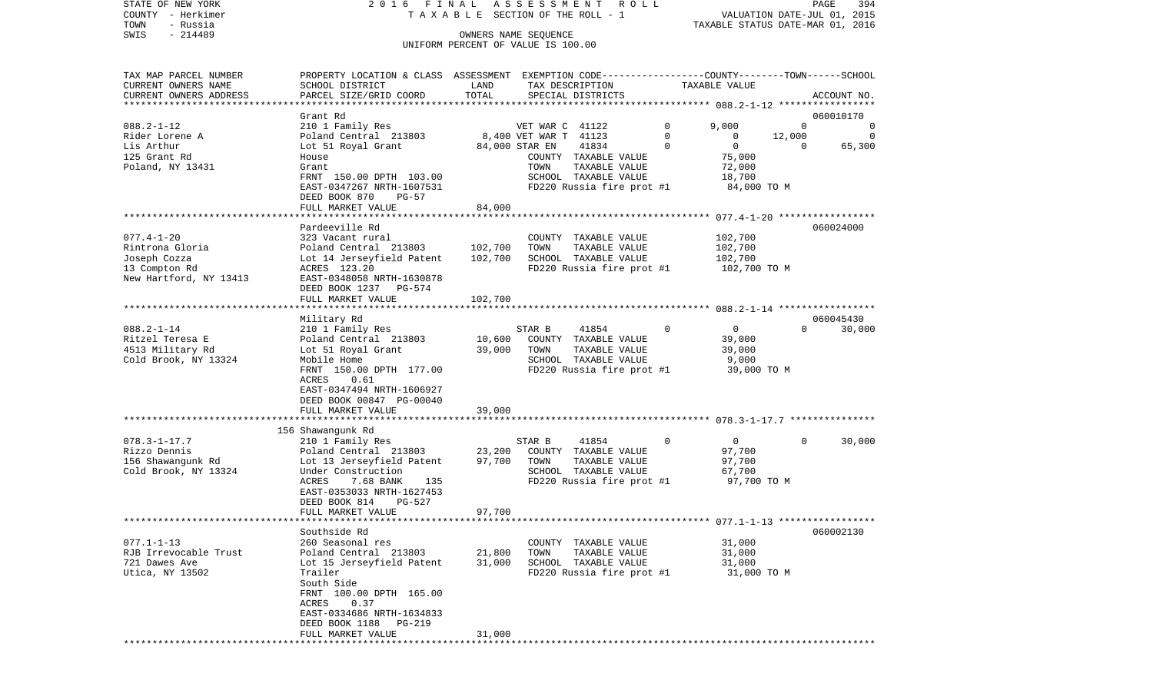STATE OF NEW YORK 2 0 1 6 F I N A L A S S E S S M E N T R O L L PAGE 394 $\texttt{COUNTY}$  - Herkimer  $\texttt{T}$  A X A B L E SECTION OF THE ROLL - 1 TOWN - Russia TAXABLE STATUS DATE-MAR 01, 2016 SWIS - 214489 CONNERS NAME SEQUENCE UNIFORM PERCENT OF VALUE IS 100.00

| TAX MAP PARCEL NUMBER    | PROPERTY LOCATION & CLASS ASSESSMENT EXEMPTION CODE---------------COUNTY-------TOWN-----SCHOOL |         |                       |                           |             |                |             |             |
|--------------------------|------------------------------------------------------------------------------------------------|---------|-----------------------|---------------------------|-------------|----------------|-------------|-------------|
| CURRENT OWNERS NAME      | SCHOOL DISTRICT                                                                                | LAND    | TAX DESCRIPTION       |                           |             | TAXABLE VALUE  |             |             |
| CURRENT OWNERS ADDRESS   | PARCEL SIZE/GRID COORD                                                                         | TOTAL   |                       | SPECIAL DISTRICTS         |             |                |             | ACCOUNT NO. |
|                          |                                                                                                |         |                       |                           |             |                |             |             |
|                          | Grant Rd                                                                                       |         |                       |                           |             |                |             | 060010170   |
| $088.2 - 1 - 12$         | 210 1 Family Res                                                                               |         | VET WAR C 41122       |                           | $\Omega$    | 9,000          | $\mathbf 0$ | 0           |
| Rider Lorene A           | Poland Central 213803                                                                          |         | 8,400 VET WAR T 41123 |                           | $\mathbf 0$ | 0              | 12,000      | 0           |
| Lis Arthur               | Lot 51 Royal Grant                                                                             |         | 84,000 STAR EN        | 41834                     | $\Omega$    | $\mathbf{0}$   | $\Omega$    | 65,300      |
| 125 Grant Rd             | House                                                                                          |         |                       | COUNTY TAXABLE VALUE      |             | 75,000         |             |             |
| Poland, NY 13431         | Grant                                                                                          |         | TOWN                  | TAXABLE VALUE             |             | 72,000         |             |             |
|                          | FRNT 150.00 DPTH 103.00                                                                        |         |                       | SCHOOL TAXABLE VALUE      |             | 18,700         |             |             |
|                          | EAST-0347267 NRTH-1607531                                                                      |         |                       | FD220 Russia fire prot #1 |             | 84,000 TO M    |             |             |
|                          | DEED BOOK 870<br>$PG-57$                                                                       |         |                       |                           |             |                |             |             |
|                          | FULL MARKET VALUE                                                                              | 84,000  |                       |                           |             |                |             |             |
|                          |                                                                                                |         |                       |                           |             |                |             |             |
|                          | Pardeeville Rd                                                                                 |         |                       |                           |             |                |             | 060024000   |
| $077.4 - 1 - 20$         | 323 Vacant rural                                                                               |         |                       | COUNTY TAXABLE VALUE      |             | 102,700        |             |             |
| Rintrona Gloria          | Poland Central 213803                                                                          | 102,700 | TOWN                  | TAXABLE VALUE             |             | 102,700        |             |             |
| Joseph Cozza             | Lot 14 Jerseyfield Patent                                                                      | 102,700 |                       | SCHOOL TAXABLE VALUE      |             | 102,700        |             |             |
| 13 Compton Rd            | ACRES 123.20                                                                                   |         |                       | FD220 Russia fire prot #1 |             | 102,700 TO M   |             |             |
|                          |                                                                                                |         |                       |                           |             |                |             |             |
| New Hartford, NY 13413   | EAST-0348058 NRTH-1630878                                                                      |         |                       |                           |             |                |             |             |
|                          | DEED BOOK 1237<br>PG-574                                                                       |         |                       |                           |             |                |             |             |
| ************************ | FULL MARKET VALUE<br>**********************                                                    | 102,700 |                       |                           |             |                |             |             |
|                          |                                                                                                |         |                       |                           |             |                |             |             |
|                          | Military Rd                                                                                    |         |                       |                           |             |                | $\Omega$    | 060045430   |
| $088.2 - 1 - 14$         | 210 1 Family Res                                                                               |         | STAR B                | 41854                     | $\Omega$    | 0              |             | 30,000      |
| Ritzel Teresa E          | Poland Central 213803                                                                          | 10,600  |                       | COUNTY TAXABLE VALUE      |             | 39,000         |             |             |
| 4513 Military Rd         | Lot 51 Royal Grant                                                                             | 39,000  | TOWN                  | TAXABLE VALUE             |             | 39,000         |             |             |
| Cold Brook, NY 13324     | Mobile Home                                                                                    |         |                       | SCHOOL TAXABLE VALUE      |             | 9,000          |             |             |
|                          | FRNT 150.00 DPTH 177.00                                                                        |         |                       | FD220 Russia fire prot #1 |             | 39,000 TO M    |             |             |
|                          | <b>ACRES</b><br>0.61                                                                           |         |                       |                           |             |                |             |             |
|                          | EAST-0347494 NRTH-1606927                                                                      |         |                       |                           |             |                |             |             |
|                          | DEED BOOK 00847 PG-00040                                                                       |         |                       |                           |             |                |             |             |
|                          | FULL MARKET VALUE                                                                              | 39,000  |                       |                           |             |                |             |             |
|                          |                                                                                                |         |                       |                           |             |                |             |             |
|                          | 156 Shawangunk Rd                                                                              |         |                       |                           |             |                |             |             |
| $078.3 - 1 - 17.7$       | 210 1 Family Res                                                                               |         | STAR B                | 41854                     | 0           | $\overline{0}$ | 0           | 30,000      |
| Rizzo Dennis             | Poland Central 213803                                                                          | 23,200  |                       | COUNTY TAXABLE VALUE      |             | 97,700         |             |             |
| 156 Shawangunk Rd        | Lot 13 Jerseyfield Patent                                                                      | 97,700  | TOWN                  | TAXABLE VALUE             |             | 97,700         |             |             |
| Cold Brook, NY 13324     | Under Construction                                                                             |         |                       | SCHOOL TAXABLE VALUE      |             | 67,700         |             |             |
|                          | ACRES<br>7.68 BANK<br>135                                                                      |         |                       | FD220 Russia fire prot #1 |             | 97,700 TO M    |             |             |
|                          | EAST-0353033 NRTH-1627453                                                                      |         |                       |                           |             |                |             |             |
|                          | DEED BOOK 814<br>PG-527                                                                        |         |                       |                           |             |                |             |             |
|                          | FULL MARKET VALUE                                                                              | 97,700  |                       |                           |             |                |             |             |
|                          |                                                                                                |         |                       |                           |             |                |             |             |
|                          | Southside Rd                                                                                   |         |                       |                           |             |                |             | 060002130   |
| $077.1 - 1 - 13$         | 260 Seasonal res                                                                               |         |                       | COUNTY TAXABLE VALUE      |             | 31,000         |             |             |
| RJB Irrevocable Trust    | Poland Central 213803                                                                          | 21,800  | TOWN                  | TAXABLE VALUE             |             | 31,000         |             |             |
| 721 Dawes Ave            | Lot 15 Jerseyfield Patent                                                                      | 31,000  |                       | SCHOOL TAXABLE VALUE      |             | 31,000         |             |             |
| Utica, NY 13502          | Trailer                                                                                        |         |                       | FD220 Russia fire prot #1 |             | 31,000 TO M    |             |             |
|                          | South Side                                                                                     |         |                       |                           |             |                |             |             |
|                          | FRNT 100.00 DPTH 165.00                                                                        |         |                       |                           |             |                |             |             |
|                          | ACRES<br>0.37                                                                                  |         |                       |                           |             |                |             |             |
|                          | EAST-0334686 NRTH-1634833                                                                      |         |                       |                           |             |                |             |             |
|                          | DEED BOOK 1188<br><b>PG-219</b>                                                                |         |                       |                           |             |                |             |             |
|                          | FULL MARKET VALUE                                                                              | 31,000  |                       |                           |             |                |             |             |
|                          |                                                                                                |         |                       |                           |             |                |             |             |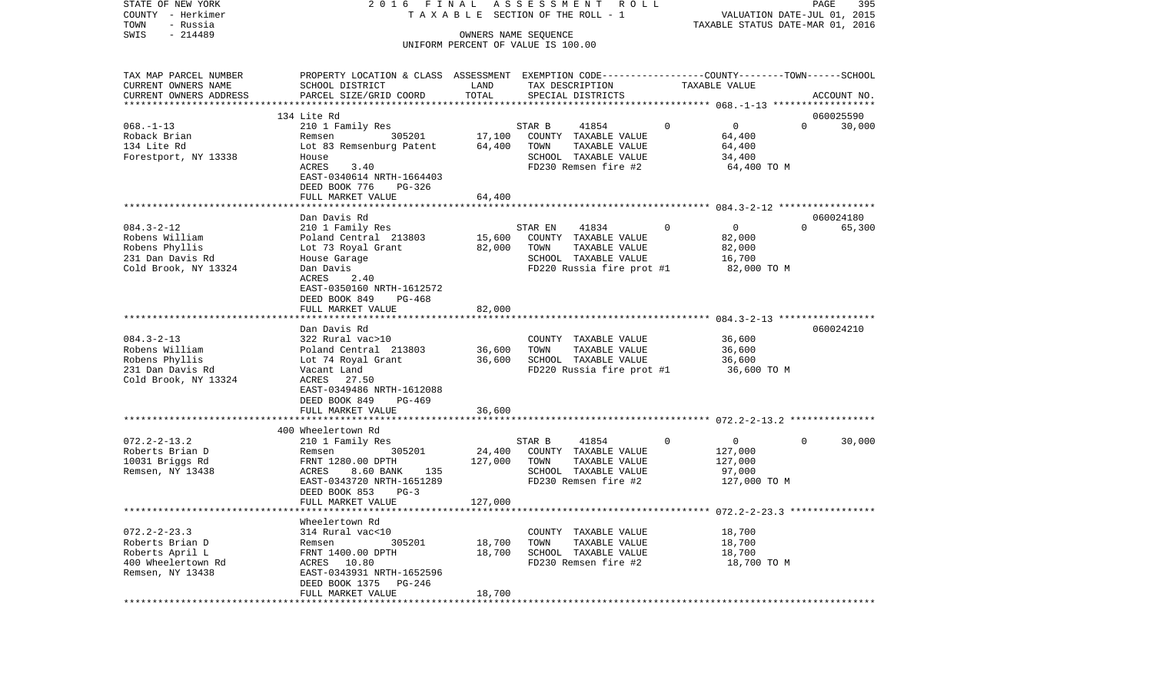| COUNTY<br>- Herkimer               |                                                                                                |                      | T A X A B L E SECTION OF THE ROLL - 1         |          | VALUATION DATE-JUL 01, 2015      |          |             |
|------------------------------------|------------------------------------------------------------------------------------------------|----------------------|-----------------------------------------------|----------|----------------------------------|----------|-------------|
| TOWN<br>- Russia                   |                                                                                                |                      |                                               |          | TAXABLE STATUS DATE-MAR 01, 2016 |          |             |
| SWIS<br>$-214489$                  |                                                                                                | OWNERS NAME SEQUENCE |                                               |          |                                  |          |             |
|                                    |                                                                                                |                      | UNIFORM PERCENT OF VALUE IS 100.00            |          |                                  |          |             |
|                                    |                                                                                                |                      |                                               |          |                                  |          |             |
| TAX MAP PARCEL NUMBER              | PROPERTY LOCATION & CLASS ASSESSMENT EXEMPTION CODE---------------COUNTY-------TOWN-----SCHOOL |                      |                                               |          |                                  |          |             |
| CURRENT OWNERS NAME                | SCHOOL DISTRICT                                                                                | LAND                 | TAX DESCRIPTION                               |          | TAXABLE VALUE                    |          |             |
| CURRENT OWNERS ADDRESS             | PARCEL SIZE/GRID COORD                                                                         | TOTAL                | SPECIAL DISTRICTS                             |          |                                  |          | ACCOUNT NO. |
|                                    |                                                                                                |                      |                                               |          |                                  |          |             |
|                                    | 134 Lite Rd                                                                                    |                      |                                               |          |                                  |          | 060025590   |
| $068. -1 - 13$                     | 210 1 Family Res                                                                               |                      | STAR B<br>41854                               | $\Omega$ | $\overline{0}$                   | $\Omega$ | 30,000      |
| Roback Brian                       | 305201<br>Remsen                                                                               | 17,100               | COUNTY TAXABLE VALUE                          |          | 64,400                           |          |             |
| 134 Lite Rd                        | Lot 83 Remsenburg Patent                                                                       | 64,400               | TOWN<br>TAXABLE VALUE                         |          | 64,400                           |          |             |
| Forestport, NY 13338               | House                                                                                          |                      | SCHOOL TAXABLE VALUE                          |          | 34,400                           |          |             |
|                                    | 3.40<br>ACRES                                                                                  |                      | FD230 Remsen fire #2                          |          | 64,400 TO M                      |          |             |
|                                    | EAST-0340614 NRTH-1664403                                                                      |                      |                                               |          |                                  |          |             |
|                                    | DEED BOOK 776<br>PG-326                                                                        |                      |                                               |          |                                  |          |             |
|                                    | FULL MARKET VALUE                                                                              | 64,400               |                                               |          |                                  |          |             |
|                                    |                                                                                                |                      |                                               |          |                                  |          |             |
|                                    | Dan Davis Rd                                                                                   |                      |                                               |          |                                  |          | 060024180   |
| $084.3 - 2 - 12$                   | 210 1 Family Res                                                                               |                      | STAR EN<br>41834                              | $\Omega$ | $\overline{0}$                   | $\Omega$ | 65,300      |
| Robens William                     | Poland Central 213803                                                                          | 15,600               | COUNTY TAXABLE VALUE                          |          | 82,000                           |          |             |
| Robens Phyllis                     | Lot 73 Royal Grant                                                                             | 82,000               | TOWN<br>TAXABLE VALUE                         |          | 82,000                           |          |             |
| 231 Dan Davis Rd                   | House Garage                                                                                   |                      | SCHOOL TAXABLE VALUE                          |          | 16,700                           |          |             |
| Cold Brook, NY 13324               | Dan Davis                                                                                      |                      | FD220 Russia fire prot #1                     |          | 82,000 TO M                      |          |             |
|                                    | ACRES<br>2.40                                                                                  |                      |                                               |          |                                  |          |             |
|                                    | EAST-0350160 NRTH-1612572                                                                      |                      |                                               |          |                                  |          |             |
|                                    | DEED BOOK 849<br>PG-468                                                                        |                      |                                               |          |                                  |          |             |
|                                    | FULL MARKET VALUE                                                                              | 82,000               |                                               |          |                                  |          |             |
|                                    |                                                                                                |                      |                                               |          |                                  |          |             |
|                                    | Dan Davis Rd                                                                                   |                      |                                               |          |                                  |          | 060024210   |
| $084.3 - 2 - 13$                   | 322 Rural vac>10                                                                               |                      | COUNTY TAXABLE VALUE                          |          | 36,600                           |          |             |
| Robens William                     | Poland Central 213803                                                                          | 36,600               | TAXABLE VALUE<br>TOWN                         |          | 36,600                           |          |             |
| Robens Phyllis                     | Lot 74 Royal Grant                                                                             | 36,600               | SCHOOL TAXABLE VALUE                          |          | 36,600                           |          |             |
| 231 Dan Davis Rd                   | Vacant Land                                                                                    |                      | FD220 Russia fire prot #1                     |          | 36,600 TO M                      |          |             |
| Cold Brook, NY 13324               | ACRES 27.50                                                                                    |                      |                                               |          |                                  |          |             |
|                                    | EAST-0349486 NRTH-1612088                                                                      |                      |                                               |          |                                  |          |             |
|                                    | DEED BOOK 849<br>PG-469                                                                        |                      |                                               |          |                                  |          |             |
|                                    | FULL MARKET VALUE                                                                              | 36,600               |                                               |          |                                  |          |             |
|                                    | 400 Wheelertown Rd                                                                             |                      |                                               |          |                                  |          |             |
| $072.2 - 2 - 13.2$                 | 210 1 Family Res                                                                               |                      | STAR B                                        | $\Omega$ | $\overline{0}$                   | $\Omega$ | 30,000      |
|                                    |                                                                                                | 24,400               | 41854                                         |          |                                  |          |             |
| Roberts Brian D<br>10031 Briggs Rd | 305201<br>Remsen<br>FRNT 1280.00 DPTH                                                          | 127,000              | COUNTY TAXABLE VALUE<br>TOWN<br>TAXABLE VALUE |          | 127,000<br>127,000               |          |             |
| Remsen, NY 13438                   | ACRES<br>8.60 BANK<br>135                                                                      |                      | SCHOOL TAXABLE VALUE                          |          | 97,000                           |          |             |
|                                    | EAST-0343720 NRTH-1651289                                                                      |                      | FD230 Remsen fire #2                          |          |                                  |          |             |
|                                    | DEED BOOK 853<br>$PG-3$                                                                        |                      |                                               |          | 127,000 TO M                     |          |             |
|                                    | FULL MARKET VALUE                                                                              | 127,000              |                                               |          |                                  |          |             |
|                                    |                                                                                                |                      |                                               |          |                                  |          |             |
|                                    | Wheelertown Rd                                                                                 |                      |                                               |          |                                  |          |             |
| $072.2 - 2 - 23.3$                 | 314 Rural vac<10                                                                               |                      | COUNTY TAXABLE VALUE                          |          | 18,700                           |          |             |
| Roberts Brian D                    | 305201<br>Remsen                                                                               | 18,700               | TAXABLE VALUE<br>TOWN                         |          | 18,700                           |          |             |
| Roberts April L                    | FRNT 1400.00 DPTH                                                                              | 18,700               | SCHOOL TAXABLE VALUE                          |          | 18,700                           |          |             |
| 400 Wheelertown Rd                 | ACRES 10.80                                                                                    |                      | FD230 Remsen fire #2                          |          | 18,700 TO M                      |          |             |
| Remsen, NY 13438                   | EAST-0343931 NRTH-1652596                                                                      |                      |                                               |          |                                  |          |             |
|                                    | PG-246<br>DEED BOOK 1375                                                                       |                      |                                               |          |                                  |          |             |
|                                    | FULL MARKET VALUE                                                                              | 18,700               |                                               |          |                                  |          |             |
|                                    |                                                                                                |                      |                                               |          |                                  |          |             |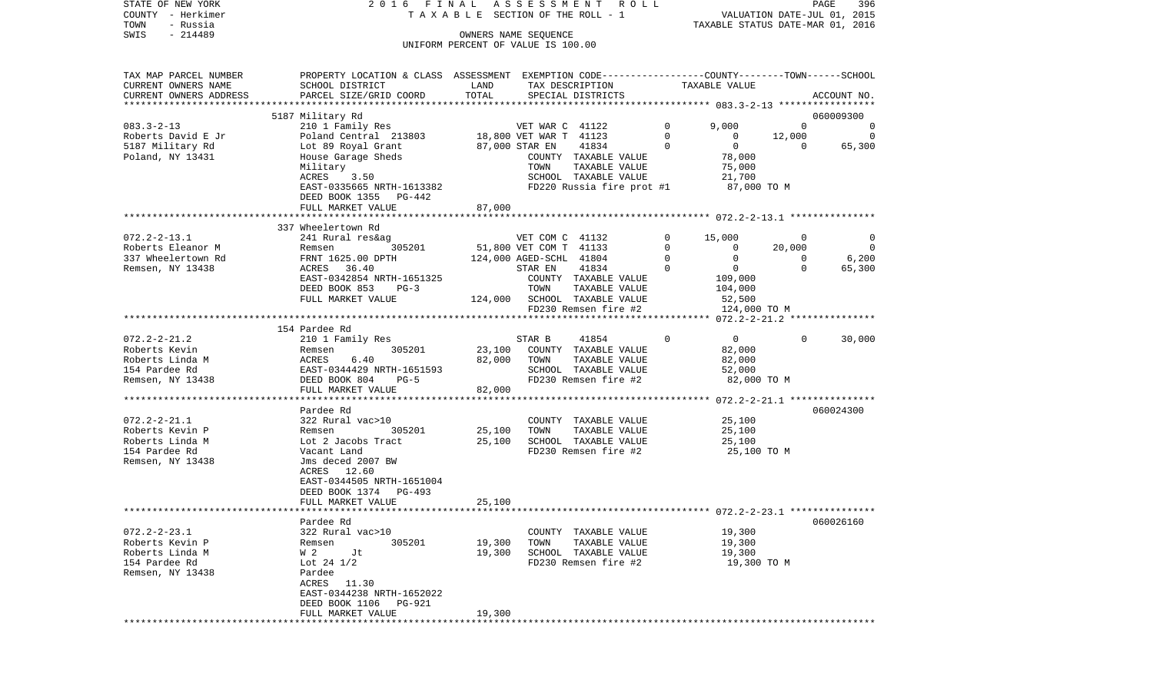| COUNTY<br>TOWN     | – Herkimer<br>- Russia |                                                                                                 | TAXABLE SECTION OF THE ROLL - 1    |                         |                              |                | VALUATION DATE-JUL 01, 2015<br>TAXABLE STATUS DATE-MAR 01, 2016 |                |                |  |
|--------------------|------------------------|-------------------------------------------------------------------------------------------------|------------------------------------|-------------------------|------------------------------|----------------|-----------------------------------------------------------------|----------------|----------------|--|
| SWIS               | $-214489$              |                                                                                                 |                                    | OWNERS NAME SEQUENCE    |                              |                |                                                                 |                |                |  |
|                    |                        |                                                                                                 | UNIFORM PERCENT OF VALUE IS 100.00 |                         |                              |                |                                                                 |                |                |  |
|                    |                        |                                                                                                 |                                    |                         |                              |                |                                                                 |                |                |  |
|                    | TAX MAP PARCEL NUMBER  | PROPERTY LOCATION & CLASS ASSESSMENT EXEMPTION CODE----------------COUNTY-------TOWN-----SCHOOL |                                    |                         |                              |                |                                                                 |                |                |  |
|                    | CURRENT OWNERS NAME    | SCHOOL DISTRICT                                                                                 | LAND                               |                         | TAX DESCRIPTION              |                | TAXABLE VALUE                                                   |                |                |  |
|                    | CURRENT OWNERS ADDRESS | PARCEL SIZE/GRID COORD                                                                          | TOTAL                              |                         | SPECIAL DISTRICTS            |                |                                                                 |                | ACCOUNT NO.    |  |
|                    |                        |                                                                                                 |                                    |                         |                              |                |                                                                 |                |                |  |
|                    |                        | 5187 Military Rd                                                                                |                                    |                         |                              |                |                                                                 |                | 060009300      |  |
| $083.3 - 2 - 13$   |                        | 210 1 Family Res                                                                                |                                    | VET WAR C 41122         |                              | $\overline{0}$ | 9,000                                                           | $\overline{0}$ | $\sim$ 0       |  |
|                    | Roberts David E Jr     | Poland Central 213803 18,800 VET WAR T 41123                                                    |                                    |                         |                              | $\overline{0}$ | $\overline{0}$                                                  | 12,000         | $\overline{0}$ |  |
|                    | 5187 Military Rd       | Lot 89 Royal Grant                                                                              |                                    | 87,000 STAR EN          | 41834                        | $\overline{0}$ | $\overline{0}$                                                  | $\overline{0}$ | 65,300         |  |
|                    | Poland, NY 13431       | House Garage Sheds                                                                              |                                    |                         | COUNTY TAXABLE VALUE         |                | 78,000<br>75,000                                                |                |                |  |
|                    |                        | Military                                                                                        |                                    | TOWN                    | TAXABLE VALUE                |                |                                                                 |                |                |  |
|                    |                        | ACRES<br>3.50                                                                                   |                                    |                         | SCHOOL TAXABLE VALUE         |                | 21,700                                                          |                |                |  |
|                    |                        | EAST-0335665 NRTH-1613382                                                                       |                                    |                         | FD220 Russia fire prot #1    |                | 87,000 TO M                                                     |                |                |  |
|                    |                        | DEED BOOK 1355 PG-442                                                                           |                                    |                         |                              |                |                                                                 |                |                |  |
|                    |                        | FULL MARKET VALUE                                                                               | 87,000                             |                         |                              |                |                                                                 |                |                |  |
|                    |                        |                                                                                                 |                                    |                         |                              |                |                                                                 |                |                |  |
| $072.2 - 2 - 13.1$ |                        | 337 Wheelertown Rd<br>241 Rural res&ag                                                          |                                    | VET COM C 41132         |                              | 0              | 15,000                                                          | $\mathbf{0}$   | 0              |  |
|                    | Roberts Eleanor M      | 305201<br>Remsen                                                                                |                                    | 51,800 VET COM T 41133  |                              | $\mathbf 0$    | $\overline{0}$                                                  | 20,000         | $\overline{0}$ |  |
|                    | 337 Wheelertown Rd     | FRNT 1625.00 DPTH                                                                               |                                    | 124,000 AGED-SCHL 41804 |                              | $\mathsf{O}$   | $\overline{0}$                                                  | $\overline{0}$ | 6,200          |  |
|                    | Remsen, NY 13438       | ACRES<br>36.40                                                                                  |                                    | STAR EN                 | 41834                        | $\Omega$       | $\overline{0}$                                                  | $\Omega$       | 65,300         |  |
|                    |                        | EAST-0342854 NRTH-1651325                                                                       |                                    |                         | COUNTY TAXABLE VALUE         |                | 109,000                                                         |                |                |  |
|                    |                        | DEED BOOK 853<br>$PG-3$                                                                         |                                    | TOWN                    | TAXABLE VALUE                |                | 104,000                                                         |                |                |  |
|                    |                        | FULL MARKET VALUE                                                                               |                                    |                         | 124,000 SCHOOL TAXABLE VALUE |                | 52,500                                                          |                |                |  |
|                    |                        |                                                                                                 |                                    |                         | FD230 Remsen fire #2         |                | 124,000 TO M                                                    |                |                |  |
|                    |                        |                                                                                                 |                                    |                         |                              |                |                                                                 |                |                |  |
|                    |                        | 154 Pardee Rd                                                                                   |                                    |                         |                              |                |                                                                 |                |                |  |
| $072.2 - 2 - 21.2$ |                        | 210 1 Family Res                                                                                |                                    | STAR B                  | 41854                        | $\Omega$       | $\overline{0}$                                                  | $\Omega$       | 30,000         |  |
| Roberts Kevin      |                        | 305201<br>Remsen                                                                                | 23,100                             |                         | COUNTY TAXABLE VALUE         |                | 82,000                                                          |                |                |  |
|                    | Roberts Linda M        | RCHIDEI<br>ACRES<br>6.40                                                                        | 82,000                             | TOWN                    | TAXABLE VALUE                |                | 82,000                                                          |                |                |  |
| 154 Pardee Rd      |                        | EAST-0344429 NRTH-1651593<br>DEED BOOK 804 PG-5                                                 |                                    |                         | SCHOOL TAXABLE VALUE         |                | 52,000                                                          |                |                |  |
|                    | Remsen, NY 13438       | DEED BOOK 804<br>$PG-5$                                                                         |                                    |                         | FD230 Remsen fire #2         |                | 82,000 TO M                                                     |                |                |  |
|                    |                        | FULL MARKET VALUE                                                                               | 82,000                             |                         |                              |                |                                                                 |                |                |  |
|                    |                        |                                                                                                 |                                    |                         |                              |                |                                                                 |                |                |  |
|                    |                        | Pardee Rd                                                                                       |                                    |                         |                              |                |                                                                 |                | 060024300      |  |
| $072.2 - 2 - 21.1$ |                        | 322 Rural vac>10                                                                                |                                    |                         | COUNTY TAXABLE VALUE         |                | 25,100                                                          |                |                |  |
|                    | Roberts Kevin P        | 305201<br>Remsen                                                                                | 25,100                             | TOWN                    | TAXABLE VALUE                |                | 25,100                                                          |                |                |  |
|                    | Roberts Linda M        | Lot 2 Jacobs Tract                                                                              | 25,100                             |                         | SCHOOL TAXABLE VALUE         |                | 25,100                                                          |                |                |  |
| 154 Pardee Rd      |                        | Vacant Land                                                                                     |                                    |                         | FD230 Remsen fire #2         |                | 25,100 TO M                                                     |                |                |  |
|                    | Remsen, NY 13438       | Jms deced 2007 BW                                                                               |                                    |                         |                              |                |                                                                 |                |                |  |
|                    |                        | ACRES 12.60                                                                                     |                                    |                         |                              |                |                                                                 |                |                |  |
|                    |                        | EAST-0344505 NRTH-1651004                                                                       |                                    |                         |                              |                |                                                                 |                |                |  |
|                    |                        | DEED BOOK 1374 PG-493                                                                           |                                    |                         |                              |                |                                                                 |                |                |  |
|                    |                        | FULL MARKET VALUE                                                                               | 25,100                             |                         |                              |                |                                                                 |                |                |  |
|                    |                        |                                                                                                 |                                    |                         |                              |                |                                                                 |                |                |  |
| $072.2 - 2 - 23.1$ |                        | Pardee Rd<br>322 Rural vac>10                                                                   |                                    |                         | COUNTY TAXABLE VALUE         |                | 19,300                                                          |                | 060026160      |  |
|                    | Roberts Kevin P        | 305201                                                                                          | 19,300                             |                         | TAXABLE VALUE                |                | 19,300                                                          |                |                |  |
|                    | Roberts Linda M        | Remsen<br>W 2<br>Jt                                                                             | 19,300                             | TOWN                    | SCHOOL TAXABLE VALUE         |                | 19,300                                                          |                |                |  |
| 154 Pardee Rd      |                        | Lot 24 $1/2$                                                                                    |                                    |                         | FD230 Remsen fire #2         |                | 19,300 TO M                                                     |                |                |  |
|                    | Remsen, NY 13438       | Pardee                                                                                          |                                    |                         |                              |                |                                                                 |                |                |  |
|                    |                        | ACRES 11.30                                                                                     |                                    |                         |                              |                |                                                                 |                |                |  |
|                    |                        | EAST-0344238 NRTH-1652022                                                                       |                                    |                         |                              |                |                                                                 |                |                |  |
|                    |                        | DEED BOOK 1106<br>PG-921                                                                        |                                    |                         |                              |                |                                                                 |                |                |  |
|                    |                        | FULL MARKET VALUE                                                                               | 19,300                             |                         |                              |                |                                                                 |                |                |  |
| ************       |                        |                                                                                                 |                                    |                         |                              |                |                                                                 |                |                |  |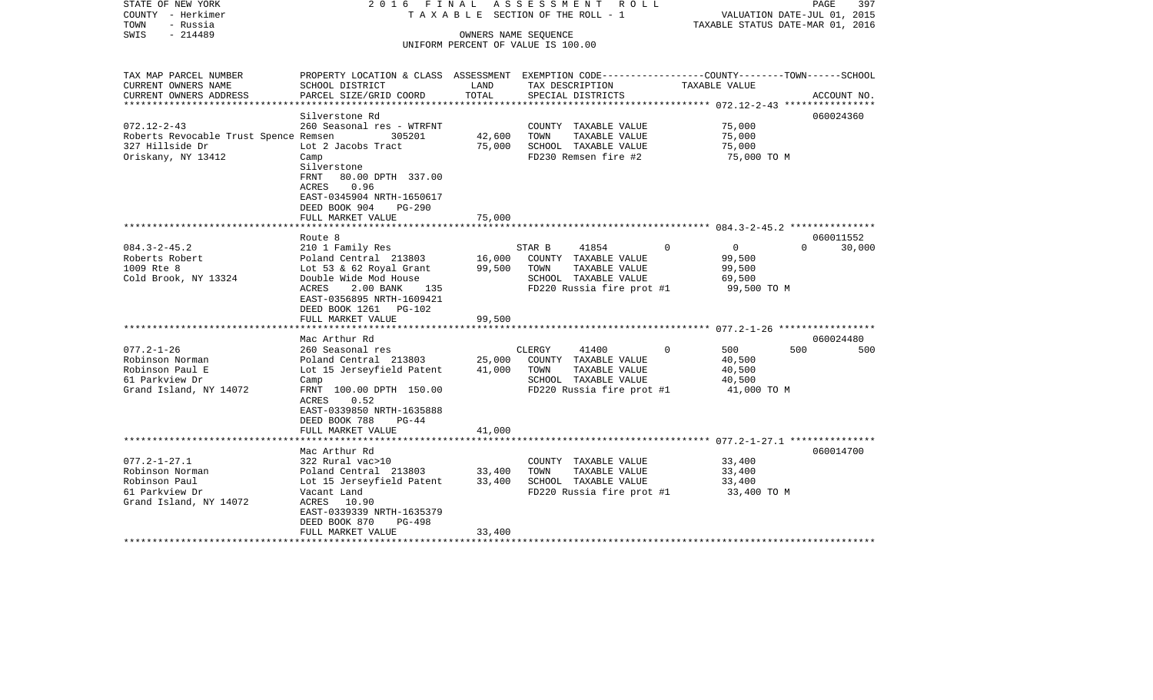| STATE OF NEW YORK<br>COUNTY - Herkimer<br>TOWN<br>- Russia | 2016 FINAL                                                                                      |                  | ASSESSMENT ROLL<br>T A X A B L E SECTION OF THE ROLL - 1   |                  | 397<br>PAGE<br>VALUATION DATE-JUL 01, 2015<br>TAXABLE STATUS DATE-MAR 01, 2016 |
|------------------------------------------------------------|-------------------------------------------------------------------------------------------------|------------------|------------------------------------------------------------|------------------|--------------------------------------------------------------------------------|
| $-214489$<br>SWIS                                          |                                                                                                 |                  | OWNERS NAME SEQUENCE<br>UNIFORM PERCENT OF VALUE IS 100.00 |                  |                                                                                |
|                                                            |                                                                                                 |                  |                                                            |                  |                                                                                |
| TAX MAP PARCEL NUMBER                                      | PROPERTY LOCATION & CLASS ASSESSMENT EXEMPTION CODE---------------COUNTY-------TOWN------SCHOOL |                  |                                                            |                  |                                                                                |
| CURRENT OWNERS NAME                                        | SCHOOL DISTRICT                                                                                 | LAND             | TAX DESCRIPTION                                            | TAXABLE VALUE    |                                                                                |
| CURRENT OWNERS ADDRESS<br>**********************           | PARCEL SIZE/GRID COORD                                                                          | TOTAL            | SPECIAL DISTRICTS                                          |                  | ACCOUNT NO.                                                                    |
|                                                            | Silverstone Rd                                                                                  |                  |                                                            |                  | 060024360                                                                      |
| $072.12 - 2 - 43$                                          | 260 Seasonal res - WTRFNT                                                                       |                  | COUNTY TAXABLE VALUE                                       | 75,000           |                                                                                |
| Roberts Revocable Trust Spence Remsen                      | 305201                                                                                          | 42,600           | TOWN<br>TAXABLE VALUE                                      | 75,000           |                                                                                |
| 327 Hillside Dr                                            | Lot 2 Jacobs Tract                                                                              | 75,000           | SCHOOL TAXABLE VALUE                                       | 75,000           |                                                                                |
| Oriskany, NY 13412                                         | Camp                                                                                            |                  | FD230 Remsen fire #2                                       | 75,000 TO M      |                                                                                |
|                                                            | Silverstone                                                                                     |                  |                                                            |                  |                                                                                |
|                                                            | 80.00 DPTH 337.00<br>FRNT                                                                       |                  |                                                            |                  |                                                                                |
|                                                            | 0.96<br>ACRES                                                                                   |                  |                                                            |                  |                                                                                |
|                                                            | EAST-0345904 NRTH-1650617                                                                       |                  |                                                            |                  |                                                                                |
|                                                            | DEED BOOK 904<br><b>PG-290</b>                                                                  |                  |                                                            |                  |                                                                                |
|                                                            | FULL MARKET VALUE                                                                               | 75,000           |                                                            |                  |                                                                                |
|                                                            |                                                                                                 |                  |                                                            |                  |                                                                                |
|                                                            | Route 8                                                                                         |                  |                                                            |                  | 060011552                                                                      |
| $084.3 - 2 - 45.2$                                         | 210 1 Family Res                                                                                |                  | 41854<br>STAR B                                            | 0<br>$\Omega$    | $\Omega$<br>30,000                                                             |
| Roberts Robert<br>1009 Rte 8                               | Poland Central 213803<br>Lot 53 & 62 Royal Grant                                                | 16,000<br>99,500 | COUNTY TAXABLE VALUE<br>TOWN<br>TAXABLE VALUE              | 99,500<br>99,500 |                                                                                |
| Cold Brook, NY 13324                                       | Double Wide Mod House                                                                           |                  | SCHOOL TAXABLE VALUE                                       | 69,500           |                                                                                |
|                                                            | ACRES<br>2.00 BANK<br>135                                                                       |                  | FD220 Russia fire prot #1                                  | 99,500 TO M      |                                                                                |
|                                                            | EAST-0356895 NRTH-1609421                                                                       |                  |                                                            |                  |                                                                                |
|                                                            | DEED BOOK 1261<br>PG-102                                                                        |                  |                                                            |                  |                                                                                |
|                                                            | FULL MARKET VALUE                                                                               | 99,500           |                                                            |                  |                                                                                |
|                                                            |                                                                                                 |                  |                                                            |                  |                                                                                |
|                                                            | Mac Arthur Rd                                                                                   |                  |                                                            |                  | 060024480                                                                      |
| $077.2 - 1 - 26$                                           | 260 Seasonal res                                                                                |                  | 41400<br>CLERGY                                            | $\Omega$<br>500  | 500<br>500                                                                     |
| Robinson Norman                                            | Poland Central 213803                                                                           | 25,000           | COUNTY TAXABLE VALUE                                       | 40,500           |                                                                                |
| Robinson Paul E                                            | Lot 15 Jerseyfield Patent                                                                       | 41,000           | TOWN<br>TAXABLE VALUE                                      | 40,500           |                                                                                |
| 61 Parkview Dr                                             | Camp                                                                                            |                  | SCHOOL TAXABLE VALUE                                       | 40,500           |                                                                                |
| Grand Island, NY 14072                                     | FRNT 100.00 DPTH 150.00                                                                         |                  | FD220 Russia fire prot #1                                  | 41,000 TO M      |                                                                                |
|                                                            | ACRES<br>0.52                                                                                   |                  |                                                            |                  |                                                                                |
|                                                            | EAST-0339850 NRTH-1635888                                                                       |                  |                                                            |                  |                                                                                |
|                                                            | DEED BOOK 788<br>$PG-44$                                                                        |                  |                                                            |                  |                                                                                |
|                                                            | FULL MARKET VALUE                                                                               | 41,000           |                                                            |                  |                                                                                |
|                                                            | Mac Arthur Rd                                                                                   |                  |                                                            |                  | 060014700                                                                      |
| $077.2 - 1 - 27.1$                                         | 322 Rural vac>10                                                                                |                  | COUNTY TAXABLE VALUE                                       | 33,400           |                                                                                |
| Robinson Norman                                            | Poland Central 213803                                                                           | 33,400           | TAXABLE VALUE<br>TOWN                                      | 33,400           |                                                                                |
| Robinson Paul                                              | Lot 15 Jerseyfield Patent                                                                       | 33,400           | SCHOOL TAXABLE VALUE                                       | 33,400           |                                                                                |
| 61 Parkview Dr                                             | Vacant Land                                                                                     |                  | FD220 Russia fire prot #1                                  | 33,400 TO M      |                                                                                |
| Grand Island, NY 14072                                     | ACRES 10.90                                                                                     |                  |                                                            |                  |                                                                                |
|                                                            | EAST-0339339 NRTH-1635379                                                                       |                  |                                                            |                  |                                                                                |
|                                                            | DEED BOOK 870<br>PG-498                                                                         |                  |                                                            |                  |                                                                                |
|                                                            | FULL MARKET VALUE                                                                               | 33,400           |                                                            |                  |                                                                                |
|                                                            |                                                                                                 |                  |                                                            |                  |                                                                                |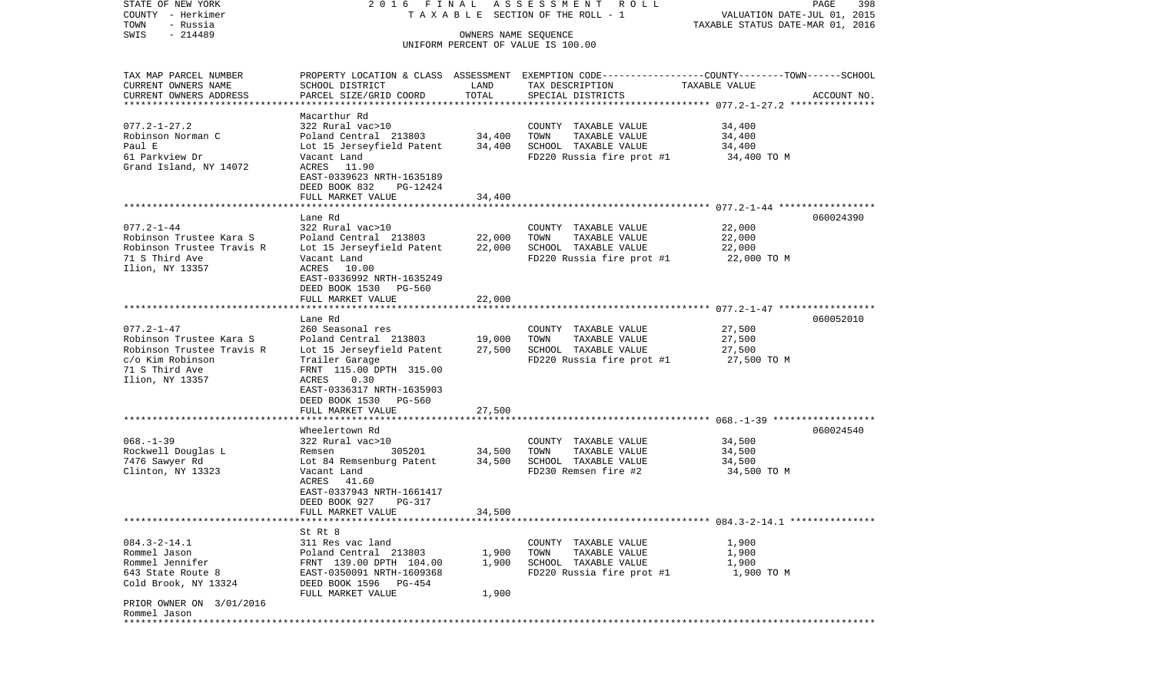| COUNTY<br>– Herkimer      |                                                       |        | T A X A B L E SECTION OF THE ROLL - 1                                                           | VALUATION DATE-JUL 01, 2015                          |             |
|---------------------------|-------------------------------------------------------|--------|-------------------------------------------------------------------------------------------------|------------------------------------------------------|-------------|
| TOWN<br>- Russia          |                                                       |        | TAXABLE STATUS DATE-MAR 01, 2016                                                                |                                                      |             |
| SWIS<br>$-214489$         |                                                       |        | OWNERS NAME SEOUENCE<br>UNIFORM PERCENT OF VALUE IS 100.00                                      |                                                      |             |
|                           |                                                       |        |                                                                                                 |                                                      |             |
|                           |                                                       |        |                                                                                                 |                                                      |             |
| TAX MAP PARCEL NUMBER     |                                                       |        | PROPERTY LOCATION & CLASS ASSESSMENT EXEMPTION CODE---------------COUNTY-------TOWN------SCHOOL |                                                      |             |
| CURRENT OWNERS NAME       | SCHOOL DISTRICT                                       | LAND   | TAX DESCRIPTION                                                                                 | TAXABLE VALUE                                        |             |
| CURRENT OWNERS ADDRESS    | PARCEL SIZE/GRID COORD                                | TOTAL  | SPECIAL DISTRICTS                                                                               |                                                      | ACCOUNT NO. |
| ************************* |                                                       |        |                                                                                                 |                                                      |             |
|                           | Macarthur Rd                                          |        |                                                                                                 |                                                      |             |
| $077.2 - 1 - 27.2$        | 322 Rural vac>10                                      |        | COUNTY TAXABLE VALUE                                                                            | 34,400                                               |             |
| Robinson Norman C         | Poland Central 213803                                 | 34,400 | TOWN<br>TAXABLE VALUE                                                                           | 34,400                                               |             |
| Paul E                    | Lot 15 Jerseyfield Patent                             | 34,400 | SCHOOL TAXABLE VALUE                                                                            | 34,400                                               |             |
| 61 Parkview Dr            | Vacant Land                                           |        | FD220 Russia fire prot #1                                                                       | 34,400 TO M                                          |             |
| Grand Island, NY 14072    | ACRES 11.90                                           |        |                                                                                                 |                                                      |             |
|                           | EAST-0339623 NRTH-1635189                             |        |                                                                                                 |                                                      |             |
|                           | DEED BOOK 832<br>PG-12424                             |        |                                                                                                 |                                                      |             |
|                           | FULL MARKET VALUE                                     | 34,400 |                                                                                                 |                                                      |             |
|                           |                                                       |        |                                                                                                 |                                                      |             |
|                           | Lane Rd                                               |        |                                                                                                 |                                                      | 060024390   |
| $077.2 - 1 - 44$          | 322 Rural vac>10                                      |        | COUNTY TAXABLE VALUE                                                                            | 22,000                                               |             |
| Robinson Trustee Kara S   | Poland Central 213803                                 | 22,000 | TAXABLE VALUE<br>TOWN                                                                           | 22,000                                               |             |
| Robinson Trustee Travis R | Lot 15 Jerseyfield Patent                             | 22,000 | SCHOOL TAXABLE VALUE                                                                            | 22,000                                               |             |
| 71 S Third Ave            | Vacant Land                                           |        | FD220 Russia fire prot #1                                                                       | 22,000 TO M                                          |             |
| Ilion, NY 13357           | ACRES 10.00                                           |        |                                                                                                 |                                                      |             |
|                           | EAST-0336992 NRTH-1635249<br>DEED BOOK 1530<br>PG-560 |        |                                                                                                 |                                                      |             |
|                           | FULL MARKET VALUE                                     | 22,000 |                                                                                                 |                                                      |             |
|                           | * * * * * * * * * * * * * * * * *                     |        |                                                                                                 | *********************** 077.2-1-47 ***************** |             |
|                           | Lane Rd                                               |        |                                                                                                 |                                                      | 060052010   |
| $077.2 - 1 - 47$          | 260 Seasonal res                                      |        | COUNTY TAXABLE VALUE                                                                            | 27,500                                               |             |
| Robinson Trustee Kara S   | Poland Central 213803                                 | 19,000 | TOWN<br>TAXABLE VALUE                                                                           | 27,500                                               |             |
| Robinson Trustee Travis R | Lot 15 Jerseyfield Patent                             | 27,500 | SCHOOL TAXABLE VALUE                                                                            | 27,500                                               |             |
| c/o Kim Robinson          | Trailer Garage                                        |        | FD220 Russia fire prot #1                                                                       | 27,500 TO M                                          |             |
| 71 S Third Ave            | FRNT 115.00 DPTH 315.00                               |        |                                                                                                 |                                                      |             |
| Ilion, NY 13357           | 0.30<br>ACRES                                         |        |                                                                                                 |                                                      |             |
|                           | EAST-0336317 NRTH-1635903                             |        |                                                                                                 |                                                      |             |
|                           | DEED BOOK 1530<br>PG-560                              |        |                                                                                                 |                                                      |             |
|                           | FULL MARKET VALUE                                     | 27,500 |                                                                                                 |                                                      |             |
|                           | **************************************                |        |                                                                                                 |                                                      |             |
|                           | Wheelertown Rd                                        |        |                                                                                                 |                                                      | 060024540   |
| $068. -1 - 39$            | 322 Rural vac>10                                      |        | COUNTY TAXABLE VALUE                                                                            | 34,500                                               |             |
| Rockwell Douglas L        | 305201<br>Remsen                                      | 34,500 | TOWN<br>TAXABLE VALUE                                                                           | 34,500                                               |             |
| 7476 Sawyer Rd            | Lot 84 Remsenburg Patent                              | 34,500 | SCHOOL TAXABLE VALUE                                                                            | 34,500                                               |             |
| Clinton, NY 13323         | Vacant Land                                           |        | FD230 Remsen fire #2                                                                            | 34,500 TO M                                          |             |
|                           | ACRES<br>41.60                                        |        |                                                                                                 |                                                      |             |
|                           | EAST-0337943 NRTH-1661417                             |        |                                                                                                 |                                                      |             |
|                           | DEED BOOK 927<br>PG-317                               |        |                                                                                                 |                                                      |             |
|                           | FULL MARKET VALUE                                     | 34,500 |                                                                                                 |                                                      |             |
|                           |                                                       |        |                                                                                                 |                                                      |             |
|                           | St Rt 8                                               |        |                                                                                                 |                                                      |             |
| $084.3 - 2 - 14.1$        | 311 Res vac land                                      |        | COUNTY TAXABLE VALUE                                                                            | 1,900                                                |             |
| Rommel Jason              | Poland Central 213803                                 | 1,900  | TOWN<br>TAXABLE VALUE                                                                           | 1,900                                                |             |
| Rommel Jennifer           | FRNT 139.00 DPTH 104.00                               | 1,900  | SCHOOL TAXABLE VALUE                                                                            | 1,900                                                |             |
| 643 State Route 8         | EAST-0350091 NRTH-1609368                             |        | FD220 Russia fire prot #1                                                                       | 1,900 TO M                                           |             |
| Cold Brook, NY 13324      | DEED BOOK 1596<br>PG-454                              |        |                                                                                                 |                                                      |             |
|                           | FULL MARKET VALUE                                     | 1,900  |                                                                                                 |                                                      |             |
| PRIOR OWNER ON 3/01/2016  |                                                       |        |                                                                                                 |                                                      |             |
| Rommel Jason              |                                                       |        |                                                                                                 |                                                      |             |
| ************              |                                                       |        |                                                                                                 |                                                      |             |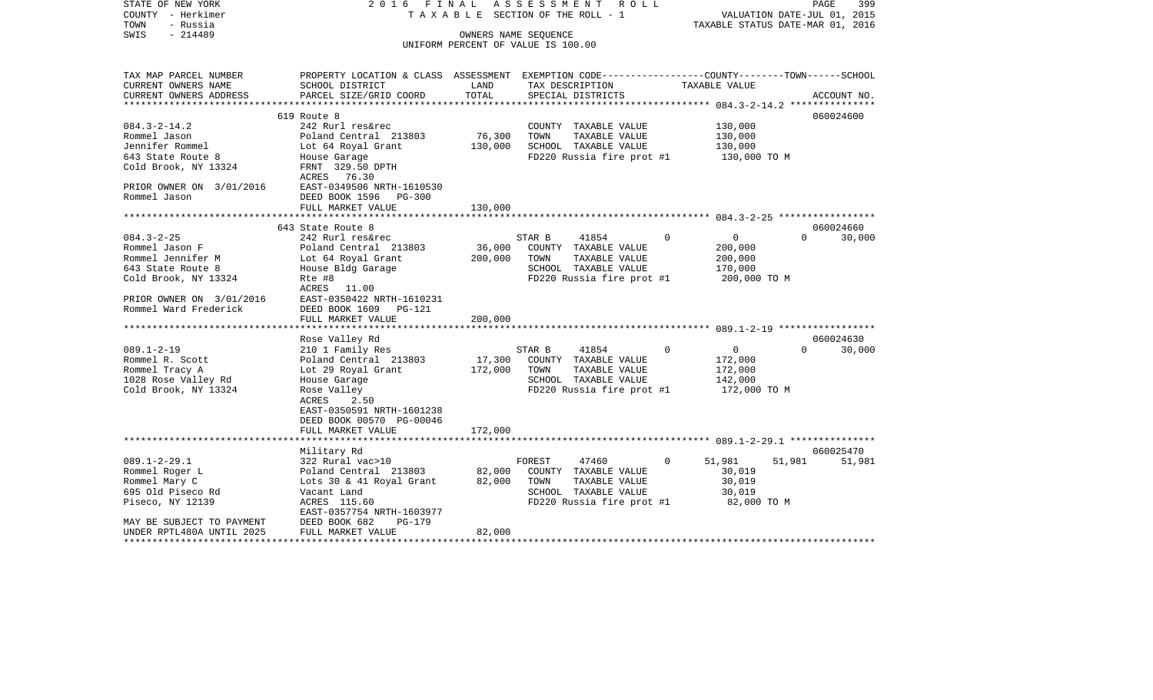| STATE OF NEW YORK<br>COUNTY - Herkimer<br>- Russia<br>TOWN | 2016 FINAL                                                                                      |         | ASSESSMENT<br>R O L L<br>TAXABLE SECTION OF THE ROLL - 1 |                       | VALUATION DATE-JUL 01, 2015<br>TAXABLE STATUS DATE-MAR 01, 2016 | PAGE<br>399 |
|------------------------------------------------------------|-------------------------------------------------------------------------------------------------|---------|----------------------------------------------------------|-----------------------|-----------------------------------------------------------------|-------------|
| $-214489$<br>SWIS                                          | OWNERS NAME SEQUENCE                                                                            |         |                                                          |                       |                                                                 |             |
|                                                            |                                                                                                 |         | UNIFORM PERCENT OF VALUE IS 100.00                       |                       |                                                                 |             |
|                                                            |                                                                                                 |         |                                                          |                       |                                                                 |             |
| TAX MAP PARCEL NUMBER                                      | PROPERTY LOCATION & CLASS ASSESSMENT EXEMPTION CODE---------------COUNTY-------TOWN------SCHOOL |         |                                                          |                       |                                                                 |             |
| CURRENT OWNERS NAME                                        | SCHOOL DISTRICT                                                                                 | LAND    | TAX DESCRIPTION                                          | TAXABLE VALUE         |                                                                 |             |
| CURRENT OWNERS ADDRESS                                     | PARCEL SIZE/GRID COORD                                                                          | TOTAL   | SPECIAL DISTRICTS                                        |                       |                                                                 | ACCOUNT NO. |
|                                                            |                                                                                                 |         |                                                          |                       |                                                                 |             |
|                                                            | 619 Route 8                                                                                     |         |                                                          |                       |                                                                 | 060024600   |
| $084.3 - 2 - 14.2$                                         | 242 Rurl res&rec                                                                                |         | COUNTY TAXABLE VALUE                                     |                       | 130,000                                                         |             |
| Rommel Jason                                               | Poland Central 213803                                                                           | 76,300  | TOWN<br>TAXABLE VALUE                                    |                       | 130,000                                                         |             |
| Jennifer Rommel                                            | Lot 64 Royal Grant                                                                              | 130,000 | SCHOOL TAXABLE VALUE                                     |                       | 130,000                                                         |             |
| 643 State Route 8                                          | House Garage                                                                                    |         | FD220 Russia fire prot #1                                |                       | 130,000 TO M                                                    |             |
| Cold Brook, NY 13324                                       | FRNT 329.50 DPTH                                                                                |         |                                                          |                       |                                                                 |             |
|                                                            | ACRES 76.30                                                                                     |         |                                                          |                       |                                                                 |             |
| PRIOR OWNER ON 3/01/2016<br>Rommel Jason                   | EAST-0349506 NRTH-1610530<br>DEED BOOK 1596<br>$PG-300$                                         |         |                                                          |                       |                                                                 |             |
|                                                            | FULL MARKET VALUE                                                                               | 130,000 |                                                          |                       |                                                                 |             |
|                                                            |                                                                                                 |         |                                                          |                       |                                                                 |             |
|                                                            | 643 State Route 8                                                                               |         |                                                          |                       |                                                                 | 060024660   |
| $084.3 - 2 - 25$                                           | 242 Rurl res&rec                                                                                |         | 41854<br>STAR B                                          | $\mathbf 0$           | $\overline{0}$<br>$\Omega$                                      | 30,000      |
| Rommel Jason F                                             | Poland Central 213803                                                                           | 36,000  | COUNTY TAXABLE VALUE                                     |                       | 200,000                                                         |             |
| Rommel Jennifer M                                          | Lot 64 Royal Grant                                                                              | 200,000 | TAXABLE VALUE<br>TOWN                                    |                       | 200,000                                                         |             |
| 643 State Route 8                                          | House Bldg Garage                                                                               |         | SCHOOL TAXABLE VALUE                                     |                       | 170,000                                                         |             |
| Cold Brook, NY 13324                                       | Rte #8                                                                                          |         | FD220 Russia fire prot #1                                |                       | 200,000 TO M                                                    |             |
|                                                            | ACRES<br>11.00                                                                                  |         |                                                          |                       |                                                                 |             |
| PRIOR OWNER ON 3/01/2016                                   | EAST-0350422 NRTH-1610231                                                                       |         |                                                          |                       |                                                                 |             |
| Rommel Ward Frederick                                      | DEED BOOK 1609<br>PG-121                                                                        |         |                                                          |                       |                                                                 |             |
|                                                            | FULL MARKET VALUE                                                                               | 200,000 |                                                          |                       |                                                                 |             |
|                                                            |                                                                                                 |         |                                                          |                       |                                                                 |             |
|                                                            | Rose Valley Rd                                                                                  |         |                                                          |                       |                                                                 | 060024630   |
| $089.1 - 2 - 19$                                           | 210 1 Family Res                                                                                |         | STAR B<br>41854                                          | 0                     | $\circ$<br>$\Omega$                                             | 30,000      |
| Rommel R. Scott                                            | Poland Central 213803                                                                           | 17,300  | COUNTY TAXABLE VALUE                                     |                       | 172,000                                                         |             |
| Rommel Tracy A                                             | Lot 29 Royal Grant                                                                              | 172,000 | TOWN<br>TAXABLE VALUE                                    |                       | 172,000                                                         |             |
| 1028 Rose Valley Rd                                        | House Garage                                                                                    |         | SCHOOL TAXABLE VALUE                                     |                       | 142,000                                                         |             |
| Cold Brook, NY 13324                                       | Rose Valley                                                                                     |         | FD220 Russia fire prot #1                                |                       | 172,000 TO M                                                    |             |
|                                                            | ACRES<br>2.50                                                                                   |         |                                                          |                       |                                                                 |             |
|                                                            | EAST-0350591 NRTH-1601238                                                                       |         |                                                          |                       |                                                                 |             |
|                                                            | DEED BOOK 00570 PG-00046                                                                        |         |                                                          |                       |                                                                 |             |
|                                                            | FULL MARKET VALUE<br>*************************                                                  | 172,000 |                                                          |                       |                                                                 |             |
|                                                            | Military Rd                                                                                     |         |                                                          |                       |                                                                 | 060025470   |
| $089.1 - 2 - 29.1$                                         | 322 Rural vac>10                                                                                |         | FOREST<br>47460                                          | $\mathbf 0$<br>51,981 | 51,981                                                          | 51,981      |
| Rommel Roger L                                             | Poland Central 213803                                                                           | 82,000  | COUNTY TAXABLE VALUE                                     |                       | 30,019                                                          |             |
| Rommel Mary C                                              | Lots 30 & 41 Royal Grant                                                                        | 82,000  | TOWN<br>TAXABLE VALUE                                    |                       | 30,019                                                          |             |
| 695 Old Piseco Rd                                          | Vacant Land                                                                                     |         | SCHOOL TAXABLE VALUE                                     |                       | 30,019                                                          |             |
| Piseco, NY 12139                                           | ACRES 115.60                                                                                    |         | FD220 Russia fire prot #1                                |                       | 82,000 TO M                                                     |             |
|                                                            | EAST-0357754 NRTH-1603977                                                                       |         |                                                          |                       |                                                                 |             |
| MAY BE SUBJECT TO PAYMENT                                  | DEED BOOK 682<br>PG-179                                                                         |         |                                                          |                       |                                                                 |             |
| UNDER RPTL480A UNTIL 2025                                  | FULL MARKET VALUE                                                                               | 82,000  |                                                          |                       |                                                                 |             |
| ********************                                       |                                                                                                 |         |                                                          |                       |                                                                 |             |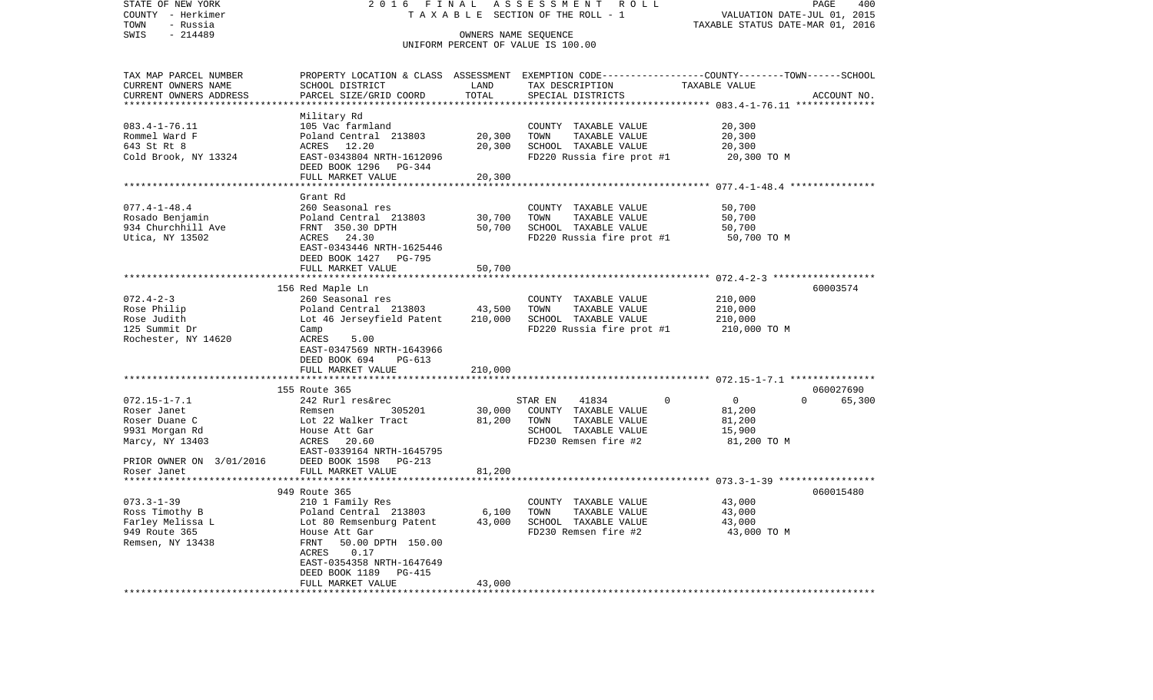| STATE OF NEW YORK<br>COUNTY - Herkimer<br>- Russia<br>TOWN | 2 0 1 6<br>FINAL<br>TAXABLE                        |                        | ASSESSMENT<br>R O L L<br>SECTION OF THE ROLL - 1                                                 | VALUATION DATE-JUL 01, 2015<br>TAXABLE STATUS DATE-MAR 01, 2016 | PAGE<br>400 |
|------------------------------------------------------------|----------------------------------------------------|------------------------|--------------------------------------------------------------------------------------------------|-----------------------------------------------------------------|-------------|
| SWIS<br>$-214489$                                          |                                                    |                        | OWNERS NAME SEQUENCE                                                                             |                                                                 |             |
|                                                            |                                                    |                        | UNIFORM PERCENT OF VALUE IS 100.00                                                               |                                                                 |             |
| TAX MAP PARCEL NUMBER                                      |                                                    |                        | PROPERTY LOCATION & CLASS ASSESSMENT EXEMPTION CODE----------------COUNTY-------TOWN------SCHOOL |                                                                 |             |
| CURRENT OWNERS NAME<br>CURRENT OWNERS ADDRESS              | SCHOOL DISTRICT<br>PARCEL SIZE/GRID COORD          | LAND<br>TOTAL          | TAX DESCRIPTION                                                                                  | TAXABLE VALUE                                                   |             |
|                                                            |                                                    | * * * * * * * * * *    | SPECIAL DISTRICTS                                                                                | ******************* 083.4-1-76.11 ***************               | ACCOUNT NO. |
|                                                            | Military Rd                                        |                        |                                                                                                  |                                                                 |             |
| $083.4 - 1 - 76.11$                                        | 105 Vac farmland                                   |                        | COUNTY TAXABLE VALUE                                                                             | 20,300                                                          |             |
| Rommel Ward F                                              | Poland Central 213803                              | 20,300                 | TOWN<br>TAXABLE VALUE                                                                            | 20,300                                                          |             |
| 643 St Rt 8                                                | ACRES 12.20                                        | 20,300                 | SCHOOL TAXABLE VALUE                                                                             | 20,300                                                          |             |
| Cold Brook, NY 13324                                       | EAST-0343804 NRTH-1612096<br>DEED BOOK 1296 PG-344 |                        | FD220 Russia fire prot #1                                                                        | 20,300 TO M                                                     |             |
|                                                            | FULL MARKET VALUE<br>*************************     | 20,300<br>************ |                                                                                                  |                                                                 |             |
|                                                            | Grant Rd                                           |                        |                                                                                                  | ************************ 077.4-1-48.4 ****************          |             |
| $077.4 - 1 - 48.4$                                         | 260 Seasonal res                                   |                        | COUNTY TAXABLE VALUE                                                                             | 50,700                                                          |             |
| Rosado Benjamin                                            | Poland Central 213803                              | 30,700                 | TAXABLE VALUE<br>TOWN                                                                            | 50,700                                                          |             |
| 934 Churchhill Ave                                         | FRNT 350.30 DPTH                                   | 50,700                 | SCHOOL TAXABLE VALUE                                                                             | 50,700                                                          |             |
| Utica, NY 13502                                            | ACRES 24.30                                        |                        | FD220 Russia fire prot #1                                                                        | 50,700 TO M                                                     |             |
|                                                            | EAST-0343446 NRTH-1625446                          |                        |                                                                                                  |                                                                 |             |
|                                                            | DEED BOOK 1427 PG-795                              |                        |                                                                                                  |                                                                 |             |
|                                                            | FULL MARKET VALUE                                  | 50,700                 |                                                                                                  |                                                                 |             |
|                                                            |                                                    | ************           |                                                                                                  |                                                                 |             |
| $072.4 - 2 - 3$                                            | 156 Red Maple Ln<br>260 Seasonal res               |                        | COUNTY TAXABLE VALUE                                                                             | 210,000                                                         | 60003574    |
| Rose Philip                                                | Poland Central 213803                              | 43,500                 | TOWN<br>TAXABLE VALUE                                                                            | 210,000                                                         |             |
| Rose Judith                                                | Lot 46 Jerseyfield Patent                          | 210,000                | SCHOOL TAXABLE VALUE                                                                             | 210,000                                                         |             |
| 125 Summit Dr                                              | Camp                                               |                        | FD220 Russia fire prot #1                                                                        | 210,000 TO M                                                    |             |
| Rochester, NY 14620                                        | ACRES<br>5.00                                      |                        |                                                                                                  |                                                                 |             |
|                                                            | EAST-0347569 NRTH-1643966                          |                        |                                                                                                  |                                                                 |             |
|                                                            | DEED BOOK 694<br>PG-613                            |                        |                                                                                                  |                                                                 |             |
|                                                            | FULL MARKET VALUE                                  | 210,000                |                                                                                                  |                                                                 |             |
|                                                            | 155 Route 365                                      |                        |                                                                                                  |                                                                 | 060027690   |
| $072.15 - 1 - 7.1$                                         | 242 Rurl res&rec                                   |                        | STAR EN<br>41834                                                                                 | $\mathbf 0$<br>$\Omega$<br>0                                    | 65,300      |
| Roser Janet                                                | 305201<br>Remsen                                   | 30,000                 | COUNTY TAXABLE VALUE                                                                             | 81,200                                                          |             |
| Roser Duane C                                              | Lot 22 Walker Tract                                | 81,200                 | TOWN<br>TAXABLE VALUE                                                                            | 81,200                                                          |             |
| 9931 Morgan Rd                                             | House Att Gar                                      |                        | SCHOOL TAXABLE VALUE                                                                             | 15,900                                                          |             |
| Marcy, NY 13403                                            | ACRES 20.60                                        |                        | FD230 Remsen fire #2                                                                             | 81,200 TO M                                                     |             |
|                                                            | EAST-0339164 NRTH-1645795                          |                        |                                                                                                  |                                                                 |             |
| PRIOR OWNER ON 3/01/2016<br>Roser Janet                    | DEED BOOK 1598<br>PG-213<br>FULL MARKET VALUE      | 81,200                 |                                                                                                  |                                                                 |             |
|                                                            |                                                    |                        |                                                                                                  |                                                                 |             |
|                                                            | 949 Route 365                                      |                        |                                                                                                  |                                                                 | 060015480   |
| $073.3 - 1 - 39$                                           | 210 1 Family Res                                   |                        | COUNTY TAXABLE VALUE                                                                             | 43,000                                                          |             |
| Ross Timothy B                                             | Poland Central 213803                              | 6,100                  | TAXABLE VALUE<br>TOWN                                                                            | 43,000                                                          |             |
| Farley Melissa L                                           | Lot 80 Remsenburg Patent                           | 43,000                 | SCHOOL TAXABLE VALUE                                                                             | 43,000                                                          |             |
| 949 Route 365                                              | House Att Gar                                      |                        | FD230 Remsen fire #2                                                                             | 43,000 TO M                                                     |             |
| Remsen, NY 13438                                           | FRNT<br>50.00 DPTH 150.00                          |                        |                                                                                                  |                                                                 |             |
|                                                            | ACRES<br>0.17<br>EAST-0354358 NRTH-1647649         |                        |                                                                                                  |                                                                 |             |
|                                                            | DEED BOOK 1189<br>PG-415                           |                        |                                                                                                  |                                                                 |             |
|                                                            | FULL MARKET VALUE                                  | 43,000                 |                                                                                                  |                                                                 |             |
| ************************                                   | ******************************                     |                        |                                                                                                  |                                                                 |             |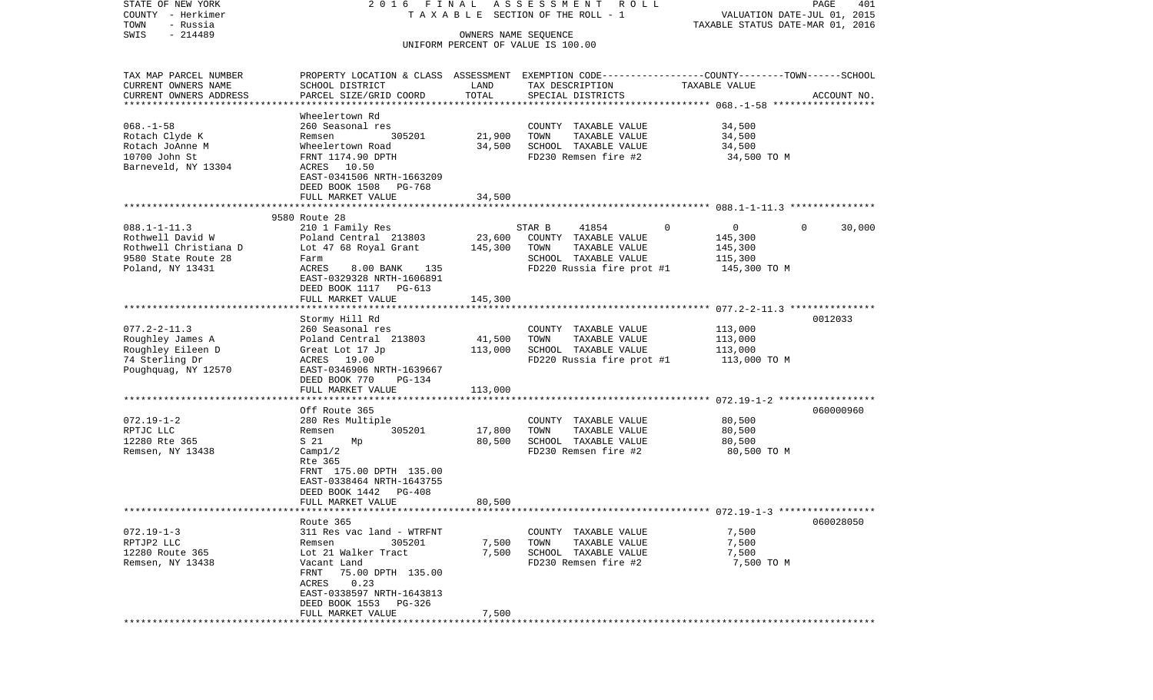| STATE OF NEW YORK                                   | 2016 FINAL                                                                                       |                      | A S S E S S M E N T R O L L                       |                                                                 | PAGE<br>401 |
|-----------------------------------------------------|--------------------------------------------------------------------------------------------------|----------------------|---------------------------------------------------|-----------------------------------------------------------------|-------------|
| COUNTY - Herkimer<br>TOWN<br>- Russia               |                                                                                                  |                      | TAXABLE SECTION OF THE ROLL - 1                   | VALUATION DATE-JUL 01, 2015<br>TAXABLE STATUS DATE-MAR 01, 2016 |             |
| $-214489$<br>SWIS                                   |                                                                                                  | OWNERS NAME SEQUENCE |                                                   |                                                                 |             |
|                                                     |                                                                                                  |                      | UNIFORM PERCENT OF VALUE IS 100.00                |                                                                 |             |
| TAX MAP PARCEL NUMBER                               | PROPERTY LOCATION & CLASS ASSESSMENT EXEMPTION CODE----------------COUNTY-------TOWN------SCHOOL |                      |                                                   |                                                                 |             |
| CURRENT OWNERS NAME                                 | SCHOOL DISTRICT                                                                                  | LAND                 | TAX DESCRIPTION                                   | TAXABLE VALUE                                                   |             |
| CURRENT OWNERS ADDRESS<br>************************* | PARCEL SIZE/GRID COORD                                                                           | TOTAL                | SPECIAL DISTRICTS                                 |                                                                 | ACCOUNT NO. |
|                                                     | Wheelertown Rd                                                                                   |                      |                                                   |                                                                 |             |
| $068. - 1 - 58$                                     | 260 Seasonal res                                                                                 |                      | COUNTY TAXABLE VALUE                              | 34,500                                                          |             |
| Rotach Clyde K                                      | 305201<br>Remsen                                                                                 | 21,900               | TOWN<br>TAXABLE VALUE                             | 34,500                                                          |             |
| Rotach JoAnne M                                     | Wheelertown Road                                                                                 | 34,500               | SCHOOL TAXABLE VALUE                              | 34,500                                                          |             |
| 10700 John St<br>Barneveld, NY 13304                | FRNT 1174.90 DPTH                                                                                |                      | FD230 Remsen fire #2                              | 34,500 TO M                                                     |             |
|                                                     | ACRES 10.50<br>EAST-0341506 NRTH-1663209<br>DEED BOOK 1508<br>PG-768                             |                      |                                                   |                                                                 |             |
|                                                     | FULL MARKET VALUE                                                                                | 34,500               |                                                   |                                                                 |             |
|                                                     |                                                                                                  |                      |                                                   |                                                                 |             |
| $088.1 - 1 - 11.3$                                  | 9580 Route 28                                                                                    |                      | STAR B<br>41854                                   | 0<br>$\overline{0}$                                             | $\Omega$    |
| Rothwell David W                                    | 210 1 Family Res<br>Poland Central 213803                                                        | 23,600               | COUNTY TAXABLE VALUE                              | 145,300                                                         | 30,000      |
| Rothwell Christiana D                               | Lot 47 68 Royal Grant                                                                            | 145,300              | TOWN<br>TAXABLE VALUE                             | 145,300                                                         |             |
| 9580 State Route 28                                 | Farm                                                                                             |                      | SCHOOL TAXABLE VALUE                              | 115,300                                                         |             |
| Poland, NY 13431                                    | ACRES<br>8.00 BANK 135                                                                           |                      | FD220 Russia fire prot #1                         | 145,300 TO M                                                    |             |
|                                                     | EAST-0329328 NRTH-1606891                                                                        |                      |                                                   |                                                                 |             |
|                                                     | DEED BOOK 1117 PG-613<br>FULL MARKET VALUE                                                       |                      |                                                   |                                                                 |             |
|                                                     |                                                                                                  | 145,300              |                                                   |                                                                 |             |
|                                                     | Stormy Hill Rd                                                                                   |                      |                                                   |                                                                 | 0012033     |
| $077.2 - 2 - 11.3$                                  | 260 Seasonal res                                                                                 |                      | COUNTY TAXABLE VALUE                              | 113,000                                                         |             |
| Roughley James A                                    | Poland Central 213803                                                                            | 41,500               | TOWN<br>TAXABLE VALUE                             | 113,000                                                         |             |
| Roughley Eileen D<br>74 Sterling Dr                 | Great Lot 17 Jp<br>ACRES 19.00                                                                   | 113,000              | SCHOOL TAXABLE VALUE<br>FD220 Russia fire prot #1 | 113,000<br>113,000 TO M                                         |             |
| Poughquag, NY 12570                                 | EAST-0346906 NRTH-1639667                                                                        |                      |                                                   |                                                                 |             |
|                                                     | DEED BOOK 770<br>PG-134                                                                          |                      |                                                   |                                                                 |             |
|                                                     | FULL MARKET VALUE                                                                                | 113,000              |                                                   |                                                                 |             |
|                                                     | Off Route 365                                                                                    |                      |                                                   |                                                                 | 060000960   |
| $072.19 - 1 - 2$                                    | 280 Res Multiple                                                                                 |                      | COUNTY TAXABLE VALUE                              | 80,500                                                          |             |
| RPTJC LLC                                           | 305201<br>Remsen                                                                                 | 17,800               | TOWN<br>TAXABLE VALUE                             | 80,500                                                          |             |
| 12280 Rte 365                                       | S 21<br>Мp                                                                                       | 80,500               | SCHOOL TAXABLE VALUE                              | 80,500                                                          |             |
| Remsen, NY 13438                                    | Campl/2                                                                                          |                      | FD230 Remsen fire #2                              | 80,500 TO M                                                     |             |
|                                                     | Rte 365                                                                                          |                      |                                                   |                                                                 |             |
|                                                     | FRNT 175.00 DPTH 135.00<br>EAST-0338464 NRTH-1643755                                             |                      |                                                   |                                                                 |             |
|                                                     | DEED BOOK 1442<br>PG-408                                                                         |                      |                                                   |                                                                 |             |
|                                                     | FULL MARKET VALUE                                                                                | 80,500               |                                                   |                                                                 |             |
|                                                     |                                                                                                  |                      |                                                   |                                                                 |             |
|                                                     | Route 365                                                                                        |                      |                                                   |                                                                 | 060028050   |
| $072.19 - 1 - 3$<br>RPTJP2 LLC                      | 311 Res vac land - WTRFNT<br>305201<br>Remsen                                                    | 7,500                | COUNTY TAXABLE VALUE<br>TOWN<br>TAXABLE VALUE     | 7,500<br>7,500                                                  |             |
| 12280 Route 365                                     | Lot 21 Walker Tract                                                                              | 7,500                | SCHOOL TAXABLE VALUE                              | 7,500                                                           |             |
| Remsen, NY 13438                                    | Vacant Land                                                                                      |                      | FD230 Remsen fire #2                              | 7,500 TO M                                                      |             |
|                                                     | 75.00 DPTH 135.00<br>FRNT                                                                        |                      |                                                   |                                                                 |             |
|                                                     | 0.23<br>ACRES                                                                                    |                      |                                                   |                                                                 |             |
|                                                     | EAST-0338597 NRTH-1643813<br>DEED BOOK 1553<br>PG-326                                            |                      |                                                   |                                                                 |             |
|                                                     | FULL MARKET VALUE                                                                                | 7,500                |                                                   |                                                                 |             |
|                                                     |                                                                                                  |                      |                                                   |                                                                 |             |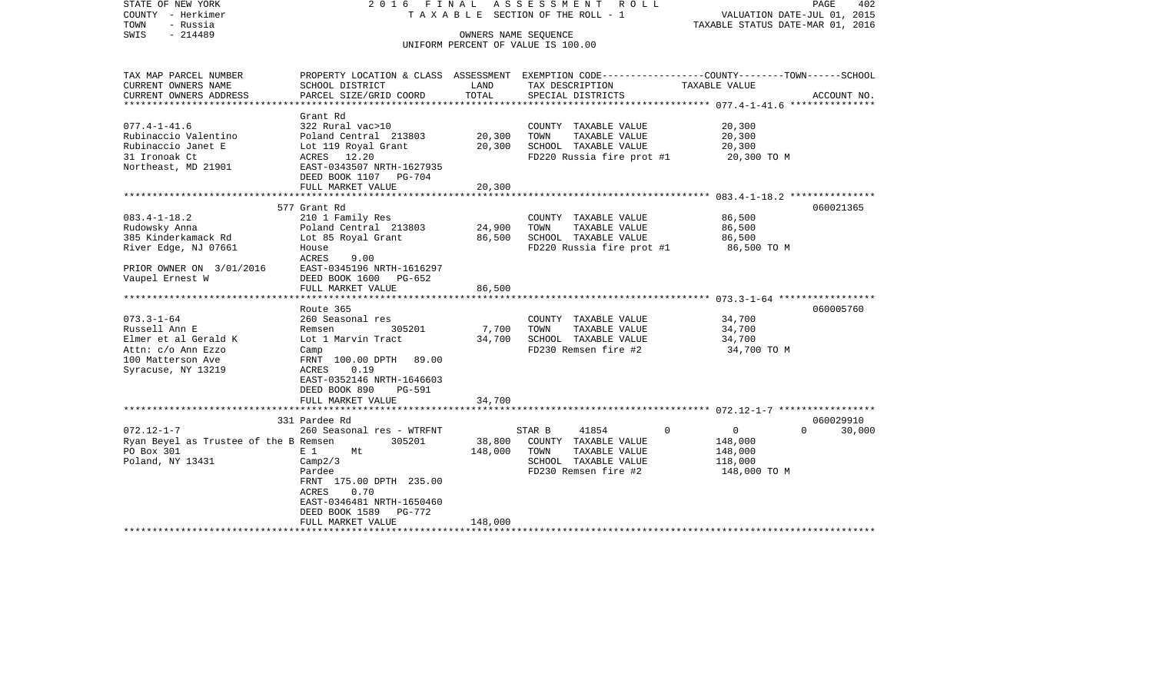| STATE OF NEW YORK<br>COUNTY - Herkimer<br>TOWN<br>- Russia<br>$-214489$<br>SWIS                                                   | 2016 FINAL                                                                                                                                                                                                     | A S S E S S M E N T<br>ROLL ROLL<br>T A X A B L E SECTION OF THE ROLL - 1<br>OWNERS NAME SEQUENCE<br>UNIFORM PERCENT OF VALUE IS 100.00 |                                                                                                                  | 402<br>PAGE<br>VALUATION DATE-JUL 01, 2015<br>TAXABLE STATUS DATE-MAR 01, 2016 |                                 |  |
|-----------------------------------------------------------------------------------------------------------------------------------|----------------------------------------------------------------------------------------------------------------------------------------------------------------------------------------------------------------|-----------------------------------------------------------------------------------------------------------------------------------------|------------------------------------------------------------------------------------------------------------------|--------------------------------------------------------------------------------|---------------------------------|--|
| TAX MAP PARCEL NUMBER<br>CURRENT OWNERS NAME                                                                                      | PROPERTY LOCATION & CLASS ASSESSMENT EXEMPTION CODE---------------COUNTY-------TOWN------SCHOOL<br>SCHOOL DISTRICT                                                                                             | LAND                                                                                                                                    | TAX DESCRIPTION                                                                                                  | TAXABLE VALUE                                                                  |                                 |  |
| CURRENT OWNERS ADDRESS                                                                                                            | PARCEL SIZE/GRID COORD                                                                                                                                                                                         | TOTAL                                                                                                                                   | SPECIAL DISTRICTS                                                                                                |                                                                                | ACCOUNT NO.                     |  |
| *********************                                                                                                             |                                                                                                                                                                                                                |                                                                                                                                         |                                                                                                                  |                                                                                |                                 |  |
| $077.4 - 1 - 41.6$<br>Rubinaccio Valentino<br>Rubinaccio Janet E<br>31 Ironoak Ct<br>Northeast, MD 21901                          | Grant Rd<br>322 Rural vac>10<br>Poland Central 213803<br>Lot 119 Royal Grant<br>ACRES 12.20<br>EAST-0343507 NRTH-1627935<br>DEED BOOK 1107 PG-704                                                              | 20,300<br>20,300                                                                                                                        | COUNTY TAXABLE VALUE<br>TOWN<br>TAXABLE VALUE<br>SCHOOL TAXABLE VALUE<br>FD220 Russia fire prot #1               | 20,300<br>20,300<br>20,300<br>20,300 TO M                                      |                                 |  |
|                                                                                                                                   | FULL MARKET VALUE                                                                                                                                                                                              | 20,300                                                                                                                                  |                                                                                                                  |                                                                                |                                 |  |
|                                                                                                                                   | 577 Grant Rd                                                                                                                                                                                                   |                                                                                                                                         |                                                                                                                  |                                                                                | 060021365                       |  |
| $083.4 - 1 - 18.2$<br>Rudowsky Anna<br>385 Kinderkamack Rd<br>River Edge, NJ 07661<br>PRIOR OWNER ON 3/01/2016<br>Vaupel Ernest W | 210 1 Family Res<br>Poland Central 213803<br>Lot 85 Royal Grant<br>House<br>ACRES<br>9.00<br>EAST-0345196 NRTH-1616297<br>DEED BOOK 1600 PG-652                                                                | 24,900<br>86,500                                                                                                                        | COUNTY TAXABLE VALUE<br>TOWN<br>TAXABLE VALUE<br>SCHOOL TAXABLE VALUE<br>FD220 Russia fire prot #1               | 86,500<br>86,500<br>86,500<br>86,500 TO M                                      |                                 |  |
|                                                                                                                                   | FULL MARKET VALUE                                                                                                                                                                                              | 86,500                                                                                                                                  |                                                                                                                  |                                                                                |                                 |  |
| $073.3 - 1 - 64$<br>Russell Ann E<br>Elmer et al Gerald K<br>Attn: c/o Ann Ezzo<br>100 Matterson Ave<br>Syracuse, NY 13219        | Route 365<br>260 Seasonal res<br>305201<br>Remsen<br>Lot 1 Marvin Tract<br>Camp<br>FRNT 100.00 DPTH 89.00<br>ACRES<br>0.19<br>EAST-0352146 NRTH-1646603<br>DEED BOOK 890<br><b>PG-591</b><br>FULL MARKET VALUE | 7,700<br>34,700<br>34,700                                                                                                               | COUNTY TAXABLE VALUE<br>TOWN<br>TAXABLE VALUE<br>SCHOOL TAXABLE VALUE<br>FD230 Remsen fire #2                    | 34,700<br>34,700<br>34,700<br>34,700 TO M                                      | 060005760                       |  |
|                                                                                                                                   |                                                                                                                                                                                                                |                                                                                                                                         |                                                                                                                  |                                                                                |                                 |  |
| $072.12 - 1 - 7$<br>Ryan Beyel as Trustee of the B Remsen<br>PO Box 301<br>Poland, NY 13431                                       | 331 Pardee Rd<br>260 Seasonal res - WTRFNT<br>305201<br>E 1<br>Mt<br>Camp2/3<br>Pardee<br>FRNT 175.00 DPTH 235.00<br>ACRES<br>0.70<br>EAST-0346481 NRTH-1650460<br>DEED BOOK 1589<br>PG-772                    | 38,800<br>148,000                                                                                                                       | 41854<br>STAR B<br>COUNTY TAXABLE VALUE<br>TAXABLE VALUE<br>TOWN<br>SCHOOL TAXABLE VALUE<br>FD230 Remsen fire #2 | $\Omega$<br>0<br>148,000<br>148,000<br>118,000<br>148,000 TO M                 | 060029910<br>$\Omega$<br>30,000 |  |
|                                                                                                                                   | FULL MARKET VALUE                                                                                                                                                                                              | 148,000                                                                                                                                 |                                                                                                                  |                                                                                |                                 |  |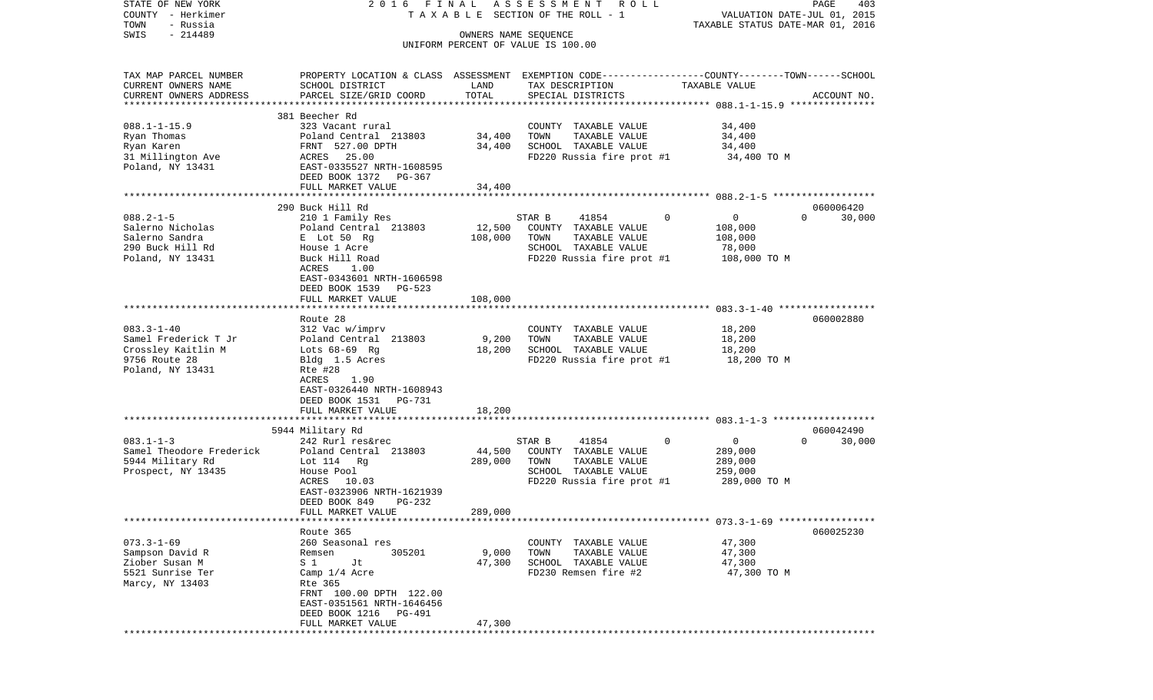| STATE OF NEW YORK<br>COUNTY - Herkimer<br>TOWN<br>- Russia<br>$-214489$<br>SWIS                                 | 2016 FINAL                                                                                                                                                                                          | OWNERS NAME SEQUENCE       | A S S E S S M E N T A O L L<br>T A X A B L E SECTION OF THE ROLL - 1<br>UNIFORM PERCENT OF VALUE IS 100.00            |               | PAGE<br>403<br>VALUATION DATE-JUL 01, 2015<br>TAXABLE STATUS DATE-MAR 01, 2016                  |
|-----------------------------------------------------------------------------------------------------------------|-----------------------------------------------------------------------------------------------------------------------------------------------------------------------------------------------------|----------------------------|-----------------------------------------------------------------------------------------------------------------------|---------------|-------------------------------------------------------------------------------------------------|
| TAX MAP PARCEL NUMBER<br>CURRENT OWNERS NAME<br>CURRENT OWNERS ADDRESS                                          | PROPERTY LOCATION & CLASS ASSESSMENT EXEMPTION CODE---------------COUNTY-------TOWN------SCHOOL<br>SCHOOL DISTRICT<br>PARCEL SIZE/GRID COORD                                                        | LAND<br>TOTAL              | TAX DESCRIPTION<br>SPECIAL DISTRICTS                                                                                  | TAXABLE VALUE | ACCOUNT NO.                                                                                     |
| $088.1 - 1 - 15.9$<br>Ryan Thomas<br>Ryan Karen<br>31 Millington Ave<br>Poland, NY 13431                        | 381 Beecher Rd<br>323 Vacant rural<br>Poland Central 213803<br>FRNT 527.00 DPTH<br>ACRES 25.00<br>EAST-0335527 NRTH-1608595<br>DEED BOOK 1372 PG-367<br>FULL MARKET VALUE                           | 34,400<br>34,400<br>34,400 | COUNTY TAXABLE VALUE<br>TOWN<br>TAXABLE VALUE<br>SCHOOL TAXABLE VALUE<br>FD220 Russia fire prot #1                    | 34,400        | 34,400<br>34,400<br>34,400 TO M                                                                 |
|                                                                                                                 |                                                                                                                                                                                                     |                            |                                                                                                                       |               |                                                                                                 |
| $088.2 - 1 - 5$<br>Salerno Nicholas<br>Salerno Sandra<br>290 Buck Hill Rd<br>Poland, NY 13431                   | 290 Buck Hill Rd<br>210 1 Family Res<br>Poland Central 213803<br>E Lot 50 Rg<br>House 1 Acre<br>Buck Hill Road<br>ACRES<br>1.00<br>EAST-0343601 NRTH-1606598<br>DEED BOOK 1539 PG-523               | 12,500<br>108,000          | 41854<br>STAR B<br>COUNTY TAXABLE VALUE<br>TOWN<br>TAXABLE VALUE<br>SCHOOL TAXABLE VALUE<br>FD220 Russia fire prot #1 | $\mathbf 0$   | 060006420<br>30,000<br>$\mathbf{0}$<br>$\Omega$<br>108,000<br>108,000<br>78,000<br>108,000 TO M |
|                                                                                                                 | FULL MARKET VALUE                                                                                                                                                                                   | 108,000                    |                                                                                                                       |               |                                                                                                 |
| $083.3 - 1 - 40$<br>Samel Frederick T Jr<br>Crossley Kaitlin M<br>9756 Route 28<br>Poland, NY 13431             | Route 28<br>312 Vac w/imprv<br>Poland Central 213803<br>Lots $68-69$ Rq<br>Bldg 1.5 Acres<br>Rte #28<br>ACRES<br>1.90<br>EAST-0326440 NRTH-1608943<br>DEED BOOK 1531<br>PG-731<br>FULL MARKET VALUE | 9,200<br>18,200<br>18,200  | COUNTY TAXABLE VALUE<br>TOWN<br>TAXABLE VALUE<br>SCHOOL TAXABLE VALUE<br>FD220 Russia fire prot #1                    |               | 060002880<br>18,200<br>18,200<br>18,200<br>18,200 TO M                                          |
|                                                                                                                 | ************************                                                                                                                                                                            | * * * * * * * * * * * *    |                                                                                                                       |               |                                                                                                 |
| $083.1 - 1 - 3$<br>Samel Theodore Frederick<br>5944 Military Rd<br>Prospect, NY 13435                           | 5944 Military Rd<br>242 Rurl res&rec<br>Poland Central 213803<br>Lot 114 Rg<br>House Pool<br>ACRES 10.03<br>EAST-0323906 NRTH-1621939<br>DEED BOOK 849<br>PG-232                                    | 44,500<br>289,000          | STAR B<br>41854<br>COUNTY TAXABLE VALUE<br>TAXABLE VALUE<br>TOWN<br>SCHOOL TAXABLE VALUE<br>FD220 Russia fire prot #1 | 0             | 060042490<br>0<br>$\Omega$<br>30,000<br>289,000<br>289,000<br>259,000<br>289,000 TO M           |
|                                                                                                                 | FULL MARKET VALUE<br>Route 365                                                                                                                                                                      | 289,000                    |                                                                                                                       |               | 060025230                                                                                       |
| $073.3 - 1 - 69$<br>Sampson David R<br>Ziober Susan M<br>5521 Sunrise Ter<br>Marcy, NY 13403<br>*************** | 260 Seasonal res<br>305201<br>Remsen<br>S 1<br>Jt<br>Camp 1/4 Acre<br>Rte 365<br>FRNT 100.00 DPTH 122.00<br>EAST-0351561 NRTH-1646456<br>DEED BOOK 1216 PG-491<br>FULL MARKET VALUE                 | 9,000<br>47,300<br>47,300  | COUNTY TAXABLE VALUE<br>TOWN<br>TAXABLE VALUE<br>SCHOOL TAXABLE VALUE<br>FD230 Remsen fire #2                         |               | 47,300<br>47,300<br>47,300<br>47,300 TO M                                                       |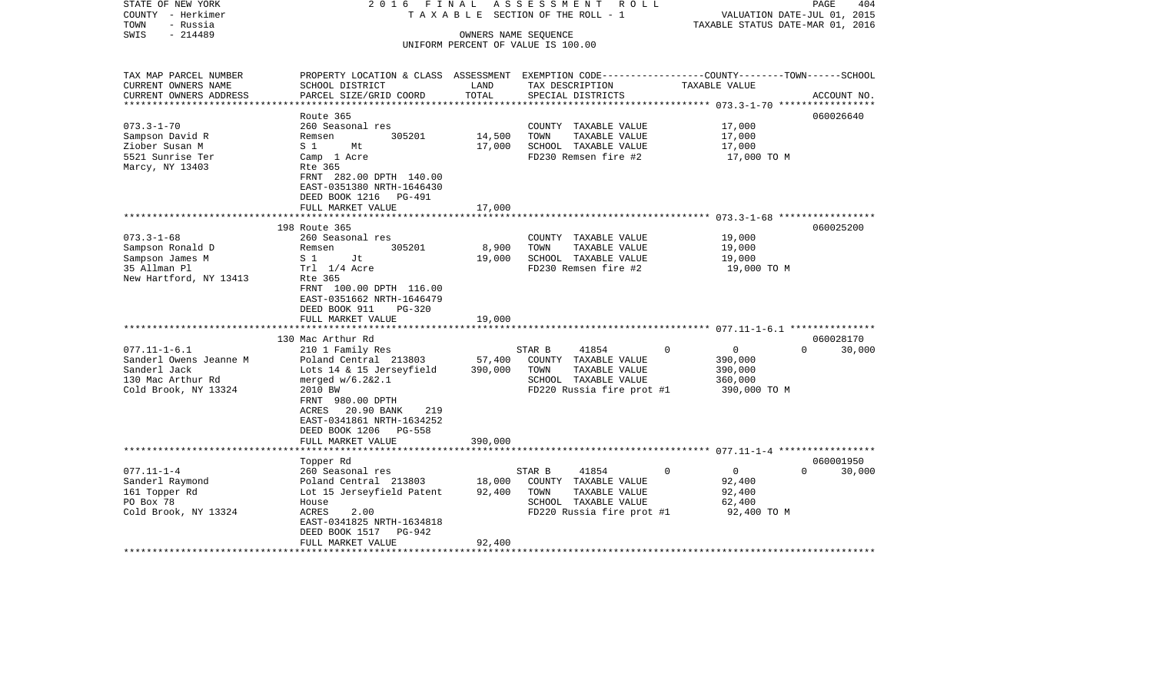| STATE OF NEW YORK<br>COUNTY - Herkimer<br>TOWN<br>- Russia<br>$-214489$<br>SWIS | 2016 FINAL                                                                                       |                         | ASSESSMENT<br>R O L L<br>TAXABLE SECTION OF THE ROLL - 1<br>OWNERS NAME SEQUENCE |          | VALUATION DATE-JUL 01, 2015<br>TAXABLE STATUS DATE-MAR 01, 2016 | PAGE                  | 404    |
|---------------------------------------------------------------------------------|--------------------------------------------------------------------------------------------------|-------------------------|----------------------------------------------------------------------------------|----------|-----------------------------------------------------------------|-----------------------|--------|
|                                                                                 |                                                                                                  |                         | UNIFORM PERCENT OF VALUE IS 100.00                                               |          |                                                                 |                       |        |
|                                                                                 |                                                                                                  |                         |                                                                                  |          |                                                                 |                       |        |
| TAX MAP PARCEL NUMBER                                                           | PROPERTY LOCATION & CLASS ASSESSMENT EXEMPTION CODE----------------COUNTY-------TOWN------SCHOOL |                         |                                                                                  |          |                                                                 |                       |        |
| CURRENT OWNERS NAME                                                             | SCHOOL DISTRICT                                                                                  | LAND                    | TAX DESCRIPTION                                                                  |          | TAXABLE VALUE                                                   |                       |        |
| CURRENT OWNERS ADDRESS<br>*********************                                 | PARCEL SIZE/GRID COORD                                                                           | TOTAL<br>************** | SPECIAL DISTRICTS                                                                |          |                                                                 | ACCOUNT NO.           |        |
|                                                                                 | Route 365                                                                                        |                         |                                                                                  |          |                                                                 | 060026640             |        |
| $073.3 - 1 - 70$                                                                | 260 Seasonal res                                                                                 |                         | COUNTY TAXABLE VALUE                                                             |          | 17,000                                                          |                       |        |
| Sampson David R                                                                 | 305201<br>Remsen                                                                                 | 14,500                  | TOWN<br>TAXABLE VALUE                                                            |          | 17,000                                                          |                       |        |
| Ziober Susan M                                                                  | S <sub>1</sub><br>Mt                                                                             | 17,000                  | SCHOOL TAXABLE VALUE                                                             |          | 17,000                                                          |                       |        |
| 5521 Sunrise Ter                                                                | Camp 1 Acre                                                                                      |                         | FD230 Remsen fire #2                                                             |          | 17,000 TO M                                                     |                       |        |
| Marcy, NY 13403                                                                 | Rte 365                                                                                          |                         |                                                                                  |          |                                                                 |                       |        |
|                                                                                 | FRNT 282.00 DPTH 140.00<br>EAST-0351380 NRTH-1646430                                             |                         |                                                                                  |          |                                                                 |                       |        |
|                                                                                 | DEED BOOK 1216 PG-491                                                                            |                         |                                                                                  |          |                                                                 |                       |        |
|                                                                                 | FULL MARKET VALUE                                                                                | 17,000                  |                                                                                  |          |                                                                 |                       |        |
|                                                                                 | *************************                                                                        |                         |                                                                                  |          |                                                                 |                       |        |
|                                                                                 | 198 Route 365                                                                                    |                         |                                                                                  |          |                                                                 | 060025200             |        |
| $073.3 - 1 - 68$                                                                | 260 Seasonal res                                                                                 |                         | COUNTY TAXABLE VALUE                                                             |          | 19,000                                                          |                       |        |
| Sampson Ronald D                                                                | Remsen<br>305201                                                                                 | 8,900                   | TAXABLE VALUE<br>TOWN                                                            |          | 19,000                                                          |                       |        |
| Sampson James M<br>35 Allman Pl                                                 | S 1<br>Jt<br>Trl 1/4 Acre                                                                        | 19,000                  | SCHOOL TAXABLE VALUE<br>FD230 Remsen fire #2                                     |          | 19,000<br>19,000 TO M                                           |                       |        |
| New Hartford, NY 13413                                                          | Rte 365                                                                                          |                         |                                                                                  |          |                                                                 |                       |        |
|                                                                                 | FRNT 100.00 DPTH 116.00                                                                          |                         |                                                                                  |          |                                                                 |                       |        |
|                                                                                 | EAST-0351662 NRTH-1646479                                                                        |                         |                                                                                  |          |                                                                 |                       |        |
|                                                                                 | DEED BOOK 911<br>PG-320                                                                          |                         |                                                                                  |          |                                                                 |                       |        |
|                                                                                 | FULL MARKET VALUE                                                                                | 19,000                  |                                                                                  |          |                                                                 |                       |        |
|                                                                                 |                                                                                                  |                         |                                                                                  |          |                                                                 |                       |        |
| $077.11 - 1 - 6.1$                                                              | 130 Mac Arthur Rd<br>210 1 Family Res                                                            |                         | 41854<br>STAR B                                                                  | $\Omega$ | $\overline{0}$                                                  | 060028170<br>$\Omega$ | 30,000 |
| Sanderl Owens Jeanne M                                                          | Poland Central 213803                                                                            | 57,400                  | COUNTY TAXABLE VALUE                                                             |          | 390,000                                                         |                       |        |
| Sanderl Jack                                                                    | Lots 14 & 15 Jerseyfield                                                                         | 390,000                 | TOWN<br>TAXABLE VALUE                                                            |          | 390,000                                                         |                       |        |
| 130 Mac Arthur Rd                                                               | merged $w/6.2&2.1$                                                                               |                         | SCHOOL TAXABLE VALUE                                                             |          | 360,000                                                         |                       |        |
| Cold Brook, NY 13324                                                            | 2010 BW                                                                                          |                         | FD220 Russia fire prot #1                                                        |          | 390,000 TO M                                                    |                       |        |
|                                                                                 | FRNT 980.00 DPTH                                                                                 |                         |                                                                                  |          |                                                                 |                       |        |
|                                                                                 | 20.90 BANK<br>ACRES<br>219                                                                       |                         |                                                                                  |          |                                                                 |                       |        |
|                                                                                 | EAST-0341861 NRTH-1634252                                                                        |                         |                                                                                  |          |                                                                 |                       |        |
|                                                                                 | DEED BOOK 1206 PG-558<br>FULL MARKET VALUE                                                       | 390,000                 |                                                                                  |          |                                                                 |                       |        |
| **************************                                                      |                                                                                                  |                         |                                                                                  |          |                                                                 |                       |        |
|                                                                                 | Topper Rd                                                                                        |                         |                                                                                  |          |                                                                 | 060001950             |        |
| $077.11 - 1 - 4$                                                                | 260 Seasonal res                                                                                 |                         | STAR B<br>41854                                                                  | $\Omega$ | $\overline{0}$                                                  | $\Omega$              | 30,000 |
| Sanderl Raymond                                                                 | Poland Central 213803                                                                            | 18,000                  | COUNTY TAXABLE VALUE                                                             |          | 92,400                                                          |                       |        |
| 161 Topper Rd                                                                   | Lot 15 Jerseyfield Patent                                                                        | 92,400                  | TOWN<br>TAXABLE VALUE                                                            |          | 92,400                                                          |                       |        |
| PO Box 78                                                                       | House                                                                                            |                         | SCHOOL TAXABLE VALUE                                                             |          | 62,400                                                          |                       |        |
| Cold Brook, NY 13324                                                            | ACRES<br>2.00                                                                                    |                         | FD220 Russia fire prot #1                                                        |          | 92,400 TO M                                                     |                       |        |
|                                                                                 | EAST-0341825 NRTH-1634818<br>DEED BOOK 1517<br>PG-942                                            |                         |                                                                                  |          |                                                                 |                       |        |
|                                                                                 | FULL MARKET VALUE                                                                                | 92,400                  |                                                                                  |          |                                                                 |                       |        |
|                                                                                 |                                                                                                  |                         |                                                                                  |          |                                                                 |                       |        |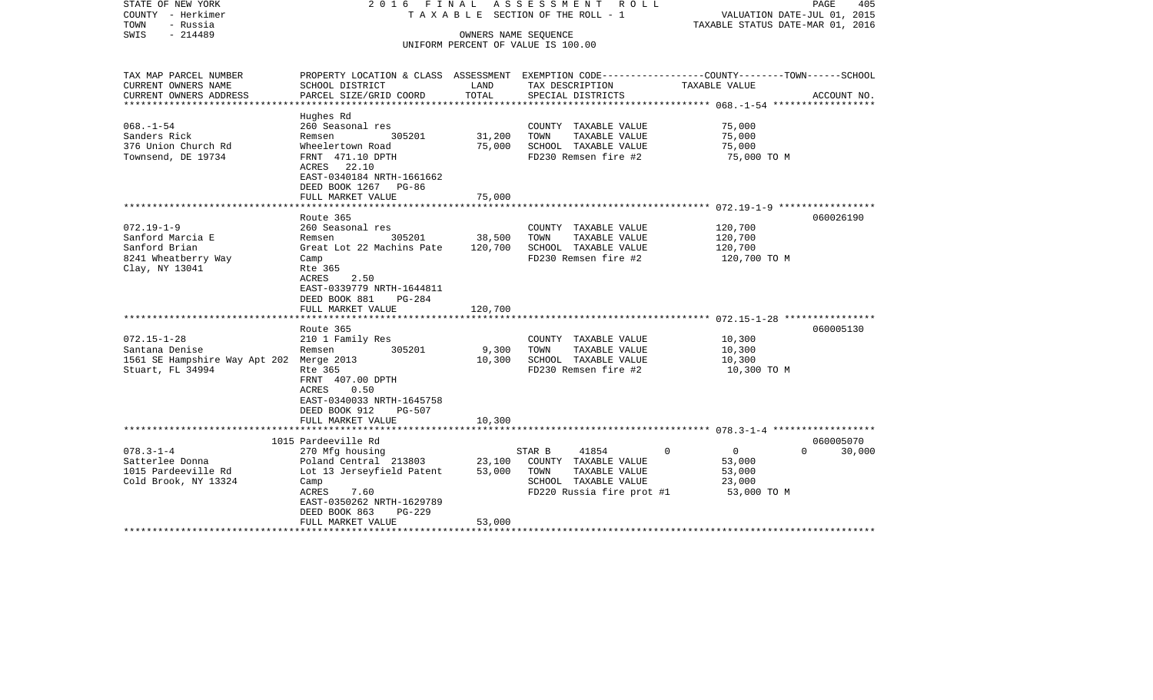| STATE OF NEW YORK<br>COUNTY - Herkimer<br>TOWN<br>- Russia<br>$-214489$<br>SWIS                                                       | 2016 FINAL                                                                                                                                                                                                                                           | OWNERS NAME SEQUENCE                  | ASSESSMENT ROLL<br>T A X A B L E SECTION OF THE ROLL - 1<br>UNIFORM PERCENT OF VALUE IS 100.00                                                 | PAGE<br>405<br>VALUATION DATE-JUL 01, 2015<br>TAXABLE STATUS DATE-MAR 01, 2016                                                  |
|---------------------------------------------------------------------------------------------------------------------------------------|------------------------------------------------------------------------------------------------------------------------------------------------------------------------------------------------------------------------------------------------------|---------------------------------------|------------------------------------------------------------------------------------------------------------------------------------------------|---------------------------------------------------------------------------------------------------------------------------------|
| TAX MAP PARCEL NUMBER<br>CURRENT OWNERS NAME<br>CURRENT OWNERS ADDRESS                                                                | SCHOOL DISTRICT<br>PARCEL SIZE/GRID COORD                                                                                                                                                                                                            | LAND<br>TOTAL                         | TAX DESCRIPTION<br>SPECIAL DISTRICTS                                                                                                           | PROPERTY LOCATION & CLASS ASSESSMENT EXEMPTION CODE---------------COUNTY-------TOWN------SCHOOL<br>TAXABLE VALUE<br>ACCOUNT NO. |
| * * * * * * * * * * * * * * * * *                                                                                                     |                                                                                                                                                                                                                                                      |                                       |                                                                                                                                                | ***************** 068.-1-54 ***************                                                                                     |
| $068. - 1 - 54$<br>Sanders Rick<br>376 Union Church Rd<br>Townsend, DE 19734                                                          | Hughes Rd<br>260 Seasonal res<br>305201<br>Remsen<br>Wheelertown Road<br>FRNT 471.10 DPTH<br>ACRES 22.10<br>EAST-0340184 NRTH-1661662<br>DEED BOOK 1267 PG-86                                                                                        | 31,200<br>75,000                      | COUNTY TAXABLE VALUE<br>TOWN<br>TAXABLE VALUE<br>SCHOOL TAXABLE VALUE<br>FD230 Remsen fire #2                                                  | 75,000<br>75,000<br>75,000<br>75,000 TO M                                                                                       |
|                                                                                                                                       | FULL MARKET VALUE                                                                                                                                                                                                                                    | 75,000                                |                                                                                                                                                |                                                                                                                                 |
| $072.19 - 1 - 9$<br>Sanford Marcia E<br>Sanford Brian<br>8241 Wheatberry Way<br>Clay, NY 13041<br>$072.15 - 1 - 28$<br>Santana Denise | Route 365<br>260 Seasonal res<br>305201<br>Remsen<br>Great Lot 22 Machins Pate<br>Camp<br>Rte 365<br>2.50<br>ACRES<br>EAST-0339779 NRTH-1644811<br>DEED BOOK 881<br>PG-284<br>FULL MARKET VALUE<br>Route 365<br>210 1 Family Res<br>305201<br>Remsen | 38,500<br>120,700<br>120,700<br>9,300 | COUNTY TAXABLE VALUE<br>TOWN<br>TAXABLE VALUE<br>SCHOOL TAXABLE VALUE<br>FD230 Remsen fire #2<br>COUNTY TAXABLE VALUE<br>TAXABLE VALUE<br>TOWN | 060026190<br>120,700<br>120,700<br>120,700<br>120,700 TO M<br>060005130<br>10,300<br>10,300                                     |
| 1561 SE Hampshire Way Apt 202 Merge 2013<br>Stuart, FL 34994                                                                          | Rte 365<br>FRNT 407.00 DPTH<br>0.50<br>ACRES<br>EAST-0340033 NRTH-1645758<br>DEED BOOK 912<br><b>PG-507</b><br>FULL MARKET VALUE                                                                                                                     | 10,300<br>10,300                      | SCHOOL TAXABLE VALUE<br>FD230 Remsen fire #2                                                                                                   | 10,300<br>10,300 TO M                                                                                                           |
|                                                                                                                                       | 1015 Pardeeville Rd                                                                                                                                                                                                                                  |                                       |                                                                                                                                                | 060005070                                                                                                                       |
| $078.3 - 1 - 4$<br>Satterlee Donna<br>1015 Pardeeville Rd<br>Cold Brook, NY 13324                                                     | 270 Mfg housing<br>Poland Central 213803<br>Lot 13 Jerseyfield Patent<br>Camp<br>ACRES<br>7.60<br>EAST-0350262 NRTH-1629789<br>DEED BOOK 863<br>PG-229<br>FULL MARKET VALUE                                                                          | 23,100<br>53,000<br>53,000            | 41854<br>$\mathbf 0$<br>STAR B<br>COUNTY TAXABLE VALUE<br>TOWN<br>TAXABLE VALUE<br>SCHOOL TAXABLE VALUE<br>FD220 Russia fire prot #1           | $\overline{0}$<br>$\Omega$<br>30,000<br>53,000<br>53,000<br>23,000<br>53,000 TO M                                               |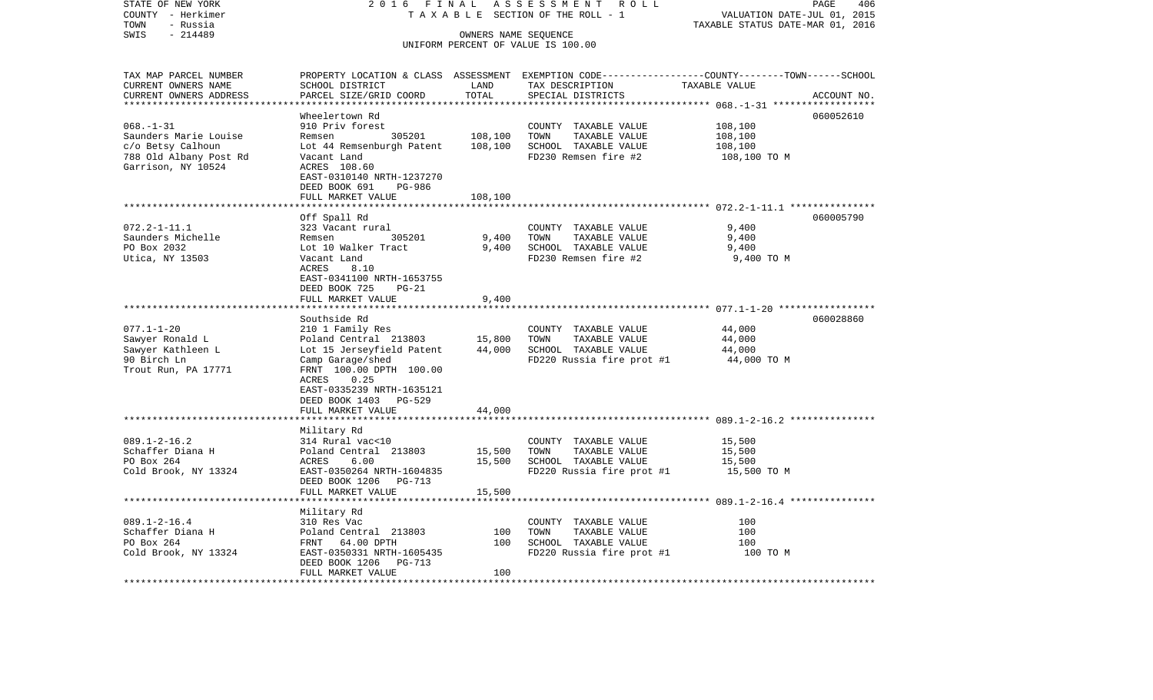| STATE OF NEW YORK                            | 2 0 1 6<br>FINAL                          |                       | ASSESSMENT<br>R O L L                         | PAGE<br>406                                                                                      |
|----------------------------------------------|-------------------------------------------|-----------------------|-----------------------------------------------|--------------------------------------------------------------------------------------------------|
| COUNTY - Herkimer<br>- Russia<br>TOWN        | TAXABLE                                   |                       | SECTION OF THE ROLL - 1                       | VALUATION DATE-JUL 01, 2015<br>TAXABLE STATUS DATE-MAR 01, 2016                                  |
| $-214489$<br>SWIS                            |                                           |                       | OWNERS NAME SEQUENCE                          |                                                                                                  |
|                                              |                                           |                       | UNIFORM PERCENT OF VALUE IS 100.00            |                                                                                                  |
| TAX MAP PARCEL NUMBER                        |                                           |                       |                                               | PROPERTY LOCATION & CLASS ASSESSMENT EXEMPTION CODE----------------COUNTY-------TOWN------SCHOOL |
| CURRENT OWNERS NAME                          | SCHOOL DISTRICT                           | LAND                  | TAX DESCRIPTION                               | TAXABLE VALUE                                                                                    |
| CURRENT OWNERS ADDRESS                       | PARCEL SIZE/GRID COORD                    | TOTAL                 | SPECIAL DISTRICTS                             | ACCOUNT NO.                                                                                      |
| *********************                        | **********************                    | * * * * * * * * * * * |                                               |                                                                                                  |
|                                              | Wheelertown Rd                            |                       |                                               | 060052610                                                                                        |
| $068. - 1 - 31$                              | 910 Priv forest                           |                       | COUNTY TAXABLE VALUE                          | 108,100                                                                                          |
| Saunders Marie Louise                        | Remsen<br>305201                          | 108,100               | TOWN<br>TAXABLE VALUE                         | 108,100                                                                                          |
| c/o Betsy Calhoun                            | Lot 44 Remsenburgh Patent                 | 108,100               | SCHOOL TAXABLE VALUE                          | 108,100                                                                                          |
| 788 Old Albany Post Rd<br>Garrison, NY 10524 | Vacant Land<br>ACRES 108.60               |                       | FD230 Remsen fire #2                          | 108,100 TO M                                                                                     |
|                                              | EAST-0310140 NRTH-1237270                 |                       |                                               |                                                                                                  |
|                                              | DEED BOOK 691<br>PG-986                   |                       |                                               |                                                                                                  |
|                                              | FULL MARKET VALUE                         | 108,100               |                                               |                                                                                                  |
|                                              | * * * * * * * * *                         |                       |                                               |                                                                                                  |
|                                              | Off Spall Rd                              |                       |                                               | 060005790                                                                                        |
| $072.2 - 1 - 11.1$                           | 323 Vacant rural                          |                       | COUNTY TAXABLE VALUE                          | 9,400                                                                                            |
| Saunders Michelle                            | 305201<br>Remsen                          | 9,400                 | TOWN<br>TAXABLE VALUE                         | 9,400                                                                                            |
| PO Box 2032                                  | Lot 10 Walker Tract                       | 9,400                 | SCHOOL TAXABLE VALUE                          | 9,400                                                                                            |
| Utica, NY 13503                              | Vacant Land                               |                       | FD230 Remsen fire #2                          | 9,400 TO M                                                                                       |
|                                              | ACRES<br>8.10                             |                       |                                               |                                                                                                  |
|                                              | EAST-0341100 NRTH-1653755                 |                       |                                               |                                                                                                  |
|                                              | DEED BOOK 725<br>$PG-21$                  |                       |                                               |                                                                                                  |
|                                              | FULL MARKET VALUE                         | 9,400                 |                                               | ******************** 077.1-1-20 ******************                                               |
|                                              | Southside Rd                              |                       |                                               | 060028860                                                                                        |
| $077.1 - 1 - 20$                             | 210 1 Family Res                          |                       | COUNTY TAXABLE VALUE                          | 44,000                                                                                           |
| Sawyer Ronald L                              | Poland Central 213803                     | 15,800                | TOWN<br>TAXABLE VALUE                         | 44,000                                                                                           |
| Sawyer Kathleen L                            | Lot 15 Jerseyfield Patent                 | 44,000                | SCHOOL TAXABLE VALUE                          | 44,000                                                                                           |
| 90 Birch Ln                                  | Camp Garage/shed                          |                       | FD220 Russia fire prot #1                     | 44,000 TO M                                                                                      |
| Trout Run, PA 17771                          | FRNT 100.00 DPTH 100.00                   |                       |                                               |                                                                                                  |
|                                              | 0.25<br>ACRES                             |                       |                                               |                                                                                                  |
|                                              | EAST-0335239 NRTH-1635121                 |                       |                                               |                                                                                                  |
|                                              | DEED BOOK 1403<br>PG-529                  |                       |                                               |                                                                                                  |
|                                              | FULL MARKET VALUE                         | 44,000                |                                               |                                                                                                  |
|                                              |                                           |                       |                                               |                                                                                                  |
|                                              | Military Rd                               |                       |                                               |                                                                                                  |
| $089.1 - 2 - 16.2$<br>Schaffer Diana H       | 314 Rural vac<10<br>Poland Central 213803 | 15,500                | COUNTY TAXABLE VALUE<br>TAXABLE VALUE<br>TOWN | 15,500<br>15,500                                                                                 |
| PO Box 264                                   | ACRES<br>6.00                             | 15,500                | SCHOOL TAXABLE VALUE                          | 15,500                                                                                           |
| Cold Brook, NY 13324                         | EAST-0350264 NRTH-1604835                 |                       | FD220 Russia fire prot #1                     | 15,500 TO M                                                                                      |
|                                              | DEED BOOK 1206<br>PG-713                  |                       |                                               |                                                                                                  |
|                                              | FULL MARKET VALUE                         | 15,500                |                                               |                                                                                                  |
|                                              | ***************                           | *********             |                                               |                                                                                                  |
|                                              | Military Rd                               |                       |                                               |                                                                                                  |
| $089.1 - 2 - 16.4$                           | 310 Res Vac                               |                       | COUNTY TAXABLE VALUE                          | 100                                                                                              |
| Schaffer Diana H                             | Poland Central 213803                     | 100                   | TOWN<br>TAXABLE VALUE                         | 100                                                                                              |
| PO Box 264                                   | 64.00 DPTH<br>FRNT                        | 100                   | SCHOOL TAXABLE VALUE                          | 100                                                                                              |
| Cold Brook, NY 13324                         | EAST-0350331 NRTH-1605435                 |                       | FD220 Russia fire prot #1                     | 100 TO M                                                                                         |
|                                              | DEED BOOK 1206<br>PG-713                  |                       |                                               |                                                                                                  |
|                                              | FULL MARKET VALUE                         | 100                   |                                               |                                                                                                  |
|                                              |                                           |                       |                                               |                                                                                                  |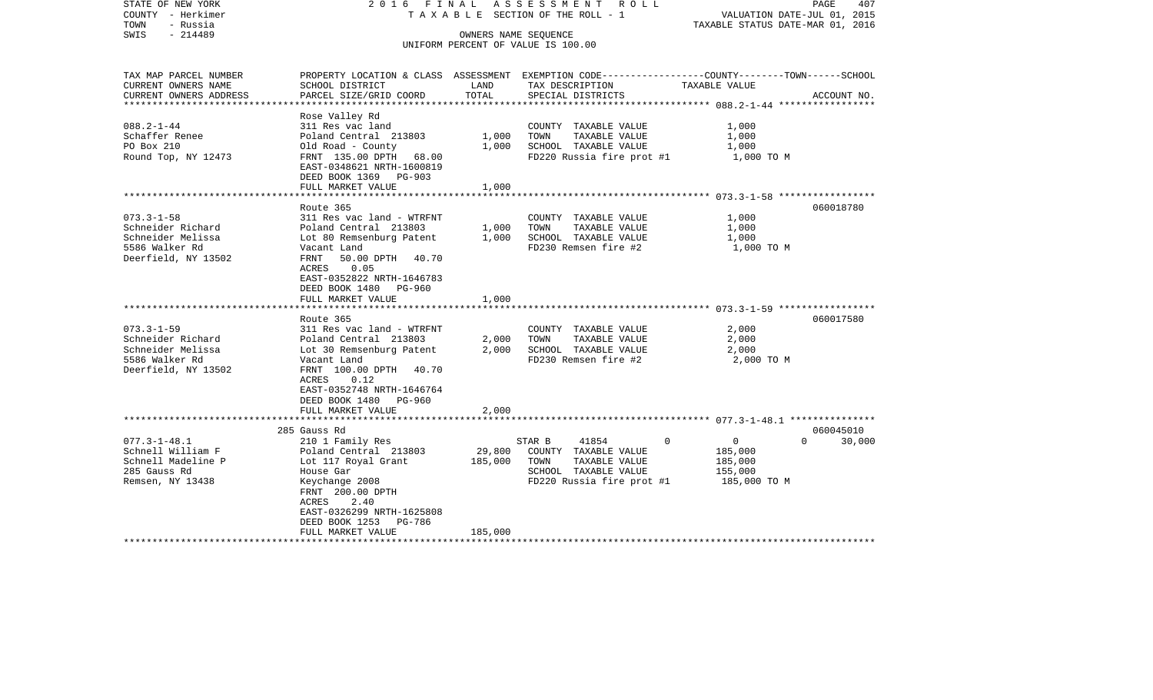| STATE OF NEW YORK<br>COUNTY - Herkimer<br>- Russia<br>TOWN<br>$-214489$<br>SWIS | 2016 FINAL                                  |                   | ASSESSMENT ROLL<br>TAXABLE SECTION OF THE ROLL - 1<br>OWNERS NAME SEOUENCE                       | TAXABLE STATUS DATE-MAR 01, 2016 | 407<br>PAGE<br>VALUATION DATE-JUL 01, 2015 |
|---------------------------------------------------------------------------------|---------------------------------------------|-------------------|--------------------------------------------------------------------------------------------------|----------------------------------|--------------------------------------------|
|                                                                                 |                                             |                   | UNIFORM PERCENT OF VALUE IS 100.00                                                               |                                  |                                            |
|                                                                                 |                                             |                   |                                                                                                  |                                  |                                            |
| TAX MAP PARCEL NUMBER                                                           |                                             |                   | PROPERTY LOCATION & CLASS ASSESSMENT EXEMPTION CODE----------------COUNTY-------TOWN------SCHOOL |                                  |                                            |
| CURRENT OWNERS NAME<br>CURRENT OWNERS ADDRESS                                   | SCHOOL DISTRICT<br>PARCEL SIZE/GRID COORD   | LAND<br>TOTAL     | TAX DESCRIPTION<br>SPECIAL DISTRICTS                                                             | TAXABLE VALUE                    | ACCOUNT NO.                                |
| ******************                                                              |                                             |                   |                                                                                                  |                                  |                                            |
|                                                                                 | Rose Valley Rd                              |                   |                                                                                                  |                                  |                                            |
| $088.2 - 1 - 44$                                                                | 311 Res vac land                            |                   | COUNTY TAXABLE VALUE                                                                             | 1,000                            |                                            |
| Schaffer Renee                                                                  | Poland Central 213803                       | 1,000             | TOWN<br>TAXABLE VALUE                                                                            | 1,000                            |                                            |
| PO Box 210<br>Round Top, NY 12473                                               | Old Road - County<br>FRNT 135.00 DPTH 68.00 | 1,000             | SCHOOL TAXABLE VALUE<br>FD220 Russia fire prot #1                                                | 1,000                            |                                            |
|                                                                                 | EAST-0348621 NRTH-1600819                   |                   |                                                                                                  | 1,000 TO M                       |                                            |
|                                                                                 | DEED BOOK 1369 PG-903                       |                   |                                                                                                  |                                  |                                            |
|                                                                                 | FULL MARKET VALUE                           | 1,000             |                                                                                                  |                                  |                                            |
|                                                                                 |                                             |                   |                                                                                                  |                                  |                                            |
|                                                                                 | Route 365                                   |                   |                                                                                                  |                                  | 060018780                                  |
| $073.3 - 1 - 58$                                                                | 311 Res vac land - WTRFNT                   |                   | COUNTY TAXABLE VALUE                                                                             | 1,000                            |                                            |
| Schneider Richard                                                               | Poland Central 213803                       | 1,000             | TOWN<br>TAXABLE VALUE                                                                            | 1,000                            |                                            |
| Schneider Melissa                                                               | Lot 80 Remsenburg Patent                    | 1,000             | SCHOOL TAXABLE VALUE                                                                             | 1,000                            |                                            |
| 5586 Walker Rd<br>Deerfield, NY 13502                                           | Vacant Land<br>50.00 DPTH 40.70<br>FRNT     |                   | FD230 Remsen fire #2                                                                             | 1,000 TO M                       |                                            |
|                                                                                 | 0.05<br>ACRES                               |                   |                                                                                                  |                                  |                                            |
|                                                                                 | EAST-0352822 NRTH-1646783                   |                   |                                                                                                  |                                  |                                            |
|                                                                                 | DEED BOOK 1480 PG-960                       |                   |                                                                                                  |                                  |                                            |
|                                                                                 | FULL MARKET VALUE                           | 1,000             |                                                                                                  |                                  |                                            |
|                                                                                 |                                             |                   |                                                                                                  |                                  |                                            |
|                                                                                 | Route 365                                   |                   |                                                                                                  |                                  | 060017580                                  |
| $073.3 - 1 - 59$                                                                | 311 Res vac land - WTRFNT                   |                   | COUNTY TAXABLE VALUE                                                                             | 2,000                            |                                            |
| Schneider Richard                                                               | Poland Central 213803                       | 2,000             | TOWN<br>TAXABLE VALUE                                                                            | 2,000                            |                                            |
| Schneider Melissa<br>5586 Walker Rd                                             | Lot 30 Remsenburg Patent<br>Vacant Land     | 2,000             | SCHOOL TAXABLE VALUE<br>FD230 Remsen fire #2                                                     | 2,000<br>2,000 TO M              |                                            |
| Deerfield, NY 13502                                                             | FRNT 100.00 DPTH 40.70                      |                   |                                                                                                  |                                  |                                            |
|                                                                                 | ACRES<br>0.12                               |                   |                                                                                                  |                                  |                                            |
|                                                                                 | EAST-0352748 NRTH-1646764                   |                   |                                                                                                  |                                  |                                            |
|                                                                                 | DEED BOOK 1480 PG-960                       |                   |                                                                                                  |                                  |                                            |
|                                                                                 | FULL MARKET VALUE                           | 2,000             |                                                                                                  |                                  |                                            |
|                                                                                 |                                             |                   |                                                                                                  |                                  |                                            |
|                                                                                 | 285 Gauss Rd                                |                   |                                                                                                  |                                  | 060045010                                  |
| $077.3 - 1 - 48.1$                                                              | 210 1 Family Res                            |                   | 41854<br>STAR B                                                                                  | $\mathbf 0$<br>$\overline{0}$    | $\Omega$<br>30,000                         |
| Schnell William F                                                               | Poland Central 213803                       | 29,800<br>185,000 | COUNTY TAXABLE VALUE<br>TOWN                                                                     | 185,000                          |                                            |
| Schnell Madeline P<br>285 Gauss Rd                                              | Lot 117 Royal Grant<br>House Gar            |                   | TAXABLE VALUE<br>SCHOOL TAXABLE VALUE                                                            | 185,000<br>155,000               |                                            |
| Remsen, NY 13438                                                                | Keychange 2008                              |                   | FD220 Russia fire prot #1                                                                        | 185,000 TO M                     |                                            |
|                                                                                 | FRNT 200.00 DPTH                            |                   |                                                                                                  |                                  |                                            |
|                                                                                 | 2.40<br>ACRES                               |                   |                                                                                                  |                                  |                                            |
|                                                                                 | EAST-0326299 NRTH-1625808                   |                   |                                                                                                  |                                  |                                            |
|                                                                                 | DEED BOOK 1253 PG-786                       |                   |                                                                                                  |                                  |                                            |
|                                                                                 | FULL MARKET VALUE                           | 185,000           |                                                                                                  |                                  |                                            |
|                                                                                 |                                             |                   |                                                                                                  |                                  |                                            |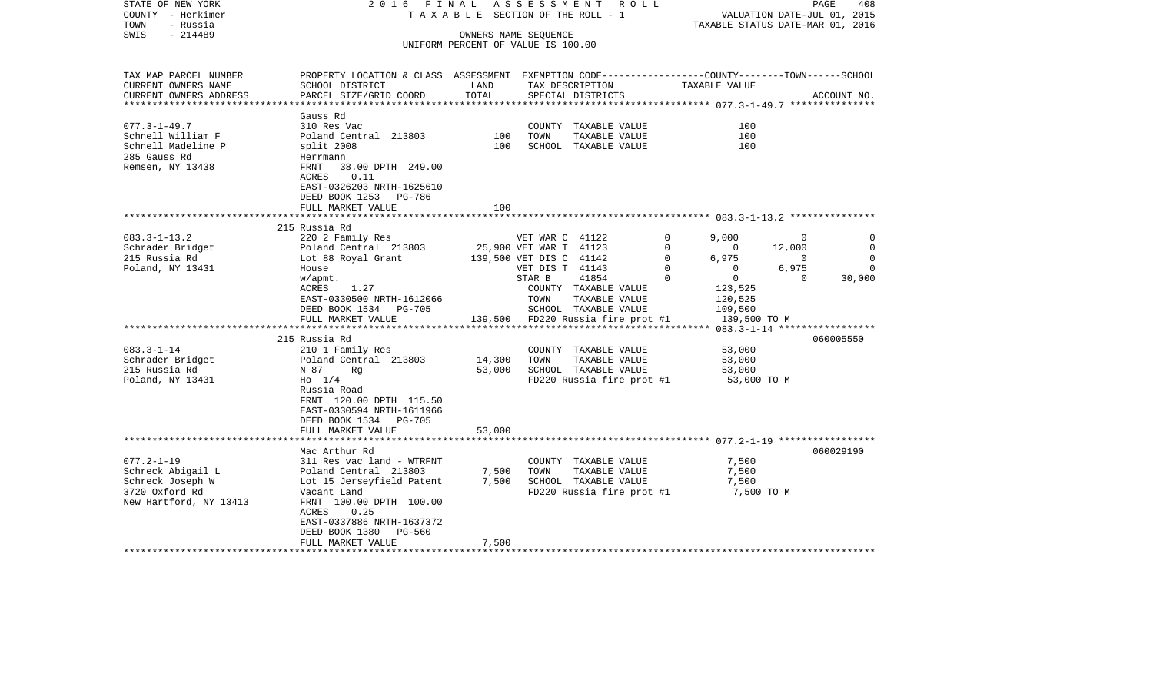| TAX MAP PARCEL NUMBER<br>PROPERTY LOCATION & CLASS ASSESSMENT EXEMPTION CODE----------------COUNTY-------TOWN------SCHOOL<br>CURRENT OWNERS NAME<br>SCHOOL DISTRICT<br>LAND<br>TAX DESCRIPTION<br>TAXABLE VALUE<br>TOTAL<br>CURRENT OWNERS ADDRESS<br>PARCEL SIZE/GRID COORD<br>SPECIAL DISTRICTS<br>ACCOUNT NO.<br>**********************<br>Gauss Rd<br>$077.3 - 1 - 49.7$<br>310 Res Vac<br>COUNTY TAXABLE VALUE<br>100<br>Schnell William F<br>Poland Central 213803<br>100<br>TOWN<br>TAXABLE VALUE<br>100<br>Schnell Madeline P<br>100<br>SCHOOL TAXABLE VALUE<br>100<br>split 2008<br>285 Gauss Rd<br>Herrmann<br>Remsen, NY 13438<br>38.00 DPTH 249.00<br>FRNT<br>ACRES<br>0.11<br>EAST-0326203 NRTH-1625610<br>DEED BOOK 1253 PG-786<br>FULL MARKET VALUE<br>100<br>215 Russia Rd<br>$083.3 - 1 - 13.2$<br>220 2 Family Res<br>VET WAR C 41122<br>9,000<br>0<br>0<br>0<br>Schrader Bridget<br>Poland Central 213803<br>25,900 VET WAR T 41123<br>$\Omega$<br>$\overline{0}$<br>12,000<br>$\Omega$<br>6,975<br>215 Russia Rd<br>Lot 88 Royal Grant<br>139,500 VET DIS C 41142<br>$\Omega$<br>$\overline{0}$<br>$\Omega$<br>6,975<br>Poland, NY 13431<br>VET DIS T 41143<br>0<br>$\overline{0}$<br>$\Omega$<br>House<br>41854<br>$\mathbf 0$<br>$\overline{0}$<br>$\mathbf 0$<br>30,000<br>STAR B<br>w/apmt.<br>1.27<br>COUNTY TAXABLE VALUE<br>123,525<br>ACRES<br>EAST-0330500 NRTH-1612066<br>TOWN<br>TAXABLE VALUE<br>120,525<br>DEED BOOK 1534 PG-705<br>SCHOOL TAXABLE VALUE<br>109,500<br>139,500 FD220 Russia fire prot #1<br>FULL MARKET VALUE<br>139,500 TO M<br>215 Russia Rd<br>060005550<br>$083.3 - 1 - 14$<br>210 1 Family Res<br>COUNTY TAXABLE VALUE<br>53,000<br>Schrader Bridget<br>Poland Central 213803<br>14,300<br>TOWN<br>TAXABLE VALUE<br>53,000<br>215 Russia Rd<br>53,000<br>SCHOOL TAXABLE VALUE<br>N 87<br>Rq<br>53,000<br>Poland, NY 13431<br>$H_0$ 1/4<br>FD220 Russia fire prot #1<br>53,000 TO M<br>Russia Road<br>FRNT 120.00 DPTH 115.50<br>EAST-0330594 NRTH-1611966<br>DEED BOOK 1534 PG-705<br>53,000<br>FULL MARKET VALUE<br>***************************<br>060029190<br>Mac Arthur Rd<br>$077.2 - 1 - 19$<br>311 Res vac land - WTRFNT<br>COUNTY TAXABLE VALUE<br>7,500<br>7,500<br>Schreck Abigail L<br>Poland Central 213803<br>TOWN<br>TAXABLE VALUE<br>7,500<br>SCHOOL TAXABLE VALUE<br>Schreck Joseph W<br>Lot 15 Jerseyfield Patent<br>7,500<br>7,500<br>FD220 Russia fire prot #1<br>7,500 TO M<br>3720 Oxford Rd<br>Vacant Land<br>FRNT 100.00 DPTH 100.00<br>New Hartford, NY 13413<br>ACRES<br>0.25<br>EAST-0337886 NRTH-1637372<br>DEED BOOK 1380 PG-560<br>FULL MARKET VALUE<br>7,500<br>************************** | STATE OF NEW YORK<br>COUNTY - Herkimer<br>- Russia<br>TOWN<br>$-214489$<br>SWIS | 2016 FINAL | TAXABLE SECTION OF THE ROLL - 1<br>UNIFORM PERCENT OF VALUE IS 100.00 | OWNERS NAME SEQUENCE | ASSESSMENT ROLL | TAXABLE STATUS DATE-MAR 01, 2016 | VALUATION DATE-JUL 01, 2015 | PAGE<br>408 |
|--------------------------------------------------------------------------------------------------------------------------------------------------------------------------------------------------------------------------------------------------------------------------------------------------------------------------------------------------------------------------------------------------------------------------------------------------------------------------------------------------------------------------------------------------------------------------------------------------------------------------------------------------------------------------------------------------------------------------------------------------------------------------------------------------------------------------------------------------------------------------------------------------------------------------------------------------------------------------------------------------------------------------------------------------------------------------------------------------------------------------------------------------------------------------------------------------------------------------------------------------------------------------------------------------------------------------------------------------------------------------------------------------------------------------------------------------------------------------------------------------------------------------------------------------------------------------------------------------------------------------------------------------------------------------------------------------------------------------------------------------------------------------------------------------------------------------------------------------------------------------------------------------------------------------------------------------------------------------------------------------------------------------------------------------------------------------------------------------------------------------------------------------------------------------------------------------------------------------------------------------------------------------------------------------------------------------------------------------------------------------------------------------------------------------------------------------------------------------------------------------------------------------------------------------------------------------------------------------------------------------------------------------------------------------------|---------------------------------------------------------------------------------|------------|-----------------------------------------------------------------------|----------------------|-----------------|----------------------------------|-----------------------------|-------------|
|                                                                                                                                                                                                                                                                                                                                                                                                                                                                                                                                                                                                                                                                                                                                                                                                                                                                                                                                                                                                                                                                                                                                                                                                                                                                                                                                                                                                                                                                                                                                                                                                                                                                                                                                                                                                                                                                                                                                                                                                                                                                                                                                                                                                                                                                                                                                                                                                                                                                                                                                                                                                                                                                                |                                                                                 |            |                                                                       |                      |                 |                                  |                             |             |
|                                                                                                                                                                                                                                                                                                                                                                                                                                                                                                                                                                                                                                                                                                                                                                                                                                                                                                                                                                                                                                                                                                                                                                                                                                                                                                                                                                                                                                                                                                                                                                                                                                                                                                                                                                                                                                                                                                                                                                                                                                                                                                                                                                                                                                                                                                                                                                                                                                                                                                                                                                                                                                                                                |                                                                                 |            |                                                                       |                      |                 |                                  |                             |             |
|                                                                                                                                                                                                                                                                                                                                                                                                                                                                                                                                                                                                                                                                                                                                                                                                                                                                                                                                                                                                                                                                                                                                                                                                                                                                                                                                                                                                                                                                                                                                                                                                                                                                                                                                                                                                                                                                                                                                                                                                                                                                                                                                                                                                                                                                                                                                                                                                                                                                                                                                                                                                                                                                                |                                                                                 |            |                                                                       |                      |                 |                                  |                             |             |
|                                                                                                                                                                                                                                                                                                                                                                                                                                                                                                                                                                                                                                                                                                                                                                                                                                                                                                                                                                                                                                                                                                                                                                                                                                                                                                                                                                                                                                                                                                                                                                                                                                                                                                                                                                                                                                                                                                                                                                                                                                                                                                                                                                                                                                                                                                                                                                                                                                                                                                                                                                                                                                                                                |                                                                                 |            |                                                                       |                      |                 |                                  |                             |             |
|                                                                                                                                                                                                                                                                                                                                                                                                                                                                                                                                                                                                                                                                                                                                                                                                                                                                                                                                                                                                                                                                                                                                                                                                                                                                                                                                                                                                                                                                                                                                                                                                                                                                                                                                                                                                                                                                                                                                                                                                                                                                                                                                                                                                                                                                                                                                                                                                                                                                                                                                                                                                                                                                                |                                                                                 |            |                                                                       |                      |                 |                                  |                             |             |
|                                                                                                                                                                                                                                                                                                                                                                                                                                                                                                                                                                                                                                                                                                                                                                                                                                                                                                                                                                                                                                                                                                                                                                                                                                                                                                                                                                                                                                                                                                                                                                                                                                                                                                                                                                                                                                                                                                                                                                                                                                                                                                                                                                                                                                                                                                                                                                                                                                                                                                                                                                                                                                                                                |                                                                                 |            |                                                                       |                      |                 |                                  |                             |             |
|                                                                                                                                                                                                                                                                                                                                                                                                                                                                                                                                                                                                                                                                                                                                                                                                                                                                                                                                                                                                                                                                                                                                                                                                                                                                                                                                                                                                                                                                                                                                                                                                                                                                                                                                                                                                                                                                                                                                                                                                                                                                                                                                                                                                                                                                                                                                                                                                                                                                                                                                                                                                                                                                                |                                                                                 |            |                                                                       |                      |                 |                                  |                             |             |
|                                                                                                                                                                                                                                                                                                                                                                                                                                                                                                                                                                                                                                                                                                                                                                                                                                                                                                                                                                                                                                                                                                                                                                                                                                                                                                                                                                                                                                                                                                                                                                                                                                                                                                                                                                                                                                                                                                                                                                                                                                                                                                                                                                                                                                                                                                                                                                                                                                                                                                                                                                                                                                                                                |                                                                                 |            |                                                                       |                      |                 |                                  |                             |             |
|                                                                                                                                                                                                                                                                                                                                                                                                                                                                                                                                                                                                                                                                                                                                                                                                                                                                                                                                                                                                                                                                                                                                                                                                                                                                                                                                                                                                                                                                                                                                                                                                                                                                                                                                                                                                                                                                                                                                                                                                                                                                                                                                                                                                                                                                                                                                                                                                                                                                                                                                                                                                                                                                                |                                                                                 |            |                                                                       |                      |                 |                                  |                             |             |
|                                                                                                                                                                                                                                                                                                                                                                                                                                                                                                                                                                                                                                                                                                                                                                                                                                                                                                                                                                                                                                                                                                                                                                                                                                                                                                                                                                                                                                                                                                                                                                                                                                                                                                                                                                                                                                                                                                                                                                                                                                                                                                                                                                                                                                                                                                                                                                                                                                                                                                                                                                                                                                                                                |                                                                                 |            |                                                                       |                      |                 |                                  |                             |             |
|                                                                                                                                                                                                                                                                                                                                                                                                                                                                                                                                                                                                                                                                                                                                                                                                                                                                                                                                                                                                                                                                                                                                                                                                                                                                                                                                                                                                                                                                                                                                                                                                                                                                                                                                                                                                                                                                                                                                                                                                                                                                                                                                                                                                                                                                                                                                                                                                                                                                                                                                                                                                                                                                                |                                                                                 |            |                                                                       |                      |                 |                                  |                             |             |
|                                                                                                                                                                                                                                                                                                                                                                                                                                                                                                                                                                                                                                                                                                                                                                                                                                                                                                                                                                                                                                                                                                                                                                                                                                                                                                                                                                                                                                                                                                                                                                                                                                                                                                                                                                                                                                                                                                                                                                                                                                                                                                                                                                                                                                                                                                                                                                                                                                                                                                                                                                                                                                                                                |                                                                                 |            |                                                                       |                      |                 |                                  |                             |             |
|                                                                                                                                                                                                                                                                                                                                                                                                                                                                                                                                                                                                                                                                                                                                                                                                                                                                                                                                                                                                                                                                                                                                                                                                                                                                                                                                                                                                                                                                                                                                                                                                                                                                                                                                                                                                                                                                                                                                                                                                                                                                                                                                                                                                                                                                                                                                                                                                                                                                                                                                                                                                                                                                                |                                                                                 |            |                                                                       |                      |                 |                                  |                             |             |
|                                                                                                                                                                                                                                                                                                                                                                                                                                                                                                                                                                                                                                                                                                                                                                                                                                                                                                                                                                                                                                                                                                                                                                                                                                                                                                                                                                                                                                                                                                                                                                                                                                                                                                                                                                                                                                                                                                                                                                                                                                                                                                                                                                                                                                                                                                                                                                                                                                                                                                                                                                                                                                                                                |                                                                                 |            |                                                                       |                      |                 |                                  |                             |             |
|                                                                                                                                                                                                                                                                                                                                                                                                                                                                                                                                                                                                                                                                                                                                                                                                                                                                                                                                                                                                                                                                                                                                                                                                                                                                                                                                                                                                                                                                                                                                                                                                                                                                                                                                                                                                                                                                                                                                                                                                                                                                                                                                                                                                                                                                                                                                                                                                                                                                                                                                                                                                                                                                                |                                                                                 |            |                                                                       |                      |                 |                                  |                             |             |
|                                                                                                                                                                                                                                                                                                                                                                                                                                                                                                                                                                                                                                                                                                                                                                                                                                                                                                                                                                                                                                                                                                                                                                                                                                                                                                                                                                                                                                                                                                                                                                                                                                                                                                                                                                                                                                                                                                                                                                                                                                                                                                                                                                                                                                                                                                                                                                                                                                                                                                                                                                                                                                                                                |                                                                                 |            |                                                                       |                      |                 |                                  |                             |             |
|                                                                                                                                                                                                                                                                                                                                                                                                                                                                                                                                                                                                                                                                                                                                                                                                                                                                                                                                                                                                                                                                                                                                                                                                                                                                                                                                                                                                                                                                                                                                                                                                                                                                                                                                                                                                                                                                                                                                                                                                                                                                                                                                                                                                                                                                                                                                                                                                                                                                                                                                                                                                                                                                                |                                                                                 |            |                                                                       |                      |                 |                                  |                             |             |
|                                                                                                                                                                                                                                                                                                                                                                                                                                                                                                                                                                                                                                                                                                                                                                                                                                                                                                                                                                                                                                                                                                                                                                                                                                                                                                                                                                                                                                                                                                                                                                                                                                                                                                                                                                                                                                                                                                                                                                                                                                                                                                                                                                                                                                                                                                                                                                                                                                                                                                                                                                                                                                                                                |                                                                                 |            |                                                                       |                      |                 |                                  |                             |             |
|                                                                                                                                                                                                                                                                                                                                                                                                                                                                                                                                                                                                                                                                                                                                                                                                                                                                                                                                                                                                                                                                                                                                                                                                                                                                                                                                                                                                                                                                                                                                                                                                                                                                                                                                                                                                                                                                                                                                                                                                                                                                                                                                                                                                                                                                                                                                                                                                                                                                                                                                                                                                                                                                                |                                                                                 |            |                                                                       |                      |                 |                                  |                             |             |
|                                                                                                                                                                                                                                                                                                                                                                                                                                                                                                                                                                                                                                                                                                                                                                                                                                                                                                                                                                                                                                                                                                                                                                                                                                                                                                                                                                                                                                                                                                                                                                                                                                                                                                                                                                                                                                                                                                                                                                                                                                                                                                                                                                                                                                                                                                                                                                                                                                                                                                                                                                                                                                                                                |                                                                                 |            |                                                                       |                      |                 |                                  |                             |             |
|                                                                                                                                                                                                                                                                                                                                                                                                                                                                                                                                                                                                                                                                                                                                                                                                                                                                                                                                                                                                                                                                                                                                                                                                                                                                                                                                                                                                                                                                                                                                                                                                                                                                                                                                                                                                                                                                                                                                                                                                                                                                                                                                                                                                                                                                                                                                                                                                                                                                                                                                                                                                                                                                                |                                                                                 |            |                                                                       |                      |                 |                                  |                             |             |
|                                                                                                                                                                                                                                                                                                                                                                                                                                                                                                                                                                                                                                                                                                                                                                                                                                                                                                                                                                                                                                                                                                                                                                                                                                                                                                                                                                                                                                                                                                                                                                                                                                                                                                                                                                                                                                                                                                                                                                                                                                                                                                                                                                                                                                                                                                                                                                                                                                                                                                                                                                                                                                                                                |                                                                                 |            |                                                                       |                      |                 |                                  |                             |             |
|                                                                                                                                                                                                                                                                                                                                                                                                                                                                                                                                                                                                                                                                                                                                                                                                                                                                                                                                                                                                                                                                                                                                                                                                                                                                                                                                                                                                                                                                                                                                                                                                                                                                                                                                                                                                                                                                                                                                                                                                                                                                                                                                                                                                                                                                                                                                                                                                                                                                                                                                                                                                                                                                                |                                                                                 |            |                                                                       |                      |                 |                                  |                             |             |
|                                                                                                                                                                                                                                                                                                                                                                                                                                                                                                                                                                                                                                                                                                                                                                                                                                                                                                                                                                                                                                                                                                                                                                                                                                                                                                                                                                                                                                                                                                                                                                                                                                                                                                                                                                                                                                                                                                                                                                                                                                                                                                                                                                                                                                                                                                                                                                                                                                                                                                                                                                                                                                                                                |                                                                                 |            |                                                                       |                      |                 |                                  |                             |             |
|                                                                                                                                                                                                                                                                                                                                                                                                                                                                                                                                                                                                                                                                                                                                                                                                                                                                                                                                                                                                                                                                                                                                                                                                                                                                                                                                                                                                                                                                                                                                                                                                                                                                                                                                                                                                                                                                                                                                                                                                                                                                                                                                                                                                                                                                                                                                                                                                                                                                                                                                                                                                                                                                                |                                                                                 |            |                                                                       |                      |                 |                                  |                             |             |
|                                                                                                                                                                                                                                                                                                                                                                                                                                                                                                                                                                                                                                                                                                                                                                                                                                                                                                                                                                                                                                                                                                                                                                                                                                                                                                                                                                                                                                                                                                                                                                                                                                                                                                                                                                                                                                                                                                                                                                                                                                                                                                                                                                                                                                                                                                                                                                                                                                                                                                                                                                                                                                                                                |                                                                                 |            |                                                                       |                      |                 |                                  |                             |             |
|                                                                                                                                                                                                                                                                                                                                                                                                                                                                                                                                                                                                                                                                                                                                                                                                                                                                                                                                                                                                                                                                                                                                                                                                                                                                                                                                                                                                                                                                                                                                                                                                                                                                                                                                                                                                                                                                                                                                                                                                                                                                                                                                                                                                                                                                                                                                                                                                                                                                                                                                                                                                                                                                                |                                                                                 |            |                                                                       |                      |                 |                                  |                             |             |
|                                                                                                                                                                                                                                                                                                                                                                                                                                                                                                                                                                                                                                                                                                                                                                                                                                                                                                                                                                                                                                                                                                                                                                                                                                                                                                                                                                                                                                                                                                                                                                                                                                                                                                                                                                                                                                                                                                                                                                                                                                                                                                                                                                                                                                                                                                                                                                                                                                                                                                                                                                                                                                                                                |                                                                                 |            |                                                                       |                      |                 |                                  |                             |             |
|                                                                                                                                                                                                                                                                                                                                                                                                                                                                                                                                                                                                                                                                                                                                                                                                                                                                                                                                                                                                                                                                                                                                                                                                                                                                                                                                                                                                                                                                                                                                                                                                                                                                                                                                                                                                                                                                                                                                                                                                                                                                                                                                                                                                                                                                                                                                                                                                                                                                                                                                                                                                                                                                                |                                                                                 |            |                                                                       |                      |                 |                                  |                             |             |
|                                                                                                                                                                                                                                                                                                                                                                                                                                                                                                                                                                                                                                                                                                                                                                                                                                                                                                                                                                                                                                                                                                                                                                                                                                                                                                                                                                                                                                                                                                                                                                                                                                                                                                                                                                                                                                                                                                                                                                                                                                                                                                                                                                                                                                                                                                                                                                                                                                                                                                                                                                                                                                                                                |                                                                                 |            |                                                                       |                      |                 |                                  |                             |             |
|                                                                                                                                                                                                                                                                                                                                                                                                                                                                                                                                                                                                                                                                                                                                                                                                                                                                                                                                                                                                                                                                                                                                                                                                                                                                                                                                                                                                                                                                                                                                                                                                                                                                                                                                                                                                                                                                                                                                                                                                                                                                                                                                                                                                                                                                                                                                                                                                                                                                                                                                                                                                                                                                                |                                                                                 |            |                                                                       |                      |                 |                                  |                             |             |
|                                                                                                                                                                                                                                                                                                                                                                                                                                                                                                                                                                                                                                                                                                                                                                                                                                                                                                                                                                                                                                                                                                                                                                                                                                                                                                                                                                                                                                                                                                                                                                                                                                                                                                                                                                                                                                                                                                                                                                                                                                                                                                                                                                                                                                                                                                                                                                                                                                                                                                                                                                                                                                                                                |                                                                                 |            |                                                                       |                      |                 |                                  |                             |             |
|                                                                                                                                                                                                                                                                                                                                                                                                                                                                                                                                                                                                                                                                                                                                                                                                                                                                                                                                                                                                                                                                                                                                                                                                                                                                                                                                                                                                                                                                                                                                                                                                                                                                                                                                                                                                                                                                                                                                                                                                                                                                                                                                                                                                                                                                                                                                                                                                                                                                                                                                                                                                                                                                                |                                                                                 |            |                                                                       |                      |                 |                                  |                             |             |
|                                                                                                                                                                                                                                                                                                                                                                                                                                                                                                                                                                                                                                                                                                                                                                                                                                                                                                                                                                                                                                                                                                                                                                                                                                                                                                                                                                                                                                                                                                                                                                                                                                                                                                                                                                                                                                                                                                                                                                                                                                                                                                                                                                                                                                                                                                                                                                                                                                                                                                                                                                                                                                                                                |                                                                                 |            |                                                                       |                      |                 |                                  |                             |             |
|                                                                                                                                                                                                                                                                                                                                                                                                                                                                                                                                                                                                                                                                                                                                                                                                                                                                                                                                                                                                                                                                                                                                                                                                                                                                                                                                                                                                                                                                                                                                                                                                                                                                                                                                                                                                                                                                                                                                                                                                                                                                                                                                                                                                                                                                                                                                                                                                                                                                                                                                                                                                                                                                                |                                                                                 |            |                                                                       |                      |                 |                                  |                             |             |
|                                                                                                                                                                                                                                                                                                                                                                                                                                                                                                                                                                                                                                                                                                                                                                                                                                                                                                                                                                                                                                                                                                                                                                                                                                                                                                                                                                                                                                                                                                                                                                                                                                                                                                                                                                                                                                                                                                                                                                                                                                                                                                                                                                                                                                                                                                                                                                                                                                                                                                                                                                                                                                                                                |                                                                                 |            |                                                                       |                      |                 |                                  |                             |             |
|                                                                                                                                                                                                                                                                                                                                                                                                                                                                                                                                                                                                                                                                                                                                                                                                                                                                                                                                                                                                                                                                                                                                                                                                                                                                                                                                                                                                                                                                                                                                                                                                                                                                                                                                                                                                                                                                                                                                                                                                                                                                                                                                                                                                                                                                                                                                                                                                                                                                                                                                                                                                                                                                                |                                                                                 |            |                                                                       |                      |                 |                                  |                             |             |
|                                                                                                                                                                                                                                                                                                                                                                                                                                                                                                                                                                                                                                                                                                                                                                                                                                                                                                                                                                                                                                                                                                                                                                                                                                                                                                                                                                                                                                                                                                                                                                                                                                                                                                                                                                                                                                                                                                                                                                                                                                                                                                                                                                                                                                                                                                                                                                                                                                                                                                                                                                                                                                                                                |                                                                                 |            |                                                                       |                      |                 |                                  |                             |             |
|                                                                                                                                                                                                                                                                                                                                                                                                                                                                                                                                                                                                                                                                                                                                                                                                                                                                                                                                                                                                                                                                                                                                                                                                                                                                                                                                                                                                                                                                                                                                                                                                                                                                                                                                                                                                                                                                                                                                                                                                                                                                                                                                                                                                                                                                                                                                                                                                                                                                                                                                                                                                                                                                                |                                                                                 |            |                                                                       |                      |                 |                                  |                             |             |
|                                                                                                                                                                                                                                                                                                                                                                                                                                                                                                                                                                                                                                                                                                                                                                                                                                                                                                                                                                                                                                                                                                                                                                                                                                                                                                                                                                                                                                                                                                                                                                                                                                                                                                                                                                                                                                                                                                                                                                                                                                                                                                                                                                                                                                                                                                                                                                                                                                                                                                                                                                                                                                                                                |                                                                                 |            |                                                                       |                      |                 |                                  |                             |             |
|                                                                                                                                                                                                                                                                                                                                                                                                                                                                                                                                                                                                                                                                                                                                                                                                                                                                                                                                                                                                                                                                                                                                                                                                                                                                                                                                                                                                                                                                                                                                                                                                                                                                                                                                                                                                                                                                                                                                                                                                                                                                                                                                                                                                                                                                                                                                                                                                                                                                                                                                                                                                                                                                                |                                                                                 |            |                                                                       |                      |                 |                                  |                             |             |
|                                                                                                                                                                                                                                                                                                                                                                                                                                                                                                                                                                                                                                                                                                                                                                                                                                                                                                                                                                                                                                                                                                                                                                                                                                                                                                                                                                                                                                                                                                                                                                                                                                                                                                                                                                                                                                                                                                                                                                                                                                                                                                                                                                                                                                                                                                                                                                                                                                                                                                                                                                                                                                                                                |                                                                                 |            |                                                                       |                      |                 |                                  |                             |             |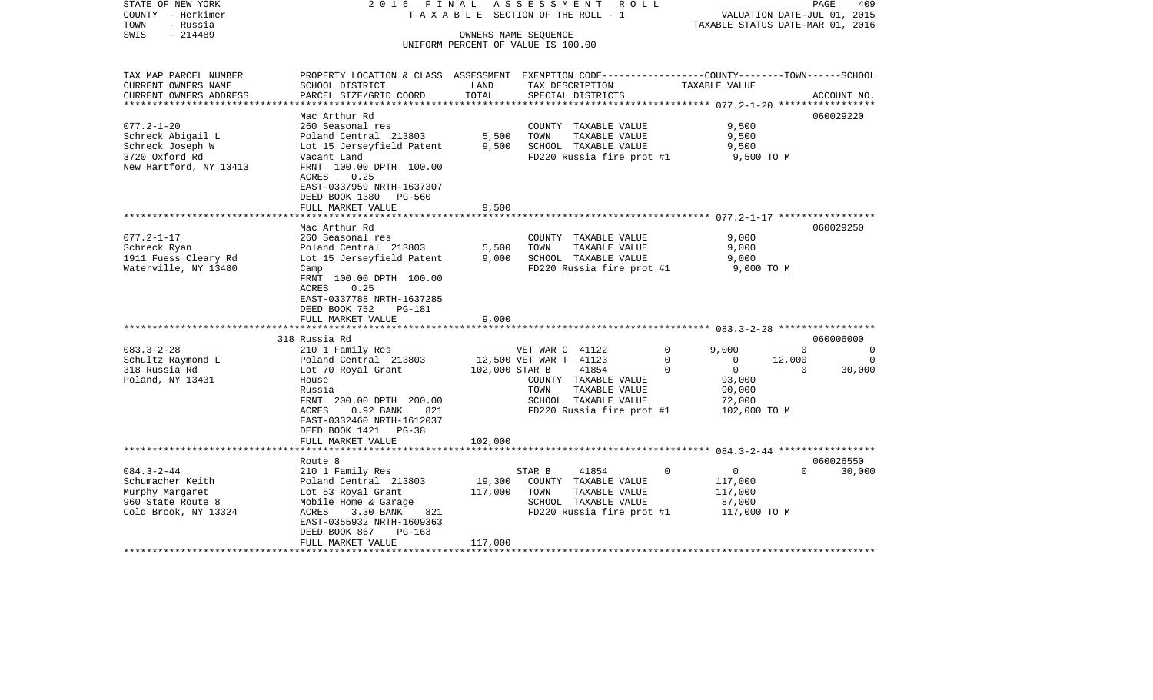| STATE OF NEW YORK<br>COUNTY - Herkimer<br>- Russia<br>TOWN<br>$-214489$<br>SWIS                       | 2016 FINAL                                                                                                                                                                                                                              |                           | A S S E S S M E N T R O L L<br>TAXABLE SECTION OF THE ROLL - 1<br>OWNERS NAME SEQUENCE                                                                   | VALUATION DATE-JUL 01, 2015<br>TAXABLE STATUS DATE-MAR 01, 2016                                                                    | 409<br>PAGE                                                  |
|-------------------------------------------------------------------------------------------------------|-----------------------------------------------------------------------------------------------------------------------------------------------------------------------------------------------------------------------------------------|---------------------------|----------------------------------------------------------------------------------------------------------------------------------------------------------|------------------------------------------------------------------------------------------------------------------------------------|--------------------------------------------------------------|
|                                                                                                       |                                                                                                                                                                                                                                         |                           | UNIFORM PERCENT OF VALUE IS 100.00                                                                                                                       |                                                                                                                                    |                                                              |
| TAX MAP PARCEL NUMBER<br>CURRENT OWNERS NAME<br>CURRENT OWNERS ADDRESS<br>**********************      | PROPERTY LOCATION & CLASS ASSESSMENT EXEMPTION CODE----------------COUNTY-------TOWN------SCHOOL<br>SCHOOL DISTRICT<br>PARCEL SIZE/GRID COORD                                                                                           | LAND<br>TOTAL             | TAX DESCRIPTION<br>SPECIAL DISTRICTS                                                                                                                     | TAXABLE VALUE                                                                                                                      | ACCOUNT NO.                                                  |
| $077.2 - 1 - 20$<br>Schreck Abigail L<br>Schreck Joseph W<br>3720 Oxford Rd<br>New Hartford, NY 13413 | Mac Arthur Rd<br>260 Seasonal res<br>Poland Central 213803<br>Lot 15 Jerseyfield Patent<br>Vacant Land<br>FRNT 100.00 DPTH 100.00<br>0.25<br>ACRES<br>EAST-0337959 NRTH-1637307<br>DEED BOOK 1380<br>PG-560<br>FULL MARKET VALUE        | 5,500<br>9,500<br>9,500   | COUNTY TAXABLE VALUE<br>TOWN<br>TAXABLE VALUE<br>SCHOOL TAXABLE VALUE<br>FD220 Russia fire prot #1                                                       | 9,500<br>9,500<br>9,500<br>9,500 TO M                                                                                              | 060029220                                                    |
| $077.2 - 1 - 17$<br>Schreck Ryan<br>1911 Fuess Cleary Rd<br>Waterville, NY 13480                      | Mac Arthur Rd<br>260 Seasonal res<br>Poland Central 213803<br>Lot 15 Jerseyfield Patent<br>Camp<br>FRNT 100.00 DPTH 100.00<br>ACRES<br>0.25<br>EAST-0337788 NRTH-1637285<br>DEED BOOK 752<br>PG-181<br>FULL MARKET VALUE                | 5,500<br>9,000<br>9,000   | COUNTY TAXABLE VALUE<br>TOWN<br>TAXABLE VALUE<br>SCHOOL TAXABLE VALUE<br>FD220 Russia fire prot #1                                                       | 9,000<br>9,000<br>9,000<br>9,000 TO M                                                                                              | 060029250                                                    |
| $083.3 - 2 - 28$<br>Schultz Raymond L<br>318 Russia Rd<br>Poland, NY 13431                            | 318 Russia Rd<br>210 1 Family Res<br>Poland Central 213803<br>Lot 70 Royal Grant<br>House<br>Russia<br>FRNT 200.00 DPTH 200.00<br>$0.92$ BANK<br>ACRES<br>821<br>EAST-0332460 NRTH-1612037<br>DEED BOOK 1421 PG-38<br>FULL MARKET VALUE | 102,000 STAR B<br>102,000 | VET WAR C 41122<br>12,500 VET WAR T 41123<br>41854<br>COUNTY TAXABLE VALUE<br>TOWN<br>TAXABLE VALUE<br>SCHOOL TAXABLE VALUE<br>FD220 Russia fire prot #1 | $\mathbf 0$<br>9.000<br>$\mathbf 0$<br>$\circ$<br>12,000<br>$\Omega$<br>$\mathbf{0}$<br>93,000<br>90,000<br>72,000<br>102,000 TO M | 060006000<br>$\Omega$<br>$\Omega$<br>0<br>30,000<br>$\Omega$ |
| $084.3 - 2 - 44$<br>Schumacher Keith<br>Murphy Margaret<br>960 State Route 8<br>Cold Brook, NY 13324  | Route 8<br>210 1 Family Res<br>Poland Central 213803<br>Lot 53 Royal Grant<br>Mobile Home & Garage<br>ACRES<br>3.30 BANK<br>821<br>EAST-0355932 NRTH-1609363<br>DEED BOOK 867<br>$PG-163$                                               | 19,300<br>117,000         | STAR B<br>41854<br>COUNTY TAXABLE VALUE<br>TOWN<br>TAXABLE VALUE<br>SCHOOL TAXABLE VALUE<br>FD220 Russia fire prot #1                                    | $\overline{0}$<br>$\Omega$<br>117,000<br>117,000<br>87,000<br>117,000 TO M                                                         | 060026550<br>30,000<br>$\Omega$                              |
|                                                                                                       | FULL MARKET VALUE                                                                                                                                                                                                                       | 117,000                   |                                                                                                                                                          |                                                                                                                                    |                                                              |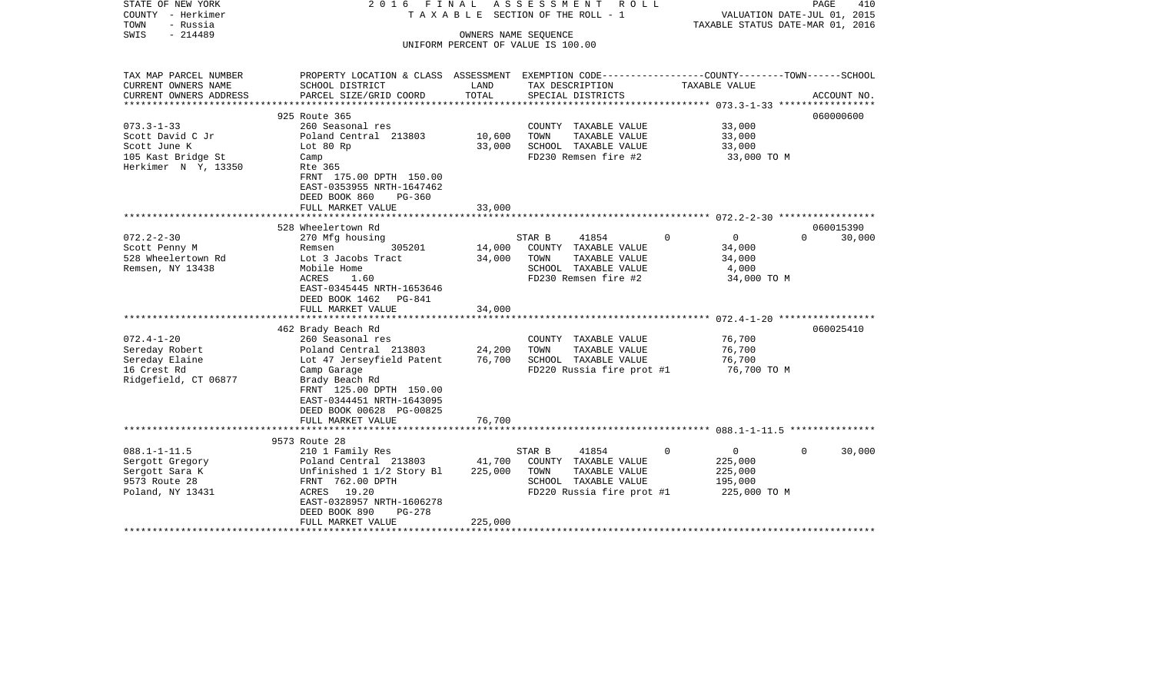| STATE OF NEW YORK<br>COUNTY - Herkimer<br>- Russia<br>TOWN<br>$-214489$<br>SWIS                   | 2016 FINAL                                                                                                                                                                                                        |                              | ASSESSMENT ROLL<br>T A X A B L E SECTION OF THE ROLL - 1<br>OWNERS NAME SEQUENCE<br>UNIFORM PERCENT OF VALUE IS 100.00 |                                                                             | PAGE<br>410<br>VALUATION DATE-JUL 01, 2015<br>TAXABLE STATUS DATE-MAR 01, 2016 |
|---------------------------------------------------------------------------------------------------|-------------------------------------------------------------------------------------------------------------------------------------------------------------------------------------------------------------------|------------------------------|------------------------------------------------------------------------------------------------------------------------|-----------------------------------------------------------------------------|--------------------------------------------------------------------------------|
|                                                                                                   |                                                                                                                                                                                                                   |                              |                                                                                                                        |                                                                             |                                                                                |
| TAX MAP PARCEL NUMBER<br>CURRENT OWNERS NAME<br>CURRENT OWNERS ADDRESS                            | PROPERTY LOCATION & CLASS ASSESSMENT EXEMPTION CODE----------------COUNTY-------TOWN------SCHOOL<br>SCHOOL DISTRICT<br>PARCEL SIZE/GRID COORD                                                                     | LAND<br>TOTAL                | TAX DESCRIPTION<br>SPECIAL DISTRICTS                                                                                   | TAXABLE VALUE                                                               | ACCOUNT NO.                                                                    |
|                                                                                                   |                                                                                                                                                                                                                   |                              |                                                                                                                        |                                                                             |                                                                                |
|                                                                                                   | 925 Route 365                                                                                                                                                                                                     |                              |                                                                                                                        |                                                                             | 060000600                                                                      |
| $073.3 - 1 - 33$<br>Scott David C Jr<br>Scott June K<br>105 Kast Bridge St<br>Herkimer N Y, 13350 | 260 Seasonal res<br>Poland Central 213803<br>Lot 80 Rp<br>Camp<br>Rte 365<br>FRNT 175.00 DPTH 150.00<br>EAST-0353955 NRTH-1647462                                                                                 | 10,600<br>33,000             | COUNTY TAXABLE VALUE<br>TOWN<br>TAXABLE VALUE<br>SCHOOL TAXABLE VALUE<br>FD230 Remsen fire #2                          | 33,000<br>33,000<br>33,000<br>33,000 TO M                                   |                                                                                |
|                                                                                                   | DEED BOOK 860<br>$PG-360$<br>FULL MARKET VALUE                                                                                                                                                                    | 33,000                       |                                                                                                                        |                                                                             |                                                                                |
|                                                                                                   | ***********************                                                                                                                                                                                           | ************                 |                                                                                                                        | ******************************* 072.2-2-30 *****************                |                                                                                |
|                                                                                                   | 528 Wheelertown Rd                                                                                                                                                                                                |                              |                                                                                                                        |                                                                             | 060015390                                                                      |
| $072.2 - 2 - 30$<br>Scott Penny M<br>528 Wheelertown Rd<br>Remsen, NY 13438                       | 270 Mfg housing<br>Remsen<br>305201<br>Lot 3 Jacobs Tract<br>Mobile Home<br>ACRES<br>1.60<br>EAST-0345445 NRTH-1653646<br>DEED BOOK 1462 PG-841                                                                   | 14,000<br>34,000             | 41854<br>STAR B<br>COUNTY TAXABLE VALUE<br>TOWN<br>TAXABLE VALUE<br>SCHOOL TAXABLE VALUE<br>FD230 Remsen fire #2       | $\mathbf 0$<br>$\overline{0}$<br>34,000<br>34,000<br>4,000<br>34,000 TO M   | $\Omega$<br>30,000                                                             |
|                                                                                                   | FULL MARKET VALUE                                                                                                                                                                                                 | 34,000                       |                                                                                                                        |                                                                             |                                                                                |
| $072.4 - 1 - 20$<br>Sereday Robert<br>Sereday Elaine<br>16 Crest Rd<br>Ridgefield, CT 06877       | 462 Brady Beach Rd<br>260 Seasonal res<br>Poland Central 213803<br>Lot 47 Jerseyfield Patent<br>Camp Garage<br>Brady Beach Rd<br>FRNT 125.00 DPTH 150.00<br>EAST-0344451 NRTH-1643095<br>DEED BOOK 00628 PG-00825 | 24,200<br>76,700             | COUNTY TAXABLE VALUE<br>TOWN<br>TAXABLE VALUE<br>SCHOOL TAXABLE VALUE<br>FD220 Russia fire prot #1                     | 76,700<br>76,700<br>76,700<br>76,700 TO M                                   | 060025410                                                                      |
|                                                                                                   | FULL MARKET VALUE                                                                                                                                                                                                 | 76,700                       |                                                                                                                        |                                                                             |                                                                                |
|                                                                                                   | 9573 Route 28                                                                                                                                                                                                     |                              |                                                                                                                        |                                                                             |                                                                                |
| $088.1 - 1 - 11.5$<br>Sergott Gregory<br>Sergott Sara K<br>9573 Route 28<br>Poland, NY 13431      | 210 1 Family Res<br>Poland Central 213803<br>Unfinished 1 1/2 Story Bl<br>FRNT 762.00 DPTH<br>ACRES 19.20<br>EAST-0328957 NRTH-1606278<br>DEED BOOK 890<br><b>PG-278</b><br>FULL MARKET VALUE                     | 41,700<br>225,000<br>225,000 | STAR B<br>41854<br>COUNTY TAXABLE VALUE<br>TOWN<br>TAXABLE VALUE<br>SCHOOL TAXABLE VALUE<br>FD220 Russia fire prot #1  | $\Omega$<br>$\overline{0}$<br>225,000<br>225,000<br>195,000<br>225,000 TO M | 30,000<br>$\Omega$                                                             |
|                                                                                                   |                                                                                                                                                                                                                   |                              |                                                                                                                        |                                                                             |                                                                                |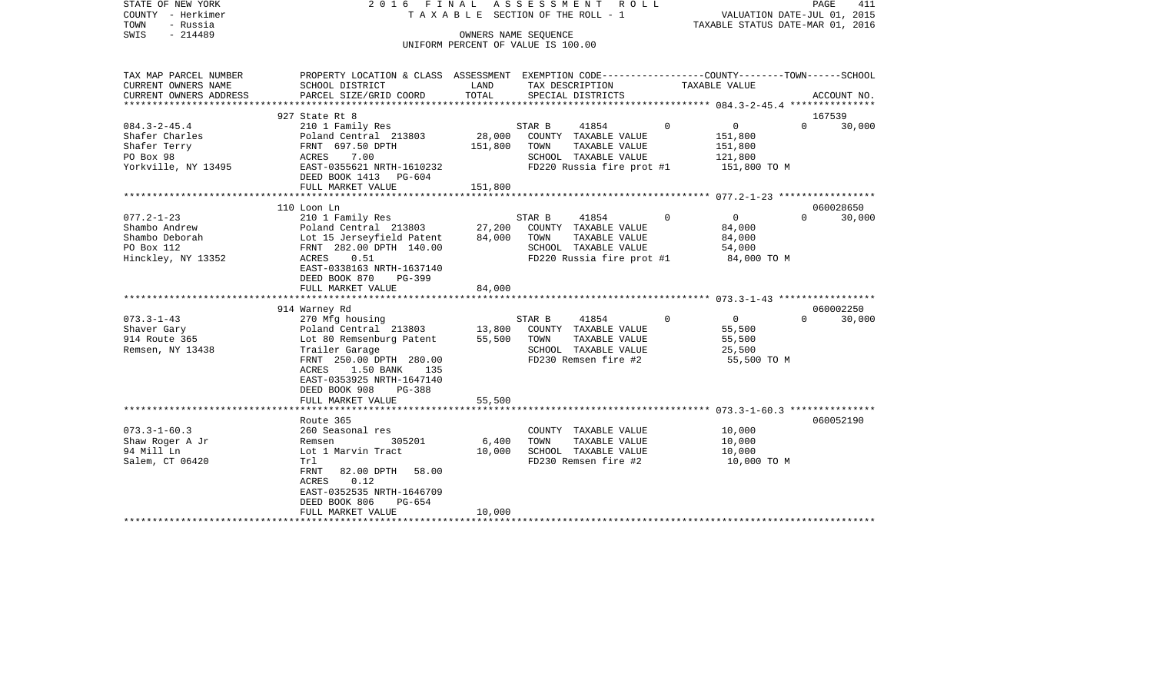| STATE OF NEW YORK<br>COUNTY - Herkimer<br>- Russia<br>TOWN<br>$-214489$<br>SWIS                                                                                 | 2 0 1 6<br>FINAL                                                                                                                                                                                                                                                                                                                                                                                                                          |                                                | A S S E S S M E N T<br>R O L L<br>TAXABLE SECTION OF THE ROLL - 1<br>OWNERS NAME SEQUENCE<br>UNIFORM PERCENT OF VALUE IS 100.00                                                                                                           |                                                                                                                                                    | PAGE<br>411<br>VALUATION DATE-JUL 01, 2015<br>TAXABLE STATUS DATE-MAR 01, 2016 |
|-----------------------------------------------------------------------------------------------------------------------------------------------------------------|-------------------------------------------------------------------------------------------------------------------------------------------------------------------------------------------------------------------------------------------------------------------------------------------------------------------------------------------------------------------------------------------------------------------------------------------|------------------------------------------------|-------------------------------------------------------------------------------------------------------------------------------------------------------------------------------------------------------------------------------------------|----------------------------------------------------------------------------------------------------------------------------------------------------|--------------------------------------------------------------------------------|
| TAX MAP PARCEL NUMBER<br>CURRENT OWNERS NAME<br>CURRENT OWNERS ADDRESS<br>***********************                                                               | PROPERTY LOCATION & CLASS ASSESSMENT EXEMPTION CODE---------------COUNTY-------TOWN-----SCHOOL<br>SCHOOL DISTRICT<br>PARCEL SIZE/GRID COORD                                                                                                                                                                                                                                                                                               | LAND<br>TOTAL                                  | TAX DESCRIPTION<br>SPECIAL DISTRICTS                                                                                                                                                                                                      | TAXABLE VALUE                                                                                                                                      | ACCOUNT NO.                                                                    |
|                                                                                                                                                                 | 927 State Rt 8                                                                                                                                                                                                                                                                                                                                                                                                                            |                                                |                                                                                                                                                                                                                                           |                                                                                                                                                    | 167539                                                                         |
| $084.3 - 2 - 45.4$<br>Shafer Charles<br>Shafer Terry<br>PO Box 98<br>Yorkville, NY 13495                                                                        | 210 1 Family Res<br>Poland Central 213803<br>FRNT 697.50 DPTH<br>7.00<br>ACRES<br>EAST-0355621 NRTH-1610232<br>DEED BOOK 1413 PG-604                                                                                                                                                                                                                                                                                                      | 28,000<br>151,800                              | 41854<br>STAR B<br>COUNTY TAXABLE VALUE<br>TOWN<br>TAXABLE VALUE<br>SCHOOL TAXABLE VALUE<br>FD220 Russia fire prot #1                                                                                                                     | $\mathsf{O}$<br>$\Omega$<br>151,800<br>151,800<br>121,800<br>151,800 TO M                                                                          | $\Omega$<br>30,000                                                             |
|                                                                                                                                                                 | FULL MARKET VALUE                                                                                                                                                                                                                                                                                                                                                                                                                         | 151,800                                        |                                                                                                                                                                                                                                           |                                                                                                                                                    |                                                                                |
|                                                                                                                                                                 |                                                                                                                                                                                                                                                                                                                                                                                                                                           |                                                |                                                                                                                                                                                                                                           |                                                                                                                                                    |                                                                                |
| $077.2 - 1 - 23$<br>Shambo Andrew<br>Shambo Deborah<br>PO Box 112<br>Hinckley, NY 13352<br>$073.3 - 1 - 43$<br>Shaver Gary<br>914 Route 365<br>Remsen, NY 13438 | 110 Loon Ln<br>210 1 Family Res<br>Poland Central 213803<br>Lot 15 Jerseyfield Patent<br>FRNT 282.00 DPTH 140.00<br>ACRES<br>0.51<br>EAST-0338163 NRTH-1637140<br>DEED BOOK 870<br>PG-399<br>FULL MARKET VALUE<br>914 Warney Rd<br>270 Mfg housing<br>Poland Central 213803<br>Lot 80 Remsenburg Patent<br>Trailer Garage<br>FRNT 250.00 DPTH 280.00<br>ACRES<br>1.50 BANK<br>135<br>EAST-0353925 NRTH-1647140<br>DEED BOOK 908<br>PG-388 | 27,200<br>84,000<br>84,000<br>13,800<br>55,500 | 41854<br>STAR B<br>COUNTY TAXABLE VALUE<br>TOWN<br>TAXABLE VALUE<br>SCHOOL TAXABLE VALUE<br>FD220 Russia fire prot #1<br>41854<br>STAR B<br>COUNTY TAXABLE VALUE<br>TOWN<br>TAXABLE VALUE<br>SCHOOL TAXABLE VALUE<br>FD230 Remsen fire #2 | $\overline{0}$<br>$\Omega$<br>84,000<br>84,000<br>54,000<br>84,000 TO M<br>$\overline{0}$<br>$\Omega$<br>55,500<br>55,500<br>25,500<br>55,500 TO M | 060028650<br>30,000<br>$\Omega$<br>060002250<br>$\Omega$<br>30,000             |
|                                                                                                                                                                 | FULL MARKET VALUE<br>*********************                                                                                                                                                                                                                                                                                                                                                                                                | 55,500                                         |                                                                                                                                                                                                                                           |                                                                                                                                                    |                                                                                |
| $073.3 - 1 - 60.3$<br>Shaw Roger A Jr<br>94 Mill Ln<br>Salem, CT 06420                                                                                          | Route 365<br>260 Seasonal res<br>305201<br>Remsen<br>Lot 1 Marvin Tract<br>Trl<br>FRNT<br>82.00 DPTH<br>58.00<br>0.12<br>ACRES<br>EAST-0352535 NRTH-1646709                                                                                                                                                                                                                                                                               | 6,400<br>10,000                                | COUNTY TAXABLE VALUE<br>TAXABLE VALUE<br>TOWN<br>SCHOOL TAXABLE VALUE<br>FD230 Remsen fire #2                                                                                                                                             | 10,000<br>10,000<br>10,000<br>10,000 TO M                                                                                                          | 060052190                                                                      |
| ***********************                                                                                                                                         | DEED BOOK 806<br>$PG-654$<br>FULL MARKET VALUE                                                                                                                                                                                                                                                                                                                                                                                            | 10,000                                         |                                                                                                                                                                                                                                           |                                                                                                                                                    |                                                                                |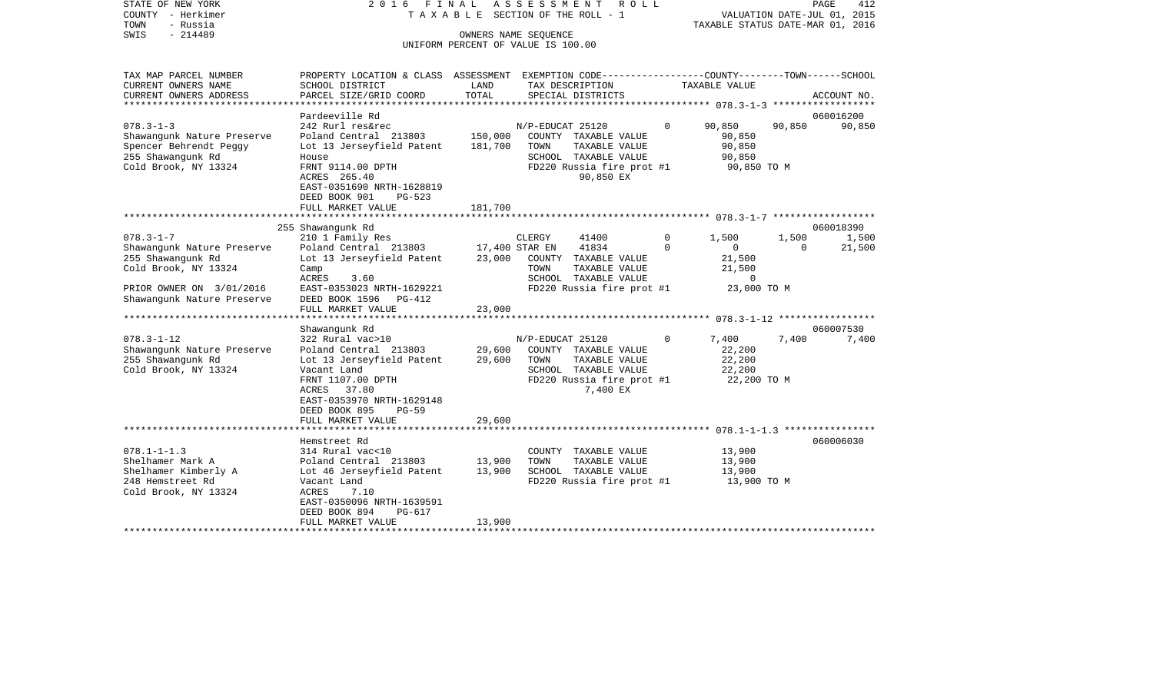| STATE OF NEW YORK<br>COUNTY - Herkimer | 2016 FINAL                                                                                      |         | A S S E S S M E N T<br>ROLL<br>TAXABLE SECTION OF THE ROLL - 1 |          |                                  |          | 412<br>PAGE<br>VALUATION DATE-JUL 01, 2015 |
|----------------------------------------|-------------------------------------------------------------------------------------------------|---------|----------------------------------------------------------------|----------|----------------------------------|----------|--------------------------------------------|
| TOWN<br>- Russia                       |                                                                                                 |         |                                                                |          | TAXABLE STATUS DATE-MAR 01, 2016 |          |                                            |
| $-214489$                              |                                                                                                 |         |                                                                |          |                                  |          |                                            |
| SWIS                                   |                                                                                                 |         | OWNERS NAME SEQUENCE<br>UNIFORM PERCENT OF VALUE IS 100.00     |          |                                  |          |                                            |
|                                        |                                                                                                 |         |                                                                |          |                                  |          |                                            |
| TAX MAP PARCEL NUMBER                  | PROPERTY LOCATION & CLASS ASSESSMENT EXEMPTION CODE---------------COUNTY-------TOWN------SCHOOL |         |                                                                |          |                                  |          |                                            |
| CURRENT OWNERS NAME                    | SCHOOL DISTRICT                                                                                 | LAND    | TAX DESCRIPTION                                                |          | TAXABLE VALUE                    |          |                                            |
| CURRENT OWNERS ADDRESS                 | PARCEL SIZE/GRID COORD                                                                          | TOTAL   | SPECIAL DISTRICTS                                              |          |                                  |          | ACCOUNT NO.                                |
| ****************************           |                                                                                                 |         |                                                                |          |                                  |          |                                            |
|                                        | Pardeeville Rd                                                                                  |         |                                                                |          |                                  |          | 060016200                                  |
| $078.3 - 1 - 3$                        | 242 Rurl res&rec                                                                                |         | N/P-EDUCAT 25120                                               | $\Omega$ | 90,850                           | 90,850   | 90,850                                     |
| Shawangunk Nature Preserve             | Poland Central 213803                                                                           | 150,000 | COUNTY TAXABLE VALUE                                           |          | 90,850                           |          |                                            |
| Spencer Behrendt Peggy                 | Lot 13 Jerseyfield Patent                                                                       | 181,700 | TOWN<br>TAXABLE VALUE                                          |          | 90,850                           |          |                                            |
| 255 Shawanqunk Rd                      | House                                                                                           |         | SCHOOL TAXABLE VALUE                                           |          | 90,850                           |          |                                            |
| Cold Brook, NY 13324                   | FRNT 9114.00 DPTH                                                                               |         | FD220 Russia fire prot #1                                      |          | 90,850 TO M                      |          |                                            |
|                                        | ACRES 265.40                                                                                    |         | 90,850 EX                                                      |          |                                  |          |                                            |
|                                        | EAST-0351690 NRTH-1628819                                                                       |         |                                                                |          |                                  |          |                                            |
|                                        | DEED BOOK 901<br>$PG-523$                                                                       |         |                                                                |          |                                  |          |                                            |
|                                        | FULL MARKET VALUE                                                                               | 181,700 |                                                                |          |                                  |          |                                            |
|                                        |                                                                                                 |         |                                                                |          |                                  |          |                                            |
|                                        | 255 Shawanqunk Rd                                                                               |         |                                                                |          |                                  |          | 060018390                                  |
| $078.3 - 1 - 7$                        | 210 1 Family Res                                                                                |         | CLERGY<br>41400                                                | 0        | 1,500                            | 1,500    | 1,500                                      |
| Shawangunk Nature Preserve             | Poland Central 213803                                                                           |         | 17,400 STAR EN<br>41834                                        | $\Omega$ | $\mathbf{0}$                     | $\Omega$ | 21,500                                     |
| 255 Shawanqunk Rd                      | Lot 13 Jerseyfield Patent                                                                       | 23,000  | COUNTY TAXABLE VALUE                                           |          | 21,500                           |          |                                            |
| Cold Brook, NY 13324                   | Camp                                                                                            |         | TOWN<br>TAXABLE VALUE                                          |          | 21,500                           |          |                                            |
|                                        | ACRES<br>3.60                                                                                   |         | SCHOOL TAXABLE VALUE                                           |          | $\mathbf 0$                      |          |                                            |
| PRIOR OWNER ON 3/01/2016               | EAST-0353023 NRTH-1629221                                                                       |         | FD220 Russia fire prot #1                                      |          | 23,000 TO M                      |          |                                            |
| Shawangunk Nature Preserve             | DEED BOOK 1596<br>PG-412                                                                        |         |                                                                |          |                                  |          |                                            |
|                                        | FULL MARKET VALUE                                                                               | 23,000  |                                                                |          |                                  |          |                                            |
| *********************                  |                                                                                                 |         |                                                                |          |                                  |          |                                            |
|                                        | Shawangunk Rd                                                                                   |         |                                                                |          |                                  |          | 060007530                                  |
| $078.3 - 1 - 12$                       | 322 Rural vac>10                                                                                |         | N/P-EDUCAT 25120                                               | $\Omega$ | 7,400                            | 7,400    | 7,400                                      |
| Shawangunk Nature Preserve             | Poland Central 213803                                                                           | 29,600  | COUNTY TAXABLE VALUE                                           |          | 22,200                           |          |                                            |
| 255 Shawangunk Rd                      | Lot 13 Jerseyfield Patent                                                                       | 29,600  | TOWN<br>TAXABLE VALUE                                          |          | 22,200                           |          |                                            |
| Cold Brook, NY 13324                   | Vacant Land                                                                                     |         | SCHOOL TAXABLE VALUE                                           |          | 22,200                           |          |                                            |
|                                        | FRNT 1107.00 DPTH                                                                               |         | FD220 Russia fire prot #1                                      |          | 22,200 TO M                      |          |                                            |
|                                        | ACRES 37.80                                                                                     |         | 7,400 EX                                                       |          |                                  |          |                                            |
|                                        | EAST-0353970 NRTH-1629148                                                                       |         |                                                                |          |                                  |          |                                            |
|                                        | DEED BOOK 895<br>$PG-59$                                                                        |         |                                                                |          |                                  |          |                                            |
|                                        | FULL MARKET VALUE                                                                               | 29,600  |                                                                |          |                                  |          |                                            |
|                                        |                                                                                                 |         |                                                                |          |                                  |          |                                            |
|                                        | Hemstreet Rd                                                                                    |         |                                                                |          |                                  |          | 060006030                                  |
| $078.1 - 1 - 1.3$                      | 314 Rural vac<10                                                                                |         | COUNTY TAXABLE VALUE                                           |          | 13,900                           |          |                                            |
| Shelhamer Mark A                       | Poland Central 213803                                                                           | 13,900  | TOWN<br>TAXABLE VALUE                                          |          | 13,900                           |          |                                            |
| Shelhamer Kimberly A                   | Lot 46 Jerseyfield Patent                                                                       | 13,900  | SCHOOL TAXABLE VALUE                                           |          | 13,900                           |          |                                            |
| 248 Hemstreet Rd                       | Vacant Land                                                                                     |         | FD220 Russia fire prot #1                                      |          | 13,900 TO M                      |          |                                            |
| Cold Brook, NY 13324                   | ACRES<br>7.10                                                                                   |         |                                                                |          |                                  |          |                                            |
|                                        | EAST-0350096 NRTH-1639591                                                                       |         |                                                                |          |                                  |          |                                            |
|                                        |                                                                                                 |         |                                                                |          |                                  |          |                                            |
|                                        | DEED BOOK 894<br>$PG-617$                                                                       |         |                                                                |          |                                  |          |                                            |
|                                        | FULL MARKET VALUE                                                                               | 13,900  |                                                                |          |                                  |          |                                            |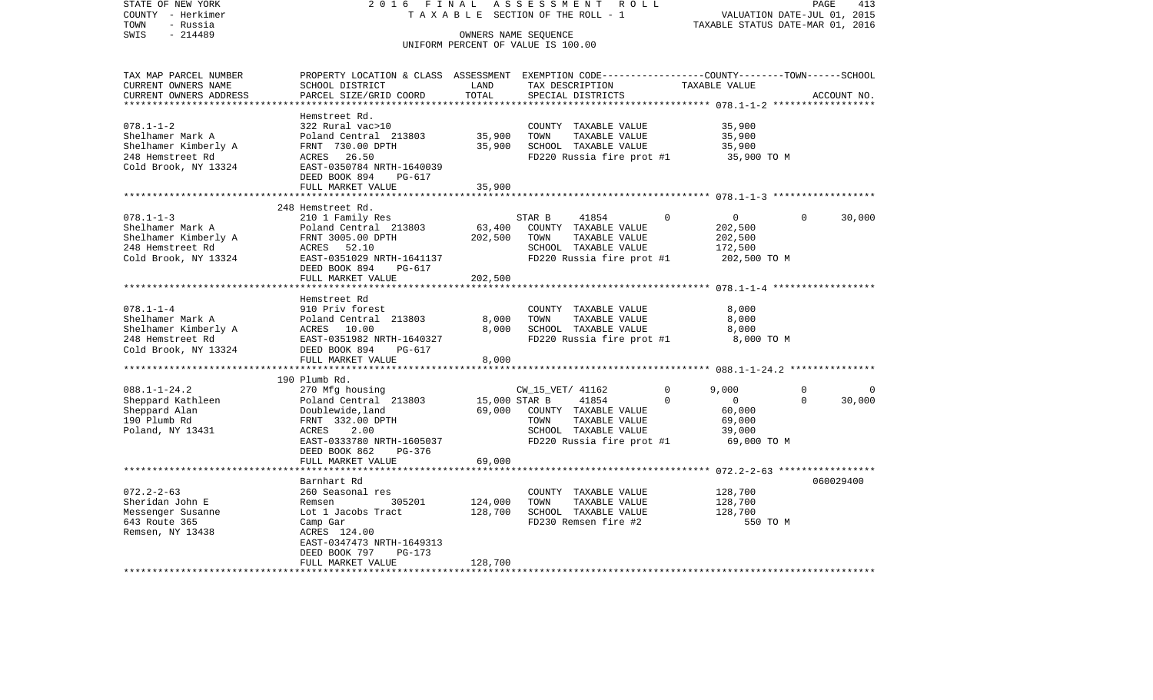| STATE OF NEW YORK<br>COUNTY - Herkimer<br>TOWN<br>- Russia                                              | 2 0 1 6<br>FINAL<br>TAXABLE                                                                                                                                                                               |                                   | ASSESSMENT<br>ROLL<br>SECTION OF THE ROLL - 1                                                                                   | TAXABLE STATUS DATE-MAR 01, 2016                                                                                               | PAGE<br>VALUATION DATE-JUL 01, 2015 | 413         |
|---------------------------------------------------------------------------------------------------------|-----------------------------------------------------------------------------------------------------------------------------------------------------------------------------------------------------------|-----------------------------------|---------------------------------------------------------------------------------------------------------------------------------|--------------------------------------------------------------------------------------------------------------------------------|-------------------------------------|-------------|
| $-214489$<br>SWIS                                                                                       |                                                                                                                                                                                                           |                                   | OWNERS NAME SEQUENCE<br>UNIFORM PERCENT OF VALUE IS 100.00                                                                      |                                                                                                                                |                                     |             |
| TAX MAP PARCEL NUMBER<br>CURRENT OWNERS NAME<br>CURRENT OWNERS ADDRESS<br>********************          | PROPERTY LOCATION & CLASS ASSESSMENT EXEMPTION CODE---------------COUNTY-------TOWN------SCHOOL<br>SCHOOL DISTRICT<br>PARCEL SIZE/GRID COORD                                                              | LAND<br>TOTAL<br>***************  | TAX DESCRIPTION<br>SPECIAL DISTRICTS                                                                                            | TAXABLE VALUE                                                                                                                  |                                     | ACCOUNT NO. |
| $078.1 - 1 - 2$<br>Shelhamer Mark A<br>Shelhamer Kimberly A<br>248 Hemstreet Rd<br>Cold Brook, NY 13324 | Hemstreet Rd.<br>322 Rural vac>10<br>Poland Central 213803<br>FRNT 730.00 DPTH<br>26.50<br>ACRES<br>EAST-0350784 NRTH-1640039<br>DEED BOOK 894<br>PG-617                                                  | 35,900<br>35,900<br>35,900        | COUNTY TAXABLE VALUE<br>TOWN<br>TAXABLE VALUE<br>SCHOOL TAXABLE VALUE<br>FD220 Russia fire prot #1                              | 35,900<br>35,900<br>35,900<br>35,900 TO M                                                                                      |                                     |             |
|                                                                                                         | FULL MARKET VALUE                                                                                                                                                                                         |                                   |                                                                                                                                 |                                                                                                                                |                                     |             |
| $078.1 - 1 - 3$<br>Shelhamer Mark A<br>Shelhamer Kimberly A<br>248 Hemstreet Rd<br>Cold Brook, NY 13324 | 248 Hemstreet Rd.<br>210 1 Family Res<br>Poland Central 213803<br>FRNT 3005.00 DPTH<br>52.10<br>ACRES<br>EAST-0351029 NRTH-1641137<br>DEED BOOK 894<br>PG-617<br>FULL MARKET VALUE<br>******************* | 63,400<br>202,500<br>202,500      | STAR B<br>41854<br>COUNTY TAXABLE VALUE<br>TAXABLE VALUE<br>TOWN<br>SCHOOL TAXABLE VALUE<br>FD220 Russia fire prot #1           | 0<br>$\mathbf{0}$<br>202,500<br>202,500<br>172,500<br>202,500 TO M<br>************************** 078.1-1-4 ******************* | $\Omega$                            | 30,000      |
| $078.1 - 1 - 4$<br>Shelhamer Mark A<br>Shelhamer Kimberly A<br>248 Hemstreet Rd<br>Cold Brook, NY 13324 | Hemstreet Rd<br>910 Priv forest<br>Poland Central 213803<br>ACRES<br>10.00<br>EAST-0351982 NRTH-1640327<br>DEED BOOK 894<br>PG-617<br>FULL MARKET VALUE                                                   | 8,000<br>8,000<br>8,000           | COUNTY TAXABLE VALUE<br>TOWN<br>TAXABLE VALUE<br>SCHOOL TAXABLE VALUE<br>FD220 Russia fire prot #1                              | 8,000<br>8,000<br>8,000<br>8,000 TO M                                                                                          |                                     |             |
|                                                                                                         |                                                                                                                                                                                                           |                                   |                                                                                                                                 |                                                                                                                                |                                     |             |
| $088.1 - 1 - 24.2$<br>Sheppard Kathleen<br>Sheppard Alan<br>190 Plumb Rd<br>Poland, NY 13431            | 190 Plumb Rd.<br>270 Mfg housing<br>Poland Central 213803<br>Doublewide, land<br>FRNT 332.00 DPTH<br>2.00<br>ACRES<br>EAST-0333780 NRTH-1605037<br>DEED BOOK 862<br>$PG-376$<br>FULL MARKET VALUE         | 15,000 STAR B<br>69,000<br>69,000 | CW_15_VET/ 41162<br>41854<br>COUNTY TAXABLE VALUE<br>TOWN<br>TAXABLE VALUE<br>SCHOOL TAXABLE VALUE<br>FD220 Russia fire prot #1 | 0<br>9,000<br>$\mathbf 0$<br>0<br>60,000<br>69,000<br>39,000<br>69,000 TO M                                                    | $\Omega$<br>$\Omega$                | 0<br>30,000 |
|                                                                                                         |                                                                                                                                                                                                           |                                   |                                                                                                                                 | ******** 072.2-2-63 *****************                                                                                          |                                     |             |
| $072.2 - 2 - 63$<br>Sheridan John E<br>Messenger Susanne<br>643 Route 365<br>Remsen, NY 13438           | Barnhart Rd<br>260 Seasonal res<br>Remsen<br>305201<br>Lot 1 Jacobs Tract<br>Camp Gar<br>ACRES 124.00<br>EAST-0347473 NRTH-1649313<br>DEED BOOK 797<br>PG-173<br>FULL MARKET VALUE                        | 124,000<br>128,700<br>128,700     | COUNTY TAXABLE VALUE<br>TOWN<br>TAXABLE VALUE<br>SCHOOL TAXABLE VALUE<br>FD230 Remsen fire #2                                   | 128,700<br>128,700<br>128,700                                                                                                  | 550 TO M                            | 060029400   |
|                                                                                                         |                                                                                                                                                                                                           |                                   |                                                                                                                                 |                                                                                                                                |                                     |             |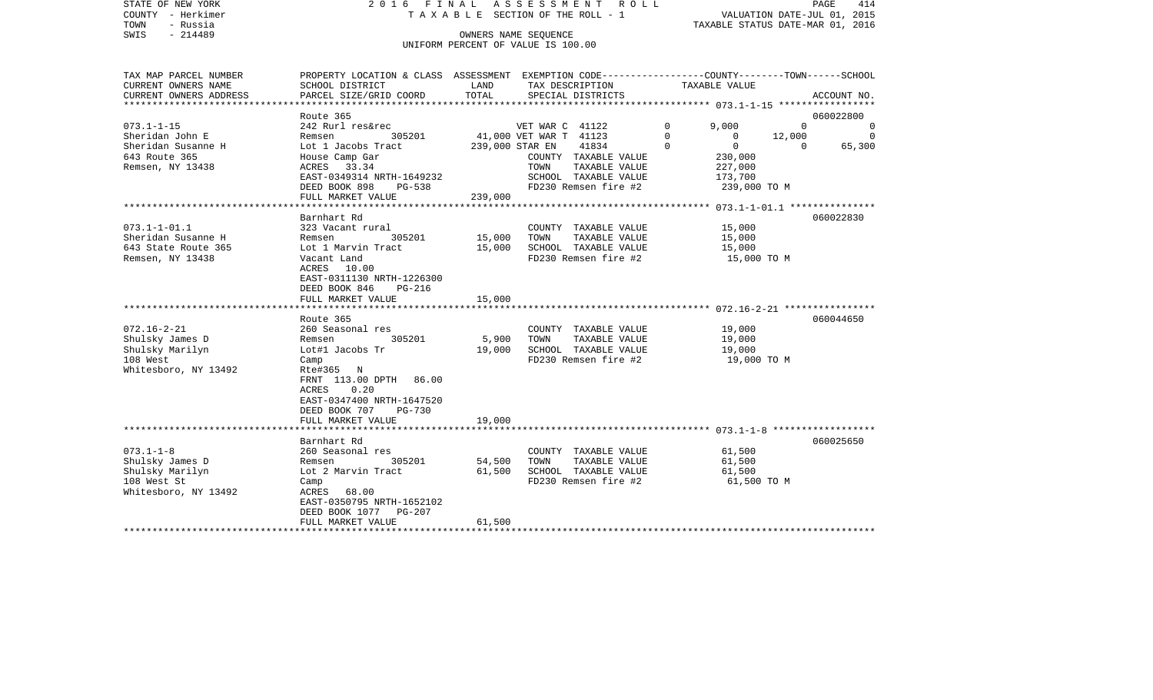| STATE OF NEW YORK             | 2016                      | AT.                                | ASSESSMENT              |                   | ROLL |                                             |          | PAGE        | 414      |
|-------------------------------|---------------------------|------------------------------------|-------------------------|-------------------|------|---------------------------------------------|----------|-------------|----------|
| - Herkimer<br>COUNTY          | TAXABLE                   |                                    | SECTION OF THE ROLL - 1 |                   |      | VALUATION DATE-JUL 01,                      |          |             | 2015     |
| TOWN<br>- Russia              |                           |                                    |                         |                   |      | TAXABLE STATUS DATE-MAR 01, 2016            |          |             |          |
| SWIS<br>$-214489$             |                           | OWNERS NAME SEQUENCE               |                         |                   |      |                                             |          |             |          |
|                               |                           | UNIFORM PERCENT OF VALUE IS 100.00 |                         |                   |      |                                             |          |             |          |
|                               |                           |                                    |                         |                   |      |                                             |          |             |          |
|                               |                           |                                    |                         |                   |      |                                             |          |             |          |
| TAX MAP PARCEL NUMBER         | PROPERTY LOCATION & CLASS | ASSESSMENT                         | EXEMPTION CODE--        |                   |      | ------------COUNTY--------TOWN-------SCHOOL |          |             |          |
| CURRENT OWNERS NAME           | SCHOOL DISTRICT           | LAND                               |                         | TAX DESCRIPTION   |      | TAXABLE VALUE                               |          |             |          |
| CURRENT OWNERS ADDRESS        | PARCEL SIZE/GRID COORD    | TOTAL                              |                         | SPECIAL DISTRICTS |      |                                             |          | ACCOUNT NO. |          |
| ***************************** |                           |                                    |                         |                   |      |                                             |          |             |          |
|                               | Route 365                 |                                    |                         |                   |      |                                             |          | 060022800   |          |
| $073.1 - 1 - 15$              | 242 Rurl res&rec          |                                    | VET WAR C 41122         |                   |      | 0<br>9,000                                  |          |             | $\Omega$ |
| Sheridan John E               | 305201<br>Remsen          |                                    | 41,000 VET WAR T        | 41123             |      |                                             | 12,000   |             | $\Omega$ |
| Sheridan Susanne H            | Lot 1 Jacobs Tract        | 239,000 STAR EN                    |                         | 41834             |      | 0                                           | $\Omega$ |             | 65,300   |
| 643 Route 365                 | House Camp Gar            |                                    | COUNTY                  | TAXABLE VALUE     |      | 230,000                                     |          |             |          |
| Remsen, NY 13438              | 33.34<br>ACRES            |                                    | TOWN                    | TAXABLE VALUE     |      | 227,000                                     |          |             |          |
|                               | EAST-0349314 NRTH-1649232 |                                    | SCHOOL                  | TAXABLE VALUE     |      | 173,700                                     |          |             |          |
|                               |                           |                                    |                         |                   |      |                                             |          |             |          |

| Remsen, NY 13438     | ACRES 33.34                         |         | TAXABLE VALUE<br>TOWN             | ------<br>227,000 |           |
|----------------------|-------------------------------------|---------|-----------------------------------|-------------------|-----------|
|                      | EAST-0349314 NRTH-1649232           |         | SCHOOL TAXABLE VALUE 173,700      |                   |           |
|                      | DEED BOOK 898<br>$PG-538$           |         | FD230 Remsen fire #2 239,000 TO M |                   |           |
|                      | FULL MARKET VALUE                   | 239.000 |                                   |                   |           |
|                      |                                     |         |                                   |                   |           |
|                      | Barnhart Rd                         |         |                                   |                   | 060022830 |
| $073.1 - 1 - 01.1$   | 323 Vacant rural                    |         | COUNTY TAXABLE VALUE              | 15,000            |           |
| Sheridan Susanne H   | 305201 15,000<br>Remsen             |         | TOWN<br>TAXABLE VALUE             | 15,000            |           |
| 643 State Route 365  | Lot 1 Marvin Tract 15,000           |         | SCHOOL TAXABLE VALUE              | 15,000            |           |
| Remsen, NY 13438     | Vacant Land                         |         | FD230 Remsen fire #2              | 15,000 TO M       |           |
|                      | ACRES 10.00                         |         |                                   |                   |           |
|                      | EAST-0311130 NRTH-1226300           |         |                                   |                   |           |
|                      | DEED BOOK 846<br>PG-216             |         |                                   |                   |           |
|                      | FULL MARKET VALUE<br>15,000         |         |                                   |                   |           |
|                      |                                     |         |                                   |                   |           |
|                      | Route 365                           |         |                                   |                   | 060044650 |
| $072.16 - 2 - 21$    | 260 Seasonal res                    |         | COUNTY TAXABLE VALUE              | 19,000            |           |
| Shulsky James D      | 305201<br>Remsen                    | 5,900   | TAXABLE VALUE<br>TOWN             | 19,000            |           |
| Shulsky Marilyn      | Lot#1 Jacobs Tr                     | 19,000  | SCHOOL TAXABLE VALUE              | 19,000            |           |
| 108 West             | Camp                                |         | FD230 Remsen fire #2              | 19,000 TO M       |           |
| Whitesboro, NY 13492 | Rte#365 N<br>FRNT 113.00 DPTH 86.00 |         |                                   |                   |           |
|                      | 0.20<br>ACRES                       |         |                                   |                   |           |
|                      | EAST-0347400 NRTH-1647520           |         |                                   |                   |           |
|                      | DEED BOOK 707 PG-730                |         |                                   |                   |           |
|                      | FULL MARKET VALUE<br>19,000         |         |                                   |                   |           |
|                      |                                     |         |                                   |                   |           |
|                      | Barnhart Rd                         |         |                                   |                   | 060025650 |
| $073.1 - 1 - 8$      | 260 Seasonal res                    |         | COUNTY TAXABLE VALUE              | 61,500            |           |
| Shulsky James D      | 305201<br>Remsen                    | 54,500  | TOWN<br>TAXABLE VALUE             | 61,500            |           |
| Shulsky Marilyn      | Lot 2 Marvin Tract                  | 61,500  | SCHOOL TAXABLE VALUE              | 61,500            |           |
| 108 West St          | Camp                                |         | FD230 Remsen fire #2              | 61,500 TO M       |           |
| Whitesboro, NY 13492 | ACRES 68.00                         |         |                                   |                   |           |
|                      | EAST-0350795 NRTH-1652102           |         |                                   |                   |           |
|                      | DEED BOOK 1077 PG-207               |         |                                   |                   |           |
|                      | FULL MARKET VALUE                   | 61,500  |                                   |                   |           |
|                      |                                     |         |                                   |                   |           |
|                      |                                     |         |                                   |                   |           |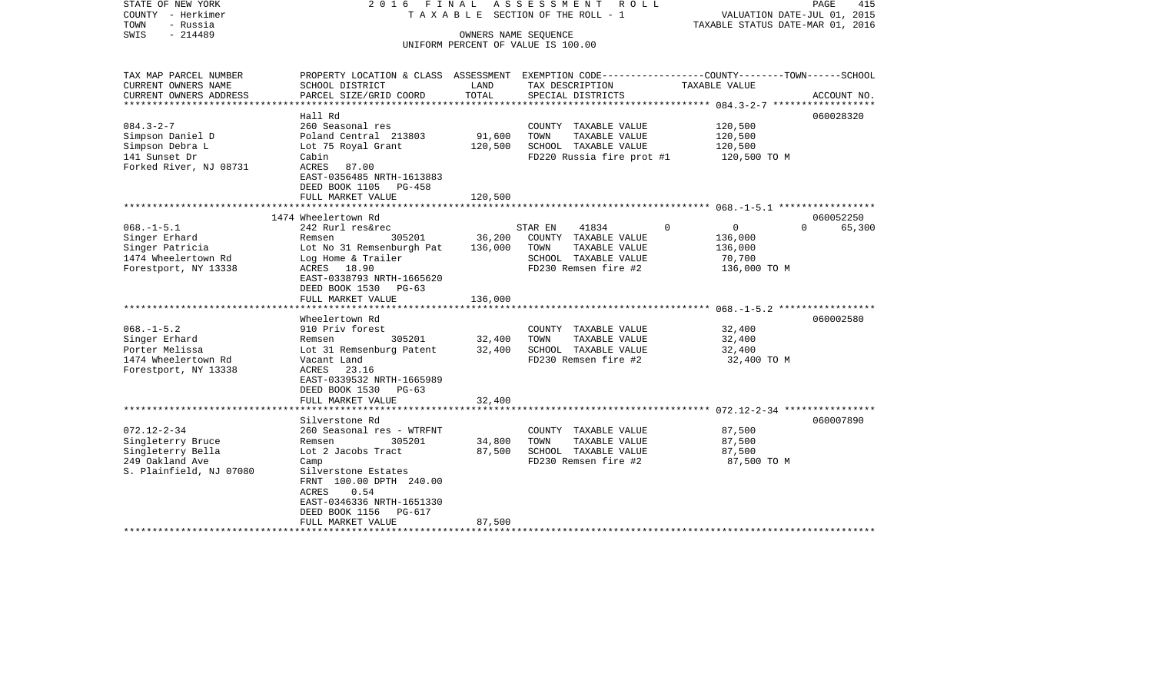| STATE OF NEW YORK<br>COUNTY - Herkimer<br>TOWN<br>- Russia                                         | 2016 FINAL                                                                                                                                                                                                                        |                              | ASSESSMENT ROLL<br>T A X A B L E SECTION OF THE ROLL - 1                                                          | VALUATION DATE-JUL 01, 2015<br>TAXABLE STATUS DATE-MAR 01, 2016         | 415<br>PAGE                     |
|----------------------------------------------------------------------------------------------------|-----------------------------------------------------------------------------------------------------------------------------------------------------------------------------------------------------------------------------------|------------------------------|-------------------------------------------------------------------------------------------------------------------|-------------------------------------------------------------------------|---------------------------------|
| $-214489$<br>SWIS                                                                                  |                                                                                                                                                                                                                                   | OWNERS NAME SEQUENCE         | UNIFORM PERCENT OF VALUE IS 100.00                                                                                |                                                                         |                                 |
| TAX MAP PARCEL NUMBER<br>CURRENT OWNERS NAME                                                       | PROPERTY LOCATION & CLASS ASSESSMENT EXEMPTION CODE---------------COUNTY-------TOWN------SCHOOL<br>SCHOOL DISTRICT                                                                                                                | LAND                         | TAX DESCRIPTION                                                                                                   | TAXABLE VALUE                                                           |                                 |
| CURRENT OWNERS ADDRESS                                                                             | PARCEL SIZE/GRID COORD                                                                                                                                                                                                            | TOTAL<br>************        | SPECIAL DISTRICTS                                                                                                 |                                                                         | ACCOUNT NO.                     |
|                                                                                                    | Hall Rd                                                                                                                                                                                                                           |                              |                                                                                                                   | ************* 084.3-2-7 ****************                                | 060028320                       |
| $084.3 - 2 - 7$<br>Simpson Daniel D<br>Simpson Debra L<br>141 Sunset Dr<br>Forked River, NJ 08731  | 260 Seasonal res<br>Poland Central 213803<br>Lot 75 Royal Grant<br>Cabin<br>ACRES<br>87.00<br>EAST-0356485 NRTH-1613883                                                                                                           | 91,600<br>120,500            | COUNTY TAXABLE VALUE<br>TOWN<br>TAXABLE VALUE<br>SCHOOL TAXABLE VALUE<br>FD220 Russia fire prot #1                | 120,500<br>120,500<br>120,500<br>120,500 TO M                           |                                 |
|                                                                                                    | DEED BOOK 1105<br>PG-458<br>FULL MARKET VALUE                                                                                                                                                                                     | 120,500                      |                                                                                                                   |                                                                         |                                 |
|                                                                                                    | ************************                                                                                                                                                                                                          |                              |                                                                                                                   |                                                                         |                                 |
| $068. -1 - 5.1$<br>Singer Erhard<br>Singer Patricia<br>1474 Wheelertown Rd<br>Forestport, NY 13338 | 1474 Wheelertown Rd<br>242 Rurl res&rec<br>305201<br>Remsen<br>Lot No 31 Remsenburgh Pat<br>Log Home & Trailer<br>ACRES 18.90<br>EAST-0338793 NRTH-1665620<br>DEED BOOK 1530<br>$PG-63$<br>FULL MARKET VALUE<br>***************** | 36,200<br>136,000<br>136,000 | 41834<br>STAR EN<br>COUNTY TAXABLE VALUE<br>TOWN<br>TAXABLE VALUE<br>SCHOOL TAXABLE VALUE<br>FD230 Remsen fire #2 | $\mathbf 0$<br>$\Omega$<br>136,000<br>136,000<br>70,700<br>136,000 TO M | 060052250<br>$\Omega$<br>65,300 |
|                                                                                                    |                                                                                                                                                                                                                                   | **********                   |                                                                                                                   |                                                                         |                                 |
| $068. -1 - 5.2$<br>Singer Erhard<br>Porter Melissa<br>1474 Wheelertown Rd<br>Forestport, NY 13338  | Wheelertown Rd<br>910 Priv forest<br>305201<br>Remsen<br>Lot 31 Remsenburg Patent<br>Vacant Land<br>ACRES<br>23.16<br>EAST-0339532 NRTH-1665989<br>DEED BOOK 1530<br>$PG-63$                                                      | 32,400<br>32,400             | COUNTY TAXABLE VALUE<br>TAXABLE VALUE<br>TOWN<br>SCHOOL TAXABLE VALUE<br>FD230 Remsen fire #2                     | 32,400<br>32,400<br>32,400<br>32,400 TO M                               | 060002580                       |
|                                                                                                    | FULL MARKET VALUE                                                                                                                                                                                                                 | 32,400                       |                                                                                                                   |                                                                         |                                 |
| $072.12 - 2 - 34$                                                                                  | ************************<br>Silverstone Rd<br>260 Seasonal res - WTRFNT                                                                                                                                                           |                              | COUNTY TAXABLE VALUE                                                                                              | 87,500                                                                  | 060007890                       |
| Singleterry Bruce<br>Singleterry Bella<br>249 Oakland Ave<br>S. Plainfield, NJ 07080               | 305201<br>Remsen<br>Lot 2 Jacobs Tract<br>Camp<br>Silverstone Estates<br>FRNT 100.00 DPTH 240.00<br>0.54<br>ACRES<br>EAST-0346336 NRTH-1651330<br>DEED BOOK 1156<br>PG-617<br>FULL MARKET VALUE                                   | 34,800<br>87,500<br>87,500   | TAXABLE VALUE<br>TOWN<br>SCHOOL TAXABLE VALUE<br>FD230 Remsen fire #2                                             | 87,500<br>87,500<br>87,500 TO M                                         |                                 |
|                                                                                                    |                                                                                                                                                                                                                                   |                              |                                                                                                                   |                                                                         |                                 |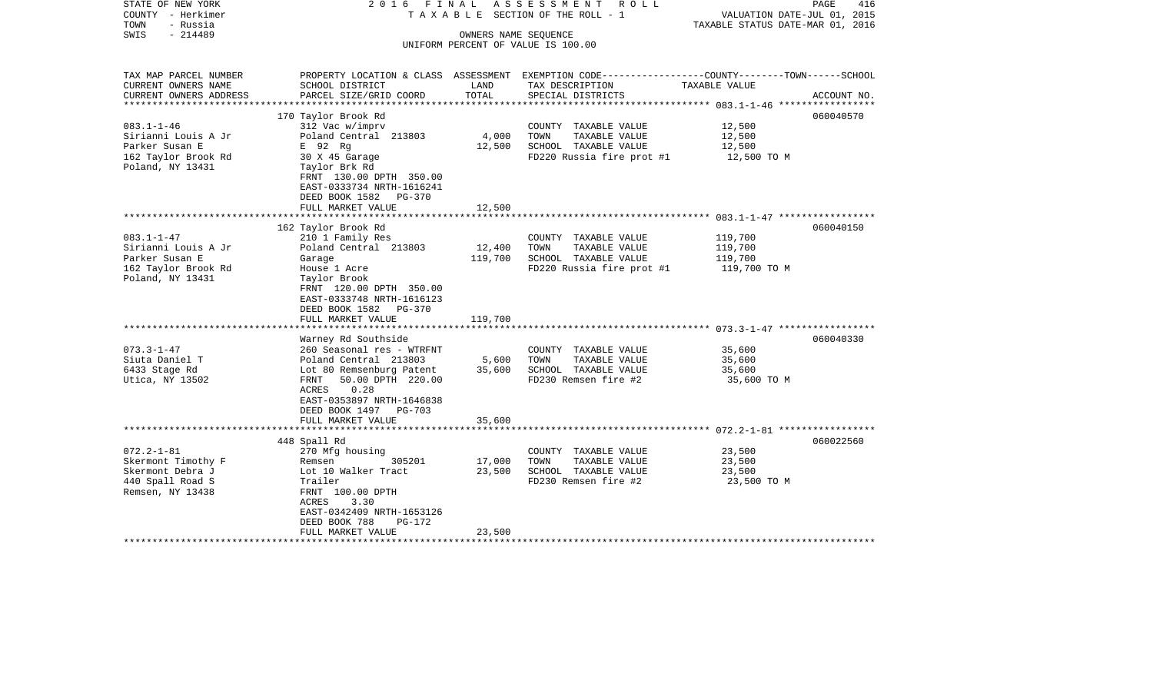| STATE OF NEW YORK<br>COUNTY - Herkimer<br>- Russia<br>TOWN                                           | 2016 FINAL                                                                                                                                                                                                             |                              | A S S E S S M E N T A O L L<br>TAXABLE SECTION OF THE ROLL - 1                                                                         | VALUATION DATE-JUL 01, 2015<br>TAXABLE STATUS DATE-MAR 01, 2016 | 416<br>PAGE |
|------------------------------------------------------------------------------------------------------|------------------------------------------------------------------------------------------------------------------------------------------------------------------------------------------------------------------------|------------------------------|----------------------------------------------------------------------------------------------------------------------------------------|-----------------------------------------------------------------|-------------|
| $-214489$<br>SWIS                                                                                    |                                                                                                                                                                                                                        |                              | OWNERS NAME SEQUENCE<br>UNIFORM PERCENT OF VALUE IS 100.00                                                                             |                                                                 |             |
| TAX MAP PARCEL NUMBER<br>CURRENT OWNERS NAME<br>CURRENT OWNERS ADDRESS<br>*******************        | SCHOOL DISTRICT<br>PARCEL SIZE/GRID COORD                                                                                                                                                                              | LAND<br>TOTAL                | PROPERTY LOCATION & CLASS ASSESSMENT EXEMPTION CODE---------------COUNTY-------TOWN-----SCHOOL<br>TAX DESCRIPTION<br>SPECIAL DISTRICTS | TAXABLE VALUE                                                   | ACCOUNT NO. |
| $083.1 - 1 - 46$<br>Sirianni Louis A Jr<br>Parker Susan E<br>162 Taylor Brook Rd<br>Poland, NY 13431 | 170 Taylor Brook Rd<br>312 Vac w/imprv<br>Poland Central 213803<br>E 92 Rg<br>30 X 45 Garage<br>Taylor Brk Rd<br>FRNT 130.00 DPTH 350.00<br>EAST-0333734 NRTH-1616241<br>DEED BOOK 1582<br>PG-370<br>FULL MARKET VALUE | 4,000<br>12,500<br>12,500    | COUNTY TAXABLE VALUE<br>TOWN<br>TAXABLE VALUE<br>SCHOOL TAXABLE VALUE<br>FD220 Russia fire prot #1                                     | 12,500<br>12,500<br>12,500<br>12,500 TO M                       | 060040570   |
|                                                                                                      |                                                                                                                                                                                                                        |                              |                                                                                                                                        |                                                                 |             |
| $083.1 - 1 - 47$<br>Sirianni Louis A Jr<br>Parker Susan E<br>162 Taylor Brook Rd<br>Poland, NY 13431 | 162 Taylor Brook Rd<br>210 1 Family Res<br>Poland Central 213803<br>Garage<br>House 1 Acre<br>Taylor Brook<br>FRNT 120.00 DPTH 350.00<br>EAST-0333748 NRTH-1616123<br>DEED BOOK 1582<br>PG-370<br>FULL MARKET VALUE    | 12,400<br>119,700<br>119,700 | COUNTY TAXABLE VALUE<br>TOWN<br>TAXABLE VALUE<br>SCHOOL TAXABLE VALUE<br>FD220 Russia fire prot #1                                     | 119,700<br>119,700<br>119,700<br>119,700 TO M                   | 060040150   |
|                                                                                                      | Warney Rd Southside                                                                                                                                                                                                    |                              |                                                                                                                                        |                                                                 | 060040330   |
| $073.3 - 1 - 47$<br>Siuta Daniel T<br>6433 Stage Rd<br>Utica, NY 13502                               | 260 Seasonal res - WTRFNT<br>Poland Central 213803<br>Lot 80 Remsenburg Patent<br>FRNT<br>50.00 DPTH 220.00<br>ACRES<br>0.28<br>EAST-0353897 NRTH-1646838<br>DEED BOOK 1497 PG-703<br>FULL MARKET VALUE                | 5,600<br>35,600<br>35,600    | COUNTY TAXABLE VALUE<br>TOWN<br>TAXABLE VALUE<br>SCHOOL TAXABLE VALUE<br>FD230 Remsen fire #2                                          | 35,600<br>35,600<br>35,600<br>35,600 TO M                       |             |
|                                                                                                      |                                                                                                                                                                                                                        |                              |                                                                                                                                        |                                                                 |             |
| $072.2 - 1 - 81$<br>Skermont Timothy F<br>Skermont Debra J<br>440 Spall Road S<br>Remsen, NY 13438   | 448 Spall Rd<br>270 Mfg housing<br>305201<br>Remsen<br>Lot 10 Walker Tract<br>Trailer<br>FRNT 100.00 DPTH<br>ACRES<br>3.30<br>EAST-0342409 NRTH-1653126<br>DEED BOOK 788<br>PG-172<br>FULL MARKET VALUE                | 17,000<br>23,500<br>23,500   | COUNTY TAXABLE VALUE<br>TOWN<br>TAXABLE VALUE<br>SCHOOL TAXABLE VALUE<br>FD230 Remsen fire #2                                          | 23,500<br>23,500<br>23,500<br>23,500 TO M                       | 060022560   |
|                                                                                                      | ***********************                                                                                                                                                                                                |                              |                                                                                                                                        |                                                                 |             |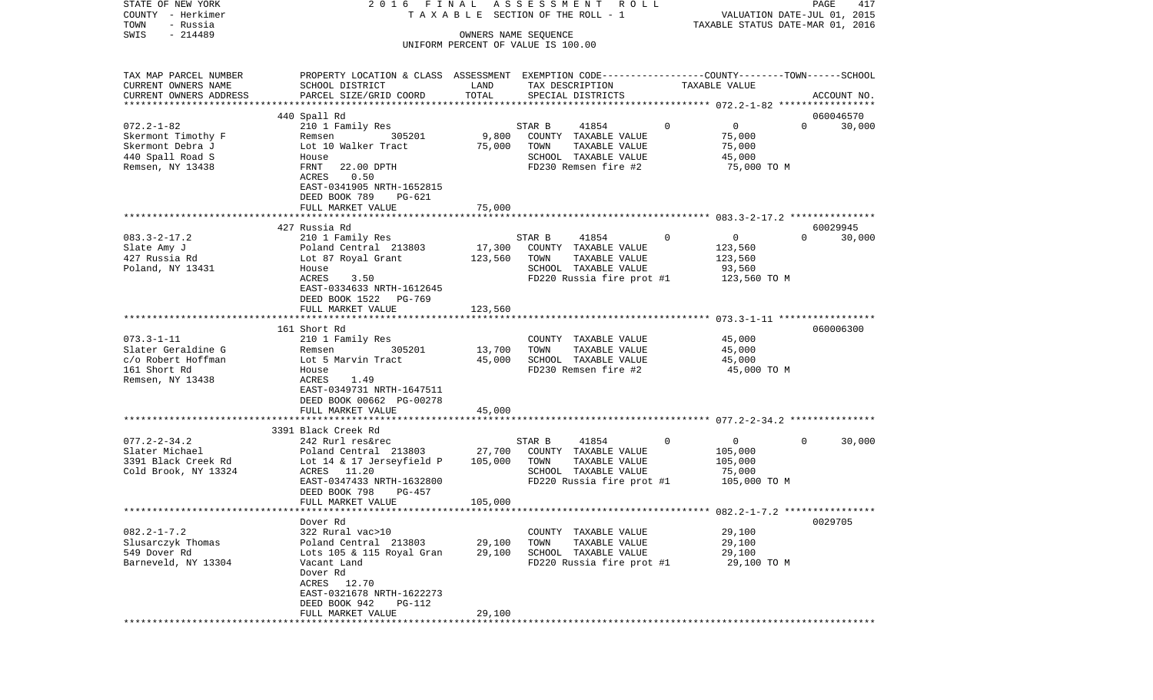| STATE OF NEW YORK                 | 2016 FINAL                                                                                      |                                    |        | ASSESSMENT ROLL                                        |             |                                  |          | PAGE        | 417    |
|-----------------------------------|-------------------------------------------------------------------------------------------------|------------------------------------|--------|--------------------------------------------------------|-------------|----------------------------------|----------|-------------|--------|
| COUNTY - Herkimer                 |                                                                                                 |                                    |        | TAXABLE SECTION OF THE ROLL - 1                        |             | VALUATION DATE-JUL 01, 2015      |          |             |        |
| TOWN<br>- Russia                  |                                                                                                 |                                    |        |                                                        |             | TAXABLE STATUS DATE-MAR 01, 2016 |          |             |        |
| $-214489$<br>SWIS                 |                                                                                                 | OWNERS NAME SEQUENCE               |        |                                                        |             |                                  |          |             |        |
|                                   |                                                                                                 | UNIFORM PERCENT OF VALUE IS 100.00 |        |                                                        |             |                                  |          |             |        |
| TAX MAP PARCEL NUMBER             | PROPERTY LOCATION & CLASS ASSESSMENT EXEMPTION CODE---------------COUNTY-------TOWN------SCHOOL |                                    |        |                                                        |             |                                  |          |             |        |
| CURRENT OWNERS NAME               | SCHOOL DISTRICT                                                                                 | LAND                               |        | TAX DESCRIPTION                                        |             | TAXABLE VALUE                    |          |             |        |
| CURRENT OWNERS ADDRESS            | PARCEL SIZE/GRID COORD                                                                          | TOTAL                              |        | SPECIAL DISTRICTS                                      |             |                                  |          | ACCOUNT NO. |        |
| **********************            |                                                                                                 |                                    |        |                                                        |             |                                  |          |             |        |
|                                   | 440 Spall Rd                                                                                    |                                    |        |                                                        |             |                                  |          | 060046570   |        |
| $072.2 - 1 - 82$                  | 210 1 Family Res                                                                                |                                    | STAR B | 41854                                                  | $\Omega$    | $\overline{0}$                   | $\Omega$ |             | 30,000 |
| Skermont Timothy F                | 305201<br>Remsen                                                                                | 9,800                              |        | COUNTY TAXABLE VALUE                                   |             | 75,000                           |          |             |        |
| Skermont Debra J                  | Lot 10 Walker Tract                                                                             | 75,000                             | TOWN   | TAXABLE VALUE                                          |             | 75,000                           |          |             |        |
| 440 Spall Road S                  | House                                                                                           |                                    |        | SCHOOL TAXABLE VALUE                                   |             | 45,000                           |          |             |        |
| Remsen, NY 13438                  | FRNT<br>22.00 DPTH                                                                              |                                    |        | FD230 Remsen fire #2                                   |             | 75,000 TO M                      |          |             |        |
|                                   | 0.50<br>ACRES                                                                                   |                                    |        |                                                        |             |                                  |          |             |        |
|                                   | EAST-0341905 NRTH-1652815                                                                       |                                    |        |                                                        |             |                                  |          |             |        |
|                                   | DEED BOOK 789<br>PG-621                                                                         |                                    |        |                                                        |             |                                  |          |             |        |
|                                   | FULL MARKET VALUE                                                                               | 75,000                             |        |                                                        |             |                                  |          |             |        |
|                                   |                                                                                                 |                                    |        |                                                        |             |                                  |          |             |        |
|                                   | 427 Russia Rd                                                                                   |                                    |        |                                                        |             |                                  |          | 60029945    |        |
| $083.3 - 2 - 17.2$                | 210 1 Family Res                                                                                |                                    | STAR B | 41854                                                  | $\mathbf 0$ | $\overline{0}$                   | $\Omega$ |             | 30,000 |
| Slate Amy J                       | Poland Central 213803                                                                           | 17,300                             |        | COUNTY TAXABLE VALUE                                   |             | 123,560                          |          |             |        |
| 427 Russia Rd<br>Poland, NY 13431 | Lot 87 Royal Grant                                                                              | 123,560                            | TOWN   | TAXABLE VALUE                                          |             | 123,560                          |          |             |        |
|                                   | House<br>3.50<br>ACRES                                                                          |                                    |        | SCHOOL TAXABLE VALUE                                   |             | 93,560<br>123,560 TO M           |          |             |        |
|                                   | EAST-0334633 NRTH-1612645                                                                       |                                    |        | FD220 Russia fire prot #1                              |             |                                  |          |             |        |
|                                   | DEED BOOK 1522 PG-769                                                                           |                                    |        |                                                        |             |                                  |          |             |        |
|                                   | FULL MARKET VALUE                                                                               | 123,560                            |        |                                                        |             |                                  |          |             |        |
|                                   |                                                                                                 |                                    |        |                                                        |             |                                  |          |             |        |
|                                   | 161 Short Rd                                                                                    |                                    |        |                                                        |             |                                  |          | 060006300   |        |
| $073.3 - 1 - 11$                  | 210 1 Family Res                                                                                |                                    |        | COUNTY TAXABLE VALUE                                   |             | 45,000                           |          |             |        |
| Slater Geraldine G                | Remsen<br>305201                                                                                | 13,700                             | TOWN   | TAXABLE VALUE                                          |             | 45,000                           |          |             |        |
| c/o Robert Hoffman                | Lot 5 Marvin Tract                                                                              | 45,000                             |        | SCHOOL TAXABLE VALUE                                   |             | 45,000                           |          |             |        |
| 161 Short Rd                      | House                                                                                           |                                    |        | FD230 Remsen fire #2                                   |             | 45,000 TO M                      |          |             |        |
| Remsen, NY 13438                  | ACRES<br>1.49                                                                                   |                                    |        |                                                        |             |                                  |          |             |        |
|                                   | EAST-0349731 NRTH-1647511                                                                       |                                    |        |                                                        |             |                                  |          |             |        |
|                                   | DEED BOOK 00662 PG-00278                                                                        |                                    |        |                                                        |             |                                  |          |             |        |
|                                   | FULL MARKET VALUE                                                                               | 45,000                             |        |                                                        |             |                                  |          |             |        |
|                                   | *********************                                                                           |                                    |        | ************************* 077.2-2-34.2 *************** |             |                                  |          |             |        |
|                                   | 3391 Black Creek Rd                                                                             |                                    |        |                                                        |             |                                  |          |             |        |
| $077.2 - 2 - 34.2$                | 242 Rurl res&rec                                                                                |                                    | STAR B | 41854                                                  | 0           | $\overline{0}$                   | 0        |             | 30,000 |
| Slater Michael                    | Poland Central 213803                                                                           | 27,700                             |        | COUNTY TAXABLE VALUE                                   |             | 105,000                          |          |             |        |
| 3391 Black Creek Rd               | Lot 14 & 17 Jerseyfield P                                                                       | 105,000                            | TOWN   | TAXABLE VALUE                                          |             | 105,000                          |          |             |        |
| Cold Brook, NY 13324              | ACRES 11.20                                                                                     |                                    |        | SCHOOL TAXABLE VALUE                                   |             | 75,000                           |          |             |        |
|                                   | EAST-0347433 NRTH-1632800                                                                       |                                    |        | FD220 Russia fire prot #1                              |             | 105,000 TO M                     |          |             |        |
|                                   | DEED BOOK 798<br>PG-457                                                                         |                                    |        |                                                        |             |                                  |          |             |        |
|                                   | FULL MARKET VALUE                                                                               | 105,000                            |        |                                                        |             |                                  |          |             |        |
|                                   |                                                                                                 |                                    |        |                                                        |             |                                  |          |             |        |
|                                   | Dover Rd                                                                                        |                                    |        |                                                        |             |                                  |          | 0029705     |        |
| $082.2 - 1 - 7.2$                 | 322 Rural vac>10                                                                                |                                    | COUNTY | TAXABLE VALUE                                          |             | 29,100                           |          |             |        |
| Slusarczyk Thomas                 | Poland Central 213803                                                                           | 29,100                             | TOWN   | TAXABLE VALUE                                          |             | 29,100                           |          |             |        |
| 549 Dover Rd                      | Lots 105 & 115 Royal Gran                                                                       | 29,100                             |        | SCHOOL TAXABLE VALUE                                   |             | 29,100                           |          |             |        |
| Barneveld, NY 13304               | Vacant Land                                                                                     |                                    |        | FD220 Russia fire prot #1                              |             | 29,100 TO M                      |          |             |        |
|                                   | Dover Rd<br>ACRES<br>12.70                                                                      |                                    |        |                                                        |             |                                  |          |             |        |
|                                   | EAST-0321678 NRTH-1622273                                                                       |                                    |        |                                                        |             |                                  |          |             |        |
|                                   | DEED BOOK 942<br>PG-112                                                                         |                                    |        |                                                        |             |                                  |          |             |        |
|                                   | FULL MARKET VALUE                                                                               | 29,100                             |        |                                                        |             |                                  |          |             |        |
|                                   |                                                                                                 |                                    |        |                                                        |             |                                  |          |             |        |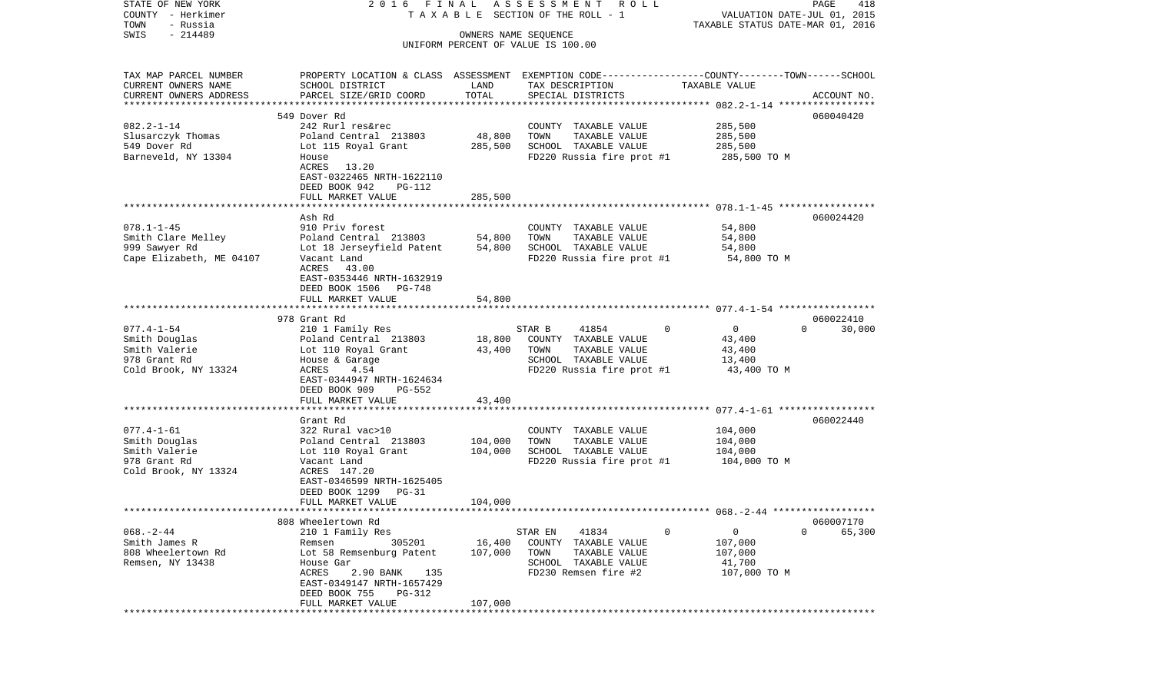| STATE OF NEW YORK             | 2016 FINAL                                                                                      |                      | ASSESSMENT ROLL                    |                                  | PAGE<br>418                 |
|-------------------------------|-------------------------------------------------------------------------------------------------|----------------------|------------------------------------|----------------------------------|-----------------------------|
| COUNTY - Herkimer             |                                                                                                 |                      | TAXABLE SECTION OF THE ROLL - 1    |                                  | VALUATION DATE-JUL 01, 2015 |
| TOWN<br>- Russia<br>$-214489$ |                                                                                                 |                      |                                    | TAXABLE STATUS DATE-MAR 01, 2016 |                             |
| SWIS                          |                                                                                                 | OWNERS NAME SEOUENCE | UNIFORM PERCENT OF VALUE IS 100.00 |                                  |                             |
|                               |                                                                                                 |                      |                                    |                                  |                             |
| TAX MAP PARCEL NUMBER         | PROPERTY LOCATION & CLASS ASSESSMENT EXEMPTION CODE---------------COUNTY-------TOWN------SCHOOL |                      |                                    |                                  |                             |
| CURRENT OWNERS NAME           | SCHOOL DISTRICT                                                                                 | LAND                 | TAX DESCRIPTION                    | TAXABLE VALUE                    |                             |
| CURRENT OWNERS ADDRESS        | PARCEL SIZE/GRID COORD                                                                          | TOTAL                | SPECIAL DISTRICTS                  |                                  | ACCOUNT NO.                 |
|                               |                                                                                                 |                      |                                    |                                  |                             |
|                               | 549 Dover Rd                                                                                    |                      |                                    |                                  | 060040420                   |
| $082.2 - 1 - 14$              | 242 Rurl res&rec                                                                                |                      | COUNTY TAXABLE VALUE               | 285,500                          |                             |
| Slusarczyk Thomas             | Poland Central 213803                                                                           | 48,800               | TOWN<br>TAXABLE VALUE              | 285,500                          |                             |
| 549 Dover Rd                  | Lot 115 Royal Grant                                                                             | 285,500              | SCHOOL TAXABLE VALUE               | 285,500                          |                             |
| Barneveld, NY 13304           | House                                                                                           |                      | FD220 Russia fire prot #1          | 285,500 TO M                     |                             |
|                               | ACRES 13.20                                                                                     |                      |                                    |                                  |                             |
|                               | EAST-0322465 NRTH-1622110<br>DEED BOOK 942<br>PG-112                                            |                      |                                    |                                  |                             |
|                               | FULL MARKET VALUE                                                                               | 285,500              |                                    |                                  |                             |
|                               |                                                                                                 |                      |                                    |                                  |                             |
|                               | Ash Rd                                                                                          |                      |                                    |                                  | 060024420                   |
| $078.1 - 1 - 45$              | 910 Priv forest                                                                                 |                      | COUNTY TAXABLE VALUE               | 54,800                           |                             |
| Smith Clare Melley            | Poland Central 213803                                                                           | 54,800               | TOWN<br>TAXABLE VALUE              | 54,800                           |                             |
| 999 Sawyer Rd                 | Lot 18 Jerseyfield Patent                                                                       | 54,800               | SCHOOL TAXABLE VALUE               | 54,800                           |                             |
| Cape Elizabeth, ME 04107      | Vacant Land                                                                                     |                      | FD220 Russia fire prot #1          | 54,800 TO M                      |                             |
|                               | ACRES<br>43.00                                                                                  |                      |                                    |                                  |                             |
|                               | EAST-0353446 NRTH-1632919                                                                       |                      |                                    |                                  |                             |
|                               | DEED BOOK 1506<br>PG-748                                                                        |                      |                                    |                                  |                             |
|                               | FULL MARKET VALUE                                                                               | 54,800               |                                    |                                  |                             |
|                               |                                                                                                 |                      |                                    |                                  |                             |
|                               | 978 Grant Rd                                                                                    |                      |                                    |                                  | 060022410                   |
| $077.4 - 1 - 54$              | 210 1 Family Res                                                                                |                      | 41854<br>STAR B                    | $\circ$<br>$\Omega$              | $\Omega$<br>30,000          |
| Smith Douglas                 | Poland Central 213803                                                                           | 18,800               | COUNTY TAXABLE VALUE               | 43,400                           |                             |
| Smith Valerie                 | Lot 110 Royal Grant                                                                             | 43,400               | TAXABLE VALUE<br>TOWN              | 43,400                           |                             |
| 978 Grant Rd                  | House & Garage                                                                                  |                      | SCHOOL TAXABLE VALUE               | 13,400                           |                             |
| Cold Brook, NY 13324          | ACRES<br>4.54                                                                                   |                      | FD220 Russia fire prot #1          | 43,400 TO M                      |                             |
|                               | EAST-0344947 NRTH-1624634                                                                       |                      |                                    |                                  |                             |
|                               | DEED BOOK 909<br>PG-552                                                                         | 43,400               |                                    |                                  |                             |
|                               | FULL MARKET VALUE<br>****************************                                               |                      |                                    |                                  |                             |
|                               | Grant Rd                                                                                        |                      |                                    |                                  | 060022440                   |
| $077.4 - 1 - 61$              | 322 Rural vac>10                                                                                |                      | COUNTY TAXABLE VALUE               | 104,000                          |                             |
| Smith Douglas                 | Poland Central 213803                                                                           | 104,000              | TOWN<br>TAXABLE VALUE              | 104,000                          |                             |
| Smith Valerie                 | Lot 110 Royal Grant                                                                             | 104,000              | SCHOOL TAXABLE VALUE               | 104,000                          |                             |
| 978 Grant Rd                  | Vacant Land                                                                                     |                      | FD220 Russia fire prot #1          | 104,000 TO M                     |                             |
| Cold Brook, NY 13324          | ACRES 147.20                                                                                    |                      |                                    |                                  |                             |
|                               | EAST-0346599 NRTH-1625405                                                                       |                      |                                    |                                  |                             |
|                               | DEED BOOK 1299<br>$PG-31$                                                                       |                      |                                    |                                  |                             |
|                               | FULL MARKET VALUE                                                                               | 104,000              |                                    |                                  |                             |
|                               |                                                                                                 |                      |                                    |                                  |                             |
|                               | 808 Wheelertown Rd                                                                              |                      |                                    |                                  | 060007170                   |
| $068. - 2 - 44$               | 210 1 Family Res                                                                                |                      | STAR EN<br>41834                   | 0<br>0                           | 0<br>65,300                 |
| Smith James R                 | 305201<br>Remsen                                                                                | 16,400               | COUNTY<br>TAXABLE VALUE            | 107,000                          |                             |
| 808 Wheelertown Rd            | Lot 58 Remsenburg Patent                                                                        | 107,000              | TOWN<br>TAXABLE VALUE              | 107,000                          |                             |
| Remsen, NY 13438              | House Gar                                                                                       |                      | SCHOOL<br>TAXABLE VALUE            | 41,700                           |                             |
|                               | ACRES<br>2.90 BANK<br>135                                                                       |                      | FD230 Remsen fire #2               | 107,000 TO M                     |                             |
|                               | EAST-0349147 NRTH-1657429                                                                       |                      |                                    |                                  |                             |
|                               | DEED BOOK 755<br>PG-312                                                                         | 107,000              |                                    |                                  |                             |
|                               | FULL MARKET VALUE                                                                               |                      |                                    |                                  |                             |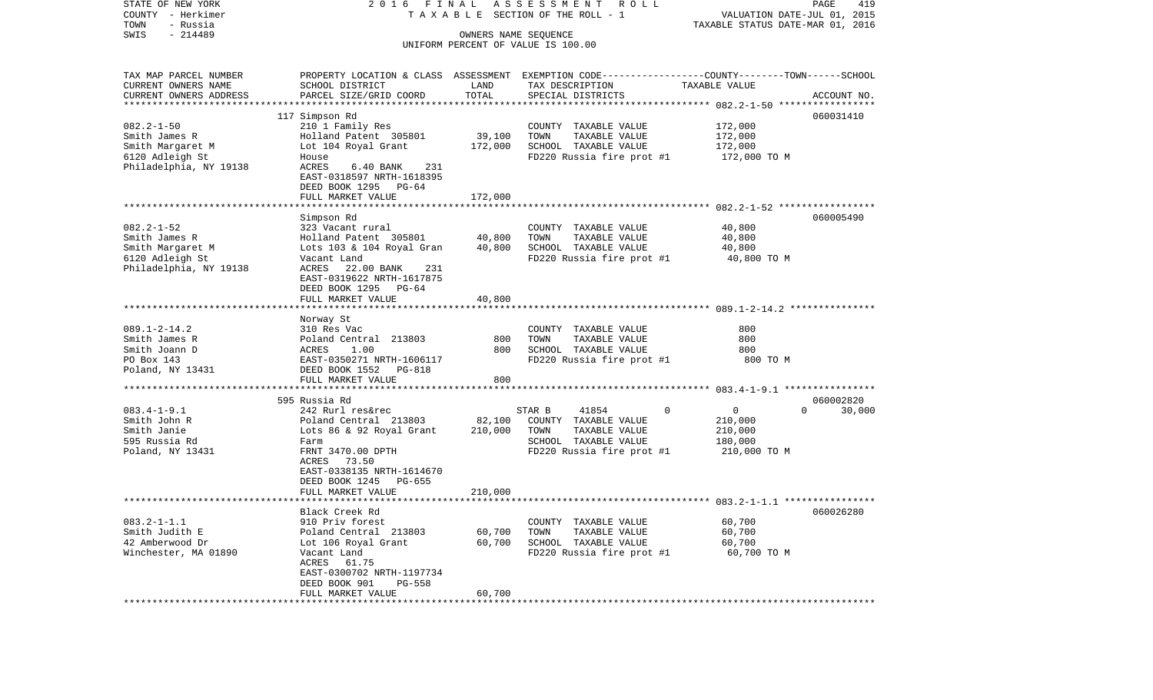| STATE OF NEW YORK                     | 2016 FINAL                                                 |                                  | ASSESSMENT ROLL                                                                                 |                    | PAGE<br>419        |  |  |  |
|---------------------------------------|------------------------------------------------------------|----------------------------------|-------------------------------------------------------------------------------------------------|--------------------|--------------------|--|--|--|
| COUNTY - Herkimer                     | TAXABLE SECTION OF THE ROLL - 1                            | VALUATION DATE-JUL 01, 2015      |                                                                                                 |                    |                    |  |  |  |
| TOWN<br>- Russia<br>$-214489$<br>SWIS |                                                            | TAXABLE STATUS DATE-MAR 01, 2016 |                                                                                                 |                    |                    |  |  |  |
|                                       | OWNERS NAME SEQUENCE<br>UNIFORM PERCENT OF VALUE IS 100.00 |                                  |                                                                                                 |                    |                    |  |  |  |
|                                       |                                                            |                                  |                                                                                                 |                    |                    |  |  |  |
| TAX MAP PARCEL NUMBER                 |                                                            |                                  | PROPERTY LOCATION & CLASS ASSESSMENT EXEMPTION CODE---------------COUNTY-------TOWN------SCHOOL |                    |                    |  |  |  |
| CURRENT OWNERS NAME                   | SCHOOL DISTRICT                                            | LAND                             | TAX DESCRIPTION                                                                                 | TAXABLE VALUE      |                    |  |  |  |
| CURRENT OWNERS ADDRESS                | PARCEL SIZE/GRID COORD                                     | TOTAL                            | SPECIAL DISTRICTS                                                                               |                    | ACCOUNT NO.        |  |  |  |
|                                       |                                                            |                                  |                                                                                                 |                    |                    |  |  |  |
|                                       | 117 Simpson Rd                                             |                                  |                                                                                                 |                    | 060031410          |  |  |  |
| $082.2 - 1 - 50$<br>Smith James R     | 210 1 Family Res<br>Holland Patent 305801                  | 39,100                           | COUNTY TAXABLE VALUE<br>TOWN<br>TAXABLE VALUE                                                   | 172,000<br>172,000 |                    |  |  |  |
| Smith Margaret M                      | Lot 104 Royal Grant                                        | 172,000                          | SCHOOL TAXABLE VALUE                                                                            | 172,000            |                    |  |  |  |
| 6120 Adleigh St                       | House                                                      |                                  | FD220 Russia fire prot #1                                                                       | 172,000 TO M       |                    |  |  |  |
| Philadelphia, NY 19138                | ACRES<br>$6.40$ BANK<br>231                                |                                  |                                                                                                 |                    |                    |  |  |  |
|                                       | EAST-0318597 NRTH-1618395                                  |                                  |                                                                                                 |                    |                    |  |  |  |
|                                       | DEED BOOK 1295 PG-64                                       |                                  |                                                                                                 |                    |                    |  |  |  |
|                                       | FULL MARKET VALUE                                          | 172,000                          |                                                                                                 |                    |                    |  |  |  |
|                                       |                                                            |                                  |                                                                                                 |                    |                    |  |  |  |
|                                       | Simpson Rd                                                 |                                  |                                                                                                 |                    | 060005490          |  |  |  |
| $082.2 - 1 - 52$                      | 323 Vacant rural                                           |                                  | COUNTY TAXABLE VALUE                                                                            | 40,800             |                    |  |  |  |
| Smith James R                         | Holland Patent 305801                                      | 40,800                           | TOWN<br>TAXABLE VALUE                                                                           | 40,800             |                    |  |  |  |
| Smith Margaret M                      | Lots 103 & 104 Royal Gran                                  | 40,800                           | SCHOOL TAXABLE VALUE                                                                            | 40,800             |                    |  |  |  |
| 6120 Adleigh St                       | Vacant Land                                                |                                  | FD220 Russia fire prot #1                                                                       | 40,800 TO M        |                    |  |  |  |
| Philadelphia, NY 19138                | ACRES<br>22.00 BANK<br>231                                 |                                  |                                                                                                 |                    |                    |  |  |  |
|                                       | EAST-0319622 NRTH-1617875                                  |                                  |                                                                                                 |                    |                    |  |  |  |
|                                       | DEED BOOK 1295<br>PG-64                                    |                                  |                                                                                                 |                    |                    |  |  |  |
|                                       | FULL MARKET VALUE                                          | 40,800                           |                                                                                                 |                    |                    |  |  |  |
|                                       |                                                            |                                  |                                                                                                 |                    |                    |  |  |  |
| $089.1 - 2 - 14.2$                    | Norway St<br>310 Res Vac                                   |                                  | COUNTY TAXABLE VALUE                                                                            | 800                |                    |  |  |  |
| Smith James R                         | Poland Central 213803                                      | 800                              | TAXABLE VALUE<br>TOWN                                                                           | 800                |                    |  |  |  |
| Smith Joann D                         | 1.00<br>ACRES                                              | 800                              | SCHOOL TAXABLE VALUE                                                                            | 800                |                    |  |  |  |
| PO Box 143                            | EAST-0350271 NRTH-1606117                                  |                                  | FD220 Russia fire prot #1                                                                       | 800 TO M           |                    |  |  |  |
| Poland, NY 13431                      | DEED BOOK 1552<br>PG-818                                   |                                  |                                                                                                 |                    |                    |  |  |  |
|                                       | FULL MARKET VALUE                                          | 800                              |                                                                                                 |                    |                    |  |  |  |
|                                       |                                                            |                                  |                                                                                                 |                    |                    |  |  |  |
|                                       | 595 Russia Rd                                              |                                  |                                                                                                 |                    | 060002820          |  |  |  |
| $083.4 - 1 - 9.1$                     | 242 Rurl res&rec                                           |                                  | STAR B<br>41854<br>0                                                                            | 0                  | $\Omega$<br>30,000 |  |  |  |
| Smith John R                          | Poland Central 213803                                      | 82,100                           | COUNTY TAXABLE VALUE                                                                            | 210,000            |                    |  |  |  |
| Smith Janie                           | Lots 86 & 92 Royal Grant                                   | 210,000                          | TOWN<br>TAXABLE VALUE                                                                           | 210,000            |                    |  |  |  |
| 595 Russia Rd                         | Farm                                                       |                                  | SCHOOL TAXABLE VALUE                                                                            | 180,000            |                    |  |  |  |
| Poland, NY 13431                      | FRNT 3470.00 DPTH                                          |                                  | FD220 Russia fire prot #1                                                                       | 210,000 TO M       |                    |  |  |  |
|                                       | ACRES 73.50                                                |                                  |                                                                                                 |                    |                    |  |  |  |
|                                       | EAST-0338135 NRTH-1614670                                  |                                  |                                                                                                 |                    |                    |  |  |  |
|                                       | DEED BOOK 1245<br>PG-655                                   |                                  |                                                                                                 |                    |                    |  |  |  |
|                                       | FULL MARKET VALUE                                          | 210,000                          |                                                                                                 |                    |                    |  |  |  |
|                                       |                                                            |                                  |                                                                                                 |                    |                    |  |  |  |
|                                       | Black Creek Rd                                             |                                  |                                                                                                 |                    | 060026280          |  |  |  |
| $083.2 - 1 - 1.1$                     | 910 Priv forest                                            |                                  | COUNTY TAXABLE VALUE                                                                            | 60,700             |                    |  |  |  |
| Smith Judith E                        | Poland Central 213803                                      | 60,700                           | TOWN<br>TAXABLE VALUE                                                                           | 60,700             |                    |  |  |  |
| 42 Amberwood Dr                       | Lot 106 Royal Grant                                        | 60,700                           | SCHOOL TAXABLE VALUE                                                                            | 60,700             |                    |  |  |  |
| Winchester, MA 01890                  | Vacant Land                                                |                                  | FD220 Russia fire prot #1                                                                       | 60,700 TO M        |                    |  |  |  |
|                                       | ACRES 61.75<br>EAST-0300702 NRTH-1197734                   |                                  |                                                                                                 |                    |                    |  |  |  |
|                                       | DEED BOOK 901<br>$PG-558$                                  |                                  |                                                                                                 |                    |                    |  |  |  |
|                                       | FULL MARKET VALUE                                          | 60,700                           |                                                                                                 |                    |                    |  |  |  |
|                                       |                                                            |                                  |                                                                                                 |                    |                    |  |  |  |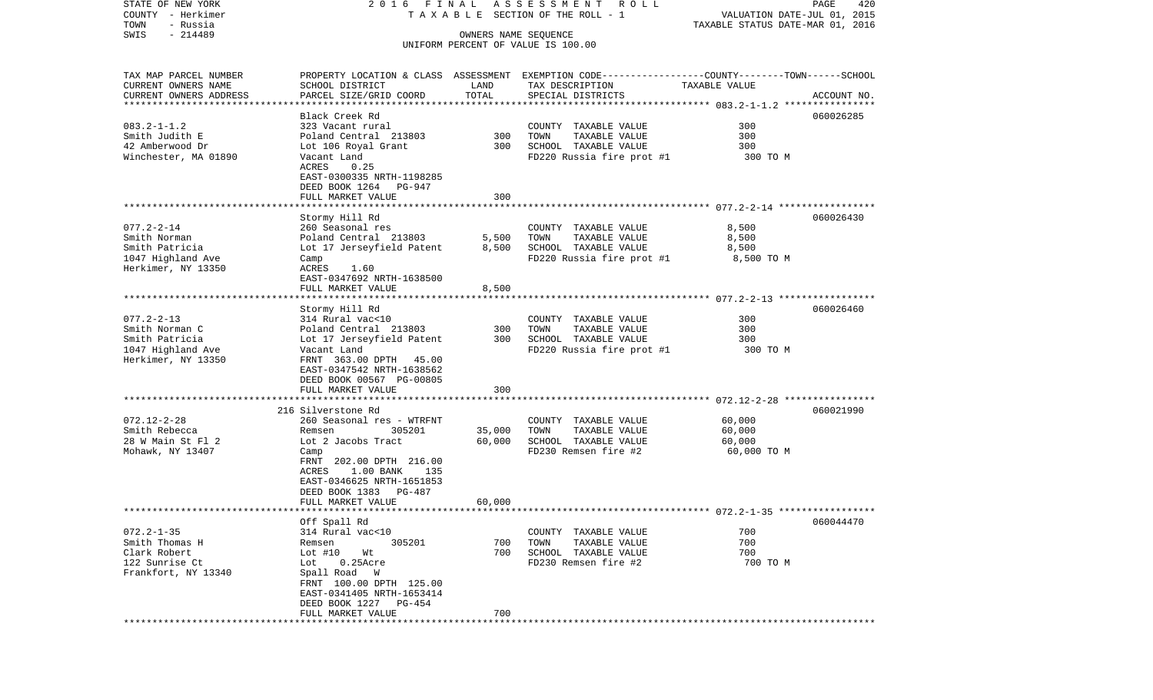| COUNTY<br>- Herkimer                  | TAXABLE SECTION OF THE ROLL - 1                      | VALUATION DATE-JUL 01, 2015<br>TAXABLE STATUS DATE-MAR 01, 2016 |                                                             |                       |             |  |
|---------------------------------------|------------------------------------------------------|-----------------------------------------------------------------|-------------------------------------------------------------|-----------------------|-------------|--|
| TOWN<br>- Russia                      |                                                      | OWNERS NAME SEQUENCE                                            |                                                             |                       |             |  |
| $-214489$<br>SWIS                     |                                                      |                                                                 |                                                             |                       |             |  |
|                                       |                                                      |                                                                 | UNIFORM PERCENT OF VALUE IS 100.00                          |                       |             |  |
|                                       |                                                      |                                                                 |                                                             |                       |             |  |
| TAX MAP PARCEL NUMBER                 | PROPERTY LOCATION & CLASS                            | ASSESSMENT                                                      | EXEMPTION CODE----------------COUNTY-------TOWN------SCHOOL |                       |             |  |
| CURRENT OWNERS NAME                   | SCHOOL DISTRICT                                      | LAND                                                            | TAX DESCRIPTION                                             | TAXABLE VALUE         |             |  |
| CURRENT OWNERS ADDRESS                | PARCEL SIZE/GRID COORD                               | TOTAL                                                           | SPECIAL DISTRICTS                                           |                       | ACCOUNT NO. |  |
| *************************             |                                                      |                                                                 |                                                             |                       |             |  |
|                                       | Black Creek Rd                                       |                                                                 |                                                             |                       | 060026285   |  |
| $083.2 - 1 - 1.2$                     | 323 Vacant rural                                     |                                                                 | COUNTY TAXABLE VALUE                                        | 300                   |             |  |
| Smith Judith E                        | Poland Central 213803                                | 300                                                             | TOWN<br>TAXABLE VALUE                                       | 300                   |             |  |
| 42 Amberwood Dr                       | Lot 106 Royal Grant<br>Vacant Land                   | 300                                                             | SCHOOL TAXABLE VALUE                                        | 300                   |             |  |
| Winchester, MA 01890                  | ACRES<br>0.25                                        |                                                                 | FD220 Russia fire prot #1                                   | 300 TO M              |             |  |
|                                       | EAST-0300335 NRTH-1198285                            |                                                                 |                                                             |                       |             |  |
|                                       | DEED BOOK 1264<br>PG-947                             |                                                                 |                                                             |                       |             |  |
|                                       | FULL MARKET VALUE                                    | 300                                                             |                                                             |                       |             |  |
|                                       |                                                      |                                                                 |                                                             |                       |             |  |
|                                       | Stormy Hill Rd                                       |                                                                 |                                                             |                       | 060026430   |  |
| $077.2 - 2 - 14$                      | 260 Seasonal res                                     |                                                                 | COUNTY TAXABLE VALUE                                        | 8,500                 |             |  |
| Smith Norman                          | Poland Central 213803                                | 5,500                                                           | TOWN<br>TAXABLE VALUE                                       | 8,500                 |             |  |
| Smith Patricia                        | Lot 17 Jerseyfield Patent                            | 8,500                                                           | SCHOOL TAXABLE VALUE                                        | 8,500                 |             |  |
| 1047 Highland Ave                     | Camp                                                 |                                                                 | FD220 Russia fire prot #1                                   | 8,500 TO M            |             |  |
| Herkimer, NY 13350                    | ACRES<br>1.60                                        |                                                                 |                                                             |                       |             |  |
|                                       | EAST-0347692 NRTH-1638500                            |                                                                 |                                                             |                       |             |  |
|                                       | FULL MARKET VALUE                                    | 8,500                                                           |                                                             |                       |             |  |
|                                       | Stormy Hill Rd                                       |                                                                 |                                                             |                       | 060026460   |  |
| $077.2 - 2 - 13$                      | 314 Rural vac<10                                     |                                                                 | COUNTY TAXABLE VALUE                                        | 300                   |             |  |
| Smith Norman C                        | Poland Central 213803                                | 300                                                             | TOWN<br>TAXABLE VALUE                                       | 300                   |             |  |
| Smith Patricia                        | Lot 17 Jerseyfield Patent                            | 300                                                             | SCHOOL TAXABLE VALUE                                        | 300                   |             |  |
| 1047 Highland Ave                     | Vacant Land                                          |                                                                 | FD220 Russia fire prot #1                                   | 300 TO M              |             |  |
| Herkimer, NY 13350                    | FRNT 363.00 DPTH<br>45.00                            |                                                                 |                                                             |                       |             |  |
|                                       | EAST-0347542 NRTH-1638562                            |                                                                 |                                                             |                       |             |  |
|                                       | DEED BOOK 00567 PG-00805                             |                                                                 |                                                             |                       |             |  |
|                                       | FULL MARKET VALUE                                    | 300                                                             |                                                             |                       |             |  |
|                                       |                                                      |                                                                 |                                                             |                       |             |  |
|                                       | 216 Silverstone Rd                                   |                                                                 |                                                             |                       | 060021990   |  |
| $072.12 - 2 - 28$                     | 260 Seasonal res - WTRFNT                            |                                                                 | COUNTY TAXABLE VALUE                                        | 60,000                |             |  |
| Smith Rebecca                         | Remsen<br>305201                                     | 35,000<br>60,000                                                | TOWN<br>TAXABLE VALUE<br>SCHOOL TAXABLE VALUE               | 60,000                |             |  |
| 28 W Main St Fl 2<br>Mohawk, NY 13407 | Lot 2 Jacobs Tract<br>Camp                           |                                                                 | FD230 Remsen fire #2                                        | 60,000<br>60,000 TO M |             |  |
|                                       | FRNT 202.00 DPTH 216.00                              |                                                                 |                                                             |                       |             |  |
|                                       | ACRES<br>$1.00$ BANK<br>135                          |                                                                 |                                                             |                       |             |  |
|                                       | EAST-0346625 NRTH-1651853                            |                                                                 |                                                             |                       |             |  |
|                                       | DEED BOOK 1383<br>PG-487                             |                                                                 |                                                             |                       |             |  |
|                                       | FULL MARKET VALUE                                    | 60,000                                                          |                                                             |                       |             |  |
|                                       |                                                      |                                                                 |                                                             |                       |             |  |
|                                       | Off Spall Rd                                         |                                                                 |                                                             |                       | 060044470   |  |
| $072.2 - 1 - 35$                      | 314 Rural vac<10                                     |                                                                 | COUNTY TAXABLE VALUE                                        | 700                   |             |  |
| Smith Thomas H                        | 305201<br>Remsen                                     | 700                                                             | TOWN<br>TAXABLE VALUE                                       | 700                   |             |  |
| Clark Robert                          | Lot $#10$<br>Wt                                      | 700                                                             | SCHOOL TAXABLE VALUE                                        | 700                   |             |  |
| 122 Sunrise Ct                        | Lot<br>$0.25$ Acre                                   |                                                                 | FD230 Remsen fire #2                                        | 700 TO M              |             |  |
| Frankfort, NY 13340                   | Spall Road<br>W                                      |                                                                 |                                                             |                       |             |  |
|                                       | FRNT 100.00 DPTH 125.00<br>EAST-0341405 NRTH-1653414 |                                                                 |                                                             |                       |             |  |
|                                       | DEED BOOK 1227 PG-454                                |                                                                 |                                                             |                       |             |  |
|                                       | FULL MARKET VALUE                                    | 700                                                             |                                                             |                       |             |  |
|                                       |                                                      |                                                                 |                                                             |                       |             |  |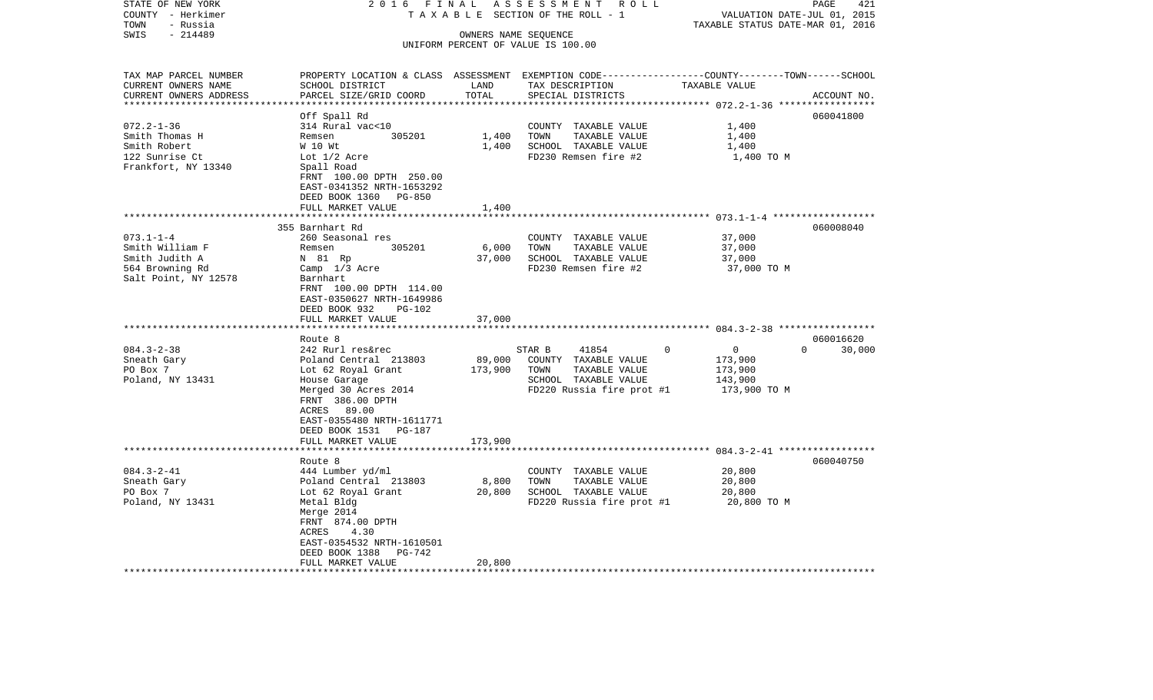| STATE OF NEW YORK        | 2 0 1 6<br>FINAL                             |                             | ASSESSMENT ROLL                    |                                                                                                  | 421<br>PAGE |
|--------------------------|----------------------------------------------|-----------------------------|------------------------------------|--------------------------------------------------------------------------------------------------|-------------|
| COUNTY - Herkimer        | T A X A B L E SECTION OF THE ROLL - 1        | VALUATION DATE-JUL 01, 2015 |                                    |                                                                                                  |             |
| TOWN<br>- Russia         |                                              |                             |                                    | TAXABLE STATUS DATE-MAR 01, 2016                                                                 |             |
| $-214489$<br>SWIS        |                                              |                             | OWNERS NAME SEQUENCE               |                                                                                                  |             |
|                          |                                              |                             | UNIFORM PERCENT OF VALUE IS 100.00 |                                                                                                  |             |
| TAX MAP PARCEL NUMBER    |                                              |                             |                                    | PROPERTY LOCATION & CLASS ASSESSMENT EXEMPTION CODE----------------COUNTY-------TOWN------SCHOOL |             |
| CURRENT OWNERS NAME      | SCHOOL DISTRICT                              | LAND                        | TAX DESCRIPTION                    | TAXABLE VALUE                                                                                    |             |
| CURRENT OWNERS ADDRESS   | PARCEL SIZE/GRID COORD                       | TOTAL                       | SPECIAL DISTRICTS                  |                                                                                                  | ACCOUNT NO. |
| ************************ |                                              |                             |                                    |                                                                                                  |             |
|                          | Off Spall Rd                                 |                             |                                    |                                                                                                  | 060041800   |
| $072.2 - 1 - 36$         | 314 Rural vac<10                             |                             | COUNTY TAXABLE VALUE               | 1,400                                                                                            |             |
| Smith Thomas H           | 305201<br>Remsen                             | 1,400                       | TOWN<br>TAXABLE VALUE              | 1,400                                                                                            |             |
| Smith Robert             | W 10 Wt                                      | 1,400                       | SCHOOL TAXABLE VALUE               | 1,400                                                                                            |             |
| 122 Sunrise Ct           | Lot $1/2$ Acre                               |                             | FD230 Remsen fire #2               | 1,400 TO M                                                                                       |             |
| Frankfort, NY 13340      | Spall Road                                   |                             |                                    |                                                                                                  |             |
|                          | FRNT 100.00 DPTH 250.00                      |                             |                                    |                                                                                                  |             |
|                          | EAST-0341352 NRTH-1653292                    |                             |                                    |                                                                                                  |             |
|                          | DEED BOOK 1360<br><b>PG-850</b>              |                             |                                    |                                                                                                  |             |
|                          | FULL MARKET VALUE                            | 1,400                       |                                    |                                                                                                  |             |
|                          | ************************                     |                             |                                    |                                                                                                  |             |
|                          | 355 Barnhart Rd                              |                             |                                    |                                                                                                  | 060008040   |
| $073.1 - 1 - 4$          | 260 Seasonal res                             |                             | COUNTY TAXABLE VALUE               | 37,000                                                                                           |             |
| Smith William F          | Remsen<br>305201                             | 6,000                       | TOWN<br>TAXABLE VALUE              | 37,000                                                                                           |             |
| Smith Judith A           | N 81 Rp                                      | 37,000                      | SCHOOL TAXABLE VALUE               | 37,000                                                                                           |             |
| 564 Browning Rd          | Camp 1/3 Acre                                |                             | FD230 Remsen fire #2               | 37,000 TO M                                                                                      |             |
| Salt Point, NY 12578     | Barnhart                                     |                             |                                    |                                                                                                  |             |
|                          | FRNT 100.00 DPTH 114.00                      |                             |                                    |                                                                                                  |             |
|                          | EAST-0350627 NRTH-1649986                    |                             |                                    |                                                                                                  |             |
|                          | DEED BOOK 932<br>PG-102<br>FULL MARKET VALUE | 37,000                      |                                    |                                                                                                  |             |
|                          | **********************                       |                             |                                    |                                                                                                  |             |
|                          | Route 8                                      |                             |                                    |                                                                                                  | 060016620   |
| $084.3 - 2 - 38$         | 242 Rurl res&rec                             |                             | STAR B<br>41854                    | $\mathbf{0}$<br>$\Omega$<br>$\Omega$                                                             | 30,000      |
| Sneath Gary              | Poland Central 213803                        | 89,000                      | COUNTY TAXABLE VALUE               | 173,900                                                                                          |             |
| PO Box 7                 | Lot 62 Royal Grant                           | 173,900                     | TOWN<br>TAXABLE VALUE              | 173,900                                                                                          |             |
| Poland, NY 13431         | House Garage                                 |                             | SCHOOL TAXABLE VALUE               | 143,900                                                                                          |             |
|                          | Merged 30 Acres 2014                         |                             | FD220 Russia fire prot #1          | 173,900 TO M                                                                                     |             |
|                          | FRNT 386.00 DPTH                             |                             |                                    |                                                                                                  |             |
|                          | ACRES 89.00                                  |                             |                                    |                                                                                                  |             |
|                          | EAST-0355480 NRTH-1611771                    |                             |                                    |                                                                                                  |             |
|                          | DEED BOOK 1531 PG-187                        |                             |                                    |                                                                                                  |             |
|                          | FULL MARKET VALUE                            | 173,900                     |                                    |                                                                                                  |             |
|                          |                                              |                             |                                    |                                                                                                  |             |
|                          | Route 8                                      |                             |                                    |                                                                                                  | 060040750   |
| $084.3 - 2 - 41$         | 444 Lumber yd/ml                             |                             | COUNTY TAXABLE VALUE               | 20,800                                                                                           |             |
| Sneath Gary              | Poland Central 213803                        | 8,800                       | TOWN<br>TAXABLE VALUE              | 20,800                                                                                           |             |
| PO Box 7                 | Lot 62 Royal Grant                           | 20,800                      | SCHOOL TAXABLE VALUE               | 20,800                                                                                           |             |
| Poland, NY 13431         | Metal Bldg<br>Merge 2014                     |                             | FD220 Russia fire prot #1          | 20,800 TO M                                                                                      |             |
|                          | FRNT 874.00 DPTH                             |                             |                                    |                                                                                                  |             |
|                          | ACRES<br>4.30                                |                             |                                    |                                                                                                  |             |
|                          | EAST-0354532 NRTH-1610501                    |                             |                                    |                                                                                                  |             |
|                          | DEED BOOK 1388<br>PG-742                     |                             |                                    |                                                                                                  |             |
|                          | FULL MARKET VALUE                            | 20,800                      |                                    |                                                                                                  |             |
|                          |                                              |                             |                                    |                                                                                                  |             |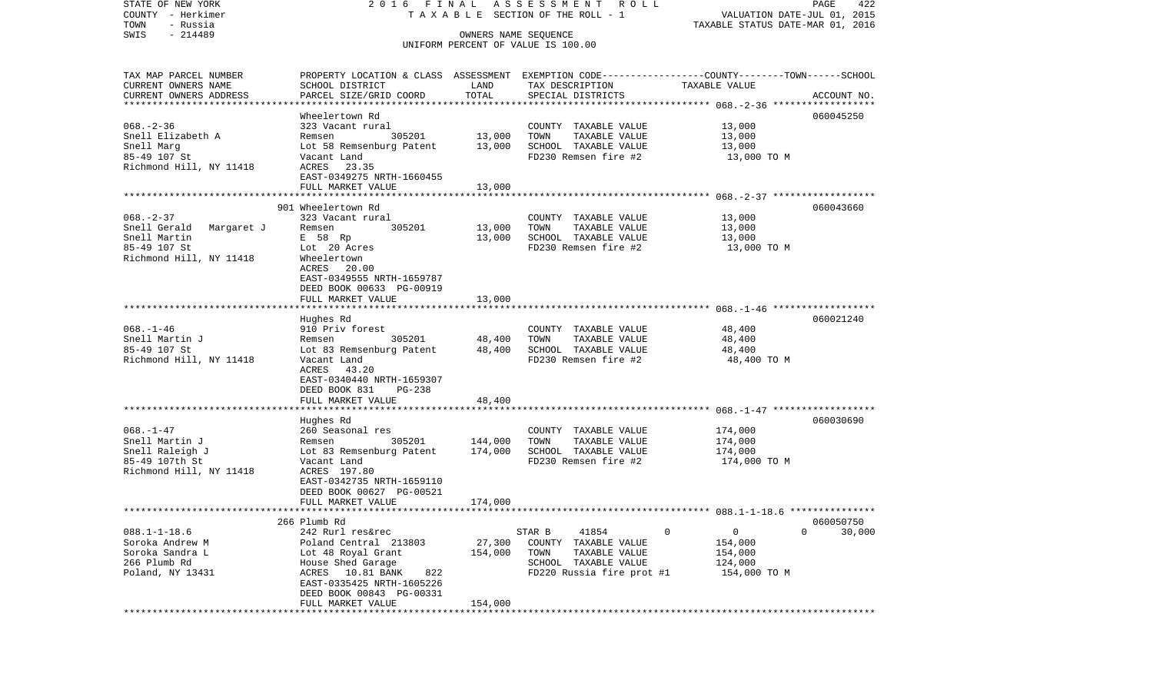| STATE OF NEW YORK<br>COUNTY - Herkimer |                                                                                                 |                      | 2016 FINAL ASSESSMENT ROLL<br>TAXABLE SECTION OF THE ROLL - 1 | VALUATION DATE-JUL 01, 2015      | PAGE<br>422 |
|----------------------------------------|-------------------------------------------------------------------------------------------------|----------------------|---------------------------------------------------------------|----------------------------------|-------------|
| - Russia<br>TOWN                       |                                                                                                 |                      |                                                               | TAXABLE STATUS DATE-MAR 01, 2016 |             |
| $-214489$<br>SWIS                      |                                                                                                 | OWNERS NAME SEOUENCE |                                                               |                                  |             |
|                                        |                                                                                                 |                      | UNIFORM PERCENT OF VALUE IS 100.00                            |                                  |             |
|                                        |                                                                                                 |                      |                                                               |                                  |             |
| TAX MAP PARCEL NUMBER                  | PROPERTY LOCATION & CLASS ASSESSMENT EXEMPTION CODE---------------COUNTY-------TOWN------SCHOOL |                      |                                                               |                                  |             |
| CURRENT OWNERS NAME                    | SCHOOL DISTRICT                                                                                 | LAND                 | TAX DESCRIPTION                                               | TAXABLE VALUE                    |             |
| CURRENT OWNERS ADDRESS                 | PARCEL SIZE/GRID COORD                                                                          | TOTAL                | SPECIAL DISTRICTS                                             |                                  | ACCOUNT NO. |
|                                        |                                                                                                 |                      |                                                               |                                  |             |
|                                        | Wheelertown Rd                                                                                  |                      |                                                               |                                  | 060045250   |
| $068. - 2 - 36$<br>Snell Elizabeth A   | 323 Vacant rural                                                                                |                      | COUNTY TAXABLE VALUE<br>TOWN                                  | 13,000<br>13,000                 |             |
|                                        | 305201<br>Remsen                                                                                | 13,000               | TAXABLE VALUE<br>SCHOOL TAXABLE VALUE                         |                                  |             |
| Snell Marg<br>85-49 107 St             | Lot 58 Remsenburg Patent<br>Vacant Land                                                         | 13,000               | FD230 Remsen fire #2                                          | 13,000<br>13,000 TO M            |             |
| Richmond Hill, NY 11418                | ACRES 23.35                                                                                     |                      |                                                               |                                  |             |
|                                        | EAST-0349275 NRTH-1660455                                                                       |                      |                                                               |                                  |             |
|                                        | FULL MARKET VALUE                                                                               | 13,000               |                                                               |                                  |             |
|                                        |                                                                                                 |                      |                                                               |                                  |             |
|                                        | 901 Wheelertown Rd                                                                              |                      |                                                               |                                  | 060043660   |
| $068. - 2 - 37$                        | 323 Vacant rural                                                                                |                      | COUNTY TAXABLE VALUE                                          | 13,000                           |             |
| Snell Gerald Margaret J                | Remsen<br>305201                                                                                | 13,000               | TAXABLE VALUE<br>TOWN                                         | 13,000                           |             |
| Snell Martin                           | E 58 Rp                                                                                         | 13,000               | SCHOOL TAXABLE VALUE                                          | 13,000                           |             |
| 85-49 107 St                           | Lot 20 Acres                                                                                    |                      | FD230 Remsen fire #2                                          | 13,000 TO M                      |             |
| Richmond Hill, NY 11418                | Wheelertown                                                                                     |                      |                                                               |                                  |             |
|                                        | ACRES 20.00                                                                                     |                      |                                                               |                                  |             |
|                                        | EAST-0349555 NRTH-1659787                                                                       |                      |                                                               |                                  |             |
|                                        | DEED BOOK 00633 PG-00919                                                                        |                      |                                                               |                                  |             |
|                                        | FULL MARKET VALUE                                                                               | 13,000               |                                                               |                                  |             |
|                                        |                                                                                                 |                      |                                                               |                                  | 060021240   |
| $068. - 1 - 46$                        | Hughes Rd<br>910 Priv forest                                                                    |                      | COUNTY TAXABLE VALUE                                          | 48,400                           |             |
| Snell Martin J                         | 305201<br>Remsen                                                                                | 48,400               | TAXABLE VALUE<br>TOWN                                         | 48,400                           |             |
| 85-49 107 St                           | Lot 83 Remsenburg Patent                                                                        | 48,400               | SCHOOL TAXABLE VALUE                                          | 48,400                           |             |
| Richmond Hill, NY 11418                | Vacant Land                                                                                     |                      | FD230 Remsen fire #2                                          | 48,400 TO M                      |             |
|                                        | ACRES 43.20                                                                                     |                      |                                                               |                                  |             |
|                                        | EAST-0340440 NRTH-1659307                                                                       |                      |                                                               |                                  |             |
|                                        | DEED BOOK 831<br>PG-238                                                                         |                      |                                                               |                                  |             |
|                                        | FULL MARKET VALUE                                                                               | 48,400               |                                                               |                                  |             |
|                                        |                                                                                                 |                      |                                                               |                                  |             |
|                                        | Hughes Rd                                                                                       |                      |                                                               |                                  | 060030690   |
| $068. - 1 - 47$                        | 260 Seasonal res                                                                                |                      | COUNTY TAXABLE VALUE                                          | 174,000                          |             |
| Snell Martin J                         | Remsen<br>305201                                                                                | 144,000              | TOWN<br>TAXABLE VALUE                                         | 174,000                          |             |
| Snell Raleigh J                        | Lot 83 Remsenburg Patent                                                                        | 174,000              | SCHOOL TAXABLE VALUE                                          | 174,000                          |             |
| 85-49 107th St                         | Vacant Land                                                                                     |                      | FD230 Remsen fire #2                                          | 174,000 TO M                     |             |
| Richmond Hill, NY 11418                | ACRES 197.80                                                                                    |                      |                                                               |                                  |             |
|                                        | EAST-0342735 NRTH-1659110                                                                       |                      |                                                               |                                  |             |
|                                        | DEED BOOK 00627 PG-00521<br>FULL MARKET VALUE                                                   | 174,000              |                                                               |                                  |             |
|                                        |                                                                                                 |                      |                                                               |                                  |             |
|                                        | 266 Plumb Rd                                                                                    |                      |                                                               |                                  | 060050750   |
| $088.1 - 1 - 18.6$                     | 242 Rurl res&rec                                                                                |                      | STAR B<br>41854                                               | 0<br>0                           | 0<br>30,000 |
| Soroka Andrew M                        | Poland Central 213803                                                                           | 27,300               | COUNTY TAXABLE VALUE                                          | 154,000                          |             |
| Soroka Sandra L                        | Lot 48 Royal Grant                                                                              | 154,000              | TOWN<br>TAXABLE VALUE                                         | 154,000                          |             |
| 266 Plumb Rd                           | House Shed Garage                                                                               |                      | SCHOOL<br>TAXABLE VALUE                                       | 124,000                          |             |
| Poland, NY 13431                       | ACRES<br>10.81 BANK<br>822                                                                      |                      | FD220 Russia fire prot #1                                     | 154,000 TO M                     |             |
|                                        | EAST-0335425 NRTH-1605226                                                                       |                      |                                                               |                                  |             |
|                                        | DEED BOOK 00843 PG-00331                                                                        |                      |                                                               |                                  |             |
|                                        | FULL MARKET VALUE                                                                               | 154,000              |                                                               |                                  |             |
|                                        | *****************                                                                               |                      | ******************************                                |                                  |             |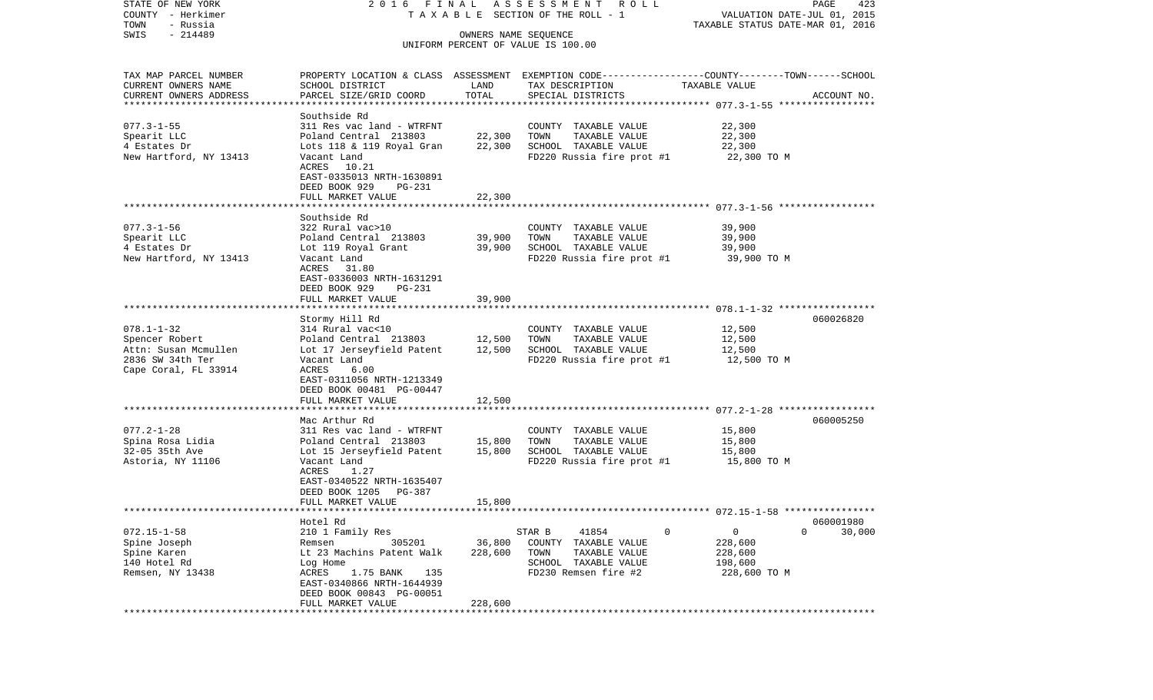| STATE OF NEW YORK<br>COUNTY - Herkimer               |                                                                     |                  | 2016 FINAL ASSESSMENT ROLL<br>TAXABLE SECTION OF THE ROLL - 1                                    | VALUATION DATE-JUL 01, 2015      | PAGE<br>423 |  |  |  |
|------------------------------------------------------|---------------------------------------------------------------------|------------------|--------------------------------------------------------------------------------------------------|----------------------------------|-------------|--|--|--|
| TOWN<br>- Russia<br>$-214489$<br>SWIS                |                                                                     |                  |                                                                                                  | TAXABLE STATUS DATE-MAR 01, 2016 |             |  |  |  |
|                                                      | OWNERS NAME SEQUENCE<br>UNIFORM PERCENT OF VALUE IS 100.00          |                  |                                                                                                  |                                  |             |  |  |  |
| TAX MAP PARCEL NUMBER                                |                                                                     |                  | PROPERTY LOCATION & CLASS ASSESSMENT EXEMPTION CODE----------------COUNTY-------TOWN------SCHOOL |                                  |             |  |  |  |
| CURRENT OWNERS NAME                                  | SCHOOL DISTRICT                                                     | LAND             | TAX DESCRIPTION                                                                                  | TAXABLE VALUE                    |             |  |  |  |
| CURRENT OWNERS ADDRESS<br>************************** | PARCEL SIZE/GRID COORD                                              | TOTAL            | SPECIAL DISTRICTS                                                                                |                                  | ACCOUNT NO. |  |  |  |
|                                                      | Southside Rd                                                        |                  |                                                                                                  |                                  |             |  |  |  |
| $077.3 - 1 - 55$                                     | 311 Res vac land - WTRFNT                                           |                  | COUNTY TAXABLE VALUE                                                                             | 22,300                           |             |  |  |  |
| Spearit LLC                                          | Poland Central 213803                                               | 22,300           | TOWN<br>TAXABLE VALUE                                                                            | 22,300                           |             |  |  |  |
| 4 Estates Dr                                         | Lots 118 & 119 Royal Gran                                           | 22,300           | SCHOOL TAXABLE VALUE                                                                             | 22,300                           |             |  |  |  |
| New Hartford, NY 13413                               | Vacant Land                                                         |                  | FD220 Russia fire prot #1                                                                        | 22,300 TO M                      |             |  |  |  |
|                                                      | ACRES 10.21<br>EAST-0335013 NRTH-1630891<br>DEED BOOK 929<br>PG-231 |                  |                                                                                                  |                                  |             |  |  |  |
|                                                      | FULL MARKET VALUE                                                   | 22,300           |                                                                                                  |                                  |             |  |  |  |
|                                                      | Southside Rd                                                        |                  |                                                                                                  |                                  |             |  |  |  |
| $077.3 - 1 - 56$                                     | 322 Rural vac>10                                                    |                  | COUNTY TAXABLE VALUE                                                                             | 39,900                           |             |  |  |  |
| Spearit LLC                                          | Poland Central 213803                                               | 39,900           | TAXABLE VALUE<br>TOWN                                                                            | 39,900                           |             |  |  |  |
| 4 Estates Dr                                         | Lot 119 Royal Grant                                                 | 39,900           | SCHOOL TAXABLE VALUE                                                                             | 39,900                           |             |  |  |  |
| New Hartford, NY 13413                               | Vacant Land                                                         |                  | FD220 Russia fire prot #1                                                                        | 39,900 TO M                      |             |  |  |  |
|                                                      | ACRES 31.80<br>EAST-0336003 NRTH-1631291<br>DEED BOOK 929<br>PG-231 |                  |                                                                                                  |                                  |             |  |  |  |
|                                                      | FULL MARKET VALUE                                                   | 39,900           |                                                                                                  |                                  |             |  |  |  |
|                                                      | Stormy Hill Rd                                                      |                  |                                                                                                  |                                  | 060026820   |  |  |  |
| $078.1 - 1 - 32$                                     | 314 Rural vac<10                                                    |                  | COUNTY TAXABLE VALUE                                                                             | 12,500                           |             |  |  |  |
| Spencer Robert                                       | Poland Central 213803 12,500                                        |                  | TOWN<br>TAXABLE VALUE                                                                            | 12,500                           |             |  |  |  |
| Attn: Susan Mcmullen                                 | Lot 17 Jerseyfield Patent                                           | 12,500           | SCHOOL TAXABLE VALUE                                                                             | 12,500                           |             |  |  |  |
| 2836 SW 34th Ter                                     | Vacant Land                                                         |                  | FD220 Russia fire prot #1                                                                        | 12,500 TO M                      |             |  |  |  |
| Cape Coral, FL 33914                                 | ACRES<br>6.00                                                       |                  |                                                                                                  |                                  |             |  |  |  |
|                                                      | EAST-0311056 NRTH-1213349                                           |                  |                                                                                                  |                                  |             |  |  |  |
|                                                      | DEED BOOK 00481 PG-00447                                            |                  |                                                                                                  |                                  |             |  |  |  |
|                                                      | FULL MARKET VALUE                                                   | 12,500           |                                                                                                  |                                  |             |  |  |  |
|                                                      |                                                                     |                  |                                                                                                  |                                  |             |  |  |  |
|                                                      | Mac Arthur Rd                                                       |                  |                                                                                                  |                                  | 060005250   |  |  |  |
| $077.2 - 1 - 28$                                     | 311 Res vac land - WTRFNT                                           |                  | COUNTY TAXABLE VALUE                                                                             | 15,800                           |             |  |  |  |
| Spina Rosa Lidia<br>32-05 35th Ave                   | Poland Central 213803                                               | 15,800<br>15,800 | TOWN<br>TAXABLE VALUE<br>SCHOOL TAXABLE VALUE                                                    | 15,800<br>15,800                 |             |  |  |  |
| Astoria, NY 11106                                    | Lot 15 Jerseyfield Patent<br>Vacant Land                            |                  | FD220 Russia fire prot #1                                                                        | 15,800 TO M                      |             |  |  |  |
|                                                      | 1.27<br>ACRES                                                       |                  |                                                                                                  |                                  |             |  |  |  |
|                                                      | EAST-0340522 NRTH-1635407                                           |                  |                                                                                                  |                                  |             |  |  |  |
|                                                      | DEED BOOK 1205<br>PG-387                                            |                  |                                                                                                  |                                  |             |  |  |  |
|                                                      | FULL MARKET VALUE                                                   | 15,800           |                                                                                                  |                                  |             |  |  |  |
|                                                      |                                                                     |                  |                                                                                                  |                                  |             |  |  |  |
|                                                      | Hotel Rd                                                            |                  |                                                                                                  |                                  | 060001980   |  |  |  |
| $072.15 - 1 - 58$                                    | 210 1 Family Res                                                    |                  | STAR B<br>41854<br>0                                                                             | 0                                | 0<br>30,000 |  |  |  |
| Spine Joseph                                         | 305201<br>Remsen                                                    | 36,800           | COUNTY<br>TAXABLE VALUE                                                                          | 228,600                          |             |  |  |  |
| Spine Karen                                          | Lt 23 Machins Patent Walk                                           | 228,600          | TOWN<br>TAXABLE VALUE                                                                            | 228,600                          |             |  |  |  |
| 140 Hotel Rd<br>Remsen, NY 13438                     | Log Home<br>ACRES<br>1.75 BANK<br>135                               |                  | SCHOOL TAXABLE VALUE<br>FD230 Remsen fire #2                                                     | 198,600<br>228,600 TO M          |             |  |  |  |
|                                                      | EAST-0340866 NRTH-1644939                                           |                  |                                                                                                  |                                  |             |  |  |  |
|                                                      | DEED BOOK 00843 PG-00051                                            |                  |                                                                                                  |                                  |             |  |  |  |
|                                                      | FULL MARKET VALUE                                                   | 228,600          |                                                                                                  |                                  |             |  |  |  |
|                                                      |                                                                     |                  |                                                                                                  |                                  |             |  |  |  |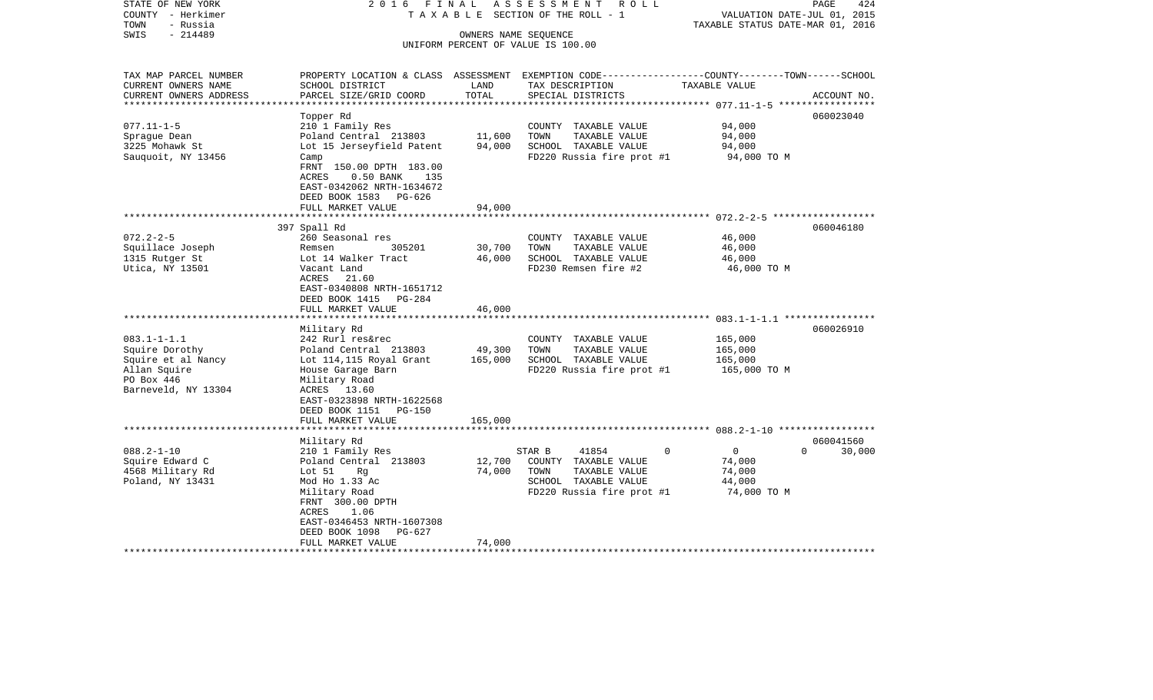| STATE OF NEW YORK<br>COUNTY - Herkimer<br>TOWN<br>- Russia                                                     | 2016 FINAL<br>TAXABLE SECTION OF THE ROLL - 1                                                                                                                                                                                    | 424<br>PAGE<br>VALUATION DATE-JUL 01, 2015<br>TAXABLE STATUS DATE-MAR 01, 2016 |                                                                                                                                          |                                                                                               |                    |
|----------------------------------------------------------------------------------------------------------------|----------------------------------------------------------------------------------------------------------------------------------------------------------------------------------------------------------------------------------|--------------------------------------------------------------------------------|------------------------------------------------------------------------------------------------------------------------------------------|-----------------------------------------------------------------------------------------------|--------------------|
| SWIS<br>$-214489$                                                                                              |                                                                                                                                                                                                                                  | OWNERS NAME SEQUENCE                                                           | UNIFORM PERCENT OF VALUE IS 100.00                                                                                                       |                                                                                               |                    |
| TAX MAP PARCEL NUMBER<br>CURRENT OWNERS NAME<br>CURRENT OWNERS ADDRESS                                         | SCHOOL DISTRICT<br>PARCEL SIZE/GRID COORD                                                                                                                                                                                        | LAND<br>TOTAL                                                                  | PROPERTY LOCATION & CLASS ASSESSMENT EXEMPTION CODE----------------COUNTY-------TOWN------SCHOOL<br>TAX DESCRIPTION<br>SPECIAL DISTRICTS | TAXABLE VALUE                                                                                 | ACCOUNT NO.        |
| *******************<br>$077.11 - 1 - 5$<br>Sprague Dean<br>3225 Mohawk St<br>Sauquoit, NY 13456                | Topper Rd<br>210 1 Family Res<br>Poland Central 213803<br>Lot 15 Jerseyfield Patent<br>Camp<br>FRNT 150.00 DPTH 183.00<br>ACRES<br>$0.50$ BANK<br>135<br>EAST-0342062 NRTH-1634672<br>DEED BOOK 1583 PG-626<br>FULL MARKET VALUE | **********<br>11,600<br>94,000<br>94,000                                       | COUNTY TAXABLE VALUE<br>TOWN<br>TAXABLE VALUE<br>SCHOOL TAXABLE VALUE<br>FD220 Russia fire prot #1                                       | ****************** 077.11-1-5 ******************<br>94,000<br>94,000<br>94,000<br>94,000 TO M | 060023040          |
|                                                                                                                |                                                                                                                                                                                                                                  |                                                                                |                                                                                                                                          |                                                                                               |                    |
| $072.2 - 2 - 5$<br>Squillace Joseph<br>1315 Rutger St<br>Utica, NY 13501                                       | 397 Spall Rd<br>260 Seasonal res<br>Remsen<br>305201<br>Lot 14 Walker Tract<br>Vacant Land<br>ACRES<br>21.60<br>EAST-0340808 NRTH-1651712<br>DEED BOOK 1415<br>PG-284<br>FULL MARKET VALUE                                       | 30,700<br>46,000<br>46,000                                                     | COUNTY TAXABLE VALUE<br>TOWN<br>TAXABLE VALUE<br>SCHOOL TAXABLE VALUE<br>FD230 Remsen fire #2                                            | 46,000<br>46,000<br>46,000<br>46,000 TO M                                                     | 060046180          |
|                                                                                                                |                                                                                                                                                                                                                                  |                                                                                |                                                                                                                                          |                                                                                               |                    |
| $083.1 - 1 - 1.1$<br>Squire Dorothy<br>Squire et al Nancy<br>Allan Squire<br>PO Box 446<br>Barneveld, NY 13304 | Military Rd<br>242 Rurl res&rec<br>Poland Central 213803<br>Lot 114,115 Royal Grant<br>House Garage Barn<br>Military Road<br>ACRES 13.60<br>EAST-0323898 NRTH-1622568<br>DEED BOOK 1151 PG-150                                   | 49,300<br>165,000                                                              | COUNTY TAXABLE VALUE<br>TOWN<br>TAXABLE VALUE<br>SCHOOL TAXABLE VALUE<br>FD220 Russia fire prot #1                                       | 165,000<br>165,000<br>165,000<br>165,000 TO M                                                 | 060026910          |
|                                                                                                                |                                                                                                                                                                                                                                  |                                                                                |                                                                                                                                          |                                                                                               |                    |
|                                                                                                                | FULL MARKET VALUE<br>Military Rd                                                                                                                                                                                                 | 165,000                                                                        |                                                                                                                                          |                                                                                               | 060041560          |
| $088.2 - 1 - 10$<br>Squire Edward C<br>4568 Military Rd<br>Poland, NY 13431                                    | 210 1 Family Res<br>Poland Central 213803<br>Lot $51$<br>Rq<br>Mod Ho 1.33 Ac<br>Military Road<br>FRNT 300.00 DPTH<br>1.06<br>ACRES<br>EAST-0346453 NRTH-1607308<br>DEED BOOK 1098<br>PG-627<br>FULL MARKET VALUE                | 12,700<br>74,000<br>74,000                                                     | $\mathbf 0$<br>STAR B<br>41854<br>COUNTY TAXABLE VALUE<br>TOWN<br>TAXABLE VALUE<br>SCHOOL TAXABLE VALUE<br>FD220 Russia fire prot #1     | $\overline{0}$<br>74,000<br>74,000<br>44,000<br>74,000 TO M                                   | 30,000<br>$\Omega$ |
| ********************                                                                                           | ************************                                                                                                                                                                                                         | *****************                                                              |                                                                                                                                          |                                                                                               |                    |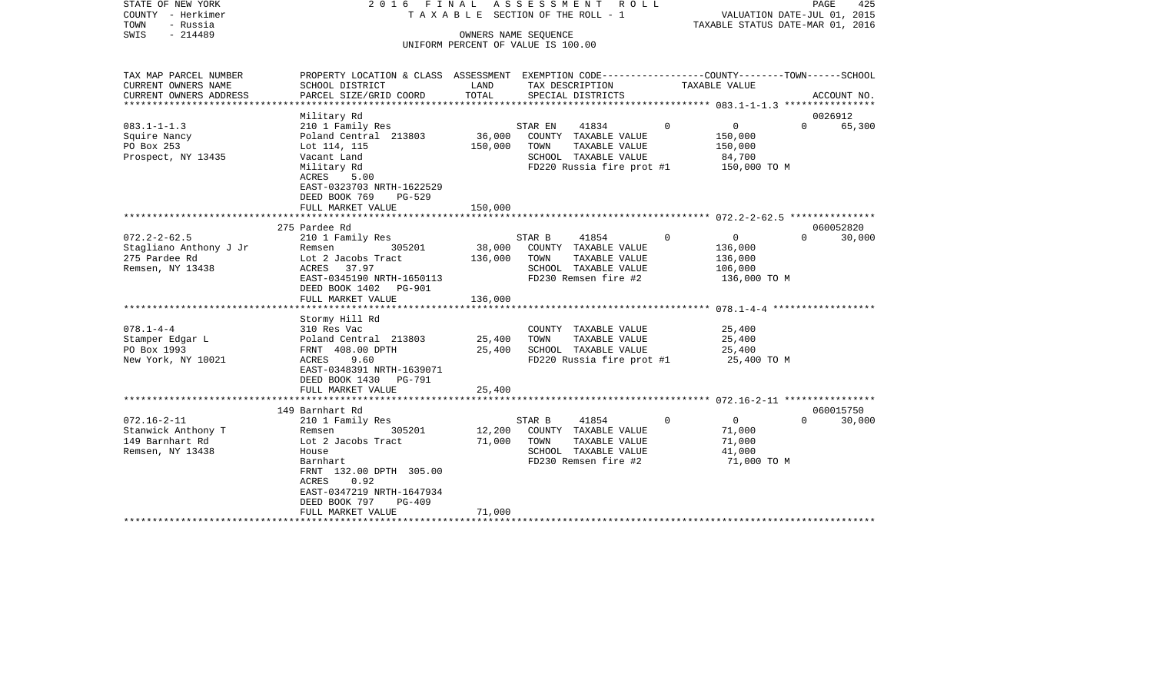| COUNTY<br>- Herkimer<br>TOWN<br>- Russia<br>SWIS<br>$-214489$ |                                                                                                                     | TAXABLE SECTION OF THE ROLL - 1<br>OWNERS NAME SEQUENCE<br>UNIFORM PERCENT OF VALUE IS 100.00 |         |                                       |             | VALUATION DATE-JUL 01, 2015<br>TAXABLE STATUS DATE-MAR 01, 2016 |          |             |
|---------------------------------------------------------------|---------------------------------------------------------------------------------------------------------------------|-----------------------------------------------------------------------------------------------|---------|---------------------------------------|-------------|-----------------------------------------------------------------|----------|-------------|
|                                                               |                                                                                                                     |                                                                                               |         |                                       |             |                                                                 |          |             |
| TAX MAP PARCEL NUMBER<br>CURRENT OWNERS NAME                  | PROPERTY LOCATION & CLASS ASSESSMENT EXEMPTION CODE----------------COUNTY-------TOWN------SCHOOL<br>SCHOOL DISTRICT | LAND                                                                                          |         | TAX DESCRIPTION                       |             | TAXABLE VALUE                                                   |          |             |
| CURRENT OWNERS ADDRESS                                        | PARCEL SIZE/GRID COORD                                                                                              | TOTAL                                                                                         |         | SPECIAL DISTRICTS                     |             |                                                                 |          | ACCOUNT NO. |
|                                                               | Military Rd                                                                                                         |                                                                                               |         |                                       |             |                                                                 |          | 0026912     |
| $083.1 - 1 - 1.3$                                             | 210 1 Family Res                                                                                                    |                                                                                               | STAR EN | 41834                                 | $\Omega$    | $\overline{0}$                                                  | $\Omega$ | 65,300      |
| Squire Nancy                                                  | Poland Central 213803                                                                                               | 36,000                                                                                        |         | COUNTY TAXABLE VALUE                  |             | 150,000                                                         |          |             |
| PO Box 253                                                    | Lot 114, 115                                                                                                        | 150,000                                                                                       | TOWN    | TAXABLE VALUE                         |             | 150,000                                                         |          |             |
| Prospect, NY 13435                                            | Vacant Land                                                                                                         |                                                                                               |         | SCHOOL TAXABLE VALUE                  |             | 84,700                                                          |          |             |
|                                                               | Military Rd<br><b>ACRES</b><br>5.00                                                                                 |                                                                                               |         | FD220 Russia fire prot #1             |             | 150,000 TO M                                                    |          |             |
|                                                               | EAST-0323703 NRTH-1622529                                                                                           |                                                                                               |         |                                       |             |                                                                 |          |             |
|                                                               | DEED BOOK 769<br>PG-529                                                                                             |                                                                                               |         |                                       |             |                                                                 |          |             |
|                                                               | FULL MARKET VALUE                                                                                                   | 150,000                                                                                       |         |                                       |             |                                                                 |          |             |
|                                                               |                                                                                                                     |                                                                                               |         |                                       |             |                                                                 |          |             |
|                                                               | 275 Pardee Rd                                                                                                       |                                                                                               |         |                                       |             |                                                                 |          | 060052820   |
| $072.2 - 2 - 62.5$                                            | 210 1 Family Res                                                                                                    |                                                                                               | STAR B  | 41854                                 | $\mathbf 0$ | $\overline{0}$                                                  | $\Omega$ | 30,000      |
| Stagliano Anthony J Jr<br>275 Pardee Rd                       | 305201<br>Remsen                                                                                                    | 38,000                                                                                        | TOWN    | COUNTY TAXABLE VALUE<br>TAXABLE VALUE |             | 136,000                                                         |          |             |
| Remsen, NY 13438                                              | Lot 2 Jacobs Tract<br>ACRES<br>37.97                                                                                | 136,000                                                                                       |         | SCHOOL TAXABLE VALUE                  |             | 136,000<br>106,000                                              |          |             |
|                                                               | EAST-0345190 NRTH-1650113                                                                                           |                                                                                               |         | FD230 Remsen fire #2                  |             | 136,000 TO M                                                    |          |             |
|                                                               | DEED BOOK 1402<br><b>PG-901</b>                                                                                     |                                                                                               |         |                                       |             |                                                                 |          |             |
|                                                               | FULL MARKET VALUE                                                                                                   | 136,000                                                                                       |         |                                       |             |                                                                 |          |             |
|                                                               |                                                                                                                     |                                                                                               |         |                                       |             |                                                                 |          |             |
|                                                               | Stormy Hill Rd                                                                                                      |                                                                                               |         |                                       |             |                                                                 |          |             |
| $078.1 - 4 - 4$                                               | 310 Res Vac                                                                                                         |                                                                                               |         | COUNTY TAXABLE VALUE                  |             | 25,400                                                          |          |             |
| Stamper Edgar L                                               | Poland Central 213803                                                                                               | 25,400                                                                                        | TOWN    | TAXABLE VALUE                         |             | 25,400                                                          |          |             |
| PO Box 1993                                                   | FRNT 408.00 DPTH                                                                                                    | 25,400                                                                                        |         | SCHOOL TAXABLE VALUE                  |             | 25,400                                                          |          |             |
| New York, NY 10021                                            | 9.60<br>ACRES<br>EAST-0348391 NRTH-1639071<br>DEED BOOK 1430<br>PG-791                                              |                                                                                               |         | FD220 Russia fire prot #1             |             | 25,400 TO M                                                     |          |             |
|                                                               | FULL MARKET VALUE                                                                                                   | 25,400                                                                                        |         |                                       |             |                                                                 |          |             |
|                                                               |                                                                                                                     |                                                                                               |         |                                       |             |                                                                 |          |             |
|                                                               | 149 Barnhart Rd                                                                                                     |                                                                                               |         |                                       |             |                                                                 |          | 060015750   |
| $072.16 - 2 - 11$                                             | 210 1 Family Res                                                                                                    |                                                                                               | STAR B  | 41854                                 | $\Omega$    | $\overline{0}$                                                  | $\Omega$ | 30,000      |
| Stanwick Anthony T                                            | 305201<br>Remsen                                                                                                    | 12,200                                                                                        |         | COUNTY TAXABLE VALUE                  |             | 71,000                                                          |          |             |
| 149 Barnhart Rd                                               | Lot 2 Jacobs Tract                                                                                                  | 71,000                                                                                        | TOWN    | TAXABLE VALUE                         |             | 71,000                                                          |          |             |
| Remsen, NY 13438                                              | House                                                                                                               |                                                                                               |         | SCHOOL TAXABLE VALUE                  |             | 41,000                                                          |          |             |
|                                                               | Barnhart                                                                                                            |                                                                                               |         | FD230 Remsen fire #2                  |             | 71,000 TO M                                                     |          |             |
|                                                               | FRNT 132.00 DPTH 305.00                                                                                             |                                                                                               |         |                                       |             |                                                                 |          |             |
|                                                               | 0.92<br>ACRES                                                                                                       |                                                                                               |         |                                       |             |                                                                 |          |             |
|                                                               | EAST-0347219 NRTH-1647934                                                                                           |                                                                                               |         |                                       |             |                                                                 |          |             |
|                                                               | DEED BOOK 797<br>$PG-409$<br>FULL MARKET VALUE                                                                      | 71,000                                                                                        |         |                                       |             |                                                                 |          |             |
|                                                               | ******************                                                                                                  |                                                                                               |         |                                       |             |                                                                 |          |             |
|                                                               |                                                                                                                     |                                                                                               |         |                                       |             |                                                                 |          |             |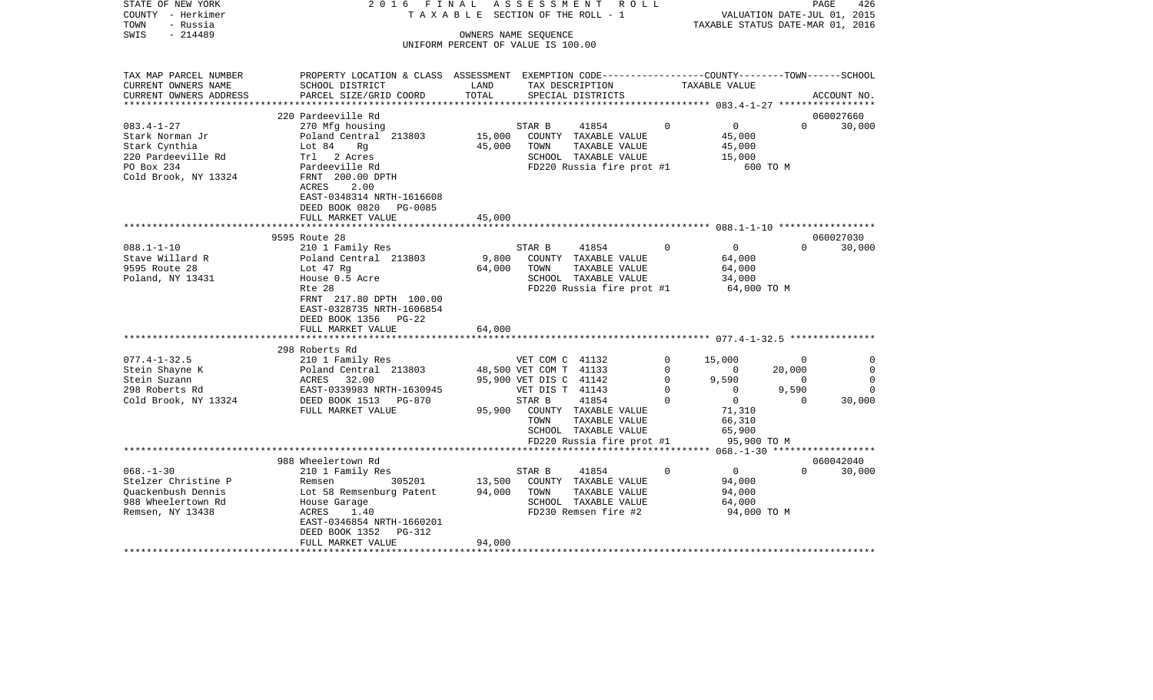| STATE OF NEW YORK<br>COUNTY - Herkimer<br>- Russia<br>TOWN | 2016 FINAL                                                                                       |        | ASSESSMENT<br>R O L L<br>TAXABLE SECTION OF THE ROLL - 1 |                         | TAXABLE STATUS DATE-MAR 01, 2016         |                          | 426<br>PAGE<br>VALUATION DATE-JUL 01, 2015 |
|------------------------------------------------------------|--------------------------------------------------------------------------------------------------|--------|----------------------------------------------------------|-------------------------|------------------------------------------|--------------------------|--------------------------------------------|
| $-214489$<br>SWIS                                          |                                                                                                  |        |                                                          |                         |                                          |                          |                                            |
|                                                            |                                                                                                  |        | UNIFORM PERCENT OF VALUE IS 100.00                       |                         |                                          |                          |                                            |
|                                                            |                                                                                                  |        |                                                          |                         |                                          |                          |                                            |
| TAX MAP PARCEL NUMBER                                      | PROPERTY LOCATION & CLASS ASSESSMENT EXEMPTION CODE----------------COUNTY-------TOWN------SCHOOL |        |                                                          |                         |                                          |                          |                                            |
| CURRENT OWNERS NAME                                        | SCHOOL DISTRICT                                                                                  | LAND   | TAX DESCRIPTION                                          |                         | TAXABLE VALUE                            |                          |                                            |
| CURRENT OWNERS ADDRESS<br>***********************          | PARCEL SIZE/GRID COORD                                                                           | TOTAL  | SPECIAL DISTRICTS                                        |                         |                                          |                          | ACCOUNT NO.                                |
|                                                            | 220 Pardeeville Rd                                                                               |        |                                                          |                         |                                          |                          | 060027660                                  |
| $083.4 - 1 - 27$                                           | 270 Mfg housing                                                                                  |        | 41854<br>STAR B                                          | $\Omega$                | $\overline{0}$                           | $\Omega$                 | 30,000                                     |
| Stark Norman Jr                                            | Poland Central 213803                                                                            | 15,000 | COUNTY TAXABLE VALUE                                     |                         | 45,000                                   |                          |                                            |
| Stark Cynthia                                              | Lot 84<br>Rg                                                                                     | 45,000 | TOWN<br>TAXABLE VALUE                                    |                         | 45,000                                   |                          |                                            |
| 220 Pardeeville Rd                                         | Trl 2 Acres                                                                                      |        | SCHOOL TAXABLE VALUE                                     |                         | 15,000                                   |                          |                                            |
| PO Box 234                                                 | Pardeeville Rd                                                                                   |        | FD220 Russia fire prot #1                                |                         | 600 TO M                                 |                          |                                            |
| Cold Brook, NY 13324                                       | FRNT 200.00 DPTH                                                                                 |        |                                                          |                         |                                          |                          |                                            |
|                                                            | ACRES<br>2.00<br>EAST-0348314 NRTH-1616608                                                       |        |                                                          |                         |                                          |                          |                                            |
|                                                            | DEED BOOK 0820 PG-0085                                                                           |        |                                                          |                         |                                          |                          |                                            |
|                                                            | FULL MARKET VALUE                                                                                | 45,000 |                                                          |                         |                                          |                          |                                            |
|                                                            |                                                                                                  |        |                                                          |                         |                                          |                          |                                            |
|                                                            | 9595 Route 28                                                                                    |        |                                                          |                         |                                          |                          | 060027030                                  |
| $088.1 - 1 - 10$                                           | 210 1 Family Res                                                                                 |        | STAR B<br>41854                                          | $\Omega$                | $\Omega$                                 | $\Omega$                 | 30,000                                     |
| Stave Willard R                                            | Poland Central 213803                                                                            | 9,800  | COUNTY TAXABLE VALUE                                     |                         | 64,000                                   |                          |                                            |
| 9595 Route 28                                              | Lot 47 Rg                                                                                        | 64,000 | TOWN<br>TAXABLE VALUE                                    |                         | 64,000                                   |                          |                                            |
| Poland, NY 13431                                           | House 0.5 Acre<br>Rte 28                                                                         |        | SCHOOL TAXABLE VALUE                                     |                         | 34,000                                   |                          |                                            |
|                                                            | FRNT 217.80 DPTH 100.00                                                                          |        | FD220 Russia fire prot #1                                |                         | 64,000 TO M                              |                          |                                            |
|                                                            | EAST-0328735 NRTH-1606854                                                                        |        |                                                          |                         |                                          |                          |                                            |
|                                                            | DEED BOOK 1356 PG-22                                                                             |        |                                                          |                         |                                          |                          |                                            |
|                                                            | FULL MARKET VALUE                                                                                | 64,000 |                                                          |                         |                                          |                          |                                            |
|                                                            | *******************************                                                                  |        |                                                          |                         |                                          |                          |                                            |
|                                                            | 298 Roberts Rd                                                                                   |        |                                                          |                         |                                          |                          |                                            |
| $077.4 - 1 - 32.5$                                         | 210 1 Family Res                                                                                 |        | VET COM C 41132                                          | $\mathbf 0$             | 15,000                                   | $\mathbf{0}$             | $\Omega$                                   |
| Stein Shayne K                                             | Poland Central 213803                                                                            |        | 48,500 VET COM T 41133                                   | 0                       | $\mathbf{0}$                             | 20,000<br>$\overline{0}$ | 0<br>$\Omega$                              |
| Stein Suzann<br>298 Roberts Rd                             | ACRES 32.00<br>EAST-0339983 NRTH-1630945                                                         |        | 95,900 VET DIS C 41142<br>VET DIS T 41143                | $\mathbf 0$<br>$\Omega$ | 9,590<br>$\overline{0}$                  | 9,590                    | $\Omega$                                   |
| Cold Brook, NY 13324                                       | DEED BOOK 1513 PG-870                                                                            |        | STAR B<br>41854                                          | $\Omega$                | $\overline{0}$                           | $\Omega$                 | 30,000                                     |
|                                                            | FULL MARKET VALUE                                                                                | 95,900 | COUNTY TAXABLE VALUE                                     |                         | 71,310                                   |                          |                                            |
|                                                            |                                                                                                  |        | TOWN<br>TAXABLE VALUE                                    |                         | 66,310                                   |                          |                                            |
|                                                            |                                                                                                  |        | SCHOOL TAXABLE VALUE                                     |                         | 65,900                                   |                          |                                            |
|                                                            |                                                                                                  |        | FD220 Russia fire prot #1                                |                         | 95,900 TO M                              |                          |                                            |
|                                                            |                                                                                                  |        |                                                          |                         | ********** 068.-1-30 ******************* |                          |                                            |
|                                                            | 988 Wheelertown Rd                                                                               |        |                                                          |                         |                                          |                          | 060042040                                  |
| $068. - 1 - 30$<br>Stelzer Christine P                     | 210 1 Family Res<br>Remsen<br>305201                                                             | 13,500 | 41854<br>STAR B<br>COUNTY TAXABLE VALUE                  | $\Omega$                | $\overline{0}$<br>94,000                 | $\Omega$                 | 30,000                                     |
| Quackenbush Dennis                                         | Lot 58 Remsenburg Patent                                                                         | 94,000 | TOWN<br>TAXABLE VALUE                                    |                         | 94,000                                   |                          |                                            |
| 988 Wheelertown Rd                                         | House Garage                                                                                     |        | SCHOOL TAXABLE VALUE                                     |                         | 64,000                                   |                          |                                            |
| Remsen, NY 13438                                           | ACRES<br>1.40                                                                                    |        | FD230 Remsen fire #2                                     |                         | 94,000 TO M                              |                          |                                            |
|                                                            | EAST-0346854 NRTH-1660201                                                                        |        |                                                          |                         |                                          |                          |                                            |
|                                                            | DEED BOOK 1352<br>PG-312                                                                         |        |                                                          |                         |                                          |                          |                                            |
| *******************                                        | FULL MARKET VALUE                                                                                | 94,000 |                                                          |                         |                                          |                          |                                            |
|                                                            |                                                                                                  |        |                                                          |                         |                                          |                          |                                            |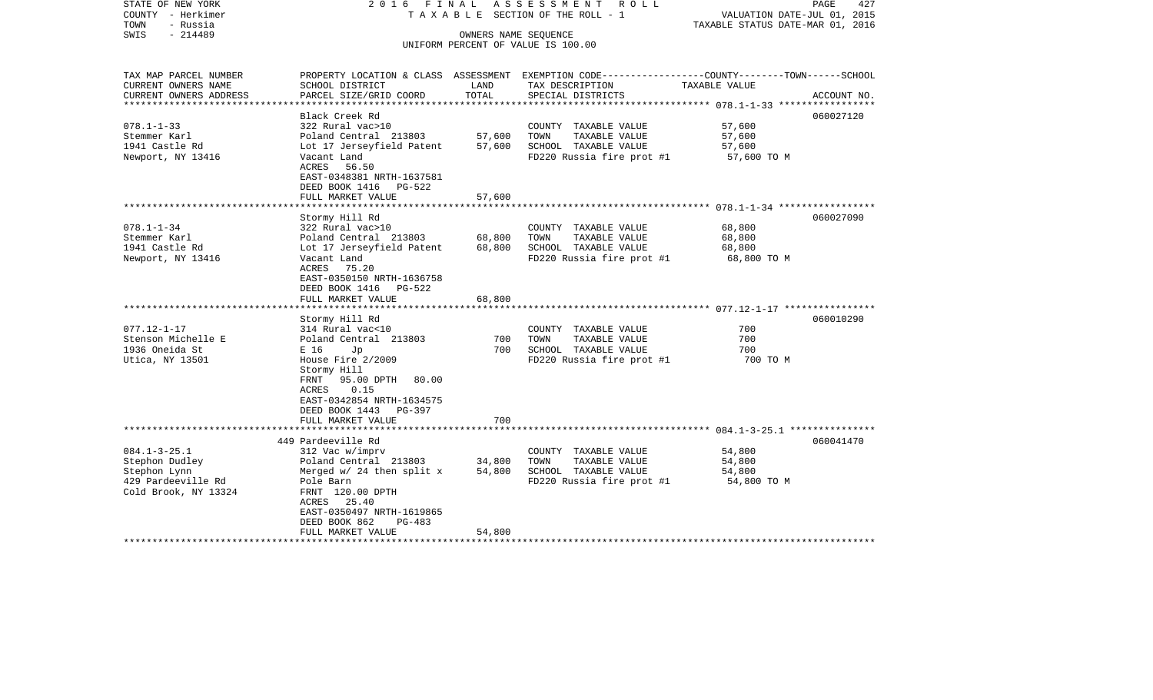| STATE OF NEW YORK<br>COUNTY - Herkimer<br>TOWN<br>- Russia | 2016 FINAL<br>TAXABLE SECTION OF THE ROLL - 1 | PAGE<br>427<br>VALUATION DATE-JUL 01, 2015<br>TAXABLE STATUS DATE-MAR 01, 2016 |                                                                                                  |                                               |             |
|------------------------------------------------------------|-----------------------------------------------|--------------------------------------------------------------------------------|--------------------------------------------------------------------------------------------------|-----------------------------------------------|-------------|
| $-214489$<br>SWIS                                          |                                               |                                                                                |                                                                                                  |                                               |             |
|                                                            |                                               |                                                                                | UNIFORM PERCENT OF VALUE IS 100.00                                                               |                                               |             |
|                                                            |                                               |                                                                                |                                                                                                  |                                               |             |
| TAX MAP PARCEL NUMBER                                      |                                               |                                                                                | PROPERTY LOCATION & CLASS ASSESSMENT EXEMPTION CODE----------------COUNTY-------TOWN------SCHOOL |                                               |             |
| CURRENT OWNERS NAME                                        | SCHOOL DISTRICT                               | LAND                                                                           | TAX DESCRIPTION                                                                                  | TAXABLE VALUE                                 |             |
| CURRENT OWNERS ADDRESS                                     | PARCEL SIZE/GRID COORD                        | TOTAL                                                                          | SPECIAL DISTRICTS                                                                                | **************** 078.1-1-33 ***************** | ACCOUNT NO. |
|                                                            | Black Creek Rd                                |                                                                                |                                                                                                  |                                               | 060027120   |
| $078.1 - 1 - 33$                                           | 322 Rural vac>10                              |                                                                                | COUNTY TAXABLE VALUE                                                                             | 57,600                                        |             |
| Stemmer Karl                                               | Poland Central 213803                         | 57,600                                                                         | TOWN<br>TAXABLE VALUE                                                                            | 57,600                                        |             |
| 1941 Castle Rd                                             | Lot 17 Jerseyfield Patent                     | 57,600                                                                         | SCHOOL TAXABLE VALUE                                                                             | 57,600                                        |             |
| Newport, NY 13416                                          | Vacant Land                                   |                                                                                | FD220 Russia fire prot #1                                                                        | 57,600 TO M                                   |             |
|                                                            | ACRES 56.50                                   |                                                                                |                                                                                                  |                                               |             |
|                                                            | EAST-0348381 NRTH-1637581                     |                                                                                |                                                                                                  |                                               |             |
|                                                            | DEED BOOK 1416 PG-522                         |                                                                                |                                                                                                  |                                               |             |
|                                                            | FULL MARKET VALUE                             | 57,600                                                                         |                                                                                                  |                                               |             |
|                                                            | ********************                          |                                                                                |                                                                                                  |                                               |             |
|                                                            | Stormy Hill Rd                                |                                                                                |                                                                                                  |                                               | 060027090   |
| $078.1 - 1 - 34$                                           | 322 Rural vac>10                              |                                                                                | COUNTY TAXABLE VALUE                                                                             | 68,800                                        |             |
| Stemmer Karl                                               | Poland Central 213803                         | 68,800                                                                         | TOWN<br>TAXABLE VALUE                                                                            | 68,800                                        |             |
| 1941 Castle Rd                                             | Lot 17 Jerseyfield Patent                     | 68,800                                                                         | SCHOOL TAXABLE VALUE                                                                             | 68,800                                        |             |
| Newport, NY 13416                                          | Vacant Land                                   |                                                                                | FD220 Russia fire prot #1                                                                        | 68,800 TO M                                   |             |
|                                                            | ACRES 75.20                                   |                                                                                |                                                                                                  |                                               |             |
|                                                            | EAST-0350150 NRTH-1636758                     |                                                                                |                                                                                                  |                                               |             |
|                                                            | DEED BOOK 1416 PG-522<br>FULL MARKET VALUE    |                                                                                |                                                                                                  |                                               |             |
|                                                            | *******************                           | 68,800                                                                         |                                                                                                  |                                               |             |
|                                                            | Stormy Hill Rd                                |                                                                                |                                                                                                  |                                               | 060010290   |
| $077.12 - 1 - 17$                                          | 314 Rural vac<10                              |                                                                                | COUNTY TAXABLE VALUE                                                                             | 700                                           |             |
| Stenson Michelle E                                         | Poland Central 213803                         | 700                                                                            | TOWN<br>TAXABLE VALUE                                                                            | 700                                           |             |
| 1936 Oneida St                                             | E 16<br>Jp                                    | 700                                                                            | SCHOOL TAXABLE VALUE                                                                             | 700                                           |             |
| Utica, NY 13501                                            | House Fire 2/2009                             |                                                                                | FD220 Russia fire prot #1                                                                        | 700 TO M                                      |             |
|                                                            | Stormy Hill                                   |                                                                                |                                                                                                  |                                               |             |
|                                                            | FRNT<br>95.00 DPTH<br>80.00                   |                                                                                |                                                                                                  |                                               |             |
|                                                            | 0.15<br>ACRES                                 |                                                                                |                                                                                                  |                                               |             |
|                                                            | EAST-0342854 NRTH-1634575                     |                                                                                |                                                                                                  |                                               |             |
|                                                            | DEED BOOK 1443<br>PG-397                      |                                                                                |                                                                                                  |                                               |             |
|                                                            | FULL MARKET VALUE                             | 700                                                                            |                                                                                                  |                                               |             |
|                                                            |                                               |                                                                                |                                                                                                  |                                               |             |
|                                                            | 449 Pardeeville Rd                            |                                                                                |                                                                                                  |                                               | 060041470   |
| $084.1 - 3 - 25.1$                                         | 312 Vac w/imprv                               |                                                                                | COUNTY TAXABLE VALUE                                                                             | 54,800                                        |             |
| Stephon Dudley                                             | Poland Central 213803                         | 34,800                                                                         | TAXABLE VALUE<br>TOWN                                                                            | 54,800                                        |             |
| Stephon Lynn                                               | Merged $w/24$ then split x                    | 54,800                                                                         | SCHOOL TAXABLE VALUE                                                                             | 54,800                                        |             |
| 429 Pardeeville Rd                                         | Pole Barn                                     |                                                                                | FD220 Russia fire prot #1                                                                        | 54,800 TO M                                   |             |
| Cold Brook, NY 13324                                       | FRNT 120.00 DPTH                              |                                                                                |                                                                                                  |                                               |             |
|                                                            | ACRES 25.40<br>EAST-0350497 NRTH-1619865      |                                                                                |                                                                                                  |                                               |             |
|                                                            | DEED BOOK 862<br>$PG-483$                     |                                                                                |                                                                                                  |                                               |             |
|                                                            | FULL MARKET VALUE                             | 54,800                                                                         |                                                                                                  |                                               |             |
| **********************                                     |                                               |                                                                                |                                                                                                  |                                               |             |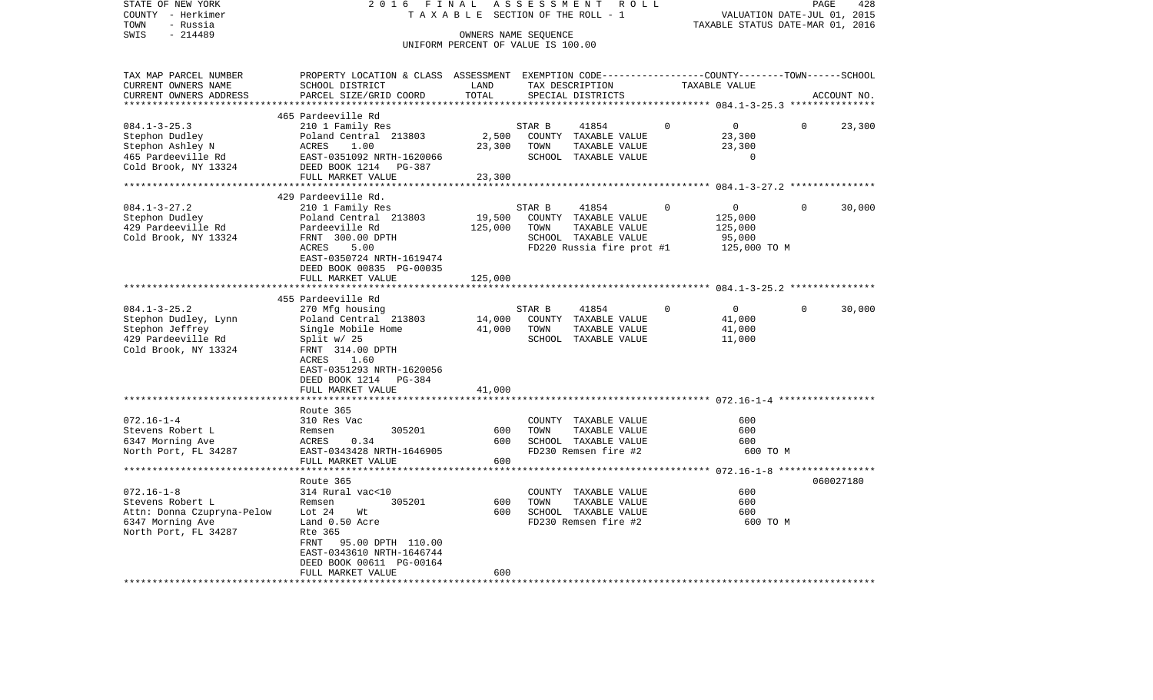| STATE OF NEW YORK          | 2 0 1 6<br>FINAL                                                                                |                                    | ASSESSMENT | ROLL                      |          |                                              |          | PAGE<br>428 |
|----------------------------|-------------------------------------------------------------------------------------------------|------------------------------------|------------|---------------------------|----------|----------------------------------------------|----------|-------------|
| COUNTY - Herkimer          |                                                                                                 | TAXABLE SECTION OF THE ROLL - 1    |            |                           |          | VALUATION DATE-JUL 01, 2015                  |          |             |
| - Russia<br>TOWN           | TAXABLE STATUS DATE-MAR 01, 2016                                                                |                                    |            |                           |          |                                              |          |             |
| SWIS<br>$-214489$          |                                                                                                 | OWNERS NAME SEQUENCE               |            |                           |          |                                              |          |             |
|                            |                                                                                                 | UNIFORM PERCENT OF VALUE IS 100.00 |            |                           |          |                                              |          |             |
| TAX MAP PARCEL NUMBER      | PROPERTY LOCATION & CLASS ASSESSMENT EXEMPTION CODE---------------COUNTY-------TOWN------SCHOOL |                                    |            |                           |          |                                              |          |             |
| CURRENT OWNERS NAME        | SCHOOL DISTRICT                                                                                 | LAND                               |            | TAX DESCRIPTION           |          | TAXABLE VALUE                                |          |             |
| CURRENT OWNERS ADDRESS     | PARCEL SIZE/GRID COORD                                                                          | TOTAL                              |            | SPECIAL DISTRICTS         |          |                                              |          | ACCOUNT NO. |
| ***********************    |                                                                                                 |                                    |            |                           |          |                                              |          |             |
|                            | 465 Pardeeville Rd                                                                              |                                    |            |                           |          |                                              |          |             |
| $084.1 - 3 - 25.3$         | 210 1 Family Res                                                                                |                                    | STAR B     | 41854                     | $\Omega$ | $\mathbf 0$                                  | $\Omega$ | 23,300      |
| Stephon Dudley             | Poland Central 213803                                                                           | 2,500                              |            | COUNTY TAXABLE VALUE      |          | 23,300                                       |          |             |
| Stephon Ashley N           | <b>ACRES</b><br>1.00                                                                            | 23,300                             | TOWN       | TAXABLE VALUE             |          | 23,300                                       |          |             |
| 465 Pardeeville Rd         | EAST-0351092 NRTH-1620066                                                                       |                                    |            | SCHOOL TAXABLE VALUE      |          | $\mathbf 0$                                  |          |             |
| Cold Brook, NY 13324       | DEED BOOK 1214<br>PG-387                                                                        |                                    |            |                           |          |                                              |          |             |
|                            | FULL MARKET VALUE                                                                               | 23,300                             |            |                           |          |                                              |          |             |
|                            | ************************                                                                        |                                    |            |                           |          |                                              |          |             |
|                            | 429 Pardeeville Rd.                                                                             |                                    |            |                           |          |                                              |          |             |
| $084.1 - 3 - 27.2$         | 210 1 Family Res                                                                                |                                    | STAR B     | 41854                     | 0        | 0                                            | 0        | 30,000      |
| Stephon Dudley             | Poland Central 213803                                                                           | 19,500                             |            | COUNTY TAXABLE VALUE      |          | 125,000                                      |          |             |
| 429 Pardeeville Rd         | Pardeeville Rd                                                                                  | 125,000                            | TOWN       | TAXABLE VALUE             |          | 125,000                                      |          |             |
| Cold Brook, NY 13324       | FRNT 300.00 DPTH<br>ACRES<br>5.00                                                               |                                    |            | SCHOOL TAXABLE VALUE      |          | 95,000                                       |          |             |
|                            | EAST-0350724 NRTH-1619474                                                                       |                                    |            | FD220 Russia fire prot #1 |          | 125,000 TO M                                 |          |             |
|                            | DEED BOOK 00835 PG-00035                                                                        |                                    |            |                           |          |                                              |          |             |
|                            | FULL MARKET VALUE                                                                               | 125,000                            |            |                           |          |                                              |          |             |
|                            | *********************                                                                           |                                    |            |                           |          |                                              |          |             |
|                            | 455 Pardeeville Rd                                                                              |                                    |            |                           |          |                                              |          |             |
| $084.1 - 3 - 25.2$         | 270 Mfg housing                                                                                 |                                    | STAR B     | 41854                     |          | $\mathbf 0$                                  | $\Omega$ | 30,000      |
| Stephon Dudley, Lynn       | Poland Central 213803                                                                           | 14,000                             |            | COUNTY TAXABLE VALUE      |          | 41,000                                       |          |             |
| Stephon Jeffrey            | Single Mobile Home                                                                              | 41,000                             | TOWN       | TAXABLE VALUE             |          | 41,000                                       |          |             |
| 429 Pardeeville Rd         | Split $w/25$                                                                                    |                                    |            | SCHOOL TAXABLE VALUE      |          | 11,000                                       |          |             |
| Cold Brook, NY 13324       | FRNT 314.00 DPTH                                                                                |                                    |            |                           |          |                                              |          |             |
|                            | ACRES<br>1.60                                                                                   |                                    |            |                           |          |                                              |          |             |
|                            | EAST-0351293 NRTH-1620056                                                                       |                                    |            |                           |          |                                              |          |             |
|                            | DEED BOOK 1214<br>PG-384                                                                        |                                    |            |                           |          |                                              |          |             |
|                            | FULL MARKET VALUE                                                                               | 41,000                             |            |                           |          |                                              |          |             |
|                            |                                                                                                 |                                    |            |                           |          |                                              |          |             |
|                            | Route 365                                                                                       |                                    |            |                           |          |                                              |          |             |
| $072.16 - 1 - 4$           | 310 Res Vac                                                                                     |                                    |            | COUNTY TAXABLE VALUE      |          | 600                                          |          |             |
| Stevens Robert L           | 305201<br>Remsen                                                                                | 600                                | TOWN       | TAXABLE VALUE             |          | 600                                          |          |             |
| 6347 Morning Ave           | ACRES<br>0.34                                                                                   | 600                                |            | SCHOOL TAXABLE VALUE      |          | 600                                          |          |             |
| North Port, FL 34287       | EAST-0343428 NRTH-1646905                                                                       |                                    |            | FD230 Remsen fire #2      |          | 600 TO M                                     |          |             |
|                            | FULL MARKET VALUE                                                                               | 600                                |            |                           |          | ************** 072.16-1-8 ****************** |          |             |
|                            | Route 365                                                                                       |                                    |            |                           |          |                                              |          | 060027180   |
| $072.16 - 1 - 8$           | 314 Rural vac<10                                                                                |                                    |            | COUNTY TAXABLE VALUE      |          | 600                                          |          |             |
| Stevens Robert L           | Remsen<br>305201                                                                                | 600                                | TOWN       | TAXABLE VALUE             |          | 600                                          |          |             |
| Attn: Donna Czupryna-Pelow | Lot $24$<br>Wt                                                                                  | 600                                |            | SCHOOL TAXABLE VALUE      |          | 600                                          |          |             |
| 6347 Morning Ave           | Land 0.50 Acre                                                                                  |                                    |            | FD230 Remsen fire #2      |          | 600 TO M                                     |          |             |
| North Port, FL 34287       | Rte 365                                                                                         |                                    |            |                           |          |                                              |          |             |
|                            | FRNT<br>95.00 DPTH 110.00                                                                       |                                    |            |                           |          |                                              |          |             |
|                            | EAST-0343610 NRTH-1646744                                                                       |                                    |            |                           |          |                                              |          |             |
|                            | DEED BOOK 00611 PG-00164                                                                        |                                    |            |                           |          |                                              |          |             |
|                            | FULL MARKET VALUE                                                                               | 600                                |            |                           |          |                                              |          |             |
| *************************  | *******************                                                                             | *********                          |            |                           |          |                                              |          |             |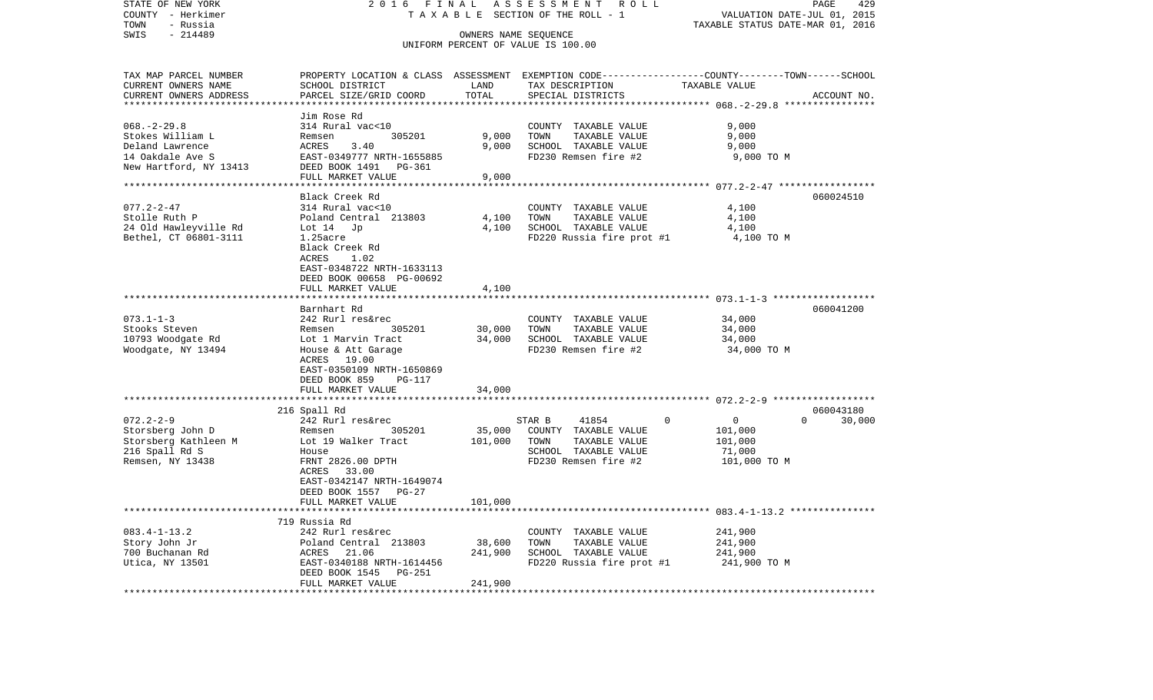| STATE OF NEW YORK             | 2 0 1 6<br>FINAL                                                                                 | PAGE<br>429                 |                           |                                                          |                    |  |  |
|-------------------------------|--------------------------------------------------------------------------------------------------|-----------------------------|---------------------------|----------------------------------------------------------|--------------------|--|--|
| COUNTY - Herkimer             | TAXABLE                                                                                          | VALUATION DATE-JUL 01, 2015 |                           |                                                          |                    |  |  |
| TOWN<br>- Russia<br>$-214489$ |                                                                                                  |                             |                           | TAXABLE STATUS DATE-MAR 01, 2016                         |                    |  |  |
| SWIS                          | OWNERS NAME SEQUENCE<br>UNIFORM PERCENT OF VALUE IS 100.00                                       |                             |                           |                                                          |                    |  |  |
|                               |                                                                                                  |                             |                           |                                                          |                    |  |  |
| TAX MAP PARCEL NUMBER         | PROPERTY LOCATION & CLASS ASSESSMENT EXEMPTION CODE----------------COUNTY-------TOWN------SCHOOL |                             |                           |                                                          |                    |  |  |
| CURRENT OWNERS NAME           | SCHOOL DISTRICT                                                                                  | LAND                        | TAX DESCRIPTION           | TAXABLE VALUE                                            |                    |  |  |
| CURRENT OWNERS ADDRESS        | PARCEL SIZE/GRID COORD                                                                           | TOTAL<br>*********          | SPECIAL DISTRICTS         | *************************** 068.-2-29.8 **************** | ACCOUNT NO.        |  |  |
|                               | Jim Rose Rd                                                                                      |                             |                           |                                                          |                    |  |  |
| $068. - 2 - 29.8$             | 314 Rural vac<10                                                                                 |                             | COUNTY<br>TAXABLE VALUE   | 9,000                                                    |                    |  |  |
| Stokes William L              | 305201<br>Remsen                                                                                 | 9,000                       | TOWN<br>TAXABLE VALUE     | 9,000                                                    |                    |  |  |
| Deland Lawrence               | ACRES<br>3.40                                                                                    | 9,000                       | SCHOOL TAXABLE VALUE      | 9,000                                                    |                    |  |  |
| 14 Oakdale Ave S              | EAST-0349777 NRTH-1655885                                                                        |                             | FD230 Remsen fire #2      | 9,000 TO M                                               |                    |  |  |
| New Hartford, NY 13413        | DEED BOOK 1491<br>PG-361                                                                         |                             |                           |                                                          |                    |  |  |
|                               | FULL MARKET VALUE                                                                                | 9,000                       |                           |                                                          |                    |  |  |
| *********************         | *********************                                                                            | **********                  |                           |                                                          |                    |  |  |
|                               | Black Creek Rd                                                                                   |                             |                           |                                                          | 060024510          |  |  |
| $077.2 - 2 - 47$              | 314 Rural vac<10                                                                                 |                             | COUNTY TAXABLE VALUE      | 4,100                                                    |                    |  |  |
| Stolle Ruth P                 | Poland Central 213803                                                                            | 4,100                       | TAXABLE VALUE<br>TOWN     | 4,100                                                    |                    |  |  |
| 24 Old Hawleyville Rd         | Lot 14<br>Jp                                                                                     | 4,100                       | SCHOOL TAXABLE VALUE      | 4,100                                                    |                    |  |  |
| Bethel, CT 06801-3111         | $1.25$ acre                                                                                      |                             | FD220 Russia fire prot #1 | 4,100 TO M                                               |                    |  |  |
|                               | Black Creek Rd<br>ACRES<br>1.02                                                                  |                             |                           |                                                          |                    |  |  |
|                               | EAST-0348722 NRTH-1633113                                                                        |                             |                           |                                                          |                    |  |  |
|                               | DEED BOOK 00658 PG-00692                                                                         |                             |                           |                                                          |                    |  |  |
|                               | FULL MARKET VALUE                                                                                | 4,100                       |                           |                                                          |                    |  |  |
|                               |                                                                                                  |                             |                           |                                                          |                    |  |  |
|                               | Barnhart Rd                                                                                      |                             |                           |                                                          | 060041200          |  |  |
| $073.1 - 1 - 3$               | 242 Rurl res&rec                                                                                 |                             | COUNTY TAXABLE VALUE      | 34,000                                                   |                    |  |  |
| Stooks Steven                 | 305201<br>Remsen                                                                                 | 30,000                      | TOWN<br>TAXABLE VALUE     | 34,000                                                   |                    |  |  |
| 10793 Woodgate Rd             | Lot 1 Marvin Tract                                                                               | 34,000                      | SCHOOL TAXABLE VALUE      | 34,000                                                   |                    |  |  |
| Woodgate, NY 13494            | House & Att Garage                                                                               |                             | FD230 Remsen fire #2      | 34,000 TO M                                              |                    |  |  |
|                               | ACRES<br>19.00                                                                                   |                             |                           |                                                          |                    |  |  |
|                               | EAST-0350109 NRTH-1650869                                                                        |                             |                           |                                                          |                    |  |  |
|                               | DEED BOOK 859<br>PG-117                                                                          |                             |                           |                                                          |                    |  |  |
|                               | FULL MARKET VALUE<br>*****************                                                           | 34,000                      |                           |                                                          |                    |  |  |
|                               |                                                                                                  |                             |                           |                                                          | 060043180          |  |  |
| $072.2 - 2 - 9$               | 216 Spall Rd<br>242 Rurl res&rec                                                                 |                             | 41854<br>STAR B           | 0<br>$\overline{0}$                                      | 30,000<br>$\Omega$ |  |  |
| Storsberg John D              | 305201<br>Remsen                                                                                 | 35,000                      | COUNTY TAXABLE VALUE      | 101,000                                                  |                    |  |  |
| Storsberg Kathleen M          | Lot 19 Walker Tract                                                                              | 101,000                     | TAXABLE VALUE<br>TOWN     | 101,000                                                  |                    |  |  |
| 216 Spall Rd S                | House                                                                                            |                             | SCHOOL TAXABLE VALUE      | 71,000                                                   |                    |  |  |
| Remsen, NY 13438              | FRNT 2826.00 DPTH                                                                                |                             | FD230 Remsen fire #2      | 101,000 TO M                                             |                    |  |  |
|                               | ACRES<br>33.00                                                                                   |                             |                           |                                                          |                    |  |  |
|                               | EAST-0342147 NRTH-1649074                                                                        |                             |                           |                                                          |                    |  |  |
|                               | DEED BOOK 1557<br>PG-27                                                                          |                             |                           |                                                          |                    |  |  |
|                               | FULL MARKET VALUE                                                                                | 101,000                     |                           |                                                          |                    |  |  |
|                               |                                                                                                  |                             |                           | ********** 083.4-1-13.2 ****************                 |                    |  |  |
|                               | 719 Russia Rd                                                                                    |                             |                           |                                                          |                    |  |  |
| $083.4 - 1 - 13.2$            | 242 Rurl res&rec                                                                                 |                             | COUNTY TAXABLE VALUE      | 241,900                                                  |                    |  |  |
| Story John Jr                 | Poland Central 213803                                                                            | 38,600                      | TOWN<br>TAXABLE VALUE     | 241,900                                                  |                    |  |  |
| 700 Buchanan Rd               | ACRES<br>21.06                                                                                   | 241,900                     | SCHOOL TAXABLE VALUE      | 241,900                                                  |                    |  |  |
| Utica, NY 13501               | EAST-0340188 NRTH-1614456                                                                        |                             | FD220 Russia fire prot #1 | 241,900 TO M                                             |                    |  |  |
|                               | DEED BOOK 1545<br>PG-251<br>FULL MARKET VALUE                                                    | 241,900                     |                           |                                                          |                    |  |  |
|                               |                                                                                                  |                             |                           |                                                          |                    |  |  |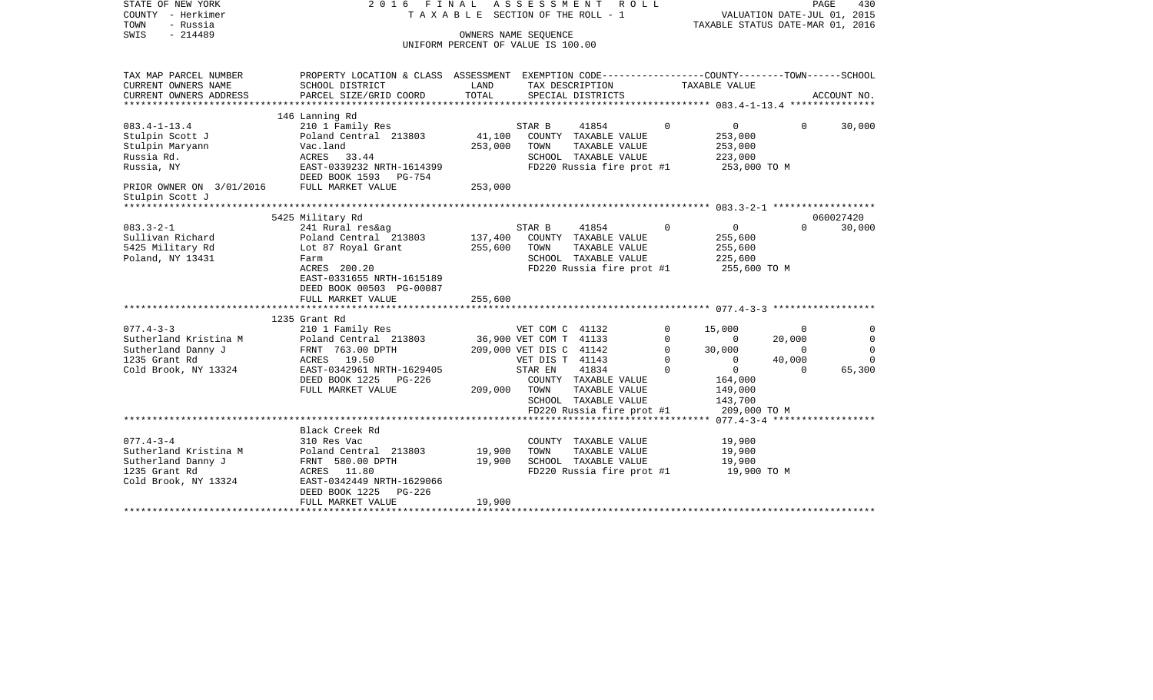| STATE OF NEW YORK<br>COUNTY - Herkimer<br>- Russia<br>TOWN<br>$-214489$<br>SWIS | 2016 FINAL ASSESSMENT ROLL<br>TAXABLE SECTION OF THE ROLL - 1<br>OWNERS NAME SEQUENCE<br>UNIFORM PERCENT OF VALUE IS 100.00 |         |                         |                                       |                | VALUATION DATE-JUL 01, 2015<br>TAXABLE STATUS DATE-MAR 01, 2016 |                | PAGE<br>430 |
|---------------------------------------------------------------------------------|-----------------------------------------------------------------------------------------------------------------------------|---------|-------------------------|---------------------------------------|----------------|-----------------------------------------------------------------|----------------|-------------|
|                                                                                 |                                                                                                                             |         |                         |                                       |                |                                                                 |                |             |
| TAX MAP PARCEL NUMBER                                                           | PROPERTY LOCATION & CLASS ASSESSMENT EXEMPTION CODE---------------COUNTY-------TOWN-----SCHOOL                              |         |                         |                                       |                |                                                                 |                |             |
| CURRENT OWNERS NAME                                                             | SCHOOL DISTRICT                                                                                                             | LAND    |                         | TAX DESCRIPTION                       |                | TAXABLE VALUE                                                   |                |             |
| CURRENT OWNERS ADDRESS                                                          | PARCEL SIZE/GRID COORD                                                                                                      | TOTAL   |                         | SPECIAL DISTRICTS                     |                |                                                                 |                | ACCOUNT NO. |
|                                                                                 | 146 Lanning Rd                                                                                                              |         |                         |                                       |                |                                                                 |                |             |
| $083.4 - 1 - 13.4$                                                              | 210 1 Family Res                                                                                                            |         | STAR B                  | 41854                                 | $\Omega$       | $\circ$                                                         | $\Omega$       | 30,000      |
| Stulpin Scott J                                                                 | Poland Central 213803                                                                                                       | 41,100  |                         | COUNTY TAXABLE VALUE                  |                | 253,000                                                         |                |             |
| Stulpin Maryann                                                                 | Vac.land                                                                                                                    | 253,000 | TOWN                    | TAXABLE VALUE                         |                | 253,000                                                         |                |             |
| Russia Rd.                                                                      | ACRES 33.44                                                                                                                 |         |                         | SCHOOL TAXABLE VALUE                  |                | 223,000                                                         |                |             |
| Russia, NY                                                                      | EAST-0339232 NRTH-1614399                                                                                                   |         |                         | FD220 Russia fire prot #1             |                | 253,000 TO M                                                    |                |             |
|                                                                                 | DEED BOOK 1593 PG-754                                                                                                       |         |                         |                                       |                |                                                                 |                |             |
| PRIOR OWNER ON 3/01/2016                                                        | FULL MARKET VALUE                                                                                                           | 253,000 |                         |                                       |                |                                                                 |                |             |
| Stulpin Scott J                                                                 |                                                                                                                             |         |                         |                                       |                |                                                                 |                |             |
|                                                                                 |                                                                                                                             |         |                         |                                       |                |                                                                 |                |             |
|                                                                                 | 5425 Military Rd                                                                                                            |         |                         |                                       |                |                                                                 |                | 060027420   |
| $083.3 - 2 - 1$                                                                 | 241 Rural res&ag                                                                                                            |         | STAR B                  | 41854                                 | $\overline{0}$ | $\overline{0}$                                                  | $\Omega$       | 30,000      |
| Sullivan Richard                                                                | Poland Central 213803                                                                                                       | 137,400 |                         | COUNTY TAXABLE VALUE                  |                | 255,600                                                         |                |             |
| 5425 Military Rd                                                                | Lot 87 Royal Grant                                                                                                          | 255,600 | TOWN                    | TAXABLE VALUE<br>SCHOOL TAXABLE VALUE |                | 255,600<br>225,600                                              |                |             |
| Poland, NY 13431                                                                | Farm<br>ACRES 200.20                                                                                                        |         |                         | FD220 Russia fire prot #1             |                | 255,600 TO M                                                    |                |             |
|                                                                                 | EAST-0331655 NRTH-1615189                                                                                                   |         |                         |                                       |                |                                                                 |                |             |
|                                                                                 | DEED BOOK 00503 PG-00087                                                                                                    |         |                         |                                       |                |                                                                 |                |             |
|                                                                                 | FULL MARKET VALUE                                                                                                           | 255,600 |                         |                                       |                |                                                                 |                |             |
|                                                                                 |                                                                                                                             |         |                         |                                       |                |                                                                 |                |             |
|                                                                                 | 1235 Grant Rd                                                                                                               |         |                         |                                       |                |                                                                 |                |             |
| $077.4 - 3 - 3$                                                                 | 210 1 Family Res                                                                                                            |         | VET COM C 41132         |                                       | $\Omega$       | 15,000                                                          | $\Omega$       | $\Omega$    |
| Sutherland Kristina M                                                           | Poland Central 213803                                                                                                       |         | 36,900 VET COM T 41133  |                                       | $\Omega$       | $\Omega$                                                        | 20,000         | $\Omega$    |
| Sutherland Danny J                                                              | FRNT 763.00 DPTH                                                                                                            |         | 209,000 VET DIS C 41142 |                                       | $\circ$        | 30,000                                                          | $\overline{0}$ | $\mathbf 0$ |
| 1235 Grant Rd                                                                   | ACRES 19.50                                                                                                                 |         | VET DIS T 41143         |                                       | $\overline{0}$ | $\overline{0}$                                                  | 40,000         | $\Omega$    |
| Cold Brook, NY 13324                                                            | EAST-0342961 NRTH-1629405                                                                                                   |         | STAR EN                 | 41834                                 | $\mathbf 0$    | $\overline{0}$                                                  | $\Omega$       | 65,300      |
|                                                                                 | DEED BOOK 1225 PG-226                                                                                                       |         |                         | COUNTY TAXABLE VALUE                  |                | 164,000                                                         |                |             |
|                                                                                 | FULL MARKET VALUE                                                                                                           | 209,000 | TOWN                    | TAXABLE VALUE                         |                | 149,000                                                         |                |             |
|                                                                                 |                                                                                                                             |         |                         | SCHOOL TAXABLE VALUE                  |                | 143,700                                                         |                |             |
|                                                                                 |                                                                                                                             |         |                         | FD220 Russia fire prot #1             |                | 209,000 TO M                                                    |                |             |
|                                                                                 | Black Creek Rd                                                                                                              |         |                         |                                       |                |                                                                 |                |             |
| $077.4 - 3 - 4$                                                                 | 310 Res Vac                                                                                                                 |         |                         | COUNTY TAXABLE VALUE                  |                | 19,900                                                          |                |             |
| Sutherland Kristina M                                                           | Poland Central 213803                                                                                                       | 19,900  | TOWN                    | TAXABLE VALUE                         |                | 19,900                                                          |                |             |
| Sutherland Danny J                                                              | FRNT 580.00 DPTH                                                                                                            | 19,900  |                         | SCHOOL TAXABLE VALUE                  |                | 19,900                                                          |                |             |
| 1235 Grant Rd                                                                   | ACRES 11.80                                                                                                                 |         |                         | FD220 Russia fire prot #1             |                | 19,900 TO M                                                     |                |             |
| Cold Brook, NY 13324                                                            | EAST-0342449 NRTH-1629066                                                                                                   |         |                         |                                       |                |                                                                 |                |             |
|                                                                                 | DEED BOOK 1225 PG-226                                                                                                       |         |                         |                                       |                |                                                                 |                |             |
|                                                                                 | FULL MARKET VALUE                                                                                                           | 19,900  |                         |                                       |                |                                                                 |                |             |
|                                                                                 |                                                                                                                             |         |                         |                                       |                |                                                                 |                |             |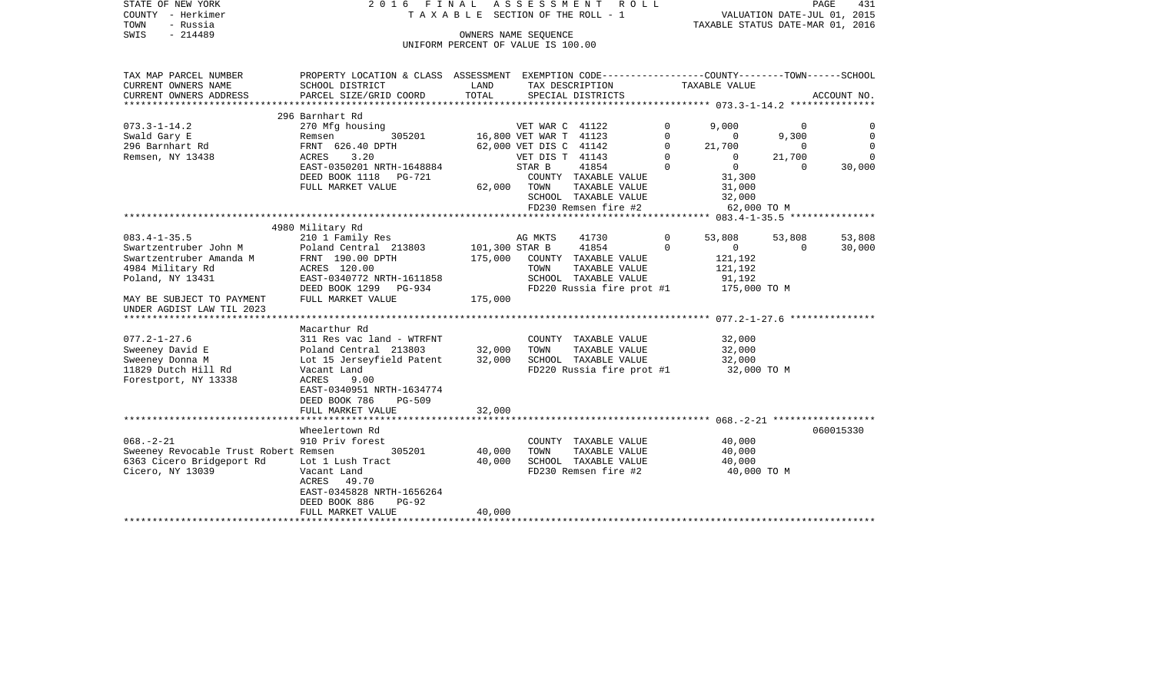| STATE OF NEW YORK<br>COUNTY - Herkimer          | 2016 FINAL ASSESSMENT ROLL<br>TAXABLE SECTION OF THE ROLL - 1                                    |                |                                         |                  | PAGE<br>431<br>VALUATION DATE-JUL 01, 2015 |                    |                            |  |
|-------------------------------------------------|--------------------------------------------------------------------------------------------------|----------------|-----------------------------------------|------------------|--------------------------------------------|--------------------|----------------------------|--|
| TOWN<br>- Russia                                |                                                                                                  |                |                                         |                  | TAXABLE STATUS DATE-MAR 01, 2016           |                    |                            |  |
| $-214489$<br>SWIS                               |                                                                                                  |                | OWNERS NAME SEOUENCE                    |                  |                                            |                    |                            |  |
|                                                 |                                                                                                  |                | UNIFORM PERCENT OF VALUE IS 100.00      |                  |                                            |                    |                            |  |
|                                                 |                                                                                                  |                |                                         |                  |                                            |                    |                            |  |
| TAX MAP PARCEL NUMBER                           | PROPERTY LOCATION & CLASS ASSESSMENT EXEMPTION CODE----------------COUNTY-------TOWN------SCHOOL |                |                                         |                  |                                            |                    |                            |  |
| CURRENT OWNERS NAME                             | SCHOOL DISTRICT                                                                                  | LAND           | TAX DESCRIPTION                         |                  | TAXABLE VALUE                              |                    |                            |  |
| CURRENT OWNERS ADDRESS                          | PARCEL SIZE/GRID COORD                                                                           | TOTAL          | SPECIAL DISTRICTS                       |                  |                                            |                    | ACCOUNT NO.                |  |
|                                                 |                                                                                                  |                |                                         |                  |                                            |                    |                            |  |
|                                                 | 296 Barnhart Rd                                                                                  |                |                                         |                  |                                            |                    |                            |  |
| 073.3-1-14.2                                    | 270 Mfg housing                                                                                  |                | VET WAR C 41122                         | $\circ$          | 9,000                                      | $\Omega$           | 0                          |  |
| Swald Gary E<br>$296$ Barnhart Rd               | 305201<br>Remsen<br>10 Remsen<br>FRNT 626.40 DPTH                                                |                | 16,800 VET WAR T 41123                  | 0<br>$\mathbf 0$ | $\overline{0}$                             | 9,300<br>$\Omega$  | $\overline{0}$             |  |
|                                                 | 3.20                                                                                             |                | 62,000 VET DIS C 41142                  | $\mathbf 0$      | 21,700                                     |                    | $\mathbf 0$<br>$\mathbf 0$ |  |
| Remsen, NY 13438                                | ACRES<br>EAST-0350201 NRTH-1648884                                                               |                | VET DIS T 41143<br>STAR B<br>41854      | $\Omega$         | $\overline{0}$<br>$\Omega$                 | 21,700<br>$\Omega$ | 30,000                     |  |
|                                                 | DEED BOOK 1118 PG-721                                                                            |                | COUNTY TAXABLE VALUE                    |                  | 31,300                                     |                    |                            |  |
|                                                 | FULL MARKET VALUE                                                                                | 62,000         | TOWN<br>TAXABLE VALUE                   |                  | 31,000                                     |                    |                            |  |
|                                                 |                                                                                                  |                | SCHOOL TAXABLE VALUE                    |                  | 32,000                                     |                    |                            |  |
|                                                 |                                                                                                  |                | FD230 Remsen fire #2                    |                  | 62,000 TO M                                |                    |                            |  |
|                                                 |                                                                                                  |                |                                         |                  |                                            |                    |                            |  |
|                                                 | 4980 Military Rd                                                                                 |                |                                         |                  |                                            |                    |                            |  |
| 083.4-1-35.5                                    | 210 1 Family Res                                                                                 |                | AG MKTS<br>41730                        | $\overline{0}$   | 53,808                                     | 53,808             | 53,808                     |  |
| Swartzentruber John M                           | Poland Central 213803                                                                            | 101,300 STAR B | 41854                                   | $\mathbf 0$      | $\overline{0}$                             | $\Omega$           | 30,000                     |  |
| Swartzentruber Amanda M                         | FRNT 190.00 DPTH                                                                                 | 175,000        | COUNTY TAXABLE VALUE                    |                  | 121,192                                    |                    |                            |  |
| 4984 Military Rd                                | ACRES 120.00                                                                                     |                | TOWN<br>TAXABLE VALUE                   |                  | 121,192                                    |                    |                            |  |
| Poland, NY 13431                                | EAST-0340772 NRTH-1611858                                                                        |                | SCHOOL TAXABLE VALUE                    |                  | 91,192                                     |                    |                            |  |
|                                                 | DEED BOOK 1299 PG-934                                                                            |                | FD220 Russia fire prot #1               |                  | 175,000 TO M                               |                    |                            |  |
| MAY BE SUBJECT TO PAYMENT                       | FULL MARKET VALUE                                                                                | 175,000        |                                         |                  |                                            |                    |                            |  |
| UNDER AGDIST LAW TIL 2023                       |                                                                                                  |                |                                         |                  |                                            |                    |                            |  |
|                                                 |                                                                                                  |                |                                         |                  |                                            |                    |                            |  |
|                                                 | Macarthur Rd                                                                                     |                |                                         |                  |                                            |                    |                            |  |
| $077.2 - 1 - 27.6$                              | 311 Res vac land - WTRFNT                                                                        |                | COUNTY TAXABLE VALUE                    |                  | 32,000                                     |                    |                            |  |
| Sweeney David E                                 | Poland Central 213803                                                                            | 32,000         | TOWN<br>TAXABLE VALUE                   |                  | 32,000                                     |                    |                            |  |
| Sweeney Donna M                                 | Lot 15 Jerseyfield Patent                                                                        | 32,000         | SCHOOL TAXABLE VALUE                    |                  | 32,000                                     |                    |                            |  |
| 11829 Dutch Hill Rd                             | Vacant Land                                                                                      |                | $FD220$ Russia fire prot #1 32,000 TO M |                  |                                            |                    |                            |  |
| Forestport, NY 13338                            | ACRES<br>9.00                                                                                    |                |                                         |                  |                                            |                    |                            |  |
|                                                 | EAST-0340951 NRTH-1634774                                                                        |                |                                         |                  |                                            |                    |                            |  |
|                                                 | DEED BOOK 786<br><b>PG-509</b>                                                                   |                |                                         |                  |                                            |                    |                            |  |
|                                                 | FULL MARKET VALUE                                                                                | 32,000         |                                         |                  |                                            |                    |                            |  |
|                                                 | Wheelertown Rd                                                                                   |                |                                         |                  |                                            |                    | 060015330                  |  |
| $068. - 2 - 21$                                 | 910 Priv forest                                                                                  |                | COUNTY TAXABLE VALUE                    |                  | 40,000                                     |                    |                            |  |
| Sweeney Revocable Trust Robert Remsen           | 305201                                                                                           | 40,000         | TOWN<br>TAXABLE VALUE                   |                  | 40,000                                     |                    |                            |  |
| 6363 Cicero Bridgeport Rd      Lot 1 Lush Tract |                                                                                                  | 40,000         | SCHOOL TAXABLE VALUE                    |                  | 40,000                                     |                    |                            |  |
| Cicero, NY 13039                                | Vacant Land                                                                                      |                | FD230 Remsen fire #2                    |                  | 40,000 TO M                                |                    |                            |  |
|                                                 | ACRES<br>49.70                                                                                   |                |                                         |                  |                                            |                    |                            |  |
|                                                 | EAST-0345828 NRTH-1656264                                                                        |                |                                         |                  |                                            |                    |                            |  |
|                                                 | DEED BOOK 886<br>$PG-92$                                                                         |                |                                         |                  |                                            |                    |                            |  |
|                                                 | FULL MARKET VALUE                                                                                | 40,000         |                                         |                  |                                            |                    |                            |  |
|                                                 |                                                                                                  |                |                                         |                  |                                            |                    |                            |  |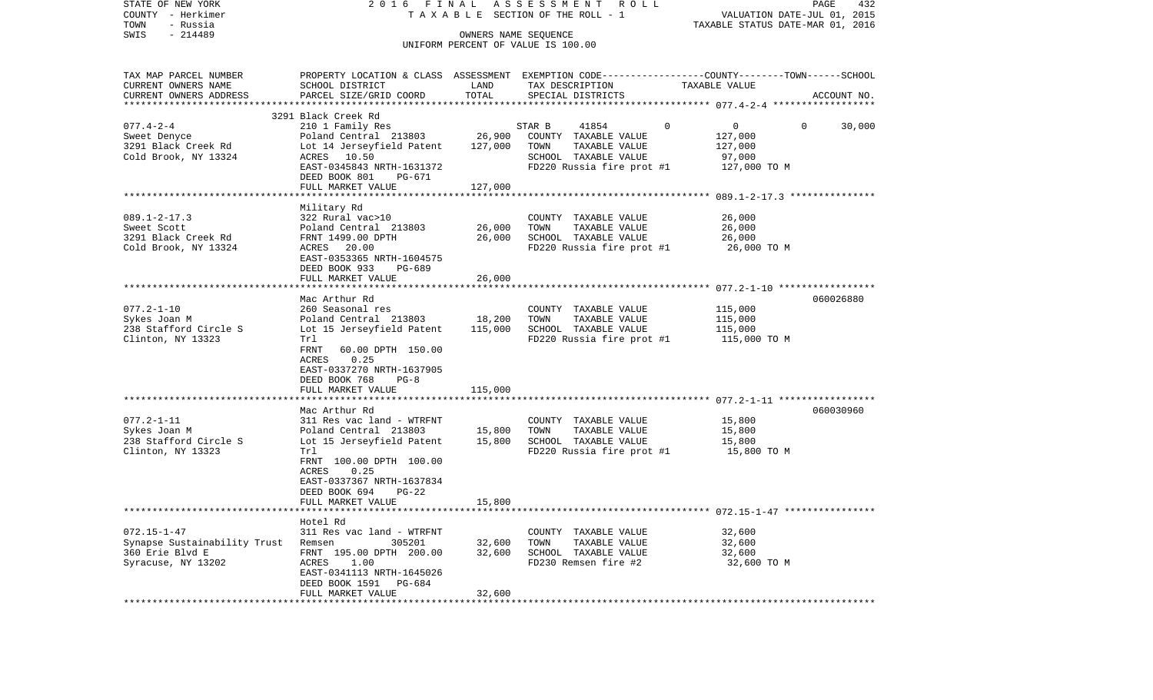| STATE OF NEW YORK                     |                                                                                                  |                   | 2016 FINAL ASSESSMENT ROLL                    |                                                                 | PAGE<br>432            |
|---------------------------------------|--------------------------------------------------------------------------------------------------|-------------------|-----------------------------------------------|-----------------------------------------------------------------|------------------------|
| COUNTY - Herkimer<br>TOWN<br>- Russia |                                                                                                  |                   | TAXABLE SECTION OF THE ROLL - 1               | VALUATION DATE-JUL 01, 2015<br>TAXABLE STATUS DATE-MAR 01, 2016 |                        |
| $-214489$<br>SWIS                     |                                                                                                  |                   | OWNERS NAME SEQUENCE                          |                                                                 |                        |
|                                       |                                                                                                  |                   | UNIFORM PERCENT OF VALUE IS 100.00            |                                                                 |                        |
|                                       |                                                                                                  |                   |                                               |                                                                 |                        |
| TAX MAP PARCEL NUMBER                 | PROPERTY LOCATION & CLASS ASSESSMENT EXEMPTION CODE----------------COUNTY-------TOWN------SCHOOL |                   |                                               |                                                                 |                        |
| CURRENT OWNERS NAME                   | SCHOOL DISTRICT                                                                                  | LAND              | TAX DESCRIPTION                               | TAXABLE VALUE                                                   |                        |
| CURRENT OWNERS ADDRESS                | PARCEL SIZE/GRID COORD                                                                           | TOTAL             | SPECIAL DISTRICTS                             |                                                                 | ACCOUNT NO.            |
|                                       | 3291 Black Creek Rd                                                                              |                   |                                               |                                                                 |                        |
| $077.4 - 2 - 4$                       | 210 1 Family Res                                                                                 |                   | STAR B<br>41854                               | $\mathbf 0$<br>0                                                | $\mathbf{0}$<br>30,000 |
| Sweet Denyce                          | Poland Central 213803                                                                            | 26,900            | COUNTY TAXABLE VALUE                          | 127,000                                                         |                        |
| 3291 Black Creek Rd                   | Lot 14 Jerseyfield Patent                                                                        | 127,000           | TOWN<br>TAXABLE VALUE                         | 127,000                                                         |                        |
| Cold Brook, NY 13324                  | ACRES 10.50                                                                                      |                   | SCHOOL TAXABLE VALUE                          | 97,000                                                          |                        |
|                                       | EAST-0345843 NRTH-1631372                                                                        |                   | $FD220$ Russia fire prot #1 $127,000$ TO M    |                                                                 |                        |
|                                       | DEED BOOK 801<br>PG-671                                                                          |                   |                                               |                                                                 |                        |
|                                       | FULL MARKET VALUE                                                                                | 127,000           |                                               |                                                                 |                        |
|                                       |                                                                                                  |                   |                                               |                                                                 |                        |
| $089.1 - 2 - 17.3$                    | Military Rd<br>322 Rural vac>10                                                                  |                   | COUNTY TAXABLE VALUE                          | 26,000                                                          |                        |
| Sweet Scott                           | Poland Central 213803                                                                            | 26,000            | TAXABLE VALUE<br>TOWN                         | 26,000                                                          |                        |
| 3291 Black Creek Rd                   | FRNT 1499.00 DPTH                                                                                | 26,000            | SCHOOL TAXABLE VALUE                          | 26,000                                                          |                        |
| Cold Brook, NY 13324                  | ACRES 20.00                                                                                      |                   | FD220 Russia fire prot #1                     | 26,000 TO M                                                     |                        |
|                                       | EAST-0353365 NRTH-1604575                                                                        |                   |                                               |                                                                 |                        |
|                                       | DEED BOOK 933<br>PG-689                                                                          |                   |                                               |                                                                 |                        |
|                                       | FULL MARKET VALUE                                                                                | 26,000            |                                               |                                                                 |                        |
|                                       |                                                                                                  |                   |                                               |                                                                 |                        |
|                                       | Mac Arthur Rd                                                                                    |                   |                                               |                                                                 | 060026880              |
| $077.2 - 1 - 10$<br>Sykes Joan M      | 260 Seasonal res                                                                                 |                   | COUNTY TAXABLE VALUE                          | 115,000                                                         |                        |
| 238 Stafford Circle S                 | Poland Central 213803<br>Lot 15 Jerseyfield Patent                                               | 18,200<br>115,000 | TAXABLE VALUE<br>TOWN<br>SCHOOL TAXABLE VALUE | 115,000<br>115,000                                              |                        |
| Clinton, NY 13323                     | Trl                                                                                              |                   | FD220 Russia fire prot #1                     | 115,000 TO M                                                    |                        |
|                                       | FRNT<br>60.00 DPTH 150.00                                                                        |                   |                                               |                                                                 |                        |
|                                       | 0.25<br>ACRES                                                                                    |                   |                                               |                                                                 |                        |
|                                       | EAST-0337270 NRTH-1637905                                                                        |                   |                                               |                                                                 |                        |
|                                       | DEED BOOK 768<br>$PG-8$                                                                          |                   |                                               |                                                                 |                        |
|                                       | FULL MARKET VALUE                                                                                | 115,000           |                                               |                                                                 |                        |
|                                       | ********************                                                                             |                   |                                               |                                                                 |                        |
| $077.2 - 1 - 11$                      | Mac Arthur Rd<br>311 Res vac land - WTRFNT                                                       |                   |                                               |                                                                 | 060030960              |
| Sykes Joan M                          | Poland Central 213803                                                                            | 15,800            | COUNTY TAXABLE VALUE<br>TOWN<br>TAXABLE VALUE | 15,800<br>15,800                                                |                        |
| 238 Stafford Circle S                 | Lot 15 Jerseyfield Patent                                                                        | 15,800            | SCHOOL TAXABLE VALUE                          | 15,800                                                          |                        |
| Clinton, NY 13323                     | Trl                                                                                              |                   | FD220 Russia fire prot #1                     | 15,800 TO M                                                     |                        |
|                                       | FRNT 100.00 DPTH 100.00                                                                          |                   |                                               |                                                                 |                        |
|                                       | 0.25<br>ACRES                                                                                    |                   |                                               |                                                                 |                        |
|                                       | EAST-0337367 NRTH-1637834                                                                        |                   |                                               |                                                                 |                        |
|                                       | DEED BOOK 694<br>PG-22                                                                           |                   |                                               |                                                                 |                        |
|                                       | FULL MARKET VALUE                                                                                | 15,800            |                                               |                                                                 |                        |
|                                       |                                                                                                  |                   |                                               |                                                                 |                        |
| $072.15 - 1 - 47$                     | Hotel Rd<br>311 Res vac land - WTRFNT                                                            |                   | COUNTY TAXABLE VALUE                          | 32,600                                                          |                        |
| Synapse Sustainability Trust          | 305201<br>Remsen                                                                                 | 32,600            | TOWN<br>TAXABLE VALUE                         | 32,600                                                          |                        |
| 360 Erie Blvd E                       | FRNT 195.00 DPTH 200.00                                                                          | 32,600            | SCHOOL TAXABLE VALUE                          | 32,600                                                          |                        |
| Syracuse, NY 13202                    | ACRES<br>1.00                                                                                    |                   | FD230 Remsen fire #2                          | 32,600 TO M                                                     |                        |
|                                       | EAST-0341113 NRTH-1645026                                                                        |                   |                                               |                                                                 |                        |
|                                       | DEED BOOK 1591<br>PG-684                                                                         |                   |                                               |                                                                 |                        |
|                                       | FULL MARKET VALUE                                                                                | 32,600            |                                               |                                                                 |                        |
|                                       |                                                                                                  |                   |                                               |                                                                 |                        |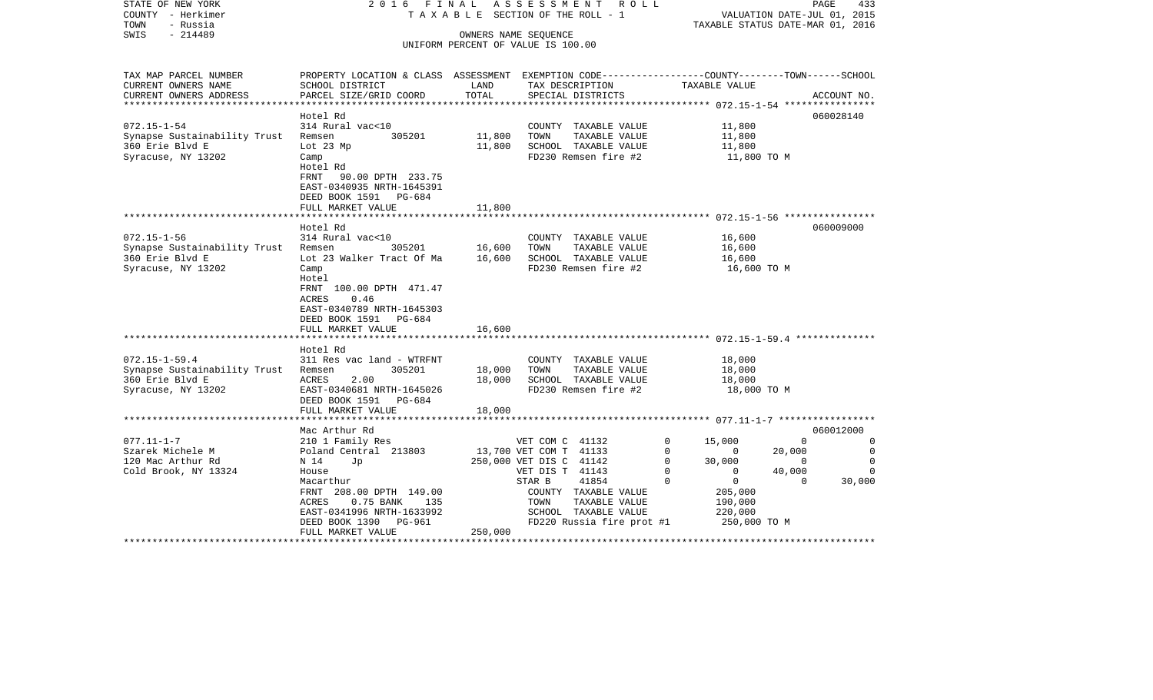| STATE OF NEW YORK<br>COUNTY - Herkimer<br>- Russia<br>TOWN | A S S E S S M E N T R O L L<br>2016 FINAL<br>TAXABLE SECTION OF THE ROLL - 1                    |         |                                    |             | PAGE<br>433<br>VALUATION DATE-JUL 01, 2015<br>TAXABLE STATUS DATE-MAR 01, 2016 |          |             |
|------------------------------------------------------------|-------------------------------------------------------------------------------------------------|---------|------------------------------------|-------------|--------------------------------------------------------------------------------|----------|-------------|
| - 214489<br>SWIS                                           |                                                                                                 |         | OWNERS NAME SEQUENCE               |             |                                                                                |          |             |
|                                                            |                                                                                                 |         | UNIFORM PERCENT OF VALUE IS 100.00 |             |                                                                                |          |             |
|                                                            |                                                                                                 |         |                                    |             |                                                                                |          |             |
| TAX MAP PARCEL NUMBER                                      | PROPERTY LOCATION & CLASS ASSESSMENT EXEMPTION CODE---------------COUNTY-------TOWN------SCHOOL |         |                                    |             |                                                                                |          |             |
| CURRENT OWNERS NAME                                        | SCHOOL DISTRICT                                                                                 | LAND    | TAX DESCRIPTION                    |             | TAXABLE VALUE                                                                  |          |             |
| CURRENT OWNERS ADDRESS                                     | PARCEL SIZE/GRID COORD                                                                          | TOTAL   | SPECIAL DISTRICTS                  |             |                                                                                |          | ACCOUNT NO. |
|                                                            |                                                                                                 |         |                                    |             |                                                                                |          |             |
|                                                            | Hotel Rd                                                                                        |         |                                    |             |                                                                                |          | 060028140   |
| $072.15 - 1 - 54$                                          | 314 Rural vac<10                                                                                |         | COUNTY TAXABLE VALUE               |             | 11,800                                                                         |          |             |
| Synapse Sustainability Trust                               | 305201<br>Remsen                                                                                | 11,800  | TOWN<br>TAXABLE VALUE              |             | 11,800                                                                         |          |             |
| 360 Erie Blvd E                                            | Lot 23 Mp                                                                                       | 11,800  | SCHOOL TAXABLE VALUE               |             | 11,800                                                                         |          |             |
| Syracuse, NY 13202                                         | Camp                                                                                            |         | FD230 Remsen fire #2               |             | 11,800 TO M                                                                    |          |             |
|                                                            | Hotel Rd                                                                                        |         |                                    |             |                                                                                |          |             |
|                                                            | <b>FRNT</b><br>90.00 DPTH 233.75                                                                |         |                                    |             |                                                                                |          |             |
|                                                            | EAST-0340935 NRTH-1645391                                                                       |         |                                    |             |                                                                                |          |             |
|                                                            | DEED BOOK 1591 PG-684                                                                           |         |                                    |             |                                                                                |          |             |
|                                                            | FULL MARKET VALUE                                                                               | 11,800  |                                    |             |                                                                                |          |             |
|                                                            | Hotel Rd                                                                                        |         |                                    |             |                                                                                |          | 060009000   |
| $072.15 - 1 - 56$                                          | 314 Rural vac<10                                                                                |         | COUNTY TAXABLE VALUE               |             | 16,600                                                                         |          |             |
| Synapse Sustainability Trust                               | 305201<br>Remsen                                                                                | 16,600  | TOWN<br>TAXABLE VALUE              |             | 16,600                                                                         |          |             |
| 360 Erie Blvd E                                            | Lot 23 Walker Tract Of Ma                                                                       | 16,600  | SCHOOL TAXABLE VALUE               |             | 16,600                                                                         |          |             |
| Syracuse, NY 13202                                         | Camp                                                                                            |         | FD230 Remsen fire #2               |             | 16,600 TO M                                                                    |          |             |
|                                                            | Hotel                                                                                           |         |                                    |             |                                                                                |          |             |
|                                                            | FRNT 100.00 DPTH 471.47                                                                         |         |                                    |             |                                                                                |          |             |
|                                                            | ACRES<br>0.46                                                                                   |         |                                    |             |                                                                                |          |             |
|                                                            | EAST-0340789 NRTH-1645303                                                                       |         |                                    |             |                                                                                |          |             |
|                                                            | DEED BOOK 1591 PG-684                                                                           |         |                                    |             |                                                                                |          |             |
|                                                            | FULL MARKET VALUE                                                                               | 16,600  |                                    |             |                                                                                |          |             |
|                                                            |                                                                                                 |         |                                    |             |                                                                                |          |             |
|                                                            | Hotel Rd                                                                                        |         |                                    |             |                                                                                |          |             |
| $072.15 - 1 - 59.4$                                        | 311 Res vac land - WTRFNT                                                                       |         | COUNTY TAXABLE VALUE               |             | 18,000                                                                         |          |             |
| Synapse Sustainability Trust                               | 305201<br>Remsen                                                                                | 18,000  | TOWN<br>TAXABLE VALUE              |             | 18,000                                                                         |          |             |
| 360 Erie Blvd E                                            | ACRES<br>2.00                                                                                   | 18,000  | SCHOOL TAXABLE VALUE               |             | 18,000                                                                         |          |             |
| Syracuse, NY 13202                                         | EAST-0340681 NRTH-1645026                                                                       |         | FD230 Remsen fire #2               |             | 18,000 TO M                                                                    |          |             |
|                                                            | DEED BOOK 1591 PG-684                                                                           |         |                                    |             |                                                                                |          |             |
|                                                            | FULL MARKET VALUE                                                                               | 18,000  |                                    |             |                                                                                |          |             |
|                                                            |                                                                                                 |         |                                    |             |                                                                                |          |             |
|                                                            | Mac Arthur Rd                                                                                   |         |                                    |             |                                                                                |          | 060012000   |
| $077.11 - 1 - 7$                                           | 210 1 Family Res                                                                                |         | VET COM C 41132                    | $\circ$     | 15,000                                                                         | $\Omega$ | $\Omega$    |
| Szarek Michele M                                           | Poland Central 213803                                                                           |         | 13,700 VET COM T 41133             | 0           | $\mathbf{0}$                                                                   | 20,000   | 0           |
| 120 Mac Arthur Rd                                          | N 14<br>Jp                                                                                      |         | 250,000 VET DIS C 41142            | $\mathbf 0$ | 30,000                                                                         | $\sim$ 0 | 0           |
| Cold Brook, NY 13324                                       | House                                                                                           |         | VET DIS T 41143                    | $\mathbf 0$ | $\mathbf{0}$                                                                   | 40,000   | $\Omega$    |
|                                                            | Macarthur                                                                                       |         | STAR B<br>41854                    | $\mathbf 0$ | $\overline{0}$                                                                 | $\Omega$ | 30,000      |
|                                                            | FRNT 208.00 DPTH 149.00                                                                         |         | COUNTY TAXABLE VALUE               |             | 205,000                                                                        |          |             |
|                                                            | ACRES<br>$0.75$ BANK<br>135                                                                     |         | TOWN<br>TAXABLE VALUE              |             | 190,000                                                                        |          |             |
|                                                            | EAST-0341996 NRTH-1633992                                                                       |         | SCHOOL TAXABLE VALUE               |             | 220,000                                                                        |          |             |
|                                                            | DEED BOOK 1390 PG-961                                                                           |         | FD220 Russia fire prot #1          |             | 250,000 TO M                                                                   |          |             |
|                                                            | FULL MARKET VALUE                                                                               | 250,000 |                                    |             |                                                                                |          |             |
|                                                            |                                                                                                 |         |                                    |             |                                                                                |          |             |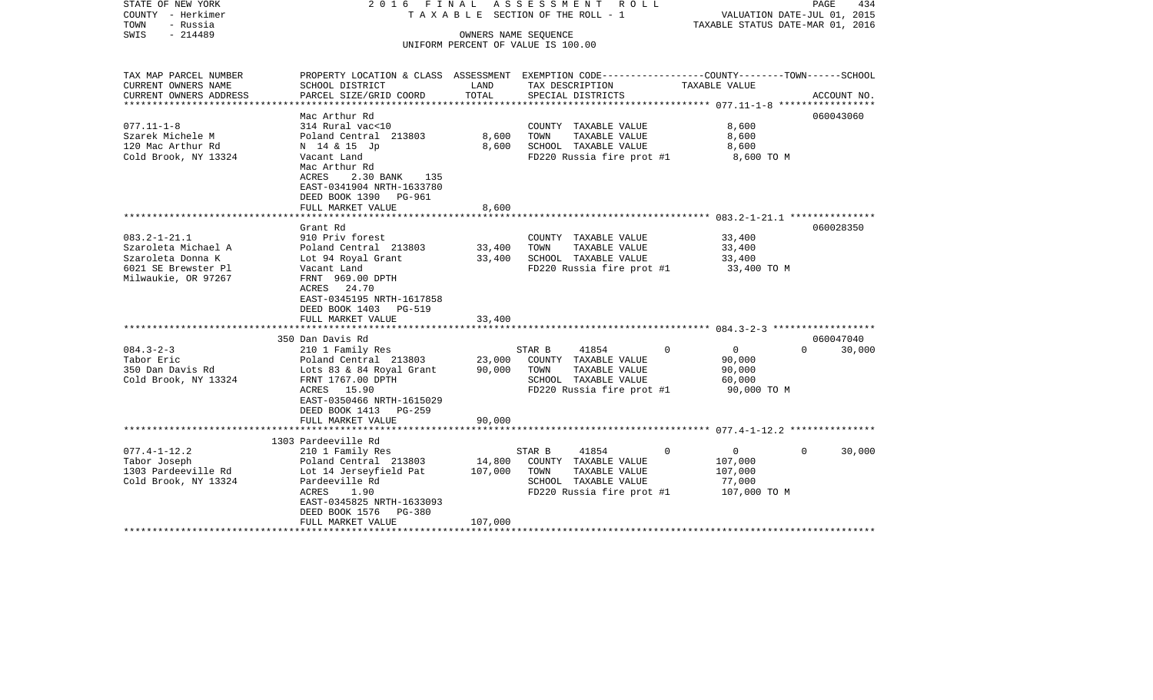| STATE OF NEW YORK<br>COUNTY - Herkimer<br>TOWN<br>- Russia<br>$-214489$<br>SWIS                              | 2016 FINAL<br>TAXABLE SECTION OF THE ROLL - 1<br>UNIFORM PERCENT OF VALUE IS 100.00                                                                             | ASSESSMENT ROLL   | PAGE<br>434<br>VALUATION DATE-JUL 01, 2015<br>TAXABLE STATUS DATE-MAR 01, 2016                                        |                                                                         |                    |
|--------------------------------------------------------------------------------------------------------------|-----------------------------------------------------------------------------------------------------------------------------------------------------------------|-------------------|-----------------------------------------------------------------------------------------------------------------------|-------------------------------------------------------------------------|--------------------|
| TAX MAP PARCEL NUMBER<br>CURRENT OWNERS NAME                                                                 | PROPERTY LOCATION & CLASS ASSESSMENT EXEMPTION CODE---------------COUNTY-------TOWN-----SCHOOL<br>SCHOOL DISTRICT                                               | LAND              | TAX DESCRIPTION                                                                                                       | TAXABLE VALUE                                                           |                    |
| CURRENT OWNERS ADDRESS                                                                                       | PARCEL SIZE/GRID COORD                                                                                                                                          | TOTAL             | SPECIAL DISTRICTS                                                                                                     |                                                                         | ACCOUNT NO.        |
| $077.11 - 1 - 8$<br>Szarek Michele M<br>120 Mac Arthur Rd<br>Cold Brook, NY 13324                            | Mac Arthur Rd<br>314 Rural vac<10<br>Poland Central 213803<br>N 14 & 15 Jp<br>Vacant Land<br>Mac Arthur Rd<br>ACRES<br>2.30 BANK 135                            | 8,600<br>8,600    | COUNTY TAXABLE VALUE<br>TOWN<br>TAXABLE VALUE<br>SCHOOL TAXABLE VALUE<br>FD220 Russia fire prot #1                    | 8,600<br>8,600<br>8,600<br>8,600 TO M                                   | 060043060          |
|                                                                                                              | EAST-0341904 NRTH-1633780<br>DEED BOOK 1390 PG-961<br>FULL MARKET VALUE                                                                                         | 8,600             |                                                                                                                       |                                                                         |                    |
|                                                                                                              | Grant Rd                                                                                                                                                        |                   |                                                                                                                       |                                                                         | 060028350          |
| $083.2 - 1 - 21.1$<br>Szaroleta Michael A<br>Szaroleta Donna K<br>6021 SE Brewster Pl<br>Milwaukie, OR 97267 | 910 Priv forest<br>Poland Central 213803<br>Lot 94 Royal Grant<br>Vacant Land<br>FRNT 969.00 DPTH<br>ACRES 24.70<br>EAST-0345195 NRTH-1617858                   | 33,400<br>33,400  | COUNTY TAXABLE VALUE<br>TAXABLE VALUE<br>TOWN<br>SCHOOL TAXABLE VALUE<br>FD220 Russia fire prot #1                    | 33,400<br>33,400<br>33,400<br>33,400 TO M                               |                    |
|                                                                                                              | DEED BOOK 1403 PG-519                                                                                                                                           |                   |                                                                                                                       |                                                                         |                    |
|                                                                                                              | FULL MARKET VALUE                                                                                                                                               | 33,400            |                                                                                                                       |                                                                         |                    |
|                                                                                                              | 350 Dan Davis Rd                                                                                                                                                |                   |                                                                                                                       |                                                                         | 060047040          |
| $084.3 - 2 - 3$<br>Tabor Eric<br>350 Dan Davis Rd<br>Cold Brook, NY 13324                                    | 210 1 Family Res<br>Poland Central 213803<br>Lots 83 & 84 Royal Grant<br>FRNT 1767.00 DPTH<br>ACRES 15.90<br>EAST-0350466 NRTH-1615029<br>DEED BOOK 1413 PG-259 | 23,000<br>90,000  | STAR B<br>41854<br>COUNTY TAXABLE VALUE<br>TOWN<br>TAXABLE VALUE<br>SCHOOL TAXABLE VALUE<br>FD220 Russia fire prot #1 | $\overline{0}$<br>$\Omega$<br>90,000<br>90,000<br>60,000<br>90,000 TO M | $\Omega$<br>30,000 |
|                                                                                                              | FULL MARKET VALUE                                                                                                                                               | 90,000            |                                                                                                                       |                                                                         |                    |
|                                                                                                              | 1303 Pardeeville Rd                                                                                                                                             |                   |                                                                                                                       |                                                                         |                    |
| $077.4 - 1 - 12.2$<br>Tabor Joseph<br>1303 Pardeeville Rd<br>Cold Brook, NY 13324                            | 210 1 Family Res<br>Poland Central 213803<br>Lot 14 Jerseyfield Pat<br>Pardeeville Rd<br>ACRES<br>1.90<br>EAST-0345825 NRTH-1633093<br>DEED BOOK 1576<br>PG-380 | 14,800<br>107,000 | 41854<br>STAR B<br>COUNTY TAXABLE VALUE<br>TOWN<br>TAXABLE VALUE<br>SCHOOL TAXABLE VALUE<br>FD220 Russia fire prot #1 | $\overline{0}$<br>0<br>107,000<br>107,000<br>77,000<br>107,000 TO M     | $\Omega$<br>30,000 |
|                                                                                                              | FULL MARKET VALUE                                                                                                                                               | 107,000           |                                                                                                                       |                                                                         |                    |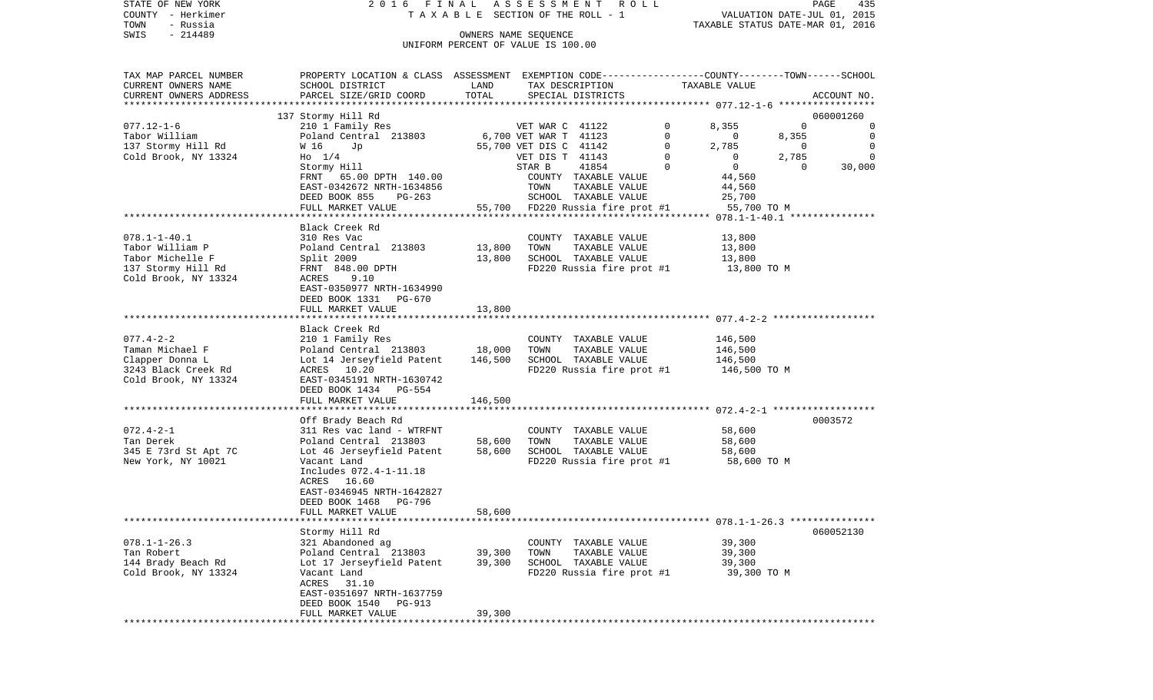STATE OF NEW YORK 2 0 1 6 F I N A L A S S E S S M E N T R O L L PAGE 435COUNTY - Herkimer **T A X A B L E SECTION OF THE ROLL - 1** VALUATION DATE-JUL 01, 2015 TOWN - Russia TAXABLE STATUS DATE-MAR 01, 2016 SWIS - 214489 OWNERS NAME SEQUENCE UNIFORM PERCENT OF VALUE IS 100.00

TAX MAP PARCEL NUMBER PROPERTY LOCATION & CLASS ASSESSMENT EXEMPTION CODE------------------COUNTY--------TOWN------SCHOOL

CURRENT OWNERS NAME SCHOOL DISTRICT LAND TAX DESCRIPTION TAXABLE VALUE

FULL MARKET VALUE 39,300

CURRENT OWNERS ADDRESS PARCEL SIZE/GRID COORD TOTAL SPECIAL DISTRICTS ACCOUNT NO. \*\*\*\*\*\*\*\*\*\*\*\*\*\*\*\*\*\*\*\*\*\*\*\*\*\*\*\*\*\*\*\*\*\*\*\*\*\*\*\*\*\*\*\*\*\*\*\*\*\*\*\*\*\*\*\*\*\*\*\*\*\*\*\*\*\*\*\*\*\*\*\*\*\*\*\*\*\*\*\*\*\*\*\*\*\*\*\*\*\*\*\*\*\*\*\*\*\*\*\*\*\*\* 077.12-1-6 \*\*\*\*\*\*\*\*\*\*\*\*\*\*\*\*\* 137 Stormy Hill Rd 060001260 077.12-1-6 210 1 Family Res VET WAR C 41122 0 8,355 0 0 Tabor William Poland Central 213803 6,700 VET WAR T 41123 0 0 8,355 0 137 Stormy Hill Rd M 16 Up 35,700 VET DIS C 41142 0 2,785 0 0 Cold Brook, NY 13324 Ho 1/4 Ho Ho Ho Ho VET DIS T 41143 0 0 2,785 0 Stormy Hill STAR B 41854 0 0 0 30,000 FRNT 65.00 DPTH 140.00 COUNTY TAXABLE VALUE 44,560 EAST-0342672 NRTH-1634856 TOWN TAXABLE VALUE 44,560 DEED BOOK 855 PG-263 SCHOOL TAXABLE VALUE 25,700 FULL MARKET VALUE 55,700 FD220 Russia fire prot #1 55,700 TO M \*\*\*\*\*\*\*\*\*\*\*\*\*\*\*\*\*\*\*\*\*\*\*\*\*\*\*\*\*\*\*\*\*\*\*\*\*\*\*\*\*\*\*\*\*\*\*\*\*\*\*\*\*\*\*\*\*\*\*\*\*\*\*\*\*\*\*\*\*\*\*\*\*\*\*\*\*\*\*\*\*\*\*\*\*\*\*\*\*\*\*\*\*\*\*\*\*\*\*\*\*\*\* 078.1-1-40.1 \*\*\*\*\*\*\*\*\*\*\*\*\*\*\* Black Creek Rd078.1-1-40.1 310 Res Vac COUNTY TAXABLE VALUE 13,800 Tabor William P 3,800 Poland Central 213803 13,800 TOWN TAXABLE VALUE 13,800 Tabor Michelle F 3,800 Split 2009 13,800 SCHOOL TAXABLE VALUE 13,800 137 Stormy Hill Rd FRNT 848.00 DPTH FD220 Russia fire prot #1 13,800 TO M Cold Brook, NY 13324 ACRES 9.10 EAST-0350977 NRTH-1634990 DEED BOOK 1331 PG-670FULL MARKET VALUE 13,800 \*\*\*\*\*\*\*\*\*\*\*\*\*\*\*\*\*\*\*\*\*\*\*\*\*\*\*\*\*\*\*\*\*\*\*\*\*\*\*\*\*\*\*\*\*\*\*\*\*\*\*\*\*\*\*\*\*\*\*\*\*\*\*\*\*\*\*\*\*\*\*\*\*\*\*\*\*\*\*\*\*\*\*\*\*\*\*\*\*\*\*\*\*\*\*\*\*\*\*\*\*\*\* 077.4-2-2 \*\*\*\*\*\*\*\*\*\*\*\*\*\*\*\*\*\* Black Creek Rd077.4-2-2 210 1 Family Res COUNTY TAXABLE VALUE 146,500 Taman Michael F **Poland Central 213803** 18,000 TOWN TAXABLE VALUE 146,500 Clapper Donna L Lot 14 Jerseyfield Patent 146,500 SCHOOL TAXABLE VALUE 146,500 3243 Black Creek Rd ACRES 10.20 FD220 Russia fire prot #1 146,500 TO M Cold Brook, NY 13324 EAST-0345191 NRTH-1630742 DEED BOOK 1434 PG-554 FULL MARKET VALUE 146,500 \*\*\*\*\*\*\*\*\*\*\*\*\*\*\*\*\*\*\*\*\*\*\*\*\*\*\*\*\*\*\*\*\*\*\*\*\*\*\*\*\*\*\*\*\*\*\*\*\*\*\*\*\*\*\*\*\*\*\*\*\*\*\*\*\*\*\*\*\*\*\*\*\*\*\*\*\*\*\*\*\*\*\*\*\*\*\*\*\*\*\*\*\*\*\*\*\*\*\*\*\*\*\* 072.4-2-1 \*\*\*\*\*\*\*\*\*\*\*\*\*\*\*\*\*\* Off Brady Beach Rd 0003572 072.4-2-1 311 Res vac land - WTRFNT COUNTY TAXABLE VALUE 58,600 Tan Derek Poland Central 213803 58,600 TOWN TAXABLE VALUE 58,600 345 E 73rd St Apt 7C Lot 46 Jerseyfield Patent 58,600 SCHOOL TAXABLE VALUE 58,600 New York, NY 10021 Vacant Land FD220 Russia fire prot #1 58,600 TO M Includes 072.4-1-11.18 ACRES 16.60 EAST-0346945 NRTH-1642827 DEED BOOK 1468 PG-796FULL MARKET VALUE 58,600 \*\*\*\*\*\*\*\*\*\*\*\*\*\*\*\*\*\*\*\*\*\*\*\*\*\*\*\*\*\*\*\*\*\*\*\*\*\*\*\*\*\*\*\*\*\*\*\*\*\*\*\*\*\*\*\*\*\*\*\*\*\*\*\*\*\*\*\*\*\*\*\*\*\*\*\*\*\*\*\*\*\*\*\*\*\*\*\*\*\*\*\*\*\*\*\*\*\*\*\*\*\*\* 078.1-1-26.3 \*\*\*\*\*\*\*\*\*\*\*\*\*\*\*Stormy Hill Rd 060052130 078.1-1-26.3 321 Abandoned ag COUNTY TAXABLE VALUE 39,300 Tan Robert Poland Central 213803 39,300 TOWN TAXABLE VALUE 39,300 144 Brady Beach Rd Lot 17 Jerseyfield Patent 39,300 SCHOOL TAXABLE VALUE 39,300 Cold Brook, NY 13324 Vacant Land FD220 Russia fire prot #1 39,300 TO M ACRES 31.10 EAST-0351697 NRTH-1637759 DEED BOOK 1540 PG-913

\*\*\*\*\*\*\*\*\*\*\*\*\*\*\*\*\*\*\*\*\*\*\*\*\*\*\*\*\*\*\*\*\*\*\*\*\*\*\*\*\*\*\*\*\*\*\*\*\*\*\*\*\*\*\*\*\*\*\*\*\*\*\*\*\*\*\*\*\*\*\*\*\*\*\*\*\*\*\*\*\*\*\*\*\*\*\*\*\*\*\*\*\*\*\*\*\*\*\*\*\*\*\*\*\*\*\*\*\*\*\*\*\*\*\*\*\*\*\*\*\*\*\*\*\*\*\*\*\*\*\*\*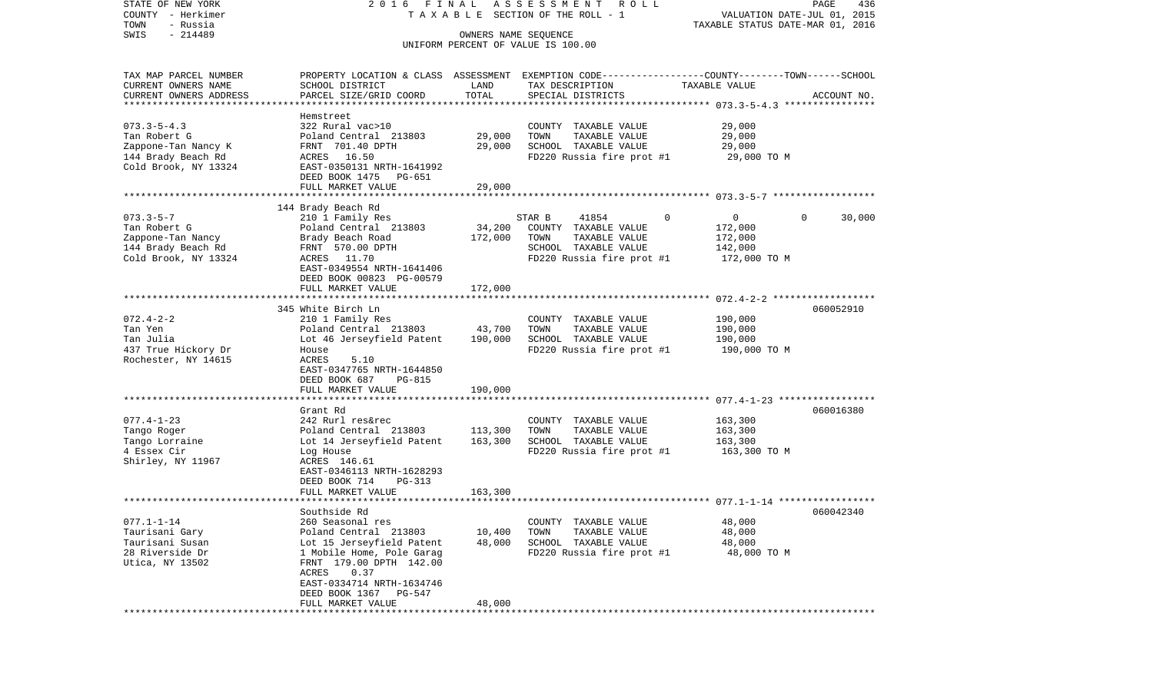| STATE OF NEW YORK         | 2016 FINAL                                                                                       |         | ASSESSMENT<br>R O L L                 |                                  | 436<br>PAGE                 |
|---------------------------|--------------------------------------------------------------------------------------------------|---------|---------------------------------------|----------------------------------|-----------------------------|
| COUNTY - Herkimer         |                                                                                                  |         | T A X A B L E SECTION OF THE ROLL - 1 |                                  | VALUATION DATE-JUL 01, 2015 |
| TOWN<br>- Russia          |                                                                                                  |         |                                       | TAXABLE STATUS DATE-MAR 01, 2016 |                             |
| $-214489$<br>SWIS         |                                                                                                  |         | OWNERS NAME SEQUENCE                  |                                  |                             |
|                           |                                                                                                  |         | UNIFORM PERCENT OF VALUE IS 100.00    |                                  |                             |
|                           |                                                                                                  |         |                                       |                                  |                             |
| TAX MAP PARCEL NUMBER     | PROPERTY LOCATION & CLASS ASSESSMENT EXEMPTION CODE----------------COUNTY-------TOWN------SCHOOL |         |                                       |                                  |                             |
| CURRENT OWNERS NAME       | SCHOOL DISTRICT                                                                                  | LAND    | TAX DESCRIPTION                       | TAXABLE VALUE                    |                             |
| CURRENT OWNERS ADDRESS    | PARCEL SIZE/GRID COORD                                                                           | TOTAL   | SPECIAL DISTRICTS                     |                                  | ACCOUNT NO.                 |
| ************************* |                                                                                                  |         |                                       |                                  |                             |
|                           | Hemstreet                                                                                        |         |                                       |                                  |                             |
| $073.3 - 5 - 4.3$         | 322 Rural vac>10                                                                                 |         | COUNTY TAXABLE VALUE                  | 29,000                           |                             |
| Tan Robert G              | Poland Central 213803                                                                            | 29,000  | TOWN<br>TAXABLE VALUE                 | 29,000                           |                             |
| Zappone-Tan Nancy K       | FRNT 701.40 DPTH                                                                                 | 29,000  | SCHOOL TAXABLE VALUE                  | 29,000                           |                             |
| 144 Brady Beach Rd        | ACRES 16.50                                                                                      |         | FD220 Russia fire prot #1             | 29,000 TO M                      |                             |
| Cold Brook, NY 13324      | EAST-0350131 NRTH-1641992                                                                        |         |                                       |                                  |                             |
|                           | DEED BOOK 1475<br>PG-651                                                                         |         |                                       |                                  |                             |
|                           | FULL MARKET VALUE                                                                                | 29,000  |                                       |                                  |                             |
|                           |                                                                                                  |         |                                       |                                  |                             |
|                           | 144 Brady Beach Rd                                                                               |         |                                       |                                  |                             |
| $073.3 - 5 - 7$           | 210 1 Family Res                                                                                 |         | 41854<br>STAR B                       | $\Omega$<br>0                    | $\Omega$<br>30,000          |
| Tan Robert G              | Poland Central 213803                                                                            | 34,200  | COUNTY TAXABLE VALUE                  | 172,000                          |                             |
| Zappone-Tan Nancy         | Brady Beach Road                                                                                 | 172,000 | TOWN<br>TAXABLE VALUE                 | 172,000                          |                             |
| 144 Brady Beach Rd        | FRNT 570.00 DPTH                                                                                 |         | SCHOOL TAXABLE VALUE                  | 142,000                          |                             |
| Cold Brook, NY 13324      | ACRES 11.70                                                                                      |         | FD220 Russia fire prot #1             | 172,000 TO M                     |                             |
|                           | EAST-0349554 NRTH-1641406                                                                        |         |                                       |                                  |                             |
|                           | DEED BOOK 00823 PG-00579                                                                         |         |                                       |                                  |                             |
|                           | FULL MARKET VALUE                                                                                | 172,000 |                                       |                                  |                             |
|                           |                                                                                                  |         |                                       |                                  |                             |
|                           | 345 White Birch Ln                                                                               |         |                                       |                                  | 060052910                   |
| $072.4 - 2 - 2$           | 210 1 Family Res                                                                                 |         | COUNTY TAXABLE VALUE                  | 190,000                          |                             |
| Tan Yen                   | Poland Central 213803                                                                            | 43,700  | TAXABLE VALUE<br>TOWN                 | 190,000                          |                             |
| Tan Julia                 | Lot 46 Jerseyfield Patent                                                                        | 190,000 | SCHOOL TAXABLE VALUE                  | 190,000                          |                             |
| 437 True Hickory Dr       | House                                                                                            |         | FD220 Russia fire prot #1             | 190,000 TO M                     |                             |
| Rochester, NY 14615       | ACRES<br>5.10                                                                                    |         |                                       |                                  |                             |
|                           | EAST-0347765 NRTH-1644850                                                                        |         |                                       |                                  |                             |
|                           | DEED BOOK 687<br><b>PG-815</b><br>FULL MARKET VALUE                                              | 190,000 |                                       |                                  |                             |
|                           | ************************                                                                         |         |                                       |                                  |                             |
|                           | Grant Rd                                                                                         |         |                                       |                                  | 060016380                   |
| $077.4 - 1 - 23$          | 242 Rurl res&rec                                                                                 |         | COUNTY TAXABLE VALUE                  | 163,300                          |                             |
| Tango Roger               | Poland Central 213803                                                                            | 113,300 | TOWN<br>TAXABLE VALUE                 | 163,300                          |                             |
| Tango Lorraine            | Lot 14 Jerseyfield Patent                                                                        | 163,300 | SCHOOL TAXABLE VALUE                  | 163,300                          |                             |
| 4 Essex Cir               | Log House                                                                                        |         | FD220 Russia fire prot #1             | 163,300 TO M                     |                             |
| Shirley, NY 11967         | ACRES 146.61                                                                                     |         |                                       |                                  |                             |
|                           | EAST-0346113 NRTH-1628293                                                                        |         |                                       |                                  |                             |
|                           | DEED BOOK 714<br>PG-313                                                                          |         |                                       |                                  |                             |
|                           | FULL MARKET VALUE                                                                                | 163,300 |                                       |                                  |                             |
|                           |                                                                                                  |         |                                       |                                  |                             |
|                           | Southside Rd                                                                                     |         |                                       |                                  | 060042340                   |
| $077.1 - 1 - 14$          | 260 Seasonal res                                                                                 |         | COUNTY TAXABLE VALUE                  | 48,000                           |                             |
| Taurisani Gary            | Poland Central 213803                                                                            | 10,400  | TOWN<br>TAXABLE VALUE                 | 48,000                           |                             |
| Taurisani Susan           | Lot 15 Jerseyfield Patent                                                                        | 48,000  | SCHOOL TAXABLE VALUE                  | 48,000                           |                             |
| 28 Riverside Dr           | 1 Mobile Home, Pole Garag                                                                        |         | FD220 Russia fire prot #1             | 48,000 TO M                      |                             |
| Utica, NY 13502           | FRNT 179.00 DPTH 142.00                                                                          |         |                                       |                                  |                             |
|                           | ACRES<br>0.37                                                                                    |         |                                       |                                  |                             |
|                           | EAST-0334714 NRTH-1634746                                                                        |         |                                       |                                  |                             |
|                           | DEED BOOK 1367<br>PG-547                                                                         |         |                                       |                                  |                             |
|                           | FULL MARKET VALUE                                                                                | 48,000  |                                       |                                  |                             |
|                           | ***************                                                                                  |         |                                       |                                  |                             |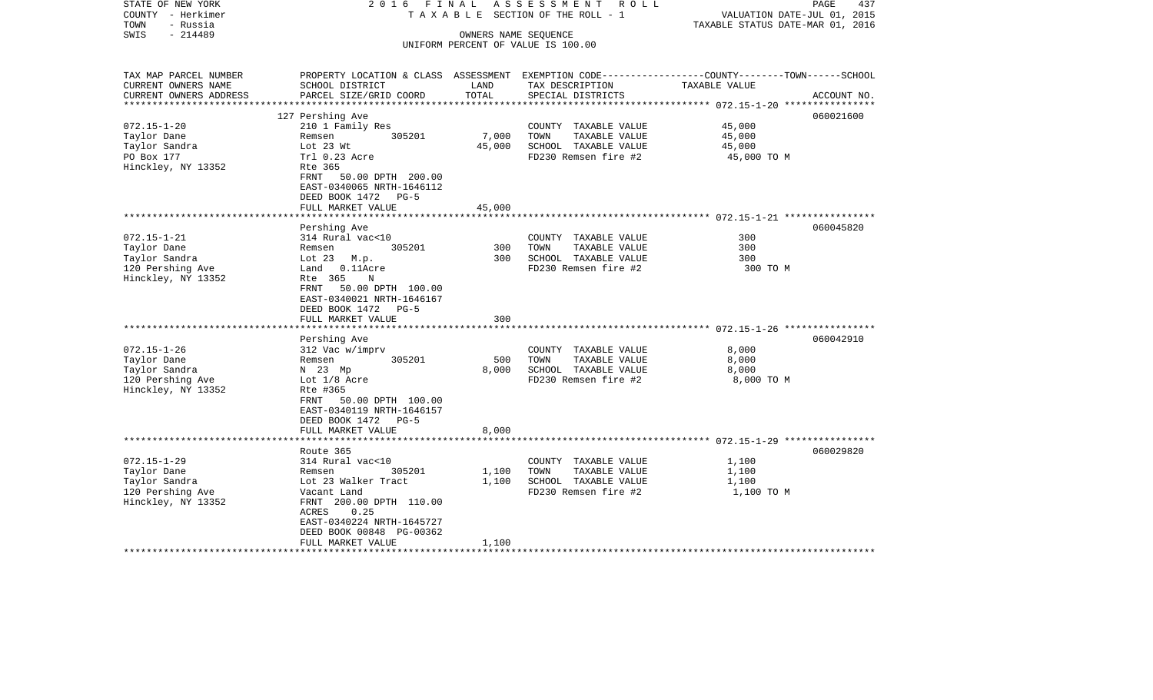| STATE OF NEW YORK<br>COUNTY - Herkimer           | 2016<br>FINAL                                                                                   |                      | ASSESSMENT ROLL<br>TAXABLE SECTION OF THE ROLL - 1 | VALUATION DATE-JUL 01, 2015                               | PAGE<br>437 |
|--------------------------------------------------|-------------------------------------------------------------------------------------------------|----------------------|----------------------------------------------------|-----------------------------------------------------------|-------------|
| TOWN<br>- Russia                                 |                                                                                                 |                      |                                                    | TAXABLE STATUS DATE-MAR 01, 2016                          |             |
| $-214489$<br>SWIS                                |                                                                                                 | OWNERS NAME SEQUENCE |                                                    |                                                           |             |
|                                                  |                                                                                                 |                      | UNIFORM PERCENT OF VALUE IS 100.00                 |                                                           |             |
|                                                  |                                                                                                 |                      |                                                    |                                                           |             |
| TAX MAP PARCEL NUMBER                            | PROPERTY LOCATION & CLASS ASSESSMENT EXEMPTION CODE---------------COUNTY-------TOWN------SCHOOL |                      |                                                    |                                                           |             |
| CURRENT OWNERS NAME                              | SCHOOL DISTRICT                                                                                 | LAND                 | TAX DESCRIPTION                                    | TAXABLE VALUE                                             |             |
| CURRENT OWNERS ADDRESS<br>********************** | PARCEL SIZE/GRID COORD                                                                          | TOTAL                | SPECIAL DISTRICTS                                  |                                                           | ACCOUNT NO. |
|                                                  | 127 Pershing Ave                                                                                |                      |                                                    |                                                           | 060021600   |
| $072.15 - 1 - 20$                                | 210 1 Family Res                                                                                |                      | COUNTY TAXABLE VALUE                               | 45,000                                                    |             |
| Taylor Dane                                      | 305201<br>Remsen                                                                                | 7,000                | TOWN<br>TAXABLE VALUE                              | 45,000                                                    |             |
| Taylor Sandra                                    | Lot 23 Wt                                                                                       | 45,000               | SCHOOL TAXABLE VALUE                               | 45,000                                                    |             |
| PO Box 177                                       | Trl 0.23 Acre                                                                                   |                      | FD230 Remsen fire #2                               | 45,000 TO M                                               |             |
| Hinckley, NY 13352                               | Rte 365                                                                                         |                      |                                                    |                                                           |             |
|                                                  | FRNT<br>50.00 DPTH 200.00                                                                       |                      |                                                    |                                                           |             |
|                                                  | EAST-0340065 NRTH-1646112                                                                       |                      |                                                    |                                                           |             |
|                                                  | DEED BOOK 1472<br>$PG-5$                                                                        |                      |                                                    |                                                           |             |
|                                                  | FULL MARKET VALUE                                                                               | 45,000               |                                                    |                                                           |             |
|                                                  |                                                                                                 |                      |                                                    | ************************ 072.15-1-21 ****************     |             |
|                                                  | Pershing Ave                                                                                    |                      |                                                    |                                                           | 060045820   |
| $072.15 - 1 - 21$                                | 314 Rural vac<10                                                                                |                      | COUNTY TAXABLE VALUE                               | 300                                                       |             |
| Taylor Dane                                      | 305201<br>Remsen                                                                                | 300                  | TAXABLE VALUE<br>TOWN                              | 300                                                       |             |
| Taylor Sandra                                    | Lot $23$ M.p.                                                                                   | 300                  | SCHOOL TAXABLE VALUE                               | 300                                                       |             |
| 120 Pershing Ave                                 | Land 0.11Acre                                                                                   |                      | FD230 Remsen fire #2                               | 300 TO M                                                  |             |
| Hinckley, NY 13352                               | Rte 365<br>N                                                                                    |                      |                                                    |                                                           |             |
|                                                  | 50.00 DPTH 100.00<br>FRNT                                                                       |                      |                                                    |                                                           |             |
|                                                  | EAST-0340021 NRTH-1646167                                                                       |                      |                                                    |                                                           |             |
|                                                  | DEED BOOK 1472<br>$PG-5$                                                                        |                      |                                                    |                                                           |             |
|                                                  | FULL MARKET VALUE                                                                               | 300                  |                                                    |                                                           |             |
|                                                  |                                                                                                 |                      |                                                    | **************************** 072.15-1-26 **************** |             |
|                                                  | Pershing Ave                                                                                    |                      |                                                    |                                                           | 060042910   |
| $072.15 - 1 - 26$                                | 312 Vac w/imprv                                                                                 |                      | COUNTY TAXABLE VALUE                               | 8,000                                                     |             |
| Taylor Dane                                      | 305201<br>Remsen                                                                                | 500                  | TOWN<br>TAXABLE VALUE                              | 8,000                                                     |             |
| Taylor Sandra                                    | N 23 Mp                                                                                         | 8,000                | SCHOOL TAXABLE VALUE                               | 8,000                                                     |             |
| 120 Pershing Ave                                 | Lot 1/8 Acre                                                                                    |                      | FD230 Remsen fire #2                               | 8,000 TO M                                                |             |
| Hinckley, NY 13352                               | Rte #365                                                                                        |                      |                                                    |                                                           |             |
|                                                  | FRNT 50.00 DPTH 100.00                                                                          |                      |                                                    |                                                           |             |
|                                                  | EAST-0340119 NRTH-1646157                                                                       |                      |                                                    |                                                           |             |
|                                                  | DEED BOOK 1472<br>$PG-5$                                                                        |                      |                                                    |                                                           |             |
|                                                  | FULL MARKET VALUE                                                                               | 8,000                |                                                    |                                                           |             |
|                                                  |                                                                                                 |                      |                                                    |                                                           |             |
| $072.15 - 1 - 29$                                | Route 365                                                                                       |                      |                                                    |                                                           | 060029820   |
| Taylor Dane                                      | 314 Rural vac<10<br>305201                                                                      | 1,100                | COUNTY TAXABLE VALUE<br>TOWN<br>TAXABLE VALUE      | 1,100                                                     |             |
| Taylor Sandra                                    | Remsen<br>Lot 23 Walker Tract                                                                   |                      | SCHOOL TAXABLE VALUE                               | 1,100<br>1,100                                            |             |
| 120 Pershing Ave                                 |                                                                                                 | 1,100                | FD230 Remsen fire #2                               | 1,100 TO M                                                |             |
|                                                  | Vacant Land                                                                                     |                      |                                                    |                                                           |             |
| Hinckley, NY 13352                               | FRNT 200.00 DPTH 110.00<br>ACRES<br>0.25                                                        |                      |                                                    |                                                           |             |
|                                                  | EAST-0340224 NRTH-1645727                                                                       |                      |                                                    |                                                           |             |
|                                                  | DEED BOOK 00848 PG-00362                                                                        |                      |                                                    |                                                           |             |
|                                                  | FULL MARKET VALUE                                                                               | 1,100                |                                                    |                                                           |             |
|                                                  |                                                                                                 |                      |                                                    |                                                           |             |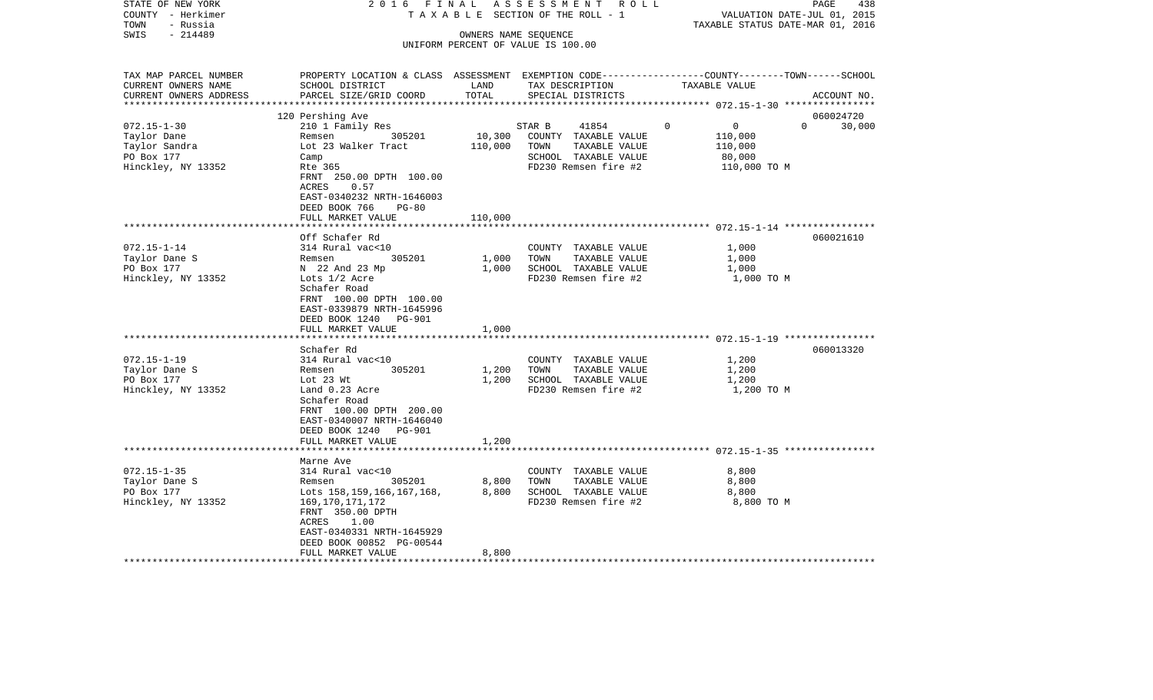| STATE OF NEW YORK<br>COUNTY - Herkimer<br>- Russia<br>TOWN | 2016 FINAL                                                                                                          |                      | ASSESSMENT<br>R O L L<br>T A X A B L E SECTION OF THE ROLL - 1 | TAXABLE STATUS DATE-MAR 01, 2016                                  | PAGE<br>438<br>VALUATION DATE-JUL 01, 2015 |
|------------------------------------------------------------|---------------------------------------------------------------------------------------------------------------------|----------------------|----------------------------------------------------------------|-------------------------------------------------------------------|--------------------------------------------|
| $-214489$<br>SWIS                                          |                                                                                                                     | OWNERS NAME SEQUENCE |                                                                |                                                                   |                                            |
|                                                            |                                                                                                                     |                      | UNIFORM PERCENT OF VALUE IS 100.00                             |                                                                   |                                            |
|                                                            |                                                                                                                     |                      |                                                                |                                                                   |                                            |
| TAX MAP PARCEL NUMBER<br>CURRENT OWNERS NAME               | PROPERTY LOCATION & CLASS ASSESSMENT EXEMPTION CODE----------------COUNTY-------TOWN------SCHOOL<br>SCHOOL DISTRICT | LAND                 | TAX DESCRIPTION                                                | TAXABLE VALUE                                                     |                                            |
| CURRENT OWNERS ADDRESS                                     | PARCEL SIZE/GRID COORD                                                                                              | TOTAL                | SPECIAL DISTRICTS                                              |                                                                   | ACCOUNT NO.                                |
| ***********************                                    |                                                                                                                     |                      |                                                                |                                                                   |                                            |
|                                                            | 120 Pershing Ave                                                                                                    |                      |                                                                |                                                                   | 060024720                                  |
| $072.15 - 1 - 30$                                          | 210 1 Family Res                                                                                                    |                      | STAR B<br>41854                                                | $\Omega$<br>$\overline{0}$                                        | $\Omega$<br>30,000                         |
| Taylor Dane<br>Taylor Sandra                               | 305201<br>Remsen<br>Lot 23 Walker Tract                                                                             | 10,300               | COUNTY TAXABLE VALUE<br>TOWN<br>TAXABLE VALUE                  | 110,000<br>110,000                                                |                                            |
| PO Box 177                                                 | Camp                                                                                                                | 110,000              | SCHOOL TAXABLE VALUE                                           | 80,000                                                            |                                            |
| Hinckley, NY 13352                                         | Rte 365                                                                                                             |                      | FD230 Remsen fire #2                                           | 110,000 TO M                                                      |                                            |
|                                                            | FRNT 250.00 DPTH 100.00                                                                                             |                      |                                                                |                                                                   |                                            |
|                                                            | ACRES<br>0.57                                                                                                       |                      |                                                                |                                                                   |                                            |
|                                                            | EAST-0340232 NRTH-1646003                                                                                           |                      |                                                                |                                                                   |                                            |
|                                                            | DEED BOOK 766<br>$PG-80$                                                                                            |                      |                                                                |                                                                   |                                            |
|                                                            | FULL MARKET VALUE                                                                                                   | 110,000              |                                                                |                                                                   |                                            |
|                                                            |                                                                                                                     |                      |                                                                |                                                                   |                                            |
|                                                            | Off Schafer Rd                                                                                                      |                      |                                                                |                                                                   | 060021610                                  |
| $072.15 - 1 - 14$                                          | 314 Rural vac<10                                                                                                    |                      | COUNTY TAXABLE VALUE                                           | 1,000                                                             |                                            |
| Taylor Dane S                                              | 305201<br>Remsen                                                                                                    | 1,000                | TOWN<br>TAXABLE VALUE                                          | 1,000                                                             |                                            |
| PO Box 177                                                 | N 22 And 23 Mp                                                                                                      | 1,000                | SCHOOL TAXABLE VALUE                                           | 1,000                                                             |                                            |
| Hinckley, NY 13352                                         | Lots 1/2 Acre                                                                                                       |                      | FD230 Remsen fire #2                                           | 1,000 TO M                                                        |                                            |
|                                                            | Schafer Road                                                                                                        |                      |                                                                |                                                                   |                                            |
|                                                            | FRNT 100.00 DPTH 100.00                                                                                             |                      |                                                                |                                                                   |                                            |
|                                                            | EAST-0339879 NRTH-1645996                                                                                           |                      |                                                                |                                                                   |                                            |
|                                                            | DEED BOOK 1240<br>PG-901<br>FULL MARKET VALUE                                                                       | 1,000                |                                                                |                                                                   |                                            |
|                                                            |                                                                                                                     |                      |                                                                |                                                                   |                                            |
|                                                            | Schafer Rd                                                                                                          |                      |                                                                |                                                                   | 060013320                                  |
| $072.15 - 1 - 19$                                          | 314 Rural vac<10                                                                                                    |                      | COUNTY TAXABLE VALUE                                           | 1,200                                                             |                                            |
| Taylor Dane S                                              | 305201<br>Remsen                                                                                                    | 1,200                | TOWN<br>TAXABLE VALUE                                          | 1,200                                                             |                                            |
| PO Box 177                                                 | Lot 23 Wt                                                                                                           | 1,200                | SCHOOL TAXABLE VALUE                                           | 1,200                                                             |                                            |
| Hinckley, NY 13352                                         | Land 0.23 Acre                                                                                                      |                      | FD230 Remsen fire #2                                           | 1,200 TO M                                                        |                                            |
|                                                            | Schafer Road                                                                                                        |                      |                                                                |                                                                   |                                            |
|                                                            | FRNT 100.00 DPTH 200.00                                                                                             |                      |                                                                |                                                                   |                                            |
|                                                            | EAST-0340007 NRTH-1646040                                                                                           |                      |                                                                |                                                                   |                                            |
|                                                            | DEED BOOK 1240 PG-901                                                                                               |                      |                                                                |                                                                   |                                            |
|                                                            | FULL MARKET VALUE                                                                                                   | 1,200                |                                                                |                                                                   |                                            |
|                                                            | ******************                                                                                                  |                      |                                                                | *************************************55.15-1-35.***************** |                                            |
|                                                            | Marne Ave                                                                                                           |                      |                                                                |                                                                   |                                            |
| $072.15 - 1 - 35$                                          | 314 Rural vac<10                                                                                                    |                      | COUNTY TAXABLE VALUE                                           | 8,800                                                             |                                            |
| Taylor Dane S<br>PO Box 177                                | 305201<br>Remsen                                                                                                    | 8,800<br>8,800       | TOWN<br>TAXABLE VALUE<br>SCHOOL TAXABLE VALUE                  | 8,800<br>8,800                                                    |                                            |
| Hinckley, NY 13352                                         | Lots 158, 159, 166, 167, 168,<br>169, 170, 171, 172                                                                 |                      | FD230 Remsen fire #2                                           | 8,800 TO M                                                        |                                            |
|                                                            | FRNT 350.00 DPTH                                                                                                    |                      |                                                                |                                                                   |                                            |
|                                                            | ACRES<br>1.00                                                                                                       |                      |                                                                |                                                                   |                                            |
|                                                            | EAST-0340331 NRTH-1645929                                                                                           |                      |                                                                |                                                                   |                                            |
|                                                            | DEED BOOK 00852 PG-00544                                                                                            |                      |                                                                |                                                                   |                                            |
|                                                            | FULL MARKET VALUE                                                                                                   | 8,800                |                                                                |                                                                   |                                            |
|                                                            |                                                                                                                     |                      |                                                                |                                                                   |                                            |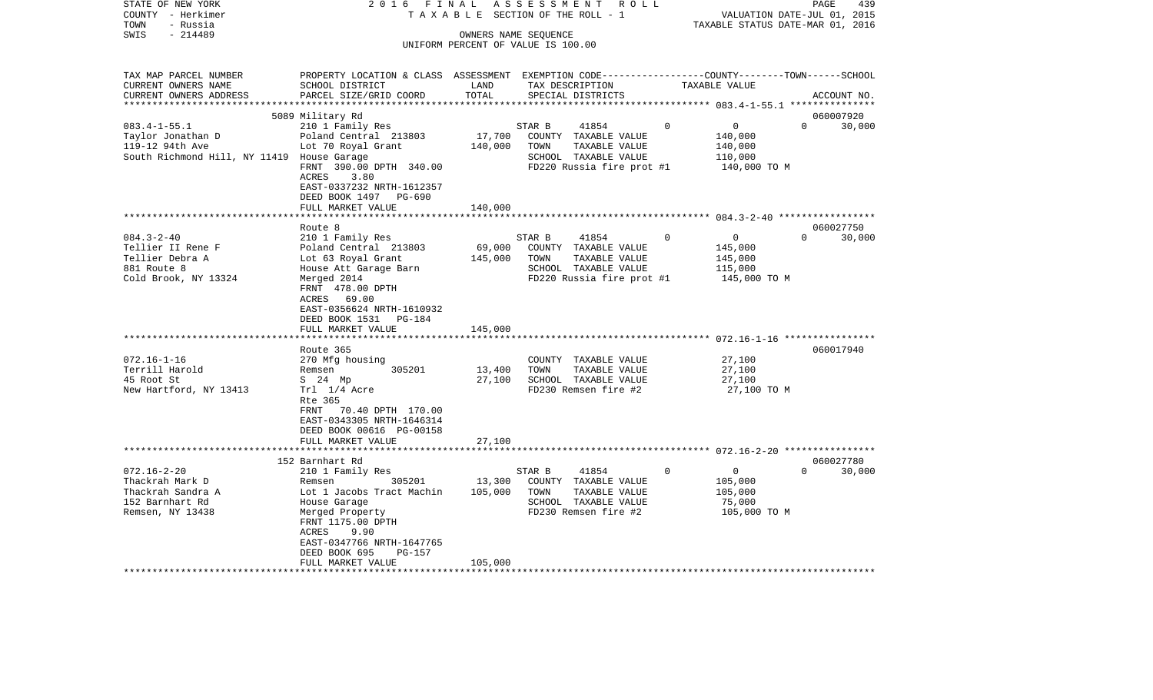|                                       | COUNTY - Herkimer                          | T A X A B L E SECTION OF THE ROLL - 1                                                           | VALUATION DATE-JUL 01, 2015<br>TAXABLE STATUS DATE-MAR 01, 2016 |                                                            |             |                                                     |          |             |
|---------------------------------------|--------------------------------------------|-------------------------------------------------------------------------------------------------|-----------------------------------------------------------------|------------------------------------------------------------|-------------|-----------------------------------------------------|----------|-------------|
| TOWN<br>- Russia<br>SWIS<br>$-214489$ |                                            |                                                                                                 |                                                                 |                                                            |             |                                                     |          |             |
|                                       |                                            |                                                                                                 |                                                                 | OWNERS NAME SEOUENCE<br>UNIFORM PERCENT OF VALUE IS 100.00 |             |                                                     |          |             |
|                                       |                                            |                                                                                                 |                                                                 |                                                            |             |                                                     |          |             |
|                                       | TAX MAP PARCEL NUMBER                      | PROPERTY LOCATION & CLASS ASSESSMENT EXEMPTION CODE---------------COUNTY-------TOWN------SCHOOL |                                                                 |                                                            |             |                                                     |          |             |
|                                       | CURRENT OWNERS NAME                        | SCHOOL DISTRICT                                                                                 | LAND                                                            | TAX DESCRIPTION                                            |             | TAXABLE VALUE                                       |          |             |
|                                       | CURRENT OWNERS ADDRESS                     | PARCEL SIZE/GRID COORD                                                                          | TOTAL                                                           | SPECIAL DISTRICTS                                          |             |                                                     |          | ACCOUNT NO. |
|                                       |                                            | **************************                                                                      | ***************                                                 |                                                            |             | ********************* 083.4-1-55.1 **************** |          |             |
|                                       |                                            | 5089 Military Rd                                                                                |                                                                 |                                                            |             |                                                     |          | 060007920   |
| $083.4 - 1 - 55.1$                    |                                            | 210 1 Family Res                                                                                |                                                                 | STAR B<br>41854                                            | 0           | $\overline{0}$                                      | $\Omega$ | 30,000      |
|                                       | Taylor Jonathan D                          | Poland Central 213803                                                                           | 17,700                                                          | COUNTY TAXABLE VALUE                                       |             | 140,000                                             |          |             |
| 119-12 94th Ave                       |                                            | Lot 70 Royal Grant                                                                              | 140,000                                                         | TOWN<br>TAXABLE VALUE                                      |             | 140,000                                             |          |             |
|                                       | South Richmond Hill, NY 11419 House Garage |                                                                                                 |                                                                 | SCHOOL TAXABLE VALUE                                       |             | 110,000                                             |          |             |
|                                       |                                            | FRNT 390.00 DPTH 340.00                                                                         |                                                                 | FD220 Russia fire prot #1                                  |             | 140,000 TO M                                        |          |             |
|                                       |                                            | ACRES<br>3.80                                                                                   |                                                                 |                                                            |             |                                                     |          |             |
|                                       |                                            | EAST-0337232 NRTH-1612357                                                                       |                                                                 |                                                            |             |                                                     |          |             |
|                                       |                                            | DEED BOOK 1497<br>PG-690                                                                        |                                                                 |                                                            |             |                                                     |          |             |
|                                       |                                            | FULL MARKET VALUE                                                                               | 140,000                                                         |                                                            |             |                                                     |          |             |
|                                       |                                            |                                                                                                 | * * * * * * * * *                                               |                                                            |             |                                                     |          |             |
|                                       |                                            | Route 8                                                                                         |                                                                 |                                                            |             |                                                     |          | 060027750   |
| $084.3 - 2 - 40$                      |                                            | 210 1 Family Res                                                                                |                                                                 | STAR B<br>41854                                            | $\mathbf 0$ | 0                                                   | $\Omega$ | 30,000      |
|                                       | Tellier II Rene F                          | Poland Central 213803                                                                           | 69,000                                                          | COUNTY TAXABLE VALUE                                       |             | 145,000                                             |          |             |
| Tellier Debra A                       |                                            | Lot 63 Royal Grant                                                                              | 145,000                                                         | TOWN<br>TAXABLE VALUE                                      |             | 145,000                                             |          |             |
| 881 Route 8                           |                                            | House Att Garage Barn                                                                           |                                                                 | SCHOOL TAXABLE VALUE                                       |             | 115,000                                             |          |             |
|                                       | Cold Brook, NY 13324                       | Merged 2014                                                                                     |                                                                 | FD220 Russia fire prot #1                                  |             | 145,000 TO M                                        |          |             |
|                                       |                                            | FRNT 478.00 DPTH                                                                                |                                                                 |                                                            |             |                                                     |          |             |
|                                       |                                            | ACRES 69.00                                                                                     |                                                                 |                                                            |             |                                                     |          |             |
|                                       |                                            | EAST-0356624 NRTH-1610932                                                                       |                                                                 |                                                            |             |                                                     |          |             |
|                                       |                                            | DEED BOOK 1531<br>PG-184<br>FULL MARKET VALUE                                                   | 145,000                                                         |                                                            |             |                                                     |          |             |
|                                       |                                            | ********************                                                                            |                                                                 |                                                            |             |                                                     |          |             |
|                                       |                                            | Route 365                                                                                       |                                                                 |                                                            |             |                                                     |          | 060017940   |
| $072.16 - 1 - 16$                     |                                            | 270 Mfg housing                                                                                 |                                                                 | COUNTY TAXABLE VALUE                                       |             | 27,100                                              |          |             |
| Terrill Harold                        |                                            | 305201<br>Remsen                                                                                | 13,400                                                          | TOWN<br>TAXABLE VALUE                                      |             | 27,100                                              |          |             |
| 45 Root St                            |                                            | S 24 Mp                                                                                         | 27,100                                                          | SCHOOL TAXABLE VALUE                                       |             | 27,100                                              |          |             |
|                                       | New Hartford, NY 13413                     | Trl 1/4 Acre                                                                                    |                                                                 | FD230 Remsen fire #2                                       |             | 27,100 TO M                                         |          |             |
|                                       |                                            | Rte 365                                                                                         |                                                                 |                                                            |             |                                                     |          |             |
|                                       |                                            | FRNT 70.40 DPTH 170.00                                                                          |                                                                 |                                                            |             |                                                     |          |             |
|                                       |                                            | EAST-0343305 NRTH-1646314                                                                       |                                                                 |                                                            |             |                                                     |          |             |
|                                       |                                            | DEED BOOK 00616 PG-00158                                                                        |                                                                 |                                                            |             |                                                     |          |             |
|                                       |                                            | FULL MARKET VALUE                                                                               | 27,100                                                          |                                                            |             |                                                     |          |             |
|                                       |                                            |                                                                                                 |                                                                 |                                                            |             |                                                     |          |             |
|                                       |                                            | 152 Barnhart Rd                                                                                 |                                                                 |                                                            |             |                                                     |          | 060027780   |
| $072.16 - 2 - 20$                     |                                            | 210 1 Family Res                                                                                |                                                                 | STAR B<br>41854                                            | $\mathbf 0$ | $\circ$                                             | $\Omega$ | 30,000      |
| Thackrah Mark D                       |                                            | 305201<br>Remsen                                                                                | 13,300                                                          | COUNTY TAXABLE VALUE                                       |             | 105,000                                             |          |             |
|                                       | Thackrah Sandra A                          | Lot 1 Jacobs Tract Machin                                                                       | 105,000                                                         | TOWN<br>TAXABLE VALUE                                      |             | 105,000                                             |          |             |
| 152 Barnhart Rd                       |                                            | House Garage                                                                                    |                                                                 | SCHOOL TAXABLE VALUE                                       |             | 75,000                                              |          |             |
| Remsen, NY 13438                      |                                            | Merged Property                                                                                 |                                                                 | FD230 Remsen fire #2                                       |             | 105,000 TO M                                        |          |             |
|                                       |                                            | FRNT 1175.00 DPTH                                                                               |                                                                 |                                                            |             |                                                     |          |             |
|                                       |                                            | ACRES<br>9.90                                                                                   |                                                                 |                                                            |             |                                                     |          |             |
|                                       |                                            | EAST-0347766 NRTH-1647765                                                                       |                                                                 |                                                            |             |                                                     |          |             |
|                                       |                                            | DEED BOOK 695<br>PG-157                                                                         |                                                                 |                                                            |             |                                                     |          |             |
|                                       |                                            | FULL MARKET VALUE                                                                               | 105,000                                                         |                                                            |             |                                                     |          |             |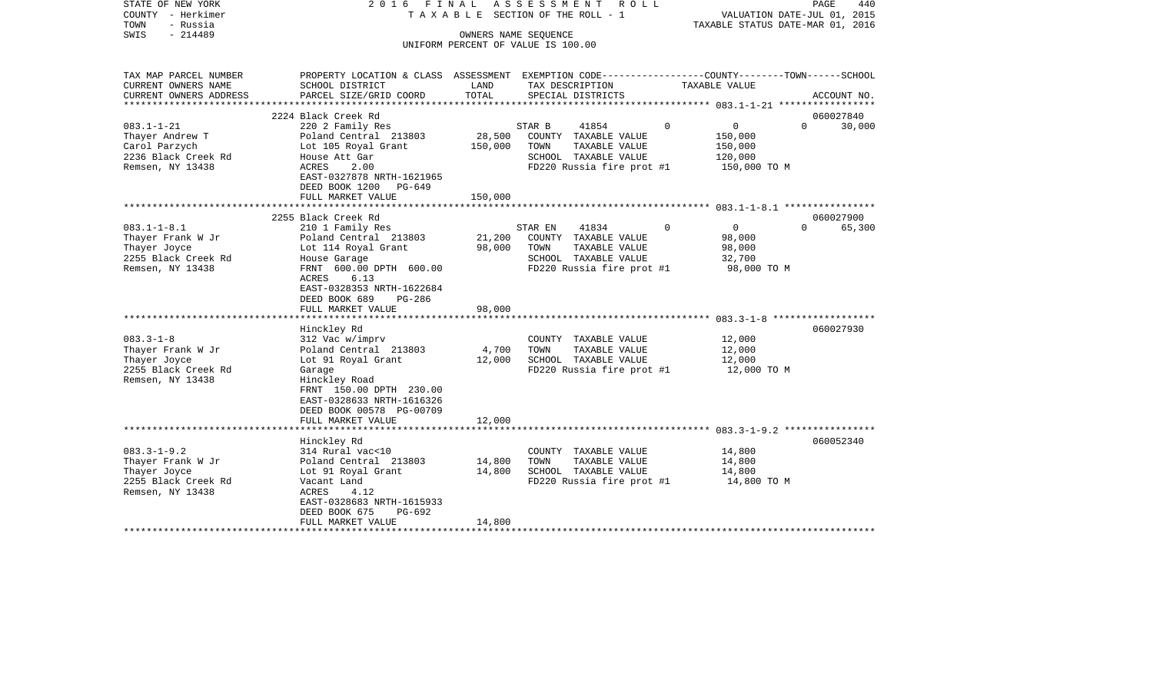| STATE OF NEW YORK<br>COUNTY - Herkimer<br>TOWN<br>- Russia | 2016 FINAL<br>TAXABLE SECTION OF THE ROLL - 1                                                   | ASSESSMENT ROLL | PAGE<br>440<br>VALUATION DATE-JUL 01, 2015<br>TAXABLE STATUS DATE-MAR 01, 2016 |                               |                                 |  |
|------------------------------------------------------------|-------------------------------------------------------------------------------------------------|-----------------|--------------------------------------------------------------------------------|-------------------------------|---------------------------------|--|
| SWIS<br>$-214489$                                          | OWNERS NAME SEOUENCE<br>UNIFORM PERCENT OF VALUE IS 100.00                                      |                 |                                                                                |                               |                                 |  |
| TAX MAP PARCEL NUMBER                                      | PROPERTY LOCATION & CLASS ASSESSMENT EXEMPTION CODE---------------COUNTY-------TOWN------SCHOOL |                 |                                                                                |                               |                                 |  |
| CURRENT OWNERS NAME                                        | SCHOOL DISTRICT                                                                                 | LAND            | TAX DESCRIPTION                                                                | TAXABLE VALUE                 |                                 |  |
| CURRENT OWNERS ADDRESS                                     | PARCEL SIZE/GRID COORD                                                                          | TOTAL           | SPECIAL DISTRICTS                                                              |                               | ACCOUNT NO.                     |  |
|                                                            | 2224 Black Creek Rd                                                                             |                 |                                                                                |                               | 060027840                       |  |
| $083.1 - 1 - 21$                                           | 220 2 Family Res                                                                                |                 | STAR B<br>41854                                                                | $\mathbf 0$<br>$\overline{0}$ | $\Omega$<br>30,000              |  |
| Thayer Andrew T                                            | Poland Central 213803                                                                           | 28,500          | COUNTY TAXABLE VALUE                                                           | 150,000                       |                                 |  |
| Carol Parzych                                              | Lot 105 Royal Grant                                                                             | 150,000         | TOWN<br>TAXABLE VALUE                                                          | 150,000                       |                                 |  |
| 2236 Black Creek Rd<br>Remsen, NY 13438                    | House Att Gar<br>ACRES<br>2.00                                                                  |                 | SCHOOL TAXABLE VALUE<br>FD220 Russia fire prot #1                              | 120,000<br>150,000 TO M       |                                 |  |
|                                                            | EAST-0327878 NRTH-1621965                                                                       |                 |                                                                                |                               |                                 |  |
|                                                            | DEED BOOK 1200 PG-649                                                                           |                 |                                                                                |                               |                                 |  |
|                                                            | FULL MARKET VALUE                                                                               | 150,000         |                                                                                |                               |                                 |  |
|                                                            |                                                                                                 |                 |                                                                                |                               |                                 |  |
| $083.1 - 1 - 8.1$                                          | 2255 Black Creek Rd<br>210 1 Family Res                                                         |                 | STAR EN<br>41834                                                               | $\overline{0}$<br>$\Omega$    | 060027900<br>$\Omega$<br>65,300 |  |
| Thayer Frank W Jr                                          | Poland Central 213803                                                                           | 21,200          | COUNTY TAXABLE VALUE                                                           | 98,000                        |                                 |  |
| Thayer Joyce                                               | Lot 114 Royal Grant                                                                             | 98,000          | TOWN<br>TAXABLE VALUE                                                          | 98,000                        |                                 |  |
| 2255 Black Creek Rd                                        | House Garage                                                                                    |                 | SCHOOL TAXABLE VALUE                                                           | 32,700                        |                                 |  |
| Remsen, NY 13438                                           | FRNT 600.00 DPTH 600.00                                                                         |                 | FD220 Russia fire prot #1                                                      | 98,000 TO M                   |                                 |  |
|                                                            | ACRES<br>6.13<br>EAST-0328353 NRTH-1622684                                                      |                 |                                                                                |                               |                                 |  |
|                                                            | DEED BOOK 689<br>PG-286                                                                         |                 |                                                                                |                               |                                 |  |
|                                                            | FULL MARKET VALUE                                                                               | 98,000          |                                                                                |                               |                                 |  |
|                                                            |                                                                                                 |                 |                                                                                |                               |                                 |  |
| $083.3 - 1 - 8$                                            | Hinckley Rd<br>312 Vac w/imprv                                                                  |                 | COUNTY TAXABLE VALUE                                                           | 12,000                        | 060027930                       |  |
| Thayer Frank W Jr                                          | Poland Central 213803                                                                           | 4,700           | TOWN<br>TAXABLE VALUE                                                          | 12,000                        |                                 |  |
| Thayer Joyce                                               | Lot 91 Royal Grant                                                                              | 12,000          | SCHOOL TAXABLE VALUE                                                           | 12,000                        |                                 |  |
| 2255 Black Creek Rd                                        | Garage                                                                                          |                 | FD220 Russia fire prot #1                                                      | 12,000 TO M                   |                                 |  |
| Remsen, NY 13438                                           | Hinckley Road                                                                                   |                 |                                                                                |                               |                                 |  |
|                                                            | FRNT 150.00 DPTH 230.00<br>EAST-0328633 NRTH-1616326                                            |                 |                                                                                |                               |                                 |  |
|                                                            | DEED BOOK 00578 PG-00709                                                                        |                 |                                                                                |                               |                                 |  |
|                                                            | FULL MARKET VALUE                                                                               | 12,000          |                                                                                |                               |                                 |  |
|                                                            |                                                                                                 |                 |                                                                                |                               |                                 |  |
|                                                            | Hinckley Rd                                                                                     |                 |                                                                                |                               | 060052340                       |  |
| $083.3 - 1 - 9.2$<br>Thayer Frank W Jr                     | 314 Rural vac<10<br>Poland Central 213803                                                       | 14,800          | COUNTY TAXABLE VALUE<br>TOWN<br>TAXABLE VALUE                                  | 14,800<br>14,800              |                                 |  |
| Thayer Joyce                                               | Lot 91 Royal Grant                                                                              | 14,800          | SCHOOL TAXABLE VALUE                                                           | 14,800                        |                                 |  |
| 2255 Black Creek Rd                                        | Vacant Land                                                                                     |                 | FD220 Russia fire prot #1                                                      | 14,800 TO M                   |                                 |  |
| Remsen, NY 13438                                           | ACRES<br>4.12                                                                                   |                 |                                                                                |                               |                                 |  |
|                                                            | EAST-0328683 NRTH-1615933                                                                       |                 |                                                                                |                               |                                 |  |
|                                                            | DEED BOOK 675<br>PG-692<br>FULL MARKET VALUE                                                    | 14,800          |                                                                                |                               |                                 |  |
|                                                            |                                                                                                 |                 |                                                                                |                               |                                 |  |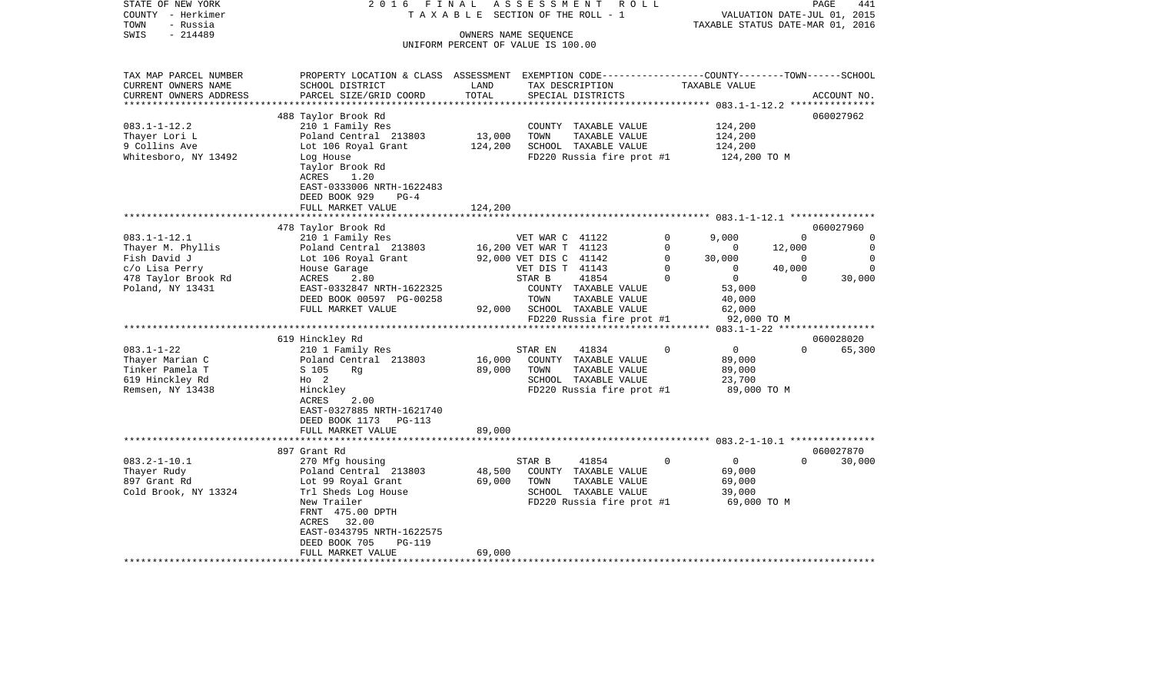| SWIS<br>$-214489$<br>OWNERS NAME SEQUENCE<br>UNIFORM PERCENT OF VALUE IS 100.00<br>TAX MAP PARCEL NUMBER<br>PROPERTY LOCATION & CLASS ASSESSMENT EXEMPTION CODE----------------COUNTY-------TOWN------SCHOOL<br>CURRENT OWNERS NAME<br>SCHOOL DISTRICT<br>LAND<br>TAX DESCRIPTION<br>TAXABLE VALUE<br>TOTAL<br>CURRENT OWNERS ADDRESS<br>PARCEL SIZE/GRID COORD<br>SPECIAL DISTRICTS<br>ACCOUNT NO.<br>************************<br>488 Taylor Brook Rd<br>060027962<br>$083.1 - 1 - 12.2$<br>210 1 Family Res<br>124,200<br>COUNTY TAXABLE VALUE<br>13,000<br>Thayer Lori L<br>Poland Central 213803<br>TOWN<br>TAXABLE VALUE<br>124,200<br>9 Collins Ave<br>Lot 106 Royal Grant<br>124,200<br>SCHOOL TAXABLE VALUE<br>124,200<br>Whitesboro, NY 13492<br>Log House<br>FD220 Russia fire prot #1<br>124,200 TO M<br>Taylor Brook Rd<br>ACRES<br>1.20<br>EAST-0333006 NRTH-1622483<br>DEED BOOK 929<br>$PG-4$<br>FULL MARKET VALUE<br>124,200<br>478 Taylor Brook Rd<br>060027960<br>$083.1 - 1 - 12.1$<br>9,000<br>210 1 Family Res<br>VET WAR C 41122<br>0<br>$\Omega$<br>$\Omega$<br>16,200 VET WAR T 41123<br>$\mathbf 0$<br>Thayer M. Phyllis<br>Poland Central 213803<br>12,000<br>0<br>$\mathbf{0}$<br>Fish David J<br>Lot 106 Royal Grant<br>92,000 VET DIS C 41142<br>$\mathbf 0$<br>30,000<br>$\overline{0}$<br>$\mathbf 0$<br>VET DIS T 41143<br>$\mathbf 0$<br>$\mathbf 0$<br>40,000<br>c/o Lisa Perry<br>0<br>House Garage<br>478 Taylor Brook Rd<br>41854<br>$\Omega$<br>$\mathbf{0}$<br>$\Omega$<br>30,000<br>ACRES<br>2.80<br>STAR B<br>Poland, NY 13431<br>EAST-0332847 NRTH-1622325<br>COUNTY TAXABLE VALUE<br>53,000<br>DEED BOOK 00597 PG-00258<br>TOWN<br>TAXABLE VALUE<br>40,000<br>FULL MARKET VALUE<br>92,000 SCHOOL TAXABLE VALUE<br>62,000<br>FD220 Russia fire prot #1<br>92,000 TO M<br>619 Hinckley Rd<br>060028020<br>$083.1 - 1 - 22$<br>41834<br>$\Omega$<br>$\overline{0}$<br>$\Omega$<br>65,300<br>210 1 Family Res<br>STAR EN<br>16,000<br>Thayer Marian C<br>Poland Central 213803<br>COUNTY TAXABLE VALUE<br>89,000<br>Tinker Pamela T<br>S 105<br>89,000<br>TOWN<br>TAXABLE VALUE<br>89,000<br>Rg<br>619 Hinckley Rd<br>SCHOOL TAXABLE VALUE<br>23,700<br>$H_0$ 2<br>Remsen, NY 13438<br>Hinckley<br>FD220 Russia fire prot #1<br>89,000 TO M<br>ACRES<br>2.00<br>EAST-0327885 NRTH-1621740<br>DEED BOOK 1173 PG-113<br>FULL MARKET VALUE<br>89,000<br>***********************<br>060027870<br>897 Grant Rd<br>$083.2 - 1 - 10.1$<br>41854<br>$\Omega$<br>$\Omega$<br>$\Omega$<br>30,000<br>270 Mfg housing<br>STAR B<br>Thayer Rudy<br>Poland Central 213803<br>48,500<br>COUNTY TAXABLE VALUE<br>69,000<br>69,000<br>897 Grant Rd<br>Lot 99 Royal Grant<br>TOWN<br>TAXABLE VALUE<br>69,000<br>Cold Brook, NY 13324<br>Trl Sheds Log House<br>SCHOOL TAXABLE VALUE<br>39,000<br>69,000 TO M<br>New Trailer<br>FD220 Russia fire prot #1<br>FRNT 475.00 DPTH<br>ACRES 32.00<br>EAST-0343795 NRTH-1622575<br>DEED BOOK 705<br><b>PG-119</b><br>FULL MARKET VALUE<br>69,000 | STATE OF NEW YORK<br>COUNTY - Herkimer<br>- Russia<br>TOWN | 2 0 1 6<br>FINAL<br>TAXABLE |  | ASSESSMENT | R O L L<br>SECTION OF THE ROLL - 1 |  | TAXABLE STATUS DATE-MAR 01, 2016 | VALUATION DATE-JUL 01, 2015 | PAGE | 441 |
|----------------------------------------------------------------------------------------------------------------------------------------------------------------------------------------------------------------------------------------------------------------------------------------------------------------------------------------------------------------------------------------------------------------------------------------------------------------------------------------------------------------------------------------------------------------------------------------------------------------------------------------------------------------------------------------------------------------------------------------------------------------------------------------------------------------------------------------------------------------------------------------------------------------------------------------------------------------------------------------------------------------------------------------------------------------------------------------------------------------------------------------------------------------------------------------------------------------------------------------------------------------------------------------------------------------------------------------------------------------------------------------------------------------------------------------------------------------------------------------------------------------------------------------------------------------------------------------------------------------------------------------------------------------------------------------------------------------------------------------------------------------------------------------------------------------------------------------------------------------------------------------------------------------------------------------------------------------------------------------------------------------------------------------------------------------------------------------------------------------------------------------------------------------------------------------------------------------------------------------------------------------------------------------------------------------------------------------------------------------------------------------------------------------------------------------------------------------------------------------------------------------------------------------------------------------------------------------------------------------------------------------------------------------------------------------------------------------------------------------------------------------------------------------------------------------------------------------------------------------------------------------------------------------------------------------------------------------------------------------------------------------|------------------------------------------------------------|-----------------------------|--|------------|------------------------------------|--|----------------------------------|-----------------------------|------|-----|
|                                                                                                                                                                                                                                                                                                                                                                                                                                                                                                                                                                                                                                                                                                                                                                                                                                                                                                                                                                                                                                                                                                                                                                                                                                                                                                                                                                                                                                                                                                                                                                                                                                                                                                                                                                                                                                                                                                                                                                                                                                                                                                                                                                                                                                                                                                                                                                                                                                                                                                                                                                                                                                                                                                                                                                                                                                                                                                                                                                                                                |                                                            |                             |  |            |                                    |  |                                  |                             |      |     |
|                                                                                                                                                                                                                                                                                                                                                                                                                                                                                                                                                                                                                                                                                                                                                                                                                                                                                                                                                                                                                                                                                                                                                                                                                                                                                                                                                                                                                                                                                                                                                                                                                                                                                                                                                                                                                                                                                                                                                                                                                                                                                                                                                                                                                                                                                                                                                                                                                                                                                                                                                                                                                                                                                                                                                                                                                                                                                                                                                                                                                |                                                            |                             |  |            |                                    |  |                                  |                             |      |     |
|                                                                                                                                                                                                                                                                                                                                                                                                                                                                                                                                                                                                                                                                                                                                                                                                                                                                                                                                                                                                                                                                                                                                                                                                                                                                                                                                                                                                                                                                                                                                                                                                                                                                                                                                                                                                                                                                                                                                                                                                                                                                                                                                                                                                                                                                                                                                                                                                                                                                                                                                                                                                                                                                                                                                                                                                                                                                                                                                                                                                                |                                                            |                             |  |            |                                    |  |                                  |                             |      |     |
|                                                                                                                                                                                                                                                                                                                                                                                                                                                                                                                                                                                                                                                                                                                                                                                                                                                                                                                                                                                                                                                                                                                                                                                                                                                                                                                                                                                                                                                                                                                                                                                                                                                                                                                                                                                                                                                                                                                                                                                                                                                                                                                                                                                                                                                                                                                                                                                                                                                                                                                                                                                                                                                                                                                                                                                                                                                                                                                                                                                                                |                                                            |                             |  |            |                                    |  |                                  |                             |      |     |
|                                                                                                                                                                                                                                                                                                                                                                                                                                                                                                                                                                                                                                                                                                                                                                                                                                                                                                                                                                                                                                                                                                                                                                                                                                                                                                                                                                                                                                                                                                                                                                                                                                                                                                                                                                                                                                                                                                                                                                                                                                                                                                                                                                                                                                                                                                                                                                                                                                                                                                                                                                                                                                                                                                                                                                                                                                                                                                                                                                                                                |                                                            |                             |  |            |                                    |  |                                  |                             |      |     |
|                                                                                                                                                                                                                                                                                                                                                                                                                                                                                                                                                                                                                                                                                                                                                                                                                                                                                                                                                                                                                                                                                                                                                                                                                                                                                                                                                                                                                                                                                                                                                                                                                                                                                                                                                                                                                                                                                                                                                                                                                                                                                                                                                                                                                                                                                                                                                                                                                                                                                                                                                                                                                                                                                                                                                                                                                                                                                                                                                                                                                |                                                            |                             |  |            |                                    |  |                                  |                             |      |     |
|                                                                                                                                                                                                                                                                                                                                                                                                                                                                                                                                                                                                                                                                                                                                                                                                                                                                                                                                                                                                                                                                                                                                                                                                                                                                                                                                                                                                                                                                                                                                                                                                                                                                                                                                                                                                                                                                                                                                                                                                                                                                                                                                                                                                                                                                                                                                                                                                                                                                                                                                                                                                                                                                                                                                                                                                                                                                                                                                                                                                                |                                                            |                             |  |            |                                    |  |                                  |                             |      |     |
|                                                                                                                                                                                                                                                                                                                                                                                                                                                                                                                                                                                                                                                                                                                                                                                                                                                                                                                                                                                                                                                                                                                                                                                                                                                                                                                                                                                                                                                                                                                                                                                                                                                                                                                                                                                                                                                                                                                                                                                                                                                                                                                                                                                                                                                                                                                                                                                                                                                                                                                                                                                                                                                                                                                                                                                                                                                                                                                                                                                                                |                                                            |                             |  |            |                                    |  |                                  |                             |      |     |
|                                                                                                                                                                                                                                                                                                                                                                                                                                                                                                                                                                                                                                                                                                                                                                                                                                                                                                                                                                                                                                                                                                                                                                                                                                                                                                                                                                                                                                                                                                                                                                                                                                                                                                                                                                                                                                                                                                                                                                                                                                                                                                                                                                                                                                                                                                                                                                                                                                                                                                                                                                                                                                                                                                                                                                                                                                                                                                                                                                                                                |                                                            |                             |  |            |                                    |  |                                  |                             |      |     |
|                                                                                                                                                                                                                                                                                                                                                                                                                                                                                                                                                                                                                                                                                                                                                                                                                                                                                                                                                                                                                                                                                                                                                                                                                                                                                                                                                                                                                                                                                                                                                                                                                                                                                                                                                                                                                                                                                                                                                                                                                                                                                                                                                                                                                                                                                                                                                                                                                                                                                                                                                                                                                                                                                                                                                                                                                                                                                                                                                                                                                |                                                            |                             |  |            |                                    |  |                                  |                             |      |     |
|                                                                                                                                                                                                                                                                                                                                                                                                                                                                                                                                                                                                                                                                                                                                                                                                                                                                                                                                                                                                                                                                                                                                                                                                                                                                                                                                                                                                                                                                                                                                                                                                                                                                                                                                                                                                                                                                                                                                                                                                                                                                                                                                                                                                                                                                                                                                                                                                                                                                                                                                                                                                                                                                                                                                                                                                                                                                                                                                                                                                                |                                                            |                             |  |            |                                    |  |                                  |                             |      |     |
|                                                                                                                                                                                                                                                                                                                                                                                                                                                                                                                                                                                                                                                                                                                                                                                                                                                                                                                                                                                                                                                                                                                                                                                                                                                                                                                                                                                                                                                                                                                                                                                                                                                                                                                                                                                                                                                                                                                                                                                                                                                                                                                                                                                                                                                                                                                                                                                                                                                                                                                                                                                                                                                                                                                                                                                                                                                                                                                                                                                                                |                                                            |                             |  |            |                                    |  |                                  |                             |      |     |
|                                                                                                                                                                                                                                                                                                                                                                                                                                                                                                                                                                                                                                                                                                                                                                                                                                                                                                                                                                                                                                                                                                                                                                                                                                                                                                                                                                                                                                                                                                                                                                                                                                                                                                                                                                                                                                                                                                                                                                                                                                                                                                                                                                                                                                                                                                                                                                                                                                                                                                                                                                                                                                                                                                                                                                                                                                                                                                                                                                                                                |                                                            |                             |  |            |                                    |  |                                  |                             |      |     |
|                                                                                                                                                                                                                                                                                                                                                                                                                                                                                                                                                                                                                                                                                                                                                                                                                                                                                                                                                                                                                                                                                                                                                                                                                                                                                                                                                                                                                                                                                                                                                                                                                                                                                                                                                                                                                                                                                                                                                                                                                                                                                                                                                                                                                                                                                                                                                                                                                                                                                                                                                                                                                                                                                                                                                                                                                                                                                                                                                                                                                |                                                            |                             |  |            |                                    |  |                                  |                             |      |     |
|                                                                                                                                                                                                                                                                                                                                                                                                                                                                                                                                                                                                                                                                                                                                                                                                                                                                                                                                                                                                                                                                                                                                                                                                                                                                                                                                                                                                                                                                                                                                                                                                                                                                                                                                                                                                                                                                                                                                                                                                                                                                                                                                                                                                                                                                                                                                                                                                                                                                                                                                                                                                                                                                                                                                                                                                                                                                                                                                                                                                                |                                                            |                             |  |            |                                    |  |                                  |                             |      |     |
|                                                                                                                                                                                                                                                                                                                                                                                                                                                                                                                                                                                                                                                                                                                                                                                                                                                                                                                                                                                                                                                                                                                                                                                                                                                                                                                                                                                                                                                                                                                                                                                                                                                                                                                                                                                                                                                                                                                                                                                                                                                                                                                                                                                                                                                                                                                                                                                                                                                                                                                                                                                                                                                                                                                                                                                                                                                                                                                                                                                                                |                                                            |                             |  |            |                                    |  |                                  |                             |      |     |
|                                                                                                                                                                                                                                                                                                                                                                                                                                                                                                                                                                                                                                                                                                                                                                                                                                                                                                                                                                                                                                                                                                                                                                                                                                                                                                                                                                                                                                                                                                                                                                                                                                                                                                                                                                                                                                                                                                                                                                                                                                                                                                                                                                                                                                                                                                                                                                                                                                                                                                                                                                                                                                                                                                                                                                                                                                                                                                                                                                                                                |                                                            |                             |  |            |                                    |  |                                  |                             |      |     |
|                                                                                                                                                                                                                                                                                                                                                                                                                                                                                                                                                                                                                                                                                                                                                                                                                                                                                                                                                                                                                                                                                                                                                                                                                                                                                                                                                                                                                                                                                                                                                                                                                                                                                                                                                                                                                                                                                                                                                                                                                                                                                                                                                                                                                                                                                                                                                                                                                                                                                                                                                                                                                                                                                                                                                                                                                                                                                                                                                                                                                |                                                            |                             |  |            |                                    |  |                                  |                             |      |     |
|                                                                                                                                                                                                                                                                                                                                                                                                                                                                                                                                                                                                                                                                                                                                                                                                                                                                                                                                                                                                                                                                                                                                                                                                                                                                                                                                                                                                                                                                                                                                                                                                                                                                                                                                                                                                                                                                                                                                                                                                                                                                                                                                                                                                                                                                                                                                                                                                                                                                                                                                                                                                                                                                                                                                                                                                                                                                                                                                                                                                                |                                                            |                             |  |            |                                    |  |                                  |                             |      |     |
|                                                                                                                                                                                                                                                                                                                                                                                                                                                                                                                                                                                                                                                                                                                                                                                                                                                                                                                                                                                                                                                                                                                                                                                                                                                                                                                                                                                                                                                                                                                                                                                                                                                                                                                                                                                                                                                                                                                                                                                                                                                                                                                                                                                                                                                                                                                                                                                                                                                                                                                                                                                                                                                                                                                                                                                                                                                                                                                                                                                                                |                                                            |                             |  |            |                                    |  |                                  |                             |      |     |
|                                                                                                                                                                                                                                                                                                                                                                                                                                                                                                                                                                                                                                                                                                                                                                                                                                                                                                                                                                                                                                                                                                                                                                                                                                                                                                                                                                                                                                                                                                                                                                                                                                                                                                                                                                                                                                                                                                                                                                                                                                                                                                                                                                                                                                                                                                                                                                                                                                                                                                                                                                                                                                                                                                                                                                                                                                                                                                                                                                                                                |                                                            |                             |  |            |                                    |  |                                  |                             |      |     |
|                                                                                                                                                                                                                                                                                                                                                                                                                                                                                                                                                                                                                                                                                                                                                                                                                                                                                                                                                                                                                                                                                                                                                                                                                                                                                                                                                                                                                                                                                                                                                                                                                                                                                                                                                                                                                                                                                                                                                                                                                                                                                                                                                                                                                                                                                                                                                                                                                                                                                                                                                                                                                                                                                                                                                                                                                                                                                                                                                                                                                |                                                            |                             |  |            |                                    |  |                                  |                             |      |     |
|                                                                                                                                                                                                                                                                                                                                                                                                                                                                                                                                                                                                                                                                                                                                                                                                                                                                                                                                                                                                                                                                                                                                                                                                                                                                                                                                                                                                                                                                                                                                                                                                                                                                                                                                                                                                                                                                                                                                                                                                                                                                                                                                                                                                                                                                                                                                                                                                                                                                                                                                                                                                                                                                                                                                                                                                                                                                                                                                                                                                                |                                                            |                             |  |            |                                    |  |                                  |                             |      |     |
|                                                                                                                                                                                                                                                                                                                                                                                                                                                                                                                                                                                                                                                                                                                                                                                                                                                                                                                                                                                                                                                                                                                                                                                                                                                                                                                                                                                                                                                                                                                                                                                                                                                                                                                                                                                                                                                                                                                                                                                                                                                                                                                                                                                                                                                                                                                                                                                                                                                                                                                                                                                                                                                                                                                                                                                                                                                                                                                                                                                                                |                                                            |                             |  |            |                                    |  |                                  |                             |      |     |
|                                                                                                                                                                                                                                                                                                                                                                                                                                                                                                                                                                                                                                                                                                                                                                                                                                                                                                                                                                                                                                                                                                                                                                                                                                                                                                                                                                                                                                                                                                                                                                                                                                                                                                                                                                                                                                                                                                                                                                                                                                                                                                                                                                                                                                                                                                                                                                                                                                                                                                                                                                                                                                                                                                                                                                                                                                                                                                                                                                                                                |                                                            |                             |  |            |                                    |  |                                  |                             |      |     |
|                                                                                                                                                                                                                                                                                                                                                                                                                                                                                                                                                                                                                                                                                                                                                                                                                                                                                                                                                                                                                                                                                                                                                                                                                                                                                                                                                                                                                                                                                                                                                                                                                                                                                                                                                                                                                                                                                                                                                                                                                                                                                                                                                                                                                                                                                                                                                                                                                                                                                                                                                                                                                                                                                                                                                                                                                                                                                                                                                                                                                |                                                            |                             |  |            |                                    |  |                                  |                             |      |     |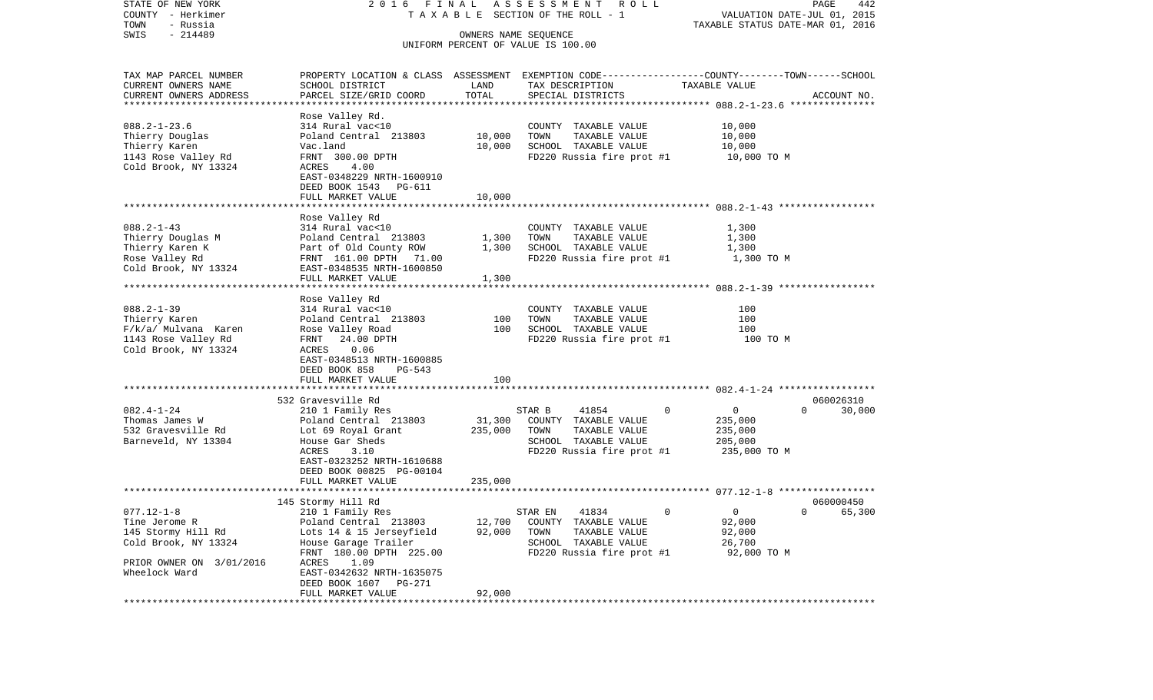| STATE OF NEW YORK<br>COUNTY - Herkimer | 2016 FINAL                                             |                      | ASSESSMENT ROLL<br>T A X A B L E SECTION OF THE ROLL - 1                                         |                                  | PAGE<br>442<br>VALUATION DATE-JUL 01, 2015 |
|----------------------------------------|--------------------------------------------------------|----------------------|--------------------------------------------------------------------------------------------------|----------------------------------|--------------------------------------------|
| TOWN<br>- Russia<br>$-214489$<br>SWIS  |                                                        | OWNERS NAME SEQUENCE |                                                                                                  | TAXABLE STATUS DATE-MAR 01, 2016 |                                            |
|                                        |                                                        |                      | UNIFORM PERCENT OF VALUE IS 100.00                                                               |                                  |                                            |
| TAX MAP PARCEL NUMBER                  |                                                        |                      | PROPERTY LOCATION & CLASS ASSESSMENT EXEMPTION CODE----------------COUNTY-------TOWN------SCHOOL |                                  |                                            |
| CURRENT OWNERS NAME                    | SCHOOL DISTRICT                                        | LAND                 | TAX DESCRIPTION                                                                                  | TAXABLE VALUE                    |                                            |
| CURRENT OWNERS ADDRESS                 | PARCEL SIZE/GRID COORD                                 | TOTAL                | SPECIAL DISTRICTS                                                                                |                                  | ACCOUNT NO.                                |
| *************************              |                                                        |                      |                                                                                                  |                                  |                                            |
| $088.2 - 1 - 23.6$                     | Rose Valley Rd.<br>314 Rural vac<10                    |                      |                                                                                                  | 10,000                           |                                            |
| Thierry Douglas                        | Poland Central 213803                                  | 10,000               | COUNTY TAXABLE VALUE<br>TOWN<br>TAXABLE VALUE                                                    | 10,000                           |                                            |
| Thierry Karen                          | Vac.land                                               | 10,000               | SCHOOL TAXABLE VALUE                                                                             | 10,000                           |                                            |
| 1143 Rose Valley Rd                    | FRNT 300.00 DPTH                                       |                      | FD220 Russia fire prot #1                                                                        | 10,000 TO M                      |                                            |
| Cold Brook, NY 13324                   | ACRES<br>4.00                                          |                      |                                                                                                  |                                  |                                            |
|                                        | EAST-0348229 NRTH-1600910                              |                      |                                                                                                  |                                  |                                            |
|                                        | DEED BOOK 1543<br>PG-611                               |                      |                                                                                                  |                                  |                                            |
|                                        | FULL MARKET VALUE                                      | 10,000               |                                                                                                  |                                  |                                            |
|                                        |                                                        |                      |                                                                                                  |                                  |                                            |
|                                        | Rose Valley Rd                                         |                      |                                                                                                  |                                  |                                            |
| $088.2 - 1 - 43$                       | 314 Rural vac<10                                       |                      | COUNTY TAXABLE VALUE                                                                             | 1,300                            |                                            |
| Thierry Douglas M                      | Poland Central 213803                                  | 1,300                | TOWN<br>TAXABLE VALUE                                                                            | 1,300                            |                                            |
| Thierry Karen K                        | Part of Old County ROW                                 | 1,300                | SCHOOL TAXABLE VALUE                                                                             | 1,300                            |                                            |
| Rose Valley Rd<br>Cold Brook, NY 13324 | FRNT 161.00 DPTH<br>71.00<br>EAST-0348535 NRTH-1600850 |                      | FD220 Russia fire prot #1                                                                        | 1,300 TO M                       |                                            |
|                                        | FULL MARKET VALUE                                      | 1,300                |                                                                                                  |                                  |                                            |
|                                        |                                                        |                      |                                                                                                  |                                  |                                            |
|                                        | Rose Valley Rd                                         |                      |                                                                                                  |                                  |                                            |
| $088.2 - 1 - 39$                       | 314 Rural vac<10                                       |                      | COUNTY TAXABLE VALUE                                                                             | 100                              |                                            |
| Thierry Karen                          | Poland Central 213803                                  | 100                  | TAXABLE VALUE<br>TOWN                                                                            | 100                              |                                            |
| F/k/a/ Mulvana Karen                   | Rose Valley Road                                       | 100                  | SCHOOL TAXABLE VALUE                                                                             | 100                              |                                            |
| 1143 Rose Valley Rd                    | FRNT<br>24.00 DPTH                                     |                      | FD220 Russia fire prot #1                                                                        | 100 TO M                         |                                            |
| Cold Brook, NY 13324                   | 0.06<br>ACRES                                          |                      |                                                                                                  |                                  |                                            |
|                                        | EAST-0348513 NRTH-1600885                              |                      |                                                                                                  |                                  |                                            |
|                                        | DEED BOOK 858<br>PG-543<br>FULL MARKET VALUE           | 100                  |                                                                                                  |                                  |                                            |
|                                        |                                                        |                      |                                                                                                  |                                  |                                            |
|                                        | 532 Gravesville Rd                                     |                      |                                                                                                  |                                  | 060026310                                  |
| $082.4 - 1 - 24$                       | 210 1 Family Res                                       |                      | $\mathbf 0$<br>STAR B<br>41854                                                                   | 0                                | $\Omega$<br>30,000                         |
| Thomas James W                         | Poland Central 213803                                  | 31,300               | COUNTY TAXABLE VALUE                                                                             | 235,000                          |                                            |
| 532 Gravesville Rd                     | Lot 69 Royal Grant                                     | 235,000              | TOWN<br>TAXABLE VALUE                                                                            | 235,000                          |                                            |
| Barneveld, NY 13304                    | House Gar Sheds                                        |                      | SCHOOL TAXABLE VALUE                                                                             | 205,000                          |                                            |
|                                        | ACRES<br>3.10                                          |                      | FD220 Russia fire prot #1                                                                        | 235,000 TO M                     |                                            |
|                                        | EAST-0323252 NRTH-1610688                              |                      |                                                                                                  |                                  |                                            |
|                                        | DEED BOOK 00825 PG-00104                               |                      |                                                                                                  |                                  |                                            |
|                                        | FULL MARKET VALUE                                      | 235,000              |                                                                                                  |                                  |                                            |
|                                        | 145 Stormy Hill Rd                                     |                      |                                                                                                  |                                  | 060000450                                  |
| $077.12 - 1 - 8$                       | 210 1 Family Res                                       |                      | STAR EN<br>41834<br>$\Omega$                                                                     | $\mathbf{0}$                     | $0 \t\t 65,300$                            |
| Tine Jerome R                          | Poland Central 213803                                  | 12,700               | COUNTY TAXABLE VALUE                                                                             | 92,000                           |                                            |
| 145 Stormy Hill Rd                     | Lots 14 & 15 Jerseyfield                               | 92,000               | TAXABLE VALUE<br>TOWN                                                                            | 92,000                           |                                            |
| Cold Brook, NY 13324                   | House Garage Trailer                                   |                      | SCHOOL TAXABLE VALUE                                                                             | 26,700                           |                                            |
|                                        | FRNT 180.00 DPTH 225.00                                |                      | FD220 Russia fire prot #1                                                                        | 92,000 TO M                      |                                            |
| PRIOR OWNER ON 3/01/2016               | ACRES<br>1.09                                          |                      |                                                                                                  |                                  |                                            |
| Wheelock Ward                          | EAST-0342632 NRTH-1635075                              |                      |                                                                                                  |                                  |                                            |
|                                        | DEED BOOK 1607<br>PG-271                               |                      |                                                                                                  |                                  |                                            |
|                                        | FULL MARKET VALUE                                      | 92,000               |                                                                                                  |                                  |                                            |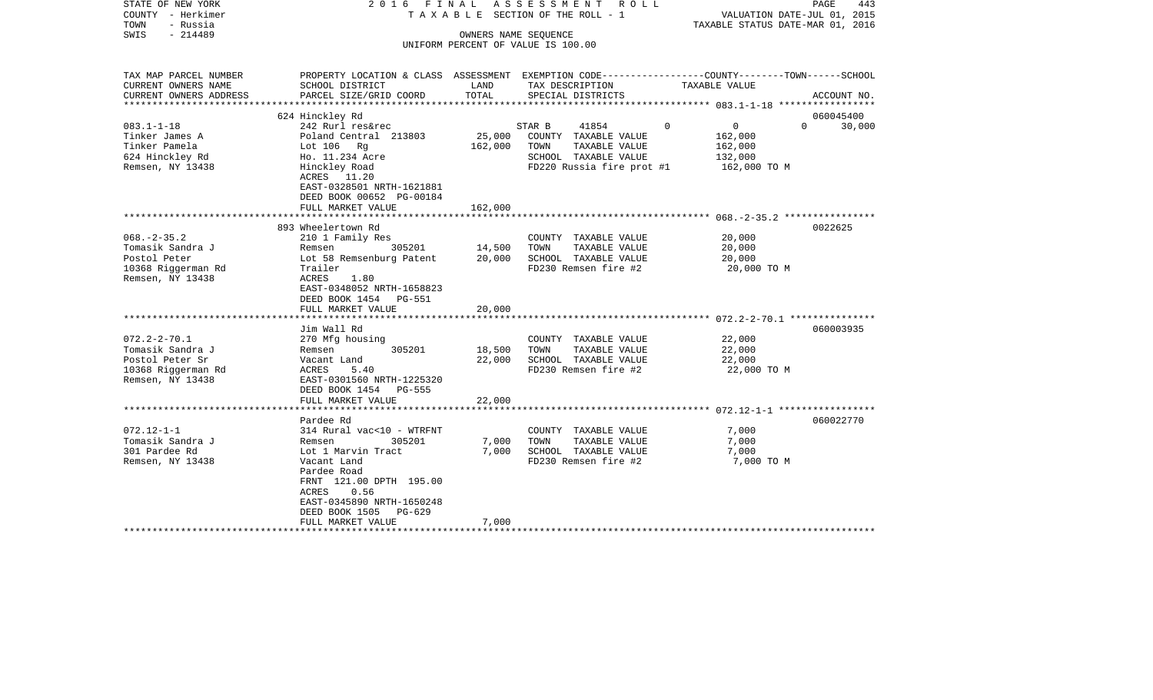| STATE OF NEW YORK<br>COUNTY - Herkimer<br>TOWN<br>- Russia<br>$-214489$<br>SWIS                     | 2016 FINAL<br>T A X A B L E SECTION OF THE ROLL - 1<br>UNIFORM PERCENT OF VALUE IS 100.00                                                                                                                                                             | R O L L                    | PAGE<br>443<br>VALUATION DATE-JUL 01, 2015<br>TAXABLE STATUS DATE-MAR 01, 2016                     |                                               |                                 |
|-----------------------------------------------------------------------------------------------------|-------------------------------------------------------------------------------------------------------------------------------------------------------------------------------------------------------------------------------------------------------|----------------------------|----------------------------------------------------------------------------------------------------|-----------------------------------------------|---------------------------------|
| TAX MAP PARCEL NUMBER<br>CURRENT OWNERS NAME<br>CURRENT OWNERS ADDRESS                              | PROPERTY LOCATION & CLASS ASSESSMENT EXEMPTION CODE---------------COUNTY-------TOWN-----SCHOOL<br>SCHOOL DISTRICT<br>PARCEL SIZE/GRID COORD                                                                                                           | LAND<br>TOTAL              | TAX DESCRIPTION<br>SPECIAL DISTRICTS                                                               | TAXABLE VALUE                                 | ACCOUNT NO.                     |
|                                                                                                     |                                                                                                                                                                                                                                                       |                            |                                                                                                    |                                               |                                 |
| $083.1 - 1 - 18$                                                                                    | 624 Hinckley Rd<br>242 Rurl res&rec                                                                                                                                                                                                                   |                            | 41854<br>STAR B                                                                                    | $\overline{0}$<br>$\Omega$                    | 060045400<br>$\Omega$<br>30,000 |
| Tinker James A<br>Tinker Pamela<br>624 Hinckley Rd<br>Remsen, NY 13438                              | Poland Central 213803<br>Lot $106$ Rg<br>Ho. 11.234 Acre<br>Hinckley Road<br>ACRES 11.20<br>EAST-0328501 NRTH-1621881<br>DEED BOOK 00652 PG-00184                                                                                                     | 25,000<br>162,000          | COUNTY TAXABLE VALUE<br>TOWN<br>TAXABLE VALUE<br>SCHOOL TAXABLE VALUE<br>FD220 Russia fire prot #1 | 162,000<br>162,000<br>132,000<br>162,000 TO M |                                 |
|                                                                                                     | FULL MARKET VALUE                                                                                                                                                                                                                                     | 162,000                    |                                                                                                    |                                               |                                 |
|                                                                                                     |                                                                                                                                                                                                                                                       |                            |                                                                                                    |                                               |                                 |
| $068. - 2 - 35.2$<br>Tomasik Sandra J<br>Postol Peter<br>10368 Riggerman Rd<br>Remsen, NY 13438     | 893 Wheelertown Rd<br>210 1 Family Res<br>305201<br>Remsen<br>Lot 58 Remsenburg Patent<br>Trailer<br>ACRES<br>1.80<br>EAST-0348052 NRTH-1658823<br>DEED BOOK 1454 PG-551<br>FULL MARKET VALUE                                                         | 14,500<br>20,000<br>20,000 | COUNTY TAXABLE VALUE<br>TOWN<br>TAXABLE VALUE<br>SCHOOL TAXABLE VALUE<br>FD230 Remsen fire #2      | 20,000<br>20,000<br>20,000<br>20,000 TO M     | 0022625                         |
|                                                                                                     |                                                                                                                                                                                                                                                       |                            |                                                                                                    |                                               |                                 |
| $072.2 - 2 - 70.1$<br>Tomasik Sandra J<br>Postol Peter Sr<br>10368 Riggerman Rd<br>Remsen, NY 13438 | Jim Wall Rd<br>270 Mfg housing<br>305201<br>Remsen<br>Vacant Land<br>ACRES<br>5.40<br>EAST-0301560 NRTH-1225320<br>DEED BOOK 1454 PG-555                                                                                                              | 18,500<br>22,000           | COUNTY TAXABLE VALUE<br>TOWN<br>TAXABLE VALUE<br>SCHOOL TAXABLE VALUE<br>FD230 Remsen fire #2      | 22,000<br>22,000<br>22,000<br>22,000 TO M     | 060003935                       |
|                                                                                                     | FULL MARKET VALUE                                                                                                                                                                                                                                     | 22,000                     |                                                                                                    |                                               |                                 |
| $072.12 - 1 - 1$<br>Tomasik Sandra J<br>301 Pardee Rd<br>Remsen, NY 13438                           | ******************************<br>Pardee Rd<br>314 Rural vac<10 - WTRFNT<br>Remsen<br>305201<br>Lot 1 Marvin Tract<br>Vacant Land<br>Pardee Road<br>FRNT 121.00 DPTH 195.00<br>ACRES<br>0.56<br>EAST-0345890 NRTH-1650248<br>DEED BOOK 1505<br>PG-629 | 7,000<br>7,000<br>7,000    | COUNTY TAXABLE VALUE<br>TOWN<br>TAXABLE VALUE<br>SCHOOL TAXABLE VALUE<br>FD230 Remsen fire #2      | 7,000<br>7,000<br>7,000<br>7,000 TO M         | 060022770                       |
|                                                                                                     | FULL MARKET VALUE                                                                                                                                                                                                                                     |                            |                                                                                                    |                                               |                                 |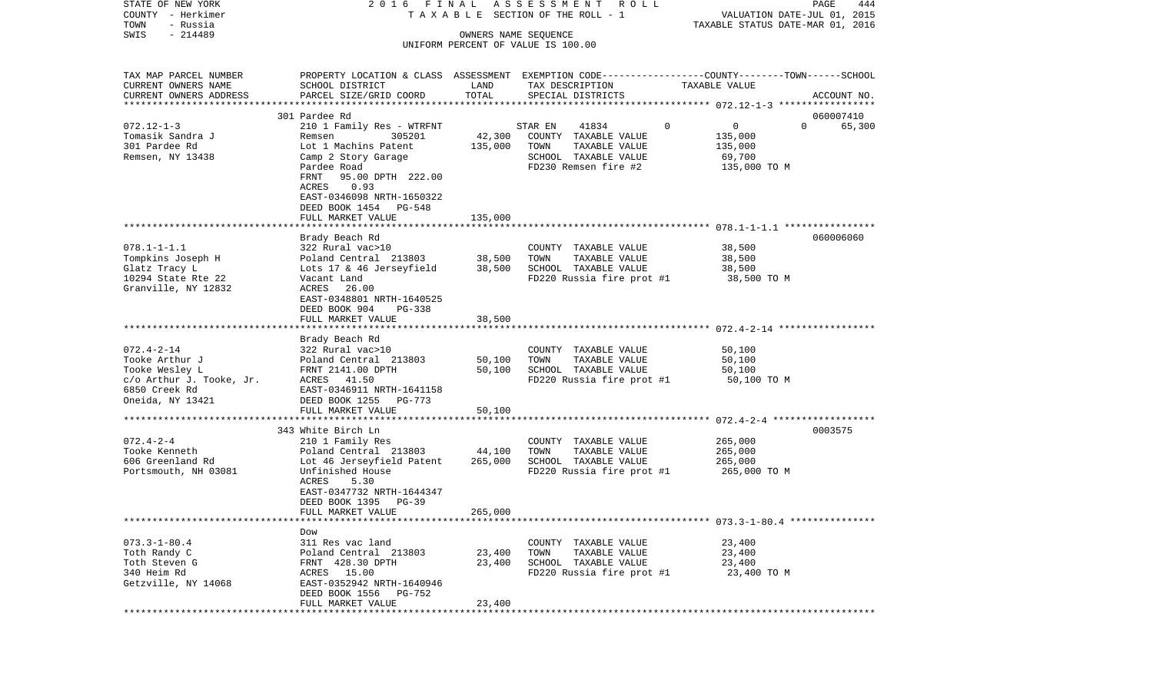STATE OF NEW YORK 2 0 1 6 F I N A L A S S E S S M E N T R O L L PAGE 444COUNTY - Herkimer **T A X A B L E SECTION OF THE ROLL - 1** VALUATION DATE-JUL 01, 2015 TOWN - Russia TAXABLE STATUS DATE-MAR 01, 2016 SWIS - 214489 OWNERS NAME SEQUENCE UNIFORM PERCENT OF VALUE IS 100.00TAX MAP PARCEL NUMBER PROPERTY LOCATION & CLASS ASSESSMENT EXEMPTION CODE------------------COUNTY--------TOWN------SCHOOL CURRENT OWNERS NAME SCHOOL DISTRICT LAND TAX DESCRIPTION TAXABLE VALUECURRENT OWNERS ADDRESS PARCEL SIZE/GRID COORD TOTAL SPECIAL DISTRICTS ACCOUNT NO. \*\*\*\*\*\*\*\*\*\*\*\*\*\*\*\*\*\*\*\*\*\*\*\*\*\*\*\*\*\*\*\*\*\*\*\*\*\*\*\*\*\*\*\*\*\*\*\*\*\*\*\*\*\*\*\*\*\*\*\*\*\*\*\*\*\*\*\*\*\*\*\*\*\*\*\*\*\*\*\*\*\*\*\*\*\*\*\*\*\*\*\*\*\*\*\*\*\*\*\*\*\*\* 072.12-1-3 \*\*\*\*\*\*\*\*\*\*\*\*\*\*\*\*\* 301 Pardee Rd 060007410072.12-1-3 210 1 Family Res - WTRFNT STAR EN 41834 0 0 0 65.300 Tomasik Sandra J Remsen 305201 42,300 COUNTY TAXABLE VALUE 135,000 301 Pardee Rd Lot 1 Machins Patent 135,000 TOWN TAXABLE VALUE 135,000 Remsen, NY 13438 Camp 2 Story Garage SCHOOL TAXABLE VALUE 69,700 Pardee Road **FD230** Remsen fire #2 135,000 TO M FRNT 95.00 DPTH 222.00 ACRES 0.93 EAST-0346098 NRTH-1650322 DEED BOOK 1454 PG-548FULL MARKET VALUE 135,000 \*\*\*\*\*\*\*\*\*\*\*\*\*\*\*\*\*\*\*\*\*\*\*\*\*\*\*\*\*\*\*\*\*\*\*\*\*\*\*\*\*\*\*\*\*\*\*\*\*\*\*\*\*\*\*\*\*\*\*\*\*\*\*\*\*\*\*\*\*\*\*\*\*\*\*\*\*\*\*\*\*\*\*\*\*\*\*\*\*\*\*\*\*\*\*\*\*\*\*\*\*\*\* 078.1-1-1.1 \*\*\*\*\*\*\*\*\*\*\*\*\*\*\*\* Brady Beach Rd 060006060 078.1-1-1.1 322 Rural vac>10 COUNTY TAXABLE VALUE 38,500 Tompkins Joseph H Poland Central 213803 38,500 TOWN TAXABLE VALUE 38,500 Glatz Tracy L Cots 17 & 46 Jerseyfield 38,500 SCHOOL TAXABLE VALUE 38,500 10294 State Rte 22 Vacant Land FD220 Russia fire prot #1 38,500 TO M Granville, NY 12832 EAST-0348801 NRTH-1640525 DEED BOOK 904 PG-338 FULL MARKET VALUE 38,500 \*\*\*\*\*\*\*\*\*\*\*\*\*\*\*\*\*\*\*\*\*\*\*\*\*\*\*\*\*\*\*\*\*\*\*\*\*\*\*\*\*\*\*\*\*\*\*\*\*\*\*\*\*\*\*\*\*\*\*\*\*\*\*\*\*\*\*\*\*\*\*\*\*\*\*\*\*\*\*\*\*\*\*\*\*\*\*\*\*\*\*\*\*\*\*\*\*\*\*\*\*\*\* 072.4-2-14 \*\*\*\*\*\*\*\*\*\*\*\*\*\*\*\*\* Brady Beach Rd 072.4-2-14 322 Rural vac>10 COUNTY TAXABLE VALUE 50,100 Tooke Arthur J Poland Central 213803 50,100 TOWN TAXABLE VALUE 50,100 Tooke Wesley L FRNT 2141.00 DPTH 50,100 SCHOOL TAXABLE VALUE 50,100 c/o Arthur J. Tooke, Jr. ACRES 41.50 FD220 Russia fire prot #1 50,100 TO M 6850 Creek Rd EAST-0346911 NRTH-1641158Oneida, NY 13421 DEED BOOK 1255 PG-773 FULL MARKET VALUE 50,100 \*\*\*\*\*\*\*\*\*\*\*\*\*\*\*\*\*\*\*\*\*\*\*\*\*\*\*\*\*\*\*\*\*\*\*\*\*\*\*\*\*\*\*\*\*\*\*\*\*\*\*\*\*\*\*\*\*\*\*\*\*\*\*\*\*\*\*\*\*\*\*\*\*\*\*\*\*\*\*\*\*\*\*\*\*\*\*\*\*\*\*\*\*\*\*\*\*\*\*\*\*\*\* 072.4-2-4 \*\*\*\*\*\*\*\*\*\*\*\*\*\*\*\*\*\* 343 White Birch Ln 0003575072.4-2-4 210 1 Family Res COUNTY TAXABLE VALUE 265,000 Tooke Kenneth Poland Central 213803 44,100 TOWN TAXABLE VALUE 265,000 606 Greenland Rd Lot 46 Jerseyfield Patent 265,000 SCHOOL TAXABLE VALUE 265,000 Portsmouth, NH 03081 Unfinished House FD220 Russia fire prot #1 265,000 TO M ACRES 5.30 EAST-0347732 NRTH-1644347 DEED BOOK 1395 PG-39 FULL MARKET VALUE 265,000 \*\*\*\*\*\*\*\*\*\*\*\*\*\*\*\*\*\*\*\*\*\*\*\*\*\*\*\*\*\*\*\*\*\*\*\*\*\*\*\*\*\*\*\*\*\*\*\*\*\*\*\*\*\*\*\*\*\*\*\*\*\*\*\*\*\*\*\*\*\*\*\*\*\*\*\*\*\*\*\*\*\*\*\*\*\*\*\*\*\*\*\*\*\*\*\*\*\*\*\*\*\*\* 073.3-1-80.4 \*\*\*\*\*\*\*\*\*\*\*\*\*\*\* Dow311 Res vac land 073.3-1-80.4 311 Res vac land COUNTY TAXABLE VALUE 23,400 Toth Randy C **Poland Central 213803** 23,400 TOWN TAXABLE VALUE 23,400 Toth Steven G **FRNT 428.30 DPTH** 23.400 SCHOOL TAXABLE VALUE 23.400 340 Heim Rd ACRES 15.00 FD220 Russia fire prot #1 23,400 TO M Getzville, NY 14068 EAST-0352942 NRTH-1640946 DEED BOOK 1556 PG-752 FULL MARKET VALUE 23,400 \*\*\*\*\*\*\*\*\*\*\*\*\*\*\*\*\*\*\*\*\*\*\*\*\*\*\*\*\*\*\*\*\*\*\*\*\*\*\*\*\*\*\*\*\*\*\*\*\*\*\*\*\*\*\*\*\*\*\*\*\*\*\*\*\*\*\*\*\*\*\*\*\*\*\*\*\*\*\*\*\*\*\*\*\*\*\*\*\*\*\*\*\*\*\*\*\*\*\*\*\*\*\*\*\*\*\*\*\*\*\*\*\*\*\*\*\*\*\*\*\*\*\*\*\*\*\*\*\*\*\*\*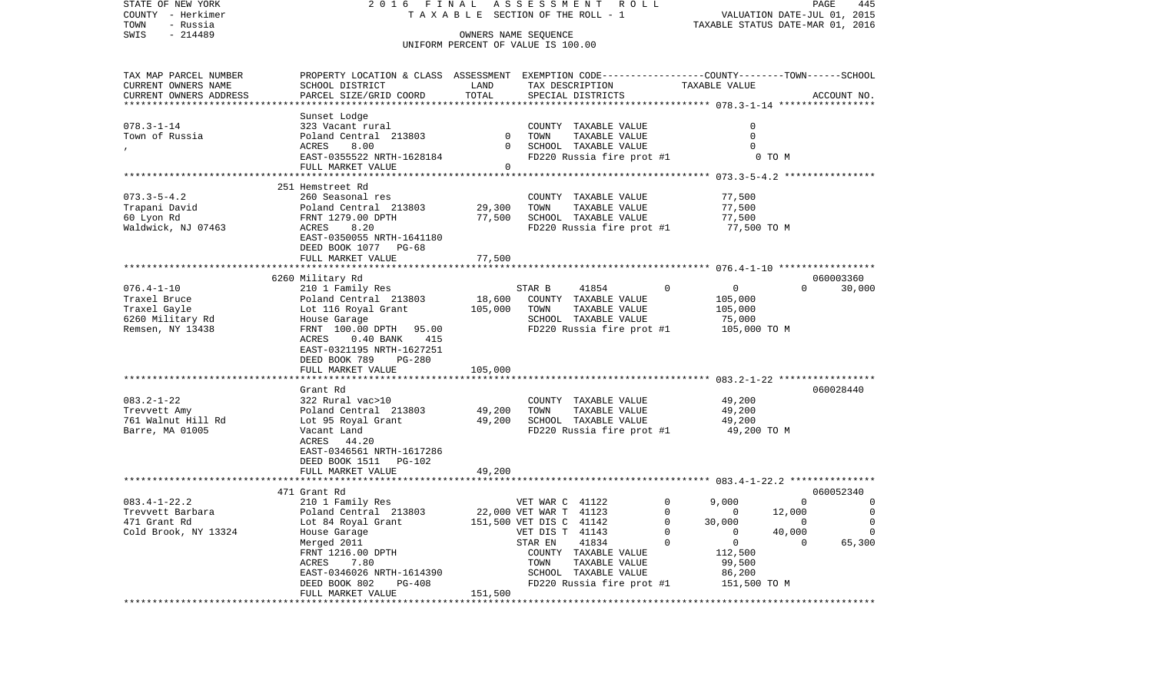| STATE OF NEW YORK<br>COUNTY - Herkimer<br>TOWN<br>- Russia | 2016<br>FINAL                                                                                  |              | A S S E S S M E N T A O L L<br>TAXABLE SECTION OF THE ROLL - 1 | TAXABLE STATUS DATE-MAR 01, 2016 | 445<br>PAGE<br>VALUATION DATE-JUL 01, 2015 |
|------------------------------------------------------------|------------------------------------------------------------------------------------------------|--------------|----------------------------------------------------------------|----------------------------------|--------------------------------------------|
| $-214489$<br>SWIS                                          |                                                                                                |              | OWNERS NAME SEQUENCE<br>UNIFORM PERCENT OF VALUE IS 100.00     |                                  |                                            |
| TAX MAP PARCEL NUMBER                                      | PROPERTY LOCATION & CLASS ASSESSMENT EXEMPTION CODE---------------COUNTY-------TOWN-----SCHOOL |              |                                                                |                                  |                                            |
| CURRENT OWNERS NAME                                        | SCHOOL DISTRICT                                                                                | LAND         | TAX DESCRIPTION                                                | TAXABLE VALUE                    |                                            |
| CURRENT OWNERS ADDRESS                                     | PARCEL SIZE/GRID COORD                                                                         | TOTAL        | SPECIAL DISTRICTS                                              |                                  | ACCOUNT NO.                                |
|                                                            | Sunset Lodge                                                                                   |              |                                                                |                                  |                                            |
| $078.3 - 1 - 14$                                           | 323 Vacant rural                                                                               |              | COUNTY TAXABLE VALUE                                           | 0                                |                                            |
| Town of Russia                                             | Poland Central 213803                                                                          | $\mathbf{0}$ | TAXABLE VALUE<br>TOWN                                          | 0                                |                                            |
|                                                            | ACRES<br>8.00                                                                                  | $\Omega$     | SCHOOL TAXABLE VALUE                                           | $\Omega$                         |                                            |
|                                                            | EAST-0355522 NRTH-1628184                                                                      |              | FD220 Russia fire prot #1                                      | 0 TO M                           |                                            |
|                                                            | FULL MARKET VALUE                                                                              | $\Omega$     |                                                                |                                  |                                            |
|                                                            | 251 Hemstreet Rd                                                                               |              |                                                                |                                  |                                            |
| $073.3 - 5 - 4.2$                                          | 260 Seasonal res                                                                               |              | COUNTY TAXABLE VALUE                                           | 77,500                           |                                            |
| Trapani David                                              | Poland Central 213803                                                                          | 29,300       | TOWN<br>TAXABLE VALUE                                          | 77,500                           |                                            |
| 60 Lyon Rd                                                 | FRNT 1279.00 DPTH                                                                              | 77,500       | SCHOOL TAXABLE VALUE                                           | 77,500                           |                                            |
| Waldwick, NJ 07463                                         | ACRES<br>8.20                                                                                  |              | FD220 Russia fire prot #1                                      | 77,500 TO M                      |                                            |
|                                                            | EAST-0350055 NRTH-1641180<br>DEED BOOK 1077 PG-68                                              |              |                                                                |                                  |                                            |
|                                                            | FULL MARKET VALUE                                                                              | 77,500       |                                                                |                                  |                                            |
|                                                            | 6260 Military Rd                                                                               |              |                                                                |                                  | 060003360                                  |
| $076.4 - 1 - 10$                                           | 210 1 Family Res                                                                               |              | STAR B<br>41854                                                | 0<br>$\Omega$                    | $\Omega$<br>30,000                         |
| Traxel Bruce                                               | Poland Central 213803                                                                          | 18,600       | COUNTY TAXABLE VALUE                                           | 105,000                          |                                            |
| Traxel Gayle                                               | Lot 116 Royal Grant                                                                            | 105,000      | TOWN<br>TAXABLE VALUE                                          | 105,000                          |                                            |
| 6260 Military Rd                                           | House Garage                                                                                   |              | SCHOOL TAXABLE VALUE                                           | 75,000                           |                                            |
| Remsen, NY 13438                                           | FRNT 100.00 DPTH 95.00<br>ACRES<br>$0.40$ BANK<br>415<br>EAST-0321195 NRTH-1627251             |              | FD220 Russia fire prot #1                                      | 105,000 TO M                     |                                            |
|                                                            | DEED BOOK 789<br>PG-280<br>FULL MARKET VALUE                                                   | 105,000      |                                                                |                                  |                                            |
|                                                            |                                                                                                |              |                                                                |                                  |                                            |
|                                                            | Grant Rd                                                                                       |              |                                                                |                                  | 060028440                                  |
| $083.2 - 1 - 22$                                           | 322 Rural vac>10                                                                               |              | COUNTY TAXABLE VALUE                                           | 49,200                           |                                            |
| Trevvett Amy                                               | Poland Central 213803                                                                          | 49,200       | TAXABLE VALUE<br>TOWN                                          | 49,200                           |                                            |
| 761 Walnut Hill Rd                                         | Lot 95 Royal Grant                                                                             | 49,200       | SCHOOL TAXABLE VALUE                                           | 49,200                           |                                            |
| Barre, MA 01005                                            | Vacant Land<br>ACRES                                                                           |              | FD220 Russia fire prot #1                                      | 49,200 TO M                      |                                            |
|                                                            | 44.20<br>EAST-0346561 NRTH-1617286                                                             |              |                                                                |                                  |                                            |
|                                                            | DEED BOOK 1511 PG-102                                                                          |              |                                                                |                                  |                                            |
|                                                            | FULL MARKET VALUE                                                                              | 49,200       |                                                                |                                  |                                            |
|                                                            |                                                                                                |              |                                                                |                                  |                                            |
|                                                            | 471 Grant Rd                                                                                   |              |                                                                |                                  | 060052340                                  |
| $083.4 - 1 - 22.2$                                         | 210 1 Family Res                                                                               |              | VET WAR C 41122                                                | $\mathbf 0$<br>9,000             | $\mathbf{0}$<br>$\circ$                    |
| Trevvett Barbara                                           | Poland Central 213803                                                                          |              | 22,000 VET WAR T 41123                                         | $\mathbf 0$<br>12,000<br>0       | 0                                          |
| 471 Grant Rd                                               | Lot 84 Royal Grant                                                                             |              | 151,500 VET DIS C 41142                                        | 0<br>30,000                      | 0<br>0                                     |
| Cold Brook, NY 13324                                       | House Garage                                                                                   |              | VET DIS T<br>41143                                             | 0<br>0                           | 40,000<br>0                                |
|                                                            | Merged 2011                                                                                    |              | STAR EN<br>41834                                               | 0<br>$\Omega$                    | 65,300<br>0                                |
|                                                            | FRNT 1216.00 DPTH                                                                              |              | COUNTY<br>TAXABLE VALUE                                        | 112,500                          |                                            |
|                                                            | ACRES<br>7.80                                                                                  |              | TOWN<br>TAXABLE VALUE                                          | 99,500                           |                                            |
|                                                            | EAST-0346026 NRTH-1614390                                                                      |              | SCHOOL TAXABLE VALUE                                           | 86,200<br>151,500 TO M           |                                            |
|                                                            | DEED BOOK 802<br>PG-408<br>FULL MARKET VALUE                                                   | 151,500      | FD220 Russia fire prot #1                                      |                                  |                                            |
|                                                            |                                                                                                |              |                                                                |                                  |                                            |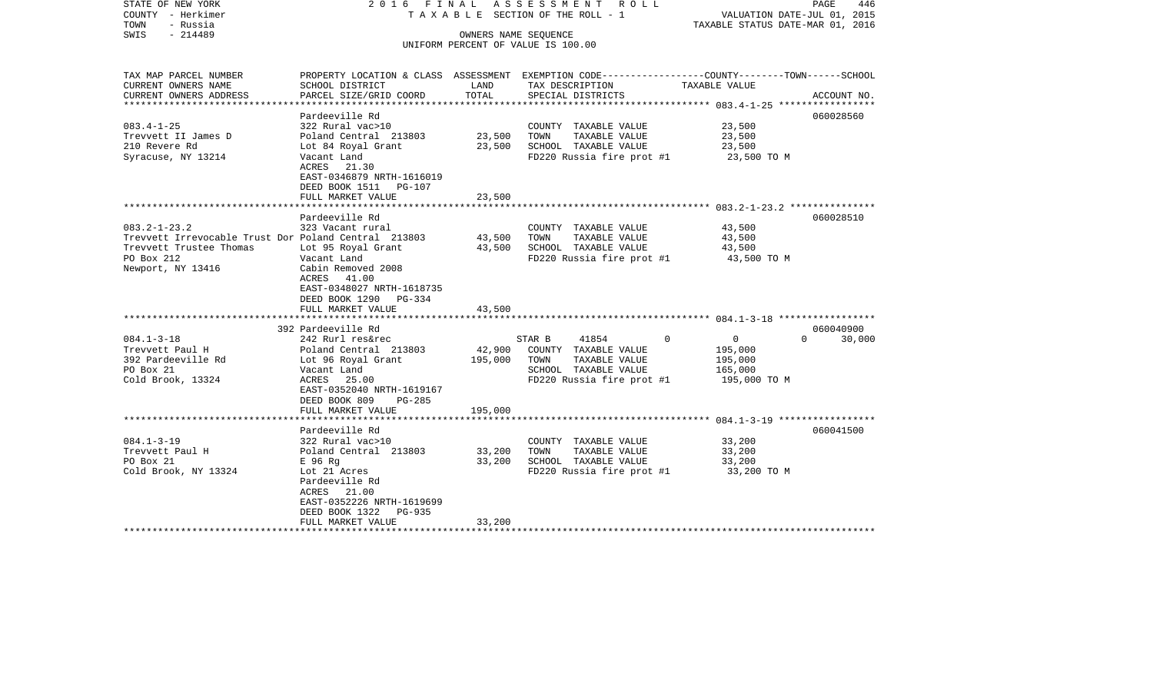| STATE OF NEW YORK<br>COUNTY - Herkimer<br>TOWN<br>- Russia<br>$-214489$<br>SWIS                                                          |                                                                                                                                                      |                  | 2016 FINAL ASSESSMENT ROLL<br>TAXABLE SECTION OF THE ROLL - 1<br>OWNERS NAME SEQUENCE<br>UNIFORM PERCENT OF VALUE IS 100.00              | VALUATION DATE-JUL 01, 2015<br>TAXABLE STATUS DATE-MAR 01, 2016             | PAGE<br>446         |
|------------------------------------------------------------------------------------------------------------------------------------------|------------------------------------------------------------------------------------------------------------------------------------------------------|------------------|------------------------------------------------------------------------------------------------------------------------------------------|-----------------------------------------------------------------------------|---------------------|
| TAX MAP PARCEL NUMBER<br>CURRENT OWNERS NAME                                                                                             | SCHOOL DISTRICT                                                                                                                                      | LAND             | PROPERTY LOCATION & CLASS ASSESSMENT EXEMPTION CODE---------------COUNTY-------TOWN-----SCHOOL<br>TAX DESCRIPTION                        | TAXABLE VALUE                                                               |                     |
| CURRENT OWNERS ADDRESS                                                                                                                   | PARCEL SIZE/GRID COORD                                                                                                                               | TOTAL            | SPECIAL DISTRICTS                                                                                                                        |                                                                             | ACCOUNT NO.         |
| $083.4 - 1 - 25$<br>Trevvett II James D<br>210 Revere Rd<br>Syracuse, NY 13214                                                           | Pardeeville Rd<br>322 Rural vac>10<br>Poland Central 213803<br>Lot 84 Royal Grant<br>Vacant Land<br>ACRES 21.30<br>EAST-0346879 NRTH-1616019         | 23,500<br>23,500 | COUNTY TAXABLE VALUE<br>TOWN<br>TAXABLE VALUE<br>SCHOOL TAXABLE VALUE<br>FD220 Russia fire prot #1                                       | 23,500<br>23,500<br>23,500<br>23,500 TO M                                   | 060028560           |
|                                                                                                                                          | DEED BOOK 1511 PG-107                                                                                                                                |                  |                                                                                                                                          |                                                                             |                     |
|                                                                                                                                          | FULL MARKET VALUE<br>Pardeeville Rd                                                                                                                  | 23,500           |                                                                                                                                          |                                                                             | 060028510           |
| $083.2 - 1 - 23.2$<br>Trevvett Irrevocable Trust Dor Poland Central 213803<br>Trevvett Trustee Thomas<br>PO Box 212<br>Newport, NY 13416 | 323 Vacant rural<br>Lot 95 Royal Grant<br>Vacant Land<br>Cabin Removed 2008<br>ACRES 41.00<br>EAST-0348027 NRTH-1618735<br>DEED BOOK 1290 PG-334     | 43,500<br>43,500 | COUNTY TAXABLE VALUE<br>TOWN<br>TAXABLE VALUE<br>SCHOOL TAXABLE VALUE<br>FD220 Russia fire prot #1 43,500 TO M                           | 43,500<br>43,500<br>43,500                                                  |                     |
|                                                                                                                                          | FULL MARKET VALUE                                                                                                                                    | 43,500           |                                                                                                                                          |                                                                             |                     |
| $084.1 - 3 - 18$<br>Trevvett Paul H<br>392 Pardeeville Rd<br>PO Box 21<br>Cold Brook, 13324                                              | 392 Pardeeville Rd<br>242 Rurl res&rec<br>Poland Central 213803<br>Lot 96 Royal Grant<br>Vacant Land<br>ACRES 25.00<br>EAST-0352040 NRTH-1619167     | 195,000          | 41854<br>STAR B<br>$\Omega$<br>42,900 COUNTY TAXABLE VALUE<br>TOWN<br>TAXABLE VALUE<br>SCHOOL TAXABLE VALUE<br>FD220 Russia fire prot #1 | $\overline{0}$<br>$\Omega$<br>195,000<br>195,000<br>165,000<br>195,000 TO M | 060040900<br>30,000 |
|                                                                                                                                          | DEED BOOK 809<br>PG-285<br>FULL MARKET VALUE                                                                                                         | 195,000          |                                                                                                                                          |                                                                             |                     |
|                                                                                                                                          |                                                                                                                                                      |                  |                                                                                                                                          |                                                                             |                     |
| $084.1 - 3 - 19$<br>Trevvett Paul H<br>PO Box 21<br>Cold Brook, NY 13324                                                                 | Pardeeville Rd<br>322 Rural vac>10<br>Poland Central 213803<br>E 96 Rg<br>Lot 21 Acres<br>Pardeeville Rd<br>ACRES 21.00<br>EAST-0352226 NRTH-1619699 | 33,200<br>33,200 | COUNTY TAXABLE VALUE<br>TAXABLE VALUE<br>TOWN<br>SCHOOL TAXABLE VALUE<br>FD220 Russia fire prot #1                                       | 33,200<br>33,200<br>33,200<br>33,200 TO M                                   | 060041500           |
|                                                                                                                                          | DEED BOOK 1322<br>PG-935<br>FULL MARKET VALUE                                                                                                        | 33,200           |                                                                                                                                          |                                                                             |                     |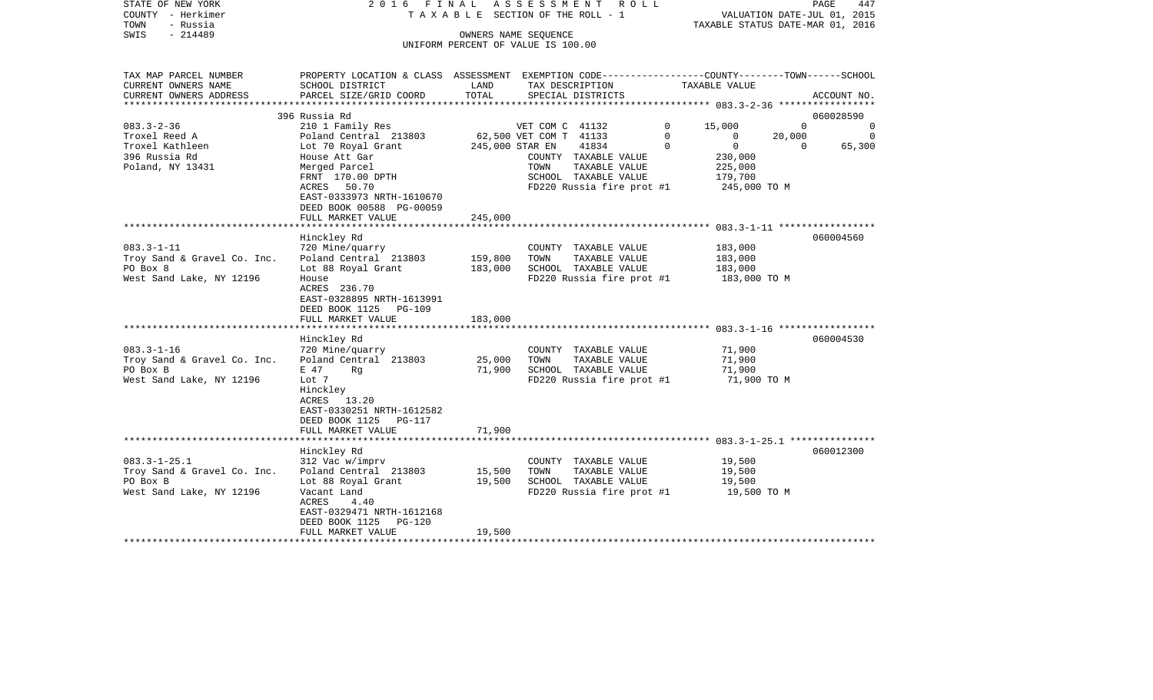| STATE OF NEW YORK                             | 2016<br>FINAL                                                                                   |         | A S S E S S M E N T A O L L                   |             |                                  |          | PAGE        | 447      |
|-----------------------------------------------|-------------------------------------------------------------------------------------------------|---------|-----------------------------------------------|-------------|----------------------------------|----------|-------------|----------|
| COUNTY - Herkimer                             |                                                                                                 |         | T A X A B L E SECTION OF THE ROLL - 1         |             | VALUATION DATE-JUL 01, 2015      |          |             |          |
| TOWN<br>- Russia                              |                                                                                                 |         |                                               |             | TAXABLE STATUS DATE-MAR 01, 2016 |          |             |          |
| $-214489$<br>SWIS                             |                                                                                                 |         | OWNERS NAME SEOUENCE                          |             |                                  |          |             |          |
|                                               |                                                                                                 |         | UNIFORM PERCENT OF VALUE IS 100.00            |             |                                  |          |             |          |
| TAX MAP PARCEL NUMBER                         | PROPERTY LOCATION & CLASS ASSESSMENT EXEMPTION CODE---------------COUNTY-------TOWN------SCHOOL |         |                                               |             |                                  |          |             |          |
| CURRENT OWNERS NAME                           | SCHOOL DISTRICT                                                                                 | LAND    | TAX DESCRIPTION                               |             | TAXABLE VALUE                    |          |             |          |
| CURRENT OWNERS ADDRESS<br>******************* | PARCEL SIZE/GRID COORD                                                                          | TOTAL   | SPECIAL DISTRICTS                             |             |                                  |          | ACCOUNT NO. |          |
|                                               | 396 Russia Rd                                                                                   |         |                                               |             |                                  |          | 060028590   |          |
| $083.3 - 2 - 36$                              | 210 1 Family Res                                                                                |         | VET COM C 41132                               | 0           | 15,000                           | $\Omega$ |             | $\Omega$ |
| Troxel Reed A                                 | Poland Central 213803                                                                           |         | 62,500 VET COM T 41133                        | $\Omega$    | $\Omega$                         | 20,000   |             | $\Omega$ |
| Troxel Kathleen                               | Lot 70 Royal Grant                                                                              |         | 245,000 STAR EN<br>41834                      | $\mathbf 0$ | $\overline{0}$                   | $\Omega$ |             | 65,300   |
| 396 Russia Rd                                 | House Att Gar                                                                                   |         | COUNTY TAXABLE VALUE                          |             | 230,000                          |          |             |          |
| Poland, NY 13431                              | Merged Parcel                                                                                   |         | TOWN<br>TAXABLE VALUE                         |             | 225,000                          |          |             |          |
|                                               | FRNT 170.00 DPTH                                                                                |         | SCHOOL TAXABLE VALUE                          |             | 179,700                          |          |             |          |
|                                               | 50.70<br>ACRES                                                                                  |         | FD220 Russia fire prot #1                     |             | 245,000 TO M                     |          |             |          |
|                                               | EAST-0333973 NRTH-1610670                                                                       |         |                                               |             |                                  |          |             |          |
|                                               | DEED BOOK 00588 PG-00059                                                                        |         |                                               |             |                                  |          |             |          |
|                                               | FULL MARKET VALUE                                                                               | 245,000 |                                               |             |                                  |          |             |          |
|                                               |                                                                                                 |         |                                               |             |                                  |          |             |          |
|                                               | Hinckley Rd                                                                                     |         |                                               |             |                                  |          | 060004560   |          |
| $083.3 - 1 - 11$                              | 720 Mine/quarry                                                                                 |         | COUNTY TAXABLE VALUE                          |             | 183,000                          |          |             |          |
| Troy Sand & Gravel Co. Inc.                   | Poland Central 213803                                                                           | 159,800 | TOWN<br>TAXABLE VALUE                         |             | 183,000                          |          |             |          |
| PO Box 8                                      | Lot 88 Royal Grant                                                                              | 183,000 | SCHOOL TAXABLE VALUE                          |             | 183,000                          |          |             |          |
| West Sand Lake, NY 12196                      | House                                                                                           |         | FD220 Russia fire prot #1                     |             | 183,000 TO M                     |          |             |          |
|                                               | ACRES 236.70                                                                                    |         |                                               |             |                                  |          |             |          |
|                                               | EAST-0328895 NRTH-1613991                                                                       |         |                                               |             |                                  |          |             |          |
|                                               | DEED BOOK 1125 PG-109                                                                           |         |                                               |             |                                  |          |             |          |
|                                               | FULL MARKET VALUE<br>*********************                                                      | 183,000 |                                               |             |                                  |          |             |          |
|                                               |                                                                                                 |         |                                               |             |                                  |          | 060004530   |          |
| $083.3 - 1 - 16$                              | Hinckley Rd<br>720 Mine/quarry                                                                  |         |                                               |             | 71,900                           |          |             |          |
| Troy Sand & Gravel Co. Inc.                   | Poland Central 213803                                                                           | 25,000  | COUNTY TAXABLE VALUE<br>TOWN<br>TAXABLE VALUE |             | 71,900                           |          |             |          |
| PO Box B                                      | E 47<br>Rq                                                                                      | 71,900  | SCHOOL TAXABLE VALUE                          |             | 71,900                           |          |             |          |
| West Sand Lake, NY 12196                      | Lot 7                                                                                           |         | FD220 Russia fire prot #1                     |             | 71,900 TO M                      |          |             |          |
|                                               | Hinckley                                                                                        |         |                                               |             |                                  |          |             |          |
|                                               | ACRES<br>13.20                                                                                  |         |                                               |             |                                  |          |             |          |
|                                               | EAST-0330251 NRTH-1612582                                                                       |         |                                               |             |                                  |          |             |          |
|                                               | DEED BOOK 1125<br>PG-117                                                                        |         |                                               |             |                                  |          |             |          |
|                                               | FULL MARKET VALUE                                                                               | 71,900  |                                               |             |                                  |          |             |          |
|                                               |                                                                                                 |         |                                               |             |                                  |          |             |          |
|                                               | Hinckley Rd                                                                                     |         |                                               |             |                                  |          | 060012300   |          |
| $083.3 - 1 - 25.1$                            | 312 Vac w/imprv                                                                                 |         | COUNTY TAXABLE VALUE                          |             | 19,500                           |          |             |          |
| Troy Sand & Gravel Co. Inc.                   | Poland Central 213803                                                                           | 15,500  | TAXABLE VALUE<br>TOWN                         |             | 19,500                           |          |             |          |
| PO Box B                                      | Lot 88 Royal Grant                                                                              | 19,500  | SCHOOL TAXABLE VALUE                          |             | 19,500                           |          |             |          |
| West Sand Lake, NY 12196                      | Vacant Land                                                                                     |         | FD220 Russia fire prot #1                     |             | 19,500 TO M                      |          |             |          |
|                                               | ACRES<br>4.40                                                                                   |         |                                               |             |                                  |          |             |          |
|                                               | EAST-0329471 NRTH-1612168                                                                       |         |                                               |             |                                  |          |             |          |
|                                               | DEED BOOK 1125<br>PG-120                                                                        |         |                                               |             |                                  |          |             |          |
|                                               | FULL MARKET VALUE                                                                               | 19,500  |                                               |             |                                  |          |             |          |
|                                               |                                                                                                 |         |                                               |             |                                  |          |             |          |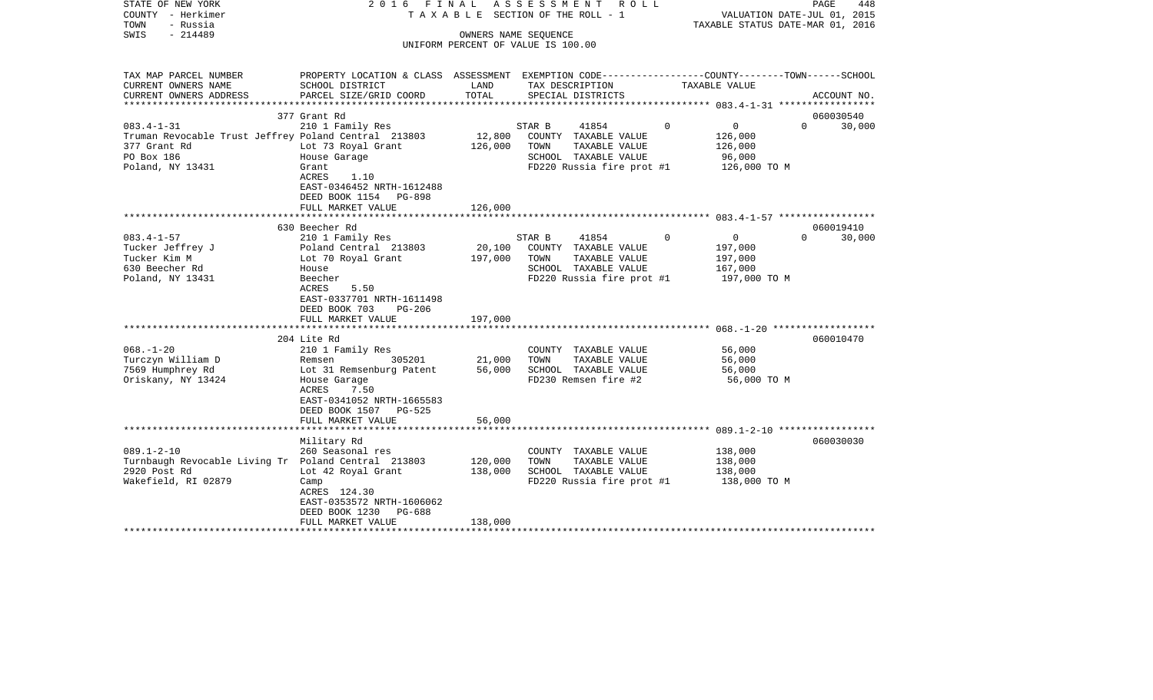| STATE OF NEW YORK<br>COUNTY - Herkimer<br>TOWN<br>- Russia | 2016 FINAL                                                                                       |                   | ASSESSMENT ROLL<br>TAXABLE SECTION OF THE ROLL - 1 |          | VALUATION DATE-JUL 01, 2015<br>TAXABLE STATUS DATE-MAR 01, 2016 | PAGE<br>448        |
|------------------------------------------------------------|--------------------------------------------------------------------------------------------------|-------------------|----------------------------------------------------|----------|-----------------------------------------------------------------|--------------------|
| $-214489$<br>SWIS                                          |                                                                                                  |                   | OWNERS NAME SEQUENCE                               |          |                                                                 |                    |
|                                                            |                                                                                                  |                   | UNIFORM PERCENT OF VALUE IS 100.00                 |          |                                                                 |                    |
|                                                            |                                                                                                  |                   |                                                    |          |                                                                 |                    |
| TAX MAP PARCEL NUMBER                                      | PROPERTY LOCATION & CLASS ASSESSMENT EXEMPTION CODE----------------COUNTY-------TOWN------SCHOOL |                   |                                                    |          |                                                                 |                    |
| CURRENT OWNERS NAME                                        | SCHOOL DISTRICT                                                                                  | LAND              | TAX DESCRIPTION                                    |          | TAXABLE VALUE                                                   |                    |
| CURRENT OWNERS ADDRESS                                     | PARCEL SIZE/GRID COORD                                                                           | TOTAL             | SPECIAL DISTRICTS                                  |          |                                                                 | ACCOUNT NO.        |
|                                                            | 377 Grant Rd                                                                                     |                   |                                                    |          |                                                                 | 060030540          |
| $083.4 - 1 - 31$                                           | 210 1 Family Res                                                                                 |                   | 41854<br>STAR B                                    | $\Omega$ | $\overline{0}$                                                  | $\Omega$<br>30,000 |
| Truman Revocable Trust Jeffrey Poland Central 213803       |                                                                                                  | 12,800            | COUNTY TAXABLE VALUE                               |          | 126,000                                                         |                    |
| 377 Grant Rd                                               | Lot 73 Royal Grant                                                                               | 126,000           | TOWN<br>TAXABLE VALUE                              |          | 126,000                                                         |                    |
| PO Box 186                                                 | House Garage                                                                                     |                   | SCHOOL TAXABLE VALUE                               |          | 96,000                                                          |                    |
| Poland, NY 13431                                           | Grant                                                                                            |                   | FD220 Russia fire prot #1                          |          | 126,000 TO M                                                    |                    |
|                                                            | ACRES<br>1.10                                                                                    |                   |                                                    |          |                                                                 |                    |
|                                                            | EAST-0346452 NRTH-1612488                                                                        |                   |                                                    |          |                                                                 |                    |
|                                                            | DEED BOOK 1154 PG-898                                                                            |                   |                                                    |          |                                                                 |                    |
|                                                            | FULL MARKET VALUE                                                                                | 126,000           |                                                    |          |                                                                 |                    |
|                                                            |                                                                                                  |                   |                                                    |          |                                                                 |                    |
|                                                            | 630 Beecher Rd                                                                                   |                   |                                                    |          |                                                                 | 060019410          |
| $083.4 - 1 - 57$                                           | 210 1 Family Res                                                                                 |                   | STAR B<br>41854                                    | $\Omega$ | $\overline{0}$                                                  | $\Omega$<br>30,000 |
| Tucker Jeffrey J<br>Tucker Kim M                           | Poland Central 213803<br>Lot 70 Royal Grant                                                      | 20,100<br>197,000 | COUNTY TAXABLE VALUE<br>TOWN<br>TAXABLE VALUE      |          | 197,000                                                         |                    |
| 630 Beecher Rd                                             | House                                                                                            |                   | SCHOOL TAXABLE VALUE                               |          | 197,000<br>167,000                                              |                    |
| Poland, NY 13431                                           | Beecher                                                                                          |                   | FD220 Russia fire prot #1                          |          | 197,000 TO M                                                    |                    |
|                                                            | ACRES<br>5.50                                                                                    |                   |                                                    |          |                                                                 |                    |
|                                                            | EAST-0337701 NRTH-1611498                                                                        |                   |                                                    |          |                                                                 |                    |
|                                                            | DEED BOOK 703<br>PG-206                                                                          |                   |                                                    |          |                                                                 |                    |
|                                                            | FULL MARKET VALUE                                                                                | 197,000           |                                                    |          |                                                                 |                    |
|                                                            |                                                                                                  |                   |                                                    |          |                                                                 |                    |
|                                                            | 204 Lite Rd                                                                                      |                   |                                                    |          |                                                                 | 060010470          |
| $068. - 1 - 20$                                            | 210 1 Family Res                                                                                 |                   | COUNTY TAXABLE VALUE                               |          | 56,000                                                          |                    |
| Turczyn William D                                          | 305201<br>Remsen                                                                                 | 21,000            | TOWN<br>TAXABLE VALUE                              |          | 56,000                                                          |                    |
| 7569 Humphrey Rd                                           | Lot 31 Remsenburg Patent                                                                         | 56,000            | SCHOOL TAXABLE VALUE                               |          | 56,000                                                          |                    |
| Oriskany, NY 13424                                         | House Garage                                                                                     |                   | FD230 Remsen fire #2                               |          | 56,000 TO M                                                     |                    |
|                                                            | ACRES<br>7.50<br>EAST-0341052 NRTH-1665583                                                       |                   |                                                    |          |                                                                 |                    |
|                                                            | DEED BOOK 1507 PG-525                                                                            |                   |                                                    |          |                                                                 |                    |
|                                                            | FULL MARKET VALUE                                                                                | 56,000            |                                                    |          |                                                                 |                    |
|                                                            |                                                                                                  |                   |                                                    |          |                                                                 |                    |
|                                                            | Military Rd                                                                                      |                   |                                                    |          |                                                                 | 060030030          |
| $089.1 - 2 - 10$                                           | 260 Seasonal res                                                                                 |                   | COUNTY TAXABLE VALUE                               |          | 138,000                                                         |                    |
| Turnbaugh Revocable Living Tr Poland Central 213803        |                                                                                                  | 120,000           | TAXABLE VALUE<br>TOWN                              |          | 138,000                                                         |                    |
| 2920 Post Rd                                               | Lot 42 Royal Grant                                                                               | 138,000           | SCHOOL TAXABLE VALUE                               |          | 138,000                                                         |                    |
| Wakefield, RI 02879                                        | Camp                                                                                             |                   | FD220 Russia fire prot #1 138,000 TO M             |          |                                                                 |                    |
|                                                            | ACRES 124.30                                                                                     |                   |                                                    |          |                                                                 |                    |
|                                                            | EAST-0353572 NRTH-1606062                                                                        |                   |                                                    |          |                                                                 |                    |
|                                                            | DEED BOOK 1230<br>PG-688                                                                         | 138,000           |                                                    |          |                                                                 |                    |
|                                                            | FULL MARKET VALUE<br>**********************                                                      |                   |                                                    |          |                                                                 |                    |
|                                                            |                                                                                                  |                   |                                                    |          |                                                                 |                    |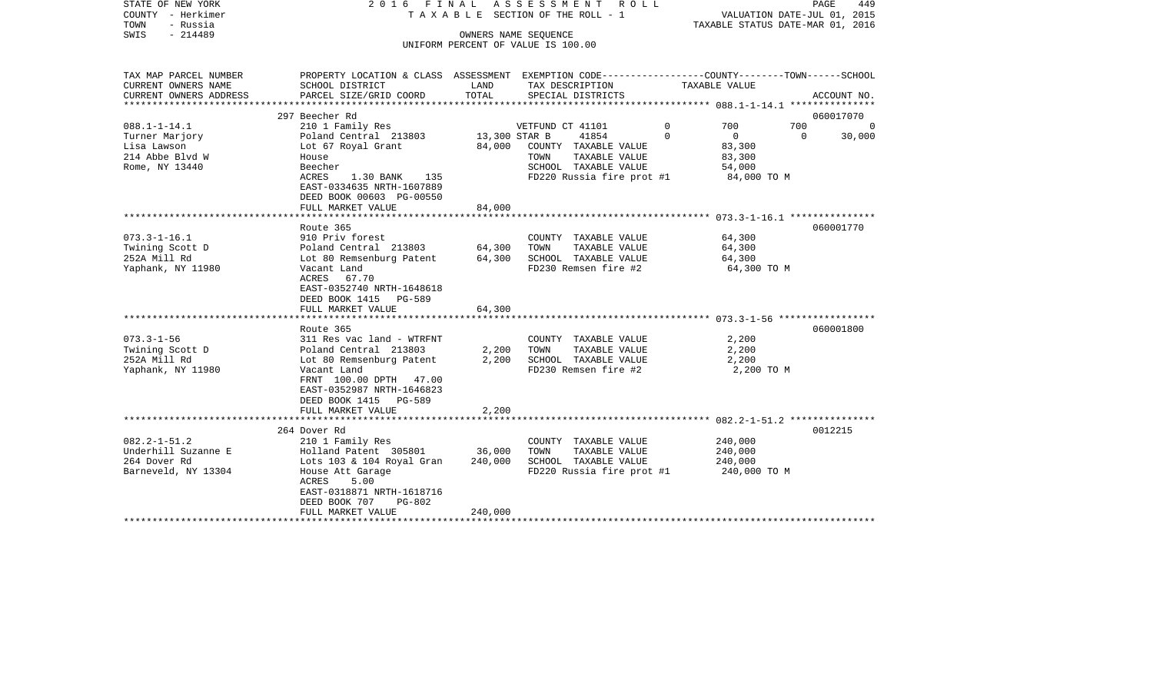| STATE OF NEW YORK<br>COUNTY - Herkimer<br>- Russia<br>TOWN<br>SWIS<br>$-214489$                  | 2016 FINAL                                                                                                                                                                                                                        | OWNERS NAME SEQUENCE         | ASSESSMENT<br>R O L L<br>TAXABLE SECTION OF THE ROLL - 1<br>UNIFORM PERCENT OF VALUE IS 100.00                                        |                                                                                          | PAGE<br>449<br>VALUATION DATE-JUL 01, 2015<br>TAXABLE STATUS DATE-MAR 01, 2016 |
|--------------------------------------------------------------------------------------------------|-----------------------------------------------------------------------------------------------------------------------------------------------------------------------------------------------------------------------------------|------------------------------|---------------------------------------------------------------------------------------------------------------------------------------|------------------------------------------------------------------------------------------|--------------------------------------------------------------------------------|
| TAX MAP PARCEL NUMBER<br>CURRENT OWNERS NAME<br>CURRENT OWNERS ADDRESS<br>********************** | PROPERTY LOCATION & CLASS ASSESSMENT EXEMPTION CODE---------------COUNTY-------TOWN-----SCHOOL<br>SCHOOL DISTRICT<br>PARCEL SIZE/GRID COORD                                                                                       | LAND<br>TOTAL                | TAX DESCRIPTION<br>SPECIAL DISTRICTS                                                                                                  | TAXABLE VALUE                                                                            | ACCOUNT NO.                                                                    |
|                                                                                                  | 297 Beecher Rd                                                                                                                                                                                                                    |                              |                                                                                                                                       |                                                                                          | 060017070                                                                      |
| $088.1 - 1 - 14.1$<br>Turner Marjory<br>Lisa Lawson<br>214 Abbe Blvd W<br>Rome, NY 13440         | 210 1 Family Res<br>Poland Central 213803<br>Lot 67 Royal Grant<br>House<br>Beecher<br>ACRES<br>1.30 BANK<br>135<br>EAST-0334635 NRTH-1607889                                                                                     | 13,300 STAR B<br>84,000      | VETFUND CT 41101<br>41854<br>COUNTY TAXABLE VALUE<br>TAXABLE VALUE<br>TOWN<br>SCHOOL TAXABLE VALUE<br>FD220 Russia fire prot #1       | $\Omega$<br>700<br>$\Omega$<br>$\mathbf{0}$<br>83,300<br>83,300<br>54,000<br>84,000 TO M | 700<br>0<br>$\Omega$<br>30,000                                                 |
|                                                                                                  | DEED BOOK 00603 PG-00550<br>FULL MARKET VALUE                                                                                                                                                                                     | 84,000                       |                                                                                                                                       |                                                                                          |                                                                                |
|                                                                                                  |                                                                                                                                                                                                                                   |                              |                                                                                                                                       |                                                                                          |                                                                                |
| $073.3 - 1 - 16.1$<br>Twining Scott D<br>252A Mill Rd<br>Yaphank, NY 11980                       | Route 365<br>910 Priv forest<br>Poland Central 213803<br>Lot 80 Remsenburg Patent<br>Vacant Land<br>ACRES 67.70<br>EAST-0352740 NRTH-1648618<br>DEED BOOK 1415<br><b>PG-589</b><br>FULL MARKET VALUE                              | 64,300<br>64,300<br>64,300   | COUNTY TAXABLE VALUE<br>TAXABLE VALUE<br>TOWN<br>SCHOOL TAXABLE VALUE<br>FD230 Remsen fire #2                                         | 64,300<br>64,300<br>64,300<br>64,300 TO M                                                | 060001770                                                                      |
|                                                                                                  |                                                                                                                                                                                                                                   |                              |                                                                                                                                       |                                                                                          |                                                                                |
| $073.3 - 1 - 56$<br>Twining Scott D<br>252A Mill Rd<br>Yaphank, NY 11980                         | Route 365<br>311 Res vac land - WTRFNT<br>Poland Central 213803<br>Lot 80 Remsenburg Patent<br>Vacant Land<br>FRNT 100.00 DPTH 47.00<br>EAST-0352987 NRTH-1646823                                                                 | 2,200<br>2,200               | COUNTY TAXABLE VALUE<br>TOWN<br>TAXABLE VALUE<br>SCHOOL TAXABLE VALUE<br>FD230 Remsen fire #2                                         | 2,200<br>2,200<br>2,200<br>2,200 TO M                                                    | 060001800                                                                      |
|                                                                                                  | DEED BOOK 1415 PG-589<br>FULL MARKET VALUE                                                                                                                                                                                        | 2,200                        |                                                                                                                                       |                                                                                          |                                                                                |
|                                                                                                  |                                                                                                                                                                                                                                   |                              |                                                                                                                                       |                                                                                          |                                                                                |
| $082.2 - 1 - 51.2$<br>Underhill Suzanne E<br>264 Dover Rd<br>Barneveld, NY 13304                 | 264 Dover Rd<br>210 1 Family Res<br>Holland Patent 305801<br>Lots 103 & 104 Royal Gran<br>House Att Garage<br>5.00<br>ACRES<br>EAST-0318871 NRTH-1618716<br>DEED BOOK 707<br>$PG-802$<br>FULL MARKET VALUE<br>******************* | 36,000<br>240,000<br>240,000 | COUNTY TAXABLE VALUE<br>TOWN<br>TAXABLE VALUE<br>SCHOOL TAXABLE VALUE<br>FD220 Russia fire prot #1<br>******************************* | 240,000<br>240,000<br>240,000<br>240,000 TO M                                            | 0012215                                                                        |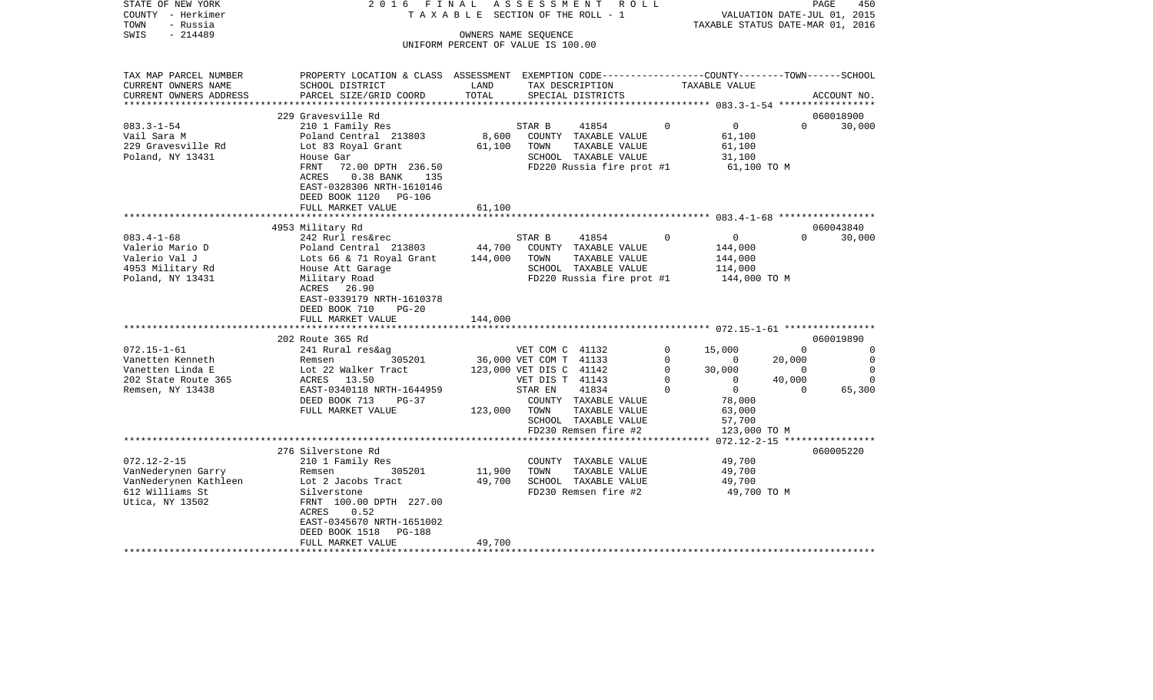| STATE OF NEW YORK<br>COUNTY - Herkimer           | 2016 FINAL                                                                                      |                               | A S S E S S M E N T<br>R O L L<br>TAXABLE SECTION OF THE ROLL - 1 |             | VALUATION DATE-JUL 01, 2015                     |                | PAGE<br>450    |
|--------------------------------------------------|-------------------------------------------------------------------------------------------------|-------------------------------|-------------------------------------------------------------------|-------------|-------------------------------------------------|----------------|----------------|
| TOWN<br>- Russia                                 |                                                                                                 |                               |                                                                   |             | TAXABLE STATUS DATE-MAR 01, 2016                |                |                |
| $-214489$<br>SWIS                                |                                                                                                 |                               | OWNERS NAME SEQUENCE                                              |             |                                                 |                |                |
|                                                  |                                                                                                 |                               | UNIFORM PERCENT OF VALUE IS 100.00                                |             |                                                 |                |                |
| TAX MAP PARCEL NUMBER                            | PROPERTY LOCATION & CLASS ASSESSMENT EXEMPTION CODE---------------COUNTY-------TOWN------SCHOOL |                               |                                                                   |             |                                                 |                |                |
| CURRENT OWNERS NAME                              | SCHOOL DISTRICT                                                                                 | LAND                          | TAX DESCRIPTION                                                   |             | TAXABLE VALUE                                   |                |                |
| CURRENT OWNERS ADDRESS<br>********************** | PARCEL SIZE/GRID COORD                                                                          | TOTAL                         | SPECIAL DISTRICTS                                                 |             |                                                 |                | ACCOUNT NO.    |
|                                                  | 229 Gravesville Rd                                                                              |                               |                                                                   |             |                                                 |                | 060018900      |
| $083.3 - 1 - 54$                                 | 210 1 Family Res                                                                                |                               | STAR B<br>41854                                                   | $\Omega$    | $\overline{0}$                                  | $\Omega$       | 30,000         |
| Vail Sara M                                      | Poland Central 213803                                                                           | 8,600                         | COUNTY TAXABLE VALUE                                              |             | 61,100                                          |                |                |
| 229 Gravesville Rd                               | Lot 83 Royal Grant                                                                              | 61,100                        | TOWN<br>TAXABLE VALUE                                             |             | 61,100                                          |                |                |
| Poland, NY 13431                                 | House Gar                                                                                       |                               | SCHOOL TAXABLE VALUE                                              |             | 31,100                                          |                |                |
|                                                  | FRNT<br>72.00 DPTH 236.50                                                                       |                               | FD220 Russia fire prot #1                                         |             | 61,100 TO M                                     |                |                |
|                                                  | ACRES<br>0.38 BANK 135                                                                          |                               |                                                                   |             |                                                 |                |                |
|                                                  | EAST-0328306 NRTH-1610146                                                                       |                               |                                                                   |             |                                                 |                |                |
|                                                  | DEED BOOK 1120 PG-106                                                                           |                               |                                                                   |             |                                                 |                |                |
|                                                  | FULL MARKET VALUE                                                                               | 61,100<br>* * * * * * * * * * |                                                                   |             |                                                 |                |                |
|                                                  | 4953 Military Rd                                                                                |                               |                                                                   |             |                                                 |                | 060043840      |
| $083.4 - 1 - 68$                                 | 242 Rurl res&rec                                                                                |                               | STAR B<br>41854                                                   | $\mathbf 0$ | $\overline{0}$                                  | $\Omega$       | 30,000         |
| Valerio Mario D                                  |                                                                                                 | 44,700                        | COUNTY TAXABLE VALUE                                              |             | 144,000                                         |                |                |
| Valerio Val J                                    | Poland Central 213803<br>Lots 66 & 71 Royal Grant<br>House Att Garage<br>Military Road          | 144,000                       | TOWN<br>TAXABLE VALUE                                             |             | 144,000                                         |                |                |
| 4953 Military Rd                                 |                                                                                                 |                               | SCHOOL TAXABLE VALUE                                              |             | 114,000                                         |                |                |
| Poland, NY 13431                                 |                                                                                                 |                               | FD220 Russia fire prot #1                                         |             | 144,000 TO M                                    |                |                |
|                                                  | ACRES 26.90                                                                                     |                               |                                                                   |             |                                                 |                |                |
|                                                  | EAST-0339179 NRTH-1610378                                                                       |                               |                                                                   |             |                                                 |                |                |
|                                                  | DEED BOOK 710<br>$PG-20$                                                                        |                               |                                                                   |             |                                                 |                |                |
|                                                  | FULL MARKET VALUE                                                                               | 144,000                       |                                                                   |             |                                                 |                |                |
|                                                  |                                                                                                 |                               |                                                                   |             |                                                 |                |                |
|                                                  | 202 Route 365 Rd                                                                                |                               |                                                                   |             |                                                 |                | 060019890      |
| $072.15 - 1 - 61$                                | 241 Rural res&ag                                                                                |                               | VET COM C 41132                                                   | 0           | 15,000                                          | $\overline{0}$ | $\mathbf 0$    |
| Vanetten Kenneth                                 | 305201                                                                                          |                               | 36,000 VET COM T 41133                                            | $\Omega$    | $\begin{array}{c} 0 \\ 30,000 \\ 0 \end{array}$ | 20,000         | $\overline{0}$ |
| Vanetten Linda E                                 |                                                                                                 |                               | 123,000 VET DIS C 41142                                           | $\mathbf 0$ |                                                 | $\overline{0}$ | $\mathbf 0$    |
| 202 State Route 365                              | ACRES 13.50                                                                                     |                               | VET DIS T 41143                                                   | $\mathbf 0$ | $\overline{0}$                                  | 40,000         | $\Omega$       |
| Remsen, NY 13438                                 | EAST-0340118 NRTH-1644959                                                                       |                               | 41834<br>STAR EN                                                  | $\Omega$    | $\overline{0}$                                  | $\Omega$       | 65,300         |
|                                                  | DEED BOOK 713<br>$PG-37$<br>FULL MARKET VALUE                                                   |                               | COUNTY TAXABLE VALUE                                              |             | 78,000                                          |                |                |
|                                                  |                                                                                                 | 123,000                       | TOWN<br>TAXABLE VALUE<br>SCHOOL TAXABLE VALUE                     |             | 63,000<br>57,700                                |                |                |
|                                                  |                                                                                                 |                               | FD230 Remsen fire #2                                              |             | 123,000 TO M                                    |                |                |
|                                                  |                                                                                                 |                               |                                                                   |             |                                                 |                |                |
|                                                  | 276 Silverstone Rd                                                                              |                               |                                                                   |             |                                                 |                | 060005220      |
| $072.12 - 2 - 15$                                | 210 1 Family Res                                                                                |                               | COUNTY TAXABLE VALUE                                              |             | 49,700                                          |                |                |
| VanNederynen Garry                               | Remsen<br>305201                                                                                | 11,900                        | TOWN<br>TAXABLE VALUE                                             |             | 49,700                                          |                |                |
| VanNederynen Kathleen                            |                                                                                                 | 49,700                        | SCHOOL TAXABLE VALUE                                              |             | 49,700                                          |                |                |
| 612 Williams St                                  | Lot 2 Jacobs Tract<br>Silverstone<br>FRNT 100.00 DPTH 227.00                                    |                               | FD230 Remsen fire #2                                              |             | 49,700 TO M                                     |                |                |
| Utica, NY 13502                                  |                                                                                                 |                               |                                                                   |             |                                                 |                |                |
|                                                  | ACRES<br>0.52                                                                                   |                               |                                                                   |             |                                                 |                |                |
|                                                  | EAST-0345670 NRTH-1651002                                                                       |                               |                                                                   |             |                                                 |                |                |
|                                                  | DEED BOOK 1518<br>PG-188                                                                        |                               |                                                                   |             |                                                 |                |                |
|                                                  | FULL MARKET VALUE                                                                               | 49,700                        |                                                                   |             |                                                 |                |                |
|                                                  |                                                                                                 |                               |                                                                   |             |                                                 |                |                |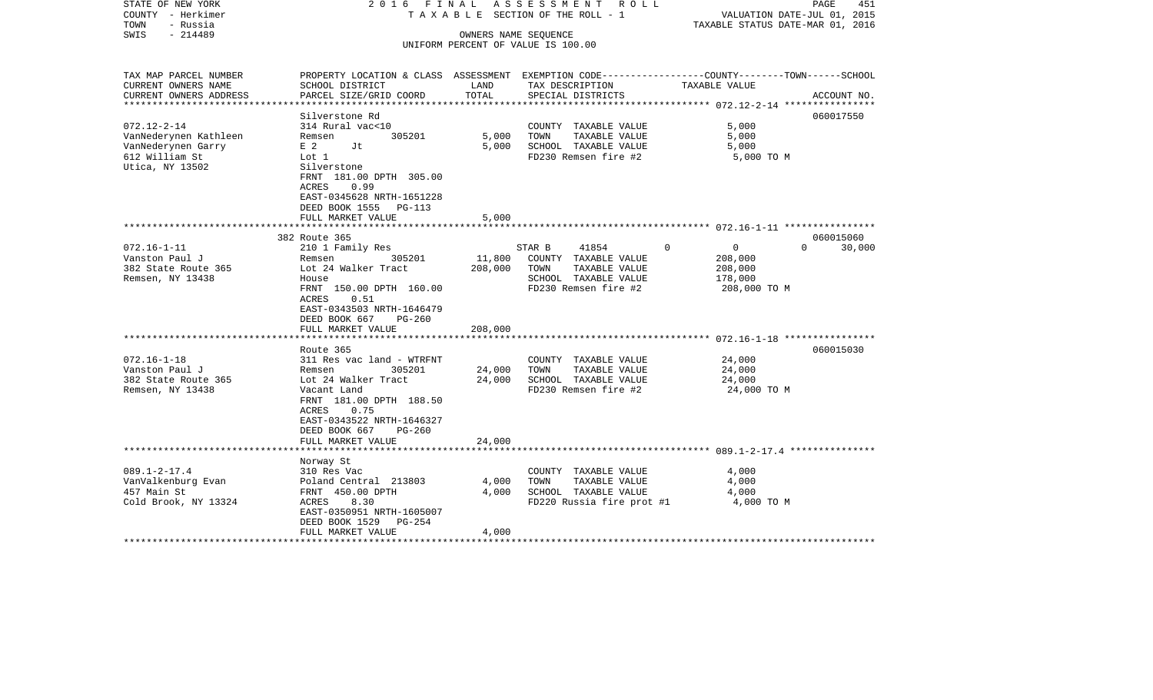| STATE OF NEW YORK<br>COUNTY - Herkimer<br>TOWN<br>- Russia<br>$-214489$<br>SWIS | 2016 FINAL                                                                                       |         | ASSESSMENT ROLL<br>T A X A B L E SECTION OF THE ROLL - 1<br>OWNERS NAME SEQUENCE | VALUATION DATE-JUL 01, 2015<br>TAXABLE STATUS DATE-MAR 01, 2016 | PAGE<br>451        |
|---------------------------------------------------------------------------------|--------------------------------------------------------------------------------------------------|---------|----------------------------------------------------------------------------------|-----------------------------------------------------------------|--------------------|
|                                                                                 |                                                                                                  |         | UNIFORM PERCENT OF VALUE IS 100.00                                               |                                                                 |                    |
|                                                                                 |                                                                                                  |         |                                                                                  |                                                                 |                    |
| TAX MAP PARCEL NUMBER                                                           | PROPERTY LOCATION & CLASS ASSESSMENT EXEMPTION CODE----------------COUNTY-------TOWN------SCHOOL |         |                                                                                  |                                                                 |                    |
| CURRENT OWNERS NAME                                                             | SCHOOL DISTRICT                                                                                  | LAND    | TAX DESCRIPTION                                                                  | TAXABLE VALUE                                                   |                    |
| CURRENT OWNERS ADDRESS<br>************************                              | PARCEL SIZE/GRID COORD                                                                           | TOTAL   | SPECIAL DISTRICTS                                                                |                                                                 | ACCOUNT NO.        |
|                                                                                 | Silverstone Rd                                                                                   |         |                                                                                  |                                                                 | 060017550          |
| $072.12 - 2 - 14$                                                               | 314 Rural vac<10                                                                                 |         | COUNTY TAXABLE VALUE                                                             | 5,000                                                           |                    |
| VanNederynen Kathleen                                                           | 305201<br>Remsen                                                                                 | 5,000   | TAXABLE VALUE<br>TOWN                                                            | 5,000                                                           |                    |
| VanNederynen Garry                                                              | E <sub>2</sub><br>Jt                                                                             | 5,000   | SCHOOL TAXABLE VALUE                                                             | 5,000                                                           |                    |
| 612 William St                                                                  | Lot 1                                                                                            |         | FD230 Remsen fire #2                                                             | 5,000 TO M                                                      |                    |
| Utica, NY 13502                                                                 | Silverstone                                                                                      |         |                                                                                  |                                                                 |                    |
|                                                                                 | FRNT 181.00 DPTH 305.00                                                                          |         |                                                                                  |                                                                 |                    |
|                                                                                 | 0.99<br>ACRES                                                                                    |         |                                                                                  |                                                                 |                    |
|                                                                                 | EAST-0345628 NRTH-1651228                                                                        |         |                                                                                  |                                                                 |                    |
|                                                                                 | DEED BOOK 1555<br>PG-113<br>FULL MARKET VALUE                                                    | 5,000   |                                                                                  |                                                                 |                    |
|                                                                                 |                                                                                                  |         |                                                                                  |                                                                 |                    |
|                                                                                 | 382 Route 365                                                                                    |         |                                                                                  |                                                                 | 060015060          |
| $072.16 - 1 - 11$                                                               | 210 1 Family Res                                                                                 |         | 41854<br>STAR B                                                                  | $\mathbf 0$<br>$\Omega$                                         | $\Omega$<br>30,000 |
| Vanston Paul J                                                                  | 305201<br>Remsen                                                                                 | 11,800  | COUNTY TAXABLE VALUE                                                             | 208,000                                                         |                    |
| 382 State Route 365                                                             | Lot 24 Walker Tract                                                                              | 208,000 | TOWN<br>TAXABLE VALUE                                                            | 208,000                                                         |                    |
| Remsen, NY 13438                                                                | House                                                                                            |         | SCHOOL TAXABLE VALUE                                                             | 178,000                                                         |                    |
|                                                                                 | FRNT 150.00 DPTH 160.00                                                                          |         | FD230 Remsen fire #2                                                             | 208,000 TO M                                                    |                    |
|                                                                                 | ACRES<br>0.51<br>EAST-0343503 NRTH-1646479                                                       |         |                                                                                  |                                                                 |                    |
|                                                                                 | DEED BOOK 667<br>$PG-260$                                                                        |         |                                                                                  |                                                                 |                    |
|                                                                                 | FULL MARKET VALUE                                                                                | 208,000 |                                                                                  |                                                                 |                    |
|                                                                                 |                                                                                                  |         |                                                                                  |                                                                 |                    |
|                                                                                 | Route 365                                                                                        |         |                                                                                  |                                                                 | 060015030          |
| $072.16 - 1 - 18$                                                               | 311 Res vac land - WTRFNT                                                                        |         | COUNTY TAXABLE VALUE                                                             | 24,000                                                          |                    |
| Vanston Paul J                                                                  | 305201<br>Remsen                                                                                 | 24,000  | TAXABLE VALUE<br>TOWN                                                            | 24,000                                                          |                    |
| 382 State Route 365                                                             | Lot 24 Walker Tract                                                                              | 24,000  | SCHOOL TAXABLE VALUE                                                             | 24,000                                                          |                    |
| Remsen, NY 13438                                                                | Vacant Land                                                                                      |         | FD230 Remsen fire #2                                                             | 24,000 TO M                                                     |                    |
|                                                                                 | FRNT 181.00 DPTH 188.50<br>0.75                                                                  |         |                                                                                  |                                                                 |                    |
|                                                                                 | ACRES<br>EAST-0343522 NRTH-1646327                                                               |         |                                                                                  |                                                                 |                    |
|                                                                                 | DEED BOOK 667<br>$PG-260$                                                                        |         |                                                                                  |                                                                 |                    |
|                                                                                 | FULL MARKET VALUE                                                                                | 24,000  |                                                                                  |                                                                 |                    |
|                                                                                 |                                                                                                  |         |                                                                                  |                                                                 |                    |
|                                                                                 | Norway St                                                                                        |         |                                                                                  |                                                                 |                    |
| $089.1 - 2 - 17.4$                                                              | 310 Res Vac                                                                                      |         | COUNTY TAXABLE VALUE                                                             | 4,000                                                           |                    |
| VanValkenburg Evan                                                              | Poland Central 213803                                                                            | 4,000   | TOWN<br>TAXABLE VALUE                                                            | 4,000                                                           |                    |
| 457 Main St                                                                     | FRNT 450.00 DPTH                                                                                 | 4,000   | SCHOOL TAXABLE VALUE                                                             | 4,000                                                           |                    |
| Cold Brook, NY 13324                                                            | 8.30<br>ACRES                                                                                    |         | FD220 Russia fire prot #1                                                        | 4,000 TO M                                                      |                    |
|                                                                                 | EAST-0350951 NRTH-1605007<br>DEED BOOK 1529<br>PG-254                                            |         |                                                                                  |                                                                 |                    |
|                                                                                 | FULL MARKET VALUE                                                                                | 4,000   |                                                                                  |                                                                 |                    |
|                                                                                 |                                                                                                  |         |                                                                                  |                                                                 |                    |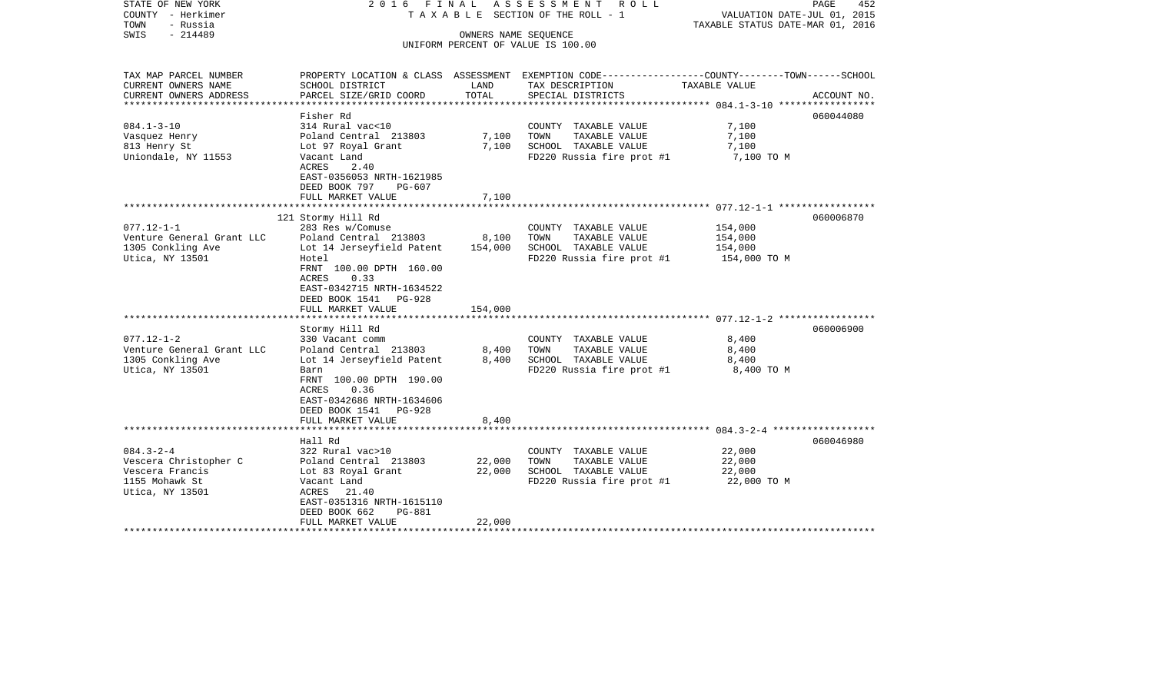| STATE OF NEW YORK<br>COUNTY - Herkimer<br>TOWN<br>- Russia<br>$-214489$<br>SWIS                  | 2016 FINAL                                                                                                                                                              |                  | ASSESSMENT ROLL<br>T A X A B L E SECTION OF THE ROLL - 1<br>OWNERS NAME SEQUENCE                   | PAGE<br>VALUATION DATE-JUL 01, 2015<br>TAXABLE STATUS DATE-MAR 01, 2016                                           | 452         |
|--------------------------------------------------------------------------------------------------|-------------------------------------------------------------------------------------------------------------------------------------------------------------------------|------------------|----------------------------------------------------------------------------------------------------|-------------------------------------------------------------------------------------------------------------------|-------------|
|                                                                                                  |                                                                                                                                                                         |                  | UNIFORM PERCENT OF VALUE IS 100.00                                                                 |                                                                                                                   |             |
| TAX MAP PARCEL NUMBER<br>CURRENT OWNERS NAME                                                     | SCHOOL DISTRICT                                                                                                                                                         | LAND             | TAX DESCRIPTION                                                                                    | PROPERTY LOCATION & CLASS ASSESSMENT EXEMPTION CODE----------------COUNTY-------TOWN------SCHOOL<br>TAXABLE VALUE |             |
| CURRENT OWNERS ADDRESS<br>********************                                                   | PARCEL SIZE/GRID COORD                                                                                                                                                  | TOTAL            | SPECIAL DISTRICTS                                                                                  |                                                                                                                   | ACCOUNT NO. |
|                                                                                                  | Fisher Rd                                                                                                                                                               |                  |                                                                                                    |                                                                                                                   | 060044080   |
| $084.1 - 3 - 10$<br>Vasquez Henry<br>813 Henry St<br>Uniondale, NY 11553                         | 314 Rural vac<10<br>Poland Central 213803<br>Lot 97 Royal Grant<br>Vacant Land<br>ACRES<br>2.40<br>EAST-0356053 NRTH-1621985                                            | 7,100<br>7,100   | COUNTY TAXABLE VALUE<br>TAXABLE VALUE<br>TOWN<br>SCHOOL TAXABLE VALUE<br>FD220 Russia fire prot #1 | 7,100<br>7,100<br>7,100<br>7,100 TO M                                                                             |             |
|                                                                                                  | DEED BOOK 797<br>PG-607                                                                                                                                                 |                  |                                                                                                    |                                                                                                                   |             |
|                                                                                                  | FULL MARKET VALUE                                                                                                                                                       | 7,100            |                                                                                                    |                                                                                                                   |             |
| $077.12 - 1 - 1$                                                                                 | 121 Stormy Hill Rd<br>283 Res w/Comuse                                                                                                                                  |                  | COUNTY TAXABLE VALUE                                                                               | 154,000                                                                                                           | 060006870   |
| Venture General Grant LLC<br>1305 Conkling Ave<br>Utica, NY 13501                                | Poland Central 213803<br>Lot 14 Jerseyfield Patent<br>Hotel<br>FRNT 100.00 DPTH 160.00<br>ACRES<br>0.33<br>EAST-0342715 NRTH-1634522<br>DEED BOOK 1541 PG-928           | 8,100<br>154,000 | TAXABLE VALUE<br>TOWN<br>SCHOOL TAXABLE VALUE<br>FD220 Russia fire prot #1                         | 154,000<br>154,000<br>154,000 TO M                                                                                |             |
|                                                                                                  | FULL MARKET VALUE                                                                                                                                                       | 154,000          |                                                                                                    |                                                                                                                   |             |
| $077.12 - 1 - 2$<br>Venture General Grant LLC<br>1305 Conkling Ave<br>Utica, NY 13501            | Stormy Hill Rd<br>330 Vacant comm<br>Poland Central 213803<br>Lot 14 Jerseyfield Patent<br>Barn                                                                         | 8,400<br>8,400   | COUNTY TAXABLE VALUE<br>TAXABLE VALUE<br>TOWN<br>SCHOOL TAXABLE VALUE<br>FD220 Russia fire prot #1 | 8,400<br>8,400<br>8,400<br>8,400 TO M                                                                             | 060006900   |
|                                                                                                  | FRNT 100.00 DPTH 190.00<br>0.36<br>ACRES<br>EAST-0342686 NRTH-1634606<br>DEED BOOK 1541 PG-928<br>FULL MARKET VALUE                                                     | 8,400            |                                                                                                    |                                                                                                                   |             |
|                                                                                                  |                                                                                                                                                                         |                  |                                                                                                    |                                                                                                                   |             |
| $084.3 - 2 - 4$<br>Vescera Christopher C<br>Vescera Francis<br>1155 Mohawk St<br>Utica, NY 13501 | Hall Rd<br>322 Rural vac>10<br>Poland Central 213803<br>Lot 83 Royal Grant<br>Vacant Land<br>ACRES 21.40<br>EAST-0351316 NRTH-1615110<br>DEED BOOK 662<br><b>PG-881</b> | 22,000<br>22,000 | COUNTY TAXABLE VALUE<br>TOWN<br>TAXABLE VALUE<br>SCHOOL TAXABLE VALUE<br>FD220 Russia fire prot #1 | 22,000<br>22,000<br>22,000<br>22,000 TO M                                                                         | 060046980   |
|                                                                                                  | FULL MARKET VALUE                                                                                                                                                       | 22,000           |                                                                                                    |                                                                                                                   |             |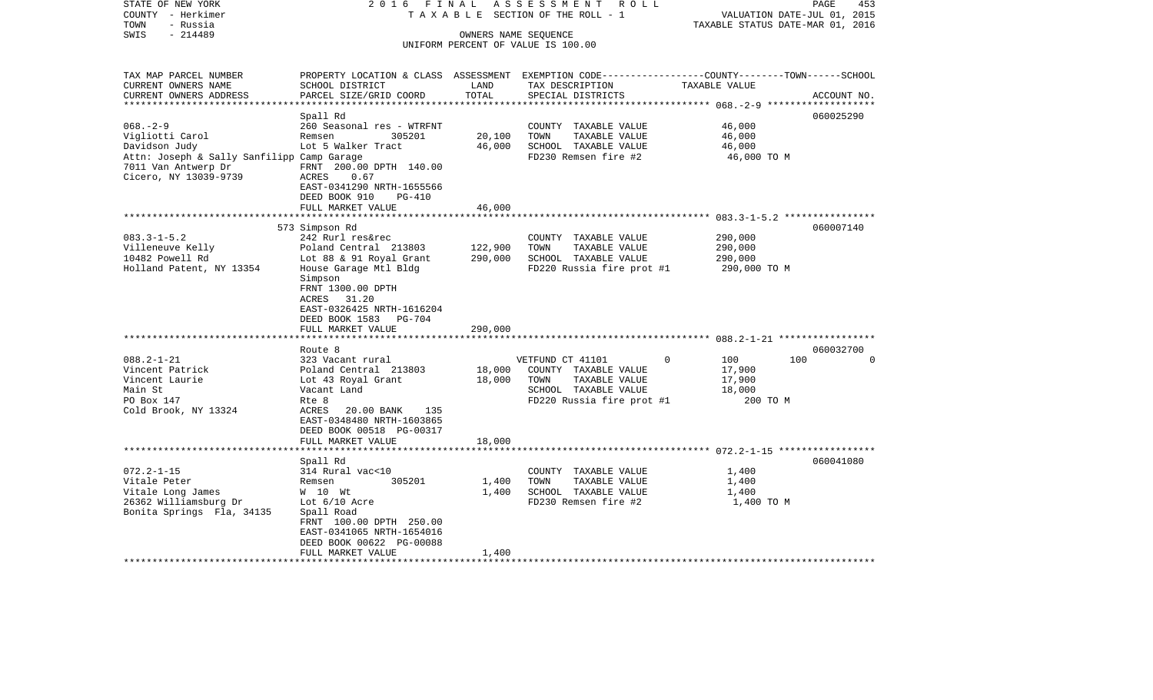| STATE OF NEW YORK<br>COUNTY - Herkimer<br>- Russia<br>TOWN                                 | 2016 FINAL                                                                                                          |                      | ASSESSMENT ROLL<br>T A X A B L E SECTION OF THE ROLL - 1 | TAXABLE STATUS DATE-MAR 01, 2016 | PAGE<br>453<br>VALUATION DATE-JUL 01, 2015 |
|--------------------------------------------------------------------------------------------|---------------------------------------------------------------------------------------------------------------------|----------------------|----------------------------------------------------------|----------------------------------|--------------------------------------------|
| $-214489$<br>SWIS                                                                          |                                                                                                                     | OWNERS NAME SEQUENCE |                                                          |                                  |                                            |
|                                                                                            |                                                                                                                     |                      | UNIFORM PERCENT OF VALUE IS 100.00                       |                                  |                                            |
|                                                                                            |                                                                                                                     |                      |                                                          |                                  |                                            |
| TAX MAP PARCEL NUMBER<br>CURRENT OWNERS NAME                                               | PROPERTY LOCATION & CLASS ASSESSMENT EXEMPTION CODE----------------COUNTY-------TOWN------SCHOOL<br>SCHOOL DISTRICT | LAND                 | TAX DESCRIPTION                                          | TAXABLE VALUE                    |                                            |
| CURRENT OWNERS ADDRESS                                                                     | PARCEL SIZE/GRID COORD                                                                                              | TOTAL                | SPECIAL DISTRICTS                                        |                                  | ACCOUNT NO.                                |
|                                                                                            |                                                                                                                     |                      |                                                          |                                  |                                            |
|                                                                                            | Spall Rd                                                                                                            |                      |                                                          |                                  | 060025290                                  |
| $068. - 2 - 9$                                                                             | 260 Seasonal res - WTRFNT                                                                                           |                      | COUNTY TAXABLE VALUE                                     | 46,000                           |                                            |
| Vigliotti Carol                                                                            | Remsen<br>305201                                                                                                    | 20,100               | TOWN<br>TAXABLE VALUE                                    | 46,000                           |                                            |
| Davidson Judy                                                                              | Lot 5 Walker Tract                                                                                                  | 46,000               | SCHOOL TAXABLE VALUE                                     | 46,000                           |                                            |
| Attn: Joseph & Sally Sanfilipp Camp Garage<br>7011 Van Antwerp Dr<br>Cicero, NY 13039-9739 | FRNT 200.00 DPTH 140.00<br>ACRES<br>0.67<br>EAST-0341290 NRTH-1655566<br>DEED BOOK 910<br>$PG-410$                  |                      | FD230 Remsen fire #2                                     | 46,000 TO M                      |                                            |
|                                                                                            | FULL MARKET VALUE                                                                                                   | 46,000               |                                                          |                                  |                                            |
|                                                                                            | *************************                                                                                           |                      |                                                          |                                  |                                            |
|                                                                                            | 573 Simpson Rd                                                                                                      |                      |                                                          |                                  | 060007140                                  |
| $083.3 - 1 - 5.2$                                                                          | 242 Rurl res&rec                                                                                                    |                      | COUNTY TAXABLE VALUE                                     | 290,000                          |                                            |
| Villeneuve Kelly                                                                           | Poland Central 213803                                                                                               | 122,900              | TOWN<br>TAXABLE VALUE                                    | 290,000                          |                                            |
| 10482 Powell Rd                                                                            | Lot 88 & 91 Royal Grant                                                                                             | 290,000              | SCHOOL TAXABLE VALUE                                     | 290,000                          |                                            |
| Holland Patent, NY 13354                                                                   | House Garage Mtl Bldg<br>Simpson<br>FRNT 1300.00 DPTH                                                               |                      | FD220 Russia fire prot #1                                | 290,000 TO M                     |                                            |
|                                                                                            | ACRES 31.20                                                                                                         |                      |                                                          |                                  |                                            |
|                                                                                            | EAST-0326425 NRTH-1616204                                                                                           |                      |                                                          |                                  |                                            |
|                                                                                            | DEED BOOK 1583 PG-704                                                                                               |                      |                                                          |                                  |                                            |
|                                                                                            | FULL MARKET VALUE                                                                                                   | 290,000              |                                                          |                                  |                                            |
|                                                                                            | Route 8                                                                                                             |                      |                                                          |                                  | 060032700                                  |
| $088.2 - 1 - 21$                                                                           | 323 Vacant rural                                                                                                    |                      | VETFUND CT 41101                                         | 100<br>$\Omega$                  | 100<br>$\Omega$                            |
| Vincent Patrick                                                                            | Poland Central 213803                                                                                               | 18,000               | COUNTY TAXABLE VALUE                                     | 17,900                           |                                            |
| Vincent Laurie                                                                             | Lot 43 Royal Grant                                                                                                  | 18,000               | TOWN<br>TAXABLE VALUE                                    | 17,900                           |                                            |
| Main St                                                                                    | Vacant Land                                                                                                         |                      | SCHOOL TAXABLE VALUE                                     | 18,000                           |                                            |
| PO Box 147                                                                                 | Rte 8                                                                                                               |                      | FD220 Russia fire prot #1                                | 200 TO M                         |                                            |
| Cold Brook, NY 13324                                                                       | ACRES<br>20.00 BANK<br>135                                                                                          |                      |                                                          |                                  |                                            |
|                                                                                            | EAST-0348480 NRTH-1603865                                                                                           |                      |                                                          |                                  |                                            |
|                                                                                            | DEED BOOK 00518 PG-00317                                                                                            |                      |                                                          |                                  |                                            |
|                                                                                            | FULL MARKET VALUE                                                                                                   | 18,000               |                                                          |                                  |                                            |
|                                                                                            |                                                                                                                     |                      |                                                          |                                  |                                            |
|                                                                                            | Spall Rd                                                                                                            |                      |                                                          |                                  | 060041080                                  |
| $072.2 - 1 - 15$                                                                           | 314 Rural vac<10                                                                                                    |                      | COUNTY TAXABLE VALUE                                     | 1,400                            |                                            |
| Vitale Peter                                                                               | 305201<br>Remsen                                                                                                    | 1,400                | TOWN<br>TAXABLE VALUE                                    | 1,400                            |                                            |
| Vitale Long James                                                                          | W 10 Wt                                                                                                             | 1,400                | SCHOOL TAXABLE VALUE                                     | 1,400                            |                                            |
| 26362 Williamsburg Dr<br>Bonita Springs Fla, 34135                                         | Lot $6/10$ Acre                                                                                                     |                      | FD230 Remsen fire #2                                     | 1,400 TO M                       |                                            |
|                                                                                            | Spall Road<br>FRNT 100.00 DPTH 250.00                                                                               |                      |                                                          |                                  |                                            |
|                                                                                            | EAST-0341065 NRTH-1654016                                                                                           |                      |                                                          |                                  |                                            |
|                                                                                            | DEED BOOK 00622 PG-00088                                                                                            |                      |                                                          |                                  |                                            |
|                                                                                            | FULL MARKET VALUE                                                                                                   | 1,400                |                                                          |                                  |                                            |
| *******************                                                                        |                                                                                                                     |                      |                                                          |                                  |                                            |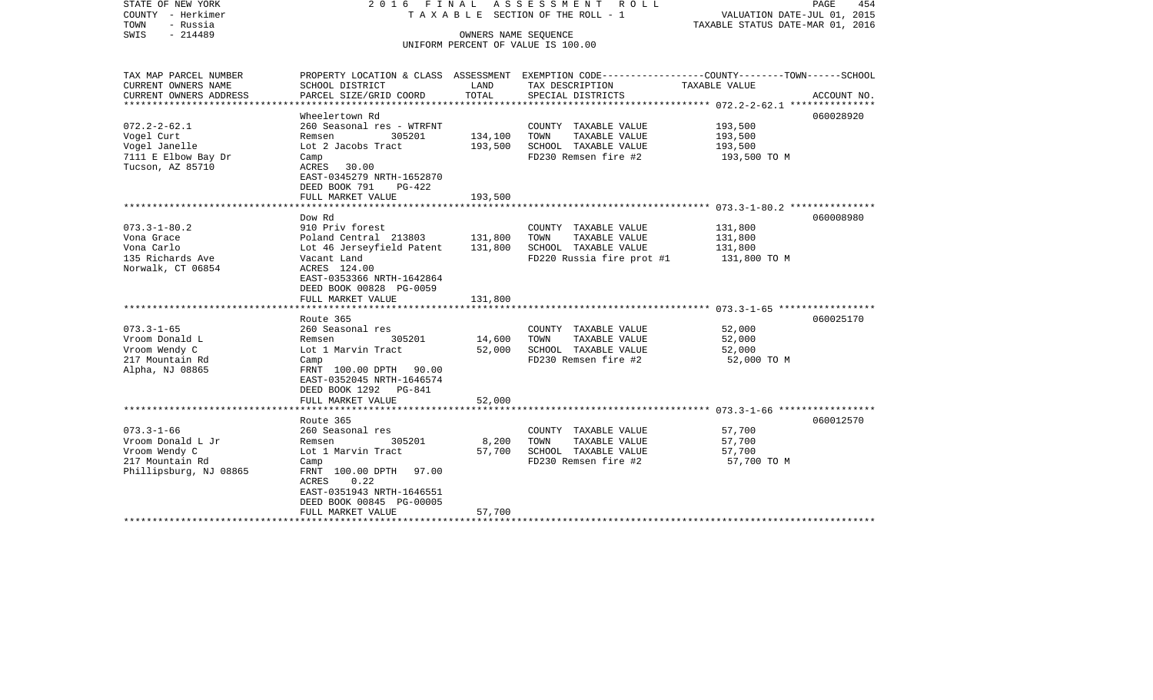| STATE OF NEW YORK<br>COUNTY - Herkimer<br>- Russia<br>TOWN<br>$-214489$<br>SWIS | 2016 FINAL                                                                                          | OWNERS NAME SEQUENCE | ASSESSMENT ROLL<br>T A X A B L E SECTION OF THE ROLL - 1<br>UNIFORM PERCENT OF VALUE IS 100.00                                          | VALUATION DATE-JUL 01, 2015<br>TAXABLE STATUS DATE-MAR 01, 2016 | PAGE<br>454 |
|---------------------------------------------------------------------------------|-----------------------------------------------------------------------------------------------------|----------------------|-----------------------------------------------------------------------------------------------------------------------------------------|-----------------------------------------------------------------|-------------|
| TAX MAP PARCEL NUMBER<br>CURRENT OWNERS NAME<br>CURRENT OWNERS ADDRESS          | SCHOOL DISTRICT<br>PARCEL SIZE/GRID COORD                                                           | LAND<br>TOTAL        | PROPERTY LOCATION & CLASS ASSESSMENT EXEMPTION CODE---------------COUNTY-------TOWN------SCHOOL<br>TAX DESCRIPTION<br>SPECIAL DISTRICTS | TAXABLE VALUE                                                   | ACCOUNT NO. |
| *************************                                                       |                                                                                                     |                      |                                                                                                                                         |                                                                 |             |
|                                                                                 | Wheelertown Rd                                                                                      |                      |                                                                                                                                         |                                                                 | 060028920   |
| $072.2 - 2 - 62.1$                                                              | 260 Seasonal res - WTRFNT                                                                           |                      | COUNTY TAXABLE VALUE                                                                                                                    | 193,500                                                         |             |
| Vogel Curt                                                                      | 305201<br>Remsen                                                                                    | 134,100              | TOWN<br>TAXABLE VALUE                                                                                                                   | 193,500                                                         |             |
| Vogel Janelle                                                                   | Lot 2 Jacobs Tract                                                                                  | 193,500              | SCHOOL TAXABLE VALUE                                                                                                                    | 193,500                                                         |             |
| 7111 E Elbow Bay Dr<br>Tucson, AZ 85710                                         | Camp<br>ACRES<br>30.00                                                                              |                      | FD230 Remsen fire #2                                                                                                                    | 193,500 TO M                                                    |             |
|                                                                                 | EAST-0345279 NRTH-1652870                                                                           |                      |                                                                                                                                         |                                                                 |             |
|                                                                                 | DEED BOOK 791<br>PG-422                                                                             |                      |                                                                                                                                         |                                                                 |             |
|                                                                                 | FULL MARKET VALUE                                                                                   | 193,500              |                                                                                                                                         |                                                                 |             |
|                                                                                 | ****************************                                                                        |                      |                                                                                                                                         |                                                                 |             |
|                                                                                 | Dow Rd                                                                                              |                      |                                                                                                                                         |                                                                 | 060008980   |
| $073.3 - 1 - 80.2$                                                              | 910 Priv forest                                                                                     |                      | COUNTY TAXABLE VALUE                                                                                                                    | 131,800                                                         |             |
| Vona Grace<br>Vona Carlo                                                        | Poland Central 213803                                                                               | 131,800              | TOWN<br>TAXABLE VALUE                                                                                                                   | 131,800                                                         |             |
| 135 Richards Ave                                                                | Lot 46 Jerseyfield Patent<br>Vacant Land                                                            | 131,800              | SCHOOL TAXABLE VALUE<br>FD220 Russia fire prot #1                                                                                       | 131,800<br>131,800 TO M                                         |             |
| Norwalk, CT 06854                                                               | ACRES 124.00<br>EAST-0353366 NRTH-1642864<br>DEED BOOK 00828 PG-0059                                |                      |                                                                                                                                         |                                                                 |             |
|                                                                                 | FULL MARKET VALUE                                                                                   | 131,800              |                                                                                                                                         |                                                                 |             |
|                                                                                 |                                                                                                     |                      |                                                                                                                                         |                                                                 |             |
|                                                                                 | Route 365                                                                                           |                      |                                                                                                                                         |                                                                 | 060025170   |
| $073.3 - 1 - 65$                                                                | 260 Seasonal res                                                                                    |                      | COUNTY TAXABLE VALUE                                                                                                                    | 52,000                                                          |             |
| Vroom Donald L                                                                  | 305201<br>Remsen                                                                                    | 14,600               | TOWN<br>TAXABLE VALUE                                                                                                                   | 52,000                                                          |             |
| Vroom Wendy C<br>217 Mountain Rd                                                | Lot 1 Marvin Tract<br>Camp                                                                          | 52,000               | SCHOOL TAXABLE VALUE<br>FD230 Remsen fire #2                                                                                            | 52,000<br>52,000 TO M                                           |             |
| Alpha, NJ 08865                                                                 | FRNT 100.00 DPTH 90.00<br>EAST-0352045 NRTH-1646574<br>DEED BOOK 1292 PG-841<br>FULL MARKET VALUE   | 52,000               |                                                                                                                                         |                                                                 |             |
|                                                                                 |                                                                                                     |                      |                                                                                                                                         |                                                                 |             |
|                                                                                 | Route 365                                                                                           |                      |                                                                                                                                         |                                                                 | 060012570   |
| $073.3 - 1 - 66$                                                                | 260 Seasonal res                                                                                    |                      | COUNTY TAXABLE VALUE                                                                                                                    | 57,700                                                          |             |
| Vroom Donald L Jr                                                               | 305201<br>Remsen                                                                                    | 8,200                | TAXABLE VALUE<br>TOWN                                                                                                                   | 57,700                                                          |             |
| Vroom Wendy C                                                                   | Lot 1 Marvin Tract                                                                                  | 57,700               | SCHOOL TAXABLE VALUE                                                                                                                    | 57,700                                                          |             |
| 217 Mountain Rd                                                                 | Camp                                                                                                |                      | FD230 Remsen fire #2                                                                                                                    | 57,700 TO M                                                     |             |
| Phillipsburg, NJ 08865                                                          | FRNT 100.00 DPTH<br>97.00<br>ACRES<br>0.22<br>EAST-0351943 NRTH-1646551<br>DEED BOOK 00845 PG-00005 |                      |                                                                                                                                         |                                                                 |             |
|                                                                                 | FULL MARKET VALUE                                                                                   | 57,700               |                                                                                                                                         |                                                                 |             |
|                                                                                 | ************************                                                                            |                      |                                                                                                                                         |                                                                 |             |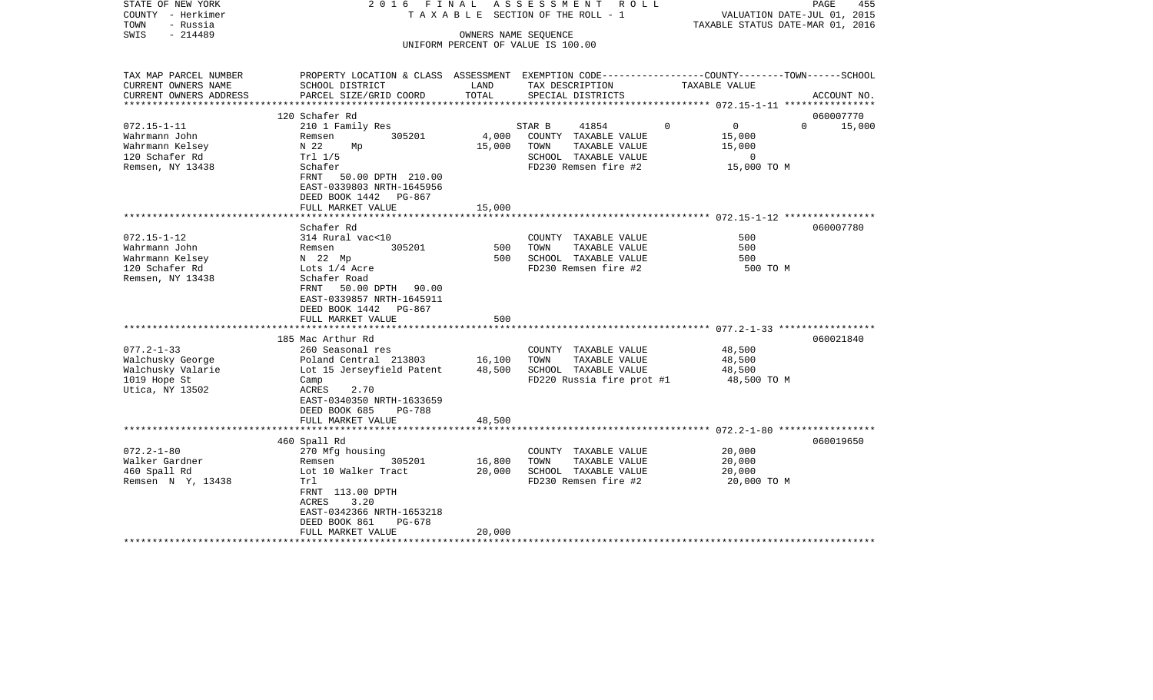| STATE OF NEW YORK<br>COUNTY - Herkimer<br>TOWN<br>- Russia<br>$-214489$<br>SWIS | 2016 FINAL                                                                                                      | OWNERS NAME SEQUENCE | A S S E S S M E N T R O L L<br>T A X A B L E SECTION OF THE ROLL - 1<br>UNIFORM PERCENT OF VALUE IS 100.00 | VALUATION DATE-JUL 01, 2015<br>TAXABLE STATUS DATE-MAR 01, 2016 | PAGE<br>455        |
|---------------------------------------------------------------------------------|-----------------------------------------------------------------------------------------------------------------|----------------------|------------------------------------------------------------------------------------------------------------|-----------------------------------------------------------------|--------------------|
| TAX MAP PARCEL NUMBER                                                           | PROPERTY LOCATION & CLASS ASSESSMENT EXEMPTION CODE----------------COUNTY-------TOWN------SCHOOL                |                      |                                                                                                            |                                                                 |                    |
| CURRENT OWNERS NAME<br>CURRENT OWNERS ADDRESS                                   | SCHOOL DISTRICT<br>PARCEL SIZE/GRID COORD                                                                       | LAND<br>TOTAL        | TAX DESCRIPTION<br>SPECIAL DISTRICTS                                                                       | TAXABLE VALUE                                                   | ACCOUNT NO.        |
| **********************                                                          |                                                                                                                 |                      |                                                                                                            |                                                                 |                    |
|                                                                                 | 120 Schafer Rd                                                                                                  |                      |                                                                                                            |                                                                 | 060007770          |
| $072.15 - 1 - 11$                                                               | 210 1 Family Res                                                                                                |                      | STAR B<br>41854                                                                                            | $\overline{0}$<br>$\Omega$                                      | $\Omega$<br>15,000 |
| Wahrmann John                                                                   | 305201<br>Remsen                                                                                                | 4,000                | COUNTY TAXABLE VALUE                                                                                       | 15,000                                                          |                    |
| Wahrmann Kelsey<br>120 Schafer Rd                                               | N 22<br>Mp<br>Trl 1/5                                                                                           | 15,000               | TOWN<br>TAXABLE VALUE<br>SCHOOL TAXABLE VALUE                                                              | 15,000<br>$\mathbf{0}$                                          |                    |
| Remsen, NY 13438                                                                | Schafer                                                                                                         |                      | FD230 Remsen fire #2                                                                                       | 15,000 TO M                                                     |                    |
|                                                                                 | FRNT<br>50.00 DPTH 210.00<br>EAST-0339803 NRTH-1645956<br>DEED BOOK 1442 PG-867                                 |                      |                                                                                                            |                                                                 |                    |
|                                                                                 | FULL MARKET VALUE<br>*********************                                                                      | 15,000               |                                                                                                            |                                                                 |                    |
|                                                                                 | Schafer Rd                                                                                                      |                      |                                                                                                            |                                                                 | 060007780          |
| $072.15 - 1 - 12$                                                               | 314 Rural vac<10                                                                                                |                      | COUNTY TAXABLE VALUE                                                                                       | 500                                                             |                    |
| Wahrmann John                                                                   | Remsen<br>305201                                                                                                | 500                  | TAXABLE VALUE<br>TOWN                                                                                      | 500                                                             |                    |
| Wahrmann Kelsey                                                                 | N 22 Mp                                                                                                         | 500                  | SCHOOL TAXABLE VALUE                                                                                       | 500                                                             |                    |
| 120 Schafer Rd<br>Remsen, NY 13438                                              | Lots 1/4 Acre<br>Schafer Road<br>50.00 DPTH 90.00<br>FRNT<br>EAST-0339857 NRTH-1645911<br>DEED BOOK 1442 PG-867 |                      | FD230 Remsen fire #2                                                                                       | 500 TO M                                                        |                    |
|                                                                                 | FULL MARKET VALUE                                                                                               | 500                  |                                                                                                            |                                                                 |                    |
|                                                                                 | 185 Mac Arthur Rd                                                                                               |                      |                                                                                                            |                                                                 | 060021840          |
| $077.2 - 1 - 33$                                                                | 260 Seasonal res                                                                                                |                      | COUNTY TAXABLE VALUE                                                                                       | 48,500                                                          |                    |
| Walchusky George                                                                | Poland Central 213803                                                                                           | 16,100               | TOWN<br>TAXABLE VALUE                                                                                      | 48,500                                                          |                    |
| Walchusky Valarie<br>1019 Hope St                                               | Lot 15 Jerseyfield Patent<br>Camp                                                                               | 48,500               | SCHOOL TAXABLE VALUE<br>FD220 Russia fire prot #1                                                          | 48,500<br>48,500 TO M                                           |                    |
| Utica, NY 13502                                                                 | 2.70<br>ACRES<br>EAST-0340350 NRTH-1633659<br>DEED BOOK 685<br>PG-788<br>FULL MARKET VALUE                      | 48,500               |                                                                                                            |                                                                 |                    |
|                                                                                 |                                                                                                                 |                      |                                                                                                            |                                                                 |                    |
|                                                                                 | 460 Spall Rd                                                                                                    |                      |                                                                                                            |                                                                 | 060019650          |
| $072.2 - 1 - 80$                                                                | 270 Mfg housing                                                                                                 |                      | COUNTY TAXABLE VALUE                                                                                       | 20,000                                                          |                    |
| Walker Gardner                                                                  | 305201<br>Remsen                                                                                                | 16,800               | TOWN<br>TAXABLE VALUE                                                                                      | 20,000                                                          |                    |
| 460 Spall Rd<br>Remsen N Y, 13438                                               | Lot 10 Walker Tract<br>Trl                                                                                      | 20,000               | SCHOOL TAXABLE VALUE<br>FD230 Remsen fire #2                                                               | 20,000<br>20,000 TO M                                           |                    |
|                                                                                 | FRNT 113.00 DPTH<br>ACRES<br>3.20<br>EAST-0342366 NRTH-1653218<br>DEED BOOK 861<br>PG-678<br>FULL MARKET VALUE  | 20,000               |                                                                                                            |                                                                 |                    |
|                                                                                 |                                                                                                                 |                      |                                                                                                            |                                                                 |                    |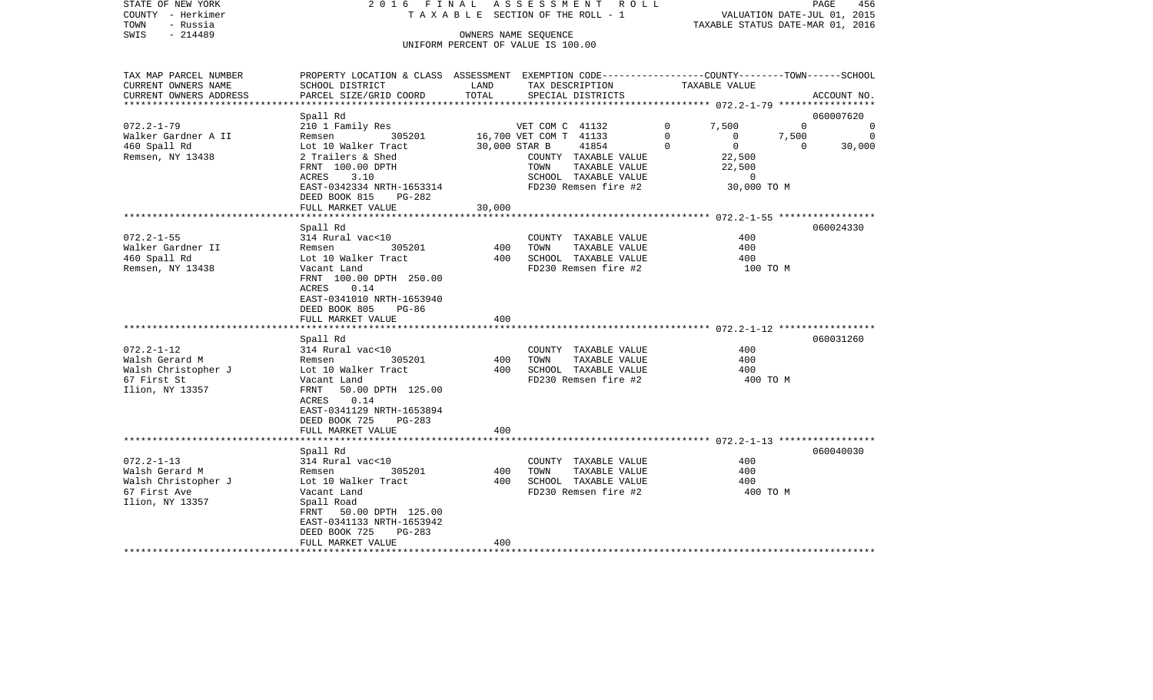|                           |                                                                                                                                                                                                                                                                                                                                                                                                                                                                                                                                                                   |                                           |                                                                                                                                                                                                                                                                                                                                                                                                                                                                                                                                                                                                   | PAGE<br>456                                                                                                                                                                                                                                                                                                                                                                                                                                                  |
|---------------------------|-------------------------------------------------------------------------------------------------------------------------------------------------------------------------------------------------------------------------------------------------------------------------------------------------------------------------------------------------------------------------------------------------------------------------------------------------------------------------------------------------------------------------------------------------------------------|-------------------------------------------|---------------------------------------------------------------------------------------------------------------------------------------------------------------------------------------------------------------------------------------------------------------------------------------------------------------------------------------------------------------------------------------------------------------------------------------------------------------------------------------------------------------------------------------------------------------------------------------------------|--------------------------------------------------------------------------------------------------------------------------------------------------------------------------------------------------------------------------------------------------------------------------------------------------------------------------------------------------------------------------------------------------------------------------------------------------------------|
|                           |                                                                                                                                                                                                                                                                                                                                                                                                                                                                                                                                                                   |                                           |                                                                                                                                                                                                                                                                                                                                                                                                                                                                                                                                                                                                   |                                                                                                                                                                                                                                                                                                                                                                                                                                                              |
|                           |                                                                                                                                                                                                                                                                                                                                                                                                                                                                                                                                                                   |                                           |                                                                                                                                                                                                                                                                                                                                                                                                                                                                                                                                                                                                   |                                                                                                                                                                                                                                                                                                                                                                                                                                                              |
|                           |                                                                                                                                                                                                                                                                                                                                                                                                                                                                                                                                                                   |                                           |                                                                                                                                                                                                                                                                                                                                                                                                                                                                                                                                                                                                   |                                                                                                                                                                                                                                                                                                                                                                                                                                                              |
|                           |                                                                                                                                                                                                                                                                                                                                                                                                                                                                                                                                                                   |                                           |                                                                                                                                                                                                                                                                                                                                                                                                                                                                                                                                                                                                   |                                                                                                                                                                                                                                                                                                                                                                                                                                                              |
|                           |                                                                                                                                                                                                                                                                                                                                                                                                                                                                                                                                                                   |                                           |                                                                                                                                                                                                                                                                                                                                                                                                                                                                                                                                                                                                   |                                                                                                                                                                                                                                                                                                                                                                                                                                                              |
|                           |                                                                                                                                                                                                                                                                                                                                                                                                                                                                                                                                                                   |                                           |                                                                                                                                                                                                                                                                                                                                                                                                                                                                                                                                                                                                   |                                                                                                                                                                                                                                                                                                                                                                                                                                                              |
|                           |                                                                                                                                                                                                                                                                                                                                                                                                                                                                                                                                                                   |                                           |                                                                                                                                                                                                                                                                                                                                                                                                                                                                                                                                                                                                   | ACCOUNT NO.                                                                                                                                                                                                                                                                                                                                                                                                                                                  |
|                           |                                                                                                                                                                                                                                                                                                                                                                                                                                                                                                                                                                   |                                           |                                                                                                                                                                                                                                                                                                                                                                                                                                                                                                                                                                                                   |                                                                                                                                                                                                                                                                                                                                                                                                                                                              |
| Spall Rd                  |                                                                                                                                                                                                                                                                                                                                                                                                                                                                                                                                                                   |                                           |                                                                                                                                                                                                                                                                                                                                                                                                                                                                                                                                                                                                   | 060007620                                                                                                                                                                                                                                                                                                                                                                                                                                                    |
| 210 1 Family Res          |                                                                                                                                                                                                                                                                                                                                                                                                                                                                                                                                                                   | VET COM C 41132                           | 7,500<br>$\mathbf{0}$                                                                                                                                                                                                                                                                                                                                                                                                                                                                                                                                                                             | $\overline{0}$<br>$\mathbf 0$                                                                                                                                                                                                                                                                                                                                                                                                                                |
| 305201<br>Remsen          |                                                                                                                                                                                                                                                                                                                                                                                                                                                                                                                                                                   |                                           | $\Omega$<br>$\Omega$                                                                                                                                                                                                                                                                                                                                                                                                                                                                                                                                                                              | $\overline{0}$                                                                                                                                                                                                                                                                                                                                                                                                                                               |
|                           |                                                                                                                                                                                                                                                                                                                                                                                                                                                                                                                                                                   |                                           |                                                                                                                                                                                                                                                                                                                                                                                                                                                                                                                                                                                                   | 30,000<br>$\Omega$                                                                                                                                                                                                                                                                                                                                                                                                                                           |
|                           |                                                                                                                                                                                                                                                                                                                                                                                                                                                                                                                                                                   |                                           |                                                                                                                                                                                                                                                                                                                                                                                                                                                                                                                                                                                                   |                                                                                                                                                                                                                                                                                                                                                                                                                                                              |
|                           |                                                                                                                                                                                                                                                                                                                                                                                                                                                                                                                                                                   |                                           |                                                                                                                                                                                                                                                                                                                                                                                                                                                                                                                                                                                                   |                                                                                                                                                                                                                                                                                                                                                                                                                                                              |
|                           |                                                                                                                                                                                                                                                                                                                                                                                                                                                                                                                                                                   |                                           |                                                                                                                                                                                                                                                                                                                                                                                                                                                                                                                                                                                                   |                                                                                                                                                                                                                                                                                                                                                                                                                                                              |
|                           |                                                                                                                                                                                                                                                                                                                                                                                                                                                                                                                                                                   |                                           |                                                                                                                                                                                                                                                                                                                                                                                                                                                                                                                                                                                                   |                                                                                                                                                                                                                                                                                                                                                                                                                                                              |
| FULL MARKET VALUE         |                                                                                                                                                                                                                                                                                                                                                                                                                                                                                                                                                                   |                                           |                                                                                                                                                                                                                                                                                                                                                                                                                                                                                                                                                                                                   |                                                                                                                                                                                                                                                                                                                                                                                                                                                              |
|                           |                                                                                                                                                                                                                                                                                                                                                                                                                                                                                                                                                                   |                                           |                                                                                                                                                                                                                                                                                                                                                                                                                                                                                                                                                                                                   |                                                                                                                                                                                                                                                                                                                                                                                                                                                              |
| Spall Rd                  |                                                                                                                                                                                                                                                                                                                                                                                                                                                                                                                                                                   |                                           |                                                                                                                                                                                                                                                                                                                                                                                                                                                                                                                                                                                                   | 060024330                                                                                                                                                                                                                                                                                                                                                                                                                                                    |
| 314 Rural vac<10          |                                                                                                                                                                                                                                                                                                                                                                                                                                                                                                                                                                   | COUNTY TAXABLE VALUE                      |                                                                                                                                                                                                                                                                                                                                                                                                                                                                                                                                                                                                   |                                                                                                                                                                                                                                                                                                                                                                                                                                                              |
|                           |                                                                                                                                                                                                                                                                                                                                                                                                                                                                                                                                                                   |                                           |                                                                                                                                                                                                                                                                                                                                                                                                                                                                                                                                                                                                   |                                                                                                                                                                                                                                                                                                                                                                                                                                                              |
|                           |                                                                                                                                                                                                                                                                                                                                                                                                                                                                                                                                                                   |                                           |                                                                                                                                                                                                                                                                                                                                                                                                                                                                                                                                                                                                   |                                                                                                                                                                                                                                                                                                                                                                                                                                                              |
|                           |                                                                                                                                                                                                                                                                                                                                                                                                                                                                                                                                                                   |                                           |                                                                                                                                                                                                                                                                                                                                                                                                                                                                                                                                                                                                   |                                                                                                                                                                                                                                                                                                                                                                                                                                                              |
|                           |                                                                                                                                                                                                                                                                                                                                                                                                                                                                                                                                                                   |                                           |                                                                                                                                                                                                                                                                                                                                                                                                                                                                                                                                                                                                   |                                                                                                                                                                                                                                                                                                                                                                                                                                                              |
|                           |                                                                                                                                                                                                                                                                                                                                                                                                                                                                                                                                                                   |                                           |                                                                                                                                                                                                                                                                                                                                                                                                                                                                                                                                                                                                   |                                                                                                                                                                                                                                                                                                                                                                                                                                                              |
| DEED BOOK 805<br>PG-86    |                                                                                                                                                                                                                                                                                                                                                                                                                                                                                                                                                                   |                                           |                                                                                                                                                                                                                                                                                                                                                                                                                                                                                                                                                                                                   |                                                                                                                                                                                                                                                                                                                                                                                                                                                              |
| FULL MARKET VALUE         | 400                                                                                                                                                                                                                                                                                                                                                                                                                                                                                                                                                               |                                           |                                                                                                                                                                                                                                                                                                                                                                                                                                                                                                                                                                                                   |                                                                                                                                                                                                                                                                                                                                                                                                                                                              |
|                           |                                                                                                                                                                                                                                                                                                                                                                                                                                                                                                                                                                   |                                           |                                                                                                                                                                                                                                                                                                                                                                                                                                                                                                                                                                                                   |                                                                                                                                                                                                                                                                                                                                                                                                                                                              |
|                           |                                                                                                                                                                                                                                                                                                                                                                                                                                                                                                                                                                   |                                           |                                                                                                                                                                                                                                                                                                                                                                                                                                                                                                                                                                                                   | 060031260                                                                                                                                                                                                                                                                                                                                                                                                                                                    |
|                           |                                                                                                                                                                                                                                                                                                                                                                                                                                                                                                                                                                   |                                           |                                                                                                                                                                                                                                                                                                                                                                                                                                                                                                                                                                                                   |                                                                                                                                                                                                                                                                                                                                                                                                                                                              |
|                           |                                                                                                                                                                                                                                                                                                                                                                                                                                                                                                                                                                   |                                           |                                                                                                                                                                                                                                                                                                                                                                                                                                                                                                                                                                                                   |                                                                                                                                                                                                                                                                                                                                                                                                                                                              |
|                           |                                                                                                                                                                                                                                                                                                                                                                                                                                                                                                                                                                   |                                           |                                                                                                                                                                                                                                                                                                                                                                                                                                                                                                                                                                                                   |                                                                                                                                                                                                                                                                                                                                                                                                                                                              |
|                           |                                                                                                                                                                                                                                                                                                                                                                                                                                                                                                                                                                   |                                           |                                                                                                                                                                                                                                                                                                                                                                                                                                                                                                                                                                                                   |                                                                                                                                                                                                                                                                                                                                                                                                                                                              |
| ACRES<br>0.14             |                                                                                                                                                                                                                                                                                                                                                                                                                                                                                                                                                                   |                                           |                                                                                                                                                                                                                                                                                                                                                                                                                                                                                                                                                                                                   |                                                                                                                                                                                                                                                                                                                                                                                                                                                              |
| EAST-0341129 NRTH-1653894 |                                                                                                                                                                                                                                                                                                                                                                                                                                                                                                                                                                   |                                           |                                                                                                                                                                                                                                                                                                                                                                                                                                                                                                                                                                                                   |                                                                                                                                                                                                                                                                                                                                                                                                                                                              |
| DEED BOOK 725<br>$PG-283$ |                                                                                                                                                                                                                                                                                                                                                                                                                                                                                                                                                                   |                                           |                                                                                                                                                                                                                                                                                                                                                                                                                                                                                                                                                                                                   |                                                                                                                                                                                                                                                                                                                                                                                                                                                              |
|                           |                                                                                                                                                                                                                                                                                                                                                                                                                                                                                                                                                                   |                                           |                                                                                                                                                                                                                                                                                                                                                                                                                                                                                                                                                                                                   |                                                                                                                                                                                                                                                                                                                                                                                                                                                              |
|                           |                                                                                                                                                                                                                                                                                                                                                                                                                                                                                                                                                                   |                                           |                                                                                                                                                                                                                                                                                                                                                                                                                                                                                                                                                                                                   |                                                                                                                                                                                                                                                                                                                                                                                                                                                              |
|                           |                                                                                                                                                                                                                                                                                                                                                                                                                                                                                                                                                                   |                                           |                                                                                                                                                                                                                                                                                                                                                                                                                                                                                                                                                                                                   | 060040030                                                                                                                                                                                                                                                                                                                                                                                                                                                    |
|                           |                                                                                                                                                                                                                                                                                                                                                                                                                                                                                                                                                                   |                                           |                                                                                                                                                                                                                                                                                                                                                                                                                                                                                                                                                                                                   |                                                                                                                                                                                                                                                                                                                                                                                                                                                              |
|                           |                                                                                                                                                                                                                                                                                                                                                                                                                                                                                                                                                                   |                                           |                                                                                                                                                                                                                                                                                                                                                                                                                                                                                                                                                                                                   |                                                                                                                                                                                                                                                                                                                                                                                                                                                              |
| Vacant Land               |                                                                                                                                                                                                                                                                                                                                                                                                                                                                                                                                                                   | FD230 Remsen fire #2                      | 400 TO M                                                                                                                                                                                                                                                                                                                                                                                                                                                                                                                                                                                          |                                                                                                                                                                                                                                                                                                                                                                                                                                                              |
| Spall Road                |                                                                                                                                                                                                                                                                                                                                                                                                                                                                                                                                                                   |                                           |                                                                                                                                                                                                                                                                                                                                                                                                                                                                                                                                                                                                   |                                                                                                                                                                                                                                                                                                                                                                                                                                                              |
| 50.00 DPTH 125.00<br>FRNT |                                                                                                                                                                                                                                                                                                                                                                                                                                                                                                                                                                   |                                           |                                                                                                                                                                                                                                                                                                                                                                                                                                                                                                                                                                                                   |                                                                                                                                                                                                                                                                                                                                                                                                                                                              |
| EAST-0341133 NRTH-1653942 |                                                                                                                                                                                                                                                                                                                                                                                                                                                                                                                                                                   |                                           |                                                                                                                                                                                                                                                                                                                                                                                                                                                                                                                                                                                                   |                                                                                                                                                                                                                                                                                                                                                                                                                                                              |
| PG-283<br>DEED BOOK 725   |                                                                                                                                                                                                                                                                                                                                                                                                                                                                                                                                                                   |                                           |                                                                                                                                                                                                                                                                                                                                                                                                                                                                                                                                                                                                   |                                                                                                                                                                                                                                                                                                                                                                                                                                                              |
|                           |                                                                                                                                                                                                                                                                                                                                                                                                                                                                                                                                                                   |                                           |                                                                                                                                                                                                                                                                                                                                                                                                                                                                                                                                                                                                   |                                                                                                                                                                                                                                                                                                                                                                                                                                                              |
|                           | SCHOOL DISTRICT<br>PARCEL SIZE/GRID COORD<br>Lot 10 Walker Tract<br>2 Trailers & Shed<br>FRNT 100.00 DPTH<br>3.10<br>ACRES<br>EAST-0342334 NRTH-1653314<br>DEED BOOK 815<br>PG-282<br>305201<br>Remsen<br>Lot 10 Walker Tract<br>Vacant Land<br>FRNT 100.00 DPTH 250.00<br>ACRES<br>0.14<br>EAST-0341010 NRTH-1653940<br>Spall Rd<br>314 Rural vac<10<br>305201<br>Remsen<br>Lot 10 Walker Tract<br>Vacant Land<br>FRNT<br>50.00 DPTH 125.00<br>FULL MARKET VALUE<br>Spall Rd<br>314 Rural vac<10<br>305201<br>Remsen<br>Lot 10 Walker Tract<br>FULL MARKET VALUE | 2016 FINAL<br>LAND<br>TOTAL<br>400<br>400 | TAXABLE SECTION OF THE ROLL - 1<br>OWNERS NAME SEQUENCE<br>UNIFORM PERCENT OF VALUE IS 100.00<br>TAX DESCRIPTION<br>SPECIAL DISTRICTS<br>16,700 VET COM T 41133<br>30,000 STAR B<br>41854<br>COUNTY TAXABLE VALUE<br>TOWN<br>TAXABLE VALUE<br>SCHOOL TAXABLE VALUE<br>FD230 Remsen fire #2<br>30,000<br>400<br>TOWN<br>TAXABLE VALUE<br>SCHOOL TAXABLE VALUE<br>400<br>FD230 Remsen fire #2<br>COUNTY TAXABLE VALUE<br>400<br>TAXABLE VALUE<br>TOWN<br>400<br>SCHOOL TAXABLE VALUE<br>FD230 Remsen fire #2<br>COUNTY TAXABLE VALUE<br>400<br>TOWN<br>TAXABLE VALUE<br>400<br>SCHOOL TAXABLE VALUE | A S S E S S M E N T R O L L<br>VALUATION DATE-JUL 01, 2015<br>TAXABLE STATUS DATE-MAR 01, 2016<br>PROPERTY LOCATION & CLASS ASSESSMENT EXEMPTION CODE----------------COUNTY-------TOWN-----SCHOOL<br>TAXABLE VALUE<br>****************** 072.2-1-79 ******************<br>7,500<br>$\mathbf 0$<br>$\overline{0}$<br>22,500<br>22,500<br>$\overline{0}$<br>30,000 TO M<br>400<br>400<br>400<br>100 TO M<br>400<br>400<br>400<br>400 TO M<br>400<br>400<br>400 |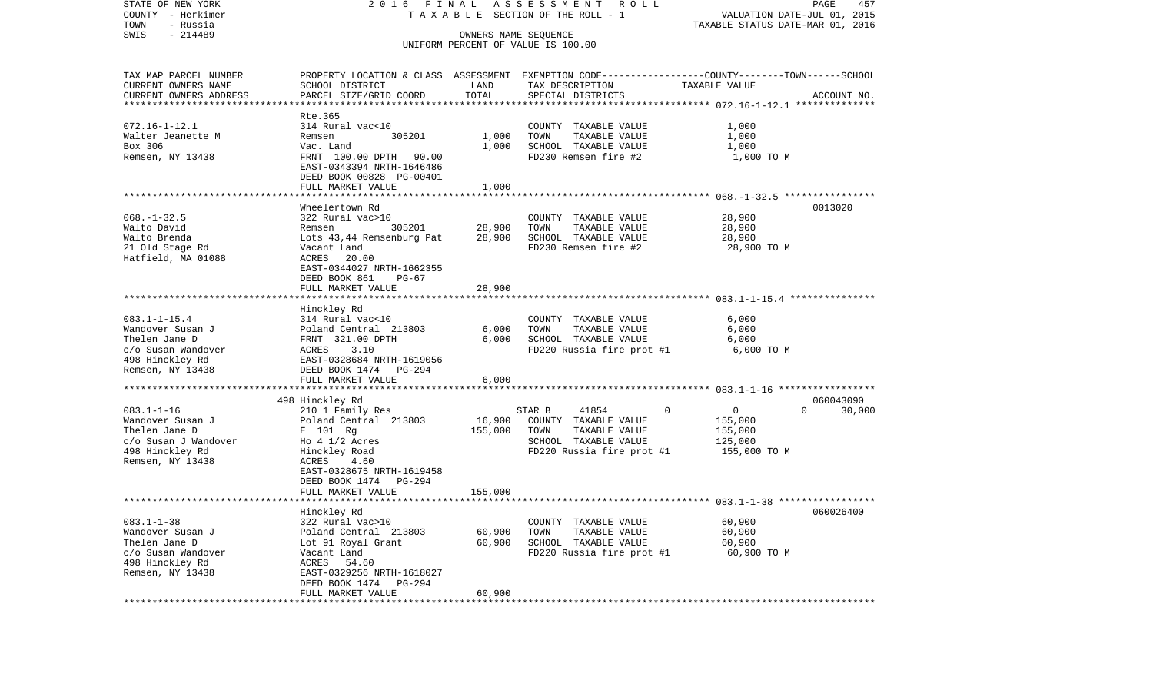| STATE OF NEW YORK<br>COUNTY - Herkimer | 2016 FINAL                                                                                     |                      | ASSESSMENT ROLL<br>TAXABLE SECTION OF THE ROLL - 1 | VALUATION DATE-JUL 01, 2015      | PAGE<br>457        |
|----------------------------------------|------------------------------------------------------------------------------------------------|----------------------|----------------------------------------------------|----------------------------------|--------------------|
| TOWN<br>- Russia                       |                                                                                                |                      |                                                    | TAXABLE STATUS DATE-MAR 01, 2016 |                    |
| $-214489$<br>SWIS                      |                                                                                                | OWNERS NAME SEQUENCE |                                                    |                                  |                    |
|                                        |                                                                                                |                      | UNIFORM PERCENT OF VALUE IS 100.00                 |                                  |                    |
| TAX MAP PARCEL NUMBER                  | PROPERTY LOCATION & CLASS ASSESSMENT EXEMPTION CODE---------------COUNTY-------TOWN-----SCHOOL |                      |                                                    |                                  |                    |
| CURRENT OWNERS NAME                    | SCHOOL DISTRICT                                                                                | LAND                 | TAX DESCRIPTION                                    | TAXABLE VALUE                    |                    |
| CURRENT OWNERS ADDRESS                 | PARCEL SIZE/GRID COORD                                                                         | TOTAL                | SPECIAL DISTRICTS                                  |                                  | ACCOUNT NO.        |
| *************************              |                                                                                                |                      |                                                    |                                  |                    |
|                                        | Rte.365                                                                                        |                      |                                                    |                                  |                    |
| $072.16 - 1 - 12.1$                    | 314 Rural vac<10                                                                               |                      | COUNTY TAXABLE VALUE                               | 1,000                            |                    |
| Walter Jeanette M                      | 305201<br>Remsen                                                                               | 1,000                | TAXABLE VALUE<br>TOWN                              | 1,000                            |                    |
| Box 306                                | Vac. Land                                                                                      | 1,000                | SCHOOL TAXABLE VALUE                               | 1,000                            |                    |
| Remsen, NY 13438                       | FRNT 100.00 DPTH 90.00                                                                         |                      | FD230 Remsen fire #2                               | 1,000 TO M                       |                    |
|                                        | EAST-0343394 NRTH-1646486                                                                      |                      |                                                    |                                  |                    |
|                                        | DEED BOOK 00828 PG-00401                                                                       |                      |                                                    |                                  |                    |
|                                        | FULL MARKET VALUE                                                                              | 1,000                |                                                    |                                  |                    |
|                                        |                                                                                                |                      |                                                    |                                  |                    |
|                                        | Wheelertown Rd                                                                                 |                      |                                                    |                                  | 0013020            |
| $068. - 1 - 32.5$                      | 322 Rural vac>10                                                                               |                      | COUNTY TAXABLE VALUE                               | 28,900                           |                    |
| Walto David                            | Remsen<br>305201                                                                               | 28,900               | TOWN<br>TAXABLE VALUE                              | 28,900                           |                    |
| Walto Brenda                           | Lots 43,44 Remsenburg Pat                                                                      | 28,900               | SCHOOL TAXABLE VALUE                               | 28,900                           |                    |
| 21 Old Stage Rd                        | Vacant Land                                                                                    |                      | FD230 Remsen fire #2                               | 28,900 TO M                      |                    |
| Hatfield, MA 01088                     | ACRES 20.00                                                                                    |                      |                                                    |                                  |                    |
|                                        | EAST-0344027 NRTH-1662355                                                                      |                      |                                                    |                                  |                    |
|                                        | DEED BOOK 861<br>$PG-67$                                                                       |                      |                                                    |                                  |                    |
|                                        | FULL MARKET VALUE                                                                              | 28,900               |                                                    |                                  |                    |
|                                        | Hinckley Rd                                                                                    |                      |                                                    |                                  |                    |
| $083.1 - 1 - 15.4$                     | 314 Rural vac<10                                                                               |                      | COUNTY TAXABLE VALUE                               | 6,000                            |                    |
| Wandover Susan J                       | Poland Central 213803                                                                          | 6,000                | TAXABLE VALUE<br>TOWN                              | 6,000                            |                    |
| Thelen Jane D                          | FRNT 321.00 DPTH                                                                               | 6,000                | SCHOOL TAXABLE VALUE                               | 6,000                            |                    |
| c/o Susan Wandover                     | 3.10<br>ACRES                                                                                  |                      | FD220 Russia fire prot #1                          | 6,000 TO M                       |                    |
| 498 Hinckley Rd                        | EAST-0328684 NRTH-1619056                                                                      |                      |                                                    |                                  |                    |
| Remsen, NY 13438                       | DEED BOOK 1474 PG-294                                                                          |                      |                                                    |                                  |                    |
|                                        | FULL MARKET VALUE                                                                              | 6,000                |                                                    |                                  |                    |
|                                        |                                                                                                |                      |                                                    |                                  |                    |
|                                        | 498 Hinckley Rd                                                                                |                      |                                                    |                                  | 060043090          |
| $083.1 - 1 - 16$                       | 210 1 Family Res                                                                               |                      | STAR B<br>41854                                    | $\mathsf{O}$<br>$\mathbf{0}$     | $\Omega$<br>30,000 |
| Wandover Susan J                       | Poland Central 213803                                                                          | 16,900               | COUNTY TAXABLE VALUE                               | 155,000                          |                    |
| Thelen Jane D                          | E 101 Rg                                                                                       | 155,000              | TOWN<br>TAXABLE VALUE                              | 155,000                          |                    |
| c/o Susan J Wandover                   | Ho $4 \frac{1}{2}$ Acres                                                                       |                      | SCHOOL TAXABLE VALUE                               | 125,000                          |                    |
| 498 Hinckley Rd                        | Hinckley Road                                                                                  |                      | FD220 Russia fire prot #1                          | 155,000 TO M                     |                    |
| Remsen, NY 13438                       | 4.60<br>ACRES                                                                                  |                      |                                                    |                                  |                    |
|                                        | EAST-0328675 NRTH-1619458                                                                      |                      |                                                    |                                  |                    |
|                                        | PG-294<br>DEED BOOK 1474                                                                       |                      |                                                    |                                  |                    |
|                                        | FULL MARKET VALUE                                                                              | 155,000              |                                                    |                                  |                    |
|                                        |                                                                                                |                      |                                                    |                                  |                    |
| $083.1 - 1 - 38$                       | Hinckley Rd                                                                                    |                      |                                                    |                                  | 060026400          |
| Wandover Susan J                       | 322 Rural vac>10                                                                               |                      | COUNTY TAXABLE VALUE                               | 60,900                           |                    |
| Thelen Jane D                          | Poland Central 213803<br>Lot 91 Royal Grant                                                    | 60,900<br>60,900     | TAXABLE VALUE<br>TOWN<br>SCHOOL TAXABLE VALUE      | 60,900<br>60,900                 |                    |
| c/o Susan Wandover                     | Vacant Land                                                                                    |                      | FD220 Russia fire prot #1                          | 60,900 TO M                      |                    |
| 498 Hinckley Rd                        | ACRES<br>54.60                                                                                 |                      |                                                    |                                  |                    |
| Remsen, NY 13438                       | EAST-0329256 NRTH-1618027                                                                      |                      |                                                    |                                  |                    |
|                                        | DEED BOOK 1474<br>PG-294                                                                       |                      |                                                    |                                  |                    |
|                                        | FULL MARKET VALUE                                                                              | 60,900               |                                                    |                                  |                    |
|                                        |                                                                                                |                      |                                                    |                                  |                    |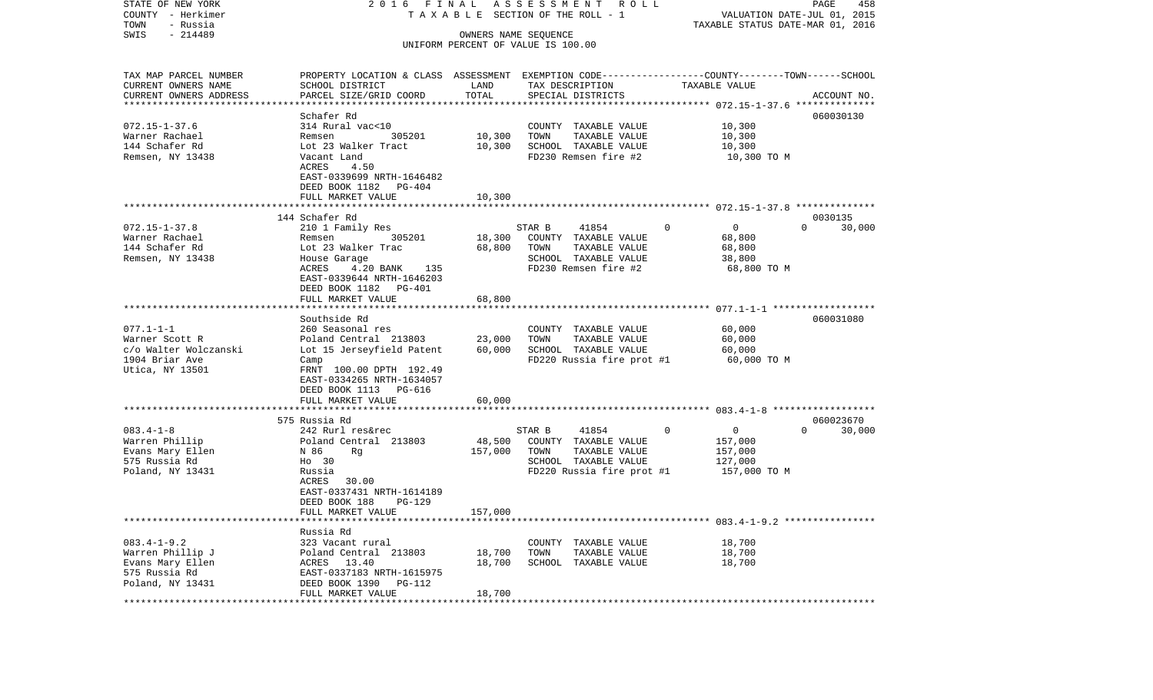| TAXABLE STATUS DATE-MAR 01, 2016<br>SWIS<br>$-214489$<br>OWNERS NAME SEQUENCE<br>UNIFORM PERCENT OF VALUE IS 100.00<br>PROPERTY LOCATION & CLASS ASSESSMENT EXEMPTION CODE---------------COUNTY-------TOWN------SCHOOL<br>TAX MAP PARCEL NUMBER<br>CURRENT OWNERS NAME<br>SCHOOL DISTRICT<br>LAND<br>TAX DESCRIPTION<br>TAXABLE VALUE<br>TOTAL<br>CURRENT OWNERS ADDRESS<br>PARCEL SIZE/GRID COORD<br>SPECIAL DISTRICTS<br>ACCOUNT NO.<br>Schafer Rd<br>060030130<br>$072.15 - 1 - 37.6$<br>314 Rural vac<10<br>10,300<br>COUNTY TAXABLE VALUE<br>305201<br>10,300<br>TOWN<br>TAXABLE VALUE<br>10,300<br>Warner Rachael<br>Remsen<br>144 Schafer Rd<br>Lot 23 Walker Tract<br>10,300<br>SCHOOL TAXABLE VALUE<br>10,300<br>Remsen, NY 13438<br>Vacant Land<br>FD230 Remsen fire #2<br>10,300 TO M<br>ACRES<br>4.50<br>EAST-0339699 NRTH-1646482<br>DEED BOOK 1182 PG-404<br>FULL MARKET VALUE<br>10,300<br>*************************** 072.15-1-37.8 **************<br>144 Schafer Rd<br>0030135<br>$\overline{0}$<br>210 1 Family Res<br>STAR B<br>41854<br>$\Omega$<br>$\Omega$<br>30,000<br>305201<br>Remsen<br>18,300<br>COUNTY TAXABLE VALUE<br>68,800<br>Lot 23 Walker Trac<br>68,800<br>TAXABLE VALUE<br>68,800<br>TOWN<br>Remsen, NY 13438<br>SCHOOL TAXABLE VALUE<br>38,800<br>House Garage<br>4.20 BANK<br>FD230 Remsen fire #2<br>68,800 TO M<br>ACRES<br>135<br>EAST-0339644 NRTH-1646203<br>DEED BOOK 1182<br>PG-401<br>68,800<br>FULL MARKET VALUE<br>Southside Rd<br>060031080<br>60,000<br>260 Seasonal res<br>COUNTY TAXABLE VALUE<br>Poland Central 213803<br>23,000<br>TOWN<br>TAXABLE VALUE<br>60,000<br>60,000<br>SCHOOL TAXABLE VALUE<br>Lot 15 Jerseyfield Patent<br>60,000<br>FD220 Russia fire prot #1<br>60,000 TO M<br>Camp<br>FRNT 100.00 DPTH 192.49<br>EAST-0334265 NRTH-1634057<br>DEED BOOK 1113 PG-616<br>60,000<br>FULL MARKET VALUE<br>575 Russia Rd<br>060023670<br>$\overline{0}$<br>$\Omega$<br>30,000<br>242 Rurl res&rec<br>STAR B<br>41854<br>$\Omega$<br>48,500<br>Poland Central 213803<br>COUNTY TAXABLE VALUE<br>157,000<br>157,000<br>N 86<br>Rg<br>TOWN<br>TAXABLE VALUE<br>157,000<br>Ho 30<br>SCHOOL TAXABLE VALUE<br>127,000<br>Russia<br>FD220 Russia fire prot #1<br>157,000 TO M<br>ACRES<br>30.00<br>EAST-0337431 NRTH-1614189<br>DEED BOOK 188<br><b>PG-129</b><br>FULL MARKET VALUE<br>157,000<br>Russia Rd<br>323 Vacant rural<br>18,700<br>COUNTY TAXABLE VALUE<br>Poland Central 213803<br>18,700<br>TOWN<br>TAXABLE VALUE<br>18,700<br>18,700<br>ACRES 13.40<br>SCHOOL TAXABLE VALUE<br>18,700<br>EAST-0337183 NRTH-1615975<br>Poland, NY 13431<br>DEED BOOK 1390<br>PG-112 | COUNTY<br>– Herkimer    | TAXABLE SECTION OF THE ROLL - 1 | VALUATION DATE-JUL 01, 2015 |  |  |  |
|----------------------------------------------------------------------------------------------------------------------------------------------------------------------------------------------------------------------------------------------------------------------------------------------------------------------------------------------------------------------------------------------------------------------------------------------------------------------------------------------------------------------------------------------------------------------------------------------------------------------------------------------------------------------------------------------------------------------------------------------------------------------------------------------------------------------------------------------------------------------------------------------------------------------------------------------------------------------------------------------------------------------------------------------------------------------------------------------------------------------------------------------------------------------------------------------------------------------------------------------------------------------------------------------------------------------------------------------------------------------------------------------------------------------------------------------------------------------------------------------------------------------------------------------------------------------------------------------------------------------------------------------------------------------------------------------------------------------------------------------------------------------------------------------------------------------------------------------------------------------------------------------------------------------------------------------------------------------------------------------------------------------------------------------------------------------------------------------------------------------------------------------------------------------------------------------------------------------------------------------------------------------------------------------------------------------------------------------------------------------------------------------------------------------------------------------------------------------------------------------------------------------------------------------------------------------------------------------------------------------------------------|-------------------------|---------------------------------|-----------------------------|--|--|--|
|                                                                                                                                                                                                                                                                                                                                                                                                                                                                                                                                                                                                                                                                                                                                                                                                                                                                                                                                                                                                                                                                                                                                                                                                                                                                                                                                                                                                                                                                                                                                                                                                                                                                                                                                                                                                                                                                                                                                                                                                                                                                                                                                                                                                                                                                                                                                                                                                                                                                                                                                                                                                                                        | TOWN<br>- Russia        |                                 |                             |  |  |  |
|                                                                                                                                                                                                                                                                                                                                                                                                                                                                                                                                                                                                                                                                                                                                                                                                                                                                                                                                                                                                                                                                                                                                                                                                                                                                                                                                                                                                                                                                                                                                                                                                                                                                                                                                                                                                                                                                                                                                                                                                                                                                                                                                                                                                                                                                                                                                                                                                                                                                                                                                                                                                                                        |                         |                                 |                             |  |  |  |
|                                                                                                                                                                                                                                                                                                                                                                                                                                                                                                                                                                                                                                                                                                                                                                                                                                                                                                                                                                                                                                                                                                                                                                                                                                                                                                                                                                                                                                                                                                                                                                                                                                                                                                                                                                                                                                                                                                                                                                                                                                                                                                                                                                                                                                                                                                                                                                                                                                                                                                                                                                                                                                        |                         |                                 |                             |  |  |  |
|                                                                                                                                                                                                                                                                                                                                                                                                                                                                                                                                                                                                                                                                                                                                                                                                                                                                                                                                                                                                                                                                                                                                                                                                                                                                                                                                                                                                                                                                                                                                                                                                                                                                                                                                                                                                                                                                                                                                                                                                                                                                                                                                                                                                                                                                                                                                                                                                                                                                                                                                                                                                                                        |                         |                                 |                             |  |  |  |
|                                                                                                                                                                                                                                                                                                                                                                                                                                                                                                                                                                                                                                                                                                                                                                                                                                                                                                                                                                                                                                                                                                                                                                                                                                                                                                                                                                                                                                                                                                                                                                                                                                                                                                                                                                                                                                                                                                                                                                                                                                                                                                                                                                                                                                                                                                                                                                                                                                                                                                                                                                                                                                        |                         |                                 |                             |  |  |  |
|                                                                                                                                                                                                                                                                                                                                                                                                                                                                                                                                                                                                                                                                                                                                                                                                                                                                                                                                                                                                                                                                                                                                                                                                                                                                                                                                                                                                                                                                                                                                                                                                                                                                                                                                                                                                                                                                                                                                                                                                                                                                                                                                                                                                                                                                                                                                                                                                                                                                                                                                                                                                                                        |                         |                                 |                             |  |  |  |
|                                                                                                                                                                                                                                                                                                                                                                                                                                                                                                                                                                                                                                                                                                                                                                                                                                                                                                                                                                                                                                                                                                                                                                                                                                                                                                                                                                                                                                                                                                                                                                                                                                                                                                                                                                                                                                                                                                                                                                                                                                                                                                                                                                                                                                                                                                                                                                                                                                                                                                                                                                                                                                        | *********************** |                                 |                             |  |  |  |
|                                                                                                                                                                                                                                                                                                                                                                                                                                                                                                                                                                                                                                                                                                                                                                                                                                                                                                                                                                                                                                                                                                                                                                                                                                                                                                                                                                                                                                                                                                                                                                                                                                                                                                                                                                                                                                                                                                                                                                                                                                                                                                                                                                                                                                                                                                                                                                                                                                                                                                                                                                                                                                        |                         |                                 |                             |  |  |  |
|                                                                                                                                                                                                                                                                                                                                                                                                                                                                                                                                                                                                                                                                                                                                                                                                                                                                                                                                                                                                                                                                                                                                                                                                                                                                                                                                                                                                                                                                                                                                                                                                                                                                                                                                                                                                                                                                                                                                                                                                                                                                                                                                                                                                                                                                                                                                                                                                                                                                                                                                                                                                                                        |                         |                                 |                             |  |  |  |
|                                                                                                                                                                                                                                                                                                                                                                                                                                                                                                                                                                                                                                                                                                                                                                                                                                                                                                                                                                                                                                                                                                                                                                                                                                                                                                                                                                                                                                                                                                                                                                                                                                                                                                                                                                                                                                                                                                                                                                                                                                                                                                                                                                                                                                                                                                                                                                                                                                                                                                                                                                                                                                        |                         |                                 |                             |  |  |  |
|                                                                                                                                                                                                                                                                                                                                                                                                                                                                                                                                                                                                                                                                                                                                                                                                                                                                                                                                                                                                                                                                                                                                                                                                                                                                                                                                                                                                                                                                                                                                                                                                                                                                                                                                                                                                                                                                                                                                                                                                                                                                                                                                                                                                                                                                                                                                                                                                                                                                                                                                                                                                                                        |                         |                                 |                             |  |  |  |
|                                                                                                                                                                                                                                                                                                                                                                                                                                                                                                                                                                                                                                                                                                                                                                                                                                                                                                                                                                                                                                                                                                                                                                                                                                                                                                                                                                                                                                                                                                                                                                                                                                                                                                                                                                                                                                                                                                                                                                                                                                                                                                                                                                                                                                                                                                                                                                                                                                                                                                                                                                                                                                        |                         |                                 |                             |  |  |  |
|                                                                                                                                                                                                                                                                                                                                                                                                                                                                                                                                                                                                                                                                                                                                                                                                                                                                                                                                                                                                                                                                                                                                                                                                                                                                                                                                                                                                                                                                                                                                                                                                                                                                                                                                                                                                                                                                                                                                                                                                                                                                                                                                                                                                                                                                                                                                                                                                                                                                                                                                                                                                                                        |                         |                                 |                             |  |  |  |
|                                                                                                                                                                                                                                                                                                                                                                                                                                                                                                                                                                                                                                                                                                                                                                                                                                                                                                                                                                                                                                                                                                                                                                                                                                                                                                                                                                                                                                                                                                                                                                                                                                                                                                                                                                                                                                                                                                                                                                                                                                                                                                                                                                                                                                                                                                                                                                                                                                                                                                                                                                                                                                        |                         |                                 |                             |  |  |  |
|                                                                                                                                                                                                                                                                                                                                                                                                                                                                                                                                                                                                                                                                                                                                                                                                                                                                                                                                                                                                                                                                                                                                                                                                                                                                                                                                                                                                                                                                                                                                                                                                                                                                                                                                                                                                                                                                                                                                                                                                                                                                                                                                                                                                                                                                                                                                                                                                                                                                                                                                                                                                                                        |                         |                                 |                             |  |  |  |
|                                                                                                                                                                                                                                                                                                                                                                                                                                                                                                                                                                                                                                                                                                                                                                                                                                                                                                                                                                                                                                                                                                                                                                                                                                                                                                                                                                                                                                                                                                                                                                                                                                                                                                                                                                                                                                                                                                                                                                                                                                                                                                                                                                                                                                                                                                                                                                                                                                                                                                                                                                                                                                        |                         |                                 |                             |  |  |  |
|                                                                                                                                                                                                                                                                                                                                                                                                                                                                                                                                                                                                                                                                                                                                                                                                                                                                                                                                                                                                                                                                                                                                                                                                                                                                                                                                                                                                                                                                                                                                                                                                                                                                                                                                                                                                                                                                                                                                                                                                                                                                                                                                                                                                                                                                                                                                                                                                                                                                                                                                                                                                                                        |                         |                                 |                             |  |  |  |
|                                                                                                                                                                                                                                                                                                                                                                                                                                                                                                                                                                                                                                                                                                                                                                                                                                                                                                                                                                                                                                                                                                                                                                                                                                                                                                                                                                                                                                                                                                                                                                                                                                                                                                                                                                                                                                                                                                                                                                                                                                                                                                                                                                                                                                                                                                                                                                                                                                                                                                                                                                                                                                        |                         |                                 |                             |  |  |  |
|                                                                                                                                                                                                                                                                                                                                                                                                                                                                                                                                                                                                                                                                                                                                                                                                                                                                                                                                                                                                                                                                                                                                                                                                                                                                                                                                                                                                                                                                                                                                                                                                                                                                                                                                                                                                                                                                                                                                                                                                                                                                                                                                                                                                                                                                                                                                                                                                                                                                                                                                                                                                                                        | $072.15 - 1 - 37.8$     |                                 |                             |  |  |  |
|                                                                                                                                                                                                                                                                                                                                                                                                                                                                                                                                                                                                                                                                                                                                                                                                                                                                                                                                                                                                                                                                                                                                                                                                                                                                                                                                                                                                                                                                                                                                                                                                                                                                                                                                                                                                                                                                                                                                                                                                                                                                                                                                                                                                                                                                                                                                                                                                                                                                                                                                                                                                                                        | Warner Rachael          |                                 |                             |  |  |  |
|                                                                                                                                                                                                                                                                                                                                                                                                                                                                                                                                                                                                                                                                                                                                                                                                                                                                                                                                                                                                                                                                                                                                                                                                                                                                                                                                                                                                                                                                                                                                                                                                                                                                                                                                                                                                                                                                                                                                                                                                                                                                                                                                                                                                                                                                                                                                                                                                                                                                                                                                                                                                                                        | 144 Schafer Rd          |                                 |                             |  |  |  |
|                                                                                                                                                                                                                                                                                                                                                                                                                                                                                                                                                                                                                                                                                                                                                                                                                                                                                                                                                                                                                                                                                                                                                                                                                                                                                                                                                                                                                                                                                                                                                                                                                                                                                                                                                                                                                                                                                                                                                                                                                                                                                                                                                                                                                                                                                                                                                                                                                                                                                                                                                                                                                                        |                         |                                 |                             |  |  |  |
|                                                                                                                                                                                                                                                                                                                                                                                                                                                                                                                                                                                                                                                                                                                                                                                                                                                                                                                                                                                                                                                                                                                                                                                                                                                                                                                                                                                                                                                                                                                                                                                                                                                                                                                                                                                                                                                                                                                                                                                                                                                                                                                                                                                                                                                                                                                                                                                                                                                                                                                                                                                                                                        |                         |                                 |                             |  |  |  |
|                                                                                                                                                                                                                                                                                                                                                                                                                                                                                                                                                                                                                                                                                                                                                                                                                                                                                                                                                                                                                                                                                                                                                                                                                                                                                                                                                                                                                                                                                                                                                                                                                                                                                                                                                                                                                                                                                                                                                                                                                                                                                                                                                                                                                                                                                                                                                                                                                                                                                                                                                                                                                                        |                         |                                 |                             |  |  |  |
|                                                                                                                                                                                                                                                                                                                                                                                                                                                                                                                                                                                                                                                                                                                                                                                                                                                                                                                                                                                                                                                                                                                                                                                                                                                                                                                                                                                                                                                                                                                                                                                                                                                                                                                                                                                                                                                                                                                                                                                                                                                                                                                                                                                                                                                                                                                                                                                                                                                                                                                                                                                                                                        |                         |                                 |                             |  |  |  |
|                                                                                                                                                                                                                                                                                                                                                                                                                                                                                                                                                                                                                                                                                                                                                                                                                                                                                                                                                                                                                                                                                                                                                                                                                                                                                                                                                                                                                                                                                                                                                                                                                                                                                                                                                                                                                                                                                                                                                                                                                                                                                                                                                                                                                                                                                                                                                                                                                                                                                                                                                                                                                                        |                         |                                 |                             |  |  |  |
|                                                                                                                                                                                                                                                                                                                                                                                                                                                                                                                                                                                                                                                                                                                                                                                                                                                                                                                                                                                                                                                                                                                                                                                                                                                                                                                                                                                                                                                                                                                                                                                                                                                                                                                                                                                                                                                                                                                                                                                                                                                                                                                                                                                                                                                                                                                                                                                                                                                                                                                                                                                                                                        |                         |                                 |                             |  |  |  |
|                                                                                                                                                                                                                                                                                                                                                                                                                                                                                                                                                                                                                                                                                                                                                                                                                                                                                                                                                                                                                                                                                                                                                                                                                                                                                                                                                                                                                                                                                                                                                                                                                                                                                                                                                                                                                                                                                                                                                                                                                                                                                                                                                                                                                                                                                                                                                                                                                                                                                                                                                                                                                                        |                         |                                 |                             |  |  |  |
|                                                                                                                                                                                                                                                                                                                                                                                                                                                                                                                                                                                                                                                                                                                                                                                                                                                                                                                                                                                                                                                                                                                                                                                                                                                                                                                                                                                                                                                                                                                                                                                                                                                                                                                                                                                                                                                                                                                                                                                                                                                                                                                                                                                                                                                                                                                                                                                                                                                                                                                                                                                                                                        | $077.1 - 1 - 1$         |                                 |                             |  |  |  |
|                                                                                                                                                                                                                                                                                                                                                                                                                                                                                                                                                                                                                                                                                                                                                                                                                                                                                                                                                                                                                                                                                                                                                                                                                                                                                                                                                                                                                                                                                                                                                                                                                                                                                                                                                                                                                                                                                                                                                                                                                                                                                                                                                                                                                                                                                                                                                                                                                                                                                                                                                                                                                                        | Warner Scott R          |                                 |                             |  |  |  |
|                                                                                                                                                                                                                                                                                                                                                                                                                                                                                                                                                                                                                                                                                                                                                                                                                                                                                                                                                                                                                                                                                                                                                                                                                                                                                                                                                                                                                                                                                                                                                                                                                                                                                                                                                                                                                                                                                                                                                                                                                                                                                                                                                                                                                                                                                                                                                                                                                                                                                                                                                                                                                                        | c/o Walter Wolczanski   |                                 |                             |  |  |  |
|                                                                                                                                                                                                                                                                                                                                                                                                                                                                                                                                                                                                                                                                                                                                                                                                                                                                                                                                                                                                                                                                                                                                                                                                                                                                                                                                                                                                                                                                                                                                                                                                                                                                                                                                                                                                                                                                                                                                                                                                                                                                                                                                                                                                                                                                                                                                                                                                                                                                                                                                                                                                                                        | 1904 Briar Ave          |                                 |                             |  |  |  |
|                                                                                                                                                                                                                                                                                                                                                                                                                                                                                                                                                                                                                                                                                                                                                                                                                                                                                                                                                                                                                                                                                                                                                                                                                                                                                                                                                                                                                                                                                                                                                                                                                                                                                                                                                                                                                                                                                                                                                                                                                                                                                                                                                                                                                                                                                                                                                                                                                                                                                                                                                                                                                                        | Utica, NY 13501         |                                 |                             |  |  |  |
|                                                                                                                                                                                                                                                                                                                                                                                                                                                                                                                                                                                                                                                                                                                                                                                                                                                                                                                                                                                                                                                                                                                                                                                                                                                                                                                                                                                                                                                                                                                                                                                                                                                                                                                                                                                                                                                                                                                                                                                                                                                                                                                                                                                                                                                                                                                                                                                                                                                                                                                                                                                                                                        |                         |                                 |                             |  |  |  |
|                                                                                                                                                                                                                                                                                                                                                                                                                                                                                                                                                                                                                                                                                                                                                                                                                                                                                                                                                                                                                                                                                                                                                                                                                                                                                                                                                                                                                                                                                                                                                                                                                                                                                                                                                                                                                                                                                                                                                                                                                                                                                                                                                                                                                                                                                                                                                                                                                                                                                                                                                                                                                                        |                         |                                 |                             |  |  |  |
|                                                                                                                                                                                                                                                                                                                                                                                                                                                                                                                                                                                                                                                                                                                                                                                                                                                                                                                                                                                                                                                                                                                                                                                                                                                                                                                                                                                                                                                                                                                                                                                                                                                                                                                                                                                                                                                                                                                                                                                                                                                                                                                                                                                                                                                                                                                                                                                                                                                                                                                                                                                                                                        |                         |                                 |                             |  |  |  |
|                                                                                                                                                                                                                                                                                                                                                                                                                                                                                                                                                                                                                                                                                                                                                                                                                                                                                                                                                                                                                                                                                                                                                                                                                                                                                                                                                                                                                                                                                                                                                                                                                                                                                                                                                                                                                                                                                                                                                                                                                                                                                                                                                                                                                                                                                                                                                                                                                                                                                                                                                                                                                                        |                         |                                 |                             |  |  |  |
|                                                                                                                                                                                                                                                                                                                                                                                                                                                                                                                                                                                                                                                                                                                                                                                                                                                                                                                                                                                                                                                                                                                                                                                                                                                                                                                                                                                                                                                                                                                                                                                                                                                                                                                                                                                                                                                                                                                                                                                                                                                                                                                                                                                                                                                                                                                                                                                                                                                                                                                                                                                                                                        |                         |                                 |                             |  |  |  |
|                                                                                                                                                                                                                                                                                                                                                                                                                                                                                                                                                                                                                                                                                                                                                                                                                                                                                                                                                                                                                                                                                                                                                                                                                                                                                                                                                                                                                                                                                                                                                                                                                                                                                                                                                                                                                                                                                                                                                                                                                                                                                                                                                                                                                                                                                                                                                                                                                                                                                                                                                                                                                                        | $083.4 - 1 - 8$         |                                 |                             |  |  |  |
|                                                                                                                                                                                                                                                                                                                                                                                                                                                                                                                                                                                                                                                                                                                                                                                                                                                                                                                                                                                                                                                                                                                                                                                                                                                                                                                                                                                                                                                                                                                                                                                                                                                                                                                                                                                                                                                                                                                                                                                                                                                                                                                                                                                                                                                                                                                                                                                                                                                                                                                                                                                                                                        | Warren Phillip          |                                 |                             |  |  |  |
|                                                                                                                                                                                                                                                                                                                                                                                                                                                                                                                                                                                                                                                                                                                                                                                                                                                                                                                                                                                                                                                                                                                                                                                                                                                                                                                                                                                                                                                                                                                                                                                                                                                                                                                                                                                                                                                                                                                                                                                                                                                                                                                                                                                                                                                                                                                                                                                                                                                                                                                                                                                                                                        | Evans Mary Ellen        |                                 |                             |  |  |  |
|                                                                                                                                                                                                                                                                                                                                                                                                                                                                                                                                                                                                                                                                                                                                                                                                                                                                                                                                                                                                                                                                                                                                                                                                                                                                                                                                                                                                                                                                                                                                                                                                                                                                                                                                                                                                                                                                                                                                                                                                                                                                                                                                                                                                                                                                                                                                                                                                                                                                                                                                                                                                                                        | 575 Russia Rd           |                                 |                             |  |  |  |
|                                                                                                                                                                                                                                                                                                                                                                                                                                                                                                                                                                                                                                                                                                                                                                                                                                                                                                                                                                                                                                                                                                                                                                                                                                                                                                                                                                                                                                                                                                                                                                                                                                                                                                                                                                                                                                                                                                                                                                                                                                                                                                                                                                                                                                                                                                                                                                                                                                                                                                                                                                                                                                        | Poland, NY 13431        |                                 |                             |  |  |  |
|                                                                                                                                                                                                                                                                                                                                                                                                                                                                                                                                                                                                                                                                                                                                                                                                                                                                                                                                                                                                                                                                                                                                                                                                                                                                                                                                                                                                                                                                                                                                                                                                                                                                                                                                                                                                                                                                                                                                                                                                                                                                                                                                                                                                                                                                                                                                                                                                                                                                                                                                                                                                                                        |                         |                                 |                             |  |  |  |
|                                                                                                                                                                                                                                                                                                                                                                                                                                                                                                                                                                                                                                                                                                                                                                                                                                                                                                                                                                                                                                                                                                                                                                                                                                                                                                                                                                                                                                                                                                                                                                                                                                                                                                                                                                                                                                                                                                                                                                                                                                                                                                                                                                                                                                                                                                                                                                                                                                                                                                                                                                                                                                        |                         |                                 |                             |  |  |  |
|                                                                                                                                                                                                                                                                                                                                                                                                                                                                                                                                                                                                                                                                                                                                                                                                                                                                                                                                                                                                                                                                                                                                                                                                                                                                                                                                                                                                                                                                                                                                                                                                                                                                                                                                                                                                                                                                                                                                                                                                                                                                                                                                                                                                                                                                                                                                                                                                                                                                                                                                                                                                                                        |                         |                                 |                             |  |  |  |
|                                                                                                                                                                                                                                                                                                                                                                                                                                                                                                                                                                                                                                                                                                                                                                                                                                                                                                                                                                                                                                                                                                                                                                                                                                                                                                                                                                                                                                                                                                                                                                                                                                                                                                                                                                                                                                                                                                                                                                                                                                                                                                                                                                                                                                                                                                                                                                                                                                                                                                                                                                                                                                        |                         |                                 |                             |  |  |  |
|                                                                                                                                                                                                                                                                                                                                                                                                                                                                                                                                                                                                                                                                                                                                                                                                                                                                                                                                                                                                                                                                                                                                                                                                                                                                                                                                                                                                                                                                                                                                                                                                                                                                                                                                                                                                                                                                                                                                                                                                                                                                                                                                                                                                                                                                                                                                                                                                                                                                                                                                                                                                                                        |                         |                                 |                             |  |  |  |
|                                                                                                                                                                                                                                                                                                                                                                                                                                                                                                                                                                                                                                                                                                                                                                                                                                                                                                                                                                                                                                                                                                                                                                                                                                                                                                                                                                                                                                                                                                                                                                                                                                                                                                                                                                                                                                                                                                                                                                                                                                                                                                                                                                                                                                                                                                                                                                                                                                                                                                                                                                                                                                        |                         |                                 |                             |  |  |  |
|                                                                                                                                                                                                                                                                                                                                                                                                                                                                                                                                                                                                                                                                                                                                                                                                                                                                                                                                                                                                                                                                                                                                                                                                                                                                                                                                                                                                                                                                                                                                                                                                                                                                                                                                                                                                                                                                                                                                                                                                                                                                                                                                                                                                                                                                                                                                                                                                                                                                                                                                                                                                                                        | $083.4 - 1 - 9.2$       |                                 |                             |  |  |  |
|                                                                                                                                                                                                                                                                                                                                                                                                                                                                                                                                                                                                                                                                                                                                                                                                                                                                                                                                                                                                                                                                                                                                                                                                                                                                                                                                                                                                                                                                                                                                                                                                                                                                                                                                                                                                                                                                                                                                                                                                                                                                                                                                                                                                                                                                                                                                                                                                                                                                                                                                                                                                                                        | Warren Phillip J        |                                 |                             |  |  |  |
|                                                                                                                                                                                                                                                                                                                                                                                                                                                                                                                                                                                                                                                                                                                                                                                                                                                                                                                                                                                                                                                                                                                                                                                                                                                                                                                                                                                                                                                                                                                                                                                                                                                                                                                                                                                                                                                                                                                                                                                                                                                                                                                                                                                                                                                                                                                                                                                                                                                                                                                                                                                                                                        | Evans Mary Ellen        |                                 |                             |  |  |  |
|                                                                                                                                                                                                                                                                                                                                                                                                                                                                                                                                                                                                                                                                                                                                                                                                                                                                                                                                                                                                                                                                                                                                                                                                                                                                                                                                                                                                                                                                                                                                                                                                                                                                                                                                                                                                                                                                                                                                                                                                                                                                                                                                                                                                                                                                                                                                                                                                                                                                                                                                                                                                                                        | 575 Russia Rd           |                                 |                             |  |  |  |
|                                                                                                                                                                                                                                                                                                                                                                                                                                                                                                                                                                                                                                                                                                                                                                                                                                                                                                                                                                                                                                                                                                                                                                                                                                                                                                                                                                                                                                                                                                                                                                                                                                                                                                                                                                                                                                                                                                                                                                                                                                                                                                                                                                                                                                                                                                                                                                                                                                                                                                                                                                                                                                        |                         |                                 |                             |  |  |  |
| ***********************************<br>*******                                                                                                                                                                                                                                                                                                                                                                                                                                                                                                                                                                                                                                                                                                                                                                                                                                                                                                                                                                                                                                                                                                                                                                                                                                                                                                                                                                                                                                                                                                                                                                                                                                                                                                                                                                                                                                                                                                                                                                                                                                                                                                                                                                                                                                                                                                                                                                                                                                                                                                                                                                                         |                         | FULL MARKET VALUE               | 18,700                      |  |  |  |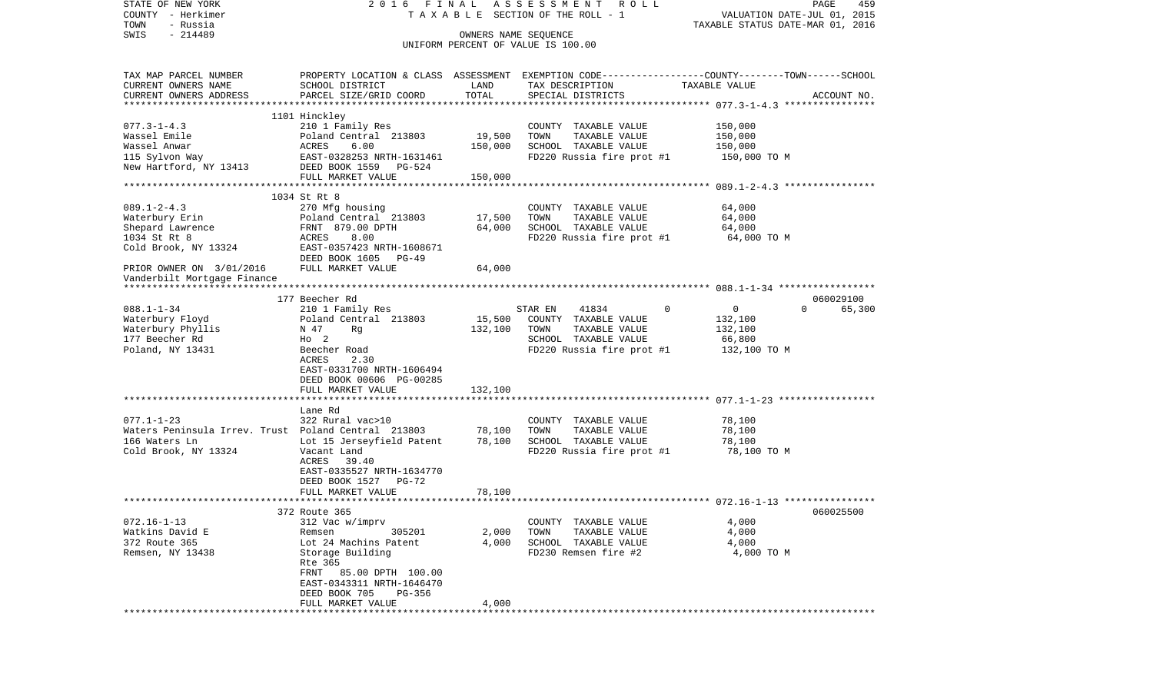| STATE OF NEW YORK                                   |                                                                                                   |                      | 2016 FINAL ASSESSMENT ROLL         |                                           | PAGE<br>459 |
|-----------------------------------------------------|---------------------------------------------------------------------------------------------------|----------------------|------------------------------------|-------------------------------------------|-------------|
| COUNTY - Herkimer                                   |                                                                                                   |                      | TAXABLE SECTION OF THE ROLL - 1    | VALUATION DATE-JUL 01, 2015               |             |
| TOWN<br>- Russia                                    |                                                                                                   |                      |                                    | TAXABLE STATUS DATE-MAR 01, 2016          |             |
| $-214489$<br>SWIS                                   |                                                                                                   | OWNERS NAME SEQUENCE |                                    |                                           |             |
|                                                     |                                                                                                   |                      | UNIFORM PERCENT OF VALUE IS 100.00 |                                           |             |
| TAX MAP PARCEL NUMBER                               | PROPERTY LOCATION & CLASS ASSESSMENT EXEMPTION CODE-----------------COUNTY-------TOWN------SCHOOL |                      |                                    |                                           |             |
| CURRENT OWNERS NAME                                 | SCHOOL DISTRICT                                                                                   | LAND                 | TAX DESCRIPTION                    | TAXABLE VALUE                             |             |
| CURRENT OWNERS ADDRESS                              | PARCEL SIZE/GRID COORD                                                                            | TOTAL                | SPECIAL DISTRICTS                  |                                           | ACCOUNT NO. |
|                                                     |                                                                                                   |                      |                                    |                                           |             |
|                                                     | 1101 Hinckley                                                                                     |                      |                                    |                                           |             |
| $077.3 - 1 - 4.3$                                   | 210 1 Family Res                                                                                  |                      | COUNTY TAXABLE VALUE               | 150,000                                   |             |
| Wassel Emile                                        | Poland Central 213803                                                                             | 19,500               | TOWN<br>TAXABLE VALUE              | 150,000                                   |             |
| wassel Anwar<br>115 Sylvon Way                      | ACRES<br>6.00                                                                                     | 150,000              | SCHOOL TAXABLE VALUE               | 150,000                                   |             |
|                                                     | EAST-0328253 NRTH-1631461                                                                         |                      | FD220 Russia fire prot #1          | 150,000 TO M                              |             |
| New Hartford, NY 13413                              | DEED BOOK 1559 PG-524                                                                             |                      |                                    |                                           |             |
|                                                     | FULL MARKET VALUE                                                                                 | 150,000              |                                    |                                           |             |
|                                                     |                                                                                                   |                      |                                    |                                           |             |
| $089.1 - 2 - 4.3$                                   | 1034 St Rt 8<br>270 Mfg housing                                                                   |                      | COUNTY TAXABLE VALUE               | 64,000                                    |             |
| Waterbury Erin                                      | Poland Central 213803                                                                             | 17,500               | TOWN<br>TAXABLE VALUE              | 64,000                                    |             |
| Shepard Lawrence                                    | FRNT 879.00 DPTH                                                                                  | 64,000               | SCHOOL TAXABLE VALUE               | 64,000                                    |             |
| 1034 St Rt 8                                        | 8.00<br>ACRES                                                                                     |                      | FD220 Russia fire prot #1          | 64,000 TO M                               |             |
| Cold Brook, NY 13324                                | EAST-0357423 NRTH-1608671                                                                         |                      |                                    |                                           |             |
|                                                     | DEED BOOK 1605<br>$PG-49$                                                                         |                      |                                    |                                           |             |
| PRIOR OWNER ON 3/01/2016                            | FULL MARKET VALUE                                                                                 | 64,000               |                                    |                                           |             |
| Vanderbilt Mortgage Finance                         |                                                                                                   |                      |                                    |                                           |             |
|                                                     |                                                                                                   |                      |                                    |                                           |             |
|                                                     | 177 Beecher Rd                                                                                    |                      |                                    |                                           | 060029100   |
| $088.1 - 1 - 34$                                    | 210 1 Family Res                                                                                  |                      | STAR EN<br>41834                   | $\mathbf 0$<br>$\overline{0}$<br>$\Omega$ | 65,300      |
| Waterbury Floyd                                     | Poland Central 213803                                                                             | 15,500               | COUNTY TAXABLE VALUE               | 132,100                                   |             |
| Waterbury Phyllis                                   | N 47<br>Rg                                                                                        | 132,100              | TOWN<br>TAXABLE VALUE              | 132,100                                   |             |
| 177 Beecher Rd                                      | $H_0$ 2                                                                                           |                      | SCHOOL TAXABLE VALUE               | 66,800                                    |             |
| Poland, NY 13431                                    | Beecher Road                                                                                      |                      | FD220 Russia fire prot #1          | 132,100 TO M                              |             |
|                                                     | ACRES<br>2.30                                                                                     |                      |                                    |                                           |             |
|                                                     | EAST-0331700 NRTH-1606494                                                                         |                      |                                    |                                           |             |
|                                                     | DEED BOOK 00606 PG-00285                                                                          |                      |                                    |                                           |             |
|                                                     | FULL MARKET VALUE                                                                                 | 132,100              |                                    |                                           |             |
|                                                     | Lane Rd                                                                                           |                      |                                    |                                           |             |
| $077.1 - 1 - 23$                                    | 322 Rural vac>10                                                                                  |                      | COUNTY TAXABLE VALUE               | 78,100                                    |             |
| Waters Peninsula Irrev. Trust Poland Central 213803 |                                                                                                   | 78,100               | TOWN<br>TAXABLE VALUE              | 78,100                                    |             |
| 166 Waters Ln                                       | Lot 15 Jerseyfield Patent                                                                         | 78,100               | SCHOOL TAXABLE VALUE               | 78,100                                    |             |
| Cold Brook, NY 13324                                | Vacant Land                                                                                       |                      | FD220 Russia fire prot #1          | 78,100 TO M                               |             |
|                                                     | ACRES 39.40                                                                                       |                      |                                    |                                           |             |
|                                                     | EAST-0335527 NRTH-1634770                                                                         |                      |                                    |                                           |             |
|                                                     | DEED BOOK 1527<br>PG-72                                                                           |                      |                                    |                                           |             |
|                                                     | FULL MARKET VALUE                                                                                 | 78,100               |                                    |                                           |             |
|                                                     |                                                                                                   |                      |                                    |                                           |             |
|                                                     | 372 Route 365                                                                                     |                      |                                    |                                           | 060025500   |
| $072.16 - 1 - 13$                                   | 312 Vac w/imprv                                                                                   |                      | COUNTY TAXABLE VALUE               | 4,000                                     |             |
| Watkins David E                                     | Remsen<br>305201                                                                                  | 2,000                | TOWN<br>TAXABLE VALUE              | 4,000                                     |             |
| 372 Route 365                                       | Lot 24 Machins Patent                                                                             | 4,000                | SCHOOL TAXABLE VALUE               | 4,000                                     |             |
| Remsen, NY 13438                                    | Storage Building                                                                                  |                      | FD230 Remsen fire #2               | 4,000 TO M                                |             |
|                                                     | Rte 365                                                                                           |                      |                                    |                                           |             |
|                                                     | 85.00 DPTH 100.00<br>FRNT                                                                         |                      |                                    |                                           |             |
|                                                     | EAST-0343311 NRTH-1646470                                                                         |                      |                                    |                                           |             |
|                                                     | DEED BOOK 705<br>PG-356                                                                           |                      |                                    |                                           |             |
|                                                     | FULL MARKET VALUE                                                                                 | 4,000                |                                    |                                           |             |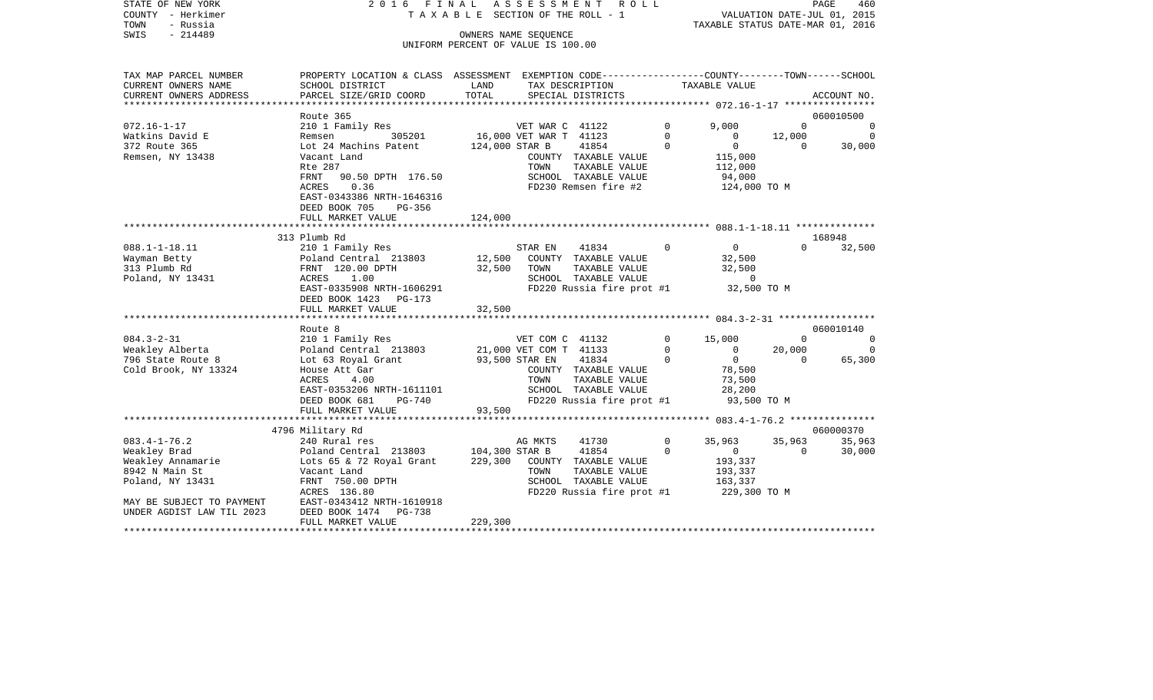| STATE OF NEW YORK<br>COUNTY - Herkimer<br>TOWN<br>- Russia<br>SWIS<br>$-214489$ | 2016 FINAL<br>TAXABLE SECTION OF THE ROLL - 1<br>OWNERS NAME SEQUENCE                                             |                                    |                        |                                       |             | ASSESSMENT ROLL<br>PAGE<br>460<br>VALUATION DATE-JUL 01, 2015<br>TAXABLE STATUS DATE-MAR 01, 2016 |              |             |  |
|---------------------------------------------------------------------------------|-------------------------------------------------------------------------------------------------------------------|------------------------------------|------------------------|---------------------------------------|-------------|---------------------------------------------------------------------------------------------------|--------------|-------------|--|
|                                                                                 |                                                                                                                   | UNIFORM PERCENT OF VALUE IS 100.00 |                        |                                       |             |                                                                                                   |              |             |  |
| TAX MAP PARCEL NUMBER<br>CURRENT OWNERS NAME                                    | PROPERTY LOCATION & CLASS ASSESSMENT EXEMPTION CODE---------------COUNTY-------TOWN-----SCHOOL<br>SCHOOL DISTRICT | LAND                               | TAX DESCRIPTION        |                                       |             | TAXABLE VALUE                                                                                     |              |             |  |
| CURRENT OWNERS ADDRESS                                                          | PARCEL SIZE/GRID COORD                                                                                            | TOTAL                              |                        | SPECIAL DISTRICTS                     |             |                                                                                                   |              | ACCOUNT NO. |  |
|                                                                                 |                                                                                                                   |                                    |                        |                                       |             |                                                                                                   |              |             |  |
|                                                                                 | Route 365                                                                                                         |                                    |                        |                                       |             |                                                                                                   |              | 060010500   |  |
| $072.16 - 1 - 17$                                                               | 210 1 Family Res                                                                                                  |                                    | VET WAR C 41122        |                                       | $\mathbf 0$ | 9.000                                                                                             | $\Omega$     | $\mathbf 0$ |  |
| Watkins David E                                                                 | 305201<br>Remsen                                                                                                  |                                    | 16,000 VET WAR T 41123 |                                       | $\mathbf 0$ | $\mathbf 0$                                                                                       | 12,000       | $\Omega$    |  |
| 372 Route 365                                                                   | Lot 24 Machins Patent                                                                                             | 124,000 STAR B                     |                        | 41854                                 | $\mathbf 0$ | $\overline{0}$                                                                                    | $\mathbf{0}$ | 30,000      |  |
| Remsen, NY 13438                                                                | Vacant Land<br>Rte 287                                                                                            |                                    | TOWN                   | COUNTY TAXABLE VALUE<br>TAXABLE VALUE |             | 115,000<br>112,000                                                                                |              |             |  |
|                                                                                 | FRNT<br>90.50 DPTH 176.50                                                                                         |                                    |                        | SCHOOL TAXABLE VALUE                  |             | 94,000                                                                                            |              |             |  |
|                                                                                 | 0.36<br>ACRES                                                                                                     |                                    |                        | FD230 Remsen fire #2                  |             | 124,000 TO M                                                                                      |              |             |  |
|                                                                                 | EAST-0343386 NRTH-1646316                                                                                         |                                    |                        |                                       |             |                                                                                                   |              |             |  |
|                                                                                 | DEED BOOK 705<br>PG-356                                                                                           |                                    |                        |                                       |             |                                                                                                   |              |             |  |
|                                                                                 | FULL MARKET VALUE                                                                                                 | 124,000                            |                        |                                       |             |                                                                                                   |              |             |  |
|                                                                                 |                                                                                                                   |                                    |                        |                                       |             |                                                                                                   |              |             |  |
|                                                                                 | 313 Plumb Rd                                                                                                      |                                    |                        |                                       |             |                                                                                                   |              | 168948      |  |
| $088.1 - 1 - 18.11$                                                             | 210 1 Family Res                                                                                                  |                                    | STAR EN                | 41834                                 | $\mathbf 0$ | $\overline{0}$                                                                                    | $\Omega$     | 32,500      |  |
| Wayman Betty                                                                    | Poland Central 213803                                                                                             | 12,500                             |                        | COUNTY TAXABLE VALUE                  |             | 32,500                                                                                            |              |             |  |
| 313 Plumb Rd                                                                    | FRNT 120.00 DPTH                                                                                                  | 32,500                             | TOWN                   | TAXABLE VALUE                         |             | 32,500                                                                                            |              |             |  |
| Poland, NY 13431                                                                | ACRES<br>1.00                                                                                                     |                                    |                        | SCHOOL TAXABLE VALUE                  |             | $\Omega$<br>32,500 TO M                                                                           |              |             |  |
|                                                                                 | EAST-0335908 NRTH-1606291<br>DEED BOOK 1423 PG-173                                                                |                                    |                        | FD220 Russia fire prot #1             |             |                                                                                                   |              |             |  |
|                                                                                 | FULL MARKET VALUE                                                                                                 | 32,500                             |                        |                                       |             |                                                                                                   |              |             |  |
|                                                                                 |                                                                                                                   |                                    |                        |                                       |             |                                                                                                   |              |             |  |
|                                                                                 | Route 8                                                                                                           |                                    |                        |                                       |             |                                                                                                   |              | 060010140   |  |
| $084.3 - 2 - 31$                                                                | 210 1 Family Res                                                                                                  |                                    | VET COM C 41132        |                                       | $\mathbf 0$ | 15,000                                                                                            | $\Omega$     | $\Omega$    |  |
| Weakley Alberta                                                                 | Poland Central 213803                                                                                             |                                    | 21,000 VET COM T 41133 |                                       | $\mathbf 0$ | $\circ$                                                                                           | 20,000       | $\Omega$    |  |
| 796 State Route 8                                                               | Lot 63 Royal Grant                                                                                                | 93,500 STAR EN                     |                        | 41834                                 | $\mathbf 0$ | $\overline{0}$                                                                                    | $\mathbf{0}$ | 65,300      |  |
| Cold Brook, NY 13324                                                            | House Att Gar                                                                                                     |                                    |                        | COUNTY TAXABLE VALUE                  |             | 78,500                                                                                            |              |             |  |
|                                                                                 | ACRES<br>4.00                                                                                                     |                                    | TOWN                   | TAXABLE VALUE                         |             | 73,500                                                                                            |              |             |  |
|                                                                                 | EAST-0353206 NRTH-1611101                                                                                         |                                    |                        | SCHOOL TAXABLE VALUE                  |             | 28,200                                                                                            |              |             |  |
|                                                                                 | DEED BOOK 681<br>PG-740                                                                                           |                                    |                        | FD220 Russia fire prot #1             |             | 93,500 TO M                                                                                       |              |             |  |
|                                                                                 | FULL MARKET VALUE                                                                                                 | 93,500                             |                        |                                       |             |                                                                                                   |              |             |  |
|                                                                                 | 4796 Military Rd                                                                                                  |                                    |                        |                                       |             |                                                                                                   |              | 060000370   |  |
| $083.4 - 1 - 76.2$                                                              | 240 Rural res                                                                                                     |                                    | AG MKTS                | 41730                                 | $\mathbf 0$ | 35,963                                                                                            | 35,963       | 35,963      |  |
| Weakley Brad                                                                    | Poland Central 213803                                                                                             | 104,300 STAR B                     |                        | 41854                                 | $\Omega$    | $\overline{0}$                                                                                    | $\Omega$     | 30,000      |  |
| Weakley Annamarie                                                               | Lots 65 & 72 Royal Grant                                                                                          | 229,300                            |                        | COUNTY TAXABLE VALUE                  |             | 193,337                                                                                           |              |             |  |
| 8942 N Main St                                                                  | Vacant Land                                                                                                       |                                    | TOWN                   | TAXABLE VALUE                         |             | 193,337                                                                                           |              |             |  |
| Poland, NY 13431                                                                | FRNT 750.00 DPTH                                                                                                  |                                    |                        | SCHOOL TAXABLE VALUE                  |             | 163,337                                                                                           |              |             |  |
|                                                                                 | ACRES 136.80                                                                                                      |                                    |                        | FD220 Russia fire prot #1             |             | 229,300 TO M                                                                                      |              |             |  |
| MAY BE SUBJECT TO PAYMENT                                                       | EAST-0343412 NRTH-1610918                                                                                         |                                    |                        |                                       |             |                                                                                                   |              |             |  |
| UNDER AGDIST LAW TIL 2023                                                       | PG-738<br>DEED BOOK 1474                                                                                          |                                    |                        |                                       |             |                                                                                                   |              |             |  |
| * * * * * * * * * * * * * * * * * * *                                           | FULL MARKET VALUE                                                                                                 | 229,300                            |                        |                                       |             |                                                                                                   |              |             |  |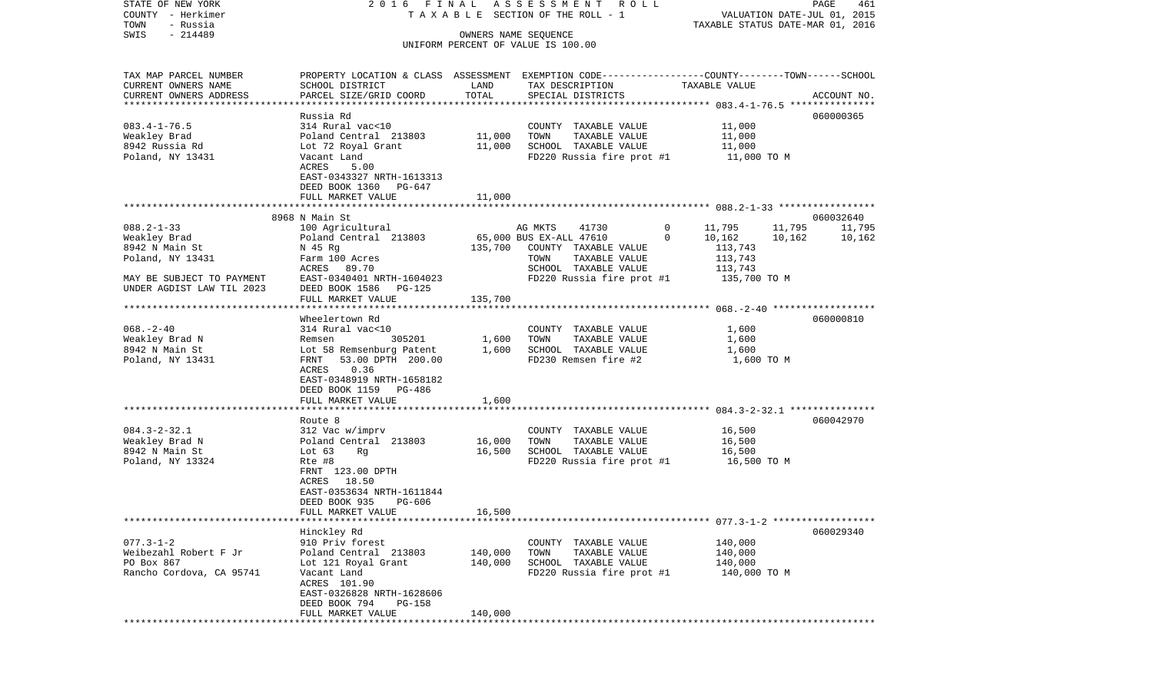COUNTY - Herkimer **T A X A B L E SECTION OF THE ROLL - 1** VALUATION DATE-JUL 01, 2015 TOWN - Russia TAXABLE STATUS DATE-MAR 01, 2016 SWIS - 214489 OWNERS NAME SEQUENCE UNIFORM PERCENT OF VALUE IS 100.00TAX MAP PARCEL NUMBER PROPERTY LOCATION & CLASS ASSESSMENT EXEMPTION CODE------------------COUNTY--------TOWN------SCHOOL CURRENT OWNERS NAME SCHOOL DISTRICT LAND TAX DESCRIPTION TAXABLE VALUECURRENT OWNERS ADDRESS PARCEL SIZE/GRID COORD TOTAL SPECIAL DISTRICTS ACCOUNT NO. \*\*\*\*\*\*\*\*\*\*\*\*\*\*\*\*\*\*\*\*\*\*\*\*\*\*\*\*\*\*\*\*\*\*\*\*\*\*\*\*\*\*\*\*\*\*\*\*\*\*\*\*\*\*\*\*\*\*\*\*\*\*\*\*\*\*\*\*\*\*\*\*\*\*\*\*\*\*\*\*\*\*\*\*\*\*\*\*\*\*\*\*\*\*\*\*\*\*\*\*\*\*\* 083.4-1-76.5 \*\*\*\*\*\*\*\*\*\*\*\*\*\*\* Russia Rd 060000365060000365 083.4-1-76.5 314 Rural vac<10 COUNTY TAXABLE VALUE 11,000 Weakley Brad Poland Central 213803 11,000 TOWN TAXABLE VALUE 11,000 8942 Russia Rd Lot 72 Royal Grant 11,000 SCHOOL TAXABLE VALUE 11,000 Poland, NY 13431 Vacant Land FD220 Russia fire prot #1 11,000 TO M ACRES 5.00 EAST-0343327 NRTH-1613313 DEED BOOK 1360 PG-647 FULL MARKET VALUE 11,000 \*\*\*\*\*\*\*\*\*\*\*\*\*\*\*\*\*\*\*\*\*\*\*\*\*\*\*\*\*\*\*\*\*\*\*\*\*\*\*\*\*\*\*\*\*\*\*\*\*\*\*\*\*\*\*\*\*\*\*\*\*\*\*\*\*\*\*\*\*\*\*\*\*\*\*\*\*\*\*\*\*\*\*\*\*\*\*\*\*\*\*\*\*\*\*\*\*\*\*\*\*\*\* 088.2-1-33 \*\*\*\*\*\*\*\*\*\*\*\*\*\*\*\*\* 8968 N Main St 060032640088.2-1-33 100 Agricultural AG MKTS 41730 0 11,795 11,795 11,795 Weakley Brad Poland Central 213803 65,000 BUS EX-ALL 47610 0 10,162 10,162 10,162 8942 N Main St N 45 Rg 135,700 COUNTY TAXABLE VALUE 113,743 Poland, NY 13431 **Farm 100 Acres** Town TOWN TAXABLE VALUE 113,743 ACRES 89.70 SCHOOL TAXABLE VALUE 113,743 MAY BE SUBJECT TO PAYMENT EAST-0340401 NRTH-1604023 FD220 Russia fire prot #1 135,700 TO M UNDER AGDIST LAW TIL 2023 DEED BOOK 1586 PG-125FULL MARKET VALUE 135,700 \*\*\*\*\*\*\*\*\*\*\*\*\*\*\*\*\*\*\*\*\*\*\*\*\*\*\*\*\*\*\*\*\*\*\*\*\*\*\*\*\*\*\*\*\*\*\*\*\*\*\*\*\*\*\*\*\*\*\*\*\*\*\*\*\*\*\*\*\*\*\*\*\*\*\*\*\*\*\*\*\*\*\*\*\*\*\*\*\*\*\*\*\*\*\*\*\*\*\*\*\*\*\* 068.-2-40 \*\*\*\*\*\*\*\*\*\*\*\*\*\*\*\*\*\* Wheelertown Rd 060000810068.-2-40 314 Rural vac<10 COUNTY TAXABLE VALUE 1,600 Weakley Brad N Remsen 305201 1,600 TOWN TAXABLE VALUE 1,600 8942 N Main St Lot 58 Remsenburg Patent 1,600 SCHOOL TAXABLE VALUE 1,600 FRNT 53.00 DPTH 200.00 ACRES 0.36 EAST-0348919 NRTH-1658182 DEED BOOK 1159 PG-486FULL MARKET VALUE 1,600 \*\*\*\*\*\*\*\*\*\*\*\*\*\*\*\*\*\*\*\*\*\*\*\*\*\*\*\*\*\*\*\*\*\*\*\*\*\*\*\*\*\*\*\*\*\*\*\*\*\*\*\*\*\*\*\*\*\*\*\*\*\*\*\*\*\*\*\*\*\*\*\*\*\*\*\*\*\*\*\*\*\*\*\*\*\*\*\*\*\*\*\*\*\*\*\*\*\*\*\*\*\*\* 084.3-2-32.1 \*\*\*\*\*\*\*\*\*\*\*\*\*\*\* Route 8 060042970084.3-2-32.1 312 Vac w/imprv COUNTY TAXABLE VALUE 16,500 Weakley Brad N Poland Central 213803 16,000 TOWN TAXABLE VALUE 16,500 8942 N Main St Lot 63 Rq 16,500 SCHOOL TAXABLE VALUE 16,500 Poland, NY 13324 Rte #8 Rte +8 Rte +8 Rte +8 Rte encode Russia fire prot +1 16,500 TO M FRNT 123.00 DPTH ACRES 18.50 EAST-0353634 NRTH-1611844 DEED BOOK 935 PG-606FULL MARKET VALUE 16,500 \*\*\*\*\*\*\*\*\*\*\*\*\*\*\*\*\*\*\*\*\*\*\*\*\*\*\*\*\*\*\*\*\*\*\*\*\*\*\*\*\*\*\*\*\*\*\*\*\*\*\*\*\*\*\*\*\*\*\*\*\*\*\*\*\*\*\*\*\*\*\*\*\*\*\*\*\*\*\*\*\*\*\*\*\*\*\*\*\*\*\*\*\*\*\*\*\*\*\*\*\*\*\* 077.3-1-2 \*\*\*\*\*\*\*\*\*\*\*\*\*\*\*\*\*\* Hinckley Rd 060029340 077.3-1-2 910 Priv forest COUNTY TAXABLE VALUE 140,000 Weibezahl Robert F Jr Poland Central 213803 140,000 TOWN TAXABLE VALUE 140,000 PO Box 867 Lot 121 Royal Grant 140,000 SCHOOL TAXABLE VALUE 140,000 Rancho Cordova, CA 95741 Vacant Land FRANCH REDESS Russia fire prot #1 140,000 TO M ACRES 101.90 EAST-0326828 NRTH-1628606 DEED BOOK 794 PG-158 FULL MARKET VALUE 140,000 \*\*\*\*\*\*\*\*\*\*\*\*\*\*\*\*\*\*\*\*\*\*\*\*\*\*\*\*\*\*\*\*\*\*\*\*\*\*\*\*\*\*\*\*\*\*\*\*\*\*\*\*\*\*\*\*\*\*\*\*\*\*\*\*\*\*\*\*\*\*\*\*\*\*\*\*\*\*\*\*\*\*\*\*\*\*\*\*\*\*\*\*\*\*\*\*\*\*\*\*\*\*\*\*\*\*\*\*\*\*\*\*\*\*\*\*\*\*\*\*\*\*\*\*\*\*\*\*\*\*\*\*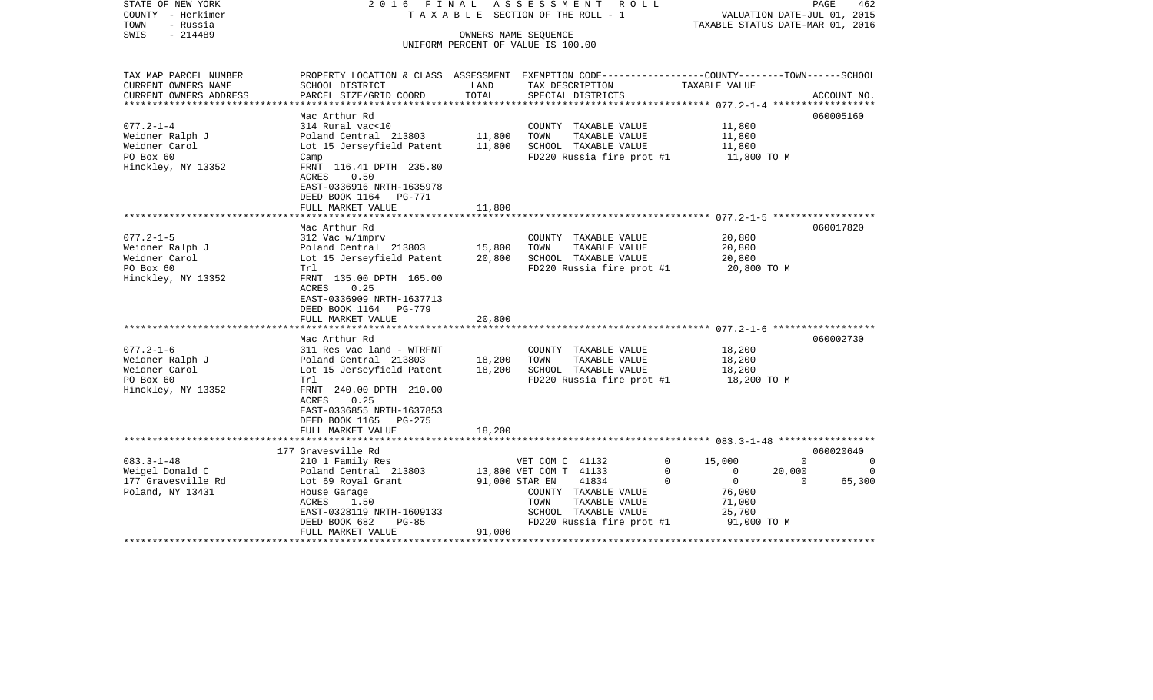| $-214489$<br>SWIS<br>OWNERS NAME SEQUENCE<br>UNIFORM PERCENT OF VALUE IS 100.00<br>PROPERTY LOCATION & CLASS ASSESSMENT EXEMPTION CODE----------------COUNTY-------TOWN------SCHOOL<br>TAX MAP PARCEL NUMBER<br>CURRENT OWNERS NAME<br>SCHOOL DISTRICT<br>LAND<br>TAX DESCRIPTION<br>TAXABLE VALUE<br>TOTAL<br>CURRENT OWNERS ADDRESS<br>PARCEL SIZE/GRID COORD<br>SPECIAL DISTRICTS<br>ACCOUNT NO.<br>**********************<br>060005160<br>Mac Arthur Rd<br>$077.2 - 1 - 4$<br>314 Rural vac<10<br>11,800<br>COUNTY TAXABLE VALUE<br>11,800<br>11,800<br>Weidner Ralph J<br>Poland Central 213803<br>TOWN<br>TAXABLE VALUE<br>Weidner Carol<br>Lot 15 Jerseyfield Patent<br>11,800<br>SCHOOL TAXABLE VALUE<br>11,800<br>PO Box 60<br>FD220 Russia fire prot #1<br>11,800 TO M<br>Camp<br>Hinckley, NY 13352<br>FRNT 116.41 DPTH 235.80<br>ACRES<br>0.50<br>EAST-0336916 NRTH-1635978<br>DEED BOOK 1164 PG-771<br>FULL MARKET VALUE<br>11,800<br>Mac Arthur Rd<br>060017820<br>$077.2 - 1 - 5$<br>312 Vac w/imprv<br>20,800<br>COUNTY TAXABLE VALUE<br>15,800<br>TAXABLE VALUE<br>20,800<br>Weidner Ralph J<br>Poland Central 213803<br>TOWN<br>Weidner Carol<br>Lot 15 Jerseyfield Patent<br>20,800<br>SCHOOL TAXABLE VALUE<br>20,800<br>PO Box 60<br>FD220 Russia fire prot #1<br>20,800 TO M<br>Trl<br>Hinckley, NY 13352<br>FRNT 135.00 DPTH 165.00<br>ACRES<br>0.25<br>EAST-0336909 NRTH-1637713<br>DEED BOOK 1164 PG-779<br>FULL MARKET VALUE<br>20,800<br>* * * * * * * *<br>060002730<br>Mac Arthur Rd<br>$077.2 - 1 - 6$<br>311 Res vac land - WTRFNT<br>18,200<br>COUNTY TAXABLE VALUE<br>Weidner Ralph J<br>Poland Central 213803<br>TAXABLE VALUE<br>18,200<br>18,200<br>TOWN<br>Weidner Carol<br>18,200<br>Lot 15 Jerseyfield Patent<br>SCHOOL TAXABLE VALUE<br>18,200<br>PO Box 60<br>FD220 Russia fire prot #1<br>18,200 TO M<br>Trl<br>FRNT 240.00 DPTH 210.00<br>Hinckley, NY 13352<br>ACRES<br>0.25<br>EAST-0336855 NRTH-1637853<br>DEED BOOK 1165 PG-275<br>FULL MARKET VALUE<br>18,200<br>177 Gravesville Rd<br>060020640<br>$083.3 - 1 - 48$<br>210 1 Family Res<br>$\mathbf 0$<br>15,000<br>$\Omega$<br>VET COM C 41132<br>$\Omega$<br>Weigel Donald C<br>13,800 VET COM T 41133<br>$\mathbf 0$<br>$\circ$<br>Poland Central 213803<br>20,000<br>$\Omega$<br>177 Gravesville Rd<br>Lot 69 Royal Grant<br>91,000 STAR EN<br>41834<br>$\mathbf 0$<br>$\overline{0}$<br>65,300<br>$\Omega$<br>76,000<br>Poland, NY 13431<br>House Garage<br>COUNTY TAXABLE VALUE<br>ACRES<br>1.50<br>TOWN<br>TAXABLE VALUE<br>71,000<br>EAST-0328119 NRTH-1609133<br>SCHOOL TAXABLE VALUE<br>25,700<br>DEED BOOK 682<br>FD220 Russia fire prot #1<br>91,000 TO M<br>$PG-85$<br>FULL MARKET VALUE<br>91,000 | STATE OF NEW YORK<br>COUNTY - Herkimer<br>TOWN<br>- Russia | 2016 FINAL<br>TAXABLE SECTION OF THE ROLL - 1 | ASSESSMENT ROLL | PAGE<br>462<br>VALUATION DATE-JUL 01, 2015<br>TAXABLE STATUS DATE-MAR 01, 2016 |  |  |  |
|-----------------------------------------------------------------------------------------------------------------------------------------------------------------------------------------------------------------------------------------------------------------------------------------------------------------------------------------------------------------------------------------------------------------------------------------------------------------------------------------------------------------------------------------------------------------------------------------------------------------------------------------------------------------------------------------------------------------------------------------------------------------------------------------------------------------------------------------------------------------------------------------------------------------------------------------------------------------------------------------------------------------------------------------------------------------------------------------------------------------------------------------------------------------------------------------------------------------------------------------------------------------------------------------------------------------------------------------------------------------------------------------------------------------------------------------------------------------------------------------------------------------------------------------------------------------------------------------------------------------------------------------------------------------------------------------------------------------------------------------------------------------------------------------------------------------------------------------------------------------------------------------------------------------------------------------------------------------------------------------------------------------------------------------------------------------------------------------------------------------------------------------------------------------------------------------------------------------------------------------------------------------------------------------------------------------------------------------------------------------------------------------------------------------------------------------------------------------------------------------------------------------------------------------------------------------------------------------------------------------------------------------------------------------------------------------------------------------|------------------------------------------------------------|-----------------------------------------------|-----------------|--------------------------------------------------------------------------------|--|--|--|
|                                                                                                                                                                                                                                                                                                                                                                                                                                                                                                                                                                                                                                                                                                                                                                                                                                                                                                                                                                                                                                                                                                                                                                                                                                                                                                                                                                                                                                                                                                                                                                                                                                                                                                                                                                                                                                                                                                                                                                                                                                                                                                                                                                                                                                                                                                                                                                                                                                                                                                                                                                                                                                                                                                                 |                                                            |                                               |                 |                                                                                |  |  |  |
|                                                                                                                                                                                                                                                                                                                                                                                                                                                                                                                                                                                                                                                                                                                                                                                                                                                                                                                                                                                                                                                                                                                                                                                                                                                                                                                                                                                                                                                                                                                                                                                                                                                                                                                                                                                                                                                                                                                                                                                                                                                                                                                                                                                                                                                                                                                                                                                                                                                                                                                                                                                                                                                                                                                 |                                                            |                                               |                 |                                                                                |  |  |  |
|                                                                                                                                                                                                                                                                                                                                                                                                                                                                                                                                                                                                                                                                                                                                                                                                                                                                                                                                                                                                                                                                                                                                                                                                                                                                                                                                                                                                                                                                                                                                                                                                                                                                                                                                                                                                                                                                                                                                                                                                                                                                                                                                                                                                                                                                                                                                                                                                                                                                                                                                                                                                                                                                                                                 |                                                            |                                               |                 |                                                                                |  |  |  |
|                                                                                                                                                                                                                                                                                                                                                                                                                                                                                                                                                                                                                                                                                                                                                                                                                                                                                                                                                                                                                                                                                                                                                                                                                                                                                                                                                                                                                                                                                                                                                                                                                                                                                                                                                                                                                                                                                                                                                                                                                                                                                                                                                                                                                                                                                                                                                                                                                                                                                                                                                                                                                                                                                                                 |                                                            |                                               |                 |                                                                                |  |  |  |
|                                                                                                                                                                                                                                                                                                                                                                                                                                                                                                                                                                                                                                                                                                                                                                                                                                                                                                                                                                                                                                                                                                                                                                                                                                                                                                                                                                                                                                                                                                                                                                                                                                                                                                                                                                                                                                                                                                                                                                                                                                                                                                                                                                                                                                                                                                                                                                                                                                                                                                                                                                                                                                                                                                                 |                                                            |                                               |                 |                                                                                |  |  |  |
|                                                                                                                                                                                                                                                                                                                                                                                                                                                                                                                                                                                                                                                                                                                                                                                                                                                                                                                                                                                                                                                                                                                                                                                                                                                                                                                                                                                                                                                                                                                                                                                                                                                                                                                                                                                                                                                                                                                                                                                                                                                                                                                                                                                                                                                                                                                                                                                                                                                                                                                                                                                                                                                                                                                 |                                                            |                                               |                 |                                                                                |  |  |  |
|                                                                                                                                                                                                                                                                                                                                                                                                                                                                                                                                                                                                                                                                                                                                                                                                                                                                                                                                                                                                                                                                                                                                                                                                                                                                                                                                                                                                                                                                                                                                                                                                                                                                                                                                                                                                                                                                                                                                                                                                                                                                                                                                                                                                                                                                                                                                                                                                                                                                                                                                                                                                                                                                                                                 |                                                            |                                               |                 |                                                                                |  |  |  |
|                                                                                                                                                                                                                                                                                                                                                                                                                                                                                                                                                                                                                                                                                                                                                                                                                                                                                                                                                                                                                                                                                                                                                                                                                                                                                                                                                                                                                                                                                                                                                                                                                                                                                                                                                                                                                                                                                                                                                                                                                                                                                                                                                                                                                                                                                                                                                                                                                                                                                                                                                                                                                                                                                                                 |                                                            |                                               |                 |                                                                                |  |  |  |
|                                                                                                                                                                                                                                                                                                                                                                                                                                                                                                                                                                                                                                                                                                                                                                                                                                                                                                                                                                                                                                                                                                                                                                                                                                                                                                                                                                                                                                                                                                                                                                                                                                                                                                                                                                                                                                                                                                                                                                                                                                                                                                                                                                                                                                                                                                                                                                                                                                                                                                                                                                                                                                                                                                                 |                                                            |                                               |                 |                                                                                |  |  |  |
|                                                                                                                                                                                                                                                                                                                                                                                                                                                                                                                                                                                                                                                                                                                                                                                                                                                                                                                                                                                                                                                                                                                                                                                                                                                                                                                                                                                                                                                                                                                                                                                                                                                                                                                                                                                                                                                                                                                                                                                                                                                                                                                                                                                                                                                                                                                                                                                                                                                                                                                                                                                                                                                                                                                 |                                                            |                                               |                 |                                                                                |  |  |  |
|                                                                                                                                                                                                                                                                                                                                                                                                                                                                                                                                                                                                                                                                                                                                                                                                                                                                                                                                                                                                                                                                                                                                                                                                                                                                                                                                                                                                                                                                                                                                                                                                                                                                                                                                                                                                                                                                                                                                                                                                                                                                                                                                                                                                                                                                                                                                                                                                                                                                                                                                                                                                                                                                                                                 |                                                            |                                               |                 |                                                                                |  |  |  |
|                                                                                                                                                                                                                                                                                                                                                                                                                                                                                                                                                                                                                                                                                                                                                                                                                                                                                                                                                                                                                                                                                                                                                                                                                                                                                                                                                                                                                                                                                                                                                                                                                                                                                                                                                                                                                                                                                                                                                                                                                                                                                                                                                                                                                                                                                                                                                                                                                                                                                                                                                                                                                                                                                                                 |                                                            |                                               |                 |                                                                                |  |  |  |
|                                                                                                                                                                                                                                                                                                                                                                                                                                                                                                                                                                                                                                                                                                                                                                                                                                                                                                                                                                                                                                                                                                                                                                                                                                                                                                                                                                                                                                                                                                                                                                                                                                                                                                                                                                                                                                                                                                                                                                                                                                                                                                                                                                                                                                                                                                                                                                                                                                                                                                                                                                                                                                                                                                                 |                                                            |                                               |                 |                                                                                |  |  |  |
|                                                                                                                                                                                                                                                                                                                                                                                                                                                                                                                                                                                                                                                                                                                                                                                                                                                                                                                                                                                                                                                                                                                                                                                                                                                                                                                                                                                                                                                                                                                                                                                                                                                                                                                                                                                                                                                                                                                                                                                                                                                                                                                                                                                                                                                                                                                                                                                                                                                                                                                                                                                                                                                                                                                 |                                                            |                                               |                 |                                                                                |  |  |  |
|                                                                                                                                                                                                                                                                                                                                                                                                                                                                                                                                                                                                                                                                                                                                                                                                                                                                                                                                                                                                                                                                                                                                                                                                                                                                                                                                                                                                                                                                                                                                                                                                                                                                                                                                                                                                                                                                                                                                                                                                                                                                                                                                                                                                                                                                                                                                                                                                                                                                                                                                                                                                                                                                                                                 |                                                            |                                               |                 |                                                                                |  |  |  |
|                                                                                                                                                                                                                                                                                                                                                                                                                                                                                                                                                                                                                                                                                                                                                                                                                                                                                                                                                                                                                                                                                                                                                                                                                                                                                                                                                                                                                                                                                                                                                                                                                                                                                                                                                                                                                                                                                                                                                                                                                                                                                                                                                                                                                                                                                                                                                                                                                                                                                                                                                                                                                                                                                                                 |                                                            |                                               |                 |                                                                                |  |  |  |
|                                                                                                                                                                                                                                                                                                                                                                                                                                                                                                                                                                                                                                                                                                                                                                                                                                                                                                                                                                                                                                                                                                                                                                                                                                                                                                                                                                                                                                                                                                                                                                                                                                                                                                                                                                                                                                                                                                                                                                                                                                                                                                                                                                                                                                                                                                                                                                                                                                                                                                                                                                                                                                                                                                                 |                                                            |                                               |                 |                                                                                |  |  |  |
|                                                                                                                                                                                                                                                                                                                                                                                                                                                                                                                                                                                                                                                                                                                                                                                                                                                                                                                                                                                                                                                                                                                                                                                                                                                                                                                                                                                                                                                                                                                                                                                                                                                                                                                                                                                                                                                                                                                                                                                                                                                                                                                                                                                                                                                                                                                                                                                                                                                                                                                                                                                                                                                                                                                 |                                                            |                                               |                 |                                                                                |  |  |  |
|                                                                                                                                                                                                                                                                                                                                                                                                                                                                                                                                                                                                                                                                                                                                                                                                                                                                                                                                                                                                                                                                                                                                                                                                                                                                                                                                                                                                                                                                                                                                                                                                                                                                                                                                                                                                                                                                                                                                                                                                                                                                                                                                                                                                                                                                                                                                                                                                                                                                                                                                                                                                                                                                                                                 |                                                            |                                               |                 |                                                                                |  |  |  |
|                                                                                                                                                                                                                                                                                                                                                                                                                                                                                                                                                                                                                                                                                                                                                                                                                                                                                                                                                                                                                                                                                                                                                                                                                                                                                                                                                                                                                                                                                                                                                                                                                                                                                                                                                                                                                                                                                                                                                                                                                                                                                                                                                                                                                                                                                                                                                                                                                                                                                                                                                                                                                                                                                                                 |                                                            |                                               |                 |                                                                                |  |  |  |
|                                                                                                                                                                                                                                                                                                                                                                                                                                                                                                                                                                                                                                                                                                                                                                                                                                                                                                                                                                                                                                                                                                                                                                                                                                                                                                                                                                                                                                                                                                                                                                                                                                                                                                                                                                                                                                                                                                                                                                                                                                                                                                                                                                                                                                                                                                                                                                                                                                                                                                                                                                                                                                                                                                                 |                                                            |                                               |                 |                                                                                |  |  |  |
|                                                                                                                                                                                                                                                                                                                                                                                                                                                                                                                                                                                                                                                                                                                                                                                                                                                                                                                                                                                                                                                                                                                                                                                                                                                                                                                                                                                                                                                                                                                                                                                                                                                                                                                                                                                                                                                                                                                                                                                                                                                                                                                                                                                                                                                                                                                                                                                                                                                                                                                                                                                                                                                                                                                 |                                                            |                                               |                 |                                                                                |  |  |  |
|                                                                                                                                                                                                                                                                                                                                                                                                                                                                                                                                                                                                                                                                                                                                                                                                                                                                                                                                                                                                                                                                                                                                                                                                                                                                                                                                                                                                                                                                                                                                                                                                                                                                                                                                                                                                                                                                                                                                                                                                                                                                                                                                                                                                                                                                                                                                                                                                                                                                                                                                                                                                                                                                                                                 |                                                            |                                               |                 |                                                                                |  |  |  |
|                                                                                                                                                                                                                                                                                                                                                                                                                                                                                                                                                                                                                                                                                                                                                                                                                                                                                                                                                                                                                                                                                                                                                                                                                                                                                                                                                                                                                                                                                                                                                                                                                                                                                                                                                                                                                                                                                                                                                                                                                                                                                                                                                                                                                                                                                                                                                                                                                                                                                                                                                                                                                                                                                                                 |                                                            |                                               |                 |                                                                                |  |  |  |
|                                                                                                                                                                                                                                                                                                                                                                                                                                                                                                                                                                                                                                                                                                                                                                                                                                                                                                                                                                                                                                                                                                                                                                                                                                                                                                                                                                                                                                                                                                                                                                                                                                                                                                                                                                                                                                                                                                                                                                                                                                                                                                                                                                                                                                                                                                                                                                                                                                                                                                                                                                                                                                                                                                                 |                                                            |                                               |                 |                                                                                |  |  |  |
|                                                                                                                                                                                                                                                                                                                                                                                                                                                                                                                                                                                                                                                                                                                                                                                                                                                                                                                                                                                                                                                                                                                                                                                                                                                                                                                                                                                                                                                                                                                                                                                                                                                                                                                                                                                                                                                                                                                                                                                                                                                                                                                                                                                                                                                                                                                                                                                                                                                                                                                                                                                                                                                                                                                 |                                                            |                                               |                 |                                                                                |  |  |  |
|                                                                                                                                                                                                                                                                                                                                                                                                                                                                                                                                                                                                                                                                                                                                                                                                                                                                                                                                                                                                                                                                                                                                                                                                                                                                                                                                                                                                                                                                                                                                                                                                                                                                                                                                                                                                                                                                                                                                                                                                                                                                                                                                                                                                                                                                                                                                                                                                                                                                                                                                                                                                                                                                                                                 |                                                            |                                               |                 |                                                                                |  |  |  |
|                                                                                                                                                                                                                                                                                                                                                                                                                                                                                                                                                                                                                                                                                                                                                                                                                                                                                                                                                                                                                                                                                                                                                                                                                                                                                                                                                                                                                                                                                                                                                                                                                                                                                                                                                                                                                                                                                                                                                                                                                                                                                                                                                                                                                                                                                                                                                                                                                                                                                                                                                                                                                                                                                                                 |                                                            |                                               |                 |                                                                                |  |  |  |
|                                                                                                                                                                                                                                                                                                                                                                                                                                                                                                                                                                                                                                                                                                                                                                                                                                                                                                                                                                                                                                                                                                                                                                                                                                                                                                                                                                                                                                                                                                                                                                                                                                                                                                                                                                                                                                                                                                                                                                                                                                                                                                                                                                                                                                                                                                                                                                                                                                                                                                                                                                                                                                                                                                                 |                                                            |                                               |                 |                                                                                |  |  |  |
|                                                                                                                                                                                                                                                                                                                                                                                                                                                                                                                                                                                                                                                                                                                                                                                                                                                                                                                                                                                                                                                                                                                                                                                                                                                                                                                                                                                                                                                                                                                                                                                                                                                                                                                                                                                                                                                                                                                                                                                                                                                                                                                                                                                                                                                                                                                                                                                                                                                                                                                                                                                                                                                                                                                 |                                                            |                                               |                 |                                                                                |  |  |  |
|                                                                                                                                                                                                                                                                                                                                                                                                                                                                                                                                                                                                                                                                                                                                                                                                                                                                                                                                                                                                                                                                                                                                                                                                                                                                                                                                                                                                                                                                                                                                                                                                                                                                                                                                                                                                                                                                                                                                                                                                                                                                                                                                                                                                                                                                                                                                                                                                                                                                                                                                                                                                                                                                                                                 |                                                            |                                               |                 |                                                                                |  |  |  |
|                                                                                                                                                                                                                                                                                                                                                                                                                                                                                                                                                                                                                                                                                                                                                                                                                                                                                                                                                                                                                                                                                                                                                                                                                                                                                                                                                                                                                                                                                                                                                                                                                                                                                                                                                                                                                                                                                                                                                                                                                                                                                                                                                                                                                                                                                                                                                                                                                                                                                                                                                                                                                                                                                                                 |                                                            |                                               |                 |                                                                                |  |  |  |
|                                                                                                                                                                                                                                                                                                                                                                                                                                                                                                                                                                                                                                                                                                                                                                                                                                                                                                                                                                                                                                                                                                                                                                                                                                                                                                                                                                                                                                                                                                                                                                                                                                                                                                                                                                                                                                                                                                                                                                                                                                                                                                                                                                                                                                                                                                                                                                                                                                                                                                                                                                                                                                                                                                                 |                                                            |                                               |                 |                                                                                |  |  |  |
|                                                                                                                                                                                                                                                                                                                                                                                                                                                                                                                                                                                                                                                                                                                                                                                                                                                                                                                                                                                                                                                                                                                                                                                                                                                                                                                                                                                                                                                                                                                                                                                                                                                                                                                                                                                                                                                                                                                                                                                                                                                                                                                                                                                                                                                                                                                                                                                                                                                                                                                                                                                                                                                                                                                 |                                                            |                                               |                 |                                                                                |  |  |  |
|                                                                                                                                                                                                                                                                                                                                                                                                                                                                                                                                                                                                                                                                                                                                                                                                                                                                                                                                                                                                                                                                                                                                                                                                                                                                                                                                                                                                                                                                                                                                                                                                                                                                                                                                                                                                                                                                                                                                                                                                                                                                                                                                                                                                                                                                                                                                                                                                                                                                                                                                                                                                                                                                                                                 |                                                            |                                               |                 |                                                                                |  |  |  |
|                                                                                                                                                                                                                                                                                                                                                                                                                                                                                                                                                                                                                                                                                                                                                                                                                                                                                                                                                                                                                                                                                                                                                                                                                                                                                                                                                                                                                                                                                                                                                                                                                                                                                                                                                                                                                                                                                                                                                                                                                                                                                                                                                                                                                                                                                                                                                                                                                                                                                                                                                                                                                                                                                                                 |                                                            |                                               |                 |                                                                                |  |  |  |
|                                                                                                                                                                                                                                                                                                                                                                                                                                                                                                                                                                                                                                                                                                                                                                                                                                                                                                                                                                                                                                                                                                                                                                                                                                                                                                                                                                                                                                                                                                                                                                                                                                                                                                                                                                                                                                                                                                                                                                                                                                                                                                                                                                                                                                                                                                                                                                                                                                                                                                                                                                                                                                                                                                                 |                                                            |                                               |                 |                                                                                |  |  |  |
|                                                                                                                                                                                                                                                                                                                                                                                                                                                                                                                                                                                                                                                                                                                                                                                                                                                                                                                                                                                                                                                                                                                                                                                                                                                                                                                                                                                                                                                                                                                                                                                                                                                                                                                                                                                                                                                                                                                                                                                                                                                                                                                                                                                                                                                                                                                                                                                                                                                                                                                                                                                                                                                                                                                 |                                                            |                                               |                 |                                                                                |  |  |  |
|                                                                                                                                                                                                                                                                                                                                                                                                                                                                                                                                                                                                                                                                                                                                                                                                                                                                                                                                                                                                                                                                                                                                                                                                                                                                                                                                                                                                                                                                                                                                                                                                                                                                                                                                                                                                                                                                                                                                                                                                                                                                                                                                                                                                                                                                                                                                                                                                                                                                                                                                                                                                                                                                                                                 |                                                            |                                               |                 |                                                                                |  |  |  |
|                                                                                                                                                                                                                                                                                                                                                                                                                                                                                                                                                                                                                                                                                                                                                                                                                                                                                                                                                                                                                                                                                                                                                                                                                                                                                                                                                                                                                                                                                                                                                                                                                                                                                                                                                                                                                                                                                                                                                                                                                                                                                                                                                                                                                                                                                                                                                                                                                                                                                                                                                                                                                                                                                                                 |                                                            |                                               |                 |                                                                                |  |  |  |
|                                                                                                                                                                                                                                                                                                                                                                                                                                                                                                                                                                                                                                                                                                                                                                                                                                                                                                                                                                                                                                                                                                                                                                                                                                                                                                                                                                                                                                                                                                                                                                                                                                                                                                                                                                                                                                                                                                                                                                                                                                                                                                                                                                                                                                                                                                                                                                                                                                                                                                                                                                                                                                                                                                                 |                                                            |                                               |                 |                                                                                |  |  |  |
|                                                                                                                                                                                                                                                                                                                                                                                                                                                                                                                                                                                                                                                                                                                                                                                                                                                                                                                                                                                                                                                                                                                                                                                                                                                                                                                                                                                                                                                                                                                                                                                                                                                                                                                                                                                                                                                                                                                                                                                                                                                                                                                                                                                                                                                                                                                                                                                                                                                                                                                                                                                                                                                                                                                 |                                                            |                                               |                 |                                                                                |  |  |  |
|                                                                                                                                                                                                                                                                                                                                                                                                                                                                                                                                                                                                                                                                                                                                                                                                                                                                                                                                                                                                                                                                                                                                                                                                                                                                                                                                                                                                                                                                                                                                                                                                                                                                                                                                                                                                                                                                                                                                                                                                                                                                                                                                                                                                                                                                                                                                                                                                                                                                                                                                                                                                                                                                                                                 |                                                            |                                               |                 |                                                                                |  |  |  |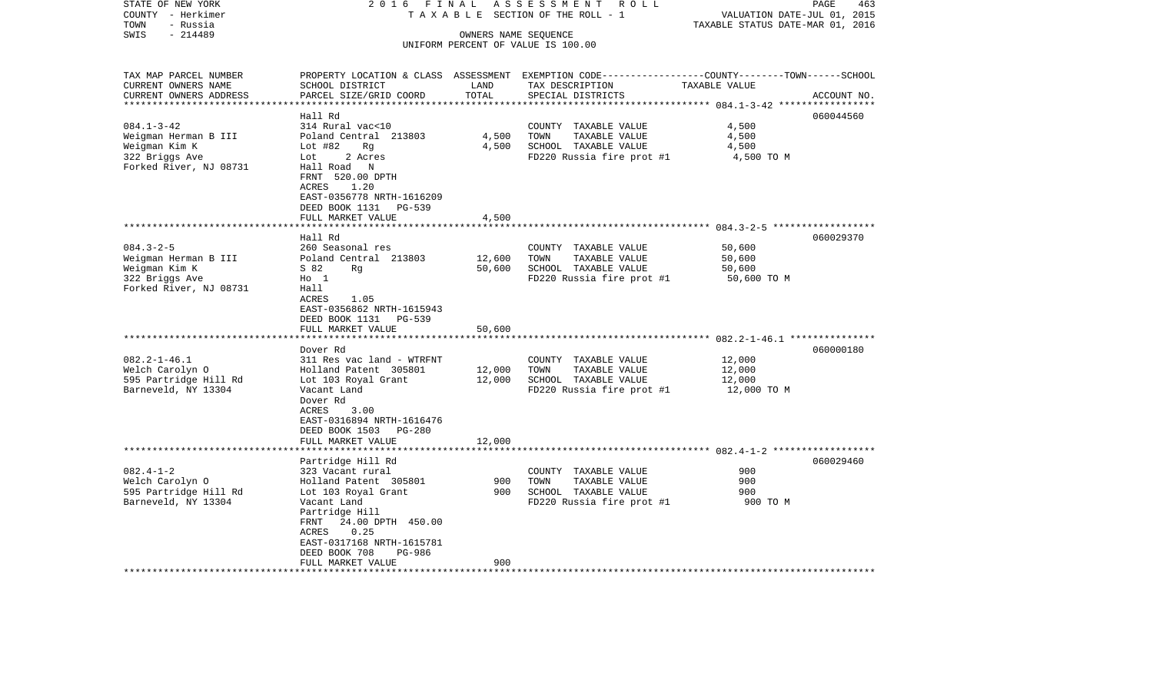| TAXABLE<br>SECTION OF THE ROLL - 1<br>TOWN<br>- Russia<br>TAXABLE STATUS DATE-MAR 01, 2016<br>$-214489$<br>SWIS<br>OWNERS NAME SEQUENCE<br>UNIFORM PERCENT OF VALUE IS 100.00<br>TAX MAP PARCEL NUMBER<br>PROPERTY LOCATION & CLASS ASSESSMENT EXEMPTION CODE---------------COUNTY-------TOWN------SCHOOL<br>SCHOOL DISTRICT<br>CURRENT OWNERS NAME<br>LAND<br>TAX DESCRIPTION<br>TAXABLE VALUE<br>TOTAL<br>CURRENT OWNERS ADDRESS<br>PARCEL SIZE/GRID COORD<br>SPECIAL DISTRICTS<br>ACCOUNT NO.<br>**********************<br>Hall Rd<br>060044560<br>314 Rural vac<10<br>4,500<br>COUNTY TAXABLE VALUE<br>4,500<br>Poland Central 213803<br>TOWN<br>TAXABLE VALUE<br>4,500<br>4,500<br>Lot $#82$<br>SCHOOL TAXABLE VALUE<br>4,500<br>Rg<br>2 Acres<br>Lot<br>FD220 Russia fire prot #1<br>4,500 TO M<br>Hall Road<br>$\mathbb N$<br>FRNT 520.00 DPTH<br>ACRES<br>1.20<br>EAST-0356778 NRTH-1616209<br>DEED BOOK 1131<br>PG-539<br>FULL MARKET VALUE<br>4,500<br>******************************<br>Hall Rd<br>060029370<br>$084.3 - 2 - 5$<br>260 Seasonal res<br>50,600<br>COUNTY TAXABLE VALUE<br>50,600<br>Weigman Herman B III<br>Poland Central 213803<br>12,600<br>TOWN<br>TAXABLE VALUE<br>50,600<br>SCHOOL TAXABLE VALUE<br>S 82<br>50,600<br>Rq<br>$H_0$ 1<br>FD220 Russia fire prot #1<br>50,600 TO M<br>Hall<br>ACRES<br>1.05<br>EAST-0356862 NRTH-1615943<br>DEED BOOK 1131<br>PG-539<br>FULL MARKET VALUE<br>50,600<br>Dover Rd<br>060000180<br>$082.2 - 1 - 46.1$<br>311 Res vac land - WTRFNT<br>12,000<br>COUNTY TAXABLE VALUE<br>Welch Carolyn O<br>TAXABLE VALUE<br>Holland Patent 305801<br>12,000<br>TOWN<br>12,000<br>595 Partridge Hill Rd<br>Lot 103 Royal Grant<br>12,000<br>SCHOOL TAXABLE VALUE<br>12,000<br>Vacant Land<br>FD220 Russia fire prot #1<br>12,000 TO M<br>Dover Rd<br>ACRES<br>3.00<br>EAST-0316894 NRTH-1616476<br>DEED BOOK 1503<br><b>PG-280</b><br>FULL MARKET VALUE<br>12,000<br>Partridge Hill Rd<br>060029460<br>$082.4 - 1 - 2$<br>323 Vacant rural<br>900<br>COUNTY TAXABLE VALUE<br>Welch Carolyn O<br>900<br>Holland Patent 305801<br>900<br>TOWN<br>TAXABLE VALUE<br>595 Partridge Hill Rd<br>900<br>SCHOOL TAXABLE VALUE<br>900<br>Lot 103 Royal Grant<br>FD220 Russia fire prot #1<br>Barneveld, NY 13304<br>Vacant Land<br>900 TO M<br>Partridge Hill<br>FRNT<br>24.00 DPTH 450.00<br>0.25<br>ACRES<br>EAST-0317168 NRTH-1615781<br>DEED BOOK 708<br>PG-986<br>900<br>FULL MARKET VALUE | STATE OF NEW YORK<br>COUNTY - Herkimer | 2 0 1 6<br>FINAL | 463<br>ROLL<br>PAGE<br>VALUATION DATE-JUL 01, 2015 |  |  |
|------------------------------------------------------------------------------------------------------------------------------------------------------------------------------------------------------------------------------------------------------------------------------------------------------------------------------------------------------------------------------------------------------------------------------------------------------------------------------------------------------------------------------------------------------------------------------------------------------------------------------------------------------------------------------------------------------------------------------------------------------------------------------------------------------------------------------------------------------------------------------------------------------------------------------------------------------------------------------------------------------------------------------------------------------------------------------------------------------------------------------------------------------------------------------------------------------------------------------------------------------------------------------------------------------------------------------------------------------------------------------------------------------------------------------------------------------------------------------------------------------------------------------------------------------------------------------------------------------------------------------------------------------------------------------------------------------------------------------------------------------------------------------------------------------------------------------------------------------------------------------------------------------------------------------------------------------------------------------------------------------------------------------------------------------------------------------------------------------------------------------------------------------------------------------------------------------------------------------------------------------------------------------------------------------------------------------------------------------------------------------------------------------------------------------------------------|----------------------------------------|------------------|----------------------------------------------------|--|--|
|                                                                                                                                                                                                                                                                                                                                                                                                                                                                                                                                                                                                                                                                                                                                                                                                                                                                                                                                                                                                                                                                                                                                                                                                                                                                                                                                                                                                                                                                                                                                                                                                                                                                                                                                                                                                                                                                                                                                                                                                                                                                                                                                                                                                                                                                                                                                                                                                                                                |                                        |                  |                                                    |  |  |
|                                                                                                                                                                                                                                                                                                                                                                                                                                                                                                                                                                                                                                                                                                                                                                                                                                                                                                                                                                                                                                                                                                                                                                                                                                                                                                                                                                                                                                                                                                                                                                                                                                                                                                                                                                                                                                                                                                                                                                                                                                                                                                                                                                                                                                                                                                                                                                                                                                                |                                        |                  |                                                    |  |  |
|                                                                                                                                                                                                                                                                                                                                                                                                                                                                                                                                                                                                                                                                                                                                                                                                                                                                                                                                                                                                                                                                                                                                                                                                                                                                                                                                                                                                                                                                                                                                                                                                                                                                                                                                                                                                                                                                                                                                                                                                                                                                                                                                                                                                                                                                                                                                                                                                                                                |                                        |                  |                                                    |  |  |
|                                                                                                                                                                                                                                                                                                                                                                                                                                                                                                                                                                                                                                                                                                                                                                                                                                                                                                                                                                                                                                                                                                                                                                                                                                                                                                                                                                                                                                                                                                                                                                                                                                                                                                                                                                                                                                                                                                                                                                                                                                                                                                                                                                                                                                                                                                                                                                                                                                                |                                        |                  |                                                    |  |  |
|                                                                                                                                                                                                                                                                                                                                                                                                                                                                                                                                                                                                                                                                                                                                                                                                                                                                                                                                                                                                                                                                                                                                                                                                                                                                                                                                                                                                                                                                                                                                                                                                                                                                                                                                                                                                                                                                                                                                                                                                                                                                                                                                                                                                                                                                                                                                                                                                                                                |                                        |                  |                                                    |  |  |
|                                                                                                                                                                                                                                                                                                                                                                                                                                                                                                                                                                                                                                                                                                                                                                                                                                                                                                                                                                                                                                                                                                                                                                                                                                                                                                                                                                                                                                                                                                                                                                                                                                                                                                                                                                                                                                                                                                                                                                                                                                                                                                                                                                                                                                                                                                                                                                                                                                                |                                        |                  |                                                    |  |  |
|                                                                                                                                                                                                                                                                                                                                                                                                                                                                                                                                                                                                                                                                                                                                                                                                                                                                                                                                                                                                                                                                                                                                                                                                                                                                                                                                                                                                                                                                                                                                                                                                                                                                                                                                                                                                                                                                                                                                                                                                                                                                                                                                                                                                                                                                                                                                                                                                                                                |                                        |                  |                                                    |  |  |
|                                                                                                                                                                                                                                                                                                                                                                                                                                                                                                                                                                                                                                                                                                                                                                                                                                                                                                                                                                                                                                                                                                                                                                                                                                                                                                                                                                                                                                                                                                                                                                                                                                                                                                                                                                                                                                                                                                                                                                                                                                                                                                                                                                                                                                                                                                                                                                                                                                                |                                        |                  |                                                    |  |  |
|                                                                                                                                                                                                                                                                                                                                                                                                                                                                                                                                                                                                                                                                                                                                                                                                                                                                                                                                                                                                                                                                                                                                                                                                                                                                                                                                                                                                                                                                                                                                                                                                                                                                                                                                                                                                                                                                                                                                                                                                                                                                                                                                                                                                                                                                                                                                                                                                                                                | $084.1 - 3 - 42$                       |                  |                                                    |  |  |
|                                                                                                                                                                                                                                                                                                                                                                                                                                                                                                                                                                                                                                                                                                                                                                                                                                                                                                                                                                                                                                                                                                                                                                                                                                                                                                                                                                                                                                                                                                                                                                                                                                                                                                                                                                                                                                                                                                                                                                                                                                                                                                                                                                                                                                                                                                                                                                                                                                                | Weigman Herman B III                   |                  |                                                    |  |  |
|                                                                                                                                                                                                                                                                                                                                                                                                                                                                                                                                                                                                                                                                                                                                                                                                                                                                                                                                                                                                                                                                                                                                                                                                                                                                                                                                                                                                                                                                                                                                                                                                                                                                                                                                                                                                                                                                                                                                                                                                                                                                                                                                                                                                                                                                                                                                                                                                                                                | Weigman Kim K                          |                  |                                                    |  |  |
|                                                                                                                                                                                                                                                                                                                                                                                                                                                                                                                                                                                                                                                                                                                                                                                                                                                                                                                                                                                                                                                                                                                                                                                                                                                                                                                                                                                                                                                                                                                                                                                                                                                                                                                                                                                                                                                                                                                                                                                                                                                                                                                                                                                                                                                                                                                                                                                                                                                | 322 Briggs Ave                         |                  |                                                    |  |  |
|                                                                                                                                                                                                                                                                                                                                                                                                                                                                                                                                                                                                                                                                                                                                                                                                                                                                                                                                                                                                                                                                                                                                                                                                                                                                                                                                                                                                                                                                                                                                                                                                                                                                                                                                                                                                                                                                                                                                                                                                                                                                                                                                                                                                                                                                                                                                                                                                                                                | Forked River, NJ 08731                 |                  |                                                    |  |  |
|                                                                                                                                                                                                                                                                                                                                                                                                                                                                                                                                                                                                                                                                                                                                                                                                                                                                                                                                                                                                                                                                                                                                                                                                                                                                                                                                                                                                                                                                                                                                                                                                                                                                                                                                                                                                                                                                                                                                                                                                                                                                                                                                                                                                                                                                                                                                                                                                                                                |                                        |                  |                                                    |  |  |
|                                                                                                                                                                                                                                                                                                                                                                                                                                                                                                                                                                                                                                                                                                                                                                                                                                                                                                                                                                                                                                                                                                                                                                                                                                                                                                                                                                                                                                                                                                                                                                                                                                                                                                                                                                                                                                                                                                                                                                                                                                                                                                                                                                                                                                                                                                                                                                                                                                                |                                        |                  |                                                    |  |  |
|                                                                                                                                                                                                                                                                                                                                                                                                                                                                                                                                                                                                                                                                                                                                                                                                                                                                                                                                                                                                                                                                                                                                                                                                                                                                                                                                                                                                                                                                                                                                                                                                                                                                                                                                                                                                                                                                                                                                                                                                                                                                                                                                                                                                                                                                                                                                                                                                                                                |                                        |                  |                                                    |  |  |
|                                                                                                                                                                                                                                                                                                                                                                                                                                                                                                                                                                                                                                                                                                                                                                                                                                                                                                                                                                                                                                                                                                                                                                                                                                                                                                                                                                                                                                                                                                                                                                                                                                                                                                                                                                                                                                                                                                                                                                                                                                                                                                                                                                                                                                                                                                                                                                                                                                                |                                        |                  |                                                    |  |  |
|                                                                                                                                                                                                                                                                                                                                                                                                                                                                                                                                                                                                                                                                                                                                                                                                                                                                                                                                                                                                                                                                                                                                                                                                                                                                                                                                                                                                                                                                                                                                                                                                                                                                                                                                                                                                                                                                                                                                                                                                                                                                                                                                                                                                                                                                                                                                                                                                                                                |                                        |                  |                                                    |  |  |
|                                                                                                                                                                                                                                                                                                                                                                                                                                                                                                                                                                                                                                                                                                                                                                                                                                                                                                                                                                                                                                                                                                                                                                                                                                                                                                                                                                                                                                                                                                                                                                                                                                                                                                                                                                                                                                                                                                                                                                                                                                                                                                                                                                                                                                                                                                                                                                                                                                                |                                        |                  |                                                    |  |  |
|                                                                                                                                                                                                                                                                                                                                                                                                                                                                                                                                                                                                                                                                                                                                                                                                                                                                                                                                                                                                                                                                                                                                                                                                                                                                                                                                                                                                                                                                                                                                                                                                                                                                                                                                                                                                                                                                                                                                                                                                                                                                                                                                                                                                                                                                                                                                                                                                                                                |                                        |                  |                                                    |  |  |
|                                                                                                                                                                                                                                                                                                                                                                                                                                                                                                                                                                                                                                                                                                                                                                                                                                                                                                                                                                                                                                                                                                                                                                                                                                                                                                                                                                                                                                                                                                                                                                                                                                                                                                                                                                                                                                                                                                                                                                                                                                                                                                                                                                                                                                                                                                                                                                                                                                                |                                        |                  |                                                    |  |  |
|                                                                                                                                                                                                                                                                                                                                                                                                                                                                                                                                                                                                                                                                                                                                                                                                                                                                                                                                                                                                                                                                                                                                                                                                                                                                                                                                                                                                                                                                                                                                                                                                                                                                                                                                                                                                                                                                                                                                                                                                                                                                                                                                                                                                                                                                                                                                                                                                                                                | Weigman Kim K                          |                  |                                                    |  |  |
|                                                                                                                                                                                                                                                                                                                                                                                                                                                                                                                                                                                                                                                                                                                                                                                                                                                                                                                                                                                                                                                                                                                                                                                                                                                                                                                                                                                                                                                                                                                                                                                                                                                                                                                                                                                                                                                                                                                                                                                                                                                                                                                                                                                                                                                                                                                                                                                                                                                | 322 Briggs Ave                         |                  |                                                    |  |  |
|                                                                                                                                                                                                                                                                                                                                                                                                                                                                                                                                                                                                                                                                                                                                                                                                                                                                                                                                                                                                                                                                                                                                                                                                                                                                                                                                                                                                                                                                                                                                                                                                                                                                                                                                                                                                                                                                                                                                                                                                                                                                                                                                                                                                                                                                                                                                                                                                                                                | Forked River, NJ 08731                 |                  |                                                    |  |  |
|                                                                                                                                                                                                                                                                                                                                                                                                                                                                                                                                                                                                                                                                                                                                                                                                                                                                                                                                                                                                                                                                                                                                                                                                                                                                                                                                                                                                                                                                                                                                                                                                                                                                                                                                                                                                                                                                                                                                                                                                                                                                                                                                                                                                                                                                                                                                                                                                                                                |                                        |                  |                                                    |  |  |
|                                                                                                                                                                                                                                                                                                                                                                                                                                                                                                                                                                                                                                                                                                                                                                                                                                                                                                                                                                                                                                                                                                                                                                                                                                                                                                                                                                                                                                                                                                                                                                                                                                                                                                                                                                                                                                                                                                                                                                                                                                                                                                                                                                                                                                                                                                                                                                                                                                                |                                        |                  |                                                    |  |  |
|                                                                                                                                                                                                                                                                                                                                                                                                                                                                                                                                                                                                                                                                                                                                                                                                                                                                                                                                                                                                                                                                                                                                                                                                                                                                                                                                                                                                                                                                                                                                                                                                                                                                                                                                                                                                                                                                                                                                                                                                                                                                                                                                                                                                                                                                                                                                                                                                                                                |                                        |                  |                                                    |  |  |
|                                                                                                                                                                                                                                                                                                                                                                                                                                                                                                                                                                                                                                                                                                                                                                                                                                                                                                                                                                                                                                                                                                                                                                                                                                                                                                                                                                                                                                                                                                                                                                                                                                                                                                                                                                                                                                                                                                                                                                                                                                                                                                                                                                                                                                                                                                                                                                                                                                                |                                        |                  |                                                    |  |  |
|                                                                                                                                                                                                                                                                                                                                                                                                                                                                                                                                                                                                                                                                                                                                                                                                                                                                                                                                                                                                                                                                                                                                                                                                                                                                                                                                                                                                                                                                                                                                                                                                                                                                                                                                                                                                                                                                                                                                                                                                                                                                                                                                                                                                                                                                                                                                                                                                                                                |                                        |                  |                                                    |  |  |
|                                                                                                                                                                                                                                                                                                                                                                                                                                                                                                                                                                                                                                                                                                                                                                                                                                                                                                                                                                                                                                                                                                                                                                                                                                                                                                                                                                                                                                                                                                                                                                                                                                                                                                                                                                                                                                                                                                                                                                                                                                                                                                                                                                                                                                                                                                                                                                                                                                                |                                        |                  |                                                    |  |  |
|                                                                                                                                                                                                                                                                                                                                                                                                                                                                                                                                                                                                                                                                                                                                                                                                                                                                                                                                                                                                                                                                                                                                                                                                                                                                                                                                                                                                                                                                                                                                                                                                                                                                                                                                                                                                                                                                                                                                                                                                                                                                                                                                                                                                                                                                                                                                                                                                                                                |                                        |                  |                                                    |  |  |
|                                                                                                                                                                                                                                                                                                                                                                                                                                                                                                                                                                                                                                                                                                                                                                                                                                                                                                                                                                                                                                                                                                                                                                                                                                                                                                                                                                                                                                                                                                                                                                                                                                                                                                                                                                                                                                                                                                                                                                                                                                                                                                                                                                                                                                                                                                                                                                                                                                                |                                        |                  |                                                    |  |  |
|                                                                                                                                                                                                                                                                                                                                                                                                                                                                                                                                                                                                                                                                                                                                                                                                                                                                                                                                                                                                                                                                                                                                                                                                                                                                                                                                                                                                                                                                                                                                                                                                                                                                                                                                                                                                                                                                                                                                                                                                                                                                                                                                                                                                                                                                                                                                                                                                                                                | Barneveld, NY 13304                    |                  |                                                    |  |  |
|                                                                                                                                                                                                                                                                                                                                                                                                                                                                                                                                                                                                                                                                                                                                                                                                                                                                                                                                                                                                                                                                                                                                                                                                                                                                                                                                                                                                                                                                                                                                                                                                                                                                                                                                                                                                                                                                                                                                                                                                                                                                                                                                                                                                                                                                                                                                                                                                                                                |                                        |                  |                                                    |  |  |
|                                                                                                                                                                                                                                                                                                                                                                                                                                                                                                                                                                                                                                                                                                                                                                                                                                                                                                                                                                                                                                                                                                                                                                                                                                                                                                                                                                                                                                                                                                                                                                                                                                                                                                                                                                                                                                                                                                                                                                                                                                                                                                                                                                                                                                                                                                                                                                                                                                                |                                        |                  |                                                    |  |  |
|                                                                                                                                                                                                                                                                                                                                                                                                                                                                                                                                                                                                                                                                                                                                                                                                                                                                                                                                                                                                                                                                                                                                                                                                                                                                                                                                                                                                                                                                                                                                                                                                                                                                                                                                                                                                                                                                                                                                                                                                                                                                                                                                                                                                                                                                                                                                                                                                                                                |                                        |                  |                                                    |  |  |
|                                                                                                                                                                                                                                                                                                                                                                                                                                                                                                                                                                                                                                                                                                                                                                                                                                                                                                                                                                                                                                                                                                                                                                                                                                                                                                                                                                                                                                                                                                                                                                                                                                                                                                                                                                                                                                                                                                                                                                                                                                                                                                                                                                                                                                                                                                                                                                                                                                                |                                        |                  |                                                    |  |  |
|                                                                                                                                                                                                                                                                                                                                                                                                                                                                                                                                                                                                                                                                                                                                                                                                                                                                                                                                                                                                                                                                                                                                                                                                                                                                                                                                                                                                                                                                                                                                                                                                                                                                                                                                                                                                                                                                                                                                                                                                                                                                                                                                                                                                                                                                                                                                                                                                                                                |                                        |                  |                                                    |  |  |
|                                                                                                                                                                                                                                                                                                                                                                                                                                                                                                                                                                                                                                                                                                                                                                                                                                                                                                                                                                                                                                                                                                                                                                                                                                                                                                                                                                                                                                                                                                                                                                                                                                                                                                                                                                                                                                                                                                                                                                                                                                                                                                                                                                                                                                                                                                                                                                                                                                                |                                        |                  |                                                    |  |  |
|                                                                                                                                                                                                                                                                                                                                                                                                                                                                                                                                                                                                                                                                                                                                                                                                                                                                                                                                                                                                                                                                                                                                                                                                                                                                                                                                                                                                                                                                                                                                                                                                                                                                                                                                                                                                                                                                                                                                                                                                                                                                                                                                                                                                                                                                                                                                                                                                                                                |                                        |                  |                                                    |  |  |
|                                                                                                                                                                                                                                                                                                                                                                                                                                                                                                                                                                                                                                                                                                                                                                                                                                                                                                                                                                                                                                                                                                                                                                                                                                                                                                                                                                                                                                                                                                                                                                                                                                                                                                                                                                                                                                                                                                                                                                                                                                                                                                                                                                                                                                                                                                                                                                                                                                                |                                        |                  |                                                    |  |  |
|                                                                                                                                                                                                                                                                                                                                                                                                                                                                                                                                                                                                                                                                                                                                                                                                                                                                                                                                                                                                                                                                                                                                                                                                                                                                                                                                                                                                                                                                                                                                                                                                                                                                                                                                                                                                                                                                                                                                                                                                                                                                                                                                                                                                                                                                                                                                                                                                                                                |                                        |                  |                                                    |  |  |
|                                                                                                                                                                                                                                                                                                                                                                                                                                                                                                                                                                                                                                                                                                                                                                                                                                                                                                                                                                                                                                                                                                                                                                                                                                                                                                                                                                                                                                                                                                                                                                                                                                                                                                                                                                                                                                                                                                                                                                                                                                                                                                                                                                                                                                                                                                                                                                                                                                                |                                        |                  |                                                    |  |  |
|                                                                                                                                                                                                                                                                                                                                                                                                                                                                                                                                                                                                                                                                                                                                                                                                                                                                                                                                                                                                                                                                                                                                                                                                                                                                                                                                                                                                                                                                                                                                                                                                                                                                                                                                                                                                                                                                                                                                                                                                                                                                                                                                                                                                                                                                                                                                                                                                                                                |                                        |                  |                                                    |  |  |
|                                                                                                                                                                                                                                                                                                                                                                                                                                                                                                                                                                                                                                                                                                                                                                                                                                                                                                                                                                                                                                                                                                                                                                                                                                                                                                                                                                                                                                                                                                                                                                                                                                                                                                                                                                                                                                                                                                                                                                                                                                                                                                                                                                                                                                                                                                                                                                                                                                                |                                        |                  |                                                    |  |  |
|                                                                                                                                                                                                                                                                                                                                                                                                                                                                                                                                                                                                                                                                                                                                                                                                                                                                                                                                                                                                                                                                                                                                                                                                                                                                                                                                                                                                                                                                                                                                                                                                                                                                                                                                                                                                                                                                                                                                                                                                                                                                                                                                                                                                                                                                                                                                                                                                                                                |                                        |                  |                                                    |  |  |
|                                                                                                                                                                                                                                                                                                                                                                                                                                                                                                                                                                                                                                                                                                                                                                                                                                                                                                                                                                                                                                                                                                                                                                                                                                                                                                                                                                                                                                                                                                                                                                                                                                                                                                                                                                                                                                                                                                                                                                                                                                                                                                                                                                                                                                                                                                                                                                                                                                                |                                        |                  |                                                    |  |  |
|                                                                                                                                                                                                                                                                                                                                                                                                                                                                                                                                                                                                                                                                                                                                                                                                                                                                                                                                                                                                                                                                                                                                                                                                                                                                                                                                                                                                                                                                                                                                                                                                                                                                                                                                                                                                                                                                                                                                                                                                                                                                                                                                                                                                                                                                                                                                                                                                                                                |                                        |                  |                                                    |  |  |
|                                                                                                                                                                                                                                                                                                                                                                                                                                                                                                                                                                                                                                                                                                                                                                                                                                                                                                                                                                                                                                                                                                                                                                                                                                                                                                                                                                                                                                                                                                                                                                                                                                                                                                                                                                                                                                                                                                                                                                                                                                                                                                                                                                                                                                                                                                                                                                                                                                                |                                        |                  |                                                    |  |  |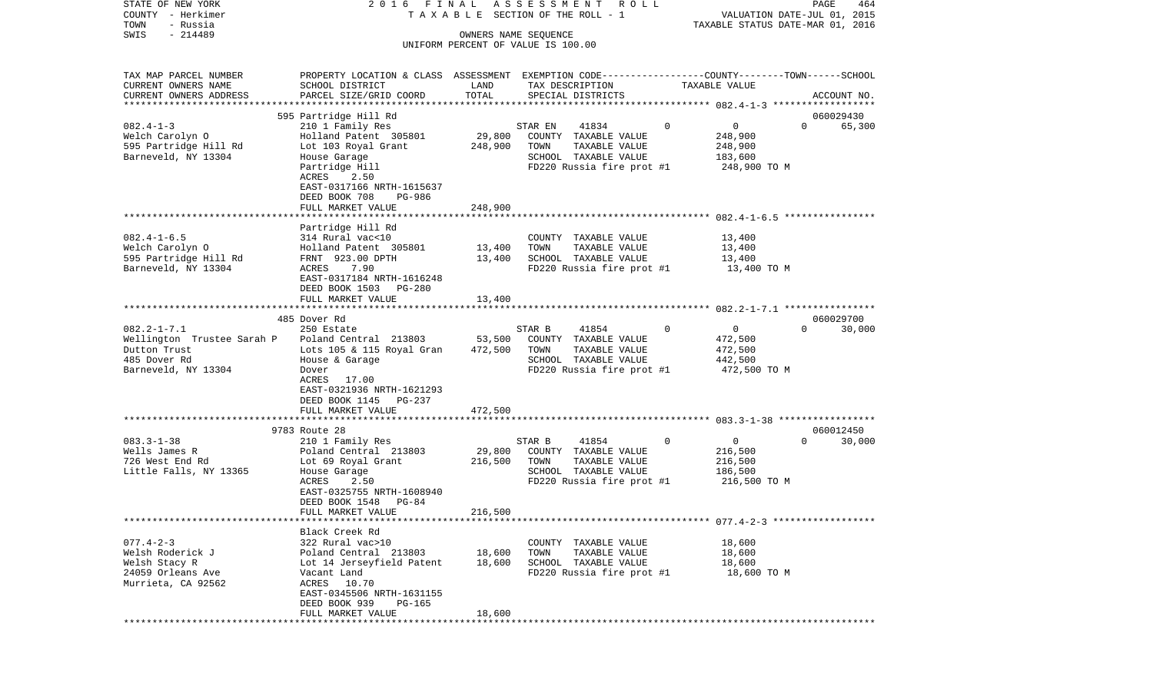| STATE OF NEW YORK                            | 2016 FINAL                                                                                       |               | A S S E S S M E N T R O L L                   |                          | PAGE<br>464                      |
|----------------------------------------------|--------------------------------------------------------------------------------------------------|---------------|-----------------------------------------------|--------------------------|----------------------------------|
| COUNTY - Herkimer<br>TOWN<br>- Russia        |                                                                                                  |               | TAXABLE SECTION OF THE ROLL - 1               |                          | VALUATION DATE-JUL 01, 2015      |
| $-214489$<br>SWIS                            |                                                                                                  |               | OWNERS NAME SEQUENCE                          |                          | TAXABLE STATUS DATE-MAR 01, 2016 |
|                                              |                                                                                                  |               | UNIFORM PERCENT OF VALUE IS 100.00            |                          |                                  |
| TAX MAP PARCEL NUMBER                        | PROPERTY LOCATION & CLASS ASSESSMENT EXEMPTION CODE----------------COUNTY-------TOWN------SCHOOL |               |                                               |                          |                                  |
| CURRENT OWNERS NAME                          | SCHOOL DISTRICT                                                                                  | LAND          | TAX DESCRIPTION                               | TAXABLE VALUE            |                                  |
| CURRENT OWNERS ADDRESS                       | PARCEL SIZE/GRID COORD                                                                           | TOTAL         | SPECIAL DISTRICTS                             |                          | ACCOUNT NO.                      |
|                                              |                                                                                                  |               |                                               |                          |                                  |
|                                              | 595 Partridge Hill Rd                                                                            |               |                                               |                          | 060029430                        |
| $082.4 - 1 - 3$                              | 210 1 Family Res                                                                                 |               | 41834<br>STAR EN                              | $\mathbf 0$<br>0         | $\Omega$<br>65,300               |
| Welch Carolyn O                              | Holland Patent 305801                                                                            | 29,800        | COUNTY TAXABLE VALUE                          | 248,900                  |                                  |
| 595 Partridge Hill Rd<br>Barneveld, NY 13304 | Lot 103 Royal Grant<br>House Garage                                                              | 248,900       | TOWN<br>TAXABLE VALUE<br>SCHOOL TAXABLE VALUE | 248,900<br>183,600       |                                  |
|                                              | Partridge Hill                                                                                   |               | FD220 Russia fire prot #1                     | 248,900 TO M             |                                  |
|                                              | ACRES<br>2.50                                                                                    |               |                                               |                          |                                  |
|                                              | EAST-0317166 NRTH-1615637                                                                        |               |                                               |                          |                                  |
|                                              | DEED BOOK 708<br>PG-986                                                                          |               |                                               |                          |                                  |
|                                              | FULL MARKET VALUE                                                                                | 248,900       |                                               |                          |                                  |
|                                              |                                                                                                  |               |                                               |                          |                                  |
|                                              | Partridge Hill Rd                                                                                |               |                                               |                          |                                  |
| $082.4 - 1 - 6.5$                            | 314 Rural vac<10                                                                                 |               | COUNTY TAXABLE VALUE                          | 13,400                   |                                  |
| Welch Carolyn O                              | Holland Patent 305801                                                                            | 13,400        | TOWN<br>TAXABLE VALUE                         | 13,400                   |                                  |
| 595 Partridge Hill Rd                        | FRNT 923.00 DPTH                                                                                 | 13,400        | SCHOOL TAXABLE VALUE                          | 13,400                   |                                  |
| Barneveld, NY 13304                          | ACRES<br>7.90                                                                                    |               | FD220 Russia fire prot #1                     | 13,400 TO M              |                                  |
|                                              | EAST-0317184 NRTH-1616248                                                                        |               |                                               |                          |                                  |
|                                              | DEED BOOK 1503<br>PG-280                                                                         |               |                                               |                          |                                  |
|                                              | FULL MARKET VALUE                                                                                | 13,400        |                                               |                          |                                  |
|                                              |                                                                                                  |               |                                               |                          |                                  |
| $082.2 - 1 - 7.1$                            | 485 Dover Rd                                                                                     |               |                                               | $\mathbf{0}$<br>$\Omega$ | 060029700<br>$\Omega$<br>30,000  |
| Wellington Trustee Sarah P                   | 250 Estate<br>Poland Central 213803                                                              | 53,500        | STAR B<br>41854<br>COUNTY TAXABLE VALUE       | 472,500                  |                                  |
| Dutton Trust                                 | Lots 105 & 115 Royal Gran                                                                        | 472,500       | TOWN<br>TAXABLE VALUE                         | 472,500                  |                                  |
| 485 Dover Rd                                 | House & Garage                                                                                   |               | SCHOOL TAXABLE VALUE                          | 442,500                  |                                  |
| Barneveld, NY 13304                          | Dover                                                                                            |               | FD220 Russia fire prot #1                     | 472,500 TO M             |                                  |
|                                              | ACRES<br>17.00                                                                                   |               |                                               |                          |                                  |
|                                              | EAST-0321936 NRTH-1621293                                                                        |               |                                               |                          |                                  |
|                                              | DEED BOOK 1145<br>PG-237                                                                         |               |                                               |                          |                                  |
|                                              | FULL MARKET VALUE                                                                                | 472,500       |                                               |                          |                                  |
|                                              | *************************                                                                        | ************* |                                               |                          |                                  |
|                                              | 9783 Route 28                                                                                    |               |                                               |                          | 060012450                        |
| $083.3 - 1 - 38$                             | 210 1 Family Res                                                                                 |               | STAR B<br>41854                               | $\mathbf{0}$<br>0        | $\Omega$<br>30,000               |
| Wells James R                                | Poland Central 213803                                                                            | 29,800        | COUNTY TAXABLE VALUE                          | 216,500                  |                                  |
| 726 West End Rd                              | Lot 69 Royal Grant                                                                               | 216,500       | TOWN<br>TAXABLE VALUE                         | 216,500                  |                                  |
| Little Falls, NY 13365                       | House Garage                                                                                     |               | SCHOOL TAXABLE VALUE                          | 186,500                  |                                  |
|                                              | 2.50<br>ACRES<br>EAST-0325755 NRTH-1608940                                                       |               | FD220 Russia fire prot #1                     | 216,500 TO M             |                                  |
|                                              | DEED BOOK 1548<br>PG-84                                                                          |               |                                               |                          |                                  |
|                                              | FULL MARKET VALUE                                                                                | 216,500       |                                               |                          |                                  |
|                                              |                                                                                                  |               |                                               |                          |                                  |
|                                              | Black Creek Rd                                                                                   |               |                                               |                          |                                  |
| $077.4 - 2 - 3$                              | 322 Rural vac>10                                                                                 |               | COUNTY TAXABLE VALUE                          | 18,600                   |                                  |
| Welsh Roderick J                             | Poland Central 213803                                                                            | 18,600        | TOWN<br>TAXABLE VALUE                         | 18,600                   |                                  |
| Welsh Stacy R                                | Lot 14 Jerseyfield Patent                                                                        | 18,600        | SCHOOL TAXABLE VALUE                          | 18,600                   |                                  |
| 24059 Orleans Ave                            | Vacant Land                                                                                      |               | FD220 Russia fire prot #1                     | 18,600 TO M              |                                  |
| Murrieta, CA 92562                           | ACRES 10.70                                                                                      |               |                                               |                          |                                  |
|                                              | EAST-0345506 NRTH-1631155                                                                        |               |                                               |                          |                                  |
|                                              | DEED BOOK 939<br>PG-165                                                                          |               |                                               |                          |                                  |
|                                              | FULL MARKET VALUE                                                                                | 18,600        |                                               |                          |                                  |
|                                              |                                                                                                  |               |                                               |                          |                                  |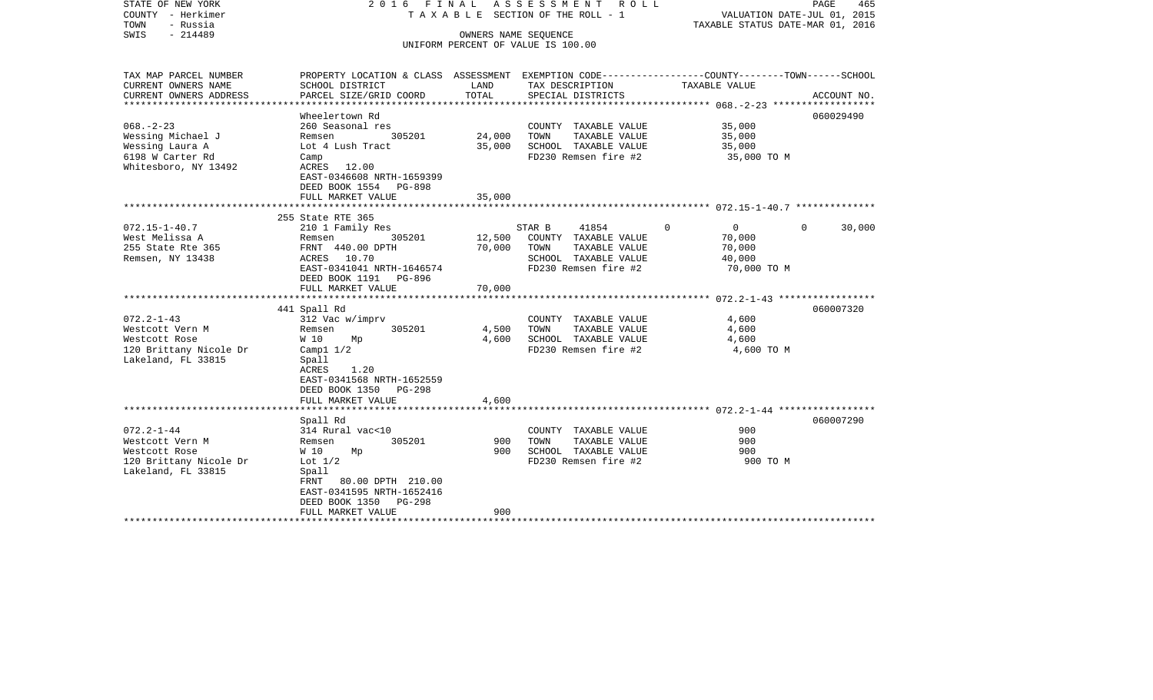| STATE OF NEW YORK<br>COUNTY - Herkimer<br>TOWN<br>- Russia<br>$-214489$<br>SWIS |                                                                                                                     | OWNERS NAME SEQUENCE | 2016 FINAL ASSESSMENT<br>R O L L<br>T A X A B L E SECTION OF THE ROLL - 1<br>UNIFORM PERCENT OF VALUE IS 100.00 | VALUATION DATE-JUL 01, 2015<br>TAXABLE STATUS DATE-MAR 01, 2016 | PAGE<br>465 |
|---------------------------------------------------------------------------------|---------------------------------------------------------------------------------------------------------------------|----------------------|-----------------------------------------------------------------------------------------------------------------|-----------------------------------------------------------------|-------------|
| TAX MAP PARCEL NUMBER<br>CURRENT OWNERS NAME                                    | PROPERTY LOCATION & CLASS ASSESSMENT EXEMPTION CODE----------------COUNTY-------TOWN------SCHOOL<br>SCHOOL DISTRICT | LAND                 | TAX DESCRIPTION                                                                                                 | TAXABLE VALUE                                                   |             |
| CURRENT OWNERS ADDRESS                                                          | PARCEL SIZE/GRID COORD                                                                                              | TOTAL                | SPECIAL DISTRICTS                                                                                               |                                                                 | ACCOUNT NO. |
| **********************                                                          | ***********************<br>Wheelertown Rd                                                                           |                      |                                                                                                                 |                                                                 | 060029490   |
| $068. - 2 - 23$                                                                 | 260 Seasonal res                                                                                                    |                      | COUNTY TAXABLE VALUE                                                                                            | 35,000                                                          |             |
| Wessing Michael J                                                               | 305201<br>Remsen                                                                                                    | 24,000               | TAXABLE VALUE<br>TOWN                                                                                           | 35,000                                                          |             |
| Wessing Laura A                                                                 | Lot 4 Lush Tract                                                                                                    | 35,000               | SCHOOL TAXABLE VALUE                                                                                            | 35,000                                                          |             |
| 6198 W Carter Rd                                                                | Camp                                                                                                                |                      | FD230 Remsen fire #2                                                                                            | 35,000 TO M                                                     |             |
| Whitesboro, NY 13492                                                            | ACRES<br>12.00<br>EAST-0346608 NRTH-1659399<br>DEED BOOK 1554 PG-898                                                |                      |                                                                                                                 |                                                                 |             |
|                                                                                 | FULL MARKET VALUE                                                                                                   | 35,000               |                                                                                                                 |                                                                 |             |
|                                                                                 | 255 State RTE 365                                                                                                   |                      |                                                                                                                 |                                                                 |             |
| $072.15 - 1 - 40.7$                                                             | 210 1 Family Res                                                                                                    |                      | 41854<br>STAR B                                                                                                 | $\Omega$<br>$\mathbf{0}$<br>$\Omega$                            | 30,000      |
| West Melissa A                                                                  | 305201<br>Remsen                                                                                                    | 12,500               | COUNTY TAXABLE VALUE                                                                                            | 70,000                                                          |             |
| 255 State Rte 365                                                               | FRNT 440.00 DPTH                                                                                                    | 70,000               | TAXABLE VALUE<br>TOWN                                                                                           | 70,000                                                          |             |
| Remsen, NY 13438                                                                | ACRES 10.70                                                                                                         |                      | SCHOOL TAXABLE VALUE                                                                                            | 40,000                                                          |             |
|                                                                                 | EAST-0341041 NRTH-1646574<br>DEED BOOK 1191 PG-896                                                                  |                      | FD230 Remsen fire #2                                                                                            | 70,000 TO M                                                     |             |
|                                                                                 | FULL MARKET VALUE                                                                                                   | 70,000               |                                                                                                                 |                                                                 |             |
|                                                                                 | 441 Spall Rd                                                                                                        |                      |                                                                                                                 |                                                                 | 060007320   |
| $072.2 - 1 - 43$                                                                | 312 Vac w/imprv                                                                                                     |                      | COUNTY TAXABLE VALUE                                                                                            | 4,600                                                           |             |
| Westcott Vern M                                                                 | 305201<br>Remsen                                                                                                    | 4,500                | TOWN<br>TAXABLE VALUE                                                                                           | 4,600                                                           |             |
| Westcott Rose                                                                   | W 10<br>Mp                                                                                                          | 4,600                | SCHOOL TAXABLE VALUE                                                                                            | 4,600                                                           |             |
| 120 Brittany Nicole Dr                                                          | Camp $1/2$                                                                                                          |                      | FD230 Remsen fire #2                                                                                            | 4,600 TO M                                                      |             |
| Lakeland, FL 33815                                                              | Spall<br>ACRES<br>1.20<br>EAST-0341568 NRTH-1652559<br>DEED BOOK 1350<br><b>PG-298</b><br>FULL MARKET VALUE         | 4,600                |                                                                                                                 |                                                                 |             |
|                                                                                 |                                                                                                                     |                      |                                                                                                                 |                                                                 |             |
|                                                                                 | Spall Rd                                                                                                            |                      |                                                                                                                 |                                                                 | 060007290   |
| $072.2 - 1 - 44$                                                                | 314 Rural vac<10                                                                                                    |                      | COUNTY TAXABLE VALUE                                                                                            | 900                                                             |             |
| Westcott Vern M                                                                 | 305201<br>Remsen                                                                                                    | 900                  | TOWN<br>TAXABLE VALUE                                                                                           | 900                                                             |             |
| Westcott Rose                                                                   | W 10<br>Mp                                                                                                          | 900                  | SCHOOL TAXABLE VALUE                                                                                            | 900                                                             |             |
| 120 Brittany Nicole Dr<br>Lakeland, FL 33815                                    | Lot $1/2$<br>Spall<br>80.00 DPTH 210.00<br>FRNT<br>EAST-0341595 NRTH-1652416<br>DEED BOOK 1350<br>PG-298            |                      | FD230 Remsen fire #2                                                                                            | 900 TO M                                                        |             |
|                                                                                 | FULL MARKET VALUE                                                                                                   | 900                  |                                                                                                                 |                                                                 |             |
|                                                                                 |                                                                                                                     |                      |                                                                                                                 |                                                                 |             |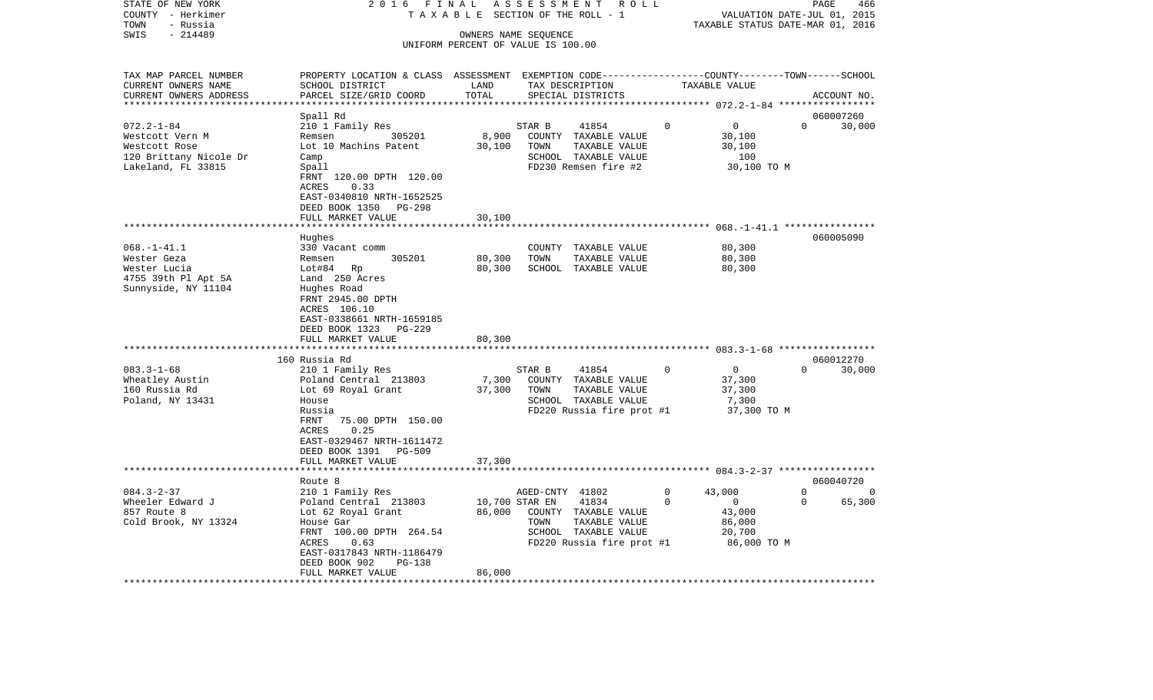| STATE OF NEW YORK<br>COUNTY - Herkimer       | 2 0 1 6<br>FINAL<br>TAXABLE                                                                                        |                                    | ASSESSMENT      | R O L L<br>SECTION OF THE ROLL - 1    |          | VALUATION DATE-JUL 01, 2015              |          | PAGE<br>466 |
|----------------------------------------------|--------------------------------------------------------------------------------------------------------------------|------------------------------------|-----------------|---------------------------------------|----------|------------------------------------------|----------|-------------|
| TOWN<br>- Russia                             |                                                                                                                    |                                    |                 |                                       |          | TAXABLE STATUS DATE-MAR 01, 2016         |          |             |
| SWIS<br>$-214489$                            |                                                                                                                    | OWNERS NAME SEQUENCE               |                 |                                       |          |                                          |          |             |
|                                              |                                                                                                                    | UNIFORM PERCENT OF VALUE IS 100.00 |                 |                                       |          |                                          |          |             |
|                                              |                                                                                                                    |                                    |                 |                                       |          |                                          |          |             |
| TAX MAP PARCEL NUMBER<br>CURRENT OWNERS NAME | PROPERTY LOCATION & CLASS ASSESSMENT EXEMPTION CODE---------------COUNTY-------TOWN------SCHOOL<br>SCHOOL DISTRICT | LAND                               |                 | TAX DESCRIPTION                       |          | TAXABLE VALUE                            |          |             |
| CURRENT OWNERS ADDRESS                       | PARCEL SIZE/GRID COORD                                                                                             | TOTAL                              |                 | SPECIAL DISTRICTS                     |          |                                          |          | ACCOUNT NO. |
| *********************                        |                                                                                                                    |                                    |                 |                                       |          |                                          |          |             |
|                                              | Spall Rd                                                                                                           |                                    |                 |                                       |          |                                          |          | 060007260   |
| $072.2 - 1 - 84$<br>Westcott Vern M          | 210 1 Family Res<br>305201<br>Remsen                                                                               | 8,900                              | STAR B          | 41854<br>COUNTY TAXABLE VALUE         | $\Omega$ | 0<br>30,100                              | $\Omega$ | 30,000      |
| Westcott Rose                                | Lot 10 Machins Patent                                                                                              | 30,100                             | TOWN            | TAXABLE VALUE                         |          | 30,100                                   |          |             |
| 120 Brittany Nicole Dr                       | Camp                                                                                                               |                                    |                 | SCHOOL TAXABLE VALUE                  |          | 100                                      |          |             |
| Lakeland, FL 33815                           | Spall                                                                                                              |                                    |                 | FD230 Remsen fire #2                  |          | 30,100 TO M                              |          |             |
|                                              | FRNT 120.00 DPTH 120.00                                                                                            |                                    |                 |                                       |          |                                          |          |             |
|                                              | ACRES<br>0.33                                                                                                      |                                    |                 |                                       |          |                                          |          |             |
|                                              | EAST-0340810 NRTH-1652525                                                                                          |                                    |                 |                                       |          |                                          |          |             |
|                                              | DEED BOOK 1350<br>PG-298                                                                                           |                                    |                 |                                       |          |                                          |          |             |
|                                              | FULL MARKET VALUE                                                                                                  | 30,100                             |                 |                                       |          |                                          |          |             |
|                                              |                                                                                                                    |                                    |                 |                                       |          |                                          |          |             |
| $068. - 1 - 41.1$                            | Hughes                                                                                                             |                                    |                 |                                       |          | 80,300                                   |          | 060005090   |
| Wester Geza                                  | 330 Vacant comm<br>305201<br>Remsen                                                                                | 80,300                             | TOWN            | COUNTY TAXABLE VALUE<br>TAXABLE VALUE |          | 80,300                                   |          |             |
| Wester Lucia                                 | Lot#84 Rp                                                                                                          | 80,300                             |                 | SCHOOL TAXABLE VALUE                  |          | 80,300                                   |          |             |
| 4755 39th Pl Apt 5A                          | Land 250 Acres                                                                                                     |                                    |                 |                                       |          |                                          |          |             |
| Sunnyside, NY 11104                          | Hughes Road                                                                                                        |                                    |                 |                                       |          |                                          |          |             |
|                                              | FRNT 2945.00 DPTH                                                                                                  |                                    |                 |                                       |          |                                          |          |             |
|                                              | ACRES 106.10                                                                                                       |                                    |                 |                                       |          |                                          |          |             |
|                                              | EAST-0338661 NRTH-1659185                                                                                          |                                    |                 |                                       |          |                                          |          |             |
|                                              | DEED BOOK 1323<br>PG-229                                                                                           |                                    |                 |                                       |          |                                          |          |             |
|                                              | FULL MARKET VALUE<br>*****************************                                                                 | 80,300                             |                 |                                       |          |                                          |          |             |
|                                              | 160 Russia Rd                                                                                                      |                                    |                 |                                       |          |                                          |          | 060012270   |
| $083.3 - 1 - 68$                             | 210 1 Family Res                                                                                                   |                                    | STAR B          | 41854                                 | 0        | $\mathbf 0$                              | $\Omega$ | 30,000      |
| Wheatley Austin                              | Poland Central 213803                                                                                              | 7,300                              |                 | COUNTY TAXABLE VALUE                  |          | 37,300                                   |          |             |
| 160 Russia Rd                                | Lot 69 Royal Grant                                                                                                 | 37,300                             | TOWN            | TAXABLE VALUE                         |          | 37,300                                   |          |             |
| Poland, NY 13431                             | House                                                                                                              |                                    |                 | SCHOOL TAXABLE VALUE                  |          | 7,300                                    |          |             |
|                                              | Russia                                                                                                             |                                    |                 | FD220 Russia fire prot #1             |          | 37,300 TO M                              |          |             |
|                                              | FRNT<br>75.00 DPTH 150.00                                                                                          |                                    |                 |                                       |          |                                          |          |             |
|                                              | ACRES<br>0.25                                                                                                      |                                    |                 |                                       |          |                                          |          |             |
|                                              | EAST-0329467 NRTH-1611472                                                                                          |                                    |                 |                                       |          |                                          |          |             |
|                                              | DEED BOOK 1391<br>PG-509                                                                                           |                                    |                 |                                       |          |                                          |          |             |
|                                              | FULL MARKET VALUE                                                                                                  | 37,300                             |                 |                                       |          | *********** 084.3-2-37 ***************** |          |             |
|                                              | Route 8                                                                                                            |                                    |                 |                                       |          |                                          |          | 060040720   |
| $084.3 - 2 - 37$                             | 210 1 Family Res                                                                                                   |                                    | AGED-CNTY 41802 |                                       | $\Omega$ | 43,000                                   | $\Omega$ | $\Omega$    |
| Wheeler Edward J                             | Poland Central 213803                                                                                              |                                    | 10,700 STAR EN  | 41834                                 | $\Omega$ | $\Omega$                                 | $\Omega$ | 65,300      |
| 857 Route 8                                  | Lot 62 Royal Grant                                                                                                 | 86,000                             |                 | COUNTY TAXABLE VALUE                  |          | 43,000                                   |          |             |
| Cold Brook, NY 13324                         | House Gar                                                                                                          |                                    | TOWN            | TAXABLE VALUE                         |          | 86,000                                   |          |             |
|                                              | FRNT 100.00 DPTH 264.54                                                                                            |                                    |                 | SCHOOL TAXABLE VALUE                  |          | 20,700                                   |          |             |
|                                              | ACRES<br>0.63                                                                                                      |                                    |                 | FD220 Russia fire prot #1             |          | 86,000 TO M                              |          |             |
|                                              | EAST-0317843 NRTH-1186479                                                                                          |                                    |                 |                                       |          |                                          |          |             |
|                                              | DEED BOOK 902<br><b>PG-138</b>                                                                                     |                                    |                 |                                       |          |                                          |          |             |
|                                              | FULL MARKET VALUE                                                                                                  | 86,000                             |                 |                                       |          |                                          |          |             |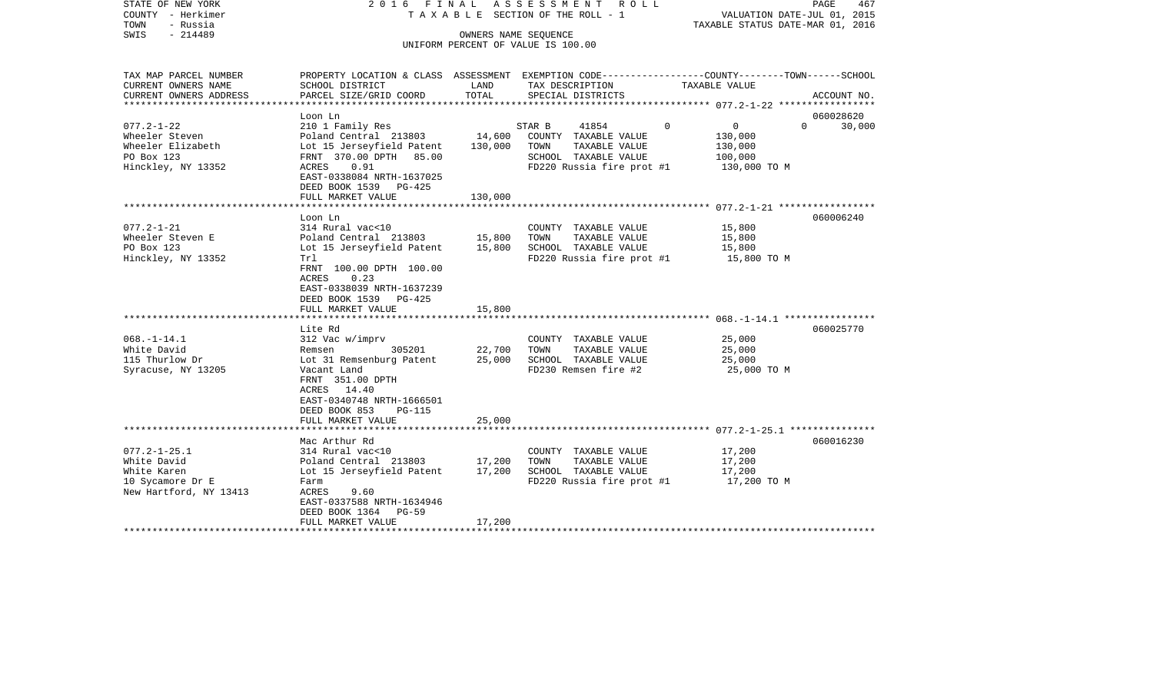| STATE OF NEW YORK<br>COUNTY - Herkimer<br>TOWN<br>- Russia<br>$-214489$<br>SWIS                                                                     |                                                                                                                                                                                                                                                                                                                                                        | OWNERS NAME SEQUENCE                           | 2016 FINAL ASSESSMENT ROLL<br>TAXABLE SECTION OF THE ROLL - 1<br>UNIFORM PERCENT OF VALUE IS 100.00                                                                                                 | VALUATION DATE-JUL 01, 2015<br>TAXABLE STATUS DATE-MAR 01, 2016                        | PAGE<br>467            |
|-----------------------------------------------------------------------------------------------------------------------------------------------------|--------------------------------------------------------------------------------------------------------------------------------------------------------------------------------------------------------------------------------------------------------------------------------------------------------------------------------------------------------|------------------------------------------------|-----------------------------------------------------------------------------------------------------------------------------------------------------------------------------------------------------|----------------------------------------------------------------------------------------|------------------------|
| TAX MAP PARCEL NUMBER<br>CURRENT OWNERS NAME                                                                                                        | PROPERTY LOCATION & CLASS ASSESSMENT EXEMPTION CODE---------------COUNTY-------TOWN------SCHOOL<br>SCHOOL DISTRICT                                                                                                                                                                                                                                     | LAND                                           | TAX DESCRIPTION                                                                                                                                                                                     | TAXABLE VALUE                                                                          |                        |
| CURRENT OWNERS ADDRESS<br>**********************                                                                                                    | PARCEL SIZE/GRID COORD                                                                                                                                                                                                                                                                                                                                 | TOTAL                                          | SPECIAL DISTRICTS                                                                                                                                                                                   |                                                                                        | ACCOUNT NO.            |
|                                                                                                                                                     | Loon Ln                                                                                                                                                                                                                                                                                                                                                |                                                |                                                                                                                                                                                                     |                                                                                        | 060028620              |
| $077.2 - 1 - 22$<br>Wheeler Steven<br>Wheeler Elizabeth<br>PO Box 123<br>Hinckley, NY 13352                                                         | 210 1 Family Res<br>Poland Central 213803<br>Lot 15 Jerseyfield Patent<br>FRNT 370.00 DPTH<br>85.00<br>ACRES<br>0.91<br>EAST-0338084 NRTH-1637025<br>DEED BOOK 1539 PG-425<br>FULL MARKET VALUE                                                                                                                                                        | 14,600<br>130,000<br>130,000                   | STAR B<br>41854<br>COUNTY TAXABLE VALUE<br>TOWN<br>TAXABLE VALUE<br>SCHOOL TAXABLE VALUE<br>FD220 Russia fire prot #1                                                                               | $\Omega$<br>$\overline{0}$<br>130,000<br>130,000<br>100,000<br>130,000 TO M            | $\Omega$<br>30,000     |
|                                                                                                                                                     |                                                                                                                                                                                                                                                                                                                                                        |                                                |                                                                                                                                                                                                     |                                                                                        |                        |
| $077.2 - 1 - 21$<br>Wheeler Steven E<br>PO Box 123<br>Hinckley, NY 13352<br>$068. -1 - 14.1$<br>White David<br>115 Thurlow Dr<br>Syracuse, NY 13205 | Loon Ln<br>314 Rural vac<10<br>Poland Central 213803<br>Lot 15 Jerseyfield Patent<br>Trl<br>FRNT 100.00 DPTH 100.00<br><b>ACRES</b><br>0.23<br>EAST-0338039 NRTH-1637239<br>DEED BOOK 1539 PG-425<br>FULL MARKET VALUE<br>Lite Rd<br>312 Vac w/imprv<br>Remsen<br>305201<br>Lot 31 Remsenburg Patent<br>Vacant Land<br>FRNT 351.00 DPTH<br>ACRES 14.40 | 15,800<br>15,800<br>15,800<br>22,700<br>25,000 | COUNTY TAXABLE VALUE<br>TAXABLE VALUE<br>TOWN<br>SCHOOL TAXABLE VALUE<br>FD220 Russia fire prot #1<br>COUNTY TAXABLE VALUE<br>TAXABLE VALUE<br>TOWN<br>SCHOOL TAXABLE VALUE<br>FD230 Remsen fire #2 | 15,800<br>15,800<br>15,800<br>15,800 TO M<br>25,000<br>25,000<br>25,000<br>25,000 TO M | 060006240<br>060025770 |
|                                                                                                                                                     | EAST-0340748 NRTH-1666501<br>DEED BOOK 853<br><b>PG-115</b><br>FULL MARKET VALUE                                                                                                                                                                                                                                                                       | 25,000                                         |                                                                                                                                                                                                     |                                                                                        |                        |
| $077.2 - 1 - 25.1$<br>White David<br>White Karen<br>10 Sycamore Dr E<br>New Hartford, NY 13413                                                      | Mac Arthur Rd<br>314 Rural vac<10<br>Poland Central 213803<br>Lot 15 Jerseyfield Patent<br>Farm<br>ACRES<br>9.60<br>EAST-0337588 NRTH-1634946                                                                                                                                                                                                          | 17,200<br>17,200                               | COUNTY TAXABLE VALUE<br>TOWN<br>TAXABLE VALUE<br>SCHOOL TAXABLE VALUE<br>FD220 Russia fire prot #1                                                                                                  | 17,200<br>17,200<br>17,200<br>17,200 TO M                                              | 060016230              |
|                                                                                                                                                     | DEED BOOK 1364<br>PG-59<br>FULL MARKET VALUE                                                                                                                                                                                                                                                                                                           | 17,200                                         |                                                                                                                                                                                                     |                                                                                        |                        |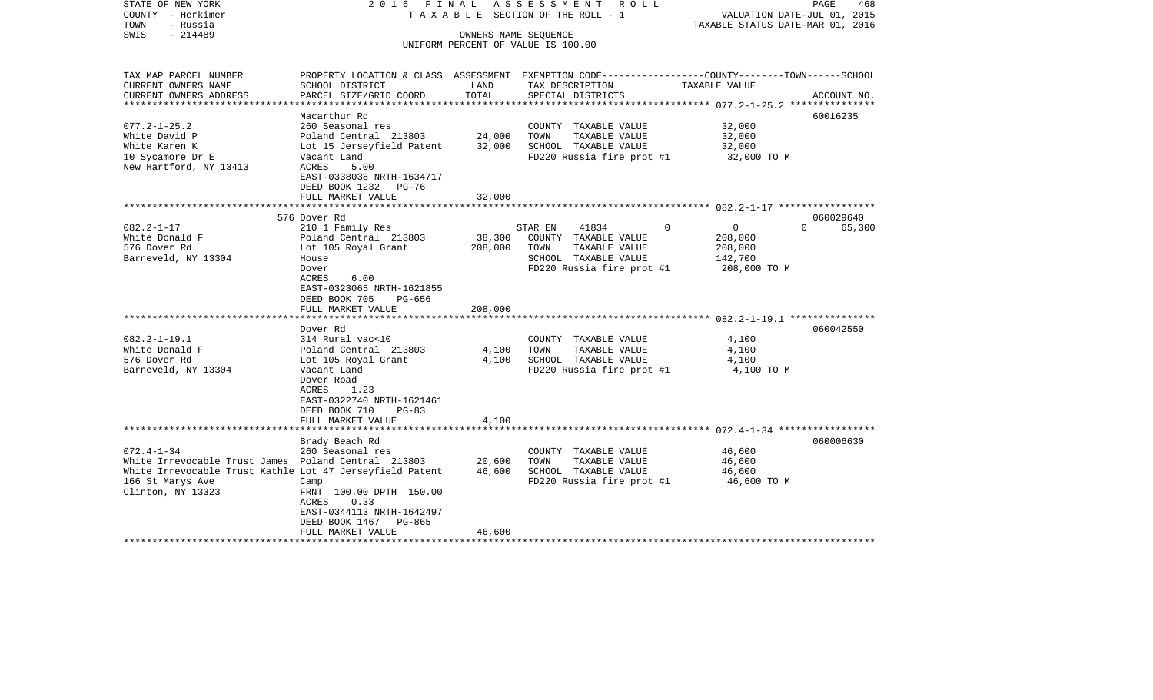| STATE OF NEW YORK<br>COUNTY - Herkimer<br>TOWN<br>- Russia                                                                                                                   | 2016 FINAL<br>TAXABLE                                                                                                                           |                   | ASSESSMENT<br>R O L L<br>SECTION OF THE ROLL - 1                                                                       |                                                                                | PAGE<br>468<br>VALUATION DATE-JUL 01, 2015<br>TAXABLE STATUS DATE-MAR 01, 2016 |
|------------------------------------------------------------------------------------------------------------------------------------------------------------------------------|-------------------------------------------------------------------------------------------------------------------------------------------------|-------------------|------------------------------------------------------------------------------------------------------------------------|--------------------------------------------------------------------------------|--------------------------------------------------------------------------------|
| $-214489$<br>SWIS                                                                                                                                                            |                                                                                                                                                 |                   | OWNERS NAME SEQUENCE<br>UNIFORM PERCENT OF VALUE IS 100.00                                                             |                                                                                |                                                                                |
| TAX MAP PARCEL NUMBER                                                                                                                                                        | PROPERTY LOCATION & CLASS ASSESSMENT EXEMPTION CODE----------------COUNTY-------TOWN------SCHOOL                                                |                   |                                                                                                                        |                                                                                |                                                                                |
| CURRENT OWNERS NAME<br>CURRENT OWNERS ADDRESS                                                                                                                                | SCHOOL DISTRICT<br>PARCEL SIZE/GRID COORD                                                                                                       | LAND<br>TOTAL     | TAX DESCRIPTION<br>SPECIAL DISTRICTS                                                                                   | TAXABLE VALUE                                                                  | ACCOUNT NO.                                                                    |
|                                                                                                                                                                              | Macarthur Rd                                                                                                                                    |                   |                                                                                                                        |                                                                                | ***************** 077.2-1-25.2 ****************<br>60016235                    |
| $077.2 - 1 - 25.2$<br>White David P<br>White Karen K<br>10 Sycamore Dr E<br>New Hartford, NY 13413                                                                           | 260 Seasonal res<br>Poland Central 213803<br>Lot 15 Jerseyfield Patent<br>Vacant Land<br>ACRES<br>5.00<br>EAST-0338038 NRTH-1634717             | 24,000<br>32,000  | COUNTY TAXABLE VALUE<br>TOWN<br>TAXABLE VALUE<br>SCHOOL TAXABLE VALUE<br>FD220 Russia fire prot #1                     | 32,000<br>32,000<br>32,000<br>32,000 TO M                                      |                                                                                |
|                                                                                                                                                                              | DEED BOOK 1232 PG-76<br>FULL MARKET VALUE                                                                                                       | 32,000            |                                                                                                                        |                                                                                |                                                                                |
|                                                                                                                                                                              | 576 Dover Rd                                                                                                                                    |                   |                                                                                                                        |                                                                                | 060029640                                                                      |
| $082.2 - 1 - 17$<br>White Donald F<br>576 Dover Rd<br>Barneveld, NY 13304                                                                                                    | 210 1 Family Res<br>Poland Central 213803<br>Lot 105 Royal Grant<br>House<br>Dover<br>ACRES<br>6.00<br>EAST-0323065 NRTH-1621855                | 38,300<br>208,000 | 41834<br>STAR EN<br>COUNTY TAXABLE VALUE<br>TOWN<br>TAXABLE VALUE<br>SCHOOL TAXABLE VALUE<br>FD220 Russia fire prot #1 | $\mathbf 0$<br>$\overline{0}$<br>208,000<br>208,000<br>142,700<br>208,000 TO M | 65,300<br>$\Omega$                                                             |
|                                                                                                                                                                              | DEED BOOK 705<br>PG-656<br>FULL MARKET VALUE                                                                                                    | 208,000           |                                                                                                                        |                                                                                |                                                                                |
|                                                                                                                                                                              | *************************                                                                                                                       |                   |                                                                                                                        |                                                                                |                                                                                |
| $082.2 - 1 - 19.1$<br>White Donald F                                                                                                                                         | Dover Rd<br>314 Rural vac<10<br>Poland Central 213803                                                                                           | 4,100             | COUNTY TAXABLE VALUE<br>TOWN<br>TAXABLE VALUE                                                                          | 4,100<br>4,100                                                                 | 060042550                                                                      |
| 576 Dover Rd<br>Barneveld, NY 13304                                                                                                                                          | Lot 105 Royal Grant<br>Vacant Land<br>Dover Road<br>1.23<br>ACRES<br>EAST-0322740 NRTH-1621461<br>DEED BOOK 710<br>$PG-83$<br>FULL MARKET VALUE | 4,100<br>4,100    | SCHOOL TAXABLE VALUE<br>FD220 Russia fire prot #1                                                                      | 4,100<br>4,100 TO M                                                            |                                                                                |
|                                                                                                                                                                              | ***************************                                                                                                                     |                   |                                                                                                                        |                                                                                |                                                                                |
| $072.4 - 1 - 34$<br>White Irrevocable Trust James Poland Central 213803<br>White Irrevocable Trust Kathle Lot 47 Jerseyfield Patent<br>166 St Marys Ave<br>Clinton, NY 13323 | Brady Beach Rd<br>260 Seasonal res<br>Camp<br>FRNT 100.00 DPTH 150.00<br>ACRES<br>0.33<br>EAST-0344113 NRTH-1642497<br>DEED BOOK 1467<br>PG-865 | 20,600<br>46,600  | COUNTY TAXABLE VALUE<br>TOWN<br>TAXABLE VALUE<br>SCHOOL TAXABLE VALUE<br>FD220 Russia fire prot #1                     | 46,600<br>46,600<br>46,600<br>46,600 TO M                                      | 060006630                                                                      |
|                                                                                                                                                                              | FULL MARKET VALUE                                                                                                                               | 46,600            | *****************************                                                                                          |                                                                                |                                                                                |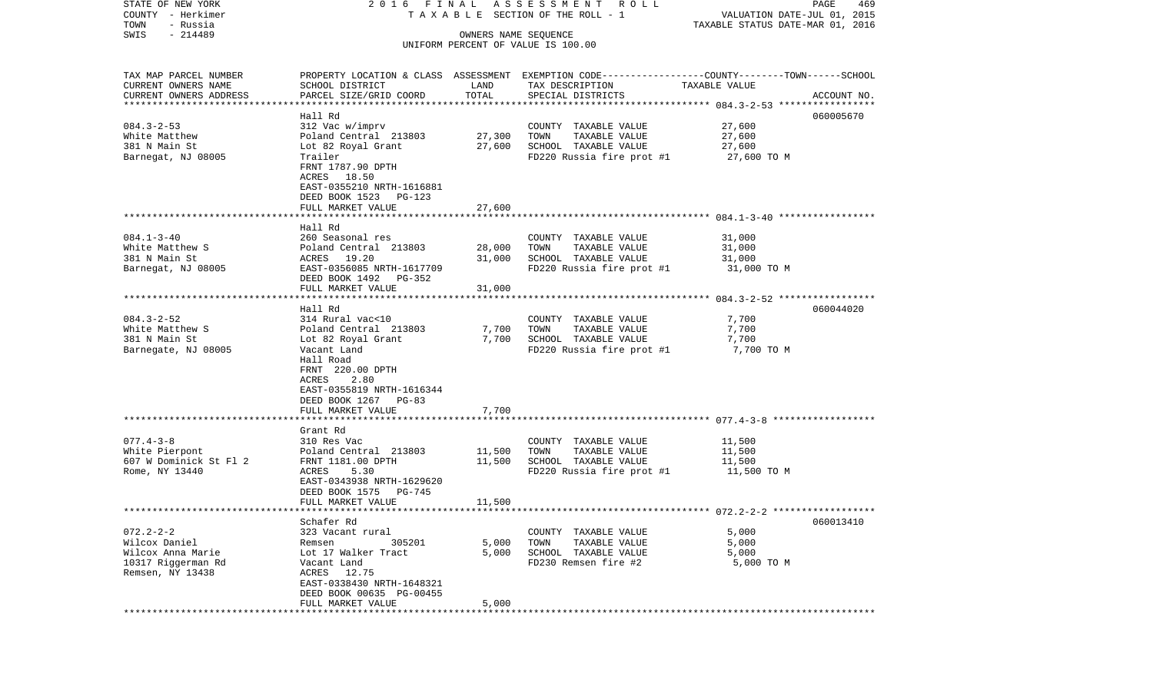| STATE OF NEW YORK<br>COUNTY - Herkimer            | 2016 FINAL                                                                                      |                      | A S S E S S M E N T<br>ROLL<br>T A X A B L E SECTION OF THE ROLL - 1 | VALUATION DATE-JUL 01, 2015                               | PAGE<br>469 |
|---------------------------------------------------|-------------------------------------------------------------------------------------------------|----------------------|----------------------------------------------------------------------|-----------------------------------------------------------|-------------|
| TOWN<br>- Russia                                  |                                                                                                 |                      |                                                                      | TAXABLE STATUS DATE-MAR 01, 2016                          |             |
| $-214489$<br>SWIS                                 |                                                                                                 | OWNERS NAME SEQUENCE |                                                                      |                                                           |             |
|                                                   |                                                                                                 |                      | UNIFORM PERCENT OF VALUE IS 100.00                                   |                                                           |             |
| TAX MAP PARCEL NUMBER                             | PROPERTY LOCATION & CLASS ASSESSMENT EXEMPTION CODE---------------COUNTY-------TOWN------SCHOOL |                      |                                                                      |                                                           |             |
| CURRENT OWNERS NAME                               | SCHOOL DISTRICT                                                                                 | LAND                 | TAX DESCRIPTION                                                      | TAXABLE VALUE                                             |             |
| CURRENT OWNERS ADDRESS<br>*********************** | PARCEL SIZE/GRID COORD                                                                          | TOTAL                | SPECIAL DISTRICTS                                                    |                                                           | ACCOUNT NO. |
|                                                   | Hall Rd                                                                                         |                      |                                                                      |                                                           | 060005670   |
| $084.3 - 2 - 53$                                  | 312 Vac w/imprv                                                                                 |                      | COUNTY TAXABLE VALUE                                                 | 27,600                                                    |             |
| White Matthew                                     | Poland Central 213803                                                                           | 27,300               | TOWN<br>TAXABLE VALUE                                                | 27,600                                                    |             |
| 381 N Main St                                     | Lot 82 Royal Grant                                                                              | 27,600               | SCHOOL TAXABLE VALUE                                                 | 27,600                                                    |             |
| Barnegat, NJ 08005                                | Trailer                                                                                         |                      | FD220 Russia fire prot #1                                            | 27,600 TO M                                               |             |
|                                                   | FRNT 1787.90 DPTH                                                                               |                      |                                                                      |                                                           |             |
|                                                   | ACRES 18.50                                                                                     |                      |                                                                      |                                                           |             |
|                                                   | EAST-0355210 NRTH-1616881<br>DEED BOOK 1523 PG-123                                              |                      |                                                                      |                                                           |             |
|                                                   | FULL MARKET VALUE                                                                               | 27,600               |                                                                      |                                                           |             |
|                                                   |                                                                                                 |                      |                                                                      |                                                           |             |
|                                                   | Hall Rd                                                                                         |                      |                                                                      |                                                           |             |
| $084.1 - 3 - 40$                                  | 260 Seasonal res                                                                                |                      | COUNTY TAXABLE VALUE                                                 | 31,000                                                    |             |
| White Matthew S                                   | Poland Central 213803                                                                           | 28,000               | TOWN<br>TAXABLE VALUE                                                | 31,000                                                    |             |
| 381 N Main St<br>Barnegat, NJ 08005               | ACRES 19.20<br>EAST-0356085 NRTH-1617709                                                        | 31,000               | SCHOOL TAXABLE VALUE<br>FD220 Russia fire prot #1                    | 31,000<br>31,000 TO M                                     |             |
|                                                   | DEED BOOK 1492<br>PG-352                                                                        |                      |                                                                      |                                                           |             |
|                                                   | FULL MARKET VALUE                                                                               | 31,000               |                                                                      |                                                           |             |
|                                                   |                                                                                                 |                      |                                                                      |                                                           |             |
|                                                   | Hall Rd                                                                                         |                      |                                                                      |                                                           | 060044020   |
| $084.3 - 2 - 52$                                  | 314 Rural vac<10                                                                                |                      | COUNTY TAXABLE VALUE                                                 | 7,700                                                     |             |
| White Matthew S<br>381 N Main St                  | Poland Central 213803<br>Lot 82 Royal Grant                                                     | 7,700<br>7,700       | TAXABLE VALUE<br>TOWN<br>SCHOOL TAXABLE VALUE                        | 7,700<br>7,700                                            |             |
| Barnegate, NJ 08005                               | Vacant Land                                                                                     |                      | FD220 Russia fire prot #1                                            | 7,700 TO M                                                |             |
|                                                   | Hall Road                                                                                       |                      |                                                                      |                                                           |             |
|                                                   | FRNT 220.00 DPTH                                                                                |                      |                                                                      |                                                           |             |
|                                                   | 2.80<br>ACRES                                                                                   |                      |                                                                      |                                                           |             |
|                                                   | EAST-0355819 NRTH-1616344                                                                       |                      |                                                                      |                                                           |             |
|                                                   | DEED BOOK 1267 PG-83<br>FULL MARKET VALUE                                                       | 7,700                |                                                                      |                                                           |             |
|                                                   | *****************                                                                               | * * * * * * *        |                                                                      | ************************ 077.4-3-8 **********             |             |
|                                                   | Grant Rd                                                                                        |                      |                                                                      |                                                           |             |
| $077.4 - 3 - 8$                                   | 310 Res Vac                                                                                     |                      | COUNTY TAXABLE VALUE                                                 | 11,500                                                    |             |
| White Pierpont                                    | Poland Central 213803                                                                           | 11,500               | TOWN<br>TAXABLE VALUE                                                | 11,500                                                    |             |
| 607 W Dominick St Fl 2                            | FRNT 1181.00 DPTH                                                                               | 11,500               | SCHOOL TAXABLE VALUE                                                 | 11,500<br>11,500 TO M                                     |             |
| Rome, NY 13440                                    | ACRES<br>5.30<br>EAST-0343938 NRTH-1629620                                                      |                      | FD220 Russia fire prot #1                                            |                                                           |             |
|                                                   | DEED BOOK 1575<br>PG-745                                                                        |                      |                                                                      |                                                           |             |
|                                                   | FULL MARKET VALUE                                                                               | 11,500               |                                                                      |                                                           |             |
|                                                   |                                                                                                 |                      |                                                                      | **************************** 072.2-2-2 ****************** |             |
|                                                   | Schafer Rd                                                                                      |                      |                                                                      |                                                           | 060013410   |
| $072.2 - 2 - 2$                                   | 323 Vacant rural<br>305201                                                                      |                      | COUNTY TAXABLE VALUE                                                 | 5,000                                                     |             |
| Wilcox Daniel<br>Wilcox Anna Marie                | Remsen<br>Lot 17 Walker Tract                                                                   | 5,000<br>5,000       | TOWN<br>TAXABLE VALUE<br>SCHOOL TAXABLE VALUE                        | 5,000<br>5,000                                            |             |
| 10317 Riggerman Rd                                | Vacant Land                                                                                     |                      | FD230 Remsen fire #2                                                 | 5,000 TO M                                                |             |
| Remsen, NY 13438                                  | ACRES 12.75                                                                                     |                      |                                                                      |                                                           |             |
|                                                   | EAST-0338430 NRTH-1648321                                                                       |                      |                                                                      |                                                           |             |
|                                                   | DEED BOOK 00635 PG-00455                                                                        |                      |                                                                      |                                                           |             |
|                                                   | FULL MARKET VALUE<br>*****************                                                          | 5,000                |                                                                      |                                                           |             |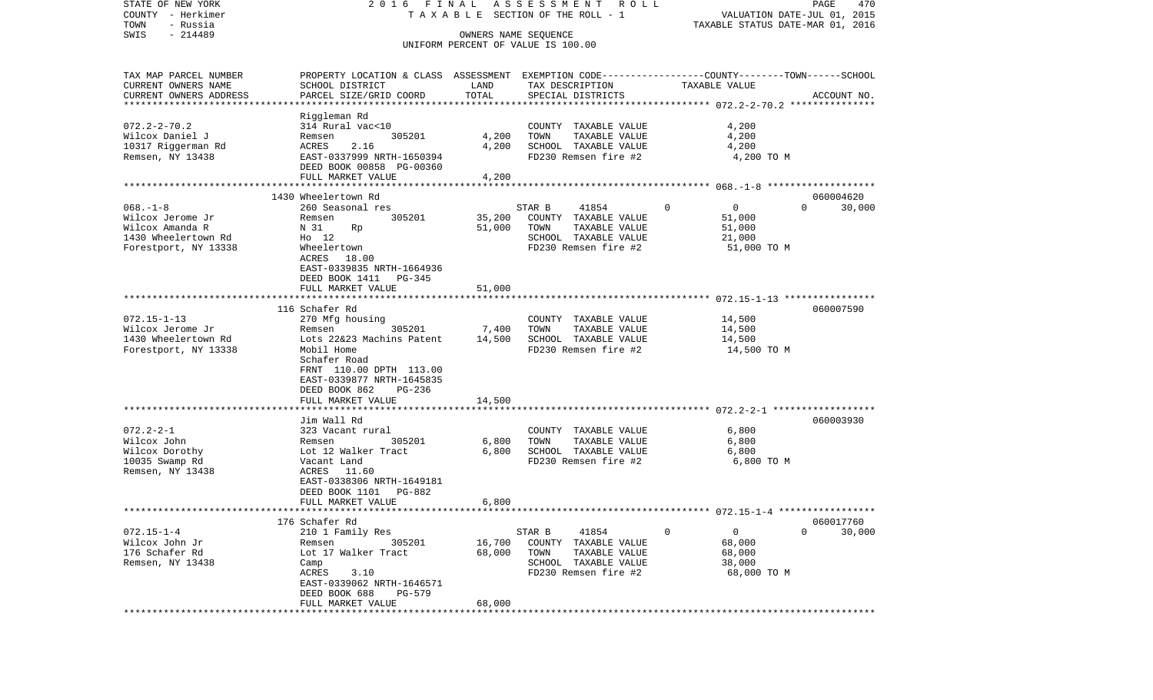| STATE OF NEW YORK<br>COUNTY - Herkimer | 2016 FINAL                                                                                      |                                     | ASSESSMENT<br>R O L L<br>TAXABLE SECTION OF THE ROLL - 1   |                     | PAGE<br>470<br>VALUATION DATE-JUL 01, 2015 |
|----------------------------------------|-------------------------------------------------------------------------------------------------|-------------------------------------|------------------------------------------------------------|---------------------|--------------------------------------------|
| TOWN<br>- Russia                       |                                                                                                 |                                     |                                                            |                     | TAXABLE STATUS DATE-MAR 01, 2016           |
| $-214489$<br>SWIS                      |                                                                                                 |                                     | OWNERS NAME SEQUENCE<br>UNIFORM PERCENT OF VALUE IS 100.00 |                     |                                            |
|                                        |                                                                                                 |                                     |                                                            |                     |                                            |
| TAX MAP PARCEL NUMBER                  | PROPERTY LOCATION & CLASS ASSESSMENT EXEMPTION CODE---------------COUNTY-------TOWN------SCHOOL |                                     |                                                            |                     |                                            |
| CURRENT OWNERS NAME                    | SCHOOL DISTRICT                                                                                 | LAND                                | TAX DESCRIPTION                                            | TAXABLE VALUE       |                                            |
| CURRENT OWNERS ADDRESS                 | PARCEL SIZE/GRID COORD                                                                          | TOTAL                               | SPECIAL DISTRICTS                                          |                     | ACCOUNT NO.                                |
| *********************                  | ************************                                                                        |                                     |                                                            |                     |                                            |
|                                        | Riggleman Rd                                                                                    |                                     |                                                            |                     |                                            |
| $072.2 - 2 - 70.2$                     | 314 Rural vac<10                                                                                |                                     | COUNTY TAXABLE VALUE                                       | 4,200               |                                            |
| Wilcox Daniel J                        | 305201<br>Remsen                                                                                | 4,200                               | TOWN<br>TAXABLE VALUE                                      | 4,200               |                                            |
| 10317 Riggerman Rd                     | ACRES<br>2.16                                                                                   | 4,200                               | SCHOOL TAXABLE VALUE                                       | 4,200               |                                            |
| Remsen, NY 13438                       | EAST-0337999 NRTH-1650394                                                                       |                                     | FD230 Remsen fire #2                                       | 4,200 TO M          |                                            |
|                                        | DEED BOOK 00858 PG-00360                                                                        |                                     |                                                            |                     |                                            |
|                                        | FULL MARKET VALUE                                                                               | 4,200                               |                                                            |                     |                                            |
|                                        |                                                                                                 |                                     |                                                            |                     |                                            |
|                                        | 1430 Wheelertown Rd                                                                             |                                     |                                                            |                     | 060004620                                  |
| $068. - 1 - 8$                         | 260 Seasonal res                                                                                |                                     | 41854<br>STAR B                                            | 0<br>$\overline{0}$ | $\Omega$<br>30,000                         |
| Wilcox Jerome Jr                       | 305201<br>Remsen                                                                                | 35,200                              | COUNTY TAXABLE VALUE                                       | 51,000              |                                            |
| Wilcox Amanda R                        | N 31<br>Rp                                                                                      | 51,000                              | TAXABLE VALUE<br>TOWN                                      | 51,000              |                                            |
| 1430 Wheelertown Rd                    | $HO$ 12                                                                                         |                                     | SCHOOL TAXABLE VALUE                                       | 21,000              |                                            |
| Forestport, NY 13338                   | Wheelertown                                                                                     |                                     | FD230 Remsen fire #2                                       | 51,000 TO M         |                                            |
|                                        | 18.00<br>ACRES                                                                                  |                                     |                                                            |                     |                                            |
|                                        | EAST-0339835 NRTH-1664936                                                                       |                                     |                                                            |                     |                                            |
|                                        | DEED BOOK 1411 PG-345                                                                           |                                     |                                                            |                     |                                            |
|                                        | FULL MARKET VALUE                                                                               | 51,000<br>* * * * * * * * * * * * * |                                                            |                     |                                            |
|                                        |                                                                                                 |                                     |                                                            |                     |                                            |
|                                        | 116 Schafer Rd                                                                                  |                                     |                                                            |                     | 060007590                                  |
| $072.15 - 1 - 13$                      | 270 Mfg housing                                                                                 |                                     | COUNTY TAXABLE VALUE                                       | 14,500              |                                            |
| Wilcox Jerome Jr                       | 305201<br>Remsen                                                                                | 7,400                               | TOWN<br>TAXABLE VALUE                                      | 14,500              |                                            |
| 1430 Wheelertown Rd                    | Lots 22&23 Machins Patent                                                                       | 14,500                              | SCHOOL TAXABLE VALUE                                       | 14,500              |                                            |
| Forestport, NY 13338                   | Mobil Home                                                                                      |                                     | FD230 Remsen fire #2                                       | 14,500 TO M         |                                            |
|                                        | Schafer Road                                                                                    |                                     |                                                            |                     |                                            |
|                                        | FRNT 110.00 DPTH 113.00                                                                         |                                     |                                                            |                     |                                            |
|                                        | EAST-0339877 NRTH-1645835                                                                       |                                     |                                                            |                     |                                            |
|                                        | DEED BOOK 862<br>PG-236<br>FULL MARKET VALUE                                                    | 14,500                              |                                                            |                     |                                            |
|                                        | ***********************                                                                         |                                     |                                                            |                     |                                            |
|                                        | Jim Wall Rd                                                                                     |                                     |                                                            |                     | 060003930                                  |
| $072.2 - 2 - 1$                        | 323 Vacant rural                                                                                |                                     | COUNTY TAXABLE VALUE                                       | 6,800               |                                            |
| Wilcox John                            | 305201<br>Remsen                                                                                | 6,800                               | TOWN<br>TAXABLE VALUE                                      | 6,800               |                                            |
| Wilcox Dorothy                         | Lot 12 Walker Tract                                                                             | 6,800                               | SCHOOL TAXABLE VALUE                                       | 6,800               |                                            |
| 10035 Swamp Rd                         | Vacant Land                                                                                     |                                     | FD230 Remsen fire #2                                       | 6,800 TO M          |                                            |
| Remsen, NY 13438                       | ACRES 11.60                                                                                     |                                     |                                                            |                     |                                            |
|                                        | EAST-0338306 NRTH-1649181                                                                       |                                     |                                                            |                     |                                            |
|                                        | DEED BOOK 1101<br>PG-882                                                                        |                                     |                                                            |                     |                                            |
|                                        | FULL MARKET VALUE                                                                               | 6,800                               |                                                            |                     |                                            |
| ***********************                | **************************************                                                          |                                     |                                                            |                     |                                            |
|                                        | 176 Schafer Rd                                                                                  |                                     |                                                            |                     | 060017760                                  |
| $072.15 - 1 - 4$                       | 210 1 Family Res                                                                                |                                     | 41854<br>STAR B                                            | $\mathbf 0$<br>0    | $\Omega$<br>30,000                         |
| Wilcox John Jr                         | Remsen<br>305201                                                                                | 16,700                              | COUNTY TAXABLE VALUE                                       | 68,000              |                                            |
| 176 Schafer Rd                         | Lot 17 Walker Tract                                                                             | 68,000                              | TAXABLE VALUE<br>TOWN                                      | 68,000              |                                            |
| Remsen, NY 13438                       | Camp                                                                                            |                                     | SCHOOL TAXABLE VALUE                                       | 38,000              |                                            |
|                                        | 3.10<br>ACRES                                                                                   |                                     | FD230 Remsen fire #2                                       | 68,000 TO M         |                                            |
|                                        | EAST-0339062 NRTH-1646571                                                                       |                                     |                                                            |                     |                                            |
|                                        | DEED BOOK 688<br><b>PG-579</b>                                                                  |                                     |                                                            |                     |                                            |
|                                        | FULL MARKET VALUE                                                                               | 68,000                              |                                                            |                     |                                            |
|                                        |                                                                                                 |                                     |                                                            |                     |                                            |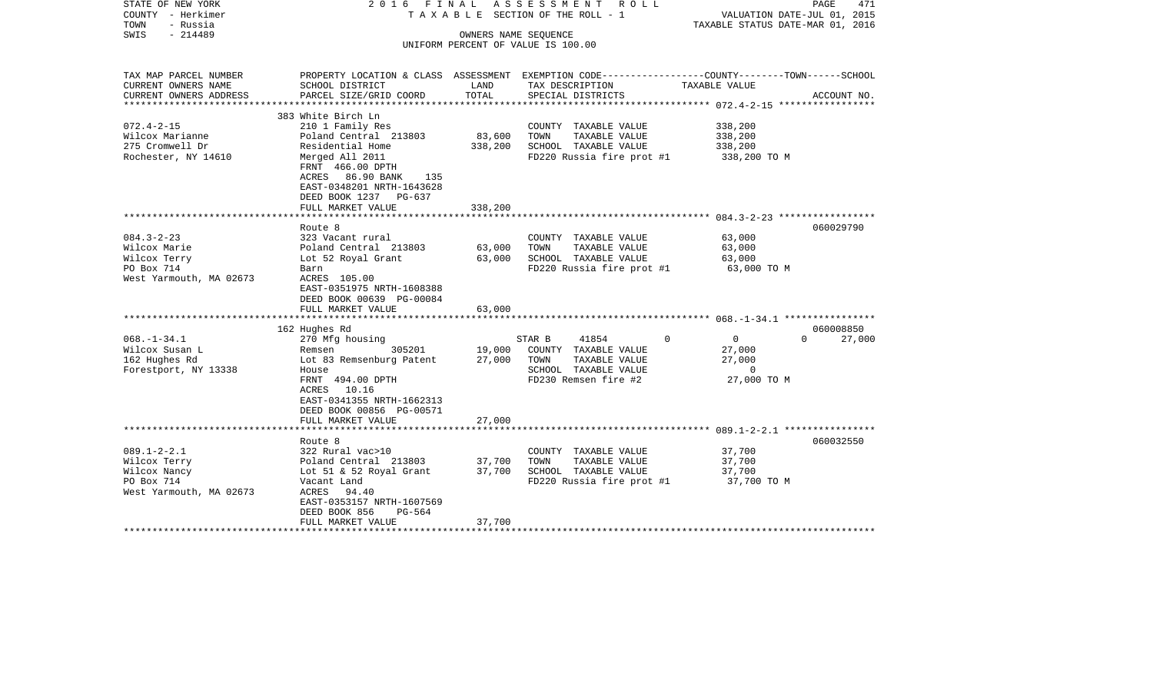| STATE OF NEW YORK                     | 2016 FINAL                                                                                      |         | A S S E S S M E N T A O L L           |                                                                 | 471<br>PAGE        |
|---------------------------------------|-------------------------------------------------------------------------------------------------|---------|---------------------------------------|-----------------------------------------------------------------|--------------------|
| COUNTY - Herkimer<br>- Russia<br>TOWN |                                                                                                 |         | T A X A B L E SECTION OF THE ROLL - 1 | VALUATION DATE-JUL 01, 2015<br>TAXABLE STATUS DATE-MAR 01, 2016 |                    |
| $-214489$<br>SWIS                     |                                                                                                 |         | OWNERS NAME SEQUENCE                  |                                                                 |                    |
|                                       |                                                                                                 |         | UNIFORM PERCENT OF VALUE IS 100.00    |                                                                 |                    |
|                                       |                                                                                                 |         |                                       |                                                                 |                    |
| TAX MAP PARCEL NUMBER                 | PROPERTY LOCATION & CLASS ASSESSMENT EXEMPTION CODE---------------COUNTY-------TOWN------SCHOOL |         |                                       |                                                                 |                    |
| CURRENT OWNERS NAME                   | SCHOOL DISTRICT                                                                                 | LAND    | TAX DESCRIPTION                       | TAXABLE VALUE                                                   |                    |
| CURRENT OWNERS ADDRESS                | PARCEL SIZE/GRID COORD                                                                          | TOTAL   | SPECIAL DISTRICTS                     |                                                                 | ACCOUNT NO.        |
|                                       |                                                                                                 |         |                                       |                                                                 |                    |
|                                       | 383 White Birch Ln                                                                              |         |                                       |                                                                 |                    |
| $072.4 - 2 - 15$                      | 210 1 Family Res                                                                                |         | COUNTY TAXABLE VALUE                  | 338,200                                                         |                    |
| Wilcox Marianne                       | Poland Central 213803                                                                           | 83,600  | TOWN<br>TAXABLE VALUE                 | 338,200                                                         |                    |
| 275 Cromwell Dr                       | Residential Home                                                                                | 338,200 | SCHOOL TAXABLE VALUE                  | 338,200                                                         |                    |
| Rochester, NY 14610                   | Merged All 2011                                                                                 |         | FD220 Russia fire prot #1             | 338,200 TO M                                                    |                    |
|                                       | FRNT 466.00 DPTH                                                                                |         |                                       |                                                                 |                    |
|                                       | ACRES 86.90 BANK<br>135                                                                         |         |                                       |                                                                 |                    |
|                                       | EAST-0348201 NRTH-1643628                                                                       |         |                                       |                                                                 |                    |
|                                       | DEED BOOK 1237 PG-637                                                                           |         |                                       |                                                                 |                    |
|                                       | FULL MARKET VALUE                                                                               | 338,200 |                                       |                                                                 |                    |
|                                       | Route 8                                                                                         |         |                                       |                                                                 | 060029790          |
| $084.3 - 2 - 23$                      | 323 Vacant rural                                                                                |         | COUNTY TAXABLE VALUE                  | 63,000                                                          |                    |
| Wilcox Marie                          | Poland Central 213803                                                                           | 63,000  | TAXABLE VALUE<br>TOWN                 | 63,000                                                          |                    |
| Wilcox Terry                          | Lot 52 Royal Grant                                                                              | 63,000  | SCHOOL TAXABLE VALUE                  | 63,000                                                          |                    |
| PO Box 714                            | Barn                                                                                            |         | FD220 Russia fire prot #1             | 63,000 TO M                                                     |                    |
| West Yarmouth, MA 02673               | ACRES 105.00                                                                                    |         |                                       |                                                                 |                    |
|                                       | EAST-0351975 NRTH-1608388                                                                       |         |                                       |                                                                 |                    |
|                                       | DEED BOOK 00639 PG-00084                                                                        |         |                                       |                                                                 |                    |
|                                       | FULL MARKET VALUE                                                                               | 63,000  |                                       |                                                                 |                    |
|                                       |                                                                                                 |         |                                       |                                                                 |                    |
|                                       | 162 Hughes Rd                                                                                   |         |                                       |                                                                 | 060008850          |
| $068. - 1 - 34.1$                     | 270 Mfg housing                                                                                 |         | 41854<br>STAR B                       | $\mathbf 0$<br>$\overline{0}$                                   | $\Omega$<br>27,000 |
| Wilcox Susan L                        | 305201<br>Remsen                                                                                | 19,000  | COUNTY TAXABLE VALUE                  | 27,000                                                          |                    |
| 162 Hughes Rd                         | Lot 83 Remsenburg Patent                                                                        | 27,000  | TOWN<br>TAXABLE VALUE                 | 27,000                                                          |                    |
| Forestport, NY 13338                  | House                                                                                           |         | SCHOOL TAXABLE VALUE                  | $\overline{0}$                                                  |                    |
|                                       | FRNT 494.00 DPTH                                                                                |         | FD230 Remsen fire #2                  | 27,000 TO M                                                     |                    |
|                                       | 10.16<br>ACRES                                                                                  |         |                                       |                                                                 |                    |
|                                       | EAST-0341355 NRTH-1662313                                                                       |         |                                       |                                                                 |                    |
|                                       | DEED BOOK 00856 PG-00571                                                                        |         |                                       |                                                                 |                    |
|                                       | FULL MARKET VALUE<br>*******************                                                        | 27,000  |                                       |                                                                 |                    |
|                                       | Route 8                                                                                         |         |                                       |                                                                 | 060032550          |
| $089.1 - 2 - 2.1$                     | 322 Rural vac>10                                                                                |         | COUNTY TAXABLE VALUE                  | 37,700                                                          |                    |
| Wilcox Terry                          | Poland Central 213803                                                                           | 37,700  | TOWN<br>TAXABLE VALUE                 | 37,700                                                          |                    |
| Wilcox Nancy                          | Lot 51 & 52 Royal Grant                                                                         | 37,700  | SCHOOL TAXABLE VALUE                  | 37,700                                                          |                    |
| PO Box 714                            | Vacant Land                                                                                     |         | FD220 Russia fire prot #1             | 37,700 TO M                                                     |                    |
| West Yarmouth, MA 02673               | ACRES 94.40                                                                                     |         |                                       |                                                                 |                    |
|                                       | EAST-0353157 NRTH-1607569                                                                       |         |                                       |                                                                 |                    |
|                                       | DEED BOOK 856<br>PG-564                                                                         |         |                                       |                                                                 |                    |
|                                       | FULL MARKET VALUE                                                                               | 37,700  |                                       |                                                                 |                    |
|                                       |                                                                                                 |         |                                       |                                                                 |                    |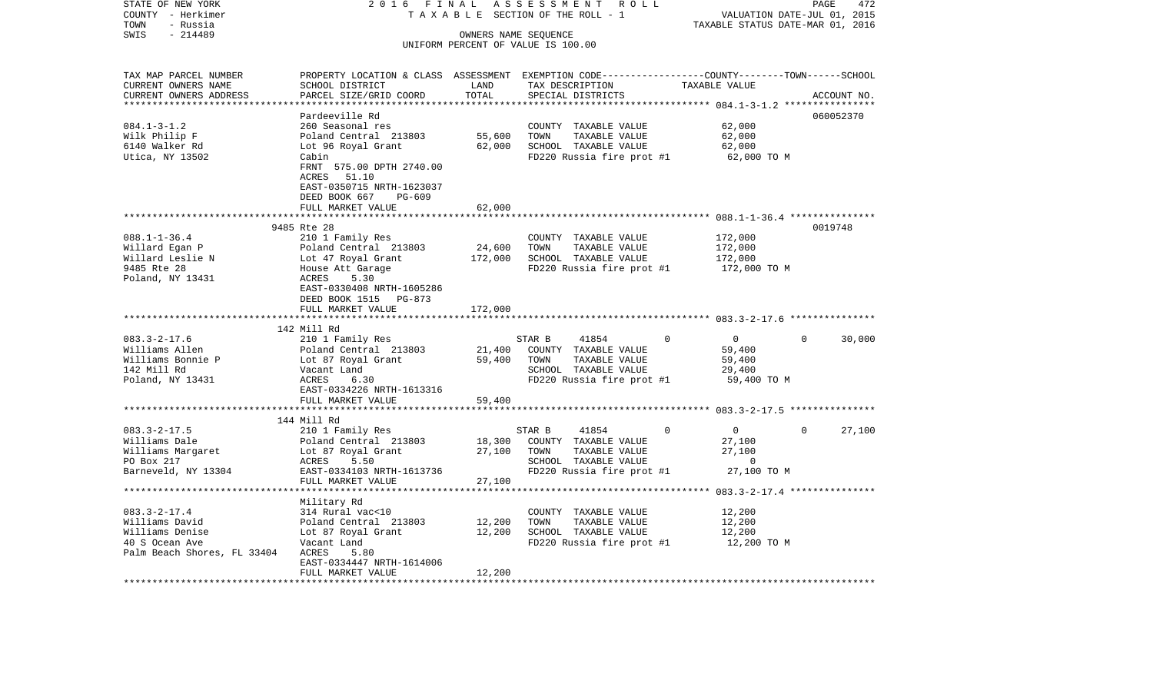| STATE OF NEW YORK           | 2016 FINAL                                                                                       |                                    |                      | ASSESSMENT ROLL           |          |                                  |          | 472<br>PAGE |
|-----------------------------|--------------------------------------------------------------------------------------------------|------------------------------------|----------------------|---------------------------|----------|----------------------------------|----------|-------------|
| COUNTY - Herkimer           |                                                                                                  | TAXABLE SECTION OF THE ROLL - 1    |                      |                           |          | VALUATION DATE-JUL 01, 2015      |          |             |
| TOWN<br>- Russia            |                                                                                                  |                                    |                      |                           |          | TAXABLE STATUS DATE-MAR 01, 2016 |          |             |
| SWIS<br>$-214489$           |                                                                                                  | UNIFORM PERCENT OF VALUE IS 100.00 | OWNERS NAME SEQUENCE |                           |          |                                  |          |             |
|                             |                                                                                                  |                                    |                      |                           |          |                                  |          |             |
| TAX MAP PARCEL NUMBER       | PROPERTY LOCATION & CLASS ASSESSMENT EXEMPTION CODE----------------COUNTY-------TOWN------SCHOOL |                                    |                      |                           |          |                                  |          |             |
| CURRENT OWNERS NAME         | SCHOOL DISTRICT                                                                                  | LAND                               |                      | TAX DESCRIPTION           |          | TAXABLE VALUE                    |          |             |
| CURRENT OWNERS ADDRESS      | PARCEL SIZE/GRID COORD                                                                           | TOTAL                              |                      | SPECIAL DISTRICTS         |          |                                  |          | ACCOUNT NO. |
| ************************    |                                                                                                  |                                    |                      |                           |          |                                  |          |             |
|                             | Pardeeville Rd                                                                                   |                                    |                      |                           |          |                                  |          | 060052370   |
| $084.1 - 3 - 1.2$           | 260 Seasonal res                                                                                 |                                    |                      | COUNTY TAXABLE VALUE      |          | 62,000                           |          |             |
| Wilk Philip F               | Poland Central 213803                                                                            | 55,600                             | TOWN                 | TAXABLE VALUE             |          | 62,000                           |          |             |
| 6140 Walker Rd              | Lot 96 Royal Grant                                                                               | 62,000                             |                      | SCHOOL TAXABLE VALUE      |          | 62,000                           |          |             |
| Utica, NY 13502             | Cabin                                                                                            |                                    |                      | FD220 Russia fire prot #1 |          | 62,000 TO M                      |          |             |
|                             | FRNT 575.00 DPTH 2740.00                                                                         |                                    |                      |                           |          |                                  |          |             |
|                             | ACRES<br>51.10                                                                                   |                                    |                      |                           |          |                                  |          |             |
|                             | EAST-0350715 NRTH-1623037                                                                        |                                    |                      |                           |          |                                  |          |             |
|                             | DEED BOOK 667<br>PG-609                                                                          |                                    |                      |                           |          |                                  |          |             |
|                             | FULL MARKET VALUE                                                                                | 62,000                             |                      |                           |          |                                  |          |             |
|                             |                                                                                                  |                                    |                      |                           |          |                                  |          |             |
|                             | 9485 Rte 28                                                                                      |                                    |                      |                           |          |                                  |          | 0019748     |
| $088.1 - 1 - 36.4$          | 210 1 Family Res                                                                                 |                                    |                      | COUNTY TAXABLE VALUE      |          | 172,000                          |          |             |
| Willard Egan P              | Poland Central 213803                                                                            | 24,600                             | TOWN                 | TAXABLE VALUE             |          | 172,000                          |          |             |
| Willard Leslie N            | Lot 47 Royal Grant                                                                               | 172,000                            |                      | SCHOOL TAXABLE VALUE      |          | 172,000                          |          |             |
| 9485 Rte 28                 | House Att Garage                                                                                 |                                    |                      | FD220 Russia fire prot #1 |          | 172,000 TO M                     |          |             |
| Poland, NY 13431            | 5.30<br>ACRES                                                                                    |                                    |                      |                           |          |                                  |          |             |
|                             | EAST-0330408 NRTH-1605286                                                                        |                                    |                      |                           |          |                                  |          |             |
|                             | DEED BOOK 1515 PG-873                                                                            |                                    |                      |                           |          |                                  |          |             |
|                             | FULL MARKET VALUE                                                                                | 172,000                            |                      |                           |          |                                  |          |             |
|                             |                                                                                                  |                                    |                      |                           |          |                                  |          |             |
|                             | 142 Mill Rd                                                                                      |                                    |                      |                           |          |                                  |          |             |
| $083.3 - 2 - 17.6$          | 210 1 Family Res                                                                                 |                                    | STAR B               | 41854                     | $\Omega$ | $\overline{0}$                   | $\Omega$ | 30,000      |
| Williams Allen              | Poland Central 213803                                                                            | 21,400                             |                      | COUNTY TAXABLE VALUE      |          | 59,400                           |          |             |
| Williams Bonnie P           | Lot 87 Royal Grant                                                                               | 59,400                             | TOWN                 | TAXABLE VALUE             |          | 59,400                           |          |             |
| 142 Mill Rd                 | Vacant Land                                                                                      |                                    |                      | SCHOOL TAXABLE VALUE      |          | 29,400                           |          |             |
| Poland, NY 13431            | ACRES<br>6.30                                                                                    |                                    |                      | FD220 Russia fire prot #1 |          | 59,400 TO M                      |          |             |
|                             | EAST-0334226 NRTH-1613316                                                                        |                                    |                      |                           |          |                                  |          |             |
|                             | FULL MARKET VALUE                                                                                | 59,400                             |                      |                           |          |                                  |          |             |
|                             |                                                                                                  |                                    |                      |                           |          |                                  |          |             |
|                             | 144 Mill Rd                                                                                      |                                    |                      |                           |          |                                  |          |             |
| $083.3 - 2 - 17.5$          | 210 1 Family Res                                                                                 |                                    | STAR B               | 41854                     | 0        | $\overline{0}$                   | 0        | 27,100      |
| Williams Dale               | Poland Central 213803                                                                            | 18,300                             |                      | COUNTY TAXABLE VALUE      |          | 27,100                           |          |             |
| Williams Margaret           | Lot 87 Royal Grant                                                                               | 27,100                             | TOWN                 | TAXABLE VALUE             |          | 27,100                           |          |             |
| PO Box 217                  | ACRES<br>5.50                                                                                    |                                    |                      | SCHOOL TAXABLE VALUE      |          | $\Omega$                         |          |             |
| Barneveld, NY 13304         | EAST-0334103 NRTH-1613736                                                                        |                                    |                      | FD220 Russia fire prot #1 |          | 27,100 TO M                      |          |             |
|                             | FULL MARKET VALUE                                                                                | 27,100                             |                      |                           |          |                                  |          |             |
|                             |                                                                                                  |                                    |                      |                           |          |                                  |          |             |
| $083.3 - 2 - 17.4$          | Military Rd<br>314 Rural vac<10                                                                  |                                    |                      | COUNTY TAXABLE VALUE      |          |                                  |          |             |
| Williams David              | Poland Central 213803                                                                            | 12,200                             | TOWN                 | TAXABLE VALUE             |          | 12,200<br>12,200                 |          |             |
| Williams Denise             | Lot 87 Royal Grant                                                                               | 12,200                             |                      | SCHOOL TAXABLE VALUE      |          | 12,200                           |          |             |
| 40 S Ocean Ave              | Vacant Land                                                                                      |                                    |                      |                           |          |                                  |          |             |
| Palm Beach Shores, FL 33404 | ACRES<br>5.80                                                                                    |                                    |                      | FD220 Russia fire prot #1 |          | 12,200 TO M                      |          |             |
|                             | EAST-0334447 NRTH-1614006                                                                        |                                    |                      |                           |          |                                  |          |             |
|                             | FULL MARKET VALUE                                                                                | 12,200                             |                      |                           |          |                                  |          |             |
| **************************  | ************************                                                                         | ******************                 |                      |                           |          |                                  |          |             |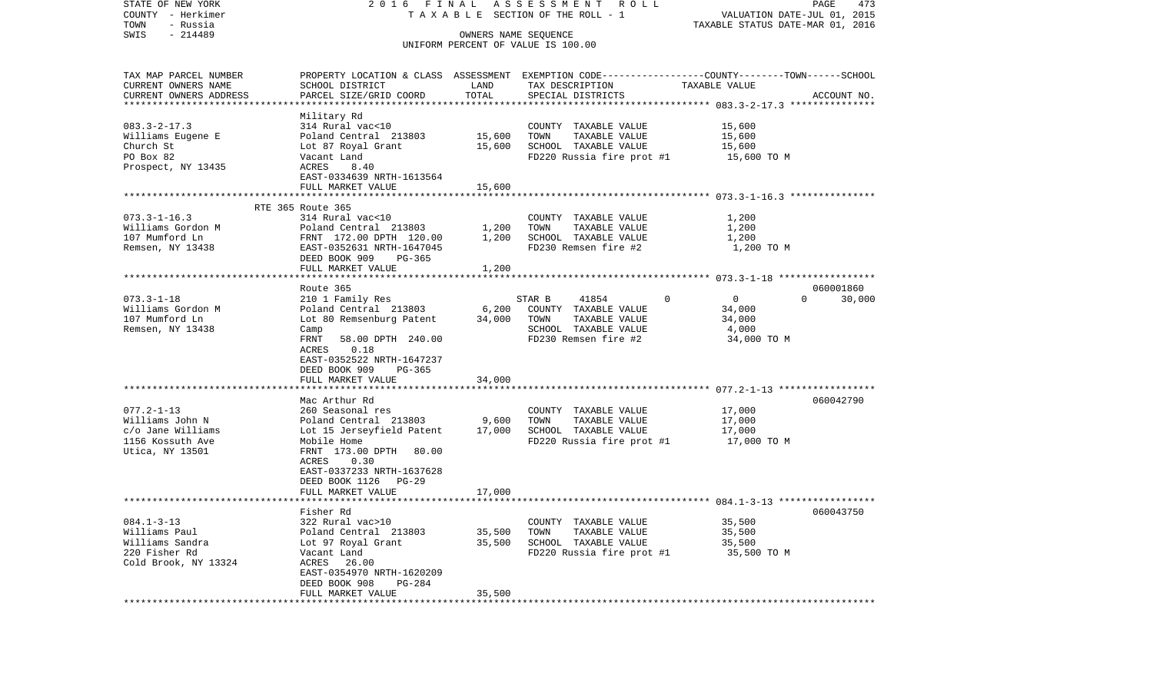| STATE OF NEW YORK                     |                                                                                                  |                | 2016 FINAL ASSESSMENT ROLL                    |                                  | PAGE<br>473        |
|---------------------------------------|--------------------------------------------------------------------------------------------------|----------------|-----------------------------------------------|----------------------------------|--------------------|
| COUNTY - Herkimer                     |                                                                                                  |                | TAXABLE SECTION OF THE ROLL - 1               | VALUATION DATE-JUL 01, 2015      |                    |
| TOWN<br>- Russia<br>$-214489$<br>SWIS |                                                                                                  |                | OWNERS NAME SEOUENCE                          | TAXABLE STATUS DATE-MAR 01, 2016 |                    |
|                                       |                                                                                                  |                | UNIFORM PERCENT OF VALUE IS 100.00            |                                  |                    |
|                                       |                                                                                                  |                |                                               |                                  |                    |
| TAX MAP PARCEL NUMBER                 | PROPERTY LOCATION & CLASS ASSESSMENT EXEMPTION CODE----------------COUNTY-------TOWN------SCHOOL |                |                                               |                                  |                    |
| CURRENT OWNERS NAME                   | SCHOOL DISTRICT                                                                                  | LAND           | TAX DESCRIPTION                               | TAXABLE VALUE                    |                    |
| CURRENT OWNERS ADDRESS                | PARCEL SIZE/GRID COORD                                                                           | TOTAL          | SPECIAL DISTRICTS                             |                                  | ACCOUNT NO.        |
|                                       |                                                                                                  |                |                                               |                                  |                    |
|                                       | Military Rd                                                                                      |                |                                               |                                  |                    |
| $083.3 - 2 - 17.3$                    | 314 Rural vac<10                                                                                 |                | COUNTY TAXABLE VALUE                          | 15,600                           |                    |
| Williams Eugene E                     | Poland Central 213803                                                                            | 15,600         | TAXABLE VALUE<br>TOWN                         | 15,600                           |                    |
| Church St                             | Lot 87 Royal Grant 15,600                                                                        |                | SCHOOL TAXABLE VALUE                          | 15,600                           |                    |
| PO Box 82                             | Vacant Land                                                                                      |                | FD220 Russia fire prot #1                     | 15,600 TO M                      |                    |
| Prospect, NY 13435                    | ACRES<br>8.40                                                                                    |                |                                               |                                  |                    |
|                                       | EAST-0334639 NRTH-1613564                                                                        |                |                                               |                                  |                    |
|                                       | FULL MARKET VALUE                                                                                | 15,600         |                                               |                                  |                    |
|                                       |                                                                                                  |                |                                               |                                  |                    |
| $073.3 - 1 - 16.3$                    | RTE 365 Route 365                                                                                |                |                                               |                                  |                    |
| Williams Gordon M                     | 314 Rural vac<10<br>Poland Central 213803                                                        |                | COUNTY TAXABLE VALUE<br>TAXABLE VALUE<br>TOWN | 1,200                            |                    |
| 107 Mumford Ln                        | FRNT 172.00 DPTH 120.00                                                                          | 1,200<br>1,200 | SCHOOL TAXABLE VALUE                          | 1,200<br>1,200                   |                    |
| Remsen, NY 13438                      | EAST-0352631 NRTH-1647045                                                                        |                | FD230 Remsen fire #2                          | 1,200 TO M                       |                    |
|                                       | DEED BOOK 909<br>PG-365                                                                          |                |                                               |                                  |                    |
|                                       | FULL MARKET VALUE                                                                                | 1,200          |                                               |                                  |                    |
|                                       |                                                                                                  |                |                                               |                                  |                    |
|                                       | Route 365                                                                                        |                |                                               |                                  | 060001860          |
| $073.3 - 1 - 18$                      | 210 1 Family Res                                                                                 |                | STAR B<br>41854                               | $\Omega$<br>$\overline{0}$       | $\Omega$<br>30,000 |
| Williams Gordon M                     | Poland Central 213803                                                                            | 6,200          | COUNTY TAXABLE VALUE                          | 34,000                           |                    |
| 107 Mumford Ln                        | Lot 80 Remsenburg Patent                                                                         | 34,000         | TAXABLE VALUE<br>TOWN                         | 34,000                           |                    |
| Remsen, NY 13438                      | Camp                                                                                             |                | SCHOOL TAXABLE VALUE                          | 4,000                            |                    |
|                                       | FRNT<br>58.00 DPTH 240.00                                                                        |                | FD230 Remsen fire #2                          | 34,000 TO M                      |                    |
|                                       | 0.18<br>ACRES                                                                                    |                |                                               |                                  |                    |
|                                       | EAST-0352522 NRTH-1647237                                                                        |                |                                               |                                  |                    |
|                                       | DEED BOOK 909<br>PG-365                                                                          |                |                                               |                                  |                    |
|                                       | FULL MARKET VALUE                                                                                | 34,000         |                                               |                                  |                    |
|                                       |                                                                                                  |                |                                               |                                  |                    |
| $077.2 - 1 - 13$                      | Mac Arthur Rd                                                                                    |                |                                               |                                  | 060042790          |
| Williams John N                       | 260 Seasonal res                                                                                 |                | COUNTY TAXABLE VALUE<br>TAXABLE VALUE<br>TOWN | 17,000<br>17,000                 |                    |
| c/o Jane Williams                     | Poland Central 213803 9,600<br>Lot 15 Jerseyfield Patent 17,000                                  |                | SCHOOL TAXABLE VALUE                          | 17,000                           |                    |
| 1156 Kossuth Ave                      | Mobile Home                                                                                      |                | $FD220$ Russia fire prot #1 $17,000$ TO M     |                                  |                    |
| Utica, NY 13501                       | FRNT 173.00 DPTH 80.00                                                                           |                |                                               |                                  |                    |
|                                       | 0.30<br>ACRES                                                                                    |                |                                               |                                  |                    |
|                                       | EAST-0337233 NRTH-1637628                                                                        |                |                                               |                                  |                    |
|                                       | DEED BOOK 1126 PG-29                                                                             |                |                                               |                                  |                    |
|                                       | FULL MARKET VALUE                                                                                | 17,000         |                                               |                                  |                    |
|                                       |                                                                                                  |                |                                               |                                  |                    |
|                                       | Fisher Rd                                                                                        |                |                                               |                                  | 060043750          |
| $084.1 - 3 - 13$                      | 322 Rural vac>10                                                                                 |                | COUNTY TAXABLE VALUE                          | 35,500                           |                    |
| Williams Paul                         | Poland Central 213803                                                                            | 35,500         | TOWN<br>TAXABLE VALUE                         | 35,500                           |                    |
| Williams Sandra                       | Lot 97 Royal Grant                                                                               | 35,500         | SCHOOL TAXABLE VALUE                          | 35,500                           |                    |
| 220 Fisher Rd                         | Vacant Land                                                                                      |                | FD220 Russia fire prot #1                     | 35,500 TO M                      |                    |
| Cold Brook, NY 13324                  | ACRES 26.00                                                                                      |                |                                               |                                  |                    |
|                                       | EAST-0354970 NRTH-1620209                                                                        |                |                                               |                                  |                    |
|                                       | DEED BOOK 908<br><b>PG-284</b>                                                                   |                |                                               |                                  |                    |
|                                       | FULL MARKET VALUE                                                                                | 35,500         |                                               |                                  |                    |
|                                       |                                                                                                  |                |                                               |                                  |                    |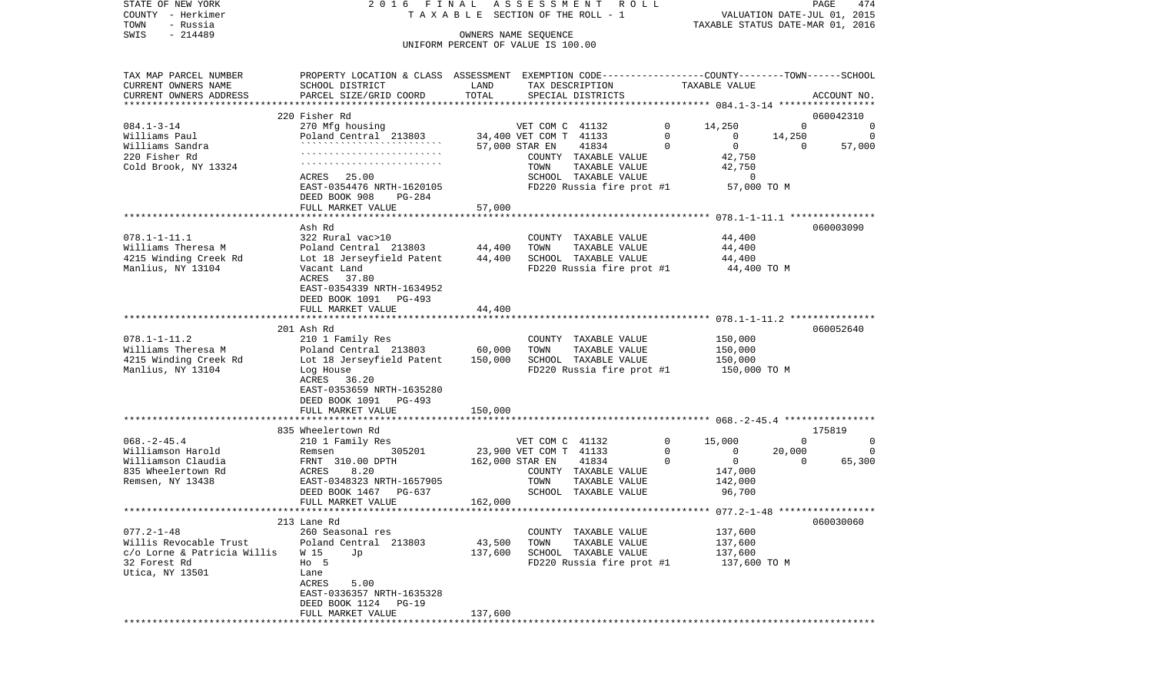|      | STATE OF NEW YORK | 2016 FINAL ASSESSMENT ROLL |                                       | PAGE                             | 474 |
|------|-------------------|----------------------------|---------------------------------------|----------------------------------|-----|
|      | COUNTY - Herkimer |                            | T A X A B L E SECTION OF THE ROLL - 1 | VALUATION DATE-JUL 01, 2015      |     |
| TOWN | - Russia          |                            |                                       | TAXABLE STATUS DATE-MAR 01, 2016 |     |
| SWIS | - 214489          |                            | OWNERS NAME SEOUENCE                  |                                  |     |
|      |                   |                            | UNIFORM PERCENT OF VALUE IS 100.00    |                                  |     |

| TAX MAP PARCEL NUMBER<br>CURRENT OWNERS NAME | PROPERTY LOCATION & CLASS ASSESSMENT EXEMPTION CODE---------------COUNTY-------TOWN-----SCHOOL<br>SCHOOL DISTRICT | LAND    |                        | TAX DESCRIPTION                       |          | TAXABLE VALUE      |          |             |
|----------------------------------------------|-------------------------------------------------------------------------------------------------------------------|---------|------------------------|---------------------------------------|----------|--------------------|----------|-------------|
| CURRENT OWNERS ADDRESS                       | PARCEL SIZE/GRID COORD                                                                                            | TOTAL   |                        | SPECIAL DISTRICTS                     |          |                    |          | ACCOUNT NO. |
|                                              | 220 Fisher Rd                                                                                                     |         |                        |                                       |          |                    |          | 060042310   |
| $084.1 - 3 - 14$                             | 270 Mfg housing                                                                                                   |         | VET COM C 41132        |                                       | $\Omega$ | 14,250             | $\Omega$ | $\Omega$    |
| Williams Paul                                | Poland Central 213803                                                                                             |         | 34,400 VET COM T 41133 |                                       | $\Omega$ | $\overline{0}$     | 14,250   | $\Omega$    |
| Williams Sandra                              |                                                                                                                   |         | 57,000 STAR EN         | 41834                                 | $\Omega$ | $\overline{0}$     | $\Omega$ | 57,000      |
| 220 Fisher Rd                                |                                                                                                                   |         |                        | COUNTY TAXABLE VALUE                  |          | 42,750             |          |             |
| Cold Brook, NY 13324                         |                                                                                                                   |         | TOWN                   | TAXABLE VALUE                         |          | 42,750             |          |             |
|                                              | ACRES 25.00                                                                                                       |         |                        | SCHOOL TAXABLE VALUE                  |          | $\overline{0}$     |          |             |
|                                              | EAST-0354476 NRTH-1620105                                                                                         |         |                        | FD220 Russia fire prot #1             |          | 57,000 TO M        |          |             |
|                                              | DEED BOOK 908<br>PG-284                                                                                           |         |                        |                                       |          |                    |          |             |
|                                              | FULL MARKET VALUE                                                                                                 | 57,000  |                        |                                       |          |                    |          |             |
|                                              |                                                                                                                   |         |                        |                                       |          |                    |          |             |
|                                              | Ash Rd                                                                                                            |         |                        |                                       |          |                    |          | 060003090   |
| $078.1 - 1 - 11.1$                           | 322 Rural vac>10                                                                                                  |         |                        | COUNTY TAXABLE VALUE                  |          | 44,400             |          |             |
| Williams Theresa M                           | Poland Central 213803                                                                                             | 44,400  | TOWN                   | TAXABLE VALUE                         |          | 44,400             |          |             |
| 4215 Winding Creek Rd                        | Lot 18 Jerseyfield Patent                                                                                         | 44,400  |                        | SCHOOL TAXABLE VALUE                  |          | 44,400             |          |             |
| Manlius, NY 13104                            | Vacant Land                                                                                                       |         |                        | FD220 Russia fire prot #1             |          | 44,400 TO M        |          |             |
|                                              | ACRES 37.80                                                                                                       |         |                        |                                       |          |                    |          |             |
|                                              | EAST-0354339 NRTH-1634952                                                                                         |         |                        |                                       |          |                    |          |             |
|                                              | DEED BOOK 1091 PG-493                                                                                             |         |                        |                                       |          |                    |          |             |
|                                              | FULL MARKET VALUE                                                                                                 | 44,400  |                        |                                       |          |                    |          |             |
|                                              |                                                                                                                   |         |                        |                                       |          |                    |          |             |
| $078.1 - 1 - 11.2$                           | 201 Ash Rd                                                                                                        |         |                        |                                       |          |                    |          | 060052640   |
| Williams Theresa M                           | 210 1 Family Res<br>Poland Central 213803                                                                         | 60,000  | TOWN                   | COUNTY TAXABLE VALUE<br>TAXABLE VALUE |          | 150,000<br>150,000 |          |             |
| 4215 Winding Creek Rd                        | Lot 18 Jerseyfield Patent                                                                                         | 150,000 |                        | SCHOOL TAXABLE VALUE                  |          | 150,000            |          |             |
| Manlius, NY 13104                            | Log House                                                                                                         |         |                        | FD220 Russia fire prot #1             |          | 150,000 TO M       |          |             |
|                                              | ACRES 36.20                                                                                                       |         |                        |                                       |          |                    |          |             |
|                                              | EAST-0353659 NRTH-1635280                                                                                         |         |                        |                                       |          |                    |          |             |
|                                              | DEED BOOK 1091 PG-493                                                                                             |         |                        |                                       |          |                    |          |             |
|                                              | FULL MARKET VALUE                                                                                                 | 150,000 |                        |                                       |          |                    |          |             |
|                                              |                                                                                                                   |         |                        |                                       |          |                    |          |             |
|                                              | 835 Wheelertown Rd                                                                                                |         |                        |                                       |          |                    |          | 175819      |
| $068. - 2 - 45.4$                            | 210 1 Family Res                                                                                                  |         | VET COM C 41132        |                                       | $\Omega$ | 15,000             | $\Omega$ | $\mathbf 0$ |
| Williamson Harold                            | 305201<br>Remsen                                                                                                  |         | 23,900 VET COM T 41133 |                                       | $\Omega$ | $\Omega$           | 20,000   | $\Omega$    |
| Williamson Claudia                           | FRNT 310.00 DPTH                                                                                                  |         | 162,000 STAR EN        | 41834                                 | $\Omega$ | $\overline{0}$     | $\Omega$ | 65,300      |
| 835 Wheelertown Rd                           | ACRES<br>8.20                                                                                                     |         |                        | COUNTY TAXABLE VALUE                  |          | 147,000            |          |             |
| Remsen, NY 13438                             | EAST-0348323 NRTH-1657905                                                                                         |         | TOWN                   | TAXABLE VALUE                         |          | 142,000            |          |             |
|                                              | DEED BOOK 1467 PG-637                                                                                             |         |                        | SCHOOL TAXABLE VALUE                  |          | 96,700             |          |             |
|                                              | FULL MARKET VALUE                                                                                                 | 162,000 |                        |                                       |          |                    |          |             |
|                                              | ************************                                                                                          |         |                        |                                       |          |                    |          |             |
|                                              | 213 Lane Rd                                                                                                       |         |                        |                                       |          |                    |          | 060030060   |
| $077.2 - 1 - 48$                             | 260 Seasonal res                                                                                                  |         |                        | COUNTY TAXABLE VALUE                  |          | 137,600            |          |             |
| Willis Revocable Trust                       | Poland Central 213803                                                                                             | 43,500  | TOWN                   | TAXABLE VALUE                         |          | 137,600            |          |             |
| c/o Lorne & Patricia Willis                  | W 15<br>Jp                                                                                                        | 137,600 |                        | SCHOOL TAXABLE VALUE                  |          | 137,600            |          |             |
| 32 Forest Rd                                 | $H_0$ 5<br>Lane                                                                                                   |         |                        | FD220 Russia fire prot #1             |          | 137,600 TO M       |          |             |
| Utica, NY 13501                              | ACRES<br>5.00                                                                                                     |         |                        |                                       |          |                    |          |             |
|                                              | EAST-0336357 NRTH-1635328                                                                                         |         |                        |                                       |          |                    |          |             |
|                                              | $PG-19$<br>DEED BOOK 1124                                                                                         |         |                        |                                       |          |                    |          |             |
|                                              | FULL MARKET VALUE                                                                                                 | 137,600 |                        |                                       |          |                    |          |             |
|                                              |                                                                                                                   |         |                        |                                       |          |                    |          |             |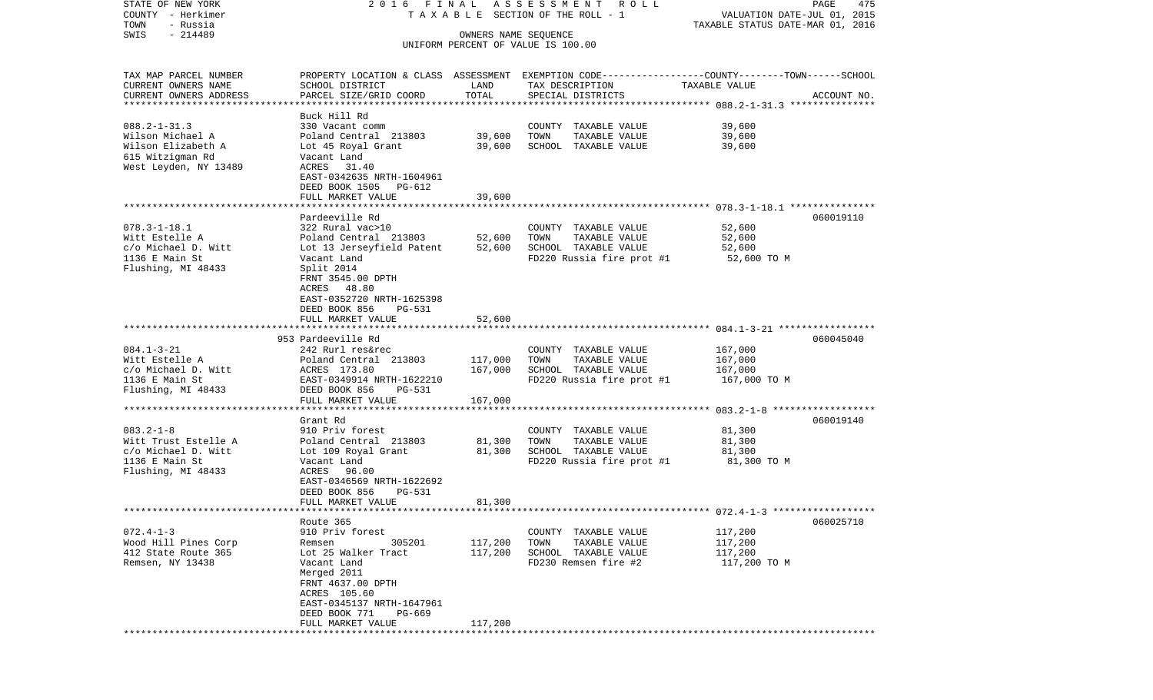| STATE OF NEW YORK<br>COUNTY - Herkimer<br>TOWN<br>- Russia                                                | 2016 FINAL                                                                                                                                                                                                                             |                                  | A S S E S S M E N T R O L L<br>T A X A B L E SECTION OF THE ROLL - 1                                                                     | VALUATION DATE-JUL 01, 2015<br>TAXABLE STATUS DATE-MAR 01, 2016 | PAGE<br>475 |
|-----------------------------------------------------------------------------------------------------------|----------------------------------------------------------------------------------------------------------------------------------------------------------------------------------------------------------------------------------------|----------------------------------|------------------------------------------------------------------------------------------------------------------------------------------|-----------------------------------------------------------------|-------------|
| $-214489$<br>SWIS                                                                                         |                                                                                                                                                                                                                                        | OWNERS NAME SEQUENCE             | UNIFORM PERCENT OF VALUE IS 100.00                                                                                                       |                                                                 |             |
| TAX MAP PARCEL NUMBER<br>CURRENT OWNERS NAME<br>CURRENT OWNERS ADDRESS<br>*************************       | SCHOOL DISTRICT<br>PARCEL SIZE/GRID COORD                                                                                                                                                                                              | LAND<br>TOTAL                    | PROPERTY LOCATION & CLASS ASSESSMENT EXEMPTION CODE----------------COUNTY-------TOWN------SCHOOL<br>TAX DESCRIPTION<br>SPECIAL DISTRICTS | TAXABLE VALUE                                                   | ACCOUNT NO. |
| $088.2 - 1 - 31.3$<br>Wilson Michael A<br>Wilson Elizabeth A<br>615 Witzigman Rd<br>West Leyden, NY 13489 | Buck Hill Rd<br>330 Vacant comm<br>Poland Central 213803<br>Lot 45 Royal Grant<br>Vacant Land<br>ACRES 31.40<br>EAST-0342635 NRTH-1604961<br>DEED BOOK 1505 PG-612<br>FULL MARKET VALUE                                                | 39,600<br>39,600<br>39,600       | COUNTY TAXABLE VALUE<br>TOWN<br>TAXABLE VALUE<br>SCHOOL TAXABLE VALUE                                                                    | 39,600<br>39,600<br>39,600                                      |             |
| $078.3 - 1 - 18.1$<br>Witt Estelle A<br>c/o Michael D. Witt<br>1136 E Main St<br>Flushing, MI 48433       | Pardeeville Rd<br>322 Rural vac>10<br>Poland Central 213803<br>Lot 13 Jerseyfield Patent<br>Vacant Land<br>Split 2014<br>FRNT 3545.00 DPTH<br>ACRES 48.80<br>EAST-0352720 NRTH-1625398<br>DEED BOOK 856<br>PG-531<br>FULL MARKET VALUE | 52,600<br>52,600<br>52,600       | COUNTY TAXABLE VALUE<br>TOWN<br>TAXABLE VALUE<br>SCHOOL TAXABLE VALUE<br>FD220 Russia fire prot #1                                       | 52,600<br>52,600<br>52,600<br>52,600 TO M                       | 060019110   |
| $084.1 - 3 - 21$<br>Witt Estelle A<br>c/o Michael D. Witt<br>1136 E Main St<br>Flushing, MI 48433         | 953 Pardeeville Rd<br>242 Rurl res&rec<br>Poland Central 213803<br>ACRES 173.80<br>EAST-0349914 NRTH-1622210<br>DEED BOOK 856<br>PG-531<br>FULL MARKET VALUE                                                                           | 117,000<br>167,000<br>167,000    | COUNTY TAXABLE VALUE<br>TOWN<br>TAXABLE VALUE<br>SCHOOL TAXABLE VALUE<br>FD220 Russia fire prot #1                                       | 167,000<br>167,000<br>167,000<br>167,000 TO M                   | 060045040   |
| $083.2 - 1 - 8$<br>Witt Trust Estelle A<br>c/o Michael D. Witt<br>1136 E Main St<br>Flushing, MI 48433    | ****************************<br>Grant Rd<br>910 Priv forest<br>Poland Central 213803<br>Lot 109 Royal Grant<br>Vacant Land<br>96.00<br>ACRES<br>EAST-0346569 NRTH-1622692<br>DEED BOOK 856<br>PG-531                                   | 81,300<br>81,300                 | COUNTY TAXABLE VALUE<br>TOWN<br>TAXABLE VALUE<br>SCHOOL TAXABLE VALUE<br>FD220 Russia fire prot #1                                       | 81,300<br>81,300<br>81,300<br>81,300 TO M                       | 060019140   |
| $072.4 - 1 - 3$<br>Wood Hill Pines Corp<br>412 State Route 365<br>Remsen, NY 13438                        | FULL MARKET VALUE<br>Route 365<br>910 Priv forest<br>305201<br>Remsen<br>Lot 25 Walker Tract<br>Vacant Land<br>Merged 2011<br>FRNT 4637.00 DPTH<br>ACRES 105.60<br>EAST-0345137 NRTH-1647961<br>DEED BOOK 771<br>PG-669                | 81,300<br>117,200<br>117,200     | COUNTY TAXABLE VALUE<br>TOWN<br>TAXABLE VALUE<br>SCHOOL TAXABLE VALUE<br>FD230 Remsen fire #2                                            | 117,200<br>117,200<br>117,200<br>117,200 TO M                   | 060025710   |
|                                                                                                           | FULL MARKET VALUE<br>***************************                                                                                                                                                                                       | 117,200<br>********************* |                                                                                                                                          |                                                                 |             |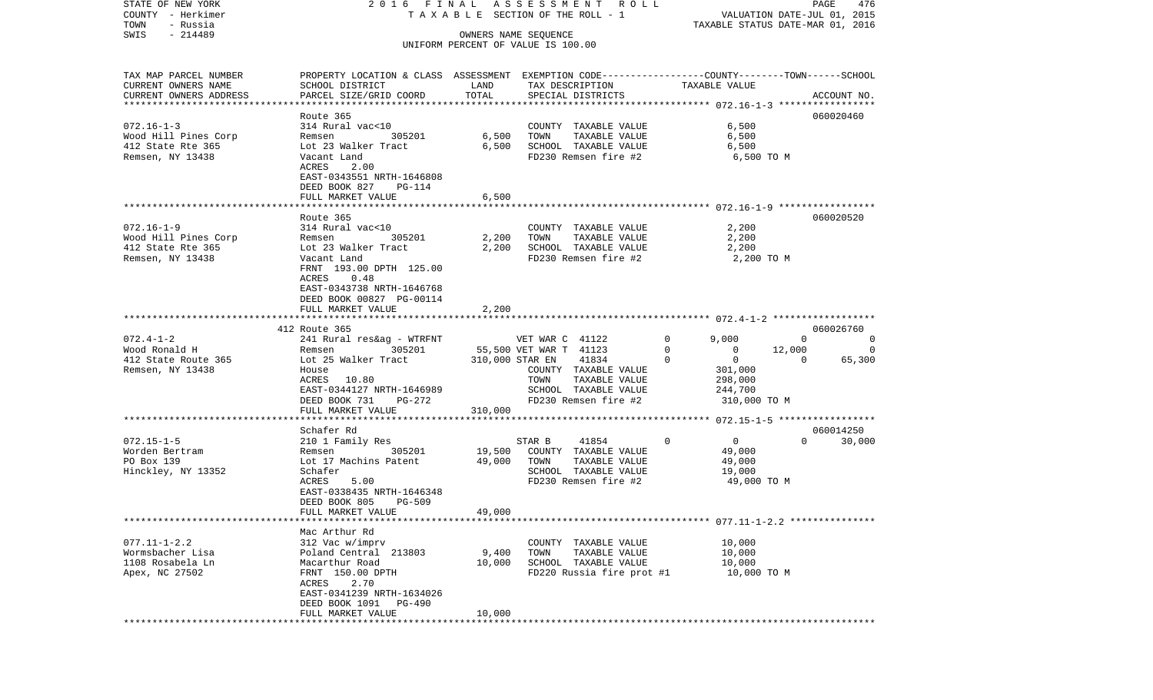| COUNTY<br>– Herkimer   |                                                                                                  |                 | TAXABLE SECTION OF THE ROLL - 1                            |                            | VALUATION DATE-JUL 01, 2015<br>TAXABLE STATUS DATE-MAR 01, 2016 |                |  |  |
|------------------------|--------------------------------------------------------------------------------------------------|-----------------|------------------------------------------------------------|----------------------------|-----------------------------------------------------------------|----------------|--|--|
| TOWN<br>- Russia       |                                                                                                  |                 |                                                            |                            |                                                                 |                |  |  |
| $-214489$<br>SWIS      |                                                                                                  |                 | OWNERS NAME SEQUENCE<br>UNIFORM PERCENT OF VALUE IS 100.00 |                            |                                                                 |                |  |  |
|                        |                                                                                                  |                 |                                                            |                            |                                                                 |                |  |  |
| TAX MAP PARCEL NUMBER  | PROPERTY LOCATION & CLASS ASSESSMENT EXEMPTION CODE----------------COUNTY-------TOWN------SCHOOL |                 |                                                            |                            |                                                                 |                |  |  |
| CURRENT OWNERS NAME    | SCHOOL DISTRICT                                                                                  | LAND            | TAX DESCRIPTION                                            | TAXABLE VALUE              |                                                                 |                |  |  |
| CURRENT OWNERS ADDRESS | PARCEL SIZE/GRID COORD                                                                           | TOTAL           | SPECIAL DISTRICTS                                          |                            |                                                                 | ACCOUNT NO.    |  |  |
|                        |                                                                                                  |                 |                                                            |                            |                                                                 |                |  |  |
|                        | Route 365                                                                                        |                 |                                                            |                            |                                                                 | 060020460      |  |  |
| $072.16 - 1 - 3$       | 314 Rural vac<10                                                                                 |                 | COUNTY TAXABLE VALUE                                       | 6,500                      |                                                                 |                |  |  |
| Wood Hill Pines Corp   | 305201<br>Remsen                                                                                 | 6,500           | TOWN<br>TAXABLE VALUE                                      | 6,500                      |                                                                 |                |  |  |
| 412 State Rte 365      | Lot 23 Walker Tract                                                                              | 6,500           | SCHOOL TAXABLE VALUE                                       | 6,500                      |                                                                 |                |  |  |
| Remsen, NY 13438       | Vacant Land                                                                                      |                 | FD230 Remsen fire #2                                       | 6,500 TO M                 |                                                                 |                |  |  |
|                        | 2.00<br>ACRES                                                                                    |                 |                                                            |                            |                                                                 |                |  |  |
|                        | EAST-0343551 NRTH-1646808                                                                        |                 |                                                            |                            |                                                                 |                |  |  |
|                        | DEED BOOK 827<br>PG-114                                                                          |                 |                                                            |                            |                                                                 |                |  |  |
|                        | FULL MARKET VALUE                                                                                | 6,500           |                                                            |                            |                                                                 |                |  |  |
|                        |                                                                                                  |                 |                                                            |                            |                                                                 |                |  |  |
|                        | Route 365                                                                                        |                 |                                                            |                            |                                                                 | 060020520      |  |  |
| $072.16 - 1 - 9$       | 314 Rural vac<10                                                                                 |                 | COUNTY TAXABLE VALUE                                       | 2,200                      |                                                                 |                |  |  |
| Wood Hill Pines Corp   | 305201<br>Remsen                                                                                 | 2,200           | TAXABLE VALUE<br>TOWN                                      | 2,200                      |                                                                 |                |  |  |
| 412 State Rte 365      | Lot 23 Walker Tract                                                                              | 2,200           | SCHOOL TAXABLE VALUE                                       | 2,200                      |                                                                 |                |  |  |
| Remsen, NY 13438       | Vacant Land                                                                                      |                 | FD230 Remsen fire #2                                       | 2,200 TO M                 |                                                                 |                |  |  |
|                        | FRNT 193.00 DPTH 125.00                                                                          |                 |                                                            |                            |                                                                 |                |  |  |
|                        | 0.48<br>ACRES                                                                                    |                 |                                                            |                            |                                                                 |                |  |  |
|                        | EAST-0343738 NRTH-1646768                                                                        |                 |                                                            |                            |                                                                 |                |  |  |
|                        | DEED BOOK 00827 PG-00114                                                                         |                 |                                                            |                            |                                                                 |                |  |  |
|                        | FULL MARKET VALUE                                                                                | 2,200           |                                                            |                            |                                                                 |                |  |  |
|                        |                                                                                                  |                 |                                                            |                            |                                                                 |                |  |  |
|                        | 412 Route 365                                                                                    |                 |                                                            |                            |                                                                 | 060026760      |  |  |
| $072.4 - 1 - 2$        | 241 Rural res&ag - WTRFNT                                                                        |                 | VET WAR C 41122                                            | $\mathbf 0$<br>9,000       | $\overline{0}$                                                  | $\overline{0}$ |  |  |
| Wood Ronald H          | 305201<br>Remsen                                                                                 |                 | 55,500 VET WAR T 41123                                     | 0<br>0                     | 12,000                                                          | 0              |  |  |
| 412 State Route 365    | Lot 25 Walker Tract                                                                              | 310,000 STAR EN | 41834                                                      | $\mathbf 0$<br>$\Omega$    | $\Omega$                                                        | 65,300         |  |  |
| Remsen, NY 13438       | House                                                                                            |                 | COUNTY TAXABLE VALUE                                       | 301,000                    |                                                                 |                |  |  |
|                        | 10.80<br>ACRES                                                                                   |                 | TOWN<br>TAXABLE VALUE                                      | 298,000                    |                                                                 |                |  |  |
|                        | EAST-0344127 NRTH-1646989                                                                        |                 | SCHOOL TAXABLE VALUE                                       | 244,700                    |                                                                 |                |  |  |
|                        | DEED BOOK 731<br>PG-272                                                                          |                 | FD230 Remsen fire #2                                       | 310,000 TO M               |                                                                 |                |  |  |
|                        | FULL MARKET VALUE                                                                                | 310,000         |                                                            |                            |                                                                 |                |  |  |
|                        |                                                                                                  |                 |                                                            |                            |                                                                 |                |  |  |
|                        | Schafer Rd                                                                                       |                 |                                                            |                            |                                                                 | 060014250      |  |  |
| $072.15 - 1 - 5$       | 210 1 Family Res                                                                                 |                 | 41854<br>STAR B                                            | $\Omega$<br>$\overline{0}$ | $\Omega$                                                        | 30,000         |  |  |
| Worden Bertram         | 305201<br>Remsen                                                                                 | 19,500          | COUNTY TAXABLE VALUE                                       | 49,000                     |                                                                 |                |  |  |
| PO Box 139             | Lot 17 Machins Patent                                                                            | 49,000          | TOWN<br>TAXABLE VALUE                                      | 49,000                     |                                                                 |                |  |  |
| Hinckley, NY 13352     | Schafer                                                                                          |                 | SCHOOL TAXABLE VALUE                                       | 19,000                     |                                                                 |                |  |  |
|                        | 5.00<br>ACRES                                                                                    |                 | FD230 Remsen fire #2                                       | 49,000 TO M                |                                                                 |                |  |  |
|                        | EAST-0338435 NRTH-1646348                                                                        |                 |                                                            |                            |                                                                 |                |  |  |
|                        | DEED BOOK 805<br><b>PG-509</b>                                                                   |                 |                                                            |                            |                                                                 |                |  |  |
|                        | FULL MARKET VALUE                                                                                | 49,000          |                                                            |                            |                                                                 |                |  |  |
|                        | Mac Arthur Rd                                                                                    |                 |                                                            |                            |                                                                 |                |  |  |
| $077.11 - 1 - 2.2$     | 312 Vac w/imprv                                                                                  |                 | COUNTY TAXABLE VALUE                                       | 10,000                     |                                                                 |                |  |  |
| Wormsbacher Lisa       |                                                                                                  | 9,400           |                                                            | 10,000                     |                                                                 |                |  |  |
| 1108 Rosabela Ln       | Poland Central 213803<br>Macarthur Road                                                          | 10,000          | TOWN<br>TAXABLE VALUE<br>SCHOOL TAXABLE VALUE              | 10,000                     |                                                                 |                |  |  |
| Apex, NC 27502         | FRNT 150.00 DPTH                                                                                 |                 | FD220 Russia fire prot #1                                  |                            |                                                                 |                |  |  |
|                        | 2.70<br>ACRES                                                                                    |                 |                                                            | 10,000 TO M                |                                                                 |                |  |  |
|                        | EAST-0341239 NRTH-1634026                                                                        |                 |                                                            |                            |                                                                 |                |  |  |
|                        | DEED BOOK 1091<br>PG-490                                                                         |                 |                                                            |                            |                                                                 |                |  |  |
|                        | FULL MARKET VALUE                                                                                | 10,000          |                                                            |                            |                                                                 |                |  |  |
|                        |                                                                                                  |                 |                                                            |                            |                                                                 |                |  |  |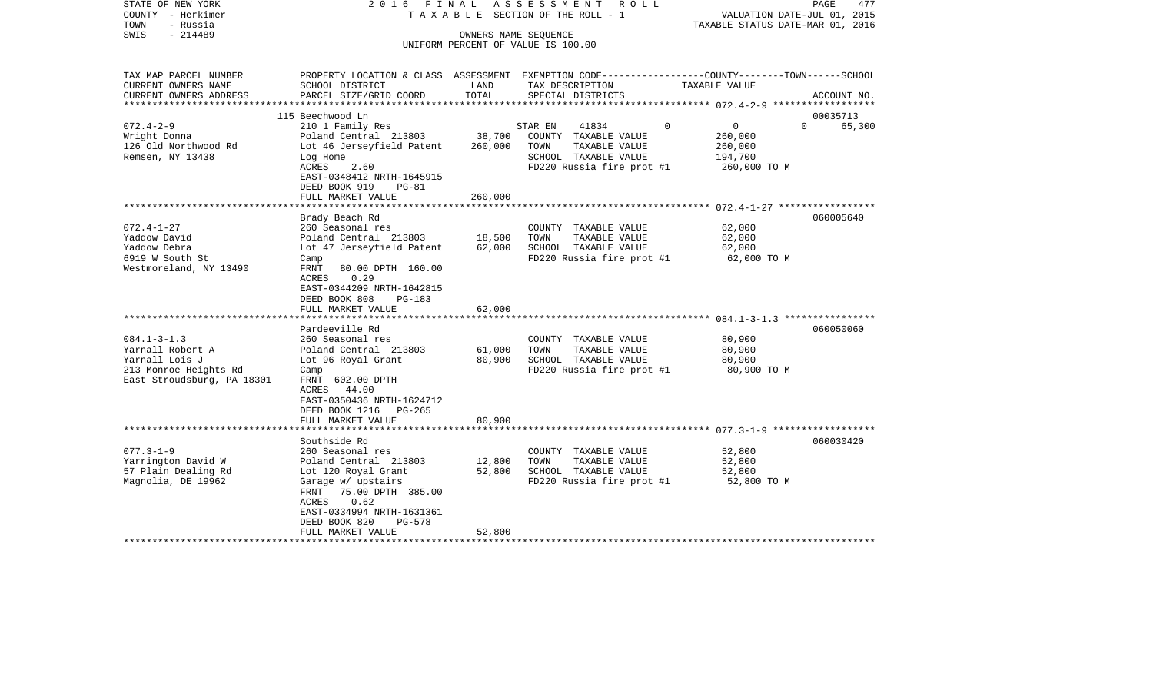| STATE OF NEW YORK<br>COUNTY - Herkimer<br>TOWN<br>- Russia<br>$-214489$<br>SWIS | 2016 FINAL                                                                                     |                  | A S S E S S M E N T<br>R O L L<br>TAXABLE SECTION OF THE ROLL - 1<br>OWNERS NAME SEQUENCE |                                          | 477<br>PAGE<br>VALUATION DATE-JUL 01, 2015<br>TAXABLE STATUS DATE-MAR 01, 2016 |
|---------------------------------------------------------------------------------|------------------------------------------------------------------------------------------------|------------------|-------------------------------------------------------------------------------------------|------------------------------------------|--------------------------------------------------------------------------------|
|                                                                                 |                                                                                                |                  | UNIFORM PERCENT OF VALUE IS 100.00                                                        |                                          |                                                                                |
| TAX MAP PARCEL NUMBER                                                           | PROPERTY LOCATION & CLASS ASSESSMENT EXEMPTION CODE---------------COUNTY-------TOWN-----SCHOOL |                  |                                                                                           |                                          |                                                                                |
| CURRENT OWNERS NAME                                                             | SCHOOL DISTRICT                                                                                | LAND             | TAX DESCRIPTION                                                                           | TAXABLE VALUE                            |                                                                                |
| CURRENT OWNERS ADDRESS<br>***************                                       | PARCEL SIZE/GRID COORD                                                                         | TOTAL            | SPECIAL DISTRICTS                                                                         | ***************** 072.4-2-9 ************ | ACCOUNT NO.                                                                    |
|                                                                                 | 115 Beechwood Ln                                                                               |                  |                                                                                           |                                          | 00035713                                                                       |
| $072.4 - 2 - 9$                                                                 | 210 1 Family Res                                                                               |                  | STAR EN<br>41834                                                                          | $\overline{0}$<br>$\Omega$               | $\Omega$<br>65,300                                                             |
| Wright Donna                                                                    | Poland Central 213803                                                                          | 38,700           | COUNTY TAXABLE VALUE                                                                      | 260,000                                  |                                                                                |
| 126 Old Northwood Rd                                                            | Lot 46 Jerseyfield Patent                                                                      | 260,000          | TOWN<br>TAXABLE VALUE                                                                     | 260,000                                  |                                                                                |
| Remsen, NY 13438                                                                | Log Home                                                                                       |                  | SCHOOL TAXABLE VALUE                                                                      | 194,700                                  |                                                                                |
|                                                                                 | ACRES<br>2.60                                                                                  |                  | FD220 Russia fire prot #1                                                                 | 260,000 TO M                             |                                                                                |
|                                                                                 | EAST-0348412 NRTH-1645915                                                                      |                  |                                                                                           |                                          |                                                                                |
|                                                                                 | DEED BOOK 919<br>$PG-81$                                                                       |                  |                                                                                           |                                          |                                                                                |
|                                                                                 | FULL MARKET VALUE                                                                              | 260,000          |                                                                                           |                                          |                                                                                |
|                                                                                 | Brady Beach Rd                                                                                 |                  |                                                                                           |                                          | 060005640                                                                      |
| $072.4 - 1 - 27$                                                                | 260 Seasonal res                                                                               |                  | COUNTY TAXABLE VALUE                                                                      | 62,000                                   |                                                                                |
| Yaddow David                                                                    | Poland Central 213803                                                                          | 18,500           | TOWN<br>TAXABLE VALUE                                                                     | 62,000                                   |                                                                                |
| Yaddow Debra                                                                    | Lot 47 Jerseyfield Patent                                                                      | 62,000           | SCHOOL TAXABLE VALUE                                                                      | 62,000                                   |                                                                                |
| 6919 W South St                                                                 | Camp                                                                                           |                  | FD220 Russia fire prot #1                                                                 | 62,000 TO M                              |                                                                                |
| Westmoreland, NY 13490                                                          | FRNT<br>80.00 DPTH 160.00                                                                      |                  |                                                                                           |                                          |                                                                                |
|                                                                                 | ACRES<br>0.29                                                                                  |                  |                                                                                           |                                          |                                                                                |
|                                                                                 | EAST-0344209 NRTH-1642815                                                                      |                  |                                                                                           |                                          |                                                                                |
|                                                                                 | DEED BOOK 808<br>PG-183                                                                        |                  |                                                                                           |                                          |                                                                                |
|                                                                                 | FULL MARKET VALUE                                                                              | 62,000           |                                                                                           |                                          |                                                                                |
|                                                                                 | Pardeeville Rd                                                                                 |                  |                                                                                           |                                          | 060050060                                                                      |
| $084.1 - 3 - 1.3$                                                               | 260 Seasonal res                                                                               |                  | COUNTY TAXABLE VALUE                                                                      | 80,900                                   |                                                                                |
| Yarnall Robert A                                                                | Poland Central 213803                                                                          | 61,000           | TOWN<br>TAXABLE VALUE                                                                     | 80,900                                   |                                                                                |
| Yarnall Lois J                                                                  | Lot 96 Royal Grant                                                                             | 80,900           | SCHOOL TAXABLE VALUE                                                                      | 80,900                                   |                                                                                |
| 213 Monroe Heights Rd                                                           | Camp                                                                                           |                  | FD220 Russia fire prot #1                                                                 | 80,900 TO M                              |                                                                                |
| East Stroudsburg, PA 18301                                                      | FRNT 602.00 DPTH                                                                               |                  |                                                                                           |                                          |                                                                                |
|                                                                                 | ACRES 44.00                                                                                    |                  |                                                                                           |                                          |                                                                                |
|                                                                                 | EAST-0350436 NRTH-1624712                                                                      |                  |                                                                                           |                                          |                                                                                |
|                                                                                 | DEED BOOK 1216 PG-265                                                                          |                  |                                                                                           |                                          |                                                                                |
|                                                                                 | FULL MARKET VALUE                                                                              | 80,900<br>****** |                                                                                           |                                          |                                                                                |
|                                                                                 | Southside Rd                                                                                   |                  |                                                                                           |                                          | 060030420                                                                      |
| $077.3 - 1 - 9$                                                                 | 260 Seasonal res                                                                               |                  | COUNTY TAXABLE VALUE                                                                      | 52,800                                   |                                                                                |
| Yarrington David W                                                              | Poland Central 213803                                                                          | 12,800           | TOWN<br>TAXABLE VALUE                                                                     | 52,800                                   |                                                                                |
| 57 Plain Dealing Rd                                                             | Lot 120 Royal Grant                                                                            | 52,800           | SCHOOL TAXABLE VALUE                                                                      | 52,800                                   |                                                                                |
| Magnolia, DE 19962                                                              | Garage w/ upstairs                                                                             |                  | FD220 Russia fire prot #1                                                                 | 52,800 TO M                              |                                                                                |
|                                                                                 | 75.00 DPTH 385.00<br>FRNT                                                                      |                  |                                                                                           |                                          |                                                                                |
|                                                                                 | ACRES<br>0.62                                                                                  |                  |                                                                                           |                                          |                                                                                |
|                                                                                 | EAST-0334994 NRTH-1631361                                                                      |                  |                                                                                           |                                          |                                                                                |
|                                                                                 | DEED BOOK 820<br>PG-578                                                                        |                  |                                                                                           |                                          |                                                                                |
|                                                                                 | FULL MARKET VALUE                                                                              | 52,800           |                                                                                           |                                          |                                                                                |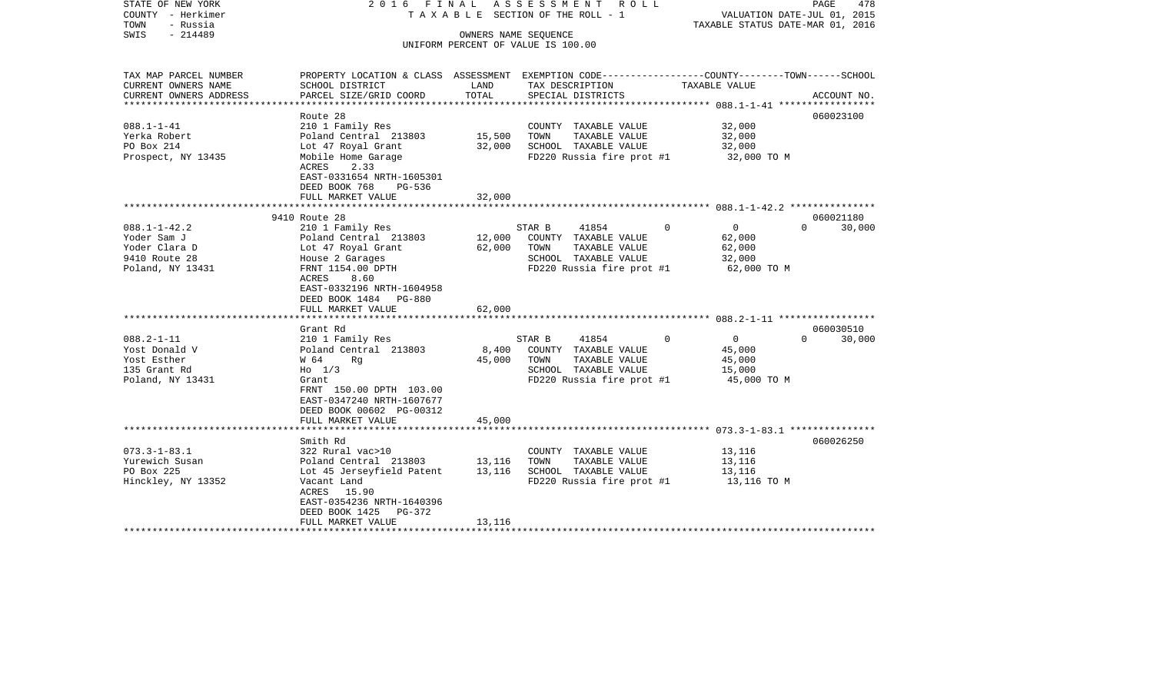| STATE OF NEW YORK<br>COUNTY - Herkimer<br>TOWN<br>- Russia | 2016 FINAL                                                                                                         |        | ASSESSMENT ROLL<br>TAXABLE SECTION OF THE ROLL - 1         | TAXABLE STATUS DATE-MAR 01, 2016 | PAGE<br>478<br>VALUATION DATE-JUL 01, 2015 |
|------------------------------------------------------------|--------------------------------------------------------------------------------------------------------------------|--------|------------------------------------------------------------|----------------------------------|--------------------------------------------|
| $-214489$<br>SWIS                                          |                                                                                                                    |        | OWNERS NAME SEQUENCE<br>UNIFORM PERCENT OF VALUE IS 100.00 |                                  |                                            |
| TAX MAP PARCEL NUMBER<br>CURRENT OWNERS NAME               | PROPERTY LOCATION & CLASS ASSESSMENT EXEMPTION CODE---------------COUNTY-------TOWN------SCHOOL<br>SCHOOL DISTRICT | LAND   | TAX DESCRIPTION                                            | TAXABLE VALUE                    |                                            |
| CURRENT OWNERS ADDRESS                                     | PARCEL SIZE/GRID COORD                                                                                             | TOTAL  | SPECIAL DISTRICTS                                          |                                  | ACCOUNT NO.                                |
|                                                            | Route 28                                                                                                           |        |                                                            |                                  | 060023100                                  |
| $088.1 - 1 - 41$                                           | 210 1 Family Res                                                                                                   |        | COUNTY TAXABLE VALUE                                       | 32,000                           |                                            |
| Yerka Robert                                               | Poland Central 213803                                                                                              | 15,500 | TAXABLE VALUE<br>TOWN                                      | 32,000                           |                                            |
| PO Box 214                                                 | Lot 47 Royal Grant                                                                                                 | 32,000 | SCHOOL TAXABLE VALUE                                       | 32,000                           |                                            |
| Prospect, NY 13435                                         | Mobile Home Garage<br>ACRES<br>2.33                                                                                |        | FD220 Russia fire prot #1                                  | 32,000 TO M                      |                                            |
|                                                            | EAST-0331654 NRTH-1605301<br>DEED BOOK 768<br>PG-536<br>FULL MARKET VALUE                                          | 32,000 |                                                            |                                  |                                            |
|                                                            | *************************                                                                                          |        |                                                            |                                  |                                            |
|                                                            | 9410 Route 28                                                                                                      |        |                                                            |                                  | 060021180                                  |
| $088.1 - 1 - 42.2$                                         | 210 1 Family Res                                                                                                   |        | STAR B<br>41854                                            | $\overline{0}$<br>$\Omega$       | $\cap$<br>30,000                           |
| Yoder Sam J                                                | Poland Central 213803                                                                                              | 12,000 | COUNTY TAXABLE VALUE                                       | 62,000                           |                                            |
| Yoder Clara D                                              | Lot 47 Royal Grant                                                                                                 | 62,000 | TOWN<br>TAXABLE VALUE                                      | 62,000                           |                                            |
| 9410 Route 28                                              | House 2 Garages                                                                                                    |        | SCHOOL TAXABLE VALUE                                       | 32,000                           |                                            |
| Poland, NY 13431                                           | FRNT 1154.00 DPTH<br>ACRES<br>8.60                                                                                 |        | FD220 Russia fire prot #1                                  | 62,000 TO M                      |                                            |
|                                                            | EAST-0332196 NRTH-1604958                                                                                          |        |                                                            |                                  |                                            |
|                                                            | DEED BOOK 1484 PG-880                                                                                              |        |                                                            |                                  |                                            |
|                                                            | FULL MARKET VALUE                                                                                                  | 62,000 |                                                            |                                  |                                            |
|                                                            | *********************                                                                                              |        |                                                            |                                  |                                            |
|                                                            | Grant Rd                                                                                                           |        |                                                            |                                  | 060030510                                  |
| $088.2 - 1 - 11$                                           | 210 1 Family Res                                                                                                   |        | 41854<br>STAR B                                            | $\Omega$<br>$\overline{0}$       | 30,000<br>$\Omega$                         |
| Yost Donald V                                              | Poland Central 213803                                                                                              | 8,400  | COUNTY TAXABLE VALUE                                       | 45,000                           |                                            |
| Yost Esther                                                | W 64<br>Rg                                                                                                         | 45,000 | TOWN<br>TAXABLE VALUE                                      | 45,000                           |                                            |
| 135 Grant Rd                                               | $H_0$ 1/3                                                                                                          |        | SCHOOL TAXABLE VALUE                                       | 15,000                           |                                            |
| Poland, NY 13431                                           | Grant<br>FRNT 150.00 DPTH 103.00                                                                                   |        | FD220 Russia fire prot #1                                  | 45,000 TO M                      |                                            |
|                                                            | EAST-0347240 NRTH-1607677                                                                                          |        |                                                            |                                  |                                            |
|                                                            | DEED BOOK 00602 PG-00312                                                                                           |        |                                                            |                                  |                                            |
|                                                            | FULL MARKET VALUE                                                                                                  | 45,000 |                                                            |                                  |                                            |
|                                                            |                                                                                                                    |        |                                                            |                                  |                                            |
|                                                            | Smith Rd                                                                                                           |        |                                                            |                                  | 060026250                                  |
| $073.3 - 1 - 83.1$                                         | 322 Rural vac>10                                                                                                   |        | COUNTY TAXABLE VALUE                                       | 13,116                           |                                            |
| Yurewich Susan                                             | Poland Central 213803                                                                                              | 13,116 | TOWN<br>TAXABLE VALUE                                      | 13,116                           |                                            |
| PO Box 225                                                 | Lot 45 Jerseyfield Patent                                                                                          | 13,116 | SCHOOL TAXABLE VALUE                                       | 13,116                           |                                            |
| Hinckley, NY 13352                                         | Vacant Land                                                                                                        |        | FD220 Russia fire prot #1                                  | 13,116 TO M                      |                                            |
|                                                            | ACRES<br>15.90                                                                                                     |        |                                                            |                                  |                                            |
|                                                            | EAST-0354236 NRTH-1640396<br>DEED BOOK 1425<br>PG-372                                                              |        |                                                            |                                  |                                            |
|                                                            | FULL MARKET VALUE                                                                                                  | 13,116 |                                                            |                                  |                                            |
|                                                            |                                                                                                                    |        |                                                            |                                  |                                            |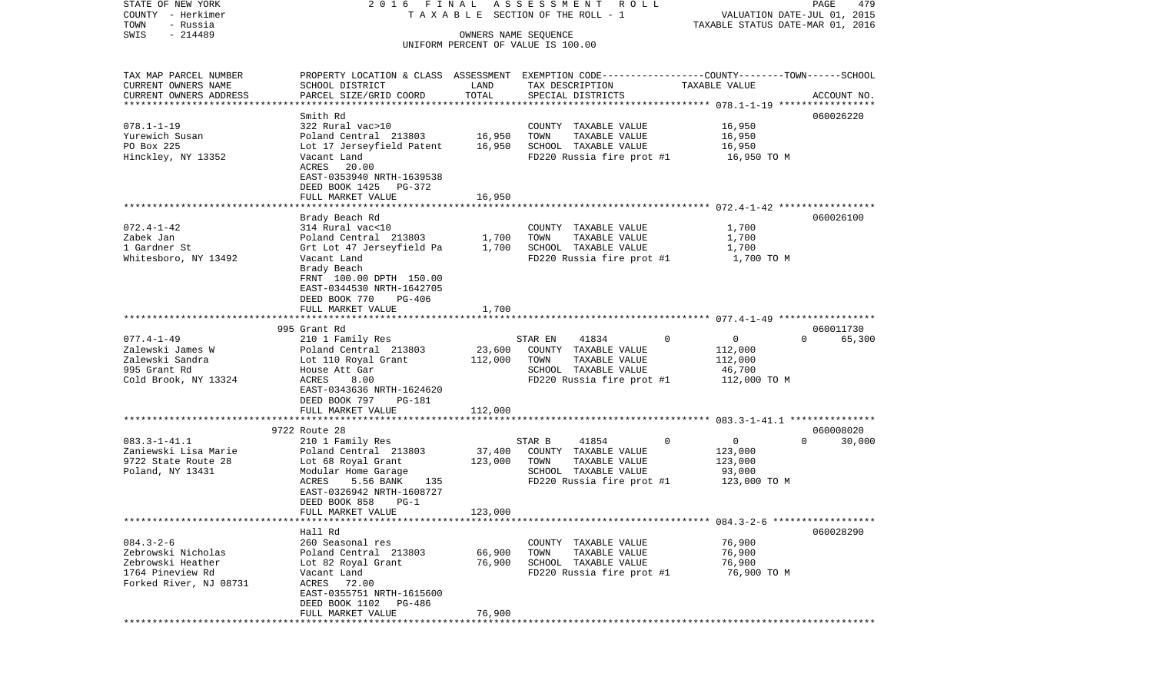STATE OF NEW YORK 2 0 1 6 F I N A L A S S E S S M E N T R O L L PAGE 479COUNTY - Herkimer **T A X A B L E SECTION OF THE ROLL - 1** VALUATION DATE-JUL 01, 2015 TOWN - Russia TAXABLE STATUS DATE-MAR 01, 2016 SWIS - 214489 OWNERS NAME SEQUENCE UNIFORM PERCENT OF VALUE IS 100.00TAX MAP PARCEL NUMBER PROPERTY LOCATION & CLASS ASSESSMENT EXEMPTION CODE------------------COUNTY--------TOWN------SCHOOL CURRENT OWNERS NAME SCHOOL DISTRICT LAND TAX DESCRIPTION TAXABLE VALUECURRENT OWNERS ADDRESS PARCEL SIZE/GRID COORD TOTAL SPECIAL DISTRICTS ACCOUNT NO. \*\*\*\*\*\*\*\*\*\*\*\*\*\*\*\*\*\*\*\*\*\*\*\*\*\*\*\*\*\*\*\*\*\*\*\*\*\*\*\*\*\*\*\*\*\*\*\*\*\*\*\*\*\*\*\*\*\*\*\*\*\*\*\*\*\*\*\*\*\*\*\*\*\*\*\*\*\*\*\*\*\*\*\*\*\*\*\*\*\*\*\*\*\*\*\*\*\*\*\*\*\*\* 078.1-1-19 \*\*\*\*\*\*\*\*\*\*\*\*\*\*\*\*\* Smith Rd 060026220060026220 078.1-1-19 322 Rural vac>10 COUNTY TAXABLE VALUE 16,950 Yurewich Susan Poland Central 213803 16,950 TOWN TAXABLE VALUE 16,950 PO Box 225 Lot 17 Jerseyfield Patent 16,950 SCHOOL TAXABLE VALUE 16,950 Hinckley, NY 13352 Vacant Land FD220 Russia fire prot #1 16,950 TO M ACRES 20.00 EAST-0353940 NRTH-1639538 DEED BOOK 1425 PG-372 FULL MARKET VALUE 16,950 \*\*\*\*\*\*\*\*\*\*\*\*\*\*\*\*\*\*\*\*\*\*\*\*\*\*\*\*\*\*\*\*\*\*\*\*\*\*\*\*\*\*\*\*\*\*\*\*\*\*\*\*\*\*\*\*\*\*\*\*\*\*\*\*\*\*\*\*\*\*\*\*\*\*\*\*\*\*\*\*\*\*\*\*\*\*\*\*\*\*\*\*\*\*\*\*\*\*\*\*\*\*\* 072.4-1-42 \*\*\*\*\*\*\*\*\*\*\*\*\*\*\*\*\* Brady Beach Rd 060026100 072.4-1-42 314 Rural vac<10 COUNTY TAXABLE VALUE 1,700 Zabek Jan Poland Central 213803 1,700 TOWN TAXABLE VALUE 1,700 1 Gardner St Grt Lot 47 Jerseyfield Pa 1,700 SCHOOL TAXABLE VALUE 1,700 Whitesboro, NY 13492 Vacant Land FD220 Russia fire prot #1 1,700 TO M Brady Beach FRNT 100.00 DPTH 150.00 EAST-0344530 NRTH-1642705 DEED BOOK 770 PG-406FULL MARKET VALUE 1,700 \*\*\*\*\*\*\*\*\*\*\*\*\*\*\*\*\*\*\*\*\*\*\*\*\*\*\*\*\*\*\*\*\*\*\*\*\*\*\*\*\*\*\*\*\*\*\*\*\*\*\*\*\*\*\*\*\*\*\*\*\*\*\*\*\*\*\*\*\*\*\*\*\*\*\*\*\*\*\*\*\*\*\*\*\*\*\*\*\*\*\*\*\*\*\*\*\*\*\*\*\*\*\* 077.4-1-49 \*\*\*\*\*\*\*\*\*\*\*\*\*\*\*\*\* 995 Grant Rd 060011730077.4-1-49 210 1 Family Res STAR EN 41834 0 0 0 65,300 Zalewski James W Poland Central 213803 23,600 COUNTY TAXABLE VALUE 112,000 Zalewski Sandra Lot 110 Royal Grant 112,000 TOWN TAXABLE VALUE 112,000 995 Grant Rd House Att Gar SCHOOL TAXABLE VALUE 46,700 Cold Brook, NY 13324 ACRES 8.00 ACRES 8.00 FD220 Russia fire prot #1 112,000 TO M EAST-0343636 NRTH-1624620 DEED BOOK 797 PG-181 FULL MARKET VALUE 112,000 \*\*\*\*\*\*\*\*\*\*\*\*\*\*\*\*\*\*\*\*\*\*\*\*\*\*\*\*\*\*\*\*\*\*\*\*\*\*\*\*\*\*\*\*\*\*\*\*\*\*\*\*\*\*\*\*\*\*\*\*\*\*\*\*\*\*\*\*\*\*\*\*\*\*\*\*\*\*\*\*\*\*\*\*\*\*\*\*\*\*\*\*\*\*\*\*\*\*\*\*\*\*\* 083.3-1-41.1 \*\*\*\*\*\*\*\*\*\*\*\*\*\*\* 9722 Route 28 060008020083.3-1-41.1 210 1 Family Res STAR B 41854 0 0 0 30,000 Zaniewski Lisa Marie Poland Central 213803 37,400 COUNTY TAXABLE VALUE 123,000 9722 State Route 28 Lot 68 Royal Grant 123,000 TOWN TAXABLE VALUE 123,000 Poland, NY 13431 1983 Modular Home Garage 1999 SCHOOL TAXABLE VALUE 93,000<br>ACRES 5.56 BANK 135 1220 Russia fire prot #1 123.000 TO M 135 FD220 Russia fire prot #1 EAST-0326942 NRTH-1608727 DEED BOOK 858 PG-1FULL MARKET VALUE 123,000 \*\*\*\*\*\*\*\*\*\*\*\*\*\*\*\*\*\*\*\*\*\*\*\*\*\*\*\*\*\*\*\*\*\*\*\*\*\*\*\*\*\*\*\*\*\*\*\*\*\*\*\*\*\*\*\*\*\*\*\*\*\*\*\*\*\*\*\*\*\*\*\*\*\*\*\*\*\*\*\*\*\*\*\*\*\*\*\*\*\*\*\*\*\*\*\*\*\*\*\*\*\*\* 084.3-2-6 \*\*\*\*\*\*\*\*\*\*\*\*\*\*\*\*\*\* Hall Rd 060028290084.3-2-6 260 Seasonal res COUNTY TAXABLE VALUE 76,900 Zebrowski Nicholas Poland Central 213803 66,900 TOWN TAXABLE VALUE 76,900 Zebrowski Heather Lot 82 Royal Grant 76,900 SCHOOL TAXABLE VALUE 76,900 1764 Pineview Rd Vacant Land FD220 Russia fire prot #1 76,900 TO M Forked River, NJ 08731 ACRES 72.00 EAST-0355751 NRTH-1615600 DEED BOOK 1102 PG-486FULL MARKET VALUE 76,900 \*\*\*\*\*\*\*\*\*\*\*\*\*\*\*\*\*\*\*\*\*\*\*\*\*\*\*\*\*\*\*\*\*\*\*\*\*\*\*\*\*\*\*\*\*\*\*\*\*\*\*\*\*\*\*\*\*\*\*\*\*\*\*\*\*\*\*\*\*\*\*\*\*\*\*\*\*\*\*\*\*\*\*\*\*\*\*\*\*\*\*\*\*\*\*\*\*\*\*\*\*\*\*\*\*\*\*\*\*\*\*\*\*\*\*\*\*\*\*\*\*\*\*\*\*\*\*\*\*\*\*\*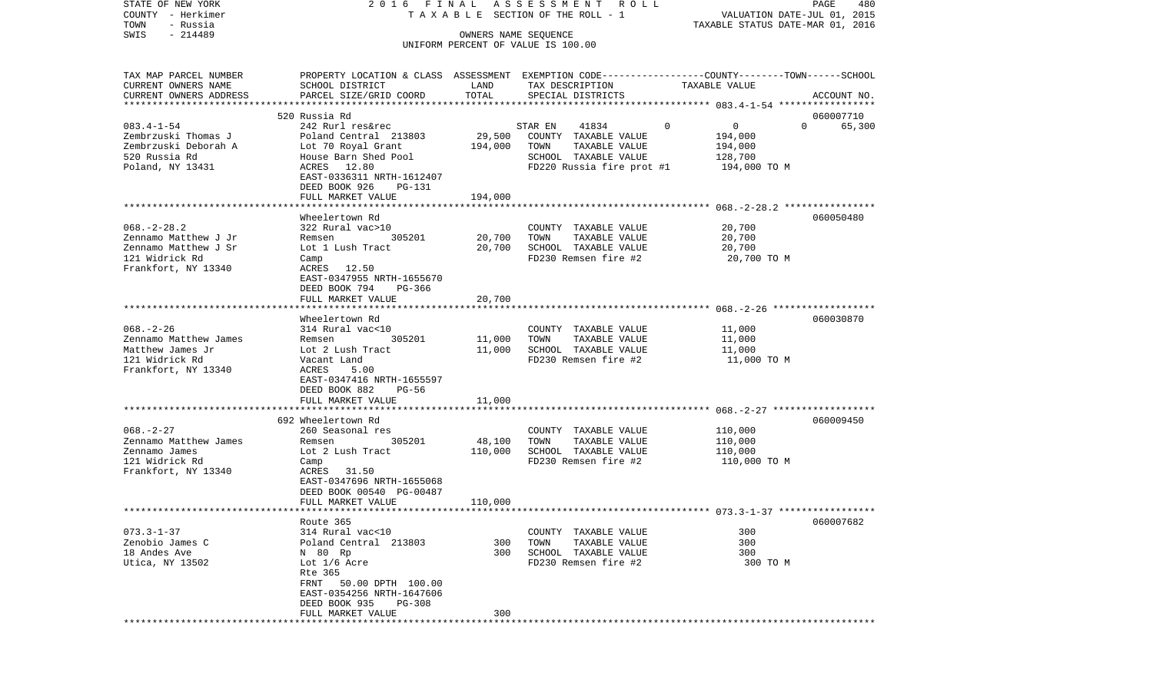| COUNTY - Herkimer                                |                                                                                                                    |           | TAXABLE SECTION OF THE ROLL - 1    | VALUATION DATE-JUL 01, 2015      |                    |
|--------------------------------------------------|--------------------------------------------------------------------------------------------------------------------|-----------|------------------------------------|----------------------------------|--------------------|
| TOWN<br>- Russia                                 |                                                                                                                    |           |                                    | TAXABLE STATUS DATE-MAR 01, 2016 |                    |
| $-214489$<br>SWIS                                |                                                                                                                    |           | OWNERS NAME SEQUENCE               |                                  |                    |
|                                                  |                                                                                                                    |           | UNIFORM PERCENT OF VALUE IS 100.00 |                                  |                    |
|                                                  |                                                                                                                    |           |                                    |                                  |                    |
|                                                  |                                                                                                                    |           |                                    |                                  |                    |
| TAX MAP PARCEL NUMBER                            | PROPERTY LOCATION & CLASS ASSESSMENT EXEMPTION CODE---------------COUNTY-------TOWN------SCHOOL<br>SCHOOL DISTRICT |           | TAX DESCRIPTION                    | TAXABLE VALUE                    |                    |
| CURRENT OWNERS NAME                              |                                                                                                                    | LAND      |                                    |                                  |                    |
| CURRENT OWNERS ADDRESS<br>********************** | PARCEL SIZE/GRID COORD                                                                                             | TOTAL     | SPECIAL DISTRICTS                  |                                  | ACCOUNT NO.        |
|                                                  | 520 Russia Rd                                                                                                      |           |                                    |                                  |                    |
|                                                  |                                                                                                                    |           |                                    |                                  | 060007710          |
| $083.4 - 1 - 54$                                 | 242 Rurl res&rec                                                                                                   |           | STAR EN<br>41834                   | $\mathbf{0}$<br>$\overline{0}$   | 65,300<br>$\Omega$ |
| Zembrzuski Thomas J                              | Poland Central 213803                                                                                              | 29,500    | COUNTY TAXABLE VALUE               | 194,000                          |                    |
| Zembrzuski Deborah A                             | Lot 70 Royal Grant                                                                                                 | 194,000   | TAXABLE VALUE<br>TOWN              | 194,000                          |                    |
| 520 Russia Rd                                    | House Barn Shed Pool                                                                                               |           | SCHOOL TAXABLE VALUE               | 128,700                          |                    |
| Poland, NY 13431                                 | ACRES 12.80                                                                                                        |           | FD220 Russia fire prot #1          | 194,000 TO M                     |                    |
|                                                  | EAST-0336311 NRTH-1612407                                                                                          |           |                                    |                                  |                    |
|                                                  | DEED BOOK 926<br>PG-131                                                                                            |           |                                    |                                  |                    |
|                                                  | FULL MARKET VALUE                                                                                                  | 194,000   |                                    |                                  |                    |
|                                                  |                                                                                                                    |           |                                    |                                  |                    |
|                                                  | Wheelertown Rd                                                                                                     |           |                                    |                                  | 060050480          |
| $068. - 2 - 28.2$                                | 322 Rural vac>10                                                                                                   |           | COUNTY TAXABLE VALUE               | 20,700                           |                    |
| Zennamo Matthew J Jr                             | 305201<br>Remsen                                                                                                   | 20,700    | TAXABLE VALUE<br>TOWN              | 20,700                           |                    |
| Zennamo Matthew J Sr                             | Lot 1 Lush Tract                                                                                                   | 20,700    | SCHOOL TAXABLE VALUE               | 20,700                           |                    |
| 121 Widrick Rd                                   | Camp                                                                                                               |           | FD230 Remsen fire #2               | 20,700 TO M                      |                    |
| Frankfort, NY 13340                              | 12.50<br>ACRES                                                                                                     |           |                                    |                                  |                    |
|                                                  | EAST-0347955 NRTH-1655670                                                                                          |           |                                    |                                  |                    |
|                                                  | DEED BOOK 794<br>PG-366                                                                                            |           |                                    |                                  |                    |
|                                                  | FULL MARKET VALUE                                                                                                  | 20,700    |                                    |                                  |                    |
|                                                  | ************************                                                                                           | ********* |                                    |                                  |                    |
|                                                  | Wheelertown Rd                                                                                                     |           |                                    |                                  | 060030870          |
| $068. - 2 - 26$                                  | 314 Rural vac<10                                                                                                   |           | COUNTY TAXABLE VALUE               | 11,000                           |                    |
| Zennamo Matthew James                            | 305201<br>Remsen                                                                                                   | 11,000    | TAXABLE VALUE<br>TOWN              | 11,000                           |                    |
| Matthew James Jr                                 | Lot 2 Lush Tract                                                                                                   | 11,000    | SCHOOL TAXABLE VALUE               | 11,000                           |                    |
| 121 Widrick Rd                                   | Vacant Land                                                                                                        |           | FD230 Remsen fire #2               | 11,000 TO M                      |                    |
| Frankfort, NY 13340                              | ACRES<br>5.00                                                                                                      |           |                                    |                                  |                    |
|                                                  | EAST-0347416 NRTH-1655597                                                                                          |           |                                    |                                  |                    |
|                                                  | DEED BOOK 882<br>PG-56                                                                                             |           |                                    |                                  |                    |
|                                                  | FULL MARKET VALUE                                                                                                  | 11,000    |                                    |                                  |                    |
|                                                  |                                                                                                                    |           |                                    |                                  |                    |
|                                                  | 692 Wheelertown Rd                                                                                                 |           |                                    |                                  | 060009450          |
| $068. - 2 - 27$                                  | 260 Seasonal res                                                                                                   |           | COUNTY TAXABLE VALUE               | 110,000                          |                    |
| Zennamo Matthew James                            | 305201<br>Remsen                                                                                                   | 48,100    | TOWN<br>TAXABLE VALUE              | 110,000                          |                    |
| Zennamo James                                    | Lot 2 Lush Tract                                                                                                   | 110,000   | SCHOOL TAXABLE VALUE               | 110,000                          |                    |
| 121 Widrick Rd                                   | Camp                                                                                                               |           | FD230 Remsen fire #2               | 110,000 TO M                     |                    |
| Frankfort, NY 13340                              | ACRES<br>31.50                                                                                                     |           |                                    |                                  |                    |
|                                                  | EAST-0347696 NRTH-1655068                                                                                          |           |                                    |                                  |                    |
|                                                  | DEED BOOK 00540 PG-00487                                                                                           |           |                                    |                                  |                    |
|                                                  | FULL MARKET VALUE                                                                                                  | 110,000   |                                    |                                  |                    |
|                                                  | *******************************                                                                                    |           |                                    |                                  |                    |
|                                                  | Route 365                                                                                                          |           |                                    |                                  | 060007682          |
| $073.3 - 1 - 37$                                 | 314 Rural vac<10                                                                                                   |           | COUNTY TAXABLE VALUE               | 300                              |                    |
| Zenobio James C                                  | Poland Central 213803                                                                                              | 300       | TAXABLE VALUE<br>TOWN              | 300                              |                    |
| 18 Andes Ave                                     | N 80 Rp                                                                                                            | 300       | SCHOOL TAXABLE VALUE               | 300                              |                    |
| Utica, NY 13502                                  | Lot 1/6 Acre                                                                                                       |           | FD230 Remsen fire #2               | 300 TO M                         |                    |
|                                                  | Rte 365                                                                                                            |           |                                    |                                  |                    |
|                                                  | FRNT<br>50.00 DPTH 100.00                                                                                          |           |                                    |                                  |                    |
|                                                  | EAST-0354256 NRTH-1647606                                                                                          |           |                                    |                                  |                    |
|                                                  | DEED BOOK 935<br><b>PG-308</b>                                                                                     |           |                                    |                                  |                    |
|                                                  | FULL MARKET VALUE                                                                                                  | 300       |                                    |                                  |                    |
|                                                  |                                                                                                                    |           |                                    |                                  |                    |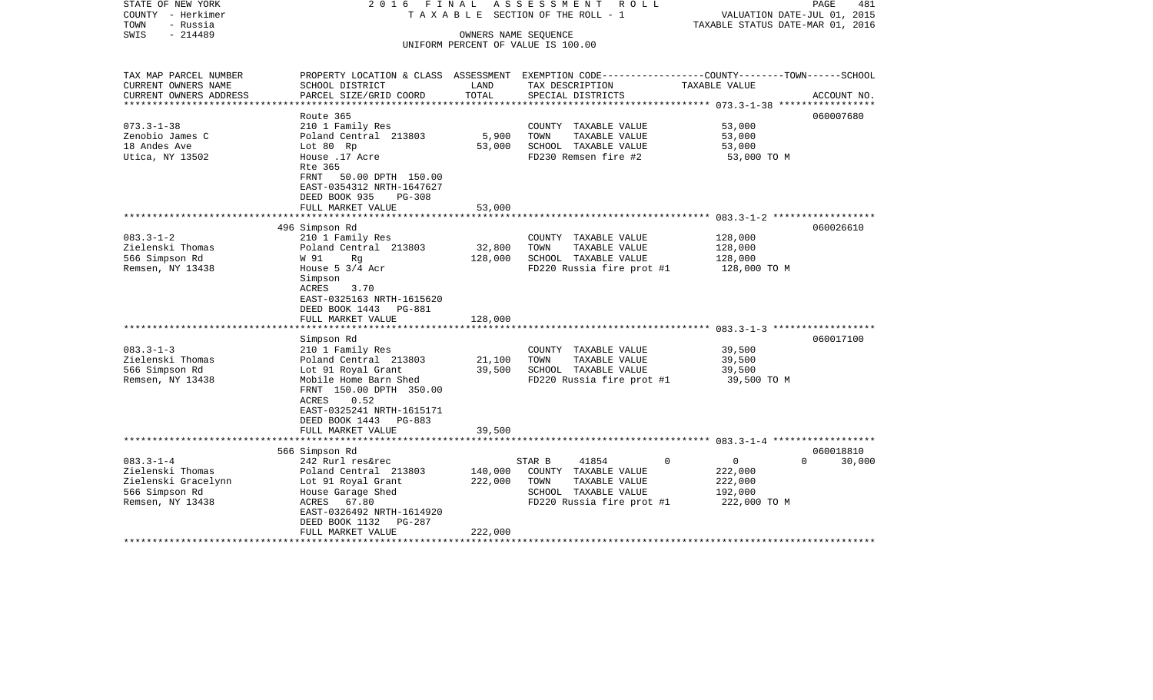| STATE OF NEW YORK<br>COUNTY - Herkimer<br>TOWN<br>- Russia<br>$-214489$<br>SWIS                   | 2016 FINAL                                                                                                                                                                                                                    |                               | ASSESSMENT ROLL<br>TAXABLE SECTION OF THE ROLL - 1<br>OWNERS NAME SEQUENCE<br>UNIFORM PERCENT OF VALUE IS 100.00      |                                                                             | PAGE<br>481<br>VALUATION DATE-JUL 01, 2015<br>TAXABLE STATUS DATE-MAR 01, 2016 |  |  |
|---------------------------------------------------------------------------------------------------|-------------------------------------------------------------------------------------------------------------------------------------------------------------------------------------------------------------------------------|-------------------------------|-----------------------------------------------------------------------------------------------------------------------|-----------------------------------------------------------------------------|--------------------------------------------------------------------------------|--|--|
| TAX MAP PARCEL NUMBER<br>CURRENT OWNERS NAME<br>CURRENT OWNERS ADDRESS<br>*********************** | PROPERTY LOCATION & CLASS ASSESSMENT EXEMPTION CODE---------------COUNTY-------TOWN-----SCHOOL<br>SCHOOL DISTRICT<br>PARCEL SIZE/GRID COORD                                                                                   | LAND<br>TOTAL                 | TAX DESCRIPTION<br>SPECIAL DISTRICTS                                                                                  | TAXABLE VALUE                                                               | ACCOUNT NO.                                                                    |  |  |
| $073.3 - 1 - 38$<br>Zenobio James C<br>18 Andes Ave<br>Utica, NY 13502                            | Route 365<br>210 1 Family Res<br>Poland Central 213803<br>Lot 80 Rp<br>House .17 Acre<br>Rte 365<br>FRNT 50.00 DPTH 150.00<br>EAST-0354312 NRTH-1647627<br>DEED BOOK 935<br>$PG-308$<br>FULL MARKET VALUE                     | 5,900<br>53,000<br>53,000     | COUNTY TAXABLE VALUE<br>TOWN<br>TAXABLE VALUE<br>SCHOOL TAXABLE VALUE<br>FD230 Remsen fire #2                         | 53,000<br>53,000<br>53,000<br>53,000 TO M                                   | 060007680                                                                      |  |  |
|                                                                                                   |                                                                                                                                                                                                                               |                               |                                                                                                                       |                                                                             |                                                                                |  |  |
| $083.3 - 1 - 2$<br>Zielenski Thomas<br>566 Simpson Rd<br>Remsen, NY 13438                         | 496 Simpson Rd<br>210 1 Family Res<br>Poland Central 213803<br>W 91<br>Rg<br>House $5 \frac{3}{4}$ Acr<br>Simpson<br>ACRES<br>3.70<br>EAST-0325163 NRTH-1615620<br>DEED BOOK 1443 PG-881<br>FULL MARKET VALUE                 | 32,800<br>128,000<br>128,000  | COUNTY TAXABLE VALUE<br>TOWN<br>TAXABLE VALUE<br>SCHOOL TAXABLE VALUE<br>FD220 Russia fire prot #1                    | 128,000<br>128,000<br>128,000<br>128,000 TO M                               | 060026610                                                                      |  |  |
|                                                                                                   |                                                                                                                                                                                                                               |                               |                                                                                                                       |                                                                             |                                                                                |  |  |
| $083.3 - 1 - 3$<br>Zielenski Thomas<br>566 Simpson Rd<br>Remsen, NY 13438                         | Simpson Rd<br>210 1 Family Res<br>Poland Central 213803<br>Lot 91 Royal Grant<br>Mobile Home Barn Shed<br>FRNT 150.00 DPTH 350.00<br>ACRES<br>0.52<br>EAST-0325241 NRTH-1615171<br>DEED BOOK 1443 PG-883<br>FULL MARKET VALUE | 21,100<br>39,500<br>39,500    | COUNTY TAXABLE VALUE<br>TOWN<br>TAXABLE VALUE<br>SCHOOL TAXABLE VALUE<br>FD220 Russia fire prot #1                    | 39,500<br>39,500<br>39,500<br>39,500 TO M                                   | 060017100                                                                      |  |  |
|                                                                                                   |                                                                                                                                                                                                                               |                               |                                                                                                                       |                                                                             |                                                                                |  |  |
| $083.3 - 1 - 4$<br>Zielenski Thomas<br>Zielenski Gracelynn<br>566 Simpson Rd<br>Remsen, NY 13438  | 566 Simpson Rd<br>242 Rurl res&rec<br>Poland Central 213803<br>Lot 91 Royal Grant<br>House Garage Shed<br>ACRES 67.80<br>EAST-0326492 NRTH-1614920<br>DEED BOOK 1132 PG-287<br>FULL MARKET VALUE                              | 140,000<br>222,000<br>222,000 | STAR B<br>41854<br>COUNTY TAXABLE VALUE<br>TOWN<br>TAXABLE VALUE<br>SCHOOL TAXABLE VALUE<br>FD220 Russia fire prot #1 | $\overline{0}$<br>$\Omega$<br>222,000<br>222,000<br>192,000<br>222,000 TO M | 060018810<br>$\Omega$<br>30,000                                                |  |  |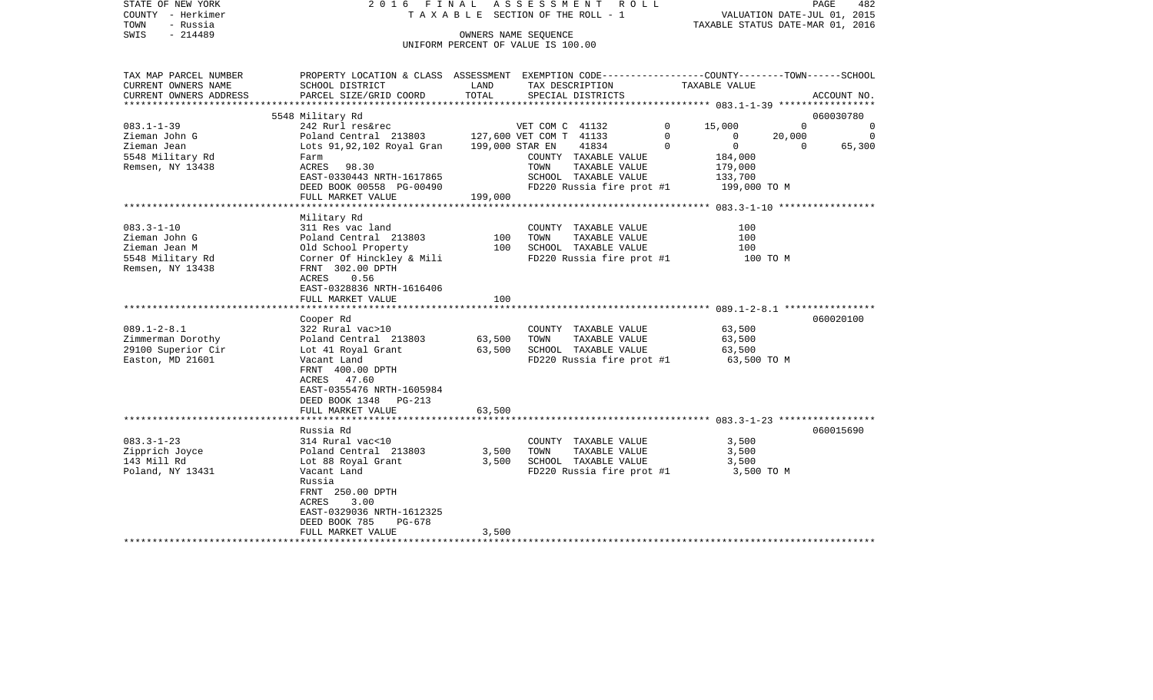| STATE OF NEW YORK      | 2016 FINAL                                                                                       |                      | A S S E S S M E N T<br>R O L L        |             |                                  | PAGE         | 482         |
|------------------------|--------------------------------------------------------------------------------------------------|----------------------|---------------------------------------|-------------|----------------------------------|--------------|-------------|
| COUNTY - Herkimer      |                                                                                                  |                      | T A X A B L E SECTION OF THE ROLL - 1 |             | VALUATION DATE-JUL 01, 2015      |              |             |
| TOWN<br>- Russia       |                                                                                                  |                      |                                       |             | TAXABLE STATUS DATE-MAR 01, 2016 |              |             |
| SWIS<br>$-214489$      |                                                                                                  | OWNERS NAME SEQUENCE |                                       |             |                                  |              |             |
|                        |                                                                                                  |                      | UNIFORM PERCENT OF VALUE IS 100.00    |             |                                  |              |             |
|                        |                                                                                                  |                      |                                       |             |                                  |              |             |
| TAX MAP PARCEL NUMBER  | PROPERTY LOCATION & CLASS ASSESSMENT EXEMPTION CODE----------------COUNTY-------TOWN------SCHOOL |                      |                                       |             |                                  |              |             |
| CURRENT OWNERS NAME    | SCHOOL DISTRICT                                                                                  | LAND                 | TAX DESCRIPTION                       |             | TAXABLE VALUE                    |              |             |
| CURRENT OWNERS ADDRESS | PARCEL SIZE/GRID COORD                                                                           | TOTAL                | SPECIAL DISTRICTS                     |             |                                  |              | ACCOUNT NO. |
| ********************** |                                                                                                  |                      |                                       |             |                                  |              |             |
|                        | 5548 Military Rd                                                                                 |                      |                                       |             |                                  |              | 060030780   |
| $083.1 - 1 - 39$       | 242 Rurl res&rec                                                                                 |                      | VET COM C 41132                       | $\Omega$    | 15,000                           | $\Omega$     | 0           |
| Zieman John G          | Poland Central 213803                                                                            |                      | 127,600 VET COM T 41133               | $\mathbf 0$ | 0                                | 20,000       | 0           |
| Zieman Jean            | Lots 91,92,102 Royal Gran                                                                        | 199,000 STAR EN      | 41834                                 | 0           | $\mathbf 0$                      | $\mathbf{0}$ | 65,300      |
| 5548 Military Rd       | Farm                                                                                             |                      | COUNTY TAXABLE VALUE                  |             | 184,000                          |              |             |
| Remsen, NY 13438       | ACRES<br>98.30                                                                                   |                      | TOWN<br>TAXABLE VALUE                 |             | 179,000                          |              |             |
|                        | EAST-0330443 NRTH-1617865                                                                        |                      | SCHOOL TAXABLE VALUE                  |             | 133,700                          |              |             |
|                        | DEED BOOK 00558 PG-00490                                                                         |                      | FD220 Russia fire prot #1             |             | 199,000 TO M                     |              |             |
|                        | FULL MARKET VALUE<br>*************************                                                   | 199,000              |                                       |             |                                  |              |             |
|                        | Military Rd                                                                                      |                      |                                       |             |                                  |              |             |
| $083.3 - 1 - 10$       | 311 Res vac land                                                                                 |                      | COUNTY TAXABLE VALUE                  |             | 100                              |              |             |
| Zieman John G          | Poland Central 213803                                                                            | 100                  | TOWN<br>TAXABLE VALUE                 |             | 100                              |              |             |
| Zieman Jean M          | Old School Property                                                                              | 100                  | SCHOOL TAXABLE VALUE                  |             | 100                              |              |             |
| 5548 Military Rd       | Corner Of Hinckley & Mili                                                                        |                      | FD220 Russia fire prot #1             |             | 100 TO M                         |              |             |
| Remsen, NY 13438       | FRNT 302.00 DPTH                                                                                 |                      |                                       |             |                                  |              |             |
|                        | ACRES<br>0.56                                                                                    |                      |                                       |             |                                  |              |             |
|                        | EAST-0328836 NRTH-1616406                                                                        |                      |                                       |             |                                  |              |             |
|                        | FULL MARKET VALUE                                                                                | 100                  |                                       |             |                                  |              |             |
|                        |                                                                                                  |                      |                                       |             |                                  |              |             |
|                        | Cooper Rd                                                                                        |                      |                                       |             |                                  |              | 060020100   |
| $089.1 - 2 - 8.1$      | 322 Rural vac>10                                                                                 |                      | COUNTY TAXABLE VALUE                  |             | 63,500                           |              |             |
| Zimmerman Dorothy      | Poland Central 213803                                                                            | 63,500               | TOWN<br>TAXABLE VALUE                 |             | 63,500                           |              |             |
| 29100 Superior Cir     | Lot 41 Royal Grant                                                                               | 63,500               | SCHOOL TAXABLE VALUE                  |             | 63,500                           |              |             |
| Easton, MD 21601       | Vacant Land                                                                                      |                      | FD220 Russia fire prot #1             |             | 63,500 TO M                      |              |             |
|                        | FRNT 400.00 DPTH                                                                                 |                      |                                       |             |                                  |              |             |
|                        | 47.60<br>ACRES                                                                                   |                      |                                       |             |                                  |              |             |
|                        | EAST-0355476 NRTH-1605984<br>DEED BOOK 1348<br>PG-213                                            |                      |                                       |             |                                  |              |             |
|                        | FULL MARKET VALUE                                                                                | 63,500               |                                       |             |                                  |              |             |
|                        |                                                                                                  |                      |                                       |             |                                  |              |             |
|                        | Russia Rd                                                                                        |                      |                                       |             |                                  |              | 060015690   |
| $083.3 - 1 - 23$       | 314 Rural vac<10                                                                                 |                      | COUNTY TAXABLE VALUE                  |             | 3,500                            |              |             |
| Zipprich Joyce         | Poland Central 213803                                                                            | 3,500                | TOWN<br>TAXABLE VALUE                 |             | 3,500                            |              |             |
| 143 Mill Rd            | Lot 88 Royal Grant                                                                               | 3,500                | SCHOOL TAXABLE VALUE                  |             | 3,500                            |              |             |
| Poland, NY 13431       | Vacant Land                                                                                      |                      | FD220 Russia fire prot #1             |             | 3,500 TO M                       |              |             |
|                        | Russia                                                                                           |                      |                                       |             |                                  |              |             |
|                        | FRNT 250.00 DPTH                                                                                 |                      |                                       |             |                                  |              |             |
|                        | ACRES<br>3.00                                                                                    |                      |                                       |             |                                  |              |             |
|                        | EAST-0329036 NRTH-1612325                                                                        |                      |                                       |             |                                  |              |             |
|                        | PG-678<br>DEED BOOK 785                                                                          |                      |                                       |             |                                  |              |             |
|                        | FULL MARKET VALUE                                                                                | 3,500                |                                       |             |                                  |              |             |
|                        |                                                                                                  |                      |                                       |             |                                  |              |             |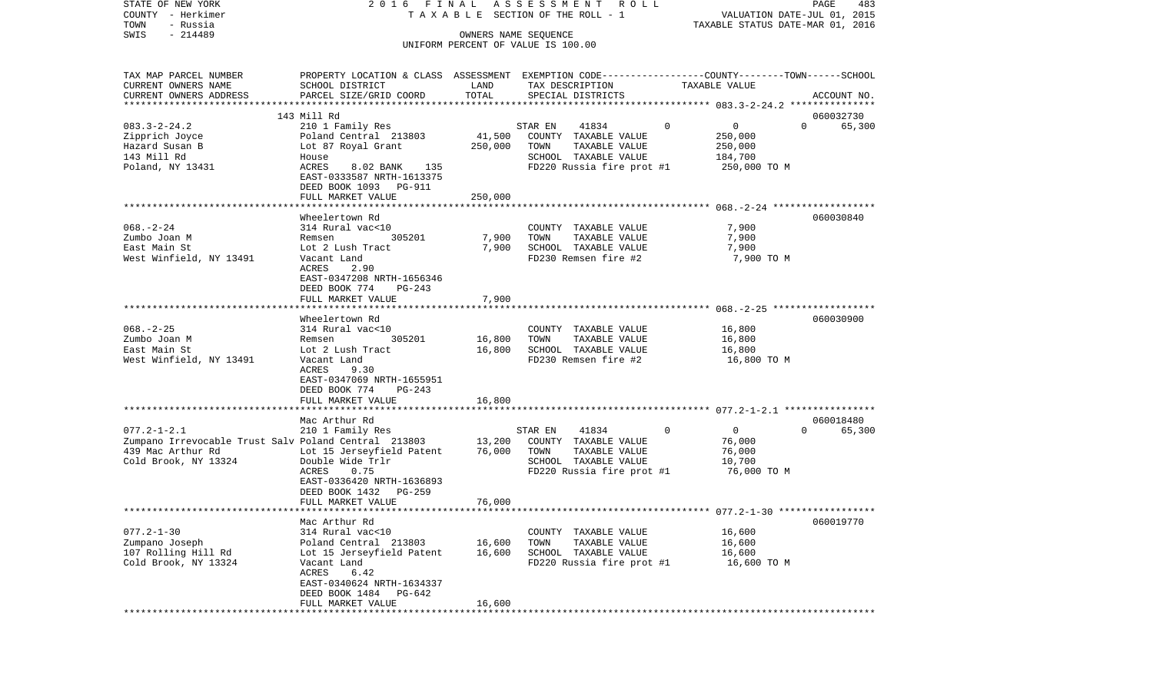| COUNTY - Herkimer                                    |                                                                                                 | T A X A B L E SECTION OF THE ROLL - 1<br>VALUATION DATE-JUL 01, 2015 |                                                            |             |                                  |                    |
|------------------------------------------------------|-------------------------------------------------------------------------------------------------|----------------------------------------------------------------------|------------------------------------------------------------|-------------|----------------------------------|--------------------|
| TOWN<br>- Russia                                     |                                                                                                 |                                                                      |                                                            |             | TAXABLE STATUS DATE-MAR 01, 2016 |                    |
| $-214489$<br>SWIS                                    |                                                                                                 |                                                                      | OWNERS NAME SEQUENCE<br>UNIFORM PERCENT OF VALUE IS 100.00 |             |                                  |                    |
|                                                      |                                                                                                 |                                                                      |                                                            |             |                                  |                    |
|                                                      |                                                                                                 |                                                                      |                                                            |             |                                  |                    |
| TAX MAP PARCEL NUMBER                                | PROPERTY LOCATION & CLASS ASSESSMENT EXEMPTION CODE---------------COUNTY-------TOWN------SCHOOL |                                                                      |                                                            |             |                                  |                    |
| CURRENT OWNERS NAME                                  | SCHOOL DISTRICT                                                                                 | LAND                                                                 | TAX DESCRIPTION                                            |             | TAXABLE VALUE                    |                    |
| CURRENT OWNERS ADDRESS<br>********************       | PARCEL SIZE/GRID COORD                                                                          | TOTAL                                                                | SPECIAL DISTRICTS                                          |             |                                  | ACCOUNT NO.        |
|                                                      | 143 Mill Rd                                                                                     |                                                                      |                                                            |             |                                  | 060032730          |
| $083.3 - 2 - 24.2$                                   | 210 1 Family Res                                                                                |                                                                      | 41834<br>STAR EN                                           | $\mathbf 0$ | $\overline{0}$                   | 65,300<br>$\Omega$ |
| Zipprich Joyce                                       | Poland Central 213803                                                                           | 41,500                                                               | COUNTY TAXABLE VALUE                                       |             | 250,000                          |                    |
| Hazard Susan B                                       | Lot 87 Royal Grant                                                                              | 250,000                                                              | TAXABLE VALUE<br>TOWN                                      |             | 250,000                          |                    |
| 143 Mill Rd                                          | House                                                                                           |                                                                      | SCHOOL TAXABLE VALUE                                       |             | 184,700                          |                    |
| Poland, NY 13431                                     | 8.02 BANK<br>135<br>ACRES                                                                       |                                                                      | FD220 Russia fire prot #1                                  |             | 250,000 TO M                     |                    |
|                                                      | EAST-0333587 NRTH-1613375                                                                       |                                                                      |                                                            |             |                                  |                    |
|                                                      | DEED BOOK 1093 PG-911                                                                           |                                                                      |                                                            |             |                                  |                    |
|                                                      | FULL MARKET VALUE                                                                               | 250,000                                                              |                                                            |             |                                  |                    |
|                                                      | *******************                                                                             |                                                                      |                                                            |             |                                  |                    |
|                                                      | Wheelertown Rd                                                                                  |                                                                      |                                                            |             |                                  | 060030840          |
| $068. - 2 - 24$                                      | 314 Rural vac<10                                                                                |                                                                      | COUNTY TAXABLE VALUE                                       |             | 7,900                            |                    |
| Zumbo Joan M                                         | 305201<br>Remsen                                                                                | 7,900                                                                | TOWN<br>TAXABLE VALUE                                      |             | 7,900                            |                    |
| East Main St                                         | Lot 2 Lush Tract                                                                                | 7,900                                                                | SCHOOL TAXABLE VALUE                                       |             | 7,900                            |                    |
| West Winfield, NY 13491                              | Vacant Land                                                                                     |                                                                      | FD230 Remsen fire #2                                       |             | 7,900 TO M                       |                    |
|                                                      | 2.90<br>ACRES                                                                                   |                                                                      |                                                            |             |                                  |                    |
|                                                      | EAST-0347208 NRTH-1656346                                                                       |                                                                      |                                                            |             |                                  |                    |
|                                                      | DEED BOOK 774<br>PG-243<br>FULL MARKET VALUE                                                    | 7,900                                                                |                                                            |             |                                  |                    |
|                                                      | ************************                                                                        | **********                                                           |                                                            |             |                                  |                    |
|                                                      | Wheelertown Rd                                                                                  |                                                                      |                                                            |             |                                  | 060030900          |
| $068. - 2 - 25$                                      | 314 Rural vac<10                                                                                |                                                                      | COUNTY TAXABLE VALUE                                       |             | 16,800                           |                    |
| Zumbo Joan M                                         | 305201<br>Remsen                                                                                | 16,800                                                               | TOWN<br>TAXABLE VALUE                                      |             | 16,800                           |                    |
| East Main St                                         | Lot 2 Lush Tract                                                                                | 16,800                                                               | SCHOOL TAXABLE VALUE                                       |             | 16,800                           |                    |
| West Winfield, NY 13491                              | Vacant Land                                                                                     |                                                                      | FD230 Remsen fire #2                                       |             | 16,800 TO M                      |                    |
|                                                      | 9.30<br>ACRES                                                                                   |                                                                      |                                                            |             |                                  |                    |
|                                                      | EAST-0347069 NRTH-1655951                                                                       |                                                                      |                                                            |             |                                  |                    |
|                                                      | DEED BOOK 774<br>PG-243                                                                         |                                                                      |                                                            |             |                                  |                    |
|                                                      | FULL MARKET VALUE                                                                               | 16,800                                                               |                                                            |             |                                  |                    |
|                                                      |                                                                                                 |                                                                      |                                                            |             |                                  |                    |
|                                                      | Mac Arthur Rd                                                                                   |                                                                      |                                                            |             |                                  | 060018480          |
| $077.2 - 1 - 2.1$                                    | 210 1 Family Res                                                                                |                                                                      | 41834<br>STAR EN                                           | 0           | $\overline{0}$                   | 65,300<br>$\Omega$ |
| Zumpano Irrevocable Trust Salv Poland Central 213803 |                                                                                                 | 13,200                                                               | COUNTY TAXABLE VALUE                                       |             | 76,000                           |                    |
| 439 Mac Arthur Rd                                    | Lot 15 Jerseyfield Patent<br>Double Wide Trlr                                                   | 76,000                                                               | TOWN<br>TAXABLE VALUE<br>SCHOOL TAXABLE VALUE              |             | 76,000<br>10,700                 |                    |
| Cold Brook, NY 13324                                 | ACRES<br>0.75                                                                                   |                                                                      | FD220 Russia fire prot #1                                  |             | 76,000 TO M                      |                    |
|                                                      | EAST-0336420 NRTH-1636893                                                                       |                                                                      |                                                            |             |                                  |                    |
|                                                      | DEED BOOK 1432<br>PG-259                                                                        |                                                                      |                                                            |             |                                  |                    |
|                                                      | FULL MARKET VALUE                                                                               | 76,000                                                               |                                                            |             |                                  |                    |
|                                                      |                                                                                                 |                                                                      |                                                            |             |                                  |                    |
|                                                      | Mac Arthur Rd                                                                                   |                                                                      |                                                            |             |                                  | 060019770          |
| $077.2 - 1 - 30$                                     | 314 Rural vac<10                                                                                |                                                                      | COUNTY TAXABLE VALUE                                       |             | 16,600                           |                    |
| Zumpano Joseph                                       | Poland Central 213803                                                                           | 16,600                                                               | TAXABLE VALUE<br>TOWN                                      |             | 16,600                           |                    |
| 107 Rolling Hill Rd                                  | Lot 15 Jerseyfield Patent                                                                       | 16,600                                                               | SCHOOL TAXABLE VALUE                                       |             | 16,600                           |                    |
| Cold Brook, NY 13324                                 | Vacant Land                                                                                     |                                                                      | FD220 Russia fire prot #1                                  |             | 16,600 TO M                      |                    |
|                                                      | ACRES<br>6.42                                                                                   |                                                                      |                                                            |             |                                  |                    |
|                                                      | EAST-0340624 NRTH-1634337                                                                       |                                                                      |                                                            |             |                                  |                    |
|                                                      | DEED BOOK 1484<br>PG-642                                                                        |                                                                      |                                                            |             |                                  |                    |
|                                                      | FULL MARKET VALUE                                                                               | 16,600                                                               |                                                            |             |                                  |                    |
|                                                      |                                                                                                 |                                                                      |                                                            |             |                                  |                    |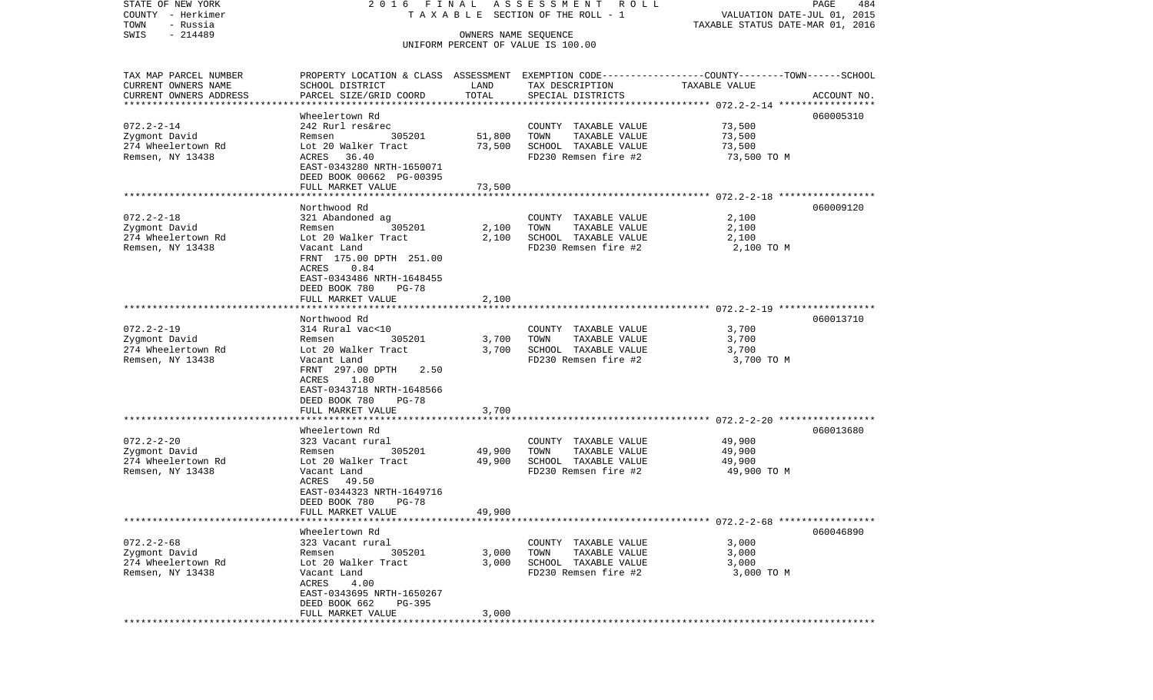| STATE OF NEW YORK                                   |                                                                                                 |                      | 2016 FINAL ASSESSMENT ROLL            |                                  | PAGE<br>484 |
|-----------------------------------------------------|-------------------------------------------------------------------------------------------------|----------------------|---------------------------------------|----------------------------------|-------------|
| COUNTY - Herkimer                                   |                                                                                                 |                      | T A X A B L E SECTION OF THE ROLL - 1 | VALUATION DATE-JUL 01, 2015      |             |
| TOWN<br>- Russia<br>$-214489$<br>SWIS               |                                                                                                 |                      |                                       | TAXABLE STATUS DATE-MAR 01, 2016 |             |
|                                                     |                                                                                                 | OWNERS NAME SEQUENCE | UNIFORM PERCENT OF VALUE IS 100.00    |                                  |             |
|                                                     |                                                                                                 |                      |                                       |                                  |             |
|                                                     |                                                                                                 |                      |                                       |                                  |             |
| TAX MAP PARCEL NUMBER                               | PROPERTY LOCATION & CLASS ASSESSMENT EXEMPTION CODE---------------COUNTY-------TOWN------SCHOOL |                      |                                       |                                  |             |
| CURRENT OWNERS NAME                                 | SCHOOL DISTRICT                                                                                 | LAND<br>TOTAL        | TAX DESCRIPTION                       | TAXABLE VALUE                    |             |
| CURRENT OWNERS ADDRESS<br>************************* | PARCEL SIZE/GRID COORD                                                                          |                      | SPECIAL DISTRICTS                     |                                  | ACCOUNT NO. |
|                                                     | Wheelertown Rd                                                                                  |                      |                                       |                                  | 060005310   |
| $072.2 - 2 - 14$                                    | 242 Rurl res&rec                                                                                |                      | COUNTY TAXABLE VALUE                  | 73,500                           |             |
| Zygmont David                                       | 305201<br>Remsen                                                                                | 51,800               | TOWN<br>TAXABLE VALUE                 | 73,500                           |             |
| 274 Wheelertown Rd                                  | Lot 20 Walker Tract                                                                             | 73,500               | SCHOOL TAXABLE VALUE                  | 73,500                           |             |
| Remsen, NY 13438                                    | 36.40<br>ACRES                                                                                  |                      | FD230 Remsen fire #2                  | 73,500 TO M                      |             |
|                                                     | EAST-0343280 NRTH-1650071                                                                       |                      |                                       |                                  |             |
|                                                     | DEED BOOK 00662 PG-00395                                                                        |                      |                                       |                                  |             |
|                                                     | FULL MARKET VALUE                                                                               | 73,500               |                                       |                                  |             |
|                                                     |                                                                                                 |                      |                                       |                                  |             |
|                                                     | Northwood Rd                                                                                    |                      |                                       |                                  | 060009120   |
| $072.2 - 2 - 18$                                    | 321 Abandoned ag                                                                                |                      | COUNTY TAXABLE VALUE                  | 2,100                            |             |
| Zygmont David                                       | Remsen<br>305201                                                                                | 2,100                | TAXABLE VALUE<br>TOWN                 | 2,100                            |             |
| 274 Wheelertown Rd                                  | Lot 20 Walker Tract                                                                             | 2,100                | SCHOOL TAXABLE VALUE                  | 2,100                            |             |
| Remsen, NY 13438                                    | Vacant Land                                                                                     |                      | FD230 Remsen fire #2                  | 2,100 TO M                       |             |
|                                                     | FRNT 175.00 DPTH 251.00                                                                         |                      |                                       |                                  |             |
|                                                     | 0.84<br>ACRES                                                                                   |                      |                                       |                                  |             |
|                                                     | EAST-0343486 NRTH-1648455                                                                       |                      |                                       |                                  |             |
|                                                     | DEED BOOK 780<br>$PG-78$                                                                        |                      |                                       |                                  |             |
|                                                     | FULL MARKET VALUE                                                                               | 2,100                |                                       |                                  |             |
|                                                     |                                                                                                 |                      |                                       |                                  |             |
|                                                     | Northwood Rd                                                                                    |                      |                                       |                                  | 060013710   |
| $072.2 - 2 - 19$                                    | 314 Rural vac<10                                                                                |                      | COUNTY TAXABLE VALUE                  | 3,700                            |             |
| Zygmont David                                       | 305201<br>Remsen                                                                                | 3,700                | TAXABLE VALUE<br>TOWN                 | 3,700                            |             |
| 274 Wheelertown Rd                                  | Lot 20 Walker Tract                                                                             | 3,700                | SCHOOL TAXABLE VALUE                  | 3,700                            |             |
| Remsen, NY 13438                                    | Vacant Land                                                                                     |                      | FD230 Remsen fire #2                  | 3,700 TO M                       |             |
|                                                     | FRNT 297.00 DPTH<br>2.50                                                                        |                      |                                       |                                  |             |
|                                                     | ACRES 1.80                                                                                      |                      |                                       |                                  |             |
|                                                     | EAST-0343718 NRTH-1648566                                                                       |                      |                                       |                                  |             |
|                                                     | DEED BOOK 780<br><b>PG-78</b>                                                                   |                      |                                       |                                  |             |
|                                                     | FULL MARKET VALUE                                                                               | 3,700                |                                       |                                  |             |
|                                                     | ************************                                                                        | ************         |                                       |                                  |             |
|                                                     | Wheelertown Rd                                                                                  |                      |                                       |                                  | 060013680   |
| $072.2 - 2 - 20$                                    | 323 Vacant rural                                                                                |                      | COUNTY TAXABLE VALUE                  | 49,900                           |             |
| Zygmont David                                       | 305201<br>Remsen                                                                                | 49,900               | TOWN<br>TAXABLE VALUE                 | 49,900                           |             |
| 274 Wheelertown Rd                                  | Lot 20 Walker Tract                                                                             | 49,900               | SCHOOL TAXABLE VALUE                  | 49,900                           |             |
| Remsen, NY 13438                                    | Vacant Land                                                                                     |                      | FD230 Remsen fire #2                  | 49,900 TO M                      |             |
|                                                     | ACRES 49.50                                                                                     |                      |                                       |                                  |             |
|                                                     | EAST-0344323 NRTH-1649716                                                                       |                      |                                       |                                  |             |
|                                                     | DEED BOOK 780<br><b>PG-78</b>                                                                   |                      |                                       |                                  |             |
|                                                     | FULL MARKET VALUE                                                                               | 49,900               |                                       |                                  |             |
|                                                     | Wheelertown Rd                                                                                  |                      |                                       |                                  | 060046890   |
| $072.2 - 2 - 68$                                    | 323 Vacant rural                                                                                |                      | COUNTY TAXABLE VALUE                  | 3,000                            |             |
| Zygmont David                                       | 305201<br>Remsen                                                                                | 3,000                | TOWN<br>TAXABLE VALUE                 | 3,000                            |             |
| 274 Wheelertown Rd                                  | Lot 20 Walker Tract                                                                             | 3,000                | SCHOOL TAXABLE VALUE                  | 3,000                            |             |
| Remsen, NY 13438                                    |                                                                                                 |                      | FD230 Remsen fire #2                  | 3,000 TO M                       |             |
|                                                     | Vacant Land<br>ACRES 4.00                                                                       |                      |                                       |                                  |             |
|                                                     | EAST-0343695 NRTH-1650267                                                                       |                      |                                       |                                  |             |
|                                                     | DEED BOOK 662 PG-395                                                                            |                      |                                       |                                  |             |
|                                                     | FULL MARKET VALUE                                                                               | 3,000                |                                       |                                  |             |
|                                                     |                                                                                                 |                      |                                       |                                  |             |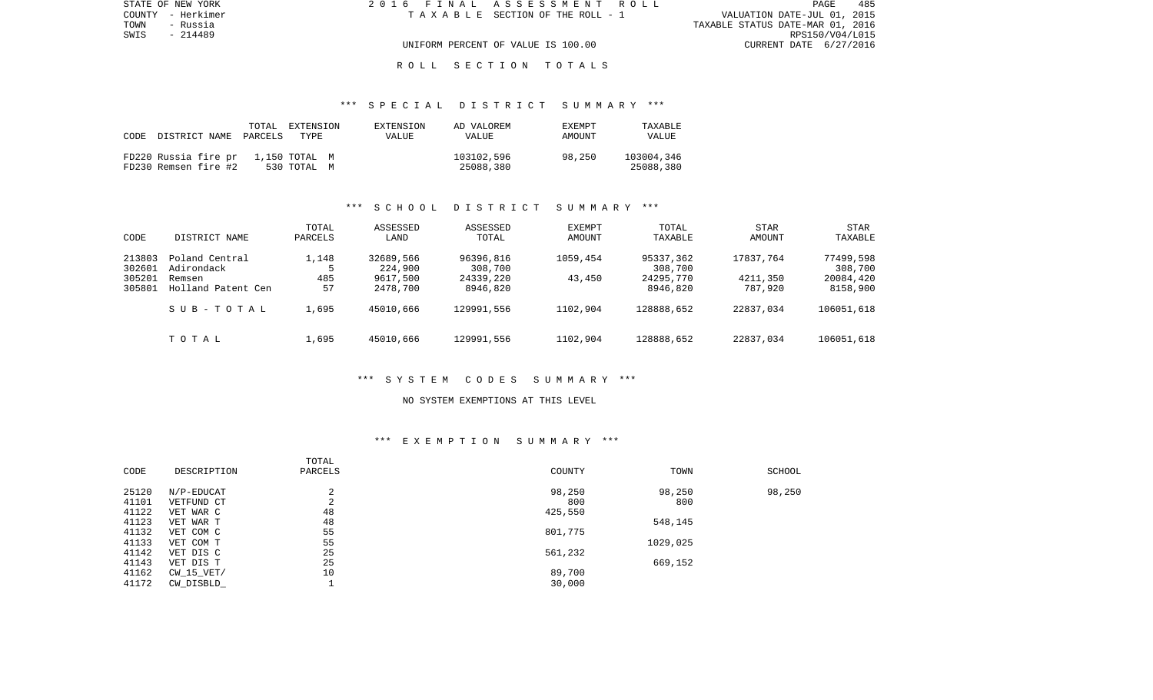| STATE OF NEW YORK | 2016 FINAL ASSESSMENT ROLL |                                    |                                  | <b>PAGE</b>     | 485 |
|-------------------|----------------------------|------------------------------------|----------------------------------|-----------------|-----|
| COUNTY - Herkimer |                            | TAXABLE SECTION OF THE ROLL - 1    | VALUATION DATE-JUL 01, 2015      |                 |     |
| TOWN<br>- Russia  |                            |                                    | TAXABLE STATUS DATE-MAR 01, 2016 |                 |     |
| SWIS<br>- 214489  |                            |                                    |                                  | RPS150/V04/L015 |     |
|                   |                            | UNIFORM PERCENT OF VALUE IS 100.00 | CURRENT DATE 6/27/2016           |                 |     |
|                   |                            |                                    |                                  |                 |     |

## \*\*\* S P E C I A L D I S T R I C T S U M M A R Y \*\*\*

| CODE | DISTRICT NAME                                | TOTAL<br>PARCELS | EXTENSION<br>TYPE            | EXTENSION<br><b>VALUE</b> | AD VALOREM<br>VALUE     | EXEMPT<br>AMOUNT | TAXABLE<br>VALUE        |
|------|----------------------------------------------|------------------|------------------------------|---------------------------|-------------------------|------------------|-------------------------|
|      | FD220 Russia fire pr<br>FD230 Remsen fire #2 |                  | 1,150 TOTAL M<br>530 TOTAL M |                           | 103102,596<br>25088,380 | 98,250           | 103004,346<br>25088,380 |

### \*\*\* S C H O O L D I S T R I C T S U M M A R Y \*\*\*

| CODE                                 | DISTRICT NAME                                                | TOTAL<br>PARCELS   | ASSESSED<br>LAND                             | ASSESSED<br>TOTAL                             | <b>EXEMPT</b><br>AMOUNT | TOTAL<br>TAXABLE                              | STAR<br>AMOUNT                   | STAR<br>TAXABLE                               |
|--------------------------------------|--------------------------------------------------------------|--------------------|----------------------------------------------|-----------------------------------------------|-------------------------|-----------------------------------------------|----------------------------------|-----------------------------------------------|
| 213803<br>302601<br>305201<br>305801 | Poland Central<br>Adirondack<br>Remsen<br>Holland Patent Cen | 1,148<br>485<br>57 | 32689,566<br>224,900<br>9617,500<br>2478,700 | 96396,816<br>308,700<br>24339,220<br>8946,820 | 1059,454<br>43,450      | 95337,362<br>308,700<br>24295,770<br>8946,820 | 17837.764<br>4211,350<br>787,920 | 77499,598<br>308,700<br>20084,420<br>8158,900 |
|                                      | SUB-TOTAL                                                    | 1,695              | 45010,666                                    | 129991,556                                    | 1102,904                | 128888,652                                    | 22837,034                        | 106051,618                                    |
|                                      | TOTAL                                                        | 1,695              | 45010,666                                    | 129991,556                                    | 1102,904                | 128888,652                                    | 22837,034                        | 106051,618                                    |

#### \*\*\* S Y S T E M C O D E S S U M M A R Y \*\*\*

#### NO SYSTEM EXEMPTIONS AT THIS LEVEL

## \*\*\* E X E M P T I O N S U M M A R Y \*\*\*

|       |             | TOTAL   |         |          |        |
|-------|-------------|---------|---------|----------|--------|
| CODE  | DESCRIPTION | PARCELS | COUNTY  | TOWN     | SCHOOL |
| 25120 | N/P-EDUCAT  | ◠<br>4  | 98,250  | 98,250   | 98,250 |
| 41101 | VETFUND CT  | ⌒<br>∠  | 800     | 800      |        |
| 41122 | VET WAR C   | 48      | 425,550 |          |        |
| 41123 | VET WAR T   | 48      |         | 548,145  |        |
| 41132 | VET COM C   | 55      | 801,775 |          |        |
| 41133 | VET COM T   | 55      |         | 1029,025 |        |
| 41142 | VET DIS C   | 25      | 561,232 |          |        |
| 41143 | VET DIS T   | 25      |         | 669,152  |        |
| 41162 | CW 15 VET/  | 10      | 89,700  |          |        |
| 41172 | CW DISBLD   |         | 30,000  |          |        |
|       |             |         |         |          |        |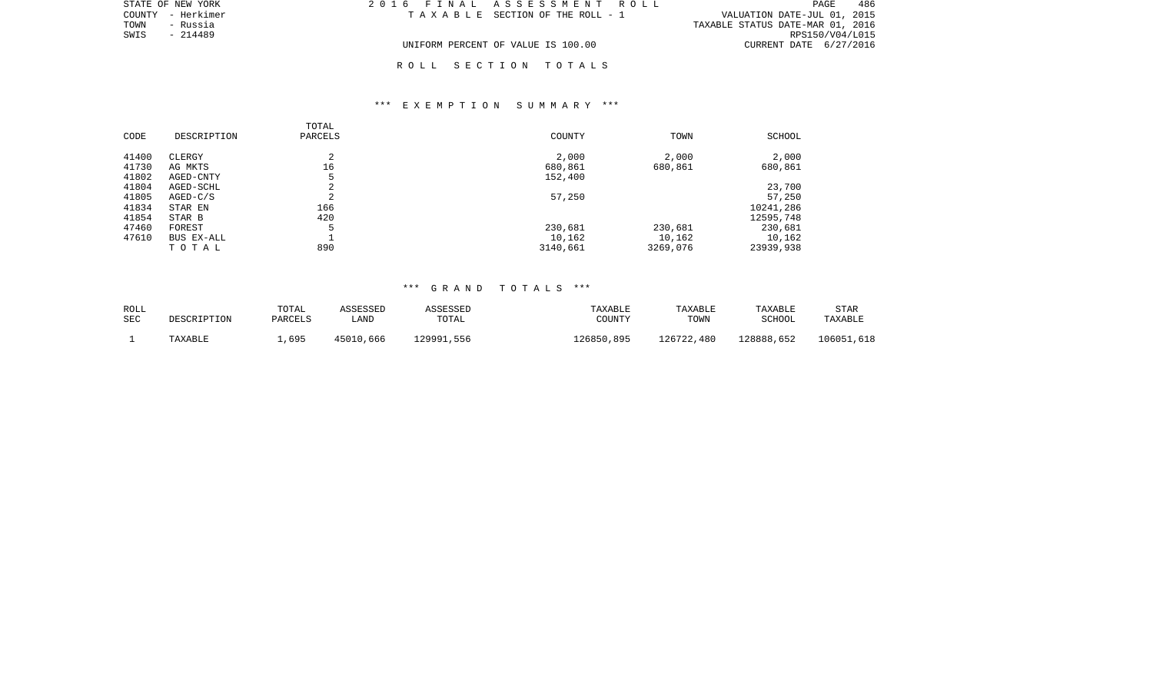| STATE OF NEW YORK | 2016 FINAL ASSESSMENT ROLL         | 486<br>PAGE                      |
|-------------------|------------------------------------|----------------------------------|
| COUNTY - Herkimer | TAXABLE SECTION OF THE ROLL - 1    | VALUATION DATE-JUL 01, 2015      |
| TOWN<br>- Russia  |                                    | TAXABLE STATUS DATE-MAR 01, 2016 |
| - 214489<br>SWIS  |                                    | RPS150/V04/L015                  |
|                   | UNIFORM PERCENT OF VALUE IS 100.00 | CURRENT DATE 6/27/2016           |

# \*\*\* E X E M P T I O N S U M M A R Y \*\*\*

| CODE  | DESCRIPTION | TOTAL<br>PARCELS | COUNTY   | TOWN     | SCHOOL    |
|-------|-------------|------------------|----------|----------|-----------|
| 41400 | CLERGY      | $\sim$<br>∠      | 2,000    | 2,000    | 2,000     |
| 41730 | AG MKTS     | 16               | 680,861  | 680,861  | 680,861   |
| 41802 | AGED-CNTY   | 5                | 152,400  |          |           |
| 41804 | AGED-SCHL   | ⌒<br>4           |          |          | 23,700    |
| 41805 | $AGED-C/S$  | $\sim$<br>∠      | 57,250   |          | 57,250    |
| 41834 | STAR EN     | 166              |          |          | 10241,286 |
| 41854 | STAR B      | 420              |          |          | 12595,748 |
| 47460 | FOREST      | 5                | 230,681  | 230,681  | 230,681   |
| 47610 | BUS EX-ALL  |                  | 10,162   | 10,162   | 10,162    |
|       | TOTAL       | 890              | 3140,661 | 3269,076 | 23939,938 |

# \*\*\* G R A N D T O T A L S \*\*\*

| <b>ROLL</b> |             | TOTAL   | ASSESSED  | ASSESSED   | TAXABLE    | TAXABLE    | TAXABLE       | STAR       |
|-------------|-------------|---------|-----------|------------|------------|------------|---------------|------------|
| <b>SEC</b>  | DESCRIPTION | PARCELS | LAND      | TOTAL      | COUNTY     | TOWN       | <b>SCHOOL</b> | TAXABLE    |
|             | TAXABLE     | ,695    | 45010,666 | 129991,556 | 126850,895 | 126722,480 | 128888,652    | 106051,618 |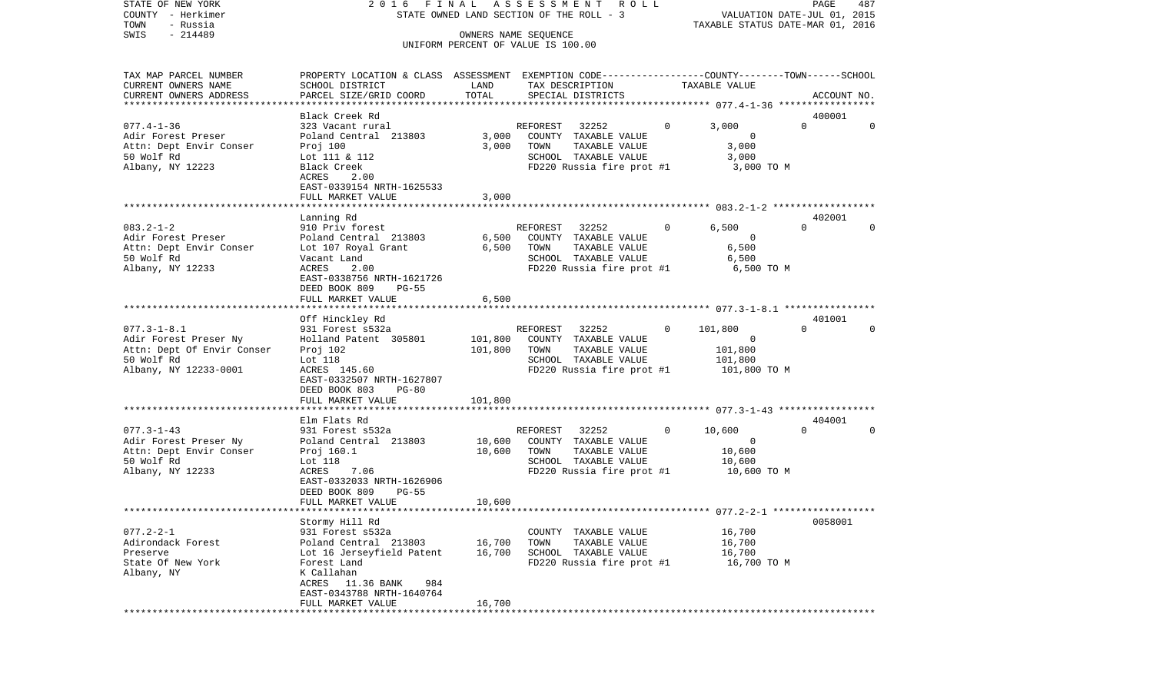| COUNTY<br>- Herkimer                       | STATE OWNED LAND SECTION OF THE ROLL - 3<br>VALUATION DATE-JUL 01, 2015<br>TAXABLE STATUS DATE-MAR 01, 2016 |         |                                                            |          |                                             |             |             |
|--------------------------------------------|-------------------------------------------------------------------------------------------------------------|---------|------------------------------------------------------------|----------|---------------------------------------------|-------------|-------------|
| TOWN<br>- Russia                           |                                                                                                             |         |                                                            |          |                                             |             |             |
| SWIS<br>$-214489$                          |                                                                                                             |         | OWNERS NAME SEQUENCE<br>UNIFORM PERCENT OF VALUE IS 100.00 |          |                                             |             |             |
|                                            |                                                                                                             |         |                                                            |          |                                             |             |             |
| TAX MAP PARCEL NUMBER                      | PROPERTY LOCATION & CLASS ASSESSMENT EXEMPTION CODE----------------COUNTY-------TOWN------SCHOOL            |         |                                                            |          |                                             |             |             |
| CURRENT OWNERS NAME                        | SCHOOL DISTRICT                                                                                             | LAND    | TAX DESCRIPTION                                            |          | TAXABLE VALUE                               |             |             |
| CURRENT OWNERS ADDRESS                     | PARCEL SIZE/GRID COORD                                                                                      | TOTAL   | SPECIAL DISTRICTS                                          |          |                                             |             | ACCOUNT NO. |
|                                            |                                                                                                             |         |                                                            |          |                                             |             |             |
|                                            | Black Creek Rd                                                                                              |         |                                                            |          |                                             | 400001      |             |
| $077.4 - 1 - 36$                           | 323 Vacant rural                                                                                            |         | 32252<br>REFOREST                                          | $\Omega$ | 3,000                                       | $\Omega$    | $\Omega$    |
| Adir Forest Preser                         | Poland Central 213803                                                                                       | 3,000   | COUNTY TAXABLE VALUE                                       |          | 0                                           |             |             |
| Attn: Dept Envir Conser                    | Proj 100                                                                                                    | 3,000   | TOWN<br>TAXABLE VALUE                                      |          | 3,000                                       |             |             |
| 50 Wolf Rd                                 | Lot 111 & 112                                                                                               |         | SCHOOL TAXABLE VALUE                                       |          | 3,000                                       |             |             |
| Albany, NY 12223                           | Black Creek                                                                                                 |         | FD220 Russia fire prot #1                                  |          | 3,000 TO M                                  |             |             |
|                                            | ACRES<br>2.00                                                                                               |         |                                                            |          |                                             |             |             |
|                                            | EAST-0339154 NRTH-1625533<br>FULL MARKET VALUE                                                              | 3,000   |                                                            |          |                                             |             |             |
|                                            |                                                                                                             |         |                                                            |          |                                             |             |             |
|                                            | Lanning Rd                                                                                                  |         |                                                            |          |                                             | 402001      |             |
| $083.2 - 1 - 2$                            | 910 Priv forest                                                                                             |         | 32252<br>REFOREST                                          | 0        | 6,500                                       | $\Omega$    | $\Omega$    |
| Adir Forest Preser                         | Poland Central 213803                                                                                       | 6,500   | COUNTY TAXABLE VALUE                                       |          | $\Omega$                                    |             |             |
| Attn: Dept Envir Conser                    | Lot 107 Royal Grant                                                                                         | 6,500   | TOWN<br>TAXABLE VALUE                                      |          | 6,500                                       |             |             |
| 50 Wolf Rd                                 | Vacant Land                                                                                                 |         | SCHOOL TAXABLE VALUE                                       |          | 6,500                                       |             |             |
| Albany, NY 12233                           | ACRES<br>2.00                                                                                               |         | FD220 Russia fire prot #1                                  |          | 6,500 TO M                                  |             |             |
|                                            | EAST-0338756 NRTH-1621726                                                                                   |         |                                                            |          |                                             |             |             |
|                                            | DEED BOOK 809<br>$PG-55$                                                                                    |         |                                                            |          |                                             |             |             |
|                                            | FULL MARKET VALUE<br>.                                                                                      | 6,500   |                                                            |          |                                             |             |             |
|                                            |                                                                                                             |         |                                                            |          | ************* 077.3-1-8.1 ***************** |             |             |
|                                            | Off Hinckley Rd                                                                                             |         |                                                            | 0        |                                             | 401001<br>0 | $\Omega$    |
| $077.3 - 1 - 8.1$<br>Adir Forest Preser Ny | 931 Forest s532a<br>Holland Patent 305801                                                                   | 101,800 | 32252<br>REFOREST<br>COUNTY TAXABLE VALUE                  |          | 101,800<br>$\Omega$                         |             |             |
| Attn: Dept Of Envir Conser                 | Proj 102                                                                                                    | 101,800 | TOWN<br>TAXABLE VALUE                                      |          | 101,800                                     |             |             |
| 50 Wolf Rd                                 | Lot 118                                                                                                     |         | SCHOOL TAXABLE VALUE                                       |          | 101,800                                     |             |             |
| Albany, NY 12233-0001                      | ACRES 145.60                                                                                                |         | FD220 Russia fire prot #1                                  |          | 101,800 TO M                                |             |             |
|                                            | EAST-0332507 NRTH-1627807                                                                                   |         |                                                            |          |                                             |             |             |
|                                            | DEED BOOK 803<br>$PG-80$                                                                                    |         |                                                            |          |                                             |             |             |
|                                            | FULL MARKET VALUE                                                                                           | 101,800 |                                                            |          |                                             |             |             |
|                                            |                                                                                                             |         |                                                            |          |                                             |             |             |
|                                            | Elm Flats Rd                                                                                                |         |                                                            |          |                                             | 404001      |             |
| $077.3 - 1 - 43$                           | 931 Forest s532a                                                                                            |         | REFOREST<br>32252                                          | 0        | 10,600                                      | $\Omega$    | $\Omega$    |
| Adir Forest Preser Ny                      | Poland Central 213803                                                                                       | 10,600  | COUNTY TAXABLE VALUE                                       |          | 0                                           |             |             |
| Attn: Dept Envir Conser                    | Proj 160.1                                                                                                  | 10,600  | TOWN<br>TAXABLE VALUE                                      |          | 10,600                                      |             |             |
| 50 Wolf Rd                                 | Lot 118<br>ACRES                                                                                            |         | SCHOOL TAXABLE VALUE<br>FD220 Russia fire prot #1          |          | 10,600<br>10,600 TO M                       |             |             |
| Albany, NY 12233                           | 7.06<br>EAST-0332033 NRTH-1626906                                                                           |         |                                                            |          |                                             |             |             |
|                                            | DEED BOOK 809<br>PG-55                                                                                      |         |                                                            |          |                                             |             |             |
|                                            | FULL MARKET VALUE                                                                                           | 10,600  |                                                            |          |                                             |             |             |
|                                            |                                                                                                             |         |                                                            |          |                                             |             |             |
|                                            | Stormy Hill Rd                                                                                              |         |                                                            |          |                                             | 0058001     |             |
| $077.2 - 2 - 1$                            | 931 Forest s532a                                                                                            |         | COUNTY TAXABLE VALUE                                       |          | 16,700                                      |             |             |
| Adirondack Forest                          | Poland Central 213803                                                                                       | 16,700  | TOWN<br>TAXABLE VALUE                                      |          | 16,700                                      |             |             |
| Preserve                                   | Lot 16 Jerseyfield Patent                                                                                   | 16,700  | SCHOOL TAXABLE VALUE                                       |          | 16,700                                      |             |             |
| State Of New York                          | Forest Land                                                                                                 |         | FD220 Russia fire prot #1                                  |          | 16,700 TO M                                 |             |             |
| Albany, NY                                 | K Callahan                                                                                                  |         |                                                            |          |                                             |             |             |
|                                            | ACRES<br>11.36 BANK<br>984                                                                                  |         |                                                            |          |                                             |             |             |
|                                            | EAST-0343788 NRTH-1640764                                                                                   |         |                                                            |          |                                             |             |             |
|                                            | FULL MARKET VALUE                                                                                           | 16,700  |                                                            |          |                                             |             |             |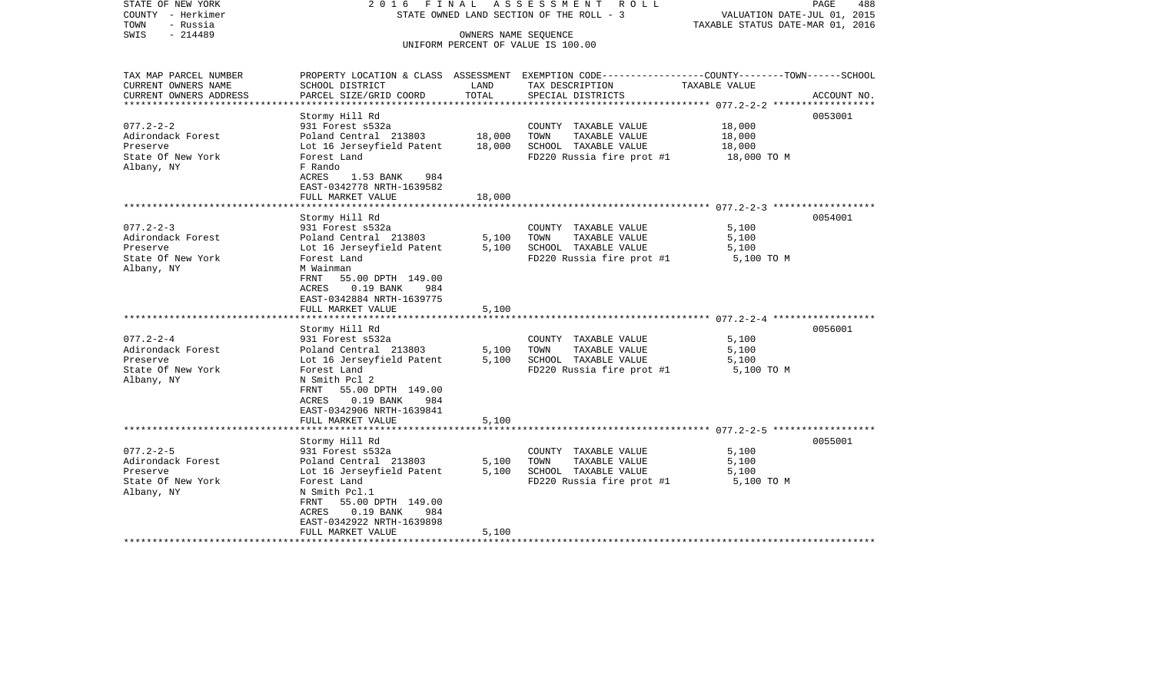STATE OF NEW YORK 2016 FINAL ASSESSMENT ROLL COUNTY - Herkimer<br>TOWN - Russia<br>SWIS - 214489 - 201489 TOWN - Russia TAXABLE STATUS DATE-MAR 01, 2016 OWNERS NAME SEQUENCE UNIFORM PERCENT OF VALUE IS 100.00

| TAX MAP PARCEL NUMBER<br>CURRENT OWNERS NAME                                        | PROPERTY LOCATION & CLASS ASSESSMENT EXEMPTION CODE---------------COUNTY-------TOWN------SCHOOL<br>SCHOOL DISTRICT                                                                                                                     | LAND                       | TAX DESCRIPTION                                                                                                | TAXABLE VALUE                         |             |
|-------------------------------------------------------------------------------------|----------------------------------------------------------------------------------------------------------------------------------------------------------------------------------------------------------------------------------------|----------------------------|----------------------------------------------------------------------------------------------------------------|---------------------------------------|-------------|
| CURRENT OWNERS ADDRESS                                                              | PARCEL SIZE/GRID COORD                                                                                                                                                                                                                 | TOTAL                      | SPECIAL DISTRICTS                                                                                              |                                       | ACCOUNT NO. |
|                                                                                     |                                                                                                                                                                                                                                        |                            |                                                                                                                |                                       |             |
| $077.2 - 2 - 2$<br>Adirondack Forest<br>Preserve<br>State Of New York<br>Albany, NY | Stormy Hill Rd<br>931 Forest s532a<br>Poland Central 213803<br>Lot 16 Jerseyfield Patent<br>Forest Land<br>F Rando<br>ACRES<br>1.53 BANK<br>984<br>EAST-0342778 NRTH-1639582<br>FULL MARKET VALUE                                      | 18,000<br>18,000<br>18,000 | COUNTY TAXABLE VALUE<br>TOWN<br>TAXABLE VALUE<br>SCHOOL TAXABLE VALUE<br>FD220 Russia fire prot #1 18,000 TO M | 18,000<br>18,000<br>18,000            | 0053001     |
|                                                                                     |                                                                                                                                                                                                                                        |                            |                                                                                                                |                                       | 0054001     |
| $077.2 - 2 - 3$<br>Adirondack Forest<br>Preserve<br>State Of New York<br>Albany, NY | Stormy Hill Rd<br>931 Forest s532a<br>Poland Central 213803<br>Lot 16 Jerseyfield Patent<br>Forest Land<br>M Wainman<br>55.00 DPTH 149.00<br>FRNT<br>$0.19$ BANK<br>ACRES<br>984<br>EAST-0342884 NRTH-1639775<br>FULL MARKET VALUE     | 5,100<br>5,100<br>5,100    | COUNTY TAXABLE VALUE<br>TOWN<br>TAXABLE VALUE<br>SCHOOL TAXABLE VALUE<br>FD220 Russia fire prot #1             | 5,100<br>5,100<br>5,100<br>5,100 TO M |             |
|                                                                                     |                                                                                                                                                                                                                                        |                            |                                                                                                                |                                       |             |
| $077.2 - 2 - 4$<br>Adirondack Forest<br>Preserve<br>State Of New York<br>Albany, NY | Stormy Hill Rd<br>931 Forest s532a<br>Poland Central 213803<br>Lot 16 Jerseyfield Patent<br>Forest Land<br>N Smith Pcl 2<br>55.00 DPTH 149.00<br>FRNT<br>$0.19$ BANK<br>984<br>ACRES<br>EAST-0342906 NRTH-1639841                      | 5,100<br>5,100             | COUNTY TAXABLE VALUE<br>TAXABLE VALUE<br>TOWN<br>SCHOOL TAXABLE VALUE<br>FD220 Russia fire prot #1             | 5,100<br>5,100<br>5,100<br>5,100 TO M | 0056001     |
|                                                                                     | FULL MARKET VALUE                                                                                                                                                                                                                      | 5,100                      |                                                                                                                |                                       |             |
|                                                                                     |                                                                                                                                                                                                                                        |                            |                                                                                                                |                                       |             |
| $077.2 - 2 - 5$<br>Adirondack Forest<br>Preserve<br>State Of New York<br>Albany, NY | Stormy Hill Rd<br>931 Forest s532a<br>Poland Central 213803<br>Lot 16 Jerseyfield Patent<br>Forest Land<br>N Smith Pcl.1<br>55.00 DPTH 149.00<br>FRNT<br>$0.19$ BANK<br>ACRES<br>984<br>EAST-0342922 NRTH-1639898<br>FULL MARKET VALUE | 5,100<br>5,100<br>5,100    | COUNTY TAXABLE VALUE<br>TOWN<br>TAXABLE VALUE<br>SCHOOL TAXABLE VALUE<br>FD220 Russia fire prot #1             | 5,100<br>5,100<br>5,100<br>5,100 TO M | 0055001     |
|                                                                                     |                                                                                                                                                                                                                                        |                            |                                                                                                                |                                       |             |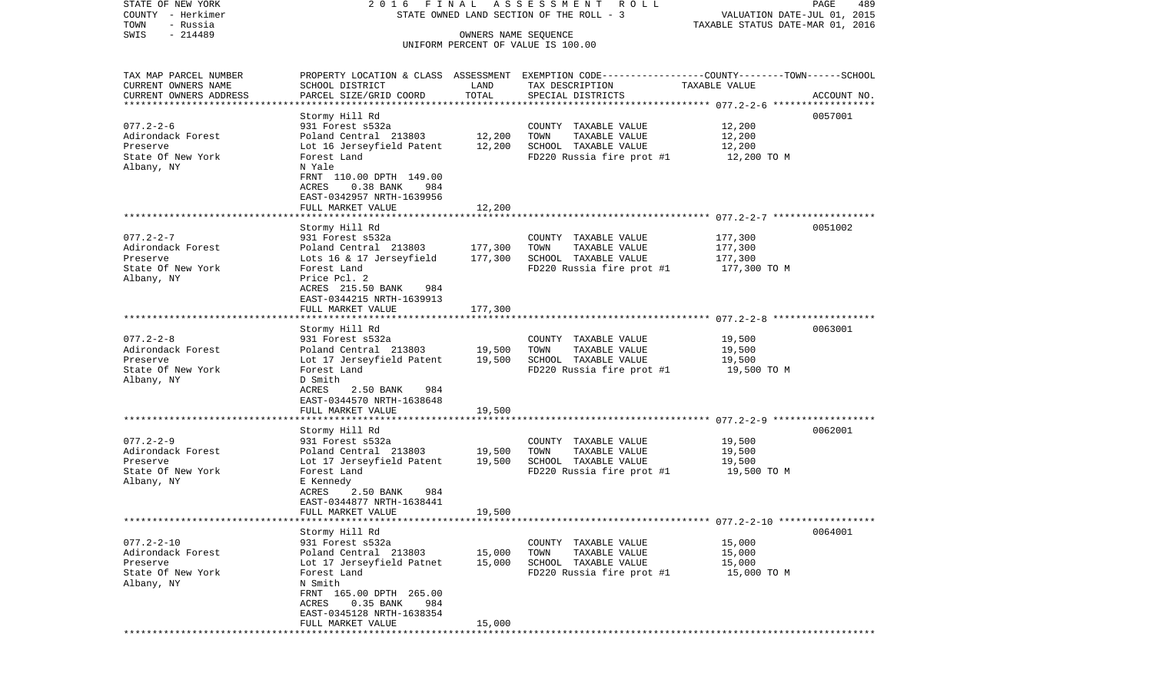STATE OF NEW YORK 2 0 1 6 F I N A L A S S E S S M E N T R O L L PAGE 489COUNTY - Herkimer STATE OWNED LAND SECTION OF THE ROLL - 3 WALUATION DATE-JUL 01, 2015 TOWN - Russia TAXABLE STATUS DATE-MAR 01, 2016 SWIS - 214489 OWNERS NAME SEQUENCE UNIFORM PERCENT OF VALUE IS 100.00TAX MAP PARCEL NUMBER PROPERTY LOCATION & CLASS ASSESSMENT EXEMPTION CODE------------------COUNTY--------TOWN------SCHOOL CURRENT OWNERS NAME SCHOOL DISTRICT LAND TAX DESCRIPTION TAXABLE VALUECURRENT OWNERS ADDRESS PARCEL SIZE/GRID COORD TOTAL SPECIAL DISTRICTS ACCOUNT NO. \*\*\*\*\*\*\*\*\*\*\*\*\*\*\*\*\*\*\*\*\*\*\*\*\*\*\*\*\*\*\*\*\*\*\*\*\*\*\*\*\*\*\*\*\*\*\*\*\*\*\*\*\*\*\*\*\*\*\*\*\*\*\*\*\*\*\*\*\*\*\*\*\*\*\*\*\*\*\*\*\*\*\*\*\*\*\*\*\*\*\*\*\*\*\*\*\*\*\*\*\*\*\* 077.2-2-6 \*\*\*\*\*\*\*\*\*\*\*\*\*\*\*\*\*\* Stormy Hill Rd 0057001 077.2-2-6 931 Forest s532a COUNTY TAXABLE VALUE 12,200 Adirondack Forest **Poland Central 213803** 12,200 TOWN TAXABLE VALUE 12,200 Preserve Lot 16 Jerseyfield Patent 12,200 SCHOOL TAXABLE VALUE 12,200 State Of New York Forest Land Forest Land FD220 Russia fire prot #1 12,200 TO M Albany, NY N Yale FRNT 110.00 DPTH 149.00 ACRES 0.38 BANK 984 EAST-0342957 NRTH-1639956 FULL MARKET VALUE 12,200 \*\*\*\*\*\*\*\*\*\*\*\*\*\*\*\*\*\*\*\*\*\*\*\*\*\*\*\*\*\*\*\*\*\*\*\*\*\*\*\*\*\*\*\*\*\*\*\*\*\*\*\*\*\*\*\*\*\*\*\*\*\*\*\*\*\*\*\*\*\*\*\*\*\*\*\*\*\*\*\*\*\*\*\*\*\*\*\*\*\*\*\*\*\*\*\*\*\*\*\*\*\*\* 077.2-2-7 \*\*\*\*\*\*\*\*\*\*\*\*\*\*\*\*\*\* Stormy Hill Rd 0051002 077.2-2-7 931 Forest s532a COUNTY TAXABLE VALUE 177,300 Adirondack Forest **Poland Central 213803** 177,300 TOWN TAXABLE VALUE 177,300 Preserve Lots 16 & 17 Jerseyfield 177,300 SCHOOL TAXABLE VALUE 177,300 State Of New York Forest Land Forest Land FD220 Russia fire prot #1 177,300 TO M Albany, NY Price Pcl. 2 ACRES 215.50 BANK 984 EAST-0344215 NRTH-1639913FULL MARKET VALUE 177,300 \*\*\*\*\*\*\*\*\*\*\*\*\*\*\*\*\*\*\*\*\*\*\*\*\*\*\*\*\*\*\*\*\*\*\*\*\*\*\*\*\*\*\*\*\*\*\*\*\*\*\*\*\*\*\*\*\*\*\*\*\*\*\*\*\*\*\*\*\*\*\*\*\*\*\*\*\*\*\*\*\*\*\*\*\*\*\*\*\*\*\*\*\*\*\*\*\*\*\*\*\*\*\* 077.2-2-8 \*\*\*\*\*\*\*\*\*\*\*\*\*\*\*\*\*\* Stormy Hill Rd 0063001 077.2-2-8 931 Forest s532a COUNTY TAXABLE VALUE 19,500 Adirondack Forest **Poland Central 213803** 19,500 TOWN TAXABLE VALUE 19,500 Preserve Lot 17 Jerseyfield Patent 19,500 SCHOOL TAXABLE VALUE 19,500 State Of New York Forest Land Forest Land FD220 Russia fire prot #1 19,500 TO M Albany, NY D Smith ACRES 2.50 BANK 984 EAST-0344570 NRTH-1638648FULL MARKET VALUE 19,500 \*\*\*\*\*\*\*\*\*\*\*\*\*\*\*\*\*\*\*\*\*\*\*\*\*\*\*\*\*\*\*\*\*\*\*\*\*\*\*\*\*\*\*\*\*\*\*\*\*\*\*\*\*\*\*\*\*\*\*\*\*\*\*\*\*\*\*\*\*\*\*\*\*\*\*\*\*\*\*\*\*\*\*\*\*\*\*\*\*\*\*\*\*\*\*\*\*\*\*\*\*\*\* 077.2-2-9 \*\*\*\*\*\*\*\*\*\*\*\*\*\*\*\*\*\* Stormy Hill Rd 0062001 077.2-2-9 931 Forest s532a COUNTY TAXABLE VALUE 19,500 Adirondack Forest **Poland Central 213803** 19,500 TOWN TAXABLE VALUE 19,500 Preserve Lot 17 Jerseyfield Patent 19,500 SCHOOL TAXABLE VALUE 19,500 State Of New York Forest Land Forest Land FD220 Russia fire prot #1 19,500 TO M Albany, NY E Kennedy ACRES 2.50 BANK 984 EAST-0344877 NRTH-1638441FULL MARKET VALUE 19,500 \*\*\*\*\*\*\*\*\*\*\*\*\*\*\*\*\*\*\*\*\*\*\*\*\*\*\*\*\*\*\*\*\*\*\*\*\*\*\*\*\*\*\*\*\*\*\*\*\*\*\*\*\*\*\*\*\*\*\*\*\*\*\*\*\*\*\*\*\*\*\*\*\*\*\*\*\*\*\*\*\*\*\*\*\*\*\*\*\*\*\*\*\*\*\*\*\*\*\*\*\*\*\* 077.2-2-10 \*\*\*\*\*\*\*\*\*\*\*\*\*\*\*\*\* Stormy Hill Rd 0064001 077.2-2-10 931 Forest s532a COUNTY TAXABLE VALUE 15,000 Adirondack Forest Poland Central 213803 15,000 TOWN TAXABLE VALUE 15,000 Preserve Lot 17 Jerseyfield Patnet 15,000 SCHOOL TAXABLE VALUE 15,000 State Of New York Forest Land Forest Land FD220 Russia fire prot #1 15,000 TO M Albany, NY N Smith FRNT 165.00 DPTH 265.00 ACRES 0.35 BANK 984 EAST-0345128 NRTH-1638354FULL MARKET VALUE 15,000 \*\*\*\*\*\*\*\*\*\*\*\*\*\*\*\*\*\*\*\*\*\*\*\*\*\*\*\*\*\*\*\*\*\*\*\*\*\*\*\*\*\*\*\*\*\*\*\*\*\*\*\*\*\*\*\*\*\*\*\*\*\*\*\*\*\*\*\*\*\*\*\*\*\*\*\*\*\*\*\*\*\*\*\*\*\*\*\*\*\*\*\*\*\*\*\*\*\*\*\*\*\*\*\*\*\*\*\*\*\*\*\*\*\*\*\*\*\*\*\*\*\*\*\*\*\*\*\*\*\*\*\*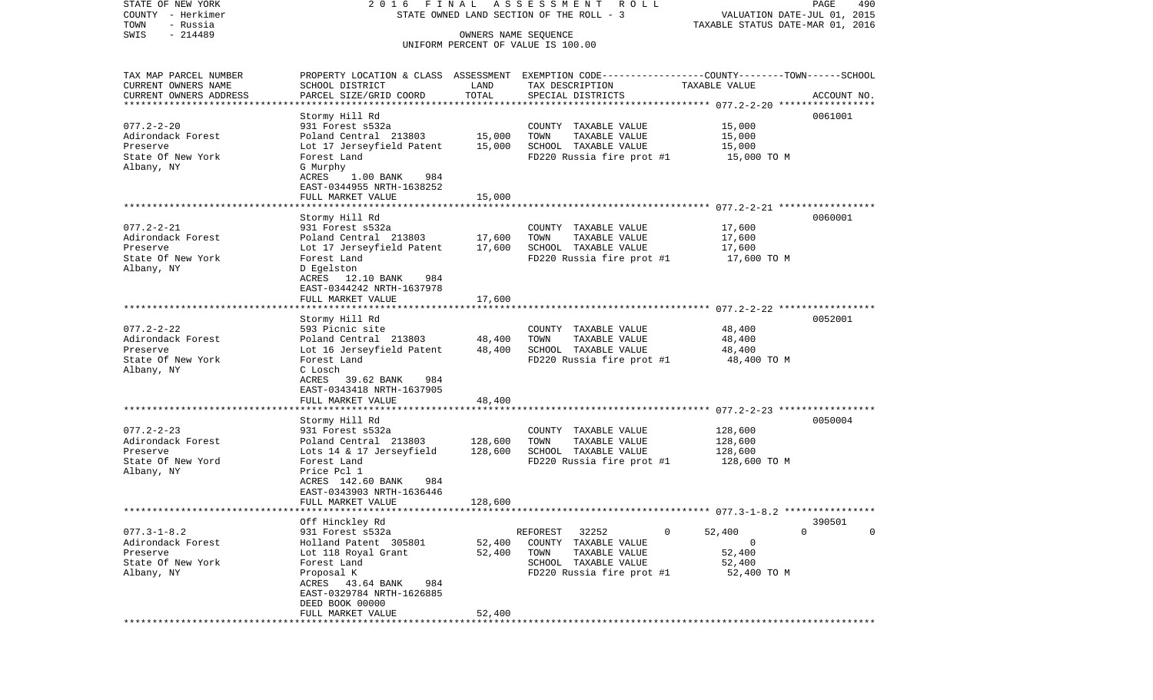STATE OF NEW YORK 2 0 1 6 F I N A L A S S E S S M E N T R O L L PAGE 490COUNTY - Herkimer STATE OWNED LAND SECTION OF THE ROLL - 3 WALUATION DATE-JUL 01, 2015 TOWN - Russia TAXABLE STATUS DATE-MAR 01, 2016 SWIS - 214489 OWNERS NAME SEQUENCE UNIFORM PERCENT OF VALUE IS 100.00TAX MAP PARCEL NUMBER PROPERTY LOCATION & CLASS ASSESSMENT EXEMPTION CODE------------------COUNTY--------TOWN------SCHOOL CURRENT OWNERS NAME SCHOOL DISTRICT LAND TAX DESCRIPTION TAXABLE VALUECURRENT OWNERS ADDRESS PARCEL SIZE/GRID COORD TOTAL SPECIAL DISTRICTS ACCOUNT NO. \*\*\*\*\*\*\*\*\*\*\*\*\*\*\*\*\*\*\*\*\*\*\*\*\*\*\*\*\*\*\*\*\*\*\*\*\*\*\*\*\*\*\*\*\*\*\*\*\*\*\*\*\*\*\*\*\*\*\*\*\*\*\*\*\*\*\*\*\*\*\*\*\*\*\*\*\*\*\*\*\*\*\*\*\*\*\*\*\*\*\*\*\*\*\*\*\*\*\*\*\*\*\* 077.2-2-20 \*\*\*\*\*\*\*\*\*\*\*\*\*\*\*\*\* Stormy Hill Rd 0061001 077.2-2-20 931 Forest s532a COUNTY TAXABLE VALUE 15,000 Adirondack Forest Poland Central 213803 15,000 TOWN TAXABLE VALUE 15,000 Preserve Lot 17 Jerseyfield Patent 15,000 SCHOOL TAXABLE VALUE 15,000 State Of New York Forest Land Forest Land FD220 Russia fire prot #1 15,000 TO M Albany, NY G Murphy ACRES 1.00 BANK 984 EAST-0344955 NRTH-1638252 FULL MARKET VALUE 15,000 \*\*\*\*\*\*\*\*\*\*\*\*\*\*\*\*\*\*\*\*\*\*\*\*\*\*\*\*\*\*\*\*\*\*\*\*\*\*\*\*\*\*\*\*\*\*\*\*\*\*\*\*\*\*\*\*\*\*\*\*\*\*\*\*\*\*\*\*\*\*\*\*\*\*\*\*\*\*\*\*\*\*\*\*\*\*\*\*\*\*\*\*\*\*\*\*\*\*\*\*\*\*\* 077.2-2-21 \*\*\*\*\*\*\*\*\*\*\*\*\*\*\*\*\* Stormy Hill Rd 0060001 077.2-2-21 931 Forest s532a COUNTY TAXABLE VALUE 17,600 Adirondack Forest **Poland Central 213803** 17,600 TOWN TAXABLE VALUE 17,600 Preserve Lot 17 Jerseyfield Patent 17,600 SCHOOL TAXABLE VALUE 17,600 State Of New York Forest Land Forest Land FD220 Russia fire prot #1 17,600 TO M Albany, NY D Egelston ACRES 12.10 BANK 984 EAST-0344242 NRTH-1637978FULL MARKET VALUE 17,600 \*\*\*\*\*\*\*\*\*\*\*\*\*\*\*\*\*\*\*\*\*\*\*\*\*\*\*\*\*\*\*\*\*\*\*\*\*\*\*\*\*\*\*\*\*\*\*\*\*\*\*\*\*\*\*\*\*\*\*\*\*\*\*\*\*\*\*\*\*\*\*\*\*\*\*\*\*\*\*\*\*\*\*\*\*\*\*\*\*\*\*\*\*\*\*\*\*\*\*\*\*\*\* 077.2-2-22 \*\*\*\*\*\*\*\*\*\*\*\*\*\*\*\*\* Stormy Hill Rd 0052001 077.2-2-22 593 Picnic site COUNTY TAXABLE VALUE 48,400 Adirondack Forest **Poland Central 213803** 48,400 TOWN TAXABLE VALUE 48,400 Preserve Lot 16 Jerseyfield Patent 48,400 SCHOOL TAXABLE VALUE 48,400 FD220 Russia fire prot #1 Albany, NY C Losch ACRES 39.62 BANK 984 EAST-0343418 NRTH-1637905FULL MARKET VALUE 48,400 \*\*\*\*\*\*\*\*\*\*\*\*\*\*\*\*\*\*\*\*\*\*\*\*\*\*\*\*\*\*\*\*\*\*\*\*\*\*\*\*\*\*\*\*\*\*\*\*\*\*\*\*\*\*\*\*\*\*\*\*\*\*\*\*\*\*\*\*\*\*\*\*\*\*\*\*\*\*\*\*\*\*\*\*\*\*\*\*\*\*\*\*\*\*\*\*\*\*\*\*\*\*\* 077.2-2-23 \*\*\*\*\*\*\*\*\*\*\*\*\*\*\*\*\* Stormy Hill Rd 0050004 077.2-2-23 931 Forest s532a COUNTY TAXABLE VALUE 128,600 Adirondack Forest Poland Central 213803 128,600 TOWN TAXABLE VALUE 128,600 Preserve Lots 14 & 17 Jerseyfield 128,600 SCHOOL TAXABLE VALUE 128,600 State Of New Yord Forest Land Forest Land FD220 Russia fire prot #1 128,600 TO M Albany, NY Price Pcl 1 ACRES 142.60 BANK 984 EAST-0343903 NRTH-1636446 FULL MARKET VALUE 128,600 \*\*\*\*\*\*\*\*\*\*\*\*\*\*\*\*\*\*\*\*\*\*\*\*\*\*\*\*\*\*\*\*\*\*\*\*\*\*\*\*\*\*\*\*\*\*\*\*\*\*\*\*\*\*\*\*\*\*\*\*\*\*\*\*\*\*\*\*\*\*\*\*\*\*\*\*\*\*\*\*\*\*\*\*\*\*\*\*\*\*\*\*\*\*\*\*\*\*\*\*\*\*\* 077.3-1-8.2 \*\*\*\*\*\*\*\*\*\*\*\*\*\*\*\* Off Hinckley Rd 390501 077.3-1-8.2 931 Forest s532a REFOREST 32252 0 52,400 0 0 Adirondack Forest Holland Patent 305801 52,400 COUNTY TAXABLE VALUE 0 Preserve Lot 118 Royal Grant 52,400 TOWN TAXABLE VALUE 52,400 State Of New York **SCHOOL TAXABLE VALUE** 52,400 Albany, NY Proposal K FD220 Russia fire prot #1 52,400 TO M ACRES 43.64 BANK 984 EAST-0329784 NRTH-1626885 DEED BOOK 00000FULL MARKET VALUE 52,400 \*\*\*\*\*\*\*\*\*\*\*\*\*\*\*\*\*\*\*\*\*\*\*\*\*\*\*\*\*\*\*\*\*\*\*\*\*\*\*\*\*\*\*\*\*\*\*\*\*\*\*\*\*\*\*\*\*\*\*\*\*\*\*\*\*\*\*\*\*\*\*\*\*\*\*\*\*\*\*\*\*\*\*\*\*\*\*\*\*\*\*\*\*\*\*\*\*\*\*\*\*\*\*\*\*\*\*\*\*\*\*\*\*\*\*\*\*\*\*\*\*\*\*\*\*\*\*\*\*\*\*\*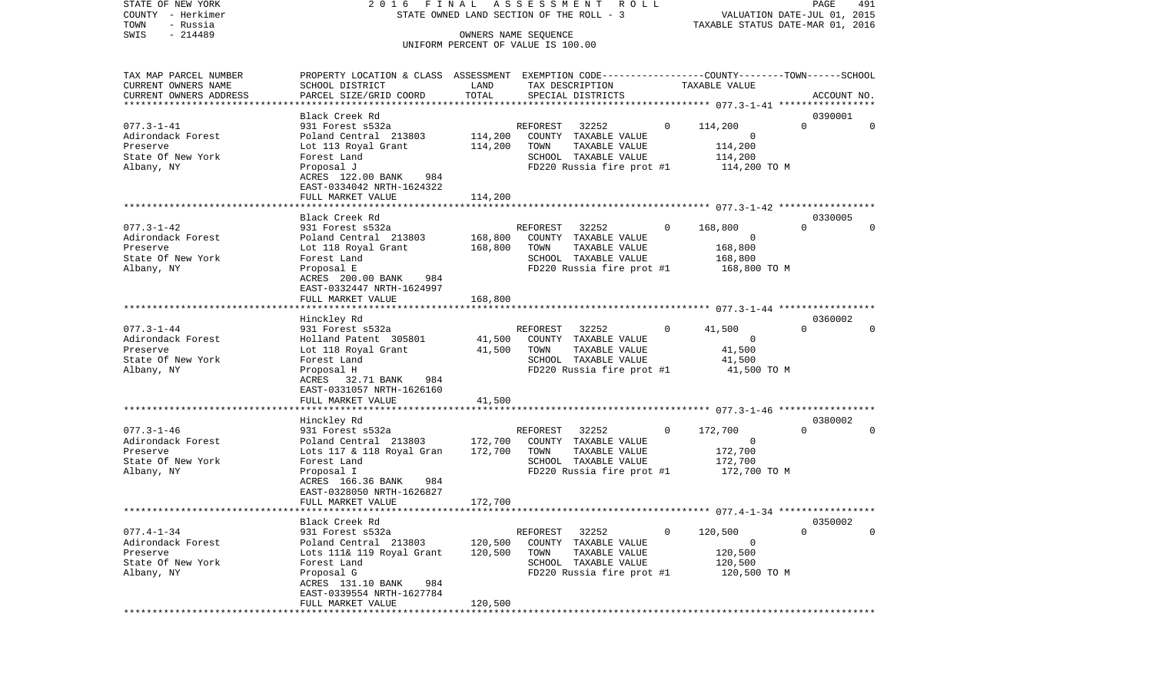STATE OF NEW YORK 2 0 1 6 F I N A L A S S E S S M E N T R O L L PAGE 491COUNTY - Herkimer STATE OWNED LAND SECTION OF THE ROLL - 3 WALUATION DATE-JUL 01, 2015 TOWN - Russia TAXABLE STATUS DATE-MAR 01, 2016 SWIS - 214489 CONNERS NAME SEQUENCE UNIFORM PERCENT OF VALUE IS 100.00

TAX MAP PARCEL NUMBER PROPERTY LOCATION & CLASS ASSESSMENT EXEMPTION CODE------------------COUNTY--------TOWN------SCHOOL

CURRENT OWNERS NAME SCHOOL DISTRICT LAND TAX DESCRIPTION TAXABLE VALUECURRENT OWNERS ADDRESS PARCEL SIZE/GRID COORD TOTAL SPECIAL DISTRICTS ACCOUNT NO. \*\*\*\*\*\*\*\*\*\*\*\*\*\*\*\*\*\*\*\*\*\*\*\*\*\*\*\*\*\*\*\*\*\*\*\*\*\*\*\*\*\*\*\*\*\*\*\*\*\*\*\*\*\*\*\*\*\*\*\*\*\*\*\*\*\*\*\*\*\*\*\*\*\*\*\*\*\*\*\*\*\*\*\*\*\*\*\*\*\*\*\*\*\*\*\*\*\*\*\*\*\*\* 077.3-1-41 \*\*\*\*\*\*\*\*\*\*\*\*\*\*\*\*\* Black Creek Rd 0390001077.3-1-41 931 Forest s532a REFOREST 32252 0 114,200 0 0 Adirondack Forest Poland Central 213803 114,200 COUNTY TAXABLE VALUE 0 Preserve Lot 113 Royal Grant 114,200 TOWN TAXABLE VALUE 114,200 State Of New York **Forest Land** SCHOOL TAXABLE VALUE 114,200 Albany, NY Proposal J FD220 Russia fire prot #1 114,200 TO M ACRES 122.00 BANK 984 EAST-0334042 NRTH-1624322 FULL MARKET VALUE 114,200 \*\*\*\*\*\*\*\*\*\*\*\*\*\*\*\*\*\*\*\*\*\*\*\*\*\*\*\*\*\*\*\*\*\*\*\*\*\*\*\*\*\*\*\*\*\*\*\*\*\*\*\*\*\*\*\*\*\*\*\*\*\*\*\*\*\*\*\*\*\*\*\*\*\*\*\*\*\*\*\*\*\*\*\*\*\*\*\*\*\*\*\*\*\*\*\*\*\*\*\*\*\*\* 077.3-1-42 \*\*\*\*\*\*\*\*\*\*\*\*\*\*\*\*\* Black Creek Rd 0330005077.3-1-42 931 Forest s532a REFOREST 32252 0 168,800 0 0 Adirondack Forest Poland Central 213803 168,800 COUNTY TAXABLE VALUE 0 Preserve Lot 118 Royal Grant 168,800 TOWN TAXABLE VALUE 168,800 State Of New York **Forest Land Forest Land** SCHOOL TAXABLE VALUE 168,800 Albany, NY Proposal E FD220 Russia fire prot #1 168,800 TO M ACRES 200.00 BANK 984 EAST-0332447 NRTH-1624997FULL MARKET VALUE 168,800 \*\*\*\*\*\*\*\*\*\*\*\*\*\*\*\*\*\*\*\*\*\*\*\*\*\*\*\*\*\*\*\*\*\*\*\*\*\*\*\*\*\*\*\*\*\*\*\*\*\*\*\*\*\*\*\*\*\*\*\*\*\*\*\*\*\*\*\*\*\*\*\*\*\*\*\*\*\*\*\*\*\*\*\*\*\*\*\*\*\*\*\*\*\*\*\*\*\*\*\*\*\*\* 077.3-1-44 \*\*\*\*\*\*\*\*\*\*\*\*\*\*\*\*\* Hinckley Rd 0360002 077.3-1-44 931 Forest s532a REFOREST 32252 0 41,500 0 0 Adirondack Forest Holland Patent 305801 41,500 COUNTY TAXABLE VALUE 0 Preserve Lot 118 Royal Grant 41,500 TOWN TAXABLE VALUE 41,500 SCHOOL TAXABLE VALUE Albany, NY Proposal H FD220 Russia fire prot #1 41,500 TO M ACRES 32.71 BANK 984 EAST-0331057 NRTH-1626160 FULL MARKET VALUE 41,500 \*\*\*\*\*\*\*\*\*\*\*\*\*\*\*\*\*\*\*\*\*\*\*\*\*\*\*\*\*\*\*\*\*\*\*\*\*\*\*\*\*\*\*\*\*\*\*\*\*\*\*\*\*\*\*\*\*\*\*\*\*\*\*\*\*\*\*\*\*\*\*\*\*\*\*\*\*\*\*\*\*\*\*\*\*\*\*\*\*\*\*\*\*\*\*\*\*\*\*\*\*\*\* 077.3-1-46 \*\*\*\*\*\*\*\*\*\*\*\*\*\*\*\*\* Hinckley Rd 0380002 077.3-1-46 931 Forest s532a REFOREST 32252 0 172,700 0 0 Adirondack Forest Poland Central 213803 172,700 COUNTY TAXABLE VALUE 0 Preserve Lots 117 & 118 Royal Gran 172,700 TOWN TAXABLE VALUE 172,700 State Of New York **Forest Land Forest Land** SCHOOL TAXABLE VALUE 172,700 Albany, NY Proposal I FD220 Russia fire prot #1 172,700 TO M  $ACRES$  166.36 BANK EAST-0328050 NRTH-1626827 FULL MARKET VALUE 172,700 \*\*\*\*\*\*\*\*\*\*\*\*\*\*\*\*\*\*\*\*\*\*\*\*\*\*\*\*\*\*\*\*\*\*\*\*\*\*\*\*\*\*\*\*\*\*\*\*\*\*\*\*\*\*\*\*\*\*\*\*\*\*\*\*\*\*\*\*\*\*\*\*\*\*\*\*\*\*\*\*\*\*\*\*\*\*\*\*\*\*\*\*\*\*\*\*\*\*\*\*\*\*\* 077.4-1-34 \*\*\*\*\*\*\*\*\*\*\*\*\*\*\*\*\* Black Creek Rd 0350002077.4-1-34 931 Forest s532a REFOREST 32252 0 120,500 0 0 Adirondack Forest **Poland Central 213803** 120,500 COUNTY TAXABLE VALUE 0 Preserve Lots 111& 119 Royal Grant 120,500 TOWN TAXABLE VALUE 120,500 State Of New York **Forest Land** SCHOOL TAXABLE VALUE 120,500 Albany, NY Proposal G FD220 Russia fire prot #1 120,500 TO M ACRES 131.10 BANK 984 EAST-0339554 NRTH-1627784 FULL MARKET VALUE 120,500 \*\*\*\*\*\*\*\*\*\*\*\*\*\*\*\*\*\*\*\*\*\*\*\*\*\*\*\*\*\*\*\*\*\*\*\*\*\*\*\*\*\*\*\*\*\*\*\*\*\*\*\*\*\*\*\*\*\*\*\*\*\*\*\*\*\*\*\*\*\*\*\*\*\*\*\*\*\*\*\*\*\*\*\*\*\*\*\*\*\*\*\*\*\*\*\*\*\*\*\*\*\*\*\*\*\*\*\*\*\*\*\*\*\*\*\*\*\*\*\*\*\*\*\*\*\*\*\*\*\*\*\*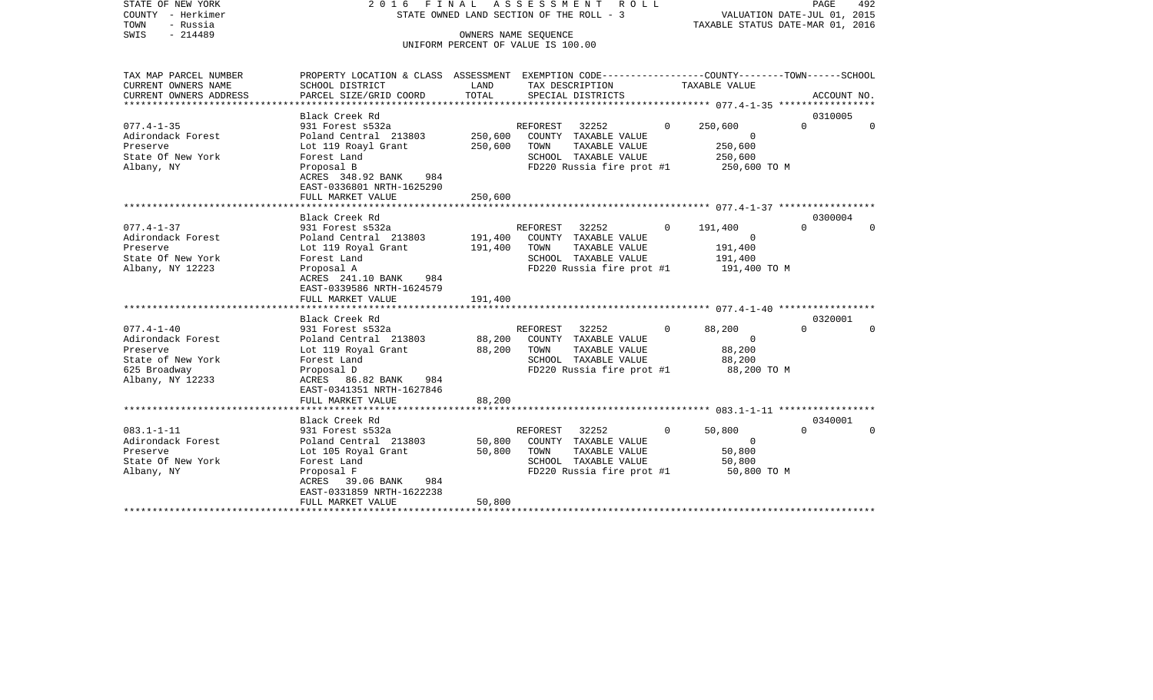|      | STATE OF NEW YORK | 2016 FINAL ASSESSMENT ROLL               |                                  | PAGE | 492 |
|------|-------------------|------------------------------------------|----------------------------------|------|-----|
|      | COUNTY - Herkimer | STATE OWNED LAND SECTION OF THE ROLL - 3 | VALUATION DATE-JUL 01, 2015      |      |     |
| TOWN | - Russia          |                                          | TAXABLE STATUS DATE-MAR 01, 2016 |      |     |
| SWIS | - 214489          | OWNERS NAME SEOUENCE                     |                                  |      |     |
|      |                   | UNIFORM PERCENT OF VALUE IS 100.00       |                                  |      |     |

TAX MAP PARCEL NUMBER PROPERTY LOCATION & CLASS ASSESSMENT EXEMPTION CODE------------------COUNTY--------TOWN------SCHOOL CURRENT OWNERS NAME SCHOOL DISTRICT LAND TAX DESCRIPTION TAXABLE VALUECURRENT OWNERS ADDRESS PARCEL SIZE/GRID COORD TOTAL SPECIAL DISTRICTS ACCOUNT NO. \*\*\*\*\*\*\*\*\*\*\*\*\*\*\*\*\*\*\*\*\*\*\*\*\*\*\*\*\*\*\*\*\*\*\*\*\*\*\*\*\*\*\*\*\*\*\*\*\*\*\*\*\*\*\*\*\*\*\*\*\*\*\*\*\*\*\*\*\*\*\*\*\*\*\*\*\*\*\*\*\*\*\*\*\*\*\*\*\*\*\*\*\*\*\*\*\*\*\*\*\*\*\* 077.4-1-35 \*\*\*\*\*\*\*\*\*\*\*\*\*\*\*\*\*Black Creek Rd 0310005 077.4-1-35 931 Forest s532a REFOREST 32252 0 250,600 0 0 Adirondack Forest Poland Central 213803 250,600 COUNTY TAXABLE VALUE 0 Preserve Lot 119 Roayl Grant 250,600 TOWN TAXABLE VALUE 250,600 State Of New York **Forest Land** SCHOOL TAXABLE VALUE 250,600 Albany, NY Proposal B FD220 Russia fire prot #1 250,600 TO M ACRES 348.92 BANK 984 EAST-0336801 NRTH-1625290 FULL MARKET VALUE 250,600 \*\*\*\*\*\*\*\*\*\*\*\*\*\*\*\*\*\*\*\*\*\*\*\*\*\*\*\*\*\*\*\*\*\*\*\*\*\*\*\*\*\*\*\*\*\*\*\*\*\*\*\*\*\*\*\*\*\*\*\*\*\*\*\*\*\*\*\*\*\*\*\*\*\*\*\*\*\*\*\*\*\*\*\*\*\*\*\*\*\*\*\*\*\*\*\*\*\*\*\*\*\*\* 077.4-1-37 \*\*\*\*\*\*\*\*\*\*\*\*\*\*\*\*\* Black Creek Rd 0300004077.4-1-37 931 Forest s532a REFOREST 32252 0 191,400 0 0 Adirondack Forest Poland Central 213803 191,400 COUNTY TAXABLE VALUE 0 Preserve Lot 119 Royal Grant 191,400 TOWN TAXABLE VALUE 191,400 State Of New York **Forest Land Forest Land** SCHOOL TAXABLE VALUE 191,400 Albany, NY 12223 **Proposal A** FD220 Russia fire prot #1 191,400 TO M ACRES 241.10 BANK 984 EAST-0339586 NRTH-1624579 FULL MARKET VALUE 191,400 \*\*\*\*\*\*\*\*\*\*\*\*\*\*\*\*\*\*\*\*\*\*\*\*\*\*\*\*\*\*\*\*\*\*\*\*\*\*\*\*\*\*\*\*\*\*\*\*\*\*\*\*\*\*\*\*\*\*\*\*\*\*\*\*\*\*\*\*\*\*\*\*\*\*\*\*\*\*\*\*\*\*\*\*\*\*\*\*\*\*\*\*\*\*\*\*\*\*\*\*\*\*\* 077.4-1-40 \*\*\*\*\*\*\*\*\*\*\*\*\*\*\*\*\* Black Creek Rd 0320001077.4-1-40 931 Forest s532a REFOREST 32252 0 88,200 0 0 Adirondack Forest Poland Central 213803 88,200 COUNTY TAXABLE VALUE 0 Preserve Lot 119 Royal Grant 88,200 TOWN TAXABLE VALUE 88,200 SCHOOL TAXABLE VALUE 625 Broadway Proposal D FD220 Russia fire prot #1 88,200 TO M Albany, NY 12233 ACRES 86.82 BANK 984 EAST-0341351 NRTH-1627846 FULL MARKET VALUE 88,200 \*\*\*\*\*\*\*\*\*\*\*\*\*\*\*\*\*\*\*\*\*\*\*\*\*\*\*\*\*\*\*\*\*\*\*\*\*\*\*\*\*\*\*\*\*\*\*\*\*\*\*\*\*\*\*\*\*\*\*\*\*\*\*\*\*\*\*\*\*\*\*\*\*\*\*\*\*\*\*\*\*\*\*\*\*\*\*\*\*\*\*\*\*\*\*\*\*\*\*\*\*\*\* 083.1-1-11 \*\*\*\*\*\*\*\*\*\*\*\*\*\*\*\*\* Black Creek Rd 0340001083.1-1-11 931 Forest s532a REFOREST 32252 0 50,800 0 0 Adirondack Forest Poland Central 213803 50,800 COUNTY TAXABLE VALUE 0 Preserve Lot 105 Royal Grant 50,800 TOWN TAXABLE VALUE 50,800 State Of New York **Forest Land** SCHOOL TAXABLE VALUE 50,800 Albany, NY Proposal F FD220 Russia fire prot #1 50,800 TO M  $ACRES$  39.06 BANK EAST-0331859 NRTH-1622238 FULL MARKET VALUE 50,800 \*\*\*\*\*\*\*\*\*\*\*\*\*\*\*\*\*\*\*\*\*\*\*\*\*\*\*\*\*\*\*\*\*\*\*\*\*\*\*\*\*\*\*\*\*\*\*\*\*\*\*\*\*\*\*\*\*\*\*\*\*\*\*\*\*\*\*\*\*\*\*\*\*\*\*\*\*\*\*\*\*\*\*\*\*\*\*\*\*\*\*\*\*\*\*\*\*\*\*\*\*\*\*\*\*\*\*\*\*\*\*\*\*\*\*\*\*\*\*\*\*\*\*\*\*\*\*\*\*\*\*\*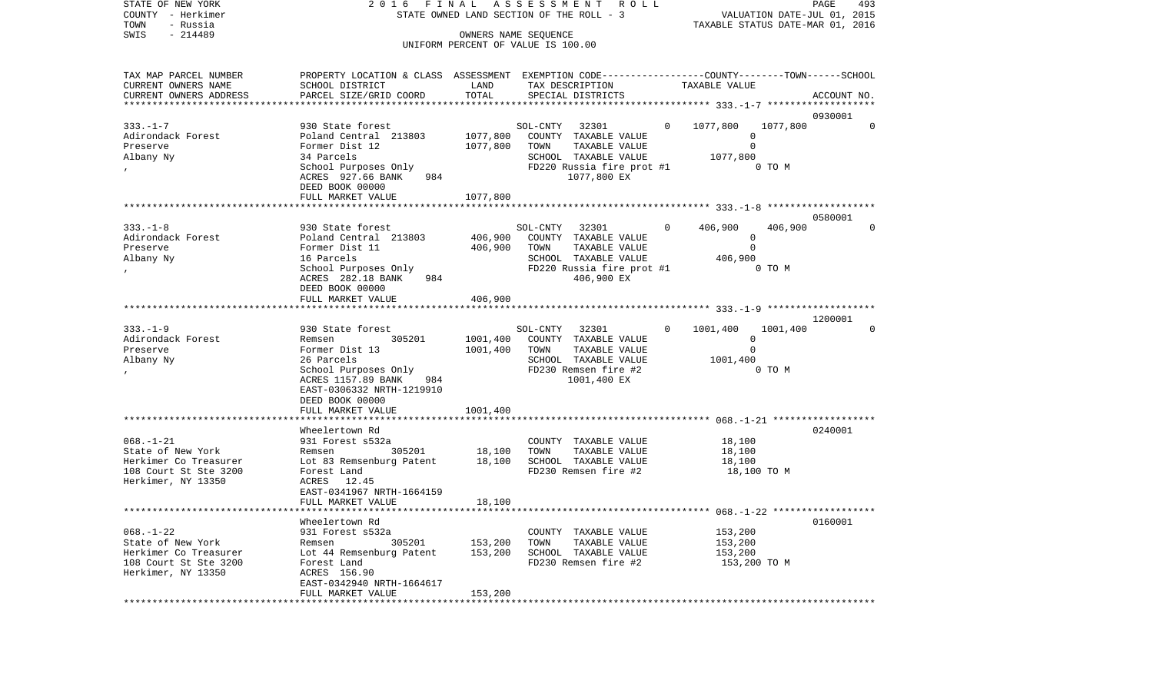| STATE OF NEW YORK<br>COUNTY - Herkimer<br>- Russia<br>TOWN                                                   |                                                                                                                                                                                                | 2016 FINAL ASSESSMENT<br>STATE OWNED LAND SECTION OF THE ROLL - 3 | R O L L<br>PAGE<br>493<br>VALUATION DATE-JUL 01, 2015<br>TAXABLE STATUS DATE-MAR 01, 2016                                             |                                                                            |                        |  |
|--------------------------------------------------------------------------------------------------------------|------------------------------------------------------------------------------------------------------------------------------------------------------------------------------------------------|-------------------------------------------------------------------|---------------------------------------------------------------------------------------------------------------------------------------|----------------------------------------------------------------------------|------------------------|--|
| SWIS<br>$-214489$                                                                                            | UNIFORM PERCENT OF VALUE IS 100.00                                                                                                                                                             |                                                                   |                                                                                                                                       |                                                                            |                        |  |
| TAX MAP PARCEL NUMBER<br>CURRENT OWNERS NAME<br>CURRENT OWNERS ADDRESS<br>*************************          | PROPERTY LOCATION & CLASS ASSESSMENT EXEMPTION CODE----------------COUNTY-------TOWN-----SCHOOL<br>SCHOOL DISTRICT<br>PARCEL SIZE/GRID COORD                                                   | LAND<br>TOTAL                                                     | TAX DESCRIPTION<br>SPECIAL DISTRICTS                                                                                                  | TAXABLE VALUE                                                              | ACCOUNT NO.            |  |
| $333. - 1 - 7$<br>Adirondack Forest<br>Preserve<br>Albany Ny                                                 | 930 State forest<br>Poland Central 213803<br>Former Dist 12<br>34 Parcels<br>School Purposes Only<br>ACRES 927.66 BANK<br>984<br>DEED BOOK 00000                                               | 1077,800<br>1077,800                                              | SOL-CNTY 32301<br>COUNTY TAXABLE VALUE<br>TOWN<br>TAXABLE VALUE<br>SCHOOL TAXABLE VALUE<br>FD220 Russia fire prot #1<br>1077,800 EX   | 0 1077,800<br>1077,800<br>0<br>$\mathbf 0$<br>1077,800<br>0 TO M           | 0930001<br>$\mathbf 0$ |  |
|                                                                                                              | FULL MARKET VALUE                                                                                                                                                                              | 1077,800                                                          |                                                                                                                                       |                                                                            |                        |  |
| $333. - 1 - 8$<br>Adirondack Forest<br>Preserve<br>Albany Ny<br>$\prime$                                     | 930 State forest<br>Poland Central 213803<br>Former Dist 11<br>16 Parcels<br>School Purposes Only<br>ACRES 282.18 BANK<br>984                                                                  | 406,900<br>406,900                                                | SOL-CNTY<br>32301<br>COUNTY TAXABLE VALUE<br>TOWN<br>TAXABLE VALUE<br>SCHOOL TAXABLE VALUE<br>FD220 Russia fire prot #1<br>406,900 EX | 406,900<br>$\Omega$<br>406,900<br>0<br>$\Omega$<br>406,900<br>0 TO M       | 0580001<br>$\mathbf 0$ |  |
|                                                                                                              | DEED BOOK 00000<br>FULL MARKET VALUE                                                                                                                                                           | 406,900                                                           |                                                                                                                                       |                                                                            |                        |  |
| $333. - 1 - 9$<br>Adirondack Forest<br>Preserve<br>Albany Ny                                                 | 930 State forest<br>305201<br>Remsen<br>Former Dist 13<br>26 Parcels<br>School Purposes Only<br>ACRES 1157.89 BANK<br>984<br>EAST-0306332 NRTH-1219910<br>DEED BOOK 00000<br>FULL MARKET VALUE | 1001,400<br>1001,400<br>1001,400                                  | SOL-CNTY<br>32301<br>COUNTY TAXABLE VALUE<br>TAXABLE VALUE<br>TOWN<br>SCHOOL TAXABLE VALUE<br>FD230 Remsen fire #2<br>1001,400 EX     | $\Omega$<br>1001,400<br>1001,400<br>0<br>$\mathbf 0$<br>1001,400<br>0 TO M | 1200001<br>$\mathbf 0$ |  |
|                                                                                                              |                                                                                                                                                                                                |                                                                   |                                                                                                                                       |                                                                            |                        |  |
| $068. - 1 - 21$<br>State of New York<br>Herkimer Co Treasurer<br>108 Court St Ste 3200<br>Herkimer, NY 13350 | Wheelertown Rd<br>931 Forest s532a<br>305201<br>Remsen<br>Lot 83 Remsenburg Patent<br>Forest Land<br>ACRES 12.45<br>EAST-0341967 NRTH-1664159                                                  | 18,100<br>18,100                                                  | COUNTY TAXABLE VALUE<br>TOWN<br>TAXABLE VALUE<br>SCHOOL TAXABLE VALUE<br>FD230 Remsen fire #2                                         | 18,100<br>18,100<br>18,100<br>18,100 TO M                                  | 0240001                |  |
|                                                                                                              | FULL MARKET VALUE                                                                                                                                                                              | 18,100                                                            |                                                                                                                                       |                                                                            |                        |  |
| $068. - 1 - 22$<br>State of New York<br>Herkimer Co Treasurer<br>108 Court St Ste 3200<br>Herkimer, NY 13350 | Wheelertown Rd<br>931 Forest s532a<br>305201<br>Remsen<br>Lot 44 Remsenburg Patent<br>Forest Land<br>ACRES 156.90<br>EAST-0342940 NRTH-1664617<br>FULL MARKET VALUE                            | 153,200<br>153,200<br>153,200                                     | COUNTY TAXABLE VALUE<br>TOWN<br>TAXABLE VALUE<br>SCHOOL TAXABLE VALUE<br>FD230 Remsen fire #2                                         | 153,200<br>153,200<br>153,200<br>153,200 TO M                              | 0160001                |  |
| **************                                                                                               |                                                                                                                                                                                                |                                                                   |                                                                                                                                       |                                                                            |                        |  |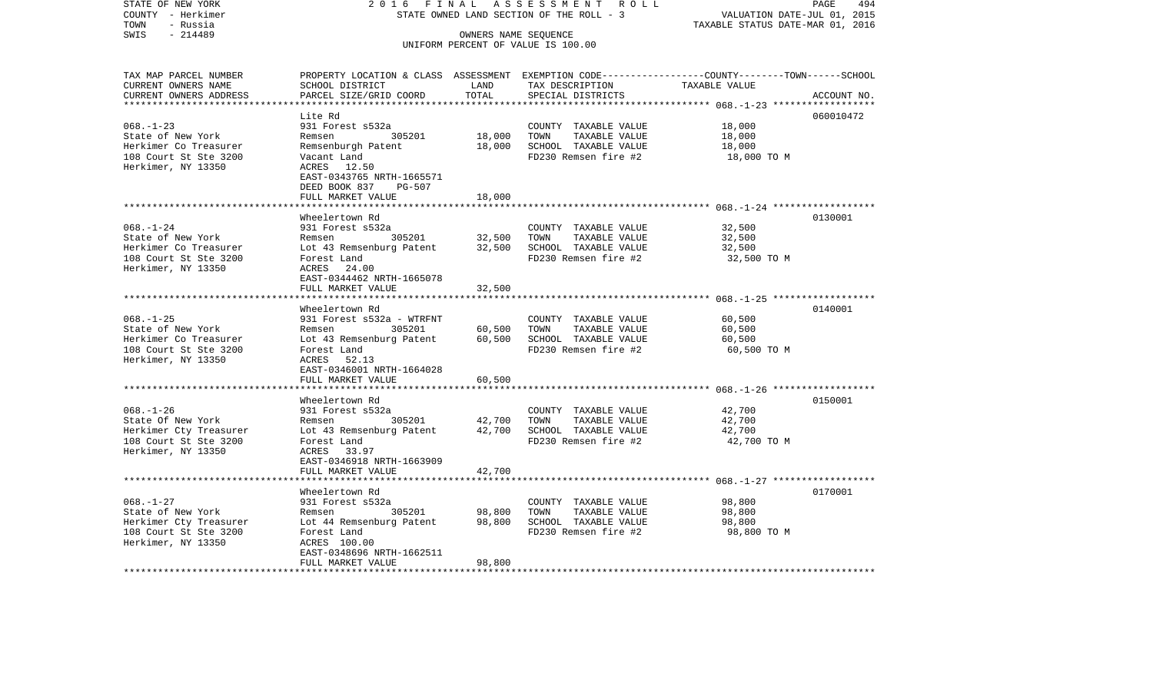| STATE OF NEW YORK<br>COUNTY - Herkimer                                   | 2016<br>FINAL<br>STATE OWNED LAND SECTION OF THE ROLL - 3 | A S S E S S M E N T R O L L<br>PAGE<br>494<br>VALUATION DATE-JUL 01, 2015 |                                                                                                 |             |             |
|--------------------------------------------------------------------------|-----------------------------------------------------------|---------------------------------------------------------------------------|-------------------------------------------------------------------------------------------------|-------------|-------------|
| TOWN<br>- Russia                                                         |                                                           | TAXABLE STATUS DATE-MAR 01, 2016                                          |                                                                                                 |             |             |
| $-214489$<br>SWIS                                                        |                                                           |                                                                           |                                                                                                 |             |             |
|                                                                          |                                                           |                                                                           | OWNERS NAME SEQUENCE<br>UNIFORM PERCENT OF VALUE IS 100.00                                      |             |             |
|                                                                          |                                                           |                                                                           |                                                                                                 |             |             |
|                                                                          |                                                           |                                                                           |                                                                                                 |             |             |
| TAX MAP PARCEL NUMBER                                                    |                                                           |                                                                           | PROPERTY LOCATION & CLASS ASSESSMENT EXEMPTION CODE---------------COUNTY-------TOWN------SCHOOL |             |             |
| CURRENT OWNERS NAME                                                      | SCHOOL DISTRICT                                           | LAND                                                                      | TAX DESCRIPTION TAXABLE VALUE                                                                   |             |             |
| CURRENT OWNERS ADDRESS<br>**************************                     | PARCEL SIZE/GRID COORD                                    | TOTAL                                                                     | SPECIAL DISTRICTS                                                                               |             | ACCOUNT NO. |
|                                                                          |                                                           |                                                                           |                                                                                                 |             |             |
|                                                                          | Lite Rd                                                   |                                                                           |                                                                                                 |             | 060010472   |
| $068. - 1 - 23$                                                          | 931 Forest s532a                                          |                                                                           | COUNTY TAXABLE VALUE                                                                            | 18,000      |             |
| State of New York                                                        | Remsen 305201                                             | 18,000                                                                    | TOWN TAXABLE VALUE                                                                              | 18,000      |             |
| Herkimer Co Treasurer                                                    | Remsenburgh Patent                                        | 18,000                                                                    | SCHOOL TAXABLE VALUE                                                                            | 18,000      |             |
| 108 Court St Ste 3200                                                    | Vacant Land                                               |                                                                           | FD230 Remsen fire #2                                                                            | 18,000 TO M |             |
| Herkimer, NY 13350                                                       | ACRES 12.50                                               |                                                                           |                                                                                                 |             |             |
|                                                                          | EAST-0343765 NRTH-1665571                                 |                                                                           |                                                                                                 |             |             |
|                                                                          | DEED BOOK 837 PG-507                                      |                                                                           |                                                                                                 |             |             |
|                                                                          | FULL MARKET VALUE                                         | 18,000                                                                    |                                                                                                 |             |             |
|                                                                          | Wheelertown Rd                                            |                                                                           |                                                                                                 |             | 0130001     |
| $068. - 1 - 24$                                                          | 931 Forest s532a                                          |                                                                           |                                                                                                 | 32,500      |             |
| State of New York                                                        | Remsen 305201                                             | 32,500                                                                    | COUNTY TAXABLE VALUE<br>TOWN<br>TAXABLE VALUE                                                   | 32,500      |             |
| Herkimer Co Treasurer                                                    | Lot 43 Remsenburg Patent 32,500 SCHOOL TAXABLE VALUE      |                                                                           |                                                                                                 | 32,500      |             |
| 108 Court St Ste 3200                                                    | Forest Land                                               |                                                                           | FD230 Remsen fire #2                                                                            |             |             |
| Herkimer, NY 13350                                                       | ACRES 24.00                                               |                                                                           |                                                                                                 | 32,500 TO M |             |
|                                                                          | EAST-0344462 NRTH-1665078                                 |                                                                           |                                                                                                 |             |             |
|                                                                          | FULL MARKET VALUE                                         | 32,500                                                                    |                                                                                                 |             |             |
|                                                                          |                                                           |                                                                           |                                                                                                 |             |             |
|                                                                          | Wheelertown Rd                                            |                                                                           |                                                                                                 |             | 0140001     |
| $068. - 1 - 25$                                                          | 931 Forest s532a - WTRFNT                                 |                                                                           | COUNTY TAXABLE VALUE                                                                            | 60,500      |             |
| State of New York                                                        | Remsen 305201                                             | 60,500                                                                    | TAXABLE VALUE<br>TOWN                                                                           | 60,500      |             |
| Herkimer Co Treasurer                                                    | Lot 43 Remsenburg Patent 60,500                           |                                                                           | SCHOOL TAXABLE VALUE                                                                            | 60,500      |             |
| 108 Court St Ste 3200                                                    | Forest Land                                               |                                                                           | FD230 Remsen fire #2                                                                            | 60,500 TO M |             |
| Herkimer, NY 13350                                                       | ACRES 52.13                                               |                                                                           |                                                                                                 |             |             |
|                                                                          | EAST-0346001 NRTH-1664028                                 |                                                                           |                                                                                                 |             |             |
|                                                                          | FULL MARKET VALUE                                         | 60,500                                                                    |                                                                                                 |             |             |
|                                                                          |                                                           |                                                                           |                                                                                                 |             |             |
|                                                                          | Wheelertown Rd                                            |                                                                           |                                                                                                 |             | 0150001     |
| $068. - 1 - 26$                                                          | 931 Forest s532a                                          |                                                                           | COUNTY TAXABLE VALUE                                                                            | 42,700      |             |
| State Of New York                                                        | Remsen 305201                                             | 42,700                                                                    | TOWN<br>TAXABLE VALUE                                                                           | 42,700      |             |
|                                                                          | Lot 43 Remsenburg Patent 42,700                           |                                                                           | SCHOOL TAXABLE VALUE                                                                            | 42,700      |             |
| Herkimer Cty Treasurer<br>108 Court St Ste 3200<br>108 Court St Ste 3200 | Forest Land                                               |                                                                           | FD230 Remsen fire #2                                                                            | 42,700 TO M |             |
| Herkimer, NY 13350                                                       | ACRES 33.97                                               |                                                                           |                                                                                                 |             |             |
|                                                                          | EAST-0346918 NRTH-1663909                                 |                                                                           |                                                                                                 |             |             |
|                                                                          | FULL MARKET VALUE                                         | 42,700                                                                    |                                                                                                 |             |             |
|                                                                          |                                                           |                                                                           |                                                                                                 |             |             |
|                                                                          | Wheelertown Rd                                            |                                                                           |                                                                                                 |             | 0170001     |
| $068. - 1 - 27$                                                          | 931 Forest s532a                                          |                                                                           | COUNTY TAXABLE VALUE                                                                            | 98,800      |             |
| State of New York                                                        | Remsen 305201                                             | 98,800                                                                    | TOWN<br>TAXABLE VALUE                                                                           | 98,800      |             |
|                                                                          | Lot 44 Remsenburg Patent 98,800                           |                                                                           | SCHOOL TAXABLE VALUE                                                                            | 98,800      |             |
| Herkimer Cty Treasurer<br>108 Court St Ste 3200                          | Forest Land                                               |                                                                           | FD230 Remsen fire #2                                                                            | 98,800 TO M |             |
| Herkimer, NY 13350                                                       | ACRES 100.00                                              |                                                                           |                                                                                                 |             |             |
|                                                                          | EAST-0348696 NRTH-1662511                                 |                                                                           |                                                                                                 |             |             |
|                                                                          | FULL MARKET VALUE                                         | 98,800                                                                    |                                                                                                 |             |             |
|                                                                          |                                                           |                                                                           |                                                                                                 |             |             |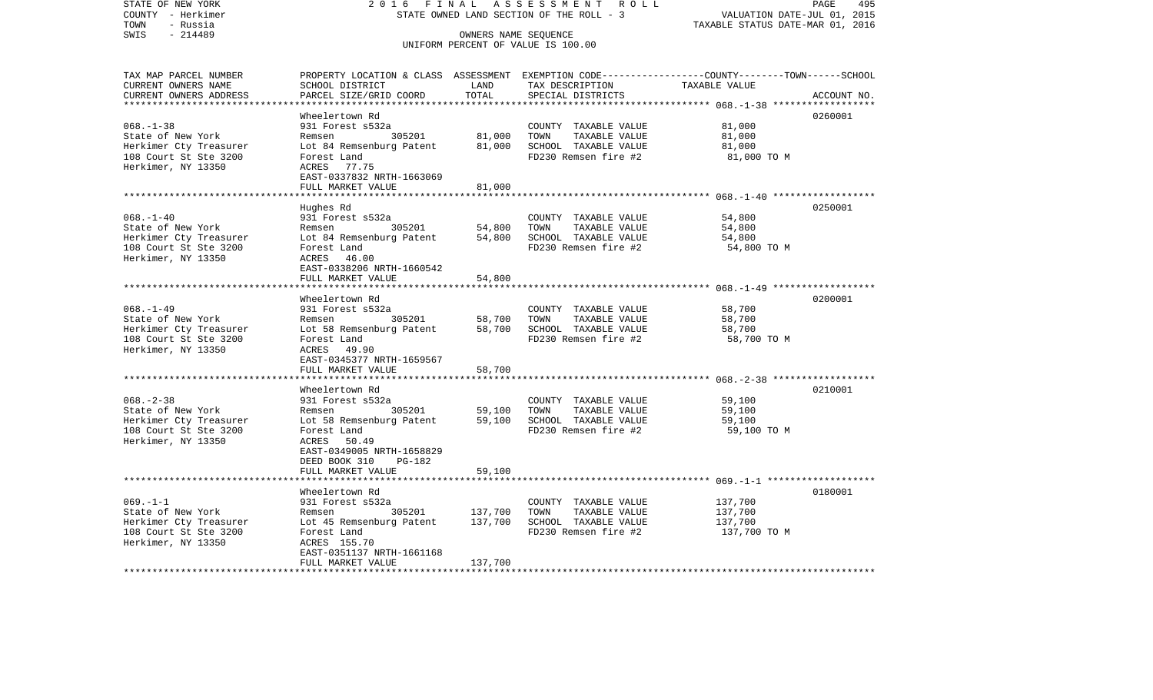| STATE OF NEW YORK                           | 2016<br>FINAL                                                                                  | ASSESSMENT ROLL<br>495<br>PAGE<br>VALUATION DATE-JUL 01, 2015 |                                               |                                                        |             |  |  |
|---------------------------------------------|------------------------------------------------------------------------------------------------|---------------------------------------------------------------|-----------------------------------------------|--------------------------------------------------------|-------------|--|--|
| COUNTY - Herkimer                           | STATE OWNED LAND SECTION OF THE ROLL - 3                                                       |                                                               |                                               |                                                        |             |  |  |
| TOWN<br>- Russia<br>$-214489$<br>SWIS       |                                                                                                |                                                               | OWNERS NAME SEQUENCE                          | TAXABLE STATUS DATE-MAR 01, 2016                       |             |  |  |
|                                             |                                                                                                |                                                               | UNIFORM PERCENT OF VALUE IS 100.00            |                                                        |             |  |  |
|                                             |                                                                                                |                                                               |                                               |                                                        |             |  |  |
| TAX MAP PARCEL NUMBER                       | PROPERTY LOCATION & CLASS ASSESSMENT EXEMPTION CODE---------------COUNTY-------TOWN-----SCHOOL |                                                               |                                               |                                                        |             |  |  |
| CURRENT OWNERS NAME                         | SCHOOL DISTRICT                                                                                | LAND                                                          | TAX DESCRIPTION                               | TAXABLE VALUE                                          |             |  |  |
| CURRENT OWNERS ADDRESS                      | PARCEL SIZE/GRID COORD                                                                         | TOTAL                                                         | SPECIAL DISTRICTS                             |                                                        | ACCOUNT NO. |  |  |
| ***********************                     |                                                                                                |                                                               |                                               |                                                        |             |  |  |
|                                             | Wheelertown Rd                                                                                 |                                                               |                                               |                                                        | 0260001     |  |  |
| $068. - 1 - 38$                             | 931 Forest s532a                                                                               |                                                               | COUNTY TAXABLE VALUE                          | 81,000                                                 |             |  |  |
| State of New York                           | Remsen<br>305201                                                                               | 81,000                                                        | TOWN<br>TAXABLE VALUE                         | 81,000                                                 |             |  |  |
| Herkimer Cty Treasurer                      | Lot 84 Remsenburg Patent                                                                       | 81,000                                                        | SCHOOL TAXABLE VALUE                          | 81,000                                                 |             |  |  |
| 108 Court St Ste 3200                       | Forest Land                                                                                    |                                                               | FD230 Remsen fire #2                          | 81,000 TO M                                            |             |  |  |
| Herkimer, NY 13350                          | ACRES 77.75                                                                                    |                                                               |                                               |                                                        |             |  |  |
|                                             | EAST-0337832 NRTH-1663069                                                                      |                                                               |                                               |                                                        |             |  |  |
|                                             | FULL MARKET VALUE                                                                              | 81,000                                                        |                                               |                                                        |             |  |  |
|                                             |                                                                                                |                                                               |                                               | ************************ 068.-1-40 ******************* |             |  |  |
|                                             | Hughes Rd                                                                                      |                                                               |                                               |                                                        | 0250001     |  |  |
| $068. - 1 - 40$                             | 931 Forest s532a                                                                               |                                                               | COUNTY TAXABLE VALUE                          | 54,800                                                 |             |  |  |
| State of New York                           | 305201<br>Remsen                                                                               | 54,800                                                        | TOWN<br>TAXABLE VALUE                         | 54,800                                                 |             |  |  |
| Herkimer Cty Treasurer                      | Lot 84 Remsenburg Patent                                                                       | 54,800                                                        | SCHOOL TAXABLE VALUE                          | 54,800                                                 |             |  |  |
| 108 Court St Ste 3200                       | Forest Land                                                                                    |                                                               | FD230 Remsen fire #2                          | 54,800 TO M                                            |             |  |  |
| Herkimer, NY 13350                          | ACRES 46.00                                                                                    |                                                               |                                               |                                                        |             |  |  |
|                                             | EAST-0338206 NRTH-1660542                                                                      |                                                               |                                               |                                                        |             |  |  |
|                                             | FULL MARKET VALUE                                                                              | 54,800                                                        |                                               |                                                        |             |  |  |
|                                             |                                                                                                |                                                               |                                               |                                                        |             |  |  |
|                                             | Wheelertown Rd                                                                                 |                                                               |                                               |                                                        | 0200001     |  |  |
| $068. - 1 - 49$                             | 931 Forest s532a                                                                               |                                                               | COUNTY TAXABLE VALUE                          | 58,700                                                 |             |  |  |
| State of New York<br>Herkimer Cty Treasurer | 305201<br>Remsen<br>Lot 58 Remsenburg Patent                                                   | 58,700<br>58,700                                              | TOWN<br>TAXABLE VALUE<br>SCHOOL TAXABLE VALUE | 58,700<br>58,700                                       |             |  |  |
| 108 Court St Ste 3200                       | Forest Land                                                                                    |                                                               | FD230 Remsen fire #2                          | 58,700 TO M                                            |             |  |  |
| Herkimer, NY 13350                          | ACRES 49.90                                                                                    |                                                               |                                               |                                                        |             |  |  |
|                                             | EAST-0345377 NRTH-1659567                                                                      |                                                               |                                               |                                                        |             |  |  |
|                                             | FULL MARKET VALUE                                                                              | 58,700                                                        |                                               |                                                        |             |  |  |
|                                             |                                                                                                |                                                               |                                               |                                                        |             |  |  |
|                                             | Wheelertown Rd                                                                                 |                                                               |                                               |                                                        | 0210001     |  |  |
| $068. - 2 - 38$                             | 931 Forest s532a                                                                               |                                                               | COUNTY TAXABLE VALUE                          | 59,100                                                 |             |  |  |
| State of New York                           | 305201<br>Remsen                                                                               | 59,100                                                        | TOWN<br>TAXABLE VALUE                         | 59,100                                                 |             |  |  |
| Herkimer Cty Treasurer                      | Lot 58 Remsenburg Patent                                                                       | 59,100                                                        | SCHOOL TAXABLE VALUE                          | 59,100                                                 |             |  |  |
| 108 Court St Ste 3200                       | Forest Land                                                                                    |                                                               | FD230 Remsen fire #2                          | 59,100 TO M                                            |             |  |  |
| Herkimer, NY 13350                          | ACRES<br>50.49                                                                                 |                                                               |                                               |                                                        |             |  |  |
|                                             | EAST-0349005 NRTH-1658829                                                                      |                                                               |                                               |                                                        |             |  |  |
|                                             | DEED BOOK 310<br>PG-182                                                                        |                                                               |                                               |                                                        |             |  |  |
|                                             | FULL MARKET VALUE                                                                              | 59,100                                                        |                                               |                                                        |             |  |  |
|                                             |                                                                                                |                                                               |                                               |                                                        |             |  |  |
|                                             | Wheelertown Rd                                                                                 |                                                               |                                               |                                                        | 0180001     |  |  |
| $069. -1 -1$                                | 931 Forest s532a                                                                               |                                                               | COUNTY TAXABLE VALUE                          | 137,700                                                |             |  |  |
| State of New York                           | 305201<br>Remsen                                                                               | 137,700                                                       | TOWN<br>TAXABLE VALUE                         | 137,700                                                |             |  |  |
| Herkimer Cty Treasurer                      | Lot 45 Remsenburg Patent                                                                       | 137,700                                                       | SCHOOL TAXABLE VALUE                          | 137,700                                                |             |  |  |
| 108 Court St Ste 3200                       | Forest Land                                                                                    |                                                               | FD230 Remsen fire #2                          | 137,700 TO M                                           |             |  |  |
| Herkimer, NY 13350                          | ACRES 155.70                                                                                   |                                                               |                                               |                                                        |             |  |  |
|                                             | EAST-0351137 NRTH-1661168                                                                      |                                                               |                                               |                                                        |             |  |  |
|                                             | FULL MARKET VALUE                                                                              | 137,700                                                       |                                               |                                                        |             |  |  |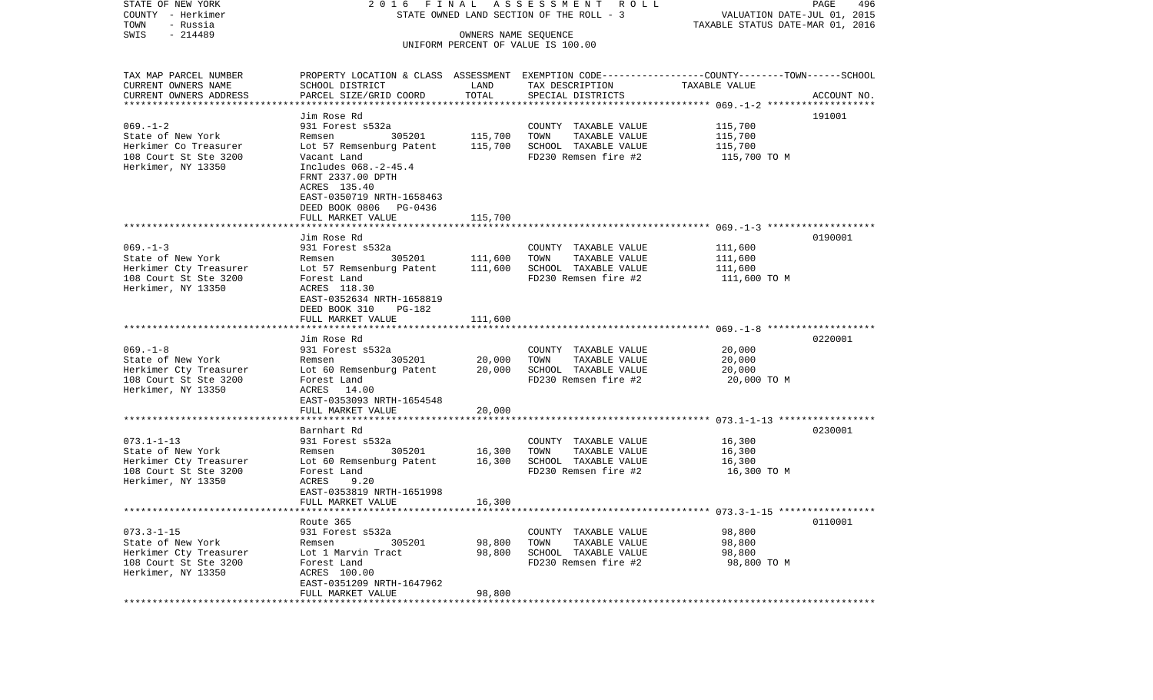| STATE OF NEW YORK<br>COUNTY - Herkimer | FINAL<br>2016<br>STATE OWNED LAND SECTION OF THE ROLL - 3                                       | A S S E S S M E N T R O L L<br>PAGE<br>496<br>VALUATION DATE-JUL 01, 2015 |                                               |                    |             |
|----------------------------------------|-------------------------------------------------------------------------------------------------|---------------------------------------------------------------------------|-----------------------------------------------|--------------------|-------------|
| TOWN<br>- Russia                       |                                                                                                 | TAXABLE STATUS DATE-MAR 01, 2016                                          |                                               |                    |             |
| $-214489$<br>SWIS                      |                                                                                                 |                                                                           |                                               |                    |             |
|                                        |                                                                                                 | OWNERS NAME SEQUENCE                                                      | UNIFORM PERCENT OF VALUE IS 100.00            |                    |             |
| TAX MAP PARCEL NUMBER                  | PROPERTY LOCATION & CLASS ASSESSMENT EXEMPTION CODE---------------COUNTY-------TOWN------SCHOOL |                                                                           |                                               |                    |             |
| CURRENT OWNERS NAME                    | SCHOOL DISTRICT                                                                                 | LAND                                                                      | TAX DESCRIPTION                               | TAXABLE VALUE      |             |
| CURRENT OWNERS ADDRESS                 | PARCEL SIZE/GRID COORD                                                                          | TOTAL                                                                     | SPECIAL DISTRICTS                             |                    | ACCOUNT NO. |
| *************************              |                                                                                                 |                                                                           |                                               |                    |             |
|                                        | Jim Rose Rd                                                                                     |                                                                           |                                               |                    | 191001      |
| $069. - 1 - 2$<br>State of New York    | 931 Forest s532a<br>305201<br>Remsen                                                            | 115,700                                                                   | COUNTY TAXABLE VALUE<br>TOWN<br>TAXABLE VALUE | 115,700<br>115,700 |             |
| Herkimer Co Treasurer                  | Lot 57 Remsenburg Patent                                                                        | 115,700                                                                   | SCHOOL TAXABLE VALUE                          | 115,700            |             |
| 108 Court St Ste 3200                  | Vacant Land                                                                                     |                                                                           | FD230 Remsen fire #2                          | 115,700 TO M       |             |
| Herkimer, NY 13350                     | Includes 068.-2-45.4<br>FRNT 2337.00 DPTH<br>ACRES 135.40                                       |                                                                           |                                               |                    |             |
|                                        | EAST-0350719 NRTH-1658463<br>DEED BOOK 0806 PG-0436                                             |                                                                           |                                               |                    |             |
|                                        | FULL MARKET VALUE                                                                               | 115,700                                                                   |                                               |                    |             |
|                                        | Jim Rose Rd                                                                                     |                                                                           |                                               |                    | 0190001     |
| $069. -1 - 3$                          | 931 Forest s532a                                                                                |                                                                           | COUNTY TAXABLE VALUE                          | 111,600            |             |
| State of New York                      | 305201<br>Remsen                                                                                | 111,600                                                                   | TOWN<br>TAXABLE VALUE                         | 111,600            |             |
| Herkimer Cty Treasurer                 | Lot 57 Remsenburg Patent                                                                        | 111,600                                                                   | SCHOOL TAXABLE VALUE                          | 111,600            |             |
| 108 Court St Ste 3200                  | Forest Land                                                                                     |                                                                           | FD230 Remsen fire #2                          | 111,600 TO M       |             |
| Herkimer, NY 13350                     | ACRES 118.30<br>EAST-0352634 NRTH-1658819<br>DEED BOOK 310<br>PG-182                            |                                                                           |                                               |                    |             |
|                                        | FULL MARKET VALUE                                                                               | 111,600                                                                   |                                               |                    |             |
|                                        |                                                                                                 |                                                                           |                                               |                    |             |
| $069. -1 - 8$                          | Jim Rose Rd                                                                                     |                                                                           |                                               |                    | 0220001     |
| State of New York                      | 931 Forest s532a<br>305201<br>Remsen                                                            | 20,000                                                                    | COUNTY TAXABLE VALUE<br>TAXABLE VALUE<br>TOWN | 20,000<br>20,000   |             |
| Herkimer Cty Treasurer                 | Lot 60 Remsenburg Patent                                                                        | 20,000                                                                    | SCHOOL TAXABLE VALUE                          | 20,000             |             |
| 108 Court St Ste 3200                  | Forest Land                                                                                     |                                                                           | FD230 Remsen fire #2                          | 20,000 TO M        |             |
| Herkimer, NY 13350                     | ACRES 14.00<br>EAST-0353093 NRTH-1654548                                                        |                                                                           |                                               |                    |             |
|                                        | FULL MARKET VALUE                                                                               | 20,000                                                                    |                                               |                    |             |
|                                        | ************************                                                                        |                                                                           |                                               |                    |             |
|                                        | Barnhart Rd                                                                                     |                                                                           |                                               |                    | 0230001     |
| $073.1 - 1 - 13$                       | 931 Forest s532a                                                                                |                                                                           | COUNTY TAXABLE VALUE                          | 16,300             |             |
| State of New York                      | Remsen<br>305201                                                                                | 16,300                                                                    | TOWN<br>TAXABLE VALUE                         | 16,300             |             |
| Herkimer Cty Treasurer                 | Lot 60 Remsenburg Patent                                                                        | 16,300                                                                    | SCHOOL TAXABLE VALUE                          | 16,300             |             |
| 108 Court St Ste 3200                  | Forest Land                                                                                     |                                                                           | FD230 Remsen fire #2                          | 16,300 TO M        |             |
| Herkimer, NY 13350                     | ACRES<br>9.20                                                                                   |                                                                           |                                               |                    |             |
|                                        | EAST-0353819 NRTH-1651998<br>FULL MARKET VALUE                                                  | 16,300                                                                    |                                               |                    |             |
|                                        |                                                                                                 |                                                                           |                                               |                    |             |
|                                        | Route 365                                                                                       |                                                                           |                                               |                    | 0110001     |
| $073.3 - 1 - 15$                       | 931 Forest s532a                                                                                |                                                                           | COUNTY TAXABLE VALUE                          | 98,800             |             |
| State of New York                      | 305201<br>Remsen                                                                                | 98,800                                                                    | TOWN<br>TAXABLE VALUE                         | 98,800             |             |
| Herkimer Cty Treasurer                 | Lot 1 Marvin Tract                                                                              | 98,800                                                                    | SCHOOL TAXABLE VALUE                          | 98,800             |             |
| 108 Court St Ste 3200                  | Forest Land                                                                                     |                                                                           | FD230 Remsen fire #2                          | 98,800 TO M        |             |
| Herkimer, NY 13350                     | ACRES 100.00                                                                                    |                                                                           |                                               |                    |             |
|                                        | EAST-0351209 NRTH-1647962                                                                       |                                                                           |                                               |                    |             |
|                                        | FULL MARKET VALUE                                                                               | 98,800                                                                    |                                               |                    |             |
|                                        |                                                                                                 |                                                                           |                                               |                    |             |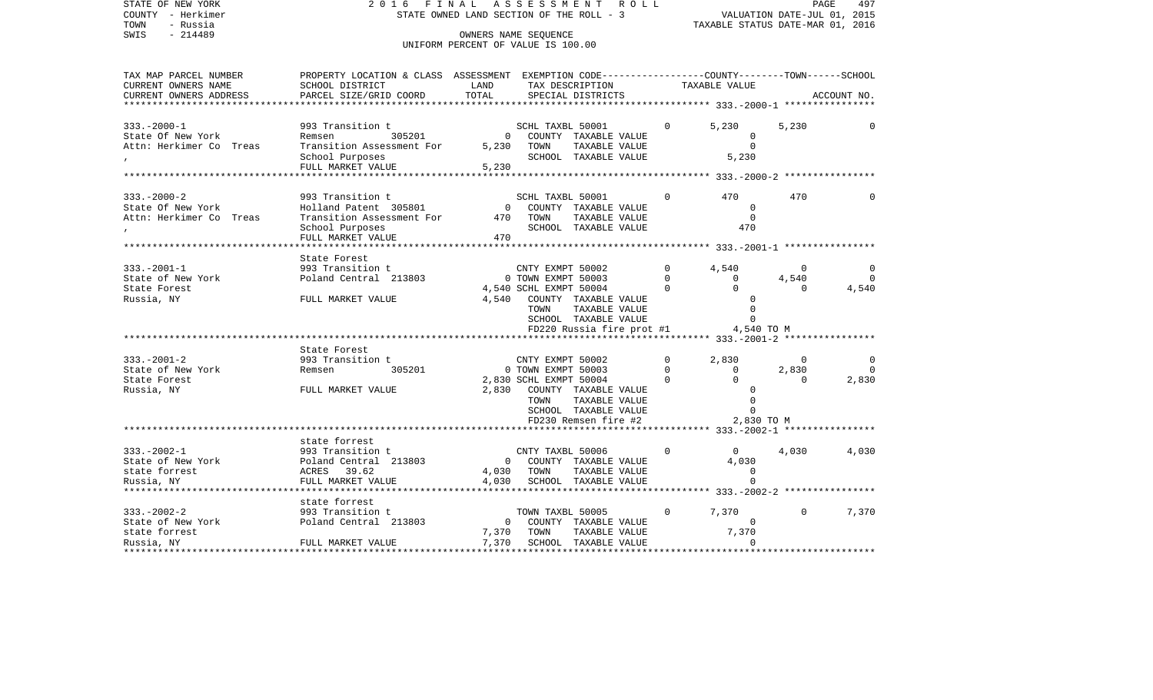| STATE OF NEW YORK<br>COUNTY - Herkimer            | FINAL<br>2016<br>STATE OWNED LAND SECTION OF THE ROLL - 3                                        | R O L L        |                                                      | VALUATION DATE-JUL 01, 2015 | PAGE<br>497                       |              |             |
|---------------------------------------------------|--------------------------------------------------------------------------------------------------|----------------|------------------------------------------------------|-----------------------------|-----------------------------------|--------------|-------------|
| TOWN<br>- Russia                                  |                                                                                                  |                | TAXABLE STATUS DATE-MAR 01, 2016                     |                             |                                   |              |             |
| $-214489$<br>SWIS                                 |                                                                                                  |                | OWNERS NAME SEQUENCE                                 |                             |                                   |              |             |
|                                                   |                                                                                                  |                | UNIFORM PERCENT OF VALUE IS 100.00                   |                             |                                   |              |             |
| TAX MAP PARCEL NUMBER                             | PROPERTY LOCATION & CLASS ASSESSMENT EXEMPTION CODE----------------COUNTY-------TOWN------SCHOOL |                |                                                      |                             |                                   |              |             |
| CURRENT OWNERS NAME                               | SCHOOL DISTRICT                                                                                  | LAND           | TAX DESCRIPTION                                      |                             | TAXABLE VALUE                     |              |             |
| CURRENT OWNERS ADDRESS<br>*********************** | PARCEL SIZE/GRID COORD                                                                           | TOTAL          | SPECIAL DISTRICTS                                    |                             |                                   |              | ACCOUNT NO. |
|                                                   |                                                                                                  |                |                                                      |                             |                                   |              |             |
| $333. - 2000 - 1$                                 | 993 Transition t                                                                                 |                | SCHL TAXBL 50001                                     | $\Omega$                    | 5,230                             | 5,230        |             |
| State Of New York                                 | 305201<br>Remsen                                                                                 | $\overline{0}$ | COUNTY TAXABLE VALUE                                 |                             | $\mathbf 0$                       |              |             |
| Attn: Herkimer Co Treas                           | Transition Assessment For                                                                        | 5,230          | TOWN<br>TAXABLE VALUE                                |                             | $\Omega$                          |              |             |
|                                                   | School Purposes                                                                                  |                | SCHOOL TAXABLE VALUE                                 |                             | 5,230                             |              |             |
|                                                   | FULL MARKET VALUE                                                                                | 5,230          |                                                      |                             |                                   |              |             |
|                                                   |                                                                                                  |                |                                                      |                             |                                   |              |             |
| $333. - 2000 - 2$                                 | 993 Transition t                                                                                 |                | SCHL TAXBL 50001                                     | $\Omega$                    | 470                               | 470          | $\Omega$    |
| State Of New York                                 | Holland Patent 305801                                                                            |                | 0 COUNTY TAXABLE VALUE                               |                             | $\Omega$                          |              |             |
| Attn: Herkimer Co Treas                           | Transition Assessment For                                                                        | 470            | TAXABLE VALUE<br>TOWN                                |                             | $\overline{0}$                    |              |             |
|                                                   | School Purposes                                                                                  |                | SCHOOL TAXABLE VALUE                                 |                             | 470                               |              |             |
|                                                   | FULL MARKET VALUE                                                                                | 470            |                                                      |                             |                                   |              |             |
|                                                   | **********************                                                                           |                |                                                      |                             |                                   |              |             |
|                                                   | State Forest                                                                                     |                |                                                      |                             |                                   |              |             |
| $333. - 2001 - 1$                                 | 993 Transition t                                                                                 |                | CNTY EXMPT 50002                                     | $\Omega$<br>$\Omega$        | 4,540                             | $\Omega$     |             |
| State of New York                                 | Poland Central 213803                                                                            |                | 0 TOWN EXMPT 50003                                   | $\Omega$                    | $\mathbf{0}$<br>$\Omega$          | 4,540        | $\Omega$    |
| State Forest<br>Russia, NY                        | FULL MARKET VALUE                                                                                |                | 4,540 SCHL EXMPT 50004<br>4,540 COUNTY TAXABLE VALUE |                             |                                   |              | 4,540       |
|                                                   |                                                                                                  |                | TOWN<br>TAXABLE VALUE                                |                             | $\Omega$                          |              |             |
|                                                   |                                                                                                  |                | SCHOOL TAXABLE VALUE                                 |                             | $\Omega$                          |              |             |
|                                                   |                                                                                                  |                | FD220 Russia fire prot #1                            |                             | 4,540 TO M                        |              |             |
|                                                   |                                                                                                  |                |                                                      |                             |                                   |              |             |
|                                                   | State Forest                                                                                     |                |                                                      |                             |                                   |              |             |
| $333 - 2001 - 2$                                  | 993 Transition t                                                                                 |                | CNTY EXMPT 50002                                     | $\Omega$                    | 2,830                             | $\Omega$     | $\Omega$    |
| State of New York                                 | 305201<br>Remsen                                                                                 |                | 0 TOWN EXMPT 50003                                   | $\mathbf 0$                 | $\circ$                           | 2,830        | $\Omega$    |
| State Forest                                      |                                                                                                  |                | 2,830 SCHL EXMPT 50004                               | 0                           | $\overline{0}$                    | $\Omega$     | 2,830       |
| Russia, NY                                        | FULL MARKET VALUE                                                                                | 2,830          | COUNTY TAXABLE VALUE                                 |                             | $\Omega$                          |              |             |
|                                                   |                                                                                                  |                | TOWN<br>TAXABLE VALUE                                |                             | $\Omega$                          |              |             |
|                                                   |                                                                                                  |                | SCHOOL TAXABLE VALUE                                 |                             |                                   |              |             |
|                                                   |                                                                                                  |                | FD230 Remsen fire #2                                 |                             | 2,830 TO M                        |              |             |
|                                                   |                                                                                                  |                |                                                      |                             |                                   |              |             |
| $333 - 2002 - 1$                                  | state forrest                                                                                    |                |                                                      | $\Omega$                    | $\overline{0}$                    | 4,030        |             |
| State of New York                                 | 993 Transition t<br>Poland Central 213803                                                        | $\overline{0}$ | CNTY TAXBL 50006<br>COUNTY TAXABLE VALUE             |                             | 4,030                             |              | 4,030       |
| state forrest                                     | ACRES 39.62                                                                                      | 4,030          | TOWN<br>TAXABLE VALUE                                |                             | $\mathbf 0$                       |              |             |
| Russia, NY                                        | FULL MARKET VALUE                                                                                | 4,030          | SCHOOL TAXABLE VALUE                                 |                             | $\Omega$                          |              |             |
|                                                   |                                                                                                  |                |                                                      |                             | ******* 333.-2002-2 ************* |              |             |
|                                                   | state forrest                                                                                    |                |                                                      |                             |                                   |              |             |
| $333 - 2002 - 2$                                  | 993 Transition t                                                                                 |                | TOWN TAXBL 50005                                     | 0                           | 7,370                             | $\mathbf{0}$ | 7,370       |
| State of New York                                 | Poland Central 213803                                                                            | $\overline{0}$ | COUNTY TAXABLE VALUE                                 |                             | $\Omega$                          |              |             |
| state forrest                                     |                                                                                                  | 7,370          | TOWN<br>TAXABLE VALUE                                |                             | 7,370                             |              |             |
| Russia, NY                                        | FULL MARKET VALUE                                                                                | 7,370          | SCHOOL TAXABLE VALUE                                 |                             |                                   |              |             |
|                                                   |                                                                                                  |                |                                                      |                             |                                   |              |             |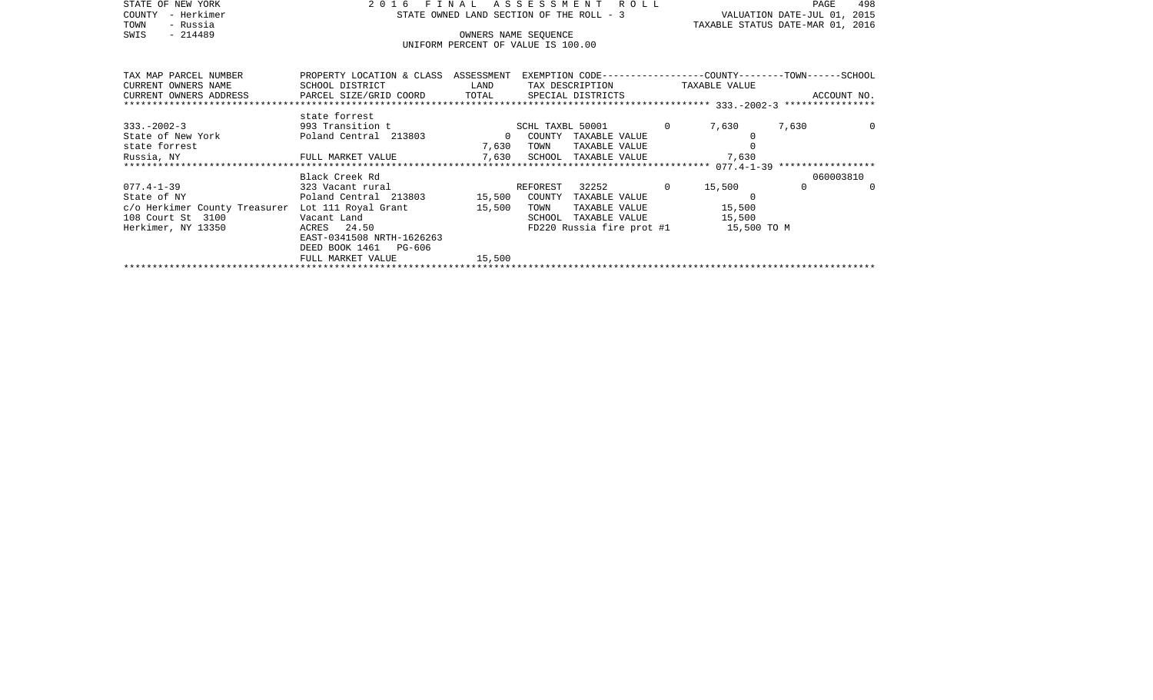| STATE OF NEW YORK                                                             | 2016<br>FINAL                                                                                                  | A S S E S S M E N T A O L L |                                                            | PAGE<br>498                                                          |        |                                  |  |
|-------------------------------------------------------------------------------|----------------------------------------------------------------------------------------------------------------|-----------------------------|------------------------------------------------------------|----------------------------------------------------------------------|--------|----------------------------------|--|
| - Herkimer<br>COUNTY                                                          |                                                                                                                |                             |                                                            | STATE OWNED LAND SECTION OF THE ROLL - 3 WALUATION DATE-JUL 01, 2015 |        |                                  |  |
| - Russia<br>TOWN                                                              |                                                                                                                |                             |                                                            |                                                                      |        | TAXABLE STATUS DATE-MAR 01, 2016 |  |
| - 214489<br>SWIS                                                              |                                                                                                                |                             | OWNERS NAME SEOUENCE<br>UNIFORM PERCENT OF VALUE IS 100.00 |                                                                      |        |                                  |  |
|                                                                               |                                                                                                                |                             |                                                            |                                                                      |        |                                  |  |
|                                                                               |                                                                                                                |                             |                                                            |                                                                      |        |                                  |  |
| TAX MAP PARCEL NUMBER                                                         | PROPERTY LOCATION & CLASS ASSESSMENT EXEMPTION CODE----------------COUNTY-------TOWN------SCHOOL               |                             |                                                            |                                                                      |        |                                  |  |
| CURRENT OWNERS NAME                                                           | SCHOOL DISTRICT                                                                                                | LAND                        | TAX DESCRIPTION TAXABLE VALUE                              |                                                                      |        |                                  |  |
| CURRENT OWNERS ADDRESS <b>DEARCEL SIZE/GRID COORD</b> TOTAL SPECIAL DISTRICTS |                                                                                                                |                             |                                                            |                                                                      |        | ACCOUNT NO.                      |  |
|                                                                               |                                                                                                                |                             |                                                            |                                                                      |        |                                  |  |
|                                                                               | state forrest                                                                                                  |                             |                                                            |                                                                      |        |                                  |  |
| $333. - 2002 - 3$                                                             | 993 Transition t 6000 SCHL TAXBL 50001                                                                         |                             |                                                            |                                                                      | 7,630  | 7,630<br>0                       |  |
| State of New York [1980] Poland Central 213803                                |                                                                                                                | $\sim$ 0                    | COUNTY TAXABLE VALUE                                       |                                                                      |        |                                  |  |
| state forrest<br>Russia, NY                                                   |                                                                                                                | 7,630                       | TOWN<br>TAXABLE VALUE                                      |                                                                      | 7,630  |                                  |  |
|                                                                               | FULL MARKET VALUE 7,630                                                                                        |                             | SCHOOL TAXABLE VALUE                                       |                                                                      |        |                                  |  |
|                                                                               | Black Creek Rd                                                                                                 |                             |                                                            |                                                                      |        | 060003810                        |  |
| $077.4 - 1 - 39$                                                              | 323 Vacant rural the control of the control of the control of the control of the control of the control of the |                             | REFOREST 32252 0                                           |                                                                      | 15,500 | $\Omega$                         |  |
| State of NY                                                                   | Poland Central 213803 15,500                                                                                   |                             | COUNTY TAXABLE VALUE                                       |                                                                      |        |                                  |  |
| c/o Herkimer County Treasurer                                                 | Lot 111 Royal Grant                                                                                            | 15,500                      | TAXABLE VALUE<br>TOWN                                      |                                                                      | 15,500 |                                  |  |
| 108 Court St 3100                                                             | Vacant Land                                                                                                    |                             | TAXABLE VALUE<br>SCHOOL                                    |                                                                      | 15,500 |                                  |  |
| Herkimer, NY 13350                                                            | ACRES 24.50                                                                                                    |                             | FD220 Russia fire prot #1 15,500 TO M                      |                                                                      |        |                                  |  |
|                                                                               | EAST-0341508 NRTH-1626263                                                                                      |                             |                                                            |                                                                      |        |                                  |  |
|                                                                               | DEED BOOK 1461 PG-606                                                                                          |                             |                                                            |                                                                      |        |                                  |  |
|                                                                               | FULL MARKET VALUE                                                                                              | 15,500                      |                                                            |                                                                      |        |                                  |  |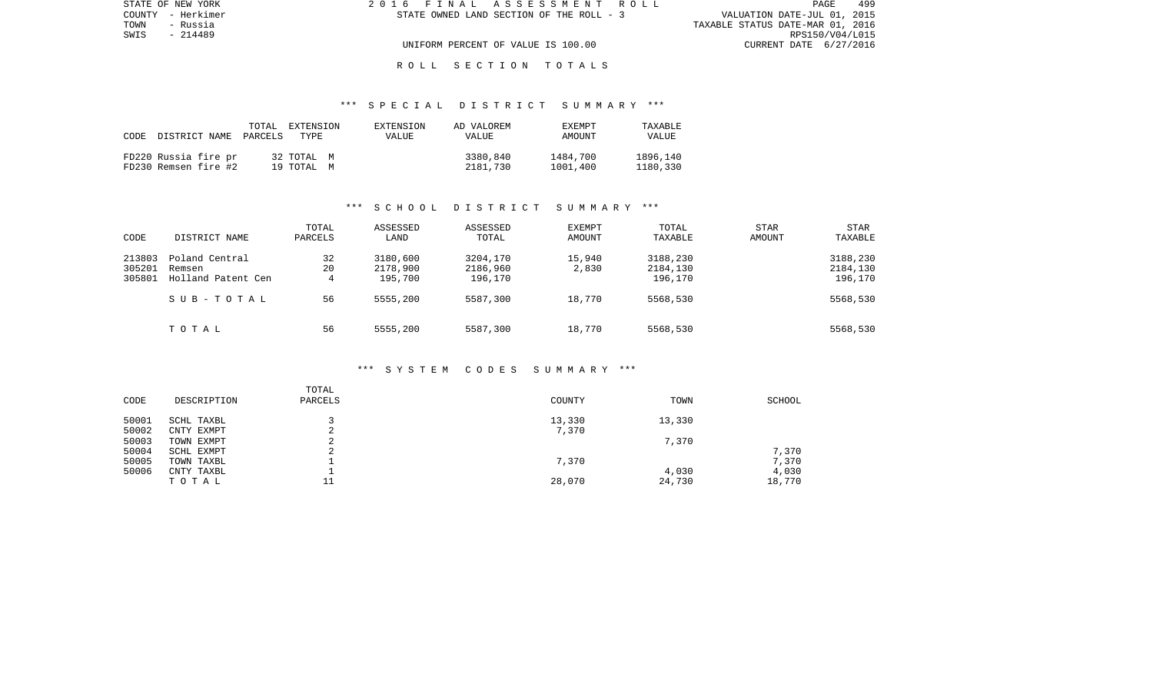| STATE OF NEW YORK | 2016 FINAL ASSESSMENT ROLL               | 499<br>PAGE                      |
|-------------------|------------------------------------------|----------------------------------|
| COUNTY - Herkimer | STATE OWNED LAND SECTION OF THE ROLL - 3 | VALUATION DATE-JUL 01, 2015      |
| TOWN<br>- Russia  |                                          | TAXABLE STATUS DATE-MAR 01, 2016 |
| SWIS<br>- 214489  |                                          | RPS150/V04/L015                  |
|                   | UNIFORM PERCENT OF VALUE IS 100.00       | CURRENT DATE 6/27/2016           |
|                   |                                          |                                  |

## \*\*\* S P E C I A L D I S T R I C T S U M M A R Y \*\*\*

| CODE | DISTRICT NAME PARCELS                        | TOTAL | EXTENSION<br>TYPE.       | EXTENSION<br>VALUE | AD VALOREM<br>VALUE  | EXEMPT<br>AMOUNT     | TAXABLE<br><b>VALUE</b> |
|------|----------------------------------------------|-------|--------------------------|--------------------|----------------------|----------------------|-------------------------|
|      | FD220 Russia fire pr<br>FD230 Remsen fire #2 |       | 32 TOTAL M<br>19 TOTAL M |                    | 3380,840<br>2181,730 | 1484,700<br>1001,400 | 1896,140<br>1180,330    |

## \*\*\* S C H O O L D I S T R I C T S U M M A R Y \*\*\*

| CODE                       | DISTRICT NAME                                  | TOTAL<br>PARCELS | ASSESSED<br>LAND                | ASSESSED<br>TOTAL               | <b>EXEMPT</b><br>AMOUNT | TOTAL<br>TAXABLE                | <b>STAR</b><br>AMOUNT | STAR<br>TAXABLE                 |
|----------------------------|------------------------------------------------|------------------|---------------------------------|---------------------------------|-------------------------|---------------------------------|-----------------------|---------------------------------|
| 213803<br>305201<br>305801 | Poland Central<br>Remsen<br>Holland Patent Cen | 32<br>20<br>4    | 3180,600<br>2178,900<br>195,700 | 3204,170<br>2186,960<br>196,170 | 15,940<br>2,830         | 3188,230<br>2184,130<br>196,170 |                       | 3188,230<br>2184,130<br>196,170 |
|                            | SUB-TOTAL                                      | 56               | 5555,200                        | 5587,300                        | 18,770                  | 5568,530                        |                       | 5568,530                        |
|                            | TOTAL                                          | 56               | 5555,200                        | 5587,300                        | 18,770                  | 5568,530                        |                       | 5568,530                        |

#### \*\*\* S Y S T E M C O D E S S U M M A R Y \*\*\*

| DESCRIPTION | TOTAL<br>PARCELS | COUNTY | TOWN   | SCHOOL |
|-------------|------------------|--------|--------|--------|
| SCHL TAXBL  |                  | 13,330 | 13,330 |        |
| CNTY EXMPT  |                  | 7,370  |        |        |
| TOWN EXMPT  | ⌒<br>▵           |        | 7,370  |        |
| SCHL EXMPT  | $\sim$           |        |        | 7,370  |
| TOWN TAXBL  |                  | 7,370  |        | 7,370  |
| CNTY TAXBL  |                  |        | 4,030  | 4,030  |
| TOTAL       | ᆂᆂ               | 28,070 | 24,730 | 18,770 |
|             |                  |        |        |        |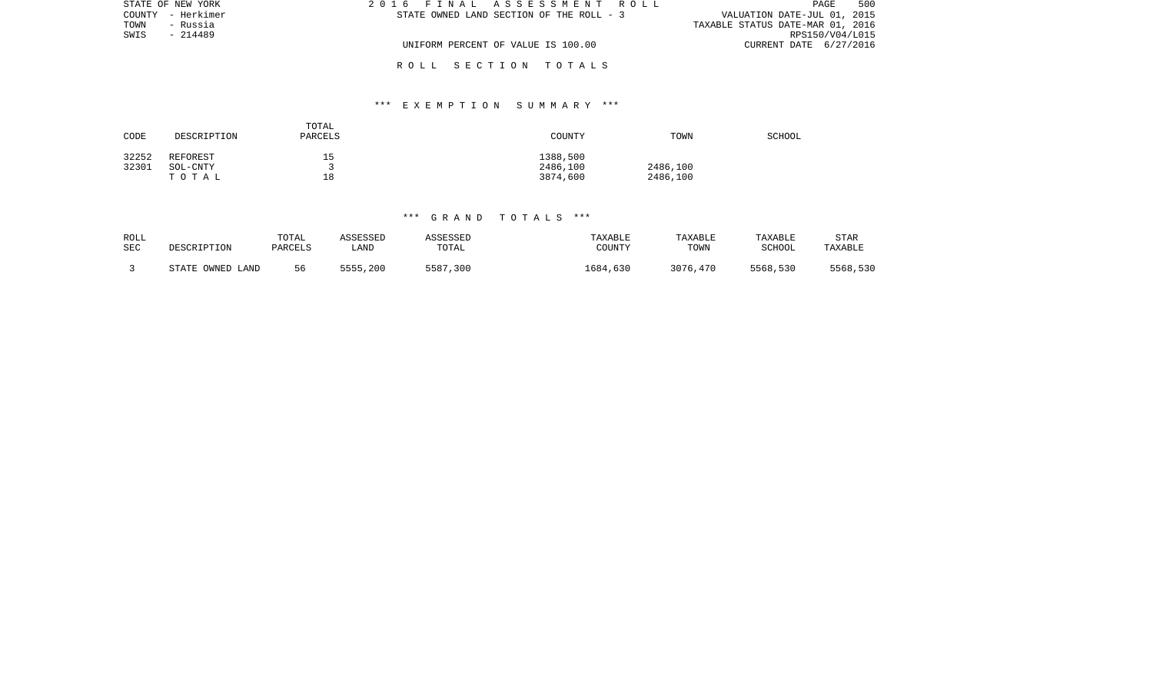| STATE OF NEW YORK | 2016 FINAL ASSESSMENT ROLL               | 500<br>PAGE                      |
|-------------------|------------------------------------------|----------------------------------|
| COUNTY - Herkimer | STATE OWNED LAND SECTION OF THE ROLL - 3 | VALUATION DATE-JUL 01, 2015      |
| TOWN<br>- Russia  |                                          | TAXABLE STATUS DATE-MAR 01, 2016 |
| SWIS<br>- 214489  |                                          | RPS150/V04/L015                  |
|                   | UNIFORM PERCENT OF VALUE IS 100.00       | CURRENT DATE 6/27/2016           |
|                   |                                          |                                  |

# \*\*\* E X E M P T I O N S U M M A R Y \*\*\*

| CODE  | DESCRIPTION | TOTAL<br>PARCELS | COUNTY   | TOWN     | <b>SCHOOL</b> |
|-------|-------------|------------------|----------|----------|---------------|
| 32252 | REFOREST    | 15               | 1388,500 |          |               |
| 32301 | SOL-CNTY    |                  | 2486,100 | 2486,100 |               |
|       | тотаь       | 18               | 3874,600 | 2486,100 |               |

# \*\*\* G R A N D T O T A L S \*\*\*

| ROLL | DESCRIPTION      | TOTAL   | ASSESSED | ASSESSED | TAXABLE  | TAXABLE  | TAXABLE  | <b>STAR</b> |
|------|------------------|---------|----------|----------|----------|----------|----------|-------------|
| SEC  |                  | PARCELS | ∟AND     | TOTAL    | COUNTY   | TOWN     | SCHOOL   | TAXABLE     |
|      | STATE OWNED LAND | 56      | 5555,200 | 5587,300 | 1684,630 | 3076,470 | 5568,530 | 5568,530    |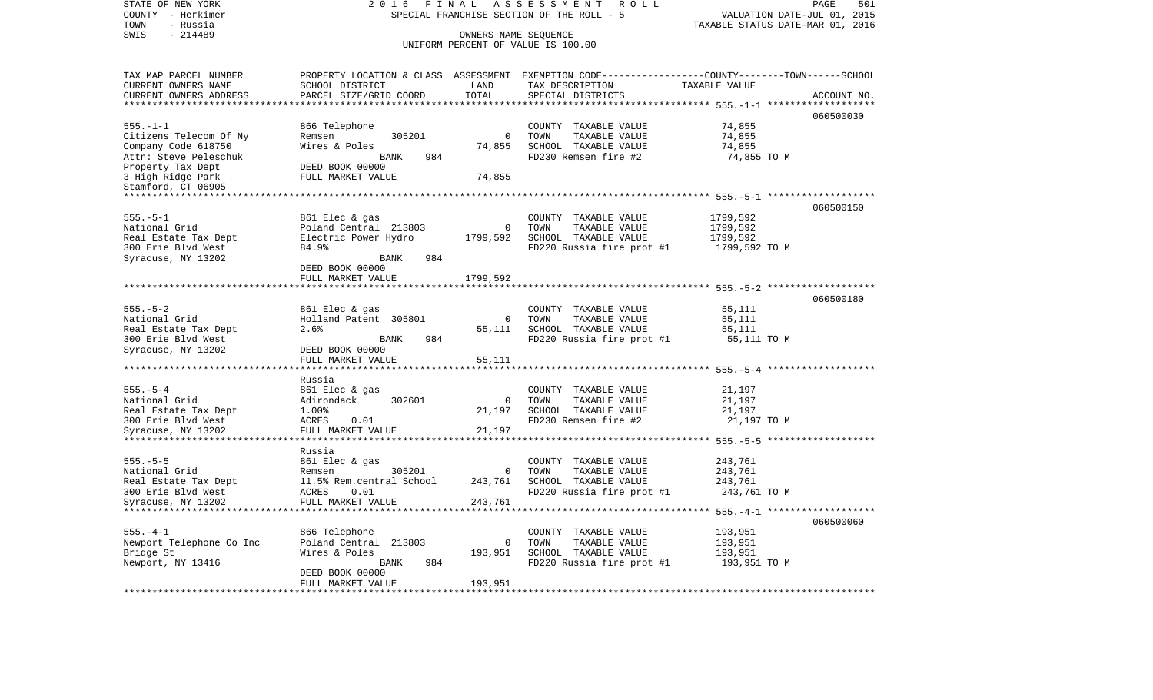| STATE OF NEW YORK<br>COUNTY - Herkimer<br>TOWN<br>- Russia | FINAL<br>2016<br>SPECIAL FRANCHISE SECTION OF THE ROLL - 5 | PAGE<br>501<br>VALUATION DATE-JUL 01, 2015<br>TAXABLE STATUS DATE-MAR 01, 2016 |                                                                                                  |                               |             |
|------------------------------------------------------------|------------------------------------------------------------|--------------------------------------------------------------------------------|--------------------------------------------------------------------------------------------------|-------------------------------|-------------|
| SWIS<br>$-214489$                                          | UNIFORM PERCENT OF VALUE IS 100.00                         |                                                                                |                                                                                                  |                               |             |
|                                                            |                                                            |                                                                                |                                                                                                  |                               |             |
| TAX MAP PARCEL NUMBER                                      |                                                            |                                                                                | PROPERTY LOCATION & CLASS ASSESSMENT EXEMPTION CODE----------------COUNTY-------TOWN------SCHOOL |                               |             |
| CURRENT OWNERS NAME                                        | SCHOOL DISTRICT                                            | LAND                                                                           | TAX DESCRIPTION                                                                                  | TAXABLE VALUE                 |             |
| CURRENT OWNERS ADDRESS                                     | PARCEL SIZE/GRID COORD                                     | TOTAL                                                                          | SPECIAL DISTRICTS                                                                                |                               | ACCOUNT NO. |
|                                                            |                                                            | *********                                                                      |                                                                                                  | ************ 555.-1-1 ******* |             |
|                                                            |                                                            |                                                                                |                                                                                                  |                               | 060500030   |
| $555. - 1 - 1$                                             | 866 Telephone                                              |                                                                                | COUNTY TAXABLE VALUE                                                                             | 74,855                        |             |
| Citizens Telecom Of Ny                                     | 305201<br>Remsen                                           | $\mathbf 0$                                                                    | TOWN<br>TAXABLE VALUE                                                                            | 74,855                        |             |
| Company Code 618750                                        | Wires & Poles                                              | 74,855                                                                         | SCHOOL TAXABLE VALUE                                                                             | 74,855                        |             |
| Attn: Steve Peleschuk                                      | <b>BANK</b><br>984<br>DEED BOOK 00000                      |                                                                                | FD230 Remsen fire #2                                                                             | 74,855 TO M                   |             |
| Property Tax Dept<br>3 High Ridge Park                     | FULL MARKET VALUE                                          | 74,855                                                                         |                                                                                                  |                               |             |
| Stamford, CT 06905                                         |                                                            |                                                                                |                                                                                                  |                               |             |
|                                                            |                                                            |                                                                                | ********************************** 555.-5-1 *******************                                  |                               |             |
|                                                            |                                                            |                                                                                |                                                                                                  |                               | 060500150   |
| $555. - 5 - 1$                                             | 861 Elec & gas                                             |                                                                                | COUNTY TAXABLE VALUE                                                                             | 1799,592                      |             |
| National Grid                                              | Poland Central 213803                                      | $\circ$                                                                        | TOWN<br>TAXABLE VALUE                                                                            | 1799,592                      |             |
| Real Estate Tax Dept                                       | Electric Power Hydro                                       | 1799,592                                                                       | SCHOOL TAXABLE VALUE                                                                             | 1799,592                      |             |
| 300 Erie Blvd West                                         | 84.9%                                                      |                                                                                | FD220 Russia fire prot #1                                                                        | 1799,592 TO M                 |             |
| Syracuse, NY 13202                                         | 984<br>BANK                                                |                                                                                |                                                                                                  |                               |             |
|                                                            | DEED BOOK 00000                                            |                                                                                |                                                                                                  |                               |             |
|                                                            | FULL MARKET VALUE                                          | 1799,592                                                                       |                                                                                                  |                               |             |
|                                                            |                                                            |                                                                                |                                                                                                  | 555. - 5 - 2 ***************  | 060500180   |
| $555. - 5 - 2$                                             | 861 Elec & gas                                             |                                                                                | COUNTY TAXABLE VALUE                                                                             | 55,111                        |             |
| National Grid                                              | Holland Patent 305801                                      | 0                                                                              | TOWN<br>TAXABLE VALUE                                                                            | 55,111                        |             |
| Real Estate Tax Dept                                       | 2.6%                                                       | 55,111                                                                         | SCHOOL TAXABLE VALUE                                                                             | 55,111                        |             |
| 300 Erie Blvd West                                         | 984<br>BANK                                                |                                                                                | FD220 Russia fire prot #1                                                                        | 55,111 TO M                   |             |
| Syracuse, NY 13202                                         | DEED BOOK 00000                                            |                                                                                |                                                                                                  |                               |             |
|                                                            | FULL MARKET VALUE                                          | 55,111                                                                         |                                                                                                  |                               |             |
|                                                            |                                                            |                                                                                | ******************************** 555.-5-4 *******************                                    |                               |             |
|                                                            | Russia                                                     |                                                                                |                                                                                                  |                               |             |
| $555. - 5 - 4$                                             | 861 Elec & gas                                             |                                                                                | COUNTY TAXABLE VALUE                                                                             | 21,197                        |             |
| National Grid                                              | 302601<br>Adirondack<br>1.00%                              | $\circ$<br>21,197                                                              | TOWN<br>TAXABLE VALUE<br>SCHOOL TAXABLE VALUE                                                    | 21,197<br>21,197              |             |
| Real Estate Tax Dept                                       | ACRES<br>0.01                                              |                                                                                | FD230 Remsen fire #2                                                                             | 21,197 TO M                   |             |
| 300 Erie Blvd West<br>Syracuse, NY 13202                   | FULL MARKET VALUE                                          | 21,197                                                                         |                                                                                                  |                               |             |
| *********************                                      | ********************                                       |                                                                                |                                                                                                  |                               |             |
|                                                            | Russia                                                     |                                                                                |                                                                                                  |                               |             |
| $555. - 5 - 5$                                             | 861 Elec & gas                                             |                                                                                | COUNTY TAXABLE VALUE                                                                             | 243,761                       |             |
| National Grid                                              | 305201<br>Remsen                                           | 0                                                                              | TOWN<br>TAXABLE VALUE                                                                            | 243,761                       |             |
| Real Estate Tax Dept                                       | 11.5% Rem.central School                                   | 243,761                                                                        | SCHOOL TAXABLE VALUE                                                                             | 243,761                       |             |
| 300 Erie Blvd West                                         | ACRES<br>0.01                                              |                                                                                | FD220 Russia fire prot #1                                                                        | 243,761 TO M                  |             |
| Syracuse, NY 13202                                         | FULL MARKET VALUE                                          | 243,761                                                                        |                                                                                                  |                               |             |
|                                                            |                                                            |                                                                                | ********************************** 555.-4-1 *******************                                  |                               |             |
|                                                            |                                                            |                                                                                |                                                                                                  |                               | 060500060   |
| $555. - 4 - 1$                                             | 866 Telephone                                              |                                                                                | COUNTY TAXABLE VALUE                                                                             | 193,951                       |             |
| Newport Telephone Co Inc                                   | Poland Central 213803                                      | $\Omega$                                                                       | TOWN<br>TAXABLE VALUE                                                                            | 193,951                       |             |
| Bridge St                                                  | Wires & Poles                                              | 193,951                                                                        | SCHOOL TAXABLE VALUE                                                                             | 193,951                       |             |
| Newport, NY 13416                                          | BANK<br>984                                                |                                                                                | FD220 Russia fire prot #1                                                                        | 193,951 TO M                  |             |
|                                                            | DEED BOOK 00000                                            |                                                                                |                                                                                                  |                               |             |
|                                                            | FULL MARKET VALUE                                          | 193,951                                                                        |                                                                                                  |                               |             |
|                                                            |                                                            |                                                                                |                                                                                                  |                               |             |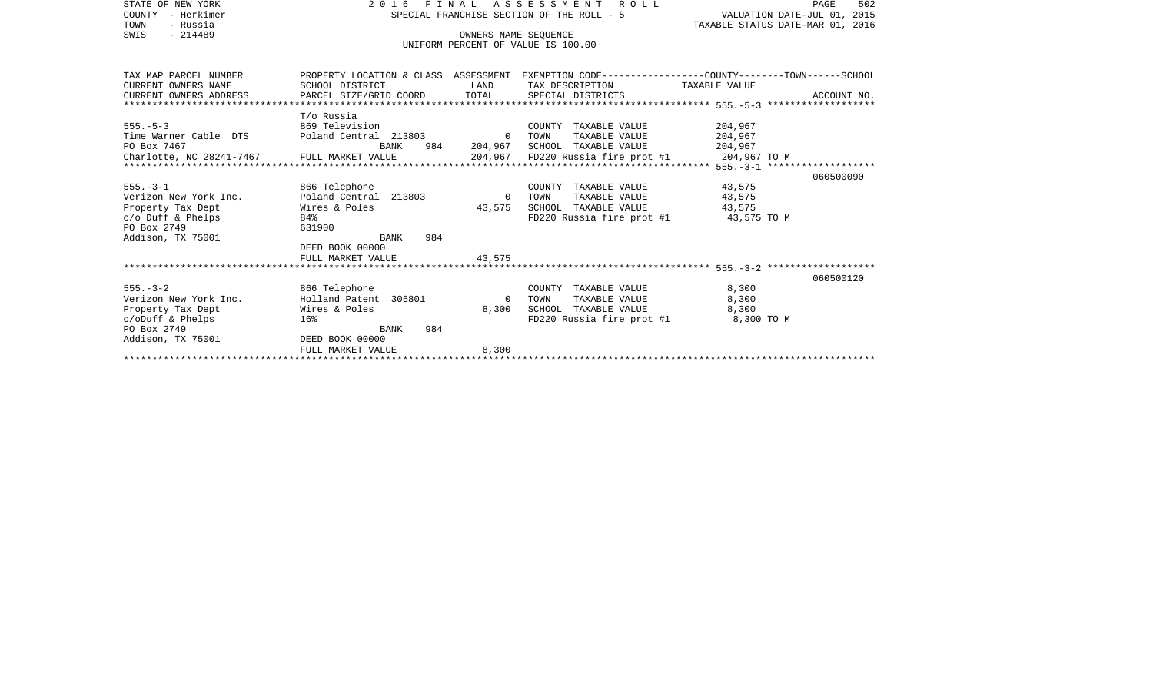| STATE OF NEW YORK                                         | 2016 FINAL ASSESSMENT ROLL | 502<br>PAGE                      |                                           |                                                                                                 |
|-----------------------------------------------------------|----------------------------|----------------------------------|-------------------------------------------|-------------------------------------------------------------------------------------------------|
| COUNTY - Herkimer                                         |                            |                                  | SPECIAL FRANCHISE SECTION OF THE ROLL - 5 | VALUATION DATE-JUL 01, 2015                                                                     |
| - Russia<br>TOWN                                          |                            | TAXABLE STATUS DATE-MAR 01, 2016 |                                           |                                                                                                 |
| $-214489$<br>SWIS                                         |                            | OWNERS NAME SEQUENCE             |                                           |                                                                                                 |
|                                                           |                            |                                  | UNIFORM PERCENT OF VALUE IS 100.00        |                                                                                                 |
|                                                           |                            |                                  |                                           |                                                                                                 |
|                                                           |                            |                                  |                                           |                                                                                                 |
| TAX MAP PARCEL NUMBER                                     |                            |                                  |                                           | PROPERTY LOCATION & CLASS ASSESSMENT EXEMPTION CODE---------------COUNTY-------TOWN------SCHOOL |
| CURRENT OWNERS NAME                                       | SCHOOL DISTRICT            | LAND                             | TAX DESCRIPTION TAXABLE VALUE             |                                                                                                 |
| CURRENT OWNERS ADDRESS                                    | PARCEL SIZE/GRID COORD     |                                  | TOTAL SPECIAL DISTRICTS                   | ACCOUNT NO.                                                                                     |
|                                                           |                            |                                  |                                           |                                                                                                 |
|                                                           | T/o Russia                 |                                  |                                           |                                                                                                 |
| $555. - 5 - 3$                                            | 869 Television             |                                  | COUNTY TAXABLE VALUE                      | 204,967                                                                                         |
| Time Warner Cable DTS Poland Central 213803 0 TOWN        |                            |                                  | TAXABLE VALUE                             | 204,967                                                                                         |
|                                                           | BANK                       |                                  | 984 204,967 SCHOOL TAXABLE VALUE          | 204,967                                                                                         |
| PO Box 7467<br>Charlotte, NC 28241-7467 FULL MARKET VALUE |                            |                                  |                                           |                                                                                                 |
|                                                           |                            |                                  |                                           |                                                                                                 |
|                                                           |                            |                                  |                                           | 060500090                                                                                       |
| $555. - 3 - 1$                                            | 866 Telephone              |                                  | COUNTY TAXABLE VALUE                      | 43,575                                                                                          |
| Verizon New York Inc.                                     | Poland Central 213803      | $\overline{0}$                   | TOWN<br>TAXABLE VALUE                     | 43,575                                                                                          |
| Property Tax Dept                                         | Wires & Poles              | 43,575                           | SCHOOL TAXABLE VALUE                      | 43,575                                                                                          |
| c/o Duff & Phelps                                         | 84%                        |                                  | FD220 Russia fire prot #1 43,575 TO M     |                                                                                                 |
| PO Box 2749                                               | 631900                     |                                  |                                           |                                                                                                 |
| Addison, TX 75001                                         | 984<br>BANK                |                                  |                                           |                                                                                                 |
|                                                           | DEED BOOK 00000            |                                  |                                           |                                                                                                 |
|                                                           | FULL MARKET VALUE          | 43,575                           |                                           |                                                                                                 |
|                                                           |                            |                                  |                                           |                                                                                                 |
|                                                           |                            |                                  |                                           | 060500120                                                                                       |
| $555 - 3 - 2$                                             | 866 Telephone              |                                  | COUNTY TAXABLE VALUE                      | 8,300                                                                                           |
| Verizon New York Inc.                                     | Holland Patent 305801      | $\overline{0}$                   | TOWN<br>TAXABLE VALUE                     | 8,300                                                                                           |
| Property Tax Dept                                         | Wires & Poles              | 8,300                            | SCHOOL TAXABLE VALUE                      | 8,300                                                                                           |
| $c/$ oDuff & Phelps                                       | 16%                        |                                  | FD220 Russia fire prot #1                 | 8,300 TO M                                                                                      |
| PO Box 2749                                               | 984<br>BANK                |                                  |                                           |                                                                                                 |
| Addison, TX 75001                                         | DEED BOOK 00000            |                                  |                                           |                                                                                                 |
|                                                           | FULL MARKET VALUE          | 8,300                            |                                           |                                                                                                 |
|                                                           |                            |                                  |                                           |                                                                                                 |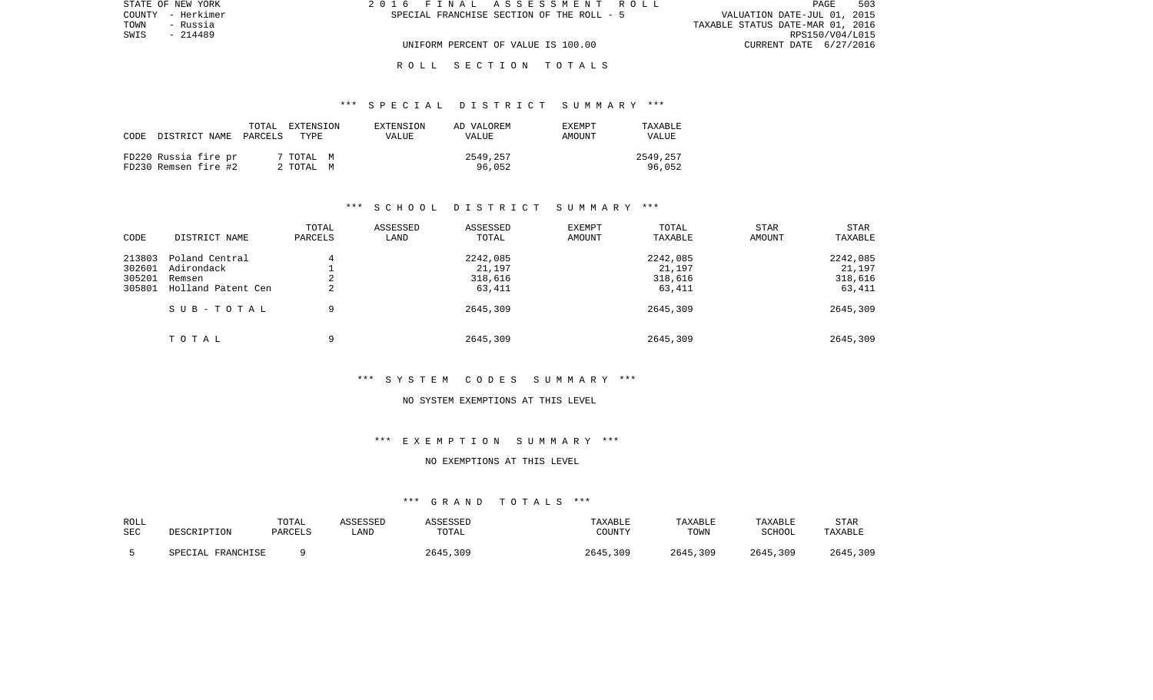| STATE OF NEW YORK | 2016 FINAL ASSESSMENT ROLL                | 503<br>PAGE                      |
|-------------------|-------------------------------------------|----------------------------------|
| COUNTY - Herkimer | SPECIAL FRANCHISE SECTION OF THE ROLL - 5 | VALUATION DATE-JUL 01, 2015      |
| TOWN<br>- Russia  |                                           | TAXABLE STATUS DATE-MAR 01, 2016 |
| SWIS<br>- 214489  |                                           | RPS150/V04/L015                  |
|                   | UNIFORM PERCENT OF VALUE IS 100.00        | CURRENT DATE 6/27/2016           |

## \*\*\* S P E C I A L D I S T R I C T S U M M A R Y \*\*\*

| CODE | DISTRICT NAME PARCELS                        | TOTAL EXTENSION<br>TYPE | EXTENSION<br><b>VALUE</b> | AD VALOREM<br><b>VALUE</b> | <b>EXEMPT</b><br>AMOUNT | TAXABLE<br><b>VALUE</b> |
|------|----------------------------------------------|-------------------------|---------------------------|----------------------------|-------------------------|-------------------------|
|      | FD220 Russia fire pr<br>FD230 Remsen fire #2 | 7 TOTAL M<br>2 TOTAL M  |                           | 2549,257<br>96,052         |                         | 2549,257<br>96,052      |

## \*\*\* S C H O O L D I S T R I C T S U M M A R Y \*\*\*

| CODE                                 | DISTRICT NAME                                                | TOTAL<br>PARCELS           | ASSESSED<br>LAND | ASSESSED<br>TOTAL                       | <b>EXEMPT</b><br>AMOUNT | TOTAL<br>TAXABLE                        | <b>STAR</b><br>AMOUNT | <b>STAR</b><br>TAXABLE                  |
|--------------------------------------|--------------------------------------------------------------|----------------------------|------------------|-----------------------------------------|-------------------------|-----------------------------------------|-----------------------|-----------------------------------------|
| 213803<br>302601<br>305201<br>305801 | Poland Central<br>Adirondack<br>Remsen<br>Holland Patent Cen | 4<br>⌒<br>∠<br>$\sim$<br>∠ |                  | 2242,085<br>21,197<br>318,616<br>63,411 |                         | 2242,085<br>21,197<br>318,616<br>63,411 |                       | 2242,085<br>21,197<br>318,616<br>63,411 |
|                                      | SUB-TOTAL<br>TOTAL                                           | 9<br>9                     |                  | 2645,309<br>2645,309                    |                         | 2645,309<br>2645,309                    |                       | 2645,309<br>2645,309                    |

### \*\*\* S Y S T E M C O D E S S U M M A R Y \*\*\*

#### NO SYSTEM EXEMPTIONS AT THIS LEVEL

# \*\*\* E X E M P T I O N S U M M A R Y \*\*\*

### NO EXEMPTIONS AT THIS LEVEL

# \*\*\* G R A N D T O T A L S \*\*\*

| ROLL       | DESCRIPTION       | TOTAL   | ASSESSED | <b>ASSESSED</b> | TAXABLE  | TAXABLE  | TAXABLE  | STAR     |
|------------|-------------------|---------|----------|-----------------|----------|----------|----------|----------|
| <b>SEC</b> |                   | PARCELS | LAND     | TOTAL           | COUNTY   | TOWN     | SCHOOL   | TAXABLE  |
|            | SPECIAL FRANCHISE |         |          | 2645,309        | 2645,309 | 2645,309 | 2645,309 | 2645,309 |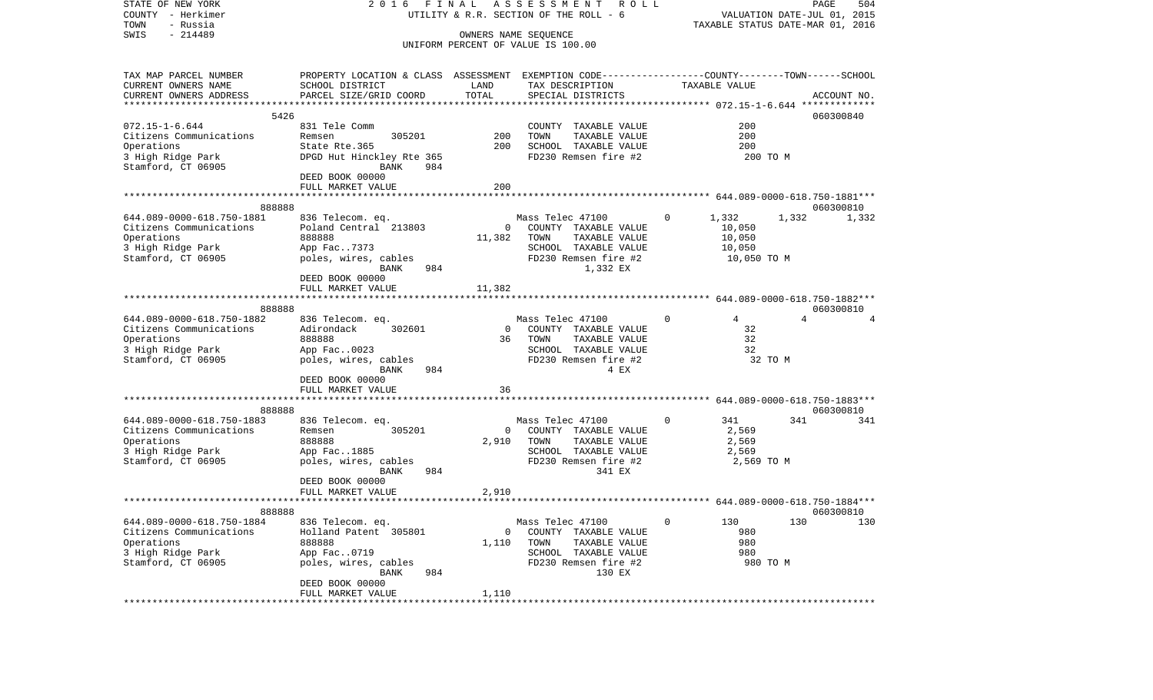| STATE OF NEW YORK<br>COUNTY - Herkimer          |                                                                                                 |                   | 2016 FINAL ASSESSMENT<br>R O L L<br>UTILITY & R.R. SECTION OF THE ROLL - 6 |                                  | PAGE<br>504<br>VALUATION DATE-JUL 01, 2015 |
|-------------------------------------------------|-------------------------------------------------------------------------------------------------|-------------------|----------------------------------------------------------------------------|----------------------------------|--------------------------------------------|
| - Russia<br>TOWN                                |                                                                                                 |                   |                                                                            |                                  | TAXABLE STATUS DATE-MAR 01, 2016           |
| $-214489$<br>SWIS                               |                                                                                                 |                   | OWNERS NAME SEQUENCE                                                       |                                  |                                            |
|                                                 |                                                                                                 |                   | UNIFORM PERCENT OF VALUE IS 100.00                                         |                                  |                                            |
| TAX MAP PARCEL NUMBER                           | PROPERTY LOCATION & CLASS ASSESSMENT EXEMPTION CODE---------------COUNTY-------TOWN------SCHOOL |                   |                                                                            |                                  |                                            |
| CURRENT OWNERS NAME                             | SCHOOL DISTRICT                                                                                 | LAND              | TAX DESCRIPTION                                                            | TAXABLE VALUE                    |                                            |
| CURRENT OWNERS ADDRESS                          | PARCEL SIZE/GRID COORD                                                                          | TOTAL             | SPECIAL DISTRICTS                                                          |                                  | ACCOUNT NO.                                |
| *************************                       |                                                                                                 |                   |                                                                            |                                  |                                            |
|                                                 | 5426<br>831 Tele Comm                                                                           |                   |                                                                            | 200                              | 060300840                                  |
| $072.15 - 1 - 6.644$<br>Citizens Communications | 305201<br>Remsen                                                                                | 200               | COUNTY TAXABLE VALUE<br>TOWN<br>TAXABLE VALUE                              | 200                              |                                            |
| Operations                                      | State Rte.365                                                                                   | 200               | SCHOOL TAXABLE VALUE                                                       | 200                              |                                            |
| 3 High Ridge Park                               | DPGD Hut Hinckley Rte 365                                                                       |                   | FD230 Remsen fire #2                                                       | 200 TO M                         |                                            |
| Stamford, CT 06905                              | BANK<br>984                                                                                     |                   |                                                                            |                                  |                                            |
|                                                 | DEED BOOK 00000                                                                                 |                   |                                                                            |                                  |                                            |
|                                                 | FULL MARKET VALUE                                                                               | 200               |                                                                            |                                  |                                            |
|                                                 |                                                                                                 |                   |                                                                            |                                  |                                            |
| 888888                                          |                                                                                                 |                   |                                                                            |                                  | 060300810                                  |
| 644.089-0000-618.750-1881                       | 836 Telecom. eq.                                                                                |                   | Mass Telec 47100                                                           | $\overline{0}$<br>1,332          | 1,332<br>1,332                             |
| Citizens Communications                         | Poland Central 213803                                                                           | $\overline{0}$    | COUNTY TAXABLE VALUE                                                       | 10,050                           |                                            |
| Operations<br>3 High Ridge Park                 | 888888<br>App Fac7373                                                                           | 11,382            | TOWN<br>TAXABLE VALUE<br>SCHOOL TAXABLE VALUE                              | 10,050<br>10,050                 |                                            |
| Stamford, CT 06905                              | poles, wires, cables                                                                            |                   | FD230 Remsen fire #2                                                       | 10,050 TO M                      |                                            |
|                                                 | BANK<br>984                                                                                     |                   | 1,332 EX                                                                   |                                  |                                            |
|                                                 | DEED BOOK 00000                                                                                 |                   |                                                                            |                                  |                                            |
|                                                 | FULL MARKET VALUE                                                                               | 11,382            |                                                                            |                                  |                                            |
|                                                 |                                                                                                 |                   |                                                                            |                                  |                                            |
| 888888                                          |                                                                                                 |                   |                                                                            |                                  | 060300810                                  |
| 644.089-0000-618.750-1882                       | 836 Telecom. eq.                                                                                |                   | Mass Telec 47100<br>0 COUNTY TAXABLE VALUE                                 | $\overline{0}$<br>$\overline{4}$ | $\overline{4}$                             |
| Citizens Communications<br>Operations           | Adirondack 302601<br>888888                                                                     |                   | 36 TOWN<br>TAXABLE VALUE                                                   | 32<br>32                         |                                            |
| 3 High Ridge Park                               | App Fac0023                                                                                     |                   | SCHOOL TAXABLE VALUE                                                       | 32                               |                                            |
| Stamford, CT 06905                              | poles, wires, cables                                                                            |                   | FD230 Remsen fire #2                                                       | 32 TO M                          |                                            |
|                                                 | 984<br>BANK                                                                                     |                   | 4 EX                                                                       |                                  |                                            |
|                                                 | DEED BOOK 00000                                                                                 |                   |                                                                            |                                  |                                            |
|                                                 | FULL MARKET VALUE                                                                               | 36                |                                                                            |                                  |                                            |
|                                                 |                                                                                                 | ***************** | ****************************** 644.089-0000-618.750-1883***                |                                  |                                            |
| 888888                                          |                                                                                                 |                   |                                                                            |                                  | 060300810                                  |
| 644.089-0000-618.750-1883                       | 836 Telecom. eq.                                                                                | $\overline{0}$    | Mass Telec 47100                                                           | $\circ$<br>341                   | 341<br>341                                 |
| Citizens Communications<br>Operations           | Remsen<br>305201<br>888888                                                                      | 2,910             | COUNTY TAXABLE VALUE<br>TOWN<br>TAXABLE VALUE                              | 2,569<br>2,569                   |                                            |
| 3 High Ridge Park                               | App Fac1885                                                                                     |                   | SCHOOL TAXABLE VALUE                                                       | 2,569                            |                                            |
| Stamford, CT 06905                              | poles, wires, cables                                                                            |                   | FD230 Remsen fire #2                                                       | 2,569 TO M                       |                                            |
|                                                 | BANK<br>984                                                                                     |                   | 341 EX                                                                     |                                  |                                            |
|                                                 | DEED BOOK 00000                                                                                 |                   |                                                                            |                                  |                                            |
|                                                 | FULL MARKET VALUE                                                                               | 2,910             |                                                                            |                                  |                                            |
|                                                 |                                                                                                 |                   |                                                                            |                                  |                                            |
| 888888                                          |                                                                                                 |                   |                                                                            |                                  | 060300810                                  |
| 644.089-0000-618.750-1884                       | 836 Telecom. eq.                                                                                |                   | Mass Telec 47100                                                           | 0<br>130                         | 130<br>130                                 |
| Citizens Communications                         | Holland Patent 305801                                                                           | 0                 | COUNTY TAXABLE VALUE                                                       | 980                              |                                            |
| Operations<br>3 High Ridge Park                 | 888888<br>App Fac0719                                                                           | 1,110             | TAXABLE VALUE<br>TOWN<br>SCHOOL TAXABLE VALUE                              | 980<br>980                       |                                            |
| Stamford, CT 06905                              | poles, wires, cables                                                                            |                   | FD230 Remsen fire #2                                                       |                                  | 980 TO M                                   |
|                                                 | 984<br>BANK                                                                                     |                   | 130 EX                                                                     |                                  |                                            |
|                                                 | DEED BOOK 00000                                                                                 |                   |                                                                            |                                  |                                            |
|                                                 | FULL MARKET VALUE                                                                               | 1,110             |                                                                            |                                  |                                            |
|                                                 | ***************************                                                                     |                   |                                                                            |                                  |                                            |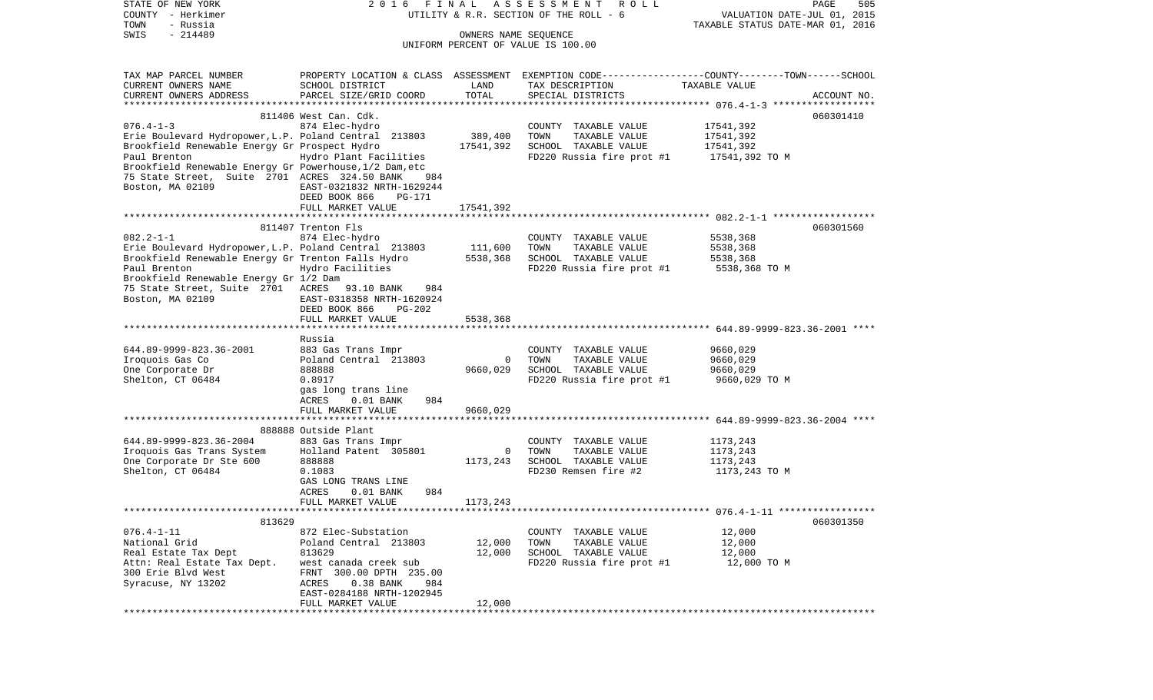| STATE OF NEW YORK<br>COUNTY - Herkimer                                      | 2016                                           | FINAL                | ASSESSMENT<br>R O L L<br>UTILITY & R.R. SECTION OF THE ROLL - 6                                                     | VALUATION DATE-JUL 01, 2015                              | PAGE<br>505 |
|-----------------------------------------------------------------------------|------------------------------------------------|----------------------|---------------------------------------------------------------------------------------------------------------------|----------------------------------------------------------|-------------|
| TOWN<br>- Russia                                                            |                                                |                      |                                                                                                                     | TAXABLE STATUS DATE-MAR 01, 2016                         |             |
| $-214489$<br>SWIS                                                           |                                                | OWNERS NAME SEQUENCE | UNIFORM PERCENT OF VALUE IS 100.00                                                                                  |                                                          |             |
|                                                                             |                                                |                      |                                                                                                                     |                                                          |             |
| TAX MAP PARCEL NUMBER                                                       |                                                |                      |                                                                                                                     |                                                          |             |
| CURRENT OWNERS NAME                                                         | SCHOOL DISTRICT                                | LAND                 | PROPERTY LOCATION & CLASS ASSESSMENT EXEMPTION CODE----------------COUNTY-------TOWN------SCHOOL<br>TAX DESCRIPTION | TAXABLE VALUE                                            |             |
| CURRENT OWNERS ADDRESS                                                      | PARCEL SIZE/GRID COORD                         | TOTAL                | SPECIAL DISTRICTS                                                                                                   |                                                          | ACCOUNT NO. |
|                                                                             |                                                |                      |                                                                                                                     |                                                          |             |
|                                                                             | 811406 West Can. Cdk.                          |                      |                                                                                                                     |                                                          | 060301410   |
| $076.4 - 1 - 3$                                                             | 874 Elec-hydro                                 |                      | COUNTY TAXABLE VALUE                                                                                                | 17541,392                                                |             |
| Erie Boulevard Hydropower, L.P. Poland Central 213803                       |                                                | 389,400              | TOWN<br>TAXABLE VALUE                                                                                               | 17541,392                                                |             |
| Brookfield Renewable Energy Gr Prospect Hydro                               |                                                | 17541,392            | SCHOOL TAXABLE VALUE                                                                                                | 17541,392                                                |             |
| Paul Brenton                                                                | Hydro Plant Facilities                         |                      | FD220 Russia fire prot #1                                                                                           | 17541,392 TO M                                           |             |
| Brookfield Renewable Energy Gr Powerhouse, 1/2 Dam, etc                     |                                                |                      |                                                                                                                     |                                                          |             |
| 75 State Street, Suite 2701 ACRES 324.50 BANK<br>Boston, MA 02109           | 984<br>EAST-0321832 NRTH-1629244               |                      |                                                                                                                     |                                                          |             |
|                                                                             | DEED BOOK 866<br>PG-171                        |                      |                                                                                                                     |                                                          |             |
|                                                                             | FULL MARKET VALUE                              | 17541,392            |                                                                                                                     |                                                          |             |
|                                                                             |                                                |                      |                                                                                                                     |                                                          |             |
|                                                                             | 811407 Trenton Fls                             |                      |                                                                                                                     |                                                          | 060301560   |
| $082.2 - 1 - 1$                                                             | 874 Elec-hydro                                 |                      | COUNTY TAXABLE VALUE                                                                                                | 5538,368                                                 |             |
| Erie Boulevard Hydropower, L.P. Poland Central 213803                       |                                                | 111,600              | TOWN<br>TAXABLE VALUE                                                                                               | 5538,368                                                 |             |
| Brookfield Renewable Energy Gr Trenton Falls Hydro                          |                                                | 5538,368             | SCHOOL TAXABLE VALUE                                                                                                | 5538,368                                                 |             |
| Paul Brenton                                                                | Hydro Facilities                               |                      | FD220 Russia fire prot #1                                                                                           | 5538,368 TO M                                            |             |
| Brookfield Renewable Energy Gr 1/2 Dam<br>75 State Street, Suite 2701 ACRES | 984                                            |                      |                                                                                                                     |                                                          |             |
| Boston, MA 02109                                                            | 93.10 BANK<br>EAST-0318358 NRTH-1620924        |                      |                                                                                                                     |                                                          |             |
|                                                                             | DEED BOOK 866<br><b>PG-202</b>                 |                      |                                                                                                                     |                                                          |             |
|                                                                             | FULL MARKET VALUE                              | 5538,368             |                                                                                                                     |                                                          |             |
|                                                                             |                                                |                      |                                                                                                                     |                                                          |             |
|                                                                             | Russia                                         |                      |                                                                                                                     |                                                          |             |
| 644.89-9999-823.36-2001                                                     | 883 Gas Trans Impr                             |                      | COUNTY TAXABLE VALUE                                                                                                | 9660,029                                                 |             |
| Iroquois Gas Co                                                             | Poland Central 213803                          | $\mathbf 0$          | TOWN<br>TAXABLE VALUE                                                                                               | 9660,029                                                 |             |
| One Corporate Dr                                                            | 888888                                         | 9660,029             | SCHOOL TAXABLE VALUE                                                                                                | 9660,029                                                 |             |
| Shelton, CT 06484                                                           | 0.8917<br>gas long trans line                  |                      | FD220 Russia fire prot #1                                                                                           | 9660,029 TO M                                            |             |
|                                                                             | $0.01$ BANK<br>984<br>ACRES                    |                      |                                                                                                                     |                                                          |             |
|                                                                             | FULL MARKET VALUE                              | 9660,029             |                                                                                                                     |                                                          |             |
|                                                                             | *******************************                | **********           |                                                                                                                     | *************************** 644.89-9999-823.36-2004 **** |             |
|                                                                             | 888888 Outside Plant                           |                      |                                                                                                                     |                                                          |             |
| 644.89-9999-823.36-2004                                                     | 883 Gas Trans Impr                             |                      | COUNTY TAXABLE VALUE                                                                                                | 1173,243                                                 |             |
| Iroquois Gas Trans System                                                   | Holland Patent 305801                          | $\circ$              | TOWN<br>TAXABLE VALUE                                                                                               | 1173,243                                                 |             |
| One Corporate Dr Ste 600                                                    | 888888                                         | 1173,243             | SCHOOL TAXABLE VALUE                                                                                                | 1173,243                                                 |             |
| Shelton, CT 06484                                                           | 0.1083                                         |                      | FD230 Remsen fire #2                                                                                                | 1173,243 TO M                                            |             |
|                                                                             | GAS LONG TRANS LINE<br>984                     |                      |                                                                                                                     |                                                          |             |
|                                                                             | ACRES<br>$0.01$ BANK<br>FULL MARKET VALUE      | 1173,243             |                                                                                                                     |                                                          |             |
|                                                                             |                                                |                      |                                                                                                                     |                                                          |             |
| 813629                                                                      |                                                |                      |                                                                                                                     |                                                          | 060301350   |
| $076.4 - 1 - 11$                                                            | 872 Elec-Substation                            |                      | COUNTY TAXABLE VALUE                                                                                                | 12,000                                                   |             |
| National Grid                                                               | Poland Central 213803                          | 12,000               | TOWN<br>TAXABLE VALUE                                                                                               | 12,000                                                   |             |
| Real Estate Tax Dept                                                        | 813629                                         | 12,000               | SCHOOL TAXABLE VALUE                                                                                                | 12,000                                                   |             |
| Attn: Real Estate Tax Dept.                                                 | west canada creek sub                          |                      | FD220 Russia fire prot #1                                                                                           | 12,000 TO M                                              |             |
| 300 Erie Blvd West                                                          | 300.00 DPTH 235.00<br>FRNT                     |                      |                                                                                                                     |                                                          |             |
| Syracuse, NY 13202                                                          | 0.38 BANK<br>984<br>ACRES                      |                      |                                                                                                                     |                                                          |             |
|                                                                             | EAST-0284188 NRTH-1202945<br>FULL MARKET VALUE | 12,000               |                                                                                                                     |                                                          |             |
| ******************                                                          |                                                |                      |                                                                                                                     |                                                          |             |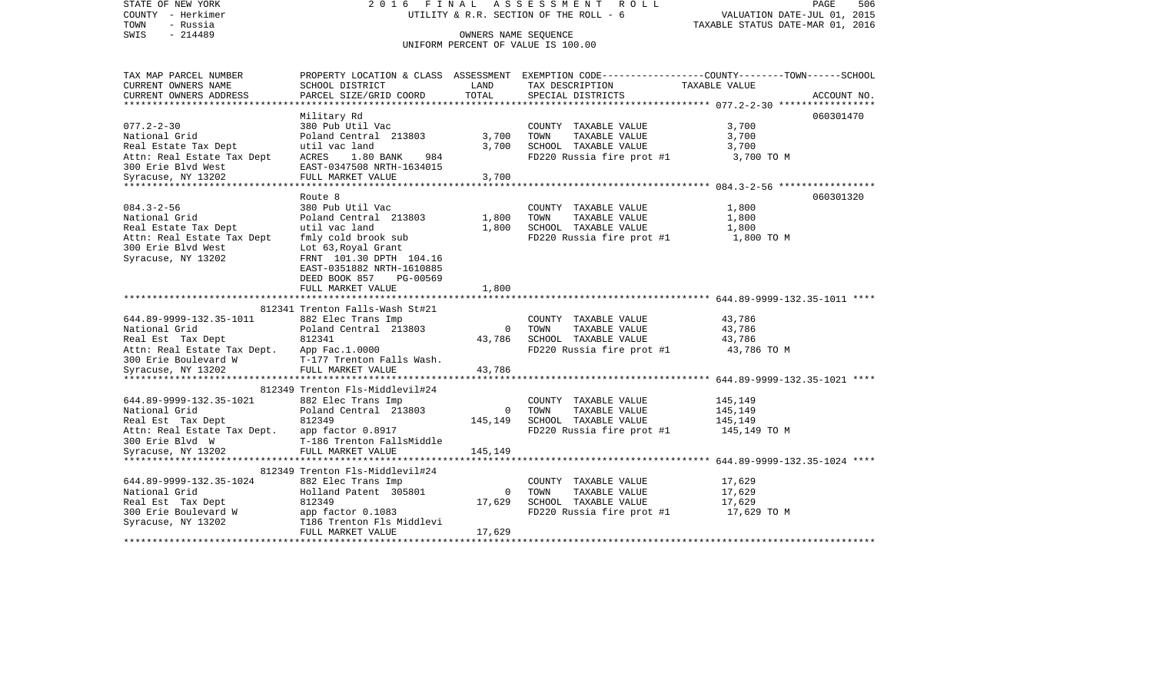STATE OF NEW YORK 2 0 1 6 F I N A L A S S E S S M E N T R O L L PAGE 506COUNTY - Herkimer **UTILITY & R.R. SECTION OF THE ROLL - 6** VALUATION DATE-JUL 01, 2015 TOWN - Russia TAXABLE STATUS DATE-MAR 01, 2016 SWIS - 214489 CONNERS NAME SEQUENCE UNIFORM PERCENT OF VALUE IS 100.00TAX MAP PARCEL NUMBER PROPERTY LOCATION & CLASS ASSESSMENT EXEMPTION CODE------------------COUNTY--------TOWN------SCHOOL CURRENT OWNERS NAME SCHOOL DISTRICT LAND TAX DESCRIPTION TAXABLE VALUECURRENT OWNERS ADDRESS PARCEL SIZE/GRID COORD TOTAL SPECIAL DISTRICTS ACCOUNT NO. \*\*\*\*\*\*\*\*\*\*\*\*\*\*\*\*\*\*\*\*\*\*\*\*\*\*\*\*\*\*\*\*\*\*\*\*\*\*\*\*\*\*\*\*\*\*\*\*\*\*\*\*\*\*\*\*\*\*\*\*\*\*\*\*\*\*\*\*\*\*\*\*\*\*\*\*\*\*\*\*\*\*\*\*\*\*\*\*\*\*\*\*\*\*\*\*\*\*\*\*\*\*\* 077.2-2-30 \*\*\*\*\*\*\*\*\*\*\*\*\*\*\*\*\* Military Rd 060301470 077.2-2-30 380 Pub Util Vac COUNTY TAXABLE VALUE 3,700 National Grid **Poland Central 213803** 3,700 TOWN TAXABLE VALUE 3,700 Real Estate Tax Dept  $u$ til vac land  $3,700$  SCHOOL TAXABLE VALUE  $3,700$ Attn: Real Estate Tax Dept ACRES 1.80 BANK 984 FD220 Russia fire prot #1 3,700 TO M 300 Erie Blvd West EAST-0347508 NRTH-1634015Syracuse, NY 13202 FULL MARKET VALUE 3,700 \*\*\*\*\*\*\*\*\*\*\*\*\*\*\*\*\*\*\*\*\*\*\*\*\*\*\*\*\*\*\*\*\*\*\*\*\*\*\*\*\*\*\*\*\*\*\*\*\*\*\*\*\*\*\*\*\*\*\*\*\*\*\*\*\*\*\*\*\*\*\*\*\*\*\*\*\*\*\*\*\*\*\*\*\*\*\*\*\*\*\*\*\*\*\*\*\*\*\*\*\*\*\* 084.3-2-56 \*\*\*\*\*\*\*\*\*\*\*\*\*\*\*\*\* Route 8 060301320084.3-2-56 380 Pub Util Vac COUNTY TAXABLE VALUE 1,800 National Grid Poland Central 213803 1,800 TOWN TAXABLE VALUE 1,800 Real Estate Tax Dept **1,800** util vac land 1,800 SCHOOL TAXABLE VALUE 1,800 Attn: Real Estate Tax Dept fmly cold brook sub FD220 Russia fire prot #1 1,800 TO M 300 Erie Blvd West Lot 63, Royal Grant Syracuse, NY 13202 FRNT 101.30 DPTH 104.16 EAST-0351882 NRTH-1610885 DEED BOOK 857 PG-00569FULL MARKET VALUE 1,800 \*\*\*\*\*\*\*\*\*\*\*\*\*\*\*\*\*\*\*\*\*\*\*\*\*\*\*\*\*\*\*\*\*\*\*\*\*\*\*\*\*\*\*\*\*\*\*\*\*\*\*\*\*\*\*\*\*\*\*\*\*\*\*\*\*\*\*\*\*\*\*\*\*\*\*\*\*\*\*\*\*\*\*\*\*\*\*\*\*\*\*\*\*\*\*\*\*\*\*\*\*\*\* 644.89-9999-132.35-1011 \*\*\*\*812341 Trenton Falls-Wash St#21 644.89-9999-132.35-1011 882 Elec Trans Imp COUNTY TAXABLE VALUE 43,786 National Grid **Poland Central 213803** 0 TOWN TAXABLE VALUE 43,786 Real Est Tax Dept  $812341$  812341 43,786 SCHOOL TAXABLE VALUE 43,786 43,786 Attn: Real Estate Tax Dept. App Fac.1.0000<br>300 Erie Boulevard W F-177 Trenton Falls Wash. Follow FD220 Russia fire prot #1 43,786 TO M T-177 Trenton Falls Wash. Syracuse, NY 13202 FULL MARKET VALUE 43,786 \*\*\*\*\*\*\*\*\*\*\*\*\*\*\*\*\*\*\*\*\*\*\*\*\*\*\*\*\*\*\*\*\*\*\*\*\*\*\*\*\*\*\*\*\*\*\*\*\*\*\*\*\*\*\*\*\*\*\*\*\*\*\*\*\*\*\*\*\*\*\*\*\*\*\*\*\*\*\*\*\*\*\*\*\*\*\*\*\*\*\*\*\*\*\*\*\*\*\*\*\*\*\* 644.89-9999-132.35-1021 \*\*\*\*812349 Trenton Fls-Middlevil#24 644.89-9999-132.35-1021 882 Elec Trans Imp COUNTY TAXABLE VALUE 145,149 National Grid Poland Central 213803 0 TOWN TAXABLE VALUE 145,149 Real Est Tax Dept 612349 812349 145,149 SCHOOL TAXABLE VALUE 145,149 145,149 Attn: Real Estate Tax Dept. app factor 0.8917 FD220 Russia fire prot #1 145,149 TO M 300 Erie Blvd W T-186 Trenton FallsMiddleSyracuse, NY 13202 FULL MARKET VALUE 145,149 \*\*\*\*\*\*\*\*\*\*\*\*\*\*\*\*\*\*\*\*\*\*\*\*\*\*\*\*\*\*\*\*\*\*\*\*\*\*\*\*\*\*\*\*\*\*\*\*\*\*\*\*\*\*\*\*\*\*\*\*\*\*\*\*\*\*\*\*\*\*\*\*\*\*\*\*\*\*\*\*\*\*\*\*\*\*\*\*\*\*\*\*\*\*\*\*\*\*\*\*\*\*\* 644.89-9999-132.35-1024 \*\*\*\* 812349 Trenton Fls-Middlevil#24 644.89-9999-132.35-1024 882 Elec Trans Imp COUNTY TAXABLE VALUE 17,629 National Grid **Holland Patent 305801** 0 TOWN TAXABLE VALUE 17,629 Real Est Tax Dept 612349 812349 17,629 SCHOOL TAXABLE VALUE 17,629 17,629 300 Erie Boulevard W app factor 0.1083 FD220 Russia fire prot #1 17,629 TO M Syracuse, NY 13202 T186 Trenton Fls Middlevi FULL MARKET VALUE 17.629 \*\*\*\*\*\*\*\*\*\*\*\*\*\*\*\*\*\*\*\*\*\*\*\*\*\*\*\*\*\*\*\*\*\*\*\*\*\*\*\*\*\*\*\*\*\*\*\*\*\*\*\*\*\*\*\*\*\*\*\*\*\*\*\*\*\*\*\*\*\*\*\*\*\*\*\*\*\*\*\*\*\*\*\*\*\*\*\*\*\*\*\*\*\*\*\*\*\*\*\*\*\*\*\*\*\*\*\*\*\*\*\*\*\*\*\*\*\*\*\*\*\*\*\*\*\*\*\*\*\*\*\*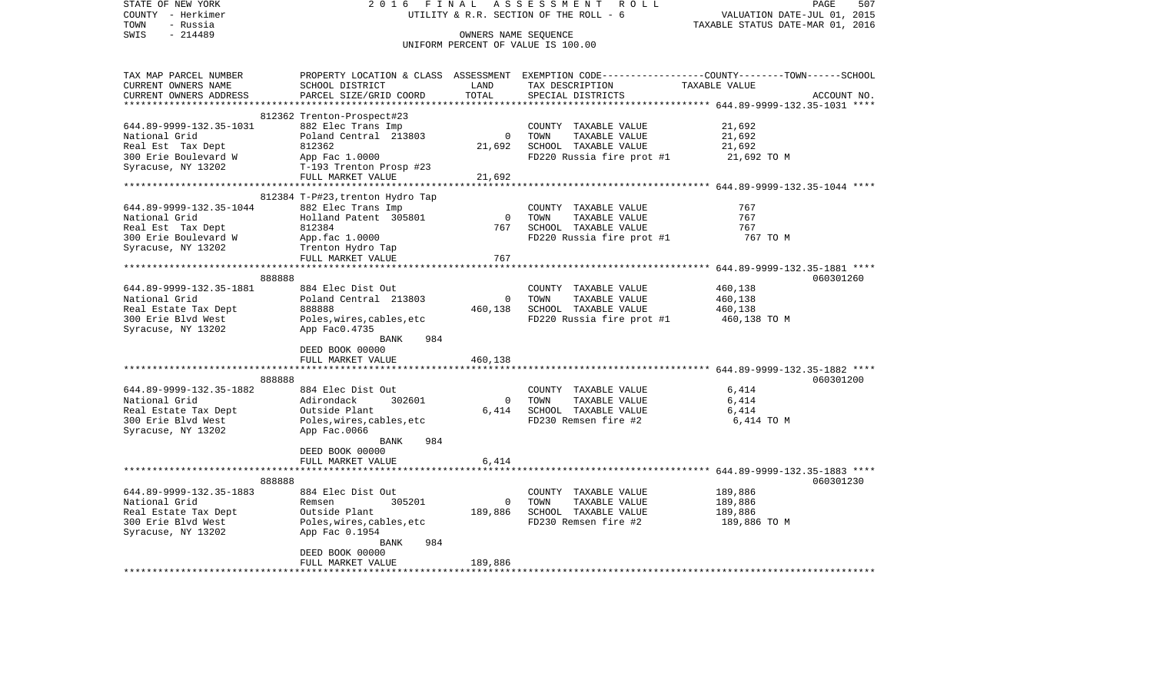| STATE OF NEW YORK           | 2 0 1 6                          | FINAL                               | A S S E S S M E N T R O L L                        | PAGE<br>507                                                                                     |
|-----------------------------|----------------------------------|-------------------------------------|----------------------------------------------------|-------------------------------------------------------------------------------------------------|
| COUNTY - Herkimer           |                                  |                                     | UTILITY & R.R. SECTION OF THE ROLL - 6             | VALUATION DATE-JUL 01, 2015                                                                     |
| TOWN<br>- Russia            |                                  |                                     |                                                    | TAXABLE STATUS DATE-MAR 01, 2016                                                                |
| $-214489$<br>SWIS           |                                  | OWNERS NAME SEQUENCE                |                                                    |                                                                                                 |
|                             |                                  |                                     | UNIFORM PERCENT OF VALUE IS 100.00                 |                                                                                                 |
|                             |                                  |                                     |                                                    |                                                                                                 |
| TAX MAP PARCEL NUMBER       |                                  |                                     |                                                    | PROPERTY LOCATION & CLASS ASSESSMENT EXEMPTION CODE---------------COUNTY-------TOWN------SCHOOL |
| CURRENT OWNERS NAME         | SCHOOL DISTRICT                  | LAND                                | TAX DESCRIPTION TAXABLE VALUE<br>SPECIAL DISTRICTS |                                                                                                 |
| CURRENT OWNERS ADDRESS      | PARCEL SIZE/GRID COORD           | TOTAL                               | SPECIAL DISTRICTS                                  | ACCOUNT NO.                                                                                     |
|                             |                                  |                                     |                                                    |                                                                                                 |
|                             | 812362 Trenton-Prospect#23       |                                     |                                                    |                                                                                                 |
| 644.89-9999-132.35-1031     | 882 Elec Trans Imp               |                                     | COUNTY TAXABLE VALUE                               | 21,692                                                                                          |
| National Grid               | Poland Central 213803            | $\overline{0}$                      | TOWN<br>TAXABLE VALUE                              | 21,692                                                                                          |
| Real Est Tax Dept           | 812362                           | 21,692                              | SCHOOL TAXABLE VALUE                               | 21,692                                                                                          |
| 300 Erie Boulevard W        | App Fac 1.0000                   |                                     | $FD220$ Russia fire prot #1 21,692 TO M            |                                                                                                 |
| Syracuse, NY 13202          | T-193 Trenton Prosp #23          |                                     |                                                    |                                                                                                 |
|                             | FULL MARKET VALUE                | 21,692                              |                                                    |                                                                                                 |
|                             | *******************************  | *************                       |                                                    | ***************************** 644.89-9999-132.35-1044 ****                                      |
|                             | 812384 T-P#23, trenton Hydro Tap |                                     |                                                    |                                                                                                 |
| 644.89-9999-132.35-1044     | 882 Elec Trans Imp               |                                     | COUNTY TAXABLE VALUE                               | 767                                                                                             |
| National Grid               | Holland Patent 305801            | $\begin{array}{c}0\\767\end{array}$ | TOWN<br>TAXABLE VALUE                              | 767                                                                                             |
| Real Est Tax Dept           | 812384                           |                                     | SCHOOL TAXABLE VALUE                               | 767                                                                                             |
| 300 Erie Boulevard W        | App.fac 1.0000                   |                                     | FD220 Russia fire prot #1                          | 767 TO M                                                                                        |
| Syracuse, NY 13202          | Trenton Hydro Tap                |                                     |                                                    |                                                                                                 |
|                             | FULL MARKET VALUE                | 767                                 |                                                    |                                                                                                 |
|                             |                                  |                                     |                                                    |                                                                                                 |
| 888888                      |                                  |                                     |                                                    | 060301260                                                                                       |
| 644.89-9999-132.35-1881     | 884 Elec Dist Out                |                                     | COUNTY TAXABLE VALUE                               | 460,138                                                                                         |
| National Grid               | Poland Central 213803            | $\overline{0}$                      | TOWN<br>TAXABLE VALUE                              | 460,138                                                                                         |
| Real Estate Tax Dept        | 888888                           |                                     | 460,138 SCHOOL TAXABLE VALUE                       | 460,138                                                                                         |
| 300 Erie Blvd West          | Poles,wires,cables,etc           |                                     | FD220 Russia fire prot #1                          | 460,138 TO M                                                                                    |
| Syracuse, NY 13202          | App Fac0.4735                    |                                     |                                                    |                                                                                                 |
|                             | 984<br>BANK                      |                                     |                                                    |                                                                                                 |
|                             | DEED BOOK 00000                  |                                     |                                                    |                                                                                                 |
|                             | FULL MARKET VALUE                | 460,138                             |                                                    |                                                                                                 |
|                             |                                  |                                     |                                                    |                                                                                                 |
| 888888                      |                                  |                                     |                                                    | 060301200                                                                                       |
| 644.89-9999-132.35-1882     | 884 Elec Dist Out                |                                     | COUNTY TAXABLE VALUE                               | 6,414                                                                                           |
| National Grid               | Adirondack<br>302601             | $\overline{0}$                      | TOWN<br>TAXABLE VALUE                              | 6,414                                                                                           |
| Real Estate Tax Dept        | Outside Plant                    | 6,414                               | SCHOOL TAXABLE VALUE                               | 6,414                                                                                           |
| 300 Erie Blvd West          | Poles, wires, cables, etc        |                                     | FD230 Remsen fire #2                               | 6,414 TO M                                                                                      |
| Syracuse, NY 13202          | App Fac.0066                     |                                     |                                                    |                                                                                                 |
|                             | BANK<br>984                      |                                     |                                                    |                                                                                                 |
|                             | DEED BOOK 00000                  |                                     |                                                    |                                                                                                 |
|                             | FULL MARKET VALUE                | 6,414                               |                                                    |                                                                                                 |
|                             |                                  |                                     |                                                    |                                                                                                 |
| 888888                      |                                  |                                     |                                                    | 060301230                                                                                       |
| 644.89-9999-132.35-1883     | 884 Elec Dist Out                |                                     | COUNTY TAXABLE VALUE                               | 189,886                                                                                         |
| National Grid               | 305201<br>Remsen                 | $\overline{0}$                      | TOWN<br>TAXABLE VALUE                              | 189,886                                                                                         |
| Real Estate Tax Dept        | Outside Plant                    | 189,886                             | SCHOOL TAXABLE VALUE                               | 189,886                                                                                         |
| 300 Erie Blvd West          | Poles,wires,cables,etc           |                                     | FD230 Remsen fire #2                               | 189,886 TO M                                                                                    |
| Syracuse, NY 13202          | App Fac 0.1954                   |                                     |                                                    |                                                                                                 |
|                             | 984<br>BANK                      |                                     |                                                    |                                                                                                 |
|                             | DEED BOOK 00000                  |                                     |                                                    |                                                                                                 |
|                             | FULL MARKET VALUE                | 189,886                             |                                                    |                                                                                                 |
| *************************** | *******************************  |                                     |                                                    |                                                                                                 |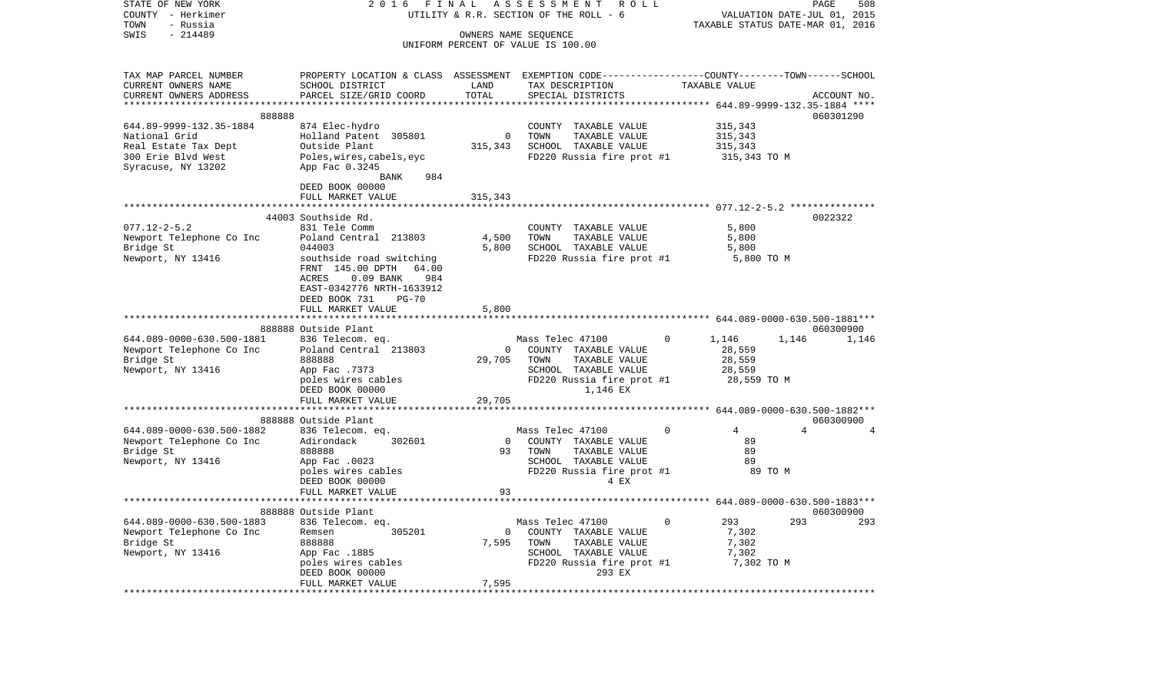| STATE OF NEW YORK<br>COUNTY - Herkimer<br>TOWN<br>- Russia | 2 0 1 6<br>FINAL<br>UTILITY & R.R. SECTION OF THE ROLL - 6                                                         | ROLL           | PAGE<br>508<br>VALUATION DATE-JUL 01, 2015<br>TAXABLE STATUS DATE-MAR 01, 2016 |          |                                       |       |                |
|------------------------------------------------------------|--------------------------------------------------------------------------------------------------------------------|----------------|--------------------------------------------------------------------------------|----------|---------------------------------------|-------|----------------|
| $-214489$<br>SWIS                                          |                                                                                                                    |                | OWNERS NAME SEQUENCE<br>UNIFORM PERCENT OF VALUE IS 100.00                     |          |                                       |       |                |
| TAX MAP PARCEL NUMBER<br>CURRENT OWNERS NAME               | PROPERTY LOCATION & CLASS ASSESSMENT EXEMPTION CODE---------------COUNTY-------TOWN------SCHOOL<br>SCHOOL DISTRICT | LAND           | TAX DESCRIPTION                                                                |          | TAXABLE VALUE                         |       |                |
| CURRENT OWNERS ADDRESS                                     | PARCEL SIZE/GRID COORD                                                                                             | TOTAL          | SPECIAL DISTRICTS                                                              |          | ******** 644.89-9999-132.35-1884 **** |       | ACCOUNT NO.    |
| 888888                                                     |                                                                                                                    |                |                                                                                |          |                                       |       | 060301290      |
| 644.89-9999-132.35-1884                                    | 874 Elec-hydro                                                                                                     | $\mathbf 0$    | COUNTY TAXABLE VALUE                                                           |          | 315,343                               |       |                |
| National Grid<br>Real Estate Tax Dept                      | Holland Patent 305801<br>Outside Plant                                                                             | 315,343        | TOWN<br>TAXABLE VALUE<br>SCHOOL TAXABLE VALUE                                  |          | 315,343<br>315,343                    |       |                |
| 300 Erie Blvd West                                         | Poles, wires, cabels, eyc                                                                                          |                | FD220 Russia fire prot #1                                                      |          | 315,343 TO M                          |       |                |
| Syracuse, NY 13202                                         | App Fac 0.3245<br>BANK<br>984                                                                                      |                |                                                                                |          |                                       |       |                |
|                                                            | DEED BOOK 00000                                                                                                    |                |                                                                                |          |                                       |       |                |
|                                                            | FULL MARKET VALUE                                                                                                  | 315,343        |                                                                                |          |                                       |       |                |
|                                                            | ***********************                                                                                            |                |                                                                                |          |                                       |       |                |
|                                                            | 44003 Southside Rd.                                                                                                |                |                                                                                |          |                                       |       | 0022322        |
| $077.12 - 2 - 5.2$<br>Newport Telephone Co Inc             | 831 Tele Comm<br>Poland Central 213803                                                                             | 4,500          | COUNTY TAXABLE VALUE<br>TOWN<br>TAXABLE VALUE                                  |          | 5,800<br>5,800                        |       |                |
| Bridge St                                                  | 044003                                                                                                             | 5,800          | SCHOOL TAXABLE VALUE                                                           |          | 5,800                                 |       |                |
| Newport, NY 13416                                          | southside road switching                                                                                           |                | FD220 Russia fire prot #1                                                      |          | 5,800 TO M                            |       |                |
|                                                            | FRNT 145.00 DPTH<br>64.00                                                                                          |                |                                                                                |          |                                       |       |                |
|                                                            | ACRES<br>$0.09$ BANK<br>984                                                                                        |                |                                                                                |          |                                       |       |                |
|                                                            | EAST-0342776 NRTH-1633912                                                                                          |                |                                                                                |          |                                       |       |                |
|                                                            | DEED BOOK 731<br>$PG-70$                                                                                           |                |                                                                                |          |                                       |       |                |
|                                                            | FULL MARKET VALUE                                                                                                  | 5,800          |                                                                                |          |                                       |       |                |
|                                                            | 888888 Outside Plant                                                                                               |                |                                                                                |          |                                       |       | 060300900      |
| 644.089-0000-630.500-1881                                  | 836 Telecom. eq.                                                                                                   |                | Mass Telec 47100                                                               | $\Omega$ | 1,146                                 | 1,146 | 1,146          |
| Newport Telephone Co Inc                                   | Poland Central 213803                                                                                              | $\mathbf 0$    | COUNTY TAXABLE VALUE                                                           |          | 28,559                                |       |                |
| Bridge St                                                  | 888888                                                                                                             | 29,705         | TOWN<br>TAXABLE VALUE                                                          |          | 28,559                                |       |                |
| Newport, NY 13416                                          | App Fac .7373                                                                                                      |                | SCHOOL TAXABLE VALUE                                                           |          | 28,559                                |       |                |
|                                                            | poles wires cables<br>DEED BOOK 00000                                                                              |                | FD220 Russia fire prot #1<br>1,146 EX                                          |          | 28,559 TO M                           |       |                |
|                                                            | FULL MARKET VALUE                                                                                                  | 29,705         |                                                                                |          |                                       |       |                |
|                                                            | 888888 Outside Plant                                                                                               |                |                                                                                |          |                                       |       | 060300900      |
| 644.089-0000-630.500-1882                                  | 836 Telecom. eq.                                                                                                   |                | Mass Telec 47100                                                               | $\Omega$ | 4                                     |       | $\overline{a}$ |
| Newport Telephone Co Inc                                   | Adirondack<br>302601                                                                                               | $\overline{0}$ | COUNTY TAXABLE VALUE                                                           |          | 89                                    |       |                |
| Bridge St                                                  | 888888                                                                                                             | 93             | TOWN<br>TAXABLE VALUE                                                          |          | 89                                    |       |                |
| Newport, NY 13416                                          | App Fac .0023                                                                                                      |                | SCHOOL TAXABLE VALUE                                                           |          | 89                                    |       |                |
|                                                            | poles wires cables                                                                                                 |                | FD220 Russia fire prot #1                                                      |          | 89 TO M                               |       |                |
|                                                            | DEED BOOK 00000<br>FULL MARKET VALUE                                                                               | 93             | 4 EX                                                                           |          |                                       |       |                |
|                                                            |                                                                                                                    |                |                                                                                |          |                                       |       |                |
|                                                            | 888888 Outside Plant                                                                                               |                |                                                                                |          |                                       |       | 060300900      |
| 644.089-0000-630.500-1883                                  | 836 Telecom. eq.                                                                                                   |                | Mass Telec 47100                                                               | 0        | 293                                   | 293   | 293            |
| Newport Telephone Co Inc                                   | Remsen<br>305201                                                                                                   | $\overline{0}$ | COUNTY TAXABLE VALUE                                                           |          | 7,302                                 |       |                |
| Bridge St                                                  | 888888                                                                                                             | 7,595          | TOWN<br>TAXABLE VALUE                                                          |          | 7,302                                 |       |                |
| Newport, NY 13416                                          | App Fac .1885                                                                                                      |                | SCHOOL TAXABLE VALUE                                                           |          | 7,302                                 |       |                |
|                                                            | poles wires cables<br>DEED BOOK 00000                                                                              |                | FD220 Russia fire prot #1<br>293 EX                                            |          | 7,302 TO M                            |       |                |
|                                                            | FULL MARKET VALUE                                                                                                  | 7,595          |                                                                                |          |                                       |       |                |
| *******************                                        |                                                                                                                    |                |                                                                                |          |                                       |       |                |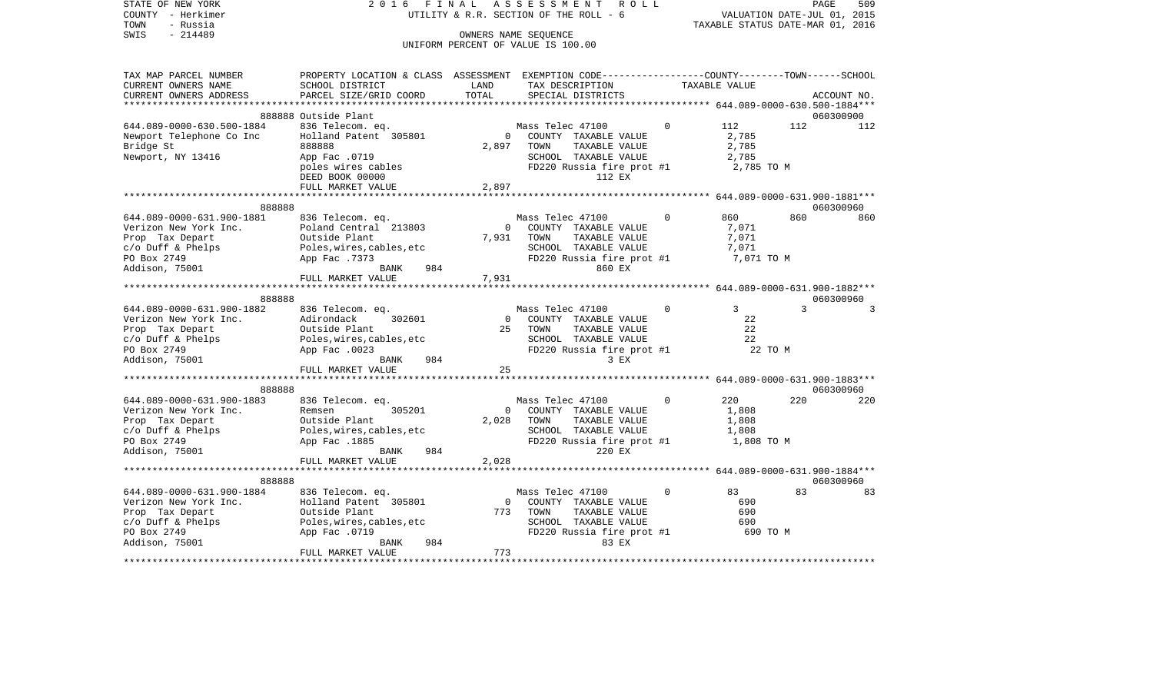| COUNTY<br>- Herkimer<br>TOWN<br>- Russia |                                                                                                |          | UTILITY & R.R. SECTION OF THE ROLL - 6<br>OWNERS NAME SEOUENCE | VALUATION DATE-JUL 01, 2015<br>TAXABLE STATUS DATE-MAR 01, 2016 |                                         |     |             |
|------------------------------------------|------------------------------------------------------------------------------------------------|----------|----------------------------------------------------------------|-----------------------------------------------------------------|-----------------------------------------|-----|-------------|
| $-214489$<br>SWIS                        |                                                                                                |          |                                                                |                                                                 |                                         |     |             |
|                                          |                                                                                                |          | UNIFORM PERCENT OF VALUE IS 100.00                             |                                                                 |                                         |     |             |
| TAX MAP PARCEL NUMBER                    | PROPERTY LOCATION & CLASS ASSESSMENT EXEMPTION CODE---------------COUNTY-------TOWN-----SCHOOL |          |                                                                |                                                                 |                                         |     |             |
| CURRENT OWNERS NAME                      | SCHOOL DISTRICT                                                                                | LAND     | TAX DESCRIPTION                                                |                                                                 | TAXABLE VALUE                           |     |             |
| CURRENT OWNERS ADDRESS                   | PARCEL SIZE/GRID COORD                                                                         | TOTAL    | SPECIAL DISTRICTS                                              |                                                                 |                                         |     | ACCOUNT NO. |
| *****************                        |                                                                                                |          |                                                                |                                                                 |                                         |     |             |
|                                          | 888888 Outside Plant                                                                           |          |                                                                |                                                                 |                                         |     | 060300900   |
| 644.089-0000-630.500-1884                | 836 Telecom. eq.                                                                               |          | Mass Telec 47100                                               | $\Omega$                                                        | 112                                     | 112 | 112         |
| Newport Telephone Co Inc                 | Holland Patent 305801                                                                          | $\Omega$ | COUNTY TAXABLE VALUE                                           |                                                                 | 2,785                                   |     |             |
| Bridge St                                | 888888                                                                                         | 2,897    | TOWN<br>TAXABLE VALUE                                          |                                                                 | 2,785                                   |     |             |
| Newport, NY 13416                        | App Fac .0719                                                                                  |          | SCHOOL TAXABLE VALUE                                           |                                                                 | 2,785                                   |     |             |
|                                          | poles wires cables                                                                             |          | FD220 Russia fire prot #1                                      |                                                                 | 2,785 TO M                              |     |             |
|                                          | DEED BOOK 00000                                                                                |          | 112 EX                                                         |                                                                 |                                         |     |             |
|                                          | FULL MARKET VALUE                                                                              | 2,897    |                                                                |                                                                 |                                         |     |             |
|                                          |                                                                                                | .        |                                                                |                                                                 | ******** 644.089-0000-631.900-1881***   |     |             |
| 888888                                   |                                                                                                |          |                                                                |                                                                 |                                         |     | 060300960   |
| 644.089-0000-631.900-1881                | 836 Telecom. eq.                                                                               |          | Mass Telec 47100                                               | $\Omega$                                                        | 860                                     | 860 | 860         |
| Verizon New York Inc.                    | Poland Central 213803                                                                          | $\Omega$ | COUNTY TAXABLE VALUE                                           |                                                                 | 7,071                                   |     |             |
| Prop Tax Depart                          | Outside Plant                                                                                  | 7,931    | TOWN<br>TAXABLE VALUE                                          |                                                                 | 7,071                                   |     |             |
| c/o Duff & Phelps                        | Poles, wires, cables, etc                                                                      |          | SCHOOL TAXABLE VALUE                                           |                                                                 | 7,071                                   |     |             |
| PO Box 2749                              | App Fac .7373                                                                                  |          | FD220 Russia fire prot #1                                      |                                                                 | 7,071 TO M                              |     |             |
| Addison, 75001                           | 984<br>BANK                                                                                    |          | 860 EX                                                         |                                                                 |                                         |     |             |
|                                          | FULL MARKET VALUE                                                                              | 7,931    |                                                                |                                                                 |                                         |     |             |
|                                          |                                                                                                |          |                                                                |                                                                 |                                         |     |             |
| 888888                                   |                                                                                                |          |                                                                |                                                                 |                                         |     | 060300960   |
| 644.089-0000-631.900-1882                | 836 Telecom. eq.                                                                               |          | Mass Telec 47100                                               | $\mathbf 0$                                                     | $3^{\circ}$                             | 3   | 3           |
| Verizon New York Inc.                    | Adirondack<br>302601                                                                           | $\Omega$ | COUNTY TAXABLE VALUE                                           |                                                                 | 22                                      |     |             |
| Prop Tax Depart                          | Outside Plant                                                                                  | 25       | TOWN<br>TAXABLE VALUE                                          |                                                                 | 22                                      |     |             |
| c/o Duff & Phelps                        | Poles, wires, cables, etc                                                                      |          | SCHOOL TAXABLE VALUE                                           |                                                                 | 22                                      |     |             |
| PO Box 2749                              | App Fac .0023                                                                                  |          | FD220 Russia fire prot #1                                      |                                                                 | 22 TO M                                 |     |             |
| Addison, 75001                           | BANK<br>984                                                                                    |          | $3$ EX                                                         |                                                                 |                                         |     |             |
|                                          | FULL MARKET VALUE                                                                              | 25       |                                                                |                                                                 |                                         |     |             |
|                                          |                                                                                                |          |                                                                |                                                                 |                                         |     |             |
| 888888                                   |                                                                                                |          |                                                                |                                                                 |                                         |     | 060300960   |
| 644.089-0000-631.900-1883                | 836 Telecom. eq.                                                                               |          | Mass Telec 47100                                               | $\Omega$                                                        | 220                                     | 220 | 220         |
| Verizon New York Inc.                    | Remsen<br>305201                                                                               | $\Omega$ | COUNTY TAXABLE VALUE                                           |                                                                 | 1,808                                   |     |             |
| Prop Tax Depart                          | Outside Plant                                                                                  | 2,028    | TAXABLE VALUE<br>TOWN                                          |                                                                 | 1,808                                   |     |             |
| $c$ /o Duff & Phelps                     | Poles, wires, cables, etc                                                                      |          | SCHOOL TAXABLE VALUE                                           |                                                                 | 1,808                                   |     |             |
| PO Box 2749                              | App Fac .1885                                                                                  |          | FD220 Russia fire prot #1                                      |                                                                 | 1,808 TO M                              |     |             |
| Addison, 75001                           | <b>BANK</b><br>984                                                                             |          | 220 EX                                                         |                                                                 |                                         |     |             |
|                                          | FULL MARKET VALUE                                                                              | 2,028    |                                                                |                                                                 |                                         |     |             |
|                                          |                                                                                                |          |                                                                |                                                                 | ********** 644.089-0000-631.900-1884*** |     |             |
| 888888                                   |                                                                                                |          |                                                                |                                                                 |                                         |     | 060300960   |
| 644.089-0000-631.900-1884                | 836 Telecom. eq.                                                                               |          | Mass Telec 47100                                               | $\mathbf 0$                                                     | 83                                      | 83  | 83          |
| Verizon New York Inc.                    | Holland Patent 305801                                                                          |          | COUNTY TAXABLE VALUE                                           |                                                                 | 690                                     |     |             |
| Prop Tax Depart                          | Outside Plant                                                                                  | 773      | TOWN<br>TAXABLE VALUE                                          |                                                                 | 690                                     |     |             |
| $c/O$ Duff & Phelps                      | Poles, wires, cables, etc                                                                      |          | SCHOOL TAXABLE VALUE                                           |                                                                 | 690                                     |     |             |
| PO Box 2749                              | App Fac .0719                                                                                  |          | FD220 Russia fire prot #1                                      |                                                                 | 690 TO M                                |     |             |
| Addison, 75001                           | 984<br>BANK                                                                                    |          | 83 EX                                                          |                                                                 |                                         |     |             |
|                                          | FULL MARKET VALUE                                                                              | 773      |                                                                |                                                                 |                                         |     |             |
|                                          |                                                                                                |          |                                                                |                                                                 |                                         |     |             |

PAGE 509

STATE OF NEW YORK 2 0 1 6 F I N A L A S S E S S M E N T R O L L PAGE 509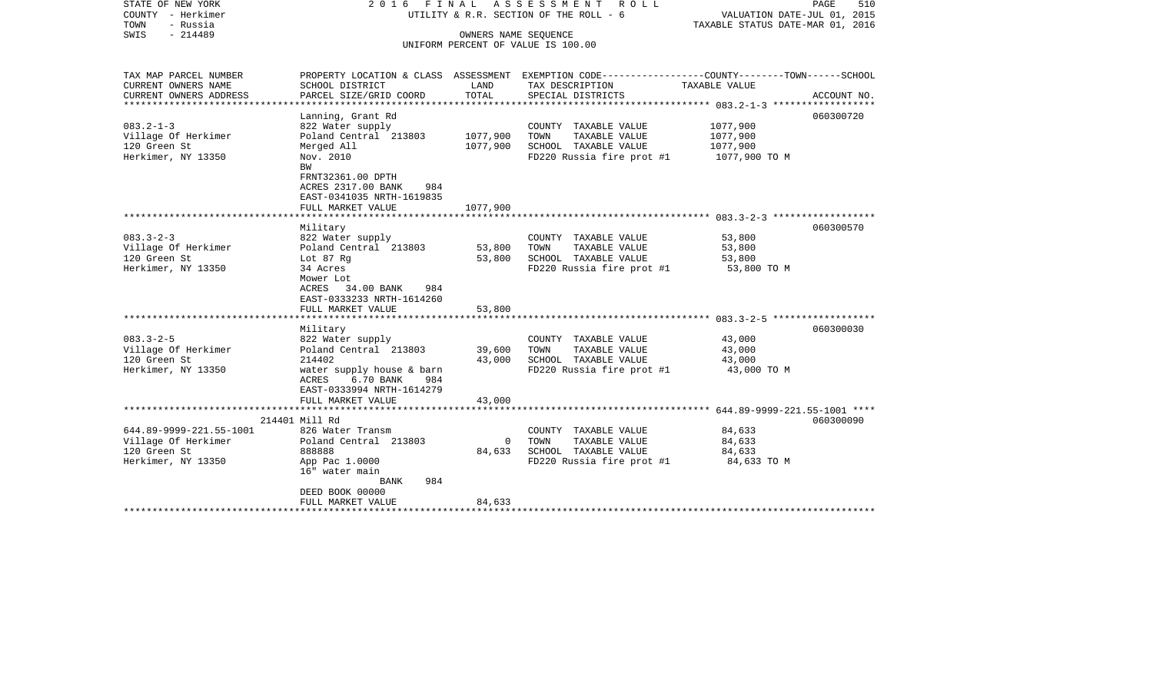| STATE OF NEW YORK<br>COUNTY - Herkimer<br>- Russia<br>TOWN<br>$-214489$<br>SWIS | 2016 FINAL ASSESSMENT<br>UTILITY & R.R. SECTION OF THE ROLL - 6<br>UNIFORM PERCENT OF VALUE IS 100.00  | PAGE<br>510<br>VALUATION DATE-JUL 01, 2015<br>TAXABLE STATUS DATE-MAR 01, 2016 |                                                                                                                   |                      |             |
|---------------------------------------------------------------------------------|--------------------------------------------------------------------------------------------------------|--------------------------------------------------------------------------------|-------------------------------------------------------------------------------------------------------------------|----------------------|-------------|
| TAX MAP PARCEL NUMBER<br>CURRENT OWNERS NAME                                    | SCHOOL DISTRICT                                                                                        | LAND                                                                           | PROPERTY LOCATION & CLASS ASSESSMENT EXEMPTION CODE---------------COUNTY-------TOWN-----SCHOOL<br>TAX DESCRIPTION | TAXABLE VALUE        |             |
| CURRENT OWNERS ADDRESS                                                          | PARCEL SIZE/GRID COORD                                                                                 | TOTAL                                                                          | SPECIAL DISTRICTS                                                                                                 |                      | ACCOUNT NO. |
| *********************                                                           |                                                                                                        |                                                                                |                                                                                                                   |                      |             |
|                                                                                 | Lanning, Grant Rd                                                                                      |                                                                                |                                                                                                                   |                      | 060300720   |
| $083.2 - 1 - 3$<br>Village Of Herkimer                                          | 822 Water supply<br>Poland Central 213803                                                              | 1077,900                                                                       | COUNTY TAXABLE VALUE<br>TOWN<br>TAXABLE VALUE                                                                     | 1077,900<br>1077,900 |             |
| 120 Green St                                                                    | Merged All                                                                                             | 1077,900                                                                       | SCHOOL TAXABLE VALUE                                                                                              | 1077,900             |             |
| Herkimer, NY 13350                                                              | Nov. 2010                                                                                              |                                                                                | FD220 Russia fire prot #1                                                                                         | 1077,900 TO M        |             |
|                                                                                 | BW<br>FRNT32361.00 DPTH<br>ACRES 2317.00 BANK<br>984<br>EAST-0341035 NRTH-1619835<br>FULL MARKET VALUE | 1077,900                                                                       |                                                                                                                   |                      |             |
|                                                                                 |                                                                                                        |                                                                                |                                                                                                                   |                      |             |
| $083.3 - 2 - 3$                                                                 | Military<br>822 Water supply                                                                           |                                                                                | COUNTY TAXABLE VALUE                                                                                              | 53,800               | 060300570   |
| Village Of Herkimer                                                             | Poland Central 213803                                                                                  | 53,800                                                                         | TOWN<br>TAXABLE VALUE                                                                                             | 53,800               |             |
| 120 Green St                                                                    | Lot 87 Rg                                                                                              | 53,800                                                                         | SCHOOL TAXABLE VALUE                                                                                              | 53,800               |             |
| Herkimer, NY 13350                                                              | 34 Acres<br>Mower Lot<br>ACRES 34.00 BANK<br>984<br>EAST-0333233 NRTH-1614260<br>FULL MARKET VALUE     | 53,800                                                                         | FD220 Russia fire prot #1                                                                                         | 53,800 TO M          |             |
|                                                                                 |                                                                                                        |                                                                                |                                                                                                                   |                      |             |
|                                                                                 | Military                                                                                               |                                                                                |                                                                                                                   |                      | 060300030   |
| $083.3 - 2 - 5$                                                                 | 822 Water supply                                                                                       |                                                                                | COUNTY TAXABLE VALUE                                                                                              | 43,000               |             |
| Village Of Herkimer                                                             | Poland Central 213803                                                                                  | 39,600                                                                         | TOWN<br>TAXABLE VALUE                                                                                             | 43,000               |             |
| 120 Green St                                                                    | 214402                                                                                                 | 43,000                                                                         | SCHOOL TAXABLE VALUE                                                                                              | 43,000               |             |
| Herkimer, NY 13350                                                              | water supply house & barn<br>6.70 BANK<br>ACRES<br>984<br>EAST-0333994 NRTH-1614279                    |                                                                                | FD220 Russia fire prot #1                                                                                         | 43,000 TO M          |             |
|                                                                                 | FULL MARKET VALUE                                                                                      | 43,000                                                                         |                                                                                                                   |                      |             |
|                                                                                 | 214401 Mill Rd                                                                                         |                                                                                |                                                                                                                   |                      | 060300090   |
| 644.89-9999-221.55-1001                                                         | 826 Water Transm                                                                                       |                                                                                | COUNTY TAXABLE VALUE                                                                                              | 84,633               |             |
| Village Of Herkimer                                                             | Poland Central 213803                                                                                  | $\overline{0}$                                                                 | TOWN<br>TAXABLE VALUE                                                                                             | 84,633               |             |
| 120 Green St                                                                    | 888888                                                                                                 | 84,633                                                                         | SCHOOL TAXABLE VALUE                                                                                              | 84,633               |             |
| Herkimer, NY 13350                                                              | App Pac 1.0000<br>16" water main<br><b>BANK</b><br>984                                                 |                                                                                | FD220 Russia fire prot #1                                                                                         | 84,633 TO M          |             |
|                                                                                 | DEED BOOK 00000                                                                                        |                                                                                |                                                                                                                   |                      |             |
|                                                                                 | FULL MARKET VALUE                                                                                      | 84,633                                                                         |                                                                                                                   |                      |             |
|                                                                                 |                                                                                                        |                                                                                |                                                                                                                   |                      |             |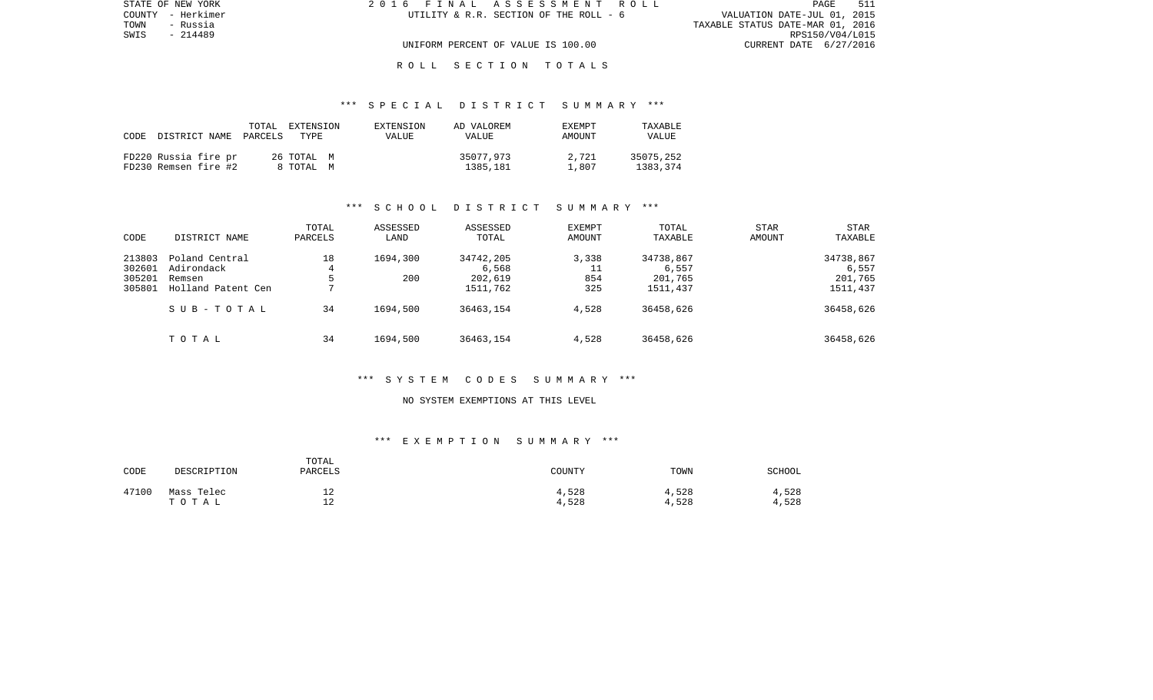| STATE OF NEW YORK | 2016 FINAL ASSESSMENT ROLL             | 511<br>PAGE                      |
|-------------------|----------------------------------------|----------------------------------|
| COUNTY - Herkimer | UTILITY & R.R. SECTION OF THE ROLL - 6 | VALUATION DATE-JUL 01, 2015      |
| TOWN<br>- Russia  |                                        | TAXABLE STATUS DATE-MAR 01, 2016 |
| SWIS<br>- 214489  |                                        | RPS150/V04/L015                  |
|                   | UNIFORM PERCENT OF VALUE IS 100.00     | CURRENT DATE 6/27/2016           |
|                   |                                        |                                  |

#### \*\*\* S P E C I A L D I S T R I C T S U M M A R Y \*\*\*

| CODE | DISTRICT NAME                                | TOTAL<br>PARCELS | EXTENSION<br>TYPE.      | EXTENSION<br>VALUE | AD VALOREM<br>VALUE   | EXEMPT<br>AMOUNT | TAXABLE<br><b>VALUE</b> |
|------|----------------------------------------------|------------------|-------------------------|--------------------|-----------------------|------------------|-------------------------|
|      | FD220 Russia fire pr<br>FD230 Remsen fire #2 |                  | 26 TOTAL M<br>8 ТОТАL М |                    | 35077,973<br>1385,181 | 2,721<br>1.807   | 35075,252<br>1383,374   |

#### \*\*\* S C H O O L D I S T R I C T S U M M A R Y \*\*\*

| CODE                                 | DISTRICT NAME                                                | TOTAL<br>PARCELS               | ASSESSED<br>LAND | ASSESSED<br>TOTAL                         | EXEMPT<br>AMOUNT          | TOTAL<br>TAXABLE                          | <b>STAR</b><br>AMOUNT | <b>STAR</b><br>TAXABLE                    |
|--------------------------------------|--------------------------------------------------------------|--------------------------------|------------------|-------------------------------------------|---------------------------|-------------------------------------------|-----------------------|-------------------------------------------|
| 213803<br>302601<br>305201<br>305801 | Poland Central<br>Adirondack<br>Remsen<br>Holland Patent Cen | 18<br>4<br>5<br>$\overline{ }$ | 1694,300<br>200  | 34742,205<br>6,568<br>202,619<br>1511,762 | 3,338<br>11<br>854<br>325 | 34738,867<br>6,557<br>201,765<br>1511,437 |                       | 34738,867<br>6,557<br>201,765<br>1511,437 |
|                                      | SUB-TOTAL                                                    | 34                             | 1694,500         | 36463,154                                 | 4,528                     | 36458,626                                 |                       | 36458,626                                 |
|                                      | тотаь                                                        | 34                             | 1694,500         | 36463,154                                 | 4,528                     | 36458,626                                 |                       | 36458,626                                 |

#### \*\*\* S Y S T E M C O D E S S U M M A R Y \*\*\*

#### NO SYSTEM EXEMPTIONS AT THIS LEVEL

| CODE  | DESCRIPTION         | TOTAL<br>PARCELS      | COUNTY         | TOWN           | SCHOOL         |
|-------|---------------------|-----------------------|----------------|----------------|----------------|
| 47100 | Mass Telec<br>тотаь | ∸∸<br>ി<br><u>، د</u> | 4,528<br>4,528 | 4,528<br>4,528 | 4,528<br>4,528 |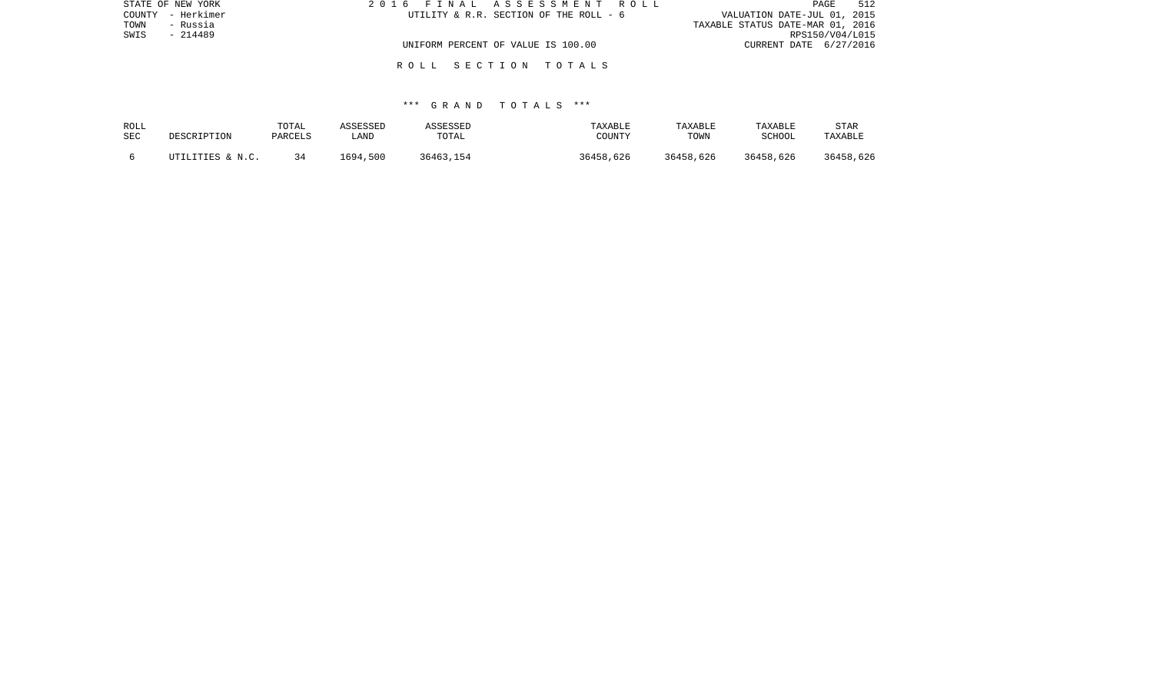| STATE OF NEW YORK | 2016 FINAL ASSESSMENT ROLL             | 512<br>PAGE                      |
|-------------------|----------------------------------------|----------------------------------|
| COUNTY - Herkimer | UTILITY & R.R. SECTION OF THE ROLL - 6 | VALUATION DATE-JUL 01, 2015      |
| TOWN<br>- Russia  |                                        | TAXABLE STATUS DATE-MAR 01, 2016 |
| SWIS<br>- 214489  |                                        | RPS150/V04/L015                  |
|                   | UNIFORM PERCENT OF VALUE IS 100.00     | CURRENT DATE 6/27/2016           |
|                   |                                        |                                  |

## \*\*\* G R A N D T O T A L S \*\*\*

| ROLL | DESCRIPTION      | TOTAL   | ASSESSED | ASSESSED  | TAXABLE   | TAXABLE   | TAXABLE   | <b>STAR</b> |
|------|------------------|---------|----------|-----------|-----------|-----------|-----------|-------------|
| SEC  |                  | PARCELS | LAND     | TOTAL     | COUNTY    | TOWN      | SCHOOL    | TAXABLE     |
|      | UTILITIES & N.C. |         | 1694,500 | 36463,154 | 36458,626 | 36458,626 | 36458,626 | 36458,626   |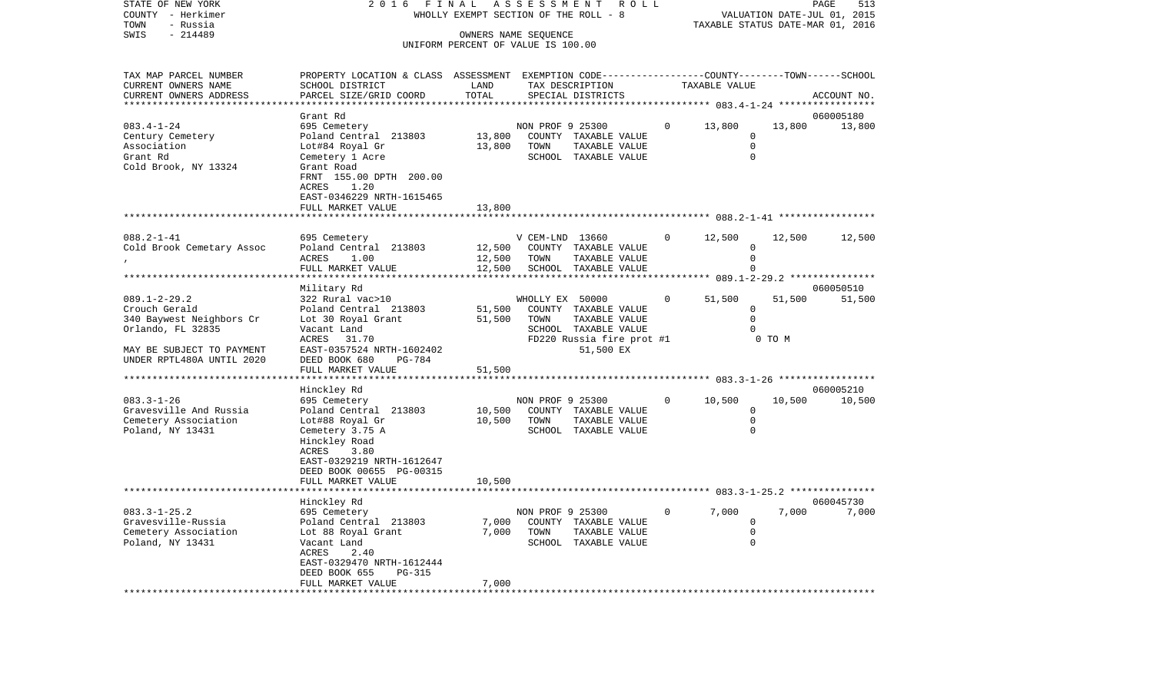| STATE OF NEW YORK<br>COUNTY - Herkimer<br>TOWN<br>- Russia                                                                                     | 2016<br>FINAL                                                                                                                                                                                       | ASSESSMENT<br>R O L L<br>WHOLLY EXEMPT SECTION OF THE ROLL - 8 |                          | TAXABLE STATUS DATE-MAR 01, 2016                                                                        |              | PAGE<br>513<br>VALUATION DATE-JUL 01, 2015               |                  |                     |
|------------------------------------------------------------------------------------------------------------------------------------------------|-----------------------------------------------------------------------------------------------------------------------------------------------------------------------------------------------------|----------------------------------------------------------------|--------------------------|---------------------------------------------------------------------------------------------------------|--------------|----------------------------------------------------------|------------------|---------------------|
| SWIS<br>$-214489$                                                                                                                              |                                                                                                                                                                                                     | UNIFORM PERCENT OF VALUE IS 100.00                             | OWNERS NAME SEQUENCE     |                                                                                                         |              |                                                          |                  |                     |
| TAX MAP PARCEL NUMBER<br>CURRENT OWNERS NAME<br>CURRENT OWNERS ADDRESS                                                                         | PROPERTY LOCATION & CLASS ASSESSMENT EXEMPTION CODE----------------COUNTY-------TOWN-----SCHOOL<br>SCHOOL DISTRICT<br>PARCEL SIZE/GRID COORD                                                        | LAND<br>TOTAL<br>******                                        |                          | TAX DESCRIPTION<br>SPECIAL DISTRICTS                                                                    |              | TAXABLE VALUE<br>********** 083.4-1-24 ***************** |                  | ACCOUNT NO.         |
| $083.4 - 1 - 24$<br>Century Cemetery<br>Association<br>Grant Rd<br>Cold Brook, NY 13324                                                        | Grant Rd<br>695 Cemetery<br>Poland Central 213803<br>Lot#84 Royal Gr<br>Cemetery 1 Acre<br>Grant Road<br>FRNT 155.00 DPTH 200.00<br>1.20<br>ACRES<br>EAST-0346229 NRTH-1615465<br>FULL MARKET VALUE | 13,800<br>13,800<br>13,800                                     | NON PROF 9 25300<br>TOWN | COUNTY TAXABLE VALUE<br>TAXABLE VALUE<br>SCHOOL TAXABLE VALUE                                           | $\Omega$     | 13,800<br>0<br>$\mathbf 0$<br>$\mathbf 0$                | 13,800           | 060005180<br>13,800 |
|                                                                                                                                                |                                                                                                                                                                                                     |                                                                |                          |                                                                                                         |              |                                                          |                  |                     |
| $088.2 - 1 - 41$<br>Cold Brook Cemetary Assoc                                                                                                  | 695 Cemetery<br>Poland Central 213803<br>ACRES<br>1.00<br>FULL MARKET VALUE<br>******************                                                                                                   | 12,500<br>12,500<br>12,500                                     | V CEM-LND 13660<br>TOWN  | COUNTY TAXABLE VALUE<br>TAXABLE VALUE<br>SCHOOL TAXABLE VALUE                                           | $\mathbf{0}$ | 12,500<br>0<br>$\Omega$<br>$\Omega$                      | 12,500           | 12,500              |
|                                                                                                                                                | Military Rd                                                                                                                                                                                         |                                                                |                          |                                                                                                         |              |                                                          |                  | 060050510           |
| $089.1 - 2 - 29.2$<br>Crouch Gerald<br>340 Baywest Neighbors Cr<br>Orlando, FL 32835<br>MAY BE SUBJECT TO PAYMENT<br>UNDER RPTL480A UNTIL 2020 | 322 Rural vac>10<br>Poland Central 213803<br>Lot 30 Royal Grant<br>Vacant Land<br>ACRES<br>31.70<br>EAST-0357524 NRTH-1602402<br>DEED BOOK 680<br>PG-784                                            | 51,500<br>51,500                                               | WHOLLY EX 50000<br>TOWN  | COUNTY TAXABLE VALUE<br>TAXABLE VALUE<br>SCHOOL TAXABLE VALUE<br>FD220 Russia fire prot #1<br>51,500 EX | $\mathbf 0$  | 51,500<br>$\mathbf 0$<br>$\Omega$<br>$\Omega$            | 51,500<br>0 TO M | 51,500              |
|                                                                                                                                                | FULL MARKET VALUE                                                                                                                                                                                   | 51,500                                                         |                          |                                                                                                         |              |                                                          |                  |                     |
| $083.3 - 1 - 26$<br>Gravesville And Russia<br>Cemetery Association<br>Poland, NY 13431                                                         | *******************<br>Hinckley Rd<br>695 Cemetery<br>Poland Central 213803<br>Lot#88 Royal Gr<br>Cemetery 3.75 A<br>Hinckley Road<br>3.80<br>ACRES<br>EAST-0329219 NRTH-1612647                    | 10,500<br>10,500                                               | NON PROF 9 25300<br>TOWN | COUNTY TAXABLE VALUE<br>TAXABLE VALUE<br>SCHOOL TAXABLE VALUE                                           | $\mathbf{0}$ | 10,500<br>$\mathbf 0$<br>$\Omega$<br>$\mathbf 0$         | 10,500           | 060005210<br>10,500 |
|                                                                                                                                                | DEED BOOK 00655 PG-00315<br>FULL MARKET VALUE                                                                                                                                                       | 10,500                                                         |                          |                                                                                                         |              |                                                          |                  |                     |
|                                                                                                                                                | ********************                                                                                                                                                                                |                                                                |                          |                                                                                                         |              |                                                          |                  | 060045730           |
| $083.3 - 1 - 25.2$<br>Gravesville-Russia<br>Cemetery Association<br>Poland, NY 13431                                                           | Hinckley Rd<br>695 Cemetery<br>Poland Central 213803<br>Lot 88 Royal Grant<br>Vacant Land<br>ACRES<br>2.40<br>EAST-0329470 NRTH-1612444<br>DEED BOOK 655<br><b>PG-315</b><br>FULL MARKET VALUE      | 7,000<br>7,000<br>7,000                                        | NON PROF 9 25300<br>TOWN | COUNTY TAXABLE VALUE<br>TAXABLE VALUE<br>SCHOOL TAXABLE VALUE                                           | $\Omega$     | 7,000<br>0<br>0<br>$\mathbf 0$                           | 7,000            | 7,000               |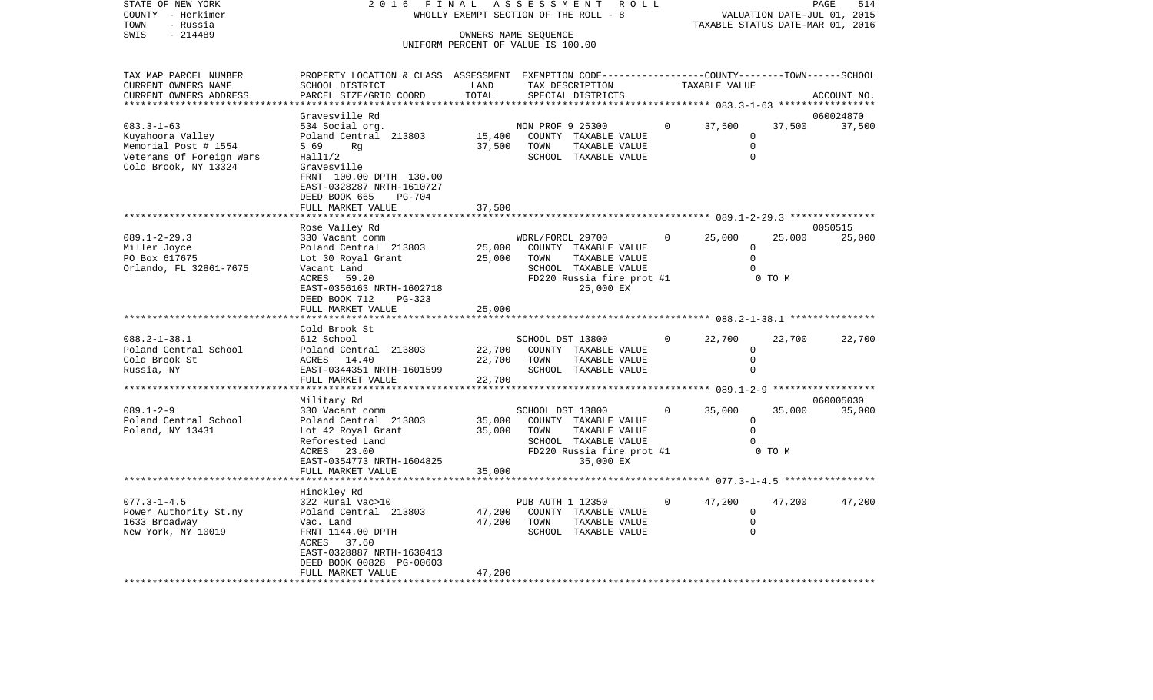| STATE OF NEW YORK<br>COUNTY - Herkimer<br>- Russia<br>TOWN                                                       | 2016<br>FINAL                                                                                                                                           |                            | A S S E S S M E N T<br>ROLL<br>WHOLLY EXEMPT SECTION OF THE ROLL - 8                                                                |          | TAXABLE STATUS DATE-MAR 01, 2016                 |                  | PAGE<br>514<br>VALUATION DATE-JUL 01, 2015 |
|------------------------------------------------------------------------------------------------------------------|---------------------------------------------------------------------------------------------------------------------------------------------------------|----------------------------|-------------------------------------------------------------------------------------------------------------------------------------|----------|--------------------------------------------------|------------------|--------------------------------------------|
| $-214489$<br>SWIS                                                                                                |                                                                                                                                                         |                            | OWNERS NAME SEOUENCE<br>UNIFORM PERCENT OF VALUE IS 100.00                                                                          |          |                                                  |                  |                                            |
|                                                                                                                  |                                                                                                                                                         |                            |                                                                                                                                     |          |                                                  |                  |                                            |
| TAX MAP PARCEL NUMBER<br>CURRENT OWNERS NAME<br>CURRENT OWNERS ADDRESS                                           | PROPERTY LOCATION & CLASS ASSESSMENT EXEMPTION CODE----------------COUNTY-------TOWN------SCHOOL<br>SCHOOL DISTRICT<br>PARCEL SIZE/GRID COORD           | LAND<br>TOTAL              | TAX DESCRIPTION<br>SPECIAL DISTRICTS                                                                                                |          | TAXABLE VALUE                                    |                  | ACCOUNT NO.                                |
| ************************                                                                                         |                                                                                                                                                         |                            |                                                                                                                                     |          |                                                  |                  |                                            |
|                                                                                                                  | Gravesville Rd                                                                                                                                          |                            |                                                                                                                                     |          |                                                  |                  | 060024870                                  |
| $083.3 - 1 - 63$<br>Kuyahoora Valley<br>Memorial Post # 1554<br>Veterans Of Foreign Wars<br>Cold Brook, NY 13324 | 534 Social org.<br>Poland Central 213803<br>S 69<br>Rq<br>Hall1/2<br>Gravesville<br>FRNT 100.00 DPTH 130.00<br>EAST-0328287 NRTH-1610727                | 15,400<br>37,500           | NON PROF 9 25300<br>COUNTY TAXABLE VALUE<br>TOWN<br>TAXABLE VALUE<br>SCHOOL TAXABLE VALUE                                           | $\Omega$ | 37,500<br>$\mathbf 0$<br>$\mathbf 0$<br>$\Omega$ | 37,500           | 37,500                                     |
|                                                                                                                  | DEED BOOK 665<br><b>PG-704</b>                                                                                                                          |                            |                                                                                                                                     |          |                                                  |                  |                                            |
|                                                                                                                  | FULL MARKET VALUE                                                                                                                                       | 37,500                     |                                                                                                                                     |          |                                                  |                  |                                            |
|                                                                                                                  | Rose Valley Rd                                                                                                                                          |                            |                                                                                                                                     |          |                                                  |                  | 0050515                                    |
| $089.1 - 2 - 29.3$<br>Miller Joyce<br>PO Box 617675<br>Orlando, FL 32861-7675                                    | 330 Vacant comm<br>Poland Central 213803<br>Lot 30 Royal Grant<br>Vacant Land<br>ACRES<br>59.20<br>EAST-0356163 NRTH-1602718<br>DEED BOOK 712<br>PG-323 | 25,000<br>25,000           | WDRL/FORCL 29700<br>COUNTY TAXABLE VALUE<br>TAXABLE VALUE<br>TOWN<br>SCHOOL TAXABLE VALUE<br>FD220 Russia fire prot #1<br>25,000 EX | $\Omega$ | 25,000<br>$\Omega$<br>$\Omega$<br>U              | 25,000<br>0 TO M | 25,000                                     |
|                                                                                                                  | FULL MARKET VALUE                                                                                                                                       | 25,000                     |                                                                                                                                     |          |                                                  |                  |                                            |
|                                                                                                                  | Cold Brook St                                                                                                                                           |                            |                                                                                                                                     |          |                                                  |                  |                                            |
| $088.2 - 1 - 38.1$<br>Poland Central School<br>Cold Brook St<br>Russia, NY                                       | 612 School<br>Poland Central 213803<br>ACRES 14.40<br>EAST-0344351 NRTH-1601599<br>FULL MARKET VALUE                                                    | 22,700<br>22,700<br>22,700 | SCHOOL DST 13800<br>COUNTY TAXABLE VALUE<br>TOWN<br>TAXABLE VALUE<br>SCHOOL TAXABLE VALUE                                           | $\Omega$ | 22,700<br>$\mathbf 0$<br>0<br>0                  | 22,700           | 22,700                                     |
|                                                                                                                  | ***********************                                                                                                                                 |                            |                                                                                                                                     |          |                                                  |                  |                                            |
| $089.1 - 2 - 9$<br>Poland Central School<br>Poland, NY 13431                                                     | Military Rd<br>330 Vacant comm<br>Poland Central 213803<br>Lot 42 Royal Grant<br>Reforested Land<br>ACRES<br>23.00<br>EAST-0354773 NRTH-1604825         | 35,000<br>35,000           | SCHOOL DST 13800<br>COUNTY TAXABLE VALUE<br>TOWN<br>TAXABLE VALUE<br>SCHOOL TAXABLE VALUE<br>FD220 Russia fire prot #1<br>35,000 EX | $\Omega$ | 35,000<br>0<br>$\mathbf 0$<br><sup>0</sup>       | 35,000<br>0 TO M | 060005030<br>35,000                        |

FULL MARKET VALUE 47,200 \*\*\*\*\*\*\*\*\*\*\*\*\*\*\*\*\*\*\*\*\*\*\*\*\*\*\*\*\*\*\*\*\*\*\*\*\*\*\*\*\*\*\*\*\*\*\*\*\*\*\*\*\*\*\*\*\*\*\*\*\*\*\*\*\*\*\*\*\*\*\*\*\*\*\*\*\*\*\*\*\*\*\*\*\*\*\*\*\*\*\*\*\*\*\*\*\*\*\*\*\*\*\*\*\*\*\*\*\*\*\*\*\*\*\*\*\*\*\*\*\*\*\*\*\*\*\*\*\*\*\*\*

\*\*\*\*\*\*\*\*\*\*\*\*\*\*\*\*\*\*\*\*\*\*\*\*\*\*\*\*\*\*\*\*\*\*\*\*\*\*\*\*\*\*\*\*\*\*\*\*\*\*\*\*\*\*\*\*\*\*\*\*\*\*\*\*\*\*\*\*\*\*\*\*\*\*\*\*\*\*\*\*\*\*\*\*\*\*\*\*\*\*\*\*\*\*\*\*\*\*\*\*\*\*\* 077.3-1-4.5 \*\*\*\*\*\*\*\*\*\*\*\*\*\*\*\*

077.3-1-4.5 322 Rural vac>10 PUB AUTH 1 12350 0 47,200 47,200 47,200

FRNT 1144.00 DPTH SCHOOL TAXABLE VALUE

Poland Central 213803 47,200 COUNTY TAXABLE VALUE 0

FULL MARKET VALUE 35,000

1633 Broadway Vac. Land 47,200 TOWN TAXABLE VALUE 0

Hinckley Rd

 ACRES 37.60 EAST-0328887 NRTH-1630413DEED BOOK 00828 PG-00603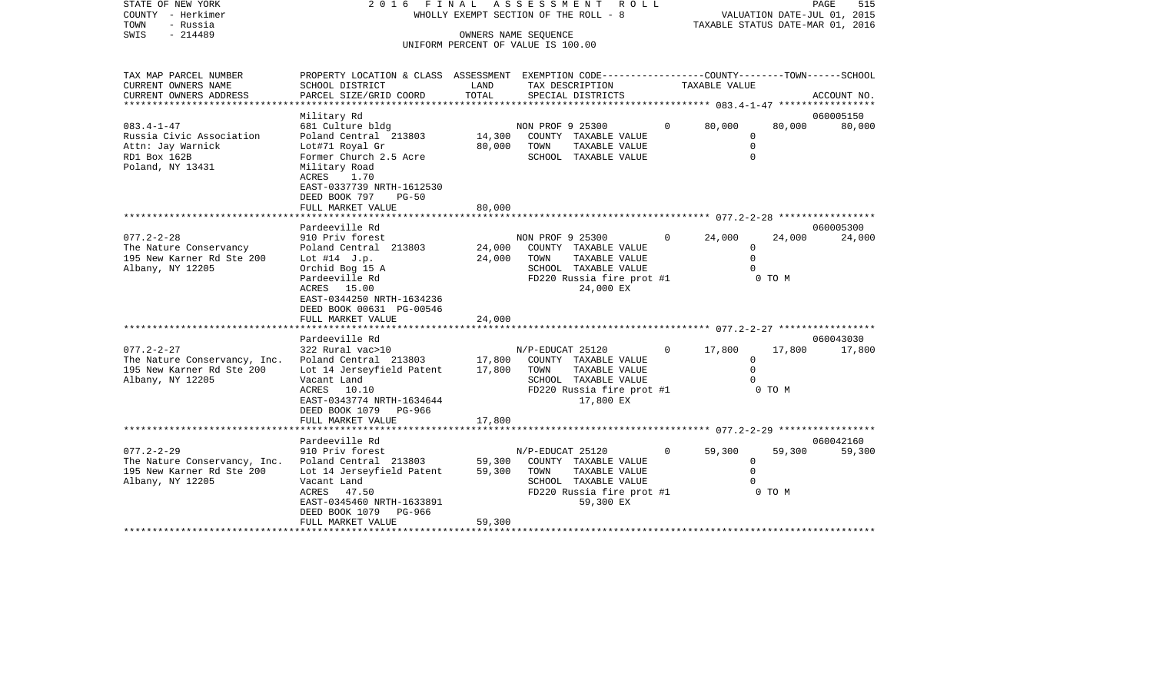| STATE OF NEW YORK          | 2016                                                                                           | FINAL  | ASSESSMENT ROLL                                            |          |                             | 515<br>PAGE |
|----------------------------|------------------------------------------------------------------------------------------------|--------|------------------------------------------------------------|----------|-----------------------------|-------------|
| - Herkimer<br>COUNTY       |                                                                                                |        | WHOLLY EXEMPT SECTION OF THE ROLL - 8                      |          | VALUATION DATE-JUL 01, 2015 |             |
| - Russia<br>TOWN           |                                                                                                |        | TAXABLE STATUS DATE-MAR 01, 2016                           |          |                             |             |
| SWIS<br>$-214489$          |                                                                                                |        |                                                            |          |                             |             |
|                            |                                                                                                |        | OWNERS NAME SEQUENCE<br>UNIFORM PERCENT OF VALUE IS 100.00 |          |                             |             |
|                            |                                                                                                |        |                                                            |          |                             |             |
|                            |                                                                                                |        |                                                            |          |                             |             |
| TAX MAP PARCEL NUMBER      | PROPERTY LOCATION & CLASS ASSESSMENT EXEMPTION CODE--------------COUNTY-------TOWN------SCHOOL |        |                                                            |          |                             |             |
| CURRENT OWNERS NAME        | SCHOOL DISTRICT                                                                                | LAND   | TAX DESCRIPTION                                            |          | TAXABLE VALUE               |             |
| CURRENT OWNERS ADDRESS     | PARCEL SIZE/GRID COORD                                                                         | TOTAL  | SPECIAL DISTRICTS                                          |          |                             | ACCOUNT NO. |
| ************************** |                                                                                                |        |                                                            |          |                             |             |
|                            | Military Rd                                                                                    |        |                                                            |          |                             | 060005150   |
| $083.4 - 1 - 47$           | 681 Culture bldg                                                                               |        | NON PROF 9 25300                                           | $\Omega$ | 80,000<br>80,000            | 80,000      |
| Russia Civic Association   | Poland Central 213803                                                                          | 14,300 | COUNTY<br>TAXABLE VALUE                                    |          | $\Omega$                    |             |
| Attn: Jay Warnick          | Lot#71 Royal Gr                                                                                | 80,000 | TOWN<br>TAXABLE VALUE                                      |          |                             |             |
| RD1 Box 162B               | Former Church 2.5 Acre                                                                         |        | SCHOOL<br>TAXABLE VALUE                                    |          |                             |             |
| Poland, NY 13431           | Military Road                                                                                  |        |                                                            |          |                             |             |
|                            | ACRES 1.70                                                                                     |        |                                                            |          |                             |             |
|                            | EAST-0337739 NRTH-1612530                                                                      |        |                                                            |          |                             |             |
|                            | DEED BOOK 797<br>$PG-50$                                                                       |        |                                                            |          |                             |             |
|                            | FULL MARKET VALUE                                                                              | 80,000 |                                                            |          |                             |             |
|                            |                                                                                                |        |                                                            |          |                             |             |
|                            | Pardeeville Rd                                                                                 |        |                                                            |          |                             | 060005300   |
| $077.2 - 2 - 28$           | 910 Priv forest                                                                                |        | NON PROF 9 25300                                           | $\Omega$ | 24,000<br>24,000            | 24,000      |
| The Nature Conservancy     | Poland Central 213803                                                                          | 24,000 | COUNTY<br>TAXABLE VALUE                                    |          | $\Omega$                    |             |
| 195 New Karner Rd Ste 200  | Lot $#14$ J.p.                                                                                 | 24,000 | TAXABLE VALUE<br>TOWN                                      |          |                             |             |
| Albany, NY 12205           | Orchid Bog 15 A                                                                                |        | TAXABLE VALUE<br>SCHOOL                                    |          |                             |             |
|                            | Pardeeville Rd                                                                                 |        | FD220 Russia fire prot #1                                  |          | 0 TO M                      |             |
|                            | ACRES 15.00                                                                                    |        | 24,000 EX                                                  |          |                             |             |

\*\*\*\*\*\*\*\*\*\*\*\*\*\*\*\*\*\*\*\*\*\*\*\*\*\*\*\*\*\*\*\*\*\*\*\*\*\*\*\*\*\*\*\*\*\*\*\*\*\*\*\*\*\*\*\*\*\*\*\*\*\*\*\*\*\*\*\*\*\*\*\*\*\*\*\*\*\*\*\*\*\*\*\*\*\*\*\*\*\*\*\*\*\*\*\*\*\*\*\*\*\*\* 077.2-2-27 \*\*\*\*\*\*\*\*\*\*\*\*\*\*\*\*\*

077.2-2-27 322 Rural vac>10 N/P-EDUCAT 25120 0 17,800 17,800 17,800

\*\*\*\*\*\*\*\*\*\*\*\*\*\*\*\*\*\*\*\*\*\*\*\*\*\*\*\*\*\*\*\*\*\*\*\*\*\*\*\*\*\*\*\*\*\*\*\*\*\*\*\*\*\*\*\*\*\*\*\*\*\*\*\*\*\*\*\*\*\*\*\*\*\*\*\*\*\*\*\*\*\*\*\*\*\*\*\*\*\*\*\*\*\*\*\*\*\*\*\*\*\*\* 077.2-2-29 \*\*\*\*\*\*\*\*\*\*\*\*\*\*\*\*\*

077.2-2-29 910 Priv forest N/P-EDUCAT 25120 0 59,300 59,300 59,300

\*\*\*\*\*\*\*\*\*\*\*\*\*\*\*\*\*\*\*\*\*\*\*\*\*\*\*\*\*\*\*\*\*\*\*\*\*\*\*\*\*\*\*\*\*\*\*\*\*\*\*\*\*\*\*\*\*\*\*\*\*\*\*\*\*\*\*\*\*\*\*\*\*\*\*\*\*\*\*\*\*\*\*\*\*\*\*\*\*\*\*\*\*\*\*\*\*\*\*\*\*\*\*\*\*\*\*\*\*\*\*\*\*\*\*\*\*\*\*\*\*\*\*\*\*\*\*\*\*\*\*\*

ACRES 47.50 FD220 Russia fire prot #1 EAST-0345460 NRTH-1633891 59,300 EX

ACRES 10.10 **FD220** Russia fire prot #1 0 TO M

Pardeeville Rd 060042160

SCHOOL TAXABLE VALUE 0<br>FD220 Russia fire prot #1 0 0 0 0 M

060043030

 EAST-0344250 NRTH-1634236DEED BOOK 00631 PG-00546

DEED BOOK 1079 PG-966

Pardeeville Rd

DEED BOOK 1079 PG-966

FULL MARKET VALUE 24,000

FULL MARKET VALUE 17,800

FULL MARKET VALUE 59,300

The Nature Conservancy, Inc. Poland Central 213803 17,800 COUNTY TAXABLE VALUE 0 195 New Karner Rd Ste 200 Lot 14 Jerseyfield Patent 17,800 TOWN TAXABLE VALUE 0 Albany, NY 12205 Vacant Land SCHOOL TAXABLE VALUE 0

The Nature Conservancy, Inc. Poland Central 213803 59,300 COUNTY TAXABLE VALUE 0<br>195 New Karner Rd Ste 200 Lot 14 Jerseyfield Patent 59,300 TOWN 195 New Karner Rd Ste 200 Lot 14 Jerseyfield Patent 59,300 TOWN TAXABLE VALUE 0

EAST-0343774 NRTH-1634644 17,800 EX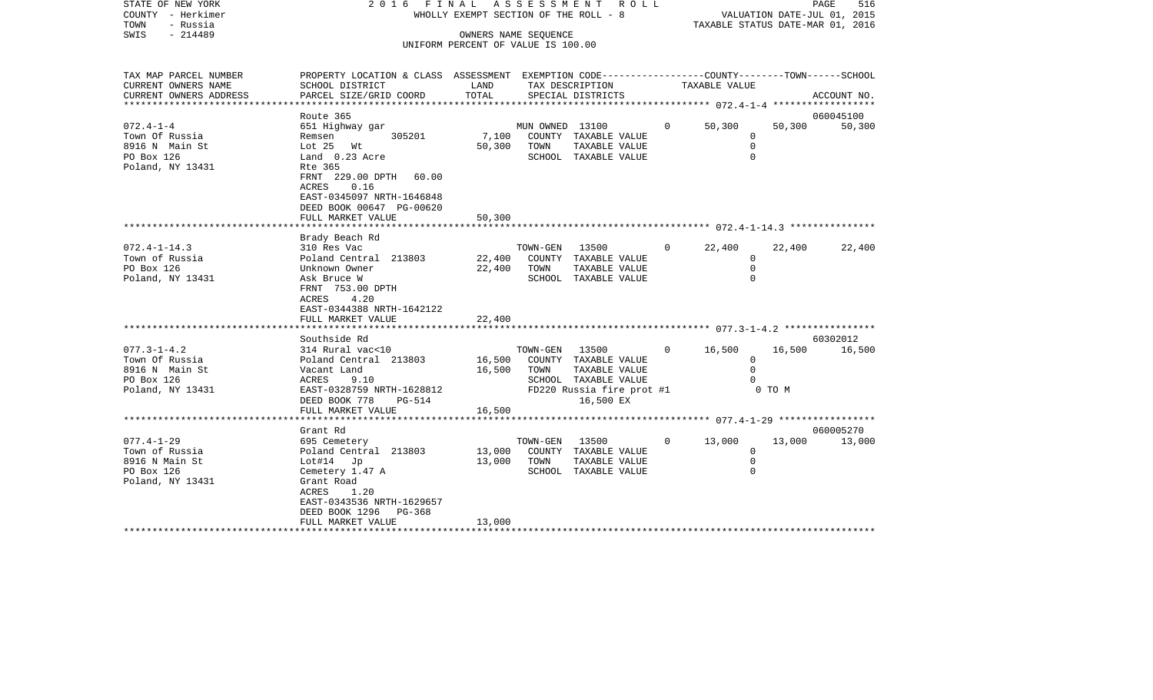|      | STATE OF NEW YORK | 2016 FINAL ASSESSMENT ROLL            | 516<br>PAGE                      |
|------|-------------------|---------------------------------------|----------------------------------|
|      | COUNTY - Herkimer | WHOLLY EXEMPT SECTION OF THE ROLL - 8 | VALUATION DATE-JUL 01, 2015      |
| TOWN | - Russia          |                                       | TAXABLE STATUS DATE-MAR 01, 2016 |
| SWIS | - 214489          | OWNERS NAME SEOUENCE                  |                                  |
|      |                   | UNIFORM PERCENT OF VALUE IS 100.00    |                                  |

| TAX MAP PARCEL NUMBER  | PROPERTY LOCATION & CLASS ASSESSMENT EXEMPTION CODE---------------COUNTY-------TOWN------SCHOOL |        |                 |                           |                |               |              |             |
|------------------------|-------------------------------------------------------------------------------------------------|--------|-----------------|---------------------------|----------------|---------------|--------------|-------------|
| CURRENT OWNERS NAME    | SCHOOL DISTRICT                                                                                 | LAND   |                 | TAX DESCRIPTION           |                | TAXABLE VALUE |              |             |
| CURRENT OWNERS ADDRESS | PARCEL SIZE/GRID COORD                                                                          | TOTAL  |                 | SPECIAL DISTRICTS         |                |               |              | ACCOUNT NO. |
| ******************     |                                                                                                 |        |                 |                           |                |               |              |             |
|                        | Route 365                                                                                       |        |                 |                           |                |               |              | 060045100   |
| $072.4 - 1 - 4$        | 651 Highway gar                                                                                 |        | MUN OWNED 13100 |                           | $\overline{0}$ | 50,300        | 50,300       | 50,300      |
| Town Of Russia         | 305201<br>Remsen                                                                                | 7,100  |                 | COUNTY TAXABLE VALUE      |                |               | 0            |             |
| 8916 N Main St         | Lot 25 Wt                                                                                       | 50,300 | TOWN            | TAXABLE VALUE             |                |               | 0            |             |
| PO Box 126             | Land 0.23 Acre                                                                                  |        |                 | SCHOOL TAXABLE VALUE      |                |               | $\Omega$     |             |
| Poland, NY 13431       | Rte 365                                                                                         |        |                 |                           |                |               |              |             |
|                        | FRNT 229.00 DPTH 60.00                                                                          |        |                 |                           |                |               |              |             |
|                        | 0.16<br>ACRES                                                                                   |        |                 |                           |                |               |              |             |
|                        | EAST-0345097 NRTH-1646848                                                                       |        |                 |                           |                |               |              |             |
|                        | DEED BOOK 00647 PG-00620                                                                        |        |                 |                           |                |               |              |             |
|                        | FULL MARKET VALUE                                                                               | 50,300 |                 |                           |                |               |              |             |
|                        |                                                                                                 |        |                 |                           |                |               |              |             |
|                        | Brady Beach Rd                                                                                  |        |                 |                           |                |               |              |             |
| $072.4 - 1 - 14.3$     | 310 Res Vac                                                                                     |        | TOWN-GEN        | 13500                     | $\overline{0}$ | 22,400        | 22,400       | 22,400      |
| Town of Russia         | Poland Central 213803                                                                           | 22,400 |                 | COUNTY TAXABLE VALUE      |                |               | 0            |             |
| PO Box 126             | Unknown Owner                                                                                   | 22,400 | TOWN            | TAXABLE VALUE             |                |               | $\mathbf 0$  |             |
| Poland, NY 13431       | Ask Bruce W                                                                                     |        |                 | SCHOOL TAXABLE VALUE      |                |               | $\Omega$     |             |
|                        | FRNT 753.00 DPTH                                                                                |        |                 |                           |                |               |              |             |
|                        | ACRES<br>4.20                                                                                   |        |                 |                           |                |               |              |             |
|                        | EAST-0344388 NRTH-1642122                                                                       |        |                 |                           |                |               |              |             |
|                        | FULL MARKET VALUE                                                                               | 22,400 |                 |                           |                |               |              |             |
|                        |                                                                                                 |        |                 |                           |                |               |              |             |
|                        | Southside Rd                                                                                    |        |                 |                           |                |               |              | 60302012    |
| $077.3 - 1 - 4.2$      | 314 Rural vac<10                                                                                |        | TOWN-GEN        | 13500                     | $\Omega$       | 16,500        | 16,500       | 16,500      |
| Town Of Russia         | Poland Central 213803                                                                           | 16,500 |                 | COUNTY TAXABLE VALUE      |                |               | $\mathbf{0}$ |             |
| 8916 N Main St         | Vacant Land                                                                                     | 16,500 | TOWN            | TAXABLE VALUE             |                |               | $\Omega$     |             |
| PO Box 126             | 9.10<br>ACRES                                                                                   |        |                 | SCHOOL TAXABLE VALUE      |                |               |              |             |
| Poland, NY 13431       | EAST-0328759 NRTH-1628812                                                                       |        |                 | FD220 Russia fire prot #1 |                |               | 0 TO M       |             |
|                        | DEED BOOK 778<br>PG-514                                                                         |        |                 | 16,500 EX                 |                |               |              |             |
|                        | FULL MARKET VALUE                                                                               | 16,500 |                 |                           |                |               |              |             |
|                        |                                                                                                 |        |                 |                           |                |               |              |             |
|                        | Grant Rd                                                                                        |        |                 |                           |                |               |              | 060005270   |
| $077.4 - 1 - 29$       | 695 Cemetery                                                                                    |        | TOWN-GEN        | 13500                     | $\circ$        | 13,000        | 13,000       | 13,000      |
| Town of Russia         | Poland Central 213803                                                                           | 13,000 | COUNTY          | TAXABLE VALUE             |                |               | 0            |             |
| 8916 N Main St         | Lot#14 Jp                                                                                       | 13,000 | TOWN            | TAXABLE VALUE             |                |               | $\Omega$     |             |
| PO Box 126             | Cemetery 1.47 A                                                                                 |        |                 | SCHOOL TAXABLE VALUE      |                |               | $\Omega$     |             |
| Poland, NY 13431       | Grant Road                                                                                      |        |                 |                           |                |               |              |             |
|                        | ACRES<br>1.20                                                                                   |        |                 |                           |                |               |              |             |
|                        | EAST-0343536 NRTH-1629657                                                                       |        |                 |                           |                |               |              |             |
|                        | DEED BOOK 1296<br>PG-368                                                                        |        |                 |                           |                |               |              |             |
|                        | FULL MARKET VALUE                                                                               | 13,000 |                 |                           |                |               |              |             |
|                        | *********************                                                                           |        |                 |                           |                |               |              |             |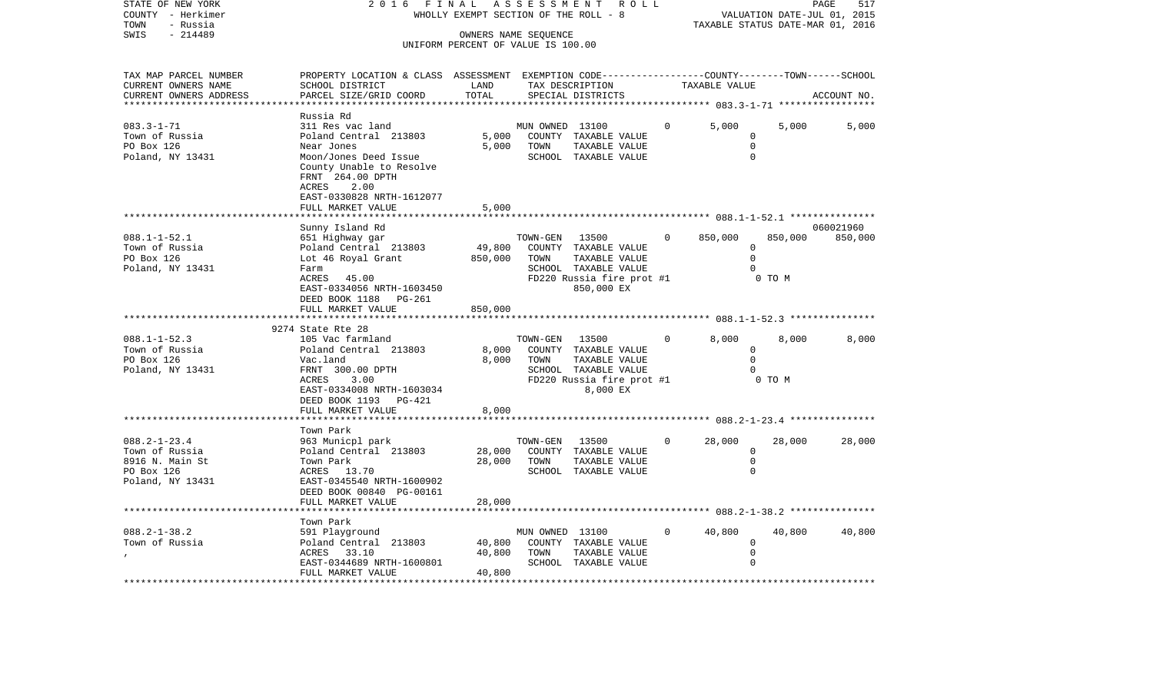| STATE OF NEW YORK      | 2016                               | N A L      | ASSESSMENT<br>R O L L                                        |          |               | PAGE                        | 517         |  |  |  |
|------------------------|------------------------------------|------------|--------------------------------------------------------------|----------|---------------|-----------------------------|-------------|--|--|--|
| - Herkimer<br>COUNTY   |                                    |            | WHOLLY EXEMPT SECTION OF THE ROLL - 8                        |          |               | VALUATION DATE-JUL 01, 2015 |             |  |  |  |
| - Russia<br>TOWN       |                                    |            | TAXABLE STATUS DATE-MAR 01, 2016                             |          |               |                             |             |  |  |  |
| SWIS<br>$-214489$      | OWNERS NAME SEOUENCE               |            |                                                              |          |               |                             |             |  |  |  |
|                        | UNIFORM PERCENT OF VALUE IS 100.00 |            |                                                              |          |               |                             |             |  |  |  |
|                        |                                    |            |                                                              |          |               |                             |             |  |  |  |
|                        |                                    |            |                                                              |          |               |                             |             |  |  |  |
| TAX MAP PARCEL NUMBER  | PROPERTY LOCATION & CLASS          | ASSESSMENT | EXEMPTION CODE-----------------COUNTY-------TOWN------SCHOOL |          |               |                             |             |  |  |  |
| CURRENT OWNERS NAME    | SCHOOL DISTRICT                    | LAND       | TAX DESCRIPTION                                              |          | TAXABLE VALUE |                             |             |  |  |  |
| CURRENT OWNERS ADDRESS | PARCEL SIZE/GRID COORD             | TOTAL      | SPECIAL DISTRICTS                                            |          |               |                             | ACCOUNT NO. |  |  |  |
|                        |                                    |            |                                                              |          |               |                             |             |  |  |  |
|                        | Russia Rd                          |            |                                                              |          |               |                             |             |  |  |  |
| $083.3 - 1 - 71$       | 311 Res vac land                   |            | 13100<br>MUN OWNED                                           | $\Omega$ | 5,000         | 5,000                       | 5,000       |  |  |  |
| Town of Russia         | Poland Central 213803              | 5,000      | COUNTY<br>TAXABLE VALUE                                      |          |               |                             |             |  |  |  |
| PO Box 126             | Near Jones                         | 5,000      | TOWN<br>TAXABLE VALUE                                        |          |               |                             |             |  |  |  |
| Poland, NY 13431       | Moon/Jones Deed Issue              |            | SCHOOL<br>TAXABLE VALUE                                      |          |               |                             |             |  |  |  |
|                        | County Unable to Resolve           |            |                                                              |          |               |                             |             |  |  |  |
|                        | FRNT 264.00 DPTH                   |            |                                                              |          |               |                             |             |  |  |  |
|                        |                                    |            |                                                              |          |               |                             |             |  |  |  |

ACRES 2.00

EAST-0330828 NRTH-1612077

|                    | FULL MARKET VALUE                                 | 5,000       |                 |                             |                |             |         |           |
|--------------------|---------------------------------------------------|-------------|-----------------|-----------------------------|----------------|-------------|---------|-----------|
|                    |                                                   |             |                 |                             |                |             |         |           |
|                    | Sunny Island Rd                                   |             |                 |                             |                |             |         | 060021960 |
| $088.1 - 1 - 52.1$ | 651 Highway gar                                   |             | TOWN-GEN        | 13500                       | $\overline{0}$ | 850,000     | 850,000 | 850,000   |
| Town of Russia     | Poland Central 213803 49,800 COUNTY TAXABLE VALUE |             |                 |                             |                | $\Omega$    |         |           |
| PO Box 126         | Lot 46 Royal Grant                                | 850,000     | TOWN            | TAXABLE VALUE               |                | $\mathbf 0$ |         |           |
| Poland, NY 13431   | Farm                                              |             |                 | SCHOOL TAXABLE VALUE        |                |             |         |           |
|                    | ACRES<br>45.00                                    |             |                 | FD220 Russia fire prot #1   |                |             | 0 TO M  |           |
|                    | EAST-0334056 NRTH-1603450                         |             |                 | 850,000 EX                  |                |             |         |           |
|                    | DEED BOOK 1188 PG-261                             |             |                 |                             |                |             |         |           |
|                    | FULL MARKET VALUE                                 | 850,000     |                 |                             |                |             |         |           |
|                    |                                                   |             |                 |                             |                |             |         |           |
|                    | 9274 State Rte 28                                 |             |                 |                             |                |             |         |           |
| $088.1 - 1 - 52.3$ | 105 Vac farmland                                  |             | TOWN-GEN        | 13500<br>$\overline{0}$     |                | 8,000       | 8,000   | 8,000     |
| Town of Russia     | Poland Central 213803                             |             |                 | 8,000 COUNTY TAXABLE VALUE  |                | $\Omega$    |         |           |
| PO Box 126         | Vac.land                                          |             | 8,000 TOWN      | TAXABLE VALUE               |                | $\Omega$    |         |           |
| Poland, NY 13431   | FRNT 300.00 DPTH                                  |             |                 | SCHOOL TAXABLE VALUE        |                |             |         |           |
|                    | ACRES<br>3.00                                     |             |                 | FD220 Russia fire prot #1   |                | 0 TO M      |         |           |
|                    | EAST-0334008 NRTH-1603034                         |             |                 | 8,000 EX                    |                |             |         |           |
|                    | DEED BOOK 1193 PG-421                             |             |                 |                             |                |             |         |           |
|                    | FULL MARKET VALUE                                 | 8,000       |                 |                             |                |             |         |           |
|                    |                                                   |             |                 |                             |                |             |         |           |
|                    | Town Park                                         |             |                 |                             |                |             |         |           |
| $088.2 - 1 - 23.4$ | 963 Municpl park                                  |             | TOWN-GEN        | 13500                       | $\overline{0}$ | 28,000      | 28,000  | 28,000    |
| Town of Russia     | Poland Central 213803                             |             |                 | 28,000 COUNTY TAXABLE VALUE |                | 0           |         |           |
| 8916 N. Main St    | Town Park                                         | 28,000 TOWN |                 | TAXABLE VALUE               |                | $\Omega$    |         |           |
| PO Box 126         | ACRES 13.70                                       |             |                 | SCHOOL TAXABLE VALUE        |                |             |         |           |
| Poland, NY 13431   | EAST-0345540 NRTH-1600902                         |             |                 |                             |                |             |         |           |
|                    | DEED BOOK 00840 PG-00161                          |             |                 |                             |                |             |         |           |
|                    | FULL MARKET VALUE                                 | 28,000      |                 |                             |                |             |         |           |
|                    |                                                   |             |                 |                             |                |             |         |           |
|                    | Town Park                                         |             |                 |                             |                |             |         |           |
| $088.2 - 1 - 38.2$ | 591 Playground                                    |             | MUN OWNED 13100 |                             | $\overline{0}$ | 40,800      | 40,800  | 40,800    |
| Town of Russia     | Poland Central 213803                             |             |                 | 40,800 COUNTY TAXABLE VALUE |                | 0           |         |           |
|                    | ACRES<br>33.10                                    | 40,800      | TOWN            | TAXABLE VALUE               |                |             |         |           |
|                    | EAST-0344689 NRTH-1600801                         |             |                 | SCHOOL TAXABLE VALUE        |                |             |         |           |

\*\*\*\*\*\*\*\*\*\*\*\*\*\*\*\*\*\*\*\*\*\*\*\*\*\*\*\*\*\*\*\*\*\*\*\*\*\*\*\*\*\*\*\*\*\*\*\*\*\*\*\*\*\*\*\*\*\*\*\*\*\*\*\*\*\*\*\*\*\*\*\*\*\*\*\*\*\*\*\*\*\*\*\*\*\*\*\*\*\*\*\*\*\*\*\*\*\*\*\*\*\*\*\*\*\*\*\*\*\*\*\*\*\*\*\*\*\*\*\*\*\*\*\*\*\*\*\*\*\*\*\*

FULL MARKET VALUE 40,800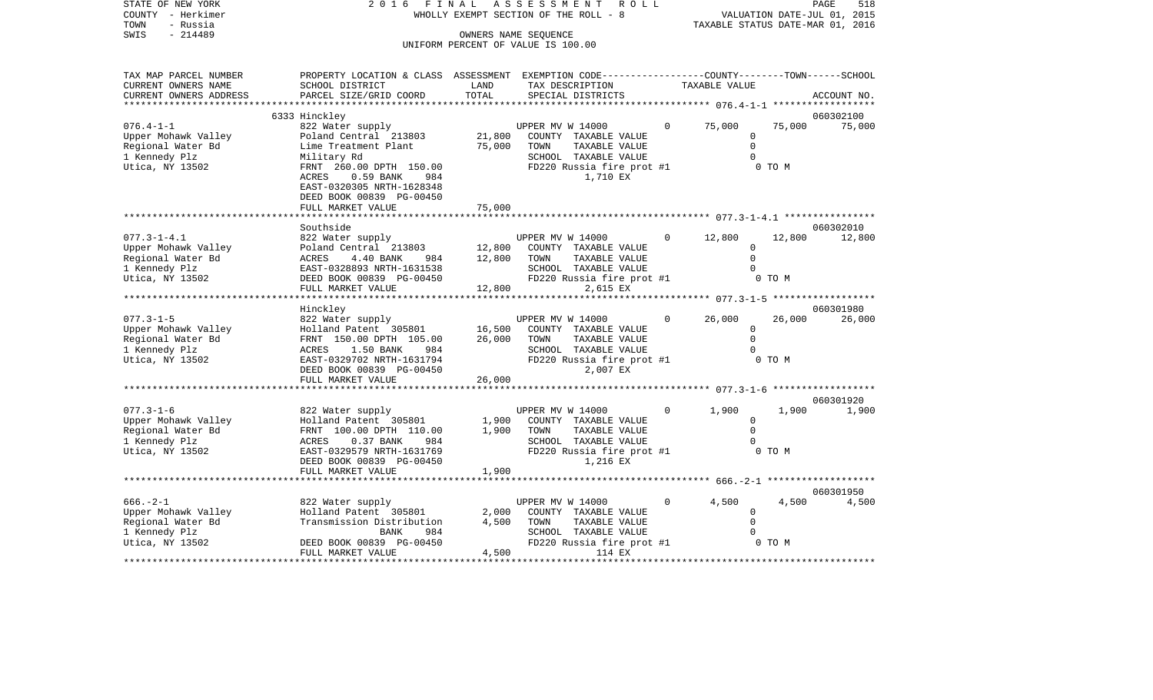| STATE OF NEW YORK<br>COUNTY - Herkimer<br>TOWN<br>- Russia<br>SWIS<br>$-214489$                     | 2 0 1 6                                                                                                                                                                                           | FINAL                      | A S S E S S M E N T<br>R O L L<br>WHOLLY EXEMPT SECTION OF THE ROLL - 8<br>OWNERS NAME SEOUENCE                                    |          | TAXABLE STATUS DATE-MAR 01, 2016                    |                  | 518<br>PAGE<br>VALUATION DATE-JUL 01, 2015 |
|-----------------------------------------------------------------------------------------------------|---------------------------------------------------------------------------------------------------------------------------------------------------------------------------------------------------|----------------------------|------------------------------------------------------------------------------------------------------------------------------------|----------|-----------------------------------------------------|------------------|--------------------------------------------|
|                                                                                                     |                                                                                                                                                                                                   |                            | UNIFORM PERCENT OF VALUE IS 100.00                                                                                                 |          |                                                     |                  |                                            |
| TAX MAP PARCEL NUMBER<br>CURRENT OWNERS NAME<br>CURRENT OWNERS ADDRESS<br>************************* | PROPERTY LOCATION & CLASS ASSESSMENT EXEMPTION CODE---------------COUNTY-------TOWN------SCHOOL<br>SCHOOL DISTRICT<br>PARCEL SIZE/GRID COORD<br>******************************                    | LAND<br>TOTAL              | TAX DESCRIPTION<br>SPECIAL DISTRICTS                                                                                               |          | TAXABLE VALUE                                       |                  | ACCOUNT NO.<br>******************          |
|                                                                                                     | 6333 Hinckley                                                                                                                                                                                     |                            |                                                                                                                                    |          |                                                     |                  | 060302100                                  |
| $076.4 - 1 - 1$<br>Upper Mohawk Valley<br>Regional Water Bd<br>1 Kennedy Plz<br>Utica, NY 13502     | 822 Water supply<br>Poland Central 213803<br>Lime Treatment Plant<br>Military Rd<br>FRNT 260.00 DPTH 150.00<br>ACRES<br>0.59 BANK<br>984<br>EAST-0320305 NRTH-1628348<br>DEED BOOK 00839 PG-00450 | 21,800<br>75,000           | UPPER MV W 14000<br>COUNTY TAXABLE VALUE<br>TOWN<br>TAXABLE VALUE<br>SCHOOL TAXABLE VALUE<br>FD220 Russia fire prot #1<br>1,710 EX | 0        | 75,000<br>$\mathbf 0$<br>$\Omega$<br>$\Omega$       | 75,000<br>0 TO M | 75,000                                     |
|                                                                                                     | FULL MARKET VALUE                                                                                                                                                                                 | 75,000                     |                                                                                                                                    |          |                                                     |                  |                                            |
|                                                                                                     | Southside                                                                                                                                                                                         |                            |                                                                                                                                    |          |                                                     |                  | 060302010                                  |
| $077.3 - 1 - 4.1$<br>Upper Mohawk Valley<br>Regional Water Bd<br>1 Kennedy Plz<br>Utica, NY 13502   | 822 Water supply<br>Poland Central 213803<br>984<br>ACRES<br>4.40 BANK<br>EAST-0328893 NRTH-1631538<br>DEED BOOK 00839 PG-00450<br>FULL MARKET VALUE                                              | 12,800<br>12,800<br>12,800 | UPPER MV W 14000<br>COUNTY TAXABLE VALUE<br>TOWN<br>TAXABLE VALUE<br>SCHOOL TAXABLE VALUE<br>FD220 Russia fire prot #1<br>2,615 EX | 0        | 12,800<br>0<br>$\Omega$<br>$\Omega$                 | 12,800<br>0 TO M | 12,800                                     |
|                                                                                                     |                                                                                                                                                                                                   |                            |                                                                                                                                    |          |                                                     |                  |                                            |
| $077.3 - 1 - 5$<br>Upper Mohawk Valley<br>Regional Water Bd<br>1 Kennedy Plz<br>Utica, NY 13502     | Hinckley<br>822 Water supply<br>Holland Patent 305801<br>FRNT 150.00 DPTH 105.00<br>ACRES<br>1.50 BANK<br>984<br>EAST-0329702 NRTH-1631794<br>DEED BOOK 00839 PG-00450<br>FULL MARKET VALUE       | 16,500<br>26,000<br>26,000 | UPPER MV W 14000<br>COUNTY TAXABLE VALUE<br>TOWN<br>TAXABLE VALUE<br>SCHOOL TAXABLE VALUE<br>FD220 Russia fire prot #1<br>2,007 EX |          | 26,000<br>$\mathbf 0$<br>$\mathbf 0$<br>$\Omega$    | 26,000<br>0 TO M | 060301980<br>26,000                        |
|                                                                                                     | **********************                                                                                                                                                                            |                            |                                                                                                                                    |          |                                                     |                  |                                            |
| $077.3 - 1 - 6$<br>Upper Mohawk Valley<br>Regional Water Bd<br>1 Kennedy Plz<br>Utica, NY 13502     | 822 Water supply<br>Holland Patent 305801<br>FRNT 100.00 DPTH 110.00<br>ACRES<br>0.37 BANK<br>984<br>EAST-0329579 NRTH-1631769<br>DEED BOOK 00839 PG-00450<br>FULL MARKET VALUE                   | 1,900<br>1,900<br>1,900    | UPPER MV W 14000<br>COUNTY TAXABLE VALUE<br>TOWN<br>TAXABLE VALUE<br>SCHOOL TAXABLE VALUE<br>FD220 Russia fire prot #1<br>1,216 EX | 0        | 1,900<br>$\Omega$<br>$\Omega$<br>$\Omega$           | 1,900<br>0 TO M  | 060301920<br>1,900                         |
|                                                                                                     |                                                                                                                                                                                                   |                            |                                                                                                                                    |          | ******************* 666. - 2-1 ******************** |                  |                                            |
| $666. - 2 - 1$                                                                                      | 822 Water supply                                                                                                                                                                                  |                            | UPPER MV W 14000                                                                                                                   | $\Omega$ | 4,500                                               | 4,500            | 060301950<br>4,500                         |

|                     |                           |       |                           |       |        | 060301950 |
|---------------------|---------------------------|-------|---------------------------|-------|--------|-----------|
| $666. - 2 - 1$      | 822 Water supply          |       | UPPER MV W 14000          | 4,500 | 4,500  | 4,500     |
| Upper Mohawk Valley | Holland Patent 305801     | 2,000 | COUNTY TAXABLE VALUE      |       |        |           |
| Regional Water Bd   | Transmission Distribution | 4,500 | TAXABLE VALUE<br>TOWN     |       |        |           |
| 1 Kennedy Plz       | 984<br>BANK               |       | TAXABLE VALUE<br>SCHOOL   |       |        |           |
| Utica, NY 13502     | DEED BOOK 00839 PG-00450  |       | FD220 Russia fire prot #1 |       | 0 TO M |           |
|                     | FULL MARKET VALUE         | 4,500 | 114 EX                    |       |        |           |
|                     |                           |       |                           |       |        |           |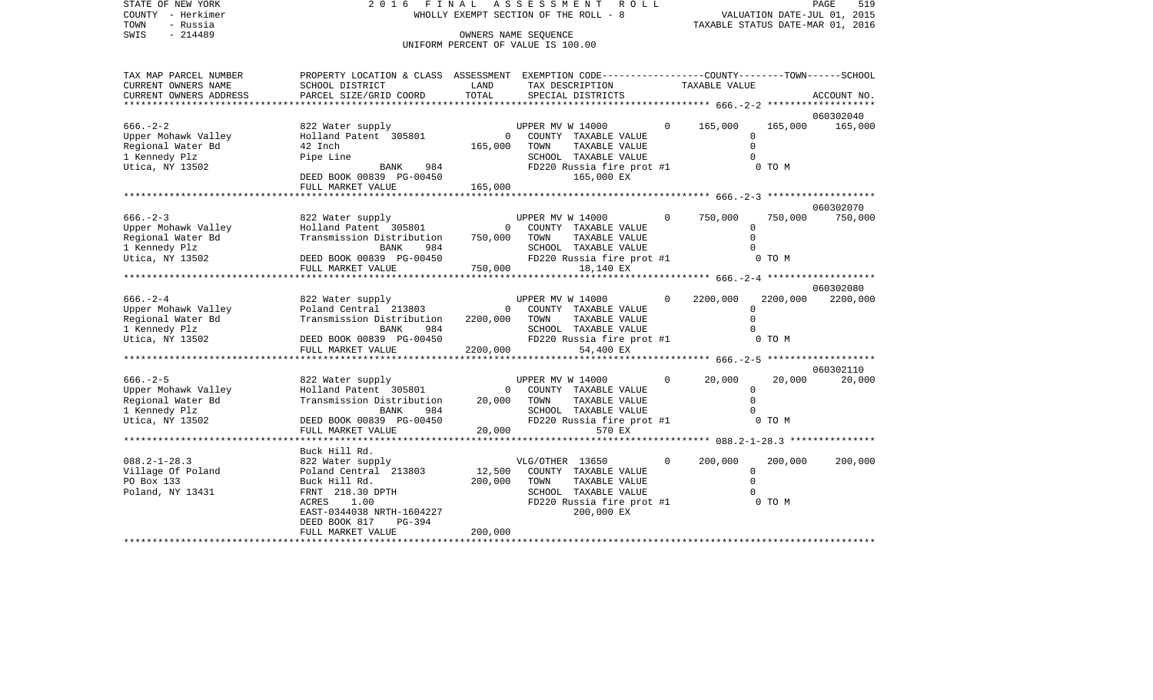| TOWN<br>- Russia<br>SWIS<br>$-214489$ |                                                                                                 | OWNERS NAME SEOUENCE<br>UNIFORM PERCENT OF VALUE IS 100.00 |                  |                                         |                |                               |          | TAXABLE STATUS DATE-MAR 01, 2016 |
|---------------------------------------|-------------------------------------------------------------------------------------------------|------------------------------------------------------------|------------------|-----------------------------------------|----------------|-------------------------------|----------|----------------------------------|
| TAX MAP PARCEL NUMBER                 | PROPERTY LOCATION & CLASS ASSESSMENT EXEMPTION CODE---------------COUNTY-------TOWN------SCHOOL |                                                            |                  |                                         |                |                               |          |                                  |
| CURRENT OWNERS NAME                   | SCHOOL DISTRICT                                                                                 | LAND                                                       |                  | TAX DESCRIPTION                         |                | TAXABLE VALUE                 |          |                                  |
| CURRENT OWNERS ADDRESS                | PARCEL SIZE/GRID COORD                                                                          | TOTAL                                                      |                  | SPECIAL DISTRICTS                       |                |                               |          | ACCOUNT NO.                      |
|                                       |                                                                                                 |                                                            |                  |                                         |                | ******************** 666.-2-2 |          |                                  |
|                                       |                                                                                                 |                                                            |                  |                                         |                |                               |          | 060302040                        |
| $666. - 2 - 2$                        | 822 Water supply                                                                                |                                                            | UPPER MV W 14000 |                                         | $\overline{0}$ | 165,000                       | 165,000  | 165,000                          |
| Upper Mohawk Valley                   | Holland Patent 305801                                                                           | $\overline{\phantom{0}}$                                   |                  | COUNTY TAXABLE VALUE                    |                | $\Omega$                      |          |                                  |
| Regional Water Bd                     | 42 Inch                                                                                         | 165,000                                                    | TOWN             | TAXABLE VALUE                           |                | $\Omega$                      |          |                                  |
| 1 Kennedy Plz                         | Pipe Line                                                                                       |                                                            |                  | SCHOOL TAXABLE VALUE                    |                |                               | $\Omega$ |                                  |
| Utica, NY 13502                       | BANK<br>984                                                                                     |                                                            |                  | FD220 Russia fire prot #1<br>165,000 EX |                |                               | 0 TO M   |                                  |
|                                       | DEED BOOK 00839 PG-00450<br>FULL MARKET VALUE                                                   | 165,000                                                    |                  |                                         |                |                               |          |                                  |
|                                       |                                                                                                 |                                                            |                  |                                         |                |                               |          |                                  |
|                                       |                                                                                                 |                                                            |                  |                                         |                |                               |          | 060302070                        |
| $666. - 2 - 3$                        | 822 Water supply                                                                                |                                                            |                  | UPPER MV W 14000                        | $\overline{0}$ | 750,000                       | 750,000  | 750,000                          |
| Upper Mohawk Valley                   | Holland Patent 305801                                                                           | $\overline{0}$                                             |                  | COUNTY TAXABLE VALUE                    |                | $\Omega$                      |          |                                  |
| Regional Water Bd                     | Transmission Distribution                                                                       | 750,000                                                    | TOWN             | TAXABLE VALUE                           |                | $\Omega$                      |          |                                  |
| 1 Kennedy Plz                         | BANK<br>984                                                                                     |                                                            |                  | SCHOOL TAXABLE VALUE                    |                |                               | $\Omega$ |                                  |
| Utica, NY 13502                       | DEED BOOK 00839 PG-00450                                                                        |                                                            |                  | FD220 Russia fire prot #1               |                |                               | 0 TO M   |                                  |
|                                       | FULL MARKET VALUE                                                                               | 750,000                                                    |                  | 18,140 EX                               |                |                               |          |                                  |
|                                       | **************************                                                                      |                                                            |                  |                                         |                |                               |          |                                  |
|                                       |                                                                                                 |                                                            |                  |                                         |                |                               |          | 060302080                        |
| $666. - 2 - 4$                        | 822 Water supply                                                                                |                                                            | UPPER MV W 14000 |                                         | $\Omega$       | 2200,000                      |          | 2200,000 2200,000                |
| Upper Mohawk Valley                   | Poland Central 213803                                                                           | 0                                                          |                  | COUNTY TAXABLE VALUE                    |                |                               | $\Omega$ |                                  |
| Regional Water Bd                     | Transmission Distribution                                                                       | 2200,000                                                   | TOWN             | TAXABLE VALUE                           |                |                               | $\Omega$ |                                  |
| 1 Kennedy Plz                         | BANK<br>984                                                                                     |                                                            |                  | SCHOOL TAXABLE VALUE                    |                |                               |          |                                  |
| Utica, NY 13502                       | DEED BOOK 00839 PG-00450                                                                        |                                                            |                  | FD220 Russia fire prot #1               |                |                               | 0 TO M   |                                  |
|                                       | FULL MARKET VALUE                                                                               | 2200,000                                                   |                  | 54,400 EX                               |                |                               |          |                                  |
|                                       |                                                                                                 |                                                            |                  |                                         |                |                               |          | 060302110                        |
| $666. - 2 - 5$                        | 822 Water supply                                                                                |                                                            | UPPER MV W 14000 |                                         | $\mathbf 0$    | 20,000                        | 20,000   | 20,000                           |
| Upper Mohawk Valley                   | Holland Patent 305801                                                                           | $\overline{0}$                                             |                  | COUNTY TAXABLE VALUE                    |                | $\Omega$                      |          |                                  |
| Regional Water Bd                     | Transmission Distribution                                                                       | 20,000                                                     | TOWN             | TAXABLE VALUE                           |                | $\Omega$                      |          |                                  |
| 1 Kennedy Plz                         | 984<br>BANK                                                                                     |                                                            |                  | SCHOOL TAXABLE VALUE                    |                |                               |          |                                  |
| Utica, NY 13502                       | DEED BOOK 00839 PG-00450                                                                        |                                                            |                  | FD220 Russia fire prot #1               |                |                               | 0 TO M   |                                  |
|                                       | FULL MARKET VALUE                                                                               |                                                            | 20,000           | 570 EX                                  |                |                               |          |                                  |
|                                       |                                                                                                 |                                                            |                  |                                         |                |                               |          |                                  |
|                                       | Buck Hill Rd.                                                                                   |                                                            |                  |                                         |                |                               |          |                                  |
| $088.2 - 1 - 28.3$                    | 822 Water supply                                                                                |                                                            | VLG/OTHER 13650  |                                         | $\Omega$       | 200,000                       | 200,000  | 200,000                          |
| Village Of Poland                     | Poland Central 213803                                                                           | 12,500                                                     |                  | COUNTY TAXABLE VALUE                    |                | $\Omega$                      |          |                                  |
| PO Box 133                            | Buck Hill Rd.                                                                                   | 200,000                                                    | TOWN             | TAXABLE VALUE                           |                |                               | $\Omega$ |                                  |
| Poland, NY 13431                      | FRNT 218.30 DPTH                                                                                |                                                            |                  | SCHOOL TAXABLE VALUE                    |                |                               |          |                                  |
|                                       | ACRES<br>1.00                                                                                   |                                                            |                  | FD220 Russia fire prot #1               |                |                               | 0 TO M   |                                  |
|                                       | EAST-0344038 NRTH-1604227                                                                       |                                                            |                  | 200,000 EX                              |                |                               |          |                                  |
|                                       | DEED BOOK 817<br>PG-394<br>FULL MARKET VALUE                                                    | 200,000                                                    |                  |                                         |                |                               |          |                                  |
|                                       |                                                                                                 |                                                            |                  |                                         |                |                               |          |                                  |

STATE OF NEW YORK 2 0 1 6 F I N A L A S S E S S M E N T R O L L PAGE 519 COUNTY - Herkimer WHOLLY EXEMPT SECTION OF THE ROLL - 8 VALUATION DATE-JUL 01, 2015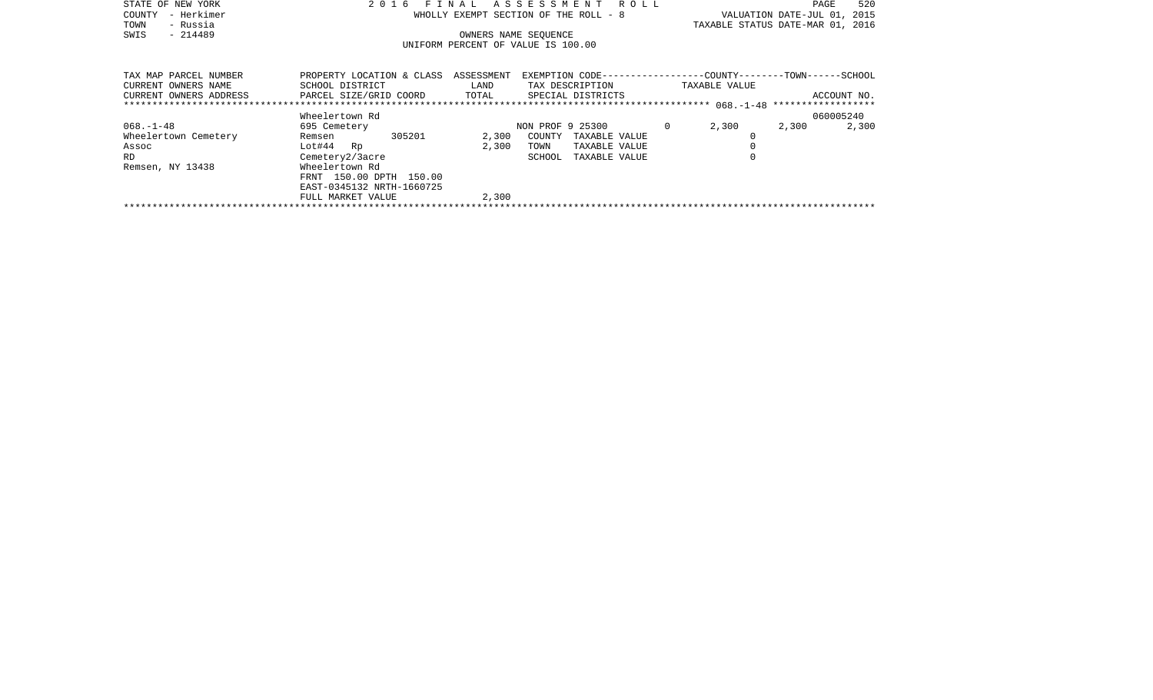| STATE OF NEW YORK     | 2016 FINAL ASSESSMENT ROLL                                                                       | 520<br>PAGE                      |
|-----------------------|--------------------------------------------------------------------------------------------------|----------------------------------|
| - Herkimer<br>COUNTY  | WHOLLY EXEMPT SECTION OF THE ROLL - 8                                                            | VALUATION DATE-JUL 01, 2015      |
| - Russia<br>TOWN      |                                                                                                  | TAXABLE STATUS DATE-MAR 01, 2016 |
| $-214489$<br>SWIS     | OWNERS NAME SEOUENCE                                                                             |                                  |
|                       | UNIFORM PERCENT OF VALUE IS 100.00                                                               |                                  |
|                       |                                                                                                  |                                  |
|                       |                                                                                                  |                                  |
| TAX MAP PARCEL NUMBER | PROPERTY LOCATION & CLASS ASSESSMENT EXEMPTION CODE----------------COUNTY-------TOWN------SCHOOL |                                  |

| CURRENT OWNERS NAME    | SCHOOL DISTRICT           | LAND  | TAX DESCRIPTION         | TAXABLE VALUE  |             |
|------------------------|---------------------------|-------|-------------------------|----------------|-------------|
| CURRENT OWNERS ADDRESS | PARCEL SIZE/GRID COORD    | TOTAL | SPECIAL DISTRICTS       |                | ACCOUNT NO. |
|                        |                           |       |                         |                |             |
|                        | Wheelertown Rd            |       |                         |                | 060005240   |
| $068. - 1 - 48$        | 695 Cemetery              |       | NON PROF 9 25300        | 2,300<br>2,300 | 2,300       |
| Wheelertown Cemetery   | 305201<br>Remsen          | 2,300 | COUNTY<br>TAXABLE VALUE |                |             |
| Assoc                  | $Lot#44$ Rp               | 2,300 | TAXABLE VALUE<br>TOWN   |                |             |
| <b>RD</b>              | Cemetery2/3acre           |       | SCHOOL<br>TAXABLE VALUE |                |             |
| Remsen, NY 13438       | Wheelertown Rd            |       |                         |                |             |
|                        | FRNT 150.00 DPTH 150.00   |       |                         |                |             |
|                        | EAST-0345132 NRTH-1660725 |       |                         |                |             |
|                        | FULL MARKET VALUE         | 2,300 |                         |                |             |
|                        |                           |       |                         |                |             |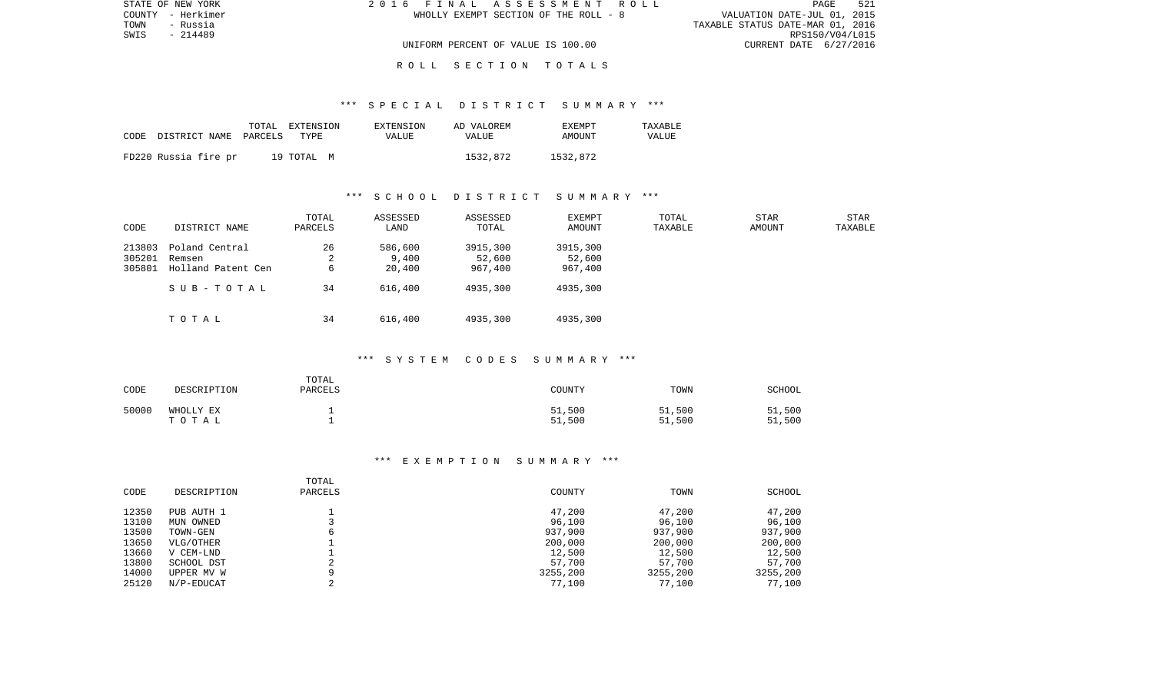| STATE OF NEW YORK | 2016 FINAL ASSESSMENT ROLL            | 521<br>PAGE                      |
|-------------------|---------------------------------------|----------------------------------|
| COUNTY - Herkimer | WHOLLY EXEMPT SECTION OF THE ROLL - 8 | VALUATION DATE-JUL 01, 2015      |
| TOWN<br>- Russia  |                                       | TAXABLE STATUS DATE-MAR 01, 2016 |
| SWIS<br>- 214489  |                                       | RPS150/V04/L015                  |
|                   | UNIFORM PERCENT OF VALUE IS 100.00    | CURRENT DATE 6/27/2016           |
|                   |                                       |                                  |

## \*\*\* S P E C I A L D I S T R I C T S U M M A R Y \*\*\*

| CODE | DISTRICT NAME PARCELS | TOTAL | EXTENSION<br>TYPE | EXTENSION<br>VALUE | AD VALOREM<br><b>VALUE</b> | <b>EXEMPT</b><br>AMOUNT | TAXABLE<br>VALUE |
|------|-----------------------|-------|-------------------|--------------------|----------------------------|-------------------------|------------------|
|      | FD220 Russia fire pr  |       | 19 TOTAL M        |                    | 1532,872                   | 1532,872                |                  |

## \*\*\* S C H O O L D I S T R I C T S U M M A R Y \*\*\*

| CODE                       | DISTRICT NAME                                  | TOTAL<br>PARCELS | ASSESSED<br>LAND           | ASSESSED<br>TOTAL             | EXEMPT<br>AMOUNT              | TOTAL<br>TAXABLE | STAR<br>AMOUNT | <b>STAR</b><br>TAXABLE |
|----------------------------|------------------------------------------------|------------------|----------------------------|-------------------------------|-------------------------------|------------------|----------------|------------------------|
| 213803<br>305201<br>305801 | Poland Central<br>Remsen<br>Holland Patent Cen | 26<br>∠<br>6     | 586,600<br>9.400<br>20,400 | 3915,300<br>52,600<br>967,400 | 3915,300<br>52,600<br>967,400 |                  |                |                        |
|                            | SUB-TOTAL                                      | 34               | 616,400                    | 4935,300                      | 4935,300                      |                  |                |                        |
|                            | TOTAL                                          | 34               | 616,400                    | 4935,300                      | 4935,300                      |                  |                |                        |

## \*\*\* S Y S T E M C O D E S S U M M A R Y \*\*\*

| CODE  | DESCRIPTION        | TOTAL<br><b>PARCELS</b> | COUNTY           | TOWN             | SCHOOL           |
|-------|--------------------|-------------------------|------------------|------------------|------------------|
| 50000 | WHOLLY EX<br>TOTAL |                         | 51,500<br>51,500 | 51,500<br>51,500 | 51,500<br>51,500 |

| CODE  | DESCRIPTION | TOTAL<br>PARCELS | COUNTY   | TOWN     | SCHOOL   |
|-------|-------------|------------------|----------|----------|----------|
| 12350 | PUB AUTH 1  |                  | 47,200   | 47,200   | 47,200   |
| 13100 | MUN OWNED   |                  | 96,100   | 96,100   | 96,100   |
| 13500 | TOWN-GEN    | 6                | 937,900  | 937,900  | 937,900  |
| 13650 | VLG/OTHER   |                  | 200,000  | 200,000  | 200,000  |
| 13660 | V CEM-LND   |                  | 12,500   | 12,500   | 12,500   |
| 13800 | SCHOOL DST  |                  | 57,700   | 57,700   | 57,700   |
| 14000 | UPPER MV W  | Q                | 3255,200 | 3255,200 | 3255,200 |
| 25120 | N/P-EDUCAT  |                  | 77,100   | 77,100   | 77,100   |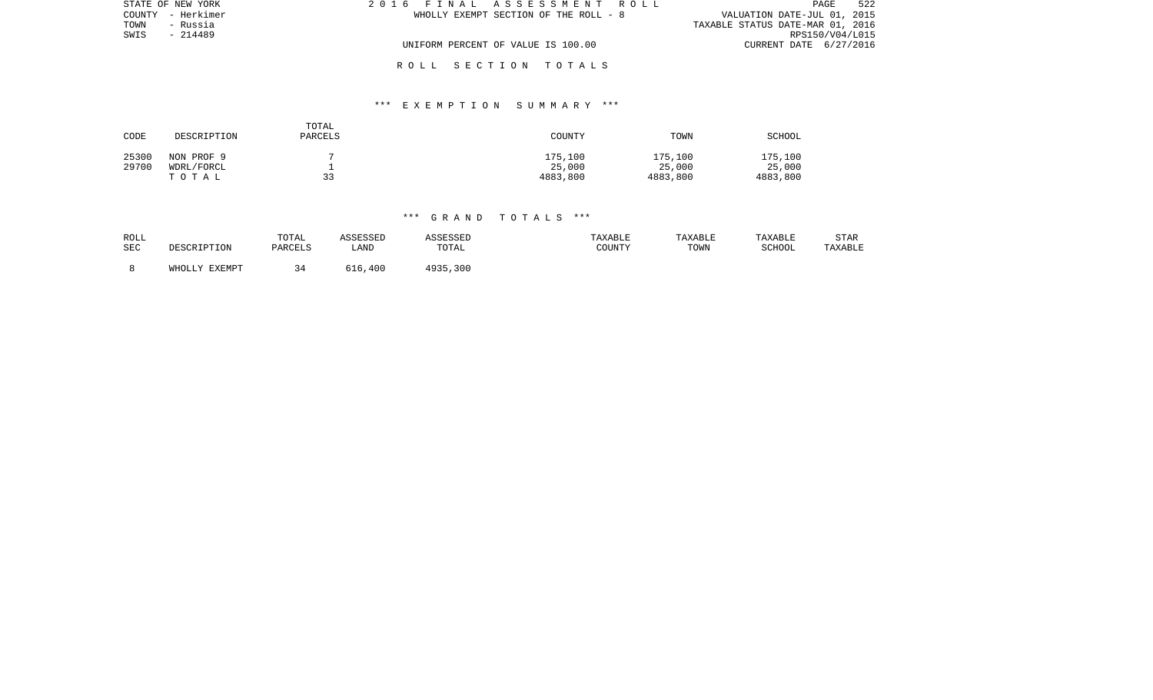| STATE OF NEW YORK | 2016 FINAL ASSESSMENT ROLL            | 522<br>PAGE                      |
|-------------------|---------------------------------------|----------------------------------|
| COUNTY - Herkimer | WHOLLY EXEMPT SECTION OF THE ROLL - 8 | VALUATION DATE-JUL 01, 2015      |
| TOWN<br>- Russia  |                                       | TAXABLE STATUS DATE-MAR 01, 2016 |
| SWIS<br>- 214489  |                                       | RPS150/V04/L015                  |
|                   | UNIFORM PERCENT OF VALUE IS 100.00    | CURRENT DATE 6/27/2016           |
|                   |                                       |                                  |

## \*\*\* E X E M P T I O N S U M M A R Y \*\*\*

| CODE  | DESCRIPTION | TOTAL<br>PARCELS | COUNTY   | TOWN     | SCHOOL   |
|-------|-------------|------------------|----------|----------|----------|
| 25300 | NON PROF 9  |                  | 175,100  | 175,100  | 175,100  |
| 29700 | WDRL/FORCL  |                  | 25,000   | 25,000   | 25,000   |
|       | TOTAL       | 33               | 4883,800 | 4883,800 | 4883,800 |

## \*\*\* G R A N D T O T A L S \*\*\*

| ROLL |               | TOTAL   | ASSESSED | ASSESSED | TAXABLE | TAXABLE | TAXABLE | <b>STAR</b> |
|------|---------------|---------|----------|----------|---------|---------|---------|-------------|
| SEC  | DESCRIPTION   | PARCELS | LAND     | TOTAL    | COUNTY  | TOWN    | SCHOOL  | TAXABLE     |
|      | WHOLLY EXEMPT | 34      | 616,400  | 4935,300 |         |         |         |             |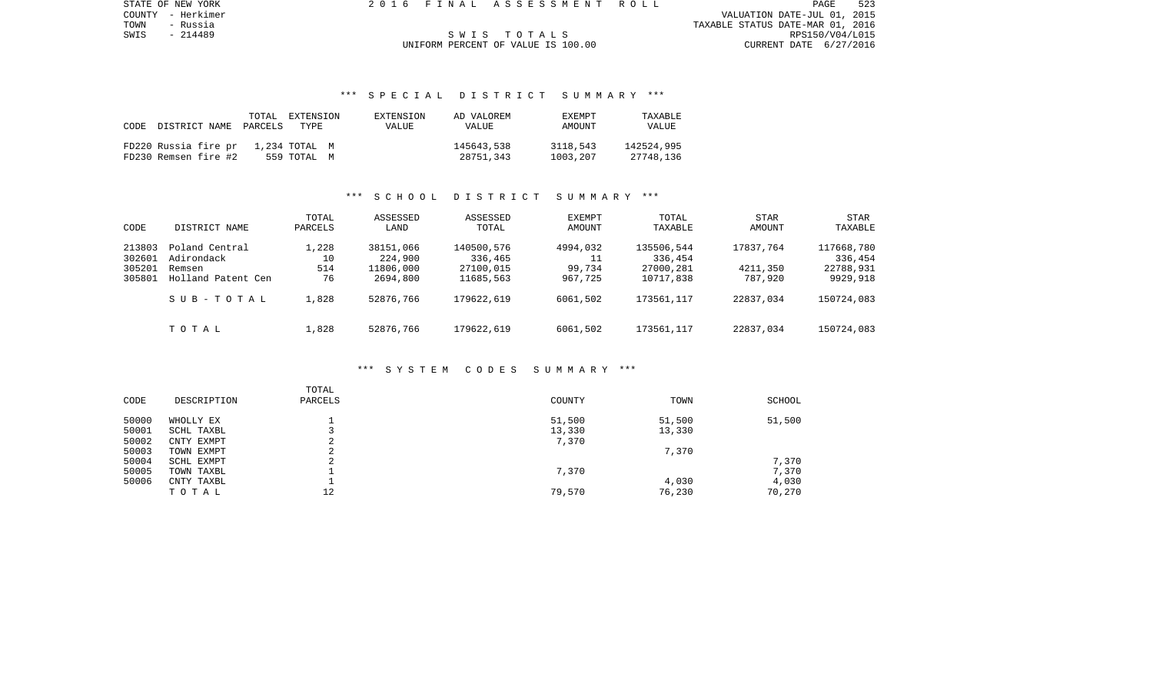COUNTY - Herkimer VALUATION DATE-JUL 01, 2015 TOWN - Russia TAXABLE STATUS DATE-MAR 01, 2016 SWIS - 214489 S W I S T O T A L S RPS150/V04/L015

STATE OF NEW YORK 2016 FINAL ASSESSMENT ROLL

# UNIFORM PERCENT OF VALUE IS 100.00

## \*\*\* S P E C I A L D I S T R I C T S U M M A R Y \*\*\*

|      |                      | TOTAL   | EXTENSION     | EXTENSION | AD VALOREM | <b>EXEMPT</b> | <b>TAXARLE</b> |
|------|----------------------|---------|---------------|-----------|------------|---------------|----------------|
| CODE | DISTRICT NAME        | PARCELS | TYPE.         | VALUE     | VALUE      | AMOUNT        | VALUE          |
|      |                      |         |               |           |            |               |                |
|      | FD220 Russia fire pr |         | 1,234 TOTAL M |           | 145643,538 | 3118,543      | 142524,995     |
|      | FD230 Remsen fire #2 |         | 559 TOTAL M   |           | 28751,343  | 1003,207      | 27748.136      |

## \*\*\* S C H O O L D I S T R I C T S U M M A R Y \*\*\*

| CODE                                 | DISTRICT NAME                                                | TOTAL<br>PARCELS         | ASSESSED<br>LAND                              | ASSESSED<br>TOTAL                               | <b>EXEMPT</b><br>AMOUNT             | TOTAL<br>TAXABLE                                | <b>STAR</b><br>AMOUNT            | STAR<br>TAXABLE                                |
|--------------------------------------|--------------------------------------------------------------|--------------------------|-----------------------------------------------|-------------------------------------------------|-------------------------------------|-------------------------------------------------|----------------------------------|------------------------------------------------|
| 213803<br>302601<br>305201<br>305801 | Poland Central<br>Adirondack<br>Remsen<br>Holland Patent Cen | 1,228<br>10<br>514<br>76 | 38151,066<br>224,900<br>11806,000<br>2694,800 | 140500,576<br>336,465<br>27100,015<br>11685,563 | 4994,032<br>11<br>99,734<br>967,725 | 135506,544<br>336,454<br>27000,281<br>10717,838 | 17837.764<br>4211,350<br>787,920 | 117668,780<br>336,454<br>22788,931<br>9929,918 |
|                                      | SUB-TOTAL                                                    | 1,828                    | 52876,766                                     | 179622,619                                      | 6061,502                            | 173561, 117                                     | 22837,034                        | 150724,083                                     |
|                                      | TOTAL                                                        | 1,828                    | 52876,766                                     | 179622,619                                      | 6061,502                            | 173561,117                                      | 22837,034                        | 150724,083                                     |

## \*\*\* S Y S T E M C O D E S S U M M A R Y \*\*\*

| CODE  | DESCRIPTION | TOTAL<br>PARCELS                   | COUNTY | TOWN   | SCHOOL |
|-------|-------------|------------------------------------|--------|--------|--------|
| 50000 | WHOLLY EX   |                                    | 51,500 | 51,500 | 51,500 |
| 50001 | SCHL TAXBL  |                                    | 13,330 | 13,330 |        |
| 50002 | CNTY EXMPT  | ⌒<br>∠                             | 7,370  |        |        |
| 50003 | TOWN EXMPT  | $\sim$                             |        | 7,370  |        |
| 50004 | SCHL EXMPT  | $\sim$<br>$\overline{\phantom{a}}$ |        |        | 7,370  |
| 50005 | TOWN TAXBL  |                                    | 7,370  |        | 7,370  |
| 50006 | CNTY TAXBL  |                                    |        | 4,030  | 4,030  |
|       | TOTAL       | 12                                 | 79,570 | 76,230 | 70,270 |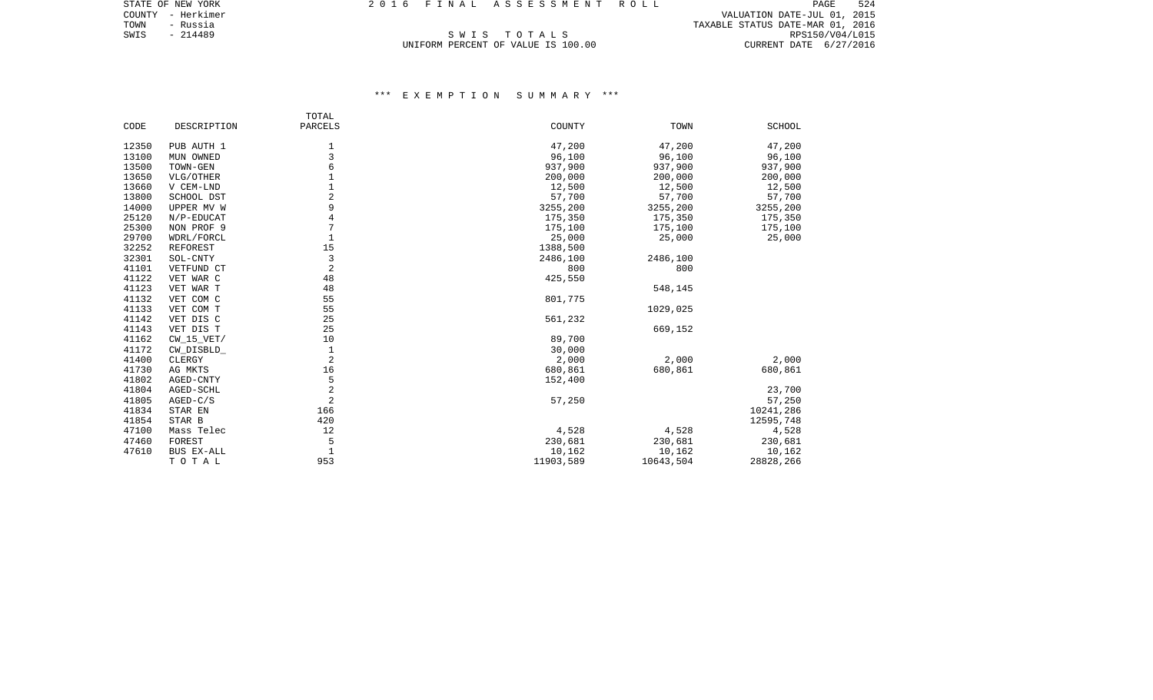COUNTY - Herkimer VALUATION DATE-JUL 01, 2015 TOWN - Russia TAXABLE STATUS DATE-MAR 01, 2016 SWIS - 214489<br>SWIS - 214489 SWIS - 214489 SWIS - 214489 SWIS - 214489 SWIS - 214489 SWIS - 214489 SWIS - 214489 SWIS - 2016<br>UNIFORM PERCENT OF VALUE IS 100.00 SWIS CURRENT DATE 6/27/2016

# UNIFORM PERCENT OF VALUE IS 100.00

|       |              | TOTAL          |           |           |               |
|-------|--------------|----------------|-----------|-----------|---------------|
| CODE  | DESCRIPTION  | PARCELS        | COUNTY    | TOWN      | <b>SCHOOL</b> |
| 12350 | PUB AUTH 1   | 1              | 47,200    | 47,200    | 47,200        |
| 13100 | MUN OWNED    | 3              | 96,100    | 96,100    | 96,100        |
| 13500 | TOWN-GEN     | 6              | 937,900   | 937,900   | 937,900       |
| 13650 | VLG/OTHER    | 1              | 200,000   | 200,000   | 200,000       |
| 13660 | V CEM-LND    | $\mathbf 1$    | 12,500    | 12,500    | 12,500        |
| 13800 | SCHOOL DST   | $\overline{2}$ | 57,700    | 57,700    | 57,700        |
| 14000 | UPPER MV W   | 9              | 3255,200  | 3255,200  | 3255,200      |
| 25120 | N/P-EDUCAT   | $\overline{4}$ | 175,350   | 175,350   | 175,350       |
| 25300 | NON PROF 9   | 7              | 175,100   | 175,100   | 175,100       |
| 29700 | WDRL/FORCL   | $\mathbf{1}$   | 25,000    | 25,000    | 25,000        |
| 32252 | REFOREST     | 15             | 1388,500  |           |               |
| 32301 | SOL-CNTY     | 3              | 2486,100  | 2486,100  |               |
| 41101 | VETFUND CT   | $\overline{2}$ | 800       | 800       |               |
| 41122 | VET WAR C    | 48             | 425,550   |           |               |
| 41123 | VET WAR T    | 48             |           | 548,145   |               |
| 41132 | VET COM C    | 55             | 801,775   |           |               |
| 41133 | VET COM T    | 55             |           | 1029,025  |               |
| 41142 | VET DIS C    | 25             | 561,232   |           |               |
| 41143 | VET DIS T    | 25             |           | 669,152   |               |
| 41162 | $CW_15_VET/$ | 10             | 89,700    |           |               |
| 41172 | CW_DISBLD_   | $1\,$          | 30,000    |           |               |
| 41400 | CLERGY       | $\overline{2}$ | 2,000     | 2,000     | 2,000         |
| 41730 | AG MKTS      | 16             | 680,861   | 680,861   | 680,861       |
| 41802 | AGED-CNTY    | 5              | 152,400   |           |               |
| 41804 | AGED-SCHL    | $\overline{2}$ |           |           | 23,700        |
| 41805 | $AGED-C/S$   | $\overline{2}$ | 57,250    |           | 57,250        |
| 41834 | STAR EN      | 166            |           |           | 10241,286     |
| 41854 | STAR B       | 420            |           |           | 12595,748     |
| 47100 | Mass Telec   | 12             | 4,528     | 4,528     | 4,528         |
| 47460 | FOREST       | 5              | 230,681   | 230,681   | 230,681       |
| 47610 | BUS EX-ALL   | $\mathbf{1}$   | 10,162    | 10,162    | 10,162        |
|       | TOTAL        | 953            | 11903,589 | 10643,504 | 28828,266     |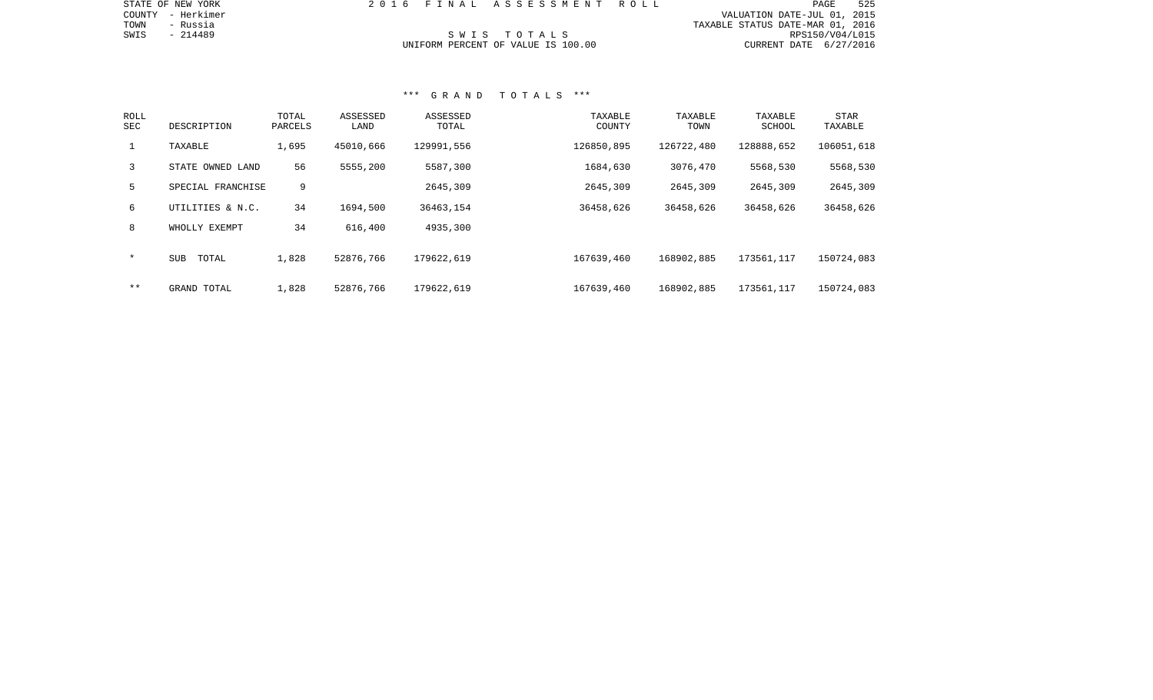| STATE OF NEW YORK |  | 2016 FINAL ASSESSMENT ROLL         |                                  | PAGE | 525 |
|-------------------|--|------------------------------------|----------------------------------|------|-----|
| COUNTY - Herkimer |  |                                    | VALUATION DATE-JUL 01, 2015      |      |     |
| TOWN<br>- Russia  |  |                                    | TAXABLE STATUS DATE-MAR 01, 2016 |      |     |
| SWIS<br>- 214489  |  | SWIS TOTALS                        | RPS150/V04/L015                  |      |     |
|                   |  | UNIFORM PERCENT OF VALUE IS 100.00 | CURRENT DATE 6/27/2016           |      |     |

## \*\*\* G R A N D T O T A L S \*\*\*

| ROLL<br>SEC  | DESCRIPTION         | TOTAL<br>PARCELS | ASSESSED<br>LAND | ASSESSED<br>TOTAL | TAXABLE<br>COUNTY | TAXABLE<br>TOWN | TAXABLE<br>SCHOOL | STAR<br>TAXABLE |
|--------------|---------------------|------------------|------------------|-------------------|-------------------|-----------------|-------------------|-----------------|
| $\mathbf{1}$ | TAXABLE             | 1,695            | 45010,666        | 129991,556        | 126850,895        | 126722,480      | 128888,652        | 106051,618      |
| 3            | STATE OWNED LAND    | 56               | 5555,200         | 5587,300          | 1684,630          | 3076,470        | 5568,530          | 5568,530        |
| 5            | SPECIAL FRANCHISE   | 9                |                  | 2645,309          | 2645,309          | 2645,309        | 2645,309          | 2645,309        |
| 6            | UTILITIES & N.C.    | 34               | 1694,500         | 36463,154         | 36458,626         | 36458,626       | 36458,626         | 36458,626       |
| 8            | WHOLLY EXEMPT       | 34               | 616,400          | 4935,300          |                   |                 |                   |                 |
| $\star$      | TOTAL<br><b>SUB</b> | 1,828            | 52876,766        | 179622,619        | 167639,460        | 168902,885      | 173561,117        | 150724,083      |
| $* *$        | GRAND TOTAL         | 1,828            | 52876,766        | 179622,619        | 167639,460        | 168902,885      | 173561,117        | 150724,083      |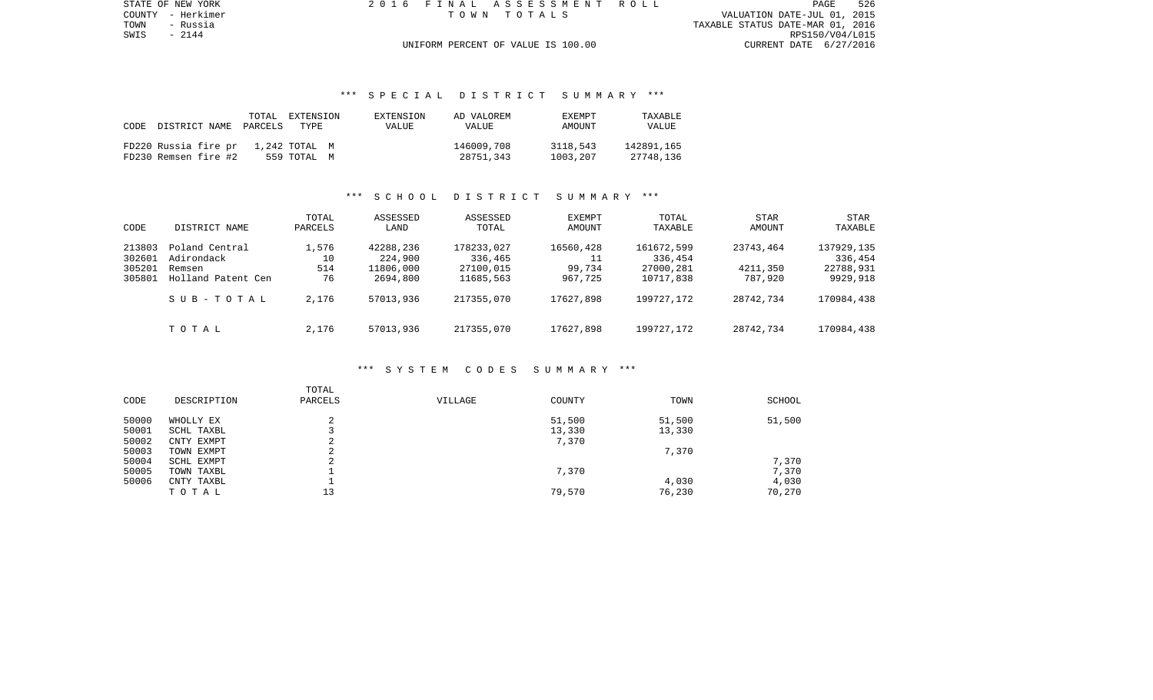PAGE 526 TOWN - Russia TAXABLE STATUS DATE-MAR 01, 2016 RPS150/V04/L015<br>UNIFORM PERCENT OF VALUE IS 100.00 CURRENT DATE 6/27/2016

STATE OF NEW YORK 2016 FINAL ASSESSMENT ROLL COUNTY - Herkimer T O W N T O T A L S VALUATION DATE-JUL 01, 2015

## UNIFORM PERCENT OF VALUE IS 100.00

## \*\*\* S P E C I A L D I S T R I C T S U M M A R Y \*\*\*

| CODE<br>DISTRICT NAME | TOTAL<br>PARCELS<br>TYPE | EXTENSION<br>EXTENSION<br>VALUE | AD VALOREM<br><b>VALUE</b> | <b>EXEMPT</b><br>AMOUNT | TAXABLE<br>VALUE |
|-----------------------|--------------------------|---------------------------------|----------------------------|-------------------------|------------------|
| FD220 Russia fire pr  | 1,242 TOTAL M            |                                 | 146009,708                 | 3118,543                | 142891,165       |
| FD230 Remsen fire #2  | 559 TOTAL M              |                                 | 28751,343                  | 1003,207                | 27748.136        |

## \*\*\* S C H O O L D I S T R I C T S U M M A R Y \*\*\*

| CODE                                 | DISTRICT NAME                                                | TOTAL<br>PARCELS         | ASSESSED<br>LAND                              | ASSESSED<br>TOTAL                               | <b>EXEMPT</b><br>AMOUNT        | TOTAL<br>TAXABLE                                | <b>STAR</b><br>AMOUNT            | STAR<br>TAXABLE                                |
|--------------------------------------|--------------------------------------------------------------|--------------------------|-----------------------------------------------|-------------------------------------------------|--------------------------------|-------------------------------------------------|----------------------------------|------------------------------------------------|
| 213803<br>302601<br>305201<br>305801 | Poland Central<br>Adirondack<br>Remsen<br>Holland Patent Cen | 1,576<br>10<br>514<br>76 | 42288,236<br>224,900<br>11806,000<br>2694,800 | 178233,027<br>336,465<br>27100,015<br>11685,563 | 16560,428<br>99,734<br>967,725 | 161672,599<br>336,454<br>27000,281<br>10717,838 | 23743,464<br>4211,350<br>787,920 | 137929,135<br>336,454<br>22788,931<br>9929,918 |
|                                      | SUB-TOTAL                                                    | 2,176                    | 57013,936                                     | 217355,070                                      | 17627,898                      | 199727, 172                                     | 28742,734                        | 170984,438                                     |
|                                      | TOTAL                                                        | 2,176                    | 57013,936                                     | 217355,070                                      | 17627,898                      | 199727.172                                      | 28742,734                        | 170984,438                                     |

#### \*\*\* S Y S T E M C O D E S S U M M A R Y \*\*\*

| CODE  | DESCRIPTION | TOTAL<br>PARCELS | VILLAGE | COUNTY | TOWN   | SCHOOL |
|-------|-------------|------------------|---------|--------|--------|--------|
| 50000 | WHOLLY EX   |                  |         | 51,500 | 51,500 | 51,500 |
| 50001 | SCHL TAXBL  |                  |         | 13,330 | 13,330 |        |
| 50002 | CNTY EXMPT  | ⌒<br>∠           |         | 7,370  |        |        |
| 50003 | TOWN EXMPT  | ⌒<br>∠           |         |        | 7,370  |        |
| 50004 | SCHL EXMPT  | ◠                |         |        |        | 7,370  |
| 50005 | TOWN TAXBL  |                  |         | 7,370  |        | 7,370  |
| 50006 | CNTY TAXBL  |                  |         |        | 4,030  | 4,030  |
|       | TOTAL       | 13               |         | 79,570 | 76,230 | 70,270 |
|       |             |                  |         |        |        |        |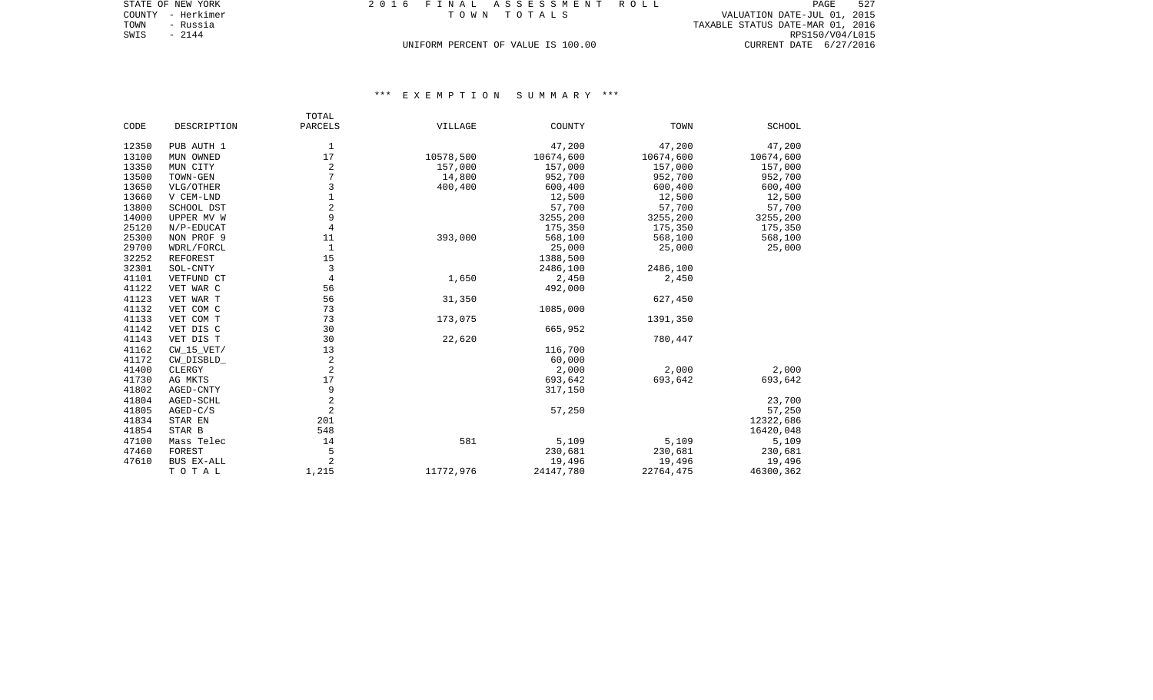| STATE OF NEW YORK | 2016 FINAL ASSESSMENT ROLL         | 527<br>PAGE                      |
|-------------------|------------------------------------|----------------------------------|
| COUNTY - Herkimer | TOWN TOTALS                        | VALUATION DATE-JUL 01, 2015      |
| TOWN<br>- Russia  |                                    | TAXABLE STATUS DATE-MAR 01, 2016 |
| SWIS<br>$-2144$   |                                    | RPS150/V04/L015                  |
|                   | UNIFORM PERCENT OF VALUE IS 100.00 | CURRENT DATE 6/27/2016           |

|       |                 | TOTAL          |           |           |           |               |
|-------|-----------------|----------------|-----------|-----------|-----------|---------------|
| CODE  | DESCRIPTION     | PARCELS        | VILLAGE   | COUNTY    | TOWN      | <b>SCHOOL</b> |
| 12350 | PUB AUTH 1      | 1              |           | 47,200    | 47,200    | 47,200        |
| 13100 | MUN OWNED       | 17             | 10578,500 | 10674,600 | 10674,600 | 10674,600     |
| 13350 | MUN CITY        | $\overline{2}$ | 157,000   | 157,000   | 157,000   | 157,000       |
| 13500 | TOWN-GEN        |                | 14,800    | 952,700   | 952,700   | 952,700       |
| 13650 | VLG/OTHER       | 3              | 400,400   | 600,400   | 600,400   | 600,400       |
| 13660 | V CEM-LND       |                |           | 12,500    | 12,500    | 12,500        |
| 13800 | SCHOOL DST      | $\overline{c}$ |           | 57,700    | 57,700    | 57,700        |
| 14000 | UPPER MV W      | 9              |           | 3255,200  | 3255,200  | 3255,200      |
| 25120 | N/P-EDUCAT      | $\overline{4}$ |           | 175,350   | 175,350   | 175,350       |
| 25300 | NON PROF 9      | 11             | 393,000   | 568,100   | 568,100   | 568,100       |
| 29700 | WDRL/FORCL      | $\mathbf 1$    |           | 25,000    | 25,000    | 25,000        |
| 32252 | <b>REFOREST</b> | 15             |           | 1388,500  |           |               |
| 32301 | SOL-CNTY        | 3              |           | 2486,100  | 2486,100  |               |
| 41101 | VETFUND CT      | $\overline{4}$ | 1,650     | 2,450     | 2,450     |               |
| 41122 | VET WAR C       | 56             |           | 492,000   |           |               |
| 41123 | VET WAR T       | 56             | 31,350    |           | 627,450   |               |
| 41132 | VET COM C       | 73             |           | 1085,000  |           |               |
| 41133 | VET COM T       | 73             | 173,075   |           | 1391,350  |               |
| 41142 | VET DIS C       | 30             |           | 665,952   |           |               |
| 41143 | VET DIS T       | 30             | 22,620    |           | 780,447   |               |
| 41162 | $CW_15_VET/$    | 13             |           | 116,700   |           |               |
| 41172 | CW_DISBLD_      | $\sqrt{2}$     |           | 60,000    |           |               |
| 41400 | CLERGY          | $\overline{2}$ |           | 2,000     | 2,000     | 2,000         |
| 41730 | AG MKTS         | 17             |           | 693,642   | 693,642   | 693,642       |
| 41802 | AGED-CNTY       | 9              |           | 317,150   |           |               |
| 41804 | AGED-SCHL       | $\overline{2}$ |           |           |           | 23,700        |
| 41805 | $AGED-C/S$      | $\overline{2}$ |           | 57,250    |           | 57,250        |
| 41834 | STAR EN         | 201            |           |           |           | 12322,686     |
| 41854 | STAR B          | 548            |           |           |           | 16420,048     |
| 47100 | Mass Telec      | 14             | 581       | 5,109     | 5,109     | 5,109         |
| 47460 | FOREST          | 5              |           | 230,681   | 230,681   | 230,681       |
| 47610 | BUS EX-ALL      | 2              |           | 19,496    | 19,496    | 19,496        |
|       | TOTAL           | 1,215          | 11772,976 | 24147,780 | 22764,475 | 46300,362     |